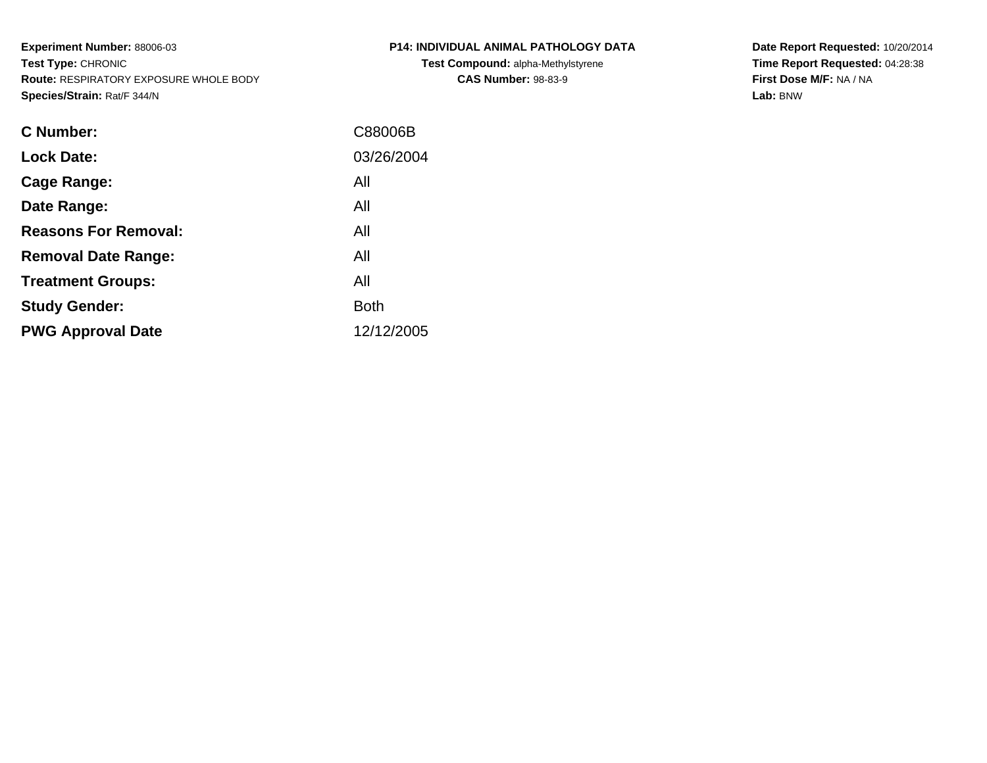**Experiment Number:** 88006-03**Test Type:** CHRONIC **Route:** RESPIRATORY EXPOSURE WHOLE BODY**Species/Strain:** Rat/F 344/N

| <b>C Number:</b>            | C88006B     |
|-----------------------------|-------------|
| <b>Lock Date:</b>           | 03/26/2004  |
| <b>Cage Range:</b>          | All         |
| Date Range:                 | All         |
| <b>Reasons For Removal:</b> | All         |
| <b>Removal Date Range:</b>  | All         |
| <b>Treatment Groups:</b>    | All         |
| <b>Study Gender:</b>        | <b>Both</b> |
| <b>PWG Approval Date</b>    | 12/12/2005  |
|                             |             |

**P14: INDIVIDUAL ANIMAL PATHOLOGY DATATest Compound:** alpha-Methylstyrene**CAS Number:** 98-83-9

**Date Report Requested:** 10/20/2014 **Time Report Requested:** 04:28:38**First Dose M/F:** NA / NA**Lab:** BNW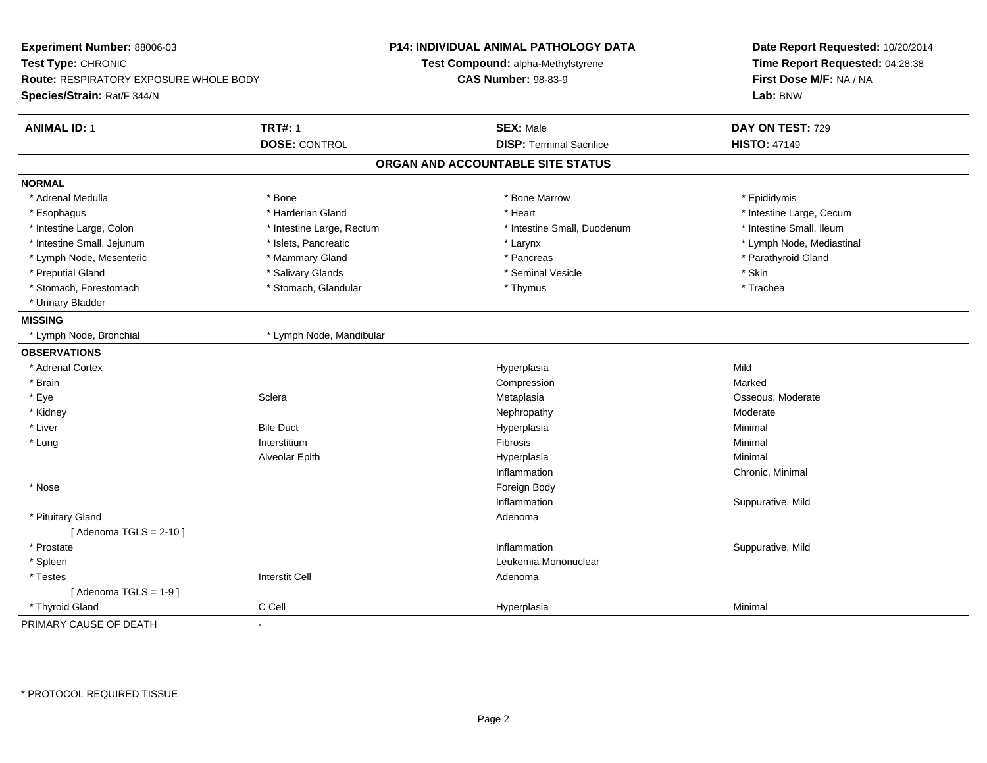| Experiment Number: 88006-03<br>Test Type: CHRONIC<br>Route: RESPIRATORY EXPOSURE WHOLE BODY<br>Species/Strain: Rat/F 344/N |                           | <b>P14: INDIVIDUAL ANIMAL PATHOLOGY DATA</b><br>Test Compound: alpha-Methylstyrene<br><b>CAS Number: 98-83-9</b> | Date Report Requested: 10/20/2014<br>Time Report Requested: 04:28:38<br>First Dose M/F: NA / NA<br>Lab: BNW |  |
|----------------------------------------------------------------------------------------------------------------------------|---------------------------|------------------------------------------------------------------------------------------------------------------|-------------------------------------------------------------------------------------------------------------|--|
| <b>ANIMAL ID: 1</b><br><b>TRT#: 1</b>                                                                                      |                           | <b>SEX: Male</b>                                                                                                 | DAY ON TEST: 729                                                                                            |  |
| <b>DOSE: CONTROL</b>                                                                                                       |                           | <b>DISP: Terminal Sacrifice</b>                                                                                  | <b>HISTO: 47149</b>                                                                                         |  |
|                                                                                                                            |                           | ORGAN AND ACCOUNTABLE SITE STATUS                                                                                |                                                                                                             |  |
| <b>NORMAL</b>                                                                                                              |                           |                                                                                                                  |                                                                                                             |  |
| * Adrenal Medulla<br>* Bone                                                                                                |                           | * Bone Marrow                                                                                                    | * Epididymis                                                                                                |  |
| * Esophagus<br>* Harderian Gland                                                                                           |                           | * Heart                                                                                                          | * Intestine Large, Cecum                                                                                    |  |
| * Intestine Large, Colon                                                                                                   | * Intestine Large, Rectum | * Intestine Small, Duodenum                                                                                      | * Intestine Small, Ileum                                                                                    |  |
| * Intestine Small, Jejunum<br>* Islets, Pancreatic                                                                         |                           | * Larynx                                                                                                         | * Lymph Node, Mediastinal                                                                                   |  |
| * Lymph Node, Mesenteric<br>* Mammary Gland                                                                                |                           | * Pancreas                                                                                                       | * Parathyroid Gland                                                                                         |  |
| * Preputial Gland<br>* Salivary Glands                                                                                     |                           | * Seminal Vesicle                                                                                                | * Skin                                                                                                      |  |
| * Stomach, Forestomach                                                                                                     | * Stomach, Glandular      | * Thymus                                                                                                         | * Trachea                                                                                                   |  |
| * Urinary Bladder                                                                                                          |                           |                                                                                                                  |                                                                                                             |  |
| <b>MISSING</b>                                                                                                             |                           |                                                                                                                  |                                                                                                             |  |
| * Lymph Node, Bronchial                                                                                                    | * Lymph Node, Mandibular  |                                                                                                                  |                                                                                                             |  |
| <b>OBSERVATIONS</b>                                                                                                        |                           |                                                                                                                  |                                                                                                             |  |
| * Adrenal Cortex                                                                                                           |                           | Hyperplasia                                                                                                      | Mild                                                                                                        |  |
| * Brain                                                                                                                    |                           | Compression                                                                                                      | Marked                                                                                                      |  |
| Sclera<br>* Eye                                                                                                            |                           | Metaplasia                                                                                                       | Osseous, Moderate                                                                                           |  |
| * Kidney                                                                                                                   |                           | Nephropathy                                                                                                      | Moderate                                                                                                    |  |
| * Liver<br><b>Bile Duct</b>                                                                                                |                           | Hyperplasia                                                                                                      | Minimal                                                                                                     |  |
| * Lung<br>Interstitium                                                                                                     |                           | Fibrosis                                                                                                         | Minimal                                                                                                     |  |
| Alveolar Epith                                                                                                             |                           | Hyperplasia                                                                                                      | Minimal                                                                                                     |  |
|                                                                                                                            |                           | Inflammation                                                                                                     | Chronic, Minimal                                                                                            |  |
| * Nose                                                                                                                     |                           | Foreign Body                                                                                                     |                                                                                                             |  |
|                                                                                                                            |                           | Inflammation                                                                                                     | Suppurative, Mild                                                                                           |  |
| * Pituitary Gland                                                                                                          |                           | Adenoma                                                                                                          |                                                                                                             |  |
| [Adenoma TGLS = $2-10$ ]                                                                                                   |                           |                                                                                                                  |                                                                                                             |  |
| * Prostate                                                                                                                 |                           | Inflammation                                                                                                     | Suppurative, Mild                                                                                           |  |
| * Spleen                                                                                                                   |                           | Leukemia Mononuclear                                                                                             |                                                                                                             |  |
| <b>Interstit Cell</b><br>* Testes                                                                                          |                           | Adenoma                                                                                                          |                                                                                                             |  |
| [Adenoma TGLS = $1-9$ ]                                                                                                    |                           |                                                                                                                  |                                                                                                             |  |
| C Cell<br>* Thyroid Gland                                                                                                  |                           | Hyperplasia                                                                                                      | Minimal                                                                                                     |  |
| PRIMARY CAUSE OF DEATH<br>$\blacksquare$                                                                                   |                           |                                                                                                                  |                                                                                                             |  |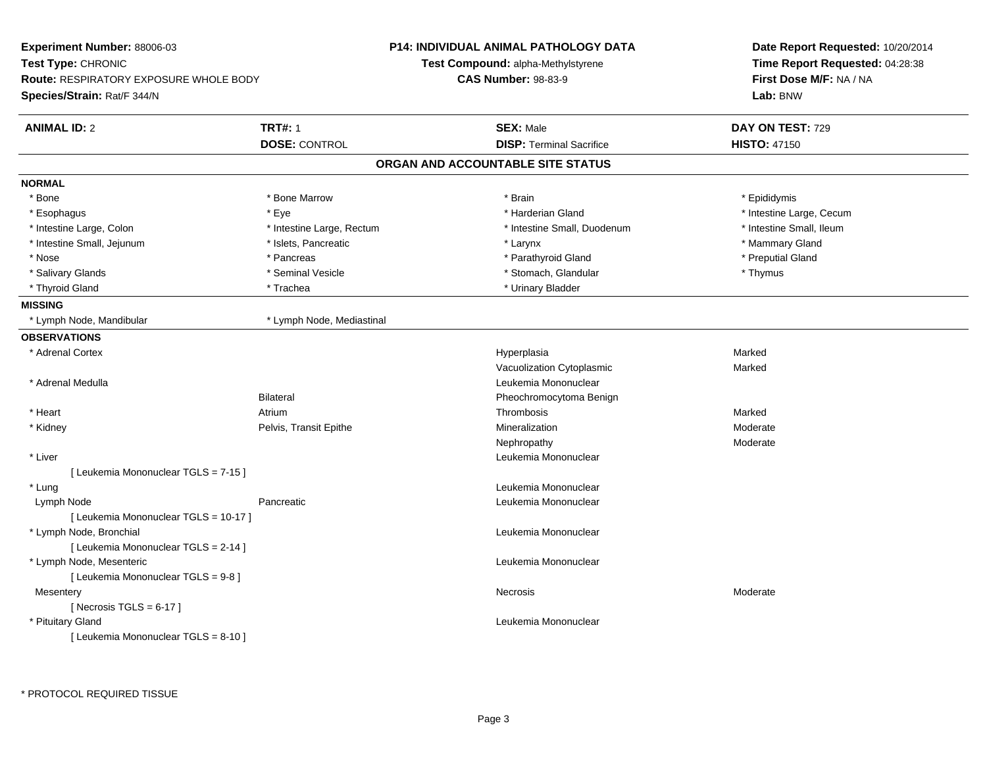| Experiment Number: 88006-03<br>Test Type: CHRONIC |                           | <b>P14: INDIVIDUAL ANIMAL PATHOLOGY DATA</b> | Date Report Requested: 10/20/2014   |
|---------------------------------------------------|---------------------------|----------------------------------------------|-------------------------------------|
|                                                   |                           | Test Compound: alpha-Methylstyrene           | Time Report Requested: 04:28:38     |
| <b>Route: RESPIRATORY EXPOSURE WHOLE BODY</b>     |                           | <b>CAS Number: 98-83-9</b>                   | First Dose M/F: NA / NA<br>Lab: BNW |
| Species/Strain: Rat/F 344/N                       |                           |                                              |                                     |
| <b>ANIMAL ID: 2</b>                               | <b>TRT#: 1</b>            | <b>SEX: Male</b>                             | DAY ON TEST: 729                    |
|                                                   | <b>DOSE: CONTROL</b>      | <b>DISP: Terminal Sacrifice</b>              | <b>HISTO: 47150</b>                 |
|                                                   |                           | ORGAN AND ACCOUNTABLE SITE STATUS            |                                     |
| <b>NORMAL</b>                                     |                           |                                              |                                     |
| * Bone                                            | * Bone Marrow             | * Brain                                      | * Epididymis                        |
| * Esophagus                                       | * Eye                     | * Harderian Gland                            | * Intestine Large, Cecum            |
| * Intestine Large, Colon                          | * Intestine Large, Rectum | * Intestine Small, Duodenum                  | * Intestine Small, Ileum            |
| * Intestine Small, Jejunum                        | * Islets, Pancreatic      | * Larynx                                     | * Mammary Gland                     |
| * Nose                                            | * Pancreas                | * Parathyroid Gland                          | * Preputial Gland                   |
| * Salivary Glands                                 | * Seminal Vesicle         | * Stomach, Glandular                         | * Thymus                            |
| * Thyroid Gland                                   | * Trachea                 | * Urinary Bladder                            |                                     |
| <b>MISSING</b>                                    |                           |                                              |                                     |
| * Lymph Node, Mandibular                          | * Lymph Node, Mediastinal |                                              |                                     |
| <b>OBSERVATIONS</b>                               |                           |                                              |                                     |
| * Adrenal Cortex                                  |                           | Hyperplasia                                  | Marked                              |
|                                                   |                           | Vacuolization Cytoplasmic                    | Marked                              |
| * Adrenal Medulla                                 |                           | Leukemia Mononuclear                         |                                     |
|                                                   | <b>Bilateral</b>          | Pheochromocytoma Benign                      |                                     |
| * Heart                                           | Atrium                    | Thrombosis                                   | Marked                              |
| * Kidney                                          | Pelvis, Transit Epithe    | Mineralization                               | Moderate                            |
|                                                   |                           | Nephropathy                                  | Moderate                            |
| * Liver                                           |                           | Leukemia Mononuclear                         |                                     |
| [ Leukemia Mononuclear TGLS = 7-15 ]              |                           |                                              |                                     |
| * Lung                                            |                           | Leukemia Mononuclear                         |                                     |
| Lymph Node                                        | Pancreatic                | Leukemia Mononuclear                         |                                     |
| [ Leukemia Mononuclear TGLS = 10-17 ]             |                           |                                              |                                     |
| * Lymph Node, Bronchial                           |                           | Leukemia Mononuclear                         |                                     |
| [ Leukemia Mononuclear TGLS = 2-14 ]              |                           |                                              |                                     |
| * Lymph Node, Mesenteric                          |                           | Leukemia Mononuclear                         |                                     |
| [ Leukemia Mononuclear TGLS = 9-8 ]               |                           |                                              |                                     |
| Mesentery                                         |                           | Necrosis                                     | Moderate                            |
| [Necrosis TGLS = $6-17$ ]                         |                           |                                              |                                     |
| * Pituitary Gland                                 |                           | Leukemia Mononuclear                         |                                     |
| [ Leukemia Mononuclear TGLS = 8-10 ]              |                           |                                              |                                     |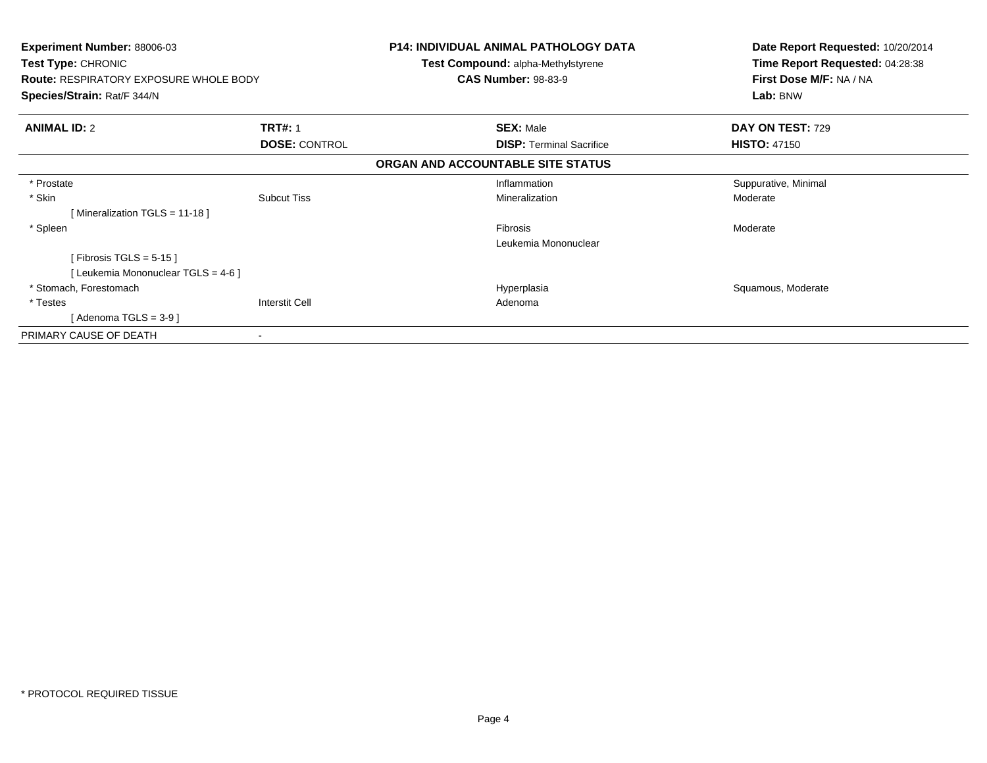| <b>Experiment Number: 88006-03</b><br>Test Type: CHRONIC<br><b>Route: RESPIRATORY EXPOSURE WHOLE BODY</b><br>Species/Strain: Rat/F 344/N |                       | <b>P14: INDIVIDUAL ANIMAL PATHOLOGY DATA</b><br><b>Test Compound: alpha-Methylstyrene</b><br><b>CAS Number: 98-83-9</b> | Date Report Requested: 10/20/2014<br>Time Report Requested: 04:28:38<br>First Dose M/F: NA / NA<br>Lab: BNW |
|------------------------------------------------------------------------------------------------------------------------------------------|-----------------------|-------------------------------------------------------------------------------------------------------------------------|-------------------------------------------------------------------------------------------------------------|
| <b>ANIMAL ID: 2</b>                                                                                                                      | <b>TRT#: 1</b>        | <b>SEX: Male</b>                                                                                                        | DAY ON TEST: 729                                                                                            |
|                                                                                                                                          | <b>DOSE: CONTROL</b>  | <b>DISP:</b> Terminal Sacrifice                                                                                         | <b>HISTO: 47150</b>                                                                                         |
|                                                                                                                                          |                       | ORGAN AND ACCOUNTABLE SITE STATUS                                                                                       |                                                                                                             |
| * Prostate                                                                                                                               |                       | Inflammation                                                                                                            | Suppurative, Minimal                                                                                        |
| * Skin                                                                                                                                   | <b>Subcut Tiss</b>    | Mineralization                                                                                                          | Moderate                                                                                                    |
| [Mineralization TGLS = 11-18]                                                                                                            |                       |                                                                                                                         |                                                                                                             |
| * Spleen                                                                                                                                 |                       | Fibrosis                                                                                                                | Moderate                                                                                                    |
|                                                                                                                                          |                       | Leukemia Mononuclear                                                                                                    |                                                                                                             |
| [Fibrosis TGLS = $5-15$ ]                                                                                                                |                       |                                                                                                                         |                                                                                                             |
| [ Leukemia Mononuclear TGLS = 4-6 ]                                                                                                      |                       |                                                                                                                         |                                                                                                             |
| * Stomach, Forestomach                                                                                                                   |                       | Hyperplasia                                                                                                             | Squamous, Moderate                                                                                          |
| * Testes                                                                                                                                 | <b>Interstit Cell</b> | Adenoma                                                                                                                 |                                                                                                             |
| [Adenoma TGLS = $3-9$ ]                                                                                                                  |                       |                                                                                                                         |                                                                                                             |
| PRIMARY CAUSE OF DEATH                                                                                                                   | ۰                     |                                                                                                                         |                                                                                                             |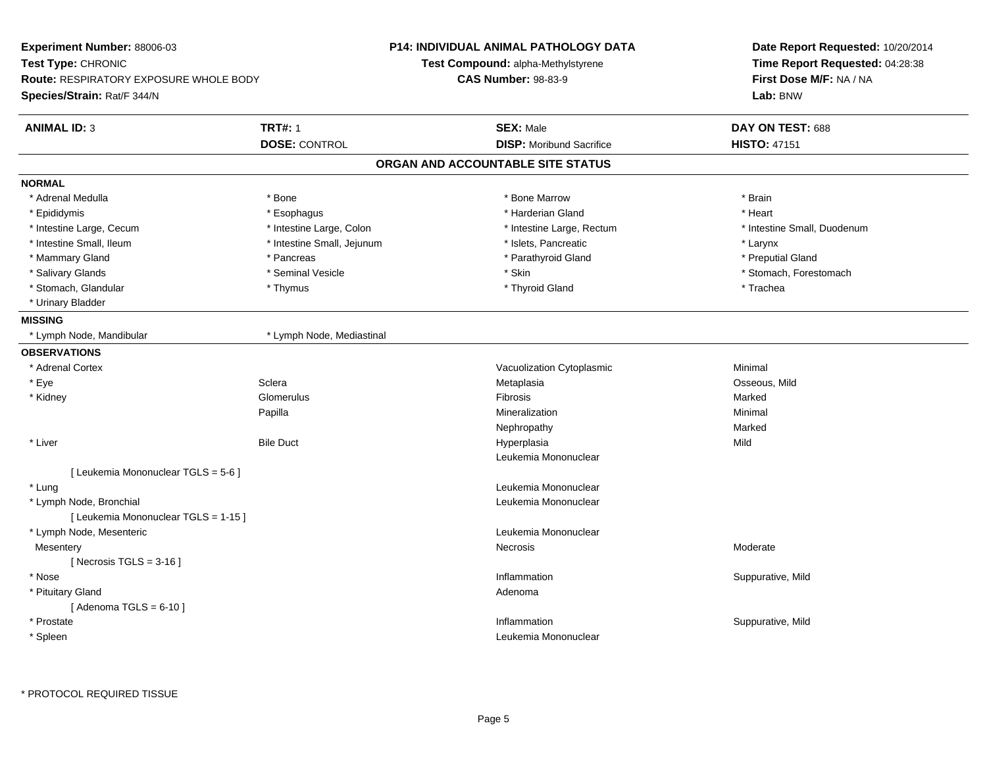| Experiment Number: 88006-03                   |                            | <b>P14: INDIVIDUAL ANIMAL PATHOLOGY DATA</b> | Date Report Requested: 10/20/2014<br>Time Report Requested: 04:28:38 |
|-----------------------------------------------|----------------------------|----------------------------------------------|----------------------------------------------------------------------|
| Test Type: CHRONIC                            |                            | <b>Test Compound: alpha-Methylstyrene</b>    |                                                                      |
| <b>Route: RESPIRATORY EXPOSURE WHOLE BODY</b> |                            | <b>CAS Number: 98-83-9</b>                   | First Dose M/F: NA / NA                                              |
| Species/Strain: Rat/F 344/N                   |                            |                                              | Lab: BNW                                                             |
| <b>ANIMAL ID: 3</b>                           | <b>TRT#: 1</b>             | <b>SEX: Male</b>                             | DAY ON TEST: 688                                                     |
|                                               | <b>DOSE: CONTROL</b>       | <b>DISP:</b> Moribund Sacrifice              | <b>HISTO: 47151</b>                                                  |
|                                               |                            | ORGAN AND ACCOUNTABLE SITE STATUS            |                                                                      |
| <b>NORMAL</b>                                 |                            |                                              |                                                                      |
| * Adrenal Medulla                             | * Bone                     | * Bone Marrow                                | * Brain                                                              |
| * Epididymis                                  | * Esophagus                | * Harderian Gland                            | * Heart                                                              |
| * Intestine Large, Cecum                      | * Intestine Large, Colon   | * Intestine Large, Rectum                    | * Intestine Small, Duodenum                                          |
| * Intestine Small, Ileum                      | * Intestine Small, Jejunum | * Islets, Pancreatic                         | * Larynx                                                             |
| * Mammary Gland                               | * Pancreas                 | * Parathyroid Gland                          | * Preputial Gland                                                    |
| * Salivary Glands                             | * Seminal Vesicle          | * Skin                                       | * Stomach, Forestomach                                               |
| * Stomach, Glandular                          | * Thymus                   | * Thyroid Gland                              | * Trachea                                                            |
| * Urinary Bladder                             |                            |                                              |                                                                      |
| <b>MISSING</b>                                |                            |                                              |                                                                      |
| * Lymph Node, Mandibular                      | * Lymph Node, Mediastinal  |                                              |                                                                      |
| <b>OBSERVATIONS</b>                           |                            |                                              |                                                                      |
| * Adrenal Cortex                              |                            | Vacuolization Cytoplasmic                    | Minimal                                                              |
| * Eye                                         | Sclera                     | Metaplasia                                   | Osseous, Mild                                                        |
| * Kidney                                      | Glomerulus                 | <b>Fibrosis</b>                              | Marked                                                               |
|                                               | Papilla                    | Mineralization                               | Minimal                                                              |
|                                               |                            | Nephropathy                                  | Marked                                                               |
| * Liver                                       | <b>Bile Duct</b>           | Hyperplasia                                  | Mild                                                                 |
|                                               |                            | Leukemia Mononuclear                         |                                                                      |
| [ Leukemia Mononuclear TGLS = 5-6 ]           |                            |                                              |                                                                      |
| * Lung                                        |                            | Leukemia Mononuclear                         |                                                                      |
| * Lymph Node, Bronchial                       |                            | Leukemia Mononuclear                         |                                                                      |
| [ Leukemia Mononuclear TGLS = 1-15 ]          |                            |                                              |                                                                      |
| * Lymph Node, Mesenteric                      |                            | Leukemia Mononuclear                         |                                                                      |
| Mesentery                                     |                            | Necrosis                                     | Moderate                                                             |
| [Necrosis TGLS = $3-16$ ]                     |                            |                                              |                                                                      |
| * Nose                                        |                            | Inflammation                                 | Suppurative, Mild                                                    |
| * Pituitary Gland                             |                            | Adenoma                                      |                                                                      |
| [Adenoma TGLS = $6-10$ ]                      |                            |                                              |                                                                      |
| * Prostate                                    |                            | Inflammation                                 | Suppurative, Mild                                                    |
| * Spleen                                      |                            | Leukemia Mononuclear                         |                                                                      |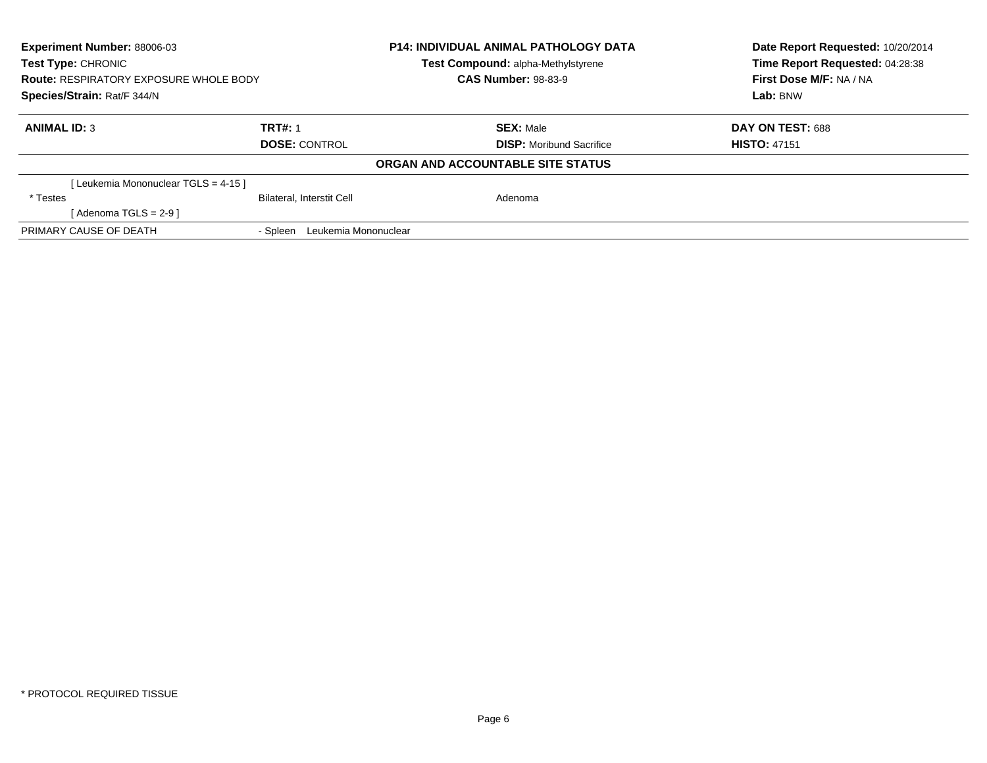| Experiment Number: 88006-03<br><b>Test Type: CHRONIC</b> |                                  | <b>P14: INDIVIDUAL ANIMAL PATHOLOGY DATA</b><br><b>Test Compound: alpha-Methylstyrene</b> | Date Report Requested: 10/20/2014<br>Time Report Requested: 04:28:38 |
|----------------------------------------------------------|----------------------------------|-------------------------------------------------------------------------------------------|----------------------------------------------------------------------|
| <b>Route: RESPIRATORY EXPOSURE WHOLE BODY</b>            |                                  | <b>CAS Number: 98-83-9</b>                                                                | First Dose M/F: NA / NA                                              |
| Species/Strain: Rat/F 344/N                              |                                  |                                                                                           | Lab: BNW                                                             |
| <b>ANIMAL ID: 3</b>                                      | <b>TRT#: 1</b>                   | <b>SEX: Male</b>                                                                          | DAY ON TEST: 688                                                     |
|                                                          | <b>DOSE: CONTROL</b>             | <b>DISP:</b> Moribund Sacrifice                                                           | <b>HISTO: 47151</b>                                                  |
|                                                          |                                  | ORGAN AND ACCOUNTABLE SITE STATUS                                                         |                                                                      |
| [Leukemia Mononuclear TGLS = 4-15 ]                      |                                  |                                                                                           |                                                                      |
| * Testes                                                 | <b>Bilateral, Interstit Cell</b> | Adenoma                                                                                   |                                                                      |
| [Adenoma TGLS = $2-9$ ]                                  |                                  |                                                                                           |                                                                      |
| PRIMARY CAUSE OF DEATH                                   | Leukemia Mononuclear<br>- Spleen |                                                                                           |                                                                      |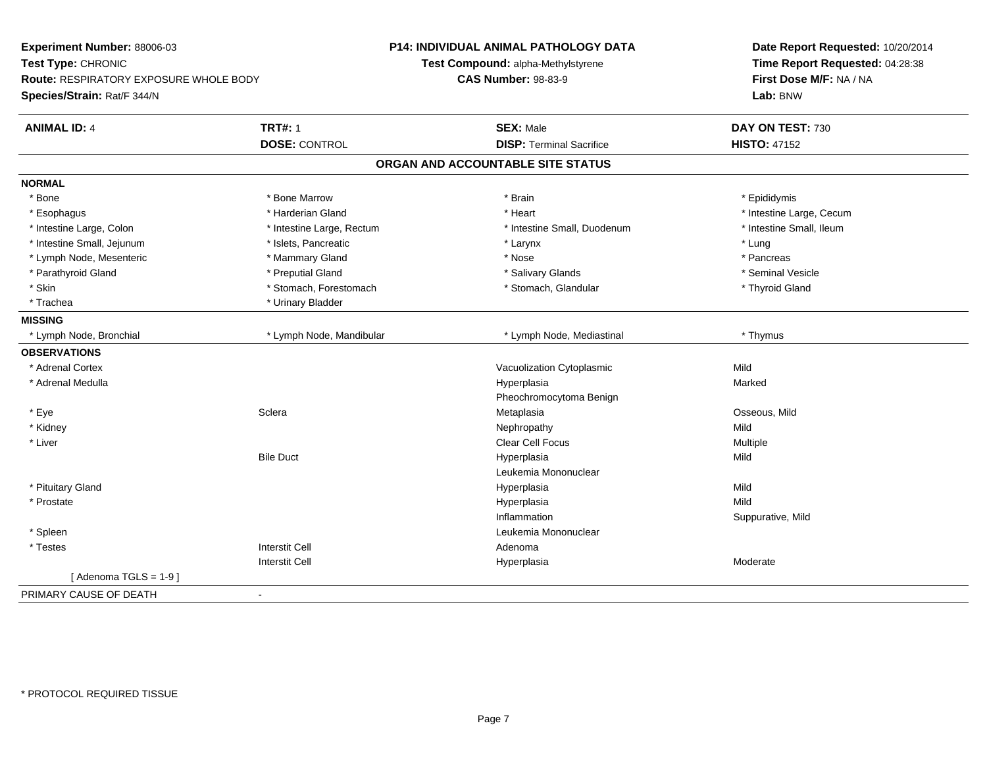| Experiment Number: 88006-03<br>Test Type: CHRONIC<br><b>Route: RESPIRATORY EXPOSURE WHOLE BODY</b> |                           | <b>P14: INDIVIDUAL ANIMAL PATHOLOGY DATA</b><br>Test Compound: alpha-Methylstyrene<br><b>CAS Number: 98-83-9</b> | Date Report Requested: 10/20/2014<br>Time Report Requested: 04:28:38<br>First Dose M/F: NA / NA |
|----------------------------------------------------------------------------------------------------|---------------------------|------------------------------------------------------------------------------------------------------------------|-------------------------------------------------------------------------------------------------|
| Species/Strain: Rat/F 344/N                                                                        |                           |                                                                                                                  | Lab: BNW                                                                                        |
| <b>ANIMAL ID: 4</b>                                                                                | <b>TRT#: 1</b>            | <b>SEX: Male</b>                                                                                                 | DAY ON TEST: 730                                                                                |
|                                                                                                    | <b>DOSE: CONTROL</b>      | <b>DISP: Terminal Sacrifice</b>                                                                                  | <b>HISTO: 47152</b>                                                                             |
|                                                                                                    |                           | ORGAN AND ACCOUNTABLE SITE STATUS                                                                                |                                                                                                 |
| <b>NORMAL</b>                                                                                      |                           |                                                                                                                  |                                                                                                 |
| * Bone                                                                                             | * Bone Marrow             | * Brain                                                                                                          | * Epididymis                                                                                    |
| * Esophagus                                                                                        | * Harderian Gland         | * Heart                                                                                                          | * Intestine Large, Cecum                                                                        |
| * Intestine Large, Colon                                                                           | * Intestine Large, Rectum | * Intestine Small, Duodenum                                                                                      | * Intestine Small, Ileum                                                                        |
| * Intestine Small, Jejunum                                                                         | * Islets, Pancreatic      | * Larynx                                                                                                         | * Lung                                                                                          |
| * Lymph Node, Mesenteric                                                                           | * Mammary Gland           | * Nose                                                                                                           | * Pancreas                                                                                      |
| * Parathyroid Gland                                                                                | * Preputial Gland         | * Salivary Glands                                                                                                | * Seminal Vesicle                                                                               |
| * Skin                                                                                             | * Stomach, Forestomach    | * Stomach, Glandular                                                                                             | * Thyroid Gland                                                                                 |
| * Trachea                                                                                          | * Urinary Bladder         |                                                                                                                  |                                                                                                 |
| <b>MISSING</b>                                                                                     |                           |                                                                                                                  |                                                                                                 |
| * Lymph Node, Bronchial                                                                            | * Lymph Node, Mandibular  | * Lymph Node, Mediastinal                                                                                        | * Thymus                                                                                        |
| <b>OBSERVATIONS</b>                                                                                |                           |                                                                                                                  |                                                                                                 |
| * Adrenal Cortex                                                                                   |                           | Vacuolization Cytoplasmic                                                                                        | Mild                                                                                            |
| * Adrenal Medulla                                                                                  |                           | Hyperplasia                                                                                                      | Marked                                                                                          |
|                                                                                                    |                           | Pheochromocytoma Benign                                                                                          |                                                                                                 |
| * Eye                                                                                              | Sclera                    | Metaplasia                                                                                                       | Osseous, Mild                                                                                   |
| * Kidney                                                                                           |                           | Nephropathy                                                                                                      | Mild                                                                                            |
| * Liver                                                                                            |                           | <b>Clear Cell Focus</b>                                                                                          | Multiple                                                                                        |
|                                                                                                    | <b>Bile Duct</b>          | Hyperplasia                                                                                                      | Mild                                                                                            |
|                                                                                                    |                           | Leukemia Mononuclear                                                                                             |                                                                                                 |
| * Pituitary Gland                                                                                  |                           | Hyperplasia                                                                                                      | Mild                                                                                            |
| * Prostate                                                                                         |                           | Hyperplasia                                                                                                      | Mild                                                                                            |
|                                                                                                    |                           | Inflammation                                                                                                     | Suppurative, Mild                                                                               |
| * Spleen                                                                                           |                           | Leukemia Mononuclear                                                                                             |                                                                                                 |
| * Testes                                                                                           | <b>Interstit Cell</b>     | Adenoma                                                                                                          |                                                                                                 |
|                                                                                                    | <b>Interstit Cell</b>     | Hyperplasia                                                                                                      | Moderate                                                                                        |
| [Adenoma TGLS = $1-9$ ]                                                                            |                           |                                                                                                                  |                                                                                                 |
| PRIMARY CAUSE OF DEATH                                                                             | $\blacksquare$            |                                                                                                                  |                                                                                                 |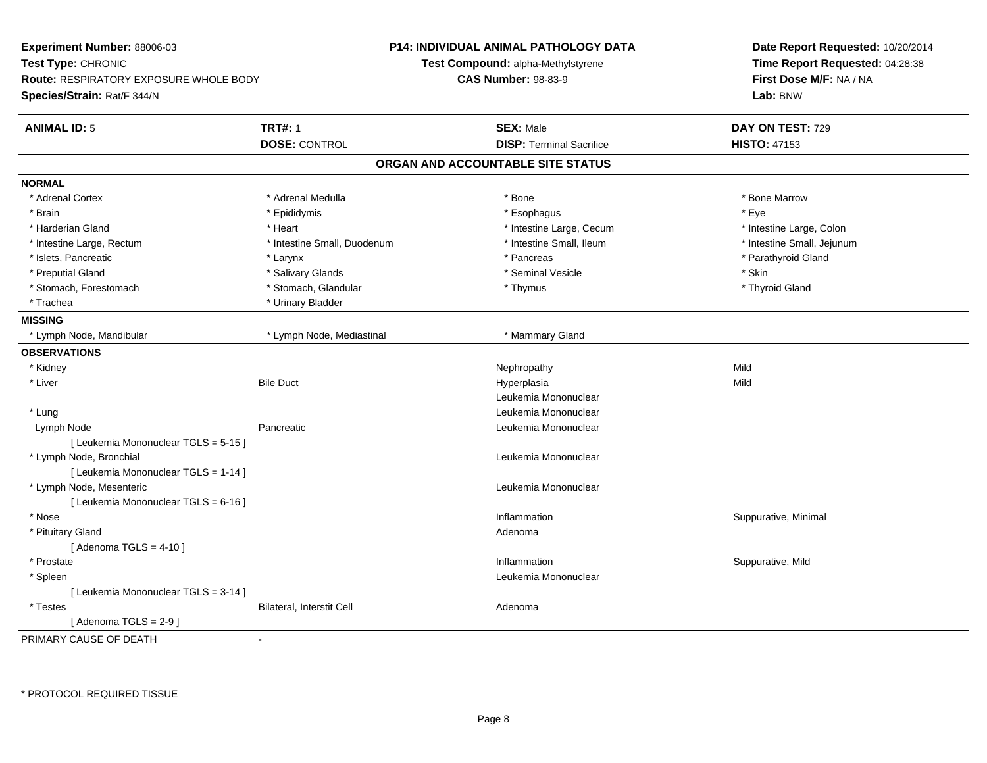| Experiment Number: 88006-03                   |                             | <b>P14: INDIVIDUAL ANIMAL PATHOLOGY DATA</b> | Date Report Requested: 10/20/2014 |  |
|-----------------------------------------------|-----------------------------|----------------------------------------------|-----------------------------------|--|
| Test Type: CHRONIC                            |                             | Test Compound: alpha-Methylstyrene           | Time Report Requested: 04:28:38   |  |
| <b>Route: RESPIRATORY EXPOSURE WHOLE BODY</b> |                             | <b>CAS Number: 98-83-9</b>                   | First Dose M/F: NA / NA           |  |
| Species/Strain: Rat/F 344/N                   |                             |                                              | Lab: BNW                          |  |
| <b>ANIMAL ID: 5</b>                           | <b>TRT#: 1</b>              | <b>SEX: Male</b>                             | DAY ON TEST: 729                  |  |
|                                               | <b>DOSE: CONTROL</b>        | <b>DISP: Terminal Sacrifice</b>              | <b>HISTO: 47153</b>               |  |
|                                               |                             | ORGAN AND ACCOUNTABLE SITE STATUS            |                                   |  |
| <b>NORMAL</b>                                 |                             |                                              |                                   |  |
| * Adrenal Cortex                              | * Adrenal Medulla           | $*$ Bone                                     | * Bone Marrow                     |  |
| * Brain                                       | * Epididymis                | * Esophagus                                  | * Eye                             |  |
| * Harderian Gland                             | * Heart                     | * Intestine Large, Cecum                     | * Intestine Large, Colon          |  |
| * Intestine Large, Rectum                     | * Intestine Small, Duodenum | * Intestine Small, Ileum                     | * Intestine Small, Jejunum        |  |
| * Islets, Pancreatic                          | * Larynx                    | * Pancreas                                   | * Parathyroid Gland               |  |
| * Preputial Gland                             | * Salivary Glands           | * Seminal Vesicle                            | * Skin                            |  |
| * Stomach, Forestomach                        | * Stomach, Glandular        | * Thymus                                     | * Thyroid Gland                   |  |
| * Trachea                                     | * Urinary Bladder           |                                              |                                   |  |
| <b>MISSING</b>                                |                             |                                              |                                   |  |
| * Lymph Node, Mandibular                      | * Lymph Node, Mediastinal   | * Mammary Gland                              |                                   |  |
| <b>OBSERVATIONS</b>                           |                             |                                              |                                   |  |
| * Kidney                                      |                             | Nephropathy                                  | Mild                              |  |
| * Liver                                       | <b>Bile Duct</b>            | Hyperplasia                                  | Mild                              |  |
|                                               |                             | Leukemia Mononuclear                         |                                   |  |
| * Lung                                        |                             | Leukemia Mononuclear                         |                                   |  |
| Lymph Node                                    | Pancreatic                  | Leukemia Mononuclear                         |                                   |  |
| [ Leukemia Mononuclear TGLS = 5-15 ]          |                             |                                              |                                   |  |
| * Lymph Node, Bronchial                       |                             | Leukemia Mononuclear                         |                                   |  |
| [ Leukemia Mononuclear TGLS = 1-14 ]          |                             |                                              |                                   |  |
| * Lymph Node, Mesenteric                      |                             | Leukemia Mononuclear                         |                                   |  |
| [ Leukemia Mononuclear TGLS = 6-16 ]          |                             |                                              |                                   |  |
| * Nose                                        |                             | Inflammation                                 | Suppurative, Minimal              |  |
| * Pituitary Gland                             |                             | Adenoma                                      |                                   |  |
| [Adenoma TGLS = $4-10$ ]                      |                             |                                              |                                   |  |
| * Prostate                                    |                             | Inflammation                                 | Suppurative, Mild                 |  |
| * Spleen                                      |                             | Leukemia Mononuclear                         |                                   |  |
| [ Leukemia Mononuclear TGLS = 3-14 ]          |                             |                                              |                                   |  |
| * Testes                                      | Bilateral, Interstit Cell   | Adenoma                                      |                                   |  |
| [Adenoma TGLS = $2-9$ ]                       |                             |                                              |                                   |  |
| PRIMARY CAUSE OF DEATH                        | $\overline{a}$              |                                              |                                   |  |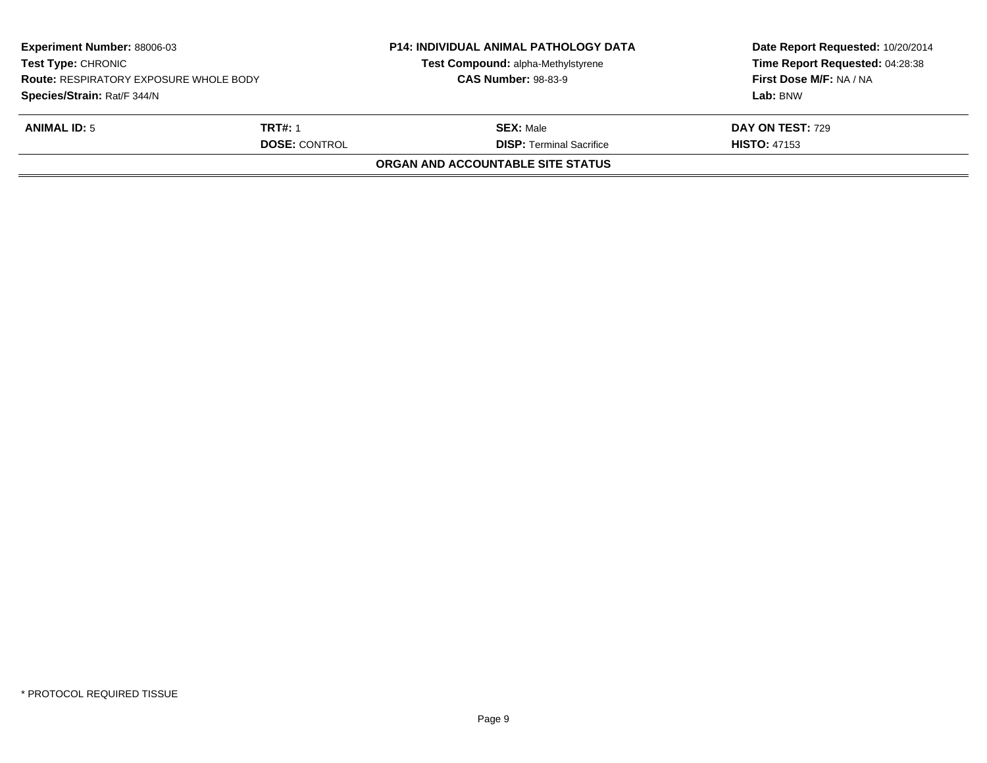| <b>Experiment Number: 88006-03</b><br><b>Test Type: CHRONIC</b><br><b>Route: RESPIRATORY EXPOSURE WHOLE BODY</b><br>Species/Strain: Rat/F 344/N |                                        | <b>P14: INDIVIDUAL ANIMAL PATHOLOGY DATA</b><br>Test Compound: alpha-Methylstyrene<br><b>CAS Number: 98-83-9</b> | Date Report Requested: 10/20/2014<br>Time Report Requested: 04:28:38<br>First Dose M/F: NA / NA<br>Lab: BNW |
|-------------------------------------------------------------------------------------------------------------------------------------------------|----------------------------------------|------------------------------------------------------------------------------------------------------------------|-------------------------------------------------------------------------------------------------------------|
| <b>ANIMAL ID: 5</b>                                                                                                                             | <b>TRT#: 1</b><br><b>DOSE: CONTROL</b> | <b>SEX:</b> Male<br><b>DISP: Terminal Sacrifice</b>                                                              | DAY ON TEST: 729<br><b>HISTO: 47153</b>                                                                     |
|                                                                                                                                                 |                                        | ORGAN AND ACCOUNTABLE SITE STATUS                                                                                |                                                                                                             |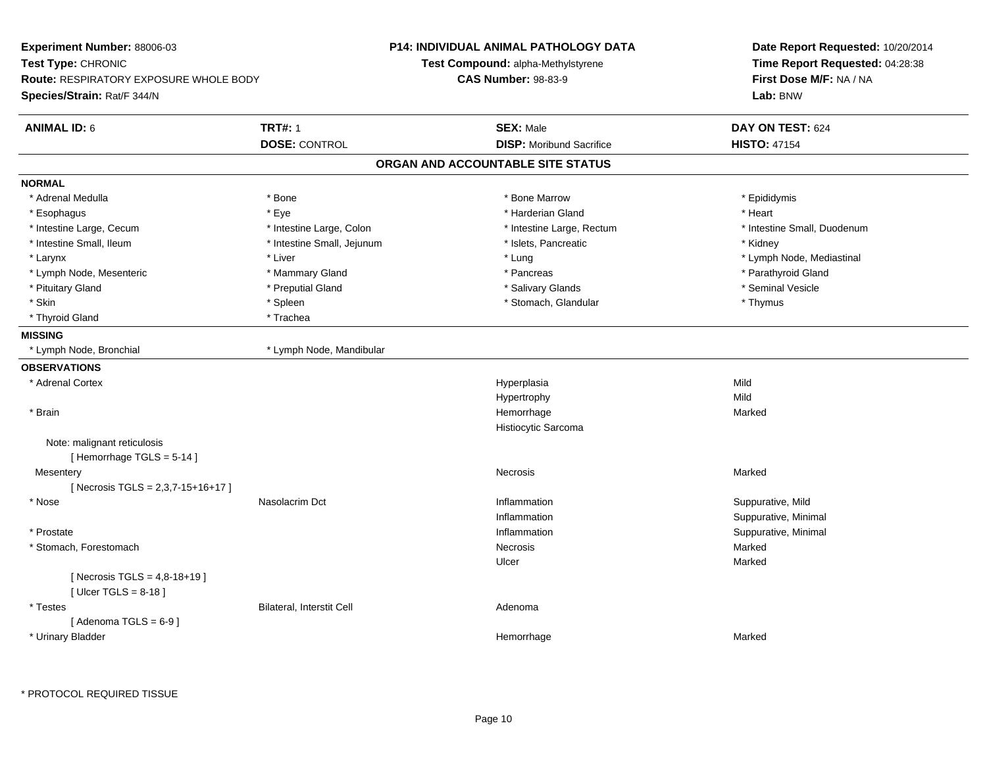| Experiment Number: 88006-03<br>Test Type: CHRONIC<br>Route: RESPIRATORY EXPOSURE WHOLE BODY<br>Species/Strain: Rat/F 344/N |                                        | P14: INDIVIDUAL ANIMAL PATHOLOGY DATA<br>Test Compound: alpha-Methylstyrene<br><b>CAS Number: 98-83-9</b> | Date Report Requested: 10/20/2014<br>Time Report Requested: 04:28:38<br>First Dose M/F: NA / NA<br>Lab: BNW |  |
|----------------------------------------------------------------------------------------------------------------------------|----------------------------------------|-----------------------------------------------------------------------------------------------------------|-------------------------------------------------------------------------------------------------------------|--|
| <b>ANIMAL ID: 6</b>                                                                                                        | <b>TRT#: 1</b><br><b>DOSE: CONTROL</b> | <b>SEX: Male</b><br><b>DISP:</b> Moribund Sacrifice                                                       | DAY ON TEST: 624<br><b>HISTO: 47154</b>                                                                     |  |
|                                                                                                                            |                                        | ORGAN AND ACCOUNTABLE SITE STATUS                                                                         |                                                                                                             |  |
| <b>NORMAL</b>                                                                                                              |                                        |                                                                                                           |                                                                                                             |  |
| * Adrenal Medulla                                                                                                          | * Bone                                 | * Bone Marrow                                                                                             | * Epididymis                                                                                                |  |
| * Esophagus                                                                                                                | * Eye                                  | * Harderian Gland                                                                                         | * Heart                                                                                                     |  |
| * Intestine Large, Cecum                                                                                                   | * Intestine Large, Colon               | * Intestine Large, Rectum                                                                                 | * Intestine Small, Duodenum                                                                                 |  |
| * Intestine Small, Ileum                                                                                                   | * Intestine Small, Jejunum             | * Islets, Pancreatic                                                                                      | * Kidney                                                                                                    |  |
| * Larynx                                                                                                                   | * Liver                                | * Lung                                                                                                    | * Lymph Node, Mediastinal                                                                                   |  |
| * Lymph Node, Mesenteric                                                                                                   | * Mammary Gland                        | * Pancreas                                                                                                | * Parathyroid Gland                                                                                         |  |
| * Pituitary Gland                                                                                                          | * Preputial Gland                      | * Salivary Glands                                                                                         | * Seminal Vesicle                                                                                           |  |
| * Skin                                                                                                                     | * Spleen                               | * Stomach, Glandular                                                                                      | * Thymus                                                                                                    |  |
| * Thyroid Gland                                                                                                            | * Trachea                              |                                                                                                           |                                                                                                             |  |
| <b>MISSING</b>                                                                                                             |                                        |                                                                                                           |                                                                                                             |  |
| * Lymph Node, Bronchial                                                                                                    | * Lymph Node, Mandibular               |                                                                                                           |                                                                                                             |  |
| <b>OBSERVATIONS</b>                                                                                                        |                                        |                                                                                                           |                                                                                                             |  |
| * Adrenal Cortex                                                                                                           |                                        | Hyperplasia                                                                                               | Mild                                                                                                        |  |
|                                                                                                                            |                                        | Hypertrophy                                                                                               | Mild                                                                                                        |  |
| * Brain                                                                                                                    |                                        | Hemorrhage                                                                                                | Marked                                                                                                      |  |
|                                                                                                                            |                                        | Histiocytic Sarcoma                                                                                       |                                                                                                             |  |
| Note: malignant reticulosis<br>[Hemorrhage TGLS = 5-14]                                                                    |                                        |                                                                                                           |                                                                                                             |  |
| Mesentery<br>[Necrosis TGLS = 2,3,7-15+16+17]                                                                              |                                        | Necrosis                                                                                                  | Marked                                                                                                      |  |
| * Nose                                                                                                                     | Nasolacrim Dct                         | Inflammation                                                                                              | Suppurative, Mild                                                                                           |  |
|                                                                                                                            |                                        | Inflammation                                                                                              | Suppurative, Minimal                                                                                        |  |
| * Prostate                                                                                                                 |                                        | Inflammation                                                                                              | Suppurative, Minimal                                                                                        |  |
| * Stomach, Forestomach                                                                                                     |                                        | Necrosis                                                                                                  | Marked                                                                                                      |  |
|                                                                                                                            |                                        | Ulcer                                                                                                     | Marked                                                                                                      |  |
| [ Necrosis TGLS = $4,8-18+19$ ]<br>[ $Ulcer TGLS = 8-18$ ]                                                                 |                                        |                                                                                                           |                                                                                                             |  |
| * Testes                                                                                                                   | <b>Bilateral, Interstit Cell</b>       | Adenoma                                                                                                   |                                                                                                             |  |
| [Adenoma TGLS = $6-9$ ]                                                                                                    |                                        |                                                                                                           |                                                                                                             |  |
| * Urinary Bladder                                                                                                          |                                        | Hemorrhage                                                                                                | Marked                                                                                                      |  |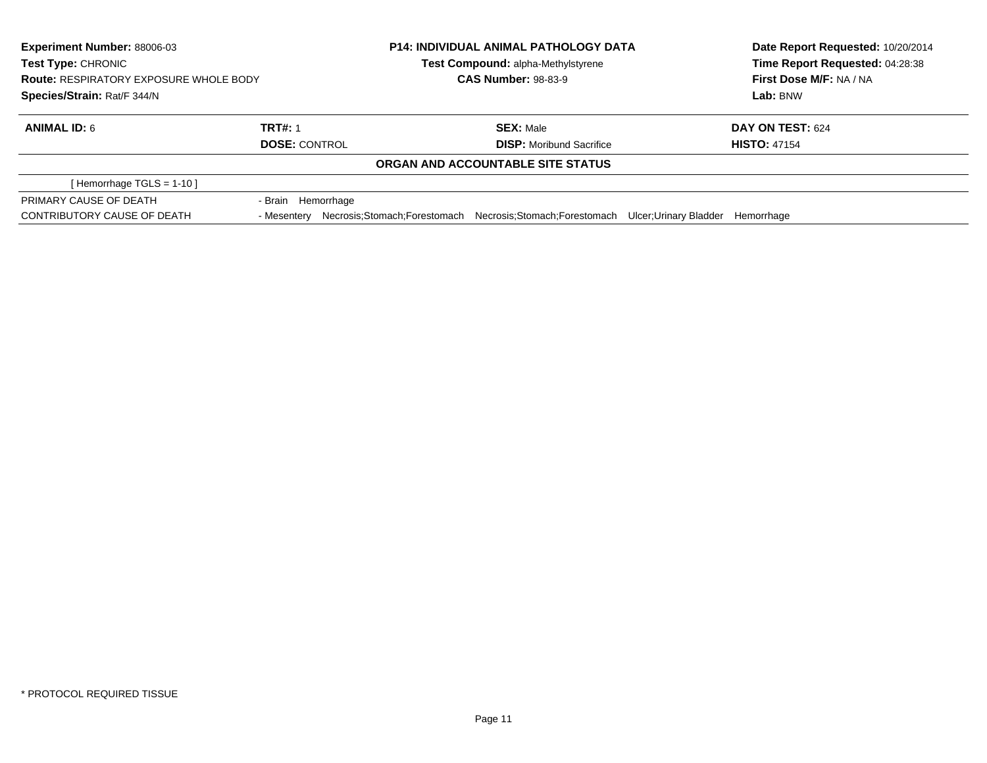| <b>Experiment Number: 88006-03</b><br><b>Test Type: CHRONIC</b><br><b>Route: RESPIRATORY EXPOSURE WHOLE BODY</b><br>Species/Strain: Rat/F 344/N |                                        | <b>P14: INDIVIDUAL ANIMAL PATHOLOGY DATA</b><br>Test Compound: alpha-Methylstyrene<br><b>CAS Number: 98-83-9</b> |                                                                                            | Date Report Requested: 10/20/2014<br>Time Report Requested: 04:28:38<br>First Dose M/F: NA / NA<br>Lab: BNW |                                         |
|-------------------------------------------------------------------------------------------------------------------------------------------------|----------------------------------------|------------------------------------------------------------------------------------------------------------------|--------------------------------------------------------------------------------------------|-------------------------------------------------------------------------------------------------------------|-----------------------------------------|
| <b>ANIMAL ID: 6</b>                                                                                                                             | <b>TRT#: 1</b><br><b>DOSE: CONTROL</b> |                                                                                                                  | <b>SEX: Male</b><br><b>DISP:</b> Moribund Sacrifice                                        |                                                                                                             | DAY ON TEST: 624<br><b>HISTO: 47154</b> |
|                                                                                                                                                 |                                        |                                                                                                                  | ORGAN AND ACCOUNTABLE SITE STATUS                                                          |                                                                                                             |                                         |
| [Hemorrhage TGLS = 1-10]                                                                                                                        |                                        |                                                                                                                  |                                                                                            |                                                                                                             |                                         |
| PRIMARY CAUSE OF DEATH<br>CONTRIBUTORY CAUSE OF DEATH                                                                                           | - Brain Hemorrhage<br>- Mesenterv      |                                                                                                                  | Necrosis:Stomach:Forestomach Necrosis:Stomach:Forestomach Ulcer:Urinary Bladder Hemorrhage |                                                                                                             |                                         |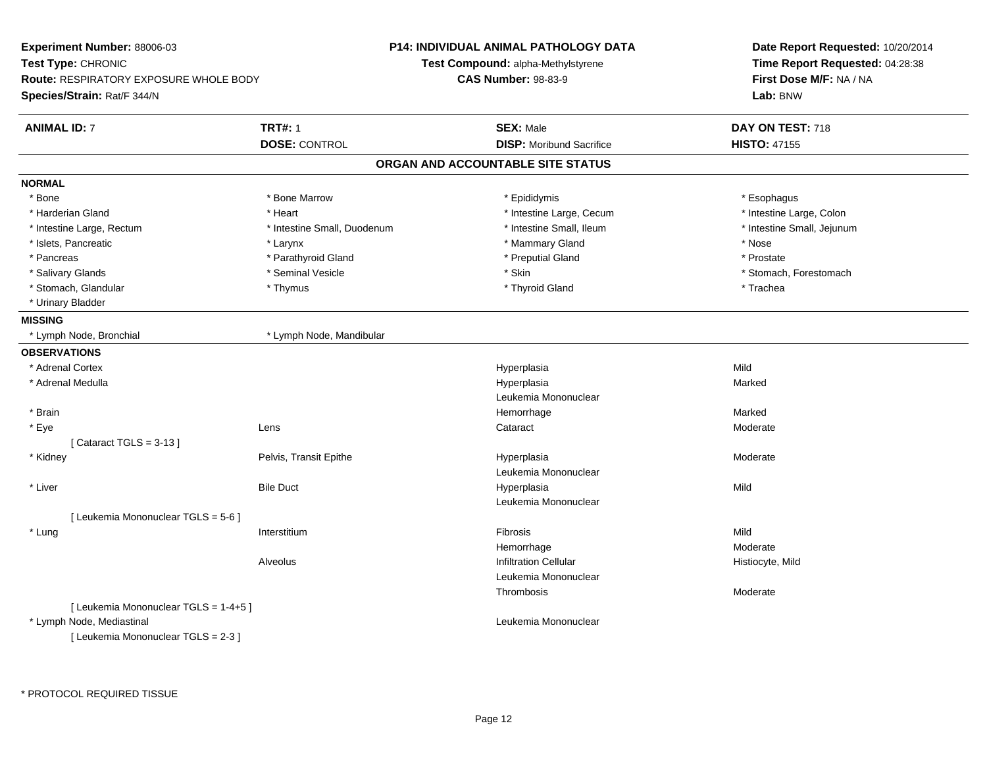| Experiment Number: 88006-03            |                             | <b>P14: INDIVIDUAL ANIMAL PATHOLOGY DATA</b> | Date Report Requested: 10/20/2014 |  |
|----------------------------------------|-----------------------------|----------------------------------------------|-----------------------------------|--|
| Test Type: CHRONIC                     |                             | Test Compound: alpha-Methylstyrene           | Time Report Requested: 04:28:38   |  |
| Route: RESPIRATORY EXPOSURE WHOLE BODY |                             | <b>CAS Number: 98-83-9</b>                   | First Dose M/F: NA / NA           |  |
| Species/Strain: Rat/F 344/N            |                             |                                              | Lab: BNW                          |  |
| <b>ANIMAL ID: 7</b>                    | <b>TRT#: 1</b>              | <b>SEX: Male</b>                             | DAY ON TEST: 718                  |  |
|                                        | <b>DOSE: CONTROL</b>        | <b>DISP:</b> Moribund Sacrifice              | <b>HISTO: 47155</b>               |  |
|                                        |                             | ORGAN AND ACCOUNTABLE SITE STATUS            |                                   |  |
| <b>NORMAL</b>                          |                             |                                              |                                   |  |
| * Bone                                 | * Bone Marrow               | * Epididymis                                 | * Esophagus                       |  |
| * Harderian Gland                      | * Heart                     | * Intestine Large, Cecum                     | * Intestine Large, Colon          |  |
| * Intestine Large, Rectum              | * Intestine Small, Duodenum | * Intestine Small, Ileum                     | * Intestine Small, Jejunum        |  |
| * Islets, Pancreatic                   | * Larynx                    | * Mammary Gland                              | * Nose                            |  |
| * Pancreas                             | * Parathyroid Gland         | * Preputial Gland                            | * Prostate                        |  |
| * Salivary Glands                      | * Seminal Vesicle           | * Skin                                       | * Stomach, Forestomach            |  |
| * Stomach, Glandular                   | * Thymus                    | * Thyroid Gland                              | * Trachea                         |  |
| * Urinary Bladder                      |                             |                                              |                                   |  |
| <b>MISSING</b>                         |                             |                                              |                                   |  |
| * Lymph Node, Bronchial                | * Lymph Node, Mandibular    |                                              |                                   |  |
| <b>OBSERVATIONS</b>                    |                             |                                              |                                   |  |
| * Adrenal Cortex                       |                             | Hyperplasia                                  | Mild                              |  |
| * Adrenal Medulla                      |                             | Hyperplasia                                  | Marked                            |  |
|                                        |                             | Leukemia Mononuclear                         |                                   |  |
| $*$ Brain                              |                             | Hemorrhage                                   | Marked                            |  |
| * Eye                                  | Lens                        | Cataract                                     | Moderate                          |  |
| [Cataract TGLS = $3-13$ ]              |                             |                                              |                                   |  |
| * Kidney                               | Pelvis, Transit Epithe      | Hyperplasia                                  | Moderate                          |  |
|                                        |                             | Leukemia Mononuclear                         |                                   |  |
| * Liver                                | <b>Bile Duct</b>            | Hyperplasia                                  | Mild                              |  |
|                                        |                             | Leukemia Mononuclear                         |                                   |  |
| [ Leukemia Mononuclear TGLS = 5-6 ]    |                             |                                              |                                   |  |
| * Lung                                 | Interstitium                | Fibrosis                                     | Mild                              |  |
|                                        |                             | Hemorrhage                                   | Moderate                          |  |
|                                        | Alveolus                    | <b>Infiltration Cellular</b>                 | Histiocyte, Mild                  |  |
|                                        |                             | Leukemia Mononuclear                         |                                   |  |
|                                        |                             | Thrombosis                                   | Moderate                          |  |
| [ Leukemia Mononuclear TGLS = 1-4+5 ]  |                             |                                              |                                   |  |
| * Lymph Node, Mediastinal              |                             | Leukemia Mononuclear                         |                                   |  |
| [ Leukemia Mononuclear TGLS = 2-3 ]    |                             |                                              |                                   |  |
|                                        |                             |                                              |                                   |  |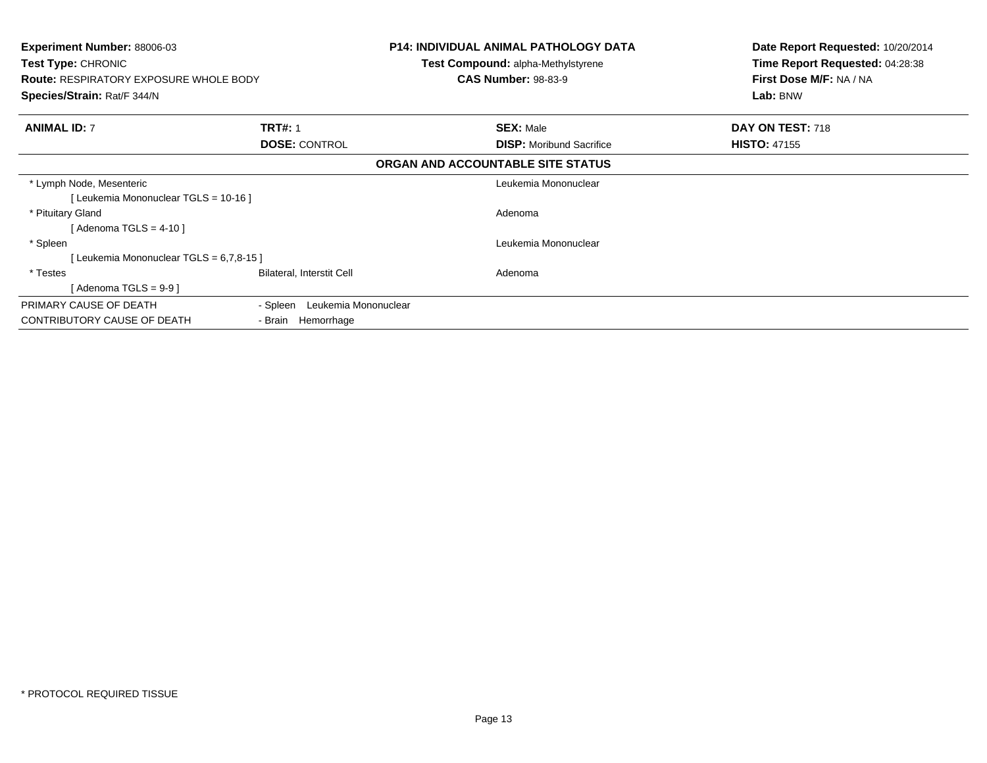| <b>Experiment Number: 88006-03</b><br><b>Test Type: CHRONIC</b><br><b>Route: RESPIRATORY EXPOSURE WHOLE BODY</b><br>Species/Strain: Rat/F 344/N |                                  | <b>P14: INDIVIDUAL ANIMAL PATHOLOGY DATA</b><br><b>Test Compound: alpha-Methylstyrene</b><br><b>CAS Number: 98-83-9</b> | Date Report Requested: 10/20/2014<br>Time Report Requested: 04:28:38<br>First Dose M/F: NA / NA<br>Lab: BNW |
|-------------------------------------------------------------------------------------------------------------------------------------------------|----------------------------------|-------------------------------------------------------------------------------------------------------------------------|-------------------------------------------------------------------------------------------------------------|
| <b>ANIMAL ID: 7</b>                                                                                                                             | <b>TRT#: 1</b>                   | <b>SEX: Male</b>                                                                                                        | DAY ON TEST: 718                                                                                            |
|                                                                                                                                                 | <b>DOSE: CONTROL</b>             | <b>DISP:</b> Moribund Sacrifice                                                                                         | <b>HISTO: 47155</b>                                                                                         |
|                                                                                                                                                 |                                  | ORGAN AND ACCOUNTABLE SITE STATUS                                                                                       |                                                                                                             |
| * Lymph Node, Mesenteric                                                                                                                        |                                  | Leukemia Mononuclear                                                                                                    |                                                                                                             |
| [Leukemia Mononuclear TGLS = 10-16]                                                                                                             |                                  |                                                                                                                         |                                                                                                             |
| * Pituitary Gland                                                                                                                               |                                  | Adenoma                                                                                                                 |                                                                                                             |
| [ Adenoma TGLS = 4-10 ]                                                                                                                         |                                  |                                                                                                                         |                                                                                                             |
| * Spleen                                                                                                                                        |                                  | Leukemia Mononuclear                                                                                                    |                                                                                                             |
| [Leukemia Mononuclear TGLS = 6,7,8-15]                                                                                                          |                                  |                                                                                                                         |                                                                                                             |
| * Testes                                                                                                                                        | Bilateral, Interstit Cell        | Adenoma                                                                                                                 |                                                                                                             |
| [ Adenoma TGLS = 9-9 ]                                                                                                                          |                                  |                                                                                                                         |                                                                                                             |
| PRIMARY CAUSE OF DEATH                                                                                                                          | Leukemia Mononuclear<br>- Spleen |                                                                                                                         |                                                                                                             |
| CONTRIBUTORY CAUSE OF DEATH                                                                                                                     | - Brain Hemorrhage               |                                                                                                                         |                                                                                                             |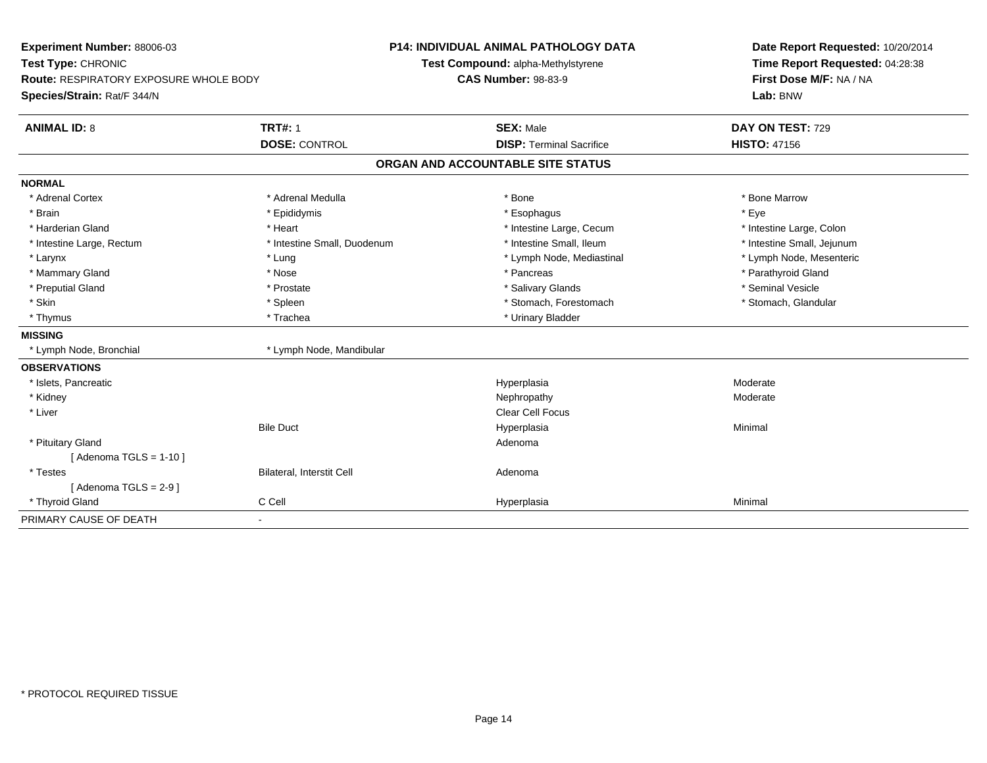| Experiment Number: 88006-03<br>Test Type: CHRONIC<br><b>Route: RESPIRATORY EXPOSURE WHOLE BODY</b><br>Species/Strain: Rat/F 344/N |                             | <b>P14: INDIVIDUAL ANIMAL PATHOLOGY DATA</b><br>Test Compound: alpha-Methylstyrene<br><b>CAS Number: 98-83-9</b> | Date Report Requested: 10/20/2014<br>Time Report Requested: 04:28:38<br>First Dose M/F: NA / NA<br>Lab: BNW |
|-----------------------------------------------------------------------------------------------------------------------------------|-----------------------------|------------------------------------------------------------------------------------------------------------------|-------------------------------------------------------------------------------------------------------------|
| <b>ANIMAL ID: 8</b>                                                                                                               | <b>TRT#: 1</b>              | <b>SEX: Male</b>                                                                                                 | DAY ON TEST: 729                                                                                            |
|                                                                                                                                   | <b>DOSE: CONTROL</b>        | <b>DISP: Terminal Sacrifice</b>                                                                                  | <b>HISTO: 47156</b>                                                                                         |
|                                                                                                                                   |                             | ORGAN AND ACCOUNTABLE SITE STATUS                                                                                |                                                                                                             |
| <b>NORMAL</b>                                                                                                                     |                             |                                                                                                                  |                                                                                                             |
| * Adrenal Cortex                                                                                                                  | * Adrenal Medulla           | * Bone                                                                                                           | * Bone Marrow                                                                                               |
| * Brain                                                                                                                           | * Epididymis                | * Esophagus                                                                                                      | * Eye                                                                                                       |
| * Harderian Gland                                                                                                                 | * Heart                     | * Intestine Large, Cecum                                                                                         | * Intestine Large, Colon                                                                                    |
| * Intestine Large, Rectum                                                                                                         | * Intestine Small, Duodenum | * Intestine Small, Ileum                                                                                         | * Intestine Small, Jejunum                                                                                  |
| * Larynx                                                                                                                          | * Lung                      | * Lymph Node, Mediastinal                                                                                        | * Lymph Node, Mesenteric                                                                                    |
| * Mammary Gland                                                                                                                   | * Nose                      | * Pancreas                                                                                                       | * Parathyroid Gland                                                                                         |
| * Preputial Gland                                                                                                                 | * Prostate                  | * Salivary Glands                                                                                                | * Seminal Vesicle                                                                                           |
| * Skin                                                                                                                            | * Spleen                    | * Stomach, Forestomach                                                                                           | * Stomach, Glandular                                                                                        |
| * Thymus                                                                                                                          | * Trachea                   | * Urinary Bladder                                                                                                |                                                                                                             |
| <b>MISSING</b>                                                                                                                    |                             |                                                                                                                  |                                                                                                             |
| * Lymph Node, Bronchial                                                                                                           | * Lymph Node, Mandibular    |                                                                                                                  |                                                                                                             |
| <b>OBSERVATIONS</b>                                                                                                               |                             |                                                                                                                  |                                                                                                             |
| * Islets, Pancreatic                                                                                                              |                             | Hyperplasia                                                                                                      | Moderate                                                                                                    |
| * Kidney                                                                                                                          |                             | Nephropathy                                                                                                      | Moderate                                                                                                    |
| * Liver                                                                                                                           |                             | <b>Clear Cell Focus</b>                                                                                          |                                                                                                             |
|                                                                                                                                   | <b>Bile Duct</b>            | Hyperplasia                                                                                                      | Minimal                                                                                                     |
| * Pituitary Gland                                                                                                                 |                             | Adenoma                                                                                                          |                                                                                                             |
| [Adenoma TGLS = $1-10$ ]                                                                                                          |                             |                                                                                                                  |                                                                                                             |
| * Testes                                                                                                                          | Bilateral, Interstit Cell   | Adenoma                                                                                                          |                                                                                                             |
| [Adenoma TGLS = $2-9$ ]                                                                                                           |                             |                                                                                                                  |                                                                                                             |
| * Thyroid Gland                                                                                                                   | C Cell                      | Hyperplasia                                                                                                      | Minimal                                                                                                     |
| PRIMARY CAUSE OF DEATH                                                                                                            | $\blacksquare$              |                                                                                                                  |                                                                                                             |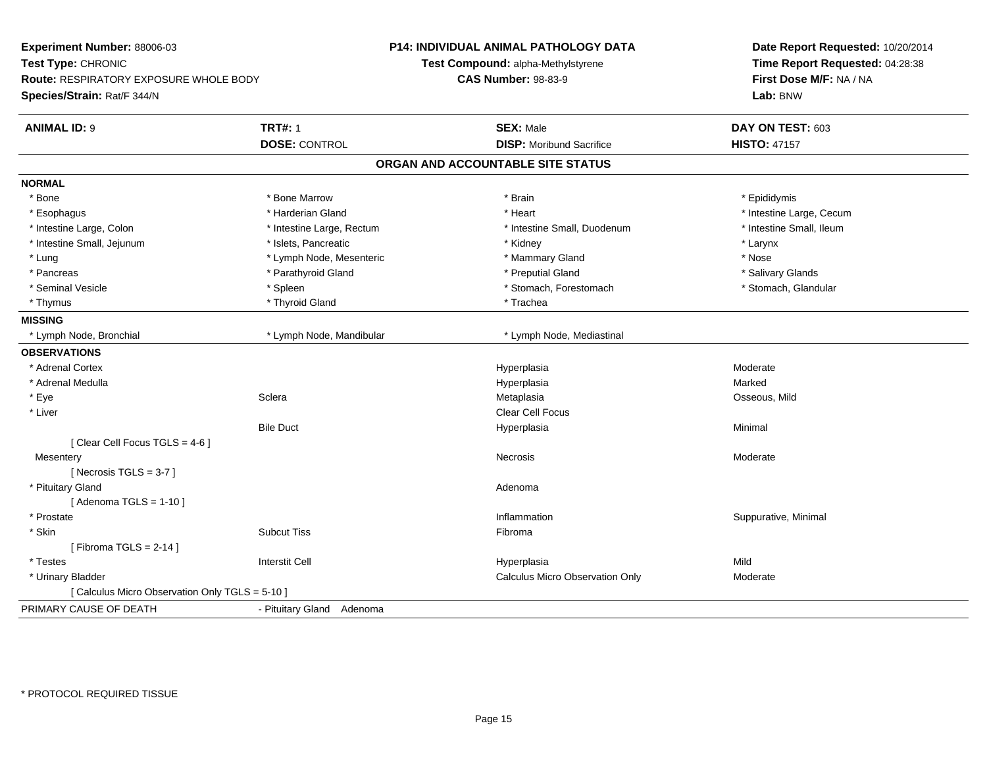| Experiment Number: 88006-03                     |                           | P14: INDIVIDUAL ANIMAL PATHOLOGY DATA | Date Report Requested: 10/20/2014<br>Time Report Requested: 04:28:38<br>First Dose M/F: NA / NA |
|-------------------------------------------------|---------------------------|---------------------------------------|-------------------------------------------------------------------------------------------------|
| Test Type: CHRONIC                              |                           | Test Compound: alpha-Methylstyrene    |                                                                                                 |
| Route: RESPIRATORY EXPOSURE WHOLE BODY          |                           | <b>CAS Number: 98-83-9</b>            |                                                                                                 |
| Species/Strain: Rat/F 344/N                     |                           |                                       | Lab: BNW                                                                                        |
|                                                 |                           |                                       |                                                                                                 |
| <b>ANIMAL ID: 9</b>                             | <b>TRT#: 1</b>            | <b>SEX: Male</b>                      | DAY ON TEST: 603                                                                                |
|                                                 | <b>DOSE: CONTROL</b>      | <b>DISP:</b> Moribund Sacrifice       | <b>HISTO: 47157</b>                                                                             |
|                                                 |                           | ORGAN AND ACCOUNTABLE SITE STATUS     |                                                                                                 |
| <b>NORMAL</b>                                   |                           |                                       |                                                                                                 |
| * Bone                                          | * Bone Marrow             | * Brain                               | * Epididymis                                                                                    |
| * Esophagus                                     | * Harderian Gland         | * Heart                               | * Intestine Large, Cecum                                                                        |
| * Intestine Large, Colon                        | * Intestine Large, Rectum | * Intestine Small, Duodenum           | * Intestine Small, Ileum                                                                        |
| * Intestine Small, Jejunum                      | * Islets, Pancreatic      | * Kidney                              | * Larynx                                                                                        |
| * Lung                                          | * Lymph Node, Mesenteric  | * Mammary Gland                       | * Nose                                                                                          |
| * Pancreas                                      | * Parathyroid Gland       | * Preputial Gland                     | * Salivary Glands                                                                               |
| * Seminal Vesicle                               | * Spleen                  | * Stomach, Forestomach                | * Stomach, Glandular                                                                            |
| * Thymus                                        | * Thyroid Gland           | * Trachea                             |                                                                                                 |
| <b>MISSING</b>                                  |                           |                                       |                                                                                                 |
| * Lymph Node, Bronchial                         | * Lymph Node, Mandibular  | * Lymph Node, Mediastinal             |                                                                                                 |
| <b>OBSERVATIONS</b>                             |                           |                                       |                                                                                                 |
| * Adrenal Cortex                                |                           | Hyperplasia                           | Moderate                                                                                        |
| * Adrenal Medulla                               |                           | Hyperplasia                           | Marked                                                                                          |
| * Eye                                           | Sclera                    | Metaplasia                            | Osseous, Mild                                                                                   |
| * Liver                                         |                           | Clear Cell Focus                      |                                                                                                 |
|                                                 | <b>Bile Duct</b>          | Hyperplasia                           | Minimal                                                                                         |
| [Clear Cell Focus TGLS = 4-6]                   |                           |                                       |                                                                                                 |
| Mesentery                                       |                           | Necrosis                              | Moderate                                                                                        |
| [Necrosis $TGLS = 3-7$ ]                        |                           |                                       |                                                                                                 |
| * Pituitary Gland                               |                           | Adenoma                               |                                                                                                 |
| [Adenoma TGLS = $1-10$ ]                        |                           |                                       |                                                                                                 |
| * Prostate                                      |                           | Inflammation                          | Suppurative, Minimal                                                                            |
| * Skin                                          | <b>Subcut Tiss</b>        | Fibroma                               |                                                                                                 |
| [Fibroma TGLS = $2-14$ ]                        |                           |                                       |                                                                                                 |
| * Testes                                        | <b>Interstit Cell</b>     | Hyperplasia                           | Mild                                                                                            |
| * Urinary Bladder                               |                           | Calculus Micro Observation Only       | Moderate                                                                                        |
| [ Calculus Micro Observation Only TGLS = 5-10 ] |                           |                                       |                                                                                                 |
| PRIMARY CAUSE OF DEATH                          | - Pituitary Gland Adenoma |                                       |                                                                                                 |
|                                                 |                           |                                       |                                                                                                 |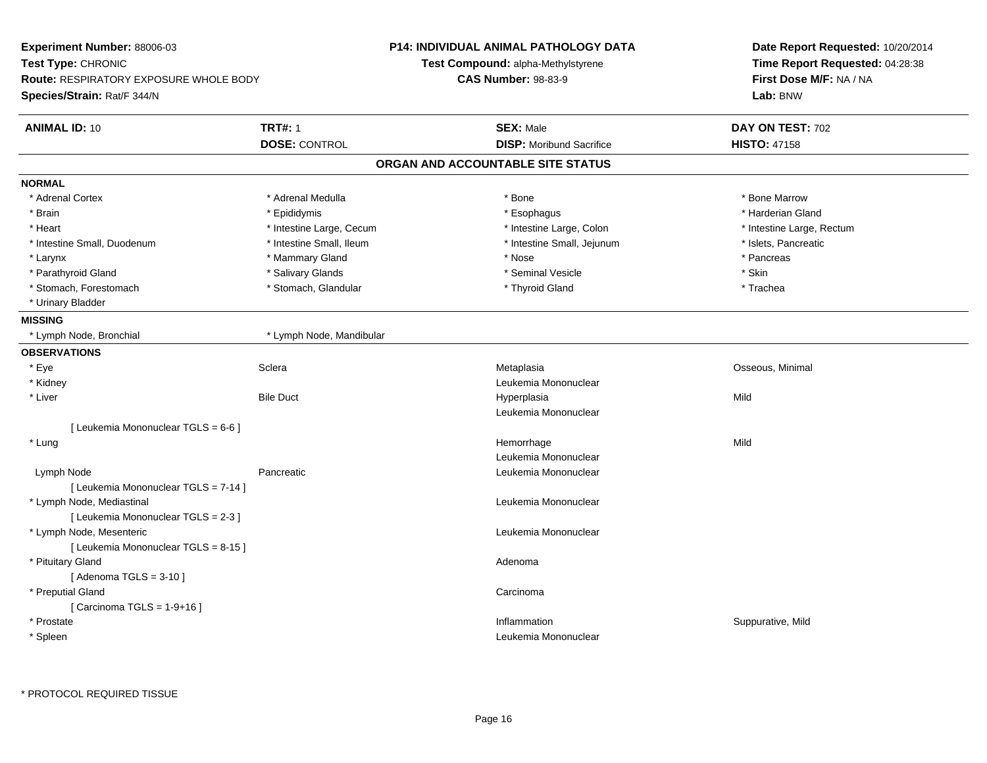| Experiment Number: 88006-03                   |                            | <b>P14: INDIVIDUAL ANIMAL PATHOLOGY DATA</b> | Date Report Requested: 10/20/2014<br>Time Report Requested: 04:28:38 |  |
|-----------------------------------------------|----------------------------|----------------------------------------------|----------------------------------------------------------------------|--|
| Test Type: CHRONIC                            |                            | <b>Test Compound: alpha-Methylstyrene</b>    |                                                                      |  |
| <b>Route: RESPIRATORY EXPOSURE WHOLE BODY</b> | <b>CAS Number: 98-83-9</b> |                                              | First Dose M/F: NA / NA                                              |  |
| Species/Strain: Rat/F 344/N                   |                            |                                              | Lab: BNW                                                             |  |
| <b>ANIMAL ID: 10</b>                          | <b>TRT#: 1</b>             | <b>SEX: Male</b>                             | DAY ON TEST: 702                                                     |  |
|                                               | <b>DOSE: CONTROL</b>       | <b>DISP:</b> Moribund Sacrifice              | <b>HISTO: 47158</b>                                                  |  |
|                                               |                            | ORGAN AND ACCOUNTABLE SITE STATUS            |                                                                      |  |
| <b>NORMAL</b>                                 |                            |                                              |                                                                      |  |
| * Adrenal Cortex                              | * Adrenal Medulla          | * Bone                                       | * Bone Marrow                                                        |  |
| * Brain                                       | * Epididymis               | * Esophagus                                  | * Harderian Gland                                                    |  |
| * Heart                                       | * Intestine Large, Cecum   | * Intestine Large, Colon                     | * Intestine Large, Rectum                                            |  |
| * Intestine Small, Duodenum                   | * Intestine Small, Ileum   | * Intestine Small, Jejunum                   | * Islets, Pancreatic                                                 |  |
| * Larynx                                      | * Mammary Gland            | * Nose                                       | * Pancreas                                                           |  |
| * Parathyroid Gland                           | * Salivary Glands          | * Seminal Vesicle                            | * Skin                                                               |  |
| * Stomach, Forestomach                        | * Stomach, Glandular       | * Thyroid Gland                              | * Trachea                                                            |  |
| * Urinary Bladder                             |                            |                                              |                                                                      |  |
| <b>MISSING</b>                                |                            |                                              |                                                                      |  |
| * Lymph Node, Bronchial                       | * Lymph Node, Mandibular   |                                              |                                                                      |  |
| <b>OBSERVATIONS</b>                           |                            |                                              |                                                                      |  |
| * Eye                                         | Sclera                     | Metaplasia                                   | Osseous, Minimal                                                     |  |
| * Kidney                                      |                            | Leukemia Mononuclear                         |                                                                      |  |
| * Liver                                       | <b>Bile Duct</b>           | Hyperplasia                                  | Mild                                                                 |  |
|                                               |                            | Leukemia Mononuclear                         |                                                                      |  |
| [ Leukemia Mononuclear TGLS = 6-6 ]           |                            |                                              |                                                                      |  |
| * Lung                                        |                            | Hemorrhage                                   | Mild                                                                 |  |
|                                               |                            | Leukemia Mononuclear                         |                                                                      |  |
| Lymph Node                                    | Pancreatic                 | Leukemia Mononuclear                         |                                                                      |  |
| [ Leukemia Mononuclear TGLS = 7-14 ]          |                            |                                              |                                                                      |  |
| * Lymph Node, Mediastinal                     |                            | Leukemia Mononuclear                         |                                                                      |  |
| [ Leukemia Mononuclear TGLS = 2-3 ]           |                            |                                              |                                                                      |  |
| * Lymph Node, Mesenteric                      |                            | Leukemia Mononuclear                         |                                                                      |  |
| [ Leukemia Mononuclear TGLS = 8-15 ]          |                            |                                              |                                                                      |  |
| * Pituitary Gland                             |                            | Adenoma                                      |                                                                      |  |
| [Adenoma TGLS = $3-10$ ]                      |                            |                                              |                                                                      |  |
| * Preputial Gland                             |                            | Carcinoma                                    |                                                                      |  |
| [Carcinoma TGLS = $1-9+16$ ]                  |                            |                                              |                                                                      |  |
| * Prostate                                    |                            | Inflammation                                 | Suppurative, Mild                                                    |  |
| * Spleen                                      |                            | Leukemia Mononuclear                         |                                                                      |  |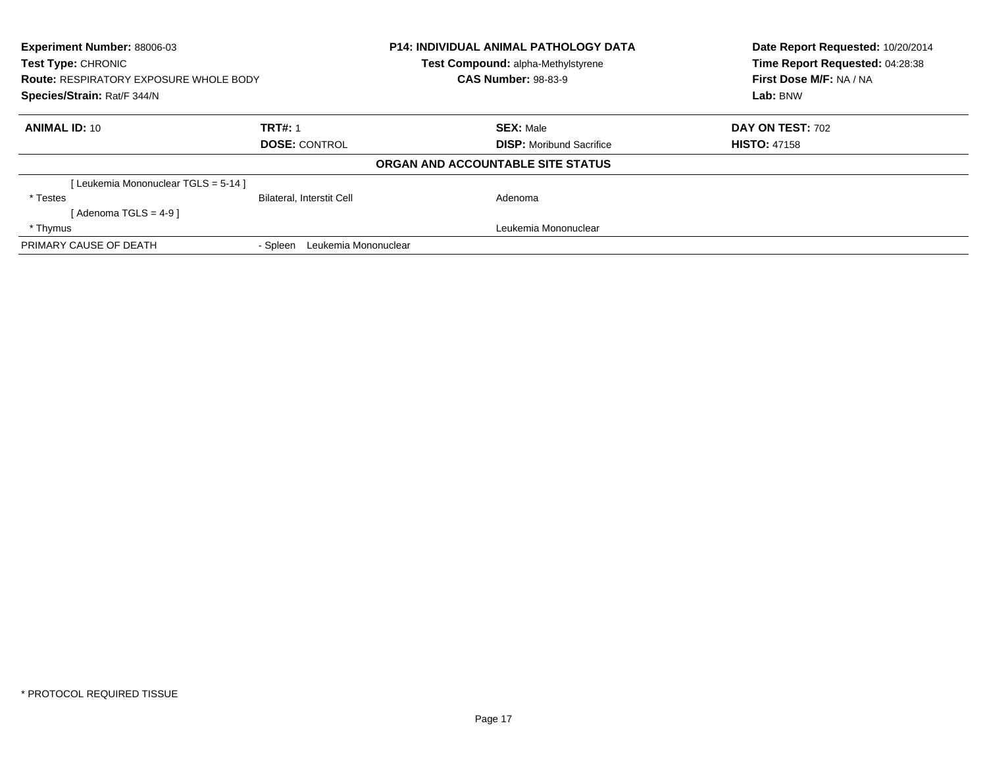| <b>Experiment Number: 88006-03</b><br><b>Test Type: CHRONIC</b><br><b>Route: RESPIRATORY EXPOSURE WHOLE BODY</b><br>Species/Strain: Rat/F 344/N |                                  | P14: INDIVIDUAL ANIMAL PATHOLOGY DATA<br>Test Compound: alpha-Methylstyrene | Date Report Requested: 10/20/2014<br>Time Report Requested: 04:28:38 |
|-------------------------------------------------------------------------------------------------------------------------------------------------|----------------------------------|-----------------------------------------------------------------------------|----------------------------------------------------------------------|
|                                                                                                                                                 |                                  | <b>CAS Number: 98-83-9</b>                                                  | First Dose M/F: NA / NA                                              |
|                                                                                                                                                 |                                  |                                                                             | Lab: BNW                                                             |
| <b>ANIMAL ID: 10</b>                                                                                                                            | <b>TRT#: 1</b>                   | <b>SEX: Male</b>                                                            | <b>DAY ON TEST: 702</b>                                              |
|                                                                                                                                                 | <b>DOSE: CONTROL</b>             | <b>DISP:</b> Moribund Sacrifice                                             | <b>HISTO: 47158</b>                                                  |
|                                                                                                                                                 |                                  | ORGAN AND ACCOUNTABLE SITE STATUS                                           |                                                                      |
| [Leukemia Mononuclear TGLS = 5-14 ]                                                                                                             |                                  |                                                                             |                                                                      |
| * Testes                                                                                                                                        | <b>Bilateral, Interstit Cell</b> | Adenoma                                                                     |                                                                      |
| [Adenoma TGLS = 4-9 ]                                                                                                                           |                                  |                                                                             |                                                                      |
| * Thymus                                                                                                                                        |                                  | Leukemia Mononuclear                                                        |                                                                      |
| PRIMARY CAUSE OF DEATH                                                                                                                          | Leukemia Mononuclear<br>- Spleen |                                                                             |                                                                      |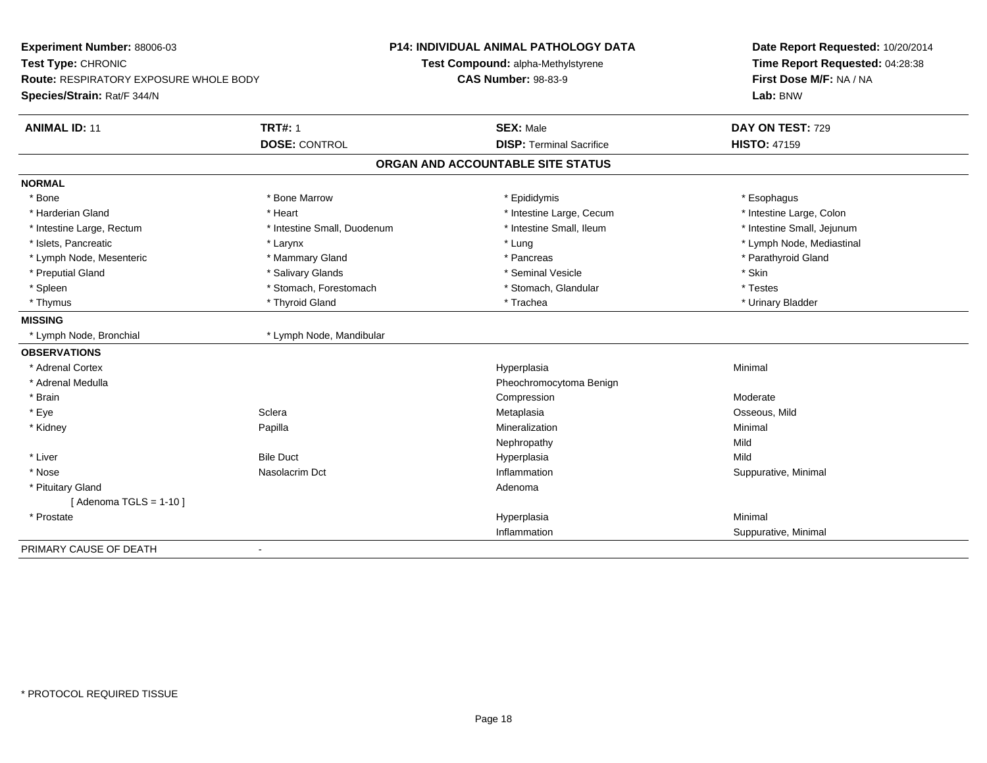| Experiment Number: 88006-03<br>Test Type: CHRONIC<br><b>Route: RESPIRATORY EXPOSURE WHOLE BODY</b><br>Species/Strain: Rat/F 344/N |                             | P14: INDIVIDUAL ANIMAL PATHOLOGY DATA<br>Test Compound: alpha-Methylstyrene<br><b>CAS Number: 98-83-9</b> | Date Report Requested: 10/20/2014<br>Time Report Requested: 04:28:38<br>First Dose M/F: NA / NA<br>Lab: BNW |
|-----------------------------------------------------------------------------------------------------------------------------------|-----------------------------|-----------------------------------------------------------------------------------------------------------|-------------------------------------------------------------------------------------------------------------|
| <b>ANIMAL ID: 11</b>                                                                                                              | <b>TRT#: 1</b>              | <b>SEX: Male</b>                                                                                          | DAY ON TEST: 729                                                                                            |
|                                                                                                                                   | <b>DOSE: CONTROL</b>        | <b>DISP: Terminal Sacrifice</b>                                                                           | <b>HISTO: 47159</b>                                                                                         |
|                                                                                                                                   |                             | ORGAN AND ACCOUNTABLE SITE STATUS                                                                         |                                                                                                             |
| <b>NORMAL</b>                                                                                                                     |                             |                                                                                                           |                                                                                                             |
| * Bone                                                                                                                            | * Bone Marrow               | * Epididymis                                                                                              | * Esophagus                                                                                                 |
| * Harderian Gland                                                                                                                 | * Heart                     | * Intestine Large, Cecum                                                                                  | * Intestine Large, Colon                                                                                    |
| * Intestine Large, Rectum                                                                                                         | * Intestine Small, Duodenum | * Intestine Small, Ileum                                                                                  | * Intestine Small, Jejunum                                                                                  |
| * Islets, Pancreatic                                                                                                              | * Larynx                    | * Lung                                                                                                    | * Lymph Node, Mediastinal                                                                                   |
| * Lymph Node, Mesenteric                                                                                                          | * Mammary Gland             | * Pancreas                                                                                                | * Parathyroid Gland                                                                                         |
| * Preputial Gland                                                                                                                 | * Salivary Glands           | * Seminal Vesicle                                                                                         | * Skin                                                                                                      |
| * Spleen                                                                                                                          | * Stomach, Forestomach      | * Stomach, Glandular                                                                                      | * Testes                                                                                                    |
| * Thymus                                                                                                                          | * Thyroid Gland             | * Trachea                                                                                                 | * Urinary Bladder                                                                                           |
| <b>MISSING</b>                                                                                                                    |                             |                                                                                                           |                                                                                                             |
| * Lymph Node, Bronchial                                                                                                           | * Lymph Node, Mandibular    |                                                                                                           |                                                                                                             |
| <b>OBSERVATIONS</b>                                                                                                               |                             |                                                                                                           |                                                                                                             |
| * Adrenal Cortex                                                                                                                  |                             | Hyperplasia                                                                                               | Minimal                                                                                                     |
| * Adrenal Medulla                                                                                                                 |                             | Pheochromocytoma Benign                                                                                   |                                                                                                             |
| * Brain                                                                                                                           |                             | Compression                                                                                               | Moderate                                                                                                    |
| * Eye                                                                                                                             | Sclera                      | Metaplasia                                                                                                | Osseous, Mild                                                                                               |
| * Kidney                                                                                                                          | Papilla                     | Mineralization                                                                                            | Minimal                                                                                                     |
|                                                                                                                                   |                             | Nephropathy                                                                                               | Mild                                                                                                        |
| * Liver                                                                                                                           | <b>Bile Duct</b>            | Hyperplasia                                                                                               | Mild                                                                                                        |
| * Nose                                                                                                                            | Nasolacrim Dct              | Inflammation                                                                                              | Suppurative, Minimal                                                                                        |
| * Pituitary Gland                                                                                                                 |                             | Adenoma                                                                                                   |                                                                                                             |
| [Adenoma TGLS = $1-10$ ]                                                                                                          |                             |                                                                                                           |                                                                                                             |
| * Prostate                                                                                                                        |                             | Hyperplasia                                                                                               | Minimal                                                                                                     |
|                                                                                                                                   |                             | Inflammation                                                                                              | Suppurative, Minimal                                                                                        |
| PRIMARY CAUSE OF DEATH                                                                                                            |                             |                                                                                                           |                                                                                                             |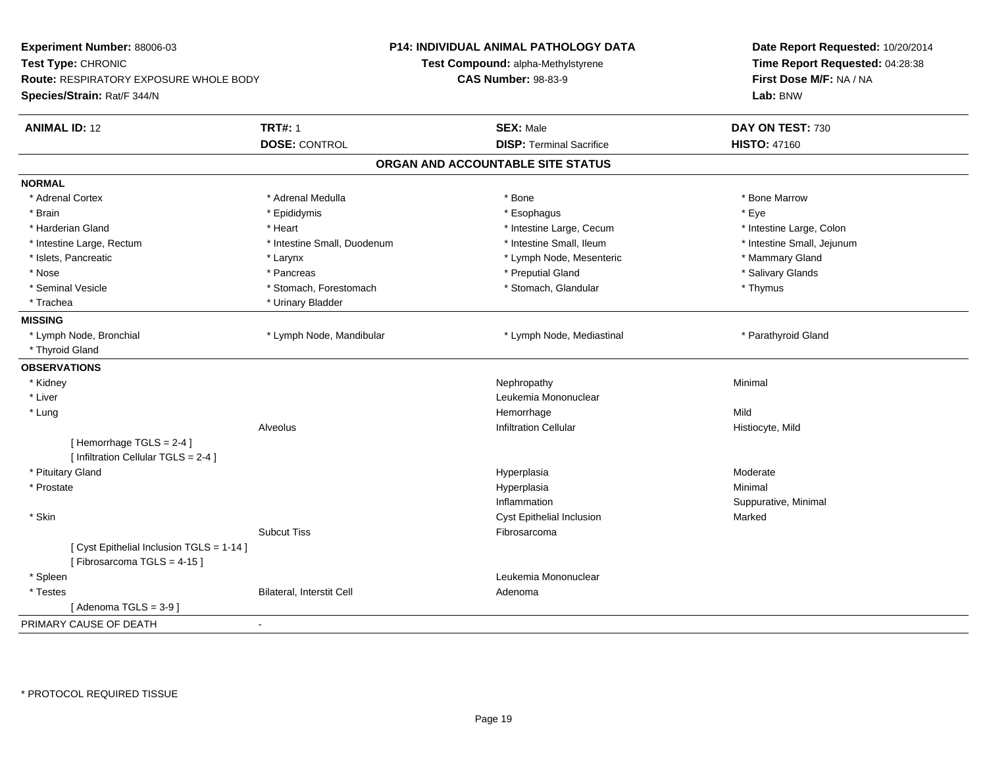| Experiment Number: 88006-03<br>Test Type: CHRONIC<br>Route: RESPIRATORY EXPOSURE WHOLE BODY<br>Species/Strain: Rat/F 344/N |                             | P14: INDIVIDUAL ANIMAL PATHOLOGY DATA<br>Test Compound: alpha-Methylstyrene<br><b>CAS Number: 98-83-9</b> | Date Report Requested: 10/20/2014<br>Time Report Requested: 04:28:38<br>First Dose M/F: NA / NA<br>Lab: BNW |
|----------------------------------------------------------------------------------------------------------------------------|-----------------------------|-----------------------------------------------------------------------------------------------------------|-------------------------------------------------------------------------------------------------------------|
| <b>ANIMAL ID: 12</b>                                                                                                       | <b>TRT#: 1</b>              | <b>SEX: Male</b>                                                                                          | DAY ON TEST: 730                                                                                            |
|                                                                                                                            | <b>DOSE: CONTROL</b>        | <b>DISP: Terminal Sacrifice</b>                                                                           | <b>HISTO: 47160</b>                                                                                         |
|                                                                                                                            |                             | ORGAN AND ACCOUNTABLE SITE STATUS                                                                         |                                                                                                             |
| <b>NORMAL</b>                                                                                                              |                             |                                                                                                           |                                                                                                             |
| * Adrenal Cortex                                                                                                           | * Adrenal Medulla           | * Bone                                                                                                    | * Bone Marrow                                                                                               |
| * Brain                                                                                                                    | * Epididymis                | * Esophagus                                                                                               | * Eye                                                                                                       |
| * Harderian Gland                                                                                                          | * Heart                     | * Intestine Large, Cecum                                                                                  | * Intestine Large, Colon                                                                                    |
| * Intestine Large, Rectum                                                                                                  | * Intestine Small, Duodenum | * Intestine Small, Ileum                                                                                  | * Intestine Small, Jejunum                                                                                  |
| * Islets, Pancreatic                                                                                                       | * Larynx                    | * Lymph Node, Mesenteric                                                                                  | * Mammary Gland                                                                                             |
| * Nose                                                                                                                     | * Pancreas                  | * Preputial Gland                                                                                         | * Salivary Glands                                                                                           |
| * Seminal Vesicle                                                                                                          | * Stomach, Forestomach      | * Stomach, Glandular                                                                                      | * Thymus                                                                                                    |
| * Trachea                                                                                                                  | * Urinary Bladder           |                                                                                                           |                                                                                                             |
| <b>MISSING</b>                                                                                                             |                             |                                                                                                           |                                                                                                             |
| * Lymph Node, Bronchial                                                                                                    | * Lymph Node, Mandibular    | * Lymph Node, Mediastinal                                                                                 | * Parathyroid Gland                                                                                         |
| * Thyroid Gland                                                                                                            |                             |                                                                                                           |                                                                                                             |
| <b>OBSERVATIONS</b>                                                                                                        |                             |                                                                                                           |                                                                                                             |
| * Kidney                                                                                                                   |                             | Nephropathy                                                                                               | Minimal                                                                                                     |
| * Liver                                                                                                                    |                             | Leukemia Mononuclear                                                                                      |                                                                                                             |
| * Lung                                                                                                                     |                             | Hemorrhage                                                                                                | Mild                                                                                                        |
|                                                                                                                            | <b>Alveolus</b>             | <b>Infiltration Cellular</b>                                                                              | Histiocyte, Mild                                                                                            |
| [Hemorrhage TGLS = 2-4]<br>[ Infiltration Cellular TGLS = 2-4 ]                                                            |                             |                                                                                                           |                                                                                                             |
| * Pituitary Gland                                                                                                          |                             | Hyperplasia                                                                                               | Moderate                                                                                                    |
| * Prostate                                                                                                                 |                             | Hyperplasia                                                                                               | Minimal                                                                                                     |
|                                                                                                                            |                             | Inflammation                                                                                              | Suppurative, Minimal                                                                                        |
| * Skin                                                                                                                     |                             | Cyst Epithelial Inclusion                                                                                 | Marked                                                                                                      |
|                                                                                                                            | <b>Subcut Tiss</b>          | Fibrosarcoma                                                                                              |                                                                                                             |
| [ Cyst Epithelial Inclusion TGLS = 1-14 ]<br>[Fibrosarcoma TGLS = 4-15]                                                    |                             |                                                                                                           |                                                                                                             |
| * Spleen                                                                                                                   |                             | Leukemia Mononuclear                                                                                      |                                                                                                             |
| * Testes                                                                                                                   | Bilateral, Interstit Cell   | Adenoma                                                                                                   |                                                                                                             |
| [Adenoma TGLS = $3-9$ ]                                                                                                    |                             |                                                                                                           |                                                                                                             |
| PRIMARY CAUSE OF DEATH                                                                                                     | $\blacksquare$              |                                                                                                           |                                                                                                             |
|                                                                                                                            |                             |                                                                                                           |                                                                                                             |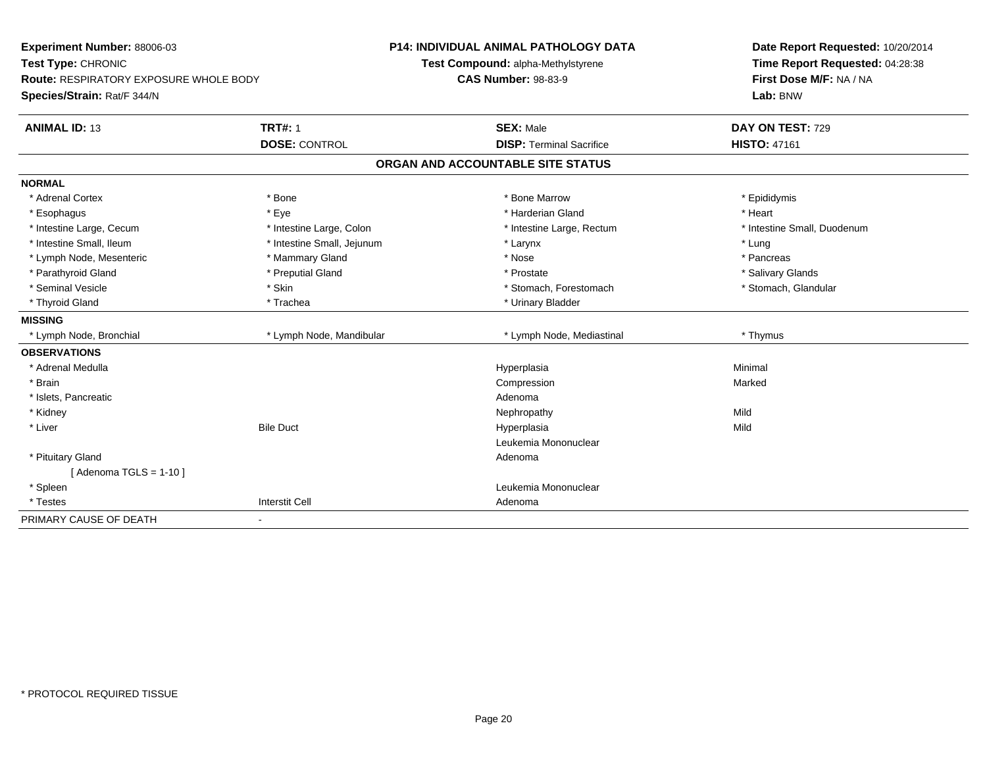| Experiment Number: 88006-03<br>Test Type: CHRONIC<br><b>Route: RESPIRATORY EXPOSURE WHOLE BODY</b><br>Species/Strain: Rat/F 344/N |                            | <b>P14: INDIVIDUAL ANIMAL PATHOLOGY DATA</b><br>Test Compound: alpha-Methylstyrene<br><b>CAS Number: 98-83-9</b> | Date Report Requested: 10/20/2014<br>Time Report Requested: 04:28:38<br>First Dose M/F: NA / NA<br>Lab: BNW |
|-----------------------------------------------------------------------------------------------------------------------------------|----------------------------|------------------------------------------------------------------------------------------------------------------|-------------------------------------------------------------------------------------------------------------|
| <b>ANIMAL ID: 13</b>                                                                                                              | <b>TRT#: 1</b>             | <b>SEX: Male</b>                                                                                                 | DAY ON TEST: 729                                                                                            |
|                                                                                                                                   | <b>DOSE: CONTROL</b>       | <b>DISP: Terminal Sacrifice</b>                                                                                  | <b>HISTO: 47161</b>                                                                                         |
|                                                                                                                                   |                            | ORGAN AND ACCOUNTABLE SITE STATUS                                                                                |                                                                                                             |
| <b>NORMAL</b>                                                                                                                     |                            |                                                                                                                  |                                                                                                             |
| * Adrenal Cortex                                                                                                                  | * Bone                     | * Bone Marrow                                                                                                    | * Epididymis                                                                                                |
| * Esophagus                                                                                                                       | * Eye                      | * Harderian Gland                                                                                                | * Heart                                                                                                     |
| * Intestine Large, Cecum                                                                                                          | * Intestine Large, Colon   | * Intestine Large, Rectum                                                                                        | * Intestine Small, Duodenum                                                                                 |
| * Intestine Small, Ileum                                                                                                          | * Intestine Small, Jejunum | * Larynx                                                                                                         | * Lung                                                                                                      |
| * Lymph Node, Mesenteric                                                                                                          | * Mammary Gland            | * Nose                                                                                                           | * Pancreas                                                                                                  |
| * Parathyroid Gland                                                                                                               | * Preputial Gland          | * Prostate                                                                                                       | * Salivary Glands                                                                                           |
| * Seminal Vesicle                                                                                                                 | * Skin                     | * Stomach, Forestomach                                                                                           | * Stomach, Glandular                                                                                        |
| * Thyroid Gland                                                                                                                   | * Trachea                  | * Urinary Bladder                                                                                                |                                                                                                             |
| <b>MISSING</b>                                                                                                                    |                            |                                                                                                                  |                                                                                                             |
| * Lymph Node, Bronchial                                                                                                           | * Lymph Node, Mandibular   | * Lymph Node, Mediastinal                                                                                        | * Thymus                                                                                                    |
| <b>OBSERVATIONS</b>                                                                                                               |                            |                                                                                                                  |                                                                                                             |
| * Adrenal Medulla                                                                                                                 |                            | Hyperplasia                                                                                                      | Minimal                                                                                                     |
| * Brain                                                                                                                           |                            | Compression                                                                                                      | Marked                                                                                                      |
| * Islets, Pancreatic                                                                                                              |                            | Adenoma                                                                                                          |                                                                                                             |
| * Kidney                                                                                                                          |                            | Nephropathy                                                                                                      | Mild                                                                                                        |
| * Liver                                                                                                                           | <b>Bile Duct</b>           | Hyperplasia                                                                                                      | Mild                                                                                                        |
|                                                                                                                                   |                            | Leukemia Mononuclear                                                                                             |                                                                                                             |
| * Pituitary Gland                                                                                                                 |                            | Adenoma                                                                                                          |                                                                                                             |
| [Adenoma TGLS = $1-10$ ]                                                                                                          |                            |                                                                                                                  |                                                                                                             |
| * Spleen                                                                                                                          |                            | Leukemia Mononuclear                                                                                             |                                                                                                             |
| * Testes                                                                                                                          | <b>Interstit Cell</b>      | Adenoma                                                                                                          |                                                                                                             |
| PRIMARY CAUSE OF DEATH                                                                                                            | $\blacksquare$             |                                                                                                                  |                                                                                                             |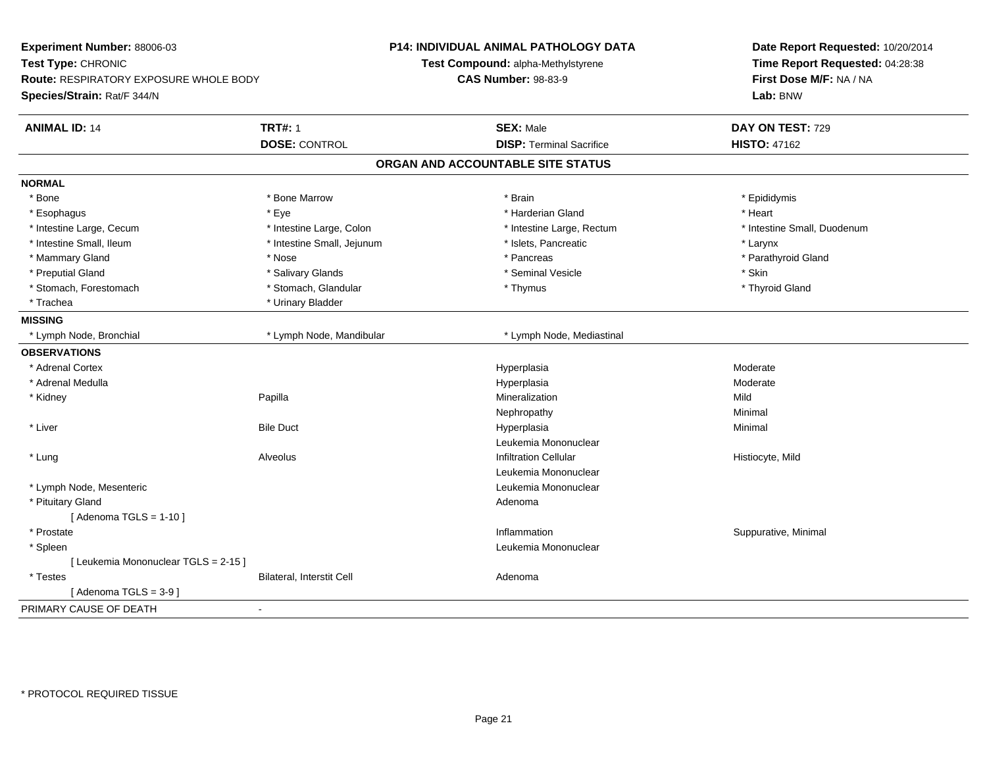| Experiment Number: 88006-03<br>Test Type: CHRONIC<br>Route: RESPIRATORY EXPOSURE WHOLE BODY<br>Species/Strain: Rat/F 344/N |                            | <b>P14: INDIVIDUAL ANIMAL PATHOLOGY DATA</b><br>Test Compound: alpha-Methylstyrene<br><b>CAS Number: 98-83-9</b> | Date Report Requested: 10/20/2014<br>Time Report Requested: 04:28:38<br>First Dose M/F: NA / NA<br>Lab: BNW |
|----------------------------------------------------------------------------------------------------------------------------|----------------------------|------------------------------------------------------------------------------------------------------------------|-------------------------------------------------------------------------------------------------------------|
| <b>ANIMAL ID: 14</b>                                                                                                       | <b>TRT#: 1</b>             | <b>SEX: Male</b>                                                                                                 | DAY ON TEST: 729                                                                                            |
|                                                                                                                            | <b>DOSE: CONTROL</b>       | <b>DISP: Terminal Sacrifice</b>                                                                                  | <b>HISTO: 47162</b>                                                                                         |
|                                                                                                                            |                            | ORGAN AND ACCOUNTABLE SITE STATUS                                                                                |                                                                                                             |
| <b>NORMAL</b>                                                                                                              |                            |                                                                                                                  |                                                                                                             |
| * Bone                                                                                                                     | * Bone Marrow              | * Brain                                                                                                          | * Epididymis                                                                                                |
| * Esophagus                                                                                                                | * Eye                      | * Harderian Gland                                                                                                | * Heart                                                                                                     |
| * Intestine Large, Cecum                                                                                                   | * Intestine Large, Colon   | * Intestine Large, Rectum                                                                                        | * Intestine Small, Duodenum                                                                                 |
| * Intestine Small, Ileum                                                                                                   | * Intestine Small, Jejunum | * Islets, Pancreatic                                                                                             | * Larynx                                                                                                    |
| * Mammary Gland                                                                                                            | * Nose                     | * Pancreas                                                                                                       | * Parathyroid Gland                                                                                         |
| * Preputial Gland                                                                                                          | * Salivary Glands          | * Seminal Vesicle                                                                                                | * Skin                                                                                                      |
| * Stomach, Forestomach                                                                                                     | * Stomach, Glandular       | * Thymus                                                                                                         | * Thyroid Gland                                                                                             |
| * Trachea                                                                                                                  | * Urinary Bladder          |                                                                                                                  |                                                                                                             |
| <b>MISSING</b>                                                                                                             |                            |                                                                                                                  |                                                                                                             |
| * Lymph Node, Bronchial                                                                                                    | * Lymph Node, Mandibular   | * Lymph Node, Mediastinal                                                                                        |                                                                                                             |
| <b>OBSERVATIONS</b>                                                                                                        |                            |                                                                                                                  |                                                                                                             |
| * Adrenal Cortex                                                                                                           |                            | Hyperplasia                                                                                                      | Moderate                                                                                                    |
| * Adrenal Medulla                                                                                                          |                            | Hyperplasia                                                                                                      | Moderate                                                                                                    |
| * Kidney                                                                                                                   | Papilla                    | Mineralization                                                                                                   | Mild                                                                                                        |
|                                                                                                                            |                            | Nephropathy                                                                                                      | Minimal                                                                                                     |
| * Liver                                                                                                                    | <b>Bile Duct</b>           | Hyperplasia                                                                                                      | Minimal                                                                                                     |
|                                                                                                                            |                            | Leukemia Mononuclear                                                                                             |                                                                                                             |
| * Lung                                                                                                                     | Alveolus                   | <b>Infiltration Cellular</b>                                                                                     | Histiocyte, Mild                                                                                            |
|                                                                                                                            |                            | Leukemia Mononuclear                                                                                             |                                                                                                             |
| * Lymph Node, Mesenteric                                                                                                   |                            | Leukemia Mononuclear                                                                                             |                                                                                                             |
| * Pituitary Gland                                                                                                          |                            | Adenoma                                                                                                          |                                                                                                             |
| [Adenoma TGLS = $1-10$ ]                                                                                                   |                            |                                                                                                                  |                                                                                                             |
| * Prostate                                                                                                                 |                            | Inflammation                                                                                                     | Suppurative, Minimal                                                                                        |
| * Spleen                                                                                                                   |                            | Leukemia Mononuclear                                                                                             |                                                                                                             |
| [ Leukemia Mononuclear TGLS = 2-15 ]                                                                                       |                            |                                                                                                                  |                                                                                                             |
| * Testes                                                                                                                   | Bilateral, Interstit Cell  | Adenoma                                                                                                          |                                                                                                             |
| [Adenoma TGLS = $3-9$ ]                                                                                                    |                            |                                                                                                                  |                                                                                                             |
| PRIMARY CAUSE OF DEATH                                                                                                     | $\sim$                     |                                                                                                                  |                                                                                                             |
|                                                                                                                            |                            |                                                                                                                  |                                                                                                             |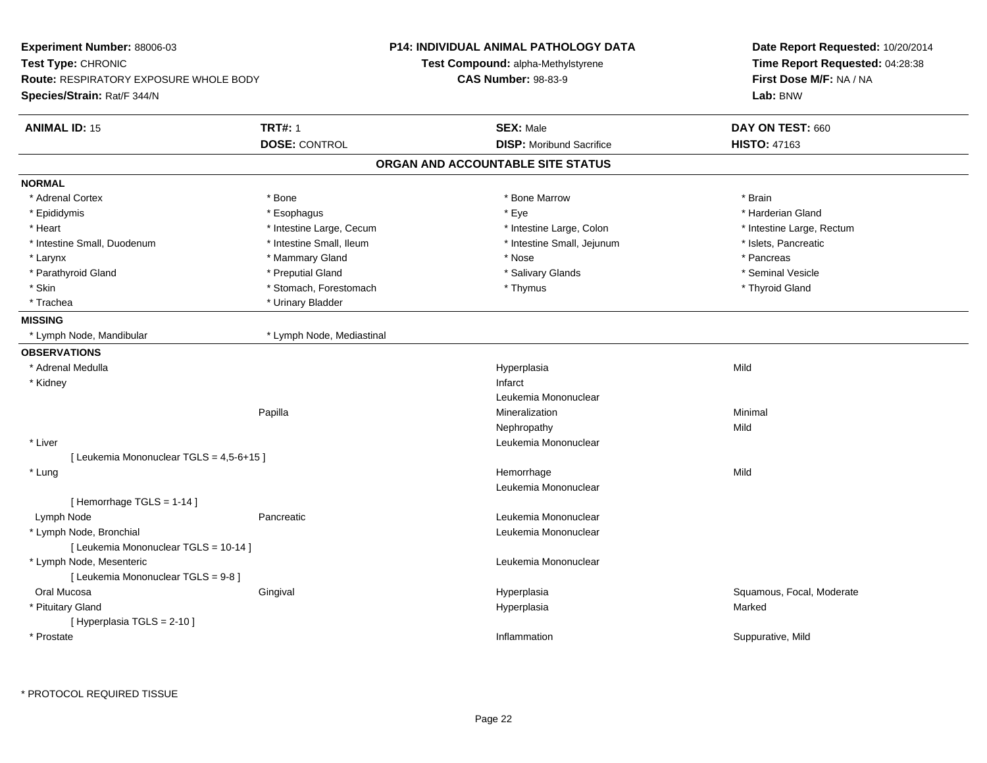| Experiment Number: 88006-03                                                                        |                           | <b>P14: INDIVIDUAL ANIMAL PATHOLOGY DATA</b> | Date Report Requested: 10/20/2014                          |
|----------------------------------------------------------------------------------------------------|---------------------------|----------------------------------------------|------------------------------------------------------------|
| Test Type: CHRONIC<br><b>Route: RESPIRATORY EXPOSURE WHOLE BODY</b><br>Species/Strain: Rat/F 344/N |                           | Test Compound: alpha-Methylstyrene           | Time Report Requested: 04:28:38<br>First Dose M/F: NA / NA |
|                                                                                                    |                           | <b>CAS Number: 98-83-9</b>                   |                                                            |
|                                                                                                    |                           |                                              | Lab: BNW                                                   |
| <b>ANIMAL ID: 15</b>                                                                               | <b>TRT#: 1</b>            | <b>SEX: Male</b>                             | DAY ON TEST: 660                                           |
|                                                                                                    | <b>DOSE: CONTROL</b>      | <b>DISP:</b> Moribund Sacrifice              | <b>HISTO: 47163</b>                                        |
|                                                                                                    |                           | ORGAN AND ACCOUNTABLE SITE STATUS            |                                                            |
| <b>NORMAL</b>                                                                                      |                           |                                              |                                                            |
| * Adrenal Cortex                                                                                   | * Bone                    | * Bone Marrow                                | * Brain                                                    |
| * Epididymis                                                                                       | * Esophagus               | * Eye                                        | * Harderian Gland                                          |
| * Heart                                                                                            | * Intestine Large, Cecum  | * Intestine Large, Colon                     | * Intestine Large, Rectum                                  |
| * Intestine Small, Duodenum                                                                        | * Intestine Small, Ileum  | * Intestine Small, Jejunum                   | * Islets, Pancreatic                                       |
| * Larynx                                                                                           | * Mammary Gland           | * Nose                                       | * Pancreas                                                 |
| * Parathyroid Gland                                                                                | * Preputial Gland         | * Salivary Glands                            | * Seminal Vesicle                                          |
| * Skin                                                                                             | * Stomach, Forestomach    | * Thymus                                     | * Thyroid Gland                                            |
| * Trachea                                                                                          | * Urinary Bladder         |                                              |                                                            |
| <b>MISSING</b>                                                                                     |                           |                                              |                                                            |
| * Lymph Node, Mandibular                                                                           | * Lymph Node, Mediastinal |                                              |                                                            |
| <b>OBSERVATIONS</b>                                                                                |                           |                                              |                                                            |
| * Adrenal Medulla                                                                                  |                           | Hyperplasia                                  | Mild                                                       |
| * Kidney                                                                                           |                           | Infarct                                      |                                                            |
|                                                                                                    |                           | Leukemia Mononuclear                         |                                                            |
|                                                                                                    | Papilla                   | Mineralization                               | Minimal                                                    |
|                                                                                                    |                           | Nephropathy                                  | Mild                                                       |
| * Liver                                                                                            |                           | Leukemia Mononuclear                         |                                                            |
| [ Leukemia Mononuclear TGLS = 4,5-6+15 ]                                                           |                           |                                              |                                                            |
| * Lung                                                                                             |                           | Hemorrhage                                   | Mild                                                       |
|                                                                                                    |                           | Leukemia Mononuclear                         |                                                            |
| [Hemorrhage TGLS = $1-14$ ]                                                                        |                           |                                              |                                                            |
| Lymph Node                                                                                         | Pancreatic                | Leukemia Mononuclear                         |                                                            |
| * Lymph Node, Bronchial                                                                            |                           | Leukemia Mononuclear                         |                                                            |
| [ Leukemia Mononuclear TGLS = 10-14 ]                                                              |                           |                                              |                                                            |
| * Lymph Node, Mesenteric                                                                           |                           | Leukemia Mononuclear                         |                                                            |
| [ Leukemia Mononuclear TGLS = 9-8 ]                                                                |                           |                                              |                                                            |
| Oral Mucosa                                                                                        | Gingival                  | Hyperplasia                                  | Squamous, Focal, Moderate                                  |
| * Pituitary Gland                                                                                  |                           | Hyperplasia                                  | Marked                                                     |
| [ Hyperplasia TGLS = 2-10 ]                                                                        |                           |                                              |                                                            |
| * Prostate                                                                                         |                           | Inflammation                                 | Suppurative, Mild                                          |
|                                                                                                    |                           |                                              |                                                            |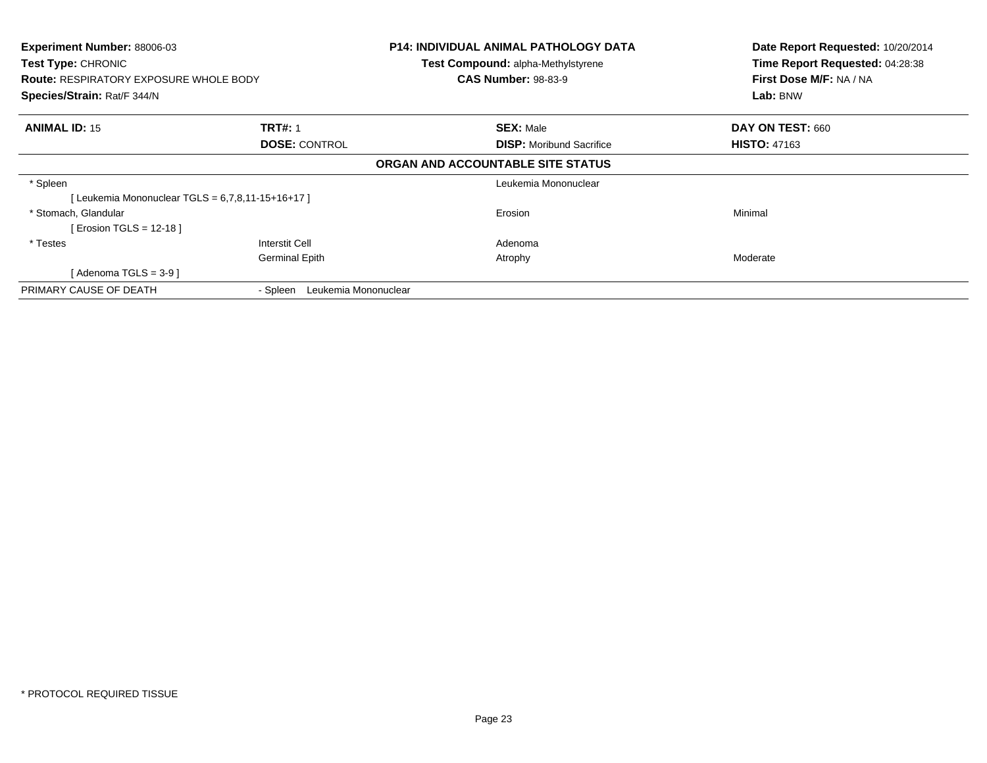| Experiment Number: 88006-03<br><b>Test Type: CHRONIC</b> |                                  | <b>P14: INDIVIDUAL ANIMAL PATHOLOGY DATA</b> | Date Report Requested: 10/20/2014<br>Time Report Requested: 04:28:38 |
|----------------------------------------------------------|----------------------------------|----------------------------------------------|----------------------------------------------------------------------|
|                                                          |                                  | <b>Test Compound: alpha-Methylstyrene</b>    |                                                                      |
| <b>Route: RESPIRATORY EXPOSURE WHOLE BODY</b>            |                                  | <b>CAS Number: 98-83-9</b>                   | First Dose M/F: NA / NA                                              |
| Species/Strain: Rat/F 344/N                              |                                  |                                              | Lab: BNW                                                             |
| <b>ANIMAL ID: 15</b>                                     | <b>TRT#: 1</b>                   | <b>SEX: Male</b>                             | DAY ON TEST: 660                                                     |
|                                                          | <b>DOSE: CONTROL</b>             | <b>DISP:</b> Moribund Sacrifice              | <b>HISTO: 47163</b>                                                  |
|                                                          |                                  | ORGAN AND ACCOUNTABLE SITE STATUS            |                                                                      |
| * Spleen                                                 |                                  | Leukemia Mononuclear                         |                                                                      |
| [ Leukemia Mononuclear TGLS = 6,7,8,11-15+16+17 ]        |                                  |                                              |                                                                      |
| * Stomach, Glandular                                     |                                  | Erosion                                      | Minimal                                                              |
| [ Erosion TGLS = 12-18 ]                                 |                                  |                                              |                                                                      |
| * Testes                                                 | Interstit Cell                   | Adenoma                                      |                                                                      |
|                                                          | <b>Germinal Epith</b>            | Atrophy                                      | Moderate                                                             |
| [ Adenoma TGLS = 3-9 ]                                   |                                  |                                              |                                                                      |
| PRIMARY CAUSE OF DEATH                                   | Leukemia Mononuclear<br>- Spleen |                                              |                                                                      |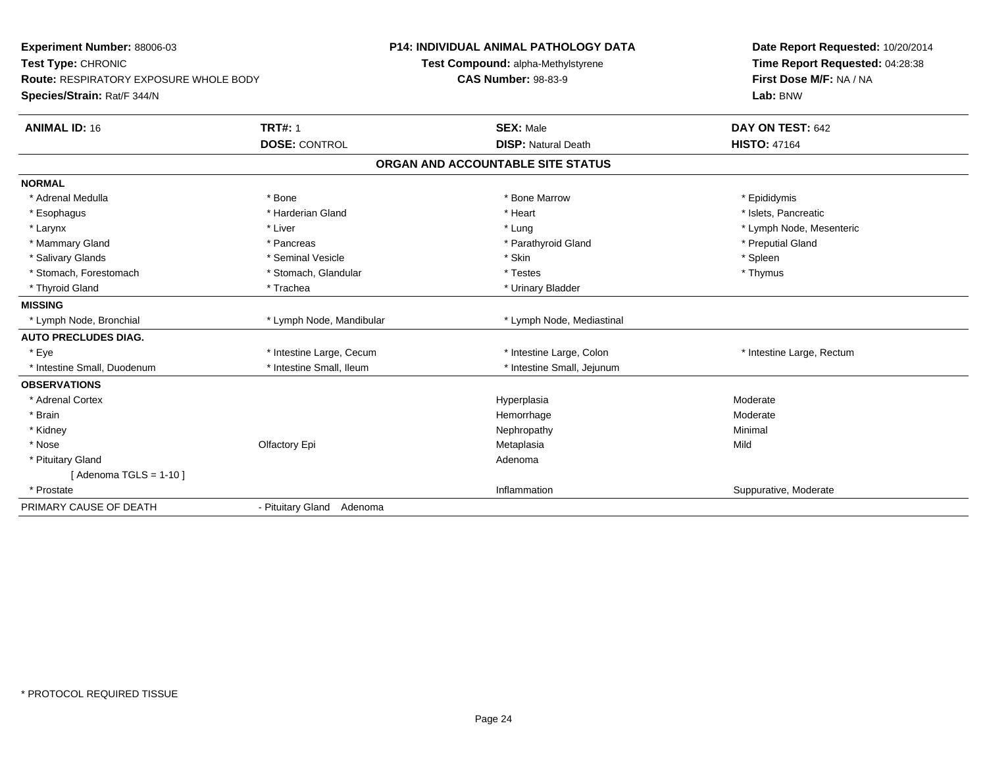| Experiment Number: 88006-03<br>Test Type: CHRONIC |                           | <b>P14: INDIVIDUAL ANIMAL PATHOLOGY DATA</b><br>Test Compound: alpha-Methylstyrene | Date Report Requested: 10/20/2014<br>Time Report Requested: 04:28:38 |
|---------------------------------------------------|---------------------------|------------------------------------------------------------------------------------|----------------------------------------------------------------------|
| <b>Route: RESPIRATORY EXPOSURE WHOLE BODY</b>     |                           | <b>CAS Number: 98-83-9</b>                                                         | First Dose M/F: NA / NA                                              |
| Species/Strain: Rat/F 344/N                       |                           |                                                                                    | Lab: BNW                                                             |
| <b>ANIMAL ID: 16</b>                              | <b>TRT#: 1</b>            | <b>SEX: Male</b>                                                                   | DAY ON TEST: 642                                                     |
|                                                   | <b>DOSE: CONTROL</b>      | <b>DISP: Natural Death</b>                                                         | <b>HISTO: 47164</b>                                                  |
|                                                   |                           | ORGAN AND ACCOUNTABLE SITE STATUS                                                  |                                                                      |
| <b>NORMAL</b>                                     |                           |                                                                                    |                                                                      |
| * Adrenal Medulla                                 | * Bone                    | * Bone Marrow                                                                      | * Epididymis                                                         |
| * Esophagus                                       | * Harderian Gland         | * Heart                                                                            | * Islets, Pancreatic                                                 |
| * Larynx                                          | * Liver                   | * Lung                                                                             | * Lymph Node, Mesenteric                                             |
| * Mammary Gland                                   | * Pancreas                | * Parathyroid Gland                                                                | * Preputial Gland                                                    |
| * Salivary Glands                                 | * Seminal Vesicle         | * Skin                                                                             | * Spleen                                                             |
| * Stomach, Forestomach                            | * Stomach, Glandular      | * Testes                                                                           | * Thymus                                                             |
| * Thyroid Gland                                   | * Trachea                 | * Urinary Bladder                                                                  |                                                                      |
| <b>MISSING</b>                                    |                           |                                                                                    |                                                                      |
| * Lymph Node, Bronchial                           | * Lymph Node, Mandibular  | * Lymph Node, Mediastinal                                                          |                                                                      |
| <b>AUTO PRECLUDES DIAG.</b>                       |                           |                                                                                    |                                                                      |
| * Eye                                             | * Intestine Large, Cecum  | * Intestine Large, Colon                                                           | * Intestine Large, Rectum                                            |
| * Intestine Small. Duodenum                       | * Intestine Small, Ileum  | * Intestine Small, Jejunum                                                         |                                                                      |
| <b>OBSERVATIONS</b>                               |                           |                                                                                    |                                                                      |
| * Adrenal Cortex                                  |                           | Hyperplasia                                                                        | Moderate                                                             |
| * Brain                                           |                           | Hemorrhage                                                                         | Moderate                                                             |
| * Kidney                                          |                           | Nephropathy                                                                        | Minimal                                                              |
| * Nose                                            | Olfactory Epi             | Metaplasia                                                                         | Mild                                                                 |
| * Pituitary Gland                                 |                           | Adenoma                                                                            |                                                                      |
| [ Adenoma TGLS = 1-10 ]                           |                           |                                                                                    |                                                                      |
| * Prostate                                        |                           | Inflammation                                                                       | Suppurative, Moderate                                                |
| PRIMARY CAUSE OF DEATH                            | - Pituitary Gland Adenoma |                                                                                    |                                                                      |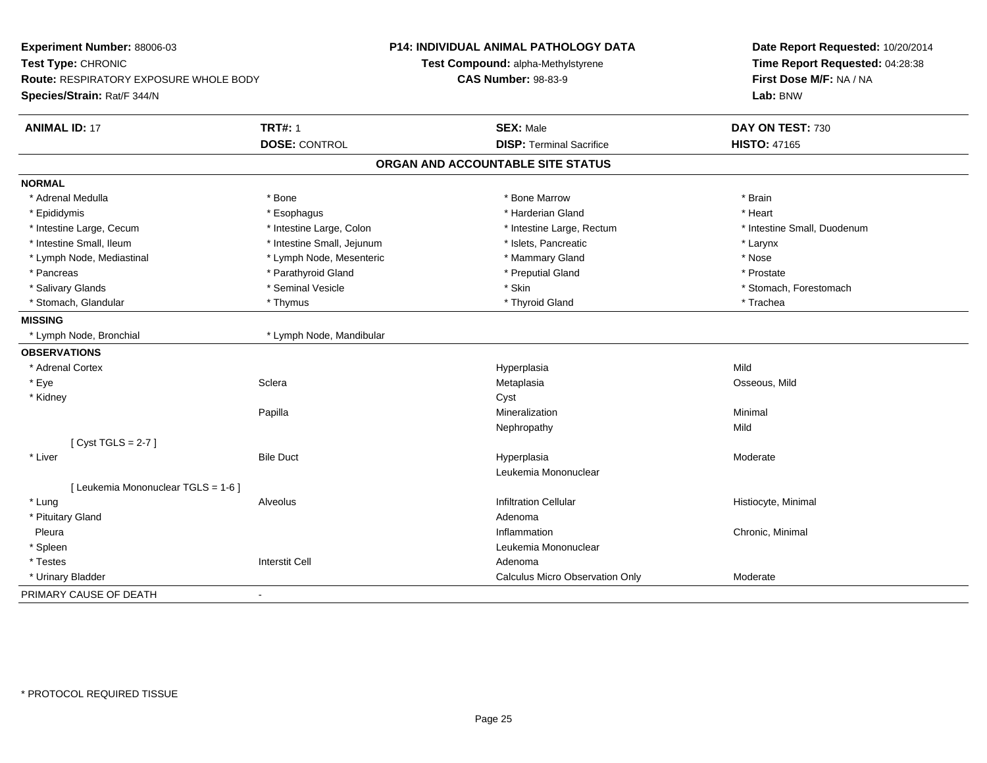|                                          | <b>DOSE: CONTROL</b>       | <b>SEX: Male</b>                  | DAY ON TEST: 730            |
|------------------------------------------|----------------------------|-----------------------------------|-----------------------------|
| <b>TRT#: 1</b><br><b>ANIMAL ID: 17</b>   |                            |                                   |                             |
|                                          |                            | <b>DISP: Terminal Sacrifice</b>   | <b>HISTO: 47165</b>         |
|                                          |                            | ORGAN AND ACCOUNTABLE SITE STATUS |                             |
| <b>NORMAL</b>                            |                            |                                   |                             |
| * Adrenal Medulla<br>* Bone              |                            | * Bone Marrow                     | * Brain                     |
| * Epididymis<br>* Esophagus              |                            | * Harderian Gland                 | * Heart                     |
| * Intestine Large, Cecum                 | * Intestine Large, Colon   | * Intestine Large, Rectum         | * Intestine Small, Duodenum |
| * Intestine Small, Ileum                 | * Intestine Small, Jejunum | * Islets, Pancreatic              | * Larynx                    |
| * Lymph Node, Mediastinal                | * Lymph Node, Mesenteric   | * Mammary Gland                   | * Nose                      |
| * Pancreas                               | * Parathyroid Gland        | * Preputial Gland                 | * Prostate                  |
| * Salivary Glands                        | * Seminal Vesicle          | * Skin                            | * Stomach, Forestomach      |
| * Thymus<br>* Stomach, Glandular         |                            | * Thyroid Gland                   | * Trachea                   |
| <b>MISSING</b>                           |                            |                                   |                             |
| * Lymph Node, Bronchial                  | * Lymph Node, Mandibular   |                                   |                             |
| <b>OBSERVATIONS</b>                      |                            |                                   |                             |
| * Adrenal Cortex                         |                            | Hyperplasia                       | Mild                        |
| * Eye<br>Sclera                          |                            | Metaplasia                        | Osseous, Mild               |
| * Kidney                                 |                            | Cyst                              |                             |
| Papilla                                  |                            | Mineralization                    | Minimal                     |
|                                          |                            | Nephropathy                       | Mild                        |
| [Cyst TGLS = $2-7$ ]                     |                            |                                   |                             |
| * Liver<br><b>Bile Duct</b>              |                            | Hyperplasia                       | Moderate                    |
|                                          |                            | Leukemia Mononuclear              |                             |
| [ Leukemia Mononuclear TGLS = 1-6 ]      |                            |                                   |                             |
| * Lung<br>Alveolus                       |                            | <b>Infiltration Cellular</b>      | Histiocyte, Minimal         |
| * Pituitary Gland                        |                            | Adenoma                           |                             |
| Pleura                                   |                            | Inflammation                      | Chronic, Minimal            |
| * Spleen                                 |                            | Leukemia Mononuclear              |                             |
| * Testes<br><b>Interstit Cell</b>        |                            | Adenoma                           |                             |
| * Urinary Bladder                        |                            | Calculus Micro Observation Only   | Moderate                    |
| PRIMARY CAUSE OF DEATH<br>$\blacksquare$ |                            |                                   |                             |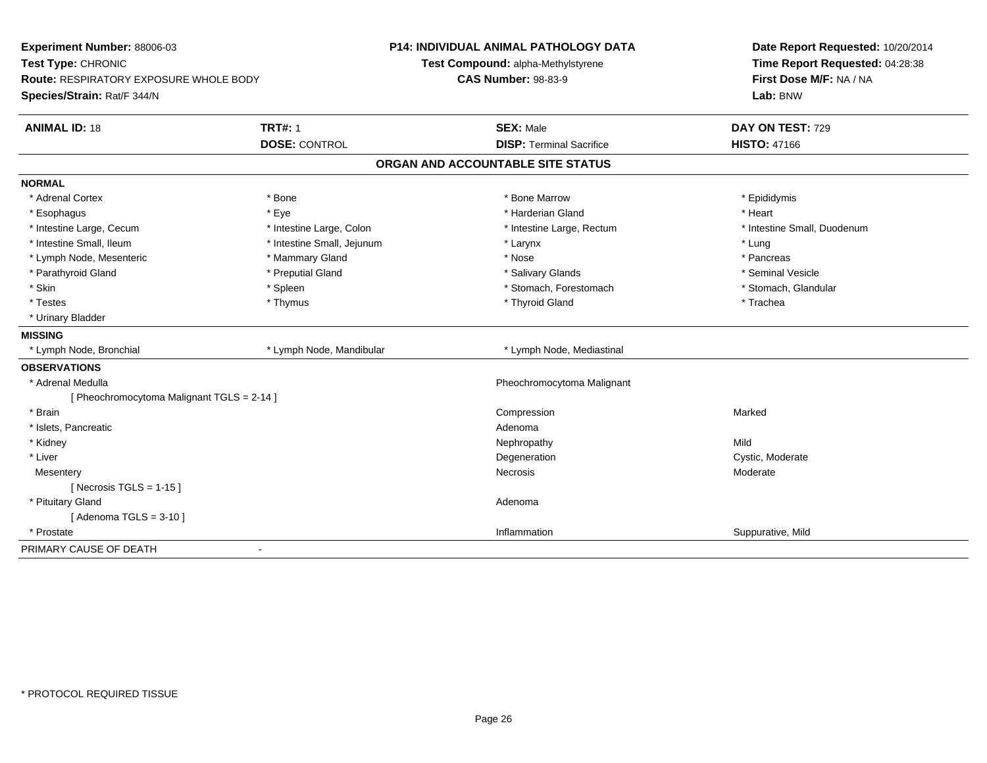| Experiment Number: 88006-03                |                            | <b>P14: INDIVIDUAL ANIMAL PATHOLOGY DATA</b> | Date Report Requested: 10/20/2014                          |
|--------------------------------------------|----------------------------|----------------------------------------------|------------------------------------------------------------|
| Test Type: CHRONIC                         |                            | Test Compound: alpha-Methylstyrene           | Time Report Requested: 04:28:38<br>First Dose M/F: NA / NA |
| Route: RESPIRATORY EXPOSURE WHOLE BODY     |                            | <b>CAS Number: 98-83-9</b>                   |                                                            |
| Species/Strain: Rat/F 344/N                |                            |                                              | Lab: BNW                                                   |
| <b>ANIMAL ID: 18</b>                       | <b>TRT#: 1</b>             | <b>SEX: Male</b>                             | DAY ON TEST: 729                                           |
|                                            | <b>DOSE: CONTROL</b>       | <b>DISP: Terminal Sacrifice</b>              | <b>HISTO: 47166</b>                                        |
|                                            |                            | ORGAN AND ACCOUNTABLE SITE STATUS            |                                                            |
| <b>NORMAL</b>                              |                            |                                              |                                                            |
| * Adrenal Cortex                           | * Bone                     | * Bone Marrow                                | * Epididymis                                               |
| * Esophagus                                | * Eye                      | * Harderian Gland                            | * Heart                                                    |
| * Intestine Large, Cecum                   | * Intestine Large, Colon   | * Intestine Large, Rectum                    | * Intestine Small, Duodenum                                |
| * Intestine Small, Ileum                   | * Intestine Small, Jejunum | * Larynx                                     | * Lung                                                     |
| * Lymph Node, Mesenteric                   | * Mammary Gland            | * Nose                                       | * Pancreas                                                 |
| * Parathyroid Gland                        | * Preputial Gland          | * Salivary Glands                            | * Seminal Vesicle                                          |
| * Skin                                     | * Spleen                   | * Stomach, Forestomach                       | * Stomach, Glandular                                       |
| * Testes                                   | * Thymus                   | * Thyroid Gland                              | * Trachea                                                  |
| * Urinary Bladder                          |                            |                                              |                                                            |
| <b>MISSING</b>                             |                            |                                              |                                                            |
| * Lymph Node, Bronchial                    | * Lymph Node, Mandibular   | * Lymph Node, Mediastinal                    |                                                            |
| <b>OBSERVATIONS</b>                        |                            |                                              |                                                            |
| * Adrenal Medulla                          |                            | Pheochromocytoma Malignant                   |                                                            |
| [ Pheochromocytoma Malignant TGLS = 2-14 ] |                            |                                              |                                                            |
| * Brain                                    |                            | Compression                                  | Marked                                                     |
| * Islets, Pancreatic                       |                            | Adenoma                                      |                                                            |
| * Kidney                                   |                            | Nephropathy                                  | Mild                                                       |
| * Liver                                    |                            | Degeneration                                 | Cystic, Moderate                                           |
| Mesentery                                  |                            | <b>Necrosis</b>                              | Moderate                                                   |
| [Necrosis TGLS = $1-15$ ]                  |                            |                                              |                                                            |
| * Pituitary Gland                          |                            | Adenoma                                      |                                                            |
| [Adenoma TGLS = $3-10$ ]                   |                            |                                              |                                                            |
| * Prostate                                 |                            | Inflammation                                 | Suppurative, Mild                                          |
| PRIMARY CAUSE OF DEATH                     |                            |                                              |                                                            |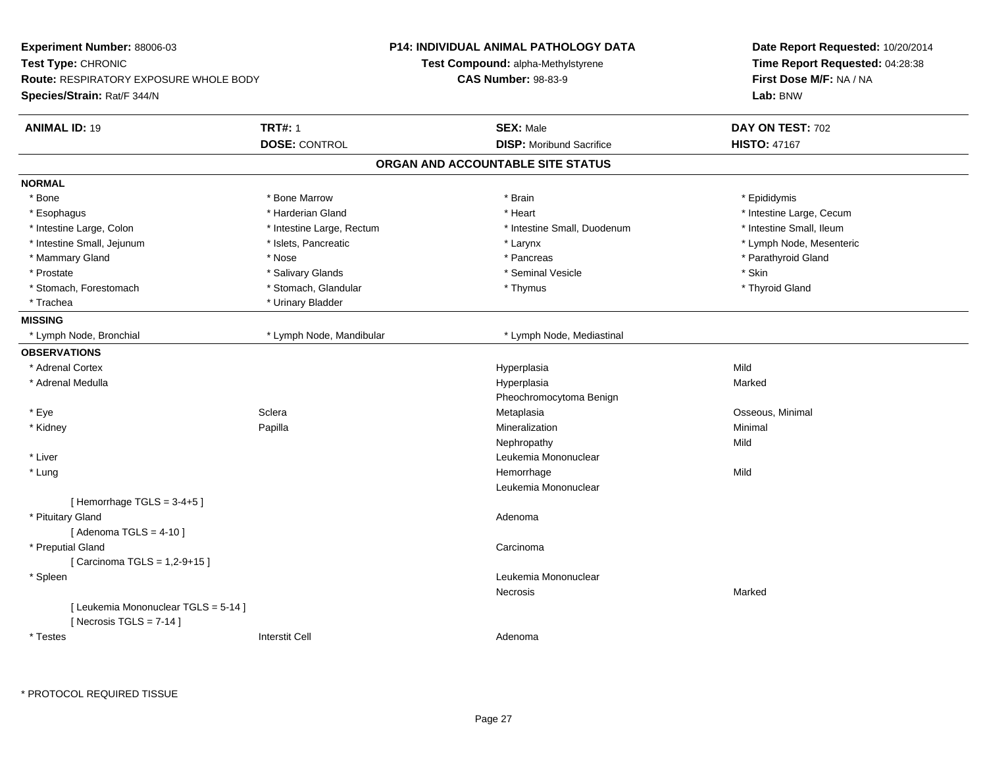| <b>Experiment Number: 88006-03</b>            |                           | <b>P14: INDIVIDUAL ANIMAL PATHOLOGY DATA</b> | Date Report Requested: 10/20/2014<br>Time Report Requested: 04:28:38<br>First Dose M/F: NA / NA |  |
|-----------------------------------------------|---------------------------|----------------------------------------------|-------------------------------------------------------------------------------------------------|--|
| Test Type: CHRONIC                            |                           | Test Compound: alpha-Methylstyrene           |                                                                                                 |  |
| <b>Route: RESPIRATORY EXPOSURE WHOLE BODY</b> |                           | <b>CAS Number: 98-83-9</b>                   |                                                                                                 |  |
| Species/Strain: Rat/F 344/N                   |                           |                                              | Lab: BNW                                                                                        |  |
| <b>ANIMAL ID: 19</b>                          | <b>TRT#: 1</b>            | <b>SEX: Male</b>                             | DAY ON TEST: 702                                                                                |  |
|                                               | <b>DOSE: CONTROL</b>      | <b>DISP:</b> Moribund Sacrifice              | <b>HISTO: 47167</b>                                                                             |  |
|                                               |                           | ORGAN AND ACCOUNTABLE SITE STATUS            |                                                                                                 |  |
| <b>NORMAL</b>                                 |                           |                                              |                                                                                                 |  |
| * Bone                                        | * Bone Marrow             | * Brain                                      | * Epididymis                                                                                    |  |
| * Esophagus                                   | * Harderian Gland         | * Heart                                      | * Intestine Large, Cecum                                                                        |  |
| * Intestine Large, Colon                      | * Intestine Large, Rectum | * Intestine Small, Duodenum                  | * Intestine Small, Ileum                                                                        |  |
| * Intestine Small, Jejunum                    | * Islets, Pancreatic      | * Larynx                                     | * Lymph Node, Mesenteric                                                                        |  |
| * Mammary Gland                               | * Nose                    | * Pancreas                                   | * Parathyroid Gland                                                                             |  |
| * Prostate                                    | * Salivary Glands         | * Seminal Vesicle                            | * Skin                                                                                          |  |
| * Stomach, Forestomach                        | * Stomach, Glandular      | * Thymus                                     | * Thyroid Gland                                                                                 |  |
| * Trachea                                     | * Urinary Bladder         |                                              |                                                                                                 |  |
| <b>MISSING</b>                                |                           |                                              |                                                                                                 |  |
| * Lymph Node, Bronchial                       | * Lymph Node, Mandibular  | * Lymph Node, Mediastinal                    |                                                                                                 |  |
| <b>OBSERVATIONS</b>                           |                           |                                              |                                                                                                 |  |
| * Adrenal Cortex                              |                           | Hyperplasia                                  | Mild                                                                                            |  |
| * Adrenal Medulla                             |                           | Hyperplasia                                  | Marked                                                                                          |  |
|                                               |                           | Pheochromocytoma Benign                      |                                                                                                 |  |
| * Eye                                         | Sclera                    | Metaplasia                                   | Osseous, Minimal                                                                                |  |
| * Kidney                                      | Papilla                   | Mineralization                               | Minimal                                                                                         |  |
|                                               |                           | Nephropathy                                  | Mild                                                                                            |  |
| * Liver                                       |                           | Leukemia Mononuclear                         |                                                                                                 |  |
| * Lung                                        |                           | Hemorrhage                                   | Mild                                                                                            |  |
|                                               |                           | Leukemia Mononuclear                         |                                                                                                 |  |
| [Hemorrhage TGLS = $3-4+5$ ]                  |                           |                                              |                                                                                                 |  |
| * Pituitary Gland                             |                           | Adenoma                                      |                                                                                                 |  |
| [Adenoma TGLS = $4-10$ ]                      |                           |                                              |                                                                                                 |  |
| * Preputial Gland                             |                           | Carcinoma                                    |                                                                                                 |  |
| [ Carcinoma TGLS = 1,2-9+15 ]                 |                           |                                              |                                                                                                 |  |
| * Spleen                                      |                           | Leukemia Mononuclear                         |                                                                                                 |  |
|                                               |                           | Necrosis                                     | Marked                                                                                          |  |
| [ Leukemia Mononuclear TGLS = 5-14 ]          |                           |                                              |                                                                                                 |  |
| [Necrosis TGLS = $7-14$ ]                     |                           |                                              |                                                                                                 |  |
| * Testes                                      | Interstit Cell            | Adenoma                                      |                                                                                                 |  |
|                                               |                           |                                              |                                                                                                 |  |

\* PROTOCOL REQUIRED TISSUE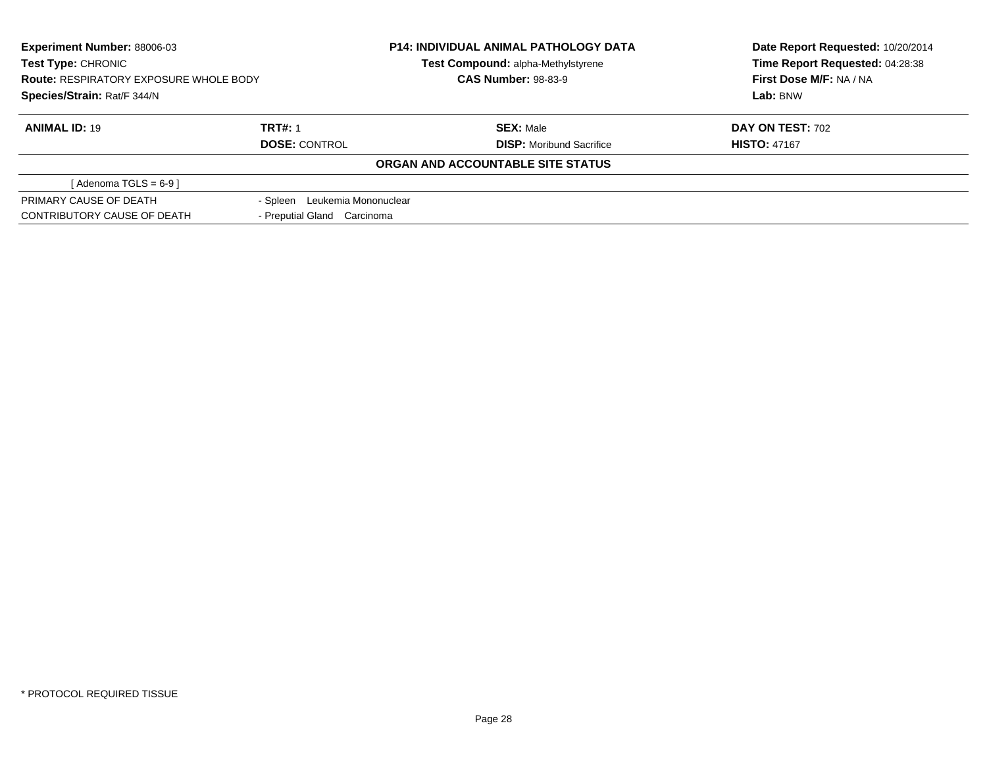| <b>Experiment Number: 88006-03</b><br>Test Type: CHRONIC<br><b>Route: RESPIRATORY EXPOSURE WHOLE BODY</b><br>Species/Strain: Rat/F 344/N |                                  | <b>P14: INDIVIDUAL ANIMAL PATHOLOGY DATA</b><br>Test Compound: alpha-Methylstyrene | Date Report Requested: 10/20/2014<br>Time Report Requested: 04:28:38 |
|------------------------------------------------------------------------------------------------------------------------------------------|----------------------------------|------------------------------------------------------------------------------------|----------------------------------------------------------------------|
|                                                                                                                                          |                                  | <b>CAS Number: 98-83-9</b>                                                         | First Dose M/F: NA / NA                                              |
|                                                                                                                                          |                                  |                                                                                    | Lab: BNW                                                             |
| <b>ANIMAL ID: 19</b>                                                                                                                     | <b>TRT#: 1</b>                   | <b>SEX: Male</b>                                                                   | <b>DAY ON TEST: 702</b>                                              |
|                                                                                                                                          | <b>DOSE: CONTROL</b>             | <b>DISP:</b> Moribund Sacrifice                                                    | <b>HISTO: 47167</b>                                                  |
|                                                                                                                                          |                                  | ORGAN AND ACCOUNTABLE SITE STATUS                                                  |                                                                      |
| [Adenoma TGLS = $6-9$ ]                                                                                                                  |                                  |                                                                                    |                                                                      |
| PRIMARY CAUSE OF DEATH                                                                                                                   | Leukemia Mononuclear<br>- Spleen |                                                                                    |                                                                      |
| CONTRIBUTORY CAUSE OF DEATH                                                                                                              | - Preputial Gland Carcinoma      |                                                                                    |                                                                      |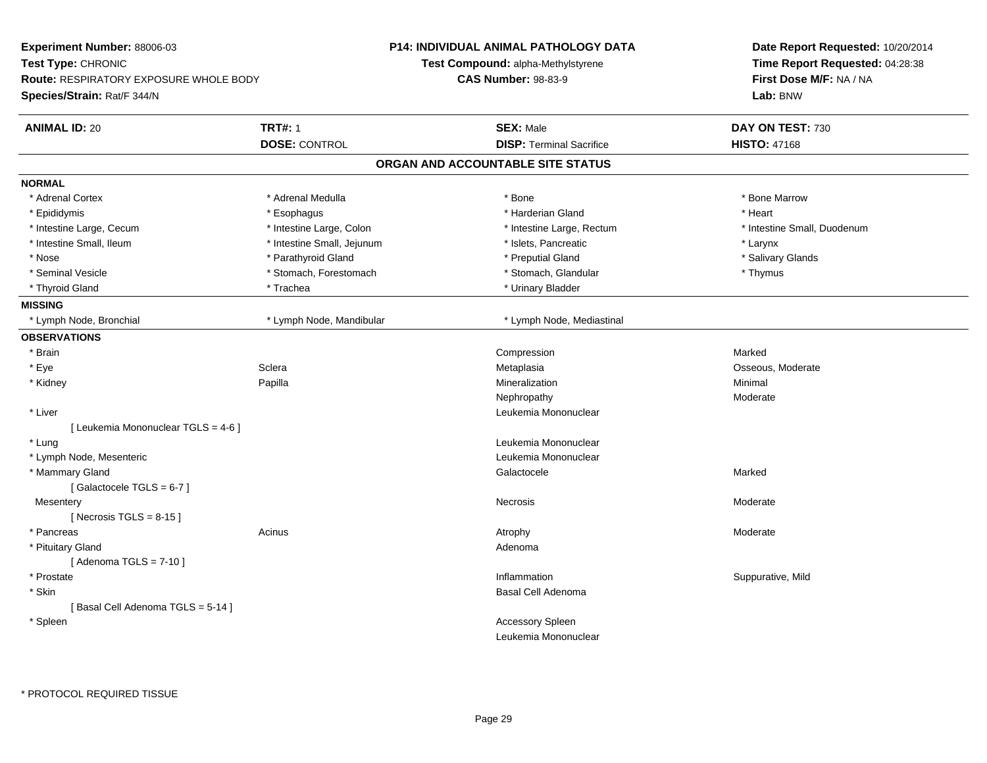| Experiment Number: 88006-03            |                            | <b>P14: INDIVIDUAL ANIMAL PATHOLOGY DATA</b> | Date Report Requested: 10/20/2014 |
|----------------------------------------|----------------------------|----------------------------------------------|-----------------------------------|
| Test Type: CHRONIC                     |                            | Test Compound: alpha-Methylstyrene           | Time Report Requested: 04:28:38   |
| Route: RESPIRATORY EXPOSURE WHOLE BODY |                            | <b>CAS Number: 98-83-9</b>                   | First Dose M/F: NA / NA           |
| Species/Strain: Rat/F 344/N            |                            |                                              | Lab: BNW                          |
| <b>ANIMAL ID: 20</b>                   | <b>TRT#: 1</b>             | <b>SEX: Male</b>                             | DAY ON TEST: 730                  |
|                                        | <b>DOSE: CONTROL</b>       | <b>DISP: Terminal Sacrifice</b>              | <b>HISTO: 47168</b>               |
|                                        |                            | ORGAN AND ACCOUNTABLE SITE STATUS            |                                   |
| <b>NORMAL</b>                          |                            |                                              |                                   |
| * Adrenal Cortex                       | * Adrenal Medulla          | * Bone                                       | * Bone Marrow                     |
| * Epididymis                           | * Esophagus                | * Harderian Gland                            | * Heart                           |
| * Intestine Large, Cecum               | * Intestine Large, Colon   | * Intestine Large, Rectum                    | * Intestine Small, Duodenum       |
| * Intestine Small, Ileum               | * Intestine Small, Jejunum | * Islets, Pancreatic                         | * Larynx                          |
| * Nose                                 | * Parathyroid Gland        | * Preputial Gland                            | * Salivary Glands                 |
| * Seminal Vesicle                      | * Stomach, Forestomach     | * Stomach, Glandular                         | * Thymus                          |
| * Thyroid Gland                        | * Trachea                  | * Urinary Bladder                            |                                   |
| <b>MISSING</b>                         |                            |                                              |                                   |
| * Lymph Node, Bronchial                | * Lymph Node, Mandibular   | * Lymph Node, Mediastinal                    |                                   |
| <b>OBSERVATIONS</b>                    |                            |                                              |                                   |
| * Brain                                |                            | Compression                                  | Marked                            |
| * Eye                                  | Sclera                     | Metaplasia                                   | Osseous, Moderate                 |
| * Kidney                               | Papilla                    | Mineralization                               | Minimal                           |
|                                        |                            | Nephropathy                                  | Moderate                          |
| * Liver                                |                            | Leukemia Mononuclear                         |                                   |
| [ Leukemia Mononuclear TGLS = 4-6 ]    |                            |                                              |                                   |
| * Lung                                 |                            | Leukemia Mononuclear                         |                                   |
| * Lymph Node, Mesenteric               |                            | Leukemia Mononuclear                         |                                   |
| * Mammary Gland                        |                            | Galactocele                                  | Marked                            |
| [Galactocele TGLS = 6-7]               |                            |                                              |                                   |
| Mesentery                              |                            | Necrosis                                     | Moderate                          |
| [ Necrosis TGLS = $8-15$ ]             |                            |                                              |                                   |
| * Pancreas                             | Acinus                     | Atrophy                                      | Moderate                          |
| * Pituitary Gland                      |                            | Adenoma                                      |                                   |
| [Adenoma TGLS = $7-10$ ]               |                            |                                              |                                   |
| * Prostate                             |                            | Inflammation                                 | Suppurative, Mild                 |
| * Skin                                 |                            | Basal Cell Adenoma                           |                                   |
| [Basal Cell Adenoma TGLS = 5-14]       |                            |                                              |                                   |
| * Spleen                               |                            | Accessory Spleen                             |                                   |
|                                        |                            | Leukemia Mononuclear                         |                                   |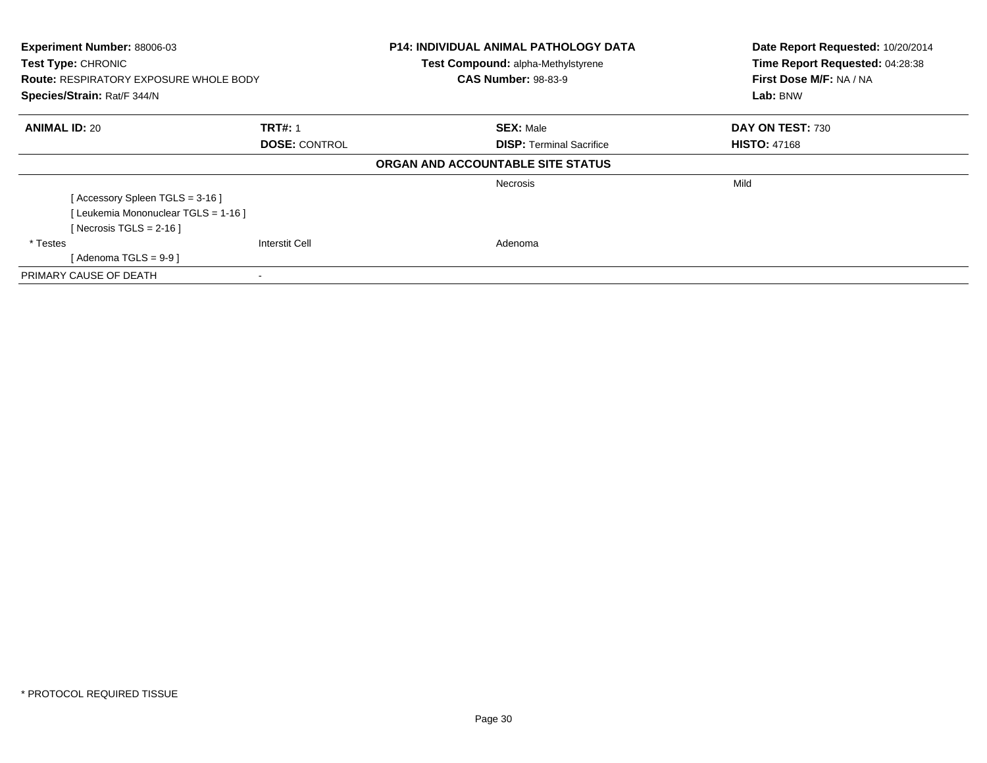| Experiment Number: 88006-03<br><b>Test Type: CHRONIC</b><br><b>Route: RESPIRATORY EXPOSURE WHOLE BODY</b><br>Species/Strain: Rat/F 344/N |                       | <b>P14: INDIVIDUAL ANIMAL PATHOLOGY DATA</b> | Date Report Requested: 10/20/2014<br>Time Report Requested: 04:28:38<br>First Dose M/F: NA / NA<br>Lab: BNW |
|------------------------------------------------------------------------------------------------------------------------------------------|-----------------------|----------------------------------------------|-------------------------------------------------------------------------------------------------------------|
|                                                                                                                                          |                       | <b>Test Compound: alpha-Methylstyrene</b>    |                                                                                                             |
|                                                                                                                                          |                       | <b>CAS Number: 98-83-9</b>                   |                                                                                                             |
|                                                                                                                                          |                       |                                              |                                                                                                             |
| <b>ANIMAL ID: 20</b>                                                                                                                     | <b>TRT#: 1</b>        | <b>SEX: Male</b>                             | DAY ON TEST: 730                                                                                            |
|                                                                                                                                          | <b>DOSE: CONTROL</b>  | <b>DISP:</b> Terminal Sacrifice              | <b>HISTO: 47168</b>                                                                                         |
|                                                                                                                                          |                       | ORGAN AND ACCOUNTABLE SITE STATUS            |                                                                                                             |
|                                                                                                                                          |                       | <b>Necrosis</b>                              | Mild                                                                                                        |
| [Accessory Spleen TGLS = 3-16]                                                                                                           |                       |                                              |                                                                                                             |
| [Leukemia Mononuclear TGLS = 1-16]                                                                                                       |                       |                                              |                                                                                                             |
| [ Necrosis TGLS = $2-16$ ]                                                                                                               |                       |                                              |                                                                                                             |
| * Testes                                                                                                                                 | <b>Interstit Cell</b> | Adenoma                                      |                                                                                                             |
| [Adenoma TGLS = $9-9$ ]                                                                                                                  |                       |                                              |                                                                                                             |
| PRIMARY CAUSE OF DEATH                                                                                                                   |                       |                                              |                                                                                                             |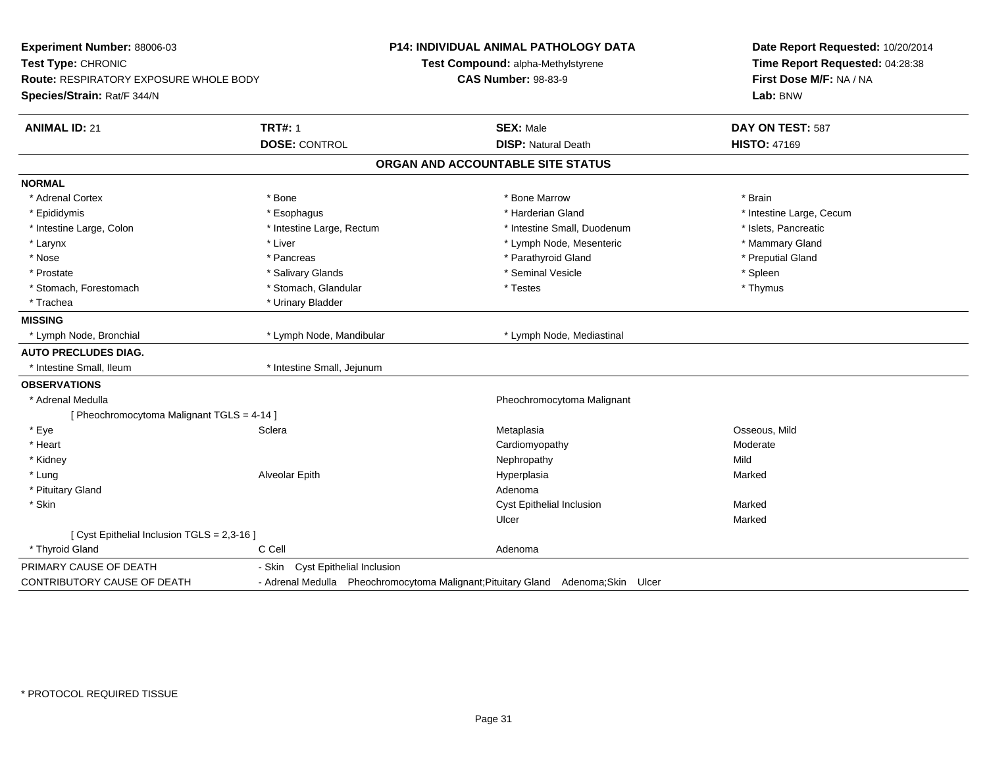| Experiment Number: 88006-03<br>Test Type: CHRONIC<br><b>Route: RESPIRATORY EXPOSURE WHOLE BODY</b><br>Species/Strain: Rat/F 344/N |                                            | P14: INDIVIDUAL ANIMAL PATHOLOGY DATA<br>Test Compound: alpha-Methylstyrene<br><b>CAS Number: 98-83-9</b> | Date Report Requested: 10/20/2014<br>Time Report Requested: 04:28:38<br>First Dose M/F: NA / NA<br>Lab: BNW |
|-----------------------------------------------------------------------------------------------------------------------------------|--------------------------------------------|-----------------------------------------------------------------------------------------------------------|-------------------------------------------------------------------------------------------------------------|
| <b>ANIMAL ID: 21</b>                                                                                                              | <b>TRT#: 1</b>                             | <b>SEX: Male</b>                                                                                          | DAY ON TEST: 587                                                                                            |
|                                                                                                                                   | <b>DOSE: CONTROL</b>                       | <b>DISP: Natural Death</b>                                                                                | <b>HISTO: 47169</b>                                                                                         |
|                                                                                                                                   |                                            | ORGAN AND ACCOUNTABLE SITE STATUS                                                                         |                                                                                                             |
| <b>NORMAL</b>                                                                                                                     |                                            |                                                                                                           |                                                                                                             |
| * Adrenal Cortex                                                                                                                  | * Bone                                     | * Bone Marrow                                                                                             | * Brain                                                                                                     |
| * Epididymis                                                                                                                      | * Esophagus                                | * Harderian Gland                                                                                         | * Intestine Large, Cecum                                                                                    |
| * Intestine Large, Colon                                                                                                          | * Intestine Large, Rectum                  | * Intestine Small, Duodenum                                                                               | * Islets, Pancreatic                                                                                        |
| $^{\star}$ Larynx                                                                                                                 | * Liver                                    | * Lymph Node, Mesenteric                                                                                  | * Mammary Gland                                                                                             |
| $*$ Nose                                                                                                                          | * Pancreas                                 | * Parathyroid Gland                                                                                       | * Preputial Gland                                                                                           |
| * Prostate                                                                                                                        | * Salivary Glands                          | * Seminal Vesicle                                                                                         | * Spleen                                                                                                    |
| * Stomach, Forestomach                                                                                                            | * Stomach, Glandular                       | * Testes                                                                                                  | * Thymus                                                                                                    |
| * Trachea                                                                                                                         | * Urinary Bladder                          |                                                                                                           |                                                                                                             |
| <b>MISSING</b>                                                                                                                    |                                            |                                                                                                           |                                                                                                             |
| * Lymph Node, Bronchial                                                                                                           | * Lymph Node, Mandibular                   | * Lymph Node, Mediastinal                                                                                 |                                                                                                             |
| <b>AUTO PRECLUDES DIAG.</b>                                                                                                       |                                            |                                                                                                           |                                                                                                             |
| * Intestine Small, Ileum                                                                                                          | * Intestine Small, Jejunum                 |                                                                                                           |                                                                                                             |
| <b>OBSERVATIONS</b>                                                                                                               |                                            |                                                                                                           |                                                                                                             |
| * Adrenal Medulla                                                                                                                 |                                            | Pheochromocytoma Malignant                                                                                |                                                                                                             |
| [ Pheochromocytoma Malignant TGLS = 4-14 ]                                                                                        |                                            |                                                                                                           |                                                                                                             |
| * Eye                                                                                                                             | Sclera                                     | Metaplasia                                                                                                | Osseous, Mild                                                                                               |
| * Heart                                                                                                                           |                                            | Cardiomyopathy                                                                                            | Moderate                                                                                                    |
| * Kidney                                                                                                                          |                                            | Nephropathy                                                                                               | Mild                                                                                                        |
| * Lung                                                                                                                            | Alveolar Epith                             | Hyperplasia                                                                                               | Marked                                                                                                      |
| * Pituitary Gland                                                                                                                 |                                            | Adenoma                                                                                                   |                                                                                                             |
| * Skin                                                                                                                            |                                            | Cyst Epithelial Inclusion                                                                                 | Marked                                                                                                      |
|                                                                                                                                   |                                            | Ulcer                                                                                                     | Marked                                                                                                      |
| [ Cyst Epithelial Inclusion TGLS = 2,3-16 ]                                                                                       |                                            |                                                                                                           |                                                                                                             |
| * Thyroid Gland                                                                                                                   | C Cell                                     | Adenoma                                                                                                   |                                                                                                             |
| PRIMARY CAUSE OF DEATH                                                                                                            | <b>Cyst Epithelial Inclusion</b><br>- Skin |                                                                                                           |                                                                                                             |
| CONTRIBUTORY CAUSE OF DEATH                                                                                                       |                                            | - Adrenal Medulla Pheochromocytoma Malignant; Pituitary Gland Adenoma; Skin Ulcer                         |                                                                                                             |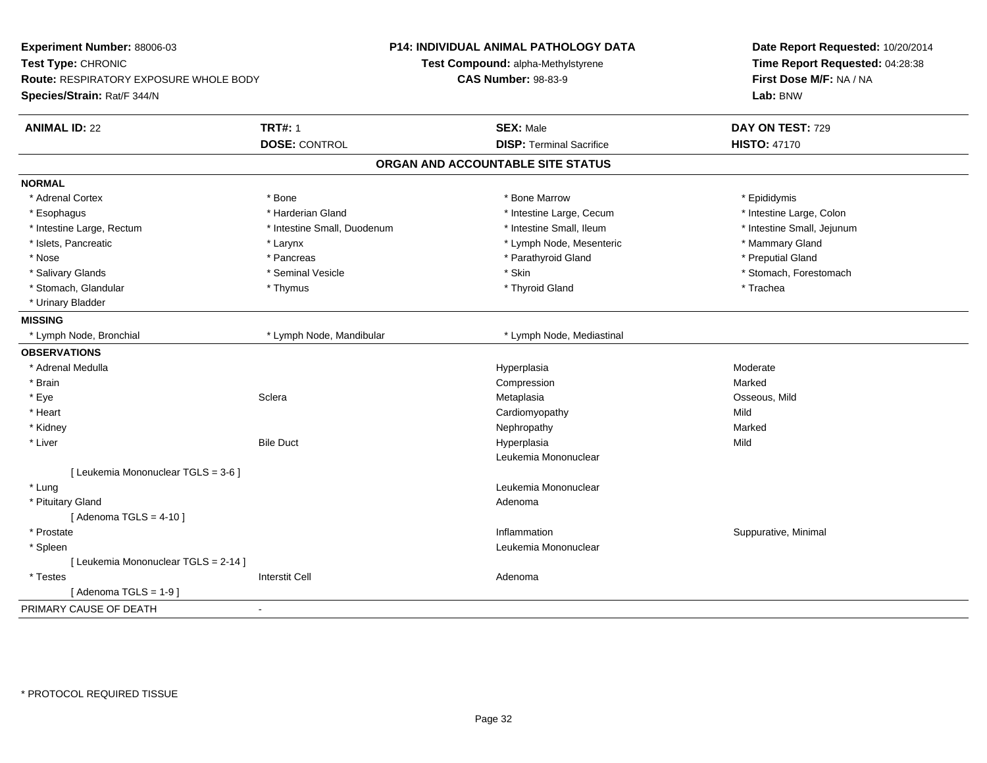| Time Report Requested: 04:28:38<br>Test Type: CHRONIC<br>Test Compound: alpha-Methylstyrene<br>First Dose M/F: NA / NA<br><b>CAS Number: 98-83-9</b><br><b>Route: RESPIRATORY EXPOSURE WHOLE BODY</b><br>Species/Strain: Rat/F 344/N<br>Lab: BNW<br><b>TRT#: 1</b><br><b>SEX: Male</b><br><b>ANIMAL ID: 22</b><br>DAY ON TEST: 729<br><b>DOSE: CONTROL</b><br><b>DISP: Terminal Sacrifice</b><br><b>HISTO: 47170</b> |
|----------------------------------------------------------------------------------------------------------------------------------------------------------------------------------------------------------------------------------------------------------------------------------------------------------------------------------------------------------------------------------------------------------------------|
|                                                                                                                                                                                                                                                                                                                                                                                                                      |
|                                                                                                                                                                                                                                                                                                                                                                                                                      |
|                                                                                                                                                                                                                                                                                                                                                                                                                      |
|                                                                                                                                                                                                                                                                                                                                                                                                                      |
|                                                                                                                                                                                                                                                                                                                                                                                                                      |
| ORGAN AND ACCOUNTABLE SITE STATUS                                                                                                                                                                                                                                                                                                                                                                                    |
| <b>NORMAL</b>                                                                                                                                                                                                                                                                                                                                                                                                        |
| * Adrenal Cortex<br>* Bone<br>* Bone Marrow<br>* Epididymis                                                                                                                                                                                                                                                                                                                                                          |
| * Harderian Gland<br>* Intestine Large, Cecum<br>* Intestine Large, Colon<br>* Esophagus                                                                                                                                                                                                                                                                                                                             |
| * Intestine Large, Rectum<br>* Intestine Small, Duodenum<br>* Intestine Small, Ileum<br>* Intestine Small, Jejunum                                                                                                                                                                                                                                                                                                   |
| * Islets, Pancreatic<br>* Lymph Node, Mesenteric<br>* Mammary Gland<br>* Larynx                                                                                                                                                                                                                                                                                                                                      |
| * Parathyroid Gland<br>* Preputial Gland<br>* Nose<br>* Pancreas                                                                                                                                                                                                                                                                                                                                                     |
| * Skin<br>* Stomach, Forestomach<br>* Salivary Glands<br>* Seminal Vesicle                                                                                                                                                                                                                                                                                                                                           |
| * Stomach, Glandular<br>* Thyroid Gland<br>* Trachea<br>* Thymus                                                                                                                                                                                                                                                                                                                                                     |
| * Urinary Bladder                                                                                                                                                                                                                                                                                                                                                                                                    |
| <b>MISSING</b>                                                                                                                                                                                                                                                                                                                                                                                                       |
| * Lymph Node, Bronchial<br>* Lymph Node, Mandibular<br>* Lymph Node, Mediastinal                                                                                                                                                                                                                                                                                                                                     |
| <b>OBSERVATIONS</b>                                                                                                                                                                                                                                                                                                                                                                                                  |
| * Adrenal Medulla<br>Hyperplasia<br>Moderate                                                                                                                                                                                                                                                                                                                                                                         |
| Marked<br>* Brain<br>Compression                                                                                                                                                                                                                                                                                                                                                                                     |
| * Eye<br>Sclera<br>Metaplasia<br>Osseous, Mild                                                                                                                                                                                                                                                                                                                                                                       |
| * Heart<br>Cardiomyopathy<br>Mild                                                                                                                                                                                                                                                                                                                                                                                    |
| * Kidney<br>Marked<br>Nephropathy                                                                                                                                                                                                                                                                                                                                                                                    |
| * Liver<br><b>Bile Duct</b><br>Mild<br>Hyperplasia                                                                                                                                                                                                                                                                                                                                                                   |
| Leukemia Mononuclear                                                                                                                                                                                                                                                                                                                                                                                                 |
| [ Leukemia Mononuclear TGLS = 3-6 ]                                                                                                                                                                                                                                                                                                                                                                                  |
| * Lung<br>Leukemia Mononuclear                                                                                                                                                                                                                                                                                                                                                                                       |
| * Pituitary Gland<br>Adenoma                                                                                                                                                                                                                                                                                                                                                                                         |
| [Adenoma TGLS = $4-10$ ]                                                                                                                                                                                                                                                                                                                                                                                             |
| * Prostate<br>Inflammation<br>Suppurative, Minimal                                                                                                                                                                                                                                                                                                                                                                   |
| Leukemia Mononuclear<br>* Spleen                                                                                                                                                                                                                                                                                                                                                                                     |
| [ Leukemia Mononuclear TGLS = 2-14 ]                                                                                                                                                                                                                                                                                                                                                                                 |
| <b>Interstit Cell</b><br>* Testes<br>Adenoma                                                                                                                                                                                                                                                                                                                                                                         |
| [Adenoma TGLS = $1-9$ ]                                                                                                                                                                                                                                                                                                                                                                                              |
| PRIMARY CAUSE OF DEATH<br>$\sim$                                                                                                                                                                                                                                                                                                                                                                                     |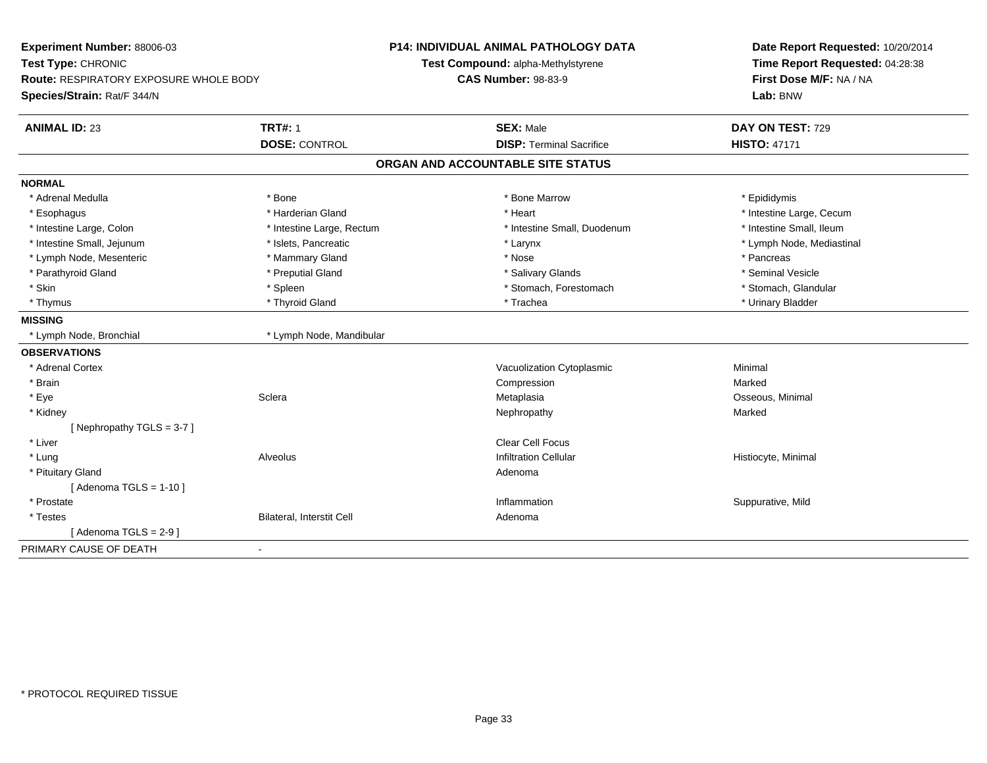| Experiment Number: 88006-03                   |                           | <b>P14: INDIVIDUAL ANIMAL PATHOLOGY DATA</b> | Date Report Requested: 10/20/2014 |  |
|-----------------------------------------------|---------------------------|----------------------------------------------|-----------------------------------|--|
| Test Type: CHRONIC                            |                           | Test Compound: alpha-Methylstyrene           | Time Report Requested: 04:28:38   |  |
| <b>Route: RESPIRATORY EXPOSURE WHOLE BODY</b> |                           | <b>CAS Number: 98-83-9</b>                   | First Dose M/F: NA / NA           |  |
| Species/Strain: Rat/F 344/N                   |                           |                                              | Lab: BNW                          |  |
| <b>ANIMAL ID: 23</b>                          | <b>TRT#: 1</b>            | <b>SEX: Male</b>                             | DAY ON TEST: 729                  |  |
|                                               | <b>DOSE: CONTROL</b>      | <b>DISP: Terminal Sacrifice</b>              | <b>HISTO: 47171</b>               |  |
|                                               |                           | ORGAN AND ACCOUNTABLE SITE STATUS            |                                   |  |
| <b>NORMAL</b>                                 |                           |                                              |                                   |  |
| * Adrenal Medulla                             | * Bone                    | * Bone Marrow                                | * Epididymis                      |  |
| * Esophagus                                   | * Harderian Gland         | * Heart                                      | * Intestine Large, Cecum          |  |
| * Intestine Large, Colon                      | * Intestine Large, Rectum | * Intestine Small, Duodenum                  | * Intestine Small, Ileum          |  |
| * Intestine Small, Jejunum                    | * Islets, Pancreatic      | * Larynx                                     | * Lymph Node, Mediastinal         |  |
| * Lymph Node, Mesenteric                      | * Mammary Gland           | * Nose                                       | * Pancreas                        |  |
| * Parathyroid Gland                           | * Preputial Gland         | * Salivary Glands                            | * Seminal Vesicle                 |  |
| * Skin                                        | * Spleen                  | * Stomach, Forestomach                       | * Stomach, Glandular              |  |
| * Thymus                                      | * Thyroid Gland           | * Trachea                                    | * Urinary Bladder                 |  |
| <b>MISSING</b>                                |                           |                                              |                                   |  |
| * Lymph Node, Bronchial                       | * Lymph Node, Mandibular  |                                              |                                   |  |
| <b>OBSERVATIONS</b>                           |                           |                                              |                                   |  |
| * Adrenal Cortex                              |                           | Vacuolization Cytoplasmic                    | Minimal                           |  |
| * Brain                                       |                           | Compression                                  | Marked                            |  |
| * Eye                                         | Sclera                    | Metaplasia                                   | Osseous, Minimal                  |  |
| * Kidney                                      |                           | Nephropathy                                  | Marked                            |  |
| [Nephropathy TGLS = $3-7$ ]                   |                           |                                              |                                   |  |
| * Liver                                       |                           | <b>Clear Cell Focus</b>                      |                                   |  |
| * Lung                                        | Alveolus                  | <b>Infiltration Cellular</b>                 | Histiocyte, Minimal               |  |
| * Pituitary Gland                             |                           | Adenoma                                      |                                   |  |
| [Adenoma TGLS = $1-10$ ]                      |                           |                                              |                                   |  |
| * Prostate                                    |                           | Inflammation                                 | Suppurative, Mild                 |  |
| * Testes                                      | Bilateral, Interstit Cell | Adenoma                                      |                                   |  |
| [Adenoma TGLS = $2-9$ ]                       |                           |                                              |                                   |  |
| PRIMARY CAUSE OF DEATH<br>$\blacksquare$      |                           |                                              |                                   |  |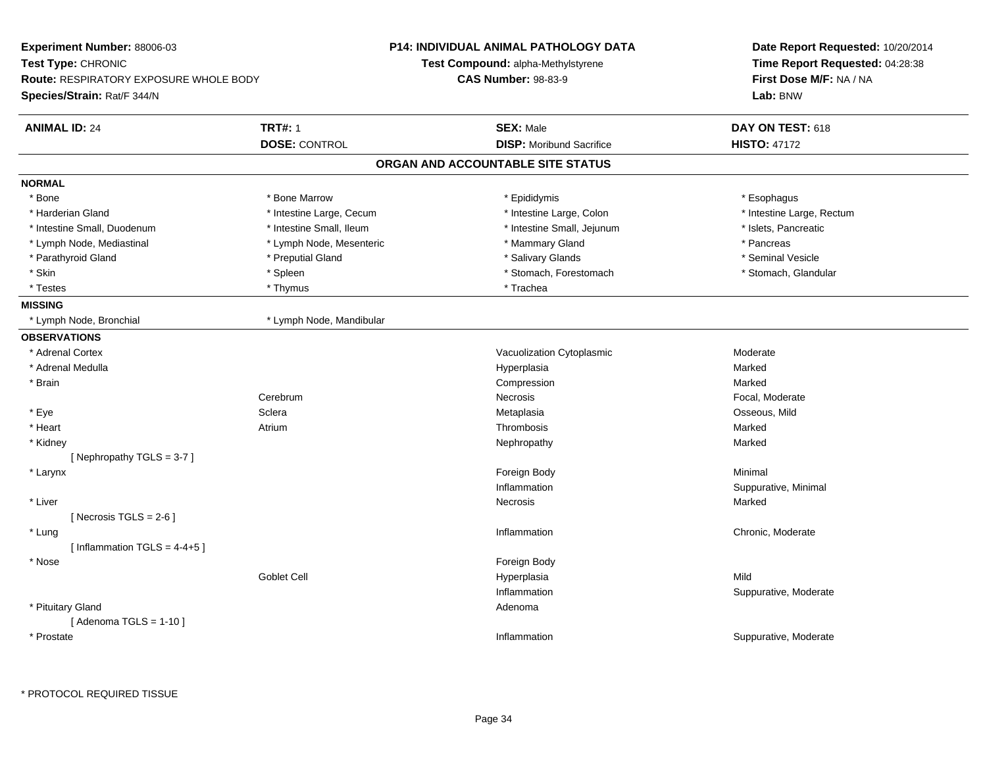| Experiment Number: 88006-03                   |                                    | <b>P14: INDIVIDUAL ANIMAL PATHOLOGY DATA</b> | Date Report Requested: 10/20/2014 |
|-----------------------------------------------|------------------------------------|----------------------------------------------|-----------------------------------|
| Test Type: CHRONIC                            | Test Compound: alpha-Methylstyrene |                                              | Time Report Requested: 04:28:38   |
| <b>Route: RESPIRATORY EXPOSURE WHOLE BODY</b> |                                    | <b>CAS Number: 98-83-9</b>                   | First Dose M/F: NA / NA           |
| Species/Strain: Rat/F 344/N                   |                                    |                                              | Lab: BNW                          |
| <b>ANIMAL ID: 24</b>                          | <b>TRT#: 1</b>                     | <b>SEX: Male</b>                             | DAY ON TEST: 618                  |
|                                               | <b>DOSE: CONTROL</b>               | <b>DISP:</b> Moribund Sacrifice              | <b>HISTO: 47172</b>               |
|                                               |                                    | ORGAN AND ACCOUNTABLE SITE STATUS            |                                   |
| <b>NORMAL</b>                                 |                                    |                                              |                                   |
| * Bone                                        | * Bone Marrow                      | * Epididymis                                 | * Esophagus                       |
| * Harderian Gland                             | * Intestine Large, Cecum           | * Intestine Large, Colon                     | * Intestine Large, Rectum         |
| * Intestine Small, Duodenum                   | * Intestine Small, Ileum           | * Intestine Small, Jejunum                   | * Islets, Pancreatic              |
| * Lymph Node, Mediastinal                     | * Lymph Node, Mesenteric           | * Mammary Gland                              | * Pancreas                        |
| * Parathyroid Gland                           | * Preputial Gland                  | * Salivary Glands                            | * Seminal Vesicle                 |
| * Skin                                        | * Spleen                           | * Stomach, Forestomach                       | * Stomach, Glandular              |
| * Testes                                      | * Thymus                           | * Trachea                                    |                                   |
| <b>MISSING</b>                                |                                    |                                              |                                   |
| * Lymph Node, Bronchial                       | * Lymph Node, Mandibular           |                                              |                                   |
| <b>OBSERVATIONS</b>                           |                                    |                                              |                                   |
| * Adrenal Cortex                              |                                    | Vacuolization Cytoplasmic                    | Moderate                          |
| * Adrenal Medulla                             |                                    | Hyperplasia                                  | Marked                            |
| * Brain                                       |                                    | Compression                                  | Marked                            |
|                                               | Cerebrum                           | Necrosis                                     | Focal, Moderate                   |
| * Eye                                         | Sclera                             | Metaplasia                                   | Osseous, Mild                     |
| * Heart                                       | Atrium                             | Thrombosis                                   | Marked                            |
| * Kidney                                      |                                    | Nephropathy                                  | Marked                            |
| [Nephropathy TGLS = 3-7]                      |                                    |                                              |                                   |
| * Larynx                                      |                                    | Foreign Body                                 | Minimal                           |
|                                               |                                    | Inflammation                                 | Suppurative, Minimal              |
| * Liver                                       |                                    | Necrosis                                     | Marked                            |
| [Necrosis TGLS = $2-6$ ]                      |                                    |                                              |                                   |
| * Lung                                        |                                    | Inflammation                                 | Chronic, Moderate                 |
| [Inflammation $TGLS = 4-4+5$ ]                |                                    |                                              |                                   |
| * Nose                                        |                                    | Foreign Body                                 |                                   |
|                                               | Goblet Cell                        | Hyperplasia                                  | Mild                              |
|                                               |                                    | Inflammation                                 | Suppurative, Moderate             |
| * Pituitary Gland                             |                                    | Adenoma                                      |                                   |
| [Adenoma TGLS = $1-10$ ]                      |                                    |                                              |                                   |
| * Prostate                                    |                                    | Inflammation                                 | Suppurative, Moderate             |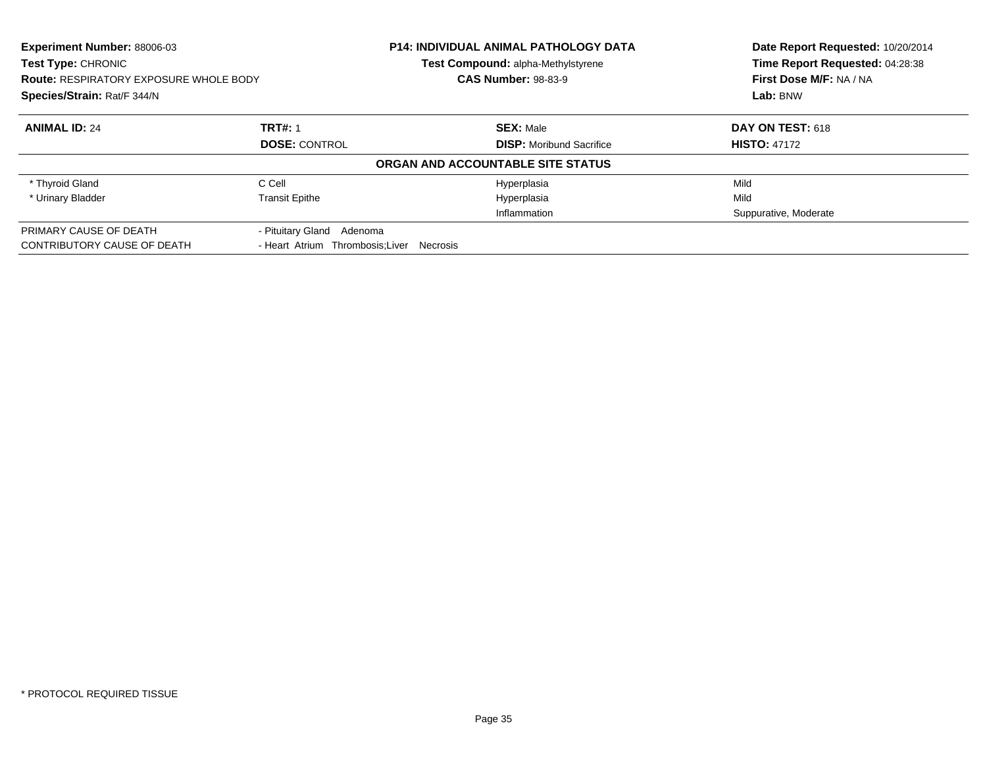| Experiment Number: 88006-03<br>Test Type: CHRONIC<br><b>Route: RESPIRATORY EXPOSURE WHOLE BODY</b><br>Species/Strain: Rat/F 344/N |                                           | <b>P14: INDIVIDUAL ANIMAL PATHOLOGY DATA</b><br>Test Compound: alpha-Methylstyrene | Date Report Requested: 10/20/2014<br>Time Report Requested: 04:28:38<br>First Dose M/F: NA / NA<br>Lab: BNW |
|-----------------------------------------------------------------------------------------------------------------------------------|-------------------------------------------|------------------------------------------------------------------------------------|-------------------------------------------------------------------------------------------------------------|
|                                                                                                                                   |                                           | <b>CAS Number: 98-83-9</b>                                                         |                                                                                                             |
|                                                                                                                                   |                                           |                                                                                    |                                                                                                             |
| <b>ANIMAL ID: 24</b>                                                                                                              | <b>TRT#: 1</b>                            | <b>SEX: Male</b>                                                                   | DAY ON TEST: 618                                                                                            |
|                                                                                                                                   | <b>DOSE: CONTROL</b>                      | <b>DISP:</b> Moribund Sacrifice                                                    | <b>HISTO: 47172</b>                                                                                         |
|                                                                                                                                   |                                           | ORGAN AND ACCOUNTABLE SITE STATUS                                                  |                                                                                                             |
| * Thyroid Gland                                                                                                                   | C Cell                                    | Hyperplasia                                                                        | Mild                                                                                                        |
| * Urinary Bladder                                                                                                                 | <b>Transit Epithe</b>                     | Hyperplasia                                                                        | Mild                                                                                                        |
|                                                                                                                                   |                                           | Inflammation                                                                       | Suppurative, Moderate                                                                                       |
| PRIMARY CAUSE OF DEATH                                                                                                            | - Pituitary Gland<br>Adenoma              |                                                                                    |                                                                                                             |
| CONTRIBUTORY CAUSE OF DEATH                                                                                                       | - Heart Atrium Thrombosis; Liver Necrosis |                                                                                    |                                                                                                             |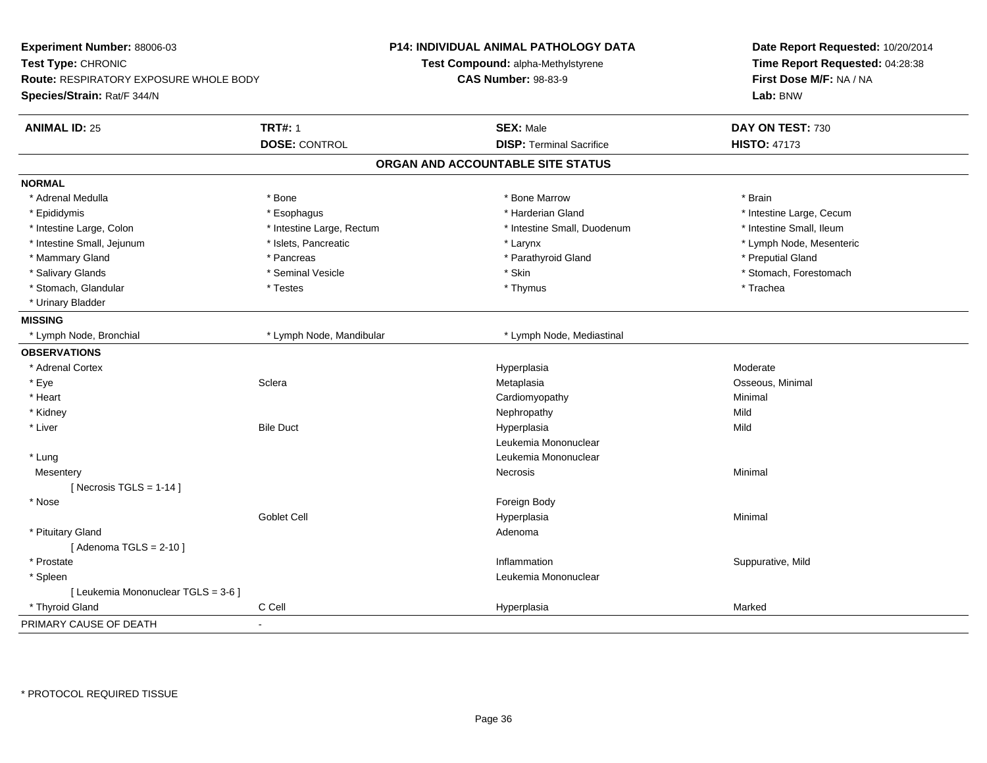| Experiment Number: 88006-03<br>Test Type: CHRONIC<br><b>Route: RESPIRATORY EXPOSURE WHOLE BODY</b><br>Species/Strain: Rat/F 344/N |                           | P14: INDIVIDUAL ANIMAL PATHOLOGY DATA<br>Test Compound: alpha-Methylstyrene<br><b>CAS Number: 98-83-9</b> | Date Report Requested: 10/20/2014<br>Time Report Requested: 04:28:38<br>First Dose M/F: NA / NA<br>Lab: BNW |
|-----------------------------------------------------------------------------------------------------------------------------------|---------------------------|-----------------------------------------------------------------------------------------------------------|-------------------------------------------------------------------------------------------------------------|
| <b>ANIMAL ID: 25</b>                                                                                                              | <b>TRT#: 1</b>            | <b>SEX: Male</b>                                                                                          | DAY ON TEST: 730                                                                                            |
|                                                                                                                                   | <b>DOSE: CONTROL</b>      | <b>DISP: Terminal Sacrifice</b>                                                                           | <b>HISTO: 47173</b>                                                                                         |
|                                                                                                                                   |                           | ORGAN AND ACCOUNTABLE SITE STATUS                                                                         |                                                                                                             |
| <b>NORMAL</b>                                                                                                                     |                           |                                                                                                           |                                                                                                             |
| * Adrenal Medulla                                                                                                                 | * Bone                    | * Bone Marrow                                                                                             | * Brain                                                                                                     |
| * Epididymis                                                                                                                      | * Esophagus               | * Harderian Gland                                                                                         | * Intestine Large, Cecum                                                                                    |
| * Intestine Large, Colon                                                                                                          | * Intestine Large, Rectum | * Intestine Small, Duodenum                                                                               | * Intestine Small, Ileum                                                                                    |
| * Intestine Small, Jejunum                                                                                                        | * Islets, Pancreatic      | * Larynx                                                                                                  | * Lymph Node, Mesenteric                                                                                    |
| * Mammary Gland                                                                                                                   | * Pancreas                | * Parathyroid Gland                                                                                       | * Preputial Gland                                                                                           |
| * Salivary Glands                                                                                                                 | * Seminal Vesicle         | * Skin                                                                                                    | * Stomach, Forestomach                                                                                      |
| * Stomach, Glandular                                                                                                              | * Testes                  | * Thymus                                                                                                  | * Trachea                                                                                                   |
| * Urinary Bladder                                                                                                                 |                           |                                                                                                           |                                                                                                             |
| <b>MISSING</b>                                                                                                                    |                           |                                                                                                           |                                                                                                             |
| * Lymph Node, Bronchial                                                                                                           | * Lymph Node, Mandibular  | * Lymph Node, Mediastinal                                                                                 |                                                                                                             |
| <b>OBSERVATIONS</b>                                                                                                               |                           |                                                                                                           |                                                                                                             |
| * Adrenal Cortex                                                                                                                  |                           | Hyperplasia                                                                                               | Moderate                                                                                                    |
| * Eye                                                                                                                             | Sclera                    | Metaplasia                                                                                                | Osseous, Minimal                                                                                            |
| * Heart                                                                                                                           |                           | Cardiomyopathy                                                                                            | Minimal                                                                                                     |
| * Kidney                                                                                                                          |                           | Nephropathy                                                                                               | Mild                                                                                                        |
| * Liver                                                                                                                           | <b>Bile Duct</b>          | Hyperplasia                                                                                               | Mild                                                                                                        |
|                                                                                                                                   |                           | Leukemia Mononuclear                                                                                      |                                                                                                             |
| * Lung                                                                                                                            |                           | Leukemia Mononuclear                                                                                      |                                                                                                             |
| Mesentery                                                                                                                         |                           | Necrosis                                                                                                  | Minimal                                                                                                     |
| [Necrosis TGLS = $1-14$ ]                                                                                                         |                           |                                                                                                           |                                                                                                             |
| * Nose                                                                                                                            |                           | Foreign Body                                                                                              |                                                                                                             |
|                                                                                                                                   | <b>Goblet Cell</b>        | Hyperplasia                                                                                               | Minimal                                                                                                     |
| * Pituitary Gland                                                                                                                 |                           | Adenoma                                                                                                   |                                                                                                             |
| [Adenoma TGLS = $2-10$ ]                                                                                                          |                           |                                                                                                           |                                                                                                             |
| * Prostate                                                                                                                        |                           | Inflammation                                                                                              | Suppurative, Mild                                                                                           |
| * Spleen                                                                                                                          |                           | Leukemia Mononuclear                                                                                      |                                                                                                             |
| [ Leukemia Mononuclear TGLS = 3-6 ]                                                                                               |                           |                                                                                                           |                                                                                                             |
| * Thyroid Gland                                                                                                                   | C Cell                    | Hyperplasia                                                                                               | Marked                                                                                                      |
| PRIMARY CAUSE OF DEATH                                                                                                            | $\overline{\phantom{a}}$  |                                                                                                           |                                                                                                             |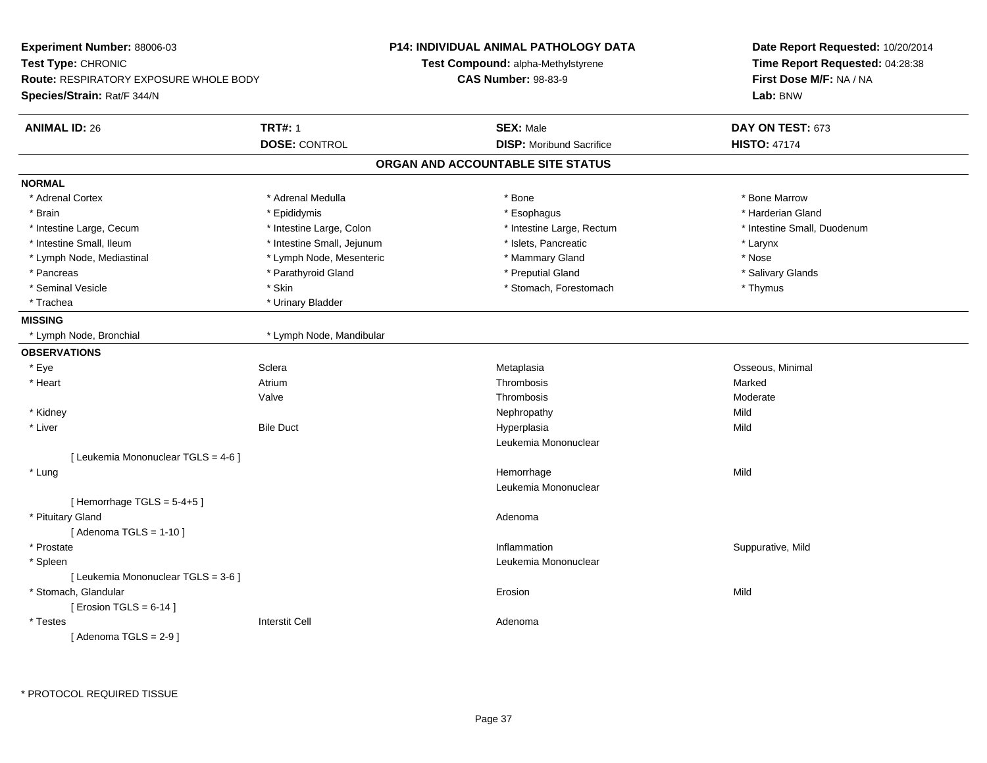| Experiment Number: 88006-03                   |                            | <b>P14: INDIVIDUAL ANIMAL PATHOLOGY DATA</b> | Date Report Requested: 10/20/2014   |
|-----------------------------------------------|----------------------------|----------------------------------------------|-------------------------------------|
| Test Type: CHRONIC                            |                            | Test Compound: alpha-Methylstyrene           | Time Report Requested: 04:28:38     |
| <b>Route: RESPIRATORY EXPOSURE WHOLE BODY</b> |                            | <b>CAS Number: 98-83-9</b>                   | First Dose M/F: NA / NA<br>Lab: BNW |
| Species/Strain: Rat/F 344/N                   |                            |                                              |                                     |
| <b>ANIMAL ID: 26</b>                          | <b>TRT#: 1</b>             | <b>SEX: Male</b>                             | DAY ON TEST: 673                    |
|                                               | <b>DOSE: CONTROL</b>       | <b>DISP:</b> Moribund Sacrifice              | <b>HISTO: 47174</b>                 |
|                                               |                            | ORGAN AND ACCOUNTABLE SITE STATUS            |                                     |
| <b>NORMAL</b>                                 |                            |                                              |                                     |
| * Adrenal Cortex                              | * Adrenal Medulla          | * Bone                                       | * Bone Marrow                       |
| * Brain                                       | * Epididymis               | * Esophagus                                  | * Harderian Gland                   |
| * Intestine Large, Cecum                      | * Intestine Large, Colon   | * Intestine Large, Rectum                    | * Intestine Small, Duodenum         |
| * Intestine Small, Ileum                      | * Intestine Small, Jejunum | * Islets, Pancreatic                         | * Larynx                            |
| * Lymph Node, Mediastinal                     | * Lymph Node, Mesenteric   | * Mammary Gland                              | * Nose                              |
| * Pancreas                                    | * Parathyroid Gland        | * Preputial Gland                            | * Salivary Glands                   |
| * Seminal Vesicle                             | * Skin                     | * Stomach, Forestomach                       | * Thymus                            |
| * Trachea                                     | * Urinary Bladder          |                                              |                                     |
| <b>MISSING</b>                                |                            |                                              |                                     |
| * Lymph Node, Bronchial                       | * Lymph Node, Mandibular   |                                              |                                     |
| <b>OBSERVATIONS</b>                           |                            |                                              |                                     |
| * Eye                                         | Sclera                     | Metaplasia                                   | Osseous, Minimal                    |
| * Heart                                       | Atrium                     | Thrombosis                                   | Marked                              |
|                                               | Valve                      | Thrombosis                                   | Moderate                            |
| * Kidney                                      |                            | Nephropathy                                  | Mild                                |
| * Liver                                       | <b>Bile Duct</b>           | Hyperplasia                                  | Mild                                |
|                                               |                            | Leukemia Mononuclear                         |                                     |
| [ Leukemia Mononuclear TGLS = 4-6 ]           |                            |                                              |                                     |
| * Lung                                        |                            | Hemorrhage                                   | Mild                                |
|                                               |                            | Leukemia Mononuclear                         |                                     |
| [Hemorrhage TGLS = $5-4+5$ ]                  |                            |                                              |                                     |
| * Pituitary Gland                             |                            | Adenoma                                      |                                     |
| [Adenoma TGLS = $1-10$ ]                      |                            |                                              |                                     |
| * Prostate                                    |                            | Inflammation                                 | Suppurative, Mild                   |
| * Spleen                                      |                            | Leukemia Mononuclear                         |                                     |
| [ Leukemia Mononuclear TGLS = 3-6 ]           |                            |                                              |                                     |
| * Stomach, Glandular                          |                            | Erosion                                      | Mild                                |
| [ Erosion TGLS = $6-14$ ]                     |                            |                                              |                                     |
| * Testes                                      | <b>Interstit Cell</b>      | Adenoma                                      |                                     |
| [Adenoma TGLS = $2-9$ ]                       |                            |                                              |                                     |
|                                               |                            |                                              |                                     |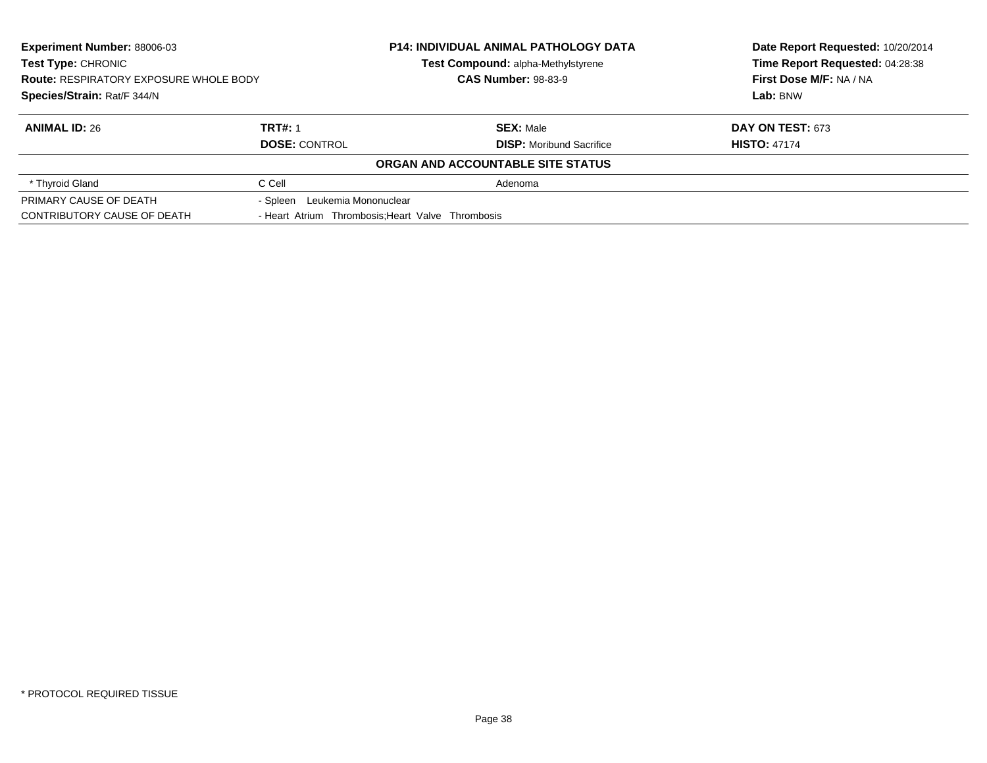| <b>Experiment Number: 88006-03</b><br><b>Test Type: CHRONIC</b><br><b>Route: RESPIRATORY EXPOSURE WHOLE BODY</b><br>Species/Strain: Rat/F 344/N |                                  | <b>P14: INDIVIDUAL ANIMAL PATHOLOGY DATA</b><br>Test Compound: alpha-Methylstyrene | Date Report Requested: 10/20/2014<br>Time Report Requested: 04:28:38<br>First Dose M/F: NA / NA<br>Lab: BNW |
|-------------------------------------------------------------------------------------------------------------------------------------------------|----------------------------------|------------------------------------------------------------------------------------|-------------------------------------------------------------------------------------------------------------|
|                                                                                                                                                 |                                  | <b>CAS Number: 98-83-9</b>                                                         |                                                                                                             |
|                                                                                                                                                 |                                  |                                                                                    |                                                                                                             |
| <b>ANIMAL ID: 26</b>                                                                                                                            | <b>TRT#: 1</b>                   | <b>SEX: Male</b>                                                                   | <b>DAY ON TEST: 673</b>                                                                                     |
|                                                                                                                                                 | <b>DOSE: CONTROL</b>             | <b>DISP:</b> Moribund Sacrifice                                                    | <b>HISTO: 47174</b>                                                                                         |
|                                                                                                                                                 |                                  | ORGAN AND ACCOUNTABLE SITE STATUS                                                  |                                                                                                             |
| * Thyroid Gland                                                                                                                                 | C Cell                           | Adenoma                                                                            |                                                                                                             |
| PRIMARY CAUSE OF DEATH                                                                                                                          | Leukemia Mononuclear<br>- Spleen |                                                                                    |                                                                                                             |
| CONTRIBUTORY CAUSE OF DEATH                                                                                                                     |                                  | - Heart Atrium Thrombosis: Heart Valve Thrombosis                                  |                                                                                                             |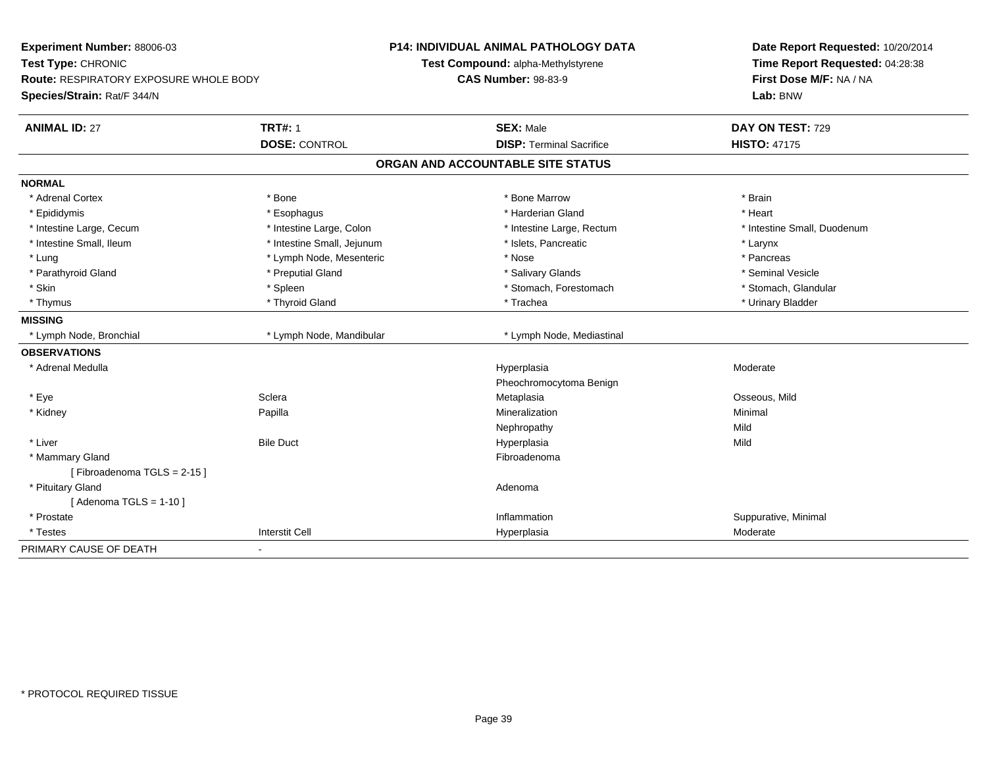| Experiment Number: 88006-03                   |                            | <b>P14: INDIVIDUAL ANIMAL PATHOLOGY DATA</b> | Date Report Requested: 10/20/2014 |
|-----------------------------------------------|----------------------------|----------------------------------------------|-----------------------------------|
| Test Type: CHRONIC                            |                            | Test Compound: alpha-Methylstyrene           | Time Report Requested: 04:28:38   |
| <b>Route: RESPIRATORY EXPOSURE WHOLE BODY</b> |                            | <b>CAS Number: 98-83-9</b>                   | First Dose M/F: NA / NA           |
| Species/Strain: Rat/F 344/N                   |                            |                                              | Lab: BNW                          |
| <b>ANIMAL ID: 27</b>                          | <b>TRT#: 1</b>             | <b>SEX: Male</b>                             | DAY ON TEST: 729                  |
|                                               | <b>DOSE: CONTROL</b>       | <b>DISP: Terminal Sacrifice</b>              | <b>HISTO: 47175</b>               |
|                                               |                            | ORGAN AND ACCOUNTABLE SITE STATUS            |                                   |
| <b>NORMAL</b>                                 |                            |                                              |                                   |
| * Adrenal Cortex                              | * Bone                     | * Bone Marrow                                | * Brain                           |
| * Epididymis                                  | * Esophagus                | * Harderian Gland                            | * Heart                           |
| * Intestine Large, Cecum                      | * Intestine Large, Colon   | * Intestine Large, Rectum                    | * Intestine Small, Duodenum       |
| * Intestine Small, Ileum                      | * Intestine Small, Jejunum | * Islets, Pancreatic                         | * Larynx                          |
| * Lung                                        | * Lymph Node, Mesenteric   | * Nose                                       | * Pancreas                        |
| * Parathyroid Gland                           | * Preputial Gland          | * Salivary Glands                            | * Seminal Vesicle                 |
| * Skin                                        | * Spleen                   | * Stomach, Forestomach                       | * Stomach, Glandular              |
| * Thymus                                      | * Thyroid Gland            | * Trachea                                    | * Urinary Bladder                 |
| <b>MISSING</b>                                |                            |                                              |                                   |
| * Lymph Node, Bronchial                       | * Lymph Node, Mandibular   | * Lymph Node, Mediastinal                    |                                   |
| <b>OBSERVATIONS</b>                           |                            |                                              |                                   |
| * Adrenal Medulla                             |                            | Hyperplasia                                  | Moderate                          |
|                                               |                            | Pheochromocytoma Benign                      |                                   |
| * Eye                                         | Sclera                     | Metaplasia                                   | Osseous, Mild                     |
| * Kidney                                      | Papilla                    | Mineralization                               | Minimal                           |
|                                               |                            | Nephropathy                                  | Mild                              |
| * Liver                                       | <b>Bile Duct</b>           | Hyperplasia                                  | Mild                              |
| * Mammary Gland                               |                            | Fibroadenoma                                 |                                   |
| [Fibroadenoma TGLS = 2-15]                    |                            |                                              |                                   |
| * Pituitary Gland                             |                            | Adenoma                                      |                                   |
| [Adenoma TGLS = $1-10$ ]                      |                            |                                              |                                   |
| * Prostate                                    |                            | Inflammation                                 | Suppurative, Minimal              |
| * Testes                                      | <b>Interstit Cell</b>      | Hyperplasia                                  | Moderate                          |
| PRIMARY CAUSE OF DEATH                        | ۰                          |                                              |                                   |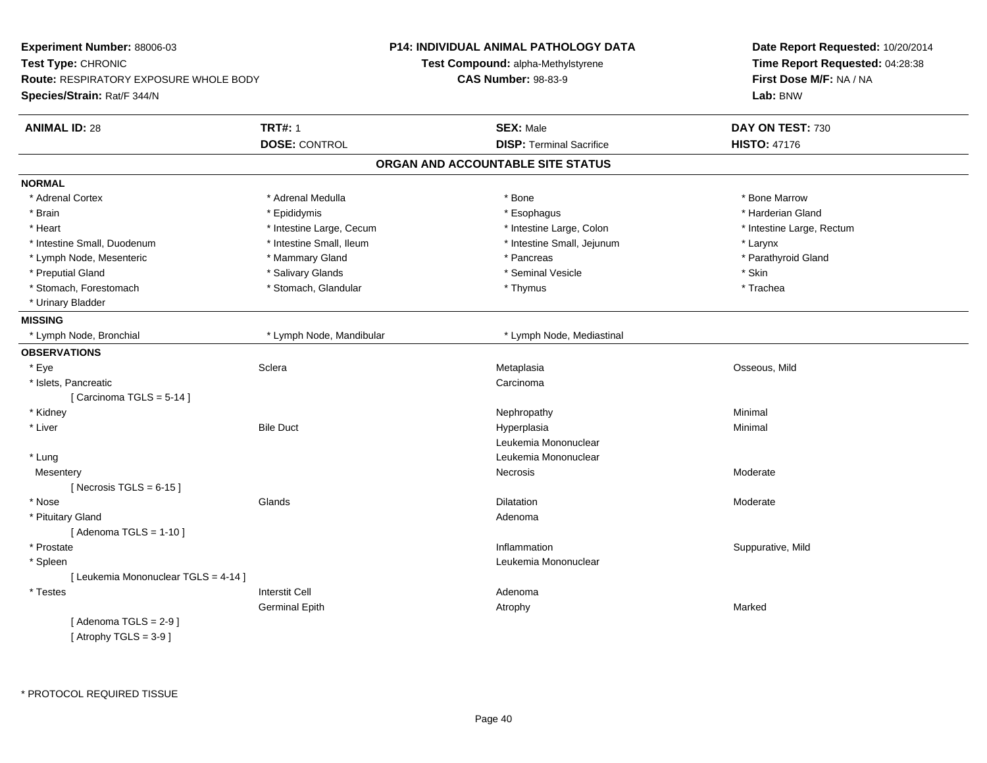| Experiment Number: 88006-03                   |                          | P14: INDIVIDUAL ANIMAL PATHOLOGY DATA | Date Report Requested: 10/20/2014                                      |
|-----------------------------------------------|--------------------------|---------------------------------------|------------------------------------------------------------------------|
| Test Type: CHRONIC                            |                          | Test Compound: alpha-Methylstyrene    | Time Report Requested: 04:28:38<br>First Dose M/F: NA / NA<br>Lab: BNW |
| <b>Route: RESPIRATORY EXPOSURE WHOLE BODY</b> |                          | <b>CAS Number: 98-83-9</b>            |                                                                        |
| Species/Strain: Rat/F 344/N                   |                          |                                       |                                                                        |
| <b>ANIMAL ID: 28</b>                          | <b>TRT#: 1</b>           | <b>SEX: Male</b>                      | DAY ON TEST: 730                                                       |
|                                               | <b>DOSE: CONTROL</b>     | <b>DISP: Terminal Sacrifice</b>       | <b>HISTO: 47176</b>                                                    |
|                                               |                          | ORGAN AND ACCOUNTABLE SITE STATUS     |                                                                        |
| <b>NORMAL</b>                                 |                          |                                       |                                                                        |
| * Adrenal Cortex                              | * Adrenal Medulla        | * Bone                                | * Bone Marrow                                                          |
| * Brain                                       | * Epididymis             | * Esophagus                           | * Harderian Gland                                                      |
| * Heart                                       | * Intestine Large, Cecum | * Intestine Large, Colon              | * Intestine Large, Rectum                                              |
| * Intestine Small, Duodenum                   | * Intestine Small, Ileum | * Intestine Small, Jejunum            | * Larynx                                                               |
| * Lymph Node, Mesenteric                      | * Mammary Gland          | * Pancreas                            | * Parathyroid Gland                                                    |
| * Preputial Gland                             | * Salivary Glands        | * Seminal Vesicle                     | * Skin                                                                 |
| * Stomach, Forestomach                        | * Stomach, Glandular     | * Thymus                              | * Trachea                                                              |
| * Urinary Bladder                             |                          |                                       |                                                                        |
| <b>MISSING</b>                                |                          |                                       |                                                                        |
| * Lymph Node, Bronchial                       | * Lymph Node, Mandibular | * Lymph Node, Mediastinal             |                                                                        |
| <b>OBSERVATIONS</b>                           |                          |                                       |                                                                        |
| * Eye                                         | Sclera                   | Metaplasia                            | Osseous, Mild                                                          |
| * Islets, Pancreatic                          |                          | Carcinoma                             |                                                                        |
| [Carcinoma TGLS = $5-14$ ]                    |                          |                                       |                                                                        |
| * Kidney                                      |                          | Nephropathy                           | Minimal                                                                |
| * Liver                                       | <b>Bile Duct</b>         | Hyperplasia                           | Minimal                                                                |
|                                               |                          | Leukemia Mononuclear                  |                                                                        |
| * Lung                                        |                          | Leukemia Mononuclear                  |                                                                        |
| Mesentery                                     |                          | Necrosis                              | Moderate                                                               |
| [Necrosis TGLS = $6-15$ ]                     |                          |                                       |                                                                        |
| * Nose                                        | Glands                   | Dilatation                            | Moderate                                                               |
| * Pituitary Gland                             |                          | Adenoma                               |                                                                        |
| [Adenoma TGLS = $1-10$ ]                      |                          |                                       |                                                                        |
| * Prostate                                    |                          | Inflammation                          | Suppurative, Mild                                                      |
| * Spleen                                      |                          | Leukemia Mononuclear                  |                                                                        |
| [ Leukemia Mononuclear TGLS = 4-14 ]          |                          |                                       |                                                                        |
| * Testes                                      | <b>Interstit Cell</b>    | Adenoma                               |                                                                        |
|                                               | <b>Germinal Epith</b>    | Atrophy                               | Marked                                                                 |
| [Adenoma TGLS = $2-9$ ]                       |                          |                                       |                                                                        |
| [Atrophy TGLS = $3-9$ ]                       |                          |                                       |                                                                        |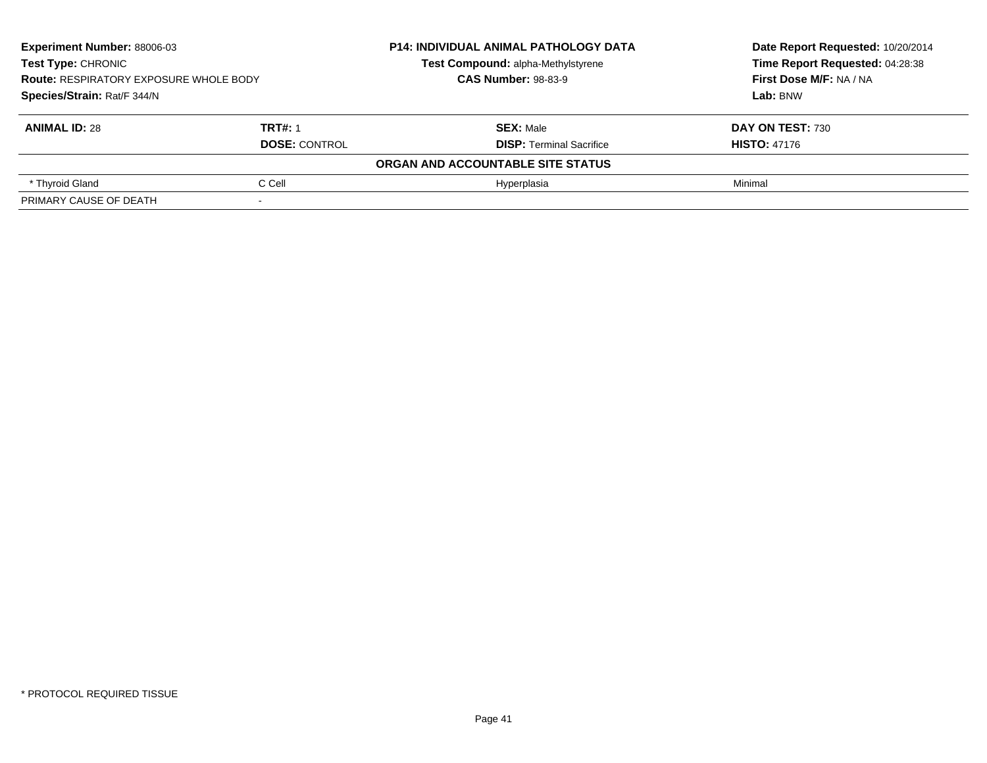| <b>Experiment Number: 88006-03</b><br><b>Test Type: CHRONIC</b><br><b>Route: RESPIRATORY EXPOSURE WHOLE BODY</b><br>Species/Strain: Rat/F 344/N |                      | <b>P14: INDIVIDUAL ANIMAL PATHOLOGY DATA</b> | Date Report Requested: 10/20/2014<br>Time Report Requested: 04:28:38<br>First Dose M/F: NA / NA<br>Lab: BNW |
|-------------------------------------------------------------------------------------------------------------------------------------------------|----------------------|----------------------------------------------|-------------------------------------------------------------------------------------------------------------|
|                                                                                                                                                 |                      | Test Compound: alpha-Methylstyrene           |                                                                                                             |
|                                                                                                                                                 |                      | <b>CAS Number: 98-83-9</b>                   |                                                                                                             |
|                                                                                                                                                 |                      |                                              |                                                                                                             |
| <b>ANIMAL ID: 28</b>                                                                                                                            | <b>TRT#: 1</b>       | <b>SEX: Male</b>                             | DAY ON TEST: 730                                                                                            |
|                                                                                                                                                 | <b>DOSE: CONTROL</b> | <b>DISP:</b> Terminal Sacrifice              | <b>HISTO: 47176</b>                                                                                         |
|                                                                                                                                                 |                      | ORGAN AND ACCOUNTABLE SITE STATUS            |                                                                                                             |
| * Thyroid Gland                                                                                                                                 | C Cell               | Hvperplasia                                  | Minimal                                                                                                     |
| PRIMARY CAUSE OF DEATH                                                                                                                          |                      |                                              |                                                                                                             |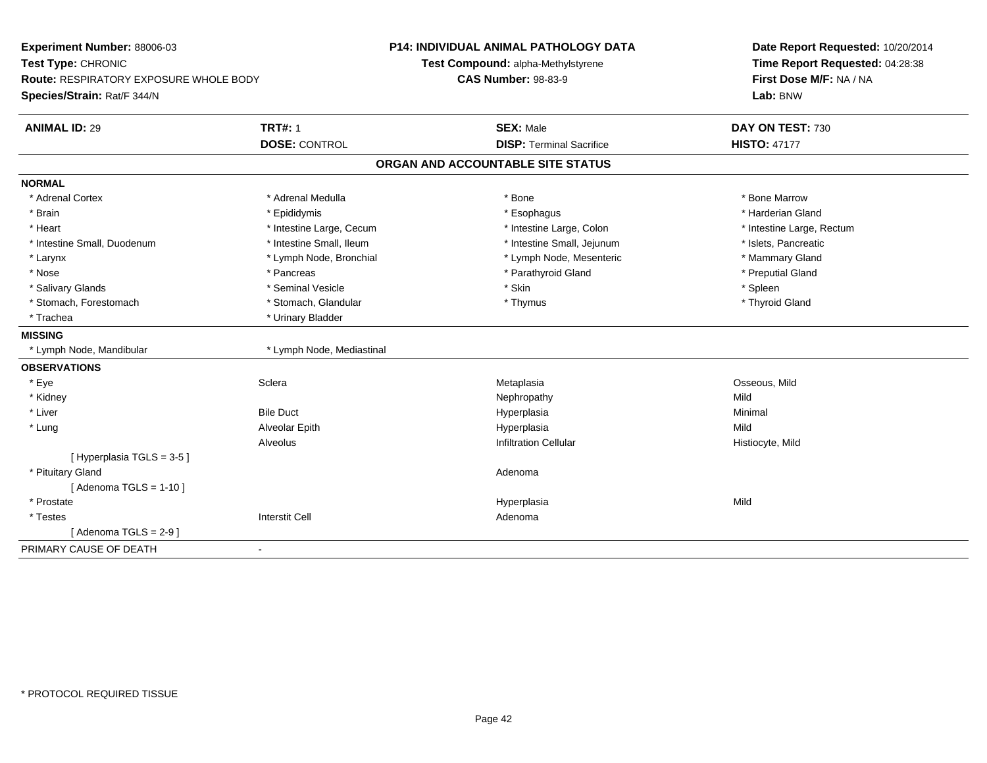| Time Report Requested: 04:28:38<br>Test Type: CHRONIC<br>Test Compound: alpha-Methylstyrene<br>First Dose M/F: NA / NA<br><b>Route: RESPIRATORY EXPOSURE WHOLE BODY</b><br><b>CAS Number: 98-83-9</b><br>Species/Strain: Rat/F 344/N<br>Lab: BNW<br><b>TRT#: 1</b><br><b>ANIMAL ID: 29</b><br><b>SEX: Male</b><br>DAY ON TEST: 730<br><b>DOSE: CONTROL</b><br><b>DISP: Terminal Sacrifice</b><br><b>HISTO: 47177</b><br>ORGAN AND ACCOUNTABLE SITE STATUS |
|-----------------------------------------------------------------------------------------------------------------------------------------------------------------------------------------------------------------------------------------------------------------------------------------------------------------------------------------------------------------------------------------------------------------------------------------------------------|
|                                                                                                                                                                                                                                                                                                                                                                                                                                                           |
|                                                                                                                                                                                                                                                                                                                                                                                                                                                           |
|                                                                                                                                                                                                                                                                                                                                                                                                                                                           |
|                                                                                                                                                                                                                                                                                                                                                                                                                                                           |
|                                                                                                                                                                                                                                                                                                                                                                                                                                                           |
|                                                                                                                                                                                                                                                                                                                                                                                                                                                           |
| <b>NORMAL</b>                                                                                                                                                                                                                                                                                                                                                                                                                                             |
| * Adrenal Cortex<br>* Adrenal Medulla<br>* Bone<br>* Bone Marrow                                                                                                                                                                                                                                                                                                                                                                                          |
| * Epididymis<br>* Harderian Gland<br>* Brain<br>* Esophagus                                                                                                                                                                                                                                                                                                                                                                                               |
| * Heart<br>* Intestine Large, Cecum<br>* Intestine Large, Colon<br>* Intestine Large, Rectum                                                                                                                                                                                                                                                                                                                                                              |
| * Intestine Small, Ileum<br>* Intestine Small, Jejunum<br>* Islets, Pancreatic<br>* Intestine Small, Duodenum                                                                                                                                                                                                                                                                                                                                             |
| * Mammary Gland<br>* Larynx<br>* Lymph Node, Bronchial<br>* Lymph Node, Mesenteric                                                                                                                                                                                                                                                                                                                                                                        |
| * Nose<br>* Parathyroid Gland<br>* Preputial Gland<br>* Pancreas                                                                                                                                                                                                                                                                                                                                                                                          |
| * Skin<br>* Spleen<br>* Salivary Glands<br>* Seminal Vesicle                                                                                                                                                                                                                                                                                                                                                                                              |
| * Stomach, Forestomach<br>* Stomach, Glandular<br>* Thyroid Gland<br>* Thymus                                                                                                                                                                                                                                                                                                                                                                             |
| * Urinary Bladder<br>* Trachea                                                                                                                                                                                                                                                                                                                                                                                                                            |
| <b>MISSING</b>                                                                                                                                                                                                                                                                                                                                                                                                                                            |
| * Lymph Node, Mandibular<br>* Lymph Node, Mediastinal                                                                                                                                                                                                                                                                                                                                                                                                     |
| <b>OBSERVATIONS</b>                                                                                                                                                                                                                                                                                                                                                                                                                                       |
| * Eye<br>Sclera<br>Osseous, Mild<br>Metaplasia                                                                                                                                                                                                                                                                                                                                                                                                            |
| * Kidney<br>Nephropathy<br>Mild                                                                                                                                                                                                                                                                                                                                                                                                                           |
| * Liver<br><b>Bile Duct</b><br>Hyperplasia<br>Minimal                                                                                                                                                                                                                                                                                                                                                                                                     |
| * Lung<br>Alveolar Epith<br>Mild<br>Hyperplasia                                                                                                                                                                                                                                                                                                                                                                                                           |
| Alveolus<br><b>Infiltration Cellular</b><br>Histiocyte, Mild                                                                                                                                                                                                                                                                                                                                                                                              |
| [ Hyperplasia TGLS = 3-5 ]                                                                                                                                                                                                                                                                                                                                                                                                                                |
| * Pituitary Gland<br>Adenoma                                                                                                                                                                                                                                                                                                                                                                                                                              |
| [Adenoma TGLS = $1-10$ ]                                                                                                                                                                                                                                                                                                                                                                                                                                  |
| * Prostate<br>Mild<br>Hyperplasia                                                                                                                                                                                                                                                                                                                                                                                                                         |
| <b>Interstit Cell</b><br>* Testes<br>Adenoma                                                                                                                                                                                                                                                                                                                                                                                                              |
| [Adenoma TGLS = $2-9$ ]                                                                                                                                                                                                                                                                                                                                                                                                                                   |
| PRIMARY CAUSE OF DEATH<br>$\blacksquare$                                                                                                                                                                                                                                                                                                                                                                                                                  |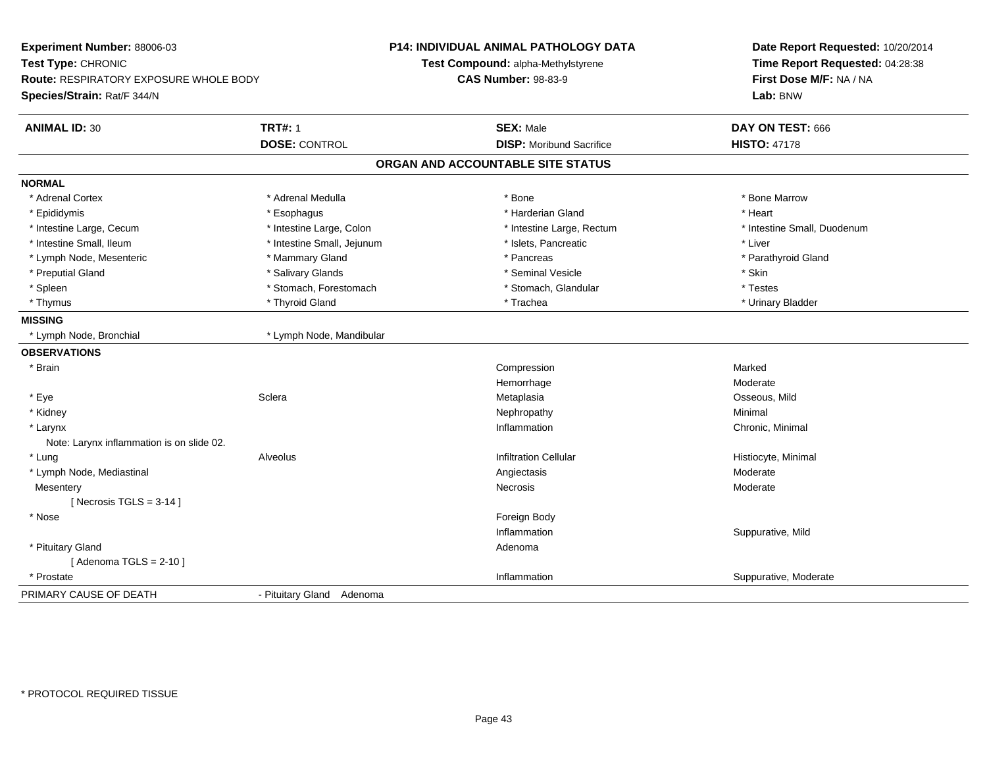| Experiment Number: 88006-03<br>Test Type: CHRONIC<br><b>Route: RESPIRATORY EXPOSURE WHOLE BODY</b><br>Species/Strain: Rat/F 344/N |                            | <b>P14: INDIVIDUAL ANIMAL PATHOLOGY DATA</b><br>Test Compound: alpha-Methylstyrene<br><b>CAS Number: 98-83-9</b> | Date Report Requested: 10/20/2014<br>Time Report Requested: 04:28:38<br>First Dose M/F: NA / NA<br>Lab: BNW |
|-----------------------------------------------------------------------------------------------------------------------------------|----------------------------|------------------------------------------------------------------------------------------------------------------|-------------------------------------------------------------------------------------------------------------|
| <b>ANIMAL ID: 30</b>                                                                                                              | <b>TRT#: 1</b>             | <b>SEX: Male</b>                                                                                                 | DAY ON TEST: 666                                                                                            |
|                                                                                                                                   | <b>DOSE: CONTROL</b>       | <b>DISP:</b> Moribund Sacrifice                                                                                  | <b>HISTO: 47178</b>                                                                                         |
|                                                                                                                                   |                            | ORGAN AND ACCOUNTABLE SITE STATUS                                                                                |                                                                                                             |
| <b>NORMAL</b>                                                                                                                     |                            |                                                                                                                  |                                                                                                             |
| * Adrenal Cortex                                                                                                                  | * Adrenal Medulla          | * Bone                                                                                                           | * Bone Marrow                                                                                               |
| * Epididymis                                                                                                                      | * Esophagus                | * Harderian Gland                                                                                                | * Heart                                                                                                     |
| * Intestine Large, Cecum                                                                                                          | * Intestine Large, Colon   | * Intestine Large, Rectum                                                                                        | * Intestine Small, Duodenum                                                                                 |
| * Intestine Small, Ileum                                                                                                          | * Intestine Small, Jejunum | * Islets, Pancreatic                                                                                             | * Liver                                                                                                     |
| * Lymph Node, Mesenteric                                                                                                          | * Mammary Gland            | * Pancreas                                                                                                       | * Parathyroid Gland                                                                                         |
| * Preputial Gland                                                                                                                 | * Salivary Glands          | * Seminal Vesicle                                                                                                | * Skin                                                                                                      |
| * Spleen                                                                                                                          | * Stomach, Forestomach     | * Stomach, Glandular                                                                                             | * Testes                                                                                                    |
| * Thymus                                                                                                                          | * Thyroid Gland            | * Trachea                                                                                                        | * Urinary Bladder                                                                                           |
| <b>MISSING</b>                                                                                                                    |                            |                                                                                                                  |                                                                                                             |
| * Lymph Node, Bronchial                                                                                                           | * Lymph Node, Mandibular   |                                                                                                                  |                                                                                                             |
| <b>OBSERVATIONS</b>                                                                                                               |                            |                                                                                                                  |                                                                                                             |
| $*$ Brain                                                                                                                         |                            | Compression                                                                                                      | Marked                                                                                                      |
|                                                                                                                                   |                            | Hemorrhage                                                                                                       | Moderate                                                                                                    |
| * Eye                                                                                                                             | Sclera                     | Metaplasia                                                                                                       | Osseous, Mild                                                                                               |
| * Kidney                                                                                                                          |                            | Nephropathy                                                                                                      | Minimal                                                                                                     |
| * Larynx                                                                                                                          |                            | Inflammation                                                                                                     | Chronic, Minimal                                                                                            |
| Note: Larynx inflammation is on slide 02.                                                                                         |                            |                                                                                                                  |                                                                                                             |
| * Lung                                                                                                                            | Alveolus                   | <b>Infiltration Cellular</b>                                                                                     | Histiocyte, Minimal                                                                                         |
| * Lymph Node, Mediastinal                                                                                                         |                            | Angiectasis                                                                                                      | Moderate                                                                                                    |
| Mesentery                                                                                                                         |                            | Necrosis                                                                                                         | Moderate                                                                                                    |
| [ Necrosis TGLS = $3-14$ ]                                                                                                        |                            |                                                                                                                  |                                                                                                             |
| * Nose                                                                                                                            |                            | Foreign Body                                                                                                     |                                                                                                             |
|                                                                                                                                   |                            | Inflammation                                                                                                     | Suppurative, Mild                                                                                           |
| * Pituitary Gland                                                                                                                 |                            | Adenoma                                                                                                          |                                                                                                             |
| [Adenoma TGLS = $2-10$ ]                                                                                                          |                            |                                                                                                                  |                                                                                                             |
| * Prostate                                                                                                                        |                            | Inflammation                                                                                                     | Suppurative, Moderate                                                                                       |
| PRIMARY CAUSE OF DEATH                                                                                                            | - Pituitary Gland Adenoma  |                                                                                                                  |                                                                                                             |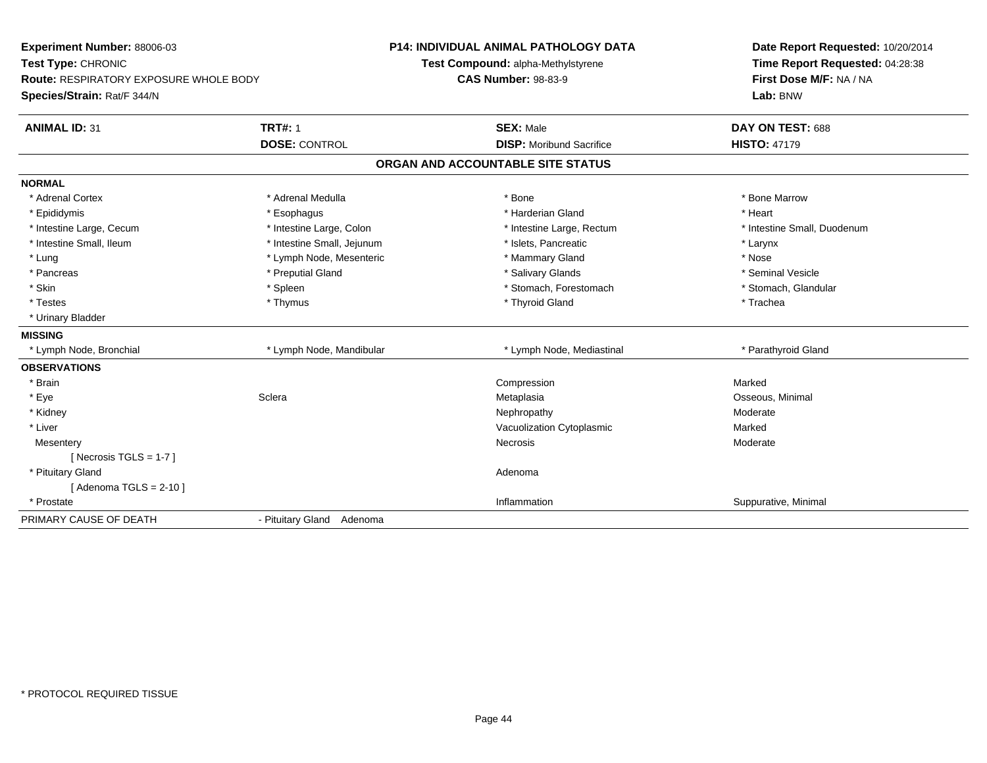| Experiment Number: 88006-03<br>Test Type: CHRONIC                     |                            | <b>P14: INDIVIDUAL ANIMAL PATHOLOGY DATA</b><br>Test Compound: alpha-Methylstyrene | Date Report Requested: 10/20/2014<br>Time Report Requested: 04:28:38 |
|-----------------------------------------------------------------------|----------------------------|------------------------------------------------------------------------------------|----------------------------------------------------------------------|
| Route: RESPIRATORY EXPOSURE WHOLE BODY<br>Species/Strain: Rat/F 344/N |                            | <b>CAS Number: 98-83-9</b>                                                         | First Dose M/F: NA / NA<br>Lab: BNW                                  |
|                                                                       |                            |                                                                                    |                                                                      |
| <b>ANIMAL ID: 31</b>                                                  | <b>TRT#: 1</b>             | <b>SEX: Male</b>                                                                   | DAY ON TEST: 688                                                     |
|                                                                       | <b>DOSE: CONTROL</b>       | <b>DISP:</b> Moribund Sacrifice                                                    | <b>HISTO: 47179</b>                                                  |
|                                                                       |                            | ORGAN AND ACCOUNTABLE SITE STATUS                                                  |                                                                      |
| <b>NORMAL</b>                                                         |                            |                                                                                    |                                                                      |
| * Adrenal Cortex                                                      | * Adrenal Medulla          | * Bone                                                                             | * Bone Marrow                                                        |
| * Epididymis                                                          | * Esophagus                | * Harderian Gland                                                                  | * Heart                                                              |
| * Intestine Large, Cecum                                              | * Intestine Large, Colon   | * Intestine Large, Rectum                                                          | * Intestine Small, Duodenum                                          |
| * Intestine Small, Ileum                                              | * Intestine Small, Jejunum | * Islets, Pancreatic                                                               | * Larynx                                                             |
| * Lung                                                                | * Lymph Node, Mesenteric   | * Mammary Gland                                                                    | * Nose                                                               |
| * Pancreas                                                            | * Preputial Gland          | * Salivary Glands                                                                  | * Seminal Vesicle                                                    |
| * Skin                                                                | * Spleen                   | * Stomach, Forestomach                                                             | * Stomach, Glandular                                                 |
| * Testes                                                              | * Thymus                   | * Thyroid Gland                                                                    | * Trachea                                                            |
| * Urinary Bladder                                                     |                            |                                                                                    |                                                                      |
| <b>MISSING</b>                                                        |                            |                                                                                    |                                                                      |
| * Lymph Node, Bronchial                                               | * Lymph Node, Mandibular   | * Lymph Node, Mediastinal                                                          | * Parathyroid Gland                                                  |
| <b>OBSERVATIONS</b>                                                   |                            |                                                                                    |                                                                      |
| * Brain                                                               |                            | Compression                                                                        | Marked                                                               |
| * Eye                                                                 | Sclera                     | Metaplasia                                                                         | Osseous, Minimal                                                     |
| * Kidney                                                              |                            | Nephropathy                                                                        | Moderate                                                             |
| * Liver                                                               |                            | Vacuolization Cytoplasmic                                                          | Marked                                                               |
| Mesentery                                                             |                            | Necrosis                                                                           | Moderate                                                             |
| [ Necrosis TGLS = $1-7$ ]                                             |                            |                                                                                    |                                                                      |
| * Pituitary Gland                                                     |                            | Adenoma                                                                            |                                                                      |
| [Adenoma TGLS = $2-10$ ]                                              |                            |                                                                                    |                                                                      |
| * Prostate                                                            |                            | Inflammation                                                                       | Suppurative, Minimal                                                 |
| PRIMARY CAUSE OF DEATH                                                | - Pituitary Gland Adenoma  |                                                                                    |                                                                      |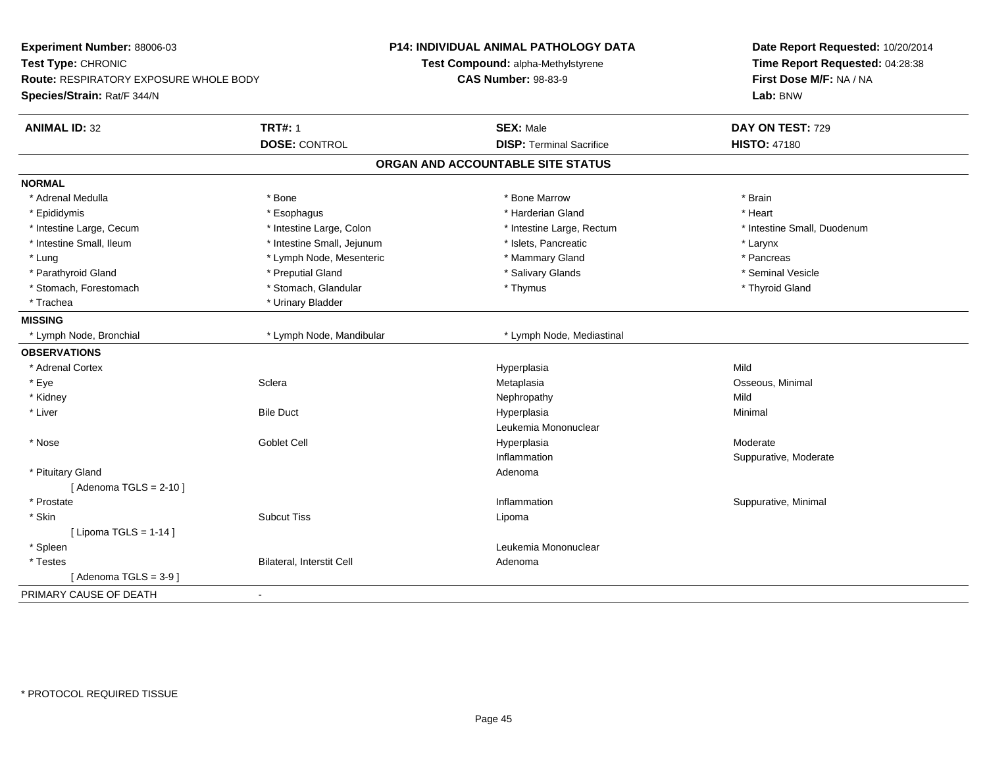| Experiment Number: 88006-03<br>Test Type: CHRONIC<br>Route: RESPIRATORY EXPOSURE WHOLE BODY<br>Species/Strain: Rat/F 344/N |                            | <b>P14: INDIVIDUAL ANIMAL PATHOLOGY DATA</b><br>Test Compound: alpha-Methylstyrene<br><b>CAS Number: 98-83-9</b> | Date Report Requested: 10/20/2014<br>Time Report Requested: 04:28:38<br>First Dose M/F: NA / NA<br>Lab: BNW |
|----------------------------------------------------------------------------------------------------------------------------|----------------------------|------------------------------------------------------------------------------------------------------------------|-------------------------------------------------------------------------------------------------------------|
| <b>ANIMAL ID: 32</b>                                                                                                       | <b>TRT#: 1</b>             | <b>SEX: Male</b>                                                                                                 | DAY ON TEST: 729                                                                                            |
|                                                                                                                            | <b>DOSE: CONTROL</b>       | <b>DISP: Terminal Sacrifice</b>                                                                                  | <b>HISTO: 47180</b>                                                                                         |
|                                                                                                                            |                            | ORGAN AND ACCOUNTABLE SITE STATUS                                                                                |                                                                                                             |
| <b>NORMAL</b>                                                                                                              |                            |                                                                                                                  |                                                                                                             |
| * Adrenal Medulla                                                                                                          | * Bone                     | * Bone Marrow                                                                                                    | * Brain                                                                                                     |
| * Epididymis                                                                                                               | * Esophagus                | * Harderian Gland                                                                                                | * Heart                                                                                                     |
| * Intestine Large, Cecum                                                                                                   | * Intestine Large, Colon   | * Intestine Large, Rectum                                                                                        | * Intestine Small, Duodenum                                                                                 |
| * Intestine Small, Ileum                                                                                                   | * Intestine Small, Jejunum | * Islets, Pancreatic                                                                                             | * Larynx                                                                                                    |
| * Lung                                                                                                                     | * Lymph Node, Mesenteric   | * Mammary Gland                                                                                                  | * Pancreas                                                                                                  |
| * Parathyroid Gland                                                                                                        | * Preputial Gland          | * Salivary Glands                                                                                                | * Seminal Vesicle                                                                                           |
| * Stomach, Forestomach                                                                                                     | * Stomach, Glandular       | * Thymus                                                                                                         | * Thyroid Gland                                                                                             |
| * Trachea                                                                                                                  | * Urinary Bladder          |                                                                                                                  |                                                                                                             |
| <b>MISSING</b>                                                                                                             |                            |                                                                                                                  |                                                                                                             |
| * Lymph Node, Bronchial                                                                                                    | * Lymph Node, Mandibular   | * Lymph Node, Mediastinal                                                                                        |                                                                                                             |
| <b>OBSERVATIONS</b>                                                                                                        |                            |                                                                                                                  |                                                                                                             |
| * Adrenal Cortex                                                                                                           |                            | Hyperplasia                                                                                                      | Mild                                                                                                        |
| * Eye                                                                                                                      | Sclera                     | Metaplasia                                                                                                       | Osseous, Minimal                                                                                            |
| * Kidney                                                                                                                   |                            | Nephropathy                                                                                                      | Mild                                                                                                        |
| * Liver                                                                                                                    | <b>Bile Duct</b>           | Hyperplasia                                                                                                      | Minimal                                                                                                     |
|                                                                                                                            |                            | Leukemia Mononuclear                                                                                             |                                                                                                             |
| * Nose                                                                                                                     | <b>Goblet Cell</b>         | Hyperplasia                                                                                                      | Moderate                                                                                                    |
|                                                                                                                            |                            | Inflammation                                                                                                     | Suppurative, Moderate                                                                                       |
| * Pituitary Gland                                                                                                          |                            | Adenoma                                                                                                          |                                                                                                             |
| [Adenoma TGLS = $2-10$ ]                                                                                                   |                            |                                                                                                                  |                                                                                                             |
| * Prostate                                                                                                                 |                            | Inflammation                                                                                                     | Suppurative, Minimal                                                                                        |
| * Skin                                                                                                                     | <b>Subcut Tiss</b>         | Lipoma                                                                                                           |                                                                                                             |
| [ Lipoma TGLS = $1-14$ ]                                                                                                   |                            |                                                                                                                  |                                                                                                             |
| * Spleen                                                                                                                   |                            | Leukemia Mononuclear                                                                                             |                                                                                                             |
| * Testes                                                                                                                   | Bilateral, Interstit Cell  | Adenoma                                                                                                          |                                                                                                             |
| [Adenoma TGLS = $3-9$ ]                                                                                                    |                            |                                                                                                                  |                                                                                                             |
| PRIMARY CAUSE OF DEATH                                                                                                     |                            |                                                                                                                  |                                                                                                             |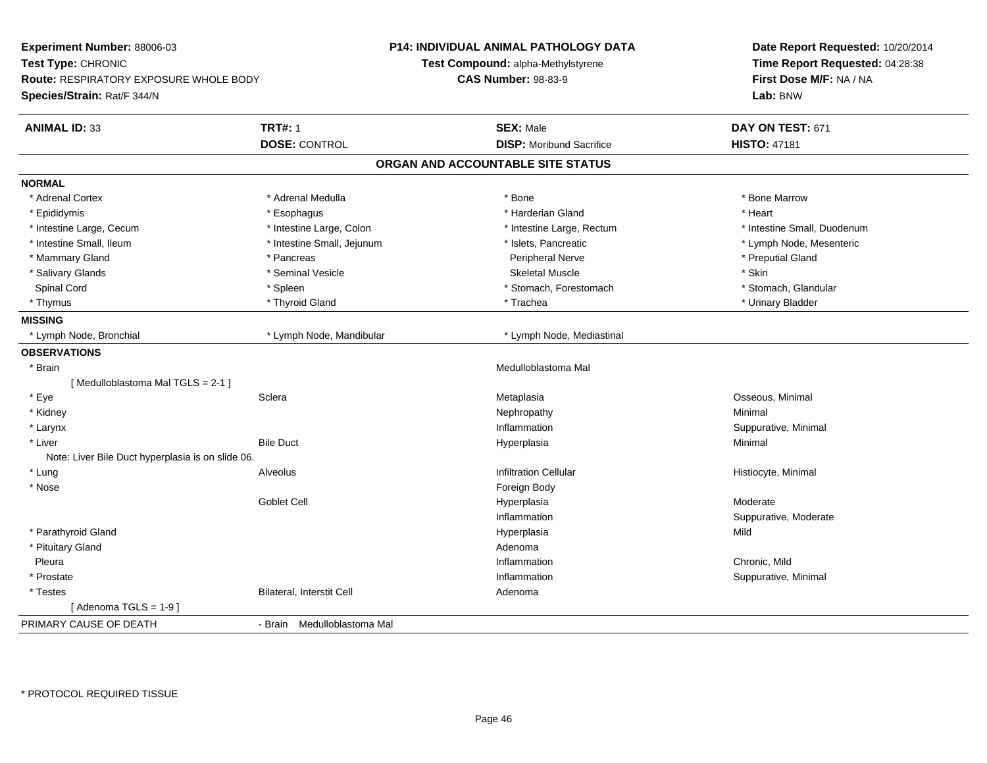| Experiment Number: 88006-03                       |                             | P14: INDIVIDUAL ANIMAL PATHOLOGY DATA | Date Report Requested: 10/20/2014                          |  |
|---------------------------------------------------|-----------------------------|---------------------------------------|------------------------------------------------------------|--|
| Test Type: CHRONIC                                |                             | Test Compound: alpha-Methylstyrene    | Time Report Requested: 04:28:38<br>First Dose M/F: NA / NA |  |
| <b>Route: RESPIRATORY EXPOSURE WHOLE BODY</b>     |                             | <b>CAS Number: 98-83-9</b>            |                                                            |  |
| Species/Strain: Rat/F 344/N                       |                             |                                       | Lab: BNW                                                   |  |
| <b>ANIMAL ID: 33</b>                              | <b>TRT#: 1</b>              | <b>SEX: Male</b>                      | DAY ON TEST: 671                                           |  |
|                                                   | <b>DOSE: CONTROL</b>        | <b>DISP:</b> Moribund Sacrifice       | <b>HISTO: 47181</b>                                        |  |
|                                                   |                             | ORGAN AND ACCOUNTABLE SITE STATUS     |                                                            |  |
| <b>NORMAL</b>                                     |                             |                                       |                                                            |  |
| * Adrenal Cortex                                  | * Adrenal Medulla           | * Bone                                | * Bone Marrow                                              |  |
| * Epididymis                                      | * Esophagus                 | * Harderian Gland                     | * Heart                                                    |  |
| * Intestine Large, Cecum                          | * Intestine Large, Colon    | * Intestine Large, Rectum             | * Intestine Small, Duodenum                                |  |
| * Intestine Small, Ileum                          | * Intestine Small, Jejunum  | * Islets, Pancreatic                  | * Lymph Node, Mesenteric                                   |  |
| * Mammary Gland                                   | * Pancreas                  | Peripheral Nerve                      | * Preputial Gland                                          |  |
| * Salivary Glands                                 | * Seminal Vesicle           | <b>Skeletal Muscle</b>                | * Skin                                                     |  |
| Spinal Cord                                       | * Spleen                    | * Stomach, Forestomach                | * Stomach, Glandular                                       |  |
| * Thymus                                          | * Thyroid Gland             | * Trachea                             | * Urinary Bladder                                          |  |
| <b>MISSING</b>                                    |                             |                                       |                                                            |  |
| * Lymph Node, Bronchial                           | * Lymph Node, Mandibular    | * Lymph Node, Mediastinal             |                                                            |  |
| <b>OBSERVATIONS</b>                               |                             |                                       |                                                            |  |
| * Brain                                           |                             | Medulloblastoma Mal                   |                                                            |  |
| [Medulloblastoma Mal TGLS = 2-1]                  |                             |                                       |                                                            |  |
| * Eye                                             | Sclera                      | Metaplasia                            | Osseous, Minimal                                           |  |
| * Kidney                                          |                             | Nephropathy                           | Minimal                                                    |  |
| * Larynx                                          |                             | Inflammation                          | Suppurative, Minimal                                       |  |
| * Liver                                           | <b>Bile Duct</b>            | Hyperplasia                           | Minimal                                                    |  |
| Note: Liver Bile Duct hyperplasia is on slide 06. |                             |                                       |                                                            |  |
| * Lung                                            | Alveolus                    | <b>Infiltration Cellular</b>          | Histiocyte, Minimal                                        |  |
| * Nose                                            |                             | Foreign Body                          |                                                            |  |
|                                                   | <b>Goblet Cell</b>          | Hyperplasia                           | Moderate                                                   |  |
|                                                   |                             | Inflammation                          | Suppurative, Moderate                                      |  |
| * Parathyroid Gland                               |                             | Hyperplasia                           | Mild                                                       |  |
| * Pituitary Gland                                 |                             | Adenoma                               |                                                            |  |
| Pleura                                            |                             | Inflammation                          | Chronic, Mild                                              |  |
| * Prostate                                        |                             | Inflammation                          | Suppurative, Minimal                                       |  |
| * Testes                                          | Bilateral, Interstit Cell   | Adenoma                               |                                                            |  |
| [Adenoma $TGLS = 1-9$ ]                           |                             |                                       |                                                            |  |
| PRIMARY CAUSE OF DEATH                            | - Brain Medulloblastoma Mal |                                       |                                                            |  |
|                                                   |                             |                                       |                                                            |  |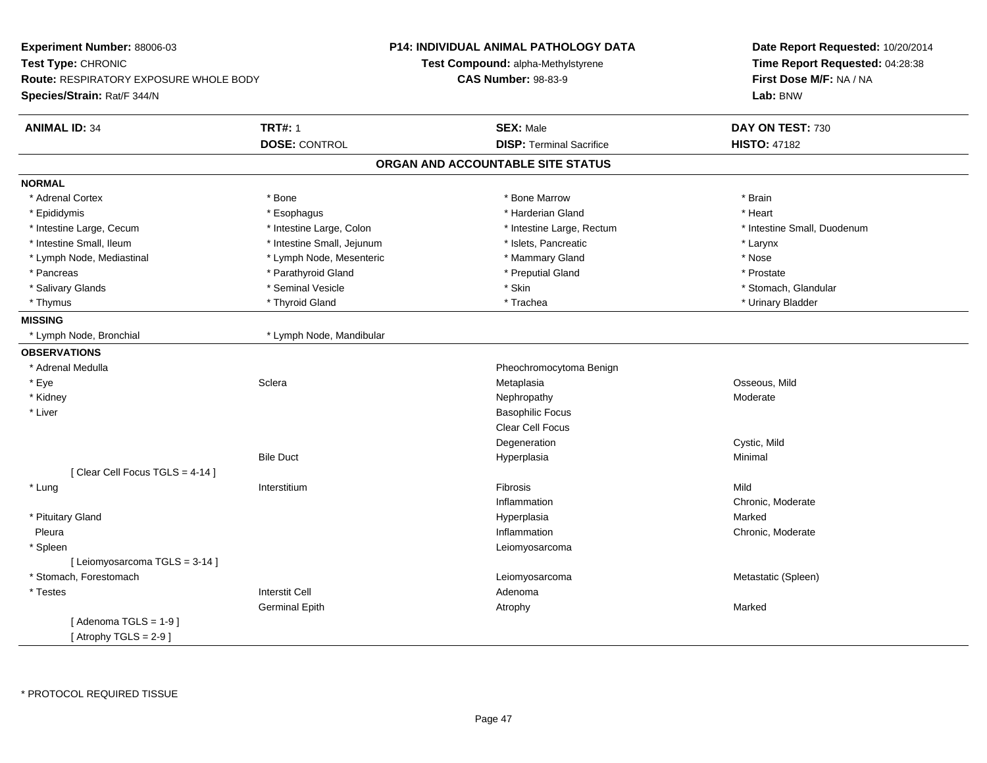| Experiment Number: 88006-03                   |                            | <b>P14: INDIVIDUAL ANIMAL PATHOLOGY DATA</b> | Date Report Requested: 10/20/2014                          |  |
|-----------------------------------------------|----------------------------|----------------------------------------------|------------------------------------------------------------|--|
| Test Type: CHRONIC                            |                            | <b>Test Compound: alpha-Methylstyrene</b>    | Time Report Requested: 04:28:38<br>First Dose M/F: NA / NA |  |
| <b>Route: RESPIRATORY EXPOSURE WHOLE BODY</b> |                            | <b>CAS Number: 98-83-9</b>                   |                                                            |  |
| Species/Strain: Rat/F 344/N                   |                            |                                              | Lab: BNW                                                   |  |
| <b>ANIMAL ID: 34</b>                          | <b>TRT#: 1</b>             | <b>SEX: Male</b>                             | DAY ON TEST: 730                                           |  |
|                                               | <b>DOSE: CONTROL</b>       | <b>DISP: Terminal Sacrifice</b>              | <b>HISTO: 47182</b>                                        |  |
|                                               |                            | ORGAN AND ACCOUNTABLE SITE STATUS            |                                                            |  |
| <b>NORMAL</b>                                 |                            |                                              |                                                            |  |
| * Adrenal Cortex                              | * Bone                     | * Bone Marrow                                | * Brain                                                    |  |
| * Epididymis                                  | * Esophagus                | * Harderian Gland                            | * Heart                                                    |  |
| * Intestine Large, Cecum                      | * Intestine Large, Colon   | * Intestine Large, Rectum                    | * Intestine Small, Duodenum                                |  |
| * Intestine Small, Ileum                      | * Intestine Small, Jejunum | * Islets, Pancreatic                         | * Larynx                                                   |  |
| * Lymph Node, Mediastinal                     | * Lymph Node, Mesenteric   | * Mammary Gland                              | * Nose                                                     |  |
| * Pancreas                                    | * Parathyroid Gland        | * Preputial Gland                            | * Prostate                                                 |  |
| * Salivary Glands                             | * Seminal Vesicle          | * Skin                                       | * Stomach, Glandular                                       |  |
| * Thymus                                      | * Thyroid Gland            | * Trachea                                    | * Urinary Bladder                                          |  |
| <b>MISSING</b>                                |                            |                                              |                                                            |  |
| * Lymph Node, Bronchial                       | * Lymph Node, Mandibular   |                                              |                                                            |  |
| <b>OBSERVATIONS</b>                           |                            |                                              |                                                            |  |
| * Adrenal Medulla                             |                            | Pheochromocytoma Benign                      |                                                            |  |
| * Eye                                         | Sclera                     | Metaplasia                                   | Osseous, Mild                                              |  |
| * Kidney                                      |                            | Nephropathy                                  | Moderate                                                   |  |
| * Liver                                       |                            | <b>Basophilic Focus</b>                      |                                                            |  |
|                                               |                            | <b>Clear Cell Focus</b>                      |                                                            |  |
|                                               |                            | Degeneration                                 | Cystic, Mild                                               |  |
|                                               | <b>Bile Duct</b>           | Hyperplasia                                  | Minimal                                                    |  |
| [Clear Cell Focus TGLS = 4-14]                |                            |                                              |                                                            |  |
| * Lung                                        | Interstitium               | Fibrosis                                     | Mild                                                       |  |
|                                               |                            | Inflammation                                 | Chronic, Moderate                                          |  |
| * Pituitary Gland                             |                            | Hyperplasia                                  | Marked                                                     |  |
| Pleura                                        |                            | Inflammation                                 | Chronic, Moderate                                          |  |
| * Spleen                                      |                            | Leiomyosarcoma                               |                                                            |  |
| [ Leiomyosarcoma TGLS = 3-14 ]                |                            |                                              |                                                            |  |
| * Stomach, Forestomach                        |                            | Leiomyosarcoma                               | Metastatic (Spleen)                                        |  |
| * Testes                                      | <b>Interstit Cell</b>      | Adenoma                                      |                                                            |  |
|                                               | <b>Germinal Epith</b>      | Atrophy                                      | Marked                                                     |  |
| [Adenoma TGLS = $1-9$ ]                       |                            |                                              |                                                            |  |
| [Atrophy TGLS = $2-9$ ]                       |                            |                                              |                                                            |  |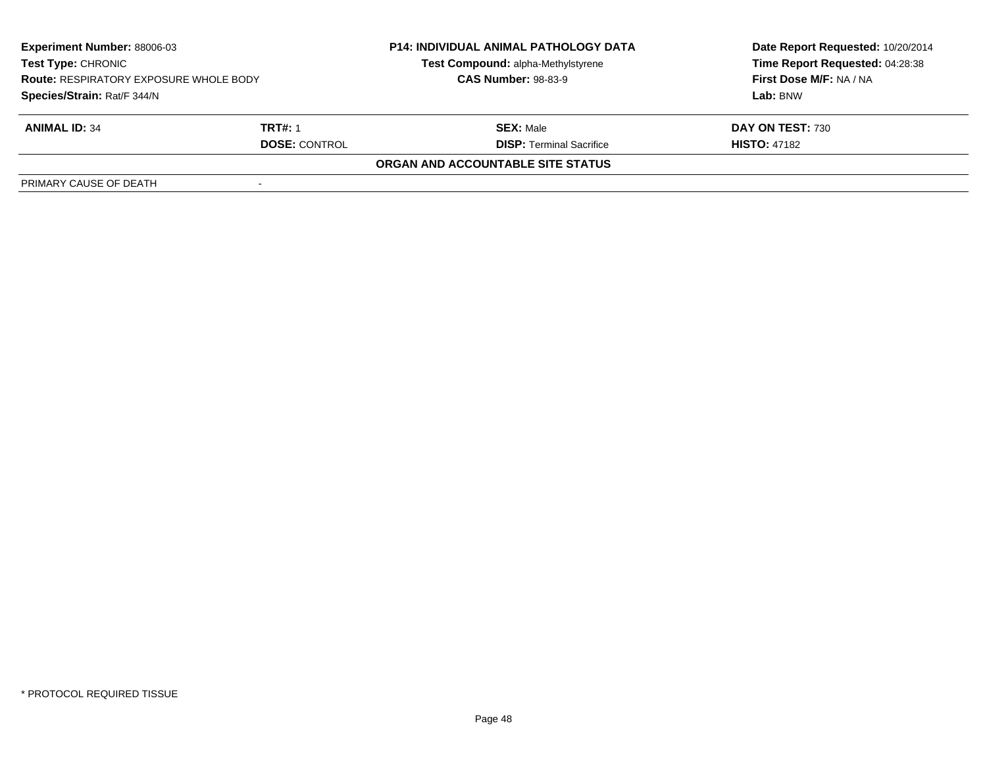| <b>Experiment Number: 88006-03</b><br>Test Type: CHRONIC<br><b>Route: RESPIRATORY EXPOSURE WHOLE BODY</b><br>Species/Strain: Rat/F 344/N |                      | <b>P14: INDIVIDUAL ANIMAL PATHOLOGY DATA</b><br>Date Report Requested: 10/20/2014<br>Time Report Requested: 04:28:38<br>Test Compound: alpha-Methylstyrene<br><b>CAS Number: 98-83-9</b><br>First Dose M/F: NA / NA |                     |
|------------------------------------------------------------------------------------------------------------------------------------------|----------------------|---------------------------------------------------------------------------------------------------------------------------------------------------------------------------------------------------------------------|---------------------|
|                                                                                                                                          |                      |                                                                                                                                                                                                                     | Lab: BNW            |
|                                                                                                                                          |                      |                                                                                                                                                                                                                     |                     |
| <b>ANIMAL ID: 34</b>                                                                                                                     | TRT#: 1              | <b>SEX: Male</b>                                                                                                                                                                                                    | DAY ON TEST: 730    |
|                                                                                                                                          | <b>DOSE: CONTROL</b> | <b>DISP: Terminal Sacrifice</b>                                                                                                                                                                                     | <b>HISTO: 47182</b> |
|                                                                                                                                          |                      | ORGAN AND ACCOUNTABLE SITE STATUS                                                                                                                                                                                   |                     |
| PRIMARY CAUSE OF DEATH                                                                                                                   |                      |                                                                                                                                                                                                                     |                     |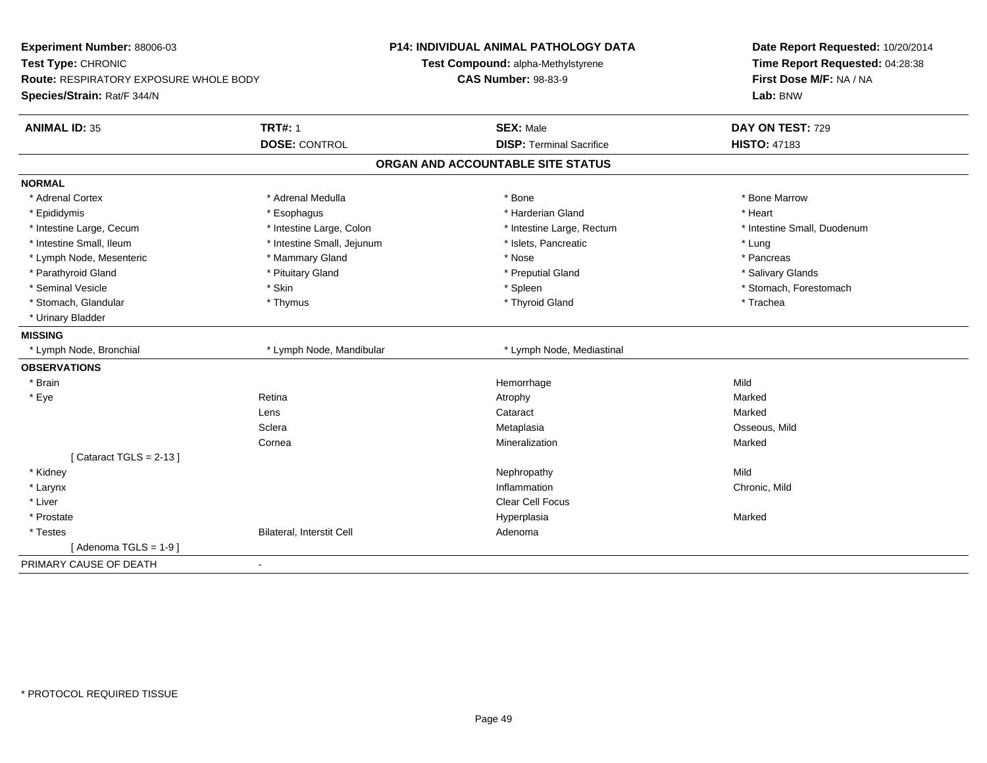| Experiment Number: 88006-03<br>Test Type: CHRONIC<br>Route: RESPIRATORY EXPOSURE WHOLE BODY<br>Species/Strain: Rat/F 344/N |                            | <b>P14: INDIVIDUAL ANIMAL PATHOLOGY DATA</b><br>Test Compound: alpha-Methylstyrene<br><b>CAS Number: 98-83-9</b> | Date Report Requested: 10/20/2014<br>Time Report Requested: 04:28:38<br>First Dose M/F: NA / NA<br>Lab: BNW |
|----------------------------------------------------------------------------------------------------------------------------|----------------------------|------------------------------------------------------------------------------------------------------------------|-------------------------------------------------------------------------------------------------------------|
| <b>ANIMAL ID: 35</b>                                                                                                       | <b>TRT#: 1</b>             | <b>SEX: Male</b>                                                                                                 | DAY ON TEST: 729                                                                                            |
|                                                                                                                            | <b>DOSE: CONTROL</b>       | <b>DISP: Terminal Sacrifice</b>                                                                                  | <b>HISTO: 47183</b>                                                                                         |
|                                                                                                                            |                            | ORGAN AND ACCOUNTABLE SITE STATUS                                                                                |                                                                                                             |
| <b>NORMAL</b>                                                                                                              |                            |                                                                                                                  |                                                                                                             |
| * Adrenal Cortex                                                                                                           | * Adrenal Medulla          | * Bone                                                                                                           | * Bone Marrow                                                                                               |
| * Epididymis                                                                                                               | * Esophagus                | * Harderian Gland                                                                                                | * Heart                                                                                                     |
| * Intestine Large, Cecum                                                                                                   | * Intestine Large, Colon   | * Intestine Large, Rectum                                                                                        | * Intestine Small, Duodenum                                                                                 |
| * Intestine Small, Ileum                                                                                                   | * Intestine Small, Jejunum | * Islets, Pancreatic                                                                                             | * Lung                                                                                                      |
| * Lymph Node, Mesenteric                                                                                                   | * Mammary Gland            | * Nose                                                                                                           | * Pancreas                                                                                                  |
| * Parathyroid Gland                                                                                                        | * Pituitary Gland          | * Preputial Gland                                                                                                | * Salivary Glands                                                                                           |
| * Seminal Vesicle                                                                                                          | * Skin                     | * Spleen                                                                                                         | * Stomach, Forestomach                                                                                      |
| * Stomach, Glandular                                                                                                       | * Thymus                   | * Thyroid Gland                                                                                                  | * Trachea                                                                                                   |
| * Urinary Bladder                                                                                                          |                            |                                                                                                                  |                                                                                                             |
| <b>MISSING</b>                                                                                                             |                            |                                                                                                                  |                                                                                                             |
| * Lymph Node, Bronchial                                                                                                    | * Lymph Node, Mandibular   | * Lymph Node, Mediastinal                                                                                        |                                                                                                             |
| <b>OBSERVATIONS</b>                                                                                                        |                            |                                                                                                                  |                                                                                                             |
| * Brain                                                                                                                    |                            | Hemorrhage                                                                                                       | Mild                                                                                                        |
| * Eye                                                                                                                      | Retina                     | Atrophy                                                                                                          | Marked                                                                                                      |
|                                                                                                                            | Lens                       | Cataract                                                                                                         | Marked                                                                                                      |
|                                                                                                                            | Sclera                     | Metaplasia                                                                                                       | Osseous, Mild                                                                                               |
|                                                                                                                            | Cornea                     | Mineralization                                                                                                   | Marked                                                                                                      |
| [Cataract TGLS = $2-13$ ]                                                                                                  |                            |                                                                                                                  |                                                                                                             |
| * Kidney                                                                                                                   |                            | Nephropathy                                                                                                      | Mild                                                                                                        |
| * Larynx                                                                                                                   |                            | Inflammation                                                                                                     | Chronic, Mild                                                                                               |
| * Liver                                                                                                                    |                            | <b>Clear Cell Focus</b>                                                                                          |                                                                                                             |
| * Prostate                                                                                                                 |                            | Hyperplasia                                                                                                      | Marked                                                                                                      |
| * Testes                                                                                                                   | Bilateral, Interstit Cell  | Adenoma                                                                                                          |                                                                                                             |
| [Adenoma TGLS = $1-9$ ]                                                                                                    |                            |                                                                                                                  |                                                                                                             |
| PRIMARY CAUSE OF DEATH                                                                                                     | $\blacksquare$             |                                                                                                                  |                                                                                                             |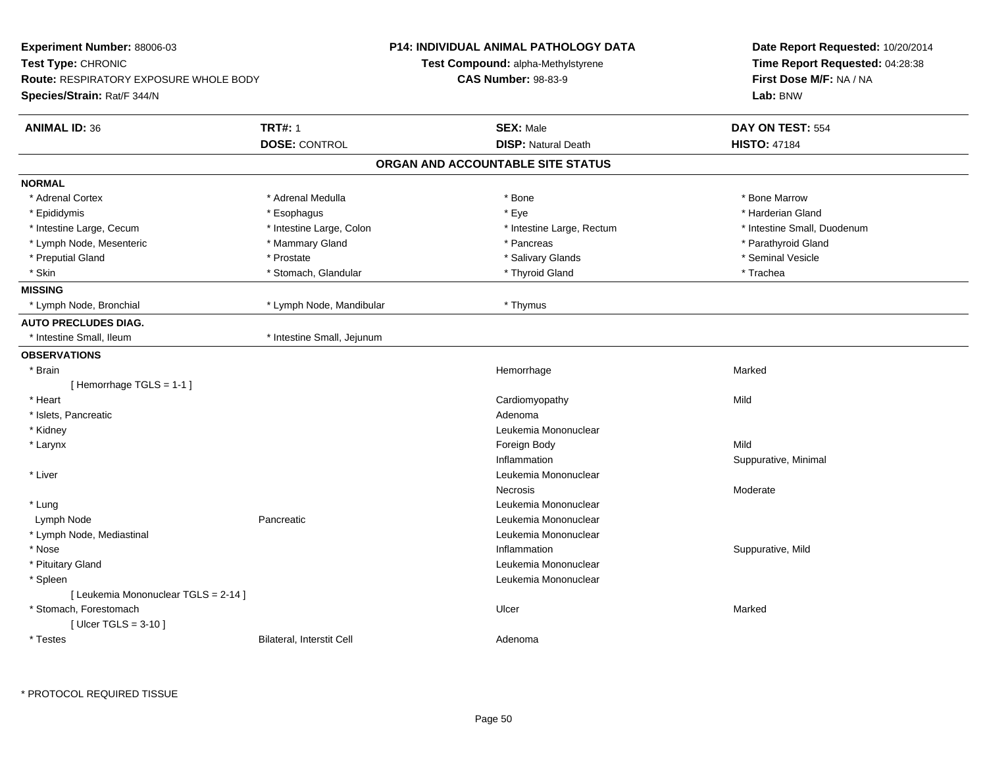| Experiment Number: 88006-03                   |                            | <b>P14: INDIVIDUAL ANIMAL PATHOLOGY DATA</b> | Date Report Requested: 10/20/2014<br>Time Report Requested: 04:28:38 |  |
|-----------------------------------------------|----------------------------|----------------------------------------------|----------------------------------------------------------------------|--|
| Test Type: CHRONIC                            |                            | Test Compound: alpha-Methylstyrene           |                                                                      |  |
| <b>Route: RESPIRATORY EXPOSURE WHOLE BODY</b> |                            | <b>CAS Number: 98-83-9</b>                   | First Dose M/F: NA / NA                                              |  |
| Species/Strain: Rat/F 344/N                   |                            |                                              | Lab: BNW                                                             |  |
| <b>ANIMAL ID: 36</b>                          | <b>TRT#: 1</b>             | <b>SEX: Male</b>                             | DAY ON TEST: 554                                                     |  |
|                                               | <b>DOSE: CONTROL</b>       | <b>DISP: Natural Death</b>                   | <b>HISTO: 47184</b>                                                  |  |
|                                               |                            | ORGAN AND ACCOUNTABLE SITE STATUS            |                                                                      |  |
| <b>NORMAL</b>                                 |                            |                                              |                                                                      |  |
| * Adrenal Cortex                              | * Adrenal Medulla          | * Bone                                       | * Bone Marrow                                                        |  |
| * Epididymis                                  | * Esophagus                | * Eye                                        | * Harderian Gland                                                    |  |
| * Intestine Large, Cecum                      | * Intestine Large, Colon   | * Intestine Large, Rectum                    | * Intestine Small, Duodenum                                          |  |
| * Lymph Node, Mesenteric                      | * Mammary Gland            | * Pancreas                                   | * Parathyroid Gland                                                  |  |
| * Preputial Gland                             | * Prostate                 | * Salivary Glands                            | * Seminal Vesicle                                                    |  |
| * Skin                                        | * Stomach, Glandular       | * Thyroid Gland                              | * Trachea                                                            |  |
| <b>MISSING</b>                                |                            |                                              |                                                                      |  |
| * Lymph Node, Bronchial                       | * Lymph Node, Mandibular   | * Thymus                                     |                                                                      |  |
| <b>AUTO PRECLUDES DIAG.</b>                   |                            |                                              |                                                                      |  |
| * Intestine Small, Ileum                      | * Intestine Small, Jejunum |                                              |                                                                      |  |
| <b>OBSERVATIONS</b>                           |                            |                                              |                                                                      |  |
| * Brain                                       |                            | Hemorrhage                                   | Marked                                                               |  |
| [Hemorrhage TGLS = 1-1]                       |                            |                                              |                                                                      |  |
| * Heart                                       |                            | Cardiomyopathy                               | Mild                                                                 |  |
| * Islets, Pancreatic                          |                            | Adenoma                                      |                                                                      |  |
| * Kidney                                      |                            | Leukemia Mononuclear                         |                                                                      |  |
| * Larynx                                      |                            | Foreign Body                                 | Mild                                                                 |  |
|                                               |                            | Inflammation                                 | Suppurative, Minimal                                                 |  |
| * Liver                                       |                            | Leukemia Mononuclear                         |                                                                      |  |
|                                               |                            | <b>Necrosis</b>                              | Moderate                                                             |  |
| * Lung                                        |                            | Leukemia Mononuclear                         |                                                                      |  |
| Lymph Node                                    | Pancreatic                 | Leukemia Mononuclear                         |                                                                      |  |
| * Lymph Node, Mediastinal                     |                            | Leukemia Mononuclear                         |                                                                      |  |
| * Nose                                        |                            | Inflammation                                 | Suppurative, Mild                                                    |  |
| * Pituitary Gland                             |                            | Leukemia Mononuclear                         |                                                                      |  |
| * Spleen                                      |                            | Leukemia Mononuclear                         |                                                                      |  |
| [ Leukemia Mononuclear TGLS = 2-14 ]          |                            |                                              |                                                                      |  |
| * Stomach, Forestomach                        |                            | Ulcer                                        | Marked                                                               |  |
| [ Ulcer TGLS = $3-10$ ]                       |                            |                                              |                                                                      |  |
| * Testes                                      | Bilateral, Interstit Cell  | Adenoma                                      |                                                                      |  |
|                                               |                            |                                              |                                                                      |  |

\* PROTOCOL REQUIRED TISSUE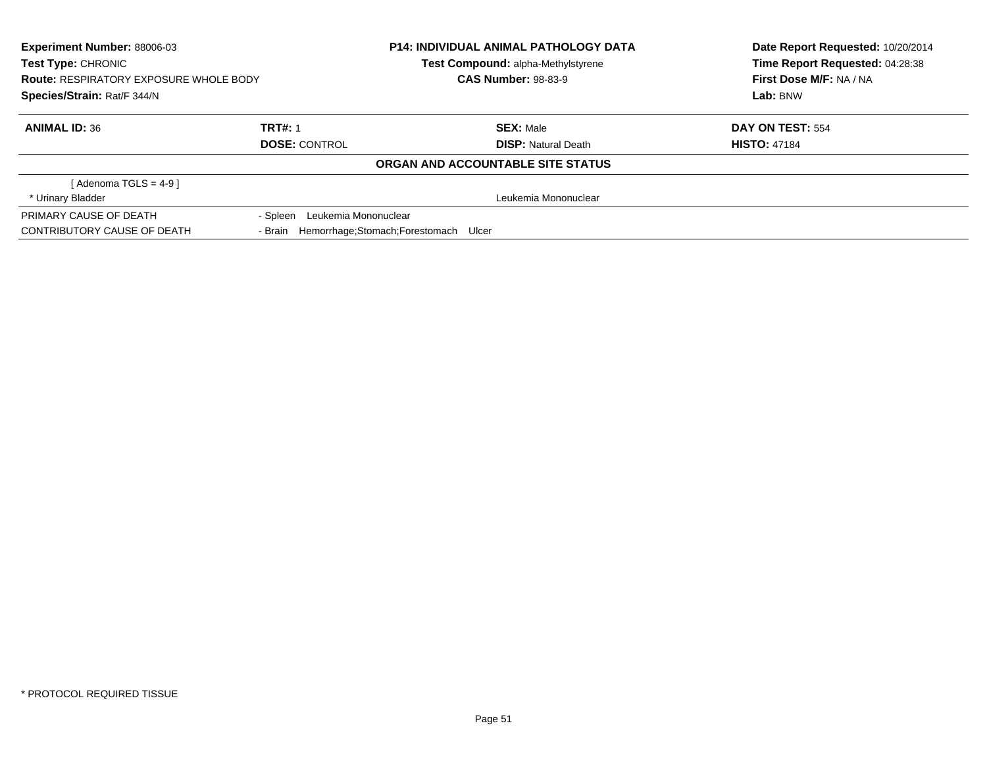| <b>Experiment Number: 88006-03</b><br><b>Test Type: CHRONIC</b><br><b>Route: RESPIRATORY EXPOSURE WHOLE BODY</b><br>Species/Strain: Rat/F 344/N |                                  | <b>P14: INDIVIDUAL ANIMAL PATHOLOGY DATA</b><br>Test Compound: alpha-Methylstyrene<br><b>CAS Number: 98-83-9</b> | Date Report Requested: 10/20/2014<br>Time Report Requested: 04:28:38<br>First Dose M/F: NA / NA<br>Lab: BNW |
|-------------------------------------------------------------------------------------------------------------------------------------------------|----------------------------------|------------------------------------------------------------------------------------------------------------------|-------------------------------------------------------------------------------------------------------------|
| <b>ANIMAL ID: 36</b>                                                                                                                            | <b>TRT#: 1</b>                   | <b>SEX: Male</b>                                                                                                 | DAY ON TEST: 554                                                                                            |
|                                                                                                                                                 | <b>DOSE: CONTROL</b>             | <b>DISP:</b> Natural Death                                                                                       | <b>HISTO: 47184</b>                                                                                         |
|                                                                                                                                                 |                                  | ORGAN AND ACCOUNTABLE SITE STATUS                                                                                |                                                                                                             |
| $Adenoma TGLS = 4-91$                                                                                                                           |                                  |                                                                                                                  |                                                                                                             |
| * Urinary Bladder                                                                                                                               |                                  | Leukemia Mononuclear                                                                                             |                                                                                                             |
| PRIMARY CAUSE OF DEATH                                                                                                                          | Leukemia Mononuclear<br>- Spleen |                                                                                                                  |                                                                                                             |
| CONTRIBUTORY CAUSE OF DEATH                                                                                                                     | - Brain                          | Hemorrhage; Stomach; Forestomach Ulcer                                                                           |                                                                                                             |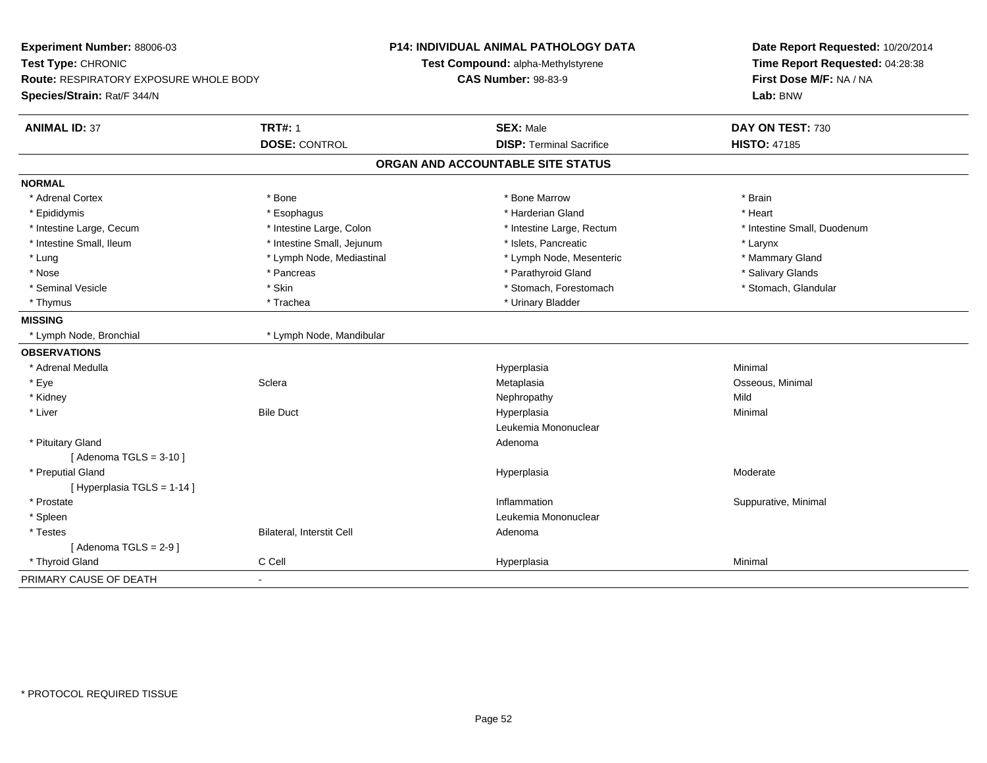| Experiment Number: 88006-03<br>Test Type: CHRONIC<br>Route: RESPIRATORY EXPOSURE WHOLE BODY<br>Species/Strain: Rat/F 344/N |                            | <b>P14: INDIVIDUAL ANIMAL PATHOLOGY DATA</b><br>Test Compound: alpha-Methylstyrene<br><b>CAS Number: 98-83-9</b> | Date Report Requested: 10/20/2014<br>Time Report Requested: 04:28:38<br>First Dose M/F: NA / NA<br>Lab: BNW |
|----------------------------------------------------------------------------------------------------------------------------|----------------------------|------------------------------------------------------------------------------------------------------------------|-------------------------------------------------------------------------------------------------------------|
| <b>ANIMAL ID: 37</b>                                                                                                       | <b>TRT#: 1</b>             | <b>SEX: Male</b>                                                                                                 | DAY ON TEST: 730                                                                                            |
|                                                                                                                            | <b>DOSE: CONTROL</b>       | <b>DISP: Terminal Sacrifice</b>                                                                                  | <b>HISTO: 47185</b>                                                                                         |
|                                                                                                                            |                            | ORGAN AND ACCOUNTABLE SITE STATUS                                                                                |                                                                                                             |
| <b>NORMAL</b>                                                                                                              |                            |                                                                                                                  |                                                                                                             |
| * Adrenal Cortex                                                                                                           | * Bone                     | * Bone Marrow                                                                                                    | * Brain                                                                                                     |
| * Epididymis                                                                                                               | * Esophagus                | * Harderian Gland                                                                                                | * Heart                                                                                                     |
| * Intestine Large, Cecum                                                                                                   | * Intestine Large, Colon   | * Intestine Large, Rectum                                                                                        | * Intestine Small, Duodenum                                                                                 |
| * Intestine Small, Ileum                                                                                                   | * Intestine Small, Jejunum | * Islets, Pancreatic                                                                                             | * Larynx                                                                                                    |
| * Lung                                                                                                                     | * Lymph Node, Mediastinal  | * Lymph Node, Mesenteric                                                                                         | * Mammary Gland                                                                                             |
| * Nose                                                                                                                     | * Pancreas                 | * Parathyroid Gland                                                                                              | * Salivary Glands                                                                                           |
| * Seminal Vesicle                                                                                                          | * Skin                     | * Stomach, Forestomach                                                                                           | * Stomach, Glandular                                                                                        |
| * Thymus                                                                                                                   | * Trachea                  | * Urinary Bladder                                                                                                |                                                                                                             |
| <b>MISSING</b>                                                                                                             |                            |                                                                                                                  |                                                                                                             |
| * Lymph Node, Bronchial                                                                                                    | * Lymph Node, Mandibular   |                                                                                                                  |                                                                                                             |
| <b>OBSERVATIONS</b>                                                                                                        |                            |                                                                                                                  |                                                                                                             |
| * Adrenal Medulla                                                                                                          |                            | Hyperplasia                                                                                                      | Minimal                                                                                                     |
| * Eye                                                                                                                      | Sclera                     | Metaplasia                                                                                                       | Osseous, Minimal                                                                                            |
| * Kidney                                                                                                                   |                            | Nephropathy                                                                                                      | Mild                                                                                                        |
| * Liver                                                                                                                    | <b>Bile Duct</b>           | Hyperplasia                                                                                                      | Minimal                                                                                                     |
|                                                                                                                            |                            | Leukemia Mononuclear                                                                                             |                                                                                                             |
| * Pituitary Gland                                                                                                          |                            | Adenoma                                                                                                          |                                                                                                             |
| [Adenoma TGLS = $3-10$ ]                                                                                                   |                            |                                                                                                                  |                                                                                                             |
| * Preputial Gland                                                                                                          |                            | Hyperplasia                                                                                                      | Moderate                                                                                                    |
| [Hyperplasia TGLS = $1-14$ ]                                                                                               |                            |                                                                                                                  |                                                                                                             |
| * Prostate                                                                                                                 |                            | Inflammation                                                                                                     | Suppurative, Minimal                                                                                        |
| * Spleen                                                                                                                   |                            | Leukemia Mononuclear                                                                                             |                                                                                                             |
| * Testes                                                                                                                   | Bilateral, Interstit Cell  | Adenoma                                                                                                          |                                                                                                             |
| [Adenoma TGLS = $2-9$ ]                                                                                                    |                            |                                                                                                                  |                                                                                                             |
| * Thyroid Gland                                                                                                            | C Cell                     | Hyperplasia                                                                                                      | Minimal                                                                                                     |
| PRIMARY CAUSE OF DEATH                                                                                                     | $\blacksquare$             |                                                                                                                  |                                                                                                             |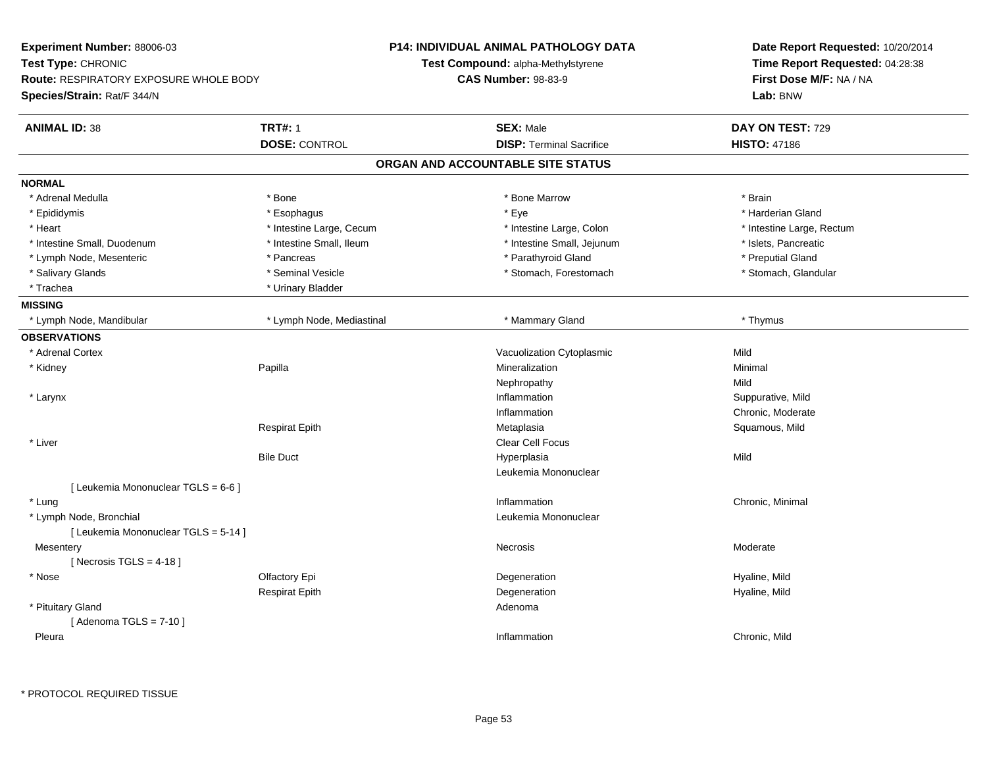| Experiment Number: 88006-03            |                           | <b>P14: INDIVIDUAL ANIMAL PATHOLOGY DATA</b> | Date Report Requested: 10/20/2014<br>Time Report Requested: 04:28:38<br>First Dose M/F: NA / NA |
|----------------------------------------|---------------------------|----------------------------------------------|-------------------------------------------------------------------------------------------------|
| Test Type: CHRONIC                     |                           | Test Compound: alpha-Methylstyrene           |                                                                                                 |
| Route: RESPIRATORY EXPOSURE WHOLE BODY |                           | <b>CAS Number: 98-83-9</b>                   |                                                                                                 |
| Species/Strain: Rat/F 344/N            |                           |                                              | Lab: BNW                                                                                        |
| <b>ANIMAL ID: 38</b>                   | <b>TRT#: 1</b>            | <b>SEX: Male</b>                             | DAY ON TEST: 729                                                                                |
|                                        | <b>DOSE: CONTROL</b>      | <b>DISP: Terminal Sacrifice</b>              | <b>HISTO: 47186</b>                                                                             |
|                                        |                           | ORGAN AND ACCOUNTABLE SITE STATUS            |                                                                                                 |
| <b>NORMAL</b>                          |                           |                                              |                                                                                                 |
| * Adrenal Medulla                      | * Bone                    | * Bone Marrow                                | * Brain                                                                                         |
| * Epididymis                           | * Esophagus               | * Eye                                        | * Harderian Gland                                                                               |
| * Heart                                | * Intestine Large, Cecum  | * Intestine Large, Colon                     | * Intestine Large, Rectum                                                                       |
| * Intestine Small, Duodenum            | * Intestine Small, Ileum  | * Intestine Small, Jejunum                   | * Islets, Pancreatic                                                                            |
| * Lymph Node, Mesenteric               | * Pancreas                | * Parathyroid Gland                          | * Preputial Gland                                                                               |
| * Salivary Glands                      | * Seminal Vesicle         | * Stomach, Forestomach                       | * Stomach, Glandular                                                                            |
| * Trachea                              | * Urinary Bladder         |                                              |                                                                                                 |
| <b>MISSING</b>                         |                           |                                              |                                                                                                 |
| * Lymph Node, Mandibular               | * Lymph Node, Mediastinal | * Mammary Gland                              | * Thymus                                                                                        |
| <b>OBSERVATIONS</b>                    |                           |                                              |                                                                                                 |
| * Adrenal Cortex                       |                           | Vacuolization Cytoplasmic                    | Mild                                                                                            |
| * Kidney                               | Papilla                   | Mineralization                               | Minimal                                                                                         |
|                                        |                           | Nephropathy                                  | Mild                                                                                            |
| * Larynx                               |                           | Inflammation                                 | Suppurative, Mild                                                                               |
|                                        |                           | Inflammation                                 | Chronic, Moderate                                                                               |
|                                        | <b>Respirat Epith</b>     | Metaplasia                                   | Squamous, Mild                                                                                  |
| * Liver                                |                           | Clear Cell Focus                             |                                                                                                 |
|                                        | <b>Bile Duct</b>          | Hyperplasia                                  | Mild                                                                                            |
|                                        |                           | Leukemia Mononuclear                         |                                                                                                 |
| [ Leukemia Mononuclear TGLS = 6-6 ]    |                           |                                              |                                                                                                 |
| * Lung                                 |                           | Inflammation                                 | Chronic, Minimal                                                                                |
| * Lymph Node, Bronchial                |                           | Leukemia Mononuclear                         |                                                                                                 |
| [ Leukemia Mononuclear TGLS = 5-14 ]   |                           |                                              |                                                                                                 |
| Mesentery                              |                           | Necrosis                                     | Moderate                                                                                        |
| [Necrosis TGLS = $4-18$ ]              |                           |                                              |                                                                                                 |
| * Nose                                 | Olfactory Epi             | Degeneration                                 | Hyaline, Mild                                                                                   |
|                                        | <b>Respirat Epith</b>     | Degeneration                                 | Hyaline, Mild                                                                                   |
| * Pituitary Gland                      |                           | Adenoma                                      |                                                                                                 |
| [Adenoma TGLS = $7-10$ ]               |                           |                                              |                                                                                                 |
| Pleura                                 |                           | Inflammation                                 | Chronic, Mild                                                                                   |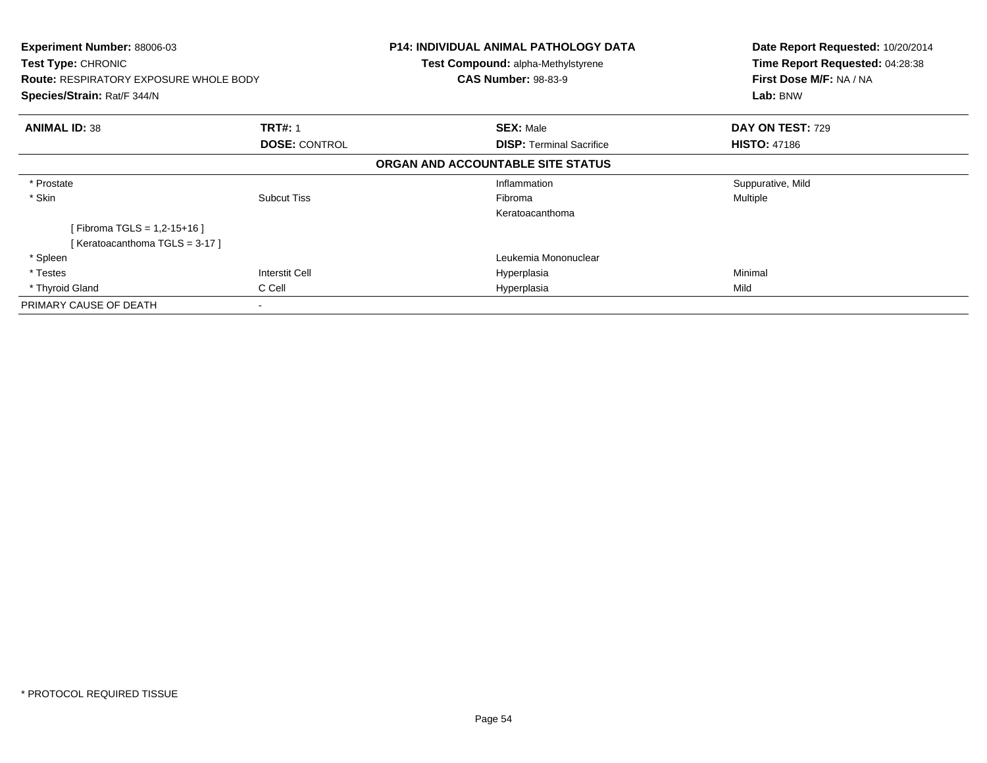| <b>Experiment Number: 88006-03</b><br><b>Test Type: CHRONIC</b> |                          | P14: INDIVIDUAL ANIMAL PATHOLOGY DATA<br><b>Test Compound: alpha-Methylstyrene</b> | Date Report Requested: 10/20/2014<br>Time Report Requested: 04:28:38 |
|-----------------------------------------------------------------|--------------------------|------------------------------------------------------------------------------------|----------------------------------------------------------------------|
| <b>Route: RESPIRATORY EXPOSURE WHOLE BODY</b>                   |                          | <b>CAS Number: 98-83-9</b>                                                         | First Dose M/F: NA / NA                                              |
| Species/Strain: Rat/F 344/N                                     |                          |                                                                                    | Lab: BNW                                                             |
| <b>ANIMAL ID: 38</b>                                            | <b>TRT#: 1</b>           | <b>SEX: Male</b>                                                                   | DAY ON TEST: 729                                                     |
|                                                                 | <b>DOSE: CONTROL</b>     | <b>DISP: Terminal Sacrifice</b>                                                    | <b>HISTO: 47186</b>                                                  |
|                                                                 |                          | ORGAN AND ACCOUNTABLE SITE STATUS                                                  |                                                                      |
| * Prostate                                                      |                          | Inflammation                                                                       | Suppurative, Mild                                                    |
| * Skin                                                          | <b>Subcut Tiss</b>       | Fibroma                                                                            | Multiple                                                             |
|                                                                 |                          | Keratoacanthoma                                                                    |                                                                      |
| [Fibroma TGLS = 1,2-15+16 ]                                     |                          |                                                                                    |                                                                      |
| [Keratoacanthoma TGLS = 3-17]                                   |                          |                                                                                    |                                                                      |
| * Spleen                                                        |                          | Leukemia Mononuclear                                                               |                                                                      |
| * Testes                                                        | Interstit Cell           | Hyperplasia                                                                        | Minimal                                                              |
| * Thyroid Gland                                                 | C Cell                   | Hyperplasia                                                                        | Mild                                                                 |
| PRIMARY CAUSE OF DEATH                                          | $\overline{\phantom{a}}$ |                                                                                    |                                                                      |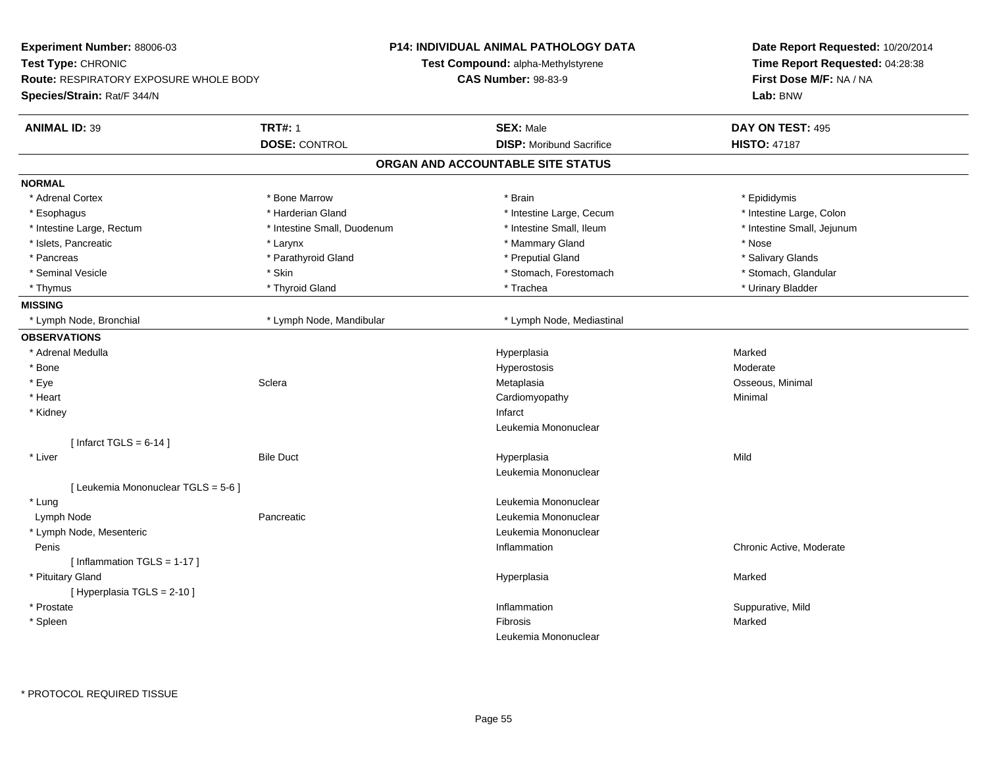| Experiment Number: 88006-03            |                             | <b>P14: INDIVIDUAL ANIMAL PATHOLOGY DATA</b> | Date Report Requested: 10/20/2014<br>Time Report Requested: 04:28:38<br>First Dose M/F: NA / NA |
|----------------------------------------|-----------------------------|----------------------------------------------|-------------------------------------------------------------------------------------------------|
| Test Type: CHRONIC                     |                             | Test Compound: alpha-Methylstyrene           |                                                                                                 |
| Route: RESPIRATORY EXPOSURE WHOLE BODY |                             | <b>CAS Number: 98-83-9</b>                   |                                                                                                 |
| Species/Strain: Rat/F 344/N            |                             |                                              | Lab: BNW                                                                                        |
| <b>ANIMAL ID: 39</b>                   | <b>TRT#: 1</b>              | <b>SEX: Male</b>                             | DAY ON TEST: 495                                                                                |
|                                        | <b>DOSE: CONTROL</b>        | <b>DISP:</b> Moribund Sacrifice              | <b>HISTO: 47187</b>                                                                             |
|                                        |                             | ORGAN AND ACCOUNTABLE SITE STATUS            |                                                                                                 |
| <b>NORMAL</b>                          |                             |                                              |                                                                                                 |
| * Adrenal Cortex                       | * Bone Marrow               | * Brain                                      | * Epididymis                                                                                    |
| * Esophagus                            | * Harderian Gland           | * Intestine Large, Cecum                     | * Intestine Large, Colon                                                                        |
| * Intestine Large, Rectum              | * Intestine Small, Duodenum | * Intestine Small, Ileum                     | * Intestine Small, Jejunum                                                                      |
| * Islets, Pancreatic                   | * Larynx                    | * Mammary Gland                              | * Nose                                                                                          |
| * Pancreas                             | * Parathyroid Gland         | * Preputial Gland                            | * Salivary Glands                                                                               |
| * Seminal Vesicle                      | * Skin                      | * Stomach, Forestomach                       | * Stomach, Glandular                                                                            |
| * Thymus                               | * Thyroid Gland             | * Trachea                                    | * Urinary Bladder                                                                               |
| <b>MISSING</b>                         |                             |                                              |                                                                                                 |
| * Lymph Node, Bronchial                | * Lymph Node, Mandibular    | * Lymph Node, Mediastinal                    |                                                                                                 |
| <b>OBSERVATIONS</b>                    |                             |                                              |                                                                                                 |
| * Adrenal Medulla                      |                             | Hyperplasia                                  | Marked                                                                                          |
| * Bone                                 |                             | Hyperostosis                                 | Moderate                                                                                        |
| * Eye                                  | Sclera                      | Metaplasia                                   | Osseous, Minimal                                                                                |
| * Heart                                |                             | Cardiomyopathy                               | Minimal                                                                                         |
| * Kidney                               |                             | Infarct                                      |                                                                                                 |
|                                        |                             | Leukemia Mononuclear                         |                                                                                                 |
| [ Infarct TGLS = $6-14$ ]              |                             |                                              |                                                                                                 |
| * Liver                                | <b>Bile Duct</b>            | Hyperplasia                                  | Mild                                                                                            |
|                                        |                             | Leukemia Mononuclear                         |                                                                                                 |
| [ Leukemia Mononuclear TGLS = 5-6 ]    |                             |                                              |                                                                                                 |
| * Lung                                 |                             | Leukemia Mononuclear                         |                                                                                                 |
| Lymph Node                             | Pancreatic                  | Leukemia Mononuclear                         |                                                                                                 |
| * Lymph Node, Mesenteric               |                             | Leukemia Mononuclear                         |                                                                                                 |
| Penis                                  |                             | Inflammation                                 | Chronic Active, Moderate                                                                        |
| [Inflammation TGLS = 1-17]             |                             |                                              |                                                                                                 |
| * Pituitary Gland                      |                             | Hyperplasia                                  | Marked                                                                                          |
| [ Hyperplasia TGLS = 2-10 ]            |                             |                                              |                                                                                                 |
| * Prostate                             |                             | Inflammation                                 | Suppurative, Mild                                                                               |
| * Spleen                               |                             | Fibrosis                                     | Marked                                                                                          |
|                                        |                             | Leukemia Mononuclear                         |                                                                                                 |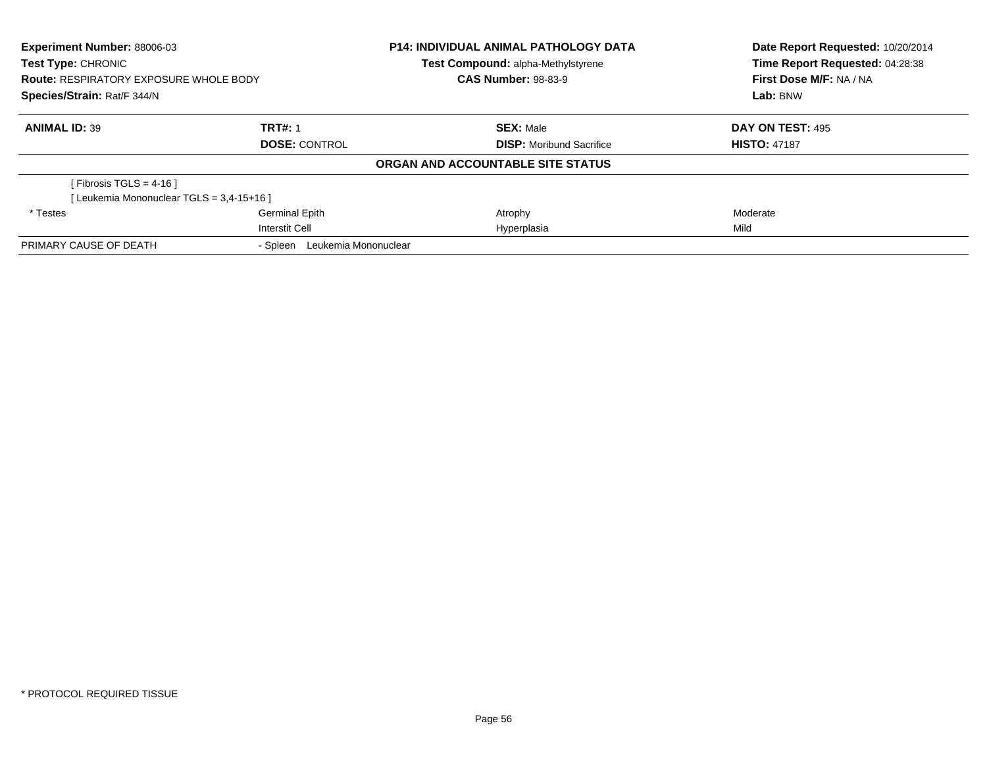| Experiment Number: 88006-03<br><b>Test Type: CHRONIC</b><br><b>Route: RESPIRATORY EXPOSURE WHOLE BODY</b><br>Species/Strain: Rat/F 344/N |                                  | <b>P14: INDIVIDUAL ANIMAL PATHOLOGY DATA</b><br>Test Compound: alpha-Methylstyrene | Date Report Requested: 10/20/2014<br>Time Report Requested: 04:28:38 |
|------------------------------------------------------------------------------------------------------------------------------------------|----------------------------------|------------------------------------------------------------------------------------|----------------------------------------------------------------------|
|                                                                                                                                          |                                  | <b>CAS Number: 98-83-9</b>                                                         | First Dose M/F: NA / NA                                              |
|                                                                                                                                          |                                  |                                                                                    | Lab: BNW                                                             |
| <b>ANIMAL ID: 39</b>                                                                                                                     | <b>TRT#: 1</b>                   | <b>SEX: Male</b>                                                                   | DAY ON TEST: 495                                                     |
|                                                                                                                                          | <b>DOSE: CONTROL</b>             | <b>DISP:</b> Moribund Sacrifice                                                    | <b>HISTO: 47187</b>                                                  |
|                                                                                                                                          |                                  | ORGAN AND ACCOUNTABLE SITE STATUS                                                  |                                                                      |
| [Fibrosis TGLS = 4-16 ]                                                                                                                  |                                  |                                                                                    |                                                                      |
| [Leukemia Mononuclear TGLS = 3,4-15+16]                                                                                                  |                                  |                                                                                    |                                                                      |
| * Testes                                                                                                                                 | Germinal Epith                   | Atrophy                                                                            | Moderate                                                             |
|                                                                                                                                          | <b>Interstit Cell</b>            | Hyperplasia                                                                        | Mild                                                                 |
| PRIMARY CAUSE OF DEATH                                                                                                                   | Leukemia Mononuclear<br>- Spleen |                                                                                    |                                                                      |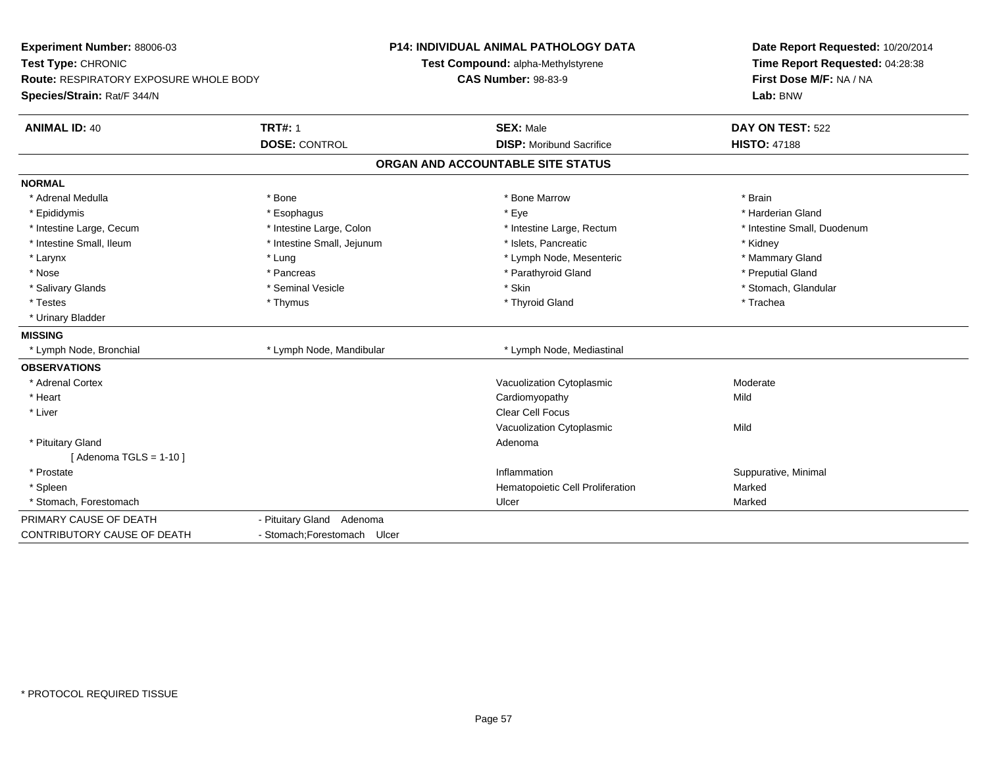| Experiment Number: 88006-03<br>Test Type: CHRONIC<br>Route: RESPIRATORY EXPOSURE WHOLE BODY<br>Species/Strain: Rat/F 344/N |                                        | P14: INDIVIDUAL ANIMAL PATHOLOGY DATA<br>Test Compound: alpha-Methylstyrene<br><b>CAS Number: 98-83-9</b> | Date Report Requested: 10/20/2014<br>Time Report Requested: 04:28:38<br>First Dose M/F: NA / NA<br>Lab: BNW |
|----------------------------------------------------------------------------------------------------------------------------|----------------------------------------|-----------------------------------------------------------------------------------------------------------|-------------------------------------------------------------------------------------------------------------|
| <b>ANIMAL ID: 40</b>                                                                                                       | <b>TRT#: 1</b><br><b>DOSE: CONTROL</b> | <b>SEX: Male</b><br><b>DISP:</b> Moribund Sacrifice                                                       | DAY ON TEST: 522<br><b>HISTO: 47188</b>                                                                     |
|                                                                                                                            |                                        | ORGAN AND ACCOUNTABLE SITE STATUS                                                                         |                                                                                                             |
| <b>NORMAL</b>                                                                                                              |                                        |                                                                                                           |                                                                                                             |
| * Adrenal Medulla                                                                                                          | * Bone                                 | * Bone Marrow                                                                                             | * Brain                                                                                                     |
| * Epididymis                                                                                                               | * Esophagus                            | * Eye                                                                                                     | * Harderian Gland                                                                                           |
| * Intestine Large, Cecum                                                                                                   | * Intestine Large, Colon               | * Intestine Large, Rectum                                                                                 | * Intestine Small, Duodenum                                                                                 |
| * Intestine Small, Ileum                                                                                                   | * Intestine Small, Jejunum             | * Islets, Pancreatic                                                                                      | * Kidney                                                                                                    |
| * Larynx                                                                                                                   | * Lung                                 | * Lymph Node, Mesenteric                                                                                  | * Mammary Gland                                                                                             |
| * Nose                                                                                                                     | * Pancreas                             | * Parathyroid Gland                                                                                       | * Preputial Gland                                                                                           |
| * Salivary Glands                                                                                                          | * Seminal Vesicle                      | * Skin                                                                                                    | * Stomach, Glandular                                                                                        |
| * Testes                                                                                                                   | * Thymus                               | * Thyroid Gland                                                                                           | * Trachea                                                                                                   |
| * Urinary Bladder                                                                                                          |                                        |                                                                                                           |                                                                                                             |
| <b>MISSING</b>                                                                                                             |                                        |                                                                                                           |                                                                                                             |
| * Lymph Node, Bronchial                                                                                                    | * Lymph Node, Mandibular               | * Lymph Node, Mediastinal                                                                                 |                                                                                                             |
| <b>OBSERVATIONS</b>                                                                                                        |                                        |                                                                                                           |                                                                                                             |
| * Adrenal Cortex                                                                                                           |                                        | Vacuolization Cytoplasmic                                                                                 | Moderate                                                                                                    |
| * Heart                                                                                                                    |                                        | Cardiomyopathy                                                                                            | Mild                                                                                                        |
| * Liver                                                                                                                    |                                        | <b>Clear Cell Focus</b>                                                                                   |                                                                                                             |
|                                                                                                                            |                                        | Vacuolization Cytoplasmic                                                                                 | Mild                                                                                                        |
| * Pituitary Gland                                                                                                          |                                        | Adenoma                                                                                                   |                                                                                                             |
| [Adenoma TGLS = $1-10$ ]                                                                                                   |                                        |                                                                                                           |                                                                                                             |
| * Prostate                                                                                                                 |                                        | Inflammation                                                                                              | Suppurative, Minimal                                                                                        |
| * Spleen                                                                                                                   |                                        | Hematopoietic Cell Proliferation                                                                          | Marked                                                                                                      |
| * Stomach, Forestomach                                                                                                     |                                        | Ulcer                                                                                                     | Marked                                                                                                      |
| PRIMARY CAUSE OF DEATH                                                                                                     | - Pituitary Gland Adenoma              |                                                                                                           |                                                                                                             |
| CONTRIBUTORY CAUSE OF DEATH                                                                                                | - Stomach: Forestomach Ulcer           |                                                                                                           |                                                                                                             |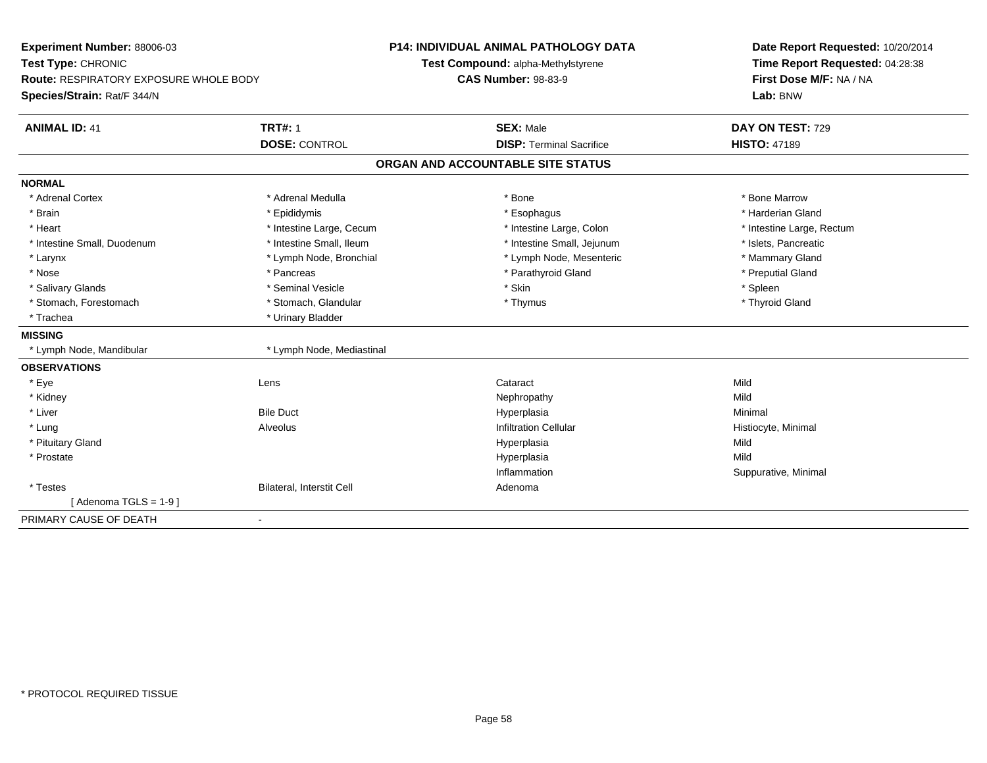| Experiment Number: 88006-03<br>Test Type: CHRONIC                            |                           | <b>P14: INDIVIDUAL ANIMAL PATHOLOGY DATA</b><br>Test Compound: alpha-Methylstyrene | Date Report Requested: 10/20/2014<br>Time Report Requested: 04:28:38 |
|------------------------------------------------------------------------------|---------------------------|------------------------------------------------------------------------------------|----------------------------------------------------------------------|
| <b>Route: RESPIRATORY EXPOSURE WHOLE BODY</b><br>Species/Strain: Rat/F 344/N |                           | <b>CAS Number: 98-83-9</b>                                                         | First Dose M/F: NA / NA<br>Lab: BNW                                  |
| <b>ANIMAL ID: 41</b><br><b>TRT#: 1</b>                                       |                           | <b>SEX: Male</b>                                                                   | DAY ON TEST: 729                                                     |
|                                                                              | <b>DOSE: CONTROL</b>      | <b>DISP: Terminal Sacrifice</b>                                                    | <b>HISTO: 47189</b>                                                  |
|                                                                              |                           | ORGAN AND ACCOUNTABLE SITE STATUS                                                  |                                                                      |
| <b>NORMAL</b>                                                                |                           |                                                                                    |                                                                      |
| * Adrenal Cortex                                                             | * Adrenal Medulla         | * Bone                                                                             | * Bone Marrow                                                        |
| * Brain                                                                      | * Epididymis              | * Esophagus                                                                        | * Harderian Gland                                                    |
| * Heart                                                                      | * Intestine Large, Cecum  | * Intestine Large, Colon                                                           | * Intestine Large, Rectum                                            |
| * Intestine Small, Duodenum                                                  | * Intestine Small, Ileum  | * Intestine Small, Jejunum                                                         | * Islets, Pancreatic                                                 |
| * Larynx                                                                     | * Lymph Node, Bronchial   | * Lymph Node, Mesenteric                                                           | * Mammary Gland                                                      |
| * Nose<br>* Pancreas                                                         |                           | * Parathyroid Gland                                                                | * Preputial Gland                                                    |
| * Salivary Glands                                                            | * Seminal Vesicle         | * Skin                                                                             | * Spleen                                                             |
| * Stomach, Forestomach                                                       | * Stomach, Glandular      | * Thymus                                                                           | * Thyroid Gland                                                      |
| * Trachea                                                                    | * Urinary Bladder         |                                                                                    |                                                                      |
| <b>MISSING</b>                                                               |                           |                                                                                    |                                                                      |
| * Lymph Node, Mandibular                                                     | * Lymph Node, Mediastinal |                                                                                    |                                                                      |
| <b>OBSERVATIONS</b>                                                          |                           |                                                                                    |                                                                      |
| * Eye<br>Lens                                                                |                           | Cataract                                                                           | Mild                                                                 |
| * Kidney                                                                     |                           | Nephropathy                                                                        | Mild                                                                 |
| <b>Bile Duct</b><br>* Liver                                                  |                           | Hyperplasia                                                                        | Minimal                                                              |
| * Lung<br>Alveolus                                                           |                           | <b>Infiltration Cellular</b>                                                       | Histiocyte, Minimal                                                  |
| * Pituitary Gland                                                            |                           | Hyperplasia                                                                        | Mild                                                                 |
| * Prostate                                                                   |                           | Hyperplasia                                                                        | Mild                                                                 |
|                                                                              |                           | Inflammation                                                                       | Suppurative, Minimal                                                 |
| * Testes                                                                     | Bilateral, Interstit Cell | Adenoma                                                                            |                                                                      |
| [Adenoma TGLS = $1-9$ ]                                                      |                           |                                                                                    |                                                                      |
| PRIMARY CAUSE OF DEATH                                                       |                           |                                                                                    |                                                                      |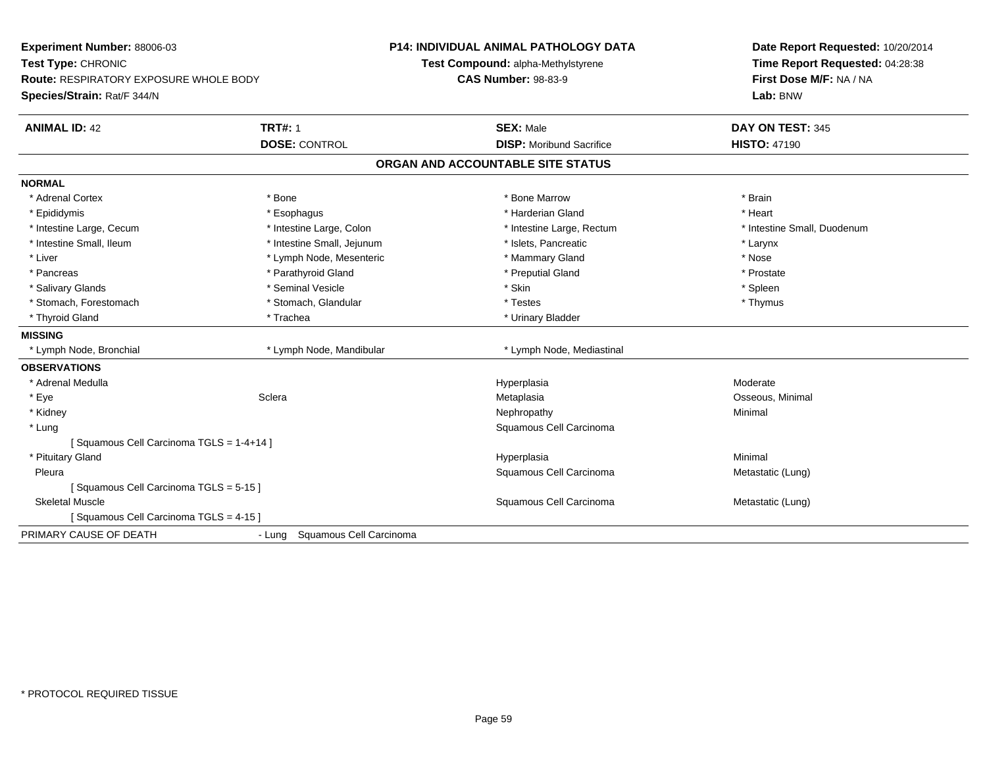| Experiment Number: 88006-03<br>Test Type: CHRONIC                     |                                | <b>P14: INDIVIDUAL ANIMAL PATHOLOGY DATA</b><br>Test Compound: alpha-Methylstyrene | Date Report Requested: 10/20/2014<br>Time Report Requested: 04:28:38 |
|-----------------------------------------------------------------------|--------------------------------|------------------------------------------------------------------------------------|----------------------------------------------------------------------|
| Route: RESPIRATORY EXPOSURE WHOLE BODY<br>Species/Strain: Rat/F 344/N |                                | <b>CAS Number: 98-83-9</b>                                                         | First Dose M/F: NA / NA<br>Lab: BNW                                  |
| <b>ANIMAL ID: 42</b>                                                  | <b>TRT#: 1</b>                 | <b>SEX: Male</b>                                                                   | DAY ON TEST: 345                                                     |
|                                                                       | <b>DOSE: CONTROL</b>           | <b>DISP:</b> Moribund Sacrifice                                                    | <b>HISTO: 47190</b>                                                  |
|                                                                       |                                | ORGAN AND ACCOUNTABLE SITE STATUS                                                  |                                                                      |
| <b>NORMAL</b>                                                         |                                |                                                                                    |                                                                      |
| * Adrenal Cortex                                                      | * Bone                         | * Bone Marrow                                                                      | * Brain                                                              |
| * Epididymis                                                          | * Esophagus                    | * Harderian Gland                                                                  | * Heart                                                              |
| * Intestine Large, Cecum                                              | * Intestine Large, Colon       | * Intestine Large, Rectum                                                          | * Intestine Small, Duodenum                                          |
| * Intestine Small, Ileum                                              | * Intestine Small, Jejunum     | * Islets, Pancreatic                                                               | * Larynx                                                             |
| * Liver                                                               | * Lymph Node, Mesenteric       | * Mammary Gland                                                                    | * Nose                                                               |
| * Pancreas                                                            | * Parathyroid Gland            | * Preputial Gland                                                                  | * Prostate                                                           |
| * Salivary Glands                                                     | * Seminal Vesicle              | * Skin                                                                             | * Spleen                                                             |
| * Stomach, Forestomach                                                | * Stomach, Glandular           | * Testes                                                                           | * Thymus                                                             |
| * Thyroid Gland                                                       | * Trachea                      | * Urinary Bladder                                                                  |                                                                      |
| <b>MISSING</b>                                                        |                                |                                                                                    |                                                                      |
| * Lymph Node, Bronchial                                               | * Lymph Node, Mandibular       | * Lymph Node, Mediastinal                                                          |                                                                      |
| <b>OBSERVATIONS</b>                                                   |                                |                                                                                    |                                                                      |
| * Adrenal Medulla                                                     |                                | Hyperplasia                                                                        | Moderate                                                             |
| * Eye                                                                 | Sclera                         | Metaplasia                                                                         | Osseous, Minimal                                                     |
| * Kidney                                                              |                                | Nephropathy                                                                        | Minimal                                                              |
| * Lung                                                                |                                | Squamous Cell Carcinoma                                                            |                                                                      |
| [Squamous Cell Carcinoma TGLS = 1-4+14]                               |                                |                                                                                    |                                                                      |
| * Pituitary Gland                                                     |                                | Hyperplasia                                                                        | Minimal                                                              |
| Pleura                                                                |                                | Squamous Cell Carcinoma                                                            | Metastatic (Lung)                                                    |
| [Squamous Cell Carcinoma TGLS = 5-15]                                 |                                |                                                                                    |                                                                      |
| <b>Skeletal Muscle</b>                                                |                                | Squamous Cell Carcinoma                                                            | Metastatic (Lung)                                                    |
| [Squamous Cell Carcinoma TGLS = 4-15]                                 |                                |                                                                                    |                                                                      |
| PRIMARY CAUSE OF DEATH                                                | - Lung Squamous Cell Carcinoma |                                                                                    |                                                                      |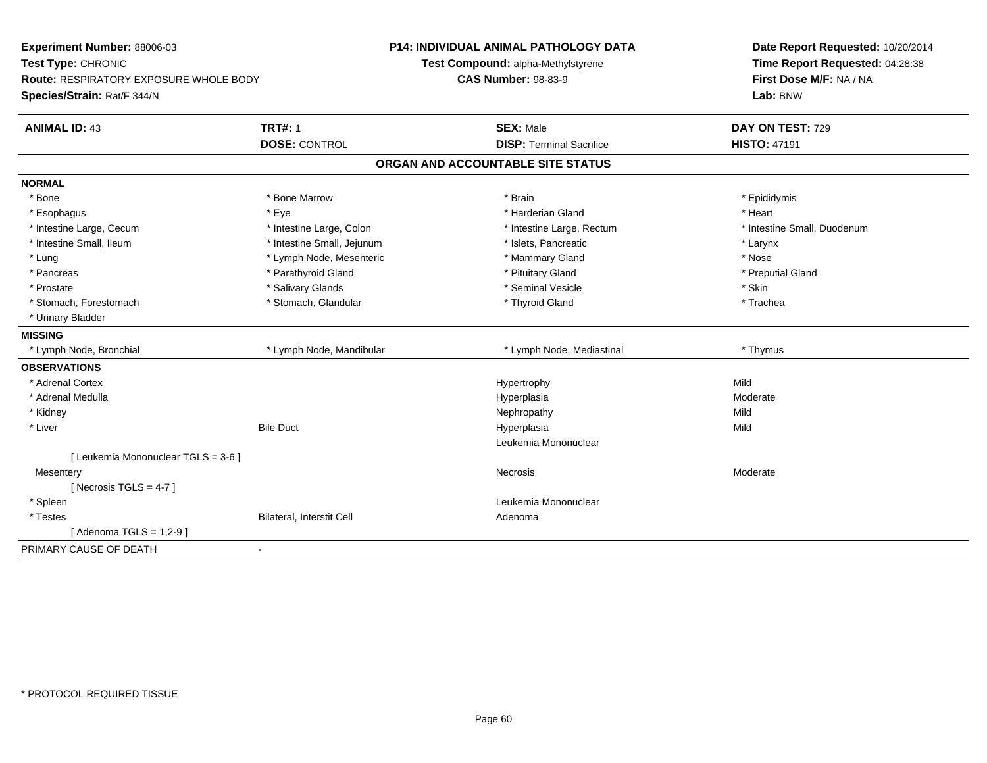| Experiment Number: 88006-03<br>Test Type: CHRONIC<br><b>Route: RESPIRATORY EXPOSURE WHOLE BODY</b> |                            | <b>P14: INDIVIDUAL ANIMAL PATHOLOGY DATA</b> | Date Report Requested: 10/20/2014<br>Time Report Requested: 04:28:38<br>First Dose M/F: NA / NA |
|----------------------------------------------------------------------------------------------------|----------------------------|----------------------------------------------|-------------------------------------------------------------------------------------------------|
|                                                                                                    |                            | Test Compound: alpha-Methylstyrene           |                                                                                                 |
|                                                                                                    |                            | <b>CAS Number: 98-83-9</b>                   |                                                                                                 |
| Species/Strain: Rat/F 344/N                                                                        |                            |                                              | Lab: BNW                                                                                        |
| <b>ANIMAL ID: 43</b>                                                                               | <b>TRT#: 1</b>             | <b>SEX: Male</b>                             | DAY ON TEST: 729                                                                                |
|                                                                                                    | <b>DOSE: CONTROL</b>       | <b>DISP: Terminal Sacrifice</b>              | <b>HISTO: 47191</b>                                                                             |
|                                                                                                    |                            | ORGAN AND ACCOUNTABLE SITE STATUS            |                                                                                                 |
| <b>NORMAL</b>                                                                                      |                            |                                              |                                                                                                 |
| * Bone                                                                                             | * Bone Marrow              | * Brain                                      | * Epididymis                                                                                    |
| * Esophagus                                                                                        | * Eve                      | * Harderian Gland                            | * Heart                                                                                         |
| * Intestine Large, Cecum                                                                           | * Intestine Large, Colon   | * Intestine Large, Rectum                    | * Intestine Small, Duodenum                                                                     |
| * Intestine Small, Ileum                                                                           | * Intestine Small, Jejunum | * Islets, Pancreatic                         | * Larynx                                                                                        |
| * Lung                                                                                             | * Lymph Node, Mesenteric   | * Mammary Gland                              | * Nose                                                                                          |
| * Pancreas                                                                                         | * Parathyroid Gland        | * Pituitary Gland                            | * Preputial Gland                                                                               |
| * Prostate                                                                                         | * Salivary Glands          | * Seminal Vesicle                            | * Skin                                                                                          |
| * Stomach, Forestomach                                                                             | * Stomach, Glandular       | * Thyroid Gland                              | * Trachea                                                                                       |
| * Urinary Bladder                                                                                  |                            |                                              |                                                                                                 |
| <b>MISSING</b>                                                                                     |                            |                                              |                                                                                                 |
| * Lymph Node, Bronchial                                                                            | * Lymph Node, Mandibular   | * Lymph Node, Mediastinal                    | * Thymus                                                                                        |
| <b>OBSERVATIONS</b>                                                                                |                            |                                              |                                                                                                 |
| * Adrenal Cortex                                                                                   |                            | Hypertrophy                                  | Mild                                                                                            |
| * Adrenal Medulla                                                                                  |                            | Hyperplasia                                  | Moderate                                                                                        |
| * Kidney                                                                                           |                            | Nephropathy                                  | Mild                                                                                            |
| * Liver                                                                                            | <b>Bile Duct</b>           | Hyperplasia                                  | Mild                                                                                            |
|                                                                                                    |                            | Leukemia Mononuclear                         |                                                                                                 |
| [ Leukemia Mononuclear TGLS = 3-6 ]                                                                |                            |                                              |                                                                                                 |
| Mesentery                                                                                          |                            | Necrosis                                     | Moderate                                                                                        |
| [Necrosis TGLS = $4-7$ ]                                                                           |                            |                                              |                                                                                                 |
| * Spleen                                                                                           |                            | Leukemia Mononuclear                         |                                                                                                 |
| * Testes                                                                                           | Bilateral, Interstit Cell  | Adenoma                                      |                                                                                                 |
| [Adenoma TGLS = $1,2-9$ ]                                                                          |                            |                                              |                                                                                                 |
| PRIMARY CAUSE OF DEATH                                                                             | $\blacksquare$             |                                              |                                                                                                 |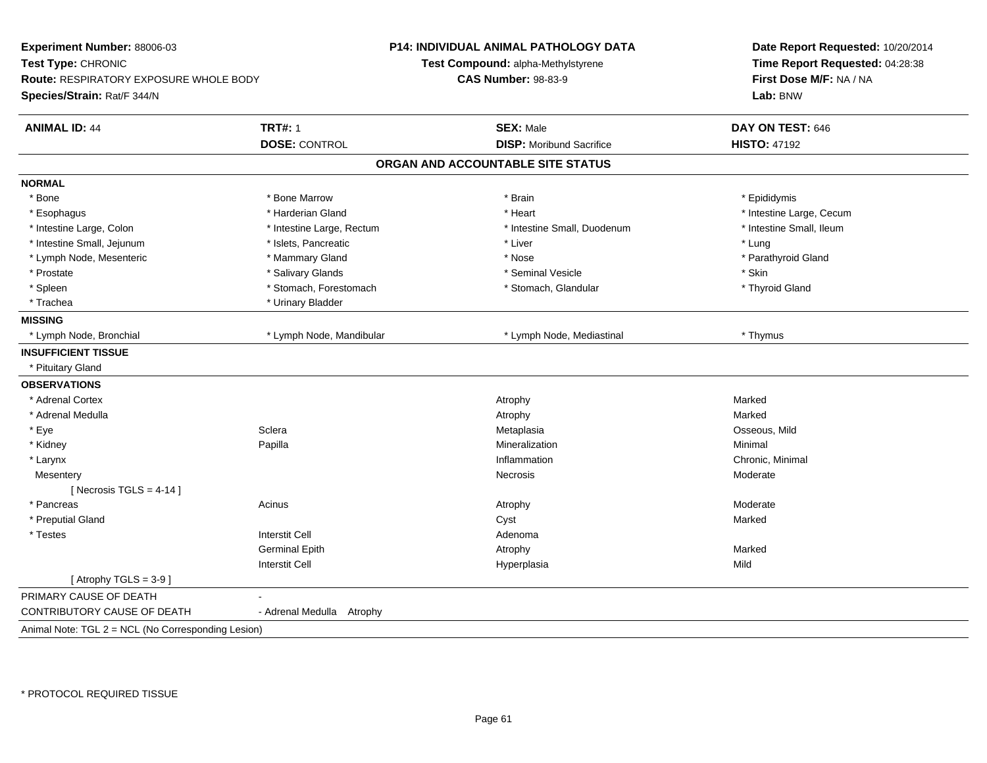| Experiment Number: 88006-03<br>Date Report Requested: 10/20/2014<br>Test Type: CHRONIC<br>Time Report Requested: 04:28:38<br>Test Compound: alpha-Methylstyrene<br>Route: RESPIRATORY EXPOSURE WHOLE BODY<br><b>CAS Number: 98-83-9</b><br>First Dose M/F: NA / NA<br>Species/Strain: Rat/F 344/N<br>Lab: BNW |  |
|---------------------------------------------------------------------------------------------------------------------------------------------------------------------------------------------------------------------------------------------------------------------------------------------------------------|--|
|                                                                                                                                                                                                                                                                                                               |  |
|                                                                                                                                                                                                                                                                                                               |  |
|                                                                                                                                                                                                                                                                                                               |  |
| <b>TRT#: 1</b><br><b>SEX: Male</b><br><b>ANIMAL ID: 44</b><br>DAY ON TEST: 646                                                                                                                                                                                                                                |  |
| <b>DOSE: CONTROL</b><br><b>DISP:</b> Moribund Sacrifice<br><b>HISTO: 47192</b>                                                                                                                                                                                                                                |  |
| ORGAN AND ACCOUNTABLE SITE STATUS                                                                                                                                                                                                                                                                             |  |
| <b>NORMAL</b>                                                                                                                                                                                                                                                                                                 |  |
| * Bone Marrow<br>* Bone<br>* Brain<br>* Epididymis                                                                                                                                                                                                                                                            |  |
| * Harderian Gland<br>* Intestine Large, Cecum<br>* Heart<br>* Esophagus                                                                                                                                                                                                                                       |  |
| * Intestine Small, Ileum<br>* Intestine Large, Colon<br>* Intestine Large, Rectum<br>* Intestine Small, Duodenum                                                                                                                                                                                              |  |
| * Intestine Small, Jejunum<br>* Islets, Pancreatic<br>* Liver<br>* Lung                                                                                                                                                                                                                                       |  |
| * Lymph Node, Mesenteric<br>* Mammary Gland<br>* Nose<br>* Parathyroid Gland                                                                                                                                                                                                                                  |  |
| * Salivary Glands<br>* Skin<br>* Prostate<br>* Seminal Vesicle                                                                                                                                                                                                                                                |  |
| * Stomach, Forestomach<br>* Spleen<br>* Stomach, Glandular<br>* Thyroid Gland                                                                                                                                                                                                                                 |  |
| * Trachea<br>* Urinary Bladder                                                                                                                                                                                                                                                                                |  |
| <b>MISSING</b>                                                                                                                                                                                                                                                                                                |  |
| * Lymph Node, Mandibular<br>* Lymph Node, Bronchial<br>* Lymph Node, Mediastinal<br>* Thymus                                                                                                                                                                                                                  |  |
| <b>INSUFFICIENT TISSUE</b>                                                                                                                                                                                                                                                                                    |  |
| * Pituitary Gland                                                                                                                                                                                                                                                                                             |  |
| <b>OBSERVATIONS</b>                                                                                                                                                                                                                                                                                           |  |
| * Adrenal Cortex<br>Marked<br>Atrophy                                                                                                                                                                                                                                                                         |  |
| * Adrenal Medulla<br>Marked<br>Atrophy                                                                                                                                                                                                                                                                        |  |
| Sclera<br>Osseous, Mild<br>* Eye<br>Metaplasia                                                                                                                                                                                                                                                                |  |
| * Kidney<br>Mineralization<br>Papilla<br>Minimal                                                                                                                                                                                                                                                              |  |
| Chronic, Minimal<br>* Larynx<br>Inflammation                                                                                                                                                                                                                                                                  |  |
| Moderate<br>Mesentery<br>Necrosis                                                                                                                                                                                                                                                                             |  |
| [ Necrosis TGLS = $4-14$ ]                                                                                                                                                                                                                                                                                    |  |
| * Pancreas<br>Acinus<br>Moderate<br>Atrophy                                                                                                                                                                                                                                                                   |  |
| * Preputial Gland<br>Marked<br>Cyst                                                                                                                                                                                                                                                                           |  |
| <b>Interstit Cell</b><br>* Testes<br>Adenoma                                                                                                                                                                                                                                                                  |  |
| <b>Germinal Epith</b><br>Marked<br>Atrophy                                                                                                                                                                                                                                                                    |  |
| <b>Interstit Cell</b><br>Mild<br>Hyperplasia                                                                                                                                                                                                                                                                  |  |
| [Atrophy TGLS = $3-9$ ]                                                                                                                                                                                                                                                                                       |  |
| PRIMARY CAUSE OF DEATH                                                                                                                                                                                                                                                                                        |  |
| CONTRIBUTORY CAUSE OF DEATH<br>- Adrenal Medulla Atrophy                                                                                                                                                                                                                                                      |  |
| Animal Note: TGL 2 = NCL (No Corresponding Lesion)                                                                                                                                                                                                                                                            |  |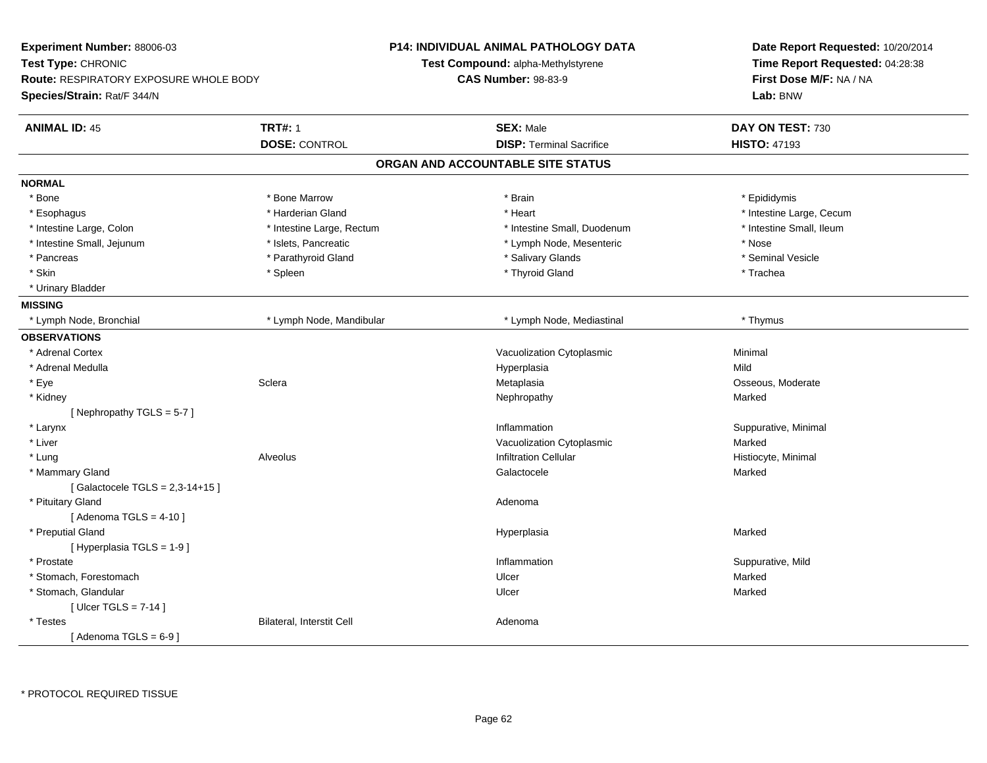| Experiment Number: 88006-03<br>Test Type: CHRONIC<br>Route: RESPIRATORY EXPOSURE WHOLE BODY<br>Species/Strain: Rat/F 344/N |                                        | P14: INDIVIDUAL ANIMAL PATHOLOGY DATA<br>Test Compound: alpha-Methylstyrene<br><b>CAS Number: 98-83-9</b> | Date Report Requested: 10/20/2014<br>Time Report Requested: 04:28:38<br>First Dose M/F: NA / NA<br>Lab: BNW |
|----------------------------------------------------------------------------------------------------------------------------|----------------------------------------|-----------------------------------------------------------------------------------------------------------|-------------------------------------------------------------------------------------------------------------|
| <b>ANIMAL ID: 45</b>                                                                                                       | <b>TRT#: 1</b><br><b>DOSE: CONTROL</b> | <b>SEX: Male</b><br><b>DISP: Terminal Sacrifice</b>                                                       | DAY ON TEST: 730<br><b>HISTO: 47193</b>                                                                     |
|                                                                                                                            |                                        | ORGAN AND ACCOUNTABLE SITE STATUS                                                                         |                                                                                                             |
| <b>NORMAL</b>                                                                                                              |                                        |                                                                                                           |                                                                                                             |
| * Bone                                                                                                                     | * Bone Marrow                          | * Brain                                                                                                   | * Epididymis                                                                                                |
| * Esophagus                                                                                                                | * Harderian Gland                      | * Heart                                                                                                   | * Intestine Large, Cecum                                                                                    |
| * Intestine Large, Colon                                                                                                   | * Intestine Large, Rectum              | * Intestine Small, Duodenum                                                                               | * Intestine Small, Ileum                                                                                    |
| * Intestine Small, Jejunum                                                                                                 | * Islets, Pancreatic                   | * Lymph Node, Mesenteric                                                                                  | * Nose                                                                                                      |
| * Pancreas                                                                                                                 | * Parathyroid Gland                    | * Salivary Glands                                                                                         | * Seminal Vesicle                                                                                           |
| * Skin                                                                                                                     | * Spleen                               | * Thyroid Gland                                                                                           | * Trachea                                                                                                   |
| * Urinary Bladder                                                                                                          |                                        |                                                                                                           |                                                                                                             |
| <b>MISSING</b>                                                                                                             |                                        |                                                                                                           |                                                                                                             |
| * Lymph Node, Bronchial                                                                                                    | * Lymph Node, Mandibular               | * Lymph Node, Mediastinal                                                                                 | * Thymus                                                                                                    |
| <b>OBSERVATIONS</b>                                                                                                        |                                        |                                                                                                           |                                                                                                             |
| * Adrenal Cortex                                                                                                           |                                        | Vacuolization Cytoplasmic                                                                                 | Minimal                                                                                                     |
| * Adrenal Medulla                                                                                                          |                                        | Hyperplasia                                                                                               | Mild                                                                                                        |
| * Eye                                                                                                                      | Sclera                                 | Metaplasia                                                                                                | Osseous, Moderate                                                                                           |
| * Kidney                                                                                                                   |                                        | Nephropathy                                                                                               | Marked                                                                                                      |
| [Nephropathy TGLS = $5-7$ ]                                                                                                |                                        |                                                                                                           |                                                                                                             |
| * Larynx                                                                                                                   |                                        | Inflammation                                                                                              | Suppurative, Minimal                                                                                        |
| * Liver                                                                                                                    |                                        | Vacuolization Cytoplasmic                                                                                 | Marked                                                                                                      |
| * Lung                                                                                                                     | Alveolus                               | <b>Infiltration Cellular</b>                                                                              | Histiocyte, Minimal                                                                                         |
| * Mammary Gland                                                                                                            |                                        | Galactocele                                                                                               | Marked                                                                                                      |
| [Galactocele TGLS = 2,3-14+15]                                                                                             |                                        |                                                                                                           |                                                                                                             |
| * Pituitary Gland                                                                                                          |                                        | Adenoma                                                                                                   |                                                                                                             |
| [Adenoma TGLS = $4-10$ ]                                                                                                   |                                        |                                                                                                           |                                                                                                             |
| * Preputial Gland                                                                                                          |                                        | Hyperplasia                                                                                               | Marked                                                                                                      |
| [ Hyperplasia TGLS = 1-9 ]                                                                                                 |                                        |                                                                                                           |                                                                                                             |
| * Prostate                                                                                                                 |                                        | Inflammation                                                                                              | Suppurative, Mild                                                                                           |
| * Stomach, Forestomach                                                                                                     |                                        | Ulcer                                                                                                     | Marked                                                                                                      |
| * Stomach, Glandular                                                                                                       |                                        | Ulcer                                                                                                     | Marked                                                                                                      |
| [ Ulcer TGLS = $7-14$ ]                                                                                                    |                                        |                                                                                                           |                                                                                                             |
| * Testes                                                                                                                   | Bilateral, Interstit Cell              | Adenoma                                                                                                   |                                                                                                             |
| [Adenoma TGLS = $6-9$ ]                                                                                                    |                                        |                                                                                                           |                                                                                                             |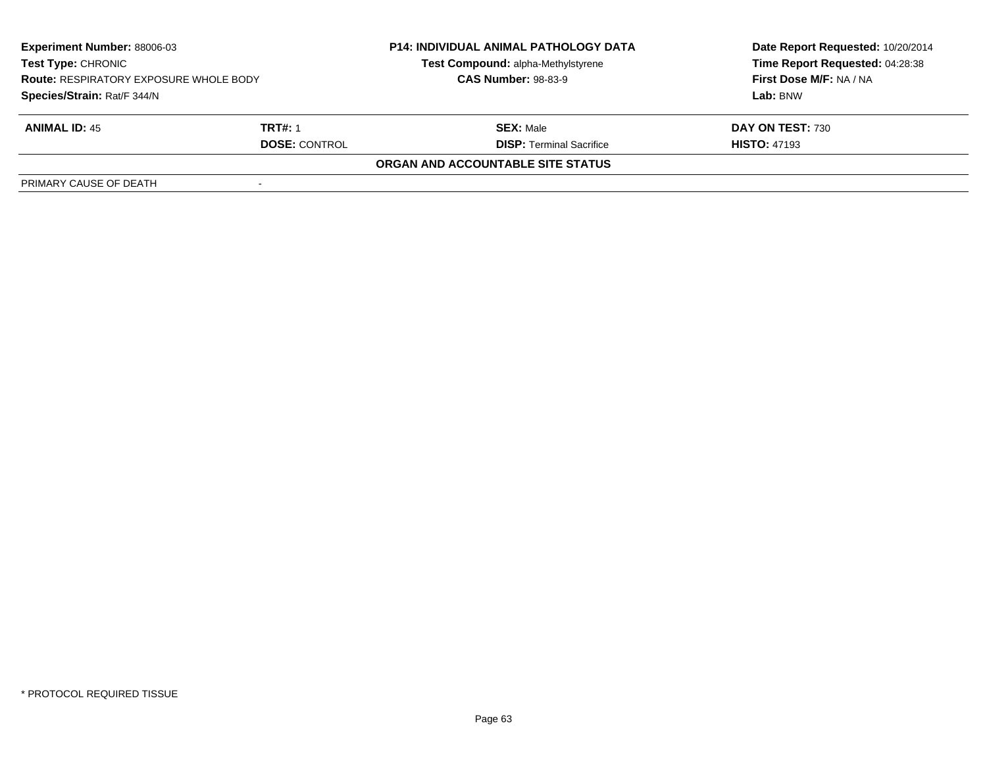| <b>Experiment Number: 88006-03</b><br>Test Type: CHRONIC<br><b>Route: RESPIRATORY EXPOSURE WHOLE BODY</b><br>Species/Strain: Rat/F 344/N |                      | <b>P14: INDIVIDUAL ANIMAL PATHOLOGY DATA</b><br>Test Compound: alpha-Methylstyrene<br><b>CAS Number: 98-83-9</b> | Date Report Requested: 10/20/2014<br>Time Report Requested: 04:28:38<br>First Dose M/F: NA / NA<br>Lab: BNW |
|------------------------------------------------------------------------------------------------------------------------------------------|----------------------|------------------------------------------------------------------------------------------------------------------|-------------------------------------------------------------------------------------------------------------|
|                                                                                                                                          |                      |                                                                                                                  |                                                                                                             |
| <b>ANIMAL ID: 45</b>                                                                                                                     | TRT#: 1              | <b>SEX: Male</b>                                                                                                 | DAY ON TEST: 730                                                                                            |
|                                                                                                                                          | <b>DOSE: CONTROL</b> | <b>DISP: Terminal Sacrifice</b>                                                                                  | <b>HISTO: 47193</b>                                                                                         |
|                                                                                                                                          |                      | ORGAN AND ACCOUNTABLE SITE STATUS                                                                                |                                                                                                             |
| PRIMARY CAUSE OF DEATH                                                                                                                   |                      |                                                                                                                  |                                                                                                             |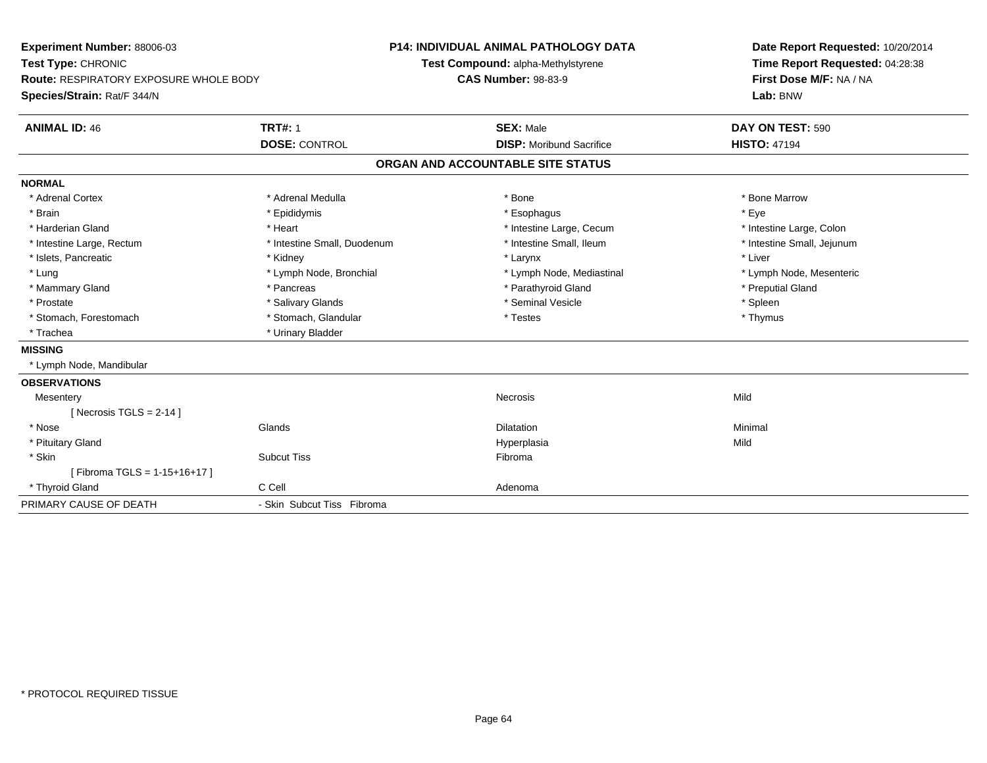| Experiment Number: 88006-03<br>Test Type: CHRONIC<br><b>Route: RESPIRATORY EXPOSURE WHOLE BODY</b><br>Species/Strain: Rat/F 344/N |                                        | <b>P14: INDIVIDUAL ANIMAL PATHOLOGY DATA</b><br>Test Compound: alpha-Methylstyrene<br><b>CAS Number: 98-83-9</b> |                                                     | Date Report Requested: 10/20/2014<br>Time Report Requested: 04:28:38<br>First Dose M/F: NA / NA<br>Lab: BNW |  |
|-----------------------------------------------------------------------------------------------------------------------------------|----------------------------------------|------------------------------------------------------------------------------------------------------------------|-----------------------------------------------------|-------------------------------------------------------------------------------------------------------------|--|
| <b>ANIMAL ID: 46</b>                                                                                                              | <b>TRT#: 1</b><br><b>DOSE: CONTROL</b> |                                                                                                                  | <b>SEX: Male</b><br><b>DISP:</b> Moribund Sacrifice | DAY ON TEST: 590<br><b>HISTO: 47194</b>                                                                     |  |
|                                                                                                                                   |                                        |                                                                                                                  | ORGAN AND ACCOUNTABLE SITE STATUS                   |                                                                                                             |  |
| <b>NORMAL</b>                                                                                                                     |                                        |                                                                                                                  |                                                     |                                                                                                             |  |
| * Adrenal Cortex                                                                                                                  | * Adrenal Medulla                      |                                                                                                                  | * Bone                                              | * Bone Marrow                                                                                               |  |
| * Brain                                                                                                                           | * Epididymis                           |                                                                                                                  | * Esophagus                                         | * Eye                                                                                                       |  |
| * Harderian Gland                                                                                                                 | * Heart                                |                                                                                                                  | * Intestine Large, Cecum                            | * Intestine Large, Colon                                                                                    |  |
| * Intestine Large, Rectum                                                                                                         | * Intestine Small, Duodenum            |                                                                                                                  | * Intestine Small, Ileum                            | * Intestine Small, Jejunum                                                                                  |  |
| * Islets, Pancreatic                                                                                                              | * Kidney                               |                                                                                                                  | * Larynx                                            | * Liver                                                                                                     |  |
| * Lung                                                                                                                            | * Lymph Node, Bronchial                |                                                                                                                  | * Lymph Node, Mediastinal                           | * Lymph Node, Mesenteric                                                                                    |  |
| * Mammary Gland                                                                                                                   | * Pancreas                             |                                                                                                                  | * Parathyroid Gland                                 | * Preputial Gland                                                                                           |  |
| * Prostate                                                                                                                        | * Salivary Glands                      |                                                                                                                  | * Seminal Vesicle                                   | * Spleen                                                                                                    |  |
| * Stomach, Forestomach                                                                                                            | * Stomach, Glandular                   |                                                                                                                  | * Testes                                            | * Thymus                                                                                                    |  |
| * Trachea                                                                                                                         | * Urinary Bladder                      |                                                                                                                  |                                                     |                                                                                                             |  |
| <b>MISSING</b>                                                                                                                    |                                        |                                                                                                                  |                                                     |                                                                                                             |  |
| * Lymph Node, Mandibular                                                                                                          |                                        |                                                                                                                  |                                                     |                                                                                                             |  |
| <b>OBSERVATIONS</b>                                                                                                               |                                        |                                                                                                                  |                                                     |                                                                                                             |  |
| Mesentery                                                                                                                         |                                        |                                                                                                                  | <b>Necrosis</b>                                     | Mild                                                                                                        |  |
| [Necrosis TGLS = $2-14$ ]                                                                                                         |                                        |                                                                                                                  |                                                     |                                                                                                             |  |
| * Nose                                                                                                                            | Glands                                 |                                                                                                                  | <b>Dilatation</b>                                   | Minimal                                                                                                     |  |
| * Pituitary Gland                                                                                                                 |                                        |                                                                                                                  | Hyperplasia                                         | Mild                                                                                                        |  |
| * Skin                                                                                                                            | <b>Subcut Tiss</b>                     |                                                                                                                  | Fibroma                                             |                                                                                                             |  |
| [Fibroma TGLS = 1-15+16+17]                                                                                                       |                                        |                                                                                                                  |                                                     |                                                                                                             |  |
| * Thyroid Gland                                                                                                                   | C Cell                                 |                                                                                                                  | Adenoma                                             |                                                                                                             |  |
| PRIMARY CAUSE OF DEATH                                                                                                            | - Skin Subcut Tiss Fibroma             |                                                                                                                  |                                                     |                                                                                                             |  |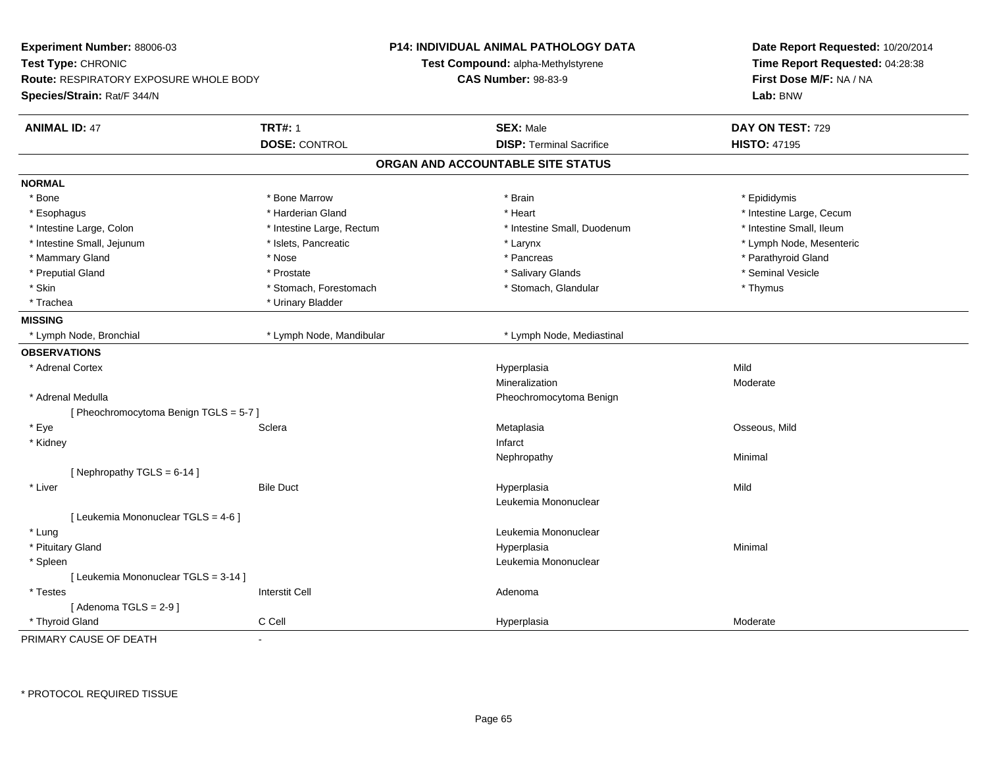| Experiment Number: 88006-03<br>Test Type: CHRONIC<br><b>Route: RESPIRATORY EXPOSURE WHOLE BODY</b><br>Species/Strain: Rat/F 344/N |                                        | <b>P14: INDIVIDUAL ANIMAL PATHOLOGY DATA</b><br><b>Test Compound: alpha-Methylstyrene</b><br><b>CAS Number: 98-83-9</b> | Date Report Requested: 10/20/2014<br>Time Report Requested: 04:28:38<br>First Dose M/F: NA / NA<br>Lab: BNW |
|-----------------------------------------------------------------------------------------------------------------------------------|----------------------------------------|-------------------------------------------------------------------------------------------------------------------------|-------------------------------------------------------------------------------------------------------------|
| <b>ANIMAL ID: 47</b>                                                                                                              | <b>TRT#: 1</b><br><b>DOSE: CONTROL</b> | <b>SEX: Male</b><br><b>DISP: Terminal Sacrifice</b>                                                                     | DAY ON TEST: 729<br><b>HISTO: 47195</b>                                                                     |
|                                                                                                                                   |                                        | ORGAN AND ACCOUNTABLE SITE STATUS                                                                                       |                                                                                                             |
| <b>NORMAL</b>                                                                                                                     |                                        |                                                                                                                         |                                                                                                             |
| $*$ Bone                                                                                                                          | * Bone Marrow                          | * Brain                                                                                                                 | * Epididymis                                                                                                |
| * Esophagus                                                                                                                       | * Harderian Gland                      | * Heart                                                                                                                 | * Intestine Large, Cecum                                                                                    |
| * Intestine Large, Colon                                                                                                          | * Intestine Large, Rectum              | * Intestine Small, Duodenum                                                                                             | * Intestine Small, Ileum                                                                                    |
| * Intestine Small, Jejunum                                                                                                        | * Islets, Pancreatic                   | * Larynx                                                                                                                | * Lymph Node, Mesenteric                                                                                    |
| * Mammary Gland                                                                                                                   | * Nose                                 | * Pancreas                                                                                                              | * Parathyroid Gland                                                                                         |
| * Preputial Gland                                                                                                                 | * Prostate                             | * Salivary Glands                                                                                                       | * Seminal Vesicle                                                                                           |
| * Skin                                                                                                                            | * Stomach, Forestomach                 | * Stomach, Glandular                                                                                                    | * Thymus                                                                                                    |
| * Trachea                                                                                                                         | * Urinary Bladder                      |                                                                                                                         |                                                                                                             |
| <b>MISSING</b>                                                                                                                    |                                        |                                                                                                                         |                                                                                                             |
| * Lymph Node, Bronchial                                                                                                           | * Lymph Node, Mandibular               | * Lymph Node, Mediastinal                                                                                               |                                                                                                             |
| <b>OBSERVATIONS</b>                                                                                                               |                                        |                                                                                                                         |                                                                                                             |
| * Adrenal Cortex                                                                                                                  |                                        | Hyperplasia                                                                                                             | Mild                                                                                                        |
|                                                                                                                                   |                                        | Mineralization                                                                                                          | Moderate                                                                                                    |
| * Adrenal Medulla                                                                                                                 |                                        | Pheochromocytoma Benign                                                                                                 |                                                                                                             |
| [ Pheochromocytoma Benign TGLS = 5-7 ]                                                                                            |                                        |                                                                                                                         |                                                                                                             |
| * Eye                                                                                                                             | Sclera                                 | Metaplasia                                                                                                              | Osseous, Mild                                                                                               |
| * Kidney                                                                                                                          |                                        | Infarct                                                                                                                 |                                                                                                             |
|                                                                                                                                   |                                        | Nephropathy                                                                                                             | Minimal                                                                                                     |
| [Nephropathy TGLS = 6-14]                                                                                                         |                                        |                                                                                                                         |                                                                                                             |
| * Liver                                                                                                                           | <b>Bile Duct</b>                       | Hyperplasia                                                                                                             | Mild                                                                                                        |
|                                                                                                                                   |                                        | Leukemia Mononuclear                                                                                                    |                                                                                                             |
| [ Leukemia Mononuclear TGLS = 4-6 ]                                                                                               |                                        |                                                                                                                         |                                                                                                             |
| * Lung                                                                                                                            |                                        | Leukemia Mononuclear                                                                                                    |                                                                                                             |
| * Pituitary Gland                                                                                                                 |                                        | Hyperplasia                                                                                                             | Minimal                                                                                                     |
| * Spleen                                                                                                                          |                                        | Leukemia Mononuclear                                                                                                    |                                                                                                             |
| [ Leukemia Mononuclear TGLS = 3-14 ]                                                                                              |                                        |                                                                                                                         |                                                                                                             |
| * Testes                                                                                                                          | <b>Interstit Cell</b>                  | Adenoma                                                                                                                 |                                                                                                             |
| [Adenoma TGLS = $2-9$ ]                                                                                                           |                                        |                                                                                                                         |                                                                                                             |
| * Thyroid Gland                                                                                                                   | C Cell                                 | Hyperplasia                                                                                                             | Moderate                                                                                                    |
| PRIMARY CAUSE OF DEATH                                                                                                            | $\overline{a}$                         |                                                                                                                         |                                                                                                             |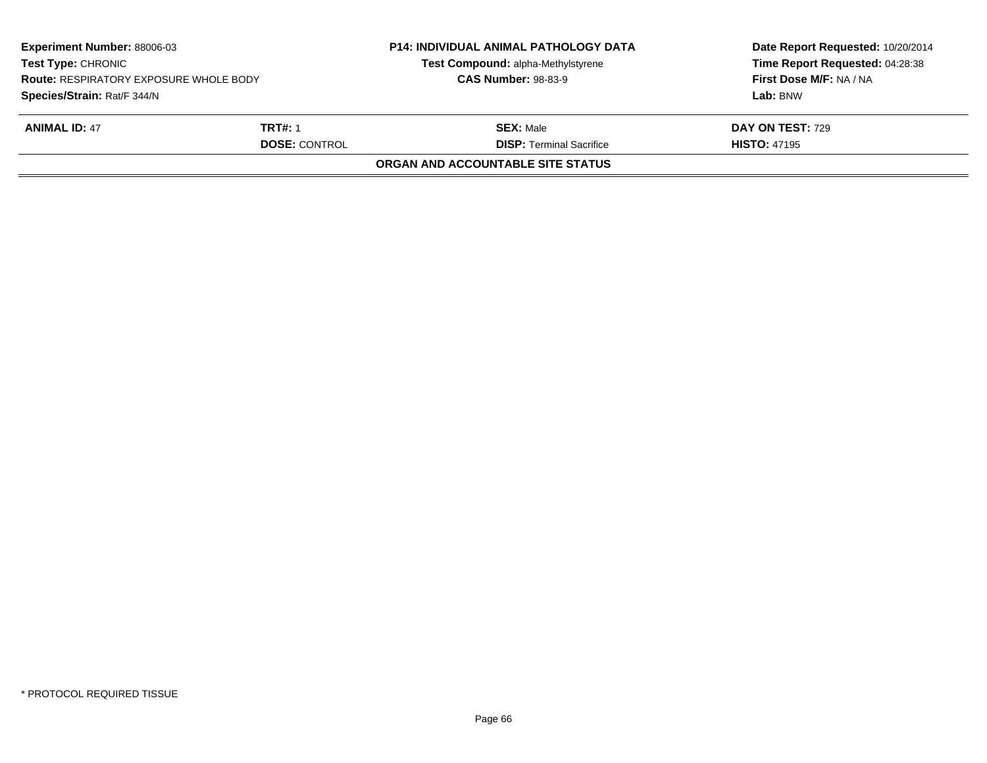| <b>Experiment Number: 88006-03</b><br><b>Test Type: CHRONIC</b><br><b>Route: RESPIRATORY EXPOSURE WHOLE BODY</b><br>Species/Strain: Rat/F 344/N |  | <b>P14: INDIVIDUAL ANIMAL PATHOLOGY DATA</b><br>Test Compound: alpha-Methylstyrene<br><b>CAS Number: 98-83-9</b> | Date Report Requested: 10/20/2014<br>Time Report Requested: 04:28:38<br>First Dose M/F: NA / NA<br>Lab: BNW |
|-------------------------------------------------------------------------------------------------------------------------------------------------|--|------------------------------------------------------------------------------------------------------------------|-------------------------------------------------------------------------------------------------------------|
| <b>ANIMAL ID: 47</b><br><b>TRT#: 1</b><br><b>DOSE: CONTROL</b>                                                                                  |  | <b>SEX:</b> Male<br><b>DISP: Terminal Sacrifice</b>                                                              | <b>DAY ON TEST: 729</b><br><b>HISTO: 47195</b>                                                              |
|                                                                                                                                                 |  | <b>ORGAN AND ACCOUNTABLE SITE STATUS</b>                                                                         |                                                                                                             |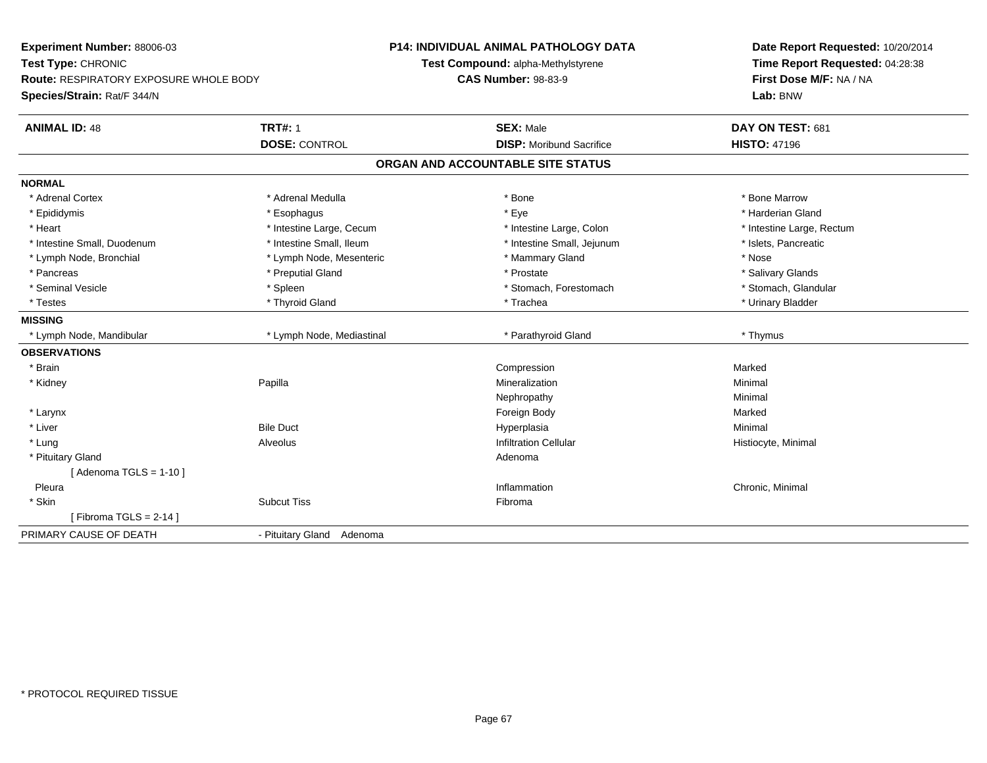| Experiment Number: 88006-03            |                           | <b>P14: INDIVIDUAL ANIMAL PATHOLOGY DATA</b> | Date Report Requested: 10/20/2014 |  |
|----------------------------------------|---------------------------|----------------------------------------------|-----------------------------------|--|
| Test Type: CHRONIC                     |                           | Test Compound: alpha-Methylstyrene           | Time Report Requested: 04:28:38   |  |
| Route: RESPIRATORY EXPOSURE WHOLE BODY |                           | <b>CAS Number: 98-83-9</b>                   | First Dose M/F: NA / NA           |  |
| Species/Strain: Rat/F 344/N            |                           |                                              | Lab: BNW                          |  |
| <b>TRT#: 1</b><br><b>ANIMAL ID: 48</b> |                           | <b>SEX: Male</b>                             | DAY ON TEST: 681                  |  |
| <b>DOSE: CONTROL</b>                   |                           | <b>DISP:</b> Moribund Sacrifice              | <b>HISTO: 47196</b>               |  |
|                                        |                           | ORGAN AND ACCOUNTABLE SITE STATUS            |                                   |  |
| <b>NORMAL</b>                          |                           |                                              |                                   |  |
| * Adrenal Cortex                       | * Adrenal Medulla         | * Bone                                       | * Bone Marrow                     |  |
| * Epididymis<br>* Esophagus            |                           | * Eye                                        | * Harderian Gland                 |  |
| * Heart                                | * Intestine Large, Cecum  | * Intestine Large, Colon                     | * Intestine Large, Rectum         |  |
| * Intestine Small, Duodenum            | * Intestine Small, Ileum  | * Intestine Small, Jejunum                   | * Islets, Pancreatic              |  |
| * Lymph Node, Bronchial                | * Lymph Node, Mesenteric  | * Mammary Gland                              | * Nose                            |  |
| * Pancreas                             | * Preputial Gland         | * Prostate                                   | * Salivary Glands                 |  |
| * Seminal Vesicle<br>* Spleen          |                           | * Stomach, Forestomach                       | * Stomach, Glandular              |  |
| * Thyroid Gland<br>* Testes            |                           | * Trachea                                    | * Urinary Bladder                 |  |
| <b>MISSING</b>                         |                           |                                              |                                   |  |
| * Lymph Node, Mandibular               | * Lymph Node, Mediastinal | * Parathyroid Gland                          | * Thymus                          |  |
| <b>OBSERVATIONS</b>                    |                           |                                              |                                   |  |
| * Brain                                |                           | Compression                                  | Marked                            |  |
| Papilla<br>* Kidney                    |                           | Mineralization                               | Minimal                           |  |
|                                        |                           | Nephropathy                                  | Minimal                           |  |
| * Larynx                               |                           | Foreign Body                                 | Marked                            |  |
| * Liver<br><b>Bile Duct</b>            |                           | Hyperplasia                                  | Minimal                           |  |
| * Lung<br>Alveolus                     |                           | <b>Infiltration Cellular</b>                 | Histiocyte, Minimal               |  |
| * Pituitary Gland                      |                           | Adenoma                                      |                                   |  |
| [Adenoma TGLS = $1-10$ ]               |                           |                                              |                                   |  |
| Pleura                                 |                           | Inflammation                                 | Chronic, Minimal                  |  |
| * Skin<br><b>Subcut Tiss</b>           |                           | Fibroma                                      |                                   |  |
| [Fibroma TGLS = $2-14$ ]               |                           |                                              |                                   |  |
| PRIMARY CAUSE OF DEATH                 | - Pituitary Gland Adenoma |                                              |                                   |  |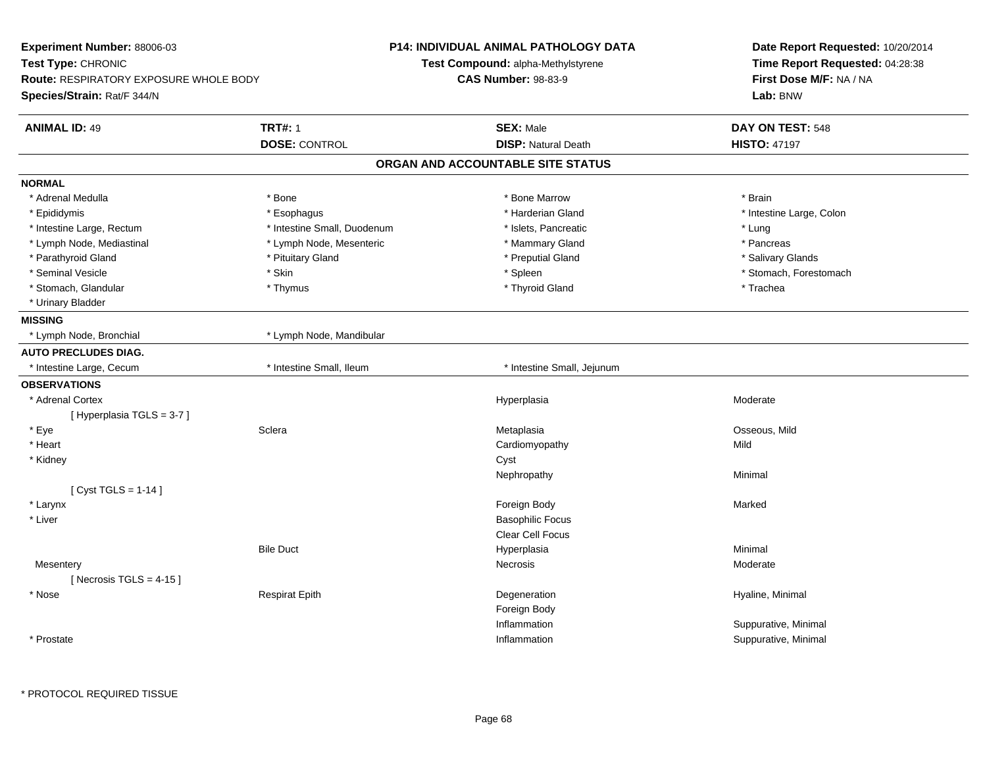| Test Type: CHRONIC<br>Test Compound: alpha-Methylstyrene<br><b>Route: RESPIRATORY EXPOSURE WHOLE BODY</b><br><b>CAS Number: 98-83-9</b><br>Species/Strain: Rat/F 344/N | Date Report Requested: 10/20/2014<br>Time Report Requested: 04:28:38<br>First Dose M/F: NA / NA<br>Lab: BNW |
|------------------------------------------------------------------------------------------------------------------------------------------------------------------------|-------------------------------------------------------------------------------------------------------------|
| <b>TRT#: 1</b><br><b>ANIMAL ID: 49</b><br><b>SEX: Male</b><br>DAY ON TEST: 548<br><b>DISP: Natural Death</b><br><b>DOSE: CONTROL</b><br><b>HISTO: 47197</b>            |                                                                                                             |
| ORGAN AND ACCOUNTABLE SITE STATUS                                                                                                                                      |                                                                                                             |
| <b>NORMAL</b>                                                                                                                                                          |                                                                                                             |
| * Bone Marrow<br>* Adrenal Medulla<br>* Bone<br>* Brain                                                                                                                |                                                                                                             |
| * Harderian Gland<br>* Epididymis<br>* Esophagus<br>* Intestine Large, Colon                                                                                           |                                                                                                             |
| * Intestine Small, Duodenum<br>* Intestine Large, Rectum<br>* Islets, Pancreatic<br>* Lung                                                                             |                                                                                                             |
| * Lymph Node, Mediastinal<br>* Lymph Node, Mesenteric<br>* Mammary Gland<br>* Pancreas                                                                                 |                                                                                                             |
| * Parathyroid Gland<br>* Pituitary Gland<br>* Preputial Gland<br>* Salivary Glands                                                                                     |                                                                                                             |
| * Seminal Vesicle<br>$^\star$ Skin<br>* Spleen<br>* Stomach, Forestomach                                                                                               |                                                                                                             |
| * Stomach, Glandular<br>* Thyroid Gland<br>* Trachea<br>* Thymus                                                                                                       |                                                                                                             |
| * Urinary Bladder                                                                                                                                                      |                                                                                                             |
| <b>MISSING</b>                                                                                                                                                         |                                                                                                             |
| * Lymph Node, Bronchial<br>* Lymph Node, Mandibular                                                                                                                    |                                                                                                             |
| <b>AUTO PRECLUDES DIAG.</b>                                                                                                                                            |                                                                                                             |
| * Intestine Small, Ileum<br>* Intestine Small, Jejunum<br>* Intestine Large, Cecum                                                                                     |                                                                                                             |
| <b>OBSERVATIONS</b>                                                                                                                                                    |                                                                                                             |
| * Adrenal Cortex<br>Moderate<br>Hyperplasia                                                                                                                            |                                                                                                             |
| [Hyperplasia TGLS = 3-7]                                                                                                                                               |                                                                                                             |
| * Eye<br>Sclera<br>Osseous, Mild<br>Metaplasia                                                                                                                         |                                                                                                             |
| * Heart<br>Cardiomyopathy<br>Mild                                                                                                                                      |                                                                                                             |
| * Kidney<br>Cyst                                                                                                                                                       |                                                                                                             |
| Nephropathy<br>Minimal                                                                                                                                                 |                                                                                                             |
| [ Cyst TGLS = $1-14$ ]                                                                                                                                                 |                                                                                                             |
| Foreign Body<br>* Larynx<br>Marked                                                                                                                                     |                                                                                                             |
| * Liver<br><b>Basophilic Focus</b>                                                                                                                                     |                                                                                                             |
| Clear Cell Focus                                                                                                                                                       |                                                                                                             |
| <b>Bile Duct</b><br>Minimal<br>Hyperplasia                                                                                                                             |                                                                                                             |
| Necrosis<br>Moderate<br>Mesentery                                                                                                                                      |                                                                                                             |
| [Necrosis TGLS = $4-15$ ]                                                                                                                                              |                                                                                                             |
| * Nose<br><b>Respirat Epith</b><br>Degeneration<br>Hyaline, Minimal                                                                                                    |                                                                                                             |
| Foreign Body                                                                                                                                                           |                                                                                                             |
| Inflammation<br>Suppurative, Minimal                                                                                                                                   |                                                                                                             |
| * Prostate<br>Suppurative, Minimal<br>Inflammation                                                                                                                     |                                                                                                             |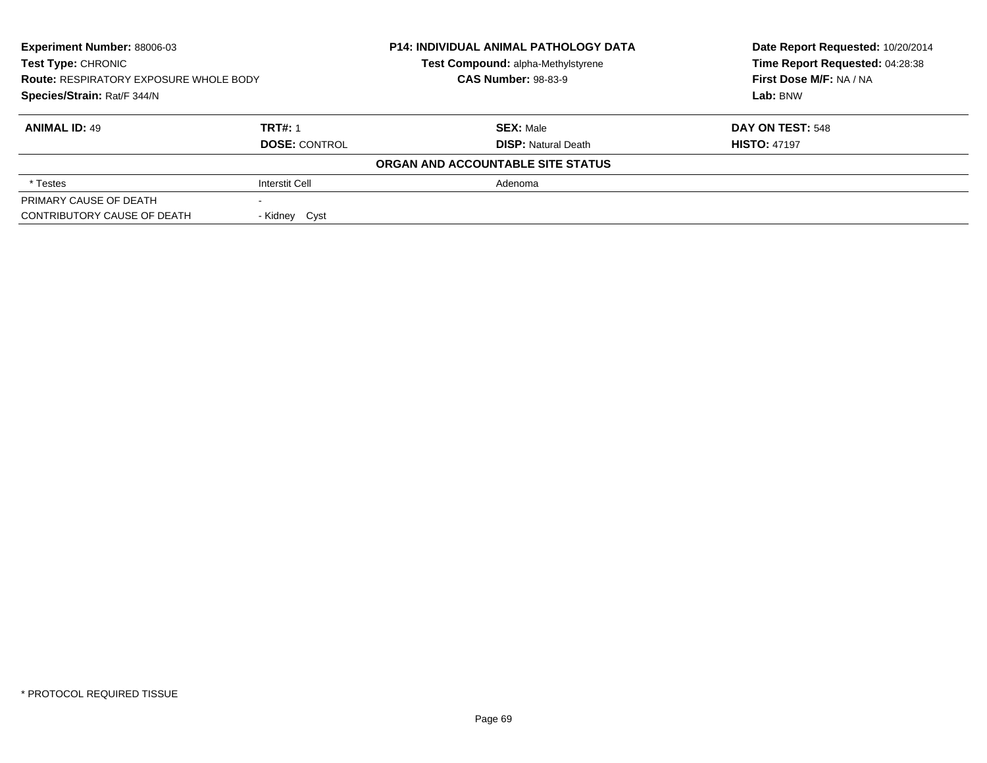| Experiment Number: 88006-03<br><b>Test Type: CHRONIC</b><br><b>Route: RESPIRATORY EXPOSURE WHOLE BODY</b><br>Species/Strain: Rat/F 344/N |                       | <b>P14: INDIVIDUAL ANIMAL PATHOLOGY DATA</b> | Date Report Requested: 10/20/2014 |
|------------------------------------------------------------------------------------------------------------------------------------------|-----------------------|----------------------------------------------|-----------------------------------|
|                                                                                                                                          |                       | Test Compound: alpha-Methylstyrene           | Time Report Requested: 04:28:38   |
|                                                                                                                                          |                       | <b>CAS Number: 98-83-9</b>                   | First Dose M/F: NA / NA           |
|                                                                                                                                          |                       |                                              | Lab: BNW                          |
| <b>ANIMAL ID: 49</b>                                                                                                                     | <b>TRT#: 1</b>        | <b>SEX:</b> Male                             | DAY ON TEST: 548                  |
|                                                                                                                                          | <b>DOSE: CONTROL</b>  | <b>DISP: Natural Death</b>                   | <b>HISTO: 47197</b>               |
|                                                                                                                                          |                       | ORGAN AND ACCOUNTABLE SITE STATUS            |                                   |
| * Testes                                                                                                                                 | <b>Interstit Cell</b> | Adenoma                                      |                                   |
| PRIMARY CAUSE OF DEATH                                                                                                                   |                       |                                              |                                   |
| CONTRIBUTORY CAUSE OF DEATH                                                                                                              | - Kidney Cyst         |                                              |                                   |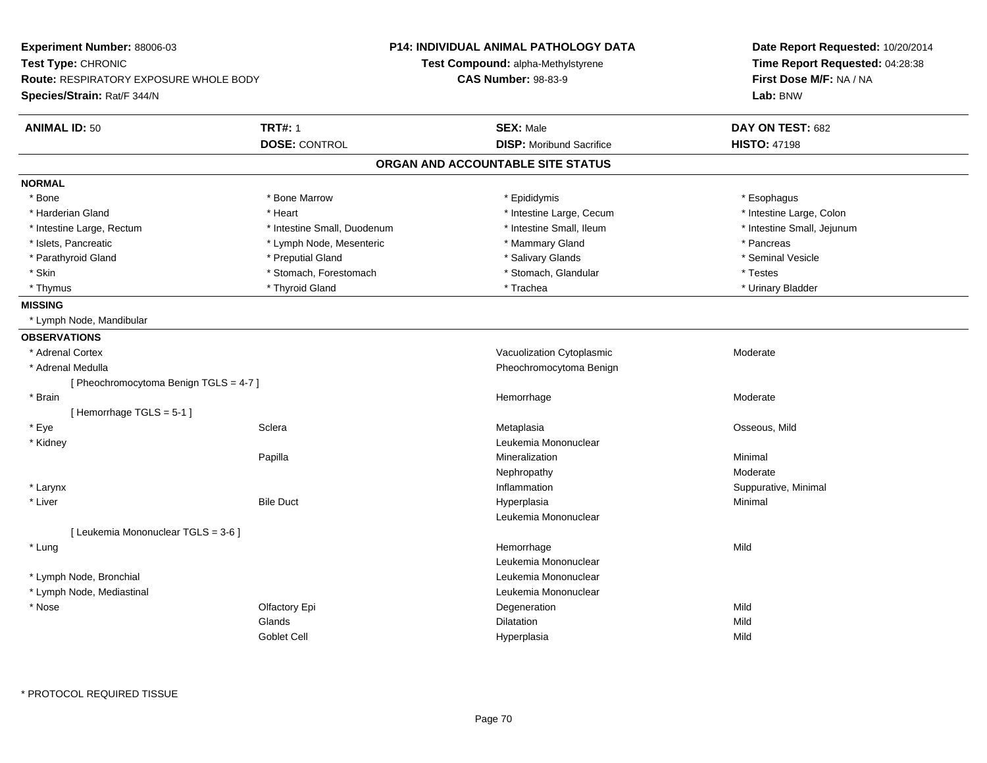| Experiment Number: 88006-03                   |                             | <b>P14: INDIVIDUAL ANIMAL PATHOLOGY DATA</b> | Date Report Requested: 10/20/2014<br>Time Report Requested: 04:28:38<br>First Dose M/F: NA / NA |  |
|-----------------------------------------------|-----------------------------|----------------------------------------------|-------------------------------------------------------------------------------------------------|--|
| Test Type: CHRONIC                            |                             | Test Compound: alpha-Methylstyrene           |                                                                                                 |  |
| <b>Route: RESPIRATORY EXPOSURE WHOLE BODY</b> |                             | <b>CAS Number: 98-83-9</b>                   |                                                                                                 |  |
| Species/Strain: Rat/F 344/N                   |                             |                                              | Lab: BNW                                                                                        |  |
| <b>ANIMAL ID: 50</b>                          | <b>TRT#: 1</b>              | <b>SEX: Male</b>                             | DAY ON TEST: 682                                                                                |  |
|                                               | <b>DOSE: CONTROL</b>        | <b>DISP:</b> Moribund Sacrifice              | <b>HISTO: 47198</b>                                                                             |  |
|                                               |                             | ORGAN AND ACCOUNTABLE SITE STATUS            |                                                                                                 |  |
| <b>NORMAL</b>                                 |                             |                                              |                                                                                                 |  |
| * Bone                                        | * Bone Marrow               | * Epididymis                                 | * Esophagus                                                                                     |  |
| * Harderian Gland                             | * Heart                     | * Intestine Large, Cecum                     | * Intestine Large, Colon                                                                        |  |
| * Intestine Large, Rectum                     | * Intestine Small, Duodenum | * Intestine Small, Ileum                     | * Intestine Small, Jejunum                                                                      |  |
| * Islets, Pancreatic                          | * Lymph Node, Mesenteric    | * Mammary Gland                              | * Pancreas                                                                                      |  |
| * Parathyroid Gland                           | * Preputial Gland           | * Salivary Glands                            | * Seminal Vesicle                                                                               |  |
| * Skin                                        | * Stomach, Forestomach      | * Stomach, Glandular                         | * Testes                                                                                        |  |
| * Thymus                                      | * Thyroid Gland             | * Trachea                                    | * Urinary Bladder                                                                               |  |
| <b>MISSING</b>                                |                             |                                              |                                                                                                 |  |
| * Lymph Node, Mandibular                      |                             |                                              |                                                                                                 |  |
| <b>OBSERVATIONS</b>                           |                             |                                              |                                                                                                 |  |
| * Adrenal Cortex                              |                             | Vacuolization Cytoplasmic                    | Moderate                                                                                        |  |
| * Adrenal Medulla                             |                             | Pheochromocytoma Benign                      |                                                                                                 |  |
| [Pheochromocytoma Benign TGLS = 4-7]          |                             |                                              |                                                                                                 |  |
| * Brain                                       |                             | Hemorrhage                                   | Moderate                                                                                        |  |
| [Hemorrhage TGLS = 5-1]                       |                             |                                              |                                                                                                 |  |
| * Eye                                         | Sclera                      | Metaplasia                                   | Osseous, Mild                                                                                   |  |
| * Kidney                                      |                             | Leukemia Mononuclear                         |                                                                                                 |  |
|                                               | Papilla                     | Mineralization                               | Minimal                                                                                         |  |
|                                               |                             | Nephropathy                                  | Moderate                                                                                        |  |
| * Larynx                                      |                             | Inflammation                                 | Suppurative, Minimal                                                                            |  |
| * Liver                                       | <b>Bile Duct</b>            | Hyperplasia                                  | Minimal                                                                                         |  |
|                                               |                             | Leukemia Mononuclear                         |                                                                                                 |  |
| [ Leukemia Mononuclear TGLS = 3-6 ]           |                             |                                              |                                                                                                 |  |
| * Lung                                        |                             | Hemorrhage                                   | Mild                                                                                            |  |
|                                               |                             | Leukemia Mononuclear                         |                                                                                                 |  |
| * Lymph Node, Bronchial                       |                             | Leukemia Mononuclear                         |                                                                                                 |  |
| * Lymph Node, Mediastinal                     |                             | Leukemia Mononuclear                         |                                                                                                 |  |
| * Nose                                        | Olfactory Epi               | Degeneration                                 | Mild                                                                                            |  |
|                                               | Glands                      | Dilatation                                   | Mild                                                                                            |  |
|                                               | <b>Goblet Cell</b>          | Hyperplasia                                  | Mild                                                                                            |  |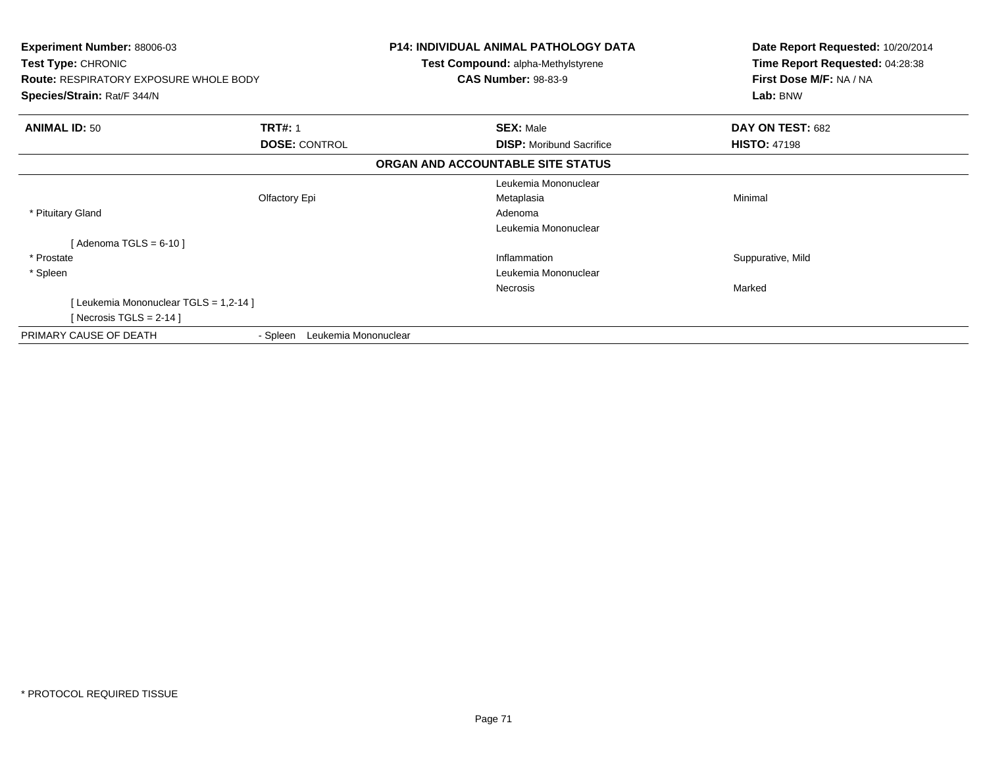| <b>Experiment Number: 88006-03</b><br>Test Type: CHRONIC<br><b>Route: RESPIRATORY EXPOSURE WHOLE BODY</b><br>Species/Strain: Rat/F 344/N |                                  | <b>P14: INDIVIDUAL ANIMAL PATHOLOGY DATA</b><br>Test Compound: alpha-Methylstyrene<br><b>CAS Number: 98-83-9</b> | Date Report Requested: 10/20/2014<br>Time Report Requested: 04:28:38<br>First Dose M/F: NA / NA<br>Lab: BNW |
|------------------------------------------------------------------------------------------------------------------------------------------|----------------------------------|------------------------------------------------------------------------------------------------------------------|-------------------------------------------------------------------------------------------------------------|
| <b>ANIMAL ID: 50</b>                                                                                                                     | <b>TRT#: 1</b>                   | <b>SEX: Male</b>                                                                                                 | DAY ON TEST: 682                                                                                            |
|                                                                                                                                          | <b>DOSE: CONTROL</b>             | <b>DISP:</b> Moribund Sacrifice                                                                                  | <b>HISTO: 47198</b>                                                                                         |
|                                                                                                                                          |                                  | ORGAN AND ACCOUNTABLE SITE STATUS                                                                                |                                                                                                             |
|                                                                                                                                          |                                  | Leukemia Mononuclear                                                                                             |                                                                                                             |
|                                                                                                                                          | Olfactory Epi                    | Metaplasia                                                                                                       | Minimal                                                                                                     |
| * Pituitary Gland                                                                                                                        |                                  | Adenoma                                                                                                          |                                                                                                             |
|                                                                                                                                          |                                  | Leukemia Mononuclear                                                                                             |                                                                                                             |
| [Adenoma TGLS = $6-10$ ]                                                                                                                 |                                  |                                                                                                                  |                                                                                                             |
| * Prostate                                                                                                                               |                                  | Inflammation                                                                                                     | Suppurative, Mild                                                                                           |
| * Spleen                                                                                                                                 |                                  | Leukemia Mononuclear                                                                                             |                                                                                                             |
|                                                                                                                                          |                                  | Necrosis                                                                                                         | Marked                                                                                                      |
| [ Leukemia Mononuclear TGLS = 1,2-14 ]                                                                                                   |                                  |                                                                                                                  |                                                                                                             |
| [Necrosis TGLS = 2-14 ]                                                                                                                  |                                  |                                                                                                                  |                                                                                                             |
| PRIMARY CAUSE OF DEATH                                                                                                                   | Leukemia Mononuclear<br>- Spleen |                                                                                                                  |                                                                                                             |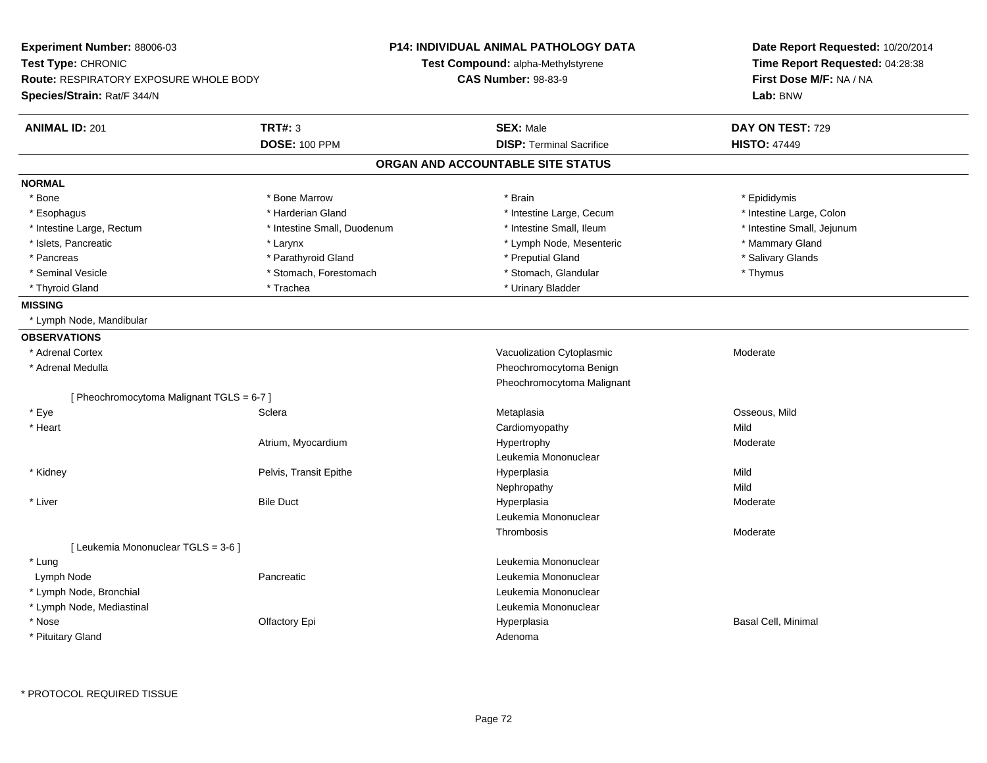| Experiment Number: 88006-03<br>Test Type: CHRONIC<br><b>Route: RESPIRATORY EXPOSURE WHOLE BODY</b><br>Species/Strain: Rat/F 344/N |                             | P14: INDIVIDUAL ANIMAL PATHOLOGY DATA<br><b>Test Compound: alpha-Methylstyrene</b><br><b>CAS Number: 98-83-9</b> | Date Report Requested: 10/20/2014<br>Time Report Requested: 04:28:38<br>First Dose M/F: NA / NA<br>Lab: BNW |
|-----------------------------------------------------------------------------------------------------------------------------------|-----------------------------|------------------------------------------------------------------------------------------------------------------|-------------------------------------------------------------------------------------------------------------|
| <b>ANIMAL ID: 201</b>                                                                                                             | <b>TRT#: 3</b>              | <b>SEX: Male</b>                                                                                                 | DAY ON TEST: 729                                                                                            |
|                                                                                                                                   | <b>DOSE: 100 PPM</b>        | <b>DISP: Terminal Sacrifice</b>                                                                                  | <b>HISTO: 47449</b>                                                                                         |
|                                                                                                                                   |                             | ORGAN AND ACCOUNTABLE SITE STATUS                                                                                |                                                                                                             |
| <b>NORMAL</b>                                                                                                                     |                             |                                                                                                                  |                                                                                                             |
| * Bone                                                                                                                            | * Bone Marrow               | * Brain                                                                                                          | * Epididymis                                                                                                |
| * Esophagus                                                                                                                       | * Harderian Gland           | * Intestine Large, Cecum                                                                                         | * Intestine Large, Colon                                                                                    |
| * Intestine Large, Rectum                                                                                                         | * Intestine Small, Duodenum | * Intestine Small, Ileum                                                                                         | * Intestine Small, Jejunum                                                                                  |
| * Islets, Pancreatic                                                                                                              | * Larynx                    | * Lymph Node, Mesenteric                                                                                         | * Mammary Gland                                                                                             |
| * Pancreas                                                                                                                        | * Parathyroid Gland         | * Preputial Gland                                                                                                | * Salivary Glands                                                                                           |
| * Seminal Vesicle                                                                                                                 | * Stomach, Forestomach      | * Stomach, Glandular                                                                                             | * Thymus                                                                                                    |
| * Thyroid Gland                                                                                                                   | * Trachea                   | * Urinary Bladder                                                                                                |                                                                                                             |
| <b>MISSING</b>                                                                                                                    |                             |                                                                                                                  |                                                                                                             |
| * Lymph Node, Mandibular                                                                                                          |                             |                                                                                                                  |                                                                                                             |
| <b>OBSERVATIONS</b>                                                                                                               |                             |                                                                                                                  |                                                                                                             |
| * Adrenal Cortex                                                                                                                  |                             | Vacuolization Cytoplasmic                                                                                        | Moderate                                                                                                    |
| * Adrenal Medulla                                                                                                                 |                             | Pheochromocytoma Benign                                                                                          |                                                                                                             |
|                                                                                                                                   |                             | Pheochromocytoma Malignant                                                                                       |                                                                                                             |
| [ Pheochromocytoma Malignant TGLS = 6-7 ]                                                                                         |                             |                                                                                                                  |                                                                                                             |
| * Eye                                                                                                                             | Sclera                      | Metaplasia                                                                                                       | Osseous, Mild                                                                                               |
| * Heart                                                                                                                           |                             | Cardiomyopathy                                                                                                   | Mild                                                                                                        |
|                                                                                                                                   | Atrium, Myocardium          | Hypertrophy                                                                                                      | Moderate                                                                                                    |
|                                                                                                                                   |                             | Leukemia Mononuclear                                                                                             |                                                                                                             |
| * Kidney                                                                                                                          | Pelvis, Transit Epithe      | Hyperplasia                                                                                                      | Mild                                                                                                        |
|                                                                                                                                   |                             | Nephropathy                                                                                                      | Mild                                                                                                        |
| * Liver                                                                                                                           | <b>Bile Duct</b>            | Hyperplasia                                                                                                      | Moderate                                                                                                    |
|                                                                                                                                   |                             | Leukemia Mononuclear                                                                                             |                                                                                                             |
|                                                                                                                                   |                             | Thrombosis                                                                                                       | Moderate                                                                                                    |
| [ Leukemia Mononuclear TGLS = 3-6 ]                                                                                               |                             |                                                                                                                  |                                                                                                             |
| * Lung                                                                                                                            |                             | Leukemia Mononuclear                                                                                             |                                                                                                             |
| Lymph Node                                                                                                                        | Pancreatic                  | Leukemia Mononuclear                                                                                             |                                                                                                             |
| * Lymph Node, Bronchial                                                                                                           |                             | Leukemia Mononuclear                                                                                             |                                                                                                             |
| * Lymph Node, Mediastinal                                                                                                         |                             | Leukemia Mononuclear                                                                                             |                                                                                                             |
| * Nose                                                                                                                            | Olfactory Epi               | Hyperplasia                                                                                                      | Basal Cell, Minimal                                                                                         |
| * Pituitary Gland                                                                                                                 |                             | Adenoma                                                                                                          |                                                                                                             |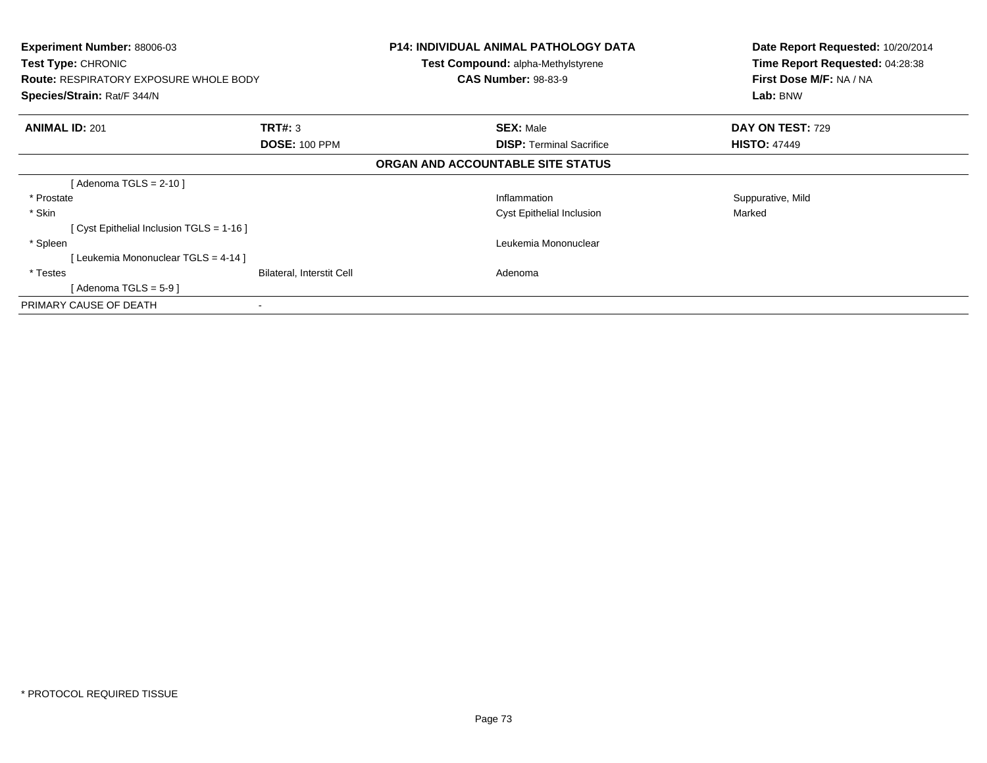| <b>Experiment Number: 88006-03</b><br><b>Test Type: CHRONIC</b><br><b>Route: RESPIRATORY EXPOSURE WHOLE BODY</b><br>Species/Strain: Rat/F 344/N |                           | <b>P14: INDIVIDUAL ANIMAL PATHOLOGY DATA</b><br><b>Test Compound: alpha-Methylstyrene</b><br><b>CAS Number: 98-83-9</b> | Date Report Requested: 10/20/2014<br>Time Report Requested: 04:28:38<br>First Dose M/F: NA / NA<br>Lab: BNW |
|-------------------------------------------------------------------------------------------------------------------------------------------------|---------------------------|-------------------------------------------------------------------------------------------------------------------------|-------------------------------------------------------------------------------------------------------------|
| <b>ANIMAL ID: 201</b>                                                                                                                           | <b>TRT#: 3</b>            | <b>SEX: Male</b>                                                                                                        | <b>DAY ON TEST: 729</b>                                                                                     |
|                                                                                                                                                 | <b>DOSE: 100 PPM</b>      | <b>DISP:</b> Terminal Sacrifice                                                                                         | <b>HISTO: 47449</b>                                                                                         |
|                                                                                                                                                 |                           | ORGAN AND ACCOUNTABLE SITE STATUS                                                                                       |                                                                                                             |
| [ Adenoma TGLS = 2-10 ]                                                                                                                         |                           |                                                                                                                         |                                                                                                             |
| * Prostate                                                                                                                                      |                           | Inflammation                                                                                                            | Suppurative, Mild                                                                                           |
| * Skin                                                                                                                                          |                           | <b>Cyst Epithelial Inclusion</b>                                                                                        | Marked                                                                                                      |
| [ Cyst Epithelial Inclusion TGLS = 1-16 ]                                                                                                       |                           |                                                                                                                         |                                                                                                             |
| * Spleen                                                                                                                                        |                           | Leukemia Mononuclear                                                                                                    |                                                                                                             |
| [Leukemia Mononuclear TGLS = 4-14]                                                                                                              |                           |                                                                                                                         |                                                                                                             |
| * Testes                                                                                                                                        | Bilateral, Interstit Cell | Adenoma                                                                                                                 |                                                                                                             |
| [ Adenoma TGLS = 5-9 ]                                                                                                                          |                           |                                                                                                                         |                                                                                                             |
| PRIMARY CAUSE OF DEATH                                                                                                                          | $\blacksquare$            |                                                                                                                         |                                                                                                             |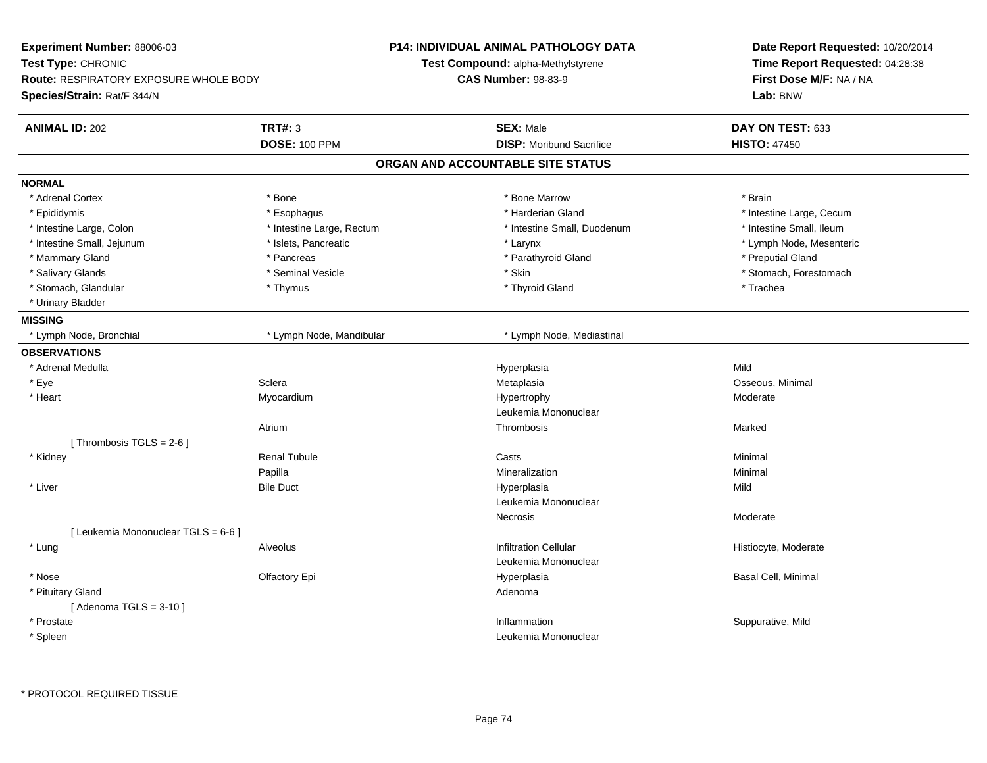| Experiment Number: 88006-03                   |                           | <b>P14: INDIVIDUAL ANIMAL PATHOLOGY DATA</b> | Date Report Requested: 10/20/2014 |
|-----------------------------------------------|---------------------------|----------------------------------------------|-----------------------------------|
| Test Type: CHRONIC                            |                           | Test Compound: alpha-Methylstyrene           | Time Report Requested: 04:28:38   |
| <b>Route: RESPIRATORY EXPOSURE WHOLE BODY</b> |                           | <b>CAS Number: 98-83-9</b>                   | First Dose M/F: NA / NA           |
| Species/Strain: Rat/F 344/N                   |                           |                                              | Lab: BNW                          |
| <b>ANIMAL ID: 202</b>                         | <b>TRT#: 3</b>            | <b>SEX: Male</b>                             | DAY ON TEST: 633                  |
|                                               | <b>DOSE: 100 PPM</b>      | <b>DISP:</b> Moribund Sacrifice              | <b>HISTO: 47450</b>               |
|                                               |                           | ORGAN AND ACCOUNTABLE SITE STATUS            |                                   |
| <b>NORMAL</b>                                 |                           |                                              |                                   |
| * Adrenal Cortex                              | * Bone                    | * Bone Marrow                                | * Brain                           |
| * Epididymis                                  | * Esophagus               | * Harderian Gland                            | * Intestine Large, Cecum          |
| * Intestine Large, Colon                      | * Intestine Large, Rectum | * Intestine Small, Duodenum                  | * Intestine Small, Ileum          |
| * Intestine Small, Jejunum                    | * Islets, Pancreatic      | * Larynx                                     | * Lymph Node, Mesenteric          |
| * Mammary Gland                               | * Pancreas                | * Parathyroid Gland                          | * Preputial Gland                 |
| * Salivary Glands                             | * Seminal Vesicle         | * Skin                                       | * Stomach, Forestomach            |
| * Stomach, Glandular                          | * Thymus                  | * Thyroid Gland                              | * Trachea                         |
| * Urinary Bladder                             |                           |                                              |                                   |
| <b>MISSING</b>                                |                           |                                              |                                   |
| * Lymph Node, Bronchial                       | * Lymph Node, Mandibular  | * Lymph Node, Mediastinal                    |                                   |
| <b>OBSERVATIONS</b>                           |                           |                                              |                                   |
| * Adrenal Medulla                             |                           | Hyperplasia                                  | Mild                              |
| * Eye                                         | Sclera                    | Metaplasia                                   | Osseous, Minimal                  |
| * Heart                                       | Myocardium                | Hypertrophy                                  | Moderate                          |
|                                               |                           | Leukemia Mononuclear                         |                                   |
|                                               | Atrium                    | Thrombosis                                   | Marked                            |
| [Thrombosis TGLS = 2-6]                       |                           |                                              |                                   |
| * Kidney                                      | <b>Renal Tubule</b>       | Casts                                        | Minimal                           |
|                                               | Papilla                   | Mineralization                               | Minimal                           |
| * Liver                                       | <b>Bile Duct</b>          | Hyperplasia                                  | Mild                              |
|                                               |                           | Leukemia Mononuclear                         |                                   |
|                                               |                           | Necrosis                                     | Moderate                          |
| [ Leukemia Mononuclear TGLS = 6-6 ]           |                           |                                              |                                   |
| * Lung                                        | Alveolus                  | <b>Infiltration Cellular</b>                 | Histiocyte, Moderate              |
|                                               |                           | Leukemia Mononuclear                         |                                   |
| * Nose                                        | Olfactory Epi             | Hyperplasia                                  | Basal Cell, Minimal               |
| * Pituitary Gland                             |                           | Adenoma                                      |                                   |
| [Adenoma TGLS = $3-10$ ]                      |                           |                                              |                                   |
| * Prostate                                    |                           | Inflammation                                 | Suppurative, Mild                 |
| * Spleen                                      |                           | Leukemia Mononuclear                         |                                   |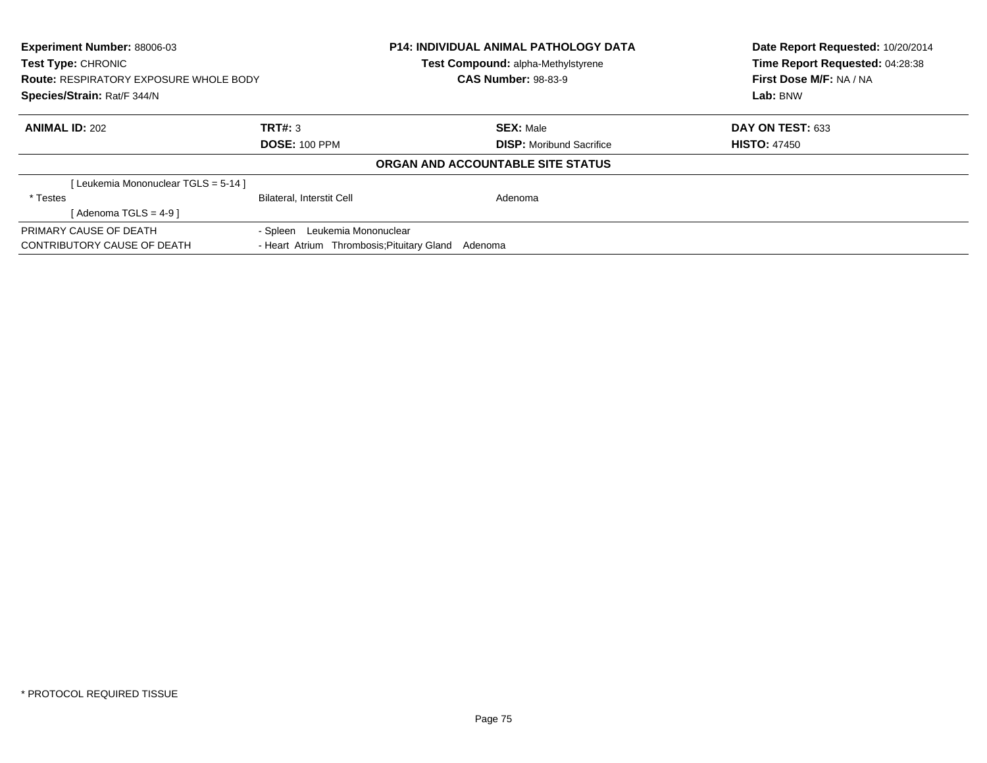| <b>Experiment Number: 88006-03</b><br>Test Type: CHRONIC<br><b>Route: RESPIRATORY EXPOSURE WHOLE BODY</b><br>Species/Strain: Rat/F 344/N |                                            | <b>P14: INDIVIDUAL ANIMAL PATHOLOGY DATA</b><br>Test Compound: alpha-Methylstyrene<br><b>CAS Number: 98-83-9</b> | Date Report Requested: 10/20/2014<br>Time Report Requested: 04:28:38<br>First Dose M/F: NA / NA<br>Lab: BNW |
|------------------------------------------------------------------------------------------------------------------------------------------|--------------------------------------------|------------------------------------------------------------------------------------------------------------------|-------------------------------------------------------------------------------------------------------------|
| <b>ANIMAL ID: 202</b>                                                                                                                    | TRT#: 3                                    | <b>SEX: Male</b>                                                                                                 | <b>DAY ON TEST: 633</b>                                                                                     |
|                                                                                                                                          | <b>DOSE: 100 PPM</b>                       | <b>DISP:</b> Moribund Sacrifice                                                                                  | <b>HISTO: 47450</b>                                                                                         |
|                                                                                                                                          |                                            | ORGAN AND ACCOUNTABLE SITE STATUS                                                                                |                                                                                                             |
| [Leukemia Mononuclear TGLS = 5-14]                                                                                                       |                                            |                                                                                                                  |                                                                                                             |
| * Testes                                                                                                                                 | <b>Bilateral, Interstit Cell</b>           | Adenoma                                                                                                          |                                                                                                             |
| [ Adenoma TGLS = 4-9 ]                                                                                                                   |                                            |                                                                                                                  |                                                                                                             |
| PRIMARY CAUSE OF DEATH                                                                                                                   | - Spleen Leukemia Mononuclear              |                                                                                                                  |                                                                                                             |
| CONTRIBUTORY CAUSE OF DEATH                                                                                                              | - Heart Atrium Thrombosis; Pituitary Gland | Adenoma                                                                                                          |                                                                                                             |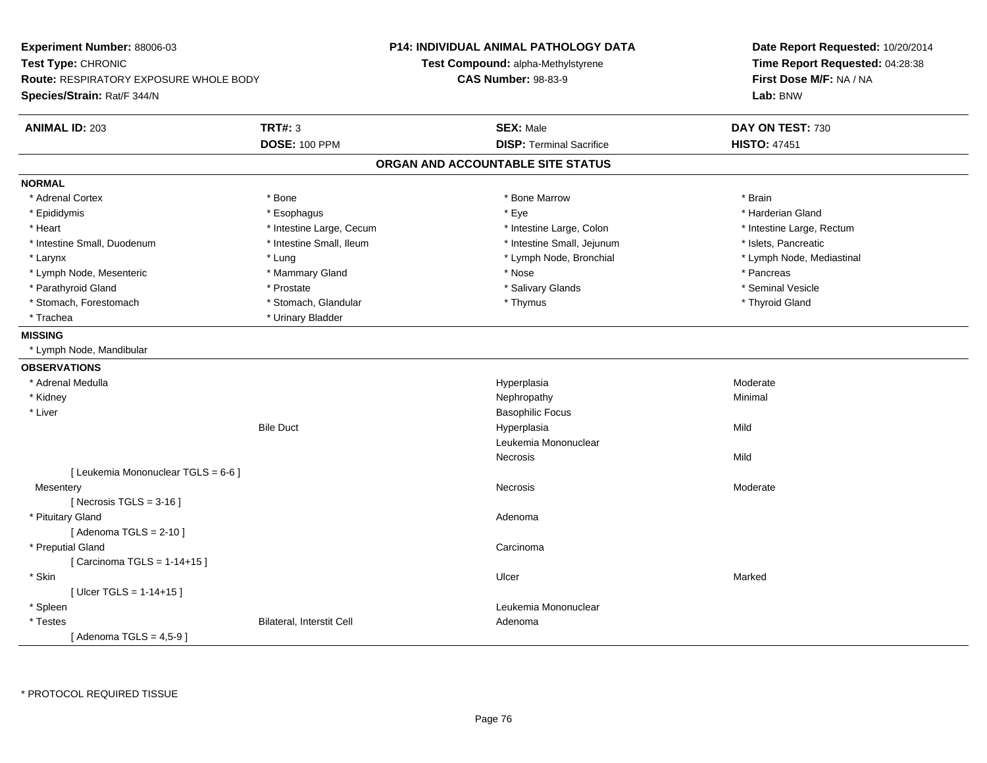| Experiment Number: 88006-03<br>Test Type: CHRONIC<br><b>Route: RESPIRATORY EXPOSURE WHOLE BODY</b><br>Species/Strain: Rat/F 344/N |                           | <b>P14: INDIVIDUAL ANIMAL PATHOLOGY DATA</b><br>Test Compound: alpha-Methylstyrene<br><b>CAS Number: 98-83-9</b> | Date Report Requested: 10/20/2014<br>Time Report Requested: 04:28:38<br>First Dose M/F: NA / NA<br>Lab: BNW |
|-----------------------------------------------------------------------------------------------------------------------------------|---------------------------|------------------------------------------------------------------------------------------------------------------|-------------------------------------------------------------------------------------------------------------|
| <b>ANIMAL ID: 203</b>                                                                                                             | <b>TRT#: 3</b>            | <b>SEX: Male</b>                                                                                                 | DAY ON TEST: 730                                                                                            |
|                                                                                                                                   | <b>DOSE: 100 PPM</b>      | <b>DISP: Terminal Sacrifice</b>                                                                                  | <b>HISTO: 47451</b>                                                                                         |
|                                                                                                                                   |                           | ORGAN AND ACCOUNTABLE SITE STATUS                                                                                |                                                                                                             |
| <b>NORMAL</b>                                                                                                                     |                           |                                                                                                                  |                                                                                                             |
| * Adrenal Cortex                                                                                                                  | * Bone                    | * Bone Marrow                                                                                                    | * Brain                                                                                                     |
| * Epididymis                                                                                                                      | * Esophagus               | * Eye                                                                                                            | * Harderian Gland                                                                                           |
| * Heart                                                                                                                           | * Intestine Large, Cecum  | * Intestine Large, Colon                                                                                         | * Intestine Large, Rectum                                                                                   |
| * Intestine Small, Duodenum                                                                                                       | * Intestine Small, Ileum  | * Intestine Small, Jejunum                                                                                       | * Islets, Pancreatic                                                                                        |
| * Larynx                                                                                                                          | * Lung                    | * Lymph Node, Bronchial                                                                                          | * Lymph Node, Mediastinal                                                                                   |
| * Lymph Node, Mesenteric                                                                                                          | * Mammary Gland           | * Nose                                                                                                           | * Pancreas                                                                                                  |
| * Parathyroid Gland                                                                                                               | * Prostate                | * Salivary Glands                                                                                                | * Seminal Vesicle                                                                                           |
| * Stomach, Forestomach                                                                                                            | * Stomach, Glandular      | * Thymus                                                                                                         | * Thyroid Gland                                                                                             |
| * Trachea                                                                                                                         | * Urinary Bladder         |                                                                                                                  |                                                                                                             |
| <b>MISSING</b>                                                                                                                    |                           |                                                                                                                  |                                                                                                             |
| * Lymph Node, Mandibular                                                                                                          |                           |                                                                                                                  |                                                                                                             |
| <b>OBSERVATIONS</b>                                                                                                               |                           |                                                                                                                  |                                                                                                             |
| * Adrenal Medulla                                                                                                                 |                           | Hyperplasia                                                                                                      | Moderate                                                                                                    |
| * Kidney                                                                                                                          |                           | Nephropathy                                                                                                      | Minimal                                                                                                     |
| * Liver                                                                                                                           |                           | <b>Basophilic Focus</b>                                                                                          |                                                                                                             |
|                                                                                                                                   | <b>Bile Duct</b>          | Hyperplasia                                                                                                      | Mild                                                                                                        |
|                                                                                                                                   |                           | Leukemia Mononuclear                                                                                             |                                                                                                             |
|                                                                                                                                   |                           | Necrosis                                                                                                         | Mild                                                                                                        |
| [ Leukemia Mononuclear TGLS = 6-6 ]                                                                                               |                           |                                                                                                                  |                                                                                                             |
| Mesentery                                                                                                                         |                           | Necrosis                                                                                                         | Moderate                                                                                                    |
| [Necrosis $TGLS = 3-16$ ]                                                                                                         |                           |                                                                                                                  |                                                                                                             |
| * Pituitary Gland                                                                                                                 |                           | Adenoma                                                                                                          |                                                                                                             |
| [Adenoma TGLS = $2-10$ ]                                                                                                          |                           |                                                                                                                  |                                                                                                             |
| * Preputial Gland                                                                                                                 |                           | Carcinoma                                                                                                        |                                                                                                             |
| [ Carcinoma TGLS = 1-14+15 ]                                                                                                      |                           |                                                                                                                  |                                                                                                             |
| * Skin                                                                                                                            |                           | Ulcer                                                                                                            | Marked                                                                                                      |
| [ $Uicer TGLS = 1-14+15$ ]                                                                                                        |                           |                                                                                                                  |                                                                                                             |
| * Spleen                                                                                                                          |                           | Leukemia Mononuclear                                                                                             |                                                                                                             |
| * Testes                                                                                                                          | Bilateral, Interstit Cell | Adenoma                                                                                                          |                                                                                                             |
| [Adenoma TGLS = $4,5-9$ ]                                                                                                         |                           |                                                                                                                  |                                                                                                             |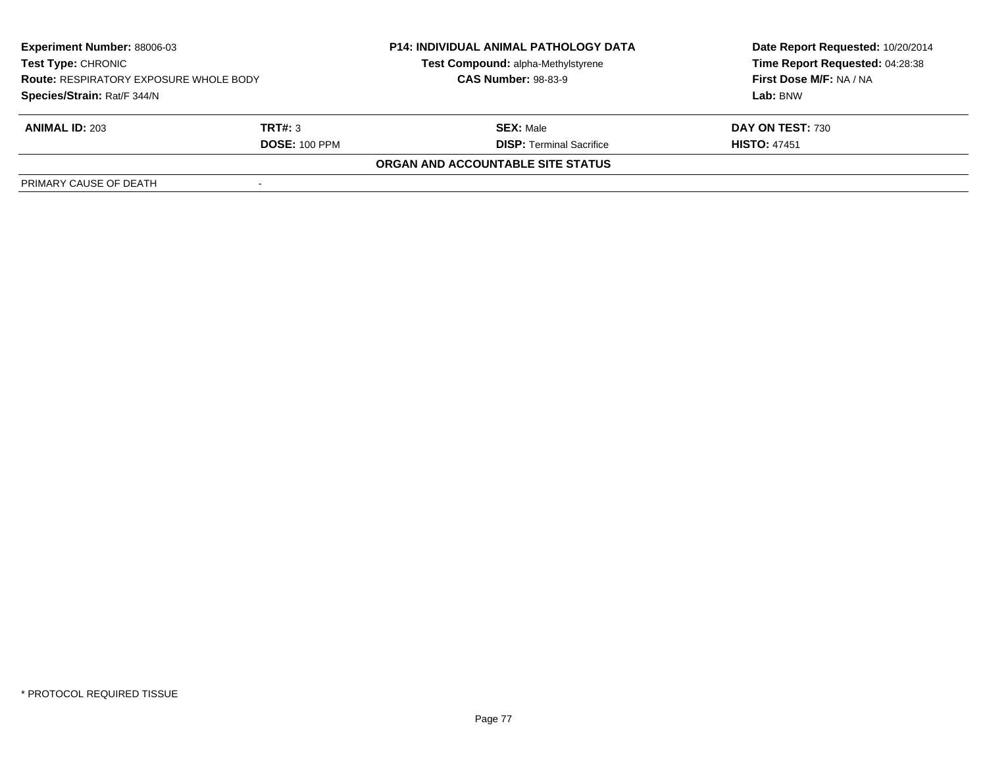| Experiment Number: 88006-03<br><b>Test Type: CHRONIC</b><br><b>Route: RESPIRATORY EXPOSURE WHOLE BODY</b><br>Species/Strain: Rat/F 344/N |                      | <b>P14: INDIVIDUAL ANIMAL PATHOLOGY DATA</b> | Date Report Requested: 10/20/2014 |
|------------------------------------------------------------------------------------------------------------------------------------------|----------------------|----------------------------------------------|-----------------------------------|
|                                                                                                                                          |                      | Test Compound: alpha-Methylstyrene           | Time Report Requested: 04:28:38   |
|                                                                                                                                          |                      | <b>CAS Number: 98-83-9</b>                   | First Dose M/F: NA / NA           |
|                                                                                                                                          |                      |                                              | Lab: BNW                          |
| <b>ANIMAL ID: 203</b>                                                                                                                    | TRT#: 3              | <b>SEX: Male</b>                             | DAY ON TEST: 730                  |
|                                                                                                                                          | <b>DOSE: 100 PPM</b> | <b>DISP:</b> Terminal Sacrifice              | <b>HISTO: 47451</b>               |
|                                                                                                                                          |                      | ORGAN AND ACCOUNTABLE SITE STATUS            |                                   |
| PRIMARY CAUSE OF DEATH                                                                                                                   |                      |                                              |                                   |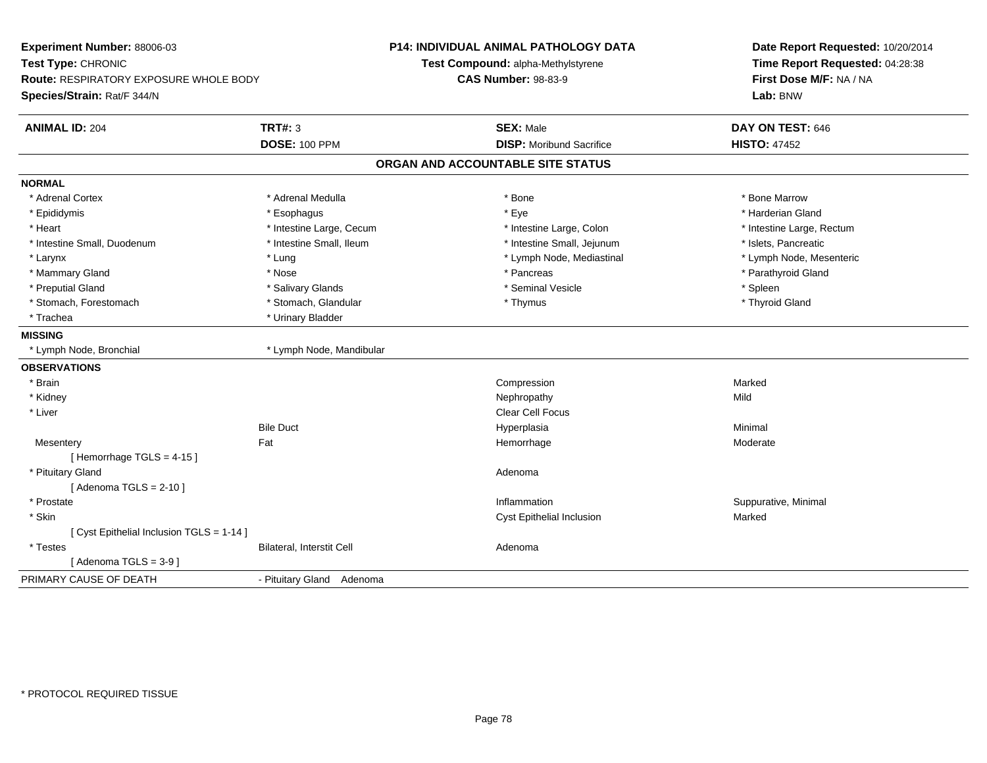| Experiment Number: 88006-03<br>Test Type: CHRONIC<br><b>Route: RESPIRATORY EXPOSURE WHOLE BODY</b><br>Species/Strain: Rat/F 344/N |                           | <b>P14: INDIVIDUAL ANIMAL PATHOLOGY DATA</b><br>Test Compound: alpha-Methylstyrene<br><b>CAS Number: 98-83-9</b> | Date Report Requested: 10/20/2014<br>Time Report Requested: 04:28:38<br>First Dose M/F: NA / NA<br>Lab: BNW |
|-----------------------------------------------------------------------------------------------------------------------------------|---------------------------|------------------------------------------------------------------------------------------------------------------|-------------------------------------------------------------------------------------------------------------|
| <b>ANIMAL ID: 204</b>                                                                                                             | <b>TRT#: 3</b>            | <b>SEX: Male</b>                                                                                                 | DAY ON TEST: 646                                                                                            |
|                                                                                                                                   | <b>DOSE: 100 PPM</b>      | <b>DISP:</b> Moribund Sacrifice                                                                                  | <b>HISTO: 47452</b>                                                                                         |
|                                                                                                                                   |                           | ORGAN AND ACCOUNTABLE SITE STATUS                                                                                |                                                                                                             |
| <b>NORMAL</b>                                                                                                                     |                           |                                                                                                                  |                                                                                                             |
| * Adrenal Cortex                                                                                                                  | * Adrenal Medulla         | * Bone                                                                                                           | * Bone Marrow                                                                                               |
| * Epididymis                                                                                                                      | * Esophagus               | * Eye                                                                                                            | * Harderian Gland                                                                                           |
| * Heart                                                                                                                           | * Intestine Large, Cecum  | * Intestine Large, Colon                                                                                         | * Intestine Large, Rectum                                                                                   |
| * Intestine Small, Duodenum                                                                                                       | * Intestine Small, Ileum  | * Intestine Small, Jejunum                                                                                       | * Islets, Pancreatic                                                                                        |
| * Larynx                                                                                                                          | * Lung                    | * Lymph Node, Mediastinal                                                                                        | * Lymph Node, Mesenteric                                                                                    |
| * Mammary Gland                                                                                                                   | * Nose                    | * Pancreas                                                                                                       | * Parathyroid Gland                                                                                         |
| * Preputial Gland                                                                                                                 | * Salivary Glands         | * Seminal Vesicle                                                                                                | * Spleen                                                                                                    |
| * Stomach, Forestomach                                                                                                            | * Stomach, Glandular      | * Thymus                                                                                                         | * Thyroid Gland                                                                                             |
| * Trachea                                                                                                                         | * Urinary Bladder         |                                                                                                                  |                                                                                                             |
| <b>MISSING</b>                                                                                                                    |                           |                                                                                                                  |                                                                                                             |
| * Lymph Node, Bronchial                                                                                                           | * Lymph Node, Mandibular  |                                                                                                                  |                                                                                                             |
| <b>OBSERVATIONS</b>                                                                                                               |                           |                                                                                                                  |                                                                                                             |
| * Brain                                                                                                                           |                           | Compression                                                                                                      | Marked                                                                                                      |
| * Kidney                                                                                                                          |                           | Nephropathy                                                                                                      | Mild                                                                                                        |
| * Liver                                                                                                                           |                           | Clear Cell Focus                                                                                                 |                                                                                                             |
|                                                                                                                                   | <b>Bile Duct</b>          | Hyperplasia                                                                                                      | Minimal                                                                                                     |
| Mesentery                                                                                                                         | Fat                       | Hemorrhage                                                                                                       | Moderate                                                                                                    |
| [Hemorrhage TGLS = 4-15]                                                                                                          |                           |                                                                                                                  |                                                                                                             |
| * Pituitary Gland                                                                                                                 |                           | Adenoma                                                                                                          |                                                                                                             |
| [Adenoma TGLS = $2-10$ ]                                                                                                          |                           |                                                                                                                  |                                                                                                             |
| * Prostate                                                                                                                        |                           | Inflammation                                                                                                     | Suppurative, Minimal                                                                                        |
| * Skin                                                                                                                            |                           | Cyst Epithelial Inclusion                                                                                        | Marked                                                                                                      |
| [ Cyst Epithelial Inclusion TGLS = 1-14 ]                                                                                         |                           |                                                                                                                  |                                                                                                             |
| * Testes                                                                                                                          | Bilateral, Interstit Cell | Adenoma                                                                                                          |                                                                                                             |
| [Adenoma TGLS = $3-9$ ]                                                                                                           |                           |                                                                                                                  |                                                                                                             |
| PRIMARY CAUSE OF DEATH                                                                                                            | - Pituitary Gland Adenoma |                                                                                                                  |                                                                                                             |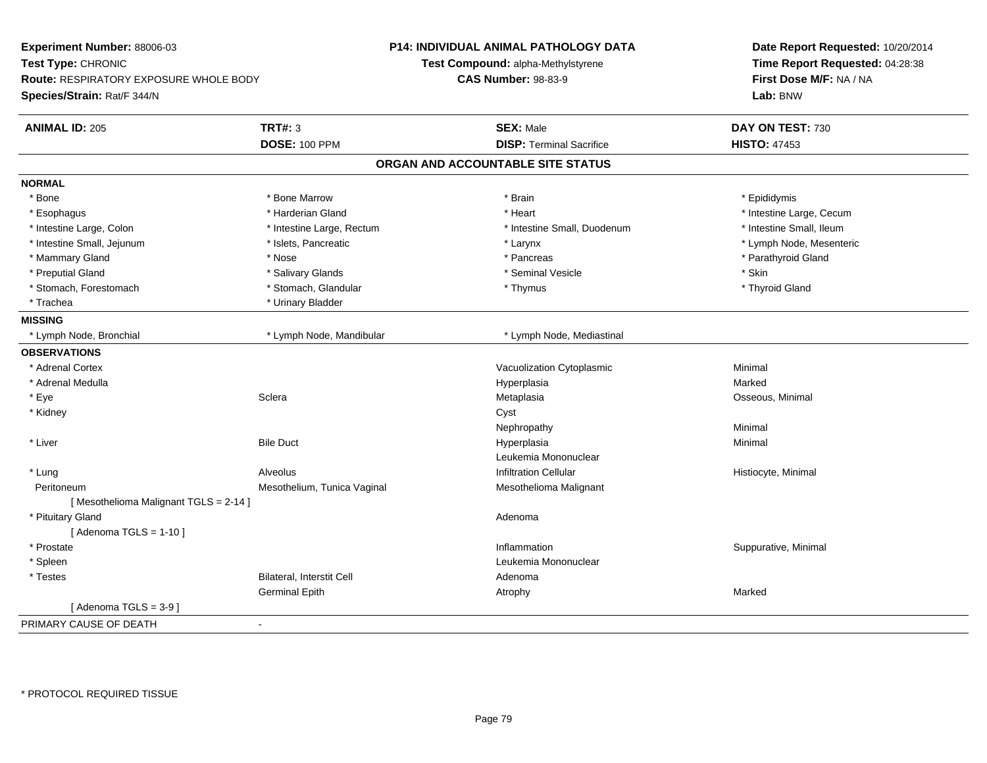| Experiment Number: 88006-03<br>Test Type: CHRONIC<br>Route: RESPIRATORY EXPOSURE WHOLE BODY |                                  | <b>P14: INDIVIDUAL ANIMAL PATHOLOGY DATA</b><br>Test Compound: alpha-Methylstyrene<br><b>CAS Number: 98-83-9</b> | Date Report Requested: 10/20/2014<br>Time Report Requested: 04:28:38<br>First Dose M/F: NA / NA |
|---------------------------------------------------------------------------------------------|----------------------------------|------------------------------------------------------------------------------------------------------------------|-------------------------------------------------------------------------------------------------|
| Species/Strain: Rat/F 344/N                                                                 |                                  |                                                                                                                  | Lab: BNW                                                                                        |
| <b>ANIMAL ID: 205</b>                                                                       | <b>TRT#: 3</b>                   | <b>SEX: Male</b>                                                                                                 | DAY ON TEST: 730                                                                                |
|                                                                                             | <b>DOSE: 100 PPM</b>             | <b>DISP: Terminal Sacrifice</b>                                                                                  | <b>HISTO: 47453</b>                                                                             |
|                                                                                             |                                  | ORGAN AND ACCOUNTABLE SITE STATUS                                                                                |                                                                                                 |
| <b>NORMAL</b>                                                                               |                                  |                                                                                                                  |                                                                                                 |
| * Bone                                                                                      | * Bone Marrow                    | * Brain                                                                                                          | * Epididymis                                                                                    |
| * Esophagus                                                                                 | * Harderian Gland                | * Heart                                                                                                          | * Intestine Large, Cecum                                                                        |
| * Intestine Large, Colon                                                                    | * Intestine Large, Rectum        | * Intestine Small, Duodenum                                                                                      | * Intestine Small, Ileum                                                                        |
| * Intestine Small, Jejunum                                                                  | * Islets, Pancreatic             | * Larynx                                                                                                         | * Lymph Node, Mesenteric                                                                        |
| * Mammary Gland                                                                             | * Nose                           | * Pancreas                                                                                                       | * Parathyroid Gland                                                                             |
| * Preputial Gland                                                                           | * Salivary Glands                | * Seminal Vesicle                                                                                                | * Skin                                                                                          |
| * Stomach, Forestomach                                                                      | * Stomach, Glandular             | * Thymus                                                                                                         | * Thyroid Gland                                                                                 |
| * Trachea                                                                                   | * Urinary Bladder                |                                                                                                                  |                                                                                                 |
| <b>MISSING</b>                                                                              |                                  |                                                                                                                  |                                                                                                 |
| * Lymph Node, Bronchial                                                                     | * Lymph Node, Mandibular         | * Lymph Node, Mediastinal                                                                                        |                                                                                                 |
| <b>OBSERVATIONS</b>                                                                         |                                  |                                                                                                                  |                                                                                                 |
| * Adrenal Cortex                                                                            |                                  | Vacuolization Cytoplasmic                                                                                        | Minimal                                                                                         |
| * Adrenal Medulla                                                                           |                                  | Hyperplasia                                                                                                      | Marked                                                                                          |
| * Eye                                                                                       | Sclera                           | Metaplasia                                                                                                       | Osseous, Minimal                                                                                |
| * Kidney                                                                                    |                                  | Cyst                                                                                                             |                                                                                                 |
|                                                                                             |                                  | Nephropathy                                                                                                      | Minimal                                                                                         |
| * Liver                                                                                     | <b>Bile Duct</b>                 | Hyperplasia                                                                                                      | Minimal                                                                                         |
|                                                                                             |                                  | Leukemia Mononuclear                                                                                             |                                                                                                 |
| * Lung                                                                                      | Alveolus                         | <b>Infiltration Cellular</b>                                                                                     | Histiocyte, Minimal                                                                             |
| Peritoneum                                                                                  | Mesothelium, Tunica Vaginal      | Mesothelioma Malignant                                                                                           |                                                                                                 |
| [Mesothelioma Malignant TGLS = 2-14]                                                        |                                  |                                                                                                                  |                                                                                                 |
| * Pituitary Gland                                                                           |                                  | Adenoma                                                                                                          |                                                                                                 |
| [Adenoma TGLS = $1-10$ ]                                                                    |                                  |                                                                                                                  |                                                                                                 |
| * Prostate                                                                                  |                                  | Inflammation                                                                                                     | Suppurative, Minimal                                                                            |
| * Spleen                                                                                    |                                  | Leukemia Mononuclear                                                                                             |                                                                                                 |
| * Testes                                                                                    | <b>Bilateral, Interstit Cell</b> | Adenoma                                                                                                          |                                                                                                 |
|                                                                                             | <b>Germinal Epith</b>            | Atrophy                                                                                                          | Marked                                                                                          |
| [Adenoma TGLS = $3-9$ ]                                                                     |                                  |                                                                                                                  |                                                                                                 |
| PRIMARY CAUSE OF DEATH                                                                      | $\blacksquare$                   |                                                                                                                  |                                                                                                 |
|                                                                                             |                                  |                                                                                                                  |                                                                                                 |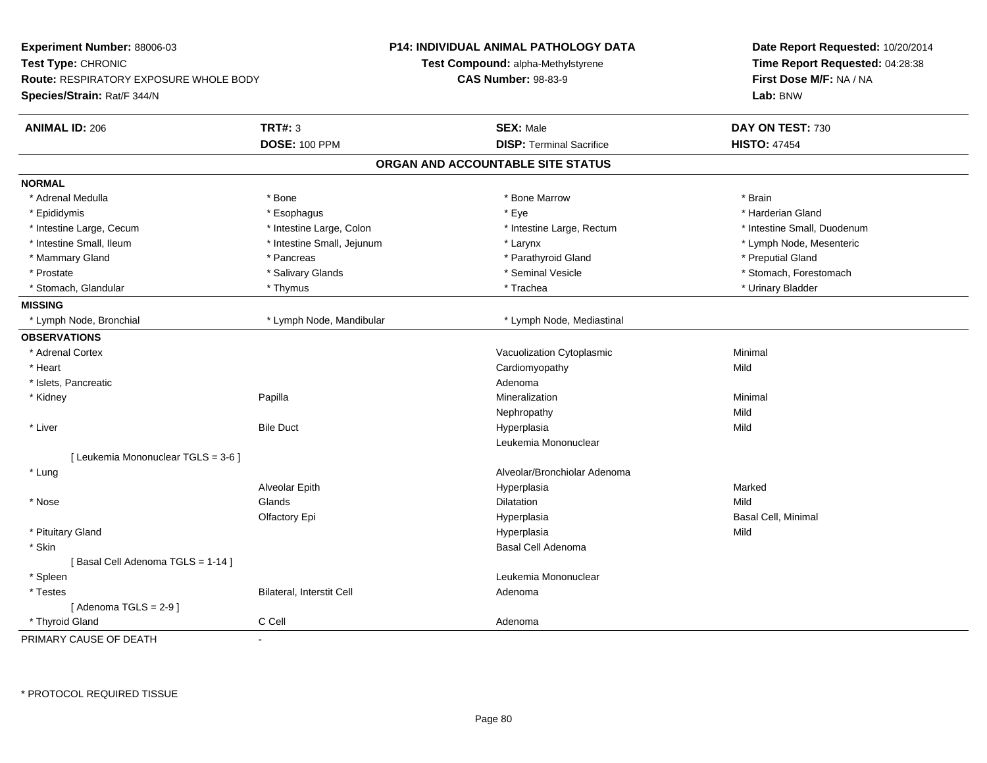| Experiment Number: 88006-03                   |                            | <b>P14: INDIVIDUAL ANIMAL PATHOLOGY DATA</b> | Date Report Requested: 10/20/2014 |
|-----------------------------------------------|----------------------------|----------------------------------------------|-----------------------------------|
| Test Type: CHRONIC                            |                            | Test Compound: alpha-Methylstyrene           | Time Report Requested: 04:28:38   |
| <b>Route: RESPIRATORY EXPOSURE WHOLE BODY</b> |                            | <b>CAS Number: 98-83-9</b>                   | First Dose M/F: NA / NA           |
| Species/Strain: Rat/F 344/N                   |                            |                                              | Lab: BNW                          |
| <b>ANIMAL ID: 206</b>                         | <b>TRT#: 3</b>             | <b>SEX: Male</b>                             | DAY ON TEST: 730                  |
|                                               | <b>DOSE: 100 PPM</b>       | <b>DISP: Terminal Sacrifice</b>              | <b>HISTO: 47454</b>               |
|                                               |                            | ORGAN AND ACCOUNTABLE SITE STATUS            |                                   |
| <b>NORMAL</b>                                 |                            |                                              |                                   |
| * Adrenal Medulla                             | * Bone                     | * Bone Marrow                                | * Brain                           |
| * Epididymis                                  | * Esophagus                | * Eye                                        | * Harderian Gland                 |
| * Intestine Large, Cecum                      | * Intestine Large, Colon   | * Intestine Large, Rectum                    | * Intestine Small, Duodenum       |
| * Intestine Small, Ileum                      | * Intestine Small, Jejunum | * Larynx                                     | * Lymph Node, Mesenteric          |
| * Mammary Gland                               | * Pancreas                 | * Parathyroid Gland                          | * Preputial Gland                 |
| * Prostate                                    | * Salivary Glands          | * Seminal Vesicle                            | * Stomach, Forestomach            |
| * Stomach, Glandular                          | * Thymus                   | * Trachea                                    | * Urinary Bladder                 |
| <b>MISSING</b>                                |                            |                                              |                                   |
| * Lymph Node, Bronchial                       | * Lymph Node, Mandibular   | * Lymph Node, Mediastinal                    |                                   |
| <b>OBSERVATIONS</b>                           |                            |                                              |                                   |
| * Adrenal Cortex                              |                            | Vacuolization Cytoplasmic                    | Minimal                           |
| * Heart                                       |                            | Cardiomyopathy                               | Mild                              |
| * Islets, Pancreatic                          |                            | Adenoma                                      |                                   |
| * Kidney                                      | Papilla                    | Mineralization                               | Minimal                           |
|                                               |                            | Nephropathy                                  | Mild                              |
| * Liver                                       | <b>Bile Duct</b>           | Hyperplasia                                  | Mild                              |
|                                               |                            | Leukemia Mononuclear                         |                                   |
| [ Leukemia Mononuclear TGLS = 3-6 ]           |                            |                                              |                                   |
| * Lung                                        |                            | Alveolar/Bronchiolar Adenoma                 |                                   |
|                                               | Alveolar Epith             | Hyperplasia                                  | Marked                            |
| $^*$ Nose                                     | Glands                     | Dilatation                                   | Mild                              |
|                                               | Olfactory Epi              | Hyperplasia                                  | Basal Cell, Minimal               |
| * Pituitary Gland                             |                            | Hyperplasia                                  | Mild                              |
| * Skin                                        |                            | Basal Cell Adenoma                           |                                   |
| [Basal Cell Adenoma TGLS = 1-14]              |                            |                                              |                                   |
| * Spleen                                      |                            | Leukemia Mononuclear                         |                                   |
| * Testes                                      | Bilateral, Interstit Cell  | Adenoma                                      |                                   |
| [Adenoma TGLS = $2-9$ ]                       |                            |                                              |                                   |
| * Thyroid Gland                               | C Cell                     | Adenoma                                      |                                   |
| PRIMARY CAUSE OF DEATH                        | $\overline{a}$             |                                              |                                   |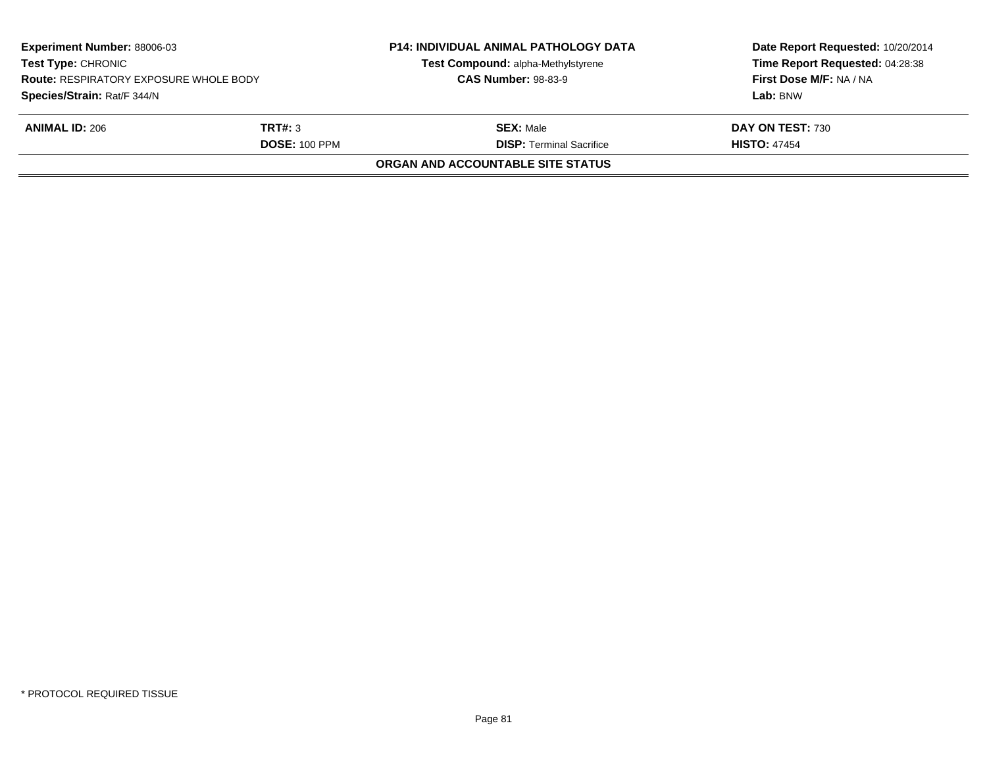| <b>Experiment Number: 88006-03</b><br><b>Test Type: CHRONIC</b><br><b>Route: RESPIRATORY EXPOSURE WHOLE BODY</b> |                      | <b>P14: INDIVIDUAL ANIMAL PATHOLOGY DATA</b><br>Test Compound: alpha-Methylstyrene | Date Report Requested: 10/20/2014<br>Time Report Requested: 04:28:38<br>First Dose M/F: NA / NA |
|------------------------------------------------------------------------------------------------------------------|----------------------|------------------------------------------------------------------------------------|-------------------------------------------------------------------------------------------------|
|                                                                                                                  |                      | <b>CAS Number: 98-83-9</b>                                                         |                                                                                                 |
| Species/Strain: Rat/F 344/N                                                                                      |                      |                                                                                    | Lab: BNW                                                                                        |
| <b>ANIMAL ID: 206</b>                                                                                            | TRT#: 3              | <b>SEX: Male</b>                                                                   | DAY ON TEST: 730                                                                                |
|                                                                                                                  | <b>DOSE: 100 PPM</b> | <b>DISP: Terminal Sacrifice</b>                                                    | <b>HISTO: 47454</b>                                                                             |
|                                                                                                                  |                      | <b>ORGAN AND ACCOUNTABLE SITE STATUS</b>                                           |                                                                                                 |
|                                                                                                                  |                      |                                                                                    |                                                                                                 |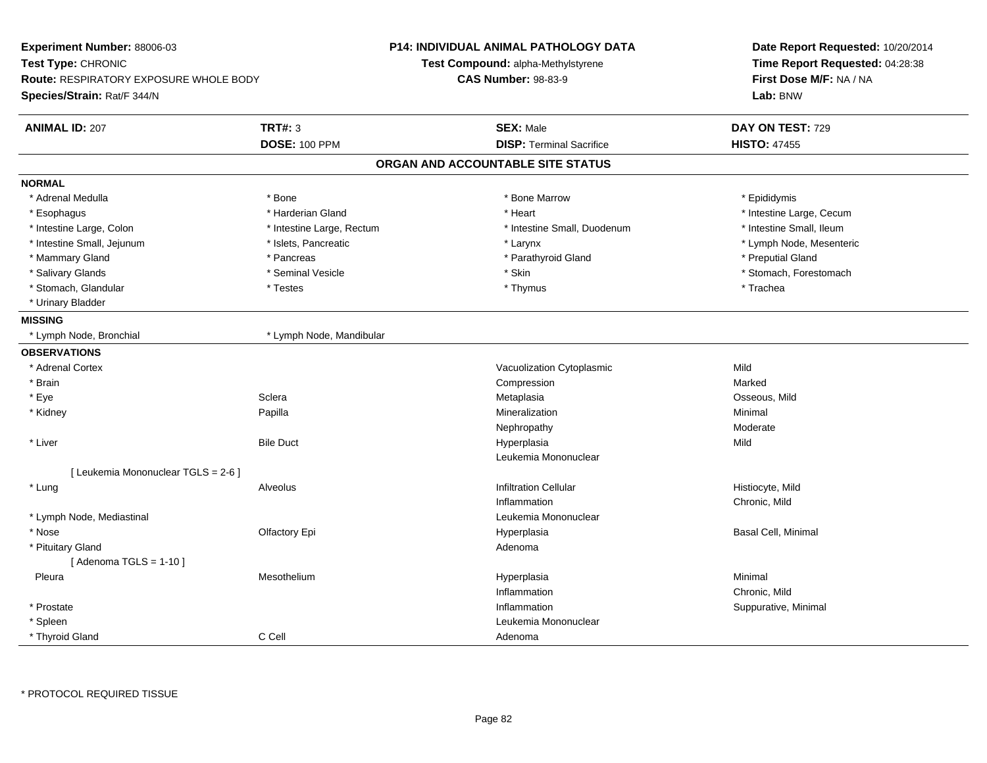| Experiment Number: 88006-03<br>Test Type: CHRONIC<br><b>Route: RESPIRATORY EXPOSURE WHOLE BODY</b><br>Species/Strain: Rat/F 344/N |                           | <b>P14: INDIVIDUAL ANIMAL PATHOLOGY DATA</b><br>Test Compound: alpha-Methylstyrene<br><b>CAS Number: 98-83-9</b> | Date Report Requested: 10/20/2014<br>Time Report Requested: 04:28:38<br>First Dose M/F: NA / NA<br>Lab: BNW |
|-----------------------------------------------------------------------------------------------------------------------------------|---------------------------|------------------------------------------------------------------------------------------------------------------|-------------------------------------------------------------------------------------------------------------|
| <b>ANIMAL ID: 207</b>                                                                                                             | <b>TRT#: 3</b>            | <b>SEX: Male</b>                                                                                                 | DAY ON TEST: 729                                                                                            |
|                                                                                                                                   | <b>DOSE: 100 PPM</b>      | <b>DISP: Terminal Sacrifice</b>                                                                                  | <b>HISTO: 47455</b>                                                                                         |
|                                                                                                                                   |                           | ORGAN AND ACCOUNTABLE SITE STATUS                                                                                |                                                                                                             |
| <b>NORMAL</b>                                                                                                                     |                           |                                                                                                                  |                                                                                                             |
| * Adrenal Medulla                                                                                                                 | * Bone                    | * Bone Marrow                                                                                                    | * Epididymis                                                                                                |
| * Esophagus                                                                                                                       | * Harderian Gland         | * Heart                                                                                                          | * Intestine Large, Cecum                                                                                    |
| * Intestine Large, Colon                                                                                                          | * Intestine Large, Rectum | * Intestine Small, Duodenum                                                                                      | * Intestine Small, Ileum                                                                                    |
| * Intestine Small, Jejunum                                                                                                        | * Islets, Pancreatic      | * Larynx                                                                                                         | * Lymph Node, Mesenteric                                                                                    |
| * Mammary Gland                                                                                                                   | * Pancreas                | * Parathyroid Gland                                                                                              | * Preputial Gland                                                                                           |
| * Salivary Glands                                                                                                                 | * Seminal Vesicle         | * Skin                                                                                                           | * Stomach, Forestomach                                                                                      |
| * Stomach, Glandular                                                                                                              | * Testes                  | * Thymus                                                                                                         | * Trachea                                                                                                   |
| * Urinary Bladder                                                                                                                 |                           |                                                                                                                  |                                                                                                             |
| <b>MISSING</b>                                                                                                                    |                           |                                                                                                                  |                                                                                                             |
| * Lymph Node, Bronchial                                                                                                           | * Lymph Node, Mandibular  |                                                                                                                  |                                                                                                             |
| <b>OBSERVATIONS</b>                                                                                                               |                           |                                                                                                                  |                                                                                                             |
| * Adrenal Cortex                                                                                                                  |                           | Vacuolization Cytoplasmic                                                                                        | Mild                                                                                                        |
| * Brain                                                                                                                           |                           | Compression                                                                                                      | Marked                                                                                                      |
| * Eye                                                                                                                             | Sclera                    | Metaplasia                                                                                                       | Osseous, Mild                                                                                               |
| * Kidney                                                                                                                          | Papilla                   | Mineralization                                                                                                   | Minimal                                                                                                     |
|                                                                                                                                   |                           | Nephropathy                                                                                                      | Moderate                                                                                                    |
| * Liver                                                                                                                           | <b>Bile Duct</b>          | Hyperplasia                                                                                                      | Mild                                                                                                        |
|                                                                                                                                   |                           | Leukemia Mononuclear                                                                                             |                                                                                                             |
| [ Leukemia Mononuclear TGLS = 2-6 ]                                                                                               |                           |                                                                                                                  |                                                                                                             |
| * Lung                                                                                                                            | Alveolus                  | <b>Infiltration Cellular</b>                                                                                     | Histiocyte, Mild                                                                                            |
|                                                                                                                                   |                           | Inflammation                                                                                                     | Chronic, Mild                                                                                               |
| * Lymph Node, Mediastinal                                                                                                         |                           | Leukemia Mononuclear                                                                                             |                                                                                                             |
| * Nose                                                                                                                            | Olfactory Epi             | Hyperplasia                                                                                                      | Basal Cell, Minimal                                                                                         |
| * Pituitary Gland                                                                                                                 |                           | Adenoma                                                                                                          |                                                                                                             |
| [Adenoma TGLS = $1-10$ ]                                                                                                          |                           |                                                                                                                  |                                                                                                             |
| Pleura                                                                                                                            | Mesothelium               | Hyperplasia                                                                                                      | Minimal                                                                                                     |
|                                                                                                                                   |                           | Inflammation                                                                                                     | Chronic, Mild                                                                                               |
| * Prostate                                                                                                                        |                           | Inflammation                                                                                                     | Suppurative, Minimal                                                                                        |
| * Spleen                                                                                                                          |                           | Leukemia Mononuclear                                                                                             |                                                                                                             |
| * Thyroid Gland                                                                                                                   | C Cell                    | Adenoma                                                                                                          |                                                                                                             |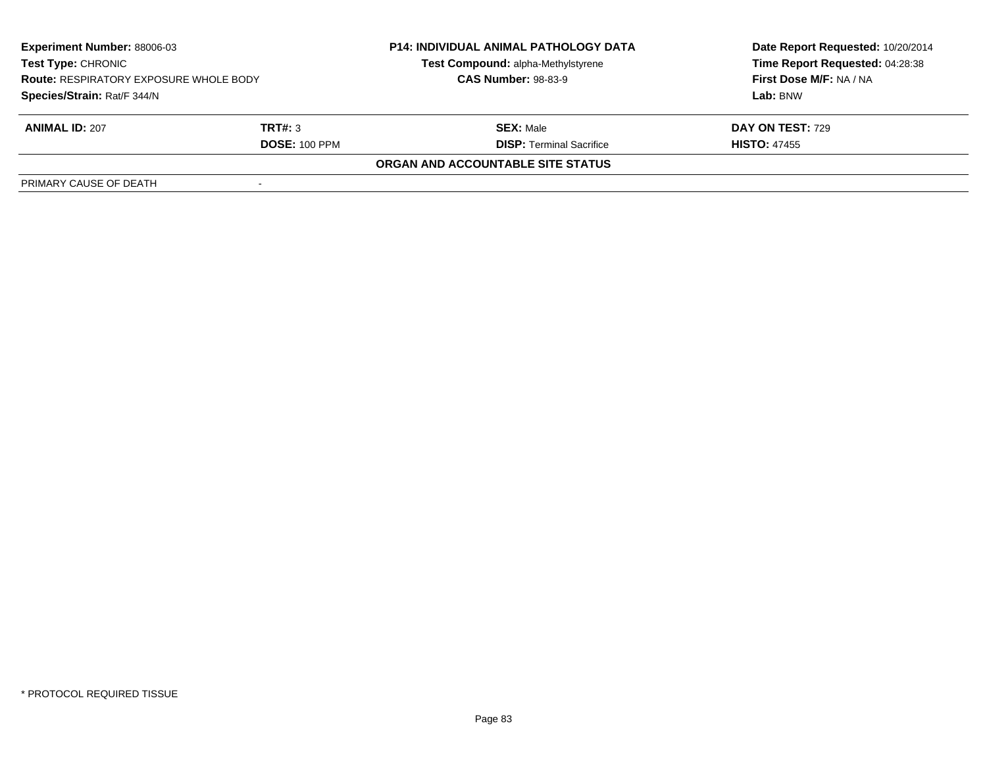| <b>Experiment Number: 88006-03</b><br>Test Type: CHRONIC<br><b>Route: RESPIRATORY EXPOSURE WHOLE BODY</b><br>Species/Strain: Rat/F 344/N |                      | <b>P14: INDIVIDUAL ANIMAL PATHOLOGY DATA</b><br>Test Compound: alpha-Methylstyrene<br><b>CAS Number: 98-83-9</b> | Date Report Requested: 10/20/2014<br>Time Report Requested: 04:28:38<br>First Dose M/F: NA / NA<br>Lab: BNW |
|------------------------------------------------------------------------------------------------------------------------------------------|----------------------|------------------------------------------------------------------------------------------------------------------|-------------------------------------------------------------------------------------------------------------|
|                                                                                                                                          |                      |                                                                                                                  |                                                                                                             |
| <b>ANIMAL ID: 207</b>                                                                                                                    | TRT#: 3              | <b>SEX: Male</b>                                                                                                 | DAY ON TEST: 729                                                                                            |
|                                                                                                                                          | <b>DOSE: 100 PPM</b> | <b>DISP: Terminal Sacrifice</b>                                                                                  | <b>HISTO: 47455</b>                                                                                         |
|                                                                                                                                          |                      | <b>ORGAN AND ACCOUNTABLE SITE STATUS</b>                                                                         |                                                                                                             |
| PRIMARY CAUSE OF DEATH                                                                                                                   |                      |                                                                                                                  |                                                                                                             |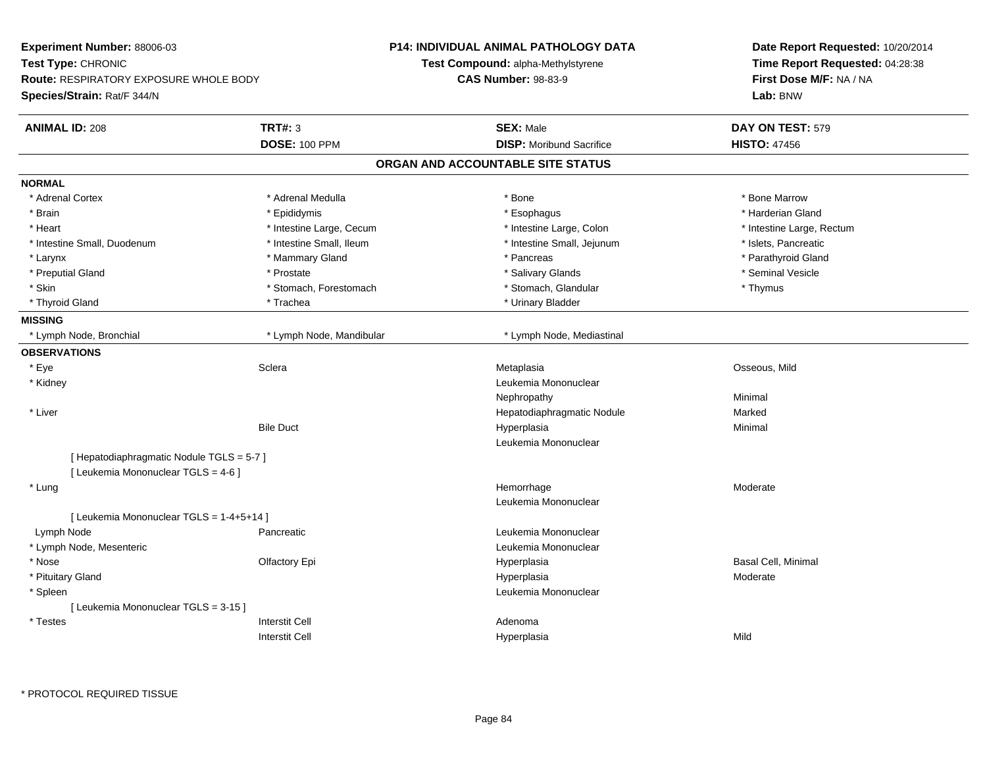| Experiment Number: 88006-03                   |                          | P14: INDIVIDUAL ANIMAL PATHOLOGY DATA | Date Report Requested: 10/20/2014                                      |
|-----------------------------------------------|--------------------------|---------------------------------------|------------------------------------------------------------------------|
| Test Type: CHRONIC                            |                          | Test Compound: alpha-Methylstyrene    | Time Report Requested: 04:28:38<br>First Dose M/F: NA / NA<br>Lab: BNW |
| <b>Route: RESPIRATORY EXPOSURE WHOLE BODY</b> |                          | <b>CAS Number: 98-83-9</b>            |                                                                        |
| Species/Strain: Rat/F 344/N                   |                          |                                       |                                                                        |
| <b>ANIMAL ID: 208</b>                         | <b>TRT#: 3</b>           | <b>SEX: Male</b>                      | DAY ON TEST: 579                                                       |
|                                               | <b>DOSE: 100 PPM</b>     | <b>DISP:</b> Moribund Sacrifice       | <b>HISTO: 47456</b>                                                    |
|                                               |                          | ORGAN AND ACCOUNTABLE SITE STATUS     |                                                                        |
| <b>NORMAL</b>                                 |                          |                                       |                                                                        |
| * Adrenal Cortex                              | * Adrenal Medulla        | * Bone                                | * Bone Marrow                                                          |
| * Brain                                       | * Epididymis             | * Esophagus                           | * Harderian Gland                                                      |
| * Heart                                       | * Intestine Large, Cecum | * Intestine Large, Colon              | * Intestine Large, Rectum                                              |
| * Intestine Small, Duodenum                   | * Intestine Small, Ileum | * Intestine Small, Jejunum            | * Islets, Pancreatic                                                   |
| * Larynx                                      | * Mammary Gland          | * Pancreas                            | * Parathyroid Gland                                                    |
| * Preputial Gland                             | * Prostate               | * Salivary Glands                     | * Seminal Vesicle                                                      |
| * Skin                                        | * Stomach, Forestomach   | * Stomach, Glandular                  | * Thymus                                                               |
| * Thyroid Gland                               | * Trachea                | * Urinary Bladder                     |                                                                        |
| <b>MISSING</b>                                |                          |                                       |                                                                        |
| * Lymph Node, Bronchial                       | * Lymph Node, Mandibular | * Lymph Node, Mediastinal             |                                                                        |
| <b>OBSERVATIONS</b>                           |                          |                                       |                                                                        |
| * Eye                                         | Sclera                   | Metaplasia                            | Osseous, Mild                                                          |
| * Kidney                                      |                          | Leukemia Mononuclear                  |                                                                        |
|                                               |                          | Nephropathy                           | Minimal                                                                |
| * Liver                                       |                          | Hepatodiaphragmatic Nodule            | Marked                                                                 |
|                                               | <b>Bile Duct</b>         | Hyperplasia                           | Minimal                                                                |
|                                               |                          | Leukemia Mononuclear                  |                                                                        |
| [ Hepatodiaphragmatic Nodule TGLS = 5-7 ]     |                          |                                       |                                                                        |
| [ Leukemia Mononuclear TGLS = 4-6 ]           |                          |                                       |                                                                        |
| * Lung                                        |                          | Hemorrhage                            | Moderate                                                               |
|                                               |                          | Leukemia Mononuclear                  |                                                                        |
| [ Leukemia Mononuclear TGLS = 1-4+5+14 ]      |                          |                                       |                                                                        |
| Lymph Node                                    | Pancreatic               | Leukemia Mononuclear                  |                                                                        |
| * Lymph Node, Mesenteric                      |                          | Leukemia Mononuclear                  |                                                                        |
| * Nose                                        | <b>Olfactory Epi</b>     | Hyperplasia                           | <b>Basal Cell, Minimal</b>                                             |
| * Pituitary Gland                             |                          | Hyperplasia                           | Moderate                                                               |
| * Spleen                                      |                          | Leukemia Mononuclear                  |                                                                        |
| [ Leukemia Mononuclear TGLS = 3-15 ]          |                          |                                       |                                                                        |
| * Testes                                      | <b>Interstit Cell</b>    | Adenoma                               |                                                                        |
|                                               | <b>Interstit Cell</b>    | Hyperplasia                           | Mild                                                                   |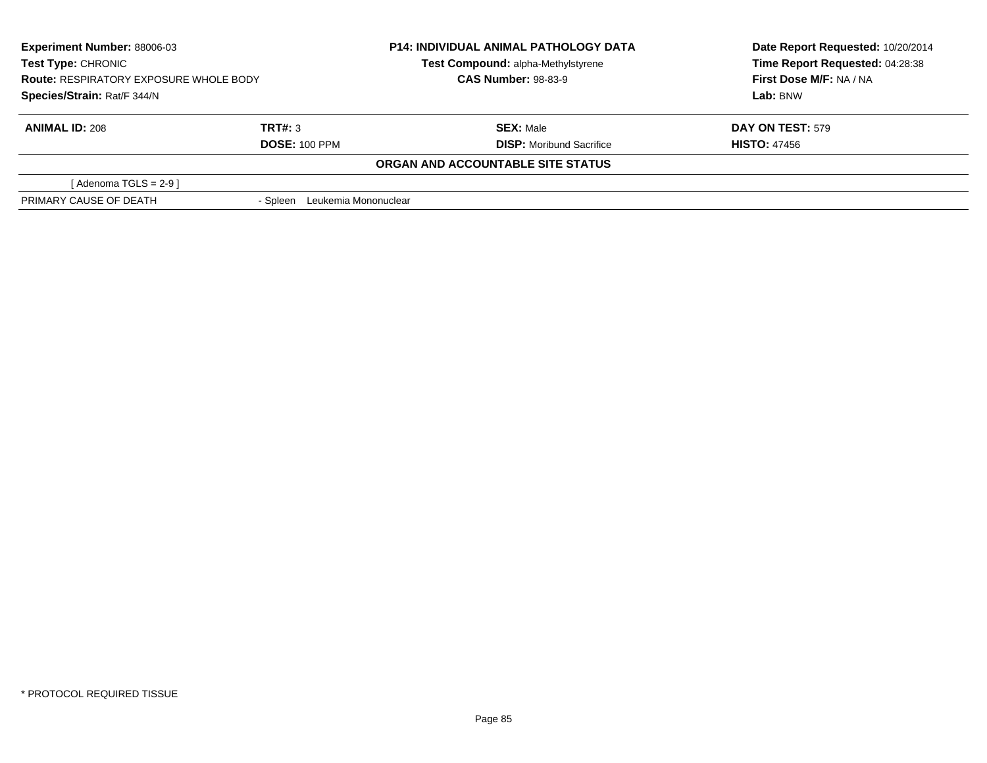| Experiment Number: 88006-03<br><b>Test Type: CHRONIC</b><br><b>Route: RESPIRATORY EXPOSURE WHOLE BODY</b><br>Species/Strain: Rat/F 344/N |                                  | <b>P14: INDIVIDUAL ANIMAL PATHOLOGY DATA</b> | Date Report Requested: 10/20/2014 |
|------------------------------------------------------------------------------------------------------------------------------------------|----------------------------------|----------------------------------------------|-----------------------------------|
|                                                                                                                                          |                                  | Test Compound: alpha-Methylstyrene           | Time Report Requested: 04:28:38   |
|                                                                                                                                          |                                  | <b>CAS Number: 98-83-9</b>                   | First Dose M/F: NA / NA           |
|                                                                                                                                          |                                  |                                              | Lab: BNW                          |
| <b>ANIMAL ID: 208</b>                                                                                                                    | TRT#: 3                          | <b>SEX: Male</b>                             | <b>DAY ON TEST: 579</b>           |
|                                                                                                                                          | <b>DOSE: 100 PPM</b>             | <b>DISP:</b> Moribund Sacrifice              | <b>HISTO: 47456</b>               |
|                                                                                                                                          |                                  | ORGAN AND ACCOUNTABLE SITE STATUS            |                                   |
| [Adenoma TGLS = $2-9$ ]                                                                                                                  |                                  |                                              |                                   |
| PRIMARY CAUSE OF DEATH                                                                                                                   | Leukemia Mononuclear<br>- Spleen |                                              |                                   |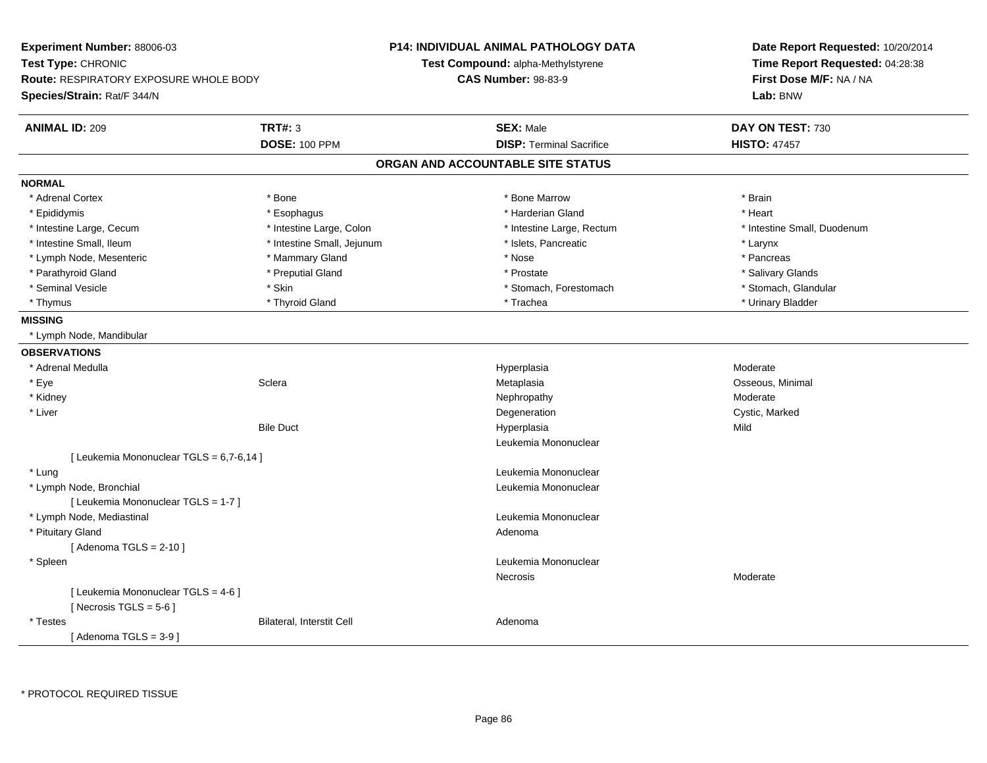| Experiment Number: 88006-03<br>Test Type: CHRONIC<br>Route: RESPIRATORY EXPOSURE WHOLE BODY<br>Species/Strain: Rat/F 344/N |                                        | P14: INDIVIDUAL ANIMAL PATHOLOGY DATA<br>Test Compound: alpha-Methylstyrene<br><b>CAS Number: 98-83-9</b> |                                 | Date Report Requested: 10/20/2014<br>Time Report Requested: 04:28:38<br>First Dose M/F: NA / NA<br>Lab: BNW |
|----------------------------------------------------------------------------------------------------------------------------|----------------------------------------|-----------------------------------------------------------------------------------------------------------|---------------------------------|-------------------------------------------------------------------------------------------------------------|
| <b>ANIMAL ID: 209</b>                                                                                                      | <b>TRT#: 3</b><br><b>DOSE: 100 PPM</b> | <b>SEX: Male</b>                                                                                          | <b>DISP: Terminal Sacrifice</b> | DAY ON TEST: 730<br><b>HISTO: 47457</b>                                                                     |
|                                                                                                                            |                                        | ORGAN AND ACCOUNTABLE SITE STATUS                                                                         |                                 |                                                                                                             |
| <b>NORMAL</b>                                                                                                              |                                        |                                                                                                           |                                 |                                                                                                             |
| * Adrenal Cortex                                                                                                           | * Bone                                 | * Bone Marrow                                                                                             |                                 | * Brain                                                                                                     |
| * Epididymis                                                                                                               | * Esophagus                            | * Harderian Gland                                                                                         |                                 | * Heart                                                                                                     |
| * Intestine Large, Cecum                                                                                                   | * Intestine Large, Colon               |                                                                                                           | * Intestine Large, Rectum       | * Intestine Small, Duodenum                                                                                 |
| * Intestine Small, Ileum                                                                                                   | * Intestine Small, Jejunum             | * Islets, Pancreatic                                                                                      |                                 | * Larynx                                                                                                    |
| * Lymph Node, Mesenteric                                                                                                   | * Mammary Gland                        | * Nose                                                                                                    |                                 | * Pancreas                                                                                                  |
| * Parathyroid Gland                                                                                                        | * Preputial Gland                      | * Prostate                                                                                                |                                 | * Salivary Glands                                                                                           |
| * Seminal Vesicle                                                                                                          | * Skin                                 |                                                                                                           | * Stomach, Forestomach          | * Stomach, Glandular                                                                                        |
| * Thymus                                                                                                                   | * Thyroid Gland                        | * Trachea                                                                                                 |                                 | * Urinary Bladder                                                                                           |
| <b>MISSING</b><br>* Lymph Node, Mandibular                                                                                 |                                        |                                                                                                           |                                 |                                                                                                             |
|                                                                                                                            |                                        |                                                                                                           |                                 |                                                                                                             |
| <b>OBSERVATIONS</b>                                                                                                        |                                        |                                                                                                           |                                 |                                                                                                             |
| * Adrenal Medulla                                                                                                          |                                        | Hyperplasia                                                                                               |                                 | Moderate                                                                                                    |
| * Eye                                                                                                                      | Sclera                                 | Metaplasia                                                                                                |                                 | Osseous, Minimal<br>Moderate                                                                                |
| * Kidney<br>* Liver                                                                                                        |                                        | Nephropathy                                                                                               |                                 |                                                                                                             |
|                                                                                                                            | <b>Bile Duct</b>                       | Degeneration                                                                                              |                                 | Cystic, Marked<br>Mild                                                                                      |
|                                                                                                                            |                                        | Hyperplasia<br>Leukemia Mononuclear                                                                       |                                 |                                                                                                             |
| [ Leukemia Mononuclear TGLS = 6,7-6,14 ]                                                                                   |                                        |                                                                                                           |                                 |                                                                                                             |
| * Lung                                                                                                                     |                                        | Leukemia Mononuclear                                                                                      |                                 |                                                                                                             |
| * Lymph Node, Bronchial                                                                                                    |                                        | Leukemia Mononuclear                                                                                      |                                 |                                                                                                             |
| [ Leukemia Mononuclear TGLS = 1-7 ]                                                                                        |                                        |                                                                                                           |                                 |                                                                                                             |
| * Lymph Node, Mediastinal                                                                                                  |                                        | Leukemia Mononuclear                                                                                      |                                 |                                                                                                             |
| * Pituitary Gland                                                                                                          |                                        | Adenoma                                                                                                   |                                 |                                                                                                             |
| [Adenoma TGLS = $2-10$ ]                                                                                                   |                                        |                                                                                                           |                                 |                                                                                                             |
| * Spleen                                                                                                                   |                                        | Leukemia Mononuclear                                                                                      |                                 |                                                                                                             |
|                                                                                                                            |                                        | Necrosis                                                                                                  |                                 | Moderate                                                                                                    |
| [ Leukemia Mononuclear TGLS = 4-6 ]                                                                                        |                                        |                                                                                                           |                                 |                                                                                                             |
| [ Necrosis TGLS = $5-6$ ]                                                                                                  |                                        |                                                                                                           |                                 |                                                                                                             |
| * Testes                                                                                                                   | Bilateral, Interstit Cell              | Adenoma                                                                                                   |                                 |                                                                                                             |
| [Adenoma TGLS = $3-9$ ]                                                                                                    |                                        |                                                                                                           |                                 |                                                                                                             |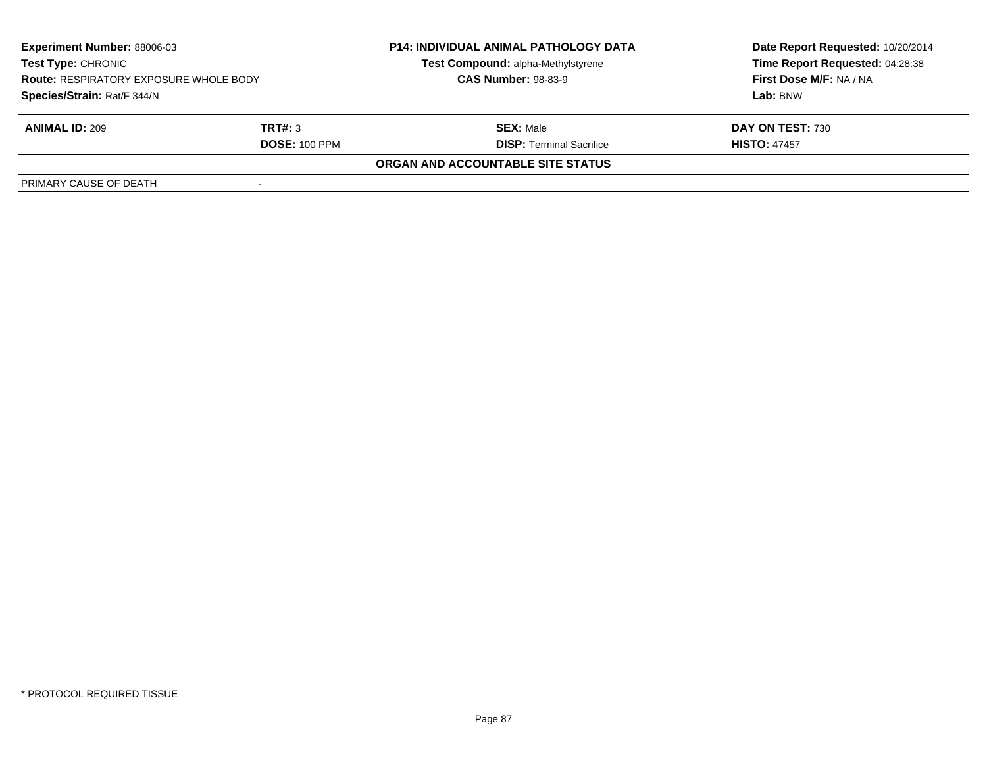| Experiment Number: 88006-03<br><b>Test Type: CHRONIC</b><br><b>Route: RESPIRATORY EXPOSURE WHOLE BODY</b> |                      | <b>P14: INDIVIDUAL ANIMAL PATHOLOGY DATA</b> | Date Report Requested: 10/20/2014 |  |
|-----------------------------------------------------------------------------------------------------------|----------------------|----------------------------------------------|-----------------------------------|--|
|                                                                                                           |                      | Test Compound: alpha-Methylstyrene           | Time Report Requested: 04:28:38   |  |
|                                                                                                           |                      | <b>CAS Number: 98-83-9</b>                   | First Dose M/F: NA / NA           |  |
| Species/Strain: Rat/F 344/N                                                                               |                      |                                              | Lab: BNW                          |  |
| <b>ANIMAL ID: 209</b>                                                                                     | TRT#: 3              | <b>SEX: Male</b>                             | DAY ON TEST: 730                  |  |
|                                                                                                           | <b>DOSE: 100 PPM</b> | <b>DISP:</b> Terminal Sacrifice              | <b>HISTO: 47457</b>               |  |
|                                                                                                           |                      | ORGAN AND ACCOUNTABLE SITE STATUS            |                                   |  |
| PRIMARY CAUSE OF DEATH                                                                                    |                      |                                              |                                   |  |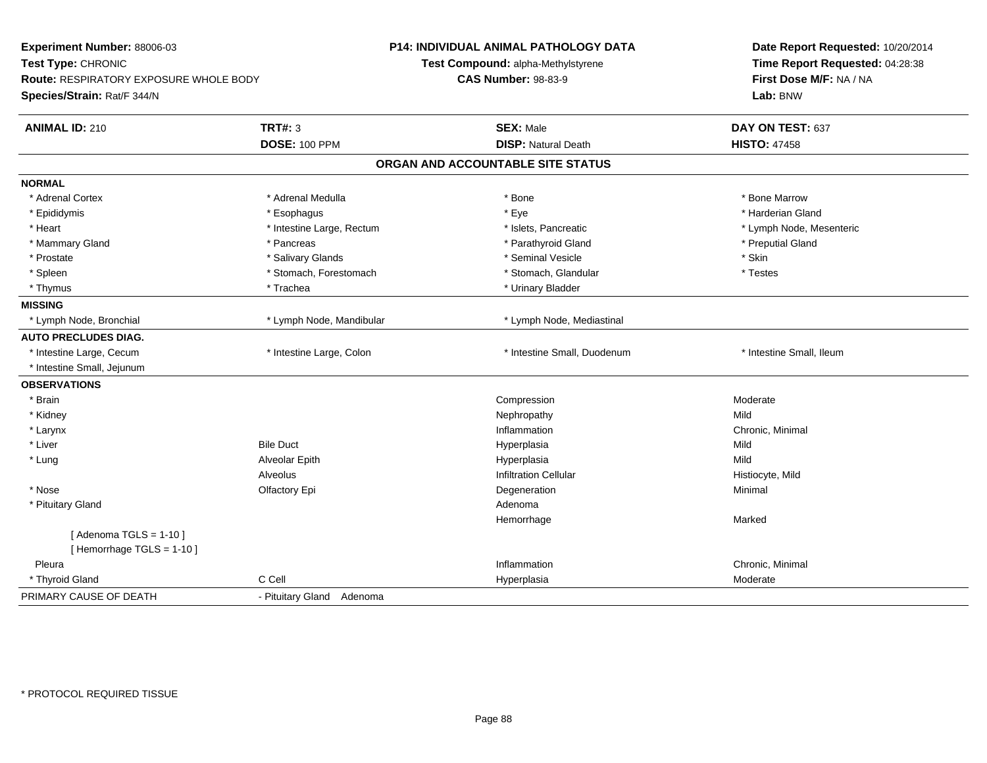| Experiment Number: 88006-03<br>Test Type: CHRONIC<br><b>Route: RESPIRATORY EXPOSURE WHOLE BODY</b><br>Species/Strain: Rat/F 344/N |                                        | P14: INDIVIDUAL ANIMAL PATHOLOGY DATA<br>Test Compound: alpha-Methylstyrene<br><b>CAS Number: 98-83-9</b> | Date Report Requested: 10/20/2014<br>Time Report Requested: 04:28:38<br>First Dose M/F: NA / NA<br>Lab: BNW |
|-----------------------------------------------------------------------------------------------------------------------------------|----------------------------------------|-----------------------------------------------------------------------------------------------------------|-------------------------------------------------------------------------------------------------------------|
| <b>ANIMAL ID: 210</b>                                                                                                             | <b>TRT#: 3</b><br><b>DOSE: 100 PPM</b> | <b>SEX: Male</b><br><b>DISP: Natural Death</b>                                                            | DAY ON TEST: 637<br><b>HISTO: 47458</b>                                                                     |
|                                                                                                                                   |                                        | ORGAN AND ACCOUNTABLE SITE STATUS                                                                         |                                                                                                             |
|                                                                                                                                   |                                        |                                                                                                           |                                                                                                             |
| <b>NORMAL</b>                                                                                                                     |                                        |                                                                                                           |                                                                                                             |
| * Adrenal Cortex                                                                                                                  | * Adrenal Medulla                      | * Bone                                                                                                    | * Bone Marrow                                                                                               |
| * Epididymis                                                                                                                      | * Esophagus                            | * Eye                                                                                                     | * Harderian Gland                                                                                           |
| * Heart                                                                                                                           | * Intestine Large, Rectum              | * Islets, Pancreatic                                                                                      | * Lymph Node, Mesenteric                                                                                    |
| * Mammary Gland                                                                                                                   | * Pancreas                             | * Parathyroid Gland                                                                                       | * Preputial Gland                                                                                           |
| * Prostate                                                                                                                        | * Salivary Glands                      | * Seminal Vesicle                                                                                         | * Skin                                                                                                      |
| * Spleen                                                                                                                          | * Stomach, Forestomach                 | * Stomach, Glandular                                                                                      | * Testes                                                                                                    |
| * Thymus                                                                                                                          | * Trachea                              | * Urinary Bladder                                                                                         |                                                                                                             |
| <b>MISSING</b>                                                                                                                    |                                        |                                                                                                           |                                                                                                             |
| * Lymph Node, Bronchial                                                                                                           | * Lymph Node, Mandibular               | * Lymph Node, Mediastinal                                                                                 |                                                                                                             |
| <b>AUTO PRECLUDES DIAG.</b>                                                                                                       |                                        |                                                                                                           |                                                                                                             |
| * Intestine Large, Cecum                                                                                                          | * Intestine Large, Colon               | * Intestine Small, Duodenum                                                                               | * Intestine Small, Ileum                                                                                    |
| * Intestine Small, Jejunum                                                                                                        |                                        |                                                                                                           |                                                                                                             |
| <b>OBSERVATIONS</b>                                                                                                               |                                        |                                                                                                           |                                                                                                             |
| * Brain                                                                                                                           |                                        | Compression                                                                                               | Moderate                                                                                                    |
| * Kidney                                                                                                                          |                                        | Nephropathy                                                                                               | Mild                                                                                                        |
| * Larynx                                                                                                                          |                                        | Inflammation                                                                                              | Chronic, Minimal                                                                                            |
| * Liver                                                                                                                           | <b>Bile Duct</b>                       | Hyperplasia                                                                                               | Mild                                                                                                        |
| * Lung                                                                                                                            | Alveolar Epith                         | Hyperplasia                                                                                               | Mild                                                                                                        |
|                                                                                                                                   | Alveolus                               | <b>Infiltration Cellular</b>                                                                              | Histiocyte, Mild                                                                                            |
| * Nose                                                                                                                            | Olfactory Epi                          | Degeneration                                                                                              | Minimal                                                                                                     |
| * Pituitary Gland                                                                                                                 |                                        | Adenoma                                                                                                   |                                                                                                             |
|                                                                                                                                   |                                        | Hemorrhage                                                                                                | Marked                                                                                                      |
| [Adenoma TGLS = $1-10$ ]                                                                                                          |                                        |                                                                                                           |                                                                                                             |
| [Hemorrhage TGLS = 1-10]                                                                                                          |                                        |                                                                                                           |                                                                                                             |
| Pleura                                                                                                                            |                                        | Inflammation                                                                                              | Chronic, Minimal                                                                                            |
| * Thyroid Gland                                                                                                                   | C Cell                                 | Hyperplasia                                                                                               | Moderate                                                                                                    |
| PRIMARY CAUSE OF DEATH                                                                                                            | - Pituitary Gland Adenoma              |                                                                                                           |                                                                                                             |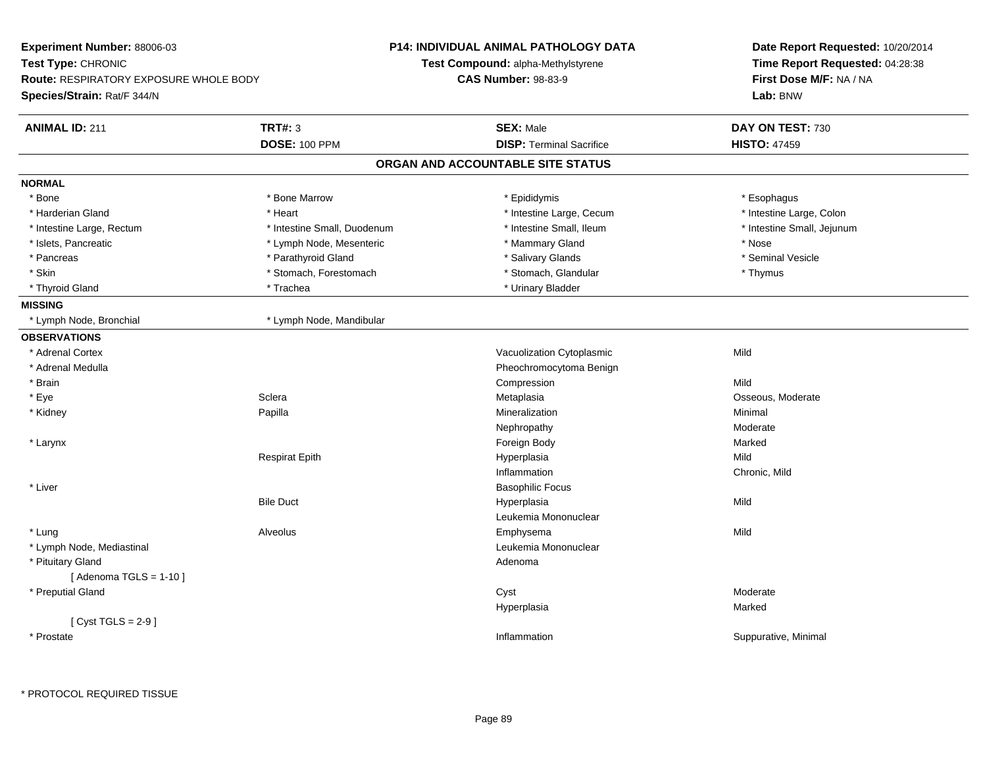| Experiment Number: 88006-03            |                             | <b>P14: INDIVIDUAL ANIMAL PATHOLOGY DATA</b> | Date Report Requested: 10/20/2014<br>Time Report Requested: 04:28:38 |
|----------------------------------------|-----------------------------|----------------------------------------------|----------------------------------------------------------------------|
| Test Type: CHRONIC                     |                             | Test Compound: alpha-Methylstyrene           |                                                                      |
| Route: RESPIRATORY EXPOSURE WHOLE BODY |                             | <b>CAS Number: 98-83-9</b>                   | First Dose M/F: NA / NA                                              |
| Species/Strain: Rat/F 344/N            |                             |                                              | Lab: BNW                                                             |
| <b>ANIMAL ID: 211</b>                  | <b>TRT#: 3</b>              | <b>SEX: Male</b>                             | DAY ON TEST: 730                                                     |
|                                        | <b>DOSE: 100 PPM</b>        | <b>DISP: Terminal Sacrifice</b>              | <b>HISTO: 47459</b>                                                  |
|                                        |                             | ORGAN AND ACCOUNTABLE SITE STATUS            |                                                                      |
| <b>NORMAL</b>                          |                             |                                              |                                                                      |
| * Bone                                 | * Bone Marrow               | * Epididymis                                 | * Esophagus                                                          |
| * Harderian Gland                      | * Heart                     | * Intestine Large, Cecum                     | * Intestine Large, Colon                                             |
| * Intestine Large, Rectum              | * Intestine Small, Duodenum | * Intestine Small, Ileum                     | * Intestine Small, Jejunum                                           |
| * Islets, Pancreatic                   | * Lymph Node, Mesenteric    | * Mammary Gland                              | * Nose                                                               |
| * Pancreas                             | * Parathyroid Gland         | * Salivary Glands                            | * Seminal Vesicle                                                    |
| * Skin                                 | * Stomach, Forestomach      | * Stomach, Glandular                         | * Thymus                                                             |
| * Thyroid Gland                        | * Trachea                   | * Urinary Bladder                            |                                                                      |
| <b>MISSING</b>                         |                             |                                              |                                                                      |
| * Lymph Node, Bronchial                | * Lymph Node, Mandibular    |                                              |                                                                      |
| <b>OBSERVATIONS</b>                    |                             |                                              |                                                                      |
| * Adrenal Cortex                       |                             | Vacuolization Cytoplasmic                    | Mild                                                                 |
| * Adrenal Medulla                      |                             | Pheochromocytoma Benign                      |                                                                      |
| * Brain                                |                             | Compression                                  | Mild                                                                 |
| * Eye                                  | Sclera                      | Metaplasia                                   | Osseous, Moderate                                                    |
| * Kidney                               | Papilla                     | Mineralization                               | Minimal                                                              |
|                                        |                             | Nephropathy                                  | Moderate                                                             |
| * Larynx                               |                             | Foreign Body                                 | Marked                                                               |
|                                        | Respirat Epith              | Hyperplasia                                  | Mild                                                                 |
|                                        |                             | Inflammation                                 | Chronic, Mild                                                        |
| * Liver                                |                             | <b>Basophilic Focus</b>                      |                                                                      |
|                                        | <b>Bile Duct</b>            | Hyperplasia                                  | Mild                                                                 |
|                                        |                             | Leukemia Mononuclear                         |                                                                      |
| * Lung                                 | Alveolus                    | Emphysema                                    | Mild                                                                 |
| * Lymph Node, Mediastinal              |                             | Leukemia Mononuclear                         |                                                                      |
| * Pituitary Gland                      |                             | Adenoma                                      |                                                                      |
| [Adenoma TGLS = $1-10$ ]               |                             |                                              |                                                                      |
| * Preputial Gland                      |                             | Cyst                                         | Moderate                                                             |
|                                        |                             | Hyperplasia                                  | Marked                                                               |
| [Cyst TGLS = $2-9$ ]                   |                             |                                              |                                                                      |
| * Prostate                             |                             | Inflammation                                 | Suppurative, Minimal                                                 |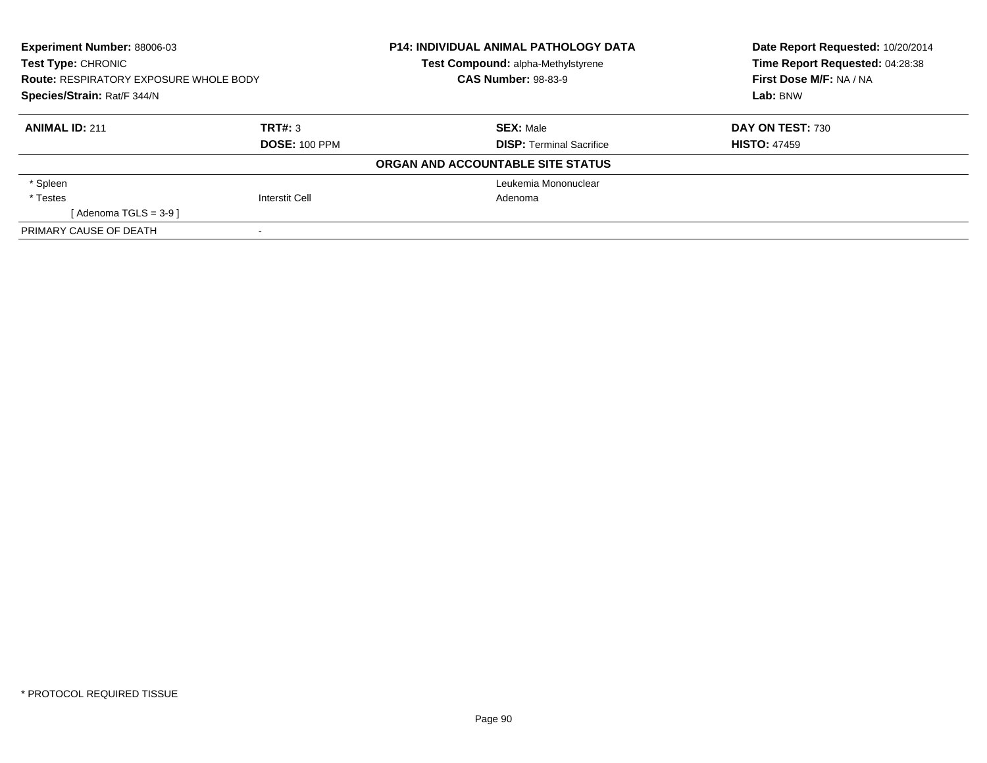| Experiment Number: 88006-03<br>Test Type: CHRONIC |                       | <b>P14: INDIVIDUAL ANIMAL PATHOLOGY DATA</b> | Date Report Requested: 10/20/2014 |
|---------------------------------------------------|-----------------------|----------------------------------------------|-----------------------------------|
|                                                   |                       | <b>Test Compound: alpha-Methylstyrene</b>    | Time Report Requested: 04:28:38   |
| <b>Route: RESPIRATORY EXPOSURE WHOLE BODY</b>     |                       | <b>CAS Number: 98-83-9</b>                   | First Dose M/F: NA / NA           |
| Species/Strain: Rat/F 344/N                       |                       |                                              | Lab: BNW                          |
| <b>ANIMAL ID: 211</b>                             | TRT#: 3               | <b>SEX: Male</b>                             | DAY ON TEST: 730                  |
|                                                   | <b>DOSE: 100 PPM</b>  | <b>DISP:</b> Terminal Sacrifice              | <b>HISTO: 47459</b>               |
|                                                   |                       | ORGAN AND ACCOUNTABLE SITE STATUS            |                                   |
| * Spleen                                          |                       | Leukemia Mononuclear                         |                                   |
| * Testes                                          | <b>Interstit Cell</b> | Adenoma                                      |                                   |
| [Adenoma TGLS = $3-9$ ]                           |                       |                                              |                                   |
| PRIMARY CAUSE OF DEATH                            |                       |                                              |                                   |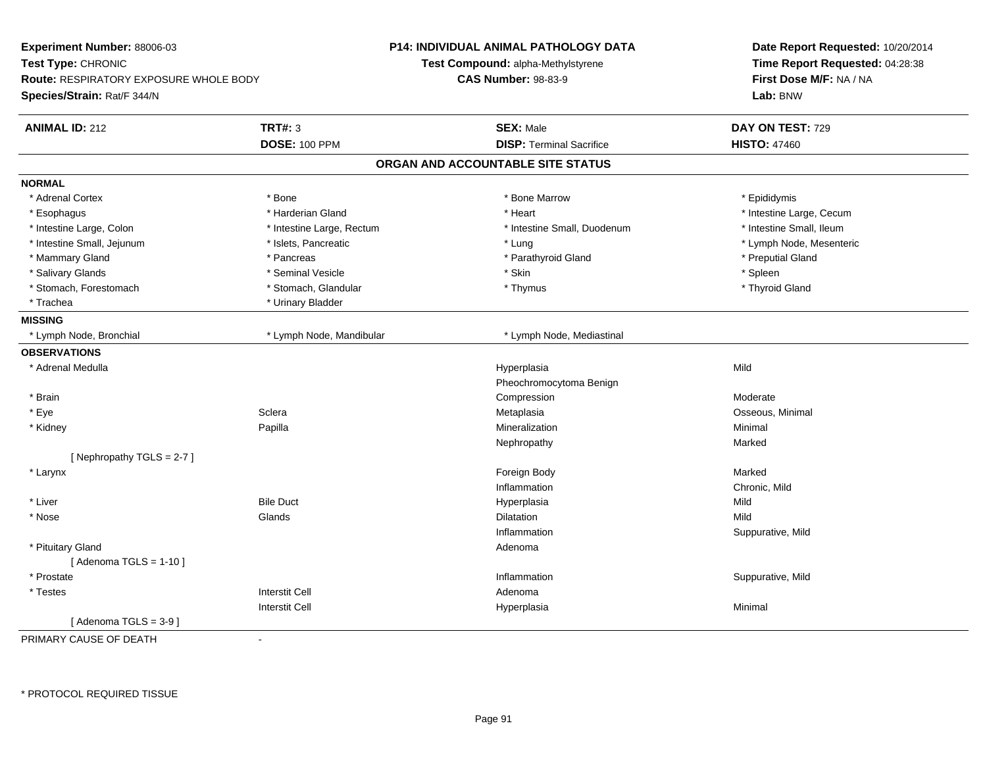| Experiment Number: 88006-03<br>Test Type: CHRONIC<br><b>Route: RESPIRATORY EXPOSURE WHOLE BODY</b> |                           | <b>P14: INDIVIDUAL ANIMAL PATHOLOGY DATA</b><br>Test Compound: alpha-Methylstyrene<br><b>CAS Number: 98-83-9</b> | Date Report Requested: 10/20/2014<br>Time Report Requested: 04:28:38<br>First Dose M/F: NA / NA |
|----------------------------------------------------------------------------------------------------|---------------------------|------------------------------------------------------------------------------------------------------------------|-------------------------------------------------------------------------------------------------|
| Species/Strain: Rat/F 344/N                                                                        |                           |                                                                                                                  | Lab: BNW                                                                                        |
| <b>ANIMAL ID: 212</b>                                                                              | <b>TRT#: 3</b>            | <b>SEX: Male</b>                                                                                                 | DAY ON TEST: 729                                                                                |
|                                                                                                    | <b>DOSE: 100 PPM</b>      | <b>DISP: Terminal Sacrifice</b>                                                                                  | <b>HISTO: 47460</b>                                                                             |
|                                                                                                    |                           | ORGAN AND ACCOUNTABLE SITE STATUS                                                                                |                                                                                                 |
| <b>NORMAL</b>                                                                                      |                           |                                                                                                                  |                                                                                                 |
| * Adrenal Cortex                                                                                   | * Bone                    | * Bone Marrow                                                                                                    | * Epididymis                                                                                    |
| * Esophagus                                                                                        | * Harderian Gland         | * Heart                                                                                                          | * Intestine Large, Cecum                                                                        |
| * Intestine Large, Colon                                                                           | * Intestine Large, Rectum | * Intestine Small, Duodenum                                                                                      | * Intestine Small, Ileum                                                                        |
| * Intestine Small, Jejunum                                                                         | * Islets, Pancreatic      | * Lung                                                                                                           | * Lymph Node, Mesenteric                                                                        |
| * Mammary Gland                                                                                    | * Pancreas                | * Parathyroid Gland                                                                                              | * Preputial Gland                                                                               |
| * Salivary Glands                                                                                  | * Seminal Vesicle         | * Skin                                                                                                           | * Spleen                                                                                        |
| * Stomach, Forestomach                                                                             | * Stomach, Glandular      | * Thymus                                                                                                         | * Thyroid Gland                                                                                 |
| * Trachea                                                                                          | * Urinary Bladder         |                                                                                                                  |                                                                                                 |
| <b>MISSING</b>                                                                                     |                           |                                                                                                                  |                                                                                                 |
| * Lymph Node, Bronchial                                                                            | * Lymph Node, Mandibular  | * Lymph Node, Mediastinal                                                                                        |                                                                                                 |
| <b>OBSERVATIONS</b>                                                                                |                           |                                                                                                                  |                                                                                                 |
| * Adrenal Medulla                                                                                  |                           | Hyperplasia                                                                                                      | Mild                                                                                            |
|                                                                                                    |                           | Pheochromocytoma Benign                                                                                          |                                                                                                 |
| * Brain                                                                                            |                           | Compression                                                                                                      | Moderate                                                                                        |
| * Eye                                                                                              | Sclera                    | Metaplasia                                                                                                       | Osseous, Minimal                                                                                |
| * Kidney                                                                                           | Papilla                   | Mineralization                                                                                                   | Minimal                                                                                         |
|                                                                                                    |                           | Nephropathy                                                                                                      | Marked                                                                                          |
| [Nephropathy TGLS = 2-7]                                                                           |                           |                                                                                                                  |                                                                                                 |
| * Larynx                                                                                           |                           | Foreign Body                                                                                                     | Marked                                                                                          |
|                                                                                                    |                           | Inflammation                                                                                                     | Chronic, Mild                                                                                   |
| * Liver                                                                                            | <b>Bile Duct</b>          | Hyperplasia                                                                                                      | Mild                                                                                            |
| * Nose                                                                                             | Glands                    | Dilatation                                                                                                       | Mild                                                                                            |
|                                                                                                    |                           | Inflammation                                                                                                     | Suppurative, Mild                                                                               |
| * Pituitary Gland                                                                                  |                           | Adenoma                                                                                                          |                                                                                                 |
| [Adenoma TGLS = $1-10$ ]                                                                           |                           |                                                                                                                  |                                                                                                 |
| * Prostate                                                                                         |                           | Inflammation                                                                                                     | Suppurative, Mild                                                                               |
| * Testes                                                                                           | <b>Interstit Cell</b>     | Adenoma                                                                                                          |                                                                                                 |
|                                                                                                    | <b>Interstit Cell</b>     | Hyperplasia                                                                                                      | Minimal                                                                                         |
| [Adenoma TGLS = $3-9$ ]                                                                            |                           |                                                                                                                  |                                                                                                 |

PRIMARY CAUSE OF DEATH-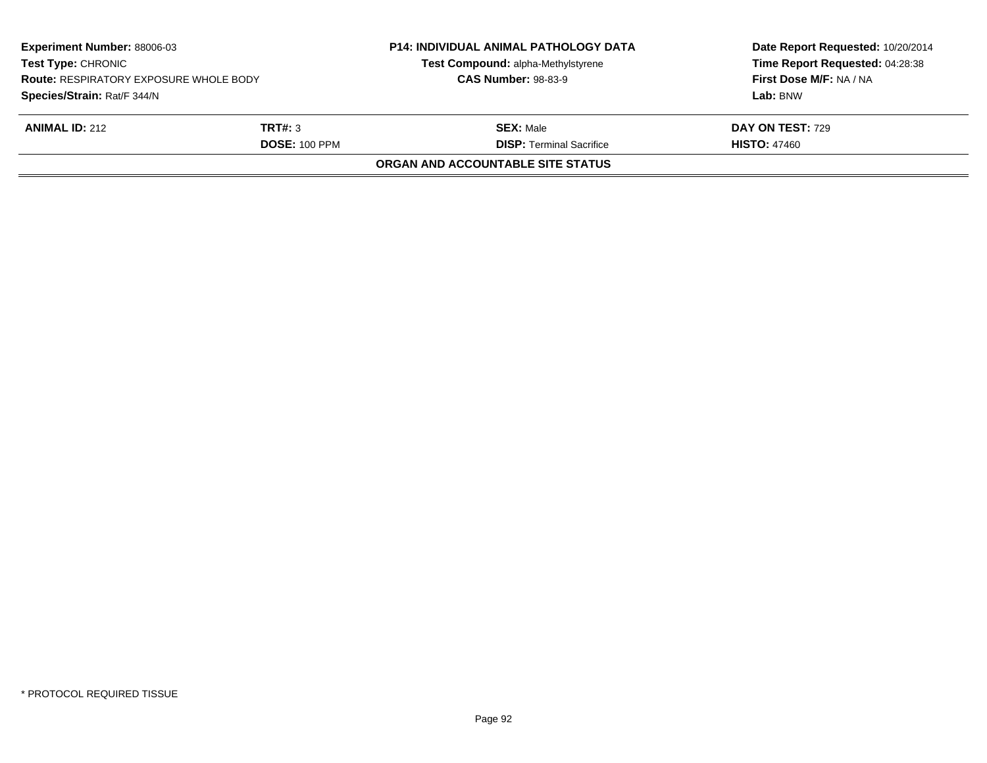| <b>Experiment Number: 88006-03</b><br><b>Test Type: CHRONIC</b><br><b>Route: RESPIRATORY EXPOSURE WHOLE BODY</b><br>Species/Strain: Rat/F 344/N |                                 | <b>P14: INDIVIDUAL ANIMAL PATHOLOGY DATA</b><br>Test Compound: alpha-Methylstyrene<br><b>CAS Number: 98-83-9</b> | Date Report Requested: 10/20/2014<br>Time Report Requested: 04:28:38<br>First Dose M/F: NA / NA<br>Lab: BNW |
|-------------------------------------------------------------------------------------------------------------------------------------------------|---------------------------------|------------------------------------------------------------------------------------------------------------------|-------------------------------------------------------------------------------------------------------------|
|                                                                                                                                                 |                                 |                                                                                                                  |                                                                                                             |
| <b>ANIMAL ID: 212</b>                                                                                                                           | TRT#: 3<br><b>DOSE: 100 PPM</b> | <b>SEX:</b> Male<br><b>DISP: Terminal Sacrifice</b>                                                              | <b>DAY ON TEST: 729</b><br><b>HISTO: 47460</b>                                                              |
|                                                                                                                                                 |                                 | ORGAN AND ACCOUNTABLE SITE STATUS                                                                                |                                                                                                             |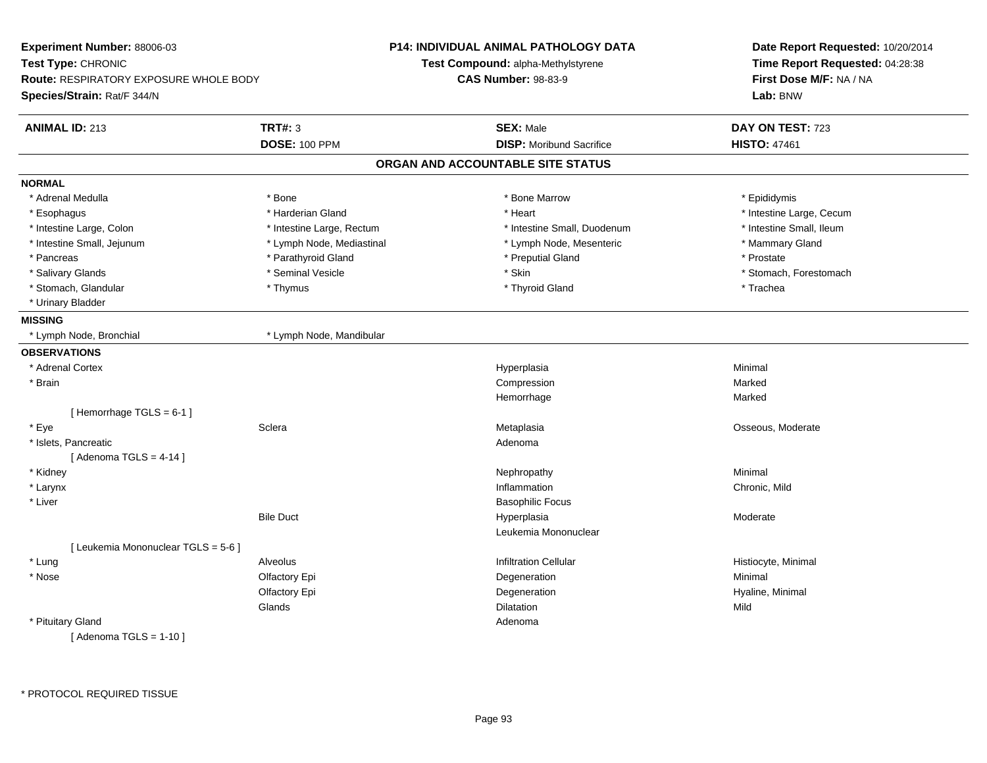| Experiment Number: 88006-03                                  |                           | <b>P14: INDIVIDUAL ANIMAL PATHOLOGY DATA</b> | Date Report Requested: 10/20/2014                          |  |
|--------------------------------------------------------------|---------------------------|----------------------------------------------|------------------------------------------------------------|--|
| Test Type: CHRONIC<br>Route: RESPIRATORY EXPOSURE WHOLE BODY |                           | Test Compound: alpha-Methylstyrene           | Time Report Requested: 04:28:38<br>First Dose M/F: NA / NA |  |
|                                                              |                           | <b>CAS Number: 98-83-9</b>                   |                                                            |  |
| Species/Strain: Rat/F 344/N                                  |                           |                                              | Lab: BNW                                                   |  |
| <b>ANIMAL ID: 213</b>                                        | <b>TRT#: 3</b>            | <b>SEX: Male</b>                             | DAY ON TEST: 723                                           |  |
|                                                              | <b>DOSE: 100 PPM</b>      | <b>DISP:</b> Moribund Sacrifice              | <b>HISTO: 47461</b>                                        |  |
|                                                              |                           | ORGAN AND ACCOUNTABLE SITE STATUS            |                                                            |  |
| <b>NORMAL</b>                                                |                           |                                              |                                                            |  |
| * Adrenal Medulla                                            | * Bone                    | * Bone Marrow                                | * Epididymis                                               |  |
| * Esophagus                                                  | * Harderian Gland         | * Heart                                      | * Intestine Large, Cecum                                   |  |
| * Intestine Large, Colon                                     | * Intestine Large, Rectum | * Intestine Small, Duodenum                  | * Intestine Small, Ileum                                   |  |
| * Intestine Small, Jejunum                                   | * Lymph Node, Mediastinal | * Lymph Node, Mesenteric                     | * Mammary Gland                                            |  |
| * Pancreas                                                   | * Parathyroid Gland       | * Preputial Gland                            | * Prostate                                                 |  |
| * Salivary Glands                                            | * Seminal Vesicle         | * Skin                                       | * Stomach, Forestomach                                     |  |
| * Stomach, Glandular                                         | * Thymus                  | * Thyroid Gland                              | * Trachea                                                  |  |
| * Urinary Bladder                                            |                           |                                              |                                                            |  |
| <b>MISSING</b>                                               |                           |                                              |                                                            |  |
| * Lymph Node, Bronchial                                      | * Lymph Node, Mandibular  |                                              |                                                            |  |
| <b>OBSERVATIONS</b>                                          |                           |                                              |                                                            |  |
| * Adrenal Cortex                                             |                           | Hyperplasia                                  | Minimal                                                    |  |
| * Brain                                                      |                           | Compression                                  | Marked                                                     |  |
|                                                              |                           | Hemorrhage                                   | Marked                                                     |  |
| [Hemorrhage TGLS = $6-1$ ]                                   |                           |                                              |                                                            |  |
| * Eye                                                        | Sclera                    | Metaplasia                                   | Osseous, Moderate                                          |  |
| * Islets, Pancreatic                                         |                           | Adenoma                                      |                                                            |  |
| [Adenoma TGLS = $4-14$ ]                                     |                           |                                              |                                                            |  |
| * Kidney                                                     |                           | Nephropathy                                  | Minimal                                                    |  |
| * Larynx                                                     |                           | Inflammation                                 | Chronic, Mild                                              |  |
| * Liver                                                      |                           | <b>Basophilic Focus</b>                      |                                                            |  |
|                                                              | <b>Bile Duct</b>          | Hyperplasia                                  | Moderate                                                   |  |
|                                                              |                           | Leukemia Mononuclear                         |                                                            |  |
| [ Leukemia Mononuclear TGLS = 5-6 ]                          |                           |                                              |                                                            |  |
| * Lung                                                       | Alveolus                  | <b>Infiltration Cellular</b>                 | Histiocyte, Minimal                                        |  |
| * Nose                                                       | Olfactory Epi             | Degeneration                                 | Minimal                                                    |  |
|                                                              | Olfactory Epi             | Degeneration                                 | Hyaline, Minimal                                           |  |
|                                                              | Glands                    | Dilatation                                   | Mild                                                       |  |
| * Pituitary Gland                                            |                           | Adenoma                                      |                                                            |  |
| [ Adenoma TGLS = $1-10$ ]                                    |                           |                                              |                                                            |  |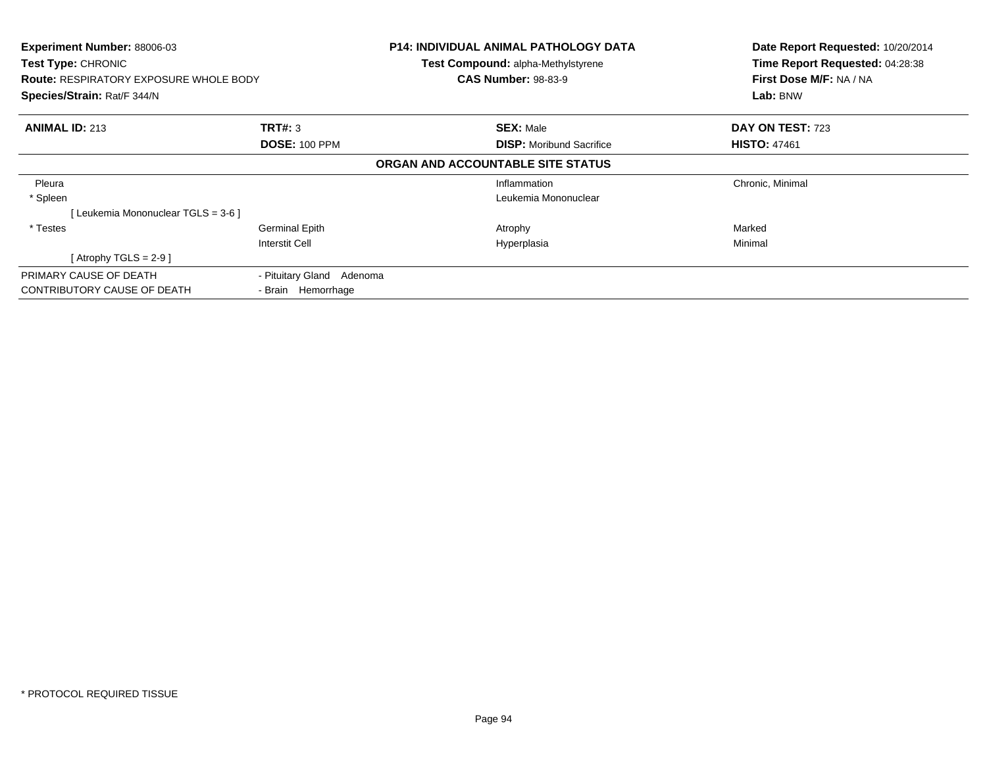| Experiment Number: 88006-03<br>Test Type: CHRONIC<br><b>Route: RESPIRATORY EXPOSURE WHOLE BODY</b><br>Species/Strain: Rat/F 344/N |                                                 | <b>P14: INDIVIDUAL ANIMAL PATHOLOGY DATA</b><br>Test Compound: alpha-Methylstyrene<br><b>CAS Number: 98-83-9</b> | Date Report Requested: 10/20/2014<br>Time Report Requested: 04:28:38<br>First Dose M/F: NA / NA<br>Lab: BNW |
|-----------------------------------------------------------------------------------------------------------------------------------|-------------------------------------------------|------------------------------------------------------------------------------------------------------------------|-------------------------------------------------------------------------------------------------------------|
| <b>ANIMAL ID: 213</b>                                                                                                             | TRT#: 3<br><b>DOSE: 100 PPM</b>                 | <b>SEX: Male</b><br><b>DISP:</b> Moribund Sacrifice                                                              | DAY ON TEST: 723<br><b>HISTO: 47461</b>                                                                     |
|                                                                                                                                   |                                                 | ORGAN AND ACCOUNTABLE SITE STATUS                                                                                |                                                                                                             |
| Pleura<br>* Spleen                                                                                                                |                                                 | Inflammation<br>Leukemia Mononuclear                                                                             | Chronic, Minimal                                                                                            |
| [Leukemia Mononuclear TGLS = 3-6 ]                                                                                                |                                                 |                                                                                                                  |                                                                                                             |
| * Testes                                                                                                                          | <b>Germinal Epith</b><br>Interstit Cell         | Atrophy<br>Hyperplasia                                                                                           | Marked<br>Minimal                                                                                           |
| [Atrophy TGLS = 2-9 ]                                                                                                             |                                                 |                                                                                                                  |                                                                                                             |
| PRIMARY CAUSE OF DEATH<br>CONTRIBUTORY CAUSE OF DEATH                                                                             | - Pituitary Gland Adenoma<br>- Brain Hemorrhage |                                                                                                                  |                                                                                                             |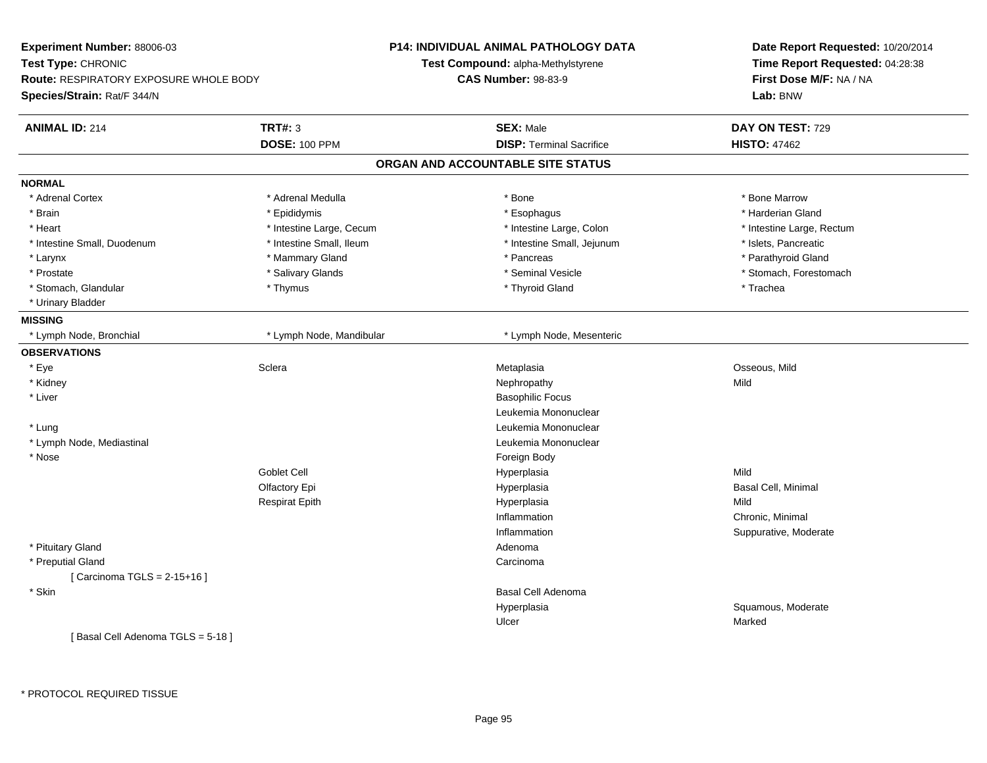| Experiment Number: 88006-03                   |                          | <b>P14: INDIVIDUAL ANIMAL PATHOLOGY DATA</b> | Date Report Requested: 10/20/2014                          |
|-----------------------------------------------|--------------------------|----------------------------------------------|------------------------------------------------------------|
| Test Type: CHRONIC                            |                          | <b>Test Compound: alpha-Methylstyrene</b>    | Time Report Requested: 04:28:38<br>First Dose M/F: NA / NA |
| <b>Route: RESPIRATORY EXPOSURE WHOLE BODY</b> |                          | <b>CAS Number: 98-83-9</b>                   |                                                            |
| Species/Strain: Rat/F 344/N                   |                          |                                              | Lab: BNW                                                   |
| <b>ANIMAL ID: 214</b>                         | <b>TRT#: 3</b>           | <b>SEX: Male</b>                             | DAY ON TEST: 729                                           |
|                                               | <b>DOSE: 100 PPM</b>     | <b>DISP: Terminal Sacrifice</b>              | <b>HISTO: 47462</b>                                        |
|                                               |                          | ORGAN AND ACCOUNTABLE SITE STATUS            |                                                            |
| <b>NORMAL</b>                                 |                          |                                              |                                                            |
| * Adrenal Cortex                              | * Adrenal Medulla        | * Bone                                       | * Bone Marrow                                              |
| * Brain                                       | * Epididymis             | * Esophagus                                  | * Harderian Gland                                          |
| * Heart                                       | * Intestine Large, Cecum | * Intestine Large, Colon                     | * Intestine Large, Rectum                                  |
| * Intestine Small, Duodenum                   | * Intestine Small, Ileum | * Intestine Small, Jejunum                   | * Islets, Pancreatic                                       |
| $*$ Larynx                                    | * Mammary Gland          | * Pancreas                                   | * Parathyroid Gland                                        |
| * Prostate                                    | * Salivary Glands        | * Seminal Vesicle                            | * Stomach, Forestomach                                     |
| * Stomach, Glandular                          | * Thymus                 | * Thyroid Gland                              | * Trachea                                                  |
| * Urinary Bladder                             |                          |                                              |                                                            |
| <b>MISSING</b>                                |                          |                                              |                                                            |
| * Lymph Node, Bronchial                       | * Lymph Node, Mandibular | * Lymph Node, Mesenteric                     |                                                            |
| <b>OBSERVATIONS</b>                           |                          |                                              |                                                            |
| * Eye                                         | Sclera                   | Metaplasia                                   | Osseous, Mild                                              |
| * Kidney                                      |                          | Nephropathy                                  | Mild                                                       |
| * Liver                                       |                          | <b>Basophilic Focus</b>                      |                                                            |
|                                               |                          | Leukemia Mononuclear                         |                                                            |
| * Lung                                        |                          | Leukemia Mononuclear                         |                                                            |
| * Lymph Node, Mediastinal                     |                          | Leukemia Mononuclear                         |                                                            |
| * Nose                                        |                          | Foreign Body                                 |                                                            |
|                                               | Goblet Cell              | Hyperplasia                                  | Mild                                                       |
|                                               | Olfactory Epi            | Hyperplasia                                  | Basal Cell, Minimal                                        |
|                                               | <b>Respirat Epith</b>    | Hyperplasia                                  | Mild                                                       |
|                                               |                          | Inflammation                                 | Chronic, Minimal                                           |
|                                               |                          | Inflammation                                 | Suppurative, Moderate                                      |
| * Pituitary Gland                             |                          | Adenoma                                      |                                                            |
| * Preputial Gland                             |                          | Carcinoma                                    |                                                            |
| [Carcinoma TGLS = $2-15+16$ ]                 |                          |                                              |                                                            |
| * Skin                                        |                          | Basal Cell Adenoma                           |                                                            |
|                                               |                          | Hyperplasia                                  | Squamous, Moderate                                         |
|                                               |                          | Ulcer                                        | Marked                                                     |
| [Basal Cell Adenoma TGLS = 5-18]              |                          |                                              |                                                            |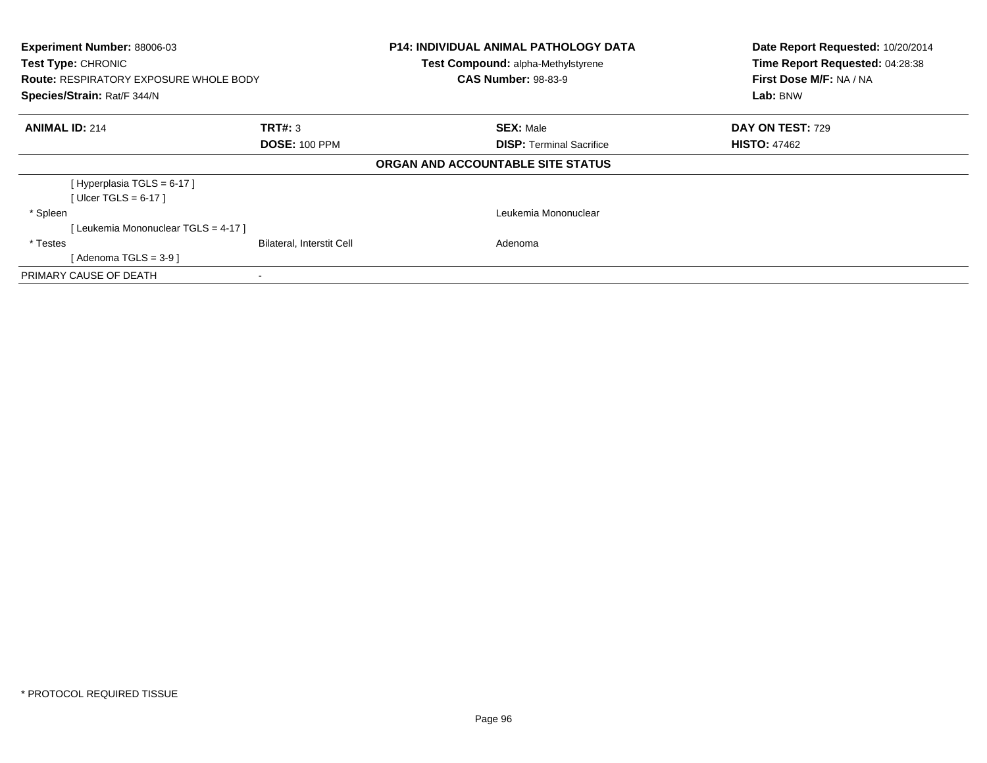| Experiment Number: 88006-03<br>Test Type: CHRONIC<br><b>Route: RESPIRATORY EXPOSURE WHOLE BODY</b><br>Species/Strain: Rat/F 344/N |                                  | <b>P14: INDIVIDUAL ANIMAL PATHOLOGY DATA</b><br>Test Compound: alpha-Methylstyrene<br><b>CAS Number: 98-83-9</b> | Date Report Requested: 10/20/2014<br>Time Report Requested: 04:28:38<br>First Dose M/F: NA / NA<br>Lab: BNW |
|-----------------------------------------------------------------------------------------------------------------------------------|----------------------------------|------------------------------------------------------------------------------------------------------------------|-------------------------------------------------------------------------------------------------------------|
| <b>ANIMAL ID: 214</b>                                                                                                             | TRT#: 3                          | <b>SEX: Male</b>                                                                                                 | DAY ON TEST: 729                                                                                            |
|                                                                                                                                   | <b>DOSE: 100 PPM</b>             | <b>DISP:</b> Terminal Sacrifice                                                                                  | <b>HISTO: 47462</b>                                                                                         |
|                                                                                                                                   |                                  | ORGAN AND ACCOUNTABLE SITE STATUS                                                                                |                                                                                                             |
| [Hyperplasia TGLS = 6-17]                                                                                                         |                                  |                                                                                                                  |                                                                                                             |
| [ Ulcer TGLS = $6-17$ ]                                                                                                           |                                  |                                                                                                                  |                                                                                                             |
| * Spleen                                                                                                                          |                                  | Leukemia Mononuclear                                                                                             |                                                                                                             |
| [Leukemia Mononuclear TGLS = 4-17]                                                                                                |                                  |                                                                                                                  |                                                                                                             |
| * Testes                                                                                                                          | <b>Bilateral, Interstit Cell</b> | Adenoma                                                                                                          |                                                                                                             |
| [Adenoma TGLS = $3-9$ ]                                                                                                           |                                  |                                                                                                                  |                                                                                                             |
| PRIMARY CAUSE OF DEATH                                                                                                            |                                  |                                                                                                                  |                                                                                                             |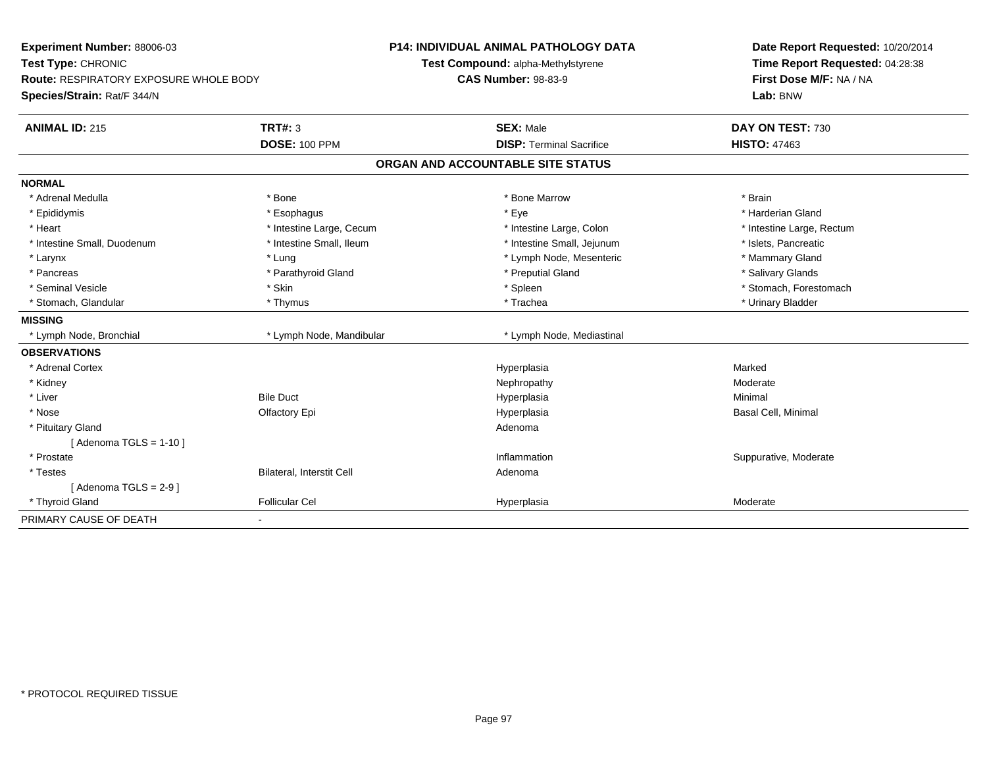| Experiment Number: 88006-03<br>Test Type: CHRONIC<br>Route: RESPIRATORY EXPOSURE WHOLE BODY<br>Species/Strain: Rat/F 344/N |                           | <b>P14: INDIVIDUAL ANIMAL PATHOLOGY DATA</b><br>Test Compound: alpha-Methylstyrene<br><b>CAS Number: 98-83-9</b> | Date Report Requested: 10/20/2014<br>Time Report Requested: 04:28:38<br>First Dose M/F: NA / NA<br>Lab: BNW |
|----------------------------------------------------------------------------------------------------------------------------|---------------------------|------------------------------------------------------------------------------------------------------------------|-------------------------------------------------------------------------------------------------------------|
| <b>ANIMAL ID: 215</b>                                                                                                      | <b>TRT#: 3</b>            | <b>SEX: Male</b>                                                                                                 | DAY ON TEST: 730                                                                                            |
|                                                                                                                            | <b>DOSE: 100 PPM</b>      | <b>DISP: Terminal Sacrifice</b>                                                                                  | <b>HISTO: 47463</b>                                                                                         |
|                                                                                                                            |                           | ORGAN AND ACCOUNTABLE SITE STATUS                                                                                |                                                                                                             |
| <b>NORMAL</b>                                                                                                              |                           |                                                                                                                  |                                                                                                             |
| * Adrenal Medulla                                                                                                          | * Bone                    | * Bone Marrow                                                                                                    | * Brain                                                                                                     |
| * Epididymis                                                                                                               | * Esophagus               | * Eye                                                                                                            | * Harderian Gland                                                                                           |
| * Heart                                                                                                                    | * Intestine Large, Cecum  | * Intestine Large, Colon                                                                                         | * Intestine Large, Rectum                                                                                   |
| * Intestine Small, Duodenum                                                                                                | * Intestine Small, Ileum  | * Intestine Small, Jejunum                                                                                       | * Islets, Pancreatic                                                                                        |
| * Larynx                                                                                                                   | * Lung                    | * Lymph Node, Mesenteric                                                                                         | * Mammary Gland                                                                                             |
| * Pancreas                                                                                                                 | * Parathyroid Gland       | * Preputial Gland                                                                                                | * Salivary Glands                                                                                           |
| * Seminal Vesicle                                                                                                          | * Skin                    | * Spleen                                                                                                         | * Stomach, Forestomach                                                                                      |
| * Stomach, Glandular                                                                                                       | * Thymus                  | * Trachea                                                                                                        | * Urinary Bladder                                                                                           |
| <b>MISSING</b>                                                                                                             |                           |                                                                                                                  |                                                                                                             |
| * Lymph Node, Bronchial                                                                                                    | * Lymph Node, Mandibular  | * Lymph Node, Mediastinal                                                                                        |                                                                                                             |
| <b>OBSERVATIONS</b>                                                                                                        |                           |                                                                                                                  |                                                                                                             |
| * Adrenal Cortex                                                                                                           |                           | Hyperplasia                                                                                                      | Marked                                                                                                      |
| * Kidney                                                                                                                   |                           | Nephropathy                                                                                                      | Moderate                                                                                                    |
| * Liver                                                                                                                    | <b>Bile Duct</b>          | Hyperplasia                                                                                                      | Minimal                                                                                                     |
| * Nose                                                                                                                     | Olfactory Epi             | Hyperplasia                                                                                                      | Basal Cell, Minimal                                                                                         |
| * Pituitary Gland                                                                                                          |                           | Adenoma                                                                                                          |                                                                                                             |
| [Adenoma TGLS = $1-10$ ]                                                                                                   |                           |                                                                                                                  |                                                                                                             |
| * Prostate                                                                                                                 |                           | Inflammation                                                                                                     | Suppurative, Moderate                                                                                       |
| * Testes                                                                                                                   | Bilateral, Interstit Cell | Adenoma                                                                                                          |                                                                                                             |
| [Adenoma TGLS = $2-9$ ]                                                                                                    |                           |                                                                                                                  |                                                                                                             |
| * Thyroid Gland                                                                                                            | <b>Follicular Cel</b>     | Hyperplasia                                                                                                      | Moderate                                                                                                    |
| PRIMARY CAUSE OF DEATH                                                                                                     |                           |                                                                                                                  |                                                                                                             |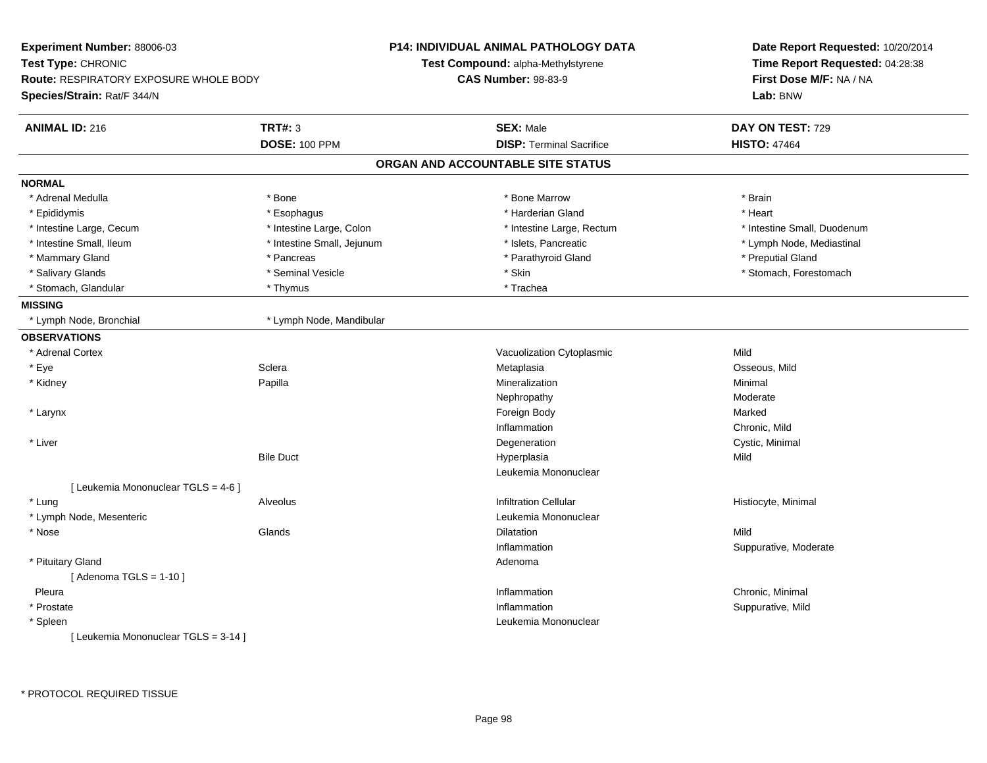| Experiment Number: 88006-03                   |                            | <b>P14: INDIVIDUAL ANIMAL PATHOLOGY DATA</b> | Date Report Requested: 10/20/2014<br>Time Report Requested: 04:28:38<br>First Dose M/F: NA / NA |  |
|-----------------------------------------------|----------------------------|----------------------------------------------|-------------------------------------------------------------------------------------------------|--|
| Test Type: CHRONIC                            |                            | Test Compound: alpha-Methylstyrene           |                                                                                                 |  |
| <b>Route: RESPIRATORY EXPOSURE WHOLE BODY</b> |                            | <b>CAS Number: 98-83-9</b>                   |                                                                                                 |  |
| Species/Strain: Rat/F 344/N                   |                            |                                              | Lab: BNW                                                                                        |  |
| <b>ANIMAL ID: 216</b>                         | <b>TRT#: 3</b>             | <b>SEX: Male</b>                             | DAY ON TEST: 729                                                                                |  |
|                                               | <b>DOSE: 100 PPM</b>       | <b>DISP: Terminal Sacrifice</b>              | <b>HISTO: 47464</b>                                                                             |  |
|                                               |                            | ORGAN AND ACCOUNTABLE SITE STATUS            |                                                                                                 |  |
| <b>NORMAL</b>                                 |                            |                                              |                                                                                                 |  |
| * Adrenal Medulla                             | * Bone                     | * Bone Marrow                                | * Brain                                                                                         |  |
| * Epididymis                                  | * Esophagus                | * Harderian Gland                            | * Heart                                                                                         |  |
| * Intestine Large, Cecum                      | * Intestine Large, Colon   | * Intestine Large, Rectum                    | * Intestine Small, Duodenum                                                                     |  |
| * Intestine Small, Ileum                      | * Intestine Small, Jejunum | * Islets, Pancreatic                         | * Lymph Node, Mediastinal                                                                       |  |
| * Mammary Gland                               | * Pancreas                 | * Parathyroid Gland                          | * Preputial Gland                                                                               |  |
| * Salivary Glands                             | * Seminal Vesicle          | * Skin                                       | * Stomach, Forestomach                                                                          |  |
| * Stomach, Glandular                          | * Thymus                   | * Trachea                                    |                                                                                                 |  |
| <b>MISSING</b>                                |                            |                                              |                                                                                                 |  |
| * Lymph Node, Bronchial                       | * Lymph Node, Mandibular   |                                              |                                                                                                 |  |
| <b>OBSERVATIONS</b>                           |                            |                                              |                                                                                                 |  |
| * Adrenal Cortex                              |                            | Vacuolization Cytoplasmic                    | Mild                                                                                            |  |
| * Eye                                         | Sclera                     | Metaplasia                                   | Osseous, Mild                                                                                   |  |
| * Kidney                                      | Papilla                    | Mineralization                               | Minimal                                                                                         |  |
|                                               |                            | Nephropathy                                  | Moderate                                                                                        |  |
| * Larynx                                      |                            | Foreign Body                                 | Marked                                                                                          |  |
|                                               |                            | Inflammation                                 | Chronic, Mild                                                                                   |  |
| * Liver                                       |                            | Degeneration                                 | Cystic, Minimal                                                                                 |  |
|                                               | <b>Bile Duct</b>           | Hyperplasia                                  | Mild                                                                                            |  |
|                                               |                            | Leukemia Mononuclear                         |                                                                                                 |  |
| [ Leukemia Mononuclear TGLS = 4-6 ]           |                            |                                              |                                                                                                 |  |
| * Lung                                        | Alveolus                   | <b>Infiltration Cellular</b>                 | Histiocyte, Minimal                                                                             |  |
| * Lymph Node, Mesenteric                      |                            | Leukemia Mononuclear                         |                                                                                                 |  |
| * Nose                                        | Glands                     | Dilatation                                   | Mild                                                                                            |  |
|                                               |                            | Inflammation                                 | Suppurative, Moderate                                                                           |  |
| * Pituitary Gland                             |                            | Adenoma                                      |                                                                                                 |  |
| [Adenoma TGLS = $1-10$ ]                      |                            |                                              |                                                                                                 |  |
| Pleura                                        |                            | Inflammation                                 | Chronic, Minimal                                                                                |  |
| * Prostate                                    |                            | Inflammation                                 | Suppurative, Mild                                                                               |  |
| * Spleen                                      |                            | Leukemia Mononuclear                         |                                                                                                 |  |
| [ Leukemia Mononuclear TGLS = 3-14 ]          |                            |                                              |                                                                                                 |  |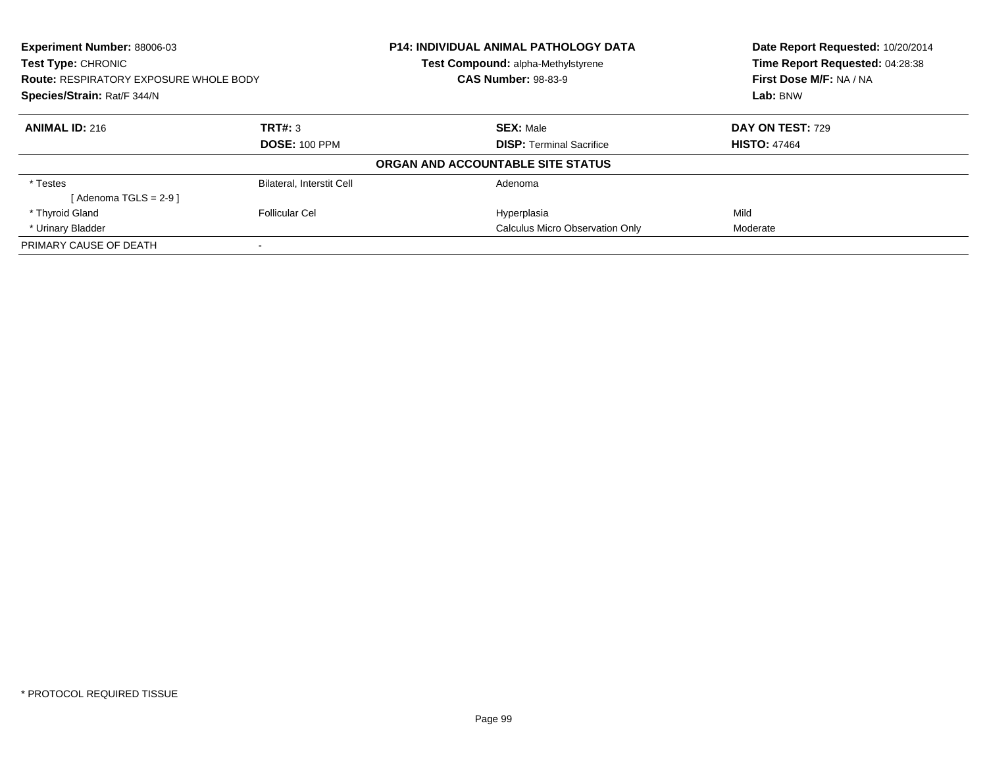| <b>Experiment Number: 88006-03</b><br><b>Test Type: CHRONIC</b><br><b>Route: RESPIRATORY EXPOSURE WHOLE BODY</b><br>Species/Strain: Rat/F 344/N |                                  | <b>P14: INDIVIDUAL ANIMAL PATHOLOGY DATA</b><br>Test Compound: alpha-Methylstyrene | Date Report Requested: 10/20/2014<br>Time Report Requested: 04:28:38<br>First Dose M/F: NA / NA<br>Lab: BNW |
|-------------------------------------------------------------------------------------------------------------------------------------------------|----------------------------------|------------------------------------------------------------------------------------|-------------------------------------------------------------------------------------------------------------|
|                                                                                                                                                 |                                  | <b>CAS Number: 98-83-9</b>                                                         |                                                                                                             |
|                                                                                                                                                 |                                  |                                                                                    |                                                                                                             |
| <b>ANIMAL ID: 216</b>                                                                                                                           | TRT#: 3                          | <b>SEX: Male</b>                                                                   | <b>DAY ON TEST: 729</b>                                                                                     |
|                                                                                                                                                 | <b>DOSE: 100 PPM</b>             | <b>DISP:</b> Terminal Sacrifice                                                    | <b>HISTO: 47464</b>                                                                                         |
|                                                                                                                                                 |                                  | ORGAN AND ACCOUNTABLE SITE STATUS                                                  |                                                                                                             |
| * Testes                                                                                                                                        | <b>Bilateral, Interstit Cell</b> | Adenoma                                                                            |                                                                                                             |
| [Adenoma TGLS = 2-9 ]                                                                                                                           |                                  |                                                                                    |                                                                                                             |
| * Thyroid Gland                                                                                                                                 | Follicular Cel                   | Hyperplasia                                                                        | Mild                                                                                                        |
| * Urinary Bladder                                                                                                                               |                                  | <b>Calculus Micro Observation Only</b>                                             | Moderate                                                                                                    |
| PRIMARY CAUSE OF DEATH                                                                                                                          |                                  |                                                                                    |                                                                                                             |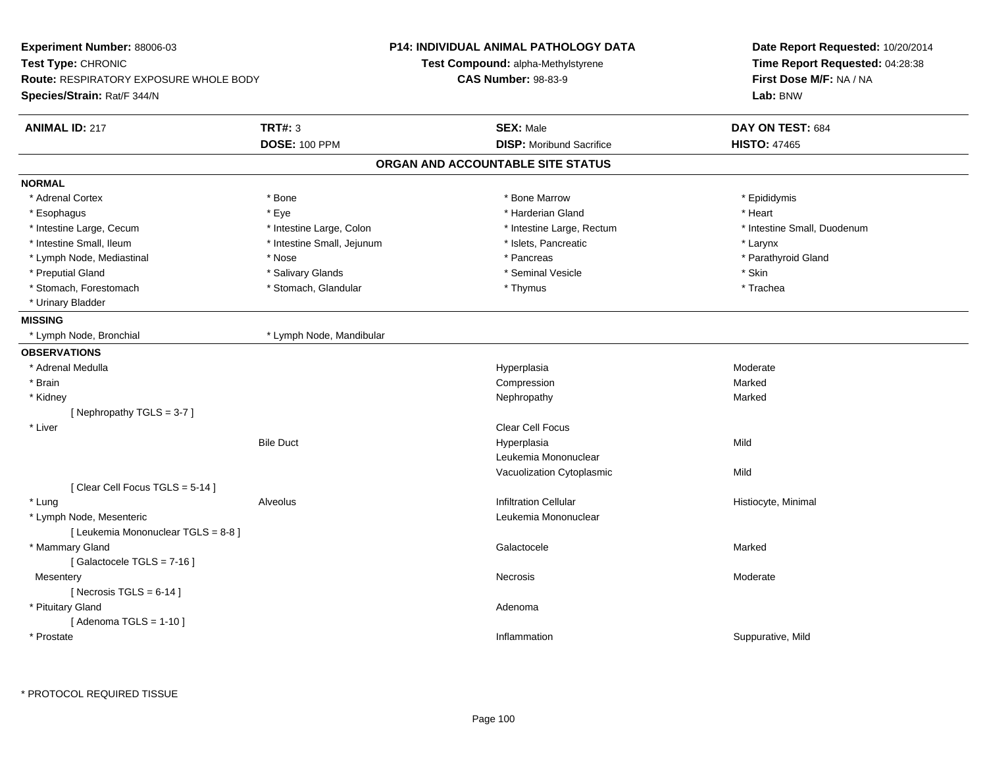| Experiment Number: 88006-03                                                                        |                            | <b>P14: INDIVIDUAL ANIMAL PATHOLOGY DATA</b> | Date Report Requested: 10/20/2014                          |
|----------------------------------------------------------------------------------------------------|----------------------------|----------------------------------------------|------------------------------------------------------------|
| Test Type: CHRONIC<br><b>Route: RESPIRATORY EXPOSURE WHOLE BODY</b><br>Species/Strain: Rat/F 344/N |                            | <b>Test Compound: alpha-Methylstyrene</b>    | Time Report Requested: 04:28:38<br>First Dose M/F: NA / NA |
|                                                                                                    |                            | <b>CAS Number: 98-83-9</b>                   |                                                            |
|                                                                                                    |                            |                                              | Lab: BNW                                                   |
| <b>ANIMAL ID: 217</b>                                                                              | <b>TRT#: 3</b>             | <b>SEX: Male</b>                             | DAY ON TEST: 684                                           |
|                                                                                                    | <b>DOSE: 100 PPM</b>       | <b>DISP:</b> Moribund Sacrifice              | <b>HISTO: 47465</b>                                        |
|                                                                                                    |                            | ORGAN AND ACCOUNTABLE SITE STATUS            |                                                            |
| <b>NORMAL</b>                                                                                      |                            |                                              |                                                            |
| * Adrenal Cortex                                                                                   | * Bone                     | * Bone Marrow                                | * Epididymis                                               |
| * Esophagus                                                                                        | * Eye                      | * Harderian Gland                            | * Heart                                                    |
| * Intestine Large, Cecum                                                                           | * Intestine Large, Colon   | * Intestine Large, Rectum                    | * Intestine Small, Duodenum                                |
| * Intestine Small, Ileum                                                                           | * Intestine Small, Jejunum | * Islets, Pancreatic                         | * Larynx                                                   |
| * Lymph Node, Mediastinal                                                                          | * Nose                     | * Pancreas                                   | * Parathyroid Gland                                        |
| * Preputial Gland                                                                                  | * Salivary Glands          | * Seminal Vesicle                            | * Skin                                                     |
| * Stomach, Forestomach                                                                             | * Stomach, Glandular       | * Thymus                                     | * Trachea                                                  |
| * Urinary Bladder                                                                                  |                            |                                              |                                                            |
| <b>MISSING</b>                                                                                     |                            |                                              |                                                            |
| * Lymph Node, Bronchial                                                                            | * Lymph Node, Mandibular   |                                              |                                                            |
| <b>OBSERVATIONS</b>                                                                                |                            |                                              |                                                            |
| * Adrenal Medulla                                                                                  |                            | Hyperplasia                                  | Moderate                                                   |
| * Brain                                                                                            |                            | Compression                                  | Marked                                                     |
| * Kidney                                                                                           |                            | Nephropathy                                  | Marked                                                     |
| [Nephropathy TGLS = $3-7$ ]                                                                        |                            |                                              |                                                            |
| * Liver                                                                                            |                            | Clear Cell Focus                             |                                                            |
|                                                                                                    | <b>Bile Duct</b>           | Hyperplasia                                  | Mild                                                       |
|                                                                                                    |                            | Leukemia Mononuclear                         |                                                            |
|                                                                                                    |                            | Vacuolization Cytoplasmic                    | Mild                                                       |
| [Clear Cell Focus TGLS = 5-14]                                                                     |                            |                                              |                                                            |
| * Lung                                                                                             | Alveolus                   | <b>Infiltration Cellular</b>                 | Histiocyte, Minimal                                        |
| * Lymph Node, Mesenteric                                                                           |                            | Leukemia Mononuclear                         |                                                            |
| [ Leukemia Mononuclear TGLS = 8-8 ]                                                                |                            |                                              |                                                            |
| * Mammary Gland                                                                                    |                            | Galactocele                                  | Marked                                                     |
| [ Galactocele TGLS = $7-16$ ]                                                                      |                            |                                              |                                                            |
| Mesentery                                                                                          |                            | Necrosis                                     | Moderate                                                   |
| [Necrosis TGLS = $6-14$ ]                                                                          |                            |                                              |                                                            |
| * Pituitary Gland                                                                                  |                            | Adenoma                                      |                                                            |
| [Adenoma TGLS = $1-10$ ]                                                                           |                            |                                              |                                                            |
| * Prostate                                                                                         |                            | Inflammation                                 | Suppurative, Mild                                          |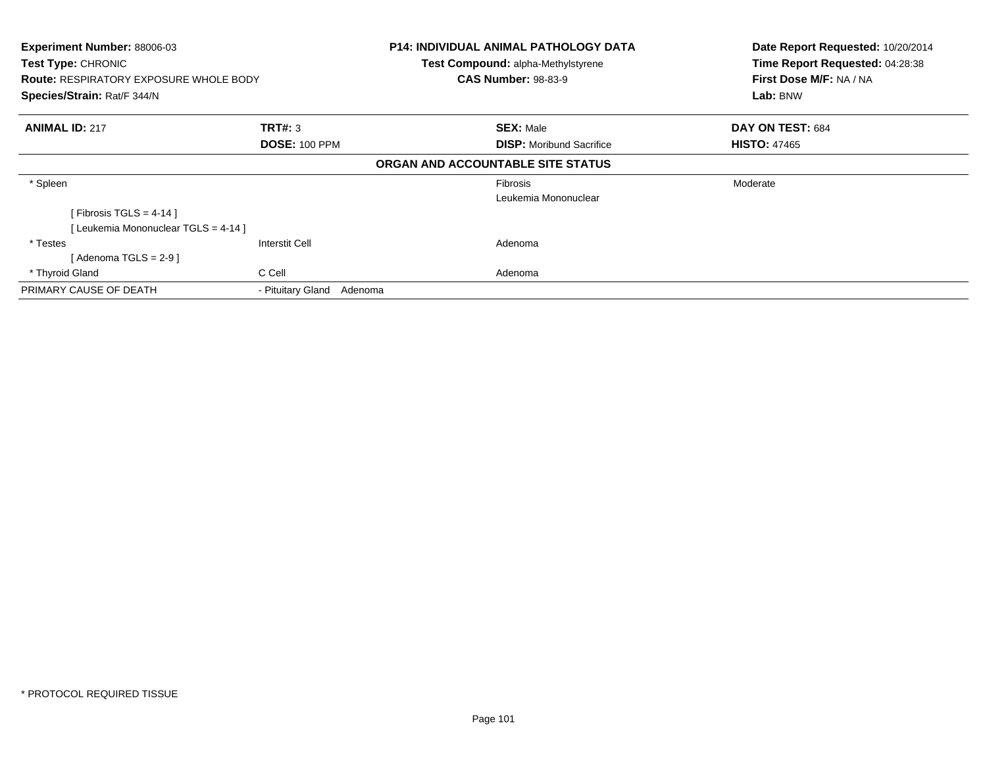| <b>Experiment Number: 88006-03</b><br>Test Type: CHRONIC<br><b>Route: RESPIRATORY EXPOSURE WHOLE BODY</b><br>Species/Strain: Rat/F 344/N |                           | <b>P14: INDIVIDUAL ANIMAL PATHOLOGY DATA</b><br>Test Compound: alpha-Methylstyrene<br><b>CAS Number: 98-83-9</b> | Date Report Requested: 10/20/2014<br>Time Report Requested: 04:28:38<br>First Dose M/F: NA / NA<br>Lab: BNW |
|------------------------------------------------------------------------------------------------------------------------------------------|---------------------------|------------------------------------------------------------------------------------------------------------------|-------------------------------------------------------------------------------------------------------------|
|                                                                                                                                          |                           |                                                                                                                  |                                                                                                             |
| <b>ANIMAL ID: 217</b>                                                                                                                    | <b>TRT#: 3</b>            | <b>SEX: Male</b>                                                                                                 | DAY ON TEST: 684                                                                                            |
|                                                                                                                                          | <b>DOSE: 100 PPM</b>      | <b>DISP:</b> Moribund Sacrifice                                                                                  | <b>HISTO: 47465</b>                                                                                         |
|                                                                                                                                          |                           | ORGAN AND ACCOUNTABLE SITE STATUS                                                                                |                                                                                                             |
| * Spleen                                                                                                                                 |                           | <b>Fibrosis</b>                                                                                                  | Moderate                                                                                                    |
|                                                                                                                                          |                           | Leukemia Mononuclear                                                                                             |                                                                                                             |
| [Fibrosis TGLS = 4-14 ]                                                                                                                  |                           |                                                                                                                  |                                                                                                             |
| Leukemia Mononuclear TGLS = 4-14 ]                                                                                                       |                           |                                                                                                                  |                                                                                                             |
| * Testes                                                                                                                                 | Interstit Cell            | Adenoma                                                                                                          |                                                                                                             |
| [ Adenoma TGLS = 2-9 ]                                                                                                                   |                           |                                                                                                                  |                                                                                                             |
| * Thyroid Gland                                                                                                                          | C Cell                    | Adenoma                                                                                                          |                                                                                                             |
| PRIMARY CAUSE OF DEATH                                                                                                                   | - Pituitary Gland Adenoma |                                                                                                                  |                                                                                                             |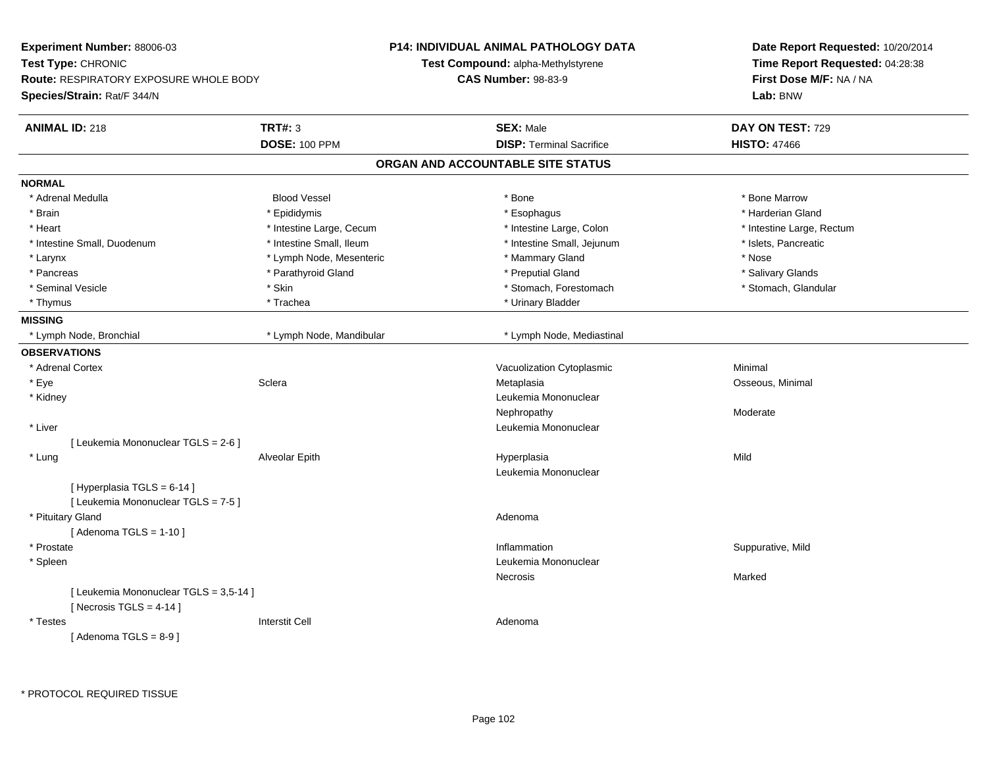| <b>Experiment Number: 88006-03</b>            |                          | <b>P14: INDIVIDUAL ANIMAL PATHOLOGY DATA</b> | Date Report Requested: 10/20/2014<br>Time Report Requested: 04:28:38 |
|-----------------------------------------------|--------------------------|----------------------------------------------|----------------------------------------------------------------------|
| Test Type: CHRONIC                            |                          | Test Compound: alpha-Methylstyrene           |                                                                      |
| <b>Route: RESPIRATORY EXPOSURE WHOLE BODY</b> |                          | <b>CAS Number: 98-83-9</b>                   | First Dose M/F: NA / NA                                              |
| Species/Strain: Rat/F 344/N                   |                          |                                              | Lab: BNW                                                             |
| <b>ANIMAL ID: 218</b>                         | <b>TRT#: 3</b>           | <b>SEX: Male</b>                             | DAY ON TEST: 729                                                     |
|                                               | <b>DOSE: 100 PPM</b>     | <b>DISP: Terminal Sacrifice</b>              | <b>HISTO: 47466</b>                                                  |
|                                               |                          | ORGAN AND ACCOUNTABLE SITE STATUS            |                                                                      |
| <b>NORMAL</b>                                 |                          |                                              |                                                                      |
| * Adrenal Medulla                             | <b>Blood Vessel</b>      | * Bone                                       | * Bone Marrow                                                        |
| * Brain                                       | * Epididymis             | * Esophagus                                  | * Harderian Gland                                                    |
| * Heart                                       | * Intestine Large, Cecum | * Intestine Large, Colon                     | * Intestine Large, Rectum                                            |
| * Intestine Small, Duodenum                   | * Intestine Small, Ileum | * Intestine Small, Jejunum                   | * Islets, Pancreatic                                                 |
| * Larynx                                      | * Lymph Node, Mesenteric | * Mammary Gland                              | * Nose                                                               |
| * Pancreas                                    | * Parathyroid Gland      | * Preputial Gland                            | * Salivary Glands                                                    |
| * Seminal Vesicle                             | * Skin                   | * Stomach, Forestomach                       | * Stomach, Glandular                                                 |
| * Thymus                                      | * Trachea                | * Urinary Bladder                            |                                                                      |
| <b>MISSING</b>                                |                          |                                              |                                                                      |
| * Lymph Node, Bronchial                       | * Lymph Node, Mandibular | * Lymph Node, Mediastinal                    |                                                                      |
| <b>OBSERVATIONS</b>                           |                          |                                              |                                                                      |
| * Adrenal Cortex                              |                          | Vacuolization Cytoplasmic                    | Minimal                                                              |
| * Eye                                         | Sclera                   | Metaplasia                                   | Osseous, Minimal                                                     |
| * Kidney                                      |                          | Leukemia Mononuclear                         |                                                                      |
|                                               |                          | Nephropathy                                  | Moderate                                                             |
| * Liver                                       |                          | Leukemia Mononuclear                         |                                                                      |
| [ Leukemia Mononuclear TGLS = 2-6 ]           |                          |                                              |                                                                      |
| * Lung                                        | Alveolar Epith           | Hyperplasia                                  | Mild                                                                 |
|                                               |                          | Leukemia Mononuclear                         |                                                                      |
| [Hyperplasia TGLS = $6-14$ ]                  |                          |                                              |                                                                      |
| [ Leukemia Mononuclear TGLS = 7-5 ]           |                          |                                              |                                                                      |
| * Pituitary Gland                             |                          | Adenoma                                      |                                                                      |
| [Adenoma TGLS = $1-10$ ]                      |                          |                                              |                                                                      |
| * Prostate                                    |                          | Inflammation                                 | Suppurative, Mild                                                    |
| * Spleen                                      |                          | Leukemia Mononuclear                         |                                                                      |
|                                               |                          | Necrosis                                     | Marked                                                               |
| [ Leukemia Mononuclear TGLS = 3,5-14 ]        |                          |                                              |                                                                      |
| [Necrosis TGLS = $4-14$ ]                     |                          |                                              |                                                                      |
| * Testes                                      | <b>Interstit Cell</b>    | Adenoma                                      |                                                                      |
| [Adenoma TGLS = $8-9$ ]                       |                          |                                              |                                                                      |
|                                               |                          |                                              |                                                                      |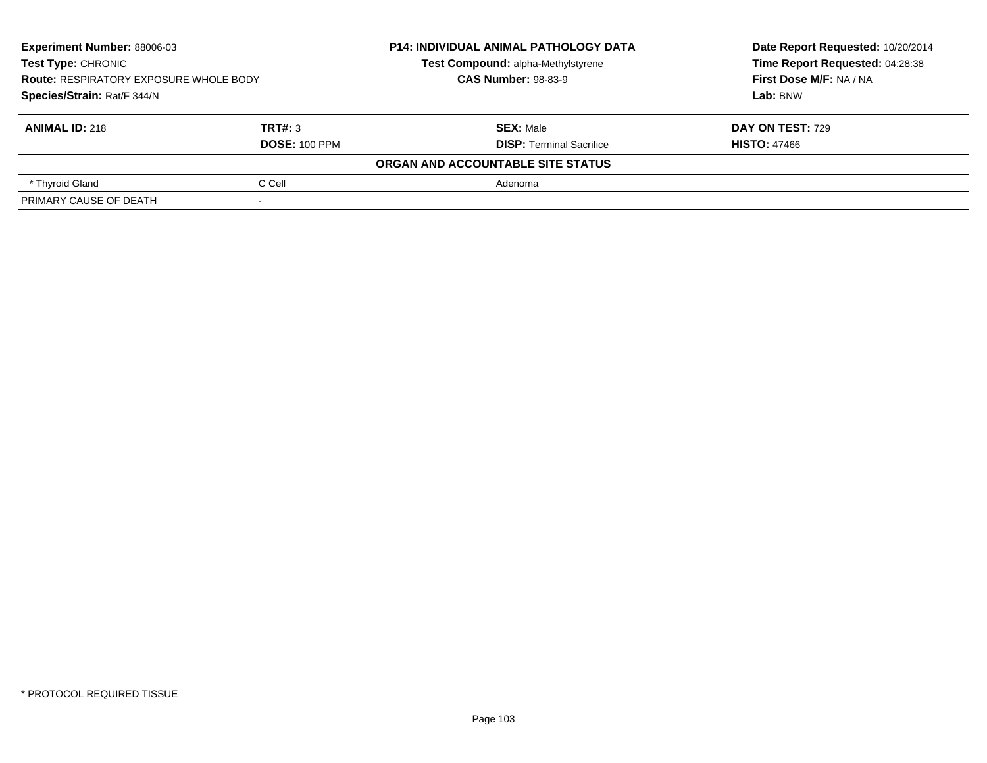| <b>Experiment Number: 88006-03</b><br><b>Test Type: CHRONIC</b><br><b>Route: RESPIRATORY EXPOSURE WHOLE BODY</b><br>Species/Strain: Rat/F 344/N |                      | <b>P14: INDIVIDUAL ANIMAL PATHOLOGY DATA</b> | Date Report Requested: 10/20/2014 |
|-------------------------------------------------------------------------------------------------------------------------------------------------|----------------------|----------------------------------------------|-----------------------------------|
|                                                                                                                                                 |                      | Test Compound: alpha-Methylstyrene           | Time Report Requested: 04:28:38   |
|                                                                                                                                                 |                      | <b>CAS Number: 98-83-9</b>                   | First Dose M/F: NA / NA           |
|                                                                                                                                                 |                      |                                              | Lab: BNW                          |
| <b>ANIMAL ID: 218</b>                                                                                                                           | TRT#: 3              | <b>SEX: Male</b>                             | DAY ON TEST: 729                  |
|                                                                                                                                                 | <b>DOSE: 100 PPM</b> | <b>DISP: Terminal Sacrifice</b>              | <b>HISTO: 47466</b>               |
|                                                                                                                                                 |                      | ORGAN AND ACCOUNTABLE SITE STATUS            |                                   |
| * Thyroid Gland                                                                                                                                 | C Cell               | Adenoma                                      |                                   |
| PRIMARY CAUSE OF DEATH                                                                                                                          |                      |                                              |                                   |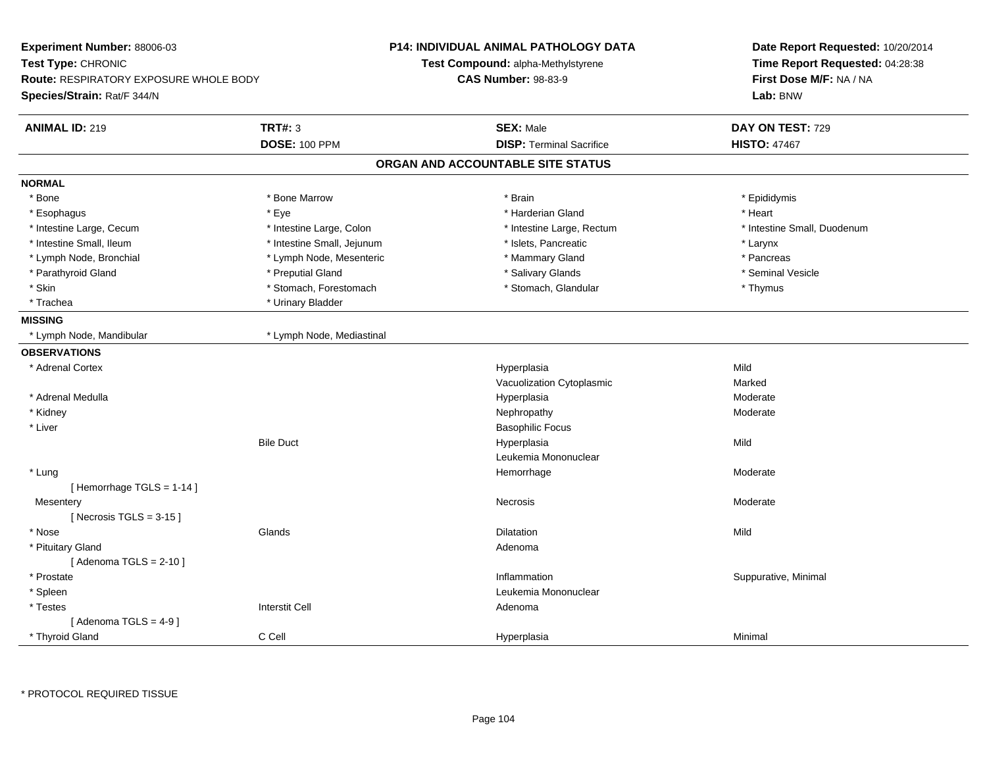| Experiment Number: 88006-03<br>Test Type: CHRONIC<br><b>Route: RESPIRATORY EXPOSURE WHOLE BODY</b><br>Species/Strain: Rat/F 344/N |                                        | <b>P14: INDIVIDUAL ANIMAL PATHOLOGY DATA</b><br>Test Compound: alpha-Methylstyrene<br><b>CAS Number: 98-83-9</b> | Date Report Requested: 10/20/2014<br>Time Report Requested: 04:28:38<br>First Dose M/F: NA / NA<br>Lab: BNW |
|-----------------------------------------------------------------------------------------------------------------------------------|----------------------------------------|------------------------------------------------------------------------------------------------------------------|-------------------------------------------------------------------------------------------------------------|
| <b>ANIMAL ID: 219</b>                                                                                                             | <b>TRT#: 3</b><br><b>DOSE: 100 PPM</b> | <b>SEX: Male</b><br><b>DISP: Terminal Sacrifice</b>                                                              | DAY ON TEST: 729<br><b>HISTO: 47467</b>                                                                     |
|                                                                                                                                   |                                        | ORGAN AND ACCOUNTABLE SITE STATUS                                                                                |                                                                                                             |
| <b>NORMAL</b>                                                                                                                     |                                        |                                                                                                                  |                                                                                                             |
| * Bone                                                                                                                            | * Bone Marrow                          | * Brain                                                                                                          | * Epididymis                                                                                                |
| * Esophagus                                                                                                                       | * Eye                                  | * Harderian Gland                                                                                                | * Heart                                                                                                     |
| * Intestine Large, Cecum                                                                                                          | * Intestine Large, Colon               | * Intestine Large, Rectum                                                                                        | * Intestine Small, Duodenum                                                                                 |
| * Intestine Small, Ileum                                                                                                          | * Intestine Small, Jejunum             | * Islets, Pancreatic                                                                                             | * Larynx                                                                                                    |
| * Lymph Node, Bronchial                                                                                                           | * Lymph Node, Mesenteric               | * Mammary Gland                                                                                                  | * Pancreas                                                                                                  |
| * Parathyroid Gland                                                                                                               | * Preputial Gland                      | * Salivary Glands                                                                                                | * Seminal Vesicle                                                                                           |
| * Skin                                                                                                                            | * Stomach, Forestomach                 | * Stomach, Glandular                                                                                             | * Thymus                                                                                                    |
| * Trachea                                                                                                                         | * Urinary Bladder                      |                                                                                                                  |                                                                                                             |
| <b>MISSING</b>                                                                                                                    |                                        |                                                                                                                  |                                                                                                             |
| * Lymph Node, Mandibular                                                                                                          | * Lymph Node, Mediastinal              |                                                                                                                  |                                                                                                             |
| <b>OBSERVATIONS</b>                                                                                                               |                                        |                                                                                                                  |                                                                                                             |
| * Adrenal Cortex                                                                                                                  |                                        | Hyperplasia                                                                                                      | Mild                                                                                                        |
|                                                                                                                                   |                                        | Vacuolization Cytoplasmic                                                                                        | Marked                                                                                                      |
| * Adrenal Medulla                                                                                                                 |                                        | Hyperplasia                                                                                                      | Moderate                                                                                                    |
| * Kidney                                                                                                                          |                                        | Nephropathy                                                                                                      | Moderate                                                                                                    |
| * Liver                                                                                                                           |                                        | <b>Basophilic Focus</b>                                                                                          |                                                                                                             |
|                                                                                                                                   | <b>Bile Duct</b>                       | Hyperplasia                                                                                                      | Mild                                                                                                        |
|                                                                                                                                   |                                        | Leukemia Mononuclear                                                                                             |                                                                                                             |
| * Lung                                                                                                                            |                                        | Hemorrhage                                                                                                       | Moderate                                                                                                    |
| [Hemorrhage TGLS = 1-14]                                                                                                          |                                        |                                                                                                                  |                                                                                                             |
| Mesentery                                                                                                                         |                                        | Necrosis                                                                                                         | Moderate                                                                                                    |
| [Necrosis TGLS = $3-15$ ]                                                                                                         |                                        |                                                                                                                  |                                                                                                             |
| * Nose                                                                                                                            | Glands                                 | <b>Dilatation</b>                                                                                                | Mild                                                                                                        |
| * Pituitary Gland                                                                                                                 |                                        | Adenoma                                                                                                          |                                                                                                             |
| [Adenoma TGLS = $2-10$ ]                                                                                                          |                                        |                                                                                                                  |                                                                                                             |
| * Prostate                                                                                                                        |                                        | Inflammation                                                                                                     | Suppurative, Minimal                                                                                        |
| * Spleen                                                                                                                          |                                        | Leukemia Mononuclear                                                                                             |                                                                                                             |
| * Testes                                                                                                                          | <b>Interstit Cell</b>                  | Adenoma                                                                                                          |                                                                                                             |
| [Adenoma TGLS = $4-9$ ]                                                                                                           |                                        |                                                                                                                  |                                                                                                             |
| * Thyroid Gland                                                                                                                   | C Cell                                 | Hyperplasia                                                                                                      | Minimal                                                                                                     |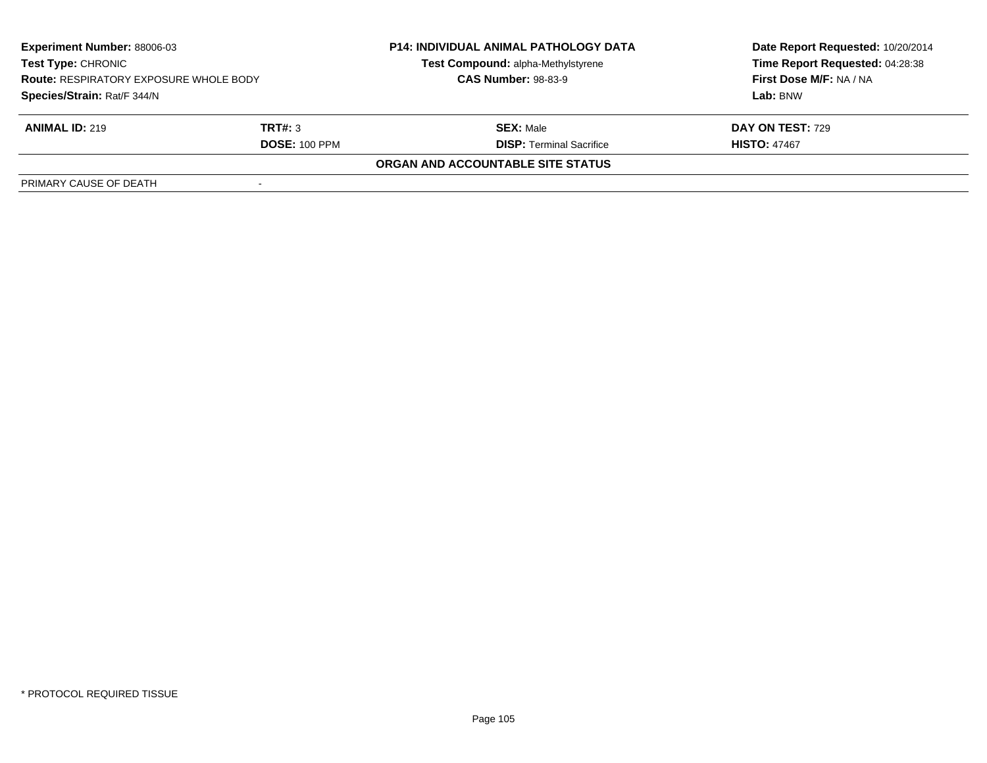| <b>Experiment Number: 88006-03</b><br><b>Test Type: CHRONIC</b><br><b>Route: RESPIRATORY EXPOSURE WHOLE BODY</b><br>Species/Strain: Rat/F 344/N |                      | <b>P14: INDIVIDUAL ANIMAL PATHOLOGY DATA</b> | Date Report Requested: 10/20/2014 |  |
|-------------------------------------------------------------------------------------------------------------------------------------------------|----------------------|----------------------------------------------|-----------------------------------|--|
|                                                                                                                                                 |                      | Test Compound: alpha-Methylstyrene           | Time Report Requested: 04:28:38   |  |
|                                                                                                                                                 |                      | <b>CAS Number: 98-83-9</b>                   | First Dose M/F: NA / NA           |  |
|                                                                                                                                                 |                      |                                              | Lab: BNW                          |  |
| <b>ANIMAL ID: 219</b>                                                                                                                           | TRT#: 3              | <b>SEX: Male</b>                             | <b>DAY ON TEST: 729</b>           |  |
|                                                                                                                                                 | <b>DOSE: 100 PPM</b> | <b>DISP:</b> Terminal Sacrifice              | <b>HISTO: 47467</b>               |  |
|                                                                                                                                                 |                      | ORGAN AND ACCOUNTABLE SITE STATUS            |                                   |  |
| PRIMARY CAUSE OF DEATH                                                                                                                          |                      |                                              |                                   |  |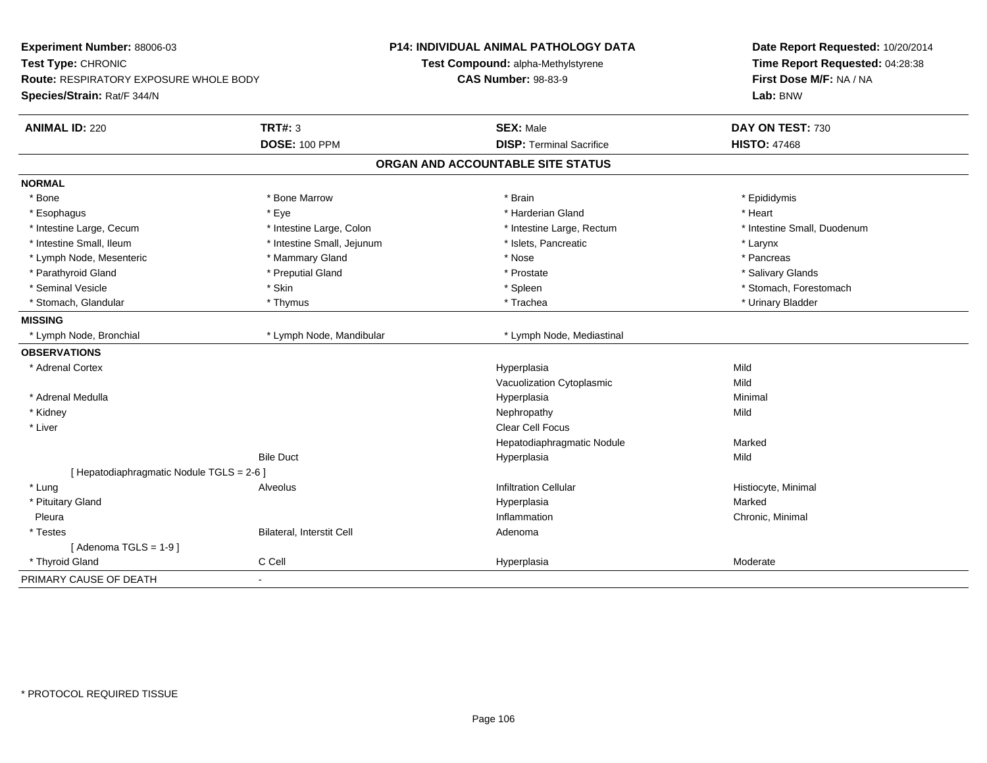| Experiment Number: 88006-03<br>Test Type: CHRONIC<br>Route: RESPIRATORY EXPOSURE WHOLE BODY<br>Species/Strain: Rat/F 344/N |                            | <b>P14: INDIVIDUAL ANIMAL PATHOLOGY DATA</b><br>Test Compound: alpha-Methylstyrene<br><b>CAS Number: 98-83-9</b> | Date Report Requested: 10/20/2014<br>Time Report Requested: 04:28:38<br>First Dose M/F: NA / NA<br>Lab: BNW |
|----------------------------------------------------------------------------------------------------------------------------|----------------------------|------------------------------------------------------------------------------------------------------------------|-------------------------------------------------------------------------------------------------------------|
|                                                                                                                            |                            |                                                                                                                  |                                                                                                             |
| <b>ANIMAL ID: 220</b>                                                                                                      | <b>TRT#: 3</b>             | <b>SEX: Male</b>                                                                                                 | DAY ON TEST: 730                                                                                            |
|                                                                                                                            | <b>DOSE: 100 PPM</b>       | <b>DISP: Terminal Sacrifice</b>                                                                                  | <b>HISTO: 47468</b>                                                                                         |
|                                                                                                                            |                            | ORGAN AND ACCOUNTABLE SITE STATUS                                                                                |                                                                                                             |
| <b>NORMAL</b>                                                                                                              |                            |                                                                                                                  |                                                                                                             |
| * Bone                                                                                                                     | * Bone Marrow              | * Brain                                                                                                          | * Epididymis                                                                                                |
| * Esophagus                                                                                                                | * Eye                      | * Harderian Gland                                                                                                | * Heart                                                                                                     |
| * Intestine Large, Cecum                                                                                                   | * Intestine Large, Colon   | * Intestine Large, Rectum                                                                                        | * Intestine Small, Duodenum                                                                                 |
| * Intestine Small, Ileum                                                                                                   | * Intestine Small, Jejunum | * Islets, Pancreatic                                                                                             | * Larynx                                                                                                    |
| * Lymph Node, Mesenteric                                                                                                   | * Mammary Gland            | * Nose                                                                                                           | * Pancreas                                                                                                  |
| * Parathyroid Gland                                                                                                        | * Preputial Gland          | * Prostate                                                                                                       | * Salivary Glands                                                                                           |
| * Seminal Vesicle                                                                                                          | * Skin                     | * Spleen                                                                                                         | * Stomach, Forestomach                                                                                      |
| * Stomach, Glandular                                                                                                       | * Thymus                   | * Trachea                                                                                                        | * Urinary Bladder                                                                                           |
| <b>MISSING</b>                                                                                                             |                            |                                                                                                                  |                                                                                                             |
| * Lymph Node, Bronchial                                                                                                    | * Lymph Node, Mandibular   | * Lymph Node, Mediastinal                                                                                        |                                                                                                             |
| <b>OBSERVATIONS</b>                                                                                                        |                            |                                                                                                                  |                                                                                                             |
| * Adrenal Cortex                                                                                                           |                            | Hyperplasia                                                                                                      | Mild                                                                                                        |
|                                                                                                                            |                            | Vacuolization Cytoplasmic                                                                                        | Mild                                                                                                        |
| * Adrenal Medulla                                                                                                          |                            | Hyperplasia                                                                                                      | Minimal                                                                                                     |
| * Kidney                                                                                                                   |                            | Nephropathy                                                                                                      | Mild                                                                                                        |
| * Liver                                                                                                                    |                            | Clear Cell Focus                                                                                                 |                                                                                                             |
|                                                                                                                            |                            | Hepatodiaphragmatic Nodule                                                                                       | Marked                                                                                                      |
|                                                                                                                            | <b>Bile Duct</b>           | Hyperplasia                                                                                                      | Mild                                                                                                        |
| [ Hepatodiaphragmatic Nodule TGLS = 2-6 ]                                                                                  |                            |                                                                                                                  |                                                                                                             |
| * Lung                                                                                                                     | Alveolus                   | <b>Infiltration Cellular</b>                                                                                     | Histiocyte, Minimal                                                                                         |
| * Pituitary Gland                                                                                                          |                            | Hyperplasia                                                                                                      | Marked                                                                                                      |
| Pleura                                                                                                                     |                            | Inflammation                                                                                                     | Chronic, Minimal                                                                                            |
| * Testes                                                                                                                   | Bilateral, Interstit Cell  | Adenoma                                                                                                          |                                                                                                             |
| [Adenoma TGLS = $1-9$ ]                                                                                                    |                            |                                                                                                                  |                                                                                                             |
| * Thyroid Gland                                                                                                            | C Cell                     | Hyperplasia                                                                                                      | Moderate                                                                                                    |
| PRIMARY CAUSE OF DEATH                                                                                                     | $\blacksquare$             |                                                                                                                  |                                                                                                             |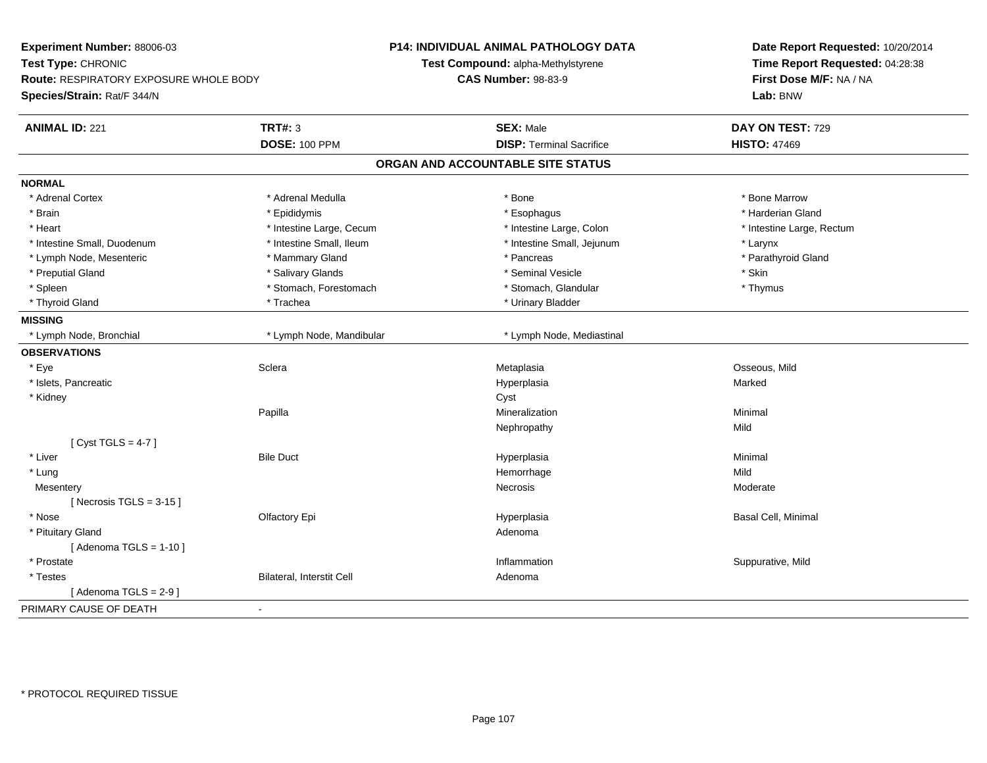| Experiment Number: 88006-03                   |                           | P14: INDIVIDUAL ANIMAL PATHOLOGY DATA | Date Report Requested: 10/20/2014<br>Time Report Requested: 04:28:38<br>First Dose M/F: NA / NA |
|-----------------------------------------------|---------------------------|---------------------------------------|-------------------------------------------------------------------------------------------------|
| Test Type: CHRONIC                            |                           | Test Compound: alpha-Methylstyrene    |                                                                                                 |
| <b>Route: RESPIRATORY EXPOSURE WHOLE BODY</b> |                           | <b>CAS Number: 98-83-9</b>            |                                                                                                 |
| Species/Strain: Rat/F 344/N                   |                           |                                       | Lab: BNW                                                                                        |
| <b>ANIMAL ID: 221</b>                         | <b>TRT#: 3</b>            | <b>SEX: Male</b>                      | DAY ON TEST: 729                                                                                |
|                                               | <b>DOSE: 100 PPM</b>      | <b>DISP: Terminal Sacrifice</b>       | <b>HISTO: 47469</b>                                                                             |
|                                               |                           | ORGAN AND ACCOUNTABLE SITE STATUS     |                                                                                                 |
| <b>NORMAL</b>                                 |                           |                                       |                                                                                                 |
| * Adrenal Cortex                              | * Adrenal Medulla         | * Bone                                | * Bone Marrow                                                                                   |
| * Brain                                       | * Epididymis              | * Esophagus                           | * Harderian Gland                                                                               |
| * Heart                                       | * Intestine Large, Cecum  | * Intestine Large, Colon              | * Intestine Large, Rectum                                                                       |
| * Intestine Small, Duodenum                   | * Intestine Small, Ileum  | * Intestine Small, Jejunum            | * Larynx                                                                                        |
| * Lymph Node, Mesenteric                      | * Mammary Gland           | * Pancreas                            | * Parathyroid Gland                                                                             |
| * Preputial Gland                             | * Salivary Glands         | * Seminal Vesicle                     | * Skin                                                                                          |
| * Spleen                                      | * Stomach, Forestomach    | * Stomach, Glandular                  | * Thymus                                                                                        |
| * Thyroid Gland                               | * Trachea                 | * Urinary Bladder                     |                                                                                                 |
| <b>MISSING</b>                                |                           |                                       |                                                                                                 |
| * Lymph Node, Bronchial                       | * Lymph Node, Mandibular  | * Lymph Node, Mediastinal             |                                                                                                 |
| <b>OBSERVATIONS</b>                           |                           |                                       |                                                                                                 |
| * Eye                                         | Sclera                    | Metaplasia                            | Osseous, Mild                                                                                   |
| * Islets, Pancreatic                          |                           | Hyperplasia                           | Marked                                                                                          |
| * Kidney                                      |                           | Cyst                                  |                                                                                                 |
|                                               | Papilla                   | Mineralization                        | Minimal                                                                                         |
|                                               |                           | Nephropathy                           | Mild                                                                                            |
| [Cyst TGLS = $4-7$ ]                          |                           |                                       |                                                                                                 |
| * Liver                                       | <b>Bile Duct</b>          | Hyperplasia                           | Minimal                                                                                         |
| * Lung                                        |                           | Hemorrhage                            | Mild                                                                                            |
| Mesentery                                     |                           | Necrosis                              | Moderate                                                                                        |
| [ Necrosis TGLS = $3-15$ ]                    |                           |                                       |                                                                                                 |
| * Nose                                        | Olfactory Epi             | Hyperplasia                           | Basal Cell, Minimal                                                                             |
| * Pituitary Gland                             |                           | Adenoma                               |                                                                                                 |
| [Adenoma TGLS = $1-10$ ]                      |                           |                                       |                                                                                                 |
| * Prostate                                    |                           | Inflammation                          | Suppurative, Mild                                                                               |
| $^\star$ Testes                               | Bilateral, Interstit Cell | Adenoma                               |                                                                                                 |
| [Adenoma TGLS = $2-9$ ]                       |                           |                                       |                                                                                                 |
| PRIMARY CAUSE OF DEATH                        | $\blacksquare$            |                                       |                                                                                                 |
|                                               |                           |                                       |                                                                                                 |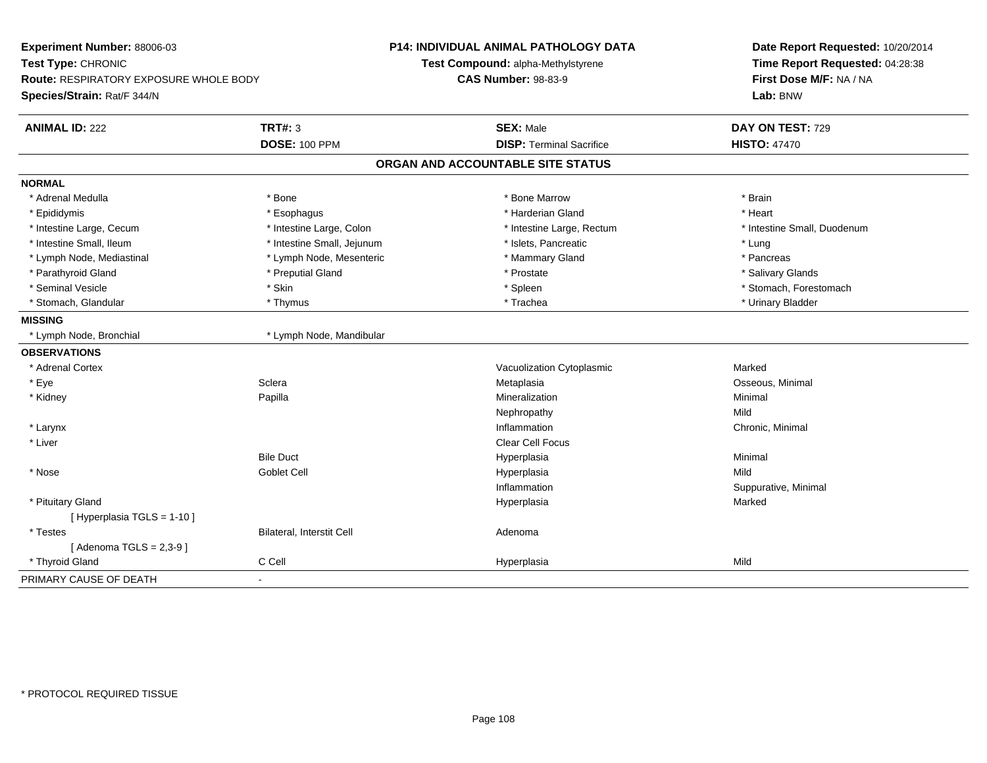| Experiment Number: 88006-03                                  |                            | P14: INDIVIDUAL ANIMAL PATHOLOGY DATA | Date Report Requested: 10/20/2014                          |
|--------------------------------------------------------------|----------------------------|---------------------------------------|------------------------------------------------------------|
| Test Type: CHRONIC<br>Route: RESPIRATORY EXPOSURE WHOLE BODY |                            | Test Compound: alpha-Methylstyrene    | Time Report Requested: 04:28:38<br>First Dose M/F: NA / NA |
|                                                              |                            | <b>CAS Number: 98-83-9</b>            |                                                            |
| Species/Strain: Rat/F 344/N                                  |                            |                                       | Lab: BNW                                                   |
| <b>ANIMAL ID: 222</b>                                        | <b>TRT#: 3</b>             | <b>SEX: Male</b>                      | DAY ON TEST: 729                                           |
|                                                              | <b>DOSE: 100 PPM</b>       | <b>DISP: Terminal Sacrifice</b>       | <b>HISTO: 47470</b>                                        |
|                                                              |                            | ORGAN AND ACCOUNTABLE SITE STATUS     |                                                            |
| <b>NORMAL</b>                                                |                            |                                       |                                                            |
| * Adrenal Medulla                                            | * Bone                     | * Bone Marrow                         | * Brain                                                    |
| * Epididymis                                                 | * Esophagus                | * Harderian Gland                     | * Heart                                                    |
| * Intestine Large, Cecum                                     | * Intestine Large, Colon   | * Intestine Large, Rectum             | * Intestine Small, Duodenum                                |
| * Intestine Small, Ileum                                     | * Intestine Small, Jejunum | * Islets, Pancreatic                  | * Lung                                                     |
| * Lymph Node, Mediastinal                                    | * Lymph Node, Mesenteric   | * Mammary Gland                       | * Pancreas                                                 |
| * Parathyroid Gland                                          | * Preputial Gland          | * Prostate                            | * Salivary Glands                                          |
| * Seminal Vesicle                                            | * Skin                     | * Spleen                              | * Stomach, Forestomach                                     |
| * Stomach, Glandular                                         | * Thymus                   | * Trachea                             | * Urinary Bladder                                          |
| <b>MISSING</b>                                               |                            |                                       |                                                            |
| * Lymph Node, Bronchial                                      | * Lymph Node, Mandibular   |                                       |                                                            |
| <b>OBSERVATIONS</b>                                          |                            |                                       |                                                            |
| * Adrenal Cortex                                             |                            | Vacuolization Cytoplasmic             | Marked                                                     |
| * Eye                                                        | Sclera                     | Metaplasia                            | Osseous, Minimal                                           |
| * Kidney                                                     | Papilla                    | Mineralization                        | Minimal                                                    |
|                                                              |                            | Nephropathy                           | Mild                                                       |
| * Larynx                                                     |                            | Inflammation                          | Chronic, Minimal                                           |
| * Liver                                                      |                            | Clear Cell Focus                      |                                                            |
|                                                              | <b>Bile Duct</b>           | Hyperplasia                           | Minimal                                                    |
| * Nose                                                       | <b>Goblet Cell</b>         | Hyperplasia                           | Mild                                                       |
|                                                              |                            | Inflammation                          | Suppurative, Minimal                                       |
| * Pituitary Gland                                            |                            | Hyperplasia                           | Marked                                                     |
| [ Hyperplasia TGLS = 1-10 ]                                  |                            |                                       |                                                            |
| * Testes                                                     | Bilateral, Interstit Cell  | Adenoma                               |                                                            |
| [Adenoma TGLS = $2,3-9$ ]                                    |                            |                                       |                                                            |
| * Thyroid Gland                                              | C Cell                     | Hyperplasia                           | Mild                                                       |
| PRIMARY CAUSE OF DEATH                                       | $\blacksquare$             |                                       |                                                            |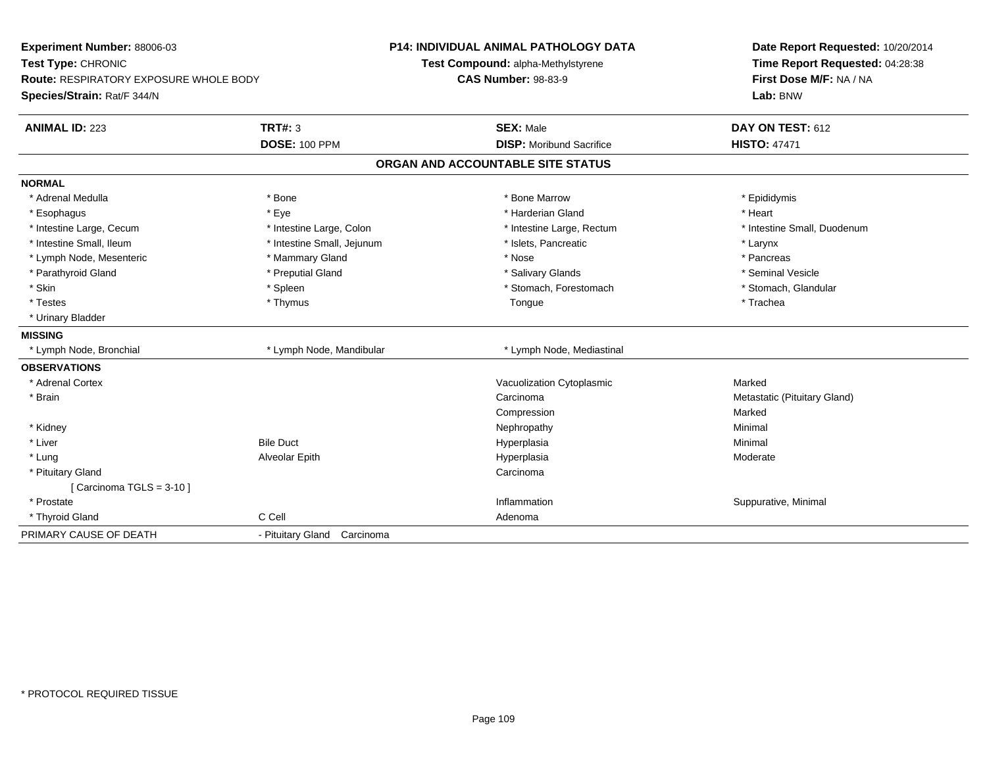| Experiment Number: 88006-03            |                             | <b>P14: INDIVIDUAL ANIMAL PATHOLOGY DATA</b> | Date Report Requested: 10/20/2014<br>Time Report Requested: 04:28:38 |
|----------------------------------------|-----------------------------|----------------------------------------------|----------------------------------------------------------------------|
| Test Type: CHRONIC                     |                             | Test Compound: alpha-Methylstyrene           |                                                                      |
| Route: RESPIRATORY EXPOSURE WHOLE BODY |                             | <b>CAS Number: 98-83-9</b>                   | First Dose M/F: NA / NA                                              |
| Species/Strain: Rat/F 344/N            |                             |                                              | Lab: BNW                                                             |
| <b>ANIMAL ID: 223</b>                  | <b>TRT#: 3</b>              | <b>SEX: Male</b>                             | DAY ON TEST: 612                                                     |
|                                        | <b>DOSE: 100 PPM</b>        | <b>DISP:</b> Moribund Sacrifice              | <b>HISTO: 47471</b>                                                  |
|                                        |                             | ORGAN AND ACCOUNTABLE SITE STATUS            |                                                                      |
| <b>NORMAL</b>                          |                             |                                              |                                                                      |
| * Adrenal Medulla                      | * Bone                      | * Bone Marrow                                | * Epididymis                                                         |
| * Esophagus                            | * Eye                       | * Harderian Gland                            | * Heart                                                              |
| * Intestine Large, Cecum               | * Intestine Large, Colon    | * Intestine Large, Rectum                    | * Intestine Small, Duodenum                                          |
| * Intestine Small, Ileum               | * Intestine Small, Jejunum  | * Islets, Pancreatic                         | * Larynx                                                             |
| * Lymph Node, Mesenteric               | * Mammary Gland             | * Nose                                       | * Pancreas                                                           |
| * Parathyroid Gland                    | * Preputial Gland           | * Salivary Glands                            | * Seminal Vesicle                                                    |
| * Skin                                 | * Spleen                    | * Stomach, Forestomach                       | * Stomach, Glandular                                                 |
| * Testes                               | * Thymus                    | Tongue                                       | * Trachea                                                            |
| * Urinary Bladder                      |                             |                                              |                                                                      |
| <b>MISSING</b>                         |                             |                                              |                                                                      |
| * Lymph Node, Bronchial                | * Lymph Node, Mandibular    | * Lymph Node, Mediastinal                    |                                                                      |
| <b>OBSERVATIONS</b>                    |                             |                                              |                                                                      |
| * Adrenal Cortex                       |                             | Vacuolization Cytoplasmic                    | Marked                                                               |
| * Brain                                |                             | Carcinoma                                    | Metastatic (Pituitary Gland)                                         |
|                                        |                             | Compression                                  | Marked                                                               |
| * Kidney                               |                             | Nephropathy                                  | Minimal                                                              |
| * Liver                                | <b>Bile Duct</b>            | Hyperplasia                                  | Minimal                                                              |
| * Lung                                 | Alveolar Epith              | Hyperplasia                                  | Moderate                                                             |
| * Pituitary Gland                      |                             | Carcinoma                                    |                                                                      |
| [Carcinoma TGLS = $3-10$ ]             |                             |                                              |                                                                      |
| * Prostate                             |                             | Inflammation                                 | Suppurative, Minimal                                                 |
| C Cell<br>* Thyroid Gland              |                             | Adenoma                                      |                                                                      |
| PRIMARY CAUSE OF DEATH                 | - Pituitary Gland Carcinoma |                                              |                                                                      |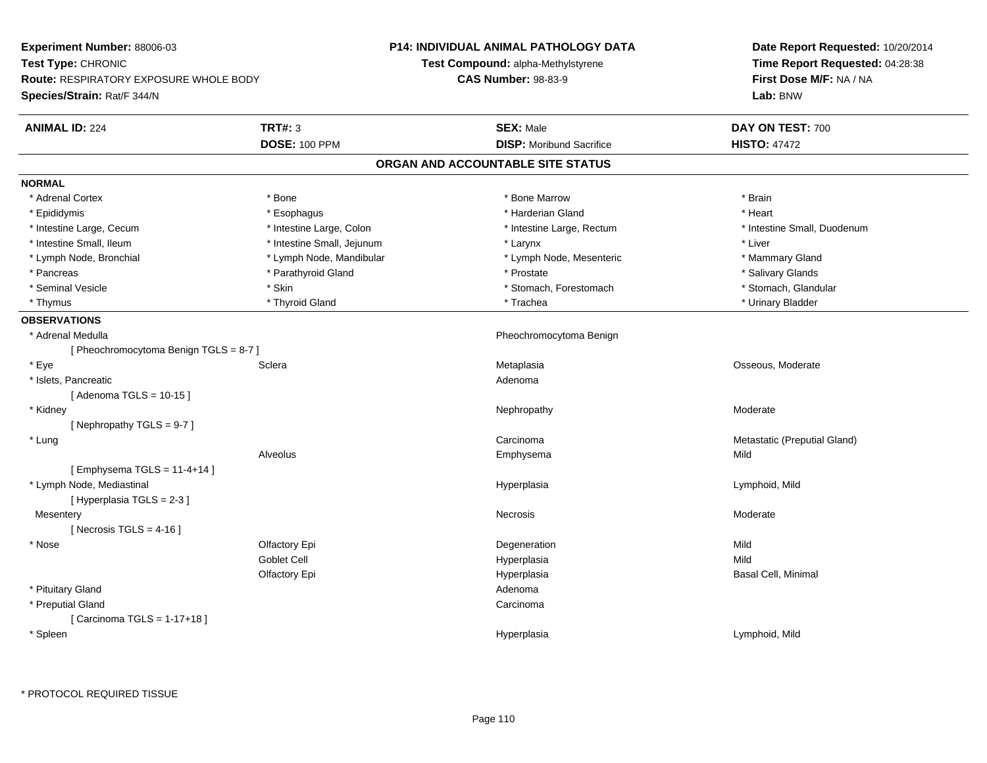| Experiment Number: 88006-03                   |                            | <b>P14: INDIVIDUAL ANIMAL PATHOLOGY DATA</b> | Date Report Requested: 10/20/2014<br>Time Report Requested: 04:28:38 |
|-----------------------------------------------|----------------------------|----------------------------------------------|----------------------------------------------------------------------|
| Test Type: CHRONIC                            |                            | Test Compound: alpha-Methylstyrene           |                                                                      |
| <b>Route: RESPIRATORY EXPOSURE WHOLE BODY</b> |                            | <b>CAS Number: 98-83-9</b>                   | First Dose M/F: NA / NA                                              |
| Species/Strain: Rat/F 344/N                   |                            |                                              | Lab: BNW                                                             |
| <b>ANIMAL ID: 224</b>                         | <b>TRT#: 3</b>             | <b>SEX: Male</b>                             | DAY ON TEST: 700                                                     |
|                                               | <b>DOSE: 100 PPM</b>       | <b>DISP: Moribund Sacrifice</b>              | <b>HISTO: 47472</b>                                                  |
|                                               |                            | ORGAN AND ACCOUNTABLE SITE STATUS            |                                                                      |
| <b>NORMAL</b>                                 |                            |                                              |                                                                      |
| * Adrenal Cortex                              | * Bone                     | * Bone Marrow                                | * Brain                                                              |
| * Epididymis                                  | * Esophagus                | * Harderian Gland                            | * Heart                                                              |
| * Intestine Large, Cecum                      | * Intestine Large, Colon   | * Intestine Large, Rectum                    | * Intestine Small, Duodenum                                          |
| * Intestine Small, Ileum                      | * Intestine Small, Jejunum | * Larynx                                     | * Liver                                                              |
| * Lymph Node, Bronchial                       | * Lymph Node, Mandibular   | * Lymph Node, Mesenteric                     | * Mammary Gland                                                      |
| * Pancreas                                    | * Parathyroid Gland        | * Prostate                                   | * Salivary Glands                                                    |
| * Seminal Vesicle                             | * Skin                     | * Stomach, Forestomach                       | * Stomach, Glandular                                                 |
| * Thymus                                      | * Thyroid Gland            | * Trachea                                    | * Urinary Bladder                                                    |
| <b>OBSERVATIONS</b>                           |                            |                                              |                                                                      |
| * Adrenal Medulla                             |                            | Pheochromocytoma Benign                      |                                                                      |
| [Pheochromocytoma Benign TGLS = 8-7]          |                            |                                              |                                                                      |
| * Eye                                         | Sclera                     | Metaplasia                                   | Osseous, Moderate                                                    |
| * Islets, Pancreatic                          |                            | Adenoma                                      |                                                                      |
| [Adenoma TGLS = $10-15$ ]                     |                            |                                              |                                                                      |
| * Kidney                                      |                            | Nephropathy                                  | Moderate                                                             |
| [Nephropathy TGLS = 9-7]                      |                            |                                              |                                                                      |
| * Lung                                        |                            | Carcinoma                                    | Metastatic (Preputial Gland)                                         |
|                                               | Alveolus                   | Emphysema                                    | Mild                                                                 |
| [Emphysema TGLS = $11-4+14$ ]                 |                            |                                              |                                                                      |
| * Lymph Node, Mediastinal                     |                            | Hyperplasia                                  | Lymphoid, Mild                                                       |
| [Hyperplasia TGLS = 2-3]                      |                            |                                              |                                                                      |
| Mesentery                                     |                            | Necrosis                                     | Moderate                                                             |
| [Necrosis TGLS = $4-16$ ]                     |                            |                                              |                                                                      |
| * Nose                                        | Olfactory Epi              | Degeneration                                 | Mild                                                                 |
|                                               | Goblet Cell                | Hyperplasia                                  | Mild                                                                 |
|                                               | Olfactory Epi              | Hyperplasia                                  | Basal Cell, Minimal                                                  |
| * Pituitary Gland                             |                            | Adenoma                                      |                                                                      |
| * Preputial Gland                             |                            | Carcinoma                                    |                                                                      |
| [Carcinoma TGLS = $1-17+18$ ]                 |                            |                                              |                                                                      |
| * Spleen                                      |                            | Hyperplasia                                  | Lymphoid, Mild                                                       |
|                                               |                            |                                              |                                                                      |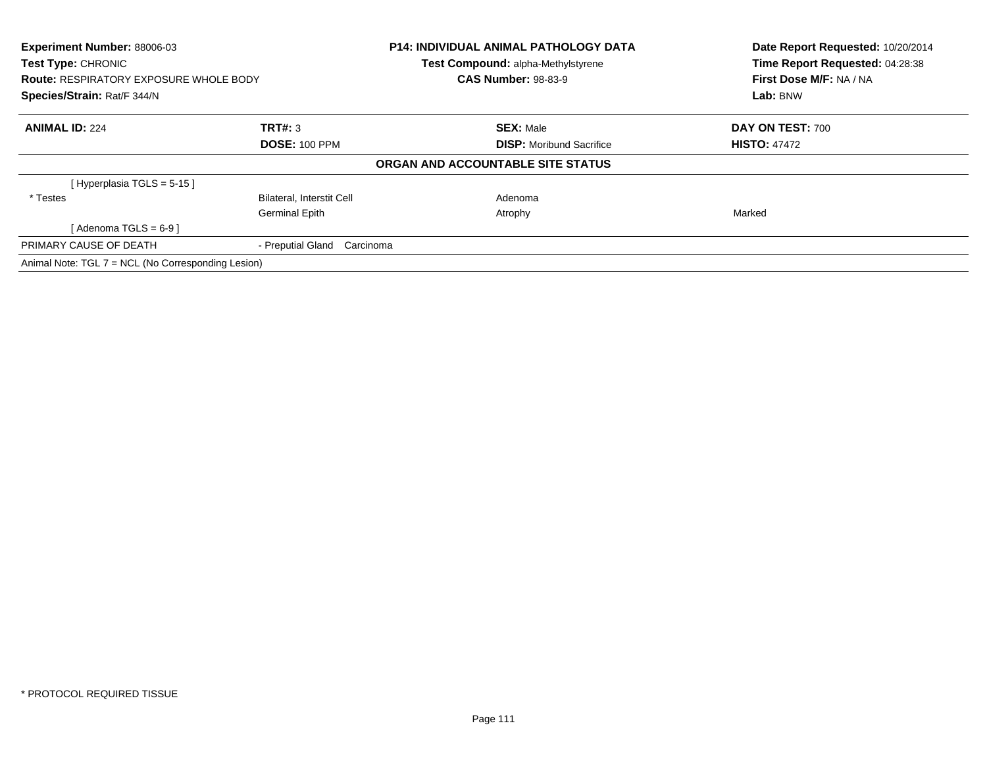| Experiment Number: 88006-03<br>Test Type: CHRONIC<br><b>Route: RESPIRATORY EXPOSURE WHOLE BODY</b><br>Species/Strain: Rat/F 344/N |                                  | <b>P14: INDIVIDUAL ANIMAL PATHOLOGY DATA</b><br>Test Compound: alpha-Methylstyrene | Date Report Requested: 10/20/2014<br>Time Report Requested: 04:28:38<br>First Dose M/F: NA / NA<br>Lab: BNW |
|-----------------------------------------------------------------------------------------------------------------------------------|----------------------------------|------------------------------------------------------------------------------------|-------------------------------------------------------------------------------------------------------------|
|                                                                                                                                   |                                  | <b>CAS Number: 98-83-9</b>                                                         |                                                                                                             |
|                                                                                                                                   |                                  |                                                                                    |                                                                                                             |
| <b>ANIMAL ID: 224</b>                                                                                                             | TRT#: 3                          | <b>SEX: Male</b>                                                                   | DAY ON TEST: 700                                                                                            |
|                                                                                                                                   | <b>DOSE: 100 PPM</b>             | <b>DISP:</b> Moribund Sacrifice                                                    | <b>HISTO: 47472</b>                                                                                         |
|                                                                                                                                   |                                  | ORGAN AND ACCOUNTABLE SITE STATUS                                                  |                                                                                                             |
| [Hyperplasia TGLS = 5-15]                                                                                                         |                                  |                                                                                    |                                                                                                             |
| * Testes                                                                                                                          | <b>Bilateral, Interstit Cell</b> | Adenoma                                                                            |                                                                                                             |
|                                                                                                                                   | Germinal Epith                   | Atrophy                                                                            | Marked                                                                                                      |
| $Adenoma TGLS = 6-91$                                                                                                             |                                  |                                                                                    |                                                                                                             |
| PRIMARY CAUSE OF DEATH                                                                                                            | - Preputial Gland Carcinoma      |                                                                                    |                                                                                                             |
| Animal Note: TGL 7 = NCL (No Corresponding Lesion)                                                                                |                                  |                                                                                    |                                                                                                             |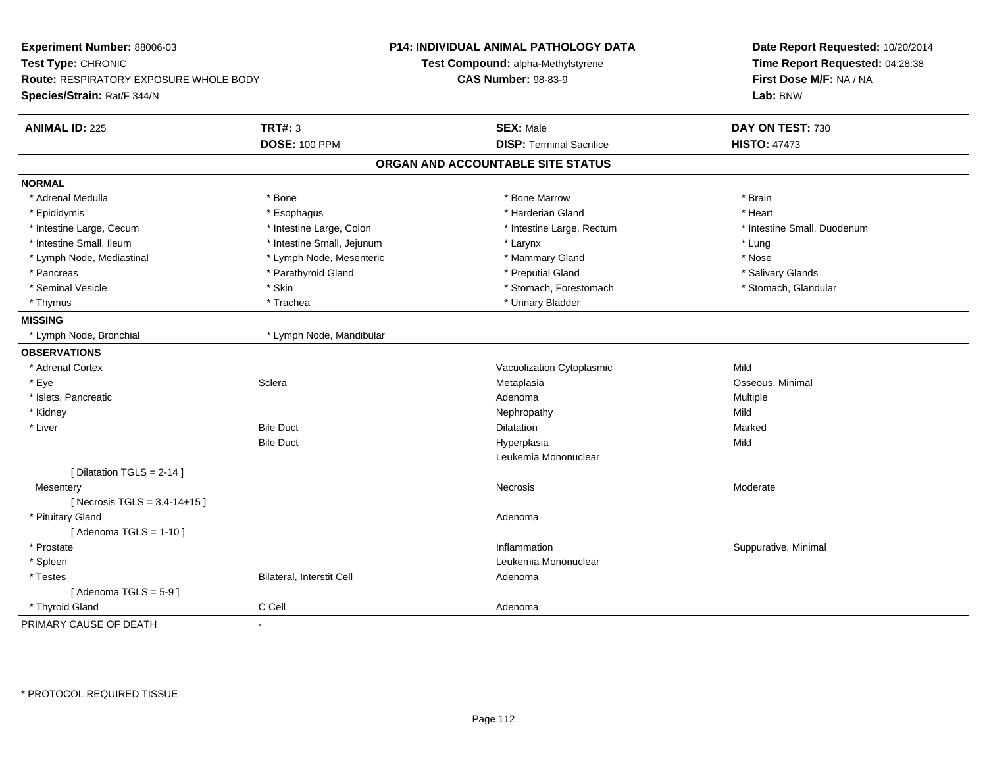| Experiment Number: 88006-03<br>Test Type: CHRONIC<br>Route: RESPIRATORY EXPOSURE WHOLE BODY<br>Species/Strain: Rat/F 344/N |                            | <b>P14: INDIVIDUAL ANIMAL PATHOLOGY DATA</b><br>Test Compound: alpha-Methylstyrene<br><b>CAS Number: 98-83-9</b> | Date Report Requested: 10/20/2014<br>Time Report Requested: 04:28:38<br>First Dose M/F: NA / NA<br>Lab: BNW |
|----------------------------------------------------------------------------------------------------------------------------|----------------------------|------------------------------------------------------------------------------------------------------------------|-------------------------------------------------------------------------------------------------------------|
| <b>ANIMAL ID: 225</b><br><b>TRT#: 3</b>                                                                                    |                            | <b>SEX: Male</b>                                                                                                 | DAY ON TEST: 730                                                                                            |
|                                                                                                                            | <b>DOSE: 100 PPM</b>       | <b>DISP: Terminal Sacrifice</b>                                                                                  | <b>HISTO: 47473</b>                                                                                         |
|                                                                                                                            |                            | ORGAN AND ACCOUNTABLE SITE STATUS                                                                                |                                                                                                             |
| <b>NORMAL</b>                                                                                                              |                            |                                                                                                                  |                                                                                                             |
| * Adrenal Medulla<br>* Bone                                                                                                |                            | * Bone Marrow                                                                                                    | * Brain                                                                                                     |
| * Epididymis                                                                                                               | * Esophagus                | * Harderian Gland                                                                                                | * Heart                                                                                                     |
| * Intestine Large, Cecum                                                                                                   | * Intestine Large, Colon   | * Intestine Large, Rectum                                                                                        | * Intestine Small, Duodenum                                                                                 |
| * Intestine Small, Ileum                                                                                                   | * Intestine Small, Jejunum | * Larynx                                                                                                         | * Lung                                                                                                      |
| * Lymph Node, Mediastinal                                                                                                  | * Lymph Node, Mesenteric   | * Mammary Gland                                                                                                  | * Nose                                                                                                      |
| * Pancreas                                                                                                                 | * Parathyroid Gland        | * Preputial Gland                                                                                                | * Salivary Glands                                                                                           |
| * Seminal Vesicle<br>* Skin                                                                                                |                            | * Stomach, Forestomach                                                                                           | * Stomach, Glandular                                                                                        |
| * Thymus<br>* Trachea                                                                                                      |                            | * Urinary Bladder                                                                                                |                                                                                                             |
| <b>MISSING</b>                                                                                                             |                            |                                                                                                                  |                                                                                                             |
| * Lymph Node, Bronchial                                                                                                    | * Lymph Node, Mandibular   |                                                                                                                  |                                                                                                             |
| <b>OBSERVATIONS</b>                                                                                                        |                            |                                                                                                                  |                                                                                                             |
| * Adrenal Cortex                                                                                                           |                            | Vacuolization Cytoplasmic                                                                                        | Mild                                                                                                        |
| Sclera<br>* Eye                                                                                                            |                            | Metaplasia                                                                                                       | Osseous, Minimal                                                                                            |
| * Islets, Pancreatic                                                                                                       |                            | Adenoma                                                                                                          | Multiple                                                                                                    |
| * Kidney                                                                                                                   |                            | Nephropathy                                                                                                      | Mild                                                                                                        |
| * Liver<br><b>Bile Duct</b>                                                                                                |                            | Dilatation                                                                                                       | Marked                                                                                                      |
| <b>Bile Duct</b>                                                                                                           |                            | Hyperplasia                                                                                                      | Mild                                                                                                        |
|                                                                                                                            |                            | Leukemia Mononuclear                                                                                             |                                                                                                             |
| [ Dilatation TGLS = 2-14 ]                                                                                                 |                            |                                                                                                                  |                                                                                                             |
| Mesentery                                                                                                                  |                            | Necrosis                                                                                                         | Moderate                                                                                                    |
| [ Necrosis TGLS = $3,4-14+15$ ]                                                                                            |                            |                                                                                                                  |                                                                                                             |
| * Pituitary Gland                                                                                                          |                            | Adenoma                                                                                                          |                                                                                                             |
| [Adenoma TGLS = $1-10$ ]                                                                                                   |                            |                                                                                                                  |                                                                                                             |
| * Prostate                                                                                                                 |                            | Inflammation                                                                                                     | Suppurative, Minimal                                                                                        |
| * Spleen                                                                                                                   |                            | Leukemia Mononuclear                                                                                             |                                                                                                             |
| * Testes                                                                                                                   | Bilateral, Interstit Cell  | Adenoma                                                                                                          |                                                                                                             |
| [Adenoma TGLS = $5-9$ ]                                                                                                    |                            |                                                                                                                  |                                                                                                             |
| C Cell<br>* Thyroid Gland                                                                                                  |                            | Adenoma                                                                                                          |                                                                                                             |
| PRIMARY CAUSE OF DEATH<br>$\blacksquare$                                                                                   |                            |                                                                                                                  |                                                                                                             |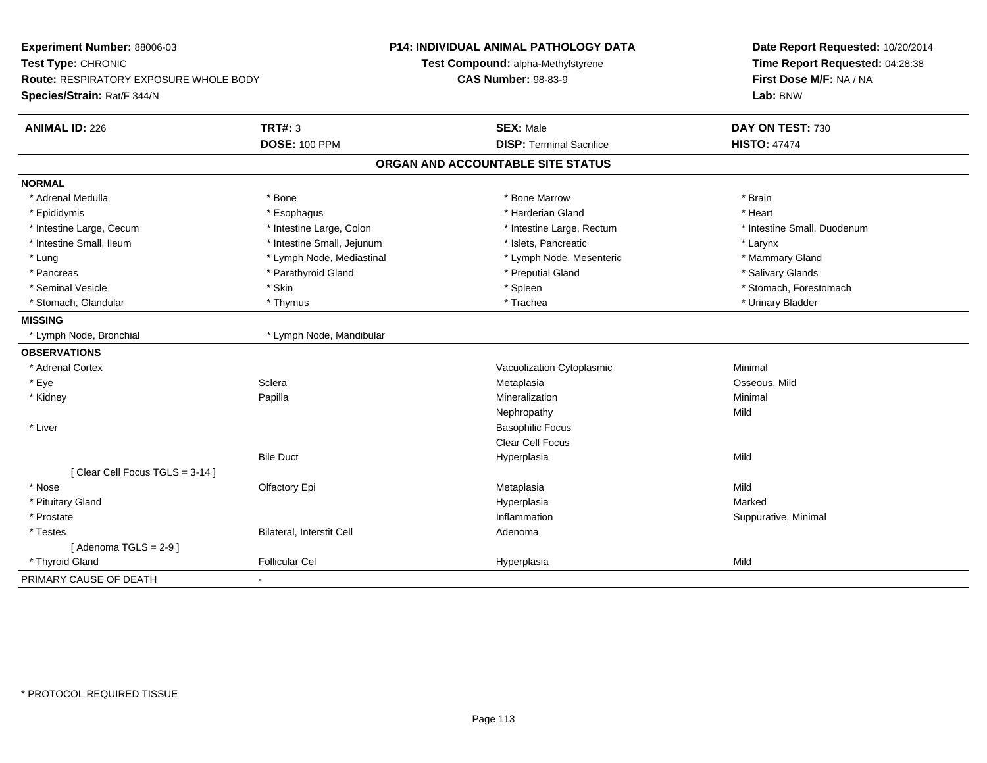| Test Type: CHRONIC<br>Route: RESPIRATORY EXPOSURE WHOLE BODY<br>Species/Strain: Rat/F 344/N<br><b>TRT#: 3</b><br><b>ANIMAL ID: 226</b><br><b>DOSE: 100 PPM</b> | Test Compound: alpha-Methylstyrene<br><b>CAS Number: 98-83-9</b> | Time Report Requested: 04:28:38<br>First Dose M/F: NA / NA |  |
|----------------------------------------------------------------------------------------------------------------------------------------------------------------|------------------------------------------------------------------|------------------------------------------------------------|--|
|                                                                                                                                                                |                                                                  |                                                            |  |
|                                                                                                                                                                |                                                                  |                                                            |  |
|                                                                                                                                                                |                                                                  | Lab: BNW                                                   |  |
|                                                                                                                                                                | <b>SEX: Male</b>                                                 | DAY ON TEST: 730                                           |  |
|                                                                                                                                                                | <b>DISP: Terminal Sacrifice</b>                                  | <b>HISTO: 47474</b>                                        |  |
|                                                                                                                                                                | ORGAN AND ACCOUNTABLE SITE STATUS                                |                                                            |  |
| <b>NORMAL</b>                                                                                                                                                  |                                                                  |                                                            |  |
| * Bone<br>* Adrenal Medulla                                                                                                                                    | * Bone Marrow                                                    | * Brain                                                    |  |
| * Epididymis<br>* Esophagus                                                                                                                                    | * Harderian Gland                                                | * Heart                                                    |  |
| * Intestine Large, Colon<br>* Intestine Large, Cecum                                                                                                           | * Intestine Large, Rectum                                        | * Intestine Small, Duodenum                                |  |
| * Intestine Small, Ileum<br>* Intestine Small, Jejunum                                                                                                         | * Islets, Pancreatic                                             | * Larynx                                                   |  |
| * Lung<br>* Lymph Node, Mediastinal                                                                                                                            | * Lymph Node, Mesenteric                                         | * Mammary Gland                                            |  |
| * Parathyroid Gland<br>* Pancreas                                                                                                                              | * Preputial Gland                                                | * Salivary Glands                                          |  |
| * Skin<br>* Seminal Vesicle                                                                                                                                    | * Spleen                                                         | * Stomach, Forestomach                                     |  |
| * Stomach, Glandular<br>* Thymus                                                                                                                               | * Trachea                                                        | * Urinary Bladder                                          |  |
| <b>MISSING</b>                                                                                                                                                 |                                                                  |                                                            |  |
| * Lymph Node, Mandibular<br>* Lymph Node, Bronchial                                                                                                            |                                                                  |                                                            |  |
| <b>OBSERVATIONS</b>                                                                                                                                            |                                                                  |                                                            |  |
| * Adrenal Cortex                                                                                                                                               | Vacuolization Cytoplasmic                                        | Minimal                                                    |  |
| Sclera                                                                                                                                                         | Metaplasia                                                       | Osseous, Mild                                              |  |
| * Kidney<br>Papilla                                                                                                                                            | Mineralization                                                   | Minimal                                                    |  |
|                                                                                                                                                                | Nephropathy                                                      | Mild                                                       |  |
| * Liver                                                                                                                                                        | <b>Basophilic Focus</b>                                          |                                                            |  |
|                                                                                                                                                                | Clear Cell Focus                                                 |                                                            |  |
| <b>Bile Duct</b>                                                                                                                                               | Hyperplasia                                                      | Mild                                                       |  |
| [Clear Cell Focus TGLS = 3-14]                                                                                                                                 |                                                                  |                                                            |  |
| * Nose<br>Olfactory Epi                                                                                                                                        | Metaplasia                                                       | Mild                                                       |  |
| * Pituitary Gland                                                                                                                                              | Hyperplasia                                                      | Marked                                                     |  |
| * Prostate                                                                                                                                                     | Inflammation                                                     | Suppurative, Minimal                                       |  |
| Bilateral, Interstit Cell<br>* Testes                                                                                                                          | Adenoma                                                          |                                                            |  |
| [Adenoma TGLS = $2-9$ ]                                                                                                                                        |                                                                  |                                                            |  |
| * Thyroid Gland<br><b>Follicular Cel</b>                                                                                                                       | Hyperplasia                                                      | Mild                                                       |  |
| PRIMARY CAUSE OF DEATH                                                                                                                                         |                                                                  |                                                            |  |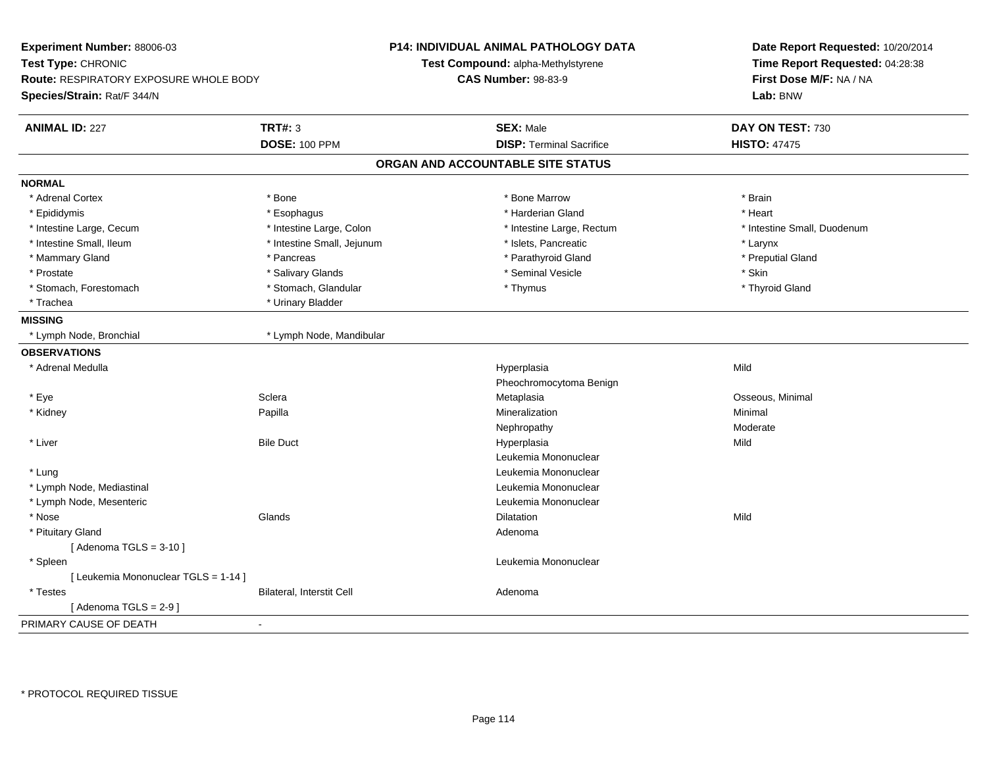| Experiment Number: 88006-03<br>Test Type: CHRONIC<br><b>Route: RESPIRATORY EXPOSURE WHOLE BODY</b><br>Species/Strain: Rat/F 344/N |                            | <b>P14: INDIVIDUAL ANIMAL PATHOLOGY DATA</b><br>Test Compound: alpha-Methylstyrene<br><b>CAS Number: 98-83-9</b> | Date Report Requested: 10/20/2014<br>Time Report Requested: 04:28:38<br>First Dose M/F: NA / NA<br>Lab: BNW |
|-----------------------------------------------------------------------------------------------------------------------------------|----------------------------|------------------------------------------------------------------------------------------------------------------|-------------------------------------------------------------------------------------------------------------|
| <b>ANIMAL ID: 227</b>                                                                                                             | <b>TRT#: 3</b>             | <b>SEX: Male</b>                                                                                                 | DAY ON TEST: 730                                                                                            |
|                                                                                                                                   | <b>DOSE: 100 PPM</b>       | <b>DISP: Terminal Sacrifice</b>                                                                                  | <b>HISTO: 47475</b>                                                                                         |
|                                                                                                                                   |                            | ORGAN AND ACCOUNTABLE SITE STATUS                                                                                |                                                                                                             |
| <b>NORMAL</b>                                                                                                                     |                            |                                                                                                                  |                                                                                                             |
| * Adrenal Cortex                                                                                                                  | * Bone                     | * Bone Marrow                                                                                                    | * Brain                                                                                                     |
| * Epididymis                                                                                                                      | * Esophagus                | * Harderian Gland                                                                                                | * Heart                                                                                                     |
| * Intestine Large, Cecum                                                                                                          | * Intestine Large, Colon   | * Intestine Large, Rectum                                                                                        | * Intestine Small, Duodenum                                                                                 |
| * Intestine Small, Ileum                                                                                                          | * Intestine Small, Jejunum | * Islets, Pancreatic                                                                                             | * Larynx                                                                                                    |
| * Mammary Gland                                                                                                                   | * Pancreas                 | * Parathyroid Gland                                                                                              | * Preputial Gland                                                                                           |
| * Prostate                                                                                                                        | * Salivary Glands          | * Seminal Vesicle                                                                                                | * Skin                                                                                                      |
| * Stomach, Forestomach                                                                                                            | * Stomach, Glandular       | * Thymus                                                                                                         | * Thyroid Gland                                                                                             |
| * Trachea                                                                                                                         | * Urinary Bladder          |                                                                                                                  |                                                                                                             |
| <b>MISSING</b>                                                                                                                    |                            |                                                                                                                  |                                                                                                             |
| * Lymph Node, Bronchial                                                                                                           | * Lymph Node, Mandibular   |                                                                                                                  |                                                                                                             |
| <b>OBSERVATIONS</b>                                                                                                               |                            |                                                                                                                  |                                                                                                             |
| * Adrenal Medulla                                                                                                                 |                            | Hyperplasia                                                                                                      | Mild                                                                                                        |
|                                                                                                                                   |                            | Pheochromocytoma Benign                                                                                          |                                                                                                             |
| * Eye                                                                                                                             | Sclera                     | Metaplasia                                                                                                       | Osseous, Minimal                                                                                            |
| * Kidney                                                                                                                          | Papilla                    | Mineralization                                                                                                   | Minimal                                                                                                     |
|                                                                                                                                   |                            | Nephropathy                                                                                                      | Moderate                                                                                                    |
| * Liver                                                                                                                           | <b>Bile Duct</b>           | Hyperplasia                                                                                                      | Mild                                                                                                        |
|                                                                                                                                   |                            | Leukemia Mononuclear                                                                                             |                                                                                                             |
| * Lung                                                                                                                            |                            | Leukemia Mononuclear                                                                                             |                                                                                                             |
| * Lymph Node, Mediastinal                                                                                                         |                            | Leukemia Mononuclear                                                                                             |                                                                                                             |
| * Lymph Node, Mesenteric                                                                                                          |                            | Leukemia Mononuclear                                                                                             |                                                                                                             |
| * Nose                                                                                                                            | Glands                     | Dilatation                                                                                                       | Mild                                                                                                        |
| * Pituitary Gland                                                                                                                 |                            | Adenoma                                                                                                          |                                                                                                             |
| [Adenoma TGLS = $3-10$ ]                                                                                                          |                            |                                                                                                                  |                                                                                                             |
| * Spleen                                                                                                                          |                            | Leukemia Mononuclear                                                                                             |                                                                                                             |
| [ Leukemia Mononuclear TGLS = 1-14 ]                                                                                              |                            |                                                                                                                  |                                                                                                             |
| * Testes                                                                                                                          | Bilateral, Interstit Cell  | Adenoma                                                                                                          |                                                                                                             |
| [Adenoma TGLS = $2-9$ ]                                                                                                           |                            |                                                                                                                  |                                                                                                             |
| PRIMARY CAUSE OF DEATH                                                                                                            | $\blacksquare$             |                                                                                                                  |                                                                                                             |
|                                                                                                                                   |                            |                                                                                                                  |                                                                                                             |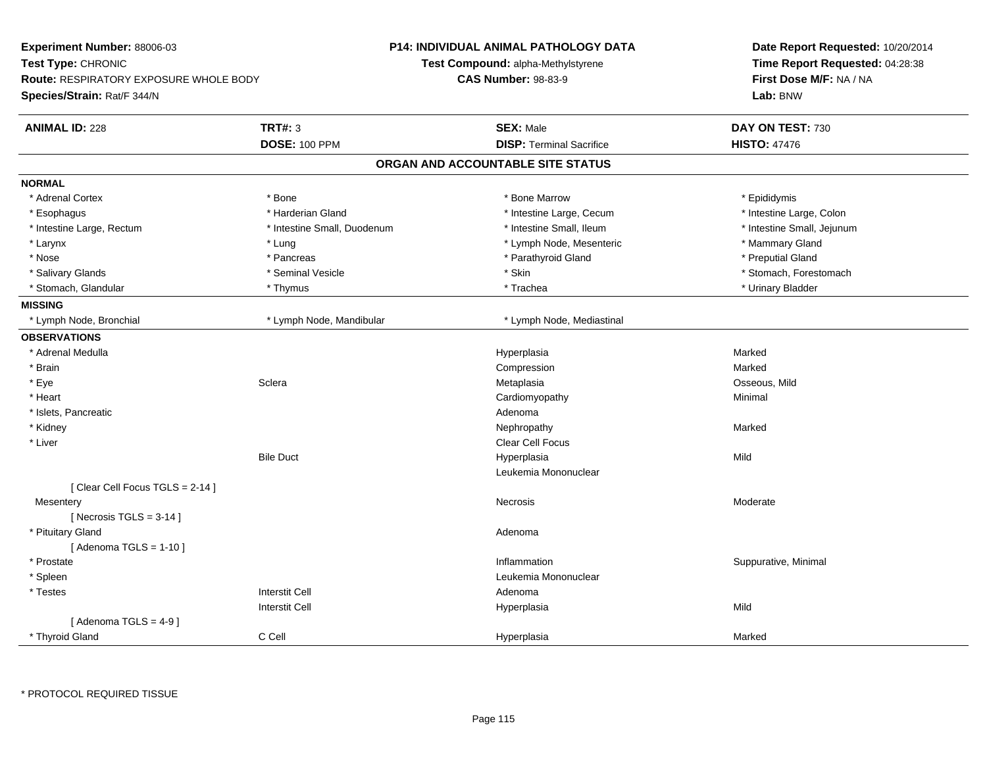| Experiment Number: 88006-03<br>Test Type: CHRONIC<br><b>Route: RESPIRATORY EXPOSURE WHOLE BODY</b><br>Species/Strain: Rat/F 344/N |                             | <b>P14: INDIVIDUAL ANIMAL PATHOLOGY DATA</b><br><b>Test Compound: alpha-Methylstyrene</b><br><b>CAS Number: 98-83-9</b> | Date Report Requested: 10/20/2014<br>Time Report Requested: 04:28:38<br>First Dose M/F: NA / NA<br>Lab: BNW |
|-----------------------------------------------------------------------------------------------------------------------------------|-----------------------------|-------------------------------------------------------------------------------------------------------------------------|-------------------------------------------------------------------------------------------------------------|
| <b>ANIMAL ID: 228</b>                                                                                                             | <b>TRT#: 3</b>              | <b>SEX: Male</b>                                                                                                        | DAY ON TEST: 730                                                                                            |
|                                                                                                                                   | <b>DOSE: 100 PPM</b>        | <b>DISP: Terminal Sacrifice</b>                                                                                         | <b>HISTO: 47476</b>                                                                                         |
|                                                                                                                                   |                             | ORGAN AND ACCOUNTABLE SITE STATUS                                                                                       |                                                                                                             |
| <b>NORMAL</b>                                                                                                                     |                             |                                                                                                                         |                                                                                                             |
| * Adrenal Cortex                                                                                                                  | * Bone                      | * Bone Marrow                                                                                                           | * Epididymis                                                                                                |
| * Esophagus                                                                                                                       | * Harderian Gland           | * Intestine Large, Cecum                                                                                                | * Intestine Large, Colon                                                                                    |
| * Intestine Large, Rectum                                                                                                         | * Intestine Small, Duodenum | * Intestine Small, Ileum                                                                                                | * Intestine Small, Jejunum                                                                                  |
| * Larynx                                                                                                                          | * Lung                      | * Lymph Node, Mesenteric                                                                                                | * Mammary Gland                                                                                             |
| * Nose                                                                                                                            | * Pancreas                  | * Parathyroid Gland                                                                                                     | * Preputial Gland                                                                                           |
| * Salivary Glands                                                                                                                 | * Seminal Vesicle           | * Skin                                                                                                                  | * Stomach, Forestomach                                                                                      |
| * Stomach, Glandular                                                                                                              | * Thymus                    | * Trachea                                                                                                               | * Urinary Bladder                                                                                           |
| <b>MISSING</b>                                                                                                                    |                             |                                                                                                                         |                                                                                                             |
| * Lymph Node, Bronchial                                                                                                           | * Lymph Node, Mandibular    | * Lymph Node, Mediastinal                                                                                               |                                                                                                             |
| <b>OBSERVATIONS</b>                                                                                                               |                             |                                                                                                                         |                                                                                                             |
| * Adrenal Medulla                                                                                                                 |                             | Hyperplasia                                                                                                             | Marked                                                                                                      |
| * Brain                                                                                                                           |                             | Compression                                                                                                             | Marked                                                                                                      |
| * Eye                                                                                                                             | Sclera                      | Metaplasia                                                                                                              | Osseous, Mild                                                                                               |
| * Heart                                                                                                                           |                             | Cardiomyopathy                                                                                                          | Minimal                                                                                                     |
| * Islets, Pancreatic                                                                                                              |                             | Adenoma                                                                                                                 |                                                                                                             |
| * Kidney                                                                                                                          |                             | Nephropathy                                                                                                             | Marked                                                                                                      |
| * Liver                                                                                                                           |                             | <b>Clear Cell Focus</b>                                                                                                 |                                                                                                             |
|                                                                                                                                   | <b>Bile Duct</b>            | Hyperplasia                                                                                                             | Mild                                                                                                        |
|                                                                                                                                   |                             | Leukemia Mononuclear                                                                                                    |                                                                                                             |
| [Clear Cell Focus TGLS = 2-14]                                                                                                    |                             |                                                                                                                         |                                                                                                             |
| Mesentery                                                                                                                         |                             | <b>Necrosis</b>                                                                                                         | Moderate                                                                                                    |
| [Necrosis $TGLS = 3-14$ ]                                                                                                         |                             |                                                                                                                         |                                                                                                             |
| * Pituitary Gland                                                                                                                 |                             | Adenoma                                                                                                                 |                                                                                                             |
| [Adenoma TGLS = $1-10$ ]                                                                                                          |                             |                                                                                                                         |                                                                                                             |
| * Prostate                                                                                                                        |                             | Inflammation                                                                                                            | Suppurative, Minimal                                                                                        |
| * Spleen                                                                                                                          |                             | Leukemia Mononuclear                                                                                                    |                                                                                                             |
| * Testes                                                                                                                          | <b>Interstit Cell</b>       | Adenoma                                                                                                                 |                                                                                                             |
|                                                                                                                                   | <b>Interstit Cell</b>       | Hyperplasia                                                                                                             | Mild                                                                                                        |
| [Adenoma TGLS = $4-9$ ]                                                                                                           |                             |                                                                                                                         |                                                                                                             |
| * Thyroid Gland                                                                                                                   | C Cell                      | Hyperplasia                                                                                                             | Marked                                                                                                      |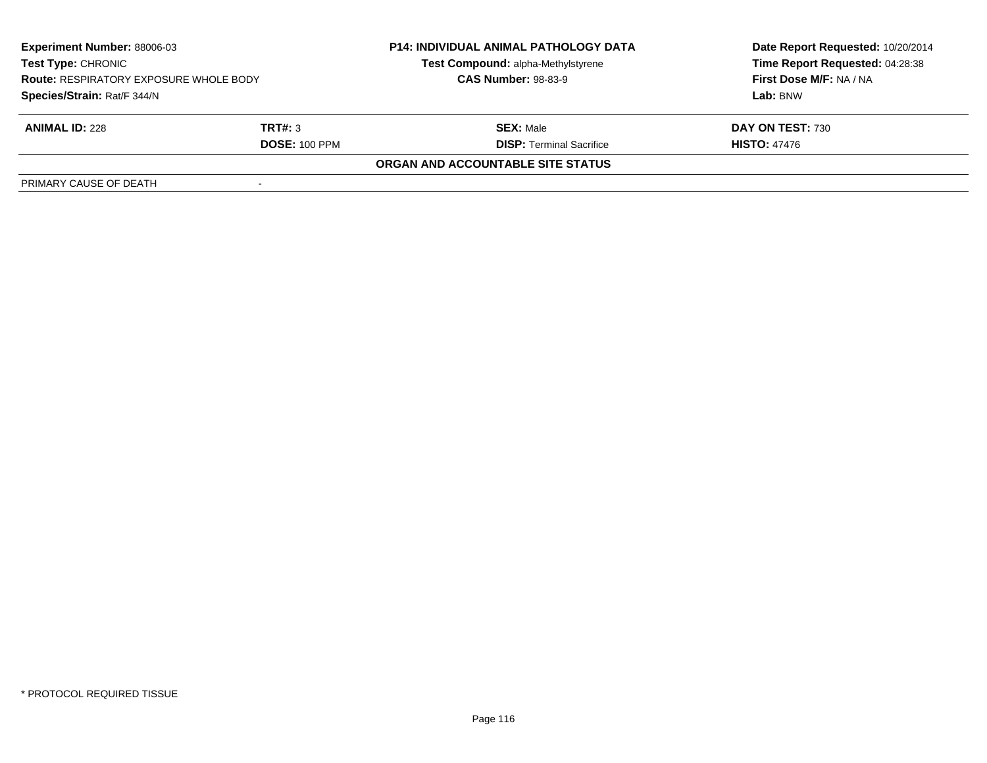| <b>Experiment Number: 88006-03</b><br><b>Test Type: CHRONIC</b><br><b>Route: RESPIRATORY EXPOSURE WHOLE BODY</b><br>Species/Strain: Rat/F 344/N |                      | <b>P14: INDIVIDUAL ANIMAL PATHOLOGY DATA</b> | Date Report Requested: 10/20/2014   |
|-------------------------------------------------------------------------------------------------------------------------------------------------|----------------------|----------------------------------------------|-------------------------------------|
|                                                                                                                                                 |                      | Test Compound: alpha-Methylstyrene           | Time Report Requested: 04:28:38     |
|                                                                                                                                                 |                      | <b>CAS Number: 98-83-9</b>                   | First Dose M/F: NA / NA<br>Lab: BNW |
|                                                                                                                                                 |                      |                                              |                                     |
| <b>ANIMAL ID: 228</b>                                                                                                                           | TRT#: 3              | <b>SEX: Male</b>                             | DAY ON TEST: 730                    |
|                                                                                                                                                 | <b>DOSE: 100 PPM</b> | <b>DISP:</b> Terminal Sacrifice              | <b>HISTO: 47476</b>                 |
|                                                                                                                                                 |                      | ORGAN AND ACCOUNTABLE SITE STATUS            |                                     |
| PRIMARY CAUSE OF DEATH                                                                                                                          |                      |                                              |                                     |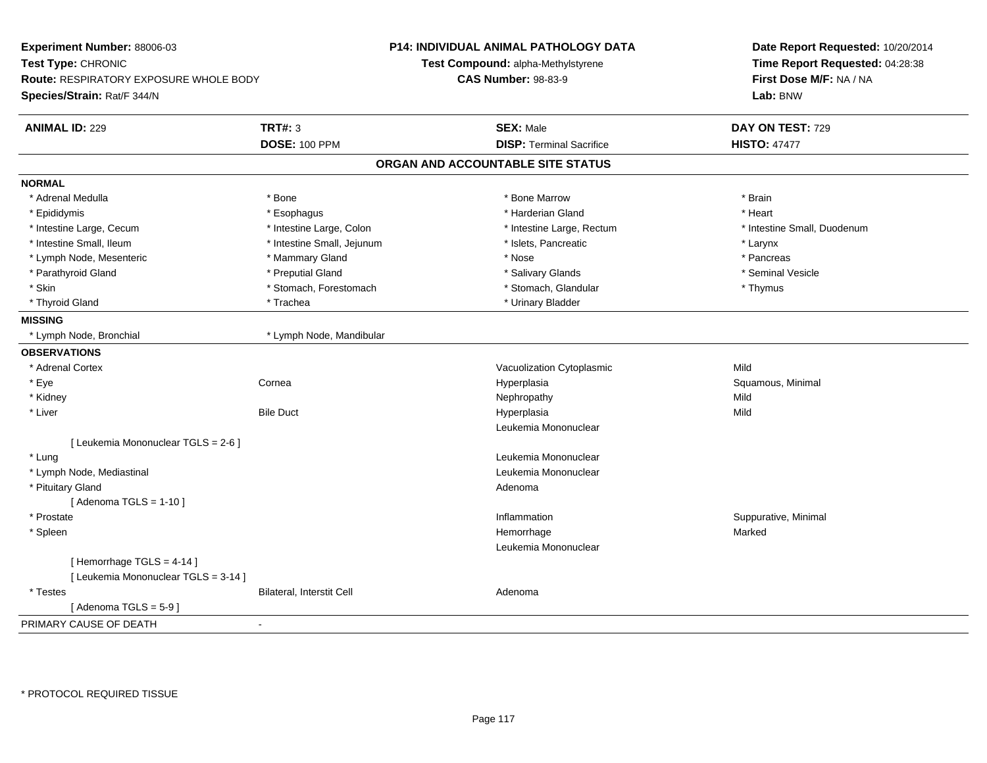| Experiment Number: 88006-03<br>Test Type: CHRONIC<br>Route: RESPIRATORY EXPOSURE WHOLE BODY<br>Species/Strain: Rat/F 344/N |                            | <b>P14: INDIVIDUAL ANIMAL PATHOLOGY DATA</b><br>Test Compound: alpha-Methylstyrene<br><b>CAS Number: 98-83-9</b> | Date Report Requested: 10/20/2014<br>Time Report Requested: 04:28:38<br>First Dose M/F: NA / NA<br>Lab: BNW |
|----------------------------------------------------------------------------------------------------------------------------|----------------------------|------------------------------------------------------------------------------------------------------------------|-------------------------------------------------------------------------------------------------------------|
| <b>ANIMAL ID: 229</b>                                                                                                      | <b>TRT#: 3</b>             | <b>SEX: Male</b>                                                                                                 | DAY ON TEST: 729                                                                                            |
|                                                                                                                            | <b>DOSE: 100 PPM</b>       | <b>DISP: Terminal Sacrifice</b>                                                                                  | <b>HISTO: 47477</b>                                                                                         |
|                                                                                                                            |                            | ORGAN AND ACCOUNTABLE SITE STATUS                                                                                |                                                                                                             |
| <b>NORMAL</b>                                                                                                              |                            |                                                                                                                  |                                                                                                             |
| * Adrenal Medulla                                                                                                          | * Bone                     | * Bone Marrow                                                                                                    | * Brain                                                                                                     |
| * Epididymis                                                                                                               | * Esophagus                | * Harderian Gland                                                                                                | * Heart                                                                                                     |
| * Intestine Large, Cecum                                                                                                   | * Intestine Large, Colon   | * Intestine Large, Rectum                                                                                        | * Intestine Small, Duodenum                                                                                 |
| * Intestine Small, Ileum                                                                                                   | * Intestine Small, Jejunum | * Islets, Pancreatic                                                                                             | $*$ Larynx                                                                                                  |
| * Lymph Node, Mesenteric                                                                                                   | * Mammary Gland            | * Nose                                                                                                           | * Pancreas                                                                                                  |
| * Parathyroid Gland                                                                                                        | * Preputial Gland          | * Salivary Glands                                                                                                | * Seminal Vesicle                                                                                           |
| * Skin                                                                                                                     | * Stomach, Forestomach     | * Stomach, Glandular                                                                                             | * Thymus                                                                                                    |
| * Thyroid Gland                                                                                                            | * Trachea                  | * Urinary Bladder                                                                                                |                                                                                                             |
| <b>MISSING</b>                                                                                                             |                            |                                                                                                                  |                                                                                                             |
| * Lymph Node, Bronchial                                                                                                    | * Lymph Node, Mandibular   |                                                                                                                  |                                                                                                             |
| <b>OBSERVATIONS</b>                                                                                                        |                            |                                                                                                                  |                                                                                                             |
| * Adrenal Cortex                                                                                                           |                            | Vacuolization Cytoplasmic                                                                                        | Mild                                                                                                        |
| * Eye                                                                                                                      | Cornea                     | Hyperplasia                                                                                                      | Squamous, Minimal                                                                                           |
| * Kidney                                                                                                                   |                            | Nephropathy                                                                                                      | Mild                                                                                                        |
| $*$ Liver                                                                                                                  | <b>Bile Duct</b>           | Hyperplasia                                                                                                      | Mild                                                                                                        |
|                                                                                                                            |                            | Leukemia Mononuclear                                                                                             |                                                                                                             |
| [ Leukemia Mononuclear TGLS = 2-6 ]                                                                                        |                            |                                                                                                                  |                                                                                                             |
| * Lung                                                                                                                     |                            | Leukemia Mononuclear                                                                                             |                                                                                                             |
| * Lymph Node, Mediastinal                                                                                                  |                            | Leukemia Mononuclear                                                                                             |                                                                                                             |
| * Pituitary Gland                                                                                                          |                            | Adenoma                                                                                                          |                                                                                                             |
| [Adenoma TGLS = $1-10$ ]                                                                                                   |                            |                                                                                                                  |                                                                                                             |
| * Prostate                                                                                                                 |                            | Inflammation                                                                                                     | Suppurative, Minimal                                                                                        |
| * Spleen                                                                                                                   |                            | Hemorrhage                                                                                                       | Marked                                                                                                      |
|                                                                                                                            |                            | Leukemia Mononuclear                                                                                             |                                                                                                             |
| [Hemorrhage TGLS = 4-14]                                                                                                   |                            |                                                                                                                  |                                                                                                             |
| [ Leukemia Mononuclear TGLS = 3-14 ]                                                                                       |                            |                                                                                                                  |                                                                                                             |
| * Testes                                                                                                                   | Bilateral, Interstit Cell  | Adenoma                                                                                                          |                                                                                                             |
| [Adenoma TGLS = $5-9$ ]                                                                                                    |                            |                                                                                                                  |                                                                                                             |
| PRIMARY CAUSE OF DEATH                                                                                                     | $\blacksquare$             |                                                                                                                  |                                                                                                             |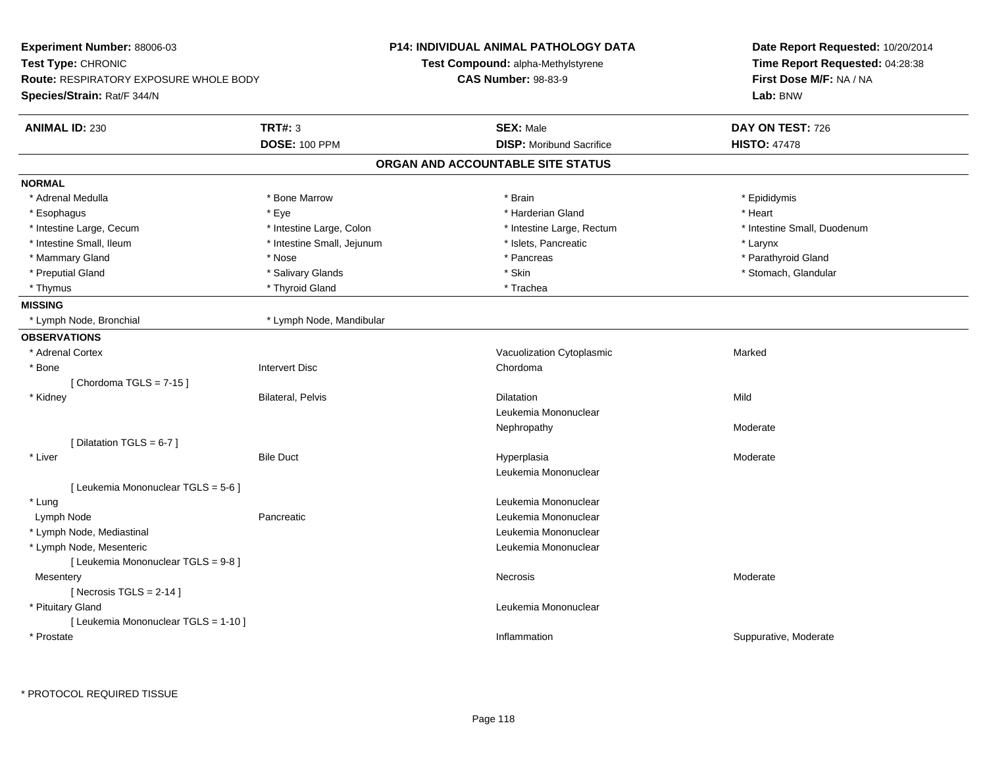| <b>Experiment Number: 88006-03</b>            |                            | <b>P14: INDIVIDUAL ANIMAL PATHOLOGY DATA</b> | Date Report Requested: 10/20/2014<br>Time Report Requested: 04:28:38<br>First Dose M/F: NA / NA |  |
|-----------------------------------------------|----------------------------|----------------------------------------------|-------------------------------------------------------------------------------------------------|--|
| <b>Test Type: CHRONIC</b>                     |                            | Test Compound: alpha-Methylstyrene           |                                                                                                 |  |
| <b>Route: RESPIRATORY EXPOSURE WHOLE BODY</b> |                            | <b>CAS Number: 98-83-9</b>                   |                                                                                                 |  |
| Species/Strain: Rat/F 344/N                   |                            |                                              | Lab: BNW                                                                                        |  |
| <b>ANIMAL ID: 230</b>                         | <b>TRT#: 3</b>             | <b>SEX: Male</b>                             | DAY ON TEST: 726                                                                                |  |
|                                               | <b>DOSE: 100 PPM</b>       | <b>DISP:</b> Moribund Sacrifice              | <b>HISTO: 47478</b>                                                                             |  |
|                                               |                            | ORGAN AND ACCOUNTABLE SITE STATUS            |                                                                                                 |  |
| <b>NORMAL</b>                                 |                            |                                              |                                                                                                 |  |
| * Adrenal Medulla                             | * Bone Marrow              | * Brain                                      | * Epididymis                                                                                    |  |
| * Esophagus                                   | * Eve                      | * Harderian Gland                            | * Heart                                                                                         |  |
| * Intestine Large, Cecum                      | * Intestine Large, Colon   | * Intestine Large, Rectum                    | * Intestine Small, Duodenum                                                                     |  |
| * Intestine Small, Ileum                      | * Intestine Small, Jejunum | * Islets, Pancreatic                         | * Larynx                                                                                        |  |
| * Mammary Gland                               | * Nose                     | * Pancreas                                   | * Parathyroid Gland                                                                             |  |
| * Preputial Gland                             | * Salivary Glands          | * Skin                                       | * Stomach, Glandular                                                                            |  |
| * Thymus                                      | * Thyroid Gland            | * Trachea                                    |                                                                                                 |  |
| <b>MISSING</b>                                |                            |                                              |                                                                                                 |  |
| * Lymph Node, Bronchial                       | * Lymph Node, Mandibular   |                                              |                                                                                                 |  |
| <b>OBSERVATIONS</b>                           |                            |                                              |                                                                                                 |  |
| * Adrenal Cortex                              |                            | Vacuolization Cytoplasmic                    | Marked                                                                                          |  |
| * Bone                                        | Intervert Disc             | Chordoma                                     |                                                                                                 |  |
| [Chordoma TGLS = $7-15$ ]                     |                            |                                              |                                                                                                 |  |
| * Kidney                                      | <b>Bilateral, Pelvis</b>   | Dilatation                                   | Mild                                                                                            |  |
|                                               |                            | Leukemia Mononuclear                         |                                                                                                 |  |
|                                               |                            | Nephropathy                                  | Moderate                                                                                        |  |
| [Dilatation TGLS = 6-7]                       |                            |                                              |                                                                                                 |  |
| * Liver                                       | <b>Bile Duct</b>           | Hyperplasia                                  | Moderate                                                                                        |  |
|                                               |                            | Leukemia Mononuclear                         |                                                                                                 |  |
| [ Leukemia Mononuclear TGLS = 5-6 ]           |                            |                                              |                                                                                                 |  |
| * Lung                                        |                            | Leukemia Mononuclear                         |                                                                                                 |  |
| Lymph Node                                    | Pancreatic                 | Leukemia Mononuclear                         |                                                                                                 |  |
| * Lymph Node, Mediastinal                     |                            | Leukemia Mononuclear                         |                                                                                                 |  |
| * Lymph Node, Mesenteric                      |                            | Leukemia Mononuclear                         |                                                                                                 |  |
| [ Leukemia Mononuclear TGLS = 9-8 ]           |                            |                                              |                                                                                                 |  |
| Mesentery                                     |                            | Necrosis                                     | Moderate                                                                                        |  |
| [ Necrosis TGLS = $2-14$ ]                    |                            |                                              |                                                                                                 |  |
| * Pituitary Gland                             |                            | Leukemia Mononuclear                         |                                                                                                 |  |
| [ Leukemia Mononuclear TGLS = 1-10 ]          |                            |                                              |                                                                                                 |  |
| * Prostate                                    |                            | Inflammation                                 | Suppurative, Moderate                                                                           |  |
|                                               |                            |                                              |                                                                                                 |  |

\* PROTOCOL REQUIRED TISSUE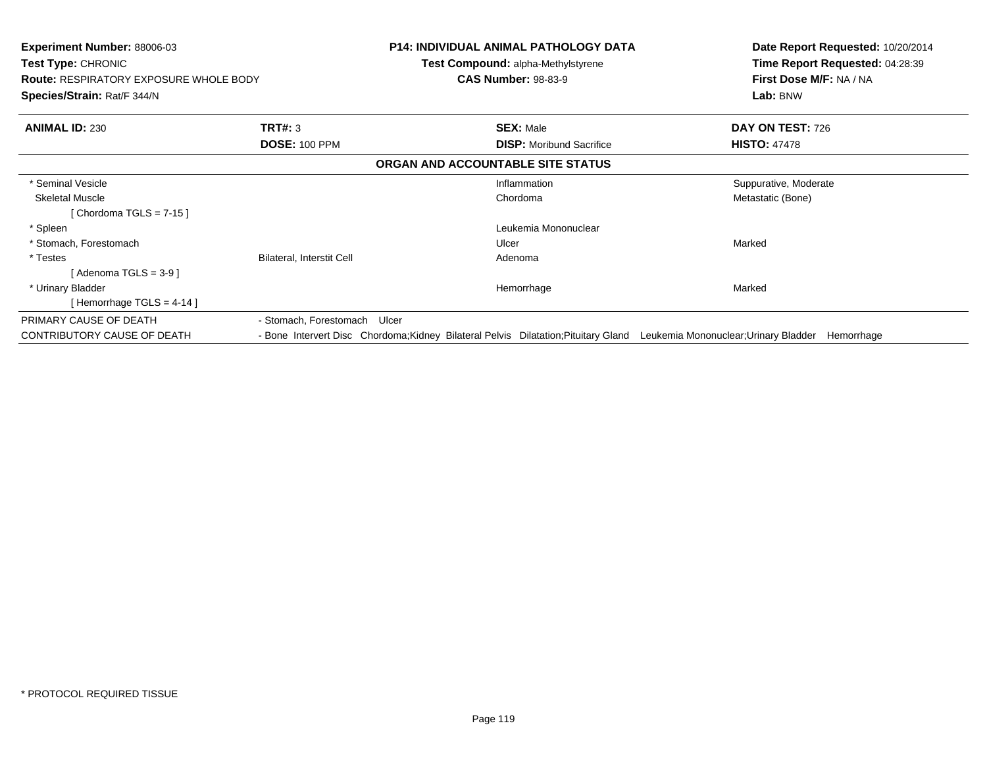| <b>Experiment Number: 88006-03</b><br><b>Test Type: CHRONIC</b><br><b>Route: RESPIRATORY EXPOSURE WHOLE BODY</b><br>Species/Strain: Rat/F 344/N |                              | <b>P14: INDIVIDUAL ANIMAL PATHOLOGY DATA</b><br><b>Test Compound: alpha-Methylstyrene</b><br><b>CAS Number: 98-83-9</b>   | Date Report Requested: 10/20/2014<br>Time Report Requested: 04:28:39<br>First Dose M/F: NA / NA<br>Lab: BNW |
|-------------------------------------------------------------------------------------------------------------------------------------------------|------------------------------|---------------------------------------------------------------------------------------------------------------------------|-------------------------------------------------------------------------------------------------------------|
| <b>ANIMAL ID: 230</b>                                                                                                                           | <b>TRT#: 3</b>               | <b>SEX: Male</b>                                                                                                          | DAY ON TEST: 726                                                                                            |
|                                                                                                                                                 | <b>DOSE: 100 PPM</b>         | <b>DISP:</b> Moribund Sacrifice                                                                                           | <b>HISTO: 47478</b>                                                                                         |
|                                                                                                                                                 |                              | ORGAN AND ACCOUNTABLE SITE STATUS                                                                                         |                                                                                                             |
| * Seminal Vesicle                                                                                                                               |                              | Inflammation                                                                                                              | Suppurative, Moderate                                                                                       |
| <b>Skeletal Muscle</b>                                                                                                                          |                              | Chordoma                                                                                                                  | Metastatic (Bone)                                                                                           |
| [Chordoma TGLS = $7-15$ ]                                                                                                                       |                              |                                                                                                                           |                                                                                                             |
| * Spleen                                                                                                                                        |                              | Leukemia Mononuclear                                                                                                      |                                                                                                             |
| * Stomach, Forestomach                                                                                                                          |                              | Ulcer                                                                                                                     | Marked                                                                                                      |
| * Testes                                                                                                                                        | Bilateral, Interstit Cell    | Adenoma                                                                                                                   |                                                                                                             |
| [Adenoma TGLS = $3-9$ ]                                                                                                                         |                              |                                                                                                                           |                                                                                                             |
| * Urinary Bladder                                                                                                                               |                              | Hemorrhage                                                                                                                | Marked                                                                                                      |
| [Hemorrhage TGLS = $4-14$ ]                                                                                                                     |                              |                                                                                                                           |                                                                                                             |
| PRIMARY CAUSE OF DEATH                                                                                                                          | - Stomach, Forestomach Ulcer |                                                                                                                           |                                                                                                             |
| CONTRIBUTORY CAUSE OF DEATH                                                                                                                     |                              | - Bone Intervert Disc Chordoma; Kidney Bilateral Pelvis Dilatation; Pituitary Gland Leukemia Mononuclear; Urinary Bladder | Hemorrhage                                                                                                  |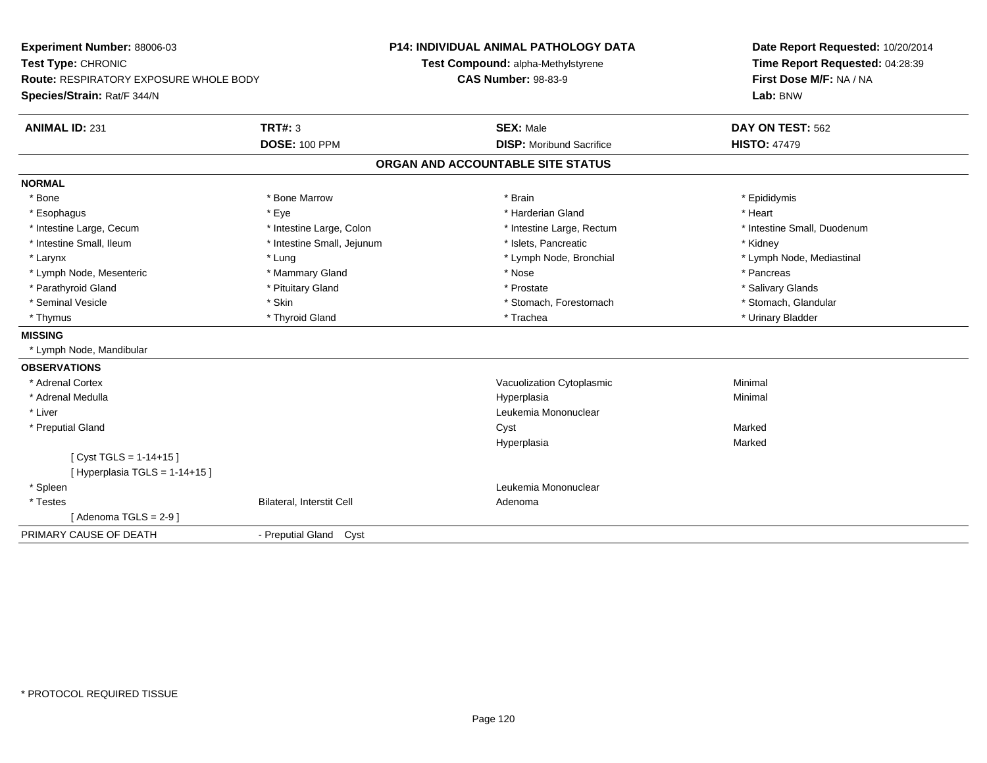| Experiment Number: 88006-03<br>Test Type: CHRONIC<br>Route: RESPIRATORY EXPOSURE WHOLE BODY |                            | <b>P14: INDIVIDUAL ANIMAL PATHOLOGY DATA</b> | Date Report Requested: 10/20/2014<br>Time Report Requested: 04:28:39<br>First Dose M/F: NA / NA |
|---------------------------------------------------------------------------------------------|----------------------------|----------------------------------------------|-------------------------------------------------------------------------------------------------|
|                                                                                             |                            | Test Compound: alpha-Methylstyrene           |                                                                                                 |
|                                                                                             |                            | <b>CAS Number: 98-83-9</b>                   |                                                                                                 |
| Species/Strain: Rat/F 344/N                                                                 |                            |                                              | Lab: BNW                                                                                        |
| <b>ANIMAL ID: 231</b>                                                                       | <b>TRT#: 3</b>             | <b>SEX: Male</b>                             | DAY ON TEST: 562                                                                                |
|                                                                                             | <b>DOSE: 100 PPM</b>       | <b>DISP:</b> Moribund Sacrifice              | <b>HISTO: 47479</b>                                                                             |
|                                                                                             |                            | ORGAN AND ACCOUNTABLE SITE STATUS            |                                                                                                 |
| <b>NORMAL</b>                                                                               |                            |                                              |                                                                                                 |
| * Bone                                                                                      | * Bone Marrow              | * Brain                                      | * Epididymis                                                                                    |
| * Esophagus                                                                                 | * Eye                      | * Harderian Gland                            | * Heart                                                                                         |
| * Intestine Large, Cecum                                                                    | * Intestine Large, Colon   | * Intestine Large, Rectum                    | * Intestine Small, Duodenum                                                                     |
| * Intestine Small, Ileum                                                                    | * Intestine Small, Jejunum | * Islets, Pancreatic                         | * Kidney                                                                                        |
| * Larynx                                                                                    | * Lung                     | * Lymph Node, Bronchial                      | * Lymph Node, Mediastinal                                                                       |
| * Lymph Node, Mesenteric                                                                    | * Mammary Gland            | * Nose                                       | * Pancreas                                                                                      |
| * Parathyroid Gland                                                                         | * Pituitary Gland          | * Prostate                                   | * Salivary Glands                                                                               |
| * Seminal Vesicle                                                                           | * Skin                     | * Stomach, Forestomach                       | * Stomach, Glandular                                                                            |
| * Thymus                                                                                    | * Thyroid Gland            | * Trachea                                    | * Urinary Bladder                                                                               |
| <b>MISSING</b>                                                                              |                            |                                              |                                                                                                 |
| * Lymph Node, Mandibular                                                                    |                            |                                              |                                                                                                 |
| <b>OBSERVATIONS</b>                                                                         |                            |                                              |                                                                                                 |
| * Adrenal Cortex                                                                            |                            | Vacuolization Cytoplasmic                    | Minimal                                                                                         |
| * Adrenal Medulla                                                                           |                            | Hyperplasia                                  | Minimal                                                                                         |
| * Liver                                                                                     |                            | Leukemia Mononuclear                         |                                                                                                 |
| * Preputial Gland                                                                           |                            | Cyst                                         | Marked                                                                                          |
|                                                                                             |                            | Hyperplasia                                  | Marked                                                                                          |
| [Cyst TGLS = $1-14+15$ ]                                                                    |                            |                                              |                                                                                                 |
| [Hyperplasia TGLS = 1-14+15]                                                                |                            |                                              |                                                                                                 |
| * Spleen                                                                                    |                            | Leukemia Mononuclear                         |                                                                                                 |
| * Testes                                                                                    | Bilateral, Interstit Cell  | Adenoma                                      |                                                                                                 |
| [Adenoma TGLS = $2-9$ ]                                                                     |                            |                                              |                                                                                                 |
| PRIMARY CAUSE OF DEATH                                                                      | - Preputial Gland Cyst     |                                              |                                                                                                 |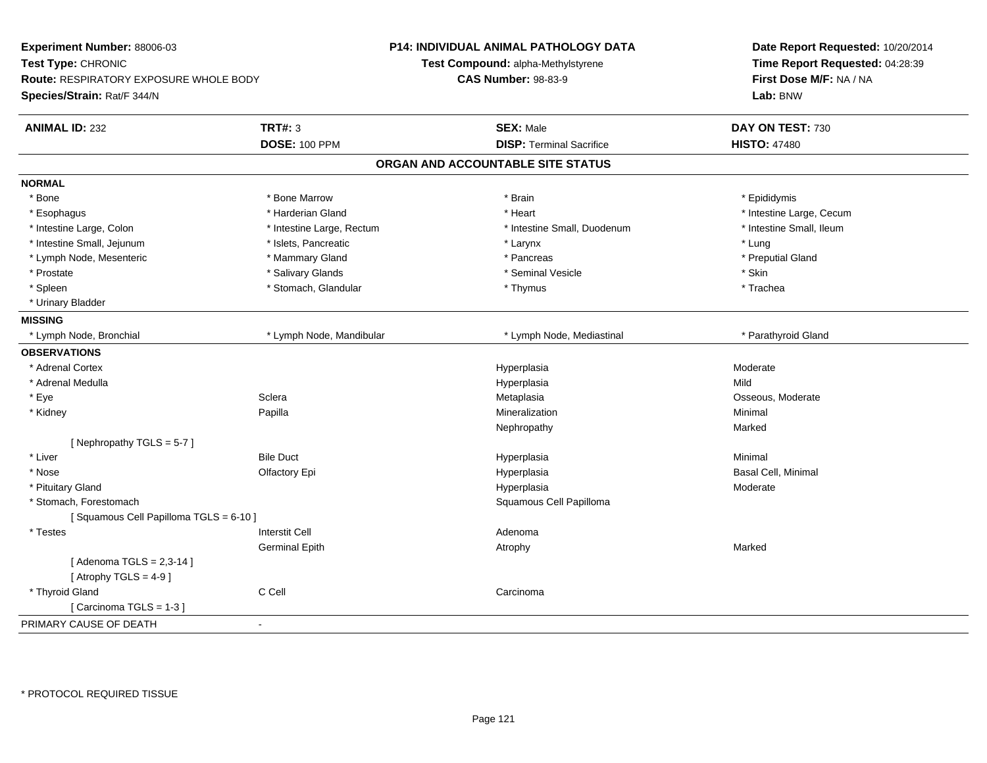| Experiment Number: 88006-03<br>Test Type: CHRONIC |                           | <b>P14: INDIVIDUAL ANIMAL PATHOLOGY DATA</b> | Date Report Requested: 10/20/2014<br>Time Report Requested: 04:28:39 |
|---------------------------------------------------|---------------------------|----------------------------------------------|----------------------------------------------------------------------|
|                                                   |                           | Test Compound: alpha-Methylstyrene           |                                                                      |
| Route: RESPIRATORY EXPOSURE WHOLE BODY            |                           | <b>CAS Number: 98-83-9</b>                   | First Dose M/F: NA / NA                                              |
| Species/Strain: Rat/F 344/N                       |                           |                                              | Lab: BNW                                                             |
| <b>ANIMAL ID: 232</b>                             | <b>TRT#: 3</b>            | <b>SEX: Male</b>                             | DAY ON TEST: 730                                                     |
|                                                   | <b>DOSE: 100 PPM</b>      | <b>DISP: Terminal Sacrifice</b>              | <b>HISTO: 47480</b>                                                  |
|                                                   |                           | ORGAN AND ACCOUNTABLE SITE STATUS            |                                                                      |
| <b>NORMAL</b>                                     |                           |                                              |                                                                      |
| * Bone                                            | * Bone Marrow             | * Brain                                      | * Epididymis                                                         |
| * Esophagus                                       | * Harderian Gland         | * Heart                                      | * Intestine Large, Cecum                                             |
| * Intestine Large, Colon                          | * Intestine Large, Rectum | * Intestine Small, Duodenum                  | * Intestine Small, Ileum                                             |
| * Intestine Small, Jejunum                        | * Islets, Pancreatic      | * Larynx                                     | * Lung                                                               |
| * Lymph Node, Mesenteric                          | * Mammary Gland           | * Pancreas                                   | * Preputial Gland                                                    |
| * Prostate                                        | * Salivary Glands         | * Seminal Vesicle                            | * Skin                                                               |
| * Spleen                                          | * Stomach, Glandular      | * Thymus                                     | * Trachea                                                            |
| * Urinary Bladder                                 |                           |                                              |                                                                      |
| <b>MISSING</b>                                    |                           |                                              |                                                                      |
| * Lymph Node, Bronchial                           | * Lymph Node, Mandibular  | * Lymph Node, Mediastinal                    | * Parathyroid Gland                                                  |
| <b>OBSERVATIONS</b>                               |                           |                                              |                                                                      |
| * Adrenal Cortex                                  |                           | Hyperplasia                                  | Moderate                                                             |
| * Adrenal Medulla                                 |                           | Hyperplasia                                  | Mild                                                                 |
| * Eye                                             | Sclera                    | Metaplasia                                   | Osseous, Moderate                                                    |
| * Kidney                                          | Papilla                   | Mineralization                               | Minimal                                                              |
|                                                   |                           | Nephropathy                                  | Marked                                                               |
| [Nephropathy TGLS = $5-7$ ]                       |                           |                                              |                                                                      |
| * Liver                                           | <b>Bile Duct</b>          | Hyperplasia                                  | Minimal                                                              |
| * Nose                                            | Olfactory Epi             | Hyperplasia                                  | Basal Cell, Minimal                                                  |
| * Pituitary Gland                                 |                           | Hyperplasia                                  | Moderate                                                             |
| * Stomach, Forestomach                            |                           | Squamous Cell Papilloma                      |                                                                      |
| [Squamous Cell Papilloma TGLS = 6-10]             |                           |                                              |                                                                      |
| * Testes                                          | <b>Interstit Cell</b>     | Adenoma                                      |                                                                      |
|                                                   | <b>Germinal Epith</b>     | Atrophy                                      | Marked                                                               |
| [Adenoma TGLS = $2,3-14$ ]                        |                           |                                              |                                                                      |
| [Atrophy TGLS = $4-9$ ]                           |                           |                                              |                                                                      |
| * Thyroid Gland                                   | C Cell                    | Carcinoma                                    |                                                                      |
| [Carcinoma TGLS = 1-3]                            |                           |                                              |                                                                      |
| PRIMARY CAUSE OF DEATH                            | ÷,                        |                                              |                                                                      |
|                                                   |                           |                                              |                                                                      |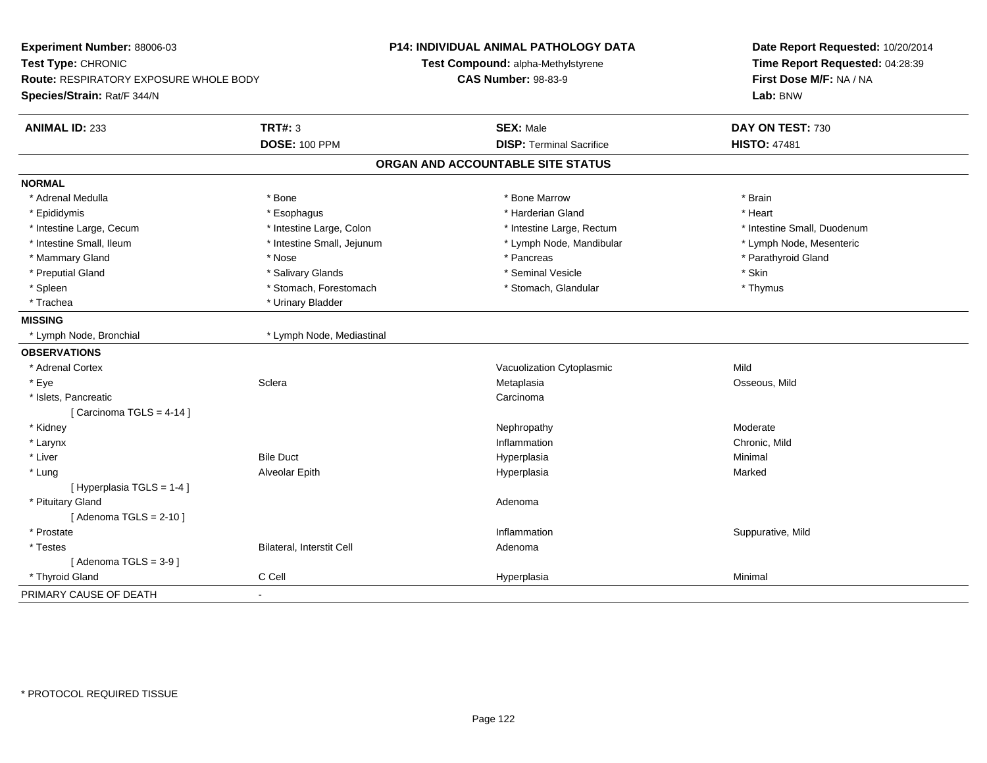| Experiment Number: 88006-03<br>Test Type: CHRONIC<br><b>Route: RESPIRATORY EXPOSURE WHOLE BODY</b><br>Species/Strain: Rat/F 344/N |                                        | <b>P14: INDIVIDUAL ANIMAL PATHOLOGY DATA</b><br>Test Compound: alpha-Methylstyrene<br><b>CAS Number: 98-83-9</b> | Date Report Requested: 10/20/2014<br>Time Report Requested: 04:28:39<br>First Dose M/F: NA / NA<br>Lab: BNW |
|-----------------------------------------------------------------------------------------------------------------------------------|----------------------------------------|------------------------------------------------------------------------------------------------------------------|-------------------------------------------------------------------------------------------------------------|
| <b>ANIMAL ID: 233</b>                                                                                                             | <b>TRT#: 3</b><br><b>DOSE: 100 PPM</b> | <b>SEX: Male</b><br><b>DISP: Terminal Sacrifice</b>                                                              | DAY ON TEST: 730<br><b>HISTO: 47481</b>                                                                     |
|                                                                                                                                   |                                        |                                                                                                                  |                                                                                                             |
|                                                                                                                                   |                                        | ORGAN AND ACCOUNTABLE SITE STATUS                                                                                |                                                                                                             |
| <b>NORMAL</b>                                                                                                                     |                                        |                                                                                                                  |                                                                                                             |
| * Adrenal Medulla                                                                                                                 | * Bone                                 | * Bone Marrow                                                                                                    | * Brain                                                                                                     |
| * Epididymis                                                                                                                      | * Esophagus                            | * Harderian Gland                                                                                                | * Heart                                                                                                     |
| * Intestine Large, Cecum                                                                                                          | * Intestine Large, Colon               | * Intestine Large, Rectum                                                                                        | * Intestine Small, Duodenum                                                                                 |
| * Intestine Small, Ileum                                                                                                          | * Intestine Small, Jejunum             | * Lymph Node, Mandibular                                                                                         | * Lymph Node, Mesenteric                                                                                    |
| * Mammary Gland                                                                                                                   | * Nose                                 | * Pancreas                                                                                                       | * Parathyroid Gland                                                                                         |
| * Preputial Gland                                                                                                                 | * Salivary Glands                      | * Seminal Vesicle                                                                                                | * Skin                                                                                                      |
| * Spleen                                                                                                                          | * Stomach, Forestomach                 | * Stomach, Glandular                                                                                             | * Thymus                                                                                                    |
| * Trachea                                                                                                                         | * Urinary Bladder                      |                                                                                                                  |                                                                                                             |
| <b>MISSING</b>                                                                                                                    |                                        |                                                                                                                  |                                                                                                             |
| * Lymph Node, Bronchial                                                                                                           | * Lymph Node, Mediastinal              |                                                                                                                  |                                                                                                             |
| <b>OBSERVATIONS</b>                                                                                                               |                                        |                                                                                                                  |                                                                                                             |
| * Adrenal Cortex                                                                                                                  |                                        | Vacuolization Cytoplasmic                                                                                        | Mild                                                                                                        |
| * Eye                                                                                                                             | Sclera                                 | Metaplasia                                                                                                       | Osseous, Mild                                                                                               |
| * Islets, Pancreatic                                                                                                              |                                        | Carcinoma                                                                                                        |                                                                                                             |
| [Carcinoma TGLS = $4-14$ ]                                                                                                        |                                        |                                                                                                                  |                                                                                                             |
| * Kidney                                                                                                                          |                                        | Nephropathy                                                                                                      | Moderate                                                                                                    |
| * Larynx                                                                                                                          |                                        | Inflammation                                                                                                     | Chronic, Mild                                                                                               |
| * Liver                                                                                                                           | <b>Bile Duct</b>                       | Hyperplasia                                                                                                      | Minimal                                                                                                     |
| * Lung                                                                                                                            | Alveolar Epith                         | Hyperplasia                                                                                                      | Marked                                                                                                      |
| [ Hyperplasia TGLS = 1-4 ]                                                                                                        |                                        |                                                                                                                  |                                                                                                             |
| * Pituitary Gland                                                                                                                 |                                        | Adenoma                                                                                                          |                                                                                                             |
| [Adenoma TGLS = $2-10$ ]                                                                                                          |                                        |                                                                                                                  |                                                                                                             |
| * Prostate                                                                                                                        |                                        | Inflammation                                                                                                     | Suppurative, Mild                                                                                           |
| * Testes                                                                                                                          | Bilateral, Interstit Cell              | Adenoma                                                                                                          |                                                                                                             |
| [Adenoma TGLS = $3-9$ ]                                                                                                           |                                        |                                                                                                                  |                                                                                                             |
| * Thyroid Gland                                                                                                                   | C Cell                                 | Hyperplasia                                                                                                      | Minimal                                                                                                     |
| PRIMARY CAUSE OF DEATH                                                                                                            |                                        |                                                                                                                  |                                                                                                             |
|                                                                                                                                   |                                        |                                                                                                                  |                                                                                                             |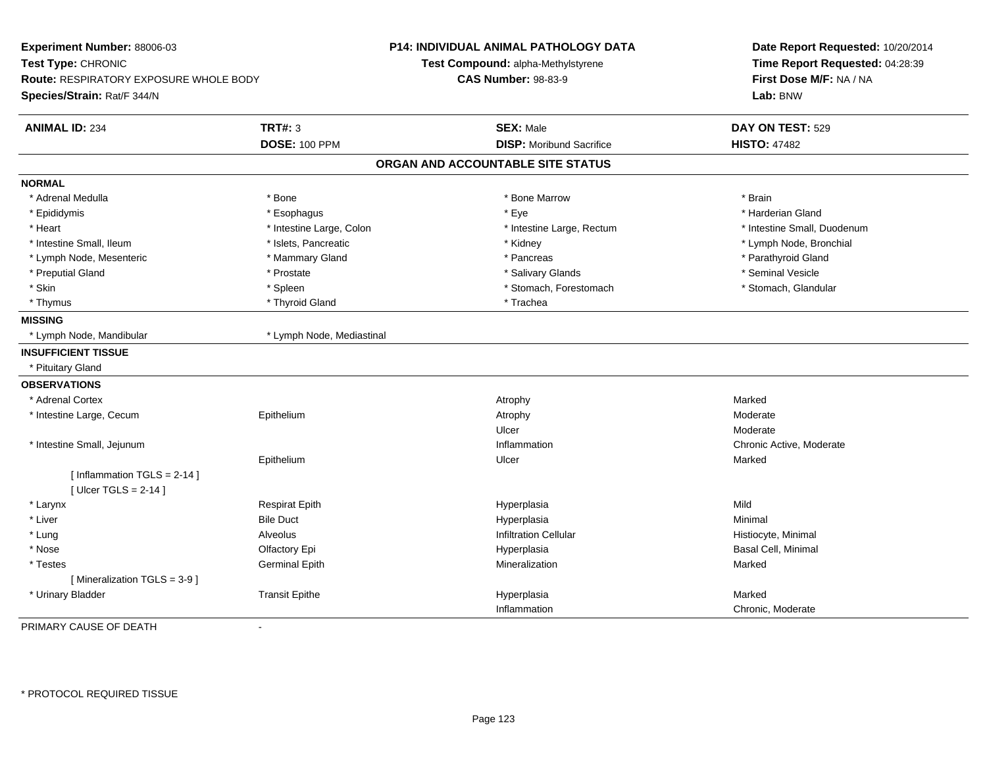| Experiment Number: 88006-03<br>Test Type: CHRONIC<br>Route: RESPIRATORY EXPOSURE WHOLE BODY<br>Species/Strain: Rat/F 344/N |                           | <b>P14: INDIVIDUAL ANIMAL PATHOLOGY DATA</b><br>Test Compound: alpha-Methylstyrene<br><b>CAS Number: 98-83-9</b> | Date Report Requested: 10/20/2014<br>Time Report Requested: 04:28:39<br>First Dose M/F: NA / NA<br>Lab: BNW |
|----------------------------------------------------------------------------------------------------------------------------|---------------------------|------------------------------------------------------------------------------------------------------------------|-------------------------------------------------------------------------------------------------------------|
| <b>ANIMAL ID: 234</b>                                                                                                      | <b>TRT#: 3</b>            | <b>SEX: Male</b>                                                                                                 | DAY ON TEST: 529                                                                                            |
|                                                                                                                            | <b>DOSE: 100 PPM</b>      | <b>DISP: Moribund Sacrifice</b>                                                                                  | <b>HISTO: 47482</b>                                                                                         |
|                                                                                                                            |                           | ORGAN AND ACCOUNTABLE SITE STATUS                                                                                |                                                                                                             |
| <b>NORMAL</b>                                                                                                              |                           |                                                                                                                  |                                                                                                             |
| * Adrenal Medulla                                                                                                          | * Bone                    | * Bone Marrow                                                                                                    | * Brain                                                                                                     |
| * Epididymis                                                                                                               | * Esophagus               | * Eye                                                                                                            | * Harderian Gland                                                                                           |
| * Heart                                                                                                                    | * Intestine Large, Colon  | * Intestine Large, Rectum                                                                                        | * Intestine Small, Duodenum                                                                                 |
| * Intestine Small, Ileum                                                                                                   | * Islets, Pancreatic      | * Kidney                                                                                                         | * Lymph Node, Bronchial                                                                                     |
| * Lymph Node, Mesenteric                                                                                                   | * Mammary Gland           | * Pancreas                                                                                                       | * Parathyroid Gland                                                                                         |
| * Preputial Gland                                                                                                          | * Prostate                | * Salivary Glands                                                                                                | * Seminal Vesicle                                                                                           |
| * Skin                                                                                                                     | * Spleen                  | * Stomach, Forestomach                                                                                           | * Stomach, Glandular                                                                                        |
| * Thymus                                                                                                                   | * Thyroid Gland           | * Trachea                                                                                                        |                                                                                                             |
| <b>MISSING</b>                                                                                                             |                           |                                                                                                                  |                                                                                                             |
| * Lymph Node, Mandibular                                                                                                   | * Lymph Node, Mediastinal |                                                                                                                  |                                                                                                             |
| <b>INSUFFICIENT TISSUE</b>                                                                                                 |                           |                                                                                                                  |                                                                                                             |
| * Pituitary Gland                                                                                                          |                           |                                                                                                                  |                                                                                                             |
| <b>OBSERVATIONS</b>                                                                                                        |                           |                                                                                                                  |                                                                                                             |
| Adrenal Cortex                                                                                                             |                           | Atrophy                                                                                                          | Marked                                                                                                      |
| * Intestine Large, Cecum                                                                                                   | Epithelium                | Atrophy                                                                                                          | Moderate                                                                                                    |
|                                                                                                                            |                           | Ulcer                                                                                                            | Moderate                                                                                                    |
| * Intestine Small, Jejunum                                                                                                 |                           | Inflammation                                                                                                     | Chronic Active, Moderate                                                                                    |
|                                                                                                                            | Epithelium                | Ulcer                                                                                                            | Marked                                                                                                      |
| [Inflammation $TGLS = 2-14$ ]                                                                                              |                           |                                                                                                                  |                                                                                                             |
| [ Ulcer TGLS = $2-14$ ]                                                                                                    |                           |                                                                                                                  |                                                                                                             |
| * Larynx                                                                                                                   | <b>Respirat Epith</b>     | Hyperplasia                                                                                                      | Mild                                                                                                        |
| * Liver                                                                                                                    | <b>Bile Duct</b>          | Hyperplasia                                                                                                      | Minimal                                                                                                     |
| * Lung                                                                                                                     | Alveolus                  | <b>Infiltration Cellular</b>                                                                                     | Histiocyte, Minimal                                                                                         |
| * Nose                                                                                                                     | Olfactory Epi             | Hyperplasia                                                                                                      | Basal Cell, Minimal                                                                                         |
| * Testes                                                                                                                   | <b>Germinal Epith</b>     | Mineralization                                                                                                   | Marked                                                                                                      |
| [Mineralization TGLS = 3-9]                                                                                                |                           |                                                                                                                  |                                                                                                             |
| * Urinary Bladder                                                                                                          | <b>Transit Epithe</b>     | Hyperplasia                                                                                                      | Marked                                                                                                      |
|                                                                                                                            |                           | Inflammation                                                                                                     | Chronic, Moderate                                                                                           |

PRIMARY CAUSE OF DEATH-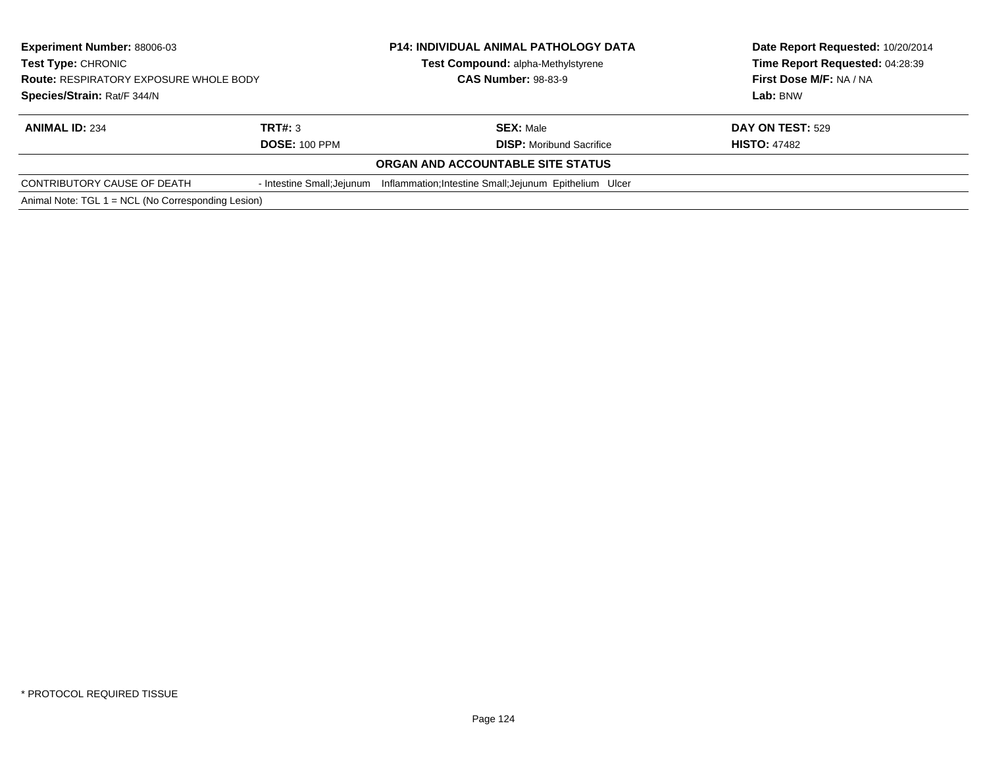| <b>Experiment Number: 88006-03</b><br>Test Type: CHRONIC<br><b>Route: RESPIRATORY EXPOSURE WHOLE BODY</b> |                            | <b>P14: INDIVIDUAL ANIMAL PATHOLOGY DATA</b>            | Date Report Requested: 10/20/2014 |  |
|-----------------------------------------------------------------------------------------------------------|----------------------------|---------------------------------------------------------|-----------------------------------|--|
|                                                                                                           |                            | Test Compound: alpha-Methylstyrene                      | Time Report Requested: 04:28:39   |  |
|                                                                                                           |                            | <b>CAS Number: 98-83-9</b>                              | First Dose M/F: NA / NA           |  |
| Species/Strain: Rat/F 344/N                                                                               |                            |                                                         | Lab: BNW                          |  |
| <b>ANIMAL ID: 234</b>                                                                                     | TRT#: 3                    | <b>SEX: Male</b>                                        | <b>DAY ON TEST: 529</b>           |  |
|                                                                                                           | <b>DOSE: 100 PPM</b>       | <b>DISP:</b> Moribund Sacrifice                         | <b>HISTO: 47482</b>               |  |
|                                                                                                           |                            | ORGAN AND ACCOUNTABLE SITE STATUS                       |                                   |  |
| CONTRIBUTORY CAUSE OF DEATH                                                                               | - Intestine Small; Jejunum | Inflammation; Intestine Small; Jejunum Epithelium Ulcer |                                   |  |
| Animal Note: TGL 1 = NCL (No Corresponding Lesion)                                                        |                            |                                                         |                                   |  |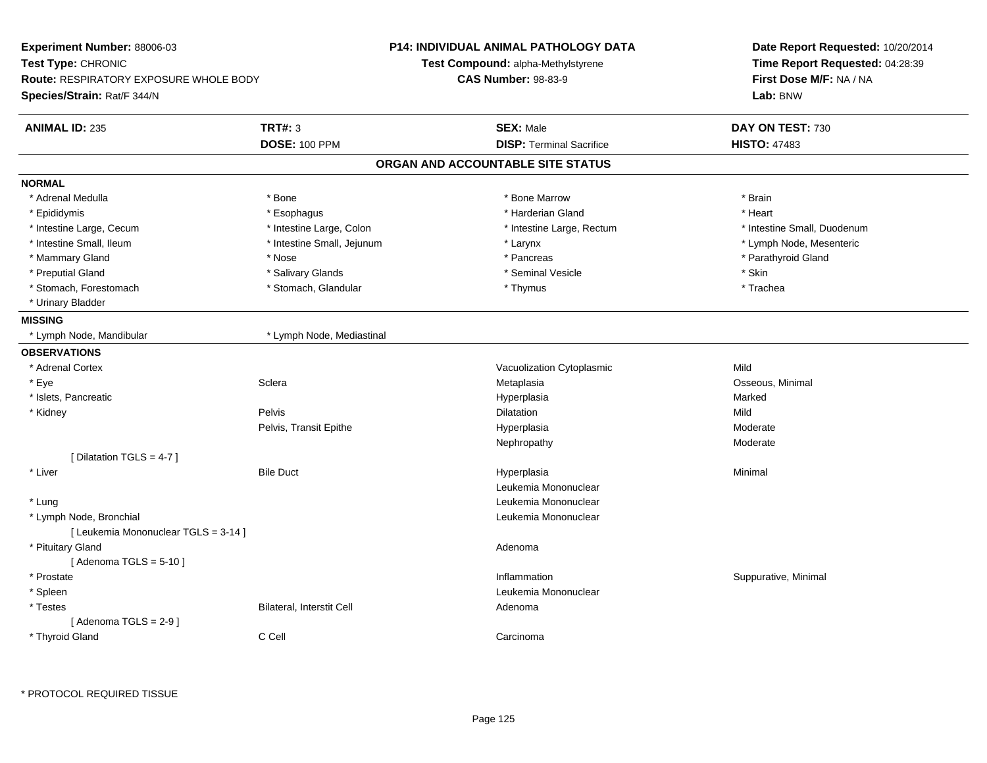| Experiment Number: 88006-03                   |                            | <b>P14: INDIVIDUAL ANIMAL PATHOLOGY DATA</b> | Date Report Requested: 10/20/2014<br>Time Report Requested: 04:28:39 |  |
|-----------------------------------------------|----------------------------|----------------------------------------------|----------------------------------------------------------------------|--|
| Test Type: CHRONIC                            |                            | Test Compound: alpha-Methylstyrene           |                                                                      |  |
| <b>Route: RESPIRATORY EXPOSURE WHOLE BODY</b> |                            | <b>CAS Number: 98-83-9</b>                   | First Dose M/F: NA / NA                                              |  |
| Species/Strain: Rat/F 344/N                   |                            |                                              | Lab: BNW                                                             |  |
| <b>ANIMAL ID: 235</b>                         | <b>TRT#: 3</b>             | <b>SEX: Male</b>                             | DAY ON TEST: 730                                                     |  |
|                                               | <b>DOSE: 100 PPM</b>       | <b>DISP: Terminal Sacrifice</b>              | <b>HISTO: 47483</b>                                                  |  |
|                                               |                            | ORGAN AND ACCOUNTABLE SITE STATUS            |                                                                      |  |
| <b>NORMAL</b>                                 |                            |                                              |                                                                      |  |
| * Adrenal Medulla                             | * Bone                     | * Bone Marrow                                | * Brain                                                              |  |
| * Epididymis                                  | * Esophagus                | * Harderian Gland                            | * Heart                                                              |  |
| * Intestine Large, Cecum                      | * Intestine Large, Colon   | * Intestine Large, Rectum                    | * Intestine Small, Duodenum                                          |  |
| * Intestine Small, Ileum                      | * Intestine Small, Jejunum | * Larynx                                     | * Lymph Node, Mesenteric                                             |  |
| * Mammary Gland                               | * Nose                     | * Pancreas                                   | * Parathyroid Gland                                                  |  |
| * Preputial Gland                             | * Salivary Glands          | * Seminal Vesicle                            | * Skin                                                               |  |
| * Stomach, Forestomach                        | * Stomach, Glandular       | * Thymus                                     | * Trachea                                                            |  |
| * Urinary Bladder                             |                            |                                              |                                                                      |  |
| <b>MISSING</b>                                |                            |                                              |                                                                      |  |
| * Lymph Node, Mandibular                      | * Lymph Node, Mediastinal  |                                              |                                                                      |  |
| <b>OBSERVATIONS</b>                           |                            |                                              |                                                                      |  |
| * Adrenal Cortex                              |                            | Vacuolization Cytoplasmic                    | Mild                                                                 |  |
| $*$ Eye                                       | Sclera                     | Metaplasia                                   | Osseous, Minimal                                                     |  |
| * Islets, Pancreatic                          |                            | Hyperplasia                                  | Marked                                                               |  |
| * Kidney                                      | Pelvis                     | <b>Dilatation</b>                            | Mild                                                                 |  |
|                                               | Pelvis, Transit Epithe     | Hyperplasia                                  | Moderate                                                             |  |
|                                               |                            | Nephropathy                                  | Moderate                                                             |  |
| [ Dilatation TGLS = 4-7 ]                     |                            |                                              |                                                                      |  |
| * Liver                                       | <b>Bile Duct</b>           | Hyperplasia                                  | Minimal                                                              |  |
|                                               |                            | Leukemia Mononuclear                         |                                                                      |  |
| * Lung                                        |                            | Leukemia Mononuclear                         |                                                                      |  |
| * Lymph Node, Bronchial                       |                            | Leukemia Mononuclear                         |                                                                      |  |
| [ Leukemia Mononuclear TGLS = 3-14 ]          |                            |                                              |                                                                      |  |
| * Pituitary Gland                             |                            | Adenoma                                      |                                                                      |  |
| [Adenoma TGLS = $5-10$ ]                      |                            |                                              |                                                                      |  |
| * Prostate                                    |                            | Inflammation                                 | Suppurative, Minimal                                                 |  |
| * Spleen                                      |                            | Leukemia Mononuclear                         |                                                                      |  |
| * Testes                                      | Bilateral, Interstit Cell  | Adenoma                                      |                                                                      |  |
| [Adenoma TGLS = $2-9$ ]                       |                            |                                              |                                                                      |  |
| * Thyroid Gland                               | C Cell                     | Carcinoma                                    |                                                                      |  |
|                                               |                            |                                              |                                                                      |  |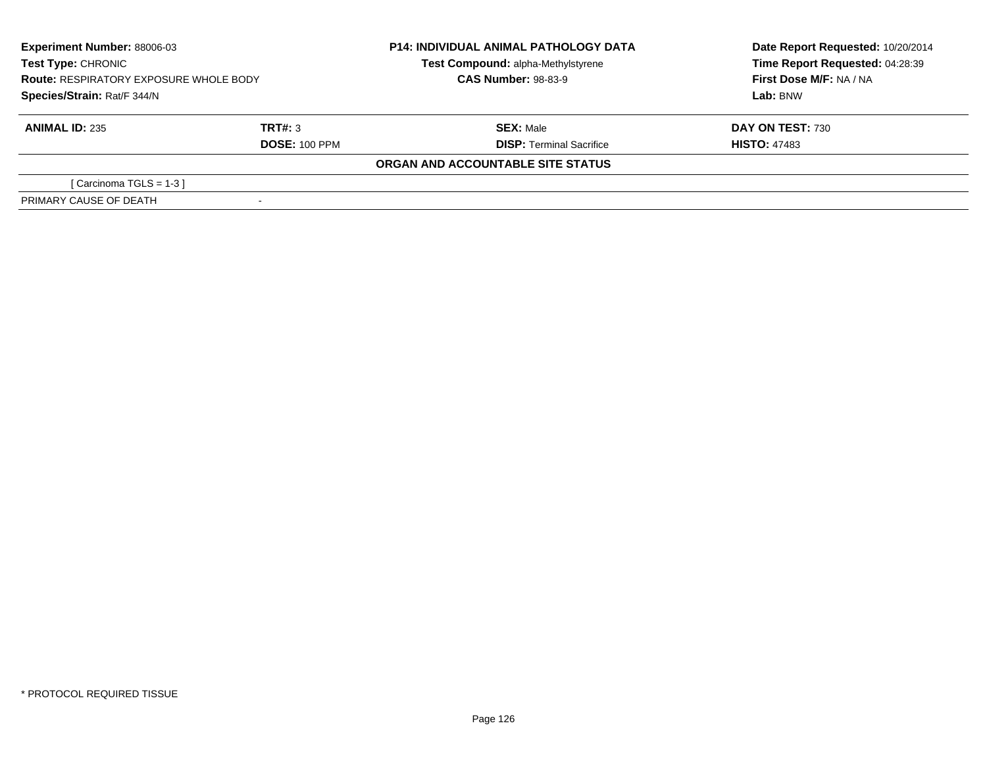| <b>Experiment Number: 88006-03</b><br>Test Type: CHRONIC<br><b>Route: RESPIRATORY EXPOSURE WHOLE BODY</b><br>Species/Strain: Rat/F 344/N |                      | <b>P14: INDIVIDUAL ANIMAL PATHOLOGY DATA</b> | Date Report Requested: 10/20/2014 |  |
|------------------------------------------------------------------------------------------------------------------------------------------|----------------------|----------------------------------------------|-----------------------------------|--|
|                                                                                                                                          |                      | Test Compound: alpha-Methylstyrene           | Time Report Requested: 04:28:39   |  |
|                                                                                                                                          |                      | <b>CAS Number: 98-83-9</b>                   | First Dose M/F: NA / NA           |  |
|                                                                                                                                          |                      |                                              | Lab: BNW                          |  |
| <b>ANIMAL ID: 235</b>                                                                                                                    | TRT#: 3              | <b>SEX: Male</b>                             | <b>DAY ON TEST: 730</b>           |  |
|                                                                                                                                          | <b>DOSE: 100 PPM</b> | <b>DISP: Terminal Sacrifice</b>              | <b>HISTO: 47483</b>               |  |
|                                                                                                                                          |                      | ORGAN AND ACCOUNTABLE SITE STATUS            |                                   |  |
| [Carcinoma TGLS = 1-3 ]                                                                                                                  |                      |                                              |                                   |  |
| PRIMARY CAUSE OF DEATH                                                                                                                   |                      |                                              |                                   |  |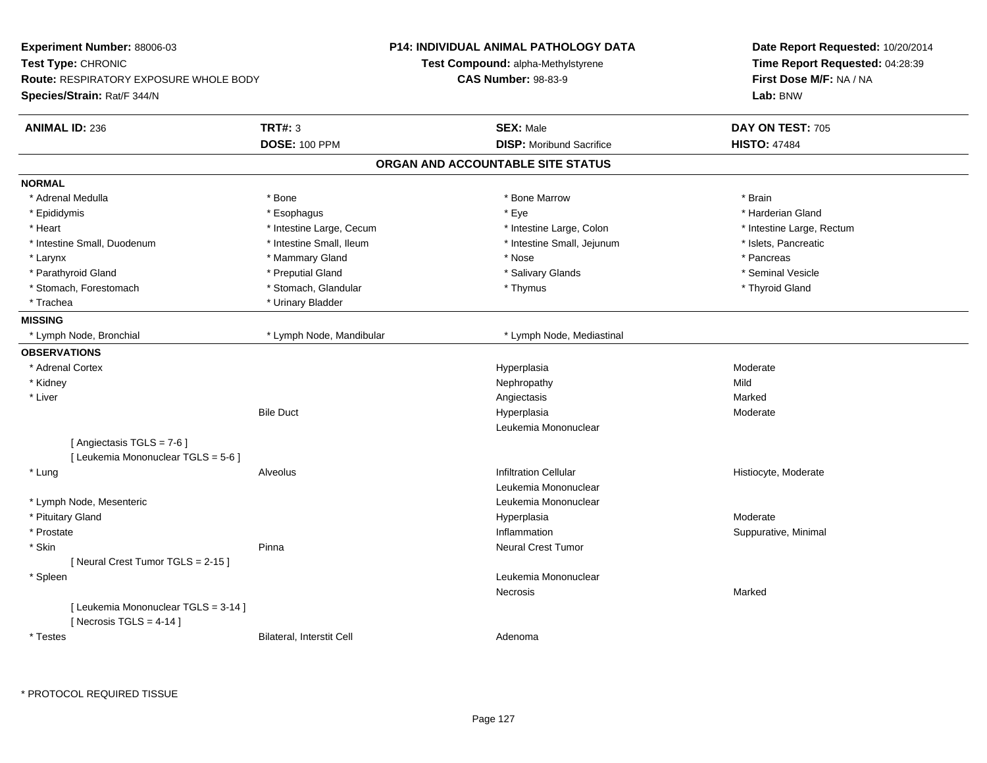| Experiment Number: 88006-03                                         |                           | <b>P14: INDIVIDUAL ANIMAL PATHOLOGY DATA</b> | Date Report Requested: 10/20/2014                          |  |
|---------------------------------------------------------------------|---------------------------|----------------------------------------------|------------------------------------------------------------|--|
| Test Type: CHRONIC<br><b>Route: RESPIRATORY EXPOSURE WHOLE BODY</b> |                           | Test Compound: alpha-Methylstyrene           | Time Report Requested: 04:28:39<br>First Dose M/F: NA / NA |  |
|                                                                     |                           | <b>CAS Number: 98-83-9</b>                   |                                                            |  |
| Species/Strain: Rat/F 344/N                                         |                           |                                              | Lab: BNW                                                   |  |
| <b>ANIMAL ID: 236</b>                                               | <b>TRT#: 3</b>            | <b>SEX: Male</b>                             | DAY ON TEST: 705                                           |  |
|                                                                     | <b>DOSE: 100 PPM</b>      | <b>DISP: Moribund Sacrifice</b>              | <b>HISTO: 47484</b>                                        |  |
|                                                                     |                           | ORGAN AND ACCOUNTABLE SITE STATUS            |                                                            |  |
| <b>NORMAL</b>                                                       |                           |                                              |                                                            |  |
| * Adrenal Medulla                                                   | * Bone                    | * Bone Marrow                                | * Brain                                                    |  |
| * Epididymis                                                        | * Esophagus               | * Eye                                        | * Harderian Gland                                          |  |
| * Heart                                                             | * Intestine Large, Cecum  | * Intestine Large, Colon                     | * Intestine Large, Rectum                                  |  |
| * Intestine Small, Duodenum                                         | * Intestine Small, Ileum  | * Intestine Small, Jejunum                   | * Islets, Pancreatic                                       |  |
| * Larynx                                                            | * Mammary Gland           | * Nose                                       | * Pancreas                                                 |  |
| * Parathyroid Gland                                                 | * Preputial Gland         | * Salivary Glands                            | * Seminal Vesicle                                          |  |
| * Stomach, Forestomach                                              | * Stomach, Glandular      | * Thymus                                     | * Thyroid Gland                                            |  |
| * Trachea                                                           | * Urinary Bladder         |                                              |                                                            |  |
| <b>MISSING</b>                                                      |                           |                                              |                                                            |  |
| * Lymph Node, Bronchial                                             | * Lymph Node, Mandibular  | * Lymph Node, Mediastinal                    |                                                            |  |
| <b>OBSERVATIONS</b>                                                 |                           |                                              |                                                            |  |
| * Adrenal Cortex                                                    |                           | Hyperplasia                                  | Moderate                                                   |  |
| * Kidney                                                            |                           | Nephropathy                                  | Mild                                                       |  |
| * Liver                                                             |                           | Angiectasis                                  | Marked                                                     |  |
|                                                                     | <b>Bile Duct</b>          | Hyperplasia                                  | Moderate                                                   |  |
|                                                                     |                           | Leukemia Mononuclear                         |                                                            |  |
| [ Angiectasis TGLS = 7-6 ]<br>[ Leukemia Mononuclear TGLS = 5-6 ]   |                           |                                              |                                                            |  |
| * Lung                                                              | Alveolus                  | <b>Infiltration Cellular</b>                 | Histiocyte, Moderate                                       |  |
|                                                                     |                           | Leukemia Mononuclear                         |                                                            |  |
| * Lymph Node, Mesenteric                                            |                           | Leukemia Mononuclear                         |                                                            |  |
| * Pituitary Gland                                                   |                           | Hyperplasia                                  | Moderate                                                   |  |
| * Prostate                                                          |                           | Inflammation                                 | Suppurative, Minimal                                       |  |
| * Skin                                                              | Pinna                     | <b>Neural Crest Tumor</b>                    |                                                            |  |
| [Neural Crest Tumor TGLS = 2-15]                                    |                           |                                              |                                                            |  |
| * Spleen                                                            |                           | Leukemia Mononuclear                         |                                                            |  |
|                                                                     |                           | Necrosis                                     | Marked                                                     |  |
| [ Leukemia Mononuclear TGLS = 3-14 ]<br>[Necrosis TGLS = $4-14$ ]   |                           |                                              |                                                            |  |
| * Testes                                                            | Bilateral, Interstit Cell | Adenoma                                      |                                                            |  |

 $\overline{a}$ 

 $\sim$ 

 $\sim$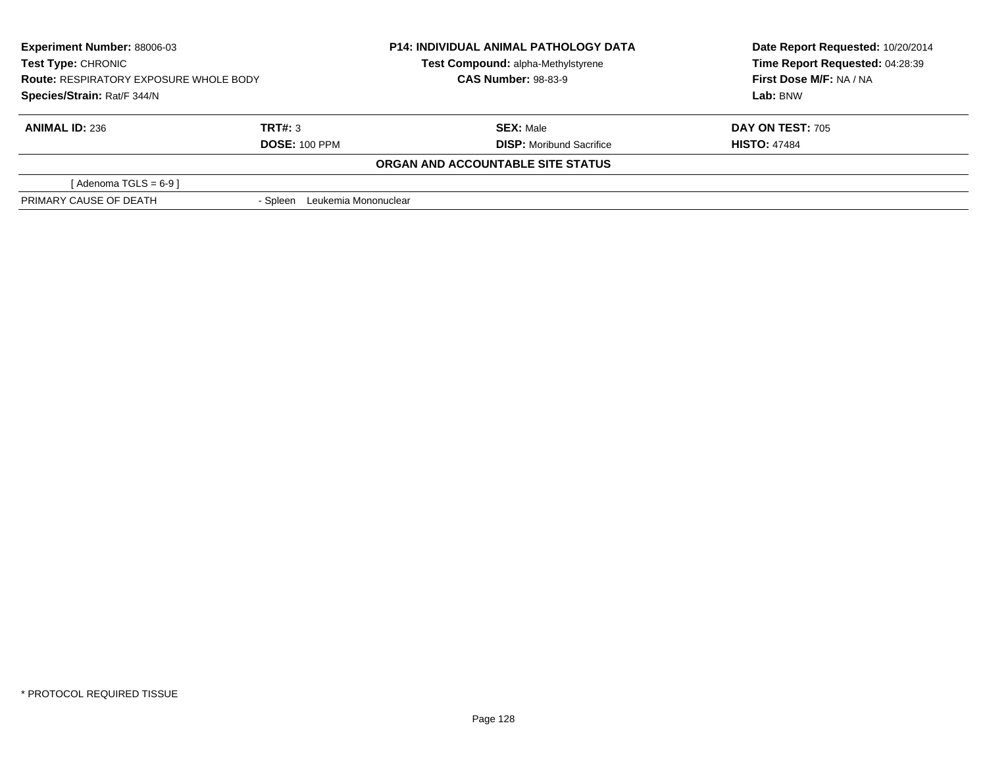| <b>Experiment Number: 88006-03</b><br>Test Type: CHRONIC<br><b>Route: RESPIRATORY EXPOSURE WHOLE BODY</b><br>Species/Strain: Rat/F 344/N |                               | <b>P14: INDIVIDUAL ANIMAL PATHOLOGY DATA</b> | Date Report Requested: 10/20/2014 |
|------------------------------------------------------------------------------------------------------------------------------------------|-------------------------------|----------------------------------------------|-----------------------------------|
|                                                                                                                                          |                               | Test Compound: alpha-Methylstyrene           | Time Report Requested: 04:28:39   |
|                                                                                                                                          |                               | <b>CAS Number: 98-83-9</b>                   | First Dose M/F: NA / NA           |
|                                                                                                                                          |                               |                                              | Lab: BNW                          |
| <b>ANIMAL ID: 236</b>                                                                                                                    | TRT#: 3                       | <b>SEX: Male</b>                             | <b>DAY ON TEST: 705</b>           |
|                                                                                                                                          | <b>DOSE: 100 PPM</b>          | <b>DISP:</b> Moribund Sacrifice              | <b>HISTO: 47484</b>               |
|                                                                                                                                          |                               | ORGAN AND ACCOUNTABLE SITE STATUS            |                                   |
| [Adenoma TGLS = $6-9$ ]                                                                                                                  |                               |                                              |                                   |
| PRIMARY CAUSE OF DEATH                                                                                                                   | - Spleen Leukemia Mononuclear |                                              |                                   |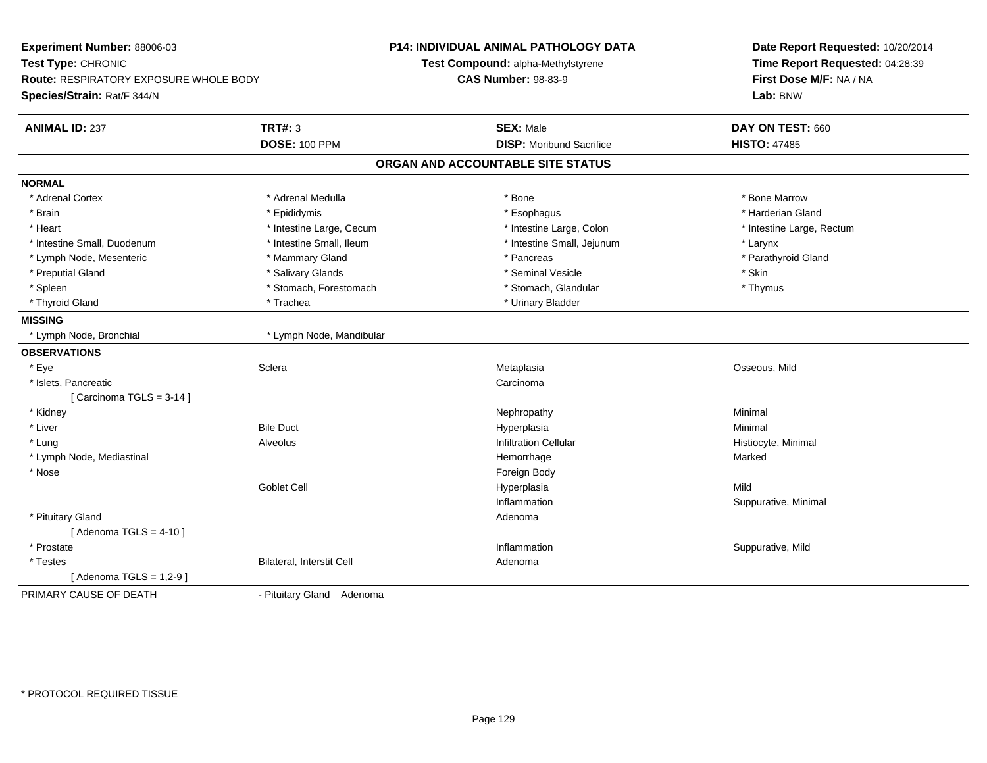| Experiment Number: 88006-03<br>Test Type: CHRONIC<br>Route: RESPIRATORY EXPOSURE WHOLE BODY<br>Species/Strain: Rat/F 344/N |                           | <b>P14: INDIVIDUAL ANIMAL PATHOLOGY DATA</b><br>Test Compound: alpha-Methylstyrene<br><b>CAS Number: 98-83-9</b> | Date Report Requested: 10/20/2014<br>Time Report Requested: 04:28:39<br>First Dose M/F: NA / NA<br>Lab: BNW |
|----------------------------------------------------------------------------------------------------------------------------|---------------------------|------------------------------------------------------------------------------------------------------------------|-------------------------------------------------------------------------------------------------------------|
| <b>ANIMAL ID: 237</b>                                                                                                      | <b>TRT#: 3</b>            | <b>SEX: Male</b>                                                                                                 | DAY ON TEST: 660                                                                                            |
|                                                                                                                            | <b>DOSE: 100 PPM</b>      | <b>DISP:</b> Moribund Sacrifice                                                                                  | <b>HISTO: 47485</b>                                                                                         |
|                                                                                                                            |                           | ORGAN AND ACCOUNTABLE SITE STATUS                                                                                |                                                                                                             |
| <b>NORMAL</b>                                                                                                              |                           |                                                                                                                  |                                                                                                             |
| * Adrenal Cortex                                                                                                           | * Adrenal Medulla         | * Bone                                                                                                           | * Bone Marrow                                                                                               |
| * Brain                                                                                                                    | * Epididymis              | * Esophagus                                                                                                      | * Harderian Gland                                                                                           |
| * Heart                                                                                                                    | * Intestine Large, Cecum  | * Intestine Large, Colon                                                                                         | * Intestine Large, Rectum                                                                                   |
| * Intestine Small, Duodenum                                                                                                | * Intestine Small, Ileum  | * Intestine Small, Jejunum                                                                                       | * Larynx                                                                                                    |
| * Lymph Node, Mesenteric                                                                                                   | * Mammary Gland           | * Pancreas                                                                                                       | * Parathyroid Gland                                                                                         |
| * Preputial Gland                                                                                                          | * Salivary Glands         | * Seminal Vesicle                                                                                                | * Skin                                                                                                      |
| * Spleen                                                                                                                   | * Stomach, Forestomach    | * Stomach, Glandular                                                                                             | * Thymus                                                                                                    |
| * Thyroid Gland                                                                                                            | * Trachea                 | * Urinary Bladder                                                                                                |                                                                                                             |
| <b>MISSING</b>                                                                                                             |                           |                                                                                                                  |                                                                                                             |
| * Lymph Node, Bronchial                                                                                                    | * Lymph Node, Mandibular  |                                                                                                                  |                                                                                                             |
| <b>OBSERVATIONS</b>                                                                                                        |                           |                                                                                                                  |                                                                                                             |
| * Eye                                                                                                                      | Sclera                    | Metaplasia                                                                                                       | Osseous, Mild                                                                                               |
| * Islets, Pancreatic                                                                                                       |                           | Carcinoma                                                                                                        |                                                                                                             |
| [Carcinoma TGLS = $3-14$ ]                                                                                                 |                           |                                                                                                                  |                                                                                                             |
| * Kidney                                                                                                                   |                           | Nephropathy                                                                                                      | Minimal                                                                                                     |
| * Liver                                                                                                                    | <b>Bile Duct</b>          | Hyperplasia                                                                                                      | Minimal                                                                                                     |
| * Lung                                                                                                                     | Alveolus                  | <b>Infiltration Cellular</b>                                                                                     | Histiocyte, Minimal                                                                                         |
| * Lymph Node, Mediastinal                                                                                                  |                           | Hemorrhage                                                                                                       | Marked                                                                                                      |
| * Nose                                                                                                                     |                           | Foreign Body                                                                                                     |                                                                                                             |
|                                                                                                                            | Goblet Cell               | Hyperplasia                                                                                                      | Mild                                                                                                        |
|                                                                                                                            |                           | Inflammation                                                                                                     | Suppurative, Minimal                                                                                        |
| * Pituitary Gland                                                                                                          |                           | Adenoma                                                                                                          |                                                                                                             |
| [Adenoma TGLS = $4-10$ ]                                                                                                   |                           |                                                                                                                  |                                                                                                             |
| * Prostate                                                                                                                 |                           | Inflammation                                                                                                     | Suppurative, Mild                                                                                           |
| * Testes                                                                                                                   | Bilateral, Interstit Cell | Adenoma                                                                                                          |                                                                                                             |
| [Adenoma TGLS = $1,2-9$ ]                                                                                                  |                           |                                                                                                                  |                                                                                                             |
| PRIMARY CAUSE OF DEATH                                                                                                     | - Pituitary Gland Adenoma |                                                                                                                  |                                                                                                             |
|                                                                                                                            |                           |                                                                                                                  |                                                                                                             |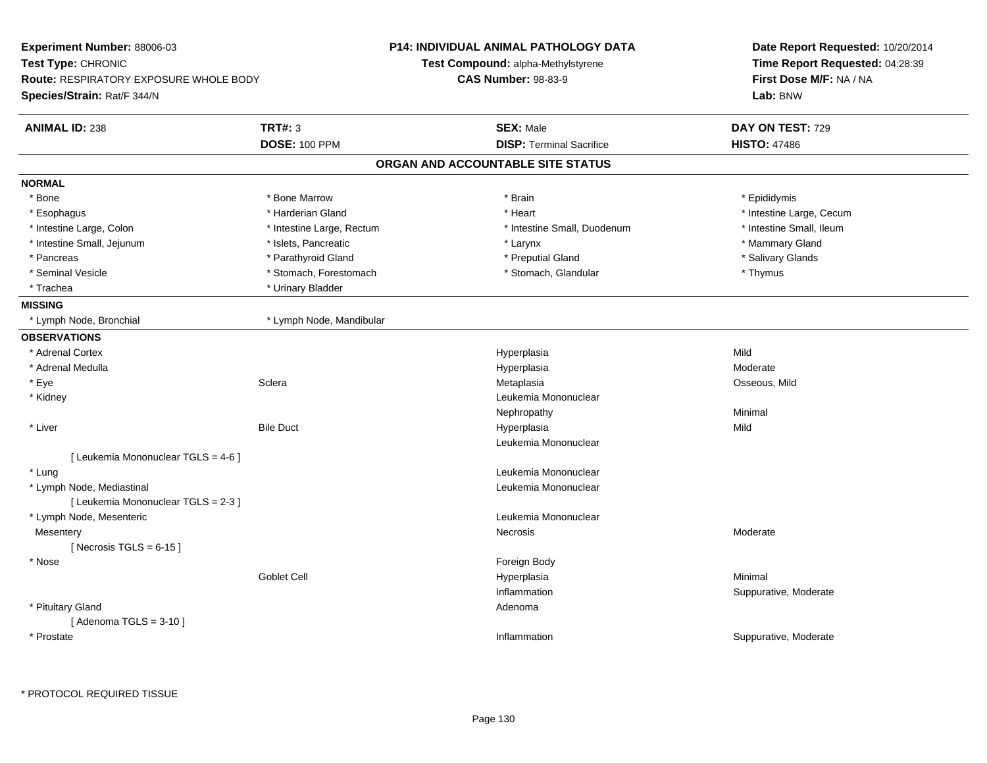| Experiment Number: 88006-03<br>Test Type: CHRONIC<br><b>Route: RESPIRATORY EXPOSURE WHOLE BODY</b> |                           | <b>P14: INDIVIDUAL ANIMAL PATHOLOGY DATA</b> | Date Report Requested: 10/20/2014<br>Time Report Requested: 04:28:39<br>First Dose M/F: NA / NA |  |
|----------------------------------------------------------------------------------------------------|---------------------------|----------------------------------------------|-------------------------------------------------------------------------------------------------|--|
|                                                                                                    |                           | Test Compound: alpha-Methylstyrene           |                                                                                                 |  |
|                                                                                                    |                           | <b>CAS Number: 98-83-9</b>                   |                                                                                                 |  |
| Species/Strain: Rat/F 344/N                                                                        |                           |                                              | Lab: BNW                                                                                        |  |
| <b>ANIMAL ID: 238</b>                                                                              | <b>TRT#: 3</b>            | <b>SEX: Male</b>                             | DAY ON TEST: 729                                                                                |  |
|                                                                                                    | <b>DOSE: 100 PPM</b>      | <b>DISP: Terminal Sacrifice</b>              | <b>HISTO: 47486</b>                                                                             |  |
|                                                                                                    |                           | ORGAN AND ACCOUNTABLE SITE STATUS            |                                                                                                 |  |
| <b>NORMAL</b>                                                                                      |                           |                                              |                                                                                                 |  |
| * Bone                                                                                             | * Bone Marrow             | * Brain                                      | * Epididymis                                                                                    |  |
| * Esophagus                                                                                        | * Harderian Gland         | * Heart                                      | * Intestine Large, Cecum                                                                        |  |
| * Intestine Large, Colon                                                                           | * Intestine Large, Rectum | * Intestine Small, Duodenum                  | * Intestine Small, Ileum                                                                        |  |
| * Intestine Small, Jejunum                                                                         | * Islets, Pancreatic      | * Larynx                                     | * Mammary Gland                                                                                 |  |
| * Pancreas                                                                                         | * Parathyroid Gland       | * Preputial Gland                            | * Salivary Glands                                                                               |  |
| * Seminal Vesicle                                                                                  | * Stomach, Forestomach    | * Stomach, Glandular                         | * Thymus                                                                                        |  |
| * Trachea                                                                                          | * Urinary Bladder         |                                              |                                                                                                 |  |
| <b>MISSING</b>                                                                                     |                           |                                              |                                                                                                 |  |
| * Lymph Node, Bronchial                                                                            | * Lymph Node, Mandibular  |                                              |                                                                                                 |  |
| <b>OBSERVATIONS</b>                                                                                |                           |                                              |                                                                                                 |  |
| * Adrenal Cortex                                                                                   |                           | Hyperplasia                                  | Mild                                                                                            |  |
| * Adrenal Medulla                                                                                  |                           | Hyperplasia                                  | Moderate                                                                                        |  |
| * Eye                                                                                              | Sclera                    | Metaplasia                                   | Osseous, Mild                                                                                   |  |
| * Kidney                                                                                           |                           | Leukemia Mononuclear                         |                                                                                                 |  |
|                                                                                                    |                           | Nephropathy                                  | Minimal                                                                                         |  |
| * Liver                                                                                            | <b>Bile Duct</b>          | Hyperplasia                                  | Mild                                                                                            |  |
|                                                                                                    |                           | Leukemia Mononuclear                         |                                                                                                 |  |
| [ Leukemia Mononuclear TGLS = 4-6 ]                                                                |                           |                                              |                                                                                                 |  |
| * Lung                                                                                             |                           | Leukemia Mononuclear                         |                                                                                                 |  |
| * Lymph Node, Mediastinal                                                                          |                           | Leukemia Mononuclear                         |                                                                                                 |  |
| [ Leukemia Mononuclear TGLS = 2-3 ]                                                                |                           |                                              |                                                                                                 |  |
| * Lymph Node, Mesenteric                                                                           |                           | Leukemia Mononuclear                         |                                                                                                 |  |
| Mesentery                                                                                          |                           | <b>Necrosis</b>                              | Moderate                                                                                        |  |
| [Necrosis TGLS = $6-15$ ]                                                                          |                           |                                              |                                                                                                 |  |
| * Nose                                                                                             |                           | Foreign Body                                 |                                                                                                 |  |
|                                                                                                    | <b>Goblet Cell</b>        | Hyperplasia                                  | Minimal                                                                                         |  |
|                                                                                                    |                           | Inflammation                                 | Suppurative, Moderate                                                                           |  |
| * Pituitary Gland                                                                                  |                           | Adenoma                                      |                                                                                                 |  |
| [Adenoma TGLS = $3-10$ ]                                                                           |                           |                                              |                                                                                                 |  |
| * Prostate                                                                                         |                           | Inflammation                                 | Suppurative, Moderate                                                                           |  |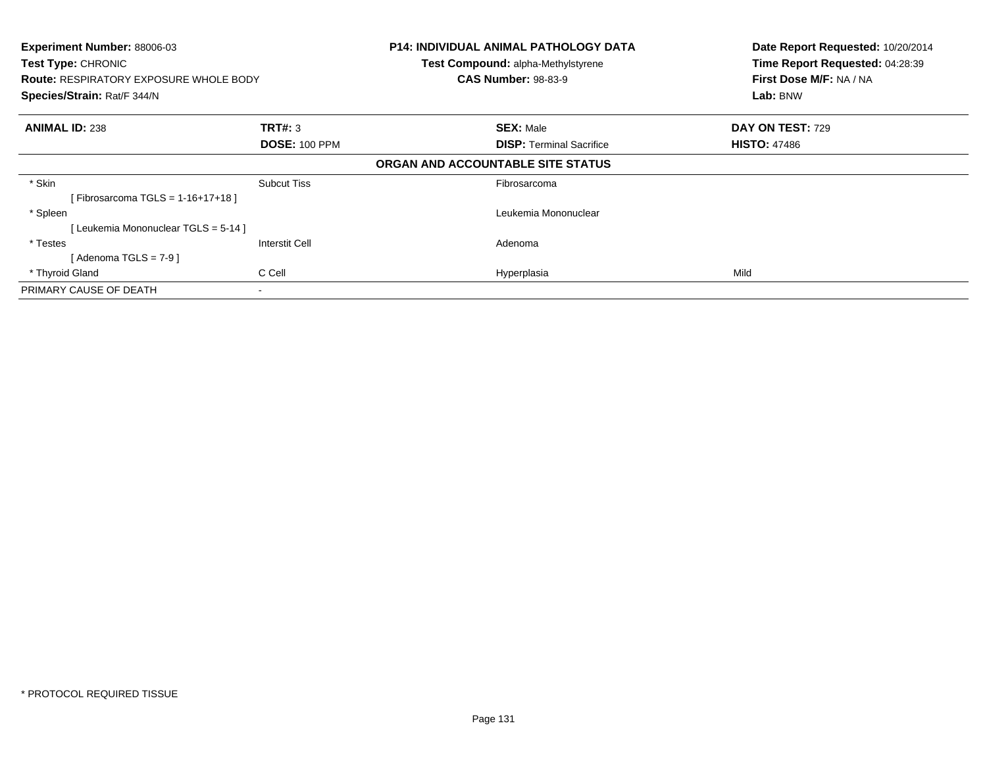| Experiment Number: 88006-03<br>Test Type: CHRONIC<br><b>Route: RESPIRATORY EXPOSURE WHOLE BODY</b><br>Species/Strain: Rat/F 344/N |                      | <b>P14: INDIVIDUAL ANIMAL PATHOLOGY DATA</b><br><b>Test Compound: alpha-Methylstyrene</b><br><b>CAS Number: 98-83-9</b> |  | Date Report Requested: 10/20/2014<br>Time Report Requested: 04:28:39<br>First Dose M/F: NA / NA<br>Lab: BNW |
|-----------------------------------------------------------------------------------------------------------------------------------|----------------------|-------------------------------------------------------------------------------------------------------------------------|--|-------------------------------------------------------------------------------------------------------------|
| <b>ANIMAL ID: 238</b>                                                                                                             | <b>TRT#: 3</b>       | <b>SEX: Male</b>                                                                                                        |  | DAY ON TEST: 729                                                                                            |
|                                                                                                                                   | <b>DOSE: 100 PPM</b> | <b>DISP:</b> Terminal Sacrifice                                                                                         |  | <b>HISTO: 47486</b>                                                                                         |
|                                                                                                                                   |                      | ORGAN AND ACCOUNTABLE SITE STATUS                                                                                       |  |                                                                                                             |
| * Skin                                                                                                                            | <b>Subcut Tiss</b>   | Fibrosarcoma                                                                                                            |  |                                                                                                             |
| [Fibrosarcoma TGLS = 1-16+17+18]                                                                                                  |                      |                                                                                                                         |  |                                                                                                             |
| * Spleen                                                                                                                          |                      | Leukemia Mononuclear                                                                                                    |  |                                                                                                             |
| [ Leukemia Mononuclear TGLS = 5-14 ]                                                                                              |                      |                                                                                                                         |  |                                                                                                             |
| * Testes                                                                                                                          | Interstit Cell       | Adenoma                                                                                                                 |  |                                                                                                             |
| [Adenoma TGLS = $7-9$ ]                                                                                                           |                      |                                                                                                                         |  |                                                                                                             |
| * Thyroid Gland                                                                                                                   | C Cell               | Hyperplasia                                                                                                             |  | Mild                                                                                                        |
| PRIMARY CAUSE OF DEATH                                                                                                            |                      |                                                                                                                         |  |                                                                                                             |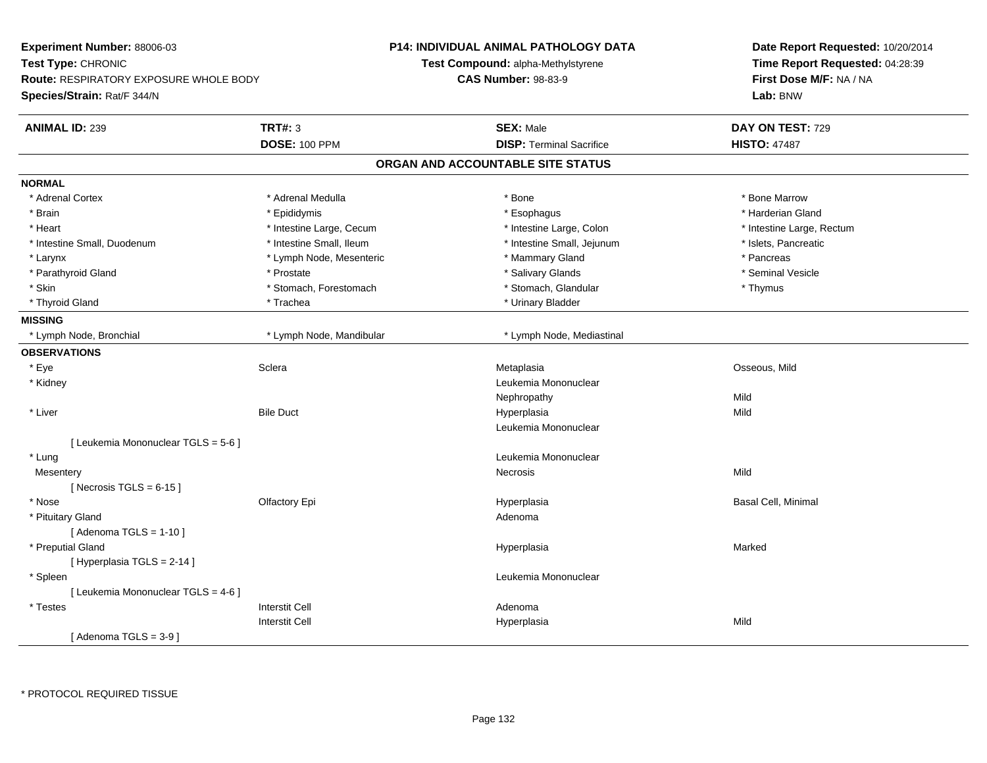| Experiment Number: 88006-03<br>Test Type: CHRONIC                            |                          | P14: INDIVIDUAL ANIMAL PATHOLOGY DATA<br>Test Compound: alpha-Methylstyrene |                                 | Date Report Requested: 10/20/2014   |
|------------------------------------------------------------------------------|--------------------------|-----------------------------------------------------------------------------|---------------------------------|-------------------------------------|
|                                                                              |                          |                                                                             |                                 | Time Report Requested: 04:28:39     |
| <b>Route: RESPIRATORY EXPOSURE WHOLE BODY</b><br>Species/Strain: Rat/F 344/N |                          | <b>CAS Number: 98-83-9</b>                                                  |                                 | First Dose M/F: NA / NA<br>Lab: BNW |
|                                                                              |                          |                                                                             |                                 |                                     |
| <b>ANIMAL ID: 239</b>                                                        | <b>TRT#: 3</b>           |                                                                             | <b>SEX: Male</b>                | DAY ON TEST: 729                    |
|                                                                              | <b>DOSE: 100 PPM</b>     |                                                                             | <b>DISP: Terminal Sacrifice</b> | <b>HISTO: 47487</b>                 |
|                                                                              |                          | ORGAN AND ACCOUNTABLE SITE STATUS                                           |                                 |                                     |
| <b>NORMAL</b>                                                                |                          |                                                                             |                                 |                                     |
| * Adrenal Cortex                                                             | * Adrenal Medulla        |                                                                             | * Bone                          | * Bone Marrow                       |
| * Brain                                                                      | * Epididymis             |                                                                             | * Esophagus                     | * Harderian Gland                   |
| * Heart                                                                      | * Intestine Large, Cecum |                                                                             | * Intestine Large, Colon        | * Intestine Large, Rectum           |
| * Intestine Small, Duodenum                                                  | * Intestine Small, Ileum |                                                                             | * Intestine Small, Jejunum      | * Islets, Pancreatic                |
| * Larynx                                                                     | * Lymph Node, Mesenteric |                                                                             | * Mammary Gland                 | * Pancreas                          |
| * Parathyroid Gland                                                          | * Prostate               |                                                                             | * Salivary Glands               | * Seminal Vesicle                   |
| * Skin                                                                       | * Stomach, Forestomach   |                                                                             | * Stomach, Glandular            | * Thymus                            |
| * Thyroid Gland                                                              | * Trachea                |                                                                             | * Urinary Bladder               |                                     |
| <b>MISSING</b>                                                               |                          |                                                                             |                                 |                                     |
| * Lymph Node, Bronchial                                                      | * Lymph Node, Mandibular |                                                                             | * Lymph Node, Mediastinal       |                                     |
| <b>OBSERVATIONS</b>                                                          |                          |                                                                             |                                 |                                     |
| * Eye                                                                        | Sclera                   |                                                                             | Metaplasia                      | Osseous, Mild                       |
| * Kidney                                                                     |                          |                                                                             | Leukemia Mononuclear            |                                     |
|                                                                              |                          |                                                                             | Nephropathy                     | Mild                                |
| * Liver                                                                      | <b>Bile Duct</b>         |                                                                             | Hyperplasia                     | Mild                                |
|                                                                              |                          |                                                                             | Leukemia Mononuclear            |                                     |
| [ Leukemia Mononuclear TGLS = 5-6 ]                                          |                          |                                                                             |                                 |                                     |
| * Lung                                                                       |                          |                                                                             | Leukemia Mononuclear            |                                     |
| Mesentery                                                                    |                          |                                                                             | Necrosis                        | Mild                                |
| [Necrosis TGLS = $6-15$ ]                                                    |                          |                                                                             |                                 |                                     |
| * Nose                                                                       | Olfactory Epi            |                                                                             | Hyperplasia                     | Basal Cell, Minimal                 |
| * Pituitary Gland                                                            |                          |                                                                             | Adenoma                         |                                     |
| [Adenoma TGLS = $1-10$ ]                                                     |                          |                                                                             |                                 |                                     |
| * Preputial Gland                                                            |                          |                                                                             | Hyperplasia                     | Marked                              |
| [ Hyperplasia TGLS = 2-14 ]                                                  |                          |                                                                             |                                 |                                     |
| * Spleen                                                                     |                          |                                                                             | Leukemia Mononuclear            |                                     |
| [ Leukemia Mononuclear TGLS = 4-6 ]                                          |                          |                                                                             |                                 |                                     |
| * Testes                                                                     | <b>Interstit Cell</b>    |                                                                             | Adenoma                         |                                     |
|                                                                              | <b>Interstit Cell</b>    |                                                                             | Hyperplasia                     | Mild                                |
| [Adenoma TGLS = $3-9$ ]                                                      |                          |                                                                             |                                 |                                     |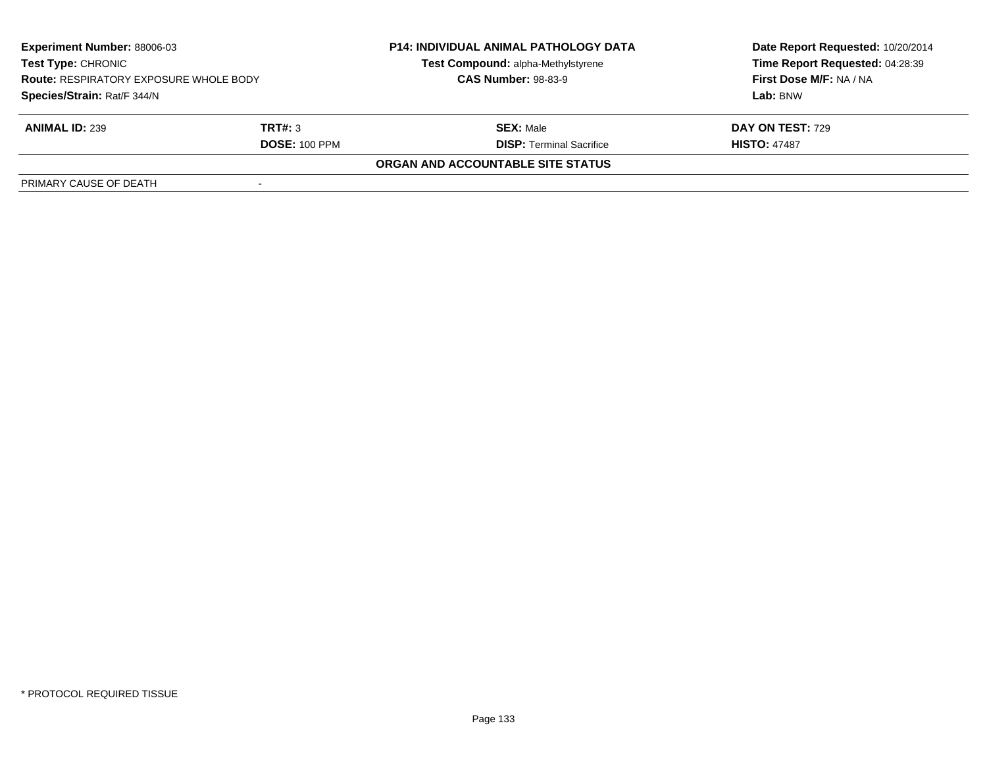| <b>Experiment Number: 88006-03</b><br><b>Test Type: CHRONIC</b><br><b>Route: RESPIRATORY EXPOSURE WHOLE BODY</b> |                      | <b>P14: INDIVIDUAL ANIMAL PATHOLOGY DATA</b> | Date Report Requested: 10/20/2014 |  |
|------------------------------------------------------------------------------------------------------------------|----------------------|----------------------------------------------|-----------------------------------|--|
|                                                                                                                  |                      | Test Compound: alpha-Methylstyrene           | Time Report Requested: 04:28:39   |  |
|                                                                                                                  |                      | <b>CAS Number: 98-83-9</b>                   | First Dose M/F: NA / NA           |  |
| Species/Strain: Rat/F 344/N                                                                                      |                      |                                              | Lab: BNW                          |  |
| <b>ANIMAL ID: 239</b>                                                                                            | TRT#: 3              | <b>SEX: Male</b>                             | <b>DAY ON TEST: 729</b>           |  |
|                                                                                                                  | <b>DOSE: 100 PPM</b> | <b>DISP:</b> Terminal Sacrifice              | <b>HISTO: 47487</b>               |  |
|                                                                                                                  |                      | ORGAN AND ACCOUNTABLE SITE STATUS            |                                   |  |
| PRIMARY CAUSE OF DEATH                                                                                           |                      |                                              |                                   |  |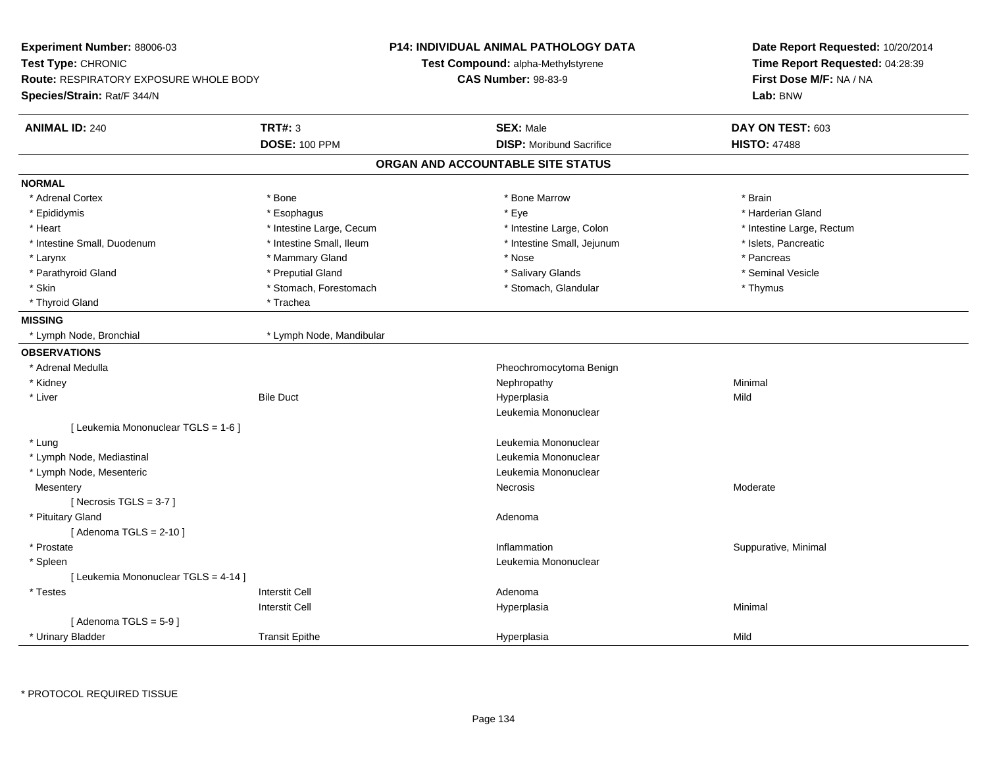| Experiment Number: 88006-03<br>Test Type: CHRONIC<br><b>Route: RESPIRATORY EXPOSURE WHOLE BODY</b><br>Species/Strain: Rat/F 344/N |                                        | <b>P14: INDIVIDUAL ANIMAL PATHOLOGY DATA</b><br>Test Compound: alpha-Methylstyrene<br><b>CAS Number: 98-83-9</b> | Date Report Requested: 10/20/2014<br>Time Report Requested: 04:28:39<br>First Dose M/F: NA / NA<br>Lab: BNW |
|-----------------------------------------------------------------------------------------------------------------------------------|----------------------------------------|------------------------------------------------------------------------------------------------------------------|-------------------------------------------------------------------------------------------------------------|
| <b>ANIMAL ID: 240</b>                                                                                                             | <b>TRT#: 3</b><br><b>DOSE: 100 PPM</b> | <b>SEX: Male</b><br><b>DISP:</b> Moribund Sacrifice                                                              | DAY ON TEST: 603<br><b>HISTO: 47488</b>                                                                     |
|                                                                                                                                   |                                        | ORGAN AND ACCOUNTABLE SITE STATUS                                                                                |                                                                                                             |
| <b>NORMAL</b>                                                                                                                     |                                        |                                                                                                                  |                                                                                                             |
| * Adrenal Cortex                                                                                                                  | * Bone                                 | * Bone Marrow                                                                                                    | * Brain                                                                                                     |
| * Epididymis                                                                                                                      | * Esophagus                            | * Eye                                                                                                            | * Harderian Gland                                                                                           |
| * Heart                                                                                                                           | * Intestine Large, Cecum               | * Intestine Large, Colon                                                                                         | * Intestine Large, Rectum                                                                                   |
| * Intestine Small, Duodenum                                                                                                       | * Intestine Small, Ileum               | * Intestine Small, Jejunum                                                                                       | * Islets, Pancreatic                                                                                        |
| * Larynx                                                                                                                          | * Mammary Gland                        | * Nose                                                                                                           | * Pancreas                                                                                                  |
| * Parathyroid Gland                                                                                                               | * Preputial Gland                      | * Salivary Glands                                                                                                | * Seminal Vesicle                                                                                           |
| * Skin                                                                                                                            | * Stomach, Forestomach                 | * Stomach, Glandular                                                                                             | * Thymus                                                                                                    |
| * Thyroid Gland                                                                                                                   | * Trachea                              |                                                                                                                  |                                                                                                             |
| <b>MISSING</b>                                                                                                                    |                                        |                                                                                                                  |                                                                                                             |
| * Lymph Node, Bronchial                                                                                                           | * Lymph Node, Mandibular               |                                                                                                                  |                                                                                                             |
| <b>OBSERVATIONS</b>                                                                                                               |                                        |                                                                                                                  |                                                                                                             |
| * Adrenal Medulla                                                                                                                 |                                        | Pheochromocytoma Benign                                                                                          |                                                                                                             |
| * Kidney                                                                                                                          |                                        | Nephropathy                                                                                                      | Minimal                                                                                                     |
| * Liver                                                                                                                           | <b>Bile Duct</b>                       | Hyperplasia                                                                                                      | Mild                                                                                                        |
|                                                                                                                                   |                                        | Leukemia Mononuclear                                                                                             |                                                                                                             |
| [ Leukemia Mononuclear TGLS = 1-6 ]                                                                                               |                                        |                                                                                                                  |                                                                                                             |
| * Lung                                                                                                                            |                                        | Leukemia Mononuclear                                                                                             |                                                                                                             |
| * Lymph Node, Mediastinal                                                                                                         |                                        | Leukemia Mononuclear                                                                                             |                                                                                                             |
| * Lymph Node, Mesenteric                                                                                                          |                                        | Leukemia Mononuclear                                                                                             |                                                                                                             |
| Mesentery                                                                                                                         |                                        | Necrosis                                                                                                         | Moderate                                                                                                    |
| [Necrosis $TGLS = 3-7$ ]                                                                                                          |                                        |                                                                                                                  |                                                                                                             |
| * Pituitary Gland                                                                                                                 |                                        | Adenoma                                                                                                          |                                                                                                             |
| [Adenoma TGLS = $2-10$ ]                                                                                                          |                                        |                                                                                                                  |                                                                                                             |
| * Prostate                                                                                                                        |                                        | Inflammation                                                                                                     | Suppurative, Minimal                                                                                        |
| * Spleen                                                                                                                          |                                        | Leukemia Mononuclear                                                                                             |                                                                                                             |
| [ Leukemia Mononuclear TGLS = 4-14 ]                                                                                              |                                        |                                                                                                                  |                                                                                                             |
| * Testes                                                                                                                          | <b>Interstit Cell</b>                  | Adenoma                                                                                                          |                                                                                                             |
|                                                                                                                                   | <b>Interstit Cell</b>                  | Hyperplasia                                                                                                      | Minimal                                                                                                     |
| [Adenoma TGLS = $5-9$ ]                                                                                                           |                                        |                                                                                                                  |                                                                                                             |
| * Urinary Bladder                                                                                                                 | <b>Transit Epithe</b>                  | Hyperplasia                                                                                                      | Mild                                                                                                        |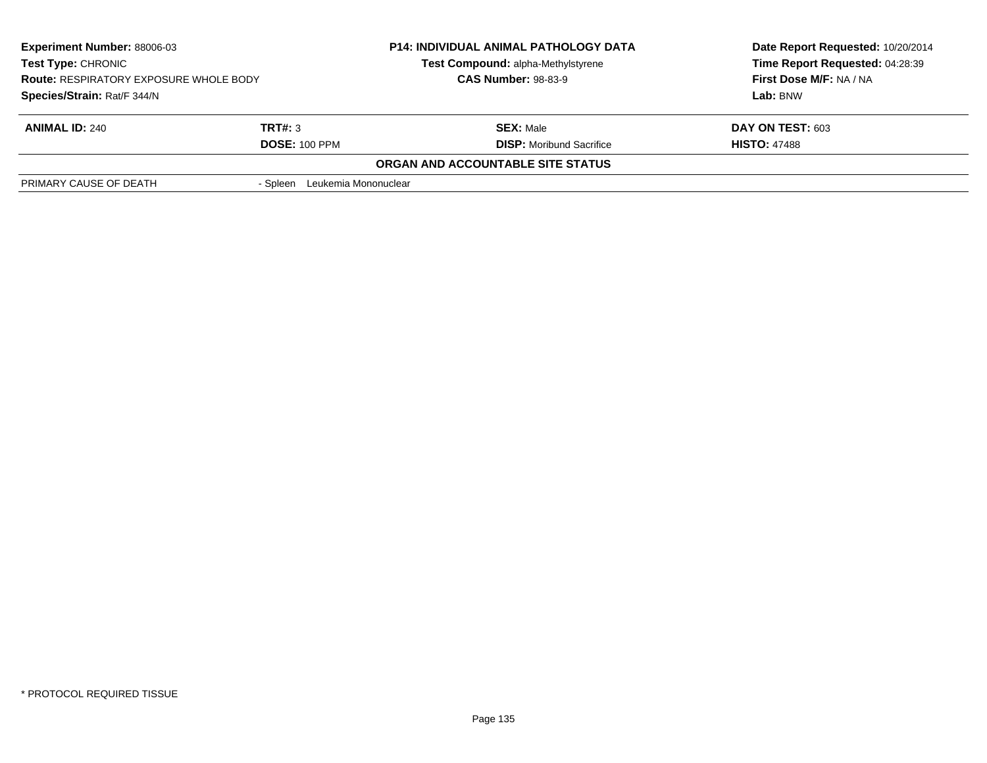| <b>Experiment Number: 88006-03</b><br>Test Type: CHRONIC<br><b>Route: RESPIRATORY EXPOSURE WHOLE BODY</b><br>Species/Strain: Rat/F 344/N |                                  | <b>P14: INDIVIDUAL ANIMAL PATHOLOGY DATA</b><br>Test Compound: alpha-Methylstyrene<br><b>CAS Number: 98-83-9</b> | Date Report Requested: 10/20/2014<br>Time Report Requested: 04:28:39<br>First Dose M/F: NA / NA<br>Lab: BNW |
|------------------------------------------------------------------------------------------------------------------------------------------|----------------------------------|------------------------------------------------------------------------------------------------------------------|-------------------------------------------------------------------------------------------------------------|
|                                                                                                                                          |                                  |                                                                                                                  |                                                                                                             |
|                                                                                                                                          |                                  |                                                                                                                  |                                                                                                             |
| <b>ANIMAL ID: 240</b>                                                                                                                    | TRT#: 3                          | <b>SEX: Male</b>                                                                                                 | DAY ON TEST: 603                                                                                            |
|                                                                                                                                          | <b>DOSE: 100 PPM</b>             | <b>DISP:</b> Moribund Sacrifice                                                                                  | <b>HISTO: 47488</b>                                                                                         |
|                                                                                                                                          |                                  | ORGAN AND ACCOUNTABLE SITE STATUS                                                                                |                                                                                                             |
| PRIMARY CAUSE OF DEATH                                                                                                                   | Leukemia Mononuclear<br>- Spleen |                                                                                                                  |                                                                                                             |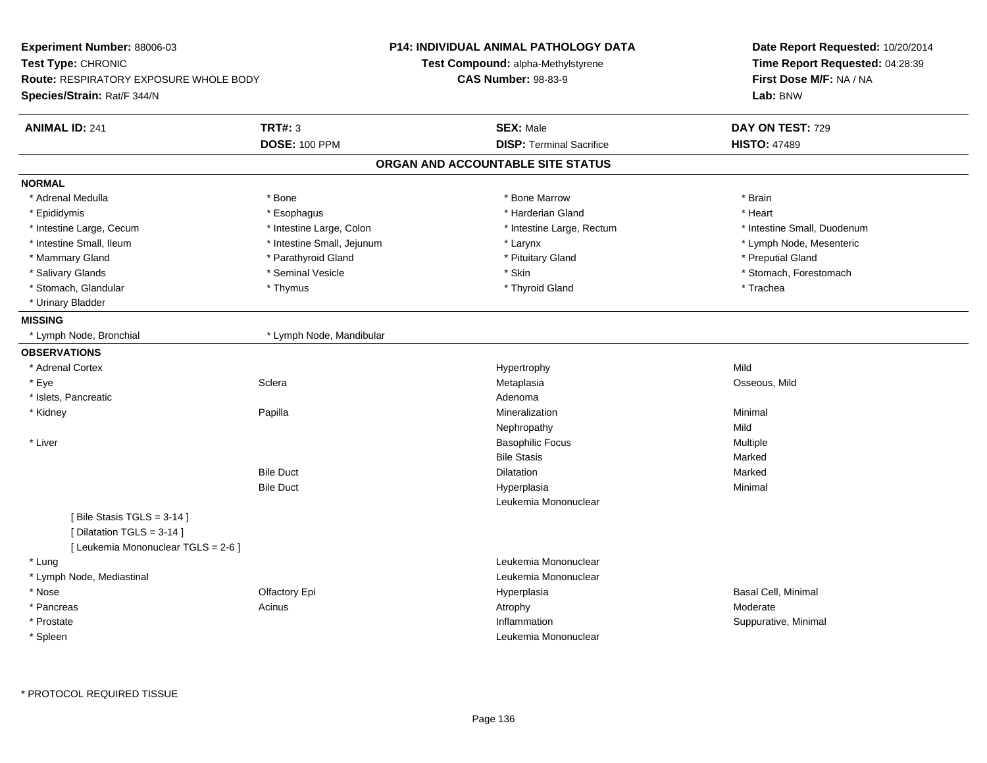| Experiment Number: 88006-03                                                                    |                            | <b>P14: INDIVIDUAL ANIMAL PATHOLOGY DATA</b> | Date Report Requested: 10/20/2014 |  |
|------------------------------------------------------------------------------------------------|----------------------------|----------------------------------------------|-----------------------------------|--|
| Test Type: CHRONIC                                                                             |                            | Test Compound: alpha-Methylstyrene           | Time Report Requested: 04:28:39   |  |
| <b>Route: RESPIRATORY EXPOSURE WHOLE BODY</b>                                                  |                            | <b>CAS Number: 98-83-9</b>                   | First Dose M/F: NA / NA           |  |
| Species/Strain: Rat/F 344/N                                                                    |                            |                                              | Lab: BNW                          |  |
| <b>ANIMAL ID: 241</b>                                                                          | <b>TRT#: 3</b>             | <b>SEX: Male</b>                             | DAY ON TEST: 729                  |  |
|                                                                                                | <b>DOSE: 100 PPM</b>       | <b>DISP: Terminal Sacrifice</b>              | <b>HISTO: 47489</b>               |  |
|                                                                                                |                            | ORGAN AND ACCOUNTABLE SITE STATUS            |                                   |  |
| <b>NORMAL</b>                                                                                  |                            |                                              |                                   |  |
| * Adrenal Medulla                                                                              | * Bone                     | * Bone Marrow                                | * Brain                           |  |
| * Epididymis                                                                                   | * Esophagus                | * Harderian Gland                            | * Heart                           |  |
| * Intestine Large, Cecum                                                                       | * Intestine Large, Colon   | * Intestine Large, Rectum                    | * Intestine Small, Duodenum       |  |
| * Intestine Small, Ileum                                                                       | * Intestine Small, Jejunum | * Larynx                                     | * Lymph Node, Mesenteric          |  |
| * Mammary Gland                                                                                | * Parathyroid Gland        | * Pituitary Gland                            | * Preputial Gland                 |  |
| * Salivary Glands                                                                              | * Seminal Vesicle          | * Skin                                       | * Stomach, Forestomach            |  |
| * Stomach, Glandular                                                                           | * Thymus                   | * Thyroid Gland                              | * Trachea                         |  |
| * Urinary Bladder                                                                              |                            |                                              |                                   |  |
| <b>MISSING</b>                                                                                 |                            |                                              |                                   |  |
| * Lymph Node, Bronchial                                                                        | * Lymph Node, Mandibular   |                                              |                                   |  |
| <b>OBSERVATIONS</b>                                                                            |                            |                                              |                                   |  |
| * Adrenal Cortex                                                                               |                            | Hypertrophy                                  | Mild                              |  |
| * Eye                                                                                          | Sclera                     | Metaplasia                                   | Osseous, Mild                     |  |
| * Islets, Pancreatic                                                                           |                            | Adenoma                                      |                                   |  |
| * Kidney                                                                                       | Papilla                    | Mineralization                               | Minimal                           |  |
|                                                                                                |                            | Nephropathy                                  | Mild                              |  |
| * Liver                                                                                        |                            | <b>Basophilic Focus</b>                      | Multiple                          |  |
|                                                                                                |                            | <b>Bile Stasis</b>                           | Marked                            |  |
|                                                                                                | <b>Bile Duct</b>           | Dilatation                                   | Marked                            |  |
|                                                                                                | <b>Bile Duct</b>           | Hyperplasia                                  | Minimal                           |  |
|                                                                                                |                            | Leukemia Mononuclear                         |                                   |  |
| [Bile Stasis TGLS = 3-14]<br>[ Dilatation TGLS = 3-14 ]<br>[ Leukemia Mononuclear TGLS = 2-6 ] |                            |                                              |                                   |  |
| * Lung                                                                                         |                            | Leukemia Mononuclear                         |                                   |  |
| * Lymph Node, Mediastinal                                                                      |                            | Leukemia Mononuclear                         |                                   |  |
| * Nose                                                                                         | Olfactory Epi              | Hyperplasia                                  | Basal Cell, Minimal               |  |
| * Pancreas                                                                                     | Acinus                     | Atrophy                                      | Moderate                          |  |
| * Prostate                                                                                     |                            | Inflammation                                 | Suppurative, Minimal              |  |
| * Spleen                                                                                       |                            | Leukemia Mononuclear                         |                                   |  |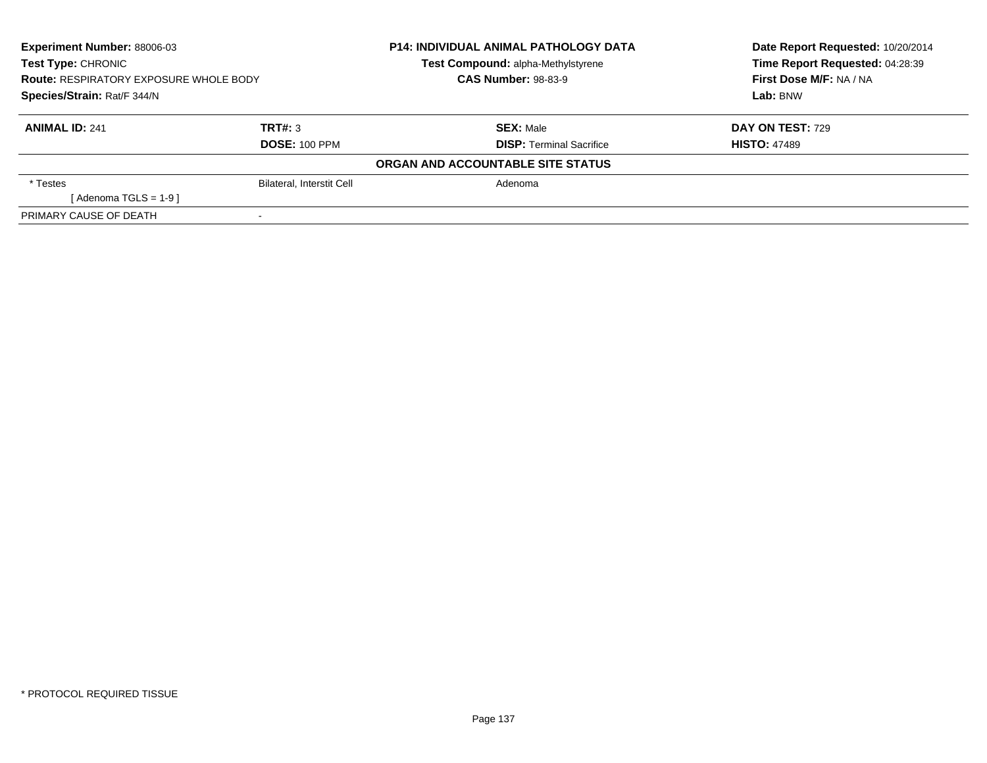| <b>Experiment Number: 88006-03</b><br>Test Type: CHRONIC<br><b>Route: RESPIRATORY EXPOSURE WHOLE BODY</b> |                                  | <b>P14: INDIVIDUAL ANIMAL PATHOLOGY DATA</b><br>Test Compound: alpha-Methylstyrene | Date Report Requested: 10/20/2014<br>Time Report Requested: 04:28:39 |
|-----------------------------------------------------------------------------------------------------------|----------------------------------|------------------------------------------------------------------------------------|----------------------------------------------------------------------|
|                                                                                                           |                                  | <b>CAS Number: 98-83-9</b>                                                         | First Dose M/F: NA / NA                                              |
| Species/Strain: Rat/F 344/N                                                                               |                                  |                                                                                    | Lab: BNW                                                             |
| <b>ANIMAL ID: 241</b>                                                                                     | TRT#: 3                          | <b>SEX: Male</b>                                                                   | <b>DAY ON TEST: 729</b>                                              |
|                                                                                                           | <b>DOSE: 100 PPM</b>             | <b>DISP:</b> Terminal Sacrifice                                                    | <b>HISTO: 47489</b>                                                  |
|                                                                                                           |                                  | ORGAN AND ACCOUNTABLE SITE STATUS                                                  |                                                                      |
| * Testes                                                                                                  | <b>Bilateral, Interstit Cell</b> | Adenoma                                                                            |                                                                      |
| [Adenoma TGLS = $1-9$ ]                                                                                   |                                  |                                                                                    |                                                                      |
| PRIMARY CAUSE OF DEATH                                                                                    | $\,$                             |                                                                                    |                                                                      |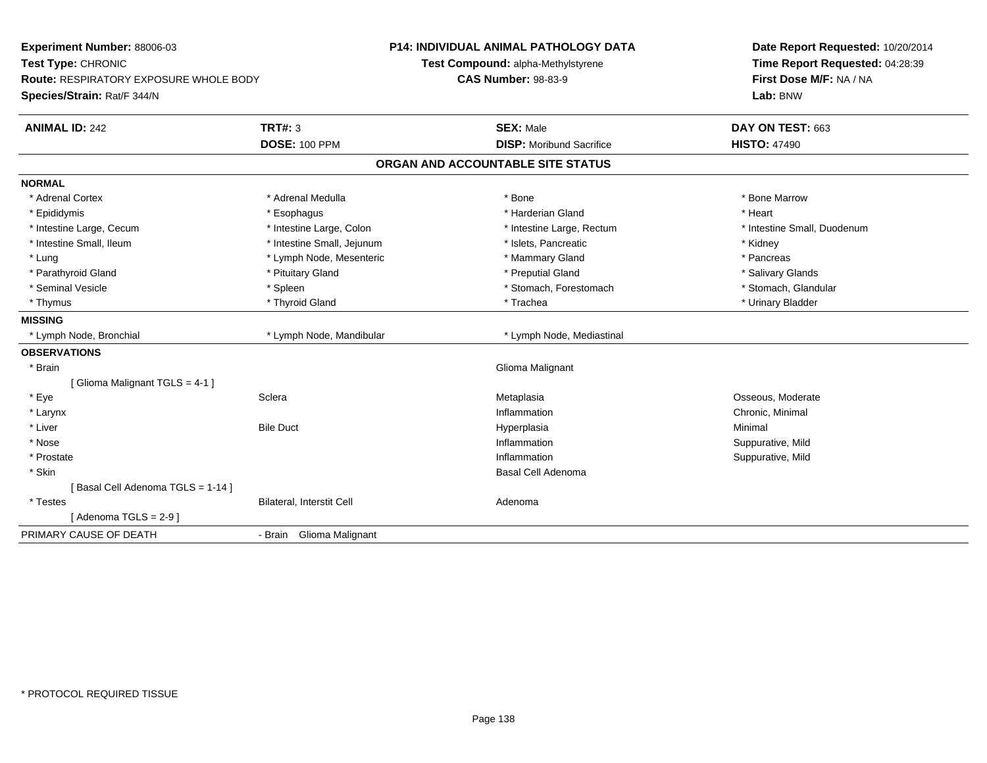| Experiment Number: 88006-03<br>Test Type: CHRONIC<br>Route: RESPIRATORY EXPOSURE WHOLE BODY |                            | <b>P14: INDIVIDUAL ANIMAL PATHOLOGY DATA</b><br>Test Compound: alpha-Methylstyrene | Date Report Requested: 10/20/2014<br>Time Report Requested: 04:28:39 |  |
|---------------------------------------------------------------------------------------------|----------------------------|------------------------------------------------------------------------------------|----------------------------------------------------------------------|--|
|                                                                                             |                            | <b>CAS Number: 98-83-9</b>                                                         | First Dose M/F: NA / NA                                              |  |
| Species/Strain: Rat/F 344/N                                                                 |                            |                                                                                    | Lab: BNW                                                             |  |
| <b>ANIMAL ID: 242</b>                                                                       | <b>TRT#: 3</b>             | <b>SEX: Male</b>                                                                   | DAY ON TEST: 663                                                     |  |
|                                                                                             | <b>DOSE: 100 PPM</b>       | <b>DISP:</b> Moribund Sacrifice                                                    | <b>HISTO: 47490</b>                                                  |  |
|                                                                                             |                            | ORGAN AND ACCOUNTABLE SITE STATUS                                                  |                                                                      |  |
| <b>NORMAL</b>                                                                               |                            |                                                                                    |                                                                      |  |
| * Adrenal Cortex                                                                            | * Adrenal Medulla          | * Bone                                                                             | * Bone Marrow                                                        |  |
| * Epididymis                                                                                | * Esophagus                | * Harderian Gland                                                                  | * Heart                                                              |  |
| * Intestine Large, Cecum                                                                    | * Intestine Large, Colon   | * Intestine Large, Rectum                                                          | * Intestine Small, Duodenum                                          |  |
| * Intestine Small, Ileum                                                                    | * Intestine Small, Jejunum | * Islets, Pancreatic                                                               | * Kidney                                                             |  |
| * Lung                                                                                      | * Lymph Node, Mesenteric   | * Mammary Gland                                                                    | * Pancreas                                                           |  |
| * Parathyroid Gland                                                                         | * Pituitary Gland          | * Preputial Gland                                                                  | * Salivary Glands                                                    |  |
| * Seminal Vesicle                                                                           | * Spleen                   | * Stomach, Forestomach                                                             | * Stomach, Glandular                                                 |  |
| * Thymus                                                                                    | * Thyroid Gland            | * Trachea                                                                          | * Urinary Bladder                                                    |  |
| <b>MISSING</b>                                                                              |                            |                                                                                    |                                                                      |  |
| * Lymph Node, Bronchial                                                                     | * Lymph Node, Mandibular   | * Lymph Node, Mediastinal                                                          |                                                                      |  |
| <b>OBSERVATIONS</b>                                                                         |                            |                                                                                    |                                                                      |  |
| * Brain                                                                                     |                            | Glioma Malignant                                                                   |                                                                      |  |
| [Glioma Malignant TGLS = 4-1]                                                               |                            |                                                                                    |                                                                      |  |
| * Eye                                                                                       | Sclera                     | Metaplasia                                                                         | Osseous, Moderate                                                    |  |
| * Larynx                                                                                    |                            | Inflammation                                                                       | Chronic, Minimal                                                     |  |
| * Liver                                                                                     | <b>Bile Duct</b>           | Hyperplasia                                                                        | Minimal                                                              |  |
| * Nose                                                                                      |                            | Inflammation                                                                       | Suppurative, Mild                                                    |  |
| * Prostate                                                                                  |                            | Inflammation                                                                       | Suppurative, Mild                                                    |  |
| * Skin                                                                                      |                            | Basal Cell Adenoma                                                                 |                                                                      |  |
| [Basal Cell Adenoma TGLS = 1-14]                                                            |                            |                                                                                    |                                                                      |  |
| * Testes                                                                                    | Bilateral, Interstit Cell  | Adenoma                                                                            |                                                                      |  |
| [Adenoma TGLS = $2-9$ ]                                                                     |                            |                                                                                    |                                                                      |  |
| PRIMARY CAUSE OF DEATH                                                                      | - Brain Glioma Malignant   |                                                                                    |                                                                      |  |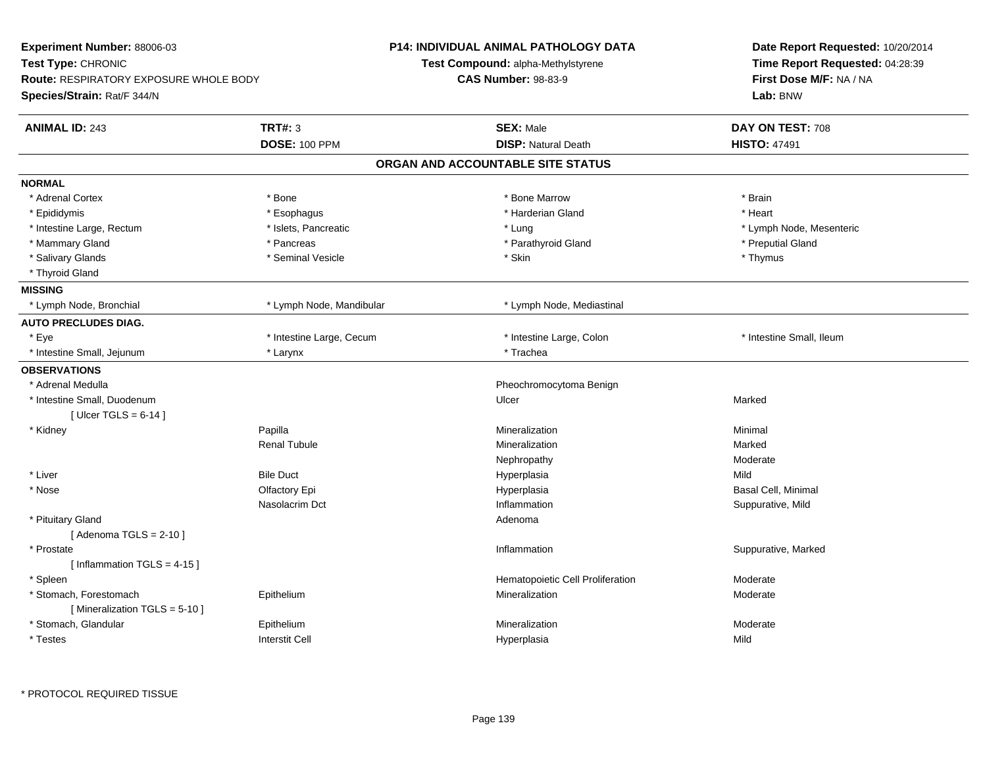| Experiment Number: 88006-03                   |                          | <b>P14: INDIVIDUAL ANIMAL PATHOLOGY DATA</b> | Date Report Requested: 10/20/2014 |
|-----------------------------------------------|--------------------------|----------------------------------------------|-----------------------------------|
| Test Type: CHRONIC                            |                          | Test Compound: alpha-Methylstyrene           | Time Report Requested: 04:28:39   |
| <b>Route: RESPIRATORY EXPOSURE WHOLE BODY</b> |                          | <b>CAS Number: 98-83-9</b>                   | First Dose M/F: NA / NA           |
| Species/Strain: Rat/F 344/N                   |                          |                                              | Lab: BNW                          |
| <b>ANIMAL ID: 243</b>                         | <b>TRT#: 3</b>           | <b>SEX: Male</b>                             | DAY ON TEST: 708                  |
|                                               | <b>DOSE: 100 PPM</b>     | <b>DISP: Natural Death</b>                   | <b>HISTO: 47491</b>               |
|                                               |                          | ORGAN AND ACCOUNTABLE SITE STATUS            |                                   |
| <b>NORMAL</b>                                 |                          |                                              |                                   |
| * Adrenal Cortex                              | * Bone                   | * Bone Marrow                                | * Brain                           |
| * Epididymis                                  | * Esophagus              | * Harderian Gland                            | * Heart                           |
| * Intestine Large, Rectum                     | * Islets, Pancreatic     | * Lung                                       | * Lymph Node, Mesenteric          |
| * Mammary Gland                               | * Pancreas               | * Parathyroid Gland                          | * Preputial Gland                 |
| * Salivary Glands                             | * Seminal Vesicle        | * Skin                                       | * Thymus                          |
| * Thyroid Gland                               |                          |                                              |                                   |
| <b>MISSING</b>                                |                          |                                              |                                   |
| * Lymph Node, Bronchial                       | * Lymph Node, Mandibular | * Lymph Node, Mediastinal                    |                                   |
| <b>AUTO PRECLUDES DIAG.</b>                   |                          |                                              |                                   |
| * Eye                                         | * Intestine Large, Cecum | * Intestine Large, Colon                     | * Intestine Small, Ileum          |
| * Intestine Small, Jejunum                    | * Larynx                 | * Trachea                                    |                                   |
| <b>OBSERVATIONS</b>                           |                          |                                              |                                   |
| * Adrenal Medulla                             |                          | Pheochromocytoma Benign                      |                                   |
| * Intestine Small, Duodenum                   |                          | Ulcer                                        | Marked                            |
| [Ulcer TGLS = $6-14$ ]                        |                          |                                              |                                   |
| * Kidney                                      | Papilla                  | Mineralization                               | Minimal                           |
|                                               | <b>Renal Tubule</b>      | Mineralization                               | Marked                            |
|                                               |                          | Nephropathy                                  | Moderate                          |
| * Liver                                       | <b>Bile Duct</b>         | Hyperplasia                                  | Mild                              |
| * Nose                                        | Olfactory Epi            | Hyperplasia                                  | Basal Cell, Minimal               |
|                                               | Nasolacrim Dct           | Inflammation                                 | Suppurative, Mild                 |
| * Pituitary Gland                             |                          | Adenoma                                      |                                   |
| [Adenoma TGLS = $2-10$ ]                      |                          |                                              |                                   |
| * Prostate                                    |                          | Inflammation                                 | Suppurative, Marked               |
| [Inflammation TGLS = $4-15$ ]                 |                          |                                              |                                   |
| * Spleen                                      |                          | Hematopoietic Cell Proliferation             | Moderate                          |
| * Stomach, Forestomach                        | Epithelium               | Mineralization                               | Moderate                          |
| [Mineralization TGLS = 5-10]                  |                          |                                              |                                   |
| * Stomach, Glandular                          | Epithelium               | Mineralization                               | Moderate                          |
| * Testes                                      | <b>Interstit Cell</b>    | Hyperplasia                                  | Mild                              |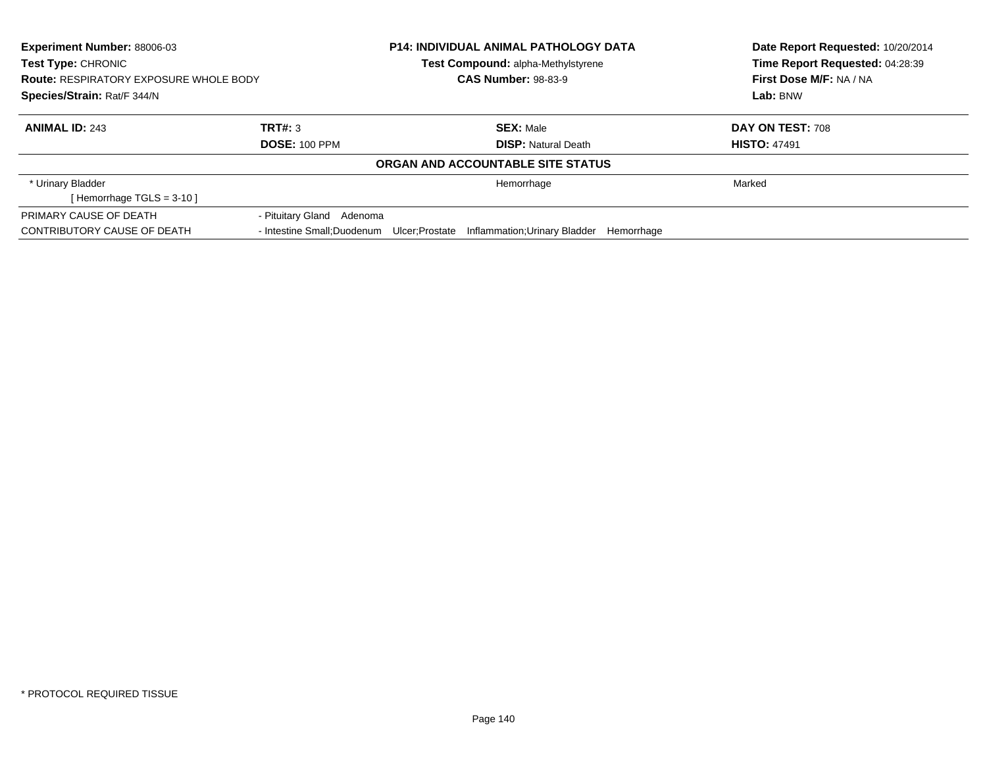| Experiment Number: 88006-03<br><b>Test Type: CHRONIC</b><br><b>Route: RESPIRATORY EXPOSURE WHOLE BODY</b> |                           | <b>P14: INDIVIDUAL ANIMAL PATHOLOGY DATA</b><br><b>Test Compound: alpha-Methylstyrene</b><br><b>CAS Number: 98-83-9</b> | Date Report Requested: 10/20/2014<br>Time Report Requested: 04:28:39<br>First Dose M/F: NA / NA |
|-----------------------------------------------------------------------------------------------------------|---------------------------|-------------------------------------------------------------------------------------------------------------------------|-------------------------------------------------------------------------------------------------|
| Species/Strain: Rat/F 344/N                                                                               |                           |                                                                                                                         | Lab: BNW                                                                                        |
| <b>ANIMAL ID: 243</b>                                                                                     | TRT#: 3                   | <b>SEX: Male</b>                                                                                                        | DAY ON TEST: 708                                                                                |
|                                                                                                           | <b>DOSE: 100 PPM</b>      | <b>DISP:</b> Natural Death                                                                                              | <b>HISTO: 47491</b>                                                                             |
|                                                                                                           |                           | ORGAN AND ACCOUNTABLE SITE STATUS                                                                                       |                                                                                                 |
| * Urinary Bladder<br>[Hemorrhage TGLS = $3-10$ ]                                                          |                           | Hemorrhage                                                                                                              | Marked                                                                                          |
| PRIMARY CAUSE OF DEATH                                                                                    | - Pituitary Gland Adenoma |                                                                                                                         |                                                                                                 |
| CONTRIBUTORY CAUSE OF DEATH                                                                               |                           | - Intestine Small:Duodenum Ulcer:Prostate Inflammation:Urinary Bladder Hemorrhage                                       |                                                                                                 |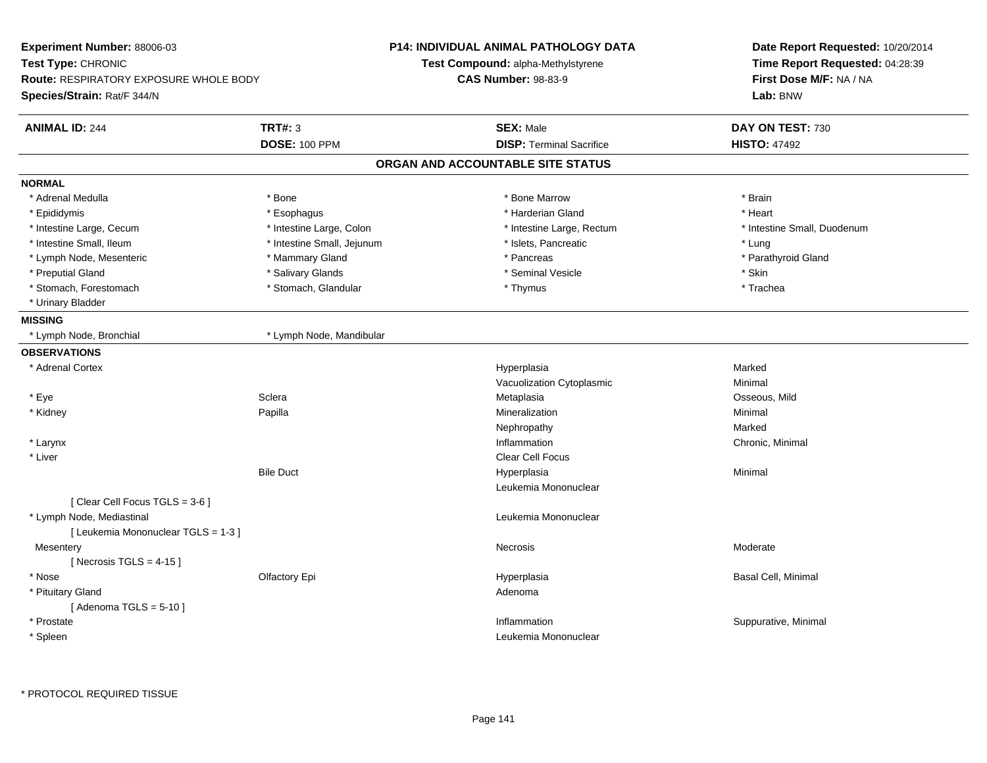| Experiment Number: 88006-03                   |                            | P14: INDIVIDUAL ANIMAL PATHOLOGY DATA | Date Report Requested: 10/20/2014<br>Time Report Requested: 04:28:39 |
|-----------------------------------------------|----------------------------|---------------------------------------|----------------------------------------------------------------------|
| Test Type: CHRONIC                            |                            | Test Compound: alpha-Methylstyrene    |                                                                      |
| <b>Route: RESPIRATORY EXPOSURE WHOLE BODY</b> | <b>CAS Number: 98-83-9</b> |                                       | First Dose M/F: NA / NA                                              |
| Species/Strain: Rat/F 344/N                   |                            |                                       | Lab: BNW                                                             |
| <b>ANIMAL ID: 244</b>                         | <b>TRT#: 3</b>             | <b>SEX: Male</b>                      | DAY ON TEST: 730                                                     |
|                                               | <b>DOSE: 100 PPM</b>       | <b>DISP: Terminal Sacrifice</b>       | <b>HISTO: 47492</b>                                                  |
|                                               |                            | ORGAN AND ACCOUNTABLE SITE STATUS     |                                                                      |
| <b>NORMAL</b>                                 |                            |                                       |                                                                      |
| * Adrenal Medulla                             | * Bone                     | * Bone Marrow                         | * Brain                                                              |
| * Epididymis                                  | * Esophagus                | * Harderian Gland                     | * Heart                                                              |
| * Intestine Large, Cecum                      | * Intestine Large, Colon   | * Intestine Large, Rectum             | * Intestine Small, Duodenum                                          |
| * Intestine Small, Ileum                      | * Intestine Small, Jejunum | * Islets, Pancreatic                  | * Lung                                                               |
| * Lymph Node, Mesenteric                      | * Mammary Gland            | * Pancreas                            | * Parathyroid Gland                                                  |
| * Preputial Gland                             | * Salivary Glands          | * Seminal Vesicle                     | * Skin                                                               |
| * Stomach, Forestomach                        | * Stomach, Glandular       | * Thymus                              | * Trachea                                                            |
| * Urinary Bladder                             |                            |                                       |                                                                      |
| <b>MISSING</b>                                |                            |                                       |                                                                      |
| * Lymph Node, Bronchial                       | * Lymph Node, Mandibular   |                                       |                                                                      |
| <b>OBSERVATIONS</b>                           |                            |                                       |                                                                      |
| * Adrenal Cortex                              |                            | Hyperplasia                           | Marked                                                               |
|                                               |                            | Vacuolization Cytoplasmic             | Minimal                                                              |
| * Eye                                         | Sclera                     | Metaplasia                            | Osseous, Mild                                                        |
| * Kidney                                      | Papilla                    | Mineralization                        | Minimal                                                              |
|                                               |                            | Nephropathy                           | Marked                                                               |
| * Larynx                                      |                            | Inflammation                          | Chronic, Minimal                                                     |
| * Liver                                       |                            | Clear Cell Focus                      |                                                                      |
|                                               | <b>Bile Duct</b>           | Hyperplasia                           | Minimal                                                              |
|                                               |                            | Leukemia Mononuclear                  |                                                                      |
| [Clear Cell Focus TGLS = 3-6]                 |                            |                                       |                                                                      |
| * Lymph Node, Mediastinal                     |                            | Leukemia Mononuclear                  |                                                                      |
| [ Leukemia Mononuclear TGLS = 1-3 ]           |                            |                                       |                                                                      |
| Mesentery                                     |                            | Necrosis                              | Moderate                                                             |
| [Necrosis $TGLS = 4-15$ ]                     |                            |                                       |                                                                      |
| * Nose                                        | Olfactory Epi              | Hyperplasia                           | Basal Cell, Minimal                                                  |
| * Pituitary Gland                             |                            | Adenoma                               |                                                                      |
| [Adenoma TGLS = $5-10$ ]                      |                            |                                       |                                                                      |
| * Prostate                                    |                            | Inflammation                          | Suppurative, Minimal                                                 |
| * Spleen                                      |                            | Leukemia Mononuclear                  |                                                                      |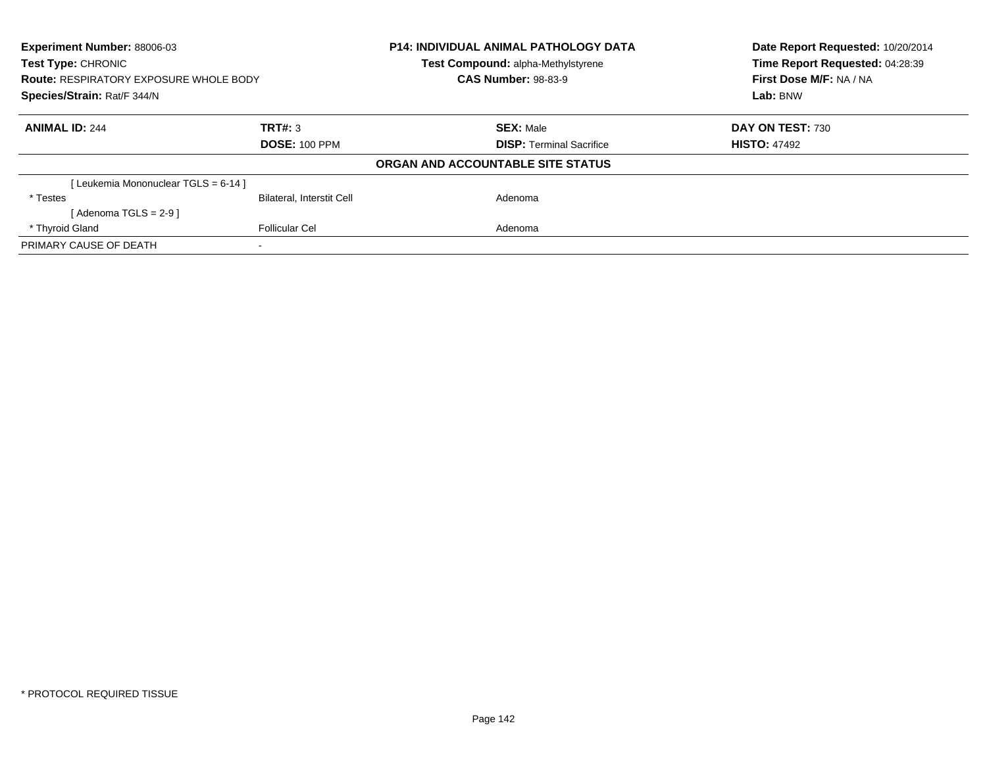| Experiment Number: 88006-03<br><b>Test Type: CHRONIC</b> |                                  | <b>P14: INDIVIDUAL ANIMAL PATHOLOGY DATA</b><br><b>Test Compound: alpha-Methylstyrene</b> | Date Report Requested: 10/20/2014<br>Time Report Requested: 04:28:39 |
|----------------------------------------------------------|----------------------------------|-------------------------------------------------------------------------------------------|----------------------------------------------------------------------|
| <b>Route: RESPIRATORY EXPOSURE WHOLE BODY</b>            |                                  | <b>CAS Number: 98-83-9</b>                                                                | First Dose M/F: NA / NA                                              |
| Species/Strain: Rat/F 344/N                              |                                  |                                                                                           | Lab: BNW                                                             |
| <b>ANIMAL ID: 244</b>                                    | TRT#: 3                          | <b>SEX: Male</b>                                                                          | DAY ON TEST: 730                                                     |
|                                                          | <b>DOSE: 100 PPM</b>             | <b>DISP:</b> Terminal Sacrifice                                                           | <b>HISTO: 47492</b>                                                  |
|                                                          |                                  | ORGAN AND ACCOUNTABLE SITE STATUS                                                         |                                                                      |
| [Leukemia Mononuclear TGLS = 6-14]                       |                                  |                                                                                           |                                                                      |
| * Testes                                                 | <b>Bilateral, Interstit Cell</b> | Adenoma                                                                                   |                                                                      |
| [Adenoma TGLS = $2-9$ ]                                  |                                  |                                                                                           |                                                                      |
| * Thyroid Gland                                          | <b>Follicular Cel</b>            | Adenoma                                                                                   |                                                                      |
| PRIMARY CAUSE OF DEATH                                   |                                  |                                                                                           |                                                                      |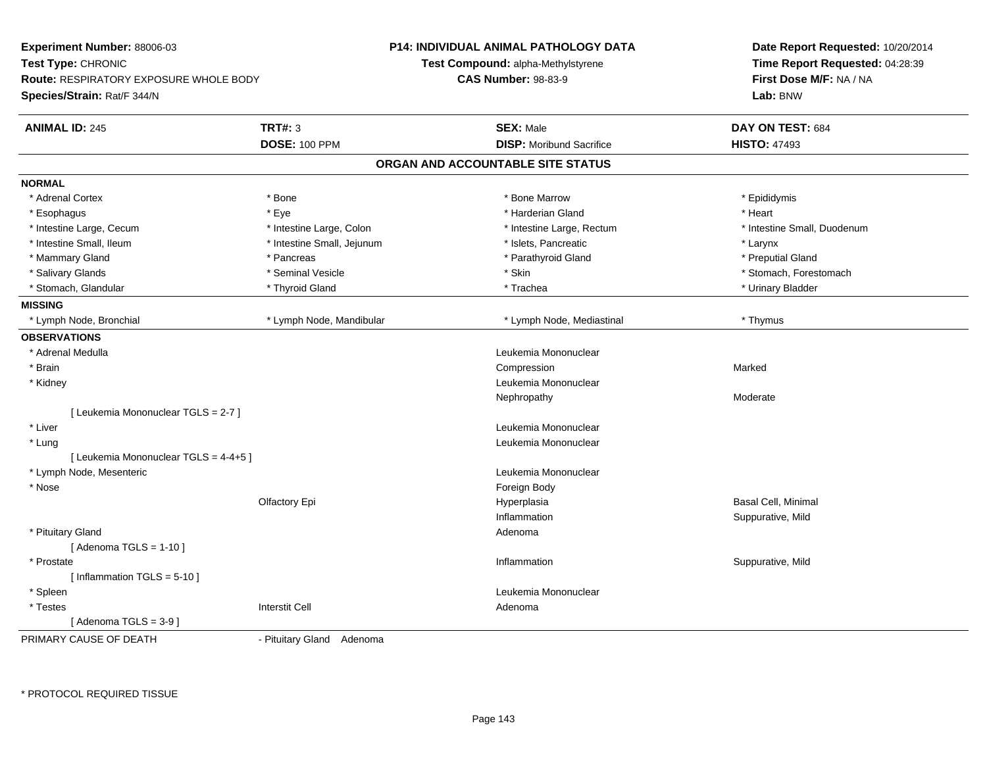| Experiment Number: 88006-03                   |                            | <b>P14: INDIVIDUAL ANIMAL PATHOLOGY DATA</b> | Date Report Requested: 10/20/2014<br>Time Report Requested: 04:28:39 |  |
|-----------------------------------------------|----------------------------|----------------------------------------------|----------------------------------------------------------------------|--|
| Test Type: CHRONIC                            |                            | <b>Test Compound: alpha-Methylstyrene</b>    |                                                                      |  |
| <b>Route: RESPIRATORY EXPOSURE WHOLE BODY</b> |                            | <b>CAS Number: 98-83-9</b>                   | First Dose M/F: NA / NA                                              |  |
| Species/Strain: Rat/F 344/N                   |                            |                                              | Lab: BNW                                                             |  |
| <b>ANIMAL ID: 245</b>                         | <b>TRT#: 3</b>             | <b>SEX: Male</b>                             | DAY ON TEST: 684                                                     |  |
|                                               | <b>DOSE: 100 PPM</b>       | <b>DISP:</b> Moribund Sacrifice              | <b>HISTO: 47493</b>                                                  |  |
|                                               |                            | ORGAN AND ACCOUNTABLE SITE STATUS            |                                                                      |  |
| <b>NORMAL</b>                                 |                            |                                              |                                                                      |  |
| * Adrenal Cortex                              | * Bone                     | * Bone Marrow                                | * Epididymis                                                         |  |
| * Esophagus                                   | * Eye                      | * Harderian Gland                            | * Heart                                                              |  |
| * Intestine Large, Cecum                      | * Intestine Large, Colon   | * Intestine Large, Rectum                    | * Intestine Small, Duodenum                                          |  |
| * Intestine Small, Ileum                      | * Intestine Small, Jejunum | * Islets, Pancreatic                         | * Larynx                                                             |  |
| * Mammary Gland                               | * Pancreas                 | * Parathyroid Gland                          | * Preputial Gland                                                    |  |
| * Salivary Glands                             | * Seminal Vesicle          | * Skin                                       | * Stomach, Forestomach                                               |  |
| * Stomach, Glandular                          | * Thyroid Gland            | * Trachea                                    | * Urinary Bladder                                                    |  |
| <b>MISSING</b>                                |                            |                                              |                                                                      |  |
| * Lymph Node, Bronchial                       | * Lymph Node, Mandibular   | * Lymph Node, Mediastinal                    | * Thymus                                                             |  |
| <b>OBSERVATIONS</b>                           |                            |                                              |                                                                      |  |
| * Adrenal Medulla                             |                            | Leukemia Mononuclear                         |                                                                      |  |
| * Brain                                       |                            | Compression                                  | Marked                                                               |  |
| * Kidney                                      |                            | Leukemia Mononuclear                         |                                                                      |  |
|                                               |                            | Nephropathy                                  | Moderate                                                             |  |
| [ Leukemia Mononuclear TGLS = 2-7 ]           |                            |                                              |                                                                      |  |
| * Liver                                       |                            | Leukemia Mononuclear                         |                                                                      |  |
| * Lung                                        |                            | Leukemia Mononuclear                         |                                                                      |  |
| [ Leukemia Mononuclear TGLS = 4-4+5 ]         |                            |                                              |                                                                      |  |
| * Lymph Node, Mesenteric                      |                            | Leukemia Mononuclear                         |                                                                      |  |
| * Nose                                        |                            | Foreign Body                                 |                                                                      |  |
|                                               | Olfactory Epi              | Hyperplasia                                  | Basal Cell, Minimal                                                  |  |
|                                               |                            | Inflammation                                 | Suppurative, Mild                                                    |  |
| * Pituitary Gland                             |                            | Adenoma                                      |                                                                      |  |
| [Adenoma TGLS = $1-10$ ]                      |                            |                                              |                                                                      |  |
| * Prostate                                    |                            | Inflammation                                 | Suppurative, Mild                                                    |  |
| [Inflammation TGLS = $5-10$ ]                 |                            |                                              |                                                                      |  |
| * Spleen                                      |                            | Leukemia Mononuclear                         |                                                                      |  |
| * Testes                                      | <b>Interstit Cell</b>      | Adenoma                                      |                                                                      |  |
| [ Adenoma TGLS = 3-9 ]                        |                            |                                              |                                                                      |  |
| PRIMARY CAUSE OF DEATH                        | - Pituitary Gland Adenoma  |                                              |                                                                      |  |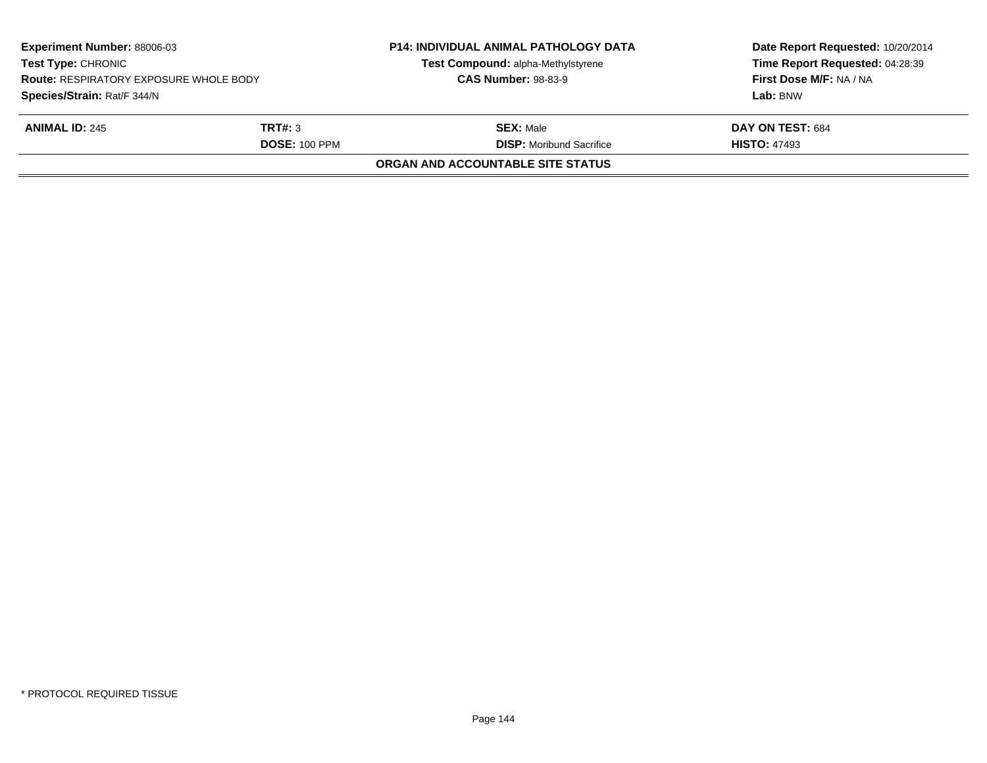| <b>Experiment Number: 88006-03</b><br><b>Test Type: CHRONIC</b><br><b>Route: RESPIRATORY EXPOSURE WHOLE BODY</b><br>Species/Strain: Rat/F 344/N |                      | <b>P14: INDIVIDUAL ANIMAL PATHOLOGY DATA</b><br>Test Compound: alpha-Methylstyrene<br><b>CAS Number: 98-83-9</b> | Date Report Requested: 10/20/2014<br>Time Report Requested: 04:28:39<br>First Dose M/F: NA / NA<br>Lab: BNW |
|-------------------------------------------------------------------------------------------------------------------------------------------------|----------------------|------------------------------------------------------------------------------------------------------------------|-------------------------------------------------------------------------------------------------------------|
|                                                                                                                                                 |                      |                                                                                                                  |                                                                                                             |
| <b>ANIMAL ID: 245</b>                                                                                                                           | TRT#: 3              | <b>SEX: Male</b>                                                                                                 | DAY ON TEST: 684                                                                                            |
|                                                                                                                                                 | <b>DOSE: 100 PPM</b> | <b>DISP:</b> Moribund Sacrifice                                                                                  | <b>HISTO: 47493</b>                                                                                         |
|                                                                                                                                                 |                      | ORGAN AND ACCOUNTABLE SITE STATUS                                                                                |                                                                                                             |
|                                                                                                                                                 |                      |                                                                                                                  |                                                                                                             |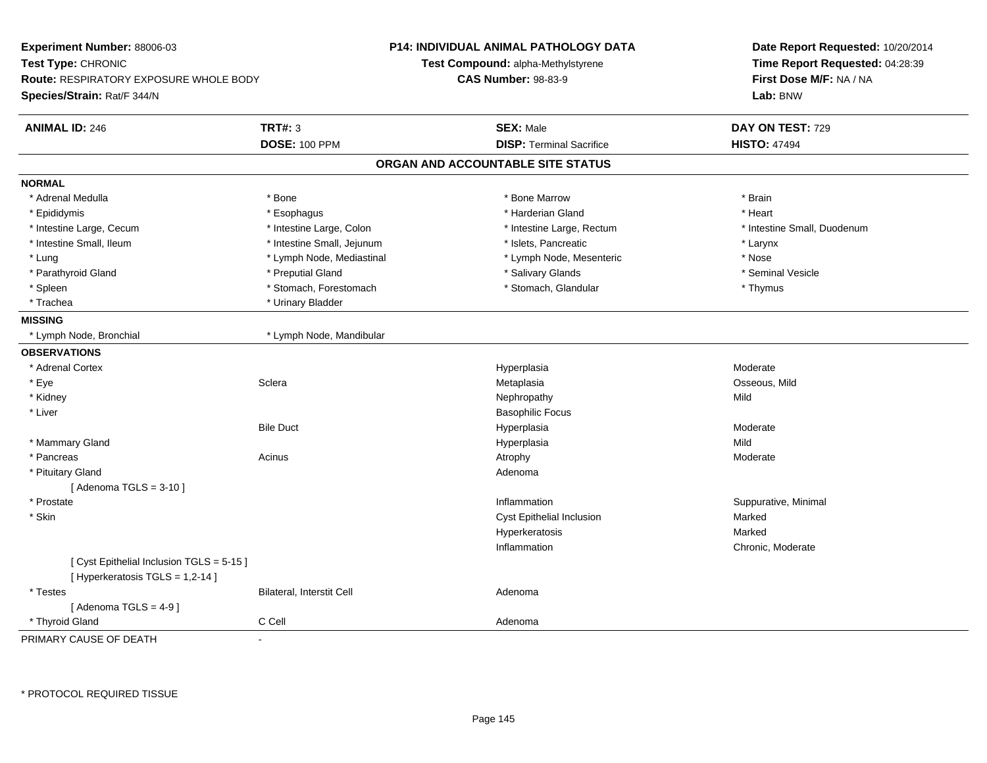| Experiment Number: 88006-03<br>Test Type: CHRONIC<br>Route: RESPIRATORY EXPOSURE WHOLE BODY<br>Species/Strain: Rat/F 344/N |                                        | P14: INDIVIDUAL ANIMAL PATHOLOGY DATA<br>Test Compound: alpha-Methylstyrene<br><b>CAS Number: 98-83-9</b> | Date Report Requested: 10/20/2014<br>Time Report Requested: 04:28:39<br>First Dose M/F: NA / NA<br>Lab: BNW |
|----------------------------------------------------------------------------------------------------------------------------|----------------------------------------|-----------------------------------------------------------------------------------------------------------|-------------------------------------------------------------------------------------------------------------|
| <b>ANIMAL ID: 246</b>                                                                                                      | <b>TRT#: 3</b><br><b>DOSE: 100 PPM</b> | <b>SEX: Male</b><br><b>DISP: Terminal Sacrifice</b>                                                       | DAY ON TEST: 729<br><b>HISTO: 47494</b>                                                                     |
|                                                                                                                            |                                        | ORGAN AND ACCOUNTABLE SITE STATUS                                                                         |                                                                                                             |
| <b>NORMAL</b>                                                                                                              |                                        |                                                                                                           |                                                                                                             |
| * Adrenal Medulla                                                                                                          | * Bone                                 | * Bone Marrow                                                                                             | * Brain                                                                                                     |
| * Epididymis                                                                                                               | * Esophagus                            | * Harderian Gland                                                                                         | * Heart                                                                                                     |
| * Intestine Large, Cecum                                                                                                   | * Intestine Large, Colon               | * Intestine Large, Rectum                                                                                 | * Intestine Small, Duodenum                                                                                 |
| * Intestine Small, Ileum                                                                                                   | * Intestine Small, Jejunum             | * Islets, Pancreatic                                                                                      | * Larynx                                                                                                    |
| * Lung                                                                                                                     | * Lymph Node, Mediastinal              | * Lymph Node, Mesenteric                                                                                  | * Nose                                                                                                      |
| * Parathyroid Gland                                                                                                        | * Preputial Gland                      | * Salivary Glands                                                                                         | * Seminal Vesicle                                                                                           |
| * Spleen                                                                                                                   | * Stomach, Forestomach                 | * Stomach, Glandular                                                                                      | * Thymus                                                                                                    |
| * Trachea                                                                                                                  | * Urinary Bladder                      |                                                                                                           |                                                                                                             |
| <b>MISSING</b>                                                                                                             |                                        |                                                                                                           |                                                                                                             |
| * Lymph Node, Bronchial                                                                                                    | * Lymph Node, Mandibular               |                                                                                                           |                                                                                                             |
| <b>OBSERVATIONS</b>                                                                                                        |                                        |                                                                                                           |                                                                                                             |
| * Adrenal Cortex                                                                                                           |                                        | Hyperplasia                                                                                               | Moderate                                                                                                    |
| * Eye                                                                                                                      | Sclera                                 | Metaplasia                                                                                                | Osseous, Mild                                                                                               |
| * Kidney                                                                                                                   |                                        | Nephropathy                                                                                               | Mild                                                                                                        |
| * Liver                                                                                                                    |                                        | <b>Basophilic Focus</b>                                                                                   |                                                                                                             |
|                                                                                                                            | <b>Bile Duct</b>                       | Hyperplasia                                                                                               | Moderate                                                                                                    |
| * Mammary Gland                                                                                                            |                                        | Hyperplasia                                                                                               | Mild                                                                                                        |
| * Pancreas                                                                                                                 | Acinus                                 | Atrophy                                                                                                   | Moderate                                                                                                    |
| * Pituitary Gland                                                                                                          |                                        | Adenoma                                                                                                   |                                                                                                             |
| [Adenoma TGLS = $3-10$ ]                                                                                                   |                                        |                                                                                                           |                                                                                                             |
| * Prostate                                                                                                                 |                                        | Inflammation                                                                                              | Suppurative, Minimal                                                                                        |
| * Skin                                                                                                                     |                                        | Cyst Epithelial Inclusion                                                                                 | Marked                                                                                                      |
|                                                                                                                            |                                        | Hyperkeratosis                                                                                            | Marked                                                                                                      |
|                                                                                                                            |                                        | Inflammation                                                                                              | Chronic, Moderate                                                                                           |
| [Cyst Epithelial Inclusion TGLS = 5-15]<br>[ Hyperkeratosis TGLS = 1,2-14 ]                                                |                                        |                                                                                                           |                                                                                                             |
| * Testes                                                                                                                   | Bilateral, Interstit Cell              | Adenoma                                                                                                   |                                                                                                             |
| [Adenoma TGLS = $4-9$ ]                                                                                                    |                                        |                                                                                                           |                                                                                                             |
| * Thyroid Gland                                                                                                            | C Cell                                 | Adenoma                                                                                                   |                                                                                                             |
| PRIMARY CAUSE OF DEATH                                                                                                     | $\overline{a}$                         |                                                                                                           |                                                                                                             |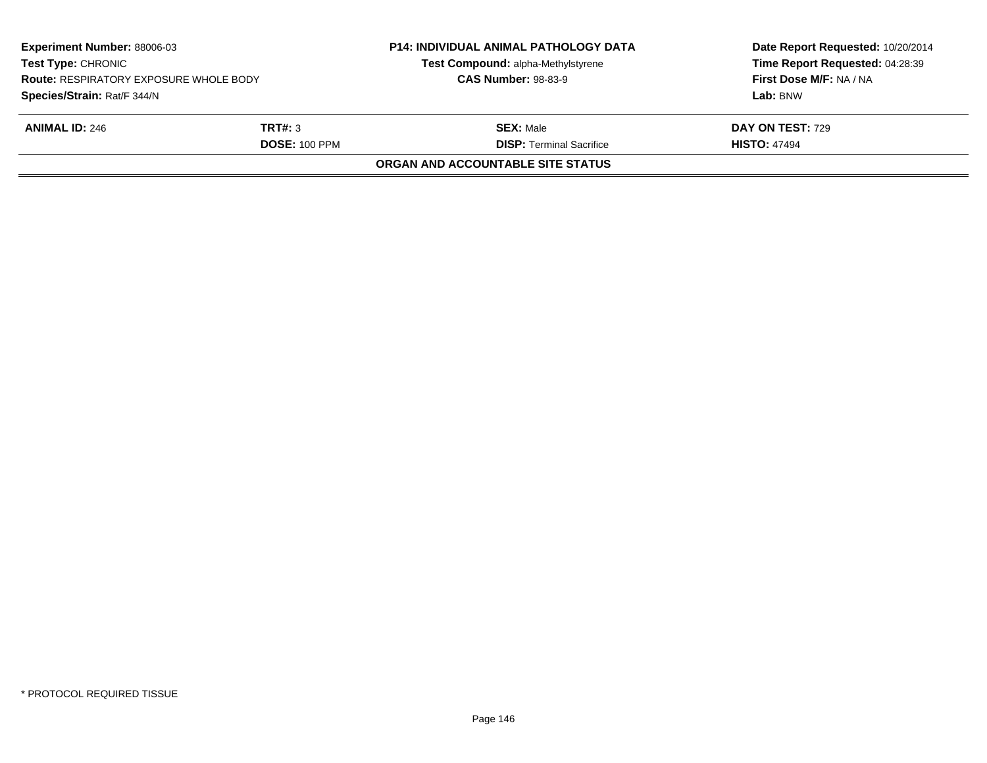| <b>Experiment Number: 88006-03</b><br><b>Test Type: CHRONIC</b><br><b>Route: RESPIRATORY EXPOSURE WHOLE BODY</b> |                      | <b>P14: INDIVIDUAL ANIMAL PATHOLOGY DATA</b><br>Test Compound: alpha-Methylstyrene<br><b>CAS Number: 98-83-9</b> | Date Report Requested: 10/20/2014<br>Time Report Requested: 04:28:39<br>First Dose M/F: NA / NA |
|------------------------------------------------------------------------------------------------------------------|----------------------|------------------------------------------------------------------------------------------------------------------|-------------------------------------------------------------------------------------------------|
| Species/Strain: Rat/F 344/N                                                                                      |                      |                                                                                                                  | Lab: BNW                                                                                        |
| <b>ANIMAL ID: 246</b>                                                                                            | <b>TRT#:</b> 3       | <b>SEX:</b> Male                                                                                                 | <b>DAY ON TEST: 729</b>                                                                         |
|                                                                                                                  | <b>DOSE: 100 PPM</b> | <b>DISP: Terminal Sacrifice</b>                                                                                  | <b>HISTO: 47494</b>                                                                             |
|                                                                                                                  |                      | ORGAN AND ACCOUNTABLE SITE STATUS                                                                                |                                                                                                 |
|                                                                                                                  |                      |                                                                                                                  |                                                                                                 |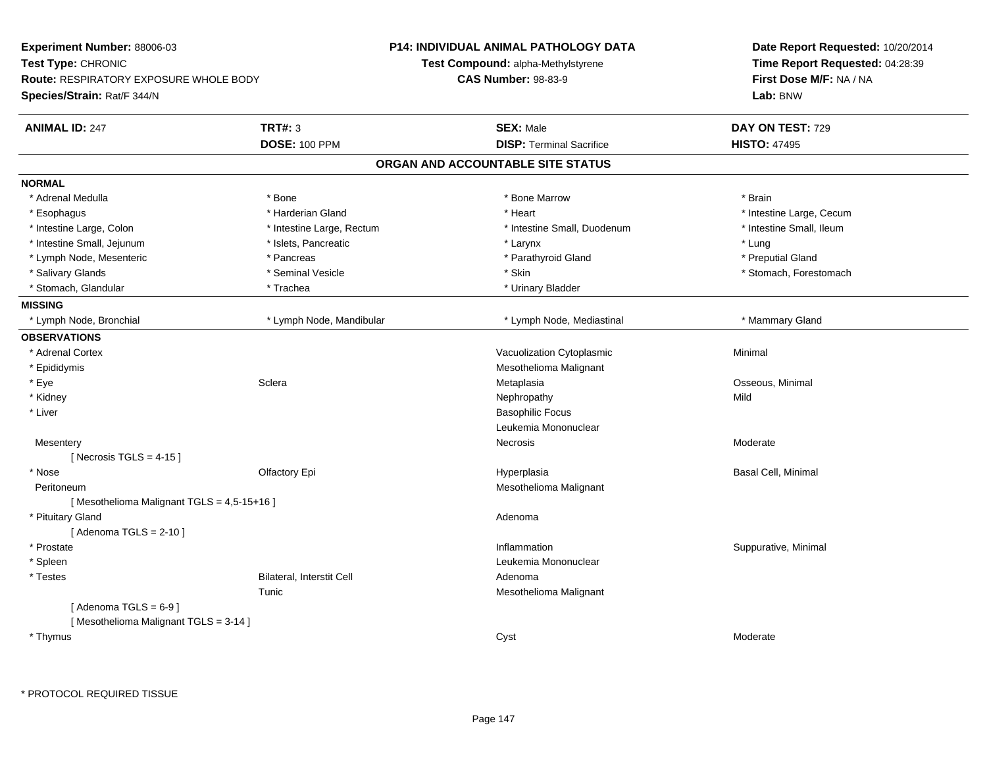| Experiment Number: 88006-03                                         |                                  | <b>P14: INDIVIDUAL ANIMAL PATHOLOGY DATA</b> | Date Report Requested: 10/20/2014                          |
|---------------------------------------------------------------------|----------------------------------|----------------------------------------------|------------------------------------------------------------|
| Test Type: CHRONIC<br><b>Route: RESPIRATORY EXPOSURE WHOLE BODY</b> |                                  | <b>Test Compound: alpha-Methylstyrene</b>    | Time Report Requested: 04:28:39<br>First Dose M/F: NA / NA |
|                                                                     |                                  | <b>CAS Number: 98-83-9</b>                   |                                                            |
| Species/Strain: Rat/F 344/N                                         |                                  |                                              | Lab: BNW                                                   |
| <b>ANIMAL ID: 247</b>                                               | <b>TRT#: 3</b>                   | <b>SEX: Male</b>                             | DAY ON TEST: 729                                           |
|                                                                     | <b>DOSE: 100 PPM</b>             | <b>DISP: Terminal Sacrifice</b>              | <b>HISTO: 47495</b>                                        |
|                                                                     |                                  | ORGAN AND ACCOUNTABLE SITE STATUS            |                                                            |
| <b>NORMAL</b>                                                       |                                  |                                              |                                                            |
| * Adrenal Medulla                                                   | * Bone                           | * Bone Marrow                                | * Brain                                                    |
| * Esophagus                                                         | * Harderian Gland                | * Heart                                      | * Intestine Large, Cecum                                   |
| * Intestine Large, Colon                                            | * Intestine Large, Rectum        | * Intestine Small, Duodenum                  | * Intestine Small, Ileum                                   |
| * Intestine Small, Jejunum                                          | * Islets, Pancreatic             | * Larynx                                     | * Lung                                                     |
| * Lymph Node, Mesenteric                                            | * Pancreas                       | * Parathyroid Gland                          | * Preputial Gland                                          |
| * Salivary Glands                                                   | * Seminal Vesicle                | * Skin                                       | * Stomach, Forestomach                                     |
| * Stomach, Glandular                                                | * Trachea                        | * Urinary Bladder                            |                                                            |
| <b>MISSING</b>                                                      |                                  |                                              |                                                            |
| * Lymph Node, Bronchial                                             | * Lymph Node, Mandibular         | * Lymph Node, Mediastinal                    | * Mammary Gland                                            |
| <b>OBSERVATIONS</b>                                                 |                                  |                                              |                                                            |
| * Adrenal Cortex                                                    |                                  | Vacuolization Cytoplasmic                    | Minimal                                                    |
| * Epididymis                                                        |                                  | Mesothelioma Malignant                       |                                                            |
| * Eye                                                               | Sclera                           | Metaplasia                                   | Osseous, Minimal                                           |
| * Kidney                                                            |                                  | Nephropathy                                  | Mild                                                       |
| * Liver                                                             |                                  | <b>Basophilic Focus</b>                      |                                                            |
|                                                                     |                                  | Leukemia Mononuclear                         |                                                            |
| Mesentery                                                           |                                  | Necrosis                                     | Moderate                                                   |
| [Necrosis TGLS = $4-15$ ]                                           |                                  |                                              |                                                            |
| * Nose                                                              | Olfactory Epi                    | Hyperplasia                                  | Basal Cell, Minimal                                        |
| Peritoneum                                                          |                                  | Mesothelioma Malignant                       |                                                            |
| [Mesothelioma Malignant TGLS = 4,5-15+16]                           |                                  |                                              |                                                            |
| * Pituitary Gland                                                   |                                  | Adenoma                                      |                                                            |
| [Adenoma TGLS = $2-10$ ]                                            |                                  |                                              |                                                            |
| * Prostate                                                          |                                  | Inflammation                                 | Suppurative, Minimal                                       |
| * Spleen                                                            |                                  | Leukemia Mononuclear                         |                                                            |
| * Testes                                                            | <b>Bilateral, Interstit Cell</b> | Adenoma                                      |                                                            |
|                                                                     | Tunic                            | Mesothelioma Malignant                       |                                                            |
| [Adenoma TGLS = $6-9$ ]                                             |                                  |                                              |                                                            |
| [Mesothelioma Malignant TGLS = 3-14]                                |                                  |                                              |                                                            |
| * Thymus                                                            |                                  | Cyst                                         | Moderate                                                   |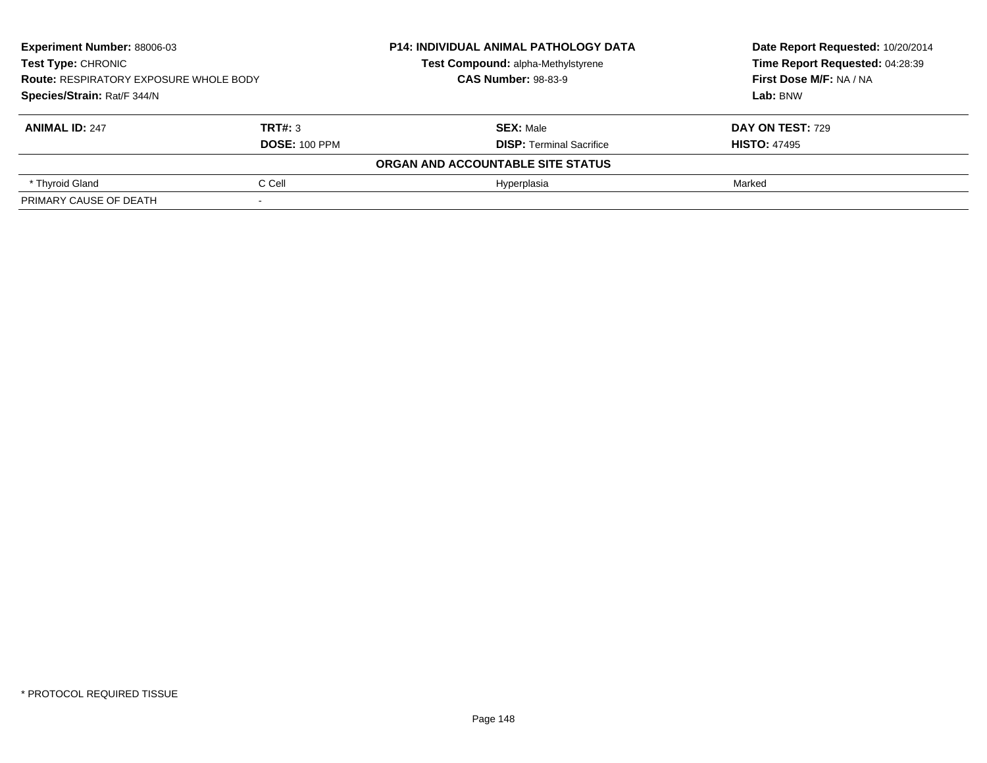| <b>Experiment Number: 88006-03</b><br><b>Test Type: CHRONIC</b><br><b>Route: RESPIRATORY EXPOSURE WHOLE BODY</b> |         | <b>P14: INDIVIDUAL ANIMAL PATHOLOGY DATA</b> | Date Report Requested: 10/20/2014<br>Time Report Requested: 04:28:39 |
|------------------------------------------------------------------------------------------------------------------|---------|----------------------------------------------|----------------------------------------------------------------------|
|                                                                                                                  |         | Test Compound: alpha-Methylstyrene           |                                                                      |
|                                                                                                                  |         | <b>CAS Number: 98-83-9</b>                   | First Dose M/F: NA / NA                                              |
| Species/Strain: Rat/F 344/N                                                                                      |         |                                              | Lab: BNW                                                             |
| <b>ANIMAL ID: 247</b>                                                                                            | TRT#: 3 | <b>SEX: Male</b>                             | DAY ON TEST: 729                                                     |
| <b>DOSE: 100 PPM</b>                                                                                             |         | <b>DISP:</b> Terminal Sacrifice              | <b>HISTO: 47495</b>                                                  |
|                                                                                                                  |         | ORGAN AND ACCOUNTABLE SITE STATUS            |                                                                      |
| * Thyroid Gland                                                                                                  | C Cell  | Hyperplasia                                  | Marked                                                               |
| PRIMARY CAUSE OF DEATH                                                                                           |         |                                              |                                                                      |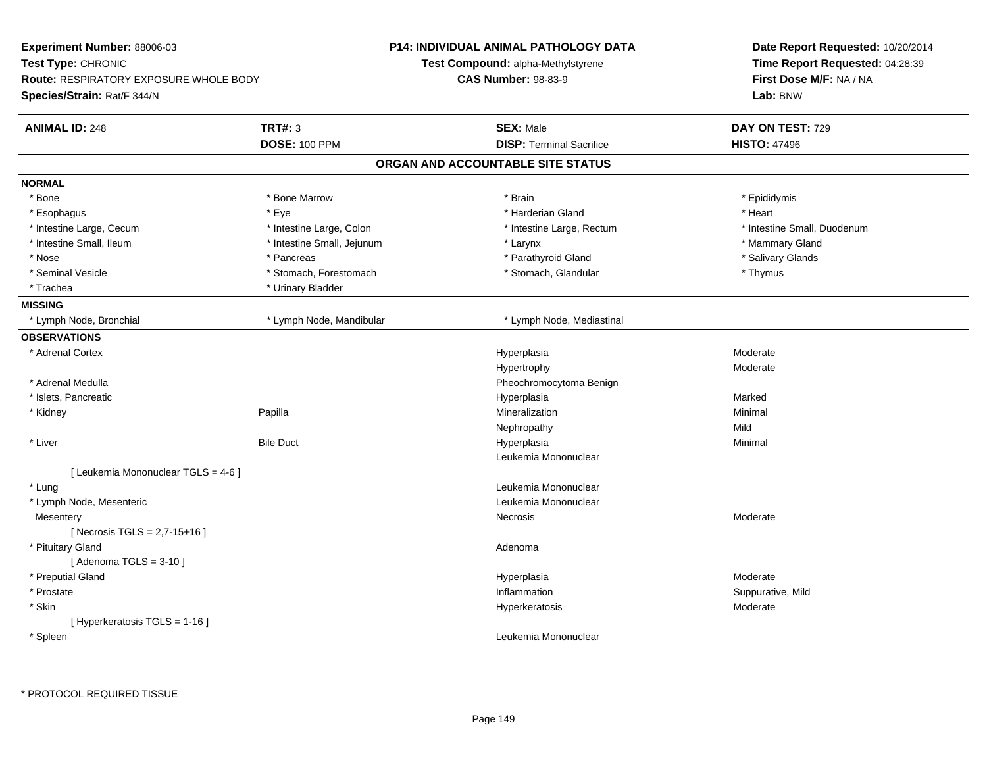| Experiment Number: 88006-03<br>Test Type: CHRONIC<br><b>Route: RESPIRATORY EXPOSURE WHOLE BODY</b> |                            | <b>P14: INDIVIDUAL ANIMAL PATHOLOGY DATA</b> | Date Report Requested: 10/20/2014<br>Time Report Requested: 04:28:39<br>First Dose M/F: NA / NA |  |
|----------------------------------------------------------------------------------------------------|----------------------------|----------------------------------------------|-------------------------------------------------------------------------------------------------|--|
|                                                                                                    |                            | <b>Test Compound: alpha-Methylstyrene</b>    |                                                                                                 |  |
|                                                                                                    |                            | <b>CAS Number: 98-83-9</b>                   |                                                                                                 |  |
| Species/Strain: Rat/F 344/N                                                                        |                            |                                              | Lab: BNW                                                                                        |  |
| <b>ANIMAL ID: 248</b>                                                                              | <b>TRT#: 3</b>             | <b>SEX: Male</b>                             | DAY ON TEST: 729                                                                                |  |
|                                                                                                    | <b>DOSE: 100 PPM</b>       | <b>DISP: Terminal Sacrifice</b>              | <b>HISTO: 47496</b>                                                                             |  |
|                                                                                                    |                            | ORGAN AND ACCOUNTABLE SITE STATUS            |                                                                                                 |  |
| <b>NORMAL</b>                                                                                      |                            |                                              |                                                                                                 |  |
| * Bone                                                                                             | * Bone Marrow              | * Brain                                      | * Epididymis                                                                                    |  |
| * Esophagus                                                                                        | * Eye                      | * Harderian Gland                            | * Heart                                                                                         |  |
| * Intestine Large, Cecum                                                                           | * Intestine Large, Colon   | * Intestine Large, Rectum                    | * Intestine Small, Duodenum                                                                     |  |
| * Intestine Small, Ileum                                                                           | * Intestine Small, Jejunum | * Larynx                                     | * Mammary Gland                                                                                 |  |
| * Nose                                                                                             | * Pancreas                 | * Parathyroid Gland                          | * Salivary Glands                                                                               |  |
| * Seminal Vesicle                                                                                  | * Stomach, Forestomach     | * Stomach, Glandular                         | * Thymus                                                                                        |  |
| * Trachea                                                                                          | * Urinary Bladder          |                                              |                                                                                                 |  |
| <b>MISSING</b>                                                                                     |                            |                                              |                                                                                                 |  |
| * Lymph Node, Bronchial                                                                            | * Lymph Node, Mandibular   | * Lymph Node, Mediastinal                    |                                                                                                 |  |
| <b>OBSERVATIONS</b>                                                                                |                            |                                              |                                                                                                 |  |
| * Adrenal Cortex                                                                                   |                            | Hyperplasia                                  | Moderate                                                                                        |  |
|                                                                                                    |                            | Hypertrophy                                  | Moderate                                                                                        |  |
| * Adrenal Medulla                                                                                  |                            | Pheochromocytoma Benign                      |                                                                                                 |  |
| * Islets, Pancreatic                                                                               |                            | Hyperplasia                                  | Marked                                                                                          |  |
| * Kidney                                                                                           | Papilla                    | Mineralization                               | Minimal                                                                                         |  |
|                                                                                                    |                            | Nephropathy                                  | Mild                                                                                            |  |
| * Liver                                                                                            | <b>Bile Duct</b>           | Hyperplasia                                  | Minimal                                                                                         |  |
|                                                                                                    |                            | Leukemia Mononuclear                         |                                                                                                 |  |
| [ Leukemia Mononuclear TGLS = 4-6 ]                                                                |                            |                                              |                                                                                                 |  |
| * Lung                                                                                             |                            | Leukemia Mononuclear                         |                                                                                                 |  |
| * Lymph Node, Mesenteric                                                                           |                            | Leukemia Mononuclear                         |                                                                                                 |  |
| Mesentery                                                                                          |                            | Necrosis                                     | Moderate                                                                                        |  |
| [Necrosis TGLS = $2,7-15+16$ ]                                                                     |                            |                                              |                                                                                                 |  |
| * Pituitary Gland                                                                                  |                            | Adenoma                                      |                                                                                                 |  |
| [Adenoma TGLS = $3-10$ ]                                                                           |                            |                                              |                                                                                                 |  |
| * Preputial Gland                                                                                  |                            | Hyperplasia                                  | Moderate                                                                                        |  |
| * Prostate                                                                                         |                            | Inflammation                                 | Suppurative, Mild                                                                               |  |
| * Skin                                                                                             |                            | Hyperkeratosis                               | Moderate                                                                                        |  |
| [ Hyperkeratosis TGLS = 1-16 ]                                                                     |                            |                                              |                                                                                                 |  |
| * Spleen                                                                                           |                            | Leukemia Mononuclear                         |                                                                                                 |  |
|                                                                                                    |                            |                                              |                                                                                                 |  |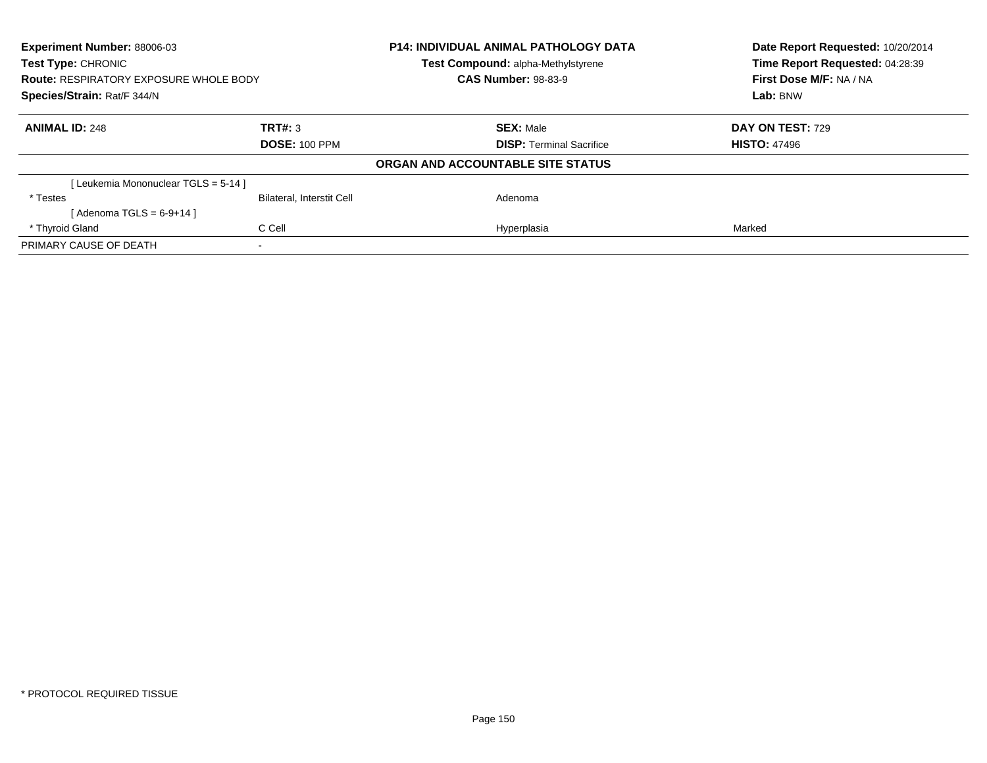| <b>Experiment Number: 88006-03</b><br><b>Test Type: CHRONIC</b><br><b>Route: RESPIRATORY EXPOSURE WHOLE BODY</b><br>Species/Strain: Rat/F 344/N |                                  | P14: INDIVIDUAL ANIMAL PATHOLOGY DATA<br>Test Compound: alpha-Methylstyrene | Date Report Requested: 10/20/2014<br>Time Report Requested: 04:28:39<br>First Dose M/F: NA / NA<br>Lab: BNW |
|-------------------------------------------------------------------------------------------------------------------------------------------------|----------------------------------|-----------------------------------------------------------------------------|-------------------------------------------------------------------------------------------------------------|
|                                                                                                                                                 |                                  | <b>CAS Number: 98-83-9</b>                                                  |                                                                                                             |
|                                                                                                                                                 |                                  |                                                                             |                                                                                                             |
| <b>ANIMAL ID: 248</b>                                                                                                                           | TRT#: 3                          | <b>SEX: Male</b>                                                            | <b>DAY ON TEST: 729</b>                                                                                     |
|                                                                                                                                                 | <b>DOSE: 100 PPM</b>             | <b>DISP:</b> Terminal Sacrifice                                             | <b>HISTO: 47496</b>                                                                                         |
|                                                                                                                                                 |                                  | ORGAN AND ACCOUNTABLE SITE STATUS                                           |                                                                                                             |
| [Leukemia Mononuclear TGLS = 5-14]                                                                                                              |                                  |                                                                             |                                                                                                             |
| * Testes                                                                                                                                        | <b>Bilateral, Interstit Cell</b> | Adenoma                                                                     |                                                                                                             |
| [Adenoma TGLS = $6-9+14$ ]                                                                                                                      |                                  |                                                                             |                                                                                                             |
| * Thyroid Gland                                                                                                                                 | C Cell                           | Hyperplasia                                                                 | Marked                                                                                                      |
| PRIMARY CAUSE OF DEATH                                                                                                                          |                                  |                                                                             |                                                                                                             |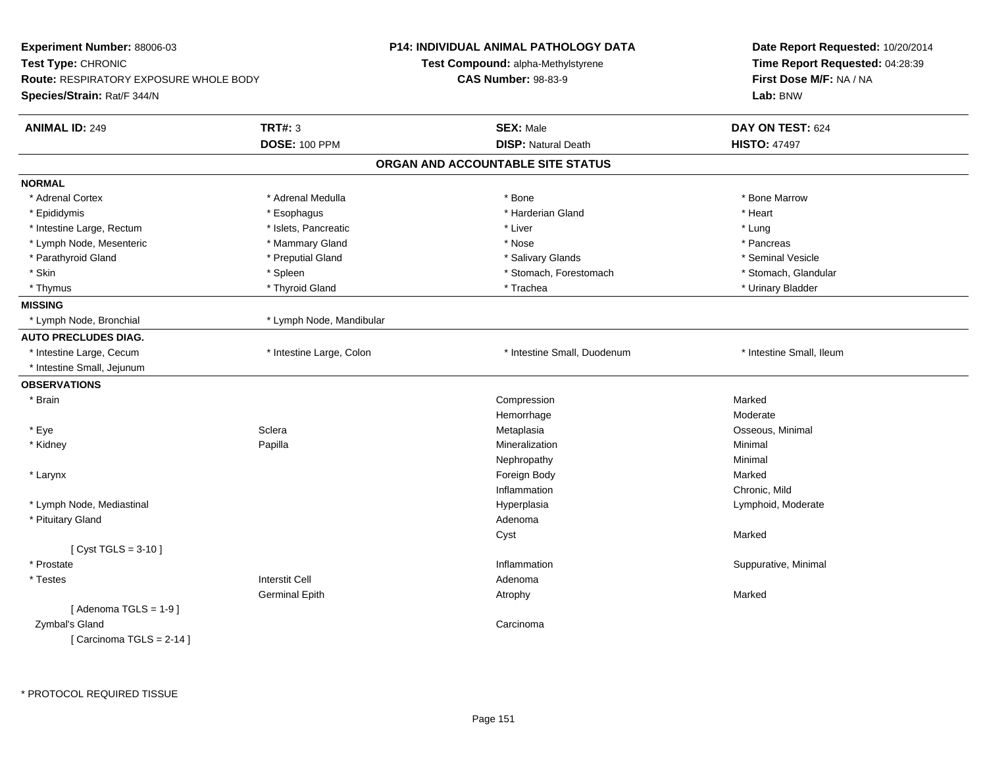| Experiment Number: 88006-03                                         |                          | <b>P14: INDIVIDUAL ANIMAL PATHOLOGY DATA</b> | Date Report Requested: 10/20/2014 |  |
|---------------------------------------------------------------------|--------------------------|----------------------------------------------|-----------------------------------|--|
| Test Type: CHRONIC<br><b>Route: RESPIRATORY EXPOSURE WHOLE BODY</b> |                          | Test Compound: alpha-Methylstyrene           | Time Report Requested: 04:28:39   |  |
|                                                                     |                          | <b>CAS Number: 98-83-9</b>                   | First Dose M/F: NA / NA           |  |
| Species/Strain: Rat/F 344/N                                         |                          |                                              | Lab: BNW                          |  |
| <b>ANIMAL ID: 249</b>                                               | <b>TRT#: 3</b>           | <b>SEX: Male</b>                             | DAY ON TEST: 624                  |  |
|                                                                     | <b>DOSE: 100 PPM</b>     | <b>DISP: Natural Death</b>                   | <b>HISTO: 47497</b>               |  |
|                                                                     |                          | ORGAN AND ACCOUNTABLE SITE STATUS            |                                   |  |
| <b>NORMAL</b>                                                       |                          |                                              |                                   |  |
| * Adrenal Cortex                                                    | * Adrenal Medulla        | * Bone                                       | * Bone Marrow                     |  |
| * Epididymis                                                        | * Esophagus              | * Harderian Gland                            | * Heart                           |  |
| * Intestine Large, Rectum                                           | * Islets, Pancreatic     | * Liver                                      | * Lung                            |  |
| * Lymph Node, Mesenteric                                            | * Mammary Gland          | * Nose                                       | * Pancreas                        |  |
| * Parathyroid Gland                                                 | * Preputial Gland        | * Salivary Glands                            | * Seminal Vesicle                 |  |
| * Skin                                                              | * Spleen                 | * Stomach, Forestomach                       | * Stomach, Glandular              |  |
| * Thymus                                                            | * Thyroid Gland          | * Trachea                                    | * Urinary Bladder                 |  |
| <b>MISSING</b>                                                      |                          |                                              |                                   |  |
| * Lymph Node, Bronchial                                             | * Lymph Node, Mandibular |                                              |                                   |  |
| <b>AUTO PRECLUDES DIAG.</b>                                         |                          |                                              |                                   |  |
| * Intestine Large, Cecum                                            | * Intestine Large, Colon | * Intestine Small, Duodenum                  | * Intestine Small, Ileum          |  |
| * Intestine Small, Jejunum                                          |                          |                                              |                                   |  |
| <b>OBSERVATIONS</b>                                                 |                          |                                              |                                   |  |
| * Brain                                                             |                          | Compression                                  | Marked                            |  |
|                                                                     |                          | Hemorrhage                                   | Moderate                          |  |
| * Eye                                                               | Sclera                   | Metaplasia                                   | Osseous, Minimal                  |  |
| * Kidney                                                            | Papilla                  | Mineralization                               | Minimal                           |  |
|                                                                     |                          | Nephropathy                                  | Minimal                           |  |
| * Larynx                                                            |                          | Foreign Body                                 | Marked                            |  |
|                                                                     |                          | Inflammation                                 | Chronic, Mild                     |  |
| * Lymph Node, Mediastinal                                           |                          | Hyperplasia                                  | Lymphoid, Moderate                |  |
| * Pituitary Gland                                                   |                          | Adenoma                                      |                                   |  |
|                                                                     |                          | Cyst                                         | Marked                            |  |
| [ $Cyst TGLS = 3-10$ ]                                              |                          |                                              |                                   |  |
| * Prostate                                                          |                          | Inflammation                                 | Suppurative, Minimal              |  |
| * Testes                                                            | <b>Interstit Cell</b>    | Adenoma                                      |                                   |  |
|                                                                     | <b>Germinal Epith</b>    | Atrophy                                      | Marked                            |  |
| [Adenoma TGLS = $1-9$ ]                                             |                          |                                              |                                   |  |
| Zymbal's Gland                                                      |                          | Carcinoma                                    |                                   |  |
| [Carcinoma TGLS = $2-14$ ]                                          |                          |                                              |                                   |  |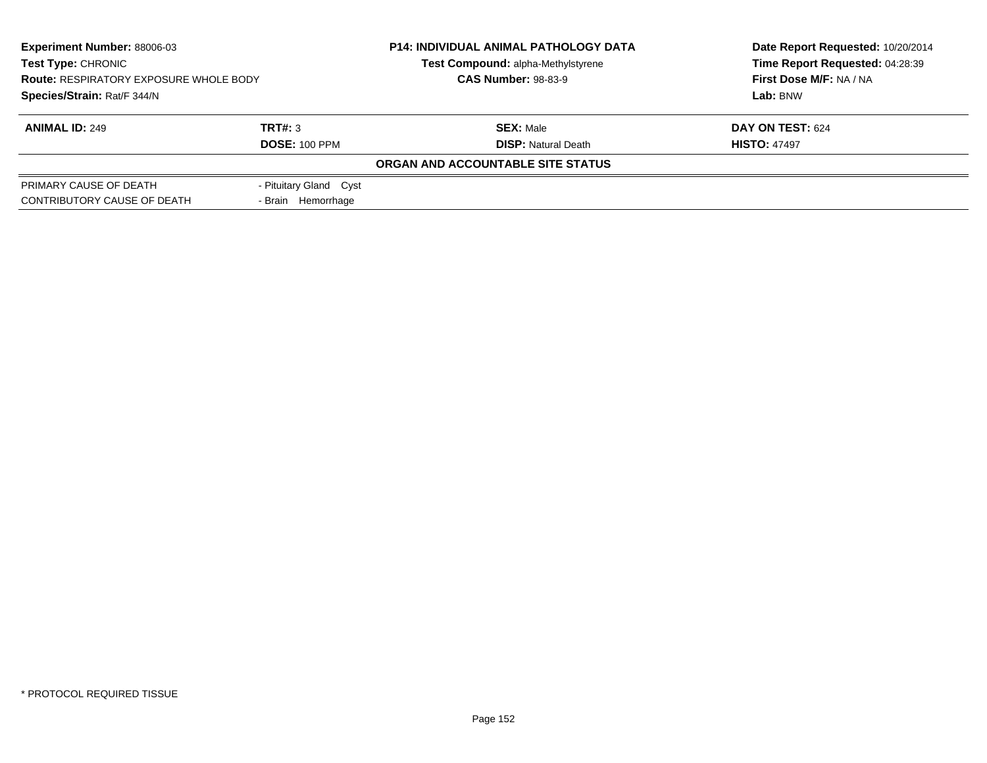| <b>Experiment Number: 88006-03</b>            |                        | <b>P14: INDIVIDUAL ANIMAL PATHOLOGY DATA</b> | Date Report Requested: 10/20/2014 |  |
|-----------------------------------------------|------------------------|----------------------------------------------|-----------------------------------|--|
| <b>Test Type: CHRONIC</b>                     |                        | Test Compound: alpha-Methylstyrene           | Time Report Requested: 04:28:39   |  |
| <b>Route: RESPIRATORY EXPOSURE WHOLE BODY</b> |                        | <b>CAS Number: 98-83-9</b>                   | First Dose M/F: NA / NA           |  |
| Species/Strain: Rat/F 344/N                   |                        |                                              | Lab: BNW                          |  |
| <b>ANIMAL ID: 249</b>                         | TRT#: 3                | <b>SEX: Male</b>                             | DAY ON TEST: 624                  |  |
|                                               | <b>DOSE: 100 PPM</b>   | <b>DISP:</b> Natural Death                   | <b>HISTO: 47497</b>               |  |
|                                               |                        | ORGAN AND ACCOUNTABLE SITE STATUS            |                                   |  |
| PRIMARY CAUSE OF DEATH                        | - Pituitary Gland Cyst |                                              |                                   |  |
| CONTRIBUTORY CAUSE OF DEATH                   | - Brain Hemorrhage     |                                              |                                   |  |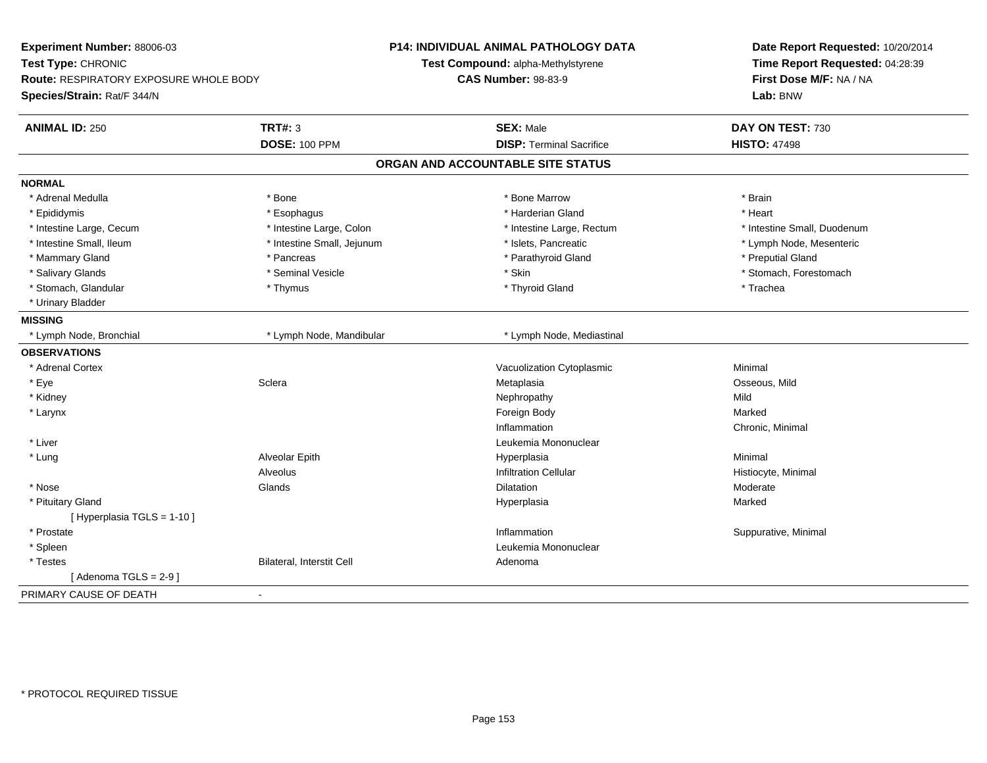| Experiment Number: 88006-03<br>Test Type: CHRONIC<br>Route: RESPIRATORY EXPOSURE WHOLE BODY<br>Species/Strain: Rat/F 344/N |                            | <b>P14: INDIVIDUAL ANIMAL PATHOLOGY DATA</b><br>Test Compound: alpha-Methylstyrene<br><b>CAS Number: 98-83-9</b> | Date Report Requested: 10/20/2014<br>Time Report Requested: 04:28:39<br>First Dose M/F: NA / NA<br>Lab: BNW |
|----------------------------------------------------------------------------------------------------------------------------|----------------------------|------------------------------------------------------------------------------------------------------------------|-------------------------------------------------------------------------------------------------------------|
| <b>ANIMAL ID: 250</b>                                                                                                      | <b>TRT#: 3</b>             | <b>SEX: Male</b>                                                                                                 | DAY ON TEST: 730                                                                                            |
|                                                                                                                            | <b>DOSE: 100 PPM</b>       | <b>DISP: Terminal Sacrifice</b>                                                                                  | <b>HISTO: 47498</b>                                                                                         |
|                                                                                                                            |                            | ORGAN AND ACCOUNTABLE SITE STATUS                                                                                |                                                                                                             |
| <b>NORMAL</b>                                                                                                              |                            |                                                                                                                  |                                                                                                             |
| * Adrenal Medulla                                                                                                          | * Bone                     | * Bone Marrow                                                                                                    | * Brain                                                                                                     |
| * Epididymis                                                                                                               | * Esophagus                | * Harderian Gland                                                                                                | * Heart                                                                                                     |
| * Intestine Large, Cecum                                                                                                   | * Intestine Large, Colon   | * Intestine Large, Rectum                                                                                        | * Intestine Small, Duodenum                                                                                 |
| * Intestine Small, Ileum                                                                                                   | * Intestine Small, Jejunum | * Islets, Pancreatic                                                                                             | * Lymph Node, Mesenteric                                                                                    |
| * Mammary Gland                                                                                                            | * Pancreas                 | * Parathyroid Gland                                                                                              | * Preputial Gland                                                                                           |
| * Salivary Glands                                                                                                          | * Seminal Vesicle          | * Skin                                                                                                           | * Stomach, Forestomach                                                                                      |
| * Stomach, Glandular                                                                                                       | * Thymus                   | * Thyroid Gland                                                                                                  | * Trachea                                                                                                   |
| * Urinary Bladder                                                                                                          |                            |                                                                                                                  |                                                                                                             |
| <b>MISSING</b>                                                                                                             |                            |                                                                                                                  |                                                                                                             |
| * Lymph Node, Bronchial                                                                                                    | * Lymph Node, Mandibular   | * Lymph Node, Mediastinal                                                                                        |                                                                                                             |
| <b>OBSERVATIONS</b>                                                                                                        |                            |                                                                                                                  |                                                                                                             |
| * Adrenal Cortex                                                                                                           |                            | Vacuolization Cytoplasmic                                                                                        | Minimal                                                                                                     |
| * Eye                                                                                                                      | Sclera                     | Metaplasia                                                                                                       | Osseous, Mild                                                                                               |
| * Kidney                                                                                                                   |                            | Nephropathy                                                                                                      | Mild                                                                                                        |
| * Larynx                                                                                                                   |                            | Foreign Body                                                                                                     | Marked                                                                                                      |
|                                                                                                                            |                            | Inflammation                                                                                                     | Chronic, Minimal                                                                                            |
| * Liver                                                                                                                    |                            | Leukemia Mononuclear                                                                                             |                                                                                                             |
| * Lung                                                                                                                     | Alveolar Epith             | Hyperplasia                                                                                                      | Minimal                                                                                                     |
|                                                                                                                            | Alveolus                   | <b>Infiltration Cellular</b>                                                                                     | Histiocyte, Minimal                                                                                         |
| * Nose                                                                                                                     | Glands                     | <b>Dilatation</b>                                                                                                | Moderate                                                                                                    |
| * Pituitary Gland                                                                                                          |                            | Hyperplasia                                                                                                      | Marked                                                                                                      |
| [ Hyperplasia TGLS = 1-10 ]                                                                                                |                            |                                                                                                                  |                                                                                                             |
| * Prostate                                                                                                                 |                            | Inflammation                                                                                                     | Suppurative, Minimal                                                                                        |
| * Spleen                                                                                                                   |                            | Leukemia Mononuclear                                                                                             |                                                                                                             |
| $^\star$ Testes                                                                                                            | Bilateral, Interstit Cell  | Adenoma                                                                                                          |                                                                                                             |
| [Adenoma TGLS = $2-9$ ]                                                                                                    |                            |                                                                                                                  |                                                                                                             |
| PRIMARY CAUSE OF DEATH                                                                                                     | $\blacksquare$             |                                                                                                                  |                                                                                                             |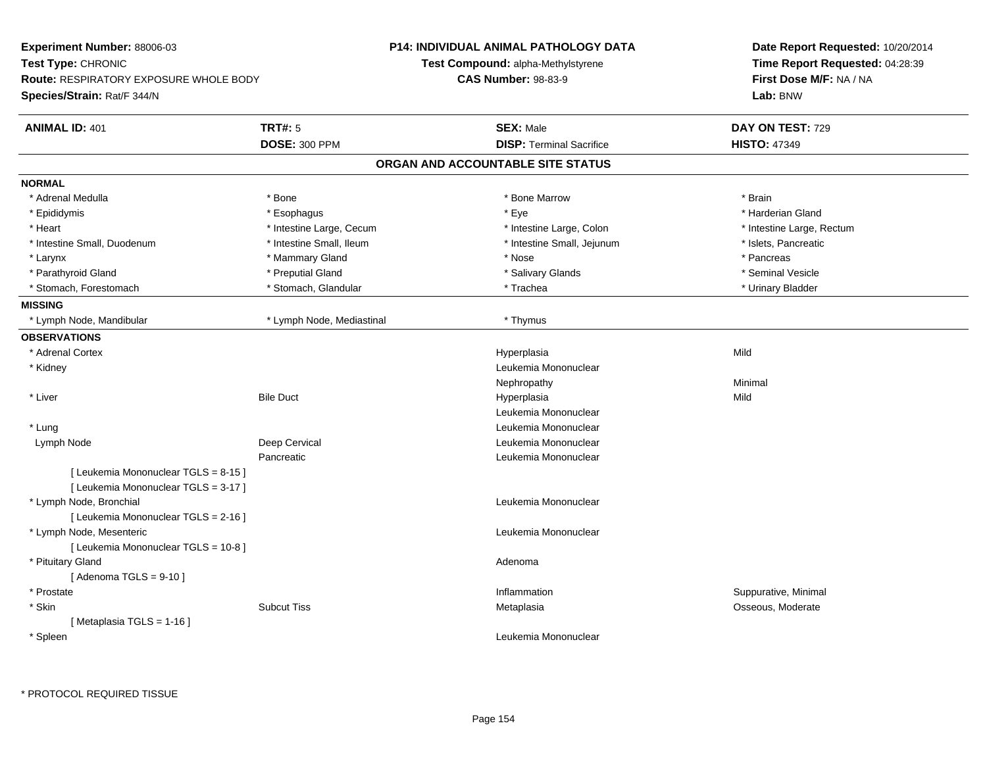| Experiment Number: 88006-03                                                  |                           | P14: INDIVIDUAL ANIMAL PATHOLOGY DATA     | Date Report Requested: 10/20/2014<br>Time Report Requested: 04:28:39 |
|------------------------------------------------------------------------------|---------------------------|-------------------------------------------|----------------------------------------------------------------------|
| Test Type: CHRONIC                                                           |                           | <b>Test Compound: alpha-Methylstyrene</b> |                                                                      |
| <b>Route: RESPIRATORY EXPOSURE WHOLE BODY</b>                                |                           | <b>CAS Number: 98-83-9</b>                | First Dose M/F: NA / NA                                              |
| Species/Strain: Rat/F 344/N                                                  |                           |                                           | Lab: BNW                                                             |
| <b>ANIMAL ID: 401</b>                                                        | <b>TRT#: 5</b>            | <b>SEX: Male</b>                          | DAY ON TEST: 729                                                     |
|                                                                              | <b>DOSE: 300 PPM</b>      | <b>DISP: Terminal Sacrifice</b>           | <b>HISTO: 47349</b>                                                  |
|                                                                              |                           | ORGAN AND ACCOUNTABLE SITE STATUS         |                                                                      |
| <b>NORMAL</b>                                                                |                           |                                           |                                                                      |
| * Adrenal Medulla                                                            | * Bone                    | * Bone Marrow                             | * Brain                                                              |
| * Epididymis                                                                 | * Esophagus               | * Eye                                     | * Harderian Gland                                                    |
| * Heart                                                                      | * Intestine Large, Cecum  | * Intestine Large, Colon                  | * Intestine Large, Rectum                                            |
| * Intestine Small, Duodenum                                                  | * Intestine Small, Ileum  | * Intestine Small, Jejunum                | * Islets, Pancreatic                                                 |
| * Larynx                                                                     | * Mammary Gland           | * Nose                                    | * Pancreas                                                           |
| * Parathyroid Gland                                                          | * Preputial Gland         | * Salivary Glands                         | * Seminal Vesicle                                                    |
| * Stomach, Forestomach                                                       | * Stomach, Glandular      | * Trachea                                 | * Urinary Bladder                                                    |
| <b>MISSING</b>                                                               |                           |                                           |                                                                      |
| Lymph Node, Mandibular                                                       | * Lymph Node, Mediastinal | * Thymus                                  |                                                                      |
| <b>OBSERVATIONS</b>                                                          |                           |                                           |                                                                      |
| * Adrenal Cortex                                                             |                           | Hyperplasia                               | Mild                                                                 |
| * Kidney                                                                     |                           | Leukemia Mononuclear                      |                                                                      |
|                                                                              |                           | Nephropathy                               | Minimal                                                              |
| * Liver                                                                      | <b>Bile Duct</b>          | Hyperplasia                               | Mild                                                                 |
|                                                                              |                           | Leukemia Mononuclear                      |                                                                      |
| * Lung                                                                       |                           | Leukemia Mononuclear                      |                                                                      |
| Lymph Node                                                                   | Deep Cervical             | Leukemia Mononuclear                      |                                                                      |
|                                                                              | Pancreatic                | Leukemia Mononuclear                      |                                                                      |
| [ Leukemia Mononuclear TGLS = 8-15 ]<br>[ Leukemia Mononuclear TGLS = 3-17 ] |                           |                                           |                                                                      |
| * Lymph Node, Bronchial                                                      |                           | Leukemia Mononuclear                      |                                                                      |
| [ Leukemia Mononuclear TGLS = 2-16 ]                                         |                           |                                           |                                                                      |
| * Lymph Node, Mesenteric                                                     |                           | Leukemia Mononuclear                      |                                                                      |
| [ Leukemia Mononuclear TGLS = 10-8]                                          |                           |                                           |                                                                      |
| * Pituitary Gland                                                            |                           | Adenoma                                   |                                                                      |
| [Adenoma TGLS = $9-10$ ]                                                     |                           |                                           |                                                                      |
| * Prostate                                                                   |                           | Inflammation                              | Suppurative, Minimal                                                 |
| * Skin                                                                       | <b>Subcut Tiss</b>        | Metaplasia                                | Osseous, Moderate                                                    |
| [Metaplasia TGLS = $1-16$ ]                                                  |                           |                                           |                                                                      |
| * Spleen                                                                     |                           | Leukemia Mononuclear                      |                                                                      |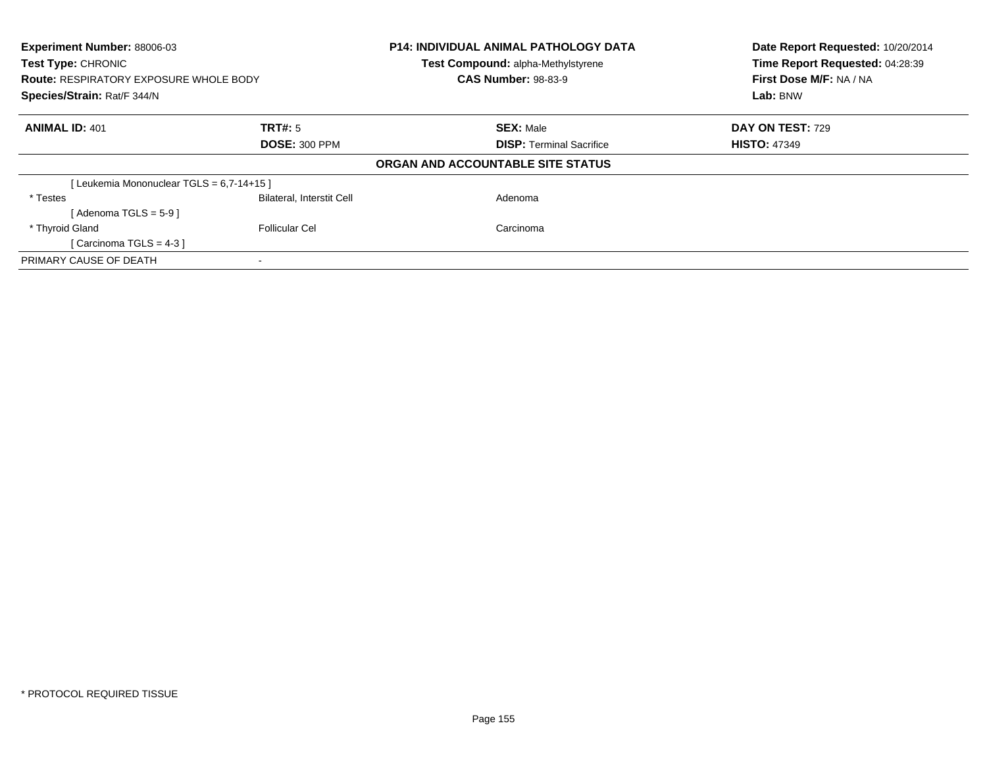| Experiment Number: 88006-03                                                |                                  | <b>P14: INDIVIDUAL ANIMAL PATHOLOGY DATA</b><br>Test Compound: alpha-Methylstyrene | Date Report Requested: 10/20/2014<br>Time Report Requested: 04:28:39 |  |
|----------------------------------------------------------------------------|----------------------------------|------------------------------------------------------------------------------------|----------------------------------------------------------------------|--|
| <b>Test Type: CHRONIC</b><br><b>Route: RESPIRATORY EXPOSURE WHOLE BODY</b> |                                  | <b>CAS Number: 98-83-9</b>                                                         | First Dose M/F: NA / NA                                              |  |
| Species/Strain: Rat/F 344/N                                                |                                  |                                                                                    | Lab: BNW                                                             |  |
| <b>ANIMAL ID: 401</b>                                                      | TRT#: 5                          | <b>SEX: Male</b>                                                                   | DAY ON TEST: 729                                                     |  |
| <b>DOSE: 300 PPM</b>                                                       |                                  | <b>DISP:</b> Terminal Sacrifice                                                    | <b>HISTO: 47349</b>                                                  |  |
|                                                                            |                                  | ORGAN AND ACCOUNTABLE SITE STATUS                                                  |                                                                      |  |
| [Leukemia Mononuclear TGLS = 6.7-14+15]                                    |                                  |                                                                                    |                                                                      |  |
| * Testes                                                                   | <b>Bilateral, Interstit Cell</b> | Adenoma                                                                            |                                                                      |  |
| [Adenoma TGLS = $5-9$ ]                                                    |                                  |                                                                                    |                                                                      |  |
| * Thyroid Gland                                                            | <b>Follicular Cel</b>            | Carcinoma                                                                          |                                                                      |  |
| [Carcinoma TGLS = $4-3$ ]                                                  |                                  |                                                                                    |                                                                      |  |
| PRIMARY CAUSE OF DEATH                                                     |                                  |                                                                                    |                                                                      |  |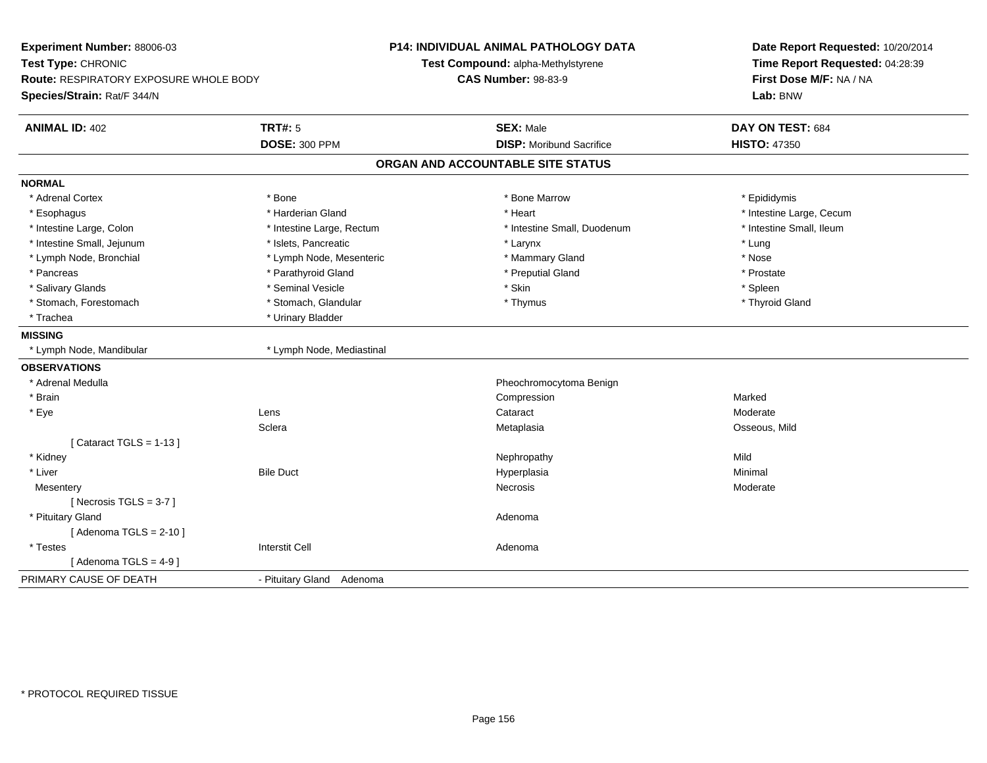| Experiment Number: 88006-03<br>Test Type: CHRONIC<br>Route: RESPIRATORY EXPOSURE WHOLE BODY<br>Species/Strain: Rat/F 344/N |                           | <b>P14: INDIVIDUAL ANIMAL PATHOLOGY DATA</b><br>Test Compound: alpha-Methylstyrene<br><b>CAS Number: 98-83-9</b> | Date Report Requested: 10/20/2014<br>Time Report Requested: 04:28:39<br>First Dose M/F: NA / NA<br>Lab: BNW |
|----------------------------------------------------------------------------------------------------------------------------|---------------------------|------------------------------------------------------------------------------------------------------------------|-------------------------------------------------------------------------------------------------------------|
| <b>ANIMAL ID: 402</b>                                                                                                      | <b>TRT#: 5</b>            | <b>SEX: Male</b>                                                                                                 | DAY ON TEST: 684                                                                                            |
|                                                                                                                            | <b>DOSE: 300 PPM</b>      | <b>DISP:</b> Moribund Sacrifice                                                                                  | <b>HISTO: 47350</b>                                                                                         |
|                                                                                                                            |                           | ORGAN AND ACCOUNTABLE SITE STATUS                                                                                |                                                                                                             |
| <b>NORMAL</b>                                                                                                              |                           |                                                                                                                  |                                                                                                             |
| * Adrenal Cortex                                                                                                           | * Bone                    | * Bone Marrow                                                                                                    | * Epididymis                                                                                                |
| * Esophagus                                                                                                                | * Harderian Gland         | * Heart                                                                                                          | * Intestine Large, Cecum                                                                                    |
| * Intestine Large, Colon                                                                                                   | * Intestine Large, Rectum | * Intestine Small, Duodenum                                                                                      | * Intestine Small, Ileum                                                                                    |
| * Intestine Small, Jejunum                                                                                                 | * Islets, Pancreatic      | * Larynx                                                                                                         | * Lung                                                                                                      |
| * Lymph Node, Bronchial                                                                                                    | * Lymph Node, Mesenteric  | * Mammary Gland                                                                                                  | * Nose                                                                                                      |
| * Pancreas                                                                                                                 | * Parathyroid Gland       | * Preputial Gland                                                                                                | * Prostate                                                                                                  |
| * Salivary Glands                                                                                                          | * Seminal Vesicle         | * Skin                                                                                                           | * Spleen                                                                                                    |
| * Stomach, Forestomach                                                                                                     | * Stomach, Glandular      | * Thymus                                                                                                         | * Thyroid Gland                                                                                             |
| * Trachea                                                                                                                  | * Urinary Bladder         |                                                                                                                  |                                                                                                             |
| <b>MISSING</b>                                                                                                             |                           |                                                                                                                  |                                                                                                             |
| * Lymph Node, Mandibular                                                                                                   | * Lymph Node, Mediastinal |                                                                                                                  |                                                                                                             |
| <b>OBSERVATIONS</b>                                                                                                        |                           |                                                                                                                  |                                                                                                             |
| * Adrenal Medulla                                                                                                          |                           | Pheochromocytoma Benign                                                                                          |                                                                                                             |
| * Brain                                                                                                                    |                           | Compression                                                                                                      | Marked                                                                                                      |
| * Eye                                                                                                                      | Lens                      | Cataract                                                                                                         | Moderate                                                                                                    |
|                                                                                                                            | Sclera                    | Metaplasia                                                                                                       | Osseous, Mild                                                                                               |
| [Cataract TGLS = $1-13$ ]                                                                                                  |                           |                                                                                                                  |                                                                                                             |
| * Kidney                                                                                                                   |                           | Nephropathy                                                                                                      | Mild                                                                                                        |
| * Liver                                                                                                                    | <b>Bile Duct</b>          | Hyperplasia                                                                                                      | Minimal                                                                                                     |
| Mesentery                                                                                                                  |                           | <b>Necrosis</b>                                                                                                  | Moderate                                                                                                    |
| [Necrosis $TGLS = 3-7$ ]                                                                                                   |                           |                                                                                                                  |                                                                                                             |
| * Pituitary Gland                                                                                                          |                           | Adenoma                                                                                                          |                                                                                                             |
| [Adenoma TGLS = $2-10$ ]                                                                                                   |                           |                                                                                                                  |                                                                                                             |
| * Testes                                                                                                                   | <b>Interstit Cell</b>     | Adenoma                                                                                                          |                                                                                                             |
| [Adenoma TGLS = $4-9$ ]                                                                                                    |                           |                                                                                                                  |                                                                                                             |
| PRIMARY CAUSE OF DEATH                                                                                                     | - Pituitary Gland Adenoma |                                                                                                                  |                                                                                                             |
|                                                                                                                            |                           |                                                                                                                  |                                                                                                             |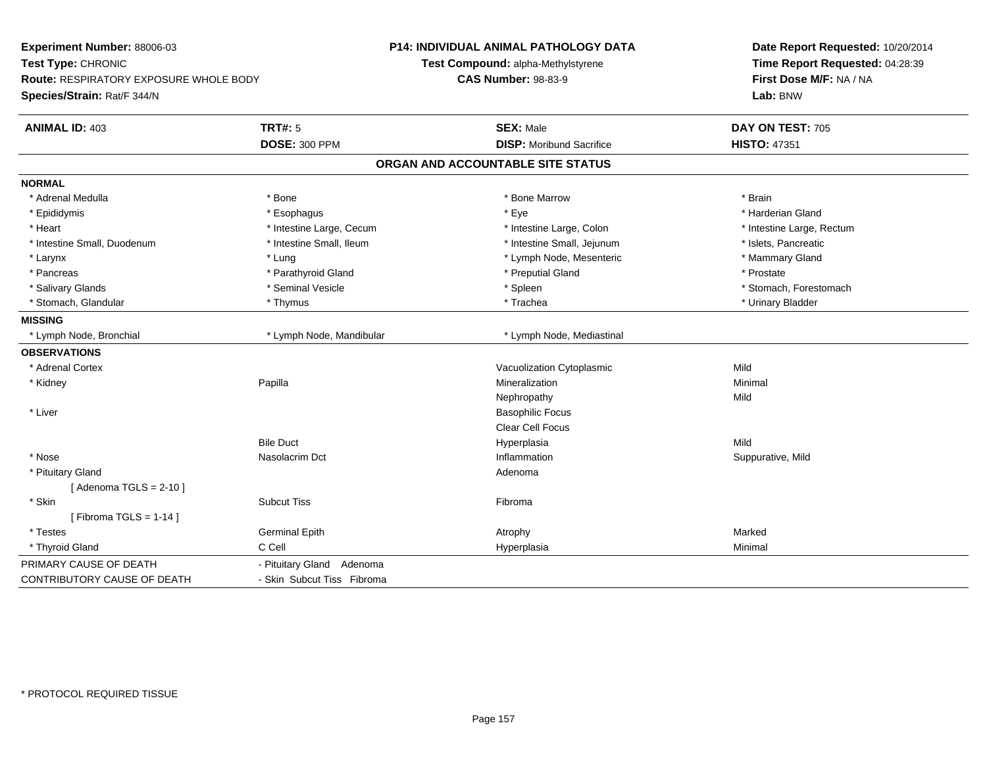| Experiment Number: 88006-03            |                            | P14: INDIVIDUAL ANIMAL PATHOLOGY DATA | Date Report Requested: 10/20/2014<br>Time Report Requested: 04:28:39<br>First Dose M/F: NA / NA |  |
|----------------------------------------|----------------------------|---------------------------------------|-------------------------------------------------------------------------------------------------|--|
| Test Type: CHRONIC                     |                            | Test Compound: alpha-Methylstyrene    |                                                                                                 |  |
| Route: RESPIRATORY EXPOSURE WHOLE BODY |                            | <b>CAS Number: 98-83-9</b>            |                                                                                                 |  |
| Species/Strain: Rat/F 344/N            |                            |                                       | Lab: BNW                                                                                        |  |
| <b>ANIMAL ID: 403</b>                  | <b>TRT#: 5</b>             | <b>SEX: Male</b>                      | DAY ON TEST: 705                                                                                |  |
|                                        | <b>DOSE: 300 PPM</b>       | <b>DISP:</b> Moribund Sacrifice       | <b>HISTO: 47351</b>                                                                             |  |
|                                        |                            | ORGAN AND ACCOUNTABLE SITE STATUS     |                                                                                                 |  |
| <b>NORMAL</b>                          |                            |                                       |                                                                                                 |  |
| * Adrenal Medulla                      | * Bone                     | * Bone Marrow                         | * Brain                                                                                         |  |
| * Epididymis                           | * Esophagus                | * Eye                                 | * Harderian Gland                                                                               |  |
| * Heart                                | * Intestine Large, Cecum   | * Intestine Large, Colon              | * Intestine Large, Rectum                                                                       |  |
| * Intestine Small, Duodenum            | * Intestine Small, Ileum   | * Intestine Small, Jejunum            | * Islets, Pancreatic                                                                            |  |
| $*$ Larynx                             | * Lung                     | * Lymph Node, Mesenteric              | * Mammary Gland                                                                                 |  |
| * Pancreas                             | * Parathyroid Gland        | * Preputial Gland                     | * Prostate                                                                                      |  |
| * Salivary Glands                      | * Seminal Vesicle          | * Spleen                              | * Stomach, Forestomach                                                                          |  |
| * Stomach, Glandular                   | * Thymus                   | * Trachea                             | * Urinary Bladder                                                                               |  |
| <b>MISSING</b>                         |                            |                                       |                                                                                                 |  |
| * Lymph Node, Bronchial                | * Lymph Node, Mandibular   | * Lymph Node, Mediastinal             |                                                                                                 |  |
| <b>OBSERVATIONS</b>                    |                            |                                       |                                                                                                 |  |
| * Adrenal Cortex                       |                            | Vacuolization Cytoplasmic             | Mild                                                                                            |  |
| * Kidney                               | Papilla                    | Mineralization                        | Minimal                                                                                         |  |
|                                        |                            | Nephropathy                           | Mild                                                                                            |  |
| * Liver                                |                            | <b>Basophilic Focus</b>               |                                                                                                 |  |
|                                        |                            | Clear Cell Focus                      |                                                                                                 |  |
|                                        | <b>Bile Duct</b>           | Hyperplasia                           | Mild                                                                                            |  |
| * Nose                                 | Nasolacrim Dct             | Inflammation                          | Suppurative, Mild                                                                               |  |
| * Pituitary Gland                      |                            | Adenoma                               |                                                                                                 |  |
| [Adenoma TGLS = $2-10$ ]               |                            |                                       |                                                                                                 |  |
| * Skin                                 | <b>Subcut Tiss</b>         | Fibroma                               |                                                                                                 |  |
| [Fibroma TGLS = $1-14$ ]               |                            |                                       |                                                                                                 |  |
| * Testes                               | <b>Germinal Epith</b>      | Atrophy                               | Marked                                                                                          |  |
| * Thyroid Gland                        | C Cell                     | Hyperplasia                           | Minimal                                                                                         |  |
| PRIMARY CAUSE OF DEATH                 | - Pituitary Gland Adenoma  |                                       |                                                                                                 |  |
| CONTRIBUTORY CAUSE OF DEATH            | - Skin Subcut Tiss Fibroma |                                       |                                                                                                 |  |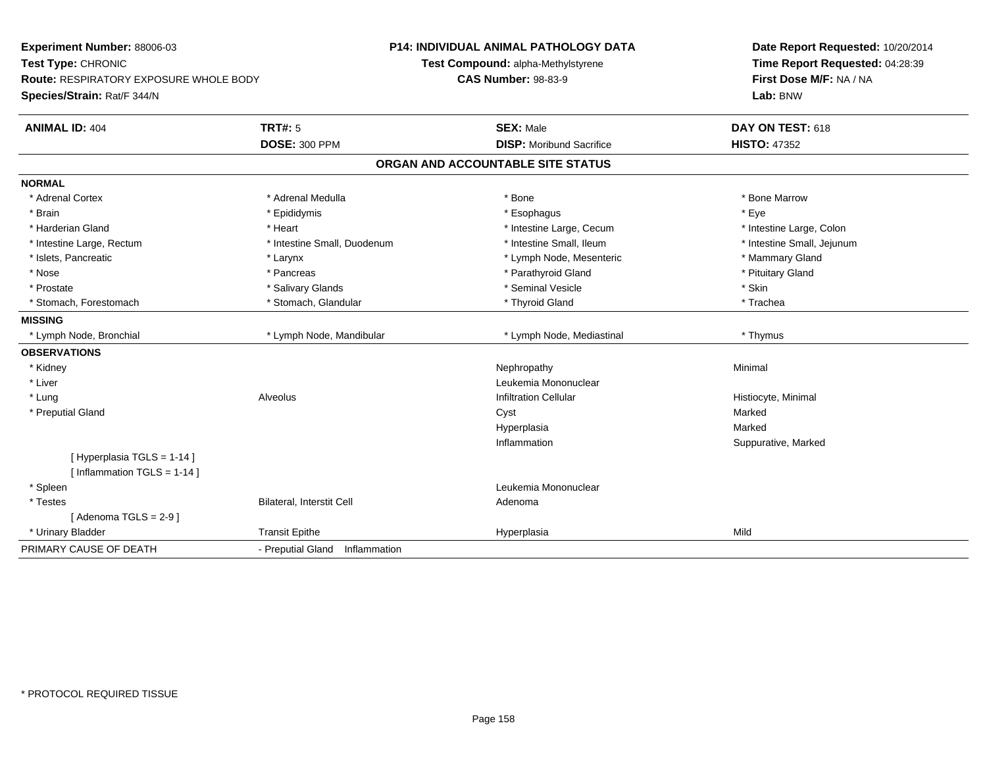| Experiment Number: 88006-03<br>Test Type: CHRONIC<br>Route: RESPIRATORY EXPOSURE WHOLE BODY |                                   | <b>P14: INDIVIDUAL ANIMAL PATHOLOGY DATA</b> | Date Report Requested: 10/20/2014 |
|---------------------------------------------------------------------------------------------|-----------------------------------|----------------------------------------------|-----------------------------------|
|                                                                                             |                                   | Test Compound: alpha-Methylstyrene           | Time Report Requested: 04:28:39   |
|                                                                                             |                                   | <b>CAS Number: 98-83-9</b>                   | First Dose M/F: NA / NA           |
| Species/Strain: Rat/F 344/N                                                                 |                                   |                                              | Lab: BNW                          |
| <b>ANIMAL ID: 404</b>                                                                       | <b>TRT#: 5</b>                    | <b>SEX: Male</b>                             | DAY ON TEST: 618                  |
|                                                                                             | <b>DOSE: 300 PPM</b>              | <b>DISP:</b> Moribund Sacrifice              | <b>HISTO: 47352</b>               |
|                                                                                             |                                   | ORGAN AND ACCOUNTABLE SITE STATUS            |                                   |
| <b>NORMAL</b>                                                                               |                                   |                                              |                                   |
| * Adrenal Cortex                                                                            | * Adrenal Medulla                 | * Bone                                       | * Bone Marrow                     |
| * Brain                                                                                     | * Epididymis                      | * Esophagus                                  | * Eye                             |
| * Harderian Gland                                                                           | * Heart                           | * Intestine Large, Cecum                     | * Intestine Large, Colon          |
| * Intestine Large, Rectum                                                                   | * Intestine Small, Duodenum       | * Intestine Small. Ileum                     | * Intestine Small, Jejunum        |
| * Islets, Pancreatic                                                                        | * Larynx                          | * Lymph Node, Mesenteric                     | * Mammary Gland                   |
| * Nose                                                                                      | * Pancreas                        | * Parathyroid Gland                          | * Pituitary Gland                 |
| * Prostate                                                                                  | * Salivary Glands                 | * Seminal Vesicle                            | * Skin                            |
| * Stomach, Forestomach                                                                      | * Stomach, Glandular              | * Thyroid Gland                              | * Trachea                         |
| <b>MISSING</b>                                                                              |                                   |                                              |                                   |
| * Lymph Node, Bronchial                                                                     | * Lymph Node, Mandibular          | * Lymph Node, Mediastinal                    | * Thymus                          |
| <b>OBSERVATIONS</b>                                                                         |                                   |                                              |                                   |
| * Kidney                                                                                    |                                   | Nephropathy                                  | Minimal                           |
| * Liver                                                                                     |                                   | Leukemia Mononuclear                         |                                   |
| * Lung                                                                                      | Alveolus                          | <b>Infiltration Cellular</b>                 | Histiocyte, Minimal               |
| * Preputial Gland                                                                           |                                   | Cyst                                         | Marked                            |
|                                                                                             |                                   | Hyperplasia                                  | Marked                            |
|                                                                                             |                                   | Inflammation                                 | Suppurative, Marked               |
| [Hyperplasia TGLS = 1-14]                                                                   |                                   |                                              |                                   |
| [Inflammation TGLS = 1-14]                                                                  |                                   |                                              |                                   |
| * Spleen                                                                                    |                                   | Leukemia Mononuclear                         |                                   |
| * Testes                                                                                    | Bilateral, Interstit Cell         | Adenoma                                      |                                   |
| [Adenoma TGLS = $2-9$ ]                                                                     |                                   |                                              |                                   |
| * Urinary Bladder                                                                           | <b>Transit Epithe</b>             | Hyperplasia                                  | Mild                              |
| PRIMARY CAUSE OF DEATH                                                                      | - Preputial Gland<br>Inflammation |                                              |                                   |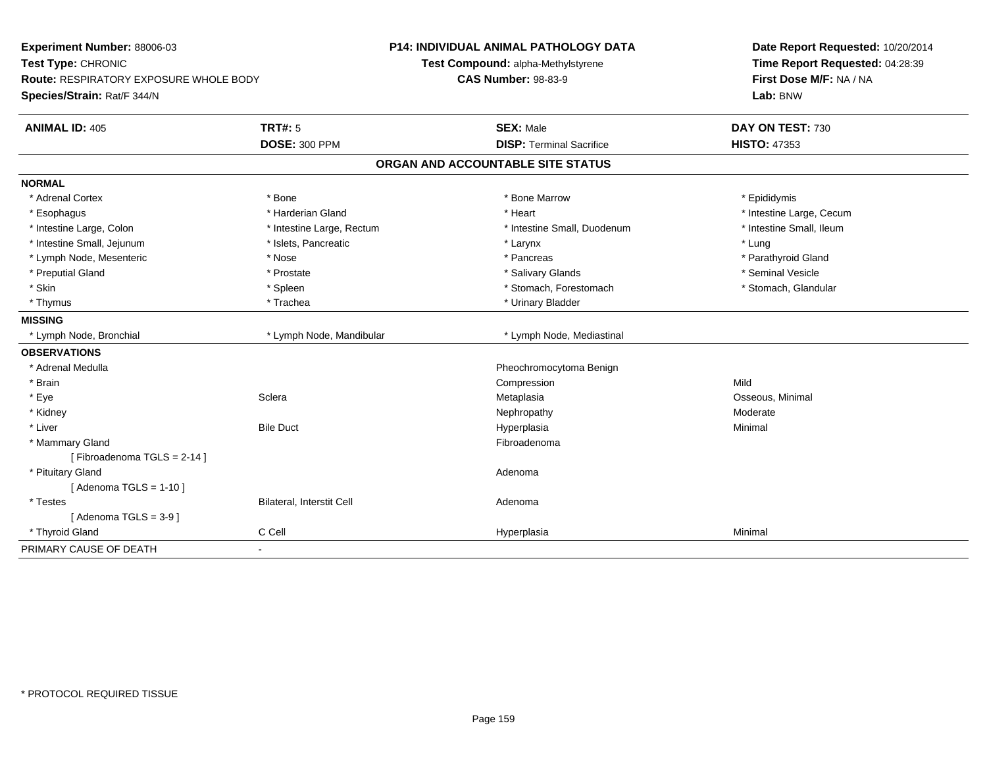| Experiment Number: 88006-03<br>Test Type: CHRONIC<br><b>Route: RESPIRATORY EXPOSURE WHOLE BODY</b> |                                  | <b>P14: INDIVIDUAL ANIMAL PATHOLOGY DATA</b><br>Test Compound: alpha-Methylstyrene | Date Report Requested: 10/20/2014<br>Time Report Requested: 04:28:39 |
|----------------------------------------------------------------------------------------------------|----------------------------------|------------------------------------------------------------------------------------|----------------------------------------------------------------------|
|                                                                                                    |                                  | <b>CAS Number: 98-83-9</b>                                                         | First Dose M/F: NA / NA                                              |
| Species/Strain: Rat/F 344/N                                                                        |                                  |                                                                                    | Lab: BNW                                                             |
| <b>ANIMAL ID: 405</b>                                                                              | <b>TRT#: 5</b>                   | <b>SEX: Male</b>                                                                   | DAY ON TEST: 730                                                     |
|                                                                                                    | <b>DOSE: 300 PPM</b>             | <b>DISP: Terminal Sacrifice</b>                                                    | <b>HISTO: 47353</b>                                                  |
|                                                                                                    |                                  | ORGAN AND ACCOUNTABLE SITE STATUS                                                  |                                                                      |
| <b>NORMAL</b>                                                                                      |                                  |                                                                                    |                                                                      |
| * Adrenal Cortex                                                                                   | * Bone                           | * Bone Marrow                                                                      | * Epididymis                                                         |
| * Esophagus                                                                                        | * Harderian Gland                | * Heart                                                                            | * Intestine Large, Cecum                                             |
| * Intestine Large, Colon                                                                           | * Intestine Large, Rectum        | * Intestine Small, Duodenum                                                        | * Intestine Small, Ileum                                             |
| * Intestine Small, Jejunum                                                                         | * Islets, Pancreatic             | * Larynx                                                                           | * Lung                                                               |
| * Lymph Node, Mesenteric                                                                           | * Nose                           | * Pancreas                                                                         | * Parathyroid Gland                                                  |
| * Preputial Gland                                                                                  | * Prostate                       | * Salivary Glands                                                                  | * Seminal Vesicle                                                    |
| * Skin                                                                                             | * Spleen                         | * Stomach, Forestomach                                                             | * Stomach, Glandular                                                 |
| * Thymus                                                                                           | * Trachea                        | * Urinary Bladder                                                                  |                                                                      |
| <b>MISSING</b>                                                                                     |                                  |                                                                                    |                                                                      |
| * Lymph Node, Bronchial                                                                            | * Lymph Node, Mandibular         | * Lymph Node, Mediastinal                                                          |                                                                      |
| <b>OBSERVATIONS</b>                                                                                |                                  |                                                                                    |                                                                      |
| * Adrenal Medulla                                                                                  |                                  | Pheochromocytoma Benign                                                            |                                                                      |
| * Brain                                                                                            |                                  | Compression                                                                        | Mild                                                                 |
| * Eye                                                                                              | Sclera                           | Metaplasia                                                                         | Osseous, Minimal                                                     |
| * Kidney                                                                                           |                                  | Nephropathy                                                                        | Moderate                                                             |
| * Liver                                                                                            | <b>Bile Duct</b>                 | Hyperplasia                                                                        | Minimal                                                              |
| * Mammary Gland                                                                                    |                                  | Fibroadenoma                                                                       |                                                                      |
| [Fibroadenoma TGLS = 2-14]                                                                         |                                  |                                                                                    |                                                                      |
| * Pituitary Gland                                                                                  |                                  | Adenoma                                                                            |                                                                      |
| [Adenoma TGLS = $1-10$ ]                                                                           |                                  |                                                                                    |                                                                      |
| * Testes                                                                                           | <b>Bilateral, Interstit Cell</b> | Adenoma                                                                            |                                                                      |
| [Adenoma TGLS = $3-9$ ]                                                                            |                                  |                                                                                    |                                                                      |
| * Thyroid Gland                                                                                    | C Cell                           | Hyperplasia                                                                        | Minimal                                                              |
| PRIMARY CAUSE OF DEATH                                                                             |                                  |                                                                                    |                                                                      |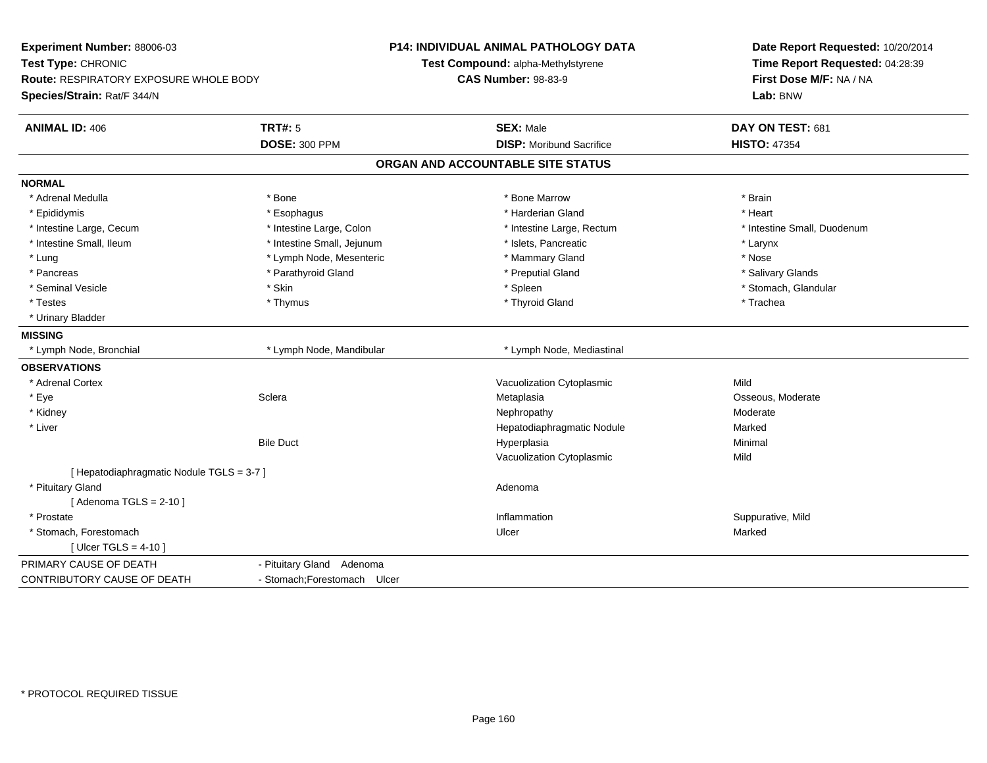| Experiment Number: 88006-03               |                              | P14: INDIVIDUAL ANIMAL PATHOLOGY DATA | Date Report Requested: 10/20/2014<br>Time Report Requested: 04:28:39 |
|-------------------------------------------|------------------------------|---------------------------------------|----------------------------------------------------------------------|
| Test Type: CHRONIC                        |                              | Test Compound: alpha-Methylstyrene    |                                                                      |
| Route: RESPIRATORY EXPOSURE WHOLE BODY    |                              | <b>CAS Number: 98-83-9</b>            | First Dose M/F: NA / NA                                              |
| Species/Strain: Rat/F 344/N               |                              |                                       | Lab: BNW                                                             |
| <b>ANIMAL ID: 406</b>                     | <b>TRT#: 5</b>               | <b>SEX: Male</b>                      | DAY ON TEST: 681                                                     |
|                                           | <b>DOSE: 300 PPM</b>         | <b>DISP:</b> Moribund Sacrifice       | <b>HISTO: 47354</b>                                                  |
|                                           |                              | ORGAN AND ACCOUNTABLE SITE STATUS     |                                                                      |
| <b>NORMAL</b>                             |                              |                                       |                                                                      |
| * Adrenal Medulla                         | * Bone                       | * Bone Marrow                         | * Brain                                                              |
| * Epididymis                              | * Esophagus                  | * Harderian Gland                     | * Heart                                                              |
| * Intestine Large, Cecum                  | * Intestine Large, Colon     | * Intestine Large, Rectum             | * Intestine Small, Duodenum                                          |
| * Intestine Small, Ileum                  | * Intestine Small, Jejunum   | * Islets, Pancreatic                  | * Larynx                                                             |
| * Lung                                    | * Lymph Node, Mesenteric     | * Mammary Gland                       | * Nose                                                               |
| * Pancreas                                | * Parathyroid Gland          | * Preputial Gland                     | * Salivary Glands                                                    |
| * Seminal Vesicle                         | * Skin                       | * Spleen                              | * Stomach, Glandular                                                 |
| $^\star$ Testes                           | * Thymus                     | * Thyroid Gland                       | * Trachea                                                            |
| * Urinary Bladder                         |                              |                                       |                                                                      |
| <b>MISSING</b>                            |                              |                                       |                                                                      |
| * Lymph Node, Bronchial                   | * Lymph Node, Mandibular     | * Lymph Node, Mediastinal             |                                                                      |
| <b>OBSERVATIONS</b>                       |                              |                                       |                                                                      |
| * Adrenal Cortex                          |                              | Vacuolization Cytoplasmic             | Mild                                                                 |
| * Eye                                     | Sclera                       | Metaplasia                            | Osseous, Moderate                                                    |
| * Kidney                                  |                              | Nephropathy                           | Moderate                                                             |
| * Liver                                   |                              | Hepatodiaphragmatic Nodule            | Marked                                                               |
|                                           | <b>Bile Duct</b>             | Hyperplasia                           | Minimal                                                              |
|                                           |                              | Vacuolization Cytoplasmic             | Mild                                                                 |
| [ Hepatodiaphragmatic Nodule TGLS = 3-7 ] |                              |                                       |                                                                      |
| * Pituitary Gland                         |                              | Adenoma                               |                                                                      |
| [Adenoma TGLS = $2-10$ ]                  |                              |                                       |                                                                      |
| * Prostate                                |                              | Inflammation                          | Suppurative, Mild                                                    |
| * Stomach, Forestomach                    |                              | Ulcer                                 | Marked                                                               |
| [ Ulcer TGLS = $4-10$ ]                   |                              |                                       |                                                                      |
| PRIMARY CAUSE OF DEATH                    | - Pituitary Gland Adenoma    |                                       |                                                                      |
| CONTRIBUTORY CAUSE OF DEATH               | - Stomach; Forestomach Ulcer |                                       |                                                                      |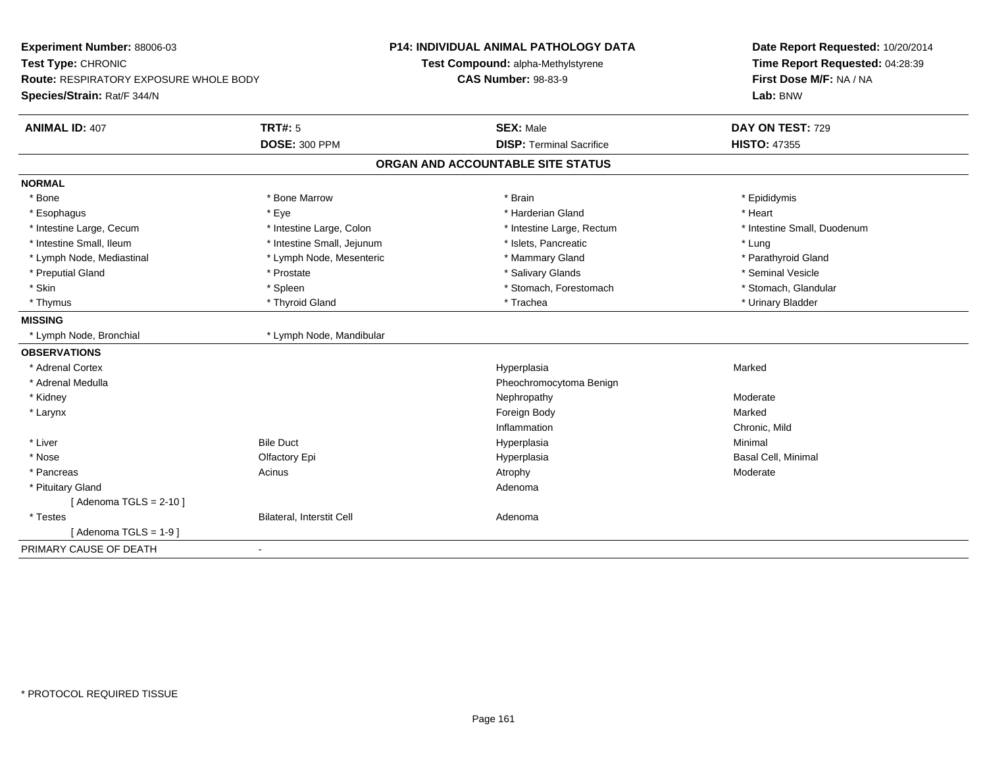| Experiment Number: 88006-03                            | <b>P14: INDIVIDUAL ANIMAL PATHOLOGY DATA</b> | Date Report Requested: 10/20/2014<br>Time Report Requested: 04:28:39<br>First Dose M/F: NA / NA |
|--------------------------------------------------------|----------------------------------------------|-------------------------------------------------------------------------------------------------|
| Test Type: CHRONIC                                     | Test Compound: alpha-Methylstyrene           |                                                                                                 |
| Route: RESPIRATORY EXPOSURE WHOLE BODY                 | <b>CAS Number: 98-83-9</b>                   |                                                                                                 |
| Species/Strain: Rat/F 344/N                            |                                              | Lab: BNW                                                                                        |
| <b>TRT#: 5</b><br><b>ANIMAL ID: 407</b>                | <b>SEX: Male</b>                             | DAY ON TEST: 729                                                                                |
| <b>DOSE: 300 PPM</b>                                   | <b>DISP: Terminal Sacrifice</b>              | <b>HISTO: 47355</b>                                                                             |
|                                                        | ORGAN AND ACCOUNTABLE SITE STATUS            |                                                                                                 |
| <b>NORMAL</b>                                          |                                              |                                                                                                 |
| * Bone<br>* Bone Marrow                                | * Brain                                      | * Epididymis                                                                                    |
| * Esophagus<br>* Eye                                   | * Harderian Gland                            | * Heart                                                                                         |
| * Intestine Large, Cecum<br>* Intestine Large, Colon   | * Intestine Large, Rectum                    | * Intestine Small, Duodenum                                                                     |
| * Intestine Small, Ileum<br>* Intestine Small, Jejunum | * Islets, Pancreatic                         | * Lung                                                                                          |
| * Lymph Node, Mediastinal<br>* Lymph Node, Mesenteric  | * Mammary Gland                              | * Parathyroid Gland                                                                             |
| * Preputial Gland<br>* Prostate                        | * Salivary Glands                            | * Seminal Vesicle                                                                               |
| * Skin<br>* Spleen                                     | * Stomach, Forestomach                       | * Stomach, Glandular                                                                            |
| * Thyroid Gland<br>* Thymus                            | * Trachea                                    | * Urinary Bladder                                                                               |
| <b>MISSING</b>                                         |                                              |                                                                                                 |
| * Lymph Node, Mandibular<br>* Lymph Node, Bronchial    |                                              |                                                                                                 |
| <b>OBSERVATIONS</b>                                    |                                              |                                                                                                 |
| * Adrenal Cortex                                       | Hyperplasia                                  | Marked                                                                                          |
| * Adrenal Medulla                                      | Pheochromocytoma Benign                      |                                                                                                 |
| * Kidney                                               | Nephropathy                                  | Moderate                                                                                        |
| * Larynx                                               | Foreign Body                                 | Marked                                                                                          |
|                                                        | Inflammation                                 | Chronic, Mild                                                                                   |
| * Liver<br><b>Bile Duct</b>                            | Hyperplasia                                  | Minimal                                                                                         |
| * Nose<br>Olfactory Epi                                | Hyperplasia                                  | Basal Cell, Minimal                                                                             |
| * Pancreas<br>Acinus                                   | Atrophy                                      | Moderate                                                                                        |
| * Pituitary Gland                                      | Adenoma                                      |                                                                                                 |
| [Adenoma TGLS = $2-10$ ]                               |                                              |                                                                                                 |
| Bilateral, Interstit Cell<br>* Testes                  | Adenoma                                      |                                                                                                 |
| [Adenoma TGLS = $1-9$ ]                                |                                              |                                                                                                 |
| PRIMARY CAUSE OF DEATH<br>$\blacksquare$               |                                              |                                                                                                 |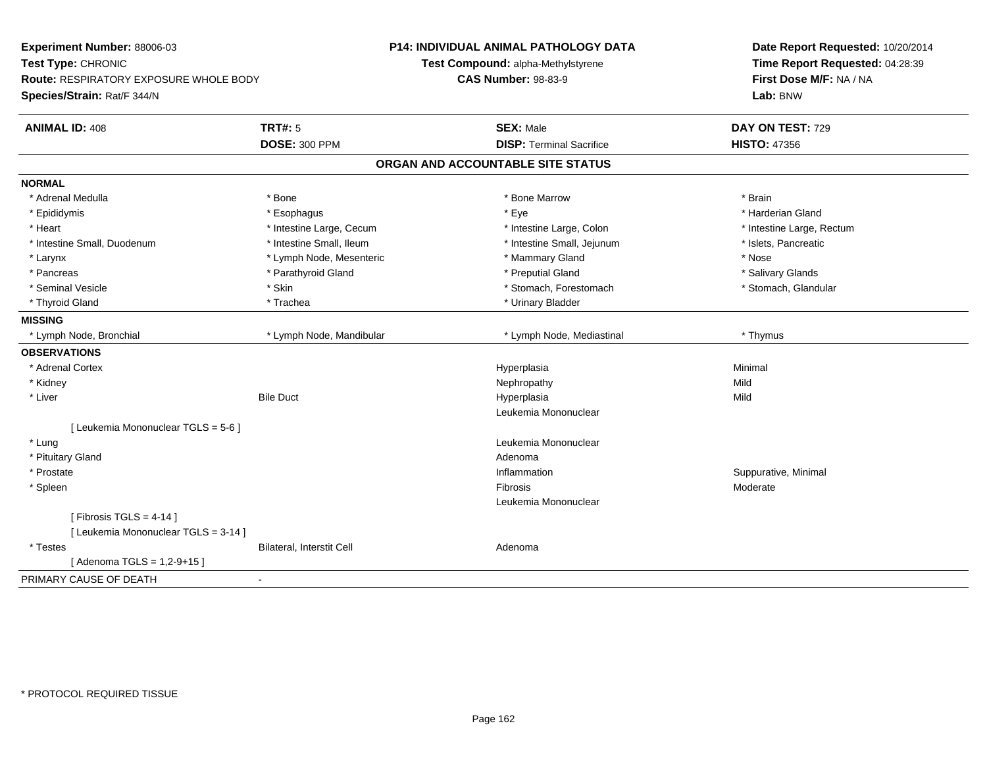| Experiment Number: 88006-03<br>Test Type: CHRONIC<br><b>Route: RESPIRATORY EXPOSURE WHOLE BODY</b><br>Species/Strain: Rat/F 344/N |                           | P14: INDIVIDUAL ANIMAL PATHOLOGY DATA<br>Test Compound: alpha-Methylstyrene<br><b>CAS Number: 98-83-9</b> | Date Report Requested: 10/20/2014<br>Time Report Requested: 04:28:39<br>First Dose M/F: NA / NA<br>Lab: BNW |
|-----------------------------------------------------------------------------------------------------------------------------------|---------------------------|-----------------------------------------------------------------------------------------------------------|-------------------------------------------------------------------------------------------------------------|
| <b>ANIMAL ID: 408</b>                                                                                                             | <b>TRT#: 5</b>            | <b>SEX: Male</b>                                                                                          | DAY ON TEST: 729                                                                                            |
|                                                                                                                                   | <b>DOSE: 300 PPM</b>      | <b>DISP: Terminal Sacrifice</b>                                                                           | <b>HISTO: 47356</b>                                                                                         |
|                                                                                                                                   |                           | ORGAN AND ACCOUNTABLE SITE STATUS                                                                         |                                                                                                             |
| <b>NORMAL</b>                                                                                                                     |                           |                                                                                                           |                                                                                                             |
| * Adrenal Medulla                                                                                                                 | * Bone                    | * Bone Marrow                                                                                             | * Brain                                                                                                     |
| * Epididymis                                                                                                                      | * Esophagus               | * Eye                                                                                                     | * Harderian Gland                                                                                           |
| * Heart                                                                                                                           | * Intestine Large, Cecum  | * Intestine Large, Colon                                                                                  | * Intestine Large, Rectum                                                                                   |
| * Intestine Small, Duodenum                                                                                                       | * Intestine Small, Ileum  | * Intestine Small, Jejunum                                                                                | * Islets, Pancreatic                                                                                        |
| * Larynx                                                                                                                          | * Lymph Node, Mesenteric  | * Mammary Gland                                                                                           | * Nose                                                                                                      |
| * Pancreas                                                                                                                        | * Parathyroid Gland       | * Preputial Gland                                                                                         | * Salivary Glands                                                                                           |
| * Seminal Vesicle                                                                                                                 | * Skin                    | * Stomach, Forestomach                                                                                    | * Stomach, Glandular                                                                                        |
| * Thyroid Gland                                                                                                                   | * Trachea                 | * Urinary Bladder                                                                                         |                                                                                                             |
| <b>MISSING</b>                                                                                                                    |                           |                                                                                                           |                                                                                                             |
| * Lymph Node, Bronchial                                                                                                           | * Lymph Node, Mandibular  | * Lymph Node, Mediastinal                                                                                 | * Thymus                                                                                                    |
| <b>OBSERVATIONS</b>                                                                                                               |                           |                                                                                                           |                                                                                                             |
| * Adrenal Cortex                                                                                                                  |                           | Hyperplasia                                                                                               | Minimal                                                                                                     |
| * Kidney                                                                                                                          |                           | Nephropathy                                                                                               | Mild                                                                                                        |
| * Liver                                                                                                                           | <b>Bile Duct</b>          | Hyperplasia                                                                                               | Mild                                                                                                        |
|                                                                                                                                   |                           | Leukemia Mononuclear                                                                                      |                                                                                                             |
| [ Leukemia Mononuclear TGLS = 5-6 ]                                                                                               |                           |                                                                                                           |                                                                                                             |
| * Lung                                                                                                                            |                           | Leukemia Mononuclear                                                                                      |                                                                                                             |
| * Pituitary Gland                                                                                                                 |                           | Adenoma                                                                                                   |                                                                                                             |
| * Prostate                                                                                                                        |                           | Inflammation                                                                                              | Suppurative, Minimal                                                                                        |
| * Spleen                                                                                                                          |                           | <b>Fibrosis</b>                                                                                           | Moderate                                                                                                    |
|                                                                                                                                   |                           | Leukemia Mononuclear                                                                                      |                                                                                                             |
| [Fibrosis TGLS = $4-14$ ]                                                                                                         |                           |                                                                                                           |                                                                                                             |
| [ Leukemia Mononuclear TGLS = 3-14 ]                                                                                              |                           |                                                                                                           |                                                                                                             |
| * Testes                                                                                                                          | Bilateral, Interstit Cell | Adenoma                                                                                                   |                                                                                                             |
| [Adenoma TGLS = $1,2-9+15$ ]                                                                                                      |                           |                                                                                                           |                                                                                                             |
| PRIMARY CAUSE OF DEATH                                                                                                            |                           |                                                                                                           |                                                                                                             |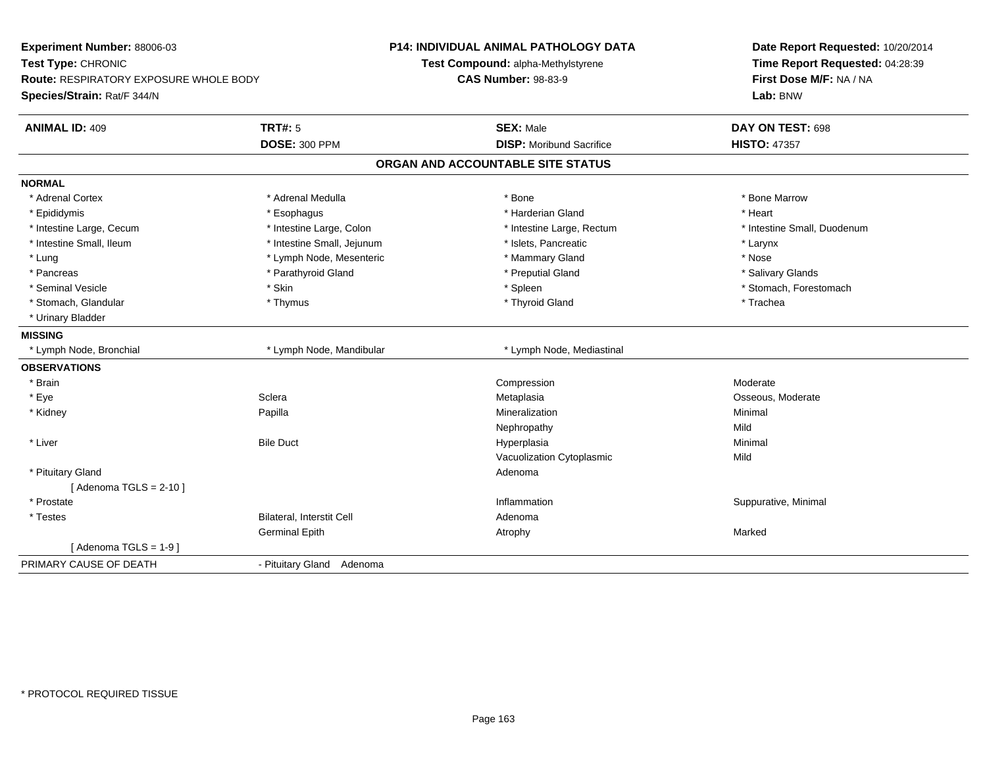| Experiment Number: 88006-03<br>Test Type: CHRONIC<br><b>Route: RESPIRATORY EXPOSURE WHOLE BODY</b> |                                  | <b>P14: INDIVIDUAL ANIMAL PATHOLOGY DATA</b><br>Test Compound: alpha-Methylstyrene<br><b>CAS Number: 98-83-9</b> | Date Report Requested: 10/20/2014<br>Time Report Requested: 04:28:39<br>First Dose M/F: NA / NA |  |
|----------------------------------------------------------------------------------------------------|----------------------------------|------------------------------------------------------------------------------------------------------------------|-------------------------------------------------------------------------------------------------|--|
| Species/Strain: Rat/F 344/N                                                                        |                                  |                                                                                                                  | Lab: BNW                                                                                        |  |
| <b>ANIMAL ID: 409</b>                                                                              | <b>TRT#: 5</b>                   | <b>SEX: Male</b>                                                                                                 | DAY ON TEST: 698                                                                                |  |
|                                                                                                    | <b>DOSE: 300 PPM</b>             | <b>DISP:</b> Moribund Sacrifice                                                                                  | <b>HISTO: 47357</b>                                                                             |  |
|                                                                                                    |                                  | ORGAN AND ACCOUNTABLE SITE STATUS                                                                                |                                                                                                 |  |
| <b>NORMAL</b>                                                                                      |                                  |                                                                                                                  |                                                                                                 |  |
| * Adrenal Cortex                                                                                   | * Adrenal Medulla                | * Bone                                                                                                           | * Bone Marrow                                                                                   |  |
| * Epididymis                                                                                       | * Esophagus                      | * Harderian Gland                                                                                                | * Heart                                                                                         |  |
| * Intestine Large, Cecum                                                                           | * Intestine Large, Colon         | * Intestine Large, Rectum                                                                                        | * Intestine Small, Duodenum                                                                     |  |
| * Intestine Small, Ileum                                                                           | * Intestine Small, Jejunum       | * Islets, Pancreatic                                                                                             | * Larynx                                                                                        |  |
| * Lung                                                                                             | * Lymph Node, Mesenteric         | * Mammary Gland                                                                                                  | * Nose                                                                                          |  |
| * Pancreas                                                                                         | * Parathyroid Gland              | * Preputial Gland                                                                                                | * Salivary Glands                                                                               |  |
| * Seminal Vesicle                                                                                  | * Skin                           | * Spleen                                                                                                         | * Stomach, Forestomach                                                                          |  |
| * Stomach, Glandular                                                                               | * Thymus                         | * Thyroid Gland                                                                                                  | * Trachea                                                                                       |  |
| * Urinary Bladder                                                                                  |                                  |                                                                                                                  |                                                                                                 |  |
| <b>MISSING</b>                                                                                     |                                  |                                                                                                                  |                                                                                                 |  |
| * Lymph Node, Bronchial                                                                            | * Lymph Node, Mandibular         | * Lymph Node, Mediastinal                                                                                        |                                                                                                 |  |
| <b>OBSERVATIONS</b>                                                                                |                                  |                                                                                                                  |                                                                                                 |  |
| * Brain                                                                                            |                                  | Compression                                                                                                      | Moderate                                                                                        |  |
| * Eye                                                                                              | Sclera                           | Metaplasia                                                                                                       | Osseous, Moderate                                                                               |  |
| * Kidney                                                                                           | Papilla                          | Mineralization                                                                                                   | Minimal                                                                                         |  |
|                                                                                                    |                                  | Nephropathy                                                                                                      | Mild                                                                                            |  |
| * Liver                                                                                            | <b>Bile Duct</b>                 | Hyperplasia                                                                                                      | Minimal                                                                                         |  |
|                                                                                                    |                                  | Vacuolization Cytoplasmic                                                                                        | Mild                                                                                            |  |
| * Pituitary Gland                                                                                  |                                  | Adenoma                                                                                                          |                                                                                                 |  |
| [Adenoma TGLS = $2-10$ ]                                                                           |                                  |                                                                                                                  |                                                                                                 |  |
| * Prostate                                                                                         |                                  | Inflammation                                                                                                     | Suppurative, Minimal                                                                            |  |
| * Testes                                                                                           | <b>Bilateral, Interstit Cell</b> | Adenoma                                                                                                          |                                                                                                 |  |
|                                                                                                    | <b>Germinal Epith</b>            | Atrophy                                                                                                          | Marked                                                                                          |  |
| [Adenoma TGLS = 1-9]                                                                               |                                  |                                                                                                                  |                                                                                                 |  |
| PRIMARY CAUSE OF DEATH                                                                             | - Pituitary Gland Adenoma        |                                                                                                                  |                                                                                                 |  |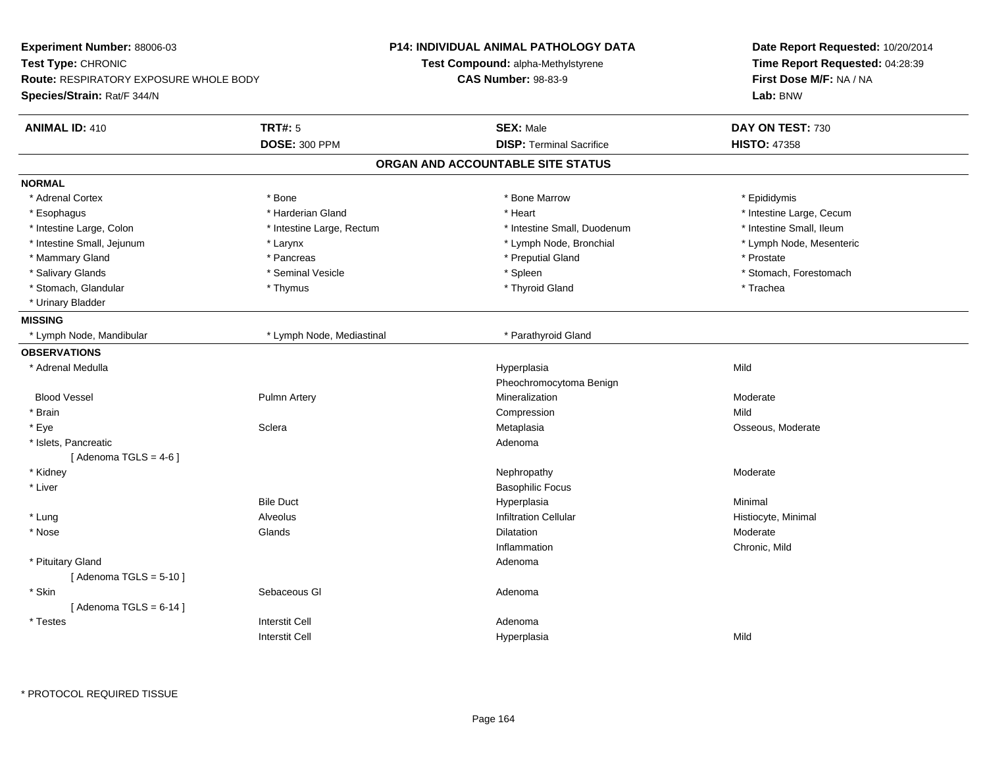| Experiment Number: 88006-03                   |                           | <b>P14: INDIVIDUAL ANIMAL PATHOLOGY DATA</b> | Date Report Requested: 10/20/2014                                      |
|-----------------------------------------------|---------------------------|----------------------------------------------|------------------------------------------------------------------------|
| Test Type: CHRONIC                            |                           | Test Compound: alpha-Methylstyrene           | Time Report Requested: 04:28:39<br>First Dose M/F: NA / NA<br>Lab: BNW |
| <b>Route: RESPIRATORY EXPOSURE WHOLE BODY</b> |                           | <b>CAS Number: 98-83-9</b>                   |                                                                        |
| Species/Strain: Rat/F 344/N                   |                           |                                              |                                                                        |
| <b>ANIMAL ID: 410</b>                         | <b>TRT#: 5</b>            | <b>SEX: Male</b>                             | DAY ON TEST: 730                                                       |
|                                               | <b>DOSE: 300 PPM</b>      | <b>DISP: Terminal Sacrifice</b>              | <b>HISTO: 47358</b>                                                    |
|                                               |                           | ORGAN AND ACCOUNTABLE SITE STATUS            |                                                                        |
| <b>NORMAL</b>                                 |                           |                                              |                                                                        |
| * Adrenal Cortex                              | * Bone                    | * Bone Marrow                                | * Epididymis                                                           |
| * Esophagus                                   | * Harderian Gland         | * Heart                                      | * Intestine Large, Cecum                                               |
| * Intestine Large, Colon                      | * Intestine Large, Rectum | * Intestine Small, Duodenum                  | * Intestine Small, Ileum                                               |
| * Intestine Small, Jejunum                    | * Larynx                  | * Lymph Node, Bronchial                      | * Lymph Node, Mesenteric                                               |
| * Mammary Gland                               | * Pancreas                | * Preputial Gland                            | * Prostate                                                             |
| * Salivary Glands                             | * Seminal Vesicle         | * Spleen                                     | * Stomach, Forestomach                                                 |
| * Stomach, Glandular                          | * Thymus                  | * Thyroid Gland                              | * Trachea                                                              |
| * Urinary Bladder                             |                           |                                              |                                                                        |
| <b>MISSING</b>                                |                           |                                              |                                                                        |
| * Lymph Node, Mandibular                      | * Lymph Node, Mediastinal | * Parathyroid Gland                          |                                                                        |
| <b>OBSERVATIONS</b>                           |                           |                                              |                                                                        |
| * Adrenal Medulla                             |                           | Hyperplasia                                  | Mild                                                                   |
|                                               |                           | Pheochromocytoma Benign                      |                                                                        |
| <b>Blood Vessel</b>                           | <b>Pulmn Artery</b>       | Mineralization                               | Moderate                                                               |
| * Brain                                       |                           | Compression                                  | Mild                                                                   |
| * Eye                                         | Sclera                    | Metaplasia                                   | Osseous, Moderate                                                      |
| * Islets, Pancreatic                          |                           | Adenoma                                      |                                                                        |
| [Adenoma TGLS = $4-6$ ]                       |                           |                                              |                                                                        |
| * Kidney                                      |                           | Nephropathy                                  | Moderate                                                               |
| * Liver                                       |                           | <b>Basophilic Focus</b>                      |                                                                        |
|                                               | <b>Bile Duct</b>          | Hyperplasia                                  | Minimal                                                                |
| * Lung                                        | <b>Alveolus</b>           | <b>Infiltration Cellular</b>                 | Histiocyte, Minimal                                                    |
| * Nose                                        | Glands                    | <b>Dilatation</b>                            | Moderate                                                               |
|                                               |                           | Inflammation                                 | Chronic, Mild                                                          |
| * Pituitary Gland                             |                           | Adenoma                                      |                                                                        |
| [Adenoma TGLS = $5-10$ ]                      |                           |                                              |                                                                        |
| * Skin                                        | Sebaceous GI              | Adenoma                                      |                                                                        |
| [Adenoma TGLS = $6-14$ ]                      |                           |                                              |                                                                        |
| * Testes                                      | <b>Interstit Cell</b>     | Adenoma                                      |                                                                        |
|                                               | <b>Interstit Cell</b>     | Hyperplasia                                  | Mild                                                                   |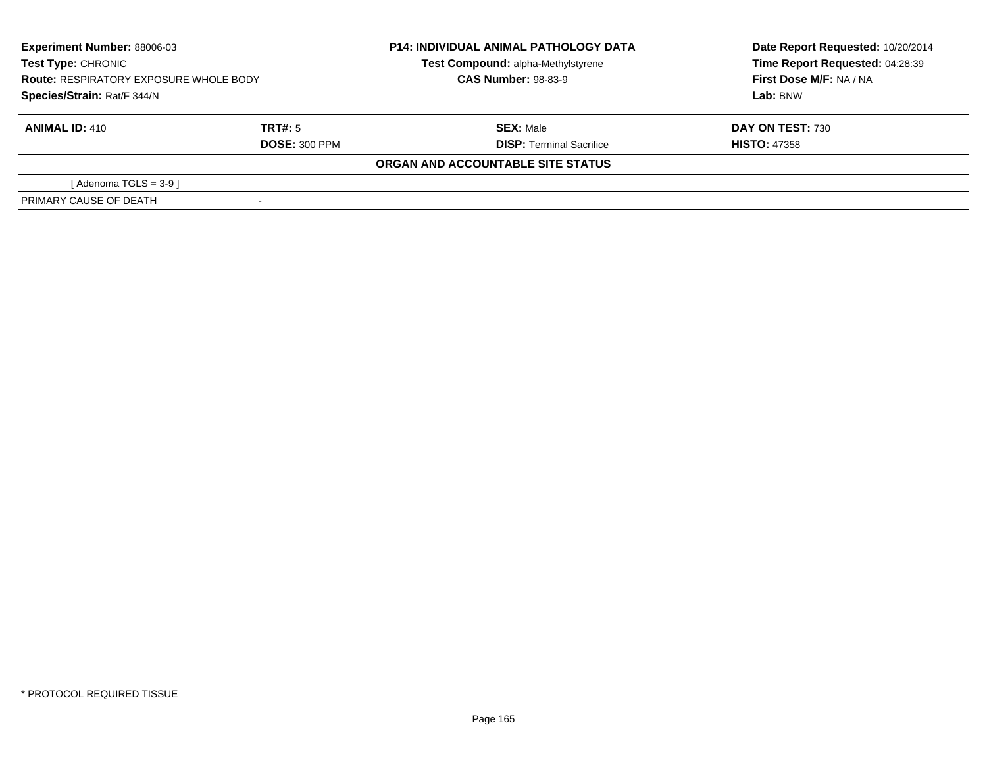| <b>Experiment Number: 88006-03</b><br><b>Test Type: CHRONIC</b><br><b>Route: RESPIRATORY EXPOSURE WHOLE BODY</b><br>Species/Strain: Rat/F 344/N |                                 | <b>P14: INDIVIDUAL ANIMAL PATHOLOGY DATA</b><br>Test Compound: alpha-Methylstyrene<br><b>CAS Number: 98-83-9</b> | Date Report Requested: 10/20/2014<br>Time Report Requested: 04:28:39<br>First Dose M/F: NA / NA<br>Lab: BNW |  |
|-------------------------------------------------------------------------------------------------------------------------------------------------|---------------------------------|------------------------------------------------------------------------------------------------------------------|-------------------------------------------------------------------------------------------------------------|--|
| <b>ANIMAL ID: 410</b>                                                                                                                           | TRT#: 5<br><b>DOSE: 300 PPM</b> | <b>SEX: Male</b><br><b>DISP: Terminal Sacrifice</b>                                                              | <b>DAY ON TEST: 730</b><br><b>HISTO: 47358</b>                                                              |  |
|                                                                                                                                                 |                                 | ORGAN AND ACCOUNTABLE SITE STATUS                                                                                |                                                                                                             |  |
| [ Adenoma TGLS = 3-9 ]                                                                                                                          |                                 |                                                                                                                  |                                                                                                             |  |
| PRIMARY CAUSE OF DEATH                                                                                                                          |                                 |                                                                                                                  |                                                                                                             |  |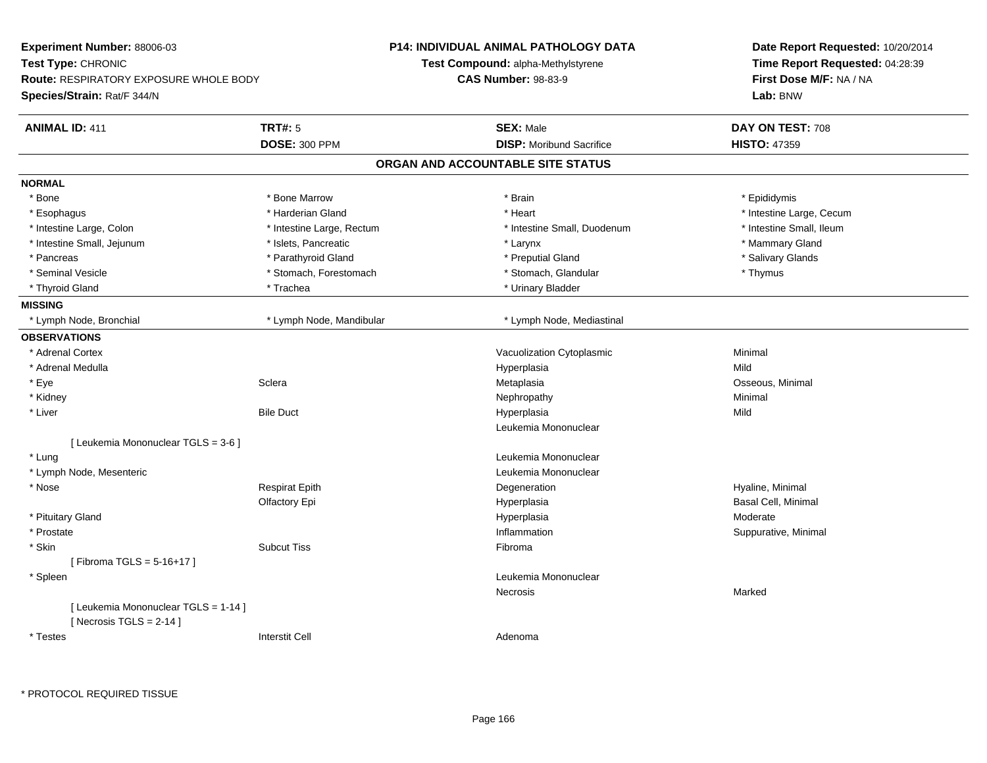| Experiment Number: 88006-03            |                           | P14: INDIVIDUAL ANIMAL PATHOLOGY DATA | Date Report Requested: 10/20/2014<br>Time Report Requested: 04:28:39<br>First Dose M/F: NA / NA |  |
|----------------------------------------|---------------------------|---------------------------------------|-------------------------------------------------------------------------------------------------|--|
| Test Type: CHRONIC                     |                           | Test Compound: alpha-Methylstyrene    |                                                                                                 |  |
| Route: RESPIRATORY EXPOSURE WHOLE BODY |                           | <b>CAS Number: 98-83-9</b>            |                                                                                                 |  |
| Species/Strain: Rat/F 344/N            |                           |                                       | Lab: BNW                                                                                        |  |
| <b>ANIMAL ID: 411</b>                  | <b>TRT#: 5</b>            | <b>SEX: Male</b>                      | DAY ON TEST: 708                                                                                |  |
|                                        | <b>DOSE: 300 PPM</b>      | <b>DISP:</b> Moribund Sacrifice       | <b>HISTO: 47359</b>                                                                             |  |
|                                        |                           | ORGAN AND ACCOUNTABLE SITE STATUS     |                                                                                                 |  |
| <b>NORMAL</b>                          |                           |                                       |                                                                                                 |  |
| * Bone                                 | * Bone Marrow             | * Brain                               | * Epididymis                                                                                    |  |
| * Esophagus                            | * Harderian Gland         | * Heart                               | * Intestine Large, Cecum                                                                        |  |
| * Intestine Large, Colon               | * Intestine Large, Rectum | * Intestine Small, Duodenum           | * Intestine Small, Ileum                                                                        |  |
| * Intestine Small, Jejunum             | * Islets, Pancreatic      | * Larynx                              | * Mammary Gland                                                                                 |  |
| * Pancreas                             | * Parathyroid Gland       | * Preputial Gland                     | * Salivary Glands                                                                               |  |
| * Seminal Vesicle                      | * Stomach, Forestomach    | * Stomach, Glandular                  | * Thymus                                                                                        |  |
| * Thyroid Gland                        | * Trachea                 | * Urinary Bladder                     |                                                                                                 |  |
| <b>MISSING</b>                         |                           |                                       |                                                                                                 |  |
| * Lymph Node, Bronchial                | * Lymph Node, Mandibular  | * Lymph Node, Mediastinal             |                                                                                                 |  |
| <b>OBSERVATIONS</b>                    |                           |                                       |                                                                                                 |  |
| * Adrenal Cortex                       |                           | Vacuolization Cytoplasmic             | Minimal                                                                                         |  |
| * Adrenal Medulla                      |                           | Hyperplasia                           | Mild                                                                                            |  |
| * Eye                                  | Sclera                    | Metaplasia                            | Osseous, Minimal                                                                                |  |
| * Kidney                               |                           | Nephropathy                           | Minimal                                                                                         |  |
| * Liver                                | <b>Bile Duct</b>          | Hyperplasia                           | Mild                                                                                            |  |
|                                        |                           | Leukemia Mononuclear                  |                                                                                                 |  |
| [ Leukemia Mononuclear TGLS = 3-6 ]    |                           |                                       |                                                                                                 |  |
| * Lung                                 |                           | Leukemia Mononuclear                  |                                                                                                 |  |
| * Lymph Node, Mesenteric               |                           | Leukemia Mononuclear                  |                                                                                                 |  |
| * Nose                                 | <b>Respirat Epith</b>     | Degeneration                          | Hyaline, Minimal                                                                                |  |
|                                        | Olfactory Epi             | Hyperplasia                           | Basal Cell, Minimal                                                                             |  |
| * Pituitary Gland                      |                           | Hyperplasia                           | Moderate                                                                                        |  |
| * Prostate                             |                           | Inflammation                          | Suppurative, Minimal                                                                            |  |
| $*$ Skin                               | <b>Subcut Tiss</b>        | Fibroma                               |                                                                                                 |  |
| [Fibroma TGLS = $5 - 16 + 17$ ]        |                           |                                       |                                                                                                 |  |
| * Spleen                               |                           | Leukemia Mononuclear                  |                                                                                                 |  |
|                                        |                           | Necrosis                              | Marked                                                                                          |  |
| [ Leukemia Mononuclear TGLS = 1-14 ]   |                           |                                       |                                                                                                 |  |
| [Necrosis TGLS = $2-14$ ]              |                           |                                       |                                                                                                 |  |
| * Testes                               | <b>Interstit Cell</b>     | Adenoma                               |                                                                                                 |  |

\* PROTOCOL REQUIRED TISSUE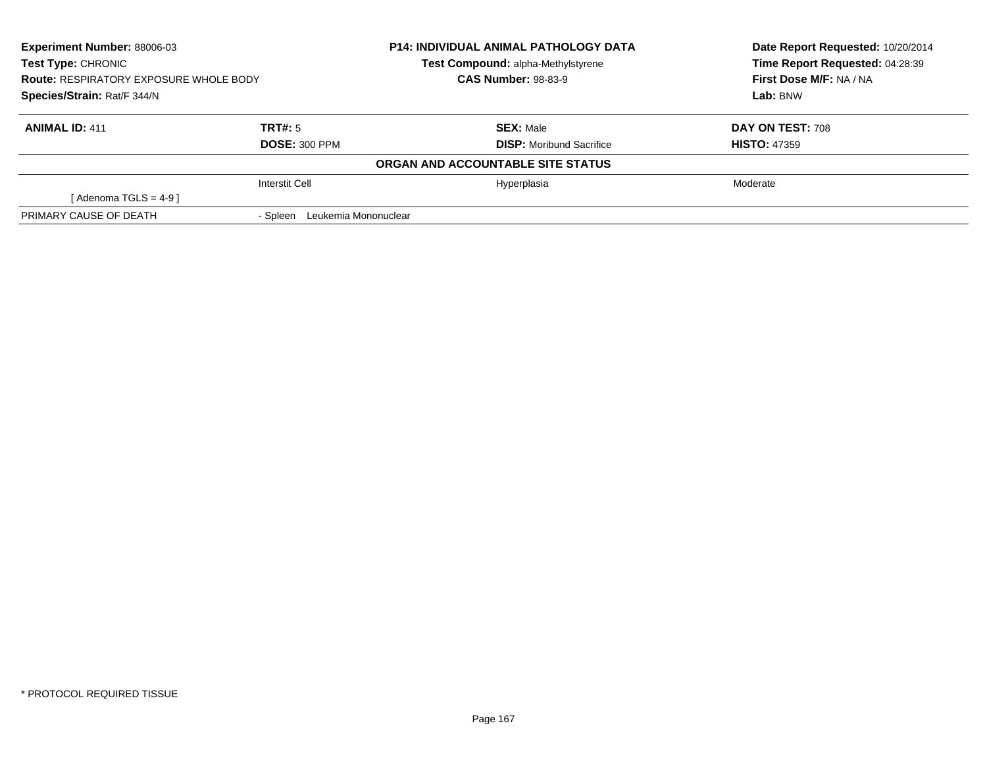| <b>Experiment Number: 88006-03</b><br>Test Type: CHRONIC<br><b>Route: RESPIRATORY EXPOSURE WHOLE BODY</b><br>Species/Strain: Rat/F 344/N |                                  | <b>P14: INDIVIDUAL ANIMAL PATHOLOGY DATA</b> | Date Report Requested: 10/20/2014 |
|------------------------------------------------------------------------------------------------------------------------------------------|----------------------------------|----------------------------------------------|-----------------------------------|
|                                                                                                                                          |                                  | Test Compound: alpha-Methylstyrene           | Time Report Requested: 04:28:39   |
|                                                                                                                                          |                                  | <b>CAS Number: 98-83-9</b>                   | First Dose M/F: NA / NA           |
|                                                                                                                                          |                                  |                                              | Lab: BNW                          |
| <b>ANIMAL ID: 411</b>                                                                                                                    | TRT#: 5                          | <b>SEX: Male</b>                             | DAY ON TEST: 708                  |
|                                                                                                                                          | <b>DOSE: 300 PPM</b>             | <b>DISP:</b> Moribund Sacrifice              | <b>HISTO: 47359</b>               |
|                                                                                                                                          |                                  | ORGAN AND ACCOUNTABLE SITE STATUS            |                                   |
|                                                                                                                                          | <b>Interstit Cell</b>            | Hyperplasia                                  | Moderate                          |
| [Adenoma TGLS = $4-9$ ]                                                                                                                  |                                  |                                              |                                   |
| PRIMARY CAUSE OF DEATH                                                                                                                   | Leukemia Mononuclear<br>- Spleen |                                              |                                   |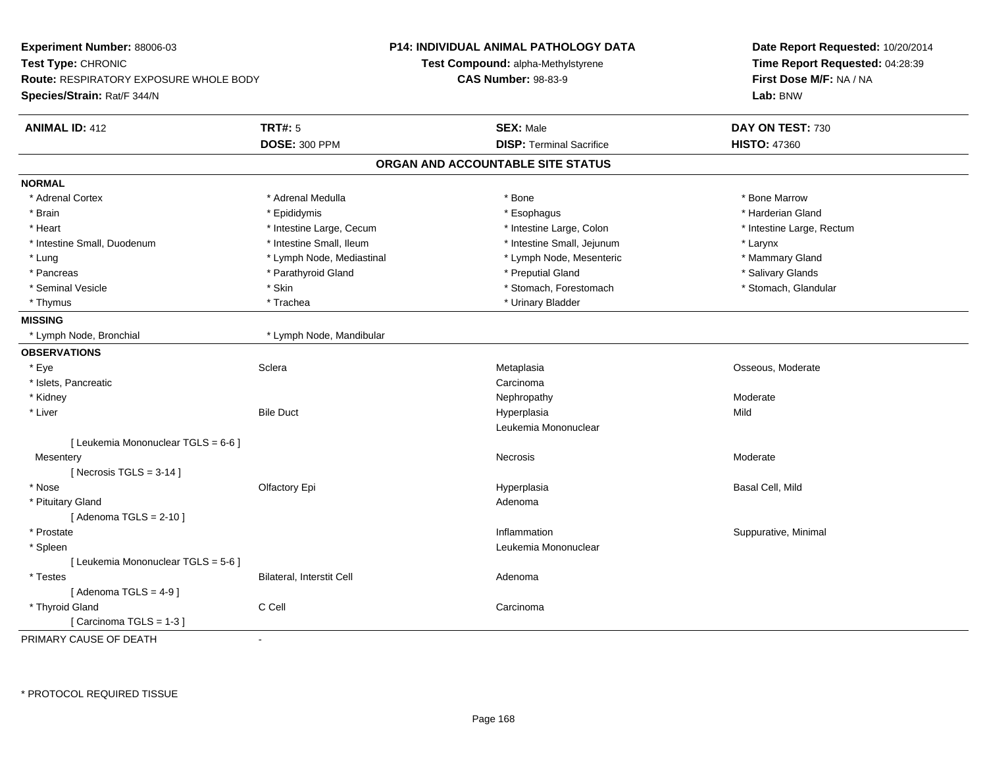| Experiment Number: 88006-03<br>Test Type: CHRONIC<br><b>Route: RESPIRATORY EXPOSURE WHOLE BODY</b> |                           | P14: INDIVIDUAL ANIMAL PATHOLOGY DATA     | Date Report Requested: 10/20/2014<br>Time Report Requested: 04:28:39<br>First Dose M/F: NA / NA |
|----------------------------------------------------------------------------------------------------|---------------------------|-------------------------------------------|-------------------------------------------------------------------------------------------------|
|                                                                                                    |                           | <b>Test Compound: alpha-Methylstyrene</b> |                                                                                                 |
|                                                                                                    |                           | <b>CAS Number: 98-83-9</b>                |                                                                                                 |
| Species/Strain: Rat/F 344/N                                                                        |                           |                                           | Lab: BNW                                                                                        |
| <b>ANIMAL ID: 412</b>                                                                              | <b>TRT#: 5</b>            | <b>SEX: Male</b>                          | DAY ON TEST: 730                                                                                |
|                                                                                                    | <b>DOSE: 300 PPM</b>      | <b>DISP: Terminal Sacrifice</b>           | <b>HISTO: 47360</b>                                                                             |
|                                                                                                    |                           | ORGAN AND ACCOUNTABLE SITE STATUS         |                                                                                                 |
| <b>NORMAL</b>                                                                                      |                           |                                           |                                                                                                 |
| * Adrenal Cortex                                                                                   | * Adrenal Medulla         | * Bone                                    | * Bone Marrow                                                                                   |
| * Brain                                                                                            | * Epididymis              | * Esophagus                               | * Harderian Gland                                                                               |
| * Heart                                                                                            | * Intestine Large, Cecum  | * Intestine Large, Colon                  | * Intestine Large, Rectum                                                                       |
| * Intestine Small, Duodenum                                                                        | * Intestine Small, Ileum  | * Intestine Small, Jejunum                | * Larynx                                                                                        |
| * Lung                                                                                             | * Lymph Node, Mediastinal | * Lymph Node, Mesenteric                  | * Mammary Gland                                                                                 |
| * Pancreas                                                                                         | * Parathyroid Gland       | * Preputial Gland                         | * Salivary Glands                                                                               |
| * Seminal Vesicle                                                                                  | * Skin                    | * Stomach, Forestomach                    | * Stomach, Glandular                                                                            |
| * Thymus                                                                                           | * Trachea                 | * Urinary Bladder                         |                                                                                                 |
| <b>MISSING</b>                                                                                     |                           |                                           |                                                                                                 |
| * Lymph Node, Bronchial                                                                            | * Lymph Node, Mandibular  |                                           |                                                                                                 |
| <b>OBSERVATIONS</b>                                                                                |                           |                                           |                                                                                                 |
| * Eye                                                                                              | Sclera                    | Metaplasia                                | Osseous, Moderate                                                                               |
| * Islets, Pancreatic                                                                               |                           | Carcinoma                                 |                                                                                                 |
| * Kidney                                                                                           |                           | Nephropathy                               | Moderate                                                                                        |
| * Liver                                                                                            | <b>Bile Duct</b>          | Hyperplasia                               | Mild                                                                                            |
|                                                                                                    |                           | Leukemia Mononuclear                      |                                                                                                 |
| [ Leukemia Mononuclear TGLS = 6-6 ]                                                                |                           |                                           |                                                                                                 |
| Mesentery                                                                                          |                           | Necrosis                                  | Moderate                                                                                        |
| [ Necrosis TGLS = $3-14$ ]                                                                         |                           |                                           |                                                                                                 |
| * Nose                                                                                             | Olfactory Epi             | Hyperplasia                               | Basal Cell, Mild                                                                                |
| * Pituitary Gland                                                                                  |                           | Adenoma                                   |                                                                                                 |
| [Adenoma TGLS = $2-10$ ]                                                                           |                           |                                           |                                                                                                 |
| * Prostate                                                                                         |                           | Inflammation                              | Suppurative, Minimal                                                                            |
| * Spleen                                                                                           |                           | Leukemia Mononuclear                      |                                                                                                 |
| [ Leukemia Mononuclear TGLS = 5-6 ]                                                                |                           |                                           |                                                                                                 |
| * Testes                                                                                           | Bilateral, Interstit Cell | Adenoma                                   |                                                                                                 |
| [Adenoma TGLS = $4-9$ ]                                                                            |                           |                                           |                                                                                                 |
| * Thyroid Gland                                                                                    | C Cell                    | Carcinoma                                 |                                                                                                 |
| [ Carcinoma TGLS = $1-3$ ]                                                                         |                           |                                           |                                                                                                 |
| PRIMARY CAUSE OF DEATH                                                                             |                           |                                           |                                                                                                 |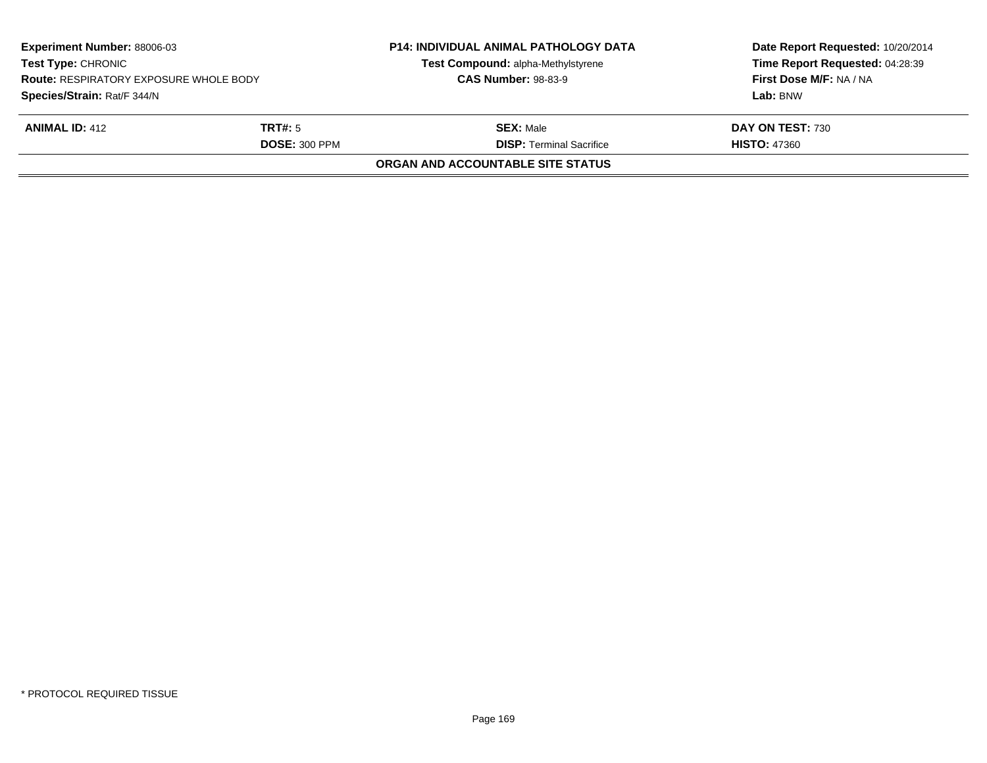| <b>Experiment Number: 88006-03</b><br><b>Test Type: CHRONIC</b><br><b>Route: RESPIRATORY EXPOSURE WHOLE BODY</b><br>Species/Strain: Rat/F 344/N |                      | <b>P14: INDIVIDUAL ANIMAL PATHOLOGY DATA</b><br>Test Compound: alpha-Methylstyrene<br><b>CAS Number: 98-83-9</b> | Date Report Requested: 10/20/2014<br>Time Report Requested: 04:28:39<br>First Dose M/F: NA / NA |
|-------------------------------------------------------------------------------------------------------------------------------------------------|----------------------|------------------------------------------------------------------------------------------------------------------|-------------------------------------------------------------------------------------------------|
|                                                                                                                                                 |                      |                                                                                                                  | Lab: BNW                                                                                        |
| <b>ANIMAL ID: 412</b>                                                                                                                           | TRT#: 5              | <b>SEX: Male</b>                                                                                                 | DAY ON TEST: 730                                                                                |
|                                                                                                                                                 | <b>DOSE: 300 PPM</b> | <b>DISP: Terminal Sacrifice</b>                                                                                  | <b>HISTO: 47360</b>                                                                             |
|                                                                                                                                                 |                      | ORGAN AND ACCOUNTABLE SITE STATUS                                                                                |                                                                                                 |
|                                                                                                                                                 |                      |                                                                                                                  |                                                                                                 |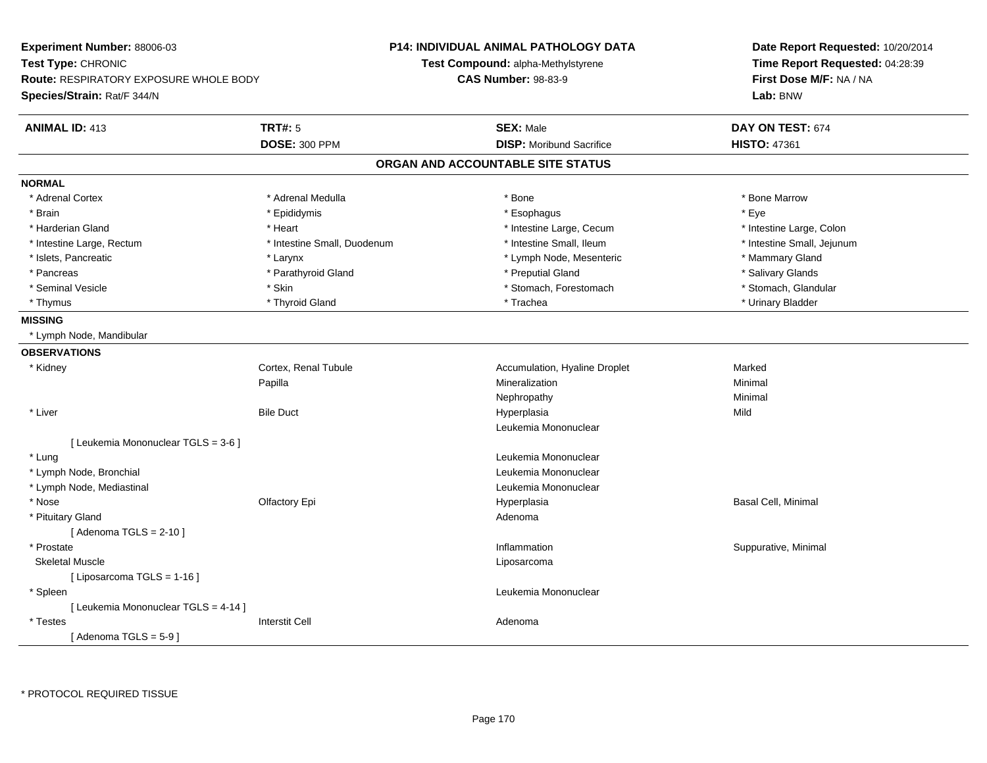| Experiment Number: 88006-03                   |                             | <b>P14: INDIVIDUAL ANIMAL PATHOLOGY DATA</b> | Date Report Requested: 10/20/2014<br>Time Report Requested: 04:28:39 |  |
|-----------------------------------------------|-----------------------------|----------------------------------------------|----------------------------------------------------------------------|--|
| Test Type: CHRONIC                            |                             | Test Compound: alpha-Methylstyrene           |                                                                      |  |
| <b>Route: RESPIRATORY EXPOSURE WHOLE BODY</b> |                             | <b>CAS Number: 98-83-9</b>                   | First Dose M/F: NA / NA                                              |  |
| Species/Strain: Rat/F 344/N                   |                             |                                              | Lab: BNW                                                             |  |
| <b>ANIMAL ID: 413</b>                         | <b>TRT#: 5</b>              | <b>SEX: Male</b>                             | DAY ON TEST: 674                                                     |  |
|                                               | <b>DOSE: 300 PPM</b>        | <b>DISP: Moribund Sacrifice</b>              | <b>HISTO: 47361</b>                                                  |  |
|                                               |                             | ORGAN AND ACCOUNTABLE SITE STATUS            |                                                                      |  |
| <b>NORMAL</b>                                 |                             |                                              |                                                                      |  |
| * Adrenal Cortex                              | * Adrenal Medulla           | * Bone                                       | * Bone Marrow                                                        |  |
| * Brain                                       | * Epididymis                | * Esophagus                                  | * Eye                                                                |  |
| * Harderian Gland                             | * Heart                     | * Intestine Large, Cecum                     | * Intestine Large, Colon                                             |  |
| * Intestine Large, Rectum                     | * Intestine Small, Duodenum | * Intestine Small, Ileum                     | * Intestine Small, Jejunum                                           |  |
| * Islets, Pancreatic                          | * Larynx                    | * Lymph Node, Mesenteric                     | * Mammary Gland                                                      |  |
| * Pancreas                                    | * Parathyroid Gland         | * Preputial Gland                            | * Salivary Glands                                                    |  |
| * Seminal Vesicle                             | $*$ Skin                    | * Stomach, Forestomach                       | * Stomach, Glandular                                                 |  |
| * Thymus                                      | * Thyroid Gland             | * Trachea                                    | * Urinary Bladder                                                    |  |
| <b>MISSING</b>                                |                             |                                              |                                                                      |  |
| * Lymph Node, Mandibular                      |                             |                                              |                                                                      |  |
| <b>OBSERVATIONS</b>                           |                             |                                              |                                                                      |  |
| * Kidney                                      | Cortex, Renal Tubule        | Accumulation, Hyaline Droplet                | Marked                                                               |  |
|                                               | Papilla                     | Mineralization                               | Minimal                                                              |  |
|                                               |                             | Nephropathy                                  | Minimal                                                              |  |
| * Liver                                       | <b>Bile Duct</b>            | Hyperplasia                                  | Mild                                                                 |  |
|                                               |                             | Leukemia Mononuclear                         |                                                                      |  |
| [ Leukemia Mononuclear TGLS = 3-6 ]           |                             |                                              |                                                                      |  |
| * Lung                                        |                             | Leukemia Mononuclear                         |                                                                      |  |
| * Lymph Node, Bronchial                       |                             | Leukemia Mononuclear                         |                                                                      |  |
| * Lymph Node, Mediastinal                     |                             | Leukemia Mononuclear                         |                                                                      |  |
| * Nose                                        | Olfactory Epi               | Hyperplasia                                  | Basal Cell, Minimal                                                  |  |
| * Pituitary Gland                             |                             | Adenoma                                      |                                                                      |  |
| [Adenoma TGLS = $2-10$ ]                      |                             |                                              |                                                                      |  |
| * Prostate                                    |                             | Inflammation                                 | Suppurative, Minimal                                                 |  |
| <b>Skeletal Muscle</b>                        |                             | Liposarcoma                                  |                                                                      |  |
| [ Liposarcoma TGLS = 1-16 ]                   |                             |                                              |                                                                      |  |
| * Spleen                                      |                             | Leukemia Mononuclear                         |                                                                      |  |
| [ Leukemia Mononuclear TGLS = 4-14 ]          |                             |                                              |                                                                      |  |
| * Testes                                      | <b>Interstit Cell</b>       | Adenoma                                      |                                                                      |  |
| [Adenoma TGLS = $5-9$ ]                       |                             |                                              |                                                                      |  |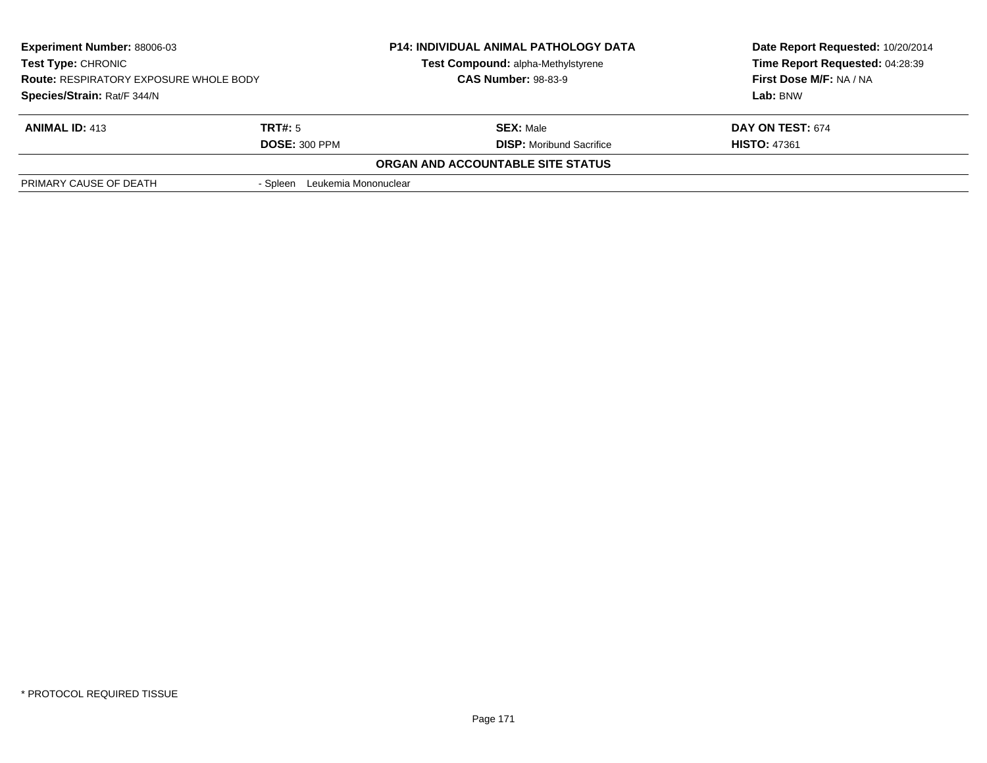| <b>Experiment Number: 88006-03</b><br>Test Type: CHRONIC<br><b>Route: RESPIRATORY EXPOSURE WHOLE BODY</b> |                                  | <b>P14: INDIVIDUAL ANIMAL PATHOLOGY DATA</b><br>Test Compound: alpha-Methylstyrene | Date Report Requested: 10/20/2014<br>Time Report Requested: 04:28:39<br>First Dose M/F: NA / NA |
|-----------------------------------------------------------------------------------------------------------|----------------------------------|------------------------------------------------------------------------------------|-------------------------------------------------------------------------------------------------|
|                                                                                                           |                                  | <b>CAS Number: 98-83-9</b>                                                         |                                                                                                 |
| Species/Strain: Rat/F 344/N                                                                               |                                  |                                                                                    | Lab: BNW                                                                                        |
| <b>ANIMAL ID: 413</b>                                                                                     | TRT#: 5                          | <b>SEX: Male</b>                                                                   | DAY ON TEST: 674                                                                                |
|                                                                                                           | <b>DOSE: 300 PPM</b>             | <b>DISP:</b> Moribund Sacrifice                                                    | <b>HISTO: 47361</b>                                                                             |
|                                                                                                           |                                  | ORGAN AND ACCOUNTABLE SITE STATUS                                                  |                                                                                                 |
| PRIMARY CAUSE OF DEATH                                                                                    | Leukemia Mononuclear<br>- Spleen |                                                                                    |                                                                                                 |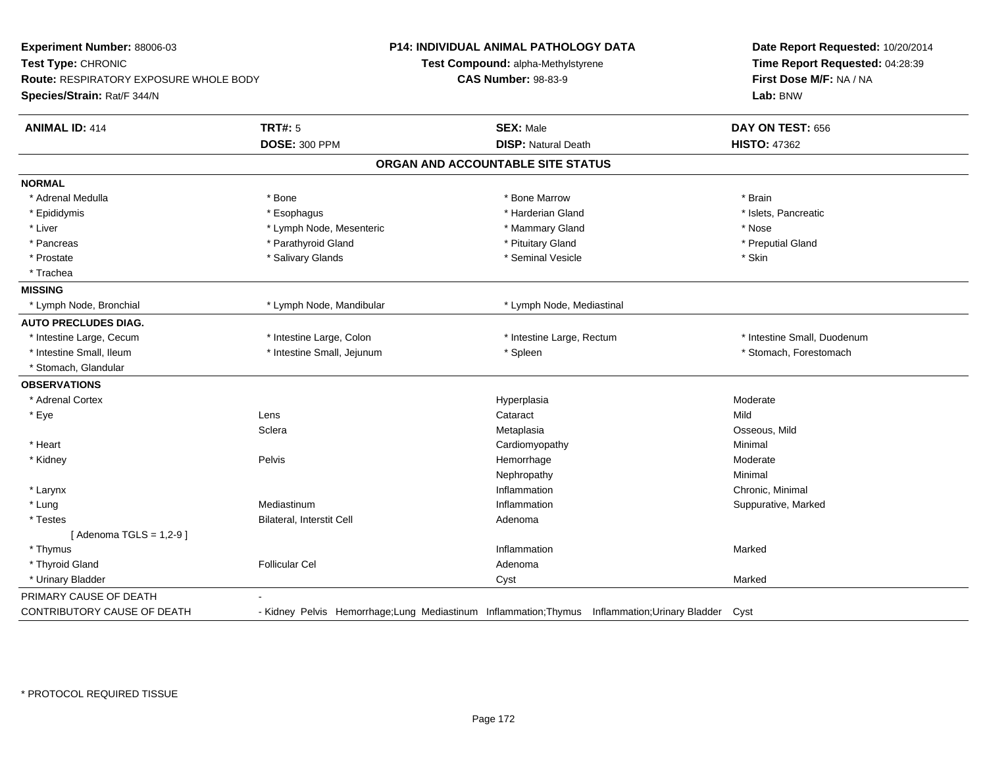| Experiment Number: 88006-03<br>Test Type: CHRONIC<br><b>Route: RESPIRATORY EXPOSURE WHOLE BODY</b><br>Species/Strain: Rat/F 344/N |                            | P14: INDIVIDUAL ANIMAL PATHOLOGY DATA<br>Test Compound: alpha-Methylstyrene<br><b>CAS Number: 98-83-9</b> | Date Report Requested: 10/20/2014<br>Time Report Requested: 04:28:39<br>First Dose M/F: NA / NA<br>Lab: BNW |
|-----------------------------------------------------------------------------------------------------------------------------------|----------------------------|-----------------------------------------------------------------------------------------------------------|-------------------------------------------------------------------------------------------------------------|
| <b>ANIMAL ID: 414</b>                                                                                                             | <b>TRT#: 5</b>             | <b>SEX: Male</b>                                                                                          | DAY ON TEST: 656                                                                                            |
|                                                                                                                                   | <b>DOSE: 300 PPM</b>       | <b>DISP: Natural Death</b>                                                                                | <b>HISTO: 47362</b>                                                                                         |
|                                                                                                                                   |                            | ORGAN AND ACCOUNTABLE SITE STATUS                                                                         |                                                                                                             |
| <b>NORMAL</b>                                                                                                                     |                            |                                                                                                           |                                                                                                             |
| * Adrenal Medulla                                                                                                                 | * Bone                     | * Bone Marrow                                                                                             | * Brain                                                                                                     |
| * Epididymis                                                                                                                      | * Esophagus                | * Harderian Gland                                                                                         | * Islets, Pancreatic                                                                                        |
| * Liver                                                                                                                           | * Lymph Node, Mesenteric   | * Mammary Gland                                                                                           | * Nose                                                                                                      |
| * Pancreas                                                                                                                        | * Parathyroid Gland        | * Pituitary Gland                                                                                         | * Preputial Gland                                                                                           |
| * Prostate                                                                                                                        | * Salivary Glands          | * Seminal Vesicle                                                                                         | * Skin                                                                                                      |
| * Trachea                                                                                                                         |                            |                                                                                                           |                                                                                                             |
| <b>MISSING</b>                                                                                                                    |                            |                                                                                                           |                                                                                                             |
| * Lymph Node, Bronchial                                                                                                           | * Lymph Node, Mandibular   | * Lymph Node, Mediastinal                                                                                 |                                                                                                             |
| <b>AUTO PRECLUDES DIAG.</b>                                                                                                       |                            |                                                                                                           |                                                                                                             |
| * Intestine Large, Cecum                                                                                                          | * Intestine Large, Colon   | * Intestine Large, Rectum                                                                                 | * Intestine Small, Duodenum                                                                                 |
| * Intestine Small, Ileum                                                                                                          | * Intestine Small, Jejunum | * Spleen                                                                                                  | * Stomach, Forestomach                                                                                      |
| * Stomach, Glandular                                                                                                              |                            |                                                                                                           |                                                                                                             |
| <b>OBSERVATIONS</b>                                                                                                               |                            |                                                                                                           |                                                                                                             |
| * Adrenal Cortex                                                                                                                  |                            | Hyperplasia                                                                                               | Moderate                                                                                                    |
| * Eye                                                                                                                             | Lens                       | Cataract                                                                                                  | Mild                                                                                                        |
|                                                                                                                                   | Sclera                     | Metaplasia                                                                                                | Osseous, Mild                                                                                               |
| * Heart                                                                                                                           |                            | Cardiomyopathy                                                                                            | Minimal                                                                                                     |
| * Kidney                                                                                                                          | Pelvis                     | Hemorrhage                                                                                                | Moderate                                                                                                    |
|                                                                                                                                   |                            | Nephropathy                                                                                               | Minimal                                                                                                     |
| * Larynx                                                                                                                          |                            | Inflammation                                                                                              | Chronic, Minimal                                                                                            |
| * Lung                                                                                                                            | Mediastinum                | Inflammation                                                                                              | Suppurative, Marked                                                                                         |
| * Testes                                                                                                                          | Bilateral, Interstit Cell  | Adenoma                                                                                                   |                                                                                                             |
| [Adenoma TGLS = $1,2-9$ ]                                                                                                         |                            |                                                                                                           |                                                                                                             |
| * Thymus                                                                                                                          |                            | Inflammation                                                                                              | Marked                                                                                                      |
| * Thyroid Gland                                                                                                                   | <b>Follicular Cel</b>      | Adenoma                                                                                                   |                                                                                                             |
| * Urinary Bladder                                                                                                                 |                            | Cyst                                                                                                      | Marked                                                                                                      |
| PRIMARY CAUSE OF DEATH                                                                                                            |                            |                                                                                                           |                                                                                                             |
| CONTRIBUTORY CAUSE OF DEATH                                                                                                       |                            | - Kidney Pelvis Hemorrhage; Lung Mediastinum Inflammation; Thymus Inflammation; Urinary Bladder Cyst      |                                                                                                             |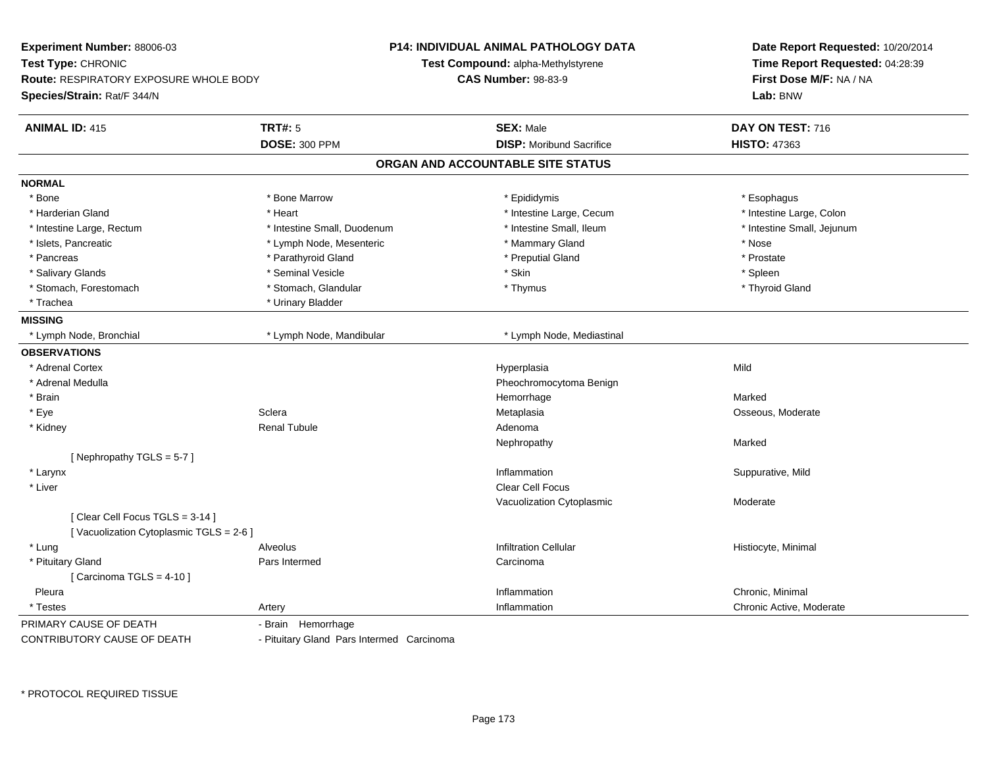| Experiment Number: 88006-03                                              |                                           | <b>P14: INDIVIDUAL ANIMAL PATHOLOGY DATA</b> | Date Report Requested: 10/20/2014<br>Time Report Requested: 04:28:39<br>First Dose M/F: NA / NA |  |
|--------------------------------------------------------------------------|-------------------------------------------|----------------------------------------------|-------------------------------------------------------------------------------------------------|--|
| Test Type: CHRONIC                                                       |                                           | Test Compound: alpha-Methylstyrene           |                                                                                                 |  |
| <b>Route: RESPIRATORY EXPOSURE WHOLE BODY</b>                            |                                           | <b>CAS Number: 98-83-9</b>                   |                                                                                                 |  |
| Species/Strain: Rat/F 344/N                                              |                                           |                                              | Lab: BNW                                                                                        |  |
| <b>ANIMAL ID: 415</b>                                                    | <b>TRT#: 5</b>                            | <b>SEX: Male</b>                             | DAY ON TEST: 716                                                                                |  |
|                                                                          | <b>DOSE: 300 PPM</b>                      | <b>DISP:</b> Moribund Sacrifice              | <b>HISTO: 47363</b>                                                                             |  |
|                                                                          |                                           | ORGAN AND ACCOUNTABLE SITE STATUS            |                                                                                                 |  |
| <b>NORMAL</b>                                                            |                                           |                                              |                                                                                                 |  |
| * Bone                                                                   | * Bone Marrow                             | * Epididymis                                 | * Esophagus                                                                                     |  |
| * Harderian Gland                                                        | * Heart                                   | * Intestine Large, Cecum                     | * Intestine Large, Colon                                                                        |  |
| * Intestine Large, Rectum                                                | * Intestine Small, Duodenum               | * Intestine Small, Ileum                     | * Intestine Small, Jejunum                                                                      |  |
| * Islets, Pancreatic                                                     | * Lymph Node, Mesenteric                  | * Mammary Gland                              | * Nose                                                                                          |  |
| * Pancreas                                                               | * Parathyroid Gland                       | * Preputial Gland                            | * Prostate                                                                                      |  |
| * Salivary Glands                                                        | * Seminal Vesicle                         | * Skin                                       | * Spleen                                                                                        |  |
| * Stomach, Forestomach                                                   | * Stomach, Glandular                      | * Thymus                                     | * Thyroid Gland                                                                                 |  |
| * Trachea                                                                | * Urinary Bladder                         |                                              |                                                                                                 |  |
| <b>MISSING</b>                                                           |                                           |                                              |                                                                                                 |  |
| * Lymph Node, Bronchial                                                  | * Lymph Node, Mandibular                  | * Lymph Node, Mediastinal                    |                                                                                                 |  |
| <b>OBSERVATIONS</b>                                                      |                                           |                                              |                                                                                                 |  |
| * Adrenal Cortex                                                         |                                           | Hyperplasia                                  | Mild                                                                                            |  |
| * Adrenal Medulla                                                        |                                           | Pheochromocytoma Benign                      |                                                                                                 |  |
| * Brain                                                                  |                                           | Hemorrhage                                   | Marked                                                                                          |  |
| * Eye                                                                    | Sclera                                    | Metaplasia                                   | Osseous, Moderate                                                                               |  |
| * Kidney                                                                 | <b>Renal Tubule</b>                       | Adenoma                                      |                                                                                                 |  |
|                                                                          |                                           | Nephropathy                                  | Marked                                                                                          |  |
| [Nephropathy TGLS = $5-7$ ]                                              |                                           |                                              |                                                                                                 |  |
| * Larynx                                                                 |                                           | Inflammation                                 | Suppurative, Mild                                                                               |  |
| * Liver                                                                  |                                           | <b>Clear Cell Focus</b>                      |                                                                                                 |  |
|                                                                          |                                           | Vacuolization Cytoplasmic                    | Moderate                                                                                        |  |
| [Clear Cell Focus TGLS = 3-14]<br>[Vacuolization Cytoplasmic TGLS = 2-6] |                                           |                                              |                                                                                                 |  |
| * Lung                                                                   | Alveolus                                  | <b>Infiltration Cellular</b>                 | Histiocyte, Minimal                                                                             |  |
| * Pituitary Gland                                                        | Pars Intermed                             | Carcinoma                                    |                                                                                                 |  |
| [Carcinoma TGLS = $4-10$ ]                                               |                                           |                                              |                                                                                                 |  |
| Pleura                                                                   |                                           | Inflammation                                 | Chronic, Minimal                                                                                |  |
| * Testes                                                                 | Artery                                    | Inflammation                                 | Chronic Active, Moderate                                                                        |  |
| PRIMARY CAUSE OF DEATH                                                   | - Brain Hemorrhage                        |                                              |                                                                                                 |  |
| CONTRIBUTORY CAUSE OF DEATH                                              | - Pituitary Gland Pars Intermed Carcinoma |                                              |                                                                                                 |  |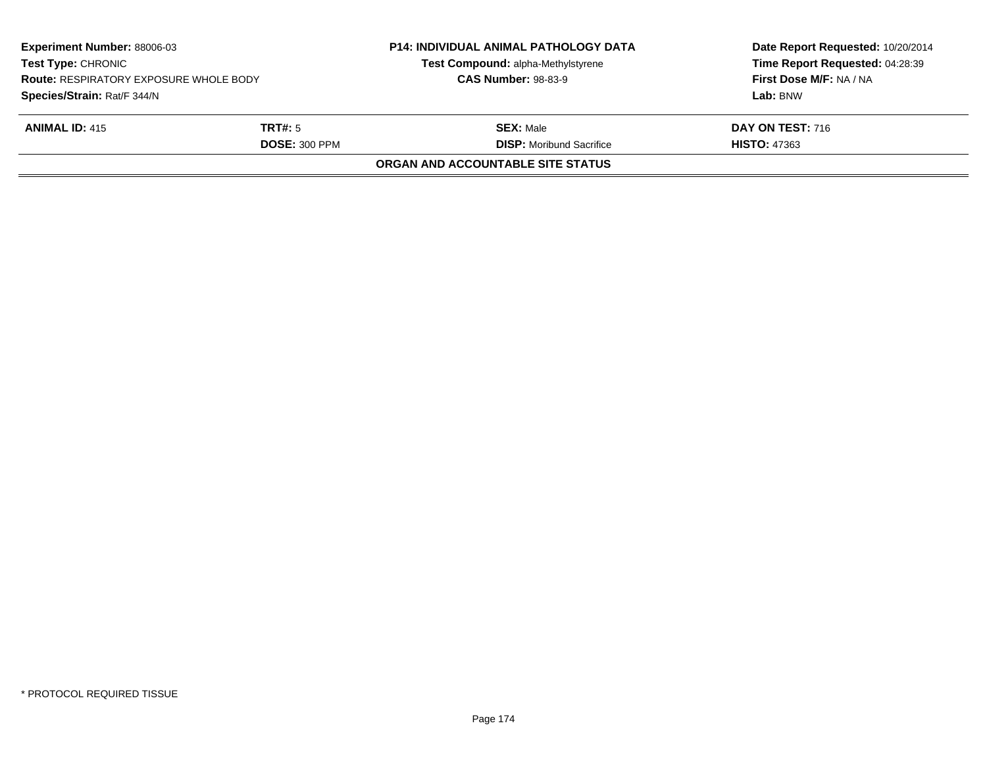| <b>Experiment Number: 88006-03</b><br><b>Test Type: CHRONIC</b><br><b>Route: RESPIRATORY EXPOSURE WHOLE BODY</b><br>Species/Strain: Rat/F 344/N |  | <b>P14: INDIVIDUAL ANIMAL PATHOLOGY DATA</b><br>Test Compound: alpha-Methylstyrene<br><b>CAS Number: 98-83-9</b> | Date Report Requested: 10/20/2014<br>Time Report Requested: 04:28:39<br>First Dose M/F: NA / NA<br>Lab: BNW |
|-------------------------------------------------------------------------------------------------------------------------------------------------|--|------------------------------------------------------------------------------------------------------------------|-------------------------------------------------------------------------------------------------------------|
| <b>ANIMAL ID: 415</b><br><b>TRT#:</b> 5<br><b>DOSE: 300 PPM</b>                                                                                 |  | <b>SEX:</b> Male<br><b>DISP:</b> Moribund Sacrifice                                                              | <b>DAY ON TEST: 716</b><br><b>HISTO: 47363</b>                                                              |
|                                                                                                                                                 |  | <b>ORGAN AND ACCOUNTABLE SITE STATUS</b>                                                                         |                                                                                                             |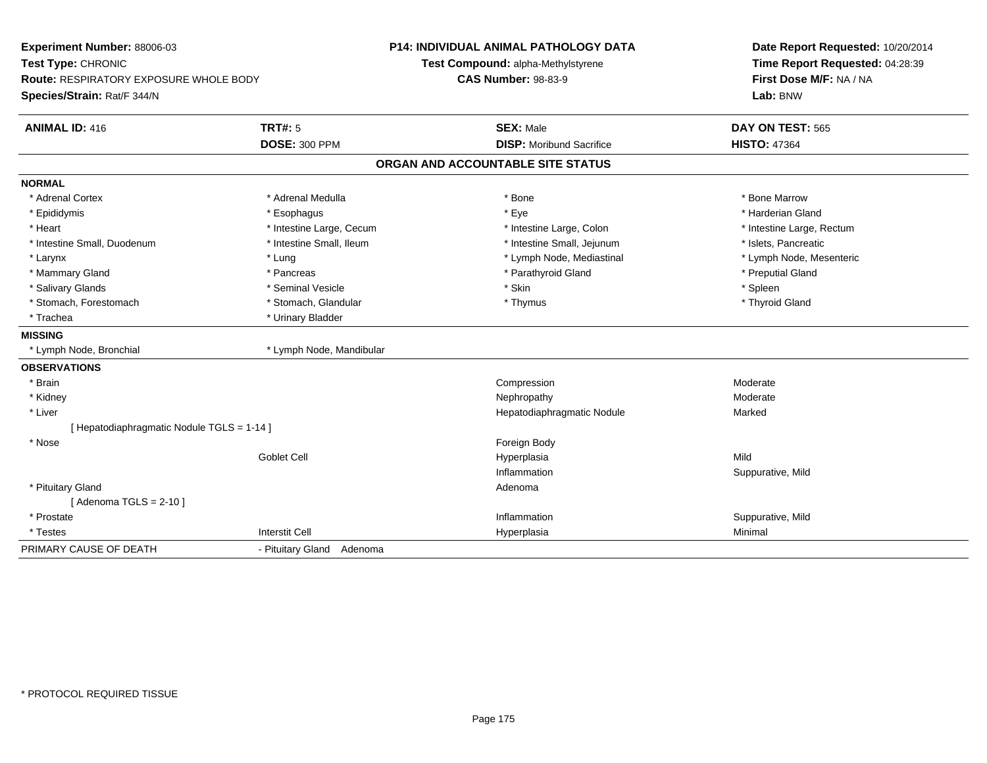| Experiment Number: 88006-03<br>Test Type: CHRONIC |                           | <b>P14: INDIVIDUAL ANIMAL PATHOLOGY DATA</b> | Date Report Requested: 10/20/2014 |
|---------------------------------------------------|---------------------------|----------------------------------------------|-----------------------------------|
|                                                   |                           | Test Compound: alpha-Methylstyrene           | Time Report Requested: 04:28:39   |
| <b>Route: RESPIRATORY EXPOSURE WHOLE BODY</b>     |                           | <b>CAS Number: 98-83-9</b>                   | First Dose M/F: NA / NA           |
| Species/Strain: Rat/F 344/N                       |                           |                                              | Lab: BNW                          |
| <b>ANIMAL ID: 416</b>                             | <b>TRT#: 5</b>            | <b>SEX: Male</b>                             | DAY ON TEST: 565                  |
|                                                   | <b>DOSE: 300 PPM</b>      | <b>DISP: Moribund Sacrifice</b>              | <b>HISTO: 47364</b>               |
|                                                   |                           | ORGAN AND ACCOUNTABLE SITE STATUS            |                                   |
| <b>NORMAL</b>                                     |                           |                                              |                                   |
| * Adrenal Cortex                                  | * Adrenal Medulla         | * Bone                                       | * Bone Marrow                     |
| * Epididymis                                      | * Esophagus               | * Eye                                        | * Harderian Gland                 |
| * Heart                                           | * Intestine Large, Cecum  | * Intestine Large, Colon                     | * Intestine Large, Rectum         |
| * Intestine Small, Duodenum                       | * Intestine Small, Ileum  | * Intestine Small, Jejunum                   | * Islets. Pancreatic              |
| * Larynx                                          | * Lung                    | * Lymph Node, Mediastinal                    | * Lymph Node, Mesenteric          |
| * Mammary Gland                                   | * Pancreas                | * Parathyroid Gland                          | * Preputial Gland                 |
| * Salivary Glands                                 | * Seminal Vesicle         | * Skin                                       | * Spleen                          |
| * Stomach, Forestomach                            | * Stomach, Glandular      | * Thymus                                     | * Thyroid Gland                   |
| * Trachea                                         | * Urinary Bladder         |                                              |                                   |
| <b>MISSING</b>                                    |                           |                                              |                                   |
| * Lymph Node, Bronchial                           | * Lymph Node, Mandibular  |                                              |                                   |
| <b>OBSERVATIONS</b>                               |                           |                                              |                                   |
| * Brain                                           |                           | Compression                                  | Moderate                          |
| * Kidney                                          |                           | Nephropathy                                  | Moderate                          |
| * Liver                                           |                           | Hepatodiaphragmatic Nodule                   | Marked                            |
| [ Hepatodiaphragmatic Nodule TGLS = 1-14 ]        |                           |                                              |                                   |
| * Nose                                            |                           | Foreign Body                                 |                                   |
|                                                   | <b>Goblet Cell</b>        | Hyperplasia                                  | Mild                              |
|                                                   |                           | Inflammation                                 | Suppurative, Mild                 |
| * Pituitary Gland                                 |                           | Adenoma                                      |                                   |
| [Adenoma TGLS = $2-10$ ]                          |                           |                                              |                                   |
| * Prostate                                        |                           | Inflammation                                 | Suppurative, Mild                 |
| * Testes                                          | <b>Interstit Cell</b>     | Hyperplasia                                  | Minimal                           |
| PRIMARY CAUSE OF DEATH                            | - Pituitary Gland Adenoma |                                              |                                   |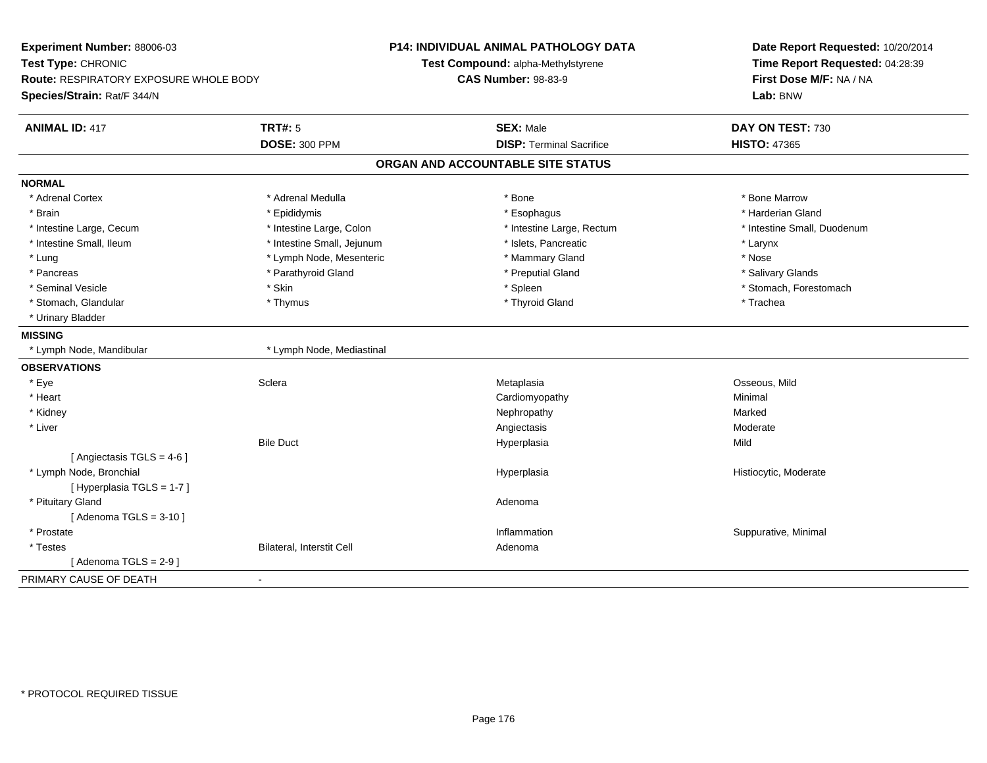| Experiment Number: 88006-03            |                                  | <b>P14: INDIVIDUAL ANIMAL PATHOLOGY DATA</b> | Date Report Requested: 10/20/2014<br>Time Report Requested: 04:28:39 |  |
|----------------------------------------|----------------------------------|----------------------------------------------|----------------------------------------------------------------------|--|
| Test Type: CHRONIC                     |                                  | Test Compound: alpha-Methylstyrene           |                                                                      |  |
| Route: RESPIRATORY EXPOSURE WHOLE BODY |                                  | <b>CAS Number: 98-83-9</b>                   | First Dose M/F: NA / NA                                              |  |
| Species/Strain: Rat/F 344/N            |                                  |                                              | Lab: BNW                                                             |  |
| <b>ANIMAL ID: 417</b>                  | <b>TRT#: 5</b>                   | <b>SEX: Male</b>                             | DAY ON TEST: 730                                                     |  |
|                                        | <b>DOSE: 300 PPM</b>             | <b>DISP: Terminal Sacrifice</b>              | <b>HISTO: 47365</b>                                                  |  |
|                                        |                                  | ORGAN AND ACCOUNTABLE SITE STATUS            |                                                                      |  |
| <b>NORMAL</b>                          |                                  |                                              |                                                                      |  |
| * Adrenal Cortex                       | * Adrenal Medulla                | * Bone                                       | * Bone Marrow                                                        |  |
| * Brain                                | * Epididymis                     | * Esophagus                                  | * Harderian Gland                                                    |  |
| * Intestine Large, Cecum               | * Intestine Large, Colon         | * Intestine Large, Rectum                    | * Intestine Small, Duodenum                                          |  |
| * Intestine Small, Ileum               | * Intestine Small, Jejunum       | * Islets. Pancreatic                         | * Larynx                                                             |  |
| * Lung                                 | * Lymph Node, Mesenteric         | * Mammary Gland                              | * Nose                                                               |  |
| * Pancreas                             | * Parathyroid Gland              | * Preputial Gland                            | * Salivary Glands                                                    |  |
| * Seminal Vesicle                      | * Skin                           | * Spleen                                     | * Stomach, Forestomach                                               |  |
| * Stomach, Glandular                   | * Thymus                         | * Thyroid Gland                              | * Trachea                                                            |  |
| * Urinary Bladder                      |                                  |                                              |                                                                      |  |
| <b>MISSING</b>                         |                                  |                                              |                                                                      |  |
| * Lymph Node, Mandibular               | * Lymph Node, Mediastinal        |                                              |                                                                      |  |
| <b>OBSERVATIONS</b>                    |                                  |                                              |                                                                      |  |
| * Eye                                  | Sclera                           | Metaplasia                                   | Osseous, Mild                                                        |  |
| * Heart                                |                                  | Cardiomyopathy                               | Minimal                                                              |  |
| * Kidney                               |                                  | Nephropathy                                  | Marked                                                               |  |
| * Liver                                |                                  | Angiectasis                                  | Moderate                                                             |  |
|                                        | <b>Bile Duct</b>                 | Hyperplasia                                  | Mild                                                                 |  |
| [ Angiectasis $TGLS = 4-6$ ]           |                                  |                                              |                                                                      |  |
| * Lymph Node, Bronchial                |                                  | Hyperplasia                                  | Histiocytic, Moderate                                                |  |
| [Hyperplasia TGLS = 1-7]               |                                  |                                              |                                                                      |  |
| * Pituitary Gland                      |                                  | Adenoma                                      |                                                                      |  |
| [Adenoma TGLS = $3-10$ ]               |                                  |                                              |                                                                      |  |
| * Prostate                             |                                  | Inflammation                                 | Suppurative, Minimal                                                 |  |
| * Testes                               | <b>Bilateral, Interstit Cell</b> | Adenoma                                      |                                                                      |  |
| [Adenoma TGLS = $2-9$ ]                |                                  |                                              |                                                                      |  |
| PRIMARY CAUSE OF DEATH                 |                                  |                                              |                                                                      |  |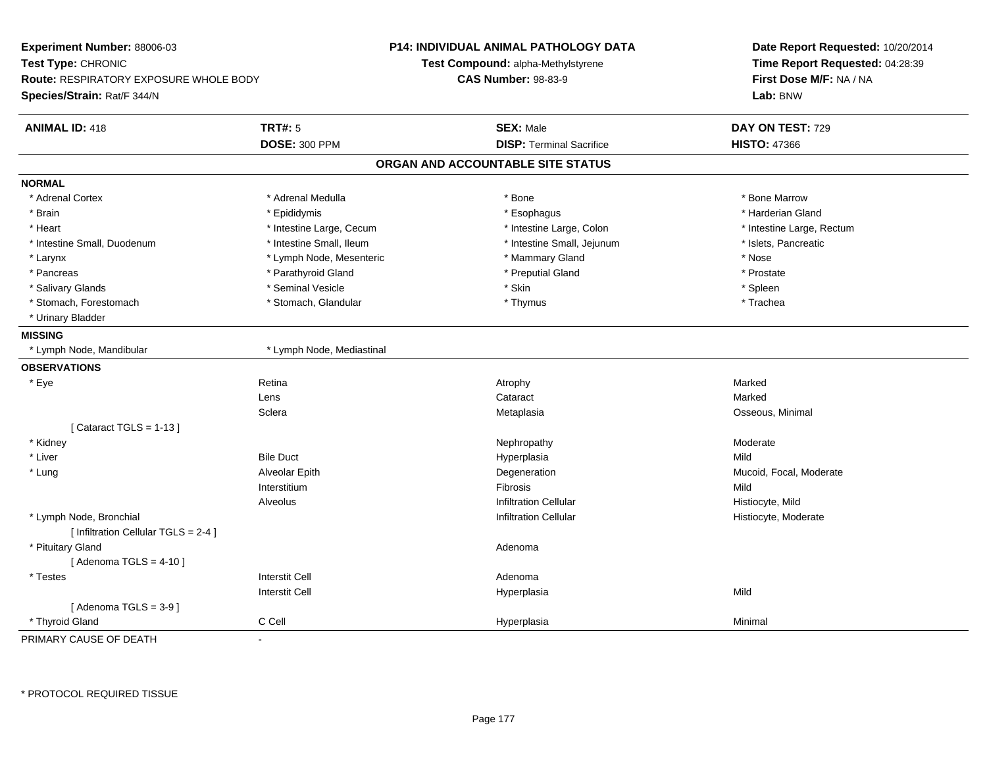| Experiment Number: 88006-03<br>Test Type: CHRONIC<br>Route: RESPIRATORY EXPOSURE WHOLE BODY<br>Species/Strain: Rat/F 344/N |                           | P14: INDIVIDUAL ANIMAL PATHOLOGY DATA<br>Test Compound: alpha-Methylstyrene<br><b>CAS Number: 98-83-9</b> | Date Report Requested: 10/20/2014<br>Time Report Requested: 04:28:39<br>First Dose M/F: NA / NA<br>Lab: BNW |
|----------------------------------------------------------------------------------------------------------------------------|---------------------------|-----------------------------------------------------------------------------------------------------------|-------------------------------------------------------------------------------------------------------------|
| <b>ANIMAL ID: 418</b>                                                                                                      | <b>TRT#: 5</b>            | <b>SEX: Male</b>                                                                                          | DAY ON TEST: 729                                                                                            |
|                                                                                                                            | <b>DOSE: 300 PPM</b>      | <b>DISP: Terminal Sacrifice</b>                                                                           | <b>HISTO: 47366</b>                                                                                         |
|                                                                                                                            |                           | ORGAN AND ACCOUNTABLE SITE STATUS                                                                         |                                                                                                             |
| <b>NORMAL</b>                                                                                                              |                           |                                                                                                           |                                                                                                             |
| * Adrenal Cortex                                                                                                           | * Adrenal Medulla         | * Bone                                                                                                    | * Bone Marrow                                                                                               |
| * Brain                                                                                                                    | * Epididymis              | * Esophagus                                                                                               | * Harderian Gland                                                                                           |
| * Heart                                                                                                                    | * Intestine Large, Cecum  | * Intestine Large, Colon                                                                                  | * Intestine Large, Rectum                                                                                   |
| * Intestine Small, Duodenum                                                                                                | * Intestine Small, Ileum  | * Intestine Small, Jejunum                                                                                | * Islets, Pancreatic                                                                                        |
| * Larynx                                                                                                                   | * Lymph Node, Mesenteric  | * Mammary Gland                                                                                           | * Nose                                                                                                      |
| * Pancreas                                                                                                                 | * Parathyroid Gland       | * Preputial Gland                                                                                         | * Prostate                                                                                                  |
| * Salivary Glands                                                                                                          | * Seminal Vesicle         | * Skin                                                                                                    | * Spleen                                                                                                    |
| * Stomach, Forestomach                                                                                                     | * Stomach, Glandular      | * Thymus                                                                                                  | * Trachea                                                                                                   |
| * Urinary Bladder                                                                                                          |                           |                                                                                                           |                                                                                                             |
| <b>MISSING</b>                                                                                                             |                           |                                                                                                           |                                                                                                             |
| * Lymph Node, Mandibular                                                                                                   | * Lymph Node, Mediastinal |                                                                                                           |                                                                                                             |
| <b>OBSERVATIONS</b>                                                                                                        |                           |                                                                                                           |                                                                                                             |
| * Eye                                                                                                                      | Retina                    | Atrophy                                                                                                   | Marked                                                                                                      |
|                                                                                                                            | Lens                      | Cataract                                                                                                  | Marked                                                                                                      |
|                                                                                                                            | Sclera                    | Metaplasia                                                                                                | Osseous, Minimal                                                                                            |
| [Cataract TGLS = $1-13$ ]                                                                                                  |                           |                                                                                                           |                                                                                                             |
| * Kidney                                                                                                                   |                           | Nephropathy                                                                                               | Moderate                                                                                                    |
| * Liver                                                                                                                    | <b>Bile Duct</b>          | Hyperplasia                                                                                               | Mild                                                                                                        |
| * Lung                                                                                                                     | Alveolar Epith            | Degeneration                                                                                              | Mucoid, Focal, Moderate                                                                                     |
|                                                                                                                            | Interstitium              | Fibrosis                                                                                                  | Mild                                                                                                        |
|                                                                                                                            | <b>Alveolus</b>           | <b>Infiltration Cellular</b>                                                                              | Histiocyte, Mild                                                                                            |
| * Lymph Node, Bronchial                                                                                                    |                           | <b>Infiltration Cellular</b>                                                                              | Histiocyte, Moderate                                                                                        |
| [ Infiltration Cellular TGLS = 2-4 ]                                                                                       |                           |                                                                                                           |                                                                                                             |
| * Pituitary Gland                                                                                                          |                           | Adenoma                                                                                                   |                                                                                                             |
| [Adenoma TGLS = $4-10$ ]                                                                                                   |                           |                                                                                                           |                                                                                                             |
| * Testes                                                                                                                   | <b>Interstit Cell</b>     | Adenoma                                                                                                   |                                                                                                             |
|                                                                                                                            | <b>Interstit Cell</b>     | Hyperplasia                                                                                               | Mild                                                                                                        |
| [Adenoma TGLS = $3-9$ ]                                                                                                    |                           |                                                                                                           |                                                                                                             |
| * Thyroid Gland                                                                                                            | C Cell                    | Hyperplasia                                                                                               | Minimal                                                                                                     |
| PRIMARY CAUSE OF DEATH                                                                                                     | $\mathbf{r}$              |                                                                                                           |                                                                                                             |

-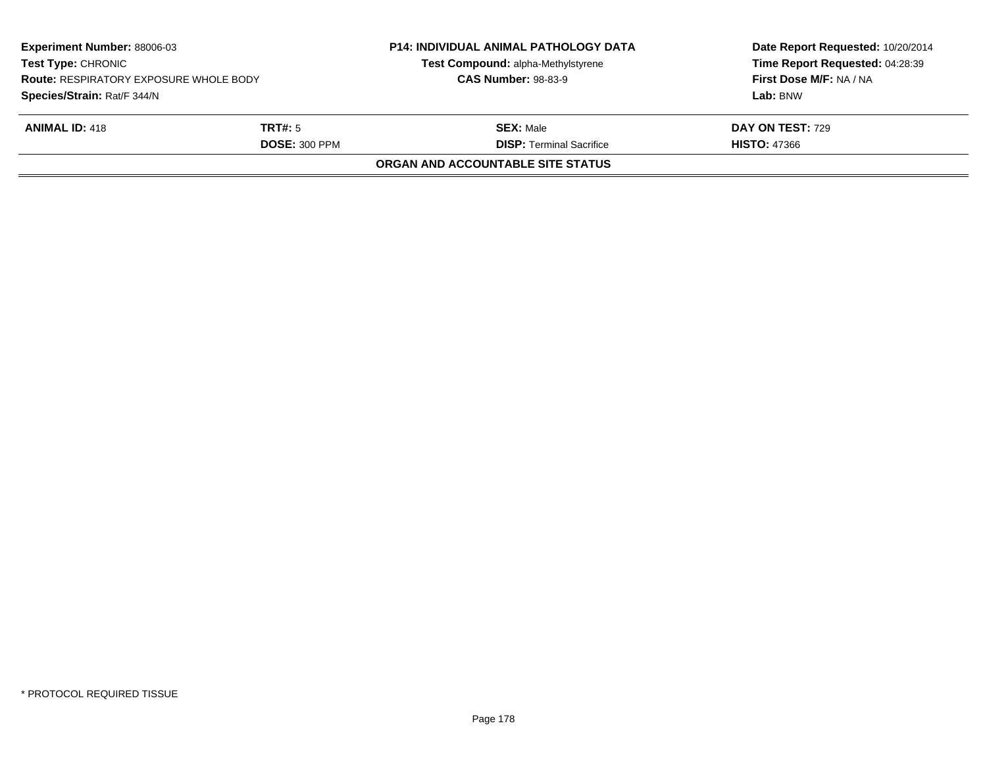| <b>Experiment Number: 88006-03</b><br><b>Test Type: CHRONIC</b><br><b>Route: RESPIRATORY EXPOSURE WHOLE BODY</b><br>Species/Strain: Rat/F 344/N |                      | <b>P14: INDIVIDUAL ANIMAL PATHOLOGY DATA</b><br>Test Compound: alpha-Methylstyrene<br><b>CAS Number: 98-83-9</b> | Date Report Requested: 10/20/2014<br>Time Report Requested: 04:28:39<br>First Dose M/F: NA / NA |
|-------------------------------------------------------------------------------------------------------------------------------------------------|----------------------|------------------------------------------------------------------------------------------------------------------|-------------------------------------------------------------------------------------------------|
|                                                                                                                                                 |                      |                                                                                                                  | Lab: BNW                                                                                        |
| <b>ANIMAL ID: 418</b>                                                                                                                           | TRT#: 5              | <b>SEX: Male</b>                                                                                                 | <b>DAY ON TEST: 729</b>                                                                         |
|                                                                                                                                                 | <b>DOSE: 300 PPM</b> | <b>DISP: Terminal Sacrifice</b>                                                                                  | <b>HISTO: 47366</b>                                                                             |
|                                                                                                                                                 |                      | ORGAN AND ACCOUNTABLE SITE STATUS                                                                                |                                                                                                 |
|                                                                                                                                                 |                      |                                                                                                                  |                                                                                                 |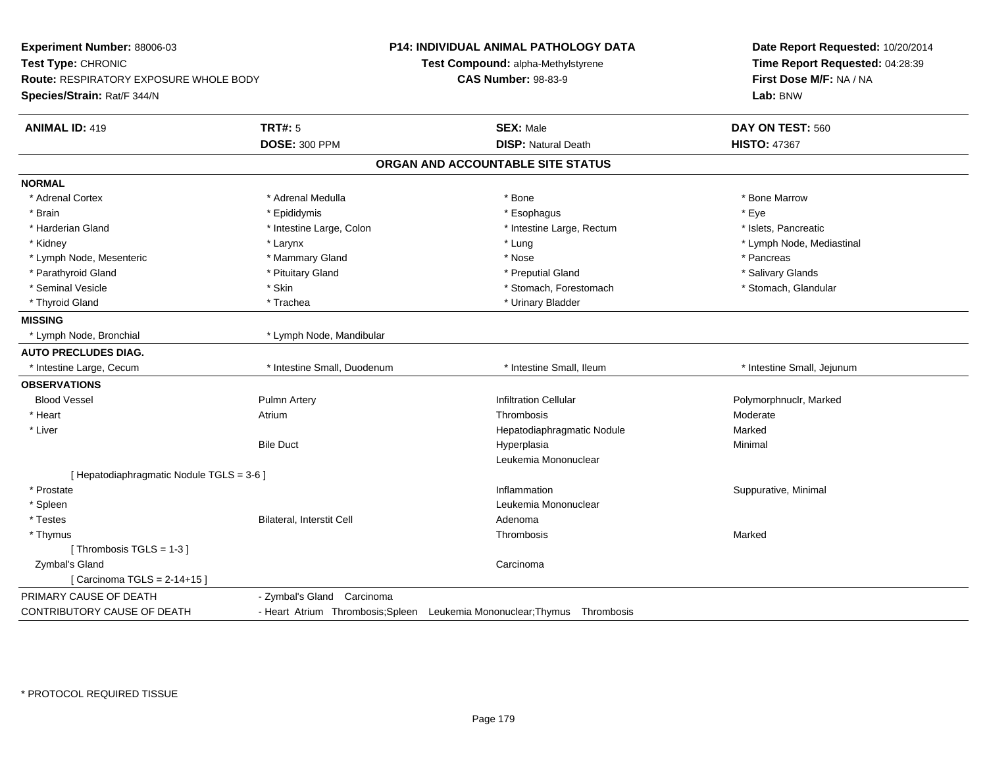|                             |                                                                                                                                      | Date Report Requested: 10/20/2014<br>Time Report Requested: 04:28:39                                                                                                                                                                                                          |  |
|-----------------------------|--------------------------------------------------------------------------------------------------------------------------------------|-------------------------------------------------------------------------------------------------------------------------------------------------------------------------------------------------------------------------------------------------------------------------------|--|
|                             |                                                                                                                                      |                                                                                                                                                                                                                                                                               |  |
|                             |                                                                                                                                      | First Dose M/F: NA / NA                                                                                                                                                                                                                                                       |  |
|                             |                                                                                                                                      | Lab: BNW                                                                                                                                                                                                                                                                      |  |
|                             |                                                                                                                                      | DAY ON TEST: 560                                                                                                                                                                                                                                                              |  |
|                             |                                                                                                                                      |                                                                                                                                                                                                                                                                               |  |
|                             |                                                                                                                                      | <b>HISTO: 47367</b>                                                                                                                                                                                                                                                           |  |
|                             |                                                                                                                                      |                                                                                                                                                                                                                                                                               |  |
|                             |                                                                                                                                      |                                                                                                                                                                                                                                                                               |  |
| * Adrenal Medulla           | * Bone                                                                                                                               | * Bone Marrow                                                                                                                                                                                                                                                                 |  |
| * Epididymis                | * Esophagus                                                                                                                          | * Eve                                                                                                                                                                                                                                                                         |  |
| * Intestine Large, Colon    | * Intestine Large, Rectum                                                                                                            | * Islets, Pancreatic                                                                                                                                                                                                                                                          |  |
| * Larynx                    | * Lung                                                                                                                               | * Lymph Node, Mediastinal                                                                                                                                                                                                                                                     |  |
| * Mammary Gland             | * Nose                                                                                                                               | * Pancreas                                                                                                                                                                                                                                                                    |  |
| * Pituitary Gland           | * Preputial Gland                                                                                                                    | * Salivary Glands                                                                                                                                                                                                                                                             |  |
| * Skin                      | * Stomach, Forestomach                                                                                                               | * Stomach, Glandular                                                                                                                                                                                                                                                          |  |
| * Trachea                   | * Urinary Bladder                                                                                                                    |                                                                                                                                                                                                                                                                               |  |
|                             |                                                                                                                                      |                                                                                                                                                                                                                                                                               |  |
| * Lymph Node, Mandibular    |                                                                                                                                      |                                                                                                                                                                                                                                                                               |  |
|                             |                                                                                                                                      |                                                                                                                                                                                                                                                                               |  |
| * Intestine Small, Duodenum | * Intestine Small, Ileum                                                                                                             | * Intestine Small, Jejunum                                                                                                                                                                                                                                                    |  |
|                             |                                                                                                                                      |                                                                                                                                                                                                                                                                               |  |
| <b>Pulmn Artery</b>         | <b>Infiltration Cellular</b>                                                                                                         | Polymorphnuclr, Marked                                                                                                                                                                                                                                                        |  |
| Atrium                      | Thrombosis                                                                                                                           | Moderate                                                                                                                                                                                                                                                                      |  |
|                             | Hepatodiaphragmatic Nodule                                                                                                           | Marked                                                                                                                                                                                                                                                                        |  |
| <b>Bile Duct</b>            | Hyperplasia                                                                                                                          | Minimal                                                                                                                                                                                                                                                                       |  |
|                             | Leukemia Mononuclear                                                                                                                 |                                                                                                                                                                                                                                                                               |  |
|                             |                                                                                                                                      |                                                                                                                                                                                                                                                                               |  |
|                             | Inflammation                                                                                                                         | Suppurative, Minimal                                                                                                                                                                                                                                                          |  |
|                             | Leukemia Mononuclear                                                                                                                 |                                                                                                                                                                                                                                                                               |  |
| Bilateral, Interstit Cell   | Adenoma                                                                                                                              |                                                                                                                                                                                                                                                                               |  |
|                             | Thrombosis                                                                                                                           | Marked                                                                                                                                                                                                                                                                        |  |
|                             |                                                                                                                                      |                                                                                                                                                                                                                                                                               |  |
|                             | Carcinoma                                                                                                                            |                                                                                                                                                                                                                                                                               |  |
|                             |                                                                                                                                      |                                                                                                                                                                                                                                                                               |  |
| - Zymbal's Gland Carcinoma  |                                                                                                                                      |                                                                                                                                                                                                                                                                               |  |
|                             |                                                                                                                                      |                                                                                                                                                                                                                                                                               |  |
|                             | <b>Route: RESPIRATORY EXPOSURE WHOLE BODY</b><br><b>TRT#: 5</b><br><b>DOSE: 300 PPM</b><br>[ Hepatodiaphragmatic Nodule TGLS = 3-6 ] | P14: INDIVIDUAL ANIMAL PATHOLOGY DATA<br>Test Compound: alpha-Methylstyrene<br><b>CAS Number: 98-83-9</b><br><b>SEX: Male</b><br><b>DISP: Natural Death</b><br>ORGAN AND ACCOUNTABLE SITE STATUS<br>- Heart Atrium Thrombosis; Spleen Leukemia Mononuclear; Thymus Thrombosis |  |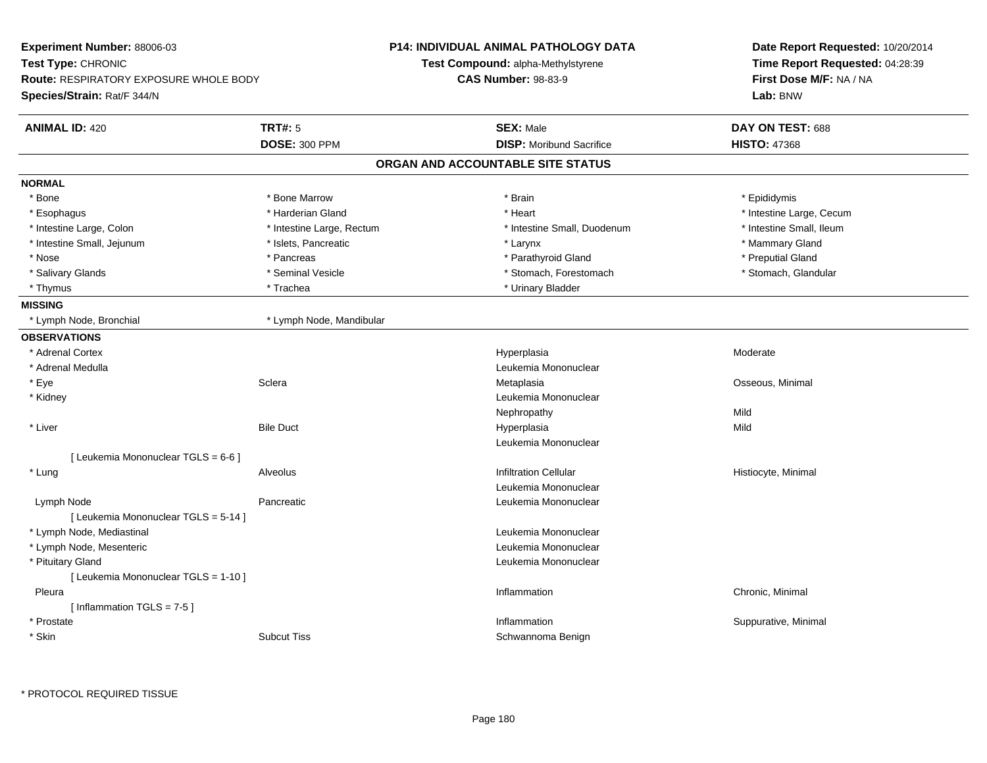| Test Type: CHRONIC<br>Test Compound: alpha-Methylstyrene<br>Time Report Requested: 04:28:39<br>First Dose M/F: NA / NA<br><b>Route: RESPIRATORY EXPOSURE WHOLE BODY</b><br><b>CAS Number: 98-83-9</b><br>Species/Strain: Rat/F 344/N<br>Lab: BNW<br><b>TRT#: 5</b><br><b>ANIMAL ID: 420</b><br><b>SEX: Male</b><br>DAY ON TEST: 688<br><b>DOSE: 300 PPM</b><br><b>DISP:</b> Moribund Sacrifice<br><b>HISTO: 47368</b><br>ORGAN AND ACCOUNTABLE SITE STATUS<br><b>NORMAL</b><br>* Bone<br>* Bone Marrow<br>* Brain<br>* Epididymis<br>* Harderian Gland<br>* Heart<br>* Intestine Large, Cecum<br>* Esophagus<br>* Intestine Small, Duodenum<br>* Intestine Small, Ileum<br>* Intestine Large, Colon<br>* Intestine Large, Rectum<br>* Intestine Small, Jejunum<br>* Islets, Pancreatic<br>* Mammary Gland<br>* Larynx<br>* Preputial Gland<br>* Nose<br>* Pancreas<br>* Parathyroid Gland<br>* Seminal Vesicle<br>* Salivary Glands<br>* Stomach, Forestomach<br>* Stomach, Glandular<br>* Trachea<br>* Urinary Bladder<br>* Thymus<br><b>MISSING</b><br>* Lymph Node, Bronchial<br>* Lymph Node, Mandibular<br><b>OBSERVATIONS</b><br>* Adrenal Cortex<br>Hyperplasia<br>Moderate<br>* Adrenal Medulla<br>Leukemia Mononuclear<br>Osseous, Minimal<br>* Eye<br>Sclera<br>Metaplasia<br>Leukemia Mononuclear<br>* Kidney<br>Mild<br>Nephropathy<br>* Liver<br><b>Bile Duct</b><br>Hyperplasia<br>Mild<br>Leukemia Mononuclear<br>[ Leukemia Mononuclear TGLS = 6-6 ]<br><b>Infiltration Cellular</b><br>* Lung<br>Alveolus<br>Histiocyte, Minimal<br>Leukemia Mononuclear<br>Lymph Node<br>Pancreatic<br>Leukemia Mononuclear<br>[ Leukemia Mononuclear TGLS = 5-14 ]<br>* Lymph Node, Mediastinal<br>Leukemia Mononuclear<br>* Lymph Node, Mesenteric<br>Leukemia Mononuclear<br>* Pituitary Gland<br>Leukemia Mononuclear<br>[ Leukemia Mononuclear TGLS = 1-10 ]<br>Pleura<br>Inflammation<br>Chronic, Minimal<br>[Inflammation $TGLS = 7-5$ ]<br>* Prostate<br>Inflammation<br>Suppurative, Minimal<br>* Skin<br><b>Subcut Tiss</b><br>Schwannoma Benign | Experiment Number: 88006-03 |  | <b>P14: INDIVIDUAL ANIMAL PATHOLOGY DATA</b> | Date Report Requested: 10/20/2014 |
|--------------------------------------------------------------------------------------------------------------------------------------------------------------------------------------------------------------------------------------------------------------------------------------------------------------------------------------------------------------------------------------------------------------------------------------------------------------------------------------------------------------------------------------------------------------------------------------------------------------------------------------------------------------------------------------------------------------------------------------------------------------------------------------------------------------------------------------------------------------------------------------------------------------------------------------------------------------------------------------------------------------------------------------------------------------------------------------------------------------------------------------------------------------------------------------------------------------------------------------------------------------------------------------------------------------------------------------------------------------------------------------------------------------------------------------------------------------------------------------------------------------------------------------------------------------------------------------------------------------------------------------------------------------------------------------------------------------------------------------------------------------------------------------------------------------------------------------------------------------------------------------------------------------------------------------------------------------------------------------------------------------------------------------------------------------|-----------------------------|--|----------------------------------------------|-----------------------------------|
|                                                                                                                                                                                                                                                                                                                                                                                                                                                                                                                                                                                                                                                                                                                                                                                                                                                                                                                                                                                                                                                                                                                                                                                                                                                                                                                                                                                                                                                                                                                                                                                                                                                                                                                                                                                                                                                                                                                                                                                                                                                              |                             |  |                                              |                                   |
|                                                                                                                                                                                                                                                                                                                                                                                                                                                                                                                                                                                                                                                                                                                                                                                                                                                                                                                                                                                                                                                                                                                                                                                                                                                                                                                                                                                                                                                                                                                                                                                                                                                                                                                                                                                                                                                                                                                                                                                                                                                              |                             |  |                                              |                                   |
|                                                                                                                                                                                                                                                                                                                                                                                                                                                                                                                                                                                                                                                                                                                                                                                                                                                                                                                                                                                                                                                                                                                                                                                                                                                                                                                                                                                                                                                                                                                                                                                                                                                                                                                                                                                                                                                                                                                                                                                                                                                              |                             |  |                                              |                                   |
|                                                                                                                                                                                                                                                                                                                                                                                                                                                                                                                                                                                                                                                                                                                                                                                                                                                                                                                                                                                                                                                                                                                                                                                                                                                                                                                                                                                                                                                                                                                                                                                                                                                                                                                                                                                                                                                                                                                                                                                                                                                              |                             |  |                                              |                                   |
|                                                                                                                                                                                                                                                                                                                                                                                                                                                                                                                                                                                                                                                                                                                                                                                                                                                                                                                                                                                                                                                                                                                                                                                                                                                                                                                                                                                                                                                                                                                                                                                                                                                                                                                                                                                                                                                                                                                                                                                                                                                              |                             |  |                                              |                                   |
|                                                                                                                                                                                                                                                                                                                                                                                                                                                                                                                                                                                                                                                                                                                                                                                                                                                                                                                                                                                                                                                                                                                                                                                                                                                                                                                                                                                                                                                                                                                                                                                                                                                                                                                                                                                                                                                                                                                                                                                                                                                              |                             |  |                                              |                                   |
|                                                                                                                                                                                                                                                                                                                                                                                                                                                                                                                                                                                                                                                                                                                                                                                                                                                                                                                                                                                                                                                                                                                                                                                                                                                                                                                                                                                                                                                                                                                                                                                                                                                                                                                                                                                                                                                                                                                                                                                                                                                              |                             |  |                                              |                                   |
|                                                                                                                                                                                                                                                                                                                                                                                                                                                                                                                                                                                                                                                                                                                                                                                                                                                                                                                                                                                                                                                                                                                                                                                                                                                                                                                                                                                                                                                                                                                                                                                                                                                                                                                                                                                                                                                                                                                                                                                                                                                              |                             |  |                                              |                                   |
|                                                                                                                                                                                                                                                                                                                                                                                                                                                                                                                                                                                                                                                                                                                                                                                                                                                                                                                                                                                                                                                                                                                                                                                                                                                                                                                                                                                                                                                                                                                                                                                                                                                                                                                                                                                                                                                                                                                                                                                                                                                              |                             |  |                                              |                                   |
|                                                                                                                                                                                                                                                                                                                                                                                                                                                                                                                                                                                                                                                                                                                                                                                                                                                                                                                                                                                                                                                                                                                                                                                                                                                                                                                                                                                                                                                                                                                                                                                                                                                                                                                                                                                                                                                                                                                                                                                                                                                              |                             |  |                                              |                                   |
|                                                                                                                                                                                                                                                                                                                                                                                                                                                                                                                                                                                                                                                                                                                                                                                                                                                                                                                                                                                                                                                                                                                                                                                                                                                                                                                                                                                                                                                                                                                                                                                                                                                                                                                                                                                                                                                                                                                                                                                                                                                              |                             |  |                                              |                                   |
|                                                                                                                                                                                                                                                                                                                                                                                                                                                                                                                                                                                                                                                                                                                                                                                                                                                                                                                                                                                                                                                                                                                                                                                                                                                                                                                                                                                                                                                                                                                                                                                                                                                                                                                                                                                                                                                                                                                                                                                                                                                              |                             |  |                                              |                                   |
|                                                                                                                                                                                                                                                                                                                                                                                                                                                                                                                                                                                                                                                                                                                                                                                                                                                                                                                                                                                                                                                                                                                                                                                                                                                                                                                                                                                                                                                                                                                                                                                                                                                                                                                                                                                                                                                                                                                                                                                                                                                              |                             |  |                                              |                                   |
|                                                                                                                                                                                                                                                                                                                                                                                                                                                                                                                                                                                                                                                                                                                                                                                                                                                                                                                                                                                                                                                                                                                                                                                                                                                                                                                                                                                                                                                                                                                                                                                                                                                                                                                                                                                                                                                                                                                                                                                                                                                              |                             |  |                                              |                                   |
|                                                                                                                                                                                                                                                                                                                                                                                                                                                                                                                                                                                                                                                                                                                                                                                                                                                                                                                                                                                                                                                                                                                                                                                                                                                                                                                                                                                                                                                                                                                                                                                                                                                                                                                                                                                                                                                                                                                                                                                                                                                              |                             |  |                                              |                                   |
|                                                                                                                                                                                                                                                                                                                                                                                                                                                                                                                                                                                                                                                                                                                                                                                                                                                                                                                                                                                                                                                                                                                                                                                                                                                                                                                                                                                                                                                                                                                                                                                                                                                                                                                                                                                                                                                                                                                                                                                                                                                              |                             |  |                                              |                                   |
|                                                                                                                                                                                                                                                                                                                                                                                                                                                                                                                                                                                                                                                                                                                                                                                                                                                                                                                                                                                                                                                                                                                                                                                                                                                                                                                                                                                                                                                                                                                                                                                                                                                                                                                                                                                                                                                                                                                                                                                                                                                              |                             |  |                                              |                                   |
|                                                                                                                                                                                                                                                                                                                                                                                                                                                                                                                                                                                                                                                                                                                                                                                                                                                                                                                                                                                                                                                                                                                                                                                                                                                                                                                                                                                                                                                                                                                                                                                                                                                                                                                                                                                                                                                                                                                                                                                                                                                              |                             |  |                                              |                                   |
|                                                                                                                                                                                                                                                                                                                                                                                                                                                                                                                                                                                                                                                                                                                                                                                                                                                                                                                                                                                                                                                                                                                                                                                                                                                                                                                                                                                                                                                                                                                                                                                                                                                                                                                                                                                                                                                                                                                                                                                                                                                              |                             |  |                                              |                                   |
|                                                                                                                                                                                                                                                                                                                                                                                                                                                                                                                                                                                                                                                                                                                                                                                                                                                                                                                                                                                                                                                                                                                                                                                                                                                                                                                                                                                                                                                                                                                                                                                                                                                                                                                                                                                                                                                                                                                                                                                                                                                              |                             |  |                                              |                                   |
|                                                                                                                                                                                                                                                                                                                                                                                                                                                                                                                                                                                                                                                                                                                                                                                                                                                                                                                                                                                                                                                                                                                                                                                                                                                                                                                                                                                                                                                                                                                                                                                                                                                                                                                                                                                                                                                                                                                                                                                                                                                              |                             |  |                                              |                                   |
|                                                                                                                                                                                                                                                                                                                                                                                                                                                                                                                                                                                                                                                                                                                                                                                                                                                                                                                                                                                                                                                                                                                                                                                                                                                                                                                                                                                                                                                                                                                                                                                                                                                                                                                                                                                                                                                                                                                                                                                                                                                              |                             |  |                                              |                                   |
|                                                                                                                                                                                                                                                                                                                                                                                                                                                                                                                                                                                                                                                                                                                                                                                                                                                                                                                                                                                                                                                                                                                                                                                                                                                                                                                                                                                                                                                                                                                                                                                                                                                                                                                                                                                                                                                                                                                                                                                                                                                              |                             |  |                                              |                                   |
|                                                                                                                                                                                                                                                                                                                                                                                                                                                                                                                                                                                                                                                                                                                                                                                                                                                                                                                                                                                                                                                                                                                                                                                                                                                                                                                                                                                                                                                                                                                                                                                                                                                                                                                                                                                                                                                                                                                                                                                                                                                              |                             |  |                                              |                                   |
|                                                                                                                                                                                                                                                                                                                                                                                                                                                                                                                                                                                                                                                                                                                                                                                                                                                                                                                                                                                                                                                                                                                                                                                                                                                                                                                                                                                                                                                                                                                                                                                                                                                                                                                                                                                                                                                                                                                                                                                                                                                              |                             |  |                                              |                                   |
|                                                                                                                                                                                                                                                                                                                                                                                                                                                                                                                                                                                                                                                                                                                                                                                                                                                                                                                                                                                                                                                                                                                                                                                                                                                                                                                                                                                                                                                                                                                                                                                                                                                                                                                                                                                                                                                                                                                                                                                                                                                              |                             |  |                                              |                                   |
|                                                                                                                                                                                                                                                                                                                                                                                                                                                                                                                                                                                                                                                                                                                                                                                                                                                                                                                                                                                                                                                                                                                                                                                                                                                                                                                                                                                                                                                                                                                                                                                                                                                                                                                                                                                                                                                                                                                                                                                                                                                              |                             |  |                                              |                                   |
|                                                                                                                                                                                                                                                                                                                                                                                                                                                                                                                                                                                                                                                                                                                                                                                                                                                                                                                                                                                                                                                                                                                                                                                                                                                                                                                                                                                                                                                                                                                                                                                                                                                                                                                                                                                                                                                                                                                                                                                                                                                              |                             |  |                                              |                                   |
|                                                                                                                                                                                                                                                                                                                                                                                                                                                                                                                                                                                                                                                                                                                                                                                                                                                                                                                                                                                                                                                                                                                                                                                                                                                                                                                                                                                                                                                                                                                                                                                                                                                                                                                                                                                                                                                                                                                                                                                                                                                              |                             |  |                                              |                                   |
|                                                                                                                                                                                                                                                                                                                                                                                                                                                                                                                                                                                                                                                                                                                                                                                                                                                                                                                                                                                                                                                                                                                                                                                                                                                                                                                                                                                                                                                                                                                                                                                                                                                                                                                                                                                                                                                                                                                                                                                                                                                              |                             |  |                                              |                                   |
|                                                                                                                                                                                                                                                                                                                                                                                                                                                                                                                                                                                                                                                                                                                                                                                                                                                                                                                                                                                                                                                                                                                                                                                                                                                                                                                                                                                                                                                                                                                                                                                                                                                                                                                                                                                                                                                                                                                                                                                                                                                              |                             |  |                                              |                                   |
|                                                                                                                                                                                                                                                                                                                                                                                                                                                                                                                                                                                                                                                                                                                                                                                                                                                                                                                                                                                                                                                                                                                                                                                                                                                                                                                                                                                                                                                                                                                                                                                                                                                                                                                                                                                                                                                                                                                                                                                                                                                              |                             |  |                                              |                                   |
|                                                                                                                                                                                                                                                                                                                                                                                                                                                                                                                                                                                                                                                                                                                                                                                                                                                                                                                                                                                                                                                                                                                                                                                                                                                                                                                                                                                                                                                                                                                                                                                                                                                                                                                                                                                                                                                                                                                                                                                                                                                              |                             |  |                                              |                                   |
|                                                                                                                                                                                                                                                                                                                                                                                                                                                                                                                                                                                                                                                                                                                                                                                                                                                                                                                                                                                                                                                                                                                                                                                                                                                                                                                                                                                                                                                                                                                                                                                                                                                                                                                                                                                                                                                                                                                                                                                                                                                              |                             |  |                                              |                                   |
|                                                                                                                                                                                                                                                                                                                                                                                                                                                                                                                                                                                                                                                                                                                                                                                                                                                                                                                                                                                                                                                                                                                                                                                                                                                                                                                                                                                                                                                                                                                                                                                                                                                                                                                                                                                                                                                                                                                                                                                                                                                              |                             |  |                                              |                                   |
|                                                                                                                                                                                                                                                                                                                                                                                                                                                                                                                                                                                                                                                                                                                                                                                                                                                                                                                                                                                                                                                                                                                                                                                                                                                                                                                                                                                                                                                                                                                                                                                                                                                                                                                                                                                                                                                                                                                                                                                                                                                              |                             |  |                                              |                                   |
|                                                                                                                                                                                                                                                                                                                                                                                                                                                                                                                                                                                                                                                                                                                                                                                                                                                                                                                                                                                                                                                                                                                                                                                                                                                                                                                                                                                                                                                                                                                                                                                                                                                                                                                                                                                                                                                                                                                                                                                                                                                              |                             |  |                                              |                                   |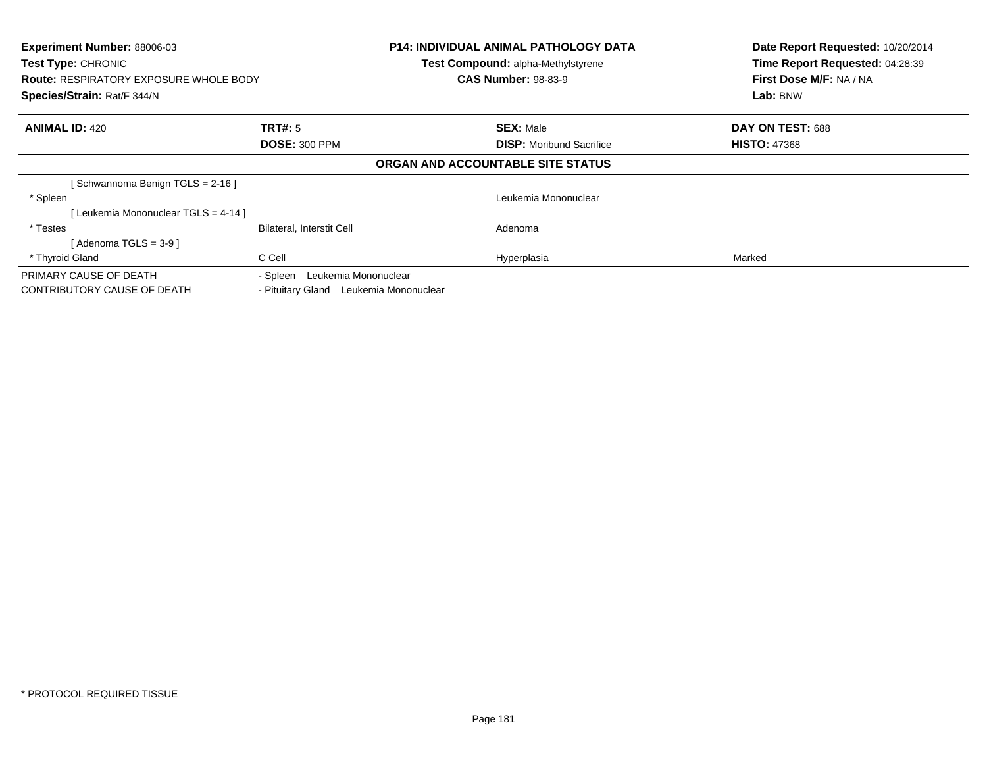| Experiment Number: 88006-03<br><b>Test Type: CHRONIC</b><br><b>Route: RESPIRATORY EXPOSURE WHOLE BODY</b><br>Species/Strain: Rat/F 344/N |                                        | <b>P14: INDIVIDUAL ANIMAL PATHOLOGY DATA</b><br>Test Compound: alpha-Methylstyrene<br><b>CAS Number: 98-83-9</b> | Date Report Requested: 10/20/2014<br>Time Report Requested: 04:28:39<br>First Dose M/F: NA / NA<br>Lab: BNW |
|------------------------------------------------------------------------------------------------------------------------------------------|----------------------------------------|------------------------------------------------------------------------------------------------------------------|-------------------------------------------------------------------------------------------------------------|
| <b>ANIMAL ID: 420</b>                                                                                                                    | TRT#: 5                                | <b>SEX: Male</b>                                                                                                 | DAY ON TEST: 688                                                                                            |
|                                                                                                                                          | <b>DOSE: 300 PPM</b>                   | <b>DISP:</b> Moribund Sacrifice                                                                                  | <b>HISTO: 47368</b>                                                                                         |
|                                                                                                                                          |                                        | ORGAN AND ACCOUNTABLE SITE STATUS                                                                                |                                                                                                             |
| Schwannoma Benign TGLS = 2-16 ]                                                                                                          |                                        |                                                                                                                  |                                                                                                             |
| * Spleen                                                                                                                                 |                                        | Leukemia Mononuclear                                                                                             |                                                                                                             |
| [Leukemia Mononuclear TGLS = 4-14 ]                                                                                                      |                                        |                                                                                                                  |                                                                                                             |
| * Testes                                                                                                                                 | Bilateral, Interstit Cell              | Adenoma                                                                                                          |                                                                                                             |
| [Adenoma TGLS = $3-9$ ]                                                                                                                  |                                        |                                                                                                                  |                                                                                                             |
| * Thyroid Gland                                                                                                                          | C Cell                                 | Hyperplasia                                                                                                      | Marked                                                                                                      |
| PRIMARY CAUSE OF DEATH                                                                                                                   | Leukemia Mononuclear<br>- Spleen       |                                                                                                                  |                                                                                                             |
| <b>CONTRIBUTORY CAUSE OF DEATH</b>                                                                                                       | - Pituitary Gland Leukemia Mononuclear |                                                                                                                  |                                                                                                             |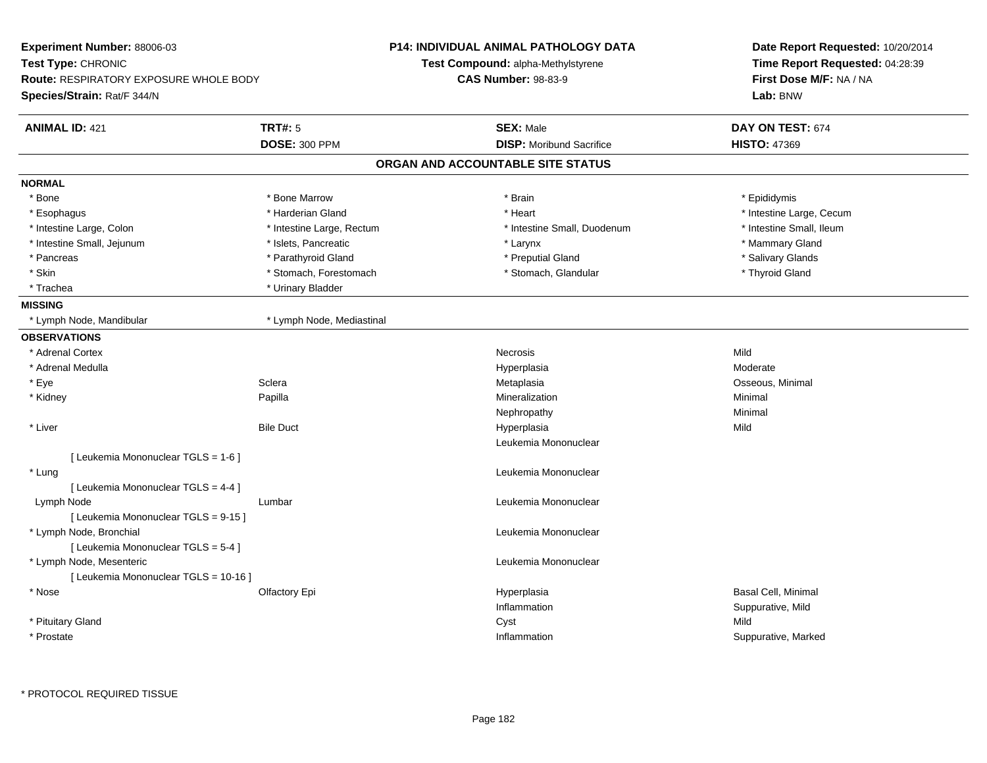| Experiment Number: 88006-03                   |                           | <b>P14: INDIVIDUAL ANIMAL PATHOLOGY DATA</b> | Date Report Requested: 10/20/2014                          |  |
|-----------------------------------------------|---------------------------|----------------------------------------------|------------------------------------------------------------|--|
| Test Type: CHRONIC                            |                           | Test Compound: alpha-Methylstyrene           | Time Report Requested: 04:28:39<br>First Dose M/F: NA / NA |  |
| <b>Route: RESPIRATORY EXPOSURE WHOLE BODY</b> |                           | <b>CAS Number: 98-83-9</b>                   |                                                            |  |
| Species/Strain: Rat/F 344/N                   |                           |                                              | Lab: BNW                                                   |  |
| <b>ANIMAL ID: 421</b>                         | <b>TRT#: 5</b>            | <b>SEX: Male</b>                             | DAY ON TEST: 674                                           |  |
|                                               | <b>DOSE: 300 PPM</b>      | <b>DISP:</b> Moribund Sacrifice              | <b>HISTO: 47369</b>                                        |  |
|                                               |                           | ORGAN AND ACCOUNTABLE SITE STATUS            |                                                            |  |
| <b>NORMAL</b>                                 |                           |                                              |                                                            |  |
| * Bone                                        | * Bone Marrow             | * Brain                                      | * Epididymis                                               |  |
| * Esophagus                                   | * Harderian Gland         | * Heart                                      | * Intestine Large, Cecum                                   |  |
| * Intestine Large, Colon                      | * Intestine Large, Rectum | * Intestine Small, Duodenum                  | * Intestine Small, Ileum                                   |  |
| * Intestine Small, Jejunum                    | * Islets, Pancreatic      | * Larynx                                     | * Mammary Gland                                            |  |
| * Pancreas                                    | * Parathyroid Gland       | * Preputial Gland                            | * Salivary Glands                                          |  |
| * Skin                                        | * Stomach, Forestomach    | * Stomach, Glandular                         | * Thyroid Gland                                            |  |
| * Trachea                                     | * Urinary Bladder         |                                              |                                                            |  |
| <b>MISSING</b>                                |                           |                                              |                                                            |  |
| * Lymph Node, Mandibular                      | * Lymph Node, Mediastinal |                                              |                                                            |  |
| <b>OBSERVATIONS</b>                           |                           |                                              |                                                            |  |
| * Adrenal Cortex                              |                           | Necrosis                                     | Mild                                                       |  |
| * Adrenal Medulla                             |                           | Hyperplasia                                  | Moderate                                                   |  |
| * Eye                                         | Sclera                    | Metaplasia                                   | Osseous, Minimal                                           |  |
| * Kidney                                      | Papilla                   | Mineralization                               | Minimal                                                    |  |
|                                               |                           | Nephropathy                                  | Minimal                                                    |  |
| * Liver                                       | <b>Bile Duct</b>          | Hyperplasia                                  | Mild                                                       |  |
|                                               |                           | Leukemia Mononuclear                         |                                                            |  |
| [ Leukemia Mononuclear TGLS = 1-6 ]           |                           |                                              |                                                            |  |
| * Lung                                        |                           | Leukemia Mononuclear                         |                                                            |  |
| [ Leukemia Mononuclear TGLS = 4-4 ]           |                           |                                              |                                                            |  |
| Lymph Node                                    | Lumbar                    | Leukemia Mononuclear                         |                                                            |  |
| [Leukemia Mononuclear TGLS = 9-15]            |                           |                                              |                                                            |  |
| * Lymph Node, Bronchial                       |                           | Leukemia Mononuclear                         |                                                            |  |
| [ Leukemia Mononuclear TGLS = 5-4 ]           |                           |                                              |                                                            |  |
| * Lymph Node, Mesenteric                      |                           | Leukemia Mononuclear                         |                                                            |  |
| [ Leukemia Mononuclear TGLS = 10-16 ]         |                           |                                              |                                                            |  |
| * Nose                                        | Olfactory Epi             | Hyperplasia                                  | Basal Cell, Minimal                                        |  |
|                                               |                           | Inflammation                                 | Suppurative, Mild                                          |  |
| * Pituitary Gland                             |                           | Cyst                                         | Mild                                                       |  |
| * Prostate                                    |                           | Inflammation                                 | Suppurative, Marked                                        |  |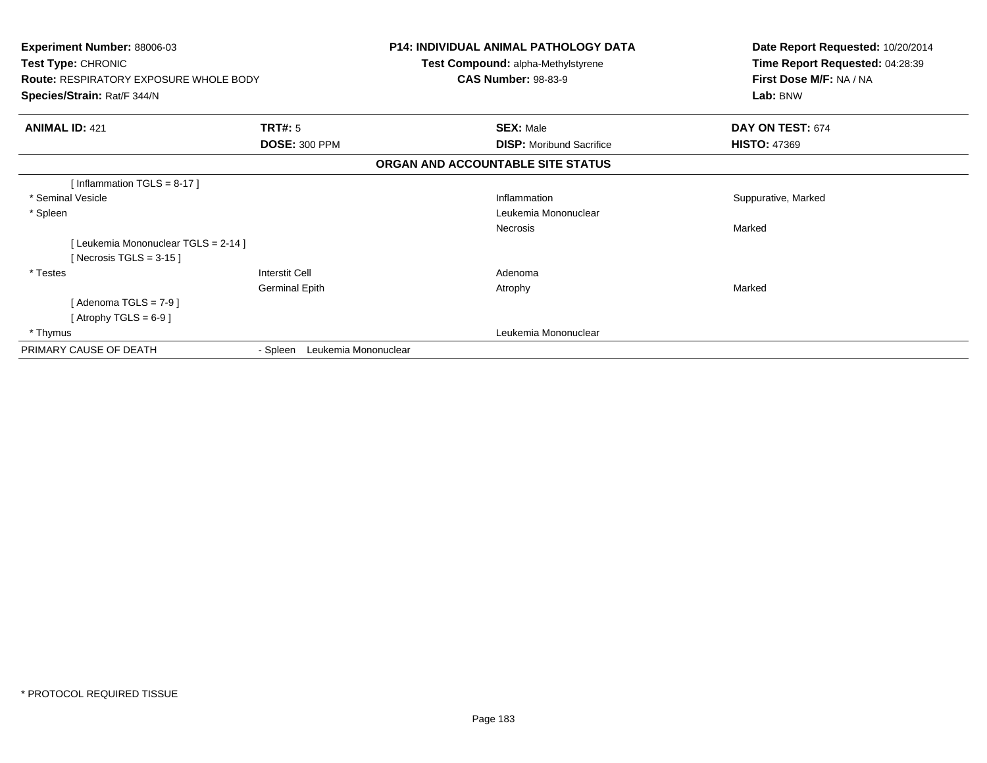| <b>Experiment Number: 88006-03</b><br>Test Type: CHRONIC<br><b>Route: RESPIRATORY EXPOSURE WHOLE BODY</b><br>Species/Strain: Rat/F 344/N |                                  | <b>P14: INDIVIDUAL ANIMAL PATHOLOGY DATA</b><br><b>Test Compound: alpha-Methylstyrene</b><br><b>CAS Number: 98-83-9</b> | Date Report Requested: 10/20/2014<br>Time Report Requested: 04:28:39<br>First Dose M/F: NA / NA<br>Lab: BNW |  |
|------------------------------------------------------------------------------------------------------------------------------------------|----------------------------------|-------------------------------------------------------------------------------------------------------------------------|-------------------------------------------------------------------------------------------------------------|--|
| <b>ANIMAL ID: 421</b>                                                                                                                    | <b>TRT#: 5</b>                   | <b>SEX: Male</b>                                                                                                        | DAY ON TEST: 674                                                                                            |  |
|                                                                                                                                          | <b>DOSE: 300 PPM</b>             | <b>DISP:</b> Moribund Sacrifice                                                                                         | <b>HISTO: 47369</b>                                                                                         |  |
|                                                                                                                                          |                                  | ORGAN AND ACCOUNTABLE SITE STATUS                                                                                       |                                                                                                             |  |
| [Inflammation TGLS = $8-17$ ]                                                                                                            |                                  |                                                                                                                         |                                                                                                             |  |
| * Seminal Vesicle                                                                                                                        |                                  | Inflammation                                                                                                            | Suppurative, Marked                                                                                         |  |
| * Spleen                                                                                                                                 |                                  | Leukemia Mononuclear                                                                                                    |                                                                                                             |  |
|                                                                                                                                          |                                  | Necrosis                                                                                                                | Marked                                                                                                      |  |
| [Leukemia Mononuclear TGLS = 2-14]                                                                                                       |                                  |                                                                                                                         |                                                                                                             |  |
| [Necrosis TGLS = $3-15$ ]                                                                                                                |                                  |                                                                                                                         |                                                                                                             |  |
| * Testes                                                                                                                                 | <b>Interstit Cell</b>            | Adenoma                                                                                                                 |                                                                                                             |  |
|                                                                                                                                          | <b>Germinal Epith</b>            | Atrophy                                                                                                                 | Marked                                                                                                      |  |
| [Adenoma TGLS = $7-9$ ]                                                                                                                  |                                  |                                                                                                                         |                                                                                                             |  |
| [Atrophy TGLS = $6-9$ ]                                                                                                                  |                                  |                                                                                                                         |                                                                                                             |  |
| * Thymus                                                                                                                                 |                                  | Leukemia Mononuclear                                                                                                    |                                                                                                             |  |
| PRIMARY CAUSE OF DEATH                                                                                                                   | Leukemia Mononuclear<br>- Spleen |                                                                                                                         |                                                                                                             |  |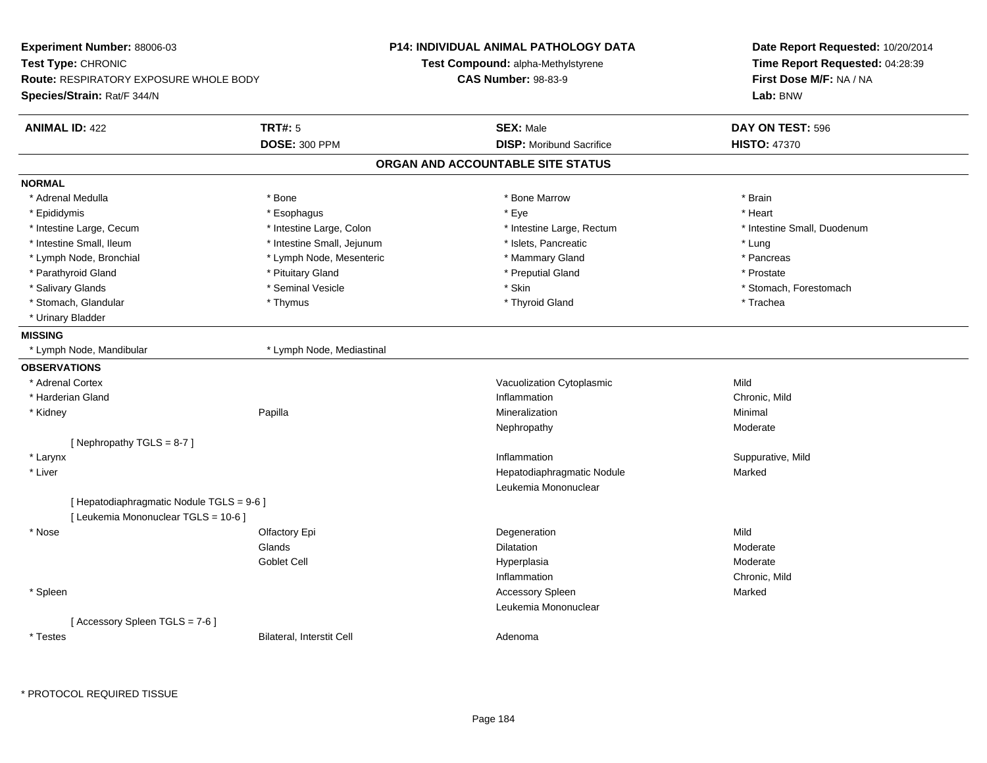| Experiment Number: 88006-03                   |                            | <b>P14: INDIVIDUAL ANIMAL PATHOLOGY DATA</b> | Date Report Requested: 10/20/2014<br>Time Report Requested: 04:28:39<br>First Dose M/F: NA / NA |  |
|-----------------------------------------------|----------------------------|----------------------------------------------|-------------------------------------------------------------------------------------------------|--|
| Test Type: CHRONIC                            |                            | Test Compound: alpha-Methylstyrene           |                                                                                                 |  |
| <b>Route: RESPIRATORY EXPOSURE WHOLE BODY</b> |                            | <b>CAS Number: 98-83-9</b>                   |                                                                                                 |  |
| Species/Strain: Rat/F 344/N                   |                            |                                              | Lab: BNW                                                                                        |  |
| <b>ANIMAL ID: 422</b>                         | <b>TRT#: 5</b>             | <b>SEX: Male</b>                             | DAY ON TEST: 596                                                                                |  |
|                                               | <b>DOSE: 300 PPM</b>       | <b>DISP:</b> Moribund Sacrifice              | <b>HISTO: 47370</b>                                                                             |  |
|                                               |                            | ORGAN AND ACCOUNTABLE SITE STATUS            |                                                                                                 |  |
| <b>NORMAL</b>                                 |                            |                                              |                                                                                                 |  |
| * Adrenal Medulla                             | * Bone                     | * Bone Marrow                                | * Brain                                                                                         |  |
| * Epididymis                                  | * Esophagus                | * Eye                                        | * Heart                                                                                         |  |
| * Intestine Large, Cecum                      | * Intestine Large, Colon   | * Intestine Large, Rectum                    | * Intestine Small, Duodenum                                                                     |  |
| * Intestine Small, Ileum                      | * Intestine Small, Jejunum | * Islets, Pancreatic                         | * Lung                                                                                          |  |
| * Lymph Node, Bronchial                       | * Lymph Node, Mesenteric   | * Mammary Gland                              | * Pancreas                                                                                      |  |
| * Parathyroid Gland                           | * Pituitary Gland          | * Preputial Gland                            | * Prostate                                                                                      |  |
| * Salivary Glands                             | * Seminal Vesicle          | * Skin                                       | * Stomach, Forestomach                                                                          |  |
| * Stomach, Glandular                          | * Thymus                   | * Thyroid Gland                              | * Trachea                                                                                       |  |
| * Urinary Bladder                             |                            |                                              |                                                                                                 |  |
| <b>MISSING</b>                                |                            |                                              |                                                                                                 |  |
| * Lymph Node, Mandibular                      | * Lymph Node, Mediastinal  |                                              |                                                                                                 |  |
| <b>OBSERVATIONS</b>                           |                            |                                              |                                                                                                 |  |
| * Adrenal Cortex                              |                            | Vacuolization Cytoplasmic                    | Mild                                                                                            |  |
| * Harderian Gland                             |                            | Inflammation                                 | Chronic, Mild                                                                                   |  |
| * Kidney                                      | Papilla                    | Mineralization                               | Minimal                                                                                         |  |
|                                               |                            | Nephropathy                                  | Moderate                                                                                        |  |
| [Nephropathy TGLS = $8-7$ ]                   |                            |                                              |                                                                                                 |  |
| * Larynx                                      |                            | Inflammation                                 | Suppurative, Mild                                                                               |  |
| * Liver                                       |                            | Hepatodiaphragmatic Nodule                   | Marked                                                                                          |  |
|                                               |                            | Leukemia Mononuclear                         |                                                                                                 |  |
| [ Hepatodiaphragmatic Nodule TGLS = 9-6 ]     |                            |                                              |                                                                                                 |  |
| [ Leukemia Mononuclear TGLS = 10-6 ]          |                            |                                              |                                                                                                 |  |
| * Nose                                        | Olfactory Epi              | Degeneration                                 | Mild                                                                                            |  |
|                                               | Glands                     | <b>Dilatation</b>                            | Moderate                                                                                        |  |
|                                               | Goblet Cell                | Hyperplasia                                  | Moderate                                                                                        |  |
|                                               |                            | Inflammation                                 | Chronic, Mild                                                                                   |  |
| * Spleen                                      |                            | <b>Accessory Spleen</b>                      | Marked                                                                                          |  |
|                                               |                            | Leukemia Mononuclear                         |                                                                                                 |  |
| [Accessory Spleen TGLS = 7-6]                 |                            |                                              |                                                                                                 |  |
| * Testes                                      | Bilateral, Interstit Cell  | Adenoma                                      |                                                                                                 |  |
|                                               |                            |                                              |                                                                                                 |  |

\* PROTOCOL REQUIRED TISSUE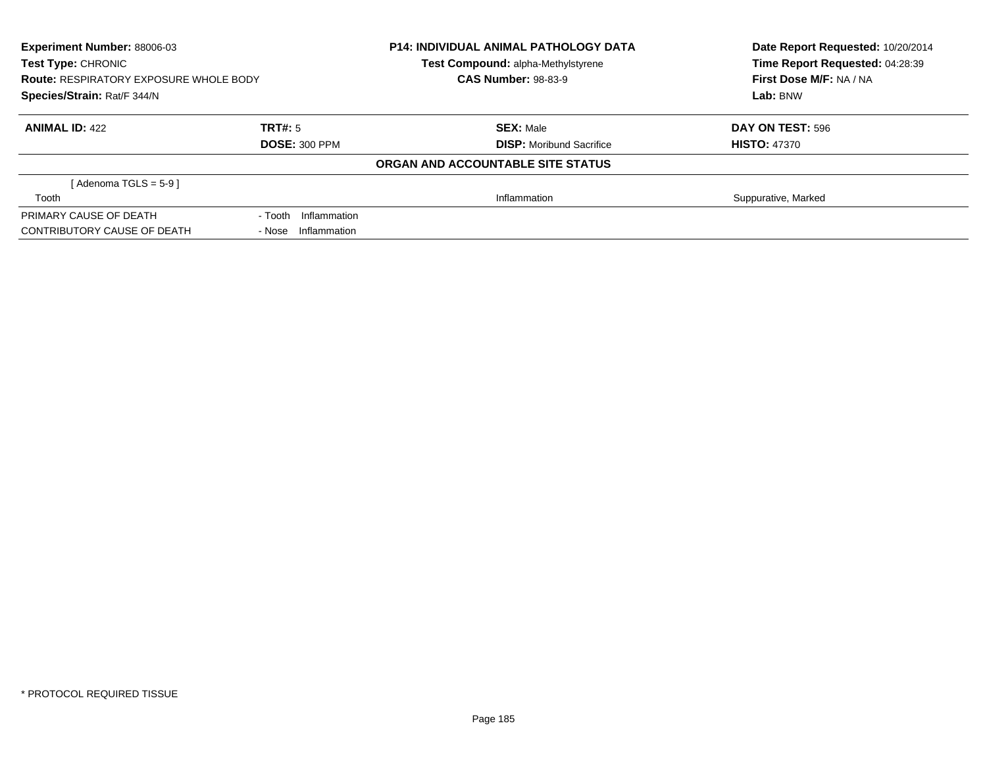| Experiment Number: 88006-03                                                                        |                         | <b>P14: INDIVIDUAL ANIMAL PATHOLOGY DATA</b> | Date Report Requested: 10/20/2014 |  |
|----------------------------------------------------------------------------------------------------|-------------------------|----------------------------------------------|-----------------------------------|--|
| Test Type: CHRONIC<br><b>Route: RESPIRATORY EXPOSURE WHOLE BODY</b><br>Species/Strain: Rat/F 344/N |                         | Test Compound: alpha-Methylstyrene           | Time Report Requested: 04:28:39   |  |
|                                                                                                    |                         | <b>CAS Number: 98-83-9</b>                   | First Dose M/F: NA / NA           |  |
|                                                                                                    |                         |                                              | Lab: BNW                          |  |
| <b>ANIMAL ID: 422</b>                                                                              | TRT#: 5                 | <b>SEX: Male</b>                             | DAY ON TEST: 596                  |  |
|                                                                                                    | <b>DOSE: 300 PPM</b>    | <b>DISP:</b> Moribund Sacrifice              | <b>HISTO: 47370</b>               |  |
|                                                                                                    |                         | ORGAN AND ACCOUNTABLE SITE STATUS            |                                   |  |
| [Adenoma TGLS = $5-9$ ]                                                                            |                         |                                              |                                   |  |
| Tooth                                                                                              |                         | Inflammation                                 | Suppurative, Marked               |  |
| PRIMARY CAUSE OF DEATH                                                                             | Inflammation<br>- Tooth |                                              |                                   |  |
| CONTRIBUTORY CAUSE OF DEATH                                                                        | - Nose Inflammation     |                                              |                                   |  |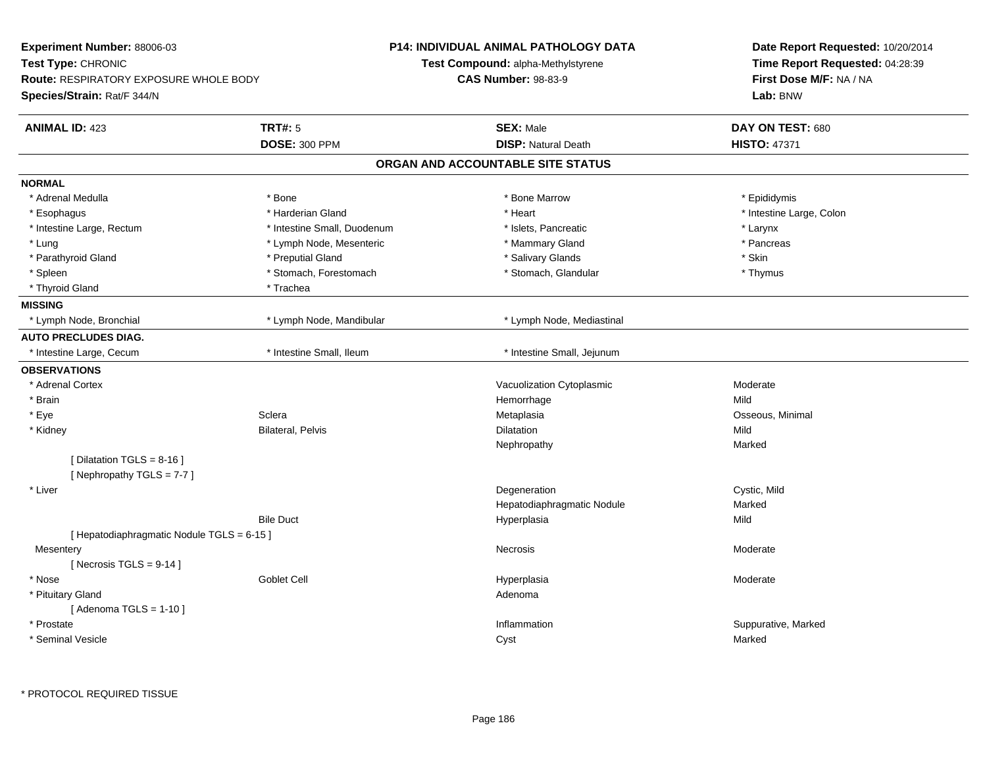| Experiment Number: 88006-03<br>Test Type: CHRONIC<br><b>Route: RESPIRATORY EXPOSURE WHOLE BODY</b><br>Species/Strain: Rat/F 344/N |                                        | <b>P14: INDIVIDUAL ANIMAL PATHOLOGY DATA</b><br>Test Compound: alpha-Methylstyrene<br><b>CAS Number: 98-83-9</b> | Date Report Requested: 10/20/2014<br>Time Report Requested: 04:28:39<br>First Dose M/F: NA / NA<br>Lab: BNW |  |
|-----------------------------------------------------------------------------------------------------------------------------------|----------------------------------------|------------------------------------------------------------------------------------------------------------------|-------------------------------------------------------------------------------------------------------------|--|
| <b>ANIMAL ID: 423</b>                                                                                                             | <b>TRT#: 5</b><br><b>DOSE: 300 PPM</b> | <b>SEX: Male</b><br><b>DISP: Natural Death</b>                                                                   | DAY ON TEST: 680<br><b>HISTO: 47371</b>                                                                     |  |
|                                                                                                                                   |                                        | ORGAN AND ACCOUNTABLE SITE STATUS                                                                                |                                                                                                             |  |
| <b>NORMAL</b>                                                                                                                     |                                        |                                                                                                                  |                                                                                                             |  |
| * Adrenal Medulla                                                                                                                 | * Bone                                 | * Bone Marrow                                                                                                    | * Epididymis                                                                                                |  |
| * Esophagus                                                                                                                       | * Harderian Gland                      | * Heart                                                                                                          | * Intestine Large, Colon                                                                                    |  |
| * Intestine Large, Rectum                                                                                                         | * Intestine Small, Duodenum            | * Islets, Pancreatic                                                                                             | * Larynx                                                                                                    |  |
| * Lung                                                                                                                            | * Lymph Node, Mesenteric               | * Mammary Gland                                                                                                  | * Pancreas                                                                                                  |  |
| * Parathyroid Gland                                                                                                               | * Preputial Gland                      | * Salivary Glands                                                                                                | * Skin                                                                                                      |  |
| * Spleen                                                                                                                          | * Stomach, Forestomach                 | * Stomach, Glandular                                                                                             | * Thymus                                                                                                    |  |
| * Thyroid Gland                                                                                                                   | * Trachea                              |                                                                                                                  |                                                                                                             |  |
| <b>MISSING</b>                                                                                                                    |                                        |                                                                                                                  |                                                                                                             |  |
| * Lymph Node, Bronchial                                                                                                           | * Lymph Node, Mandibular               | * Lymph Node, Mediastinal                                                                                        |                                                                                                             |  |
| <b>AUTO PRECLUDES DIAG.</b>                                                                                                       |                                        |                                                                                                                  |                                                                                                             |  |
| * Intestine Large, Cecum                                                                                                          | * Intestine Small, Ileum               | * Intestine Small, Jejunum                                                                                       |                                                                                                             |  |
| <b>OBSERVATIONS</b>                                                                                                               |                                        |                                                                                                                  |                                                                                                             |  |
| * Adrenal Cortex                                                                                                                  |                                        | Vacuolization Cytoplasmic                                                                                        | Moderate                                                                                                    |  |
| * Brain                                                                                                                           |                                        | Hemorrhage                                                                                                       | Mild                                                                                                        |  |
| * Eye                                                                                                                             | Sclera                                 | Metaplasia                                                                                                       | Osseous, Minimal                                                                                            |  |
| * Kidney                                                                                                                          | <b>Bilateral, Pelvis</b>               | Dilatation                                                                                                       | Mild                                                                                                        |  |
|                                                                                                                                   |                                        | Nephropathy                                                                                                      | Marked                                                                                                      |  |
| [ Dilatation TGLS = $8-16$ ]<br>[Nephropathy TGLS = 7-7]                                                                          |                                        |                                                                                                                  |                                                                                                             |  |
| * Liver                                                                                                                           |                                        | Degeneration                                                                                                     | Cystic, Mild                                                                                                |  |
|                                                                                                                                   |                                        | Hepatodiaphragmatic Nodule                                                                                       | Marked                                                                                                      |  |
|                                                                                                                                   | <b>Bile Duct</b>                       | Hyperplasia                                                                                                      | Mild                                                                                                        |  |
| [ Hepatodiaphragmatic Nodule TGLS = 6-15 ]                                                                                        |                                        |                                                                                                                  |                                                                                                             |  |
| Mesentery                                                                                                                         |                                        | <b>Necrosis</b>                                                                                                  | Moderate                                                                                                    |  |
| [Necrosis TGLS = $9-14$ ]                                                                                                         |                                        |                                                                                                                  |                                                                                                             |  |
| * Nose                                                                                                                            | <b>Goblet Cell</b>                     | Hyperplasia                                                                                                      | Moderate                                                                                                    |  |
| * Pituitary Gland<br>[Adenoma TGLS = $1-10$ ]                                                                                     |                                        | Adenoma                                                                                                          |                                                                                                             |  |
| * Prostate                                                                                                                        |                                        | Inflammation                                                                                                     | Suppurative, Marked                                                                                         |  |
| * Seminal Vesicle                                                                                                                 |                                        | Cyst                                                                                                             | Marked                                                                                                      |  |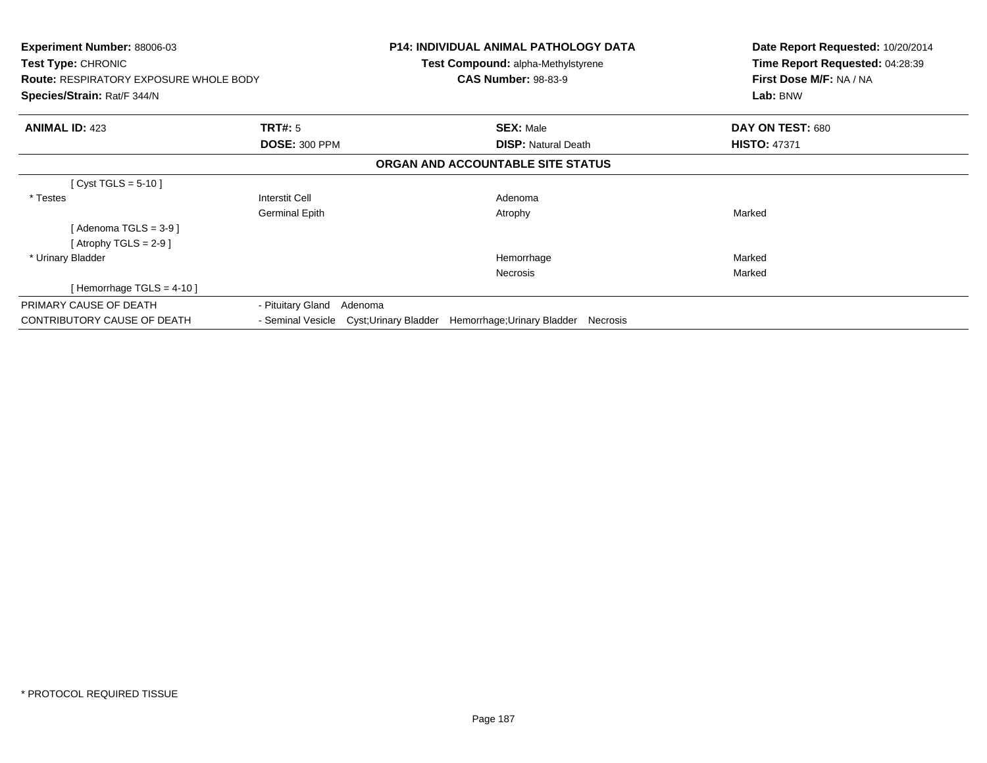| <b>Experiment Number: 88006-03</b><br>Test Type: CHRONIC<br><b>Route: RESPIRATORY EXPOSURE WHOLE BODY</b><br><b>Species/Strain: Rat/F 344/N</b> |                              | <b>P14: INDIVIDUAL ANIMAL PATHOLOGY DATA</b><br>Test Compound: alpha-Methylstyrene<br><b>CAS Number: 98-83-9</b> | Date Report Requested: 10/20/2014<br>Time Report Requested: 04:28:39<br>First Dose M/F: NA / NA<br>Lab: BNW |
|-------------------------------------------------------------------------------------------------------------------------------------------------|------------------------------|------------------------------------------------------------------------------------------------------------------|-------------------------------------------------------------------------------------------------------------|
| <b>ANIMAL ID: 423</b>                                                                                                                           | <b>TRT#: 5</b>               | <b>SEX: Male</b>                                                                                                 | DAY ON TEST: 680                                                                                            |
|                                                                                                                                                 | <b>DOSE: 300 PPM</b>         | <b>DISP:</b> Natural Death                                                                                       | <b>HISTO: 47371</b>                                                                                         |
|                                                                                                                                                 |                              | ORGAN AND ACCOUNTABLE SITE STATUS                                                                                |                                                                                                             |
| [ Cyst TGLS = $5-10$ ]                                                                                                                          |                              |                                                                                                                  |                                                                                                             |
| * Testes                                                                                                                                        | <b>Interstit Cell</b>        | Adenoma                                                                                                          |                                                                                                             |
|                                                                                                                                                 | <b>Germinal Epith</b>        | Atrophy                                                                                                          | Marked                                                                                                      |
| [ Adenoma TGLS = 3-9 ]                                                                                                                          |                              |                                                                                                                  |                                                                                                             |
| [Atrophy TGLS = 2-9 ]                                                                                                                           |                              |                                                                                                                  |                                                                                                             |
| * Urinary Bladder                                                                                                                               |                              | Hemorrhage                                                                                                       | Marked                                                                                                      |
|                                                                                                                                                 |                              | <b>Necrosis</b>                                                                                                  | Marked                                                                                                      |
| [Hemorrhage TGLS = $4-10$ ]                                                                                                                     |                              |                                                                                                                  |                                                                                                             |
| PRIMARY CAUSE OF DEATH                                                                                                                          | - Pituitary Gland<br>Adenoma |                                                                                                                  |                                                                                                             |
| <b>CONTRIBUTORY CAUSE OF DEATH</b>                                                                                                              | - Seminal Vesicle            | Cyst;Urinary Bladder<br>Hemorrhage; Urinary Bladder<br>Necrosis                                                  |                                                                                                             |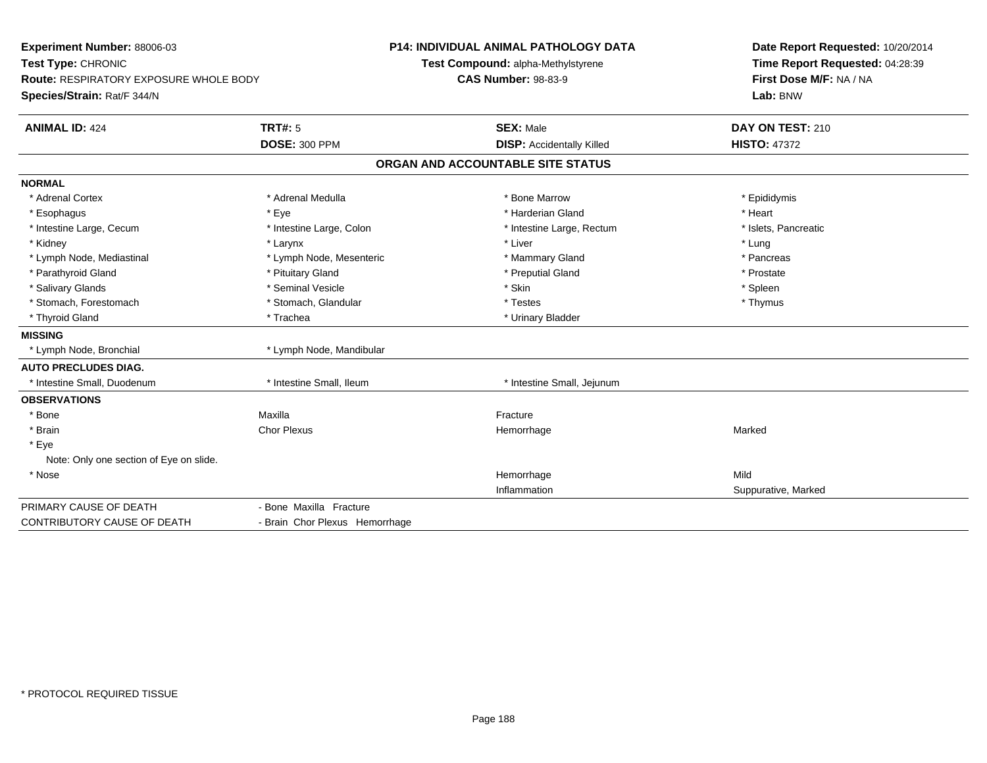| Experiment Number: 88006-03<br>Test Type: CHRONIC<br><b>Route: RESPIRATORY EXPOSURE WHOLE BODY</b><br>Species/Strain: Rat/F 344/N |                                | <b>P14: INDIVIDUAL ANIMAL PATHOLOGY DATA</b><br>Test Compound: alpha-Methylstyrene<br><b>CAS Number: 98-83-9</b> | Date Report Requested: 10/20/2014<br>Time Report Requested: 04:28:39<br>First Dose M/F: NA / NA<br>Lab: BNW |  |
|-----------------------------------------------------------------------------------------------------------------------------------|--------------------------------|------------------------------------------------------------------------------------------------------------------|-------------------------------------------------------------------------------------------------------------|--|
| <b>ANIMAL ID: 424</b>                                                                                                             | <b>TRT#: 5</b>                 | <b>SEX: Male</b>                                                                                                 | DAY ON TEST: 210                                                                                            |  |
|                                                                                                                                   | <b>DOSE: 300 PPM</b>           | <b>DISP:</b> Accidentally Killed                                                                                 | <b>HISTO: 47372</b>                                                                                         |  |
|                                                                                                                                   |                                | ORGAN AND ACCOUNTABLE SITE STATUS                                                                                |                                                                                                             |  |
| <b>NORMAL</b>                                                                                                                     |                                |                                                                                                                  |                                                                                                             |  |
| * Adrenal Cortex                                                                                                                  | * Adrenal Medulla              | * Bone Marrow                                                                                                    | * Epididymis                                                                                                |  |
| * Esophagus                                                                                                                       | * Eye                          | * Harderian Gland                                                                                                | * Heart                                                                                                     |  |
| * Intestine Large, Cecum                                                                                                          | * Intestine Large, Colon       | * Intestine Large, Rectum                                                                                        | * Islets, Pancreatic                                                                                        |  |
| * Kidney                                                                                                                          | * Larynx                       | * Liver                                                                                                          | * Lung                                                                                                      |  |
| * Lymph Node, Mediastinal                                                                                                         | * Lymph Node, Mesenteric       | * Mammary Gland                                                                                                  | * Pancreas                                                                                                  |  |
| * Parathyroid Gland                                                                                                               | * Pituitary Gland              | * Preputial Gland                                                                                                | * Prostate                                                                                                  |  |
| * Salivary Glands                                                                                                                 | * Seminal Vesicle              | * Skin                                                                                                           | * Spleen                                                                                                    |  |
| * Stomach, Forestomach                                                                                                            | * Stomach, Glandular           | * Testes                                                                                                         | * Thymus                                                                                                    |  |
| * Thyroid Gland                                                                                                                   | * Trachea                      | * Urinary Bladder                                                                                                |                                                                                                             |  |
| <b>MISSING</b>                                                                                                                    |                                |                                                                                                                  |                                                                                                             |  |
| * Lymph Node, Bronchial                                                                                                           | * Lymph Node, Mandibular       |                                                                                                                  |                                                                                                             |  |
| <b>AUTO PRECLUDES DIAG.</b>                                                                                                       |                                |                                                                                                                  |                                                                                                             |  |
| * Intestine Small, Duodenum                                                                                                       | * Intestine Small, Ileum       | * Intestine Small, Jejunum                                                                                       |                                                                                                             |  |
| <b>OBSERVATIONS</b>                                                                                                               |                                |                                                                                                                  |                                                                                                             |  |
| * Bone                                                                                                                            | Maxilla                        | Fracture                                                                                                         |                                                                                                             |  |
| * Brain                                                                                                                           | <b>Chor Plexus</b>             | Hemorrhage                                                                                                       | Marked                                                                                                      |  |
| * Eye                                                                                                                             |                                |                                                                                                                  |                                                                                                             |  |
| Note: Only one section of Eye on slide.                                                                                           |                                |                                                                                                                  |                                                                                                             |  |
| * Nose                                                                                                                            |                                | Hemorrhage                                                                                                       | Mild                                                                                                        |  |
|                                                                                                                                   |                                | Inflammation                                                                                                     | Suppurative, Marked                                                                                         |  |
| PRIMARY CAUSE OF DEATH                                                                                                            | - Bone Maxilla Fracture        |                                                                                                                  |                                                                                                             |  |
| <b>CONTRIBUTORY CAUSE OF DEATH</b>                                                                                                | - Brain Chor Plexus Hemorrhage |                                                                                                                  |                                                                                                             |  |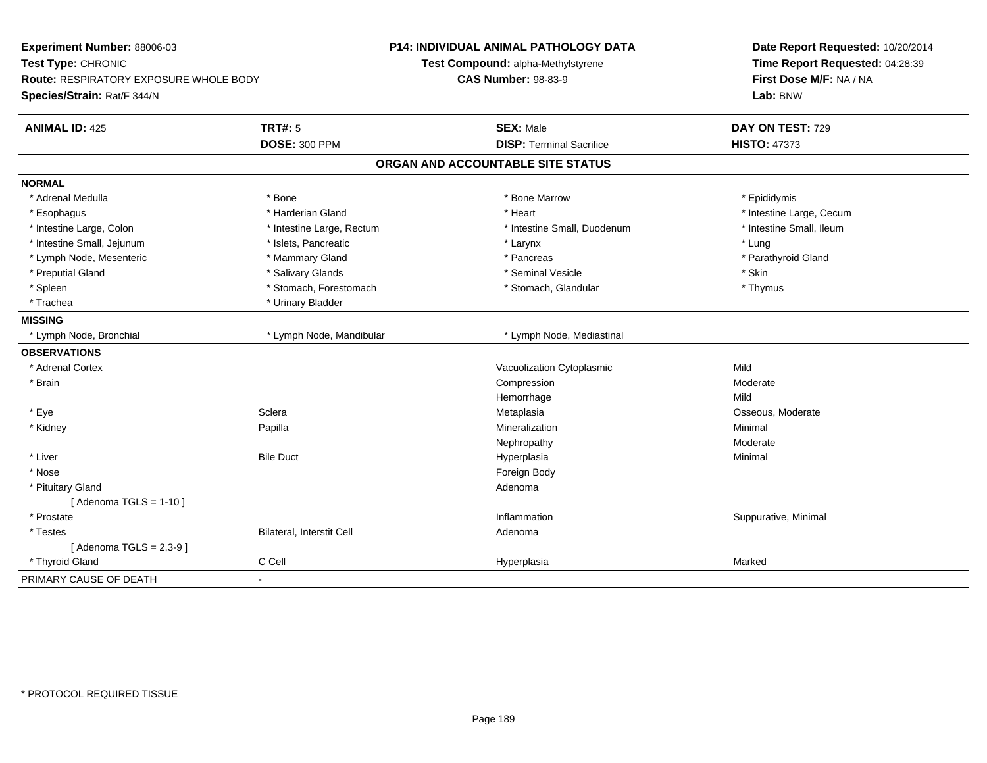| Experiment Number: 88006-03<br>Test Type: CHRONIC<br>Route: RESPIRATORY EXPOSURE WHOLE BODY<br>Species/Strain: Rat/F 344/N |                           | P14: INDIVIDUAL ANIMAL PATHOLOGY DATA<br>Test Compound: alpha-Methylstyrene<br><b>CAS Number: 98-83-9</b> | Date Report Requested: 10/20/2014<br>Time Report Requested: 04:28:39<br>First Dose M/F: NA / NA<br>Lab: BNW |  |
|----------------------------------------------------------------------------------------------------------------------------|---------------------------|-----------------------------------------------------------------------------------------------------------|-------------------------------------------------------------------------------------------------------------|--|
| <b>ANIMAL ID: 425</b>                                                                                                      | TRT#: 5                   | <b>SEX: Male</b>                                                                                          | DAY ON TEST: 729                                                                                            |  |
|                                                                                                                            | <b>DOSE: 300 PPM</b>      | <b>DISP: Terminal Sacrifice</b>                                                                           | <b>HISTO: 47373</b>                                                                                         |  |
|                                                                                                                            |                           | ORGAN AND ACCOUNTABLE SITE STATUS                                                                         |                                                                                                             |  |
| <b>NORMAL</b>                                                                                                              |                           |                                                                                                           |                                                                                                             |  |
| * Adrenal Medulla                                                                                                          | * Bone                    | * Bone Marrow                                                                                             | * Epididymis                                                                                                |  |
| * Esophagus                                                                                                                | * Harderian Gland         | * Heart                                                                                                   | * Intestine Large, Cecum                                                                                    |  |
| * Intestine Large, Colon                                                                                                   | * Intestine Large, Rectum | * Intestine Small, Duodenum                                                                               | * Intestine Small, Ileum                                                                                    |  |
| * Intestine Small, Jejunum                                                                                                 | * Islets, Pancreatic      | * Larynx                                                                                                  | * Lung                                                                                                      |  |
| * Lymph Node, Mesenteric                                                                                                   | * Mammary Gland           | * Pancreas                                                                                                | * Parathyroid Gland                                                                                         |  |
| * Preputial Gland                                                                                                          | * Salivary Glands         | * Seminal Vesicle                                                                                         | * Skin                                                                                                      |  |
| * Spleen                                                                                                                   | * Stomach, Forestomach    | * Stomach, Glandular                                                                                      | * Thymus                                                                                                    |  |
| * Trachea                                                                                                                  | * Urinary Bladder         |                                                                                                           |                                                                                                             |  |
| <b>MISSING</b>                                                                                                             |                           |                                                                                                           |                                                                                                             |  |
| * Lymph Node, Bronchial                                                                                                    | * Lymph Node, Mandibular  | * Lymph Node, Mediastinal                                                                                 |                                                                                                             |  |
| <b>OBSERVATIONS</b>                                                                                                        |                           |                                                                                                           |                                                                                                             |  |
| * Adrenal Cortex                                                                                                           |                           | Vacuolization Cytoplasmic                                                                                 | Mild                                                                                                        |  |
| * Brain                                                                                                                    |                           | Compression                                                                                               | Moderate                                                                                                    |  |
|                                                                                                                            |                           | Hemorrhage                                                                                                | Mild                                                                                                        |  |
| * Eye                                                                                                                      | Sclera                    | Metaplasia                                                                                                | Osseous, Moderate                                                                                           |  |
| * Kidney                                                                                                                   | Papilla                   | Mineralization                                                                                            | Minimal                                                                                                     |  |
|                                                                                                                            |                           | Nephropathy                                                                                               | Moderate                                                                                                    |  |
| * Liver                                                                                                                    | <b>Bile Duct</b>          | Hyperplasia                                                                                               | Minimal                                                                                                     |  |
| * Nose                                                                                                                     |                           | Foreign Body                                                                                              |                                                                                                             |  |
| * Pituitary Gland                                                                                                          |                           | Adenoma                                                                                                   |                                                                                                             |  |
| [Adenoma TGLS = $1-10$ ]                                                                                                   |                           |                                                                                                           |                                                                                                             |  |
| * Prostate                                                                                                                 |                           | Inflammation                                                                                              | Suppurative, Minimal                                                                                        |  |
| * Testes                                                                                                                   | Bilateral, Interstit Cell | Adenoma                                                                                                   |                                                                                                             |  |
| [Adenoma TGLS = $2,3-9$ ]                                                                                                  |                           |                                                                                                           |                                                                                                             |  |
| * Thyroid Gland                                                                                                            | C Cell                    | Hyperplasia                                                                                               | Marked                                                                                                      |  |
| PRIMARY CAUSE OF DEATH                                                                                                     | $\blacksquare$            |                                                                                                           |                                                                                                             |  |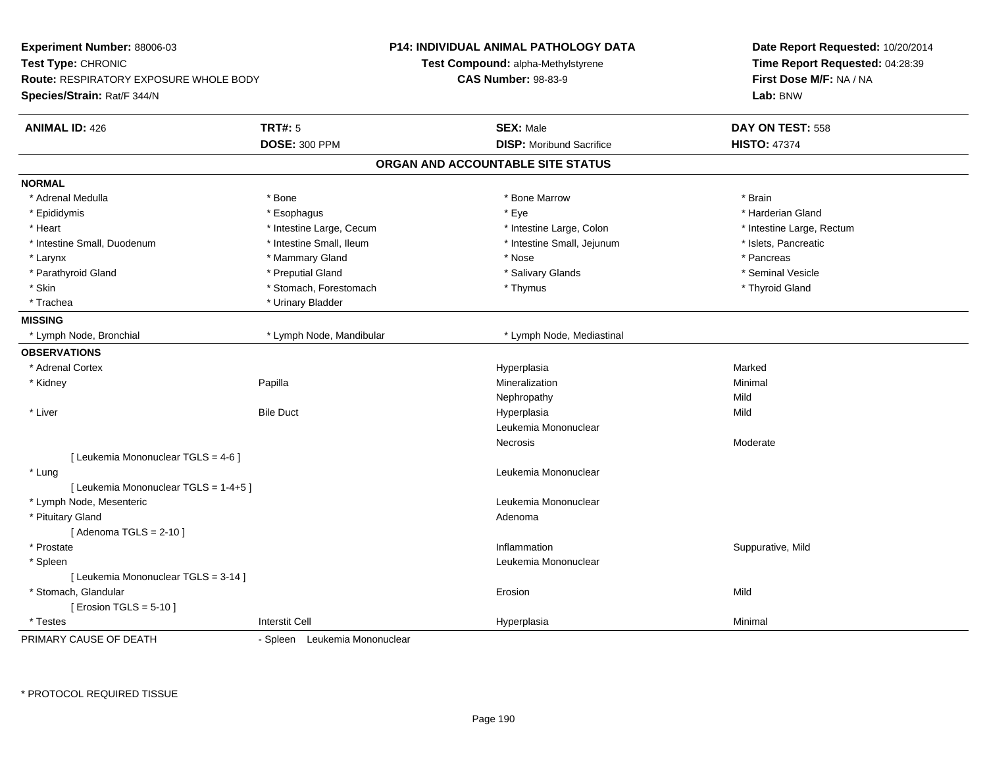| Experiment Number: 88006-03<br>Test Type: CHRONIC<br>Route: RESPIRATORY EXPOSURE WHOLE BODY<br>Species/Strain: Rat/F 344/N |                               | <b>P14: INDIVIDUAL ANIMAL PATHOLOGY DATA</b><br>Test Compound: alpha-Methylstyrene<br><b>CAS Number: 98-83-9</b> | Date Report Requested: 10/20/2014<br>Time Report Requested: 04:28:39<br>First Dose M/F: NA / NA<br>Lab: BNW |  |
|----------------------------------------------------------------------------------------------------------------------------|-------------------------------|------------------------------------------------------------------------------------------------------------------|-------------------------------------------------------------------------------------------------------------|--|
| <b>ANIMAL ID: 426</b>                                                                                                      | <b>TRT#: 5</b>                | <b>SEX: Male</b>                                                                                                 | DAY ON TEST: 558                                                                                            |  |
|                                                                                                                            | DOSE: 300 PPM                 | <b>DISP:</b> Moribund Sacrifice                                                                                  | <b>HISTO: 47374</b>                                                                                         |  |
|                                                                                                                            |                               | ORGAN AND ACCOUNTABLE SITE STATUS                                                                                |                                                                                                             |  |
| <b>NORMAL</b>                                                                                                              |                               |                                                                                                                  |                                                                                                             |  |
| * Adrenal Medulla                                                                                                          | * Bone                        | * Bone Marrow                                                                                                    | * Brain                                                                                                     |  |
| * Epididymis                                                                                                               | * Esophagus                   | * Eye                                                                                                            | * Harderian Gland                                                                                           |  |
| * Heart                                                                                                                    | * Intestine Large, Cecum      | * Intestine Large, Colon                                                                                         | * Intestine Large, Rectum                                                                                   |  |
| * Intestine Small, Duodenum                                                                                                | * Intestine Small, Ileum      | * Intestine Small, Jejunum                                                                                       | * Islets, Pancreatic                                                                                        |  |
| * Larynx                                                                                                                   | * Mammary Gland               | * Nose                                                                                                           | * Pancreas                                                                                                  |  |
| * Parathyroid Gland                                                                                                        | * Preputial Gland             | * Salivary Glands                                                                                                | * Seminal Vesicle                                                                                           |  |
| * Skin                                                                                                                     | * Stomach, Forestomach        | * Thymus                                                                                                         | * Thyroid Gland                                                                                             |  |
| * Trachea                                                                                                                  | * Urinary Bladder             |                                                                                                                  |                                                                                                             |  |
| <b>MISSING</b>                                                                                                             |                               |                                                                                                                  |                                                                                                             |  |
| * Lymph Node, Bronchial                                                                                                    | * Lymph Node, Mandibular      | * Lymph Node, Mediastinal                                                                                        |                                                                                                             |  |
| <b>OBSERVATIONS</b>                                                                                                        |                               |                                                                                                                  |                                                                                                             |  |
| * Adrenal Cortex                                                                                                           |                               | Hyperplasia                                                                                                      | Marked                                                                                                      |  |
| * Kidney                                                                                                                   | Papilla                       | Mineralization                                                                                                   | Minimal                                                                                                     |  |
|                                                                                                                            |                               | Nephropathy                                                                                                      | Mild                                                                                                        |  |
| * Liver                                                                                                                    | <b>Bile Duct</b>              | Hyperplasia                                                                                                      | Mild                                                                                                        |  |
|                                                                                                                            |                               | Leukemia Mononuclear                                                                                             |                                                                                                             |  |
|                                                                                                                            |                               | Necrosis                                                                                                         | Moderate                                                                                                    |  |
| [ Leukemia Mononuclear TGLS = 4-6 ]                                                                                        |                               |                                                                                                                  |                                                                                                             |  |
| * Lung                                                                                                                     |                               | Leukemia Mononuclear                                                                                             |                                                                                                             |  |
| [ Leukemia Mononuclear TGLS = 1-4+5 ]                                                                                      |                               |                                                                                                                  |                                                                                                             |  |
| * Lymph Node, Mesenteric                                                                                                   |                               | Leukemia Mononuclear                                                                                             |                                                                                                             |  |
| * Pituitary Gland                                                                                                          |                               | Adenoma                                                                                                          |                                                                                                             |  |
| [Adenoma TGLS = $2-10$ ]                                                                                                   |                               |                                                                                                                  |                                                                                                             |  |
| * Prostate                                                                                                                 |                               | Inflammation                                                                                                     | Suppurative, Mild                                                                                           |  |
| * Spleen                                                                                                                   |                               | Leukemia Mononuclear                                                                                             |                                                                                                             |  |
| [ Leukemia Mononuclear TGLS = 3-14 ]                                                                                       |                               |                                                                                                                  |                                                                                                             |  |
| * Stomach, Glandular                                                                                                       |                               | Erosion                                                                                                          | Mild                                                                                                        |  |
| [ Erosion TGLS = $5-10$ ]                                                                                                  |                               |                                                                                                                  |                                                                                                             |  |
| * Testes                                                                                                                   | <b>Interstit Cell</b>         | Hyperplasia                                                                                                      | Minimal                                                                                                     |  |
| PRIMARY CAUSE OF DEATH                                                                                                     | - Spleen Leukemia Mononuclear |                                                                                                                  |                                                                                                             |  |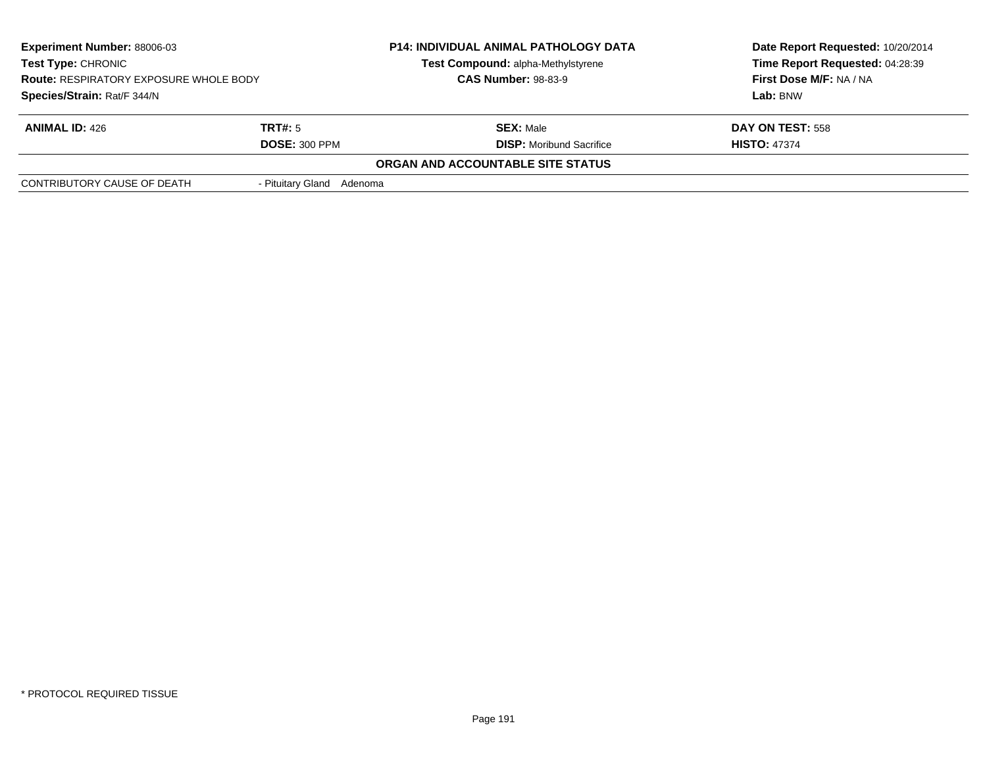| <b>Experiment Number: 88006-03</b><br>Test Type: CHRONIC<br><b>Route: RESPIRATORY EXPOSURE WHOLE BODY</b><br>Species/Strain: Rat/F 344/N |                                 | <b>P14: INDIVIDUAL ANIMAL PATHOLOGY DATA</b><br>Test Compound: alpha-Methylstyrene<br><b>CAS Number: 98-83-9</b> | Date Report Requested: 10/20/2014<br>Time Report Requested: 04:28:39<br>First Dose M/F: NA / NA<br>Lab: BNW |
|------------------------------------------------------------------------------------------------------------------------------------------|---------------------------------|------------------------------------------------------------------------------------------------------------------|-------------------------------------------------------------------------------------------------------------|
| <b>ANIMAL ID: 426</b>                                                                                                                    | TRT#: 5<br><b>DOSE: 300 PPM</b> | <b>SEX: Male</b><br><b>DISP:</b> Moribund Sacrifice                                                              | <b>DAY ON TEST: 558</b><br><b>HISTO: 47374</b>                                                              |
|                                                                                                                                          |                                 | ORGAN AND ACCOUNTABLE SITE STATUS                                                                                |                                                                                                             |
| CONTRIBUTORY CAUSE OF DEATH                                                                                                              | - Pituitary Gland Adenoma       |                                                                                                                  |                                                                                                             |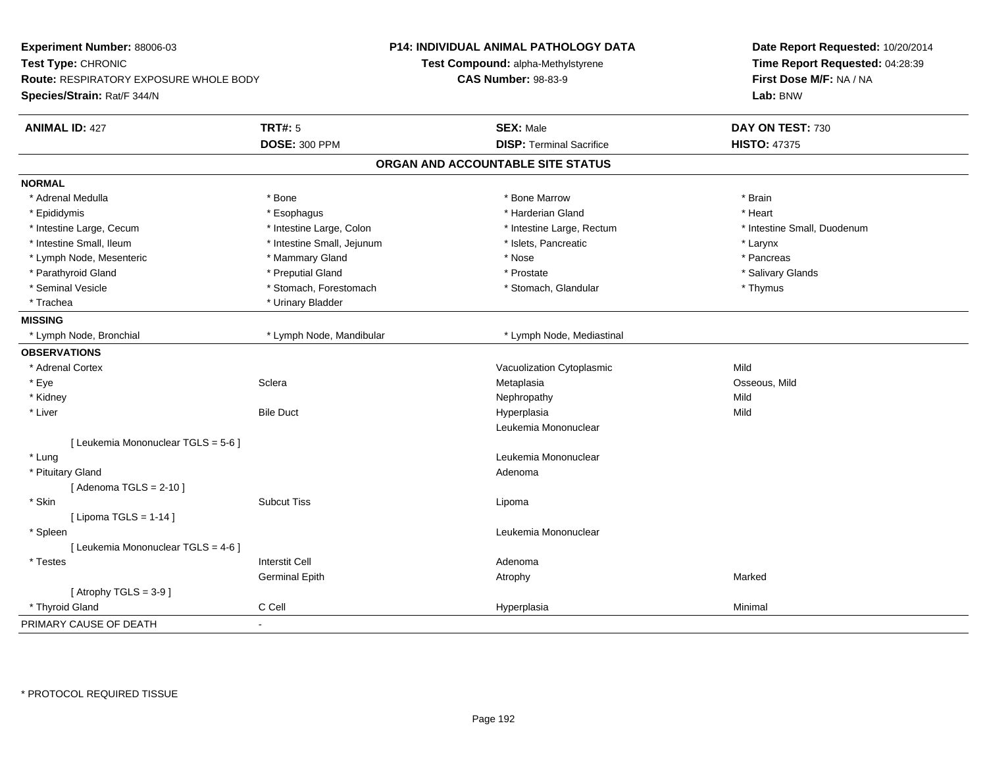| Experiment Number: 88006-03<br>Test Type: CHRONIC<br>Route: RESPIRATORY EXPOSURE WHOLE BODY<br>Species/Strain: Rat/F 344/N |                            | P14: INDIVIDUAL ANIMAL PATHOLOGY DATA<br>Test Compound: alpha-Methylstyrene<br><b>CAS Number: 98-83-9</b> |                                   | Date Report Requested: 10/20/2014<br>Time Report Requested: 04:28:39<br>First Dose M/F: NA / NA<br>Lab: BNW |  |
|----------------------------------------------------------------------------------------------------------------------------|----------------------------|-----------------------------------------------------------------------------------------------------------|-----------------------------------|-------------------------------------------------------------------------------------------------------------|--|
| <b>ANIMAL ID: 427</b>                                                                                                      | <b>TRT#: 5</b>             |                                                                                                           | <b>SEX: Male</b>                  | DAY ON TEST: 730                                                                                            |  |
|                                                                                                                            | <b>DOSE: 300 PPM</b>       |                                                                                                           | <b>DISP: Terminal Sacrifice</b>   | <b>HISTO: 47375</b>                                                                                         |  |
|                                                                                                                            |                            |                                                                                                           | ORGAN AND ACCOUNTABLE SITE STATUS |                                                                                                             |  |
| <b>NORMAL</b>                                                                                                              |                            |                                                                                                           |                                   |                                                                                                             |  |
| * Adrenal Medulla                                                                                                          | * Bone                     |                                                                                                           | * Bone Marrow                     | * Brain                                                                                                     |  |
| * Epididymis                                                                                                               | * Esophagus                |                                                                                                           | * Harderian Gland                 | * Heart                                                                                                     |  |
| * Intestine Large, Cecum                                                                                                   | * Intestine Large, Colon   |                                                                                                           | * Intestine Large, Rectum         | * Intestine Small, Duodenum                                                                                 |  |
| * Intestine Small, Ileum                                                                                                   | * Intestine Small, Jejunum |                                                                                                           | * Islets, Pancreatic              | * Larynx                                                                                                    |  |
| * Lymph Node, Mesenteric                                                                                                   | * Mammary Gland            |                                                                                                           | * Nose                            | * Pancreas                                                                                                  |  |
| * Parathyroid Gland                                                                                                        | * Preputial Gland          |                                                                                                           | * Prostate                        | * Salivary Glands                                                                                           |  |
| * Seminal Vesicle                                                                                                          | * Stomach, Forestomach     |                                                                                                           | * Stomach, Glandular              | * Thymus                                                                                                    |  |
| * Trachea                                                                                                                  | * Urinary Bladder          |                                                                                                           |                                   |                                                                                                             |  |
| <b>MISSING</b>                                                                                                             |                            |                                                                                                           |                                   |                                                                                                             |  |
| * Lymph Node, Bronchial                                                                                                    | * Lymph Node, Mandibular   |                                                                                                           | * Lymph Node, Mediastinal         |                                                                                                             |  |
| <b>OBSERVATIONS</b>                                                                                                        |                            |                                                                                                           |                                   |                                                                                                             |  |
| * Adrenal Cortex                                                                                                           |                            |                                                                                                           | Vacuolization Cytoplasmic         | Mild                                                                                                        |  |
| * Eye                                                                                                                      | Sclera                     |                                                                                                           | Metaplasia                        | Osseous, Mild                                                                                               |  |
| * Kidney                                                                                                                   |                            |                                                                                                           | Nephropathy                       | Mild                                                                                                        |  |
| * Liver                                                                                                                    | <b>Bile Duct</b>           |                                                                                                           | Hyperplasia                       | Mild                                                                                                        |  |
|                                                                                                                            |                            |                                                                                                           | Leukemia Mononuclear              |                                                                                                             |  |
| [ Leukemia Mononuclear TGLS = 5-6 ]                                                                                        |                            |                                                                                                           |                                   |                                                                                                             |  |
| * Lung                                                                                                                     |                            |                                                                                                           | Leukemia Mononuclear              |                                                                                                             |  |
| * Pituitary Gland                                                                                                          |                            |                                                                                                           | Adenoma                           |                                                                                                             |  |
| [Adenoma TGLS = $2-10$ ]                                                                                                   |                            |                                                                                                           |                                   |                                                                                                             |  |
| * Skin                                                                                                                     | <b>Subcut Tiss</b>         |                                                                                                           | Lipoma                            |                                                                                                             |  |
| [ Lipoma TGLS = $1-14$ ]                                                                                                   |                            |                                                                                                           |                                   |                                                                                                             |  |
| * Spleen                                                                                                                   |                            |                                                                                                           | Leukemia Mononuclear              |                                                                                                             |  |
| [ Leukemia Mononuclear TGLS = 4-6 ]                                                                                        |                            |                                                                                                           |                                   |                                                                                                             |  |
| * Testes                                                                                                                   | <b>Interstit Cell</b>      |                                                                                                           | Adenoma                           |                                                                                                             |  |
|                                                                                                                            | <b>Germinal Epith</b>      |                                                                                                           | Atrophy                           | Marked                                                                                                      |  |
| [Atrophy $TGLS = 3-9$ ]                                                                                                    |                            |                                                                                                           |                                   |                                                                                                             |  |
| * Thyroid Gland                                                                                                            | C Cell                     |                                                                                                           | Hyperplasia                       | Minimal                                                                                                     |  |
| PRIMARY CAUSE OF DEATH                                                                                                     | $\blacksquare$             |                                                                                                           |                                   |                                                                                                             |  |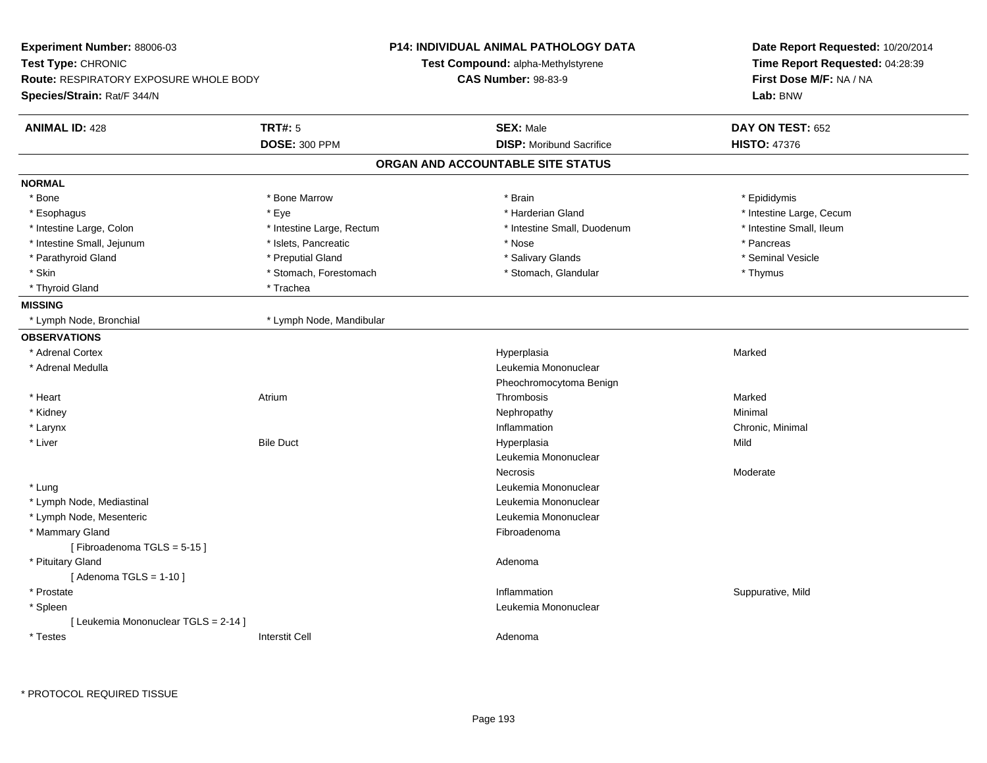| Experiment Number: 88006-03            |                            | P14: INDIVIDUAL ANIMAL PATHOLOGY DATA | Date Report Requested: 10/20/2014<br>Time Report Requested: 04:28:39 |  |
|----------------------------------------|----------------------------|---------------------------------------|----------------------------------------------------------------------|--|
| <b>Test Type: CHRONIC</b>              |                            | Test Compound: alpha-Methylstyrene    |                                                                      |  |
| Route: RESPIRATORY EXPOSURE WHOLE BODY | <b>CAS Number: 98-83-9</b> |                                       | First Dose M/F: NA / NA                                              |  |
| Species/Strain: Rat/F 344/N            |                            |                                       | Lab: BNW                                                             |  |
| <b>ANIMAL ID: 428</b>                  | <b>TRT#: 5</b>             | <b>SEX: Male</b>                      | DAY ON TEST: 652                                                     |  |
|                                        | <b>DOSE: 300 PPM</b>       | <b>DISP:</b> Moribund Sacrifice       | <b>HISTO: 47376</b>                                                  |  |
|                                        |                            | ORGAN AND ACCOUNTABLE SITE STATUS     |                                                                      |  |
| <b>NORMAL</b>                          |                            |                                       |                                                                      |  |
| * Bone                                 | * Bone Marrow              | * Brain                               | * Epididymis                                                         |  |
| * Esophagus                            | * Eye                      | * Harderian Gland                     | * Intestine Large, Cecum                                             |  |
| * Intestine Large, Colon               | * Intestine Large, Rectum  | * Intestine Small, Duodenum           | * Intestine Small, Ileum                                             |  |
| * Intestine Small, Jejunum             | * Islets, Pancreatic       | * Nose                                | * Pancreas                                                           |  |
| * Parathyroid Gland                    | * Preputial Gland          | * Salivary Glands                     | * Seminal Vesicle                                                    |  |
| * Skin                                 | * Stomach, Forestomach     | * Stomach, Glandular                  | * Thymus                                                             |  |
| * Thyroid Gland                        | * Trachea                  |                                       |                                                                      |  |
| <b>MISSING</b>                         |                            |                                       |                                                                      |  |
| * Lymph Node, Bronchial                | * Lymph Node, Mandibular   |                                       |                                                                      |  |
| <b>OBSERVATIONS</b>                    |                            |                                       |                                                                      |  |
| * Adrenal Cortex                       |                            | Hyperplasia                           | Marked                                                               |  |
| * Adrenal Medulla                      |                            | Leukemia Mononuclear                  |                                                                      |  |
|                                        |                            | Pheochromocytoma Benign               |                                                                      |  |
| * Heart                                | Atrium                     | Thrombosis                            | Marked                                                               |  |
| * Kidney                               |                            | Nephropathy                           | Minimal                                                              |  |
| * Larynx                               |                            | Inflammation                          | Chronic, Minimal                                                     |  |
| * Liver                                | <b>Bile Duct</b>           | Hyperplasia                           | Mild                                                                 |  |
|                                        |                            | Leukemia Mononuclear                  |                                                                      |  |
|                                        |                            | <b>Necrosis</b>                       | Moderate                                                             |  |
| * Lung                                 |                            | Leukemia Mononuclear                  |                                                                      |  |
| * Lymph Node, Mediastinal              |                            | Leukemia Mononuclear                  |                                                                      |  |
| * Lymph Node, Mesenteric               |                            | Leukemia Mononuclear                  |                                                                      |  |
| * Mammary Gland                        |                            | Fibroadenoma                          |                                                                      |  |
| [Fibroadenoma TGLS = 5-15]             |                            |                                       |                                                                      |  |
| * Pituitary Gland                      |                            | Adenoma                               |                                                                      |  |
| [Adenoma TGLS = $1-10$ ]               |                            |                                       |                                                                      |  |
| * Prostate                             |                            | Inflammation                          | Suppurative, Mild                                                    |  |
| * Spleen                               |                            | Leukemia Mononuclear                  |                                                                      |  |
| [ Leukemia Mononuclear TGLS = 2-14 ]   |                            |                                       |                                                                      |  |
| * Testes                               | <b>Interstit Cell</b>      | Adenoma                               |                                                                      |  |
|                                        |                            |                                       |                                                                      |  |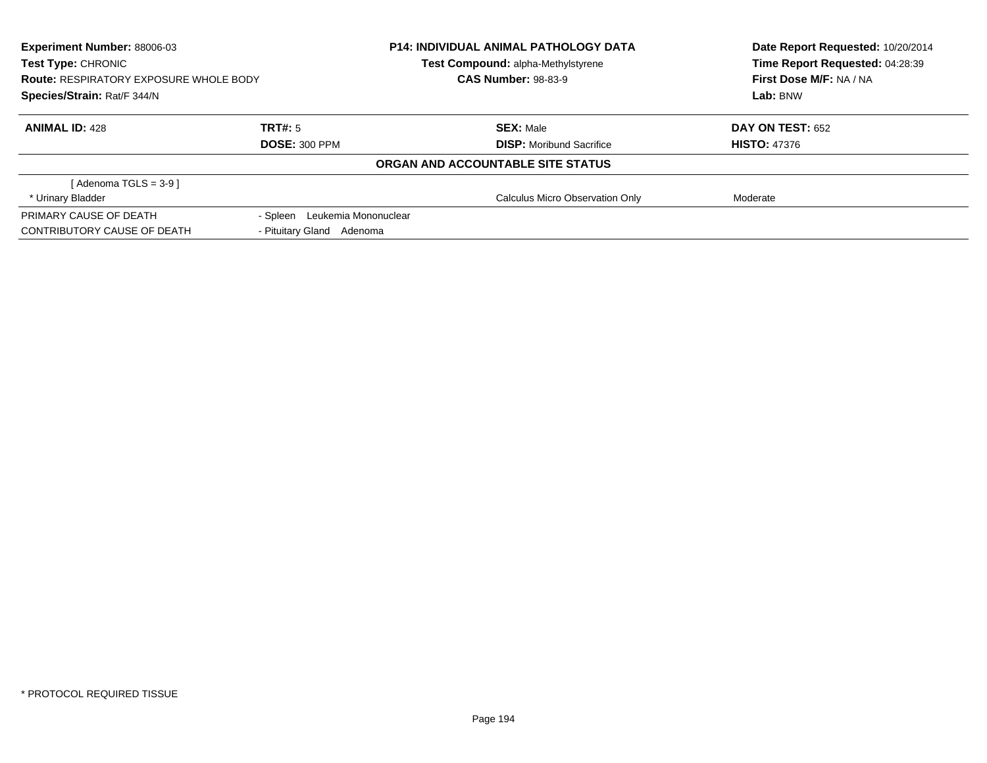| Experiment Number: 88006-03                   |                               | <b>P14: INDIVIDUAL ANIMAL PATHOLOGY DATA</b> | Date Report Requested: 10/20/2014<br>Time Report Requested: 04:28:39<br>First Dose M/F: NA / NA |
|-----------------------------------------------|-------------------------------|----------------------------------------------|-------------------------------------------------------------------------------------------------|
| Test Type: CHRONIC                            |                               | Test Compound: alpha-Methylstyrene           |                                                                                                 |
| <b>Route: RESPIRATORY EXPOSURE WHOLE BODY</b> |                               | <b>CAS Number: 98-83-9</b>                   |                                                                                                 |
| Species/Strain: Rat/F 344/N                   |                               |                                              | Lab: BNW                                                                                        |
| <b>ANIMAL ID: 428</b>                         | TRT#: 5                       | <b>SEX: Male</b>                             | <b>DAY ON TEST: 652</b>                                                                         |
|                                               | <b>DOSE: 300 PPM</b>          | <b>DISP:</b> Moribund Sacrifice              | <b>HISTO: 47376</b>                                                                             |
|                                               |                               | ORGAN AND ACCOUNTABLE SITE STATUS            |                                                                                                 |
| [Adenoma TGLS = $3-9$ ]                       |                               |                                              |                                                                                                 |
| * Urinary Bladder                             |                               | Calculus Micro Observation Only              | Moderate                                                                                        |
| PRIMARY CAUSE OF DEATH                        | - Spleen Leukemia Mononuclear |                                              |                                                                                                 |
| CONTRIBUTORY CAUSE OF DEATH                   | - Pituitary Gland Adenoma     |                                              |                                                                                                 |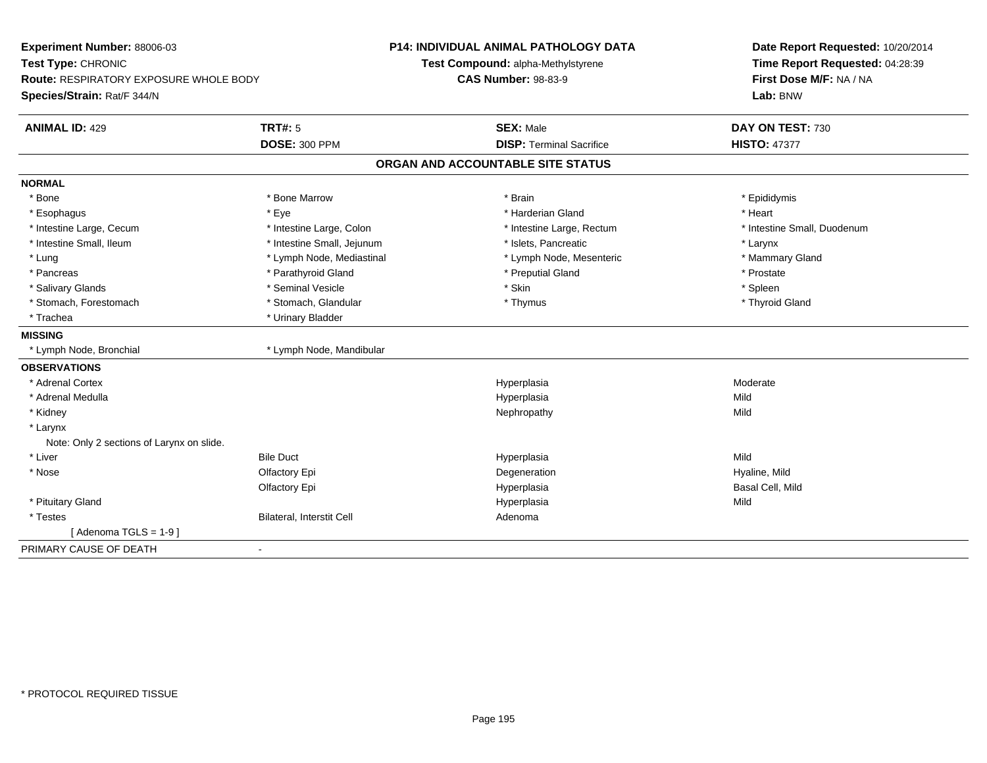| Test Compound: alpha-Methylstyrene<br>Time Report Requested: 04:28:39<br>First Dose M/F: NA / NA<br><b>CAS Number: 98-83-9</b><br>Lab: BNW<br><b>TRT#: 5</b><br><b>ANIMAL ID: 429</b><br><b>SEX: Male</b><br>DAY ON TEST: 730<br><b>DOSE: 300 PPM</b><br><b>DISP: Terminal Sacrifice</b><br><b>HISTO: 47377</b><br>ORGAN AND ACCOUNTABLE SITE STATUS<br>* Bone<br>* Bone Marrow<br>* Brain<br>* Epididymis<br>* Eye<br>* Harderian Gland<br>* Heart<br>* Esophagus<br>* Intestine Large, Cecum<br>* Intestine Large, Colon<br>* Intestine Small, Duodenum<br>* Intestine Large, Rectum<br>* Intestine Small, Ileum<br>* Intestine Small, Jejunum<br>* Islets. Pancreatic<br>* Larynx<br>* Lung<br>* Lymph Node, Mediastinal<br>* Lymph Node, Mesenteric<br>* Mammary Gland<br>* Parathyroid Gland<br>* Preputial Gland<br>* Pancreas<br>* Prostate<br>* Skin<br>* Salivary Glands<br>* Seminal Vesicle<br>* Spleen<br>* Stomach, Forestomach<br>* Stomach, Glandular<br>* Thymus<br>* Thyroid Gland<br>* Urinary Bladder<br>* Trachea<br>* Lymph Node, Mandibular<br>* Lymph Node, Bronchial<br>* Adrenal Cortex<br>Hyperplasia<br>Moderate<br>* Adrenal Medulla<br>Hyperplasia<br>Mild<br>* Kidney<br>Nephropathy<br>Mild<br>* Larynx<br>Note: Only 2 sections of Larynx on slide.<br>* Liver<br><b>Bile Duct</b><br>Mild<br>Hyperplasia<br>* Nose<br>Olfactory Epi<br>Degeneration<br>Hyaline, Mild<br>Basal Cell, Mild<br>Olfactory Epi<br>Hyperplasia<br>Hyperplasia | Experiment Number: 88006-03                                         |  | <b>P14: INDIVIDUAL ANIMAL PATHOLOGY DATA</b> | Date Report Requested: 10/20/2014 |
|--------------------------------------------------------------------------------------------------------------------------------------------------------------------------------------------------------------------------------------------------------------------------------------------------------------------------------------------------------------------------------------------------------------------------------------------------------------------------------------------------------------------------------------------------------------------------------------------------------------------------------------------------------------------------------------------------------------------------------------------------------------------------------------------------------------------------------------------------------------------------------------------------------------------------------------------------------------------------------------------------------------------------------------------------------------------------------------------------------------------------------------------------------------------------------------------------------------------------------------------------------------------------------------------------------------------------------------------------------------------------------------------------------------------------------------------------------------------------|---------------------------------------------------------------------|--|----------------------------------------------|-----------------------------------|
|                                                                                                                                                                                                                                                                                                                                                                                                                                                                                                                                                                                                                                                                                                                                                                                                                                                                                                                                                                                                                                                                                                                                                                                                                                                                                                                                                                                                                                                                          | Test Type: CHRONIC<br><b>Route: RESPIRATORY EXPOSURE WHOLE BODY</b> |  |                                              |                                   |
|                                                                                                                                                                                                                                                                                                                                                                                                                                                                                                                                                                                                                                                                                                                                                                                                                                                                                                                                                                                                                                                                                                                                                                                                                                                                                                                                                                                                                                                                          |                                                                     |  |                                              |                                   |
|                                                                                                                                                                                                                                                                                                                                                                                                                                                                                                                                                                                                                                                                                                                                                                                                                                                                                                                                                                                                                                                                                                                                                                                                                                                                                                                                                                                                                                                                          | Species/Strain: Rat/F 344/N                                         |  |                                              |                                   |
|                                                                                                                                                                                                                                                                                                                                                                                                                                                                                                                                                                                                                                                                                                                                                                                                                                                                                                                                                                                                                                                                                                                                                                                                                                                                                                                                                                                                                                                                          |                                                                     |  |                                              |                                   |
|                                                                                                                                                                                                                                                                                                                                                                                                                                                                                                                                                                                                                                                                                                                                                                                                                                                                                                                                                                                                                                                                                                                                                                                                                                                                                                                                                                                                                                                                          |                                                                     |  |                                              |                                   |
|                                                                                                                                                                                                                                                                                                                                                                                                                                                                                                                                                                                                                                                                                                                                                                                                                                                                                                                                                                                                                                                                                                                                                                                                                                                                                                                                                                                                                                                                          |                                                                     |  |                                              |                                   |
|                                                                                                                                                                                                                                                                                                                                                                                                                                                                                                                                                                                                                                                                                                                                                                                                                                                                                                                                                                                                                                                                                                                                                                                                                                                                                                                                                                                                                                                                          | <b>NORMAL</b>                                                       |  |                                              |                                   |
|                                                                                                                                                                                                                                                                                                                                                                                                                                                                                                                                                                                                                                                                                                                                                                                                                                                                                                                                                                                                                                                                                                                                                                                                                                                                                                                                                                                                                                                                          |                                                                     |  |                                              |                                   |
|                                                                                                                                                                                                                                                                                                                                                                                                                                                                                                                                                                                                                                                                                                                                                                                                                                                                                                                                                                                                                                                                                                                                                                                                                                                                                                                                                                                                                                                                          |                                                                     |  |                                              |                                   |
|                                                                                                                                                                                                                                                                                                                                                                                                                                                                                                                                                                                                                                                                                                                                                                                                                                                                                                                                                                                                                                                                                                                                                                                                                                                                                                                                                                                                                                                                          |                                                                     |  |                                              |                                   |
|                                                                                                                                                                                                                                                                                                                                                                                                                                                                                                                                                                                                                                                                                                                                                                                                                                                                                                                                                                                                                                                                                                                                                                                                                                                                                                                                                                                                                                                                          |                                                                     |  |                                              |                                   |
|                                                                                                                                                                                                                                                                                                                                                                                                                                                                                                                                                                                                                                                                                                                                                                                                                                                                                                                                                                                                                                                                                                                                                                                                                                                                                                                                                                                                                                                                          |                                                                     |  |                                              |                                   |
|                                                                                                                                                                                                                                                                                                                                                                                                                                                                                                                                                                                                                                                                                                                                                                                                                                                                                                                                                                                                                                                                                                                                                                                                                                                                                                                                                                                                                                                                          |                                                                     |  |                                              |                                   |
|                                                                                                                                                                                                                                                                                                                                                                                                                                                                                                                                                                                                                                                                                                                                                                                                                                                                                                                                                                                                                                                                                                                                                                                                                                                                                                                                                                                                                                                                          |                                                                     |  |                                              |                                   |
|                                                                                                                                                                                                                                                                                                                                                                                                                                                                                                                                                                                                                                                                                                                                                                                                                                                                                                                                                                                                                                                                                                                                                                                                                                                                                                                                                                                                                                                                          |                                                                     |  |                                              |                                   |
|                                                                                                                                                                                                                                                                                                                                                                                                                                                                                                                                                                                                                                                                                                                                                                                                                                                                                                                                                                                                                                                                                                                                                                                                                                                                                                                                                                                                                                                                          |                                                                     |  |                                              |                                   |
|                                                                                                                                                                                                                                                                                                                                                                                                                                                                                                                                                                                                                                                                                                                                                                                                                                                                                                                                                                                                                                                                                                                                                                                                                                                                                                                                                                                                                                                                          | <b>MISSING</b>                                                      |  |                                              |                                   |
|                                                                                                                                                                                                                                                                                                                                                                                                                                                                                                                                                                                                                                                                                                                                                                                                                                                                                                                                                                                                                                                                                                                                                                                                                                                                                                                                                                                                                                                                          |                                                                     |  |                                              |                                   |
|                                                                                                                                                                                                                                                                                                                                                                                                                                                                                                                                                                                                                                                                                                                                                                                                                                                                                                                                                                                                                                                                                                                                                                                                                                                                                                                                                                                                                                                                          | <b>OBSERVATIONS</b>                                                 |  |                                              |                                   |
|                                                                                                                                                                                                                                                                                                                                                                                                                                                                                                                                                                                                                                                                                                                                                                                                                                                                                                                                                                                                                                                                                                                                                                                                                                                                                                                                                                                                                                                                          |                                                                     |  |                                              |                                   |
|                                                                                                                                                                                                                                                                                                                                                                                                                                                                                                                                                                                                                                                                                                                                                                                                                                                                                                                                                                                                                                                                                                                                                                                                                                                                                                                                                                                                                                                                          |                                                                     |  |                                              |                                   |
|                                                                                                                                                                                                                                                                                                                                                                                                                                                                                                                                                                                                                                                                                                                                                                                                                                                                                                                                                                                                                                                                                                                                                                                                                                                                                                                                                                                                                                                                          |                                                                     |  |                                              |                                   |
|                                                                                                                                                                                                                                                                                                                                                                                                                                                                                                                                                                                                                                                                                                                                                                                                                                                                                                                                                                                                                                                                                                                                                                                                                                                                                                                                                                                                                                                                          |                                                                     |  |                                              |                                   |
|                                                                                                                                                                                                                                                                                                                                                                                                                                                                                                                                                                                                                                                                                                                                                                                                                                                                                                                                                                                                                                                                                                                                                                                                                                                                                                                                                                                                                                                                          |                                                                     |  |                                              |                                   |
|                                                                                                                                                                                                                                                                                                                                                                                                                                                                                                                                                                                                                                                                                                                                                                                                                                                                                                                                                                                                                                                                                                                                                                                                                                                                                                                                                                                                                                                                          |                                                                     |  |                                              |                                   |
|                                                                                                                                                                                                                                                                                                                                                                                                                                                                                                                                                                                                                                                                                                                                                                                                                                                                                                                                                                                                                                                                                                                                                                                                                                                                                                                                                                                                                                                                          |                                                                     |  |                                              |                                   |
|                                                                                                                                                                                                                                                                                                                                                                                                                                                                                                                                                                                                                                                                                                                                                                                                                                                                                                                                                                                                                                                                                                                                                                                                                                                                                                                                                                                                                                                                          |                                                                     |  |                                              |                                   |
|                                                                                                                                                                                                                                                                                                                                                                                                                                                                                                                                                                                                                                                                                                                                                                                                                                                                                                                                                                                                                                                                                                                                                                                                                                                                                                                                                                                                                                                                          | * Pituitary Gland                                                   |  |                                              | Mild                              |
| Bilateral, Interstit Cell<br>* Testes<br>Adenoma                                                                                                                                                                                                                                                                                                                                                                                                                                                                                                                                                                                                                                                                                                                                                                                                                                                                                                                                                                                                                                                                                                                                                                                                                                                                                                                                                                                                                         |                                                                     |  |                                              |                                   |
| [Adenoma TGLS = $1-9$ ]                                                                                                                                                                                                                                                                                                                                                                                                                                                                                                                                                                                                                                                                                                                                                                                                                                                                                                                                                                                                                                                                                                                                                                                                                                                                                                                                                                                                                                                  |                                                                     |  |                                              |                                   |
| $\blacksquare$                                                                                                                                                                                                                                                                                                                                                                                                                                                                                                                                                                                                                                                                                                                                                                                                                                                                                                                                                                                                                                                                                                                                                                                                                                                                                                                                                                                                                                                           | PRIMARY CAUSE OF DEATH                                              |  |                                              |                                   |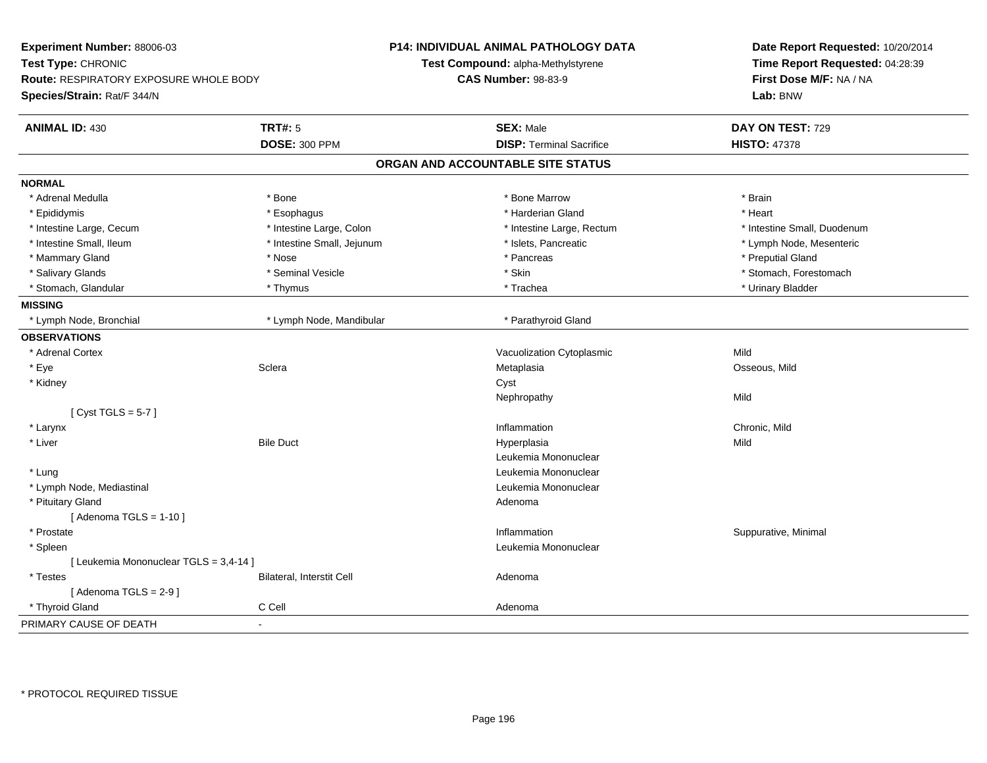| Experiment Number: 88006-03<br>Test Type: CHRONIC<br><b>Route: RESPIRATORY EXPOSURE WHOLE BODY</b><br>Species/Strain: Rat/F 344/N |                            | <b>P14: INDIVIDUAL ANIMAL PATHOLOGY DATA</b><br><b>Test Compound: alpha-Methylstyrene</b><br><b>CAS Number: 98-83-9</b> | Date Report Requested: 10/20/2014<br>Time Report Requested: 04:28:39<br>First Dose M/F: NA / NA<br>Lab: BNW |
|-----------------------------------------------------------------------------------------------------------------------------------|----------------------------|-------------------------------------------------------------------------------------------------------------------------|-------------------------------------------------------------------------------------------------------------|
| <b>ANIMAL ID: 430</b>                                                                                                             | <b>TRT#: 5</b>             | <b>SEX: Male</b>                                                                                                        | DAY ON TEST: 729                                                                                            |
|                                                                                                                                   | <b>DOSE: 300 PPM</b>       | <b>DISP: Terminal Sacrifice</b>                                                                                         | <b>HISTO: 47378</b>                                                                                         |
|                                                                                                                                   |                            | ORGAN AND ACCOUNTABLE SITE STATUS                                                                                       |                                                                                                             |
| <b>NORMAL</b>                                                                                                                     |                            |                                                                                                                         |                                                                                                             |
| * Adrenal Medulla                                                                                                                 | * Bone                     | * Bone Marrow                                                                                                           | * Brain                                                                                                     |
| * Epididymis                                                                                                                      | * Esophagus                | * Harderian Gland                                                                                                       | * Heart                                                                                                     |
| * Intestine Large, Cecum                                                                                                          | * Intestine Large, Colon   | * Intestine Large, Rectum                                                                                               | * Intestine Small, Duodenum                                                                                 |
| * Intestine Small, Ileum                                                                                                          | * Intestine Small, Jejunum | * Islets, Pancreatic                                                                                                    | * Lymph Node, Mesenteric                                                                                    |
| * Mammary Gland                                                                                                                   | * Nose                     | * Pancreas                                                                                                              | * Preputial Gland                                                                                           |
| * Salivary Glands                                                                                                                 | * Seminal Vesicle          | * Skin                                                                                                                  | * Stomach, Forestomach                                                                                      |
| * Stomach, Glandular                                                                                                              | * Thymus                   | * Trachea                                                                                                               | * Urinary Bladder                                                                                           |
| <b>MISSING</b>                                                                                                                    |                            |                                                                                                                         |                                                                                                             |
| * Lymph Node, Bronchial                                                                                                           | * Lymph Node, Mandibular   | * Parathyroid Gland                                                                                                     |                                                                                                             |
| <b>OBSERVATIONS</b>                                                                                                               |                            |                                                                                                                         |                                                                                                             |
| * Adrenal Cortex                                                                                                                  |                            | Vacuolization Cytoplasmic                                                                                               | Mild                                                                                                        |
| * Eye                                                                                                                             | Sclera                     | Metaplasia                                                                                                              | Osseous, Mild                                                                                               |
| * Kidney                                                                                                                          |                            | Cyst                                                                                                                    |                                                                                                             |
|                                                                                                                                   |                            | Nephropathy                                                                                                             | Mild                                                                                                        |
| [Cyst TGLS = $5-7$ ]                                                                                                              |                            |                                                                                                                         |                                                                                                             |
| * Larynx                                                                                                                          |                            | Inflammation                                                                                                            | Chronic, Mild                                                                                               |
| * Liver                                                                                                                           | <b>Bile Duct</b>           | Hyperplasia                                                                                                             | Mild                                                                                                        |
|                                                                                                                                   |                            | Leukemia Mononuclear                                                                                                    |                                                                                                             |
| * Lung                                                                                                                            |                            | Leukemia Mononuclear                                                                                                    |                                                                                                             |
| * Lymph Node, Mediastinal                                                                                                         |                            | Leukemia Mononuclear                                                                                                    |                                                                                                             |
| * Pituitary Gland                                                                                                                 |                            | Adenoma                                                                                                                 |                                                                                                             |
| [Adenoma TGLS = $1-10$ ]                                                                                                          |                            |                                                                                                                         |                                                                                                             |
| * Prostate                                                                                                                        |                            | Inflammation                                                                                                            | Suppurative, Minimal                                                                                        |
| * Spleen                                                                                                                          |                            | Leukemia Mononuclear                                                                                                    |                                                                                                             |
| [ Leukemia Mononuclear TGLS = 3,4-14 ]                                                                                            |                            |                                                                                                                         |                                                                                                             |
| * Testes                                                                                                                          | Bilateral, Interstit Cell  | Adenoma                                                                                                                 |                                                                                                             |
| [Adenoma TGLS = $2-9$ ]                                                                                                           |                            |                                                                                                                         |                                                                                                             |
| * Thyroid Gland                                                                                                                   | C Cell                     | Adenoma                                                                                                                 |                                                                                                             |
| PRIMARY CAUSE OF DEATH                                                                                                            |                            |                                                                                                                         |                                                                                                             |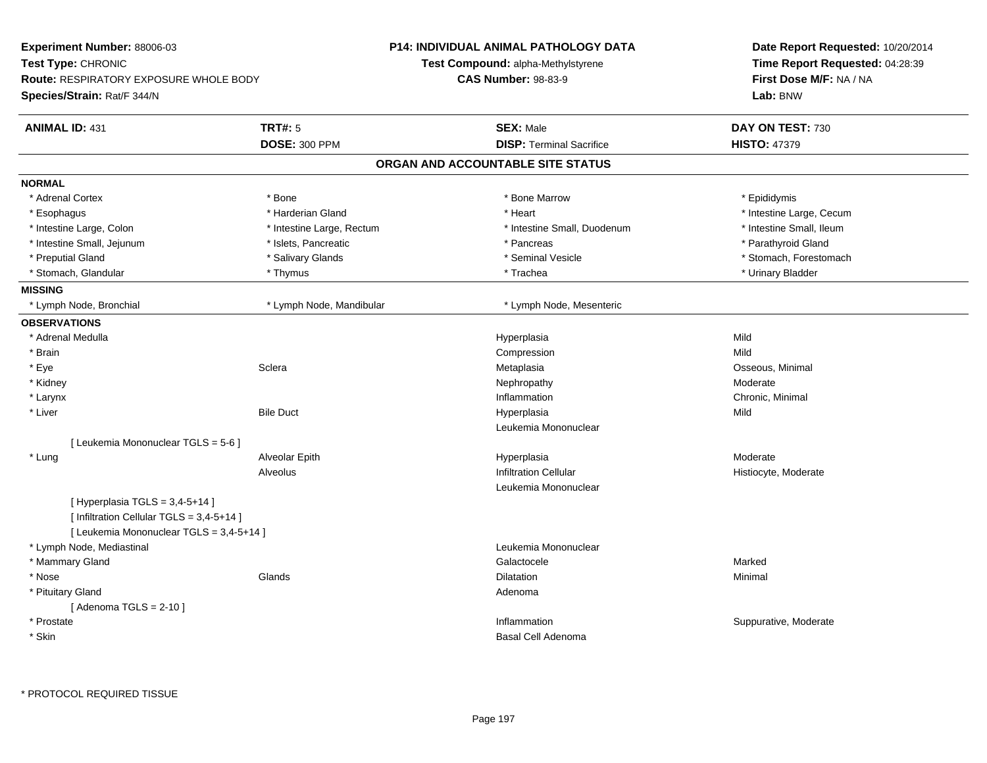| Experiment Number: 88006-03                   |                           | <b>P14: INDIVIDUAL ANIMAL PATHOLOGY DATA</b> | Date Report Requested: 10/20/2014 |
|-----------------------------------------------|---------------------------|----------------------------------------------|-----------------------------------|
| Test Type: CHRONIC                            |                           | Test Compound: alpha-Methylstyrene           | Time Report Requested: 04:28:39   |
| <b>Route: RESPIRATORY EXPOSURE WHOLE BODY</b> |                           | <b>CAS Number: 98-83-9</b>                   | First Dose M/F: NA / NA           |
| Species/Strain: Rat/F 344/N                   |                           |                                              | Lab: BNW                          |
| <b>ANIMAL ID: 431</b>                         | <b>TRT#: 5</b>            | <b>SEX: Male</b>                             | DAY ON TEST: 730                  |
|                                               | <b>DOSE: 300 PPM</b>      | <b>DISP: Terminal Sacrifice</b>              | <b>HISTO: 47379</b>               |
|                                               |                           | ORGAN AND ACCOUNTABLE SITE STATUS            |                                   |
| <b>NORMAL</b>                                 |                           |                                              |                                   |
| * Adrenal Cortex                              | * Bone                    | * Bone Marrow                                | * Epididymis                      |
| * Esophagus                                   | * Harderian Gland         | * Heart                                      | * Intestine Large, Cecum          |
| * Intestine Large, Colon                      | * Intestine Large, Rectum | * Intestine Small, Duodenum                  | * Intestine Small, Ileum          |
| * Intestine Small, Jejunum                    | * Islets, Pancreatic      | * Pancreas                                   | * Parathyroid Gland               |
| * Preputial Gland                             | * Salivary Glands         | * Seminal Vesicle                            | * Stomach, Forestomach            |
| * Stomach, Glandular                          | * Thymus                  | * Trachea                                    | * Urinary Bladder                 |
| <b>MISSING</b>                                |                           |                                              |                                   |
| * Lymph Node, Bronchial                       | * Lymph Node, Mandibular  | * Lymph Node, Mesenteric                     |                                   |
| <b>OBSERVATIONS</b>                           |                           |                                              |                                   |
| * Adrenal Medulla                             |                           | Hyperplasia                                  | Mild                              |
| * Brain                                       |                           | Compression                                  | Mild                              |
| * Eye                                         | Sclera                    | Metaplasia                                   | Osseous, Minimal                  |
| * Kidney                                      |                           | Nephropathy                                  | Moderate                          |
| * Larynx                                      |                           | Inflammation                                 | Chronic, Minimal                  |
| * Liver                                       | <b>Bile Duct</b>          | Hyperplasia                                  | Mild                              |
|                                               |                           | Leukemia Mononuclear                         |                                   |
| [ Leukemia Mononuclear TGLS = 5-6 ]           |                           |                                              |                                   |
| * Lung                                        | Alveolar Epith            | Hyperplasia                                  | Moderate                          |
|                                               | Alveolus                  | <b>Infiltration Cellular</b>                 | Histiocyte, Moderate              |
|                                               |                           | Leukemia Mononuclear                         |                                   |
| [Hyperplasia TGLS = $3,4-5+14$ ]              |                           |                                              |                                   |
| [ Infiltration Cellular TGLS = 3,4-5+14 ]     |                           |                                              |                                   |
| [ Leukemia Mononuclear TGLS = 3,4-5+14 ]      |                           |                                              |                                   |
| * Lymph Node, Mediastinal                     |                           | Leukemia Mononuclear                         |                                   |
| * Mammary Gland                               |                           | Galactocele                                  | Marked                            |
| * Nose                                        | Glands                    | <b>Dilatation</b>                            | Minimal                           |
| * Pituitary Gland                             |                           | Adenoma                                      |                                   |
| [Adenoma TGLS = $2-10$ ]                      |                           |                                              |                                   |
| * Prostate                                    |                           | Inflammation                                 | Suppurative, Moderate             |
| * Skin                                        |                           | Basal Cell Adenoma                           |                                   |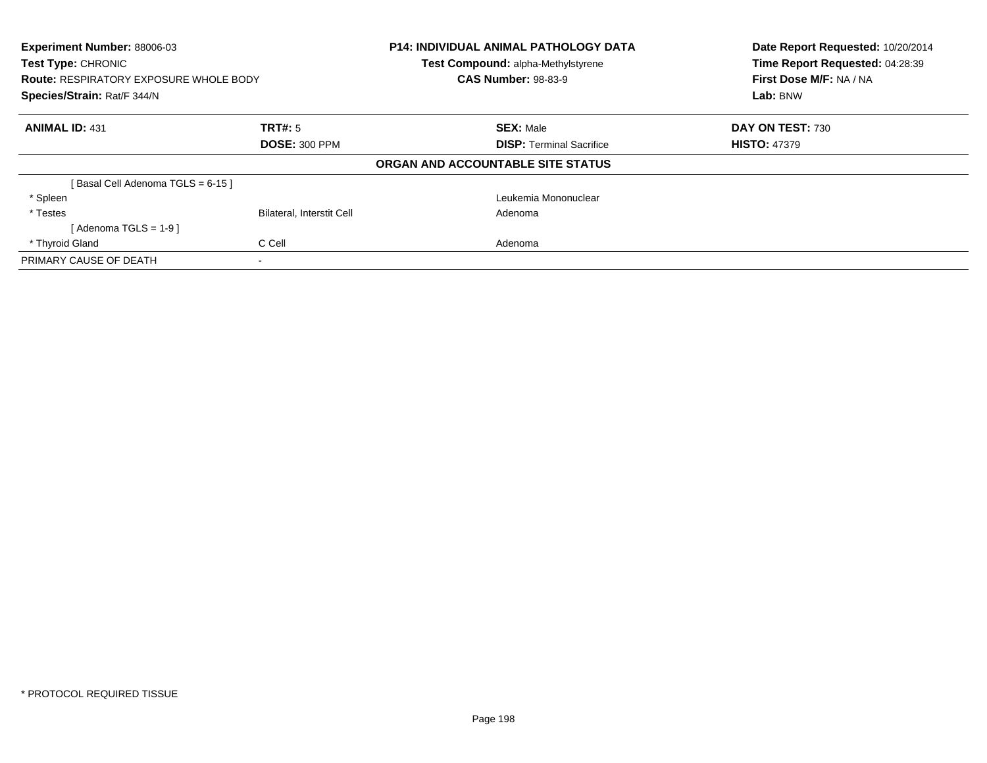| Experiment Number: 88006-03<br>Test Type: CHRONIC<br><b>Route: RESPIRATORY EXPOSURE WHOLE BODY</b><br>Species/Strain: Rat/F 344/N |                                  | <b>P14: INDIVIDUAL ANIMAL PATHOLOGY DATA</b><br>Test Compound: alpha-Methylstyrene<br><b>CAS Number: 98-83-9</b> | Date Report Requested: 10/20/2014<br>Time Report Requested: 04:28:39<br>First Dose M/F: NA / NA<br>Lab: BNW |
|-----------------------------------------------------------------------------------------------------------------------------------|----------------------------------|------------------------------------------------------------------------------------------------------------------|-------------------------------------------------------------------------------------------------------------|
| <b>ANIMAL ID: 431</b>                                                                                                             | TRT#: 5                          | <b>SEX: Male</b>                                                                                                 | DAY ON TEST: 730                                                                                            |
|                                                                                                                                   | <b>DOSE: 300 PPM</b>             | <b>DISP:</b> Terminal Sacrifice                                                                                  | <b>HISTO: 47379</b>                                                                                         |
|                                                                                                                                   |                                  | ORGAN AND ACCOUNTABLE SITE STATUS                                                                                |                                                                                                             |
| [Basal Cell Adenoma TGLS = 6-15]                                                                                                  |                                  |                                                                                                                  |                                                                                                             |
| * Spleen                                                                                                                          |                                  | Leukemia Mononuclear                                                                                             |                                                                                                             |
| * Testes                                                                                                                          | <b>Bilateral, Interstit Cell</b> | Adenoma                                                                                                          |                                                                                                             |
| [Adenoma TGLS = $1-9$ ]                                                                                                           |                                  |                                                                                                                  |                                                                                                             |
| * Thyroid Gland                                                                                                                   | C Cell                           | Adenoma                                                                                                          |                                                                                                             |
| PRIMARY CAUSE OF DEATH                                                                                                            |                                  |                                                                                                                  |                                                                                                             |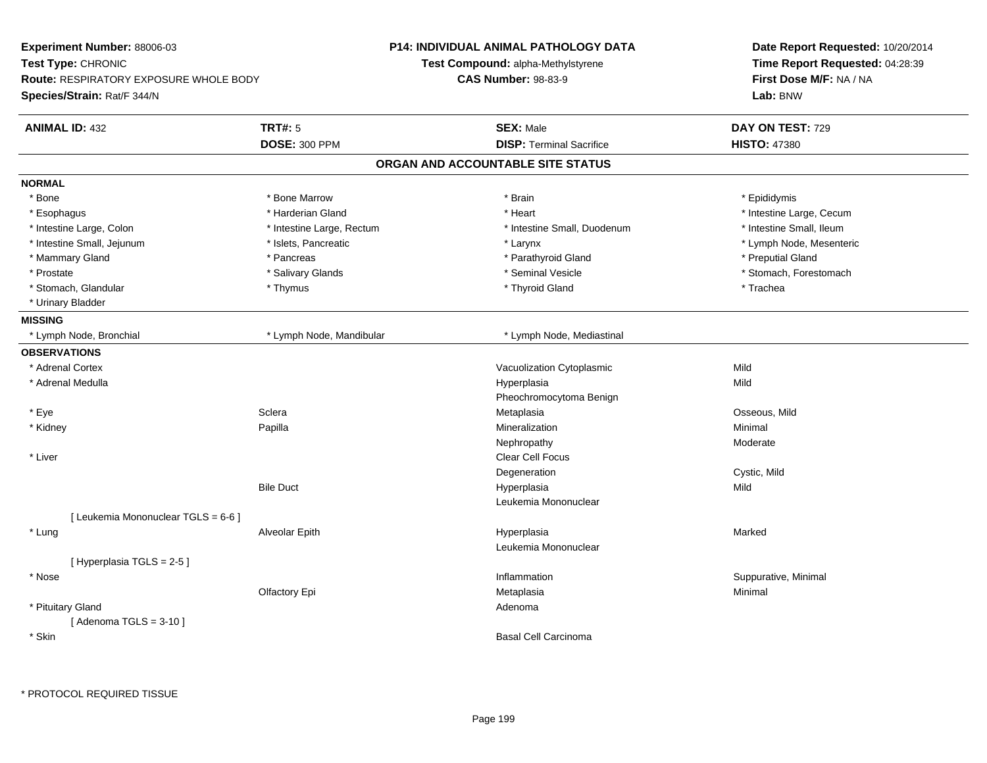| Experiment Number: 88006-03                   |                           | <b>P14: INDIVIDUAL ANIMAL PATHOLOGY DATA</b> | Date Report Requested: 10/20/2014<br>Time Report Requested: 04:28:39 |  |
|-----------------------------------------------|---------------------------|----------------------------------------------|----------------------------------------------------------------------|--|
| Test Type: CHRONIC                            |                           | Test Compound: alpha-Methylstyrene           |                                                                      |  |
| <b>Route: RESPIRATORY EXPOSURE WHOLE BODY</b> |                           | <b>CAS Number: 98-83-9</b>                   | First Dose M/F: NA / NA                                              |  |
| Species/Strain: Rat/F 344/N                   |                           |                                              | Lab: BNW                                                             |  |
| <b>ANIMAL ID: 432</b>                         | <b>TRT#: 5</b>            | <b>SEX: Male</b>                             | DAY ON TEST: 729                                                     |  |
|                                               | <b>DOSE: 300 PPM</b>      | <b>DISP: Terminal Sacrifice</b>              | <b>HISTO: 47380</b>                                                  |  |
|                                               |                           | ORGAN AND ACCOUNTABLE SITE STATUS            |                                                                      |  |
| <b>NORMAL</b>                                 |                           |                                              |                                                                      |  |
| * Bone                                        | * Bone Marrow             | * Brain                                      | * Epididymis                                                         |  |
| * Esophagus                                   | * Harderian Gland         | * Heart                                      | * Intestine Large, Cecum                                             |  |
| * Intestine Large, Colon                      | * Intestine Large, Rectum | * Intestine Small, Duodenum                  | * Intestine Small, Ileum                                             |  |
| * Intestine Small, Jejunum                    | * Islets, Pancreatic      | * Larynx                                     | * Lymph Node, Mesenteric                                             |  |
| * Mammary Gland                               | * Pancreas                | * Parathyroid Gland                          | * Preputial Gland                                                    |  |
| * Prostate                                    | * Salivary Glands         | * Seminal Vesicle                            | * Stomach, Forestomach                                               |  |
| * Stomach, Glandular                          | * Thymus                  | * Thyroid Gland                              | * Trachea                                                            |  |
| * Urinary Bladder                             |                           |                                              |                                                                      |  |
| <b>MISSING</b>                                |                           |                                              |                                                                      |  |
| * Lymph Node, Bronchial                       | * Lymph Node, Mandibular  | * Lymph Node, Mediastinal                    |                                                                      |  |
| <b>OBSERVATIONS</b>                           |                           |                                              |                                                                      |  |
| * Adrenal Cortex                              |                           | Vacuolization Cytoplasmic                    | Mild                                                                 |  |
| * Adrenal Medulla                             |                           | Hyperplasia                                  | Mild                                                                 |  |
|                                               |                           | Pheochromocytoma Benign                      |                                                                      |  |
| * Eye                                         | Sclera                    | Metaplasia                                   | Osseous, Mild                                                        |  |
| * Kidney                                      | Papilla                   | Mineralization                               | Minimal                                                              |  |
|                                               |                           | Nephropathy                                  | Moderate                                                             |  |
| * Liver                                       |                           | Clear Cell Focus                             |                                                                      |  |
|                                               |                           | Degeneration                                 | Cystic, Mild                                                         |  |
|                                               | <b>Bile Duct</b>          | Hyperplasia                                  | Mild                                                                 |  |
|                                               |                           | Leukemia Mononuclear                         |                                                                      |  |
| [ Leukemia Mononuclear TGLS = 6-6 ]           |                           |                                              |                                                                      |  |
| * Lung                                        | Alveolar Epith            | Hyperplasia                                  | Marked                                                               |  |
|                                               |                           | Leukemia Mononuclear                         |                                                                      |  |
| [Hyperplasia TGLS = $2-5$ ]                   |                           |                                              |                                                                      |  |
| * Nose                                        |                           | Inflammation                                 | Suppurative, Minimal                                                 |  |
|                                               | Olfactory Epi             | Metaplasia                                   | Minimal                                                              |  |
| * Pituitary Gland                             |                           | Adenoma                                      |                                                                      |  |
| [Adenoma TGLS = $3-10$ ]                      |                           |                                              |                                                                      |  |
| * Skin                                        |                           | <b>Basal Cell Carcinoma</b>                  |                                                                      |  |
|                                               |                           |                                              |                                                                      |  |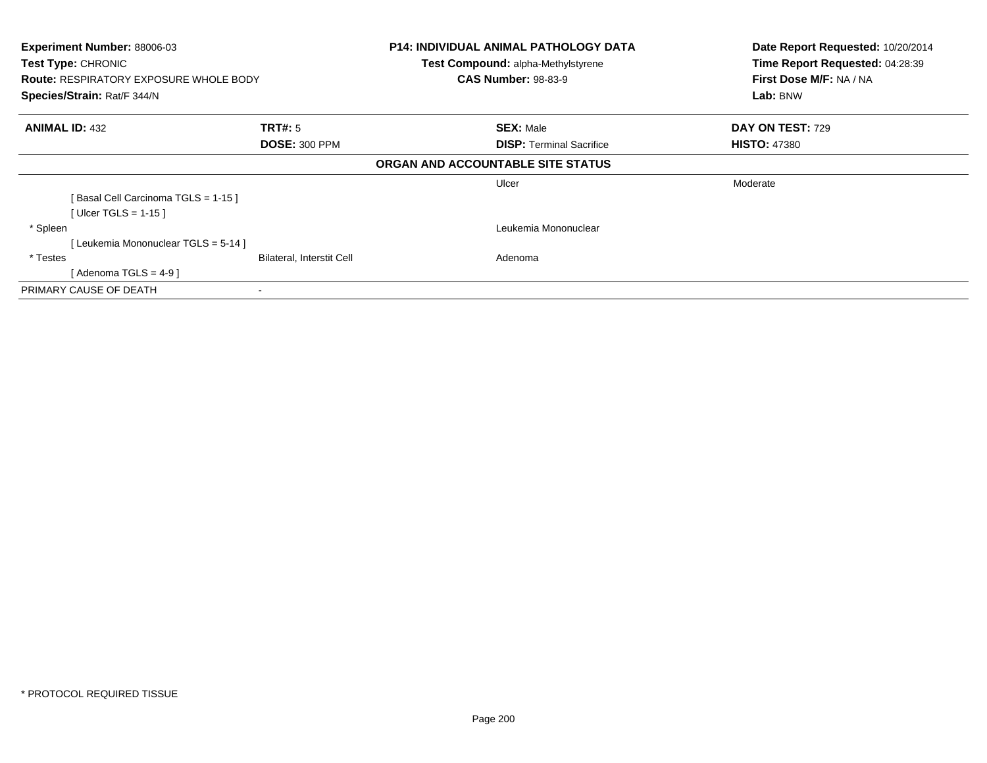| Experiment Number: 88006-03                   |                           | <b>P14: INDIVIDUAL ANIMAL PATHOLOGY DATA</b> | Date Report Requested: 10/20/2014 |
|-----------------------------------------------|---------------------------|----------------------------------------------|-----------------------------------|
| <b>Test Type: CHRONIC</b>                     |                           | <b>Test Compound: alpha-Methylstyrene</b>    | Time Report Requested: 04:28:39   |
| <b>Route: RESPIRATORY EXPOSURE WHOLE BODY</b> |                           | <b>CAS Number: 98-83-9</b>                   | First Dose M/F: NA / NA           |
| Species/Strain: Rat/F 344/N                   |                           |                                              | Lab: BNW                          |
| <b>ANIMAL ID: 432</b>                         | <b>TRT#:</b> 5            | <b>SEX: Male</b>                             | <b>DAY ON TEST: 729</b>           |
|                                               | <b>DOSE: 300 PPM</b>      | <b>DISP: Terminal Sacrifice</b>              | <b>HISTO: 47380</b>               |
|                                               |                           | ORGAN AND ACCOUNTABLE SITE STATUS            |                                   |
|                                               |                           | Ulcer                                        | Moderate                          |
| [Basal Cell Carcinoma TGLS = 1-15]            |                           |                                              |                                   |
| [Ulcer TGLS = $1-15$ ]                        |                           |                                              |                                   |
| * Spleen                                      |                           | Leukemia Mononuclear                         |                                   |
| [Leukemia Mononuclear TGLS = 5-14]            |                           |                                              |                                   |
| * Testes                                      | Bilateral, Interstit Cell | Adenoma                                      |                                   |
| [ Adenoma TGLS = 4-9 ]                        |                           |                                              |                                   |
| PRIMARY CAUSE OF DEATH                        |                           |                                              |                                   |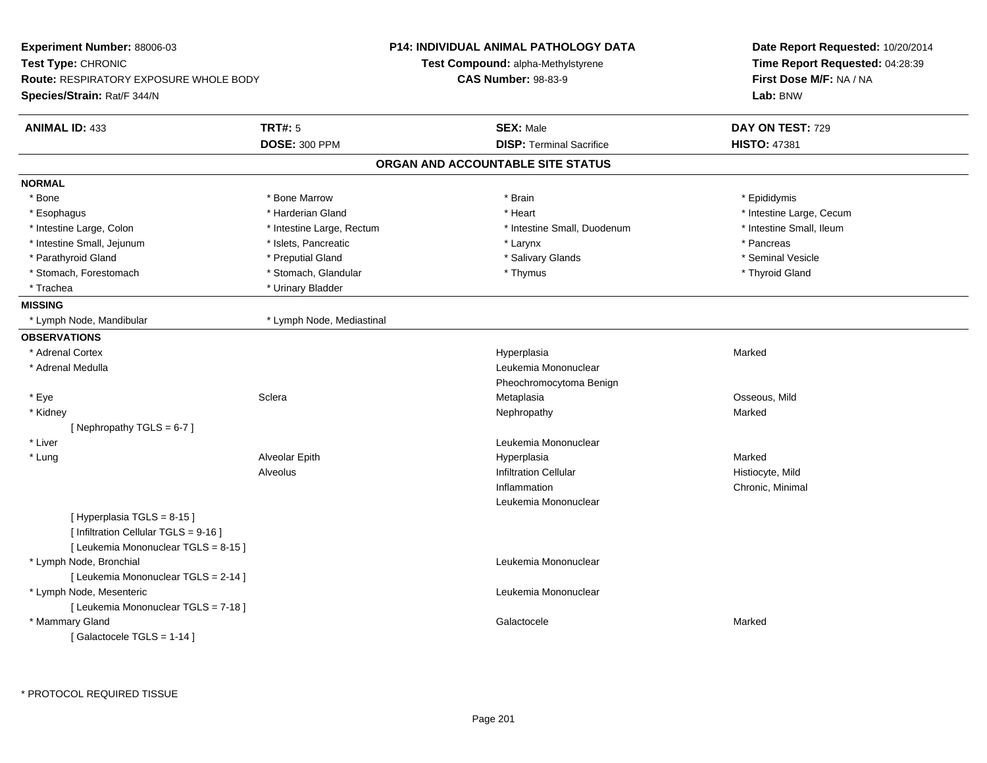| <b>Experiment Number: 88006-03</b><br>Test Type: CHRONIC<br><b>Route: RESPIRATORY EXPOSURE WHOLE BODY</b><br>Species/Strain: Rat/F 344/N |                                        | P14: INDIVIDUAL ANIMAL PATHOLOGY DATA<br>Test Compound: alpha-Methylstyrene<br><b>CAS Number: 98-83-9</b> | Date Report Requested: 10/20/2014<br>Time Report Requested: 04:28:39<br>First Dose M/F: NA / NA<br>Lab: BNW |
|------------------------------------------------------------------------------------------------------------------------------------------|----------------------------------------|-----------------------------------------------------------------------------------------------------------|-------------------------------------------------------------------------------------------------------------|
| <b>ANIMAL ID: 433</b>                                                                                                                    | <b>TRT#: 5</b><br><b>DOSE: 300 PPM</b> | <b>SEX: Male</b><br><b>DISP: Terminal Sacrifice</b>                                                       | DAY ON TEST: 729<br><b>HISTO: 47381</b>                                                                     |
|                                                                                                                                          |                                        | ORGAN AND ACCOUNTABLE SITE STATUS                                                                         |                                                                                                             |
| <b>NORMAL</b>                                                                                                                            |                                        |                                                                                                           |                                                                                                             |
| * Bone                                                                                                                                   | * Bone Marrow                          | * Brain                                                                                                   | * Epididymis                                                                                                |
| * Esophagus                                                                                                                              | * Harderian Gland                      | * Heart                                                                                                   | * Intestine Large, Cecum                                                                                    |
| * Intestine Large, Colon                                                                                                                 | * Intestine Large, Rectum              | * Intestine Small, Duodenum                                                                               | * Intestine Small, Ileum                                                                                    |
| * Intestine Small, Jejunum                                                                                                               | * Islets, Pancreatic                   | * Larynx                                                                                                  | * Pancreas                                                                                                  |
| * Parathyroid Gland                                                                                                                      | * Preputial Gland                      | * Salivary Glands                                                                                         | * Seminal Vesicle                                                                                           |
| * Stomach, Forestomach                                                                                                                   | * Stomach, Glandular                   | * Thymus                                                                                                  | * Thyroid Gland                                                                                             |
| * Trachea                                                                                                                                | * Urinary Bladder                      |                                                                                                           |                                                                                                             |
| <b>MISSING</b>                                                                                                                           |                                        |                                                                                                           |                                                                                                             |
| * Lymph Node, Mandibular                                                                                                                 | * Lymph Node, Mediastinal              |                                                                                                           |                                                                                                             |
| <b>OBSERVATIONS</b>                                                                                                                      |                                        |                                                                                                           |                                                                                                             |
| * Adrenal Cortex                                                                                                                         |                                        | Hyperplasia                                                                                               | Marked                                                                                                      |
| * Adrenal Medulla                                                                                                                        |                                        | Leukemia Mononuclear                                                                                      |                                                                                                             |
|                                                                                                                                          |                                        | Pheochromocytoma Benign                                                                                   |                                                                                                             |
| * Eye                                                                                                                                    | Sclera                                 | Metaplasia                                                                                                | Osseous, Mild                                                                                               |
| * Kidney                                                                                                                                 |                                        | Nephropathy                                                                                               | Marked                                                                                                      |
| [Nephropathy TGLS = 6-7]                                                                                                                 |                                        |                                                                                                           |                                                                                                             |
| * Liver                                                                                                                                  |                                        | Leukemia Mononuclear                                                                                      |                                                                                                             |
| * Lung                                                                                                                                   | Alveolar Epith                         | Hyperplasia                                                                                               | Marked                                                                                                      |
|                                                                                                                                          | Alveolus                               | <b>Infiltration Cellular</b>                                                                              | Histiocyte, Mild                                                                                            |
|                                                                                                                                          |                                        | Inflammation                                                                                              | Chronic, Minimal                                                                                            |
|                                                                                                                                          |                                        | Leukemia Mononuclear                                                                                      |                                                                                                             |
| [ Hyperplasia TGLS = 8-15 ]                                                                                                              |                                        |                                                                                                           |                                                                                                             |
| [ Infiltration Cellular TGLS = 9-16 ]                                                                                                    |                                        |                                                                                                           |                                                                                                             |
| [ Leukemia Mononuclear TGLS = 8-15 ]                                                                                                     |                                        | Leukemia Mononuclear                                                                                      |                                                                                                             |
| * Lymph Node, Bronchial<br>[ Leukemia Mononuclear TGLS = 2-14 ]                                                                          |                                        |                                                                                                           |                                                                                                             |
| * Lymph Node, Mesenteric                                                                                                                 |                                        | Leukemia Mononuclear                                                                                      |                                                                                                             |
| [ Leukemia Mononuclear TGLS = 7-18 ]                                                                                                     |                                        |                                                                                                           |                                                                                                             |
| * Mammary Gland                                                                                                                          |                                        | Galactocele                                                                                               | Marked                                                                                                      |
| [Galactocele TGLS = 1-14]                                                                                                                |                                        |                                                                                                           |                                                                                                             |
|                                                                                                                                          |                                        |                                                                                                           |                                                                                                             |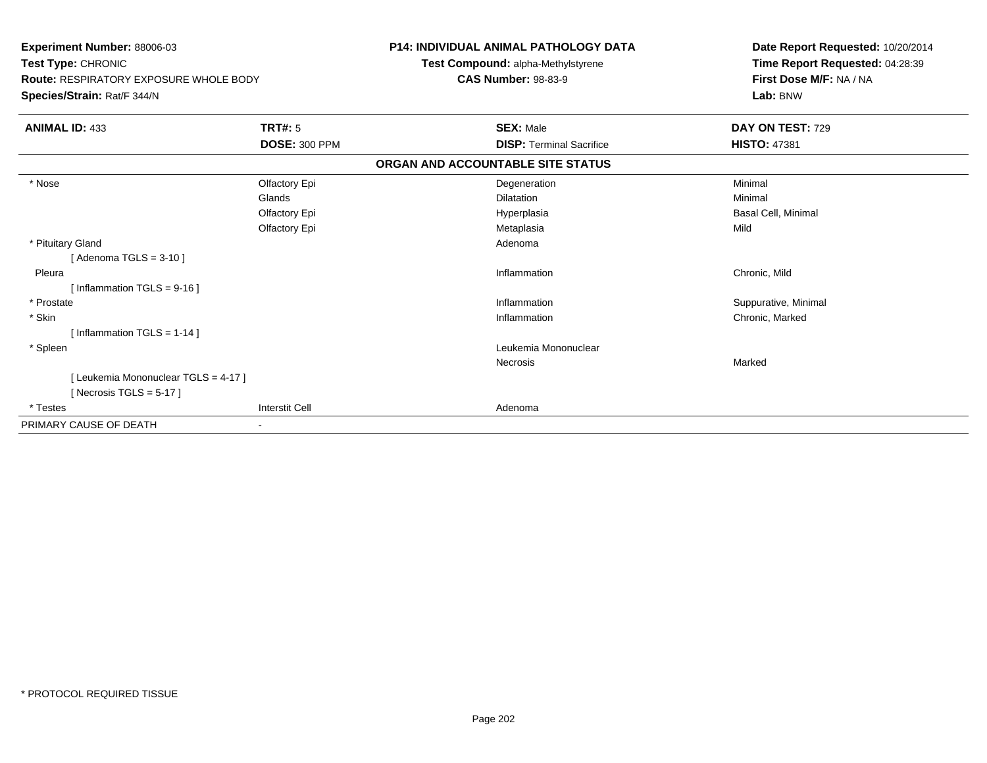| Experiment Number: 88006-03<br>Test Type: CHRONIC<br>Route: RESPIRATORY EXPOSURE WHOLE BODY<br>Species/Strain: Rat/F 344/N |                       | <b>P14: INDIVIDUAL ANIMAL PATHOLOGY DATA</b><br>Test Compound: alpha-Methylstyrene<br><b>CAS Number: 98-83-9</b> | Date Report Requested: 10/20/2014<br>Time Report Requested: 04:28:39<br>First Dose M/F: NA / NA<br>Lab: BNW |
|----------------------------------------------------------------------------------------------------------------------------|-----------------------|------------------------------------------------------------------------------------------------------------------|-------------------------------------------------------------------------------------------------------------|
| <b>ANIMAL ID: 433</b>                                                                                                      | <b>TRT#: 5</b>        | <b>SEX: Male</b>                                                                                                 | DAY ON TEST: 729                                                                                            |
|                                                                                                                            | <b>DOSE: 300 PPM</b>  | <b>DISP: Terminal Sacrifice</b>                                                                                  | <b>HISTO: 47381</b>                                                                                         |
|                                                                                                                            |                       | ORGAN AND ACCOUNTABLE SITE STATUS                                                                                |                                                                                                             |
| * Nose                                                                                                                     | Olfactory Epi         | Degeneration                                                                                                     | Minimal                                                                                                     |
|                                                                                                                            | Glands                | Dilatation                                                                                                       | Minimal                                                                                                     |
|                                                                                                                            | Olfactory Epi         | Hyperplasia                                                                                                      | Basal Cell, Minimal                                                                                         |
|                                                                                                                            | Olfactory Epi         | Metaplasia                                                                                                       | Mild                                                                                                        |
| * Pituitary Gland                                                                                                          |                       | Adenoma                                                                                                          |                                                                                                             |
| [Adenoma TGLS = $3-10$ ]                                                                                                   |                       |                                                                                                                  |                                                                                                             |
| Pleura                                                                                                                     |                       | Inflammation                                                                                                     | Chronic, Mild                                                                                               |
| [ Inflammation $TGLS = 9-16$ ]                                                                                             |                       |                                                                                                                  |                                                                                                             |
| * Prostate                                                                                                                 |                       | Inflammation                                                                                                     | Suppurative, Minimal                                                                                        |
| * Skin                                                                                                                     |                       | Inflammation                                                                                                     | Chronic, Marked                                                                                             |
| [Inflammation TGLS = $1-14$ ]                                                                                              |                       |                                                                                                                  |                                                                                                             |
| * Spleen                                                                                                                   |                       | Leukemia Mononuclear                                                                                             |                                                                                                             |
|                                                                                                                            |                       | Necrosis                                                                                                         | Marked                                                                                                      |
| [ Leukemia Mononuclear TGLS = 4-17 ]                                                                                       |                       |                                                                                                                  |                                                                                                             |
| [Necrosis TGLS = $5-17$ ]                                                                                                  |                       |                                                                                                                  |                                                                                                             |
| * Testes                                                                                                                   | <b>Interstit Cell</b> | Adenoma                                                                                                          |                                                                                                             |
| PRIMARY CAUSE OF DEATH                                                                                                     |                       |                                                                                                                  |                                                                                                             |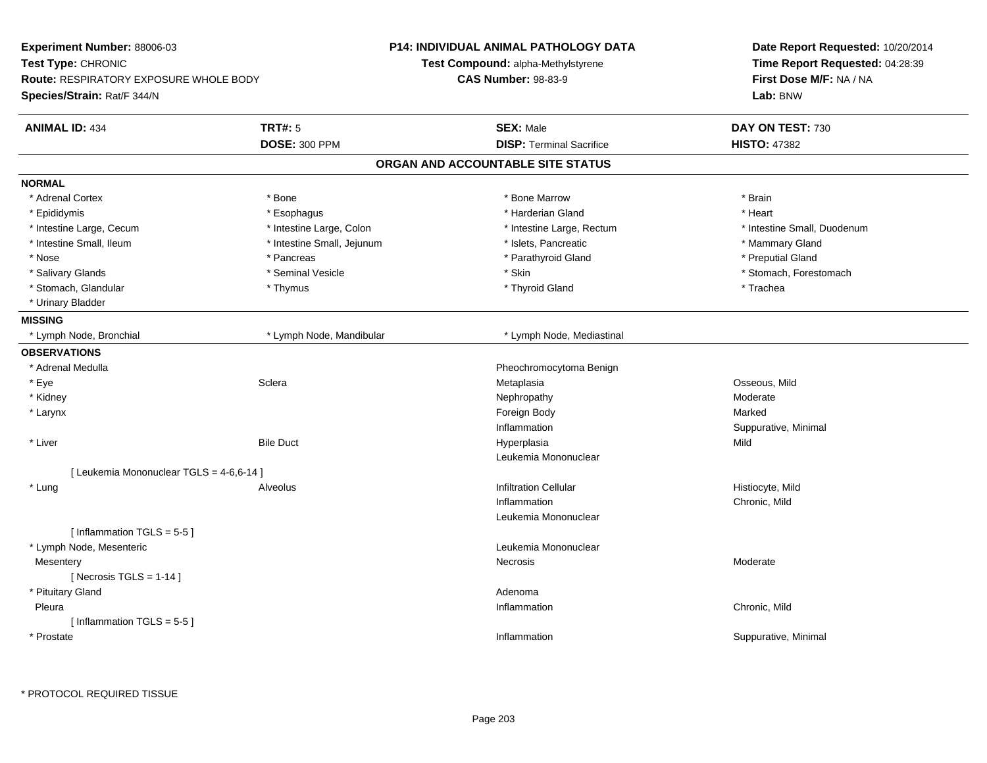| Experiment Number: 88006-03              |                            | P14: INDIVIDUAL ANIMAL PATHOLOGY DATA     | Date Report Requested: 10/20/2014<br>Time Report Requested: 04:28:39 |
|------------------------------------------|----------------------------|-------------------------------------------|----------------------------------------------------------------------|
| Test Type: CHRONIC                       |                            | <b>Test Compound: alpha-Methylstyrene</b> |                                                                      |
| Route: RESPIRATORY EXPOSURE WHOLE BODY   |                            | <b>CAS Number: 98-83-9</b>                | First Dose M/F: NA / NA                                              |
| Species/Strain: Rat/F 344/N              |                            |                                           | Lab: BNW                                                             |
| <b>ANIMAL ID: 434</b>                    | <b>TRT#: 5</b>             | <b>SEX: Male</b>                          | DAY ON TEST: 730                                                     |
|                                          | <b>DOSE: 300 PPM</b>       | <b>DISP: Terminal Sacrifice</b>           | <b>HISTO: 47382</b>                                                  |
|                                          |                            | ORGAN AND ACCOUNTABLE SITE STATUS         |                                                                      |
| <b>NORMAL</b>                            |                            |                                           |                                                                      |
| * Adrenal Cortex                         | * Bone                     | * Bone Marrow                             | * Brain                                                              |
| * Epididymis                             | * Esophagus                | * Harderian Gland                         | * Heart                                                              |
| * Intestine Large, Cecum                 | * Intestine Large, Colon   | * Intestine Large, Rectum                 | * Intestine Small, Duodenum                                          |
| * Intestine Small, Ileum                 | * Intestine Small, Jejunum | * Islets, Pancreatic                      | * Mammary Gland                                                      |
| * Nose                                   | * Pancreas                 | * Parathyroid Gland                       | * Preputial Gland                                                    |
| * Salivary Glands                        | * Seminal Vesicle          | * Skin                                    | * Stomach, Forestomach                                               |
| * Stomach, Glandular                     | * Thymus                   | * Thyroid Gland                           | * Trachea                                                            |
| * Urinary Bladder                        |                            |                                           |                                                                      |
| <b>MISSING</b>                           |                            |                                           |                                                                      |
| * Lymph Node, Bronchial                  | * Lymph Node, Mandibular   | * Lymph Node, Mediastinal                 |                                                                      |
| <b>OBSERVATIONS</b>                      |                            |                                           |                                                                      |
| * Adrenal Medulla                        |                            | Pheochromocytoma Benign                   |                                                                      |
| * Eye                                    | Sclera                     | Metaplasia                                | Osseous, Mild                                                        |
| * Kidney                                 |                            | Nephropathy                               | Moderate                                                             |
| * Larynx                                 |                            | Foreign Body                              | Marked                                                               |
|                                          |                            | Inflammation                              | Suppurative, Minimal                                                 |
| * Liver                                  | <b>Bile Duct</b>           | Hyperplasia                               | Mild                                                                 |
|                                          |                            | Leukemia Mononuclear                      |                                                                      |
| [ Leukemia Mononuclear TGLS = 4-6,6-14 ] |                            |                                           |                                                                      |
| * Lung                                   | Alveolus                   | <b>Infiltration Cellular</b>              | Histiocyte, Mild                                                     |
|                                          |                            | Inflammation                              | Chronic, Mild                                                        |
|                                          |                            | Leukemia Mononuclear                      |                                                                      |
| [Inflammation TGLS = 5-5]                |                            |                                           |                                                                      |
| * Lymph Node, Mesenteric                 |                            | Leukemia Mononuclear                      |                                                                      |
| Mesentery                                |                            | Necrosis                                  | Moderate                                                             |
| [Necrosis TGLS = $1-14$ ]                |                            |                                           |                                                                      |
| * Pituitary Gland                        |                            | Adenoma                                   |                                                                      |
| Pleura                                   |                            | Inflammation                              | Chronic, Mild                                                        |
| [Inflammation TGLS = $5-5$ ]             |                            |                                           |                                                                      |
| * Prostate                               |                            | Inflammation                              | Suppurative, Minimal                                                 |
|                                          |                            |                                           |                                                                      |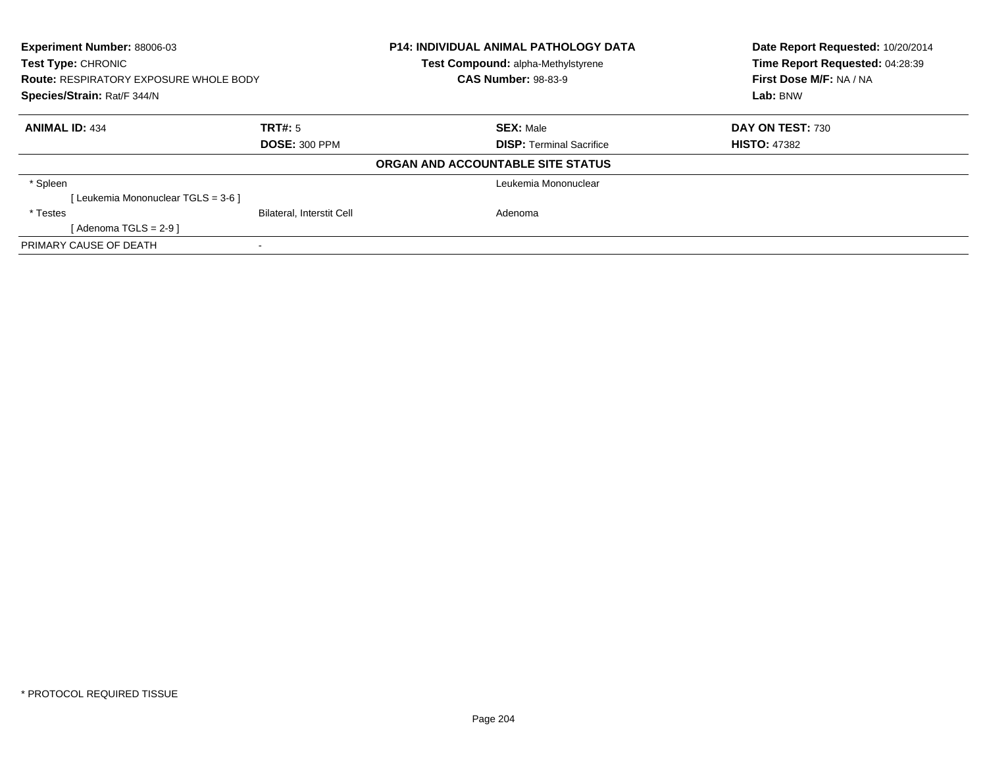| Experiment Number: 88006-03<br>Test Type: CHRONIC<br><b>Route: RESPIRATORY EXPOSURE WHOLE BODY</b><br>Species/Strain: Rat/F 344/N |                                  | <b>P14: INDIVIDUAL ANIMAL PATHOLOGY DATA</b><br>Test Compound: alpha-Methylstyrene<br><b>CAS Number: 98-83-9</b> | Date Report Requested: 10/20/2014<br>Time Report Requested: 04:28:39<br>First Dose M/F: NA / NA<br>Lab: BNW |
|-----------------------------------------------------------------------------------------------------------------------------------|----------------------------------|------------------------------------------------------------------------------------------------------------------|-------------------------------------------------------------------------------------------------------------|
|                                                                                                                                   |                                  |                                                                                                                  |                                                                                                             |
| <b>ANIMAL ID: 434</b>                                                                                                             | TRT#: 5                          | <b>SEX: Male</b>                                                                                                 | DAY ON TEST: 730                                                                                            |
|                                                                                                                                   | <b>DOSE: 300 PPM</b>             | <b>DISP:</b> Terminal Sacrifice                                                                                  | <b>HISTO: 47382</b>                                                                                         |
|                                                                                                                                   |                                  | ORGAN AND ACCOUNTABLE SITE STATUS                                                                                |                                                                                                             |
| * Spleen                                                                                                                          |                                  | Leukemia Mononuclear                                                                                             |                                                                                                             |
| [Leukemia Mononuclear TGLS = 3-6 ]                                                                                                |                                  |                                                                                                                  |                                                                                                             |
| * Testes                                                                                                                          | <b>Bilateral, Interstit Cell</b> | Adenoma                                                                                                          |                                                                                                             |
| [Adenoma TGLS = $2-9$ ]                                                                                                           |                                  |                                                                                                                  |                                                                                                             |
| PRIMARY CAUSE OF DEATH                                                                                                            |                                  |                                                                                                                  |                                                                                                             |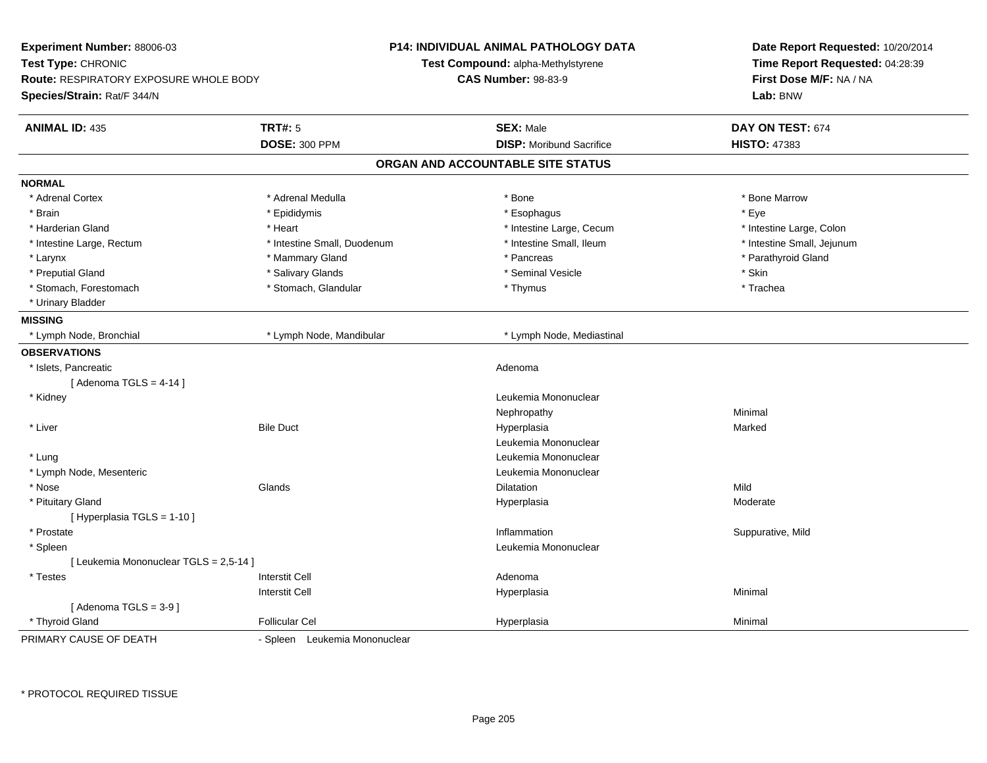| <b>Experiment Number: 88006-03</b><br>Test Type: CHRONIC<br><b>Route: RESPIRATORY EXPOSURE WHOLE BODY</b><br>Species/Strain: Rat/F 344/N |                                 | <b>P14: INDIVIDUAL ANIMAL PATHOLOGY DATA</b><br>Test Compound: alpha-Methylstyrene<br><b>CAS Number: 98-83-9</b> | Date Report Requested: 10/20/2014<br>Time Report Requested: 04:28:39<br>First Dose M/F: NA / NA<br>Lab: BNW |
|------------------------------------------------------------------------------------------------------------------------------------------|---------------------------------|------------------------------------------------------------------------------------------------------------------|-------------------------------------------------------------------------------------------------------------|
| <b>ANIMAL ID: 435</b>                                                                                                                    | TRT#: 5<br><b>DOSE: 300 PPM</b> | <b>SEX: Male</b><br><b>DISP:</b> Moribund Sacrifice                                                              | DAY ON TEST: 674<br><b>HISTO: 47383</b>                                                                     |
|                                                                                                                                          |                                 | ORGAN AND ACCOUNTABLE SITE STATUS                                                                                |                                                                                                             |
| <b>NORMAL</b>                                                                                                                            |                                 |                                                                                                                  |                                                                                                             |
| * Adrenal Cortex                                                                                                                         | * Adrenal Medulla               | * Bone                                                                                                           | * Bone Marrow                                                                                               |
| * Brain                                                                                                                                  | * Epididymis                    | * Esophagus                                                                                                      | * Eye                                                                                                       |
| * Harderian Gland                                                                                                                        | * Heart                         | * Intestine Large, Cecum                                                                                         | * Intestine Large, Colon                                                                                    |
| * Intestine Large, Rectum                                                                                                                | * Intestine Small, Duodenum     | * Intestine Small, Ileum                                                                                         | * Intestine Small, Jejunum                                                                                  |
| * Larynx                                                                                                                                 | * Mammary Gland                 | * Pancreas                                                                                                       | * Parathyroid Gland                                                                                         |
| * Preputial Gland                                                                                                                        | * Salivary Glands               | * Seminal Vesicle                                                                                                | * Skin                                                                                                      |
| * Stomach, Forestomach                                                                                                                   | * Stomach, Glandular            | * Thymus                                                                                                         | * Trachea                                                                                                   |
| * Urinary Bladder                                                                                                                        |                                 |                                                                                                                  |                                                                                                             |
| <b>MISSING</b>                                                                                                                           |                                 |                                                                                                                  |                                                                                                             |
| * Lymph Node, Bronchial                                                                                                                  | * Lymph Node, Mandibular        | * Lymph Node, Mediastinal                                                                                        |                                                                                                             |
| <b>OBSERVATIONS</b>                                                                                                                      |                                 |                                                                                                                  |                                                                                                             |
| * Islets, Pancreatic                                                                                                                     |                                 | Adenoma                                                                                                          |                                                                                                             |
| [Adenoma TGLS = $4-14$ ]                                                                                                                 |                                 |                                                                                                                  |                                                                                                             |
| * Kidney                                                                                                                                 |                                 | Leukemia Mononuclear                                                                                             |                                                                                                             |
|                                                                                                                                          |                                 | Nephropathy                                                                                                      | Minimal                                                                                                     |
| * Liver                                                                                                                                  | <b>Bile Duct</b>                | Hyperplasia                                                                                                      | Marked                                                                                                      |
|                                                                                                                                          |                                 | Leukemia Mononuclear                                                                                             |                                                                                                             |
| * Lung                                                                                                                                   |                                 | Leukemia Mononuclear                                                                                             |                                                                                                             |
| * Lymph Node, Mesenteric                                                                                                                 |                                 | Leukemia Mononuclear                                                                                             |                                                                                                             |
| * Nose                                                                                                                                   | Glands                          | <b>Dilatation</b>                                                                                                | Mild                                                                                                        |
| * Pituitary Gland                                                                                                                        |                                 | Hyperplasia                                                                                                      | Moderate                                                                                                    |
| [ Hyperplasia TGLS = 1-10 ]                                                                                                              |                                 |                                                                                                                  |                                                                                                             |
| * Prostate                                                                                                                               |                                 | Inflammation                                                                                                     | Suppurative, Mild                                                                                           |
| * Spleen                                                                                                                                 |                                 | Leukemia Mononuclear                                                                                             |                                                                                                             |
| [ Leukemia Mononuclear TGLS = 2,5-14 ]                                                                                                   |                                 |                                                                                                                  |                                                                                                             |
| * Testes                                                                                                                                 | <b>Interstit Cell</b>           | Adenoma                                                                                                          |                                                                                                             |
|                                                                                                                                          | <b>Interstit Cell</b>           | Hyperplasia                                                                                                      | Minimal                                                                                                     |
| [Adenoma TGLS = $3-9$ ]                                                                                                                  |                                 |                                                                                                                  |                                                                                                             |
| * Thyroid Gland                                                                                                                          | <b>Follicular Cel</b>           | Hyperplasia                                                                                                      | Minimal                                                                                                     |
| PRIMARY CAUSE OF DEATH                                                                                                                   | - Spleen Leukemia Mononuclear   |                                                                                                                  |                                                                                                             |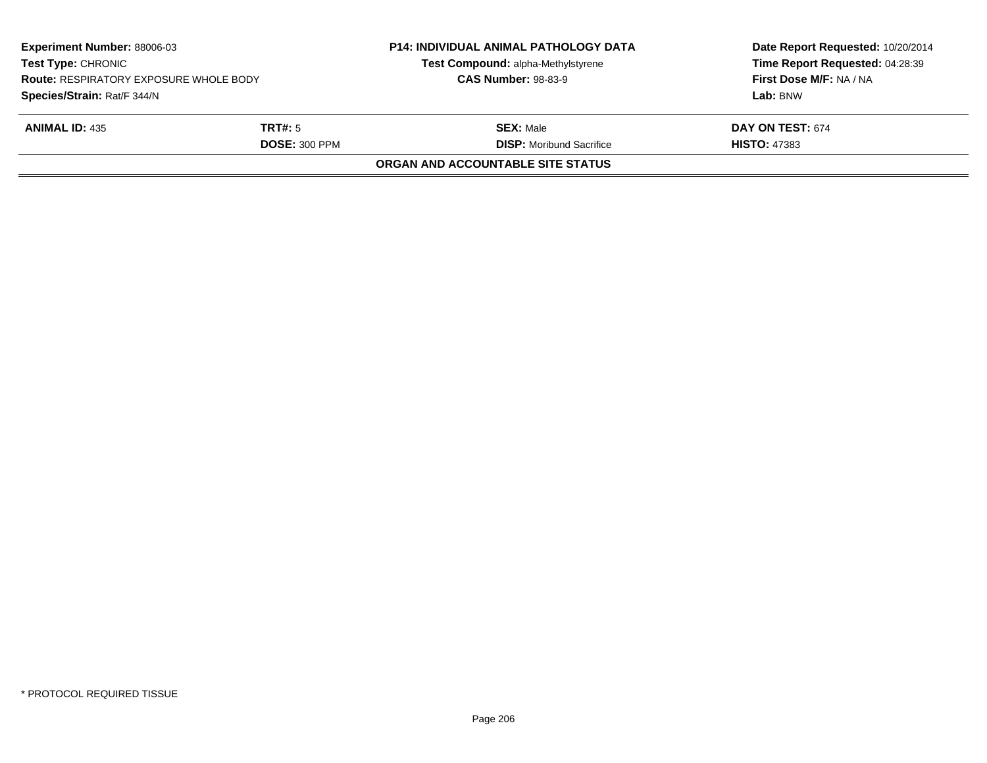|                                                                                         |  | <b>CAS Number: 98-83-9</b>                          | First Dose M/F: NA / NA<br>Lab: BNW     |
|-----------------------------------------------------------------------------------------|--|-----------------------------------------------------|-----------------------------------------|
| Species/Strain: Rat/F 344/N<br><b>ANIMAL ID: 435</b><br>TRT#: 5<br><b>DOSE: 300 PPM</b> |  | <b>SEX: Male</b><br><b>DISP:</b> Moribund Sacrifice | DAY ON TEST: 674<br><b>HISTO: 47383</b> |
|                                                                                         |  | <b>ORGAN AND ACCOUNTABLE SITE STATUS</b>            |                                         |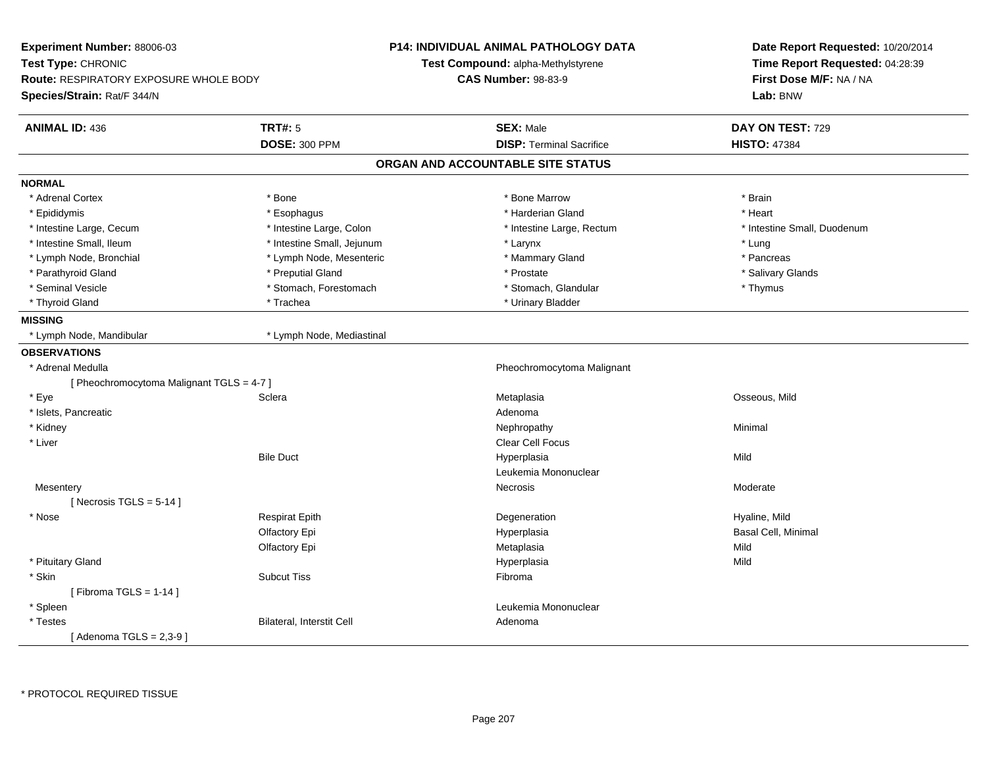| Experiment Number: 88006-03<br>Test Type: CHRONIC<br><b>Route: RESPIRATORY EXPOSURE WHOLE BODY</b><br>Species/Strain: Rat/F 344/N |                                 | P14: INDIVIDUAL ANIMAL PATHOLOGY DATA<br>Test Compound: alpha-Methylstyrene<br><b>CAS Number: 98-83-9</b> | Date Report Requested: 10/20/2014<br>Time Report Requested: 04:28:39<br>First Dose M/F: NA / NA<br>Lab: BNW |
|-----------------------------------------------------------------------------------------------------------------------------------|---------------------------------|-----------------------------------------------------------------------------------------------------------|-------------------------------------------------------------------------------------------------------------|
|                                                                                                                                   |                                 |                                                                                                           |                                                                                                             |
| <b>ANIMAL ID: 436</b>                                                                                                             | TRT#: 5<br><b>DOSE: 300 PPM</b> | <b>SEX: Male</b><br><b>DISP: Terminal Sacrifice</b>                                                       | DAY ON TEST: 729<br><b>HISTO: 47384</b>                                                                     |
|                                                                                                                                   |                                 | ORGAN AND ACCOUNTABLE SITE STATUS                                                                         |                                                                                                             |
| <b>NORMAL</b>                                                                                                                     |                                 |                                                                                                           |                                                                                                             |
| * Adrenal Cortex                                                                                                                  | * Bone                          | * Bone Marrow                                                                                             | * Brain                                                                                                     |
| * Epididymis                                                                                                                      | * Esophagus                     | * Harderian Gland                                                                                         | * Heart                                                                                                     |
| * Intestine Large, Cecum                                                                                                          | * Intestine Large, Colon        | * Intestine Large, Rectum                                                                                 | * Intestine Small, Duodenum                                                                                 |
| * Intestine Small, Ileum                                                                                                          | * Intestine Small, Jejunum      | * Larynx                                                                                                  | * Lung                                                                                                      |
| * Lymph Node, Bronchial                                                                                                           | * Lymph Node, Mesenteric        | * Mammary Gland                                                                                           | * Pancreas                                                                                                  |
| * Parathyroid Gland                                                                                                               | * Preputial Gland               | * Prostate                                                                                                | * Salivary Glands                                                                                           |
| * Seminal Vesicle                                                                                                                 | * Stomach, Forestomach          | * Stomach, Glandular                                                                                      | * Thymus                                                                                                    |
| * Thyroid Gland                                                                                                                   | * Trachea                       | * Urinary Bladder                                                                                         |                                                                                                             |
| <b>MISSING</b>                                                                                                                    |                                 |                                                                                                           |                                                                                                             |
| * Lymph Node, Mandibular                                                                                                          | * Lymph Node, Mediastinal       |                                                                                                           |                                                                                                             |
| <b>OBSERVATIONS</b>                                                                                                               |                                 |                                                                                                           |                                                                                                             |
| * Adrenal Medulla                                                                                                                 |                                 | Pheochromocytoma Malignant                                                                                |                                                                                                             |
| [ Pheochromocytoma Malignant TGLS = 4-7 ]                                                                                         |                                 |                                                                                                           |                                                                                                             |
| * Eye                                                                                                                             | Sclera                          | Metaplasia                                                                                                | Osseous, Mild                                                                                               |
| * Islets, Pancreatic                                                                                                              |                                 | Adenoma                                                                                                   |                                                                                                             |
| * Kidney                                                                                                                          |                                 | Nephropathy                                                                                               | Minimal                                                                                                     |
| * Liver                                                                                                                           |                                 | Clear Cell Focus                                                                                          |                                                                                                             |
|                                                                                                                                   | <b>Bile Duct</b>                | Hyperplasia                                                                                               | Mild                                                                                                        |
|                                                                                                                                   |                                 | Leukemia Mononuclear                                                                                      |                                                                                                             |
| Mesentery                                                                                                                         |                                 | Necrosis                                                                                                  | Moderate                                                                                                    |
| [Necrosis TGLS = $5-14$ ]                                                                                                         |                                 |                                                                                                           |                                                                                                             |
| * Nose                                                                                                                            | <b>Respirat Epith</b>           | Degeneration                                                                                              | Hyaline, Mild                                                                                               |
|                                                                                                                                   | Olfactory Epi                   | Hyperplasia                                                                                               | Basal Cell, Minimal                                                                                         |
|                                                                                                                                   | Olfactory Epi                   | Metaplasia                                                                                                | Mild                                                                                                        |
| * Pituitary Gland                                                                                                                 |                                 | Hyperplasia                                                                                               | Mild                                                                                                        |
| * Skin                                                                                                                            | <b>Subcut Tiss</b>              | Fibroma                                                                                                   |                                                                                                             |
| [Fibroma TGLS = $1-14$ ]                                                                                                          |                                 |                                                                                                           |                                                                                                             |
| * Spleen                                                                                                                          |                                 | Leukemia Mononuclear                                                                                      |                                                                                                             |
| * Testes                                                                                                                          | Bilateral, Interstit Cell       | Adenoma                                                                                                   |                                                                                                             |
| [Adenoma TGLS = $2,3-9$ ]                                                                                                         |                                 |                                                                                                           |                                                                                                             |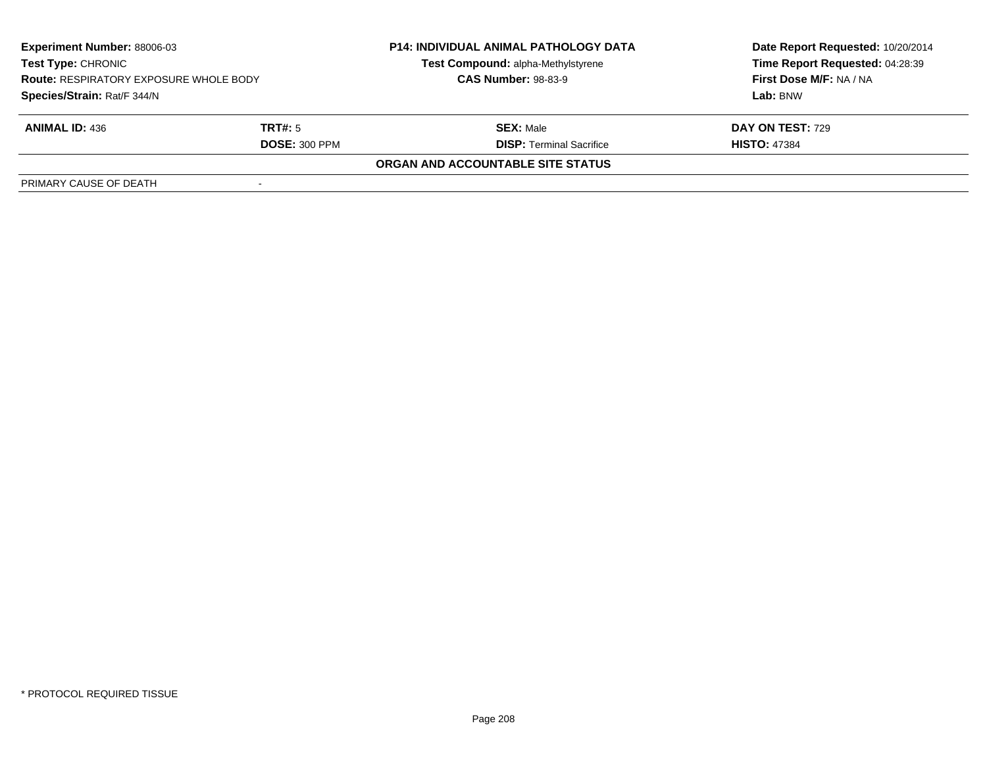| <b>Experiment Number: 88006-03</b><br><b>Test Type: CHRONIC</b><br><b>Route: RESPIRATORY EXPOSURE WHOLE BODY</b><br>Species/Strain: Rat/F 344/N |                      | <b>P14: INDIVIDUAL ANIMAL PATHOLOGY DATA</b> | Date Report Requested: 10/20/2014 |  |
|-------------------------------------------------------------------------------------------------------------------------------------------------|----------------------|----------------------------------------------|-----------------------------------|--|
|                                                                                                                                                 |                      | Test Compound: alpha-Methylstyrene           | Time Report Requested: 04:28:39   |  |
|                                                                                                                                                 |                      | <b>CAS Number: 98-83-9</b>                   | First Dose M/F: NA / NA           |  |
|                                                                                                                                                 |                      |                                              | Lab: BNW                          |  |
| <b>ANIMAL ID: 436</b>                                                                                                                           | TRT#: 5              | <b>SEX: Male</b>                             | <b>DAY ON TEST: 729</b>           |  |
|                                                                                                                                                 | <b>DOSE: 300 PPM</b> | <b>DISP:</b> Terminal Sacrifice              | <b>HISTO: 47384</b>               |  |
|                                                                                                                                                 |                      | ORGAN AND ACCOUNTABLE SITE STATUS            |                                   |  |
| PRIMARY CAUSE OF DEATH                                                                                                                          |                      |                                              |                                   |  |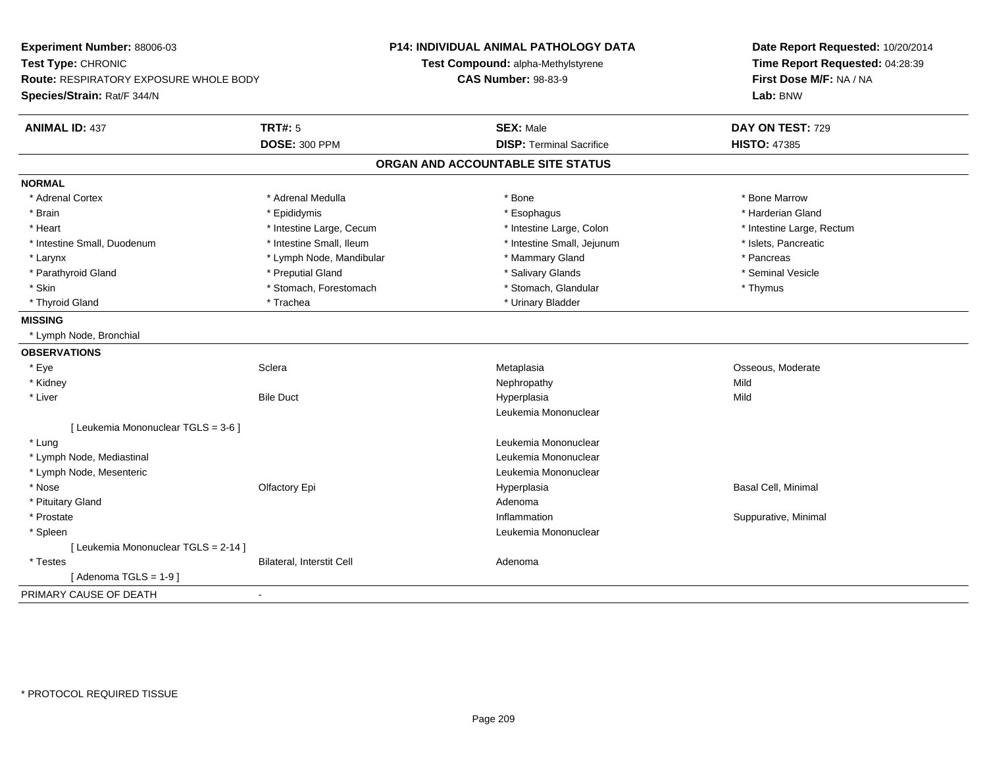| Experiment Number: 88006-03            |                                  | <b>P14: INDIVIDUAL ANIMAL PATHOLOGY DATA</b> | Date Report Requested: 10/20/2014<br>Time Report Requested: 04:28:39 |
|----------------------------------------|----------------------------------|----------------------------------------------|----------------------------------------------------------------------|
| Test Type: CHRONIC                     |                                  | Test Compound: alpha-Methylstyrene           |                                                                      |
| Route: RESPIRATORY EXPOSURE WHOLE BODY |                                  | <b>CAS Number: 98-83-9</b>                   | First Dose M/F: NA / NA                                              |
| Species/Strain: Rat/F 344/N            |                                  |                                              | Lab: BNW                                                             |
| <b>ANIMAL ID: 437</b>                  | <b>TRT#: 5</b>                   | <b>SEX: Male</b>                             | DAY ON TEST: 729                                                     |
|                                        | <b>DOSE: 300 PPM</b>             | <b>DISP: Terminal Sacrifice</b>              | <b>HISTO: 47385</b>                                                  |
|                                        |                                  | ORGAN AND ACCOUNTABLE SITE STATUS            |                                                                      |
| <b>NORMAL</b>                          |                                  |                                              |                                                                      |
| * Adrenal Cortex                       | * Adrenal Medulla                | * Bone                                       | * Bone Marrow                                                        |
| * Brain                                | * Epididymis                     | * Esophagus                                  | * Harderian Gland                                                    |
| * Heart                                | * Intestine Large, Cecum         | * Intestine Large, Colon                     | * Intestine Large, Rectum                                            |
| * Intestine Small, Duodenum            | * Intestine Small, Ileum         | * Intestine Small, Jejunum                   | * Islets, Pancreatic                                                 |
| * Larynx                               | * Lymph Node, Mandibular         | * Mammary Gland                              | * Pancreas                                                           |
| * Parathyroid Gland                    | * Preputial Gland                | * Salivary Glands                            | * Seminal Vesicle                                                    |
| * Skin                                 | * Stomach, Forestomach           | * Stomach, Glandular                         | * Thymus                                                             |
| * Thyroid Gland                        | * Trachea                        | * Urinary Bladder                            |                                                                      |
| <b>MISSING</b>                         |                                  |                                              |                                                                      |
| * Lymph Node, Bronchial                |                                  |                                              |                                                                      |
| <b>OBSERVATIONS</b>                    |                                  |                                              |                                                                      |
| * Eye                                  | Sclera                           | Metaplasia                                   | Osseous, Moderate                                                    |
| * Kidney                               |                                  | Nephropathy                                  | Mild                                                                 |
| * Liver                                | <b>Bile Duct</b>                 | Hyperplasia                                  | Mild                                                                 |
|                                        |                                  | Leukemia Mononuclear                         |                                                                      |
| [ Leukemia Mononuclear TGLS = 3-6 ]    |                                  |                                              |                                                                      |
| * Lung                                 |                                  | Leukemia Mononuclear                         |                                                                      |
| * Lymph Node, Mediastinal              |                                  | Leukemia Mononuclear                         |                                                                      |
| * Lymph Node, Mesenteric               |                                  | Leukemia Mononuclear                         |                                                                      |
| * Nose                                 | Olfactory Epi                    | Hyperplasia                                  | Basal Cell, Minimal                                                  |
| * Pituitary Gland                      |                                  | Adenoma                                      |                                                                      |
| * Prostate                             |                                  | Inflammation                                 | Suppurative, Minimal                                                 |
| * Spleen                               |                                  | Leukemia Mononuclear                         |                                                                      |
| [ Leukemia Mononuclear TGLS = 2-14 ]   |                                  |                                              |                                                                      |
| * Testes                               | <b>Bilateral, Interstit Cell</b> | Adenoma                                      |                                                                      |
| [Adenoma TGLS = $1-9$ ]                |                                  |                                              |                                                                      |
| PRIMARY CAUSE OF DEATH                 | $\overline{\phantom{a}}$         |                                              |                                                                      |
|                                        |                                  |                                              |                                                                      |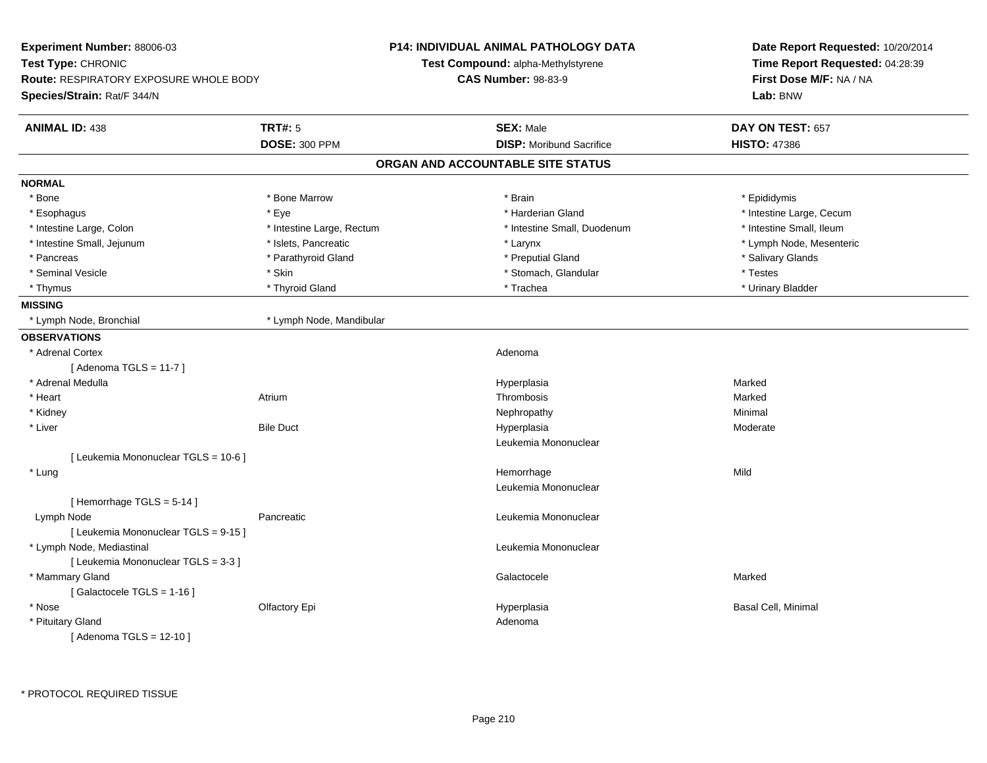| Experiment Number: 88006-03                           | <b>P14: INDIVIDUAL ANIMAL PATHOLOGY DATA</b> | Date Report Requested: 10/20/2014<br>Time Report Requested: 04:28:39<br>First Dose M/F: NA / NA |  |
|-------------------------------------------------------|----------------------------------------------|-------------------------------------------------------------------------------------------------|--|
| Test Type: CHRONIC                                    | Test Compound: alpha-Methylstyrene           |                                                                                                 |  |
| Route: RESPIRATORY EXPOSURE WHOLE BODY                | <b>CAS Number: 98-83-9</b>                   |                                                                                                 |  |
| Species/Strain: Rat/F 344/N                           |                                              | Lab: BNW                                                                                        |  |
| <b>TRT#: 5</b><br><b>ANIMAL ID: 438</b>               | <b>SEX: Male</b>                             | DAY ON TEST: 657                                                                                |  |
| <b>DOSE: 300 PPM</b>                                  | <b>DISP:</b> Moribund Sacrifice              | <b>HISTO: 47386</b>                                                                             |  |
|                                                       | ORGAN AND ACCOUNTABLE SITE STATUS            |                                                                                                 |  |
| <b>NORMAL</b>                                         |                                              |                                                                                                 |  |
| * Bone<br>* Bone Marrow                               | * Brain                                      | * Epididymis                                                                                    |  |
| * Eye<br>* Esophagus                                  | * Harderian Gland                            | * Intestine Large, Cecum                                                                        |  |
| * Intestine Large, Colon<br>* Intestine Large, Rectum | * Intestine Small, Duodenum                  | * Intestine Small, Ileum                                                                        |  |
| * Islets, Pancreatic<br>* Intestine Small, Jejunum    | * Larynx                                     | * Lymph Node, Mesenteric                                                                        |  |
| * Parathyroid Gland<br>* Pancreas                     | * Preputial Gland                            | * Salivary Glands                                                                               |  |
| * Skin<br>* Seminal Vesicle                           | * Stomach, Glandular                         | * Testes                                                                                        |  |
| * Thyroid Gland<br>* Thymus                           | * Trachea                                    | * Urinary Bladder                                                                               |  |
| <b>MISSING</b>                                        |                                              |                                                                                                 |  |
| * Lymph Node, Bronchial<br>* Lymph Node, Mandibular   |                                              |                                                                                                 |  |
| <b>OBSERVATIONS</b>                                   |                                              |                                                                                                 |  |
| * Adrenal Cortex                                      | Adenoma                                      |                                                                                                 |  |
| [Adenoma TGLS = $11-7$ ]                              |                                              |                                                                                                 |  |
| * Adrenal Medulla                                     | Hyperplasia                                  | Marked                                                                                          |  |
| * Heart<br>Atrium                                     | Thrombosis                                   | Marked                                                                                          |  |
| * Kidney                                              | Nephropathy                                  | Minimal                                                                                         |  |
| * Liver<br><b>Bile Duct</b>                           | Hyperplasia                                  | Moderate                                                                                        |  |
|                                                       | Leukemia Mononuclear                         |                                                                                                 |  |
| [ Leukemia Mononuclear TGLS = 10-6 ]                  |                                              |                                                                                                 |  |
| * Lung                                                | Hemorrhage                                   | Mild                                                                                            |  |
|                                                       | Leukemia Mononuclear                         |                                                                                                 |  |
| [Hemorrhage TGLS = 5-14]                              |                                              |                                                                                                 |  |
| Lymph Node<br>Pancreatic                              | Leukemia Mononuclear                         |                                                                                                 |  |
| [ Leukemia Mononuclear TGLS = 9-15 ]                  |                                              |                                                                                                 |  |
| * Lymph Node, Mediastinal                             | Leukemia Mononuclear                         |                                                                                                 |  |
| [ Leukemia Mononuclear TGLS = 3-3 ]                   |                                              |                                                                                                 |  |
| * Mammary Gland                                       | Galactocele                                  | Marked                                                                                          |  |
| [Galactocele TGLS = 1-16]                             |                                              |                                                                                                 |  |
| * Nose<br>Olfactory Epi                               | Hyperplasia                                  | Basal Cell, Minimal                                                                             |  |
| * Pituitary Gland                                     | Adenoma                                      |                                                                                                 |  |
| [ Adenoma TGLS = 12-10 ]                              |                                              |                                                                                                 |  |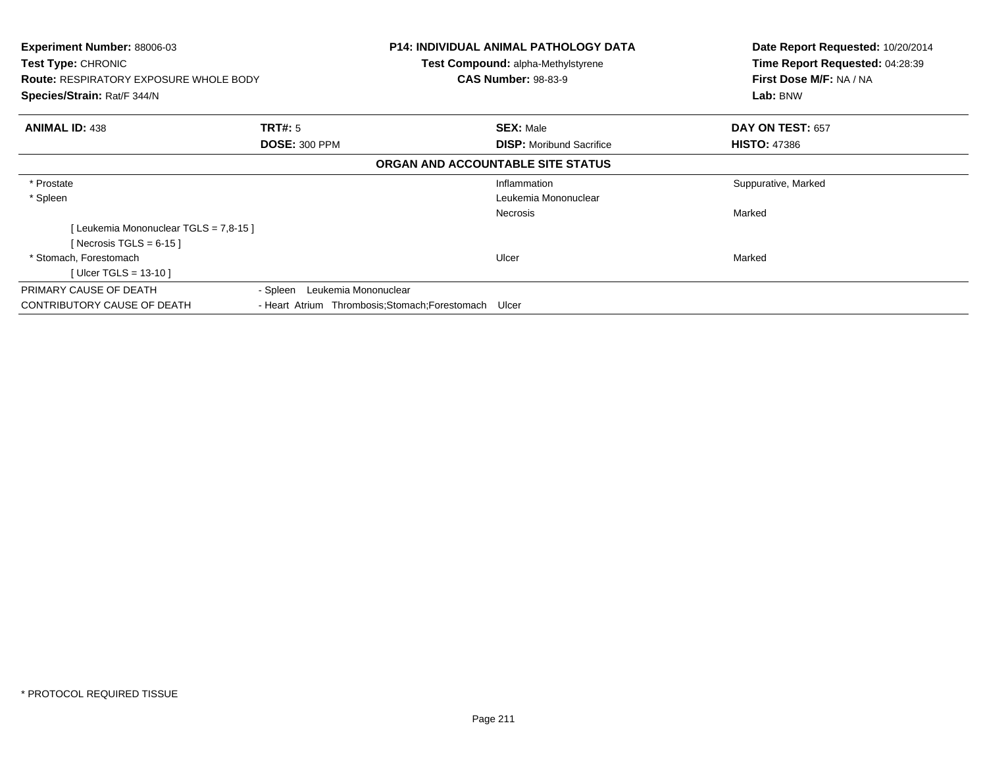| <b>Experiment Number: 88006-03</b><br>Test Type: CHRONIC |                                                       | <b>P14: INDIVIDUAL ANIMAL PATHOLOGY DATA</b><br><b>Test Compound: alpha-Methylstyrene</b> | Date Report Requested: 10/20/2014<br>Time Report Requested: 04:28:39 |
|----------------------------------------------------------|-------------------------------------------------------|-------------------------------------------------------------------------------------------|----------------------------------------------------------------------|
| <b>Route: RESPIRATORY EXPOSURE WHOLE BODY</b>            |                                                       | <b>CAS Number: 98-83-9</b>                                                                | First Dose M/F: NA / NA                                              |
| Species/Strain: Rat/F 344/N                              |                                                       |                                                                                           | Lab: BNW                                                             |
| <b>ANIMAL ID: 438</b>                                    | TRT#: 5                                               | <b>SEX: Male</b>                                                                          | DAY ON TEST: 657                                                     |
|                                                          | <b>DOSE: 300 PPM</b>                                  | <b>DISP:</b> Moribund Sacrifice                                                           | <b>HISTO: 47386</b>                                                  |
|                                                          |                                                       | ORGAN AND ACCOUNTABLE SITE STATUS                                                         |                                                                      |
| * Prostate                                               |                                                       | Inflammation                                                                              | Suppurative, Marked                                                  |
| * Spleen                                                 |                                                       | Leukemia Mononuclear                                                                      |                                                                      |
|                                                          |                                                       | Necrosis                                                                                  | Marked                                                               |
| [Leukemia Mononuclear TGLS = 7,8-15]                     |                                                       |                                                                                           |                                                                      |
| [Necrosis TGLS = $6-15$ ]                                |                                                       |                                                                                           |                                                                      |
| * Stomach, Forestomach                                   |                                                       | Ulcer                                                                                     | Marked                                                               |
| [ Ulcer TGLS = $13-10$ ]                                 |                                                       |                                                                                           |                                                                      |
| PRIMARY CAUSE OF DEATH                                   | Leukemia Mononuclear<br>- Spleen                      |                                                                                           |                                                                      |
| CONTRIBUTORY CAUSE OF DEATH                              | - Heart Atrium Thrombosis; Stomach; Forestomach Ulcer |                                                                                           |                                                                      |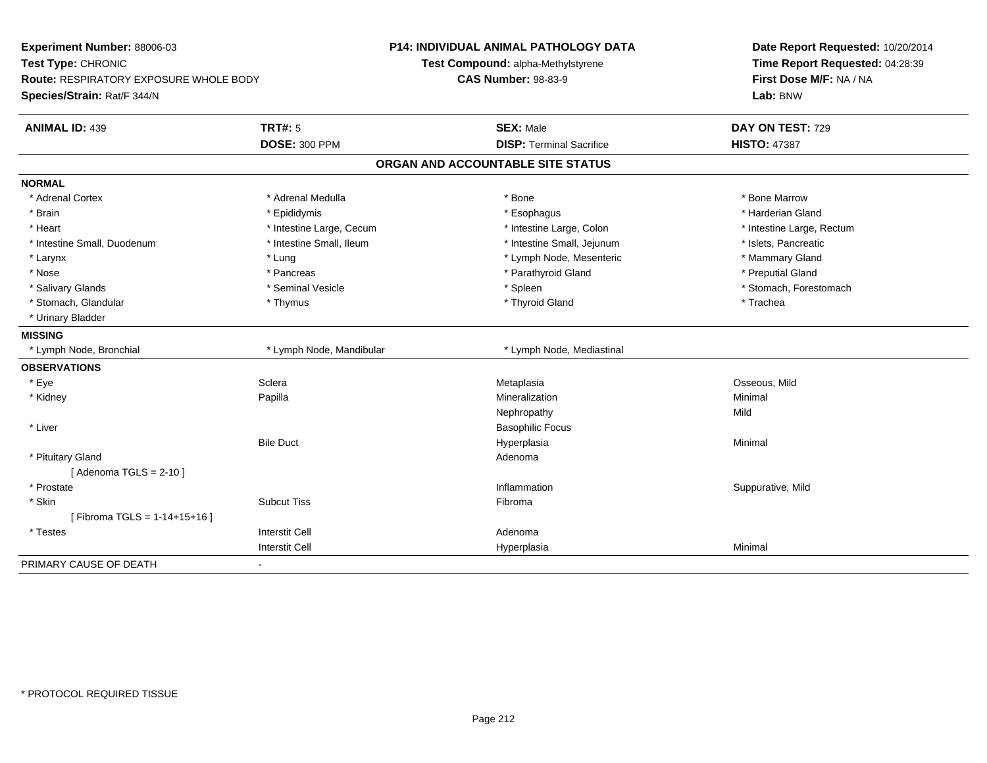| Experiment Number: 88006-03<br>Test Type: CHRONIC<br><b>Route: RESPIRATORY EXPOSURE WHOLE BODY</b><br>Species/Strain: Rat/F 344/N |                          | <b>P14: INDIVIDUAL ANIMAL PATHOLOGY DATA</b><br>Test Compound: alpha-Methylstyrene | Date Report Requested: 10/20/2014<br>Time Report Requested: 04:28:39<br>First Dose M/F: NA / NA |
|-----------------------------------------------------------------------------------------------------------------------------------|--------------------------|------------------------------------------------------------------------------------|-------------------------------------------------------------------------------------------------|
|                                                                                                                                   |                          | <b>CAS Number: 98-83-9</b>                                                         |                                                                                                 |
|                                                                                                                                   |                          |                                                                                    | Lab: BNW                                                                                        |
| <b>ANIMAL ID: 439</b>                                                                                                             | <b>TRT#: 5</b>           | <b>SEX: Male</b>                                                                   | DAY ON TEST: 729                                                                                |
|                                                                                                                                   | <b>DOSE: 300 PPM</b>     | <b>DISP: Terminal Sacrifice</b>                                                    | <b>HISTO: 47387</b>                                                                             |
|                                                                                                                                   |                          | ORGAN AND ACCOUNTABLE SITE STATUS                                                  |                                                                                                 |
| <b>NORMAL</b>                                                                                                                     |                          |                                                                                    |                                                                                                 |
| * Adrenal Cortex                                                                                                                  | * Adrenal Medulla        | * Bone                                                                             | * Bone Marrow                                                                                   |
| * Brain                                                                                                                           | * Epididymis             | * Esophagus                                                                        | * Harderian Gland                                                                               |
| * Heart                                                                                                                           | * Intestine Large, Cecum | * Intestine Large, Colon                                                           | * Intestine Large, Rectum                                                                       |
| * Intestine Small, Duodenum                                                                                                       | * Intestine Small, Ileum | * Intestine Small, Jejunum                                                         | * Islets, Pancreatic                                                                            |
| * Larynx                                                                                                                          | * Lung                   | * Lymph Node, Mesenteric                                                           | * Mammary Gland                                                                                 |
| * Nose                                                                                                                            | * Pancreas               | * Parathyroid Gland                                                                | * Preputial Gland                                                                               |
| * Salivary Glands                                                                                                                 | * Seminal Vesicle        | * Spleen                                                                           | * Stomach, Forestomach                                                                          |
| * Stomach, Glandular                                                                                                              | * Thymus                 | * Thyroid Gland                                                                    | * Trachea                                                                                       |
| * Urinary Bladder                                                                                                                 |                          |                                                                                    |                                                                                                 |
| <b>MISSING</b>                                                                                                                    |                          |                                                                                    |                                                                                                 |
| * Lymph Node, Bronchial                                                                                                           | * Lymph Node, Mandibular | * Lymph Node, Mediastinal                                                          |                                                                                                 |
| <b>OBSERVATIONS</b>                                                                                                               |                          |                                                                                    |                                                                                                 |
| * Eye                                                                                                                             | Sclera                   | Metaplasia                                                                         | Osseous, Mild                                                                                   |
| * Kidney                                                                                                                          | Papilla                  | Mineralization                                                                     | Minimal                                                                                         |
|                                                                                                                                   |                          | Nephropathy                                                                        | Mild                                                                                            |
| * Liver                                                                                                                           |                          | <b>Basophilic Focus</b>                                                            |                                                                                                 |
|                                                                                                                                   | <b>Bile Duct</b>         | Hyperplasia                                                                        | Minimal                                                                                         |
| * Pituitary Gland                                                                                                                 |                          | Adenoma                                                                            |                                                                                                 |
| [Adenoma TGLS = $2-10$ ]                                                                                                          |                          |                                                                                    |                                                                                                 |
| * Prostate                                                                                                                        |                          | Inflammation                                                                       | Suppurative, Mild                                                                               |
| * Skin                                                                                                                            | <b>Subcut Tiss</b>       | Fibroma                                                                            |                                                                                                 |
| [Fibroma TGLS = 1-14+15+16]                                                                                                       |                          |                                                                                    |                                                                                                 |
| * Testes                                                                                                                          | <b>Interstit Cell</b>    | Adenoma                                                                            |                                                                                                 |
|                                                                                                                                   | <b>Interstit Cell</b>    | Hyperplasia                                                                        | Minimal                                                                                         |
| PRIMARY CAUSE OF DEATH                                                                                                            | $\blacksquare$           |                                                                                    |                                                                                                 |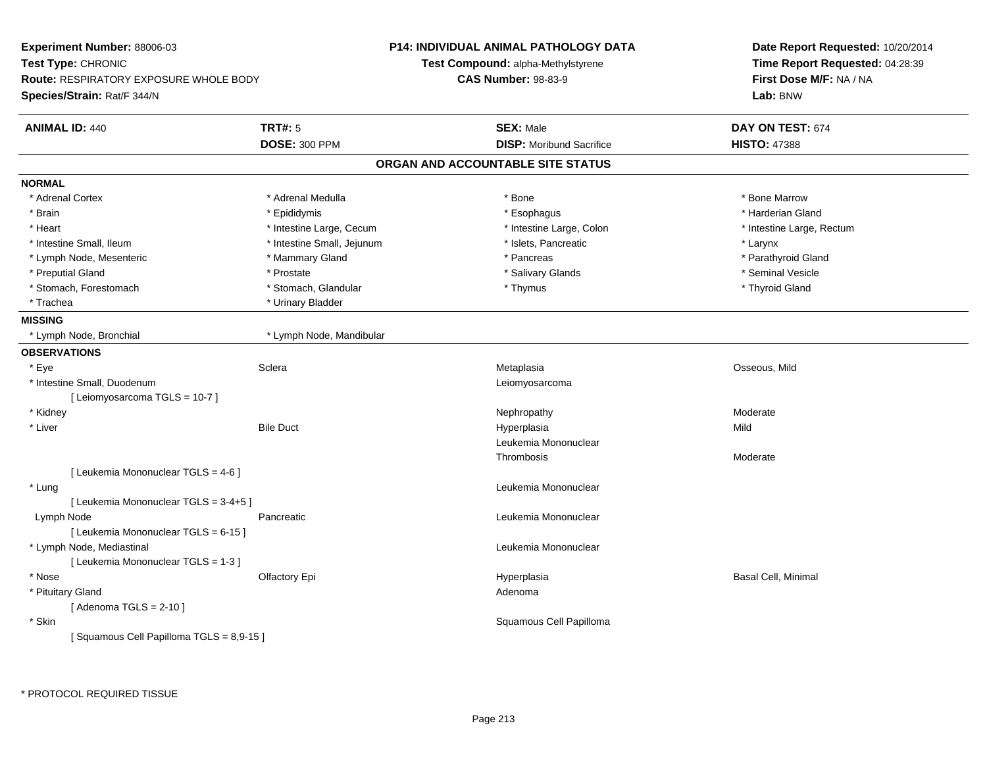| Experiment Number: 88006-03                                  |                            | <b>P14: INDIVIDUAL ANIMAL PATHOLOGY DATA</b> | Date Report Requested: 10/20/2014                          |
|--------------------------------------------------------------|----------------------------|----------------------------------------------|------------------------------------------------------------|
| Test Type: CHRONIC<br>Route: RESPIRATORY EXPOSURE WHOLE BODY |                            | Test Compound: alpha-Methylstyrene           | Time Report Requested: 04:28:39<br>First Dose M/F: NA / NA |
|                                                              |                            | <b>CAS Number: 98-83-9</b>                   |                                                            |
| Species/Strain: Rat/F 344/N                                  |                            |                                              | Lab: BNW                                                   |
| <b>ANIMAL ID: 440</b>                                        | <b>TRT#: 5</b>             | <b>SEX: Male</b>                             | DAY ON TEST: 674                                           |
|                                                              | <b>DOSE: 300 PPM</b>       | <b>DISP:</b> Moribund Sacrifice              | <b>HISTO: 47388</b>                                        |
|                                                              |                            | ORGAN AND ACCOUNTABLE SITE STATUS            |                                                            |
| <b>NORMAL</b>                                                |                            |                                              |                                                            |
| * Adrenal Cortex                                             | * Adrenal Medulla          | * Bone                                       | * Bone Marrow                                              |
| * Brain                                                      | * Epididymis               | * Esophagus                                  | * Harderian Gland                                          |
| * Heart                                                      | * Intestine Large, Cecum   | * Intestine Large, Colon                     | * Intestine Large, Rectum                                  |
| * Intestine Small, Ileum                                     | * Intestine Small, Jejunum | * Islets, Pancreatic                         | * Larynx                                                   |
| * Lymph Node, Mesenteric                                     | * Mammary Gland            | * Pancreas                                   | * Parathyroid Gland                                        |
| * Preputial Gland                                            | * Prostate                 | * Salivary Glands                            | * Seminal Vesicle                                          |
| * Stomach, Forestomach                                       | * Stomach, Glandular       | * Thymus                                     | * Thyroid Gland                                            |
| * Trachea                                                    | * Urinary Bladder          |                                              |                                                            |
| <b>MISSING</b>                                               |                            |                                              |                                                            |
| * Lymph Node, Bronchial                                      | * Lymph Node, Mandibular   |                                              |                                                            |
| <b>OBSERVATIONS</b>                                          |                            |                                              |                                                            |
| * Eye                                                        | Sclera                     | Metaplasia                                   | Osseous, Mild                                              |
| * Intestine Small, Duodenum                                  |                            | Leiomyosarcoma                               |                                                            |
| [ Leiomyosarcoma TGLS = 10-7 ]                               |                            |                                              |                                                            |
| * Kidney                                                     |                            | Nephropathy                                  | Moderate                                                   |
| * Liver                                                      | <b>Bile Duct</b>           | Hyperplasia                                  | Mild                                                       |
|                                                              |                            | Leukemia Mononuclear                         |                                                            |
|                                                              |                            | Thrombosis                                   | Moderate                                                   |
| [ Leukemia Mononuclear TGLS = 4-6 ]                          |                            |                                              |                                                            |
| * Lung                                                       |                            | Leukemia Mononuclear                         |                                                            |
| [ Leukemia Mononuclear TGLS = 3-4+5 ]                        |                            |                                              |                                                            |
| Lymph Node                                                   | Pancreatic                 | Leukemia Mononuclear                         |                                                            |
| [ Leukemia Mononuclear TGLS = 6-15 ]                         |                            |                                              |                                                            |
| * Lymph Node, Mediastinal                                    |                            | Leukemia Mononuclear                         |                                                            |
| [ Leukemia Mononuclear TGLS = 1-3 ]                          |                            |                                              |                                                            |
| * Nose                                                       | Olfactory Epi              | Hyperplasia                                  | Basal Cell, Minimal                                        |
| * Pituitary Gland                                            |                            | Adenoma                                      |                                                            |
| [Adenoma TGLS = $2-10$ ]                                     |                            |                                              |                                                            |
| * Skin                                                       |                            | Squamous Cell Papilloma                      |                                                            |
| [Squamous Cell Papilloma TGLS = 8,9-15]                      |                            |                                              |                                                            |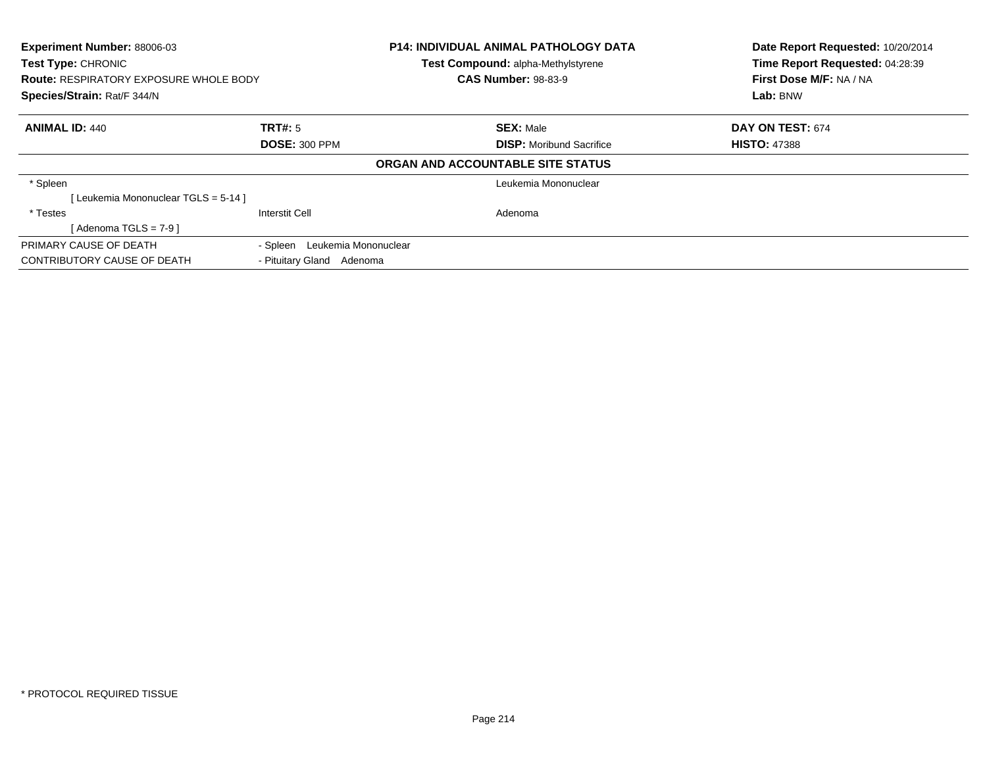| Experiment Number: 88006-03<br><b>Test Type: CHRONIC</b><br><b>Route: RESPIRATORY EXPOSURE WHOLE BODY</b><br>Species/Strain: Rat/F 344/N |                               | <b>P14: INDIVIDUAL ANIMAL PATHOLOGY DATA</b><br>Test Compound: alpha-Methylstyrene<br><b>CAS Number: 98-83-9</b> | Date Report Requested: 10/20/2014<br>Time Report Requested: 04:28:39<br>First Dose M/F: NA / NA<br>Lab: BNW |
|------------------------------------------------------------------------------------------------------------------------------------------|-------------------------------|------------------------------------------------------------------------------------------------------------------|-------------------------------------------------------------------------------------------------------------|
| <b>ANIMAL ID: 440</b>                                                                                                                    | TRT#: 5                       | <b>SEX: Male</b>                                                                                                 | DAY ON TEST: 674                                                                                            |
|                                                                                                                                          | <b>DOSE: 300 PPM</b>          | <b>DISP:</b> Moribund Sacrifice                                                                                  | <b>HISTO: 47388</b>                                                                                         |
|                                                                                                                                          |                               | ORGAN AND ACCOUNTABLE SITE STATUS                                                                                |                                                                                                             |
| * Spleen                                                                                                                                 |                               | Leukemia Mononuclear                                                                                             |                                                                                                             |
| Leukemia Mononuclear TGLS = 5-14 ]                                                                                                       |                               |                                                                                                                  |                                                                                                             |
| * Testes                                                                                                                                 | <b>Interstit Cell</b>         | Adenoma                                                                                                          |                                                                                                             |
| [Adenoma TGLS = $7-9$ ]                                                                                                                  |                               |                                                                                                                  |                                                                                                             |
| PRIMARY CAUSE OF DEATH                                                                                                                   | - Spleen Leukemia Mononuclear |                                                                                                                  |                                                                                                             |
| CONTRIBUTORY CAUSE OF DEATH                                                                                                              | - Pituitary Gland<br>Adenoma  |                                                                                                                  |                                                                                                             |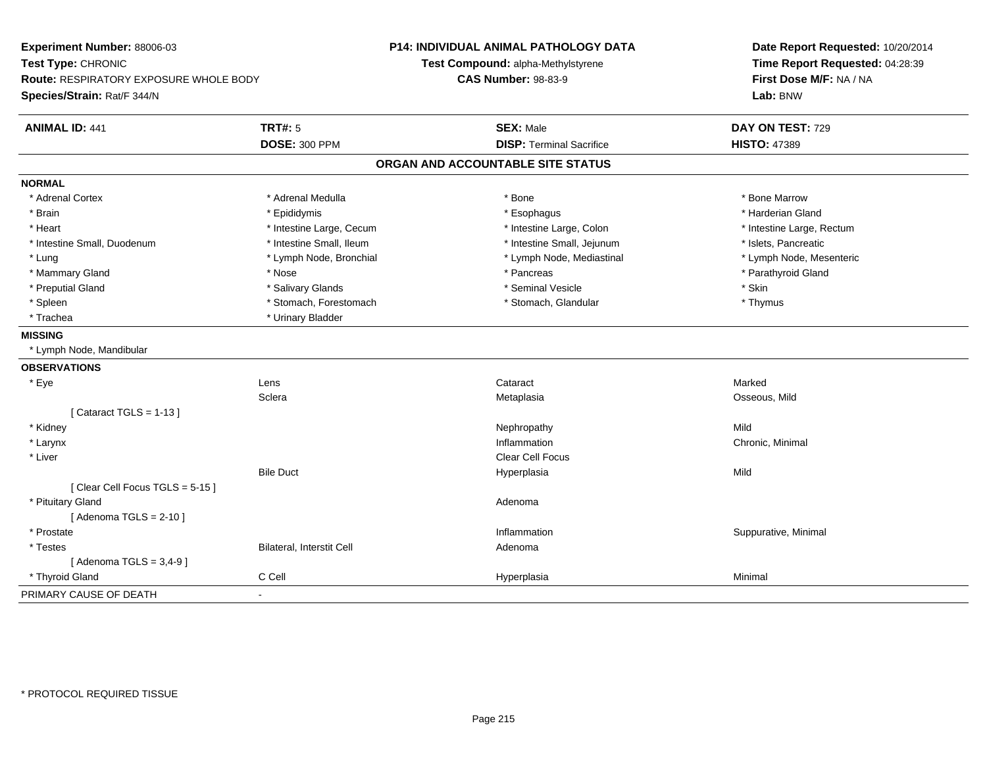| Experiment Number: 88006-03            |                           | <b>P14: INDIVIDUAL ANIMAL PATHOLOGY DATA</b> | Date Report Requested: 10/20/2014<br>Time Report Requested: 04:28:39<br>First Dose M/F: NA / NA<br>Lab: BNW |
|----------------------------------------|---------------------------|----------------------------------------------|-------------------------------------------------------------------------------------------------------------|
| Test Type: CHRONIC                     |                           | Test Compound: alpha-Methylstyrene           |                                                                                                             |
| Route: RESPIRATORY EXPOSURE WHOLE BODY |                           | <b>CAS Number: 98-83-9</b>                   |                                                                                                             |
| Species/Strain: Rat/F 344/N            |                           |                                              |                                                                                                             |
| <b>ANIMAL ID: 441</b>                  | <b>TRT#: 5</b>            | <b>SEX: Male</b>                             | DAY ON TEST: 729                                                                                            |
|                                        | <b>DOSE: 300 PPM</b>      | <b>DISP: Terminal Sacrifice</b>              | <b>HISTO: 47389</b>                                                                                         |
|                                        |                           | ORGAN AND ACCOUNTABLE SITE STATUS            |                                                                                                             |
| <b>NORMAL</b>                          |                           |                                              |                                                                                                             |
| * Adrenal Cortex                       | * Adrenal Medulla         | * Bone                                       | * Bone Marrow                                                                                               |
| * Brain                                | * Epididymis              | * Esophagus                                  | * Harderian Gland                                                                                           |
| * Heart                                | * Intestine Large, Cecum  | * Intestine Large, Colon                     | * Intestine Large, Rectum                                                                                   |
| * Intestine Small, Duodenum            | * Intestine Small, Ileum  | * Intestine Small, Jejunum                   | * Islets, Pancreatic                                                                                        |
| * Lung                                 | * Lymph Node, Bronchial   | * Lymph Node, Mediastinal                    | * Lymph Node, Mesenteric                                                                                    |
| * Mammary Gland                        | * Nose                    | * Pancreas                                   | * Parathyroid Gland                                                                                         |
| * Preputial Gland                      | * Salivary Glands         | * Seminal Vesicle                            | * Skin                                                                                                      |
| * Spleen                               | * Stomach, Forestomach    | * Stomach, Glandular                         | * Thymus                                                                                                    |
| * Trachea                              | * Urinary Bladder         |                                              |                                                                                                             |
| <b>MISSING</b>                         |                           |                                              |                                                                                                             |
| * Lymph Node, Mandibular               |                           |                                              |                                                                                                             |
| <b>OBSERVATIONS</b>                    |                           |                                              |                                                                                                             |
| * Eye                                  | Lens                      | Cataract                                     | Marked                                                                                                      |
|                                        | Sclera                    | Metaplasia                                   | Osseous, Mild                                                                                               |
| [Cataract TGLS = $1-13$ ]              |                           |                                              |                                                                                                             |
| * Kidney                               |                           | Nephropathy                                  | Mild                                                                                                        |
| * Larynx                               |                           | Inflammation                                 | Chronic, Minimal                                                                                            |
| * Liver                                |                           | Clear Cell Focus                             |                                                                                                             |
|                                        | <b>Bile Duct</b>          | Hyperplasia                                  | Mild                                                                                                        |
| [Clear Cell Focus TGLS = 5-15]         |                           |                                              |                                                                                                             |
| * Pituitary Gland                      |                           | Adenoma                                      |                                                                                                             |
| [Adenoma TGLS = $2-10$ ]               |                           |                                              |                                                                                                             |
| * Prostate                             |                           | Inflammation                                 | Suppurative, Minimal                                                                                        |
| * Testes                               | Bilateral, Interstit Cell | Adenoma                                      |                                                                                                             |
| [Adenoma TGLS = $3,4-9$ ]              |                           |                                              |                                                                                                             |
| * Thyroid Gland                        | C Cell                    | Hyperplasia                                  | Minimal                                                                                                     |
| PRIMARY CAUSE OF DEATH                 | $\overline{\phantom{a}}$  |                                              |                                                                                                             |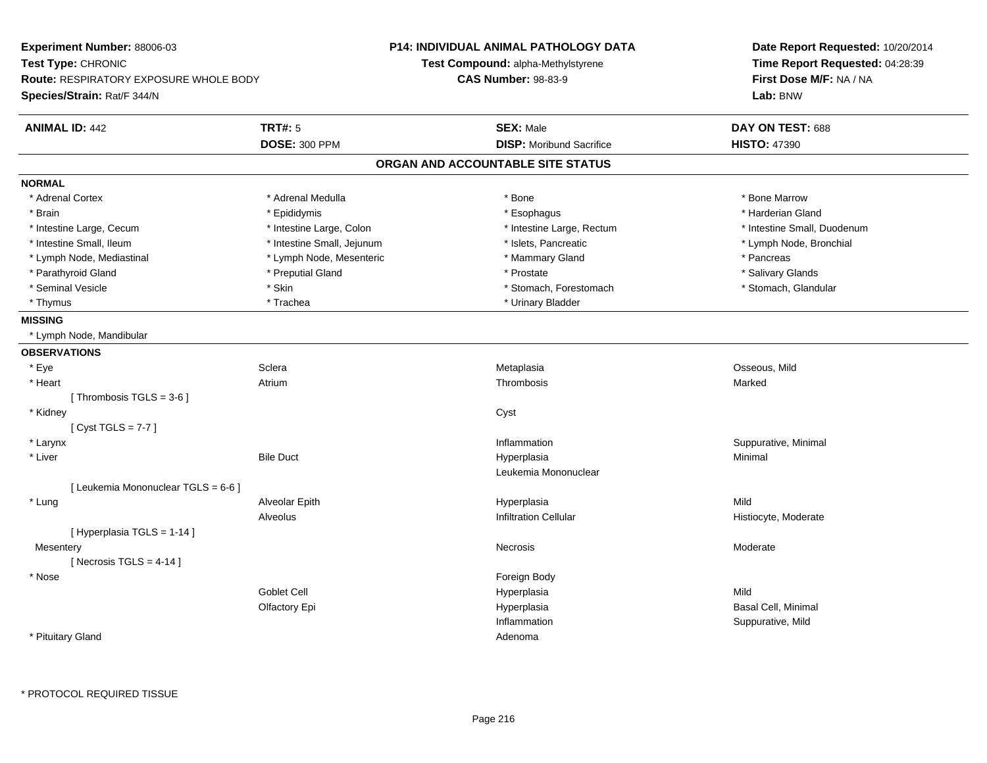| Experiment Number: 88006-03<br>Test Type: CHRONIC<br><b>Route: RESPIRATORY EXPOSURE WHOLE BODY</b><br>Species/Strain: Rat/F 344/N |                            | P14: INDIVIDUAL ANIMAL PATHOLOGY DATA<br><b>Test Compound: alpha-Methylstyrene</b><br><b>CAS Number: 98-83-9</b> | Date Report Requested: 10/20/2014<br>Time Report Requested: 04:28:39<br>First Dose M/F: NA / NA<br>Lab: BNW |
|-----------------------------------------------------------------------------------------------------------------------------------|----------------------------|------------------------------------------------------------------------------------------------------------------|-------------------------------------------------------------------------------------------------------------|
| <b>ANIMAL ID: 442</b>                                                                                                             | <b>TRT#: 5</b>             | <b>SEX: Male</b>                                                                                                 | DAY ON TEST: 688                                                                                            |
|                                                                                                                                   | <b>DOSE: 300 PPM</b>       | <b>DISP:</b> Moribund Sacrifice                                                                                  | <b>HISTO: 47390</b>                                                                                         |
|                                                                                                                                   |                            | ORGAN AND ACCOUNTABLE SITE STATUS                                                                                |                                                                                                             |
| <b>NORMAL</b>                                                                                                                     |                            |                                                                                                                  |                                                                                                             |
| * Adrenal Cortex                                                                                                                  | * Adrenal Medulla          | * Bone                                                                                                           | * Bone Marrow                                                                                               |
| * Brain                                                                                                                           | * Epididymis               | * Esophagus                                                                                                      | * Harderian Gland                                                                                           |
| * Intestine Large, Cecum                                                                                                          | * Intestine Large, Colon   | * Intestine Large, Rectum                                                                                        | * Intestine Small, Duodenum                                                                                 |
| * Intestine Small, Ileum                                                                                                          | * Intestine Small, Jejunum | * Islets, Pancreatic                                                                                             | * Lymph Node, Bronchial                                                                                     |
| * Lymph Node, Mediastinal                                                                                                         | * Lymph Node, Mesenteric   | * Mammary Gland                                                                                                  | * Pancreas                                                                                                  |
| * Parathyroid Gland                                                                                                               | * Preputial Gland          | * Prostate                                                                                                       | * Salivary Glands                                                                                           |
| * Seminal Vesicle                                                                                                                 | * Skin                     | * Stomach, Forestomach                                                                                           | * Stomach, Glandular                                                                                        |
| * Thymus                                                                                                                          | * Trachea                  | * Urinary Bladder                                                                                                |                                                                                                             |
| <b>MISSING</b>                                                                                                                    |                            |                                                                                                                  |                                                                                                             |
| * Lymph Node, Mandibular                                                                                                          |                            |                                                                                                                  |                                                                                                             |
| <b>OBSERVATIONS</b>                                                                                                               |                            |                                                                                                                  |                                                                                                             |
| * Eye                                                                                                                             | Sclera                     | Metaplasia                                                                                                       | Osseous, Mild                                                                                               |
| * Heart                                                                                                                           | Atrium                     | Thrombosis                                                                                                       | Marked                                                                                                      |
| [Thrombosis TGLS = $3-6$ ]                                                                                                        |                            |                                                                                                                  |                                                                                                             |
| * Kidney                                                                                                                          |                            | Cyst                                                                                                             |                                                                                                             |
| [Cyst TGLS = $7-7$ ]                                                                                                              |                            |                                                                                                                  |                                                                                                             |
| * Larynx                                                                                                                          |                            | Inflammation                                                                                                     | Suppurative, Minimal                                                                                        |
| * Liver                                                                                                                           | <b>Bile Duct</b>           | Hyperplasia                                                                                                      | Minimal                                                                                                     |
|                                                                                                                                   |                            | Leukemia Mononuclear                                                                                             |                                                                                                             |
| [ Leukemia Mononuclear TGLS = 6-6 ]                                                                                               |                            |                                                                                                                  |                                                                                                             |
| * Lung                                                                                                                            | Alveolar Epith             | Hyperplasia                                                                                                      | Mild                                                                                                        |
|                                                                                                                                   | Alveolus                   | <b>Infiltration Cellular</b>                                                                                     | Histiocyte, Moderate                                                                                        |
| [ Hyperplasia TGLS = 1-14 ]                                                                                                       |                            |                                                                                                                  |                                                                                                             |
| Mesentery                                                                                                                         |                            | Necrosis                                                                                                         | Moderate                                                                                                    |
| [Necrosis TGLS = $4-14$ ]                                                                                                         |                            |                                                                                                                  |                                                                                                             |
| * Nose                                                                                                                            |                            | Foreign Body                                                                                                     |                                                                                                             |
|                                                                                                                                   | <b>Goblet Cell</b>         | Hyperplasia                                                                                                      | Mild                                                                                                        |
|                                                                                                                                   | Olfactory Epi              | Hyperplasia                                                                                                      | Basal Cell, Minimal                                                                                         |
|                                                                                                                                   |                            | Inflammation                                                                                                     | Suppurative, Mild                                                                                           |
| * Pituitary Gland                                                                                                                 |                            | Adenoma                                                                                                          |                                                                                                             |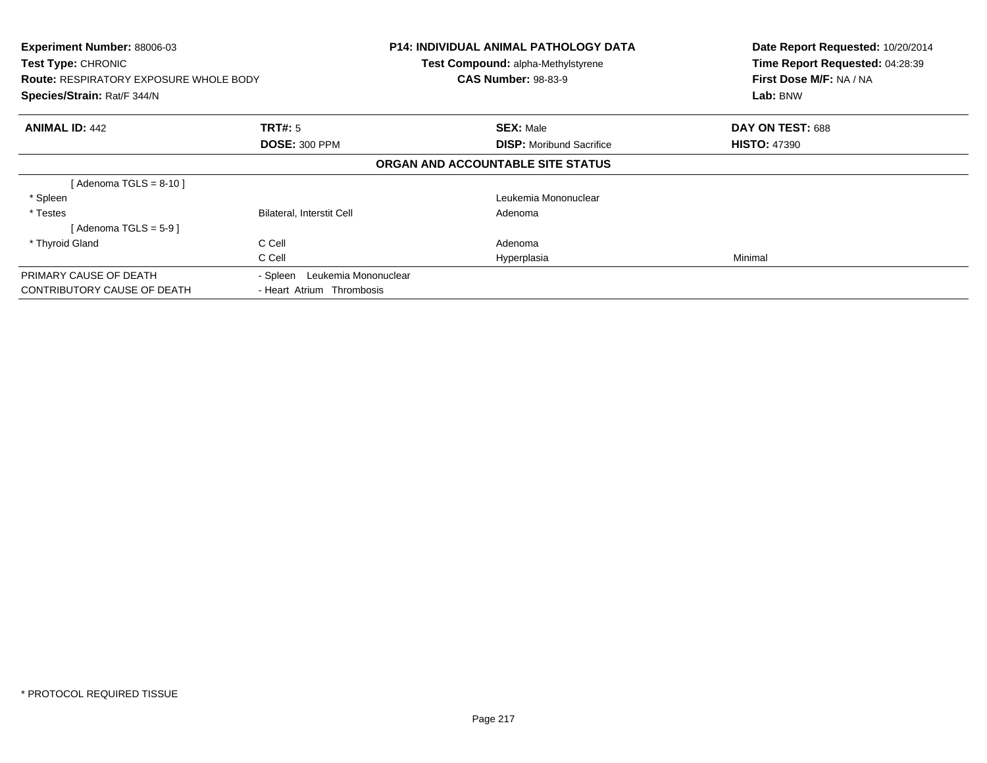| Experiment Number: 88006-03<br>Test Type: CHRONIC<br><b>Route: RESPIRATORY EXPOSURE WHOLE BODY</b><br>Species/Strain: Rat/F 344/N |                                  | <b>P14: INDIVIDUAL ANIMAL PATHOLOGY DATA</b><br>Test Compound: alpha-Methylstyrene<br><b>CAS Number: 98-83-9</b> | Date Report Requested: 10/20/2014<br>Time Report Requested: 04:28:39<br>First Dose M/F: NA / NA<br>Lab: BNW |
|-----------------------------------------------------------------------------------------------------------------------------------|----------------------------------|------------------------------------------------------------------------------------------------------------------|-------------------------------------------------------------------------------------------------------------|
| <b>ANIMAL ID: 442</b>                                                                                                             | TRT#: 5                          | <b>SEX: Male</b>                                                                                                 | DAY ON TEST: 688                                                                                            |
|                                                                                                                                   | <b>DOSE: 300 PPM</b>             | <b>DISP:</b> Moribund Sacrifice                                                                                  | <b>HISTO: 47390</b>                                                                                         |
|                                                                                                                                   |                                  | ORGAN AND ACCOUNTABLE SITE STATUS                                                                                |                                                                                                             |
| [Adenoma TGLS = $8-10$ ]                                                                                                          |                                  |                                                                                                                  |                                                                                                             |
| * Spleen                                                                                                                          |                                  | Leukemia Mononuclear                                                                                             |                                                                                                             |
| * Testes                                                                                                                          | <b>Bilateral, Interstit Cell</b> | Adenoma                                                                                                          |                                                                                                             |
| [Adenoma TGLS = $5-9$ ]                                                                                                           |                                  |                                                                                                                  |                                                                                                             |
| * Thyroid Gland                                                                                                                   | C Cell                           | Adenoma                                                                                                          |                                                                                                             |
|                                                                                                                                   | C Cell                           | Hyperplasia                                                                                                      | Minimal                                                                                                     |
| PRIMARY CAUSE OF DEATH                                                                                                            | Leukemia Mononuclear<br>- Spleen |                                                                                                                  |                                                                                                             |
| <b>CONTRIBUTORY CAUSE OF DEATH</b>                                                                                                | - Heart Atrium Thrombosis        |                                                                                                                  |                                                                                                             |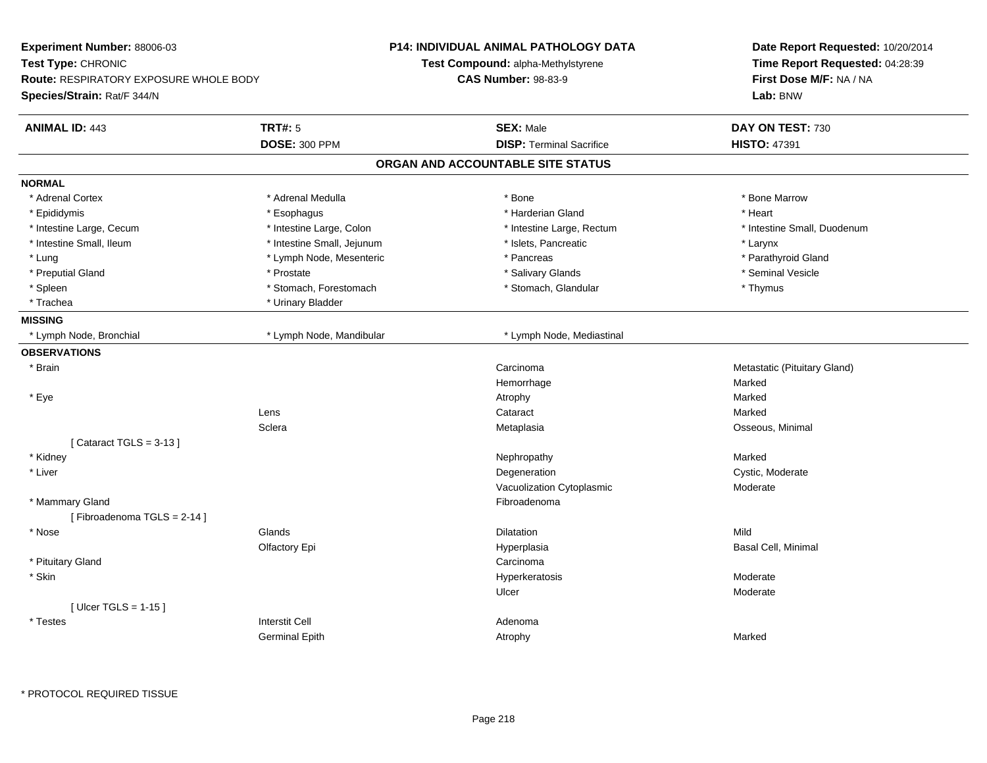| Experiment Number: 88006-03                   |                            | P14: INDIVIDUAL ANIMAL PATHOLOGY DATA | Date Report Requested: 10/20/2014 |
|-----------------------------------------------|----------------------------|---------------------------------------|-----------------------------------|
| Test Type: CHRONIC                            |                            | Test Compound: alpha-Methylstyrene    | Time Report Requested: 04:28:39   |
| <b>Route: RESPIRATORY EXPOSURE WHOLE BODY</b> |                            | <b>CAS Number: 98-83-9</b>            | First Dose M/F: NA / NA           |
| Species/Strain: Rat/F 344/N                   |                            |                                       | Lab: BNW                          |
| <b>ANIMAL ID: 443</b>                         | <b>TRT#: 5</b>             | <b>SEX: Male</b>                      | DAY ON TEST: 730                  |
|                                               | <b>DOSE: 300 PPM</b>       | <b>DISP: Terminal Sacrifice</b>       | <b>HISTO: 47391</b>               |
|                                               |                            | ORGAN AND ACCOUNTABLE SITE STATUS     |                                   |
| <b>NORMAL</b>                                 |                            |                                       |                                   |
| * Adrenal Cortex                              | * Adrenal Medulla          | * Bone                                | * Bone Marrow                     |
| * Epididymis                                  | * Esophagus                | * Harderian Gland                     | * Heart                           |
| * Intestine Large, Cecum                      | * Intestine Large, Colon   | * Intestine Large, Rectum             | * Intestine Small, Duodenum       |
| * Intestine Small, Ileum                      | * Intestine Small, Jejunum | * Islets, Pancreatic                  | * Larynx                          |
| * Lung                                        | * Lymph Node, Mesenteric   | * Pancreas                            | * Parathyroid Gland               |
| * Preputial Gland                             | * Prostate                 | * Salivary Glands                     | * Seminal Vesicle                 |
| * Spleen                                      | * Stomach, Forestomach     | * Stomach, Glandular                  | * Thymus                          |
| * Trachea                                     | * Urinary Bladder          |                                       |                                   |
| <b>MISSING</b>                                |                            |                                       |                                   |
| * Lymph Node, Bronchial                       | * Lymph Node, Mandibular   | * Lymph Node, Mediastinal             |                                   |
| <b>OBSERVATIONS</b>                           |                            |                                       |                                   |
| * Brain                                       |                            | Carcinoma                             | Metastatic (Pituitary Gland)      |
|                                               |                            | Hemorrhage                            | Marked                            |
| * Eye                                         |                            | Atrophy                               | Marked                            |
|                                               | Lens                       | Cataract                              | Marked                            |
|                                               | Sclera                     | Metaplasia                            | Osseous, Minimal                  |
| [Cataract TGLS = $3-13$ ]                     |                            |                                       |                                   |
| * Kidney                                      |                            | Nephropathy                           | Marked                            |
| * Liver                                       |                            | Degeneration                          | Cystic, Moderate                  |
|                                               |                            | Vacuolization Cytoplasmic             | Moderate                          |
| * Mammary Gland                               |                            | Fibroadenoma                          |                                   |
| [Fibroadenoma TGLS = 2-14]                    |                            |                                       |                                   |
| * Nose                                        | Glands                     | Dilatation                            | Mild                              |
|                                               | Olfactory Epi              | Hyperplasia                           | Basal Cell, Minimal               |
| * Pituitary Gland                             |                            | Carcinoma                             |                                   |
| * Skin                                        |                            | Hyperkeratosis                        | Moderate                          |
|                                               |                            | Ulcer                                 | Moderate                          |
| [Ulcer TGLS = $1-15$ ]                        |                            |                                       |                                   |
| * Testes                                      | <b>Interstit Cell</b>      | Adenoma                               |                                   |
|                                               | <b>Germinal Epith</b>      | Atrophy                               | Marked                            |
|                                               |                            |                                       |                                   |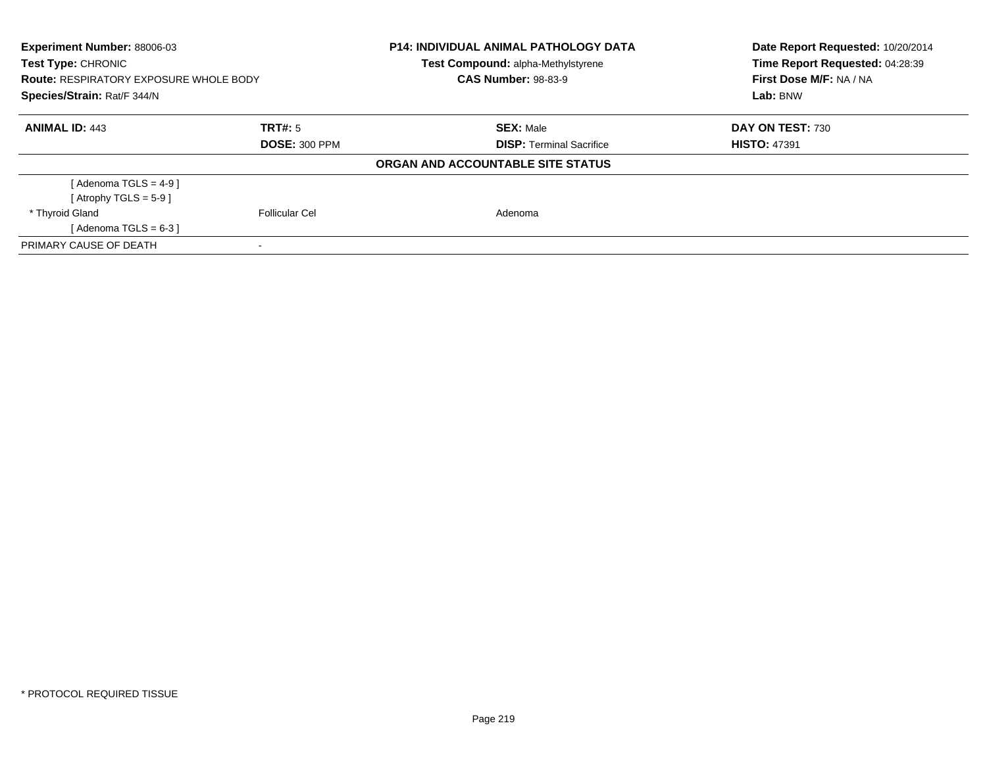| Experiment Number: 88006-03<br>Test Type: CHRONIC<br><b>Route: RESPIRATORY EXPOSURE WHOLE BODY</b><br>Species/Strain: Rat/F 344/N |                      | <b>P14: INDIVIDUAL ANIMAL PATHOLOGY DATA</b><br>Test Compound: alpha-Methylstyrene<br><b>CAS Number: 98-83-9</b> | Date Report Requested: 10/20/2014<br>Time Report Requested: 04:28:39<br>First Dose M/F: NA / NA<br>Lab: BNW |
|-----------------------------------------------------------------------------------------------------------------------------------|----------------------|------------------------------------------------------------------------------------------------------------------|-------------------------------------------------------------------------------------------------------------|
| <b>ANIMAL ID: 443</b>                                                                                                             | TRT#: 5              | <b>SEX: Male</b>                                                                                                 | DAY ON TEST: 730                                                                                            |
|                                                                                                                                   | <b>DOSE: 300 PPM</b> | <b>DISP: Terminal Sacrifice</b>                                                                                  | <b>HISTO: 47391</b>                                                                                         |
|                                                                                                                                   |                      | ORGAN AND ACCOUNTABLE SITE STATUS                                                                                |                                                                                                             |
| [Adenoma TGLS = $4-9$ ]                                                                                                           |                      |                                                                                                                  |                                                                                                             |
| [Atrophy TGLS = $5-9$ ]                                                                                                           |                      |                                                                                                                  |                                                                                                             |
| * Thyroid Gland                                                                                                                   | Follicular Cel       | Adenoma                                                                                                          |                                                                                                             |
| [Adenoma TGLS = $6-3$ ]                                                                                                           |                      |                                                                                                                  |                                                                                                             |
| PRIMARY CAUSE OF DEATH                                                                                                            |                      |                                                                                                                  |                                                                                                             |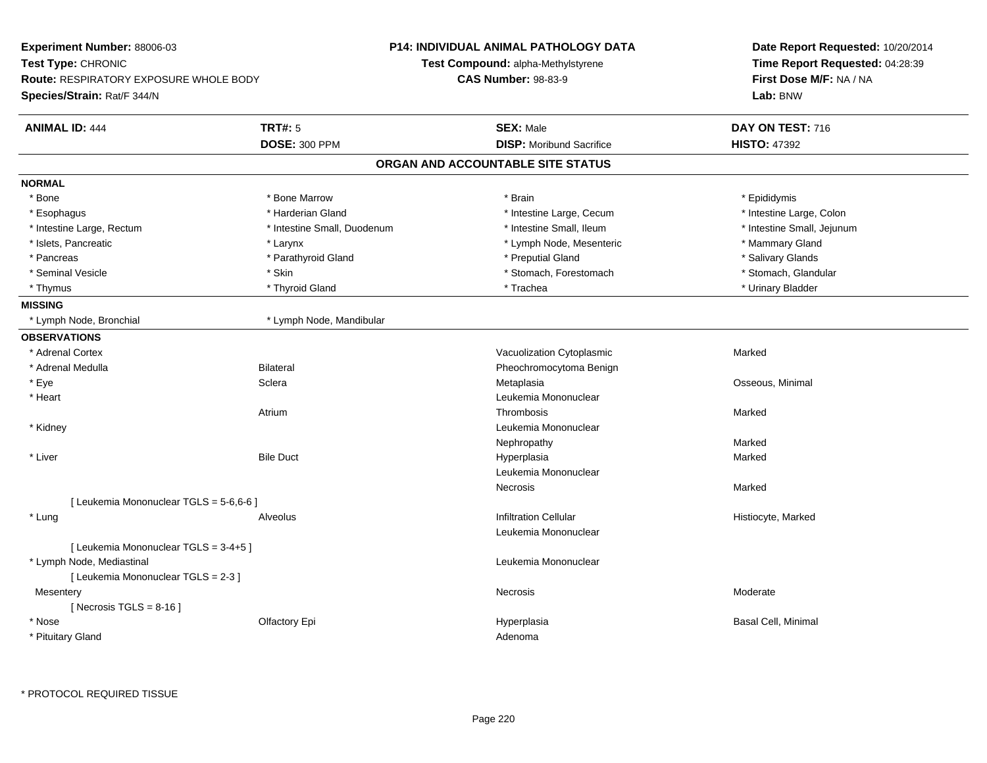| Time Report Requested: 04:28:39<br>Test Compound: alpha-Methylstyrene<br><b>Route: RESPIRATORY EXPOSURE WHOLE BODY</b><br><b>CAS Number: 98-83-9</b><br>First Dose M/F: NA / NA<br>Lab: BNW<br><b>TRT#: 5</b><br><b>SEX: Male</b><br>DAY ON TEST: 716<br><b>ANIMAL ID: 444</b><br><b>DOSE: 300 PPM</b><br><b>DISP:</b> Moribund Sacrifice<br><b>HISTO: 47392</b><br>ORGAN AND ACCOUNTABLE SITE STATUS<br>* Bone Marrow<br>* Epididymis<br>* Bone<br>* Brain<br>* Harderian Gland<br>* Intestine Large, Cecum<br>* Intestine Large, Colon<br>* Esophagus<br>* Intestine Small, Ileum<br>* Intestine Small, Jejunum<br>* Intestine Large, Rectum<br>* Intestine Small, Duodenum<br>* Islets, Pancreatic<br>* Lymph Node, Mesenteric<br>* Mammary Gland<br>* Larynx<br>* Parathyroid Gland<br>* Preputial Gland<br>* Salivary Glands<br>* Pancreas<br>* Skin<br>* Stomach, Forestomach<br>* Stomach, Glandular<br>* Seminal Vesicle<br>* Thyroid Gland<br>* Trachea<br>* Urinary Bladder<br>* Thymus<br>* Lymph Node, Bronchial<br>* Lymph Node, Mandibular<br>* Adrenal Cortex<br>Vacuolization Cytoplasmic<br>Marked<br>* Adrenal Medulla<br><b>Bilateral</b><br>Pheochromocytoma Benign<br>* Eye<br>Osseous, Minimal<br>Sclera<br>Metaplasia<br>* Heart<br>Leukemia Mononuclear<br>Thrombosis<br>Marked<br>Atrium<br>Leukemia Mononuclear<br>* Kidney<br>Nephropathy<br>Marked<br>* Liver<br><b>Bile Duct</b><br>Hyperplasia<br>Marked<br>Leukemia Mononuclear<br>Necrosis<br>Marked<br>[ Leukemia Mononuclear TGLS = 5-6,6-6 ]<br><b>Infiltration Cellular</b><br>* Lung<br>Histiocyte, Marked<br>Alveolus<br>Leukemia Mononuclear<br>[ Leukemia Mononuclear TGLS = 3-4+5 ]<br>* Lymph Node, Mediastinal<br>Leukemia Mononuclear<br>[ Leukemia Mononuclear TGLS = 2-3 ]<br>Mesentery<br>Necrosis<br>Moderate<br>[Necrosis TGLS = $8-16$ ]<br>* Nose<br>Olfactory Epi<br><b>Basal Cell, Minimal</b><br>Hyperplasia<br>* Pituitary Gland<br>Adenoma | Experiment Number: 88006-03 | <b>P14: INDIVIDUAL ANIMAL PATHOLOGY DATA</b> | Date Report Requested: 10/20/2014 |  |
|----------------------------------------------------------------------------------------------------------------------------------------------------------------------------------------------------------------------------------------------------------------------------------------------------------------------------------------------------------------------------------------------------------------------------------------------------------------------------------------------------------------------------------------------------------------------------------------------------------------------------------------------------------------------------------------------------------------------------------------------------------------------------------------------------------------------------------------------------------------------------------------------------------------------------------------------------------------------------------------------------------------------------------------------------------------------------------------------------------------------------------------------------------------------------------------------------------------------------------------------------------------------------------------------------------------------------------------------------------------------------------------------------------------------------------------------------------------------------------------------------------------------------------------------------------------------------------------------------------------------------------------------------------------------------------------------------------------------------------------------------------------------------------------------------------------------------------------------------------------------------------------------------------------------------------------------------|-----------------------------|----------------------------------------------|-----------------------------------|--|
|                                                                                                                                                                                                                                                                                                                                                                                                                                                                                                                                                                                                                                                                                                                                                                                                                                                                                                                                                                                                                                                                                                                                                                                                                                                                                                                                                                                                                                                                                                                                                                                                                                                                                                                                                                                                                                                                                                                                                    | Test Type: CHRONIC          |                                              |                                   |  |
|                                                                                                                                                                                                                                                                                                                                                                                                                                                                                                                                                                                                                                                                                                                                                                                                                                                                                                                                                                                                                                                                                                                                                                                                                                                                                                                                                                                                                                                                                                                                                                                                                                                                                                                                                                                                                                                                                                                                                    |                             |                                              |                                   |  |
|                                                                                                                                                                                                                                                                                                                                                                                                                                                                                                                                                                                                                                                                                                                                                                                                                                                                                                                                                                                                                                                                                                                                                                                                                                                                                                                                                                                                                                                                                                                                                                                                                                                                                                                                                                                                                                                                                                                                                    | Species/Strain: Rat/F 344/N |                                              |                                   |  |
|                                                                                                                                                                                                                                                                                                                                                                                                                                                                                                                                                                                                                                                                                                                                                                                                                                                                                                                                                                                                                                                                                                                                                                                                                                                                                                                                                                                                                                                                                                                                                                                                                                                                                                                                                                                                                                                                                                                                                    |                             |                                              |                                   |  |
|                                                                                                                                                                                                                                                                                                                                                                                                                                                                                                                                                                                                                                                                                                                                                                                                                                                                                                                                                                                                                                                                                                                                                                                                                                                                                                                                                                                                                                                                                                                                                                                                                                                                                                                                                                                                                                                                                                                                                    |                             |                                              |                                   |  |
|                                                                                                                                                                                                                                                                                                                                                                                                                                                                                                                                                                                                                                                                                                                                                                                                                                                                                                                                                                                                                                                                                                                                                                                                                                                                                                                                                                                                                                                                                                                                                                                                                                                                                                                                                                                                                                                                                                                                                    |                             |                                              |                                   |  |
|                                                                                                                                                                                                                                                                                                                                                                                                                                                                                                                                                                                                                                                                                                                                                                                                                                                                                                                                                                                                                                                                                                                                                                                                                                                                                                                                                                                                                                                                                                                                                                                                                                                                                                                                                                                                                                                                                                                                                    | <b>NORMAL</b>               |                                              |                                   |  |
|                                                                                                                                                                                                                                                                                                                                                                                                                                                                                                                                                                                                                                                                                                                                                                                                                                                                                                                                                                                                                                                                                                                                                                                                                                                                                                                                                                                                                                                                                                                                                                                                                                                                                                                                                                                                                                                                                                                                                    |                             |                                              |                                   |  |
|                                                                                                                                                                                                                                                                                                                                                                                                                                                                                                                                                                                                                                                                                                                                                                                                                                                                                                                                                                                                                                                                                                                                                                                                                                                                                                                                                                                                                                                                                                                                                                                                                                                                                                                                                                                                                                                                                                                                                    |                             |                                              |                                   |  |
|                                                                                                                                                                                                                                                                                                                                                                                                                                                                                                                                                                                                                                                                                                                                                                                                                                                                                                                                                                                                                                                                                                                                                                                                                                                                                                                                                                                                                                                                                                                                                                                                                                                                                                                                                                                                                                                                                                                                                    |                             |                                              |                                   |  |
|                                                                                                                                                                                                                                                                                                                                                                                                                                                                                                                                                                                                                                                                                                                                                                                                                                                                                                                                                                                                                                                                                                                                                                                                                                                                                                                                                                                                                                                                                                                                                                                                                                                                                                                                                                                                                                                                                                                                                    |                             |                                              |                                   |  |
|                                                                                                                                                                                                                                                                                                                                                                                                                                                                                                                                                                                                                                                                                                                                                                                                                                                                                                                                                                                                                                                                                                                                                                                                                                                                                                                                                                                                                                                                                                                                                                                                                                                                                                                                                                                                                                                                                                                                                    |                             |                                              |                                   |  |
|                                                                                                                                                                                                                                                                                                                                                                                                                                                                                                                                                                                                                                                                                                                                                                                                                                                                                                                                                                                                                                                                                                                                                                                                                                                                                                                                                                                                                                                                                                                                                                                                                                                                                                                                                                                                                                                                                                                                                    |                             |                                              |                                   |  |
|                                                                                                                                                                                                                                                                                                                                                                                                                                                                                                                                                                                                                                                                                                                                                                                                                                                                                                                                                                                                                                                                                                                                                                                                                                                                                                                                                                                                                                                                                                                                                                                                                                                                                                                                                                                                                                                                                                                                                    |                             |                                              |                                   |  |
|                                                                                                                                                                                                                                                                                                                                                                                                                                                                                                                                                                                                                                                                                                                                                                                                                                                                                                                                                                                                                                                                                                                                                                                                                                                                                                                                                                                                                                                                                                                                                                                                                                                                                                                                                                                                                                                                                                                                                    | <b>MISSING</b>              |                                              |                                   |  |
|                                                                                                                                                                                                                                                                                                                                                                                                                                                                                                                                                                                                                                                                                                                                                                                                                                                                                                                                                                                                                                                                                                                                                                                                                                                                                                                                                                                                                                                                                                                                                                                                                                                                                                                                                                                                                                                                                                                                                    |                             |                                              |                                   |  |
|                                                                                                                                                                                                                                                                                                                                                                                                                                                                                                                                                                                                                                                                                                                                                                                                                                                                                                                                                                                                                                                                                                                                                                                                                                                                                                                                                                                                                                                                                                                                                                                                                                                                                                                                                                                                                                                                                                                                                    | <b>OBSERVATIONS</b>         |                                              |                                   |  |
|                                                                                                                                                                                                                                                                                                                                                                                                                                                                                                                                                                                                                                                                                                                                                                                                                                                                                                                                                                                                                                                                                                                                                                                                                                                                                                                                                                                                                                                                                                                                                                                                                                                                                                                                                                                                                                                                                                                                                    |                             |                                              |                                   |  |
|                                                                                                                                                                                                                                                                                                                                                                                                                                                                                                                                                                                                                                                                                                                                                                                                                                                                                                                                                                                                                                                                                                                                                                                                                                                                                                                                                                                                                                                                                                                                                                                                                                                                                                                                                                                                                                                                                                                                                    |                             |                                              |                                   |  |
|                                                                                                                                                                                                                                                                                                                                                                                                                                                                                                                                                                                                                                                                                                                                                                                                                                                                                                                                                                                                                                                                                                                                                                                                                                                                                                                                                                                                                                                                                                                                                                                                                                                                                                                                                                                                                                                                                                                                                    |                             |                                              |                                   |  |
|                                                                                                                                                                                                                                                                                                                                                                                                                                                                                                                                                                                                                                                                                                                                                                                                                                                                                                                                                                                                                                                                                                                                                                                                                                                                                                                                                                                                                                                                                                                                                                                                                                                                                                                                                                                                                                                                                                                                                    |                             |                                              |                                   |  |
|                                                                                                                                                                                                                                                                                                                                                                                                                                                                                                                                                                                                                                                                                                                                                                                                                                                                                                                                                                                                                                                                                                                                                                                                                                                                                                                                                                                                                                                                                                                                                                                                                                                                                                                                                                                                                                                                                                                                                    |                             |                                              |                                   |  |
|                                                                                                                                                                                                                                                                                                                                                                                                                                                                                                                                                                                                                                                                                                                                                                                                                                                                                                                                                                                                                                                                                                                                                                                                                                                                                                                                                                                                                                                                                                                                                                                                                                                                                                                                                                                                                                                                                                                                                    |                             |                                              |                                   |  |
|                                                                                                                                                                                                                                                                                                                                                                                                                                                                                                                                                                                                                                                                                                                                                                                                                                                                                                                                                                                                                                                                                                                                                                                                                                                                                                                                                                                                                                                                                                                                                                                                                                                                                                                                                                                                                                                                                                                                                    |                             |                                              |                                   |  |
|                                                                                                                                                                                                                                                                                                                                                                                                                                                                                                                                                                                                                                                                                                                                                                                                                                                                                                                                                                                                                                                                                                                                                                                                                                                                                                                                                                                                                                                                                                                                                                                                                                                                                                                                                                                                                                                                                                                                                    |                             |                                              |                                   |  |
|                                                                                                                                                                                                                                                                                                                                                                                                                                                                                                                                                                                                                                                                                                                                                                                                                                                                                                                                                                                                                                                                                                                                                                                                                                                                                                                                                                                                                                                                                                                                                                                                                                                                                                                                                                                                                                                                                                                                                    |                             |                                              |                                   |  |
|                                                                                                                                                                                                                                                                                                                                                                                                                                                                                                                                                                                                                                                                                                                                                                                                                                                                                                                                                                                                                                                                                                                                                                                                                                                                                                                                                                                                                                                                                                                                                                                                                                                                                                                                                                                                                                                                                                                                                    |                             |                                              |                                   |  |
|                                                                                                                                                                                                                                                                                                                                                                                                                                                                                                                                                                                                                                                                                                                                                                                                                                                                                                                                                                                                                                                                                                                                                                                                                                                                                                                                                                                                                                                                                                                                                                                                                                                                                                                                                                                                                                                                                                                                                    |                             |                                              |                                   |  |
|                                                                                                                                                                                                                                                                                                                                                                                                                                                                                                                                                                                                                                                                                                                                                                                                                                                                                                                                                                                                                                                                                                                                                                                                                                                                                                                                                                                                                                                                                                                                                                                                                                                                                                                                                                                                                                                                                                                                                    |                             |                                              |                                   |  |
|                                                                                                                                                                                                                                                                                                                                                                                                                                                                                                                                                                                                                                                                                                                                                                                                                                                                                                                                                                                                                                                                                                                                                                                                                                                                                                                                                                                                                                                                                                                                                                                                                                                                                                                                                                                                                                                                                                                                                    |                             |                                              |                                   |  |
|                                                                                                                                                                                                                                                                                                                                                                                                                                                                                                                                                                                                                                                                                                                                                                                                                                                                                                                                                                                                                                                                                                                                                                                                                                                                                                                                                                                                                                                                                                                                                                                                                                                                                                                                                                                                                                                                                                                                                    |                             |                                              |                                   |  |
|                                                                                                                                                                                                                                                                                                                                                                                                                                                                                                                                                                                                                                                                                                                                                                                                                                                                                                                                                                                                                                                                                                                                                                                                                                                                                                                                                                                                                                                                                                                                                                                                                                                                                                                                                                                                                                                                                                                                                    |                             |                                              |                                   |  |
|                                                                                                                                                                                                                                                                                                                                                                                                                                                                                                                                                                                                                                                                                                                                                                                                                                                                                                                                                                                                                                                                                                                                                                                                                                                                                                                                                                                                                                                                                                                                                                                                                                                                                                                                                                                                                                                                                                                                                    |                             |                                              |                                   |  |
|                                                                                                                                                                                                                                                                                                                                                                                                                                                                                                                                                                                                                                                                                                                                                                                                                                                                                                                                                                                                                                                                                                                                                                                                                                                                                                                                                                                                                                                                                                                                                                                                                                                                                                                                                                                                                                                                                                                                                    |                             |                                              |                                   |  |
|                                                                                                                                                                                                                                                                                                                                                                                                                                                                                                                                                                                                                                                                                                                                                                                                                                                                                                                                                                                                                                                                                                                                                                                                                                                                                                                                                                                                                                                                                                                                                                                                                                                                                                                                                                                                                                                                                                                                                    |                             |                                              |                                   |  |
|                                                                                                                                                                                                                                                                                                                                                                                                                                                                                                                                                                                                                                                                                                                                                                                                                                                                                                                                                                                                                                                                                                                                                                                                                                                                                                                                                                                                                                                                                                                                                                                                                                                                                                                                                                                                                                                                                                                                                    |                             |                                              |                                   |  |
|                                                                                                                                                                                                                                                                                                                                                                                                                                                                                                                                                                                                                                                                                                                                                                                                                                                                                                                                                                                                                                                                                                                                                                                                                                                                                                                                                                                                                                                                                                                                                                                                                                                                                                                                                                                                                                                                                                                                                    |                             |                                              |                                   |  |

 $\sim$ 

 $\sim$ 

÷.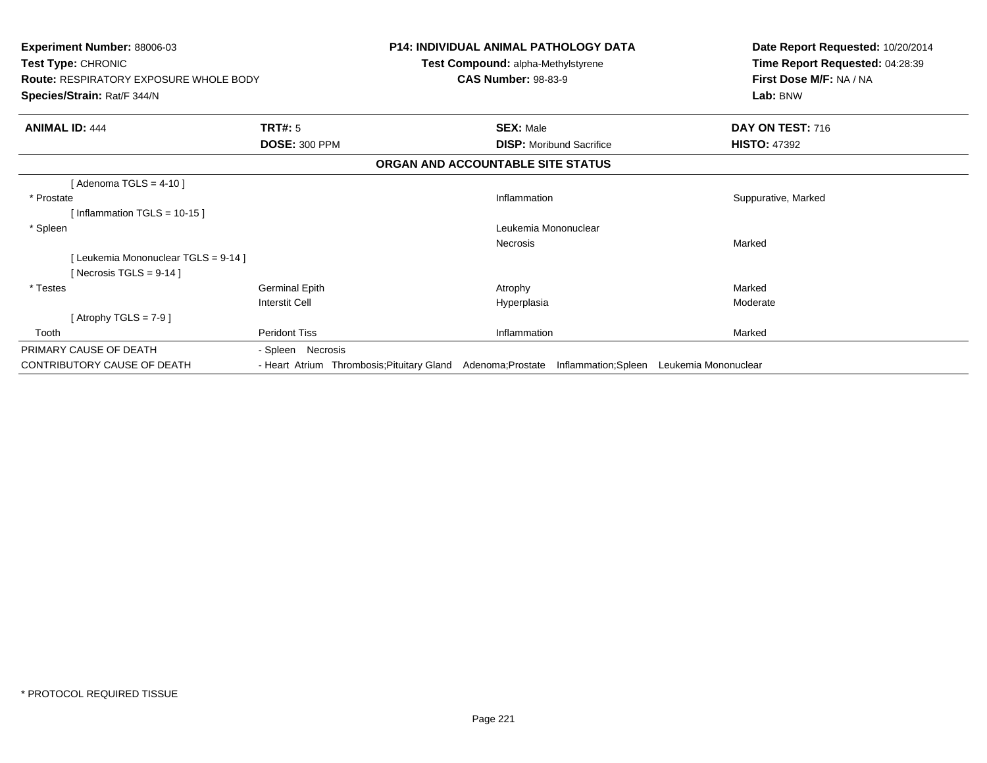| <b>Experiment Number: 88006-03</b><br>Test Type: CHRONIC<br><b>Route: RESPIRATORY EXPOSURE WHOLE BODY</b><br>Species/Strain: Rat/F 344/N |                                            | <b>P14: INDIVIDUAL ANIMAL PATHOLOGY DATA</b><br>Test Compound: alpha-Methylstyrene<br><b>CAS Number: 98-83-9</b> | Date Report Requested: 10/20/2014<br>Time Report Requested: 04:28:39<br>First Dose M/F: NA / NA<br>Lab: BNW |
|------------------------------------------------------------------------------------------------------------------------------------------|--------------------------------------------|------------------------------------------------------------------------------------------------------------------|-------------------------------------------------------------------------------------------------------------|
| <b>ANIMAL ID: 444</b>                                                                                                                    | <b>TRT#: 5</b>                             | <b>SEX: Male</b>                                                                                                 | DAY ON TEST: 716                                                                                            |
|                                                                                                                                          | <b>DOSE: 300 PPM</b>                       | <b>DISP:</b> Moribund Sacrifice                                                                                  | <b>HISTO: 47392</b>                                                                                         |
|                                                                                                                                          |                                            | ORGAN AND ACCOUNTABLE SITE STATUS                                                                                |                                                                                                             |
| [Adenoma TGLS = $4-10$ ]                                                                                                                 |                                            |                                                                                                                  |                                                                                                             |
| * Prostate                                                                                                                               |                                            | Inflammation                                                                                                     | Suppurative, Marked                                                                                         |
| [Inflammation TGLS = $10-15$ ]                                                                                                           |                                            |                                                                                                                  |                                                                                                             |
| * Spleen                                                                                                                                 |                                            | Leukemia Mononuclear                                                                                             |                                                                                                             |
|                                                                                                                                          |                                            | <b>Necrosis</b>                                                                                                  | Marked                                                                                                      |
| [Leukemia Mononuclear TGLS = 9-14]                                                                                                       |                                            |                                                                                                                  |                                                                                                             |
| [Necrosis TGLS = $9-14$ ]                                                                                                                |                                            |                                                                                                                  |                                                                                                             |
| * Testes                                                                                                                                 | <b>Germinal Epith</b>                      | Atrophy                                                                                                          | Marked                                                                                                      |
|                                                                                                                                          | <b>Interstit Cell</b>                      | Hyperplasia                                                                                                      | Moderate                                                                                                    |
| [Atrophy TGLS = $7-9$ ]                                                                                                                  |                                            |                                                                                                                  |                                                                                                             |
| Tooth                                                                                                                                    | <b>Peridont Tiss</b>                       | Inflammation                                                                                                     | Marked                                                                                                      |
| PRIMARY CAUSE OF DEATH                                                                                                                   | - Spleen Necrosis                          |                                                                                                                  |                                                                                                             |
| CONTRIBUTORY CAUSE OF DEATH                                                                                                              | - Heart Atrium Thrombosis; Pituitary Gland | Adenoma;Prostate<br>Inflammation;Spleen                                                                          | Leukemia Mononuclear                                                                                        |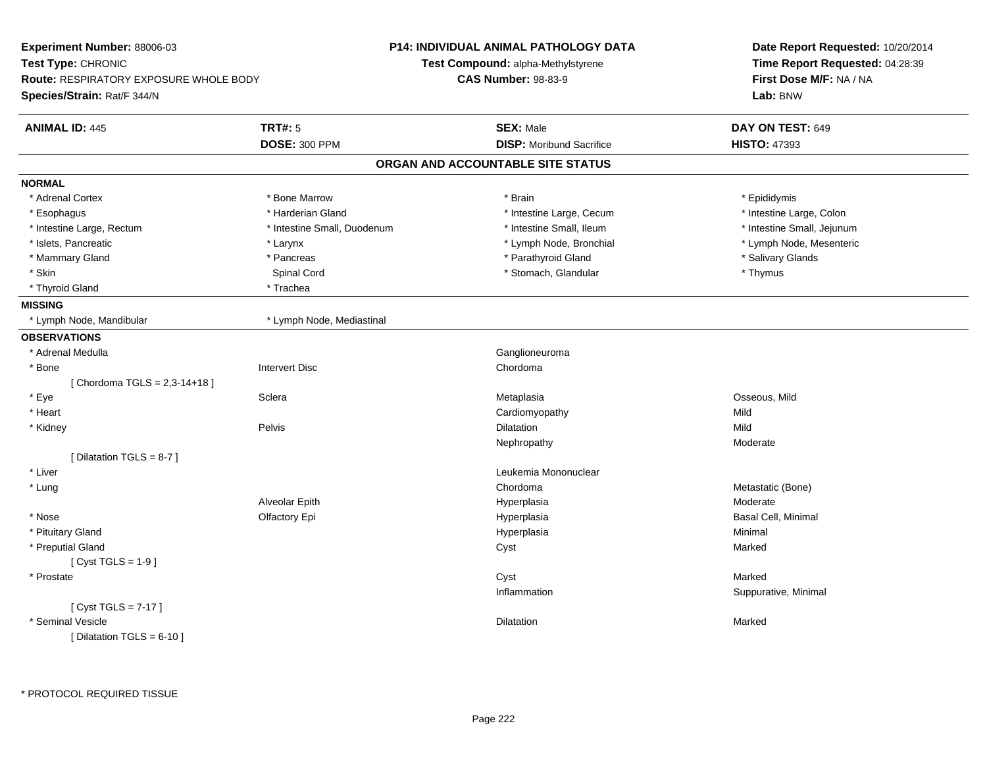| Experiment Number: 88006-03                   |                             | <b>P14: INDIVIDUAL ANIMAL PATHOLOGY DATA</b> | Date Report Requested: 10/20/2014<br>Time Report Requested: 04:28:39<br>First Dose M/F: NA / NA |  |
|-----------------------------------------------|-----------------------------|----------------------------------------------|-------------------------------------------------------------------------------------------------|--|
| Test Type: CHRONIC                            |                             | <b>Test Compound: alpha-Methylstyrene</b>    |                                                                                                 |  |
| <b>Route: RESPIRATORY EXPOSURE WHOLE BODY</b> |                             | <b>CAS Number: 98-83-9</b>                   |                                                                                                 |  |
| Species/Strain: Rat/F 344/N                   |                             |                                              | Lab: BNW                                                                                        |  |
| <b>ANIMAL ID: 445</b>                         | <b>TRT#: 5</b>              | <b>SEX: Male</b>                             | DAY ON TEST: 649                                                                                |  |
|                                               | <b>DOSE: 300 PPM</b>        | <b>DISP: Moribund Sacrifice</b>              | <b>HISTO: 47393</b>                                                                             |  |
|                                               |                             | ORGAN AND ACCOUNTABLE SITE STATUS            |                                                                                                 |  |
| <b>NORMAL</b>                                 |                             |                                              |                                                                                                 |  |
| * Adrenal Cortex                              | * Bone Marrow               | * Brain                                      | * Epididymis                                                                                    |  |
| * Esophagus                                   | * Harderian Gland           | * Intestine Large, Cecum                     | * Intestine Large, Colon                                                                        |  |
| * Intestine Large, Rectum                     | * Intestine Small, Duodenum | * Intestine Small, Ileum                     | * Intestine Small, Jejunum                                                                      |  |
| * Islets, Pancreatic                          | * Larynx                    | * Lymph Node, Bronchial                      | * Lymph Node, Mesenteric                                                                        |  |
| * Mammary Gland                               | * Pancreas                  | * Parathyroid Gland                          | * Salivary Glands                                                                               |  |
| * Skin                                        | Spinal Cord                 | * Stomach, Glandular                         | * Thymus                                                                                        |  |
| * Thyroid Gland                               | * Trachea                   |                                              |                                                                                                 |  |
| <b>MISSING</b>                                |                             |                                              |                                                                                                 |  |
| * Lymph Node, Mandibular                      | * Lymph Node, Mediastinal   |                                              |                                                                                                 |  |
| <b>OBSERVATIONS</b>                           |                             |                                              |                                                                                                 |  |
| * Adrenal Medulla                             |                             | Ganglioneuroma                               |                                                                                                 |  |
| * Bone                                        | <b>Intervert Disc</b>       | Chordoma                                     |                                                                                                 |  |
| [Chordoma TGLS = 2,3-14+18]                   |                             |                                              |                                                                                                 |  |
| * Eye                                         | Sclera                      | Metaplasia                                   | Osseous, Mild                                                                                   |  |
| * Heart                                       |                             | Cardiomyopathy                               | Mild                                                                                            |  |
| * Kidney                                      | Pelvis                      | Dilatation                                   | Mild                                                                                            |  |
|                                               |                             | Nephropathy                                  | Moderate                                                                                        |  |
| [ Dilatation TGLS = 8-7 ]                     |                             |                                              |                                                                                                 |  |
| * Liver                                       |                             | Leukemia Mononuclear                         |                                                                                                 |  |
| * Lung                                        |                             | Chordoma                                     | Metastatic (Bone)                                                                               |  |
|                                               | Alveolar Epith              | Hyperplasia                                  | Moderate                                                                                        |  |
| * Nose                                        | Olfactory Epi               | Hyperplasia                                  | Basal Cell, Minimal                                                                             |  |
| * Pituitary Gland                             |                             | Hyperplasia                                  | Minimal                                                                                         |  |
| * Preputial Gland                             |                             | Cyst                                         | Marked                                                                                          |  |
| [Cyst TGLS = $1-9$ ]                          |                             |                                              |                                                                                                 |  |
| * Prostate                                    |                             | Cyst                                         | Marked                                                                                          |  |
|                                               |                             | Inflammation                                 | Suppurative, Minimal                                                                            |  |
| [ $Cyst TGLS = 7-17$ ]                        |                             |                                              |                                                                                                 |  |
| * Seminal Vesicle                             |                             | Dilatation                                   | Marked                                                                                          |  |
| [ Dilatation TGLS = $6-10$ ]                  |                             |                                              |                                                                                                 |  |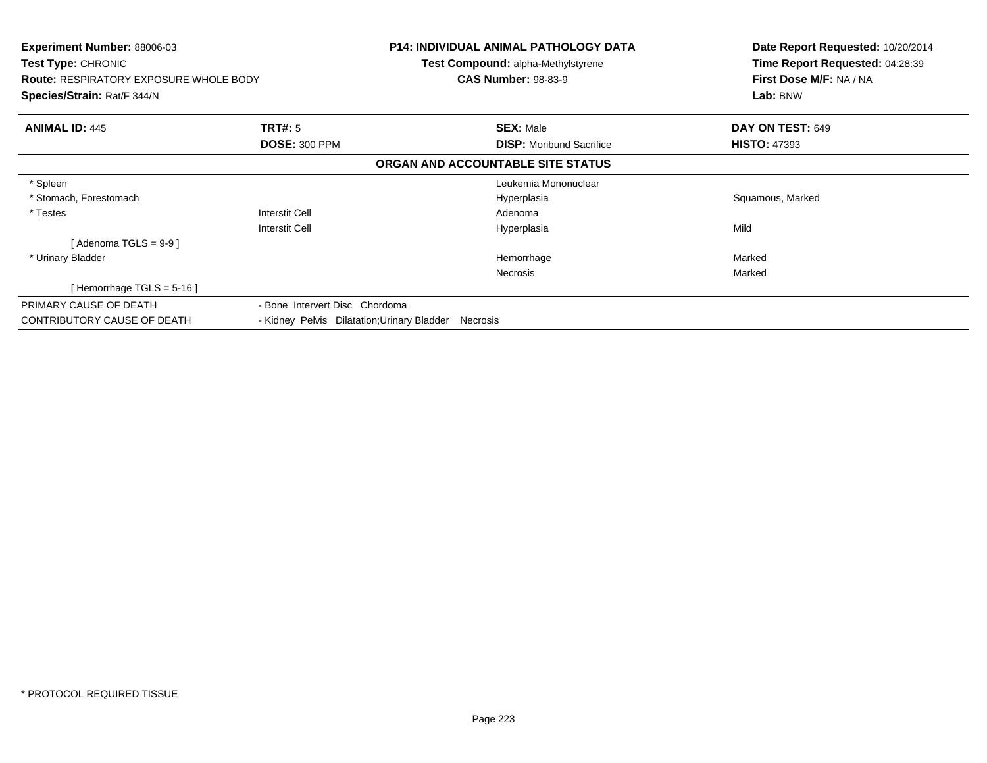| <b>Experiment Number: 88006-03</b><br><b>Test Type: CHRONIC</b><br><b>Route: RESPIRATORY EXPOSURE WHOLE BODY</b><br><b>Species/Strain: Rat/F 344/N</b> |                                             | <b>P14: INDIVIDUAL ANIMAL PATHOLOGY DATA</b><br><b>Test Compound: alpha-Methylstyrene</b><br><b>CAS Number: 98-83-9</b> | Date Report Requested: 10/20/2014<br>Time Report Requested: 04:28:39<br>First Dose M/F: NA / NA<br>Lab: BNW |
|--------------------------------------------------------------------------------------------------------------------------------------------------------|---------------------------------------------|-------------------------------------------------------------------------------------------------------------------------|-------------------------------------------------------------------------------------------------------------|
| <b>ANIMAL ID: 445</b>                                                                                                                                  | <b>TRT#:</b> 5                              | <b>SEX: Male</b>                                                                                                        | DAY ON TEST: 649                                                                                            |
|                                                                                                                                                        | <b>DOSE: 300 PPM</b>                        | <b>DISP:</b> Moribund Sacrifice                                                                                         | <b>HISTO: 47393</b>                                                                                         |
|                                                                                                                                                        |                                             | ORGAN AND ACCOUNTABLE SITE STATUS                                                                                       |                                                                                                             |
| * Spleen                                                                                                                                               |                                             | Leukemia Mononuclear                                                                                                    |                                                                                                             |
| * Stomach, Forestomach                                                                                                                                 |                                             | Hyperplasia                                                                                                             | Squamous, Marked                                                                                            |
| * Testes                                                                                                                                               | <b>Interstit Cell</b>                       | Adenoma                                                                                                                 |                                                                                                             |
|                                                                                                                                                        | <b>Interstit Cell</b>                       | Hyperplasia                                                                                                             | Mild                                                                                                        |
| [ Adenoma TGLS = 9-9 ]                                                                                                                                 |                                             |                                                                                                                         |                                                                                                             |
| * Urinary Bladder                                                                                                                                      |                                             | Hemorrhage                                                                                                              | Marked                                                                                                      |
|                                                                                                                                                        |                                             | Necrosis                                                                                                                | Marked                                                                                                      |
| [Hemorrhage TGLS = 5-16]                                                                                                                               |                                             |                                                                                                                         |                                                                                                             |
| PRIMARY CAUSE OF DEATH                                                                                                                                 | - Bone Intervert Disc Chordoma              |                                                                                                                         |                                                                                                             |
| <b>CONTRIBUTORY CAUSE OF DEATH</b>                                                                                                                     | - Kidney Pelvis Dilatation; Urinary Bladder | Necrosis                                                                                                                |                                                                                                             |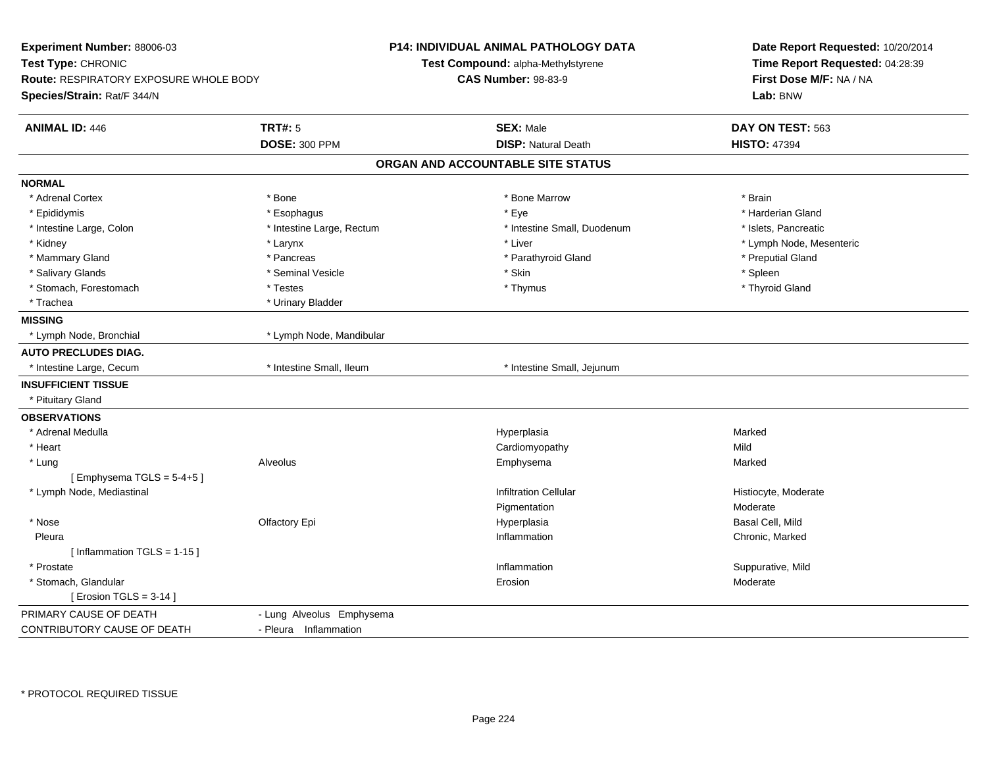| Experiment Number: 88006-03                   |                           | <b>P14: INDIVIDUAL ANIMAL PATHOLOGY DATA</b> | Date Report Requested: 10/20/2014<br>Time Report Requested: 04:28:39<br>First Dose M/F: NA / NA |  |
|-----------------------------------------------|---------------------------|----------------------------------------------|-------------------------------------------------------------------------------------------------|--|
| Test Type: CHRONIC                            |                           | Test Compound: alpha-Methylstyrene           |                                                                                                 |  |
| <b>Route: RESPIRATORY EXPOSURE WHOLE BODY</b> |                           | <b>CAS Number: 98-83-9</b>                   |                                                                                                 |  |
| Species/Strain: Rat/F 344/N                   |                           |                                              | Lab: BNW                                                                                        |  |
| <b>ANIMAL ID: 446</b>                         | TRT#: 5                   | <b>SEX: Male</b>                             | DAY ON TEST: 563                                                                                |  |
|                                               | <b>DOSE: 300 PPM</b>      | <b>DISP: Natural Death</b>                   | <b>HISTO: 47394</b>                                                                             |  |
|                                               |                           | ORGAN AND ACCOUNTABLE SITE STATUS            |                                                                                                 |  |
| <b>NORMAL</b>                                 |                           |                                              |                                                                                                 |  |
| * Adrenal Cortex                              | * Bone                    | * Bone Marrow                                | * Brain                                                                                         |  |
| * Epididymis                                  | * Esophagus               | * Eye                                        | * Harderian Gland                                                                               |  |
| * Intestine Large, Colon                      | * Intestine Large, Rectum | * Intestine Small, Duodenum                  | * Islets, Pancreatic                                                                            |  |
| * Kidney                                      | * Larynx                  | * Liver                                      | * Lymph Node, Mesenteric                                                                        |  |
| * Mammary Gland                               | * Pancreas                | * Parathyroid Gland                          | * Preputial Gland                                                                               |  |
| * Salivary Glands                             | * Seminal Vesicle         | * Skin                                       | * Spleen                                                                                        |  |
| * Stomach, Forestomach                        | * Testes                  | * Thymus                                     | * Thyroid Gland                                                                                 |  |
| * Trachea                                     | * Urinary Bladder         |                                              |                                                                                                 |  |
| <b>MISSING</b>                                |                           |                                              |                                                                                                 |  |
| * Lymph Node, Bronchial                       | * Lymph Node, Mandibular  |                                              |                                                                                                 |  |
| <b>AUTO PRECLUDES DIAG.</b>                   |                           |                                              |                                                                                                 |  |
| * Intestine Large, Cecum                      | * Intestine Small, Ileum  | * Intestine Small, Jejunum                   |                                                                                                 |  |
| <b>INSUFFICIENT TISSUE</b>                    |                           |                                              |                                                                                                 |  |
| * Pituitary Gland                             |                           |                                              |                                                                                                 |  |
| <b>OBSERVATIONS</b>                           |                           |                                              |                                                                                                 |  |
| * Adrenal Medulla                             |                           | Hyperplasia                                  | Marked                                                                                          |  |
| * Heart                                       |                           | Cardiomyopathy                               | Mild                                                                                            |  |
| * Lung                                        | Alveolus                  | Emphysema                                    | Marked                                                                                          |  |
| [Emphysema TGLS = $5-4+5$ ]                   |                           |                                              |                                                                                                 |  |
| * Lymph Node, Mediastinal                     |                           | <b>Infiltration Cellular</b>                 | Histiocyte, Moderate                                                                            |  |
|                                               |                           | Pigmentation                                 | Moderate                                                                                        |  |
| * Nose                                        | Olfactory Epi             | Hyperplasia                                  | Basal Cell, Mild                                                                                |  |
| Pleura                                        |                           | Inflammation                                 | Chronic, Marked                                                                                 |  |
| [Inflammation TGLS = 1-15]                    |                           |                                              |                                                                                                 |  |
| * Prostate                                    |                           | Inflammation                                 | Suppurative, Mild                                                                               |  |
| * Stomach, Glandular                          |                           | Erosion                                      | Moderate                                                                                        |  |
| [ Erosion TGLS = $3-14$ ]                     |                           |                                              |                                                                                                 |  |
| PRIMARY CAUSE OF DEATH                        | - Lung Alveolus Emphysema |                                              |                                                                                                 |  |
| <b>CONTRIBUTORY CAUSE OF DEATH</b>            | - Pleura Inflammation     |                                              |                                                                                                 |  |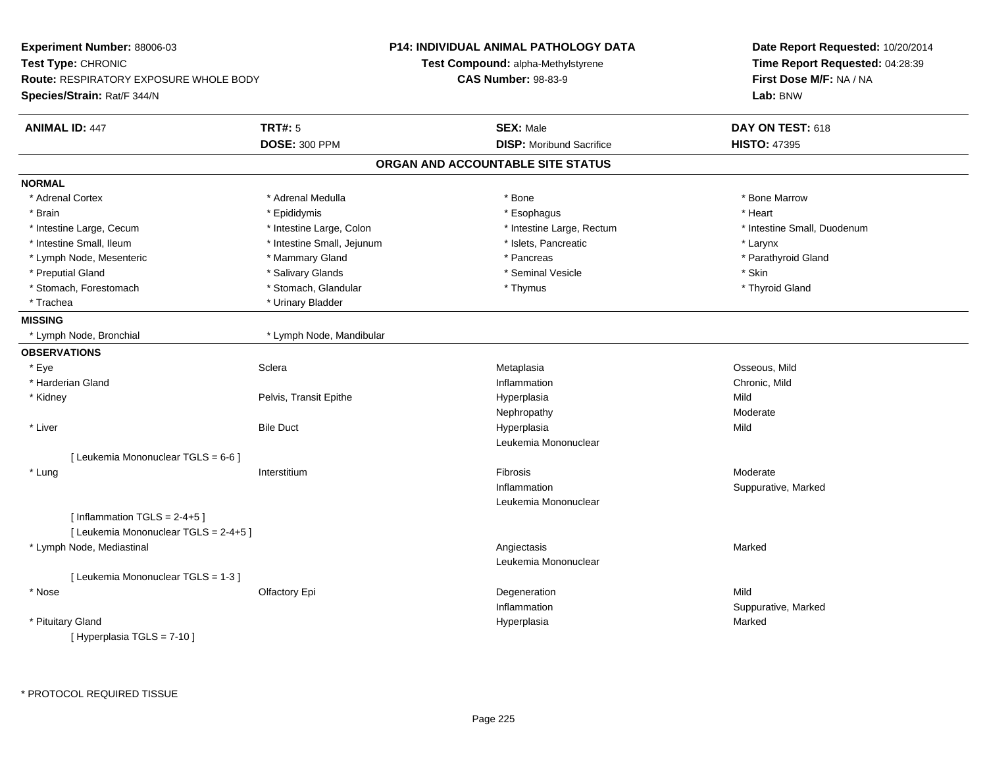| Experiment Number: 88006-03            |                            | <b>P14: INDIVIDUAL ANIMAL PATHOLOGY DATA</b> | Date Report Requested: 10/20/2014 |
|----------------------------------------|----------------------------|----------------------------------------------|-----------------------------------|
| <b>Test Type: CHRONIC</b>              |                            | <b>Test Compound: alpha-Methylstyrene</b>    | Time Report Requested: 04:28:39   |
| Route: RESPIRATORY EXPOSURE WHOLE BODY |                            | <b>CAS Number: 98-83-9</b>                   | First Dose M/F: NA / NA           |
| Species/Strain: Rat/F 344/N            |                            |                                              | Lab: BNW                          |
| <b>ANIMAL ID: 447</b>                  | <b>TRT#: 5</b>             | <b>SEX: Male</b>                             | DAY ON TEST: 618                  |
|                                        | <b>DOSE: 300 PPM</b>       | <b>DISP:</b> Moribund Sacrifice              | <b>HISTO: 47395</b>               |
|                                        |                            | ORGAN AND ACCOUNTABLE SITE STATUS            |                                   |
| <b>NORMAL</b>                          |                            |                                              |                                   |
| * Adrenal Cortex                       | * Adrenal Medulla          | * Bone                                       | * Bone Marrow                     |
| * Brain                                | * Epididymis               | * Esophagus                                  | * Heart                           |
| * Intestine Large, Cecum               | * Intestine Large, Colon   | * Intestine Large, Rectum                    | * Intestine Small, Duodenum       |
| * Intestine Small, Ileum               | * Intestine Small, Jejunum | * Islets, Pancreatic                         | * Larynx                          |
| * Lymph Node, Mesenteric               | * Mammary Gland            | * Pancreas                                   | * Parathyroid Gland               |
| * Preputial Gland                      | * Salivary Glands          | * Seminal Vesicle                            | * Skin                            |
| * Stomach, Forestomach                 | * Stomach, Glandular       | * Thymus                                     | * Thyroid Gland                   |
| * Trachea                              | * Urinary Bladder          |                                              |                                   |
| <b>MISSING</b>                         |                            |                                              |                                   |
| * Lymph Node, Bronchial                | * Lymph Node, Mandibular   |                                              |                                   |
| <b>OBSERVATIONS</b>                    |                            |                                              |                                   |
| * Eye                                  | Sclera                     | Metaplasia                                   | Osseous, Mild                     |
| * Harderian Gland                      |                            | Inflammation                                 | Chronic, Mild                     |
| * Kidney                               | Pelvis, Transit Epithe     | Hyperplasia                                  | Mild                              |
|                                        |                            | Nephropathy                                  | Moderate                          |
| * Liver                                | <b>Bile Duct</b>           | Hyperplasia                                  | Mild                              |
|                                        |                            | Leukemia Mononuclear                         |                                   |
| [ Leukemia Mononuclear TGLS = 6-6 ]    |                            |                                              |                                   |
| * Lung                                 | Interstitium               | Fibrosis                                     | Moderate                          |
|                                        |                            | Inflammation                                 | Suppurative, Marked               |
|                                        |                            | Leukemia Mononuclear                         |                                   |
| [Inflammation TGLS = $2-4+5$ ]         |                            |                                              |                                   |
| [ Leukemia Mononuclear TGLS = 2-4+5 ]  |                            |                                              |                                   |
| * Lymph Node, Mediastinal              |                            | Angiectasis                                  | Marked                            |
|                                        |                            | Leukemia Mononuclear                         |                                   |
| [ Leukemia Mononuclear TGLS = 1-3 ]    |                            |                                              |                                   |
| * Nose                                 | Olfactory Epi              | Degeneration                                 | Mild                              |
|                                        |                            | Inflammation                                 | Suppurative, Marked               |
| * Pituitary Gland                      |                            | Hyperplasia                                  | Marked                            |
| [Hyperplasia TGLS = $7-10$ ]           |                            |                                              |                                   |
|                                        |                            |                                              |                                   |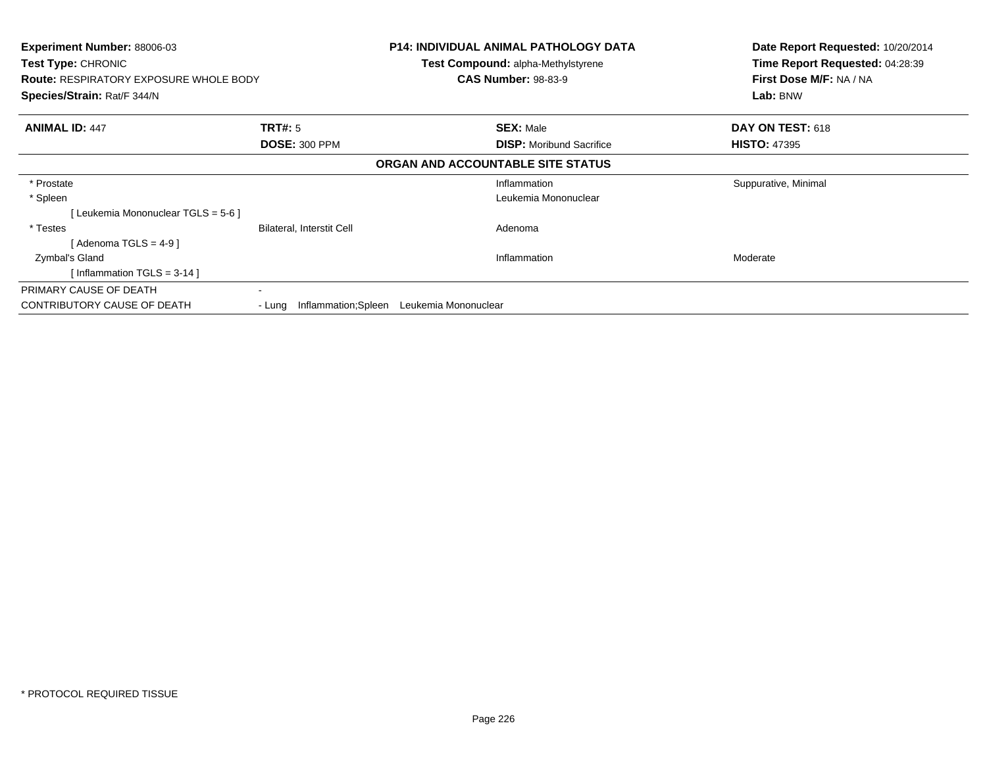| <b>Experiment Number: 88006-03</b><br>Test Type: CHRONIC |                             | <b>P14: INDIVIDUAL ANIMAL PATHOLOGY DATA</b><br>Test Compound: alpha-Methylstyrene | Date Report Requested: 10/20/2014<br>Time Report Requested: 04:28:39 |
|----------------------------------------------------------|-----------------------------|------------------------------------------------------------------------------------|----------------------------------------------------------------------|
| <b>Route: RESPIRATORY EXPOSURE WHOLE BODY</b>            |                             | <b>CAS Number: 98-83-9</b>                                                         | First Dose M/F: NA / NA                                              |
| Species/Strain: Rat/F 344/N                              |                             |                                                                                    | Lab: BNW                                                             |
| <b>ANIMAL ID: 447</b>                                    | TRT#: 5                     | <b>SEX: Male</b>                                                                   | DAY ON TEST: 618                                                     |
|                                                          | <b>DOSE: 300 PPM</b>        | <b>DISP:</b> Moribund Sacrifice                                                    | <b>HISTO: 47395</b>                                                  |
|                                                          |                             | ORGAN AND ACCOUNTABLE SITE STATUS                                                  |                                                                      |
| * Prostate                                               |                             | Inflammation                                                                       | Suppurative, Minimal                                                 |
| * Spleen                                                 |                             | Leukemia Mononuclear                                                               |                                                                      |
| [ Leukemia Mononuclear TGLS = 5-6 ]                      |                             |                                                                                    |                                                                      |
| * Testes                                                 | Bilateral, Interstit Cell   | Adenoma                                                                            |                                                                      |
| [ Adenoma TGLS = 4-9 ]                                   |                             |                                                                                    |                                                                      |
| Zymbal's Gland                                           |                             | Inflammation                                                                       | Moderate                                                             |
| [Inflammation TGLS = $3-14$ ]                            |                             |                                                                                    |                                                                      |
| PRIMARY CAUSE OF DEATH                                   | $\blacksquare$              |                                                                                    |                                                                      |
| <b>CONTRIBUTORY CAUSE OF DEATH</b>                       | - Lung Inflammation; Spleen | Leukemia Mononuclear                                                               |                                                                      |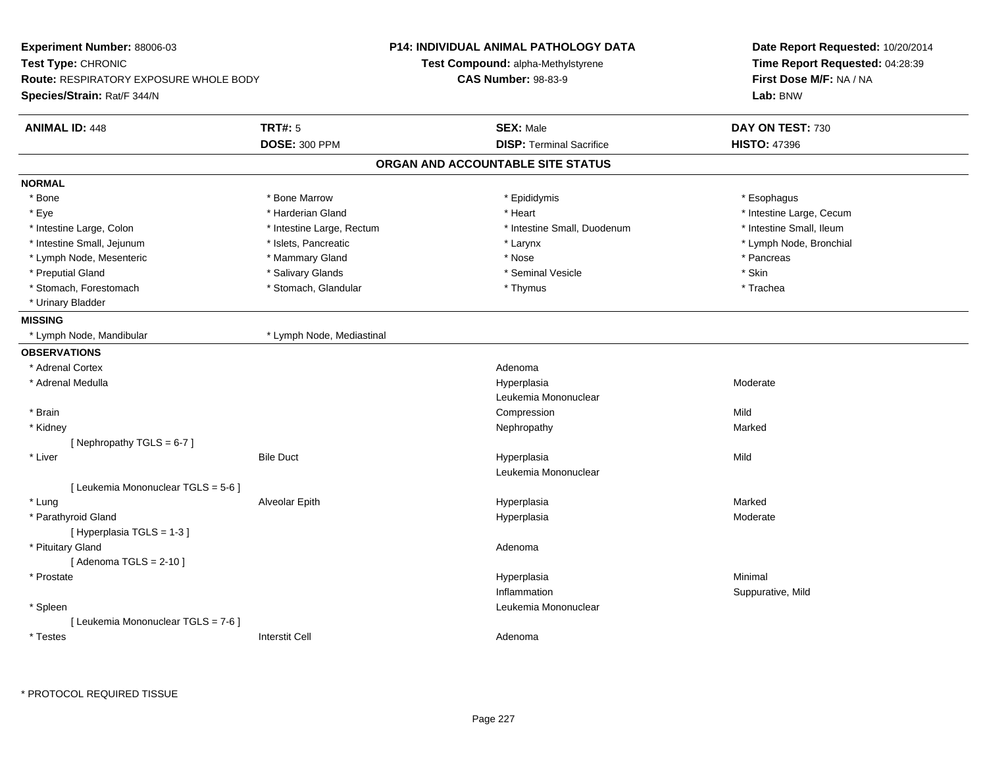| Experiment Number: 88006-03                   |                           | <b>P14: INDIVIDUAL ANIMAL PATHOLOGY DATA</b> | Date Report Requested: 10/20/2014 |  |
|-----------------------------------------------|---------------------------|----------------------------------------------|-----------------------------------|--|
| Test Type: CHRONIC                            |                           | Test Compound: alpha-Methylstyrene           | Time Report Requested: 04:28:39   |  |
| <b>Route: RESPIRATORY EXPOSURE WHOLE BODY</b> |                           | <b>CAS Number: 98-83-9</b>                   | First Dose M/F: NA / NA           |  |
| Species/Strain: Rat/F 344/N                   |                           |                                              | Lab: BNW                          |  |
| <b>ANIMAL ID: 448</b>                         | <b>TRT#: 5</b>            | <b>SEX: Male</b>                             | DAY ON TEST: 730                  |  |
|                                               | <b>DOSE: 300 PPM</b>      | <b>DISP: Terminal Sacrifice</b>              | <b>HISTO: 47396</b>               |  |
|                                               |                           | ORGAN AND ACCOUNTABLE SITE STATUS            |                                   |  |
| <b>NORMAL</b>                                 |                           |                                              |                                   |  |
| * Bone                                        | * Bone Marrow             | * Epididymis                                 | * Esophagus                       |  |
| * Eye                                         | * Harderian Gland         | * Heart                                      | * Intestine Large, Cecum          |  |
| * Intestine Large, Colon                      | * Intestine Large, Rectum | * Intestine Small, Duodenum                  | * Intestine Small, Ileum          |  |
| * Intestine Small, Jejunum                    | * Islets, Pancreatic      | * Larynx                                     | * Lymph Node, Bronchial           |  |
| * Lymph Node, Mesenteric                      | * Mammary Gland           | * Nose                                       | * Pancreas                        |  |
| * Preputial Gland                             | * Salivary Glands         | * Seminal Vesicle                            | * Skin                            |  |
| * Stomach, Forestomach                        | * Stomach, Glandular      | * Thymus                                     | * Trachea                         |  |
| * Urinary Bladder                             |                           |                                              |                                   |  |
| <b>MISSING</b>                                |                           |                                              |                                   |  |
| * Lymph Node, Mandibular                      | * Lymph Node, Mediastinal |                                              |                                   |  |
| <b>OBSERVATIONS</b>                           |                           |                                              |                                   |  |
| * Adrenal Cortex                              |                           | Adenoma                                      |                                   |  |
| * Adrenal Medulla                             |                           | Hyperplasia                                  | Moderate                          |  |
|                                               |                           | Leukemia Mononuclear                         |                                   |  |
| * Brain                                       |                           | Compression                                  | Mild                              |  |
| * Kidney                                      |                           | Nephropathy                                  | Marked                            |  |
| [Nephropathy TGLS = 6-7]                      |                           |                                              |                                   |  |
| * Liver                                       | <b>Bile Duct</b>          | Hyperplasia                                  | Mild                              |  |
|                                               |                           | Leukemia Mononuclear                         |                                   |  |
| [ Leukemia Mononuclear TGLS = 5-6 ]           |                           |                                              |                                   |  |
| * Lung                                        | Alveolar Epith            | Hyperplasia                                  | Marked                            |  |
| * Parathyroid Gland                           |                           | Hyperplasia                                  | Moderate                          |  |
| [Hyperplasia TGLS = 1-3]                      |                           |                                              |                                   |  |
| * Pituitary Gland                             |                           | Adenoma                                      |                                   |  |
| [Adenoma TGLS = $2-10$ ]                      |                           |                                              |                                   |  |
| * Prostate                                    |                           | Hyperplasia                                  | Minimal                           |  |
|                                               |                           | Inflammation                                 | Suppurative, Mild                 |  |
| * Spleen                                      |                           | Leukemia Mononuclear                         |                                   |  |
| [ Leukemia Mononuclear TGLS = 7-6 ]           |                           |                                              |                                   |  |
| * Testes                                      | <b>Interstit Cell</b>     | Adenoma                                      |                                   |  |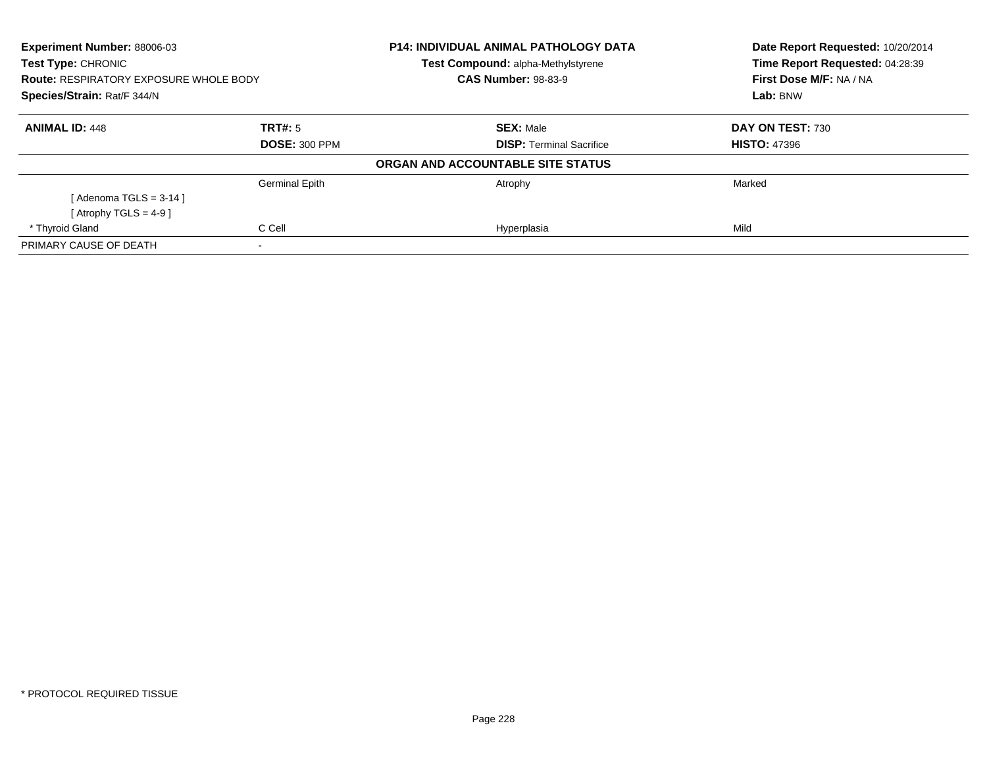| <b>Experiment Number: 88006-03</b><br><b>Test Type: CHRONIC</b><br><b>Route: RESPIRATORY EXPOSURE WHOLE BODY</b><br>Species/Strain: Rat/F 344/N |                       | <b>P14: INDIVIDUAL ANIMAL PATHOLOGY DATA</b> | Date Report Requested: 10/20/2014 |
|-------------------------------------------------------------------------------------------------------------------------------------------------|-----------------------|----------------------------------------------|-----------------------------------|
|                                                                                                                                                 |                       | Test Compound: alpha-Methylstyrene           | Time Report Requested: 04:28:39   |
|                                                                                                                                                 |                       | <b>CAS Number: 98-83-9</b>                   | First Dose M/F: NA / NA           |
|                                                                                                                                                 |                       |                                              | Lab: BNW                          |
| <b>ANIMAL ID: 448</b>                                                                                                                           | TRT#: 5               | <b>SEX: Male</b>                             | DAY ON TEST: 730                  |
|                                                                                                                                                 | <b>DOSE: 300 PPM</b>  | <b>DISP:</b> Terminal Sacrifice              | <b>HISTO: 47396</b>               |
|                                                                                                                                                 |                       | ORGAN AND ACCOUNTABLE SITE STATUS            |                                   |
|                                                                                                                                                 | <b>Germinal Epith</b> | Atrophy                                      | Marked                            |
| [ Adenoma TGLS = 3-14 ]                                                                                                                         |                       |                                              |                                   |
| [Atrophy TGLS = 4-9 ]                                                                                                                           |                       |                                              |                                   |
| * Thyroid Gland                                                                                                                                 | C Cell                | Hyperplasia                                  | Mild                              |
| PRIMARY CAUSE OF DEATH                                                                                                                          |                       |                                              |                                   |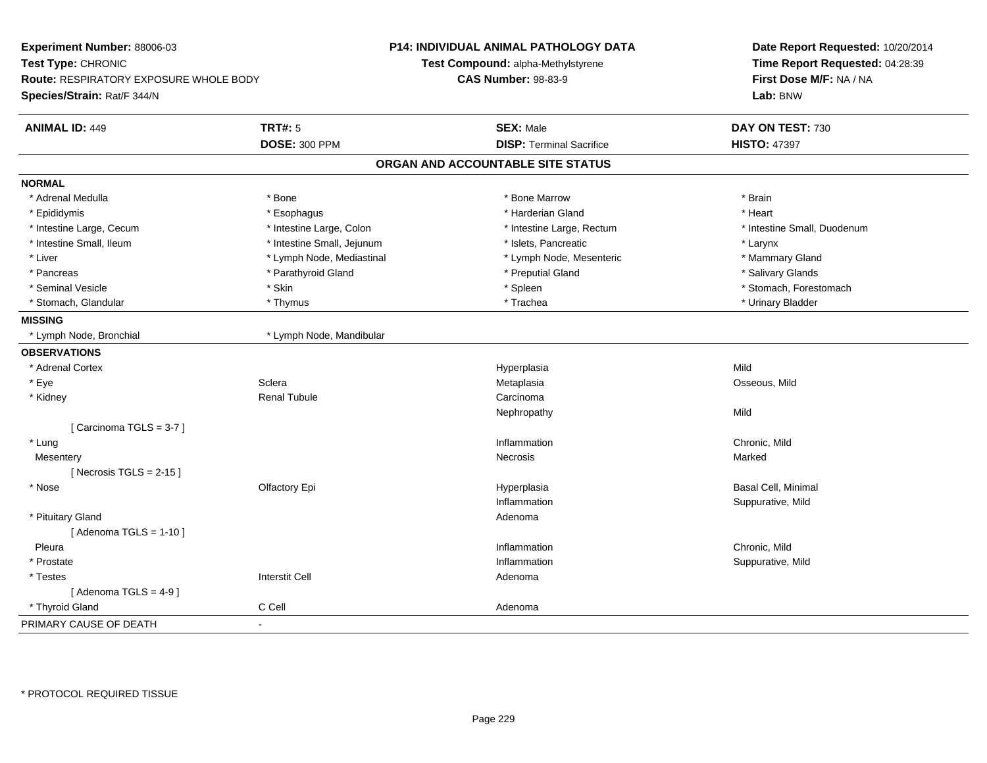| Experiment Number: 88006-03             |                            | <b>P14: INDIVIDUAL ANIMAL PATHOLOGY DATA</b> | Date Report Requested: 10/20/2014 |
|-----------------------------------------|----------------------------|----------------------------------------------|-----------------------------------|
| Test Type: CHRONIC                      |                            | Test Compound: alpha-Methylstyrene           | Time Report Requested: 04:28:39   |
| Route: RESPIRATORY EXPOSURE WHOLE BODY  |                            | <b>CAS Number: 98-83-9</b>                   | First Dose M/F: NA / NA           |
| Species/Strain: Rat/F 344/N             |                            |                                              | Lab: BNW                          |
|                                         |                            |                                              |                                   |
| <b>TRT#: 5</b><br><b>ANIMAL ID: 449</b> |                            | <b>SEX: Male</b>                             | DAY ON TEST: 730                  |
|                                         | <b>DOSE: 300 PPM</b>       | <b>DISP: Terminal Sacrifice</b>              | <b>HISTO: 47397</b>               |
|                                         |                            | ORGAN AND ACCOUNTABLE SITE STATUS            |                                   |
| <b>NORMAL</b>                           |                            |                                              |                                   |
| * Adrenal Medulla<br>* Bone             |                            | * Bone Marrow                                | * Brain                           |
| * Epididymis                            | * Esophagus                | * Harderian Gland                            | * Heart                           |
| * Intestine Large, Cecum                | * Intestine Large, Colon   | * Intestine Large, Rectum                    | * Intestine Small, Duodenum       |
| * Intestine Small, Ileum                | * Intestine Small, Jejunum | * Islets, Pancreatic                         | * Larynx                          |
| * Liver                                 | * Lymph Node, Mediastinal  | * Lymph Node, Mesenteric                     | * Mammary Gland                   |
| * Pancreas                              | * Parathyroid Gland        | * Preputial Gland                            | * Salivary Glands                 |
| * Seminal Vesicle<br>* Skin             |                            | * Spleen                                     | * Stomach, Forestomach            |
| * Stomach, Glandular                    | * Thymus                   | * Trachea                                    | * Urinary Bladder                 |
| <b>MISSING</b>                          |                            |                                              |                                   |
| * Lymph Node, Bronchial                 | * Lymph Node, Mandibular   |                                              |                                   |
| <b>OBSERVATIONS</b>                     |                            |                                              |                                   |
| * Adrenal Cortex                        |                            | Hyperplasia                                  | Mild                              |
| Sclera<br>* Eye                         |                            | Metaplasia                                   | Osseous, Mild                     |
| * Kidney                                | <b>Renal Tubule</b>        | Carcinoma                                    |                                   |
|                                         |                            | Nephropathy                                  | Mild                              |
| [Carcinoma TGLS = 3-7]                  |                            |                                              |                                   |
| * Lung                                  |                            | Inflammation                                 | Chronic, Mild                     |
| Mesentery                               |                            | Necrosis                                     | Marked                            |
| [Necrosis TGLS = $2-15$ ]               |                            |                                              |                                   |
| * Nose                                  | Olfactory Epi              | Hyperplasia                                  | Basal Cell, Minimal               |
|                                         |                            | Inflammation                                 | Suppurative, Mild                 |
| * Pituitary Gland                       |                            | Adenoma                                      |                                   |
| [Adenoma TGLS = $1-10$ ]                |                            |                                              |                                   |
| Pleura                                  |                            | Inflammation                                 | Chronic, Mild                     |
| * Prostate                              |                            | Inflammation                                 | Suppurative, Mild                 |
| * Testes                                | <b>Interstit Cell</b>      | Adenoma                                      |                                   |
| [Adenoma TGLS = $4-9$ ]                 |                            |                                              |                                   |
| * Thyroid Gland<br>C Cell               |                            | Adenoma                                      |                                   |
| PRIMARY CAUSE OF DEATH                  |                            |                                              |                                   |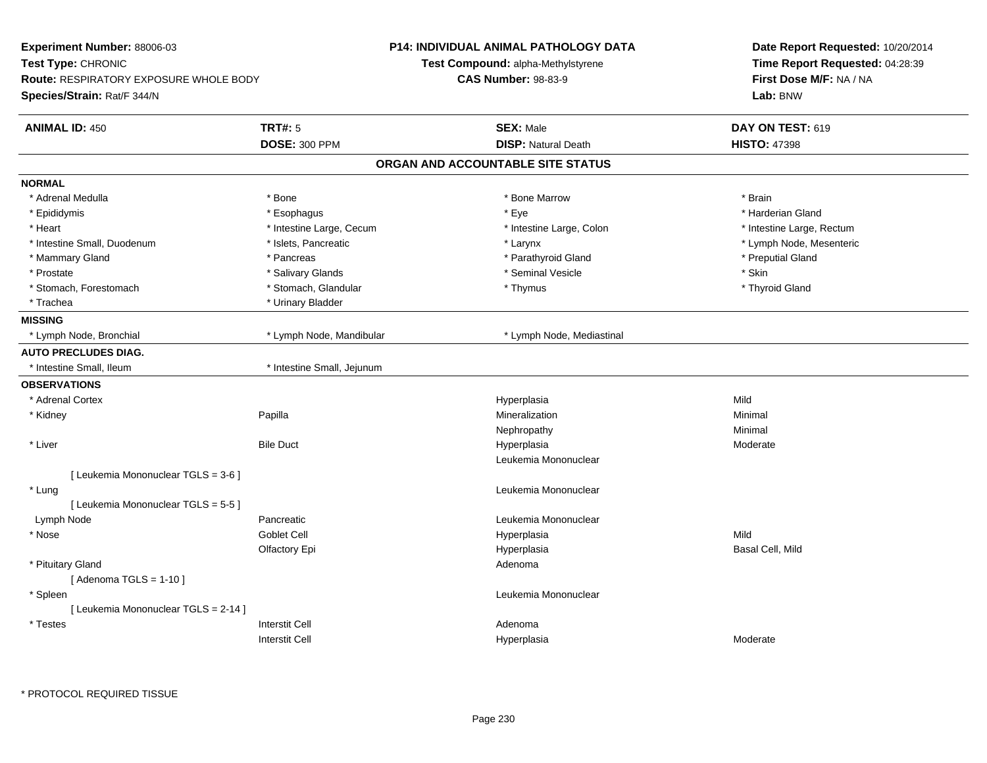| Test Type: CHRONIC<br>Test Compound: alpha-Methylstyrene<br>Time Report Requested: 04:28:39<br>First Dose M/F: NA / NA<br>Route: RESPIRATORY EXPOSURE WHOLE BODY<br><b>CAS Number: 98-83-9</b><br>Lab: BNW<br><b>TRT#: 5</b><br><b>SEX: Male</b><br>DAY ON TEST: 619<br><b>ANIMAL ID: 450</b><br><b>DOSE: 300 PPM</b><br><b>DISP: Natural Death</b><br><b>HISTO: 47398</b><br>ORGAN AND ACCOUNTABLE SITE STATUS<br>* Adrenal Medulla<br>* Bone<br>* Bone Marrow<br>* Brain<br>* Eye<br>* Harderian Gland<br>* Epididymis<br>* Esophagus<br>* Heart<br>* Intestine Large, Cecum<br>* Intestine Large, Colon<br>* Intestine Large, Rectum<br>* Intestine Small, Duodenum<br>* Islets, Pancreatic<br>* Lymph Node, Mesenteric<br>* Larynx<br>* Preputial Gland<br>* Pancreas<br>* Parathyroid Gland<br>* Mammary Gland<br>* Skin<br>* Prostate<br>* Salivary Glands<br>* Seminal Vesicle<br>* Stomach, Forestomach<br>* Stomach, Glandular<br>* Thyroid Gland<br>* Thymus<br>* Urinary Bladder<br>* Trachea<br>* Lymph Node, Bronchial<br>* Lymph Node, Mandibular<br>* Lymph Node, Mediastinal<br>* Intestine Small, Ileum<br>* Intestine Small, Jejunum<br>* Adrenal Cortex<br>Hyperplasia<br>Mild<br>* Kidney<br>Papilla<br>Mineralization<br>Minimal<br>Minimal<br>Nephropathy<br><b>Bile Duct</b><br>* Liver<br>Hyperplasia<br>Moderate<br>Leukemia Mononuclear<br>[ Leukemia Mononuclear TGLS = 3-6 ]<br>Leukemia Mononuclear<br>* Lung<br>[ Leukemia Mononuclear TGLS = 5-5 ]<br>Lymph Node<br>Pancreatic<br>Leukemia Mononuclear<br>Goblet Cell<br>Mild<br>* Nose<br>Hyperplasia<br>Hyperplasia<br>Basal Cell, Mild<br>Olfactory Epi<br>* Pituitary Gland<br>Adenoma<br>[Adenoma TGLS = $1-10$ ]<br>* Spleen<br>Leukemia Mononuclear<br>[ Leukemia Mononuclear TGLS = 2-14 ]<br><b>Interstit Cell</b><br>* Testes<br>Adenoma<br><b>Interstit Cell</b><br>Moderate<br>Hyperplasia | Experiment Number: 88006-03 | <b>P14: INDIVIDUAL ANIMAL PATHOLOGY DATA</b> | Date Report Requested: 10/20/2014 |  |
|---------------------------------------------------------------------------------------------------------------------------------------------------------------------------------------------------------------------------------------------------------------------------------------------------------------------------------------------------------------------------------------------------------------------------------------------------------------------------------------------------------------------------------------------------------------------------------------------------------------------------------------------------------------------------------------------------------------------------------------------------------------------------------------------------------------------------------------------------------------------------------------------------------------------------------------------------------------------------------------------------------------------------------------------------------------------------------------------------------------------------------------------------------------------------------------------------------------------------------------------------------------------------------------------------------------------------------------------------------------------------------------------------------------------------------------------------------------------------------------------------------------------------------------------------------------------------------------------------------------------------------------------------------------------------------------------------------------------------------------------------------------------------------------------------------------------------------------------------------------------------------------|-----------------------------|----------------------------------------------|-----------------------------------|--|
|                                                                                                                                                                                                                                                                                                                                                                                                                                                                                                                                                                                                                                                                                                                                                                                                                                                                                                                                                                                                                                                                                                                                                                                                                                                                                                                                                                                                                                                                                                                                                                                                                                                                                                                                                                                                                                                                                       |                             |                                              |                                   |  |
|                                                                                                                                                                                                                                                                                                                                                                                                                                                                                                                                                                                                                                                                                                                                                                                                                                                                                                                                                                                                                                                                                                                                                                                                                                                                                                                                                                                                                                                                                                                                                                                                                                                                                                                                                                                                                                                                                       |                             |                                              |                                   |  |
|                                                                                                                                                                                                                                                                                                                                                                                                                                                                                                                                                                                                                                                                                                                                                                                                                                                                                                                                                                                                                                                                                                                                                                                                                                                                                                                                                                                                                                                                                                                                                                                                                                                                                                                                                                                                                                                                                       | Species/Strain: Rat/F 344/N |                                              |                                   |  |
|                                                                                                                                                                                                                                                                                                                                                                                                                                                                                                                                                                                                                                                                                                                                                                                                                                                                                                                                                                                                                                                                                                                                                                                                                                                                                                                                                                                                                                                                                                                                                                                                                                                                                                                                                                                                                                                                                       |                             |                                              |                                   |  |
|                                                                                                                                                                                                                                                                                                                                                                                                                                                                                                                                                                                                                                                                                                                                                                                                                                                                                                                                                                                                                                                                                                                                                                                                                                                                                                                                                                                                                                                                                                                                                                                                                                                                                                                                                                                                                                                                                       |                             |                                              |                                   |  |
|                                                                                                                                                                                                                                                                                                                                                                                                                                                                                                                                                                                                                                                                                                                                                                                                                                                                                                                                                                                                                                                                                                                                                                                                                                                                                                                                                                                                                                                                                                                                                                                                                                                                                                                                                                                                                                                                                       |                             |                                              |                                   |  |
|                                                                                                                                                                                                                                                                                                                                                                                                                                                                                                                                                                                                                                                                                                                                                                                                                                                                                                                                                                                                                                                                                                                                                                                                                                                                                                                                                                                                                                                                                                                                                                                                                                                                                                                                                                                                                                                                                       | <b>NORMAL</b>               |                                              |                                   |  |
|                                                                                                                                                                                                                                                                                                                                                                                                                                                                                                                                                                                                                                                                                                                                                                                                                                                                                                                                                                                                                                                                                                                                                                                                                                                                                                                                                                                                                                                                                                                                                                                                                                                                                                                                                                                                                                                                                       |                             |                                              |                                   |  |
|                                                                                                                                                                                                                                                                                                                                                                                                                                                                                                                                                                                                                                                                                                                                                                                                                                                                                                                                                                                                                                                                                                                                                                                                                                                                                                                                                                                                                                                                                                                                                                                                                                                                                                                                                                                                                                                                                       |                             |                                              |                                   |  |
|                                                                                                                                                                                                                                                                                                                                                                                                                                                                                                                                                                                                                                                                                                                                                                                                                                                                                                                                                                                                                                                                                                                                                                                                                                                                                                                                                                                                                                                                                                                                                                                                                                                                                                                                                                                                                                                                                       |                             |                                              |                                   |  |
|                                                                                                                                                                                                                                                                                                                                                                                                                                                                                                                                                                                                                                                                                                                                                                                                                                                                                                                                                                                                                                                                                                                                                                                                                                                                                                                                                                                                                                                                                                                                                                                                                                                                                                                                                                                                                                                                                       |                             |                                              |                                   |  |
|                                                                                                                                                                                                                                                                                                                                                                                                                                                                                                                                                                                                                                                                                                                                                                                                                                                                                                                                                                                                                                                                                                                                                                                                                                                                                                                                                                                                                                                                                                                                                                                                                                                                                                                                                                                                                                                                                       |                             |                                              |                                   |  |
|                                                                                                                                                                                                                                                                                                                                                                                                                                                                                                                                                                                                                                                                                                                                                                                                                                                                                                                                                                                                                                                                                                                                                                                                                                                                                                                                                                                                                                                                                                                                                                                                                                                                                                                                                                                                                                                                                       |                             |                                              |                                   |  |
|                                                                                                                                                                                                                                                                                                                                                                                                                                                                                                                                                                                                                                                                                                                                                                                                                                                                                                                                                                                                                                                                                                                                                                                                                                                                                                                                                                                                                                                                                                                                                                                                                                                                                                                                                                                                                                                                                       |                             |                                              |                                   |  |
|                                                                                                                                                                                                                                                                                                                                                                                                                                                                                                                                                                                                                                                                                                                                                                                                                                                                                                                                                                                                                                                                                                                                                                                                                                                                                                                                                                                                                                                                                                                                                                                                                                                                                                                                                                                                                                                                                       |                             |                                              |                                   |  |
|                                                                                                                                                                                                                                                                                                                                                                                                                                                                                                                                                                                                                                                                                                                                                                                                                                                                                                                                                                                                                                                                                                                                                                                                                                                                                                                                                                                                                                                                                                                                                                                                                                                                                                                                                                                                                                                                                       | <b>MISSING</b>              |                                              |                                   |  |
|                                                                                                                                                                                                                                                                                                                                                                                                                                                                                                                                                                                                                                                                                                                                                                                                                                                                                                                                                                                                                                                                                                                                                                                                                                                                                                                                                                                                                                                                                                                                                                                                                                                                                                                                                                                                                                                                                       |                             |                                              |                                   |  |
|                                                                                                                                                                                                                                                                                                                                                                                                                                                                                                                                                                                                                                                                                                                                                                                                                                                                                                                                                                                                                                                                                                                                                                                                                                                                                                                                                                                                                                                                                                                                                                                                                                                                                                                                                                                                                                                                                       | <b>AUTO PRECLUDES DIAG.</b> |                                              |                                   |  |
|                                                                                                                                                                                                                                                                                                                                                                                                                                                                                                                                                                                                                                                                                                                                                                                                                                                                                                                                                                                                                                                                                                                                                                                                                                                                                                                                                                                                                                                                                                                                                                                                                                                                                                                                                                                                                                                                                       |                             |                                              |                                   |  |
|                                                                                                                                                                                                                                                                                                                                                                                                                                                                                                                                                                                                                                                                                                                                                                                                                                                                                                                                                                                                                                                                                                                                                                                                                                                                                                                                                                                                                                                                                                                                                                                                                                                                                                                                                                                                                                                                                       | <b>OBSERVATIONS</b>         |                                              |                                   |  |
|                                                                                                                                                                                                                                                                                                                                                                                                                                                                                                                                                                                                                                                                                                                                                                                                                                                                                                                                                                                                                                                                                                                                                                                                                                                                                                                                                                                                                                                                                                                                                                                                                                                                                                                                                                                                                                                                                       |                             |                                              |                                   |  |
|                                                                                                                                                                                                                                                                                                                                                                                                                                                                                                                                                                                                                                                                                                                                                                                                                                                                                                                                                                                                                                                                                                                                                                                                                                                                                                                                                                                                                                                                                                                                                                                                                                                                                                                                                                                                                                                                                       |                             |                                              |                                   |  |
|                                                                                                                                                                                                                                                                                                                                                                                                                                                                                                                                                                                                                                                                                                                                                                                                                                                                                                                                                                                                                                                                                                                                                                                                                                                                                                                                                                                                                                                                                                                                                                                                                                                                                                                                                                                                                                                                                       |                             |                                              |                                   |  |
|                                                                                                                                                                                                                                                                                                                                                                                                                                                                                                                                                                                                                                                                                                                                                                                                                                                                                                                                                                                                                                                                                                                                                                                                                                                                                                                                                                                                                                                                                                                                                                                                                                                                                                                                                                                                                                                                                       |                             |                                              |                                   |  |
|                                                                                                                                                                                                                                                                                                                                                                                                                                                                                                                                                                                                                                                                                                                                                                                                                                                                                                                                                                                                                                                                                                                                                                                                                                                                                                                                                                                                                                                                                                                                                                                                                                                                                                                                                                                                                                                                                       |                             |                                              |                                   |  |
|                                                                                                                                                                                                                                                                                                                                                                                                                                                                                                                                                                                                                                                                                                                                                                                                                                                                                                                                                                                                                                                                                                                                                                                                                                                                                                                                                                                                                                                                                                                                                                                                                                                                                                                                                                                                                                                                                       |                             |                                              |                                   |  |
|                                                                                                                                                                                                                                                                                                                                                                                                                                                                                                                                                                                                                                                                                                                                                                                                                                                                                                                                                                                                                                                                                                                                                                                                                                                                                                                                                                                                                                                                                                                                                                                                                                                                                                                                                                                                                                                                                       |                             |                                              |                                   |  |
|                                                                                                                                                                                                                                                                                                                                                                                                                                                                                                                                                                                                                                                                                                                                                                                                                                                                                                                                                                                                                                                                                                                                                                                                                                                                                                                                                                                                                                                                                                                                                                                                                                                                                                                                                                                                                                                                                       |                             |                                              |                                   |  |
|                                                                                                                                                                                                                                                                                                                                                                                                                                                                                                                                                                                                                                                                                                                                                                                                                                                                                                                                                                                                                                                                                                                                                                                                                                                                                                                                                                                                                                                                                                                                                                                                                                                                                                                                                                                                                                                                                       |                             |                                              |                                   |  |
|                                                                                                                                                                                                                                                                                                                                                                                                                                                                                                                                                                                                                                                                                                                                                                                                                                                                                                                                                                                                                                                                                                                                                                                                                                                                                                                                                                                                                                                                                                                                                                                                                                                                                                                                                                                                                                                                                       |                             |                                              |                                   |  |
|                                                                                                                                                                                                                                                                                                                                                                                                                                                                                                                                                                                                                                                                                                                                                                                                                                                                                                                                                                                                                                                                                                                                                                                                                                                                                                                                                                                                                                                                                                                                                                                                                                                                                                                                                                                                                                                                                       |                             |                                              |                                   |  |
|                                                                                                                                                                                                                                                                                                                                                                                                                                                                                                                                                                                                                                                                                                                                                                                                                                                                                                                                                                                                                                                                                                                                                                                                                                                                                                                                                                                                                                                                                                                                                                                                                                                                                                                                                                                                                                                                                       |                             |                                              |                                   |  |
|                                                                                                                                                                                                                                                                                                                                                                                                                                                                                                                                                                                                                                                                                                                                                                                                                                                                                                                                                                                                                                                                                                                                                                                                                                                                                                                                                                                                                                                                                                                                                                                                                                                                                                                                                                                                                                                                                       |                             |                                              |                                   |  |
|                                                                                                                                                                                                                                                                                                                                                                                                                                                                                                                                                                                                                                                                                                                                                                                                                                                                                                                                                                                                                                                                                                                                                                                                                                                                                                                                                                                                                                                                                                                                                                                                                                                                                                                                                                                                                                                                                       |                             |                                              |                                   |  |
|                                                                                                                                                                                                                                                                                                                                                                                                                                                                                                                                                                                                                                                                                                                                                                                                                                                                                                                                                                                                                                                                                                                                                                                                                                                                                                                                                                                                                                                                                                                                                                                                                                                                                                                                                                                                                                                                                       |                             |                                              |                                   |  |
|                                                                                                                                                                                                                                                                                                                                                                                                                                                                                                                                                                                                                                                                                                                                                                                                                                                                                                                                                                                                                                                                                                                                                                                                                                                                                                                                                                                                                                                                                                                                                                                                                                                                                                                                                                                                                                                                                       |                             |                                              |                                   |  |
|                                                                                                                                                                                                                                                                                                                                                                                                                                                                                                                                                                                                                                                                                                                                                                                                                                                                                                                                                                                                                                                                                                                                                                                                                                                                                                                                                                                                                                                                                                                                                                                                                                                                                                                                                                                                                                                                                       |                             |                                              |                                   |  |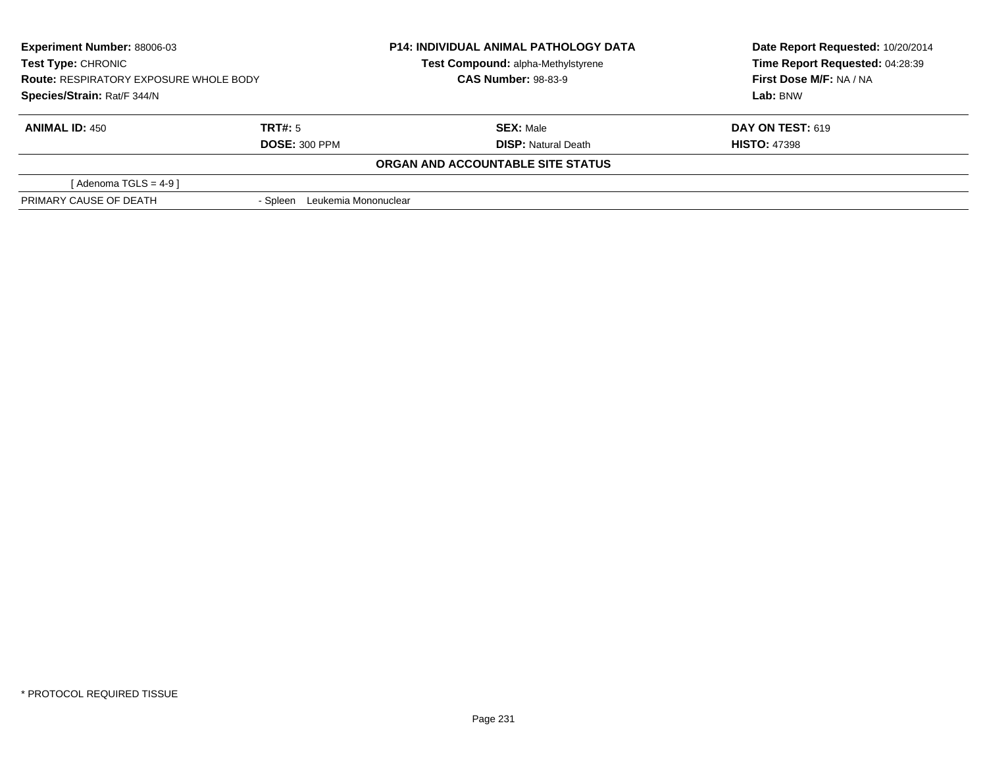| <b>Experiment Number: 88006-03</b><br>Test Type: CHRONIC<br><b>Route: RESPIRATORY EXPOSURE WHOLE BODY</b> |                                  | <b>P14: INDIVIDUAL ANIMAL PATHOLOGY DATA</b> | Date Report Requested: 10/20/2014 |
|-----------------------------------------------------------------------------------------------------------|----------------------------------|----------------------------------------------|-----------------------------------|
|                                                                                                           |                                  | Test Compound: alpha-Methylstyrene           | Time Report Requested: 04:28:39   |
|                                                                                                           |                                  | <b>CAS Number: 98-83-9</b>                   | First Dose M/F: NA / NA           |
| Species/Strain: Rat/F 344/N                                                                               |                                  |                                              | Lab: BNW                          |
| <b>ANIMAL ID: 450</b>                                                                                     | TRT#: 5                          | <b>SEX: Male</b>                             | <b>DAY ON TEST: 619</b>           |
|                                                                                                           | <b>DOSE: 300 PPM</b>             | <b>DISP:</b> Natural Death                   | <b>HISTO: 47398</b>               |
|                                                                                                           |                                  | ORGAN AND ACCOUNTABLE SITE STATUS            |                                   |
| [Adenoma TGLS = $4-9$ ]                                                                                   |                                  |                                              |                                   |
| PRIMARY CAUSE OF DEATH                                                                                    | Leukemia Mononuclear<br>- Spleen |                                              |                                   |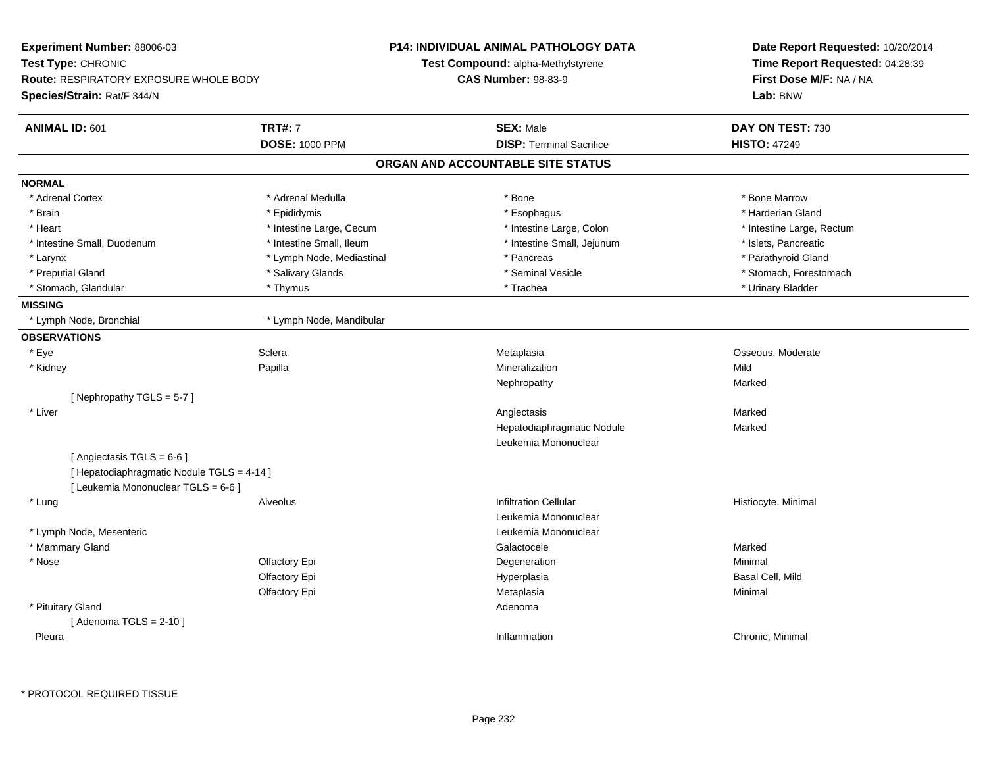| Experiment Number: 88006-03                   |                           | <b>P14: INDIVIDUAL ANIMAL PATHOLOGY DATA</b> | Date Report Requested: 10/20/2014 |
|-----------------------------------------------|---------------------------|----------------------------------------------|-----------------------------------|
| Test Type: CHRONIC                            |                           | Test Compound: alpha-Methylstyrene           | Time Report Requested: 04:28:39   |
| <b>Route: RESPIRATORY EXPOSURE WHOLE BODY</b> |                           | <b>CAS Number: 98-83-9</b>                   | First Dose M/F: NA / NA           |
| Species/Strain: Rat/F 344/N                   |                           |                                              | Lab: BNW                          |
| ANIMAL ID: 601                                | <b>TRT#: 7</b>            | <b>SEX: Male</b>                             | DAY ON TEST: 730                  |
|                                               | <b>DOSE: 1000 PPM</b>     | <b>DISP: Terminal Sacrifice</b>              | <b>HISTO: 47249</b>               |
|                                               |                           | ORGAN AND ACCOUNTABLE SITE STATUS            |                                   |
| <b>NORMAL</b>                                 |                           |                                              |                                   |
| * Adrenal Cortex                              | * Adrenal Medulla         | * Bone                                       | * Bone Marrow                     |
| * Brain                                       | * Epididymis              | * Esophagus                                  | * Harderian Gland                 |
| * Heart                                       | * Intestine Large, Cecum  | * Intestine Large, Colon                     | * Intestine Large, Rectum         |
| * Intestine Small, Duodenum                   | * Intestine Small, Ileum  | * Intestine Small, Jejunum                   | * Islets, Pancreatic              |
| * Larynx                                      | * Lymph Node, Mediastinal | * Pancreas                                   | * Parathyroid Gland               |
| * Preputial Gland                             | * Salivary Glands         | * Seminal Vesicle                            | * Stomach, Forestomach            |
| * Stomach, Glandular                          | * Thymus                  | * Trachea                                    | * Urinary Bladder                 |
| <b>MISSING</b>                                |                           |                                              |                                   |
| * Lymph Node, Bronchial                       | * Lymph Node, Mandibular  |                                              |                                   |
| <b>OBSERVATIONS</b>                           |                           |                                              |                                   |
| * Eye                                         | Sclera                    | Metaplasia                                   | Osseous, Moderate                 |
| * Kidney                                      | Papilla                   | Mineralization                               | Mild                              |
|                                               |                           | Nephropathy                                  | Marked                            |
| [Nephropathy TGLS = 5-7]                      |                           |                                              |                                   |
| * Liver                                       |                           | Angiectasis                                  | Marked                            |
|                                               |                           | Hepatodiaphragmatic Nodule                   | Marked                            |
|                                               |                           | Leukemia Mononuclear                         |                                   |
| [ Angiectasis $TGLS = 6-6$ ]                  |                           |                                              |                                   |
| [ Hepatodiaphragmatic Nodule TGLS = 4-14 ]    |                           |                                              |                                   |
| [ Leukemia Mononuclear TGLS = 6-6 ]           |                           |                                              |                                   |
| * Lung                                        | Alveolus                  | <b>Infiltration Cellular</b>                 | Histiocyte, Minimal               |
|                                               |                           | Leukemia Mononuclear                         |                                   |
| * Lymph Node, Mesenteric                      |                           | Leukemia Mononuclear                         |                                   |
| * Mammary Gland                               |                           | Galactocele                                  | Marked                            |
| * Nose                                        | Olfactory Epi             | Degeneration                                 | Minimal                           |
|                                               | Olfactory Epi             | Hyperplasia                                  | Basal Cell, Mild                  |
|                                               | Olfactory Epi             | Metaplasia                                   | Minimal                           |
| * Pituitary Gland                             |                           | Adenoma                                      |                                   |
| [Adenoma TGLS = $2-10$ ]                      |                           |                                              |                                   |
| Pleura                                        |                           | Inflammation                                 | Chronic, Minimal                  |
|                                               |                           |                                              |                                   |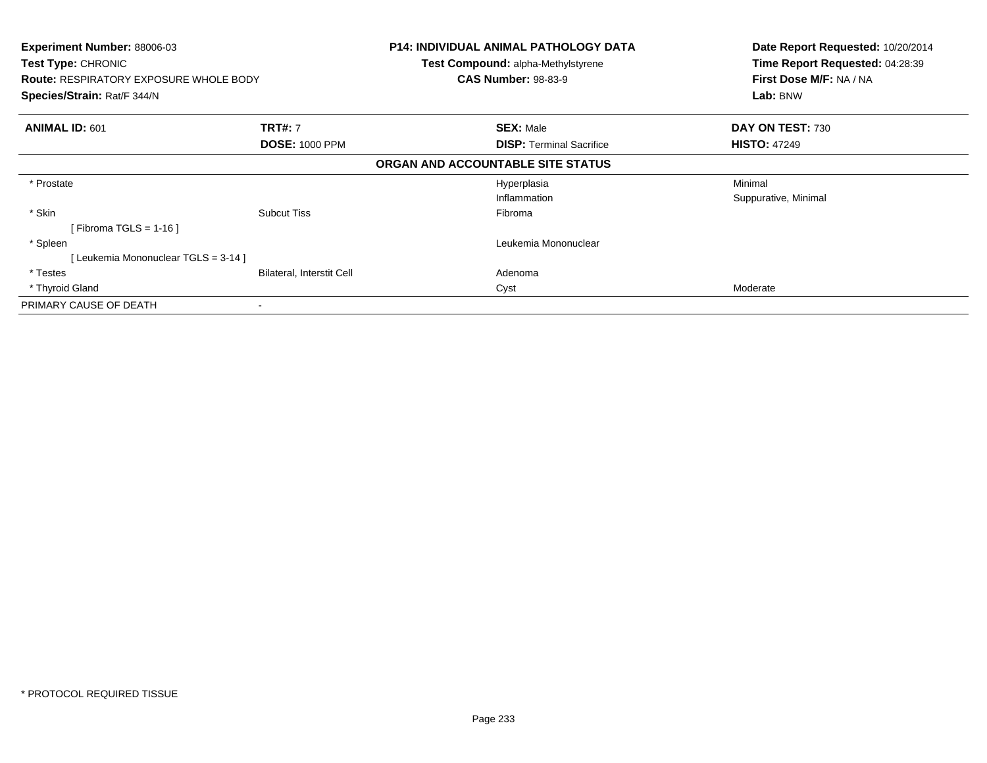| <b>Experiment Number: 88006-03</b><br>Test Type: CHRONIC<br><b>Route: RESPIRATORY EXPOSURE WHOLE BODY</b><br>Species/Strain: Rat/F 344/N |                           | <b>P14: INDIVIDUAL ANIMAL PATHOLOGY DATA</b><br><b>Test Compound: alpha-Methylstyrene</b><br><b>CAS Number: 98-83-9</b> | Date Report Requested: 10/20/2014<br>Time Report Requested: 04:28:39<br>First Dose M/F: NA / NA<br>Lab: BNW |
|------------------------------------------------------------------------------------------------------------------------------------------|---------------------------|-------------------------------------------------------------------------------------------------------------------------|-------------------------------------------------------------------------------------------------------------|
| <b>ANIMAL ID: 601</b>                                                                                                                    | <b>TRT#: 7</b>            | <b>SEX: Male</b>                                                                                                        | DAY ON TEST: 730                                                                                            |
|                                                                                                                                          | <b>DOSE: 1000 PPM</b>     | <b>DISP:</b> Terminal Sacrifice                                                                                         | <b>HISTO: 47249</b>                                                                                         |
|                                                                                                                                          |                           | ORGAN AND ACCOUNTABLE SITE STATUS                                                                                       |                                                                                                             |
| * Prostate                                                                                                                               |                           | Hyperplasia                                                                                                             | Minimal                                                                                                     |
|                                                                                                                                          |                           | Inflammation                                                                                                            | Suppurative, Minimal                                                                                        |
| * Skin                                                                                                                                   | <b>Subcut Tiss</b>        | Fibroma                                                                                                                 |                                                                                                             |
| [ Fibroma TGLS = 1-16 ]                                                                                                                  |                           |                                                                                                                         |                                                                                                             |
| * Spleen                                                                                                                                 |                           | Leukemia Mononuclear                                                                                                    |                                                                                                             |
| [Leukemia Mononuclear TGLS = 3-14]                                                                                                       |                           |                                                                                                                         |                                                                                                             |
| * Testes                                                                                                                                 | Bilateral, Interstit Cell | Adenoma                                                                                                                 |                                                                                                             |
| * Thyroid Gland                                                                                                                          |                           | Cyst                                                                                                                    | Moderate                                                                                                    |
| PRIMARY CAUSE OF DEATH                                                                                                                   |                           |                                                                                                                         |                                                                                                             |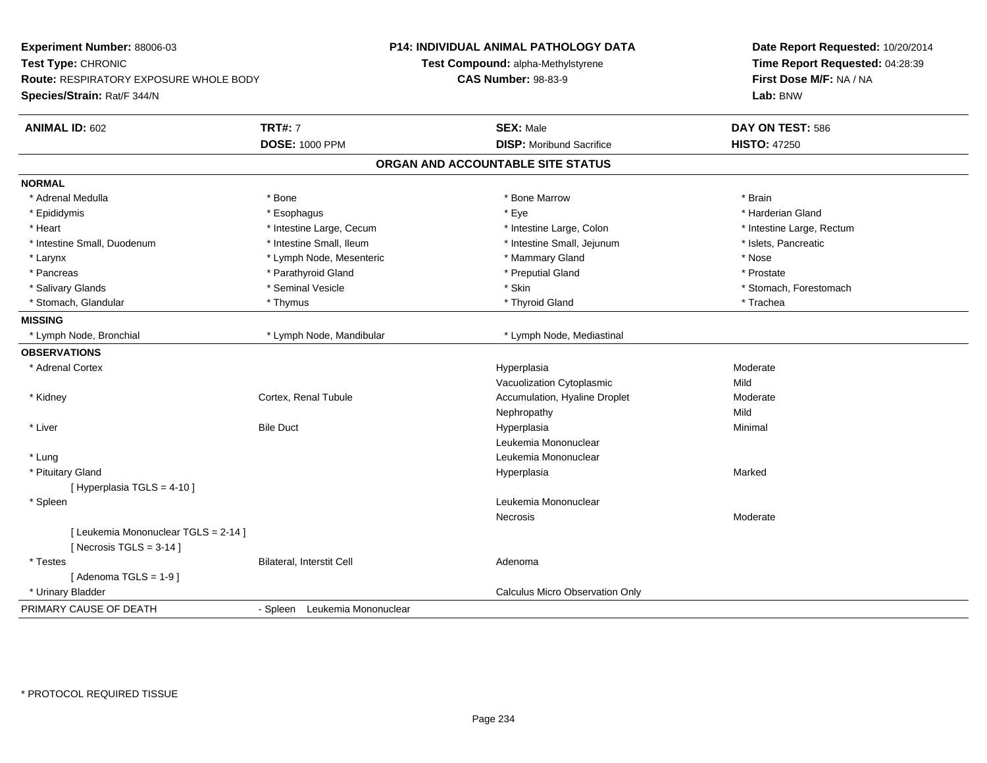| Experiment Number: 88006-03<br>Test Type: CHRONIC                 |                               | <b>P14: INDIVIDUAL ANIMAL PATHOLOGY DATA</b><br>Test Compound: alpha-Methylstyrene | Date Report Requested: 10/20/2014<br>Time Report Requested: 04:28:39 |
|-------------------------------------------------------------------|-------------------------------|------------------------------------------------------------------------------------|----------------------------------------------------------------------|
| Route: RESPIRATORY EXPOSURE WHOLE BODY                            |                               | <b>CAS Number: 98-83-9</b>                                                         | First Dose M/F: NA / NA                                              |
| Species/Strain: Rat/F 344/N                                       |                               |                                                                                    | Lab: BNW                                                             |
| <b>ANIMAL ID: 602</b>                                             | <b>TRT#: 7</b>                | <b>SEX: Male</b>                                                                   | DAY ON TEST: 586                                                     |
|                                                                   | <b>DOSE: 1000 PPM</b>         | <b>DISP:</b> Moribund Sacrifice                                                    | <b>HISTO: 47250</b>                                                  |
|                                                                   |                               | ORGAN AND ACCOUNTABLE SITE STATUS                                                  |                                                                      |
| <b>NORMAL</b>                                                     |                               |                                                                                    |                                                                      |
| * Adrenal Medulla                                                 | * Bone                        | * Bone Marrow                                                                      | * Brain                                                              |
| * Epididymis                                                      | * Esophagus                   | * Eye                                                                              | * Harderian Gland                                                    |
| * Heart                                                           | * Intestine Large, Cecum      | * Intestine Large, Colon                                                           | * Intestine Large, Rectum                                            |
| * Intestine Small, Duodenum                                       | * Intestine Small, Ileum      | * Intestine Small, Jejunum                                                         | * Islets, Pancreatic                                                 |
| * Larynx                                                          | * Lymph Node, Mesenteric      | * Mammary Gland                                                                    | * Nose                                                               |
| * Pancreas                                                        | * Parathyroid Gland           | * Preputial Gland                                                                  | * Prostate                                                           |
| * Salivary Glands                                                 | * Seminal Vesicle             | * Skin                                                                             | * Stomach, Forestomach                                               |
| * Stomach, Glandular                                              | * Thymus                      | * Thyroid Gland                                                                    | * Trachea                                                            |
| <b>MISSING</b>                                                    |                               |                                                                                    |                                                                      |
| * Lymph Node, Bronchial                                           | * Lymph Node, Mandibular      | * Lymph Node, Mediastinal                                                          |                                                                      |
| <b>OBSERVATIONS</b>                                               |                               |                                                                                    |                                                                      |
| * Adrenal Cortex                                                  |                               | Hyperplasia                                                                        | Moderate                                                             |
|                                                                   |                               | Vacuolization Cytoplasmic                                                          | Mild                                                                 |
| * Kidney                                                          | Cortex, Renal Tubule          | Accumulation, Hyaline Droplet                                                      | Moderate                                                             |
|                                                                   |                               | Nephropathy                                                                        | Mild                                                                 |
| * Liver                                                           | <b>Bile Duct</b>              | Hyperplasia                                                                        | Minimal                                                              |
|                                                                   |                               | Leukemia Mononuclear                                                               |                                                                      |
| * Lung                                                            |                               | Leukemia Mononuclear                                                               |                                                                      |
| * Pituitary Gland                                                 |                               | Hyperplasia                                                                        | Marked                                                               |
| [ Hyperplasia TGLS = 4-10 ]                                       |                               |                                                                                    |                                                                      |
| * Spleen                                                          |                               | Leukemia Mononuclear                                                               |                                                                      |
|                                                                   |                               | Necrosis                                                                           | Moderate                                                             |
| [ Leukemia Mononuclear TGLS = 2-14 ]<br>[Necrosis $TGLS = 3-14$ ] |                               |                                                                                    |                                                                      |
| * Testes                                                          | Bilateral, Interstit Cell     | Adenoma                                                                            |                                                                      |
| [Adenoma TGLS = $1-9$ ]                                           |                               |                                                                                    |                                                                      |
| * Urinary Bladder                                                 |                               | <b>Calculus Micro Observation Only</b>                                             |                                                                      |
| PRIMARY CAUSE OF DEATH                                            | - Spleen Leukemia Mononuclear |                                                                                    |                                                                      |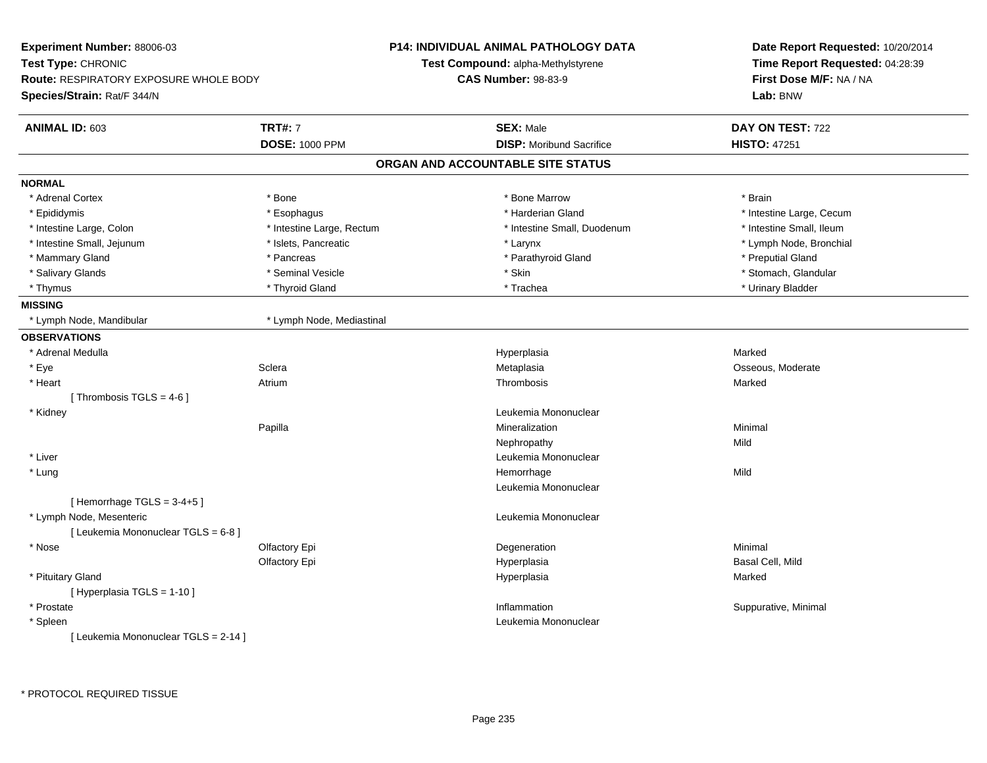| Experiment Number: 88006-03            |                           | <b>P14: INDIVIDUAL ANIMAL PATHOLOGY DATA</b> | Date Report Requested: 10/20/2014 |
|----------------------------------------|---------------------------|----------------------------------------------|-----------------------------------|
| Test Type: CHRONIC                     |                           | Test Compound: alpha-Methylstyrene           | Time Report Requested: 04:28:39   |
| Route: RESPIRATORY EXPOSURE WHOLE BODY |                           | <b>CAS Number: 98-83-9</b>                   | First Dose M/F: NA / NA           |
| Species/Strain: Rat/F 344/N            |                           |                                              | Lab: BNW                          |
| ANIMAL ID: 603                         | <b>TRT#: 7</b>            | <b>SEX: Male</b>                             | DAY ON TEST: 722                  |
|                                        | <b>DOSE: 1000 PPM</b>     | <b>DISP:</b> Moribund Sacrifice              | <b>HISTO: 47251</b>               |
|                                        |                           | ORGAN AND ACCOUNTABLE SITE STATUS            |                                   |
| <b>NORMAL</b>                          |                           |                                              |                                   |
| * Adrenal Cortex                       | * Bone                    | * Bone Marrow                                | * Brain                           |
| * Epididymis                           | * Esophagus               | * Harderian Gland                            | * Intestine Large, Cecum          |
| * Intestine Large, Colon               | * Intestine Large, Rectum | * Intestine Small, Duodenum                  | * Intestine Small, Ileum          |
| * Intestine Small, Jejunum             | * Islets, Pancreatic      | * Larynx                                     | * Lymph Node, Bronchial           |
| * Mammary Gland                        | * Pancreas                | * Parathyroid Gland                          | * Preputial Gland                 |
| * Salivary Glands                      | * Seminal Vesicle         | * Skin                                       | * Stomach, Glandular              |
| * Thymus                               | * Thyroid Gland           | * Trachea                                    | * Urinary Bladder                 |
| <b>MISSING</b>                         |                           |                                              |                                   |
| * Lymph Node, Mandibular               | * Lymph Node, Mediastinal |                                              |                                   |
| <b>OBSERVATIONS</b>                    |                           |                                              |                                   |
| * Adrenal Medulla                      |                           | Hyperplasia                                  | Marked                            |
| * Eye                                  | Sclera                    | Metaplasia                                   | Osseous, Moderate                 |
| * Heart                                | Atrium                    | Thrombosis                                   | Marked                            |
| [Thrombosis TGLS = $4-6$ ]             |                           |                                              |                                   |
| * Kidney                               |                           | Leukemia Mononuclear                         |                                   |
|                                        | Papilla                   | Mineralization                               | Minimal                           |
|                                        |                           | Nephropathy                                  | Mild                              |
| * Liver                                |                           | Leukemia Mononuclear                         |                                   |
| * Lung                                 |                           | Hemorrhage                                   | Mild                              |
|                                        |                           | Leukemia Mononuclear                         |                                   |
| [Hemorrhage TGLS = 3-4+5]              |                           |                                              |                                   |
| * Lymph Node, Mesenteric               |                           | Leukemia Mononuclear                         |                                   |
| [ Leukemia Mononuclear TGLS = 6-8 ]    |                           |                                              |                                   |
| * Nose                                 | Olfactory Epi             | Degeneration                                 | Minimal                           |
|                                        | Olfactory Epi             | Hyperplasia                                  | Basal Cell, Mild                  |
| * Pituitary Gland                      |                           | Hyperplasia                                  | Marked                            |
| [ Hyperplasia TGLS = 1-10 ]            |                           |                                              |                                   |
| * Prostate                             |                           | Inflammation                                 | Suppurative, Minimal              |
| * Spleen                               |                           | Leukemia Mononuclear                         |                                   |
| [ Leukemia Mononuclear TGLS = 2-14 ]   |                           |                                              |                                   |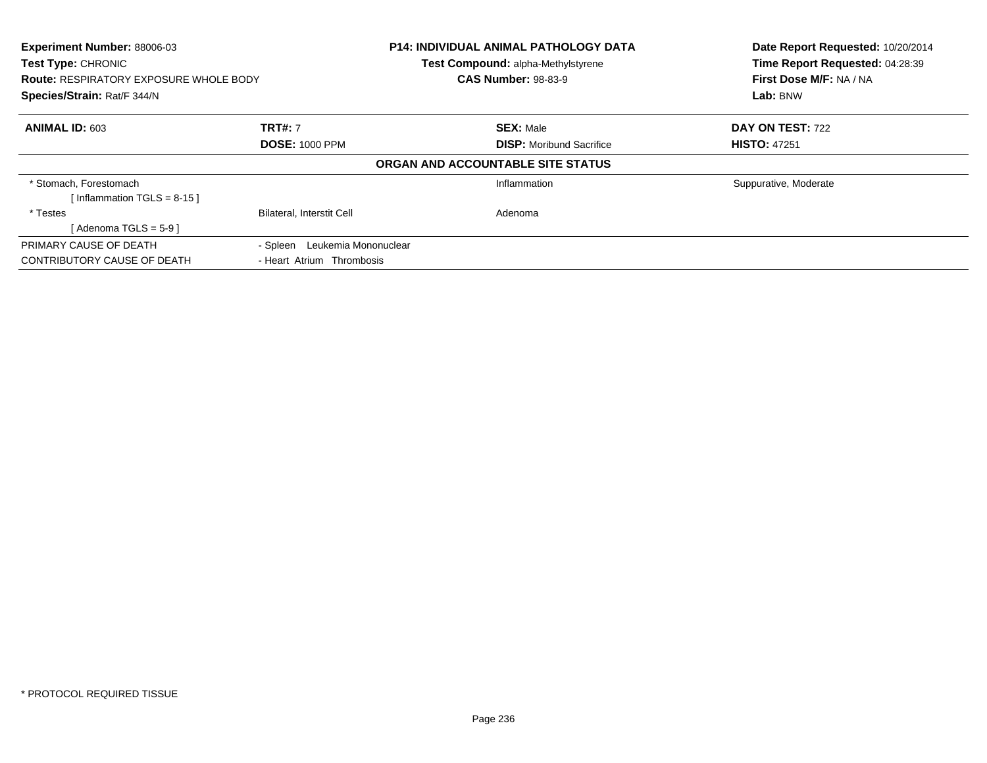| <b>Experiment Number: 88006-03</b><br><b>Test Type: CHRONIC</b><br><b>Route: RESPIRATORY EXPOSURE WHOLE BODY</b><br>Species/Strain: Rat/F 344/N |                                  | <b>P14: INDIVIDUAL ANIMAL PATHOLOGY DATA</b><br>Test Compound: alpha-Methylstyrene<br><b>CAS Number: 98-83-9</b> | Date Report Requested: 10/20/2014<br>Time Report Requested: 04:28:39<br>First Dose M/F: NA / NA<br>Lab: BNW |
|-------------------------------------------------------------------------------------------------------------------------------------------------|----------------------------------|------------------------------------------------------------------------------------------------------------------|-------------------------------------------------------------------------------------------------------------|
| <b>ANIMAL ID: 603</b>                                                                                                                           | <b>TRT#: 7</b>                   | <b>SEX: Male</b>                                                                                                 | DAY ON TEST: 722                                                                                            |
|                                                                                                                                                 | <b>DOSE: 1000 PPM</b>            | <b>DISP:</b> Moribund Sacrifice                                                                                  | <b>HISTO: 47251</b>                                                                                         |
|                                                                                                                                                 |                                  | ORGAN AND ACCOUNTABLE SITE STATUS                                                                                |                                                                                                             |
| * Stomach, Forestomach                                                                                                                          |                                  | Inflammation                                                                                                     | Suppurative, Moderate                                                                                       |
| [Inflammation TGLS = $8-15$ ]                                                                                                                   |                                  |                                                                                                                  |                                                                                                             |
| * Testes                                                                                                                                        | <b>Bilateral, Interstit Cell</b> | Adenoma                                                                                                          |                                                                                                             |
| [Adenoma TGLS = $5-9$ ]                                                                                                                         |                                  |                                                                                                                  |                                                                                                             |
| PRIMARY CAUSE OF DEATH                                                                                                                          | Leukemia Mononuclear<br>- Spleen |                                                                                                                  |                                                                                                             |
| CONTRIBUTORY CAUSE OF DEATH                                                                                                                     | - Heart Atrium Thrombosis        |                                                                                                                  |                                                                                                             |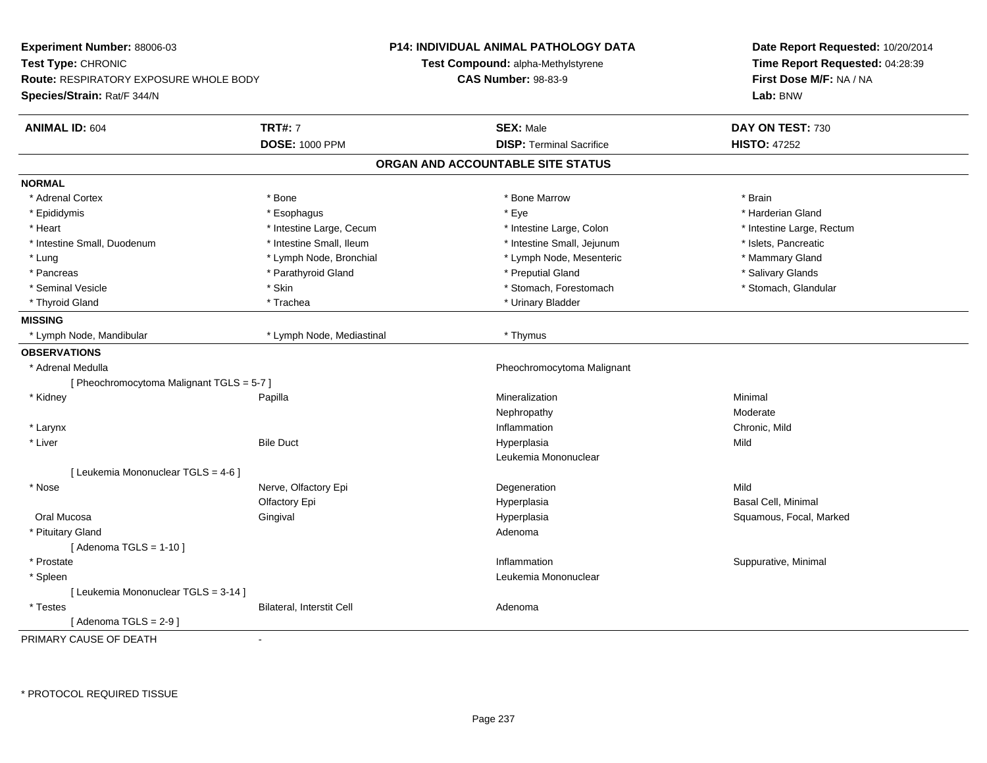| Experiment Number: 88006-03                   |                           | <b>P14: INDIVIDUAL ANIMAL PATHOLOGY DATA</b> | Date Report Requested: 10/20/2014 |
|-----------------------------------------------|---------------------------|----------------------------------------------|-----------------------------------|
| Test Type: CHRONIC                            |                           | Test Compound: alpha-Methylstyrene           | Time Report Requested: 04:28:39   |
| <b>Route: RESPIRATORY EXPOSURE WHOLE BODY</b> |                           | <b>CAS Number: 98-83-9</b>                   | First Dose M/F: NA / NA           |
| Species/Strain: Rat/F 344/N                   |                           |                                              | Lab: BNW                          |
| <b>ANIMAL ID: 604</b>                         | <b>TRT#: 7</b>            | <b>SEX: Male</b>                             | DAY ON TEST: 730                  |
|                                               | <b>DOSE: 1000 PPM</b>     | <b>DISP: Terminal Sacrifice</b>              | <b>HISTO: 47252</b>               |
|                                               |                           | ORGAN AND ACCOUNTABLE SITE STATUS            |                                   |
| <b>NORMAL</b>                                 |                           |                                              |                                   |
| * Adrenal Cortex                              | * Bone                    | * Bone Marrow                                | * Brain                           |
| * Epididymis                                  | * Esophagus               | * Eye                                        | * Harderian Gland                 |
| * Heart                                       | * Intestine Large, Cecum  | * Intestine Large, Colon                     | * Intestine Large, Rectum         |
| * Intestine Small, Duodenum                   | * Intestine Small, Ileum  | * Intestine Small, Jejunum                   | * Islets, Pancreatic              |
| * Lung                                        | * Lymph Node, Bronchial   | * Lymph Node, Mesenteric                     | * Mammary Gland                   |
| * Pancreas                                    | * Parathyroid Gland       | * Preputial Gland                            | * Salivary Glands                 |
| * Seminal Vesicle                             | * Skin                    | * Stomach, Forestomach                       | * Stomach, Glandular              |
| * Thyroid Gland                               | * Trachea                 | * Urinary Bladder                            |                                   |
| <b>MISSING</b>                                |                           |                                              |                                   |
| * Lymph Node, Mandibular                      | * Lymph Node, Mediastinal | * Thymus                                     |                                   |
| <b>OBSERVATIONS</b>                           |                           |                                              |                                   |
| * Adrenal Medulla                             |                           | Pheochromocytoma Malignant                   |                                   |
| [ Pheochromocytoma Malignant TGLS = 5-7 ]     |                           |                                              |                                   |
| * Kidney                                      | Papilla                   | Mineralization                               | Minimal                           |
|                                               |                           | Nephropathy                                  | Moderate                          |
| * Larynx                                      |                           | Inflammation                                 | Chronic, Mild                     |
| * Liver                                       | <b>Bile Duct</b>          | Hyperplasia                                  | Mild                              |
|                                               |                           | Leukemia Mononuclear                         |                                   |
| [ Leukemia Mononuclear TGLS = 4-6 ]           |                           |                                              |                                   |
| * Nose                                        | Nerve, Olfactory Epi      | Degeneration                                 | Mild                              |
|                                               | Olfactory Epi             | Hyperplasia                                  | <b>Basal Cell, Minimal</b>        |
| Oral Mucosa                                   | Gingival                  | Hyperplasia                                  | Squamous, Focal, Marked           |
| * Pituitary Gland                             |                           | Adenoma                                      |                                   |
| [Adenoma TGLS = $1-10$ ]                      |                           |                                              |                                   |
| * Prostate                                    |                           | Inflammation                                 | Suppurative, Minimal              |
| * Spleen                                      |                           | Leukemia Mononuclear                         |                                   |
| [ Leukemia Mononuclear TGLS = 3-14 ]          |                           |                                              |                                   |
| * Testes                                      | Bilateral, Interstit Cell | Adenoma                                      |                                   |
| [Adenoma TGLS = $2-9$ ]                       |                           |                                              |                                   |
| PRIMARY CAUSE OF DEATH                        | $\overline{a}$            |                                              |                                   |

\* PROTOCOL REQUIRED TISSUE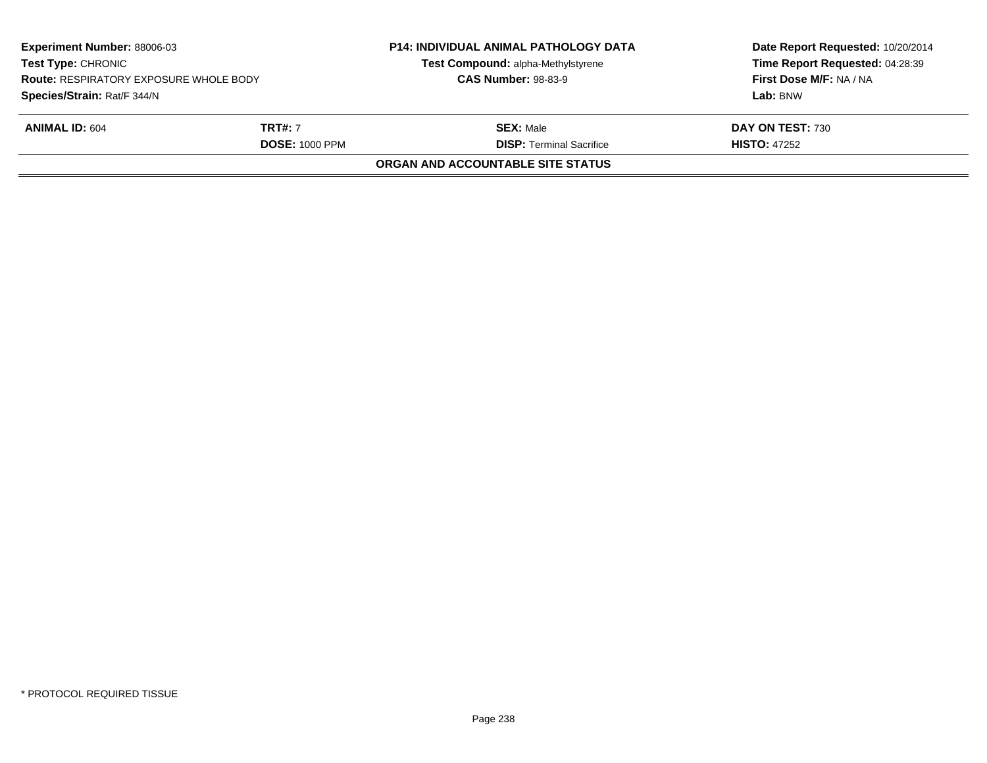| <b>Experiment Number: 88006-03</b><br><b>Test Type: CHRONIC</b><br><b>Route: RESPIRATORY EXPOSURE WHOLE BODY</b> |                       | <b>P14: INDIVIDUAL ANIMAL PATHOLOGY DATA</b><br>Test Compound: alpha-Methylstyrene<br><b>CAS Number: 98-83-9</b> | Date Report Requested: 10/20/2014<br>Time Report Requested: 04:28:39<br>First Dose M/F: NA / NA |
|------------------------------------------------------------------------------------------------------------------|-----------------------|------------------------------------------------------------------------------------------------------------------|-------------------------------------------------------------------------------------------------|
| Species/Strain: Rat/F 344/N                                                                                      |                       |                                                                                                                  | Lab: BNW                                                                                        |
| <b>ANIMAL ID: 604</b>                                                                                            | <b>TRT#:</b> 7        | <b>SEX: Male</b>                                                                                                 | DAY ON TEST: 730                                                                                |
|                                                                                                                  | <b>DOSE: 1000 PPM</b> | <b>DISP: Terminal Sacrifice</b>                                                                                  | <b>HISTO: 47252</b>                                                                             |
|                                                                                                                  |                       | ORGAN AND ACCOUNTABLE SITE STATUS                                                                                |                                                                                                 |
|                                                                                                                  |                       |                                                                                                                  |                                                                                                 |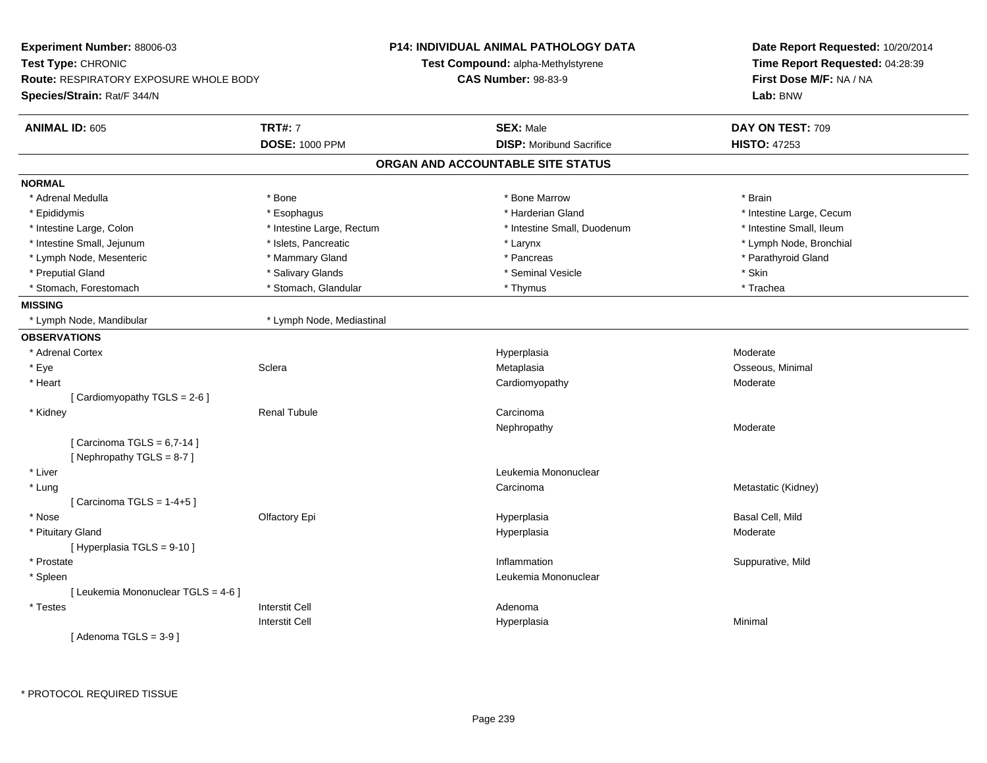| Experiment Number: 88006-03            |                           | <b>P14: INDIVIDUAL ANIMAL PATHOLOGY DATA</b> | Date Report Requested: 10/20/2014 |
|----------------------------------------|---------------------------|----------------------------------------------|-----------------------------------|
| Test Type: CHRONIC                     |                           | Test Compound: alpha-Methylstyrene           | Time Report Requested: 04:28:39   |
| Route: RESPIRATORY EXPOSURE WHOLE BODY |                           | <b>CAS Number: 98-83-9</b>                   | First Dose M/F: NA / NA           |
| Species/Strain: Rat/F 344/N            |                           |                                              | Lab: BNW                          |
| <b>ANIMAL ID: 605</b>                  | <b>TRT#: 7</b>            | <b>SEX: Male</b>                             | DAY ON TEST: 709                  |
|                                        | <b>DOSE: 1000 PPM</b>     | <b>DISP:</b> Moribund Sacrifice              | <b>HISTO: 47253</b>               |
|                                        |                           | ORGAN AND ACCOUNTABLE SITE STATUS            |                                   |
| <b>NORMAL</b>                          |                           |                                              |                                   |
| * Adrenal Medulla                      | * Bone                    | * Bone Marrow                                | * Brain                           |
| * Epididymis                           | * Esophagus               | * Harderian Gland                            | * Intestine Large, Cecum          |
| * Intestine Large, Colon               | * Intestine Large, Rectum | * Intestine Small, Duodenum                  | * Intestine Small, Ileum          |
| * Intestine Small, Jejunum             | * Islets, Pancreatic      | * Larynx                                     | * Lymph Node, Bronchial           |
| * Lymph Node, Mesenteric               | * Mammary Gland           | * Pancreas                                   | * Parathyroid Gland               |
| * Preputial Gland                      | * Salivary Glands         | * Seminal Vesicle                            | * Skin                            |
| * Stomach, Forestomach                 | * Stomach, Glandular      | * Thymus                                     | * Trachea                         |
| <b>MISSING</b>                         |                           |                                              |                                   |
| * Lymph Node, Mandibular               | * Lymph Node, Mediastinal |                                              |                                   |
| <b>OBSERVATIONS</b>                    |                           |                                              |                                   |
| * Adrenal Cortex                       |                           | Hyperplasia                                  | Moderate                          |
| * Eye                                  | Sclera                    | Metaplasia                                   | Osseous, Minimal                  |
| * Heart                                |                           | Cardiomyopathy                               | Moderate                          |
| [Cardiomyopathy TGLS = 2-6]            |                           |                                              |                                   |
| * Kidney                               | <b>Renal Tubule</b>       | Carcinoma                                    |                                   |
|                                        |                           | Nephropathy                                  | Moderate                          |
| [Carcinoma TGLS = $6,7-14$ ]           |                           |                                              |                                   |
| [Nephropathy TGLS = 8-7]               |                           |                                              |                                   |
| * Liver                                |                           | Leukemia Mononuclear                         |                                   |
| * Lung                                 |                           | Carcinoma                                    | Metastatic (Kidney)               |
| [Carcinoma TGLS = $1-4+5$ ]            |                           |                                              |                                   |
| * Nose                                 | Olfactory Epi             | Hyperplasia                                  | Basal Cell, Mild                  |
| * Pituitary Gland                      |                           | Hyperplasia                                  | Moderate                          |
| [ Hyperplasia TGLS = 9-10 ]            |                           |                                              |                                   |
| * Prostate                             |                           | Inflammation                                 | Suppurative, Mild                 |
| * Spleen                               |                           | Leukemia Mononuclear                         |                                   |
| [ Leukemia Mononuclear TGLS = 4-6 ]    |                           |                                              |                                   |
| * Testes                               | <b>Interstit Cell</b>     | Adenoma                                      |                                   |
|                                        | <b>Interstit Cell</b>     | Hyperplasia                                  | Minimal                           |
| [Adenoma TGLS = $3-9$ ]                |                           |                                              |                                   |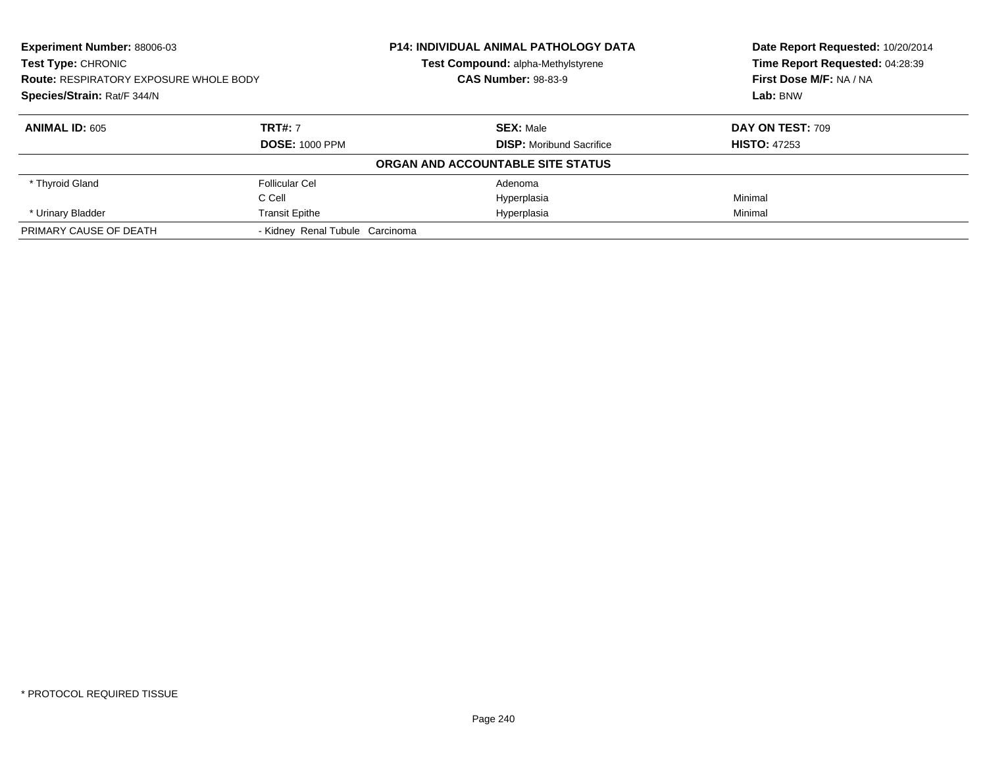| <b>Experiment Number: 88006-03</b><br><b>Test Type: CHRONIC</b><br><b>Route: RESPIRATORY EXPOSURE WHOLE BODY</b><br>Species/Strain: Rat/F 344/N |                                 | <b>P14: INDIVIDUAL ANIMAL PATHOLOGY DATA</b> | Date Report Requested: 10/20/2014 |
|-------------------------------------------------------------------------------------------------------------------------------------------------|---------------------------------|----------------------------------------------|-----------------------------------|
|                                                                                                                                                 |                                 | Test Compound: alpha-Methylstyrene           | Time Report Requested: 04:28:39   |
|                                                                                                                                                 |                                 | <b>CAS Number: 98-83-9</b>                   | First Dose M/F: NA / NA           |
|                                                                                                                                                 |                                 |                                              | Lab: BNW                          |
| <b>ANIMAL ID: 605</b>                                                                                                                           | <b>TRT#: 7</b>                  | <b>SEX: Male</b>                             | DAY ON TEST: 709                  |
|                                                                                                                                                 | <b>DOSE: 1000 PPM</b>           | <b>DISP:</b> Moribund Sacrifice              | <b>HISTO: 47253</b>               |
|                                                                                                                                                 |                                 | ORGAN AND ACCOUNTABLE SITE STATUS            |                                   |
| * Thyroid Gland                                                                                                                                 | Follicular Cel                  | Adenoma                                      |                                   |
|                                                                                                                                                 | C Cell                          | Hyperplasia                                  | Minimal                           |
| * Urinary Bladder                                                                                                                               | <b>Transit Epithe</b>           | Hyperplasia                                  | Minimal                           |
| PRIMARY CAUSE OF DEATH                                                                                                                          | - Kidney Renal Tubule Carcinoma |                                              |                                   |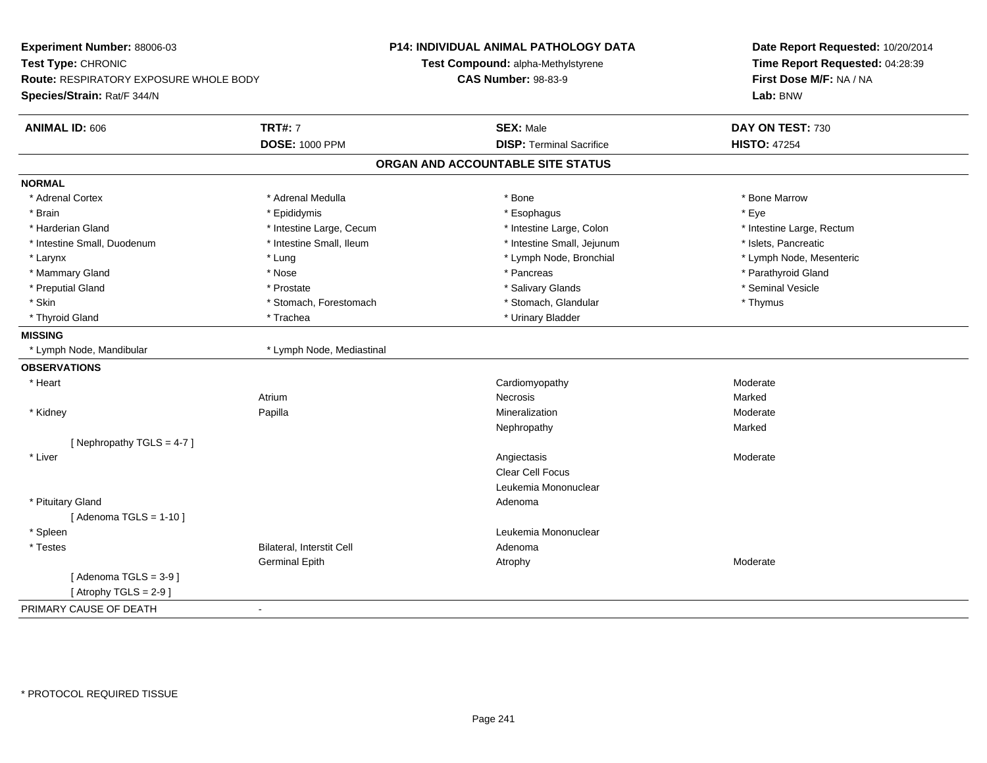| Experiment Number: 88006-03            |                           | P14: INDIVIDUAL ANIMAL PATHOLOGY DATA | Date Report Requested: 10/20/2014                          |
|----------------------------------------|---------------------------|---------------------------------------|------------------------------------------------------------|
| Test Type: CHRONIC                     |                           | Test Compound: alpha-Methylstyrene    | Time Report Requested: 04:28:39<br>First Dose M/F: NA / NA |
| Route: RESPIRATORY EXPOSURE WHOLE BODY |                           | <b>CAS Number: 98-83-9</b>            |                                                            |
| Species/Strain: Rat/F 344/N            |                           |                                       | Lab: BNW                                                   |
| <b>ANIMAL ID: 606</b>                  | <b>TRT#: 7</b>            | <b>SEX: Male</b>                      | DAY ON TEST: 730                                           |
|                                        | <b>DOSE: 1000 PPM</b>     | <b>DISP: Terminal Sacrifice</b>       | <b>HISTO: 47254</b>                                        |
|                                        |                           | ORGAN AND ACCOUNTABLE SITE STATUS     |                                                            |
| <b>NORMAL</b>                          |                           |                                       |                                                            |
| * Adrenal Cortex                       | * Adrenal Medulla         | * Bone                                | * Bone Marrow                                              |
| * Brain                                | * Epididymis              | * Esophagus                           | * Eye                                                      |
| * Harderian Gland                      | * Intestine Large, Cecum  | * Intestine Large, Colon              | * Intestine Large, Rectum                                  |
| * Intestine Small, Duodenum            | * Intestine Small, Ileum  | * Intestine Small, Jejunum            | * Islets, Pancreatic                                       |
| * Larynx                               | * Lung                    | * Lymph Node, Bronchial               | * Lymph Node, Mesenteric                                   |
| * Mammary Gland                        | * Nose                    | * Pancreas                            | * Parathyroid Gland                                        |
| * Preputial Gland                      | * Prostate                | * Salivary Glands                     | * Seminal Vesicle                                          |
| * Skin                                 | * Stomach, Forestomach    | * Stomach, Glandular                  | * Thymus                                                   |
| * Thyroid Gland                        | * Trachea                 | * Urinary Bladder                     |                                                            |
| <b>MISSING</b>                         |                           |                                       |                                                            |
| * Lymph Node, Mandibular               | * Lymph Node, Mediastinal |                                       |                                                            |
| <b>OBSERVATIONS</b>                    |                           |                                       |                                                            |
| * Heart                                |                           | Cardiomyopathy                        | Moderate                                                   |
|                                        | Atrium                    | <b>Necrosis</b>                       | Marked                                                     |
| * Kidney                               | Papilla                   | Mineralization                        | Moderate                                                   |
|                                        |                           | Nephropathy                           | Marked                                                     |
| [Nephropathy TGLS = $4-7$ ]            |                           |                                       |                                                            |
| * Liver                                |                           | Angiectasis                           | Moderate                                                   |
|                                        |                           | Clear Cell Focus                      |                                                            |
|                                        |                           | Leukemia Mononuclear                  |                                                            |
| * Pituitary Gland                      |                           | Adenoma                               |                                                            |
| [Adenoma TGLS = $1-10$ ]               |                           |                                       |                                                            |
| * Spleen                               |                           | Leukemia Mononuclear                  |                                                            |
| * Testes                               | Bilateral, Interstit Cell | Adenoma                               |                                                            |
|                                        | <b>Germinal Epith</b>     | Atrophy                               | Moderate                                                   |
| [Adenoma TGLS = $3-9$ ]                |                           |                                       |                                                            |
| [Atrophy TGLS = $2-9$ ]                |                           |                                       |                                                            |
| PRIMARY CAUSE OF DEATH                 | $\blacksquare$            |                                       |                                                            |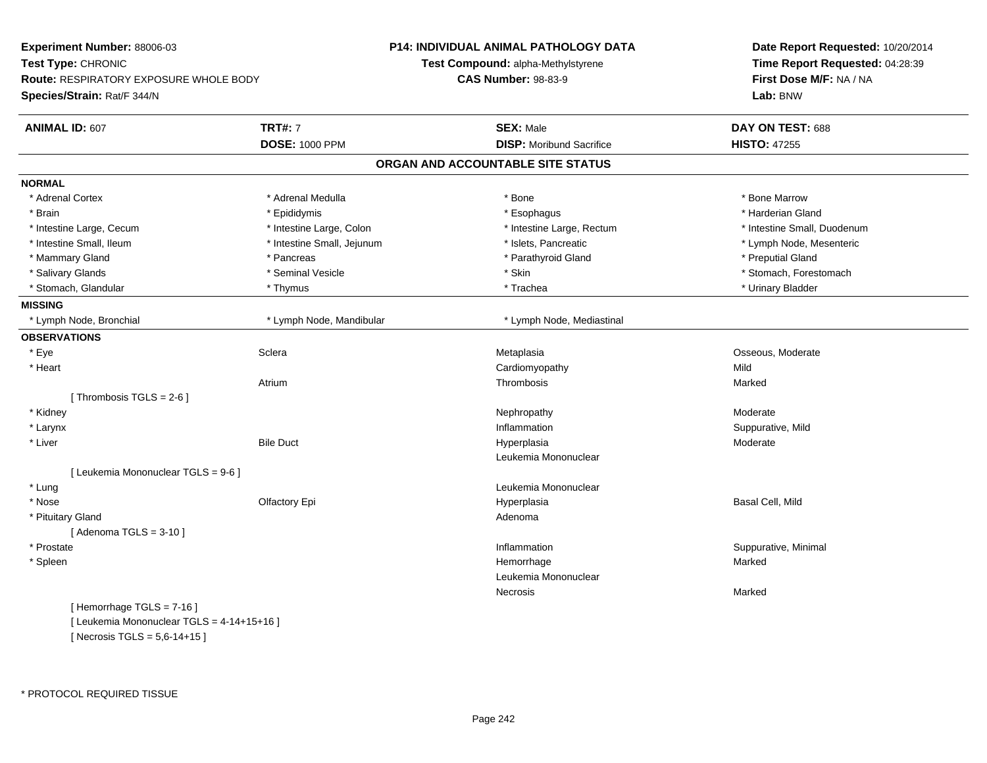| Experiment Number: 88006-03                   |                            | P14: INDIVIDUAL ANIMAL PATHOLOGY DATA | Date Report Requested: 10/20/2014<br>Time Report Requested: 04:28:39 |  |
|-----------------------------------------------|----------------------------|---------------------------------------|----------------------------------------------------------------------|--|
| Test Type: CHRONIC                            |                            | Test Compound: alpha-Methylstyrene    |                                                                      |  |
| <b>Route: RESPIRATORY EXPOSURE WHOLE BODY</b> |                            | <b>CAS Number: 98-83-9</b>            | First Dose M/F: NA / NA                                              |  |
| Species/Strain: Rat/F 344/N                   |                            |                                       | Lab: BNW                                                             |  |
|                                               |                            |                                       |                                                                      |  |
| <b>ANIMAL ID: 607</b>                         | <b>TRT#: 7</b>             | <b>SEX: Male</b>                      | DAY ON TEST: 688                                                     |  |
|                                               | <b>DOSE: 1000 PPM</b>      | <b>DISP:</b> Moribund Sacrifice       | <b>HISTO: 47255</b>                                                  |  |
|                                               |                            | ORGAN AND ACCOUNTABLE SITE STATUS     |                                                                      |  |
| <b>NORMAL</b>                                 |                            |                                       |                                                                      |  |
| * Adrenal Cortex                              | * Adrenal Medulla          | * Bone                                | * Bone Marrow                                                        |  |
| * Brain                                       | * Epididymis               | * Esophagus                           | * Harderian Gland                                                    |  |
| * Intestine Large, Cecum                      | * Intestine Large, Colon   | * Intestine Large, Rectum             | * Intestine Small, Duodenum                                          |  |
| * Intestine Small, Ileum                      | * Intestine Small, Jejunum | * Islets, Pancreatic                  | * Lymph Node, Mesenteric                                             |  |
| * Mammary Gland                               | * Pancreas                 | * Parathyroid Gland                   | * Preputial Gland                                                    |  |
| * Salivary Glands                             | * Seminal Vesicle          | * Skin                                | * Stomach, Forestomach                                               |  |
| * Stomach, Glandular                          | * Thymus                   | * Trachea                             | * Urinary Bladder                                                    |  |
| <b>MISSING</b>                                |                            |                                       |                                                                      |  |
| * Lymph Node, Bronchial                       | * Lymph Node, Mandibular   | * Lymph Node, Mediastinal             |                                                                      |  |
| <b>OBSERVATIONS</b>                           |                            |                                       |                                                                      |  |
| * Eye                                         | Sclera                     | Metaplasia                            | Osseous, Moderate                                                    |  |
| * Heart                                       |                            | Cardiomyopathy                        | Mild                                                                 |  |
|                                               | Atrium                     | Thrombosis                            | Marked                                                               |  |
| [Thrombosis TGLS = $2-6$ ]                    |                            |                                       |                                                                      |  |
| * Kidney                                      |                            | Nephropathy                           | Moderate                                                             |  |
| * Larynx                                      |                            | Inflammation                          | Suppurative, Mild                                                    |  |
| * Liver                                       | <b>Bile Duct</b>           | Hyperplasia                           | Moderate                                                             |  |
|                                               |                            | Leukemia Mononuclear                  |                                                                      |  |
| [ Leukemia Mononuclear TGLS = 9-6 ]           |                            |                                       |                                                                      |  |
| * Lung                                        |                            | Leukemia Mononuclear                  |                                                                      |  |
| * Nose                                        | Olfactory Epi              | Hyperplasia                           | Basal Cell, Mild                                                     |  |
| * Pituitary Gland                             |                            | Adenoma                               |                                                                      |  |
| [Adenoma TGLS = $3-10$ ]                      |                            |                                       |                                                                      |  |
| * Prostate                                    |                            | Inflammation                          | Suppurative, Minimal                                                 |  |
| * Spleen                                      |                            | Hemorrhage                            | Marked                                                               |  |
|                                               |                            | Leukemia Mononuclear                  |                                                                      |  |
|                                               |                            | Necrosis                              | Marked                                                               |  |
| [Hemorrhage TGLS = 7-16]                      |                            |                                       |                                                                      |  |
| [ Leukemia Mononuclear TGLS = 4-14+15+16 ]    |                            |                                       |                                                                      |  |

 $[$  Necrosis TGLS = 5,6-14+15 ]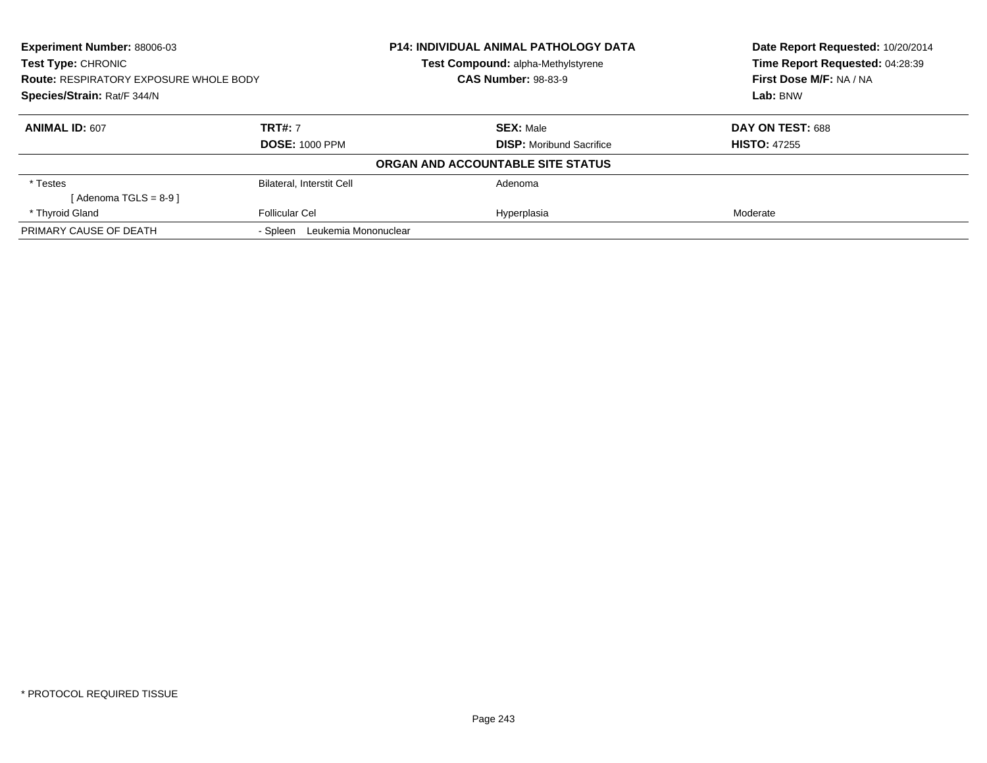| <b>Experiment Number: 88006-03</b><br><b>Test Type: CHRONIC</b> |                                                                             | P14: INDIVIDUAL ANIMAL PATHOLOGY DATA | Date Report Requested: 10/20/2014<br>Time Report Requested: 04:28:39 |
|-----------------------------------------------------------------|-----------------------------------------------------------------------------|---------------------------------------|----------------------------------------------------------------------|
|                                                                 |                                                                             | Test Compound: alpha-Methylstyrene    |                                                                      |
|                                                                 | <b>CAS Number: 98-83-9</b><br><b>Route: RESPIRATORY EXPOSURE WHOLE BODY</b> |                                       | First Dose M/F: NA / NA                                              |
| Species/Strain: Rat/F 344/N                                     |                                                                             |                                       | Lab: BNW                                                             |
| <b>ANIMAL ID: 607</b>                                           | <b>TRT#: 7</b>                                                              | <b>SEX: Male</b>                      | DAY ON TEST: 688                                                     |
|                                                                 | <b>DOSE: 1000 PPM</b>                                                       | <b>DISP:</b> Moribund Sacrifice       | <b>HISTO: 47255</b>                                                  |
|                                                                 |                                                                             | ORGAN AND ACCOUNTABLE SITE STATUS     |                                                                      |
| * Testes                                                        | Bilateral, Interstit Cell                                                   | Adenoma                               |                                                                      |
| [ Adenoma TGLS = 8-9 ]                                          |                                                                             |                                       |                                                                      |
| * Thyroid Gland                                                 | <b>Follicular Cel</b>                                                       | Hyperplasia                           | Moderate                                                             |
| PRIMARY CAUSE OF DEATH                                          | Leukemia Mononuclear<br>- Spleen                                            |                                       |                                                                      |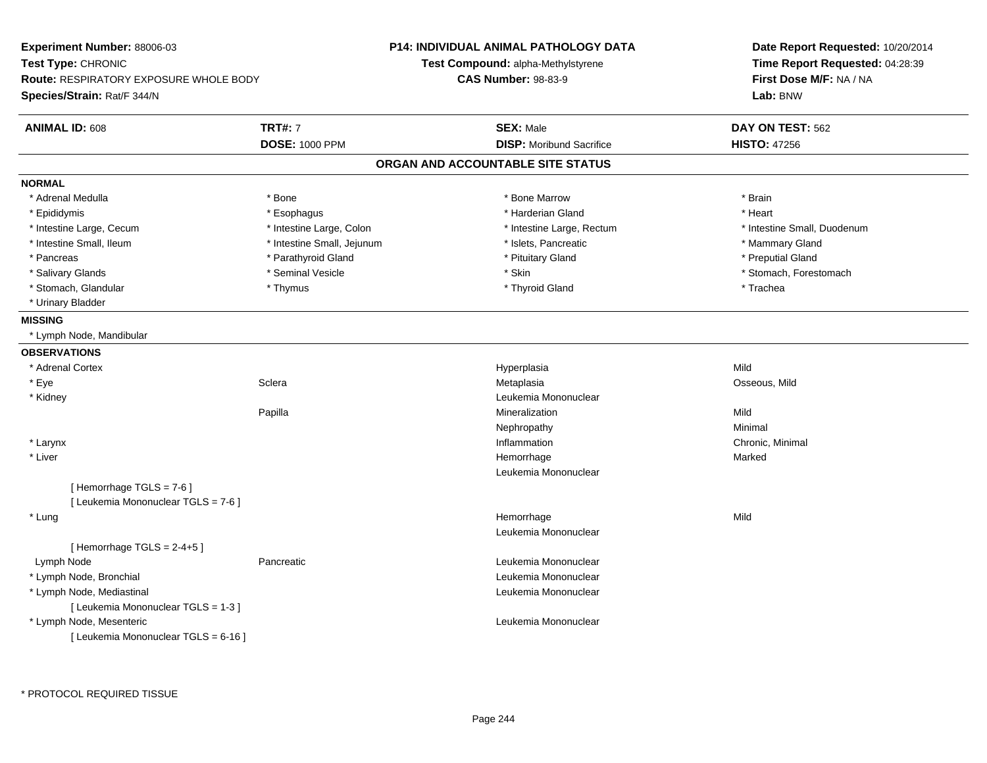| <b>Experiment Number: 88006-03</b><br>Test Type: CHRONIC<br><b>Route: RESPIRATORY EXPOSURE WHOLE BODY</b><br>Species/Strain: Rat/F 344/N |                            | <b>P14: INDIVIDUAL ANIMAL PATHOLOGY DATA</b><br>Test Compound: alpha-Methylstyrene<br><b>CAS Number: 98-83-9</b> | Date Report Requested: 10/20/2014<br>Time Report Requested: 04:28:39<br>First Dose M/F: NA / NA<br>Lab: BNW |
|------------------------------------------------------------------------------------------------------------------------------------------|----------------------------|------------------------------------------------------------------------------------------------------------------|-------------------------------------------------------------------------------------------------------------|
| <b>ANIMAL ID: 608</b>                                                                                                                    | <b>TRT#: 7</b>             | <b>SEX: Male</b>                                                                                                 | DAY ON TEST: 562                                                                                            |
|                                                                                                                                          | <b>DOSE: 1000 PPM</b>      | <b>DISP:</b> Moribund Sacrifice                                                                                  | <b>HISTO: 47256</b>                                                                                         |
|                                                                                                                                          |                            | ORGAN AND ACCOUNTABLE SITE STATUS                                                                                |                                                                                                             |
| <b>NORMAL</b>                                                                                                                            |                            |                                                                                                                  |                                                                                                             |
| * Adrenal Medulla                                                                                                                        | * Bone                     | * Bone Marrow                                                                                                    | * Brain                                                                                                     |
| * Epididymis                                                                                                                             | * Esophagus                | * Harderian Gland                                                                                                | * Heart                                                                                                     |
| * Intestine Large, Cecum                                                                                                                 | * Intestine Large, Colon   | * Intestine Large, Rectum                                                                                        | * Intestine Small, Duodenum                                                                                 |
| * Intestine Small, Ileum                                                                                                                 | * Intestine Small, Jejunum | * Islets, Pancreatic                                                                                             | * Mammary Gland                                                                                             |
| * Pancreas                                                                                                                               | * Parathyroid Gland        | * Pituitary Gland                                                                                                | * Preputial Gland                                                                                           |
| * Salivary Glands                                                                                                                        | * Seminal Vesicle          | * Skin                                                                                                           | * Stomach, Forestomach                                                                                      |
| * Stomach, Glandular                                                                                                                     | * Thymus                   | * Thyroid Gland                                                                                                  | * Trachea                                                                                                   |
| * Urinary Bladder                                                                                                                        |                            |                                                                                                                  |                                                                                                             |
| <b>MISSING</b>                                                                                                                           |                            |                                                                                                                  |                                                                                                             |
| * Lymph Node, Mandibular                                                                                                                 |                            |                                                                                                                  |                                                                                                             |
| <b>OBSERVATIONS</b>                                                                                                                      |                            |                                                                                                                  |                                                                                                             |
| * Adrenal Cortex                                                                                                                         |                            | Hyperplasia                                                                                                      | Mild                                                                                                        |
| * Eye                                                                                                                                    | Sclera                     | Metaplasia                                                                                                       | Osseous, Mild                                                                                               |
| * Kidney                                                                                                                                 |                            | Leukemia Mononuclear                                                                                             |                                                                                                             |
|                                                                                                                                          | Papilla                    | Mineralization                                                                                                   | Mild                                                                                                        |
|                                                                                                                                          |                            | Nephropathy                                                                                                      | Minimal                                                                                                     |
| * Larynx                                                                                                                                 |                            | Inflammation                                                                                                     | Chronic, Minimal                                                                                            |
| * Liver                                                                                                                                  |                            | Hemorrhage                                                                                                       | Marked                                                                                                      |
|                                                                                                                                          |                            | Leukemia Mononuclear                                                                                             |                                                                                                             |
| [Hemorrhage TGLS = 7-6]                                                                                                                  |                            |                                                                                                                  |                                                                                                             |
| [ Leukemia Mononuclear TGLS = 7-6 ]                                                                                                      |                            |                                                                                                                  |                                                                                                             |
| * Lung                                                                                                                                   |                            | Hemorrhage                                                                                                       | Mild                                                                                                        |
|                                                                                                                                          |                            | Leukemia Mononuclear                                                                                             |                                                                                                             |
| [Hemorrhage TGLS = $2-4+5$ ]                                                                                                             |                            |                                                                                                                  |                                                                                                             |
| Lymph Node                                                                                                                               | Pancreatic                 | Leukemia Mononuclear                                                                                             |                                                                                                             |
| * Lymph Node, Bronchial                                                                                                                  |                            | Leukemia Mononuclear                                                                                             |                                                                                                             |
| * Lymph Node, Mediastinal                                                                                                                |                            | Leukemia Mononuclear                                                                                             |                                                                                                             |
| [ Leukemia Mononuclear TGLS = 1-3 ]                                                                                                      |                            |                                                                                                                  |                                                                                                             |
| * Lymph Node, Mesenteric                                                                                                                 |                            | Leukemia Mononuclear                                                                                             |                                                                                                             |
| [ Leukemia Mononuclear TGLS = 6-16 ]                                                                                                     |                            |                                                                                                                  |                                                                                                             |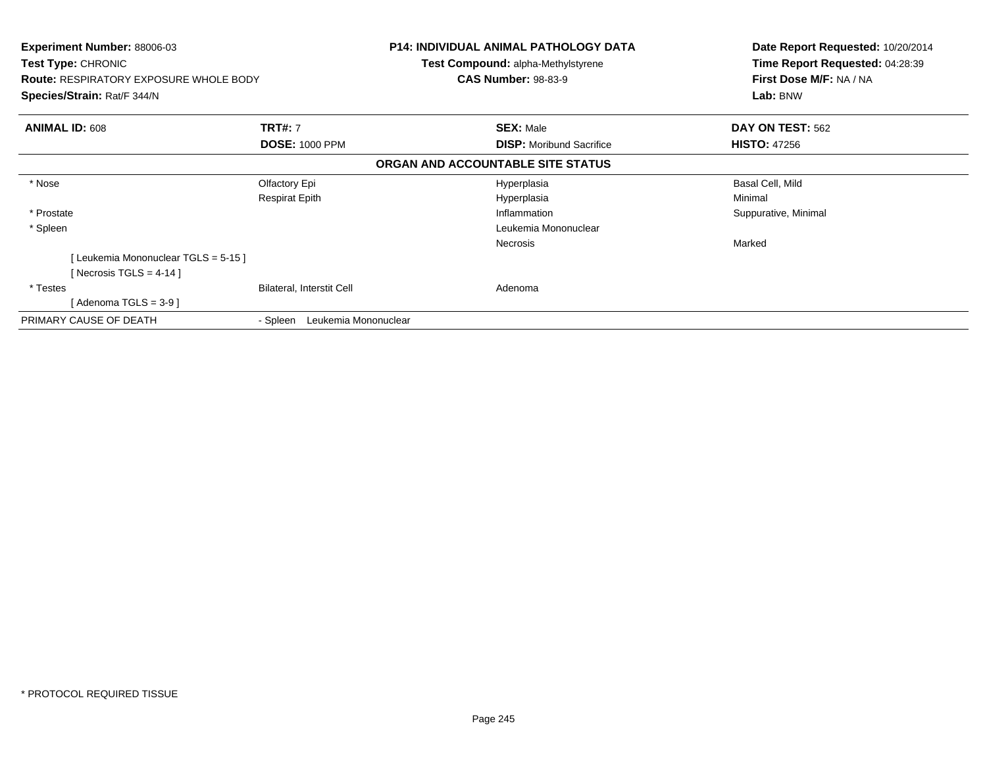| <b>Experiment Number: 88006-03</b><br><b>Test Type: CHRONIC</b><br><b>Route: RESPIRATORY EXPOSURE WHOLE BODY</b><br>Species/Strain: Rat/F 344/N |                                  |                                   | <b>P14: INDIVIDUAL ANIMAL PATHOLOGY DATA</b><br><b>Test Compound: alpha-Methylstyrene</b><br><b>CAS Number: 98-83-9</b> | Date Report Requested: 10/20/2014<br>Time Report Requested: 04:28:39<br>First Dose M/F: NA / NA<br>Lab: BNW |
|-------------------------------------------------------------------------------------------------------------------------------------------------|----------------------------------|-----------------------------------|-------------------------------------------------------------------------------------------------------------------------|-------------------------------------------------------------------------------------------------------------|
| <b>ANIMAL ID: 608</b>                                                                                                                           | <b>TRT#: 7</b>                   |                                   | <b>SEX: Male</b>                                                                                                        | DAY ON TEST: 562                                                                                            |
|                                                                                                                                                 | <b>DOSE: 1000 PPM</b>            |                                   | <b>DISP:</b> Moribund Sacrifice                                                                                         | <b>HISTO: 47256</b>                                                                                         |
|                                                                                                                                                 |                                  | ORGAN AND ACCOUNTABLE SITE STATUS |                                                                                                                         |                                                                                                             |
| * Nose                                                                                                                                          | Olfactory Epi                    |                                   | Hyperplasia                                                                                                             | Basal Cell, Mild                                                                                            |
|                                                                                                                                                 | <b>Respirat Epith</b>            |                                   | Hyperplasia                                                                                                             | Minimal                                                                                                     |
| * Prostate                                                                                                                                      |                                  |                                   | Inflammation                                                                                                            | Suppurative, Minimal                                                                                        |
| * Spleen                                                                                                                                        |                                  |                                   | Leukemia Mononuclear                                                                                                    |                                                                                                             |
|                                                                                                                                                 |                                  |                                   | <b>Necrosis</b>                                                                                                         | Marked                                                                                                      |
| [Leukemia Mononuclear TGLS = 5-15]                                                                                                              |                                  |                                   |                                                                                                                         |                                                                                                             |
| [Necrosis TGLS = 4-14 ]                                                                                                                         |                                  |                                   |                                                                                                                         |                                                                                                             |
| * Testes                                                                                                                                        | Bilateral, Interstit Cell        |                                   | Adenoma                                                                                                                 |                                                                                                             |
| [Adenoma TGLS = $3-9$ ]                                                                                                                         |                                  |                                   |                                                                                                                         |                                                                                                             |
| PRIMARY CAUSE OF DEATH                                                                                                                          | Leukemia Mononuclear<br>- Spleen |                                   |                                                                                                                         |                                                                                                             |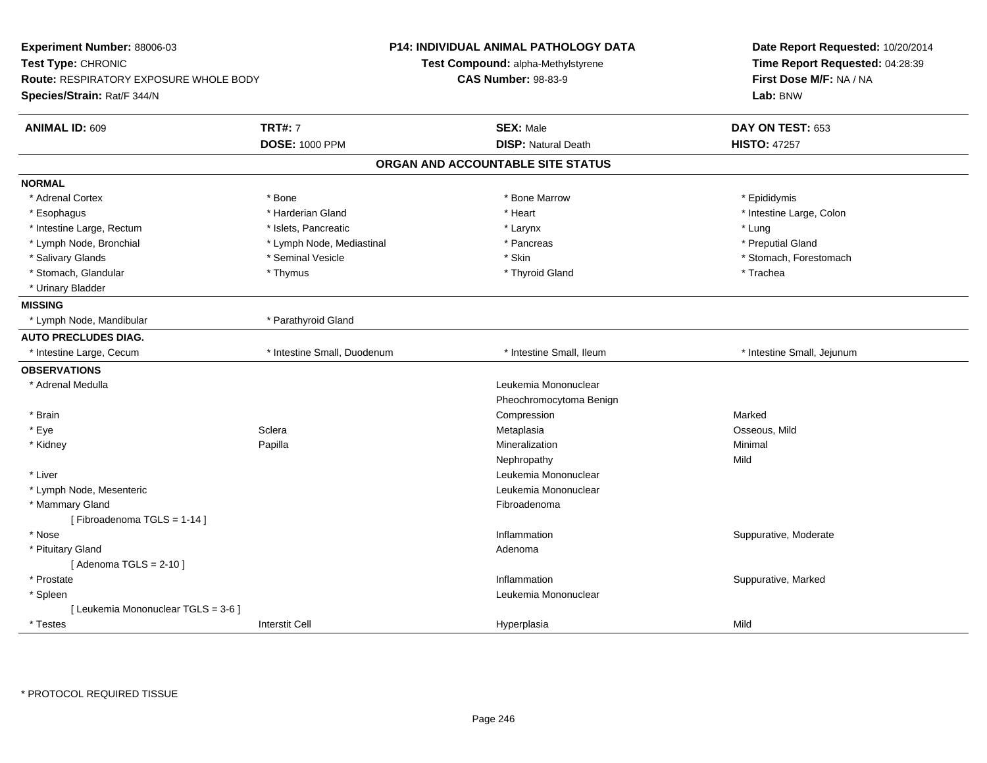| <b>TRT#: 7</b><br><b>ANIMAL ID: 609</b><br><b>SEX: Male</b><br>DAY ON TEST: 653<br><b>DOSE: 1000 PPM</b><br><b>DISP: Natural Death</b><br><b>HISTO: 47257</b><br>ORGAN AND ACCOUNTABLE SITE STATUS<br><b>NORMAL</b><br>* Adrenal Cortex<br>* Bone<br>* Bone Marrow<br>* Epididymis<br>* Harderian Gland<br>* Heart<br>* Intestine Large, Colon<br>* Esophagus<br>* Lung<br>* Intestine Large, Rectum<br>* Islets, Pancreatic<br>* Larynx | Date Report Requested: 10/20/2014<br>Time Report Requested: 04:28:39<br>First Dose M/F: NA / NA<br>Lab: BNW | <b>P14: INDIVIDUAL ANIMAL PATHOLOGY DATA</b><br>Test Compound: alpha-Methylstyrene<br><b>CAS Number: 98-83-9</b> |                           | Experiment Number: 88006-03<br>Test Type: CHRONIC<br><b>Route: RESPIRATORY EXPOSURE WHOLE BODY</b><br>Species/Strain: Rat/F 344/N |
|------------------------------------------------------------------------------------------------------------------------------------------------------------------------------------------------------------------------------------------------------------------------------------------------------------------------------------------------------------------------------------------------------------------------------------------|-------------------------------------------------------------------------------------------------------------|------------------------------------------------------------------------------------------------------------------|---------------------------|-----------------------------------------------------------------------------------------------------------------------------------|
|                                                                                                                                                                                                                                                                                                                                                                                                                                          |                                                                                                             |                                                                                                                  |                           |                                                                                                                                   |
|                                                                                                                                                                                                                                                                                                                                                                                                                                          |                                                                                                             |                                                                                                                  |                           |                                                                                                                                   |
|                                                                                                                                                                                                                                                                                                                                                                                                                                          |                                                                                                             |                                                                                                                  |                           |                                                                                                                                   |
|                                                                                                                                                                                                                                                                                                                                                                                                                                          |                                                                                                             |                                                                                                                  |                           |                                                                                                                                   |
|                                                                                                                                                                                                                                                                                                                                                                                                                                          |                                                                                                             |                                                                                                                  |                           |                                                                                                                                   |
|                                                                                                                                                                                                                                                                                                                                                                                                                                          |                                                                                                             |                                                                                                                  |                           |                                                                                                                                   |
|                                                                                                                                                                                                                                                                                                                                                                                                                                          |                                                                                                             |                                                                                                                  |                           |                                                                                                                                   |
|                                                                                                                                                                                                                                                                                                                                                                                                                                          | * Preputial Gland                                                                                           | * Pancreas                                                                                                       | * Lymph Node, Mediastinal | * Lymph Node, Bronchial                                                                                                           |
| * Skin<br>* Salivary Glands<br>* Seminal Vesicle<br>* Stomach, Forestomach                                                                                                                                                                                                                                                                                                                                                               |                                                                                                             |                                                                                                                  |                           |                                                                                                                                   |
| * Stomach, Glandular<br>* Thymus<br>* Thyroid Gland<br>* Trachea                                                                                                                                                                                                                                                                                                                                                                         |                                                                                                             |                                                                                                                  |                           |                                                                                                                                   |
| * Urinary Bladder                                                                                                                                                                                                                                                                                                                                                                                                                        |                                                                                                             |                                                                                                                  |                           |                                                                                                                                   |
| <b>MISSING</b>                                                                                                                                                                                                                                                                                                                                                                                                                           |                                                                                                             |                                                                                                                  |                           |                                                                                                                                   |
| * Lymph Node, Mandibular<br>* Parathyroid Gland                                                                                                                                                                                                                                                                                                                                                                                          |                                                                                                             |                                                                                                                  |                           |                                                                                                                                   |
| <b>AUTO PRECLUDES DIAG.</b>                                                                                                                                                                                                                                                                                                                                                                                                              |                                                                                                             |                                                                                                                  |                           |                                                                                                                                   |
| * Intestine Large, Cecum<br>* Intestine Small, Duodenum<br>* Intestine Small, Ileum<br>* Intestine Small, Jejunum                                                                                                                                                                                                                                                                                                                        |                                                                                                             |                                                                                                                  |                           |                                                                                                                                   |
| <b>OBSERVATIONS</b>                                                                                                                                                                                                                                                                                                                                                                                                                      |                                                                                                             |                                                                                                                  |                           |                                                                                                                                   |
| * Adrenal Medulla<br>Leukemia Mononuclear                                                                                                                                                                                                                                                                                                                                                                                                |                                                                                                             |                                                                                                                  |                           |                                                                                                                                   |
| Pheochromocytoma Benign                                                                                                                                                                                                                                                                                                                                                                                                                  |                                                                                                             |                                                                                                                  |                           |                                                                                                                                   |
| * Brain<br>Compression<br>Marked                                                                                                                                                                                                                                                                                                                                                                                                         |                                                                                                             |                                                                                                                  |                           |                                                                                                                                   |
| * Eye<br>Sclera<br>Metaplasia<br>Osseous, Mild                                                                                                                                                                                                                                                                                                                                                                                           |                                                                                                             |                                                                                                                  |                           |                                                                                                                                   |
| Papilla<br>Mineralization<br>Minimal<br>* Kidney                                                                                                                                                                                                                                                                                                                                                                                         |                                                                                                             |                                                                                                                  |                           |                                                                                                                                   |
| Mild<br>Nephropathy                                                                                                                                                                                                                                                                                                                                                                                                                      |                                                                                                             |                                                                                                                  |                           |                                                                                                                                   |
| * Liver<br>Leukemia Mononuclear                                                                                                                                                                                                                                                                                                                                                                                                          |                                                                                                             |                                                                                                                  |                           |                                                                                                                                   |
| * Lymph Node, Mesenteric<br>Leukemia Mononuclear                                                                                                                                                                                                                                                                                                                                                                                         |                                                                                                             |                                                                                                                  |                           |                                                                                                                                   |
| * Mammary Gland<br>Fibroadenoma                                                                                                                                                                                                                                                                                                                                                                                                          |                                                                                                             |                                                                                                                  |                           |                                                                                                                                   |
| [Fibroadenoma TGLS = 1-14]                                                                                                                                                                                                                                                                                                                                                                                                               |                                                                                                             |                                                                                                                  |                           |                                                                                                                                   |
| * Nose<br>Inflammation<br>Suppurative, Moderate                                                                                                                                                                                                                                                                                                                                                                                          |                                                                                                             |                                                                                                                  |                           |                                                                                                                                   |
| * Pituitary Gland<br>Adenoma                                                                                                                                                                                                                                                                                                                                                                                                             |                                                                                                             |                                                                                                                  |                           |                                                                                                                                   |
| [Adenoma TGLS = $2-10$ ]                                                                                                                                                                                                                                                                                                                                                                                                                 |                                                                                                             |                                                                                                                  |                           |                                                                                                                                   |
| Suppurative, Marked<br>* Prostate<br>Inflammation                                                                                                                                                                                                                                                                                                                                                                                        |                                                                                                             |                                                                                                                  |                           |                                                                                                                                   |
| Leukemia Mononuclear<br>* Spleen                                                                                                                                                                                                                                                                                                                                                                                                         |                                                                                                             |                                                                                                                  |                           |                                                                                                                                   |
| [ Leukemia Mononuclear TGLS = 3-6 ]                                                                                                                                                                                                                                                                                                                                                                                                      |                                                                                                             |                                                                                                                  |                           |                                                                                                                                   |
| <b>Interstit Cell</b><br>Mild<br>* Testes<br>Hyperplasia                                                                                                                                                                                                                                                                                                                                                                                 |                                                                                                             |                                                                                                                  |                           |                                                                                                                                   |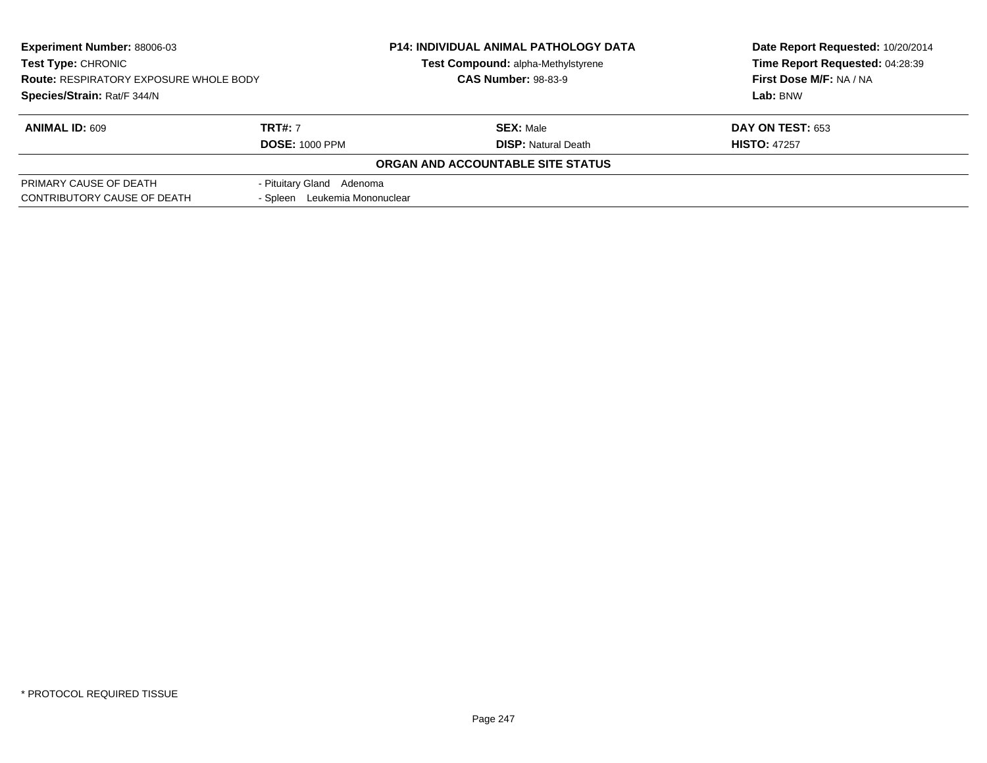| <b>Experiment Number: 88006-03</b>            |                               | <b>P14: INDIVIDUAL ANIMAL PATHOLOGY DATA</b> | Date Report Requested: 10/20/2014 |  |
|-----------------------------------------------|-------------------------------|----------------------------------------------|-----------------------------------|--|
| <b>Test Type: CHRONIC</b>                     |                               | Test Compound: alpha-Methylstyrene           | Time Report Requested: 04:28:39   |  |
| <b>Route: RESPIRATORY EXPOSURE WHOLE BODY</b> | <b>CAS Number: 98-83-9</b>    |                                              | First Dose M/F: NA / NA           |  |
| Species/Strain: Rat/F 344/N                   |                               |                                              | Lab: BNW                          |  |
| <b>ANIMAL ID: 609</b>                         | <b>TRT#: 7</b>                | <b>SEX: Male</b>                             | <b>DAY ON TEST: 653</b>           |  |
|                                               | <b>DOSE: 1000 PPM</b>         | <b>DISP: Natural Death</b>                   | <b>HISTO: 47257</b>               |  |
|                                               |                               | ORGAN AND ACCOUNTABLE SITE STATUS            |                                   |  |
| PRIMARY CAUSE OF DEATH                        | - Pituitary Gland Adenoma     |                                              |                                   |  |
| CONTRIBUTORY CAUSE OF DEATH                   | - Spleen Leukemia Mononuclear |                                              |                                   |  |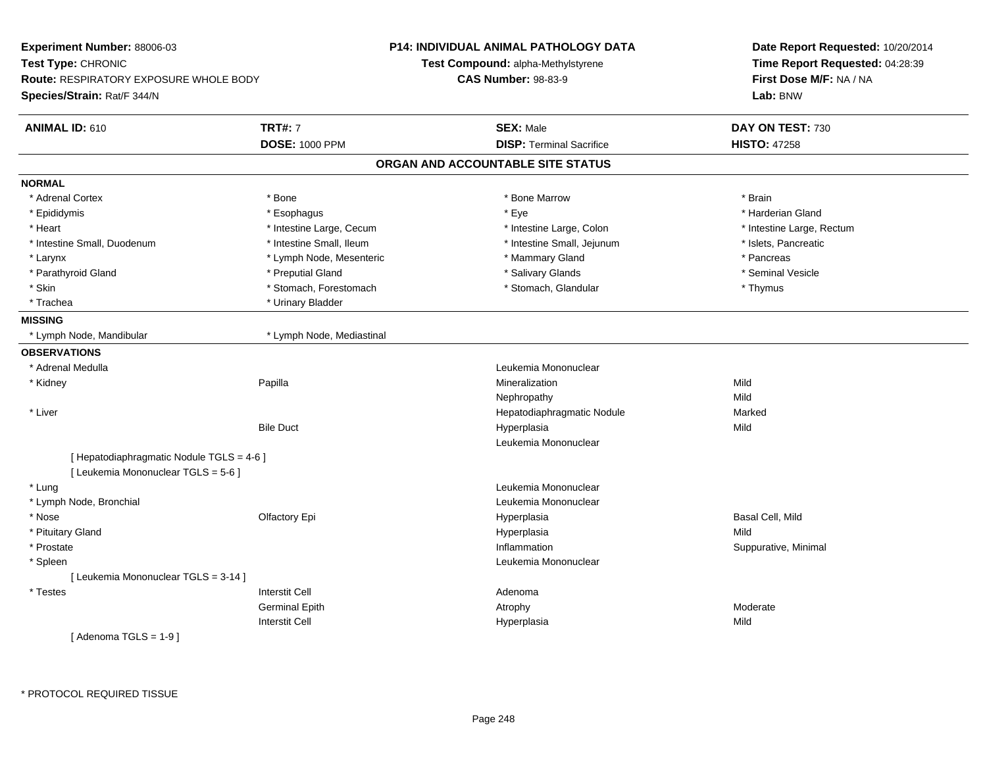| Experiment Number: 88006-03                                                      |                           | <b>P14: INDIVIDUAL ANIMAL PATHOLOGY DATA</b> | Date Report Requested: 10/20/2014 |
|----------------------------------------------------------------------------------|---------------------------|----------------------------------------------|-----------------------------------|
| Test Type: CHRONIC                                                               |                           | Test Compound: alpha-Methylstyrene           | Time Report Requested: 04:28:39   |
| <b>Route: RESPIRATORY EXPOSURE WHOLE BODY</b>                                    |                           | <b>CAS Number: 98-83-9</b>                   | First Dose M/F: NA / NA           |
| Species/Strain: Rat/F 344/N                                                      |                           |                                              | Lab: BNW                          |
| <b>ANIMAL ID: 610</b>                                                            | <b>TRT#: 7</b>            | <b>SEX: Male</b>                             | DAY ON TEST: 730                  |
|                                                                                  | <b>DOSE: 1000 PPM</b>     | <b>DISP: Terminal Sacrifice</b>              | <b>HISTO: 47258</b>               |
|                                                                                  |                           | ORGAN AND ACCOUNTABLE SITE STATUS            |                                   |
| <b>NORMAL</b>                                                                    |                           |                                              |                                   |
| * Adrenal Cortex                                                                 | $*$ Bone                  | * Bone Marrow                                | * Brain                           |
| * Epididymis                                                                     | * Esophagus               | * Eye                                        | * Harderian Gland                 |
| * Heart                                                                          | * Intestine Large, Cecum  | * Intestine Large, Colon                     | * Intestine Large, Rectum         |
| * Intestine Small, Duodenum                                                      | * Intestine Small, Ileum  | * Intestine Small, Jejunum                   | * Islets, Pancreatic              |
| * Larynx                                                                         | * Lymph Node, Mesenteric  | * Mammary Gland                              | * Pancreas                        |
| * Parathyroid Gland                                                              | * Preputial Gland         | * Salivary Glands                            | * Seminal Vesicle                 |
| * Skin                                                                           | * Stomach, Forestomach    | * Stomach, Glandular                         | * Thymus                          |
| * Trachea                                                                        | * Urinary Bladder         |                                              |                                   |
| <b>MISSING</b>                                                                   |                           |                                              |                                   |
| * Lymph Node, Mandibular                                                         | * Lymph Node, Mediastinal |                                              |                                   |
| <b>OBSERVATIONS</b>                                                              |                           |                                              |                                   |
| * Adrenal Medulla                                                                |                           | Leukemia Mononuclear                         |                                   |
| * Kidney                                                                         | Papilla                   | Mineralization                               | Mild                              |
|                                                                                  |                           | Nephropathy                                  | Mild                              |
| * Liver                                                                          |                           | Hepatodiaphragmatic Nodule                   | Marked                            |
|                                                                                  | <b>Bile Duct</b>          | Hyperplasia                                  | Mild                              |
|                                                                                  |                           | Leukemia Mononuclear                         |                                   |
| [ Hepatodiaphragmatic Nodule TGLS = 4-6 ]<br>[ Leukemia Mononuclear TGLS = 5-6 ] |                           |                                              |                                   |
| * Lung                                                                           |                           | Leukemia Mononuclear                         |                                   |
| * Lymph Node, Bronchial                                                          |                           | Leukemia Mononuclear                         |                                   |
| * Nose                                                                           | Olfactory Epi             | Hyperplasia                                  | Basal Cell, Mild                  |
| * Pituitary Gland                                                                |                           | Hyperplasia                                  | Mild                              |
| * Prostate                                                                       |                           | Inflammation                                 | Suppurative, Minimal              |
| * Spleen                                                                         |                           | Leukemia Mononuclear                         |                                   |
| [ Leukemia Mononuclear TGLS = 3-14 ]                                             |                           |                                              |                                   |
| * Testes                                                                         | <b>Interstit Cell</b>     | Adenoma                                      |                                   |
|                                                                                  | <b>Germinal Epith</b>     | Atrophy                                      | Moderate                          |
|                                                                                  | <b>Interstit Cell</b>     | Hyperplasia                                  | Mild                              |
| [Adenoma TGLS = $1-9$ ]                                                          |                           |                                              |                                   |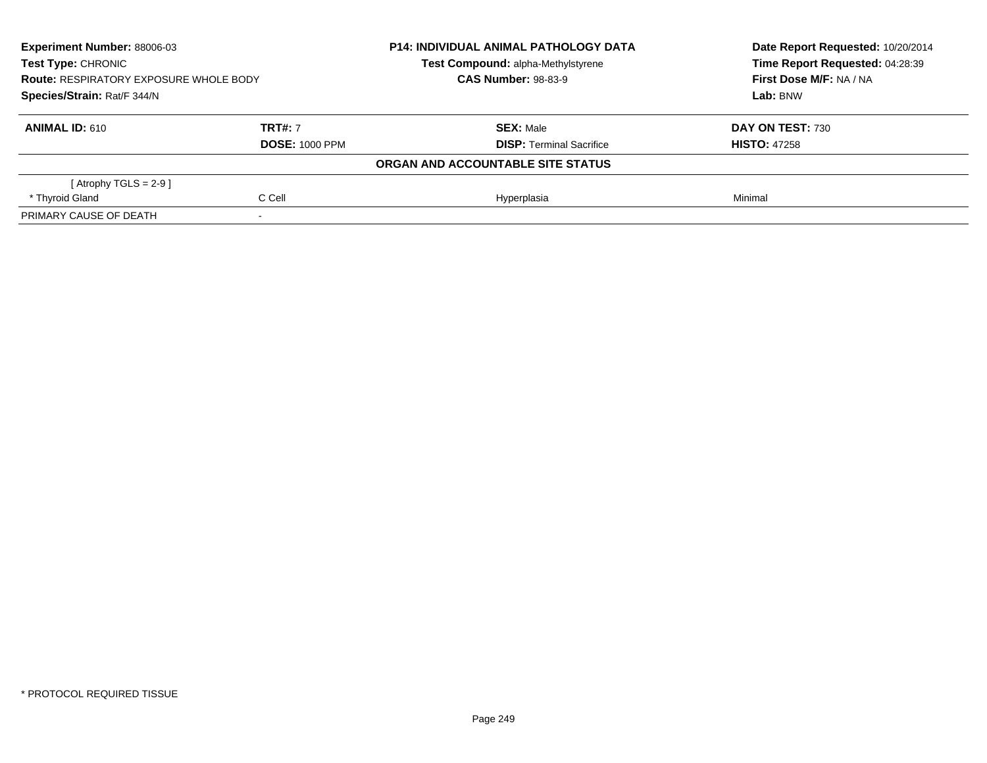| Experiment Number: 88006-03<br>Test Type: CHRONIC<br>Test Compound: alpha-Methylstyrene<br><b>CAS Number: 98-83-9</b><br><b>Route: RESPIRATORY EXPOSURE WHOLE BODY</b><br>Species/Strain: Rat/F 344/N |                | <b>P14: INDIVIDUAL ANIMAL PATHOLOGY DATA</b> | Date Report Requested: 10/20/2014<br>Time Report Requested: 04:28:39 |
|-------------------------------------------------------------------------------------------------------------------------------------------------------------------------------------------------------|----------------|----------------------------------------------|----------------------------------------------------------------------|
|                                                                                                                                                                                                       |                |                                              |                                                                      |
|                                                                                                                                                                                                       |                |                                              | First Dose M/F: NA / NA                                              |
|                                                                                                                                                                                                       |                |                                              | Lab: BNW                                                             |
| <b>ANIMAL ID: 610</b>                                                                                                                                                                                 | <b>TRT#: 7</b> | <b>SEX: Male</b>                             | DAY ON TEST: 730                                                     |
| <b>DOSE: 1000 PPM</b>                                                                                                                                                                                 |                | <b>DISP:</b> Terminal Sacrifice              | <b>HISTO: 47258</b>                                                  |
|                                                                                                                                                                                                       |                | ORGAN AND ACCOUNTABLE SITE STATUS            |                                                                      |
| [Atrophy TGLS = 2-9 ]                                                                                                                                                                                 |                |                                              |                                                                      |
| * Thyroid Gland                                                                                                                                                                                       | C Cell         | Hyperplasia                                  | Minimal                                                              |
| PRIMARY CAUSE OF DEATH                                                                                                                                                                                |                |                                              |                                                                      |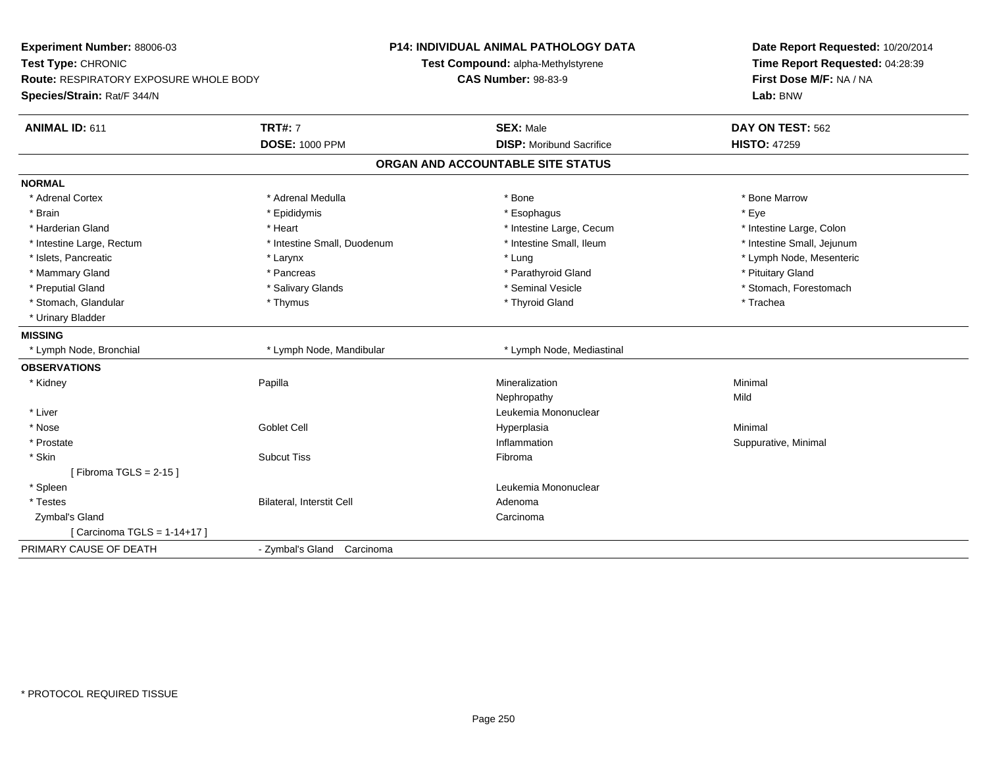| Experiment Number: 88006-03<br>Test Type: CHRONIC<br><b>Route: RESPIRATORY EXPOSURE WHOLE BODY</b><br>Species/Strain: Rat/F 344/N |                             | <b>P14: INDIVIDUAL ANIMAL PATHOLOGY DATA</b><br>Test Compound: alpha-Methylstyrene<br><b>CAS Number: 98-83-9</b> | Date Report Requested: 10/20/2014<br>Time Report Requested: 04:28:39<br>First Dose M/F: NA / NA<br>Lab: BNW |
|-----------------------------------------------------------------------------------------------------------------------------------|-----------------------------|------------------------------------------------------------------------------------------------------------------|-------------------------------------------------------------------------------------------------------------|
| <b>ANIMAL ID: 611</b>                                                                                                             | <b>TRT#: 7</b>              | <b>SEX: Male</b>                                                                                                 | DAY ON TEST: 562                                                                                            |
|                                                                                                                                   | <b>DOSE: 1000 PPM</b>       | <b>DISP:</b> Moribund Sacrifice                                                                                  | <b>HISTO: 47259</b>                                                                                         |
|                                                                                                                                   |                             | ORGAN AND ACCOUNTABLE SITE STATUS                                                                                |                                                                                                             |
| <b>NORMAL</b>                                                                                                                     |                             |                                                                                                                  |                                                                                                             |
| * Adrenal Cortex                                                                                                                  | * Adrenal Medulla           | * Bone                                                                                                           | * Bone Marrow                                                                                               |
| * Brain                                                                                                                           | * Epididymis                | * Esophagus                                                                                                      | * Eve                                                                                                       |
| * Harderian Gland                                                                                                                 | * Heart                     | * Intestine Large, Cecum                                                                                         | * Intestine Large, Colon                                                                                    |
| * Intestine Large, Rectum                                                                                                         | * Intestine Small, Duodenum | * Intestine Small, Ileum                                                                                         | * Intestine Small, Jejunum                                                                                  |
| * Islets, Pancreatic                                                                                                              | * Larynx                    | * Lung                                                                                                           | * Lymph Node, Mesenteric                                                                                    |
| * Mammary Gland                                                                                                                   | * Pancreas                  | * Parathyroid Gland                                                                                              | * Pituitary Gland                                                                                           |
| * Preputial Gland                                                                                                                 | * Salivary Glands           | * Seminal Vesicle                                                                                                | * Stomach, Forestomach                                                                                      |
| * Stomach, Glandular                                                                                                              | * Thymus                    | * Thyroid Gland                                                                                                  | * Trachea                                                                                                   |
| * Urinary Bladder                                                                                                                 |                             |                                                                                                                  |                                                                                                             |
| <b>MISSING</b>                                                                                                                    |                             |                                                                                                                  |                                                                                                             |
| * Lymph Node, Bronchial                                                                                                           | * Lymph Node, Mandibular    | * Lymph Node, Mediastinal                                                                                        |                                                                                                             |
| <b>OBSERVATIONS</b>                                                                                                               |                             |                                                                                                                  |                                                                                                             |
| * Kidney                                                                                                                          | Papilla                     | Mineralization                                                                                                   | Minimal                                                                                                     |
|                                                                                                                                   |                             | Nephropathy                                                                                                      | Mild                                                                                                        |
| * Liver                                                                                                                           |                             | Leukemia Mononuclear                                                                                             |                                                                                                             |
| * Nose                                                                                                                            | <b>Goblet Cell</b>          | Hyperplasia                                                                                                      | Minimal                                                                                                     |
| * Prostate                                                                                                                        |                             | Inflammation                                                                                                     | Suppurative, Minimal                                                                                        |
| * Skin                                                                                                                            | <b>Subcut Tiss</b>          | Fibroma                                                                                                          |                                                                                                             |
| [Fibroma TGLS = $2-15$ ]                                                                                                          |                             |                                                                                                                  |                                                                                                             |
| * Spleen                                                                                                                          |                             | Leukemia Mononuclear                                                                                             |                                                                                                             |
| * Testes                                                                                                                          | Bilateral, Interstit Cell   | Adenoma                                                                                                          |                                                                                                             |
| Zymbal's Gland                                                                                                                    |                             | Carcinoma                                                                                                        |                                                                                                             |
| [ Carcinoma TGLS = 1-14+17 ]                                                                                                      |                             |                                                                                                                  |                                                                                                             |
| PRIMARY CAUSE OF DEATH                                                                                                            | - Zymbal's Gland Carcinoma  |                                                                                                                  |                                                                                                             |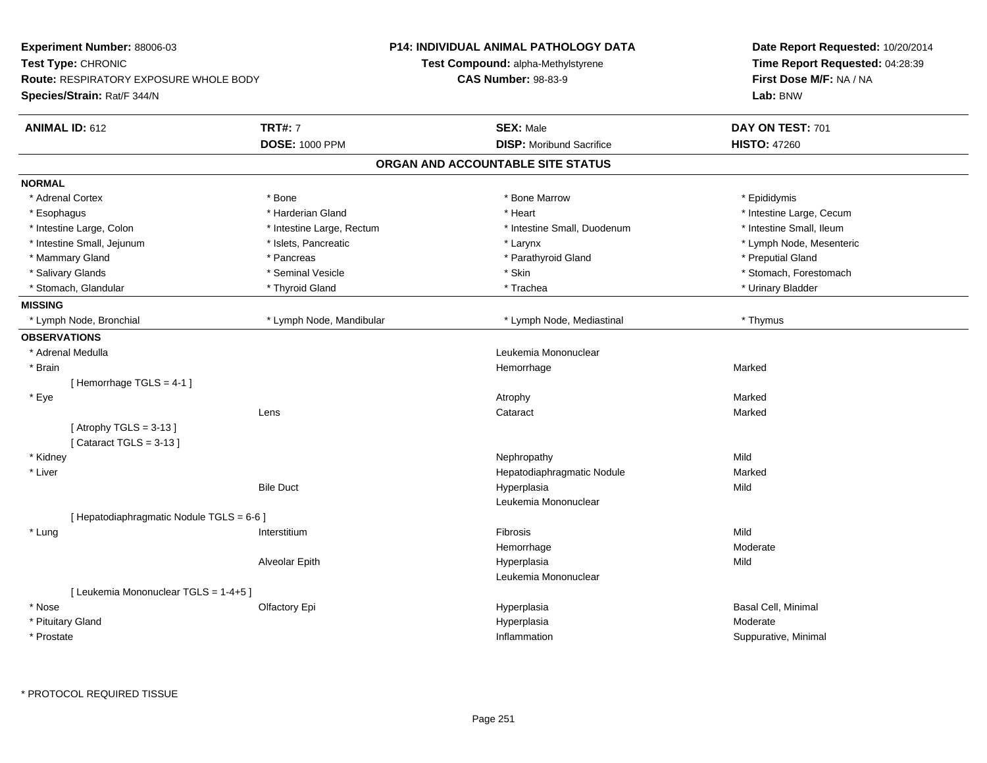| Time Report Requested: 04:28:39<br><b>Test Compound: alpha-Methylstyrene</b><br>First Dose M/F: NA / NA<br><b>Route: RESPIRATORY EXPOSURE WHOLE BODY</b><br><b>CAS Number: 98-83-9</b><br>Lab: BNW<br>Species/Strain: Rat/F 344/N<br><b>TRT#: 7</b><br><b>ANIMAL ID: 612</b><br><b>SEX: Male</b><br>DAY ON TEST: 701<br><b>DOSE: 1000 PPM</b><br><b>DISP:</b> Moribund Sacrifice<br><b>HISTO: 47260</b><br>ORGAN AND ACCOUNTABLE SITE STATUS<br><b>NORMAL</b><br>* Adrenal Cortex<br>* Bone<br>* Bone Marrow<br>* Epididymis<br>* Harderian Gland<br>* Heart<br>* Intestine Large, Cecum<br>* Esophagus<br>* Intestine Small, Ileum<br>* Intestine Large, Colon<br>* Intestine Large, Rectum<br>* Intestine Small, Duodenum<br>* Intestine Small, Jejunum<br>* Islets, Pancreatic<br>* Lymph Node, Mesenteric<br>* Larynx<br>* Mammary Gland<br>* Parathyroid Gland<br>* Preputial Gland<br>* Pancreas<br>* Salivary Glands<br>* Seminal Vesicle<br>* Skin<br>* Stomach, Forestomach<br>* Thyroid Gland<br>* Trachea<br>* Urinary Bladder<br>* Stomach, Glandular<br><b>MISSING</b><br>* Lymph Node, Bronchial<br>* Lymph Node, Mandibular<br>* Lymph Node, Mediastinal<br>* Thymus<br><b>OBSERVATIONS</b><br>* Adrenal Medulla<br>Leukemia Mononuclear<br>* Brain<br>Hemorrhage<br>Marked<br>[Hemorrhage TGLS = 4-1]<br>* Eye<br>Marked<br>Atrophy<br>Marked<br>Lens<br>Cataract<br>[Atrophy TGLS = $3-13$ ]<br>[Cataract TGLS = $3-13$ ]<br>* Kidney<br>Mild<br>Nephropathy<br>* Liver<br>Hepatodiaphragmatic Nodule<br>Marked<br><b>Bile Duct</b><br>Hyperplasia<br>Mild<br>Leukemia Mononuclear<br>[ Hepatodiaphragmatic Nodule TGLS = 6-6 ]<br>Mild<br>* Lung<br>Fibrosis<br>Interstitium<br>Moderate<br>Hemorrhage<br>Alveolar Epith<br>Hyperplasia<br>Mild<br>Leukemia Mononuclear<br>[ Leukemia Mononuclear TGLS = 1-4+5 ]<br>* Nose<br>Basal Cell, Minimal<br>Olfactory Epi<br>Hyperplasia<br>* Pituitary Gland<br>Hyperplasia<br>Moderate<br>Inflammation<br>* Prostate<br>Suppurative, Minimal | <b>Experiment Number: 88006-03</b> |  | <b>P14: INDIVIDUAL ANIMAL PATHOLOGY DATA</b> | Date Report Requested: 10/20/2014 |
|-----------------------------------------------------------------------------------------------------------------------------------------------------------------------------------------------------------------------------------------------------------------------------------------------------------------------------------------------------------------------------------------------------------------------------------------------------------------------------------------------------------------------------------------------------------------------------------------------------------------------------------------------------------------------------------------------------------------------------------------------------------------------------------------------------------------------------------------------------------------------------------------------------------------------------------------------------------------------------------------------------------------------------------------------------------------------------------------------------------------------------------------------------------------------------------------------------------------------------------------------------------------------------------------------------------------------------------------------------------------------------------------------------------------------------------------------------------------------------------------------------------------------------------------------------------------------------------------------------------------------------------------------------------------------------------------------------------------------------------------------------------------------------------------------------------------------------------------------------------------------------------------------------------------------------------------------------------------------------------------------------------|------------------------------------|--|----------------------------------------------|-----------------------------------|
|                                                                                                                                                                                                                                                                                                                                                                                                                                                                                                                                                                                                                                                                                                                                                                                                                                                                                                                                                                                                                                                                                                                                                                                                                                                                                                                                                                                                                                                                                                                                                                                                                                                                                                                                                                                                                                                                                                                                                                                                           | Test Type: CHRONIC                 |  |                                              |                                   |
|                                                                                                                                                                                                                                                                                                                                                                                                                                                                                                                                                                                                                                                                                                                                                                                                                                                                                                                                                                                                                                                                                                                                                                                                                                                                                                                                                                                                                                                                                                                                                                                                                                                                                                                                                                                                                                                                                                                                                                                                           |                                    |  |                                              |                                   |
|                                                                                                                                                                                                                                                                                                                                                                                                                                                                                                                                                                                                                                                                                                                                                                                                                                                                                                                                                                                                                                                                                                                                                                                                                                                                                                                                                                                                                                                                                                                                                                                                                                                                                                                                                                                                                                                                                                                                                                                                           |                                    |  |                                              |                                   |
|                                                                                                                                                                                                                                                                                                                                                                                                                                                                                                                                                                                                                                                                                                                                                                                                                                                                                                                                                                                                                                                                                                                                                                                                                                                                                                                                                                                                                                                                                                                                                                                                                                                                                                                                                                                                                                                                                                                                                                                                           |                                    |  |                                              |                                   |
|                                                                                                                                                                                                                                                                                                                                                                                                                                                                                                                                                                                                                                                                                                                                                                                                                                                                                                                                                                                                                                                                                                                                                                                                                                                                                                                                                                                                                                                                                                                                                                                                                                                                                                                                                                                                                                                                                                                                                                                                           |                                    |  |                                              |                                   |
|                                                                                                                                                                                                                                                                                                                                                                                                                                                                                                                                                                                                                                                                                                                                                                                                                                                                                                                                                                                                                                                                                                                                                                                                                                                                                                                                                                                                                                                                                                                                                                                                                                                                                                                                                                                                                                                                                                                                                                                                           |                                    |  |                                              |                                   |
|                                                                                                                                                                                                                                                                                                                                                                                                                                                                                                                                                                                                                                                                                                                                                                                                                                                                                                                                                                                                                                                                                                                                                                                                                                                                                                                                                                                                                                                                                                                                                                                                                                                                                                                                                                                                                                                                                                                                                                                                           |                                    |  |                                              |                                   |
|                                                                                                                                                                                                                                                                                                                                                                                                                                                                                                                                                                                                                                                                                                                                                                                                                                                                                                                                                                                                                                                                                                                                                                                                                                                                                                                                                                                                                                                                                                                                                                                                                                                                                                                                                                                                                                                                                                                                                                                                           |                                    |  |                                              |                                   |
|                                                                                                                                                                                                                                                                                                                                                                                                                                                                                                                                                                                                                                                                                                                                                                                                                                                                                                                                                                                                                                                                                                                                                                                                                                                                                                                                                                                                                                                                                                                                                                                                                                                                                                                                                                                                                                                                                                                                                                                                           |                                    |  |                                              |                                   |
|                                                                                                                                                                                                                                                                                                                                                                                                                                                                                                                                                                                                                                                                                                                                                                                                                                                                                                                                                                                                                                                                                                                                                                                                                                                                                                                                                                                                                                                                                                                                                                                                                                                                                                                                                                                                                                                                                                                                                                                                           |                                    |  |                                              |                                   |
|                                                                                                                                                                                                                                                                                                                                                                                                                                                                                                                                                                                                                                                                                                                                                                                                                                                                                                                                                                                                                                                                                                                                                                                                                                                                                                                                                                                                                                                                                                                                                                                                                                                                                                                                                                                                                                                                                                                                                                                                           |                                    |  |                                              |                                   |
|                                                                                                                                                                                                                                                                                                                                                                                                                                                                                                                                                                                                                                                                                                                                                                                                                                                                                                                                                                                                                                                                                                                                                                                                                                                                                                                                                                                                                                                                                                                                                                                                                                                                                                                                                                                                                                                                                                                                                                                                           |                                    |  |                                              |                                   |
|                                                                                                                                                                                                                                                                                                                                                                                                                                                                                                                                                                                                                                                                                                                                                                                                                                                                                                                                                                                                                                                                                                                                                                                                                                                                                                                                                                                                                                                                                                                                                                                                                                                                                                                                                                                                                                                                                                                                                                                                           |                                    |  |                                              |                                   |
|                                                                                                                                                                                                                                                                                                                                                                                                                                                                                                                                                                                                                                                                                                                                                                                                                                                                                                                                                                                                                                                                                                                                                                                                                                                                                                                                                                                                                                                                                                                                                                                                                                                                                                                                                                                                                                                                                                                                                                                                           |                                    |  |                                              |                                   |
|                                                                                                                                                                                                                                                                                                                                                                                                                                                                                                                                                                                                                                                                                                                                                                                                                                                                                                                                                                                                                                                                                                                                                                                                                                                                                                                                                                                                                                                                                                                                                                                                                                                                                                                                                                                                                                                                                                                                                                                                           |                                    |  |                                              |                                   |
|                                                                                                                                                                                                                                                                                                                                                                                                                                                                                                                                                                                                                                                                                                                                                                                                                                                                                                                                                                                                                                                                                                                                                                                                                                                                                                                                                                                                                                                                                                                                                                                                                                                                                                                                                                                                                                                                                                                                                                                                           |                                    |  |                                              |                                   |
|                                                                                                                                                                                                                                                                                                                                                                                                                                                                                                                                                                                                                                                                                                                                                                                                                                                                                                                                                                                                                                                                                                                                                                                                                                                                                                                                                                                                                                                                                                                                                                                                                                                                                                                                                                                                                                                                                                                                                                                                           |                                    |  |                                              |                                   |
|                                                                                                                                                                                                                                                                                                                                                                                                                                                                                                                                                                                                                                                                                                                                                                                                                                                                                                                                                                                                                                                                                                                                                                                                                                                                                                                                                                                                                                                                                                                                                                                                                                                                                                                                                                                                                                                                                                                                                                                                           |                                    |  |                                              |                                   |
|                                                                                                                                                                                                                                                                                                                                                                                                                                                                                                                                                                                                                                                                                                                                                                                                                                                                                                                                                                                                                                                                                                                                                                                                                                                                                                                                                                                                                                                                                                                                                                                                                                                                                                                                                                                                                                                                                                                                                                                                           |                                    |  |                                              |                                   |
|                                                                                                                                                                                                                                                                                                                                                                                                                                                                                                                                                                                                                                                                                                                                                                                                                                                                                                                                                                                                                                                                                                                                                                                                                                                                                                                                                                                                                                                                                                                                                                                                                                                                                                                                                                                                                                                                                                                                                                                                           |                                    |  |                                              |                                   |
|                                                                                                                                                                                                                                                                                                                                                                                                                                                                                                                                                                                                                                                                                                                                                                                                                                                                                                                                                                                                                                                                                                                                                                                                                                                                                                                                                                                                                                                                                                                                                                                                                                                                                                                                                                                                                                                                                                                                                                                                           |                                    |  |                                              |                                   |
|                                                                                                                                                                                                                                                                                                                                                                                                                                                                                                                                                                                                                                                                                                                                                                                                                                                                                                                                                                                                                                                                                                                                                                                                                                                                                                                                                                                                                                                                                                                                                                                                                                                                                                                                                                                                                                                                                                                                                                                                           |                                    |  |                                              |                                   |
|                                                                                                                                                                                                                                                                                                                                                                                                                                                                                                                                                                                                                                                                                                                                                                                                                                                                                                                                                                                                                                                                                                                                                                                                                                                                                                                                                                                                                                                                                                                                                                                                                                                                                                                                                                                                                                                                                                                                                                                                           |                                    |  |                                              |                                   |
|                                                                                                                                                                                                                                                                                                                                                                                                                                                                                                                                                                                                                                                                                                                                                                                                                                                                                                                                                                                                                                                                                                                                                                                                                                                                                                                                                                                                                                                                                                                                                                                                                                                                                                                                                                                                                                                                                                                                                                                                           |                                    |  |                                              |                                   |
|                                                                                                                                                                                                                                                                                                                                                                                                                                                                                                                                                                                                                                                                                                                                                                                                                                                                                                                                                                                                                                                                                                                                                                                                                                                                                                                                                                                                                                                                                                                                                                                                                                                                                                                                                                                                                                                                                                                                                                                                           |                                    |  |                                              |                                   |
|                                                                                                                                                                                                                                                                                                                                                                                                                                                                                                                                                                                                                                                                                                                                                                                                                                                                                                                                                                                                                                                                                                                                                                                                                                                                                                                                                                                                                                                                                                                                                                                                                                                                                                                                                                                                                                                                                                                                                                                                           |                                    |  |                                              |                                   |
|                                                                                                                                                                                                                                                                                                                                                                                                                                                                                                                                                                                                                                                                                                                                                                                                                                                                                                                                                                                                                                                                                                                                                                                                                                                                                                                                                                                                                                                                                                                                                                                                                                                                                                                                                                                                                                                                                                                                                                                                           |                                    |  |                                              |                                   |
|                                                                                                                                                                                                                                                                                                                                                                                                                                                                                                                                                                                                                                                                                                                                                                                                                                                                                                                                                                                                                                                                                                                                                                                                                                                                                                                                                                                                                                                                                                                                                                                                                                                                                                                                                                                                                                                                                                                                                                                                           |                                    |  |                                              |                                   |
|                                                                                                                                                                                                                                                                                                                                                                                                                                                                                                                                                                                                                                                                                                                                                                                                                                                                                                                                                                                                                                                                                                                                                                                                                                                                                                                                                                                                                                                                                                                                                                                                                                                                                                                                                                                                                                                                                                                                                                                                           |                                    |  |                                              |                                   |
|                                                                                                                                                                                                                                                                                                                                                                                                                                                                                                                                                                                                                                                                                                                                                                                                                                                                                                                                                                                                                                                                                                                                                                                                                                                                                                                                                                                                                                                                                                                                                                                                                                                                                                                                                                                                                                                                                                                                                                                                           |                                    |  |                                              |                                   |
|                                                                                                                                                                                                                                                                                                                                                                                                                                                                                                                                                                                                                                                                                                                                                                                                                                                                                                                                                                                                                                                                                                                                                                                                                                                                                                                                                                                                                                                                                                                                                                                                                                                                                                                                                                                                                                                                                                                                                                                                           |                                    |  |                                              |                                   |
|                                                                                                                                                                                                                                                                                                                                                                                                                                                                                                                                                                                                                                                                                                                                                                                                                                                                                                                                                                                                                                                                                                                                                                                                                                                                                                                                                                                                                                                                                                                                                                                                                                                                                                                                                                                                                                                                                                                                                                                                           |                                    |  |                                              |                                   |
|                                                                                                                                                                                                                                                                                                                                                                                                                                                                                                                                                                                                                                                                                                                                                                                                                                                                                                                                                                                                                                                                                                                                                                                                                                                                                                                                                                                                                                                                                                                                                                                                                                                                                                                                                                                                                                                                                                                                                                                                           |                                    |  |                                              |                                   |
|                                                                                                                                                                                                                                                                                                                                                                                                                                                                                                                                                                                                                                                                                                                                                                                                                                                                                                                                                                                                                                                                                                                                                                                                                                                                                                                                                                                                                                                                                                                                                                                                                                                                                                                                                                                                                                                                                                                                                                                                           |                                    |  |                                              |                                   |
|                                                                                                                                                                                                                                                                                                                                                                                                                                                                                                                                                                                                                                                                                                                                                                                                                                                                                                                                                                                                                                                                                                                                                                                                                                                                                                                                                                                                                                                                                                                                                                                                                                                                                                                                                                                                                                                                                                                                                                                                           |                                    |  |                                              |                                   |
|                                                                                                                                                                                                                                                                                                                                                                                                                                                                                                                                                                                                                                                                                                                                                                                                                                                                                                                                                                                                                                                                                                                                                                                                                                                                                                                                                                                                                                                                                                                                                                                                                                                                                                                                                                                                                                                                                                                                                                                                           |                                    |  |                                              |                                   |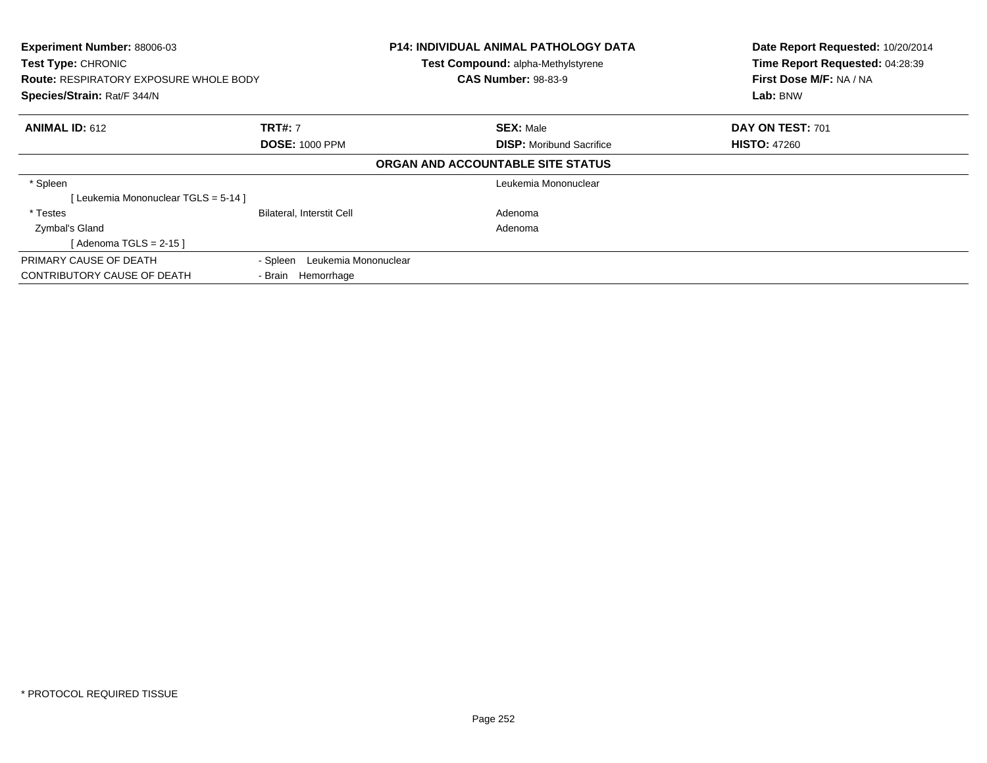| Experiment Number: 88006-03<br><b>Test Type: CHRONIC</b><br><b>Route: RESPIRATORY EXPOSURE WHOLE BODY</b><br>Species/Strain: Rat/F 344/N |                                  | <b>P14: INDIVIDUAL ANIMAL PATHOLOGY DATA</b><br>Test Compound: alpha-Methylstyrene<br><b>CAS Number: 98-83-9</b> | Date Report Requested: 10/20/2014<br>Time Report Requested: 04:28:39<br>First Dose M/F: NA / NA<br>Lab: BNW |
|------------------------------------------------------------------------------------------------------------------------------------------|----------------------------------|------------------------------------------------------------------------------------------------------------------|-------------------------------------------------------------------------------------------------------------|
| <b>ANIMAL ID: 612</b>                                                                                                                    | <b>TRT#: 7</b>                   | <b>SEX: Male</b>                                                                                                 | DAY ON TEST: 701                                                                                            |
|                                                                                                                                          | <b>DOSE: 1000 PPM</b>            | <b>DISP:</b> Moribund Sacrifice                                                                                  | <b>HISTO: 47260</b>                                                                                         |
|                                                                                                                                          |                                  | ORGAN AND ACCOUNTABLE SITE STATUS                                                                                |                                                                                                             |
| * Spleen                                                                                                                                 |                                  | Leukemia Mononuclear                                                                                             |                                                                                                             |
| Leukemia Mononuclear TGLS = 5-14 ]                                                                                                       |                                  |                                                                                                                  |                                                                                                             |
| * Testes                                                                                                                                 | <b>Bilateral, Interstit Cell</b> | Adenoma                                                                                                          |                                                                                                             |
| Zymbal's Gland                                                                                                                           |                                  | Adenoma                                                                                                          |                                                                                                             |
| [Adenoma TGLS = $2-15$ ]                                                                                                                 |                                  |                                                                                                                  |                                                                                                             |
| PRIMARY CAUSE OF DEATH                                                                                                                   | Leukemia Mononuclear<br>- Spleen |                                                                                                                  |                                                                                                             |
| CONTRIBUTORY CAUSE OF DEATH                                                                                                              | - Brain Hemorrhage               |                                                                                                                  |                                                                                                             |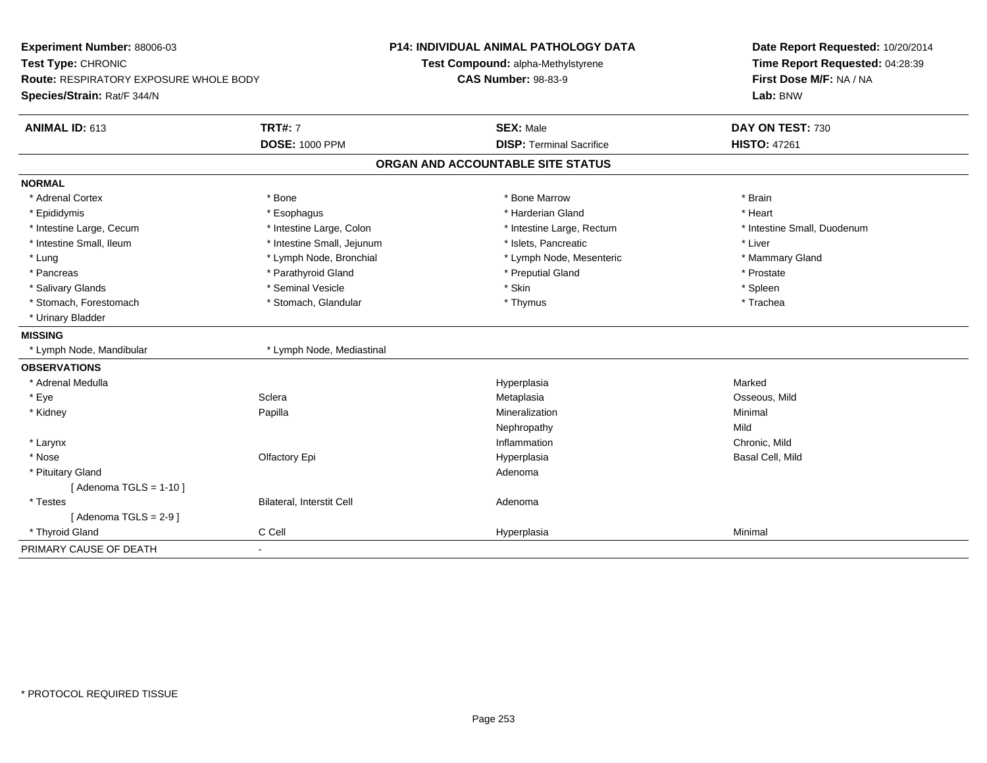| Experiment Number: 88006-03<br>Test Type: CHRONIC<br><b>Route: RESPIRATORY EXPOSURE WHOLE BODY</b> |                            | P14: INDIVIDUAL ANIMAL PATHOLOGY DATA<br>Test Compound: alpha-Methylstyrene<br><b>CAS Number: 98-83-9</b> | Date Report Requested: 10/20/2014<br>Time Report Requested: 04:28:39<br>First Dose M/F: NA / NA |
|----------------------------------------------------------------------------------------------------|----------------------------|-----------------------------------------------------------------------------------------------------------|-------------------------------------------------------------------------------------------------|
| Species/Strain: Rat/F 344/N                                                                        |                            |                                                                                                           | Lab: BNW                                                                                        |
| ANIMAL ID: 613                                                                                     | <b>TRT#: 7</b>             | <b>SEX: Male</b>                                                                                          | DAY ON TEST: 730                                                                                |
|                                                                                                    | <b>DOSE: 1000 PPM</b>      | <b>DISP: Terminal Sacrifice</b>                                                                           | <b>HISTO: 47261</b>                                                                             |
|                                                                                                    |                            | ORGAN AND ACCOUNTABLE SITE STATUS                                                                         |                                                                                                 |
| <b>NORMAL</b>                                                                                      |                            |                                                                                                           |                                                                                                 |
| * Adrenal Cortex                                                                                   | * Bone                     | * Bone Marrow                                                                                             | * Brain                                                                                         |
| * Epididymis                                                                                       | * Esophagus                | * Harderian Gland                                                                                         | * Heart                                                                                         |
| * Intestine Large, Cecum                                                                           | * Intestine Large, Colon   | * Intestine Large, Rectum                                                                                 | * Intestine Small, Duodenum                                                                     |
| * Intestine Small, Ileum                                                                           | * Intestine Small, Jejunum | * Islets, Pancreatic                                                                                      | * Liver                                                                                         |
| * Lung                                                                                             | * Lymph Node, Bronchial    | * Lymph Node, Mesenteric                                                                                  | * Mammary Gland                                                                                 |
| * Pancreas                                                                                         | * Parathyroid Gland        | * Preputial Gland                                                                                         | * Prostate                                                                                      |
| * Salivary Glands                                                                                  | * Seminal Vesicle          | * Skin                                                                                                    | * Spleen                                                                                        |
| * Stomach, Forestomach                                                                             | * Stomach, Glandular       | * Thymus                                                                                                  | * Trachea                                                                                       |
| * Urinary Bladder                                                                                  |                            |                                                                                                           |                                                                                                 |
| <b>MISSING</b>                                                                                     |                            |                                                                                                           |                                                                                                 |
| * Lymph Node, Mandibular                                                                           | * Lymph Node, Mediastinal  |                                                                                                           |                                                                                                 |
| <b>OBSERVATIONS</b>                                                                                |                            |                                                                                                           |                                                                                                 |
| * Adrenal Medulla                                                                                  |                            | Hyperplasia                                                                                               | Marked                                                                                          |
| * Eye                                                                                              | Sclera                     | Metaplasia                                                                                                | Osseous, Mild                                                                                   |
| * Kidney                                                                                           | Papilla                    | Mineralization                                                                                            | Minimal                                                                                         |
|                                                                                                    |                            | Nephropathy                                                                                               | Mild                                                                                            |
| * Larynx                                                                                           |                            | Inflammation                                                                                              | Chronic, Mild                                                                                   |
| * Nose                                                                                             | Olfactory Epi              | Hyperplasia                                                                                               | Basal Cell, Mild                                                                                |
| * Pituitary Gland                                                                                  |                            | Adenoma                                                                                                   |                                                                                                 |
| [Adenoma TGLS = $1-10$ ]                                                                           |                            |                                                                                                           |                                                                                                 |
| * Testes                                                                                           | Bilateral, Interstit Cell  | Adenoma                                                                                                   |                                                                                                 |
| [Adenoma TGLS = $2-9$ ]                                                                            |                            |                                                                                                           |                                                                                                 |
| * Thyroid Gland                                                                                    | C Cell                     | Hyperplasia                                                                                               | Minimal                                                                                         |
| PRIMARY CAUSE OF DEATH                                                                             | $\blacksquare$             |                                                                                                           |                                                                                                 |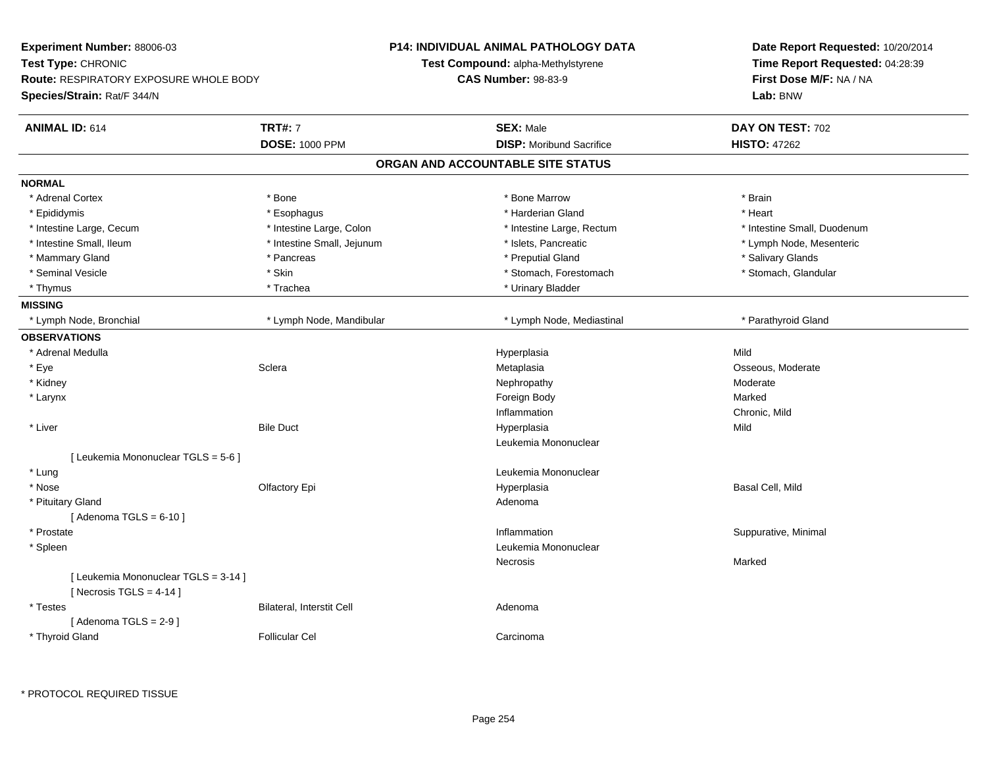| Experiment Number: 88006-03                                       | <b>P14: INDIVIDUAL ANIMAL PATHOLOGY DATA</b> |                                    | Date Report Requested: 10/20/2014 |                                 |
|-------------------------------------------------------------------|----------------------------------------------|------------------------------------|-----------------------------------|---------------------------------|
| Test Type: CHRONIC                                                |                                              | Test Compound: alpha-Methylstyrene |                                   | Time Report Requested: 04:28:39 |
| <b>Route: RESPIRATORY EXPOSURE WHOLE BODY</b>                     |                                              | <b>CAS Number: 98-83-9</b>         |                                   | First Dose M/F: NA / NA         |
| Species/Strain: Rat/F 344/N                                       |                                              |                                    |                                   | Lab: BNW                        |
| <b>ANIMAL ID: 614</b>                                             | <b>TRT#: 7</b>                               | <b>SEX: Male</b>                   |                                   | DAY ON TEST: 702                |
|                                                                   | <b>DOSE: 1000 PPM</b>                        |                                    | <b>DISP:</b> Moribund Sacrifice   | <b>HISTO: 47262</b>             |
|                                                                   |                                              | ORGAN AND ACCOUNTABLE SITE STATUS  |                                   |                                 |
| <b>NORMAL</b>                                                     |                                              |                                    |                                   |                                 |
| * Adrenal Cortex                                                  | * Bone                                       |                                    | * Bone Marrow                     | * Brain                         |
| * Epididymis                                                      | * Esophagus                                  |                                    | * Harderian Gland                 | * Heart                         |
| * Intestine Large, Cecum                                          | * Intestine Large, Colon                     |                                    | * Intestine Large, Rectum         | * Intestine Small, Duodenum     |
| * Intestine Small, Ileum                                          | * Intestine Small, Jejunum                   |                                    | * Islets, Pancreatic              | * Lymph Node, Mesenteric        |
| * Mammary Gland                                                   | * Pancreas                                   |                                    | * Preputial Gland                 | * Salivary Glands               |
| * Seminal Vesicle                                                 | * Skin                                       |                                    | * Stomach, Forestomach            | * Stomach, Glandular            |
| * Thymus                                                          | * Trachea                                    |                                    | * Urinary Bladder                 |                                 |
| <b>MISSING</b>                                                    |                                              |                                    |                                   |                                 |
| * Lymph Node, Bronchial                                           | * Lymph Node, Mandibular                     |                                    | * Lymph Node, Mediastinal         | * Parathyroid Gland             |
| <b>OBSERVATIONS</b>                                               |                                              |                                    |                                   |                                 |
| * Adrenal Medulla                                                 |                                              | Hyperplasia                        |                                   | Mild                            |
| * Eye                                                             | Sclera                                       | Metaplasia                         |                                   | Osseous, Moderate               |
| * Kidney                                                          |                                              | Nephropathy                        |                                   | Moderate                        |
| * Larynx                                                          |                                              | Foreign Body                       |                                   | Marked                          |
|                                                                   |                                              | Inflammation                       |                                   | Chronic, Mild                   |
| * Liver                                                           | <b>Bile Duct</b>                             | Hyperplasia                        |                                   | Mild                            |
|                                                                   |                                              |                                    | Leukemia Mononuclear              |                                 |
| [ Leukemia Mononuclear TGLS = 5-6 ]                               |                                              |                                    |                                   |                                 |
| * Lung                                                            |                                              |                                    | Leukemia Mononuclear              |                                 |
| * Nose                                                            | Olfactory Epi                                | Hyperplasia                        |                                   | Basal Cell, Mild                |
| * Pituitary Gland                                                 |                                              | Adenoma                            |                                   |                                 |
| [Adenoma TGLS = $6-10$ ]                                          |                                              |                                    |                                   |                                 |
| * Prostate                                                        |                                              | Inflammation                       |                                   | Suppurative, Minimal            |
| * Spleen                                                          |                                              |                                    | Leukemia Mononuclear              |                                 |
|                                                                   |                                              | Necrosis                           |                                   | Marked                          |
| [ Leukemia Mononuclear TGLS = 3-14 ]<br>[Necrosis TGLS = $4-14$ ] |                                              |                                    |                                   |                                 |
| * Testes                                                          | <b>Bilateral, Interstit Cell</b>             | Adenoma                            |                                   |                                 |
| [Adenoma TGLS = $2-9$ ]                                           |                                              |                                    |                                   |                                 |
| * Thyroid Gland                                                   | <b>Follicular Cel</b>                        | Carcinoma                          |                                   |                                 |
|                                                                   |                                              |                                    |                                   |                                 |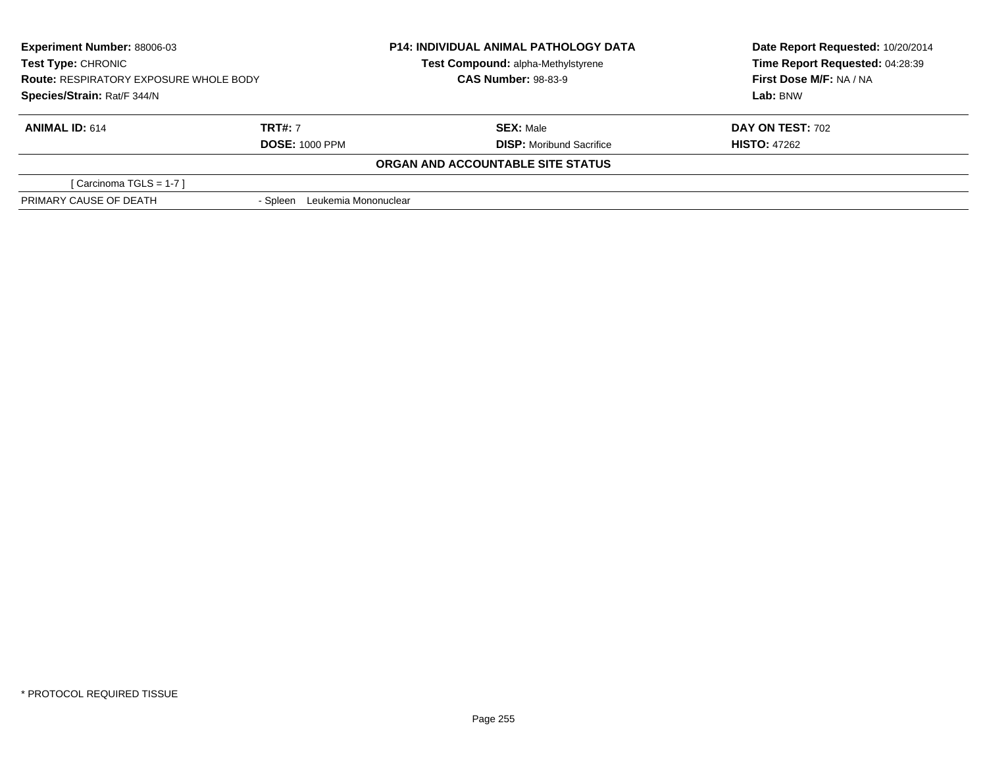| <b>Experiment Number: 88006-03</b><br><b>Test Type: CHRONIC</b><br><b>Route: RESPIRATORY EXPOSURE WHOLE BODY</b><br>Species/Strain: Rat/F 344/N |                               | <b>P14: INDIVIDUAL ANIMAL PATHOLOGY DATA</b> | Date Report Requested: 10/20/2014 |
|-------------------------------------------------------------------------------------------------------------------------------------------------|-------------------------------|----------------------------------------------|-----------------------------------|
|                                                                                                                                                 |                               | Test Compound: alpha-Methylstyrene           | Time Report Requested: 04:28:39   |
|                                                                                                                                                 |                               | <b>CAS Number: 98-83-9</b>                   | First Dose M/F: NA / NA           |
|                                                                                                                                                 |                               |                                              | Lab: BNW                          |
| <b>ANIMAL ID: 614</b>                                                                                                                           | <b>TRT#: 7</b>                | <b>SEX: Male</b>                             | <b>DAY ON TEST: 702</b>           |
|                                                                                                                                                 | <b>DOSE: 1000 PPM</b>         | <b>DISP:</b> Moribund Sacrifice              | <b>HISTO: 47262</b>               |
|                                                                                                                                                 |                               | ORGAN AND ACCOUNTABLE SITE STATUS            |                                   |
| [Carcinoma TGLS = 1-7 ]                                                                                                                         |                               |                                              |                                   |
| PRIMARY CAUSE OF DEATH                                                                                                                          | - Spleen Leukemia Mononuclear |                                              |                                   |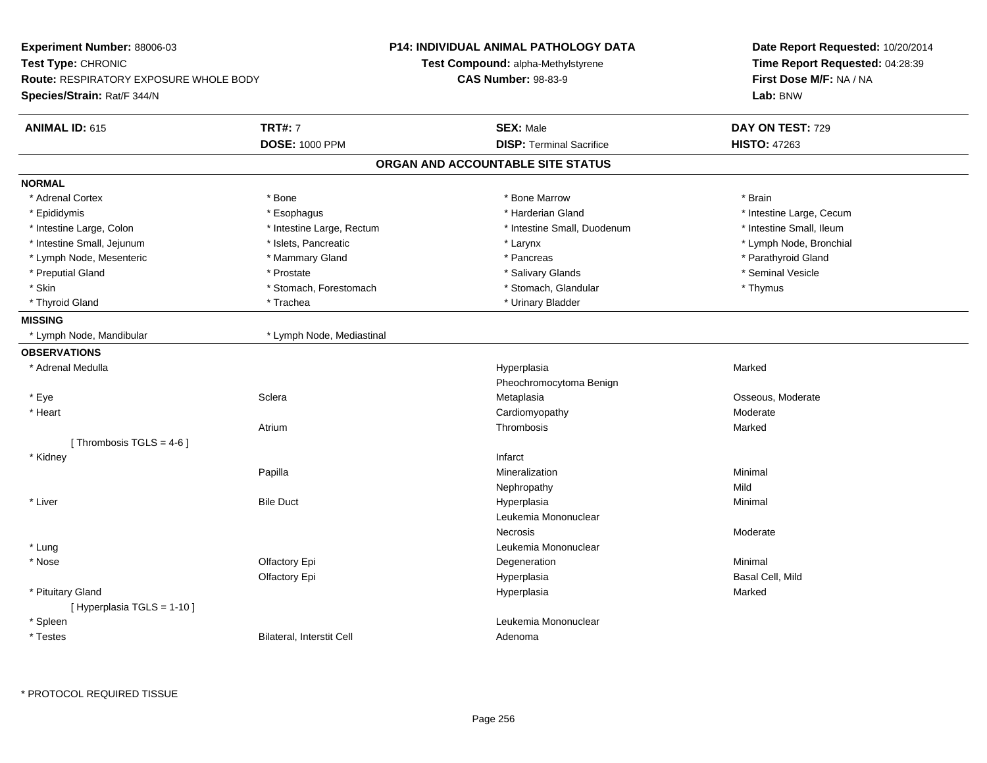| Experiment Number: 88006-03            |                           | <b>P14: INDIVIDUAL ANIMAL PATHOLOGY DATA</b> | Date Report Requested: 10/20/2014<br>Time Report Requested: 04:28:39 |  |
|----------------------------------------|---------------------------|----------------------------------------------|----------------------------------------------------------------------|--|
| Test Type: CHRONIC                     |                           | <b>Test Compound: alpha-Methylstyrene</b>    |                                                                      |  |
| Route: RESPIRATORY EXPOSURE WHOLE BODY |                           | <b>CAS Number: 98-83-9</b>                   | First Dose M/F: NA / NA                                              |  |
| Species/Strain: Rat/F 344/N            |                           |                                              | Lab: BNW                                                             |  |
| <b>ANIMAL ID: 615</b>                  | <b>TRT#: 7</b>            | <b>SEX: Male</b>                             | DAY ON TEST: 729                                                     |  |
|                                        | <b>DOSE: 1000 PPM</b>     | <b>DISP: Terminal Sacrifice</b>              | <b>HISTO: 47263</b>                                                  |  |
|                                        |                           | ORGAN AND ACCOUNTABLE SITE STATUS            |                                                                      |  |
| <b>NORMAL</b>                          |                           |                                              |                                                                      |  |
| * Adrenal Cortex                       | * Bone                    | * Bone Marrow                                | * Brain                                                              |  |
| * Epididymis                           | * Esophagus               | * Harderian Gland                            | * Intestine Large, Cecum                                             |  |
| * Intestine Large, Colon               | * Intestine Large, Rectum | * Intestine Small, Duodenum                  | * Intestine Small, Ileum                                             |  |
| * Intestine Small, Jejunum             | * Islets, Pancreatic      | * Larynx                                     | * Lymph Node, Bronchial                                              |  |
| * Lymph Node, Mesenteric               | * Mammary Gland           | * Pancreas                                   | * Parathyroid Gland                                                  |  |
| * Preputial Gland                      | * Prostate                | * Salivary Glands                            | * Seminal Vesicle                                                    |  |
| * Skin                                 | * Stomach, Forestomach    | * Stomach, Glandular                         | * Thymus                                                             |  |
| * Thyroid Gland                        | * Trachea                 | * Urinary Bladder                            |                                                                      |  |
| <b>MISSING</b>                         |                           |                                              |                                                                      |  |
| * Lymph Node, Mandibular               | * Lymph Node, Mediastinal |                                              |                                                                      |  |
| <b>OBSERVATIONS</b>                    |                           |                                              |                                                                      |  |
| * Adrenal Medulla                      |                           | Hyperplasia                                  | Marked                                                               |  |
|                                        |                           | Pheochromocytoma Benign                      |                                                                      |  |
| * Eye                                  | Sclera                    | Metaplasia                                   | Osseous, Moderate                                                    |  |
| * Heart                                |                           | Cardiomyopathy                               | Moderate                                                             |  |
|                                        | Atrium                    | Thrombosis                                   | Marked                                                               |  |
| [Thrombosis TGLS = 4-6]                |                           |                                              |                                                                      |  |
| * Kidney                               |                           | Infarct                                      |                                                                      |  |
|                                        | Papilla                   | Mineralization                               | Minimal                                                              |  |
|                                        |                           | Nephropathy                                  | Mild                                                                 |  |
| * Liver                                | <b>Bile Duct</b>          | Hyperplasia                                  | Minimal                                                              |  |
|                                        |                           | Leukemia Mononuclear                         |                                                                      |  |
|                                        |                           | <b>Necrosis</b>                              | Moderate                                                             |  |
| * Lung                                 |                           | Leukemia Mononuclear                         |                                                                      |  |
| * Nose                                 | Olfactory Epi             | Degeneration                                 | Minimal                                                              |  |
|                                        | Olfactory Epi             | Hyperplasia                                  | Basal Cell, Mild                                                     |  |
| * Pituitary Gland                      |                           | Hyperplasia                                  | Marked                                                               |  |
| [Hyperplasia TGLS = 1-10]              |                           |                                              |                                                                      |  |
| * Spleen                               |                           | Leukemia Mononuclear                         |                                                                      |  |
| * Testes                               | Bilateral, Interstit Cell | Adenoma                                      |                                                                      |  |
|                                        |                           |                                              |                                                                      |  |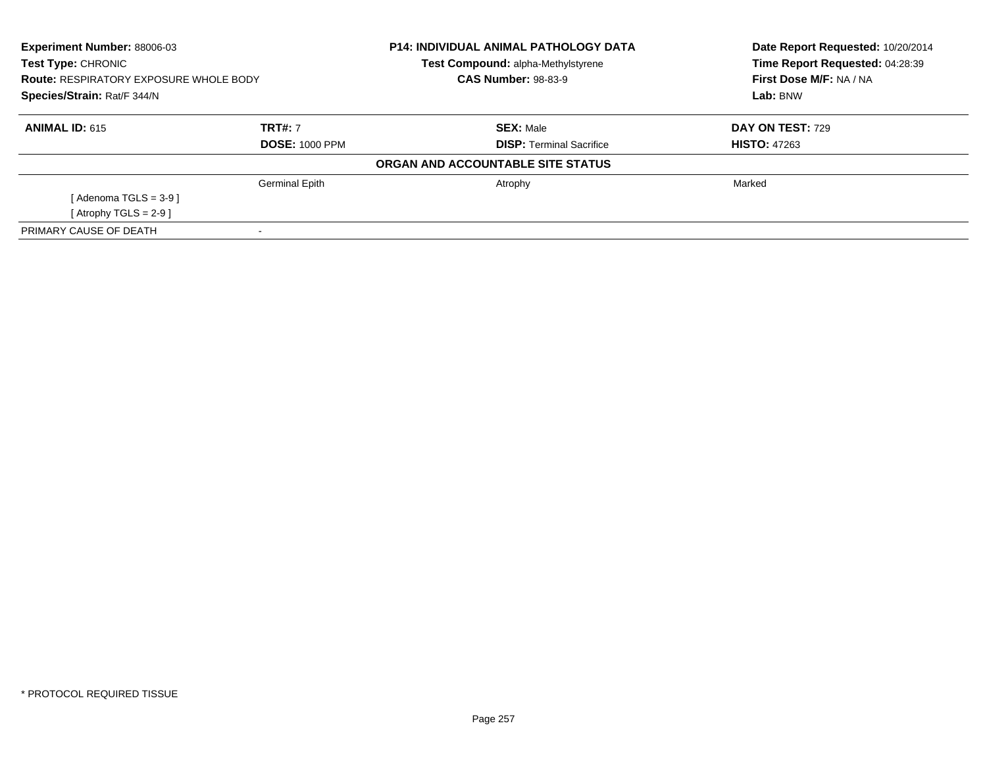| <b>Experiment Number: 88006-03</b><br>Test Type: CHRONIC<br><b>Route: RESPIRATORY EXPOSURE WHOLE BODY</b><br>Species/Strain: Rat/F 344/N |                       | <b>P14: INDIVIDUAL ANIMAL PATHOLOGY DATA</b> | Date Report Requested: 10/20/2014<br>Time Report Requested: 04:28:39 |
|------------------------------------------------------------------------------------------------------------------------------------------|-----------------------|----------------------------------------------|----------------------------------------------------------------------|
|                                                                                                                                          |                       | Test Compound: alpha-Methylstyrene           |                                                                      |
|                                                                                                                                          |                       | <b>CAS Number: 98-83-9</b>                   | First Dose M/F: NA / NA                                              |
|                                                                                                                                          |                       |                                              | Lab: BNW                                                             |
| <b>ANIMAL ID: 615</b>                                                                                                                    | <b>TRT#: 7</b>        | <b>SEX: Male</b>                             | DAY ON TEST: 729                                                     |
| <b>DOSE: 1000 PPM</b>                                                                                                                    |                       | <b>DISP: Terminal Sacrifice</b>              | <b>HISTO: 47263</b>                                                  |
|                                                                                                                                          |                       | ORGAN AND ACCOUNTABLE SITE STATUS            |                                                                      |
|                                                                                                                                          | <b>Germinal Epith</b> | Atrophy                                      | Marked                                                               |
| [Adenoma TGLS = $3-9$ ]                                                                                                                  |                       |                                              |                                                                      |
| [Atrophy TGLS = $2-9$ ]                                                                                                                  |                       |                                              |                                                                      |
| PRIMARY CAUSE OF DEATH                                                                                                                   |                       |                                              |                                                                      |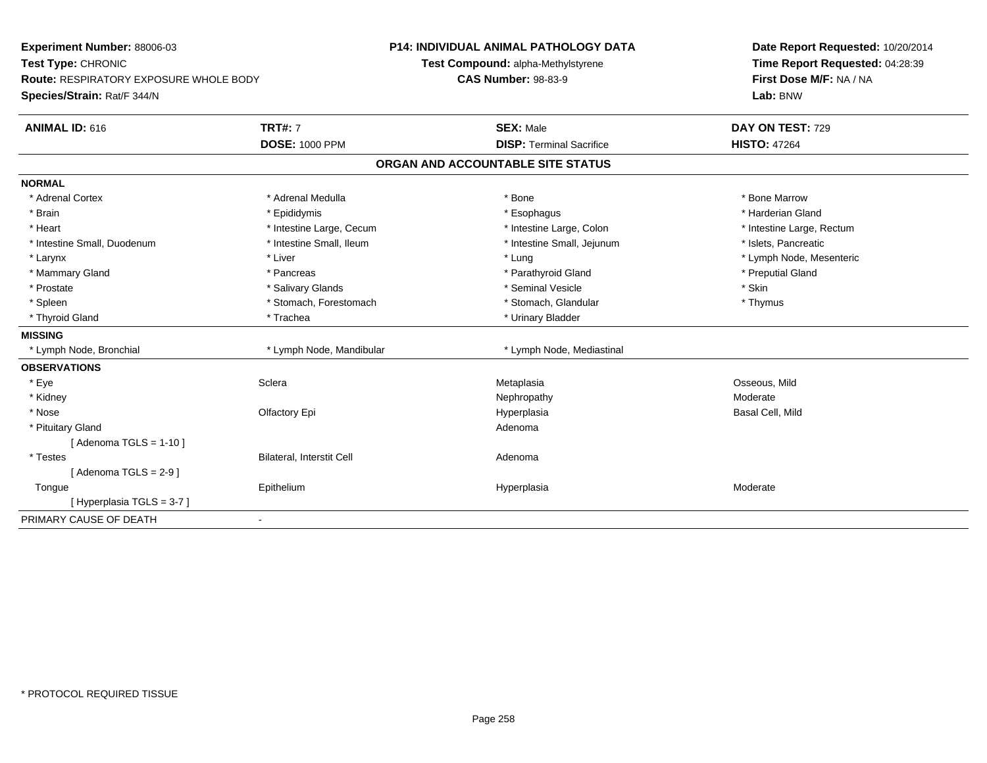| Experiment Number: 88006-03<br>Test Type: CHRONIC<br><b>Route: RESPIRATORY EXPOSURE WHOLE BODY</b><br>Species/Strain: Rat/F 344/N |                                  | <b>P14: INDIVIDUAL ANIMAL PATHOLOGY DATA</b><br>Test Compound: alpha-Methylstyrene | Date Report Requested: 10/20/2014<br>Time Report Requested: 04:28:39 |
|-----------------------------------------------------------------------------------------------------------------------------------|----------------------------------|------------------------------------------------------------------------------------|----------------------------------------------------------------------|
|                                                                                                                                   |                                  | <b>CAS Number: 98-83-9</b>                                                         | First Dose M/F: NA / NA<br>Lab: BNW                                  |
| <b>ANIMAL ID: 616</b>                                                                                                             | <b>TRT#: 7</b>                   | <b>SEX: Male</b>                                                                   | DAY ON TEST: 729                                                     |
|                                                                                                                                   | <b>DOSE: 1000 PPM</b>            | <b>DISP: Terminal Sacrifice</b>                                                    | <b>HISTO: 47264</b>                                                  |
|                                                                                                                                   |                                  | ORGAN AND ACCOUNTABLE SITE STATUS                                                  |                                                                      |
| <b>NORMAL</b>                                                                                                                     |                                  |                                                                                    |                                                                      |
| * Adrenal Cortex                                                                                                                  | * Adrenal Medulla                | * Bone                                                                             | * Bone Marrow                                                        |
| * Brain                                                                                                                           | * Epididymis                     | * Esophagus                                                                        | * Harderian Gland                                                    |
| * Heart                                                                                                                           | * Intestine Large, Cecum         | * Intestine Large, Colon                                                           | * Intestine Large, Rectum                                            |
| * Intestine Small, Duodenum                                                                                                       | * Intestine Small, Ileum         | * Intestine Small, Jejunum                                                         | * Islets, Pancreatic                                                 |
| * Larynx                                                                                                                          | * Liver                          | * Lung                                                                             | * Lymph Node, Mesenteric                                             |
| * Mammary Gland                                                                                                                   | * Pancreas                       | * Parathyroid Gland                                                                | * Preputial Gland                                                    |
| * Prostate                                                                                                                        | * Salivary Glands                | * Seminal Vesicle                                                                  | * Skin                                                               |
| * Spleen                                                                                                                          | * Stomach, Forestomach           | * Stomach, Glandular                                                               | * Thymus                                                             |
| * Thyroid Gland                                                                                                                   | * Trachea                        | * Urinary Bladder                                                                  |                                                                      |
| <b>MISSING</b>                                                                                                                    |                                  |                                                                                    |                                                                      |
| * Lymph Node, Bronchial                                                                                                           | * Lymph Node, Mandibular         | * Lymph Node, Mediastinal                                                          |                                                                      |
| <b>OBSERVATIONS</b>                                                                                                               |                                  |                                                                                    |                                                                      |
| * Eye                                                                                                                             | Sclera                           | Metaplasia                                                                         | Osseous, Mild                                                        |
| * Kidney                                                                                                                          |                                  | Nephropathy                                                                        | Moderate                                                             |
| * Nose                                                                                                                            | Olfactory Epi                    | Hyperplasia                                                                        | Basal Cell, Mild                                                     |
| * Pituitary Gland                                                                                                                 |                                  | Adenoma                                                                            |                                                                      |
| [Adenoma TGLS = $1-10$ ]                                                                                                          |                                  |                                                                                    |                                                                      |
| * Testes                                                                                                                          | <b>Bilateral, Interstit Cell</b> | Adenoma                                                                            |                                                                      |
| [Adenoma TGLS = $2-9$ ]                                                                                                           |                                  |                                                                                    |                                                                      |
| Tongue                                                                                                                            | Epithelium                       | Hyperplasia                                                                        | Moderate                                                             |
| [Hyperplasia TGLS = 3-7]                                                                                                          |                                  |                                                                                    |                                                                      |
| PRIMARY CAUSE OF DEATH                                                                                                            |                                  |                                                                                    |                                                                      |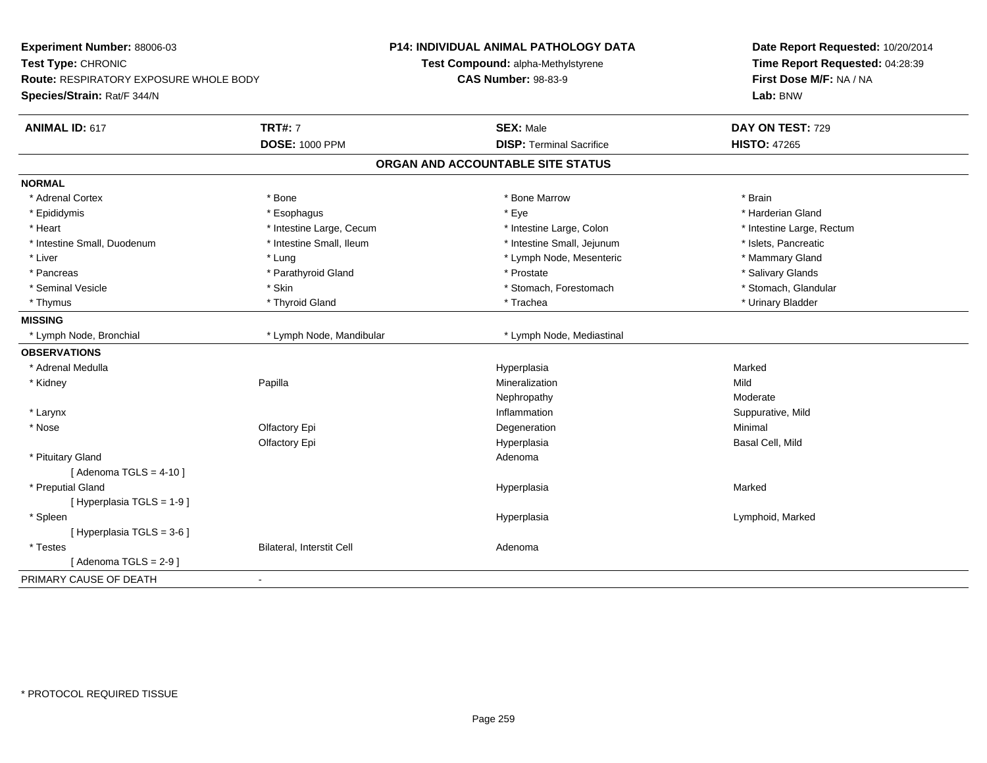| Experiment Number: 88006-03<br>Test Type: CHRONIC<br>Route: RESPIRATORY EXPOSURE WHOLE BODY<br>Species/Strain: Rat/F 344/N | <b>P14: INDIVIDUAL ANIMAL PATHOLOGY DATA</b><br>Test Compound: alpha-Methylstyrene<br><b>CAS Number: 98-83-9</b> | Date Report Requested: 10/20/2014<br>Time Report Requested: 04:28:39<br>First Dose M/F: NA / NA<br>Lab: BNW |
|----------------------------------------------------------------------------------------------------------------------------|------------------------------------------------------------------------------------------------------------------|-------------------------------------------------------------------------------------------------------------|
| <b>TRT#: 7</b><br><b>ANIMAL ID: 617</b>                                                                                    | <b>SEX: Male</b>                                                                                                 | DAY ON TEST: 729                                                                                            |
| <b>DOSE: 1000 PPM</b>                                                                                                      | <b>DISP: Terminal Sacrifice</b>                                                                                  | <b>HISTO: 47265</b>                                                                                         |
|                                                                                                                            | ORGAN AND ACCOUNTABLE SITE STATUS                                                                                |                                                                                                             |
| <b>NORMAL</b>                                                                                                              |                                                                                                                  |                                                                                                             |
| * Adrenal Cortex<br>* Bone                                                                                                 | * Bone Marrow                                                                                                    | * Brain                                                                                                     |
| * Epididymis<br>* Esophagus                                                                                                | * Eye                                                                                                            | * Harderian Gland                                                                                           |
| * Heart<br>* Intestine Large, Cecum                                                                                        | * Intestine Large, Colon                                                                                         | * Intestine Large, Rectum                                                                                   |
| * Intestine Small, Duodenum<br>* Intestine Small, Ileum                                                                    | * Intestine Small, Jejunum                                                                                       | * Islets, Pancreatic                                                                                        |
| $*$ Liver<br>* Lung                                                                                                        | * Lymph Node, Mesenteric                                                                                         | * Mammary Gland                                                                                             |
| * Parathyroid Gland<br>* Pancreas                                                                                          | * Prostate                                                                                                       | * Salivary Glands                                                                                           |
| * Skin<br>* Seminal Vesicle                                                                                                | * Stomach, Forestomach                                                                                           | * Stomach, Glandular                                                                                        |
| * Thyroid Gland<br>* Thymus                                                                                                | * Trachea                                                                                                        | * Urinary Bladder                                                                                           |
| <b>MISSING</b>                                                                                                             |                                                                                                                  |                                                                                                             |
| * Lymph Node, Mandibular<br>* Lymph Node, Bronchial                                                                        | * Lymph Node, Mediastinal                                                                                        |                                                                                                             |
| <b>OBSERVATIONS</b>                                                                                                        |                                                                                                                  |                                                                                                             |
| * Adrenal Medulla                                                                                                          | Hyperplasia                                                                                                      | Marked                                                                                                      |
| * Kidney<br>Papilla                                                                                                        | Mineralization                                                                                                   | Mild                                                                                                        |
|                                                                                                                            | Nephropathy                                                                                                      | Moderate                                                                                                    |
| * Larynx                                                                                                                   | Inflammation                                                                                                     | Suppurative, Mild                                                                                           |
| * Nose<br>Olfactory Epi                                                                                                    | Degeneration                                                                                                     | Minimal                                                                                                     |
| Olfactory Epi                                                                                                              | Hyperplasia                                                                                                      | Basal Cell, Mild                                                                                            |
| * Pituitary Gland                                                                                                          | Adenoma                                                                                                          |                                                                                                             |
| [Adenoma TGLS = $4-10$ ]                                                                                                   |                                                                                                                  |                                                                                                             |
| * Preputial Gland                                                                                                          | Hyperplasia                                                                                                      | Marked                                                                                                      |
| [ Hyperplasia TGLS = 1-9 ]                                                                                                 |                                                                                                                  |                                                                                                             |
| * Spleen                                                                                                                   | Hyperplasia                                                                                                      | Lymphoid, Marked                                                                                            |
| [ Hyperplasia TGLS = 3-6 ]                                                                                                 |                                                                                                                  |                                                                                                             |
| Bilateral, Interstit Cell<br>* Testes                                                                                      | Adenoma                                                                                                          |                                                                                                             |
| [Adenoma TGLS = $2-9$ ]                                                                                                    |                                                                                                                  |                                                                                                             |
| PRIMARY CAUSE OF DEATH                                                                                                     |                                                                                                                  |                                                                                                             |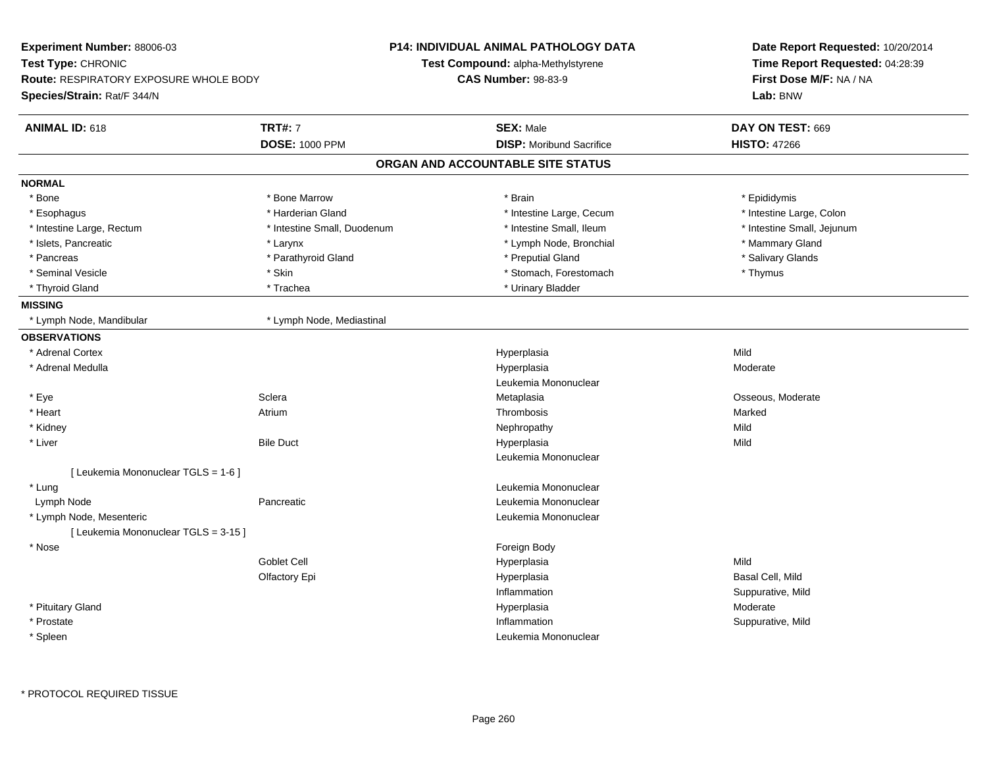| Experiment Number: 88006-03                   |                             | <b>P14: INDIVIDUAL ANIMAL PATHOLOGY DATA</b> | Date Report Requested: 10/20/2014<br>Time Report Requested: 04:28:39<br>First Dose M/F: NA / NA<br>Lab: BNW |
|-----------------------------------------------|-----------------------------|----------------------------------------------|-------------------------------------------------------------------------------------------------------------|
| Test Type: CHRONIC                            |                             | <b>Test Compound: alpha-Methylstyrene</b>    |                                                                                                             |
| <b>Route: RESPIRATORY EXPOSURE WHOLE BODY</b> |                             | <b>CAS Number: 98-83-9</b>                   |                                                                                                             |
| Species/Strain: Rat/F 344/N                   |                             |                                              |                                                                                                             |
| <b>ANIMAL ID: 618</b>                         | <b>TRT#: 7</b>              | <b>SEX: Male</b>                             | DAY ON TEST: 669                                                                                            |
|                                               | <b>DOSE: 1000 PPM</b>       | <b>DISP:</b> Moribund Sacrifice              | <b>HISTO: 47266</b>                                                                                         |
|                                               |                             | ORGAN AND ACCOUNTABLE SITE STATUS            |                                                                                                             |
| <b>NORMAL</b>                                 |                             |                                              |                                                                                                             |
| * Bone                                        | * Bone Marrow               | * Brain                                      | * Epididymis                                                                                                |
| * Esophagus                                   | * Harderian Gland           | * Intestine Large, Cecum                     | * Intestine Large, Colon                                                                                    |
| * Intestine Large, Rectum                     | * Intestine Small, Duodenum | * Intestine Small, Ileum                     | * Intestine Small, Jejunum                                                                                  |
| * Islets, Pancreatic                          | * Larynx                    | * Lymph Node, Bronchial                      | * Mammary Gland                                                                                             |
| * Pancreas                                    | * Parathyroid Gland         | * Preputial Gland                            | * Salivary Glands                                                                                           |
| * Seminal Vesicle                             | * Skin                      | * Stomach, Forestomach                       | * Thymus                                                                                                    |
| * Thyroid Gland                               | * Trachea                   | * Urinary Bladder                            |                                                                                                             |
| <b>MISSING</b>                                |                             |                                              |                                                                                                             |
| * Lymph Node, Mandibular                      | * Lymph Node, Mediastinal   |                                              |                                                                                                             |
| <b>OBSERVATIONS</b>                           |                             |                                              |                                                                                                             |
| * Adrenal Cortex                              |                             | Hyperplasia                                  | Mild                                                                                                        |
| * Adrenal Medulla                             |                             | Hyperplasia                                  | Moderate                                                                                                    |
|                                               |                             | Leukemia Mononuclear                         |                                                                                                             |
| * Eye                                         | Sclera                      | Metaplasia                                   | Osseous, Moderate                                                                                           |
| $*$ Heart                                     | Atrium                      | Thrombosis                                   | Marked                                                                                                      |
| * Kidney                                      |                             | Nephropathy                                  | Mild                                                                                                        |
| * Liver                                       | <b>Bile Duct</b>            | Hyperplasia                                  | Mild                                                                                                        |
|                                               |                             | Leukemia Mononuclear                         |                                                                                                             |
| [ Leukemia Mononuclear TGLS = 1-6 ]           |                             |                                              |                                                                                                             |
| * Lung                                        |                             | Leukemia Mononuclear                         |                                                                                                             |
| Lymph Node                                    | Pancreatic                  | Leukemia Mononuclear                         |                                                                                                             |
| * Lymph Node, Mesenteric                      |                             | Leukemia Mononuclear                         |                                                                                                             |
| [ Leukemia Mononuclear TGLS = 3-15 ]          |                             |                                              |                                                                                                             |
| * Nose                                        |                             | Foreign Body                                 |                                                                                                             |
|                                               | Goblet Cell                 | Hyperplasia                                  | Mild                                                                                                        |
|                                               | Olfactory Epi               | Hyperplasia                                  | Basal Cell, Mild                                                                                            |
|                                               |                             | Inflammation                                 | Suppurative, Mild                                                                                           |
| * Pituitary Gland                             |                             | Hyperplasia                                  | Moderate                                                                                                    |
| * Prostate                                    |                             | Inflammation                                 | Suppurative, Mild                                                                                           |
| * Spleen                                      |                             | Leukemia Mononuclear                         |                                                                                                             |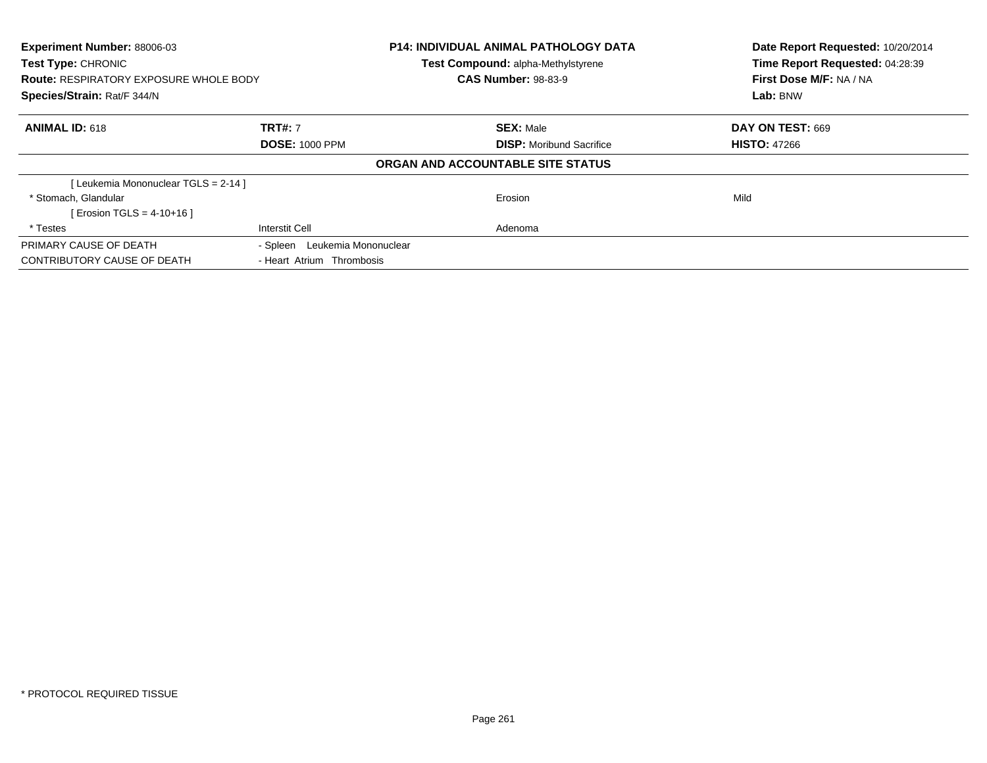| <b>Experiment Number: 88006-03</b><br><b>Test Type: CHRONIC</b><br><b>Route: RESPIRATORY EXPOSURE WHOLE BODY</b><br>Species/Strain: Rat/F 344/N |                               | <b>P14: INDIVIDUAL ANIMAL PATHOLOGY DATA</b><br>Test Compound: alpha-Methylstyrene<br><b>CAS Number: 98-83-9</b> | Date Report Requested: 10/20/2014<br>Time Report Requested: 04:28:39<br>First Dose M/F: NA / NA |
|-------------------------------------------------------------------------------------------------------------------------------------------------|-------------------------------|------------------------------------------------------------------------------------------------------------------|-------------------------------------------------------------------------------------------------|
|                                                                                                                                                 |                               |                                                                                                                  | Lab: BNW                                                                                        |
| <b>ANIMAL ID: 618</b>                                                                                                                           | <b>TRT#: 7</b>                | <b>SEX: Male</b>                                                                                                 | DAY ON TEST: 669                                                                                |
|                                                                                                                                                 | <b>DOSE: 1000 PPM</b>         | <b>DISP:</b> Moribund Sacrifice                                                                                  | <b>HISTO: 47266</b>                                                                             |
|                                                                                                                                                 |                               | ORGAN AND ACCOUNTABLE SITE STATUS                                                                                |                                                                                                 |
| [Leukemia Mononuclear TGLS = 2-14 ]                                                                                                             |                               |                                                                                                                  |                                                                                                 |
| * Stomach, Glandular                                                                                                                            |                               | Erosion                                                                                                          | Mild                                                                                            |
| [ Erosion TGLS = $4-10+16$ ]                                                                                                                    |                               |                                                                                                                  |                                                                                                 |
| * Testes                                                                                                                                        | Interstit Cell                | Adenoma                                                                                                          |                                                                                                 |
| PRIMARY CAUSE OF DEATH                                                                                                                          | - Spleen Leukemia Mononuclear |                                                                                                                  |                                                                                                 |
| CONTRIBUTORY CAUSE OF DEATH                                                                                                                     | - Heart Atrium Thrombosis     |                                                                                                                  |                                                                                                 |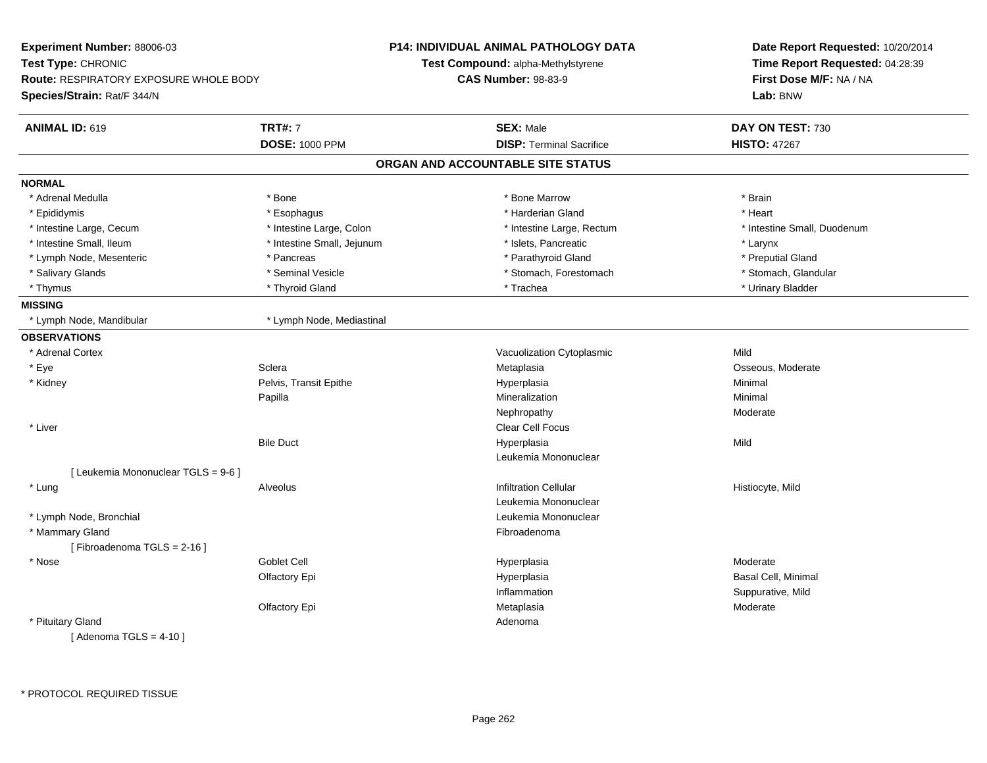| Experiment Number: 88006-03                   |                            | <b>P14: INDIVIDUAL ANIMAL PATHOLOGY DATA</b> | Date Report Requested: 10/20/2014<br>Time Report Requested: 04:28:39<br>First Dose M/F: NA / NA |  |
|-----------------------------------------------|----------------------------|----------------------------------------------|-------------------------------------------------------------------------------------------------|--|
| Test Type: CHRONIC                            |                            | Test Compound: alpha-Methylstyrene           |                                                                                                 |  |
| <b>Route: RESPIRATORY EXPOSURE WHOLE BODY</b> |                            | <b>CAS Number: 98-83-9</b>                   |                                                                                                 |  |
| Species/Strain: Rat/F 344/N                   |                            |                                              | Lab: BNW                                                                                        |  |
| <b>ANIMAL ID: 619</b>                         | <b>TRT#: 7</b>             | <b>SEX: Male</b>                             | DAY ON TEST: 730                                                                                |  |
|                                               | <b>DOSE: 1000 PPM</b>      | <b>DISP: Terminal Sacrifice</b>              | <b>HISTO: 47267</b>                                                                             |  |
|                                               |                            | ORGAN AND ACCOUNTABLE SITE STATUS            |                                                                                                 |  |
| <b>NORMAL</b>                                 |                            |                                              |                                                                                                 |  |
| * Adrenal Medulla                             | * Bone                     | * Bone Marrow                                | * Brain                                                                                         |  |
| * Epididymis                                  | * Esophagus                | * Harderian Gland                            | * Heart                                                                                         |  |
| * Intestine Large, Cecum                      | * Intestine Large, Colon   | * Intestine Large, Rectum                    | * Intestine Small, Duodenum                                                                     |  |
| * Intestine Small, Ileum                      | * Intestine Small, Jejunum | * Islets, Pancreatic                         | * Larynx                                                                                        |  |
| * Lymph Node, Mesenteric                      | * Pancreas                 | * Parathyroid Gland                          | * Preputial Gland                                                                               |  |
| * Salivary Glands                             | * Seminal Vesicle          | * Stomach, Forestomach                       | * Stomach, Glandular                                                                            |  |
| * Thymus                                      | * Thyroid Gland            | * Trachea                                    | * Urinary Bladder                                                                               |  |
| <b>MISSING</b>                                |                            |                                              |                                                                                                 |  |
| * Lymph Node, Mandibular                      | * Lymph Node, Mediastinal  |                                              |                                                                                                 |  |
| <b>OBSERVATIONS</b>                           |                            |                                              |                                                                                                 |  |
| * Adrenal Cortex                              |                            | Vacuolization Cytoplasmic                    | Mild                                                                                            |  |
| * Eye                                         | Sclera                     | Metaplasia                                   | Osseous, Moderate                                                                               |  |
| * Kidney                                      | Pelvis, Transit Epithe     | Hyperplasia                                  | Minimal                                                                                         |  |
|                                               | Papilla                    | Mineralization                               | Minimal                                                                                         |  |
|                                               |                            | Nephropathy                                  | Moderate                                                                                        |  |
| * Liver                                       |                            | <b>Clear Cell Focus</b>                      |                                                                                                 |  |
|                                               | <b>Bile Duct</b>           | Hyperplasia                                  | Mild                                                                                            |  |
|                                               |                            | Leukemia Mononuclear                         |                                                                                                 |  |
| [ Leukemia Mononuclear TGLS = 9-6 ]           |                            |                                              |                                                                                                 |  |
| * Lung                                        | Alveolus                   | <b>Infiltration Cellular</b>                 | Histiocyte, Mild                                                                                |  |
|                                               |                            | Leukemia Mononuclear                         |                                                                                                 |  |
| * Lymph Node, Bronchial                       |                            | Leukemia Mononuclear                         |                                                                                                 |  |
| * Mammary Gland                               |                            | Fibroadenoma                                 |                                                                                                 |  |
| [Fibroadenoma TGLS = 2-16]                    |                            |                                              |                                                                                                 |  |
| * Nose                                        | <b>Goblet Cell</b>         | Hyperplasia                                  | Moderate                                                                                        |  |
|                                               | Olfactory Epi              | Hyperplasia                                  | Basal Cell, Minimal                                                                             |  |
|                                               |                            | Inflammation                                 | Suppurative, Mild                                                                               |  |
|                                               | Olfactory Epi              | Metaplasia                                   | Moderate                                                                                        |  |
| * Pituitary Gland                             |                            | Adenoma                                      |                                                                                                 |  |
| [Adenoma TGLS = $4-10$ ]                      |                            |                                              |                                                                                                 |  |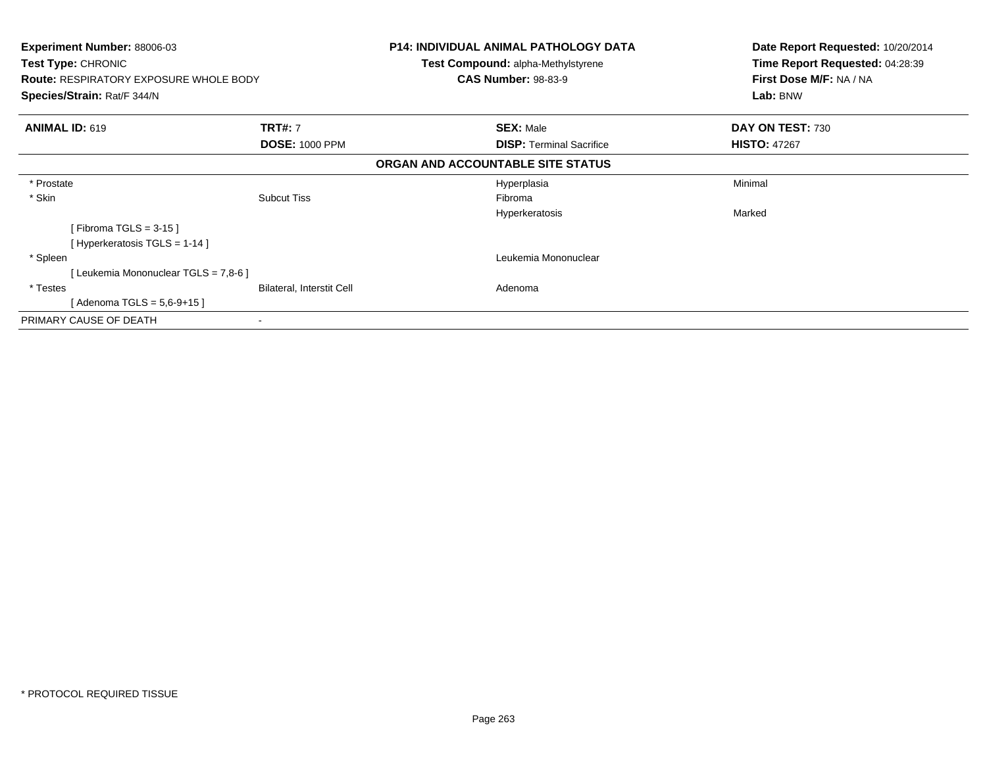| <b>Experiment Number: 88006-03</b><br>Test Type: CHRONIC<br><b>Route: RESPIRATORY EXPOSURE WHOLE BODY</b><br>Species/Strain: Rat/F 344/N |                           | <b>P14: INDIVIDUAL ANIMAL PATHOLOGY DATA</b><br>Test Compound: alpha-Methylstyrene | Date Report Requested: 10/20/2014<br>Time Report Requested: 04:28:39<br>First Dose M/F: NA / NA<br>Lab: BNW |
|------------------------------------------------------------------------------------------------------------------------------------------|---------------------------|------------------------------------------------------------------------------------|-------------------------------------------------------------------------------------------------------------|
|                                                                                                                                          |                           | <b>CAS Number: 98-83-9</b>                                                         |                                                                                                             |
|                                                                                                                                          |                           |                                                                                    |                                                                                                             |
| <b>ANIMAL ID: 619</b>                                                                                                                    | <b>TRT#:</b> 7            | <b>SEX: Male</b>                                                                   | DAY ON TEST: 730                                                                                            |
|                                                                                                                                          | <b>DOSE: 1000 PPM</b>     | <b>DISP:</b> Terminal Sacrifice                                                    | <b>HISTO: 47267</b>                                                                                         |
|                                                                                                                                          |                           | ORGAN AND ACCOUNTABLE SITE STATUS                                                  |                                                                                                             |
| * Prostate                                                                                                                               |                           | Hyperplasia                                                                        | Minimal                                                                                                     |
| * Skin                                                                                                                                   | <b>Subcut Tiss</b>        | Fibroma                                                                            |                                                                                                             |
|                                                                                                                                          |                           | Hyperkeratosis                                                                     | Marked                                                                                                      |
| [Fibroma TGLS = 3-15 ]                                                                                                                   |                           |                                                                                    |                                                                                                             |
| [Hyperkeratosis TGLS = 1-14]                                                                                                             |                           |                                                                                    |                                                                                                             |
| * Spleen                                                                                                                                 |                           | Leukemia Mononuclear                                                               |                                                                                                             |
| [ Leukemia Mononuclear TGLS = 7,8-6 ]                                                                                                    |                           |                                                                                    |                                                                                                             |
| * Testes                                                                                                                                 | Bilateral, Interstit Cell | Adenoma                                                                            |                                                                                                             |
| [Adenoma TGLS = 5,6-9+15]                                                                                                                |                           |                                                                                    |                                                                                                             |
| PRIMARY CAUSE OF DEATH                                                                                                                   |                           |                                                                                    |                                                                                                             |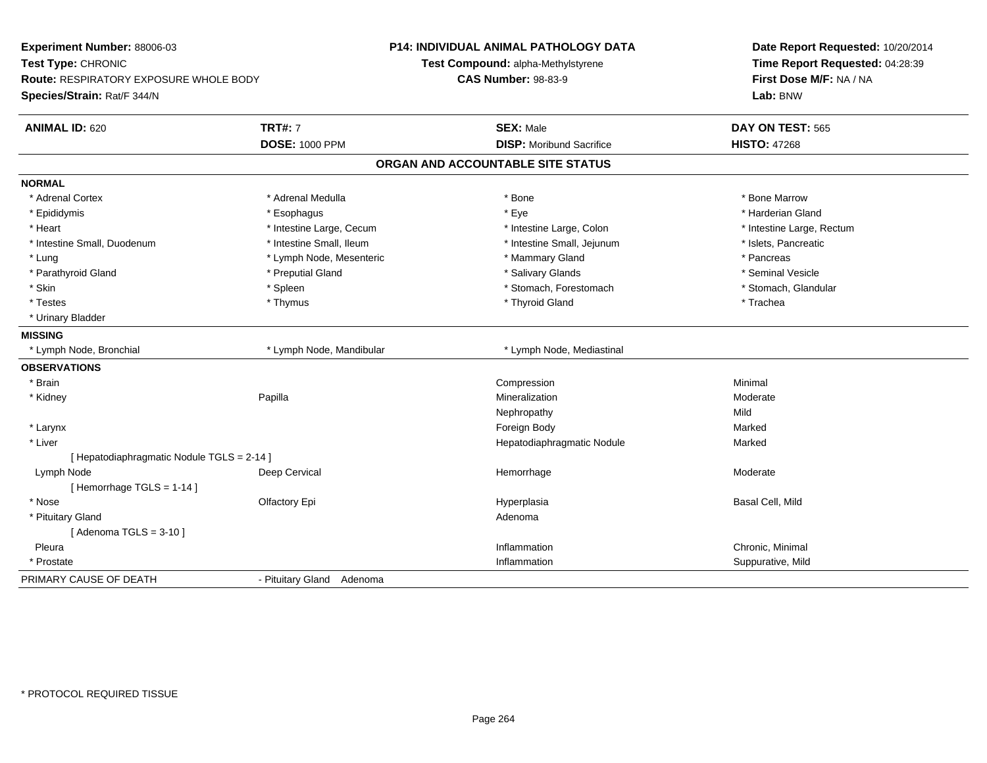| Experiment Number: 88006-03                |                           | P14: INDIVIDUAL ANIMAL PATHOLOGY DATA | Date Report Requested: 10/20/2014<br>Time Report Requested: 04:28:39 |  |
|--------------------------------------------|---------------------------|---------------------------------------|----------------------------------------------------------------------|--|
| Test Type: CHRONIC                         |                           | Test Compound: alpha-Methylstyrene    |                                                                      |  |
| Route: RESPIRATORY EXPOSURE WHOLE BODY     |                           | <b>CAS Number: 98-83-9</b>            | First Dose M/F: NA / NA                                              |  |
| Species/Strain: Rat/F 344/N                |                           |                                       | Lab: BNW                                                             |  |
| <b>ANIMAL ID: 620</b>                      | <b>TRT#: 7</b>            | <b>SEX: Male</b>                      | DAY ON TEST: 565                                                     |  |
|                                            | <b>DOSE: 1000 PPM</b>     | <b>DISP:</b> Moribund Sacrifice       | <b>HISTO: 47268</b>                                                  |  |
|                                            |                           | ORGAN AND ACCOUNTABLE SITE STATUS     |                                                                      |  |
| <b>NORMAL</b>                              |                           |                                       |                                                                      |  |
| * Adrenal Cortex                           | * Adrenal Medulla         | * Bone                                | * Bone Marrow                                                        |  |
| * Epididymis                               | * Esophagus               | * Eye                                 | * Harderian Gland                                                    |  |
| * Heart                                    | * Intestine Large, Cecum  | * Intestine Large, Colon              | * Intestine Large, Rectum                                            |  |
| * Intestine Small, Duodenum                | * Intestine Small, Ileum  | * Intestine Small, Jejunum            | * Islets, Pancreatic                                                 |  |
| * Lung                                     | * Lymph Node, Mesenteric  | * Mammary Gland                       | * Pancreas                                                           |  |
| * Parathyroid Gland                        | * Preputial Gland         | * Salivary Glands                     | * Seminal Vesicle                                                    |  |
| * Skin                                     | * Spleen                  | * Stomach, Forestomach                | * Stomach, Glandular                                                 |  |
| * Testes                                   | * Thymus                  | * Thyroid Gland                       | * Trachea                                                            |  |
| * Urinary Bladder                          |                           |                                       |                                                                      |  |
| <b>MISSING</b>                             |                           |                                       |                                                                      |  |
| * Lymph Node, Bronchial                    | * Lymph Node, Mandibular  | * Lymph Node, Mediastinal             |                                                                      |  |
| <b>OBSERVATIONS</b>                        |                           |                                       |                                                                      |  |
| * Brain                                    |                           | Compression                           | Minimal                                                              |  |
| * Kidney                                   | Papilla                   | Mineralization                        | Moderate                                                             |  |
|                                            |                           | Nephropathy                           | Mild                                                                 |  |
| * Larynx                                   |                           | Foreign Body                          | Marked                                                               |  |
| * Liver                                    |                           | Hepatodiaphragmatic Nodule            | Marked                                                               |  |
| [ Hepatodiaphragmatic Nodule TGLS = 2-14 ] |                           |                                       |                                                                      |  |
| Lymph Node                                 | Deep Cervical             | Hemorrhage                            | Moderate                                                             |  |
| [Hemorrhage TGLS = 1-14]                   |                           |                                       |                                                                      |  |
| * Nose                                     | Olfactory Epi             | Hyperplasia                           | Basal Cell, Mild                                                     |  |
| * Pituitary Gland                          |                           | Adenoma                               |                                                                      |  |
| [Adenoma TGLS = $3-10$ ]                   |                           |                                       |                                                                      |  |
| Pleura                                     |                           | Inflammation                          | Chronic, Minimal                                                     |  |
| * Prostate                                 |                           | Inflammation                          | Suppurative, Mild                                                    |  |
| PRIMARY CAUSE OF DEATH                     | - Pituitary Gland Adenoma |                                       |                                                                      |  |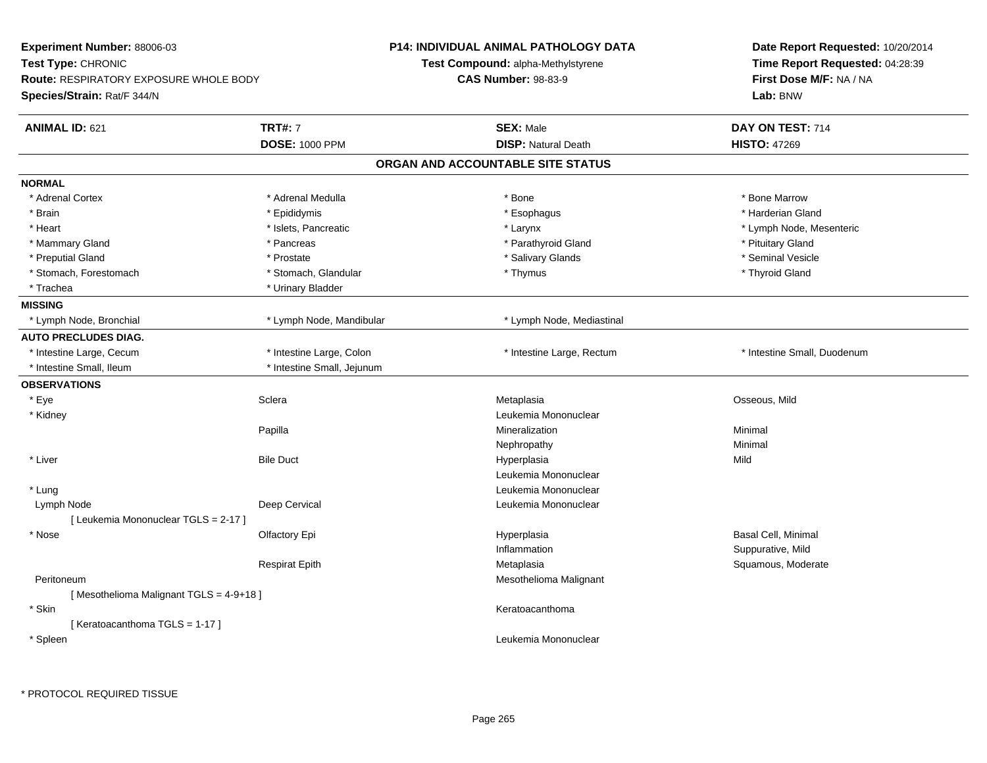| Experiment Number: 88006-03            |                            | <b>P14: INDIVIDUAL ANIMAL PATHOLOGY DATA</b> | Date Report Requested: 10/20/2014 |  |
|----------------------------------------|----------------------------|----------------------------------------------|-----------------------------------|--|
| Test Type: CHRONIC                     |                            | Test Compound: alpha-Methylstyrene           | Time Report Requested: 04:28:39   |  |
| Route: RESPIRATORY EXPOSURE WHOLE BODY |                            | <b>CAS Number: 98-83-9</b>                   | First Dose M/F: NA / NA           |  |
| Species/Strain: Rat/F 344/N            |                            |                                              | Lab: BNW                          |  |
| <b>ANIMAL ID: 621</b>                  | <b>TRT#: 7</b>             | <b>SEX: Male</b>                             | DAY ON TEST: 714                  |  |
|                                        | <b>DOSE: 1000 PPM</b>      | <b>DISP: Natural Death</b>                   | <b>HISTO: 47269</b>               |  |
|                                        |                            | ORGAN AND ACCOUNTABLE SITE STATUS            |                                   |  |
| <b>NORMAL</b>                          |                            |                                              |                                   |  |
| * Adrenal Cortex                       | * Adrenal Medulla          | * Bone                                       | * Bone Marrow                     |  |
| * Brain                                | * Epididymis               | * Esophagus                                  | * Harderian Gland                 |  |
| * Heart                                | * Islets, Pancreatic       | * Larynx                                     | * Lymph Node, Mesenteric          |  |
| * Mammary Gland                        | * Pancreas                 | * Parathyroid Gland                          | * Pituitary Gland                 |  |
| * Preputial Gland                      | * Prostate                 | * Salivary Glands                            | * Seminal Vesicle                 |  |
| * Stomach, Forestomach                 | * Stomach, Glandular       | * Thymus                                     | * Thyroid Gland                   |  |
| * Trachea                              | * Urinary Bladder          |                                              |                                   |  |
| <b>MISSING</b>                         |                            |                                              |                                   |  |
| * Lymph Node, Bronchial                | * Lymph Node, Mandibular   | * Lymph Node, Mediastinal                    |                                   |  |
| <b>AUTO PRECLUDES DIAG.</b>            |                            |                                              |                                   |  |
| * Intestine Large, Cecum               | * Intestine Large, Colon   | * Intestine Large, Rectum                    | * Intestine Small, Duodenum       |  |
| * Intestine Small, Ileum               | * Intestine Small, Jejunum |                                              |                                   |  |
| <b>OBSERVATIONS</b>                    |                            |                                              |                                   |  |
| * Eye                                  | Sclera                     | Metaplasia                                   | Osseous, Mild                     |  |
| * Kidney                               |                            | Leukemia Mononuclear                         |                                   |  |
|                                        | Papilla                    | Mineralization                               | Minimal                           |  |
|                                        |                            | Nephropathy                                  | Minimal                           |  |
| * Liver                                | <b>Bile Duct</b>           | Hyperplasia                                  | Mild                              |  |
|                                        |                            | Leukemia Mononuclear                         |                                   |  |
| * Lung                                 |                            | Leukemia Mononuclear                         |                                   |  |
| Lymph Node                             | Deep Cervical              | Leukemia Mononuclear                         |                                   |  |
| [ Leukemia Mononuclear TGLS = 2-17 ]   |                            |                                              |                                   |  |
| * Nose                                 | Olfactory Epi              | Hyperplasia                                  | Basal Cell, Minimal               |  |
|                                        |                            | Inflammation                                 | Suppurative, Mild                 |  |
|                                        | <b>Respirat Epith</b>      | Metaplasia                                   | Squamous, Moderate                |  |
| Peritoneum                             |                            | Mesothelioma Malignant                       |                                   |  |
| [Mesothelioma Malignant TGLS = 4-9+18] |                            |                                              |                                   |  |
| * Skin                                 |                            | Keratoacanthoma                              |                                   |  |
| [Keratoacanthoma TGLS = 1-17]          |                            |                                              |                                   |  |
| * Spleen                               |                            | Leukemia Mononuclear                         |                                   |  |
|                                        |                            |                                              |                                   |  |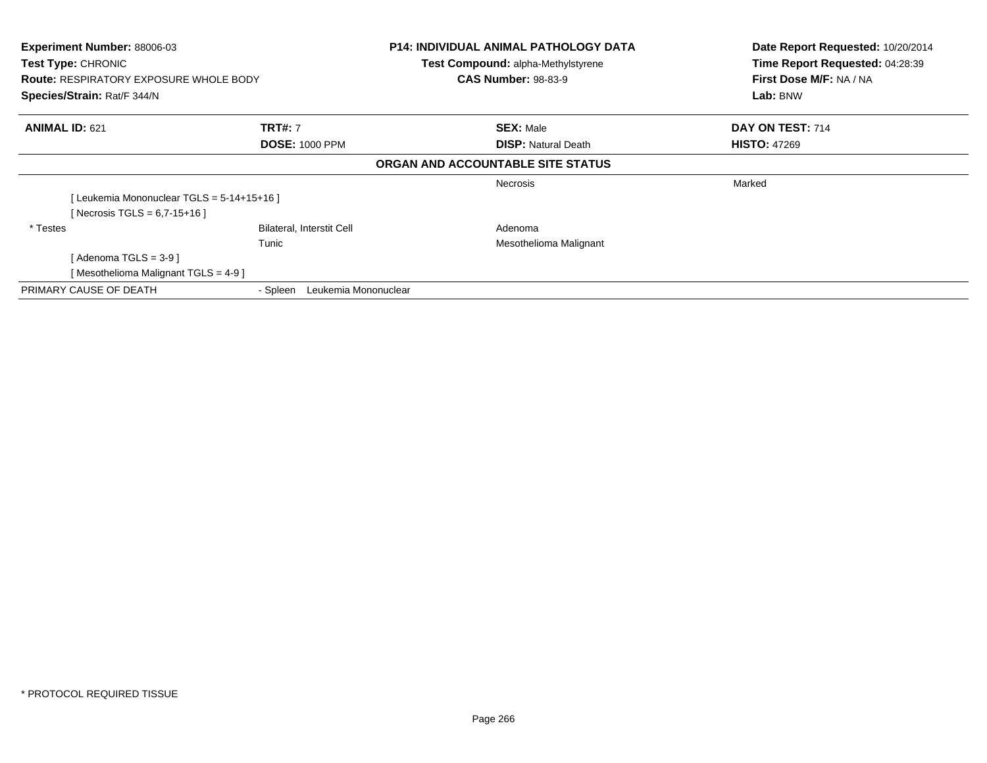| Experiment Number: 88006-03<br>Test Type: CHRONIC<br><b>Route: RESPIRATORY EXPOSURE WHOLE BODY</b><br>Species/Strain: Rat/F 344/N |                                  | <b>P14: INDIVIDUAL ANIMAL PATHOLOGY DATA</b><br>Test Compound: alpha-Methylstyrene<br><b>CAS Number: 98-83-9</b> | Date Report Requested: 10/20/2014<br>Time Report Requested: 04:28:39<br>First Dose M/F: NA / NA<br>Lab: BNW |
|-----------------------------------------------------------------------------------------------------------------------------------|----------------------------------|------------------------------------------------------------------------------------------------------------------|-------------------------------------------------------------------------------------------------------------|
| <b>ANIMAL ID: 621</b>                                                                                                             | <b>TRT#: 7</b>                   | <b>SEX: Male</b>                                                                                                 | DAY ON TEST: 714                                                                                            |
|                                                                                                                                   | <b>DOSE: 1000 PPM</b>            | <b>DISP: Natural Death</b>                                                                                       | <b>HISTO: 47269</b>                                                                                         |
|                                                                                                                                   |                                  | ORGAN AND ACCOUNTABLE SITE STATUS                                                                                |                                                                                                             |
|                                                                                                                                   |                                  | Necrosis                                                                                                         | Marked                                                                                                      |
| Leukemia Mononuclear TGLS = 5-14+15+16 ]                                                                                          |                                  |                                                                                                                  |                                                                                                             |
| [Necrosis TGLS = $6,7-15+16$ ]                                                                                                    |                                  |                                                                                                                  |                                                                                                             |
| * Testes                                                                                                                          | <b>Bilateral, Interstit Cell</b> | Adenoma                                                                                                          |                                                                                                             |
|                                                                                                                                   | Tunic                            | Mesothelioma Malignant                                                                                           |                                                                                                             |
| [ Adenoma TGLS = 3-9 ]                                                                                                            |                                  |                                                                                                                  |                                                                                                             |
| Mesothelioma Malignant TGLS = 4-9 ]                                                                                               |                                  |                                                                                                                  |                                                                                                             |
| PRIMARY CAUSE OF DEATH                                                                                                            | Leukemia Mononuclear<br>- Spleen |                                                                                                                  |                                                                                                             |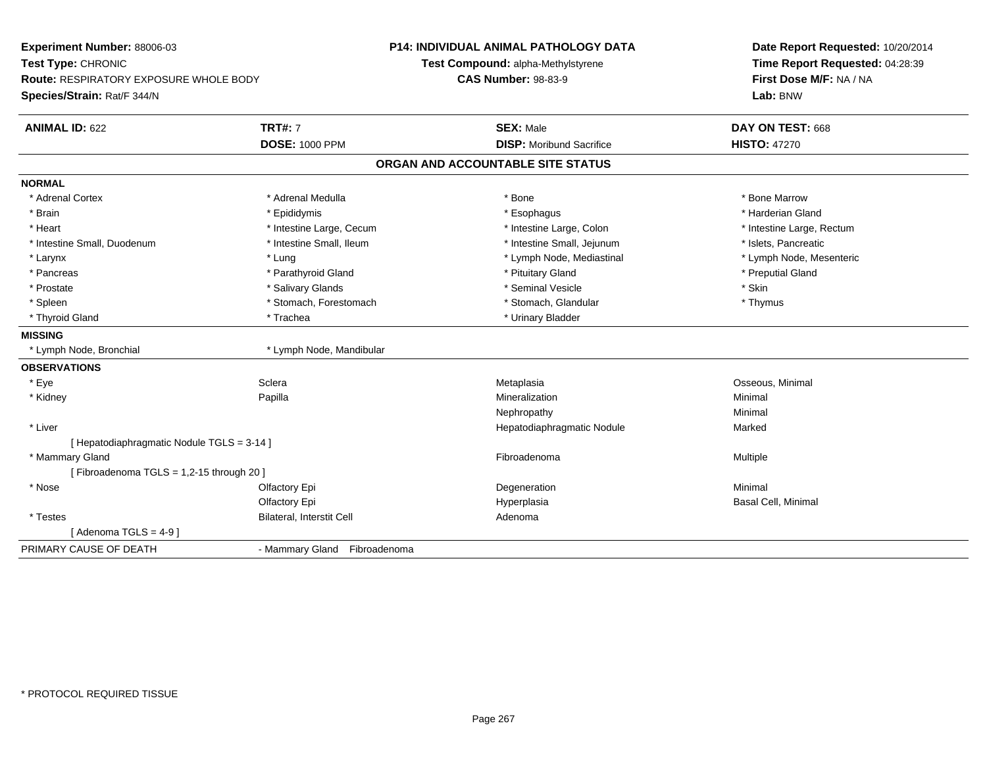| Experiment Number: 88006-03<br>Test Type: CHRONIC |                              | <b>P14: INDIVIDUAL ANIMAL PATHOLOGY DATA</b> | Date Report Requested: 10/20/2014<br>Time Report Requested: 04:28:39 |
|---------------------------------------------------|------------------------------|----------------------------------------------|----------------------------------------------------------------------|
|                                                   |                              | Test Compound: alpha-Methylstyrene           |                                                                      |
| <b>Route: RESPIRATORY EXPOSURE WHOLE BODY</b>     |                              | <b>CAS Number: 98-83-9</b>                   | First Dose M/F: NA / NA                                              |
| Species/Strain: Rat/F 344/N                       |                              |                                              | Lab: BNW                                                             |
| <b>ANIMAL ID: 622</b>                             | <b>TRT#: 7</b>               | <b>SEX: Male</b>                             | DAY ON TEST: 668                                                     |
|                                                   | <b>DOSE: 1000 PPM</b>        | <b>DISP:</b> Moribund Sacrifice              | <b>HISTO: 47270</b>                                                  |
|                                                   |                              | ORGAN AND ACCOUNTABLE SITE STATUS            |                                                                      |
| <b>NORMAL</b>                                     |                              |                                              |                                                                      |
| * Adrenal Cortex                                  | * Adrenal Medulla            | * Bone                                       | * Bone Marrow                                                        |
| * Brain                                           | * Epididymis                 | * Esophagus                                  | * Harderian Gland                                                    |
| * Heart                                           | * Intestine Large, Cecum     | * Intestine Large, Colon                     | * Intestine Large, Rectum                                            |
| * Intestine Small, Duodenum                       | * Intestine Small, Ileum     | * Intestine Small, Jejunum                   | * Islets, Pancreatic                                                 |
| * Larynx                                          | * Lung                       | * Lymph Node, Mediastinal                    | * Lymph Node, Mesenteric                                             |
| * Pancreas                                        | * Parathyroid Gland          | * Pituitary Gland                            | * Preputial Gland                                                    |
| * Prostate                                        | * Salivary Glands            | * Seminal Vesicle                            | * Skin                                                               |
| * Spleen                                          | * Stomach, Forestomach       | * Stomach, Glandular                         | * Thymus                                                             |
| * Thyroid Gland                                   | * Trachea                    | * Urinary Bladder                            |                                                                      |
| <b>MISSING</b>                                    |                              |                                              |                                                                      |
| * Lymph Node, Bronchial                           | * Lymph Node, Mandibular     |                                              |                                                                      |
| <b>OBSERVATIONS</b>                               |                              |                                              |                                                                      |
| * Eye                                             | Sclera                       | Metaplasia                                   | Osseous, Minimal                                                     |
| * Kidney                                          | Papilla                      | Mineralization                               | Minimal                                                              |
|                                                   |                              | Nephropathy                                  | Minimal                                                              |
| * Liver                                           |                              | Hepatodiaphragmatic Nodule                   | Marked                                                               |
| [ Hepatodiaphragmatic Nodule TGLS = 3-14 ]        |                              |                                              |                                                                      |
| * Mammary Gland                                   |                              | Fibroadenoma                                 | Multiple                                                             |
| [Fibroadenoma TGLS = 1,2-15 through 20]           |                              |                                              |                                                                      |
| * Nose                                            | Olfactory Epi                | Degeneration                                 | Minimal                                                              |
|                                                   | Olfactory Epi                | Hyperplasia                                  | <b>Basal Cell, Minimal</b>                                           |
| * Testes                                          | Bilateral, Interstit Cell    | Adenoma                                      |                                                                      |
| [Adenoma TGLS = $4-9$ ]                           |                              |                                              |                                                                      |
| PRIMARY CAUSE OF DEATH                            | - Mammary Gland Fibroadenoma |                                              |                                                                      |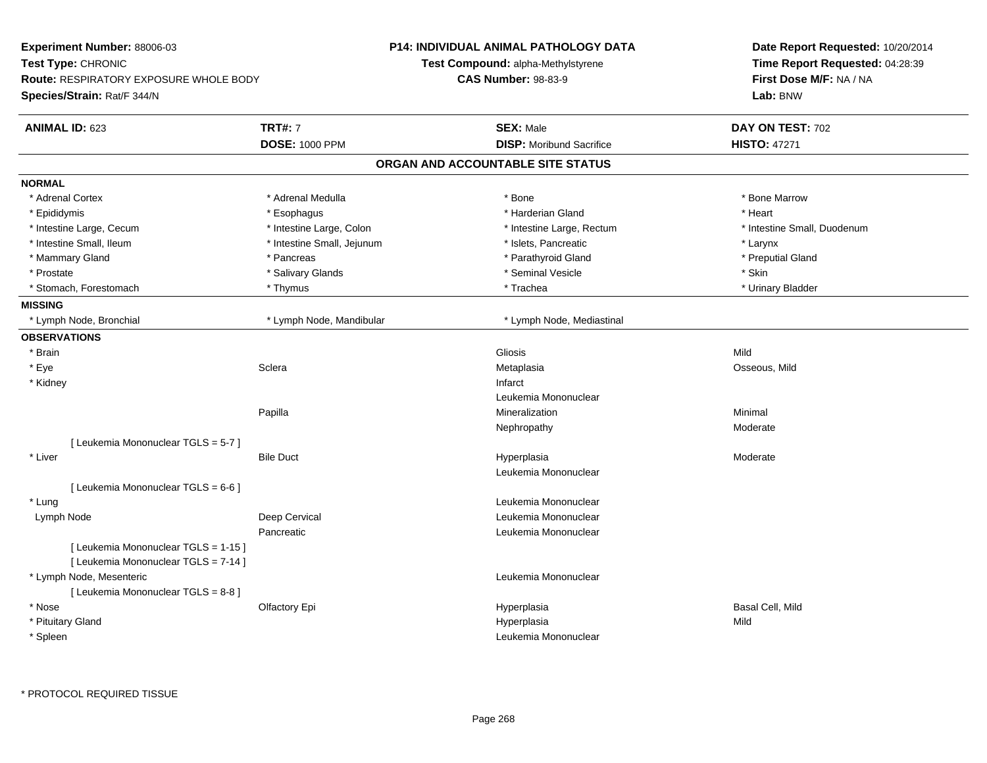| Experiment Number: 88006-03                                                  |                            | P14: INDIVIDUAL ANIMAL PATHOLOGY DATA     | Date Report Requested: 10/20/2014                          |  |
|------------------------------------------------------------------------------|----------------------------|-------------------------------------------|------------------------------------------------------------|--|
| Test Type: CHRONIC<br><b>Route: RESPIRATORY EXPOSURE WHOLE BODY</b>          |                            | <b>Test Compound: alpha-Methylstyrene</b> | Time Report Requested: 04:28:39<br>First Dose M/F: NA / NA |  |
|                                                                              |                            | <b>CAS Number: 98-83-9</b>                |                                                            |  |
| Species/Strain: Rat/F 344/N                                                  |                            |                                           | Lab: BNW                                                   |  |
| <b>ANIMAL ID: 623</b>                                                        | <b>TRT#: 7</b>             | <b>SEX: Male</b>                          | DAY ON TEST: 702                                           |  |
|                                                                              | <b>DOSE: 1000 PPM</b>      | <b>DISP:</b> Moribund Sacrifice           | <b>HISTO: 47271</b>                                        |  |
|                                                                              |                            | ORGAN AND ACCOUNTABLE SITE STATUS         |                                                            |  |
| <b>NORMAL</b>                                                                |                            |                                           |                                                            |  |
| * Adrenal Cortex                                                             | * Adrenal Medulla          | * Bone                                    | * Bone Marrow                                              |  |
| * Epididymis                                                                 | * Esophagus                | * Harderian Gland                         | * Heart                                                    |  |
| * Intestine Large, Cecum                                                     | * Intestine Large, Colon   | * Intestine Large, Rectum                 | * Intestine Small, Duodenum                                |  |
| * Intestine Small, Ileum                                                     | * Intestine Small, Jejunum | * Islets, Pancreatic                      | * Larynx                                                   |  |
| * Mammary Gland                                                              | * Pancreas                 | * Parathyroid Gland                       | * Preputial Gland                                          |  |
| * Prostate                                                                   | * Salivary Glands          | * Seminal Vesicle                         | * Skin                                                     |  |
| * Stomach, Forestomach                                                       | * Thymus                   | * Trachea                                 | * Urinary Bladder                                          |  |
| <b>MISSING</b>                                                               |                            |                                           |                                                            |  |
| * Lymph Node, Bronchial                                                      | * Lymph Node, Mandibular   | * Lymph Node, Mediastinal                 |                                                            |  |
| <b>OBSERVATIONS</b>                                                          |                            |                                           |                                                            |  |
| * Brain                                                                      |                            | Gliosis                                   | Mild                                                       |  |
| * Eye                                                                        | Sclera                     | Metaplasia                                | Osseous, Mild                                              |  |
| * Kidney                                                                     |                            | Infarct                                   |                                                            |  |
|                                                                              |                            | Leukemia Mononuclear                      |                                                            |  |
|                                                                              | Papilla                    | Mineralization                            | Minimal                                                    |  |
|                                                                              |                            | Nephropathy                               | Moderate                                                   |  |
| [ Leukemia Mononuclear TGLS = 5-7 ]                                          |                            |                                           |                                                            |  |
| * Liver                                                                      | <b>Bile Duct</b>           | Hyperplasia                               | Moderate                                                   |  |
|                                                                              |                            | Leukemia Mononuclear                      |                                                            |  |
| [ Leukemia Mononuclear TGLS = 6-6 ]                                          |                            |                                           |                                                            |  |
| * Lung                                                                       |                            | Leukemia Mononuclear                      |                                                            |  |
| Lymph Node                                                                   | Deep Cervical              | Leukemia Mononuclear                      |                                                            |  |
|                                                                              | Pancreatic                 | Leukemia Mononuclear                      |                                                            |  |
| [ Leukemia Mononuclear TGLS = 1-15 ]<br>[ Leukemia Mononuclear TGLS = 7-14 ] |                            |                                           |                                                            |  |
| * Lymph Node, Mesenteric                                                     |                            | Leukemia Mononuclear                      |                                                            |  |
| [ Leukemia Mononuclear TGLS = 8-8 ]                                          |                            |                                           |                                                            |  |
| * Nose                                                                       | <b>Olfactory Epi</b>       | Hyperplasia                               | Basal Cell, Mild                                           |  |
| * Pituitary Gland                                                            |                            | Hyperplasia                               | Mild                                                       |  |
| * Spleen                                                                     |                            | Leukemia Mononuclear                      |                                                            |  |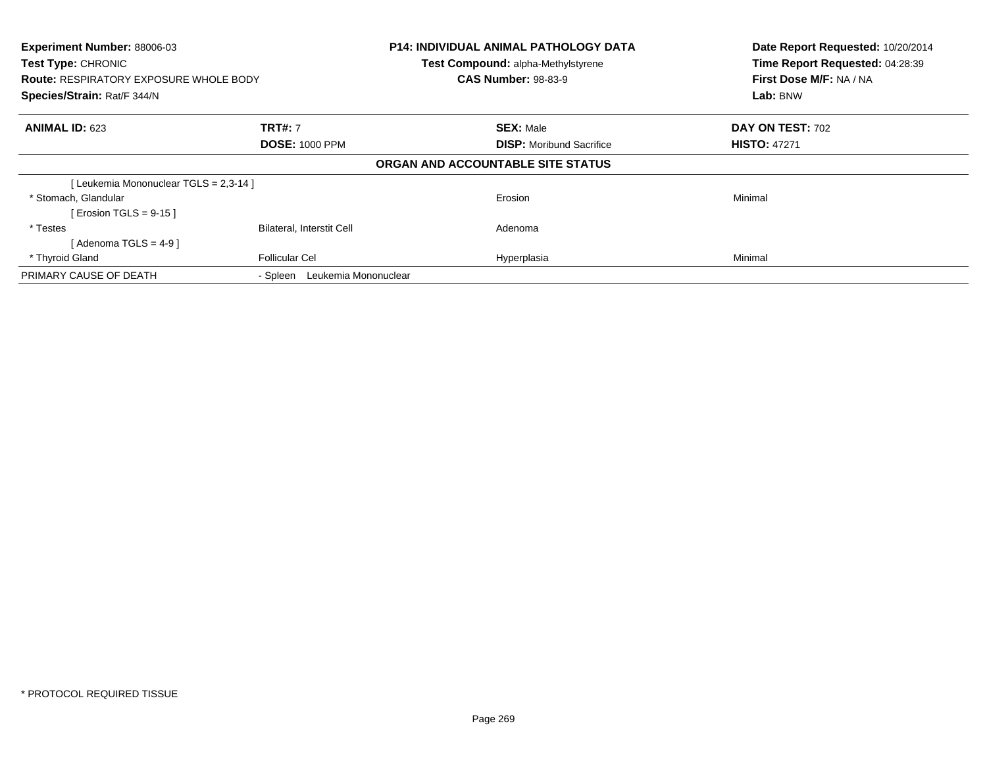| Experiment Number: 88006-03<br>Test Type: CHRONIC<br><b>Route: RESPIRATORY EXPOSURE WHOLE BODY</b><br>Species/Strain: Rat/F 344/N |                                         | <b>P14: INDIVIDUAL ANIMAL PATHOLOGY DATA</b><br>Test Compound: alpha-Methylstyrene<br><b>CAS Number: 98-83-9</b> | Date Report Requested: 10/20/2014<br>Time Report Requested: 04:28:39<br>First Dose M/F: NA / NA<br>Lab: BNW |
|-----------------------------------------------------------------------------------------------------------------------------------|-----------------------------------------|------------------------------------------------------------------------------------------------------------------|-------------------------------------------------------------------------------------------------------------|
| <b>ANIMAL ID: 623</b>                                                                                                             | <b>TRT#: 7</b><br><b>DOSE: 1000 PPM</b> | <b>SEX: Male</b><br><b>DISP:</b> Moribund Sacrifice                                                              | DAY ON TEST: 702<br><b>HISTO: 47271</b>                                                                     |
|                                                                                                                                   |                                         | ORGAN AND ACCOUNTABLE SITE STATUS                                                                                |                                                                                                             |
| [Leukemia Mononuclear TGLS = 2,3-14]                                                                                              |                                         |                                                                                                                  |                                                                                                             |
| * Stomach, Glandular<br>[ Erosion TGLS = $9-15$ ]                                                                                 |                                         | Erosion                                                                                                          | Minimal                                                                                                     |
| * Testes<br>[Adenoma TGLS = $4-9$ ]                                                                                               | <b>Bilateral, Interstit Cell</b>        | Adenoma                                                                                                          |                                                                                                             |
| * Thyroid Gland                                                                                                                   | <b>Follicular Cel</b>                   | Hyperplasia                                                                                                      | Minimal                                                                                                     |
| PRIMARY CAUSE OF DEATH                                                                                                            | - Spleen Leukemia Mononuclear           |                                                                                                                  |                                                                                                             |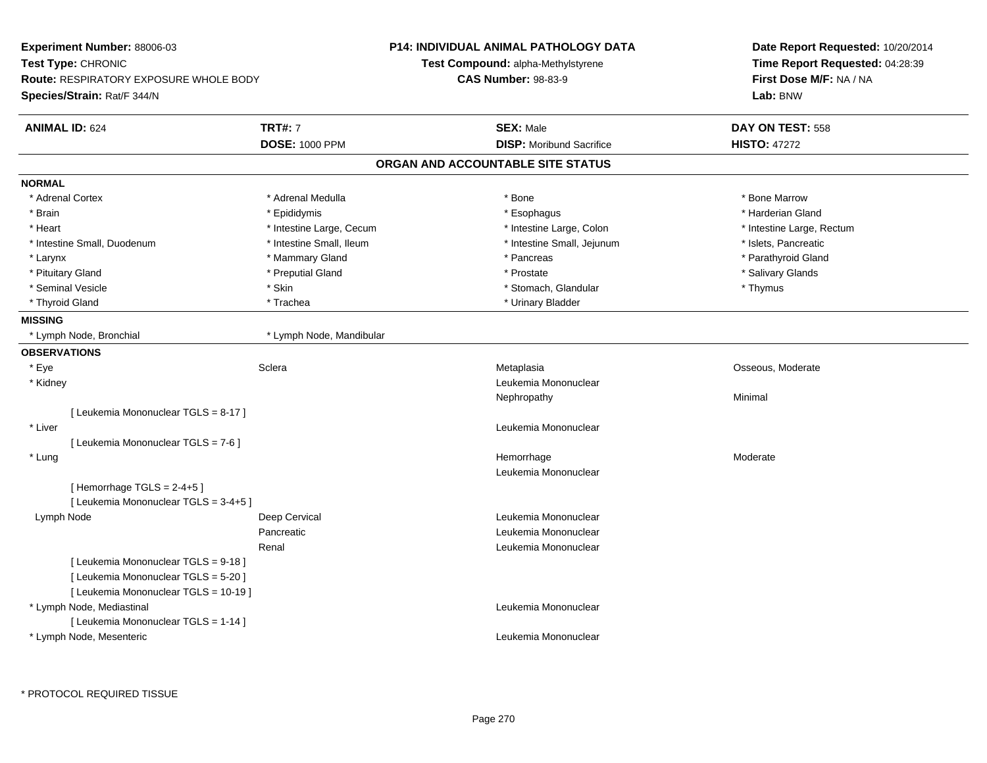| <b>Experiment Number: 88006-03</b>            |                          | <b>P14: INDIVIDUAL ANIMAL PATHOLOGY DATA</b> | Date Report Requested: 10/20/2014<br>Time Report Requested: 04:28:39<br>First Dose M/F: NA / NA |
|-----------------------------------------------|--------------------------|----------------------------------------------|-------------------------------------------------------------------------------------------------|
| Test Type: CHRONIC                            |                          | Test Compound: alpha-Methylstyrene           |                                                                                                 |
| <b>Route: RESPIRATORY EXPOSURE WHOLE BODY</b> |                          | <b>CAS Number: 98-83-9</b>                   |                                                                                                 |
| Species/Strain: Rat/F 344/N                   |                          |                                              | Lab: BNW                                                                                        |
| <b>ANIMAL ID: 624</b>                         | <b>TRT#: 7</b>           | <b>SEX: Male</b>                             | DAY ON TEST: 558                                                                                |
|                                               | <b>DOSE: 1000 PPM</b>    | <b>DISP:</b> Moribund Sacrifice              | <b>HISTO: 47272</b>                                                                             |
|                                               |                          | ORGAN AND ACCOUNTABLE SITE STATUS            |                                                                                                 |
| <b>NORMAL</b>                                 |                          |                                              |                                                                                                 |
| * Adrenal Cortex                              | * Adrenal Medulla        | * Bone                                       | * Bone Marrow                                                                                   |
| * Brain                                       | * Epididymis             | * Esophagus                                  | * Harderian Gland                                                                               |
| * Heart                                       | * Intestine Large, Cecum | * Intestine Large, Colon                     | * Intestine Large, Rectum                                                                       |
| * Intestine Small, Duodenum                   | * Intestine Small, Ileum | * Intestine Small, Jejunum                   | * Islets, Pancreatic                                                                            |
| * Larynx                                      | * Mammary Gland          | * Pancreas                                   | * Parathyroid Gland                                                                             |
| * Pituitary Gland                             | * Preputial Gland        | * Prostate                                   | * Salivary Glands                                                                               |
| * Seminal Vesicle                             | * Skin                   | * Stomach, Glandular                         | * Thymus                                                                                        |
| * Thyroid Gland                               | * Trachea                | * Urinary Bladder                            |                                                                                                 |
| <b>MISSING</b>                                |                          |                                              |                                                                                                 |
| * Lymph Node, Bronchial                       | * Lymph Node, Mandibular |                                              |                                                                                                 |
| <b>OBSERVATIONS</b>                           |                          |                                              |                                                                                                 |
| * Eye                                         | Sclera                   | Metaplasia                                   | Osseous, Moderate                                                                               |
| * Kidney                                      |                          | Leukemia Mononuclear                         |                                                                                                 |
|                                               |                          | Nephropathy                                  | Minimal                                                                                         |
| [ Leukemia Mononuclear TGLS = 8-17 ]          |                          |                                              |                                                                                                 |
| * Liver                                       |                          | Leukemia Mononuclear                         |                                                                                                 |
| [ Leukemia Mononuclear TGLS = 7-6 ]           |                          |                                              |                                                                                                 |
| * Lung                                        |                          | Hemorrhage                                   | Moderate                                                                                        |
|                                               |                          | Leukemia Mononuclear                         |                                                                                                 |
| [Hemorrhage TGLS = $2-4+5$ ]                  |                          |                                              |                                                                                                 |
| [Leukemia Mononuclear TGLS = 3-4+5]           |                          |                                              |                                                                                                 |
| Lymph Node                                    | Deep Cervical            | Leukemia Mononuclear                         |                                                                                                 |
|                                               | Pancreatic               | Leukemia Mononuclear                         |                                                                                                 |
|                                               | Renal                    | Leukemia Mononuclear                         |                                                                                                 |
| [ Leukemia Mononuclear TGLS = 9-18 ]          |                          |                                              |                                                                                                 |
| [ Leukemia Mononuclear TGLS = 5-20 ]          |                          |                                              |                                                                                                 |
| [ Leukemia Mononuclear TGLS = 10-19 ]         |                          |                                              |                                                                                                 |
| * Lymph Node, Mediastinal                     |                          | Leukemia Mononuclear                         |                                                                                                 |
| [ Leukemia Mononuclear TGLS = 1-14 ]          |                          |                                              |                                                                                                 |
| * Lymph Node, Mesenteric                      |                          | Leukemia Mononuclear                         |                                                                                                 |
|                                               |                          |                                              |                                                                                                 |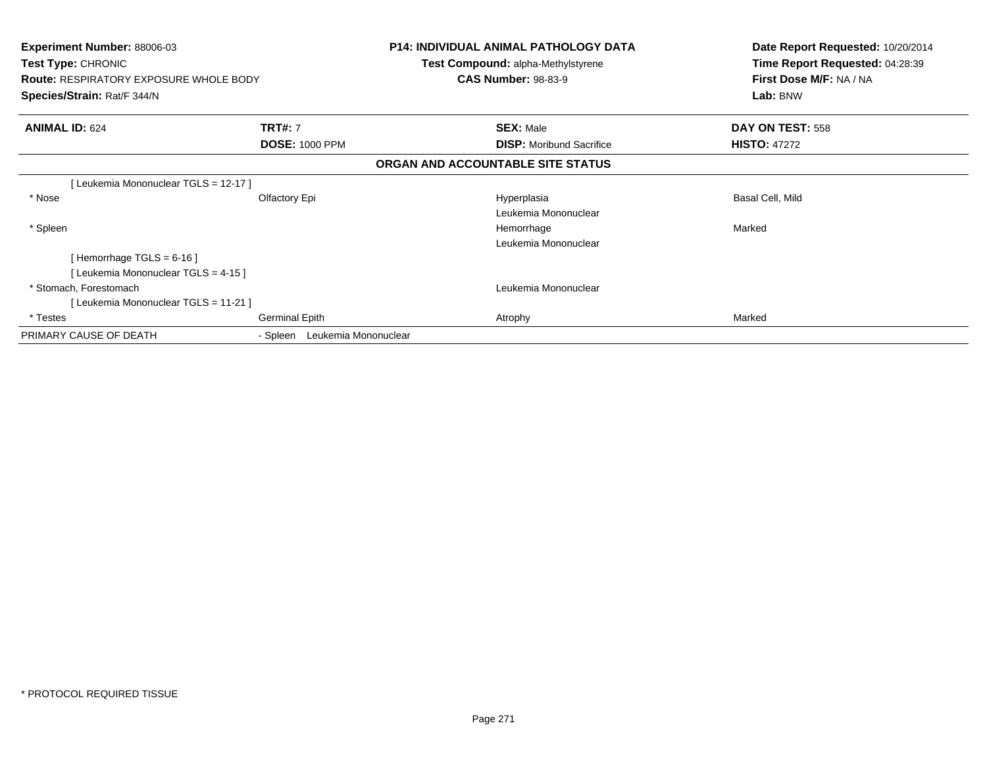| <b>Experiment Number: 88006-03</b><br><b>Test Type: CHRONIC</b><br><b>Route: RESPIRATORY EXPOSURE WHOLE BODY</b><br>Species/Strain: Rat/F 344/N |                               | <b>P14: INDIVIDUAL ANIMAL PATHOLOGY DATA</b><br>Test Compound: alpha-Methylstyrene<br><b>CAS Number: 98-83-9</b> | Date Report Requested: 10/20/2014<br>Time Report Requested: 04:28:39<br>First Dose M/F: NA / NA<br>Lab: BNW |
|-------------------------------------------------------------------------------------------------------------------------------------------------|-------------------------------|------------------------------------------------------------------------------------------------------------------|-------------------------------------------------------------------------------------------------------------|
| <b>ANIMAL ID: 624</b>                                                                                                                           | <b>TRT#: 7</b>                | <b>SEX: Male</b>                                                                                                 | DAY ON TEST: 558                                                                                            |
|                                                                                                                                                 | <b>DOSE: 1000 PPM</b>         | <b>DISP:</b> Moribund Sacrifice                                                                                  | <b>HISTO: 47272</b>                                                                                         |
|                                                                                                                                                 |                               | ORGAN AND ACCOUNTABLE SITE STATUS                                                                                |                                                                                                             |
| [Leukemia Mononuclear TGLS = 12-17]                                                                                                             |                               |                                                                                                                  |                                                                                                             |
| * Nose                                                                                                                                          | Olfactory Epi                 | Hyperplasia<br>Leukemia Mononuclear                                                                              | Basal Cell, Mild                                                                                            |
| * Spleen                                                                                                                                        |                               | Hemorrhage<br>Leukemia Mononuclear                                                                               | Marked                                                                                                      |
| [Hemorrhage TGLS = $6-16$ ]<br>[Leukemia Mononuclear TGLS = 4-15]                                                                               |                               |                                                                                                                  |                                                                                                             |
| * Stomach, Forestomach                                                                                                                          |                               | Leukemia Mononuclear                                                                                             |                                                                                                             |
| [Leukemia Mononuclear TGLS = 11-21]                                                                                                             |                               |                                                                                                                  |                                                                                                             |
| * Testes                                                                                                                                        | <b>Germinal Epith</b>         | Atrophy                                                                                                          | Marked                                                                                                      |
| PRIMARY CAUSE OF DEATH                                                                                                                          | - Spleen Leukemia Mononuclear |                                                                                                                  |                                                                                                             |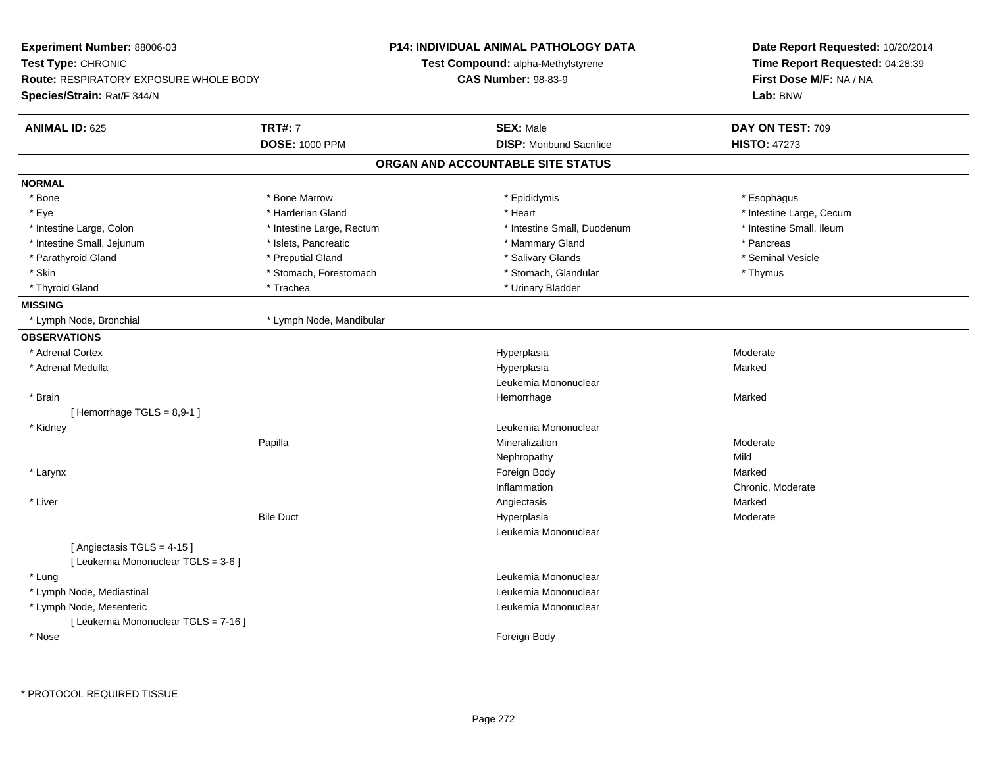| Experiment Number: 88006-03                                      |                           | <b>P14: INDIVIDUAL ANIMAL PATHOLOGY DATA</b> | Date Report Requested: 10/20/2014 |
|------------------------------------------------------------------|---------------------------|----------------------------------------------|-----------------------------------|
| Test Type: CHRONIC                                               |                           | Test Compound: alpha-Methylstyrene           | Time Report Requested: 04:28:39   |
| <b>Route: RESPIRATORY EXPOSURE WHOLE BODY</b>                    |                           | <b>CAS Number: 98-83-9</b>                   | First Dose M/F: NA / NA           |
| Species/Strain: Rat/F 344/N                                      |                           |                                              | Lab: BNW                          |
| <b>ANIMAL ID: 625</b>                                            | <b>TRT#: 7</b>            | <b>SEX: Male</b>                             | DAY ON TEST: 709                  |
|                                                                  | <b>DOSE: 1000 PPM</b>     | <b>DISP:</b> Moribund Sacrifice              | <b>HISTO: 47273</b>               |
|                                                                  |                           | ORGAN AND ACCOUNTABLE SITE STATUS            |                                   |
| <b>NORMAL</b>                                                    |                           |                                              |                                   |
| * Bone                                                           | * Bone Marrow             | * Epididymis                                 | * Esophagus                       |
| * Eye                                                            | * Harderian Gland         | * Heart                                      | * Intestine Large, Cecum          |
| * Intestine Large, Colon                                         | * Intestine Large, Rectum | * Intestine Small, Duodenum                  | * Intestine Small, Ileum          |
| * Intestine Small, Jejunum                                       | * Islets, Pancreatic      | * Mammary Gland                              | * Pancreas                        |
| * Parathyroid Gland                                              | * Preputial Gland         | * Salivary Glands                            | * Seminal Vesicle                 |
| * Skin                                                           | * Stomach, Forestomach    | * Stomach, Glandular                         | * Thymus                          |
| * Thyroid Gland                                                  | * Trachea                 | * Urinary Bladder                            |                                   |
| <b>MISSING</b>                                                   |                           |                                              |                                   |
| * Lymph Node, Bronchial                                          | * Lymph Node, Mandibular  |                                              |                                   |
| <b>OBSERVATIONS</b>                                              |                           |                                              |                                   |
| * Adrenal Cortex                                                 |                           | Hyperplasia                                  | Moderate                          |
| * Adrenal Medulla                                                |                           | Hyperplasia                                  | Marked                            |
|                                                                  |                           | Leukemia Mononuclear                         |                                   |
| * Brain                                                          |                           | Hemorrhage                                   | Marked                            |
| [Hemorrhage TGLS = 8,9-1]                                        |                           |                                              |                                   |
| * Kidney                                                         |                           | Leukemia Mononuclear                         |                                   |
|                                                                  | Papilla                   | Mineralization                               | Moderate                          |
|                                                                  |                           | Nephropathy                                  | Mild                              |
| * Larynx                                                         |                           | Foreign Body                                 | Marked                            |
|                                                                  |                           | Inflammation                                 | Chronic, Moderate                 |
| * Liver                                                          |                           | Angiectasis                                  | Marked                            |
|                                                                  | <b>Bile Duct</b>          | Hyperplasia                                  | Moderate                          |
|                                                                  |                           | Leukemia Mononuclear                         |                                   |
| [Angiectasis TGLS = 4-15]<br>[ Leukemia Mononuclear TGLS = 3-6 ] |                           |                                              |                                   |
| * Lung                                                           |                           | Leukemia Mononuclear                         |                                   |
| * Lymph Node, Mediastinal                                        |                           | Leukemia Mononuclear                         |                                   |
| * Lymph Node, Mesenteric                                         |                           | Leukemia Mononuclear                         |                                   |
| [ Leukemia Mononuclear TGLS = 7-16 ]                             |                           |                                              |                                   |
| * Nose                                                           |                           | Foreign Body                                 |                                   |
|                                                                  |                           |                                              |                                   |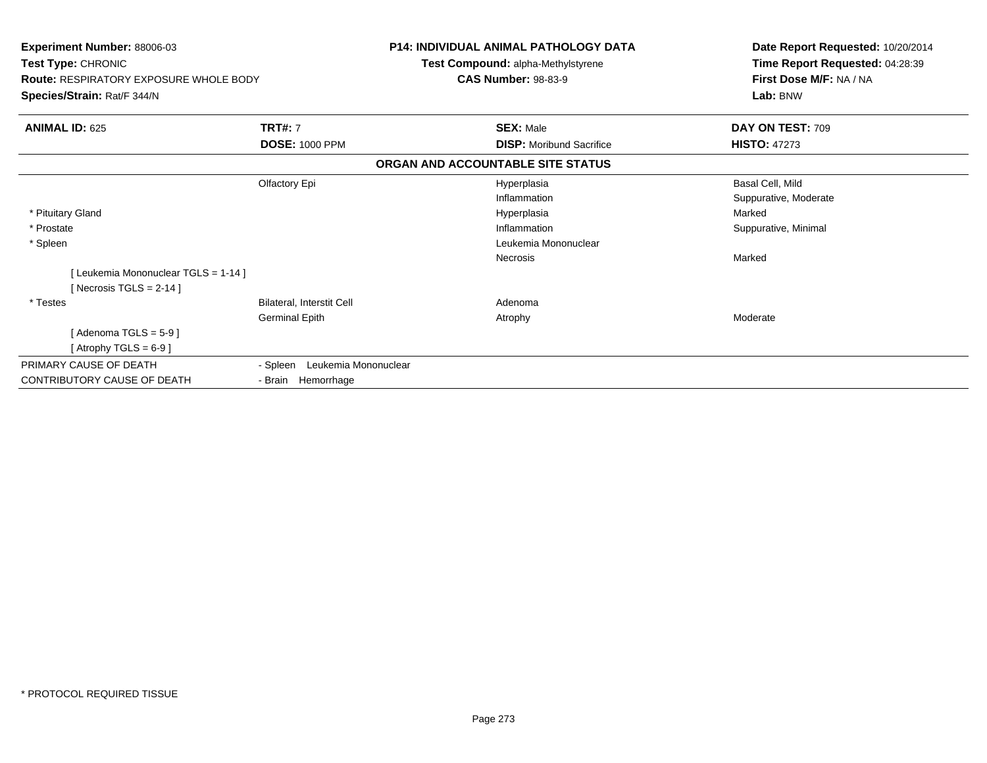| Experiment Number: 88006-03<br>Test Type: CHRONIC<br><b>Route: RESPIRATORY EXPOSURE WHOLE BODY</b><br>Species/Strain: Rat/F 344/N |                               | <b>P14: INDIVIDUAL ANIMAL PATHOLOGY DATA</b><br><b>Test Compound: alpha-Methylstyrene</b> | Date Report Requested: 10/20/2014<br>Time Report Requested: 04:28:39<br>First Dose M/F: NA / NA<br>Lab: BNW |
|-----------------------------------------------------------------------------------------------------------------------------------|-------------------------------|-------------------------------------------------------------------------------------------|-------------------------------------------------------------------------------------------------------------|
|                                                                                                                                   |                               | <b>CAS Number: 98-83-9</b>                                                                |                                                                                                             |
| <b>ANIMAL ID: 625</b>                                                                                                             | <b>TRT#: 7</b>                | <b>SEX: Male</b>                                                                          | DAY ON TEST: 709                                                                                            |
|                                                                                                                                   | <b>DOSE: 1000 PPM</b>         | <b>DISP:</b> Moribund Sacrifice                                                           | <b>HISTO: 47273</b>                                                                                         |
|                                                                                                                                   |                               | ORGAN AND ACCOUNTABLE SITE STATUS                                                         |                                                                                                             |
|                                                                                                                                   | Olfactory Epi                 | Hyperplasia                                                                               | Basal Cell, Mild                                                                                            |
|                                                                                                                                   |                               | Inflammation                                                                              | Suppurative, Moderate                                                                                       |
| * Pituitary Gland                                                                                                                 |                               | Hyperplasia                                                                               | Marked                                                                                                      |
| * Prostate                                                                                                                        |                               | Inflammation                                                                              | Suppurative, Minimal                                                                                        |
| * Spleen                                                                                                                          |                               | Leukemia Mononuclear                                                                      |                                                                                                             |
|                                                                                                                                   |                               | <b>Necrosis</b>                                                                           | Marked                                                                                                      |
| [Leukemia Mononuclear TGLS = 1-14]<br>[Necrosis TGLS = $2-14$ ]                                                                   |                               |                                                                                           |                                                                                                             |
| * Testes                                                                                                                          | Bilateral, Interstit Cell     | Adenoma                                                                                   |                                                                                                             |
|                                                                                                                                   | <b>Germinal Epith</b>         | Atrophy                                                                                   | Moderate                                                                                                    |
| [Adenoma TGLS = $5-9$ ]                                                                                                           |                               |                                                                                           |                                                                                                             |
| [Atrophy TGLS = $6-9$ ]                                                                                                           |                               |                                                                                           |                                                                                                             |
| PRIMARY CAUSE OF DEATH                                                                                                            | - Spleen Leukemia Mononuclear |                                                                                           |                                                                                                             |
| <b>CONTRIBUTORY CAUSE OF DEATH</b>                                                                                                | - Brain Hemorrhage            |                                                                                           |                                                                                                             |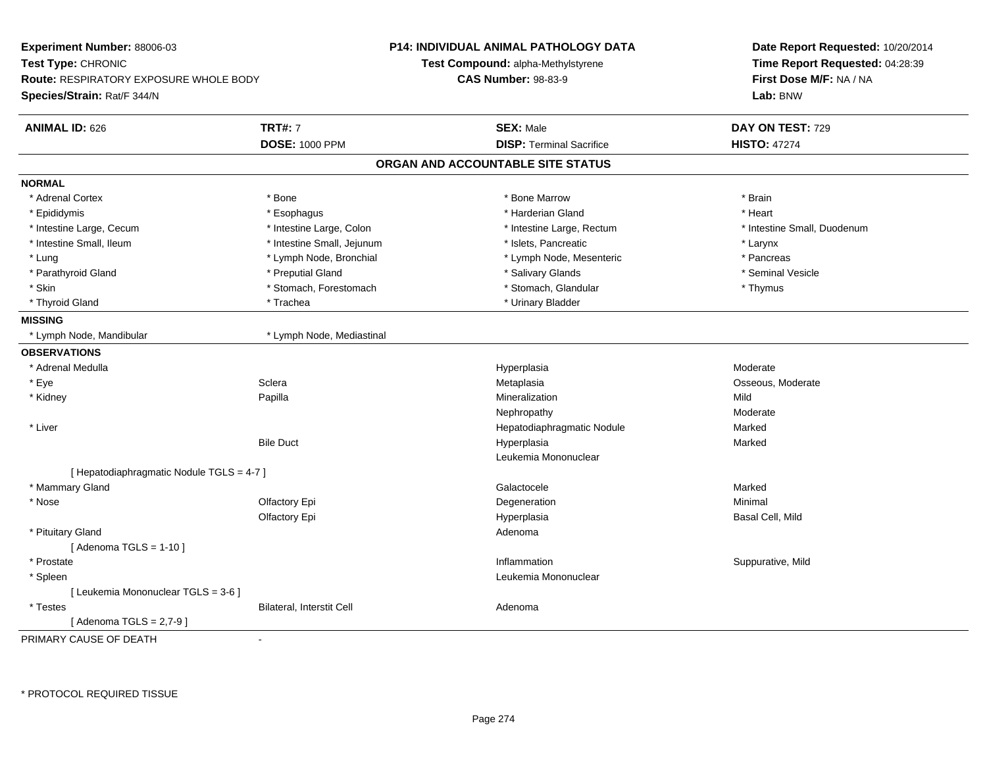| Experiment Number: 88006-03                   |                            | <b>P14: INDIVIDUAL ANIMAL PATHOLOGY DATA</b> | Date Report Requested: 10/20/2014 |
|-----------------------------------------------|----------------------------|----------------------------------------------|-----------------------------------|
| Test Type: CHRONIC                            |                            | <b>Test Compound: alpha-Methylstyrene</b>    | Time Report Requested: 04:28:39   |
| <b>Route: RESPIRATORY EXPOSURE WHOLE BODY</b> |                            | <b>CAS Number: 98-83-9</b>                   | First Dose M/F: NA / NA           |
| Species/Strain: Rat/F 344/N                   |                            |                                              | Lab: BNW                          |
| <b>ANIMAL ID: 626</b>                         | <b>TRT#: 7</b>             | <b>SEX: Male</b>                             | DAY ON TEST: 729                  |
|                                               | <b>DOSE: 1000 PPM</b>      | <b>DISP: Terminal Sacrifice</b>              | <b>HISTO: 47274</b>               |
|                                               |                            | ORGAN AND ACCOUNTABLE SITE STATUS            |                                   |
| <b>NORMAL</b>                                 |                            |                                              |                                   |
| * Adrenal Cortex                              | * Bone                     | * Bone Marrow                                | * Brain                           |
| * Epididymis                                  | * Esophagus                | * Harderian Gland                            | * Heart                           |
| * Intestine Large, Cecum                      | * Intestine Large, Colon   | * Intestine Large, Rectum                    | * Intestine Small, Duodenum       |
| * Intestine Small, Ileum                      | * Intestine Small, Jejunum | * Islets, Pancreatic                         | * Larynx                          |
| * Lung                                        | * Lymph Node, Bronchial    | * Lymph Node, Mesenteric                     | * Pancreas                        |
| * Parathyroid Gland                           | * Preputial Gland          | * Salivary Glands                            | * Seminal Vesicle                 |
| * Skin                                        | * Stomach, Forestomach     | * Stomach, Glandular                         | * Thymus                          |
| * Thyroid Gland                               | * Trachea                  | * Urinary Bladder                            |                                   |
| <b>MISSING</b>                                |                            |                                              |                                   |
| * Lymph Node, Mandibular                      | * Lymph Node, Mediastinal  |                                              |                                   |
| <b>OBSERVATIONS</b>                           |                            |                                              |                                   |
| * Adrenal Medulla                             |                            | Hyperplasia                                  | Moderate                          |
| * Eye                                         | Sclera                     | Metaplasia                                   | Osseous, Moderate                 |
| * Kidney                                      | Papilla                    | Mineralization                               | Mild                              |
|                                               |                            | Nephropathy                                  | Moderate                          |
| * Liver                                       |                            | Hepatodiaphragmatic Nodule                   | Marked                            |
|                                               | <b>Bile Duct</b>           | Hyperplasia                                  | Marked                            |
|                                               |                            | Leukemia Mononuclear                         |                                   |
| [Hepatodiaphragmatic Nodule TGLS = 4-7 ]      |                            |                                              |                                   |
| * Mammary Gland                               |                            | Galactocele                                  | Marked                            |
| * Nose                                        | Olfactory Epi              | Degeneration                                 | Minimal                           |
|                                               | Olfactory Epi              | Hyperplasia                                  | Basal Cell, Mild                  |
| * Pituitary Gland                             |                            | Adenoma                                      |                                   |
| [Adenoma TGLS = $1-10$ ]                      |                            |                                              |                                   |
| * Prostate                                    |                            | Inflammation                                 | Suppurative, Mild                 |
| * Spleen                                      |                            | Leukemia Mononuclear                         |                                   |
| [ Leukemia Mononuclear TGLS = 3-6 ]           |                            |                                              |                                   |
| * Testes                                      | Bilateral, Interstit Cell  | Adenoma                                      |                                   |
| [Adenoma TGLS = $2,7-9$ ]                     |                            |                                              |                                   |
| PRIMARY CAUSE OF DEATH                        | $\overline{a}$             |                                              |                                   |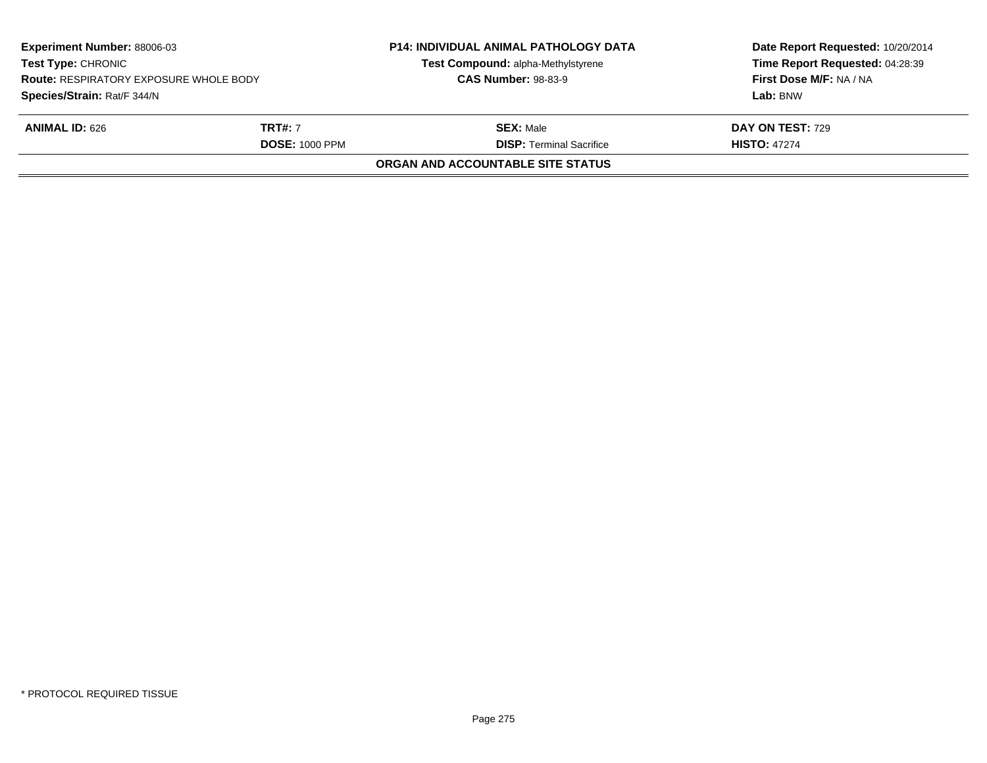| <b>Experiment Number: 88006-03</b><br><b>Test Type: CHRONIC</b><br><b>Route: RESPIRATORY EXPOSURE WHOLE BODY</b> |                       | <b>P14: INDIVIDUAL ANIMAL PATHOLOGY DATA</b><br>Test Compound: alpha-Methylstyrene | Date Report Requested: 10/20/2014<br>Time Report Requested: 04:28:39<br>First Dose M/F: NA / NA |
|------------------------------------------------------------------------------------------------------------------|-----------------------|------------------------------------------------------------------------------------|-------------------------------------------------------------------------------------------------|
|                                                                                                                  |                       | <b>CAS Number: 98-83-9</b>                                                         |                                                                                                 |
| Species/Strain: Rat/F 344/N                                                                                      |                       |                                                                                    | Lab: BNW                                                                                        |
| <b>ANIMAL ID: 626</b>                                                                                            | <b>TRT#:</b> 7        | <b>SEX: Male</b>                                                                   | <b>DAY ON TEST: 729</b>                                                                         |
|                                                                                                                  | <b>DOSE: 1000 PPM</b> | <b>DISP: Terminal Sacrifice</b>                                                    | <b>HISTO: 47274</b>                                                                             |
|                                                                                                                  |                       | <b>ORGAN AND ACCOUNTABLE SITE STATUS</b>                                           |                                                                                                 |
|                                                                                                                  |                       |                                                                                    |                                                                                                 |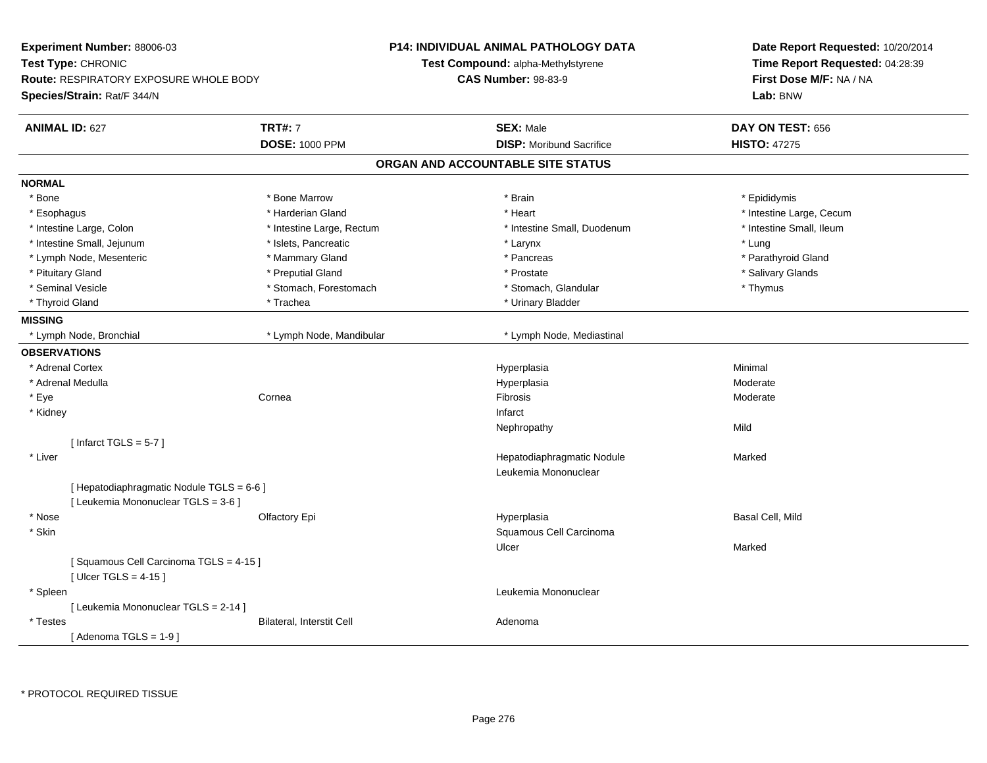| <b>Experiment Number: 88006-03</b>                              |                           | <b>P14: INDIVIDUAL ANIMAL PATHOLOGY DATA</b> | Date Report Requested: 10/20/2014<br>Time Report Requested: 04:28:39 |
|-----------------------------------------------------------------|---------------------------|----------------------------------------------|----------------------------------------------------------------------|
| Test Type: CHRONIC                                              |                           | Test Compound: alpha-Methylstyrene           |                                                                      |
| <b>Route: RESPIRATORY EXPOSURE WHOLE BODY</b>                   |                           | <b>CAS Number: 98-83-9</b>                   | First Dose M/F: NA / NA                                              |
| Species/Strain: Rat/F 344/N                                     |                           |                                              | Lab: BNW                                                             |
| <b>ANIMAL ID: 627</b>                                           | <b>TRT#: 7</b>            | <b>SEX: Male</b>                             | DAY ON TEST: 656                                                     |
|                                                                 | <b>DOSE: 1000 PPM</b>     | <b>DISP:</b> Moribund Sacrifice              | <b>HISTO: 47275</b>                                                  |
|                                                                 |                           | ORGAN AND ACCOUNTABLE SITE STATUS            |                                                                      |
| <b>NORMAL</b>                                                   |                           |                                              |                                                                      |
| * Bone                                                          | * Bone Marrow             | * Brain                                      | * Epididymis                                                         |
| * Esophagus                                                     | * Harderian Gland         | * Heart                                      | * Intestine Large, Cecum                                             |
| * Intestine Large, Colon                                        | * Intestine Large, Rectum | * Intestine Small, Duodenum                  | * Intestine Small, Ileum                                             |
| * Intestine Small, Jejunum                                      | * Islets, Pancreatic      | * Larynx                                     | * Lung                                                               |
| * Lymph Node, Mesenteric                                        | * Mammary Gland           | * Pancreas                                   | * Parathyroid Gland                                                  |
| * Pituitary Gland                                               | * Preputial Gland         | * Prostate                                   | * Salivary Glands                                                    |
| * Seminal Vesicle                                               | * Stomach, Forestomach    | * Stomach, Glandular                         | * Thymus                                                             |
| * Thyroid Gland                                                 | * Trachea                 | * Urinary Bladder                            |                                                                      |
| <b>MISSING</b>                                                  |                           |                                              |                                                                      |
| * Lymph Node, Bronchial                                         | * Lymph Node, Mandibular  | * Lymph Node, Mediastinal                    |                                                                      |
| <b>OBSERVATIONS</b>                                             |                           |                                              |                                                                      |
| * Adrenal Cortex                                                |                           | Hyperplasia                                  | Minimal                                                              |
| * Adrenal Medulla                                               |                           | Hyperplasia                                  | Moderate                                                             |
| * Eye                                                           | Cornea                    | Fibrosis                                     | Moderate                                                             |
| * Kidney                                                        |                           | Infarct                                      |                                                                      |
|                                                                 |                           | Nephropathy                                  | Mild                                                                 |
| [Infarct TGLS = $5-7$ ]                                         |                           |                                              |                                                                      |
| * Liver                                                         |                           | Hepatodiaphragmatic Nodule                   | Marked                                                               |
|                                                                 |                           | Leukemia Mononuclear                         |                                                                      |
| [ Hepatodiaphragmatic Nodule TGLS = 6-6 ]                       |                           |                                              |                                                                      |
| [ Leukemia Mononuclear TGLS = 3-6 ]                             |                           |                                              |                                                                      |
| * Nose                                                          | Olfactory Epi             | Hyperplasia                                  | Basal Cell, Mild                                                     |
| * Skin                                                          |                           | Squamous Cell Carcinoma                      |                                                                      |
|                                                                 |                           | Ulcer                                        | Marked                                                               |
| [Squamous Cell Carcinoma TGLS = 4-15]<br>[Ulcer TGLS = $4-15$ ] |                           |                                              |                                                                      |
| * Spleen                                                        |                           | Leukemia Mononuclear                         |                                                                      |
| [ Leukemia Mononuclear TGLS = 2-14 ]                            |                           |                                              |                                                                      |
| * Testes                                                        | Bilateral, Interstit Cell | Adenoma                                      |                                                                      |
| [Adenoma TGLS = $1-9$ ]                                         |                           |                                              |                                                                      |
|                                                                 |                           |                                              |                                                                      |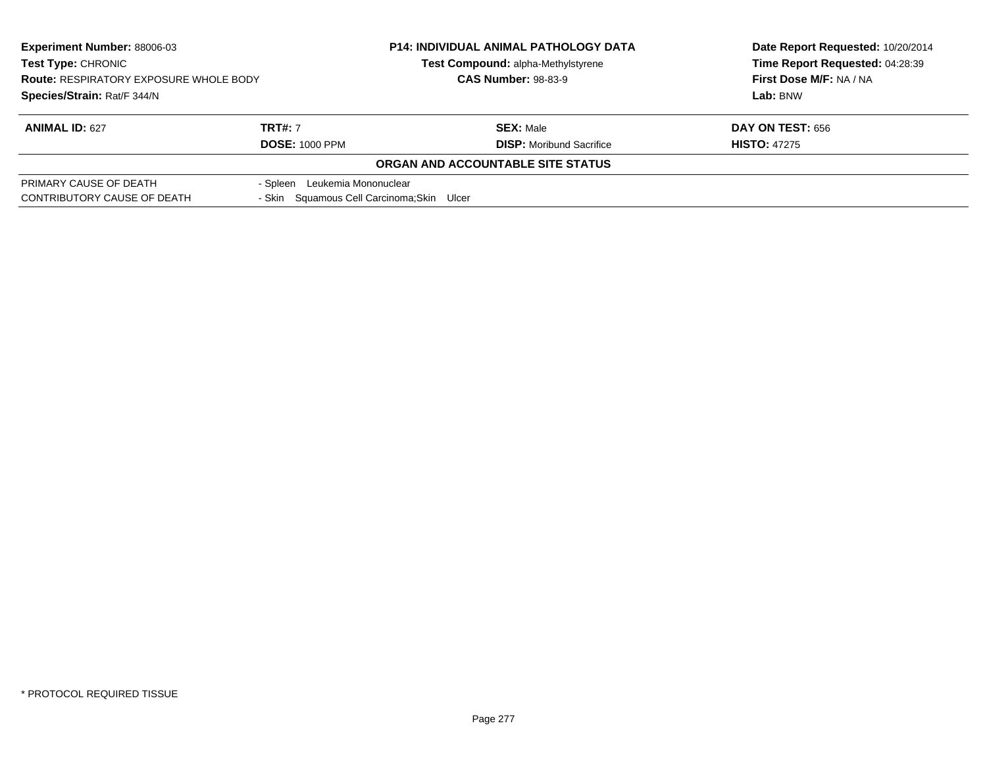| <b>Experiment Number: 88006-03</b><br><b>Test Type: CHRONIC</b><br><b>Route: RESPIRATORY EXPOSURE WHOLE BODY</b> |                                            | <b>P14: INDIVIDUAL ANIMAL PATHOLOGY DATA</b> | Date Report Requested: 10/20/2014 |
|------------------------------------------------------------------------------------------------------------------|--------------------------------------------|----------------------------------------------|-----------------------------------|
|                                                                                                                  |                                            | Test Compound: alpha-Methylstyrene           | Time Report Requested: 04:28:39   |
|                                                                                                                  |                                            | <b>CAS Number: 98-83-9</b>                   | First Dose M/F: NA / NA           |
| Species/Strain: Rat/F 344/N                                                                                      |                                            |                                              | Lab: BNW                          |
| <b>ANIMAL ID: 627</b>                                                                                            | <b>TRT#: 7</b>                             | <b>SEX: Male</b>                             | <b>DAY ON TEST: 656</b>           |
|                                                                                                                  | <b>DOSE: 1000 PPM</b>                      | <b>DISP:</b> Moribund Sacrifice              | <b>HISTO: 47275</b>               |
|                                                                                                                  |                                            | ORGAN AND ACCOUNTABLE SITE STATUS            |                                   |
| PRIMARY CAUSE OF DEATH                                                                                           | - Spleen Leukemia Mononuclear              |                                              |                                   |
| CONTRIBUTORY CAUSE OF DEATH                                                                                      | - Skin Squamous Cell Carcinoma; Skin Ulcer |                                              |                                   |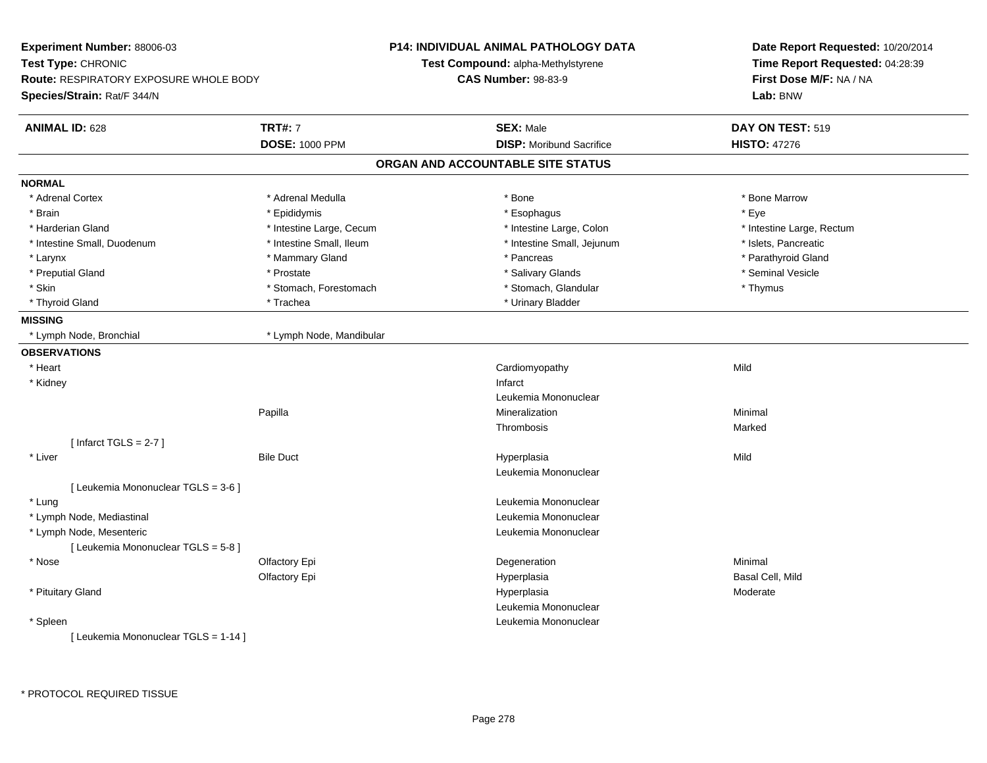| Experiment Number: 88006-03                                                                        |                          | <b>P14: INDIVIDUAL ANIMAL PATHOLOGY DATA</b> | Date Report Requested: 10/20/2014   |  |
|----------------------------------------------------------------------------------------------------|--------------------------|----------------------------------------------|-------------------------------------|--|
| Test Type: CHRONIC<br><b>Route: RESPIRATORY EXPOSURE WHOLE BODY</b><br>Species/Strain: Rat/F 344/N |                          | Test Compound: alpha-Methylstyrene           | Time Report Requested: 04:28:39     |  |
|                                                                                                    |                          | <b>CAS Number: 98-83-9</b>                   | First Dose M/F: NA / NA<br>Lab: BNW |  |
|                                                                                                    |                          |                                              |                                     |  |
| <b>ANIMAL ID: 628</b>                                                                              | <b>TRT#: 7</b>           | <b>SEX: Male</b>                             | DAY ON TEST: 519                    |  |
|                                                                                                    | <b>DOSE: 1000 PPM</b>    | <b>DISP:</b> Moribund Sacrifice              | <b>HISTO: 47276</b>                 |  |
|                                                                                                    |                          | ORGAN AND ACCOUNTABLE SITE STATUS            |                                     |  |
| <b>NORMAL</b>                                                                                      |                          |                                              |                                     |  |
| * Adrenal Cortex                                                                                   | * Adrenal Medulla        | * Bone                                       | * Bone Marrow                       |  |
| * Brain                                                                                            | * Epididymis             | * Esophagus                                  | * Eye                               |  |
| * Harderian Gland                                                                                  | * Intestine Large, Cecum | * Intestine Large, Colon                     | * Intestine Large, Rectum           |  |
| * Intestine Small, Duodenum                                                                        | * Intestine Small, Ileum | * Intestine Small, Jejunum                   | * Islets, Pancreatic                |  |
| * Larynx                                                                                           | * Mammary Gland          | * Pancreas                                   | * Parathyroid Gland                 |  |
| * Preputial Gland                                                                                  | * Prostate               | * Salivary Glands                            | * Seminal Vesicle                   |  |
| * Skin                                                                                             | * Stomach, Forestomach   | * Stomach, Glandular                         | * Thymus                            |  |
| * Thyroid Gland                                                                                    | * Trachea                | * Urinary Bladder                            |                                     |  |
| <b>MISSING</b>                                                                                     |                          |                                              |                                     |  |
| * Lymph Node, Bronchial                                                                            | * Lymph Node, Mandibular |                                              |                                     |  |
| <b>OBSERVATIONS</b>                                                                                |                          |                                              |                                     |  |
| * Heart                                                                                            |                          | Cardiomyopathy                               | Mild                                |  |
| * Kidney                                                                                           |                          | Infarct                                      |                                     |  |
|                                                                                                    |                          | Leukemia Mononuclear                         |                                     |  |
|                                                                                                    | Papilla                  | Mineralization                               | Minimal                             |  |
|                                                                                                    |                          | Thrombosis                                   | Marked                              |  |
| [Infarct TGLS = $2-7$ ]                                                                            |                          |                                              |                                     |  |
| * Liver                                                                                            | <b>Bile Duct</b>         | Hyperplasia                                  | Mild                                |  |
|                                                                                                    |                          | Leukemia Mononuclear                         |                                     |  |
| [ Leukemia Mononuclear TGLS = 3-6 ]                                                                |                          |                                              |                                     |  |
| * Lung                                                                                             |                          | Leukemia Mononuclear                         |                                     |  |
| * Lymph Node, Mediastinal                                                                          |                          | Leukemia Mononuclear                         |                                     |  |
| * Lymph Node, Mesenteric                                                                           |                          | Leukemia Mononuclear                         |                                     |  |
| [ Leukemia Mononuclear TGLS = 5-8 ]                                                                |                          |                                              |                                     |  |
| * Nose                                                                                             | Olfactory Epi            | Degeneration                                 | Minimal                             |  |
|                                                                                                    | Olfactory Epi            | Hyperplasia                                  | Basal Cell, Mild                    |  |
| * Pituitary Gland                                                                                  |                          | Hyperplasia                                  | Moderate                            |  |
|                                                                                                    |                          | Leukemia Mononuclear                         |                                     |  |
| * Spleen                                                                                           |                          | Leukemia Mononuclear                         |                                     |  |
| [ Leukemia Mononuclear TGLS = 1-14 ]                                                               |                          |                                              |                                     |  |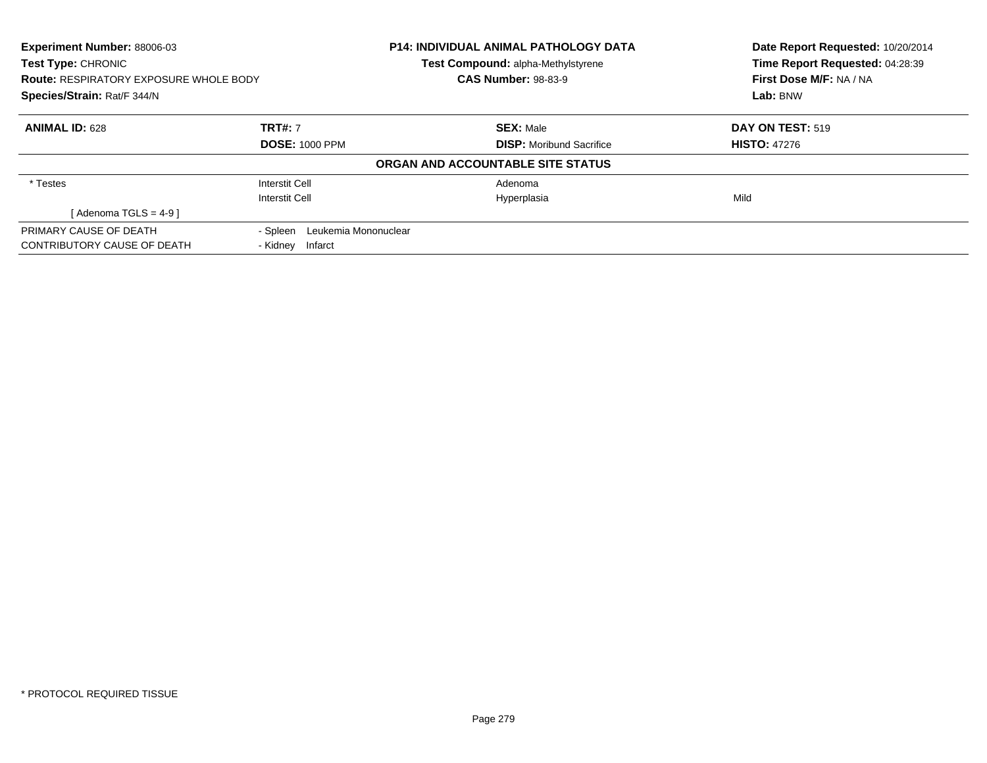| Experiment Number: 88006-03<br><b>Test Type: CHRONIC</b><br><b>Route: RESPIRATORY EXPOSURE WHOLE BODY</b><br>Species/Strain: Rat/F 344/N |                                  | <b>P14: INDIVIDUAL ANIMAL PATHOLOGY DATA</b><br>Test Compound: alpha-Methylstyrene | Date Report Requested: 10/20/2014<br>Time Report Requested: 04:28:39<br>First Dose M/F: NA / NA<br>Lab: BNW |
|------------------------------------------------------------------------------------------------------------------------------------------|----------------------------------|------------------------------------------------------------------------------------|-------------------------------------------------------------------------------------------------------------|
|                                                                                                                                          |                                  | <b>CAS Number: 98-83-9</b>                                                         |                                                                                                             |
|                                                                                                                                          |                                  |                                                                                    |                                                                                                             |
| <b>ANIMAL ID: 628</b>                                                                                                                    | <b>TRT#: 7</b>                   | <b>SEX: Male</b>                                                                   | <b>DAY ON TEST: 519</b>                                                                                     |
|                                                                                                                                          | <b>DOSE: 1000 PPM</b>            | <b>DISP:</b> Moribund Sacrifice                                                    | <b>HISTO: 47276</b>                                                                                         |
|                                                                                                                                          |                                  | ORGAN AND ACCOUNTABLE SITE STATUS                                                  |                                                                                                             |
| * Testes                                                                                                                                 | Interstit Cell                   | Adenoma                                                                            |                                                                                                             |
|                                                                                                                                          | Interstit Cell                   | Hyperplasia                                                                        | Mild                                                                                                        |
| $Adenoma TGLS = 4-91$                                                                                                                    |                                  |                                                                                    |                                                                                                             |
| PRIMARY CAUSE OF DEATH                                                                                                                   | Leukemia Mononuclear<br>- Spleen |                                                                                    |                                                                                                             |
| <b>CONTRIBUTORY CAUSE OF DEATH</b>                                                                                                       | - Kidney<br>Infarct              |                                                                                    |                                                                                                             |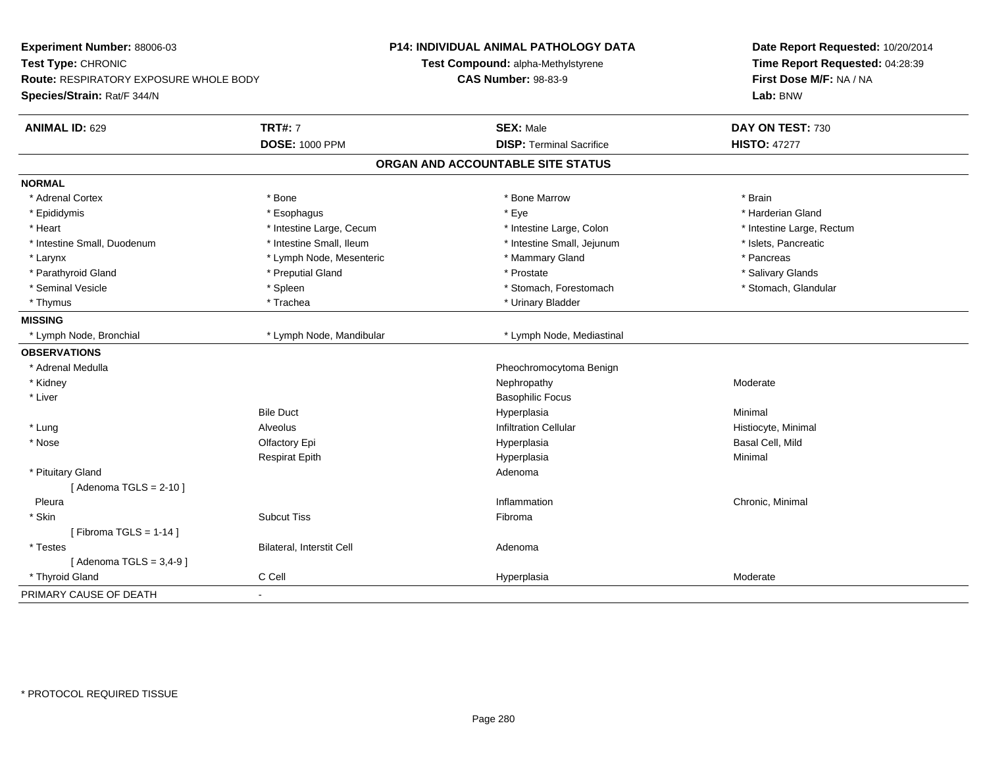| Experiment Number: 88006-03<br>Test Type: CHRONIC<br><b>Route: RESPIRATORY EXPOSURE WHOLE BODY</b><br>Species/Strain: Rat/F 344/N |                           | <b>P14: INDIVIDUAL ANIMAL PATHOLOGY DATA</b><br>Test Compound: alpha-Methylstyrene<br><b>CAS Number: 98-83-9</b> | Date Report Requested: 10/20/2014<br>Time Report Requested: 04:28:39<br>First Dose M/F: NA / NA<br>Lab: BNW |
|-----------------------------------------------------------------------------------------------------------------------------------|---------------------------|------------------------------------------------------------------------------------------------------------------|-------------------------------------------------------------------------------------------------------------|
| <b>ANIMAL ID: 629</b>                                                                                                             | <b>TRT#: 7</b>            | <b>SEX: Male</b><br><b>DISP: Terminal Sacrifice</b>                                                              | DAY ON TEST: 730                                                                                            |
|                                                                                                                                   | <b>DOSE: 1000 PPM</b>     |                                                                                                                  | <b>HISTO: 47277</b>                                                                                         |
|                                                                                                                                   |                           | ORGAN AND ACCOUNTABLE SITE STATUS                                                                                |                                                                                                             |
| <b>NORMAL</b>                                                                                                                     |                           |                                                                                                                  |                                                                                                             |
| * Adrenal Cortex                                                                                                                  | * Bone                    | * Bone Marrow                                                                                                    | * Brain                                                                                                     |
| * Epididymis                                                                                                                      | * Esophagus               | * Eye                                                                                                            | * Harderian Gland                                                                                           |
| * Heart                                                                                                                           | * Intestine Large, Cecum  | * Intestine Large, Colon                                                                                         | * Intestine Large, Rectum                                                                                   |
| * Intestine Small, Duodenum                                                                                                       | * Intestine Small, Ileum  | * Intestine Small, Jejunum                                                                                       | * Islets, Pancreatic                                                                                        |
| * Larynx                                                                                                                          | * Lymph Node, Mesenteric  | * Mammary Gland                                                                                                  | * Pancreas                                                                                                  |
| * Parathyroid Gland                                                                                                               | * Preputial Gland         | * Prostate                                                                                                       | * Salivary Glands                                                                                           |
| * Seminal Vesicle                                                                                                                 | * Spleen                  | * Stomach, Forestomach                                                                                           | * Stomach, Glandular                                                                                        |
| * Thymus                                                                                                                          | * Trachea                 | * Urinary Bladder                                                                                                |                                                                                                             |
| <b>MISSING</b>                                                                                                                    |                           |                                                                                                                  |                                                                                                             |
| * Lymph Node, Bronchial                                                                                                           | * Lymph Node, Mandibular  | * Lymph Node, Mediastinal                                                                                        |                                                                                                             |
| <b>OBSERVATIONS</b>                                                                                                               |                           |                                                                                                                  |                                                                                                             |
| * Adrenal Medulla                                                                                                                 |                           | Pheochromocytoma Benign                                                                                          |                                                                                                             |
| * Kidney                                                                                                                          |                           | Nephropathy                                                                                                      | Moderate                                                                                                    |
| * Liver                                                                                                                           |                           | <b>Basophilic Focus</b>                                                                                          |                                                                                                             |
|                                                                                                                                   | <b>Bile Duct</b>          | Hyperplasia                                                                                                      | Minimal                                                                                                     |
| * Lung                                                                                                                            | <b>Alveolus</b>           | <b>Infiltration Cellular</b>                                                                                     | Histiocyte, Minimal                                                                                         |
| * Nose                                                                                                                            | Olfactory Epi             | Hyperplasia                                                                                                      | Basal Cell, Mild                                                                                            |
|                                                                                                                                   | <b>Respirat Epith</b>     | Hyperplasia                                                                                                      | Minimal                                                                                                     |
| * Pituitary Gland                                                                                                                 |                           | Adenoma                                                                                                          |                                                                                                             |
| [Adenoma TGLS = $2-10$ ]                                                                                                          |                           |                                                                                                                  |                                                                                                             |
| Pleura                                                                                                                            |                           | Inflammation                                                                                                     | Chronic, Minimal                                                                                            |
| * Skin                                                                                                                            | <b>Subcut Tiss</b>        | Fibroma                                                                                                          |                                                                                                             |
| [Fibroma TGLS = $1-14$ ]                                                                                                          |                           |                                                                                                                  |                                                                                                             |
| * Testes                                                                                                                          | Bilateral, Interstit Cell | Adenoma                                                                                                          |                                                                                                             |
| [Adenoma TGLS = $3,4-9$ ]                                                                                                         |                           |                                                                                                                  |                                                                                                             |
| * Thyroid Gland                                                                                                                   | C Cell                    | Hyperplasia                                                                                                      | Moderate                                                                                                    |
| PRIMARY CAUSE OF DEATH                                                                                                            | ÷,                        |                                                                                                                  |                                                                                                             |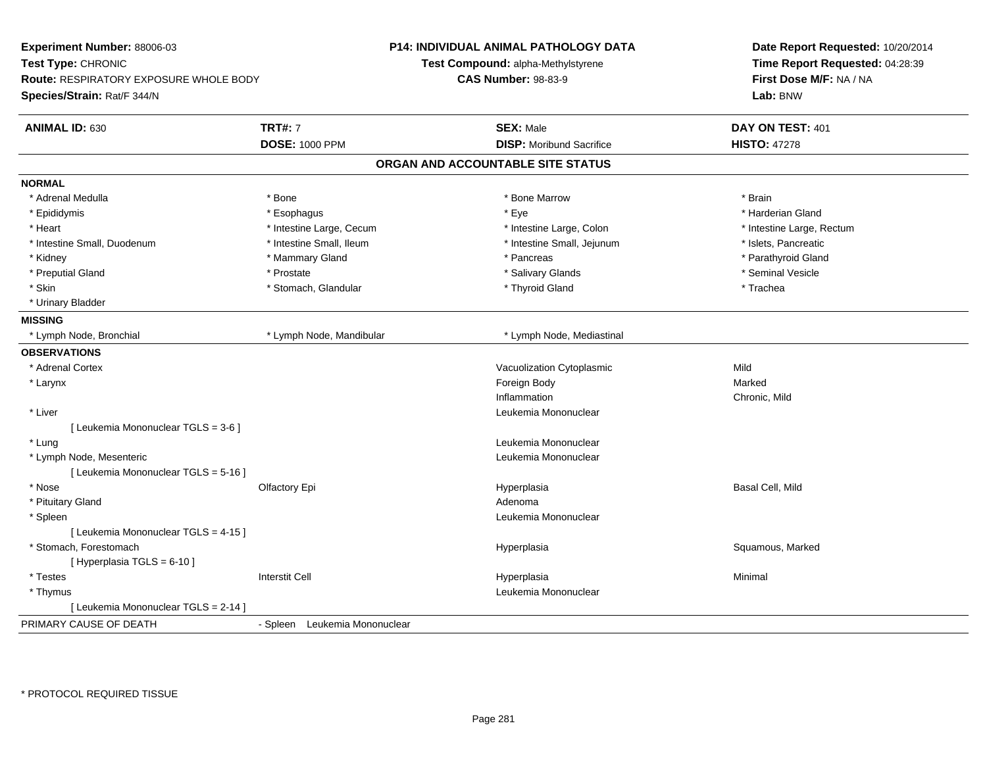| Experiment Number: 88006-03<br>Test Type: CHRONIC<br><b>Route: RESPIRATORY EXPOSURE WHOLE BODY</b><br>Species/Strain: Rat/F 344/N |                               | <b>P14: INDIVIDUAL ANIMAL PATHOLOGY DATA</b><br>Test Compound: alpha-Methylstyrene<br><b>CAS Number: 98-83-9</b> | Date Report Requested: 10/20/2014<br>Time Report Requested: 04:28:39<br>First Dose M/F: NA / NA<br>Lab: BNW |
|-----------------------------------------------------------------------------------------------------------------------------------|-------------------------------|------------------------------------------------------------------------------------------------------------------|-------------------------------------------------------------------------------------------------------------|
| <b>ANIMAL ID: 630</b>                                                                                                             | <b>TRT#: 7</b>                | <b>SEX: Male</b>                                                                                                 | DAY ON TEST: 401                                                                                            |
|                                                                                                                                   | <b>DOSE: 1000 PPM</b>         | <b>DISP:</b> Moribund Sacrifice                                                                                  | <b>HISTO: 47278</b>                                                                                         |
|                                                                                                                                   |                               | ORGAN AND ACCOUNTABLE SITE STATUS                                                                                |                                                                                                             |
| <b>NORMAL</b>                                                                                                                     |                               |                                                                                                                  |                                                                                                             |
| * Adrenal Medulla                                                                                                                 | * Bone                        | * Bone Marrow                                                                                                    | * Brain                                                                                                     |
| * Epididymis                                                                                                                      | * Esophagus                   | * Eye                                                                                                            | * Harderian Gland                                                                                           |
| * Heart                                                                                                                           | * Intestine Large, Cecum      | * Intestine Large, Colon                                                                                         | * Intestine Large, Rectum                                                                                   |
| * Intestine Small, Duodenum                                                                                                       | * Intestine Small, Ileum      | * Intestine Small, Jejunum                                                                                       | * Islets, Pancreatic                                                                                        |
| * Kidney                                                                                                                          | * Mammary Gland               | * Pancreas                                                                                                       | * Parathyroid Gland                                                                                         |
| * Preputial Gland                                                                                                                 | * Prostate                    | * Salivary Glands                                                                                                | * Seminal Vesicle                                                                                           |
| * Skin                                                                                                                            | * Stomach, Glandular          | * Thyroid Gland                                                                                                  | * Trachea                                                                                                   |
| * Urinary Bladder                                                                                                                 |                               |                                                                                                                  |                                                                                                             |
| <b>MISSING</b>                                                                                                                    |                               |                                                                                                                  |                                                                                                             |
| * Lymph Node, Bronchial                                                                                                           | * Lymph Node, Mandibular      | * Lymph Node, Mediastinal                                                                                        |                                                                                                             |
| <b>OBSERVATIONS</b>                                                                                                               |                               |                                                                                                                  |                                                                                                             |
| * Adrenal Cortex                                                                                                                  |                               | Vacuolization Cytoplasmic                                                                                        | Mild                                                                                                        |
| * Larynx                                                                                                                          |                               | Foreign Body                                                                                                     | Marked                                                                                                      |
|                                                                                                                                   |                               | Inflammation                                                                                                     | Chronic, Mild                                                                                               |
| * Liver                                                                                                                           |                               | Leukemia Mononuclear                                                                                             |                                                                                                             |
| [ Leukemia Mononuclear TGLS = 3-6 ]                                                                                               |                               |                                                                                                                  |                                                                                                             |
| * Lung                                                                                                                            |                               | Leukemia Mononuclear                                                                                             |                                                                                                             |
| * Lymph Node, Mesenteric                                                                                                          |                               | Leukemia Mononuclear                                                                                             |                                                                                                             |
| [ Leukemia Mononuclear TGLS = 5-16 ]                                                                                              |                               |                                                                                                                  |                                                                                                             |
| * Nose                                                                                                                            | Olfactory Epi                 | Hyperplasia                                                                                                      | Basal Cell, Mild                                                                                            |
| * Pituitary Gland                                                                                                                 |                               | Adenoma                                                                                                          |                                                                                                             |
| * Spleen                                                                                                                          |                               | Leukemia Mononuclear                                                                                             |                                                                                                             |
| [ Leukemia Mononuclear TGLS = 4-15 ]                                                                                              |                               |                                                                                                                  |                                                                                                             |
| * Stomach, Forestomach                                                                                                            |                               | Hyperplasia                                                                                                      | Squamous, Marked                                                                                            |
| [ Hyperplasia TGLS = 6-10 ]                                                                                                       |                               |                                                                                                                  |                                                                                                             |
| * Testes                                                                                                                          | <b>Interstit Cell</b>         | Hyperplasia                                                                                                      | Minimal                                                                                                     |
| * Thymus                                                                                                                          |                               | Leukemia Mononuclear                                                                                             |                                                                                                             |
| [ Leukemia Mononuclear TGLS = 2-14 ]                                                                                              |                               |                                                                                                                  |                                                                                                             |
| PRIMARY CAUSE OF DEATH                                                                                                            | - Spleen Leukemia Mononuclear |                                                                                                                  |                                                                                                             |
|                                                                                                                                   |                               |                                                                                                                  |                                                                                                             |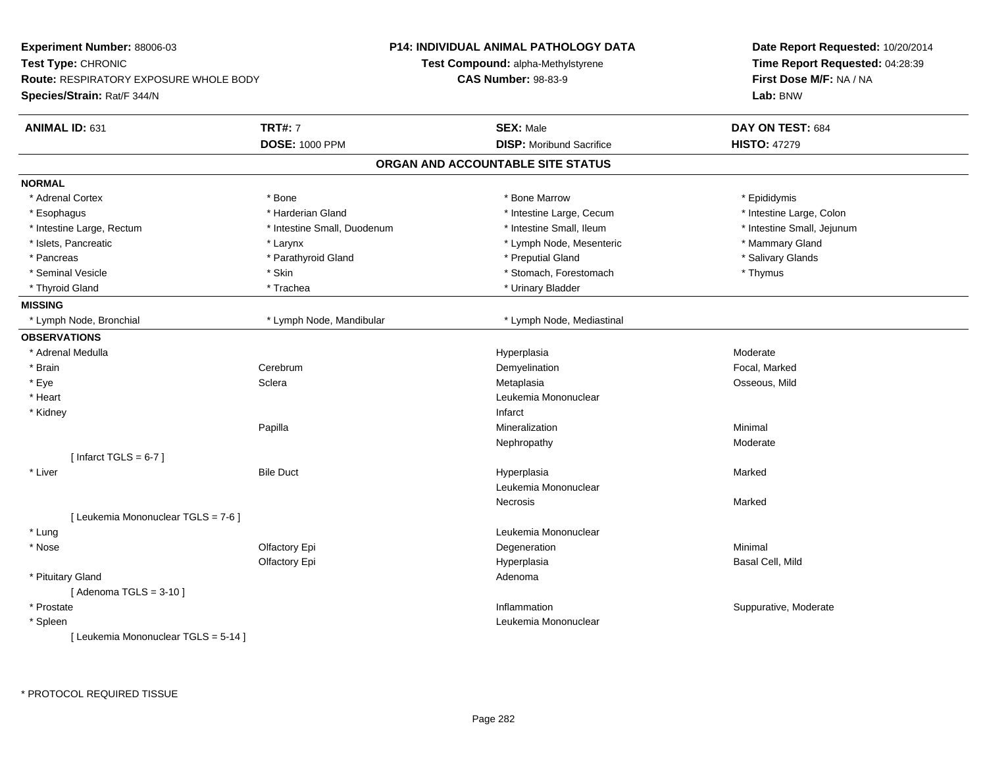| Experiment Number: 88006-03                   |                             | <b>P14: INDIVIDUAL ANIMAL PATHOLOGY DATA</b> | Date Report Requested: 10/20/2014<br>Time Report Requested: 04:28:39<br>First Dose M/F: NA / NA |  |
|-----------------------------------------------|-----------------------------|----------------------------------------------|-------------------------------------------------------------------------------------------------|--|
| Test Type: CHRONIC                            |                             | Test Compound: alpha-Methylstyrene           |                                                                                                 |  |
| <b>Route: RESPIRATORY EXPOSURE WHOLE BODY</b> |                             | <b>CAS Number: 98-83-9</b>                   |                                                                                                 |  |
| Species/Strain: Rat/F 344/N                   |                             |                                              | Lab: BNW                                                                                        |  |
| ANIMAL ID: 631                                | <b>TRT#: 7</b>              | <b>SEX: Male</b>                             | DAY ON TEST: 684                                                                                |  |
|                                               | <b>DOSE: 1000 PPM</b>       | <b>DISP:</b> Moribund Sacrifice              | <b>HISTO: 47279</b>                                                                             |  |
|                                               |                             | ORGAN AND ACCOUNTABLE SITE STATUS            |                                                                                                 |  |
| <b>NORMAL</b>                                 |                             |                                              |                                                                                                 |  |
| * Adrenal Cortex                              | * Bone                      | * Bone Marrow                                | * Epididymis                                                                                    |  |
| * Esophagus                                   | * Harderian Gland           | * Intestine Large, Cecum                     | * Intestine Large, Colon                                                                        |  |
| * Intestine Large, Rectum                     | * Intestine Small, Duodenum | * Intestine Small, Ileum                     | * Intestine Small, Jejunum                                                                      |  |
| * Islets, Pancreatic                          | * Larynx                    | * Lymph Node, Mesenteric                     | * Mammary Gland                                                                                 |  |
| * Pancreas                                    | * Parathyroid Gland         | * Preputial Gland                            | * Salivary Glands                                                                               |  |
| * Seminal Vesicle                             | * Skin                      | * Stomach, Forestomach                       | * Thymus                                                                                        |  |
| * Thyroid Gland                               | * Trachea                   | * Urinary Bladder                            |                                                                                                 |  |
| <b>MISSING</b>                                |                             |                                              |                                                                                                 |  |
| * Lymph Node, Bronchial                       | * Lymph Node, Mandibular    | * Lymph Node, Mediastinal                    |                                                                                                 |  |
| <b>OBSERVATIONS</b>                           |                             |                                              |                                                                                                 |  |
| * Adrenal Medulla                             |                             | Hyperplasia                                  | Moderate                                                                                        |  |
| * Brain                                       | Cerebrum                    | Demyelination                                | Focal, Marked                                                                                   |  |
| * Eye                                         | Sclera                      | Metaplasia                                   | Osseous, Mild                                                                                   |  |
| * Heart                                       |                             | Leukemia Mononuclear                         |                                                                                                 |  |
| * Kidney                                      |                             | Infarct                                      |                                                                                                 |  |
|                                               | Papilla                     | Mineralization                               | Minimal                                                                                         |  |
|                                               |                             | Nephropathy                                  | Moderate                                                                                        |  |
| [Infarct TGLS = $6-7$ ]                       |                             |                                              |                                                                                                 |  |
| * Liver                                       | <b>Bile Duct</b>            | Hyperplasia                                  | Marked                                                                                          |  |
|                                               |                             | Leukemia Mononuclear                         |                                                                                                 |  |
|                                               |                             | Necrosis                                     | Marked                                                                                          |  |
| [ Leukemia Mononuclear TGLS = 7-6 ]           |                             |                                              |                                                                                                 |  |
| * Lung                                        |                             | Leukemia Mononuclear                         |                                                                                                 |  |
| * Nose                                        | Olfactory Epi               | Degeneration                                 | Minimal                                                                                         |  |
|                                               | Olfactory Epi               | Hyperplasia                                  | Basal Cell, Mild                                                                                |  |
| * Pituitary Gland                             |                             | Adenoma                                      |                                                                                                 |  |
| [Adenoma TGLS = $3-10$ ]                      |                             |                                              |                                                                                                 |  |
| * Prostate                                    |                             | Inflammation                                 | Suppurative, Moderate                                                                           |  |
| * Spleen                                      |                             | Leukemia Mononuclear                         |                                                                                                 |  |
| [ Leukemia Mononuclear TGLS = 5-14 ]          |                             |                                              |                                                                                                 |  |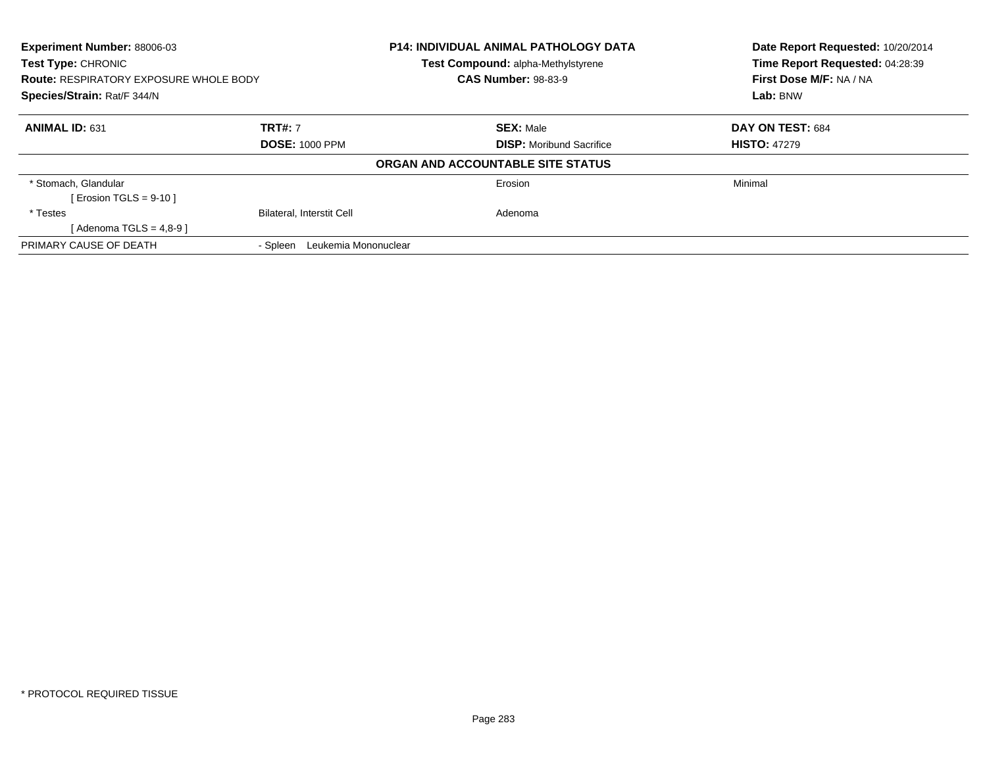| <b>Experiment Number: 88006-03</b><br><b>Test Type: CHRONIC</b><br><b>Route: RESPIRATORY EXPOSURE WHOLE BODY</b> |                                  | <b>P14: INDIVIDUAL ANIMAL PATHOLOGY DATA</b> | Date Report Requested: 10/20/2014<br>Time Report Requested: 04:28:39 |
|------------------------------------------------------------------------------------------------------------------|----------------------------------|----------------------------------------------|----------------------------------------------------------------------|
|                                                                                                                  |                                  | Test Compound: alpha-Methylstyrene           |                                                                      |
|                                                                                                                  |                                  | <b>CAS Number: 98-83-9</b>                   | First Dose M/F: NA / NA                                              |
| Species/Strain: Rat/F 344/N                                                                                      |                                  |                                              | Lab: BNW                                                             |
| <b>ANIMAL ID: 631</b>                                                                                            | <b>TRT#: 7</b>                   | <b>SEX: Male</b>                             | DAY ON TEST: 684                                                     |
|                                                                                                                  | <b>DOSE: 1000 PPM</b>            | <b>DISP:</b> Moribund Sacrifice              | <b>HISTO: 47279</b>                                                  |
|                                                                                                                  |                                  | ORGAN AND ACCOUNTABLE SITE STATUS            |                                                                      |
| * Stomach, Glandular                                                                                             |                                  | Erosion                                      | Minimal                                                              |
| [ Erosion TGLS = $9-10$ ]                                                                                        |                                  |                                              |                                                                      |
| * Testes                                                                                                         | <b>Bilateral, Interstit Cell</b> | Adenoma                                      |                                                                      |
| [Adenoma TGLS = $4.8-9$ ]                                                                                        |                                  |                                              |                                                                      |
| PRIMARY CAUSE OF DEATH                                                                                           | Leukemia Mononuclear<br>- Spleen |                                              |                                                                      |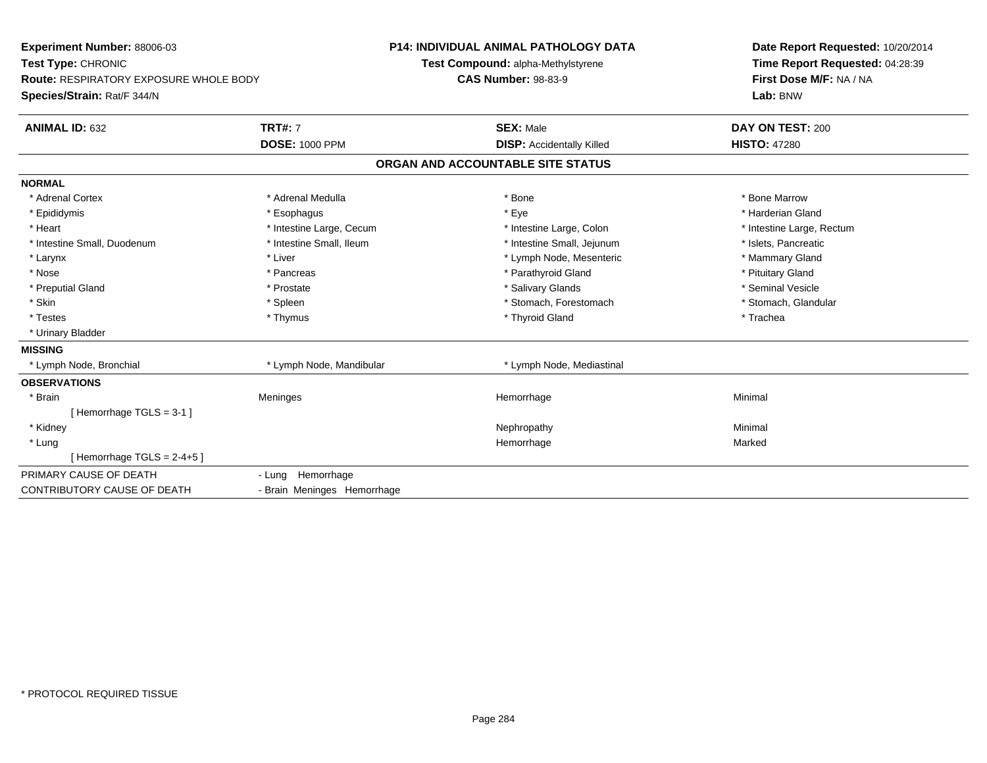| Experiment Number: 88006-03            |                             | <b>P14: INDIVIDUAL ANIMAL PATHOLOGY DATA</b> | Date Report Requested: 10/20/2014 |
|----------------------------------------|-----------------------------|----------------------------------------------|-----------------------------------|
| Test Type: CHRONIC                     |                             | Test Compound: alpha-Methylstyrene           | Time Report Requested: 04:28:39   |
| Route: RESPIRATORY EXPOSURE WHOLE BODY |                             | <b>CAS Number: 98-83-9</b>                   | First Dose M/F: NA / NA           |
| Species/Strain: Rat/F 344/N            |                             |                                              | Lab: BNW                          |
| <b>ANIMAL ID: 632</b>                  | <b>TRT#: 7</b>              | <b>SEX: Male</b>                             | DAY ON TEST: 200                  |
|                                        | <b>DOSE: 1000 PPM</b>       | <b>DISP:</b> Accidentally Killed             | <b>HISTO: 47280</b>               |
|                                        |                             | ORGAN AND ACCOUNTABLE SITE STATUS            |                                   |
| <b>NORMAL</b>                          |                             |                                              |                                   |
| * Adrenal Cortex                       | * Adrenal Medulla           | * Bone                                       | * Bone Marrow                     |
| * Epididymis                           | * Esophagus                 | * Eye                                        | * Harderian Gland                 |
| * Heart                                | * Intestine Large, Cecum    | * Intestine Large, Colon                     | * Intestine Large, Rectum         |
| * Intestine Small, Duodenum            | * Intestine Small, Ileum    | * Intestine Small, Jejunum                   | * Islets, Pancreatic              |
| * Larynx                               | * Liver                     | * Lymph Node, Mesenteric                     | * Mammary Gland                   |
| * Nose                                 | * Pancreas                  | * Parathyroid Gland                          | * Pituitary Gland                 |
| * Preputial Gland                      | * Prostate                  | * Salivary Glands                            | * Seminal Vesicle                 |
| * Skin                                 | * Spleen                    | * Stomach, Forestomach                       | * Stomach, Glandular              |
| * Testes                               | * Thymus                    | * Thyroid Gland                              | * Trachea                         |
| * Urinary Bladder                      |                             |                                              |                                   |
| <b>MISSING</b>                         |                             |                                              |                                   |
| * Lymph Node, Bronchial                | * Lymph Node, Mandibular    | * Lymph Node, Mediastinal                    |                                   |
| <b>OBSERVATIONS</b>                    |                             |                                              |                                   |
| * Brain                                | Meninges                    | Hemorrhage                                   | Minimal                           |
| [Hemorrhage TGLS = 3-1]                |                             |                                              |                                   |
| * Kidney                               |                             | Nephropathy                                  | Minimal                           |
| * Lung                                 |                             | Hemorrhage                                   | Marked                            |
| [Hemorrhage TGLS = $2-4+5$ ]           |                             |                                              |                                   |
| PRIMARY CAUSE OF DEATH                 | - Lung Hemorrhage           |                                              |                                   |
| CONTRIBUTORY CAUSE OF DEATH            | - Brain Meninges Hemorrhage |                                              |                                   |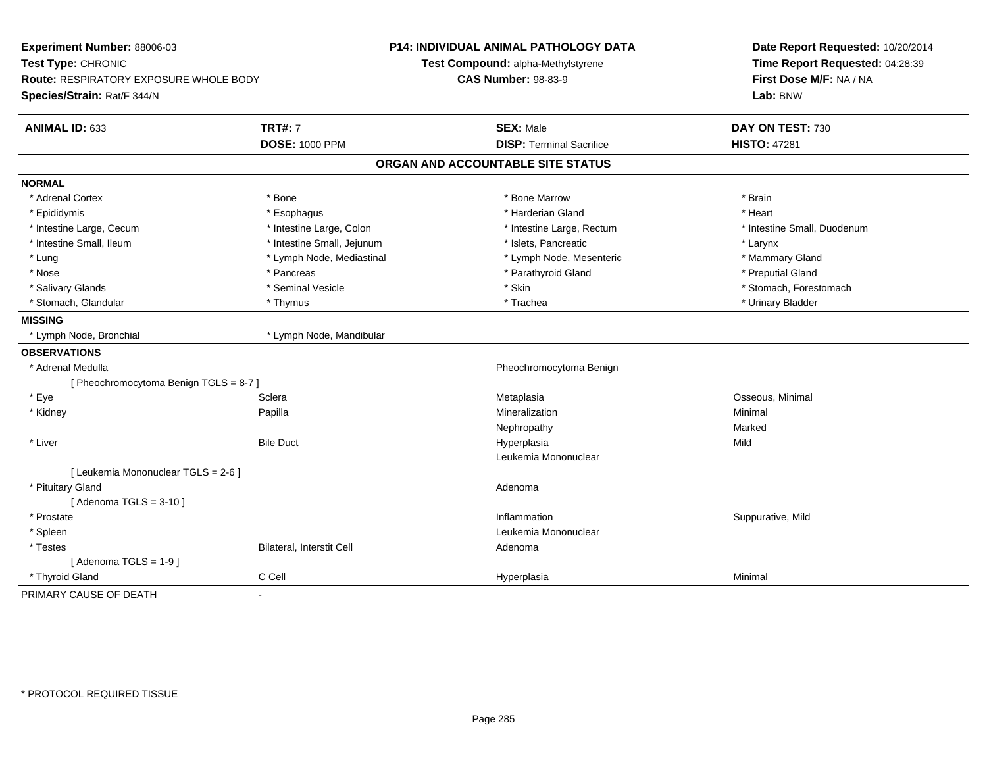| Experiment Number: 88006-03<br>Test Type: CHRONIC<br><b>Route: RESPIRATORY EXPOSURE WHOLE BODY</b> |                            | <b>P14: INDIVIDUAL ANIMAL PATHOLOGY DATA</b><br>Test Compound: alpha-Methylstyrene<br><b>CAS Number: 98-83-9</b> | Date Report Requested: 10/20/2014<br>Time Report Requested: 04:28:39<br>First Dose M/F: NA / NA |
|----------------------------------------------------------------------------------------------------|----------------------------|------------------------------------------------------------------------------------------------------------------|-------------------------------------------------------------------------------------------------|
| Species/Strain: Rat/F 344/N                                                                        |                            |                                                                                                                  | Lab: BNW                                                                                        |
| ANIMAL ID: 633                                                                                     | <b>TRT#: 7</b>             | <b>SEX: Male</b>                                                                                                 | DAY ON TEST: 730                                                                                |
|                                                                                                    | <b>DOSE: 1000 PPM</b>      | <b>DISP: Terminal Sacrifice</b>                                                                                  | <b>HISTO: 47281</b>                                                                             |
|                                                                                                    |                            | ORGAN AND ACCOUNTABLE SITE STATUS                                                                                |                                                                                                 |
| <b>NORMAL</b>                                                                                      |                            |                                                                                                                  |                                                                                                 |
| * Adrenal Cortex                                                                                   | * Bone                     | * Bone Marrow                                                                                                    | * Brain                                                                                         |
| * Epididymis                                                                                       | * Esophagus                | * Harderian Gland                                                                                                | * Heart                                                                                         |
| * Intestine Large, Cecum                                                                           | * Intestine Large, Colon   | * Intestine Large, Rectum                                                                                        | * Intestine Small, Duodenum                                                                     |
| * Intestine Small, Ileum                                                                           | * Intestine Small, Jejunum | * Islets, Pancreatic                                                                                             | * Larynx                                                                                        |
| * Lung                                                                                             | * Lymph Node, Mediastinal  | * Lymph Node, Mesenteric                                                                                         | * Mammary Gland                                                                                 |
| * Nose                                                                                             | * Pancreas                 | * Parathyroid Gland                                                                                              | * Preputial Gland                                                                               |
| * Salivary Glands                                                                                  | * Seminal Vesicle          | * Skin                                                                                                           | * Stomach, Forestomach                                                                          |
| * Stomach, Glandular                                                                               | * Thymus                   | * Trachea                                                                                                        | * Urinary Bladder                                                                               |
| <b>MISSING</b>                                                                                     |                            |                                                                                                                  |                                                                                                 |
| * Lymph Node, Bronchial                                                                            | * Lymph Node, Mandibular   |                                                                                                                  |                                                                                                 |
| <b>OBSERVATIONS</b>                                                                                |                            |                                                                                                                  |                                                                                                 |
| * Adrenal Medulla                                                                                  |                            | Pheochromocytoma Benign                                                                                          |                                                                                                 |
| [ Pheochromocytoma Benign TGLS = 8-7 ]                                                             |                            |                                                                                                                  |                                                                                                 |
| * Eye                                                                                              | Sclera                     | Metaplasia                                                                                                       | Osseous, Minimal                                                                                |
| * Kidney                                                                                           | Papilla                    | Mineralization                                                                                                   | Minimal                                                                                         |
|                                                                                                    |                            | Nephropathy                                                                                                      | Marked                                                                                          |
| * Liver                                                                                            | <b>Bile Duct</b>           | Hyperplasia                                                                                                      | Mild                                                                                            |
|                                                                                                    |                            | Leukemia Mononuclear                                                                                             |                                                                                                 |
| [ Leukemia Mononuclear TGLS = 2-6 ]                                                                |                            |                                                                                                                  |                                                                                                 |
| * Pituitary Gland                                                                                  |                            | Adenoma                                                                                                          |                                                                                                 |
| [Adenoma TGLS = $3-10$ ]                                                                           |                            |                                                                                                                  |                                                                                                 |
| * Prostate                                                                                         |                            | Inflammation                                                                                                     | Suppurative, Mild                                                                               |
| * Spleen                                                                                           |                            | Leukemia Mononuclear                                                                                             |                                                                                                 |
| * Testes                                                                                           | Bilateral, Interstit Cell  | Adenoma                                                                                                          |                                                                                                 |
| [Adenoma TGLS = $1-9$ ]                                                                            |                            |                                                                                                                  |                                                                                                 |
| * Thyroid Gland                                                                                    | C Cell                     | Hyperplasia                                                                                                      | Minimal                                                                                         |
| PRIMARY CAUSE OF DEATH                                                                             | $\blacksquare$             |                                                                                                                  |                                                                                                 |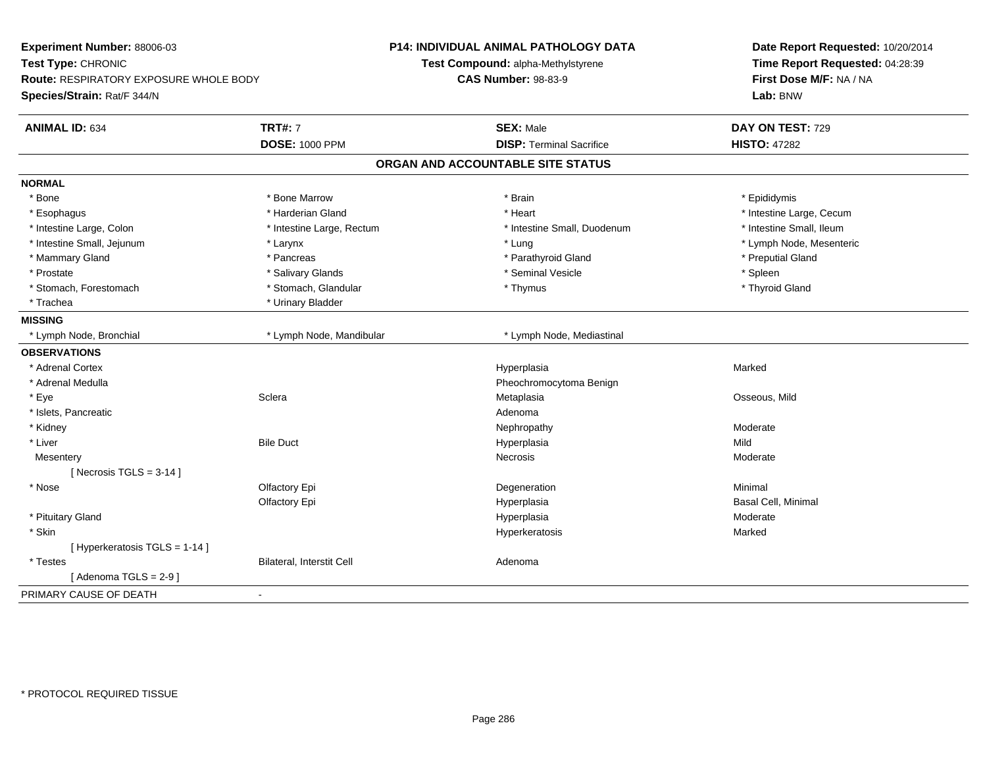| Experiment Number: 88006-03<br>Test Type: CHRONIC |                           | <b>P14: INDIVIDUAL ANIMAL PATHOLOGY DATA</b> | Date Report Requested: 10/20/2014<br>Time Report Requested: 04:28:39 |
|---------------------------------------------------|---------------------------|----------------------------------------------|----------------------------------------------------------------------|
|                                                   |                           | Test Compound: alpha-Methylstyrene           |                                                                      |
| <b>Route: RESPIRATORY EXPOSURE WHOLE BODY</b>     |                           | <b>CAS Number: 98-83-9</b>                   | First Dose M/F: NA / NA                                              |
| Species/Strain: Rat/F 344/N                       |                           |                                              | Lab: BNW                                                             |
| <b>ANIMAL ID: 634</b>                             | <b>TRT#: 7</b>            | <b>SEX: Male</b>                             | DAY ON TEST: 729                                                     |
|                                                   | <b>DOSE: 1000 PPM</b>     | <b>DISP: Terminal Sacrifice</b>              | <b>HISTO: 47282</b>                                                  |
|                                                   |                           | ORGAN AND ACCOUNTABLE SITE STATUS            |                                                                      |
| <b>NORMAL</b>                                     |                           |                                              |                                                                      |
| * Bone                                            | * Bone Marrow             | * Brain                                      | * Epididymis                                                         |
| * Esophagus                                       | * Harderian Gland         | * Heart                                      | * Intestine Large, Cecum                                             |
| * Intestine Large, Colon                          | * Intestine Large, Rectum | * Intestine Small, Duodenum                  | * Intestine Small, Ileum                                             |
| * Intestine Small, Jejunum                        | * Larynx                  | * Lung                                       | * Lymph Node, Mesenteric                                             |
| * Mammary Gland                                   | * Pancreas                | * Parathyroid Gland                          | * Preputial Gland                                                    |
| * Prostate                                        | * Salivary Glands         | * Seminal Vesicle                            | * Spleen                                                             |
| * Stomach, Forestomach                            | * Stomach, Glandular      | * Thymus                                     | * Thyroid Gland                                                      |
| * Trachea                                         | * Urinary Bladder         |                                              |                                                                      |
| <b>MISSING</b>                                    |                           |                                              |                                                                      |
| * Lymph Node, Bronchial                           | * Lymph Node, Mandibular  | * Lymph Node, Mediastinal                    |                                                                      |
| <b>OBSERVATIONS</b>                               |                           |                                              |                                                                      |
| * Adrenal Cortex                                  |                           | Hyperplasia                                  | Marked                                                               |
| * Adrenal Medulla                                 |                           | Pheochromocytoma Benign                      |                                                                      |
| * Eye                                             | Sclera                    | Metaplasia                                   | Osseous, Mild                                                        |
| * Islets, Pancreatic                              |                           | Adenoma                                      |                                                                      |
| * Kidney                                          |                           | Nephropathy                                  | Moderate                                                             |
| * Liver                                           | <b>Bile Duct</b>          | Hyperplasia                                  | Mild                                                                 |
| Mesentery                                         |                           | <b>Necrosis</b>                              | Moderate                                                             |
| [ Necrosis TGLS = $3-14$ ]                        |                           |                                              |                                                                      |
| * Nose                                            | Olfactory Epi             | Degeneration                                 | Minimal                                                              |
|                                                   | Olfactory Epi             | Hyperplasia                                  | Basal Cell, Minimal                                                  |
| * Pituitary Gland                                 |                           | Hyperplasia                                  | Moderate                                                             |
| * Skin                                            |                           | Hyperkeratosis                               | Marked                                                               |
| [ Hyperkeratosis TGLS = 1-14 ]                    |                           |                                              |                                                                      |
| * Testes                                          | Bilateral, Interstit Cell | Adenoma                                      |                                                                      |
| [Adenoma TGLS = $2-9$ ]                           |                           |                                              |                                                                      |
| PRIMARY CAUSE OF DEATH                            | $\blacksquare$            |                                              |                                                                      |
|                                                   |                           |                                              |                                                                      |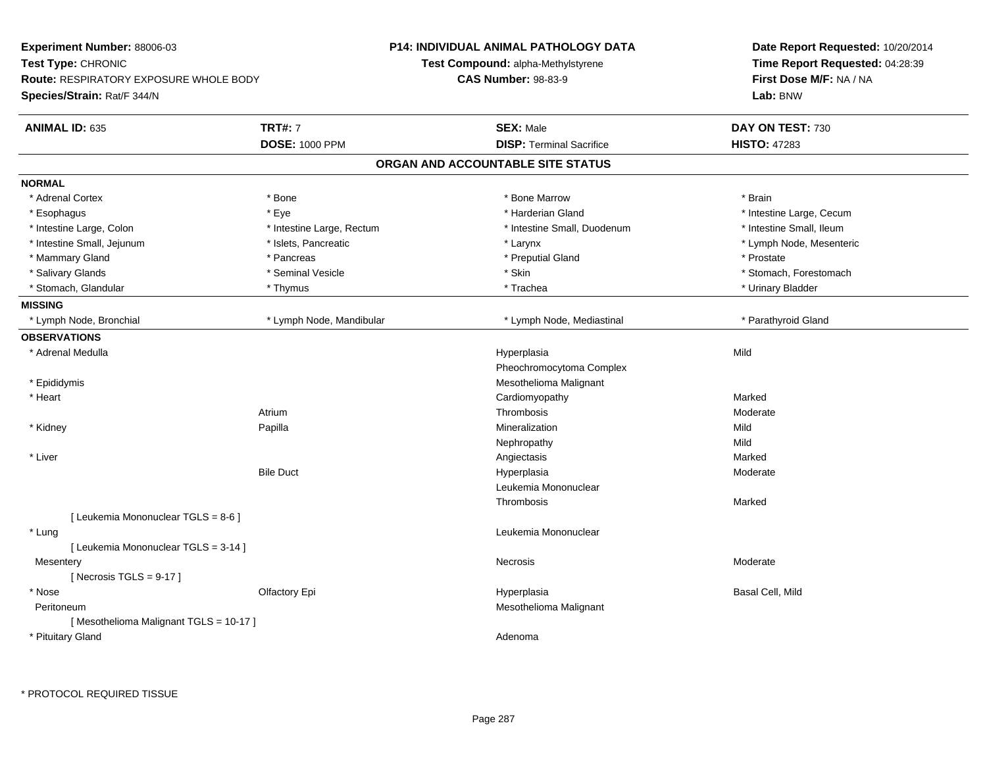| Experiment Number: 88006-03<br>Test Type: CHRONIC<br><b>Route: RESPIRATORY EXPOSURE WHOLE BODY</b><br>Species/Strain: Rat/F 344/N |                           | <b>P14: INDIVIDUAL ANIMAL PATHOLOGY DATA</b> |                                 | Date Report Requested: 10/20/2014 |
|-----------------------------------------------------------------------------------------------------------------------------------|---------------------------|----------------------------------------------|---------------------------------|-----------------------------------|
|                                                                                                                                   |                           | <b>Test Compound: alpha-Methylstyrene</b>    |                                 | Time Report Requested: 04:28:39   |
|                                                                                                                                   |                           | <b>CAS Number: 98-83-9</b>                   |                                 | First Dose M/F: NA / NA           |
|                                                                                                                                   |                           |                                              |                                 | Lab: BNW                          |
| <b>ANIMAL ID: 635</b>                                                                                                             | <b>TRT#: 7</b>            | <b>SEX: Male</b>                             |                                 | DAY ON TEST: 730                  |
|                                                                                                                                   | <b>DOSE: 1000 PPM</b>     |                                              | <b>DISP: Terminal Sacrifice</b> | <b>HISTO: 47283</b>               |
|                                                                                                                                   |                           | ORGAN AND ACCOUNTABLE SITE STATUS            |                                 |                                   |
| <b>NORMAL</b>                                                                                                                     |                           |                                              |                                 |                                   |
| * Adrenal Cortex                                                                                                                  | * Bone                    | * Bone Marrow                                |                                 | * Brain                           |
| * Esophagus                                                                                                                       | * Eye                     |                                              | * Harderian Gland               | * Intestine Large, Cecum          |
| * Intestine Large, Colon                                                                                                          | * Intestine Large, Rectum |                                              | * Intestine Small, Duodenum     | * Intestine Small, Ileum          |
| * Intestine Small, Jejunum                                                                                                        | * Islets, Pancreatic      | * Larynx                                     |                                 | * Lymph Node, Mesenteric          |
| * Mammary Gland                                                                                                                   | * Pancreas                |                                              | * Preputial Gland               | * Prostate                        |
| * Salivary Glands                                                                                                                 | * Seminal Vesicle         | * Skin                                       |                                 | * Stomach, Forestomach            |
| * Stomach, Glandular                                                                                                              | * Thymus                  | * Trachea                                    |                                 | * Urinary Bladder                 |
| <b>MISSING</b>                                                                                                                    |                           |                                              |                                 |                                   |
| * Lymph Node, Bronchial                                                                                                           | * Lymph Node, Mandibular  |                                              | * Lymph Node, Mediastinal       | * Parathyroid Gland               |
| <b>OBSERVATIONS</b>                                                                                                               |                           |                                              |                                 |                                   |
| * Adrenal Medulla                                                                                                                 |                           | Hyperplasia                                  |                                 | Mild                              |
|                                                                                                                                   |                           |                                              | Pheochromocytoma Complex        |                                   |
| * Epididymis                                                                                                                      |                           |                                              | Mesothelioma Malignant          |                                   |
| * Heart                                                                                                                           |                           | Cardiomyopathy                               |                                 | Marked                            |
|                                                                                                                                   | Atrium                    | Thrombosis                                   |                                 | Moderate                          |
| * Kidney                                                                                                                          | Papilla                   | Mineralization                               |                                 | Mild                              |
|                                                                                                                                   |                           | Nephropathy                                  |                                 | Mild                              |
| * Liver                                                                                                                           |                           | Angiectasis                                  |                                 | Marked                            |
|                                                                                                                                   | <b>Bile Duct</b>          | Hyperplasia                                  |                                 | Moderate                          |
|                                                                                                                                   |                           |                                              | Leukemia Mononuclear            |                                   |
|                                                                                                                                   |                           | Thrombosis                                   |                                 | Marked                            |
| [ Leukemia Mononuclear TGLS = 8-6 ]                                                                                               |                           |                                              |                                 |                                   |
| * Lung                                                                                                                            |                           |                                              | Leukemia Mononuclear            |                                   |
| [ Leukemia Mononuclear TGLS = 3-14 ]                                                                                              |                           |                                              |                                 |                                   |
| Mesentery                                                                                                                         |                           | Necrosis                                     |                                 | Moderate                          |
| [Necrosis TGLS = $9-17$ ]                                                                                                         |                           |                                              |                                 |                                   |
| * Nose                                                                                                                            | Olfactory Epi             | Hyperplasia                                  |                                 | Basal Cell, Mild                  |
| Peritoneum                                                                                                                        |                           |                                              | Mesothelioma Malignant          |                                   |
| [Mesothelioma Malignant TGLS = 10-17]                                                                                             |                           |                                              |                                 |                                   |
| * Pituitary Gland                                                                                                                 |                           | Adenoma                                      |                                 |                                   |
|                                                                                                                                   |                           |                                              |                                 |                                   |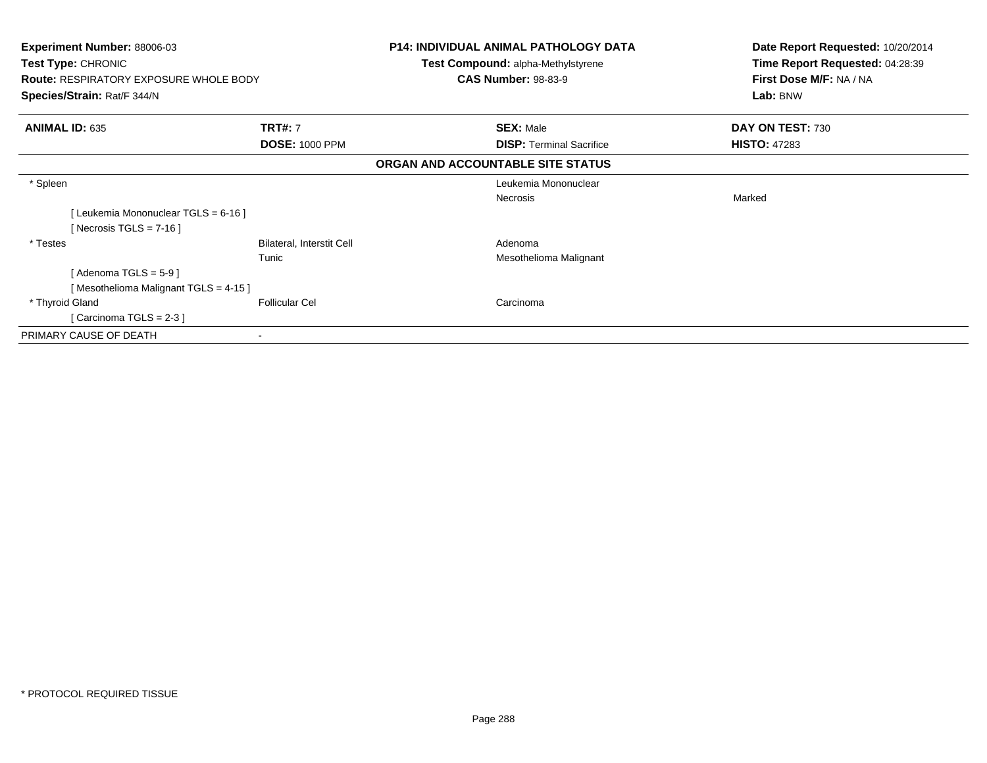| Experiment Number: 88006-03<br>Test Type: CHRONIC<br><b>Route: RESPIRATORY EXPOSURE WHOLE BODY</b><br>Species/Strain: Rat/F 344/N |                           | <b>P14: INDIVIDUAL ANIMAL PATHOLOGY DATA</b><br>Test Compound: alpha-Methylstyrene<br><b>CAS Number: 98-83-9</b> | Date Report Requested: 10/20/2014<br>Time Report Requested: 04:28:39<br>First Dose M/F: NA / NA<br>Lab: BNW |
|-----------------------------------------------------------------------------------------------------------------------------------|---------------------------|------------------------------------------------------------------------------------------------------------------|-------------------------------------------------------------------------------------------------------------|
| <b>ANIMAL ID: 635</b>                                                                                                             | <b>TRT#: 7</b>            | <b>SEX: Male</b>                                                                                                 | DAY ON TEST: 730                                                                                            |
|                                                                                                                                   | <b>DOSE: 1000 PPM</b>     | <b>DISP:</b> Terminal Sacrifice                                                                                  | <b>HISTO: 47283</b>                                                                                         |
|                                                                                                                                   |                           | ORGAN AND ACCOUNTABLE SITE STATUS                                                                                |                                                                                                             |
| * Spleen                                                                                                                          |                           | Leukemia Mononuclear                                                                                             |                                                                                                             |
|                                                                                                                                   |                           | Necrosis                                                                                                         | Marked                                                                                                      |
| [Leukemia Mononuclear TGLS = 6-16]                                                                                                |                           |                                                                                                                  |                                                                                                             |
| [Necrosis TGLS = $7-16$ ]                                                                                                         |                           |                                                                                                                  |                                                                                                             |
| * Testes                                                                                                                          | Bilateral, Interstit Cell | Adenoma                                                                                                          |                                                                                                             |
|                                                                                                                                   | Tunic                     | Mesothelioma Malignant                                                                                           |                                                                                                             |
| [ Adenoma TGLS = 5-9 ]                                                                                                            |                           |                                                                                                                  |                                                                                                             |
| [Mesothelioma Malignant TGLS = 4-15]                                                                                              |                           |                                                                                                                  |                                                                                                             |
| * Thyroid Gland                                                                                                                   | <b>Follicular Cel</b>     | Carcinoma                                                                                                        |                                                                                                             |
| [Carcinoma TGLS = $2-3$ ]                                                                                                         |                           |                                                                                                                  |                                                                                                             |
| PRIMARY CAUSE OF DEATH                                                                                                            |                           |                                                                                                                  |                                                                                                             |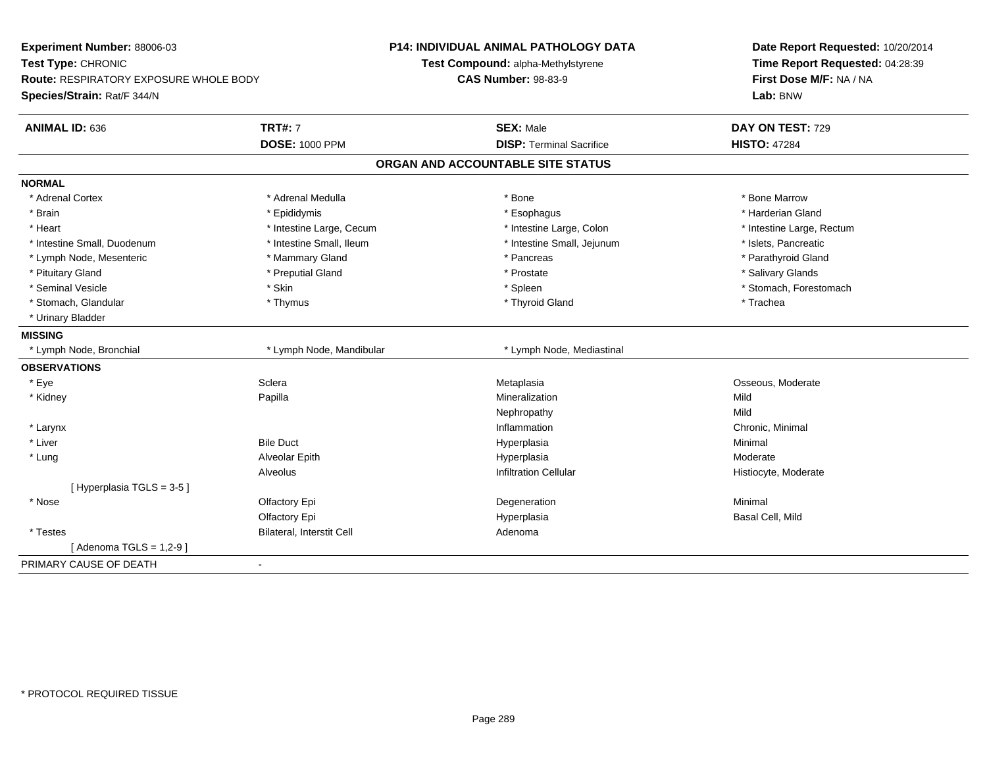| Experiment Number: 88006-03            |                           | <b>P14: INDIVIDUAL ANIMAL PATHOLOGY DATA</b> | Date Report Requested: 10/20/2014 |
|----------------------------------------|---------------------------|----------------------------------------------|-----------------------------------|
| Test Type: CHRONIC                     |                           | Test Compound: alpha-Methylstyrene           | Time Report Requested: 04:28:39   |
| Route: RESPIRATORY EXPOSURE WHOLE BODY |                           | <b>CAS Number: 98-83-9</b>                   | First Dose M/F: NA / NA           |
| Species/Strain: Rat/F 344/N            |                           |                                              | Lab: BNW                          |
| <b>ANIMAL ID: 636</b>                  | <b>TRT#: 7</b>            | <b>SEX: Male</b>                             | DAY ON TEST: 729                  |
|                                        | <b>DOSE: 1000 PPM</b>     | <b>DISP: Terminal Sacrifice</b>              | <b>HISTO: 47284</b>               |
|                                        |                           | ORGAN AND ACCOUNTABLE SITE STATUS            |                                   |
| <b>NORMAL</b>                          |                           |                                              |                                   |
| * Adrenal Cortex                       | * Adrenal Medulla         | * Bone                                       | * Bone Marrow                     |
| * Brain                                | * Epididymis              | * Esophagus                                  | * Harderian Gland                 |
| * Heart                                | * Intestine Large, Cecum  | * Intestine Large, Colon                     | * Intestine Large, Rectum         |
| * Intestine Small, Duodenum            | * Intestine Small, Ileum  | * Intestine Small, Jejunum                   | * Islets, Pancreatic              |
| * Lymph Node, Mesenteric               | * Mammary Gland           | * Pancreas                                   | * Parathyroid Gland               |
| * Pituitary Gland                      | * Preputial Gland         | * Prostate                                   | * Salivary Glands                 |
| * Seminal Vesicle                      | * Skin                    | * Spleen                                     | * Stomach, Forestomach            |
| * Stomach, Glandular                   | * Thymus                  | * Thyroid Gland                              | * Trachea                         |
| * Urinary Bladder                      |                           |                                              |                                   |
| <b>MISSING</b>                         |                           |                                              |                                   |
| * Lymph Node, Bronchial                | * Lymph Node, Mandibular  | * Lymph Node, Mediastinal                    |                                   |
| <b>OBSERVATIONS</b>                    |                           |                                              |                                   |
| * Eye                                  | Sclera                    | Metaplasia                                   | Osseous, Moderate                 |
| * Kidney                               | Papilla                   | Mineralization                               | Mild                              |
|                                        |                           | Nephropathy                                  | Mild                              |
| * Larynx                               |                           | Inflammation                                 | Chronic, Minimal                  |
| * Liver                                | <b>Bile Duct</b>          | Hyperplasia                                  | Minimal                           |
| * Lung                                 | Alveolar Epith            | Hyperplasia                                  | Moderate                          |
|                                        | Alveolus                  | <b>Infiltration Cellular</b>                 | Histiocyte, Moderate              |
| [Hyperplasia TGLS = 3-5]               |                           |                                              |                                   |
| * Nose                                 | Olfactory Epi             | Degeneration                                 | Minimal                           |
|                                        | Olfactory Epi             | Hyperplasia                                  | Basal Cell, Mild                  |
| * Testes                               | Bilateral, Interstit Cell | Adenoma                                      |                                   |
| [Adenoma TGLS = $1,2-9$ ]              |                           |                                              |                                   |
| PRIMARY CAUSE OF DEATH                 | $\sim$                    |                                              |                                   |
|                                        |                           |                                              |                                   |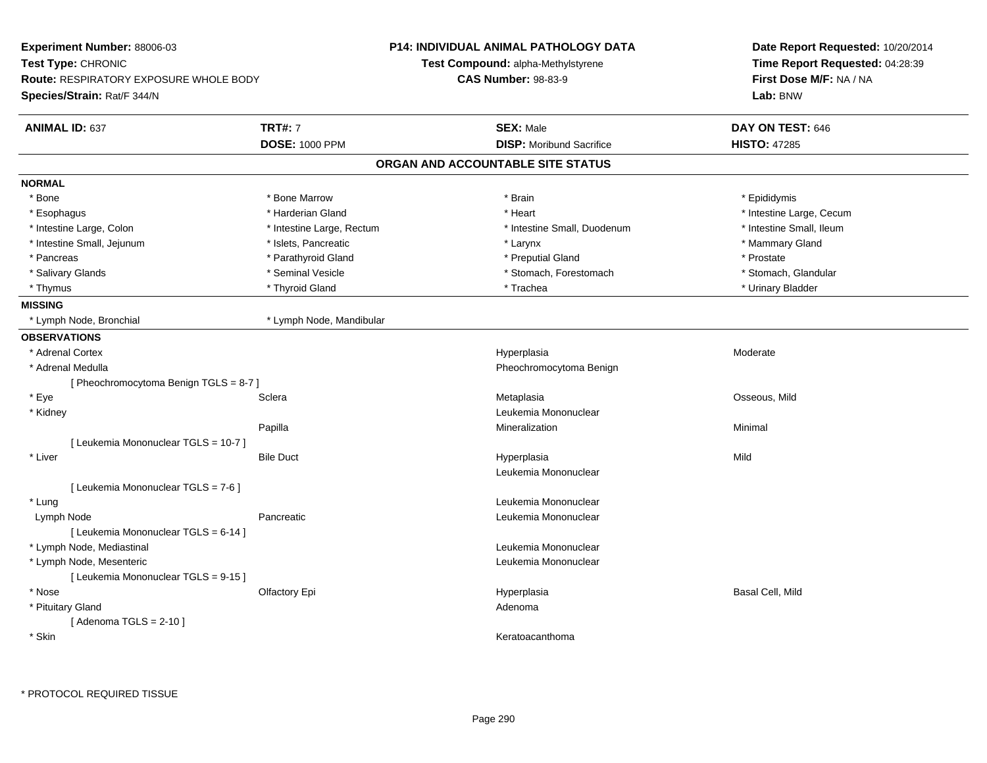| Experiment Number: 88006-03                   |                           | <b>P14: INDIVIDUAL ANIMAL PATHOLOGY DATA</b> | Date Report Requested: 10/20/2014<br>Time Report Requested: 04:28:39<br>First Dose M/F: NA / NA |  |
|-----------------------------------------------|---------------------------|----------------------------------------------|-------------------------------------------------------------------------------------------------|--|
| Test Type: CHRONIC                            |                           | Test Compound: alpha-Methylstyrene           |                                                                                                 |  |
| <b>Route: RESPIRATORY EXPOSURE WHOLE BODY</b> |                           | <b>CAS Number: 98-83-9</b>                   |                                                                                                 |  |
| Species/Strain: Rat/F 344/N                   |                           |                                              | Lab: BNW                                                                                        |  |
| <b>ANIMAL ID: 637</b>                         | <b>TRT#: 7</b>            | <b>SEX: Male</b>                             | DAY ON TEST: 646                                                                                |  |
|                                               | <b>DOSE: 1000 PPM</b>     | <b>DISP: Moribund Sacrifice</b>              | <b>HISTO: 47285</b>                                                                             |  |
|                                               |                           | ORGAN AND ACCOUNTABLE SITE STATUS            |                                                                                                 |  |
| <b>NORMAL</b>                                 |                           |                                              |                                                                                                 |  |
| * Bone                                        | * Bone Marrow             | * Brain                                      | * Epididymis                                                                                    |  |
| * Esophagus                                   | * Harderian Gland         | * Heart                                      | * Intestine Large, Cecum                                                                        |  |
| * Intestine Large, Colon                      | * Intestine Large, Rectum | * Intestine Small, Duodenum                  | * Intestine Small, Ileum                                                                        |  |
| * Intestine Small, Jejunum                    | * Islets, Pancreatic      | * Larynx                                     | * Mammary Gland                                                                                 |  |
| * Pancreas                                    | * Parathyroid Gland       | * Preputial Gland                            | * Prostate                                                                                      |  |
| * Salivary Glands                             | * Seminal Vesicle         | * Stomach, Forestomach                       | * Stomach, Glandular                                                                            |  |
| * Thymus                                      | * Thyroid Gland           | * Trachea                                    | * Urinary Bladder                                                                               |  |
| <b>MISSING</b>                                |                           |                                              |                                                                                                 |  |
| * Lymph Node, Bronchial                       | * Lymph Node, Mandibular  |                                              |                                                                                                 |  |
| <b>OBSERVATIONS</b>                           |                           |                                              |                                                                                                 |  |
| * Adrenal Cortex                              |                           | Hyperplasia                                  | Moderate                                                                                        |  |
| * Adrenal Medulla                             |                           | Pheochromocytoma Benign                      |                                                                                                 |  |
| [Pheochromocytoma Benign TGLS = 8-7]          |                           |                                              |                                                                                                 |  |
| * Eye                                         | Sclera                    | Metaplasia                                   | Osseous, Mild                                                                                   |  |
| * Kidney                                      |                           | Leukemia Mononuclear                         |                                                                                                 |  |
|                                               | Papilla                   | Mineralization                               | Minimal                                                                                         |  |
| [ Leukemia Mononuclear TGLS = 10-7 ]          |                           |                                              |                                                                                                 |  |
| * Liver                                       | <b>Bile Duct</b>          | Hyperplasia                                  | Mild                                                                                            |  |
|                                               |                           | Leukemia Mononuclear                         |                                                                                                 |  |
| [ Leukemia Mononuclear TGLS = 7-6 ]           |                           |                                              |                                                                                                 |  |
| * Lung                                        |                           | Leukemia Mononuclear                         |                                                                                                 |  |
| Lymph Node                                    | Pancreatic                | Leukemia Mononuclear                         |                                                                                                 |  |
| [ Leukemia Mononuclear TGLS = 6-14 ]          |                           |                                              |                                                                                                 |  |
| * Lymph Node, Mediastinal                     |                           | Leukemia Mononuclear                         |                                                                                                 |  |
| * Lymph Node, Mesenteric                      |                           | Leukemia Mononuclear                         |                                                                                                 |  |
| [ Leukemia Mononuclear TGLS = 9-15 ]          |                           |                                              |                                                                                                 |  |
| * Nose                                        | Olfactory Epi             | Hyperplasia                                  | Basal Cell, Mild                                                                                |  |
| * Pituitary Gland<br>[Adenoma TGLS = $2-10$ ] |                           | Adenoma                                      |                                                                                                 |  |
| * Skin                                        |                           | Keratoacanthoma                              |                                                                                                 |  |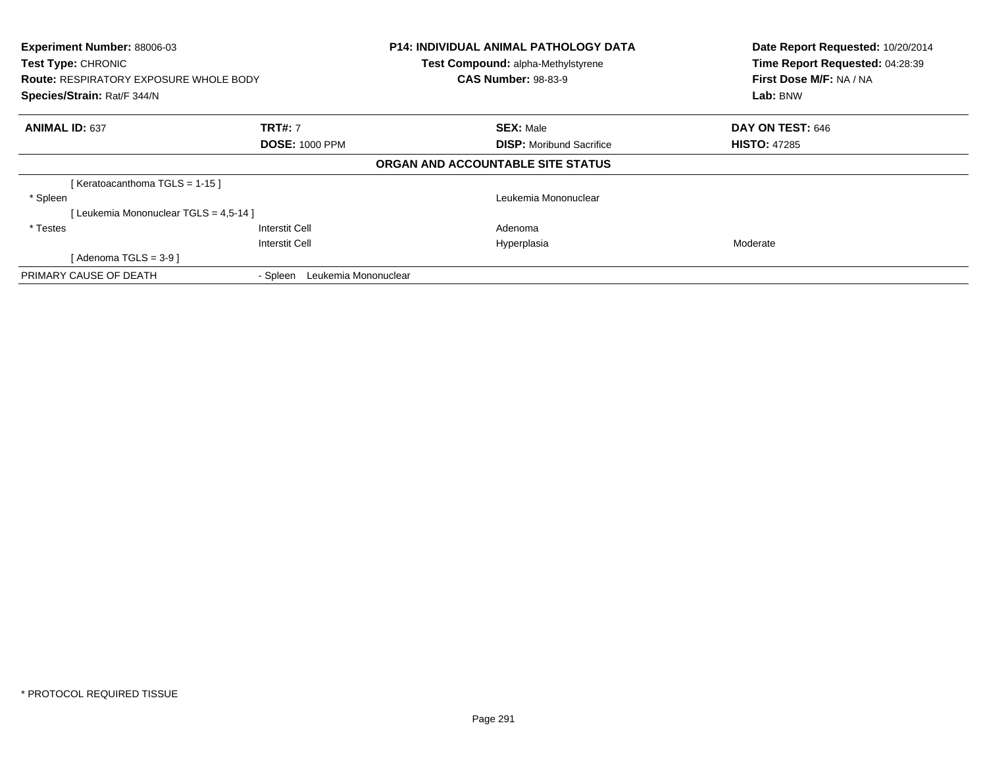| Experiment Number: 88006-03<br>Test Type: CHRONIC<br><b>Route: RESPIRATORY EXPOSURE WHOLE BODY</b><br>Species/Strain: Rat/F 344/N |                                  | <b>P14: INDIVIDUAL ANIMAL PATHOLOGY DATA</b><br><b>Test Compound: alpha-Methylstyrene</b><br><b>CAS Number: 98-83-9</b> | Date Report Requested: 10/20/2014<br>Time Report Requested: 04:28:39<br>First Dose M/F: NA / NA<br>Lab: BNW |
|-----------------------------------------------------------------------------------------------------------------------------------|----------------------------------|-------------------------------------------------------------------------------------------------------------------------|-------------------------------------------------------------------------------------------------------------|
| <b>ANIMAL ID: 637</b>                                                                                                             | <b>TRT#: 7</b>                   | <b>SEX: Male</b>                                                                                                        | DAY ON TEST: 646                                                                                            |
|                                                                                                                                   | <b>DOSE: 1000 PPM</b>            | <b>DISP:</b> Moribund Sacrifice                                                                                         | <b>HISTO: 47285</b>                                                                                         |
|                                                                                                                                   |                                  | ORGAN AND ACCOUNTABLE SITE STATUS                                                                                       |                                                                                                             |
| [Keratoacanthoma TGLS = 1-15]                                                                                                     |                                  |                                                                                                                         |                                                                                                             |
| * Spleen                                                                                                                          |                                  | Leukemia Mononuclear                                                                                                    |                                                                                                             |
| Leukemia Mononuclear TGLS = 4,5-14 ]                                                                                              |                                  |                                                                                                                         |                                                                                                             |
| * Testes                                                                                                                          | Interstit Cell                   | Adenoma                                                                                                                 |                                                                                                             |
|                                                                                                                                   | Interstit Cell                   | Hyperplasia                                                                                                             | Moderate                                                                                                    |
| [ Adenoma TGLS = 3-9 ]                                                                                                            |                                  |                                                                                                                         |                                                                                                             |
| PRIMARY CAUSE OF DEATH                                                                                                            | Leukemia Mononuclear<br>- Spleen |                                                                                                                         |                                                                                                             |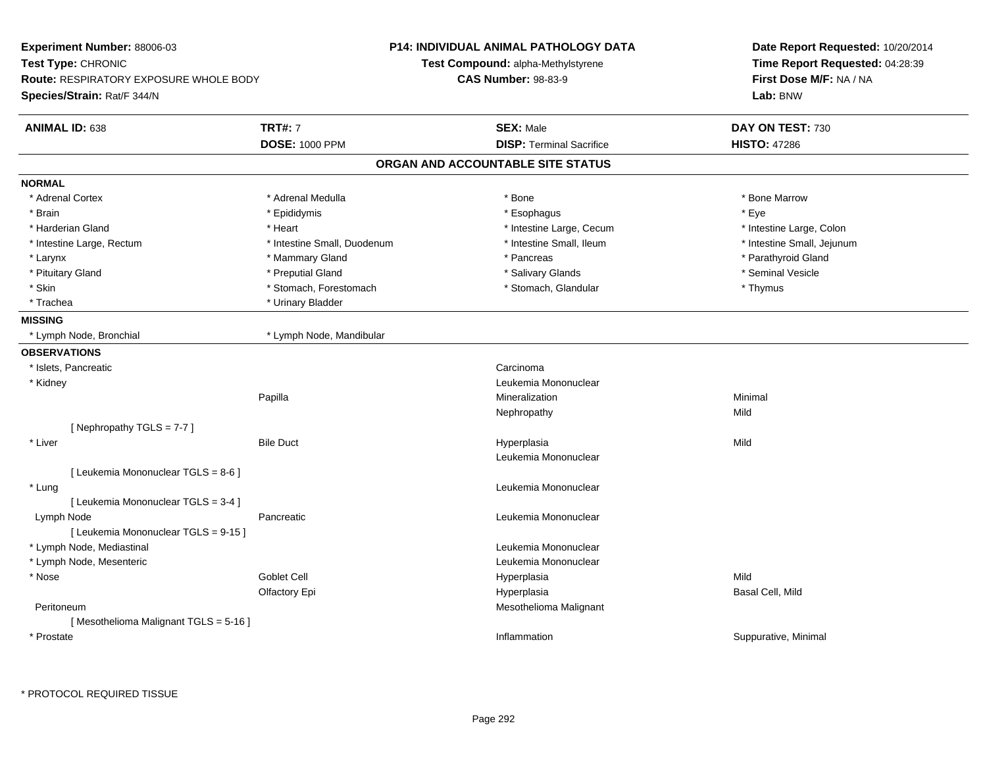| Experiment Number: 88006-03<br>Test Type: CHRONIC<br><b>Route: RESPIRATORY EXPOSURE WHOLE BODY</b><br>Species/Strain: Rat/F 344/N |                             | <b>P14: INDIVIDUAL ANIMAL PATHOLOGY DATA</b>                     | Date Report Requested: 10/20/2014<br>Time Report Requested: 04:28:39 |
|-----------------------------------------------------------------------------------------------------------------------------------|-----------------------------|------------------------------------------------------------------|----------------------------------------------------------------------|
|                                                                                                                                   |                             | Test Compound: alpha-Methylstyrene<br><b>CAS Number: 98-83-9</b> |                                                                      |
|                                                                                                                                   |                             |                                                                  | First Dose M/F: NA / NA<br>Lab: BNW                                  |
|                                                                                                                                   |                             |                                                                  |                                                                      |
| ANIMAL ID: 638                                                                                                                    | <b>TRT#: 7</b>              | <b>SEX: Male</b>                                                 | DAY ON TEST: 730                                                     |
|                                                                                                                                   | <b>DOSE: 1000 PPM</b>       | <b>DISP: Terminal Sacrifice</b>                                  | <b>HISTO: 47286</b>                                                  |
|                                                                                                                                   |                             | ORGAN AND ACCOUNTABLE SITE STATUS                                |                                                                      |
| <b>NORMAL</b>                                                                                                                     |                             |                                                                  |                                                                      |
| * Adrenal Cortex                                                                                                                  | * Adrenal Medulla           | * Bone                                                           | * Bone Marrow                                                        |
| * Brain                                                                                                                           | * Epididymis                | * Esophagus                                                      | * Eve                                                                |
| * Harderian Gland                                                                                                                 | * Heart                     | * Intestine Large, Cecum                                         | * Intestine Large, Colon                                             |
| * Intestine Large, Rectum                                                                                                         | * Intestine Small, Duodenum | * Intestine Small, Ileum                                         | * Intestine Small, Jejunum                                           |
| * Larynx                                                                                                                          | * Mammary Gland             | * Pancreas                                                       | * Parathyroid Gland                                                  |
| * Pituitary Gland                                                                                                                 | * Preputial Gland           | * Salivary Glands                                                | * Seminal Vesicle                                                    |
| * Skin                                                                                                                            | * Stomach, Forestomach      | * Stomach, Glandular                                             | * Thymus                                                             |
| * Trachea                                                                                                                         | * Urinary Bladder           |                                                                  |                                                                      |
| <b>MISSING</b>                                                                                                                    |                             |                                                                  |                                                                      |
| * Lymph Node, Bronchial                                                                                                           | * Lymph Node, Mandibular    |                                                                  |                                                                      |
| <b>OBSERVATIONS</b>                                                                                                               |                             |                                                                  |                                                                      |
| * Islets, Pancreatic                                                                                                              |                             | Carcinoma                                                        |                                                                      |
| * Kidney                                                                                                                          |                             | Leukemia Mononuclear                                             |                                                                      |
|                                                                                                                                   | Papilla                     | Mineralization                                                   | Minimal                                                              |
|                                                                                                                                   |                             | Nephropathy                                                      | Mild                                                                 |
| [Nephropathy TGLS = 7-7]                                                                                                          |                             |                                                                  |                                                                      |
| * Liver                                                                                                                           | <b>Bile Duct</b>            | Hyperplasia                                                      | Mild                                                                 |
|                                                                                                                                   |                             | Leukemia Mononuclear                                             |                                                                      |
| [ Leukemia Mononuclear TGLS = 8-6 ]                                                                                               |                             |                                                                  |                                                                      |
| * Lung                                                                                                                            |                             | Leukemia Mononuclear                                             |                                                                      |
| [ Leukemia Mononuclear TGLS = 3-4 ]                                                                                               |                             |                                                                  |                                                                      |
| Lymph Node                                                                                                                        | Pancreatic                  | Leukemia Mononuclear                                             |                                                                      |
| [ Leukemia Mononuclear TGLS = 9-15 ]                                                                                              |                             |                                                                  |                                                                      |
| * Lymph Node, Mediastinal                                                                                                         |                             | Leukemia Mononuclear                                             |                                                                      |
| * Lymph Node, Mesenteric                                                                                                          |                             | Leukemia Mononuclear                                             |                                                                      |
| * Nose                                                                                                                            | Goblet Cell                 | Hyperplasia                                                      | Mild                                                                 |
|                                                                                                                                   | Olfactory Epi               | Hyperplasia                                                      | Basal Cell, Mild                                                     |
| Peritoneum                                                                                                                        |                             | Mesothelioma Malignant                                           |                                                                      |
| [Mesothelioma Malignant TGLS = 5-16]                                                                                              |                             |                                                                  |                                                                      |
| * Prostate                                                                                                                        |                             | Inflammation                                                     | Suppurative, Minimal                                                 |
|                                                                                                                                   |                             |                                                                  |                                                                      |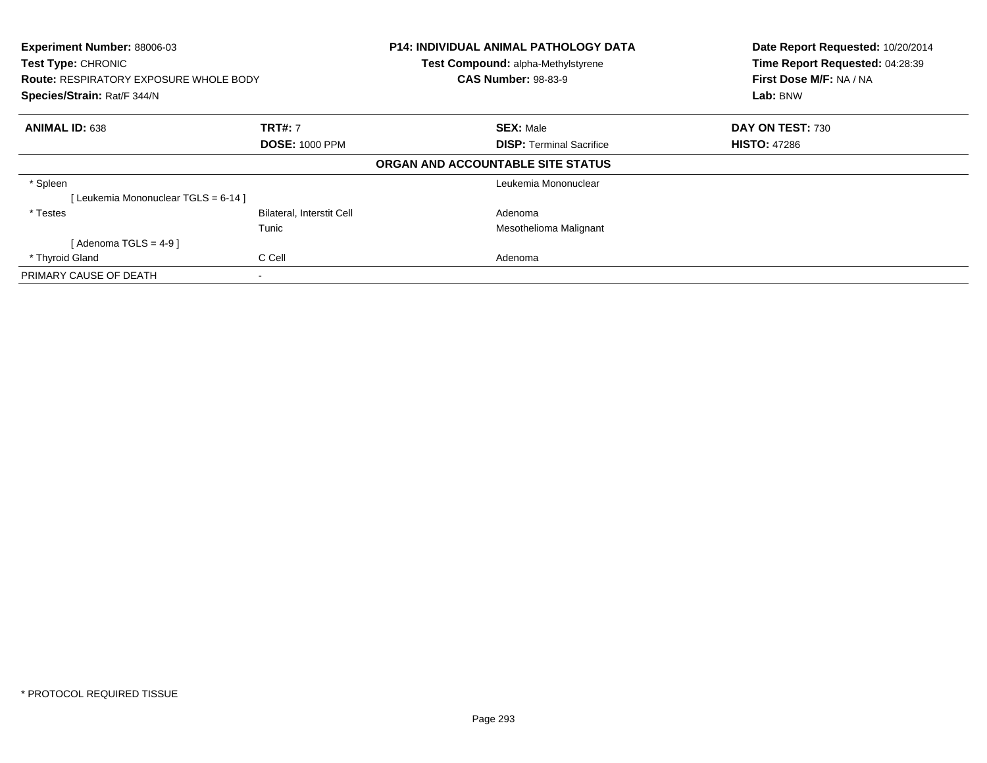| Experiment Number: 88006-03<br>Test Type: CHRONIC<br><b>Route: RESPIRATORY EXPOSURE WHOLE BODY</b><br>Species/Strain: Rat/F 344/N |                                  | <b>P14: INDIVIDUAL ANIMAL PATHOLOGY DATA</b><br>Test Compound: alpha-Methylstyrene<br><b>CAS Number: 98-83-9</b> | Date Report Requested: 10/20/2014<br>Time Report Requested: 04:28:39<br>First Dose M/F: NA / NA<br>Lab: BNW |
|-----------------------------------------------------------------------------------------------------------------------------------|----------------------------------|------------------------------------------------------------------------------------------------------------------|-------------------------------------------------------------------------------------------------------------|
| <b>ANIMAL ID: 638</b>                                                                                                             | <b>TRT#: 7</b>                   | <b>SEX: Male</b>                                                                                                 | DAY ON TEST: 730                                                                                            |
|                                                                                                                                   | <b>DOSE: 1000 PPM</b>            | <b>DISP:</b> Terminal Sacrifice                                                                                  | <b>HISTO: 47286</b>                                                                                         |
|                                                                                                                                   |                                  | ORGAN AND ACCOUNTABLE SITE STATUS                                                                                |                                                                                                             |
| * Spleen                                                                                                                          |                                  | Leukemia Mononuclear                                                                                             |                                                                                                             |
| [Leukemia Mononuclear TGLS = 6-14]                                                                                                |                                  |                                                                                                                  |                                                                                                             |
| * Testes                                                                                                                          | <b>Bilateral, Interstit Cell</b> | Adenoma                                                                                                          |                                                                                                             |
|                                                                                                                                   | Tunic                            | Mesothelioma Malignant                                                                                           |                                                                                                             |
| [Adenoma TGLS = $4-9$ ]                                                                                                           |                                  |                                                                                                                  |                                                                                                             |
| * Thyroid Gland                                                                                                                   | C Cell                           | Adenoma                                                                                                          |                                                                                                             |
| PRIMARY CAUSE OF DEATH                                                                                                            | $\overline{\phantom{a}}$         |                                                                                                                  |                                                                                                             |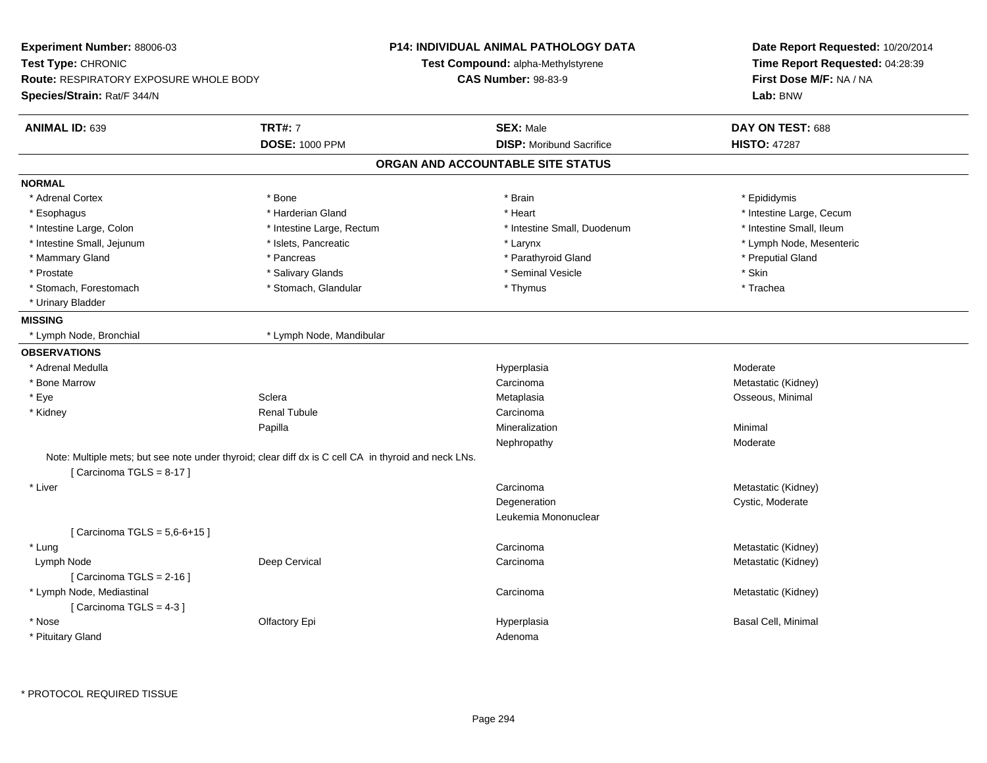| Experiment Number: 88006-03                   |                                                                                                      | <b>P14: INDIVIDUAL ANIMAL PATHOLOGY DATA</b> | Date Report Requested: 10/20/2014<br>Time Report Requested: 04:28:39<br>First Dose M/F: NA / NA |  |
|-----------------------------------------------|------------------------------------------------------------------------------------------------------|----------------------------------------------|-------------------------------------------------------------------------------------------------|--|
| Test Type: CHRONIC                            |                                                                                                      | Test Compound: alpha-Methylstyrene           |                                                                                                 |  |
| <b>Route: RESPIRATORY EXPOSURE WHOLE BODY</b> |                                                                                                      | <b>CAS Number: 98-83-9</b>                   |                                                                                                 |  |
| Species/Strain: Rat/F 344/N                   |                                                                                                      |                                              | Lab: BNW                                                                                        |  |
| ANIMAL ID: 639                                | <b>TRT#: 7</b>                                                                                       | <b>SEX: Male</b>                             | DAY ON TEST: 688                                                                                |  |
|                                               | <b>DOSE: 1000 PPM</b>                                                                                | <b>DISP:</b> Moribund Sacrifice              | <b>HISTO: 47287</b>                                                                             |  |
|                                               |                                                                                                      | ORGAN AND ACCOUNTABLE SITE STATUS            |                                                                                                 |  |
| <b>NORMAL</b>                                 |                                                                                                      |                                              |                                                                                                 |  |
| * Adrenal Cortex                              | * Bone                                                                                               | * Brain                                      | * Epididymis                                                                                    |  |
| * Esophagus                                   | * Harderian Gland                                                                                    | * Heart                                      | * Intestine Large, Cecum                                                                        |  |
| * Intestine Large, Colon                      | * Intestine Large, Rectum                                                                            | * Intestine Small, Duodenum                  | * Intestine Small, Ileum                                                                        |  |
| * Intestine Small, Jejunum                    | * Islets, Pancreatic                                                                                 | * Larynx                                     | * Lymph Node, Mesenteric                                                                        |  |
| * Mammary Gland                               | * Pancreas                                                                                           | * Parathyroid Gland                          | * Preputial Gland                                                                               |  |
| * Prostate                                    | * Salivary Glands                                                                                    | * Seminal Vesicle                            | $^\star$ Skin                                                                                   |  |
| * Stomach, Forestomach                        | * Stomach, Glandular                                                                                 | * Thymus                                     | * Trachea                                                                                       |  |
| * Urinary Bladder                             |                                                                                                      |                                              |                                                                                                 |  |
| <b>MISSING</b>                                |                                                                                                      |                                              |                                                                                                 |  |
| * Lymph Node, Bronchial                       | * Lymph Node, Mandibular                                                                             |                                              |                                                                                                 |  |
| <b>OBSERVATIONS</b>                           |                                                                                                      |                                              |                                                                                                 |  |
| * Adrenal Medulla                             |                                                                                                      | Hyperplasia                                  | Moderate                                                                                        |  |
| * Bone Marrow                                 |                                                                                                      | Carcinoma                                    | Metastatic (Kidney)                                                                             |  |
| * Eye                                         | Sclera                                                                                               | Metaplasia                                   | Osseous, Minimal                                                                                |  |
| * Kidney                                      | <b>Renal Tubule</b>                                                                                  | Carcinoma                                    |                                                                                                 |  |
|                                               | Papilla                                                                                              | Mineralization                               | Minimal                                                                                         |  |
|                                               |                                                                                                      | Nephropathy                                  | Moderate                                                                                        |  |
| [Carcinoma TGLS = $8-17$ ]                    | Note: Multiple mets; but see note under thyroid; clear diff dx is C cell CA in thyroid and neck LNs. |                                              |                                                                                                 |  |
| * Liver                                       |                                                                                                      | Carcinoma                                    | Metastatic (Kidney)                                                                             |  |
|                                               |                                                                                                      | Degeneration                                 | Cystic, Moderate                                                                                |  |
|                                               |                                                                                                      | Leukemia Mononuclear                         |                                                                                                 |  |
| [ Carcinoma TGLS = $5,6-6+15$ ]               |                                                                                                      |                                              |                                                                                                 |  |
| * Lung                                        |                                                                                                      | Carcinoma                                    | Metastatic (Kidney)                                                                             |  |
| Lymph Node                                    | Deep Cervical                                                                                        | Carcinoma                                    | Metastatic (Kidney)                                                                             |  |
| [Carcinoma TGLS = $2-16$ ]                    |                                                                                                      |                                              |                                                                                                 |  |
| * Lymph Node, Mediastinal                     |                                                                                                      | Carcinoma                                    | Metastatic (Kidney)                                                                             |  |
| [ Carcinoma TGLS = 4-3 ]                      |                                                                                                      |                                              |                                                                                                 |  |
| * Nose                                        | Olfactory Epi                                                                                        | Hyperplasia                                  | Basal Cell, Minimal                                                                             |  |
| * Pituitary Gland                             |                                                                                                      | Adenoma                                      |                                                                                                 |  |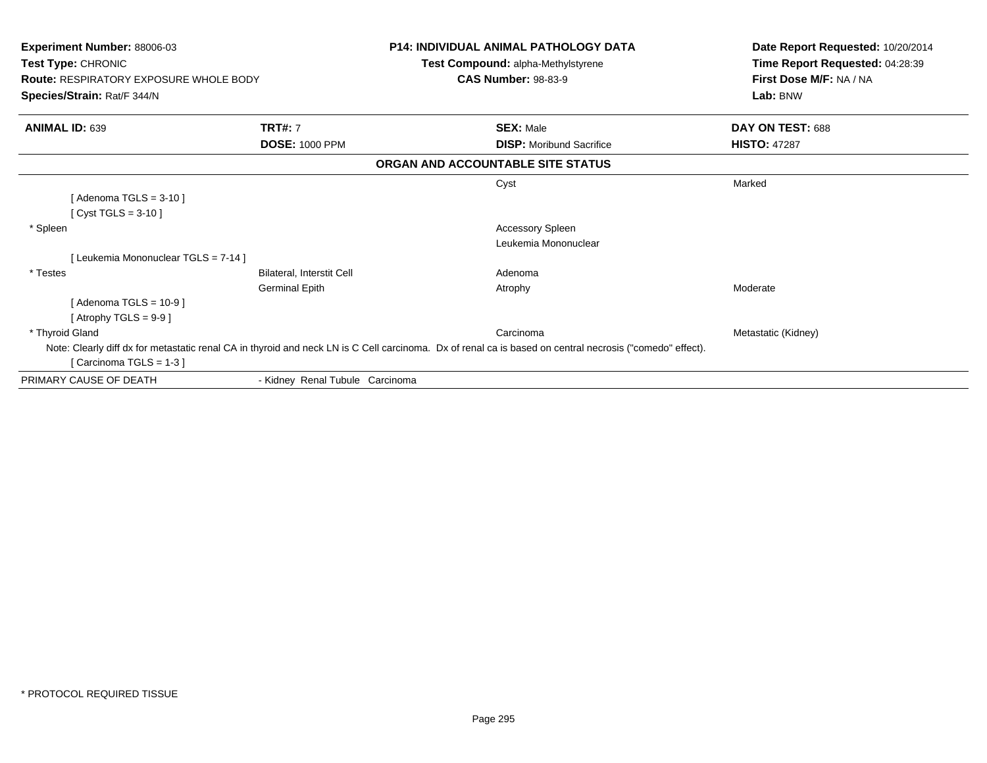| <b>Experiment Number: 88006-03</b>            |                                 | <b>P14: INDIVIDUAL ANIMAL PATHOLOGY DATA</b>                                                                                                             | Date Report Requested: 10/20/2014 |
|-----------------------------------------------|---------------------------------|----------------------------------------------------------------------------------------------------------------------------------------------------------|-----------------------------------|
| Test Type: CHRONIC                            |                                 | <b>Test Compound: alpha-Methylstyrene</b>                                                                                                                | Time Report Requested: 04:28:39   |
| <b>Route: RESPIRATORY EXPOSURE WHOLE BODY</b> |                                 | <b>CAS Number: 98-83-9</b>                                                                                                                               | First Dose M/F: NA / NA           |
| Species/Strain: Rat/F 344/N                   |                                 |                                                                                                                                                          | Lab: BNW                          |
| <b>ANIMAL ID: 639</b>                         | <b>TRT#: 7</b>                  | <b>SEX: Male</b>                                                                                                                                         | DAY ON TEST: 688                  |
|                                               | <b>DOSE: 1000 PPM</b>           | <b>DISP:</b> Moribund Sacrifice                                                                                                                          | <b>HISTO: 47287</b>               |
|                                               |                                 | ORGAN AND ACCOUNTABLE SITE STATUS                                                                                                                        |                                   |
|                                               |                                 | Cyst                                                                                                                                                     | Marked                            |
| [Adenoma TGLS = $3-10$ ]                      |                                 |                                                                                                                                                          |                                   |
| [ Cyst TGLS = $3-10$ ]                        |                                 |                                                                                                                                                          |                                   |
| * Spleen                                      |                                 | <b>Accessory Spleen</b>                                                                                                                                  |                                   |
|                                               |                                 | Leukemia Mononuclear                                                                                                                                     |                                   |
| [Leukemia Mononuclear TGLS = 7-14]            |                                 |                                                                                                                                                          |                                   |
| * Testes                                      | Bilateral, Interstit Cell       | Adenoma                                                                                                                                                  |                                   |
|                                               | <b>Germinal Epith</b>           | Atrophy                                                                                                                                                  | Moderate                          |
| [Adenoma TGLS = $10-9$ ]                      |                                 |                                                                                                                                                          |                                   |
| [Atrophy TGLS = $9-9$ ]                       |                                 |                                                                                                                                                          |                                   |
| * Thyroid Gland                               |                                 | Carcinoma                                                                                                                                                | Metastatic (Kidney)               |
|                                               |                                 | Note: Clearly diff dx for metastatic renal CA in thyroid and neck LN is C Cell carcinoma. Dx of renal ca is based on central necrosis ("comedo" effect). |                                   |
| [Carcinoma TGLS = $1-3$ ]                     |                                 |                                                                                                                                                          |                                   |
| PRIMARY CAUSE OF DEATH                        | - Kidney Renal Tubule Carcinoma |                                                                                                                                                          |                                   |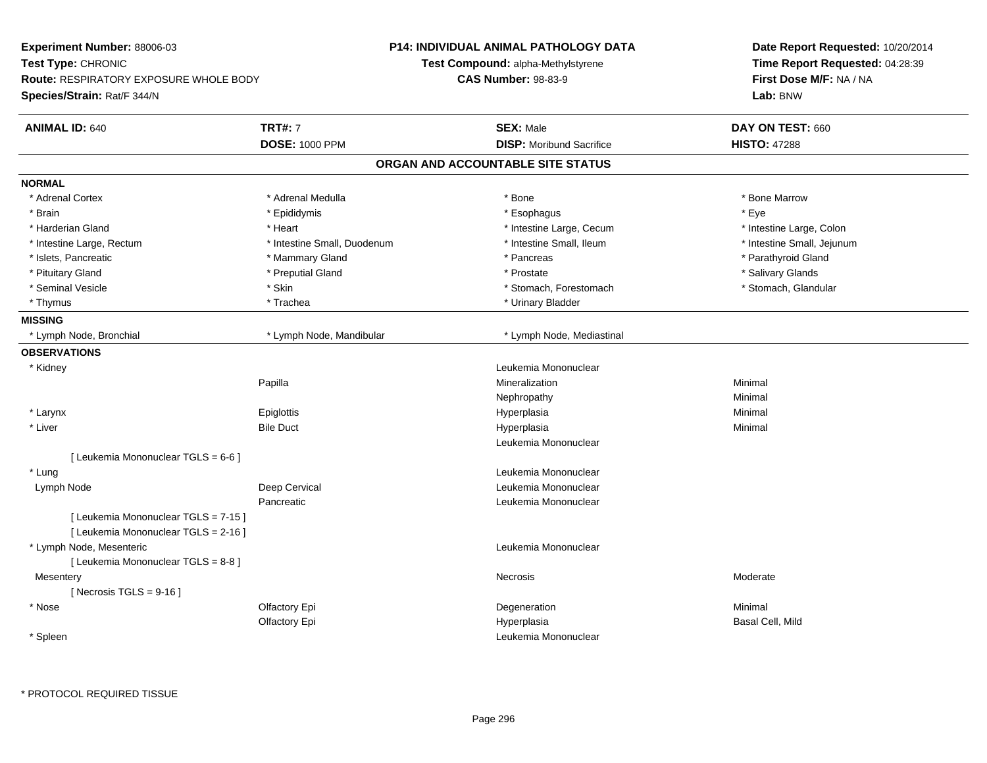| Experiment Number: 88006-03                                                  |                             | <b>P14: INDIVIDUAL ANIMAL PATHOLOGY DATA</b> | Date Report Requested: 10/20/2014<br>Time Report Requested: 04:28:39<br>First Dose M/F: NA / NA |  |
|------------------------------------------------------------------------------|-----------------------------|----------------------------------------------|-------------------------------------------------------------------------------------------------|--|
| Test Type: CHRONIC                                                           |                             | Test Compound: alpha-Methylstyrene           |                                                                                                 |  |
| Route: RESPIRATORY EXPOSURE WHOLE BODY                                       |                             | <b>CAS Number: 98-83-9</b>                   |                                                                                                 |  |
| Species/Strain: Rat/F 344/N                                                  |                             |                                              | Lab: BNW                                                                                        |  |
| <b>ANIMAL ID: 640</b>                                                        | <b>TRT#: 7</b>              | <b>SEX: Male</b>                             | DAY ON TEST: 660                                                                                |  |
|                                                                              | <b>DOSE: 1000 PPM</b>       | <b>DISP:</b> Moribund Sacrifice              | <b>HISTO: 47288</b>                                                                             |  |
|                                                                              |                             | ORGAN AND ACCOUNTABLE SITE STATUS            |                                                                                                 |  |
| <b>NORMAL</b>                                                                |                             |                                              |                                                                                                 |  |
| * Adrenal Cortex                                                             | * Adrenal Medulla           | * Bone                                       | * Bone Marrow                                                                                   |  |
| * Brain                                                                      | * Epididymis                | * Esophagus                                  | * Eye                                                                                           |  |
| * Harderian Gland                                                            | * Heart                     | * Intestine Large, Cecum                     | * Intestine Large, Colon                                                                        |  |
| * Intestine Large, Rectum                                                    | * Intestine Small, Duodenum | * Intestine Small, Ileum                     | * Intestine Small, Jejunum                                                                      |  |
| * Islets, Pancreatic                                                         | * Mammary Gland             | * Pancreas                                   | * Parathyroid Gland                                                                             |  |
| * Pituitary Gland                                                            | * Preputial Gland           | * Prostate                                   | * Salivary Glands                                                                               |  |
| * Seminal Vesicle                                                            | * Skin                      | * Stomach, Forestomach                       | * Stomach, Glandular                                                                            |  |
| * Thymus                                                                     | * Trachea                   | * Urinary Bladder                            |                                                                                                 |  |
| <b>MISSING</b>                                                               |                             |                                              |                                                                                                 |  |
| * Lymph Node, Bronchial                                                      | * Lymph Node, Mandibular    | * Lymph Node, Mediastinal                    |                                                                                                 |  |
| <b>OBSERVATIONS</b>                                                          |                             |                                              |                                                                                                 |  |
| * Kidney                                                                     |                             | Leukemia Mononuclear                         |                                                                                                 |  |
|                                                                              | Papilla                     | Mineralization                               | Minimal                                                                                         |  |
|                                                                              |                             | Nephropathy                                  | Minimal                                                                                         |  |
| * Larynx                                                                     | Epiglottis                  | Hyperplasia                                  | Minimal                                                                                         |  |
| * Liver                                                                      | <b>Bile Duct</b>            | Hyperplasia                                  | Minimal                                                                                         |  |
|                                                                              |                             | Leukemia Mononuclear                         |                                                                                                 |  |
| [ Leukemia Mononuclear TGLS = 6-6 ]                                          |                             |                                              |                                                                                                 |  |
| * Lung                                                                       |                             | Leukemia Mononuclear                         |                                                                                                 |  |
| Lymph Node                                                                   | Deep Cervical               | Leukemia Mononuclear                         |                                                                                                 |  |
|                                                                              | Pancreatic                  | Leukemia Mononuclear                         |                                                                                                 |  |
| [ Leukemia Mononuclear TGLS = 7-15 ]<br>[ Leukemia Mononuclear TGLS = 2-16 ] |                             |                                              |                                                                                                 |  |
| * Lymph Node, Mesenteric                                                     |                             | Leukemia Mononuclear                         |                                                                                                 |  |
| [ Leukemia Mononuclear TGLS = 8-8 ]                                          |                             |                                              |                                                                                                 |  |
| Mesentery                                                                    |                             | Necrosis                                     | Moderate                                                                                        |  |
| [Necrosis TGLS = $9-16$ ]                                                    |                             |                                              |                                                                                                 |  |
| * Nose                                                                       | Olfactory Epi               | Degeneration                                 | Minimal                                                                                         |  |
|                                                                              | Olfactory Epi               | Hyperplasia                                  | Basal Cell, Mild                                                                                |  |
|                                                                              |                             |                                              |                                                                                                 |  |
| * Spleen                                                                     |                             | Leukemia Mononuclear                         |                                                                                                 |  |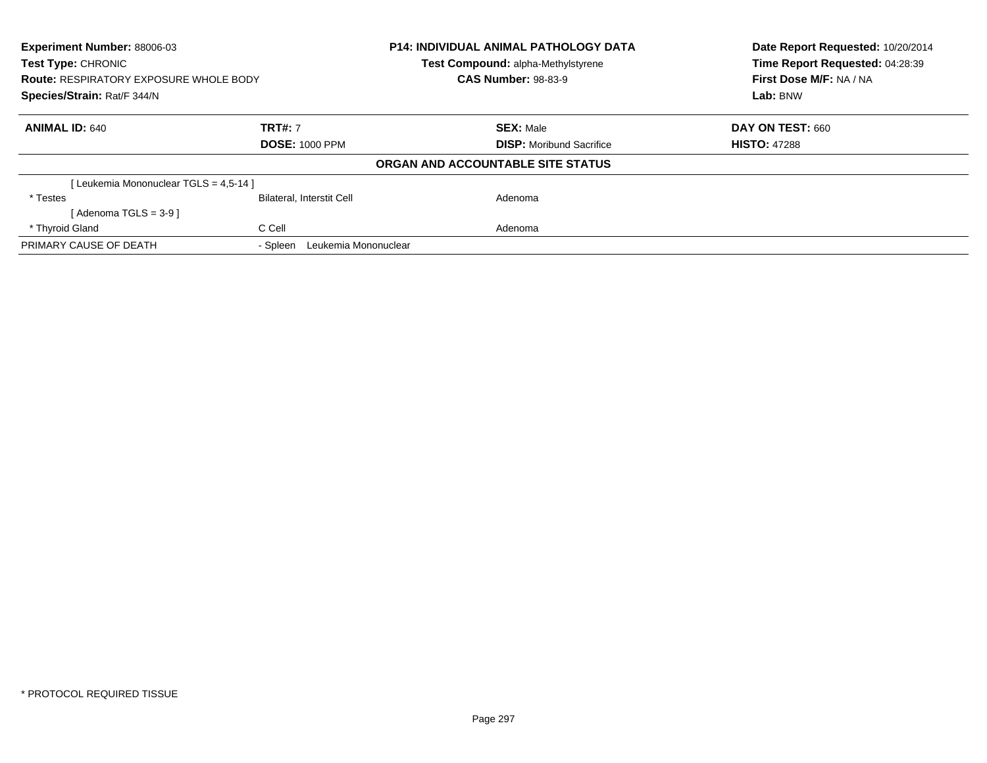| <b>Experiment Number: 88006-03</b><br>Test Type: CHRONIC<br><b>Route: RESPIRATORY EXPOSURE WHOLE BODY</b><br>Species/Strain: Rat/F 344/N |                                  | <b>P14: INDIVIDUAL ANIMAL PATHOLOGY DATA</b><br>Test Compound: alpha-Methylstyrene | Date Report Requested: 10/20/2014<br>Time Report Requested: 04:28:39<br>First Dose M/F: NA / NA |
|------------------------------------------------------------------------------------------------------------------------------------------|----------------------------------|------------------------------------------------------------------------------------|-------------------------------------------------------------------------------------------------|
|                                                                                                                                          |                                  | <b>CAS Number: 98-83-9</b>                                                         |                                                                                                 |
|                                                                                                                                          |                                  |                                                                                    | Lab: BNW                                                                                        |
| <b>ANIMAL ID: 640</b>                                                                                                                    | <b>TRT#: 7</b>                   | <b>SEX: Male</b>                                                                   | DAY ON TEST: 660                                                                                |
|                                                                                                                                          | <b>DOSE: 1000 PPM</b>            | <b>DISP:</b> Moribund Sacrifice                                                    | <b>HISTO: 47288</b>                                                                             |
|                                                                                                                                          |                                  | ORGAN AND ACCOUNTABLE SITE STATUS                                                  |                                                                                                 |
| [Leukemia Mononuclear TGLS = 4,5-14]                                                                                                     |                                  |                                                                                    |                                                                                                 |
| * Testes                                                                                                                                 | <b>Bilateral, Interstit Cell</b> | Adenoma                                                                            |                                                                                                 |
| $Adenoma TGLS = 3-91$                                                                                                                    |                                  |                                                                                    |                                                                                                 |
| * Thyroid Gland                                                                                                                          | C Cell                           | Adenoma                                                                            |                                                                                                 |
| PRIMARY CAUSE OF DEATH                                                                                                                   | Leukemia Mononuclear<br>- Spleen |                                                                                    |                                                                                                 |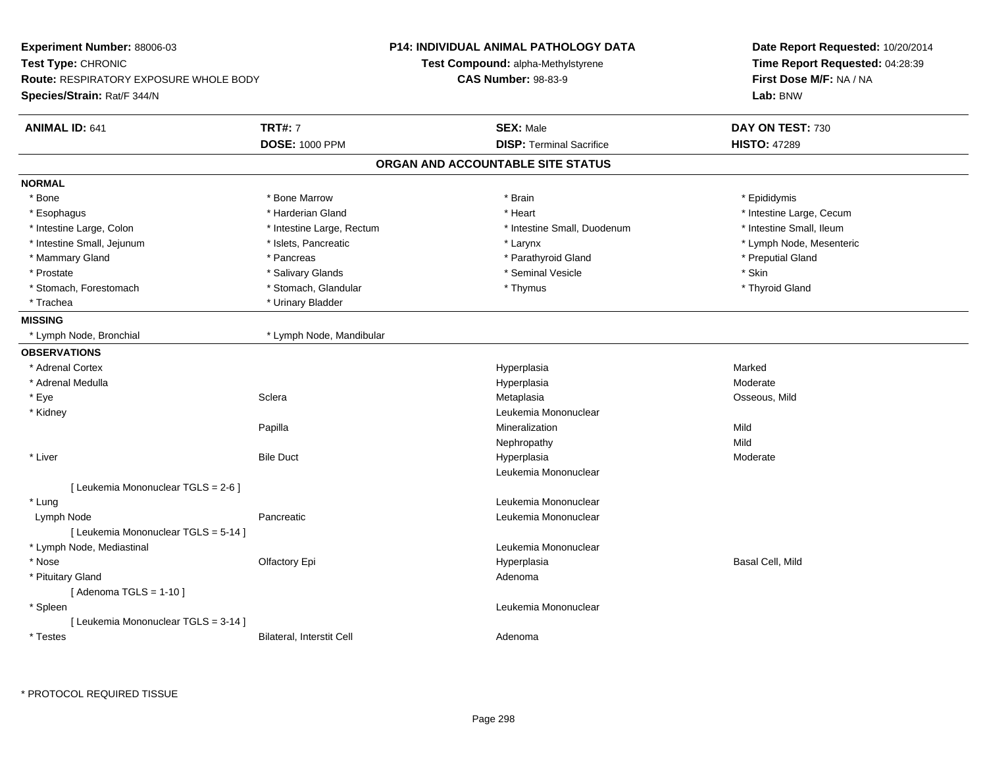| <b>Experiment Number: 88006-03</b>            |                           | <b>P14: INDIVIDUAL ANIMAL PATHOLOGY DATA</b> | Date Report Requested: 10/20/2014<br>Time Report Requested: 04:28:39<br>First Dose M/F: NA / NA |  |
|-----------------------------------------------|---------------------------|----------------------------------------------|-------------------------------------------------------------------------------------------------|--|
| Test Type: CHRONIC                            |                           | Test Compound: alpha-Methylstyrene           |                                                                                                 |  |
| <b>Route: RESPIRATORY EXPOSURE WHOLE BODY</b> |                           | <b>CAS Number: 98-83-9</b>                   |                                                                                                 |  |
| Species/Strain: Rat/F 344/N                   |                           |                                              | Lab: BNW                                                                                        |  |
| <b>ANIMAL ID: 641</b>                         | <b>TRT#: 7</b>            | <b>SEX: Male</b>                             | DAY ON TEST: 730                                                                                |  |
|                                               | <b>DOSE: 1000 PPM</b>     | <b>DISP: Terminal Sacrifice</b>              | <b>HISTO: 47289</b>                                                                             |  |
|                                               |                           | ORGAN AND ACCOUNTABLE SITE STATUS            |                                                                                                 |  |
| <b>NORMAL</b>                                 |                           |                                              |                                                                                                 |  |
| * Bone                                        | * Bone Marrow             | * Brain                                      | * Epididymis                                                                                    |  |
| * Esophagus                                   | * Harderian Gland         | * Heart                                      | * Intestine Large, Cecum                                                                        |  |
| * Intestine Large, Colon                      | * Intestine Large, Rectum | * Intestine Small, Duodenum                  | * Intestine Small, Ileum                                                                        |  |
| * Intestine Small, Jejunum                    | * Islets, Pancreatic      | * Larynx                                     | * Lymph Node, Mesenteric                                                                        |  |
| * Mammary Gland                               | * Pancreas                | * Parathyroid Gland                          | * Preputial Gland                                                                               |  |
| * Prostate                                    | * Salivary Glands         | * Seminal Vesicle                            | * Skin                                                                                          |  |
| * Stomach, Forestomach                        | * Stomach, Glandular      | * Thymus                                     | * Thyroid Gland                                                                                 |  |
| * Trachea                                     | * Urinary Bladder         |                                              |                                                                                                 |  |
| <b>MISSING</b>                                |                           |                                              |                                                                                                 |  |
| * Lymph Node, Bronchial                       | * Lymph Node, Mandibular  |                                              |                                                                                                 |  |
| <b>OBSERVATIONS</b>                           |                           |                                              |                                                                                                 |  |
| * Adrenal Cortex                              |                           | Hyperplasia                                  | Marked                                                                                          |  |
| * Adrenal Medulla                             |                           | Hyperplasia                                  | Moderate                                                                                        |  |
| * Eye                                         | Sclera                    | Metaplasia                                   | Osseous, Mild                                                                                   |  |
| * Kidney                                      |                           | Leukemia Mononuclear                         |                                                                                                 |  |
|                                               | Papilla                   | Mineralization                               | Mild                                                                                            |  |
|                                               |                           | Nephropathy                                  | Mild                                                                                            |  |
| * Liver                                       | <b>Bile Duct</b>          | Hyperplasia                                  | Moderate                                                                                        |  |
|                                               |                           | Leukemia Mononuclear                         |                                                                                                 |  |
| [ Leukemia Mononuclear TGLS = 2-6 ]           |                           |                                              |                                                                                                 |  |
| * Lung                                        |                           | Leukemia Mononuclear                         |                                                                                                 |  |
| Lymph Node                                    | Pancreatic                | Leukemia Mononuclear                         |                                                                                                 |  |
| [ Leukemia Mononuclear TGLS = 5-14 ]          |                           |                                              |                                                                                                 |  |
| * Lymph Node, Mediastinal                     |                           | Leukemia Mononuclear                         |                                                                                                 |  |
| * Nose                                        | Olfactory Epi             | Hyperplasia                                  | Basal Cell, Mild                                                                                |  |
| * Pituitary Gland                             |                           | Adenoma                                      |                                                                                                 |  |
| [Adenoma TGLS = $1-10$ ]                      |                           |                                              |                                                                                                 |  |
| * Spleen                                      |                           | Leukemia Mononuclear                         |                                                                                                 |  |
| [ Leukemia Mononuclear TGLS = 3-14 ]          |                           |                                              |                                                                                                 |  |
| * Testes                                      | Bilateral, Interstit Cell | Adenoma                                      |                                                                                                 |  |
|                                               |                           |                                              |                                                                                                 |  |

\* PROTOCOL REQUIRED TISSUE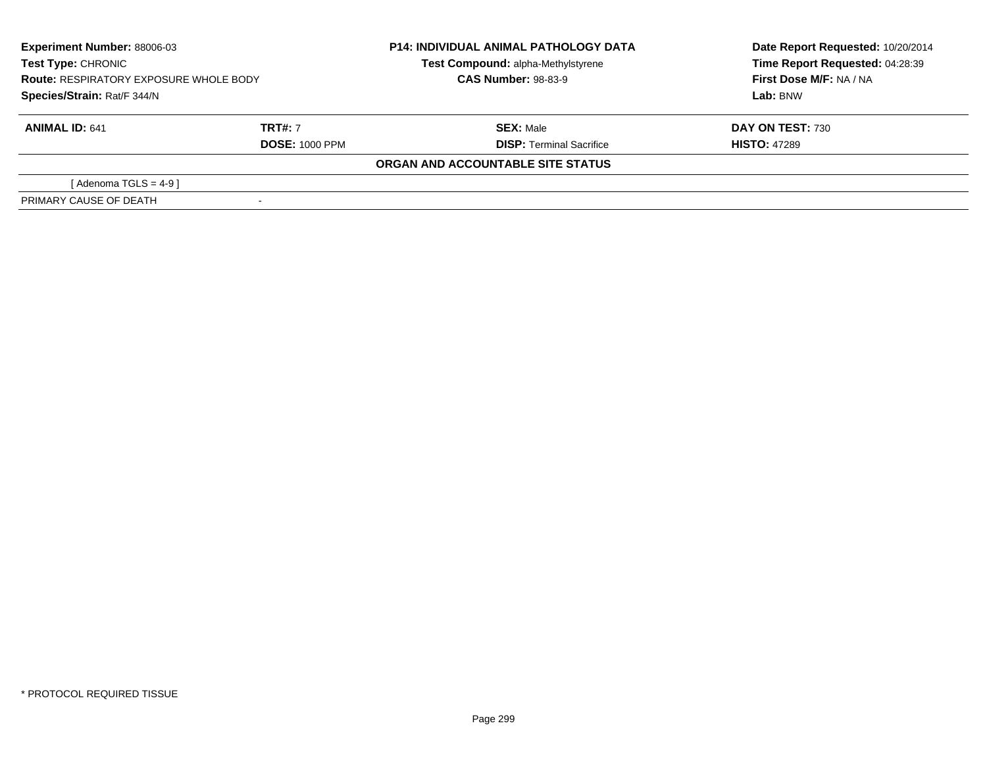| <b>Experiment Number: 88006-03</b><br><b>Test Type: CHRONIC</b><br><b>Route: RESPIRATORY EXPOSURE WHOLE BODY</b><br>Species/Strain: Rat/F 344/N |                       | <b>P14: INDIVIDUAL ANIMAL PATHOLOGY DATA</b><br>Test Compound: alpha-Methylstyrene<br><b>CAS Number: 98-83-9</b> | Date Report Requested: 10/20/2014<br>Time Report Requested: 04:28:39<br>First Dose M/F: NA / NA<br>Lab: BNW |
|-------------------------------------------------------------------------------------------------------------------------------------------------|-----------------------|------------------------------------------------------------------------------------------------------------------|-------------------------------------------------------------------------------------------------------------|
|                                                                                                                                                 |                       |                                                                                                                  |                                                                                                             |
| <b>ANIMAL ID: 641</b>                                                                                                                           | <b>TRT#: 7</b>        | <b>SEX: Male</b>                                                                                                 | <b>DAY ON TEST: 730</b>                                                                                     |
|                                                                                                                                                 | <b>DOSE: 1000 PPM</b> | <b>DISP: Terminal Sacrifice</b>                                                                                  | <b>HISTO: 47289</b>                                                                                         |
|                                                                                                                                                 |                       | ORGAN AND ACCOUNTABLE SITE STATUS                                                                                |                                                                                                             |
| [ Adenoma TGLS = 4-9 ]                                                                                                                          |                       |                                                                                                                  |                                                                                                             |
| PRIMARY CAUSE OF DEATH                                                                                                                          |                       |                                                                                                                  |                                                                                                             |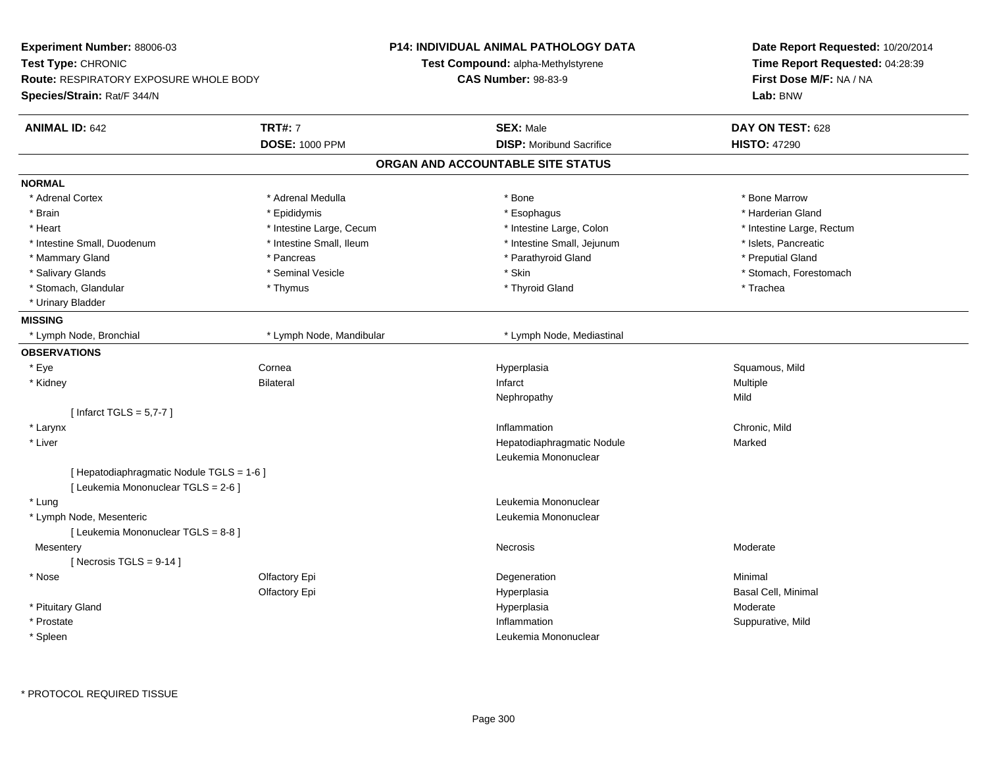| Experiment Number: 88006-03<br>Test Type: CHRONIC<br>Route: RESPIRATORY EXPOSURE WHOLE BODY |                          | P14: INDIVIDUAL ANIMAL PATHOLOGY DATA | Date Report Requested: 10/20/2014<br>Time Report Requested: 04:28:39 |  |
|---------------------------------------------------------------------------------------------|--------------------------|---------------------------------------|----------------------------------------------------------------------|--|
|                                                                                             |                          | Test Compound: alpha-Methylstyrene    |                                                                      |  |
|                                                                                             |                          | <b>CAS Number: 98-83-9</b>            | First Dose M/F: NA / NA                                              |  |
| Species/Strain: Rat/F 344/N                                                                 |                          |                                       | Lab: BNW                                                             |  |
| <b>ANIMAL ID: 642</b>                                                                       | <b>TRT#: 7</b>           | <b>SEX: Male</b>                      | DAY ON TEST: 628                                                     |  |
|                                                                                             | <b>DOSE: 1000 PPM</b>    | <b>DISP:</b> Moribund Sacrifice       | <b>HISTO: 47290</b>                                                  |  |
|                                                                                             |                          | ORGAN AND ACCOUNTABLE SITE STATUS     |                                                                      |  |
| <b>NORMAL</b>                                                                               |                          |                                       |                                                                      |  |
| * Adrenal Cortex                                                                            | * Adrenal Medulla        | * Bone                                | * Bone Marrow                                                        |  |
| * Brain                                                                                     | * Epididymis             | * Esophagus                           | * Harderian Gland                                                    |  |
| * Heart                                                                                     | * Intestine Large, Cecum | * Intestine Large, Colon              | * Intestine Large, Rectum                                            |  |
| * Intestine Small, Duodenum                                                                 | * Intestine Small, Ileum | * Intestine Small, Jejunum            | * Islets, Pancreatic                                                 |  |
| * Mammary Gland                                                                             | * Pancreas               | * Parathyroid Gland                   | * Preputial Gland                                                    |  |
| * Salivary Glands                                                                           | * Seminal Vesicle        | * Skin                                | * Stomach, Forestomach                                               |  |
| * Stomach, Glandular                                                                        | * Thymus                 | * Thyroid Gland                       | * Trachea                                                            |  |
| * Urinary Bladder                                                                           |                          |                                       |                                                                      |  |
| <b>MISSING</b>                                                                              |                          |                                       |                                                                      |  |
| * Lymph Node, Bronchial                                                                     | * Lymph Node, Mandibular | * Lymph Node, Mediastinal             |                                                                      |  |
| <b>OBSERVATIONS</b>                                                                         |                          |                                       |                                                                      |  |
| * Eye                                                                                       | Cornea                   | Hyperplasia                           | Squamous, Mild                                                       |  |
| * Kidney                                                                                    | <b>Bilateral</b>         | Infarct                               | Multiple                                                             |  |
|                                                                                             |                          | Nephropathy                           | Mild                                                                 |  |
| [Infarct TGLS = $5,7-7$ ]                                                                   |                          |                                       |                                                                      |  |
| * Larynx                                                                                    |                          | Inflammation                          | Chronic, Mild                                                        |  |
| * Liver                                                                                     |                          | Hepatodiaphragmatic Nodule            | Marked                                                               |  |
|                                                                                             |                          | Leukemia Mononuclear                  |                                                                      |  |
| [ Hepatodiaphragmatic Nodule TGLS = 1-6 ]                                                   |                          |                                       |                                                                      |  |
| [ Leukemia Mononuclear TGLS = 2-6 ]                                                         |                          |                                       |                                                                      |  |
| * Lung                                                                                      |                          | Leukemia Mononuclear                  |                                                                      |  |
| * Lymph Node, Mesenteric                                                                    |                          | Leukemia Mononuclear                  |                                                                      |  |
| [ Leukemia Mononuclear TGLS = 8-8 ]                                                         |                          |                                       |                                                                      |  |
| Mesentery                                                                                   |                          | Necrosis                              | Moderate                                                             |  |
| [Necrosis TGLS = $9-14$ ]                                                                   |                          |                                       |                                                                      |  |
| * Nose                                                                                      | Olfactory Epi            | Degeneration                          | Minimal                                                              |  |
|                                                                                             | Olfactory Epi            | Hyperplasia                           | Basal Cell, Minimal                                                  |  |
| * Pituitary Gland                                                                           |                          | Hyperplasia                           | Moderate                                                             |  |
| * Prostate                                                                                  |                          | Inflammation                          | Suppurative, Mild                                                    |  |
| * Spleen                                                                                    |                          | Leukemia Mononuclear                  |                                                                      |  |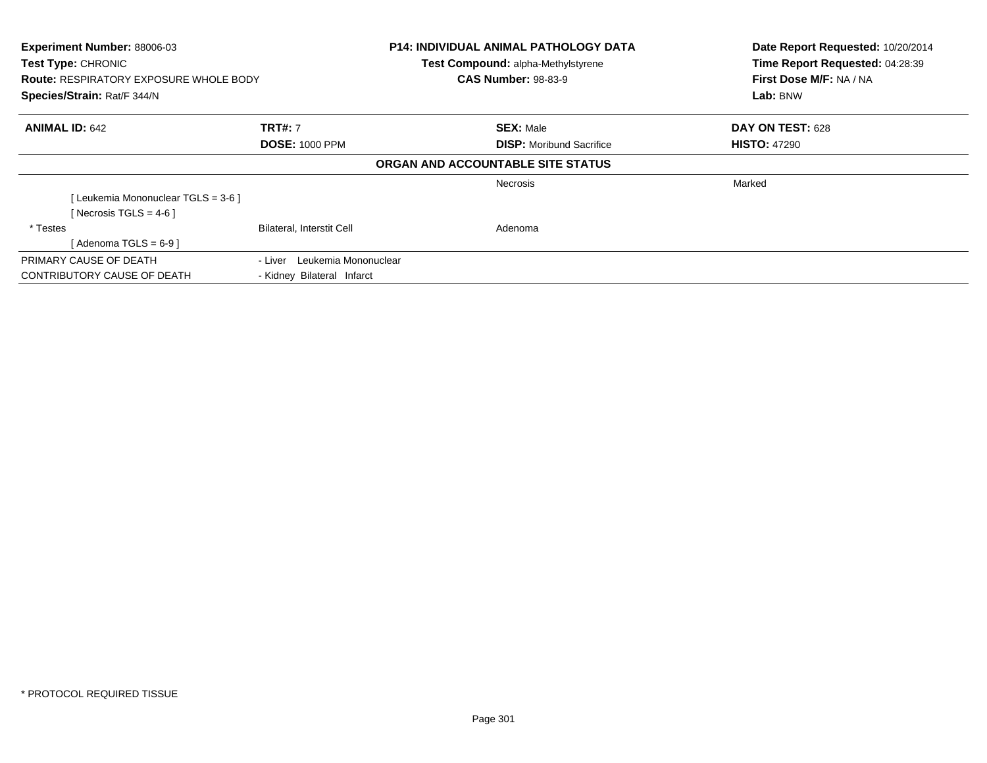| <b>Experiment Number: 88006-03</b><br><b>Test Type: CHRONIC</b><br><b>Route: RESPIRATORY EXPOSURE WHOLE BODY</b><br>Species/Strain: Rat/F 344/N |                                  | <b>P14: INDIVIDUAL ANIMAL PATHOLOGY DATA</b><br>Test Compound: alpha-Methylstyrene<br><b>CAS Number: 98-83-9</b> | Date Report Requested: 10/20/2014<br>Time Report Requested: 04:28:39<br>First Dose M/F: NA / NA<br>Lab: BNW |  |
|-------------------------------------------------------------------------------------------------------------------------------------------------|----------------------------------|------------------------------------------------------------------------------------------------------------------|-------------------------------------------------------------------------------------------------------------|--|
| <b>ANIMAL ID: 642</b>                                                                                                                           | <b>TRT#: 7</b>                   | <b>SEX: Male</b>                                                                                                 | DAY ON TEST: 628                                                                                            |  |
| <b>DOSE: 1000 PPM</b>                                                                                                                           |                                  | <b>DISP:</b> Moribund Sacrifice                                                                                  | <b>HISTO: 47290</b>                                                                                         |  |
|                                                                                                                                                 |                                  | ORGAN AND ACCOUNTABLE SITE STATUS                                                                                |                                                                                                             |  |
|                                                                                                                                                 |                                  | <b>Necrosis</b>                                                                                                  | Marked                                                                                                      |  |
| [Leukemia Mononuclear TGLS = 3-6 ]                                                                                                              |                                  |                                                                                                                  |                                                                                                             |  |
| [Necrosis TGLS = $4-6$ ]                                                                                                                        |                                  |                                                                                                                  |                                                                                                             |  |
| * Testes                                                                                                                                        | <b>Bilateral, Interstit Cell</b> | Adenoma                                                                                                          |                                                                                                             |  |
| [Adenoma TGLS = $6-9$ ]                                                                                                                         |                                  |                                                                                                                  |                                                                                                             |  |
| PRIMARY CAUSE OF DEATH                                                                                                                          | Leukemia Mononuclear<br>- Liver  |                                                                                                                  |                                                                                                             |  |
| CONTRIBUTORY CAUSE OF DEATH                                                                                                                     | - Kidney Bilateral Infarct       |                                                                                                                  |                                                                                                             |  |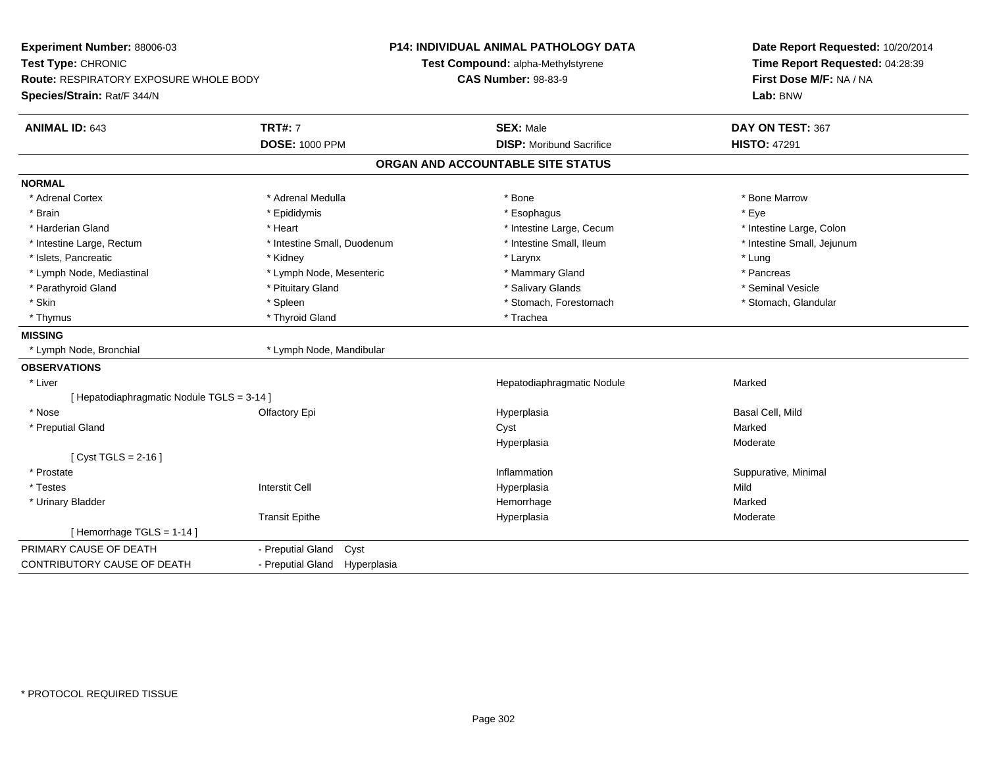| Experiment Number: 88006-03<br>Test Type: CHRONIC<br>Route: RESPIRATORY EXPOSURE WHOLE BODY<br>Species/Strain: Rat/F 344/N |                               | <b>P14: INDIVIDUAL ANIMAL PATHOLOGY DATA</b><br>Test Compound: alpha-Methylstyrene<br><b>CAS Number: 98-83-9</b> | Date Report Requested: 10/20/2014<br>Time Report Requested: 04:28:39<br>First Dose M/F: NA / NA<br>Lab: BNW |  |
|----------------------------------------------------------------------------------------------------------------------------|-------------------------------|------------------------------------------------------------------------------------------------------------------|-------------------------------------------------------------------------------------------------------------|--|
| <b>ANIMAL ID: 643</b>                                                                                                      | <b>TRT#: 7</b>                | <b>SEX: Male</b>                                                                                                 | DAY ON TEST: 367                                                                                            |  |
|                                                                                                                            | <b>DOSE: 1000 PPM</b>         | <b>DISP:</b> Moribund Sacrifice                                                                                  | <b>HISTO: 47291</b>                                                                                         |  |
|                                                                                                                            |                               | ORGAN AND ACCOUNTABLE SITE STATUS                                                                                |                                                                                                             |  |
| <b>NORMAL</b>                                                                                                              |                               |                                                                                                                  |                                                                                                             |  |
| * Adrenal Cortex                                                                                                           | * Adrenal Medulla             | * Bone                                                                                                           | * Bone Marrow                                                                                               |  |
| * Brain                                                                                                                    | * Epididymis                  | * Esophagus                                                                                                      | * Eye                                                                                                       |  |
| * Harderian Gland                                                                                                          | * Heart                       | * Intestine Large, Cecum                                                                                         | * Intestine Large, Colon                                                                                    |  |
| * Intestine Large, Rectum                                                                                                  | * Intestine Small, Duodenum   | * Intestine Small, Ileum                                                                                         | * Intestine Small, Jejunum                                                                                  |  |
| * Islets, Pancreatic                                                                                                       | * Kidney                      | * Larynx                                                                                                         | * Lung                                                                                                      |  |
| * Lymph Node, Mediastinal                                                                                                  | * Lymph Node, Mesenteric      | * Mammary Gland                                                                                                  | * Pancreas                                                                                                  |  |
| * Parathyroid Gland                                                                                                        | * Pituitary Gland             | * Salivary Glands                                                                                                | * Seminal Vesicle                                                                                           |  |
| * Skin                                                                                                                     | * Spleen                      | * Stomach, Forestomach                                                                                           | * Stomach, Glandular                                                                                        |  |
| * Thymus                                                                                                                   | * Thyroid Gland               | * Trachea                                                                                                        |                                                                                                             |  |
| <b>MISSING</b>                                                                                                             |                               |                                                                                                                  |                                                                                                             |  |
| * Lymph Node, Bronchial                                                                                                    | * Lymph Node, Mandibular      |                                                                                                                  |                                                                                                             |  |
| <b>OBSERVATIONS</b>                                                                                                        |                               |                                                                                                                  |                                                                                                             |  |
| * Liver                                                                                                                    |                               | Hepatodiaphragmatic Nodule                                                                                       | Marked                                                                                                      |  |
| [ Hepatodiaphragmatic Nodule TGLS = 3-14 ]                                                                                 |                               |                                                                                                                  |                                                                                                             |  |
| * Nose                                                                                                                     | Olfactory Epi                 | Hyperplasia                                                                                                      | Basal Cell, Mild                                                                                            |  |
| * Preputial Gland                                                                                                          |                               | Cyst                                                                                                             | Marked                                                                                                      |  |
|                                                                                                                            |                               | Hyperplasia                                                                                                      | Moderate                                                                                                    |  |
| [ $Cyst TGLS = 2-16$ ]                                                                                                     |                               |                                                                                                                  |                                                                                                             |  |
| * Prostate                                                                                                                 |                               | Inflammation                                                                                                     | Suppurative, Minimal                                                                                        |  |
| * Testes                                                                                                                   | <b>Interstit Cell</b>         | Hyperplasia                                                                                                      | Mild                                                                                                        |  |
| * Urinary Bladder                                                                                                          |                               | Hemorrhage                                                                                                       | Marked                                                                                                      |  |
|                                                                                                                            | <b>Transit Epithe</b>         | Hyperplasia                                                                                                      | Moderate                                                                                                    |  |
| [Hemorrhage TGLS = 1-14]                                                                                                   |                               |                                                                                                                  |                                                                                                             |  |
| PRIMARY CAUSE OF DEATH                                                                                                     | - Preputial Gland<br>Cyst     |                                                                                                                  |                                                                                                             |  |
| CONTRIBUTORY CAUSE OF DEATH                                                                                                | - Preputial Gland Hyperplasia |                                                                                                                  |                                                                                                             |  |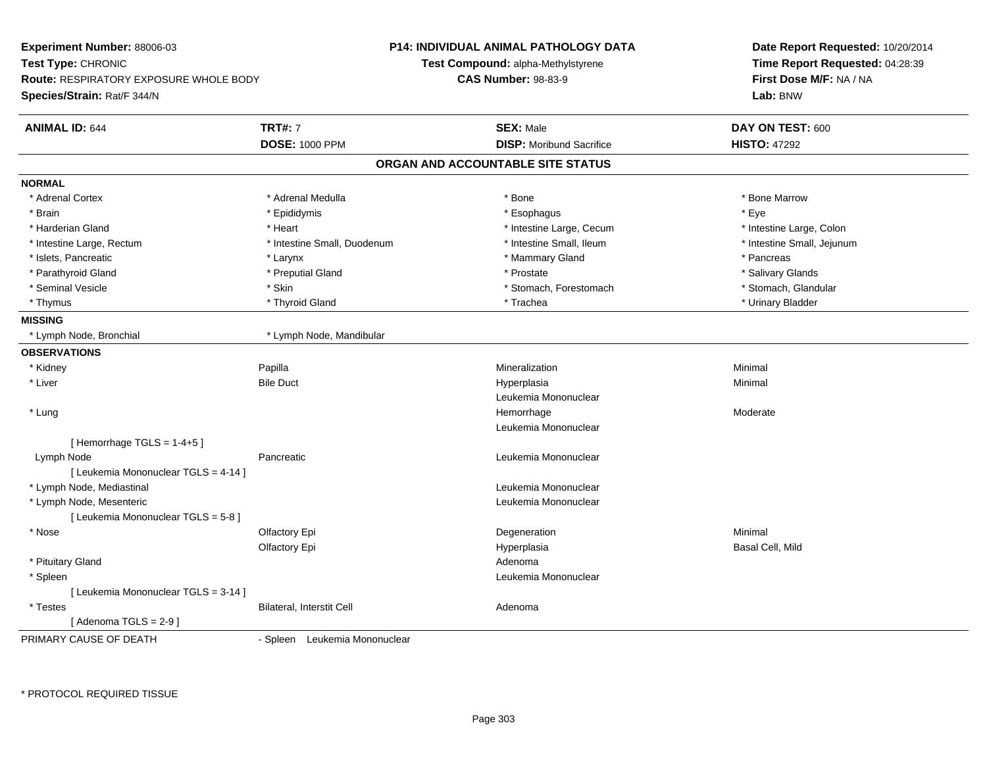| <b>Experiment Number: 88006-03</b>            |                               | <b>P14: INDIVIDUAL ANIMAL PATHOLOGY DATA</b> | Date Report Requested: 10/20/2014 |  |
|-----------------------------------------------|-------------------------------|----------------------------------------------|-----------------------------------|--|
| Test Type: CHRONIC                            |                               | <b>Test Compound: alpha-Methylstyrene</b>    | Time Report Requested: 04:28:39   |  |
| <b>Route: RESPIRATORY EXPOSURE WHOLE BODY</b> |                               | <b>CAS Number: 98-83-9</b>                   | First Dose M/F: NA / NA           |  |
| Species/Strain: Rat/F 344/N                   |                               |                                              | Lab: BNW                          |  |
| <b>ANIMAL ID: 644</b>                         | <b>TRT#: 7</b>                | <b>SEX: Male</b>                             | DAY ON TEST: 600                  |  |
|                                               | <b>DOSE: 1000 PPM</b>         | <b>DISP:</b> Moribund Sacrifice              | <b>HISTO: 47292</b>               |  |
|                                               |                               | ORGAN AND ACCOUNTABLE SITE STATUS            |                                   |  |
| <b>NORMAL</b>                                 |                               |                                              |                                   |  |
| * Adrenal Cortex                              | * Adrenal Medulla             | * Bone                                       | * Bone Marrow                     |  |
| * Brain                                       | * Epididymis                  | * Esophagus                                  | * Eye                             |  |
| * Harderian Gland                             | * Heart                       | * Intestine Large, Cecum                     | * Intestine Large, Colon          |  |
| * Intestine Large, Rectum                     | * Intestine Small, Duodenum   | * Intestine Small, Ileum                     | * Intestine Small, Jejunum        |  |
| * Islets, Pancreatic                          | * Larynx                      | * Mammary Gland                              | * Pancreas                        |  |
| * Parathyroid Gland                           | * Preputial Gland             | * Prostate                                   | * Salivary Glands                 |  |
| * Seminal Vesicle                             | * Skin                        | * Stomach, Forestomach                       | * Stomach, Glandular              |  |
| * Thymus                                      | * Thyroid Gland               | * Trachea                                    | * Urinary Bladder                 |  |
| <b>MISSING</b>                                |                               |                                              |                                   |  |
| * Lymph Node, Bronchial                       | * Lymph Node, Mandibular      |                                              |                                   |  |
| <b>OBSERVATIONS</b>                           |                               |                                              |                                   |  |
| * Kidney                                      | Papilla                       | Mineralization                               | Minimal                           |  |
| * Liver                                       | <b>Bile Duct</b>              | Hyperplasia                                  | Minimal                           |  |
|                                               |                               | Leukemia Mononuclear                         |                                   |  |
| * Lung                                        |                               | Hemorrhage                                   | Moderate                          |  |
|                                               |                               | Leukemia Mononuclear                         |                                   |  |
| [Hemorrhage TGLS = $1-4+5$ ]                  |                               |                                              |                                   |  |
| Lymph Node                                    | Pancreatic                    | Leukemia Mononuclear                         |                                   |  |
| [ Leukemia Mononuclear TGLS = 4-14 ]          |                               |                                              |                                   |  |
| * Lymph Node, Mediastinal                     |                               | Leukemia Mononuclear                         |                                   |  |
| * Lymph Node, Mesenteric                      |                               | Leukemia Mononuclear                         |                                   |  |
| [ Leukemia Mononuclear TGLS = 5-8 ]           |                               |                                              |                                   |  |
| * Nose                                        | Olfactory Epi                 | Degeneration                                 | Minimal                           |  |
|                                               | Olfactory Epi                 | Hyperplasia                                  | Basal Cell, Mild                  |  |
| * Pituitary Gland                             |                               | Adenoma                                      |                                   |  |
| * Spleen                                      |                               | Leukemia Mononuclear                         |                                   |  |
| [ Leukemia Mononuclear TGLS = 3-14 ]          |                               |                                              |                                   |  |
| * Testes                                      | Bilateral, Interstit Cell     | Adenoma                                      |                                   |  |
| [Adenoma TGLS = $2-9$ ]                       |                               |                                              |                                   |  |
| PRIMARY CAUSE OF DEATH                        | - Spleen Leukemia Mononuclear |                                              |                                   |  |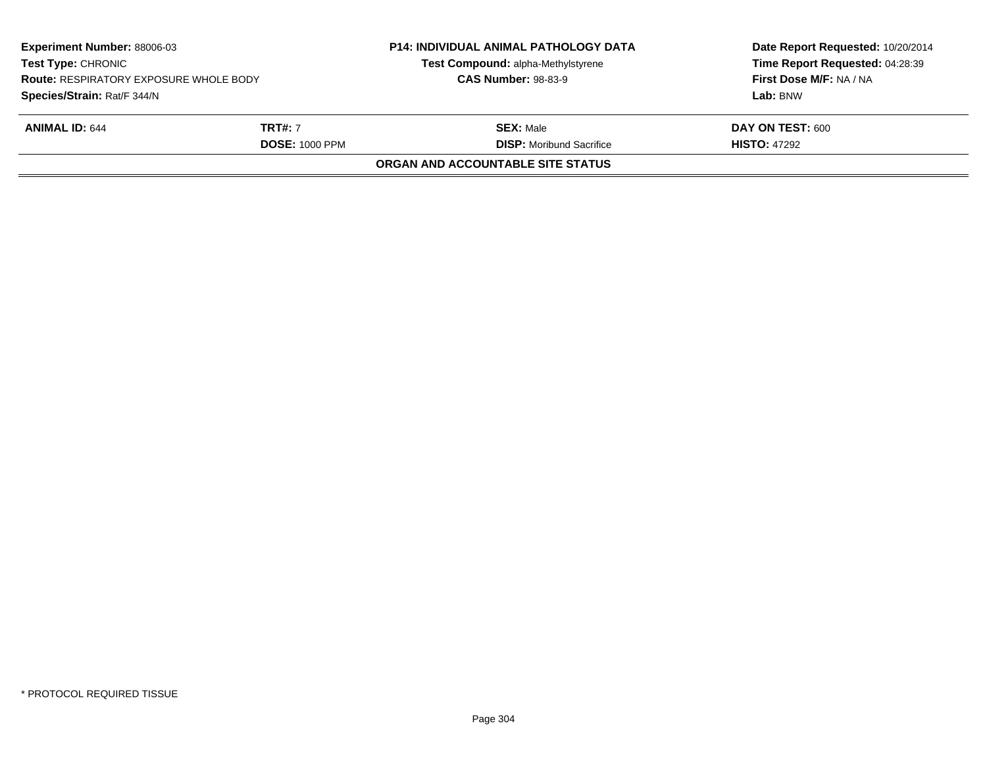| <b>Experiment Number: 88006-03</b><br><b>Test Type: CHRONIC</b><br><b>Route: RESPIRATORY EXPOSURE WHOLE BODY</b><br>Species/Strain: Rat/F 344/N<br><b>ANIMAL ID: 644</b><br><b>TRT#: 7</b><br><b>DOSE: 1000 PPM</b> |  | <b>P14: INDIVIDUAL ANIMAL PATHOLOGY DATA</b><br>Test Compound: alpha-Methylstyrene<br><b>CAS Number: 98-83-9</b> | Date Report Requested: 10/20/2014<br>Time Report Requested: 04:28:39<br>First Dose M/F: NA / NA<br>Lab: BNW |
|---------------------------------------------------------------------------------------------------------------------------------------------------------------------------------------------------------------------|--|------------------------------------------------------------------------------------------------------------------|-------------------------------------------------------------------------------------------------------------|
|                                                                                                                                                                                                                     |  | <b>SEX:</b> Male<br><b>DISP:</b> Moribund Sacrifice                                                              | DAY ON TEST: 600<br><b>HISTO: 47292</b>                                                                     |
|                                                                                                                                                                                                                     |  | ORGAN AND ACCOUNTABLE SITE STATUS                                                                                |                                                                                                             |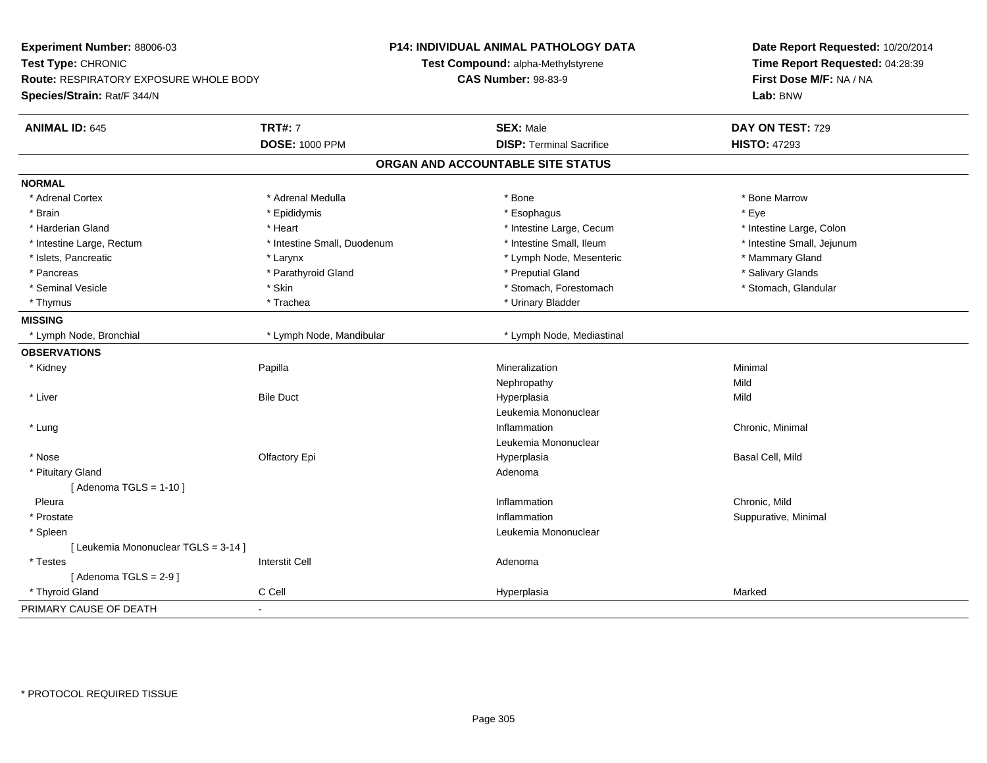| Experiment Number: 88006-03<br>Test Type: CHRONIC<br>Route: RESPIRATORY EXPOSURE WHOLE BODY |                             | P14: INDIVIDUAL ANIMAL PATHOLOGY DATA<br>Test Compound: alpha-Methylstyrene | Date Report Requested: 10/20/2014<br>Time Report Requested: 04:28:39<br>First Dose M/F: NA / NA |  |
|---------------------------------------------------------------------------------------------|-----------------------------|-----------------------------------------------------------------------------|-------------------------------------------------------------------------------------------------|--|
|                                                                                             |                             | <b>CAS Number: 98-83-9</b>                                                  |                                                                                                 |  |
| Species/Strain: Rat/F 344/N                                                                 |                             |                                                                             | Lab: BNW                                                                                        |  |
| <b>ANIMAL ID: 645</b>                                                                       | <b>TRT#: 7</b>              | <b>SEX: Male</b>                                                            | DAY ON TEST: 729                                                                                |  |
|                                                                                             | <b>DOSE: 1000 PPM</b>       | <b>DISP: Terminal Sacrifice</b>                                             | <b>HISTO: 47293</b>                                                                             |  |
|                                                                                             |                             | ORGAN AND ACCOUNTABLE SITE STATUS                                           |                                                                                                 |  |
| <b>NORMAL</b>                                                                               |                             |                                                                             |                                                                                                 |  |
| * Adrenal Cortex                                                                            | * Adrenal Medulla           | * Bone                                                                      | * Bone Marrow                                                                                   |  |
| * Brain                                                                                     | * Epididymis                | * Esophagus                                                                 | * Eye                                                                                           |  |
| * Harderian Gland                                                                           | * Heart                     | * Intestine Large, Cecum                                                    | * Intestine Large, Colon                                                                        |  |
| * Intestine Large, Rectum                                                                   | * Intestine Small, Duodenum | * Intestine Small, Ileum                                                    | * Intestine Small, Jejunum                                                                      |  |
| * Islets, Pancreatic                                                                        | * Larynx                    | * Lymph Node, Mesenteric                                                    | * Mammary Gland                                                                                 |  |
| * Pancreas                                                                                  | * Parathyroid Gland         | * Preputial Gland                                                           | * Salivary Glands                                                                               |  |
| * Seminal Vesicle                                                                           | * Skin                      | * Stomach, Forestomach                                                      | * Stomach, Glandular                                                                            |  |
| * Thymus                                                                                    | * Trachea                   | * Urinary Bladder                                                           |                                                                                                 |  |
| <b>MISSING</b>                                                                              |                             |                                                                             |                                                                                                 |  |
| * Lymph Node, Bronchial                                                                     | * Lymph Node, Mandibular    | * Lymph Node, Mediastinal                                                   |                                                                                                 |  |
| <b>OBSERVATIONS</b>                                                                         |                             |                                                                             |                                                                                                 |  |
| * Kidney                                                                                    | Papilla                     | Mineralization                                                              | Minimal                                                                                         |  |
|                                                                                             |                             | Nephropathy                                                                 | Mild                                                                                            |  |
| * Liver                                                                                     | <b>Bile Duct</b>            | Hyperplasia                                                                 | Mild                                                                                            |  |
|                                                                                             |                             | Leukemia Mononuclear                                                        |                                                                                                 |  |
| * Lung                                                                                      |                             | Inflammation                                                                | Chronic, Minimal                                                                                |  |
|                                                                                             |                             | Leukemia Mononuclear                                                        |                                                                                                 |  |
| * Nose                                                                                      | Olfactory Epi               | Hyperplasia                                                                 | Basal Cell, Mild                                                                                |  |
| * Pituitary Gland                                                                           |                             | Adenoma                                                                     |                                                                                                 |  |
| [Adenoma TGLS = $1-10$ ]                                                                    |                             |                                                                             |                                                                                                 |  |
| Pleura                                                                                      |                             | Inflammation                                                                | Chronic, Mild                                                                                   |  |
| * Prostate                                                                                  |                             | Inflammation                                                                | Suppurative, Minimal                                                                            |  |
| * Spleen                                                                                    |                             | Leukemia Mononuclear                                                        |                                                                                                 |  |
| [ Leukemia Mononuclear TGLS = 3-14 ]                                                        |                             |                                                                             |                                                                                                 |  |
| * Testes                                                                                    | <b>Interstit Cell</b>       | Adenoma                                                                     |                                                                                                 |  |
| [Adenoma TGLS = $2-9$ ]                                                                     |                             |                                                                             |                                                                                                 |  |
| * Thyroid Gland                                                                             | C Cell                      | Hyperplasia                                                                 | Marked                                                                                          |  |
| PRIMARY CAUSE OF DEATH                                                                      |                             |                                                                             |                                                                                                 |  |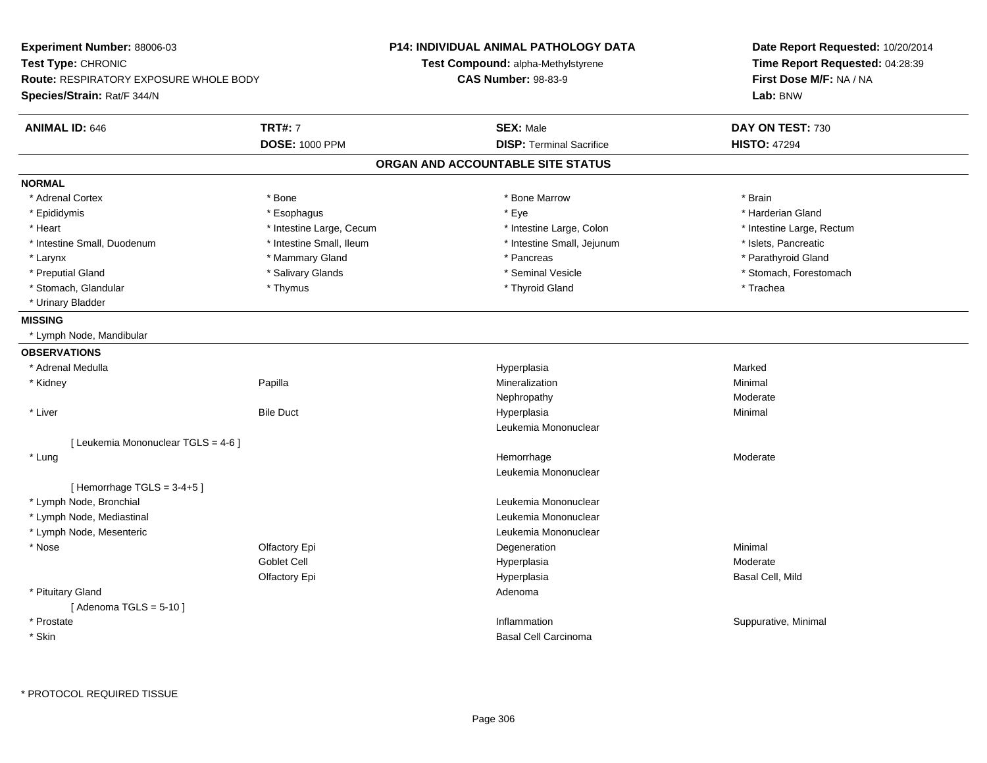| Experiment Number: 88006-03                   |                          | P14: INDIVIDUAL ANIMAL PATHOLOGY DATA | Date Report Requested: 10/20/2014 |  |
|-----------------------------------------------|--------------------------|---------------------------------------|-----------------------------------|--|
| Test Type: CHRONIC                            |                          | Test Compound: alpha-Methylstyrene    | Time Report Requested: 04:28:39   |  |
| <b>Route: RESPIRATORY EXPOSURE WHOLE BODY</b> |                          | <b>CAS Number: 98-83-9</b>            | First Dose M/F: NA / NA           |  |
| Species/Strain: Rat/F 344/N                   |                          |                                       | Lab: BNW                          |  |
| <b>ANIMAL ID: 646</b>                         | <b>TRT#: 7</b>           | <b>SEX: Male</b>                      | DAY ON TEST: 730                  |  |
|                                               | <b>DOSE: 1000 PPM</b>    | <b>DISP: Terminal Sacrifice</b>       | <b>HISTO: 47294</b>               |  |
|                                               |                          | ORGAN AND ACCOUNTABLE SITE STATUS     |                                   |  |
| <b>NORMAL</b>                                 |                          |                                       |                                   |  |
| * Adrenal Cortex                              | * Bone                   | * Bone Marrow                         | * Brain                           |  |
| * Epididymis                                  | * Esophagus              | * Eye                                 | * Harderian Gland                 |  |
| * Heart                                       | * Intestine Large, Cecum | * Intestine Large, Colon              | * Intestine Large, Rectum         |  |
| * Intestine Small, Duodenum                   | * Intestine Small, Ileum | * Intestine Small, Jejunum            | * Islets, Pancreatic              |  |
| * Larynx                                      | * Mammary Gland          | * Pancreas                            | * Parathyroid Gland               |  |
| * Preputial Gland                             | * Salivary Glands        | * Seminal Vesicle                     | * Stomach, Forestomach            |  |
| * Stomach, Glandular                          | * Thymus                 | * Thyroid Gland                       | * Trachea                         |  |
| * Urinary Bladder                             |                          |                                       |                                   |  |
| <b>MISSING</b>                                |                          |                                       |                                   |  |
| * Lymph Node, Mandibular                      |                          |                                       |                                   |  |
| <b>OBSERVATIONS</b>                           |                          |                                       |                                   |  |
| * Adrenal Medulla                             |                          | Hyperplasia                           | Marked                            |  |
| * Kidney                                      | Papilla                  | Mineralization                        | Minimal                           |  |
|                                               |                          | Nephropathy                           | Moderate                          |  |
| * Liver                                       | <b>Bile Duct</b>         | Hyperplasia                           | Minimal                           |  |
|                                               |                          | Leukemia Mononuclear                  |                                   |  |
| [ Leukemia Mononuclear TGLS = 4-6 ]           |                          |                                       |                                   |  |
| * Lung                                        |                          | Hemorrhage                            | Moderate                          |  |
|                                               |                          | Leukemia Mononuclear                  |                                   |  |
| [Hemorrhage TGLS = $3-4+5$ ]                  |                          |                                       |                                   |  |
| * Lymph Node, Bronchial                       |                          | Leukemia Mononuclear                  |                                   |  |
| * Lymph Node, Mediastinal                     |                          | Leukemia Mononuclear                  |                                   |  |
| * Lymph Node, Mesenteric                      |                          | Leukemia Mononuclear                  |                                   |  |
| * Nose                                        | Olfactory Epi            | Degeneration                          | Minimal                           |  |
|                                               | Goblet Cell              | Hyperplasia                           | Moderate                          |  |
|                                               | Olfactory Epi            | Hyperplasia                           | Basal Cell, Mild                  |  |
| * Pituitary Gland                             |                          | Adenoma                               |                                   |  |
| [Adenoma TGLS = $5-10$ ]                      |                          |                                       |                                   |  |
| * Prostate                                    |                          | Inflammation                          | Suppurative, Minimal              |  |
| * Skin                                        |                          | <b>Basal Cell Carcinoma</b>           |                                   |  |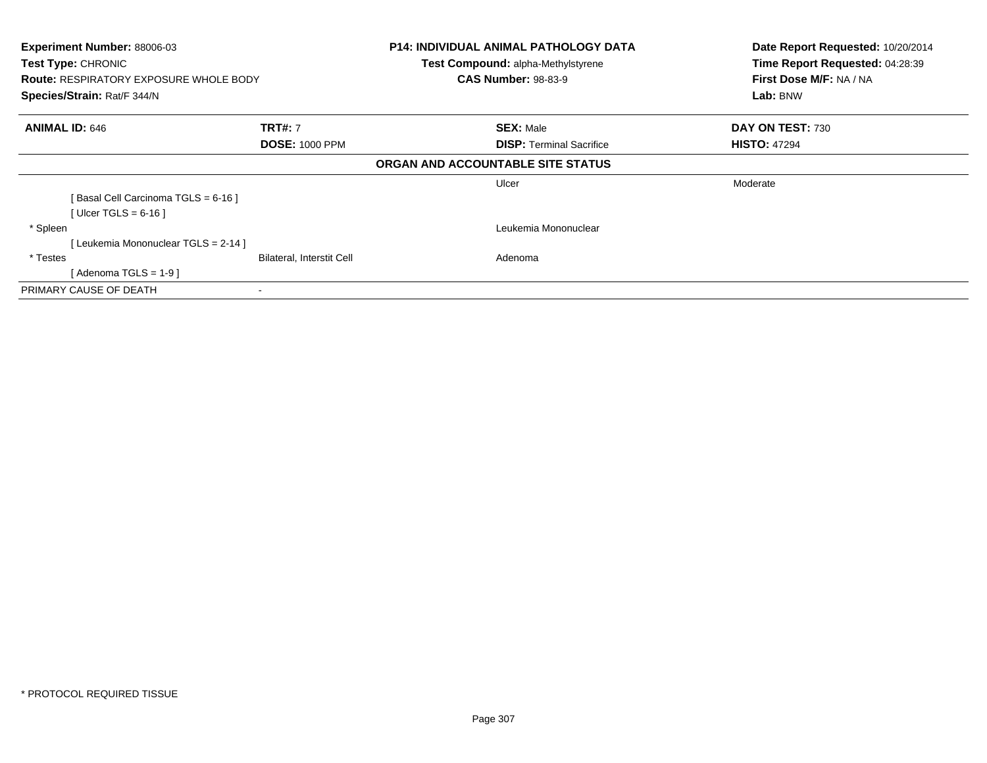| Experiment Number: 88006-03<br>Test Type: CHRONIC<br><b>Route: RESPIRATORY EXPOSURE WHOLE BODY</b><br>Species/Strain: Rat/F 344/N |                                         | <b>P14: INDIVIDUAL ANIMAL PATHOLOGY DATA</b><br>Test Compound: alpha-Methylstyrene<br><b>CAS Number: 98-83-9</b> | Date Report Requested: 10/20/2014<br>Time Report Requested: 04:28:39<br>First Dose M/F: NA / NA<br>Lab: BNW |  |
|-----------------------------------------------------------------------------------------------------------------------------------|-----------------------------------------|------------------------------------------------------------------------------------------------------------------|-------------------------------------------------------------------------------------------------------------|--|
| <b>ANIMAL ID: 646</b>                                                                                                             | <b>TRT#: 7</b><br><b>DOSE: 1000 PPM</b> | <b>SEX: Male</b><br><b>DISP:</b> Terminal Sacrifice                                                              | DAY ON TEST: 730<br><b>HISTO: 47294</b>                                                                     |  |
|                                                                                                                                   |                                         | ORGAN AND ACCOUNTABLE SITE STATUS                                                                                |                                                                                                             |  |
| [Basal Cell Carcinoma TGLS = 6-16]<br>[Ulcer TGLS = $6-16$ ]                                                                      |                                         | Ulcer                                                                                                            | Moderate                                                                                                    |  |
| * Spleen<br>[Leukemia Mononuclear TGLS = 2-14 ]                                                                                   |                                         | Leukemia Mononuclear                                                                                             |                                                                                                             |  |
| * Testes<br>[ Adenoma TGLS = 1-9 ]                                                                                                | Bilateral, Interstit Cell               | Adenoma                                                                                                          |                                                                                                             |  |
| PRIMARY CAUSE OF DEATH                                                                                                            |                                         |                                                                                                                  |                                                                                                             |  |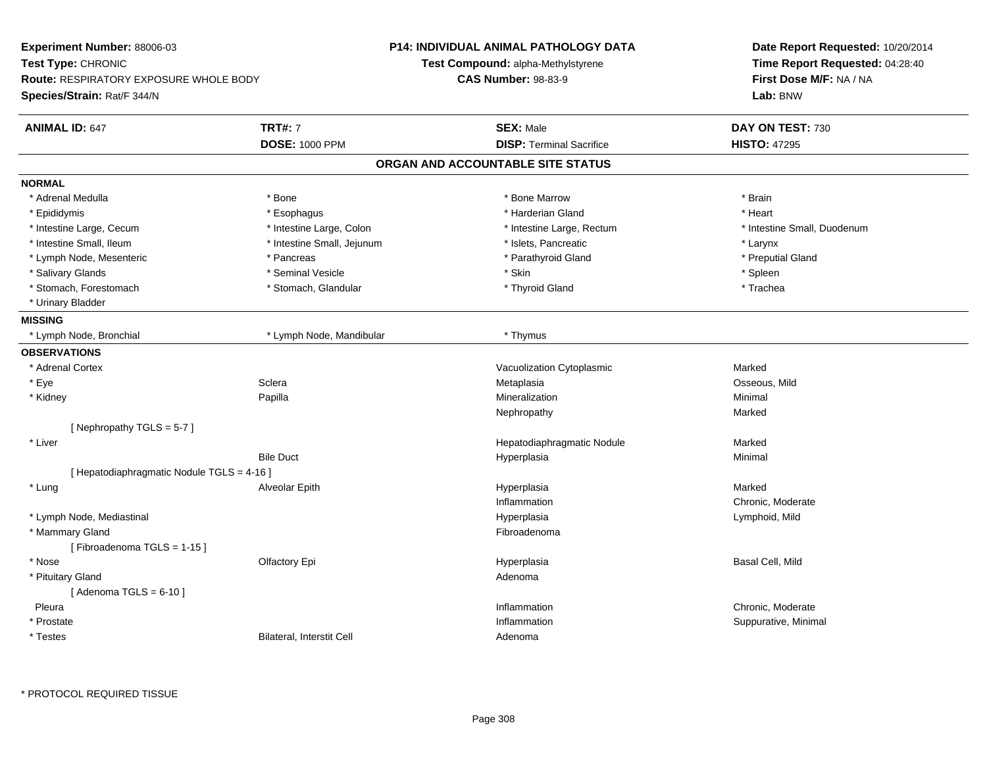| Test Type: CHRONIC<br>Time Report Requested: 04:28:40<br><b>Test Compound: alpha-Methylstyrene</b><br><b>CAS Number: 98-83-9</b><br>First Dose M/F: NA / NA<br><b>Route: RESPIRATORY EXPOSURE WHOLE BODY</b><br>Species/Strain: Rat/F 344/N<br>Lab: BNW<br><b>ANIMAL ID: 647</b><br><b>TRT#: 7</b><br><b>SEX: Male</b><br>DAY ON TEST: 730<br><b>DOSE: 1000 PPM</b><br><b>DISP: Terminal Sacrifice</b><br><b>HISTO: 47295</b><br>ORGAN AND ACCOUNTABLE SITE STATUS<br><b>NORMAL</b><br>* Brain<br>* Adrenal Medulla<br>* Bone<br>* Bone Marrow<br>* Harderian Gland<br>* Epididymis<br>* Esophagus<br>* Heart<br>* Intestine Large, Cecum<br>* Intestine Large, Colon<br>* Intestine Large, Rectum<br>* Intestine Small, Duodenum<br>* Intestine Small, Ileum<br>* Intestine Small, Jejunum<br>* Islets, Pancreatic<br>* Larynx<br>* Lymph Node, Mesenteric<br>* Pancreas<br>* Parathyroid Gland<br>* Preputial Gland<br>* Seminal Vesicle<br>* Skin<br>* Salivary Glands<br>* Spleen<br>* Stomach, Forestomach<br>* Thyroid Gland<br>* Trachea<br>* Stomach, Glandular<br>* Urinary Bladder<br><b>MISSING</b><br>* Lymph Node, Bronchial<br>* Lymph Node, Mandibular<br>* Thymus<br><b>OBSERVATIONS</b><br>Marked<br>* Adrenal Cortex<br>Vacuolization Cytoplasmic<br>* Eye<br>Sclera<br>Osseous, Mild<br>Metaplasia<br>Papilla<br>Mineralization<br>* Kidney<br>Minimal<br>Marked<br>Nephropathy<br>[Nephropathy TGLS = $5-7$ ]<br>* Liver<br>Hepatodiaphragmatic Nodule<br>Marked<br><b>Bile Duct</b><br>Hyperplasia<br>Minimal<br>[ Hepatodiaphragmatic Nodule TGLS = 4-16 ]<br>* Lung<br>Alveolar Epith<br>Marked<br>Hyperplasia<br>Inflammation<br>Chronic, Moderate<br>* Lymph Node, Mediastinal<br>Hyperplasia<br>Lymphoid, Mild<br>* Mammary Gland<br>Fibroadenoma<br>[Fibroadenoma TGLS = $1-15$ ]<br>* Nose<br>Basal Cell, Mild<br>Olfactory Epi<br>Hyperplasia<br>* Pituitary Gland<br>Adenoma<br>[Adenoma TGLS = $6-10$ ]<br>Pleura<br>Inflammation<br>Chronic, Moderate<br>* Prostate<br>Inflammation<br>Suppurative, Minimal<br>* Testes<br>Bilateral, Interstit Cell<br>Adenoma | <b>Experiment Number: 88006-03</b> |  | <b>P14: INDIVIDUAL ANIMAL PATHOLOGY DATA</b> | Date Report Requested: 10/20/2014 |  |
|-------------------------------------------------------------------------------------------------------------------------------------------------------------------------------------------------------------------------------------------------------------------------------------------------------------------------------------------------------------------------------------------------------------------------------------------------------------------------------------------------------------------------------------------------------------------------------------------------------------------------------------------------------------------------------------------------------------------------------------------------------------------------------------------------------------------------------------------------------------------------------------------------------------------------------------------------------------------------------------------------------------------------------------------------------------------------------------------------------------------------------------------------------------------------------------------------------------------------------------------------------------------------------------------------------------------------------------------------------------------------------------------------------------------------------------------------------------------------------------------------------------------------------------------------------------------------------------------------------------------------------------------------------------------------------------------------------------------------------------------------------------------------------------------------------------------------------------------------------------------------------------------------------------------------------------------------------------------------------------------------------------------------------------------------------------------------------------------------|------------------------------------|--|----------------------------------------------|-----------------------------------|--|
|                                                                                                                                                                                                                                                                                                                                                                                                                                                                                                                                                                                                                                                                                                                                                                                                                                                                                                                                                                                                                                                                                                                                                                                                                                                                                                                                                                                                                                                                                                                                                                                                                                                                                                                                                                                                                                                                                                                                                                                                                                                                                                 |                                    |  |                                              |                                   |  |
|                                                                                                                                                                                                                                                                                                                                                                                                                                                                                                                                                                                                                                                                                                                                                                                                                                                                                                                                                                                                                                                                                                                                                                                                                                                                                                                                                                                                                                                                                                                                                                                                                                                                                                                                                                                                                                                                                                                                                                                                                                                                                                 |                                    |  |                                              |                                   |  |
|                                                                                                                                                                                                                                                                                                                                                                                                                                                                                                                                                                                                                                                                                                                                                                                                                                                                                                                                                                                                                                                                                                                                                                                                                                                                                                                                                                                                                                                                                                                                                                                                                                                                                                                                                                                                                                                                                                                                                                                                                                                                                                 |                                    |  |                                              |                                   |  |
|                                                                                                                                                                                                                                                                                                                                                                                                                                                                                                                                                                                                                                                                                                                                                                                                                                                                                                                                                                                                                                                                                                                                                                                                                                                                                                                                                                                                                                                                                                                                                                                                                                                                                                                                                                                                                                                                                                                                                                                                                                                                                                 |                                    |  |                                              |                                   |  |
|                                                                                                                                                                                                                                                                                                                                                                                                                                                                                                                                                                                                                                                                                                                                                                                                                                                                                                                                                                                                                                                                                                                                                                                                                                                                                                                                                                                                                                                                                                                                                                                                                                                                                                                                                                                                                                                                                                                                                                                                                                                                                                 |                                    |  |                                              |                                   |  |
|                                                                                                                                                                                                                                                                                                                                                                                                                                                                                                                                                                                                                                                                                                                                                                                                                                                                                                                                                                                                                                                                                                                                                                                                                                                                                                                                                                                                                                                                                                                                                                                                                                                                                                                                                                                                                                                                                                                                                                                                                                                                                                 |                                    |  |                                              |                                   |  |
|                                                                                                                                                                                                                                                                                                                                                                                                                                                                                                                                                                                                                                                                                                                                                                                                                                                                                                                                                                                                                                                                                                                                                                                                                                                                                                                                                                                                                                                                                                                                                                                                                                                                                                                                                                                                                                                                                                                                                                                                                                                                                                 |                                    |  |                                              |                                   |  |
|                                                                                                                                                                                                                                                                                                                                                                                                                                                                                                                                                                                                                                                                                                                                                                                                                                                                                                                                                                                                                                                                                                                                                                                                                                                                                                                                                                                                                                                                                                                                                                                                                                                                                                                                                                                                                                                                                                                                                                                                                                                                                                 |                                    |  |                                              |                                   |  |
|                                                                                                                                                                                                                                                                                                                                                                                                                                                                                                                                                                                                                                                                                                                                                                                                                                                                                                                                                                                                                                                                                                                                                                                                                                                                                                                                                                                                                                                                                                                                                                                                                                                                                                                                                                                                                                                                                                                                                                                                                                                                                                 |                                    |  |                                              |                                   |  |
|                                                                                                                                                                                                                                                                                                                                                                                                                                                                                                                                                                                                                                                                                                                                                                                                                                                                                                                                                                                                                                                                                                                                                                                                                                                                                                                                                                                                                                                                                                                                                                                                                                                                                                                                                                                                                                                                                                                                                                                                                                                                                                 |                                    |  |                                              |                                   |  |
|                                                                                                                                                                                                                                                                                                                                                                                                                                                                                                                                                                                                                                                                                                                                                                                                                                                                                                                                                                                                                                                                                                                                                                                                                                                                                                                                                                                                                                                                                                                                                                                                                                                                                                                                                                                                                                                                                                                                                                                                                                                                                                 |                                    |  |                                              |                                   |  |
|                                                                                                                                                                                                                                                                                                                                                                                                                                                                                                                                                                                                                                                                                                                                                                                                                                                                                                                                                                                                                                                                                                                                                                                                                                                                                                                                                                                                                                                                                                                                                                                                                                                                                                                                                                                                                                                                                                                                                                                                                                                                                                 |                                    |  |                                              |                                   |  |
|                                                                                                                                                                                                                                                                                                                                                                                                                                                                                                                                                                                                                                                                                                                                                                                                                                                                                                                                                                                                                                                                                                                                                                                                                                                                                                                                                                                                                                                                                                                                                                                                                                                                                                                                                                                                                                                                                                                                                                                                                                                                                                 |                                    |  |                                              |                                   |  |
|                                                                                                                                                                                                                                                                                                                                                                                                                                                                                                                                                                                                                                                                                                                                                                                                                                                                                                                                                                                                                                                                                                                                                                                                                                                                                                                                                                                                                                                                                                                                                                                                                                                                                                                                                                                                                                                                                                                                                                                                                                                                                                 |                                    |  |                                              |                                   |  |
|                                                                                                                                                                                                                                                                                                                                                                                                                                                                                                                                                                                                                                                                                                                                                                                                                                                                                                                                                                                                                                                                                                                                                                                                                                                                                                                                                                                                                                                                                                                                                                                                                                                                                                                                                                                                                                                                                                                                                                                                                                                                                                 |                                    |  |                                              |                                   |  |
|                                                                                                                                                                                                                                                                                                                                                                                                                                                                                                                                                                                                                                                                                                                                                                                                                                                                                                                                                                                                                                                                                                                                                                                                                                                                                                                                                                                                                                                                                                                                                                                                                                                                                                                                                                                                                                                                                                                                                                                                                                                                                                 |                                    |  |                                              |                                   |  |
|                                                                                                                                                                                                                                                                                                                                                                                                                                                                                                                                                                                                                                                                                                                                                                                                                                                                                                                                                                                                                                                                                                                                                                                                                                                                                                                                                                                                                                                                                                                                                                                                                                                                                                                                                                                                                                                                                                                                                                                                                                                                                                 |                                    |  |                                              |                                   |  |
|                                                                                                                                                                                                                                                                                                                                                                                                                                                                                                                                                                                                                                                                                                                                                                                                                                                                                                                                                                                                                                                                                                                                                                                                                                                                                                                                                                                                                                                                                                                                                                                                                                                                                                                                                                                                                                                                                                                                                                                                                                                                                                 |                                    |  |                                              |                                   |  |
|                                                                                                                                                                                                                                                                                                                                                                                                                                                                                                                                                                                                                                                                                                                                                                                                                                                                                                                                                                                                                                                                                                                                                                                                                                                                                                                                                                                                                                                                                                                                                                                                                                                                                                                                                                                                                                                                                                                                                                                                                                                                                                 |                                    |  |                                              |                                   |  |
|                                                                                                                                                                                                                                                                                                                                                                                                                                                                                                                                                                                                                                                                                                                                                                                                                                                                                                                                                                                                                                                                                                                                                                                                                                                                                                                                                                                                                                                                                                                                                                                                                                                                                                                                                                                                                                                                                                                                                                                                                                                                                                 |                                    |  |                                              |                                   |  |
|                                                                                                                                                                                                                                                                                                                                                                                                                                                                                                                                                                                                                                                                                                                                                                                                                                                                                                                                                                                                                                                                                                                                                                                                                                                                                                                                                                                                                                                                                                                                                                                                                                                                                                                                                                                                                                                                                                                                                                                                                                                                                                 |                                    |  |                                              |                                   |  |
|                                                                                                                                                                                                                                                                                                                                                                                                                                                                                                                                                                                                                                                                                                                                                                                                                                                                                                                                                                                                                                                                                                                                                                                                                                                                                                                                                                                                                                                                                                                                                                                                                                                                                                                                                                                                                                                                                                                                                                                                                                                                                                 |                                    |  |                                              |                                   |  |
|                                                                                                                                                                                                                                                                                                                                                                                                                                                                                                                                                                                                                                                                                                                                                                                                                                                                                                                                                                                                                                                                                                                                                                                                                                                                                                                                                                                                                                                                                                                                                                                                                                                                                                                                                                                                                                                                                                                                                                                                                                                                                                 |                                    |  |                                              |                                   |  |
|                                                                                                                                                                                                                                                                                                                                                                                                                                                                                                                                                                                                                                                                                                                                                                                                                                                                                                                                                                                                                                                                                                                                                                                                                                                                                                                                                                                                                                                                                                                                                                                                                                                                                                                                                                                                                                                                                                                                                                                                                                                                                                 |                                    |  |                                              |                                   |  |
|                                                                                                                                                                                                                                                                                                                                                                                                                                                                                                                                                                                                                                                                                                                                                                                                                                                                                                                                                                                                                                                                                                                                                                                                                                                                                                                                                                                                                                                                                                                                                                                                                                                                                                                                                                                                                                                                                                                                                                                                                                                                                                 |                                    |  |                                              |                                   |  |
|                                                                                                                                                                                                                                                                                                                                                                                                                                                                                                                                                                                                                                                                                                                                                                                                                                                                                                                                                                                                                                                                                                                                                                                                                                                                                                                                                                                                                                                                                                                                                                                                                                                                                                                                                                                                                                                                                                                                                                                                                                                                                                 |                                    |  |                                              |                                   |  |
|                                                                                                                                                                                                                                                                                                                                                                                                                                                                                                                                                                                                                                                                                                                                                                                                                                                                                                                                                                                                                                                                                                                                                                                                                                                                                                                                                                                                                                                                                                                                                                                                                                                                                                                                                                                                                                                                                                                                                                                                                                                                                                 |                                    |  |                                              |                                   |  |
|                                                                                                                                                                                                                                                                                                                                                                                                                                                                                                                                                                                                                                                                                                                                                                                                                                                                                                                                                                                                                                                                                                                                                                                                                                                                                                                                                                                                                                                                                                                                                                                                                                                                                                                                                                                                                                                                                                                                                                                                                                                                                                 |                                    |  |                                              |                                   |  |
|                                                                                                                                                                                                                                                                                                                                                                                                                                                                                                                                                                                                                                                                                                                                                                                                                                                                                                                                                                                                                                                                                                                                                                                                                                                                                                                                                                                                                                                                                                                                                                                                                                                                                                                                                                                                                                                                                                                                                                                                                                                                                                 |                                    |  |                                              |                                   |  |
|                                                                                                                                                                                                                                                                                                                                                                                                                                                                                                                                                                                                                                                                                                                                                                                                                                                                                                                                                                                                                                                                                                                                                                                                                                                                                                                                                                                                                                                                                                                                                                                                                                                                                                                                                                                                                                                                                                                                                                                                                                                                                                 |                                    |  |                                              |                                   |  |
|                                                                                                                                                                                                                                                                                                                                                                                                                                                                                                                                                                                                                                                                                                                                                                                                                                                                                                                                                                                                                                                                                                                                                                                                                                                                                                                                                                                                                                                                                                                                                                                                                                                                                                                                                                                                                                                                                                                                                                                                                                                                                                 |                                    |  |                                              |                                   |  |
|                                                                                                                                                                                                                                                                                                                                                                                                                                                                                                                                                                                                                                                                                                                                                                                                                                                                                                                                                                                                                                                                                                                                                                                                                                                                                                                                                                                                                                                                                                                                                                                                                                                                                                                                                                                                                                                                                                                                                                                                                                                                                                 |                                    |  |                                              |                                   |  |
|                                                                                                                                                                                                                                                                                                                                                                                                                                                                                                                                                                                                                                                                                                                                                                                                                                                                                                                                                                                                                                                                                                                                                                                                                                                                                                                                                                                                                                                                                                                                                                                                                                                                                                                                                                                                                                                                                                                                                                                                                                                                                                 |                                    |  |                                              |                                   |  |
|                                                                                                                                                                                                                                                                                                                                                                                                                                                                                                                                                                                                                                                                                                                                                                                                                                                                                                                                                                                                                                                                                                                                                                                                                                                                                                                                                                                                                                                                                                                                                                                                                                                                                                                                                                                                                                                                                                                                                                                                                                                                                                 |                                    |  |                                              |                                   |  |
|                                                                                                                                                                                                                                                                                                                                                                                                                                                                                                                                                                                                                                                                                                                                                                                                                                                                                                                                                                                                                                                                                                                                                                                                                                                                                                                                                                                                                                                                                                                                                                                                                                                                                                                                                                                                                                                                                                                                                                                                                                                                                                 |                                    |  |                                              |                                   |  |
|                                                                                                                                                                                                                                                                                                                                                                                                                                                                                                                                                                                                                                                                                                                                                                                                                                                                                                                                                                                                                                                                                                                                                                                                                                                                                                                                                                                                                                                                                                                                                                                                                                                                                                                                                                                                                                                                                                                                                                                                                                                                                                 |                                    |  |                                              |                                   |  |
|                                                                                                                                                                                                                                                                                                                                                                                                                                                                                                                                                                                                                                                                                                                                                                                                                                                                                                                                                                                                                                                                                                                                                                                                                                                                                                                                                                                                                                                                                                                                                                                                                                                                                                                                                                                                                                                                                                                                                                                                                                                                                                 |                                    |  |                                              |                                   |  |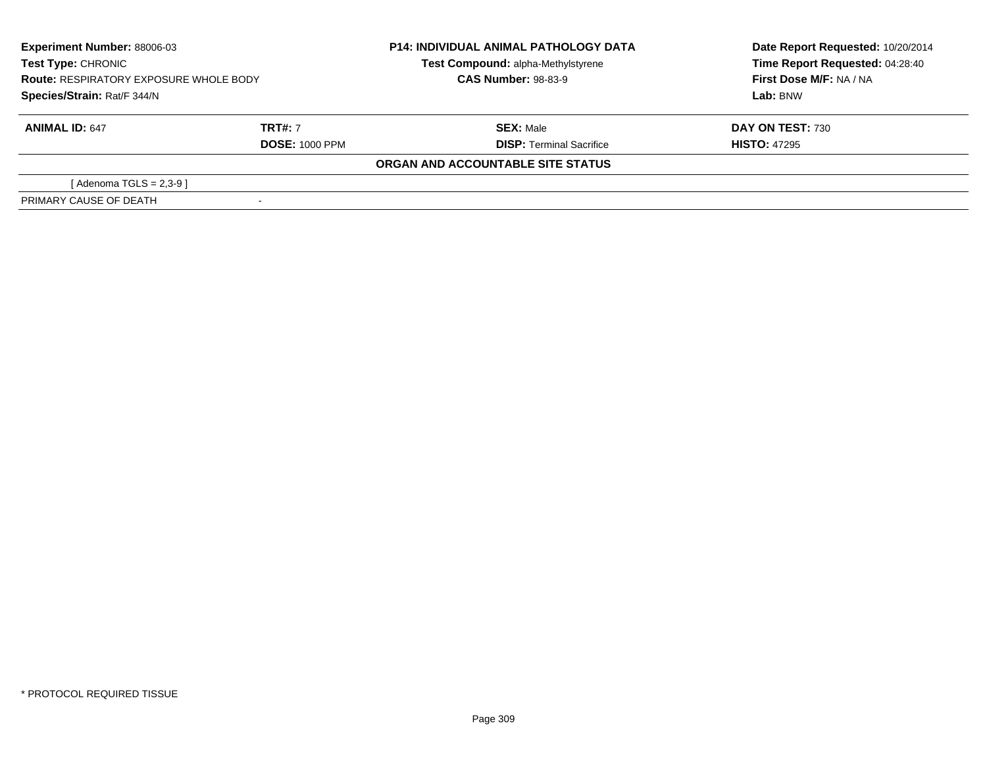| <b>Experiment Number: 88006-03</b>                                           |                       | <b>P14: INDIVIDUAL ANIMAL PATHOLOGY DATA</b> | Date Report Requested: 10/20/2014 |  |
|------------------------------------------------------------------------------|-----------------------|----------------------------------------------|-----------------------------------|--|
| Test Type: CHRONIC                                                           |                       | Test Compound: alpha-Methylstyrene           | Time Report Requested: 04:28:40   |  |
| <b>Route: RESPIRATORY EXPOSURE WHOLE BODY</b><br>Species/Strain: Rat/F 344/N |                       | <b>CAS Number: 98-83-9</b>                   | First Dose M/F: NA / NA           |  |
|                                                                              |                       |                                              | Lab: BNW                          |  |
| <b>ANIMAL ID: 647</b>                                                        | <b>TRT#: 7</b>        | <b>SEX: Male</b>                             | <b>DAY ON TEST: 730</b>           |  |
|                                                                              | <b>DOSE: 1000 PPM</b> | <b>DISP: Terminal Sacrifice</b>              | <b>HISTO: 47295</b>               |  |
|                                                                              |                       | ORGAN AND ACCOUNTABLE SITE STATUS            |                                   |  |
| [ Adenoma TGLS = 2,3-9 ]                                                     |                       |                                              |                                   |  |
| PRIMARY CAUSE OF DEATH                                                       |                       |                                              |                                   |  |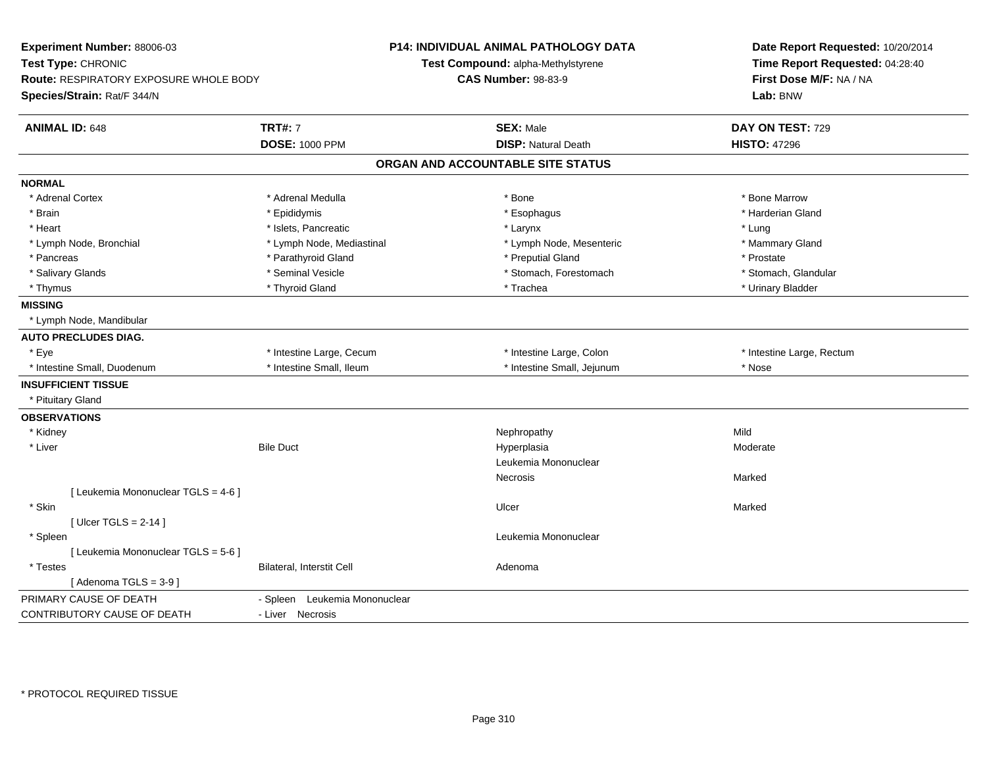| Experiment Number: 88006-03<br>Test Type: CHRONIC<br>Route: RESPIRATORY EXPOSURE WHOLE BODY<br>Species/Strain: Rat/F 344/N |                                         | <b>P14: INDIVIDUAL ANIMAL PATHOLOGY DATA</b><br>Test Compound: alpha-Methylstyrene<br><b>CAS Number: 98-83-9</b> |  | Date Report Requested: 10/20/2014<br>Time Report Requested: 04:28:40<br>First Dose M/F: NA / NA<br>Lab: BNW |  |
|----------------------------------------------------------------------------------------------------------------------------|-----------------------------------------|------------------------------------------------------------------------------------------------------------------|--|-------------------------------------------------------------------------------------------------------------|--|
| <b>ANIMAL ID: 648</b>                                                                                                      | <b>TRT#: 7</b><br><b>DOSE: 1000 PPM</b> | <b>SEX: Male</b><br><b>DISP: Natural Death</b>                                                                   |  | DAY ON TEST: 729<br><b>HISTO: 47296</b>                                                                     |  |
|                                                                                                                            |                                         | ORGAN AND ACCOUNTABLE SITE STATUS                                                                                |  |                                                                                                             |  |
|                                                                                                                            |                                         |                                                                                                                  |  |                                                                                                             |  |
| <b>NORMAL</b>                                                                                                              |                                         |                                                                                                                  |  |                                                                                                             |  |
| * Adrenal Cortex                                                                                                           | * Adrenal Medulla                       | * Bone                                                                                                           |  | * Bone Marrow                                                                                               |  |
| * Brain                                                                                                                    | * Epididymis                            | * Esophagus                                                                                                      |  | * Harderian Gland                                                                                           |  |
| * Heart                                                                                                                    | * Islets, Pancreatic                    | * Larynx                                                                                                         |  | * Lung                                                                                                      |  |
| * Lymph Node, Bronchial                                                                                                    | * Lymph Node, Mediastinal               | * Lymph Node, Mesenteric                                                                                         |  | * Mammary Gland                                                                                             |  |
| * Pancreas                                                                                                                 | * Parathyroid Gland                     | * Preputial Gland                                                                                                |  | * Prostate                                                                                                  |  |
| * Salivary Glands                                                                                                          | * Seminal Vesicle                       | * Stomach, Forestomach                                                                                           |  | * Stomach, Glandular                                                                                        |  |
| * Thymus                                                                                                                   | * Thyroid Gland                         | * Trachea                                                                                                        |  | * Urinary Bladder                                                                                           |  |
| <b>MISSING</b>                                                                                                             |                                         |                                                                                                                  |  |                                                                                                             |  |
| * Lymph Node, Mandibular                                                                                                   |                                         |                                                                                                                  |  |                                                                                                             |  |
| <b>AUTO PRECLUDES DIAG.</b>                                                                                                |                                         |                                                                                                                  |  |                                                                                                             |  |
| * Eye                                                                                                                      | * Intestine Large, Cecum                | * Intestine Large, Colon                                                                                         |  | * Intestine Large, Rectum                                                                                   |  |
| * Intestine Small, Duodenum                                                                                                | * Intestine Small. Ileum                | * Intestine Small, Jejunum                                                                                       |  | * Nose                                                                                                      |  |
| <b>INSUFFICIENT TISSUE</b>                                                                                                 |                                         |                                                                                                                  |  |                                                                                                             |  |
| * Pituitary Gland                                                                                                          |                                         |                                                                                                                  |  |                                                                                                             |  |
| <b>OBSERVATIONS</b>                                                                                                        |                                         |                                                                                                                  |  |                                                                                                             |  |
| * Kidney                                                                                                                   |                                         | Nephropathy                                                                                                      |  | Mild                                                                                                        |  |
| * Liver                                                                                                                    | <b>Bile Duct</b>                        | Hyperplasia                                                                                                      |  | Moderate                                                                                                    |  |
|                                                                                                                            |                                         | Leukemia Mononuclear                                                                                             |  |                                                                                                             |  |
|                                                                                                                            |                                         | Necrosis                                                                                                         |  | Marked                                                                                                      |  |
| [ Leukemia Mononuclear TGLS = 4-6 ]                                                                                        |                                         |                                                                                                                  |  |                                                                                                             |  |
| * Skin                                                                                                                     |                                         | Ulcer                                                                                                            |  | Marked                                                                                                      |  |
| [ $Uicer$ TGLS = 2-14 ]                                                                                                    |                                         |                                                                                                                  |  |                                                                                                             |  |
| * Spleen                                                                                                                   |                                         | Leukemia Mononuclear                                                                                             |  |                                                                                                             |  |
| [ Leukemia Mononuclear TGLS = 5-6 ]                                                                                        |                                         |                                                                                                                  |  |                                                                                                             |  |
| * Testes                                                                                                                   | Bilateral, Interstit Cell               | Adenoma                                                                                                          |  |                                                                                                             |  |
| [Adenoma TGLS = $3-9$ ]                                                                                                    |                                         |                                                                                                                  |  |                                                                                                             |  |
| PRIMARY CAUSE OF DEATH                                                                                                     | - Spleen Leukemia Mononuclear           |                                                                                                                  |  |                                                                                                             |  |
| CONTRIBUTORY CAUSE OF DEATH                                                                                                | - Liver Necrosis                        |                                                                                                                  |  |                                                                                                             |  |
|                                                                                                                            |                                         |                                                                                                                  |  |                                                                                                             |  |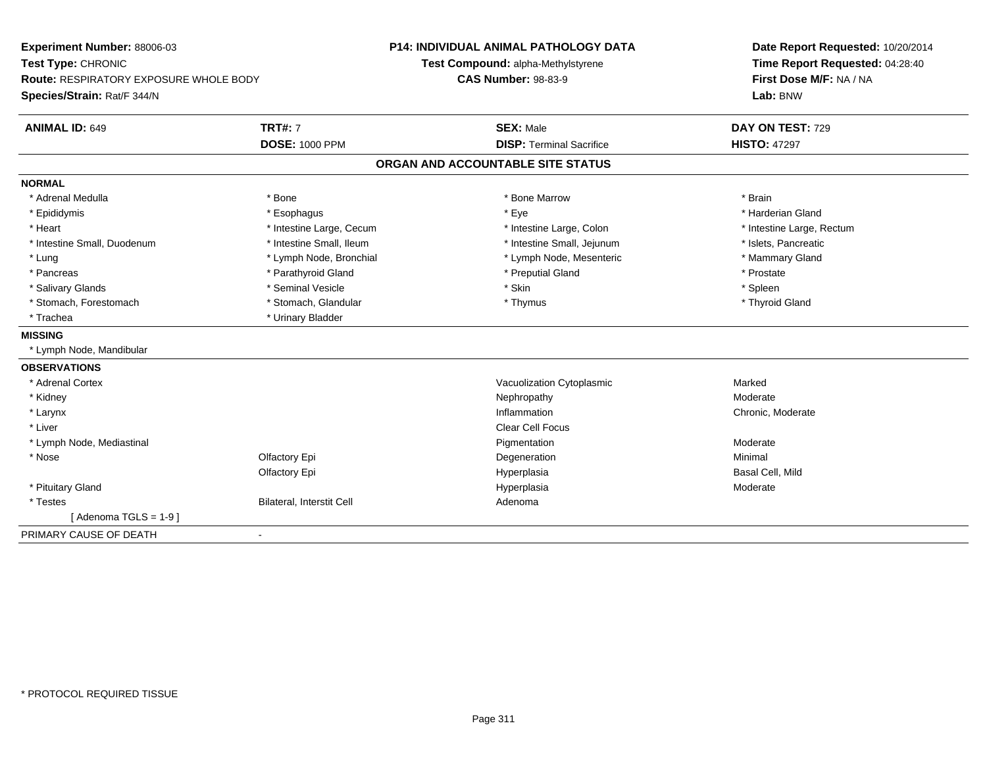| Experiment Number: 88006-03<br>Test Type: CHRONIC  |                           | <b>P14: INDIVIDUAL ANIMAL PATHOLOGY DATA</b><br>Test Compound: alpha-Methylstyrene |                                   | Date Report Requested: 10/20/2014<br>Time Report Requested: 04:28:40 |  |
|----------------------------------------------------|---------------------------|------------------------------------------------------------------------------------|-----------------------------------|----------------------------------------------------------------------|--|
| Route: RESPIRATORY EXPOSURE WHOLE BODY             |                           | <b>CAS Number: 98-83-9</b>                                                         |                                   | First Dose M/F: NA / NA                                              |  |
| Species/Strain: Rat/F 344/N                        |                           |                                                                                    |                                   | Lab: BNW                                                             |  |
| <b>ANIMAL ID: 649</b>                              | <b>TRT#: 7</b>            |                                                                                    | <b>SEX: Male</b>                  | DAY ON TEST: 729                                                     |  |
|                                                    | <b>DOSE: 1000 PPM</b>     |                                                                                    | <b>DISP: Terminal Sacrifice</b>   | <b>HISTO: 47297</b>                                                  |  |
|                                                    |                           |                                                                                    | ORGAN AND ACCOUNTABLE SITE STATUS |                                                                      |  |
| <b>NORMAL</b>                                      |                           |                                                                                    |                                   |                                                                      |  |
| * Adrenal Medulla                                  | * Bone                    |                                                                                    | * Bone Marrow                     | * Brain                                                              |  |
| * Epididymis                                       | * Esophagus               |                                                                                    | * Eye                             | * Harderian Gland                                                    |  |
| * Heart                                            | * Intestine Large, Cecum  |                                                                                    | * Intestine Large, Colon          | * Intestine Large, Rectum                                            |  |
| * Intestine Small, Duodenum                        | * Intestine Small, Ileum  |                                                                                    | * Intestine Small, Jejunum        | * Islets, Pancreatic                                                 |  |
| * Lung                                             | * Lymph Node, Bronchial   |                                                                                    | * Lymph Node, Mesenteric          | * Mammary Gland                                                      |  |
| * Pancreas                                         | * Parathyroid Gland       |                                                                                    | * Preputial Gland                 | * Prostate                                                           |  |
| * Salivary Glands                                  | * Seminal Vesicle         |                                                                                    | * Skin                            | * Spleen                                                             |  |
| * Stomach, Forestomach                             | * Stomach, Glandular      |                                                                                    | * Thymus                          | * Thyroid Gland                                                      |  |
| * Trachea                                          | * Urinary Bladder         |                                                                                    |                                   |                                                                      |  |
| <b>MISSING</b>                                     |                           |                                                                                    |                                   |                                                                      |  |
| * Lymph Node, Mandibular                           |                           |                                                                                    |                                   |                                                                      |  |
| <b>OBSERVATIONS</b>                                |                           |                                                                                    |                                   |                                                                      |  |
| * Adrenal Cortex                                   |                           |                                                                                    | Vacuolization Cytoplasmic         | Marked                                                               |  |
| * Kidney                                           |                           |                                                                                    | Nephropathy                       | Moderate                                                             |  |
| * Larynx                                           |                           |                                                                                    | Inflammation                      | Chronic, Moderate                                                    |  |
| * Liver                                            |                           |                                                                                    | <b>Clear Cell Focus</b>           |                                                                      |  |
| * Lymph Node, Mediastinal                          |                           |                                                                                    | Pigmentation                      | Moderate                                                             |  |
| * Nose                                             | Olfactory Epi             |                                                                                    | Degeneration                      | Minimal                                                              |  |
|                                                    | Olfactory Epi             |                                                                                    | Hyperplasia                       | Basal Cell, Mild                                                     |  |
| * Pituitary Gland                                  |                           |                                                                                    | Hyperplasia                       | Moderate                                                             |  |
| * Testes                                           | Bilateral, Interstit Cell |                                                                                    | Adenoma                           |                                                                      |  |
| [Adenoma TGLS = $1-9$ ]                            |                           |                                                                                    |                                   |                                                                      |  |
| PRIMARY CAUSE OF DEATH<br>$\overline{\phantom{a}}$ |                           |                                                                                    |                                   |                                                                      |  |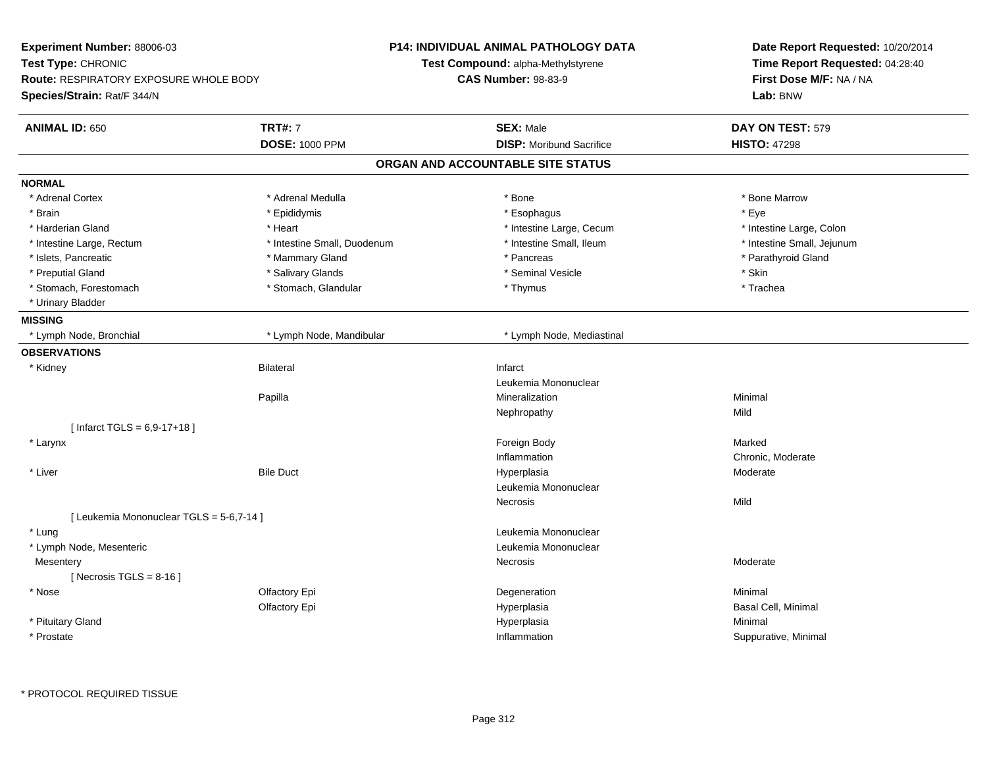| Experiment Number: 88006-03                   |                             | <b>P14: INDIVIDUAL ANIMAL PATHOLOGY DATA</b> | Date Report Requested: 10/20/2014 |
|-----------------------------------------------|-----------------------------|----------------------------------------------|-----------------------------------|
| Test Type: CHRONIC                            |                             | Test Compound: alpha-Methylstyrene           | Time Report Requested: 04:28:40   |
| <b>Route: RESPIRATORY EXPOSURE WHOLE BODY</b> |                             | <b>CAS Number: 98-83-9</b>                   | First Dose M/F: NA / NA           |
| Species/Strain: Rat/F 344/N                   |                             |                                              | Lab: BNW                          |
| <b>ANIMAL ID: 650</b>                         | <b>TRT#: 7</b>              | <b>SEX: Male</b>                             | DAY ON TEST: 579                  |
|                                               | <b>DOSE: 1000 PPM</b>       | <b>DISP:</b> Moribund Sacrifice              | <b>HISTO: 47298</b>               |
|                                               |                             | ORGAN AND ACCOUNTABLE SITE STATUS            |                                   |
| <b>NORMAL</b>                                 |                             |                                              |                                   |
| * Adrenal Cortex                              | * Adrenal Medulla           | * Bone                                       | * Bone Marrow                     |
| * Brain                                       | * Epididymis                | * Esophagus                                  | * Eye                             |
| * Harderian Gland                             | * Heart                     | * Intestine Large, Cecum                     | * Intestine Large, Colon          |
| * Intestine Large, Rectum                     | * Intestine Small, Duodenum | * Intestine Small, Ileum                     | * Intestine Small, Jejunum        |
| * Islets, Pancreatic                          | * Mammary Gland             | * Pancreas                                   | * Parathyroid Gland               |
| * Preputial Gland                             | * Salivary Glands           | * Seminal Vesicle                            | * Skin                            |
| * Stomach, Forestomach                        | * Stomach, Glandular        | * Thymus                                     | * Trachea                         |
| * Urinary Bladder                             |                             |                                              |                                   |
| <b>MISSING</b>                                |                             |                                              |                                   |
| * Lymph Node, Bronchial                       | * Lymph Node, Mandibular    | * Lymph Node, Mediastinal                    |                                   |
| <b>OBSERVATIONS</b>                           |                             |                                              |                                   |
| * Kidney                                      | <b>Bilateral</b>            | Infarct                                      |                                   |
|                                               |                             | Leukemia Mononuclear                         |                                   |
|                                               | Papilla                     | Mineralization                               | Minimal                           |
|                                               |                             | Nephropathy                                  | Mild                              |
| [ Infarct TGLS = $6,9-17+18$ ]                |                             |                                              |                                   |
| * Larynx                                      |                             | Foreign Body                                 | Marked                            |
|                                               |                             | Inflammation                                 | Chronic, Moderate                 |
| * Liver                                       | <b>Bile Duct</b>            | Hyperplasia                                  | Moderate                          |
|                                               |                             | Leukemia Mononuclear                         |                                   |
|                                               |                             | Necrosis                                     | Mild                              |
| [ Leukemia Mononuclear TGLS = 5-6,7-14 ]      |                             |                                              |                                   |
| * Lung                                        |                             | Leukemia Mononuclear                         |                                   |
| * Lymph Node, Mesenteric                      |                             | Leukemia Mononuclear                         |                                   |
| Mesentery                                     |                             | Necrosis                                     | Moderate                          |
| [Necrosis TGLS = $8-16$ ]                     |                             |                                              |                                   |
| * Nose                                        | Olfactory Epi               | Degeneration                                 | Minimal                           |
|                                               | Olfactory Epi               | Hyperplasia                                  | Basal Cell, Minimal               |
| * Pituitary Gland                             |                             | Hyperplasia                                  | Minimal                           |
| * Prostate                                    |                             | Inflammation                                 | Suppurative, Minimal              |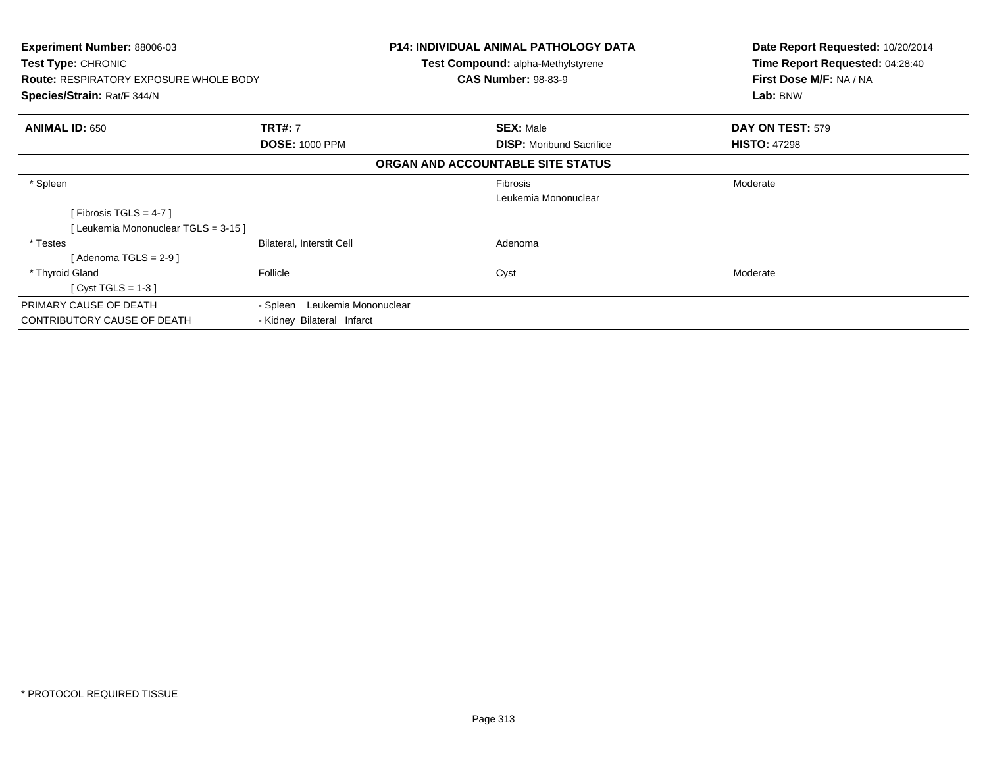| <b>Experiment Number: 88006-03</b><br><b>Test Type: CHRONIC</b><br><b>Route: RESPIRATORY EXPOSURE WHOLE BODY</b><br>Species/Strain: Rat/F 344/N |                                                                | <b>P14: INDIVIDUAL ANIMAL PATHOLOGY DATA</b><br><b>Test Compound: alpha-Methylstyrene</b><br><b>CAS Number: 98-83-9</b> | Date Report Requested: 10/20/2014<br>Time Report Requested: 04:28:40<br>First Dose M/F: NA / NA<br>Lab: BNW |
|-------------------------------------------------------------------------------------------------------------------------------------------------|----------------------------------------------------------------|-------------------------------------------------------------------------------------------------------------------------|-------------------------------------------------------------------------------------------------------------|
| <b>ANIMAL ID: 650</b>                                                                                                                           | <b>TRT#: 7</b>                                                 | <b>SEX: Male</b>                                                                                                        | DAY ON TEST: 579                                                                                            |
|                                                                                                                                                 | <b>DOSE: 1000 PPM</b>                                          | <b>DISP:</b> Moribund Sacrifice                                                                                         | <b>HISTO: 47298</b>                                                                                         |
|                                                                                                                                                 |                                                                | ORGAN AND ACCOUNTABLE SITE STATUS                                                                                       |                                                                                                             |
| * Spleen                                                                                                                                        |                                                                | Fibrosis<br>Leukemia Mononuclear                                                                                        | Moderate                                                                                                    |
| [Fibrosis TGLS = 4-7 ]                                                                                                                          |                                                                |                                                                                                                         |                                                                                                             |
| [Leukemia Mononuclear TGLS = 3-15]                                                                                                              |                                                                |                                                                                                                         |                                                                                                             |
| * Testes<br>[Adenoma TGLS = $2-9$ ]                                                                                                             | Bilateral, Interstit Cell                                      | Adenoma                                                                                                                 |                                                                                                             |
| * Thyroid Gland<br>$[Cyst TGLS = 1-3]$                                                                                                          | Follicle                                                       | Cyst                                                                                                                    | Moderate                                                                                                    |
| PRIMARY CAUSE OF DEATH<br><b>CONTRIBUTORY CAUSE OF DEATH</b>                                                                                    | Leukemia Mononuclear<br>- Spleen<br>- Kidney Bilateral Infarct |                                                                                                                         |                                                                                                             |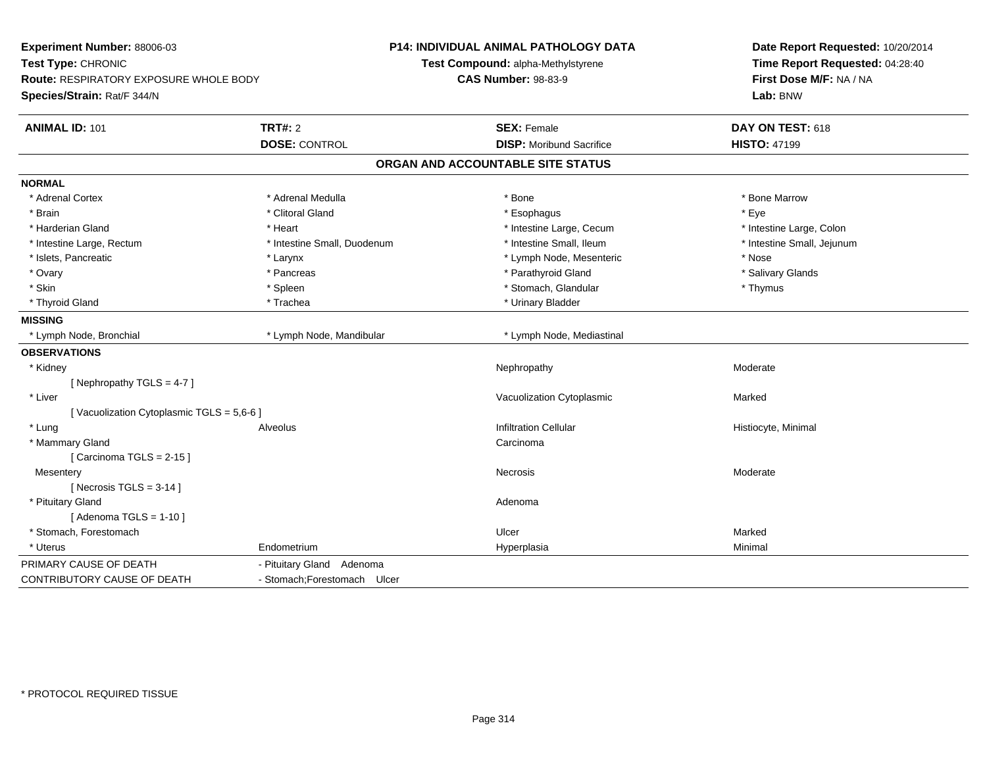| Experiment Number: 88006-03<br>Test Type: CHRONIC<br><b>Route: RESPIRATORY EXPOSURE WHOLE BODY</b><br>Species/Strain: Rat/F 344/N |                              | <b>P14: INDIVIDUAL ANIMAL PATHOLOGY DATA</b><br>Test Compound: alpha-Methylstyrene<br><b>CAS Number: 98-83-9</b> | Date Report Requested: 10/20/2014<br>Time Report Requested: 04:28:40<br>First Dose M/F: NA / NA<br>Lab: BNW |
|-----------------------------------------------------------------------------------------------------------------------------------|------------------------------|------------------------------------------------------------------------------------------------------------------|-------------------------------------------------------------------------------------------------------------|
| <b>ANIMAL ID: 101</b>                                                                                                             | <b>TRT#: 2</b>               | <b>SEX: Female</b>                                                                                               | DAY ON TEST: 618                                                                                            |
|                                                                                                                                   | <b>DOSE: CONTROL</b>         | <b>DISP: Moribund Sacrifice</b>                                                                                  | <b>HISTO: 47199</b>                                                                                         |
|                                                                                                                                   |                              | ORGAN AND ACCOUNTABLE SITE STATUS                                                                                |                                                                                                             |
| <b>NORMAL</b>                                                                                                                     |                              |                                                                                                                  |                                                                                                             |
| * Adrenal Cortex                                                                                                                  | * Adrenal Medulla            | * Bone                                                                                                           | * Bone Marrow                                                                                               |
| * Brain                                                                                                                           | * Clitoral Gland             | * Esophagus                                                                                                      | * Eye                                                                                                       |
| * Harderian Gland                                                                                                                 | * Heart                      | * Intestine Large, Cecum                                                                                         | * Intestine Large, Colon                                                                                    |
| * Intestine Large, Rectum                                                                                                         | * Intestine Small, Duodenum  | * Intestine Small, Ileum                                                                                         | * Intestine Small, Jejunum                                                                                  |
| * Islets, Pancreatic                                                                                                              | * Larynx                     | * Lymph Node, Mesenteric                                                                                         | * Nose                                                                                                      |
| * Ovary                                                                                                                           | * Pancreas                   | * Parathyroid Gland                                                                                              | * Salivary Glands                                                                                           |
| * Skin                                                                                                                            | * Spleen                     | * Stomach, Glandular                                                                                             | * Thymus                                                                                                    |
| * Thyroid Gland                                                                                                                   | * Trachea                    | * Urinary Bladder                                                                                                |                                                                                                             |
| <b>MISSING</b>                                                                                                                    |                              |                                                                                                                  |                                                                                                             |
| * Lymph Node, Bronchial                                                                                                           | * Lymph Node, Mandibular     | * Lymph Node, Mediastinal                                                                                        |                                                                                                             |
| <b>OBSERVATIONS</b>                                                                                                               |                              |                                                                                                                  |                                                                                                             |
| * Kidney                                                                                                                          |                              | Nephropathy                                                                                                      | Moderate                                                                                                    |
| [Nephropathy TGLS = $4-7$ ]                                                                                                       |                              |                                                                                                                  |                                                                                                             |
| * Liver                                                                                                                           |                              | Vacuolization Cytoplasmic                                                                                        | Marked                                                                                                      |
| [Vacuolization Cytoplasmic TGLS = 5,6-6]                                                                                          |                              |                                                                                                                  |                                                                                                             |
| * Lung                                                                                                                            | Alveolus                     | <b>Infiltration Cellular</b>                                                                                     | Histiocyte, Minimal                                                                                         |
| * Mammary Gland                                                                                                                   |                              | Carcinoma                                                                                                        |                                                                                                             |
| [Carcinoma TGLS = $2-15$ ]                                                                                                        |                              |                                                                                                                  |                                                                                                             |
| Mesentery                                                                                                                         |                              | Necrosis                                                                                                         | Moderate                                                                                                    |
| [ Necrosis $TGLS = 3-14$ ]                                                                                                        |                              |                                                                                                                  |                                                                                                             |
| * Pituitary Gland                                                                                                                 |                              | Adenoma                                                                                                          |                                                                                                             |
| [Adenoma TGLS = $1-10$ ]                                                                                                          |                              |                                                                                                                  |                                                                                                             |
| * Stomach, Forestomach                                                                                                            |                              | Ulcer                                                                                                            | Marked                                                                                                      |
| * Uterus                                                                                                                          | Endometrium                  | Hyperplasia                                                                                                      | Minimal                                                                                                     |
| PRIMARY CAUSE OF DEATH                                                                                                            | - Pituitary Gland Adenoma    |                                                                                                                  |                                                                                                             |
| CONTRIBUTORY CAUSE OF DEATH                                                                                                       | - Stomach; Forestomach Ulcer |                                                                                                                  |                                                                                                             |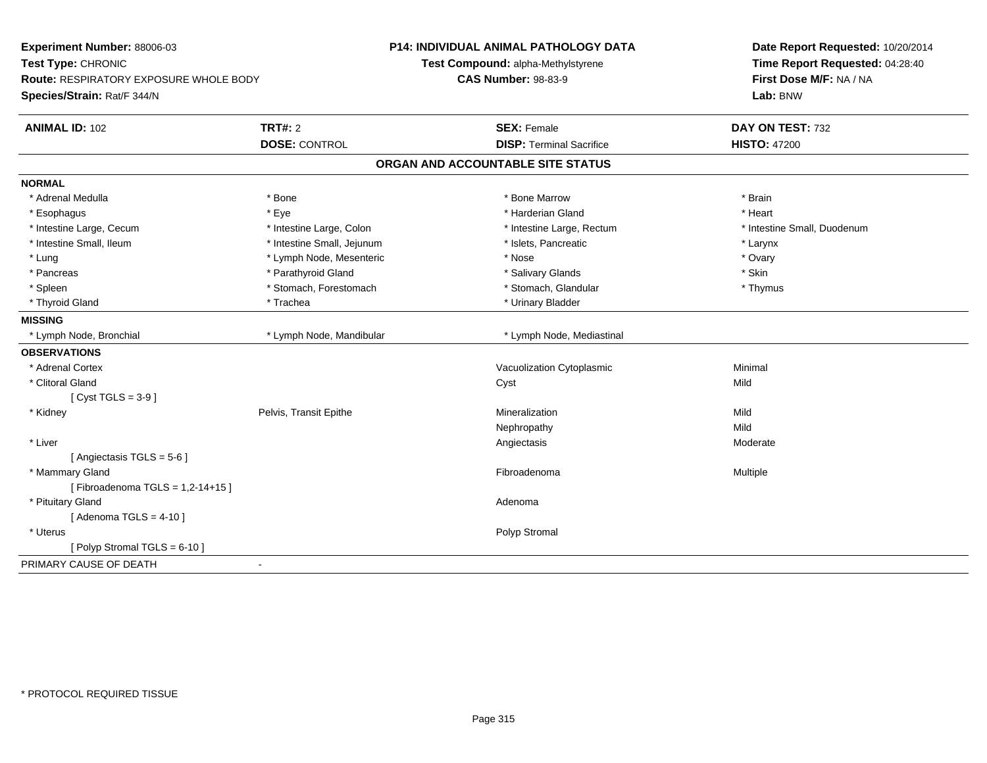| Experiment Number: 88006-03<br>Test Type: CHRONIC<br><b>Route: RESPIRATORY EXPOSURE WHOLE BODY</b><br>Species/Strain: Rat/F 344/N |                            | <b>P14: INDIVIDUAL ANIMAL PATHOLOGY DATA</b><br>Test Compound: alpha-Methylstyrene<br><b>CAS Number: 98-83-9</b> | Date Report Requested: 10/20/2014<br>Time Report Requested: 04:28:40<br>First Dose M/F: NA / NA<br>Lab: BNW |
|-----------------------------------------------------------------------------------------------------------------------------------|----------------------------|------------------------------------------------------------------------------------------------------------------|-------------------------------------------------------------------------------------------------------------|
| <b>ANIMAL ID: 102</b>                                                                                                             | TRT#: 2                    | <b>SEX: Female</b>                                                                                               | DAY ON TEST: 732                                                                                            |
|                                                                                                                                   | <b>DOSE: CONTROL</b>       | <b>DISP: Terminal Sacrifice</b>                                                                                  | <b>HISTO: 47200</b>                                                                                         |
|                                                                                                                                   |                            | ORGAN AND ACCOUNTABLE SITE STATUS                                                                                |                                                                                                             |
| <b>NORMAL</b>                                                                                                                     |                            |                                                                                                                  |                                                                                                             |
| * Adrenal Medulla                                                                                                                 | * Bone                     | * Bone Marrow                                                                                                    | * Brain                                                                                                     |
| * Esophagus                                                                                                                       | * Eye                      | * Harderian Gland                                                                                                | * Heart                                                                                                     |
| * Intestine Large, Cecum                                                                                                          | * Intestine Large, Colon   | * Intestine Large, Rectum                                                                                        | * Intestine Small, Duodenum                                                                                 |
| * Intestine Small, Ileum                                                                                                          | * Intestine Small, Jejunum | * Islets, Pancreatic                                                                                             | * Larynx                                                                                                    |
| * Lung                                                                                                                            | * Lymph Node, Mesenteric   | * Nose                                                                                                           | * Ovary                                                                                                     |
| * Pancreas                                                                                                                        | * Parathyroid Gland        | * Salivary Glands                                                                                                | * Skin                                                                                                      |
| * Spleen                                                                                                                          | * Stomach, Forestomach     | * Stomach, Glandular                                                                                             | * Thymus                                                                                                    |
| * Thyroid Gland                                                                                                                   | * Trachea                  | * Urinary Bladder                                                                                                |                                                                                                             |
| <b>MISSING</b>                                                                                                                    |                            |                                                                                                                  |                                                                                                             |
| * Lymph Node, Bronchial                                                                                                           | * Lymph Node, Mandibular   | * Lymph Node, Mediastinal                                                                                        |                                                                                                             |
| <b>OBSERVATIONS</b>                                                                                                               |                            |                                                                                                                  |                                                                                                             |
| * Adrenal Cortex                                                                                                                  |                            | Vacuolization Cytoplasmic                                                                                        | Minimal                                                                                                     |
| * Clitoral Gland                                                                                                                  |                            | Cyst                                                                                                             | Mild                                                                                                        |
| [Cyst TGLS = $3-9$ ]                                                                                                              |                            |                                                                                                                  |                                                                                                             |
| * Kidney                                                                                                                          | Pelvis, Transit Epithe     | Mineralization                                                                                                   | Mild                                                                                                        |
|                                                                                                                                   |                            | Nephropathy                                                                                                      | Mild                                                                                                        |
| * Liver                                                                                                                           |                            | Angiectasis                                                                                                      | Moderate                                                                                                    |
| [ Angiectasis $TGLS = 5-6$ ]                                                                                                      |                            |                                                                                                                  |                                                                                                             |
| * Mammary Gland                                                                                                                   |                            | Fibroadenoma                                                                                                     | Multiple                                                                                                    |
| [Fibroadenoma TGLS = $1,2-14+15$ ]                                                                                                |                            |                                                                                                                  |                                                                                                             |
| * Pituitary Gland                                                                                                                 |                            | Adenoma                                                                                                          |                                                                                                             |
| [Adenoma TGLS = $4-10$ ]                                                                                                          |                            |                                                                                                                  |                                                                                                             |
| * Uterus                                                                                                                          |                            | Polyp Stromal                                                                                                    |                                                                                                             |
| [Polyp Stromal TGLS = 6-10]                                                                                                       |                            |                                                                                                                  |                                                                                                             |
| PRIMARY CAUSE OF DEATH                                                                                                            | $\sim$                     |                                                                                                                  |                                                                                                             |
|                                                                                                                                   |                            |                                                                                                                  |                                                                                                             |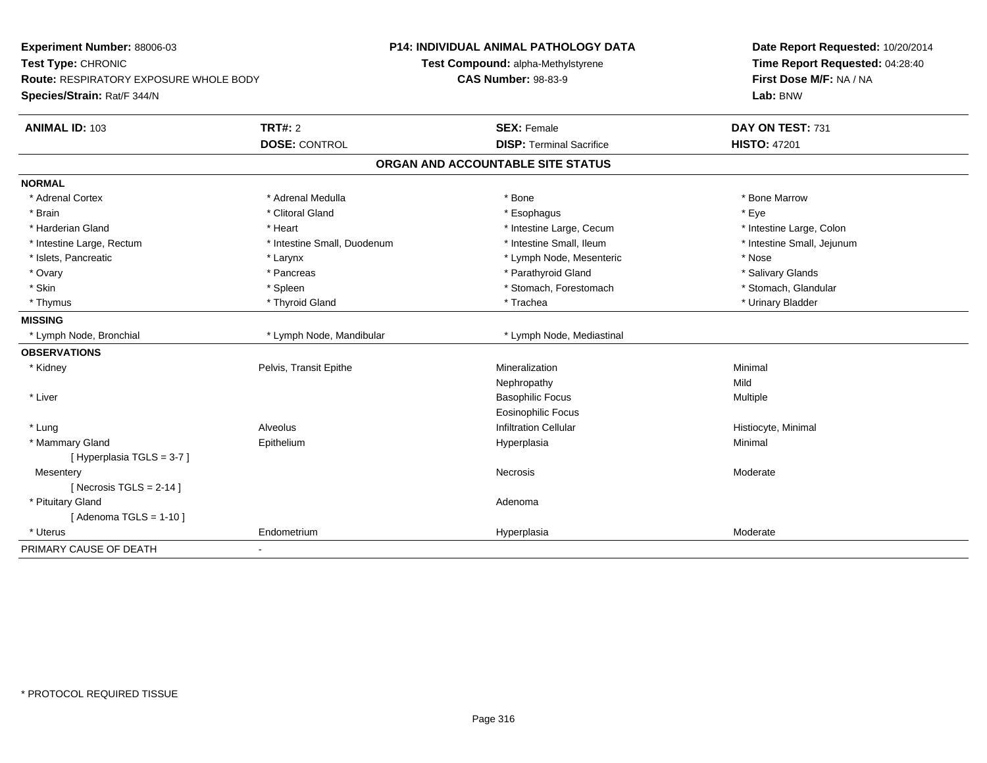| Experiment Number: 88006-03                        |                             | <b>P14: INDIVIDUAL ANIMAL PATHOLOGY DATA</b> | Date Report Requested: 10/20/2014 |
|----------------------------------------------------|-----------------------------|----------------------------------------------|-----------------------------------|
| Test Type: CHRONIC                                 |                             | Test Compound: alpha-Methylstyrene           | Time Report Requested: 04:28:40   |
| <b>Route: RESPIRATORY EXPOSURE WHOLE BODY</b>      |                             | <b>CAS Number: 98-83-9</b>                   | First Dose M/F: NA / NA           |
| Species/Strain: Rat/F 344/N                        |                             |                                              | Lab: BNW                          |
| <b>ANIMAL ID: 103</b>                              | TRT#: 2                     | <b>SEX: Female</b>                           | DAY ON TEST: 731                  |
|                                                    | <b>DOSE: CONTROL</b>        | <b>DISP: Terminal Sacrifice</b>              | <b>HISTO: 47201</b>               |
|                                                    |                             | ORGAN AND ACCOUNTABLE SITE STATUS            |                                   |
| <b>NORMAL</b>                                      |                             |                                              |                                   |
| * Adrenal Cortex                                   | * Adrenal Medulla           | * Bone                                       | * Bone Marrow                     |
| * Brain                                            | * Clitoral Gland            | * Esophagus                                  | * Eye                             |
| * Harderian Gland                                  | * Heart                     | * Intestine Large, Cecum                     | * Intestine Large, Colon          |
| * Intestine Large, Rectum                          | * Intestine Small, Duodenum | * Intestine Small. Ileum                     | * Intestine Small, Jejunum        |
| * Islets, Pancreatic                               | * Larynx                    | * Lymph Node, Mesenteric                     | * Nose                            |
| * Ovary                                            | * Pancreas                  | * Parathyroid Gland                          | * Salivary Glands                 |
| * Skin                                             | * Spleen                    | * Stomach, Forestomach                       | * Stomach, Glandular              |
| * Thymus                                           | * Thyroid Gland             | * Trachea                                    | * Urinary Bladder                 |
| <b>MISSING</b>                                     |                             |                                              |                                   |
| * Lymph Node, Bronchial                            | * Lymph Node, Mandibular    | * Lymph Node, Mediastinal                    |                                   |
| <b>OBSERVATIONS</b>                                |                             |                                              |                                   |
| * Kidney                                           | Pelvis, Transit Epithe      | Mineralization                               | Minimal                           |
|                                                    |                             | Nephropathy                                  | Mild                              |
| * Liver                                            |                             | <b>Basophilic Focus</b>                      | Multiple                          |
|                                                    |                             | <b>Eosinophilic Focus</b>                    |                                   |
| * Lung                                             | Alveolus                    | <b>Infiltration Cellular</b>                 | Histiocyte, Minimal               |
| * Mammary Gland                                    | Epithelium                  | Hyperplasia                                  | Minimal                           |
| [Hyperplasia TGLS = 3-7]                           |                             |                                              |                                   |
| Mesentery                                          |                             | Necrosis                                     | Moderate                          |
| [ Necrosis $TGLS = 2-14$ ]                         |                             |                                              |                                   |
| * Pituitary Gland                                  |                             | Adenoma                                      |                                   |
| [Adenoma TGLS = $1-10$ ]                           |                             |                                              |                                   |
| * Uterus                                           | Endometrium                 | Hyperplasia                                  | Moderate                          |
| PRIMARY CAUSE OF DEATH<br>$\overline{\phantom{0}}$ |                             |                                              |                                   |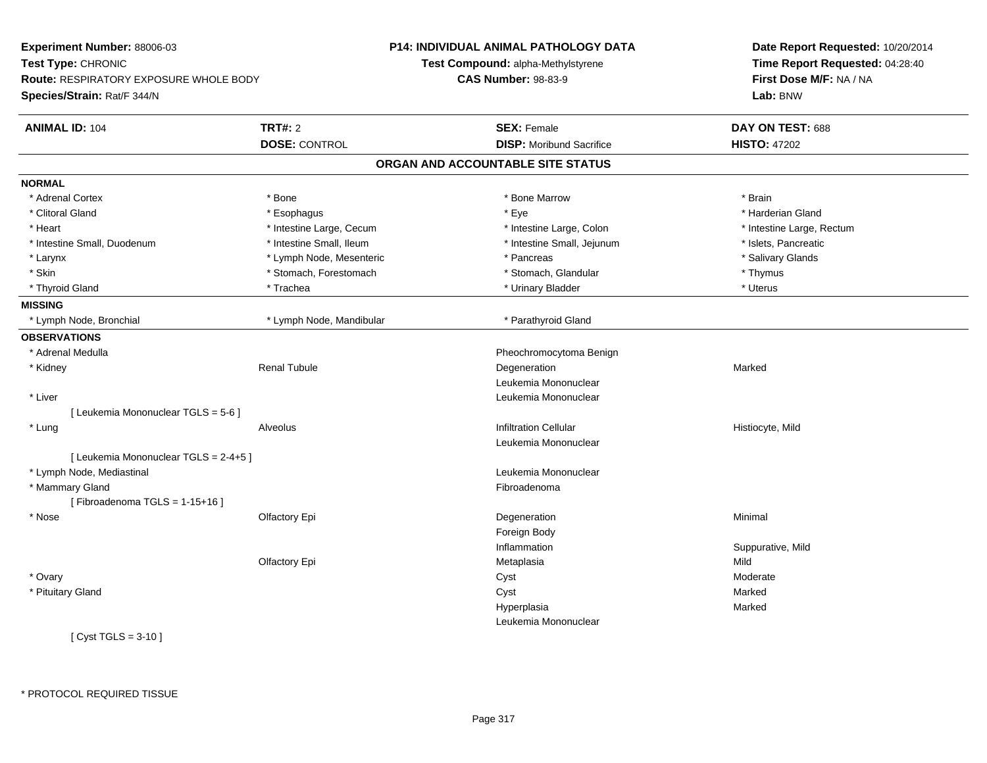| Experiment Number: 88006-03                   |                          | <b>P14: INDIVIDUAL ANIMAL PATHOLOGY DATA</b> | Date Report Requested: 10/20/2014<br>Time Report Requested: 04:28:40 |
|-----------------------------------------------|--------------------------|----------------------------------------------|----------------------------------------------------------------------|
| Test Type: CHRONIC                            |                          | Test Compound: alpha-Methylstyrene           |                                                                      |
| <b>Route: RESPIRATORY EXPOSURE WHOLE BODY</b> |                          | <b>CAS Number: 98-83-9</b>                   | First Dose M/F: NA / NA                                              |
| Species/Strain: Rat/F 344/N                   |                          |                                              | Lab: BNW                                                             |
| <b>ANIMAL ID: 104</b>                         | <b>TRT#: 2</b>           | <b>SEX: Female</b>                           | DAY ON TEST: 688                                                     |
|                                               | <b>DOSE: CONTROL</b>     | <b>DISP:</b> Moribund Sacrifice              | <b>HISTO: 47202</b>                                                  |
|                                               |                          | ORGAN AND ACCOUNTABLE SITE STATUS            |                                                                      |
| <b>NORMAL</b>                                 |                          |                                              |                                                                      |
| * Adrenal Cortex                              | * Bone                   | * Bone Marrow                                | * Brain                                                              |
| * Clitoral Gland                              | * Esophagus              | * Eye                                        | * Harderian Gland                                                    |
| * Heart                                       | * Intestine Large, Cecum | * Intestine Large, Colon                     | * Intestine Large, Rectum                                            |
| * Intestine Small, Duodenum                   | * Intestine Small, Ileum | * Intestine Small, Jejunum                   | * Islets, Pancreatic                                                 |
| * Larynx                                      | * Lymph Node, Mesenteric | * Pancreas                                   | * Salivary Glands                                                    |
| * Skin                                        | * Stomach, Forestomach   | * Stomach, Glandular                         | * Thymus                                                             |
| * Thyroid Gland                               | * Trachea                | * Urinary Bladder                            | * Uterus                                                             |
| <b>MISSING</b>                                |                          |                                              |                                                                      |
| * Lymph Node, Bronchial                       | * Lymph Node, Mandibular | * Parathyroid Gland                          |                                                                      |
| <b>OBSERVATIONS</b>                           |                          |                                              |                                                                      |
| * Adrenal Medulla                             |                          | Pheochromocytoma Benign                      |                                                                      |
| * Kidney                                      | <b>Renal Tubule</b>      | Degeneration                                 | Marked                                                               |
|                                               |                          | Leukemia Mononuclear                         |                                                                      |
| * Liver                                       |                          | Leukemia Mononuclear                         |                                                                      |
| [ Leukemia Mononuclear TGLS = 5-6 ]           |                          |                                              |                                                                      |
| * Lung                                        | Alveolus                 | <b>Infiltration Cellular</b>                 | Histiocyte, Mild                                                     |
|                                               |                          | Leukemia Mononuclear                         |                                                                      |
| [ Leukemia Mononuclear TGLS = 2-4+5 ]         |                          |                                              |                                                                      |
| * Lymph Node, Mediastinal                     |                          | Leukemia Mononuclear                         |                                                                      |
| * Mammary Gland                               |                          | Fibroadenoma                                 |                                                                      |
| [Fibroadenoma TGLS = $1-15+16$ ]              |                          |                                              |                                                                      |
| * Nose                                        | Olfactory Epi            | Degeneration                                 | Minimal                                                              |
|                                               |                          | Foreign Body                                 |                                                                      |
|                                               |                          | Inflammation                                 | Suppurative, Mild                                                    |
|                                               | Olfactory Epi            | Metaplasia                                   | Mild                                                                 |
| * Ovary                                       |                          | Cyst                                         | Moderate                                                             |
| * Pituitary Gland                             |                          | Cyst                                         | Marked                                                               |
|                                               |                          | Hyperplasia                                  | Marked                                                               |
|                                               |                          | Leukemia Mononuclear                         |                                                                      |
| [ $Cyst TGLS = 3-10$ ]                        |                          |                                              |                                                                      |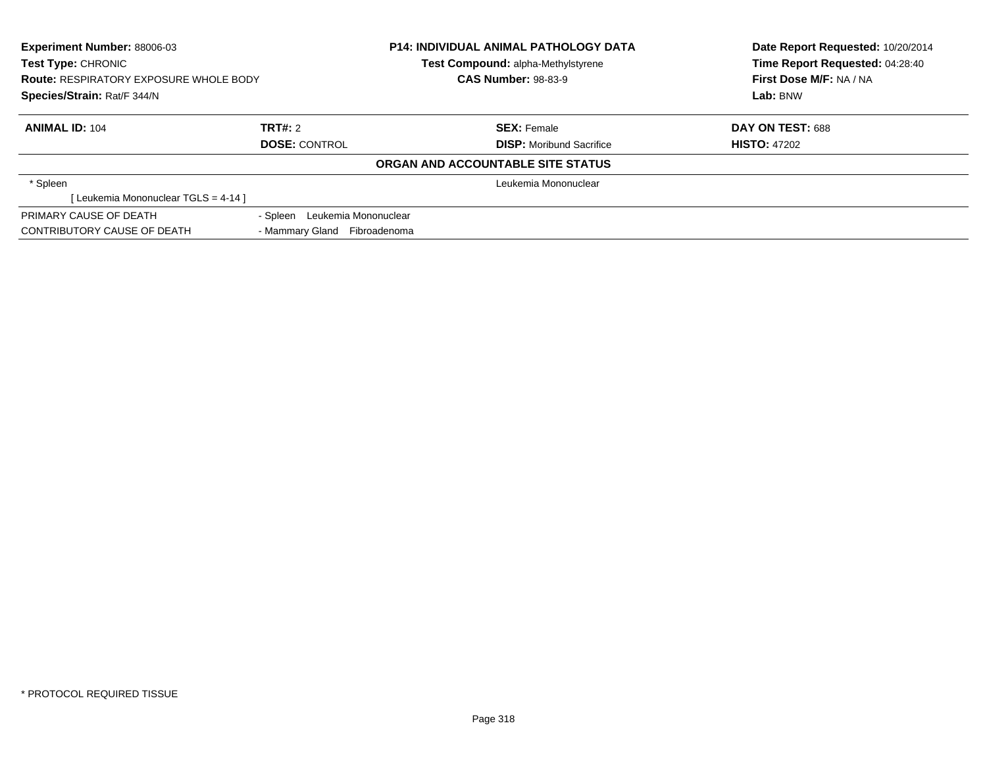| Experiment Number: 88006-03                   |                               | <b>P14: INDIVIDUAL ANIMAL PATHOLOGY DATA</b> | Date Report Requested: 10/20/2014<br>Time Report Requested: 04:28:40 |
|-----------------------------------------------|-------------------------------|----------------------------------------------|----------------------------------------------------------------------|
| Test Type: CHRONIC                            |                               | Test Compound: alpha-Methylstyrene           |                                                                      |
| <b>Route: RESPIRATORY EXPOSURE WHOLE BODY</b> |                               | <b>CAS Number: 98-83-9</b>                   | First Dose M/F: NA / NA                                              |
| Species/Strain: Rat/F 344/N                   |                               |                                              | Lab: BNW                                                             |
| <b>ANIMAL ID: 104</b>                         | TRT#: 2                       | <b>SEX: Female</b>                           | DAY ON TEST: 688                                                     |
|                                               | <b>DOSE: CONTROL</b>          | <b>DISP:</b> Moribund Sacrifice              | <b>HISTO: 47202</b>                                                  |
|                                               |                               | ORGAN AND ACCOUNTABLE SITE STATUS            |                                                                      |
| * Spleen                                      |                               | Leukemia Mononuclear                         |                                                                      |
| [Leukemia Mononuclear TGLS = 4-14]            |                               |                                              |                                                                      |
| PRIMARY CAUSE OF DEATH                        | - Spleen Leukemia Mononuclear |                                              |                                                                      |
| <b>CONTRIBUTORY CAUSE OF DEATH</b>            | - Mammary Gland Fibroadenoma  |                                              |                                                                      |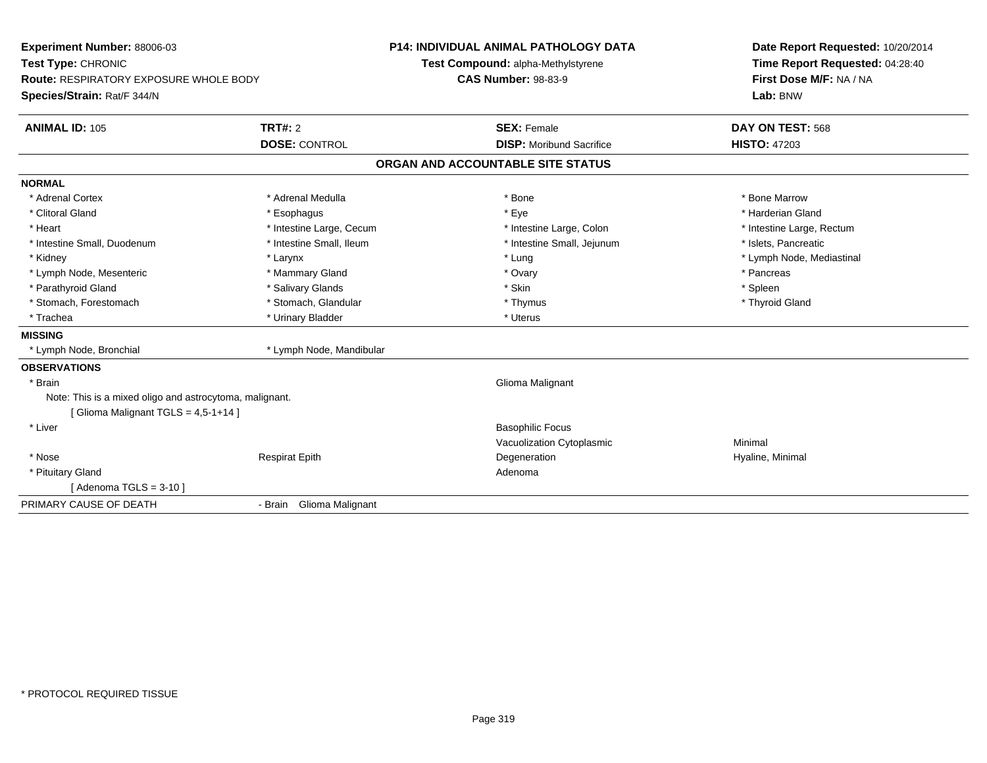| Experiment Number: 88006-03<br>Test Type: CHRONIC<br><b>Route: RESPIRATORY EXPOSURE WHOLE BODY</b> |                          | <b>P14: INDIVIDUAL ANIMAL PATHOLOGY DATA</b><br>Test Compound: alpha-Methylstyrene<br><b>CAS Number: 98-83-9</b> | Date Report Requested: 10/20/2014<br>Time Report Requested: 04:28:40<br>First Dose M/F: NA / NA |
|----------------------------------------------------------------------------------------------------|--------------------------|------------------------------------------------------------------------------------------------------------------|-------------------------------------------------------------------------------------------------|
| Species/Strain: Rat/F 344/N                                                                        |                          |                                                                                                                  | Lab: BNW                                                                                        |
| <b>ANIMAL ID: 105</b>                                                                              | <b>TRT#: 2</b>           | <b>SEX: Female</b>                                                                                               | DAY ON TEST: 568                                                                                |
|                                                                                                    | <b>DOSE: CONTROL</b>     | <b>DISP:</b> Moribund Sacrifice                                                                                  | <b>HISTO: 47203</b>                                                                             |
|                                                                                                    |                          | ORGAN AND ACCOUNTABLE SITE STATUS                                                                                |                                                                                                 |
| <b>NORMAL</b>                                                                                      |                          |                                                                                                                  |                                                                                                 |
| * Adrenal Cortex                                                                                   | * Adrenal Medulla        | * Bone                                                                                                           | * Bone Marrow                                                                                   |
| * Clitoral Gland                                                                                   | * Esophagus              | * Eye                                                                                                            | * Harderian Gland                                                                               |
| * Heart                                                                                            | * Intestine Large, Cecum | * Intestine Large, Colon                                                                                         | * Intestine Large, Rectum                                                                       |
| * Intestine Small, Duodenum                                                                        | * Intestine Small, Ileum | * Intestine Small, Jejunum                                                                                       | * Islets, Pancreatic                                                                            |
| * Kidney                                                                                           | * Larynx                 | * Lung                                                                                                           | * Lymph Node, Mediastinal                                                                       |
| * Lymph Node, Mesenteric                                                                           | * Mammary Gland          | * Ovary                                                                                                          | * Pancreas                                                                                      |
| * Parathyroid Gland                                                                                | * Salivary Glands        | * Skin                                                                                                           | * Spleen                                                                                        |
| * Stomach, Forestomach                                                                             | * Stomach, Glandular     | * Thymus                                                                                                         | * Thyroid Gland                                                                                 |
| * Trachea                                                                                          | * Urinary Bladder        | * Uterus                                                                                                         |                                                                                                 |
| <b>MISSING</b>                                                                                     |                          |                                                                                                                  |                                                                                                 |
| * Lymph Node, Bronchial                                                                            | * Lymph Node, Mandibular |                                                                                                                  |                                                                                                 |
| <b>OBSERVATIONS</b>                                                                                |                          |                                                                                                                  |                                                                                                 |
| * Brain                                                                                            |                          | Glioma Malignant                                                                                                 |                                                                                                 |
| Note: This is a mixed oligo and astrocytoma, malignant.                                            |                          |                                                                                                                  |                                                                                                 |
| [Glioma Malignant TGLS = 4,5-1+14]                                                                 |                          |                                                                                                                  |                                                                                                 |
| * Liver                                                                                            |                          | <b>Basophilic Focus</b>                                                                                          |                                                                                                 |
|                                                                                                    |                          | Vacuolization Cytoplasmic                                                                                        | Minimal                                                                                         |
| * Nose                                                                                             | <b>Respirat Epith</b>    | Degeneration                                                                                                     | Hyaline, Minimal                                                                                |
| * Pituitary Gland                                                                                  |                          | Adenoma                                                                                                          |                                                                                                 |
| [Adenoma TGLS = $3-10$ ]                                                                           |                          |                                                                                                                  |                                                                                                 |
| PRIMARY CAUSE OF DEATH                                                                             | - Brain Glioma Malignant |                                                                                                                  |                                                                                                 |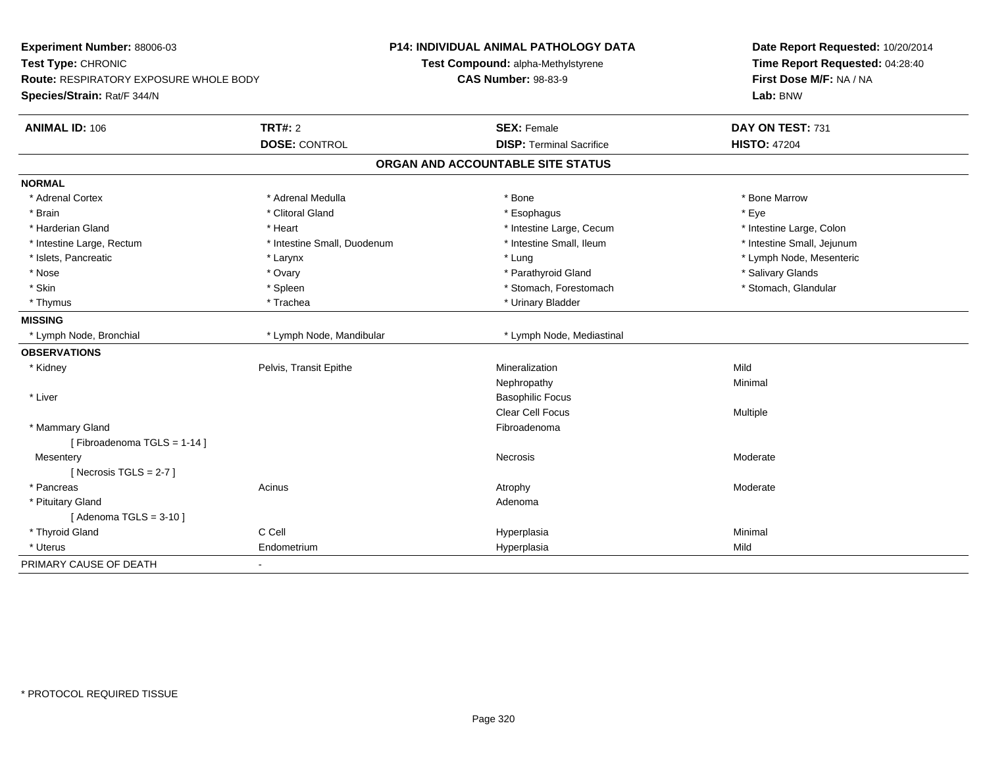| Experiment Number: 88006-03<br>Test Type: CHRONIC<br>Route: RESPIRATORY EXPOSURE WHOLE BODY<br>Species/Strain: Rat/F 344/N |                             | P14: INDIVIDUAL ANIMAL PATHOLOGY DATA<br>Test Compound: alpha-Methylstyrene<br><b>CAS Number: 98-83-9</b> | Date Report Requested: 10/20/2014<br>Time Report Requested: 04:28:40<br>First Dose M/F: NA / NA<br>Lab: BNW |
|----------------------------------------------------------------------------------------------------------------------------|-----------------------------|-----------------------------------------------------------------------------------------------------------|-------------------------------------------------------------------------------------------------------------|
| <b>ANIMAL ID: 106</b>                                                                                                      | <b>TRT#: 2</b>              | <b>SEX: Female</b>                                                                                        | DAY ON TEST: 731                                                                                            |
|                                                                                                                            | <b>DOSE: CONTROL</b>        | <b>DISP: Terminal Sacrifice</b>                                                                           | <b>HISTO: 47204</b>                                                                                         |
|                                                                                                                            |                             | ORGAN AND ACCOUNTABLE SITE STATUS                                                                         |                                                                                                             |
| <b>NORMAL</b>                                                                                                              |                             |                                                                                                           |                                                                                                             |
| * Adrenal Cortex                                                                                                           | * Adrenal Medulla           | * Bone                                                                                                    | * Bone Marrow                                                                                               |
| * Brain                                                                                                                    | * Clitoral Gland            | * Esophagus                                                                                               | * Eye                                                                                                       |
| * Harderian Gland                                                                                                          | * Heart                     | * Intestine Large, Cecum                                                                                  | * Intestine Large, Colon                                                                                    |
| * Intestine Large, Rectum                                                                                                  | * Intestine Small, Duodenum | * Intestine Small, Ileum                                                                                  | * Intestine Small, Jejunum                                                                                  |
| * Islets, Pancreatic                                                                                                       | * Larynx                    | * Lung                                                                                                    | * Lymph Node, Mesenteric                                                                                    |
| * Nose                                                                                                                     | * Ovary                     | * Parathyroid Gland                                                                                       | * Salivary Glands                                                                                           |
| * Skin                                                                                                                     | * Spleen                    | * Stomach, Forestomach                                                                                    | * Stomach, Glandular                                                                                        |
| * Thymus                                                                                                                   | * Trachea                   | * Urinary Bladder                                                                                         |                                                                                                             |
| <b>MISSING</b>                                                                                                             |                             |                                                                                                           |                                                                                                             |
| * Lymph Node, Bronchial                                                                                                    | * Lymph Node, Mandibular    | * Lymph Node, Mediastinal                                                                                 |                                                                                                             |
| <b>OBSERVATIONS</b>                                                                                                        |                             |                                                                                                           |                                                                                                             |
| * Kidney                                                                                                                   | Pelvis, Transit Epithe      | Mineralization                                                                                            | Mild                                                                                                        |
|                                                                                                                            |                             | Nephropathy                                                                                               | Minimal                                                                                                     |
| * Liver                                                                                                                    |                             | <b>Basophilic Focus</b>                                                                                   |                                                                                                             |
|                                                                                                                            |                             | <b>Clear Cell Focus</b>                                                                                   | Multiple                                                                                                    |
| * Mammary Gland                                                                                                            |                             | Fibroadenoma                                                                                              |                                                                                                             |
| [Fibroadenoma TGLS = 1-14]                                                                                                 |                             |                                                                                                           |                                                                                                             |
| Mesentery                                                                                                                  |                             | Necrosis                                                                                                  | Moderate                                                                                                    |
| [ Necrosis TGLS = $2-7$ ]                                                                                                  |                             |                                                                                                           |                                                                                                             |
| * Pancreas                                                                                                                 | Acinus                      | Atrophy                                                                                                   | Moderate                                                                                                    |
| * Pituitary Gland                                                                                                          |                             | Adenoma                                                                                                   |                                                                                                             |
| [Adenoma TGLS = $3-10$ ]                                                                                                   |                             |                                                                                                           |                                                                                                             |
| * Thyroid Gland                                                                                                            | C Cell                      | Hyperplasia                                                                                               | Minimal                                                                                                     |
| * Uterus                                                                                                                   | Endometrium                 | Hyperplasia                                                                                               | Mild                                                                                                        |
| PRIMARY CAUSE OF DEATH                                                                                                     |                             |                                                                                                           |                                                                                                             |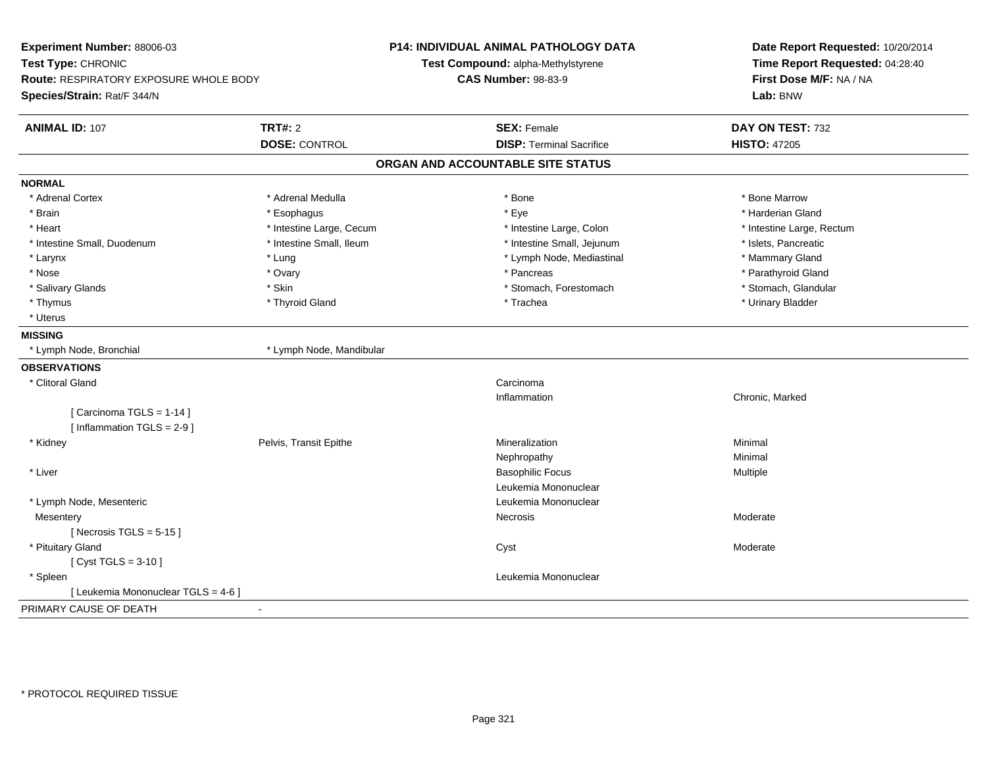| Experiment Number: 88006-03                             | P14: INDIVIDUAL ANIMAL PATHOLOGY DATA | Date Report Requested: 10/20/2014<br>Time Report Requested: 04:28:40 |
|---------------------------------------------------------|---------------------------------------|----------------------------------------------------------------------|
| Test Type: CHRONIC                                      | Test Compound: alpha-Methylstyrene    |                                                                      |
| Route: RESPIRATORY EXPOSURE WHOLE BODY                  | <b>CAS Number: 98-83-9</b>            | First Dose M/F: NA / NA                                              |
| Species/Strain: Rat/F 344/N                             |                                       | Lab: BNW                                                             |
| TRT#: 2<br><b>ANIMAL ID: 107</b>                        | <b>SEX: Female</b>                    | DAY ON TEST: 732                                                     |
| <b>DOSE: CONTROL</b>                                    | <b>DISP: Terminal Sacrifice</b>       | <b>HISTO: 47205</b>                                                  |
|                                                         | ORGAN AND ACCOUNTABLE SITE STATUS     |                                                                      |
| <b>NORMAL</b>                                           |                                       |                                                                      |
| * Adrenal Medulla<br>* Adrenal Cortex                   | * Bone                                | * Bone Marrow                                                        |
| * Brain<br>* Esophagus                                  | * Eye                                 | * Harderian Gland                                                    |
| * Heart<br>* Intestine Large, Cecum                     | * Intestine Large, Colon              | * Intestine Large, Rectum                                            |
| * Intestine Small, Ileum<br>* Intestine Small, Duodenum | * Intestine Small, Jejunum            | * Islets, Pancreatic                                                 |
| * Larynx<br>* Lung                                      | * Lymph Node, Mediastinal             | * Mammary Gland                                                      |
| * Nose<br>* Ovary                                       | * Pancreas                            | * Parathyroid Gland                                                  |
| * Skin<br>* Salivary Glands                             | * Stomach, Forestomach                | * Stomach, Glandular                                                 |
| * Thymus<br>* Thyroid Gland                             | * Trachea                             | * Urinary Bladder                                                    |
| * Uterus                                                |                                       |                                                                      |
| <b>MISSING</b>                                          |                                       |                                                                      |
| * Lymph Node, Bronchial<br>* Lymph Node, Mandibular     |                                       |                                                                      |
| <b>OBSERVATIONS</b>                                     |                                       |                                                                      |
| * Clitoral Gland                                        | Carcinoma                             |                                                                      |
|                                                         | Inflammation                          | Chronic, Marked                                                      |
| [Carcinoma TGLS = 1-14]                                 |                                       |                                                                      |
| [ Inflammation TGLS = 2-9 ]                             |                                       |                                                                      |
| Pelvis, Transit Epithe<br>* Kidney                      | Mineralization                        | Minimal                                                              |
|                                                         | Nephropathy                           | Minimal                                                              |
| * Liver                                                 | <b>Basophilic Focus</b>               | Multiple                                                             |
|                                                         | Leukemia Mononuclear                  |                                                                      |
| * Lymph Node, Mesenteric                                | Leukemia Mononuclear                  |                                                                      |
| Mesentery                                               | Necrosis                              | Moderate                                                             |
| [Necrosis TGLS = $5-15$ ]                               |                                       |                                                                      |
| * Pituitary Gland                                       | Cyst                                  | Moderate                                                             |
| [ $Cyst TGLS = 3-10$ ]                                  |                                       |                                                                      |
| * Spleen                                                | Leukemia Mononuclear                  |                                                                      |
| [ Leukemia Mononuclear TGLS = 4-6 ]                     |                                       |                                                                      |
| PRIMARY CAUSE OF DEATH<br>$\sim$                        |                                       |                                                                      |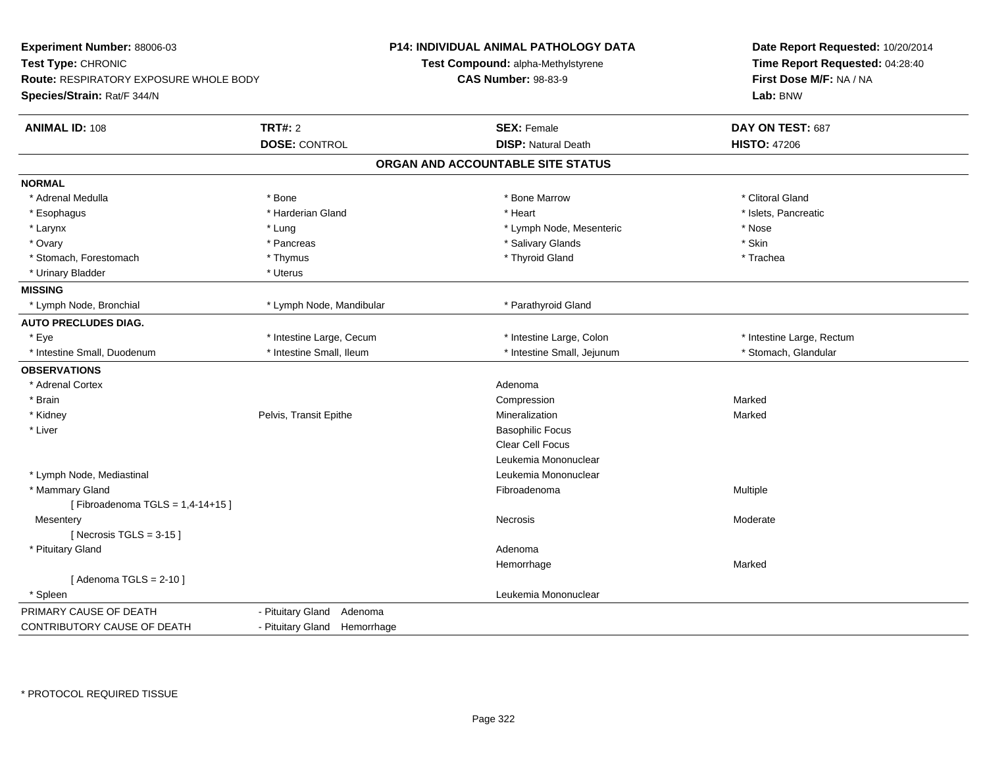| Experiment Number: 88006-03<br>Test Type: CHRONIC<br>Route: RESPIRATORY EXPOSURE WHOLE BODY<br>Species/Strain: Rat/F 344/N |                              | <b>P14: INDIVIDUAL ANIMAL PATHOLOGY DATA</b><br>Test Compound: alpha-Methylstyrene<br><b>CAS Number: 98-83-9</b> | Date Report Requested: 10/20/2014<br>Time Report Requested: 04:28:40<br>First Dose M/F: NA / NA<br>Lab: BNW |
|----------------------------------------------------------------------------------------------------------------------------|------------------------------|------------------------------------------------------------------------------------------------------------------|-------------------------------------------------------------------------------------------------------------|
| <b>ANIMAL ID: 108</b>                                                                                                      | <b>TRT#: 2</b>               | <b>SEX: Female</b>                                                                                               | DAY ON TEST: 687                                                                                            |
|                                                                                                                            | <b>DOSE: CONTROL</b>         | <b>DISP: Natural Death</b>                                                                                       | <b>HISTO: 47206</b>                                                                                         |
|                                                                                                                            |                              | ORGAN AND ACCOUNTABLE SITE STATUS                                                                                |                                                                                                             |
| <b>NORMAL</b>                                                                                                              |                              |                                                                                                                  |                                                                                                             |
| * Adrenal Medulla                                                                                                          | * Bone                       | * Bone Marrow                                                                                                    | * Clitoral Gland                                                                                            |
| * Esophagus                                                                                                                | * Harderian Gland            | * Heart                                                                                                          | * Islets, Pancreatic                                                                                        |
| * Larynx                                                                                                                   | * Lung                       | * Lymph Node, Mesenteric                                                                                         | * Nose                                                                                                      |
| * Ovary                                                                                                                    | * Pancreas                   | * Salivary Glands                                                                                                | * Skin                                                                                                      |
| * Stomach, Forestomach                                                                                                     | * Thymus                     | * Thyroid Gland                                                                                                  | * Trachea                                                                                                   |
| * Urinary Bladder                                                                                                          | * Uterus                     |                                                                                                                  |                                                                                                             |
| <b>MISSING</b>                                                                                                             |                              |                                                                                                                  |                                                                                                             |
| * Lymph Node, Bronchial                                                                                                    | * Lymph Node, Mandibular     | * Parathyroid Gland                                                                                              |                                                                                                             |
| <b>AUTO PRECLUDES DIAG.</b>                                                                                                |                              |                                                                                                                  |                                                                                                             |
| * Eye                                                                                                                      | * Intestine Large, Cecum     | * Intestine Large, Colon                                                                                         | * Intestine Large, Rectum                                                                                   |
| * Intestine Small, Duodenum                                                                                                | * Intestine Small, Ileum     | * Intestine Small, Jejunum                                                                                       | * Stomach, Glandular                                                                                        |
| <b>OBSERVATIONS</b>                                                                                                        |                              |                                                                                                                  |                                                                                                             |
| * Adrenal Cortex                                                                                                           |                              | Adenoma                                                                                                          |                                                                                                             |
| * Brain                                                                                                                    |                              | Compression                                                                                                      | Marked                                                                                                      |
| * Kidney                                                                                                                   | Pelvis, Transit Epithe       | Mineralization                                                                                                   | Marked                                                                                                      |
| * Liver                                                                                                                    |                              | <b>Basophilic Focus</b>                                                                                          |                                                                                                             |
|                                                                                                                            |                              | Clear Cell Focus                                                                                                 |                                                                                                             |
|                                                                                                                            |                              | Leukemia Mononuclear                                                                                             |                                                                                                             |
| * Lymph Node, Mediastinal                                                                                                  |                              | Leukemia Mononuclear                                                                                             |                                                                                                             |
| * Mammary Gland                                                                                                            |                              | Fibroadenoma                                                                                                     | Multiple                                                                                                    |
| [Fibroadenoma TGLS = 1,4-14+15]                                                                                            |                              |                                                                                                                  |                                                                                                             |
| Mesentery                                                                                                                  |                              | Necrosis                                                                                                         | Moderate                                                                                                    |
| [Necrosis TGLS = $3-15$ ]                                                                                                  |                              |                                                                                                                  |                                                                                                             |
| * Pituitary Gland                                                                                                          |                              | Adenoma                                                                                                          |                                                                                                             |
|                                                                                                                            |                              | Hemorrhage                                                                                                       | Marked                                                                                                      |
| [Adenoma TGLS = $2-10$ ]                                                                                                   |                              |                                                                                                                  |                                                                                                             |
| * Spleen                                                                                                                   |                              | Leukemia Mononuclear                                                                                             |                                                                                                             |
| PRIMARY CAUSE OF DEATH                                                                                                     | - Pituitary Gland Adenoma    |                                                                                                                  |                                                                                                             |
| CONTRIBUTORY CAUSE OF DEATH                                                                                                | - Pituitary Gland Hemorrhage |                                                                                                                  |                                                                                                             |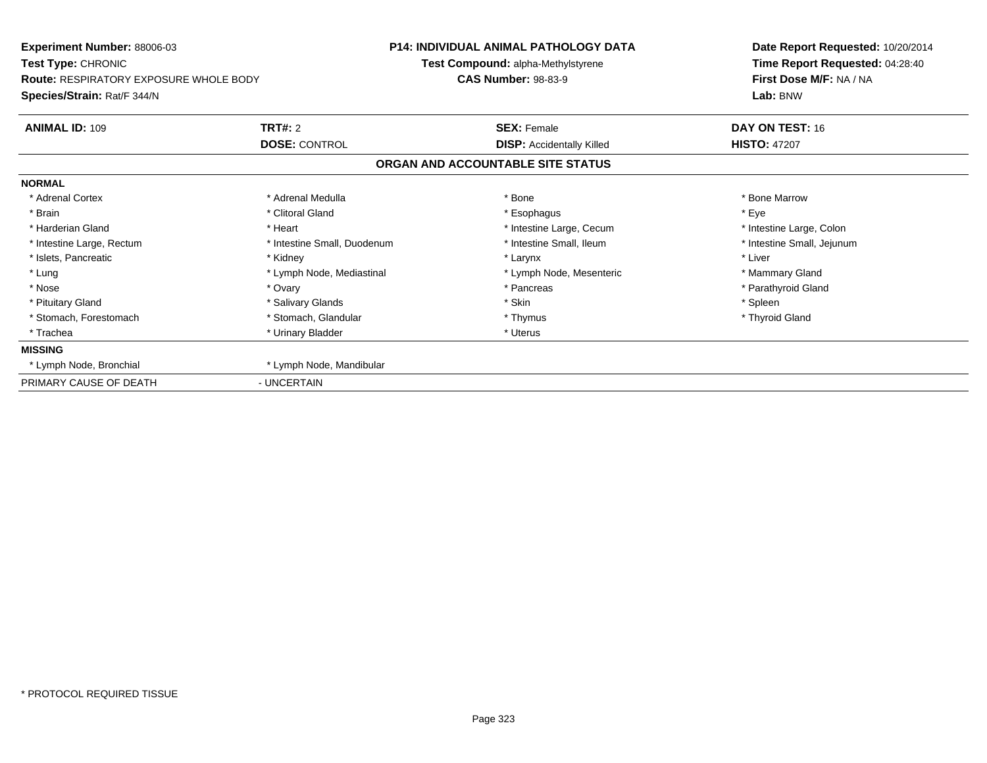| <b>Experiment Number: 88006-03</b><br>Test Type: CHRONIC                     |                             | <b>P14: INDIVIDUAL ANIMAL PATHOLOGY DATA</b><br>Test Compound: alpha-Methylstyrene | Date Report Requested: 10/20/2014<br>Time Report Requested: 04:28:40 |
|------------------------------------------------------------------------------|-----------------------------|------------------------------------------------------------------------------------|----------------------------------------------------------------------|
| <b>Route: RESPIRATORY EXPOSURE WHOLE BODY</b><br>Species/Strain: Rat/F 344/N |                             | <b>CAS Number: 98-83-9</b>                                                         | First Dose M/F: NA / NA<br>Lab: BNW                                  |
| <b>ANIMAL ID: 109</b>                                                        | <b>TRT#: 2</b>              | <b>SEX: Female</b>                                                                 | DAY ON TEST: 16                                                      |
|                                                                              | <b>DOSE: CONTROL</b>        | <b>DISP:</b> Accidentally Killed                                                   | <b>HISTO: 47207</b>                                                  |
|                                                                              |                             | ORGAN AND ACCOUNTABLE SITE STATUS                                                  |                                                                      |
| <b>NORMAL</b>                                                                |                             |                                                                                    |                                                                      |
| * Adrenal Cortex                                                             | * Adrenal Medulla           | * Bone                                                                             | * Bone Marrow                                                        |
| * Brain                                                                      | * Clitoral Gland            | * Esophagus                                                                        | * Eye                                                                |
| * Harderian Gland                                                            | * Heart                     | * Intestine Large, Cecum                                                           | * Intestine Large, Colon                                             |
| * Intestine Large, Rectum                                                    | * Intestine Small, Duodenum | * Intestine Small, Ileum                                                           | * Intestine Small, Jejunum                                           |
| * Islets, Pancreatic                                                         | * Kidney                    | * Larynx                                                                           | * Liver                                                              |
| * Lung                                                                       | * Lymph Node, Mediastinal   | * Lymph Node, Mesenteric                                                           | * Mammary Gland                                                      |
| * Nose                                                                       | * Ovary                     | * Pancreas                                                                         | * Parathyroid Gland                                                  |
| * Pituitary Gland                                                            | * Salivary Glands           | * Skin                                                                             | * Spleen                                                             |
| * Stomach, Forestomach                                                       | * Stomach, Glandular        | * Thymus                                                                           | * Thyroid Gland                                                      |
| * Trachea                                                                    | * Urinary Bladder           | * Uterus                                                                           |                                                                      |
| <b>MISSING</b>                                                               |                             |                                                                                    |                                                                      |
| * Lymph Node, Bronchial                                                      | * Lymph Node, Mandibular    |                                                                                    |                                                                      |
| PRIMARY CAUSE OF DEATH                                                       | - UNCERTAIN                 |                                                                                    |                                                                      |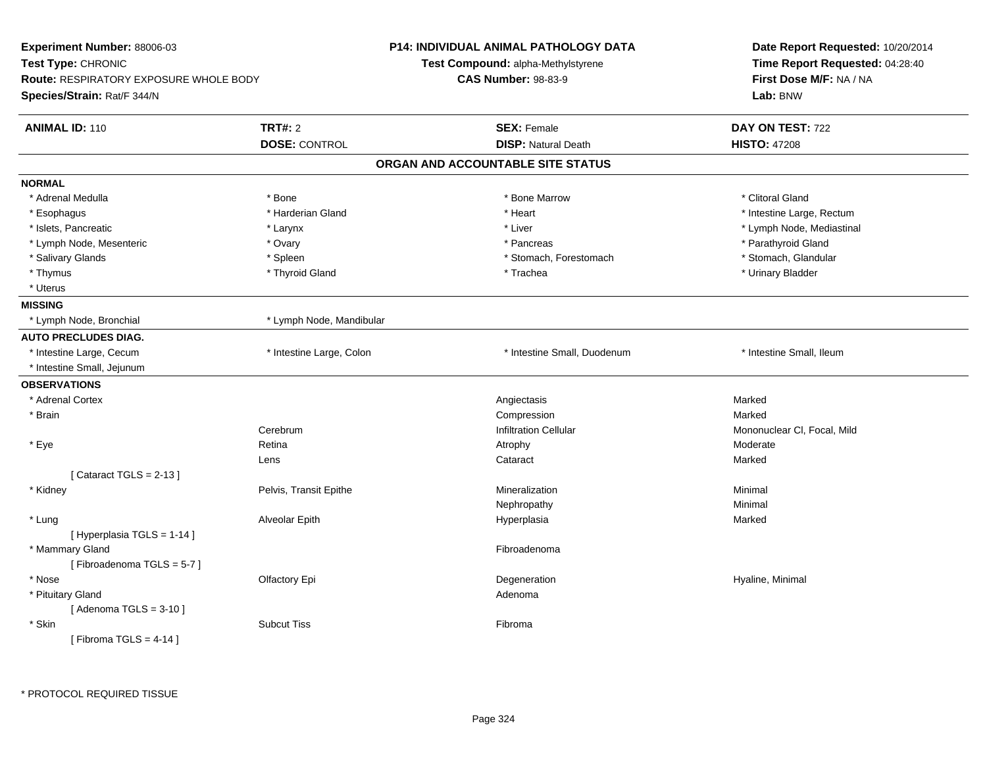| Experiment Number: 88006-03<br>Test Type: CHRONIC<br><b>Route: RESPIRATORY EXPOSURE WHOLE BODY</b><br>Species/Strain: Rat/F 344/N |                                        | P14: INDIVIDUAL ANIMAL PATHOLOGY DATA<br>Test Compound: alpha-Methylstyrene<br><b>CAS Number: 98-83-9</b> | Date Report Requested: 10/20/2014<br>Time Report Requested: 04:28:40<br>First Dose M/F: NA / NA<br>Lab: BNW |
|-----------------------------------------------------------------------------------------------------------------------------------|----------------------------------------|-----------------------------------------------------------------------------------------------------------|-------------------------------------------------------------------------------------------------------------|
| <b>ANIMAL ID: 110</b>                                                                                                             | <b>TRT#: 2</b><br><b>DOSE: CONTROL</b> | <b>SEX: Female</b><br><b>DISP: Natural Death</b>                                                          | DAY ON TEST: 722<br><b>HISTO: 47208</b>                                                                     |
|                                                                                                                                   |                                        | ORGAN AND ACCOUNTABLE SITE STATUS                                                                         |                                                                                                             |
| <b>NORMAL</b>                                                                                                                     |                                        |                                                                                                           |                                                                                                             |
| * Adrenal Medulla                                                                                                                 | * Bone                                 | * Bone Marrow                                                                                             | * Clitoral Gland                                                                                            |
| * Esophagus                                                                                                                       | * Harderian Gland                      | * Heart                                                                                                   | * Intestine Large, Rectum                                                                                   |
| * Islets, Pancreatic                                                                                                              | * Larynx                               | * Liver                                                                                                   | * Lymph Node, Mediastinal                                                                                   |
| * Lymph Node, Mesenteric                                                                                                          | * Ovary                                | * Pancreas                                                                                                | * Parathyroid Gland                                                                                         |
| * Salivary Glands                                                                                                                 | * Spleen                               | * Stomach, Forestomach                                                                                    | * Stomach, Glandular                                                                                        |
| * Thymus                                                                                                                          | * Thyroid Gland                        | * Trachea                                                                                                 | * Urinary Bladder                                                                                           |
| * Uterus                                                                                                                          |                                        |                                                                                                           |                                                                                                             |
| <b>MISSING</b>                                                                                                                    |                                        |                                                                                                           |                                                                                                             |
| * Lymph Node, Bronchial                                                                                                           | * Lymph Node, Mandibular               |                                                                                                           |                                                                                                             |
| <b>AUTO PRECLUDES DIAG.</b>                                                                                                       |                                        |                                                                                                           |                                                                                                             |
| * Intestine Large, Cecum                                                                                                          | * Intestine Large, Colon               | * Intestine Small, Duodenum                                                                               | * Intestine Small, Ileum                                                                                    |
| * Intestine Small, Jejunum                                                                                                        |                                        |                                                                                                           |                                                                                                             |
| <b>OBSERVATIONS</b>                                                                                                               |                                        |                                                                                                           |                                                                                                             |
| * Adrenal Cortex                                                                                                                  |                                        | Angiectasis                                                                                               | Marked                                                                                                      |
| * Brain                                                                                                                           |                                        | Compression                                                                                               | Marked                                                                                                      |
|                                                                                                                                   | Cerebrum                               | <b>Infiltration Cellular</b>                                                                              | Mononuclear CI, Focal, Mild                                                                                 |
| * Eye                                                                                                                             | Retina                                 | Atrophy                                                                                                   | Moderate                                                                                                    |
|                                                                                                                                   | Lens                                   | Cataract                                                                                                  | Marked                                                                                                      |
| [Cataract TGLS = $2-13$ ]                                                                                                         |                                        |                                                                                                           |                                                                                                             |
| * Kidney                                                                                                                          | Pelvis, Transit Epithe                 | Mineralization                                                                                            | Minimal                                                                                                     |
|                                                                                                                                   |                                        | Nephropathy                                                                                               | Minimal                                                                                                     |
| * Lung                                                                                                                            | Alveolar Epith                         | Hyperplasia                                                                                               | Marked                                                                                                      |
| [ Hyperplasia TGLS = 1-14 ]                                                                                                       |                                        |                                                                                                           |                                                                                                             |
| * Mammary Gland                                                                                                                   |                                        | Fibroadenoma                                                                                              |                                                                                                             |
| [Fibroadenoma TGLS = 5-7]                                                                                                         |                                        |                                                                                                           |                                                                                                             |
| * Nose                                                                                                                            | Olfactory Epi                          | Degeneration                                                                                              | Hyaline, Minimal                                                                                            |
| * Pituitary Gland                                                                                                                 |                                        | Adenoma                                                                                                   |                                                                                                             |
| [Adenoma TGLS = $3-10$ ]                                                                                                          |                                        |                                                                                                           |                                                                                                             |
| * Skin                                                                                                                            | <b>Subcut Tiss</b>                     | Fibroma                                                                                                   |                                                                                                             |
| [Fibroma TGLS = $4-14$ ]                                                                                                          |                                        |                                                                                                           |                                                                                                             |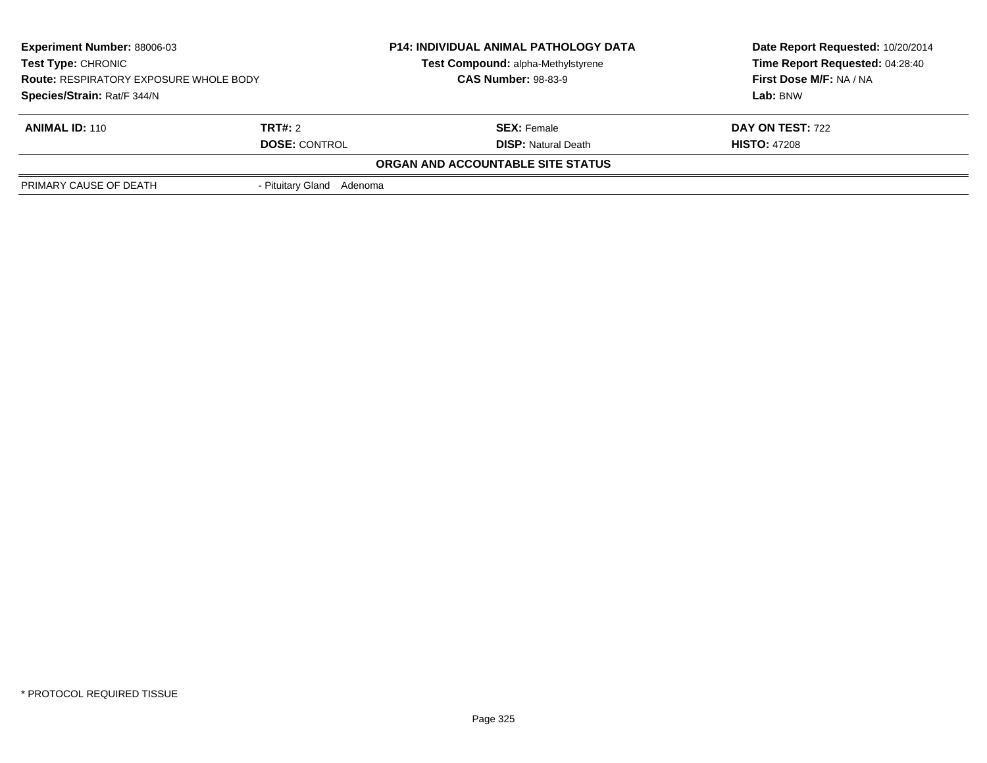| <b>Experiment Number: 88006-03</b><br><b>Test Type: CHRONIC</b><br><b>Route: RESPIRATORY EXPOSURE WHOLE BODY</b><br>Species/Strain: Rat/F 344/N |                           | <b>P14: INDIVIDUAL ANIMAL PATHOLOGY DATA</b> | Date Report Requested: 10/20/2014 |  |
|-------------------------------------------------------------------------------------------------------------------------------------------------|---------------------------|----------------------------------------------|-----------------------------------|--|
|                                                                                                                                                 |                           | Test Compound: alpha-Methylstyrene           | Time Report Requested: 04:28:40   |  |
|                                                                                                                                                 |                           | <b>CAS Number: 98-83-9</b>                   | First Dose M/F: NA / NA           |  |
|                                                                                                                                                 |                           |                                              | Lab: BNW                          |  |
| <b>ANIMAL ID: 110</b>                                                                                                                           | <b>TRT#:</b> 2            | <b>SEX:</b> Female                           | <b>DAY ON TEST: 722</b>           |  |
| <b>DOSE: CONTROL</b>                                                                                                                            |                           | <b>DISP:</b> Natural Death                   | <b>HISTO: 47208</b>               |  |
|                                                                                                                                                 |                           | ORGAN AND ACCOUNTABLE SITE STATUS            |                                   |  |
| PRIMARY CAUSE OF DEATH                                                                                                                          | - Pituitary Gland Adenoma |                                              |                                   |  |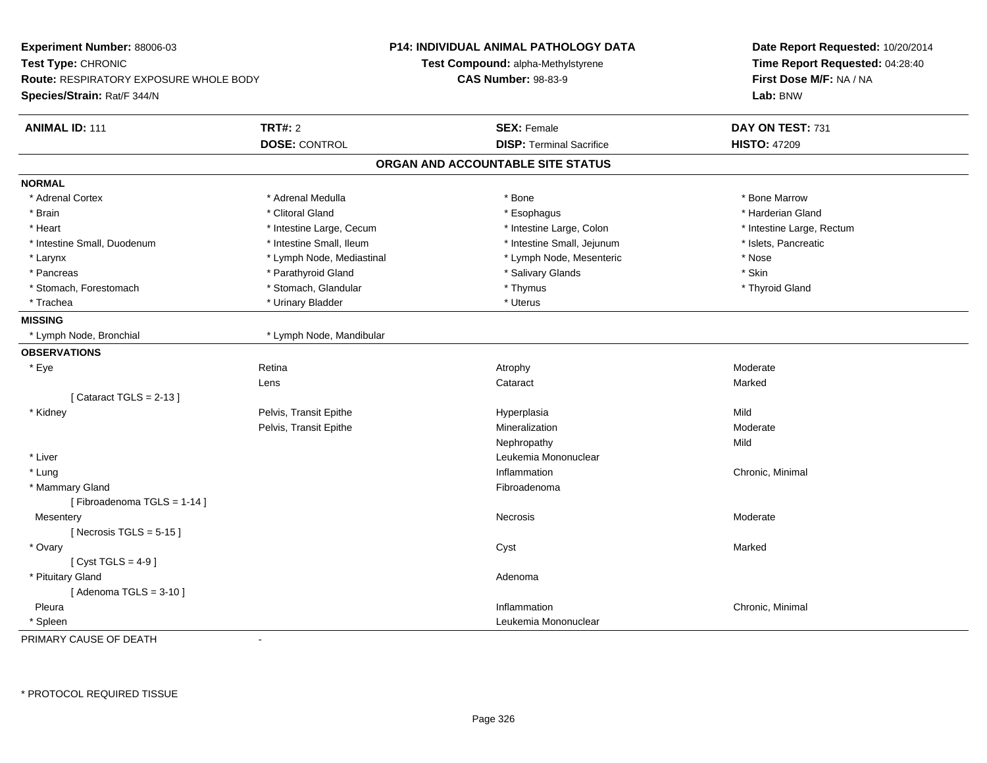| Experiment Number: 88006-03<br>Test Type: CHRONIC<br><b>Route: RESPIRATORY EXPOSURE WHOLE BODY</b><br>Species/Strain: Rat/F 344/N |                           | <b>P14: INDIVIDUAL ANIMAL PATHOLOGY DATA</b><br>Test Compound: alpha-Methylstyrene<br><b>CAS Number: 98-83-9</b> | Date Report Requested: 10/20/2014<br>Time Report Requested: 04:28:40<br>First Dose M/F: NA / NA<br>Lab: BNW |
|-----------------------------------------------------------------------------------------------------------------------------------|---------------------------|------------------------------------------------------------------------------------------------------------------|-------------------------------------------------------------------------------------------------------------|
| <b>ANIMAL ID: 111</b>                                                                                                             | <b>TRT#: 2</b>            | <b>SEX: Female</b>                                                                                               | DAY ON TEST: 731                                                                                            |
|                                                                                                                                   | <b>DOSE: CONTROL</b>      | <b>DISP: Terminal Sacrifice</b>                                                                                  | <b>HISTO: 47209</b>                                                                                         |
|                                                                                                                                   |                           | ORGAN AND ACCOUNTABLE SITE STATUS                                                                                |                                                                                                             |
| <b>NORMAL</b>                                                                                                                     |                           |                                                                                                                  |                                                                                                             |
| * Adrenal Cortex                                                                                                                  | * Adrenal Medulla         | * Bone                                                                                                           | * Bone Marrow                                                                                               |
| * Brain                                                                                                                           | * Clitoral Gland          | * Esophagus                                                                                                      | * Harderian Gland                                                                                           |
| * Heart                                                                                                                           | * Intestine Large, Cecum  | * Intestine Large, Colon                                                                                         | * Intestine Large, Rectum                                                                                   |
| * Intestine Small, Duodenum                                                                                                       | * Intestine Small, Ileum  | * Intestine Small, Jejunum                                                                                       | * Islets, Pancreatic                                                                                        |
| * Larynx                                                                                                                          | * Lymph Node, Mediastinal | * Lymph Node, Mesenteric                                                                                         | * Nose                                                                                                      |
| * Pancreas                                                                                                                        | * Parathyroid Gland       | * Salivary Glands                                                                                                | * Skin                                                                                                      |
| * Stomach, Forestomach                                                                                                            | * Stomach, Glandular      | * Thymus                                                                                                         | * Thyroid Gland                                                                                             |
| * Trachea                                                                                                                         | * Urinary Bladder         | * Uterus                                                                                                         |                                                                                                             |
| <b>MISSING</b>                                                                                                                    |                           |                                                                                                                  |                                                                                                             |
| * Lymph Node, Bronchial                                                                                                           | * Lymph Node, Mandibular  |                                                                                                                  |                                                                                                             |
| <b>OBSERVATIONS</b>                                                                                                               |                           |                                                                                                                  |                                                                                                             |
| * Eye                                                                                                                             | Retina                    | Atrophy                                                                                                          | Moderate                                                                                                    |
|                                                                                                                                   | Lens                      | Cataract                                                                                                         | Marked                                                                                                      |
| [Cataract TGLS = $2-13$ ]                                                                                                         |                           |                                                                                                                  |                                                                                                             |
| * Kidney                                                                                                                          | Pelvis, Transit Epithe    | Hyperplasia                                                                                                      | Mild                                                                                                        |
|                                                                                                                                   | Pelvis, Transit Epithe    | Mineralization                                                                                                   | Moderate                                                                                                    |
|                                                                                                                                   |                           | Nephropathy                                                                                                      | Mild                                                                                                        |
| * Liver                                                                                                                           |                           | Leukemia Mononuclear                                                                                             |                                                                                                             |
| * Lung                                                                                                                            |                           | Inflammation                                                                                                     | Chronic, Minimal                                                                                            |
| * Mammary Gland                                                                                                                   |                           | Fibroadenoma                                                                                                     |                                                                                                             |
| [Fibroadenoma TGLS = 1-14]                                                                                                        |                           |                                                                                                                  |                                                                                                             |
| Mesentery                                                                                                                         |                           | Necrosis                                                                                                         | Moderate                                                                                                    |
| [Necrosis TGLS = $5-15$ ]                                                                                                         |                           |                                                                                                                  |                                                                                                             |
| * Ovary                                                                                                                           |                           | Cyst                                                                                                             | Marked                                                                                                      |
| [ $Cyst TGLS = 4-9$ ]                                                                                                             |                           |                                                                                                                  |                                                                                                             |
| * Pituitary Gland                                                                                                                 |                           | Adenoma                                                                                                          |                                                                                                             |
| [Adenoma TGLS = $3-10$ ]                                                                                                          |                           |                                                                                                                  |                                                                                                             |
| Pleura                                                                                                                            |                           | Inflammation                                                                                                     | Chronic, Minimal                                                                                            |
| * Spleen                                                                                                                          |                           | Leukemia Mononuclear                                                                                             |                                                                                                             |

PRIMARY CAUSE OF DEATH-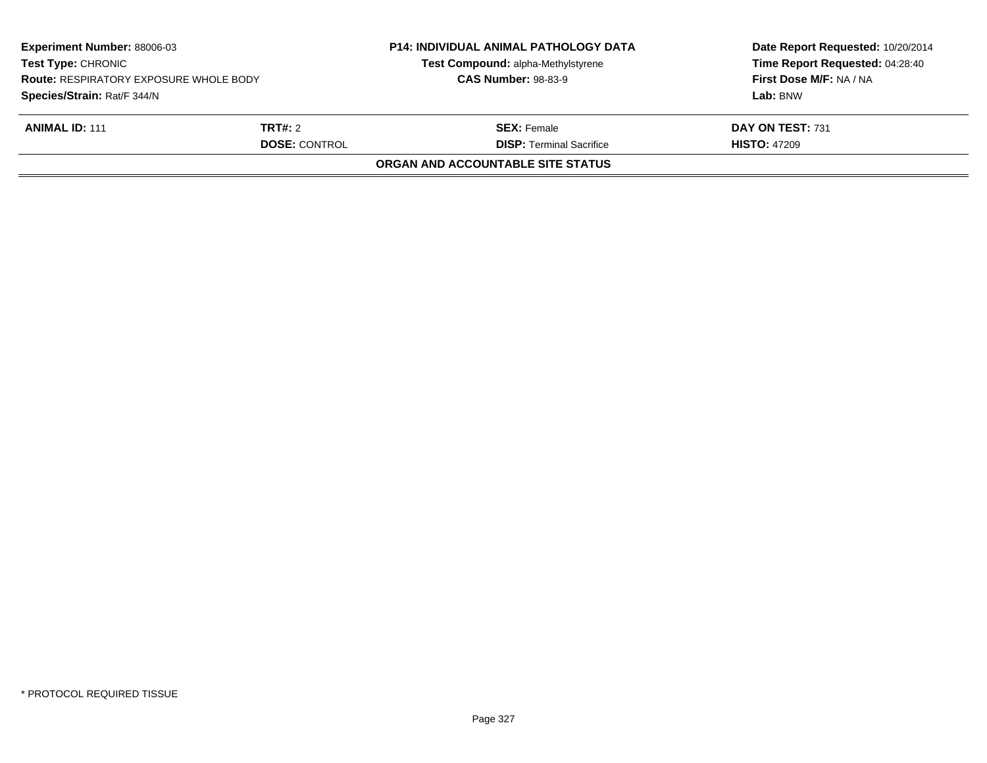| <b>Experiment Number: 88006-03</b><br><b>Test Type: CHRONIC</b><br><b>Route: RESPIRATORY EXPOSURE WHOLE BODY</b><br>Species/Strain: Rat/F 344/N |  | <b>P14: INDIVIDUAL ANIMAL PATHOLOGY DATA</b><br>Test Compound: alpha-Methylstyrene<br><b>CAS Number: 98-83-9</b> | Date Report Requested: 10/20/2014<br>Time Report Requested: 04:28:40<br>First Dose M/F: NA / NA<br>Lab: BNW |
|-------------------------------------------------------------------------------------------------------------------------------------------------|--|------------------------------------------------------------------------------------------------------------------|-------------------------------------------------------------------------------------------------------------|
| <b>ANIMAL ID: 111</b><br><b>TRT#:</b> 2<br><b>DOSE: CONTROL</b>                                                                                 |  | <b>SEX:</b> Female<br><b>DISP: Terminal Sacrifice</b>                                                            | DAY ON TEST: 731<br><b>HISTO: 47209</b>                                                                     |
|                                                                                                                                                 |  | ORGAN AND ACCOUNTABLE SITE STATUS                                                                                |                                                                                                             |
|                                                                                                                                                 |  |                                                                                                                  |                                                                                                             |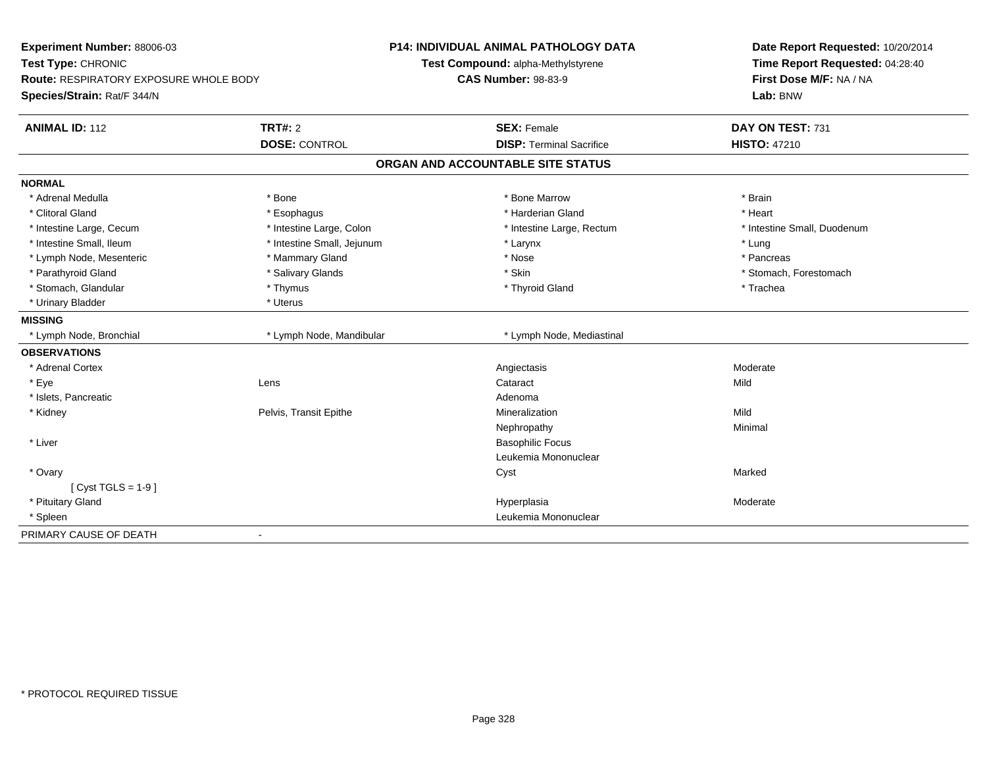| Experiment Number: 88006-03<br>Test Type: CHRONIC<br><b>Route: RESPIRATORY EXPOSURE WHOLE BODY</b><br>Species/Strain: Rat/F 344/N |                            | <b>P14: INDIVIDUAL ANIMAL PATHOLOGY DATA</b><br>Test Compound: alpha-Methylstyrene<br><b>CAS Number: 98-83-9</b> | Date Report Requested: 10/20/2014<br>Time Report Requested: 04:28:40<br>First Dose M/F: NA / NA<br>Lab: BNW |  |
|-----------------------------------------------------------------------------------------------------------------------------------|----------------------------|------------------------------------------------------------------------------------------------------------------|-------------------------------------------------------------------------------------------------------------|--|
| <b>ANIMAL ID: 112</b>                                                                                                             | TRT#: 2                    | <b>SEX: Female</b>                                                                                               | DAY ON TEST: 731                                                                                            |  |
|                                                                                                                                   | <b>DOSE: CONTROL</b>       | <b>DISP: Terminal Sacrifice</b>                                                                                  | <b>HISTO: 47210</b>                                                                                         |  |
|                                                                                                                                   |                            | ORGAN AND ACCOUNTABLE SITE STATUS                                                                                |                                                                                                             |  |
| <b>NORMAL</b>                                                                                                                     |                            |                                                                                                                  |                                                                                                             |  |
| * Adrenal Medulla                                                                                                                 | * Bone                     | * Bone Marrow                                                                                                    | * Brain                                                                                                     |  |
| * Clitoral Gland                                                                                                                  | * Esophagus                | * Harderian Gland                                                                                                | * Heart                                                                                                     |  |
| * Intestine Large, Cecum                                                                                                          | * Intestine Large, Colon   | * Intestine Large, Rectum                                                                                        | * Intestine Small, Duodenum                                                                                 |  |
| * Intestine Small, Ileum                                                                                                          | * Intestine Small, Jejunum | * Larynx                                                                                                         | * Lung                                                                                                      |  |
| * Lymph Node, Mesenteric                                                                                                          | * Mammary Gland            | * Nose                                                                                                           | * Pancreas                                                                                                  |  |
| * Parathyroid Gland                                                                                                               | * Salivary Glands          | * Skin                                                                                                           | * Stomach, Forestomach                                                                                      |  |
| * Stomach, Glandular                                                                                                              | * Thymus                   | * Thyroid Gland                                                                                                  | * Trachea                                                                                                   |  |
| * Urinary Bladder                                                                                                                 | * Uterus                   |                                                                                                                  |                                                                                                             |  |
| <b>MISSING</b>                                                                                                                    |                            |                                                                                                                  |                                                                                                             |  |
| * Lymph Node, Bronchial                                                                                                           | * Lymph Node, Mandibular   | * Lymph Node, Mediastinal                                                                                        |                                                                                                             |  |
| <b>OBSERVATIONS</b>                                                                                                               |                            |                                                                                                                  |                                                                                                             |  |
| * Adrenal Cortex                                                                                                                  |                            | Angiectasis                                                                                                      | Moderate                                                                                                    |  |
| * Eye                                                                                                                             | Lens                       | Cataract                                                                                                         | Mild                                                                                                        |  |
| * Islets, Pancreatic                                                                                                              |                            | Adenoma                                                                                                          |                                                                                                             |  |
| * Kidney                                                                                                                          | Pelvis, Transit Epithe     | Mineralization                                                                                                   | Mild                                                                                                        |  |
|                                                                                                                                   |                            | Nephropathy                                                                                                      | Minimal                                                                                                     |  |
| * Liver                                                                                                                           |                            | <b>Basophilic Focus</b>                                                                                          |                                                                                                             |  |
|                                                                                                                                   |                            | Leukemia Mononuclear                                                                                             |                                                                                                             |  |
| * Ovary                                                                                                                           |                            | Cyst                                                                                                             | Marked                                                                                                      |  |
| [ $Cyst TGLS = 1-9$ ]                                                                                                             |                            |                                                                                                                  |                                                                                                             |  |
| * Pituitary Gland                                                                                                                 |                            | Hyperplasia                                                                                                      | Moderate                                                                                                    |  |
| * Spleen                                                                                                                          |                            | Leukemia Mononuclear                                                                                             |                                                                                                             |  |
| PRIMARY CAUSE OF DEATH                                                                                                            | $\blacksquare$             |                                                                                                                  |                                                                                                             |  |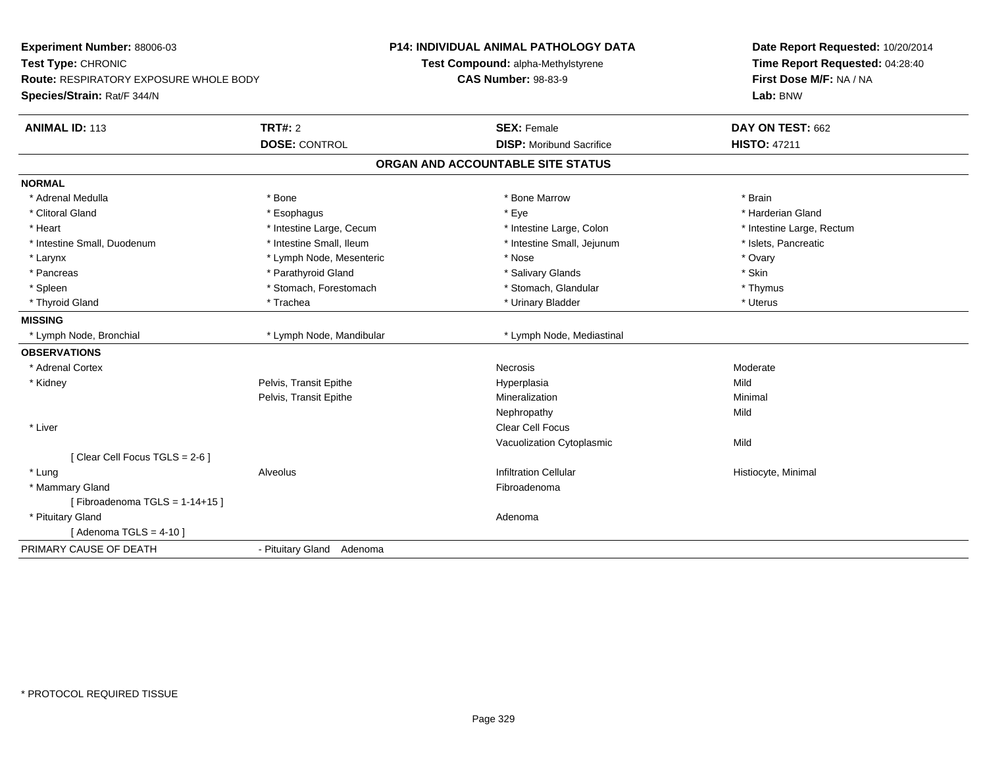| First Dose M/F: NA / NA<br><b>Route: RESPIRATORY EXPOSURE WHOLE BODY</b><br><b>CAS Number: 98-83-9</b><br>Species/Strain: Rat/F 344/N<br>Lab: BNW<br><b>TRT#: 2</b><br><b>SEX: Female</b><br>DAY ON TEST: 662<br><b>DOSE: CONTROL</b><br><b>HISTO: 47211</b><br><b>DISP:</b> Moribund Sacrifice<br>ORGAN AND ACCOUNTABLE SITE STATUS<br>* Bone<br>* Brain<br>* Adrenal Medulla<br>* Bone Marrow<br>* Harderian Gland<br>* Clitoral Gland<br>* Esophagus<br>* Eye<br>* Heart<br>* Intestine Large, Cecum<br>* Intestine Large, Colon<br>* Intestine Large, Rectum<br>* Intestine Small, Ileum<br>* Intestine Small, Duodenum<br>* Intestine Small, Jejunum<br>* Islets, Pancreatic<br>* Ovary<br>* Larynx<br>* Lymph Node, Mesenteric<br>* Nose<br>* Parathyroid Gland<br>* Salivary Glands<br>* Skin<br>* Pancreas<br>* Stomach, Forestomach<br>* Stomach, Glandular<br>* Thymus<br>* Spleen<br>* Urinary Bladder<br>* Uterus<br>* Thyroid Gland<br>* Trachea<br>* Lymph Node, Mandibular<br>* Lymph Node, Mediastinal<br>* Lymph Node, Bronchial<br>* Adrenal Cortex<br>Moderate<br>Necrosis<br>Mild<br>* Kidney<br>Pelvis, Transit Epithe<br>Hyperplasia<br>Pelvis, Transit Epithe<br>Mineralization<br>Minimal<br>Mild<br>Nephropathy<br><b>Clear Cell Focus</b><br>* Liver<br>Mild<br>Vacuolization Cytoplasmic<br>[Clear Cell Focus TGLS = 2-6]<br>* Lung<br><b>Infiltration Cellular</b><br>Histiocyte, Minimal<br>Alveolus<br>* Mammary Gland<br>Fibroadenoma<br>[Fibroadenoma TGLS = $1-14+15$ ] | Experiment Number: 88006-03<br>Test Type: CHRONIC |  | <b>P14: INDIVIDUAL ANIMAL PATHOLOGY DATA</b> | Date Report Requested: 10/20/2014<br>Time Report Requested: 04:28:40 |  |
|----------------------------------------------------------------------------------------------------------------------------------------------------------------------------------------------------------------------------------------------------------------------------------------------------------------------------------------------------------------------------------------------------------------------------------------------------------------------------------------------------------------------------------------------------------------------------------------------------------------------------------------------------------------------------------------------------------------------------------------------------------------------------------------------------------------------------------------------------------------------------------------------------------------------------------------------------------------------------------------------------------------------------------------------------------------------------------------------------------------------------------------------------------------------------------------------------------------------------------------------------------------------------------------------------------------------------------------------------------------------------------------------------------------------------------------------------------------------------------------------------------|---------------------------------------------------|--|----------------------------------------------|----------------------------------------------------------------------|--|
|                                                                                                                                                                                                                                                                                                                                                                                                                                                                                                                                                                                                                                                                                                                                                                                                                                                                                                                                                                                                                                                                                                                                                                                                                                                                                                                                                                                                                                                                                                          |                                                   |  | Test Compound: alpha-Methylstyrene           |                                                                      |  |
|                                                                                                                                                                                                                                                                                                                                                                                                                                                                                                                                                                                                                                                                                                                                                                                                                                                                                                                                                                                                                                                                                                                                                                                                                                                                                                                                                                                                                                                                                                          |                                                   |  |                                              |                                                                      |  |
|                                                                                                                                                                                                                                                                                                                                                                                                                                                                                                                                                                                                                                                                                                                                                                                                                                                                                                                                                                                                                                                                                                                                                                                                                                                                                                                                                                                                                                                                                                          |                                                   |  |                                              |                                                                      |  |
|                                                                                                                                                                                                                                                                                                                                                                                                                                                                                                                                                                                                                                                                                                                                                                                                                                                                                                                                                                                                                                                                                                                                                                                                                                                                                                                                                                                                                                                                                                          | <b>ANIMAL ID: 113</b>                             |  |                                              |                                                                      |  |
|                                                                                                                                                                                                                                                                                                                                                                                                                                                                                                                                                                                                                                                                                                                                                                                                                                                                                                                                                                                                                                                                                                                                                                                                                                                                                                                                                                                                                                                                                                          |                                                   |  |                                              |                                                                      |  |
|                                                                                                                                                                                                                                                                                                                                                                                                                                                                                                                                                                                                                                                                                                                                                                                                                                                                                                                                                                                                                                                                                                                                                                                                                                                                                                                                                                                                                                                                                                          |                                                   |  |                                              |                                                                      |  |
|                                                                                                                                                                                                                                                                                                                                                                                                                                                                                                                                                                                                                                                                                                                                                                                                                                                                                                                                                                                                                                                                                                                                                                                                                                                                                                                                                                                                                                                                                                          | <b>NORMAL</b>                                     |  |                                              |                                                                      |  |
|                                                                                                                                                                                                                                                                                                                                                                                                                                                                                                                                                                                                                                                                                                                                                                                                                                                                                                                                                                                                                                                                                                                                                                                                                                                                                                                                                                                                                                                                                                          |                                                   |  |                                              |                                                                      |  |
|                                                                                                                                                                                                                                                                                                                                                                                                                                                                                                                                                                                                                                                                                                                                                                                                                                                                                                                                                                                                                                                                                                                                                                                                                                                                                                                                                                                                                                                                                                          |                                                   |  |                                              |                                                                      |  |
|                                                                                                                                                                                                                                                                                                                                                                                                                                                                                                                                                                                                                                                                                                                                                                                                                                                                                                                                                                                                                                                                                                                                                                                                                                                                                                                                                                                                                                                                                                          |                                                   |  |                                              |                                                                      |  |
|                                                                                                                                                                                                                                                                                                                                                                                                                                                                                                                                                                                                                                                                                                                                                                                                                                                                                                                                                                                                                                                                                                                                                                                                                                                                                                                                                                                                                                                                                                          |                                                   |  |                                              |                                                                      |  |
|                                                                                                                                                                                                                                                                                                                                                                                                                                                                                                                                                                                                                                                                                                                                                                                                                                                                                                                                                                                                                                                                                                                                                                                                                                                                                                                                                                                                                                                                                                          |                                                   |  |                                              |                                                                      |  |
|                                                                                                                                                                                                                                                                                                                                                                                                                                                                                                                                                                                                                                                                                                                                                                                                                                                                                                                                                                                                                                                                                                                                                                                                                                                                                                                                                                                                                                                                                                          |                                                   |  |                                              |                                                                      |  |
|                                                                                                                                                                                                                                                                                                                                                                                                                                                                                                                                                                                                                                                                                                                                                                                                                                                                                                                                                                                                                                                                                                                                                                                                                                                                                                                                                                                                                                                                                                          |                                                   |  |                                              |                                                                      |  |
|                                                                                                                                                                                                                                                                                                                                                                                                                                                                                                                                                                                                                                                                                                                                                                                                                                                                                                                                                                                                                                                                                                                                                                                                                                                                                                                                                                                                                                                                                                          |                                                   |  |                                              |                                                                      |  |
|                                                                                                                                                                                                                                                                                                                                                                                                                                                                                                                                                                                                                                                                                                                                                                                                                                                                                                                                                                                                                                                                                                                                                                                                                                                                                                                                                                                                                                                                                                          | <b>MISSING</b>                                    |  |                                              |                                                                      |  |
|                                                                                                                                                                                                                                                                                                                                                                                                                                                                                                                                                                                                                                                                                                                                                                                                                                                                                                                                                                                                                                                                                                                                                                                                                                                                                                                                                                                                                                                                                                          |                                                   |  |                                              |                                                                      |  |
|                                                                                                                                                                                                                                                                                                                                                                                                                                                                                                                                                                                                                                                                                                                                                                                                                                                                                                                                                                                                                                                                                                                                                                                                                                                                                                                                                                                                                                                                                                          | <b>OBSERVATIONS</b>                               |  |                                              |                                                                      |  |
|                                                                                                                                                                                                                                                                                                                                                                                                                                                                                                                                                                                                                                                                                                                                                                                                                                                                                                                                                                                                                                                                                                                                                                                                                                                                                                                                                                                                                                                                                                          |                                                   |  |                                              |                                                                      |  |
|                                                                                                                                                                                                                                                                                                                                                                                                                                                                                                                                                                                                                                                                                                                                                                                                                                                                                                                                                                                                                                                                                                                                                                                                                                                                                                                                                                                                                                                                                                          |                                                   |  |                                              |                                                                      |  |
|                                                                                                                                                                                                                                                                                                                                                                                                                                                                                                                                                                                                                                                                                                                                                                                                                                                                                                                                                                                                                                                                                                                                                                                                                                                                                                                                                                                                                                                                                                          |                                                   |  |                                              |                                                                      |  |
|                                                                                                                                                                                                                                                                                                                                                                                                                                                                                                                                                                                                                                                                                                                                                                                                                                                                                                                                                                                                                                                                                                                                                                                                                                                                                                                                                                                                                                                                                                          |                                                   |  |                                              |                                                                      |  |
|                                                                                                                                                                                                                                                                                                                                                                                                                                                                                                                                                                                                                                                                                                                                                                                                                                                                                                                                                                                                                                                                                                                                                                                                                                                                                                                                                                                                                                                                                                          |                                                   |  |                                              |                                                                      |  |
|                                                                                                                                                                                                                                                                                                                                                                                                                                                                                                                                                                                                                                                                                                                                                                                                                                                                                                                                                                                                                                                                                                                                                                                                                                                                                                                                                                                                                                                                                                          |                                                   |  |                                              |                                                                      |  |
|                                                                                                                                                                                                                                                                                                                                                                                                                                                                                                                                                                                                                                                                                                                                                                                                                                                                                                                                                                                                                                                                                                                                                                                                                                                                                                                                                                                                                                                                                                          |                                                   |  |                                              |                                                                      |  |
|                                                                                                                                                                                                                                                                                                                                                                                                                                                                                                                                                                                                                                                                                                                                                                                                                                                                                                                                                                                                                                                                                                                                                                                                                                                                                                                                                                                                                                                                                                          |                                                   |  |                                              |                                                                      |  |
|                                                                                                                                                                                                                                                                                                                                                                                                                                                                                                                                                                                                                                                                                                                                                                                                                                                                                                                                                                                                                                                                                                                                                                                                                                                                                                                                                                                                                                                                                                          |                                                   |  |                                              |                                                                      |  |
|                                                                                                                                                                                                                                                                                                                                                                                                                                                                                                                                                                                                                                                                                                                                                                                                                                                                                                                                                                                                                                                                                                                                                                                                                                                                                                                                                                                                                                                                                                          |                                                   |  |                                              |                                                                      |  |
| * Pituitary Gland<br>Adenoma                                                                                                                                                                                                                                                                                                                                                                                                                                                                                                                                                                                                                                                                                                                                                                                                                                                                                                                                                                                                                                                                                                                                                                                                                                                                                                                                                                                                                                                                             |                                                   |  |                                              |                                                                      |  |
| [Adenoma TGLS = $4-10$ ]                                                                                                                                                                                                                                                                                                                                                                                                                                                                                                                                                                                                                                                                                                                                                                                                                                                                                                                                                                                                                                                                                                                                                                                                                                                                                                                                                                                                                                                                                 |                                                   |  |                                              |                                                                      |  |
| - Pituitary Gland Adenoma                                                                                                                                                                                                                                                                                                                                                                                                                                                                                                                                                                                                                                                                                                                                                                                                                                                                                                                                                                                                                                                                                                                                                                                                                                                                                                                                                                                                                                                                                | PRIMARY CAUSE OF DEATH                            |  |                                              |                                                                      |  |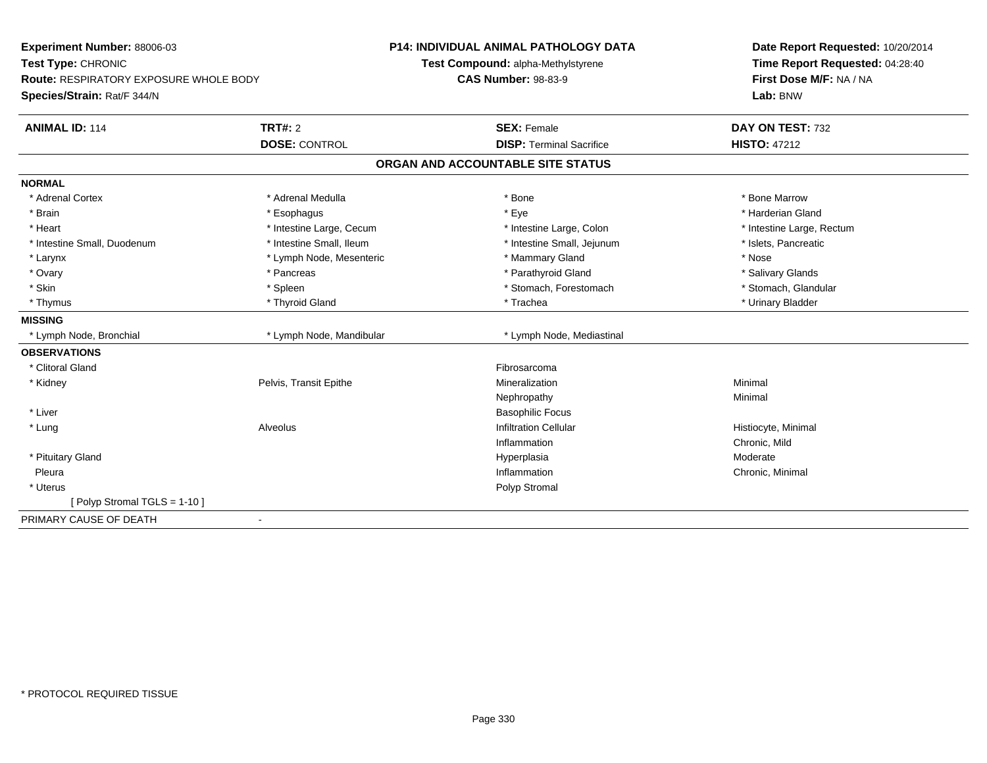| Experiment Number: 88006-03              |                          | <b>P14: INDIVIDUAL ANIMAL PATHOLOGY DATA</b> | Date Report Requested: 10/20/2014 |
|------------------------------------------|--------------------------|----------------------------------------------|-----------------------------------|
| Test Type: CHRONIC                       |                          | Test Compound: alpha-Methylstyrene           | Time Report Requested: 04:28:40   |
| Route: RESPIRATORY EXPOSURE WHOLE BODY   |                          | <b>CAS Number: 98-83-9</b>                   | First Dose M/F: NA / NA           |
| Species/Strain: Rat/F 344/N              |                          |                                              | Lab: BNW                          |
| <b>ANIMAL ID: 114</b>                    | <b>TRT#: 2</b>           | <b>SEX: Female</b>                           | DAY ON TEST: 732                  |
|                                          | <b>DOSE: CONTROL</b>     | <b>DISP: Terminal Sacrifice</b>              | <b>HISTO: 47212</b>               |
|                                          |                          | ORGAN AND ACCOUNTABLE SITE STATUS            |                                   |
| <b>NORMAL</b>                            |                          |                                              |                                   |
| * Adrenal Cortex                         | * Adrenal Medulla        | * Bone                                       | * Bone Marrow                     |
| * Brain                                  | * Esophagus              | * Eye                                        | * Harderian Gland                 |
| * Heart                                  | * Intestine Large, Cecum | * Intestine Large, Colon                     | * Intestine Large, Rectum         |
| * Intestine Small, Duodenum              | * Intestine Small, Ileum | * Intestine Small, Jejunum                   | * Islets, Pancreatic              |
| * Larynx                                 | * Lymph Node, Mesenteric | * Mammary Gland                              | * Nose                            |
| * Ovary                                  | * Pancreas               | * Parathyroid Gland                          | * Salivary Glands                 |
| * Skin                                   | * Spleen                 | * Stomach, Forestomach                       | * Stomach, Glandular              |
| * Thymus                                 | * Thyroid Gland          | * Trachea                                    | * Urinary Bladder                 |
| <b>MISSING</b>                           |                          |                                              |                                   |
| * Lymph Node, Bronchial                  | * Lymph Node, Mandibular | * Lymph Node, Mediastinal                    |                                   |
| <b>OBSERVATIONS</b>                      |                          |                                              |                                   |
| * Clitoral Gland                         |                          | Fibrosarcoma                                 |                                   |
| * Kidney                                 | Pelvis, Transit Epithe   | Mineralization                               | Minimal                           |
|                                          |                          | Nephropathy                                  | Minimal                           |
| * Liver                                  |                          | <b>Basophilic Focus</b>                      |                                   |
| * Lung                                   | Alveolus                 | <b>Infiltration Cellular</b>                 | Histiocyte, Minimal               |
|                                          |                          | Inflammation                                 | Chronic, Mild                     |
| * Pituitary Gland                        |                          | Hyperplasia                                  | Moderate                          |
| Pleura                                   |                          | Inflammation                                 | Chronic, Minimal                  |
| * Uterus                                 |                          | Polyp Stromal                                |                                   |
| [ Polyp Stromal TGLS = 1-10 ]            |                          |                                              |                                   |
| PRIMARY CAUSE OF DEATH<br>$\blacksquare$ |                          |                                              |                                   |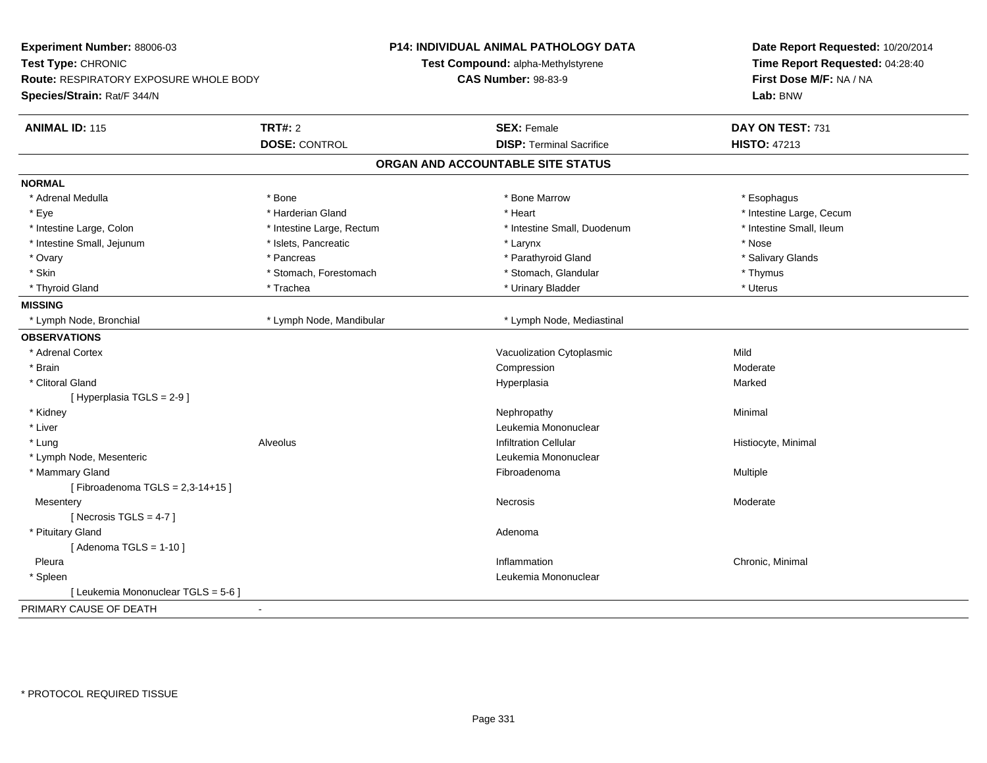| Experiment Number: 88006-03<br>Test Type: CHRONIC<br>Route: RESPIRATORY EXPOSURE WHOLE BODY |                           | P14: INDIVIDUAL ANIMAL PATHOLOGY DATA | Date Report Requested: 10/20/2014<br>Time Report Requested: 04:28:40<br>First Dose M/F: NA / NA |  |
|---------------------------------------------------------------------------------------------|---------------------------|---------------------------------------|-------------------------------------------------------------------------------------------------|--|
|                                                                                             |                           | Test Compound: alpha-Methylstyrene    |                                                                                                 |  |
|                                                                                             |                           | <b>CAS Number: 98-83-9</b>            |                                                                                                 |  |
| Species/Strain: Rat/F 344/N                                                                 |                           |                                       | Lab: BNW                                                                                        |  |
| <b>ANIMAL ID: 115</b>                                                                       | <b>TRT#: 2</b>            | <b>SEX: Female</b>                    | DAY ON TEST: 731                                                                                |  |
|                                                                                             | <b>DOSE: CONTROL</b>      | <b>DISP: Terminal Sacrifice</b>       | <b>HISTO: 47213</b>                                                                             |  |
|                                                                                             |                           | ORGAN AND ACCOUNTABLE SITE STATUS     |                                                                                                 |  |
| <b>NORMAL</b>                                                                               |                           |                                       |                                                                                                 |  |
| * Adrenal Medulla                                                                           | * Bone                    | * Bone Marrow                         | * Esophagus                                                                                     |  |
| * Eye                                                                                       | * Harderian Gland         | * Heart                               | * Intestine Large, Cecum                                                                        |  |
| * Intestine Large, Colon                                                                    | * Intestine Large, Rectum | * Intestine Small, Duodenum           | * Intestine Small, Ileum                                                                        |  |
| * Intestine Small, Jejunum                                                                  | * Islets, Pancreatic      | * Larynx                              | * Nose                                                                                          |  |
| * Ovary                                                                                     | * Pancreas                | * Parathyroid Gland                   | * Salivary Glands                                                                               |  |
| * Skin                                                                                      | * Stomach, Forestomach    | * Stomach, Glandular                  | * Thymus                                                                                        |  |
| * Thyroid Gland                                                                             | * Trachea                 | * Urinary Bladder                     | * Uterus                                                                                        |  |
| <b>MISSING</b>                                                                              |                           |                                       |                                                                                                 |  |
| * Lymph Node, Bronchial                                                                     | * Lymph Node, Mandibular  | * Lymph Node, Mediastinal             |                                                                                                 |  |
| <b>OBSERVATIONS</b>                                                                         |                           |                                       |                                                                                                 |  |
| * Adrenal Cortex                                                                            |                           | Vacuolization Cytoplasmic             | Mild                                                                                            |  |
| * Brain                                                                                     |                           | Compression                           | Moderate                                                                                        |  |
| * Clitoral Gland                                                                            |                           | Hyperplasia                           | Marked                                                                                          |  |
| [ Hyperplasia TGLS = 2-9 ]                                                                  |                           |                                       |                                                                                                 |  |
| * Kidney                                                                                    |                           | Nephropathy                           | Minimal                                                                                         |  |
| * Liver                                                                                     |                           | Leukemia Mononuclear                  |                                                                                                 |  |
| * Lung                                                                                      | Alveolus                  | <b>Infiltration Cellular</b>          | Histiocyte, Minimal                                                                             |  |
| * Lymph Node, Mesenteric                                                                    |                           | Leukemia Mononuclear                  |                                                                                                 |  |
| * Mammary Gland                                                                             |                           | Fibroadenoma                          | Multiple                                                                                        |  |
| [Fibroadenoma TGLS = $2,3-14+15$ ]                                                          |                           |                                       |                                                                                                 |  |
| Mesentery                                                                                   |                           | Necrosis                              | Moderate                                                                                        |  |
| [Necrosis TGLS = $4-7$ ]                                                                    |                           |                                       |                                                                                                 |  |
| * Pituitary Gland                                                                           |                           | Adenoma                               |                                                                                                 |  |
| [Adenoma TGLS = $1-10$ ]                                                                    |                           |                                       |                                                                                                 |  |
| Pleura                                                                                      |                           | Inflammation                          | Chronic, Minimal                                                                                |  |
| * Spleen                                                                                    |                           | Leukemia Mononuclear                  |                                                                                                 |  |
| [ Leukemia Mononuclear TGLS = 5-6 ]                                                         |                           |                                       |                                                                                                 |  |
| PRIMARY CAUSE OF DEATH                                                                      | $\blacksquare$            |                                       |                                                                                                 |  |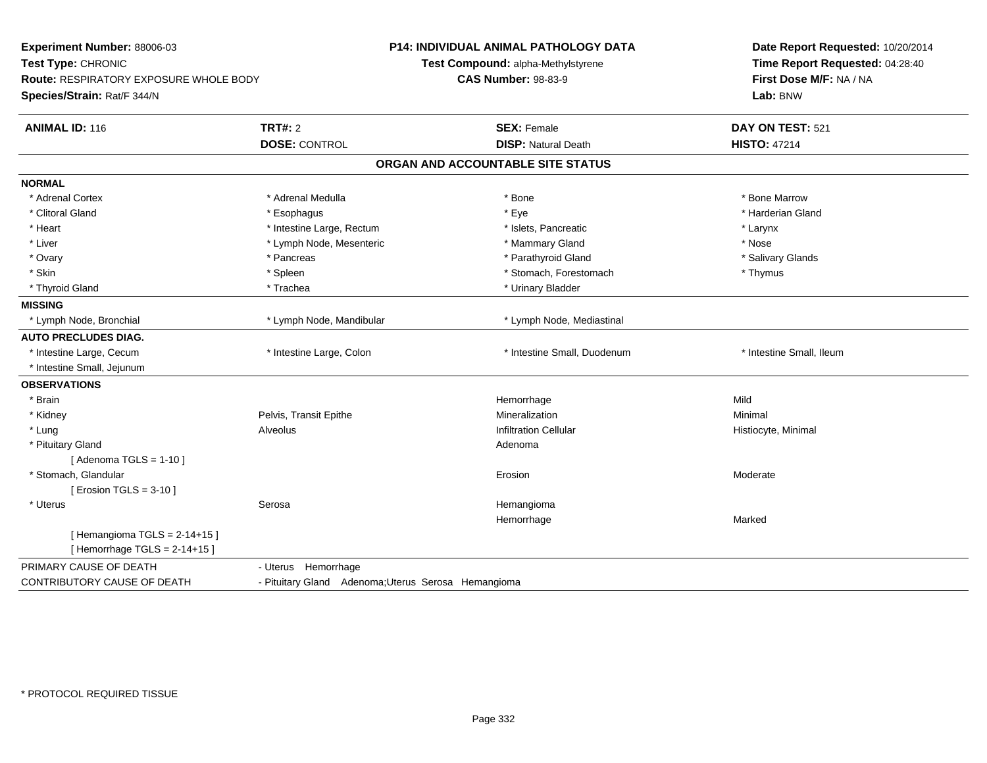| Experiment Number: 88006-03<br>Test Type: CHRONIC<br><b>Route: RESPIRATORY EXPOSURE WHOLE BODY</b><br>Species/Strain: Rat/F 344/N |                                                                                                                                                                                                                                                                                                                  | Date Report Requested: 10/20/2014<br>Time Report Requested: 04:28:40<br>First Dose M/F: NA / NA<br>Lab: BNW                                                                                                                                |
|-----------------------------------------------------------------------------------------------------------------------------------|------------------------------------------------------------------------------------------------------------------------------------------------------------------------------------------------------------------------------------------------------------------------------------------------------------------|--------------------------------------------------------------------------------------------------------------------------------------------------------------------------------------------------------------------------------------------|
|                                                                                                                                   | <b>SEX: Female</b>                                                                                                                                                                                                                                                                                               | DAY ON TEST: 521                                                                                                                                                                                                                           |
|                                                                                                                                   |                                                                                                                                                                                                                                                                                                                  | <b>HISTO: 47214</b>                                                                                                                                                                                                                        |
|                                                                                                                                   |                                                                                                                                                                                                                                                                                                                  |                                                                                                                                                                                                                                            |
|                                                                                                                                   |                                                                                                                                                                                                                                                                                                                  |                                                                                                                                                                                                                                            |
|                                                                                                                                   | * Bone                                                                                                                                                                                                                                                                                                           | * Bone Marrow                                                                                                                                                                                                                              |
|                                                                                                                                   | * Eye                                                                                                                                                                                                                                                                                                            | * Harderian Gland                                                                                                                                                                                                                          |
|                                                                                                                                   | * Islets, Pancreatic                                                                                                                                                                                                                                                                                             | * Larynx                                                                                                                                                                                                                                   |
|                                                                                                                                   | * Mammary Gland                                                                                                                                                                                                                                                                                                  | * Nose                                                                                                                                                                                                                                     |
|                                                                                                                                   | * Parathyroid Gland                                                                                                                                                                                                                                                                                              | * Salivary Glands                                                                                                                                                                                                                          |
|                                                                                                                                   | * Stomach, Forestomach                                                                                                                                                                                                                                                                                           | * Thymus                                                                                                                                                                                                                                   |
|                                                                                                                                   | * Urinary Bladder                                                                                                                                                                                                                                                                                                |                                                                                                                                                                                                                                            |
|                                                                                                                                   |                                                                                                                                                                                                                                                                                                                  |                                                                                                                                                                                                                                            |
|                                                                                                                                   | * Lymph Node, Mediastinal                                                                                                                                                                                                                                                                                        |                                                                                                                                                                                                                                            |
|                                                                                                                                   |                                                                                                                                                                                                                                                                                                                  |                                                                                                                                                                                                                                            |
|                                                                                                                                   | * Intestine Small, Duodenum                                                                                                                                                                                                                                                                                      | * Intestine Small, Ileum                                                                                                                                                                                                                   |
|                                                                                                                                   |                                                                                                                                                                                                                                                                                                                  |                                                                                                                                                                                                                                            |
|                                                                                                                                   |                                                                                                                                                                                                                                                                                                                  |                                                                                                                                                                                                                                            |
|                                                                                                                                   | Hemorrhage                                                                                                                                                                                                                                                                                                       | Mild                                                                                                                                                                                                                                       |
|                                                                                                                                   | Mineralization                                                                                                                                                                                                                                                                                                   | Minimal                                                                                                                                                                                                                                    |
|                                                                                                                                   | <b>Infiltration Cellular</b>                                                                                                                                                                                                                                                                                     | Histiocyte, Minimal                                                                                                                                                                                                                        |
|                                                                                                                                   | Adenoma                                                                                                                                                                                                                                                                                                          |                                                                                                                                                                                                                                            |
|                                                                                                                                   |                                                                                                                                                                                                                                                                                                                  |                                                                                                                                                                                                                                            |
|                                                                                                                                   | Erosion                                                                                                                                                                                                                                                                                                          | Moderate                                                                                                                                                                                                                                   |
|                                                                                                                                   |                                                                                                                                                                                                                                                                                                                  |                                                                                                                                                                                                                                            |
|                                                                                                                                   | Hemangioma                                                                                                                                                                                                                                                                                                       |                                                                                                                                                                                                                                            |
|                                                                                                                                   | Hemorrhage                                                                                                                                                                                                                                                                                                       | Marked                                                                                                                                                                                                                                     |
|                                                                                                                                   |                                                                                                                                                                                                                                                                                                                  |                                                                                                                                                                                                                                            |
|                                                                                                                                   |                                                                                                                                                                                                                                                                                                                  |                                                                                                                                                                                                                                            |
|                                                                                                                                   |                                                                                                                                                                                                                                                                                                                  |                                                                                                                                                                                                                                            |
|                                                                                                                                   |                                                                                                                                                                                                                                                                                                                  |                                                                                                                                                                                                                                            |
|                                                                                                                                   | <b>TRT#: 2</b><br><b>DOSE: CONTROL</b><br>* Adrenal Medulla<br>* Esophagus<br>* Intestine Large, Rectum<br>* Lymph Node, Mesenteric<br>* Pancreas<br>* Spleen<br>* Trachea<br>* Lymph Node, Mandibular<br>* Intestine Large, Colon<br>Pelvis, Transit Epithe<br><b>Alveolus</b><br>Serosa<br>- Uterus Hemorrhage | <b>P14: INDIVIDUAL ANIMAL PATHOLOGY DATA</b><br>Test Compound: alpha-Methylstyrene<br><b>CAS Number: 98-83-9</b><br><b>DISP: Natural Death</b><br>ORGAN AND ACCOUNTABLE SITE STATUS<br>- Pituitary Gland Adenoma; Uterus Serosa Hemangioma |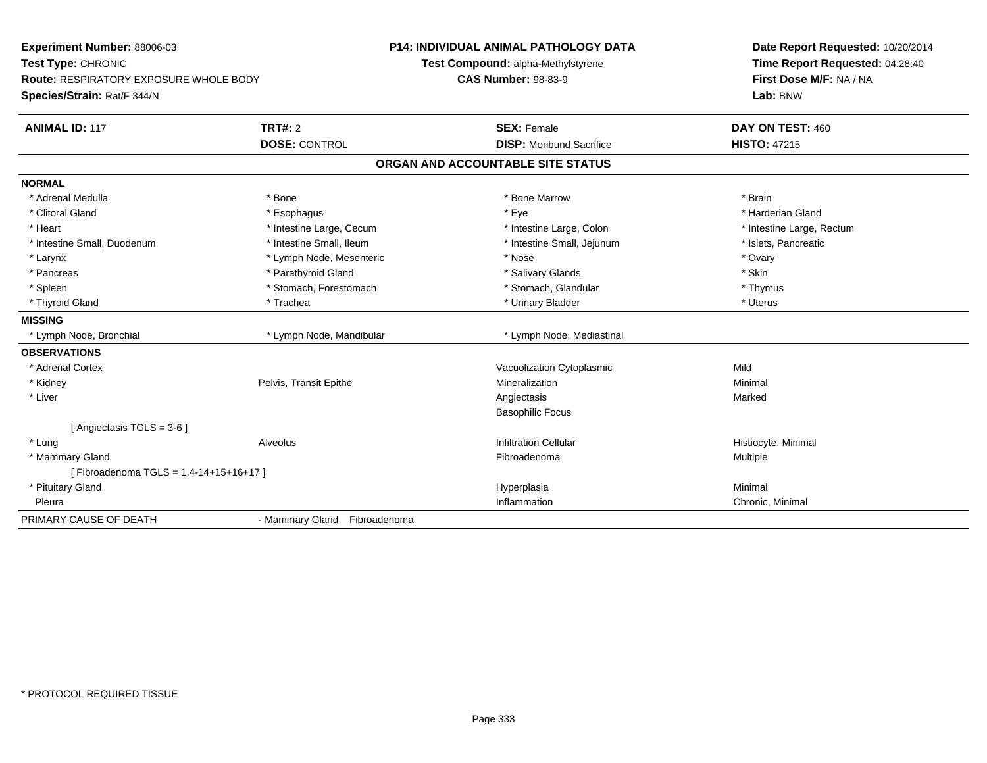| Experiment Number: 88006-03<br>Test Type: CHRONIC<br><b>Route: RESPIRATORY EXPOSURE WHOLE BODY</b><br>Species/Strain: Rat/F 344/N |                              | <b>P14: INDIVIDUAL ANIMAL PATHOLOGY DATA</b><br>Test Compound: alpha-Methylstyrene<br><b>CAS Number: 98-83-9</b> | Date Report Requested: 10/20/2014<br>Time Report Requested: 04:28:40<br>First Dose M/F: NA / NA<br>Lab: BNW |  |
|-----------------------------------------------------------------------------------------------------------------------------------|------------------------------|------------------------------------------------------------------------------------------------------------------|-------------------------------------------------------------------------------------------------------------|--|
| <b>ANIMAL ID: 117</b>                                                                                                             | <b>TRT#: 2</b>               | <b>SEX: Female</b>                                                                                               | DAY ON TEST: 460                                                                                            |  |
|                                                                                                                                   | <b>DOSE: CONTROL</b>         | <b>DISP:</b> Moribund Sacrifice                                                                                  | <b>HISTO: 47215</b>                                                                                         |  |
|                                                                                                                                   |                              | ORGAN AND ACCOUNTABLE SITE STATUS                                                                                |                                                                                                             |  |
| <b>NORMAL</b>                                                                                                                     |                              |                                                                                                                  |                                                                                                             |  |
| * Adrenal Medulla                                                                                                                 | * Bone                       | * Bone Marrow                                                                                                    | * Brain                                                                                                     |  |
| * Clitoral Gland                                                                                                                  | * Esophagus                  | * Eye                                                                                                            | * Harderian Gland                                                                                           |  |
| * Heart                                                                                                                           | * Intestine Large, Cecum     | * Intestine Large, Colon                                                                                         | * Intestine Large, Rectum                                                                                   |  |
| * Intestine Small, Duodenum                                                                                                       | * Intestine Small, Ileum     | * Intestine Small, Jejunum                                                                                       | * Islets, Pancreatic                                                                                        |  |
| * Larynx                                                                                                                          | * Lymph Node, Mesenteric     | * Nose                                                                                                           | * Ovary                                                                                                     |  |
| * Pancreas                                                                                                                        | * Parathyroid Gland          | * Salivary Glands                                                                                                | * Skin                                                                                                      |  |
| * Spleen                                                                                                                          | * Stomach, Forestomach       | * Stomach, Glandular                                                                                             | * Thymus                                                                                                    |  |
| * Thyroid Gland                                                                                                                   | * Trachea                    | * Urinary Bladder                                                                                                | * Uterus                                                                                                    |  |
| <b>MISSING</b>                                                                                                                    |                              |                                                                                                                  |                                                                                                             |  |
| * Lymph Node, Bronchial                                                                                                           | * Lymph Node, Mandibular     | * Lymph Node, Mediastinal                                                                                        |                                                                                                             |  |
| <b>OBSERVATIONS</b>                                                                                                               |                              |                                                                                                                  |                                                                                                             |  |
| * Adrenal Cortex                                                                                                                  |                              | Vacuolization Cytoplasmic                                                                                        | Mild                                                                                                        |  |
| * Kidney                                                                                                                          | Pelvis, Transit Epithe       | Mineralization                                                                                                   | Minimal                                                                                                     |  |
| * Liver                                                                                                                           |                              | Angiectasis                                                                                                      | Marked                                                                                                      |  |
|                                                                                                                                   |                              | <b>Basophilic Focus</b>                                                                                          |                                                                                                             |  |
| [Angiectasis TGLS = 3-6]                                                                                                          |                              |                                                                                                                  |                                                                                                             |  |
| * Lung                                                                                                                            | Alveolus                     | <b>Infiltration Cellular</b>                                                                                     | Histiocyte, Minimal                                                                                         |  |
| * Mammary Gland                                                                                                                   |                              | Fibroadenoma                                                                                                     | Multiple                                                                                                    |  |
| [Fibroadenoma TGLS = 1,4-14+15+16+17]                                                                                             |                              |                                                                                                                  |                                                                                                             |  |
| * Pituitary Gland                                                                                                                 |                              | Hyperplasia                                                                                                      | Minimal                                                                                                     |  |
| Pleura                                                                                                                            |                              | Inflammation                                                                                                     | Chronic, Minimal                                                                                            |  |
| PRIMARY CAUSE OF DEATH                                                                                                            | - Mammary Gland Fibroadenoma |                                                                                                                  |                                                                                                             |  |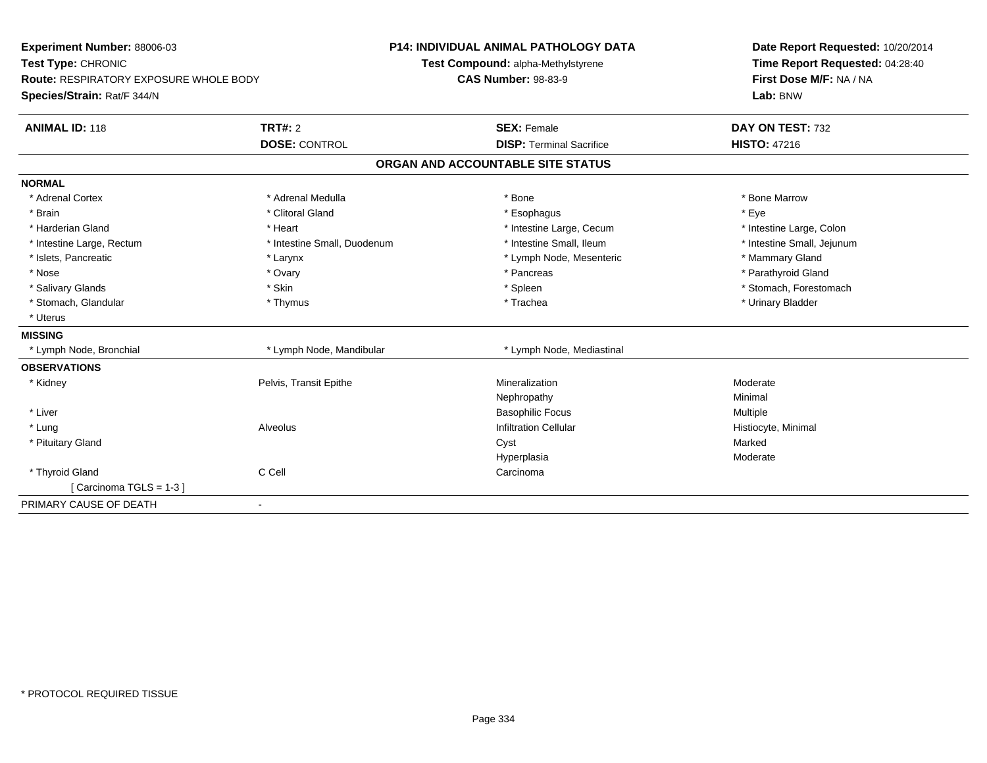| Experiment Number: 88006-03                   |                             | <b>P14: INDIVIDUAL ANIMAL PATHOLOGY DATA</b> | Date Report Requested: 10/20/2014 |
|-----------------------------------------------|-----------------------------|----------------------------------------------|-----------------------------------|
| Test Type: CHRONIC                            |                             | Test Compound: alpha-Methylstyrene           | Time Report Requested: 04:28:40   |
| <b>Route: RESPIRATORY EXPOSURE WHOLE BODY</b> |                             | <b>CAS Number: 98-83-9</b>                   | First Dose M/F: NA / NA           |
| Species/Strain: Rat/F 344/N                   |                             |                                              | Lab: BNW                          |
| <b>ANIMAL ID: 118</b>                         | <b>TRT#: 2</b>              | <b>SEX: Female</b>                           | DAY ON TEST: 732                  |
|                                               | <b>DOSE: CONTROL</b>        | <b>DISP: Terminal Sacrifice</b>              | <b>HISTO: 47216</b>               |
|                                               |                             | ORGAN AND ACCOUNTABLE SITE STATUS            |                                   |
| <b>NORMAL</b>                                 |                             |                                              |                                   |
| * Adrenal Cortex                              | * Adrenal Medulla           | * Bone                                       | * Bone Marrow                     |
| * Brain                                       | * Clitoral Gland            | * Esophagus                                  | * Eye                             |
| * Harderian Gland                             | * Heart                     | * Intestine Large, Cecum                     | * Intestine Large, Colon          |
| * Intestine Large, Rectum                     | * Intestine Small, Duodenum | * Intestine Small, Ileum                     | * Intestine Small, Jejunum        |
| * Islets, Pancreatic                          | * Larynx                    | * Lymph Node, Mesenteric                     | * Mammary Gland                   |
| * Nose                                        | * Ovary                     | * Pancreas                                   | * Parathyroid Gland               |
| * Salivary Glands                             | * Skin                      | * Spleen                                     | * Stomach, Forestomach            |
| * Stomach, Glandular                          | * Thymus                    | * Trachea                                    | * Urinary Bladder                 |
| * Uterus                                      |                             |                                              |                                   |
| <b>MISSING</b>                                |                             |                                              |                                   |
| * Lymph Node, Bronchial                       | * Lymph Node, Mandibular    | * Lymph Node, Mediastinal                    |                                   |
| <b>OBSERVATIONS</b>                           |                             |                                              |                                   |
| * Kidney                                      | Pelvis, Transit Epithe      | Mineralization                               | Moderate                          |
|                                               |                             | Nephropathy                                  | Minimal                           |
| * Liver                                       |                             | <b>Basophilic Focus</b>                      | Multiple                          |
| * Lung                                        | Alveolus                    | <b>Infiltration Cellular</b>                 | Histiocyte, Minimal               |
| * Pituitary Gland                             |                             | Cyst                                         | Marked                            |
|                                               |                             | Hyperplasia                                  | Moderate                          |
| * Thyroid Gland                               | C Cell                      | Carcinoma                                    |                                   |
| [Carcinoma TGLS = 1-3]                        |                             |                                              |                                   |
| PRIMARY CAUSE OF DEATH<br>$\blacksquare$      |                             |                                              |                                   |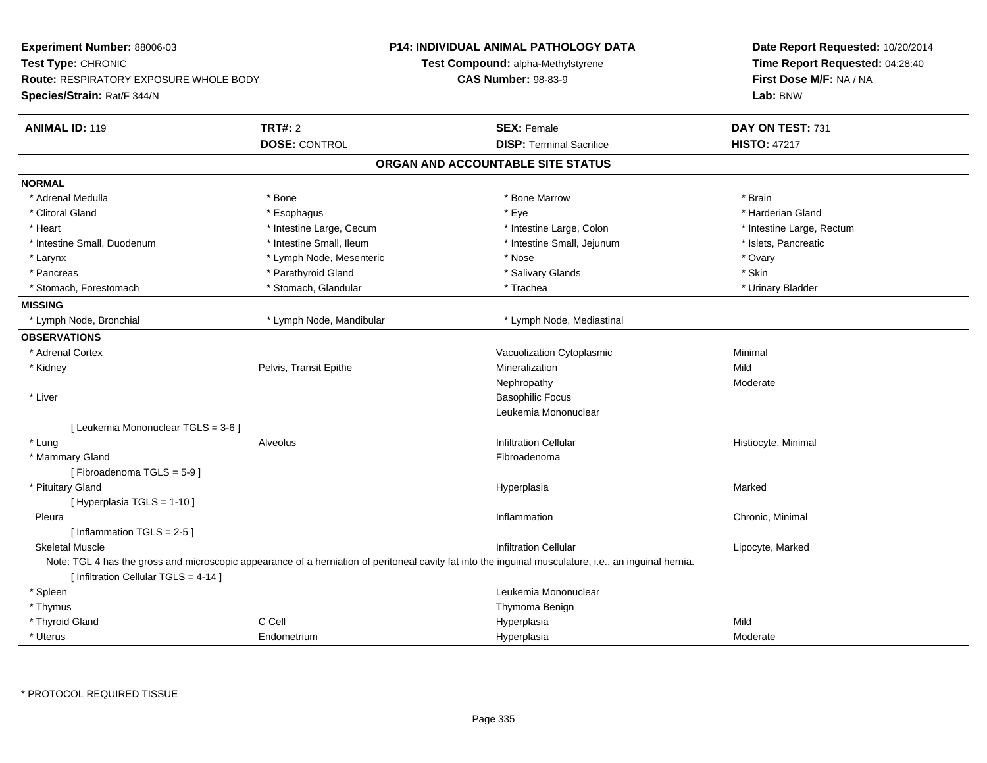| Experiment Number: 88006-03<br>Test Type: CHRONIC<br><b>Route: RESPIRATORY EXPOSURE WHOLE BODY</b><br>Species/Strain: Rat/F 344/N                      |                          | <b>P14: INDIVIDUAL ANIMAL PATHOLOGY DATA</b><br>Test Compound: alpha-Methylstyrene<br><b>CAS Number: 98-83-9</b> |                                   |      | Date Report Requested: 10/20/2014<br>Time Report Requested: 04:28:40<br>First Dose M/F: NA / NA<br>Lab: BNW |  |
|--------------------------------------------------------------------------------------------------------------------------------------------------------|--------------------------|------------------------------------------------------------------------------------------------------------------|-----------------------------------|------|-------------------------------------------------------------------------------------------------------------|--|
| <b>ANIMAL ID: 119</b>                                                                                                                                  | <b>TRT#: 2</b>           |                                                                                                                  | <b>SEX: Female</b>                |      | DAY ON TEST: 731                                                                                            |  |
|                                                                                                                                                        | <b>DOSE: CONTROL</b>     |                                                                                                                  | <b>DISP: Terminal Sacrifice</b>   |      | <b>HISTO: 47217</b>                                                                                         |  |
|                                                                                                                                                        |                          |                                                                                                                  | ORGAN AND ACCOUNTABLE SITE STATUS |      |                                                                                                             |  |
| <b>NORMAL</b>                                                                                                                                          |                          |                                                                                                                  |                                   |      |                                                                                                             |  |
| * Adrenal Medulla                                                                                                                                      | * Bone                   |                                                                                                                  | * Bone Marrow                     |      | * Brain                                                                                                     |  |
| * Clitoral Gland                                                                                                                                       | * Esophagus              |                                                                                                                  | * Eye                             |      | * Harderian Gland                                                                                           |  |
| * Heart                                                                                                                                                | * Intestine Large, Cecum |                                                                                                                  | * Intestine Large, Colon          |      | * Intestine Large, Rectum                                                                                   |  |
| * Intestine Small, Duodenum                                                                                                                            | * Intestine Small, Ileum |                                                                                                                  | * Intestine Small, Jejunum        |      | * Islets, Pancreatic                                                                                        |  |
| * Larynx                                                                                                                                               | * Lymph Node, Mesenteric |                                                                                                                  | * Nose                            |      | * Ovary                                                                                                     |  |
| * Pancreas                                                                                                                                             | * Parathyroid Gland      |                                                                                                                  | * Salivary Glands                 |      | * Skin                                                                                                      |  |
| * Stomach, Forestomach                                                                                                                                 | * Stomach, Glandular     |                                                                                                                  | * Trachea                         |      | * Urinary Bladder                                                                                           |  |
| <b>MISSING</b>                                                                                                                                         |                          |                                                                                                                  |                                   |      |                                                                                                             |  |
| * Lymph Node, Bronchial                                                                                                                                | * Lymph Node, Mandibular |                                                                                                                  | * Lymph Node, Mediastinal         |      |                                                                                                             |  |
| <b>OBSERVATIONS</b>                                                                                                                                    |                          |                                                                                                                  |                                   |      |                                                                                                             |  |
| * Adrenal Cortex                                                                                                                                       |                          |                                                                                                                  | Vacuolization Cytoplasmic         |      | Minimal                                                                                                     |  |
| * Kidney                                                                                                                                               | Pelvis, Transit Epithe   |                                                                                                                  | Mineralization                    | Mild |                                                                                                             |  |
|                                                                                                                                                        |                          |                                                                                                                  | Nephropathy                       |      | Moderate                                                                                                    |  |
| * Liver                                                                                                                                                |                          |                                                                                                                  | <b>Basophilic Focus</b>           |      |                                                                                                             |  |
|                                                                                                                                                        |                          |                                                                                                                  | Leukemia Mononuclear              |      |                                                                                                             |  |
| [ Leukemia Mononuclear TGLS = 3-6 ]                                                                                                                    |                          |                                                                                                                  |                                   |      |                                                                                                             |  |
| * Lung                                                                                                                                                 | Alveolus                 |                                                                                                                  | <b>Infiltration Cellular</b>      |      | Histiocyte, Minimal                                                                                         |  |
| * Mammary Gland                                                                                                                                        |                          |                                                                                                                  | Fibroadenoma                      |      |                                                                                                             |  |
| [Fibroadenoma TGLS = 5-9]                                                                                                                              |                          |                                                                                                                  |                                   |      |                                                                                                             |  |
| * Pituitary Gland                                                                                                                                      |                          |                                                                                                                  | Hyperplasia                       |      | Marked                                                                                                      |  |
| [ Hyperplasia TGLS = 1-10 ]                                                                                                                            |                          |                                                                                                                  |                                   |      |                                                                                                             |  |
| Pleura                                                                                                                                                 |                          |                                                                                                                  | Inflammation                      |      | Chronic, Minimal                                                                                            |  |
| [Inflammation TGLS = $2-5$ ]                                                                                                                           |                          |                                                                                                                  |                                   |      |                                                                                                             |  |
| <b>Skeletal Muscle</b>                                                                                                                                 |                          |                                                                                                                  | <b>Infiltration Cellular</b>      |      | Lipocyte, Marked                                                                                            |  |
| Note: TGL 4 has the gross and microscopic appearance of a herniation of peritoneal cavity fat into the inguinal musculature, i.e., an inguinal hernia. |                          |                                                                                                                  |                                   |      |                                                                                                             |  |
| [ Infiltration Cellular TGLS = 4-14 ]                                                                                                                  |                          |                                                                                                                  |                                   |      |                                                                                                             |  |
| * Spleen                                                                                                                                               |                          |                                                                                                                  | Leukemia Mononuclear              |      |                                                                                                             |  |
| * Thymus<br>* Thyroid Gland                                                                                                                            | C Cell                   |                                                                                                                  | Thymoma Benign<br>Hyperplasia     | Mild |                                                                                                             |  |
| * Uterus                                                                                                                                               | Endometrium              |                                                                                                                  |                                   |      | Moderate                                                                                                    |  |
|                                                                                                                                                        |                          |                                                                                                                  | Hyperplasia                       |      |                                                                                                             |  |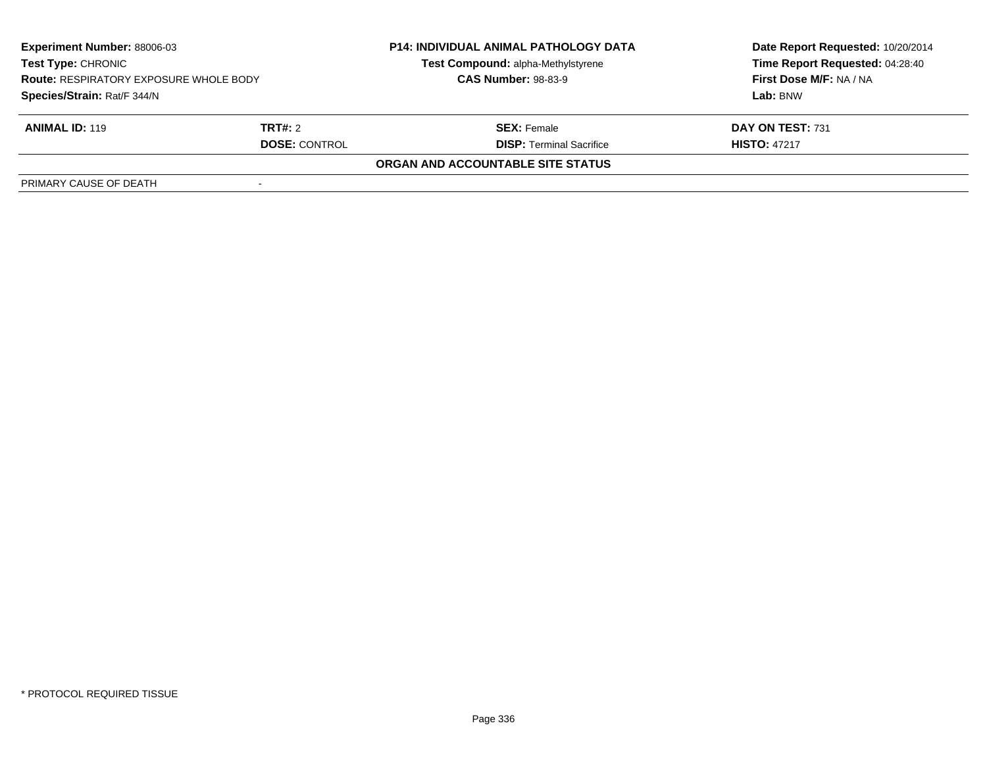| <b>Experiment Number: 88006-03</b><br>Test Type: CHRONIC<br><b>Route: RESPIRATORY EXPOSURE WHOLE BODY</b><br>Species/Strain: Rat/F 344/N |                      | <b>P14: INDIVIDUAL ANIMAL PATHOLOGY DATA</b><br>Test Compound: alpha-Methylstyrene<br><b>CAS Number: 98-83-9</b> | Date Report Requested: 10/20/2014<br>Time Report Requested: 04:28:40<br>First Dose M/F: NA / NA |
|------------------------------------------------------------------------------------------------------------------------------------------|----------------------|------------------------------------------------------------------------------------------------------------------|-------------------------------------------------------------------------------------------------|
|                                                                                                                                          |                      |                                                                                                                  | Lab: BNW                                                                                        |
| <b>ANIMAL ID: 119</b>                                                                                                                    | TRT#: 2              | <b>SEX:</b> Female                                                                                               | DAY ON TEST: 731                                                                                |
|                                                                                                                                          | <b>DOSE: CONTROL</b> | <b>DISP: Terminal Sacrifice</b>                                                                                  | <b>HISTO: 47217</b>                                                                             |
|                                                                                                                                          |                      | ORGAN AND ACCOUNTABLE SITE STATUS                                                                                |                                                                                                 |
| PRIMARY CAUSE OF DEATH                                                                                                                   |                      |                                                                                                                  |                                                                                                 |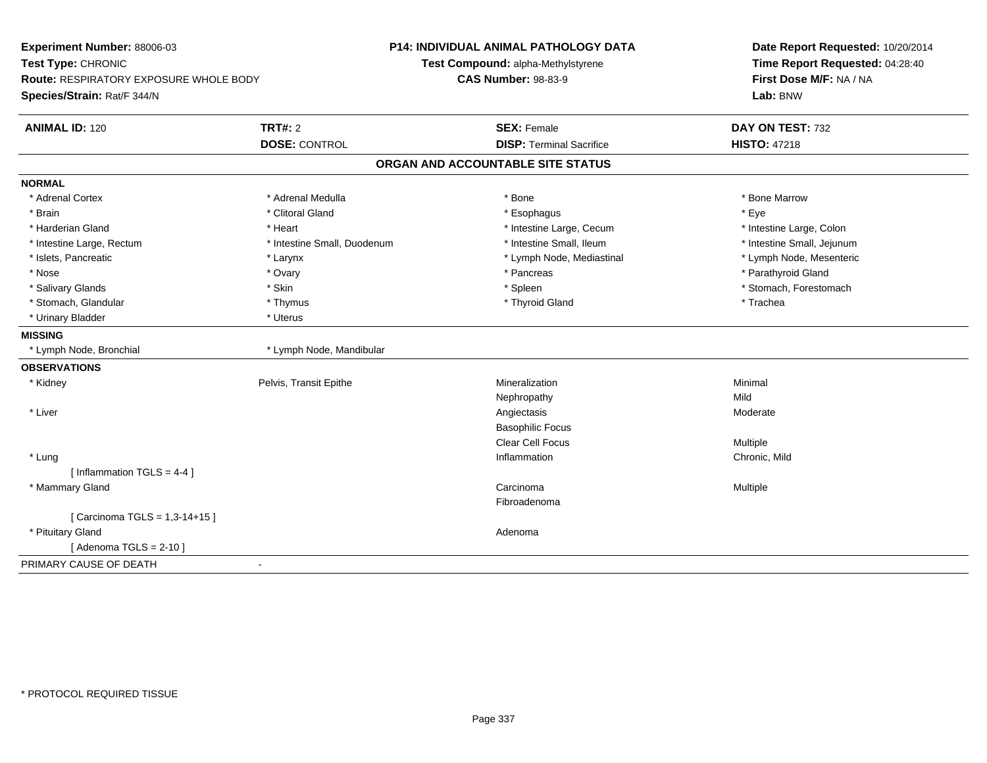| Experiment Number: 88006-03<br>Test Type: CHRONIC<br><b>Route: RESPIRATORY EXPOSURE WHOLE BODY</b><br>Species/Strain: Rat/F 344/N |                                        | <b>P14: INDIVIDUAL ANIMAL PATHOLOGY DATA</b><br>Test Compound: alpha-Methylstyrene<br><b>CAS Number: 98-83-9</b> | Date Report Requested: 10/20/2014<br>Time Report Requested: 04:28:40<br>First Dose M/F: NA / NA<br>Lab: BNW |
|-----------------------------------------------------------------------------------------------------------------------------------|----------------------------------------|------------------------------------------------------------------------------------------------------------------|-------------------------------------------------------------------------------------------------------------|
| <b>ANIMAL ID: 120</b>                                                                                                             | <b>TRT#: 2</b><br><b>DOSE: CONTROL</b> | <b>SEX: Female</b><br><b>DISP: Terminal Sacrifice</b>                                                            | DAY ON TEST: 732<br><b>HISTO: 47218</b>                                                                     |
|                                                                                                                                   |                                        |                                                                                                                  |                                                                                                             |
|                                                                                                                                   |                                        | ORGAN AND ACCOUNTABLE SITE STATUS                                                                                |                                                                                                             |
| <b>NORMAL</b>                                                                                                                     |                                        |                                                                                                                  |                                                                                                             |
| * Adrenal Cortex                                                                                                                  | * Adrenal Medulla                      | * Bone                                                                                                           | * Bone Marrow                                                                                               |
| * Brain                                                                                                                           | * Clitoral Gland                       | * Esophagus                                                                                                      | * Eye                                                                                                       |
| * Harderian Gland                                                                                                                 | * Heart                                | * Intestine Large, Cecum                                                                                         | * Intestine Large, Colon                                                                                    |
| * Intestine Large, Rectum                                                                                                         | * Intestine Small, Duodenum            | * Intestine Small, Ileum                                                                                         | * Intestine Small, Jejunum                                                                                  |
| * Islets, Pancreatic                                                                                                              | * Larynx                               | * Lymph Node, Mediastinal                                                                                        | * Lymph Node, Mesenteric                                                                                    |
| * Nose                                                                                                                            | * Ovary                                | * Pancreas                                                                                                       | * Parathyroid Gland                                                                                         |
| * Salivary Glands                                                                                                                 | * Skin                                 | * Spleen                                                                                                         | * Stomach, Forestomach                                                                                      |
| * Stomach, Glandular                                                                                                              | * Thymus                               | * Thyroid Gland                                                                                                  | * Trachea                                                                                                   |
| * Urinary Bladder                                                                                                                 | * Uterus                               |                                                                                                                  |                                                                                                             |
| <b>MISSING</b>                                                                                                                    |                                        |                                                                                                                  |                                                                                                             |
| * Lymph Node, Bronchial                                                                                                           | * Lymph Node, Mandibular               |                                                                                                                  |                                                                                                             |
| <b>OBSERVATIONS</b>                                                                                                               |                                        |                                                                                                                  |                                                                                                             |
| * Kidney                                                                                                                          | Pelvis, Transit Epithe                 | Mineralization                                                                                                   | Minimal                                                                                                     |
|                                                                                                                                   |                                        | Nephropathy                                                                                                      | Mild                                                                                                        |
| * Liver                                                                                                                           |                                        | Angiectasis                                                                                                      | Moderate                                                                                                    |
|                                                                                                                                   |                                        | <b>Basophilic Focus</b>                                                                                          |                                                                                                             |
|                                                                                                                                   |                                        | Clear Cell Focus                                                                                                 | Multiple                                                                                                    |
| * Lung                                                                                                                            |                                        | Inflammation                                                                                                     | Chronic, Mild                                                                                               |
| [Inflammation $TGLS = 4-4$ ]                                                                                                      |                                        |                                                                                                                  |                                                                                                             |
| * Mammary Gland                                                                                                                   |                                        | Carcinoma                                                                                                        | Multiple                                                                                                    |
|                                                                                                                                   |                                        | Fibroadenoma                                                                                                     |                                                                                                             |
| [ Carcinoma TGLS = 1,3-14+15 ]                                                                                                    |                                        |                                                                                                                  |                                                                                                             |
| * Pituitary Gland                                                                                                                 |                                        | Adenoma                                                                                                          |                                                                                                             |
| [Adenoma TGLS = $2-10$ ]                                                                                                          |                                        |                                                                                                                  |                                                                                                             |
| PRIMARY CAUSE OF DEATH                                                                                                            |                                        |                                                                                                                  |                                                                                                             |
|                                                                                                                                   |                                        |                                                                                                                  |                                                                                                             |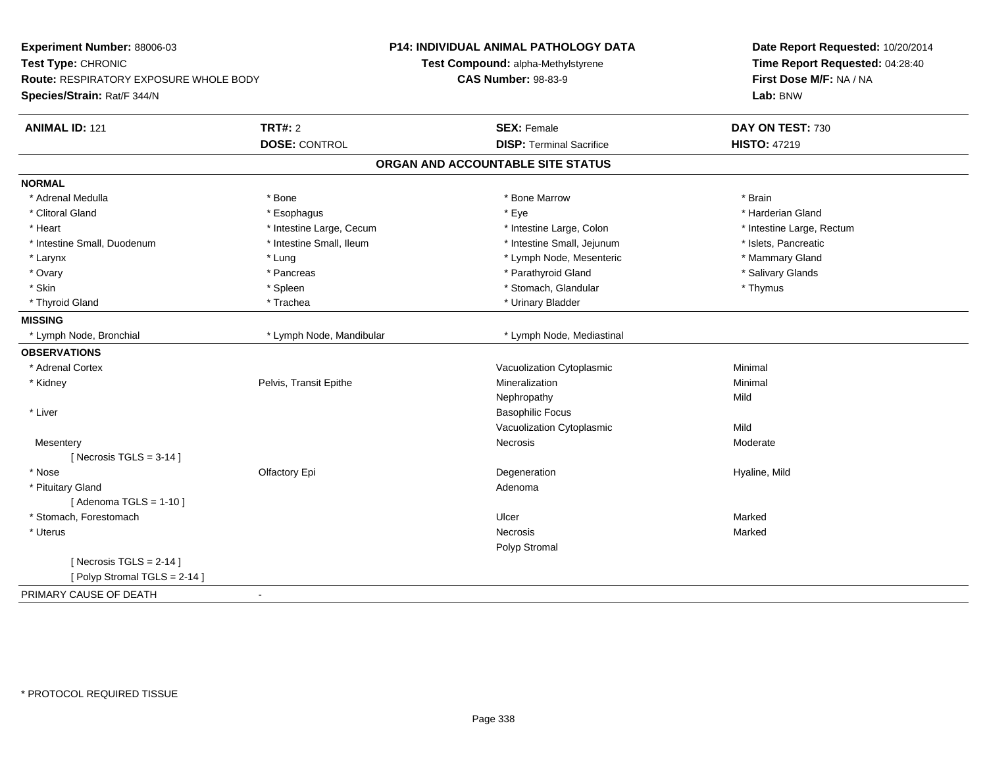| Experiment Number: 88006-03            |                          | <b>P14: INDIVIDUAL ANIMAL PATHOLOGY DATA</b> | Date Report Requested: 10/20/2014<br>Time Report Requested: 04:28:40 |
|----------------------------------------|--------------------------|----------------------------------------------|----------------------------------------------------------------------|
| Test Type: CHRONIC                     |                          | Test Compound: alpha-Methylstyrene           |                                                                      |
| Route: RESPIRATORY EXPOSURE WHOLE BODY |                          | <b>CAS Number: 98-83-9</b>                   | First Dose M/F: NA / NA                                              |
| Species/Strain: Rat/F 344/N            |                          |                                              | Lab: BNW                                                             |
| <b>ANIMAL ID: 121</b>                  | <b>TRT#: 2</b>           | <b>SEX: Female</b>                           | DAY ON TEST: 730                                                     |
|                                        | <b>DOSE: CONTROL</b>     | <b>DISP: Terminal Sacrifice</b>              | <b>HISTO: 47219</b>                                                  |
|                                        |                          | ORGAN AND ACCOUNTABLE SITE STATUS            |                                                                      |
| <b>NORMAL</b>                          |                          |                                              |                                                                      |
| * Adrenal Medulla                      | * Bone                   | * Bone Marrow                                | * Brain                                                              |
| * Clitoral Gland                       | * Esophagus              | * Eye                                        | * Harderian Gland                                                    |
| * Heart                                | * Intestine Large, Cecum | * Intestine Large, Colon                     | * Intestine Large, Rectum                                            |
| * Intestine Small, Duodenum            | * Intestine Small, Ileum | * Intestine Small, Jejunum                   | * Islets, Pancreatic                                                 |
| * Larynx                               | * Lung                   | * Lymph Node, Mesenteric                     | * Mammary Gland                                                      |
| * Ovary                                | * Pancreas               | * Parathyroid Gland                          | * Salivary Glands                                                    |
| * Skin                                 | * Spleen                 | * Stomach, Glandular                         | * Thymus                                                             |
| * Thyroid Gland                        | * Trachea                | * Urinary Bladder                            |                                                                      |
| <b>MISSING</b>                         |                          |                                              |                                                                      |
| * Lymph Node, Bronchial                | * Lymph Node, Mandibular | * Lymph Node, Mediastinal                    |                                                                      |
| <b>OBSERVATIONS</b>                    |                          |                                              |                                                                      |
| * Adrenal Cortex                       |                          | Vacuolization Cytoplasmic                    | Minimal                                                              |
| * Kidney                               | Pelvis, Transit Epithe   | Mineralization                               | Minimal                                                              |
|                                        |                          | Nephropathy                                  | Mild                                                                 |
| * Liver                                |                          | <b>Basophilic Focus</b>                      |                                                                      |
|                                        |                          | Vacuolization Cytoplasmic                    | Mild                                                                 |
| Mesentery                              |                          | Necrosis                                     | Moderate                                                             |
| [Necrosis $TGLS = 3-14$ ]              |                          |                                              |                                                                      |
| * Nose                                 | Olfactory Epi            | Degeneration                                 | Hyaline, Mild                                                        |
| * Pituitary Gland                      |                          | Adenoma                                      |                                                                      |
| [Adenoma TGLS = $1-10$ ]               |                          |                                              |                                                                      |
| * Stomach, Forestomach                 |                          | Ulcer                                        | Marked                                                               |
| * Uterus                               |                          | Necrosis                                     | Marked                                                               |
|                                        |                          | Polyp Stromal                                |                                                                      |
| [Necrosis TGLS = $2-14$ ]              |                          |                                              |                                                                      |
| [Polyp Stromal TGLS = 2-14]            |                          |                                              |                                                                      |
| PRIMARY CAUSE OF DEATH                 | $\sim$                   |                                              |                                                                      |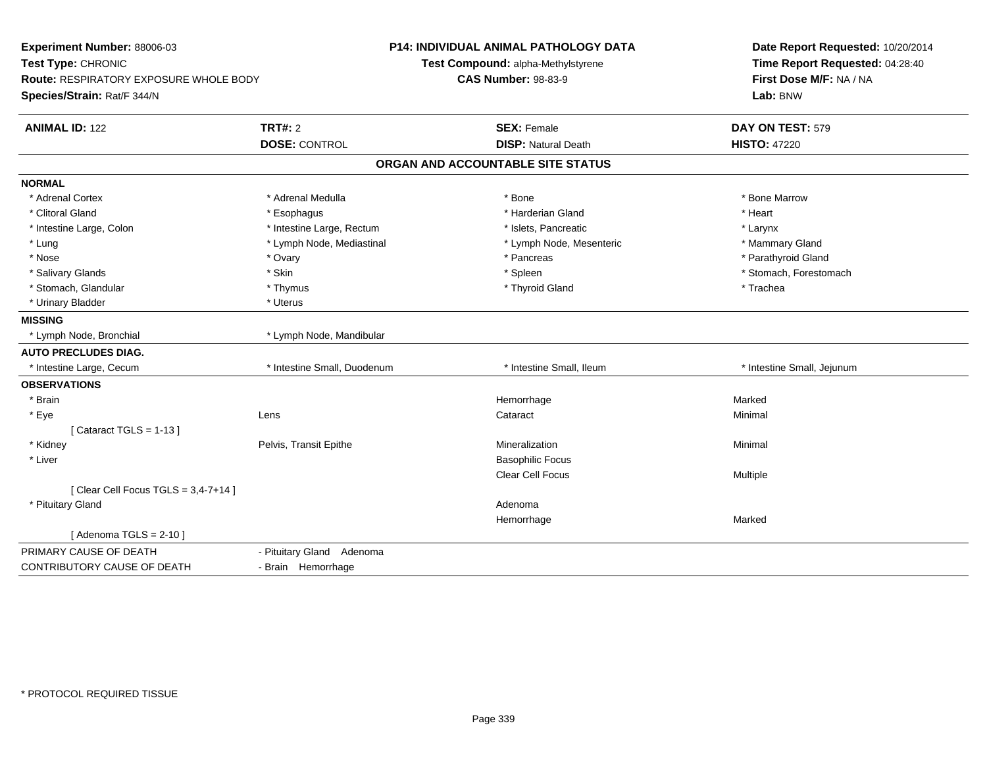| Experiment Number: 88006-03<br>Test Type: CHRONIC<br><b>Route: RESPIRATORY EXPOSURE WHOLE BODY</b><br>Species/Strain: Rat/F 344/N |                                 | P14: INDIVIDUAL ANIMAL PATHOLOGY DATA<br>Test Compound: alpha-Methylstyrene<br><b>CAS Number: 98-83-9</b> | Date Report Requested: 10/20/2014<br>Time Report Requested: 04:28:40<br>First Dose M/F: NA / NA<br>Lab: BNW |
|-----------------------------------------------------------------------------------------------------------------------------------|---------------------------------|-----------------------------------------------------------------------------------------------------------|-------------------------------------------------------------------------------------------------------------|
| <b>ANIMAL ID: 122</b>                                                                                                             | TRT#: 2<br><b>DOSE: CONTROL</b> | <b>SEX: Female</b><br><b>DISP: Natural Death</b>                                                          | DAY ON TEST: 579<br><b>HISTO: 47220</b>                                                                     |
|                                                                                                                                   |                                 | ORGAN AND ACCOUNTABLE SITE STATUS                                                                         |                                                                                                             |
| <b>NORMAL</b>                                                                                                                     |                                 |                                                                                                           |                                                                                                             |
| * Adrenal Cortex                                                                                                                  | * Adrenal Medulla               | * Bone                                                                                                    | * Bone Marrow                                                                                               |
| * Clitoral Gland                                                                                                                  | * Esophagus                     | * Harderian Gland                                                                                         | * Heart                                                                                                     |
| * Intestine Large, Colon                                                                                                          | * Intestine Large, Rectum       | * Islets, Pancreatic                                                                                      | * Larynx                                                                                                    |
| * Lung                                                                                                                            | * Lymph Node, Mediastinal       | * Lymph Node, Mesenteric                                                                                  | * Mammary Gland                                                                                             |
| * Nose                                                                                                                            | * Ovary                         | * Pancreas                                                                                                | * Parathyroid Gland                                                                                         |
| * Salivary Glands                                                                                                                 | * Skin                          | * Spleen                                                                                                  | * Stomach, Forestomach                                                                                      |
| * Stomach, Glandular                                                                                                              | * Thymus                        | * Thyroid Gland                                                                                           | * Trachea                                                                                                   |
| * Urinary Bladder                                                                                                                 | * Uterus                        |                                                                                                           |                                                                                                             |
| <b>MISSING</b>                                                                                                                    |                                 |                                                                                                           |                                                                                                             |
| * Lymph Node, Bronchial                                                                                                           | * Lymph Node, Mandibular        |                                                                                                           |                                                                                                             |
| <b>AUTO PRECLUDES DIAG.</b>                                                                                                       |                                 |                                                                                                           |                                                                                                             |
| * Intestine Large, Cecum                                                                                                          | * Intestine Small, Duodenum     | * Intestine Small, Ileum                                                                                  | * Intestine Small, Jejunum                                                                                  |
| <b>OBSERVATIONS</b>                                                                                                               |                                 |                                                                                                           |                                                                                                             |
| * Brain                                                                                                                           |                                 | Hemorrhage                                                                                                | Marked                                                                                                      |
| * Eye                                                                                                                             | Lens                            | Cataract                                                                                                  | Minimal                                                                                                     |
| [Cataract TGLS = $1-13$ ]                                                                                                         |                                 |                                                                                                           |                                                                                                             |
| * Kidney                                                                                                                          | Pelvis, Transit Epithe          | Mineralization                                                                                            | Minimal                                                                                                     |
| * Liver                                                                                                                           |                                 | <b>Basophilic Focus</b>                                                                                   |                                                                                                             |
|                                                                                                                                   |                                 | <b>Clear Cell Focus</b>                                                                                   | Multiple                                                                                                    |
| [Clear Cell Focus TGLS = $3,4-7+14$ ]                                                                                             |                                 |                                                                                                           |                                                                                                             |
| * Pituitary Gland                                                                                                                 |                                 | Adenoma                                                                                                   |                                                                                                             |
|                                                                                                                                   |                                 | Hemorrhage                                                                                                | Marked                                                                                                      |
| [Adenoma TGLS = $2-10$ ]                                                                                                          |                                 |                                                                                                           |                                                                                                             |
| PRIMARY CAUSE OF DEATH                                                                                                            | - Pituitary Gland Adenoma       |                                                                                                           |                                                                                                             |
| <b>CONTRIBUTORY CAUSE OF DEATH</b>                                                                                                | - Brain Hemorrhage              |                                                                                                           |                                                                                                             |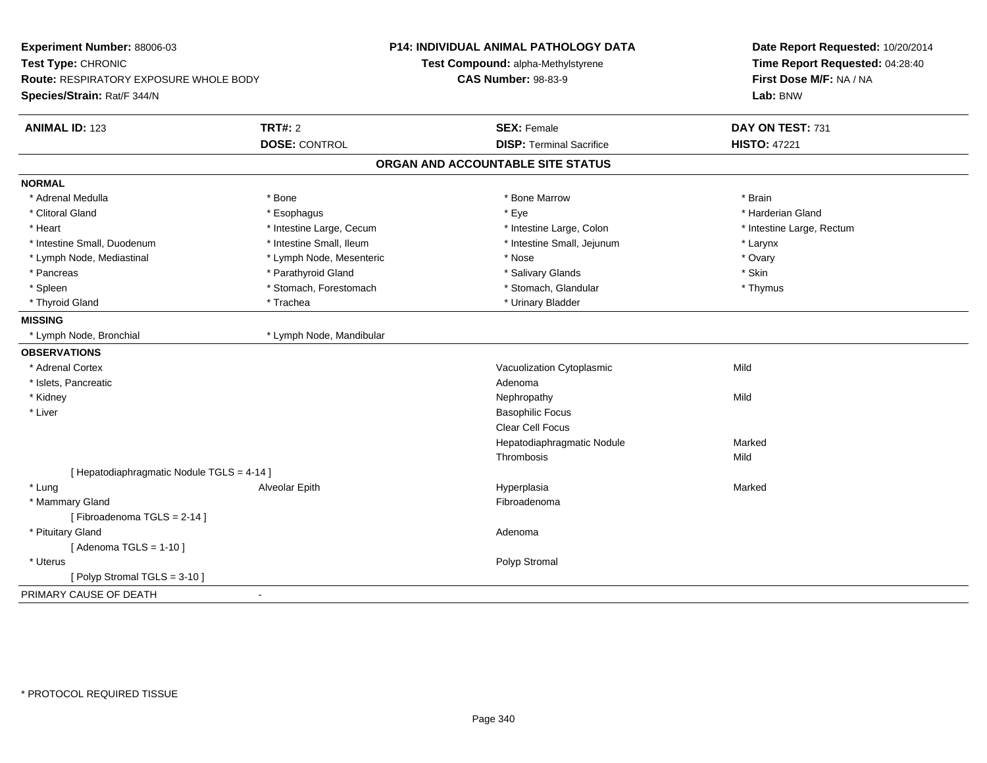| Species/Strain: Rat/F 344/N                             |                                   | Lab: BNW                  |
|---------------------------------------------------------|-----------------------------------|---------------------------|
| <b>TRT#: 2</b><br><b>ANIMAL ID: 123</b>                 | <b>SEX: Female</b>                | DAY ON TEST: 731          |
| <b>DOSE: CONTROL</b>                                    | <b>DISP: Terminal Sacrifice</b>   | <b>HISTO: 47221</b>       |
|                                                         | ORGAN AND ACCOUNTABLE SITE STATUS |                           |
| <b>NORMAL</b>                                           |                                   |                           |
| * Adrenal Medulla<br>* Bone                             | * Bone Marrow                     | * Brain                   |
| * Clitoral Gland<br>* Esophagus                         | * Eye                             | * Harderian Gland         |
| * Heart<br>* Intestine Large, Cecum                     | * Intestine Large, Colon          | * Intestine Large, Rectum |
| * Intestine Small, Duodenum<br>* Intestine Small, Ileum | * Intestine Small, Jejunum        | * Larynx                  |
| * Lymph Node, Mesenteric<br>* Lymph Node, Mediastinal   | * Nose                            | * Ovary                   |
| * Parathyroid Gland<br>* Pancreas                       | * Salivary Glands                 | * Skin                    |
| * Stomach, Forestomach<br>* Spleen                      | * Stomach, Glandular              | * Thymus                  |
| * Thyroid Gland<br>* Trachea                            | * Urinary Bladder                 |                           |
| <b>MISSING</b>                                          |                                   |                           |
| * Lymph Node, Bronchial<br>* Lymph Node, Mandibular     |                                   |                           |
| <b>OBSERVATIONS</b>                                     |                                   |                           |
| * Adrenal Cortex                                        | Vacuolization Cytoplasmic         | Mild                      |
| * Islets, Pancreatic                                    | Adenoma                           |                           |
| * Kidney                                                | Nephropathy                       | Mild                      |
| * Liver                                                 | <b>Basophilic Focus</b>           |                           |
|                                                         | <b>Clear Cell Focus</b>           |                           |
|                                                         | Hepatodiaphragmatic Nodule        | Marked                    |
|                                                         | Thrombosis                        | Mild                      |
| [ Hepatodiaphragmatic Nodule TGLS = 4-14 ]              |                                   |                           |
| * Lung<br>Alveolar Epith                                | Hyperplasia                       | Marked                    |
| * Mammary Gland                                         | Fibroadenoma                      |                           |
| [Fibroadenoma TGLS = 2-14]                              |                                   |                           |
| * Pituitary Gland                                       | Adenoma                           |                           |
| [Adenoma TGLS = $1-10$ ]                                |                                   |                           |
| * Uterus                                                | Polyp Stromal                     |                           |
| [ Polyp Stromal TGLS = $3-10$ ]                         |                                   |                           |
| PRIMARY CAUSE OF DEATH                                  |                                   |                           |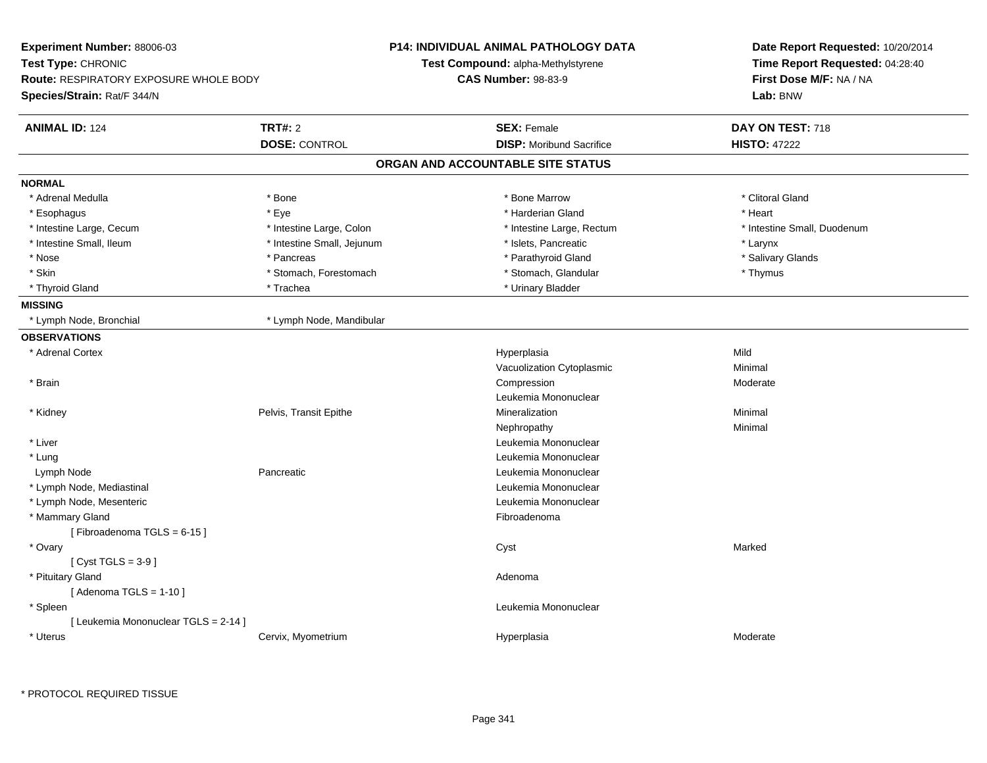| Experiment Number: 88006-03                                                  |                            | <b>P14: INDIVIDUAL ANIMAL PATHOLOGY DATA</b> | Date Report Requested: 10/20/2014<br>Time Report Requested: 04:28:40 |
|------------------------------------------------------------------------------|----------------------------|----------------------------------------------|----------------------------------------------------------------------|
| Test Type: CHRONIC                                                           |                            | Test Compound: alpha-Methylstyrene           |                                                                      |
| <b>Route: RESPIRATORY EXPOSURE WHOLE BODY</b><br>Species/Strain: Rat/F 344/N |                            | <b>CAS Number: 98-83-9</b>                   | First Dose M/F: NA / NA<br>Lab: BNW                                  |
|                                                                              |                            |                                              |                                                                      |
| <b>ANIMAL ID: 124</b>                                                        | <b>TRT#: 2</b>             | <b>SEX: Female</b>                           | DAY ON TEST: 718                                                     |
|                                                                              | <b>DOSE: CONTROL</b>       | <b>DISP:</b> Moribund Sacrifice              | <b>HISTO: 47222</b>                                                  |
|                                                                              |                            | ORGAN AND ACCOUNTABLE SITE STATUS            |                                                                      |
| <b>NORMAL</b>                                                                |                            |                                              |                                                                      |
| * Adrenal Medulla                                                            | * Bone                     | * Bone Marrow                                | * Clitoral Gland                                                     |
| * Esophagus                                                                  | * Eye                      | * Harderian Gland                            | * Heart                                                              |
| * Intestine Large, Cecum                                                     | * Intestine Large, Colon   | * Intestine Large, Rectum                    | * Intestine Small, Duodenum                                          |
| * Intestine Small, Ileum                                                     | * Intestine Small, Jejunum | * Islets, Pancreatic                         | * Larynx                                                             |
| * Nose                                                                       | * Pancreas                 | * Parathyroid Gland                          | * Salivary Glands                                                    |
| * Skin                                                                       | * Stomach, Forestomach     | * Stomach, Glandular                         | * Thymus                                                             |
| * Thyroid Gland                                                              | * Trachea                  | * Urinary Bladder                            |                                                                      |
| <b>MISSING</b>                                                               |                            |                                              |                                                                      |
| * Lymph Node, Bronchial                                                      | * Lymph Node, Mandibular   |                                              |                                                                      |
| <b>OBSERVATIONS</b>                                                          |                            |                                              |                                                                      |
| * Adrenal Cortex                                                             |                            | Hyperplasia                                  | Mild                                                                 |
|                                                                              |                            | Vacuolization Cytoplasmic                    | Minimal                                                              |
| * Brain                                                                      |                            | Compression                                  | Moderate                                                             |
|                                                                              |                            | Leukemia Mononuclear                         |                                                                      |
| * Kidney                                                                     | Pelvis, Transit Epithe     | Mineralization                               | Minimal                                                              |
|                                                                              |                            | Nephropathy                                  | Minimal                                                              |
| * Liver                                                                      |                            | Leukemia Mononuclear                         |                                                                      |
| * Lung                                                                       |                            | Leukemia Mononuclear                         |                                                                      |
| Lymph Node                                                                   | Pancreatic                 | Leukemia Mononuclear                         |                                                                      |
| * Lymph Node, Mediastinal                                                    |                            | Leukemia Mononuclear                         |                                                                      |
| * Lymph Node, Mesenteric                                                     |                            | Leukemia Mononuclear                         |                                                                      |
| * Mammary Gland                                                              |                            | Fibroadenoma                                 |                                                                      |
| [Fibroadenoma TGLS = 6-15]                                                   |                            |                                              |                                                                      |
| * Ovary                                                                      |                            | Cyst                                         | Marked                                                               |
| [ $Cyst TGLS = 3-9$ ]                                                        |                            |                                              |                                                                      |
| * Pituitary Gland                                                            |                            | Adenoma                                      |                                                                      |
| [Adenoma TGLS = $1-10$ ]                                                     |                            |                                              |                                                                      |
| * Spleen                                                                     |                            | Leukemia Mononuclear                         |                                                                      |
| [ Leukemia Mononuclear TGLS = 2-14 ]                                         |                            |                                              |                                                                      |
| * Uterus                                                                     | Cervix, Myometrium         | Hyperplasia                                  | Moderate                                                             |
|                                                                              |                            |                                              |                                                                      |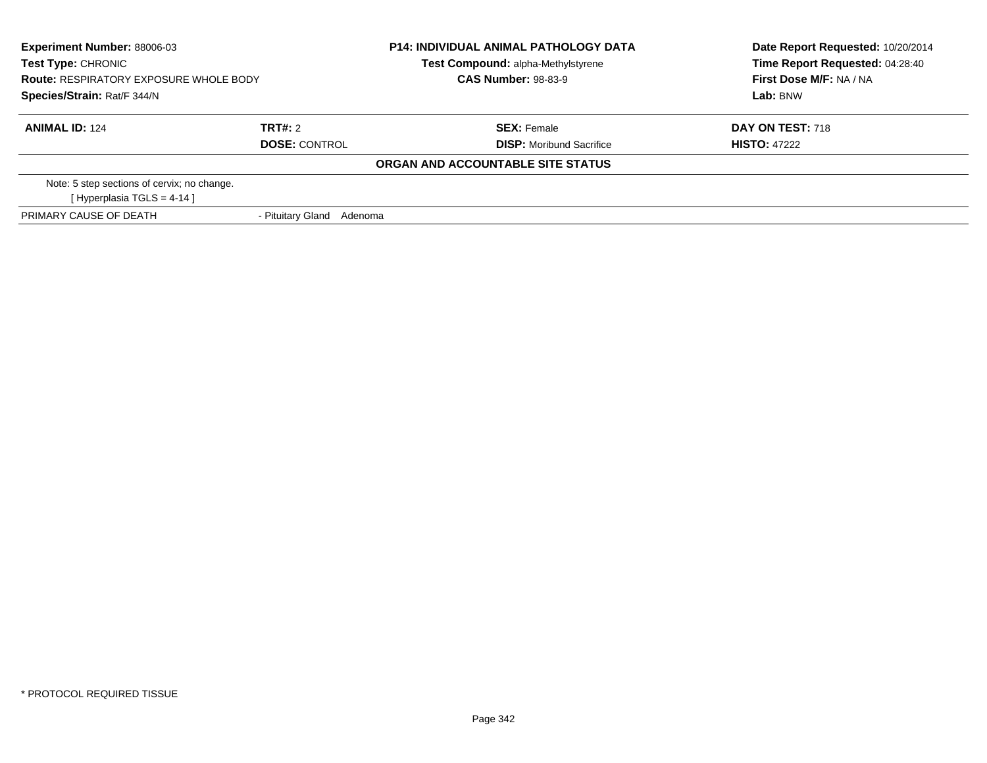| <b>Experiment Number: 88006-03</b><br>Test Type: CHRONIC<br><b>Route: RESPIRATORY EXPOSURE WHOLE BODY</b><br>Species/Strain: Rat/F 344/N |                           | <b>P14: INDIVIDUAL ANIMAL PATHOLOGY DATA</b><br>Test Compound: alpha-Methylstyrene | Date Report Requested: 10/20/2014<br>Time Report Requested: 04:28:40 |
|------------------------------------------------------------------------------------------------------------------------------------------|---------------------------|------------------------------------------------------------------------------------|----------------------------------------------------------------------|
|                                                                                                                                          |                           | <b>CAS Number: 98-83-9</b>                                                         | First Dose M/F: NA / NA                                              |
|                                                                                                                                          |                           |                                                                                    | Lab: BNW                                                             |
| <b>ANIMAL ID: 124</b>                                                                                                                    | TRT#: 2                   | <b>SEX:</b> Female                                                                 | <b>DAY ON TEST: 718</b>                                              |
|                                                                                                                                          | <b>DOSE: CONTROL</b>      | <b>DISP:</b> Moribund Sacrifice                                                    | <b>HISTO: 47222</b>                                                  |
|                                                                                                                                          |                           | ORGAN AND ACCOUNTABLE SITE STATUS                                                  |                                                                      |
| Note: 5 step sections of cervix; no change.                                                                                              |                           |                                                                                    |                                                                      |
| [Hyperplasia TGLS = $4-14$ ]                                                                                                             |                           |                                                                                    |                                                                      |
| PRIMARY CAUSE OF DEATH                                                                                                                   | - Pituitary Gland Adenoma |                                                                                    |                                                                      |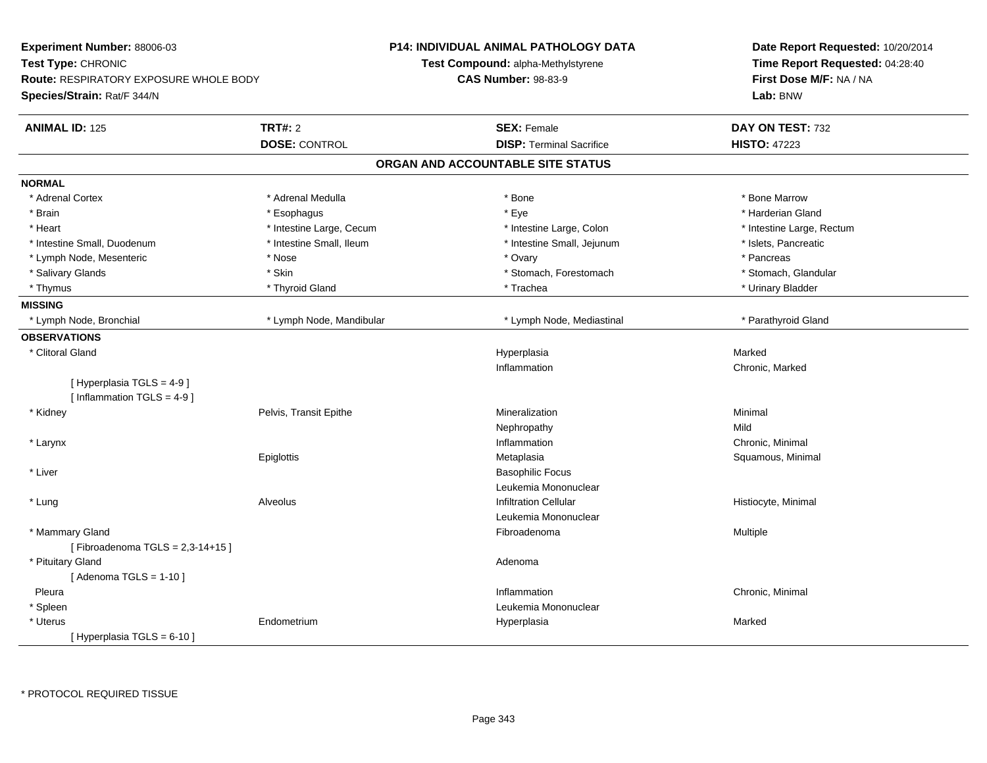| Experiment Number: 88006-03                   |                          | <b>P14: INDIVIDUAL ANIMAL PATHOLOGY DATA</b> | Date Report Requested: 10/20/2014<br>Time Report Requested: 04:28:40 |
|-----------------------------------------------|--------------------------|----------------------------------------------|----------------------------------------------------------------------|
| Test Type: CHRONIC                            |                          | Test Compound: alpha-Methylstyrene           |                                                                      |
| <b>Route: RESPIRATORY EXPOSURE WHOLE BODY</b> |                          | <b>CAS Number: 98-83-9</b>                   | First Dose M/F: NA / NA                                              |
| Species/Strain: Rat/F 344/N                   |                          |                                              | Lab: BNW                                                             |
| <b>ANIMAL ID: 125</b>                         | <b>TRT#: 2</b>           | <b>SEX: Female</b>                           | DAY ON TEST: 732                                                     |
|                                               | <b>DOSE: CONTROL</b>     | <b>DISP: Terminal Sacrifice</b>              | <b>HISTO: 47223</b>                                                  |
|                                               |                          | ORGAN AND ACCOUNTABLE SITE STATUS            |                                                                      |
| <b>NORMAL</b>                                 |                          |                                              |                                                                      |
| * Adrenal Cortex                              | * Adrenal Medulla        | * Bone                                       | * Bone Marrow                                                        |
| * Brain                                       | * Esophagus              | * Eye                                        | * Harderian Gland                                                    |
| * Heart                                       | * Intestine Large, Cecum | * Intestine Large, Colon                     | * Intestine Large, Rectum                                            |
| * Intestine Small, Duodenum                   | * Intestine Small, Ileum | * Intestine Small, Jejunum                   | * Islets, Pancreatic                                                 |
| * Lymph Node, Mesenteric                      | * Nose                   | * Ovary                                      | * Pancreas                                                           |
| * Salivary Glands                             | * Skin                   | * Stomach, Forestomach                       | * Stomach, Glandular                                                 |
| * Thymus                                      | * Thyroid Gland          | * Trachea                                    | * Urinary Bladder                                                    |
| <b>MISSING</b>                                |                          |                                              |                                                                      |
| * Lymph Node, Bronchial                       | * Lymph Node, Mandibular | * Lymph Node, Mediastinal                    | * Parathyroid Gland                                                  |
| <b>OBSERVATIONS</b>                           |                          |                                              |                                                                      |
| * Clitoral Gland                              |                          | Hyperplasia                                  | Marked                                                               |
|                                               |                          | Inflammation                                 | Chronic, Marked                                                      |
| [Hyperplasia TGLS = 4-9]                      |                          |                                              |                                                                      |
| [Inflammation TGLS = $4-9$ ]                  |                          |                                              |                                                                      |
| * Kidney                                      | Pelvis, Transit Epithe   | Mineralization                               | Minimal                                                              |
|                                               |                          | Nephropathy                                  | Mild                                                                 |
| * Larynx                                      |                          | Inflammation                                 | Chronic, Minimal                                                     |
|                                               | Epiglottis               | Metaplasia                                   | Squamous, Minimal                                                    |
| * Liver                                       |                          | <b>Basophilic Focus</b>                      |                                                                      |
|                                               |                          | Leukemia Mononuclear                         |                                                                      |
| * Lung                                        | <b>Alveolus</b>          | <b>Infiltration Cellular</b>                 | Histiocyte, Minimal                                                  |
|                                               |                          | Leukemia Mononuclear                         |                                                                      |
| * Mammary Gland                               |                          | Fibroadenoma                                 | Multiple                                                             |
| [Fibroadenoma $TGLS = 2,3-14+15$ ]            |                          |                                              |                                                                      |
| * Pituitary Gland                             |                          | Adenoma                                      |                                                                      |
| [Adenoma TGLS = $1-10$ ]                      |                          |                                              |                                                                      |
| Pleura                                        |                          | Inflammation                                 | Chronic, Minimal                                                     |
| * Spleen                                      |                          | Leukemia Mononuclear                         |                                                                      |
| * Uterus                                      | Endometrium              | Hyperplasia                                  | Marked                                                               |
| [Hyperplasia TGLS = $6-10$ ]                  |                          |                                              |                                                                      |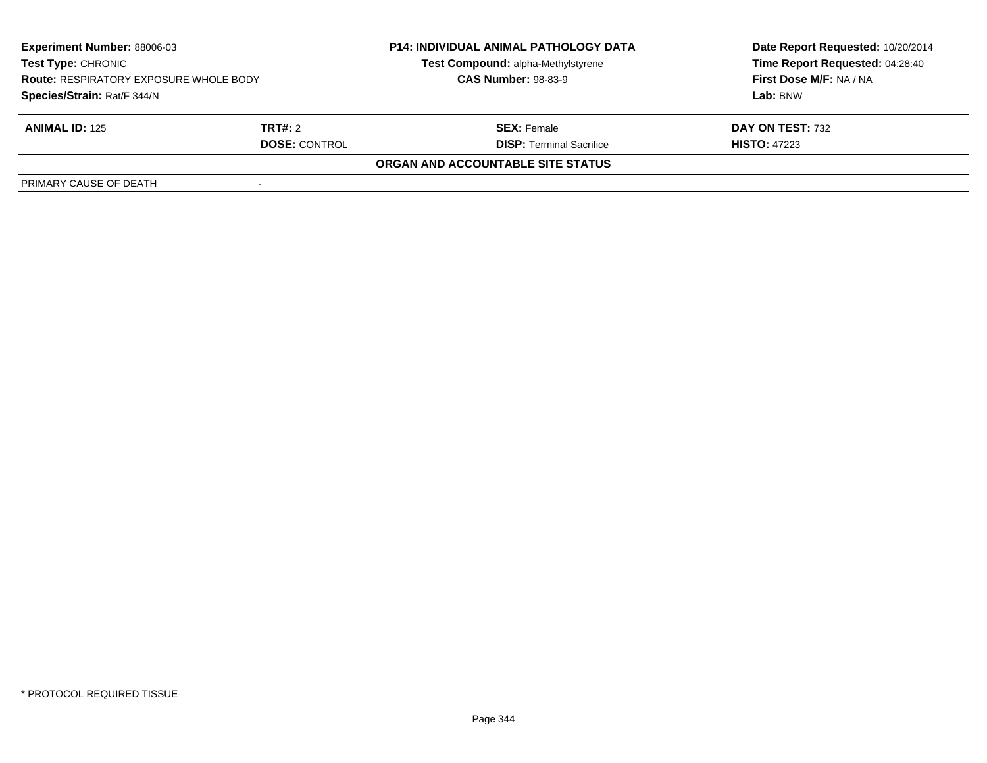| Experiment Number: 88006-03<br><b>Test Type: CHRONIC</b><br><b>Route: RESPIRATORY EXPOSURE WHOLE BODY</b><br>Species/Strain: Rat/F 344/N |                      | <b>P14: INDIVIDUAL ANIMAL PATHOLOGY DATA</b> | Date Report Requested: 10/20/2014<br>Time Report Requested: 04:28:40 |
|------------------------------------------------------------------------------------------------------------------------------------------|----------------------|----------------------------------------------|----------------------------------------------------------------------|
|                                                                                                                                          |                      | Test Compound: alpha-Methylstyrene           |                                                                      |
|                                                                                                                                          |                      | <b>CAS Number: 98-83-9</b>                   | First Dose M/F: NA / NA                                              |
|                                                                                                                                          |                      |                                              | Lab: BNW                                                             |
| <b>ANIMAL ID: 125</b>                                                                                                                    | <b>TRT#:</b> 2       | <b>SEX:</b> Female                           | DAY ON TEST: 732                                                     |
|                                                                                                                                          | <b>DOSE: CONTROL</b> | <b>DISP:</b> Terminal Sacrifice              | <b>HISTO: 47223</b>                                                  |
|                                                                                                                                          |                      | ORGAN AND ACCOUNTABLE SITE STATUS            |                                                                      |
| PRIMARY CAUSE OF DEATH                                                                                                                   |                      |                                              |                                                                      |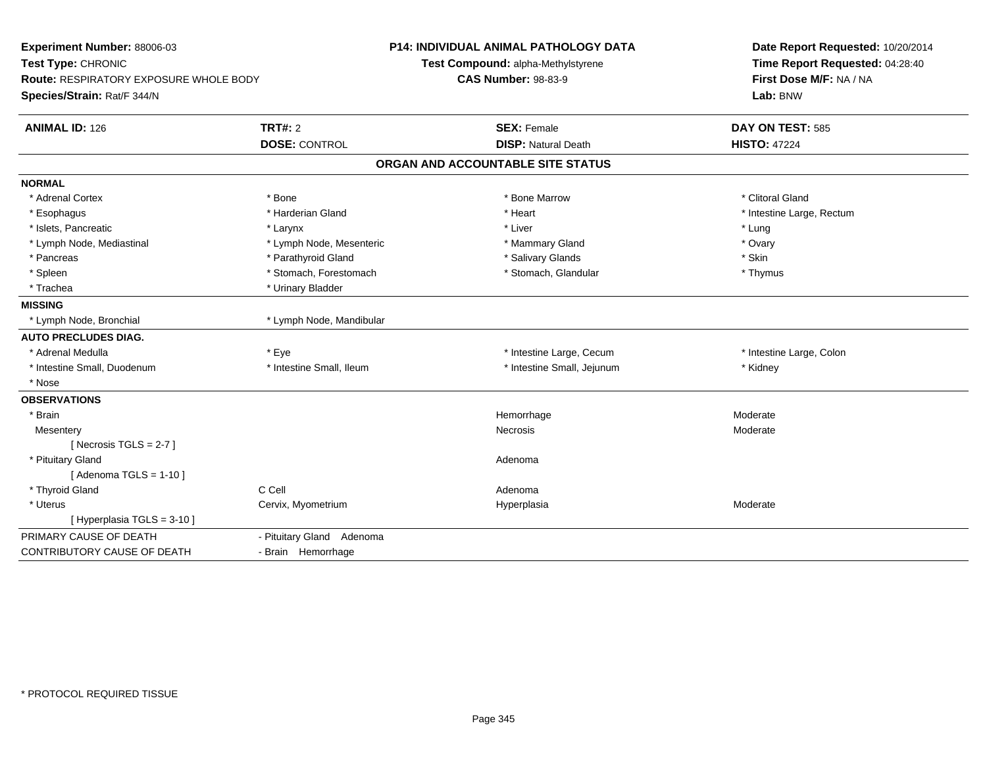| Experiment Number: 88006-03<br>Test Type: CHRONIC<br>Route: RESPIRATORY EXPOSURE WHOLE BODY<br>Species/Strain: Rat/F 344/N |                           | <b>P14: INDIVIDUAL ANIMAL PATHOLOGY DATA</b><br>Test Compound: alpha-Methylstyrene<br><b>CAS Number: 98-83-9</b> | Date Report Requested: 10/20/2014<br>Time Report Requested: 04:28:40<br>First Dose M/F: NA / NA<br>Lab: BNW |
|----------------------------------------------------------------------------------------------------------------------------|---------------------------|------------------------------------------------------------------------------------------------------------------|-------------------------------------------------------------------------------------------------------------|
| <b>ANIMAL ID: 126</b>                                                                                                      | TRT#: 2                   | <b>SEX: Female</b>                                                                                               | DAY ON TEST: 585                                                                                            |
|                                                                                                                            | <b>DOSE: CONTROL</b>      | <b>DISP: Natural Death</b>                                                                                       | <b>HISTO: 47224</b>                                                                                         |
|                                                                                                                            |                           | ORGAN AND ACCOUNTABLE SITE STATUS                                                                                |                                                                                                             |
| <b>NORMAL</b>                                                                                                              |                           |                                                                                                                  |                                                                                                             |
| * Adrenal Cortex                                                                                                           | * Bone                    | * Bone Marrow                                                                                                    | * Clitoral Gland                                                                                            |
| * Esophagus                                                                                                                | * Harderian Gland         | * Heart                                                                                                          | * Intestine Large, Rectum                                                                                   |
| * Islets, Pancreatic                                                                                                       | * Larynx                  | * Liver                                                                                                          | * Lung                                                                                                      |
| * Lymph Node, Mediastinal                                                                                                  | * Lymph Node, Mesenteric  | * Mammary Gland                                                                                                  | * Ovary                                                                                                     |
| * Pancreas                                                                                                                 | * Parathyroid Gland       | * Salivary Glands                                                                                                | * Skin                                                                                                      |
| * Spleen                                                                                                                   | * Stomach, Forestomach    | * Stomach, Glandular                                                                                             | * Thymus                                                                                                    |
| * Trachea                                                                                                                  | * Urinary Bladder         |                                                                                                                  |                                                                                                             |
| <b>MISSING</b>                                                                                                             |                           |                                                                                                                  |                                                                                                             |
| * Lymph Node, Bronchial                                                                                                    | * Lymph Node, Mandibular  |                                                                                                                  |                                                                                                             |
| <b>AUTO PRECLUDES DIAG.</b>                                                                                                |                           |                                                                                                                  |                                                                                                             |
| * Adrenal Medulla                                                                                                          | * Eye                     | * Intestine Large, Cecum                                                                                         | * Intestine Large, Colon                                                                                    |
| * Intestine Small, Duodenum                                                                                                | * Intestine Small, Ileum  | * Intestine Small, Jejunum                                                                                       | * Kidney                                                                                                    |
| * Nose                                                                                                                     |                           |                                                                                                                  |                                                                                                             |
| <b>OBSERVATIONS</b>                                                                                                        |                           |                                                                                                                  |                                                                                                             |
| * Brain                                                                                                                    |                           | Hemorrhage                                                                                                       | Moderate                                                                                                    |
| Mesentery                                                                                                                  |                           | <b>Necrosis</b>                                                                                                  | Moderate                                                                                                    |
| [Necrosis TGLS = $2-7$ ]                                                                                                   |                           |                                                                                                                  |                                                                                                             |
| * Pituitary Gland                                                                                                          |                           | Adenoma                                                                                                          |                                                                                                             |
| [Adenoma TGLS = $1-10$ ]                                                                                                   |                           |                                                                                                                  |                                                                                                             |
| * Thyroid Gland                                                                                                            | C Cell                    | Adenoma                                                                                                          |                                                                                                             |
| * Uterus                                                                                                                   | Cervix, Myometrium        | Hyperplasia                                                                                                      | Moderate                                                                                                    |
| [ Hyperplasia TGLS = 3-10 ]                                                                                                |                           |                                                                                                                  |                                                                                                             |
| PRIMARY CAUSE OF DEATH                                                                                                     | - Pituitary Gland Adenoma |                                                                                                                  |                                                                                                             |
| CONTRIBUTORY CAUSE OF DEATH                                                                                                | - Brain Hemorrhage        |                                                                                                                  |                                                                                                             |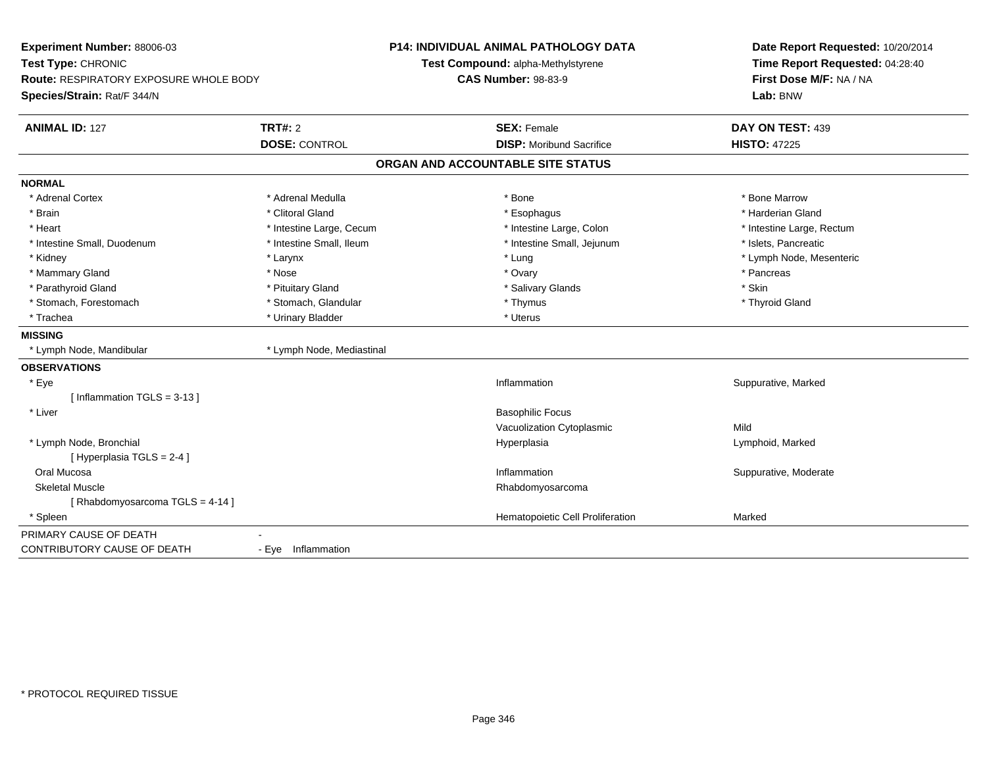| Experiment Number: 88006-03<br>Test Type: CHRONIC<br><b>Route: RESPIRATORY EXPOSURE WHOLE BODY</b><br>Species/Strain: Rat/F 344/N |                           | <b>P14: INDIVIDUAL ANIMAL PATHOLOGY DATA</b><br>Test Compound: alpha-Methylstyrene<br><b>CAS Number: 98-83-9</b> | Date Report Requested: 10/20/2014<br>Time Report Requested: 04:28:40<br>First Dose M/F: NA / NA<br>Lab: BNW |
|-----------------------------------------------------------------------------------------------------------------------------------|---------------------------|------------------------------------------------------------------------------------------------------------------|-------------------------------------------------------------------------------------------------------------|
| <b>ANIMAL ID: 127</b>                                                                                                             | TRT#: 2                   | <b>SEX: Female</b>                                                                                               | DAY ON TEST: 439                                                                                            |
|                                                                                                                                   | <b>DOSE: CONTROL</b>      | <b>DISP: Moribund Sacrifice</b>                                                                                  | <b>HISTO: 47225</b>                                                                                         |
|                                                                                                                                   |                           | ORGAN AND ACCOUNTABLE SITE STATUS                                                                                |                                                                                                             |
| <b>NORMAL</b>                                                                                                                     |                           |                                                                                                                  |                                                                                                             |
| * Adrenal Cortex                                                                                                                  | * Adrenal Medulla         | * Bone                                                                                                           | * Bone Marrow                                                                                               |
| * Brain                                                                                                                           | * Clitoral Gland          | * Esophagus                                                                                                      | * Harderian Gland                                                                                           |
| * Heart                                                                                                                           | * Intestine Large, Cecum  | * Intestine Large, Colon                                                                                         | * Intestine Large, Rectum                                                                                   |
| * Intestine Small, Duodenum                                                                                                       | * Intestine Small, Ileum  | * Intestine Small, Jejunum                                                                                       | * Islets, Pancreatic                                                                                        |
| * Kidney                                                                                                                          | * Larynx                  | * Lung                                                                                                           | * Lymph Node, Mesenteric                                                                                    |
| * Mammary Gland                                                                                                                   | * Nose                    | * Ovary                                                                                                          | * Pancreas                                                                                                  |
| * Parathyroid Gland                                                                                                               | * Pituitary Gland         | * Salivary Glands                                                                                                | * Skin                                                                                                      |
| * Stomach, Forestomach                                                                                                            | * Stomach, Glandular      | * Thymus                                                                                                         | * Thyroid Gland                                                                                             |
| * Trachea                                                                                                                         | * Urinary Bladder         | * Uterus                                                                                                         |                                                                                                             |
| <b>MISSING</b>                                                                                                                    |                           |                                                                                                                  |                                                                                                             |
| * Lymph Node, Mandibular                                                                                                          | * Lymph Node, Mediastinal |                                                                                                                  |                                                                                                             |
| <b>OBSERVATIONS</b>                                                                                                               |                           |                                                                                                                  |                                                                                                             |
| * Eye                                                                                                                             |                           | Inflammation                                                                                                     | Suppurative, Marked                                                                                         |
| [Inflammation TGLS = $3-13$ ]                                                                                                     |                           |                                                                                                                  |                                                                                                             |
| * Liver                                                                                                                           |                           | <b>Basophilic Focus</b>                                                                                          |                                                                                                             |
|                                                                                                                                   |                           | Vacuolization Cytoplasmic                                                                                        | Mild                                                                                                        |
| * Lymph Node, Bronchial                                                                                                           |                           | Hyperplasia                                                                                                      | Lymphoid, Marked                                                                                            |
| [ Hyperplasia TGLS = 2-4 ]                                                                                                        |                           |                                                                                                                  |                                                                                                             |
| Oral Mucosa                                                                                                                       |                           | Inflammation                                                                                                     | Suppurative, Moderate                                                                                       |
| <b>Skeletal Muscle</b>                                                                                                            |                           | Rhabdomyosarcoma                                                                                                 |                                                                                                             |
| [Rhabdomyosarcoma TGLS = 4-14]                                                                                                    |                           |                                                                                                                  |                                                                                                             |
| * Spleen                                                                                                                          |                           | Hematopoietic Cell Proliferation                                                                                 | Marked                                                                                                      |
| PRIMARY CAUSE OF DEATH                                                                                                            |                           |                                                                                                                  |                                                                                                             |
| <b>CONTRIBUTORY CAUSE OF DEATH</b>                                                                                                | - Eye Inflammation        |                                                                                                                  |                                                                                                             |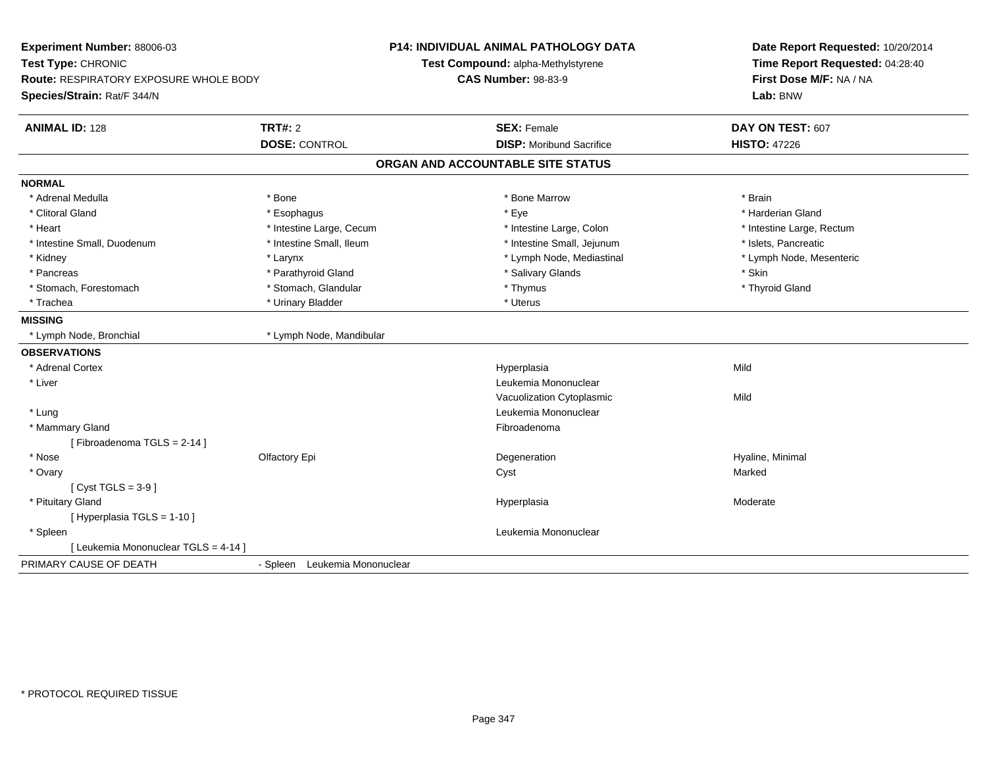| Experiment Number: 88006-03<br>Test Type: CHRONIC<br>Route: RESPIRATORY EXPOSURE WHOLE BODY<br>Species/Strain: Rat/F 344/N |                                  | P14: INDIVIDUAL ANIMAL PATHOLOGY DATA<br>Test Compound: alpha-Methylstyrene<br><b>CAS Number: 98-83-9</b> | Date Report Requested: 10/20/2014<br>Time Report Requested: 04:28:40<br>First Dose M/F: NA / NA<br>Lab: BNW |
|----------------------------------------------------------------------------------------------------------------------------|----------------------------------|-----------------------------------------------------------------------------------------------------------|-------------------------------------------------------------------------------------------------------------|
| <b>ANIMAL ID: 128</b>                                                                                                      | <b>TRT#: 2</b>                   | <b>SEX: Female</b>                                                                                        | DAY ON TEST: 607                                                                                            |
|                                                                                                                            | <b>DOSE: CONTROL</b>             | <b>DISP:</b> Moribund Sacrifice                                                                           | <b>HISTO: 47226</b>                                                                                         |
|                                                                                                                            |                                  | ORGAN AND ACCOUNTABLE SITE STATUS                                                                         |                                                                                                             |
| <b>NORMAL</b>                                                                                                              |                                  |                                                                                                           |                                                                                                             |
| * Adrenal Medulla                                                                                                          | * Bone                           | * Bone Marrow                                                                                             | * Brain                                                                                                     |
| * Clitoral Gland                                                                                                           | * Esophagus                      | * Eye                                                                                                     | * Harderian Gland                                                                                           |
| * Heart                                                                                                                    | * Intestine Large, Cecum         | * Intestine Large, Colon                                                                                  | * Intestine Large, Rectum                                                                                   |
| * Intestine Small, Duodenum                                                                                                | * Intestine Small, Ileum         | * Intestine Small, Jejunum                                                                                | * Islets, Pancreatic                                                                                        |
| * Kidney                                                                                                                   | * Larynx                         | * Lymph Node, Mediastinal                                                                                 | * Lymph Node, Mesenteric                                                                                    |
| * Pancreas                                                                                                                 | * Parathyroid Gland              | * Salivary Glands                                                                                         | * Skin                                                                                                      |
| * Stomach, Forestomach                                                                                                     | * Stomach, Glandular             | * Thymus                                                                                                  | * Thyroid Gland                                                                                             |
| * Trachea                                                                                                                  | * Urinary Bladder                | * Uterus                                                                                                  |                                                                                                             |
| <b>MISSING</b>                                                                                                             |                                  |                                                                                                           |                                                                                                             |
| * Lymph Node, Bronchial                                                                                                    | * Lymph Node, Mandibular         |                                                                                                           |                                                                                                             |
| <b>OBSERVATIONS</b>                                                                                                        |                                  |                                                                                                           |                                                                                                             |
| * Adrenal Cortex                                                                                                           |                                  | Hyperplasia                                                                                               | Mild                                                                                                        |
| * Liver                                                                                                                    |                                  | Leukemia Mononuclear                                                                                      |                                                                                                             |
|                                                                                                                            |                                  | Vacuolization Cytoplasmic                                                                                 | Mild                                                                                                        |
| * Lung                                                                                                                     |                                  | Leukemia Mononuclear                                                                                      |                                                                                                             |
| * Mammary Gland                                                                                                            |                                  | Fibroadenoma                                                                                              |                                                                                                             |
| [Fibroadenoma TGLS = 2-14]                                                                                                 |                                  |                                                                                                           |                                                                                                             |
| * Nose                                                                                                                     | Olfactory Epi                    | Degeneration                                                                                              | Hyaline, Minimal                                                                                            |
| * Ovary                                                                                                                    |                                  | Cyst                                                                                                      | Marked                                                                                                      |
| [Cyst TGLS = $3-9$ ]                                                                                                       |                                  |                                                                                                           |                                                                                                             |
| * Pituitary Gland                                                                                                          |                                  | Hyperplasia                                                                                               | Moderate                                                                                                    |
| [ Hyperplasia TGLS = 1-10 ]                                                                                                |                                  |                                                                                                           |                                                                                                             |
| * Spleen                                                                                                                   |                                  | Leukemia Mononuclear                                                                                      |                                                                                                             |
| [ Leukemia Mononuclear TGLS = 4-14 ]                                                                                       |                                  |                                                                                                           |                                                                                                             |
| PRIMARY CAUSE OF DEATH                                                                                                     | Leukemia Mononuclear<br>- Spleen |                                                                                                           |                                                                                                             |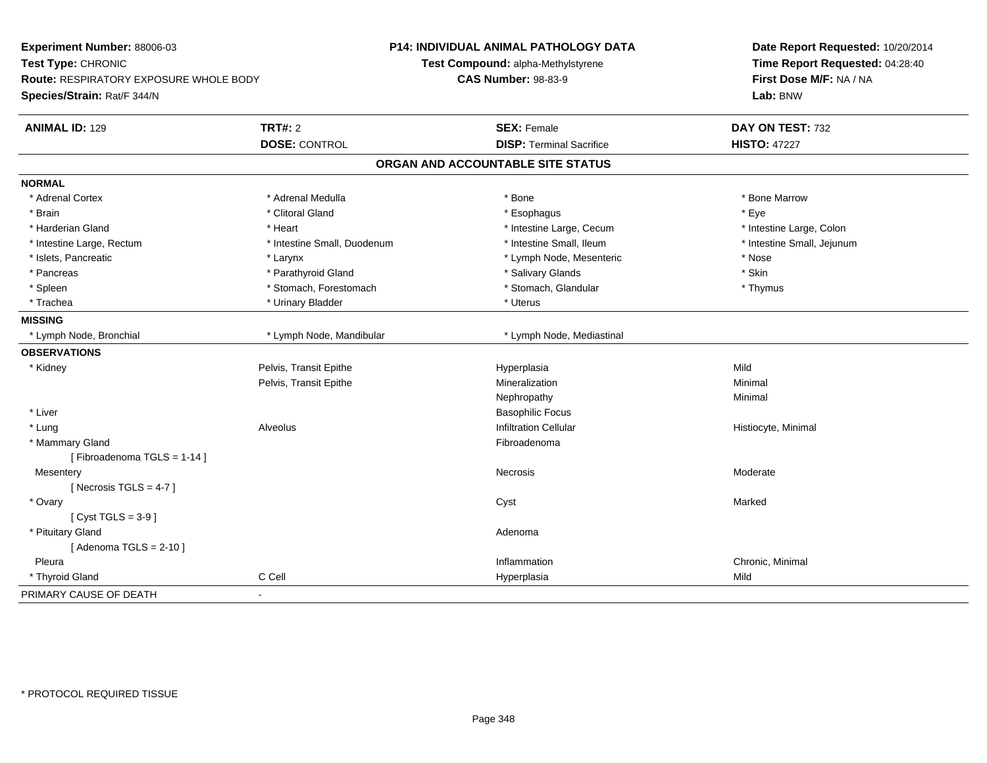| Experiment Number: 88006-03<br>Test Type: CHRONIC<br><b>Route: RESPIRATORY EXPOSURE WHOLE BODY</b><br>Species/Strain: Rat/F 344/N |                                        | <b>P14: INDIVIDUAL ANIMAL PATHOLOGY DATA</b><br>Test Compound: alpha-Methylstyrene<br><b>CAS Number: 98-83-9</b> | Date Report Requested: 10/20/2014<br>Time Report Requested: 04:28:40<br>First Dose M/F: NA / NA<br>Lab: BNW |
|-----------------------------------------------------------------------------------------------------------------------------------|----------------------------------------|------------------------------------------------------------------------------------------------------------------|-------------------------------------------------------------------------------------------------------------|
| <b>ANIMAL ID: 129</b>                                                                                                             | <b>TRT#: 2</b><br><b>DOSE: CONTROL</b> | <b>SEX: Female</b><br><b>DISP: Terminal Sacrifice</b>                                                            | DAY ON TEST: 732<br><b>HISTO: 47227</b>                                                                     |
|                                                                                                                                   |                                        | ORGAN AND ACCOUNTABLE SITE STATUS                                                                                |                                                                                                             |
|                                                                                                                                   |                                        |                                                                                                                  |                                                                                                             |
| <b>NORMAL</b>                                                                                                                     |                                        |                                                                                                                  |                                                                                                             |
| * Adrenal Cortex                                                                                                                  | * Adrenal Medulla                      | * Bone                                                                                                           | * Bone Marrow                                                                                               |
| * Brain                                                                                                                           | * Clitoral Gland                       | * Esophagus                                                                                                      | * Eye                                                                                                       |
| * Harderian Gland                                                                                                                 | * Heart                                | * Intestine Large, Cecum                                                                                         | * Intestine Large, Colon                                                                                    |
| * Intestine Large, Rectum                                                                                                         | * Intestine Small, Duodenum            | * Intestine Small, Ileum                                                                                         | * Intestine Small, Jejunum                                                                                  |
| * Islets, Pancreatic                                                                                                              | * Larynx                               | * Lymph Node, Mesenteric                                                                                         | * Nose                                                                                                      |
| * Pancreas                                                                                                                        | * Parathyroid Gland                    | * Salivary Glands                                                                                                | * Skin                                                                                                      |
| * Spleen                                                                                                                          | * Stomach, Forestomach                 | * Stomach, Glandular                                                                                             | * Thymus                                                                                                    |
| * Trachea                                                                                                                         | * Urinary Bladder                      | * Uterus                                                                                                         |                                                                                                             |
| <b>MISSING</b>                                                                                                                    |                                        |                                                                                                                  |                                                                                                             |
| * Lymph Node, Bronchial                                                                                                           | * Lymph Node, Mandibular               | * Lymph Node, Mediastinal                                                                                        |                                                                                                             |
| <b>OBSERVATIONS</b>                                                                                                               |                                        |                                                                                                                  |                                                                                                             |
| * Kidney                                                                                                                          | Pelvis, Transit Epithe                 | Hyperplasia                                                                                                      | Mild                                                                                                        |
|                                                                                                                                   | Pelvis, Transit Epithe                 | Mineralization                                                                                                   | Minimal                                                                                                     |
|                                                                                                                                   |                                        | Nephropathy                                                                                                      | Minimal                                                                                                     |
| * Liver                                                                                                                           |                                        | <b>Basophilic Focus</b>                                                                                          |                                                                                                             |
| * Lung                                                                                                                            | Alveolus                               | <b>Infiltration Cellular</b>                                                                                     | Histiocyte, Minimal                                                                                         |
| * Mammary Gland                                                                                                                   |                                        | Fibroadenoma                                                                                                     |                                                                                                             |
| [Fibroadenoma TGLS = $1-14$ ]                                                                                                     |                                        |                                                                                                                  |                                                                                                             |
| Mesentery                                                                                                                         |                                        | Necrosis                                                                                                         | Moderate                                                                                                    |
| [ Necrosis TGLS = $4-7$ ]                                                                                                         |                                        |                                                                                                                  |                                                                                                             |
| * Ovary                                                                                                                           |                                        | Cyst                                                                                                             | Marked                                                                                                      |
| [Cyst TGLS = $3-9$ ]                                                                                                              |                                        |                                                                                                                  |                                                                                                             |
| * Pituitary Gland                                                                                                                 |                                        | Adenoma                                                                                                          |                                                                                                             |
| [Adenoma TGLS = $2-10$ ]                                                                                                          |                                        |                                                                                                                  |                                                                                                             |
| Pleura                                                                                                                            |                                        | Inflammation                                                                                                     | Chronic, Minimal                                                                                            |
| * Thyroid Gland                                                                                                                   | C Cell                                 | Hyperplasia                                                                                                      | Mild                                                                                                        |
| PRIMARY CAUSE OF DEATH                                                                                                            | $\overline{a}$                         |                                                                                                                  |                                                                                                             |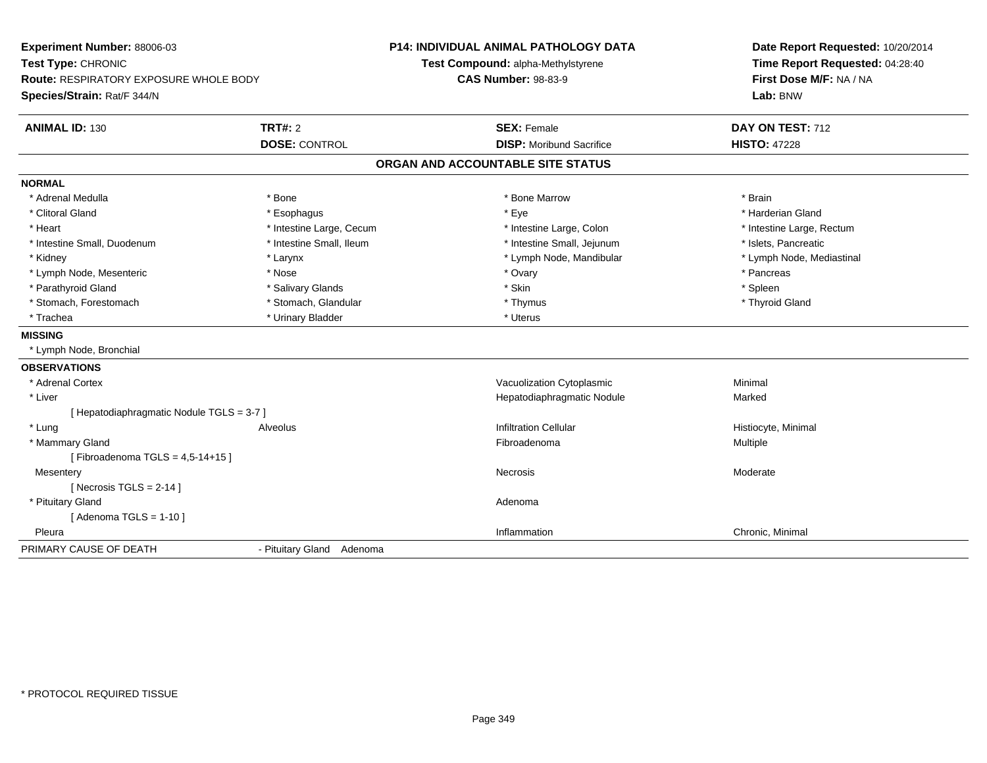| Experiment Number: 88006-03<br>Test Type: CHRONIC<br><b>Route: RESPIRATORY EXPOSURE WHOLE BODY</b> |                           | <b>P14: INDIVIDUAL ANIMAL PATHOLOGY DATA</b><br>Test Compound: alpha-Methylstyrene<br><b>CAS Number: 98-83-9</b> | Date Report Requested: 10/20/2014<br>Time Report Requested: 04:28:40<br>First Dose M/F: NA / NA |
|----------------------------------------------------------------------------------------------------|---------------------------|------------------------------------------------------------------------------------------------------------------|-------------------------------------------------------------------------------------------------|
| Species/Strain: Rat/F 344/N                                                                        |                           |                                                                                                                  | Lab: BNW                                                                                        |
| <b>ANIMAL ID: 130</b>                                                                              | TRT#: 2                   | <b>SEX: Female</b>                                                                                               | DAY ON TEST: 712                                                                                |
|                                                                                                    | <b>DOSE: CONTROL</b>      | <b>DISP:</b> Moribund Sacrifice                                                                                  | <b>HISTO: 47228</b>                                                                             |
|                                                                                                    |                           | ORGAN AND ACCOUNTABLE SITE STATUS                                                                                |                                                                                                 |
| <b>NORMAL</b>                                                                                      |                           |                                                                                                                  |                                                                                                 |
| * Adrenal Medulla                                                                                  | * Bone                    | * Bone Marrow                                                                                                    | * Brain                                                                                         |
| * Clitoral Gland                                                                                   | * Esophagus               | * Eye                                                                                                            | * Harderian Gland                                                                               |
| * Heart                                                                                            | * Intestine Large, Cecum  | * Intestine Large, Colon                                                                                         | * Intestine Large, Rectum                                                                       |
| * Intestine Small, Duodenum                                                                        | * Intestine Small, Ileum  | * Intestine Small, Jejunum                                                                                       | * Islets, Pancreatic                                                                            |
| * Kidney                                                                                           | * Larynx                  | * Lymph Node, Mandibular                                                                                         | * Lymph Node, Mediastinal                                                                       |
| * Lymph Node, Mesenteric                                                                           | * Nose                    | * Ovary                                                                                                          | * Pancreas                                                                                      |
| * Parathyroid Gland                                                                                | * Salivary Glands         | * Skin                                                                                                           | $*$ Spleen                                                                                      |
| * Stomach, Forestomach                                                                             | * Stomach, Glandular      | * Thymus                                                                                                         | * Thyroid Gland                                                                                 |
| * Trachea                                                                                          | * Urinary Bladder         | * Uterus                                                                                                         |                                                                                                 |
| <b>MISSING</b>                                                                                     |                           |                                                                                                                  |                                                                                                 |
| * Lymph Node, Bronchial                                                                            |                           |                                                                                                                  |                                                                                                 |
| <b>OBSERVATIONS</b>                                                                                |                           |                                                                                                                  |                                                                                                 |
| * Adrenal Cortex                                                                                   |                           | Vacuolization Cytoplasmic                                                                                        | Minimal                                                                                         |
| * Liver                                                                                            |                           | Hepatodiaphragmatic Nodule                                                                                       | Marked                                                                                          |
| [ Hepatodiaphragmatic Nodule TGLS = 3-7 ]                                                          |                           |                                                                                                                  |                                                                                                 |
| * Lung                                                                                             | <b>Alveolus</b>           | <b>Infiltration Cellular</b>                                                                                     | Histiocyte, Minimal                                                                             |
| * Mammary Gland                                                                                    |                           | Fibroadenoma                                                                                                     | Multiple                                                                                        |
| [Fibroadenoma TGLS = $4,5-14+15$ ]                                                                 |                           |                                                                                                                  |                                                                                                 |
| Mesentery                                                                                          |                           | Necrosis                                                                                                         | Moderate                                                                                        |
| [Necrosis TGLS = $2-14$ ]                                                                          |                           |                                                                                                                  |                                                                                                 |
| * Pituitary Gland                                                                                  |                           | Adenoma                                                                                                          |                                                                                                 |
| [Adenoma TGLS = $1-10$ ]                                                                           |                           |                                                                                                                  |                                                                                                 |
| Pleura                                                                                             |                           | Inflammation                                                                                                     | Chronic, Minimal                                                                                |
| PRIMARY CAUSE OF DEATH                                                                             | - Pituitary Gland Adenoma |                                                                                                                  |                                                                                                 |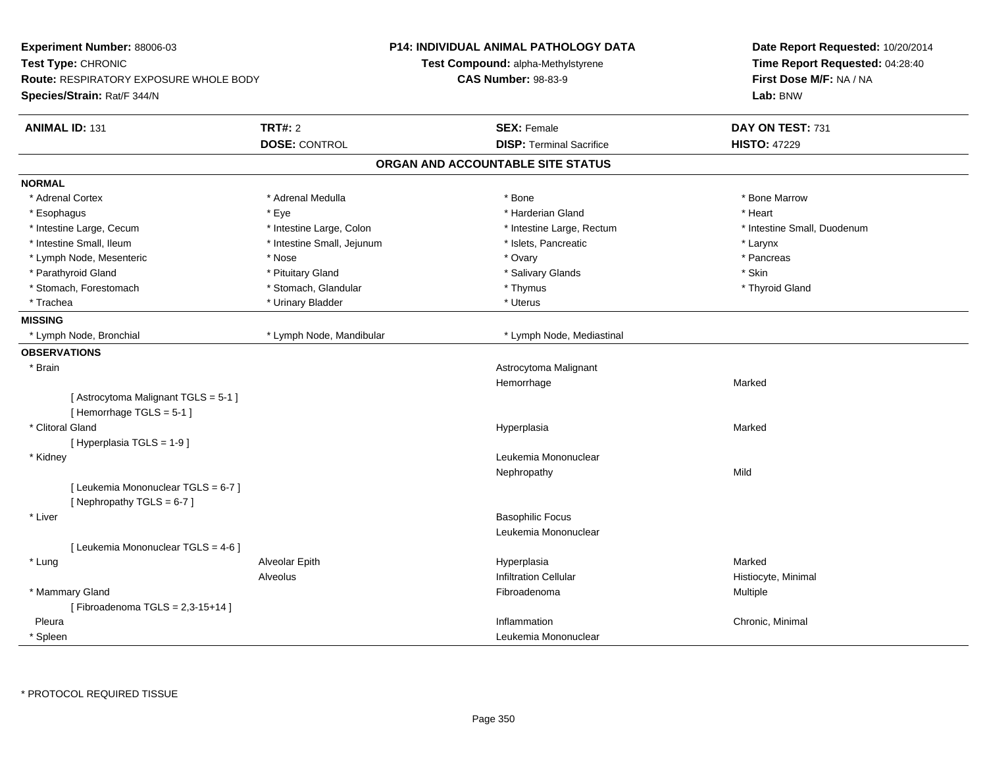| Experiment Number: 88006-03<br>Test Type: CHRONIC<br><b>Route: RESPIRATORY EXPOSURE WHOLE BODY</b><br>Species/Strain: Rat/F 344/N |                            | P14: INDIVIDUAL ANIMAL PATHOLOGY DATA<br>Test Compound: alpha-Methylstyrene<br><b>CAS Number: 98-83-9</b> | Date Report Requested: 10/20/2014<br>Time Report Requested: 04:28:40<br>First Dose M/F: NA / NA<br>Lab: BNW |
|-----------------------------------------------------------------------------------------------------------------------------------|----------------------------|-----------------------------------------------------------------------------------------------------------|-------------------------------------------------------------------------------------------------------------|
| <b>ANIMAL ID: 131</b>                                                                                                             | <b>TRT#: 2</b>             | <b>SEX: Female</b>                                                                                        | DAY ON TEST: 731                                                                                            |
|                                                                                                                                   | <b>DOSE: CONTROL</b>       | <b>DISP: Terminal Sacrifice</b>                                                                           | <b>HISTO: 47229</b>                                                                                         |
|                                                                                                                                   |                            | ORGAN AND ACCOUNTABLE SITE STATUS                                                                         |                                                                                                             |
| <b>NORMAL</b>                                                                                                                     |                            |                                                                                                           |                                                                                                             |
| * Adrenal Cortex                                                                                                                  | * Adrenal Medulla          | * Bone                                                                                                    | * Bone Marrow                                                                                               |
| * Esophagus                                                                                                                       | * Eye                      | * Harderian Gland                                                                                         | * Heart                                                                                                     |
| * Intestine Large, Cecum                                                                                                          | * Intestine Large, Colon   | * Intestine Large, Rectum                                                                                 | * Intestine Small, Duodenum                                                                                 |
| * Intestine Small, Ileum                                                                                                          | * Intestine Small, Jejunum | * Islets, Pancreatic                                                                                      | * Larynx                                                                                                    |
| * Lymph Node, Mesenteric                                                                                                          | * Nose                     | * Ovary                                                                                                   | * Pancreas                                                                                                  |
| * Parathyroid Gland                                                                                                               | * Pituitary Gland          | * Salivary Glands                                                                                         | * Skin                                                                                                      |
| * Stomach, Forestomach                                                                                                            | * Stomach, Glandular       | * Thymus                                                                                                  | * Thyroid Gland                                                                                             |
| * Trachea                                                                                                                         | * Urinary Bladder          | * Uterus                                                                                                  |                                                                                                             |
| <b>MISSING</b>                                                                                                                    |                            |                                                                                                           |                                                                                                             |
| * Lymph Node, Bronchial                                                                                                           | * Lymph Node, Mandibular   | * Lymph Node, Mediastinal                                                                                 |                                                                                                             |
| <b>OBSERVATIONS</b>                                                                                                               |                            |                                                                                                           |                                                                                                             |
| * Brain                                                                                                                           |                            | Astrocytoma Malignant                                                                                     |                                                                                                             |
|                                                                                                                                   |                            | Hemorrhage                                                                                                | Marked                                                                                                      |
| [Astrocytoma Malignant TGLS = 5-1]<br>[Hemorrhage TGLS = 5-1]                                                                     |                            |                                                                                                           |                                                                                                             |
| * Clitoral Gland                                                                                                                  |                            | Hyperplasia                                                                                               | Marked                                                                                                      |
| [ Hyperplasia TGLS = 1-9 ]                                                                                                        |                            |                                                                                                           |                                                                                                             |
| * Kidney                                                                                                                          |                            | Leukemia Mononuclear                                                                                      |                                                                                                             |
|                                                                                                                                   |                            | Nephropathy                                                                                               | Mild                                                                                                        |
| [ Leukemia Mononuclear TGLS = 6-7 ]<br>[Nephropathy TGLS = 6-7]                                                                   |                            |                                                                                                           |                                                                                                             |
| * Liver                                                                                                                           |                            | <b>Basophilic Focus</b>                                                                                   |                                                                                                             |
|                                                                                                                                   |                            | Leukemia Mononuclear                                                                                      |                                                                                                             |
| [ Leukemia Mononuclear TGLS = 4-6 ]                                                                                               |                            |                                                                                                           |                                                                                                             |
| * Lung                                                                                                                            | Alveolar Epith             | Hyperplasia                                                                                               | Marked                                                                                                      |
|                                                                                                                                   | Alveolus                   | <b>Infiltration Cellular</b>                                                                              | Histiocyte, Minimal                                                                                         |
| * Mammary Gland                                                                                                                   |                            | Fibroadenoma                                                                                              | Multiple                                                                                                    |
| [Fibroadenoma TGLS = $2,3-15+14$ ]                                                                                                |                            |                                                                                                           |                                                                                                             |
| Pleura                                                                                                                            |                            | Inflammation                                                                                              | Chronic, Minimal                                                                                            |
| <sup>*</sup> Spleen                                                                                                               |                            | Leukemia Mononuclear                                                                                      |                                                                                                             |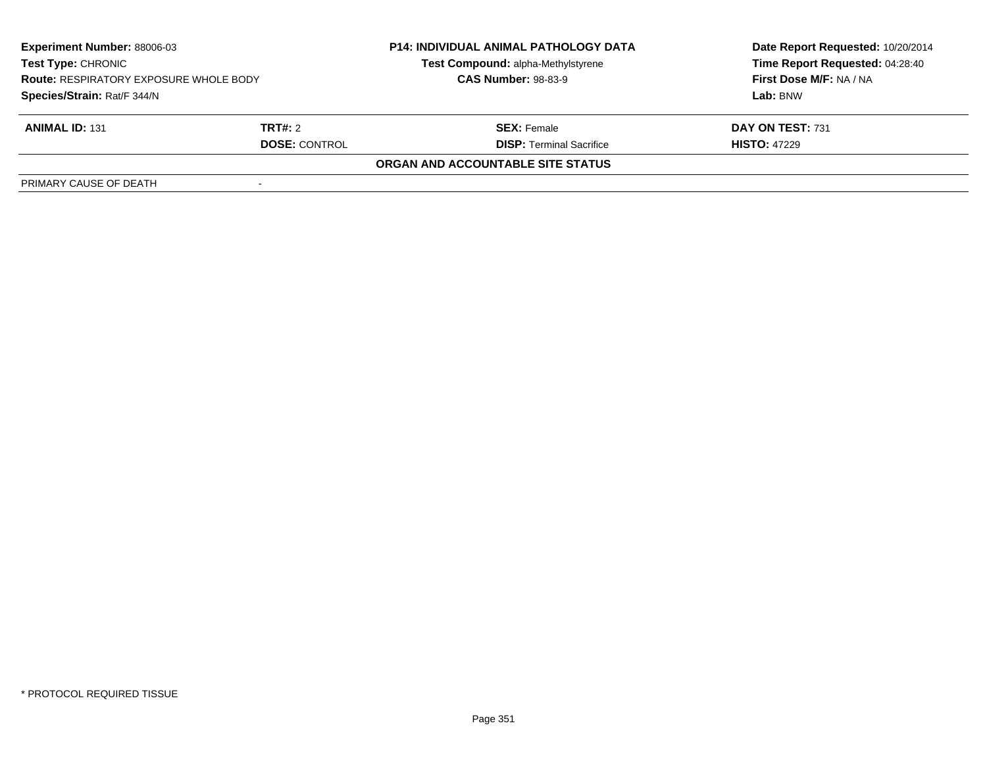| Experiment Number: 88006-03<br><b>Test Type: CHRONIC</b><br><b>Route: RESPIRATORY EXPOSURE WHOLE BODY</b><br>Species/Strain: Rat/F 344/N |                      | <b>P14: INDIVIDUAL ANIMAL PATHOLOGY DATA</b> | Date Report Requested: 10/20/2014   |
|------------------------------------------------------------------------------------------------------------------------------------------|----------------------|----------------------------------------------|-------------------------------------|
|                                                                                                                                          |                      | Test Compound: alpha-Methylstyrene           | Time Report Requested: 04:28:40     |
|                                                                                                                                          |                      | <b>CAS Number: 98-83-9</b>                   | First Dose M/F: NA / NA<br>Lab: BNW |
|                                                                                                                                          |                      |                                              |                                     |
| <b>ANIMAL ID: 131</b>                                                                                                                    | <b>TRT#:</b> 2       | <b>SEX:</b> Female                           | DAY ON TEST: 731                    |
|                                                                                                                                          | <b>DOSE: CONTROL</b> | <b>DISP:</b> Terminal Sacrifice              | <b>HISTO: 47229</b>                 |
|                                                                                                                                          |                      | ORGAN AND ACCOUNTABLE SITE STATUS            |                                     |
| PRIMARY CAUSE OF DEATH                                                                                                                   |                      |                                              |                                     |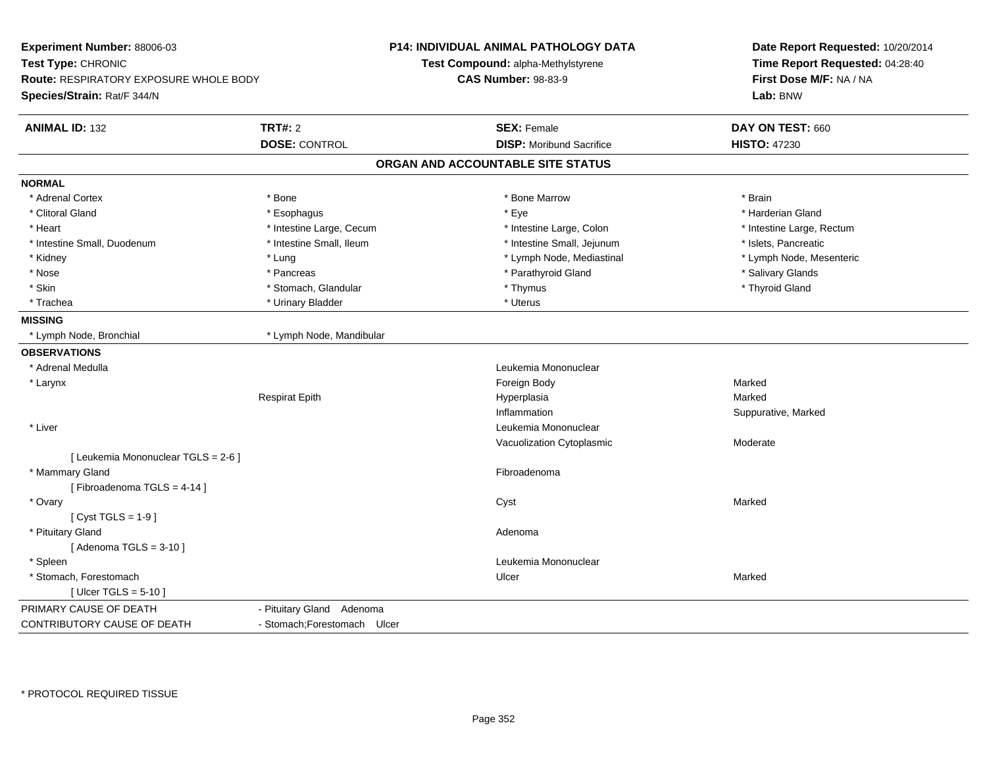| Experiment Number: 88006-03<br>Test Type: CHRONIC<br>Route: RESPIRATORY EXPOSURE WHOLE BODY<br>Species/Strain: Rat/F 344/N |                              | <b>P14: INDIVIDUAL ANIMAL PATHOLOGY DATA</b><br><b>Test Compound: alpha-Methylstyrene</b><br><b>CAS Number: 98-83-9</b> | Date Report Requested: 10/20/2014<br>Time Report Requested: 04:28:40<br>First Dose M/F: NA / NA<br>Lab: BNW |
|----------------------------------------------------------------------------------------------------------------------------|------------------------------|-------------------------------------------------------------------------------------------------------------------------|-------------------------------------------------------------------------------------------------------------|
| <b>ANIMAL ID: 132</b>                                                                                                      | <b>TRT#: 2</b>               | <b>SEX: Female</b>                                                                                                      | DAY ON TEST: 660                                                                                            |
|                                                                                                                            | <b>DOSE: CONTROL</b>         | <b>DISP:</b> Moribund Sacrifice                                                                                         | <b>HISTO: 47230</b>                                                                                         |
|                                                                                                                            |                              | ORGAN AND ACCOUNTABLE SITE STATUS                                                                                       |                                                                                                             |
| <b>NORMAL</b>                                                                                                              |                              |                                                                                                                         |                                                                                                             |
| * Adrenal Cortex                                                                                                           | * Bone                       | * Bone Marrow                                                                                                           | * Brain                                                                                                     |
| * Clitoral Gland                                                                                                           | * Esophagus                  | * Eye                                                                                                                   | * Harderian Gland                                                                                           |
| * Heart                                                                                                                    | * Intestine Large, Cecum     | * Intestine Large, Colon                                                                                                | * Intestine Large, Rectum                                                                                   |
| * Intestine Small, Duodenum                                                                                                | * Intestine Small, Ileum     | * Intestine Small, Jejunum                                                                                              | * Islets, Pancreatic                                                                                        |
| * Kidney                                                                                                                   | * Lung                       | * Lymph Node, Mediastinal                                                                                               | * Lymph Node, Mesenteric                                                                                    |
| * Nose                                                                                                                     | * Pancreas                   | * Parathyroid Gland                                                                                                     | * Salivary Glands                                                                                           |
| * Skin                                                                                                                     | * Stomach, Glandular         | * Thymus                                                                                                                | * Thyroid Gland                                                                                             |
| * Trachea                                                                                                                  | * Urinary Bladder            | * Uterus                                                                                                                |                                                                                                             |
| <b>MISSING</b>                                                                                                             |                              |                                                                                                                         |                                                                                                             |
| * Lymph Node, Bronchial                                                                                                    | * Lymph Node, Mandibular     |                                                                                                                         |                                                                                                             |
| <b>OBSERVATIONS</b>                                                                                                        |                              |                                                                                                                         |                                                                                                             |
| * Adrenal Medulla                                                                                                          |                              | Leukemia Mononuclear                                                                                                    |                                                                                                             |
| * Larynx                                                                                                                   |                              | Foreign Body                                                                                                            | Marked                                                                                                      |
|                                                                                                                            | <b>Respirat Epith</b>        | Hyperplasia                                                                                                             | Marked                                                                                                      |
|                                                                                                                            |                              | Inflammation                                                                                                            | Suppurative, Marked                                                                                         |
| * Liver                                                                                                                    |                              | Leukemia Mononuclear                                                                                                    |                                                                                                             |
|                                                                                                                            |                              | Vacuolization Cytoplasmic                                                                                               | Moderate                                                                                                    |
| [ Leukemia Mononuclear TGLS = 2-6 ]                                                                                        |                              |                                                                                                                         |                                                                                                             |
| * Mammary Gland                                                                                                            |                              | Fibroadenoma                                                                                                            |                                                                                                             |
| [Fibroadenoma TGLS = 4-14]                                                                                                 |                              |                                                                                                                         |                                                                                                             |
| * Ovary                                                                                                                    |                              | Cyst                                                                                                                    | Marked                                                                                                      |
| [ $Cyst TGLS = 1-9$ ]                                                                                                      |                              |                                                                                                                         |                                                                                                             |
| * Pituitary Gland                                                                                                          |                              | Adenoma                                                                                                                 |                                                                                                             |
| [Adenoma TGLS = $3-10$ ]                                                                                                   |                              |                                                                                                                         |                                                                                                             |
| * Spleen                                                                                                                   |                              | Leukemia Mononuclear                                                                                                    |                                                                                                             |
| * Stomach, Forestomach                                                                                                     |                              | Ulcer                                                                                                                   | Marked                                                                                                      |
| [Ulcer TGLS = $5-10$ ]                                                                                                     |                              |                                                                                                                         |                                                                                                             |
| PRIMARY CAUSE OF DEATH                                                                                                     | - Pituitary Gland Adenoma    |                                                                                                                         |                                                                                                             |
| CONTRIBUTORY CAUSE OF DEATH                                                                                                | - Stomach: Forestomach Ulcer |                                                                                                                         |                                                                                                             |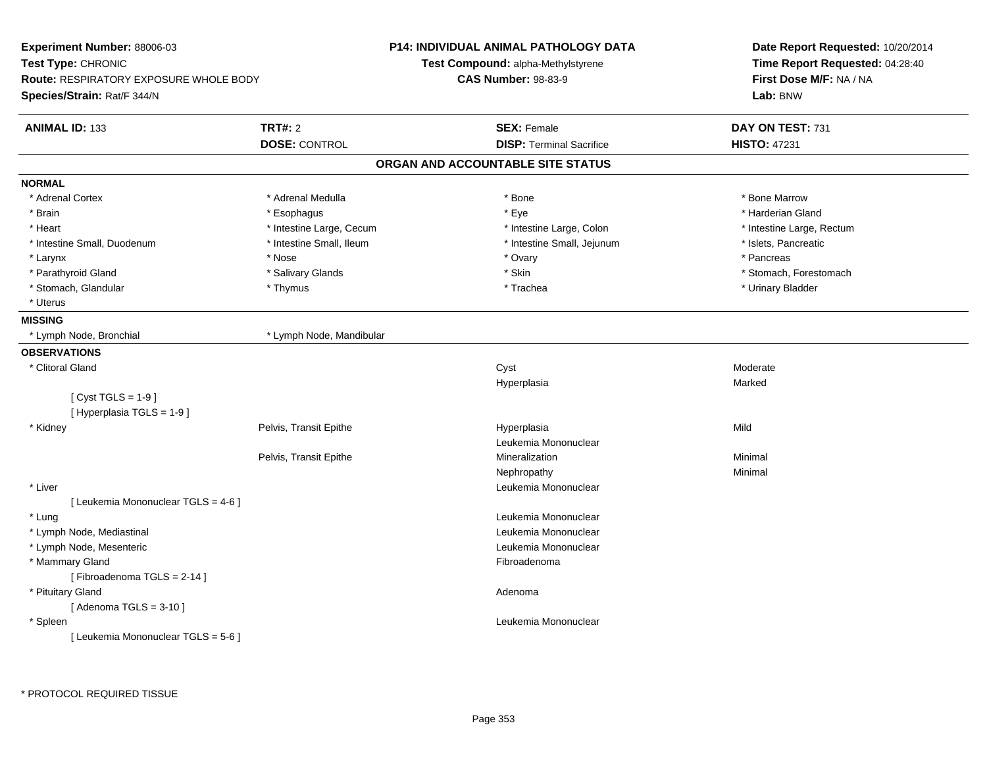| Experiment Number: 88006-03            |                          | <b>P14: INDIVIDUAL ANIMAL PATHOLOGY DATA</b> | Date Report Requested: 10/20/2014<br>Time Report Requested: 04:28:40 |
|----------------------------------------|--------------------------|----------------------------------------------|----------------------------------------------------------------------|
| Test Type: CHRONIC                     |                          | Test Compound: alpha-Methylstyrene           |                                                                      |
| Route: RESPIRATORY EXPOSURE WHOLE BODY |                          | <b>CAS Number: 98-83-9</b>                   | First Dose M/F: NA / NA                                              |
| Species/Strain: Rat/F 344/N            |                          |                                              | Lab: BNW                                                             |
| <b>ANIMAL ID: 133</b>                  | <b>TRT#: 2</b>           | <b>SEX: Female</b>                           | DAY ON TEST: 731                                                     |
|                                        | <b>DOSE: CONTROL</b>     | <b>DISP: Terminal Sacrifice</b>              | <b>HISTO: 47231</b>                                                  |
|                                        |                          | ORGAN AND ACCOUNTABLE SITE STATUS            |                                                                      |
| <b>NORMAL</b>                          |                          |                                              |                                                                      |
| * Adrenal Cortex                       | * Adrenal Medulla        | * Bone                                       | * Bone Marrow                                                        |
| * Brain                                | * Esophagus              | * Eye                                        | * Harderian Gland                                                    |
| * Heart                                | * Intestine Large, Cecum | * Intestine Large, Colon                     | * Intestine Large, Rectum                                            |
| * Intestine Small, Duodenum            | * Intestine Small, Ileum | * Intestine Small, Jejunum                   | * Islets, Pancreatic                                                 |
| * Larynx                               | * Nose                   | * Ovary                                      | * Pancreas                                                           |
| * Parathyroid Gland                    | * Salivary Glands        | * Skin                                       | * Stomach, Forestomach                                               |
| * Stomach, Glandular                   | * Thymus                 | * Trachea                                    | * Urinary Bladder                                                    |
| * Uterus                               |                          |                                              |                                                                      |
| <b>MISSING</b>                         |                          |                                              |                                                                      |
| * Lymph Node, Bronchial                | * Lymph Node, Mandibular |                                              |                                                                      |
| <b>OBSERVATIONS</b>                    |                          |                                              |                                                                      |
| * Clitoral Gland                       |                          | Cyst                                         | Moderate                                                             |
|                                        |                          | Hyperplasia                                  | Marked                                                               |
| [Cyst TGLS = $1-9$ ]                   |                          |                                              |                                                                      |
| [ Hyperplasia TGLS = 1-9 ]             |                          |                                              |                                                                      |
| * Kidney                               | Pelvis, Transit Epithe   | Hyperplasia                                  | Mild                                                                 |
|                                        |                          | Leukemia Mononuclear                         |                                                                      |
|                                        | Pelvis, Transit Epithe   | Mineralization                               | Minimal                                                              |
|                                        |                          | Nephropathy                                  | Minimal                                                              |
| * Liver                                |                          | Leukemia Mononuclear                         |                                                                      |
| [ Leukemia Mononuclear TGLS = 4-6 ]    |                          |                                              |                                                                      |
| * Lung                                 |                          | Leukemia Mononuclear                         |                                                                      |
| * Lymph Node, Mediastinal              |                          | Leukemia Mononuclear                         |                                                                      |
| * Lymph Node, Mesenteric               |                          | Leukemia Mononuclear                         |                                                                      |
| * Mammary Gland                        |                          | Fibroadenoma                                 |                                                                      |
| [Fibroadenoma TGLS = 2-14]             |                          |                                              |                                                                      |
| * Pituitary Gland                      |                          | Adenoma                                      |                                                                      |
| [Adenoma TGLS = $3-10$ ]               |                          |                                              |                                                                      |
| * Spleen                               |                          | Leukemia Mononuclear                         |                                                                      |
| [ Leukemia Mononuclear TGLS = 5-6 ]    |                          |                                              |                                                                      |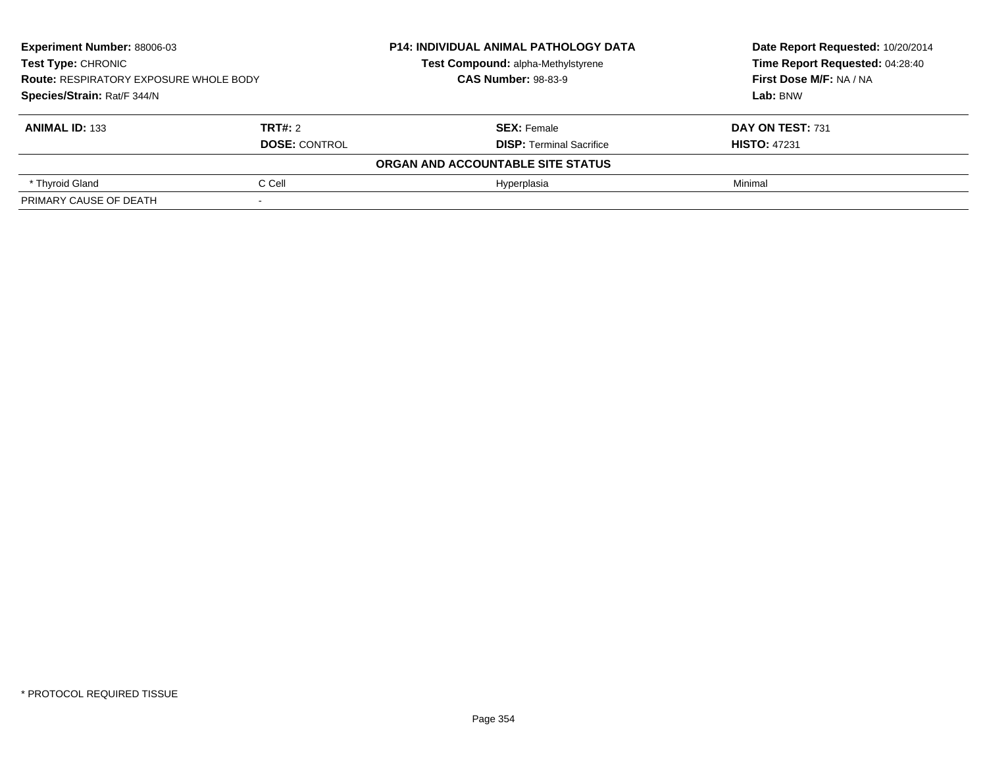| <b>Experiment Number: 88006-03</b><br><b>Test Type: CHRONIC</b><br><b>Route: RESPIRATORY EXPOSURE WHOLE BODY</b><br>Species/Strain: Rat/F 344/N |                      | <b>P14: INDIVIDUAL ANIMAL PATHOLOGY DATA</b> | Date Report Requested: 10/20/2014<br>Time Report Requested: 04:28:40 |
|-------------------------------------------------------------------------------------------------------------------------------------------------|----------------------|----------------------------------------------|----------------------------------------------------------------------|
|                                                                                                                                                 |                      | Test Compound: alpha-Methylstyrene           |                                                                      |
|                                                                                                                                                 |                      | <b>CAS Number: 98-83-9</b>                   | First Dose M/F: NA / NA                                              |
|                                                                                                                                                 |                      |                                              | Lab: BNW                                                             |
| <b>ANIMAL ID: 133</b>                                                                                                                           | TRT#: 2              | <b>SEX: Female</b>                           | DAY ON TEST: 731                                                     |
|                                                                                                                                                 | <b>DOSE: CONTROL</b> | <b>DISP:</b> Terminal Sacrifice              | <b>HISTO: 47231</b>                                                  |
|                                                                                                                                                 |                      | ORGAN AND ACCOUNTABLE SITE STATUS            |                                                                      |
| * Thyroid Gland                                                                                                                                 | C Cell               | Hvperplasia                                  | Minimal                                                              |
| PRIMARY CAUSE OF DEATH                                                                                                                          |                      |                                              |                                                                      |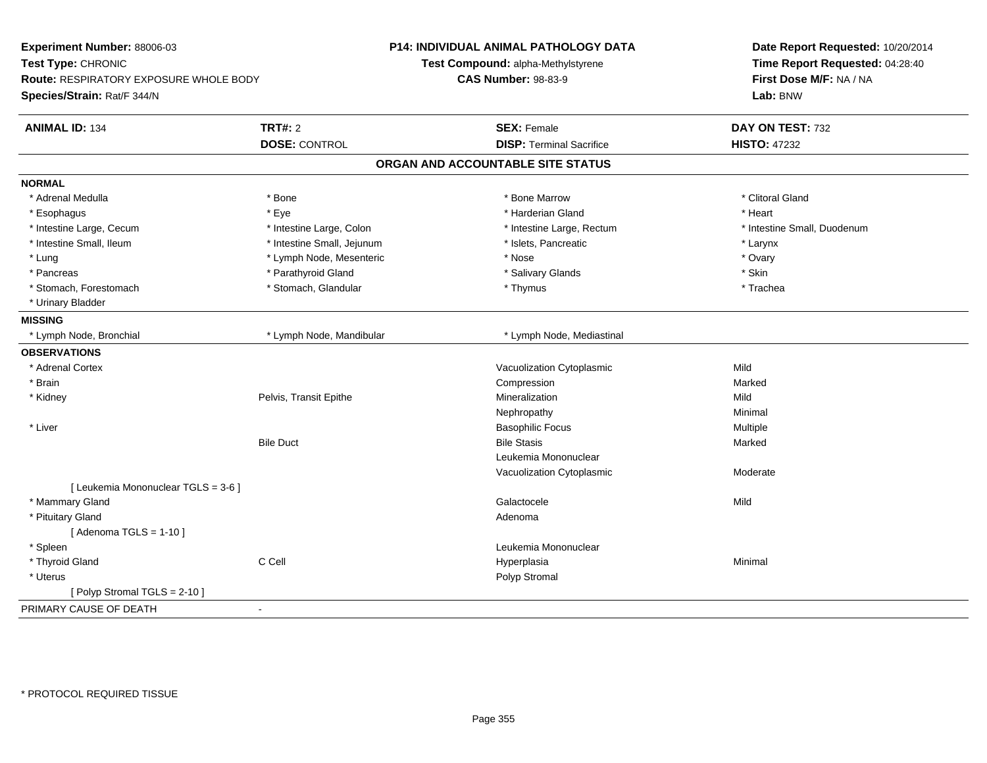| <b>TRT#: 2</b><br><b>SEX: Female</b><br>DAY ON TEST: 732<br><b>ANIMAL ID: 134</b><br><b>DOSE: CONTROL</b><br><b>DISP: Terminal Sacrifice</b><br><b>HISTO: 47232</b><br>ORGAN AND ACCOUNTABLE SITE STATUS<br><b>NORMAL</b><br>* Clitoral Gland<br>* Adrenal Medulla<br>* Bone<br>* Bone Marrow<br>* Eye<br>* Harderian Gland<br>* Heart<br>* Esophagus<br>* Intestine Small, Duodenum<br>* Intestine Large, Cecum<br>* Intestine Large, Colon<br>* Intestine Large, Rectum<br>* Intestine Small, Ileum<br>* Intestine Small, Jejunum<br>* Islets, Pancreatic<br>* Larynx<br>* Lymph Node, Mesenteric<br>* Nose<br>* Ovary<br>* Lung<br>* Parathyroid Gland<br>* Skin<br>* Salivary Glands<br>* Pancreas<br>* Stomach, Forestomach<br>* Stomach, Glandular<br>* Thymus<br>* Trachea<br>* Urinary Bladder<br><b>MISSING</b><br>* Lymph Node, Bronchial<br>* Lymph Node, Mandibular<br>* Lymph Node, Mediastinal<br><b>OBSERVATIONS</b><br>* Adrenal Cortex<br>Vacuolization Cytoplasmic<br>Mild<br>* Brain<br>Compression<br>Marked<br>Pelvis, Transit Epithe<br>Mineralization<br>Mild<br>* Kidney<br>Minimal<br>Nephropathy<br>* Liver<br><b>Basophilic Focus</b><br>Multiple<br><b>Bile Duct</b><br><b>Bile Stasis</b><br>Marked<br>Leukemia Mononuclear<br>Vacuolization Cytoplasmic<br>Moderate<br>[ Leukemia Mononuclear TGLS = 3-6 ]<br>* Mammary Gland<br>Mild<br>Galactocele<br>* Pituitary Gland<br>Adenoma<br>[Adenoma TGLS = $1-10$ ]<br>* Spleen<br>Leukemia Mononuclear<br>C Cell<br>* Thyroid Gland<br>Hyperplasia<br>Minimal<br>* Uterus<br>Polyp Stromal<br>[ Polyp Stromal TGLS = 2-10 ]<br>PRIMARY CAUSE OF DEATH<br>÷ | Experiment Number: 88006-03<br>Test Type: CHRONIC<br>Route: RESPIRATORY EXPOSURE WHOLE BODY<br>Species/Strain: Rat/F 344/N | <b>P14: INDIVIDUAL ANIMAL PATHOLOGY DATA</b><br>Test Compound: alpha-Methylstyrene<br><b>CAS Number: 98-83-9</b> | Date Report Requested: 10/20/2014<br>Time Report Requested: 04:28:40<br>First Dose M/F: NA / NA<br>Lab: BNW |
|----------------------------------------------------------------------------------------------------------------------------------------------------------------------------------------------------------------------------------------------------------------------------------------------------------------------------------------------------------------------------------------------------------------------------------------------------------------------------------------------------------------------------------------------------------------------------------------------------------------------------------------------------------------------------------------------------------------------------------------------------------------------------------------------------------------------------------------------------------------------------------------------------------------------------------------------------------------------------------------------------------------------------------------------------------------------------------------------------------------------------------------------------------------------------------------------------------------------------------------------------------------------------------------------------------------------------------------------------------------------------------------------------------------------------------------------------------------------------------------------------------------------------------------------------------------------------------------------------------------------------------------|----------------------------------------------------------------------------------------------------------------------------|------------------------------------------------------------------------------------------------------------------|-------------------------------------------------------------------------------------------------------------|
|                                                                                                                                                                                                                                                                                                                                                                                                                                                                                                                                                                                                                                                                                                                                                                                                                                                                                                                                                                                                                                                                                                                                                                                                                                                                                                                                                                                                                                                                                                                                                                                                                                        |                                                                                                                            |                                                                                                                  |                                                                                                             |
|                                                                                                                                                                                                                                                                                                                                                                                                                                                                                                                                                                                                                                                                                                                                                                                                                                                                                                                                                                                                                                                                                                                                                                                                                                                                                                                                                                                                                                                                                                                                                                                                                                        |                                                                                                                            |                                                                                                                  |                                                                                                             |
|                                                                                                                                                                                                                                                                                                                                                                                                                                                                                                                                                                                                                                                                                                                                                                                                                                                                                                                                                                                                                                                                                                                                                                                                                                                                                                                                                                                                                                                                                                                                                                                                                                        |                                                                                                                            |                                                                                                                  |                                                                                                             |
|                                                                                                                                                                                                                                                                                                                                                                                                                                                                                                                                                                                                                                                                                                                                                                                                                                                                                                                                                                                                                                                                                                                                                                                                                                                                                                                                                                                                                                                                                                                                                                                                                                        |                                                                                                                            |                                                                                                                  |                                                                                                             |
|                                                                                                                                                                                                                                                                                                                                                                                                                                                                                                                                                                                                                                                                                                                                                                                                                                                                                                                                                                                                                                                                                                                                                                                                                                                                                                                                                                                                                                                                                                                                                                                                                                        |                                                                                                                            |                                                                                                                  |                                                                                                             |
|                                                                                                                                                                                                                                                                                                                                                                                                                                                                                                                                                                                                                                                                                                                                                                                                                                                                                                                                                                                                                                                                                                                                                                                                                                                                                                                                                                                                                                                                                                                                                                                                                                        |                                                                                                                            |                                                                                                                  |                                                                                                             |
|                                                                                                                                                                                                                                                                                                                                                                                                                                                                                                                                                                                                                                                                                                                                                                                                                                                                                                                                                                                                                                                                                                                                                                                                                                                                                                                                                                                                                                                                                                                                                                                                                                        |                                                                                                                            |                                                                                                                  |                                                                                                             |
|                                                                                                                                                                                                                                                                                                                                                                                                                                                                                                                                                                                                                                                                                                                                                                                                                                                                                                                                                                                                                                                                                                                                                                                                                                                                                                                                                                                                                                                                                                                                                                                                                                        |                                                                                                                            |                                                                                                                  |                                                                                                             |
|                                                                                                                                                                                                                                                                                                                                                                                                                                                                                                                                                                                                                                                                                                                                                                                                                                                                                                                                                                                                                                                                                                                                                                                                                                                                                                                                                                                                                                                                                                                                                                                                                                        |                                                                                                                            |                                                                                                                  |                                                                                                             |
|                                                                                                                                                                                                                                                                                                                                                                                                                                                                                                                                                                                                                                                                                                                                                                                                                                                                                                                                                                                                                                                                                                                                                                                                                                                                                                                                                                                                                                                                                                                                                                                                                                        |                                                                                                                            |                                                                                                                  |                                                                                                             |
|                                                                                                                                                                                                                                                                                                                                                                                                                                                                                                                                                                                                                                                                                                                                                                                                                                                                                                                                                                                                                                                                                                                                                                                                                                                                                                                                                                                                                                                                                                                                                                                                                                        |                                                                                                                            |                                                                                                                  |                                                                                                             |
|                                                                                                                                                                                                                                                                                                                                                                                                                                                                                                                                                                                                                                                                                                                                                                                                                                                                                                                                                                                                                                                                                                                                                                                                                                                                                                                                                                                                                                                                                                                                                                                                                                        |                                                                                                                            |                                                                                                                  |                                                                                                             |
|                                                                                                                                                                                                                                                                                                                                                                                                                                                                                                                                                                                                                                                                                                                                                                                                                                                                                                                                                                                                                                                                                                                                                                                                                                                                                                                                                                                                                                                                                                                                                                                                                                        |                                                                                                                            |                                                                                                                  |                                                                                                             |
|                                                                                                                                                                                                                                                                                                                                                                                                                                                                                                                                                                                                                                                                                                                                                                                                                                                                                                                                                                                                                                                                                                                                                                                                                                                                                                                                                                                                                                                                                                                                                                                                                                        |                                                                                                                            |                                                                                                                  |                                                                                                             |
|                                                                                                                                                                                                                                                                                                                                                                                                                                                                                                                                                                                                                                                                                                                                                                                                                                                                                                                                                                                                                                                                                                                                                                                                                                                                                                                                                                                                                                                                                                                                                                                                                                        |                                                                                                                            |                                                                                                                  |                                                                                                             |
|                                                                                                                                                                                                                                                                                                                                                                                                                                                                                                                                                                                                                                                                                                                                                                                                                                                                                                                                                                                                                                                                                                                                                                                                                                                                                                                                                                                                                                                                                                                                                                                                                                        |                                                                                                                            |                                                                                                                  |                                                                                                             |
|                                                                                                                                                                                                                                                                                                                                                                                                                                                                                                                                                                                                                                                                                                                                                                                                                                                                                                                                                                                                                                                                                                                                                                                                                                                                                                                                                                                                                                                                                                                                                                                                                                        |                                                                                                                            |                                                                                                                  |                                                                                                             |
|                                                                                                                                                                                                                                                                                                                                                                                                                                                                                                                                                                                                                                                                                                                                                                                                                                                                                                                                                                                                                                                                                                                                                                                                                                                                                                                                                                                                                                                                                                                                                                                                                                        |                                                                                                                            |                                                                                                                  |                                                                                                             |
|                                                                                                                                                                                                                                                                                                                                                                                                                                                                                                                                                                                                                                                                                                                                                                                                                                                                                                                                                                                                                                                                                                                                                                                                                                                                                                                                                                                                                                                                                                                                                                                                                                        |                                                                                                                            |                                                                                                                  |                                                                                                             |
|                                                                                                                                                                                                                                                                                                                                                                                                                                                                                                                                                                                                                                                                                                                                                                                                                                                                                                                                                                                                                                                                                                                                                                                                                                                                                                                                                                                                                                                                                                                                                                                                                                        |                                                                                                                            |                                                                                                                  |                                                                                                             |
|                                                                                                                                                                                                                                                                                                                                                                                                                                                                                                                                                                                                                                                                                                                                                                                                                                                                                                                                                                                                                                                                                                                                                                                                                                                                                                                                                                                                                                                                                                                                                                                                                                        |                                                                                                                            |                                                                                                                  |                                                                                                             |
|                                                                                                                                                                                                                                                                                                                                                                                                                                                                                                                                                                                                                                                                                                                                                                                                                                                                                                                                                                                                                                                                                                                                                                                                                                                                                                                                                                                                                                                                                                                                                                                                                                        |                                                                                                                            |                                                                                                                  |                                                                                                             |
|                                                                                                                                                                                                                                                                                                                                                                                                                                                                                                                                                                                                                                                                                                                                                                                                                                                                                                                                                                                                                                                                                                                                                                                                                                                                                                                                                                                                                                                                                                                                                                                                                                        |                                                                                                                            |                                                                                                                  |                                                                                                             |
|                                                                                                                                                                                                                                                                                                                                                                                                                                                                                                                                                                                                                                                                                                                                                                                                                                                                                                                                                                                                                                                                                                                                                                                                                                                                                                                                                                                                                                                                                                                                                                                                                                        |                                                                                                                            |                                                                                                                  |                                                                                                             |
|                                                                                                                                                                                                                                                                                                                                                                                                                                                                                                                                                                                                                                                                                                                                                                                                                                                                                                                                                                                                                                                                                                                                                                                                                                                                                                                                                                                                                                                                                                                                                                                                                                        |                                                                                                                            |                                                                                                                  |                                                                                                             |
|                                                                                                                                                                                                                                                                                                                                                                                                                                                                                                                                                                                                                                                                                                                                                                                                                                                                                                                                                                                                                                                                                                                                                                                                                                                                                                                                                                                                                                                                                                                                                                                                                                        |                                                                                                                            |                                                                                                                  |                                                                                                             |
|                                                                                                                                                                                                                                                                                                                                                                                                                                                                                                                                                                                                                                                                                                                                                                                                                                                                                                                                                                                                                                                                                                                                                                                                                                                                                                                                                                                                                                                                                                                                                                                                                                        |                                                                                                                            |                                                                                                                  |                                                                                                             |
|                                                                                                                                                                                                                                                                                                                                                                                                                                                                                                                                                                                                                                                                                                                                                                                                                                                                                                                                                                                                                                                                                                                                                                                                                                                                                                                                                                                                                                                                                                                                                                                                                                        |                                                                                                                            |                                                                                                                  |                                                                                                             |
|                                                                                                                                                                                                                                                                                                                                                                                                                                                                                                                                                                                                                                                                                                                                                                                                                                                                                                                                                                                                                                                                                                                                                                                                                                                                                                                                                                                                                                                                                                                                                                                                                                        |                                                                                                                            |                                                                                                                  |                                                                                                             |
|                                                                                                                                                                                                                                                                                                                                                                                                                                                                                                                                                                                                                                                                                                                                                                                                                                                                                                                                                                                                                                                                                                                                                                                                                                                                                                                                                                                                                                                                                                                                                                                                                                        |                                                                                                                            |                                                                                                                  |                                                                                                             |
|                                                                                                                                                                                                                                                                                                                                                                                                                                                                                                                                                                                                                                                                                                                                                                                                                                                                                                                                                                                                                                                                                                                                                                                                                                                                                                                                                                                                                                                                                                                                                                                                                                        |                                                                                                                            |                                                                                                                  |                                                                                                             |
|                                                                                                                                                                                                                                                                                                                                                                                                                                                                                                                                                                                                                                                                                                                                                                                                                                                                                                                                                                                                                                                                                                                                                                                                                                                                                                                                                                                                                                                                                                                                                                                                                                        |                                                                                                                            |                                                                                                                  |                                                                                                             |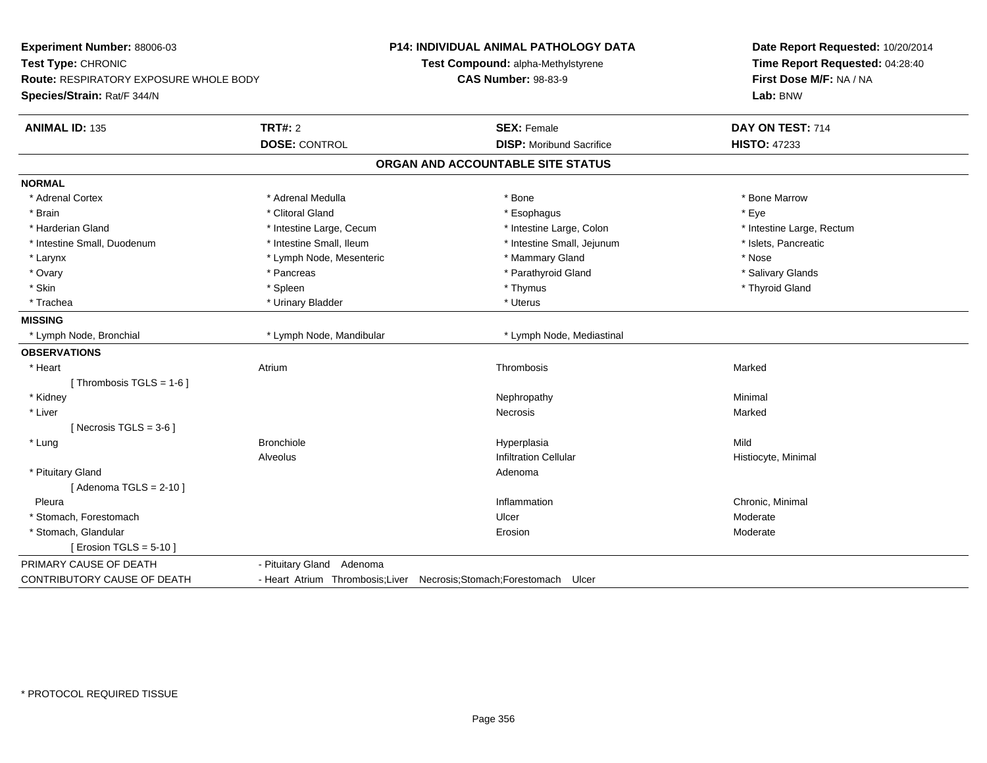| Experiment Number: 88006-03<br>Test Type: CHRONIC<br><b>Route: RESPIRATORY EXPOSURE WHOLE BODY</b><br>Species/Strain: Rat/F 344/N |                                                                 | P14: INDIVIDUAL ANIMAL PATHOLOGY DATA<br>Test Compound: alpha-Methylstyrene<br><b>CAS Number: 98-83-9</b> | Date Report Requested: 10/20/2014<br>Time Report Requested: 04:28:40<br>First Dose M/F: NA / NA<br>Lab: BNW |
|-----------------------------------------------------------------------------------------------------------------------------------|-----------------------------------------------------------------|-----------------------------------------------------------------------------------------------------------|-------------------------------------------------------------------------------------------------------------|
| <b>ANIMAL ID: 135</b>                                                                                                             | <b>TRT#: 2</b>                                                  | <b>SEX: Female</b>                                                                                        | DAY ON TEST: 714                                                                                            |
|                                                                                                                                   | <b>DOSE: CONTROL</b>                                            | <b>DISP:</b> Moribund Sacrifice                                                                           | <b>HISTO: 47233</b>                                                                                         |
|                                                                                                                                   |                                                                 | ORGAN AND ACCOUNTABLE SITE STATUS                                                                         |                                                                                                             |
| <b>NORMAL</b>                                                                                                                     |                                                                 |                                                                                                           |                                                                                                             |
| * Adrenal Cortex                                                                                                                  | * Adrenal Medulla                                               | * Bone                                                                                                    | * Bone Marrow                                                                                               |
| * Brain                                                                                                                           | * Clitoral Gland                                                | * Esophagus                                                                                               | * Eye                                                                                                       |
| * Harderian Gland                                                                                                                 | * Intestine Large, Cecum                                        | * Intestine Large, Colon                                                                                  | * Intestine Large, Rectum                                                                                   |
| * Intestine Small, Duodenum                                                                                                       | * Intestine Small, Ileum                                        | * Intestine Small, Jejunum                                                                                | * Islets, Pancreatic                                                                                        |
| $^{\star}$ Larynx                                                                                                                 | * Lymph Node, Mesenteric                                        | * Mammary Gland                                                                                           | * Nose                                                                                                      |
| * Ovary                                                                                                                           | * Pancreas                                                      | * Parathyroid Gland                                                                                       | * Salivary Glands                                                                                           |
| * Skin                                                                                                                            | * Spleen                                                        | * Thymus                                                                                                  | * Thyroid Gland                                                                                             |
| * Trachea                                                                                                                         | * Urinary Bladder                                               | * Uterus                                                                                                  |                                                                                                             |
| <b>MISSING</b>                                                                                                                    |                                                                 |                                                                                                           |                                                                                                             |
| * Lymph Node, Bronchial                                                                                                           | * Lymph Node, Mandibular                                        | * Lymph Node, Mediastinal                                                                                 |                                                                                                             |
| <b>OBSERVATIONS</b>                                                                                                               |                                                                 |                                                                                                           |                                                                                                             |
| * Heart                                                                                                                           | Atrium                                                          | Thrombosis                                                                                                | Marked                                                                                                      |
| [Thrombosis TGLS = $1-6$ ]                                                                                                        |                                                                 |                                                                                                           |                                                                                                             |
| * Kidney                                                                                                                          |                                                                 | Nephropathy                                                                                               | Minimal                                                                                                     |
| * Liver                                                                                                                           |                                                                 | Necrosis                                                                                                  | Marked                                                                                                      |
| [Necrosis TGLS = $3-6$ ]                                                                                                          |                                                                 |                                                                                                           |                                                                                                             |
| * Lung                                                                                                                            | <b>Bronchiole</b>                                               | Hyperplasia                                                                                               | Mild                                                                                                        |
|                                                                                                                                   | Alveolus                                                        | <b>Infiltration Cellular</b>                                                                              | Histiocyte, Minimal                                                                                         |
| * Pituitary Gland                                                                                                                 |                                                                 | Adenoma                                                                                                   |                                                                                                             |
| [Adenoma TGLS = $2-10$ ]                                                                                                          |                                                                 |                                                                                                           |                                                                                                             |
| Pleura                                                                                                                            |                                                                 | Inflammation                                                                                              | Chronic, Minimal                                                                                            |
| * Stomach, Forestomach                                                                                                            |                                                                 | Ulcer                                                                                                     | Moderate                                                                                                    |
| * Stomach, Glandular                                                                                                              |                                                                 | Erosion                                                                                                   | Moderate                                                                                                    |
| [ Erosion TGLS = $5-10$ ]                                                                                                         |                                                                 |                                                                                                           |                                                                                                             |
| PRIMARY CAUSE OF DEATH                                                                                                            | - Pituitary Gland Adenoma                                       |                                                                                                           |                                                                                                             |
| CONTRIBUTORY CAUSE OF DEATH                                                                                                       | - Heart Atrium Thrombosis; Liver Necrosis; Stomach; Forestomach | Ulcer                                                                                                     |                                                                                                             |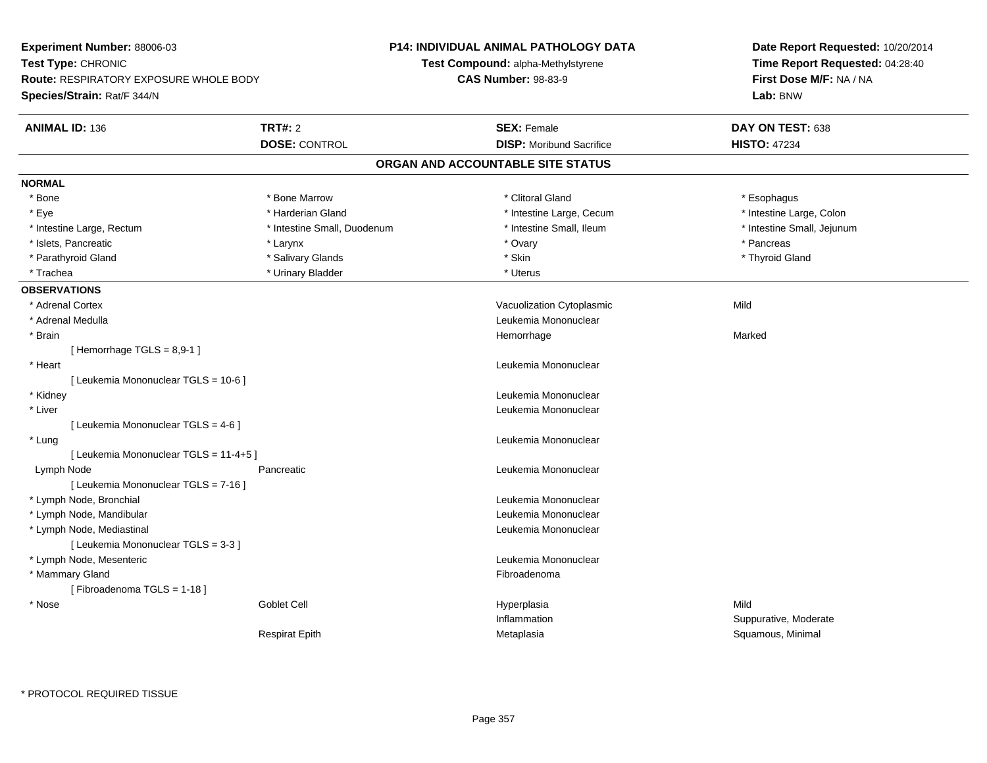| Experiment Number: 88006-03                   |                                    | P14: INDIVIDUAL ANIMAL PATHOLOGY DATA | Date Report Requested: 10/20/2014 |  |
|-----------------------------------------------|------------------------------------|---------------------------------------|-----------------------------------|--|
| Test Type: CHRONIC                            | Test Compound: alpha-Methylstyrene |                                       | Time Report Requested: 04:28:40   |  |
| <b>Route: RESPIRATORY EXPOSURE WHOLE BODY</b> |                                    | <b>CAS Number: 98-83-9</b>            | First Dose M/F: NA / NA           |  |
| Species/Strain: Rat/F 344/N                   |                                    |                                       | Lab: BNW                          |  |
| <b>ANIMAL ID: 136</b>                         | <b>TRT#: 2</b>                     | <b>SEX: Female</b>                    | DAY ON TEST: 638                  |  |
|                                               | <b>DOSE: CONTROL</b>               | <b>DISP:</b> Moribund Sacrifice       | <b>HISTO: 47234</b>               |  |
|                                               |                                    | ORGAN AND ACCOUNTABLE SITE STATUS     |                                   |  |
| <b>NORMAL</b>                                 |                                    |                                       |                                   |  |
| * Bone                                        | * Bone Marrow                      | * Clitoral Gland                      | * Esophagus                       |  |
| * Eye                                         | * Harderian Gland                  | * Intestine Large, Cecum              | * Intestine Large, Colon          |  |
| * Intestine Large, Rectum                     | * Intestine Small, Duodenum        | * Intestine Small, Ileum              | * Intestine Small, Jejunum        |  |
| * Islets, Pancreatic                          | * Larynx                           | * Ovary                               | * Pancreas                        |  |
| * Parathyroid Gland                           | * Salivary Glands                  | * Skin                                | * Thyroid Gland                   |  |
| * Trachea                                     | * Urinary Bladder                  | * Uterus                              |                                   |  |
| <b>OBSERVATIONS</b>                           |                                    |                                       |                                   |  |
| * Adrenal Cortex                              |                                    | Vacuolization Cytoplasmic             | Mild                              |  |
| * Adrenal Medulla                             |                                    | Leukemia Mononuclear                  |                                   |  |
| * Brain                                       |                                    | Hemorrhage                            | Marked                            |  |
| [Hemorrhage TGLS = $8,9-1$ ]                  |                                    |                                       |                                   |  |
| * Heart                                       |                                    | Leukemia Mononuclear                  |                                   |  |
| [ Leukemia Mononuclear TGLS = 10-6 ]          |                                    |                                       |                                   |  |
| * Kidney                                      |                                    | Leukemia Mononuclear                  |                                   |  |
| * Liver                                       |                                    | Leukemia Mononuclear                  |                                   |  |
| [ Leukemia Mononuclear TGLS = 4-6 ]           |                                    |                                       |                                   |  |
| * Lung                                        |                                    | Leukemia Mononuclear                  |                                   |  |
| [Leukemia Mononuclear TGLS = 11-4+5]          |                                    |                                       |                                   |  |
| Lymph Node                                    | Pancreatic                         | Leukemia Mononuclear                  |                                   |  |
| [ Leukemia Mononuclear TGLS = 7-16 ]          |                                    |                                       |                                   |  |
| * Lymph Node, Bronchial                       |                                    | Leukemia Mononuclear                  |                                   |  |
| * Lymph Node, Mandibular                      |                                    | Leukemia Mononuclear                  |                                   |  |
| * Lymph Node, Mediastinal                     |                                    | Leukemia Mononuclear                  |                                   |  |
| [ Leukemia Mononuclear TGLS = 3-3 ]           |                                    |                                       |                                   |  |
| * Lymph Node, Mesenteric                      |                                    | Leukemia Mononuclear                  |                                   |  |
| * Mammary Gland                               |                                    | Fibroadenoma                          |                                   |  |
| [Fibroadenoma TGLS = 1-18]                    |                                    |                                       |                                   |  |
| * Nose                                        | <b>Goblet Cell</b>                 | Hyperplasia                           | Mild                              |  |
|                                               |                                    | Inflammation                          | Suppurative, Moderate             |  |
|                                               | <b>Respirat Epith</b>              | Metaplasia                            | Squamous, Minimal                 |  |
|                                               |                                    |                                       |                                   |  |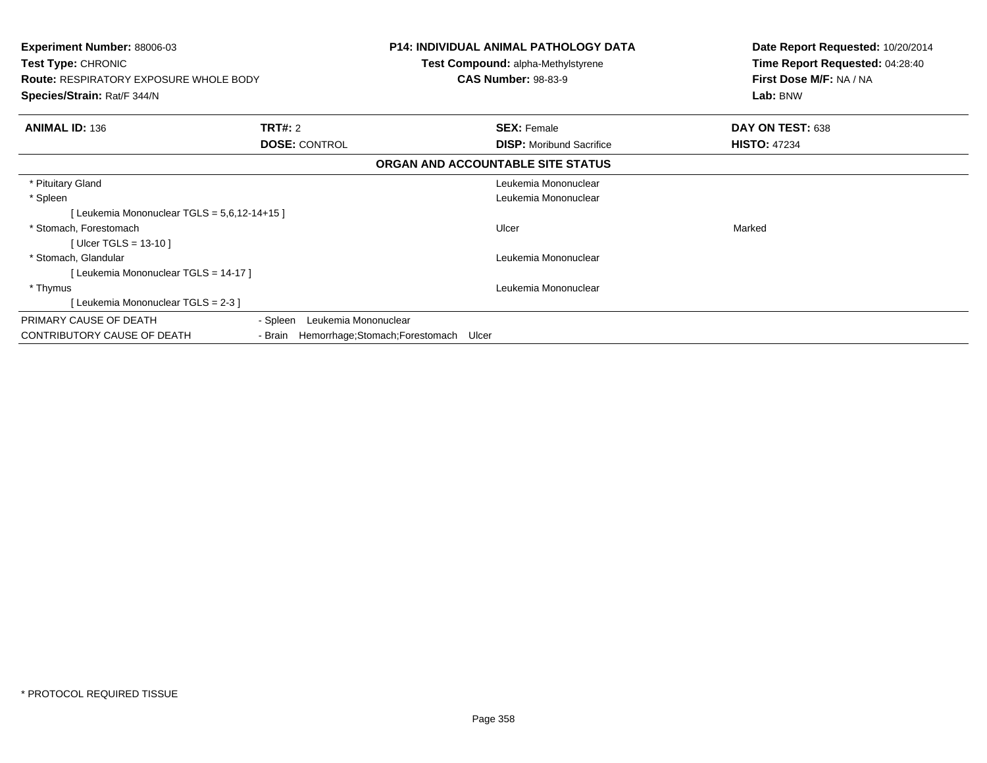| <b>Experiment Number: 88006-03</b><br>Test Type: CHRONIC<br><b>Route: RESPIRATORY EXPOSURE WHOLE BODY</b><br>Species/Strain: Rat/F 344/N |                                          | <b>P14: INDIVIDUAL ANIMAL PATHOLOGY DATA</b><br>Test Compound: alpha-Methylstyrene<br><b>CAS Number: 98-83-9</b> | Date Report Requested: 10/20/2014<br>Time Report Requested: 04:28:40<br>First Dose M/F: NA / NA<br>Lab: BNW |
|------------------------------------------------------------------------------------------------------------------------------------------|------------------------------------------|------------------------------------------------------------------------------------------------------------------|-------------------------------------------------------------------------------------------------------------|
| <b>ANIMAL ID: 136</b>                                                                                                                    | TRT#: 2                                  | <b>SEX: Female</b>                                                                                               | DAY ON TEST: 638                                                                                            |
|                                                                                                                                          | <b>DOSE: CONTROL</b>                     | <b>DISP:</b> Moribund Sacrifice                                                                                  | <b>HISTO: 47234</b>                                                                                         |
|                                                                                                                                          |                                          | ORGAN AND ACCOUNTABLE SITE STATUS                                                                                |                                                                                                             |
| * Pituitary Gland                                                                                                                        |                                          | Leukemia Mononuclear                                                                                             |                                                                                                             |
| * Spleen                                                                                                                                 |                                          | Leukemia Mononuclear                                                                                             |                                                                                                             |
| [Leukemia Mononuclear TGLS = $5,6,12-14+15$ ]                                                                                            |                                          |                                                                                                                  |                                                                                                             |
| * Stomach. Forestomach                                                                                                                   |                                          | Ulcer                                                                                                            | Marked                                                                                                      |
| [ Ulcer TGLS = $13-10$ ]                                                                                                                 |                                          |                                                                                                                  |                                                                                                             |
| * Stomach, Glandular                                                                                                                     |                                          | Leukemia Mononuclear                                                                                             |                                                                                                             |
| [ Leukemia Mononuclear TGLS = 14-17 ]                                                                                                    |                                          |                                                                                                                  |                                                                                                             |
| * Thymus                                                                                                                                 |                                          | Leukemia Mononuclear                                                                                             |                                                                                                             |
| [Leukemia Mononuclear TGLS = 2-3]                                                                                                        |                                          |                                                                                                                  |                                                                                                             |
| PRIMARY CAUSE OF DEATH                                                                                                                   | - Spleen<br>Leukemia Mononuclear         |                                                                                                                  |                                                                                                             |
| CONTRIBUTORY CAUSE OF DEATH                                                                                                              | - Brain Hemorrhage; Stomach; Forestomach | Ulcer                                                                                                            |                                                                                                             |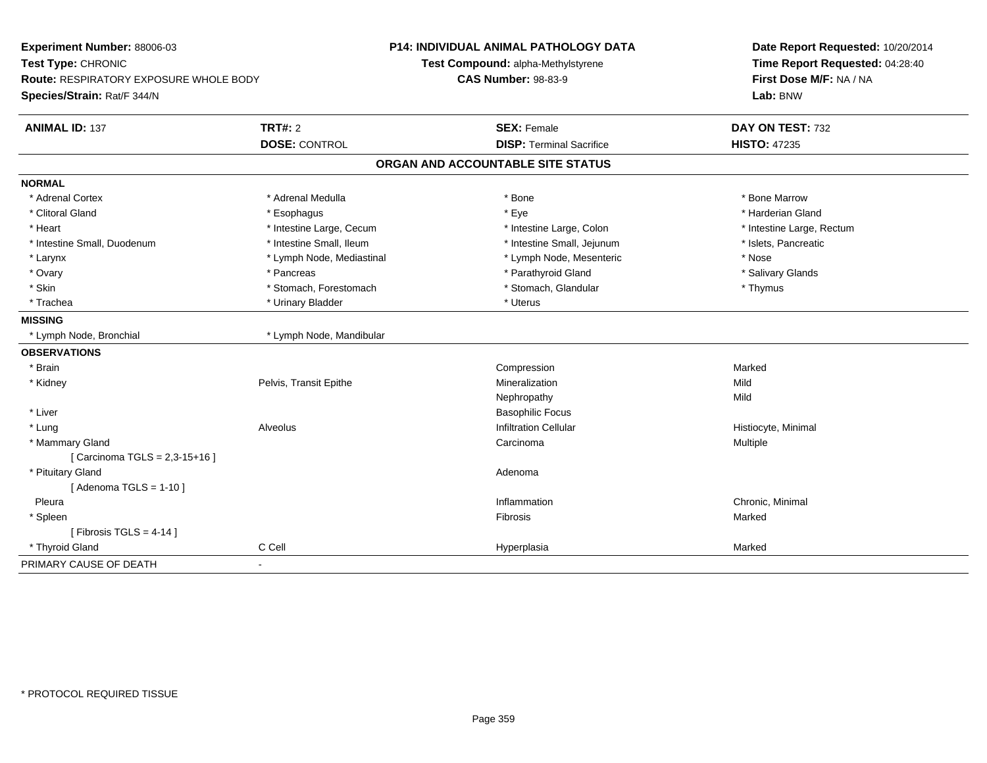| Experiment Number: 88006-03<br>Test Type: CHRONIC<br><b>Route: RESPIRATORY EXPOSURE WHOLE BODY</b><br>Species/Strain: Rat/F 344/N |                           | <b>P14: INDIVIDUAL ANIMAL PATHOLOGY DATA</b><br>Test Compound: alpha-Methylstyrene<br><b>CAS Number: 98-83-9</b> | Date Report Requested: 10/20/2014<br>Time Report Requested: 04:28:40<br>First Dose M/F: NA / NA<br>Lab: BNW |
|-----------------------------------------------------------------------------------------------------------------------------------|---------------------------|------------------------------------------------------------------------------------------------------------------|-------------------------------------------------------------------------------------------------------------|
|                                                                                                                                   |                           |                                                                                                                  |                                                                                                             |
| <b>ANIMAL ID: 137</b>                                                                                                             | <b>TRT#: 2</b>            | <b>SEX: Female</b>                                                                                               | DAY ON TEST: 732                                                                                            |
|                                                                                                                                   | <b>DOSE: CONTROL</b>      | <b>DISP: Terminal Sacrifice</b>                                                                                  | <b>HISTO: 47235</b>                                                                                         |
|                                                                                                                                   |                           | ORGAN AND ACCOUNTABLE SITE STATUS                                                                                |                                                                                                             |
| <b>NORMAL</b>                                                                                                                     |                           |                                                                                                                  |                                                                                                             |
| * Adrenal Cortex                                                                                                                  | * Adrenal Medulla         | * Bone                                                                                                           | * Bone Marrow                                                                                               |
| * Clitoral Gland                                                                                                                  | * Esophagus               | * Eye                                                                                                            | * Harderian Gland                                                                                           |
| * Heart                                                                                                                           | * Intestine Large, Cecum  | * Intestine Large, Colon                                                                                         | * Intestine Large, Rectum                                                                                   |
| * Intestine Small, Duodenum                                                                                                       | * Intestine Small, Ileum  | * Intestine Small, Jejunum                                                                                       | * Islets, Pancreatic                                                                                        |
| * Larynx                                                                                                                          | * Lymph Node, Mediastinal | * Lymph Node, Mesenteric                                                                                         | * Nose                                                                                                      |
| * Ovary                                                                                                                           | * Pancreas                | * Parathyroid Gland                                                                                              | * Salivary Glands                                                                                           |
| * Skin                                                                                                                            | * Stomach, Forestomach    | * Stomach, Glandular                                                                                             | * Thymus                                                                                                    |
| * Trachea                                                                                                                         | * Urinary Bladder         | * Uterus                                                                                                         |                                                                                                             |
| <b>MISSING</b>                                                                                                                    |                           |                                                                                                                  |                                                                                                             |
| * Lymph Node, Bronchial                                                                                                           | * Lymph Node, Mandibular  |                                                                                                                  |                                                                                                             |
| <b>OBSERVATIONS</b>                                                                                                               |                           |                                                                                                                  |                                                                                                             |
| * Brain                                                                                                                           |                           | Compression                                                                                                      | Marked                                                                                                      |
| * Kidney                                                                                                                          | Pelvis, Transit Epithe    | Mineralization                                                                                                   | Mild                                                                                                        |
|                                                                                                                                   |                           | Nephropathy                                                                                                      | Mild                                                                                                        |
| * Liver                                                                                                                           |                           | <b>Basophilic Focus</b>                                                                                          |                                                                                                             |
| * Lung                                                                                                                            | Alveolus                  | <b>Infiltration Cellular</b>                                                                                     | Histiocyte, Minimal                                                                                         |
| * Mammary Gland                                                                                                                   |                           | Carcinoma                                                                                                        | Multiple                                                                                                    |
| [ Carcinoma TGLS = 2,3-15+16 ]                                                                                                    |                           |                                                                                                                  |                                                                                                             |
| * Pituitary Gland                                                                                                                 |                           | Adenoma                                                                                                          |                                                                                                             |
| [Adenoma TGLS = $1-10$ ]                                                                                                          |                           |                                                                                                                  |                                                                                                             |
| Pleura                                                                                                                            |                           | Inflammation                                                                                                     | Chronic, Minimal                                                                                            |
| * Spleen                                                                                                                          |                           | Fibrosis                                                                                                         | Marked                                                                                                      |
| [ Fibrosis TGLS = $4-14$ ]                                                                                                        |                           |                                                                                                                  |                                                                                                             |
| * Thyroid Gland                                                                                                                   | C Cell                    | Hyperplasia                                                                                                      | Marked                                                                                                      |
| PRIMARY CAUSE OF DEATH                                                                                                            |                           |                                                                                                                  |                                                                                                             |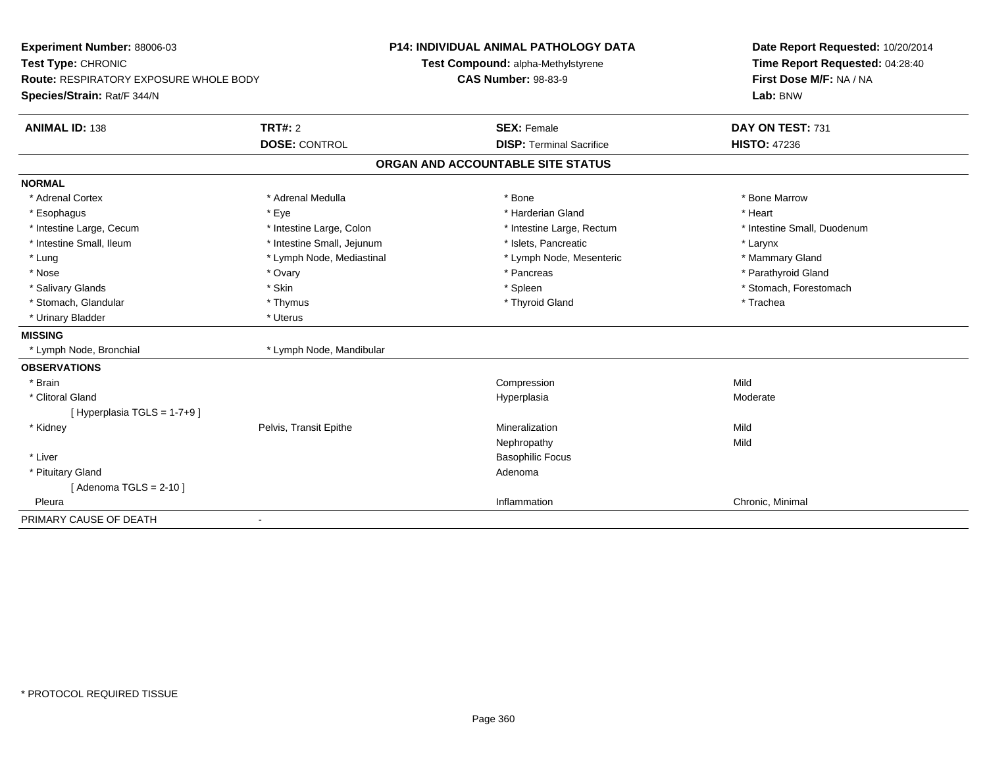| Experiment Number: 88006-03<br>Test Type: CHRONIC<br>Route: RESPIRATORY EXPOSURE WHOLE BODY<br>Species/Strain: Rat/F 344/N |                            | <b>P14: INDIVIDUAL ANIMAL PATHOLOGY DATA</b><br>Test Compound: alpha-Methylstyrene | Date Report Requested: 10/20/2014<br>Time Report Requested: 04:28:40 |
|----------------------------------------------------------------------------------------------------------------------------|----------------------------|------------------------------------------------------------------------------------|----------------------------------------------------------------------|
|                                                                                                                            |                            | <b>CAS Number: 98-83-9</b>                                                         | First Dose M/F: NA / NA<br>Lab: BNW                                  |
| <b>ANIMAL ID: 138</b>                                                                                                      | <b>TRT#: 2</b>             | <b>SEX: Female</b>                                                                 | DAY ON TEST: 731                                                     |
|                                                                                                                            | <b>DOSE: CONTROL</b>       | <b>DISP: Terminal Sacrifice</b>                                                    | <b>HISTO: 47236</b>                                                  |
|                                                                                                                            |                            | ORGAN AND ACCOUNTABLE SITE STATUS                                                  |                                                                      |
| <b>NORMAL</b>                                                                                                              |                            |                                                                                    |                                                                      |
| * Adrenal Cortex                                                                                                           | * Adrenal Medulla          | * Bone                                                                             | * Bone Marrow                                                        |
| * Esophagus                                                                                                                | * Eye                      | * Harderian Gland                                                                  | * Heart                                                              |
| * Intestine Large, Cecum                                                                                                   | * Intestine Large, Colon   | * Intestine Large, Rectum                                                          | * Intestine Small, Duodenum                                          |
| * Intestine Small, Ileum                                                                                                   | * Intestine Small, Jejunum | * Islets, Pancreatic                                                               | * Larynx                                                             |
| * Lung                                                                                                                     | * Lymph Node, Mediastinal  | * Lymph Node, Mesenteric                                                           | * Mammary Gland                                                      |
| * Nose                                                                                                                     | * Ovary                    | * Pancreas                                                                         | * Parathyroid Gland                                                  |
| * Salivary Glands                                                                                                          | * Skin                     | * Spleen                                                                           | * Stomach, Forestomach                                               |
| * Stomach, Glandular                                                                                                       | * Thymus                   | * Thyroid Gland                                                                    | * Trachea                                                            |
| * Urinary Bladder                                                                                                          | * Uterus                   |                                                                                    |                                                                      |
| <b>MISSING</b>                                                                                                             |                            |                                                                                    |                                                                      |
| * Lymph Node, Bronchial                                                                                                    | * Lymph Node, Mandibular   |                                                                                    |                                                                      |
| <b>OBSERVATIONS</b>                                                                                                        |                            |                                                                                    |                                                                      |
| * Brain                                                                                                                    |                            | Compression                                                                        | Mild                                                                 |
| * Clitoral Gland                                                                                                           |                            | Hyperplasia                                                                        | Moderate                                                             |
| [Hyperplasia TGLS = $1-7+9$ ]                                                                                              |                            |                                                                                    |                                                                      |
| * Kidney                                                                                                                   | Pelvis, Transit Epithe     | Mineralization                                                                     | Mild                                                                 |
|                                                                                                                            |                            | Nephropathy                                                                        | Mild                                                                 |
| * Liver                                                                                                                    |                            | <b>Basophilic Focus</b>                                                            |                                                                      |
| * Pituitary Gland                                                                                                          |                            | Adenoma                                                                            |                                                                      |
| [Adenoma TGLS = $2-10$ ]                                                                                                   |                            |                                                                                    |                                                                      |
| Pleura                                                                                                                     |                            | Inflammation                                                                       | Chronic, Minimal                                                     |
| PRIMARY CAUSE OF DEATH                                                                                                     | $\blacksquare$             |                                                                                    |                                                                      |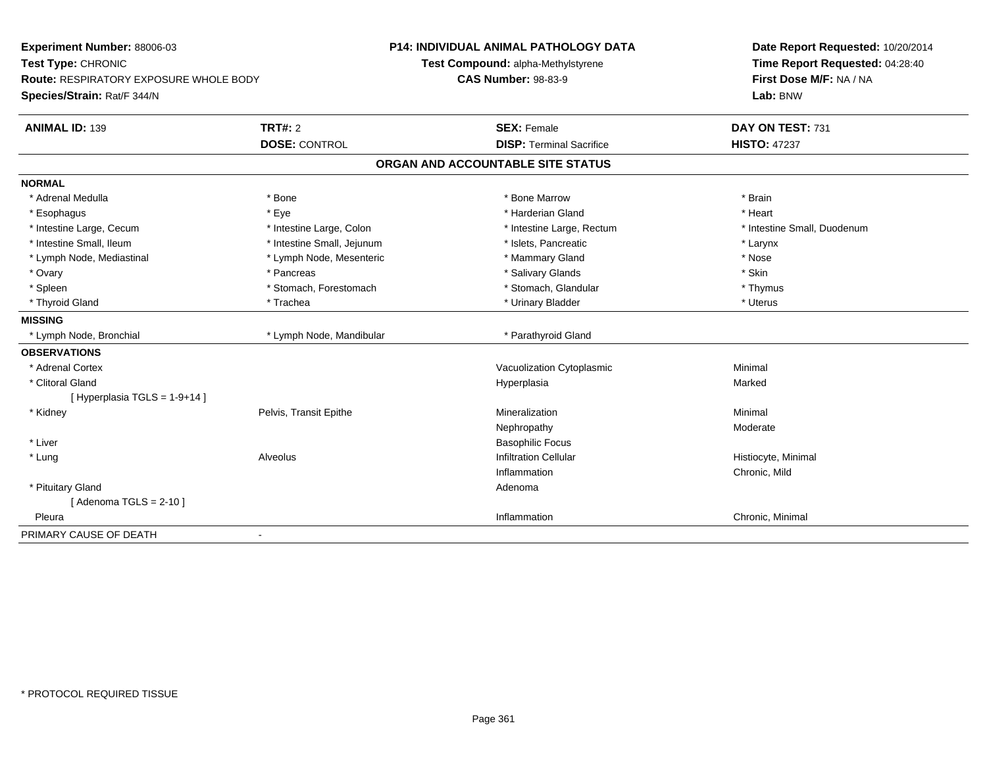| Experiment Number: 88006-03<br>Test Type: CHRONIC<br><b>Route: RESPIRATORY EXPOSURE WHOLE BODY</b><br>Species/Strain: Rat/F 344/N |                            | P14: INDIVIDUAL ANIMAL PATHOLOGY DATA<br>Test Compound: alpha-Methylstyrene<br><b>CAS Number: 98-83-9</b> | Date Report Requested: 10/20/2014<br>Time Report Requested: 04:28:40<br>First Dose M/F: NA / NA<br>Lab: BNW |
|-----------------------------------------------------------------------------------------------------------------------------------|----------------------------|-----------------------------------------------------------------------------------------------------------|-------------------------------------------------------------------------------------------------------------|
| <b>ANIMAL ID: 139</b>                                                                                                             | <b>TRT#: 2</b>             | <b>SEX: Female</b>                                                                                        | DAY ON TEST: 731                                                                                            |
|                                                                                                                                   | <b>DOSE: CONTROL</b>       | <b>DISP: Terminal Sacrifice</b>                                                                           | <b>HISTO: 47237</b>                                                                                         |
|                                                                                                                                   |                            | ORGAN AND ACCOUNTABLE SITE STATUS                                                                         |                                                                                                             |
| <b>NORMAL</b>                                                                                                                     |                            |                                                                                                           |                                                                                                             |
| * Adrenal Medulla                                                                                                                 | * Bone                     | * Bone Marrow                                                                                             | * Brain                                                                                                     |
| * Esophagus                                                                                                                       | * Eye                      | * Harderian Gland                                                                                         | * Heart                                                                                                     |
| * Intestine Large, Cecum                                                                                                          | * Intestine Large, Colon   | * Intestine Large, Rectum                                                                                 | * Intestine Small, Duodenum                                                                                 |
| * Intestine Small, Ileum                                                                                                          | * Intestine Small, Jejunum | * Islets, Pancreatic                                                                                      | * Larynx                                                                                                    |
| * Lymph Node, Mediastinal                                                                                                         | * Lymph Node, Mesenteric   | * Mammary Gland                                                                                           | * Nose                                                                                                      |
| * Ovary                                                                                                                           | * Pancreas                 | * Salivary Glands                                                                                         | * Skin                                                                                                      |
| * Spleen                                                                                                                          | * Stomach, Forestomach     | * Stomach, Glandular                                                                                      | * Thymus                                                                                                    |
| * Thyroid Gland                                                                                                                   | * Trachea                  | * Urinary Bladder                                                                                         | * Uterus                                                                                                    |
| <b>MISSING</b>                                                                                                                    |                            |                                                                                                           |                                                                                                             |
| * Lymph Node, Bronchial                                                                                                           | * Lymph Node, Mandibular   | * Parathyroid Gland                                                                                       |                                                                                                             |
| <b>OBSERVATIONS</b>                                                                                                               |                            |                                                                                                           |                                                                                                             |
| * Adrenal Cortex                                                                                                                  |                            | Vacuolization Cytoplasmic                                                                                 | Minimal                                                                                                     |
| * Clitoral Gland                                                                                                                  |                            | Hyperplasia                                                                                               | Marked                                                                                                      |
| [ Hyperplasia TGLS = $1-9+14$ ]                                                                                                   |                            |                                                                                                           |                                                                                                             |
| * Kidney                                                                                                                          | Pelvis, Transit Epithe     | Mineralization                                                                                            | Minimal                                                                                                     |
|                                                                                                                                   |                            | Nephropathy                                                                                               | Moderate                                                                                                    |
| * Liver                                                                                                                           |                            | <b>Basophilic Focus</b>                                                                                   |                                                                                                             |
| * Lung                                                                                                                            | Alveolus                   | <b>Infiltration Cellular</b>                                                                              | Histiocyte, Minimal                                                                                         |
|                                                                                                                                   |                            | Inflammation                                                                                              | Chronic, Mild                                                                                               |
| * Pituitary Gland                                                                                                                 |                            | Adenoma                                                                                                   |                                                                                                             |
| [Adenoma TGLS = $2-10$ ]                                                                                                          |                            |                                                                                                           |                                                                                                             |
| Pleura                                                                                                                            |                            | Inflammation                                                                                              | Chronic, Minimal                                                                                            |
| PRIMARY CAUSE OF DEATH                                                                                                            |                            |                                                                                                           |                                                                                                             |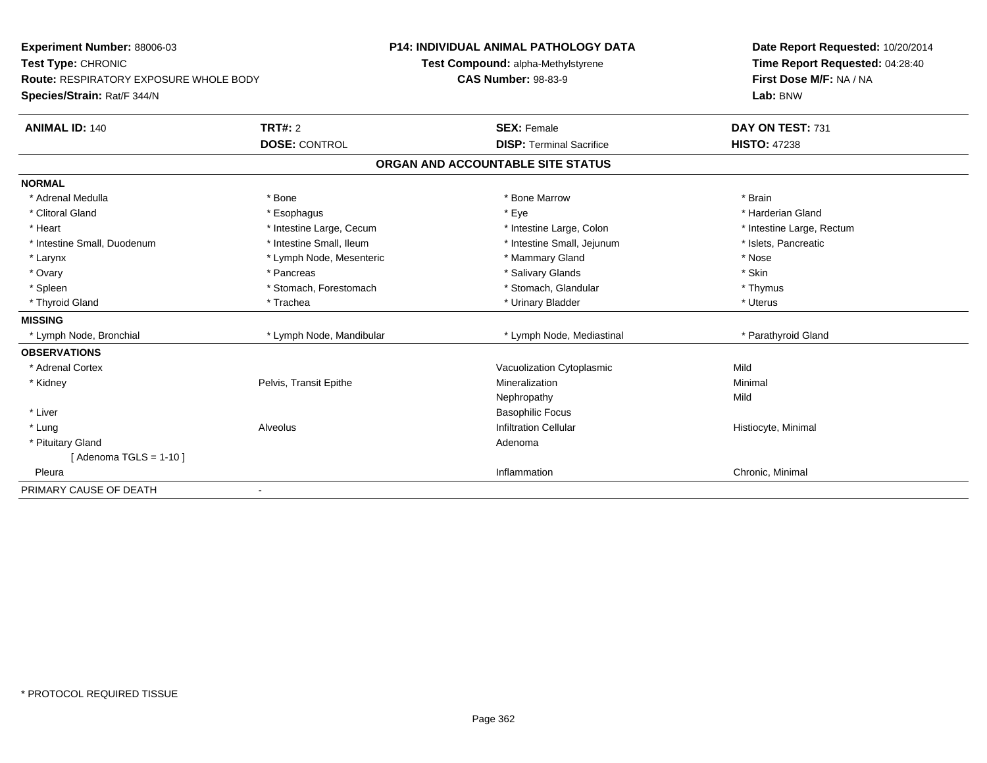| <b>Experiment Number: 88006-03</b>            |                          | <b>P14: INDIVIDUAL ANIMAL PATHOLOGY DATA</b> | Date Report Requested: 10/20/2014 |
|-----------------------------------------------|--------------------------|----------------------------------------------|-----------------------------------|
| Test Type: CHRONIC                            |                          | Test Compound: alpha-Methylstyrene           | Time Report Requested: 04:28:40   |
| <b>Route: RESPIRATORY EXPOSURE WHOLE BODY</b> |                          | <b>CAS Number: 98-83-9</b>                   | First Dose M/F: NA / NA           |
| Species/Strain: Rat/F 344/N                   |                          |                                              | Lab: BNW                          |
| <b>ANIMAL ID: 140</b>                         | <b>TRT#: 2</b>           | <b>SEX: Female</b>                           | DAY ON TEST: 731                  |
|                                               | <b>DOSE: CONTROL</b>     | <b>DISP: Terminal Sacrifice</b>              | <b>HISTO: 47238</b>               |
|                                               |                          | ORGAN AND ACCOUNTABLE SITE STATUS            |                                   |
| <b>NORMAL</b>                                 |                          |                                              |                                   |
| * Adrenal Medulla                             | * Bone                   | * Bone Marrow                                | * Brain                           |
| * Clitoral Gland                              | * Esophagus              | * Eye                                        | * Harderian Gland                 |
| * Heart                                       | * Intestine Large, Cecum | * Intestine Large, Colon                     | * Intestine Large, Rectum         |
| * Intestine Small, Duodenum                   | * Intestine Small, Ileum | * Intestine Small, Jejunum                   | * Islets, Pancreatic              |
| * Larynx                                      | * Lymph Node, Mesenteric | * Mammary Gland                              | * Nose                            |
| * Ovary                                       | * Pancreas               | * Salivary Glands                            | * Skin                            |
| * Spleen                                      | * Stomach. Forestomach   | * Stomach, Glandular                         | * Thymus                          |
| * Thyroid Gland                               | * Trachea                | * Urinary Bladder                            | * Uterus                          |
| <b>MISSING</b>                                |                          |                                              |                                   |
| * Lymph Node, Bronchial                       | * Lymph Node, Mandibular | * Lymph Node, Mediastinal                    | * Parathyroid Gland               |
| <b>OBSERVATIONS</b>                           |                          |                                              |                                   |
| * Adrenal Cortex                              |                          | Vacuolization Cytoplasmic                    | Mild                              |
| * Kidney                                      | Pelvis, Transit Epithe   | Mineralization                               | Minimal                           |
|                                               |                          | Nephropathy                                  | Mild                              |
| * Liver                                       |                          | <b>Basophilic Focus</b>                      |                                   |
| * Lung                                        | Alveolus                 | <b>Infiltration Cellular</b>                 | Histiocyte, Minimal               |
| * Pituitary Gland                             |                          | Adenoma                                      |                                   |
| [ Adenoma TGLS = $1-10$ ]                     |                          |                                              |                                   |
| Pleura                                        |                          | Inflammation                                 | Chronic, Minimal                  |
| PRIMARY CAUSE OF DEATH                        |                          |                                              |                                   |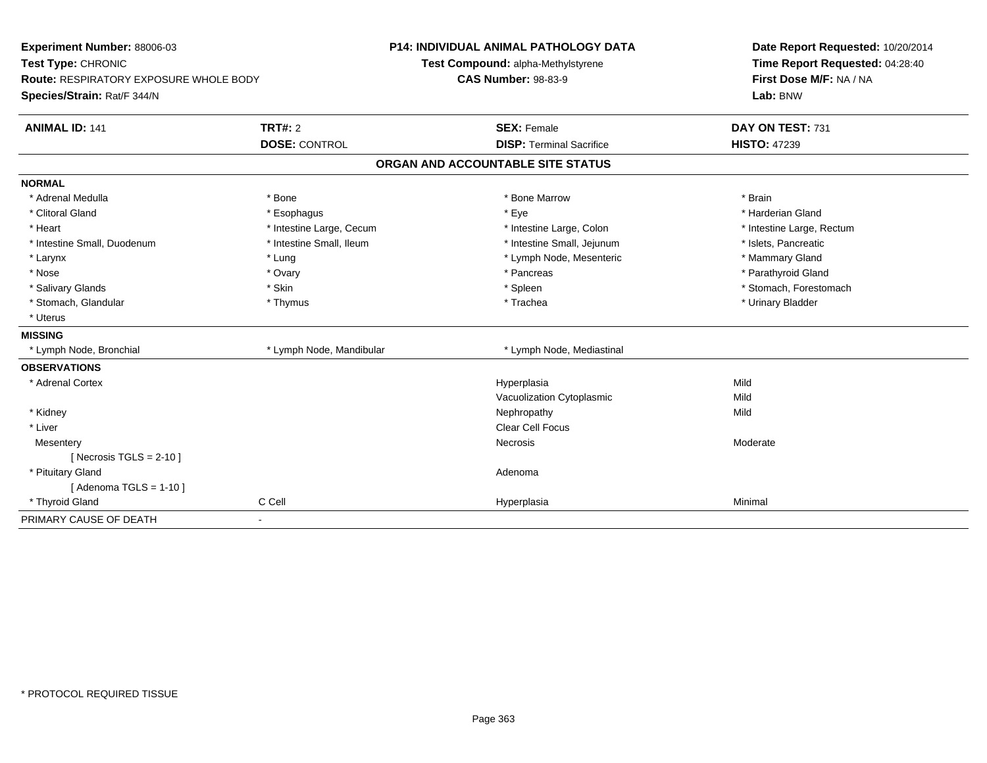| Experiment Number: 88006-03<br>Test Type: CHRONIC                     |                          | <b>P14: INDIVIDUAL ANIMAL PATHOLOGY DATA</b><br>Test Compound: alpha-Methylstyrene | Date Report Requested: 10/20/2014<br>Time Report Requested: 04:28:40 |  |
|-----------------------------------------------------------------------|--------------------------|------------------------------------------------------------------------------------|----------------------------------------------------------------------|--|
| Route: RESPIRATORY EXPOSURE WHOLE BODY<br>Species/Strain: Rat/F 344/N |                          | <b>CAS Number: 98-83-9</b>                                                         | First Dose M/F: NA / NA<br>Lab: BNW                                  |  |
| <b>ANIMAL ID: 141</b>                                                 | TRT#: 2                  | <b>SEX: Female</b>                                                                 | DAY ON TEST: 731                                                     |  |
|                                                                       | <b>DOSE: CONTROL</b>     | <b>DISP: Terminal Sacrifice</b>                                                    | <b>HISTO: 47239</b>                                                  |  |
|                                                                       |                          | ORGAN AND ACCOUNTABLE SITE STATUS                                                  |                                                                      |  |
| <b>NORMAL</b>                                                         |                          |                                                                                    |                                                                      |  |
| * Adrenal Medulla                                                     | * Bone                   | * Bone Marrow                                                                      | * Brain                                                              |  |
| * Clitoral Gland                                                      | * Esophagus              | * Eye                                                                              | * Harderian Gland                                                    |  |
| * Heart                                                               | * Intestine Large, Cecum | * Intestine Large, Colon                                                           | * Intestine Large, Rectum                                            |  |
| * Intestine Small, Duodenum                                           | * Intestine Small, Ileum | * Intestine Small, Jejunum                                                         | * Islets, Pancreatic                                                 |  |
| * Larynx                                                              | * Lung                   | * Lymph Node, Mesenteric                                                           | * Mammary Gland                                                      |  |
| * Nose                                                                | * Ovary                  | * Pancreas                                                                         | * Parathyroid Gland                                                  |  |
| * Salivary Glands                                                     | * Skin                   | * Spleen                                                                           | * Stomach, Forestomach                                               |  |
| * Stomach, Glandular                                                  | * Thymus                 | * Trachea                                                                          | * Urinary Bladder                                                    |  |
| * Uterus                                                              |                          |                                                                                    |                                                                      |  |
| <b>MISSING</b>                                                        |                          |                                                                                    |                                                                      |  |
| * Lymph Node, Bronchial                                               | * Lymph Node, Mandibular | * Lymph Node, Mediastinal                                                          |                                                                      |  |
| <b>OBSERVATIONS</b>                                                   |                          |                                                                                    |                                                                      |  |
| * Adrenal Cortex                                                      |                          | Hyperplasia                                                                        | Mild                                                                 |  |
|                                                                       |                          | Vacuolization Cytoplasmic                                                          | Mild                                                                 |  |
| * Kidney                                                              |                          | Nephropathy                                                                        | Mild                                                                 |  |
| * Liver                                                               |                          | Clear Cell Focus                                                                   |                                                                      |  |
| Mesentery                                                             |                          | Necrosis                                                                           | Moderate                                                             |  |
| [ Necrosis $TGLS = 2-10$ ]                                            |                          |                                                                                    |                                                                      |  |
| * Pituitary Gland                                                     |                          | Adenoma                                                                            |                                                                      |  |
| [Adenoma TGLS = $1-10$ ]                                              |                          |                                                                                    |                                                                      |  |
| * Thyroid Gland                                                       | C Cell                   | Hyperplasia                                                                        | Minimal                                                              |  |
| PRIMARY CAUSE OF DEATH                                                | $\blacksquare$           |                                                                                    |                                                                      |  |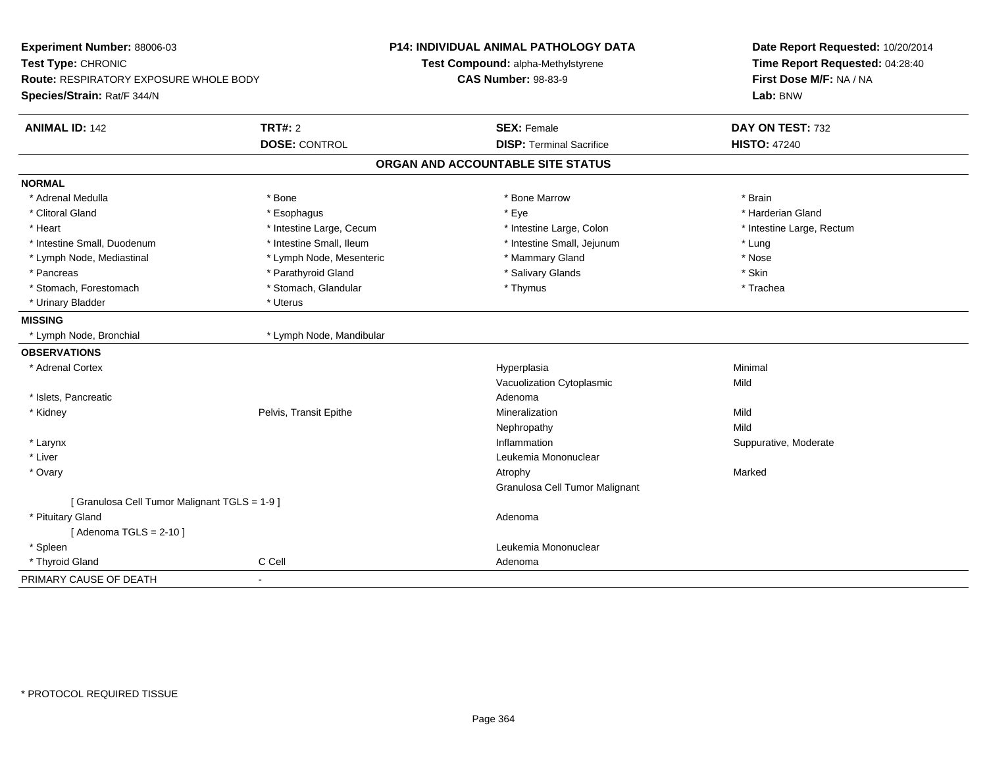| Experiment Number: 88006-03<br>Test Type: CHRONIC<br><b>Route: RESPIRATORY EXPOSURE WHOLE BODY</b><br>Species/Strain: Rat/F 344/N |                          | P14: INDIVIDUAL ANIMAL PATHOLOGY DATA<br>Test Compound: alpha-Methylstyrene<br><b>CAS Number: 98-83-9</b> | Date Report Requested: 10/20/2014<br>Time Report Requested: 04:28:40<br>First Dose M/F: NA / NA<br>Lab: BNW |
|-----------------------------------------------------------------------------------------------------------------------------------|--------------------------|-----------------------------------------------------------------------------------------------------------|-------------------------------------------------------------------------------------------------------------|
| <b>ANIMAL ID: 142</b>                                                                                                             | <b>TRT#: 2</b>           | <b>SEX: Female</b>                                                                                        | DAY ON TEST: 732<br><b>HISTO: 47240</b>                                                                     |
|                                                                                                                                   | <b>DOSE: CONTROL</b>     | <b>DISP: Terminal Sacrifice</b>                                                                           |                                                                                                             |
|                                                                                                                                   |                          | ORGAN AND ACCOUNTABLE SITE STATUS                                                                         |                                                                                                             |
| <b>NORMAL</b>                                                                                                                     |                          |                                                                                                           |                                                                                                             |
| * Adrenal Medulla                                                                                                                 | * Bone                   | * Bone Marrow                                                                                             | * Brain                                                                                                     |
| * Clitoral Gland                                                                                                                  | * Esophagus              | * Eye                                                                                                     | * Harderian Gland                                                                                           |
| * Heart                                                                                                                           | * Intestine Large, Cecum | * Intestine Large, Colon                                                                                  | * Intestine Large, Rectum                                                                                   |
| * Intestine Small, Duodenum                                                                                                       | * Intestine Small, Ileum | * Intestine Small, Jejunum                                                                                | * Lung                                                                                                      |
| * Lymph Node, Mediastinal                                                                                                         | * Lymph Node, Mesenteric | * Mammary Gland                                                                                           | * Nose                                                                                                      |
| * Pancreas                                                                                                                        | * Parathyroid Gland      | * Salivary Glands                                                                                         | * Skin                                                                                                      |
| * Stomach, Forestomach                                                                                                            | * Stomach, Glandular     | * Thymus                                                                                                  | * Trachea                                                                                                   |
| * Urinary Bladder                                                                                                                 | * Uterus                 |                                                                                                           |                                                                                                             |
| <b>MISSING</b>                                                                                                                    |                          |                                                                                                           |                                                                                                             |
| * Lymph Node, Bronchial                                                                                                           | * Lymph Node, Mandibular |                                                                                                           |                                                                                                             |
| <b>OBSERVATIONS</b>                                                                                                               |                          |                                                                                                           |                                                                                                             |
| * Adrenal Cortex                                                                                                                  |                          | Hyperplasia                                                                                               | Minimal                                                                                                     |
|                                                                                                                                   |                          | Vacuolization Cytoplasmic                                                                                 | Mild                                                                                                        |
| * Islets, Pancreatic                                                                                                              |                          | Adenoma                                                                                                   |                                                                                                             |
| * Kidney                                                                                                                          | Pelvis, Transit Epithe   | Mineralization                                                                                            | Mild                                                                                                        |
|                                                                                                                                   |                          | Nephropathy                                                                                               | Mild                                                                                                        |
| * Larynx                                                                                                                          |                          | Inflammation                                                                                              | Suppurative, Moderate                                                                                       |
| * Liver                                                                                                                           |                          | Leukemia Mononuclear                                                                                      |                                                                                                             |
| * Ovary                                                                                                                           |                          | Atrophy                                                                                                   | Marked                                                                                                      |
|                                                                                                                                   |                          | Granulosa Cell Tumor Malignant                                                                            |                                                                                                             |
| [Granulosa Cell Tumor Malignant TGLS = 1-9]                                                                                       |                          |                                                                                                           |                                                                                                             |
| * Pituitary Gland                                                                                                                 |                          | Adenoma                                                                                                   |                                                                                                             |
| [Adenoma TGLS = $2-10$ ]                                                                                                          |                          |                                                                                                           |                                                                                                             |
| * Spleen                                                                                                                          |                          | Leukemia Mononuclear                                                                                      |                                                                                                             |
| * Thyroid Gland                                                                                                                   | C Cell                   | Adenoma                                                                                                   |                                                                                                             |
| PRIMARY CAUSE OF DEATH                                                                                                            | ÷,                       |                                                                                                           |                                                                                                             |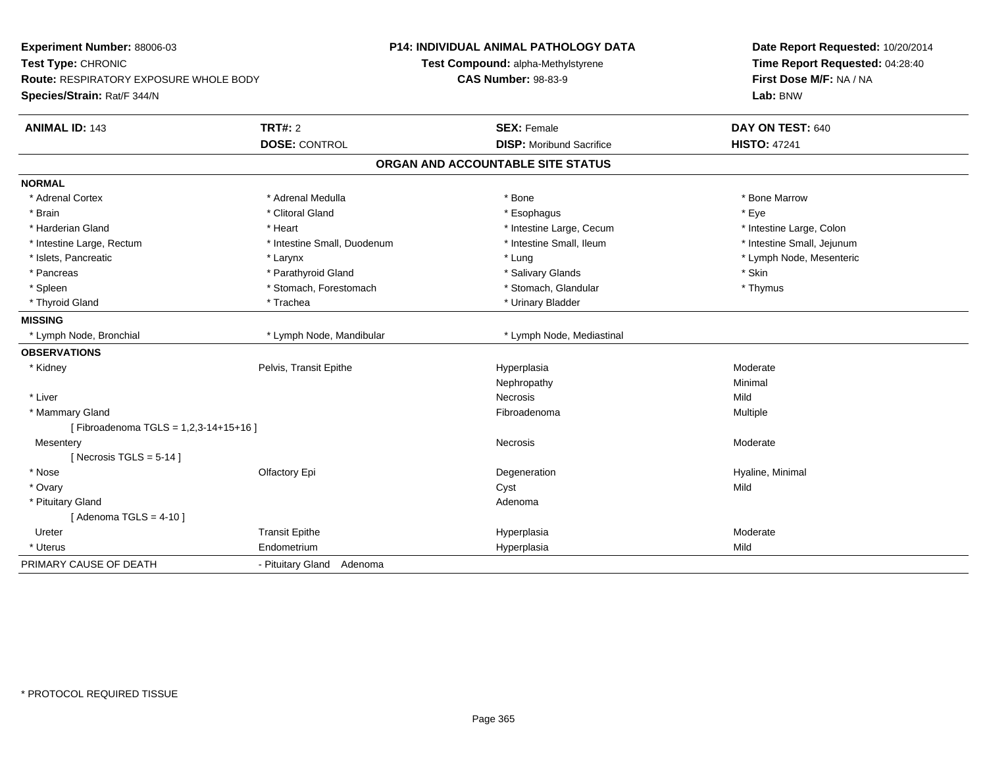| Experiment Number: 88006-03<br>Test Type: CHRONIC<br><b>Route: RESPIRATORY EXPOSURE WHOLE BODY</b><br>Species/Strain: Rat/F 344/N | <b>P14: INDIVIDUAL ANIMAL PATHOLOGY DATA</b><br>Test Compound: alpha-Methylstyrene<br><b>CAS Number: 98-83-9</b> | Date Report Requested: 10/20/2014<br>Time Report Requested: 04:28:40<br>First Dose M/F: NA / NA<br>Lab: BNW |
|-----------------------------------------------------------------------------------------------------------------------------------|------------------------------------------------------------------------------------------------------------------|-------------------------------------------------------------------------------------------------------------|
| <b>TRT#: 2</b><br><b>ANIMAL ID: 143</b>                                                                                           | <b>SEX: Female</b>                                                                                               | DAY ON TEST: 640                                                                                            |
| <b>DOSE: CONTROL</b>                                                                                                              | <b>DISP:</b> Moribund Sacrifice                                                                                  | <b>HISTO: 47241</b>                                                                                         |
|                                                                                                                                   | ORGAN AND ACCOUNTABLE SITE STATUS                                                                                |                                                                                                             |
| <b>NORMAL</b>                                                                                                                     |                                                                                                                  |                                                                                                             |
| * Adrenal Cortex<br>* Adrenal Medulla                                                                                             | * Bone                                                                                                           | * Bone Marrow                                                                                               |
| * Clitoral Gland<br>* Brain                                                                                                       | * Esophagus                                                                                                      | * Eye                                                                                                       |
| * Harderian Gland<br>* Heart                                                                                                      | * Intestine Large, Cecum                                                                                         | * Intestine Large, Colon                                                                                    |
| * Intestine Large, Rectum                                                                                                         | * Intestine Small, Duodenum<br>* Intestine Small, Ileum                                                          | * Intestine Small, Jejunum                                                                                  |
| * Islets, Pancreatic<br>* Larynx                                                                                                  | * Lung                                                                                                           | * Lymph Node, Mesenteric                                                                                    |
| * Parathyroid Gland<br>* Pancreas                                                                                                 | * Salivary Glands                                                                                                | * Skin                                                                                                      |
| * Spleen<br>* Stomach, Forestomach                                                                                                | * Stomach, Glandular                                                                                             | * Thymus                                                                                                    |
| * Thyroid Gland<br>* Trachea                                                                                                      | * Urinary Bladder                                                                                                |                                                                                                             |
| <b>MISSING</b>                                                                                                                    |                                                                                                                  |                                                                                                             |
| * Lymph Node, Bronchial<br>* Lymph Node, Mandibular                                                                               | * Lymph Node, Mediastinal                                                                                        |                                                                                                             |
| <b>OBSERVATIONS</b>                                                                                                               |                                                                                                                  |                                                                                                             |
| Pelvis, Transit Epithe<br>* Kidney                                                                                                | Hyperplasia                                                                                                      | Moderate                                                                                                    |
|                                                                                                                                   | Nephropathy                                                                                                      | Minimal                                                                                                     |
| * Liver                                                                                                                           | Necrosis                                                                                                         | Mild                                                                                                        |
| * Mammary Gland                                                                                                                   | Fibroadenoma                                                                                                     | Multiple                                                                                                    |
| [Fibroadenoma TGLS = 1,2,3-14+15+16]                                                                                              |                                                                                                                  |                                                                                                             |
| Mesentery                                                                                                                         | Necrosis                                                                                                         | Moderate                                                                                                    |
| [Necrosis TGLS = $5-14$ ]                                                                                                         |                                                                                                                  |                                                                                                             |
| * Nose<br>Olfactory Epi                                                                                                           | Degeneration                                                                                                     | Hyaline, Minimal                                                                                            |
| * Ovary                                                                                                                           | Cyst                                                                                                             | Mild                                                                                                        |
| * Pituitary Gland                                                                                                                 | Adenoma                                                                                                          |                                                                                                             |
| [Adenoma TGLS = $4-10$ ]                                                                                                          |                                                                                                                  |                                                                                                             |
| <b>Transit Epithe</b><br>Ureter                                                                                                   | Hyperplasia                                                                                                      | Moderate                                                                                                    |
| * Uterus<br>Endometrium                                                                                                           | Hyperplasia                                                                                                      | Mild                                                                                                        |
| PRIMARY CAUSE OF DEATH<br>- Pituitary Gland Adenoma                                                                               |                                                                                                                  |                                                                                                             |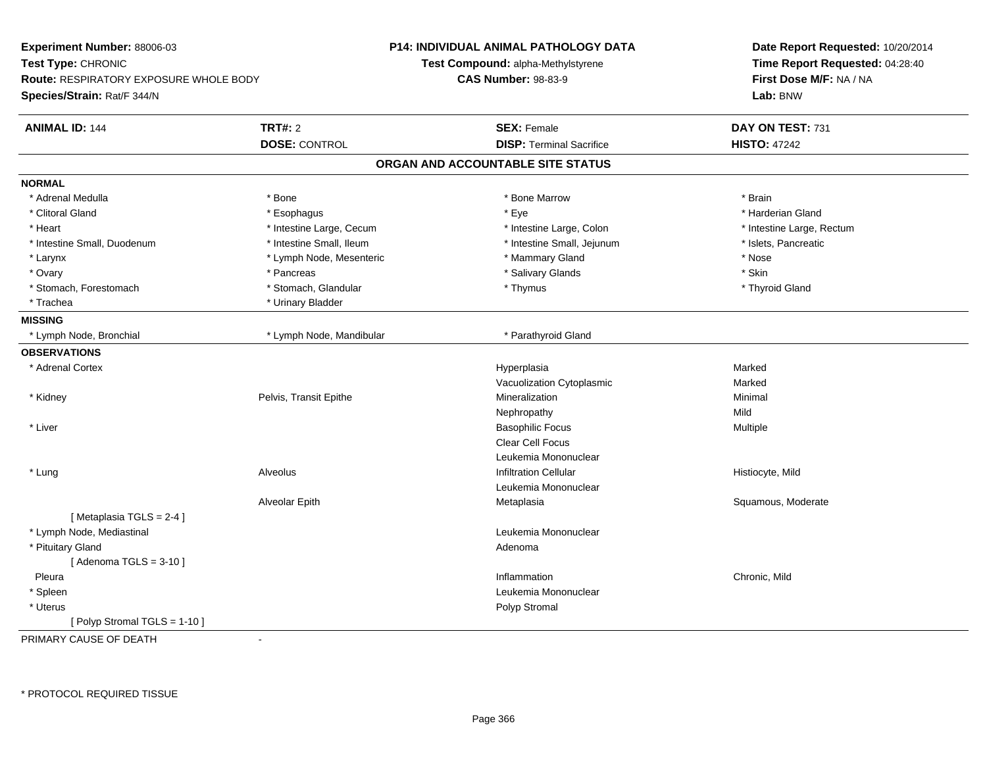| Experiment Number: 88006-03                   |                          | P14: INDIVIDUAL ANIMAL PATHOLOGY DATA | Date Report Requested: 10/20/2014 |
|-----------------------------------------------|--------------------------|---------------------------------------|-----------------------------------|
| Test Type: CHRONIC                            |                          | Test Compound: alpha-Methylstyrene    | Time Report Requested: 04:28:40   |
| <b>Route: RESPIRATORY EXPOSURE WHOLE BODY</b> |                          | <b>CAS Number: 98-83-9</b>            | First Dose M/F: NA / NA           |
| Species/Strain: Rat/F 344/N                   |                          |                                       | Lab: BNW                          |
| <b>ANIMAL ID: 144</b>                         | <b>TRT#: 2</b>           | <b>SEX: Female</b>                    | DAY ON TEST: 731                  |
|                                               | <b>DOSE: CONTROL</b>     | <b>DISP: Terminal Sacrifice</b>       | <b>HISTO: 47242</b>               |
|                                               |                          | ORGAN AND ACCOUNTABLE SITE STATUS     |                                   |
| <b>NORMAL</b>                                 |                          |                                       |                                   |
| * Adrenal Medulla                             | * Bone                   | * Bone Marrow                         | * Brain                           |
| * Clitoral Gland                              | * Esophagus              | * Eye                                 | * Harderian Gland                 |
| * Heart                                       | * Intestine Large, Cecum | * Intestine Large, Colon              | * Intestine Large, Rectum         |
| * Intestine Small, Duodenum                   | * Intestine Small, Ileum | * Intestine Small, Jejunum            | * Islets, Pancreatic              |
| * Larynx                                      | * Lymph Node, Mesenteric | * Mammary Gland                       | * Nose                            |
| * Ovary                                       | * Pancreas               | * Salivary Glands                     | * Skin                            |
| * Stomach, Forestomach                        | * Stomach, Glandular     | * Thymus                              | * Thyroid Gland                   |
| * Trachea                                     | * Urinary Bladder        |                                       |                                   |
| <b>MISSING</b>                                |                          |                                       |                                   |
| * Lymph Node, Bronchial                       | * Lymph Node, Mandibular | * Parathyroid Gland                   |                                   |
| <b>OBSERVATIONS</b>                           |                          |                                       |                                   |
| * Adrenal Cortex                              |                          | Hyperplasia                           | Marked                            |
|                                               |                          | Vacuolization Cytoplasmic             | Marked                            |
| * Kidney                                      | Pelvis, Transit Epithe   | Mineralization                        | Minimal                           |
|                                               |                          | Nephropathy                           | Mild                              |
| * Liver                                       |                          | <b>Basophilic Focus</b>               | Multiple                          |
|                                               |                          | Clear Cell Focus                      |                                   |
|                                               |                          | Leukemia Mononuclear                  |                                   |
| * Lung                                        | Alveolus                 | <b>Infiltration Cellular</b>          | Histiocyte, Mild                  |
|                                               |                          | Leukemia Mononuclear                  |                                   |
|                                               | Alveolar Epith           | Metaplasia                            | Squamous, Moderate                |
| [Metaplasia TGLS = 2-4]                       |                          |                                       |                                   |
| * Lymph Node, Mediastinal                     |                          | Leukemia Mononuclear                  |                                   |
| * Pituitary Gland                             |                          | Adenoma                               |                                   |
| [Adenoma TGLS = $3-10$ ]                      |                          |                                       |                                   |
| Pleura                                        |                          | Inflammation                          | Chronic, Mild                     |
| * Spleen                                      |                          | Leukemia Mononuclear                  |                                   |
| * Uterus                                      |                          | Polyp Stromal                         |                                   |
| [Polyp Stromal TGLS = 1-10]                   |                          |                                       |                                   |
| PRIMARY CAUSE OF DEATH                        | $\ddot{\phantom{a}}$     |                                       |                                   |
|                                               |                          |                                       |                                   |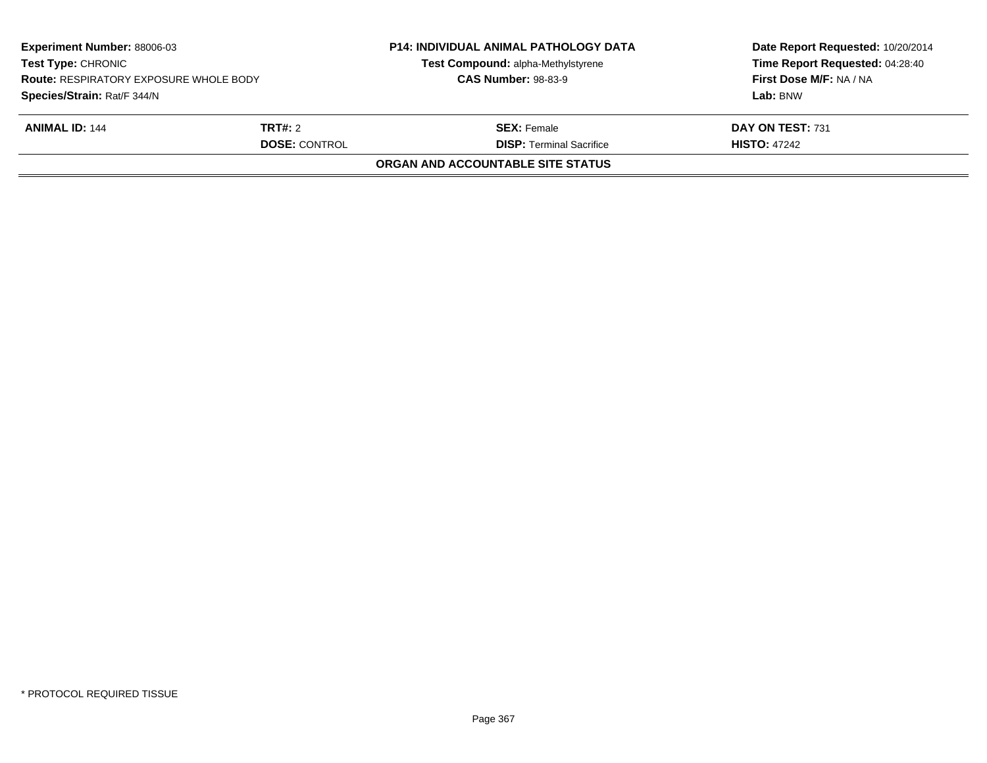| <b>Experiment Number: 88006-03</b><br><b>Test Type: CHRONIC</b><br><b>Route: RESPIRATORY EXPOSURE WHOLE BODY</b><br>Species/Strain: Rat/F 344/N |  | <b>P14: INDIVIDUAL ANIMAL PATHOLOGY DATA</b><br>Test Compound: alpha-Methylstyrene<br><b>CAS Number: 98-83-9</b> | Date Report Requested: 10/20/2014<br>Time Report Requested: 04:28:40<br>First Dose M/F: NA / NA<br>Lab: BNW |
|-------------------------------------------------------------------------------------------------------------------------------------------------|--|------------------------------------------------------------------------------------------------------------------|-------------------------------------------------------------------------------------------------------------|
| <b>ANIMAL ID: 144</b><br><b>TRT#:</b> 2<br><b>DOSE: CONTROL</b>                                                                                 |  | <b>SEX:</b> Female<br><b>DISP: Terminal Sacrifice</b>                                                            | DAY ON TEST: 731<br><b>HISTO: 47242</b>                                                                     |
|                                                                                                                                                 |  | ORGAN AND ACCOUNTABLE SITE STATUS                                                                                |                                                                                                             |
|                                                                                                                                                 |  |                                                                                                                  |                                                                                                             |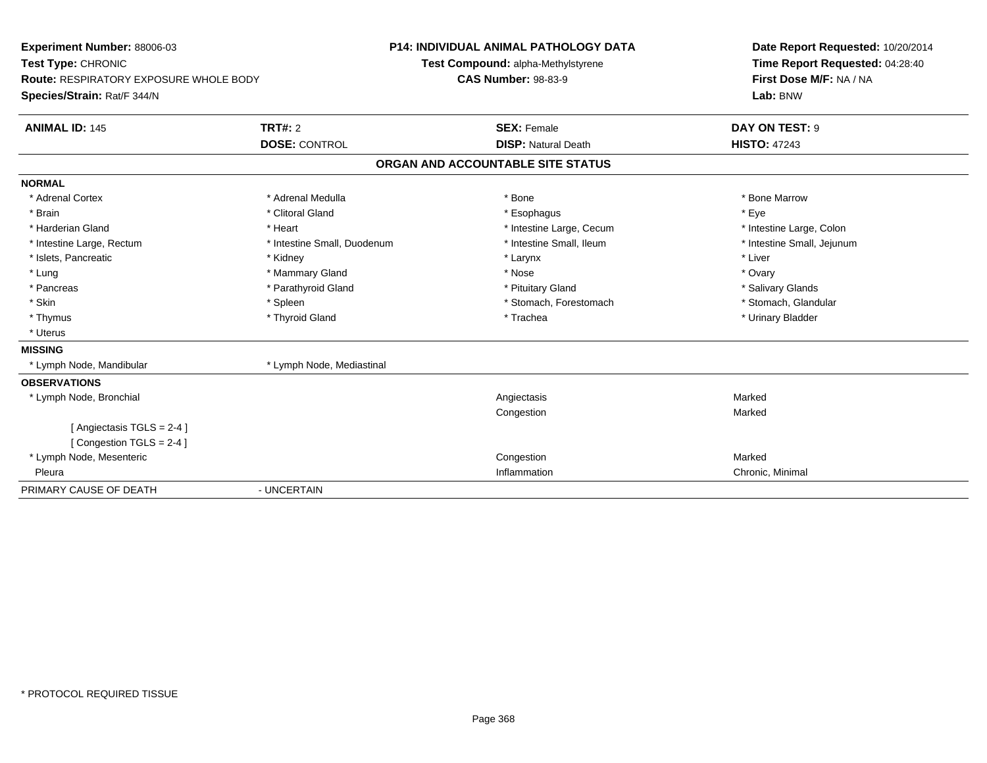| Experiment Number: 88006-03                   |                                    | <b>P14: INDIVIDUAL ANIMAL PATHOLOGY DATA</b> | Date Report Requested: 10/20/2014 |
|-----------------------------------------------|------------------------------------|----------------------------------------------|-----------------------------------|
| Test Type: CHRONIC                            | Test Compound: alpha-Methylstyrene |                                              | Time Report Requested: 04:28:40   |
| <b>Route: RESPIRATORY EXPOSURE WHOLE BODY</b> |                                    | <b>CAS Number: 98-83-9</b>                   | First Dose M/F: NA / NA           |
| Species/Strain: Rat/F 344/N                   |                                    |                                              | Lab: BNW                          |
| <b>ANIMAL ID: 145</b>                         | TRT#: 2                            | <b>SEX: Female</b>                           | DAY ON TEST: 9                    |
|                                               | <b>DOSE: CONTROL</b>               | <b>DISP: Natural Death</b>                   | <b>HISTO: 47243</b>               |
|                                               |                                    | ORGAN AND ACCOUNTABLE SITE STATUS            |                                   |
| <b>NORMAL</b>                                 |                                    |                                              |                                   |
| * Adrenal Cortex                              | * Adrenal Medulla                  | * Bone                                       | * Bone Marrow                     |
| * Brain                                       | * Clitoral Gland                   | * Esophagus                                  | * Eye                             |
| * Harderian Gland                             | * Heart                            | * Intestine Large, Cecum                     | * Intestine Large, Colon          |
| * Intestine Large, Rectum                     | * Intestine Small, Duodenum        | * Intestine Small, Ileum                     | * Intestine Small, Jejunum        |
| * Islets, Pancreatic                          | * Kidney                           | * Larynx                                     | * Liver                           |
| * Lung                                        | * Mammary Gland                    | * Nose                                       | * Ovary                           |
| * Pancreas                                    | * Parathyroid Gland                | * Pituitary Gland                            | * Salivary Glands                 |
| * Skin                                        | * Spleen                           | * Stomach, Forestomach                       | * Stomach, Glandular              |
| * Thymus                                      | * Thyroid Gland                    | * Trachea                                    | * Urinary Bladder                 |
| * Uterus                                      |                                    |                                              |                                   |
| <b>MISSING</b>                                |                                    |                                              |                                   |
| * Lymph Node, Mandibular                      | * Lymph Node, Mediastinal          |                                              |                                   |
| <b>OBSERVATIONS</b>                           |                                    |                                              |                                   |
| * Lymph Node, Bronchial                       |                                    | Angiectasis                                  | Marked                            |
|                                               |                                    | Congestion                                   | Marked                            |
| [Angiectasis TGLS = 2-4]                      |                                    |                                              |                                   |
| [Congestion TGLS = 2-4]                       |                                    |                                              |                                   |
| * Lymph Node, Mesenteric                      |                                    | Congestion                                   | Marked                            |
| Pleura                                        |                                    | Inflammation                                 | Chronic, Minimal                  |
| PRIMARY CAUSE OF DEATH                        | - UNCERTAIN                        |                                              |                                   |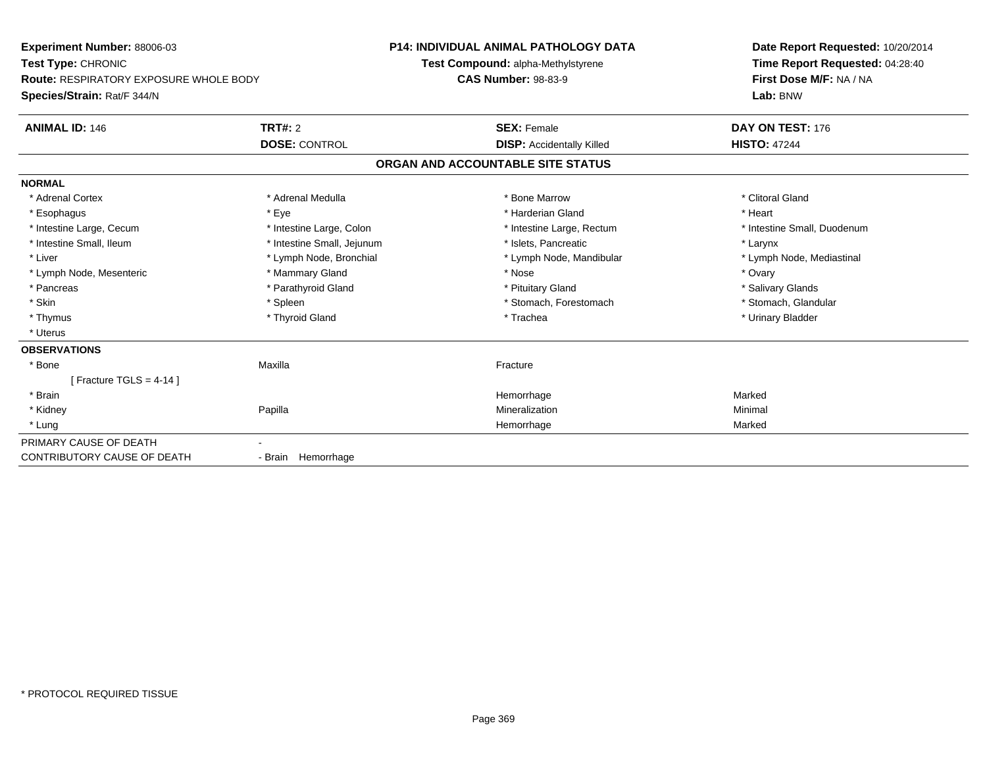| Experiment Number: 88006-03                   |                            | P14: INDIVIDUAL ANIMAL PATHOLOGY DATA | Date Report Requested: 10/20/2014<br>Time Report Requested: 04:28:40 |
|-----------------------------------------------|----------------------------|---------------------------------------|----------------------------------------------------------------------|
| Test Type: CHRONIC                            |                            | Test Compound: alpha-Methylstyrene    |                                                                      |
| <b>Route: RESPIRATORY EXPOSURE WHOLE BODY</b> |                            | <b>CAS Number: 98-83-9</b>            | First Dose M/F: NA / NA                                              |
| Species/Strain: Rat/F 344/N                   |                            |                                       | Lab: BNW                                                             |
| <b>ANIMAL ID: 146</b>                         | TRT#: 2                    | <b>SEX: Female</b>                    | DAY ON TEST: 176                                                     |
|                                               | <b>DOSE: CONTROL</b>       | <b>DISP: Accidentally Killed</b>      | <b>HISTO: 47244</b>                                                  |
|                                               |                            | ORGAN AND ACCOUNTABLE SITE STATUS     |                                                                      |
| <b>NORMAL</b>                                 |                            |                                       |                                                                      |
| * Adrenal Cortex                              | * Adrenal Medulla          | * Bone Marrow                         | * Clitoral Gland                                                     |
| * Esophagus                                   | * Eye                      | * Harderian Gland                     | * Heart                                                              |
| * Intestine Large, Cecum                      | * Intestine Large, Colon   | * Intestine Large, Rectum             | * Intestine Small, Duodenum                                          |
| * Intestine Small, Ileum                      | * Intestine Small, Jejunum | * Islets, Pancreatic                  | * Larynx                                                             |
| * Liver                                       | * Lymph Node, Bronchial    | * Lymph Node, Mandibular              | * Lymph Node, Mediastinal                                            |
| * Lymph Node, Mesenteric                      | * Mammary Gland            | * Nose                                | * Ovary                                                              |
| * Pancreas                                    | * Parathyroid Gland        | * Pituitary Gland                     | * Salivary Glands                                                    |
| * Skin                                        | * Spleen                   | * Stomach, Forestomach                | * Stomach, Glandular                                                 |
| * Thymus                                      | * Thyroid Gland            | * Trachea                             | * Urinary Bladder                                                    |
| * Uterus                                      |                            |                                       |                                                                      |
| <b>OBSERVATIONS</b>                           |                            |                                       |                                                                      |
| * Bone                                        | Maxilla                    | Fracture                              |                                                                      |
| [ Fracture TGLS = $4-14$ ]                    |                            |                                       |                                                                      |
| * Brain                                       |                            | Hemorrhage                            | Marked                                                               |
| * Kidney                                      | Papilla                    | Mineralization                        | Minimal                                                              |
| * Lung                                        |                            | Hemorrhage                            | Marked                                                               |
| PRIMARY CAUSE OF DEATH                        |                            |                                       |                                                                      |
| <b>CONTRIBUTORY CAUSE OF DEATH</b>            | - Brain Hemorrhage         |                                       |                                                                      |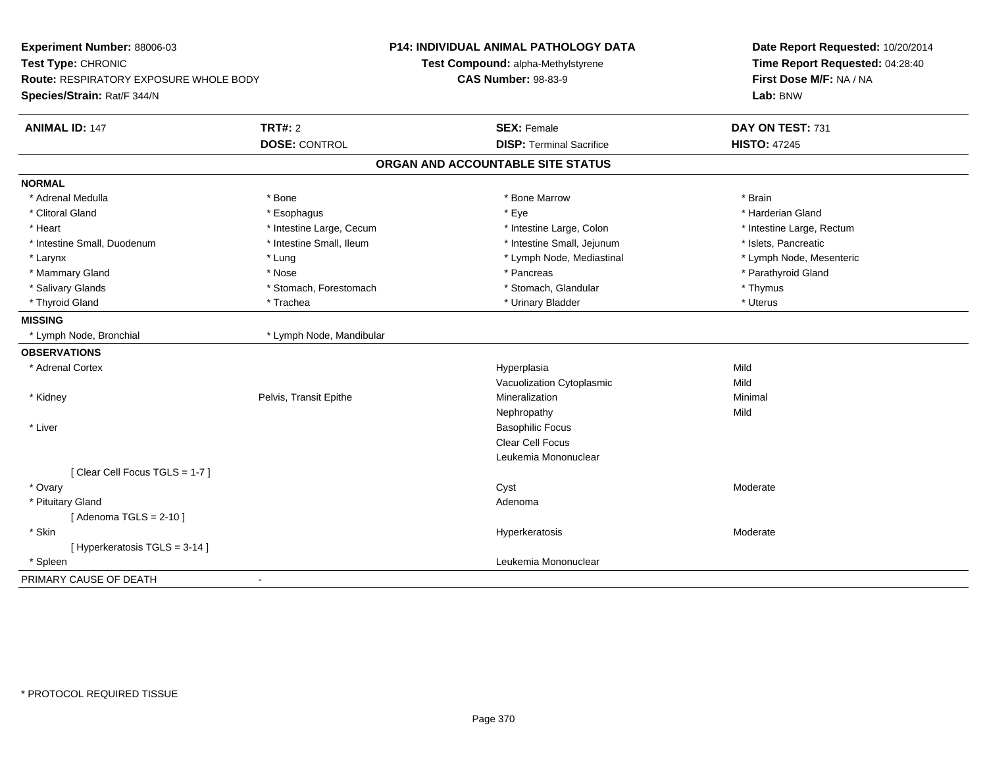| Experiment Number: 88006-03<br>Test Type: CHRONIC<br><b>Route: RESPIRATORY EXPOSURE WHOLE BODY</b><br>Species/Strain: Rat/F 344/N |                          | P14: INDIVIDUAL ANIMAL PATHOLOGY DATA<br>Test Compound: alpha-Methylstyrene<br><b>CAS Number: 98-83-9</b> | Date Report Requested: 10/20/2014<br>Time Report Requested: 04:28:40<br>First Dose M/F: NA / NA<br>Lab: BNW |
|-----------------------------------------------------------------------------------------------------------------------------------|--------------------------|-----------------------------------------------------------------------------------------------------------|-------------------------------------------------------------------------------------------------------------|
| <b>ANIMAL ID: 147</b>                                                                                                             | <b>TRT#: 2</b>           | <b>SEX: Female</b><br><b>DISP: Terminal Sacrifice</b>                                                     | DAY ON TEST: 731                                                                                            |
|                                                                                                                                   | <b>DOSE: CONTROL</b>     |                                                                                                           | <b>HISTO: 47245</b>                                                                                         |
|                                                                                                                                   |                          | ORGAN AND ACCOUNTABLE SITE STATUS                                                                         |                                                                                                             |
| <b>NORMAL</b>                                                                                                                     |                          |                                                                                                           |                                                                                                             |
| * Adrenal Medulla                                                                                                                 | * Bone                   | * Bone Marrow                                                                                             | * Brain                                                                                                     |
| * Clitoral Gland                                                                                                                  | * Esophagus              | $*$ Eye                                                                                                   | * Harderian Gland                                                                                           |
| * Heart                                                                                                                           | * Intestine Large, Cecum | * Intestine Large, Colon                                                                                  | * Intestine Large, Rectum                                                                                   |
| * Intestine Small, Duodenum                                                                                                       | * Intestine Small, Ileum | * Intestine Small, Jejunum                                                                                | * Islets, Pancreatic                                                                                        |
| * Larynx                                                                                                                          | * Lung                   | * Lymph Node, Mediastinal                                                                                 | * Lymph Node, Mesenteric                                                                                    |
| * Mammary Gland                                                                                                                   | * Nose                   | * Pancreas                                                                                                | * Parathyroid Gland                                                                                         |
| * Salivary Glands                                                                                                                 | * Stomach, Forestomach   | * Stomach, Glandular                                                                                      | * Thymus                                                                                                    |
| * Thyroid Gland                                                                                                                   | * Trachea                | * Urinary Bladder                                                                                         | * Uterus                                                                                                    |
| <b>MISSING</b>                                                                                                                    |                          |                                                                                                           |                                                                                                             |
| * Lymph Node, Bronchial                                                                                                           | * Lymph Node, Mandibular |                                                                                                           |                                                                                                             |
| <b>OBSERVATIONS</b>                                                                                                               |                          |                                                                                                           |                                                                                                             |
| * Adrenal Cortex                                                                                                                  |                          | Hyperplasia                                                                                               | Mild                                                                                                        |
|                                                                                                                                   |                          | Vacuolization Cytoplasmic                                                                                 | Mild                                                                                                        |
| * Kidney                                                                                                                          | Pelvis, Transit Epithe   | Mineralization                                                                                            | Minimal                                                                                                     |
|                                                                                                                                   |                          | Nephropathy                                                                                               | Mild                                                                                                        |
| * Liver                                                                                                                           |                          | <b>Basophilic Focus</b>                                                                                   |                                                                                                             |
|                                                                                                                                   |                          | Clear Cell Focus                                                                                          |                                                                                                             |
|                                                                                                                                   |                          | Leukemia Mononuclear                                                                                      |                                                                                                             |
| [Clear Cell Focus TGLS = 1-7]                                                                                                     |                          |                                                                                                           |                                                                                                             |
| * Ovary                                                                                                                           |                          | Cyst                                                                                                      | Moderate                                                                                                    |
| * Pituitary Gland                                                                                                                 |                          | Adenoma                                                                                                   |                                                                                                             |
| [Adenoma TGLS = $2-10$ ]                                                                                                          |                          |                                                                                                           |                                                                                                             |
| * Skin                                                                                                                            |                          | Hyperkeratosis                                                                                            | Moderate                                                                                                    |
| [ Hyperkeratosis TGLS = 3-14 ]                                                                                                    |                          |                                                                                                           |                                                                                                             |
| * Spleen                                                                                                                          |                          | Leukemia Mononuclear                                                                                      |                                                                                                             |
| PRIMARY CAUSE OF DEATH                                                                                                            | $\sim$                   |                                                                                                           |                                                                                                             |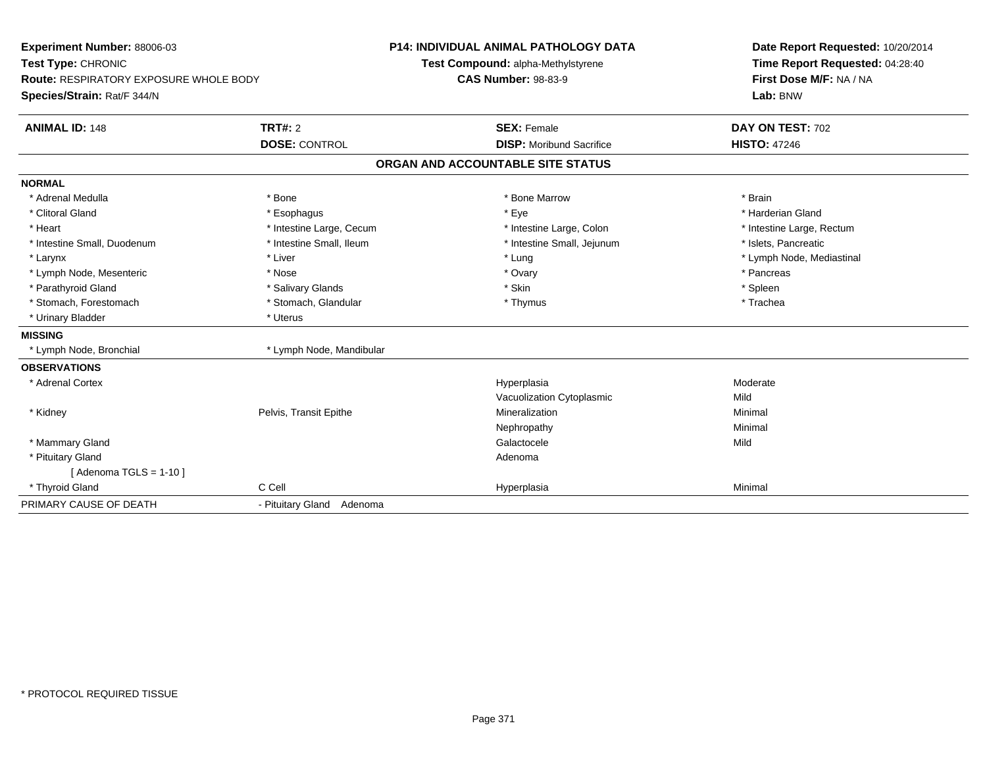| Experiment Number: 88006-03<br>Test Type: CHRONIC<br><b>Route: RESPIRATORY EXPOSURE WHOLE BODY</b><br>Species/Strain: Rat/F 344/N |                                  | <b>P14: INDIVIDUAL ANIMAL PATHOLOGY DATA</b><br>Test Compound: alpha-Methylstyrene<br><b>CAS Number: 98-83-9</b> | Date Report Requested: 10/20/2014<br>Time Report Requested: 04:28:40<br>First Dose M/F: NA / NA<br>Lab: BNW |
|-----------------------------------------------------------------------------------------------------------------------------------|----------------------------------|------------------------------------------------------------------------------------------------------------------|-------------------------------------------------------------------------------------------------------------|
| <b>ANIMAL ID: 148</b>                                                                                                             | TRT#: 2<br><b>DOSE: CONTROL</b>  | <b>SEX: Female</b><br><b>DISP:</b> Moribund Sacrifice                                                            | DAY ON TEST: 702<br><b>HISTO: 47246</b>                                                                     |
|                                                                                                                                   |                                  | ORGAN AND ACCOUNTABLE SITE STATUS                                                                                |                                                                                                             |
|                                                                                                                                   |                                  |                                                                                                                  |                                                                                                             |
| <b>NORMAL</b>                                                                                                                     |                                  |                                                                                                                  |                                                                                                             |
| * Adrenal Medulla                                                                                                                 | * Bone                           | * Bone Marrow                                                                                                    | * Brain                                                                                                     |
| * Clitoral Gland                                                                                                                  | * Esophagus                      | * Eye                                                                                                            | * Harderian Gland                                                                                           |
| * Heart                                                                                                                           | * Intestine Large, Cecum         | * Intestine Large, Colon                                                                                         | * Intestine Large, Rectum                                                                                   |
| * Intestine Small, Duodenum                                                                                                       | * Intestine Small, Ileum         | * Intestine Small, Jejunum                                                                                       | * Islets, Pancreatic                                                                                        |
| * Larynx                                                                                                                          | * Liver<br>* Nose                | * Lung                                                                                                           | * Lymph Node, Mediastinal<br>* Pancreas                                                                     |
| * Lymph Node, Mesenteric                                                                                                          |                                  | * Ovary<br>* Skin                                                                                                |                                                                                                             |
| * Parathyroid Gland                                                                                                               | * Salivary Glands                |                                                                                                                  | * Spleen<br>* Trachea                                                                                       |
| * Stomach, Forestomach                                                                                                            | * Stomach, Glandular<br>* Uterus | * Thymus                                                                                                         |                                                                                                             |
| * Urinary Bladder                                                                                                                 |                                  |                                                                                                                  |                                                                                                             |
| <b>MISSING</b>                                                                                                                    |                                  |                                                                                                                  |                                                                                                             |
| * Lymph Node, Bronchial                                                                                                           | * Lymph Node, Mandibular         |                                                                                                                  |                                                                                                             |
| <b>OBSERVATIONS</b>                                                                                                               |                                  |                                                                                                                  |                                                                                                             |
| * Adrenal Cortex                                                                                                                  |                                  | Hyperplasia                                                                                                      | Moderate                                                                                                    |
|                                                                                                                                   |                                  | Vacuolization Cytoplasmic                                                                                        | Mild                                                                                                        |
| * Kidney                                                                                                                          | Pelvis, Transit Epithe           | Mineralization                                                                                                   | Minimal                                                                                                     |
|                                                                                                                                   |                                  | Nephropathy                                                                                                      | Minimal                                                                                                     |
| * Mammary Gland                                                                                                                   |                                  | Galactocele                                                                                                      | Mild                                                                                                        |
| * Pituitary Gland                                                                                                                 |                                  | Adenoma                                                                                                          |                                                                                                             |
| [Adenoma TGLS = $1-10$ ]                                                                                                          |                                  |                                                                                                                  |                                                                                                             |
| * Thyroid Gland                                                                                                                   | C Cell                           | Hyperplasia                                                                                                      | Minimal                                                                                                     |
| PRIMARY CAUSE OF DEATH                                                                                                            | - Pituitary Gland Adenoma        |                                                                                                                  |                                                                                                             |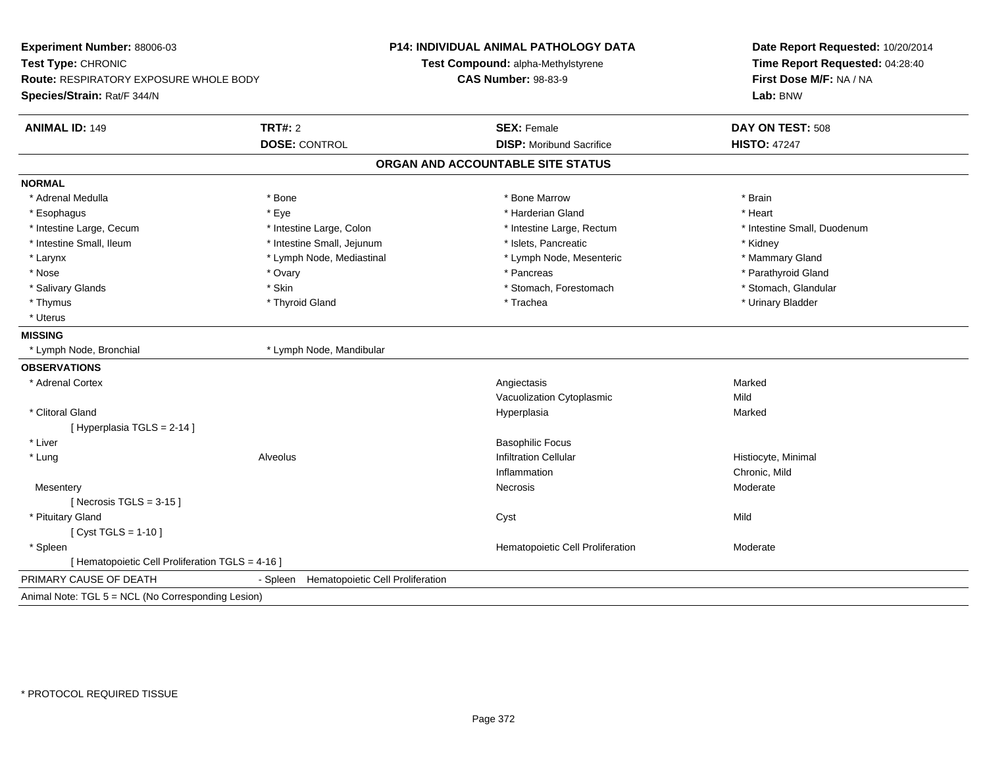| Experiment Number: 88006-03<br>Test Type: CHRONIC<br><b>Route: RESPIRATORY EXPOSURE WHOLE BODY</b><br>Species/Strain: Rat/F 344/N |                                              | <b>P14: INDIVIDUAL ANIMAL PATHOLOGY DATA</b><br>Test Compound: alpha-Methylstyrene<br><b>CAS Number: 98-83-9</b> | Date Report Requested: 10/20/2014<br>Time Report Requested: 04:28:40<br>First Dose M/F: NA / NA<br>Lab: BNW |
|-----------------------------------------------------------------------------------------------------------------------------------|----------------------------------------------|------------------------------------------------------------------------------------------------------------------|-------------------------------------------------------------------------------------------------------------|
| <b>ANIMAL ID: 149</b>                                                                                                             | <b>TRT#: 2</b>                               | <b>SEX: Female</b>                                                                                               | DAY ON TEST: 508                                                                                            |
|                                                                                                                                   | <b>DOSE: CONTROL</b>                         | <b>DISP: Moribund Sacrifice</b>                                                                                  | <b>HISTO: 47247</b>                                                                                         |
|                                                                                                                                   |                                              | ORGAN AND ACCOUNTABLE SITE STATUS                                                                                |                                                                                                             |
| <b>NORMAL</b>                                                                                                                     |                                              |                                                                                                                  |                                                                                                             |
| * Adrenal Medulla                                                                                                                 | * Bone                                       | * Bone Marrow                                                                                                    | * Brain                                                                                                     |
| * Esophagus                                                                                                                       | * Eye                                        | * Harderian Gland                                                                                                | * Heart                                                                                                     |
| * Intestine Large, Cecum                                                                                                          | * Intestine Large, Colon                     | * Intestine Large, Rectum                                                                                        | * Intestine Small, Duodenum                                                                                 |
| * Intestine Small, Ileum                                                                                                          | * Intestine Small, Jejunum                   | * Islets, Pancreatic                                                                                             | * Kidney                                                                                                    |
| * Larynx                                                                                                                          | * Lymph Node, Mediastinal                    | * Lymph Node, Mesenteric                                                                                         | * Mammary Gland                                                                                             |
| * Nose                                                                                                                            | * Ovary                                      | * Pancreas                                                                                                       | * Parathyroid Gland                                                                                         |
| * Salivary Glands                                                                                                                 | * Skin                                       | * Stomach, Forestomach                                                                                           | * Stomach, Glandular                                                                                        |
| * Thymus                                                                                                                          | * Thyroid Gland                              | * Trachea                                                                                                        | * Urinary Bladder                                                                                           |
| * Uterus                                                                                                                          |                                              |                                                                                                                  |                                                                                                             |
| <b>MISSING</b>                                                                                                                    |                                              |                                                                                                                  |                                                                                                             |
| * Lymph Node, Bronchial                                                                                                           | * Lymph Node, Mandibular                     |                                                                                                                  |                                                                                                             |
| <b>OBSERVATIONS</b>                                                                                                               |                                              |                                                                                                                  |                                                                                                             |
| * Adrenal Cortex                                                                                                                  |                                              | Angiectasis                                                                                                      | Marked                                                                                                      |
|                                                                                                                                   |                                              | Vacuolization Cytoplasmic                                                                                        | Mild                                                                                                        |
| * Clitoral Gland                                                                                                                  |                                              | Hyperplasia                                                                                                      | Marked                                                                                                      |
| [Hyperplasia TGLS = 2-14]                                                                                                         |                                              |                                                                                                                  |                                                                                                             |
| * Liver                                                                                                                           |                                              | <b>Basophilic Focus</b>                                                                                          |                                                                                                             |
| * Lung                                                                                                                            | Alveolus                                     | <b>Infiltration Cellular</b>                                                                                     | Histiocyte, Minimal                                                                                         |
|                                                                                                                                   |                                              | Inflammation                                                                                                     | Chronic, Mild                                                                                               |
| Mesentery                                                                                                                         |                                              | Necrosis                                                                                                         | Moderate                                                                                                    |
| [Necrosis TGLS = $3-15$ ]                                                                                                         |                                              |                                                                                                                  |                                                                                                             |
| * Pituitary Gland                                                                                                                 |                                              | Cyst                                                                                                             | Mild                                                                                                        |
| [ Cyst TGLS = $1-10$ ]                                                                                                            |                                              |                                                                                                                  |                                                                                                             |
| * Spleen                                                                                                                          |                                              | Hematopoietic Cell Proliferation                                                                                 | Moderate                                                                                                    |
| [ Hematopoietic Cell Proliferation TGLS = 4-16 ]                                                                                  |                                              |                                                                                                                  |                                                                                                             |
| PRIMARY CAUSE OF DEATH                                                                                                            | Hematopoietic Cell Proliferation<br>- Spleen |                                                                                                                  |                                                                                                             |
| Animal Note: TGL 5 = NCL (No Corresponding Lesion)                                                                                |                                              |                                                                                                                  |                                                                                                             |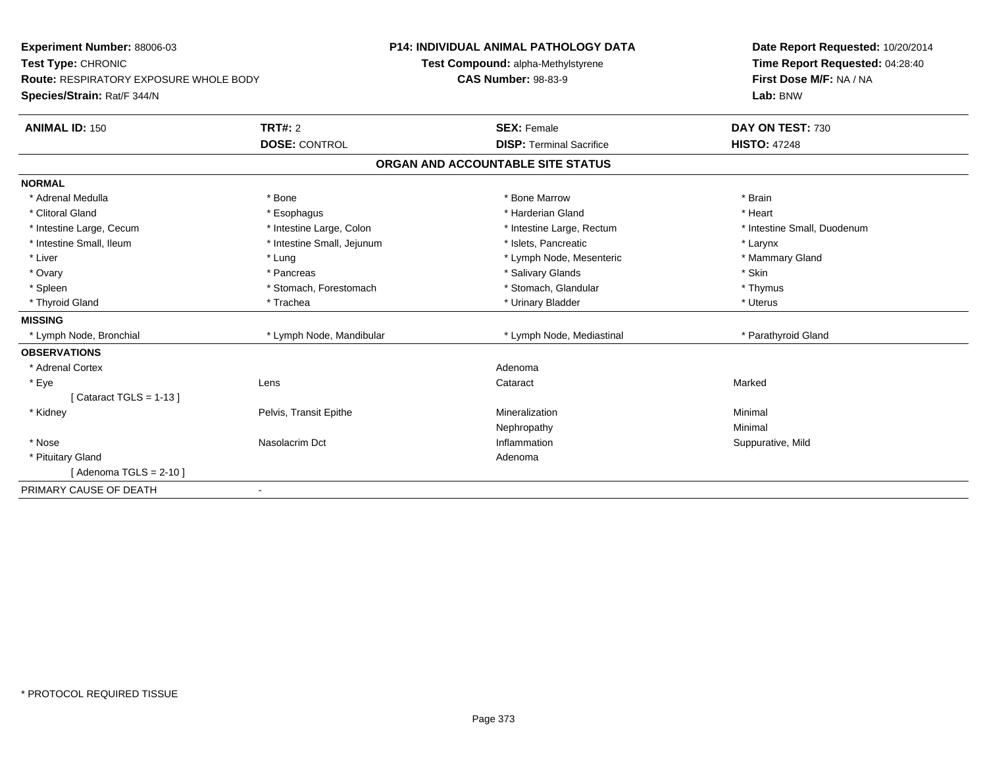| <b>Experiment Number: 88006-03</b><br>Test Type: CHRONIC<br><b>Route: RESPIRATORY EXPOSURE WHOLE BODY</b> |                            | <b>P14: INDIVIDUAL ANIMAL PATHOLOGY DATA</b> | Date Report Requested: 10/20/2014 |
|-----------------------------------------------------------------------------------------------------------|----------------------------|----------------------------------------------|-----------------------------------|
|                                                                                                           |                            | Test Compound: alpha-Methylstyrene           | Time Report Requested: 04:28:40   |
|                                                                                                           |                            | <b>CAS Number: 98-83-9</b>                   | First Dose M/F: NA / NA           |
| Species/Strain: Rat/F 344/N                                                                               |                            |                                              | Lab: BNW                          |
| <b>ANIMAL ID: 150</b>                                                                                     | <b>TRT#: 2</b>             | <b>SEX: Female</b>                           | DAY ON TEST: 730                  |
|                                                                                                           | <b>DOSE: CONTROL</b>       | <b>DISP: Terminal Sacrifice</b>              | <b>HISTO: 47248</b>               |
|                                                                                                           |                            | ORGAN AND ACCOUNTABLE SITE STATUS            |                                   |
| <b>NORMAL</b>                                                                                             |                            |                                              |                                   |
| * Adrenal Medulla                                                                                         | * Bone                     | * Bone Marrow                                | * Brain                           |
| * Clitoral Gland                                                                                          | * Esophagus                | * Harderian Gland                            | * Heart                           |
| * Intestine Large, Cecum                                                                                  | * Intestine Large, Colon   | * Intestine Large, Rectum                    | * Intestine Small, Duodenum       |
| * Intestine Small, Ileum                                                                                  | * Intestine Small, Jejunum | * Islets, Pancreatic                         | * Larynx                          |
| * Liver                                                                                                   | * Lung                     | * Lymph Node, Mesenteric                     | * Mammary Gland                   |
| * Ovary                                                                                                   | * Pancreas                 | * Salivary Glands                            | * Skin                            |
| * Spleen                                                                                                  | * Stomach. Forestomach     | * Stomach, Glandular                         | * Thymus                          |
| * Thyroid Gland                                                                                           | * Trachea                  | * Urinary Bladder                            | * Uterus                          |
| <b>MISSING</b>                                                                                            |                            |                                              |                                   |
| * Lymph Node, Bronchial                                                                                   | * Lymph Node, Mandibular   | * Lymph Node, Mediastinal                    | * Parathyroid Gland               |
| <b>OBSERVATIONS</b>                                                                                       |                            |                                              |                                   |
| * Adrenal Cortex                                                                                          |                            | Adenoma                                      |                                   |
| * Eye                                                                                                     | Lens                       | Cataract                                     | Marked                            |
| [Cataract TGLS = $1-13$ ]                                                                                 |                            |                                              |                                   |
| * Kidney                                                                                                  | Pelvis, Transit Epithe     | Mineralization                               | Minimal                           |
|                                                                                                           |                            | Nephropathy                                  | Minimal                           |
| * Nose                                                                                                    | Nasolacrim Dct             | Inflammation                                 | Suppurative, Mild                 |
| * Pituitary Gland                                                                                         |                            | Adenoma                                      |                                   |
| [Adenoma TGLS = $2-10$ ]                                                                                  |                            |                                              |                                   |
| PRIMARY CAUSE OF DEATH                                                                                    | $\overline{\phantom{0}}$   |                                              |                                   |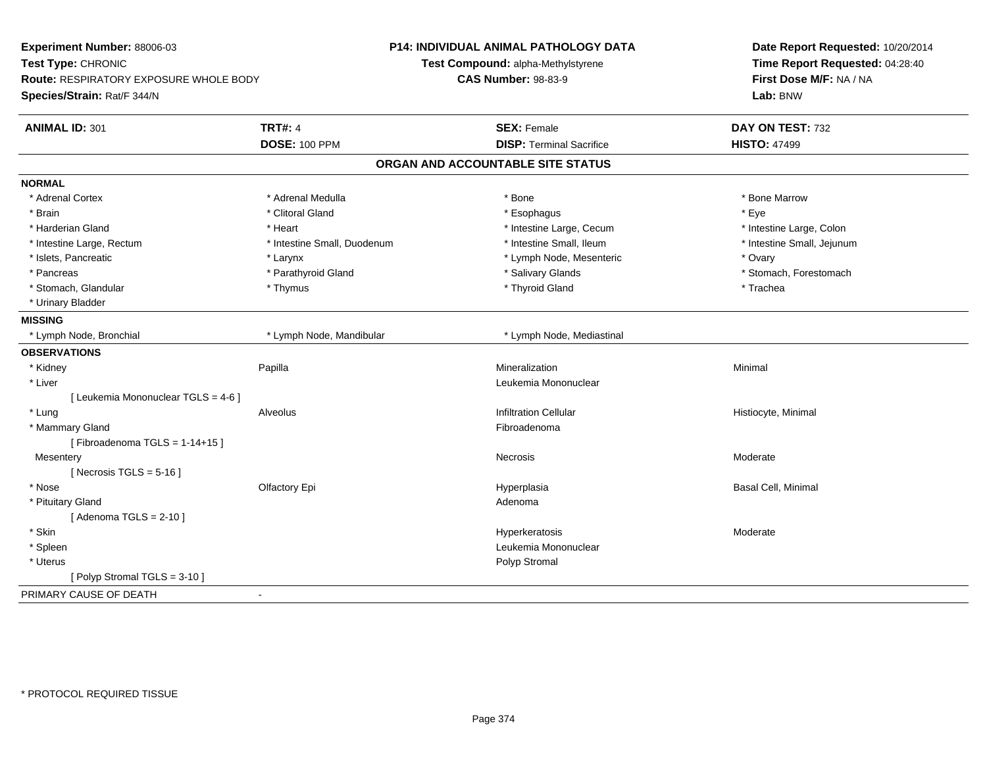| Experiment Number: 88006-03<br>Test Type: CHRONIC<br><b>Route: RESPIRATORY EXPOSURE WHOLE BODY</b><br>Species/Strain: Rat/F 344/N |                                        | <b>P14: INDIVIDUAL ANIMAL PATHOLOGY DATA</b><br>Test Compound: alpha-Methylstyrene<br><b>CAS Number: 98-83-9</b> | Date Report Requested: 10/20/2014<br>Time Report Requested: 04:28:40<br>First Dose M/F: NA / NA<br>Lab: BNW |
|-----------------------------------------------------------------------------------------------------------------------------------|----------------------------------------|------------------------------------------------------------------------------------------------------------------|-------------------------------------------------------------------------------------------------------------|
| <b>ANIMAL ID: 301</b>                                                                                                             | <b>TRT#: 4</b><br><b>DOSE: 100 PPM</b> | <b>SEX: Female</b><br><b>DISP: Terminal Sacrifice</b>                                                            | DAY ON TEST: 732<br><b>HISTO: 47499</b>                                                                     |
|                                                                                                                                   |                                        |                                                                                                                  |                                                                                                             |
|                                                                                                                                   |                                        | ORGAN AND ACCOUNTABLE SITE STATUS                                                                                |                                                                                                             |
| <b>NORMAL</b>                                                                                                                     |                                        |                                                                                                                  |                                                                                                             |
| * Adrenal Cortex                                                                                                                  | * Adrenal Medulla                      | * Bone                                                                                                           | * Bone Marrow                                                                                               |
| * Brain                                                                                                                           | * Clitoral Gland                       | * Esophagus                                                                                                      | * Eye                                                                                                       |
| * Harderian Gland                                                                                                                 | * Heart                                | * Intestine Large, Cecum                                                                                         | * Intestine Large, Colon                                                                                    |
| * Intestine Large, Rectum                                                                                                         | * Intestine Small, Duodenum            | * Intestine Small, Ileum                                                                                         | * Intestine Small, Jejunum                                                                                  |
| * Islets, Pancreatic                                                                                                              | * Larynx                               | * Lymph Node, Mesenteric                                                                                         | * Ovary                                                                                                     |
| * Pancreas                                                                                                                        | * Parathyroid Gland                    | * Salivary Glands                                                                                                | * Stomach, Forestomach                                                                                      |
| * Stomach, Glandular                                                                                                              | * Thymus                               | * Thyroid Gland                                                                                                  | * Trachea                                                                                                   |
| * Urinary Bladder                                                                                                                 |                                        |                                                                                                                  |                                                                                                             |
| <b>MISSING</b>                                                                                                                    |                                        |                                                                                                                  |                                                                                                             |
| * Lymph Node, Bronchial                                                                                                           | * Lymph Node, Mandibular               | * Lymph Node, Mediastinal                                                                                        |                                                                                                             |
| <b>OBSERVATIONS</b>                                                                                                               |                                        |                                                                                                                  |                                                                                                             |
| * Kidney                                                                                                                          | Papilla                                | Mineralization                                                                                                   | Minimal                                                                                                     |
| * Liver                                                                                                                           |                                        | Leukemia Mononuclear                                                                                             |                                                                                                             |
| [ Leukemia Mononuclear TGLS = 4-6 ]                                                                                               |                                        |                                                                                                                  |                                                                                                             |
| * Lung                                                                                                                            | Alveolus                               | <b>Infiltration Cellular</b>                                                                                     | Histiocyte, Minimal                                                                                         |
| * Mammary Gland                                                                                                                   |                                        | Fibroadenoma                                                                                                     |                                                                                                             |
| [Fibroadenoma TGLS = $1-14+15$ ]                                                                                                  |                                        |                                                                                                                  |                                                                                                             |
| Mesentery                                                                                                                         |                                        | <b>Necrosis</b>                                                                                                  | Moderate                                                                                                    |
| [ Necrosis TGLS = $5-16$ ]                                                                                                        |                                        |                                                                                                                  |                                                                                                             |
| * Nose                                                                                                                            | Olfactory Epi                          | Hyperplasia                                                                                                      | Basal Cell, Minimal                                                                                         |
| * Pituitary Gland                                                                                                                 |                                        | Adenoma                                                                                                          |                                                                                                             |
| [Adenoma TGLS = $2-10$ ]                                                                                                          |                                        |                                                                                                                  |                                                                                                             |
| * Skin                                                                                                                            |                                        | Hyperkeratosis                                                                                                   | Moderate                                                                                                    |
| * Spleen                                                                                                                          |                                        | Leukemia Mononuclear                                                                                             |                                                                                                             |
| * Uterus                                                                                                                          |                                        | Polyp Stromal                                                                                                    |                                                                                                             |
| [Polyp Stromal TGLS = 3-10]                                                                                                       |                                        |                                                                                                                  |                                                                                                             |
| PRIMARY CAUSE OF DEATH                                                                                                            | $\blacksquare$                         |                                                                                                                  |                                                                                                             |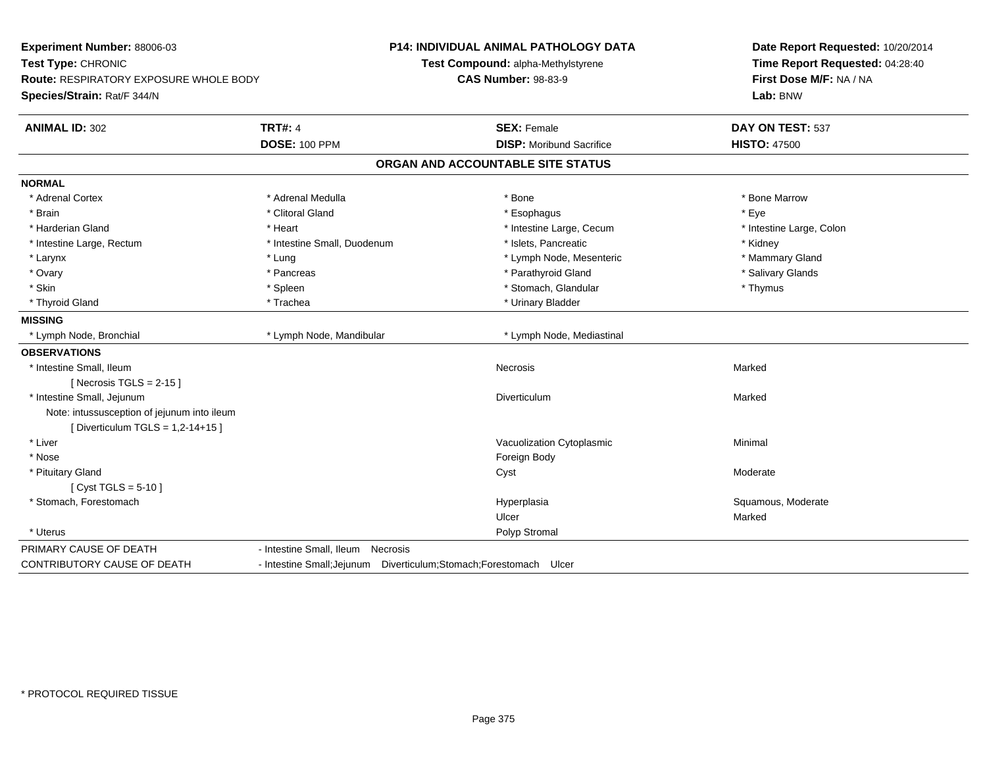| Experiment Number: 88006-03<br>Test Type: CHRONIC<br><b>Route: RESPIRATORY EXPOSURE WHOLE BODY</b><br>Species/Strain: Rat/F 344/N |                                                                     | <b>P14: INDIVIDUAL ANIMAL PATHOLOGY DATA</b><br>Test Compound: alpha-Methylstyrene<br><b>CAS Number: 98-83-9</b> | Date Report Requested: 10/20/2014<br>Time Report Requested: 04:28:40<br>First Dose M/F: NA / NA<br>Lab: BNW |
|-----------------------------------------------------------------------------------------------------------------------------------|---------------------------------------------------------------------|------------------------------------------------------------------------------------------------------------------|-------------------------------------------------------------------------------------------------------------|
| <b>ANIMAL ID: 302</b>                                                                                                             | <b>TRT#: 4</b>                                                      | <b>SEX: Female</b>                                                                                               | DAY ON TEST: 537                                                                                            |
|                                                                                                                                   | <b>DOSE: 100 PPM</b>                                                | <b>DISP:</b> Moribund Sacrifice                                                                                  | <b>HISTO: 47500</b>                                                                                         |
|                                                                                                                                   |                                                                     | ORGAN AND ACCOUNTABLE SITE STATUS                                                                                |                                                                                                             |
| <b>NORMAL</b>                                                                                                                     |                                                                     |                                                                                                                  |                                                                                                             |
| * Adrenal Cortex                                                                                                                  | * Adrenal Medulla                                                   | * Bone                                                                                                           | * Bone Marrow                                                                                               |
| * Brain                                                                                                                           | * Clitoral Gland                                                    | * Esophagus                                                                                                      | * Eye                                                                                                       |
| * Harderian Gland                                                                                                                 | * Heart                                                             | * Intestine Large, Cecum                                                                                         | * Intestine Large, Colon                                                                                    |
| * Intestine Large, Rectum                                                                                                         | * Intestine Small, Duodenum                                         | * Islets, Pancreatic                                                                                             | * Kidney                                                                                                    |
| * Larynx                                                                                                                          | * Lung                                                              | * Lymph Node, Mesenteric                                                                                         | * Mammary Gland                                                                                             |
| * Ovary                                                                                                                           | * Pancreas                                                          | * Parathyroid Gland                                                                                              | * Salivary Glands                                                                                           |
| * Skin                                                                                                                            | * Spleen                                                            | * Stomach, Glandular                                                                                             | * Thymus                                                                                                    |
| * Thyroid Gland                                                                                                                   | * Trachea                                                           | * Urinary Bladder                                                                                                |                                                                                                             |
| <b>MISSING</b>                                                                                                                    |                                                                     |                                                                                                                  |                                                                                                             |
| * Lymph Node, Bronchial                                                                                                           | * Lymph Node, Mandibular                                            | * Lymph Node, Mediastinal                                                                                        |                                                                                                             |
| <b>OBSERVATIONS</b>                                                                                                               |                                                                     |                                                                                                                  |                                                                                                             |
| * Intestine Small, Ileum                                                                                                          |                                                                     | <b>Necrosis</b>                                                                                                  | Marked                                                                                                      |
| [Necrosis $TGLS = 2-15$ ]                                                                                                         |                                                                     |                                                                                                                  |                                                                                                             |
| * Intestine Small, Jejunum                                                                                                        |                                                                     | Diverticulum                                                                                                     | Marked                                                                                                      |
| Note: intussusception of jejunum into ileum                                                                                       |                                                                     |                                                                                                                  |                                                                                                             |
| [Diverticulum TGLS = 1,2-14+15]                                                                                                   |                                                                     |                                                                                                                  |                                                                                                             |
| * Liver                                                                                                                           |                                                                     | Vacuolization Cytoplasmic                                                                                        | Minimal                                                                                                     |
| * Nose                                                                                                                            |                                                                     | Foreign Body                                                                                                     |                                                                                                             |
| * Pituitary Gland                                                                                                                 |                                                                     | Cyst                                                                                                             | Moderate                                                                                                    |
| $Cvst TGLS = 5-10$                                                                                                                |                                                                     |                                                                                                                  |                                                                                                             |
| * Stomach, Forestomach                                                                                                            |                                                                     | Hyperplasia                                                                                                      | Squamous, Moderate                                                                                          |
|                                                                                                                                   |                                                                     | Ulcer                                                                                                            | Marked                                                                                                      |
| * Uterus                                                                                                                          |                                                                     | Polyp Stromal                                                                                                    |                                                                                                             |
| PRIMARY CAUSE OF DEATH                                                                                                            | - Intestine Small, Ileum Necrosis                                   |                                                                                                                  |                                                                                                             |
| CONTRIBUTORY CAUSE OF DEATH                                                                                                       | - Intestine Small; Jejunum Diverticulum; Stomach; Forestomach Ulcer |                                                                                                                  |                                                                                                             |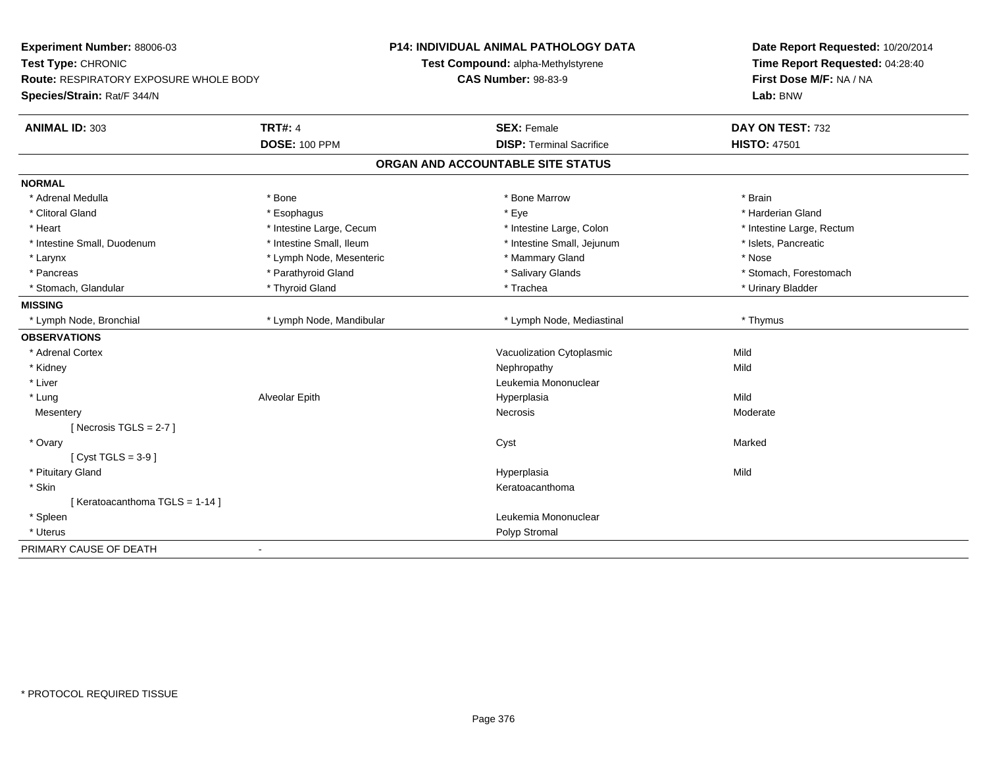| Experiment Number: 88006-03<br>Test Type: CHRONIC<br><b>Route: RESPIRATORY EXPOSURE WHOLE BODY</b><br>Species/Strain: Rat/F 344/N |                          | <b>P14: INDIVIDUAL ANIMAL PATHOLOGY DATA</b><br>Test Compound: alpha-Methylstyrene<br><b>CAS Number: 98-83-9</b> | Date Report Requested: 10/20/2014<br>Time Report Requested: 04:28:40<br>First Dose M/F: NA / NA<br>Lab: BNW |
|-----------------------------------------------------------------------------------------------------------------------------------|--------------------------|------------------------------------------------------------------------------------------------------------------|-------------------------------------------------------------------------------------------------------------|
| <b>ANIMAL ID: 303</b>                                                                                                             | <b>TRT#: 4</b>           | <b>SEX: Female</b>                                                                                               | DAY ON TEST: 732                                                                                            |
|                                                                                                                                   | <b>DOSE: 100 PPM</b>     | <b>DISP: Terminal Sacrifice</b>                                                                                  | <b>HISTO: 47501</b>                                                                                         |
|                                                                                                                                   |                          | ORGAN AND ACCOUNTABLE SITE STATUS                                                                                |                                                                                                             |
| <b>NORMAL</b>                                                                                                                     |                          |                                                                                                                  |                                                                                                             |
| * Adrenal Medulla                                                                                                                 | * Bone                   | * Bone Marrow                                                                                                    | * Brain                                                                                                     |
| * Clitoral Gland                                                                                                                  | * Esophagus              | * Eye                                                                                                            | * Harderian Gland                                                                                           |
| * Heart                                                                                                                           | * Intestine Large, Cecum | * Intestine Large, Colon                                                                                         | * Intestine Large, Rectum                                                                                   |
| * Intestine Small, Duodenum                                                                                                       | * Intestine Small, Ileum | * Intestine Small, Jejunum                                                                                       | * Islets, Pancreatic                                                                                        |
| * Larynx                                                                                                                          | * Lymph Node, Mesenteric | * Mammary Gland                                                                                                  | * Nose                                                                                                      |
| * Pancreas                                                                                                                        | * Parathyroid Gland      | * Salivary Glands                                                                                                | * Stomach, Forestomach                                                                                      |
| * Stomach, Glandular                                                                                                              | * Thyroid Gland          | * Trachea                                                                                                        | * Urinary Bladder                                                                                           |
| <b>MISSING</b>                                                                                                                    |                          |                                                                                                                  |                                                                                                             |
| * Lymph Node, Bronchial                                                                                                           | * Lymph Node, Mandibular | * Lymph Node, Mediastinal                                                                                        | * Thymus                                                                                                    |
| <b>OBSERVATIONS</b>                                                                                                               |                          |                                                                                                                  |                                                                                                             |
| * Adrenal Cortex                                                                                                                  |                          | Vacuolization Cytoplasmic                                                                                        | Mild                                                                                                        |
| * Kidney                                                                                                                          |                          | Nephropathy                                                                                                      | Mild                                                                                                        |
| * Liver                                                                                                                           |                          | Leukemia Mononuclear                                                                                             |                                                                                                             |
| * Lung                                                                                                                            | Alveolar Epith           | Hyperplasia                                                                                                      | Mild                                                                                                        |
| Mesentery                                                                                                                         |                          | Necrosis                                                                                                         | Moderate                                                                                                    |
| [ Necrosis TGLS = $2-7$ ]                                                                                                         |                          |                                                                                                                  |                                                                                                             |
| * Ovary                                                                                                                           |                          | Cyst                                                                                                             | Marked                                                                                                      |
| [Cyst TGLS = $3-9$ ]                                                                                                              |                          |                                                                                                                  |                                                                                                             |
| * Pituitary Gland                                                                                                                 |                          | Hyperplasia                                                                                                      | Mild                                                                                                        |
| * Skin                                                                                                                            |                          | Keratoacanthoma                                                                                                  |                                                                                                             |
| [Keratoacanthoma TGLS = 1-14]                                                                                                     |                          |                                                                                                                  |                                                                                                             |
| * Spleen                                                                                                                          |                          | Leukemia Mononuclear                                                                                             |                                                                                                             |
| * Uterus                                                                                                                          |                          | Polyp Stromal                                                                                                    |                                                                                                             |
| PRIMARY CAUSE OF DEATH                                                                                                            | $\blacksquare$           |                                                                                                                  |                                                                                                             |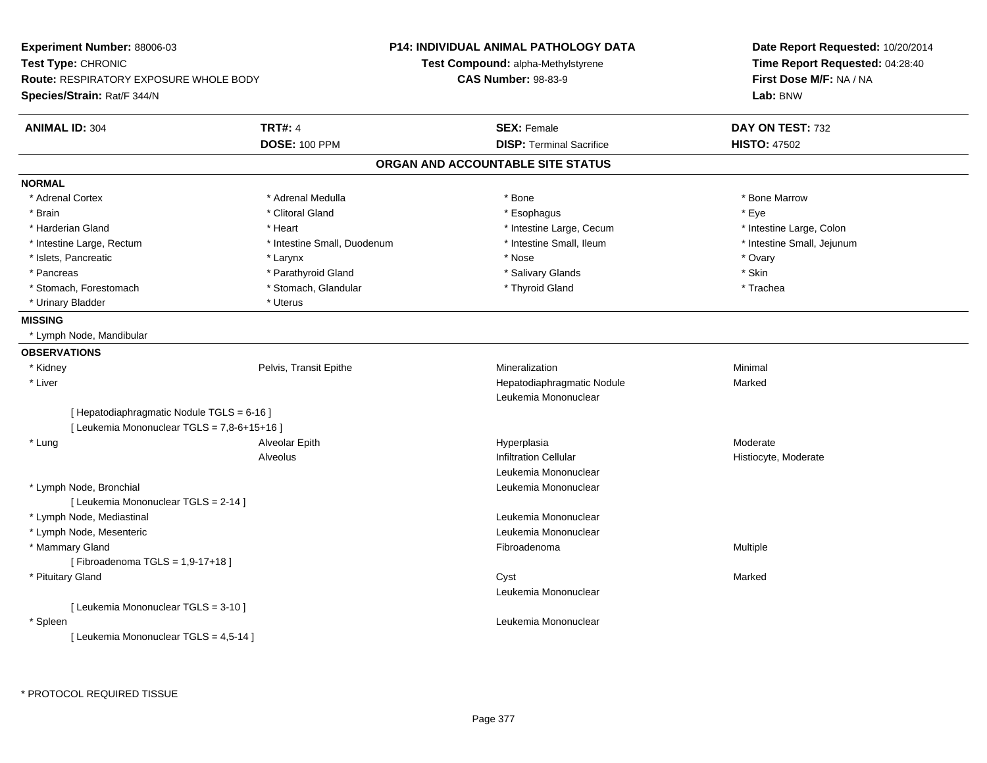| Experiment Number: 88006-03                 |                             | <b>P14: INDIVIDUAL ANIMAL PATHOLOGY DATA</b> | Date Report Requested: 10/20/2014<br>Time Report Requested: 04:28:40<br>First Dose M/F: NA / NA |
|---------------------------------------------|-----------------------------|----------------------------------------------|-------------------------------------------------------------------------------------------------|
| Test Type: CHRONIC                          |                             | Test Compound: alpha-Methylstyrene           |                                                                                                 |
| Route: RESPIRATORY EXPOSURE WHOLE BODY      |                             | <b>CAS Number: 98-83-9</b>                   |                                                                                                 |
| Species/Strain: Rat/F 344/N                 |                             |                                              | Lab: BNW                                                                                        |
| <b>ANIMAL ID: 304</b>                       | <b>TRT#: 4</b>              | <b>SEX: Female</b>                           | DAY ON TEST: 732                                                                                |
|                                             | <b>DOSE: 100 PPM</b>        | <b>DISP: Terminal Sacrifice</b>              | <b>HISTO: 47502</b>                                                                             |
|                                             |                             | ORGAN AND ACCOUNTABLE SITE STATUS            |                                                                                                 |
| <b>NORMAL</b>                               |                             |                                              |                                                                                                 |
| * Adrenal Cortex                            | * Adrenal Medulla           | * Bone                                       | * Bone Marrow                                                                                   |
| * Brain                                     | * Clitoral Gland            | * Esophagus                                  | * Eye                                                                                           |
| * Harderian Gland                           | * Heart                     | * Intestine Large, Cecum                     | * Intestine Large, Colon                                                                        |
| * Intestine Large, Rectum                   | * Intestine Small, Duodenum | * Intestine Small, Ileum                     | * Intestine Small, Jejunum                                                                      |
| * Islets, Pancreatic                        | * Larynx                    | * Nose                                       | * Ovary                                                                                         |
| * Pancreas                                  | * Parathyroid Gland         | * Salivary Glands                            | * Skin                                                                                          |
| * Stomach, Forestomach                      | * Stomach, Glandular        | * Thyroid Gland                              | * Trachea                                                                                       |
| * Urinary Bladder                           | * Uterus                    |                                              |                                                                                                 |
| <b>MISSING</b>                              |                             |                                              |                                                                                                 |
| * Lymph Node, Mandibular                    |                             |                                              |                                                                                                 |
| <b>OBSERVATIONS</b>                         |                             |                                              |                                                                                                 |
| * Kidney                                    | Pelvis, Transit Epithe      | Mineralization                               | Minimal                                                                                         |
| * Liver                                     |                             | Hepatodiaphragmatic Nodule                   | Marked                                                                                          |
|                                             |                             | Leukemia Mononuclear                         |                                                                                                 |
| [ Hepatodiaphragmatic Nodule TGLS = 6-16 ]  |                             |                                              |                                                                                                 |
| [ Leukemia Mononuclear TGLS = 7,8-6+15+16 ] |                             |                                              |                                                                                                 |
| * Lung                                      | Alveolar Epith              | Hyperplasia                                  | Moderate                                                                                        |
|                                             | Alveolus                    | <b>Infiltration Cellular</b>                 | Histiocyte, Moderate                                                                            |
|                                             |                             | Leukemia Mononuclear                         |                                                                                                 |
| * Lymph Node, Bronchial                     |                             | Leukemia Mononuclear                         |                                                                                                 |
| [ Leukemia Mononuclear TGLS = 2-14 ]        |                             |                                              |                                                                                                 |
| * Lymph Node, Mediastinal                   |                             | Leukemia Mononuclear                         |                                                                                                 |
| * Lymph Node, Mesenteric                    |                             | Leukemia Mononuclear                         |                                                                                                 |
| * Mammary Gland                             |                             | Fibroadenoma                                 | Multiple                                                                                        |
| [Fibroadenoma TGLS = $1,9-17+18$ ]          |                             |                                              |                                                                                                 |
| * Pituitary Gland                           |                             | Cyst                                         | Marked                                                                                          |
|                                             |                             | Leukemia Mononuclear                         |                                                                                                 |
| [ Leukemia Mononuclear TGLS = 3-10 ]        |                             |                                              |                                                                                                 |
| * Spleen                                    |                             | Leukemia Mononuclear                         |                                                                                                 |
| [ Leukemia Mononuclear TGLS = 4,5-14 ]      |                             |                                              |                                                                                                 |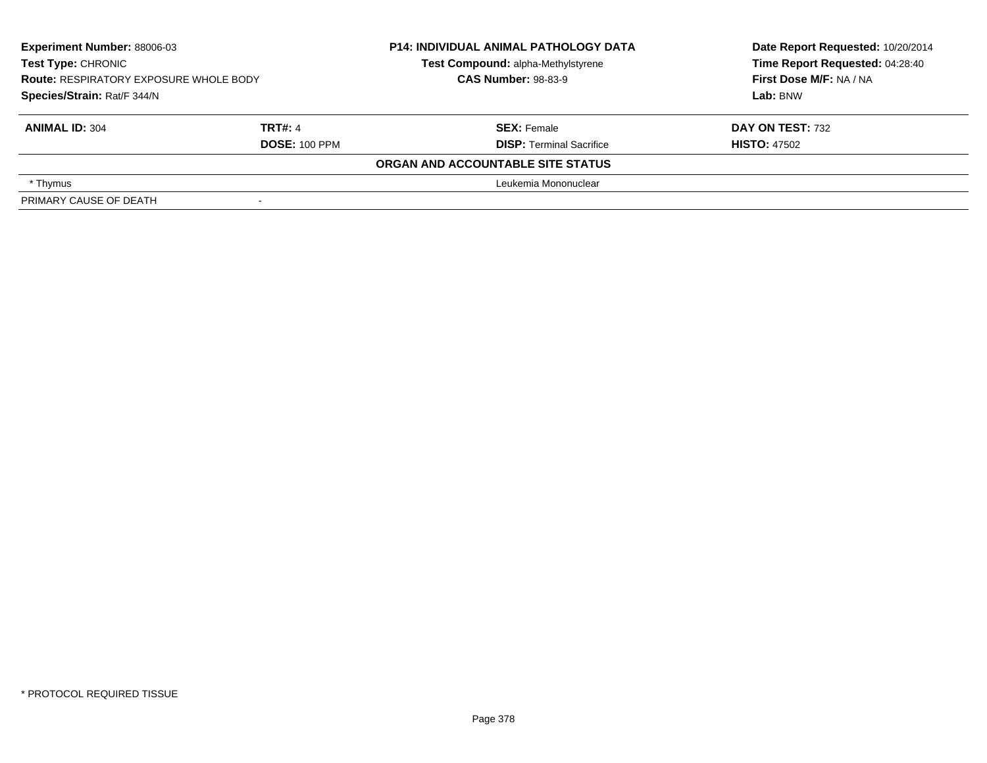| <b>Experiment Number: 88006-03</b><br>Test Type: CHRONIC<br><b>Route: RESPIRATORY EXPOSURE WHOLE BODY</b><br>Species/Strain: Rat/F 344/N |                                        | <b>P14: INDIVIDUAL ANIMAL PATHOLOGY DATA</b><br>Test Compound: alpha-Methylstyrene<br><b>CAS Number: 98-83-9</b> | Date Report Requested: 10/20/2014<br>Time Report Requested: 04:28:40<br>First Dose M/F: NA / NA<br>Lab: BNW |
|------------------------------------------------------------------------------------------------------------------------------------------|----------------------------------------|------------------------------------------------------------------------------------------------------------------|-------------------------------------------------------------------------------------------------------------|
| <b>ANIMAL ID: 304</b>                                                                                                                    | <b>TRT#: 4</b><br><b>DOSE: 100 PPM</b> | <b>SEX: Female</b><br><b>DISP: Terminal Sacrifice</b>                                                            | DAY ON TEST: 732<br><b>HISTO: 47502</b>                                                                     |
|                                                                                                                                          |                                        | ORGAN AND ACCOUNTABLE SITE STATUS                                                                                |                                                                                                             |
| * Thymus                                                                                                                                 |                                        | Leukemia Mononuclear                                                                                             |                                                                                                             |
| PRIMARY CAUSE OF DEATH                                                                                                                   |                                        |                                                                                                                  |                                                                                                             |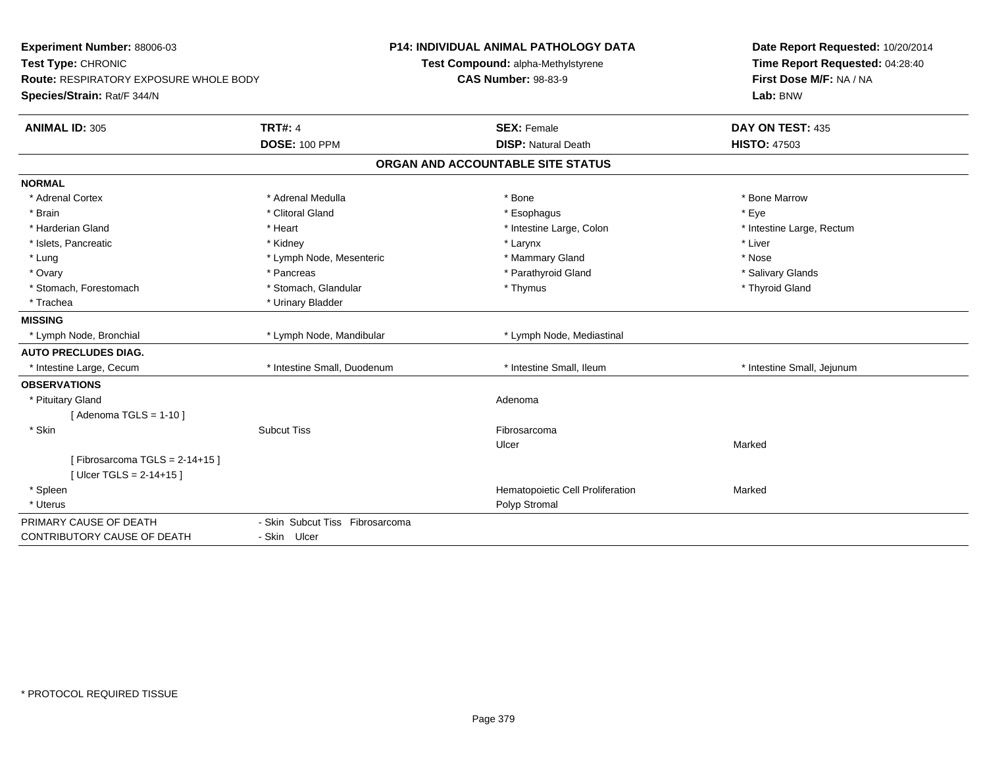| Experiment Number: 88006-03<br>Test Type: CHRONIC<br><b>Route: RESPIRATORY EXPOSURE WHOLE BODY</b><br>Species/Strain: Rat/F 344/N |                                 | <b>P14: INDIVIDUAL ANIMAL PATHOLOGY DATA</b><br>Test Compound: alpha-Methylstyrene<br><b>CAS Number: 98-83-9</b> | Date Report Requested: 10/20/2014<br>Time Report Requested: 04:28:40<br>First Dose M/F: NA / NA<br>Lab: BNW |
|-----------------------------------------------------------------------------------------------------------------------------------|---------------------------------|------------------------------------------------------------------------------------------------------------------|-------------------------------------------------------------------------------------------------------------|
| <b>ANIMAL ID: 305</b>                                                                                                             | <b>TRT#: 4</b>                  | <b>SEX: Female</b>                                                                                               | DAY ON TEST: 435                                                                                            |
|                                                                                                                                   | <b>DOSE: 100 PPM</b>            | <b>DISP: Natural Death</b>                                                                                       | <b>HISTO: 47503</b>                                                                                         |
|                                                                                                                                   |                                 | ORGAN AND ACCOUNTABLE SITE STATUS                                                                                |                                                                                                             |
| <b>NORMAL</b>                                                                                                                     |                                 |                                                                                                                  |                                                                                                             |
| * Adrenal Cortex                                                                                                                  | * Adrenal Medulla               | * Bone                                                                                                           | * Bone Marrow                                                                                               |
| * Brain                                                                                                                           | * Clitoral Gland                | * Esophagus                                                                                                      | * Eye                                                                                                       |
| * Harderian Gland                                                                                                                 | * Heart                         | * Intestine Large, Colon                                                                                         | * Intestine Large, Rectum                                                                                   |
| * Islets, Pancreatic                                                                                                              | * Kidney                        | * Larynx                                                                                                         | * Liver                                                                                                     |
| * Lung                                                                                                                            | * Lymph Node, Mesenteric        | * Mammary Gland                                                                                                  | * Nose                                                                                                      |
| * Ovary                                                                                                                           | * Pancreas                      | * Parathyroid Gland                                                                                              | * Salivary Glands                                                                                           |
| * Stomach, Forestomach                                                                                                            | * Stomach, Glandular            | * Thymus                                                                                                         | * Thyroid Gland                                                                                             |
| * Trachea                                                                                                                         | * Urinary Bladder               |                                                                                                                  |                                                                                                             |
| <b>MISSING</b>                                                                                                                    |                                 |                                                                                                                  |                                                                                                             |
| * Lymph Node, Bronchial                                                                                                           | * Lymph Node, Mandibular        | * Lymph Node, Mediastinal                                                                                        |                                                                                                             |
| <b>AUTO PRECLUDES DIAG.</b>                                                                                                       |                                 |                                                                                                                  |                                                                                                             |
| * Intestine Large, Cecum                                                                                                          | * Intestine Small, Duodenum     | * Intestine Small, Ileum                                                                                         | * Intestine Small, Jejunum                                                                                  |
| <b>OBSERVATIONS</b>                                                                                                               |                                 |                                                                                                                  |                                                                                                             |
| * Pituitary Gland                                                                                                                 |                                 | Adenoma                                                                                                          |                                                                                                             |
| [Adenoma TGLS = $1-10$ ]                                                                                                          |                                 |                                                                                                                  |                                                                                                             |
| * Skin                                                                                                                            | <b>Subcut Tiss</b>              | Fibrosarcoma                                                                                                     |                                                                                                             |
|                                                                                                                                   |                                 | Ulcer                                                                                                            | Marked                                                                                                      |
| [Fibrosarcoma TGLS = $2-14+15$ ]                                                                                                  |                                 |                                                                                                                  |                                                                                                             |
| [ Ulcer TGLS = $2-14+15$ ]                                                                                                        |                                 |                                                                                                                  |                                                                                                             |
| * Spleen                                                                                                                          |                                 | Hematopoietic Cell Proliferation                                                                                 | Marked                                                                                                      |
| * Uterus                                                                                                                          |                                 | Polyp Stromal                                                                                                    |                                                                                                             |
| PRIMARY CAUSE OF DEATH                                                                                                            | - Skin Subcut Tiss Fibrosarcoma |                                                                                                                  |                                                                                                             |
| <b>CONTRIBUTORY CAUSE OF DEATH</b>                                                                                                | - Skin Ulcer                    |                                                                                                                  |                                                                                                             |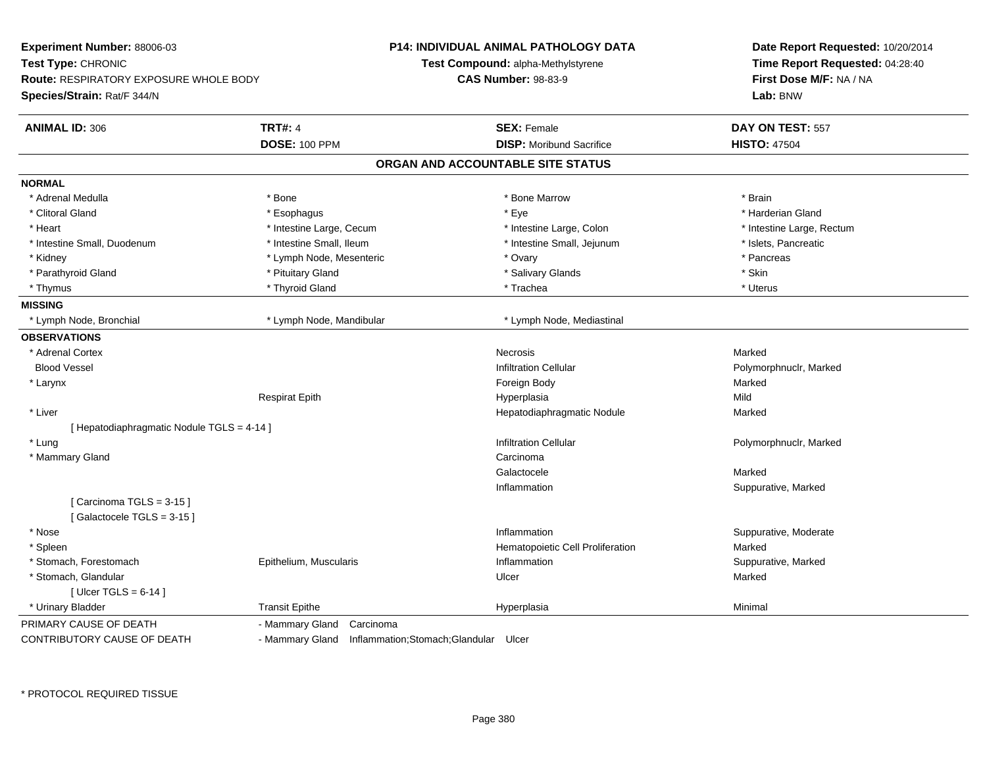| Experiment Number: 88006-03<br>Test Type: CHRONIC<br>Route: RESPIRATORY EXPOSURE WHOLE BODY<br>Species/Strain: Rat/F 344/N |                                                        | <b>P14: INDIVIDUAL ANIMAL PATHOLOGY DATA</b><br>Test Compound: alpha-Methylstyrene<br><b>CAS Number: 98-83-9</b> | Date Report Requested: 10/20/2014<br>Time Report Requested: 04:28:40<br>First Dose M/F: NA / NA<br>Lab: BNW |
|----------------------------------------------------------------------------------------------------------------------------|--------------------------------------------------------|------------------------------------------------------------------------------------------------------------------|-------------------------------------------------------------------------------------------------------------|
| <b>ANIMAL ID: 306</b>                                                                                                      | <b>TRT#: 4</b>                                         | <b>SEX: Female</b>                                                                                               | DAY ON TEST: 557                                                                                            |
|                                                                                                                            | <b>DOSE: 100 PPM</b>                                   | <b>DISP:</b> Moribund Sacrifice                                                                                  | <b>HISTO: 47504</b>                                                                                         |
|                                                                                                                            |                                                        | ORGAN AND ACCOUNTABLE SITE STATUS                                                                                |                                                                                                             |
| <b>NORMAL</b>                                                                                                              |                                                        |                                                                                                                  |                                                                                                             |
| * Adrenal Medulla                                                                                                          | * Bone                                                 | * Bone Marrow                                                                                                    | * Brain                                                                                                     |
| * Clitoral Gland                                                                                                           | * Esophagus                                            | * Eye                                                                                                            | * Harderian Gland                                                                                           |
| * Heart                                                                                                                    | * Intestine Large, Cecum                               | * Intestine Large, Colon                                                                                         | * Intestine Large, Rectum                                                                                   |
| * Intestine Small, Duodenum                                                                                                | * Intestine Small, Ileum                               | * Intestine Small, Jejunum                                                                                       | * Islets, Pancreatic                                                                                        |
| * Kidney                                                                                                                   | * Lymph Node, Mesenteric                               | * Ovary                                                                                                          | * Pancreas                                                                                                  |
| * Parathyroid Gland                                                                                                        | * Pituitary Gland                                      | * Salivary Glands                                                                                                | * Skin                                                                                                      |
| * Thymus                                                                                                                   | * Thyroid Gland                                        | * Trachea                                                                                                        | * Uterus                                                                                                    |
| <b>MISSING</b>                                                                                                             |                                                        |                                                                                                                  |                                                                                                             |
| * Lymph Node, Bronchial                                                                                                    | * Lymph Node, Mandibular                               | * Lymph Node, Mediastinal                                                                                        |                                                                                                             |
| <b>OBSERVATIONS</b>                                                                                                        |                                                        |                                                                                                                  |                                                                                                             |
| * Adrenal Cortex                                                                                                           |                                                        | <b>Necrosis</b>                                                                                                  | Marked                                                                                                      |
| <b>Blood Vessel</b>                                                                                                        |                                                        | <b>Infiltration Cellular</b>                                                                                     | Polymorphnuclr, Marked                                                                                      |
| * Larynx                                                                                                                   |                                                        | Foreign Body                                                                                                     | Marked                                                                                                      |
|                                                                                                                            | <b>Respirat Epith</b>                                  | Hyperplasia                                                                                                      | Mild                                                                                                        |
| * Liver                                                                                                                    |                                                        | Hepatodiaphragmatic Nodule                                                                                       | Marked                                                                                                      |
| [ Hepatodiaphragmatic Nodule TGLS = 4-14 ]                                                                                 |                                                        |                                                                                                                  |                                                                                                             |
| * Lung                                                                                                                     |                                                        | <b>Infiltration Cellular</b>                                                                                     | Polymorphnuclr, Marked                                                                                      |
| * Mammary Gland                                                                                                            |                                                        | Carcinoma                                                                                                        |                                                                                                             |
|                                                                                                                            |                                                        | Galactocele                                                                                                      | Marked                                                                                                      |
|                                                                                                                            |                                                        | Inflammation                                                                                                     | Suppurative, Marked                                                                                         |
| [Carcinoma TGLS = 3-15]                                                                                                    |                                                        |                                                                                                                  |                                                                                                             |
| [Galactocele TGLS = $3-15$ ]                                                                                               |                                                        |                                                                                                                  |                                                                                                             |
| * Nose                                                                                                                     |                                                        | Inflammation                                                                                                     | Suppurative, Moderate                                                                                       |
| * Spleen                                                                                                                   |                                                        | Hematopoietic Cell Proliferation                                                                                 | Marked                                                                                                      |
| * Stomach, Forestomach                                                                                                     | Epithelium, Muscularis                                 | Inflammation                                                                                                     | Suppurative, Marked                                                                                         |
| * Stomach, Glandular                                                                                                       |                                                        | Ulcer                                                                                                            | Marked                                                                                                      |
| [ Ulcer TGLS = $6-14$ ]                                                                                                    |                                                        |                                                                                                                  |                                                                                                             |
| * Urinary Bladder                                                                                                          | <b>Transit Epithe</b>                                  | Hyperplasia                                                                                                      | Minimal                                                                                                     |
| PRIMARY CAUSE OF DEATH                                                                                                     | Carcinoma<br>- Mammary Gland                           |                                                                                                                  |                                                                                                             |
| CONTRIBUTORY CAUSE OF DEATH                                                                                                | - Mammary Gland Inflammation; Stomach; Glandular Ulcer |                                                                                                                  |                                                                                                             |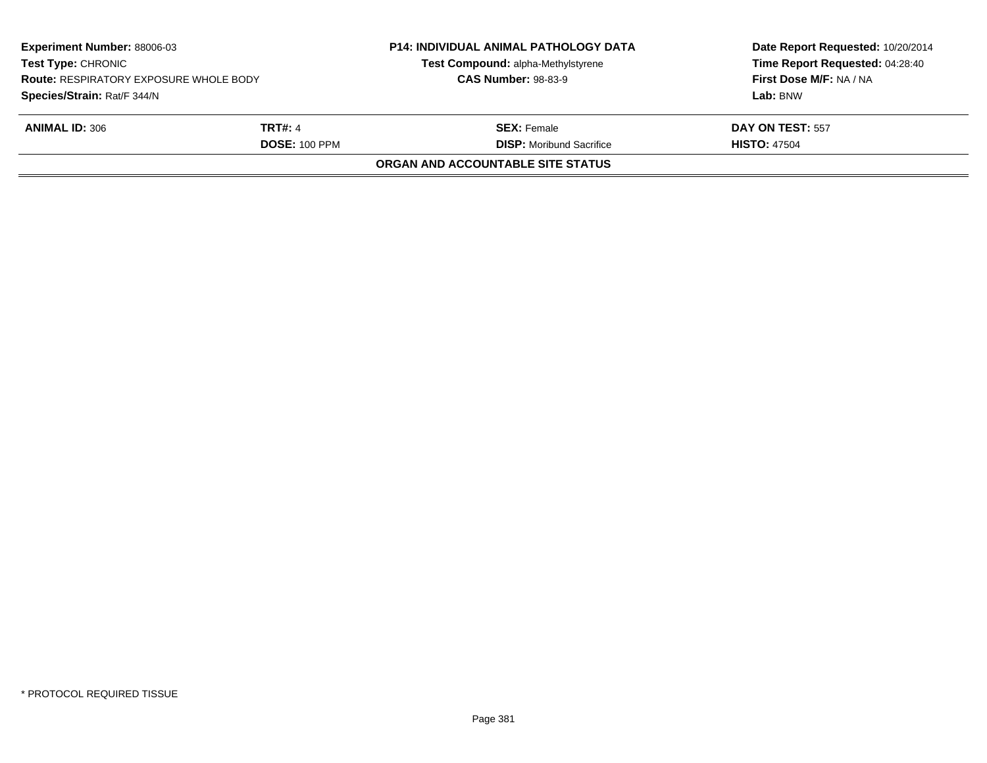| <b>Experiment Number: 88006-03</b><br><b>Test Type: CHRONIC</b><br><b>Route: RESPIRATORY EXPOSURE WHOLE BODY</b><br>Species/Strain: Rat/F 344/N |                                        | <b>P14: INDIVIDUAL ANIMAL PATHOLOGY DATA</b><br>Test Compound: alpha-Methylstyrene<br><b>CAS Number: 98-83-9</b> | Date Report Requested: 10/20/2014<br>Time Report Requested: 04:28:40<br>First Dose M/F: NA / NA<br>Lab: BNW |
|-------------------------------------------------------------------------------------------------------------------------------------------------|----------------------------------------|------------------------------------------------------------------------------------------------------------------|-------------------------------------------------------------------------------------------------------------|
| <b>ANIMAL ID: 306</b>                                                                                                                           | <b>TRT#: 4</b><br><b>DOSE: 100 PPM</b> | <b>SEX: Female</b><br><b>DISP:</b> Moribund Sacrifice                                                            | DAY ON TEST: 557<br><b>HISTO: 47504</b>                                                                     |
|                                                                                                                                                 |                                        | <b>ORGAN AND ACCOUNTABLE SITE STATUS</b>                                                                         |                                                                                                             |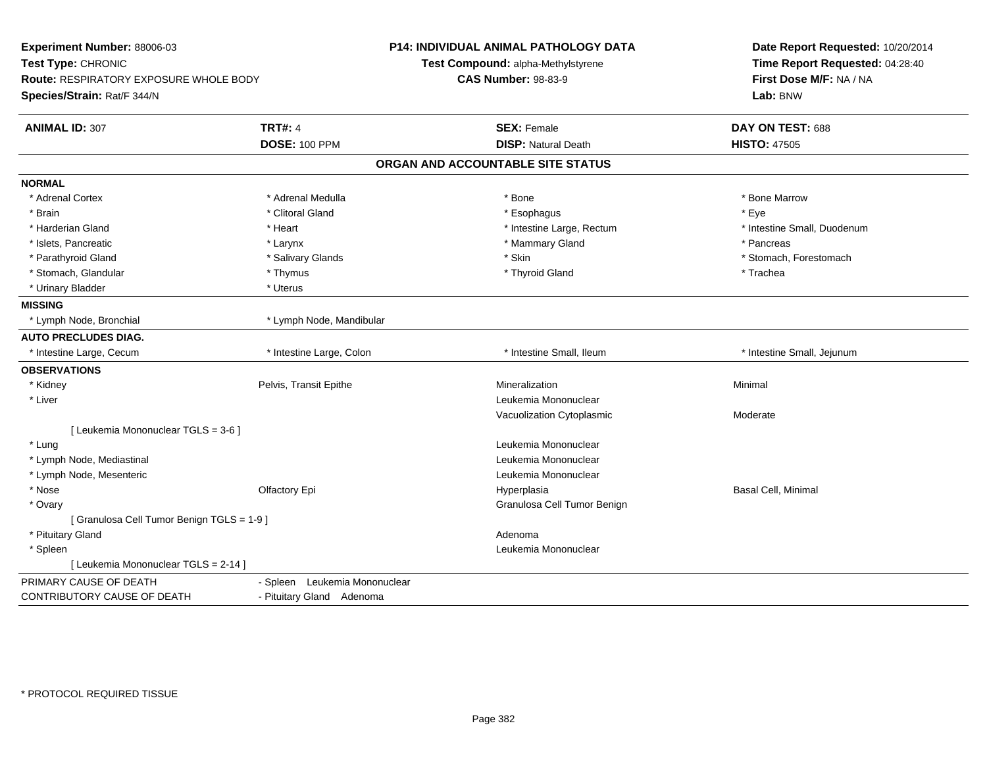| Experiment Number: 88006-03<br>Test Type: CHRONIC |                               | <b>P14: INDIVIDUAL ANIMAL PATHOLOGY DATA</b><br>Test Compound: alpha-Methylstyrene | Date Report Requested: 10/20/2014<br>Time Report Requested: 04:28:40 |
|---------------------------------------------------|-------------------------------|------------------------------------------------------------------------------------|----------------------------------------------------------------------|
| <b>Route: RESPIRATORY EXPOSURE WHOLE BODY</b>     |                               | <b>CAS Number: 98-83-9</b>                                                         | First Dose M/F: NA / NA                                              |
| Species/Strain: Rat/F 344/N                       |                               |                                                                                    | Lab: BNW                                                             |
| <b>ANIMAL ID: 307</b>                             | <b>TRT#: 4</b>                | <b>SEX: Female</b>                                                                 | DAY ON TEST: 688                                                     |
|                                                   | <b>DOSE: 100 PPM</b>          | <b>DISP: Natural Death</b>                                                         | <b>HISTO: 47505</b>                                                  |
|                                                   |                               | ORGAN AND ACCOUNTABLE SITE STATUS                                                  |                                                                      |
| <b>NORMAL</b>                                     |                               |                                                                                    |                                                                      |
| * Adrenal Cortex                                  | * Adrenal Medulla             | * Bone                                                                             | * Bone Marrow                                                        |
| * Brain                                           | * Clitoral Gland              | * Esophagus                                                                        | * Eye                                                                |
| * Harderian Gland                                 | * Heart                       | * Intestine Large, Rectum                                                          | * Intestine Small, Duodenum                                          |
| * Islets, Pancreatic                              | * Larynx                      | * Mammary Gland                                                                    | * Pancreas                                                           |
| * Parathyroid Gland                               | * Salivary Glands             | * Skin                                                                             | * Stomach. Forestomach                                               |
| * Stomach, Glandular                              | * Thymus                      | * Thyroid Gland                                                                    | * Trachea                                                            |
| * Urinary Bladder                                 | * Uterus                      |                                                                                    |                                                                      |
| <b>MISSING</b>                                    |                               |                                                                                    |                                                                      |
| * Lymph Node, Bronchial                           | * Lymph Node, Mandibular      |                                                                                    |                                                                      |
| <b>AUTO PRECLUDES DIAG.</b>                       |                               |                                                                                    |                                                                      |
| * Intestine Large, Cecum                          | * Intestine Large, Colon      | * Intestine Small, Ileum                                                           | * Intestine Small, Jejunum                                           |
| <b>OBSERVATIONS</b>                               |                               |                                                                                    |                                                                      |
| * Kidney                                          | Pelvis, Transit Epithe        | Mineralization                                                                     | Minimal                                                              |
| * Liver                                           |                               | Leukemia Mononuclear                                                               |                                                                      |
|                                                   |                               | Vacuolization Cytoplasmic                                                          | Moderate                                                             |
| [ Leukemia Mononuclear TGLS = 3-6 ]               |                               |                                                                                    |                                                                      |
| * Lung                                            |                               | Leukemia Mononuclear                                                               |                                                                      |
| * Lymph Node, Mediastinal                         |                               | Leukemia Mononuclear                                                               |                                                                      |
| * Lymph Node, Mesenteric                          |                               | Leukemia Mononuclear                                                               |                                                                      |
| * Nose                                            | Olfactory Epi                 | Hyperplasia                                                                        | Basal Cell, Minimal                                                  |
| * Ovary                                           |                               | Granulosa Cell Tumor Benign                                                        |                                                                      |
| [Granulosa Cell Tumor Benign TGLS = 1-9]          |                               |                                                                                    |                                                                      |
| * Pituitary Gland                                 |                               | Adenoma                                                                            |                                                                      |
| * Spleen                                          |                               | Leukemia Mononuclear                                                               |                                                                      |
| [ Leukemia Mononuclear TGLS = 2-14 ]              |                               |                                                                                    |                                                                      |
| PRIMARY CAUSE OF DEATH                            | - Spleen Leukemia Mononuclear |                                                                                    |                                                                      |
| CONTRIBUTORY CAUSE OF DEATH                       | - Pituitary Gland Adenoma     |                                                                                    |                                                                      |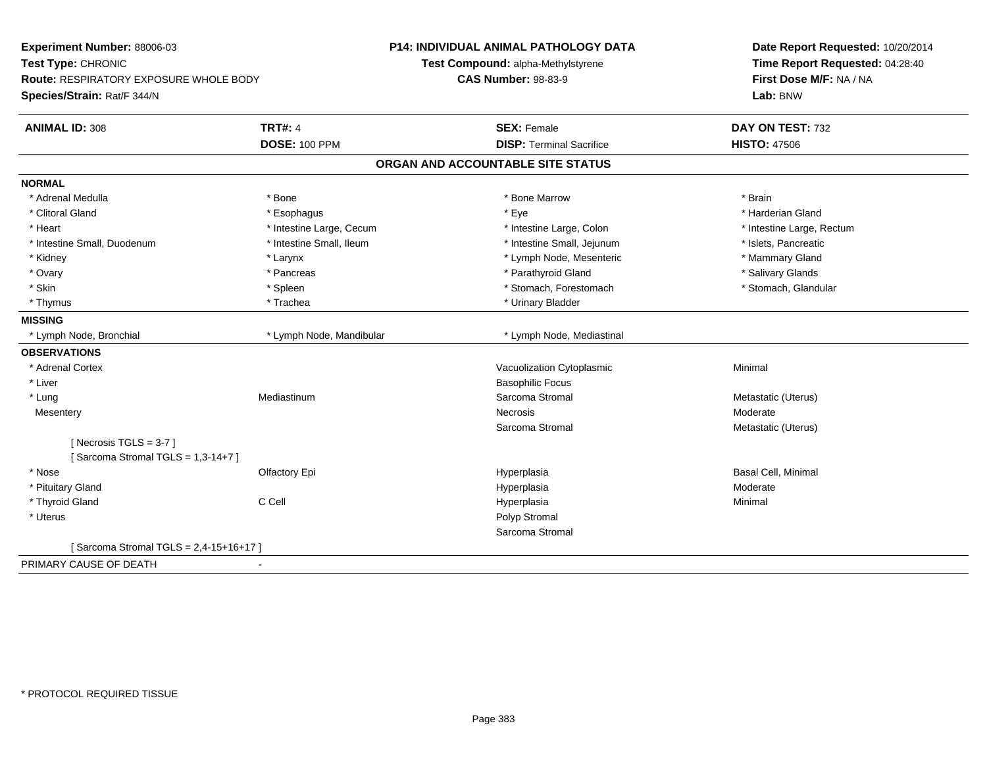| Experiment Number: 88006-03<br>Test Type: CHRONIC |                          | <b>P14: INDIVIDUAL ANIMAL PATHOLOGY DATA</b><br>Test Compound: alpha-Methylstyrene | Date Report Requested: 10/20/2014<br>Time Report Requested: 04:28:40 |
|---------------------------------------------------|--------------------------|------------------------------------------------------------------------------------|----------------------------------------------------------------------|
| Route: RESPIRATORY EXPOSURE WHOLE BODY            |                          | <b>CAS Number: 98-83-9</b>                                                         | First Dose M/F: NA / NA                                              |
| Species/Strain: Rat/F 344/N                       |                          |                                                                                    | Lab: BNW                                                             |
|                                                   |                          |                                                                                    |                                                                      |
| <b>ANIMAL ID: 308</b>                             | <b>TRT#: 4</b>           | <b>SEX: Female</b>                                                                 | DAY ON TEST: 732                                                     |
|                                                   | <b>DOSE: 100 PPM</b>     | <b>DISP: Terminal Sacrifice</b>                                                    | <b>HISTO: 47506</b>                                                  |
|                                                   |                          | ORGAN AND ACCOUNTABLE SITE STATUS                                                  |                                                                      |
| <b>NORMAL</b>                                     |                          |                                                                                    |                                                                      |
| * Adrenal Medulla                                 | * Bone                   | * Bone Marrow                                                                      | * Brain                                                              |
| * Clitoral Gland                                  | * Esophagus              | * Eye                                                                              | * Harderian Gland                                                    |
| * Heart                                           | * Intestine Large, Cecum | * Intestine Large, Colon                                                           | * Intestine Large, Rectum                                            |
| * Intestine Small, Duodenum                       | * Intestine Small, Ileum | * Intestine Small, Jejunum                                                         | * Islets, Pancreatic                                                 |
| * Kidney                                          | * Larynx                 | * Lymph Node, Mesenteric                                                           | * Mammary Gland                                                      |
| * Ovary                                           | * Pancreas               | * Parathyroid Gland                                                                | * Salivary Glands                                                    |
| * Skin                                            | * Spleen                 | * Stomach, Forestomach                                                             | * Stomach, Glandular                                                 |
| * Thymus                                          | * Trachea                | * Urinary Bladder                                                                  |                                                                      |
| <b>MISSING</b>                                    |                          |                                                                                    |                                                                      |
| * Lymph Node, Bronchial                           | * Lymph Node, Mandibular | * Lymph Node, Mediastinal                                                          |                                                                      |
| <b>OBSERVATIONS</b>                               |                          |                                                                                    |                                                                      |
| * Adrenal Cortex                                  |                          | Vacuolization Cytoplasmic                                                          | Minimal                                                              |
| * Liver                                           |                          | <b>Basophilic Focus</b>                                                            |                                                                      |
| * Lung                                            | Mediastinum              | Sarcoma Stromal                                                                    | Metastatic (Uterus)                                                  |
| Mesentery                                         |                          | <b>Necrosis</b>                                                                    | Moderate                                                             |
|                                                   |                          | Sarcoma Stromal                                                                    | Metastatic (Uterus)                                                  |
| [Necrosis $TGLS = 3-7$ ]                          |                          |                                                                                    |                                                                      |
| [Sarcoma Stromal TGLS = 1,3-14+7]                 |                          |                                                                                    |                                                                      |
| * Nose                                            | Olfactory Epi            | Hyperplasia                                                                        | Basal Cell, Minimal                                                  |
| * Pituitary Gland                                 |                          | Hyperplasia                                                                        | Moderate                                                             |
| * Thyroid Gland                                   | C Cell                   | Hyperplasia                                                                        | Minimal                                                              |
| * Uterus                                          |                          | Polyp Stromal                                                                      |                                                                      |
|                                                   |                          | Sarcoma Stromal                                                                    |                                                                      |
| [Sarcoma Stromal TGLS = 2,4-15+16+17]             |                          |                                                                                    |                                                                      |
| PRIMARY CAUSE OF DEATH                            |                          |                                                                                    |                                                                      |
|                                                   |                          |                                                                                    |                                                                      |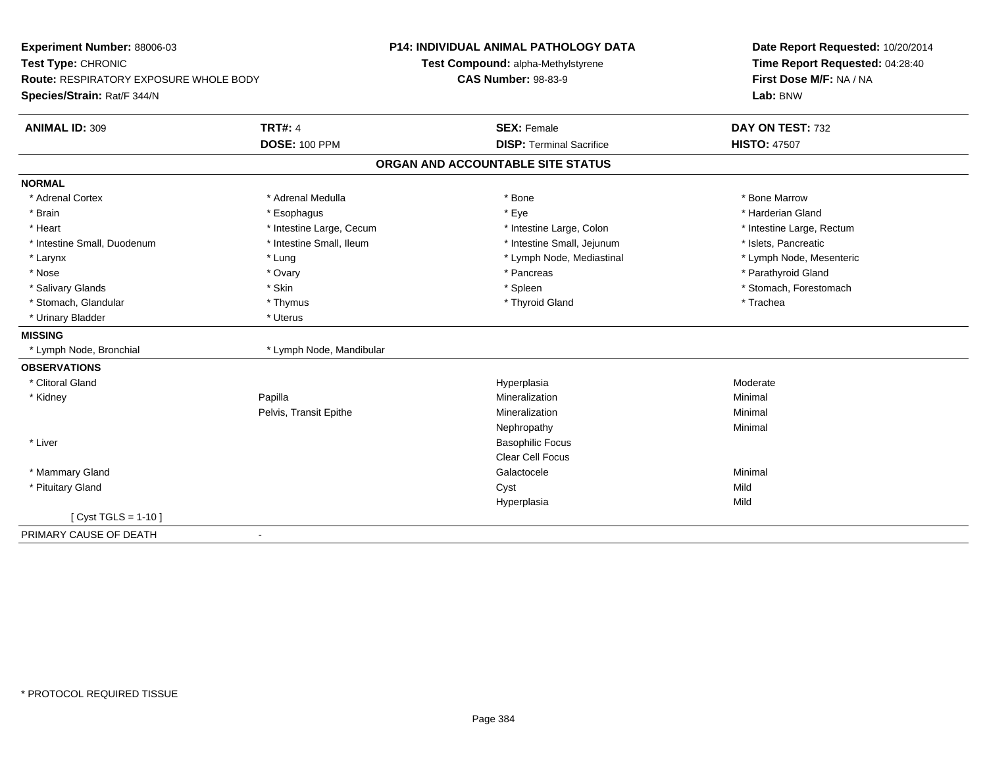| Experiment Number: 88006-03<br>Test Type: CHRONIC<br><b>Route: RESPIRATORY EXPOSURE WHOLE BODY</b> |                          | P14: INDIVIDUAL ANIMAL PATHOLOGY DATA<br>Test Compound: alpha-Methylstyrene<br><b>CAS Number: 98-83-9</b> | Date Report Requested: 10/20/2014<br>Time Report Requested: 04:28:40<br>First Dose M/F: NA / NA |
|----------------------------------------------------------------------------------------------------|--------------------------|-----------------------------------------------------------------------------------------------------------|-------------------------------------------------------------------------------------------------|
| Species/Strain: Rat/F 344/N                                                                        |                          |                                                                                                           | Lab: BNW                                                                                        |
| <b>ANIMAL ID: 309</b>                                                                              | <b>TRT#: 4</b>           | <b>SEX: Female</b>                                                                                        | DAY ON TEST: 732                                                                                |
|                                                                                                    | <b>DOSE: 100 PPM</b>     | <b>DISP: Terminal Sacrifice</b>                                                                           | <b>HISTO: 47507</b>                                                                             |
|                                                                                                    |                          | ORGAN AND ACCOUNTABLE SITE STATUS                                                                         |                                                                                                 |
| <b>NORMAL</b>                                                                                      |                          |                                                                                                           |                                                                                                 |
| * Adrenal Cortex                                                                                   | * Adrenal Medulla        | * Bone                                                                                                    | * Bone Marrow                                                                                   |
| * Brain                                                                                            | * Esophagus              | * Eye                                                                                                     | * Harderian Gland                                                                               |
| * Heart                                                                                            | * Intestine Large, Cecum | * Intestine Large, Colon                                                                                  | * Intestine Large, Rectum                                                                       |
| * Intestine Small, Duodenum                                                                        | * Intestine Small, Ileum | * Intestine Small, Jejunum                                                                                | * Islets, Pancreatic                                                                            |
| * Larynx                                                                                           | * Lung                   | * Lymph Node, Mediastinal                                                                                 | * Lymph Node, Mesenteric                                                                        |
| * Nose                                                                                             | * Ovary                  | * Pancreas                                                                                                | * Parathyroid Gland                                                                             |
| * Salivary Glands                                                                                  | * Skin                   | * Spleen                                                                                                  | * Stomach, Forestomach                                                                          |
| * Stomach, Glandular                                                                               | * Thymus                 | * Thyroid Gland                                                                                           | * Trachea                                                                                       |
| * Urinary Bladder                                                                                  | * Uterus                 |                                                                                                           |                                                                                                 |
| <b>MISSING</b>                                                                                     |                          |                                                                                                           |                                                                                                 |
| * Lymph Node, Bronchial                                                                            | * Lymph Node, Mandibular |                                                                                                           |                                                                                                 |
| <b>OBSERVATIONS</b>                                                                                |                          |                                                                                                           |                                                                                                 |
| * Clitoral Gland                                                                                   |                          | Hyperplasia                                                                                               | Moderate                                                                                        |
| * Kidney                                                                                           | Papilla                  | Mineralization                                                                                            | Minimal                                                                                         |
|                                                                                                    | Pelvis, Transit Epithe   | Mineralization                                                                                            | Minimal                                                                                         |
|                                                                                                    |                          | Nephropathy                                                                                               | Minimal                                                                                         |
| * Liver                                                                                            |                          | <b>Basophilic Focus</b>                                                                                   |                                                                                                 |
|                                                                                                    |                          | <b>Clear Cell Focus</b>                                                                                   |                                                                                                 |
| * Mammary Gland                                                                                    |                          | Galactocele                                                                                               | Minimal                                                                                         |
| * Pituitary Gland                                                                                  |                          | Cyst                                                                                                      | Mild                                                                                            |
|                                                                                                    |                          | Hyperplasia                                                                                               | Mild                                                                                            |
| [ Cyst TGLS = $1-10$ ]                                                                             |                          |                                                                                                           |                                                                                                 |
| PRIMARY CAUSE OF DEATH                                                                             |                          |                                                                                                           |                                                                                                 |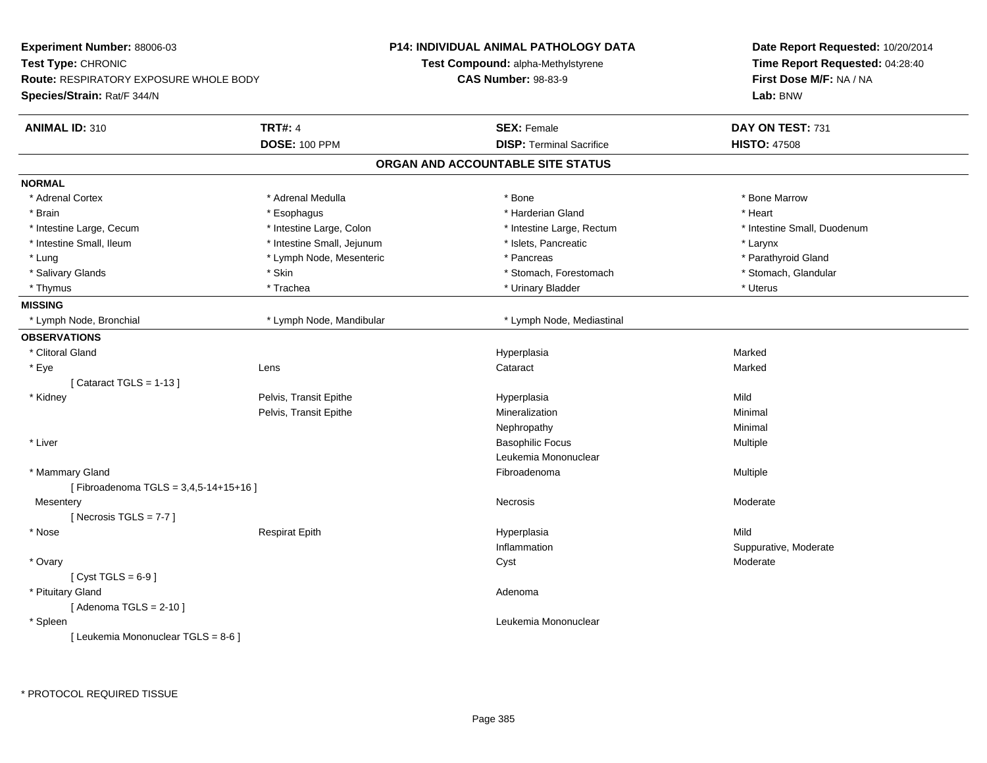| Experiment Number: 88006-03                             |                            | P14: INDIVIDUAL ANIMAL PATHOLOGY DATA     | Date Report Requested: 10/20/2014<br>Time Report Requested: 04:28:40<br>First Dose M/F: NA / NA<br>Lab: BNW |
|---------------------------------------------------------|----------------------------|-------------------------------------------|-------------------------------------------------------------------------------------------------------------|
| Test Type: CHRONIC                                      |                            | <b>Test Compound: alpha-Methylstyrene</b> |                                                                                                             |
| <b>Route: RESPIRATORY EXPOSURE WHOLE BODY</b>           |                            | <b>CAS Number: 98-83-9</b>                |                                                                                                             |
| Species/Strain: Rat/F 344/N                             |                            |                                           |                                                                                                             |
| <b>ANIMAL ID: 310</b>                                   | <b>TRT#: 4</b>             | <b>SEX: Female</b>                        | DAY ON TEST: 731                                                                                            |
|                                                         | <b>DOSE: 100 PPM</b>       | <b>DISP: Terminal Sacrifice</b>           | <b>HISTO: 47508</b>                                                                                         |
|                                                         |                            | ORGAN AND ACCOUNTABLE SITE STATUS         |                                                                                                             |
| <b>NORMAL</b>                                           |                            |                                           |                                                                                                             |
| * Adrenal Cortex                                        | * Adrenal Medulla          | * Bone                                    | * Bone Marrow                                                                                               |
| * Brain                                                 | * Esophagus                | * Harderian Gland                         | * Heart                                                                                                     |
| * Intestine Large, Cecum                                | * Intestine Large, Colon   | * Intestine Large, Rectum                 | * Intestine Small, Duodenum                                                                                 |
| * Intestine Small, Ileum                                | * Intestine Small, Jejunum | * Islets, Pancreatic                      | * Larynx                                                                                                    |
| * Lung                                                  | * Lymph Node, Mesenteric   | * Pancreas                                | * Parathyroid Gland                                                                                         |
| * Salivary Glands                                       | * Skin                     | * Stomach, Forestomach                    | * Stomach, Glandular                                                                                        |
| * Thymus                                                | * Trachea                  | * Urinary Bladder                         | * Uterus                                                                                                    |
| <b>MISSING</b>                                          |                            |                                           |                                                                                                             |
| * Lymph Node, Bronchial                                 | * Lymph Node, Mandibular   | * Lymph Node, Mediastinal                 |                                                                                                             |
| <b>OBSERVATIONS</b>                                     |                            |                                           |                                                                                                             |
| * Clitoral Gland                                        |                            | Hyperplasia                               | Marked                                                                                                      |
| * Eye                                                   | Lens                       | Cataract                                  | Marked                                                                                                      |
| [Cataract TGLS = $1-13$ ]                               |                            |                                           |                                                                                                             |
| * Kidney                                                | Pelvis, Transit Epithe     | Hyperplasia                               | Mild                                                                                                        |
|                                                         | Pelvis, Transit Epithe     | Mineralization                            | Minimal                                                                                                     |
|                                                         |                            | Nephropathy                               | Minimal                                                                                                     |
| * Liver                                                 |                            | <b>Basophilic Focus</b>                   | Multiple                                                                                                    |
|                                                         |                            | Leukemia Mononuclear                      |                                                                                                             |
| * Mammary Gland<br>[Fibroadenoma TGLS = 3,4,5-14+15+16] |                            | Fibroadenoma                              | Multiple                                                                                                    |
| Mesentery                                               |                            | Necrosis                                  | Moderate                                                                                                    |
| [Necrosis TGLS = $7-7$ ]                                |                            |                                           |                                                                                                             |
| * Nose                                                  | <b>Respirat Epith</b>      | Hyperplasia                               | Mild                                                                                                        |
|                                                         |                            | Inflammation                              | Suppurative, Moderate                                                                                       |
| * Ovary                                                 |                            | Cyst                                      | Moderate                                                                                                    |
| [Cyst TGLS = $6-9$ ]                                    |                            |                                           |                                                                                                             |
| * Pituitary Gland                                       |                            | Adenoma                                   |                                                                                                             |
| [Adenoma TGLS = $2-10$ ]                                |                            |                                           |                                                                                                             |
| * Spleen                                                |                            | Leukemia Mononuclear                      |                                                                                                             |
| [ Leukemia Mononuclear TGLS = 8-6 ]                     |                            |                                           |                                                                                                             |
|                                                         |                            |                                           |                                                                                                             |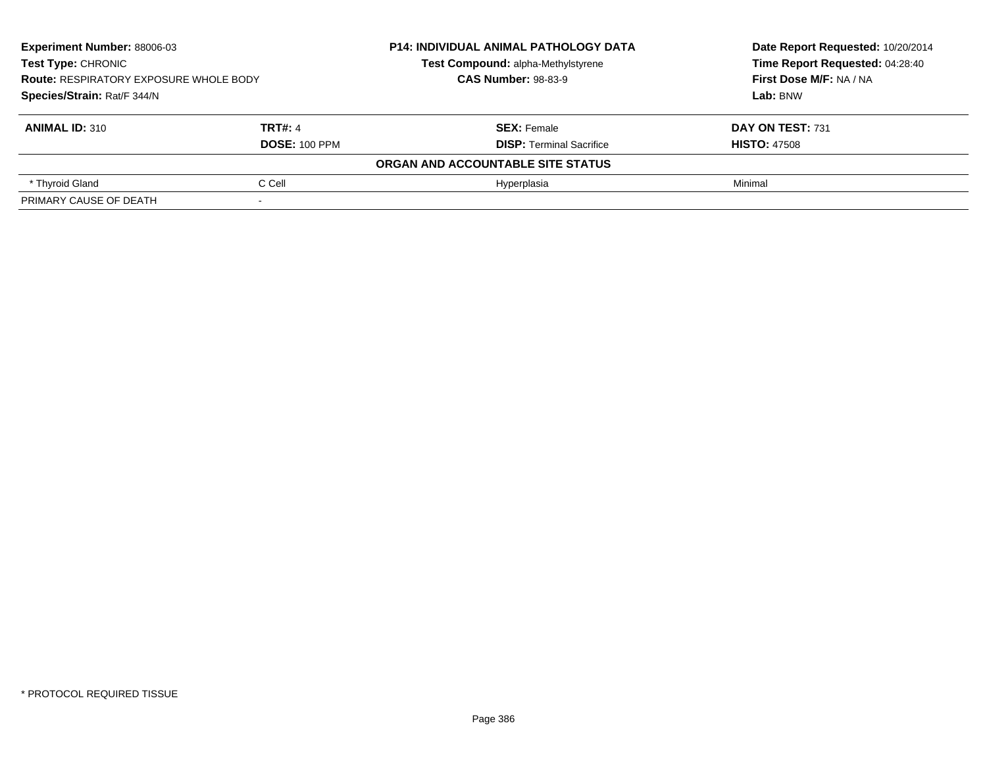| <b>Experiment Number: 88006-03</b><br><b>Test Type: CHRONIC</b><br><b>Route: RESPIRATORY EXPOSURE WHOLE BODY</b><br>Species/Strain: Rat/F 344/N |                | <b>P14: INDIVIDUAL ANIMAL PATHOLOGY DATA</b> | Date Report Requested: 10/20/2014 |  |
|-------------------------------------------------------------------------------------------------------------------------------------------------|----------------|----------------------------------------------|-----------------------------------|--|
|                                                                                                                                                 |                | Test Compound: alpha-Methylstyrene           | Time Report Requested: 04:28:40   |  |
|                                                                                                                                                 |                | <b>CAS Number: 98-83-9</b>                   | First Dose M/F: NA / NA           |  |
|                                                                                                                                                 |                |                                              | Lab: BNW                          |  |
| <b>ANIMAL ID: 310</b>                                                                                                                           | <b>TRT#: 4</b> | <b>SEX: Female</b>                           | DAY ON TEST: 731                  |  |
| <b>DOSE: 100 PPM</b>                                                                                                                            |                | <b>DISP: Terminal Sacrifice</b>              | <b>HISTO: 47508</b>               |  |
|                                                                                                                                                 |                | ORGAN AND ACCOUNTABLE SITE STATUS            |                                   |  |
| C Cell<br>* Thyroid Gland                                                                                                                       |                | Hyperplasia                                  | Minimal                           |  |
| PRIMARY CAUSE OF DEATH                                                                                                                          |                |                                              |                                   |  |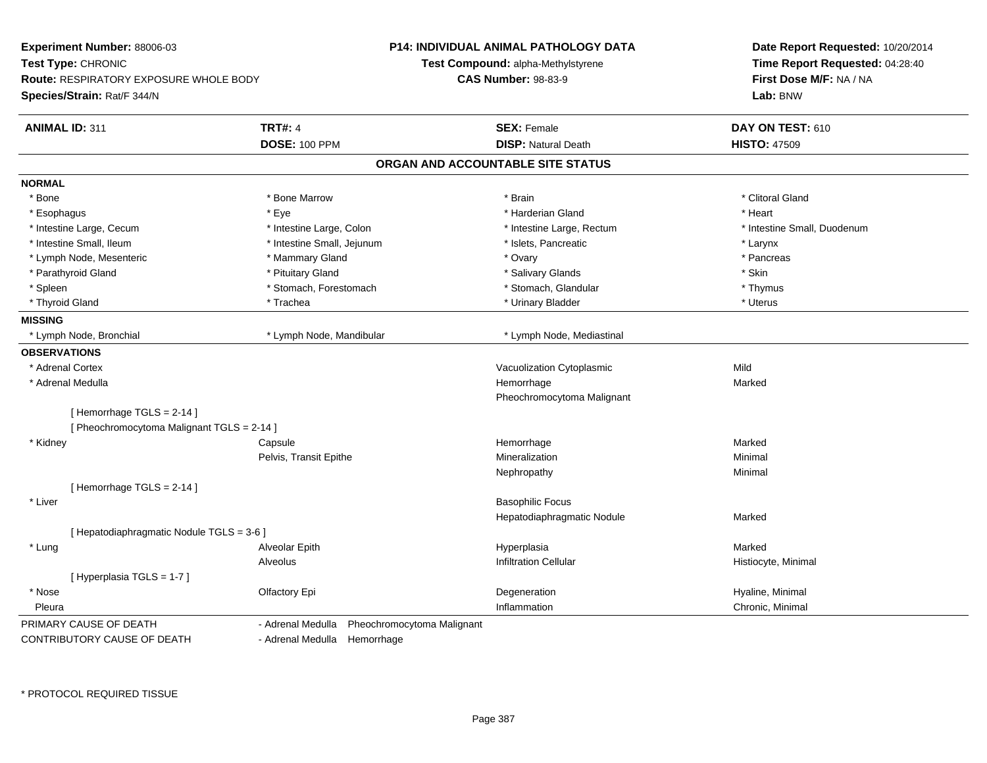| Experiment Number: 88006-03                   |                                                 | <b>P14: INDIVIDUAL ANIMAL PATHOLOGY DATA</b> | Date Report Requested: 10/20/2014<br>Time Report Requested: 04:28:40 |
|-----------------------------------------------|-------------------------------------------------|----------------------------------------------|----------------------------------------------------------------------|
| Test Type: CHRONIC                            |                                                 | <b>Test Compound: alpha-Methylstyrene</b>    |                                                                      |
| <b>Route: RESPIRATORY EXPOSURE WHOLE BODY</b> |                                                 | <b>CAS Number: 98-83-9</b>                   | First Dose M/F: NA / NA                                              |
| Species/Strain: Rat/F 344/N                   |                                                 |                                              | Lab: BNW                                                             |
| <b>ANIMAL ID: 311</b>                         | <b>TRT#: 4</b>                                  | <b>SEX: Female</b>                           | DAY ON TEST: 610                                                     |
|                                               | <b>DOSE: 100 PPM</b>                            | <b>DISP: Natural Death</b>                   | <b>HISTO: 47509</b>                                                  |
|                                               |                                                 | ORGAN AND ACCOUNTABLE SITE STATUS            |                                                                      |
| <b>NORMAL</b>                                 |                                                 |                                              |                                                                      |
| * Bone                                        | * Bone Marrow                                   | * Brain                                      | * Clitoral Gland                                                     |
| * Esophagus                                   | * Eye                                           | * Harderian Gland                            | * Heart                                                              |
| * Intestine Large, Cecum                      | * Intestine Large, Colon                        | * Intestine Large, Rectum                    | * Intestine Small, Duodenum                                          |
| * Intestine Small, Ileum                      | * Intestine Small, Jejunum                      | * Islets, Pancreatic                         | * Larynx                                                             |
| * Lymph Node, Mesenteric                      | * Mammary Gland                                 | * Ovary                                      | * Pancreas                                                           |
| * Parathyroid Gland                           | * Pituitary Gland                               | * Salivary Glands                            | * Skin                                                               |
| * Spleen                                      | * Stomach, Forestomach                          | * Stomach, Glandular                         | * Thymus                                                             |
| * Thyroid Gland                               | * Trachea                                       | * Urinary Bladder                            | * Uterus                                                             |
| <b>MISSING</b>                                |                                                 |                                              |                                                                      |
| * Lymph Node, Bronchial                       | * Lymph Node, Mandibular                        | * Lymph Node, Mediastinal                    |                                                                      |
| <b>OBSERVATIONS</b>                           |                                                 |                                              |                                                                      |
| * Adrenal Cortex                              |                                                 | Vacuolization Cytoplasmic                    | Mild                                                                 |
| * Adrenal Medulla                             |                                                 | Hemorrhage                                   | Marked                                                               |
|                                               |                                                 | Pheochromocytoma Malignant                   |                                                                      |
| [Hemorrhage TGLS = 2-14]                      |                                                 |                                              |                                                                      |
| [ Pheochromocytoma Malignant TGLS = 2-14 ]    |                                                 |                                              |                                                                      |
| * Kidney                                      | Capsule                                         | Hemorrhage                                   | Marked                                                               |
|                                               | Pelvis, Transit Epithe                          | Mineralization                               | Minimal                                                              |
|                                               |                                                 | Nephropathy                                  | Minimal                                                              |
| [Hemorrhage TGLS = 2-14]                      |                                                 |                                              |                                                                      |
| * Liver                                       |                                                 | <b>Basophilic Focus</b>                      |                                                                      |
|                                               |                                                 | Hepatodiaphragmatic Nodule                   | Marked                                                               |
| [ Hepatodiaphragmatic Nodule TGLS = 3-6 ]     |                                                 |                                              |                                                                      |
| * Lung                                        | Alveolar Epith                                  | Hyperplasia                                  | Marked                                                               |
|                                               | Alveolus                                        | <b>Infiltration Cellular</b>                 | Histiocyte, Minimal                                                  |
| [ Hyperplasia TGLS = 1-7 ]                    |                                                 |                                              |                                                                      |
| * Nose                                        | Olfactory Epi                                   | Degeneration                                 | Hyaline, Minimal                                                     |
| Pleura                                        |                                                 | Inflammation                                 | Chronic, Minimal                                                     |
| PRIMARY CAUSE OF DEATH                        | Pheochromocytoma Malignant<br>- Adrenal Medulla |                                              |                                                                      |
| CONTRIBUTORY CAUSE OF DEATH                   | - Adrenal Medulla Hemorrhage                    |                                              |                                                                      |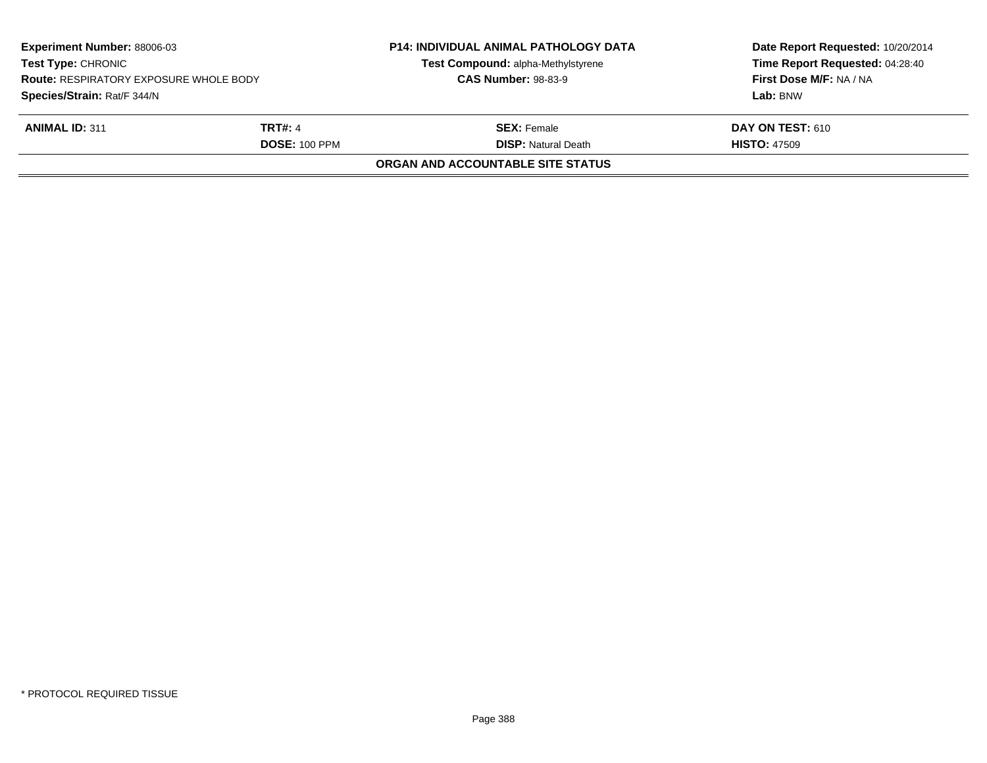| Experiment Number: 88006-03<br><b>Test Type: CHRONIC</b><br><b>Route: RESPIRATORY EXPOSURE WHOLE BODY</b><br>Species/Strain: Rat/F 344/N |                | <b>P14: INDIVIDUAL ANIMAL PATHOLOGY DATA</b><br>Test Compound: alpha-Methylstyrene | Date Report Requested: 10/20/2014<br>Time Report Requested: 04:28:40 |
|------------------------------------------------------------------------------------------------------------------------------------------|----------------|------------------------------------------------------------------------------------|----------------------------------------------------------------------|
|                                                                                                                                          |                | <b>CAS Number: 98-83-9</b>                                                         | First Dose M/F: NA / NA                                              |
|                                                                                                                                          |                |                                                                                    | Lab: BNW                                                             |
| <b>ANIMAL ID: 311</b>                                                                                                                    | <b>TRT#: 4</b> | <b>SEX:</b> Female                                                                 | <b>DAY ON TEST: 610</b>                                              |
| <b>DOSE: 100 PPM</b>                                                                                                                     |                | <b>DISP: Natural Death</b>                                                         | <b>HISTO: 47509</b>                                                  |
|                                                                                                                                          |                | ORGAN AND ACCOUNTABLE SITE STATUS                                                  |                                                                      |
|                                                                                                                                          |                |                                                                                    |                                                                      |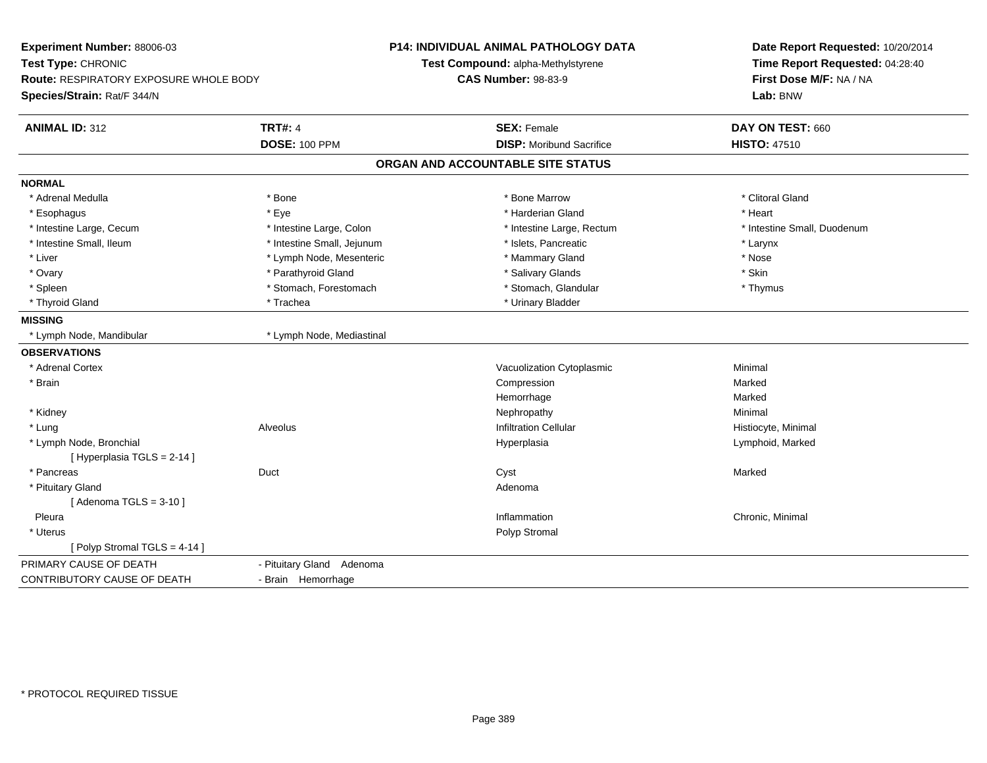| Experiment Number: 88006-03<br>Test Type: CHRONIC<br><b>Route: RESPIRATORY EXPOSURE WHOLE BODY</b><br>Species/Strain: Rat/F 344/N |                            | <b>P14: INDIVIDUAL ANIMAL PATHOLOGY DATA</b><br>Test Compound: alpha-Methylstyrene<br><b>CAS Number: 98-83-9</b> | Date Report Requested: 10/20/2014<br>Time Report Requested: 04:28:40<br>First Dose M/F: NA / NA<br>Lab: BNW |
|-----------------------------------------------------------------------------------------------------------------------------------|----------------------------|------------------------------------------------------------------------------------------------------------------|-------------------------------------------------------------------------------------------------------------|
| <b>ANIMAL ID: 312</b>                                                                                                             | <b>TRT#: 4</b>             | <b>SEX: Female</b>                                                                                               | DAY ON TEST: 660                                                                                            |
|                                                                                                                                   | <b>DOSE: 100 PPM</b>       | <b>DISP:</b> Moribund Sacrifice                                                                                  | <b>HISTO: 47510</b>                                                                                         |
|                                                                                                                                   |                            | ORGAN AND ACCOUNTABLE SITE STATUS                                                                                |                                                                                                             |
| <b>NORMAL</b>                                                                                                                     |                            |                                                                                                                  |                                                                                                             |
| * Adrenal Medulla                                                                                                                 | * Bone                     | * Bone Marrow                                                                                                    | * Clitoral Gland                                                                                            |
| * Esophagus                                                                                                                       | * Eye                      | * Harderian Gland                                                                                                | * Heart                                                                                                     |
| * Intestine Large, Cecum                                                                                                          | * Intestine Large, Colon   | * Intestine Large, Rectum                                                                                        | * Intestine Small, Duodenum                                                                                 |
| * Intestine Small, Ileum                                                                                                          | * Intestine Small, Jejunum | * Islets, Pancreatic                                                                                             | * Larynx                                                                                                    |
| * Liver                                                                                                                           | * Lymph Node, Mesenteric   | * Mammary Gland                                                                                                  | * Nose                                                                                                      |
| * Ovary                                                                                                                           | * Parathyroid Gland        | * Salivary Glands                                                                                                | * Skin                                                                                                      |
| * Spleen                                                                                                                          | * Stomach, Forestomach     | * Stomach, Glandular                                                                                             | * Thymus                                                                                                    |
| * Thyroid Gland                                                                                                                   | * Trachea                  | * Urinary Bladder                                                                                                |                                                                                                             |
| <b>MISSING</b>                                                                                                                    |                            |                                                                                                                  |                                                                                                             |
| * Lymph Node, Mandibular                                                                                                          | * Lymph Node, Mediastinal  |                                                                                                                  |                                                                                                             |
| <b>OBSERVATIONS</b>                                                                                                               |                            |                                                                                                                  |                                                                                                             |
| * Adrenal Cortex                                                                                                                  |                            | Vacuolization Cytoplasmic                                                                                        | Minimal                                                                                                     |
| * Brain                                                                                                                           |                            | Compression                                                                                                      | Marked                                                                                                      |
|                                                                                                                                   |                            | Hemorrhage                                                                                                       | Marked                                                                                                      |
| * Kidney                                                                                                                          |                            | Nephropathy                                                                                                      | Minimal                                                                                                     |
| * Lung                                                                                                                            | Alveolus                   | <b>Infiltration Cellular</b>                                                                                     | Histiocyte, Minimal                                                                                         |
| * Lymph Node, Bronchial                                                                                                           |                            | Hyperplasia                                                                                                      | Lymphoid, Marked                                                                                            |
| [ Hyperplasia TGLS = 2-14 ]                                                                                                       |                            |                                                                                                                  |                                                                                                             |
| * Pancreas                                                                                                                        | Duct                       | Cyst                                                                                                             | Marked                                                                                                      |
| * Pituitary Gland                                                                                                                 |                            | Adenoma                                                                                                          |                                                                                                             |
| [Adenoma TGLS = $3-10$ ]                                                                                                          |                            |                                                                                                                  |                                                                                                             |
| Pleura                                                                                                                            |                            | Inflammation                                                                                                     | Chronic, Minimal                                                                                            |
| * Uterus                                                                                                                          |                            | Polyp Stromal                                                                                                    |                                                                                                             |
| [Polyp Stromal TGLS = 4-14]                                                                                                       |                            |                                                                                                                  |                                                                                                             |
| PRIMARY CAUSE OF DEATH                                                                                                            | - Pituitary Gland Adenoma  |                                                                                                                  |                                                                                                             |
| CONTRIBUTORY CAUSE OF DEATH                                                                                                       | - Brain Hemorrhage         |                                                                                                                  |                                                                                                             |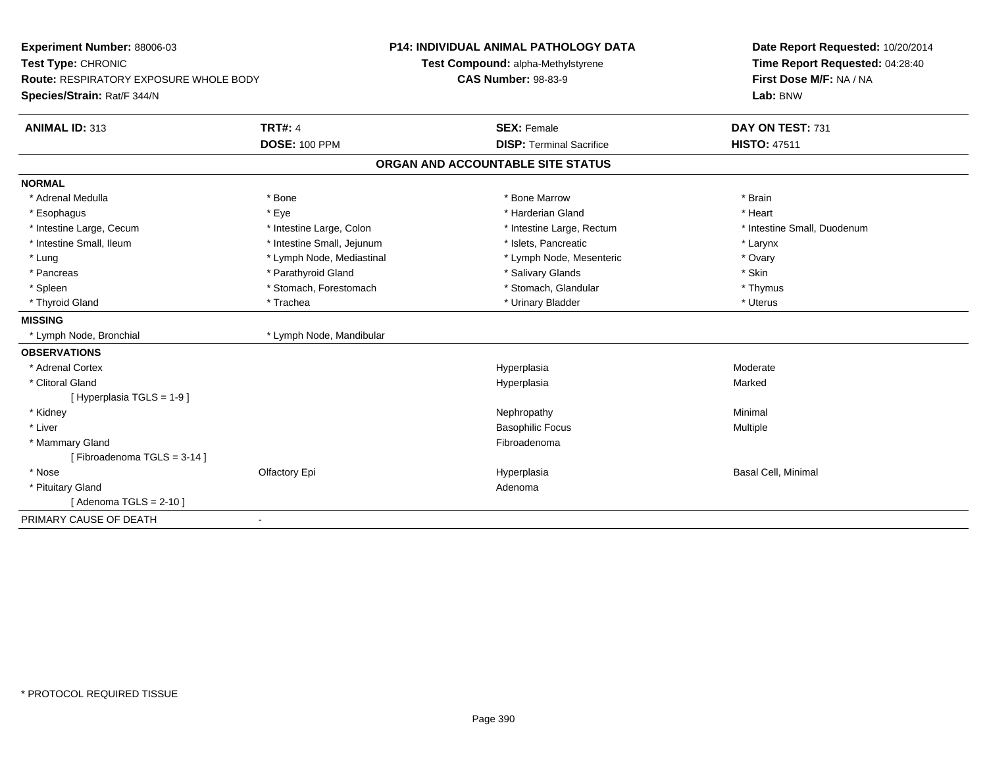| Experiment Number: 88006-03<br>Test Type: CHRONIC<br>Route: RESPIRATORY EXPOSURE WHOLE BODY<br>Species/Strain: Rat/F 344/N |                            | <b>P14: INDIVIDUAL ANIMAL PATHOLOGY DATA</b><br>Test Compound: alpha-Methylstyrene<br><b>CAS Number: 98-83-9</b> | Date Report Requested: 10/20/2014<br>Time Report Requested: 04:28:40<br>First Dose M/F: NA / NA<br>Lab: BNW |
|----------------------------------------------------------------------------------------------------------------------------|----------------------------|------------------------------------------------------------------------------------------------------------------|-------------------------------------------------------------------------------------------------------------|
| ANIMAL ID: 313                                                                                                             | <b>TRT#: 4</b>             | <b>SEX: Female</b>                                                                                               | DAY ON TEST: 731                                                                                            |
|                                                                                                                            | <b>DOSE: 100 PPM</b>       | <b>DISP: Terminal Sacrifice</b>                                                                                  | <b>HISTO: 47511</b>                                                                                         |
|                                                                                                                            |                            | ORGAN AND ACCOUNTABLE SITE STATUS                                                                                |                                                                                                             |
| <b>NORMAL</b>                                                                                                              |                            |                                                                                                                  |                                                                                                             |
| * Adrenal Medulla                                                                                                          | * Bone                     | * Bone Marrow                                                                                                    | * Brain                                                                                                     |
| * Esophagus                                                                                                                | * Eye                      | * Harderian Gland                                                                                                | * Heart                                                                                                     |
| * Intestine Large, Cecum                                                                                                   | * Intestine Large, Colon   | * Intestine Large, Rectum                                                                                        | * Intestine Small, Duodenum                                                                                 |
| * Intestine Small, Ileum                                                                                                   | * Intestine Small, Jejunum | * Islets, Pancreatic                                                                                             | * Larynx                                                                                                    |
| * Lung                                                                                                                     | * Lymph Node, Mediastinal  | * Lymph Node, Mesenteric                                                                                         | * Ovary                                                                                                     |
| * Pancreas                                                                                                                 | * Parathyroid Gland        | * Salivary Glands                                                                                                | * Skin                                                                                                      |
| * Spleen                                                                                                                   | * Stomach, Forestomach     | * Stomach, Glandular                                                                                             | * Thymus                                                                                                    |
| * Thyroid Gland                                                                                                            | * Trachea                  | * Urinary Bladder                                                                                                | * Uterus                                                                                                    |
| <b>MISSING</b>                                                                                                             |                            |                                                                                                                  |                                                                                                             |
| * Lymph Node, Bronchial                                                                                                    | * Lymph Node, Mandibular   |                                                                                                                  |                                                                                                             |
| <b>OBSERVATIONS</b>                                                                                                        |                            |                                                                                                                  |                                                                                                             |
| * Adrenal Cortex                                                                                                           |                            | Hyperplasia                                                                                                      | Moderate                                                                                                    |
| * Clitoral Gland                                                                                                           |                            | Hyperplasia                                                                                                      | Marked                                                                                                      |
| [Hyperplasia TGLS = 1-9]                                                                                                   |                            |                                                                                                                  |                                                                                                             |
| * Kidney                                                                                                                   |                            | Nephropathy                                                                                                      | Minimal                                                                                                     |
| * Liver                                                                                                                    |                            | <b>Basophilic Focus</b>                                                                                          | Multiple                                                                                                    |
| * Mammary Gland                                                                                                            |                            | Fibroadenoma                                                                                                     |                                                                                                             |
| [Fibroadenoma TGLS = 3-14]                                                                                                 |                            |                                                                                                                  |                                                                                                             |
| * Nose                                                                                                                     | Olfactory Epi              | Hyperplasia                                                                                                      | Basal Cell, Minimal                                                                                         |
| * Pituitary Gland                                                                                                          |                            | Adenoma                                                                                                          |                                                                                                             |
| [Adenoma TGLS = $2-10$ ]                                                                                                   |                            |                                                                                                                  |                                                                                                             |
| PRIMARY CAUSE OF DEATH                                                                                                     | $\blacksquare$             |                                                                                                                  |                                                                                                             |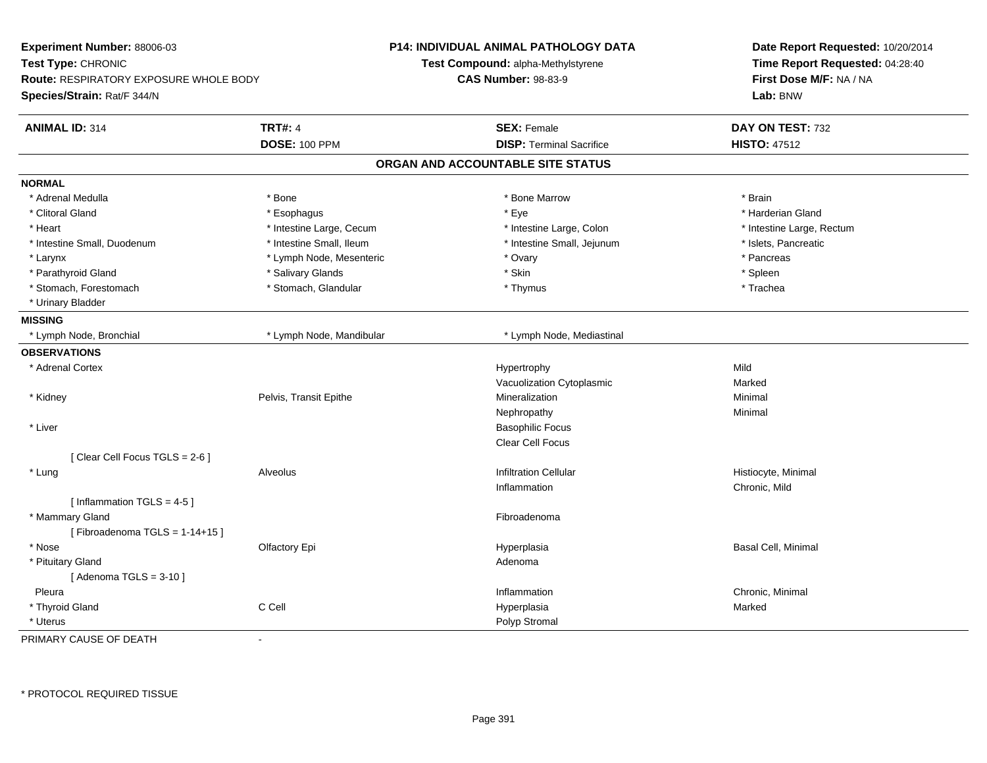| Experiment Number: 88006-03<br>Test Type: CHRONIC<br><b>Route: RESPIRATORY EXPOSURE WHOLE BODY</b><br>Species/Strain: Rat/F 344/N |                                        | P14: INDIVIDUAL ANIMAL PATHOLOGY DATA<br>Test Compound: alpha-Methylstyrene<br><b>CAS Number: 98-83-9</b> | Date Report Requested: 10/20/2014<br>Time Report Requested: 04:28:40<br>First Dose M/F: NA / NA<br>Lab: BNW |
|-----------------------------------------------------------------------------------------------------------------------------------|----------------------------------------|-----------------------------------------------------------------------------------------------------------|-------------------------------------------------------------------------------------------------------------|
| <b>ANIMAL ID: 314</b>                                                                                                             | <b>TRT#: 4</b><br><b>DOSE: 100 PPM</b> | <b>SEX: Female</b><br><b>DISP: Terminal Sacrifice</b>                                                     | DAY ON TEST: 732<br><b>HISTO: 47512</b>                                                                     |
|                                                                                                                                   |                                        | ORGAN AND ACCOUNTABLE SITE STATUS                                                                         |                                                                                                             |
| <b>NORMAL</b>                                                                                                                     |                                        |                                                                                                           |                                                                                                             |
| * Adrenal Medulla                                                                                                                 | * Bone                                 | * Bone Marrow                                                                                             | * Brain                                                                                                     |
| * Clitoral Gland                                                                                                                  | * Esophagus                            | * Eye                                                                                                     | * Harderian Gland                                                                                           |
| * Heart                                                                                                                           | * Intestine Large, Cecum               | * Intestine Large, Colon                                                                                  | * Intestine Large, Rectum                                                                                   |
| * Intestine Small, Duodenum                                                                                                       | * Intestine Small, Ileum               | * Intestine Small, Jejunum                                                                                | * Islets, Pancreatic                                                                                        |
| * Larynx                                                                                                                          | * Lymph Node, Mesenteric               | * Ovary                                                                                                   | * Pancreas                                                                                                  |
| * Parathyroid Gland                                                                                                               | * Salivary Glands                      | * Skin                                                                                                    | * Spleen                                                                                                    |
| * Stomach, Forestomach                                                                                                            | * Stomach, Glandular                   | * Thymus                                                                                                  | * Trachea                                                                                                   |
| * Urinary Bladder                                                                                                                 |                                        |                                                                                                           |                                                                                                             |
| <b>MISSING</b>                                                                                                                    |                                        |                                                                                                           |                                                                                                             |
| * Lymph Node, Bronchial                                                                                                           | * Lymph Node, Mandibular               | * Lymph Node, Mediastinal                                                                                 |                                                                                                             |
| <b>OBSERVATIONS</b>                                                                                                               |                                        |                                                                                                           |                                                                                                             |
| * Adrenal Cortex                                                                                                                  |                                        | Hypertrophy                                                                                               | Mild                                                                                                        |
|                                                                                                                                   |                                        | Vacuolization Cytoplasmic                                                                                 | Marked                                                                                                      |
| * Kidney                                                                                                                          | Pelvis, Transit Epithe                 | Mineralization                                                                                            | Minimal                                                                                                     |
|                                                                                                                                   |                                        | Nephropathy                                                                                               | Minimal                                                                                                     |
| * Liver                                                                                                                           |                                        | <b>Basophilic Focus</b>                                                                                   |                                                                                                             |
|                                                                                                                                   |                                        | Clear Cell Focus                                                                                          |                                                                                                             |
| [Clear Cell Focus TGLS = 2-6]                                                                                                     |                                        |                                                                                                           |                                                                                                             |
| * Lung                                                                                                                            | Alveolus                               | <b>Infiltration Cellular</b>                                                                              | Histiocyte, Minimal                                                                                         |
|                                                                                                                                   |                                        | Inflammation                                                                                              | Chronic, Mild                                                                                               |
| [Inflammation TGLS = $4-5$ ]                                                                                                      |                                        |                                                                                                           |                                                                                                             |
| * Mammary Gland                                                                                                                   |                                        | Fibroadenoma                                                                                              |                                                                                                             |
| [Fibroadenoma TGLS = $1-14+15$ ]                                                                                                  |                                        |                                                                                                           |                                                                                                             |
| * Nose                                                                                                                            | Olfactory Epi                          | Hyperplasia                                                                                               | Basal Cell, Minimal                                                                                         |
| * Pituitary Gland                                                                                                                 |                                        | Adenoma                                                                                                   |                                                                                                             |
| [Adenoma TGLS = $3-10$ ]                                                                                                          |                                        |                                                                                                           |                                                                                                             |
| Pleura                                                                                                                            |                                        | Inflammation                                                                                              | Chronic, Minimal                                                                                            |
| * Thyroid Gland                                                                                                                   | C Cell                                 | Hyperplasia                                                                                               | Marked                                                                                                      |
| * Uterus                                                                                                                          |                                        | Polyp Stromal                                                                                             |                                                                                                             |
| PRIMARY CAUSE OF DEATH                                                                                                            |                                        |                                                                                                           |                                                                                                             |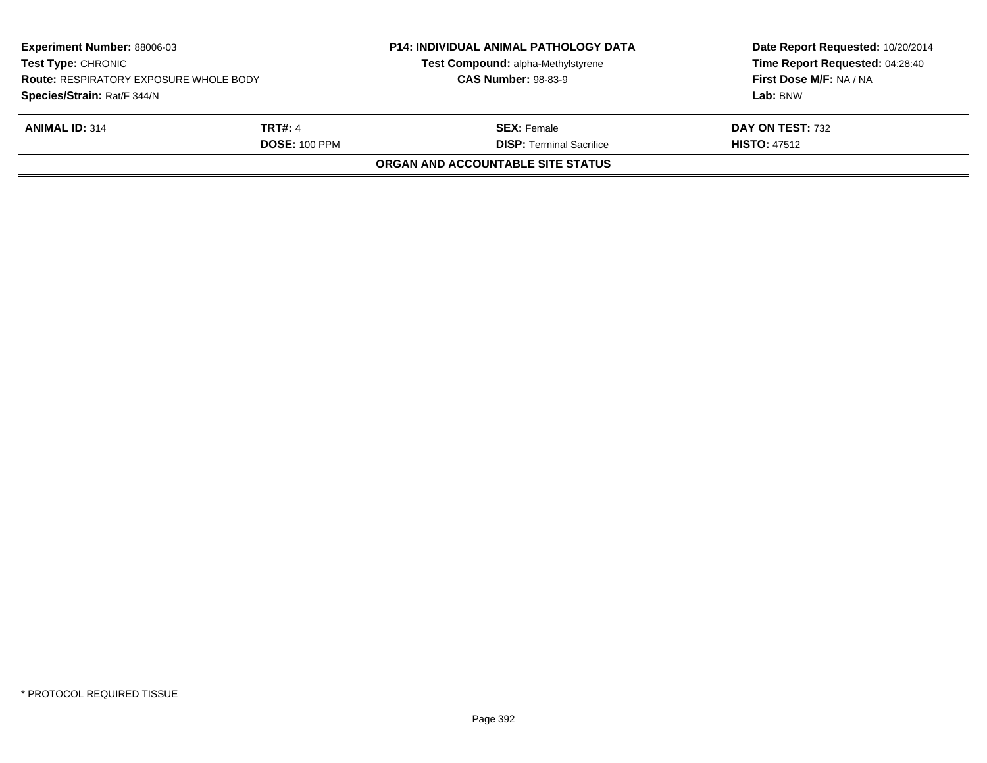| <b>Experiment Number: 88006-03</b><br><b>Test Type: CHRONIC</b><br><b>Route: RESPIRATORY EXPOSURE WHOLE BODY</b><br>Species/Strain: Rat/F 344/N<br><b>ANIMAL ID: 314</b><br><b>TRT#: 4</b><br><b>DOSE: 100 PPM</b> |  | <b>P14: INDIVIDUAL ANIMAL PATHOLOGY DATA</b><br>Test Compound: alpha-Methylstyrene<br><b>CAS Number: 98-83-9</b> | Date Report Requested: 10/20/2014<br>Time Report Requested: 04:28:40<br>First Dose M/F: NA / NA<br>Lab: BNW |  |
|--------------------------------------------------------------------------------------------------------------------------------------------------------------------------------------------------------------------|--|------------------------------------------------------------------------------------------------------------------|-------------------------------------------------------------------------------------------------------------|--|
|                                                                                                                                                                                                                    |  | <b>SEX:</b> Female                                                                                               | DAY ON TEST: 732                                                                                            |  |
|                                                                                                                                                                                                                    |  | <b>DISP: Terminal Sacrifice</b>                                                                                  | <b>HISTO: 47512</b>                                                                                         |  |
|                                                                                                                                                                                                                    |  | ORGAN AND ACCOUNTABLE SITE STATUS                                                                                |                                                                                                             |  |
|                                                                                                                                                                                                                    |  |                                                                                                                  |                                                                                                             |  |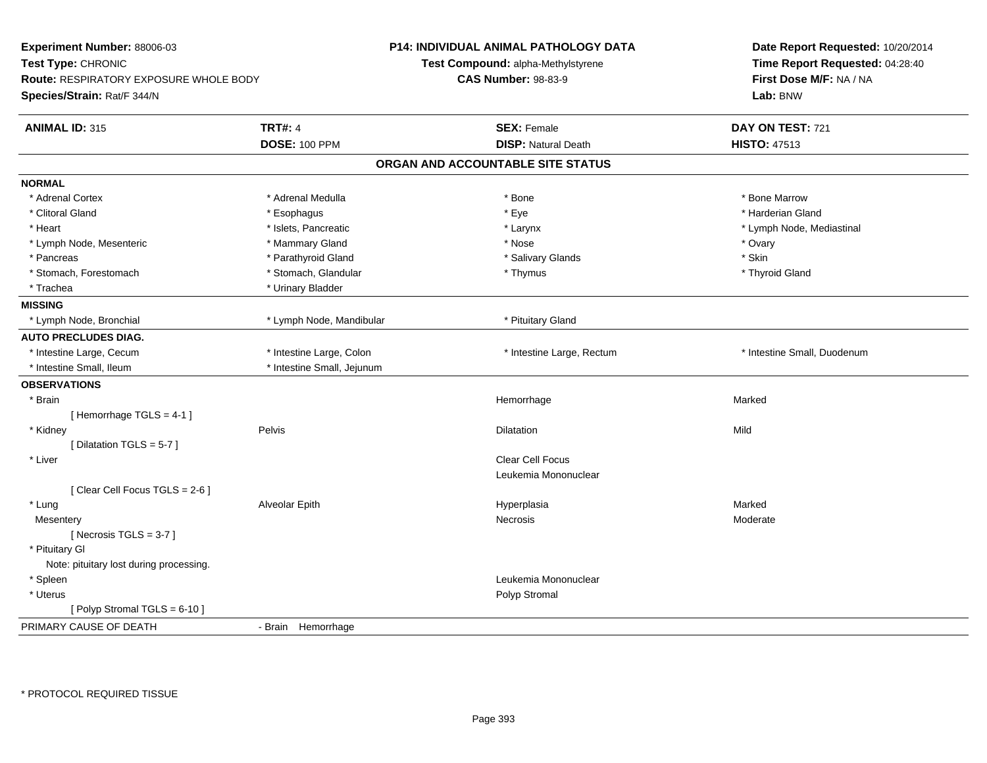| Experiment Number: 88006-03<br>Test Type: CHRONIC |                            | <b>P14: INDIVIDUAL ANIMAL PATHOLOGY DATA</b> | Date Report Requested: 10/20/2014<br>Time Report Requested: 04:28:40<br>First Dose M/F: NA / NA<br>Lab: BNW |
|---------------------------------------------------|----------------------------|----------------------------------------------|-------------------------------------------------------------------------------------------------------------|
|                                                   |                            | Test Compound: alpha-Methylstyrene           |                                                                                                             |
| Route: RESPIRATORY EXPOSURE WHOLE BODY            |                            | <b>CAS Number: 98-83-9</b>                   |                                                                                                             |
| Species/Strain: Rat/F 344/N                       |                            |                                              |                                                                                                             |
| <b>ANIMAL ID: 315</b>                             | <b>TRT#: 4</b>             | <b>SEX: Female</b>                           | DAY ON TEST: 721                                                                                            |
|                                                   | <b>DOSE: 100 PPM</b>       | <b>DISP: Natural Death</b>                   | <b>HISTO: 47513</b>                                                                                         |
|                                                   |                            | ORGAN AND ACCOUNTABLE SITE STATUS            |                                                                                                             |
| <b>NORMAL</b>                                     |                            |                                              |                                                                                                             |
| * Adrenal Cortex                                  | * Adrenal Medulla          | * Bone                                       | * Bone Marrow                                                                                               |
| * Clitoral Gland                                  | * Esophagus                | * Eye                                        | * Harderian Gland                                                                                           |
| * Heart                                           | * Islets, Pancreatic       | * Larynx                                     | * Lymph Node, Mediastinal                                                                                   |
| * Lymph Node, Mesenteric                          | * Mammary Gland            | * Nose                                       | * Ovary                                                                                                     |
| * Pancreas                                        | * Parathyroid Gland        | * Salivary Glands                            | * Skin                                                                                                      |
| * Stomach, Forestomach                            | * Stomach, Glandular       | * Thymus                                     | * Thyroid Gland                                                                                             |
| * Trachea                                         | * Urinary Bladder          |                                              |                                                                                                             |
| <b>MISSING</b>                                    |                            |                                              |                                                                                                             |
| * Lymph Node, Bronchial                           | * Lymph Node, Mandibular   | * Pituitary Gland                            |                                                                                                             |
| <b>AUTO PRECLUDES DIAG.</b>                       |                            |                                              |                                                                                                             |
| * Intestine Large, Cecum                          | * Intestine Large, Colon   | * Intestine Large, Rectum                    | * Intestine Small, Duodenum                                                                                 |
| * Intestine Small, Ileum                          | * Intestine Small, Jejunum |                                              |                                                                                                             |
| <b>OBSERVATIONS</b>                               |                            |                                              |                                                                                                             |
| * Brain                                           |                            | Hemorrhage                                   | Marked                                                                                                      |
| [Hemorrhage TGLS = 4-1]                           |                            |                                              |                                                                                                             |
| * Kidney                                          | Pelvis                     | Dilatation                                   | Mild                                                                                                        |
| [ Dilatation TGLS = $5-7$ ]                       |                            |                                              |                                                                                                             |
| * Liver                                           |                            | Clear Cell Focus                             |                                                                                                             |
|                                                   |                            | Leukemia Mononuclear                         |                                                                                                             |
| [Clear Cell Focus TGLS = 2-6]                     |                            |                                              |                                                                                                             |
| * Lung                                            | Alveolar Epith             | Hyperplasia                                  | Marked                                                                                                      |
| Mesentery                                         |                            | Necrosis                                     | Moderate                                                                                                    |
| [Necrosis $TGLS = 3-7$ ]                          |                            |                                              |                                                                                                             |
| * Pituitary Gl                                    |                            |                                              |                                                                                                             |
| Note: pituitary lost during processing.           |                            |                                              |                                                                                                             |
| * Spleen                                          |                            | Leukemia Mononuclear                         |                                                                                                             |
| * Uterus                                          |                            | Polyp Stromal                                |                                                                                                             |
| [Polyp Stromal TGLS = 6-10]                       |                            |                                              |                                                                                                             |
| PRIMARY CAUSE OF DEATH                            | - Brain Hemorrhage         |                                              |                                                                                                             |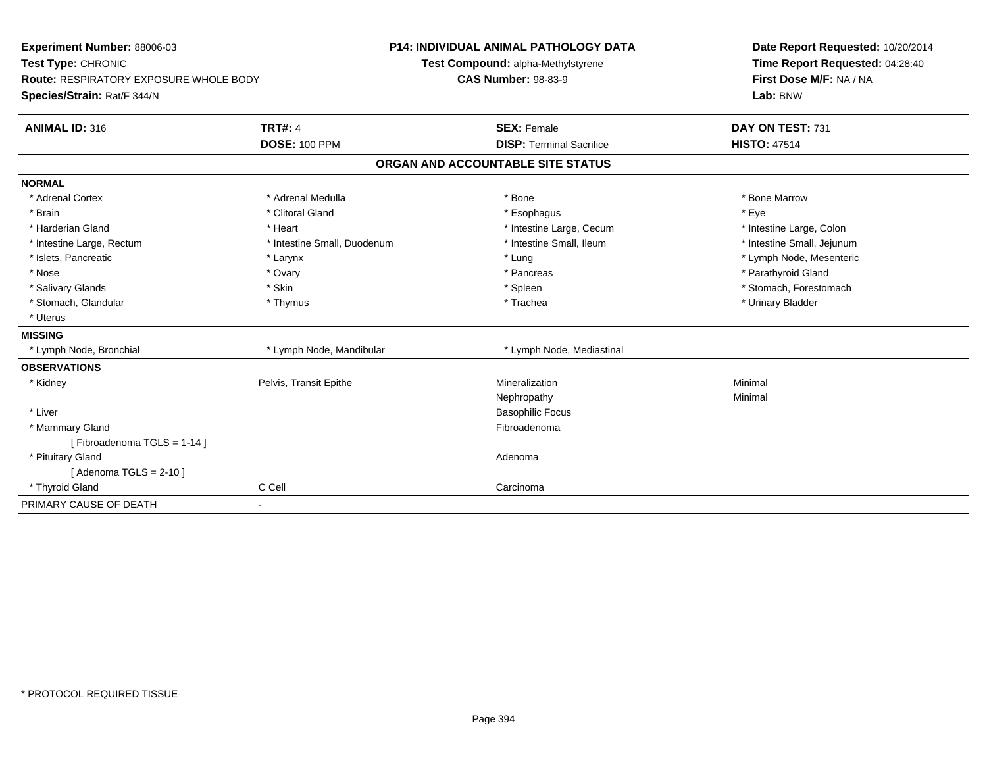| Experiment Number: 88006-03                   |                             | <b>P14: INDIVIDUAL ANIMAL PATHOLOGY DATA</b> | Date Report Requested: 10/20/2014<br>Time Report Requested: 04:28:40 |
|-----------------------------------------------|-----------------------------|----------------------------------------------|----------------------------------------------------------------------|
| Test Type: CHRONIC                            |                             | Test Compound: alpha-Methylstyrene           |                                                                      |
| <b>Route: RESPIRATORY EXPOSURE WHOLE BODY</b> |                             | <b>CAS Number: 98-83-9</b>                   | First Dose M/F: NA / NA                                              |
| Species/Strain: Rat/F 344/N                   |                             |                                              | Lab: BNW                                                             |
| <b>ANIMAL ID: 316</b>                         | <b>TRT#: 4</b>              | <b>SEX: Female</b>                           | DAY ON TEST: 731                                                     |
|                                               | <b>DOSE: 100 PPM</b>        | <b>DISP: Terminal Sacrifice</b>              | <b>HISTO: 47514</b>                                                  |
|                                               |                             | ORGAN AND ACCOUNTABLE SITE STATUS            |                                                                      |
| <b>NORMAL</b>                                 |                             |                                              |                                                                      |
| * Adrenal Cortex                              | * Adrenal Medulla           | * Bone                                       | * Bone Marrow                                                        |
| * Brain                                       | * Clitoral Gland            | * Esophagus                                  | * Eye                                                                |
| * Harderian Gland                             | * Heart                     | * Intestine Large, Cecum                     | * Intestine Large, Colon                                             |
| * Intestine Large, Rectum                     | * Intestine Small, Duodenum | * Intestine Small, Ileum                     | * Intestine Small, Jejunum                                           |
| * Islets, Pancreatic                          | * Larynx                    | * Lung                                       | * Lymph Node, Mesenteric                                             |
| * Nose                                        | * Ovary                     | * Pancreas                                   | * Parathyroid Gland                                                  |
| * Salivary Glands                             | * Skin                      | * Spleen                                     | * Stomach, Forestomach                                               |
| * Stomach, Glandular                          | * Thymus                    | * Trachea                                    | * Urinary Bladder                                                    |
| * Uterus                                      |                             |                                              |                                                                      |
| <b>MISSING</b>                                |                             |                                              |                                                                      |
| * Lymph Node, Bronchial                       | * Lymph Node, Mandibular    | * Lymph Node, Mediastinal                    |                                                                      |
| <b>OBSERVATIONS</b>                           |                             |                                              |                                                                      |
| * Kidney                                      | Pelvis, Transit Epithe      | Mineralization                               | Minimal                                                              |
|                                               |                             | Nephropathy                                  | Minimal                                                              |
| * Liver                                       |                             | <b>Basophilic Focus</b>                      |                                                                      |
| * Mammary Gland                               |                             | Fibroadenoma                                 |                                                                      |
| [Fibroadenoma TGLS = 1-14]                    |                             |                                              |                                                                      |
| * Pituitary Gland                             |                             | Adenoma                                      |                                                                      |
| [Adenoma TGLS = $2-10$ ]                      |                             |                                              |                                                                      |
| * Thyroid Gland                               | C Cell                      | Carcinoma                                    |                                                                      |
| PRIMARY CAUSE OF DEATH                        | $\overline{\phantom{a}}$    |                                              |                                                                      |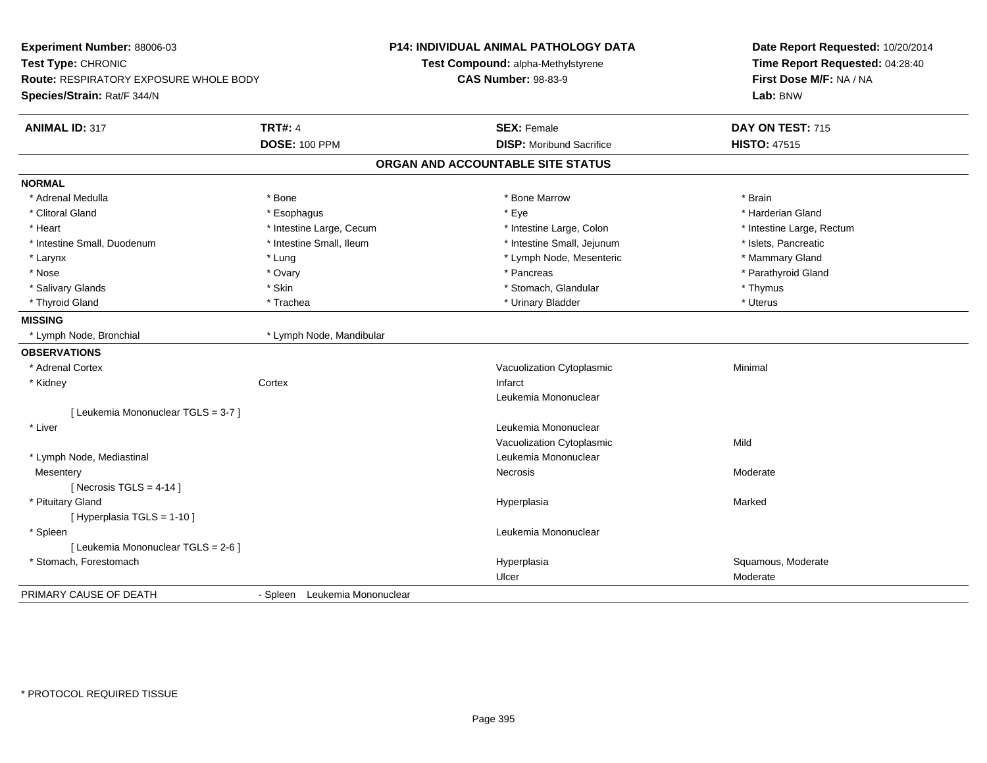| Experiment Number: 88006-03<br>Test Type: CHRONIC<br><b>Route: RESPIRATORY EXPOSURE WHOLE BODY</b><br>Species/Strain: Rat/F 344/N |                               | <b>P14: INDIVIDUAL ANIMAL PATHOLOGY DATA</b><br>Test Compound: alpha-Methylstyrene<br><b>CAS Number: 98-83-9</b> | Date Report Requested: 10/20/2014<br>Time Report Requested: 04:28:40<br>First Dose M/F: NA / NA<br>Lab: BNW |
|-----------------------------------------------------------------------------------------------------------------------------------|-------------------------------|------------------------------------------------------------------------------------------------------------------|-------------------------------------------------------------------------------------------------------------|
| <b>ANIMAL ID: 317</b>                                                                                                             | <b>TRT#: 4</b>                | <b>SEX: Female</b>                                                                                               | DAY ON TEST: 715                                                                                            |
|                                                                                                                                   | <b>DOSE: 100 PPM</b>          | <b>DISP:</b> Moribund Sacrifice                                                                                  | <b>HISTO: 47515</b>                                                                                         |
|                                                                                                                                   |                               | ORGAN AND ACCOUNTABLE SITE STATUS                                                                                |                                                                                                             |
| <b>NORMAL</b>                                                                                                                     |                               |                                                                                                                  |                                                                                                             |
| * Adrenal Medulla                                                                                                                 | * Bone                        | * Bone Marrow                                                                                                    | * Brain                                                                                                     |
| * Clitoral Gland                                                                                                                  | * Esophagus                   | * Eye                                                                                                            | * Harderian Gland                                                                                           |
| * Heart                                                                                                                           | * Intestine Large, Cecum      | * Intestine Large, Colon                                                                                         | * Intestine Large, Rectum                                                                                   |
| * Intestine Small, Duodenum                                                                                                       | * Intestine Small, Ileum      | * Intestine Small, Jejunum                                                                                       | * Islets, Pancreatic                                                                                        |
| * Larynx                                                                                                                          | * Lung                        | * Lymph Node, Mesenteric                                                                                         | * Mammary Gland                                                                                             |
| * Nose                                                                                                                            | * Ovary                       | * Pancreas                                                                                                       | * Parathyroid Gland                                                                                         |
| * Salivary Glands                                                                                                                 | * Skin                        | * Stomach, Glandular                                                                                             | * Thymus                                                                                                    |
| * Thyroid Gland                                                                                                                   | * Trachea                     | * Urinary Bladder                                                                                                | * Uterus                                                                                                    |
| <b>MISSING</b>                                                                                                                    |                               |                                                                                                                  |                                                                                                             |
| * Lymph Node, Bronchial                                                                                                           | * Lymph Node, Mandibular      |                                                                                                                  |                                                                                                             |
| <b>OBSERVATIONS</b>                                                                                                               |                               |                                                                                                                  |                                                                                                             |
| * Adrenal Cortex                                                                                                                  |                               | Vacuolization Cytoplasmic                                                                                        | Minimal                                                                                                     |
| * Kidney                                                                                                                          | Cortex                        | Infarct                                                                                                          |                                                                                                             |
|                                                                                                                                   |                               | Leukemia Mononuclear                                                                                             |                                                                                                             |
| [ Leukemia Mononuclear TGLS = 3-7 ]                                                                                               |                               |                                                                                                                  |                                                                                                             |
| * Liver                                                                                                                           |                               | Leukemia Mononuclear                                                                                             |                                                                                                             |
|                                                                                                                                   |                               | Vacuolization Cytoplasmic                                                                                        | Mild                                                                                                        |
| * Lymph Node, Mediastinal                                                                                                         |                               | Leukemia Mononuclear                                                                                             |                                                                                                             |
| Mesentery                                                                                                                         |                               | Necrosis                                                                                                         | Moderate                                                                                                    |
| [Necrosis TGLS = $4-14$ ]                                                                                                         |                               |                                                                                                                  |                                                                                                             |
| * Pituitary Gland                                                                                                                 |                               | Hyperplasia                                                                                                      | Marked                                                                                                      |
| [ Hyperplasia TGLS = 1-10 ]                                                                                                       |                               |                                                                                                                  |                                                                                                             |
| * Spleen                                                                                                                          |                               | Leukemia Mononuclear                                                                                             |                                                                                                             |
| [ Leukemia Mononuclear TGLS = 2-6 ]                                                                                               |                               |                                                                                                                  |                                                                                                             |
| * Stomach, Forestomach                                                                                                            |                               | Hyperplasia                                                                                                      | Squamous, Moderate                                                                                          |
|                                                                                                                                   |                               | Ulcer                                                                                                            | Moderate                                                                                                    |
| PRIMARY CAUSE OF DEATH                                                                                                            | - Spleen Leukemia Mononuclear |                                                                                                                  |                                                                                                             |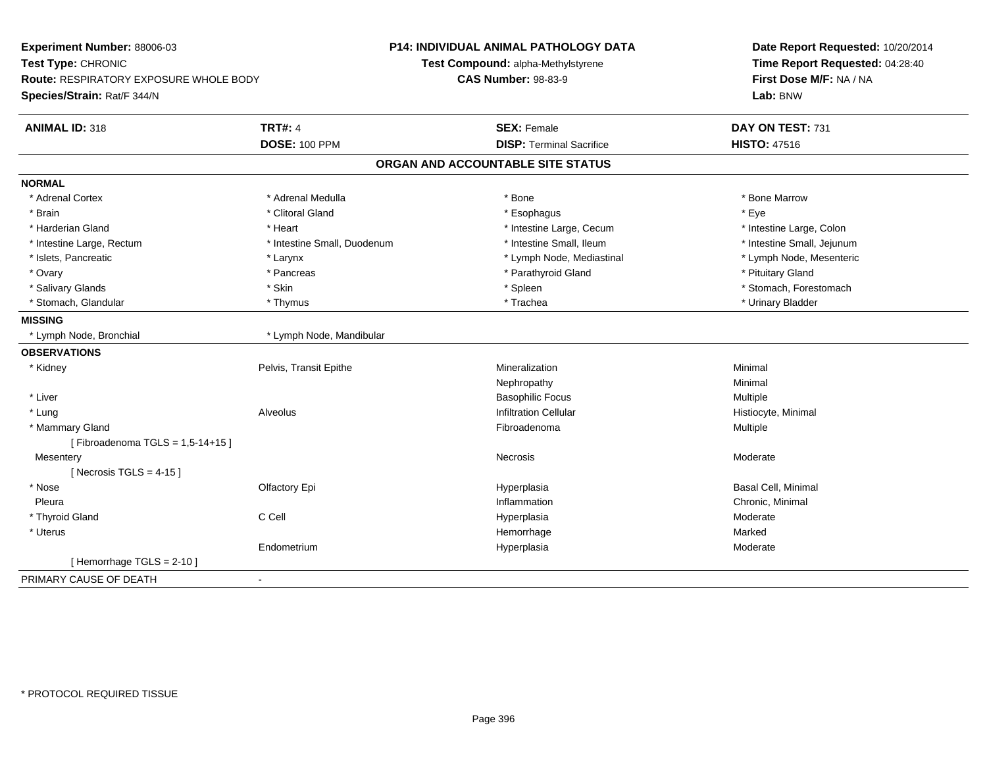| Experiment Number: 88006-03            |                             | P14: INDIVIDUAL ANIMAL PATHOLOGY DATA | Date Report Requested: 10/20/2014<br>Time Report Requested: 04:28:40 |
|----------------------------------------|-----------------------------|---------------------------------------|----------------------------------------------------------------------|
| Test Type: CHRONIC                     |                             | Test Compound: alpha-Methylstyrene    |                                                                      |
| Route: RESPIRATORY EXPOSURE WHOLE BODY |                             | <b>CAS Number: 98-83-9</b>            | First Dose M/F: NA / NA                                              |
| Species/Strain: Rat/F 344/N            |                             |                                       | Lab: BNW                                                             |
| <b>ANIMAL ID: 318</b>                  | <b>TRT#: 4</b>              | <b>SEX: Female</b>                    | DAY ON TEST: 731                                                     |
|                                        | <b>DOSE: 100 PPM</b>        | <b>DISP: Terminal Sacrifice</b>       | <b>HISTO: 47516</b>                                                  |
|                                        |                             | ORGAN AND ACCOUNTABLE SITE STATUS     |                                                                      |
| <b>NORMAL</b>                          |                             |                                       |                                                                      |
| * Adrenal Cortex                       | * Adrenal Medulla           | * Bone                                | * Bone Marrow                                                        |
| * Brain                                | * Clitoral Gland            | * Esophagus                           | * Eye                                                                |
| * Harderian Gland                      | * Heart                     | * Intestine Large, Cecum              | * Intestine Large, Colon                                             |
| * Intestine Large, Rectum              | * Intestine Small, Duodenum | * Intestine Small, Ileum              | * Intestine Small, Jejunum                                           |
| * Islets, Pancreatic                   | * Larynx                    | * Lymph Node, Mediastinal             | * Lymph Node, Mesenteric                                             |
| * Ovary                                | * Pancreas                  | * Parathyroid Gland                   | * Pituitary Gland                                                    |
| * Salivary Glands                      | * Skin                      | * Spleen                              | * Stomach, Forestomach                                               |
| * Stomach, Glandular                   | * Thymus                    | * Trachea                             | * Urinary Bladder                                                    |
| <b>MISSING</b>                         |                             |                                       |                                                                      |
| * Lymph Node, Bronchial                | * Lymph Node, Mandibular    |                                       |                                                                      |
| <b>OBSERVATIONS</b>                    |                             |                                       |                                                                      |
| * Kidney                               | Pelvis, Transit Epithe      | Mineralization                        | Minimal                                                              |
|                                        |                             | Nephropathy                           | Minimal                                                              |
| * Liver                                |                             | <b>Basophilic Focus</b>               | Multiple                                                             |
| * Lung                                 | <b>Alveolus</b>             | <b>Infiltration Cellular</b>          | Histiocyte, Minimal                                                  |
| * Mammary Gland                        |                             | Fibroadenoma                          | Multiple                                                             |
| [Fibroadenoma TGLS = $1,5-14+15$ ]     |                             |                                       |                                                                      |
| Mesentery                              |                             | Necrosis                              | Moderate                                                             |
| [Necrosis TGLS = $4-15$ ]              |                             |                                       |                                                                      |
| * Nose                                 | Olfactory Epi               | Hyperplasia                           | <b>Basal Cell, Minimal</b>                                           |
| Pleura                                 |                             | Inflammation                          | Chronic, Minimal                                                     |
| * Thyroid Gland                        | C Cell                      | Hyperplasia                           | Moderate                                                             |
| * Uterus                               |                             | Hemorrhage                            | Marked                                                               |
|                                        | Endometrium                 | Hyperplasia                           | Moderate                                                             |
| [Hemorrhage TGLS = $2-10$ ]            |                             |                                       |                                                                      |
| PRIMARY CAUSE OF DEATH                 | $\overline{a}$              |                                       |                                                                      |
|                                        |                             |                                       |                                                                      |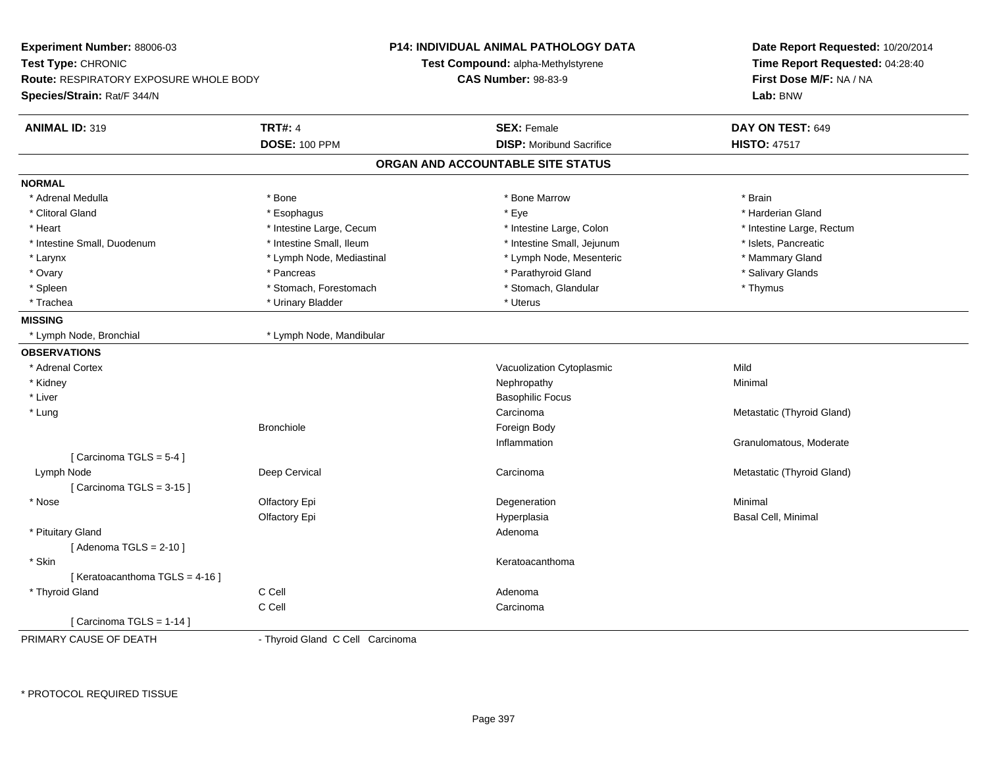| Experiment Number: 88006-03            |                                  | <b>P14: INDIVIDUAL ANIMAL PATHOLOGY DATA</b> | Date Report Requested: 10/20/2014<br>Time Report Requested: 04:28:40 |
|----------------------------------------|----------------------------------|----------------------------------------------|----------------------------------------------------------------------|
| Test Type: CHRONIC                     |                                  | Test Compound: alpha-Methylstyrene           |                                                                      |
| Route: RESPIRATORY EXPOSURE WHOLE BODY |                                  | <b>CAS Number: 98-83-9</b>                   | First Dose M/F: NA / NA                                              |
| Species/Strain: Rat/F 344/N            |                                  |                                              | Lab: BNW                                                             |
| <b>ANIMAL ID: 319</b>                  | <b>TRT#: 4</b>                   | <b>SEX: Female</b>                           | DAY ON TEST: 649                                                     |
|                                        | <b>DOSE: 100 PPM</b>             | <b>DISP:</b> Moribund Sacrifice              | <b>HISTO: 47517</b>                                                  |
|                                        |                                  | ORGAN AND ACCOUNTABLE SITE STATUS            |                                                                      |
| <b>NORMAL</b>                          |                                  |                                              |                                                                      |
| * Adrenal Medulla                      | * Bone                           | * Bone Marrow                                | * Brain                                                              |
| * Clitoral Gland                       | * Esophagus                      | * Eye                                        | * Harderian Gland                                                    |
| * Heart                                | * Intestine Large, Cecum         | * Intestine Large, Colon                     | * Intestine Large, Rectum                                            |
| * Intestine Small, Duodenum            | * Intestine Small, Ileum         | * Intestine Small, Jejunum                   | * Islets, Pancreatic                                                 |
| * Larynx                               | * Lymph Node, Mediastinal        | * Lymph Node, Mesenteric                     | * Mammary Gland                                                      |
| * Ovary                                | * Pancreas                       | * Parathyroid Gland                          | * Salivary Glands                                                    |
| * Spleen                               | * Stomach, Forestomach           | * Stomach, Glandular                         | * Thymus                                                             |
| * Trachea                              | * Urinary Bladder                | * Uterus                                     |                                                                      |
| <b>MISSING</b>                         |                                  |                                              |                                                                      |
| * Lymph Node, Bronchial                | * Lymph Node, Mandibular         |                                              |                                                                      |
| <b>OBSERVATIONS</b>                    |                                  |                                              |                                                                      |
| * Adrenal Cortex                       |                                  | Vacuolization Cytoplasmic                    | Mild                                                                 |
| * Kidney                               |                                  | Nephropathy                                  | Minimal                                                              |
| * Liver                                |                                  | <b>Basophilic Focus</b>                      |                                                                      |
| * Lung                                 |                                  | Carcinoma                                    | Metastatic (Thyroid Gland)                                           |
|                                        | <b>Bronchiole</b>                | Foreign Body                                 |                                                                      |
|                                        |                                  | Inflammation                                 | Granulomatous, Moderate                                              |
| [Carcinoma TGLS = $5-4$ ]              |                                  |                                              |                                                                      |
| Lymph Node                             | Deep Cervical                    | Carcinoma                                    | Metastatic (Thyroid Gland)                                           |
| [Carcinoma TGLS = $3-15$ ]             |                                  |                                              |                                                                      |
| * Nose                                 | Olfactory Epi                    | Degeneration                                 | Minimal                                                              |
|                                        | Olfactory Epi                    | Hyperplasia                                  | Basal Cell, Minimal                                                  |
| * Pituitary Gland                      |                                  | Adenoma                                      |                                                                      |
| [Adenoma TGLS = $2-10$ ]               |                                  |                                              |                                                                      |
| * Skin                                 |                                  | Keratoacanthoma                              |                                                                      |
| [Keratoacanthoma TGLS = 4-16]          |                                  |                                              |                                                                      |
| * Thyroid Gland                        | C Cell                           | Adenoma                                      |                                                                      |
|                                        | C Cell                           | Carcinoma                                    |                                                                      |
| [Carcinoma TGLS = 1-14]                |                                  |                                              |                                                                      |
| PRIMARY CAUSE OF DEATH                 | - Thyroid Gland C Cell Carcinoma |                                              |                                                                      |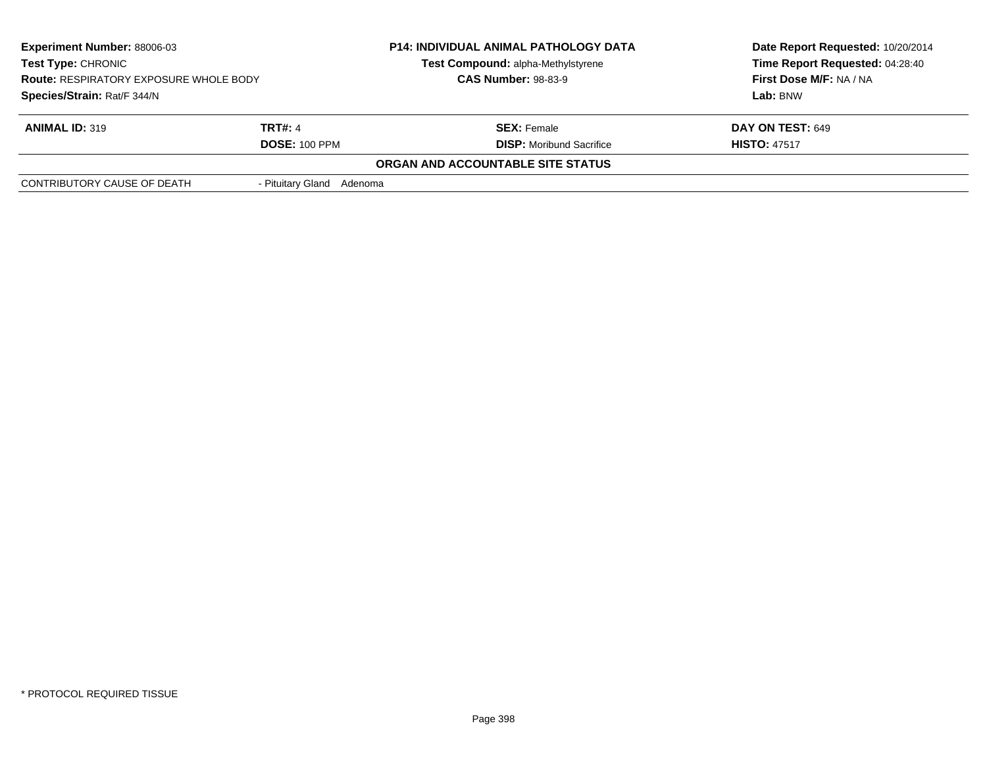| <b>Experiment Number: 88006-03</b><br>Test Type: CHRONIC<br><b>Route: RESPIRATORY EXPOSURE WHOLE BODY</b><br>Species/Strain: Rat/F 344/N |                           | <b>P14: INDIVIDUAL ANIMAL PATHOLOGY DATA</b><br>Test Compound: alpha-Methylstyrene<br><b>CAS Number: 98-83-9</b> | Date Report Requested: 10/20/2014<br>Time Report Requested: 04:28:40<br>First Dose M/F: NA / NA<br>Lab: BNW |
|------------------------------------------------------------------------------------------------------------------------------------------|---------------------------|------------------------------------------------------------------------------------------------------------------|-------------------------------------------------------------------------------------------------------------|
| <b>TRT#: 4</b><br><b>ANIMAL ID: 319</b><br><b>DOSE: 100 PPM</b>                                                                          |                           | <b>SEX:</b> Female<br><b>DISP:</b> Moribund Sacrifice                                                            | <b>DAY ON TEST: 649</b><br><b>HISTO: 47517</b>                                                              |
|                                                                                                                                          |                           | ORGAN AND ACCOUNTABLE SITE STATUS                                                                                |                                                                                                             |
| CONTRIBUTORY CAUSE OF DEATH                                                                                                              | - Pituitary Gland Adenoma |                                                                                                                  |                                                                                                             |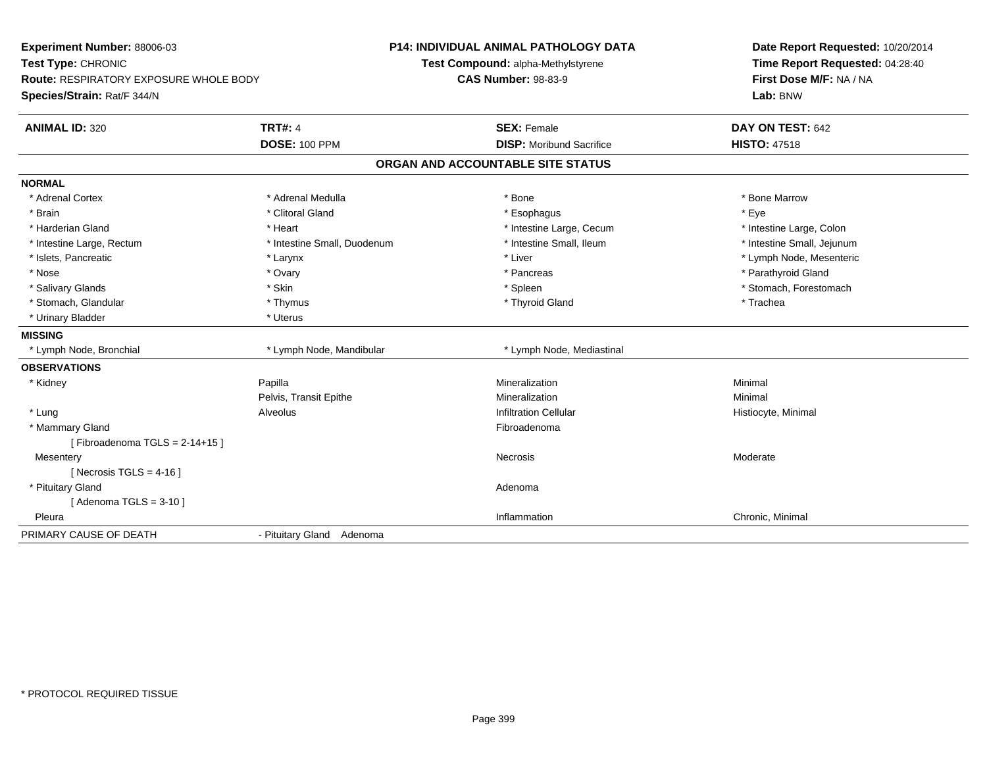| Experiment Number: 88006-03<br>Test Type: CHRONIC<br>Route: RESPIRATORY EXPOSURE WHOLE BODY<br>Species/Strain: Rat/F 344/N |                             | P14: INDIVIDUAL ANIMAL PATHOLOGY DATA<br>Test Compound: alpha-Methylstyrene<br><b>CAS Number: 98-83-9</b> | Date Report Requested: 10/20/2014<br>Time Report Requested: 04:28:40<br>First Dose M/F: NA / NA<br>Lab: BNW |
|----------------------------------------------------------------------------------------------------------------------------|-----------------------------|-----------------------------------------------------------------------------------------------------------|-------------------------------------------------------------------------------------------------------------|
| <b>ANIMAL ID: 320</b>                                                                                                      | <b>TRT#: 4</b>              | <b>SEX: Female</b>                                                                                        | DAY ON TEST: 642                                                                                            |
|                                                                                                                            | <b>DOSE: 100 PPM</b>        | <b>DISP:</b> Moribund Sacrifice                                                                           | <b>HISTO: 47518</b>                                                                                         |
|                                                                                                                            |                             | ORGAN AND ACCOUNTABLE SITE STATUS                                                                         |                                                                                                             |
| <b>NORMAL</b>                                                                                                              |                             |                                                                                                           |                                                                                                             |
| * Adrenal Cortex                                                                                                           | * Adrenal Medulla           | * Bone                                                                                                    | * Bone Marrow                                                                                               |
| * Brain                                                                                                                    | * Clitoral Gland            | * Esophagus                                                                                               | * Eye                                                                                                       |
| * Harderian Gland                                                                                                          | * Heart                     | * Intestine Large, Cecum                                                                                  | * Intestine Large, Colon                                                                                    |
| * Intestine Large, Rectum                                                                                                  | * Intestine Small, Duodenum | * Intestine Small, Ileum                                                                                  | * Intestine Small, Jejunum                                                                                  |
| * Islets, Pancreatic                                                                                                       | * Larynx                    | * Liver                                                                                                   | * Lymph Node, Mesenteric                                                                                    |
| * Nose                                                                                                                     | * Ovary                     | * Pancreas                                                                                                | * Parathyroid Gland                                                                                         |
| * Salivary Glands                                                                                                          | * Skin                      | * Spleen                                                                                                  | * Stomach, Forestomach                                                                                      |
| * Stomach, Glandular                                                                                                       | * Thymus                    | * Thyroid Gland                                                                                           | * Trachea                                                                                                   |
| * Urinary Bladder                                                                                                          | * Uterus                    |                                                                                                           |                                                                                                             |
| <b>MISSING</b>                                                                                                             |                             |                                                                                                           |                                                                                                             |
| * Lymph Node, Bronchial                                                                                                    | * Lymph Node, Mandibular    | * Lymph Node, Mediastinal                                                                                 |                                                                                                             |
| <b>OBSERVATIONS</b>                                                                                                        |                             |                                                                                                           |                                                                                                             |
| * Kidney                                                                                                                   | Papilla                     | Mineralization                                                                                            | Minimal                                                                                                     |
|                                                                                                                            | Pelvis, Transit Epithe      | Mineralization                                                                                            | Minimal                                                                                                     |
| * Lung                                                                                                                     | Alveolus                    | <b>Infiltration Cellular</b>                                                                              | Histiocyte, Minimal                                                                                         |
| * Mammary Gland                                                                                                            |                             | Fibroadenoma                                                                                              |                                                                                                             |
| [Fibroadenoma TGLS = $2-14+15$ ]                                                                                           |                             |                                                                                                           |                                                                                                             |
| Mesentery                                                                                                                  |                             | <b>Necrosis</b>                                                                                           | Moderate                                                                                                    |
| [ Necrosis TGLS = $4-16$ ]                                                                                                 |                             |                                                                                                           |                                                                                                             |
| * Pituitary Gland                                                                                                          |                             | Adenoma                                                                                                   |                                                                                                             |
| [Adenoma TGLS = $3-10$ ]                                                                                                   |                             |                                                                                                           |                                                                                                             |
| Pleura                                                                                                                     |                             | Inflammation                                                                                              | Chronic, Minimal                                                                                            |
| PRIMARY CAUSE OF DEATH                                                                                                     | - Pituitary Gland Adenoma   |                                                                                                           |                                                                                                             |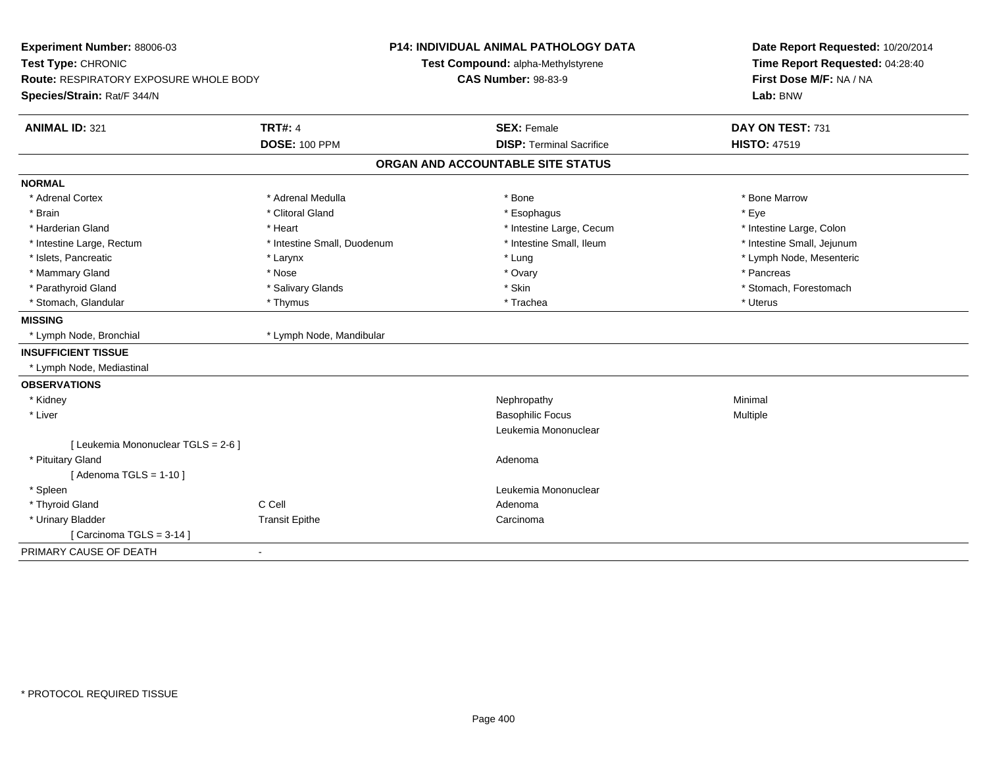| Experiment Number: 88006-03<br>Test Type: CHRONIC<br>Route: RESPIRATORY EXPOSURE WHOLE BODY<br>Species/Strain: Rat/F 344/N |                             | <b>P14: INDIVIDUAL ANIMAL PATHOLOGY DATA</b><br>Test Compound: alpha-Methylstyrene<br><b>CAS Number: 98-83-9</b> | Date Report Requested: 10/20/2014<br>Time Report Requested: 04:28:40<br>First Dose M/F: NA / NA<br>Lab: BNW |
|----------------------------------------------------------------------------------------------------------------------------|-----------------------------|------------------------------------------------------------------------------------------------------------------|-------------------------------------------------------------------------------------------------------------|
| <b>ANIMAL ID: 321</b>                                                                                                      | <b>TRT#: 4</b>              | <b>SEX: Female</b>                                                                                               | DAY ON TEST: 731                                                                                            |
|                                                                                                                            | <b>DOSE: 100 PPM</b>        | <b>DISP: Terminal Sacrifice</b>                                                                                  | <b>HISTO: 47519</b>                                                                                         |
|                                                                                                                            |                             | ORGAN AND ACCOUNTABLE SITE STATUS                                                                                |                                                                                                             |
| <b>NORMAL</b>                                                                                                              |                             |                                                                                                                  |                                                                                                             |
| * Adrenal Cortex                                                                                                           | * Adrenal Medulla           | * Bone                                                                                                           | * Bone Marrow                                                                                               |
| * Brain                                                                                                                    | * Clitoral Gland            | * Esophagus                                                                                                      | * Eye                                                                                                       |
| * Harderian Gland                                                                                                          | * Heart                     | * Intestine Large, Cecum                                                                                         | * Intestine Large, Colon                                                                                    |
| * Intestine Large, Rectum                                                                                                  | * Intestine Small, Duodenum | * Intestine Small, Ileum                                                                                         | * Intestine Small, Jejunum                                                                                  |
| * Islets, Pancreatic                                                                                                       | * Larynx                    | * Lung                                                                                                           | * Lymph Node, Mesenteric                                                                                    |
| * Mammary Gland                                                                                                            | * Nose                      | * Ovary                                                                                                          | * Pancreas                                                                                                  |
| * Parathyroid Gland                                                                                                        | * Salivary Glands           | * Skin                                                                                                           | * Stomach, Forestomach                                                                                      |
| * Stomach, Glandular                                                                                                       | * Thymus                    | * Trachea                                                                                                        | * Uterus                                                                                                    |
| <b>MISSING</b>                                                                                                             |                             |                                                                                                                  |                                                                                                             |
| * Lymph Node, Bronchial                                                                                                    | * Lymph Node, Mandibular    |                                                                                                                  |                                                                                                             |
| <b>INSUFFICIENT TISSUE</b>                                                                                                 |                             |                                                                                                                  |                                                                                                             |
| * Lymph Node, Mediastinal                                                                                                  |                             |                                                                                                                  |                                                                                                             |
| <b>OBSERVATIONS</b>                                                                                                        |                             |                                                                                                                  |                                                                                                             |
| * Kidney                                                                                                                   |                             | Nephropathy                                                                                                      | Minimal                                                                                                     |
| * Liver                                                                                                                    |                             | <b>Basophilic Focus</b>                                                                                          | Multiple                                                                                                    |
|                                                                                                                            |                             | Leukemia Mononuclear                                                                                             |                                                                                                             |
| [ Leukemia Mononuclear TGLS = 2-6 ]                                                                                        |                             |                                                                                                                  |                                                                                                             |
| * Pituitary Gland                                                                                                          |                             | Adenoma                                                                                                          |                                                                                                             |
| [Adenoma TGLS = $1-10$ ]                                                                                                   |                             |                                                                                                                  |                                                                                                             |
| * Spleen                                                                                                                   |                             | Leukemia Mononuclear                                                                                             |                                                                                                             |
| * Thyroid Gland                                                                                                            | C Cell                      | Adenoma                                                                                                          |                                                                                                             |
| * Urinary Bladder                                                                                                          | <b>Transit Epithe</b>       | Carcinoma                                                                                                        |                                                                                                             |
| [Carcinoma TGLS = $3-14$ ]                                                                                                 |                             |                                                                                                                  |                                                                                                             |
| PRIMARY CAUSE OF DEATH                                                                                                     | $\blacksquare$              |                                                                                                                  |                                                                                                             |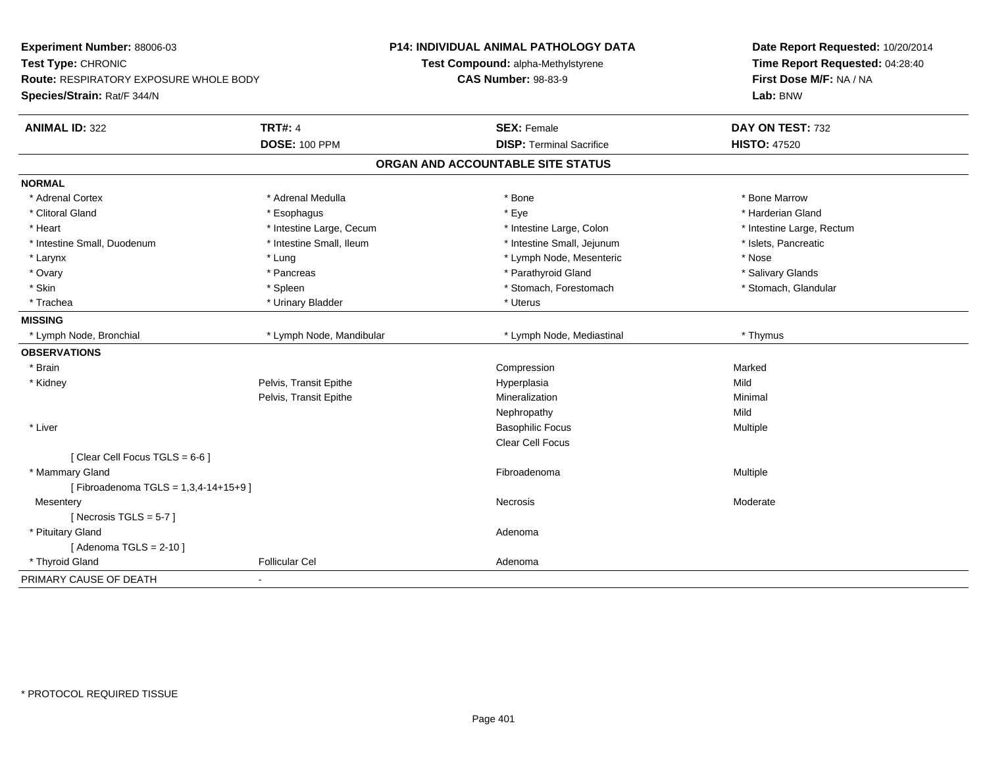| Experiment Number: 88006-03                             | <b>P14: INDIVIDUAL ANIMAL PATHOLOGY DATA</b> | Date Report Requested: 10/20/2014<br>Time Report Requested: 04:28:40 |  |
|---------------------------------------------------------|----------------------------------------------|----------------------------------------------------------------------|--|
| Test Type: CHRONIC                                      | Test Compound: alpha-Methylstyrene           |                                                                      |  |
| Route: RESPIRATORY EXPOSURE WHOLE BODY                  | <b>CAS Number: 98-83-9</b>                   | First Dose M/F: NA / NA                                              |  |
| Species/Strain: Rat/F 344/N                             |                                              | Lab: BNW                                                             |  |
| <b>TRT#: 4</b><br><b>ANIMAL ID: 322</b>                 | <b>SEX: Female</b>                           | DAY ON TEST: 732                                                     |  |
| <b>DOSE: 100 PPM</b>                                    | <b>DISP: Terminal Sacrifice</b>              | <b>HISTO: 47520</b>                                                  |  |
|                                                         | ORGAN AND ACCOUNTABLE SITE STATUS            |                                                                      |  |
| <b>NORMAL</b>                                           |                                              |                                                                      |  |
| * Adrenal Cortex<br>* Adrenal Medulla                   | * Bone                                       | * Bone Marrow                                                        |  |
| * Clitoral Gland<br>* Esophagus                         | * Eye                                        | * Harderian Gland                                                    |  |
| * Heart<br>* Intestine Large, Cecum                     | * Intestine Large, Colon                     | * Intestine Large, Rectum                                            |  |
| * Intestine Small, Duodenum<br>* Intestine Small, Ileum | * Intestine Small, Jejunum                   | * Islets, Pancreatic                                                 |  |
| * Lung<br>* Larynx                                      | * Lymph Node, Mesenteric                     | * Nose                                                               |  |
| * Pancreas<br>* Ovary                                   | * Parathyroid Gland                          | * Salivary Glands                                                    |  |
| * Skin<br>* Spleen                                      | * Stomach, Forestomach                       | * Stomach, Glandular                                                 |  |
| * Trachea<br>* Urinary Bladder                          | * Uterus                                     |                                                                      |  |
| <b>MISSING</b>                                          |                                              |                                                                      |  |
| * Lymph Node, Mandibular<br>* Lymph Node, Bronchial     | * Lymph Node, Mediastinal                    | * Thymus                                                             |  |
| <b>OBSERVATIONS</b>                                     |                                              |                                                                      |  |
| * Brain                                                 | Compression                                  | Marked                                                               |  |
| Pelvis, Transit Epithe<br>* Kidney                      | Hyperplasia                                  | Mild                                                                 |  |
| Pelvis, Transit Epithe                                  | Mineralization                               | Minimal                                                              |  |
|                                                         | Nephropathy                                  | Mild                                                                 |  |
| * Liver                                                 | <b>Basophilic Focus</b>                      | Multiple                                                             |  |
|                                                         | <b>Clear Cell Focus</b>                      |                                                                      |  |
| [Clear Cell Focus TGLS = 6-6]                           |                                              |                                                                      |  |
| * Mammary Gland                                         | Fibroadenoma                                 | Multiple                                                             |  |
| [Fibroadenoma TGLS = 1,3,4-14+15+9]                     |                                              |                                                                      |  |
| Mesentery                                               | Necrosis                                     | Moderate                                                             |  |
| [Necrosis TGLS = $5-7$ ]                                |                                              |                                                                      |  |
| * Pituitary Gland                                       | Adenoma                                      |                                                                      |  |
| [Adenoma TGLS = $2-10$ ]                                |                                              |                                                                      |  |
| * Thyroid Gland<br><b>Follicular Cel</b>                | Adenoma                                      |                                                                      |  |
| PRIMARY CAUSE OF DEATH                                  |                                              |                                                                      |  |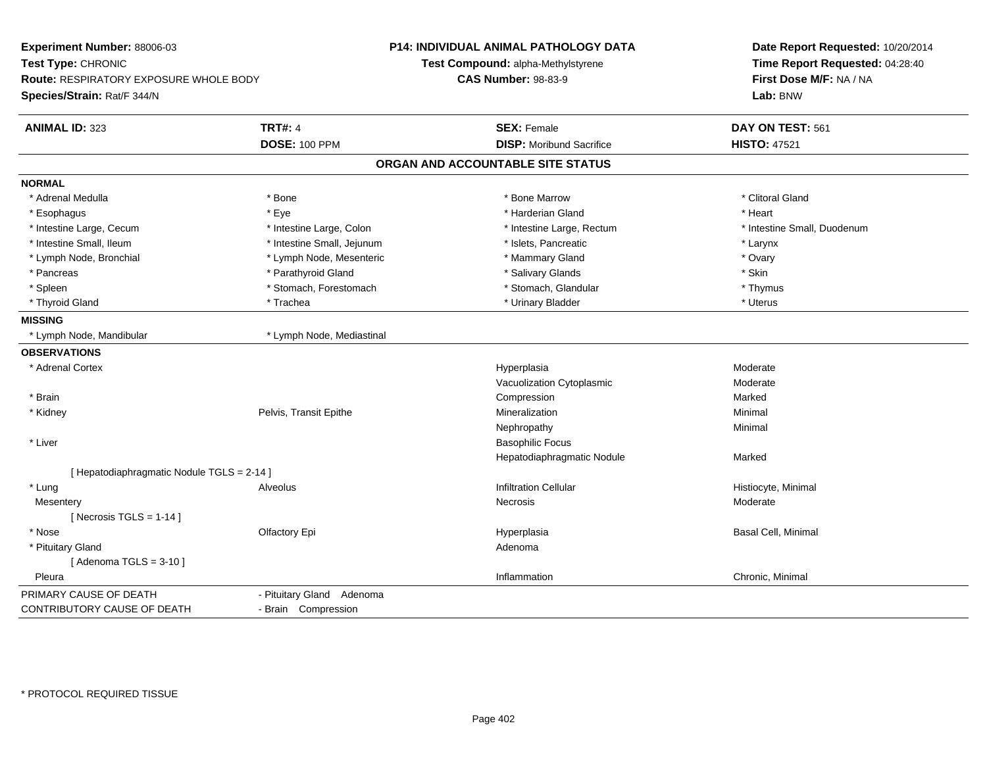| Experiment Number: 88006-03<br>Test Type: CHRONIC<br>Route: RESPIRATORY EXPOSURE WHOLE BODY<br>Species/Strain: Rat/F 344/N |                            | <b>P14: INDIVIDUAL ANIMAL PATHOLOGY DATA</b><br>Test Compound: alpha-Methylstyrene<br><b>CAS Number: 98-83-9</b> | Date Report Requested: 10/20/2014<br>Time Report Requested: 04:28:40<br>First Dose M/F: NA / NA<br>Lab: BNW |
|----------------------------------------------------------------------------------------------------------------------------|----------------------------|------------------------------------------------------------------------------------------------------------------|-------------------------------------------------------------------------------------------------------------|
| <b>ANIMAL ID: 323</b>                                                                                                      | <b>TRT#: 4</b>             | <b>SEX: Female</b>                                                                                               | DAY ON TEST: 561                                                                                            |
|                                                                                                                            | <b>DOSE: 100 PPM</b>       | <b>DISP:</b> Moribund Sacrifice                                                                                  | <b>HISTO: 47521</b>                                                                                         |
|                                                                                                                            |                            | ORGAN AND ACCOUNTABLE SITE STATUS                                                                                |                                                                                                             |
| <b>NORMAL</b>                                                                                                              |                            |                                                                                                                  |                                                                                                             |
| * Adrenal Medulla                                                                                                          | * Bone                     | * Bone Marrow                                                                                                    | * Clitoral Gland                                                                                            |
| * Esophagus                                                                                                                | * Eye                      | * Harderian Gland                                                                                                | * Heart                                                                                                     |
| * Intestine Large, Cecum                                                                                                   | * Intestine Large, Colon   | * Intestine Large, Rectum                                                                                        | * Intestine Small, Duodenum                                                                                 |
| * Intestine Small, Ileum                                                                                                   | * Intestine Small, Jejunum | * Islets, Pancreatic                                                                                             | * Larynx                                                                                                    |
| * Lymph Node, Bronchial                                                                                                    | * Lymph Node, Mesenteric   | * Mammary Gland                                                                                                  | * Ovary                                                                                                     |
| * Pancreas                                                                                                                 | * Parathyroid Gland        | * Salivary Glands                                                                                                | * Skin                                                                                                      |
| * Spleen                                                                                                                   | * Stomach, Forestomach     | * Stomach, Glandular                                                                                             | * Thymus                                                                                                    |
| * Thyroid Gland                                                                                                            | * Trachea                  | * Urinary Bladder                                                                                                | * Uterus                                                                                                    |
| <b>MISSING</b>                                                                                                             |                            |                                                                                                                  |                                                                                                             |
| * Lymph Node, Mandibular                                                                                                   | * Lymph Node, Mediastinal  |                                                                                                                  |                                                                                                             |
| <b>OBSERVATIONS</b>                                                                                                        |                            |                                                                                                                  |                                                                                                             |
| * Adrenal Cortex                                                                                                           |                            | Hyperplasia                                                                                                      | Moderate                                                                                                    |
|                                                                                                                            |                            | Vacuolization Cytoplasmic                                                                                        | Moderate                                                                                                    |
| * Brain                                                                                                                    |                            | Compression                                                                                                      | Marked                                                                                                      |
| * Kidney                                                                                                                   | Pelvis, Transit Epithe     | Mineralization                                                                                                   | Minimal                                                                                                     |
|                                                                                                                            |                            | Nephropathy                                                                                                      | Minimal                                                                                                     |
| * Liver                                                                                                                    |                            | <b>Basophilic Focus</b>                                                                                          |                                                                                                             |
|                                                                                                                            |                            | Hepatodiaphragmatic Nodule                                                                                       | Marked                                                                                                      |
| [ Hepatodiaphragmatic Nodule TGLS = 2-14 ]                                                                                 |                            |                                                                                                                  |                                                                                                             |
| * Lung                                                                                                                     | Alveolus                   | <b>Infiltration Cellular</b>                                                                                     | Histiocyte, Minimal                                                                                         |
| Mesentery                                                                                                                  |                            | <b>Necrosis</b>                                                                                                  | Moderate                                                                                                    |
| [Necrosis TGLS = $1-14$ ]                                                                                                  |                            |                                                                                                                  |                                                                                                             |
| * Nose                                                                                                                     | Olfactory Epi              | Hyperplasia                                                                                                      | Basal Cell, Minimal                                                                                         |
| * Pituitary Gland                                                                                                          |                            | Adenoma                                                                                                          |                                                                                                             |
| [Adenoma TGLS = $3-10$ ]                                                                                                   |                            |                                                                                                                  |                                                                                                             |
| Pleura                                                                                                                     |                            | Inflammation                                                                                                     | Chronic, Minimal                                                                                            |
| PRIMARY CAUSE OF DEATH                                                                                                     | - Pituitary Gland Adenoma  |                                                                                                                  |                                                                                                             |
| CONTRIBUTORY CAUSE OF DEATH                                                                                                | - Brain Compression        |                                                                                                                  |                                                                                                             |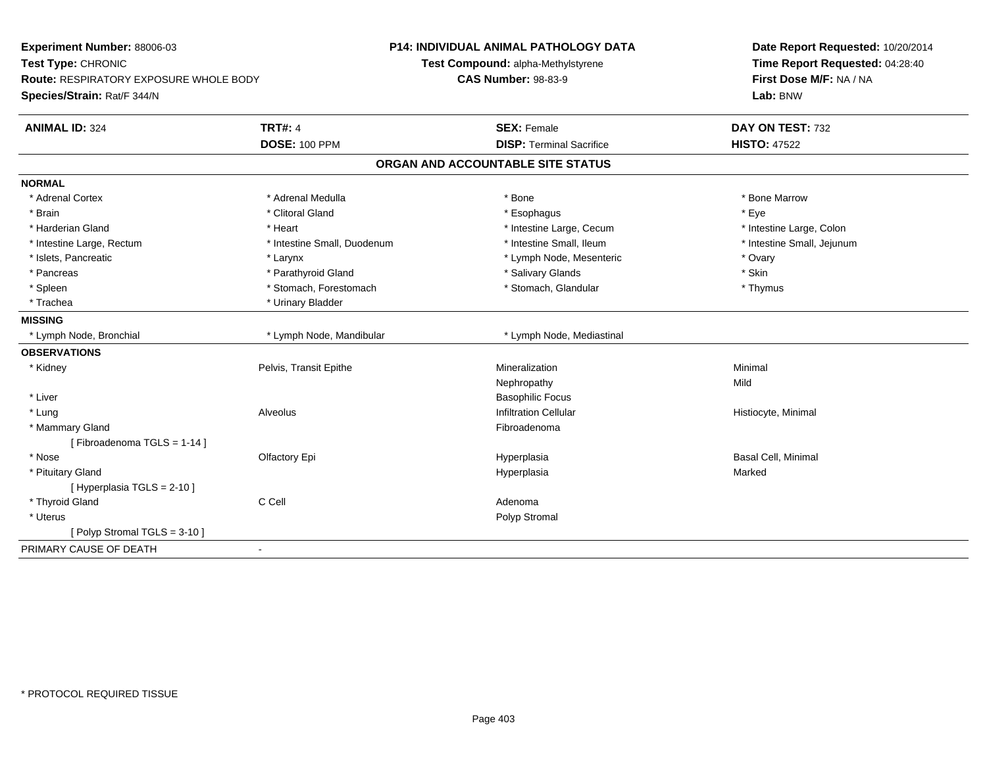| Experiment Number: 88006-03<br>Test Type: CHRONIC<br>Route: RESPIRATORY EXPOSURE WHOLE BODY<br>Species/Strain: Rat/F 344/N |                             | P14: INDIVIDUAL ANIMAL PATHOLOGY DATA<br>Test Compound: alpha-Methylstyrene<br><b>CAS Number: 98-83-9</b> | Date Report Requested: 10/20/2014<br>Time Report Requested: 04:28:40<br>First Dose M/F: NA / NA<br>Lab: BNW |
|----------------------------------------------------------------------------------------------------------------------------|-----------------------------|-----------------------------------------------------------------------------------------------------------|-------------------------------------------------------------------------------------------------------------|
|                                                                                                                            |                             |                                                                                                           |                                                                                                             |
| <b>ANIMAL ID: 324</b>                                                                                                      | <b>TRT#: 4</b>              | <b>SEX: Female</b>                                                                                        | DAY ON TEST: 732                                                                                            |
|                                                                                                                            | <b>DOSE: 100 PPM</b>        | <b>DISP: Terminal Sacrifice</b>                                                                           | <b>HISTO: 47522</b>                                                                                         |
|                                                                                                                            |                             | ORGAN AND ACCOUNTABLE SITE STATUS                                                                         |                                                                                                             |
| <b>NORMAL</b>                                                                                                              |                             |                                                                                                           |                                                                                                             |
| * Adrenal Cortex                                                                                                           | * Adrenal Medulla           | * Bone                                                                                                    | * Bone Marrow                                                                                               |
| * Brain                                                                                                                    | * Clitoral Gland            | * Esophagus                                                                                               | * Eye                                                                                                       |
| * Harderian Gland                                                                                                          | * Heart                     | * Intestine Large, Cecum                                                                                  | * Intestine Large, Colon                                                                                    |
| * Intestine Large, Rectum                                                                                                  | * Intestine Small, Duodenum | * Intestine Small, Ileum                                                                                  | * Intestine Small, Jejunum                                                                                  |
| * Islets, Pancreatic                                                                                                       | * Larynx                    | * Lymph Node, Mesenteric                                                                                  | * Ovary                                                                                                     |
| * Pancreas                                                                                                                 | * Parathyroid Gland         | * Salivary Glands                                                                                         | * Skin                                                                                                      |
| * Spleen                                                                                                                   | * Stomach, Forestomach      | * Stomach, Glandular                                                                                      | * Thymus                                                                                                    |
| * Trachea                                                                                                                  | * Urinary Bladder           |                                                                                                           |                                                                                                             |
| <b>MISSING</b>                                                                                                             |                             |                                                                                                           |                                                                                                             |
| * Lymph Node, Bronchial                                                                                                    | * Lymph Node, Mandibular    | * Lymph Node, Mediastinal                                                                                 |                                                                                                             |
| <b>OBSERVATIONS</b>                                                                                                        |                             |                                                                                                           |                                                                                                             |
| * Kidney                                                                                                                   | Pelvis, Transit Epithe      | Mineralization                                                                                            | Minimal                                                                                                     |
|                                                                                                                            |                             | Nephropathy                                                                                               | Mild                                                                                                        |
| * Liver                                                                                                                    |                             | <b>Basophilic Focus</b>                                                                                   |                                                                                                             |
| * Lung                                                                                                                     | Alveolus                    | <b>Infiltration Cellular</b>                                                                              | Histiocyte, Minimal                                                                                         |
| * Mammary Gland                                                                                                            |                             | Fibroadenoma                                                                                              |                                                                                                             |
| [Fibroadenoma TGLS = 1-14]                                                                                                 |                             |                                                                                                           |                                                                                                             |
| * Nose                                                                                                                     | Olfactory Epi               | Hyperplasia                                                                                               | <b>Basal Cell, Minimal</b>                                                                                  |
| * Pituitary Gland                                                                                                          |                             | Hyperplasia                                                                                               | Marked                                                                                                      |
| [ Hyperplasia TGLS = 2-10 ]                                                                                                |                             |                                                                                                           |                                                                                                             |
| * Thyroid Gland                                                                                                            | C Cell                      | Adenoma                                                                                                   |                                                                                                             |
| * Uterus                                                                                                                   |                             | Polyp Stromal                                                                                             |                                                                                                             |
| [Polyp Stromal TGLS = 3-10]                                                                                                |                             |                                                                                                           |                                                                                                             |
| PRIMARY CAUSE OF DEATH                                                                                                     | $\sim$                      |                                                                                                           |                                                                                                             |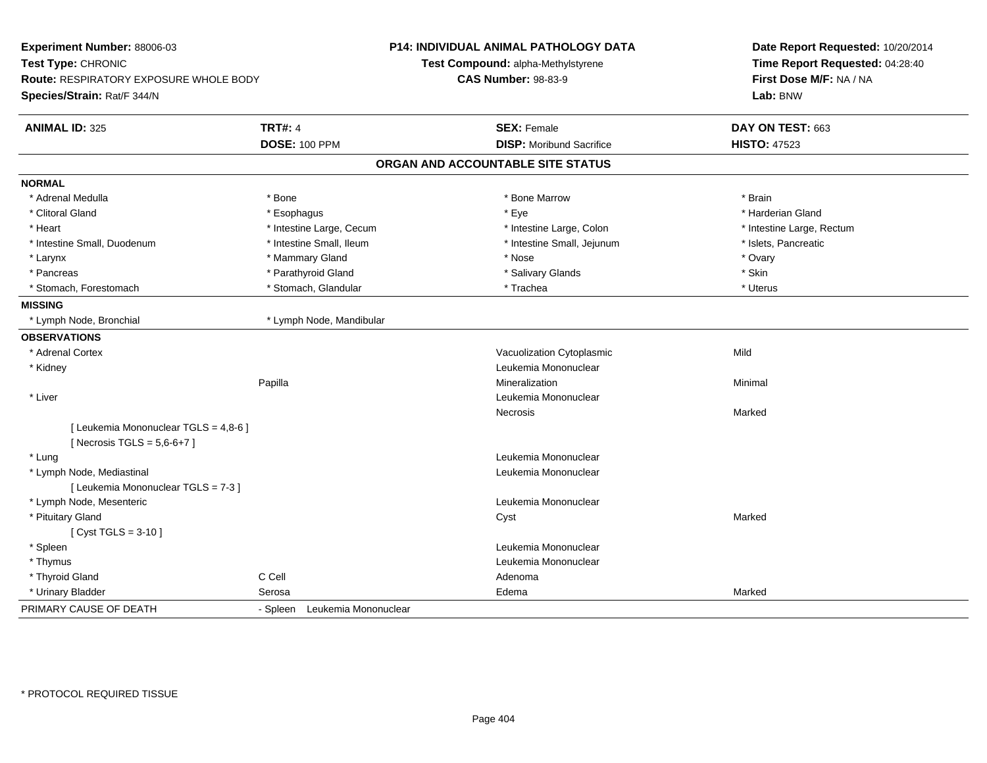| Experiment Number: 88006-03<br>Test Type: CHRONIC<br>Route: RESPIRATORY EXPOSURE WHOLE BODY<br>Species/Strain: Rat/F 344/N |                                  | P14: INDIVIDUAL ANIMAL PATHOLOGY DATA<br>Test Compound: alpha-Methylstyrene<br><b>CAS Number: 98-83-9</b> | Date Report Requested: 10/20/2014<br>Time Report Requested: 04:28:40<br>First Dose M/F: NA / NA<br>Lab: BNW |
|----------------------------------------------------------------------------------------------------------------------------|----------------------------------|-----------------------------------------------------------------------------------------------------------|-------------------------------------------------------------------------------------------------------------|
| <b>ANIMAL ID: 325</b>                                                                                                      | <b>TRT#: 4</b>                   | <b>SEX: Female</b>                                                                                        | DAY ON TEST: 663                                                                                            |
|                                                                                                                            | <b>DOSE: 100 PPM</b>             | <b>DISP: Moribund Sacrifice</b>                                                                           | <b>HISTO: 47523</b>                                                                                         |
|                                                                                                                            |                                  | ORGAN AND ACCOUNTABLE SITE STATUS                                                                         |                                                                                                             |
| <b>NORMAL</b>                                                                                                              |                                  |                                                                                                           |                                                                                                             |
| * Adrenal Medulla                                                                                                          | * Bone                           | * Bone Marrow                                                                                             | * Brain                                                                                                     |
| * Clitoral Gland                                                                                                           | * Esophagus                      | * Eye                                                                                                     | * Harderian Gland                                                                                           |
| * Heart                                                                                                                    | * Intestine Large, Cecum         | * Intestine Large, Colon                                                                                  | * Intestine Large, Rectum                                                                                   |
| * Intestine Small, Duodenum                                                                                                | * Intestine Small, Ileum         | * Intestine Small, Jejunum                                                                                | * Islets, Pancreatic                                                                                        |
| * Larynx                                                                                                                   | * Mammary Gland                  | * Nose                                                                                                    | * Ovary                                                                                                     |
| * Pancreas                                                                                                                 | * Parathyroid Gland              | * Salivary Glands                                                                                         | * Skin                                                                                                      |
| * Stomach, Forestomach                                                                                                     | * Stomach, Glandular             | * Trachea                                                                                                 | * Uterus                                                                                                    |
| <b>MISSING</b>                                                                                                             |                                  |                                                                                                           |                                                                                                             |
| * Lymph Node, Bronchial                                                                                                    | * Lymph Node, Mandibular         |                                                                                                           |                                                                                                             |
| <b>OBSERVATIONS</b>                                                                                                        |                                  |                                                                                                           |                                                                                                             |
| * Adrenal Cortex                                                                                                           |                                  | Vacuolization Cytoplasmic                                                                                 | Mild                                                                                                        |
| * Kidney                                                                                                                   |                                  | Leukemia Mononuclear                                                                                      |                                                                                                             |
|                                                                                                                            | Papilla                          | Mineralization                                                                                            | Minimal                                                                                                     |
| * Liver                                                                                                                    |                                  | Leukemia Mononuclear                                                                                      |                                                                                                             |
|                                                                                                                            |                                  | <b>Necrosis</b>                                                                                           | Marked                                                                                                      |
| [ Leukemia Mononuclear TGLS = 4,8-6 ]<br>[ Necrosis TGLS = $5,6-6+7$ ]                                                     |                                  |                                                                                                           |                                                                                                             |
| * Lung                                                                                                                     |                                  | Leukemia Mononuclear                                                                                      |                                                                                                             |
| * Lymph Node, Mediastinal                                                                                                  |                                  | Leukemia Mononuclear                                                                                      |                                                                                                             |
| [ Leukemia Mononuclear TGLS = 7-3 ]                                                                                        |                                  |                                                                                                           |                                                                                                             |
| * Lymph Node, Mesenteric                                                                                                   |                                  | Leukemia Mononuclear                                                                                      |                                                                                                             |
| * Pituitary Gland                                                                                                          |                                  | Cyst                                                                                                      | Marked                                                                                                      |
| [ $Cyst TGLS = 3-10$ ]                                                                                                     |                                  |                                                                                                           |                                                                                                             |
| * Spleen                                                                                                                   |                                  | Leukemia Mononuclear                                                                                      |                                                                                                             |
| * Thymus                                                                                                                   |                                  | Leukemia Mononuclear                                                                                      |                                                                                                             |
| * Thyroid Gland                                                                                                            | C Cell                           | Adenoma                                                                                                   |                                                                                                             |
| * Urinary Bladder                                                                                                          | Serosa                           | Edema                                                                                                     | Marked                                                                                                      |
| PRIMARY CAUSE OF DEATH                                                                                                     | Leukemia Mononuclear<br>- Spleen |                                                                                                           |                                                                                                             |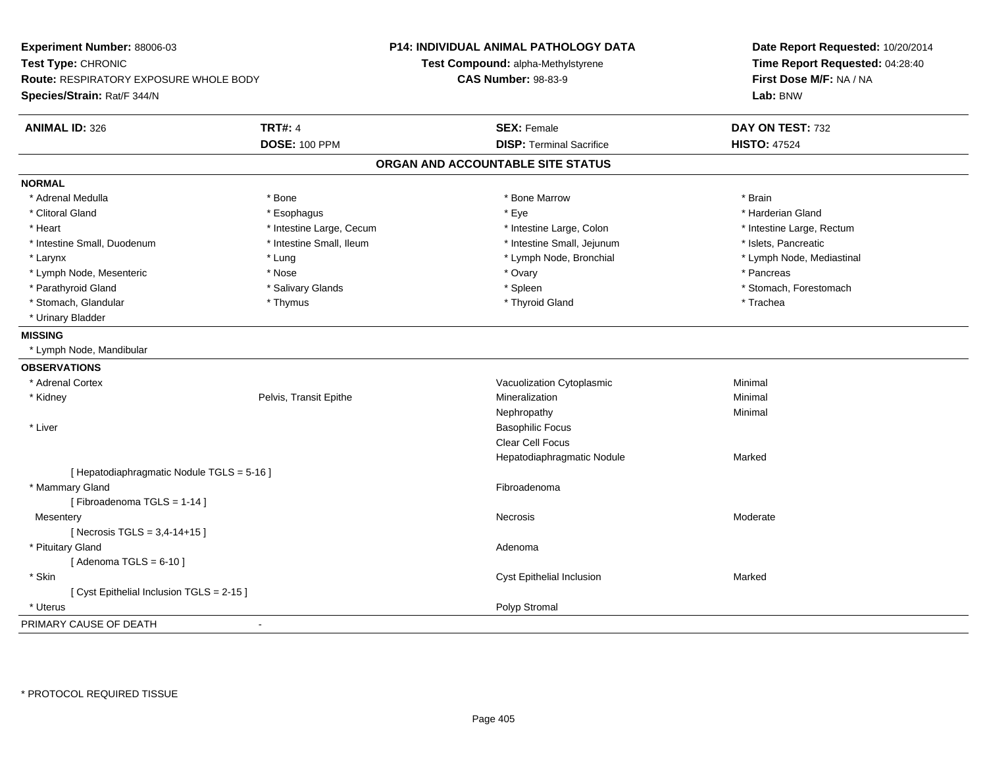| Experiment Number: 88006-03<br>Test Type: CHRONIC<br>Route: RESPIRATORY EXPOSURE WHOLE BODY<br>Species/Strain: Rat/F 344/N |                          | <b>P14: INDIVIDUAL ANIMAL PATHOLOGY DATA</b><br>Test Compound: alpha-Methylstyrene<br><b>CAS Number: 98-83-9</b> | Date Report Requested: 10/20/2014<br>Time Report Requested: 04:28:40<br>First Dose M/F: NA / NA<br>Lab: BNW |
|----------------------------------------------------------------------------------------------------------------------------|--------------------------|------------------------------------------------------------------------------------------------------------------|-------------------------------------------------------------------------------------------------------------|
| <b>ANIMAL ID: 326</b>                                                                                                      | <b>TRT#: 4</b>           | <b>SEX: Female</b>                                                                                               | DAY ON TEST: 732                                                                                            |
|                                                                                                                            | <b>DOSE: 100 PPM</b>     | <b>DISP: Terminal Sacrifice</b>                                                                                  | <b>HISTO: 47524</b>                                                                                         |
|                                                                                                                            |                          | ORGAN AND ACCOUNTABLE SITE STATUS                                                                                |                                                                                                             |
| <b>NORMAL</b>                                                                                                              |                          |                                                                                                                  |                                                                                                             |
| * Adrenal Medulla                                                                                                          | * Bone                   | * Bone Marrow                                                                                                    | * Brain                                                                                                     |
| * Clitoral Gland                                                                                                           | * Esophagus              | * Eye                                                                                                            | * Harderian Gland                                                                                           |
| * Heart                                                                                                                    | * Intestine Large, Cecum | * Intestine Large, Colon                                                                                         | * Intestine Large, Rectum                                                                                   |
| * Intestine Small, Duodenum                                                                                                | * Intestine Small, Ileum | * Intestine Small, Jejunum                                                                                       | * Islets, Pancreatic                                                                                        |
| * Larynx                                                                                                                   | * Lung                   | * Lymph Node, Bronchial                                                                                          | * Lymph Node, Mediastinal                                                                                   |
| * Lymph Node, Mesenteric                                                                                                   | * Nose                   | * Ovary                                                                                                          | * Pancreas                                                                                                  |
| * Parathyroid Gland                                                                                                        | * Salivary Glands        | * Spleen                                                                                                         | * Stomach, Forestomach                                                                                      |
| * Stomach, Glandular                                                                                                       | * Thymus                 | * Thyroid Gland                                                                                                  | * Trachea                                                                                                   |
| * Urinary Bladder                                                                                                          |                          |                                                                                                                  |                                                                                                             |
| <b>MISSING</b>                                                                                                             |                          |                                                                                                                  |                                                                                                             |
| * Lymph Node, Mandibular                                                                                                   |                          |                                                                                                                  |                                                                                                             |
| <b>OBSERVATIONS</b>                                                                                                        |                          |                                                                                                                  |                                                                                                             |
| * Adrenal Cortex                                                                                                           |                          | Vacuolization Cytoplasmic                                                                                        | Minimal                                                                                                     |
| * Kidney                                                                                                                   | Pelvis, Transit Epithe   | Mineralization                                                                                                   | Minimal                                                                                                     |
|                                                                                                                            |                          | Nephropathy                                                                                                      | Minimal                                                                                                     |
| * Liver                                                                                                                    |                          | <b>Basophilic Focus</b>                                                                                          |                                                                                                             |
|                                                                                                                            |                          | <b>Clear Cell Focus</b>                                                                                          |                                                                                                             |
|                                                                                                                            |                          | Hepatodiaphragmatic Nodule                                                                                       | Marked                                                                                                      |
| [ Hepatodiaphragmatic Nodule TGLS = 5-16 ]                                                                                 |                          |                                                                                                                  |                                                                                                             |
| * Mammary Gland                                                                                                            |                          | Fibroadenoma                                                                                                     |                                                                                                             |
| [Fibroadenoma TGLS = 1-14]                                                                                                 |                          |                                                                                                                  |                                                                                                             |
| Mesentery                                                                                                                  |                          | Necrosis                                                                                                         | Moderate                                                                                                    |
| [ Necrosis TGLS = $3,4-14+15$ ]                                                                                            |                          |                                                                                                                  |                                                                                                             |
| * Pituitary Gland                                                                                                          |                          | Adenoma                                                                                                          |                                                                                                             |
| [Adenoma TGLS = $6-10$ ]                                                                                                   |                          |                                                                                                                  |                                                                                                             |
| * Skin                                                                                                                     |                          | Cyst Epithelial Inclusion                                                                                        | Marked                                                                                                      |
| [ Cyst Epithelial Inclusion TGLS = 2-15 ]                                                                                  |                          |                                                                                                                  |                                                                                                             |
| * Uterus                                                                                                                   |                          | Polyp Stromal                                                                                                    |                                                                                                             |
| PRIMARY CAUSE OF DEATH                                                                                                     |                          |                                                                                                                  |                                                                                                             |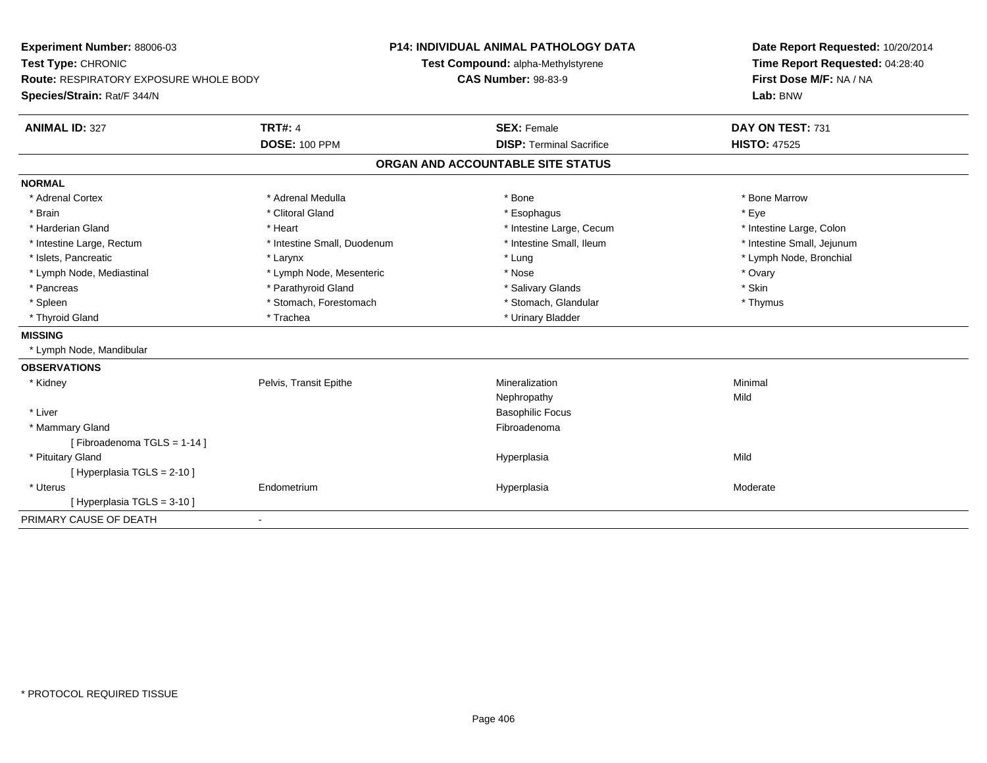| Experiment Number: 88006-03<br>Test Type: CHRONIC<br>Route: RESPIRATORY EXPOSURE WHOLE BODY<br>Species/Strain: Rat/F 344/N |                             | <b>P14: INDIVIDUAL ANIMAL PATHOLOGY DATA</b><br>Test Compound: alpha-Methylstyrene<br><b>CAS Number: 98-83-9</b> | Date Report Requested: 10/20/2014<br>Time Report Requested: 04:28:40<br>First Dose M/F: NA / NA<br>Lab: BNW |
|----------------------------------------------------------------------------------------------------------------------------|-----------------------------|------------------------------------------------------------------------------------------------------------------|-------------------------------------------------------------------------------------------------------------|
| <b>ANIMAL ID: 327</b>                                                                                                      | <b>TRT#: 4</b>              | <b>SEX: Female</b>                                                                                               | DAY ON TEST: 731                                                                                            |
|                                                                                                                            | <b>DOSE: 100 PPM</b>        | <b>DISP: Terminal Sacrifice</b>                                                                                  | <b>HISTO: 47525</b>                                                                                         |
|                                                                                                                            |                             | ORGAN AND ACCOUNTABLE SITE STATUS                                                                                |                                                                                                             |
| <b>NORMAL</b>                                                                                                              |                             |                                                                                                                  |                                                                                                             |
| * Adrenal Cortex                                                                                                           | * Adrenal Medulla           | * Bone                                                                                                           | * Bone Marrow                                                                                               |
| * Brain                                                                                                                    | * Clitoral Gland            | * Esophagus                                                                                                      | * Eye                                                                                                       |
| * Harderian Gland                                                                                                          | * Heart                     | * Intestine Large, Cecum                                                                                         | * Intestine Large, Colon                                                                                    |
| * Intestine Large, Rectum                                                                                                  | * Intestine Small, Duodenum | * Intestine Small, Ileum                                                                                         | * Intestine Small, Jejunum                                                                                  |
| * Islets. Pancreatic                                                                                                       | * Larynx                    | * Lung                                                                                                           | * Lymph Node, Bronchial                                                                                     |
| * Lymph Node, Mediastinal                                                                                                  | * Lymph Node, Mesenteric    | * Nose                                                                                                           | * Ovary                                                                                                     |
| * Pancreas                                                                                                                 | * Parathyroid Gland         | * Salivary Glands                                                                                                | * Skin                                                                                                      |
| * Spleen                                                                                                                   | * Stomach, Forestomach      | * Stomach, Glandular                                                                                             | * Thymus                                                                                                    |
| * Thyroid Gland                                                                                                            | * Trachea                   | * Urinary Bladder                                                                                                |                                                                                                             |
| <b>MISSING</b>                                                                                                             |                             |                                                                                                                  |                                                                                                             |
| * Lymph Node, Mandibular                                                                                                   |                             |                                                                                                                  |                                                                                                             |
| <b>OBSERVATIONS</b>                                                                                                        |                             |                                                                                                                  |                                                                                                             |
| * Kidney                                                                                                                   | Pelvis, Transit Epithe      | Mineralization                                                                                                   | Minimal                                                                                                     |
|                                                                                                                            |                             | Nephropathy                                                                                                      | Mild                                                                                                        |
| * Liver                                                                                                                    |                             | <b>Basophilic Focus</b>                                                                                          |                                                                                                             |
| * Mammary Gland                                                                                                            |                             | Fibroadenoma                                                                                                     |                                                                                                             |
| [Fibroadenoma TGLS = 1-14]                                                                                                 |                             |                                                                                                                  |                                                                                                             |
| * Pituitary Gland                                                                                                          |                             | Hyperplasia                                                                                                      | Mild                                                                                                        |
| [ Hyperplasia TGLS = 2-10 ]                                                                                                |                             |                                                                                                                  |                                                                                                             |
| * Uterus                                                                                                                   | Endometrium                 | Hyperplasia                                                                                                      | Moderate                                                                                                    |
| [Hyperplasia TGLS = 3-10]                                                                                                  |                             |                                                                                                                  |                                                                                                             |
| PRIMARY CAUSE OF DEATH<br>$\blacksquare$                                                                                   |                             |                                                                                                                  |                                                                                                             |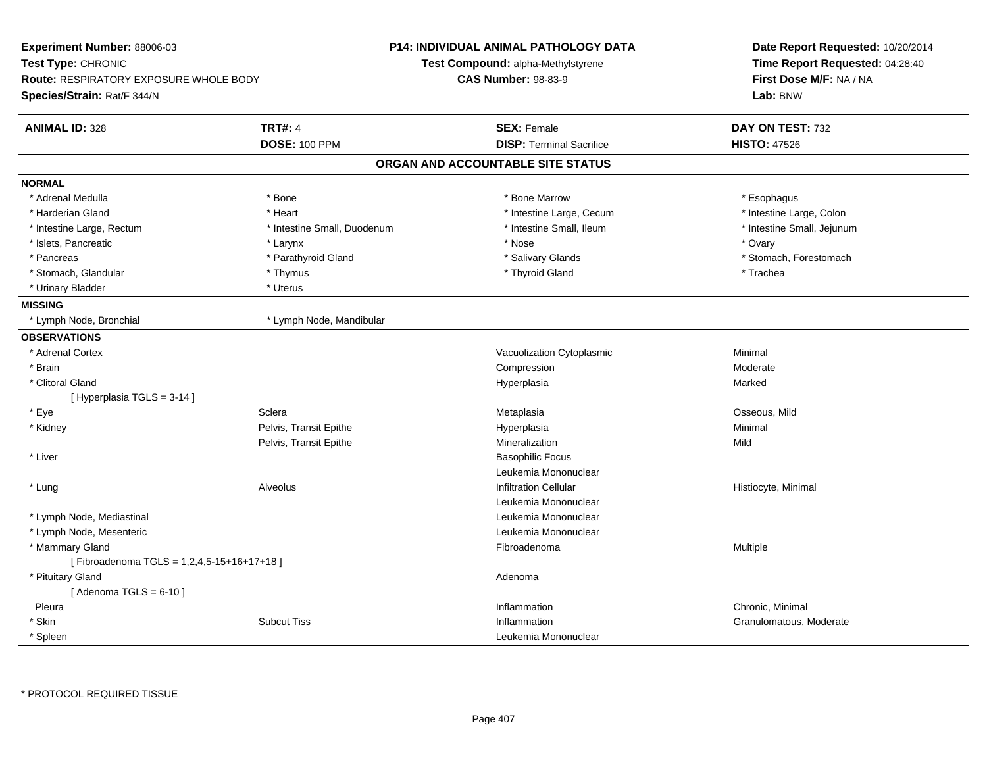| Experiment Number: 88006-03<br>Test Type: CHRONIC<br><b>Route: RESPIRATORY EXPOSURE WHOLE BODY</b><br>Species/Strain: Rat/F 344/N |                                        | P14: INDIVIDUAL ANIMAL PATHOLOGY DATA<br><b>Test Compound: alpha-Methylstyrene</b><br><b>CAS Number: 98-83-9</b> | Date Report Requested: 10/20/2014<br>Time Report Requested: 04:28:40<br>First Dose M/F: NA / NA<br>Lab: BNW |
|-----------------------------------------------------------------------------------------------------------------------------------|----------------------------------------|------------------------------------------------------------------------------------------------------------------|-------------------------------------------------------------------------------------------------------------|
| <b>ANIMAL ID: 328</b>                                                                                                             | <b>TRT#: 4</b><br><b>DOSE: 100 PPM</b> | <b>SEX: Female</b><br><b>DISP: Terminal Sacrifice</b>                                                            | DAY ON TEST: 732<br><b>HISTO: 47526</b>                                                                     |
|                                                                                                                                   |                                        | ORGAN AND ACCOUNTABLE SITE STATUS                                                                                |                                                                                                             |
| <b>NORMAL</b>                                                                                                                     |                                        |                                                                                                                  |                                                                                                             |
| * Adrenal Medulla                                                                                                                 | * Bone                                 | * Bone Marrow                                                                                                    | * Esophagus                                                                                                 |
| * Harderian Gland                                                                                                                 | * Heart                                | * Intestine Large, Cecum                                                                                         | * Intestine Large, Colon                                                                                    |
| * Intestine Large, Rectum                                                                                                         | * Intestine Small, Duodenum            | * Intestine Small, Ileum                                                                                         | * Intestine Small, Jejunum                                                                                  |
| * Islets, Pancreatic                                                                                                              | * Larynx                               | * Nose                                                                                                           | * Ovary                                                                                                     |
| * Pancreas                                                                                                                        | * Parathyroid Gland                    | * Salivary Glands                                                                                                | * Stomach, Forestomach                                                                                      |
| * Stomach, Glandular                                                                                                              | * Thymus                               | * Thyroid Gland                                                                                                  | * Trachea                                                                                                   |
| * Urinary Bladder                                                                                                                 | $^\star$ Uterus                        |                                                                                                                  |                                                                                                             |
| <b>MISSING</b>                                                                                                                    |                                        |                                                                                                                  |                                                                                                             |
| * Lymph Node, Bronchial                                                                                                           | * Lymph Node, Mandibular               |                                                                                                                  |                                                                                                             |
| <b>OBSERVATIONS</b>                                                                                                               |                                        |                                                                                                                  |                                                                                                             |
| * Adrenal Cortex                                                                                                                  |                                        | Vacuolization Cytoplasmic                                                                                        | Minimal                                                                                                     |
| * Brain                                                                                                                           |                                        | Compression                                                                                                      | Moderate                                                                                                    |
| * Clitoral Gland                                                                                                                  |                                        | Hyperplasia                                                                                                      | Marked                                                                                                      |
| [ Hyperplasia TGLS = 3-14 ]                                                                                                       |                                        |                                                                                                                  |                                                                                                             |
| * Eye                                                                                                                             | Sclera                                 | Metaplasia                                                                                                       | Osseous, Mild                                                                                               |
| * Kidney                                                                                                                          | Pelvis, Transit Epithe                 | Hyperplasia                                                                                                      | Minimal                                                                                                     |
|                                                                                                                                   | Pelvis, Transit Epithe                 | Mineralization                                                                                                   | Mild                                                                                                        |
| * Liver                                                                                                                           |                                        | <b>Basophilic Focus</b>                                                                                          |                                                                                                             |
|                                                                                                                                   |                                        | Leukemia Mononuclear                                                                                             |                                                                                                             |
| * Lung                                                                                                                            | Alveolus                               | <b>Infiltration Cellular</b>                                                                                     | Histiocyte, Minimal                                                                                         |
|                                                                                                                                   |                                        | Leukemia Mononuclear                                                                                             |                                                                                                             |
| * Lymph Node, Mediastinal                                                                                                         |                                        | Leukemia Mononuclear                                                                                             |                                                                                                             |
| * Lymph Node, Mesenteric                                                                                                          |                                        | Leukemia Mononuclear                                                                                             |                                                                                                             |
| * Mammary Gland                                                                                                                   |                                        | Fibroadenoma                                                                                                     | Multiple                                                                                                    |
| [Fibroadenoma TGLS = 1,2,4,5-15+16+17+18]                                                                                         |                                        |                                                                                                                  |                                                                                                             |
| * Pituitary Gland                                                                                                                 |                                        | Adenoma                                                                                                          |                                                                                                             |
| [Adenoma TGLS = $6-10$ ]                                                                                                          |                                        |                                                                                                                  |                                                                                                             |
| Pleura                                                                                                                            |                                        | Inflammation                                                                                                     | Chronic, Minimal                                                                                            |
| * Skin                                                                                                                            | <b>Subcut Tiss</b>                     | Inflammation                                                                                                     | Granulomatous, Moderate                                                                                     |
| * Spleen                                                                                                                          |                                        | Leukemia Mononuclear                                                                                             |                                                                                                             |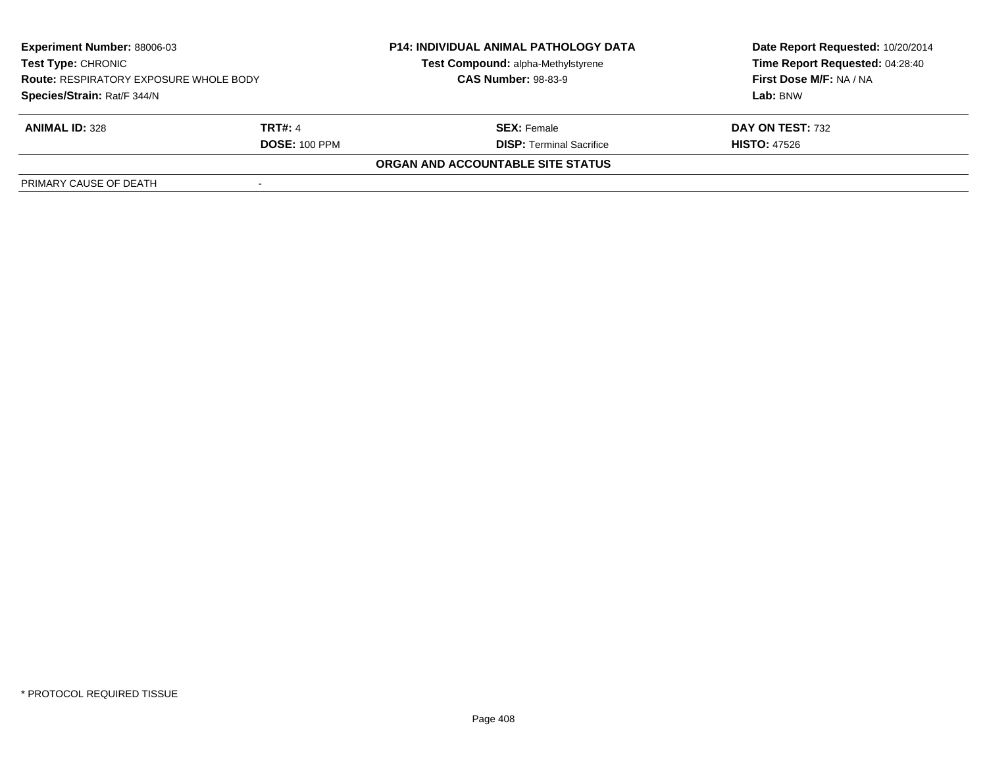| <b>Experiment Number: 88006-03</b><br><b>Test Type: CHRONIC</b><br><b>Route: RESPIRATORY EXPOSURE WHOLE BODY</b><br>Species/Strain: Rat/F 344/N |                      | <b>P14: INDIVIDUAL ANIMAL PATHOLOGY DATA</b> | Date Report Requested: 10/20/2014<br>Time Report Requested: 04:28:40 |
|-------------------------------------------------------------------------------------------------------------------------------------------------|----------------------|----------------------------------------------|----------------------------------------------------------------------|
|                                                                                                                                                 |                      | Test Compound: alpha-Methylstyrene           |                                                                      |
|                                                                                                                                                 |                      | <b>CAS Number: 98-83-9</b>                   | First Dose M/F: NA / NA                                              |
|                                                                                                                                                 |                      |                                              | Lab: BNW                                                             |
| <b>ANIMAL ID: 328</b>                                                                                                                           | <b>TRT#: 4</b>       | <b>SEX:</b> Female                           | DAY ON TEST: 732                                                     |
|                                                                                                                                                 | <b>DOSE: 100 PPM</b> | <b>DISP: Terminal Sacrifice</b>              | <b>HISTO: 47526</b>                                                  |
|                                                                                                                                                 |                      | ORGAN AND ACCOUNTABLE SITE STATUS            |                                                                      |
| PRIMARY CAUSE OF DEATH                                                                                                                          |                      |                                              |                                                                      |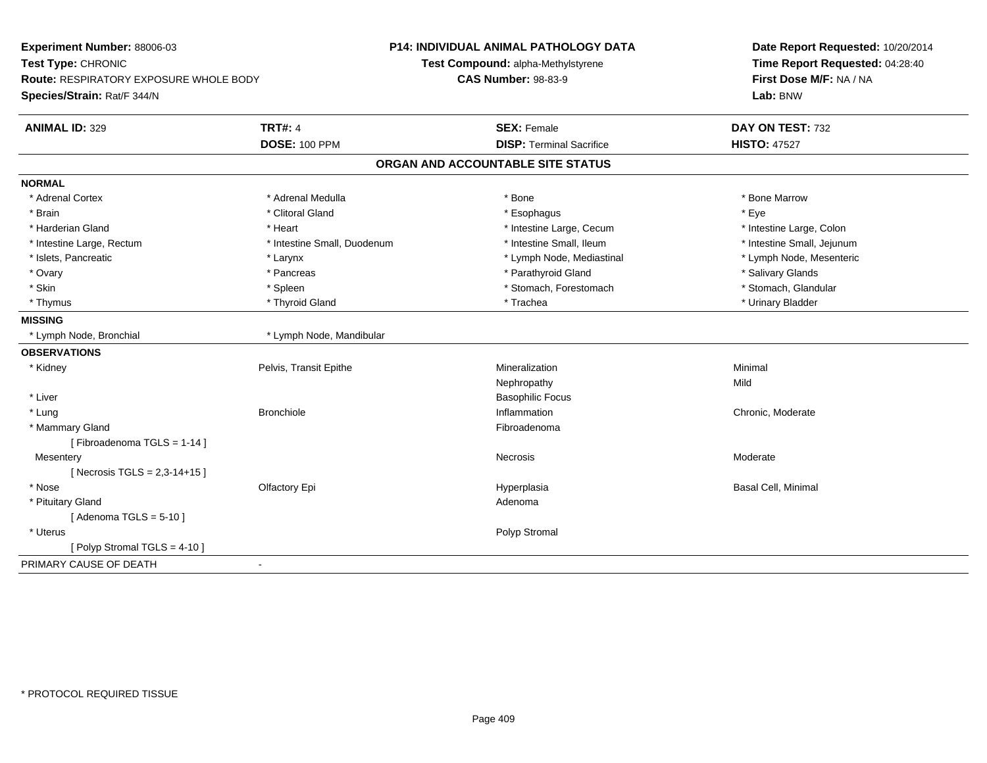| Experiment Number: 88006-03<br>Test Type: CHRONIC<br><b>Route: RESPIRATORY EXPOSURE WHOLE BODY</b><br>Species/Strain: Rat/F 344/N |                                        | <b>P14: INDIVIDUAL ANIMAL PATHOLOGY DATA</b><br>Test Compound: alpha-Methylstyrene<br><b>CAS Number: 98-83-9</b> | Date Report Requested: 10/20/2014<br>Time Report Requested: 04:28:40<br>First Dose M/F: NA / NA<br>Lab: BNW |
|-----------------------------------------------------------------------------------------------------------------------------------|----------------------------------------|------------------------------------------------------------------------------------------------------------------|-------------------------------------------------------------------------------------------------------------|
| <b>ANIMAL ID: 329</b>                                                                                                             | <b>TRT#: 4</b><br><b>DOSE: 100 PPM</b> | <b>SEX: Female</b><br><b>DISP: Terminal Sacrifice</b>                                                            | DAY ON TEST: 732<br><b>HISTO: 47527</b>                                                                     |
|                                                                                                                                   |                                        | ORGAN AND ACCOUNTABLE SITE STATUS                                                                                |                                                                                                             |
|                                                                                                                                   |                                        |                                                                                                                  |                                                                                                             |
| <b>NORMAL</b>                                                                                                                     | * Adrenal Medulla                      |                                                                                                                  |                                                                                                             |
| * Adrenal Cortex                                                                                                                  |                                        | * Bone                                                                                                           | * Bone Marrow                                                                                               |
| * Brain<br>* Harderian Gland                                                                                                      | * Clitoral Gland                       | * Esophagus                                                                                                      | * Eye                                                                                                       |
|                                                                                                                                   | * Heart                                | * Intestine Large, Cecum                                                                                         | * Intestine Large, Colon                                                                                    |
| * Intestine Large, Rectum                                                                                                         | * Intestine Small, Duodenum            | * Intestine Small, Ileum                                                                                         | * Intestine Small, Jejunum                                                                                  |
| * Islets, Pancreatic                                                                                                              | * Larynx                               | * Lymph Node, Mediastinal                                                                                        | * Lymph Node, Mesenteric                                                                                    |
| * Ovary                                                                                                                           | * Pancreas                             | * Parathyroid Gland                                                                                              | * Salivary Glands                                                                                           |
| * Skin                                                                                                                            | * Spleen                               | * Stomach, Forestomach                                                                                           | * Stomach, Glandular                                                                                        |
| * Thymus                                                                                                                          | * Thyroid Gland                        | * Trachea                                                                                                        | * Urinary Bladder                                                                                           |
| <b>MISSING</b>                                                                                                                    |                                        |                                                                                                                  |                                                                                                             |
| * Lymph Node, Bronchial                                                                                                           | * Lymph Node, Mandibular               |                                                                                                                  |                                                                                                             |
| <b>OBSERVATIONS</b>                                                                                                               |                                        |                                                                                                                  |                                                                                                             |
| * Kidney                                                                                                                          | Pelvis, Transit Epithe                 | Mineralization                                                                                                   | Minimal                                                                                                     |
|                                                                                                                                   |                                        | Nephropathy                                                                                                      | Mild                                                                                                        |
| * Liver                                                                                                                           |                                        | <b>Basophilic Focus</b>                                                                                          |                                                                                                             |
| * Lung                                                                                                                            | <b>Bronchiole</b>                      | Inflammation                                                                                                     | Chronic, Moderate                                                                                           |
| * Mammary Gland                                                                                                                   |                                        | Fibroadenoma                                                                                                     |                                                                                                             |
| [Fibroadenoma TGLS = 1-14]                                                                                                        |                                        |                                                                                                                  |                                                                                                             |
| Mesentery                                                                                                                         |                                        | <b>Necrosis</b>                                                                                                  | Moderate                                                                                                    |
| [Necrosis TGLS = $2,3-14+15$ ]                                                                                                    |                                        |                                                                                                                  |                                                                                                             |
| * Nose                                                                                                                            | Olfactory Epi                          | Hyperplasia                                                                                                      | Basal Cell, Minimal                                                                                         |
| * Pituitary Gland                                                                                                                 |                                        | Adenoma                                                                                                          |                                                                                                             |
| [Adenoma TGLS = $5-10$ ]                                                                                                          |                                        |                                                                                                                  |                                                                                                             |
| * Uterus                                                                                                                          |                                        | Polyp Stromal                                                                                                    |                                                                                                             |
| [Polyp Stromal TGLS = $4-10$ ]                                                                                                    |                                        |                                                                                                                  |                                                                                                             |
| PRIMARY CAUSE OF DEATH                                                                                                            | $\mathbf{r}$                           |                                                                                                                  |                                                                                                             |
|                                                                                                                                   |                                        |                                                                                                                  |                                                                                                             |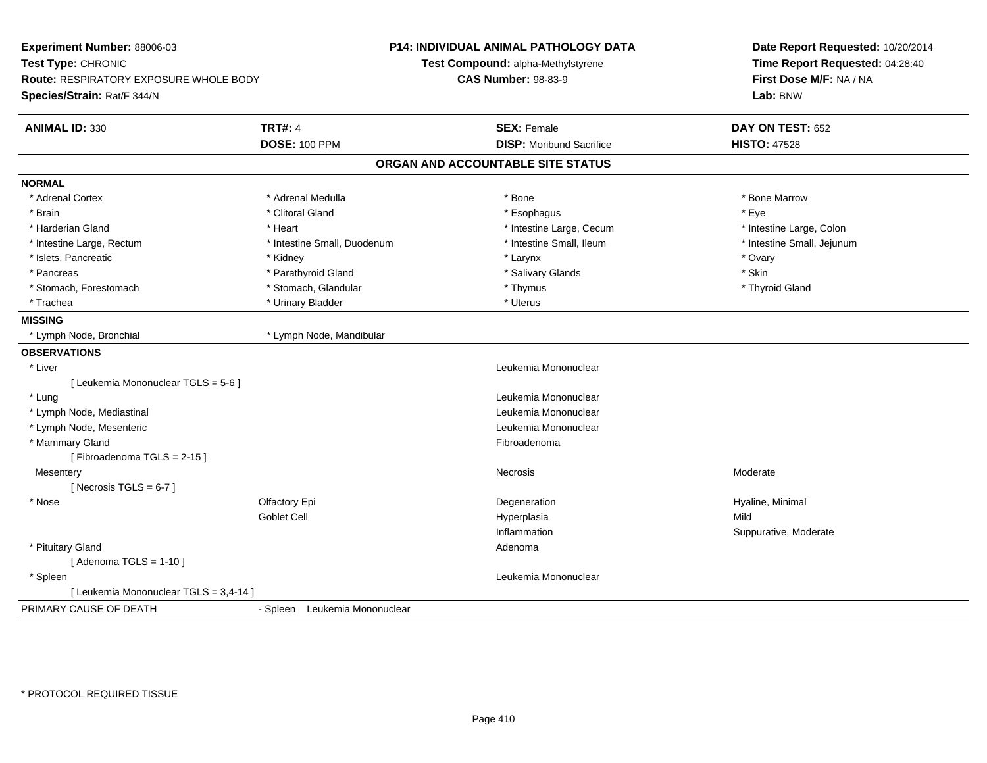| Experiment Number: 88006-03<br>Test Type: CHRONIC<br>Route: RESPIRATORY EXPOSURE WHOLE BODY |                               | <b>P14: INDIVIDUAL ANIMAL PATHOLOGY DATA</b><br>Test Compound: alpha-Methylstyrene<br><b>CAS Number: 98-83-9</b> | Date Report Requested: 10/20/2014<br>Time Report Requested: 04:28:40<br>First Dose M/F: NA / NA |
|---------------------------------------------------------------------------------------------|-------------------------------|------------------------------------------------------------------------------------------------------------------|-------------------------------------------------------------------------------------------------|
| Species/Strain: Rat/F 344/N                                                                 |                               |                                                                                                                  | Lab: BNW                                                                                        |
| <b>ANIMAL ID: 330</b>                                                                       | <b>TRT#: 4</b>                | <b>SEX: Female</b>                                                                                               | DAY ON TEST: 652                                                                                |
|                                                                                             | <b>DOSE: 100 PPM</b>          | <b>DISP:</b> Moribund Sacrifice                                                                                  | <b>HISTO: 47528</b>                                                                             |
|                                                                                             |                               | ORGAN AND ACCOUNTABLE SITE STATUS                                                                                |                                                                                                 |
| <b>NORMAL</b>                                                                               |                               |                                                                                                                  |                                                                                                 |
| * Adrenal Cortex                                                                            | * Adrenal Medulla             | * Bone                                                                                                           | * Bone Marrow                                                                                   |
| * Brain                                                                                     | * Clitoral Gland              | * Esophagus                                                                                                      | * Eye                                                                                           |
| * Harderian Gland                                                                           | * Heart                       | * Intestine Large, Cecum                                                                                         | * Intestine Large, Colon                                                                        |
| * Intestine Large, Rectum                                                                   | * Intestine Small, Duodenum   | * Intestine Small, Ileum                                                                                         | * Intestine Small, Jejunum                                                                      |
| * Islets, Pancreatic                                                                        | * Kidney                      | * Larynx                                                                                                         | * Ovary                                                                                         |
| * Pancreas                                                                                  | * Parathyroid Gland           | * Salivary Glands                                                                                                | * Skin                                                                                          |
| * Stomach, Forestomach                                                                      | * Stomach, Glandular          | * Thymus                                                                                                         | * Thyroid Gland                                                                                 |
| * Trachea                                                                                   | * Urinary Bladder             | * Uterus                                                                                                         |                                                                                                 |
| <b>MISSING</b>                                                                              |                               |                                                                                                                  |                                                                                                 |
| * Lymph Node, Bronchial                                                                     | * Lymph Node, Mandibular      |                                                                                                                  |                                                                                                 |
| <b>OBSERVATIONS</b>                                                                         |                               |                                                                                                                  |                                                                                                 |
| * Liver                                                                                     |                               | Leukemia Mononuclear                                                                                             |                                                                                                 |
| [ Leukemia Mononuclear TGLS = 5-6 ]                                                         |                               |                                                                                                                  |                                                                                                 |
| * Lung                                                                                      |                               | Leukemia Mononuclear                                                                                             |                                                                                                 |
| * Lymph Node, Mediastinal                                                                   |                               | Leukemia Mononuclear                                                                                             |                                                                                                 |
| * Lymph Node, Mesenteric                                                                    |                               | Leukemia Mononuclear                                                                                             |                                                                                                 |
| * Mammary Gland                                                                             |                               | Fibroadenoma                                                                                                     |                                                                                                 |
| [Fibroadenoma TGLS = 2-15]                                                                  |                               |                                                                                                                  |                                                                                                 |
| Mesentery                                                                                   |                               | Necrosis                                                                                                         | Moderate                                                                                        |
| [ Necrosis TGLS = $6-7$ ]                                                                   |                               |                                                                                                                  |                                                                                                 |
| * Nose                                                                                      | Olfactory Epi                 | Degeneration                                                                                                     | Hyaline, Minimal                                                                                |
|                                                                                             | Goblet Cell                   | Hyperplasia                                                                                                      | Mild                                                                                            |
|                                                                                             |                               | Inflammation                                                                                                     | Suppurative, Moderate                                                                           |
| * Pituitary Gland                                                                           |                               | Adenoma                                                                                                          |                                                                                                 |
| [Adenoma TGLS = $1-10$ ]                                                                    |                               |                                                                                                                  |                                                                                                 |
| * Spleen                                                                                    |                               | Leukemia Mononuclear                                                                                             |                                                                                                 |
| [ Leukemia Mononuclear TGLS = 3,4-14 ]                                                      |                               |                                                                                                                  |                                                                                                 |
| PRIMARY CAUSE OF DEATH                                                                      | - Spleen Leukemia Mononuclear |                                                                                                                  |                                                                                                 |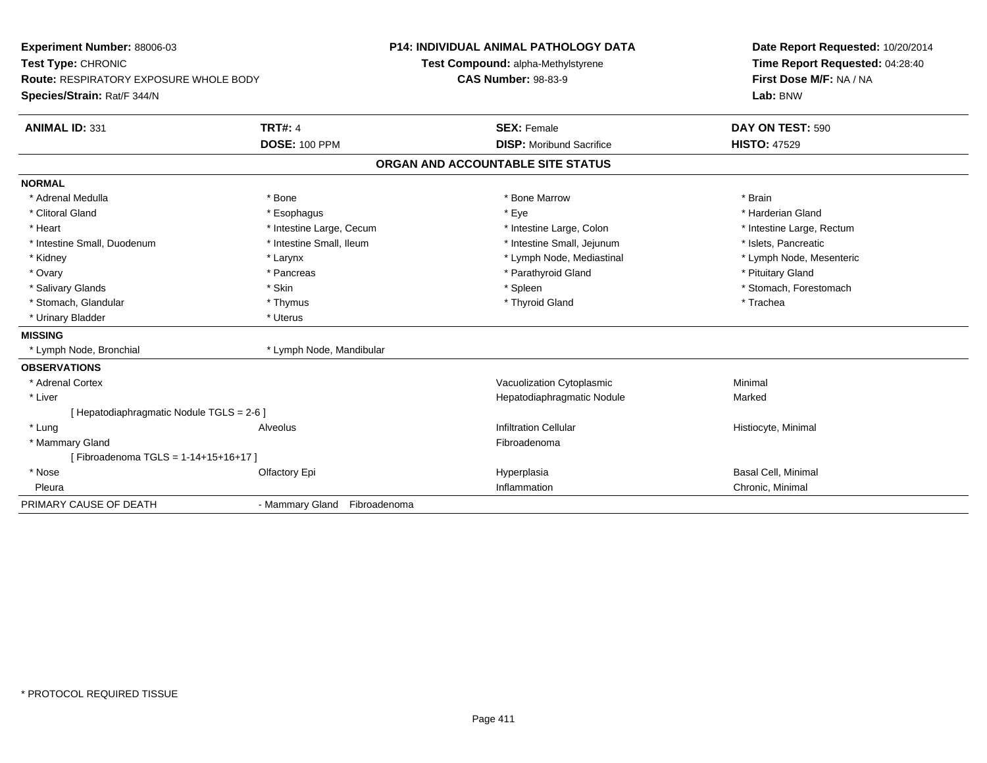| Experiment Number: 88006-03                   |                              | <b>P14: INDIVIDUAL ANIMAL PATHOLOGY DATA</b> | Date Report Requested: 10/20/2014 |
|-----------------------------------------------|------------------------------|----------------------------------------------|-----------------------------------|
| Test Type: CHRONIC                            |                              | Test Compound: alpha-Methylstyrene           | Time Report Requested: 04:28:40   |
| <b>Route: RESPIRATORY EXPOSURE WHOLE BODY</b> |                              | <b>CAS Number: 98-83-9</b>                   | First Dose M/F: NA / NA           |
| Species/Strain: Rat/F 344/N                   |                              |                                              | Lab: BNW                          |
| <b>ANIMAL ID: 331</b>                         | <b>TRT#: 4</b>               | <b>SEX: Female</b>                           | DAY ON TEST: 590                  |
|                                               | <b>DOSE: 100 PPM</b>         | <b>DISP:</b> Moribund Sacrifice              | <b>HISTO: 47529</b>               |
|                                               |                              | ORGAN AND ACCOUNTABLE SITE STATUS            |                                   |
| <b>NORMAL</b>                                 |                              |                                              |                                   |
| * Adrenal Medulla                             | * Bone                       | * Bone Marrow                                | * Brain                           |
| * Clitoral Gland                              | * Esophagus                  | * Eye                                        | * Harderian Gland                 |
| * Heart                                       | * Intestine Large, Cecum     | * Intestine Large, Colon                     | * Intestine Large, Rectum         |
| * Intestine Small, Duodenum                   | * Intestine Small, Ileum     | * Intestine Small, Jejunum                   | * Islets, Pancreatic              |
| * Kidney                                      | * Larynx                     | * Lymph Node, Mediastinal                    | * Lymph Node, Mesenteric          |
| * Ovary                                       | * Pancreas                   | * Parathyroid Gland                          | * Pituitary Gland                 |
| * Salivary Glands                             | * Skin                       | * Spleen                                     | * Stomach, Forestomach            |
| * Stomach, Glandular                          | * Thymus                     | * Thyroid Gland                              | * Trachea                         |
| * Urinary Bladder                             | * Uterus                     |                                              |                                   |
| <b>MISSING</b>                                |                              |                                              |                                   |
| * Lymph Node, Bronchial                       | * Lymph Node, Mandibular     |                                              |                                   |
| <b>OBSERVATIONS</b>                           |                              |                                              |                                   |
| * Adrenal Cortex                              |                              | Vacuolization Cytoplasmic                    | Minimal                           |
| * Liver                                       |                              | Hepatodiaphragmatic Nodule                   | Marked                            |
| [ Hepatodiaphragmatic Nodule TGLS = 2-6 ]     |                              |                                              |                                   |
| * Lung                                        | Alveolus                     | <b>Infiltration Cellular</b>                 | Histiocyte, Minimal               |
| * Mammary Gland                               |                              | Fibroadenoma                                 |                                   |
| [Fibroadenoma TGLS = 1-14+15+16+17]           |                              |                                              |                                   |
| * Nose                                        | Olfactory Epi                | Hyperplasia                                  | <b>Basal Cell, Minimal</b>        |
| Pleura                                        |                              | Inflammation                                 | Chronic, Minimal                  |
| PRIMARY CAUSE OF DEATH                        | - Mammary Gland Fibroadenoma |                                              |                                   |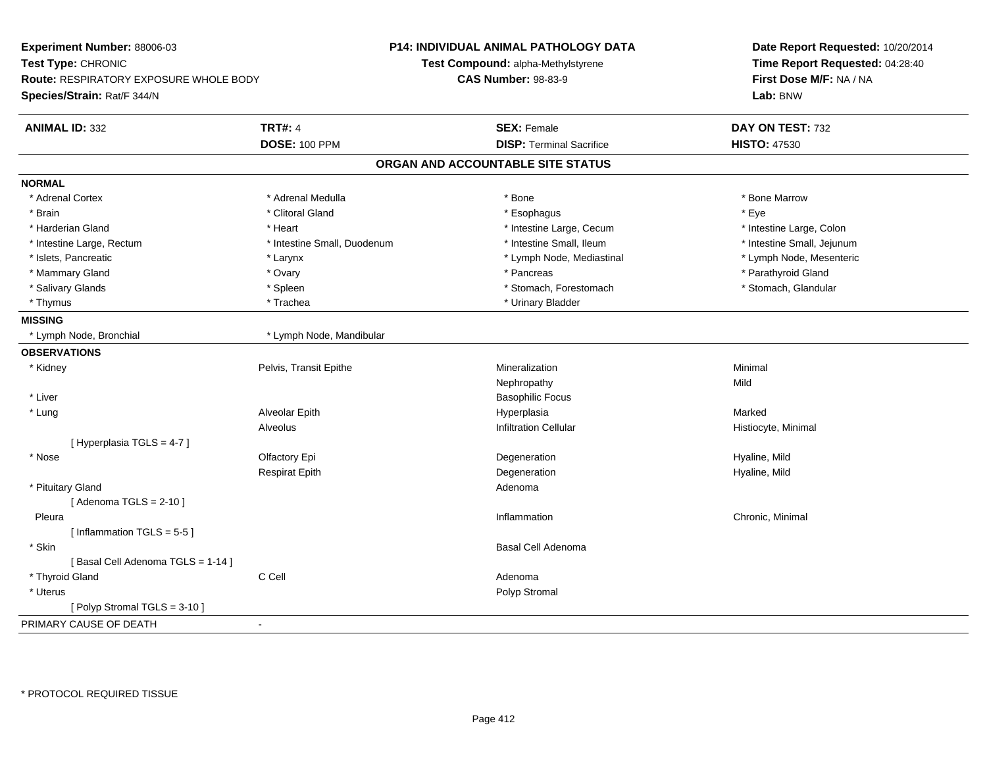| First Dose M/F: NA / NA<br><b>Route: RESPIRATORY EXPOSURE WHOLE BODY</b><br><b>CAS Number: 98-83-9</b><br>Lab: BNW<br><b>TRT#: 4</b><br>DAY ON TEST: 732<br><b>SEX: Female</b><br><b>DISP: Terminal Sacrifice</b><br><b>DOSE: 100 PPM</b><br><b>HISTO: 47530</b><br>ORGAN AND ACCOUNTABLE SITE STATUS<br>* Adrenal Cortex<br>* Adrenal Medulla<br>* Bone Marrow<br>* Bone<br>* Eye<br>* Brain<br>* Clitoral Gland<br>* Esophagus<br>* Intestine Large, Cecum<br>* Harderian Gland<br>* Heart<br>* Intestine Large, Colon<br>* Intestine Small, Duodenum<br>* Intestine Small, Ileum<br>* Intestine Small, Jejunum<br>* Intestine Large, Rectum<br>* Islets, Pancreatic<br>* Lymph Node, Mediastinal<br>* Lymph Node, Mesenteric<br>* Larynx<br>* Mammary Gland<br>* Pancreas<br>* Parathyroid Gland<br>* Ovary<br>* Salivary Glands<br>* Stomach, Forestomach<br>* Stomach, Glandular<br>* Spleen<br>* Thymus<br>* Trachea<br>* Urinary Bladder<br>* Lymph Node, Bronchial<br>* Lymph Node, Mandibular<br>Minimal<br>* Kidney<br>Pelvis, Transit Epithe<br>Mineralization<br>Mild<br>Nephropathy<br>* Liver<br><b>Basophilic Focus</b><br>* Lung<br>Alveolar Epith<br>Hyperplasia<br>Marked<br>Alveolus<br><b>Infiltration Cellular</b><br>Histiocyte, Minimal<br>[ Hyperplasia TGLS = 4-7 ]<br>Olfactory Epi<br>* Nose<br>Degeneration<br>Hyaline, Mild<br><b>Respirat Epith</b><br>Degeneration<br>Hyaline, Mild<br>* Pituitary Gland<br>Adenoma<br>[Adenoma TGLS = $2-10$ ]<br>Chronic, Minimal<br>Pleura<br>Inflammation<br>[Inflammation TGLS = $5-5$ ]<br>* Skin<br>Basal Cell Adenoma<br>[Basal Cell Adenoma TGLS = 1-14]<br>C Cell<br>* Thyroid Gland<br>Adenoma<br>$^\star$ Uterus<br>Polyp Stromal<br>[Polyp Stromal TGLS = 3-10]<br>$\sim$ | Experiment Number: 88006-03<br>Test Type: CHRONIC |  | <b>P14: INDIVIDUAL ANIMAL PATHOLOGY DATA</b><br>Test Compound: alpha-Methylstyrene | Date Report Requested: 10/20/2014<br>Time Report Requested: 04:28:40 |
|-------------------------------------------------------------------------------------------------------------------------------------------------------------------------------------------------------------------------------------------------------------------------------------------------------------------------------------------------------------------------------------------------------------------------------------------------------------------------------------------------------------------------------------------------------------------------------------------------------------------------------------------------------------------------------------------------------------------------------------------------------------------------------------------------------------------------------------------------------------------------------------------------------------------------------------------------------------------------------------------------------------------------------------------------------------------------------------------------------------------------------------------------------------------------------------------------------------------------------------------------------------------------------------------------------------------------------------------------------------------------------------------------------------------------------------------------------------------------------------------------------------------------------------------------------------------------------------------------------------------------------------------------------------------------------------------------------------------------------------------------------|---------------------------------------------------|--|------------------------------------------------------------------------------------|----------------------------------------------------------------------|
|                                                                                                                                                                                                                                                                                                                                                                                                                                                                                                                                                                                                                                                                                                                                                                                                                                                                                                                                                                                                                                                                                                                                                                                                                                                                                                                                                                                                                                                                                                                                                                                                                                                                                                                                                       |                                                   |  |                                                                                    |                                                                      |
|                                                                                                                                                                                                                                                                                                                                                                                                                                                                                                                                                                                                                                                                                                                                                                                                                                                                                                                                                                                                                                                                                                                                                                                                                                                                                                                                                                                                                                                                                                                                                                                                                                                                                                                                                       | Species/Strain: Rat/F 344/N                       |  |                                                                                    |                                                                      |
|                                                                                                                                                                                                                                                                                                                                                                                                                                                                                                                                                                                                                                                                                                                                                                                                                                                                                                                                                                                                                                                                                                                                                                                                                                                                                                                                                                                                                                                                                                                                                                                                                                                                                                                                                       | <b>ANIMAL ID: 332</b>                             |  |                                                                                    |                                                                      |
|                                                                                                                                                                                                                                                                                                                                                                                                                                                                                                                                                                                                                                                                                                                                                                                                                                                                                                                                                                                                                                                                                                                                                                                                                                                                                                                                                                                                                                                                                                                                                                                                                                                                                                                                                       |                                                   |  |                                                                                    |                                                                      |
|                                                                                                                                                                                                                                                                                                                                                                                                                                                                                                                                                                                                                                                                                                                                                                                                                                                                                                                                                                                                                                                                                                                                                                                                                                                                                                                                                                                                                                                                                                                                                                                                                                                                                                                                                       |                                                   |  |                                                                                    |                                                                      |
|                                                                                                                                                                                                                                                                                                                                                                                                                                                                                                                                                                                                                                                                                                                                                                                                                                                                                                                                                                                                                                                                                                                                                                                                                                                                                                                                                                                                                                                                                                                                                                                                                                                                                                                                                       | <b>NORMAL</b>                                     |  |                                                                                    |                                                                      |
|                                                                                                                                                                                                                                                                                                                                                                                                                                                                                                                                                                                                                                                                                                                                                                                                                                                                                                                                                                                                                                                                                                                                                                                                                                                                                                                                                                                                                                                                                                                                                                                                                                                                                                                                                       |                                                   |  |                                                                                    |                                                                      |
|                                                                                                                                                                                                                                                                                                                                                                                                                                                                                                                                                                                                                                                                                                                                                                                                                                                                                                                                                                                                                                                                                                                                                                                                                                                                                                                                                                                                                                                                                                                                                                                                                                                                                                                                                       |                                                   |  |                                                                                    |                                                                      |
|                                                                                                                                                                                                                                                                                                                                                                                                                                                                                                                                                                                                                                                                                                                                                                                                                                                                                                                                                                                                                                                                                                                                                                                                                                                                                                                                                                                                                                                                                                                                                                                                                                                                                                                                                       |                                                   |  |                                                                                    |                                                                      |
|                                                                                                                                                                                                                                                                                                                                                                                                                                                                                                                                                                                                                                                                                                                                                                                                                                                                                                                                                                                                                                                                                                                                                                                                                                                                                                                                                                                                                                                                                                                                                                                                                                                                                                                                                       |                                                   |  |                                                                                    |                                                                      |
|                                                                                                                                                                                                                                                                                                                                                                                                                                                                                                                                                                                                                                                                                                                                                                                                                                                                                                                                                                                                                                                                                                                                                                                                                                                                                                                                                                                                                                                                                                                                                                                                                                                                                                                                                       |                                                   |  |                                                                                    |                                                                      |
|                                                                                                                                                                                                                                                                                                                                                                                                                                                                                                                                                                                                                                                                                                                                                                                                                                                                                                                                                                                                                                                                                                                                                                                                                                                                                                                                                                                                                                                                                                                                                                                                                                                                                                                                                       |                                                   |  |                                                                                    |                                                                      |
|                                                                                                                                                                                                                                                                                                                                                                                                                                                                                                                                                                                                                                                                                                                                                                                                                                                                                                                                                                                                                                                                                                                                                                                                                                                                                                                                                                                                                                                                                                                                                                                                                                                                                                                                                       |                                                   |  |                                                                                    |                                                                      |
|                                                                                                                                                                                                                                                                                                                                                                                                                                                                                                                                                                                                                                                                                                                                                                                                                                                                                                                                                                                                                                                                                                                                                                                                                                                                                                                                                                                                                                                                                                                                                                                                                                                                                                                                                       |                                                   |  |                                                                                    |                                                                      |
|                                                                                                                                                                                                                                                                                                                                                                                                                                                                                                                                                                                                                                                                                                                                                                                                                                                                                                                                                                                                                                                                                                                                                                                                                                                                                                                                                                                                                                                                                                                                                                                                                                                                                                                                                       | <b>MISSING</b>                                    |  |                                                                                    |                                                                      |
|                                                                                                                                                                                                                                                                                                                                                                                                                                                                                                                                                                                                                                                                                                                                                                                                                                                                                                                                                                                                                                                                                                                                                                                                                                                                                                                                                                                                                                                                                                                                                                                                                                                                                                                                                       |                                                   |  |                                                                                    |                                                                      |
|                                                                                                                                                                                                                                                                                                                                                                                                                                                                                                                                                                                                                                                                                                                                                                                                                                                                                                                                                                                                                                                                                                                                                                                                                                                                                                                                                                                                                                                                                                                                                                                                                                                                                                                                                       | <b>OBSERVATIONS</b>                               |  |                                                                                    |                                                                      |
|                                                                                                                                                                                                                                                                                                                                                                                                                                                                                                                                                                                                                                                                                                                                                                                                                                                                                                                                                                                                                                                                                                                                                                                                                                                                                                                                                                                                                                                                                                                                                                                                                                                                                                                                                       |                                                   |  |                                                                                    |                                                                      |
|                                                                                                                                                                                                                                                                                                                                                                                                                                                                                                                                                                                                                                                                                                                                                                                                                                                                                                                                                                                                                                                                                                                                                                                                                                                                                                                                                                                                                                                                                                                                                                                                                                                                                                                                                       |                                                   |  |                                                                                    |                                                                      |
|                                                                                                                                                                                                                                                                                                                                                                                                                                                                                                                                                                                                                                                                                                                                                                                                                                                                                                                                                                                                                                                                                                                                                                                                                                                                                                                                                                                                                                                                                                                                                                                                                                                                                                                                                       |                                                   |  |                                                                                    |                                                                      |
|                                                                                                                                                                                                                                                                                                                                                                                                                                                                                                                                                                                                                                                                                                                                                                                                                                                                                                                                                                                                                                                                                                                                                                                                                                                                                                                                                                                                                                                                                                                                                                                                                                                                                                                                                       |                                                   |  |                                                                                    |                                                                      |
|                                                                                                                                                                                                                                                                                                                                                                                                                                                                                                                                                                                                                                                                                                                                                                                                                                                                                                                                                                                                                                                                                                                                                                                                                                                                                                                                                                                                                                                                                                                                                                                                                                                                                                                                                       |                                                   |  |                                                                                    |                                                                      |
|                                                                                                                                                                                                                                                                                                                                                                                                                                                                                                                                                                                                                                                                                                                                                                                                                                                                                                                                                                                                                                                                                                                                                                                                                                                                                                                                                                                                                                                                                                                                                                                                                                                                                                                                                       |                                                   |  |                                                                                    |                                                                      |
|                                                                                                                                                                                                                                                                                                                                                                                                                                                                                                                                                                                                                                                                                                                                                                                                                                                                                                                                                                                                                                                                                                                                                                                                                                                                                                                                                                                                                                                                                                                                                                                                                                                                                                                                                       |                                                   |  |                                                                                    |                                                                      |
|                                                                                                                                                                                                                                                                                                                                                                                                                                                                                                                                                                                                                                                                                                                                                                                                                                                                                                                                                                                                                                                                                                                                                                                                                                                                                                                                                                                                                                                                                                                                                                                                                                                                                                                                                       |                                                   |  |                                                                                    |                                                                      |
|                                                                                                                                                                                                                                                                                                                                                                                                                                                                                                                                                                                                                                                                                                                                                                                                                                                                                                                                                                                                                                                                                                                                                                                                                                                                                                                                                                                                                                                                                                                                                                                                                                                                                                                                                       |                                                   |  |                                                                                    |                                                                      |
|                                                                                                                                                                                                                                                                                                                                                                                                                                                                                                                                                                                                                                                                                                                                                                                                                                                                                                                                                                                                                                                                                                                                                                                                                                                                                                                                                                                                                                                                                                                                                                                                                                                                                                                                                       |                                                   |  |                                                                                    |                                                                      |
|                                                                                                                                                                                                                                                                                                                                                                                                                                                                                                                                                                                                                                                                                                                                                                                                                                                                                                                                                                                                                                                                                                                                                                                                                                                                                                                                                                                                                                                                                                                                                                                                                                                                                                                                                       |                                                   |  |                                                                                    |                                                                      |
|                                                                                                                                                                                                                                                                                                                                                                                                                                                                                                                                                                                                                                                                                                                                                                                                                                                                                                                                                                                                                                                                                                                                                                                                                                                                                                                                                                                                                                                                                                                                                                                                                                                                                                                                                       |                                                   |  |                                                                                    |                                                                      |
|                                                                                                                                                                                                                                                                                                                                                                                                                                                                                                                                                                                                                                                                                                                                                                                                                                                                                                                                                                                                                                                                                                                                                                                                                                                                                                                                                                                                                                                                                                                                                                                                                                                                                                                                                       |                                                   |  |                                                                                    |                                                                      |
|                                                                                                                                                                                                                                                                                                                                                                                                                                                                                                                                                                                                                                                                                                                                                                                                                                                                                                                                                                                                                                                                                                                                                                                                                                                                                                                                                                                                                                                                                                                                                                                                                                                                                                                                                       |                                                   |  |                                                                                    |                                                                      |
|                                                                                                                                                                                                                                                                                                                                                                                                                                                                                                                                                                                                                                                                                                                                                                                                                                                                                                                                                                                                                                                                                                                                                                                                                                                                                                                                                                                                                                                                                                                                                                                                                                                                                                                                                       |                                                   |  |                                                                                    |                                                                      |
|                                                                                                                                                                                                                                                                                                                                                                                                                                                                                                                                                                                                                                                                                                                                                                                                                                                                                                                                                                                                                                                                                                                                                                                                                                                                                                                                                                                                                                                                                                                                                                                                                                                                                                                                                       |                                                   |  |                                                                                    |                                                                      |
|                                                                                                                                                                                                                                                                                                                                                                                                                                                                                                                                                                                                                                                                                                                                                                                                                                                                                                                                                                                                                                                                                                                                                                                                                                                                                                                                                                                                                                                                                                                                                                                                                                                                                                                                                       |                                                   |  |                                                                                    |                                                                      |
|                                                                                                                                                                                                                                                                                                                                                                                                                                                                                                                                                                                                                                                                                                                                                                                                                                                                                                                                                                                                                                                                                                                                                                                                                                                                                                                                                                                                                                                                                                                                                                                                                                                                                                                                                       | PRIMARY CAUSE OF DEATH                            |  |                                                                                    |                                                                      |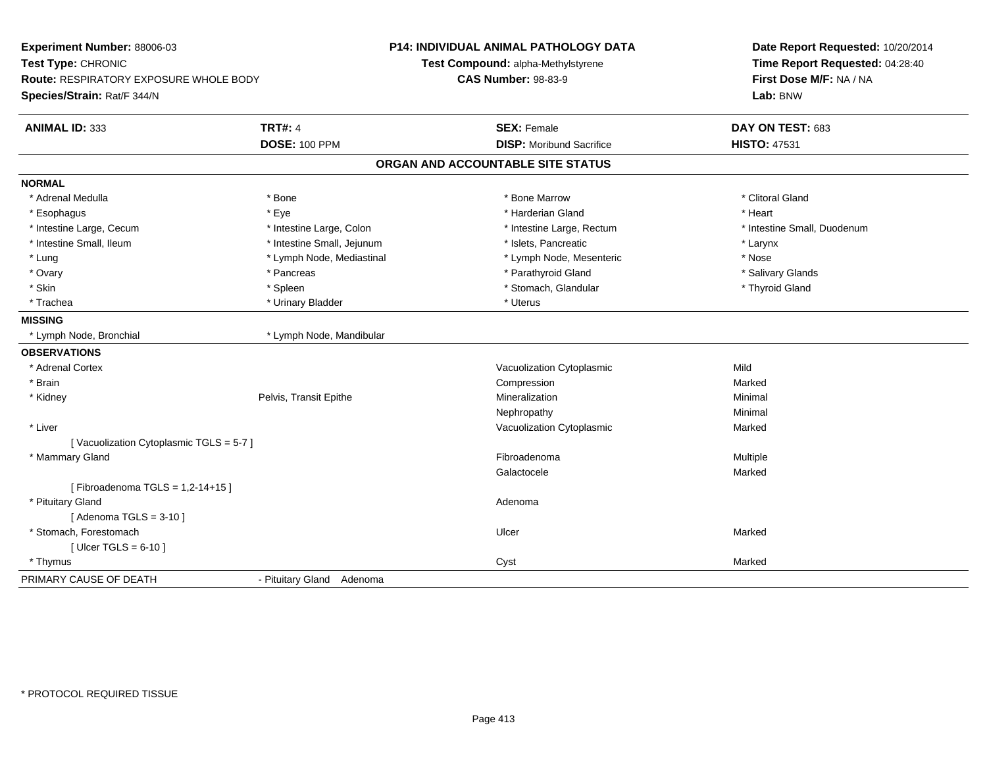| Experiment Number: 88006-03<br>Test Type: CHRONIC<br>Route: RESPIRATORY EXPOSURE WHOLE BODY<br>Species/Strain: Rat/F 344/N |                            | <b>P14: INDIVIDUAL ANIMAL PATHOLOGY DATA</b><br>Test Compound: alpha-Methylstyrene<br><b>CAS Number: 98-83-9</b> | Date Report Requested: 10/20/2014<br>Time Report Requested: 04:28:40<br>First Dose M/F: NA / NA<br>Lab: BNW |
|----------------------------------------------------------------------------------------------------------------------------|----------------------------|------------------------------------------------------------------------------------------------------------------|-------------------------------------------------------------------------------------------------------------|
|                                                                                                                            |                            |                                                                                                                  |                                                                                                             |
| <b>ANIMAL ID: 333</b>                                                                                                      | <b>TRT#: 4</b>             | <b>SEX: Female</b>                                                                                               | DAY ON TEST: 683                                                                                            |
|                                                                                                                            | <b>DOSE: 100 PPM</b>       | <b>DISP: Moribund Sacrifice</b>                                                                                  | <b>HISTO: 47531</b>                                                                                         |
|                                                                                                                            |                            | ORGAN AND ACCOUNTABLE SITE STATUS                                                                                |                                                                                                             |
| <b>NORMAL</b>                                                                                                              |                            |                                                                                                                  |                                                                                                             |
| * Adrenal Medulla                                                                                                          | * Bone                     | * Bone Marrow                                                                                                    | * Clitoral Gland                                                                                            |
| * Esophagus                                                                                                                | * Eye                      | * Harderian Gland                                                                                                | * Heart                                                                                                     |
| * Intestine Large, Cecum                                                                                                   | * Intestine Large, Colon   | * Intestine Large, Rectum                                                                                        | * Intestine Small, Duodenum                                                                                 |
| * Intestine Small, Ileum                                                                                                   | * Intestine Small, Jejunum | * Islets, Pancreatic                                                                                             | * Larynx                                                                                                    |
| * Lung                                                                                                                     | * Lymph Node, Mediastinal  | * Lymph Node, Mesenteric                                                                                         | * Nose                                                                                                      |
| * Ovary                                                                                                                    | * Pancreas                 | * Parathyroid Gland                                                                                              | * Salivary Glands                                                                                           |
| * Skin                                                                                                                     | * Spleen                   | * Stomach, Glandular                                                                                             | * Thyroid Gland                                                                                             |
| * Trachea                                                                                                                  | * Urinary Bladder          | * Uterus                                                                                                         |                                                                                                             |
| <b>MISSING</b>                                                                                                             |                            |                                                                                                                  |                                                                                                             |
| * Lymph Node, Bronchial                                                                                                    | * Lymph Node, Mandibular   |                                                                                                                  |                                                                                                             |
| <b>OBSERVATIONS</b>                                                                                                        |                            |                                                                                                                  |                                                                                                             |
| * Adrenal Cortex                                                                                                           |                            | Vacuolization Cytoplasmic                                                                                        | Mild                                                                                                        |
| * Brain                                                                                                                    |                            | Compression                                                                                                      | Marked                                                                                                      |
| * Kidney                                                                                                                   | Pelvis, Transit Epithe     | Mineralization                                                                                                   | Minimal                                                                                                     |
|                                                                                                                            |                            | Nephropathy                                                                                                      | Minimal                                                                                                     |
| * Liver                                                                                                                    |                            | Vacuolization Cytoplasmic                                                                                        | Marked                                                                                                      |
| [Vacuolization Cytoplasmic TGLS = 5-7]                                                                                     |                            |                                                                                                                  |                                                                                                             |
| * Mammary Gland                                                                                                            |                            | Fibroadenoma                                                                                                     | Multiple                                                                                                    |
|                                                                                                                            |                            | Galactocele                                                                                                      | Marked                                                                                                      |
| [Fibroadenoma TGLS = $1,2-14+15$ ]                                                                                         |                            |                                                                                                                  |                                                                                                             |
| * Pituitary Gland                                                                                                          |                            | Adenoma                                                                                                          |                                                                                                             |
| [Adenoma TGLS = $3-10$ ]                                                                                                   |                            |                                                                                                                  |                                                                                                             |
| * Stomach, Forestomach                                                                                                     |                            | Ulcer                                                                                                            | Marked                                                                                                      |
| [ Ulcer TGLS = $6-10$ ]                                                                                                    |                            |                                                                                                                  |                                                                                                             |
| * Thymus                                                                                                                   |                            | Cyst                                                                                                             | Marked                                                                                                      |
| PRIMARY CAUSE OF DEATH                                                                                                     | - Pituitary Gland Adenoma  |                                                                                                                  |                                                                                                             |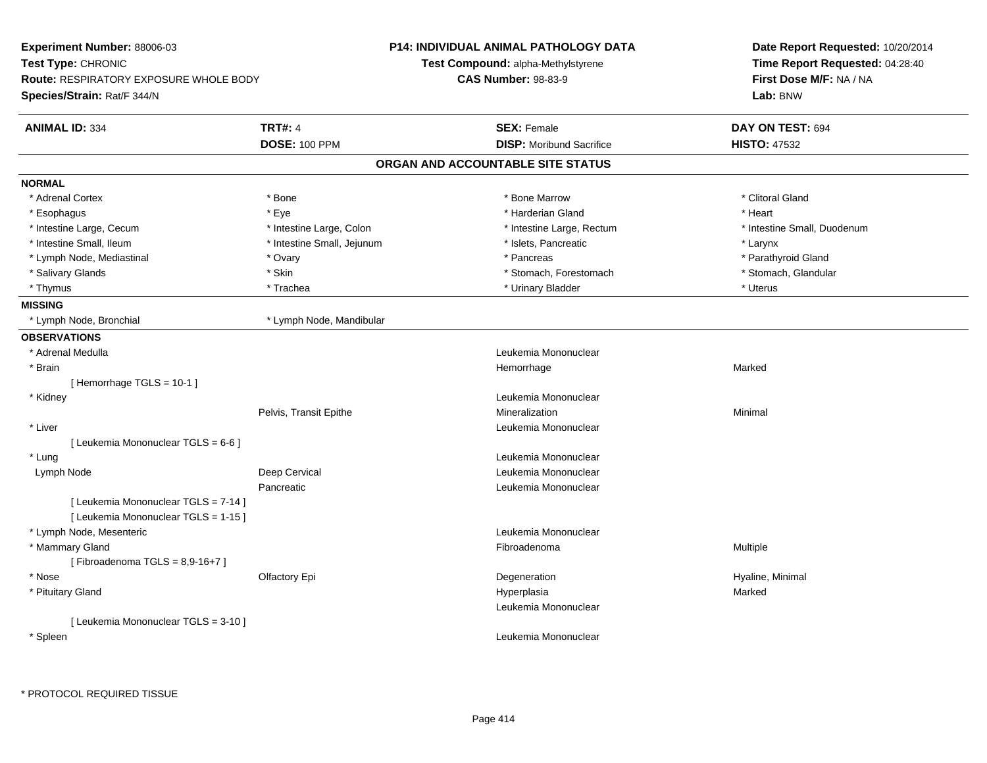| Experiment Number: 88006-03                                         |                            | <b>P14: INDIVIDUAL ANIMAL PATHOLOGY DATA</b> | Date Report Requested: 10/20/2014 |
|---------------------------------------------------------------------|----------------------------|----------------------------------------------|-----------------------------------|
| Test Type: CHRONIC<br><b>Route: RESPIRATORY EXPOSURE WHOLE BODY</b> |                            | <b>Test Compound: alpha-Methylstyrene</b>    | Time Report Requested: 04:28:40   |
|                                                                     |                            | <b>CAS Number: 98-83-9</b>                   | First Dose M/F: NA / NA           |
| Species/Strain: Rat/F 344/N                                         |                            |                                              | Lab: BNW                          |
| <b>ANIMAL ID: 334</b>                                               | <b>TRT#: 4</b>             | <b>SEX: Female</b>                           | DAY ON TEST: 694                  |
|                                                                     | <b>DOSE: 100 PPM</b>       | <b>DISP:</b> Moribund Sacrifice              | <b>HISTO: 47532</b>               |
|                                                                     |                            | ORGAN AND ACCOUNTABLE SITE STATUS            |                                   |
| <b>NORMAL</b>                                                       |                            |                                              |                                   |
| * Adrenal Cortex                                                    | * Bone                     | * Bone Marrow                                | * Clitoral Gland                  |
| * Esophagus                                                         | * Eye                      | * Harderian Gland                            | * Heart                           |
| * Intestine Large, Cecum                                            | * Intestine Large, Colon   | * Intestine Large, Rectum                    | * Intestine Small, Duodenum       |
| * Intestine Small, Ileum                                            | * Intestine Small, Jejunum | * Islets, Pancreatic                         | * Larynx                          |
| * Lymph Node, Mediastinal                                           | * Ovary                    | * Pancreas                                   | * Parathyroid Gland               |
| * Salivary Glands                                                   | * Skin                     | * Stomach, Forestomach                       | * Stomach, Glandular              |
| * Thymus                                                            | * Trachea                  | * Urinary Bladder                            | * Uterus                          |
| <b>MISSING</b>                                                      |                            |                                              |                                   |
| * Lymph Node, Bronchial                                             | * Lymph Node, Mandibular   |                                              |                                   |
| <b>OBSERVATIONS</b>                                                 |                            |                                              |                                   |
| * Adrenal Medulla                                                   |                            | Leukemia Mononuclear                         |                                   |
| * Brain                                                             |                            | Hemorrhage                                   | Marked                            |
| [Hemorrhage TGLS = 10-1]                                            |                            |                                              |                                   |
| * Kidney                                                            |                            | Leukemia Mononuclear                         |                                   |
|                                                                     | Pelvis, Transit Epithe     | Mineralization                               | Minimal                           |
| * Liver                                                             |                            | Leukemia Mononuclear                         |                                   |
| [ Leukemia Mononuclear TGLS = 6-6 ]                                 |                            |                                              |                                   |
| * Lung                                                              |                            | Leukemia Mononuclear                         |                                   |
| Lymph Node                                                          | Deep Cervical              | Leukemia Mononuclear                         |                                   |
|                                                                     | Pancreatic                 | Leukemia Mononuclear                         |                                   |
| [ Leukemia Mononuclear TGLS = 7-14 ]                                |                            |                                              |                                   |
| [ Leukemia Mononuclear TGLS = 1-15 ]                                |                            |                                              |                                   |
| * Lymph Node, Mesenteric                                            |                            | Leukemia Mononuclear                         |                                   |
| * Mammary Gland                                                     |                            | Fibroadenoma                                 | Multiple                          |
| [Fibroadenoma TGLS = $8,9-16+7$ ]                                   |                            |                                              |                                   |
| * Nose                                                              | Olfactory Epi              | Degeneration                                 | Hyaline, Minimal                  |
| * Pituitary Gland                                                   |                            | Hyperplasia                                  | Marked                            |
|                                                                     |                            | Leukemia Mononuclear                         |                                   |
| [ Leukemia Mononuclear TGLS = 3-10 ]                                |                            |                                              |                                   |
| * Spleen                                                            |                            | Leukemia Mononuclear                         |                                   |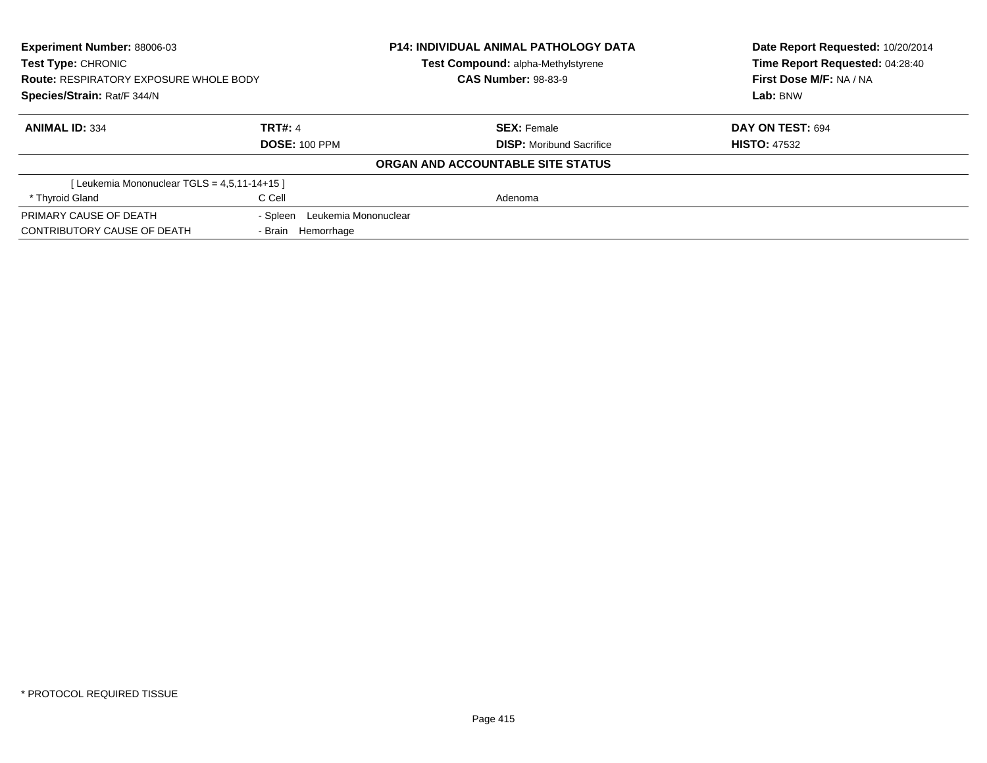| <b>Experiment Number: 88006-03</b><br><b>Test Type: CHRONIC</b><br><b>Route: RESPIRATORY EXPOSURE WHOLE BODY</b><br>Species/Strain: Rat/F 344/N |                                  | <b>P14: INDIVIDUAL ANIMAL PATHOLOGY DATA</b><br><b>Test Compound: alpha-Methylstyrene</b> | Date Report Requested: 10/20/2014<br>Time Report Requested: 04:28:40 |
|-------------------------------------------------------------------------------------------------------------------------------------------------|----------------------------------|-------------------------------------------------------------------------------------------|----------------------------------------------------------------------|
|                                                                                                                                                 |                                  | <b>CAS Number: 98-83-9</b>                                                                | First Dose M/F: NA / NA                                              |
|                                                                                                                                                 |                                  |                                                                                           | Lab: BNW                                                             |
| <b>ANIMAL ID: 334</b>                                                                                                                           | <b>TRT#: 4</b>                   | <b>SEX: Female</b>                                                                        | DAY ON TEST: 694                                                     |
|                                                                                                                                                 | <b>DOSE: 100 PPM</b>             | <b>DISP:</b> Moribund Sacrifice                                                           | <b>HISTO: 47532</b>                                                  |
|                                                                                                                                                 |                                  | ORGAN AND ACCOUNTABLE SITE STATUS                                                         |                                                                      |
| [Leukemia Mononuclear TGLS = 4,5,11-14+15]                                                                                                      |                                  |                                                                                           |                                                                      |
| * Thyroid Gland                                                                                                                                 | C Cell                           | Adenoma                                                                                   |                                                                      |
| PRIMARY CAUSE OF DEATH                                                                                                                          | Leukemia Mononuclear<br>- Spleen |                                                                                           |                                                                      |
| CONTRIBUTORY CAUSE OF DEATH                                                                                                                     | - Brain Hemorrhage               |                                                                                           |                                                                      |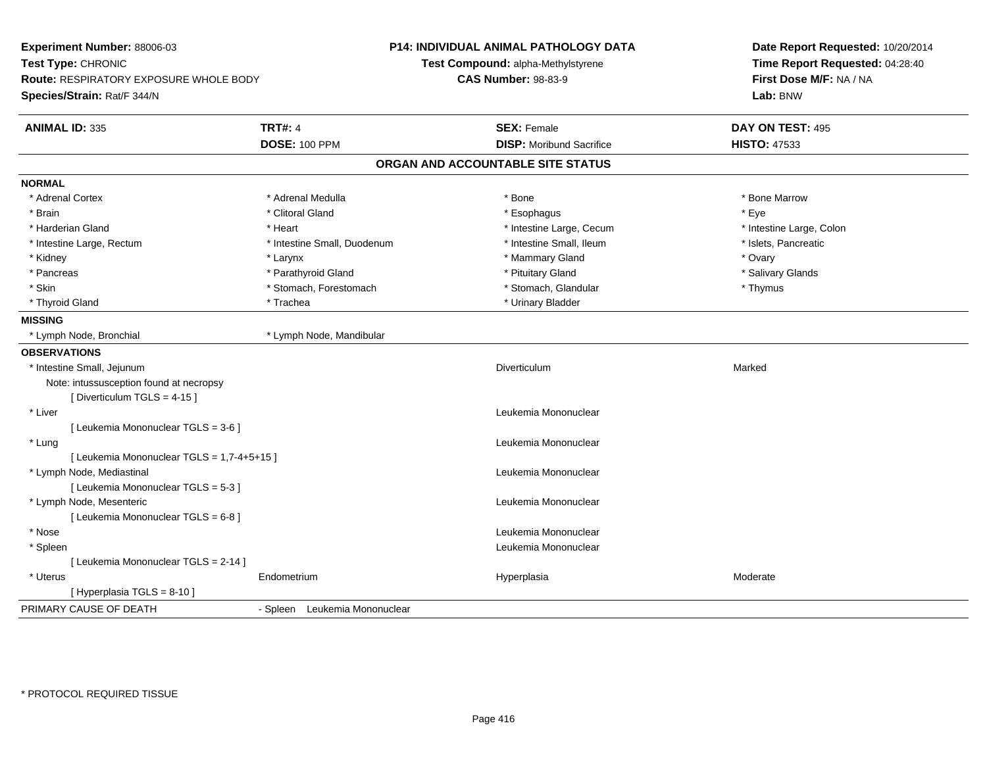| Experiment Number: 88006-03<br>Test Type: CHRONIC<br><b>Route: RESPIRATORY EXPOSURE WHOLE BODY</b><br>Species/Strain: Rat/F 344/N |                             | P14: INDIVIDUAL ANIMAL PATHOLOGY DATA<br>Test Compound: alpha-Methylstyrene<br><b>CAS Number: 98-83-9</b> | Date Report Requested: 10/20/2014<br>Time Report Requested: 04:28:40<br>First Dose M/F: NA / NA<br>Lab: BNW |
|-----------------------------------------------------------------------------------------------------------------------------------|-----------------------------|-----------------------------------------------------------------------------------------------------------|-------------------------------------------------------------------------------------------------------------|
| <b>ANIMAL ID: 335</b>                                                                                                             | <b>TRT#: 4</b>              | <b>SEX: Female</b>                                                                                        | DAY ON TEST: 495                                                                                            |
|                                                                                                                                   | <b>DOSE: 100 PPM</b>        | <b>DISP: Moribund Sacrifice</b>                                                                           | <b>HISTO: 47533</b>                                                                                         |
|                                                                                                                                   |                             | ORGAN AND ACCOUNTABLE SITE STATUS                                                                         |                                                                                                             |
| <b>NORMAL</b>                                                                                                                     |                             |                                                                                                           |                                                                                                             |
| * Adrenal Cortex                                                                                                                  | * Adrenal Medulla           | * Bone                                                                                                    | * Bone Marrow                                                                                               |
| * Brain                                                                                                                           | * Clitoral Gland            | * Esophagus                                                                                               | * Eye                                                                                                       |
| * Harderian Gland                                                                                                                 | * Heart                     | * Intestine Large, Cecum                                                                                  | * Intestine Large, Colon                                                                                    |
| * Intestine Large, Rectum                                                                                                         | * Intestine Small, Duodenum | * Intestine Small, Ileum                                                                                  | * Islets, Pancreatic                                                                                        |
| * Kidney                                                                                                                          | * Larynx                    | * Mammary Gland                                                                                           | * Ovary                                                                                                     |
| * Pancreas                                                                                                                        | * Parathyroid Gland         | * Pituitary Gland                                                                                         | * Salivary Glands                                                                                           |
| * Skin                                                                                                                            | * Stomach, Forestomach      | * Stomach, Glandular                                                                                      | * Thymus                                                                                                    |
| * Thyroid Gland                                                                                                                   | * Trachea                   | * Urinary Bladder                                                                                         |                                                                                                             |
| <b>MISSING</b>                                                                                                                    |                             |                                                                                                           |                                                                                                             |
| * Lymph Node, Bronchial                                                                                                           | * Lymph Node, Mandibular    |                                                                                                           |                                                                                                             |
| <b>OBSERVATIONS</b>                                                                                                               |                             |                                                                                                           |                                                                                                             |
| * Intestine Small, Jejunum                                                                                                        |                             | Diverticulum                                                                                              | Marked                                                                                                      |
| Note: intussusception found at necropsy                                                                                           |                             |                                                                                                           |                                                                                                             |
| [Diverticulum TGLS = 4-15]                                                                                                        |                             |                                                                                                           |                                                                                                             |
| * Liver                                                                                                                           |                             | Leukemia Mononuclear                                                                                      |                                                                                                             |
| [ Leukemia Mononuclear TGLS = 3-6 ]                                                                                               |                             |                                                                                                           |                                                                                                             |
| * Lung                                                                                                                            |                             | Leukemia Mononuclear                                                                                      |                                                                                                             |
| [ Leukemia Mononuclear TGLS = 1,7-4+5+15 ]                                                                                        |                             |                                                                                                           |                                                                                                             |
| * Lymph Node, Mediastinal                                                                                                         |                             | Leukemia Mononuclear                                                                                      |                                                                                                             |
| [ Leukemia Mononuclear TGLS = 5-3 ]                                                                                               |                             |                                                                                                           |                                                                                                             |
| * Lymph Node, Mesenteric                                                                                                          |                             | Leukemia Mononuclear                                                                                      |                                                                                                             |
| [ Leukemia Mononuclear TGLS = 6-8 ]                                                                                               |                             |                                                                                                           |                                                                                                             |
| * Nose                                                                                                                            |                             | Leukemia Mononuclear                                                                                      |                                                                                                             |
| * Spleen                                                                                                                          |                             | Leukemia Mononuclear                                                                                      |                                                                                                             |
| [ Leukemia Mononuclear TGLS = 2-14 ]                                                                                              |                             |                                                                                                           |                                                                                                             |
| * Uterus                                                                                                                          |                             | Hyperplasia                                                                                               | Moderate                                                                                                    |
|                                                                                                                                   | Endometrium                 |                                                                                                           |                                                                                                             |
| [ Hyperplasia TGLS = 8-10 ]                                                                                                       |                             |                                                                                                           |                                                                                                             |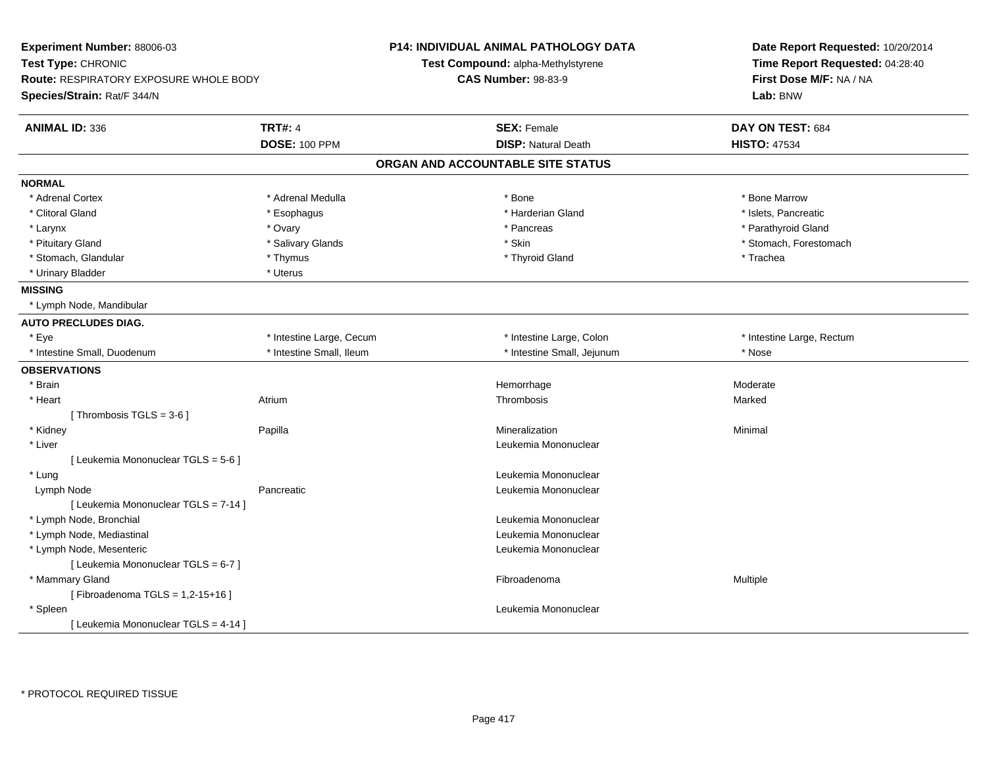| Experiment Number: 88006-03<br>Test Type: CHRONIC<br>Route: RESPIRATORY EXPOSURE WHOLE BODY<br>Species/Strain: Rat/F 344/N |                          | <b>P14: INDIVIDUAL ANIMAL PATHOLOGY DATA</b><br>Test Compound: alpha-Methylstyrene<br><b>CAS Number: 98-83-9</b> | Date Report Requested: 10/20/2014<br>Time Report Requested: 04:28:40<br>First Dose M/F: NA / NA<br>Lab: BNW |
|----------------------------------------------------------------------------------------------------------------------------|--------------------------|------------------------------------------------------------------------------------------------------------------|-------------------------------------------------------------------------------------------------------------|
| <b>ANIMAL ID: 336</b>                                                                                                      | <b>TRT#: 4</b>           | <b>SEX: Female</b>                                                                                               | DAY ON TEST: 684                                                                                            |
|                                                                                                                            | <b>DOSE: 100 PPM</b>     | <b>DISP: Natural Death</b>                                                                                       | <b>HISTO: 47534</b>                                                                                         |
|                                                                                                                            |                          | ORGAN AND ACCOUNTABLE SITE STATUS                                                                                |                                                                                                             |
| <b>NORMAL</b>                                                                                                              |                          |                                                                                                                  |                                                                                                             |
| * Adrenal Cortex                                                                                                           | * Adrenal Medulla        | * Bone                                                                                                           | * Bone Marrow                                                                                               |
| * Clitoral Gland                                                                                                           | * Esophagus              | * Harderian Gland                                                                                                | * Islets, Pancreatic                                                                                        |
| * Larynx                                                                                                                   | * Ovary                  | * Pancreas                                                                                                       | * Parathyroid Gland                                                                                         |
| * Pituitary Gland                                                                                                          | * Salivary Glands        | * Skin                                                                                                           | * Stomach, Forestomach                                                                                      |
| * Stomach, Glandular                                                                                                       | * Thymus                 | * Thyroid Gland                                                                                                  | * Trachea                                                                                                   |
| * Urinary Bladder                                                                                                          | * Uterus                 |                                                                                                                  |                                                                                                             |
| <b>MISSING</b>                                                                                                             |                          |                                                                                                                  |                                                                                                             |
| * Lymph Node, Mandibular                                                                                                   |                          |                                                                                                                  |                                                                                                             |
| <b>AUTO PRECLUDES DIAG.</b>                                                                                                |                          |                                                                                                                  |                                                                                                             |
| * Eye                                                                                                                      | * Intestine Large, Cecum | * Intestine Large, Colon                                                                                         | * Intestine Large, Rectum                                                                                   |
| * Intestine Small, Duodenum                                                                                                | * Intestine Small, Ileum | * Intestine Small, Jejunum                                                                                       | * Nose                                                                                                      |
| <b>OBSERVATIONS</b>                                                                                                        |                          |                                                                                                                  |                                                                                                             |
| * Brain                                                                                                                    |                          | Hemorrhage                                                                                                       | Moderate                                                                                                    |
| * Heart                                                                                                                    | Atrium                   | Thrombosis                                                                                                       | Marked                                                                                                      |
| [Thrombosis TGLS = $3-6$ ]                                                                                                 |                          |                                                                                                                  |                                                                                                             |
| * Kidney                                                                                                                   | Papilla                  | Mineralization                                                                                                   | Minimal                                                                                                     |
| * Liver                                                                                                                    |                          | Leukemia Mononuclear                                                                                             |                                                                                                             |
| [ Leukemia Mononuclear TGLS = 5-6 ]                                                                                        |                          |                                                                                                                  |                                                                                                             |
| * Lung                                                                                                                     |                          | Leukemia Mononuclear                                                                                             |                                                                                                             |
| Lymph Node                                                                                                                 | Pancreatic               | Leukemia Mononuclear                                                                                             |                                                                                                             |
| [ Leukemia Mononuclear TGLS = 7-14 ]                                                                                       |                          |                                                                                                                  |                                                                                                             |
| * Lymph Node, Bronchial                                                                                                    |                          | Leukemia Mononuclear                                                                                             |                                                                                                             |
| * Lymph Node, Mediastinal                                                                                                  |                          | Leukemia Mononuclear                                                                                             |                                                                                                             |
| * Lymph Node, Mesenteric                                                                                                   |                          | Leukemia Mononuclear                                                                                             |                                                                                                             |
| [ Leukemia Mononuclear TGLS = 6-7 ]                                                                                        |                          |                                                                                                                  |                                                                                                             |
| * Mammary Gland                                                                                                            |                          | Fibroadenoma                                                                                                     | Multiple                                                                                                    |
| [Fibroadenoma TGLS = 1,2-15+16]                                                                                            |                          |                                                                                                                  |                                                                                                             |
| * Spleen                                                                                                                   |                          | Leukemia Mononuclear                                                                                             |                                                                                                             |
| [ Leukemia Mononuclear TGLS = 4-14 ]                                                                                       |                          |                                                                                                                  |                                                                                                             |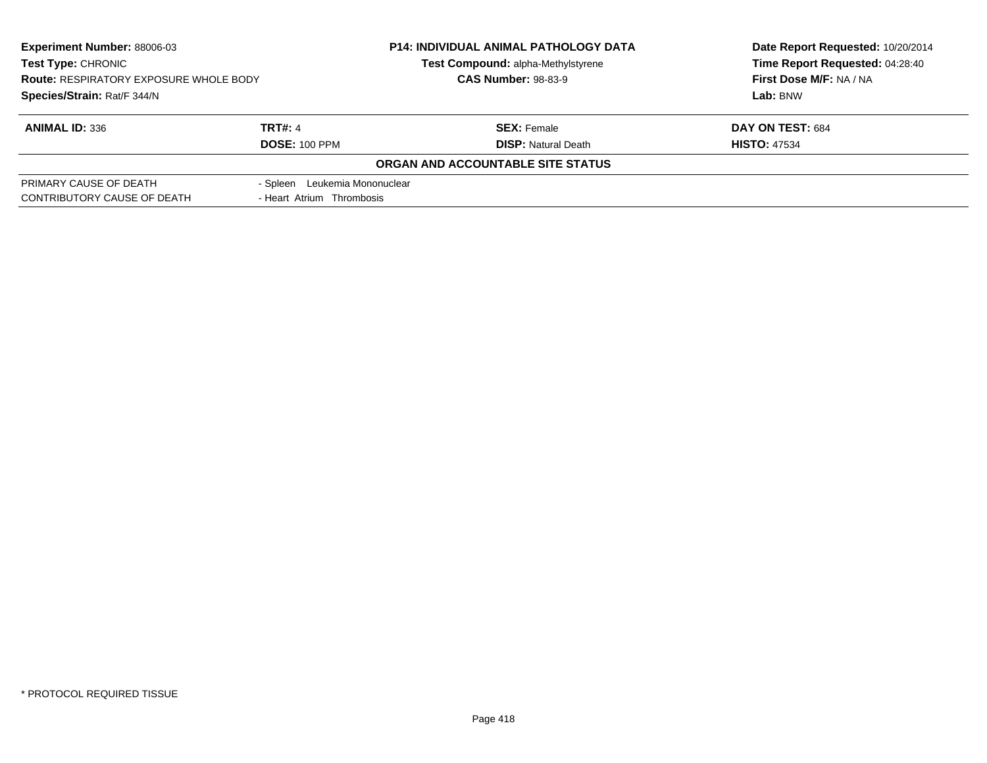| Experiment Number: 88006-03<br><b>Test Type: CHRONIC</b><br><b>Route: RESPIRATORY EXPOSURE WHOLE BODY</b> |                               | <b>P14: INDIVIDUAL ANIMAL PATHOLOGY DATA</b><br>Test Compound: alpha-Methylstyrene | Date Report Requested: 10/20/2014<br>Time Report Requested: 04:28:40 |
|-----------------------------------------------------------------------------------------------------------|-------------------------------|------------------------------------------------------------------------------------|----------------------------------------------------------------------|
|                                                                                                           |                               | <b>CAS Number: 98-83-9</b>                                                         | First Dose M/F: NA / NA                                              |
| Species/Strain: Rat/F 344/N                                                                               |                               |                                                                                    | Lab: BNW                                                             |
| <b>ANIMAL ID: 336</b>                                                                                     | <b>TRT#: 4</b>                | <b>SEX: Female</b>                                                                 | DAY ON TEST: 684                                                     |
|                                                                                                           | <b>DOSE: 100 PPM</b>          | <b>DISP:</b> Natural Death                                                         | <b>HISTO: 47534</b>                                                  |
|                                                                                                           |                               | ORGAN AND ACCOUNTABLE SITE STATUS                                                  |                                                                      |
| PRIMARY CAUSE OF DEATH                                                                                    | - Spleen Leukemia Mononuclear |                                                                                    |                                                                      |
| CONTRIBUTORY CAUSE OF DEATH                                                                               | - Heart Atrium Thrombosis     |                                                                                    |                                                                      |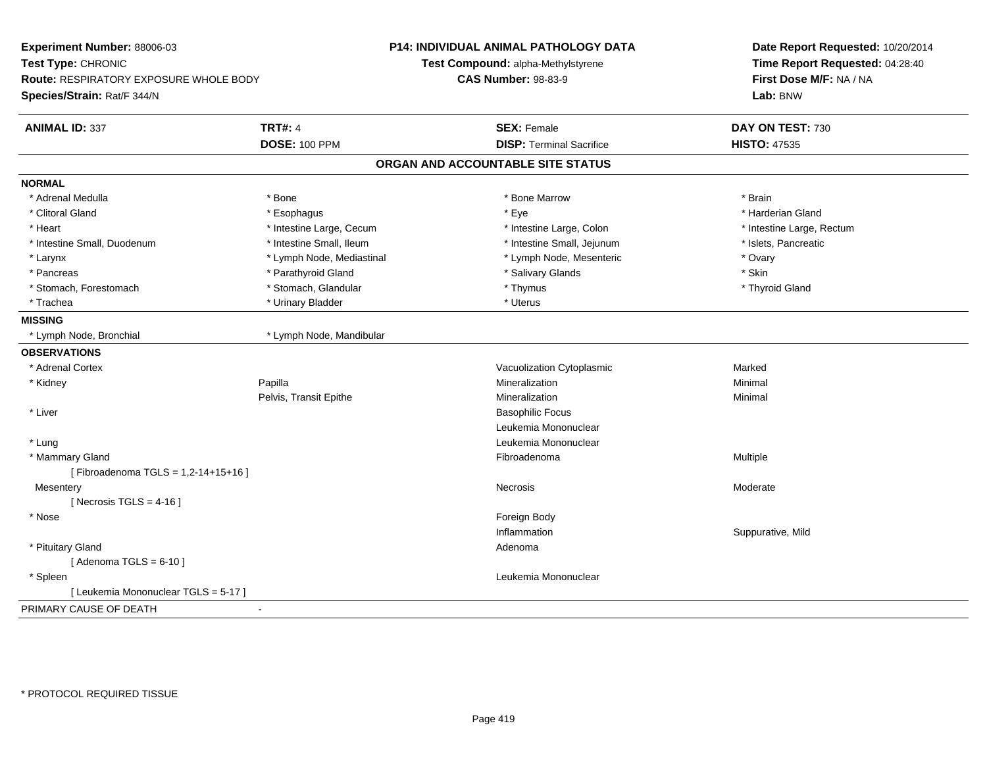| Experiment Number: 88006-03<br>Test Type: CHRONIC<br>Route: RESPIRATORY EXPOSURE WHOLE BODY<br>Species/Strain: Rat/F 344/N |                           | P14: INDIVIDUAL ANIMAL PATHOLOGY DATA<br>Test Compound: alpha-Methylstyrene<br><b>CAS Number: 98-83-9</b> | Date Report Requested: 10/20/2014<br>Time Report Requested: 04:28:40<br>First Dose M/F: NA / NA<br>Lab: BNW |
|----------------------------------------------------------------------------------------------------------------------------|---------------------------|-----------------------------------------------------------------------------------------------------------|-------------------------------------------------------------------------------------------------------------|
| <b>ANIMAL ID: 337</b>                                                                                                      | <b>TRT#: 4</b>            | <b>SEX: Female</b>                                                                                        | DAY ON TEST: 730                                                                                            |
|                                                                                                                            | <b>DOSE: 100 PPM</b>      | <b>DISP: Terminal Sacrifice</b>                                                                           | <b>HISTO: 47535</b>                                                                                         |
|                                                                                                                            |                           | ORGAN AND ACCOUNTABLE SITE STATUS                                                                         |                                                                                                             |
| <b>NORMAL</b>                                                                                                              |                           |                                                                                                           |                                                                                                             |
| * Adrenal Medulla                                                                                                          | * Bone                    | * Bone Marrow                                                                                             | * Brain                                                                                                     |
| * Clitoral Gland                                                                                                           | * Esophagus               | * Eye                                                                                                     | * Harderian Gland                                                                                           |
| * Heart                                                                                                                    | * Intestine Large, Cecum  | * Intestine Large, Colon                                                                                  | * Intestine Large, Rectum                                                                                   |
| * Intestine Small, Duodenum                                                                                                | * Intestine Small, Ileum  | * Intestine Small, Jejunum                                                                                | * Islets, Pancreatic                                                                                        |
| * Larynx                                                                                                                   | * Lymph Node, Mediastinal | * Lymph Node, Mesenteric                                                                                  | * Ovary                                                                                                     |
| * Pancreas                                                                                                                 | * Parathyroid Gland       | * Salivary Glands                                                                                         | * Skin                                                                                                      |
| * Stomach, Forestomach                                                                                                     | * Stomach, Glandular      | * Thymus                                                                                                  | * Thyroid Gland                                                                                             |
| * Trachea                                                                                                                  | * Urinary Bladder         | * Uterus                                                                                                  |                                                                                                             |
| <b>MISSING</b>                                                                                                             |                           |                                                                                                           |                                                                                                             |
| * Lymph Node, Bronchial                                                                                                    | * Lymph Node, Mandibular  |                                                                                                           |                                                                                                             |
| <b>OBSERVATIONS</b>                                                                                                        |                           |                                                                                                           |                                                                                                             |
| * Adrenal Cortex                                                                                                           |                           | Vacuolization Cytoplasmic                                                                                 | Marked                                                                                                      |
| * Kidney                                                                                                                   | Papilla                   | Mineralization                                                                                            | Minimal                                                                                                     |
|                                                                                                                            | Pelvis, Transit Epithe    | Mineralization                                                                                            | Minimal                                                                                                     |
| * Liver                                                                                                                    |                           | <b>Basophilic Focus</b>                                                                                   |                                                                                                             |
|                                                                                                                            |                           | Leukemia Mononuclear                                                                                      |                                                                                                             |
| * Lung                                                                                                                     |                           | Leukemia Mononuclear                                                                                      |                                                                                                             |
| * Mammary Gland                                                                                                            |                           | Fibroadenoma                                                                                              | Multiple                                                                                                    |
| [Fibroadenoma TGLS = 1,2-14+15+16]                                                                                         |                           |                                                                                                           |                                                                                                             |
| Mesentery                                                                                                                  |                           | Necrosis                                                                                                  | Moderate                                                                                                    |
| [Necrosis TGLS = $4-16$ ]                                                                                                  |                           |                                                                                                           |                                                                                                             |
| * Nose                                                                                                                     |                           | Foreign Body                                                                                              |                                                                                                             |
|                                                                                                                            |                           | Inflammation                                                                                              | Suppurative, Mild                                                                                           |
| * Pituitary Gland                                                                                                          |                           | Adenoma                                                                                                   |                                                                                                             |
| [Adenoma TGLS = $6-10$ ]                                                                                                   |                           |                                                                                                           |                                                                                                             |
| * Spleen                                                                                                                   |                           | Leukemia Mononuclear                                                                                      |                                                                                                             |
| [ Leukemia Mononuclear TGLS = 5-17 ]                                                                                       |                           |                                                                                                           |                                                                                                             |
| PRIMARY CAUSE OF DEATH                                                                                                     | $\blacksquare$            |                                                                                                           |                                                                                                             |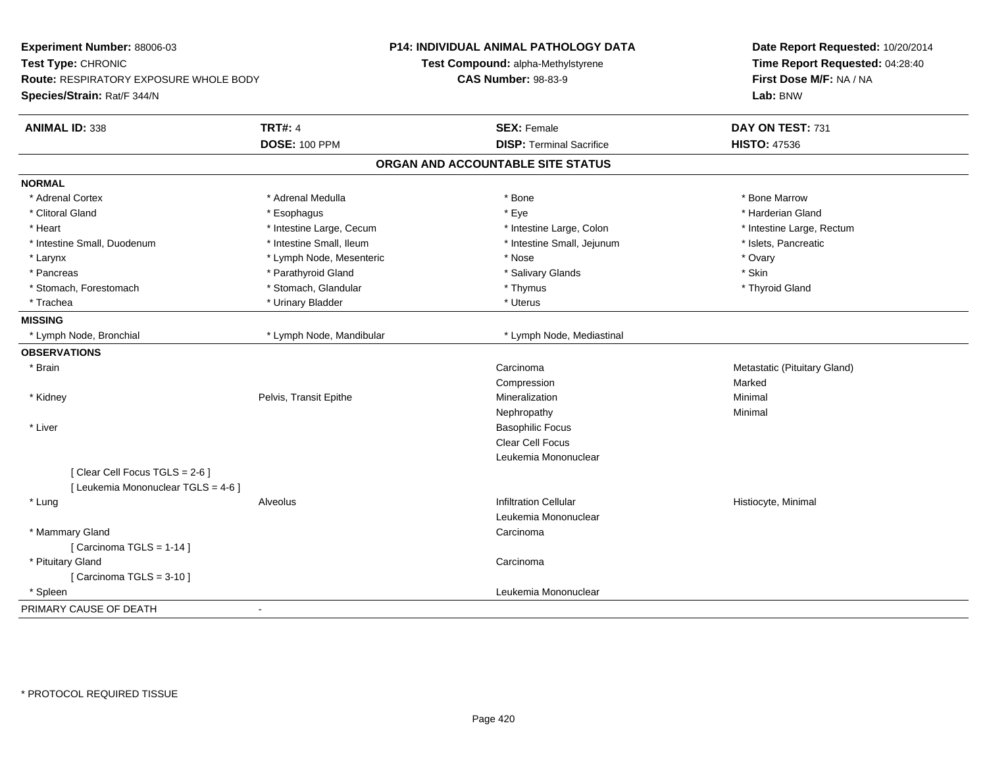| Experiment Number: 88006-03<br>Test Type: CHRONIC<br>Route: RESPIRATORY EXPOSURE WHOLE BODY<br>Species/Strain: Rat/F 344/N |                          | P14: INDIVIDUAL ANIMAL PATHOLOGY DATA<br>Test Compound: alpha-Methylstyrene<br><b>CAS Number: 98-83-9</b> | Date Report Requested: 10/20/2014<br>Time Report Requested: 04:28:40<br>First Dose M/F: NA / NA<br>Lab: BNW |
|----------------------------------------------------------------------------------------------------------------------------|--------------------------|-----------------------------------------------------------------------------------------------------------|-------------------------------------------------------------------------------------------------------------|
| <b>ANIMAL ID: 338</b>                                                                                                      | <b>TRT#: 4</b>           | <b>SEX: Female</b>                                                                                        | DAY ON TEST: 731                                                                                            |
|                                                                                                                            | <b>DOSE: 100 PPM</b>     | <b>DISP: Terminal Sacrifice</b>                                                                           | <b>HISTO: 47536</b>                                                                                         |
|                                                                                                                            |                          | ORGAN AND ACCOUNTABLE SITE STATUS                                                                         |                                                                                                             |
| <b>NORMAL</b>                                                                                                              |                          |                                                                                                           |                                                                                                             |
| * Adrenal Cortex                                                                                                           | * Adrenal Medulla        | * Bone                                                                                                    | * Bone Marrow                                                                                               |
| * Clitoral Gland                                                                                                           | * Esophagus              | * Eye                                                                                                     | * Harderian Gland                                                                                           |
| * Heart                                                                                                                    | * Intestine Large, Cecum | * Intestine Large, Colon                                                                                  | * Intestine Large, Rectum                                                                                   |
| * Intestine Small, Duodenum                                                                                                | * Intestine Small, Ileum | * Intestine Small, Jejunum                                                                                | * Islets, Pancreatic                                                                                        |
| * Larynx                                                                                                                   | * Lymph Node, Mesenteric | * Nose                                                                                                    | * Ovary                                                                                                     |
| * Pancreas                                                                                                                 | * Parathyroid Gland      | * Salivary Glands                                                                                         | * Skin                                                                                                      |
| * Stomach, Forestomach                                                                                                     | * Stomach, Glandular     | * Thymus                                                                                                  | * Thyroid Gland                                                                                             |
| * Trachea                                                                                                                  | * Urinary Bladder        | * Uterus                                                                                                  |                                                                                                             |
| <b>MISSING</b>                                                                                                             |                          |                                                                                                           |                                                                                                             |
| * Lymph Node, Bronchial                                                                                                    | * Lymph Node, Mandibular | * Lymph Node, Mediastinal                                                                                 |                                                                                                             |
| <b>OBSERVATIONS</b>                                                                                                        |                          |                                                                                                           |                                                                                                             |
| * Brain                                                                                                                    |                          | Carcinoma                                                                                                 | Metastatic (Pituitary Gland)                                                                                |
|                                                                                                                            |                          | Compression                                                                                               | Marked                                                                                                      |
| * Kidney                                                                                                                   | Pelvis, Transit Epithe   | Mineralization                                                                                            | Minimal                                                                                                     |
|                                                                                                                            |                          | Nephropathy                                                                                               | Minimal                                                                                                     |
| * Liver                                                                                                                    |                          | <b>Basophilic Focus</b>                                                                                   |                                                                                                             |
|                                                                                                                            |                          | <b>Clear Cell Focus</b>                                                                                   |                                                                                                             |
|                                                                                                                            |                          | Leukemia Mononuclear                                                                                      |                                                                                                             |
| [Clear Cell Focus TGLS = 2-6]                                                                                              |                          |                                                                                                           |                                                                                                             |
| [ Leukemia Mononuclear TGLS = 4-6 ]                                                                                        |                          |                                                                                                           |                                                                                                             |
| * Lung                                                                                                                     | Alveolus                 | <b>Infiltration Cellular</b>                                                                              | Histiocyte, Minimal                                                                                         |
|                                                                                                                            |                          | Leukemia Mononuclear                                                                                      |                                                                                                             |
| * Mammary Gland                                                                                                            |                          | Carcinoma                                                                                                 |                                                                                                             |
| [Carcinoma TGLS = $1-14$ ]                                                                                                 |                          |                                                                                                           |                                                                                                             |
| * Pituitary Gland                                                                                                          |                          | Carcinoma                                                                                                 |                                                                                                             |
| [Carcinoma TGLS = $3-10$ ]                                                                                                 |                          |                                                                                                           |                                                                                                             |
| * Spleen                                                                                                                   |                          | Leukemia Mononuclear                                                                                      |                                                                                                             |
| PRIMARY CAUSE OF DEATH                                                                                                     | ۰                        |                                                                                                           |                                                                                                             |
|                                                                                                                            |                          |                                                                                                           |                                                                                                             |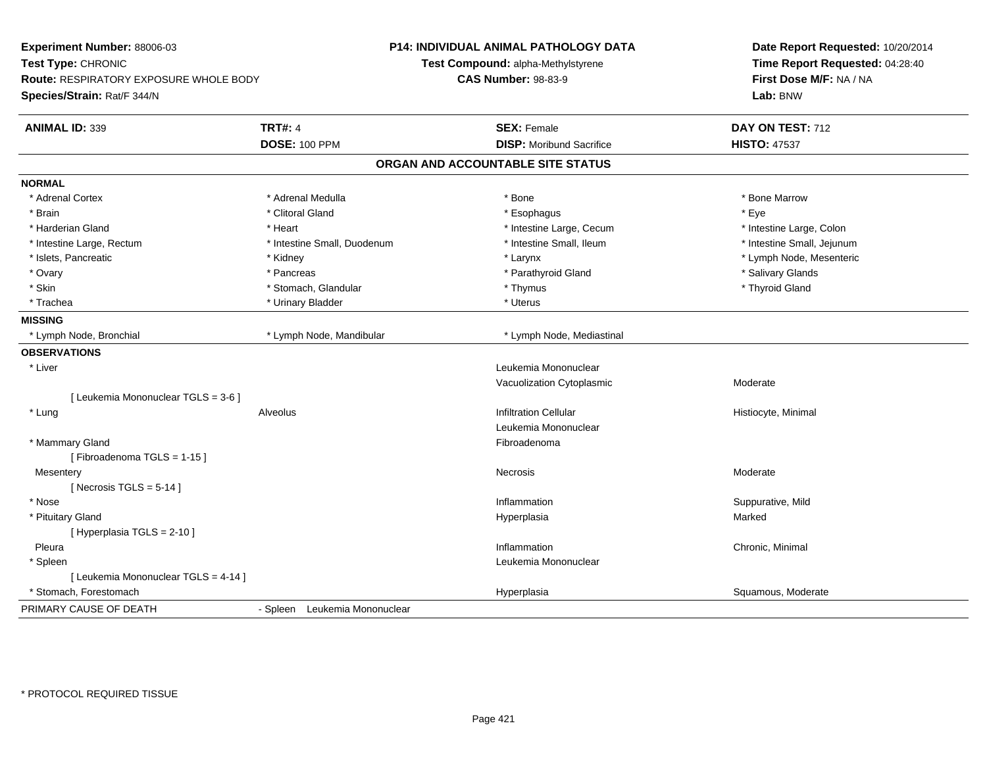| Experiment Number: 88006-03<br>Test Type: CHRONIC<br>Route: RESPIRATORY EXPOSURE WHOLE BODY |                               | <b>P14: INDIVIDUAL ANIMAL PATHOLOGY DATA</b><br>Test Compound: alpha-Methylstyrene<br><b>CAS Number: 98-83-9</b> | Date Report Requested: 10/20/2014<br>Time Report Requested: 04:28:40<br>First Dose M/F: NA / NA |
|---------------------------------------------------------------------------------------------|-------------------------------|------------------------------------------------------------------------------------------------------------------|-------------------------------------------------------------------------------------------------|
| Species/Strain: Rat/F 344/N                                                                 |                               |                                                                                                                  | Lab: BNW                                                                                        |
| <b>ANIMAL ID: 339</b>                                                                       | <b>TRT#: 4</b>                | <b>SEX: Female</b>                                                                                               | DAY ON TEST: 712                                                                                |
|                                                                                             | <b>DOSE: 100 PPM</b>          | <b>DISP:</b> Moribund Sacrifice                                                                                  | <b>HISTO: 47537</b>                                                                             |
|                                                                                             |                               | ORGAN AND ACCOUNTABLE SITE STATUS                                                                                |                                                                                                 |
| <b>NORMAL</b>                                                                               |                               |                                                                                                                  |                                                                                                 |
| * Adrenal Cortex                                                                            | * Adrenal Medulla             | * Bone                                                                                                           | * Bone Marrow                                                                                   |
| * Brain                                                                                     | * Clitoral Gland              | * Esophagus                                                                                                      | * Eye                                                                                           |
| * Harderian Gland                                                                           | * Heart                       | * Intestine Large, Cecum                                                                                         | * Intestine Large, Colon                                                                        |
| * Intestine Large, Rectum                                                                   | * Intestine Small, Duodenum   | * Intestine Small, Ileum                                                                                         | * Intestine Small, Jejunum                                                                      |
| * Islets, Pancreatic                                                                        | * Kidney                      | * Larynx                                                                                                         | * Lymph Node, Mesenteric                                                                        |
| * Ovary                                                                                     | * Pancreas                    | * Parathyroid Gland                                                                                              | * Salivary Glands                                                                               |
| * Skin                                                                                      | * Stomach, Glandular          | * Thymus                                                                                                         | * Thyroid Gland                                                                                 |
| * Trachea                                                                                   | * Urinary Bladder             | * Uterus                                                                                                         |                                                                                                 |
| <b>MISSING</b>                                                                              |                               |                                                                                                                  |                                                                                                 |
| * Lymph Node, Bronchial                                                                     | * Lymph Node, Mandibular      | * Lymph Node, Mediastinal                                                                                        |                                                                                                 |
| <b>OBSERVATIONS</b>                                                                         |                               |                                                                                                                  |                                                                                                 |
| * Liver                                                                                     |                               | Leukemia Mononuclear                                                                                             |                                                                                                 |
|                                                                                             |                               | Vacuolization Cytoplasmic                                                                                        | Moderate                                                                                        |
| [ Leukemia Mononuclear TGLS = 3-6 ]                                                         |                               |                                                                                                                  |                                                                                                 |
| * Lung                                                                                      | Alveolus                      | <b>Infiltration Cellular</b>                                                                                     | Histiocyte, Minimal                                                                             |
|                                                                                             |                               | Leukemia Mononuclear                                                                                             |                                                                                                 |
| * Mammary Gland                                                                             |                               | Fibroadenoma                                                                                                     |                                                                                                 |
| [Fibroadenoma TGLS = 1-15]                                                                  |                               |                                                                                                                  |                                                                                                 |
| Mesentery                                                                                   |                               | Necrosis                                                                                                         | Moderate                                                                                        |
| [Necrosis TGLS = $5-14$ ]                                                                   |                               |                                                                                                                  |                                                                                                 |
| * Nose                                                                                      |                               | Inflammation                                                                                                     | Suppurative, Mild                                                                               |
| * Pituitary Gland                                                                           |                               | Hyperplasia                                                                                                      | Marked                                                                                          |
| [ Hyperplasia TGLS = 2-10 ]                                                                 |                               |                                                                                                                  |                                                                                                 |
| Pleura                                                                                      |                               | Inflammation                                                                                                     | Chronic, Minimal                                                                                |
| * Spleen                                                                                    |                               | Leukemia Mononuclear                                                                                             |                                                                                                 |
| [ Leukemia Mononuclear TGLS = 4-14 ]                                                        |                               |                                                                                                                  |                                                                                                 |
| * Stomach, Forestomach                                                                      |                               | Hyperplasia                                                                                                      | Squamous, Moderate                                                                              |
| PRIMARY CAUSE OF DEATH                                                                      | - Spleen Leukemia Mononuclear |                                                                                                                  |                                                                                                 |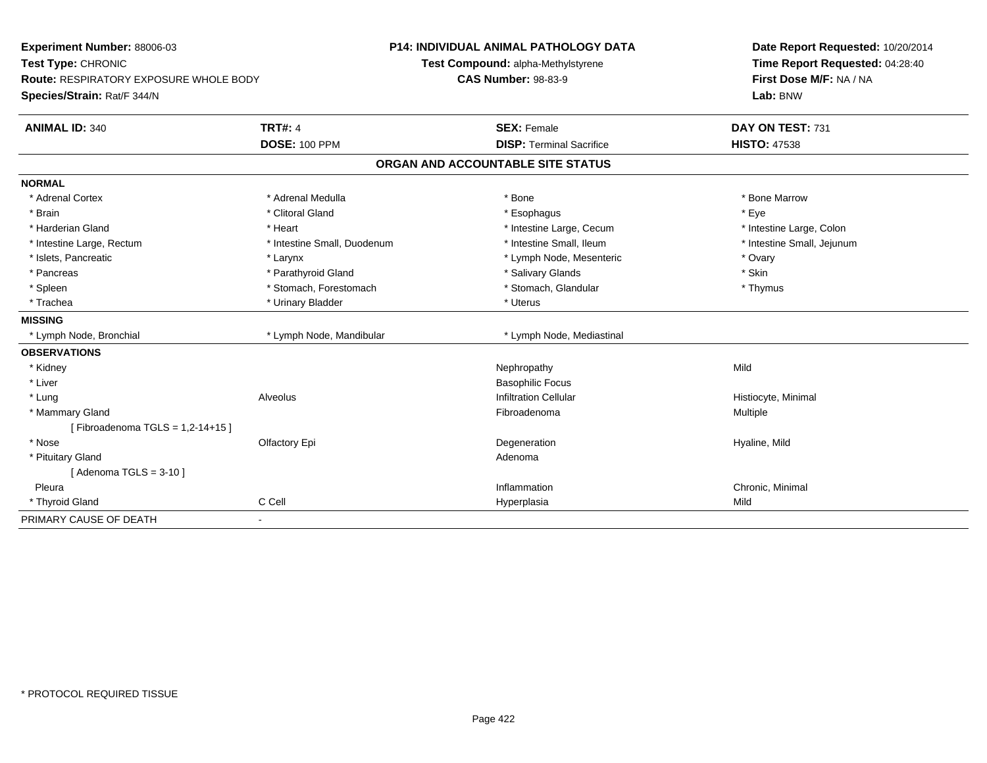| Experiment Number: 88006-03            |                             | <b>P14: INDIVIDUAL ANIMAL PATHOLOGY DATA</b> | Date Report Requested: 10/20/2014<br>Time Report Requested: 04:28:40<br>First Dose M/F: NA / NA |
|----------------------------------------|-----------------------------|----------------------------------------------|-------------------------------------------------------------------------------------------------|
| Test Type: CHRONIC                     |                             | Test Compound: alpha-Methylstyrene           |                                                                                                 |
| Route: RESPIRATORY EXPOSURE WHOLE BODY |                             | <b>CAS Number: 98-83-9</b>                   |                                                                                                 |
| Species/Strain: Rat/F 344/N            |                             |                                              | Lab: BNW                                                                                        |
| <b>ANIMAL ID: 340</b>                  | <b>TRT#: 4</b>              | <b>SEX: Female</b>                           | DAY ON TEST: 731                                                                                |
|                                        | <b>DOSE: 100 PPM</b>        | <b>DISP: Terminal Sacrifice</b>              | <b>HISTO: 47538</b>                                                                             |
|                                        |                             | ORGAN AND ACCOUNTABLE SITE STATUS            |                                                                                                 |
| <b>NORMAL</b>                          |                             |                                              |                                                                                                 |
| * Adrenal Cortex                       | * Adrenal Medulla           | * Bone                                       | * Bone Marrow                                                                                   |
| * Brain                                | * Clitoral Gland            | * Esophagus                                  | * Eye                                                                                           |
| * Harderian Gland                      | * Heart                     | * Intestine Large, Cecum                     | * Intestine Large, Colon                                                                        |
| * Intestine Large, Rectum              | * Intestine Small, Duodenum | * Intestine Small, Ileum                     | * Intestine Small, Jejunum                                                                      |
| * Islets, Pancreatic                   | * Larynx                    | * Lymph Node, Mesenteric                     | * Ovary                                                                                         |
| * Pancreas                             | * Parathyroid Gland         | * Salivary Glands                            | * Skin                                                                                          |
| * Spleen                               | * Stomach, Forestomach      | * Stomach, Glandular                         | * Thymus                                                                                        |
| * Trachea                              | * Urinary Bladder           | * Uterus                                     |                                                                                                 |
| <b>MISSING</b>                         |                             |                                              |                                                                                                 |
| * Lymph Node, Bronchial                | * Lymph Node, Mandibular    | * Lymph Node, Mediastinal                    |                                                                                                 |
| <b>OBSERVATIONS</b>                    |                             |                                              |                                                                                                 |
| * Kidney                               |                             | Nephropathy                                  | Mild                                                                                            |
| * Liver                                |                             | <b>Basophilic Focus</b>                      |                                                                                                 |
| * Lung                                 | Alveolus                    | <b>Infiltration Cellular</b>                 | Histiocyte, Minimal                                                                             |
| * Mammary Gland                        |                             | Fibroadenoma                                 | Multiple                                                                                        |
| [Fibroadenoma TGLS = 1,2-14+15]        |                             |                                              |                                                                                                 |
| * Nose                                 | Olfactory Epi               | Degeneration                                 | Hyaline, Mild                                                                                   |
| * Pituitary Gland                      |                             | Adenoma                                      |                                                                                                 |
| [Adenoma TGLS = $3-10$ ]               |                             |                                              |                                                                                                 |
| Pleura                                 |                             | Inflammation                                 | Chronic, Minimal                                                                                |
| * Thyroid Gland                        | C Cell                      | Hyperplasia                                  | Mild                                                                                            |
| PRIMARY CAUSE OF DEATH                 | $\blacksquare$              |                                              |                                                                                                 |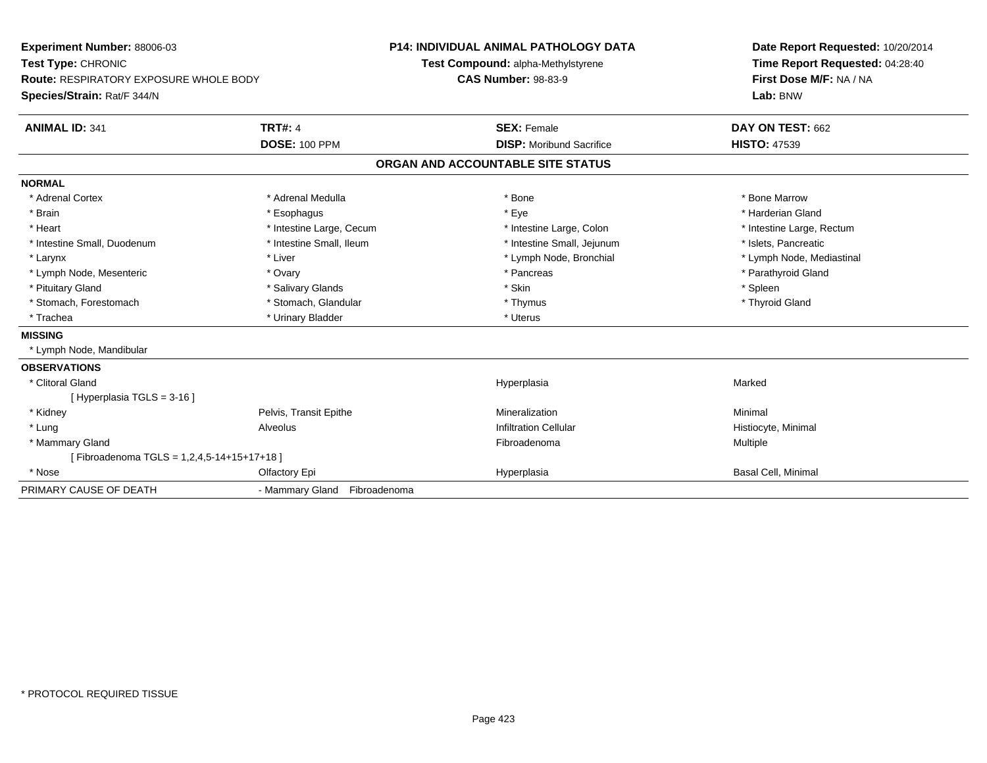| <b>Experiment Number: 88006-03</b>            |                              | <b>P14: INDIVIDUAL ANIMAL PATHOLOGY DATA</b> | Date Report Requested: 10/20/2014 |
|-----------------------------------------------|------------------------------|----------------------------------------------|-----------------------------------|
| Test Type: CHRONIC                            |                              | Test Compound: alpha-Methylstyrene           | Time Report Requested: 04:28:40   |
| <b>Route: RESPIRATORY EXPOSURE WHOLE BODY</b> |                              | <b>CAS Number: 98-83-9</b>                   | First Dose M/F: NA / NA           |
| Species/Strain: Rat/F 344/N                   |                              |                                              | Lab: BNW                          |
| <b>ANIMAL ID: 341</b>                         | <b>TRT#: 4</b>               | <b>SEX: Female</b>                           | DAY ON TEST: 662                  |
|                                               | <b>DOSE: 100 PPM</b>         | <b>DISP:</b> Moribund Sacrifice              | <b>HISTO: 47539</b>               |
|                                               |                              | ORGAN AND ACCOUNTABLE SITE STATUS            |                                   |
| <b>NORMAL</b>                                 |                              |                                              |                                   |
| * Adrenal Cortex                              | * Adrenal Medulla            | * Bone                                       | * Bone Marrow                     |
| * Brain                                       | * Esophagus                  | * Eye                                        | * Harderian Gland                 |
| * Heart                                       | * Intestine Large, Cecum     | * Intestine Large, Colon                     | * Intestine Large, Rectum         |
| * Intestine Small, Duodenum                   | * Intestine Small, Ileum     | * Intestine Small, Jejunum                   | * Islets, Pancreatic              |
| * Larynx                                      | * Liver                      | * Lymph Node, Bronchial                      | * Lymph Node, Mediastinal         |
| * Lymph Node, Mesenteric                      | * Ovary                      | * Pancreas                                   | * Parathyroid Gland               |
| * Pituitary Gland                             | * Salivary Glands            | * Skin                                       | * Spleen                          |
| * Stomach, Forestomach                        | * Stomach, Glandular         | * Thymus                                     | * Thyroid Gland                   |
| * Trachea                                     | * Urinary Bladder            | * Uterus                                     |                                   |
| <b>MISSING</b>                                |                              |                                              |                                   |
| * Lymph Node, Mandibular                      |                              |                                              |                                   |
| <b>OBSERVATIONS</b>                           |                              |                                              |                                   |
| * Clitoral Gland                              |                              | Hyperplasia                                  | Marked                            |
| [Hyperplasia TGLS = 3-16]                     |                              |                                              |                                   |
| * Kidney                                      | Pelvis, Transit Epithe       | Mineralization                               | Minimal                           |
| * Lung                                        | Alveolus                     | <b>Infiltration Cellular</b>                 | Histiocyte, Minimal               |
| * Mammary Gland                               |                              | Fibroadenoma                                 | Multiple                          |
| [Fibroadenoma TGLS = 1,2,4,5-14+15+17+18]     |                              |                                              |                                   |
| * Nose                                        | Olfactory Epi                | Hyperplasia                                  | <b>Basal Cell, Minimal</b>        |
| PRIMARY CAUSE OF DEATH                        | - Mammary Gland Fibroadenoma |                                              |                                   |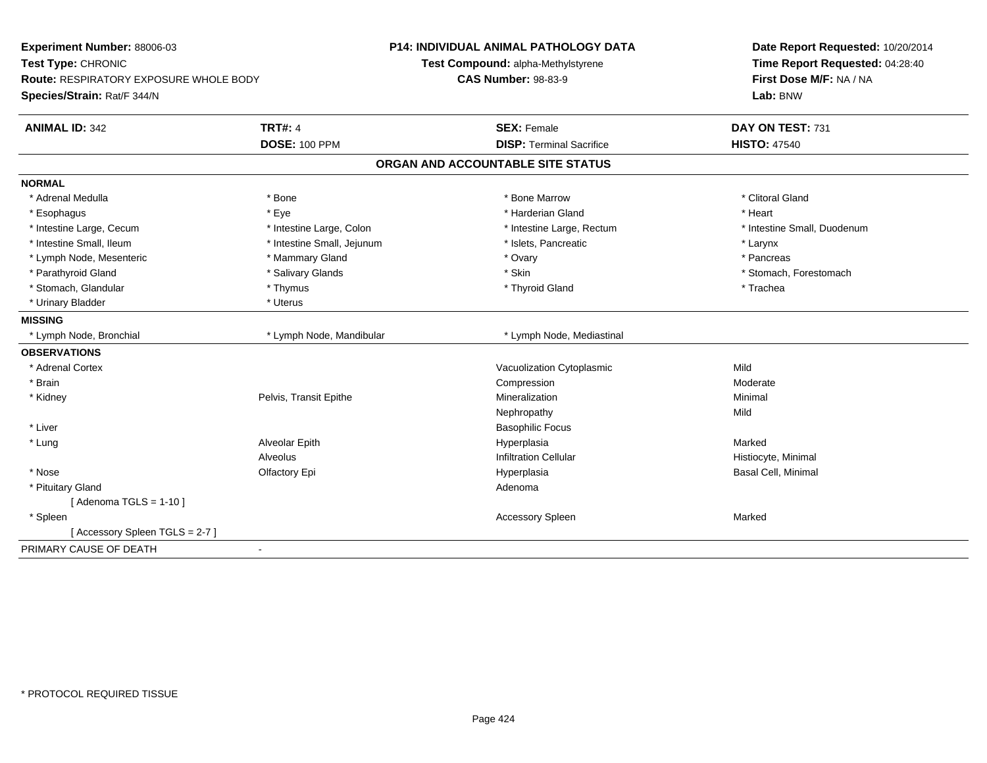| Experiment Number: 88006-03<br>Test Type: CHRONIC                            |                            | <b>P14: INDIVIDUAL ANIMAL PATHOLOGY DATA</b><br>Test Compound: alpha-Methylstyrene | Date Report Requested: 10/20/2014<br>Time Report Requested: 04:28:40 |  |
|------------------------------------------------------------------------------|----------------------------|------------------------------------------------------------------------------------|----------------------------------------------------------------------|--|
| <b>Route: RESPIRATORY EXPOSURE WHOLE BODY</b><br>Species/Strain: Rat/F 344/N |                            | <b>CAS Number: 98-83-9</b>                                                         | First Dose M/F: NA / NA<br>Lab: BNW                                  |  |
| <b>ANIMAL ID: 342</b>                                                        | <b>TRT#: 4</b>             | <b>SEX: Female</b>                                                                 | DAY ON TEST: 731                                                     |  |
|                                                                              | <b>DOSE: 100 PPM</b>       | <b>DISP: Terminal Sacrifice</b>                                                    | <b>HISTO: 47540</b>                                                  |  |
|                                                                              |                            | ORGAN AND ACCOUNTABLE SITE STATUS                                                  |                                                                      |  |
| <b>NORMAL</b>                                                                |                            |                                                                                    |                                                                      |  |
| * Adrenal Medulla                                                            | * Bone                     | * Bone Marrow                                                                      | * Clitoral Gland                                                     |  |
| * Esophagus                                                                  | * Eye                      | * Harderian Gland                                                                  | * Heart                                                              |  |
| * Intestine Large, Cecum                                                     | * Intestine Large, Colon   | * Intestine Large, Rectum                                                          | * Intestine Small, Duodenum                                          |  |
| * Intestine Small, Ileum                                                     | * Intestine Small, Jejunum | * Islets, Pancreatic                                                               | * Larynx                                                             |  |
| * Lymph Node, Mesenteric                                                     | * Mammary Gland            | * Ovary                                                                            | * Pancreas                                                           |  |
| * Parathyroid Gland                                                          | * Salivary Glands          | * Skin                                                                             | * Stomach, Forestomach                                               |  |
| * Stomach, Glandular                                                         | * Thymus                   | * Thyroid Gland                                                                    | * Trachea                                                            |  |
| * Urinary Bladder                                                            | * Uterus                   |                                                                                    |                                                                      |  |
| <b>MISSING</b>                                                               |                            |                                                                                    |                                                                      |  |
| * Lymph Node, Bronchial                                                      | * Lymph Node, Mandibular   | * Lymph Node, Mediastinal                                                          |                                                                      |  |
| <b>OBSERVATIONS</b>                                                          |                            |                                                                                    |                                                                      |  |
| * Adrenal Cortex                                                             |                            | Vacuolization Cytoplasmic                                                          | Mild                                                                 |  |
| * Brain                                                                      |                            | Compression                                                                        | Moderate                                                             |  |
| * Kidney                                                                     | Pelvis, Transit Epithe     | Mineralization                                                                     | Minimal                                                              |  |
|                                                                              |                            | Nephropathy                                                                        | Mild                                                                 |  |
| * Liver                                                                      |                            | <b>Basophilic Focus</b>                                                            |                                                                      |  |
| * Lung                                                                       | Alveolar Epith             | Hyperplasia                                                                        | Marked                                                               |  |
|                                                                              | Alveolus                   | <b>Infiltration Cellular</b>                                                       | Histiocyte, Minimal                                                  |  |
| * Nose                                                                       | Olfactory Epi              | Hyperplasia                                                                        | Basal Cell, Minimal                                                  |  |
| * Pituitary Gland                                                            |                            | Adenoma                                                                            |                                                                      |  |
| [Adenoma TGLS = $1-10$ ]                                                     |                            |                                                                                    |                                                                      |  |
| * Spleen                                                                     |                            | <b>Accessory Spleen</b>                                                            | Marked                                                               |  |
| [Accessory Spleen TGLS = 2-7]                                                |                            |                                                                                    |                                                                      |  |
| PRIMARY CAUSE OF DEATH                                                       | $\blacksquare$             |                                                                                    |                                                                      |  |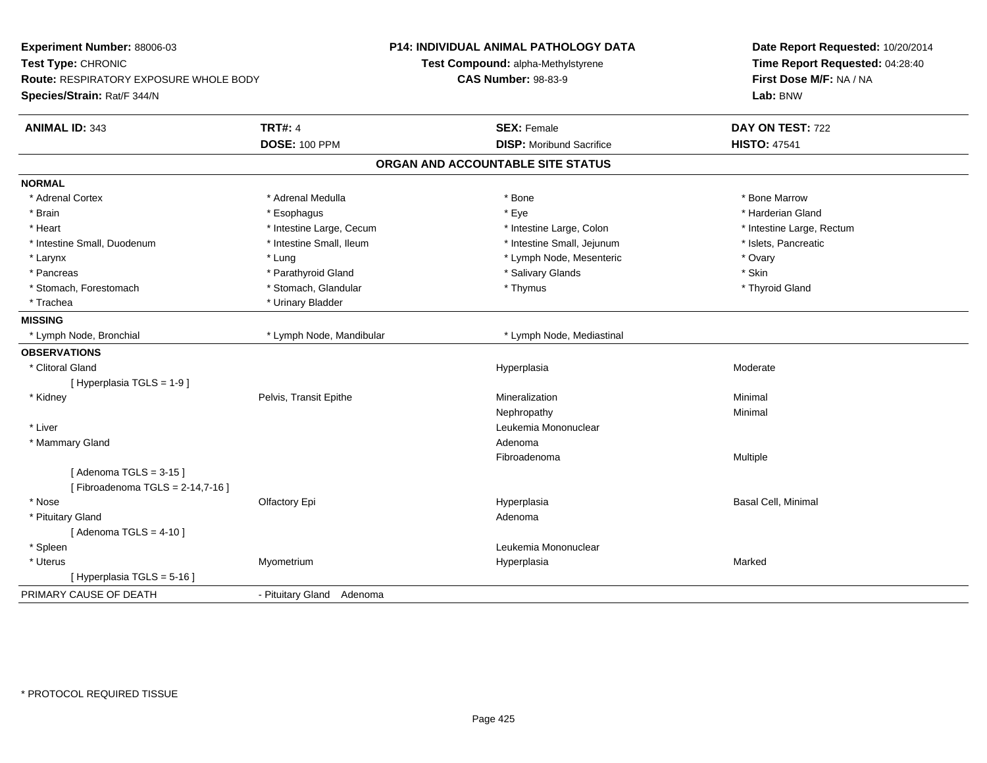| Experiment Number: 88006-03            |                           | <b>P14: INDIVIDUAL ANIMAL PATHOLOGY DATA</b> | Date Report Requested: 10/20/2014<br>Time Report Requested: 04:28:40 |
|----------------------------------------|---------------------------|----------------------------------------------|----------------------------------------------------------------------|
| Test Type: CHRONIC                     |                           | Test Compound: alpha-Methylstyrene           |                                                                      |
| Route: RESPIRATORY EXPOSURE WHOLE BODY |                           | <b>CAS Number: 98-83-9</b>                   | First Dose M/F: NA / NA                                              |
| Species/Strain: Rat/F 344/N            |                           |                                              | Lab: BNW                                                             |
| <b>ANIMAL ID: 343</b>                  | <b>TRT#: 4</b>            | <b>SEX: Female</b>                           | DAY ON TEST: 722                                                     |
|                                        | <b>DOSE: 100 PPM</b>      | <b>DISP:</b> Moribund Sacrifice              | <b>HISTO: 47541</b>                                                  |
|                                        |                           | ORGAN AND ACCOUNTABLE SITE STATUS            |                                                                      |
| <b>NORMAL</b>                          |                           |                                              |                                                                      |
| * Adrenal Cortex                       | * Adrenal Medulla         | * Bone                                       | * Bone Marrow                                                        |
| * Brain                                | * Esophagus               | * Eye                                        | * Harderian Gland                                                    |
| * Heart                                | * Intestine Large, Cecum  | * Intestine Large, Colon                     | * Intestine Large, Rectum                                            |
| * Intestine Small, Duodenum            | * Intestine Small, Ileum  | * Intestine Small, Jejunum                   | * Islets, Pancreatic                                                 |
| * Larynx                               | * Lung                    | * Lymph Node, Mesenteric                     | * Ovary                                                              |
| * Pancreas                             | * Parathyroid Gland       | * Salivary Glands                            | * Skin                                                               |
| * Stomach, Forestomach                 | * Stomach, Glandular      | * Thymus                                     | * Thyroid Gland                                                      |
| * Trachea                              | * Urinary Bladder         |                                              |                                                                      |
| <b>MISSING</b>                         |                           |                                              |                                                                      |
| * Lymph Node, Bronchial                | * Lymph Node, Mandibular  | * Lymph Node, Mediastinal                    |                                                                      |
| <b>OBSERVATIONS</b>                    |                           |                                              |                                                                      |
| * Clitoral Gland                       |                           | Hyperplasia                                  | Moderate                                                             |
| [ Hyperplasia TGLS = 1-9 ]             |                           |                                              |                                                                      |
| * Kidney                               | Pelvis, Transit Epithe    | Mineralization                               | Minimal                                                              |
|                                        |                           | Nephropathy                                  | Minimal                                                              |
| * Liver                                |                           | Leukemia Mononuclear                         |                                                                      |
| * Mammary Gland                        |                           | Adenoma                                      |                                                                      |
|                                        |                           | Fibroadenoma                                 | Multiple                                                             |
| [Adenoma TGLS = $3-15$ ]               |                           |                                              |                                                                      |
| [Fibroadenoma TGLS = $2-14,7-16$ ]     |                           |                                              |                                                                      |
| * Nose                                 | Olfactory Epi             | Hyperplasia                                  | Basal Cell, Minimal                                                  |
| * Pituitary Gland                      |                           | Adenoma                                      |                                                                      |
| [Adenoma TGLS = $4-10$ ]               |                           |                                              |                                                                      |
| * Spleen                               |                           | Leukemia Mononuclear                         |                                                                      |
| * Uterus                               | Myometrium                | Hyperplasia                                  | Marked                                                               |
| [ Hyperplasia TGLS = 5-16 ]            |                           |                                              |                                                                      |
| PRIMARY CAUSE OF DEATH                 | - Pituitary Gland Adenoma |                                              |                                                                      |
|                                        |                           |                                              |                                                                      |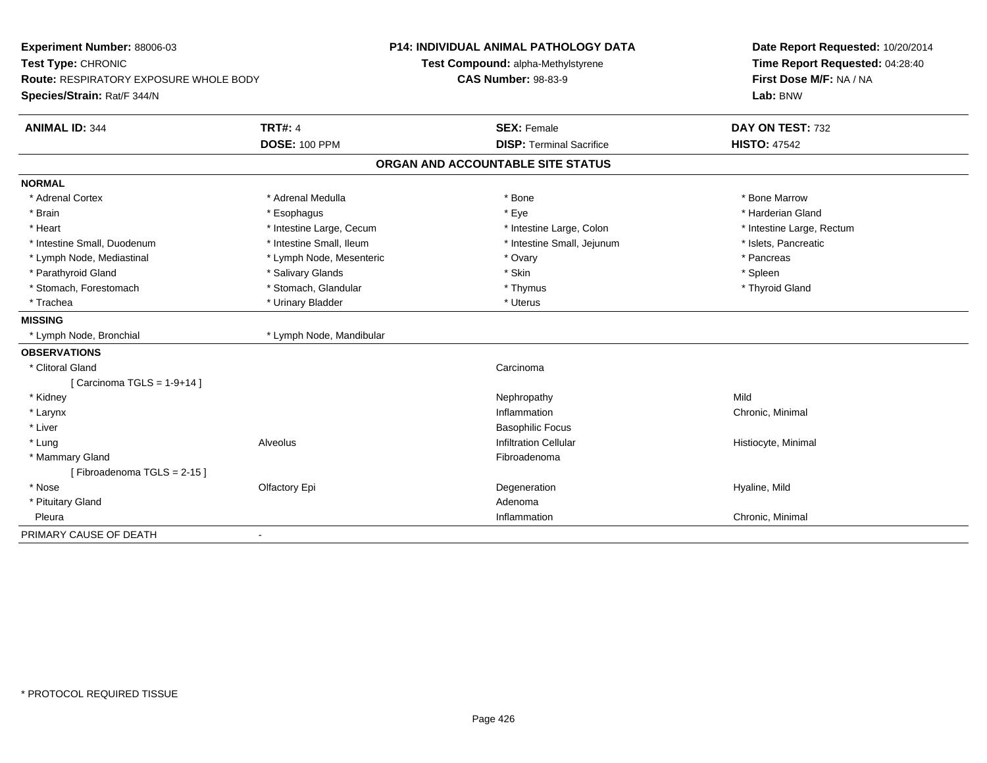| Experiment Number: 88006-03<br>Test Type: CHRONIC<br>Route: RESPIRATORY EXPOSURE WHOLE BODY<br>Species/Strain: Rat/F 344/N |                          | <b>P14: INDIVIDUAL ANIMAL PATHOLOGY DATA</b><br>Test Compound: alpha-Methylstyrene<br><b>CAS Number: 98-83-9</b> | Date Report Requested: 10/20/2014<br>Time Report Requested: 04:28:40<br>First Dose M/F: NA / NA<br>Lab: BNW |
|----------------------------------------------------------------------------------------------------------------------------|--------------------------|------------------------------------------------------------------------------------------------------------------|-------------------------------------------------------------------------------------------------------------|
| <b>ANIMAL ID: 344</b>                                                                                                      | <b>TRT#: 4</b>           | <b>SEX: Female</b>                                                                                               | DAY ON TEST: 732                                                                                            |
|                                                                                                                            | <b>DOSE: 100 PPM</b>     | <b>DISP: Terminal Sacrifice</b>                                                                                  | <b>HISTO: 47542</b>                                                                                         |
|                                                                                                                            |                          | ORGAN AND ACCOUNTABLE SITE STATUS                                                                                |                                                                                                             |
| <b>NORMAL</b>                                                                                                              |                          |                                                                                                                  |                                                                                                             |
| * Adrenal Cortex                                                                                                           | * Adrenal Medulla        | * Bone                                                                                                           | * Bone Marrow                                                                                               |
| * Brain                                                                                                                    | * Esophagus              | * Eye                                                                                                            | * Harderian Gland                                                                                           |
| * Heart                                                                                                                    | * Intestine Large, Cecum | * Intestine Large, Colon                                                                                         | * Intestine Large, Rectum                                                                                   |
| * Intestine Small, Duodenum                                                                                                | * Intestine Small, Ileum | * Intestine Small, Jejunum                                                                                       | * Islets, Pancreatic                                                                                        |
| * Lymph Node, Mediastinal                                                                                                  | * Lymph Node, Mesenteric | * Ovary                                                                                                          | * Pancreas                                                                                                  |
| * Parathyroid Gland                                                                                                        | * Salivary Glands        | * Skin                                                                                                           | * Spleen                                                                                                    |
| * Stomach, Forestomach                                                                                                     | * Stomach, Glandular     | * Thymus                                                                                                         | * Thyroid Gland                                                                                             |
| * Trachea                                                                                                                  | * Urinary Bladder        | * Uterus                                                                                                         |                                                                                                             |
| <b>MISSING</b>                                                                                                             |                          |                                                                                                                  |                                                                                                             |
| * Lymph Node, Bronchial                                                                                                    | * Lymph Node, Mandibular |                                                                                                                  |                                                                                                             |
| <b>OBSERVATIONS</b>                                                                                                        |                          |                                                                                                                  |                                                                                                             |
| * Clitoral Gland                                                                                                           |                          | Carcinoma                                                                                                        |                                                                                                             |
| [Carcinoma TGLS = $1-9+14$ ]                                                                                               |                          |                                                                                                                  |                                                                                                             |
| * Kidney                                                                                                                   |                          | Nephropathy                                                                                                      | Mild                                                                                                        |
| * Larynx                                                                                                                   |                          | Inflammation                                                                                                     | Chronic, Minimal                                                                                            |
| * Liver                                                                                                                    |                          | <b>Basophilic Focus</b>                                                                                          |                                                                                                             |
| * Lung                                                                                                                     | Alveolus                 | <b>Infiltration Cellular</b>                                                                                     | Histiocyte, Minimal                                                                                         |
| * Mammary Gland                                                                                                            |                          | Fibroadenoma                                                                                                     |                                                                                                             |
| [Fibroadenoma TGLS = 2-15]                                                                                                 |                          |                                                                                                                  |                                                                                                             |
| * Nose                                                                                                                     | Olfactory Epi            | Degeneration                                                                                                     | Hyaline, Mild                                                                                               |
| * Pituitary Gland                                                                                                          |                          | Adenoma                                                                                                          |                                                                                                             |
| Pleura                                                                                                                     |                          | Inflammation                                                                                                     | Chronic, Minimal                                                                                            |
| PRIMARY CAUSE OF DEATH                                                                                                     |                          |                                                                                                                  |                                                                                                             |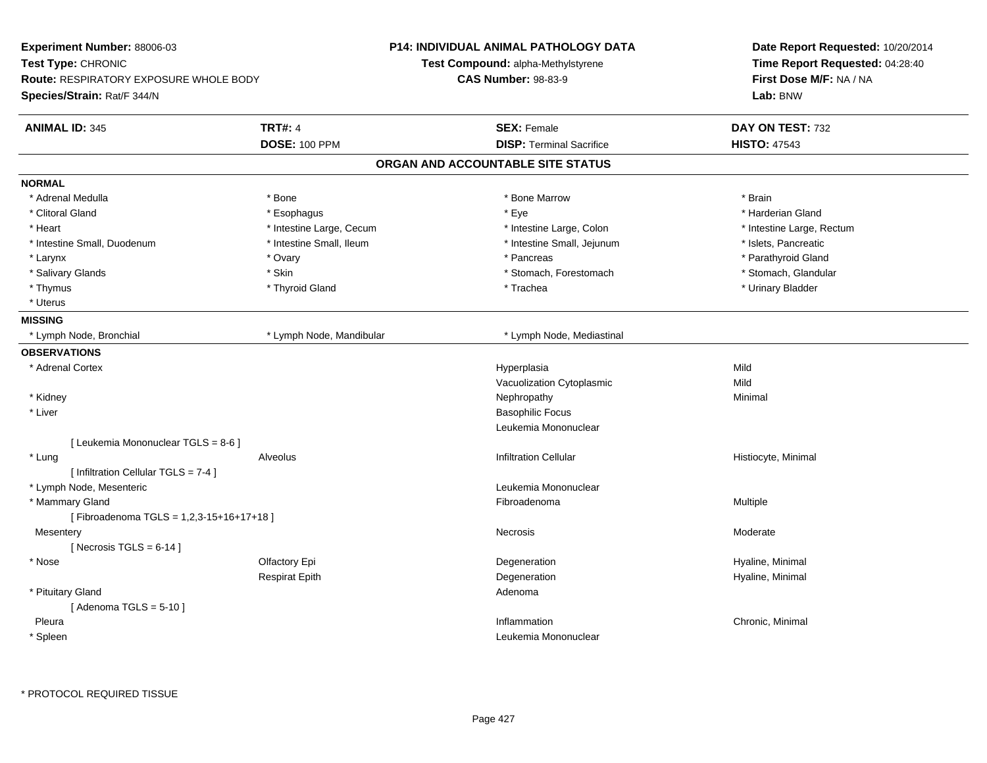| Experiment Number: 88006-03             |                          | <b>P14: INDIVIDUAL ANIMAL PATHOLOGY DATA</b> | Date Report Requested: 10/20/2014<br>Time Report Requested: 04:28:40 |
|-----------------------------------------|--------------------------|----------------------------------------------|----------------------------------------------------------------------|
| Test Type: CHRONIC                      |                          | Test Compound: alpha-Methylstyrene           |                                                                      |
| Route: RESPIRATORY EXPOSURE WHOLE BODY  |                          | <b>CAS Number: 98-83-9</b>                   | First Dose M/F: NA / NA                                              |
| Species/Strain: Rat/F 344/N             |                          |                                              | Lab: BNW                                                             |
| <b>ANIMAL ID: 345</b>                   | <b>TRT#: 4</b>           | <b>SEX: Female</b>                           | DAY ON TEST: 732                                                     |
|                                         | <b>DOSE: 100 PPM</b>     | <b>DISP: Terminal Sacrifice</b>              | <b>HISTO: 47543</b>                                                  |
|                                         |                          | ORGAN AND ACCOUNTABLE SITE STATUS            |                                                                      |
| <b>NORMAL</b>                           |                          |                                              |                                                                      |
| * Adrenal Medulla                       | * Bone                   | * Bone Marrow                                | * Brain                                                              |
| * Clitoral Gland                        | * Esophagus              | * Eye                                        | * Harderian Gland                                                    |
| * Heart                                 | * Intestine Large, Cecum | * Intestine Large, Colon                     | * Intestine Large, Rectum                                            |
| * Intestine Small, Duodenum             | * Intestine Small, Ileum | * Intestine Small, Jejunum                   | * Islets, Pancreatic                                                 |
| * Larynx                                | * Ovary                  | * Pancreas                                   | * Parathyroid Gland                                                  |
| * Salivary Glands                       | * Skin                   | * Stomach, Forestomach                       | * Stomach, Glandular                                                 |
| * Thymus                                | * Thyroid Gland          | * Trachea                                    | * Urinary Bladder                                                    |
| * Uterus                                |                          |                                              |                                                                      |
| <b>MISSING</b>                          |                          |                                              |                                                                      |
| * Lymph Node, Bronchial                 | * Lymph Node, Mandibular | * Lymph Node, Mediastinal                    |                                                                      |
| <b>OBSERVATIONS</b>                     |                          |                                              |                                                                      |
| * Adrenal Cortex                        |                          | Hyperplasia                                  | Mild                                                                 |
|                                         |                          | Vacuolization Cytoplasmic                    | Mild                                                                 |
| * Kidney                                |                          | Nephropathy                                  | Minimal                                                              |
| * Liver                                 |                          | <b>Basophilic Focus</b>                      |                                                                      |
|                                         |                          | Leukemia Mononuclear                         |                                                                      |
| [ Leukemia Mononuclear TGLS = 8-6 ]     |                          |                                              |                                                                      |
| * Lung                                  | Alveolus                 | <b>Infiltration Cellular</b>                 | Histiocyte, Minimal                                                  |
| [ Infiltration Cellular TGLS = 7-4 ]    |                          |                                              |                                                                      |
| * Lymph Node, Mesenteric                |                          | Leukemia Mononuclear                         |                                                                      |
| * Mammary Gland                         |                          | Fibroadenoma                                 | Multiple                                                             |
| [Fibroadenoma TGLS = 1,2,3-15+16+17+18] |                          |                                              |                                                                      |
| Mesentery                               |                          | <b>Necrosis</b>                              | Moderate                                                             |
| [Necrosis TGLS = $6-14$ ]               |                          |                                              |                                                                      |
| * Nose                                  | Olfactory Epi            | Degeneration                                 | Hyaline, Minimal                                                     |
|                                         | <b>Respirat Epith</b>    | Degeneration                                 | Hyaline, Minimal                                                     |
| * Pituitary Gland                       |                          | Adenoma                                      |                                                                      |
| [Adenoma TGLS = $5-10$ ]                |                          |                                              |                                                                      |
| Pleura                                  |                          | Inflammation                                 | Chronic, Minimal                                                     |
| * Spleen                                |                          | Leukemia Mononuclear                         |                                                                      |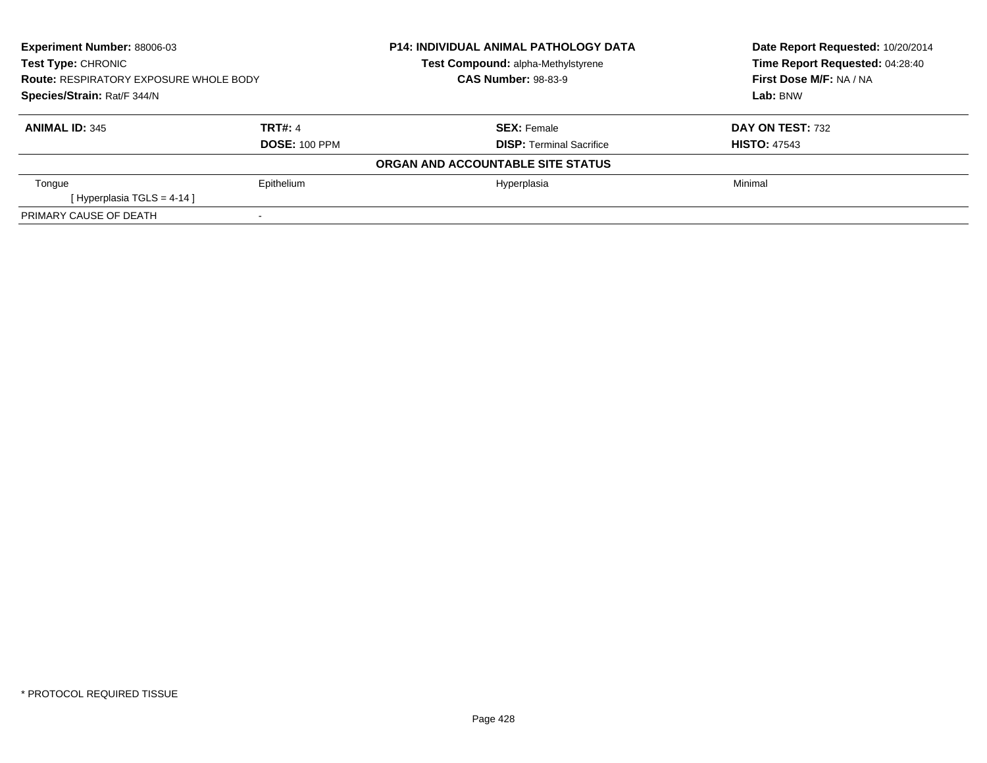| <b>Experiment Number: 88006-03</b><br><b>Test Type: CHRONIC</b><br><b>Route: RESPIRATORY EXPOSURE WHOLE BODY</b><br>Species/Strain: Rat/F 344/N |                | <b>P14: INDIVIDUAL ANIMAL PATHOLOGY DATA</b> | Date Report Requested: 10/20/2014 |
|-------------------------------------------------------------------------------------------------------------------------------------------------|----------------|----------------------------------------------|-----------------------------------|
|                                                                                                                                                 |                | Test Compound: alpha-Methylstyrene           | Time Report Requested: 04:28:40   |
|                                                                                                                                                 |                | <b>CAS Number: 98-83-9</b>                   | First Dose M/F: NA / NA           |
|                                                                                                                                                 |                |                                              | Lab: BNW                          |
| <b>ANIMAL ID: 345</b>                                                                                                                           | <b>TRT#: 4</b> | <b>SEX: Female</b>                           | DAY ON TEST: 732                  |
| <b>DOSE: 100 PPM</b>                                                                                                                            |                | <b>DISP: Terminal Sacrifice</b>              | <b>HISTO: 47543</b>               |
|                                                                                                                                                 |                | ORGAN AND ACCOUNTABLE SITE STATUS            |                                   |
| Tongue                                                                                                                                          | Epithelium     | Hyperplasia                                  | Minimal                           |
| [Hyperplasia TGLS = $4-14$ ]                                                                                                                    |                |                                              |                                   |
| PRIMARY CAUSE OF DEATH                                                                                                                          |                |                                              |                                   |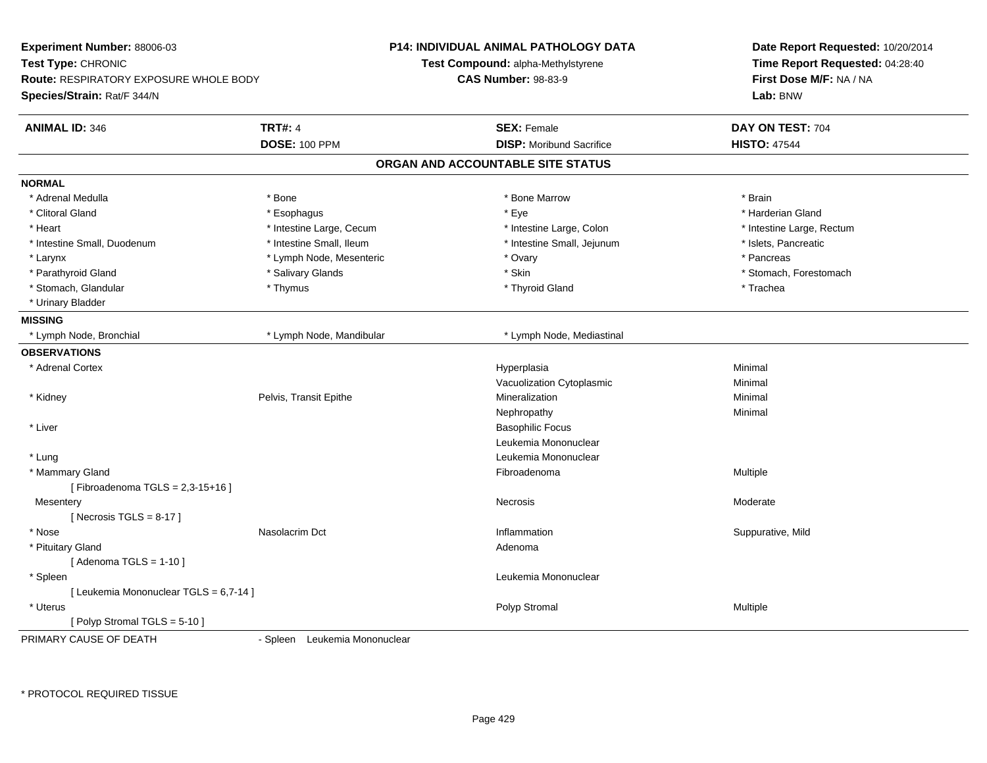| Experiment Number: 88006-03<br>Test Type: CHRONIC<br><b>Route: RESPIRATORY EXPOSURE WHOLE BODY</b><br>Species/Strain: Rat/F 344/N |                                        | <b>P14: INDIVIDUAL ANIMAL PATHOLOGY DATA</b><br>Test Compound: alpha-Methylstyrene<br><b>CAS Number: 98-83-9</b> | Date Report Requested: 10/20/2014<br>Time Report Requested: 04:28:40<br>First Dose M/F: NA / NA<br>Lab: BNW |
|-----------------------------------------------------------------------------------------------------------------------------------|----------------------------------------|------------------------------------------------------------------------------------------------------------------|-------------------------------------------------------------------------------------------------------------|
| <b>ANIMAL ID: 346</b>                                                                                                             | <b>TRT#: 4</b><br><b>DOSE: 100 PPM</b> | <b>SEX: Female</b><br><b>DISP:</b> Moribund Sacrifice                                                            | DAY ON TEST: 704<br><b>HISTO: 47544</b>                                                                     |
|                                                                                                                                   |                                        | ORGAN AND ACCOUNTABLE SITE STATUS                                                                                |                                                                                                             |
| <b>NORMAL</b>                                                                                                                     |                                        |                                                                                                                  |                                                                                                             |
| * Adrenal Medulla                                                                                                                 | * Bone                                 | * Bone Marrow                                                                                                    | * Brain                                                                                                     |
| * Clitoral Gland                                                                                                                  | * Esophagus                            | * Eye                                                                                                            | * Harderian Gland                                                                                           |
| * Heart                                                                                                                           | * Intestine Large, Cecum               | * Intestine Large, Colon                                                                                         | * Intestine Large, Rectum                                                                                   |
| * Intestine Small, Duodenum                                                                                                       | * Intestine Small, Ileum               | * Intestine Small, Jejunum                                                                                       | * Islets, Pancreatic                                                                                        |
| * Larynx                                                                                                                          | * Lymph Node, Mesenteric               | * Ovary                                                                                                          | * Pancreas                                                                                                  |
| * Parathyroid Gland                                                                                                               | * Salivary Glands                      | * Skin                                                                                                           | * Stomach, Forestomach                                                                                      |
| * Stomach, Glandular                                                                                                              | * Thymus                               | * Thyroid Gland                                                                                                  | * Trachea                                                                                                   |
| * Urinary Bladder                                                                                                                 |                                        |                                                                                                                  |                                                                                                             |
|                                                                                                                                   |                                        |                                                                                                                  |                                                                                                             |
| <b>MISSING</b>                                                                                                                    |                                        |                                                                                                                  |                                                                                                             |
| * Lymph Node, Bronchial                                                                                                           | * Lymph Node, Mandibular               | * Lymph Node, Mediastinal                                                                                        |                                                                                                             |
| <b>OBSERVATIONS</b>                                                                                                               |                                        |                                                                                                                  |                                                                                                             |
| * Adrenal Cortex                                                                                                                  |                                        | Hyperplasia                                                                                                      | Minimal                                                                                                     |
|                                                                                                                                   |                                        | Vacuolization Cytoplasmic                                                                                        | Minimal                                                                                                     |
| * Kidney                                                                                                                          | Pelvis, Transit Epithe                 | Mineralization                                                                                                   | Minimal                                                                                                     |
|                                                                                                                                   |                                        | Nephropathy                                                                                                      | Minimal                                                                                                     |
| * Liver                                                                                                                           |                                        | <b>Basophilic Focus</b>                                                                                          |                                                                                                             |
|                                                                                                                                   |                                        | Leukemia Mononuclear                                                                                             |                                                                                                             |
| * Lung                                                                                                                            |                                        | Leukemia Mononuclear                                                                                             |                                                                                                             |
| * Mammary Gland                                                                                                                   |                                        | Fibroadenoma                                                                                                     | Multiple                                                                                                    |
| [Fibroadenoma TGLS = 2,3-15+16]                                                                                                   |                                        |                                                                                                                  |                                                                                                             |
| Mesentery                                                                                                                         |                                        | Necrosis                                                                                                         | Moderate                                                                                                    |
| [Necrosis $TGLS = 8-17$ ]                                                                                                         |                                        |                                                                                                                  |                                                                                                             |
| * Nose                                                                                                                            | Nasolacrim Dct                         | Inflammation                                                                                                     | Suppurative, Mild                                                                                           |
| * Pituitary Gland                                                                                                                 |                                        | Adenoma                                                                                                          |                                                                                                             |
| [Adenoma TGLS = $1-10$ ]                                                                                                          |                                        |                                                                                                                  |                                                                                                             |
| $*$ Spleen                                                                                                                        |                                        | Leukemia Mononuclear                                                                                             |                                                                                                             |
| [ Leukemia Mononuclear TGLS = 6,7-14 ]                                                                                            |                                        |                                                                                                                  |                                                                                                             |
| * Uterus                                                                                                                          |                                        | Polyp Stromal                                                                                                    | Multiple                                                                                                    |
| [Polyp Stromal TGLS = 5-10]                                                                                                       |                                        |                                                                                                                  |                                                                                                             |
| PRIMARY CAUSE OF DEATH                                                                                                            | - Spleen Leukemia Mononuclear          |                                                                                                                  |                                                                                                             |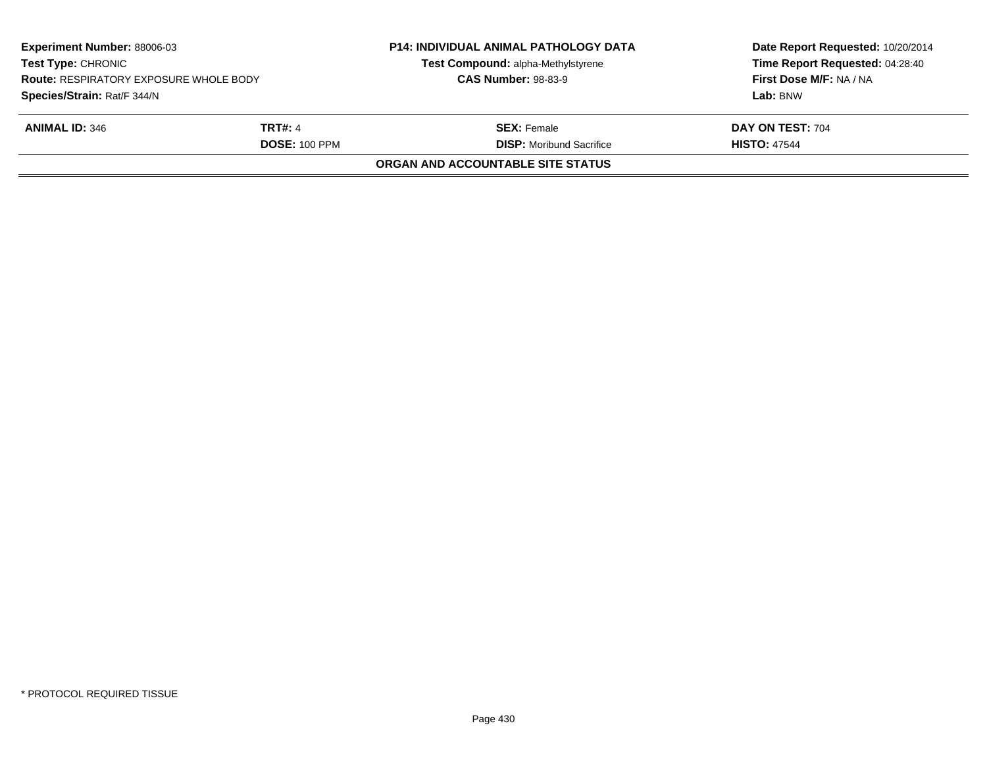| <b>Experiment Number: 88006-03</b><br><b>Test Type: CHRONIC</b><br><b>Route: RESPIRATORY EXPOSURE WHOLE BODY</b> |                      | <b>P14: INDIVIDUAL ANIMAL PATHOLOGY DATA</b><br>Test Compound: alpha-Methylstyrene<br><b>CAS Number: 98-83-9</b> | Date Report Requested: 10/20/2014<br>Time Report Requested: 04:28:40<br>First Dose M/F: NA / NA |
|------------------------------------------------------------------------------------------------------------------|----------------------|------------------------------------------------------------------------------------------------------------------|-------------------------------------------------------------------------------------------------|
| Species/Strain: Rat/F 344/N                                                                                      |                      |                                                                                                                  | Lab: BNW                                                                                        |
| <b>ANIMAL ID: 346</b>                                                                                            | <b>TRT#: 4</b>       | <b>SEX: Female</b>                                                                                               | DAY ON TEST: 704                                                                                |
|                                                                                                                  | <b>DOSE: 100 PPM</b> | <b>DISP:</b> Moribund Sacrifice                                                                                  | <b>HISTO: 47544</b>                                                                             |
|                                                                                                                  |                      | ORGAN AND ACCOUNTABLE SITE STATUS                                                                                |                                                                                                 |
|                                                                                                                  |                      |                                                                                                                  |                                                                                                 |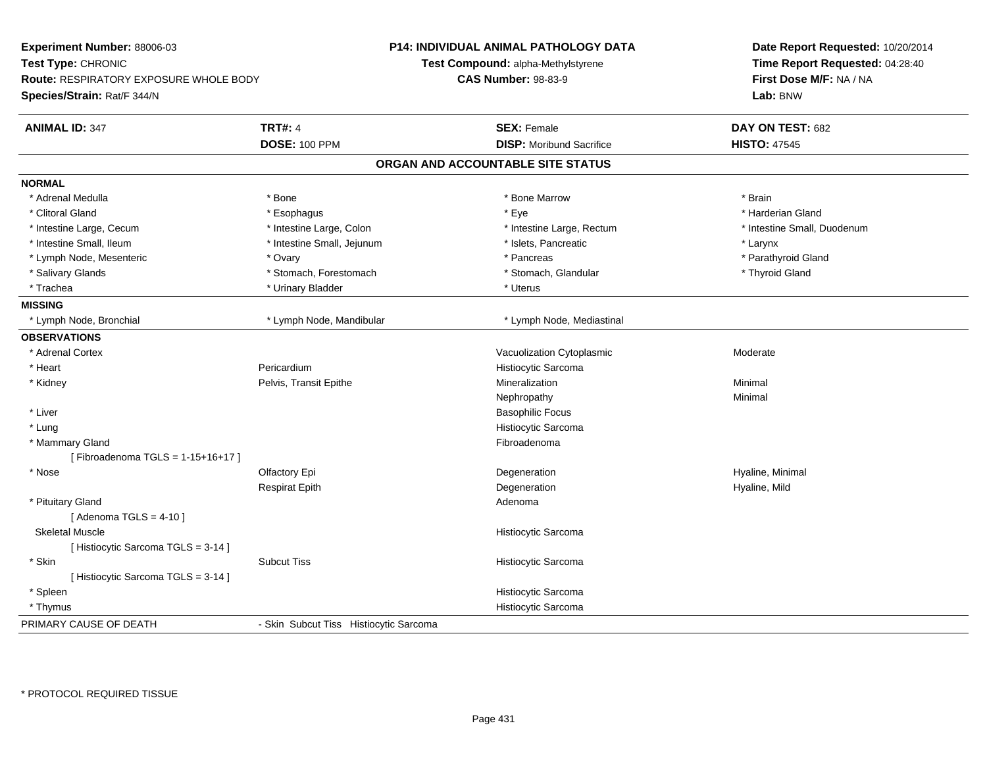| Experiment Number: 88006-03<br>Test Type: CHRONIC |                                        | <b>P14: INDIVIDUAL ANIMAL PATHOLOGY DATA</b><br>Test Compound: alpha-Methylstyrene | Date Report Requested: 10/20/2014<br>Time Report Requested: 04:28:40 |  |
|---------------------------------------------------|----------------------------------------|------------------------------------------------------------------------------------|----------------------------------------------------------------------|--|
| <b>Route: RESPIRATORY EXPOSURE WHOLE BODY</b>     |                                        | <b>CAS Number: 98-83-9</b>                                                         | First Dose M/F: NA / NA                                              |  |
| Species/Strain: Rat/F 344/N                       |                                        |                                                                                    | Lab: BNW                                                             |  |
| <b>ANIMAL ID: 347</b>                             | <b>TRT#: 4</b>                         | <b>SEX: Female</b>                                                                 | DAY ON TEST: 682                                                     |  |
|                                                   | <b>DOSE: 100 PPM</b>                   | <b>DISP:</b> Moribund Sacrifice                                                    | <b>HISTO: 47545</b>                                                  |  |
|                                                   |                                        | ORGAN AND ACCOUNTABLE SITE STATUS                                                  |                                                                      |  |
| <b>NORMAL</b>                                     |                                        |                                                                                    |                                                                      |  |
| * Adrenal Medulla                                 | * Bone                                 | * Bone Marrow                                                                      | * Brain                                                              |  |
| * Clitoral Gland                                  | * Esophagus                            | * Eye                                                                              | * Harderian Gland                                                    |  |
| * Intestine Large, Cecum                          | * Intestine Large, Colon               | * Intestine Large, Rectum                                                          | * Intestine Small, Duodenum                                          |  |
| * Intestine Small, Ileum                          | * Intestine Small, Jejunum             | * Islets, Pancreatic                                                               | * Larynx                                                             |  |
| * Lymph Node, Mesenteric                          | * Ovary                                | * Pancreas                                                                         | * Parathyroid Gland                                                  |  |
| * Salivary Glands                                 | * Stomach, Forestomach                 | * Stomach, Glandular                                                               | * Thyroid Gland                                                      |  |
| * Trachea                                         | * Urinary Bladder                      | * Uterus                                                                           |                                                                      |  |
| <b>MISSING</b>                                    |                                        |                                                                                    |                                                                      |  |
| * Lymph Node, Bronchial                           | * Lymph Node, Mandibular               | * Lymph Node, Mediastinal                                                          |                                                                      |  |
| <b>OBSERVATIONS</b>                               |                                        |                                                                                    |                                                                      |  |
| * Adrenal Cortex                                  |                                        | Vacuolization Cytoplasmic                                                          | Moderate                                                             |  |
| * Heart                                           | Pericardium                            | Histiocytic Sarcoma                                                                |                                                                      |  |
| * Kidney                                          | Pelvis, Transit Epithe                 | Mineralization                                                                     | Minimal                                                              |  |
|                                                   |                                        | Nephropathy                                                                        | Minimal                                                              |  |
| * Liver                                           |                                        | <b>Basophilic Focus</b>                                                            |                                                                      |  |
| * Lung                                            |                                        | Histiocytic Sarcoma                                                                |                                                                      |  |
| * Mammary Gland                                   |                                        | Fibroadenoma                                                                       |                                                                      |  |
| [Fibroadenoma TGLS = 1-15+16+17]                  |                                        |                                                                                    |                                                                      |  |
| * Nose                                            | Olfactory Epi                          | Degeneration                                                                       | Hyaline, Minimal                                                     |  |
|                                                   | <b>Respirat Epith</b>                  | Degeneration                                                                       | Hyaline, Mild                                                        |  |
| * Pituitary Gland                                 |                                        | Adenoma                                                                            |                                                                      |  |
| [Adenoma TGLS = $4-10$ ]                          |                                        |                                                                                    |                                                                      |  |
| <b>Skeletal Muscle</b>                            |                                        | Histiocytic Sarcoma                                                                |                                                                      |  |
| [Histiocytic Sarcoma TGLS = 3-14]                 |                                        |                                                                                    |                                                                      |  |
| * Skin                                            | <b>Subcut Tiss</b>                     | Histiocytic Sarcoma                                                                |                                                                      |  |
| [ Histiocytic Sarcoma TGLS = 3-14 ]               |                                        |                                                                                    |                                                                      |  |
| * Spleen                                          |                                        | Histiocytic Sarcoma                                                                |                                                                      |  |
| * Thymus                                          |                                        | Histiocytic Sarcoma                                                                |                                                                      |  |
| PRIMARY CAUSE OF DEATH                            | - Skin Subcut Tiss Histiocytic Sarcoma |                                                                                    |                                                                      |  |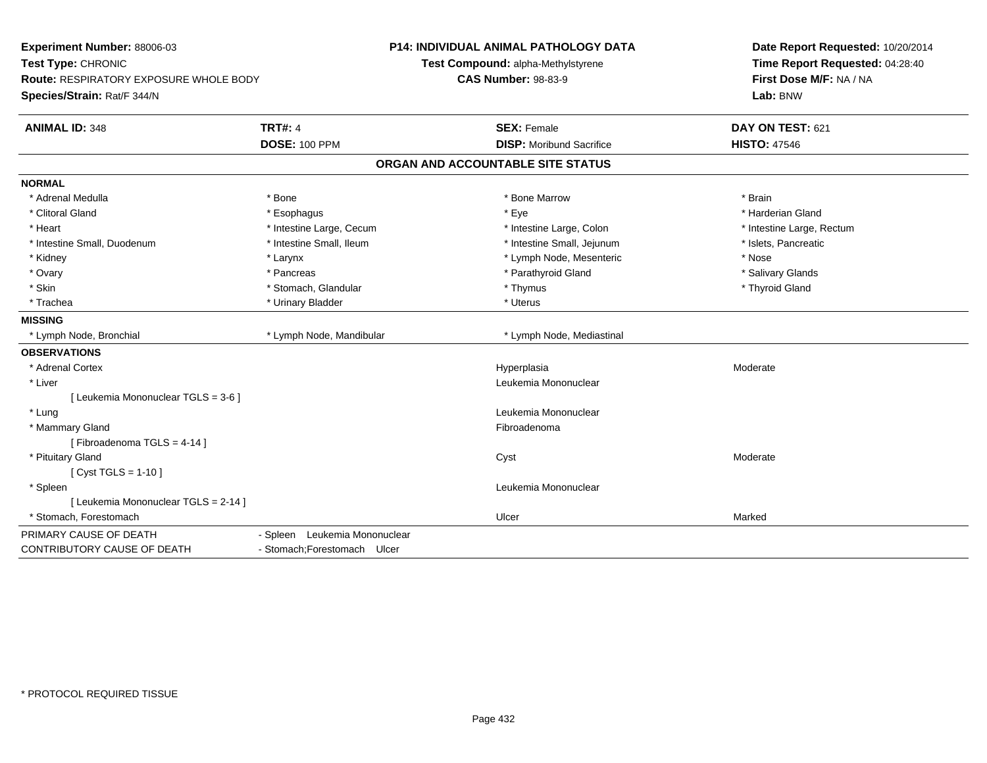| Experiment Number: 88006-03<br>Test Type: CHRONIC<br><b>Route: RESPIRATORY EXPOSURE WHOLE BODY</b><br>Species/Strain: Rat/F 344/N |                               | P14: INDIVIDUAL ANIMAL PATHOLOGY DATA<br>Test Compound: alpha-Methylstyrene<br><b>CAS Number: 98-83-9</b> | Date Report Requested: 10/20/2014<br>Time Report Requested: 04:28:40<br>First Dose M/F: NA / NA<br>Lab: BNW |
|-----------------------------------------------------------------------------------------------------------------------------------|-------------------------------|-----------------------------------------------------------------------------------------------------------|-------------------------------------------------------------------------------------------------------------|
| <b>ANIMAL ID: 348</b>                                                                                                             | <b>TRT#: 4</b>                | <b>SEX: Female</b>                                                                                        | DAY ON TEST: 621                                                                                            |
|                                                                                                                                   | <b>DOSE: 100 PPM</b>          | <b>DISP:</b> Moribund Sacrifice                                                                           | <b>HISTO: 47546</b>                                                                                         |
|                                                                                                                                   |                               | ORGAN AND ACCOUNTABLE SITE STATUS                                                                         |                                                                                                             |
| <b>NORMAL</b>                                                                                                                     |                               |                                                                                                           |                                                                                                             |
| * Adrenal Medulla                                                                                                                 | * Bone                        | * Bone Marrow                                                                                             | * Brain                                                                                                     |
| * Clitoral Gland                                                                                                                  | * Esophagus                   | * Eye                                                                                                     | * Harderian Gland                                                                                           |
| * Heart                                                                                                                           | * Intestine Large, Cecum      | * Intestine Large, Colon                                                                                  | * Intestine Large, Rectum                                                                                   |
| * Intestine Small, Duodenum                                                                                                       | * Intestine Small, Ileum      | * Intestine Small, Jejunum                                                                                | * Islets, Pancreatic                                                                                        |
| * Kidney                                                                                                                          | * Larynx                      | * Lymph Node, Mesenteric                                                                                  | * Nose                                                                                                      |
| * Ovary                                                                                                                           | * Pancreas                    | * Parathyroid Gland                                                                                       | * Salivary Glands                                                                                           |
| * Skin                                                                                                                            | * Stomach, Glandular          | * Thymus                                                                                                  | * Thyroid Gland                                                                                             |
| * Trachea                                                                                                                         | * Urinary Bladder             | * Uterus                                                                                                  |                                                                                                             |
| <b>MISSING</b>                                                                                                                    |                               |                                                                                                           |                                                                                                             |
| * Lymph Node, Bronchial                                                                                                           | * Lymph Node, Mandibular      | * Lymph Node, Mediastinal                                                                                 |                                                                                                             |
| <b>OBSERVATIONS</b>                                                                                                               |                               |                                                                                                           |                                                                                                             |
| * Adrenal Cortex                                                                                                                  |                               | Hyperplasia                                                                                               | Moderate                                                                                                    |
| * Liver                                                                                                                           |                               | Leukemia Mononuclear                                                                                      |                                                                                                             |
| [ Leukemia Mononuclear TGLS = 3-6 ]                                                                                               |                               |                                                                                                           |                                                                                                             |
| * Lung                                                                                                                            |                               | Leukemia Mononuclear                                                                                      |                                                                                                             |
| * Mammary Gland                                                                                                                   |                               | Fibroadenoma                                                                                              |                                                                                                             |
| [Fibroadenoma TGLS = 4-14]                                                                                                        |                               |                                                                                                           |                                                                                                             |
| * Pituitary Gland                                                                                                                 |                               | Cyst                                                                                                      | Moderate                                                                                                    |
| [ Cyst TGLS = 1-10 ]                                                                                                              |                               |                                                                                                           |                                                                                                             |
| * Spleen                                                                                                                          |                               | Leukemia Mononuclear                                                                                      |                                                                                                             |
| [ Leukemia Mononuclear TGLS = 2-14 ]                                                                                              |                               |                                                                                                           |                                                                                                             |
| * Stomach. Forestomach                                                                                                            |                               | Ulcer                                                                                                     | Marked                                                                                                      |
| PRIMARY CAUSE OF DEATH                                                                                                            | - Spleen Leukemia Mononuclear |                                                                                                           |                                                                                                             |
| CONTRIBUTORY CAUSE OF DEATH                                                                                                       | - Stomach: Forestomach Ulcer  |                                                                                                           |                                                                                                             |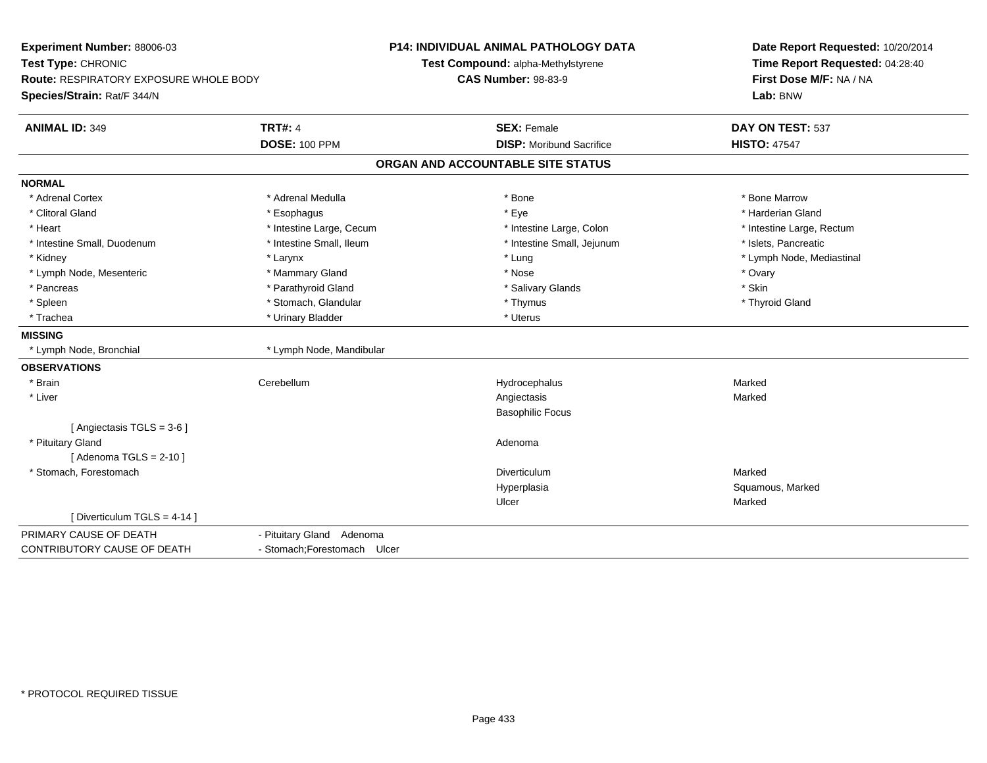| Experiment Number: 88006-03<br>Test Type: CHRONIC<br>Route: RESPIRATORY EXPOSURE WHOLE BODY |                              | <b>P14: INDIVIDUAL ANIMAL PATHOLOGY DATA</b><br>Test Compound: alpha-Methylstyrene<br><b>CAS Number: 98-83-9</b> | Date Report Requested: 10/20/2014<br>Time Report Requested: 04:28:40<br>First Dose M/F: NA / NA<br>Lab: BNW |
|---------------------------------------------------------------------------------------------|------------------------------|------------------------------------------------------------------------------------------------------------------|-------------------------------------------------------------------------------------------------------------|
| Species/Strain: Rat/F 344/N                                                                 |                              |                                                                                                                  |                                                                                                             |
| <b>ANIMAL ID: 349</b>                                                                       | <b>TRT#: 4</b>               | <b>SEX: Female</b>                                                                                               | DAY ON TEST: 537                                                                                            |
|                                                                                             | <b>DOSE: 100 PPM</b>         | <b>DISP:</b> Moribund Sacrifice                                                                                  | <b>HISTO: 47547</b>                                                                                         |
|                                                                                             |                              | ORGAN AND ACCOUNTABLE SITE STATUS                                                                                |                                                                                                             |
| <b>NORMAL</b>                                                                               |                              |                                                                                                                  |                                                                                                             |
| * Adrenal Cortex                                                                            | * Adrenal Medulla            | * Bone                                                                                                           | * Bone Marrow                                                                                               |
| * Clitoral Gland                                                                            | * Esophagus                  | * Eye                                                                                                            | * Harderian Gland                                                                                           |
| * Heart                                                                                     | * Intestine Large, Cecum     | * Intestine Large, Colon                                                                                         | * Intestine Large, Rectum                                                                                   |
| * Intestine Small, Duodenum                                                                 | * Intestine Small, Ileum     | * Intestine Small, Jejunum                                                                                       | * Islets, Pancreatic                                                                                        |
| * Kidney                                                                                    | * Larynx                     | * Lung                                                                                                           | * Lymph Node, Mediastinal                                                                                   |
| * Lymph Node, Mesenteric                                                                    | * Mammary Gland              | * Nose                                                                                                           | * Ovary                                                                                                     |
| * Pancreas                                                                                  | * Parathyroid Gland          | * Salivary Glands                                                                                                | * Skin                                                                                                      |
| * Spleen                                                                                    | * Stomach, Glandular         | * Thymus                                                                                                         | * Thyroid Gland                                                                                             |
| * Trachea                                                                                   | * Urinary Bladder            | * Uterus                                                                                                         |                                                                                                             |
| <b>MISSING</b>                                                                              |                              |                                                                                                                  |                                                                                                             |
| * Lymph Node, Bronchial                                                                     | * Lymph Node, Mandibular     |                                                                                                                  |                                                                                                             |
| <b>OBSERVATIONS</b>                                                                         |                              |                                                                                                                  |                                                                                                             |
| * Brain                                                                                     | Cerebellum                   | Hydrocephalus                                                                                                    | Marked                                                                                                      |
| * Liver                                                                                     |                              | Angiectasis                                                                                                      | Marked                                                                                                      |
|                                                                                             |                              | <b>Basophilic Focus</b>                                                                                          |                                                                                                             |
| [ Angiectasis TGLS = 3-6 ]                                                                  |                              |                                                                                                                  |                                                                                                             |
| * Pituitary Gland                                                                           |                              | Adenoma                                                                                                          |                                                                                                             |
| [Adenoma TGLS = $2-10$ ]                                                                    |                              |                                                                                                                  |                                                                                                             |
| * Stomach, Forestomach                                                                      |                              | Diverticulum                                                                                                     | Marked                                                                                                      |
|                                                                                             |                              | Hyperplasia                                                                                                      | Squamous, Marked                                                                                            |
|                                                                                             |                              | Ulcer                                                                                                            | Marked                                                                                                      |
| [ Diverticulum TGLS = 4-14 ]                                                                |                              |                                                                                                                  |                                                                                                             |
| PRIMARY CAUSE OF DEATH                                                                      | - Pituitary Gland Adenoma    |                                                                                                                  |                                                                                                             |
| CONTRIBUTORY CAUSE OF DEATH                                                                 | - Stomach; Forestomach Ulcer |                                                                                                                  |                                                                                                             |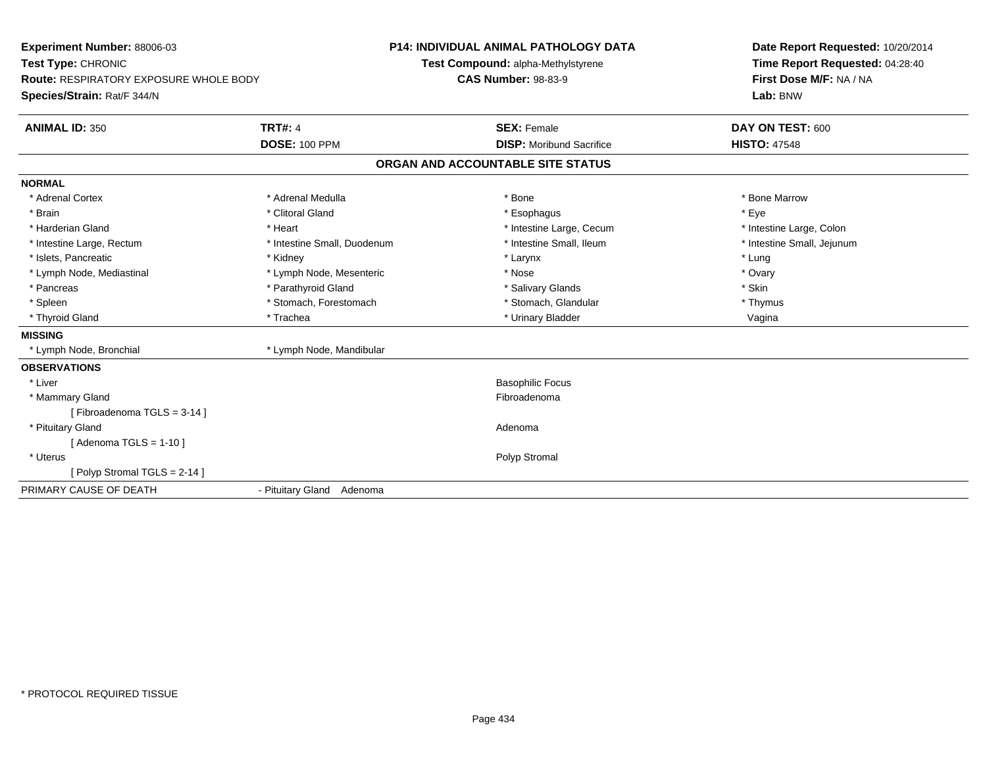| <b>Experiment Number: 88006-03</b>            |                             | <b>P14: INDIVIDUAL ANIMAL PATHOLOGY DATA</b> | Date Report Requested: 10/20/2014 |  |
|-----------------------------------------------|-----------------------------|----------------------------------------------|-----------------------------------|--|
| Test Type: CHRONIC                            |                             | Test Compound: alpha-Methylstyrene           | Time Report Requested: 04:28:40   |  |
| <b>Route: RESPIRATORY EXPOSURE WHOLE BODY</b> |                             | <b>CAS Number: 98-83-9</b>                   | First Dose M/F: NA / NA           |  |
| Species/Strain: Rat/F 344/N                   |                             |                                              | Lab: BNW                          |  |
| <b>ANIMAL ID: 350</b>                         | <b>TRT#: 4</b>              | <b>SEX: Female</b>                           | DAY ON TEST: 600                  |  |
|                                               | <b>DOSE: 100 PPM</b>        | <b>DISP:</b> Moribund Sacrifice              | <b>HISTO: 47548</b>               |  |
|                                               |                             | ORGAN AND ACCOUNTABLE SITE STATUS            |                                   |  |
| <b>NORMAL</b>                                 |                             |                                              |                                   |  |
| * Adrenal Cortex                              | * Adrenal Medulla           | * Bone                                       | * Bone Marrow                     |  |
| * Brain                                       | * Clitoral Gland            | * Esophagus                                  | * Eye                             |  |
| * Harderian Gland                             | * Heart                     | * Intestine Large, Cecum                     | * Intestine Large, Colon          |  |
| * Intestine Large, Rectum                     | * Intestine Small, Duodenum | * Intestine Small, Ileum                     | * Intestine Small, Jejunum        |  |
| * Islets, Pancreatic                          | * Kidney                    | * Larynx                                     | * Lung                            |  |
| * Lymph Node, Mediastinal                     | * Lymph Node, Mesenteric    | * Nose                                       | * Ovary                           |  |
| * Pancreas                                    | * Parathyroid Gland         | * Salivary Glands                            | * Skin                            |  |
| * Spleen                                      | * Stomach, Forestomach      | * Stomach, Glandular                         | * Thymus                          |  |
| * Thyroid Gland                               | * Trachea                   | * Urinary Bladder                            | Vagina                            |  |
| <b>MISSING</b>                                |                             |                                              |                                   |  |
| * Lymph Node, Bronchial                       | * Lymph Node, Mandibular    |                                              |                                   |  |
| <b>OBSERVATIONS</b>                           |                             |                                              |                                   |  |
| * Liver                                       |                             | <b>Basophilic Focus</b>                      |                                   |  |
| * Mammary Gland                               |                             | Fibroadenoma                                 |                                   |  |
| [Fibroadenoma TGLS = 3-14]                    |                             |                                              |                                   |  |
| * Pituitary Gland                             |                             | Adenoma                                      |                                   |  |
| [Adenoma TGLS = $1-10$ ]                      |                             |                                              |                                   |  |
| * Uterus                                      |                             | Polyp Stromal                                |                                   |  |
| [Polyp Stromal TGLS = $2-14$ ]                |                             |                                              |                                   |  |
| PRIMARY CAUSE OF DEATH                        | - Pituitary Gland Adenoma   |                                              |                                   |  |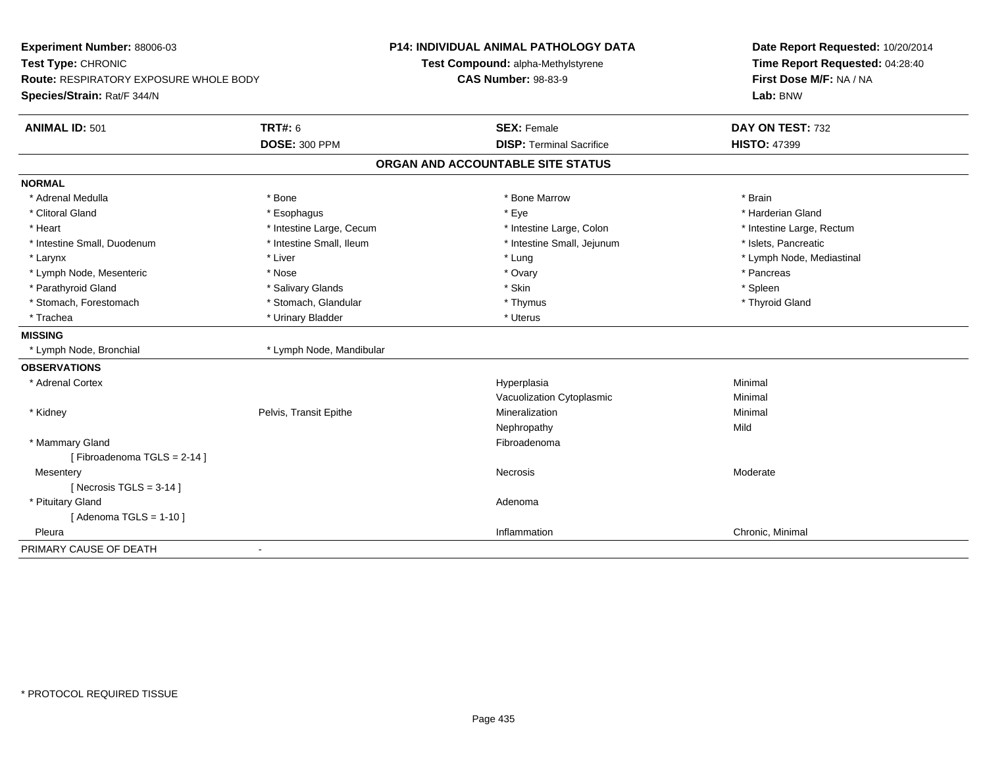| Experiment Number: 88006-03<br>Test Type: CHRONIC                     |                          | P14: INDIVIDUAL ANIMAL PATHOLOGY DATA<br>Test Compound: alpha-Methylstyrene<br><b>CAS Number: 98-83-9</b> | Date Report Requested: 10/20/2014<br>Time Report Requested: 04:28:40 |  |
|-----------------------------------------------------------------------|--------------------------|-----------------------------------------------------------------------------------------------------------|----------------------------------------------------------------------|--|
| Route: RESPIRATORY EXPOSURE WHOLE BODY<br>Species/Strain: Rat/F 344/N |                          |                                                                                                           | First Dose M/F: NA / NA<br>Lab: BNW                                  |  |
| <b>ANIMAL ID: 501</b>                                                 | <b>TRT#: 6</b>           | <b>SEX: Female</b>                                                                                        | DAY ON TEST: 732                                                     |  |
|                                                                       | <b>DOSE: 300 PPM</b>     | <b>DISP: Terminal Sacrifice</b>                                                                           | <b>HISTO: 47399</b>                                                  |  |
|                                                                       |                          | ORGAN AND ACCOUNTABLE SITE STATUS                                                                         |                                                                      |  |
| <b>NORMAL</b>                                                         |                          |                                                                                                           |                                                                      |  |
| * Adrenal Medulla                                                     | * Bone                   | * Bone Marrow                                                                                             | * Brain                                                              |  |
| * Clitoral Gland                                                      | * Esophagus              | * Eye                                                                                                     | * Harderian Gland                                                    |  |
| * Heart                                                               | * Intestine Large, Cecum | * Intestine Large, Colon                                                                                  | * Intestine Large, Rectum                                            |  |
| * Intestine Small, Duodenum                                           | * Intestine Small, Ileum | * Intestine Small, Jejunum                                                                                | * Islets, Pancreatic                                                 |  |
| * Larynx                                                              | * Liver                  | * Lung                                                                                                    | * Lymph Node, Mediastinal                                            |  |
| * Lymph Node, Mesenteric                                              | * Nose                   | * Ovary                                                                                                   | * Pancreas                                                           |  |
| * Parathyroid Gland                                                   | * Salivary Glands        | * Skin                                                                                                    | * Spleen                                                             |  |
| * Stomach, Forestomach                                                | * Stomach, Glandular     | * Thymus                                                                                                  | * Thyroid Gland                                                      |  |
| * Trachea                                                             | * Urinary Bladder        | * Uterus                                                                                                  |                                                                      |  |
| <b>MISSING</b>                                                        |                          |                                                                                                           |                                                                      |  |
| * Lymph Node, Bronchial                                               | * Lymph Node, Mandibular |                                                                                                           |                                                                      |  |
| <b>OBSERVATIONS</b>                                                   |                          |                                                                                                           |                                                                      |  |
| * Adrenal Cortex                                                      |                          | Hyperplasia                                                                                               | Minimal                                                              |  |
|                                                                       |                          | Vacuolization Cytoplasmic                                                                                 | Minimal                                                              |  |
| * Kidney                                                              | Pelvis, Transit Epithe   | Mineralization                                                                                            | Minimal                                                              |  |
|                                                                       |                          | Nephropathy                                                                                               | Mild                                                                 |  |
| * Mammary Gland                                                       |                          | Fibroadenoma                                                                                              |                                                                      |  |
| [Fibroadenoma TGLS = 2-14]                                            |                          |                                                                                                           |                                                                      |  |
| Mesentery                                                             |                          | Necrosis                                                                                                  | Moderate                                                             |  |
| [ Necrosis TGLS = $3-14$ ]                                            |                          |                                                                                                           |                                                                      |  |
| * Pituitary Gland                                                     |                          | Adenoma                                                                                                   |                                                                      |  |
| [Adenoma TGLS = $1-10$ ]                                              |                          |                                                                                                           |                                                                      |  |
| Pleura                                                                |                          | Inflammation                                                                                              | Chronic, Minimal                                                     |  |
| PRIMARY CAUSE OF DEATH                                                |                          |                                                                                                           |                                                                      |  |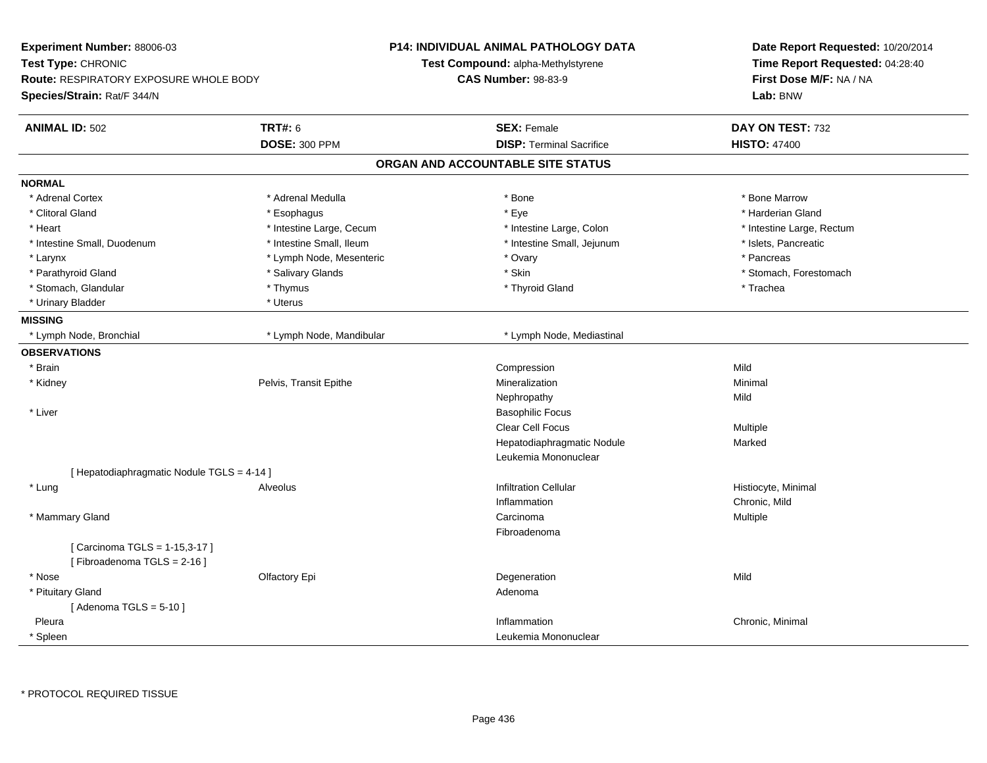| Experiment Number: 88006-03<br>Test Type: CHRONIC<br>Route: RESPIRATORY EXPOSURE WHOLE BODY<br>Species/Strain: Rat/F 344/N |                          | <b>P14: INDIVIDUAL ANIMAL PATHOLOGY DATA</b><br>Test Compound: alpha-Methylstyrene<br><b>CAS Number: 98-83-9</b> | Date Report Requested: 10/20/2014<br>Time Report Requested: 04:28:40<br>First Dose M/F: NA / NA<br>Lab: BNW |
|----------------------------------------------------------------------------------------------------------------------------|--------------------------|------------------------------------------------------------------------------------------------------------------|-------------------------------------------------------------------------------------------------------------|
| <b>ANIMAL ID: 502</b>                                                                                                      | TRT#: 6                  | <b>SEX: Female</b>                                                                                               | DAY ON TEST: 732                                                                                            |
|                                                                                                                            | <b>DOSE: 300 PPM</b>     | <b>DISP: Terminal Sacrifice</b>                                                                                  | <b>HISTO: 47400</b>                                                                                         |
|                                                                                                                            |                          | ORGAN AND ACCOUNTABLE SITE STATUS                                                                                |                                                                                                             |
| <b>NORMAL</b>                                                                                                              |                          |                                                                                                                  |                                                                                                             |
| * Adrenal Cortex                                                                                                           | * Adrenal Medulla        | * Bone                                                                                                           | * Bone Marrow                                                                                               |
| * Clitoral Gland                                                                                                           | * Esophagus              | * Eye                                                                                                            | * Harderian Gland                                                                                           |
| * Heart                                                                                                                    | * Intestine Large, Cecum | * Intestine Large, Colon                                                                                         | * Intestine Large, Rectum                                                                                   |
| * Intestine Small, Duodenum                                                                                                | * Intestine Small, Ileum | * Intestine Small, Jejunum                                                                                       | * Islets, Pancreatic                                                                                        |
| * Larynx                                                                                                                   | * Lymph Node, Mesenteric | * Ovary                                                                                                          | * Pancreas                                                                                                  |
| * Parathyroid Gland                                                                                                        | * Salivary Glands        | * Skin                                                                                                           | * Stomach, Forestomach                                                                                      |
| * Stomach, Glandular                                                                                                       | * Thymus                 | * Thyroid Gland                                                                                                  | * Trachea                                                                                                   |
| * Urinary Bladder                                                                                                          | * Uterus                 |                                                                                                                  |                                                                                                             |
| <b>MISSING</b>                                                                                                             |                          |                                                                                                                  |                                                                                                             |
| * Lymph Node, Bronchial                                                                                                    | * Lymph Node, Mandibular | * Lymph Node, Mediastinal                                                                                        |                                                                                                             |
| <b>OBSERVATIONS</b>                                                                                                        |                          |                                                                                                                  |                                                                                                             |
| * Brain                                                                                                                    |                          | Compression                                                                                                      | Mild                                                                                                        |
| * Kidney                                                                                                                   | Pelvis, Transit Epithe   | Mineralization                                                                                                   | Minimal                                                                                                     |
|                                                                                                                            |                          | Nephropathy                                                                                                      | Mild                                                                                                        |
| * Liver                                                                                                                    |                          | <b>Basophilic Focus</b>                                                                                          |                                                                                                             |
|                                                                                                                            |                          | Clear Cell Focus                                                                                                 | Multiple                                                                                                    |
|                                                                                                                            |                          | Hepatodiaphragmatic Nodule                                                                                       | Marked                                                                                                      |
|                                                                                                                            |                          | Leukemia Mononuclear                                                                                             |                                                                                                             |
| [ Hepatodiaphragmatic Nodule TGLS = 4-14 ]                                                                                 |                          |                                                                                                                  |                                                                                                             |
| * Lung                                                                                                                     | Alveolus                 | <b>Infiltration Cellular</b>                                                                                     | Histiocyte, Minimal                                                                                         |
|                                                                                                                            |                          | Inflammation                                                                                                     | Chronic, Mild                                                                                               |
| * Mammary Gland                                                                                                            |                          | Carcinoma                                                                                                        | Multiple                                                                                                    |
|                                                                                                                            |                          | Fibroadenoma                                                                                                     |                                                                                                             |
| [ Carcinoma TGLS = 1-15,3-17 ]<br>[Fibroadenoma TGLS = 2-16]                                                               |                          |                                                                                                                  |                                                                                                             |
| * Nose                                                                                                                     | Olfactory Epi            | Degeneration                                                                                                     | Mild                                                                                                        |
| * Pituitary Gland                                                                                                          |                          | Adenoma                                                                                                          |                                                                                                             |
| [Adenoma TGLS = $5-10$ ]                                                                                                   |                          |                                                                                                                  |                                                                                                             |
| Pleura                                                                                                                     |                          | Inflammation                                                                                                     | Chronic, Minimal                                                                                            |
| * Spleen                                                                                                                   |                          | Leukemia Mononuclear                                                                                             |                                                                                                             |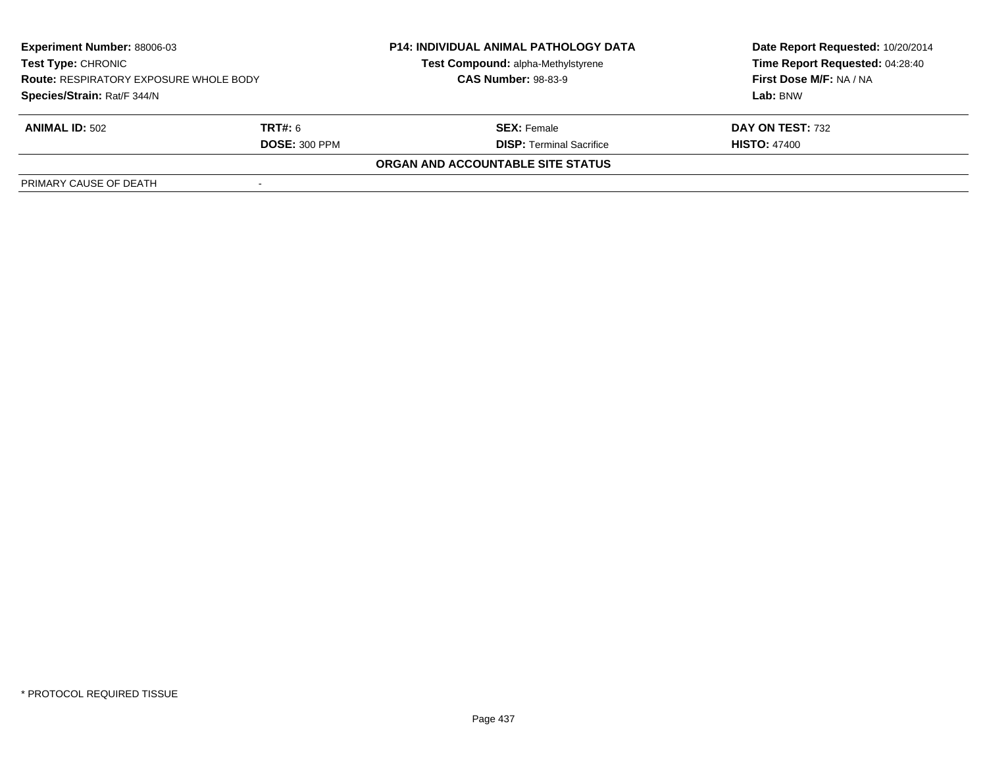| <b>Experiment Number: 88006-03</b><br>Test Type: CHRONIC<br><b>Route: RESPIRATORY EXPOSURE WHOLE BODY</b><br>Species/Strain: Rat/F 344/N |                      | <b>P14: INDIVIDUAL ANIMAL PATHOLOGY DATA</b><br>Test Compound: alpha-Methylstyrene<br><b>CAS Number: 98-83-9</b> | Date Report Requested: 10/20/2014<br>Time Report Requested: 04:28:40<br>First Dose M/F: NA / NA |
|------------------------------------------------------------------------------------------------------------------------------------------|----------------------|------------------------------------------------------------------------------------------------------------------|-------------------------------------------------------------------------------------------------|
|                                                                                                                                          |                      |                                                                                                                  | Lab: BNW                                                                                        |
| <b>ANIMAL ID: 502</b>                                                                                                                    | <b>TRT#:</b> 6       | <b>SEX:</b> Female                                                                                               | DAY ON TEST: 732                                                                                |
|                                                                                                                                          | <b>DOSE: 300 PPM</b> | <b>DISP: Terminal Sacrifice</b>                                                                                  | <b>HISTO: 47400</b>                                                                             |
|                                                                                                                                          |                      | <b>ORGAN AND ACCOUNTABLE SITE STATUS</b>                                                                         |                                                                                                 |
| PRIMARY CAUSE OF DEATH                                                                                                                   |                      |                                                                                                                  |                                                                                                 |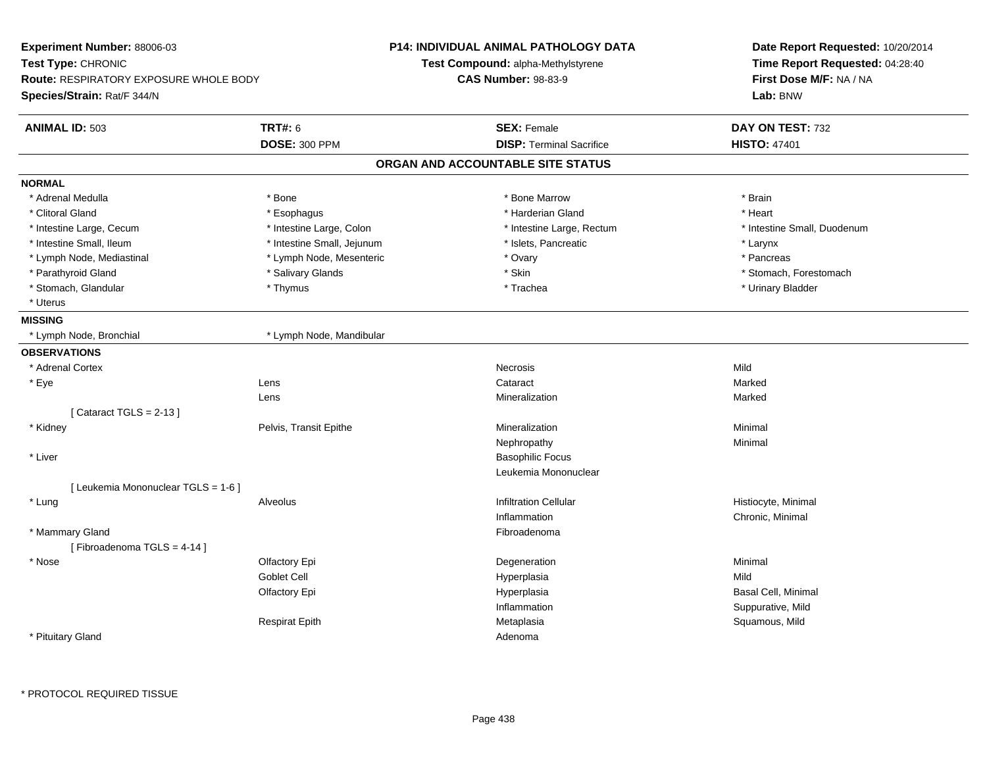| Experiment Number: 88006-03                   |                            | <b>P14: INDIVIDUAL ANIMAL PATHOLOGY DATA</b> | Date Report Requested: 10/20/2014 |  |
|-----------------------------------------------|----------------------------|----------------------------------------------|-----------------------------------|--|
| Test Type: CHRONIC                            |                            | <b>Test Compound: alpha-Methylstyrene</b>    | Time Report Requested: 04:28:40   |  |
| <b>Route: RESPIRATORY EXPOSURE WHOLE BODY</b> |                            | <b>CAS Number: 98-83-9</b>                   | First Dose M/F: NA / NA           |  |
| Species/Strain: Rat/F 344/N                   |                            |                                              | Lab: BNW                          |  |
| <b>ANIMAL ID: 503</b>                         | <b>TRT#: 6</b>             | <b>SEX: Female</b>                           | DAY ON TEST: 732                  |  |
|                                               | <b>DOSE: 300 PPM</b>       | <b>DISP: Terminal Sacrifice</b>              | <b>HISTO: 47401</b>               |  |
|                                               |                            | ORGAN AND ACCOUNTABLE SITE STATUS            |                                   |  |
| <b>NORMAL</b>                                 |                            |                                              |                                   |  |
| * Adrenal Medulla                             | * Bone                     | * Bone Marrow                                | * Brain                           |  |
| * Clitoral Gland                              | * Esophagus                | * Harderian Gland                            | * Heart                           |  |
| * Intestine Large, Cecum                      | * Intestine Large, Colon   | * Intestine Large, Rectum                    | * Intestine Small, Duodenum       |  |
| * Intestine Small, Ileum                      | * Intestine Small, Jejunum | * Islets, Pancreatic                         | * Larynx                          |  |
| * Lymph Node, Mediastinal                     | * Lymph Node, Mesenteric   | * Ovary                                      | * Pancreas                        |  |
| * Parathyroid Gland                           | * Salivary Glands          | * Skin                                       | * Stomach, Forestomach            |  |
| * Stomach, Glandular                          | * Thymus                   | * Trachea                                    | * Urinary Bladder                 |  |
| * Uterus                                      |                            |                                              |                                   |  |
| <b>MISSING</b>                                |                            |                                              |                                   |  |
| * Lymph Node, Bronchial                       | * Lymph Node, Mandibular   |                                              |                                   |  |
| <b>OBSERVATIONS</b>                           |                            |                                              |                                   |  |
| * Adrenal Cortex                              |                            | Necrosis                                     | Mild                              |  |
| * Eye                                         | Lens                       | Cataract                                     | Marked                            |  |
|                                               | Lens                       | Mineralization                               | Marked                            |  |
| [Cataract TGLS = $2-13$ ]                     |                            |                                              |                                   |  |
| * Kidney                                      | Pelvis, Transit Epithe     | Mineralization                               | Minimal                           |  |
|                                               |                            | Nephropathy                                  | Minimal                           |  |
| * Liver                                       |                            | <b>Basophilic Focus</b>                      |                                   |  |
|                                               |                            | Leukemia Mononuclear                         |                                   |  |
| [ Leukemia Mononuclear TGLS = 1-6 ]           |                            |                                              |                                   |  |
| * Lung                                        | Alveolus                   | <b>Infiltration Cellular</b>                 | Histiocyte, Minimal               |  |
|                                               |                            | Inflammation                                 | Chronic, Minimal                  |  |
| * Mammary Gland<br>[Fibroadenoma TGLS = 4-14] |                            | Fibroadenoma                                 |                                   |  |
| * Nose                                        | Olfactory Epi              | Degeneration                                 | Minimal                           |  |
|                                               | Goblet Cell                | Hyperplasia                                  | Mild                              |  |
|                                               | Olfactory Epi              | Hyperplasia                                  | Basal Cell, Minimal               |  |
|                                               |                            | Inflammation                                 | Suppurative, Mild                 |  |
|                                               | <b>Respirat Epith</b>      | Metaplasia                                   | Squamous, Mild                    |  |
| * Pituitary Gland                             |                            | Adenoma                                      |                                   |  |
|                                               |                            |                                              |                                   |  |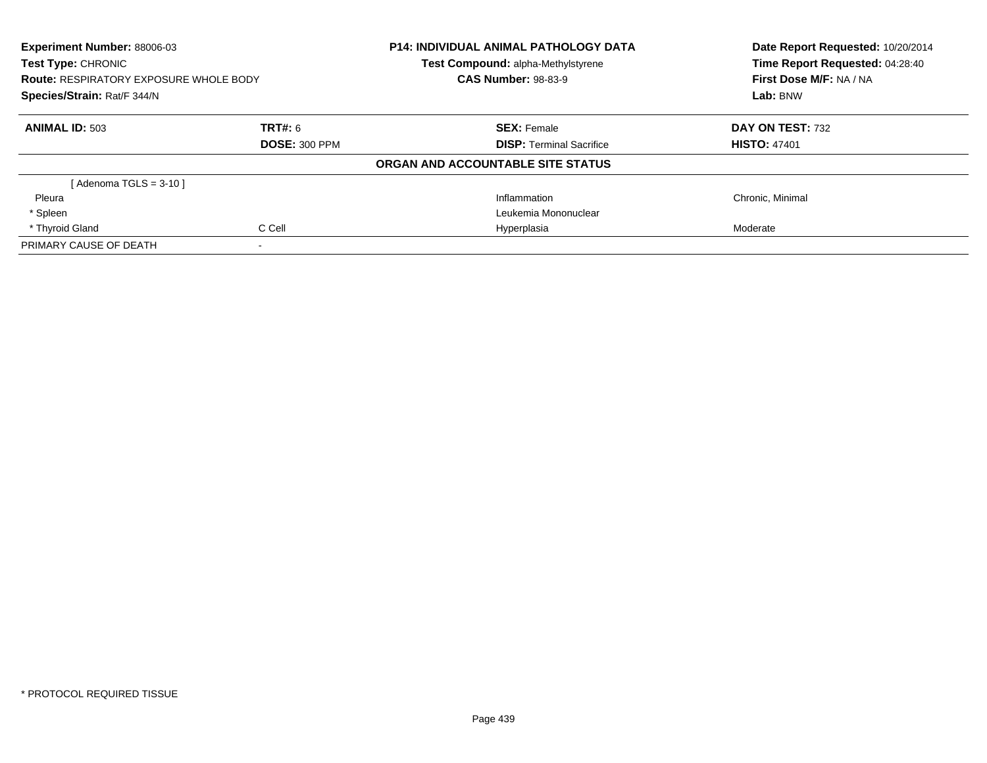| <b>Experiment Number: 88006-03</b><br>Test Type: CHRONIC<br><b>Route: RESPIRATORY EXPOSURE WHOLE BODY</b><br>Species/Strain: Rat/F 344/N |                      | <b>P14: INDIVIDUAL ANIMAL PATHOLOGY DATA</b><br>Test Compound: alpha-Methylstyrene | Date Report Requested: 10/20/2014<br>Time Report Requested: 04:28:40 |
|------------------------------------------------------------------------------------------------------------------------------------------|----------------------|------------------------------------------------------------------------------------|----------------------------------------------------------------------|
|                                                                                                                                          |                      | <b>CAS Number: 98-83-9</b>                                                         | First Dose M/F: NA / NA                                              |
|                                                                                                                                          |                      |                                                                                    | Lab: BNW                                                             |
| <b>ANIMAL ID: 503</b>                                                                                                                    | <b>TRT#: 6</b>       | <b>SEX: Female</b>                                                                 | DAY ON TEST: 732                                                     |
|                                                                                                                                          | <b>DOSE: 300 PPM</b> | <b>DISP:</b> Terminal Sacrifice                                                    | <b>HISTO: 47401</b>                                                  |
|                                                                                                                                          |                      | ORGAN AND ACCOUNTABLE SITE STATUS                                                  |                                                                      |
| $Adenoma TGLS = 3-10$                                                                                                                    |                      |                                                                                    |                                                                      |
| Pleura                                                                                                                                   |                      | Inflammation                                                                       | Chronic, Minimal                                                     |
| * Spleen                                                                                                                                 |                      | Leukemia Mononuclear                                                               |                                                                      |
| * Thyroid Gland                                                                                                                          | C Cell               | Hyperplasia                                                                        | Moderate                                                             |
| PRIMARY CAUSE OF DEATH                                                                                                                   |                      |                                                                                    |                                                                      |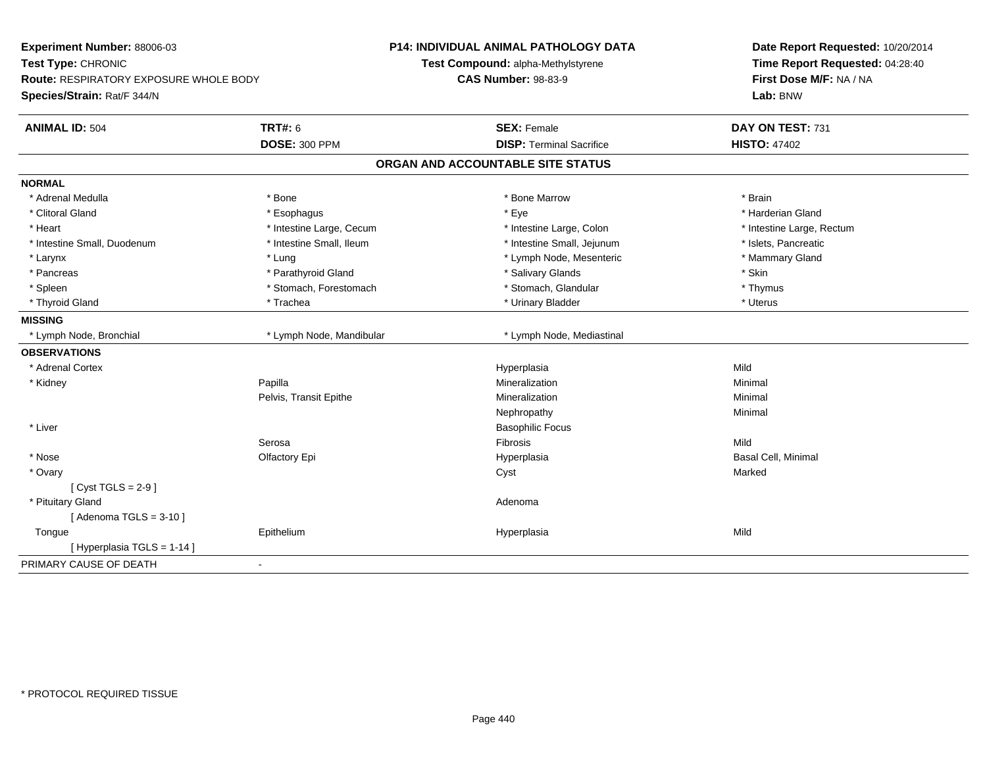| Experiment Number: 88006-03<br>Test Type: CHRONIC<br><b>Route: RESPIRATORY EXPOSURE WHOLE BODY</b><br>Species/Strain: Rat/F 344/N |                          | P14: INDIVIDUAL ANIMAL PATHOLOGY DATA<br>Test Compound: alpha-Methylstyrene<br><b>CAS Number: 98-83-9</b> | Date Report Requested: 10/20/2014<br>Time Report Requested: 04:28:40<br>First Dose M/F: NA / NA<br>Lab: BNW |
|-----------------------------------------------------------------------------------------------------------------------------------|--------------------------|-----------------------------------------------------------------------------------------------------------|-------------------------------------------------------------------------------------------------------------|
| <b>ANIMAL ID: 504</b>                                                                                                             | <b>TRT#: 6</b>           | <b>SEX: Female</b>                                                                                        | DAY ON TEST: 731                                                                                            |
|                                                                                                                                   | <b>DOSE: 300 PPM</b>     | <b>DISP: Terminal Sacrifice</b>                                                                           | <b>HISTO: 47402</b>                                                                                         |
|                                                                                                                                   |                          | ORGAN AND ACCOUNTABLE SITE STATUS                                                                         |                                                                                                             |
| <b>NORMAL</b>                                                                                                                     |                          |                                                                                                           |                                                                                                             |
| * Adrenal Medulla                                                                                                                 | * Bone                   | * Bone Marrow                                                                                             | * Brain                                                                                                     |
| * Clitoral Gland                                                                                                                  | * Esophagus              | * Eye                                                                                                     | * Harderian Gland                                                                                           |
| * Heart                                                                                                                           | * Intestine Large, Cecum | * Intestine Large, Colon                                                                                  | * Intestine Large, Rectum                                                                                   |
| * Intestine Small, Duodenum                                                                                                       | * Intestine Small, Ileum | * Intestine Small, Jejunum                                                                                | * Islets, Pancreatic                                                                                        |
| * Larynx                                                                                                                          | * Lung                   | * Lymph Node, Mesenteric                                                                                  | * Mammary Gland                                                                                             |
| * Pancreas                                                                                                                        | * Parathyroid Gland      | * Salivary Glands                                                                                         | * Skin                                                                                                      |
| * Spleen                                                                                                                          | * Stomach, Forestomach   | * Stomach, Glandular                                                                                      | * Thymus                                                                                                    |
| * Thyroid Gland                                                                                                                   | * Trachea                | * Urinary Bladder                                                                                         | * Uterus                                                                                                    |
| <b>MISSING</b>                                                                                                                    |                          |                                                                                                           |                                                                                                             |
| * Lymph Node, Bronchial                                                                                                           | * Lymph Node, Mandibular | * Lymph Node, Mediastinal                                                                                 |                                                                                                             |
| <b>OBSERVATIONS</b>                                                                                                               |                          |                                                                                                           |                                                                                                             |
| * Adrenal Cortex                                                                                                                  |                          | Hyperplasia                                                                                               | Mild                                                                                                        |
| * Kidney                                                                                                                          | Papilla                  | Mineralization                                                                                            | Minimal                                                                                                     |
|                                                                                                                                   | Pelvis, Transit Epithe   | Mineralization                                                                                            | Minimal                                                                                                     |
|                                                                                                                                   |                          | Nephropathy                                                                                               | Minimal                                                                                                     |
| * Liver                                                                                                                           |                          | <b>Basophilic Focus</b>                                                                                   |                                                                                                             |
|                                                                                                                                   | Serosa                   | Fibrosis                                                                                                  | Mild                                                                                                        |
| * Nose                                                                                                                            | Olfactory Epi            | Hyperplasia                                                                                               | <b>Basal Cell, Minimal</b>                                                                                  |
| * Ovary                                                                                                                           |                          | Cyst                                                                                                      | Marked                                                                                                      |
| [Cyst TGLS = $2-9$ ]                                                                                                              |                          |                                                                                                           |                                                                                                             |
| * Pituitary Gland                                                                                                                 |                          | Adenoma                                                                                                   |                                                                                                             |
| [Adenoma TGLS = $3-10$ ]                                                                                                          |                          |                                                                                                           |                                                                                                             |
| Tongue                                                                                                                            | Epithelium               | Hyperplasia                                                                                               | Mild                                                                                                        |
| [Hyperplasia TGLS = $1-14$ ]                                                                                                      |                          |                                                                                                           |                                                                                                             |
| PRIMARY CAUSE OF DEATH                                                                                                            | $\sim$                   |                                                                                                           |                                                                                                             |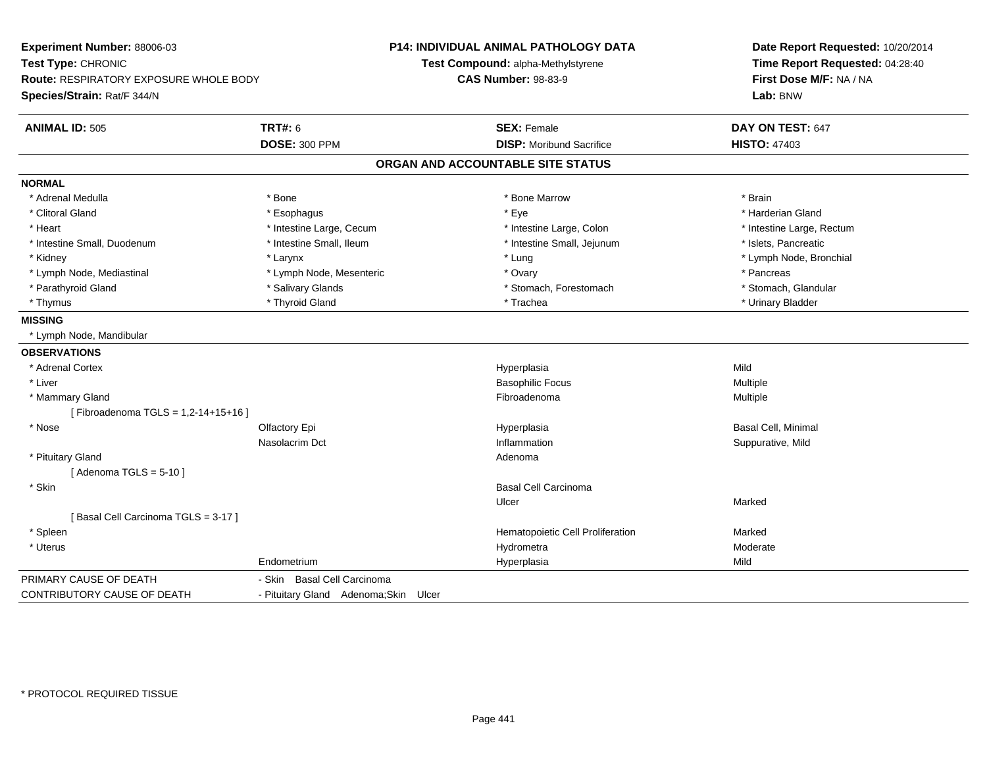| Experiment Number: 88006-03                   |                                       | <b>P14: INDIVIDUAL ANIMAL PATHOLOGY DATA</b> | Date Report Requested: 10/20/2014<br>Time Report Requested: 04:28:40 |  |
|-----------------------------------------------|---------------------------------------|----------------------------------------------|----------------------------------------------------------------------|--|
| Test Type: CHRONIC                            |                                       | Test Compound: alpha-Methylstyrene           |                                                                      |  |
| <b>Route: RESPIRATORY EXPOSURE WHOLE BODY</b> |                                       | <b>CAS Number: 98-83-9</b>                   | First Dose M/F: NA / NA                                              |  |
| Species/Strain: Rat/F 344/N                   |                                       |                                              | Lab: BNW                                                             |  |
| <b>ANIMAL ID: 505</b>                         | <b>TRT#: 6</b>                        | <b>SEX: Female</b>                           | DAY ON TEST: 647                                                     |  |
|                                               | <b>DOSE: 300 PPM</b>                  | <b>DISP:</b> Moribund Sacrifice              | <b>HISTO: 47403</b>                                                  |  |
|                                               |                                       | ORGAN AND ACCOUNTABLE SITE STATUS            |                                                                      |  |
| <b>NORMAL</b>                                 |                                       |                                              |                                                                      |  |
| * Adrenal Medulla                             | * Bone                                | * Bone Marrow                                | * Brain                                                              |  |
| * Clitoral Gland                              | * Esophagus                           | * Eye                                        | * Harderian Gland                                                    |  |
| * Heart                                       | * Intestine Large, Cecum              | * Intestine Large, Colon                     | * Intestine Large, Rectum                                            |  |
| * Intestine Small, Duodenum                   | * Intestine Small, Ileum              | * Intestine Small, Jejunum                   | * Islets, Pancreatic                                                 |  |
| * Kidney                                      | * Larynx                              | * Lung                                       | * Lymph Node, Bronchial                                              |  |
| * Lymph Node, Mediastinal                     | * Lymph Node, Mesenteric              | * Ovary                                      | * Pancreas                                                           |  |
| * Parathyroid Gland                           | * Salivary Glands                     | * Stomach, Forestomach                       | * Stomach, Glandular                                                 |  |
| * Thymus                                      | * Thyroid Gland                       | * Trachea                                    | * Urinary Bladder                                                    |  |
| <b>MISSING</b>                                |                                       |                                              |                                                                      |  |
| * Lymph Node, Mandibular                      |                                       |                                              |                                                                      |  |
| <b>OBSERVATIONS</b>                           |                                       |                                              |                                                                      |  |
| * Adrenal Cortex                              |                                       | Hyperplasia                                  | Mild                                                                 |  |
| * Liver                                       |                                       | <b>Basophilic Focus</b>                      | Multiple                                                             |  |
| * Mammary Gland                               |                                       | Fibroadenoma                                 | Multiple                                                             |  |
| [Fibroadenoma TGLS = 1,2-14+15+16]            |                                       |                                              |                                                                      |  |
| * Nose                                        | Olfactory Epi                         | Hyperplasia                                  | <b>Basal Cell, Minimal</b>                                           |  |
|                                               | Nasolacrim Dct                        | Inflammation                                 | Suppurative, Mild                                                    |  |
| * Pituitary Gland                             |                                       | Adenoma                                      |                                                                      |  |
| [Adenoma TGLS = $5-10$ ]                      |                                       |                                              |                                                                      |  |
| * Skin                                        |                                       | <b>Basal Cell Carcinoma</b>                  |                                                                      |  |
|                                               |                                       | Ulcer                                        | Marked                                                               |  |
| [Basal Cell Carcinoma TGLS = 3-17]            |                                       |                                              |                                                                      |  |
| * Spleen                                      |                                       | Hematopoietic Cell Proliferation             | Marked                                                               |  |
| * Uterus                                      |                                       | Hydrometra                                   | Moderate                                                             |  |
|                                               | Endometrium                           | Hyperplasia                                  | Mild                                                                 |  |
| PRIMARY CAUSE OF DEATH                        | - Skin Basal Cell Carcinoma           |                                              |                                                                      |  |
| CONTRIBUTORY CAUSE OF DEATH                   | - Pituitary Gland Adenoma; Skin Ulcer |                                              |                                                                      |  |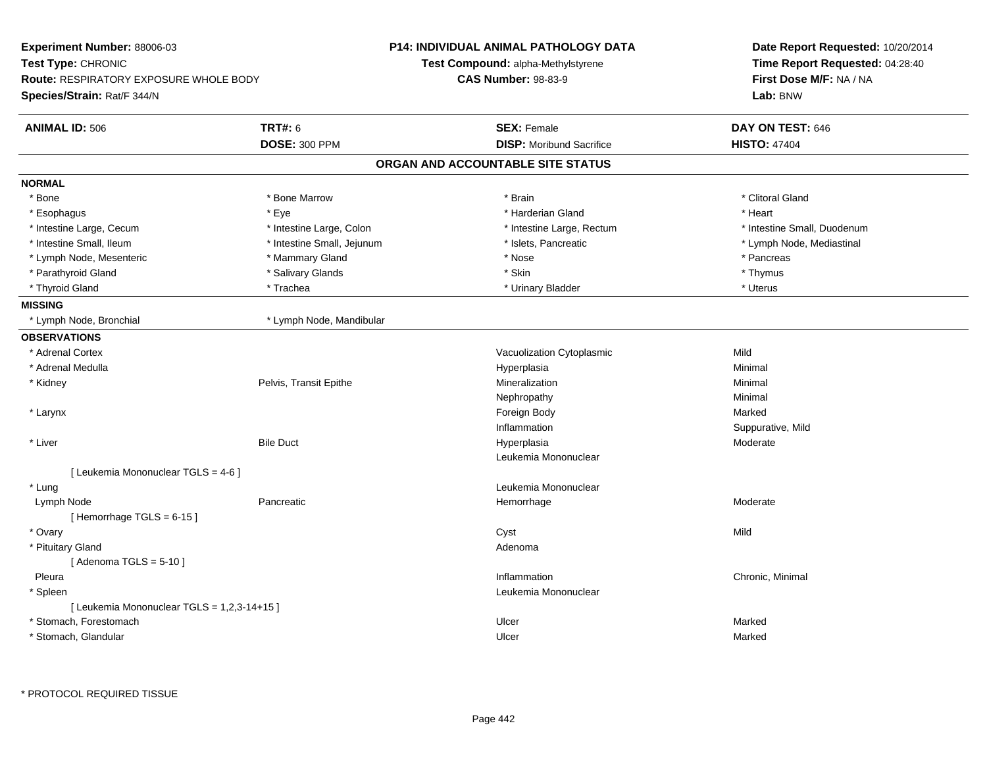| Experiment Number: 88006-03                   |                            | <b>P14: INDIVIDUAL ANIMAL PATHOLOGY DATA</b> | Date Report Requested: 10/20/2014<br>Time Report Requested: 04:28:40<br>First Dose M/F: NA / NA |  |
|-----------------------------------------------|----------------------------|----------------------------------------------|-------------------------------------------------------------------------------------------------|--|
| <b>Test Type: CHRONIC</b>                     |                            | <b>Test Compound: alpha-Methylstyrene</b>    |                                                                                                 |  |
| <b>Route: RESPIRATORY EXPOSURE WHOLE BODY</b> |                            | <b>CAS Number: 98-83-9</b>                   |                                                                                                 |  |
| Species/Strain: Rat/F 344/N                   |                            |                                              | Lab: BNW                                                                                        |  |
| <b>ANIMAL ID: 506</b>                         | <b>TRT#: 6</b>             | <b>SEX: Female</b>                           | DAY ON TEST: 646                                                                                |  |
|                                               | <b>DOSE: 300 PPM</b>       | <b>DISP:</b> Moribund Sacrifice              | <b>HISTO: 47404</b>                                                                             |  |
|                                               |                            | ORGAN AND ACCOUNTABLE SITE STATUS            |                                                                                                 |  |
| <b>NORMAL</b>                                 |                            |                                              |                                                                                                 |  |
| * Bone                                        | * Bone Marrow              | * Brain                                      | * Clitoral Gland                                                                                |  |
| * Esophagus                                   | * Eye                      | * Harderian Gland                            | * Heart                                                                                         |  |
| * Intestine Large, Cecum                      | * Intestine Large, Colon   | * Intestine Large, Rectum                    | * Intestine Small, Duodenum                                                                     |  |
| * Intestine Small, Ileum                      | * Intestine Small, Jejunum | * Islets, Pancreatic                         | * Lymph Node, Mediastinal                                                                       |  |
| * Lymph Node, Mesenteric                      | * Mammary Gland            | * Nose                                       | * Pancreas                                                                                      |  |
| * Parathyroid Gland                           | * Salivary Glands          | * Skin                                       | * Thymus                                                                                        |  |
| * Thyroid Gland                               | * Trachea                  | * Urinary Bladder                            | * Uterus                                                                                        |  |
| <b>MISSING</b>                                |                            |                                              |                                                                                                 |  |
| * Lymph Node, Bronchial                       | * Lymph Node, Mandibular   |                                              |                                                                                                 |  |
| <b>OBSERVATIONS</b>                           |                            |                                              |                                                                                                 |  |
| * Adrenal Cortex                              |                            | Vacuolization Cytoplasmic                    | Mild                                                                                            |  |
| * Adrenal Medulla                             |                            | Hyperplasia                                  | Minimal                                                                                         |  |
| * Kidney                                      | Pelvis, Transit Epithe     | Mineralization                               | Minimal                                                                                         |  |
|                                               |                            | Nephropathy                                  | Minimal                                                                                         |  |
| * Larynx                                      |                            | Foreign Body                                 | Marked                                                                                          |  |
|                                               |                            | Inflammation                                 | Suppurative, Mild                                                                               |  |
| * Liver                                       | <b>Bile Duct</b>           | Hyperplasia                                  | Moderate                                                                                        |  |
|                                               |                            | Leukemia Mononuclear                         |                                                                                                 |  |
| [ Leukemia Mononuclear TGLS = 4-6 ]           |                            |                                              |                                                                                                 |  |
| * Lung                                        |                            | Leukemia Mononuclear                         |                                                                                                 |  |
| Lymph Node                                    | Pancreatic                 | Hemorrhage                                   | Moderate                                                                                        |  |
| [Hemorrhage TGLS = 6-15]                      |                            |                                              |                                                                                                 |  |
| * Ovary                                       |                            | Cyst                                         | Mild                                                                                            |  |
| * Pituitary Gland                             |                            | Adenoma                                      |                                                                                                 |  |
| [Adenoma TGLS = $5-10$ ]                      |                            |                                              |                                                                                                 |  |
| Pleura                                        |                            | Inflammation                                 | Chronic, Minimal                                                                                |  |
| * Spleen                                      |                            | Leukemia Mononuclear                         |                                                                                                 |  |
| [Leukemia Mononuclear TGLS = 1,2,3-14+15]     |                            |                                              |                                                                                                 |  |
| * Stomach, Forestomach                        |                            | Ulcer                                        | Marked                                                                                          |  |
| * Stomach, Glandular                          |                            | Ulcer                                        | Marked                                                                                          |  |

\* PROTOCOL REQUIRED TISSUE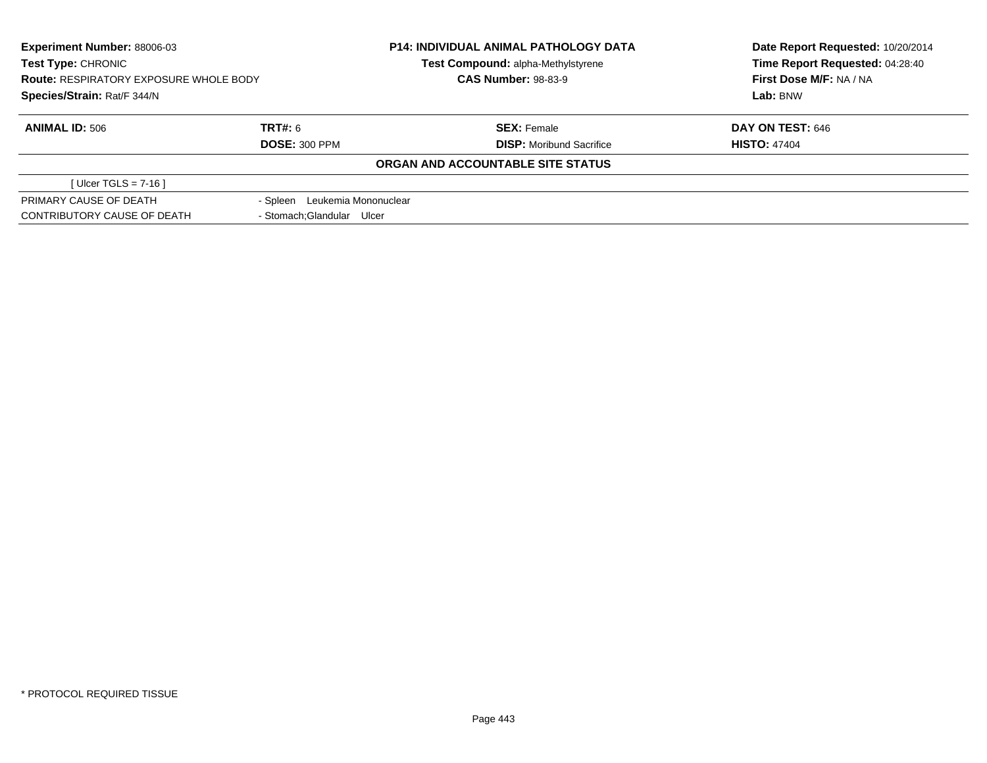| <b>Experiment Number: 88006-03</b><br>Test Type: CHRONIC<br><b>Route: RESPIRATORY EXPOSURE WHOLE BODY</b><br>Species/Strain: Rat/F 344/N |                               | <b>P14: INDIVIDUAL ANIMAL PATHOLOGY DATA</b><br>Test Compound: alpha-Methylstyrene | Date Report Requested: 10/20/2014<br>Time Report Requested: 04:28:40 |
|------------------------------------------------------------------------------------------------------------------------------------------|-------------------------------|------------------------------------------------------------------------------------|----------------------------------------------------------------------|
|                                                                                                                                          |                               | <b>CAS Number: 98-83-9</b>                                                         | First Dose M/F: NA / NA                                              |
|                                                                                                                                          |                               |                                                                                    | Lab: BNW                                                             |
| <b>ANIMAL ID: 506</b>                                                                                                                    | TRT#: 6                       | <b>SEX: Female</b>                                                                 | DAY ON TEST: 646                                                     |
|                                                                                                                                          | <b>DOSE: 300 PPM</b>          | <b>DISP:</b> Moribund Sacrifice                                                    | <b>HISTO: 47404</b>                                                  |
|                                                                                                                                          |                               | ORGAN AND ACCOUNTABLE SITE STATUS                                                  |                                                                      |
| [ Ulcer TGLS = $7-16$ ]                                                                                                                  |                               |                                                                                    |                                                                      |
| PRIMARY CAUSE OF DEATH                                                                                                                   | - Spleen Leukemia Mononuclear |                                                                                    |                                                                      |
| CONTRIBUTORY CAUSE OF DEATH                                                                                                              | - Stomach: Glandular Ulcer    |                                                                                    |                                                                      |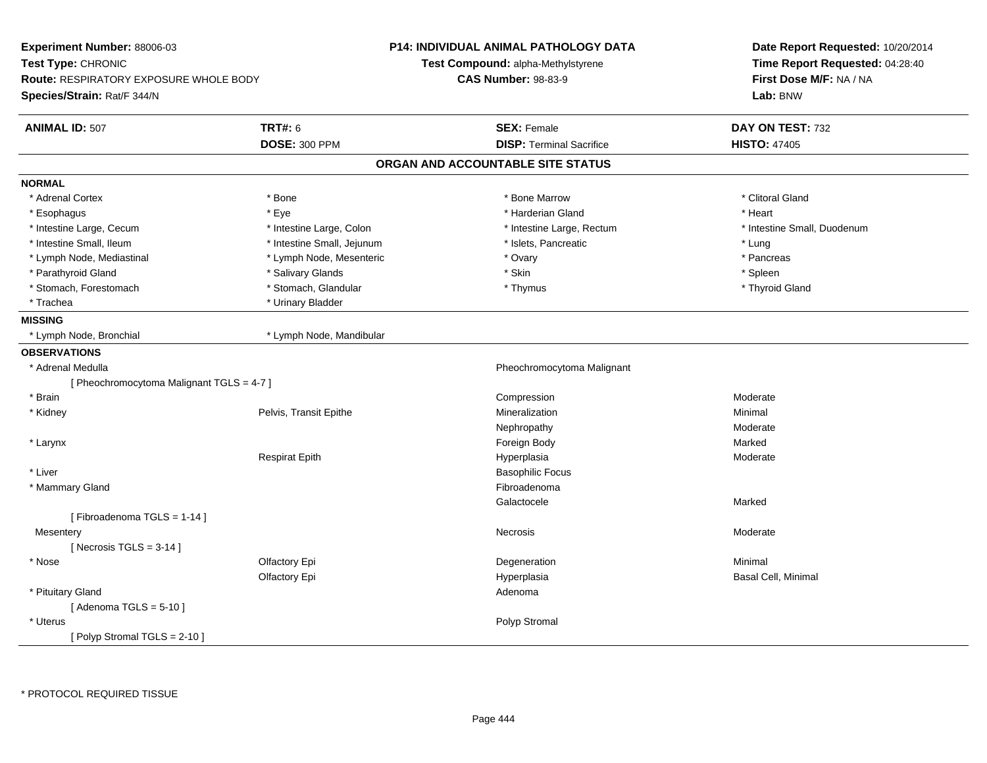| Experiment Number: 88006-03                   |                            | P14: INDIVIDUAL ANIMAL PATHOLOGY DATA | Date Report Requested: 10/20/2014<br>Time Report Requested: 04:28:40<br>First Dose M/F: NA / NA |  |
|-----------------------------------------------|----------------------------|---------------------------------------|-------------------------------------------------------------------------------------------------|--|
| Test Type: CHRONIC                            |                            | Test Compound: alpha-Methylstyrene    |                                                                                                 |  |
| <b>Route: RESPIRATORY EXPOSURE WHOLE BODY</b> |                            | <b>CAS Number: 98-83-9</b>            |                                                                                                 |  |
| Species/Strain: Rat/F 344/N                   |                            |                                       | Lab: BNW                                                                                        |  |
| <b>ANIMAL ID: 507</b>                         | <b>TRT#: 6</b>             | <b>SEX: Female</b>                    | DAY ON TEST: 732                                                                                |  |
|                                               | <b>DOSE: 300 PPM</b>       | <b>DISP: Terminal Sacrifice</b>       | <b>HISTO: 47405</b>                                                                             |  |
|                                               |                            | ORGAN AND ACCOUNTABLE SITE STATUS     |                                                                                                 |  |
| <b>NORMAL</b>                                 |                            |                                       |                                                                                                 |  |
| * Adrenal Cortex                              | * Bone                     | * Bone Marrow                         | * Clitoral Gland                                                                                |  |
| * Esophagus                                   | * Eye                      | * Harderian Gland                     | * Heart                                                                                         |  |
| * Intestine Large, Cecum                      | * Intestine Large, Colon   | * Intestine Large, Rectum             | * Intestine Small, Duodenum                                                                     |  |
| * Intestine Small, Ileum                      | * Intestine Small, Jejunum | * Islets, Pancreatic                  | * Lung                                                                                          |  |
| * Lymph Node, Mediastinal                     | * Lymph Node, Mesenteric   | * Ovary                               | * Pancreas                                                                                      |  |
| * Parathyroid Gland                           | * Salivary Glands          | * Skin                                | * Spleen                                                                                        |  |
| * Stomach, Forestomach                        | * Stomach, Glandular       | * Thymus                              | * Thyroid Gland                                                                                 |  |
| * Trachea                                     | * Urinary Bladder          |                                       |                                                                                                 |  |
| <b>MISSING</b>                                |                            |                                       |                                                                                                 |  |
| * Lymph Node, Bronchial                       | * Lymph Node, Mandibular   |                                       |                                                                                                 |  |
| <b>OBSERVATIONS</b>                           |                            |                                       |                                                                                                 |  |
| * Adrenal Medulla                             |                            | Pheochromocytoma Malignant            |                                                                                                 |  |
| [ Pheochromocytoma Malignant TGLS = 4-7 ]     |                            |                                       |                                                                                                 |  |
| * Brain                                       |                            | Compression                           | Moderate                                                                                        |  |
| * Kidney                                      | Pelvis, Transit Epithe     | Mineralization                        | Minimal                                                                                         |  |
|                                               |                            | Nephropathy                           | Moderate                                                                                        |  |
| * Larynx                                      |                            | Foreign Body                          | Marked                                                                                          |  |
|                                               | <b>Respirat Epith</b>      | Hyperplasia                           | Moderate                                                                                        |  |
| * Liver                                       |                            | <b>Basophilic Focus</b>               |                                                                                                 |  |
| * Mammary Gland                               |                            | Fibroadenoma                          |                                                                                                 |  |
|                                               |                            | Galactocele                           | Marked                                                                                          |  |
| [Fibroadenoma TGLS = 1-14]                    |                            |                                       |                                                                                                 |  |
| Mesentery                                     |                            | Necrosis                              | Moderate                                                                                        |  |
| [Necrosis TGLS = $3-14$ ]                     |                            |                                       |                                                                                                 |  |
| * Nose                                        | Olfactory Epi              | Degeneration                          | Minimal                                                                                         |  |
|                                               | Olfactory Epi              | Hyperplasia                           | Basal Cell, Minimal                                                                             |  |
| * Pituitary Gland                             |                            | Adenoma                               |                                                                                                 |  |
| [Adenoma TGLS = $5-10$ ]                      |                            |                                       |                                                                                                 |  |
| * Uterus                                      |                            | Polyp Stromal                         |                                                                                                 |  |
| [Polyp Stromal TGLS = $2-10$ ]                |                            |                                       |                                                                                                 |  |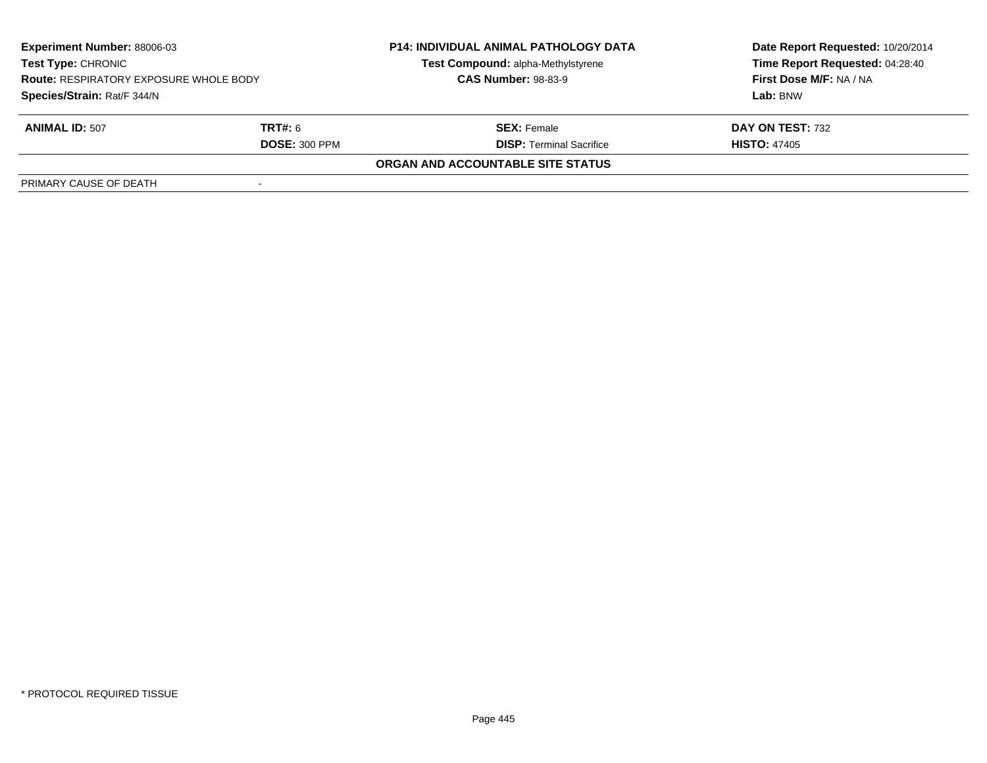| <b>Experiment Number: 88006-03</b><br><b>Test Type: CHRONIC</b><br><b>Route: RESPIRATORY EXPOSURE WHOLE BODY</b> |                      | <b>P14: INDIVIDUAL ANIMAL PATHOLOGY DATA</b> | Date Report Requested: 10/20/2014 |  |
|------------------------------------------------------------------------------------------------------------------|----------------------|----------------------------------------------|-----------------------------------|--|
|                                                                                                                  |                      | Test Compound: alpha-Methylstyrene           | Time Report Requested: 04:28:40   |  |
|                                                                                                                  |                      | <b>CAS Number: 98-83-9</b>                   | First Dose M/F: NA / NA           |  |
| Species/Strain: Rat/F 344/N                                                                                      |                      |                                              | Lab: BNW                          |  |
| <b>ANIMAL ID: 507</b>                                                                                            | <b>TRT#:</b> 6       | <b>SEX:</b> Female                           | DAY ON TEST: 732                  |  |
|                                                                                                                  | <b>DOSE: 300 PPM</b> | <b>DISP: Terminal Sacrifice</b>              | <b>HISTO: 47405</b>               |  |
|                                                                                                                  |                      | ORGAN AND ACCOUNTABLE SITE STATUS            |                                   |  |
| PRIMARY CAUSE OF DEATH                                                                                           |                      |                                              |                                   |  |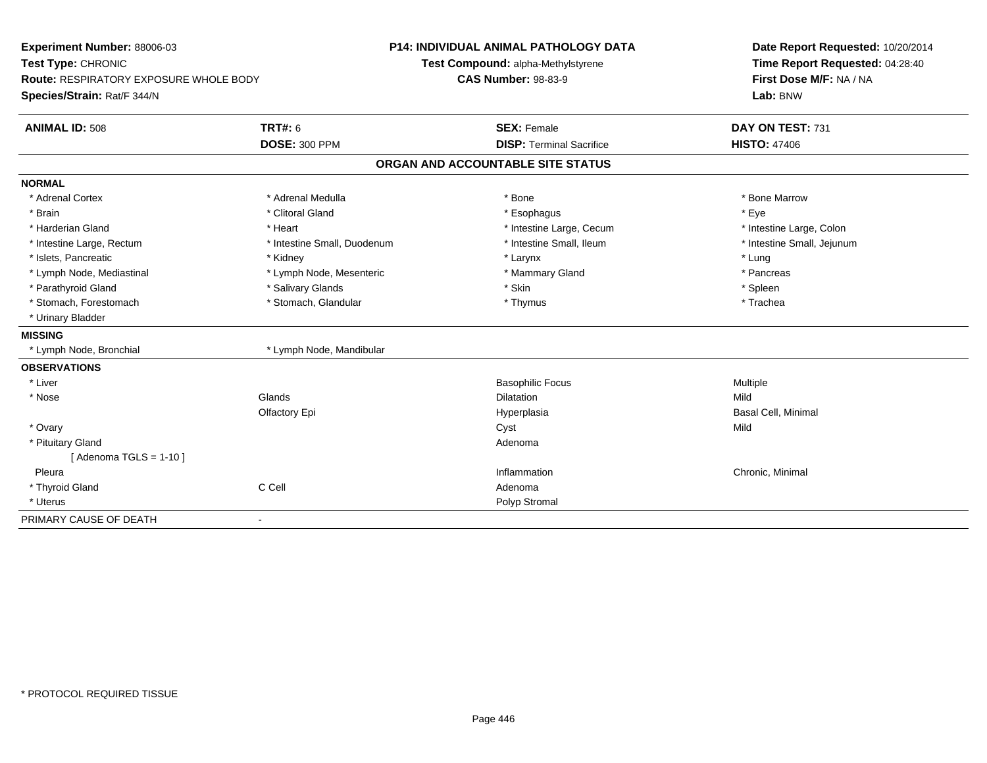| Experiment Number: 88006-03<br>Test Type: CHRONIC<br>Route: RESPIRATORY EXPOSURE WHOLE BODY<br>Species/Strain: Rat/F 344/N |                             | <b>P14: INDIVIDUAL ANIMAL PATHOLOGY DATA</b><br>Test Compound: alpha-Methylstyrene<br><b>CAS Number: 98-83-9</b> | Date Report Requested: 10/20/2014<br>Time Report Requested: 04:28:40<br>First Dose M/F: NA / NA<br>Lab: BNW |
|----------------------------------------------------------------------------------------------------------------------------|-----------------------------|------------------------------------------------------------------------------------------------------------------|-------------------------------------------------------------------------------------------------------------|
| <b>ANIMAL ID: 508</b>                                                                                                      | <b>TRT#: 6</b>              | <b>SEX: Female</b>                                                                                               | DAY ON TEST: 731                                                                                            |
|                                                                                                                            | <b>DOSE: 300 PPM</b>        | <b>DISP: Terminal Sacrifice</b>                                                                                  | <b>HISTO: 47406</b>                                                                                         |
|                                                                                                                            |                             | ORGAN AND ACCOUNTABLE SITE STATUS                                                                                |                                                                                                             |
| <b>NORMAL</b>                                                                                                              |                             |                                                                                                                  |                                                                                                             |
| * Adrenal Cortex                                                                                                           | * Adrenal Medulla           | * Bone                                                                                                           | * Bone Marrow                                                                                               |
| * Brain                                                                                                                    | * Clitoral Gland            | * Esophagus                                                                                                      | * Eye                                                                                                       |
| * Harderian Gland                                                                                                          | * Heart                     | * Intestine Large, Cecum                                                                                         | * Intestine Large, Colon                                                                                    |
| * Intestine Large, Rectum                                                                                                  | * Intestine Small, Duodenum | * Intestine Small, Ileum                                                                                         | * Intestine Small, Jejunum                                                                                  |
| * Islets, Pancreatic                                                                                                       | * Kidney                    | * Larynx                                                                                                         | * Lung                                                                                                      |
| * Lymph Node, Mediastinal                                                                                                  | * Lymph Node, Mesenteric    | * Mammary Gland                                                                                                  | * Pancreas                                                                                                  |
| * Parathyroid Gland                                                                                                        | * Salivary Glands           | * Skin                                                                                                           | * Spleen                                                                                                    |
| * Stomach, Forestomach                                                                                                     | * Stomach, Glandular        | * Thymus                                                                                                         | * Trachea                                                                                                   |
| * Urinary Bladder                                                                                                          |                             |                                                                                                                  |                                                                                                             |
| <b>MISSING</b>                                                                                                             |                             |                                                                                                                  |                                                                                                             |
| * Lymph Node, Bronchial                                                                                                    | * Lymph Node, Mandibular    |                                                                                                                  |                                                                                                             |
| <b>OBSERVATIONS</b>                                                                                                        |                             |                                                                                                                  |                                                                                                             |
| * Liver                                                                                                                    |                             | <b>Basophilic Focus</b>                                                                                          | Multiple                                                                                                    |
| * Nose                                                                                                                     | Glands                      | <b>Dilatation</b>                                                                                                | Mild                                                                                                        |
|                                                                                                                            | Olfactory Epi               | Hyperplasia                                                                                                      | Basal Cell, Minimal                                                                                         |
| * Ovary                                                                                                                    |                             | Cyst                                                                                                             | Mild                                                                                                        |
| * Pituitary Gland                                                                                                          |                             | Adenoma                                                                                                          |                                                                                                             |
| [Adenoma TGLS = $1-10$ ]                                                                                                   |                             |                                                                                                                  |                                                                                                             |
| Pleura                                                                                                                     |                             | Inflammation                                                                                                     | Chronic, Minimal                                                                                            |
| * Thyroid Gland                                                                                                            | C Cell                      | Adenoma                                                                                                          |                                                                                                             |
| * Uterus                                                                                                                   |                             | Polyp Stromal                                                                                                    |                                                                                                             |
| PRIMARY CAUSE OF DEATH                                                                                                     | ٠                           |                                                                                                                  |                                                                                                             |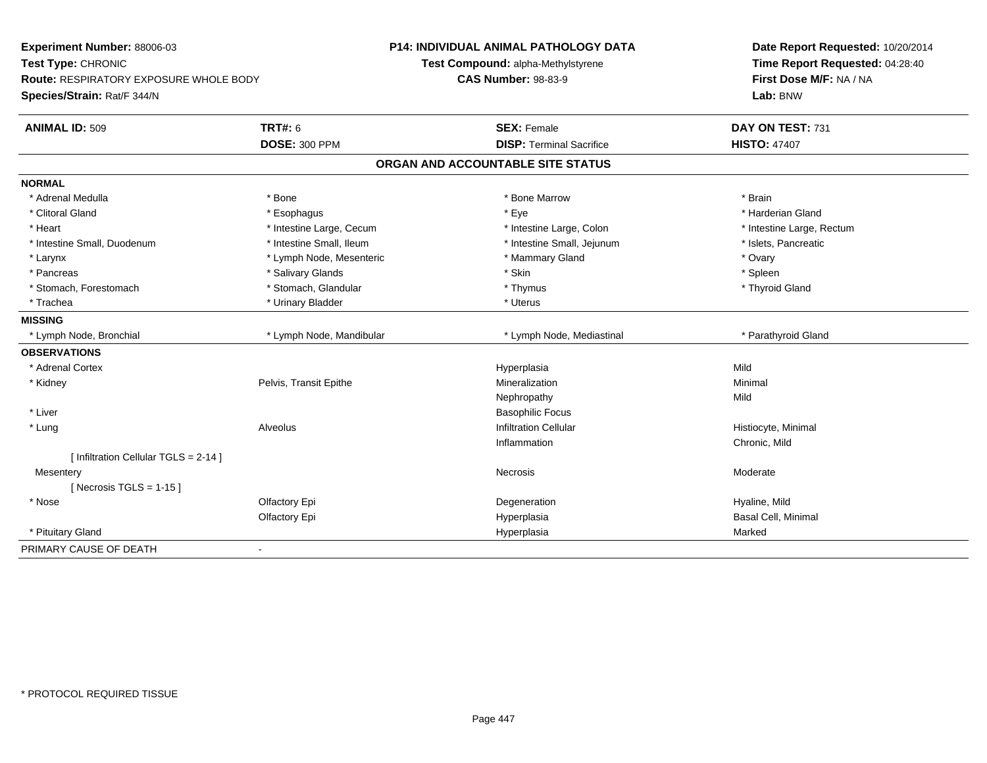| Experiment Number: 88006-03<br>Test Type: CHRONIC<br><b>Route: RESPIRATORY EXPOSURE WHOLE BODY</b> |                          | P14: INDIVIDUAL ANIMAL PATHOLOGY DATA<br>Test Compound: alpha-Methylstyrene<br><b>CAS Number: 98-83-9</b> | Date Report Requested: 10/20/2014<br>Time Report Requested: 04:28:40<br>First Dose M/F: NA / NA |  |
|----------------------------------------------------------------------------------------------------|--------------------------|-----------------------------------------------------------------------------------------------------------|-------------------------------------------------------------------------------------------------|--|
| Species/Strain: Rat/F 344/N                                                                        |                          |                                                                                                           | Lab: BNW                                                                                        |  |
| <b>ANIMAL ID: 509</b>                                                                              | <b>TRT#: 6</b>           | <b>SEX: Female</b>                                                                                        | DAY ON TEST: 731                                                                                |  |
|                                                                                                    | <b>DOSE: 300 PPM</b>     | <b>DISP: Terminal Sacrifice</b>                                                                           | <b>HISTO: 47407</b>                                                                             |  |
|                                                                                                    |                          | ORGAN AND ACCOUNTABLE SITE STATUS                                                                         |                                                                                                 |  |
| <b>NORMAL</b>                                                                                      |                          |                                                                                                           |                                                                                                 |  |
| * Adrenal Medulla                                                                                  | * Bone                   | * Bone Marrow                                                                                             | * Brain                                                                                         |  |
| * Clitoral Gland                                                                                   | * Esophagus              | * Eye                                                                                                     | * Harderian Gland                                                                               |  |
| * Heart                                                                                            | * Intestine Large, Cecum | * Intestine Large, Colon                                                                                  | * Intestine Large, Rectum                                                                       |  |
| * Intestine Small, Duodenum                                                                        | * Intestine Small, Ileum | * Intestine Small, Jejunum                                                                                | * Islets, Pancreatic                                                                            |  |
| * Larynx                                                                                           | * Lymph Node, Mesenteric | * Mammary Gland                                                                                           | * Ovary                                                                                         |  |
| * Pancreas                                                                                         | * Salivary Glands        | * Skin                                                                                                    | * Spleen                                                                                        |  |
| * Stomach, Forestomach                                                                             | * Stomach, Glandular     | * Thymus                                                                                                  | * Thyroid Gland                                                                                 |  |
| * Trachea                                                                                          | * Urinary Bladder        | * Uterus                                                                                                  |                                                                                                 |  |
| <b>MISSING</b>                                                                                     |                          |                                                                                                           |                                                                                                 |  |
| * Lymph Node, Bronchial                                                                            | * Lymph Node, Mandibular | * Lymph Node, Mediastinal                                                                                 | * Parathyroid Gland                                                                             |  |
| <b>OBSERVATIONS</b>                                                                                |                          |                                                                                                           |                                                                                                 |  |
| * Adrenal Cortex                                                                                   |                          | Hyperplasia                                                                                               | Mild                                                                                            |  |
| * Kidney                                                                                           | Pelvis, Transit Epithe   | Mineralization                                                                                            | Minimal                                                                                         |  |
|                                                                                                    |                          | Nephropathy                                                                                               | Mild                                                                                            |  |
| * Liver                                                                                            |                          | <b>Basophilic Focus</b>                                                                                   |                                                                                                 |  |
| * Lung                                                                                             | Alveolus                 | <b>Infiltration Cellular</b>                                                                              | Histiocyte, Minimal                                                                             |  |
|                                                                                                    |                          | Inflammation                                                                                              | Chronic, Mild                                                                                   |  |
| [ Infiltration Cellular TGLS = 2-14 ]                                                              |                          |                                                                                                           |                                                                                                 |  |
| Mesentery                                                                                          |                          | Necrosis                                                                                                  | Moderate                                                                                        |  |
| [Necrosis TGLS = $1-15$ ]                                                                          |                          |                                                                                                           |                                                                                                 |  |
| * Nose                                                                                             | Olfactory Epi            | Degeneration                                                                                              | Hyaline, Mild                                                                                   |  |
|                                                                                                    | Olfactory Epi            | Hyperplasia                                                                                               | Basal Cell, Minimal                                                                             |  |
| * Pituitary Gland                                                                                  |                          | Hyperplasia                                                                                               | Marked                                                                                          |  |
| PRIMARY CAUSE OF DEATH                                                                             | ä,                       |                                                                                                           |                                                                                                 |  |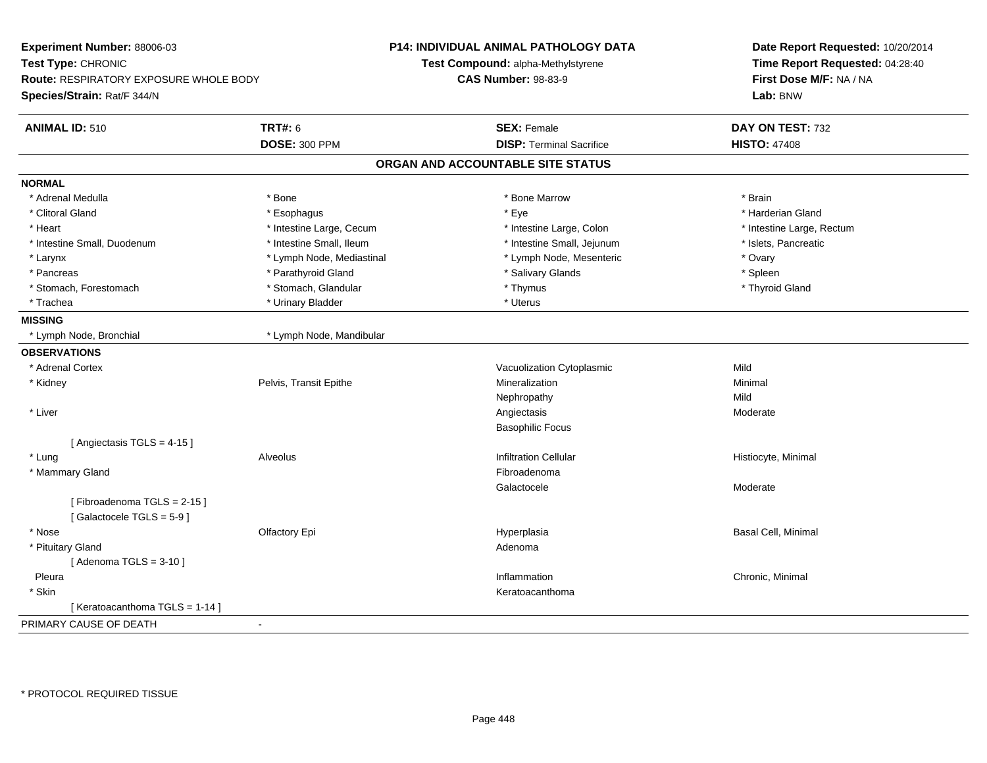| Experiment Number: 88006-03            |                           | <b>P14: INDIVIDUAL ANIMAL PATHOLOGY DATA</b> | Date Report Requested: 10/20/2014 |  |
|----------------------------------------|---------------------------|----------------------------------------------|-----------------------------------|--|
| Test Type: CHRONIC                     |                           | Test Compound: alpha-Methylstyrene           | Time Report Requested: 04:28:40   |  |
| Route: RESPIRATORY EXPOSURE WHOLE BODY |                           | <b>CAS Number: 98-83-9</b>                   | First Dose M/F: NA / NA           |  |
| Species/Strain: Rat/F 344/N            |                           |                                              | Lab: BNW                          |  |
| <b>ANIMAL ID: 510</b>                  | <b>TRT#: 6</b>            | <b>SEX: Female</b>                           | DAY ON TEST: 732                  |  |
|                                        | <b>DOSE: 300 PPM</b>      | <b>DISP: Terminal Sacrifice</b>              | <b>HISTO: 47408</b>               |  |
|                                        |                           | ORGAN AND ACCOUNTABLE SITE STATUS            |                                   |  |
| <b>NORMAL</b>                          |                           |                                              |                                   |  |
| * Adrenal Medulla                      | * Bone                    | * Bone Marrow                                | * Brain                           |  |
| * Clitoral Gland                       | * Esophagus               | * Eye                                        | * Harderian Gland                 |  |
| * Heart                                | * Intestine Large, Cecum  | * Intestine Large, Colon                     | * Intestine Large, Rectum         |  |
| * Intestine Small, Duodenum            | * Intestine Small, Ileum  | * Intestine Small, Jejunum                   | * Islets, Pancreatic              |  |
| * Larynx                               | * Lymph Node, Mediastinal | * Lymph Node, Mesenteric                     | * Ovary                           |  |
| * Pancreas                             | * Parathyroid Gland       | * Salivary Glands                            | * Spleen                          |  |
| * Stomach, Forestomach                 | * Stomach, Glandular      | * Thymus                                     | * Thyroid Gland                   |  |
| * Trachea                              | * Urinary Bladder         | * Uterus                                     |                                   |  |
| <b>MISSING</b>                         |                           |                                              |                                   |  |
| * Lymph Node, Bronchial                | * Lymph Node, Mandibular  |                                              |                                   |  |
| <b>OBSERVATIONS</b>                    |                           |                                              |                                   |  |
| * Adrenal Cortex                       |                           | Vacuolization Cytoplasmic                    | Mild                              |  |
| * Kidney                               | Pelvis, Transit Epithe    | Mineralization                               | Minimal                           |  |
|                                        |                           | Nephropathy                                  | Mild                              |  |
| * Liver                                |                           | Angiectasis                                  | Moderate                          |  |
|                                        |                           | <b>Basophilic Focus</b>                      |                                   |  |
| [Angiectasis TGLS = 4-15]              |                           |                                              |                                   |  |
| * Lung                                 | Alveolus                  | <b>Infiltration Cellular</b>                 | Histiocyte, Minimal               |  |
| * Mammary Gland                        |                           | Fibroadenoma                                 |                                   |  |
|                                        |                           | Galactocele                                  | Moderate                          |  |
| [Fibroadenoma TGLS = 2-15]             |                           |                                              |                                   |  |
| [Galactocele TGLS = 5-9]               |                           |                                              |                                   |  |
| * Nose                                 | Olfactory Epi             | Hyperplasia                                  | Basal Cell, Minimal               |  |
| * Pituitary Gland                      |                           | Adenoma                                      |                                   |  |
| [Adenoma TGLS = $3-10$ ]               |                           |                                              |                                   |  |
| Pleura                                 |                           | Inflammation                                 | Chronic, Minimal                  |  |
| * Skin                                 |                           | Keratoacanthoma                              |                                   |  |
| [ Keratoacanthoma TGLS = 1-14 ]        |                           |                                              |                                   |  |
| PRIMARY CAUSE OF DEATH                 | $\sim$                    |                                              |                                   |  |
|                                        |                           |                                              |                                   |  |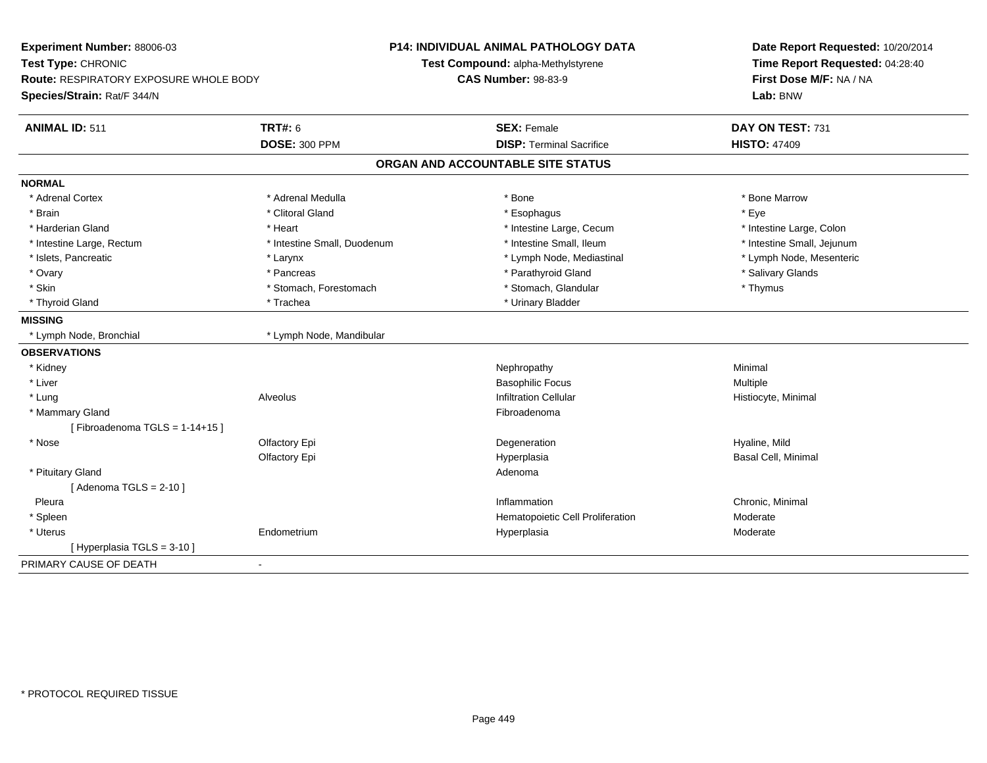| Experiment Number: 88006-03<br>Test Type: CHRONIC<br><b>Route: RESPIRATORY EXPOSURE WHOLE BODY</b><br>Species/Strain: Rat/F 344/N |                             | <b>P14: INDIVIDUAL ANIMAL PATHOLOGY DATA</b><br>Test Compound: alpha-Methylstyrene<br><b>CAS Number: 98-83-9</b> | Date Report Requested: 10/20/2014<br>Time Report Requested: 04:28:40<br>First Dose M/F: NA / NA<br>Lab: BNW |
|-----------------------------------------------------------------------------------------------------------------------------------|-----------------------------|------------------------------------------------------------------------------------------------------------------|-------------------------------------------------------------------------------------------------------------|
| <b>ANIMAL ID: 511</b>                                                                                                             | <b>TRT#: 6</b>              | <b>SEX: Female</b>                                                                                               | DAY ON TEST: 731                                                                                            |
|                                                                                                                                   | <b>DOSE: 300 PPM</b>        | <b>DISP: Terminal Sacrifice</b>                                                                                  | <b>HISTO: 47409</b>                                                                                         |
|                                                                                                                                   |                             | ORGAN AND ACCOUNTABLE SITE STATUS                                                                                |                                                                                                             |
| <b>NORMAL</b>                                                                                                                     |                             |                                                                                                                  |                                                                                                             |
| * Adrenal Cortex                                                                                                                  | * Adrenal Medulla           | * Bone                                                                                                           | * Bone Marrow                                                                                               |
| * Brain                                                                                                                           | * Clitoral Gland            | * Esophagus                                                                                                      | * Eye                                                                                                       |
| * Harderian Gland                                                                                                                 | * Heart                     | * Intestine Large, Cecum                                                                                         | * Intestine Large, Colon                                                                                    |
| * Intestine Large, Rectum                                                                                                         | * Intestine Small, Duodenum | * Intestine Small, Ileum                                                                                         | * Intestine Small, Jejunum                                                                                  |
| * Islets, Pancreatic                                                                                                              | * Larynx                    | * Lymph Node, Mediastinal                                                                                        | * Lymph Node, Mesenteric                                                                                    |
| * Ovary                                                                                                                           | * Pancreas                  | * Parathyroid Gland                                                                                              | * Salivary Glands                                                                                           |
| * Skin                                                                                                                            | * Stomach, Forestomach      | * Stomach, Glandular                                                                                             | * Thymus                                                                                                    |
| * Thyroid Gland                                                                                                                   | * Trachea                   | * Urinary Bladder                                                                                                |                                                                                                             |
| <b>MISSING</b>                                                                                                                    |                             |                                                                                                                  |                                                                                                             |
| * Lymph Node, Bronchial                                                                                                           | * Lymph Node, Mandibular    |                                                                                                                  |                                                                                                             |
| <b>OBSERVATIONS</b>                                                                                                               |                             |                                                                                                                  |                                                                                                             |
| * Kidney                                                                                                                          |                             | Nephropathy                                                                                                      | Minimal                                                                                                     |
| * Liver                                                                                                                           |                             | <b>Basophilic Focus</b>                                                                                          | Multiple                                                                                                    |
| * Lung                                                                                                                            | Alveolus                    | <b>Infiltration Cellular</b>                                                                                     | Histiocyte, Minimal                                                                                         |
| * Mammary Gland                                                                                                                   |                             | Fibroadenoma                                                                                                     |                                                                                                             |
| [Fibroadenoma TGLS = $1-14+15$ ]                                                                                                  |                             |                                                                                                                  |                                                                                                             |
| * Nose                                                                                                                            | Olfactory Epi               | Degeneration                                                                                                     | Hyaline, Mild                                                                                               |
|                                                                                                                                   | Olfactory Epi               | Hyperplasia                                                                                                      | Basal Cell, Minimal                                                                                         |
| * Pituitary Gland                                                                                                                 |                             | Adenoma                                                                                                          |                                                                                                             |
| [Adenoma TGLS = $2-10$ ]                                                                                                          |                             |                                                                                                                  |                                                                                                             |
| Pleura                                                                                                                            |                             | Inflammation                                                                                                     | Chronic, Minimal                                                                                            |
| * Spleen                                                                                                                          |                             | Hematopoietic Cell Proliferation                                                                                 | Moderate                                                                                                    |
| * Uterus                                                                                                                          | Endometrium                 | Hyperplasia                                                                                                      | Moderate                                                                                                    |
| [Hyperplasia TGLS = 3-10]                                                                                                         |                             |                                                                                                                  |                                                                                                             |
| PRIMARY CAUSE OF DEATH                                                                                                            | $\blacksquare$              |                                                                                                                  |                                                                                                             |
|                                                                                                                                   |                             |                                                                                                                  |                                                                                                             |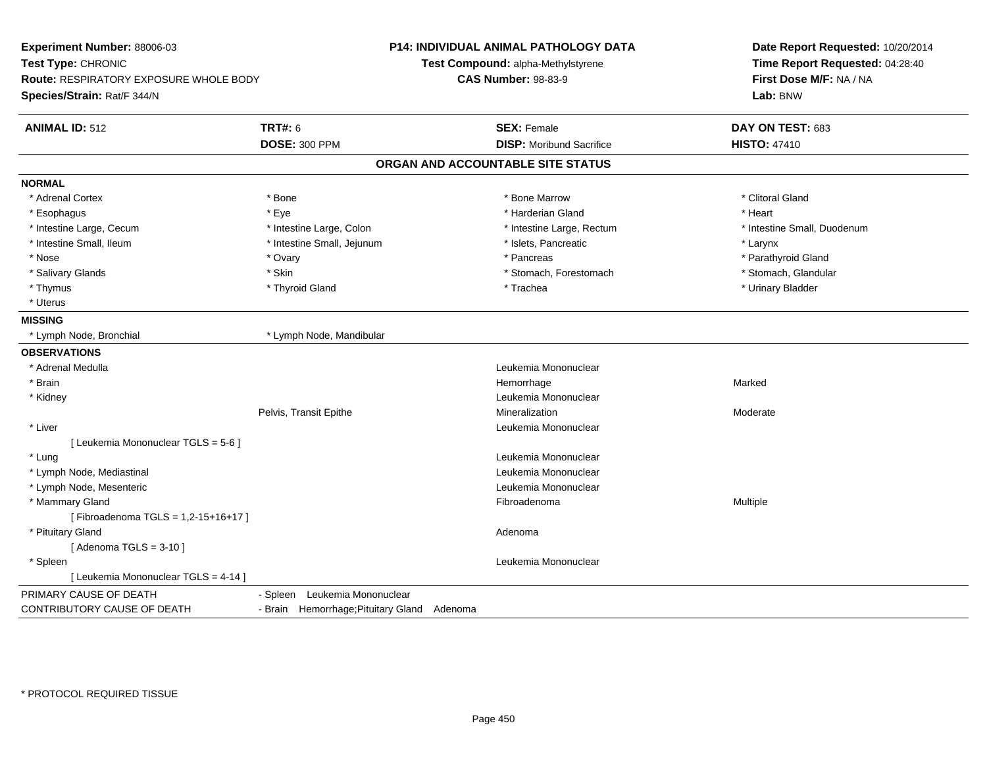| Experiment Number: 88006-03<br>Test Type: CHRONIC<br>Route: RESPIRATORY EXPOSURE WHOLE BODY<br>Species/Strain: Rat/F 344/N |                                             | <b>P14: INDIVIDUAL ANIMAL PATHOLOGY DATA</b><br>Test Compound: alpha-Methylstyrene<br><b>CAS Number: 98-83-9</b> | Date Report Requested: 10/20/2014<br>Time Report Requested: 04:28:40<br>First Dose M/F: NA / NA<br>Lab: BNW |
|----------------------------------------------------------------------------------------------------------------------------|---------------------------------------------|------------------------------------------------------------------------------------------------------------------|-------------------------------------------------------------------------------------------------------------|
| <b>ANIMAL ID: 512</b>                                                                                                      | <b>TRT#: 6</b>                              | <b>SEX: Female</b>                                                                                               | DAY ON TEST: 683                                                                                            |
|                                                                                                                            | <b>DOSE: 300 PPM</b>                        | <b>DISP:</b> Moribund Sacrifice                                                                                  | <b>HISTO: 47410</b>                                                                                         |
|                                                                                                                            |                                             | ORGAN AND ACCOUNTABLE SITE STATUS                                                                                |                                                                                                             |
| <b>NORMAL</b>                                                                                                              |                                             |                                                                                                                  |                                                                                                             |
| * Adrenal Cortex                                                                                                           | * Bone                                      | * Bone Marrow                                                                                                    | * Clitoral Gland                                                                                            |
| * Esophagus                                                                                                                | * Eye                                       | * Harderian Gland                                                                                                | * Heart                                                                                                     |
| * Intestine Large, Cecum                                                                                                   | * Intestine Large, Colon                    | * Intestine Large, Rectum                                                                                        | * Intestine Small, Duodenum                                                                                 |
| * Intestine Small, Ileum                                                                                                   | * Intestine Small, Jejunum                  | * Islets, Pancreatic                                                                                             | * Larynx                                                                                                    |
| * Nose                                                                                                                     | * Ovary                                     | * Pancreas                                                                                                       | * Parathyroid Gland                                                                                         |
| * Salivary Glands                                                                                                          | * Skin                                      | * Stomach, Forestomach                                                                                           | * Stomach, Glandular                                                                                        |
| * Thymus                                                                                                                   | * Thyroid Gland                             | * Trachea                                                                                                        | * Urinary Bladder                                                                                           |
| * Uterus                                                                                                                   |                                             |                                                                                                                  |                                                                                                             |
| <b>MISSING</b>                                                                                                             |                                             |                                                                                                                  |                                                                                                             |
| * Lymph Node, Bronchial                                                                                                    | * Lymph Node, Mandibular                    |                                                                                                                  |                                                                                                             |
| <b>OBSERVATIONS</b>                                                                                                        |                                             |                                                                                                                  |                                                                                                             |
| * Adrenal Medulla                                                                                                          |                                             | Leukemia Mononuclear                                                                                             |                                                                                                             |
| * Brain                                                                                                                    |                                             | Hemorrhage                                                                                                       | Marked                                                                                                      |
| * Kidney                                                                                                                   |                                             | Leukemia Mononuclear                                                                                             |                                                                                                             |
|                                                                                                                            | Pelvis, Transit Epithe                      | Mineralization                                                                                                   | Moderate                                                                                                    |
| * Liver                                                                                                                    |                                             | Leukemia Mononuclear                                                                                             |                                                                                                             |
| [ Leukemia Mononuclear TGLS = 5-6 ]                                                                                        |                                             |                                                                                                                  |                                                                                                             |
| * Lung                                                                                                                     |                                             | Leukemia Mononuclear                                                                                             |                                                                                                             |
| * Lymph Node, Mediastinal                                                                                                  |                                             | Leukemia Mononuclear                                                                                             |                                                                                                             |
| * Lymph Node, Mesenteric                                                                                                   |                                             | Leukemia Mononuclear                                                                                             |                                                                                                             |
| * Mammary Gland                                                                                                            |                                             | Fibroadenoma                                                                                                     | Multiple                                                                                                    |
| [Fibroadenoma TGLS = 1,2-15+16+17]                                                                                         |                                             |                                                                                                                  |                                                                                                             |
| * Pituitary Gland                                                                                                          |                                             | Adenoma                                                                                                          |                                                                                                             |
| [Adenoma TGLS = $3-10$ ]                                                                                                   |                                             |                                                                                                                  |                                                                                                             |
| * Spleen                                                                                                                   |                                             | Leukemia Mononuclear                                                                                             |                                                                                                             |
| [ Leukemia Mononuclear TGLS = 4-14 ]                                                                                       |                                             |                                                                                                                  |                                                                                                             |
| PRIMARY CAUSE OF DEATH                                                                                                     | Leukemia Mononuclear<br>- Spleen            |                                                                                                                  |                                                                                                             |
| CONTRIBUTORY CAUSE OF DEATH                                                                                                | - Brain Hemorrhage; Pituitary Gland Adenoma |                                                                                                                  |                                                                                                             |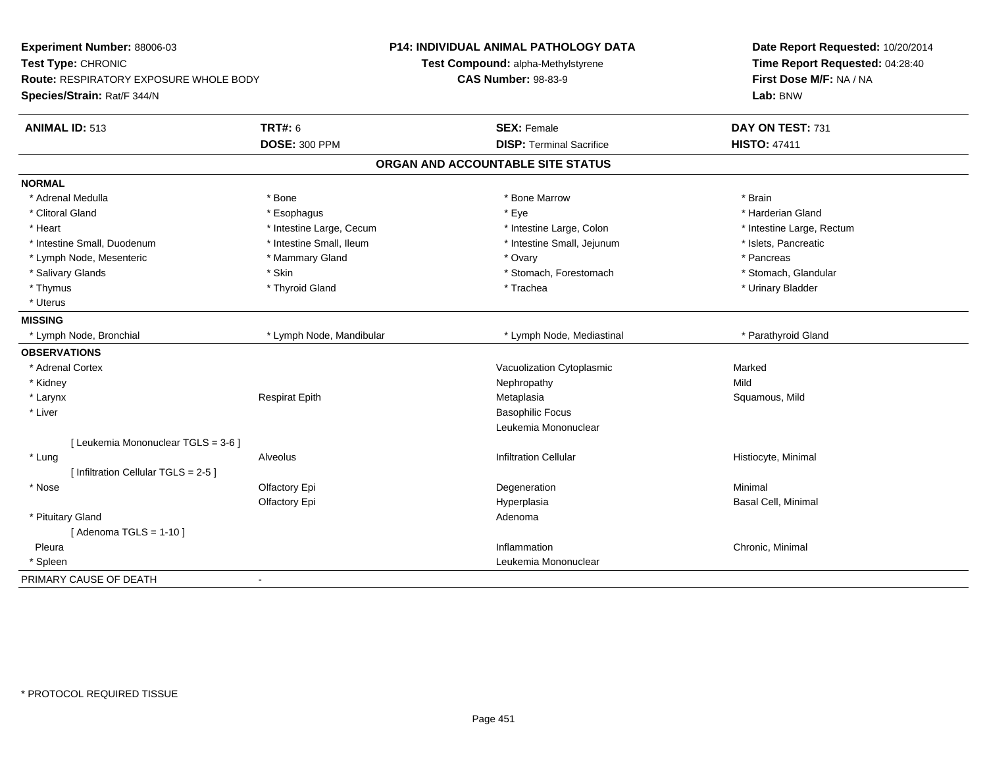| Experiment Number: 88006-03<br>Test Type: CHRONIC<br><b>Route: RESPIRATORY EXPOSURE WHOLE BODY</b><br>Species/Strain: Rat/F 344/N |                          | <b>P14: INDIVIDUAL ANIMAL PATHOLOGY DATA</b><br>Test Compound: alpha-Methylstyrene<br><b>CAS Number: 98-83-9</b> | Date Report Requested: 10/20/2014<br>Time Report Requested: 04:28:40<br>First Dose M/F: NA / NA<br>Lab: BNW |
|-----------------------------------------------------------------------------------------------------------------------------------|--------------------------|------------------------------------------------------------------------------------------------------------------|-------------------------------------------------------------------------------------------------------------|
| <b>ANIMAL ID: 513</b>                                                                                                             | <b>TRT#: 6</b>           | <b>SEX: Female</b>                                                                                               | DAY ON TEST: 731                                                                                            |
|                                                                                                                                   | <b>DOSE: 300 PPM</b>     | <b>DISP: Terminal Sacrifice</b>                                                                                  | <b>HISTO: 47411</b>                                                                                         |
|                                                                                                                                   |                          | ORGAN AND ACCOUNTABLE SITE STATUS                                                                                |                                                                                                             |
| <b>NORMAL</b>                                                                                                                     |                          |                                                                                                                  |                                                                                                             |
| * Adrenal Medulla                                                                                                                 | * Bone                   | * Bone Marrow                                                                                                    | * Brain                                                                                                     |
| * Clitoral Gland                                                                                                                  | * Esophagus              | * Eye                                                                                                            | * Harderian Gland                                                                                           |
| * Heart                                                                                                                           | * Intestine Large, Cecum | * Intestine Large, Colon                                                                                         | * Intestine Large, Rectum                                                                                   |
| * Intestine Small, Duodenum                                                                                                       | * Intestine Small, Ileum | * Intestine Small, Jejunum                                                                                       | * Islets, Pancreatic                                                                                        |
| * Lymph Node, Mesenteric                                                                                                          | * Mammary Gland          | * Ovary                                                                                                          | * Pancreas                                                                                                  |
| * Salivary Glands                                                                                                                 | * Skin                   | * Stomach, Forestomach                                                                                           | * Stomach, Glandular                                                                                        |
| * Thymus                                                                                                                          | * Thyroid Gland          | * Trachea                                                                                                        | * Urinary Bladder                                                                                           |
| * Uterus                                                                                                                          |                          |                                                                                                                  |                                                                                                             |
| <b>MISSING</b>                                                                                                                    |                          |                                                                                                                  |                                                                                                             |
| * Lymph Node, Bronchial                                                                                                           | * Lymph Node, Mandibular | * Lymph Node, Mediastinal                                                                                        | * Parathyroid Gland                                                                                         |
| <b>OBSERVATIONS</b>                                                                                                               |                          |                                                                                                                  |                                                                                                             |
| * Adrenal Cortex                                                                                                                  |                          | Vacuolization Cytoplasmic                                                                                        | Marked                                                                                                      |
| * Kidney                                                                                                                          |                          | Nephropathy                                                                                                      | Mild                                                                                                        |
| * Larynx                                                                                                                          | <b>Respirat Epith</b>    | Metaplasia                                                                                                       | Squamous, Mild                                                                                              |
| * Liver                                                                                                                           |                          | <b>Basophilic Focus</b>                                                                                          |                                                                                                             |
|                                                                                                                                   |                          | Leukemia Mononuclear                                                                                             |                                                                                                             |
| [ Leukemia Mononuclear TGLS = 3-6 ]                                                                                               |                          |                                                                                                                  |                                                                                                             |
| * Lung                                                                                                                            | Alveolus                 | <b>Infiltration Cellular</b>                                                                                     | Histiocyte, Minimal                                                                                         |
| [ Infiltration Cellular TGLS = 2-5 ]                                                                                              |                          |                                                                                                                  |                                                                                                             |
| * Nose                                                                                                                            | Olfactory Epi            | Degeneration                                                                                                     | Minimal                                                                                                     |
|                                                                                                                                   | Olfactory Epi            | Hyperplasia                                                                                                      | Basal Cell, Minimal                                                                                         |
| * Pituitary Gland                                                                                                                 |                          | Adenoma                                                                                                          |                                                                                                             |
| [Adenoma TGLS = $1-10$ ]                                                                                                          |                          |                                                                                                                  |                                                                                                             |
| Pleura                                                                                                                            |                          | Inflammation                                                                                                     | Chronic, Minimal                                                                                            |
| * Spleen                                                                                                                          |                          | Leukemia Mononuclear                                                                                             |                                                                                                             |
| PRIMARY CAUSE OF DEATH                                                                                                            | $\blacksquare$           |                                                                                                                  |                                                                                                             |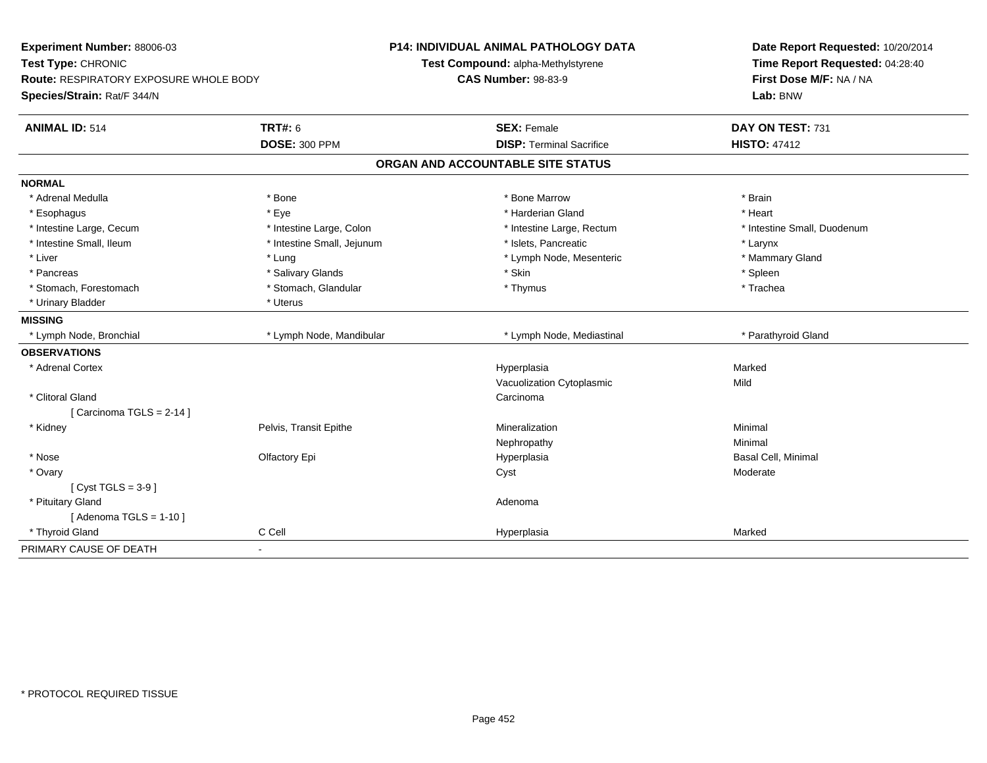| Experiment Number: 88006-03<br>Test Type: CHRONIC<br>Route: RESPIRATORY EXPOSURE WHOLE BODY<br>Species/Strain: Rat/F 344/N |                            | P14: INDIVIDUAL ANIMAL PATHOLOGY DATA<br>Test Compound: alpha-Methylstyrene<br><b>CAS Number: 98-83-9</b> | Date Report Requested: 10/20/2014<br>Time Report Requested: 04:28:40<br>First Dose M/F: NA / NA<br>Lab: BNW |
|----------------------------------------------------------------------------------------------------------------------------|----------------------------|-----------------------------------------------------------------------------------------------------------|-------------------------------------------------------------------------------------------------------------|
|                                                                                                                            |                            |                                                                                                           |                                                                                                             |
| <b>ANIMAL ID: 514</b>                                                                                                      | <b>TRT#: 6</b>             | <b>SEX: Female</b>                                                                                        | DAY ON TEST: 731                                                                                            |
|                                                                                                                            | <b>DOSE: 300 PPM</b>       | <b>DISP: Terminal Sacrifice</b>                                                                           | <b>HISTO: 47412</b>                                                                                         |
|                                                                                                                            |                            | ORGAN AND ACCOUNTABLE SITE STATUS                                                                         |                                                                                                             |
| <b>NORMAL</b>                                                                                                              |                            |                                                                                                           |                                                                                                             |
| * Adrenal Medulla                                                                                                          | * Bone                     | * Bone Marrow                                                                                             | * Brain                                                                                                     |
| * Esophagus                                                                                                                | * Eye                      | * Harderian Gland                                                                                         | * Heart                                                                                                     |
| * Intestine Large, Cecum                                                                                                   | * Intestine Large, Colon   | * Intestine Large, Rectum                                                                                 | * Intestine Small, Duodenum                                                                                 |
| * Intestine Small, Ileum                                                                                                   | * Intestine Small, Jejunum | * Islets, Pancreatic                                                                                      | * Larynx                                                                                                    |
| * Liver                                                                                                                    | * Lung                     | * Lymph Node, Mesenteric                                                                                  | * Mammary Gland                                                                                             |
| * Pancreas                                                                                                                 | * Salivary Glands          | * Skin                                                                                                    | * Spleen                                                                                                    |
| * Stomach, Forestomach                                                                                                     | * Stomach, Glandular       | * Thymus                                                                                                  | * Trachea                                                                                                   |
| * Urinary Bladder                                                                                                          | * Uterus                   |                                                                                                           |                                                                                                             |
| <b>MISSING</b>                                                                                                             |                            |                                                                                                           |                                                                                                             |
| * Lymph Node, Bronchial                                                                                                    | * Lymph Node, Mandibular   | * Lymph Node, Mediastinal                                                                                 | * Parathyroid Gland                                                                                         |
| <b>OBSERVATIONS</b>                                                                                                        |                            |                                                                                                           |                                                                                                             |
| * Adrenal Cortex                                                                                                           |                            | Hyperplasia                                                                                               | Marked                                                                                                      |
|                                                                                                                            |                            | Vacuolization Cytoplasmic                                                                                 | Mild                                                                                                        |
| * Clitoral Gland                                                                                                           |                            | Carcinoma                                                                                                 |                                                                                                             |
| [Carcinoma TGLS = $2-14$ ]                                                                                                 |                            |                                                                                                           |                                                                                                             |
| * Kidney                                                                                                                   | Pelvis, Transit Epithe     | Mineralization                                                                                            | Minimal                                                                                                     |
|                                                                                                                            |                            | Nephropathy                                                                                               | Minimal                                                                                                     |
| * Nose                                                                                                                     | Olfactory Epi              | Hyperplasia                                                                                               | Basal Cell, Minimal                                                                                         |
| * Ovary                                                                                                                    |                            | Cyst                                                                                                      | Moderate                                                                                                    |
| [ Cyst TGLS = $3-9$ ]                                                                                                      |                            |                                                                                                           |                                                                                                             |
| * Pituitary Gland                                                                                                          |                            | Adenoma                                                                                                   |                                                                                                             |
| [Adenoma TGLS = $1-10$ ]                                                                                                   |                            |                                                                                                           |                                                                                                             |
| * Thyroid Gland                                                                                                            | C Cell                     | Hyperplasia                                                                                               | Marked                                                                                                      |
| PRIMARY CAUSE OF DEATH                                                                                                     | $\blacksquare$             |                                                                                                           |                                                                                                             |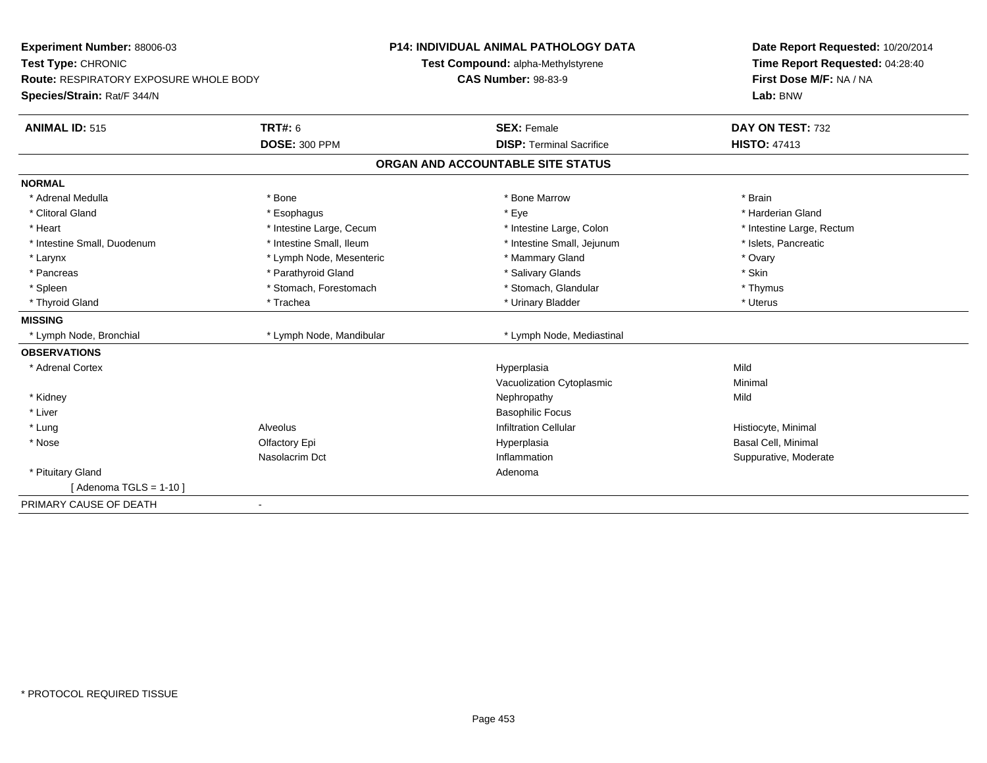| Experiment Number: 88006-03<br>Test Type: CHRONIC |                          | <b>P14: INDIVIDUAL ANIMAL PATHOLOGY DATA</b> | Date Report Requested: 10/20/2014 |
|---------------------------------------------------|--------------------------|----------------------------------------------|-----------------------------------|
|                                                   |                          | Test Compound: alpha-Methylstyrene           | Time Report Requested: 04:28:40   |
| <b>Route: RESPIRATORY EXPOSURE WHOLE BODY</b>     |                          | <b>CAS Number: 98-83-9</b>                   | First Dose M/F: NA / NA           |
| Species/Strain: Rat/F 344/N                       |                          |                                              | Lab: BNW                          |
| <b>ANIMAL ID: 515</b>                             | <b>TRT#: 6</b>           | <b>SEX: Female</b>                           | DAY ON TEST: 732                  |
|                                                   | <b>DOSE: 300 PPM</b>     | <b>DISP: Terminal Sacrifice</b>              | <b>HISTO: 47413</b>               |
|                                                   |                          | ORGAN AND ACCOUNTABLE SITE STATUS            |                                   |
| <b>NORMAL</b>                                     |                          |                                              |                                   |
| * Adrenal Medulla                                 | * Bone                   | * Bone Marrow                                | * Brain                           |
| * Clitoral Gland                                  | * Esophagus              | * Eye                                        | * Harderian Gland                 |
| * Heart                                           | * Intestine Large, Cecum | * Intestine Large, Colon                     | * Intestine Large, Rectum         |
| * Intestine Small, Duodenum                       | * Intestine Small, Ileum | * Intestine Small, Jejunum                   | * Islets, Pancreatic              |
| * Larynx                                          | * Lymph Node, Mesenteric | * Mammary Gland                              | * Ovary                           |
| * Pancreas                                        | * Parathyroid Gland      | * Salivary Glands                            | * Skin                            |
| * Spleen                                          | * Stomach, Forestomach   | * Stomach, Glandular                         | * Thymus                          |
| * Thyroid Gland                                   | * Trachea                | * Urinary Bladder                            | * Uterus                          |
| <b>MISSING</b>                                    |                          |                                              |                                   |
| * Lymph Node, Bronchial                           | * Lymph Node, Mandibular | * Lymph Node, Mediastinal                    |                                   |
| <b>OBSERVATIONS</b>                               |                          |                                              |                                   |
| * Adrenal Cortex                                  |                          | Hyperplasia                                  | Mild                              |
|                                                   |                          | Vacuolization Cytoplasmic                    | Minimal                           |
| * Kidney                                          |                          | Nephropathy                                  | Mild                              |
| * Liver                                           |                          | <b>Basophilic Focus</b>                      |                                   |
| * Lung                                            | Alveolus                 | <b>Infiltration Cellular</b>                 | Histiocyte, Minimal               |
| * Nose                                            | Olfactory Epi            | Hyperplasia                                  | <b>Basal Cell, Minimal</b>        |
|                                                   | Nasolacrim Dct           | Inflammation                                 | Suppurative, Moderate             |
| * Pituitary Gland                                 |                          | Adenoma                                      |                                   |
| [Adenoma TGLS = $1-10$ ]                          |                          |                                              |                                   |
| PRIMARY CAUSE OF DEATH<br>$\blacksquare$          |                          |                                              |                                   |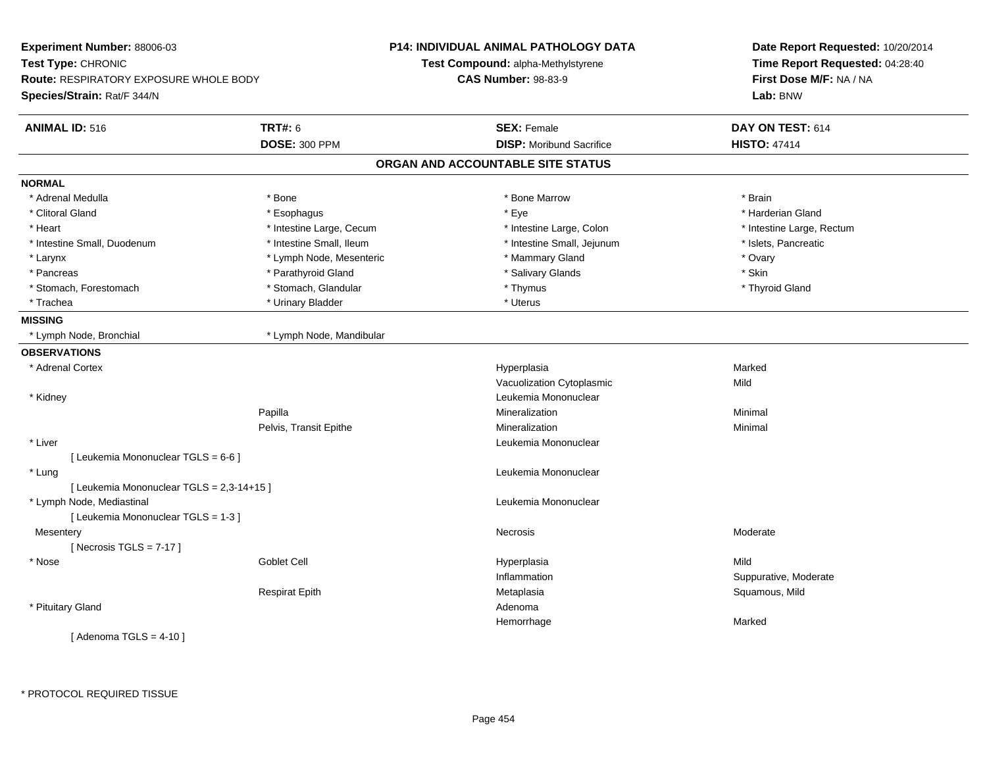| Experiment Number: 88006-03<br>Test Type: CHRONIC |                          | <b>P14: INDIVIDUAL ANIMAL PATHOLOGY DATA</b> | Date Report Requested: 10/20/2014<br>Time Report Requested: 04:28:40 |  |
|---------------------------------------------------|--------------------------|----------------------------------------------|----------------------------------------------------------------------|--|
|                                                   |                          | Test Compound: alpha-Methylstyrene           |                                                                      |  |
| Route: RESPIRATORY EXPOSURE WHOLE BODY            |                          | <b>CAS Number: 98-83-9</b>                   | First Dose M/F: NA / NA<br>Lab: BNW                                  |  |
| Species/Strain: Rat/F 344/N                       |                          |                                              |                                                                      |  |
| <b>ANIMAL ID: 516</b>                             | <b>TRT#: 6</b>           | <b>SEX: Female</b>                           | DAY ON TEST: 614                                                     |  |
|                                                   | <b>DOSE: 300 PPM</b>     | <b>DISP:</b> Moribund Sacrifice              | <b>HISTO: 47414</b>                                                  |  |
|                                                   |                          | ORGAN AND ACCOUNTABLE SITE STATUS            |                                                                      |  |
| <b>NORMAL</b>                                     |                          |                                              |                                                                      |  |
| * Adrenal Medulla                                 | * Bone                   | * Bone Marrow                                | * Brain                                                              |  |
| * Clitoral Gland                                  | * Esophagus              | * Eye                                        | * Harderian Gland                                                    |  |
| * Heart                                           | * Intestine Large, Cecum | * Intestine Large, Colon                     | * Intestine Large, Rectum                                            |  |
| * Intestine Small, Duodenum                       | * Intestine Small, Ileum | * Intestine Small, Jejunum                   | * Islets, Pancreatic                                                 |  |
| * Larynx                                          | * Lymph Node, Mesenteric | * Mammary Gland                              | * Ovary                                                              |  |
| * Pancreas                                        | * Parathyroid Gland      | * Salivary Glands                            | * Skin                                                               |  |
| * Stomach, Forestomach                            | * Stomach, Glandular     | * Thymus                                     | * Thyroid Gland                                                      |  |
| * Trachea                                         | * Urinary Bladder        | * Uterus                                     |                                                                      |  |
| <b>MISSING</b>                                    |                          |                                              |                                                                      |  |
| * Lymph Node, Bronchial                           | * Lymph Node, Mandibular |                                              |                                                                      |  |
| <b>OBSERVATIONS</b>                               |                          |                                              |                                                                      |  |
| * Adrenal Cortex                                  |                          | Hyperplasia                                  | Marked                                                               |  |
|                                                   |                          | Vacuolization Cytoplasmic                    | Mild                                                                 |  |
| * Kidney                                          |                          | Leukemia Mononuclear                         |                                                                      |  |
|                                                   | Papilla                  | Mineralization                               | Minimal                                                              |  |
|                                                   | Pelvis, Transit Epithe   | Mineralization                               | Minimal                                                              |  |
| * Liver                                           |                          | Leukemia Mononuclear                         |                                                                      |  |
| [ Leukemia Mononuclear TGLS = 6-6 ]               |                          |                                              |                                                                      |  |
| * Lung                                            |                          | Leukemia Mononuclear                         |                                                                      |  |
| [ Leukemia Mononuclear TGLS = 2,3-14+15 ]         |                          |                                              |                                                                      |  |
| * Lymph Node, Mediastinal                         |                          | Leukemia Mononuclear                         |                                                                      |  |
| [ Leukemia Mononuclear TGLS = 1-3 ]               |                          |                                              |                                                                      |  |
| Mesentery                                         |                          | Necrosis                                     | Moderate                                                             |  |
| [Necrosis $TGLS = 7-17$ ]                         |                          |                                              |                                                                      |  |
| * Nose                                            | Goblet Cell              | Hyperplasia                                  | Mild                                                                 |  |
|                                                   |                          | Inflammation                                 | Suppurative, Moderate                                                |  |
|                                                   | <b>Respirat Epith</b>    | Metaplasia                                   | Squamous, Mild                                                       |  |
| * Pituitary Gland                                 |                          | Adenoma                                      |                                                                      |  |
|                                                   |                          | Hemorrhage                                   | Marked                                                               |  |
| [Adenoma TGLS = $4-10$ ]                          |                          |                                              |                                                                      |  |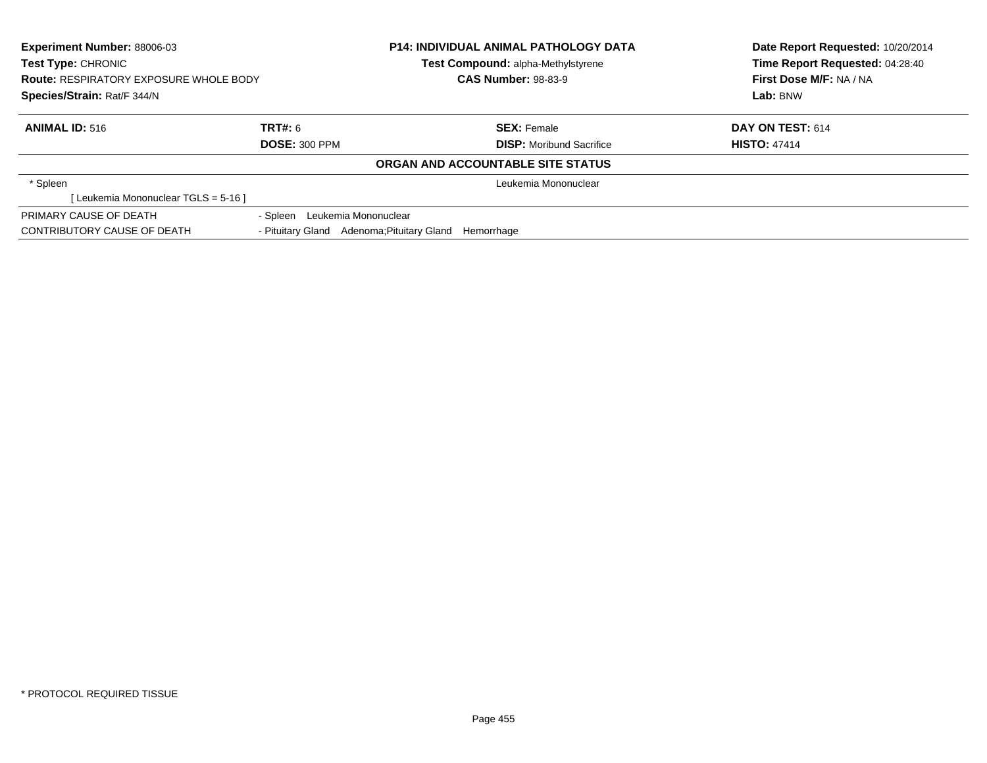| <b>Experiment Number: 88006-03</b><br><b>Test Type: CHRONIC</b><br><b>Route: RESPIRATORY EXPOSURE WHOLE BODY</b> |                                            | <b>P14: INDIVIDUAL ANIMAL PATHOLOGY DATA</b><br><b>Test Compound: alpha-Methylstyrene</b><br><b>CAS Number: 98-83-9</b> |                                 | Date Report Requested: 10/20/2014<br>Time Report Requested: 04:28:40 |
|------------------------------------------------------------------------------------------------------------------|--------------------------------------------|-------------------------------------------------------------------------------------------------------------------------|---------------------------------|----------------------------------------------------------------------|
|                                                                                                                  |                                            |                                                                                                                         |                                 | First Dose M/F: NA / NA                                              |
| Species/Strain: Rat/F 344/N                                                                                      |                                            |                                                                                                                         |                                 | Lab: BNW                                                             |
| <b>ANIMAL ID: 516</b>                                                                                            | TRT#: 6                                    |                                                                                                                         | <b>SEX: Female</b>              | DAY ON TEST: 614                                                     |
|                                                                                                                  | <b>DOSE: 300 PPM</b>                       |                                                                                                                         | <b>DISP:</b> Moribund Sacrifice | <b>HISTO: 47414</b>                                                  |
|                                                                                                                  |                                            | ORGAN AND ACCOUNTABLE SITE STATUS                                                                                       |                                 |                                                                      |
| * Spleen                                                                                                         | Leukemia Mononuclear                       |                                                                                                                         |                                 |                                                                      |
| [ Leukemia Mononuclear TGLS = 5-16 ]                                                                             |                                            |                                                                                                                         |                                 |                                                                      |
| PRIMARY CAUSE OF DEATH                                                                                           | Leukemia Mononuclear<br>- Spleen           |                                                                                                                         |                                 |                                                                      |
| CONTRIBUTORY CAUSE OF DEATH                                                                                      | - Pituitary Gland Adenoma; Pituitary Gland | Hemorrhage                                                                                                              |                                 |                                                                      |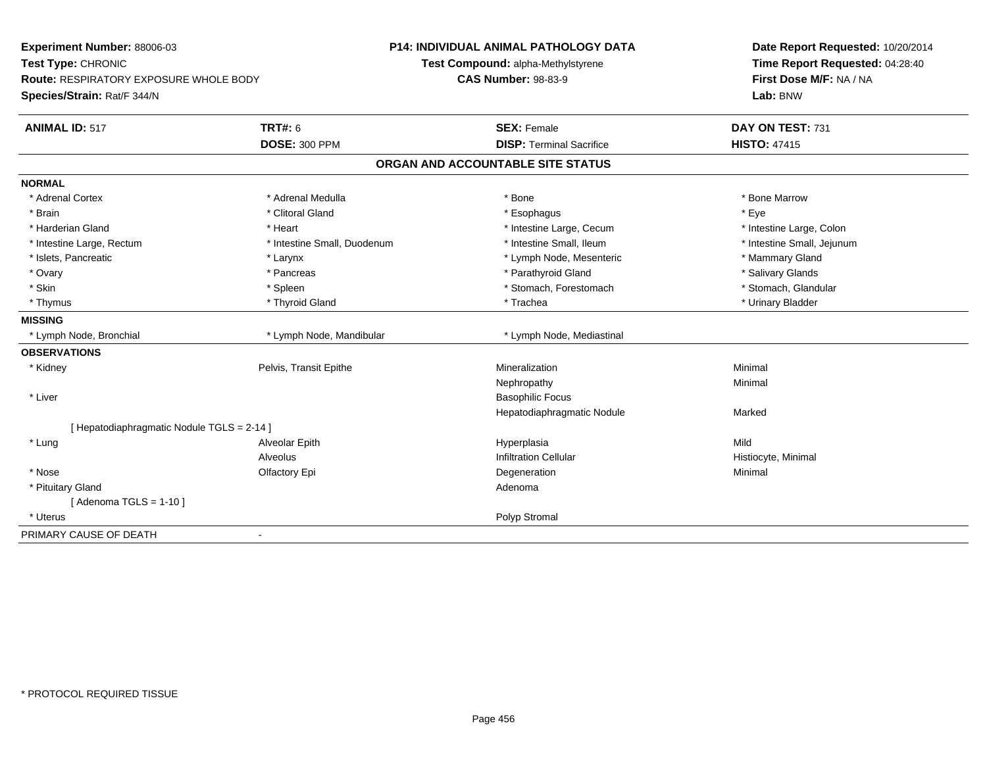| Experiment Number: 88006-03<br>Test Type: CHRONIC<br>Route: RESPIRATORY EXPOSURE WHOLE BODY |                             | P14: INDIVIDUAL ANIMAL PATHOLOGY DATA<br>Test Compound: alpha-Methylstyrene<br><b>CAS Number: 98-83-9</b> | Date Report Requested: 10/20/2014<br>Time Report Requested: 04:28:40<br>First Dose M/F: NA / NA |
|---------------------------------------------------------------------------------------------|-----------------------------|-----------------------------------------------------------------------------------------------------------|-------------------------------------------------------------------------------------------------|
| Species/Strain: Rat/F 344/N                                                                 |                             |                                                                                                           | Lab: BNW                                                                                        |
| <b>ANIMAL ID: 517</b>                                                                       | <b>TRT#: 6</b>              | <b>SEX: Female</b>                                                                                        | DAY ON TEST: 731                                                                                |
|                                                                                             | <b>DOSE: 300 PPM</b>        | <b>DISP: Terminal Sacrifice</b>                                                                           | <b>HISTO: 47415</b>                                                                             |
|                                                                                             |                             | ORGAN AND ACCOUNTABLE SITE STATUS                                                                         |                                                                                                 |
| <b>NORMAL</b>                                                                               |                             |                                                                                                           |                                                                                                 |
| * Adrenal Cortex                                                                            | * Adrenal Medulla           | * Bone                                                                                                    | * Bone Marrow                                                                                   |
| * Brain                                                                                     | * Clitoral Gland            | * Esophagus                                                                                               | * Eye                                                                                           |
| * Harderian Gland                                                                           | * Heart                     | * Intestine Large, Cecum                                                                                  | * Intestine Large, Colon                                                                        |
| * Intestine Large, Rectum                                                                   | * Intestine Small, Duodenum | * Intestine Small, Ileum                                                                                  | * Intestine Small, Jejunum                                                                      |
| * Islets, Pancreatic                                                                        | * Larynx                    | * Lymph Node, Mesenteric                                                                                  | * Mammary Gland                                                                                 |
| * Ovary                                                                                     | * Pancreas                  | * Parathyroid Gland                                                                                       | * Salivary Glands                                                                               |
| * Skin                                                                                      | * Spleen                    | * Stomach, Forestomach                                                                                    | * Stomach, Glandular                                                                            |
| * Thymus                                                                                    | * Thyroid Gland             | * Trachea                                                                                                 | * Urinary Bladder                                                                               |
| <b>MISSING</b>                                                                              |                             |                                                                                                           |                                                                                                 |
| * Lymph Node, Bronchial                                                                     | * Lymph Node, Mandibular    | * Lymph Node, Mediastinal                                                                                 |                                                                                                 |
| <b>OBSERVATIONS</b>                                                                         |                             |                                                                                                           |                                                                                                 |
| * Kidney                                                                                    | Pelvis, Transit Epithe      | Mineralization                                                                                            | Minimal                                                                                         |
|                                                                                             |                             | Nephropathy                                                                                               | Minimal                                                                                         |
| * Liver                                                                                     |                             | <b>Basophilic Focus</b>                                                                                   |                                                                                                 |
|                                                                                             |                             | Hepatodiaphragmatic Nodule                                                                                | Marked                                                                                          |
| [ Hepatodiaphragmatic Nodule TGLS = 2-14 ]                                                  |                             |                                                                                                           |                                                                                                 |
| * Lung                                                                                      | Alveolar Epith              | Hyperplasia                                                                                               | Mild                                                                                            |
|                                                                                             | Alveolus                    | <b>Infiltration Cellular</b>                                                                              | Histiocyte, Minimal                                                                             |
| * Nose                                                                                      | Olfactory Epi               | Degeneration                                                                                              | Minimal                                                                                         |
| * Pituitary Gland                                                                           |                             | Adenoma                                                                                                   |                                                                                                 |
| [Adenoma TGLS = $1-10$ ]                                                                    |                             |                                                                                                           |                                                                                                 |
| * Uterus                                                                                    |                             | Polyp Stromal                                                                                             |                                                                                                 |
| PRIMARY CAUSE OF DEATH                                                                      |                             |                                                                                                           |                                                                                                 |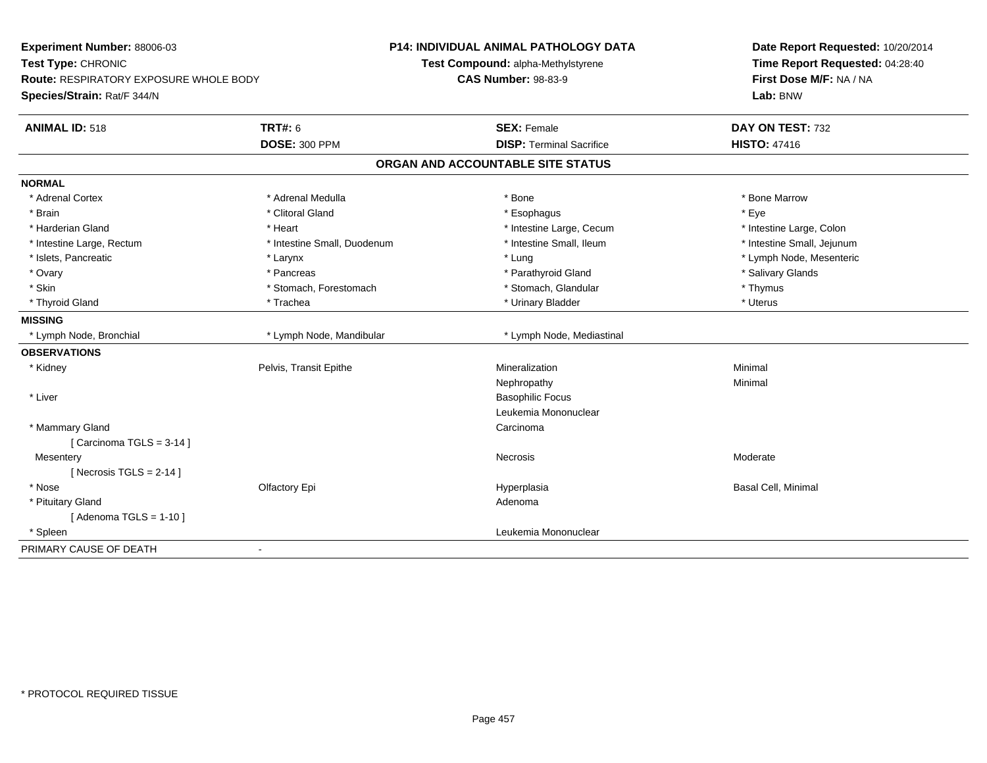| Experiment Number: 88006-03<br>Test Type: CHRONIC |                             | <b>P14: INDIVIDUAL ANIMAL PATHOLOGY DATA</b> | Date Report Requested: 10/20/2014<br>Time Report Requested: 04:28:40 |
|---------------------------------------------------|-----------------------------|----------------------------------------------|----------------------------------------------------------------------|
|                                                   |                             | Test Compound: alpha-Methylstyrene           |                                                                      |
| <b>Route: RESPIRATORY EXPOSURE WHOLE BODY</b>     |                             | <b>CAS Number: 98-83-9</b>                   | First Dose M/F: NA / NA                                              |
| Species/Strain: Rat/F 344/N                       |                             |                                              | Lab: BNW                                                             |
| <b>ANIMAL ID: 518</b>                             | <b>TRT#: 6</b>              | <b>SEX: Female</b>                           | DAY ON TEST: 732                                                     |
|                                                   | <b>DOSE: 300 PPM</b>        | <b>DISP: Terminal Sacrifice</b>              | <b>HISTO: 47416</b>                                                  |
|                                                   |                             | ORGAN AND ACCOUNTABLE SITE STATUS            |                                                                      |
| <b>NORMAL</b>                                     |                             |                                              |                                                                      |
| * Adrenal Cortex                                  | * Adrenal Medulla           | * Bone                                       | * Bone Marrow                                                        |
| * Brain                                           | * Clitoral Gland            | * Esophagus                                  | * Eye                                                                |
| * Harderian Gland                                 | * Heart                     | * Intestine Large, Cecum                     | * Intestine Large, Colon                                             |
| * Intestine Large, Rectum                         | * Intestine Small, Duodenum | * Intestine Small, Ileum                     | * Intestine Small, Jejunum                                           |
| * Islets, Pancreatic                              | * Larynx                    | * Lung                                       | * Lymph Node, Mesenteric                                             |
| * Ovary                                           | * Pancreas                  | * Parathyroid Gland                          | * Salivary Glands                                                    |
| * Skin                                            | * Stomach, Forestomach      | * Stomach, Glandular                         | * Thymus                                                             |
| * Thyroid Gland                                   | * Trachea                   | * Urinary Bladder                            | * Uterus                                                             |
| <b>MISSING</b>                                    |                             |                                              |                                                                      |
| * Lymph Node, Bronchial                           | * Lymph Node, Mandibular    | * Lymph Node, Mediastinal                    |                                                                      |
| <b>OBSERVATIONS</b>                               |                             |                                              |                                                                      |
| * Kidney                                          | Pelvis, Transit Epithe      | Mineralization                               | Minimal                                                              |
|                                                   |                             | Nephropathy                                  | Minimal                                                              |
| * Liver                                           |                             | <b>Basophilic Focus</b>                      |                                                                      |
|                                                   |                             | Leukemia Mononuclear                         |                                                                      |
| * Mammary Gland                                   |                             | Carcinoma                                    |                                                                      |
| [Carcinoma TGLS = $3-14$ ]                        |                             |                                              |                                                                      |
| Mesentery                                         |                             | Necrosis                                     | Moderate                                                             |
| [Necrosis TGLS = $2-14$ ]                         |                             |                                              |                                                                      |
| * Nose                                            | Olfactory Epi               | Hyperplasia                                  | <b>Basal Cell, Minimal</b>                                           |
| * Pituitary Gland                                 |                             | Adenoma                                      |                                                                      |
| [Adenoma TGLS = $1-10$ ]                          |                             |                                              |                                                                      |
| * Spleen                                          |                             | Leukemia Mononuclear                         |                                                                      |
| PRIMARY CAUSE OF DEATH                            | ÷,                          |                                              |                                                                      |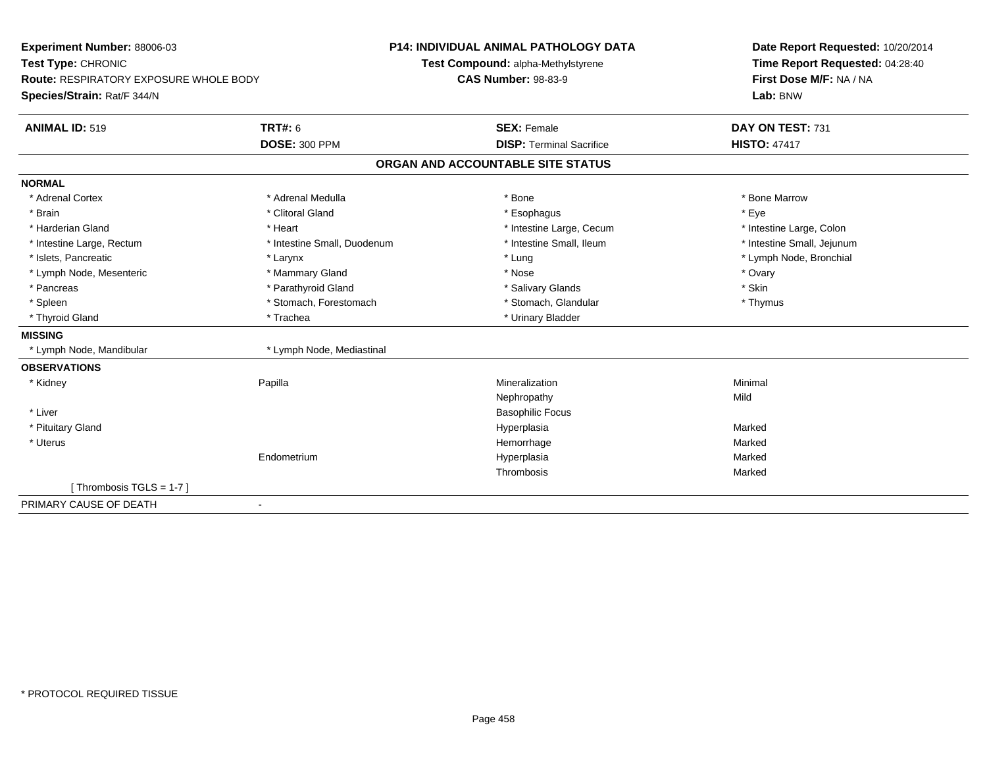| Experiment Number: 88006-03                   |                             | P14: INDIVIDUAL ANIMAL PATHOLOGY DATA | Date Report Requested: 10/20/2014<br>Time Report Requested: 04:28:40 |
|-----------------------------------------------|-----------------------------|---------------------------------------|----------------------------------------------------------------------|
| Test Type: CHRONIC                            |                             | Test Compound: alpha-Methylstyrene    |                                                                      |
| <b>Route: RESPIRATORY EXPOSURE WHOLE BODY</b> |                             | <b>CAS Number: 98-83-9</b>            | First Dose M/F: NA / NA                                              |
| Species/Strain: Rat/F 344/N                   |                             |                                       | Lab: BNW                                                             |
| <b>ANIMAL ID: 519</b>                         | <b>TRT#: 6</b>              | <b>SEX: Female</b>                    | DAY ON TEST: 731                                                     |
|                                               | <b>DOSE: 300 PPM</b>        | <b>DISP: Terminal Sacrifice</b>       | <b>HISTO: 47417</b>                                                  |
|                                               |                             | ORGAN AND ACCOUNTABLE SITE STATUS     |                                                                      |
| <b>NORMAL</b>                                 |                             |                                       |                                                                      |
| * Adrenal Cortex                              | * Adrenal Medulla           | * Bone                                | * Bone Marrow                                                        |
| * Brain                                       | * Clitoral Gland            | * Esophagus                           | * Eve                                                                |
| * Harderian Gland                             | * Heart                     | * Intestine Large, Cecum              | * Intestine Large, Colon                                             |
| * Intestine Large, Rectum                     | * Intestine Small, Duodenum | * Intestine Small, Ileum              | * Intestine Small, Jejunum                                           |
| * Islets, Pancreatic                          | * Larynx                    | * Lung                                | * Lymph Node, Bronchial                                              |
| * Lymph Node, Mesenteric                      | * Mammary Gland             | * Nose                                | * Ovary                                                              |
| * Pancreas                                    | * Parathyroid Gland         | * Salivary Glands                     | * Skin                                                               |
| * Spleen                                      | * Stomach, Forestomach      | * Stomach, Glandular                  | * Thymus                                                             |
| * Thyroid Gland                               | * Trachea                   | * Urinary Bladder                     |                                                                      |
| <b>MISSING</b>                                |                             |                                       |                                                                      |
| * Lymph Node, Mandibular                      | * Lymph Node, Mediastinal   |                                       |                                                                      |
| <b>OBSERVATIONS</b>                           |                             |                                       |                                                                      |
| * Kidney                                      | Papilla                     | Mineralization                        | Minimal                                                              |
|                                               |                             | Nephropathy                           | Mild                                                                 |
| * Liver                                       |                             | <b>Basophilic Focus</b>               |                                                                      |
| * Pituitary Gland                             |                             | Hyperplasia                           | Marked                                                               |
| * Uterus                                      |                             | Hemorrhage                            | Marked                                                               |
|                                               | Endometrium                 | Hyperplasia                           | Marked                                                               |
|                                               |                             | Thrombosis                            | Marked                                                               |
| [Thrombosis TGLS = 1-7]                       |                             |                                       |                                                                      |
| PRIMARY CAUSE OF DEATH                        | $\blacksquare$              |                                       |                                                                      |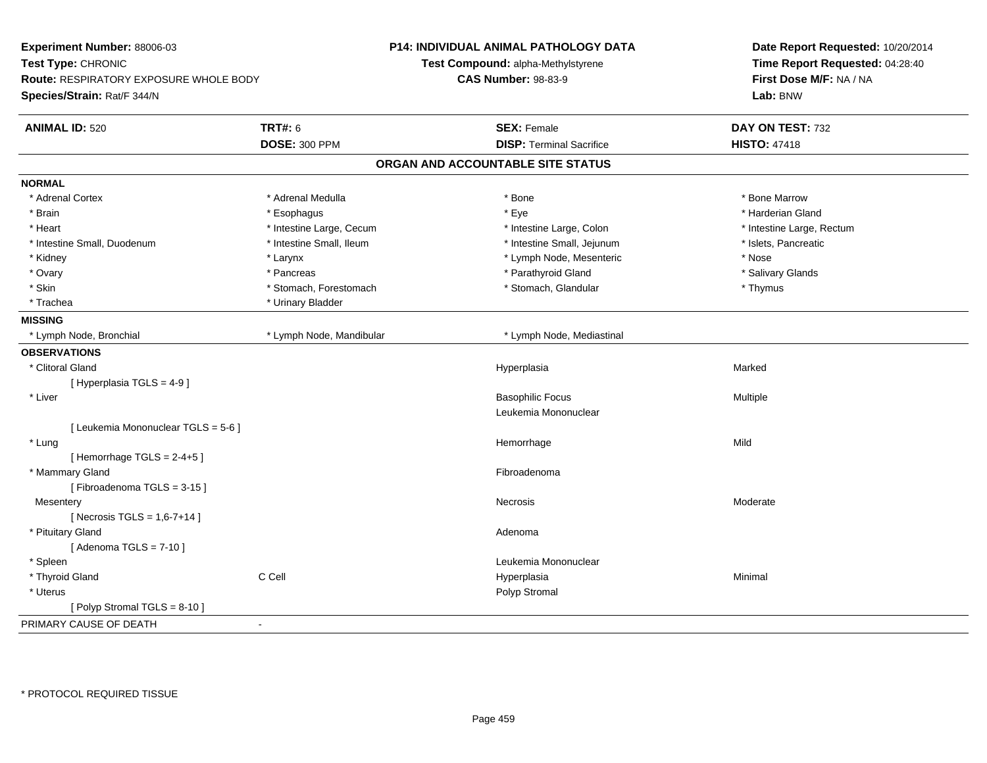| <b>TRT#: 6</b><br><b>ANIMAL ID: 520</b><br><b>SEX: Female</b><br>DAY ON TEST: 732<br><b>DOSE: 300 PPM</b><br><b>DISP: Terminal Sacrifice</b><br><b>HISTO: 47418</b><br>ORGAN AND ACCOUNTABLE SITE STATUS<br><b>NORMAL</b><br>* Adrenal Cortex<br>* Adrenal Medulla<br>* Bone<br>* Bone Marrow<br>* Eye<br>* Harderian Gland<br>* Brain<br>* Esophagus<br>* Heart<br>* Intestine Large, Cecum<br>* Intestine Large, Colon<br>* Intestine Large, Rectum<br>* Intestine Small, Duodenum<br>* Intestine Small, Ileum<br>* Intestine Small, Jejunum<br>* Islets, Pancreatic<br>* Lymph Node, Mesenteric<br>* Nose<br>* Kidney<br>* Larynx<br>* Ovary<br>* Parathyroid Gland<br>* Salivary Glands<br>* Pancreas<br>* Skin<br>* Stomach, Forestomach<br>* Stomach, Glandular<br>* Thymus<br>* Trachea<br>* Urinary Bladder<br><b>MISSING</b><br>* Lymph Node, Bronchial<br>* Lymph Node, Mandibular<br>* Lymph Node, Mediastinal<br><b>OBSERVATIONS</b><br>* Clitoral Gland<br>Marked<br>Hyperplasia<br>[ Hyperplasia TGLS = 4-9]<br>* Liver<br><b>Basophilic Focus</b><br>Multiple<br>Leukemia Mononuclear<br>[ Leukemia Mononuclear TGLS = 5-6 ]<br>Mild<br>* Lung<br>Hemorrhage<br>[Hemorrhage TGLS = $2-4+5$ ]<br>* Mammary Gland<br>Fibroadenoma<br>[Fibroadenoma TGLS = 3-15]<br>Mesentery<br>Necrosis<br>Moderate<br>[ Necrosis TGLS = $1,6-7+14$ ]<br>* Pituitary Gland<br>Adenoma<br>[Adenoma TGLS = $7-10$ ]<br>* Spleen<br>Leukemia Mononuclear<br>C Cell<br>* Thyroid Gland<br>Hyperplasia<br>Minimal<br>* Uterus<br>Polyp Stromal<br>[Polyp Stromal TGLS = 8-10]<br>PRIMARY CAUSE OF DEATH<br>÷, | Experiment Number: 88006-03<br>Test Type: CHRONIC<br><b>Route: RESPIRATORY EXPOSURE WHOLE BODY</b><br>Species/Strain: Rat/F 344/N |  | <b>P14: INDIVIDUAL ANIMAL PATHOLOGY DATA</b><br>Test Compound: alpha-Methylstyrene<br><b>CAS Number: 98-83-9</b> | Date Report Requested: 10/20/2014<br>Time Report Requested: 04:28:40<br>First Dose M/F: NA / NA<br>Lab: BNW |
|--------------------------------------------------------------------------------------------------------------------------------------------------------------------------------------------------------------------------------------------------------------------------------------------------------------------------------------------------------------------------------------------------------------------------------------------------------------------------------------------------------------------------------------------------------------------------------------------------------------------------------------------------------------------------------------------------------------------------------------------------------------------------------------------------------------------------------------------------------------------------------------------------------------------------------------------------------------------------------------------------------------------------------------------------------------------------------------------------------------------------------------------------------------------------------------------------------------------------------------------------------------------------------------------------------------------------------------------------------------------------------------------------------------------------------------------------------------------------------------------------------------------------------------------------------------------------------------------------------|-----------------------------------------------------------------------------------------------------------------------------------|--|------------------------------------------------------------------------------------------------------------------|-------------------------------------------------------------------------------------------------------------|
|                                                                                                                                                                                                                                                                                                                                                                                                                                                                                                                                                                                                                                                                                                                                                                                                                                                                                                                                                                                                                                                                                                                                                                                                                                                                                                                                                                                                                                                                                                                                                                                                        |                                                                                                                                   |  |                                                                                                                  |                                                                                                             |
|                                                                                                                                                                                                                                                                                                                                                                                                                                                                                                                                                                                                                                                                                                                                                                                                                                                                                                                                                                                                                                                                                                                                                                                                                                                                                                                                                                                                                                                                                                                                                                                                        |                                                                                                                                   |  |                                                                                                                  |                                                                                                             |
|                                                                                                                                                                                                                                                                                                                                                                                                                                                                                                                                                                                                                                                                                                                                                                                                                                                                                                                                                                                                                                                                                                                                                                                                                                                                                                                                                                                                                                                                                                                                                                                                        |                                                                                                                                   |  |                                                                                                                  |                                                                                                             |
|                                                                                                                                                                                                                                                                                                                                                                                                                                                                                                                                                                                                                                                                                                                                                                                                                                                                                                                                                                                                                                                                                                                                                                                                                                                                                                                                                                                                                                                                                                                                                                                                        |                                                                                                                                   |  |                                                                                                                  |                                                                                                             |
|                                                                                                                                                                                                                                                                                                                                                                                                                                                                                                                                                                                                                                                                                                                                                                                                                                                                                                                                                                                                                                                                                                                                                                                                                                                                                                                                                                                                                                                                                                                                                                                                        |                                                                                                                                   |  |                                                                                                                  |                                                                                                             |
|                                                                                                                                                                                                                                                                                                                                                                                                                                                                                                                                                                                                                                                                                                                                                                                                                                                                                                                                                                                                                                                                                                                                                                                                                                                                                                                                                                                                                                                                                                                                                                                                        |                                                                                                                                   |  |                                                                                                                  |                                                                                                             |
|                                                                                                                                                                                                                                                                                                                                                                                                                                                                                                                                                                                                                                                                                                                                                                                                                                                                                                                                                                                                                                                                                                                                                                                                                                                                                                                                                                                                                                                                                                                                                                                                        |                                                                                                                                   |  |                                                                                                                  |                                                                                                             |
|                                                                                                                                                                                                                                                                                                                                                                                                                                                                                                                                                                                                                                                                                                                                                                                                                                                                                                                                                                                                                                                                                                                                                                                                                                                                                                                                                                                                                                                                                                                                                                                                        |                                                                                                                                   |  |                                                                                                                  |                                                                                                             |
|                                                                                                                                                                                                                                                                                                                                                                                                                                                                                                                                                                                                                                                                                                                                                                                                                                                                                                                                                                                                                                                                                                                                                                                                                                                                                                                                                                                                                                                                                                                                                                                                        |                                                                                                                                   |  |                                                                                                                  |                                                                                                             |
|                                                                                                                                                                                                                                                                                                                                                                                                                                                                                                                                                                                                                                                                                                                                                                                                                                                                                                                                                                                                                                                                                                                                                                                                                                                                                                                                                                                                                                                                                                                                                                                                        |                                                                                                                                   |  |                                                                                                                  |                                                                                                             |
|                                                                                                                                                                                                                                                                                                                                                                                                                                                                                                                                                                                                                                                                                                                                                                                                                                                                                                                                                                                                                                                                                                                                                                                                                                                                                                                                                                                                                                                                                                                                                                                                        |                                                                                                                                   |  |                                                                                                                  |                                                                                                             |
|                                                                                                                                                                                                                                                                                                                                                                                                                                                                                                                                                                                                                                                                                                                                                                                                                                                                                                                                                                                                                                                                                                                                                                                                                                                                                                                                                                                                                                                                                                                                                                                                        |                                                                                                                                   |  |                                                                                                                  |                                                                                                             |
|                                                                                                                                                                                                                                                                                                                                                                                                                                                                                                                                                                                                                                                                                                                                                                                                                                                                                                                                                                                                                                                                                                                                                                                                                                                                                                                                                                                                                                                                                                                                                                                                        |                                                                                                                                   |  |                                                                                                                  |                                                                                                             |
|                                                                                                                                                                                                                                                                                                                                                                                                                                                                                                                                                                                                                                                                                                                                                                                                                                                                                                                                                                                                                                                                                                                                                                                                                                                                                                                                                                                                                                                                                                                                                                                                        |                                                                                                                                   |  |                                                                                                                  |                                                                                                             |
|                                                                                                                                                                                                                                                                                                                                                                                                                                                                                                                                                                                                                                                                                                                                                                                                                                                                                                                                                                                                                                                                                                                                                                                                                                                                                                                                                                                                                                                                                                                                                                                                        |                                                                                                                                   |  |                                                                                                                  |                                                                                                             |
|                                                                                                                                                                                                                                                                                                                                                                                                                                                                                                                                                                                                                                                                                                                                                                                                                                                                                                                                                                                                                                                                                                                                                                                                                                                                                                                                                                                                                                                                                                                                                                                                        |                                                                                                                                   |  |                                                                                                                  |                                                                                                             |
|                                                                                                                                                                                                                                                                                                                                                                                                                                                                                                                                                                                                                                                                                                                                                                                                                                                                                                                                                                                                                                                                                                                                                                                                                                                                                                                                                                                                                                                                                                                                                                                                        |                                                                                                                                   |  |                                                                                                                  |                                                                                                             |
|                                                                                                                                                                                                                                                                                                                                                                                                                                                                                                                                                                                                                                                                                                                                                                                                                                                                                                                                                                                                                                                                                                                                                                                                                                                                                                                                                                                                                                                                                                                                                                                                        |                                                                                                                                   |  |                                                                                                                  |                                                                                                             |
|                                                                                                                                                                                                                                                                                                                                                                                                                                                                                                                                                                                                                                                                                                                                                                                                                                                                                                                                                                                                                                                                                                                                                                                                                                                                                                                                                                                                                                                                                                                                                                                                        |                                                                                                                                   |  |                                                                                                                  |                                                                                                             |
|                                                                                                                                                                                                                                                                                                                                                                                                                                                                                                                                                                                                                                                                                                                                                                                                                                                                                                                                                                                                                                                                                                                                                                                                                                                                                                                                                                                                                                                                                                                                                                                                        |                                                                                                                                   |  |                                                                                                                  |                                                                                                             |
|                                                                                                                                                                                                                                                                                                                                                                                                                                                                                                                                                                                                                                                                                                                                                                                                                                                                                                                                                                                                                                                                                                                                                                                                                                                                                                                                                                                                                                                                                                                                                                                                        |                                                                                                                                   |  |                                                                                                                  |                                                                                                             |
|                                                                                                                                                                                                                                                                                                                                                                                                                                                                                                                                                                                                                                                                                                                                                                                                                                                                                                                                                                                                                                                                                                                                                                                                                                                                                                                                                                                                                                                                                                                                                                                                        |                                                                                                                                   |  |                                                                                                                  |                                                                                                             |
|                                                                                                                                                                                                                                                                                                                                                                                                                                                                                                                                                                                                                                                                                                                                                                                                                                                                                                                                                                                                                                                                                                                                                                                                                                                                                                                                                                                                                                                                                                                                                                                                        |                                                                                                                                   |  |                                                                                                                  |                                                                                                             |
|                                                                                                                                                                                                                                                                                                                                                                                                                                                                                                                                                                                                                                                                                                                                                                                                                                                                                                                                                                                                                                                                                                                                                                                                                                                                                                                                                                                                                                                                                                                                                                                                        |                                                                                                                                   |  |                                                                                                                  |                                                                                                             |
|                                                                                                                                                                                                                                                                                                                                                                                                                                                                                                                                                                                                                                                                                                                                                                                                                                                                                                                                                                                                                                                                                                                                                                                                                                                                                                                                                                                                                                                                                                                                                                                                        |                                                                                                                                   |  |                                                                                                                  |                                                                                                             |
|                                                                                                                                                                                                                                                                                                                                                                                                                                                                                                                                                                                                                                                                                                                                                                                                                                                                                                                                                                                                                                                                                                                                                                                                                                                                                                                                                                                                                                                                                                                                                                                                        |                                                                                                                                   |  |                                                                                                                  |                                                                                                             |
|                                                                                                                                                                                                                                                                                                                                                                                                                                                                                                                                                                                                                                                                                                                                                                                                                                                                                                                                                                                                                                                                                                                                                                                                                                                                                                                                                                                                                                                                                                                                                                                                        |                                                                                                                                   |  |                                                                                                                  |                                                                                                             |
|                                                                                                                                                                                                                                                                                                                                                                                                                                                                                                                                                                                                                                                                                                                                                                                                                                                                                                                                                                                                                                                                                                                                                                                                                                                                                                                                                                                                                                                                                                                                                                                                        |                                                                                                                                   |  |                                                                                                                  |                                                                                                             |
|                                                                                                                                                                                                                                                                                                                                                                                                                                                                                                                                                                                                                                                                                                                                                                                                                                                                                                                                                                                                                                                                                                                                                                                                                                                                                                                                                                                                                                                                                                                                                                                                        |                                                                                                                                   |  |                                                                                                                  |                                                                                                             |
|                                                                                                                                                                                                                                                                                                                                                                                                                                                                                                                                                                                                                                                                                                                                                                                                                                                                                                                                                                                                                                                                                                                                                                                                                                                                                                                                                                                                                                                                                                                                                                                                        |                                                                                                                                   |  |                                                                                                                  |                                                                                                             |
|                                                                                                                                                                                                                                                                                                                                                                                                                                                                                                                                                                                                                                                                                                                                                                                                                                                                                                                                                                                                                                                                                                                                                                                                                                                                                                                                                                                                                                                                                                                                                                                                        |                                                                                                                                   |  |                                                                                                                  |                                                                                                             |
|                                                                                                                                                                                                                                                                                                                                                                                                                                                                                                                                                                                                                                                                                                                                                                                                                                                                                                                                                                                                                                                                                                                                                                                                                                                                                                                                                                                                                                                                                                                                                                                                        |                                                                                                                                   |  |                                                                                                                  |                                                                                                             |
|                                                                                                                                                                                                                                                                                                                                                                                                                                                                                                                                                                                                                                                                                                                                                                                                                                                                                                                                                                                                                                                                                                                                                                                                                                                                                                                                                                                                                                                                                                                                                                                                        |                                                                                                                                   |  |                                                                                                                  |                                                                                                             |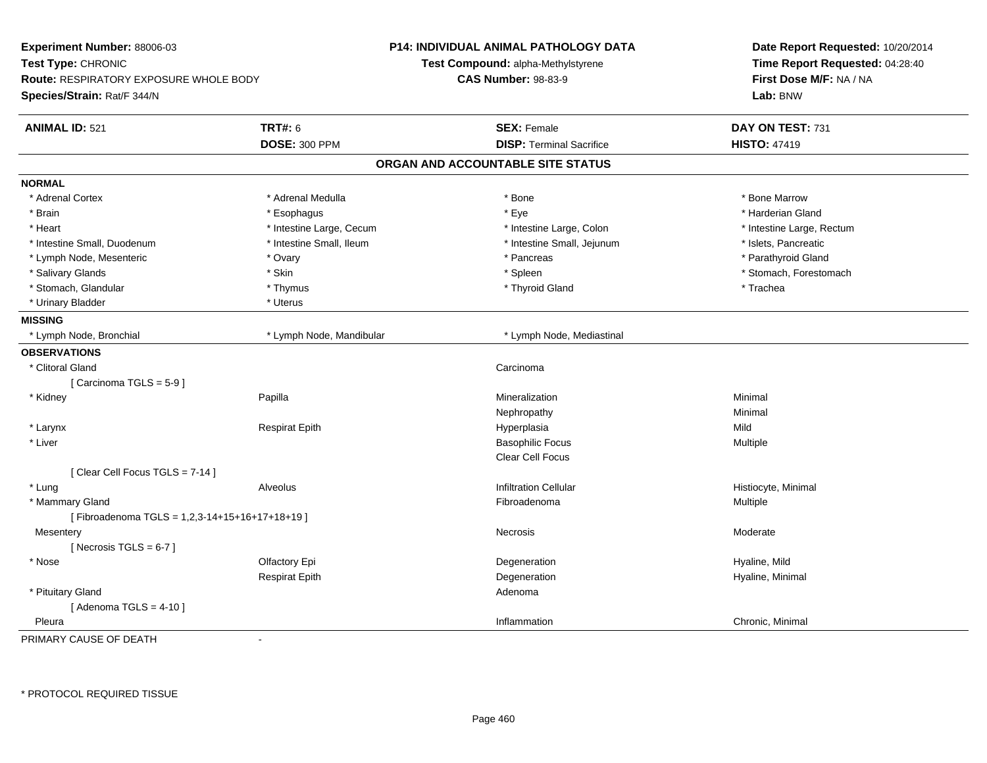| Experiment Number: 88006-03<br>Test Type: CHRONIC<br>Route: RESPIRATORY EXPOSURE WHOLE BODY<br>Species/Strain: Rat/F 344/N | <b>P14: INDIVIDUAL ANIMAL PATHOLOGY DATA</b><br>Test Compound: alpha-Methylstyrene<br><b>CAS Number: 98-83-9</b> | Date Report Requested: 10/20/2014<br>Time Report Requested: 04:28:40<br>First Dose M/F: NA / NA<br>Lab: BNW |
|----------------------------------------------------------------------------------------------------------------------------|------------------------------------------------------------------------------------------------------------------|-------------------------------------------------------------------------------------------------------------|
| <b>ANIMAL ID: 521</b><br><b>TRT#: 6</b>                                                                                    | <b>SEX: Female</b>                                                                                               | DAY ON TEST: 731                                                                                            |
| <b>DOSE: 300 PPM</b>                                                                                                       | <b>DISP: Terminal Sacrifice</b>                                                                                  | <b>HISTO: 47419</b>                                                                                         |
|                                                                                                                            | ORGAN AND ACCOUNTABLE SITE STATUS                                                                                |                                                                                                             |
| <b>NORMAL</b>                                                                                                              |                                                                                                                  |                                                                                                             |
| * Adrenal Medulla<br>* Adrenal Cortex                                                                                      | * Bone                                                                                                           | * Bone Marrow                                                                                               |
| * Brain<br>* Esophagus                                                                                                     | * Eye                                                                                                            | * Harderian Gland                                                                                           |
| * Heart<br>* Intestine Large, Cecum                                                                                        | * Intestine Large, Colon                                                                                         | * Intestine Large, Rectum                                                                                   |
| * Intestine Small, Duodenum<br>* Intestine Small, Ileum                                                                    | * Intestine Small, Jejunum                                                                                       | * Islets, Pancreatic                                                                                        |
| * Lymph Node, Mesenteric<br>* Ovary                                                                                        | * Pancreas                                                                                                       | * Parathyroid Gland                                                                                         |
| * Salivary Glands<br>* Skin                                                                                                | * Spleen                                                                                                         | * Stomach, Forestomach                                                                                      |
| * Stomach, Glandular<br>* Thymus                                                                                           | * Thyroid Gland                                                                                                  | * Trachea                                                                                                   |
| * Urinary Bladder<br>* Uterus                                                                                              |                                                                                                                  |                                                                                                             |
| <b>MISSING</b>                                                                                                             |                                                                                                                  |                                                                                                             |
| * Lymph Node, Bronchial<br>* Lymph Node, Mandibular                                                                        | * Lymph Node, Mediastinal                                                                                        |                                                                                                             |
| <b>OBSERVATIONS</b>                                                                                                        |                                                                                                                  |                                                                                                             |
| * Clitoral Gland                                                                                                           | Carcinoma                                                                                                        |                                                                                                             |
| [Carcinoma TGLS = $5-9$ ]                                                                                                  |                                                                                                                  |                                                                                                             |
| * Kidney<br>Papilla                                                                                                        | Mineralization                                                                                                   | Minimal                                                                                                     |
|                                                                                                                            | Nephropathy                                                                                                      | Minimal                                                                                                     |
| * Larynx<br><b>Respirat Epith</b>                                                                                          | Hyperplasia                                                                                                      | Mild                                                                                                        |
| * Liver                                                                                                                    | <b>Basophilic Focus</b>                                                                                          | Multiple                                                                                                    |
|                                                                                                                            | Clear Cell Focus                                                                                                 |                                                                                                             |
| [Clear Cell Focus TGLS = 7-14]                                                                                             |                                                                                                                  |                                                                                                             |
| * Lung<br>Alveolus                                                                                                         | <b>Infiltration Cellular</b>                                                                                     | Histiocyte, Minimal                                                                                         |
| * Mammary Gland                                                                                                            | Fibroadenoma                                                                                                     | Multiple                                                                                                    |
| [Fibroadenoma TGLS = 1,2,3-14+15+16+17+18+19]                                                                              |                                                                                                                  |                                                                                                             |
| Mesentery                                                                                                                  | Necrosis                                                                                                         | Moderate                                                                                                    |
| [ Necrosis TGLS = $6-7$ ]                                                                                                  |                                                                                                                  |                                                                                                             |
| * Nose<br>Olfactory Epi                                                                                                    | Degeneration                                                                                                     | Hyaline, Mild                                                                                               |
| <b>Respirat Epith</b>                                                                                                      | Degeneration                                                                                                     | Hyaline, Minimal                                                                                            |
| * Pituitary Gland                                                                                                          | Adenoma                                                                                                          |                                                                                                             |
| [Adenoma TGLS = $4-10$ ]                                                                                                   |                                                                                                                  |                                                                                                             |
| Pleura                                                                                                                     | Inflammation                                                                                                     | Chronic, Minimal                                                                                            |

PRIMARY CAUSE OF DEATH-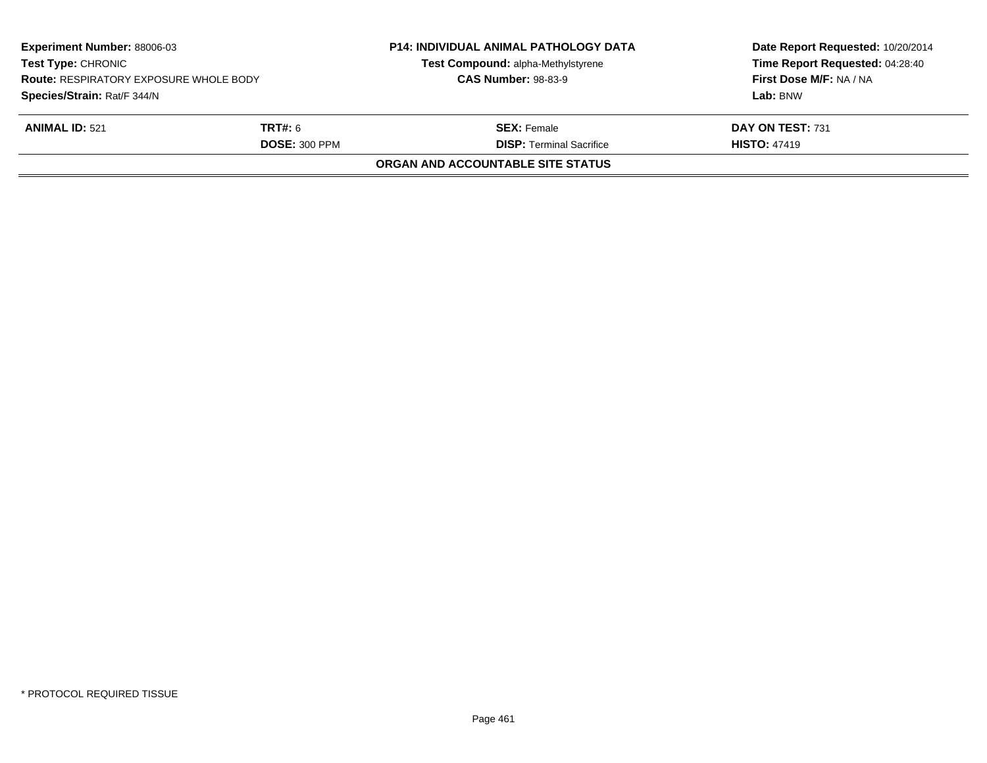| <b>Experiment Number: 88006-03</b><br><b>Test Type: CHRONIC</b><br><b>Route: RESPIRATORY EXPOSURE WHOLE BODY</b><br>Species/Strain: Rat/F 344/N |  | <b>P14: INDIVIDUAL ANIMAL PATHOLOGY DATA</b><br>Test Compound: alpha-Methylstyrene<br><b>CAS Number: 98-83-9</b> | Date Report Requested: 10/20/2014<br>Time Report Requested: 04:28:40<br>First Dose M/F: NA / NA<br>Lab: BNW |
|-------------------------------------------------------------------------------------------------------------------------------------------------|--|------------------------------------------------------------------------------------------------------------------|-------------------------------------------------------------------------------------------------------------|
| <b>ANIMAL ID: 521</b><br><b>TRT#:</b> 6<br><b>DOSE: 300 PPM</b>                                                                                 |  | <b>SEX:</b> Female<br><b>DISP: Terminal Sacrifice</b>                                                            | DAY ON TEST: 731<br><b>HISTO: 47419</b>                                                                     |
|                                                                                                                                                 |  | <b>ORGAN AND ACCOUNTABLE SITE STATUS</b>                                                                         |                                                                                                             |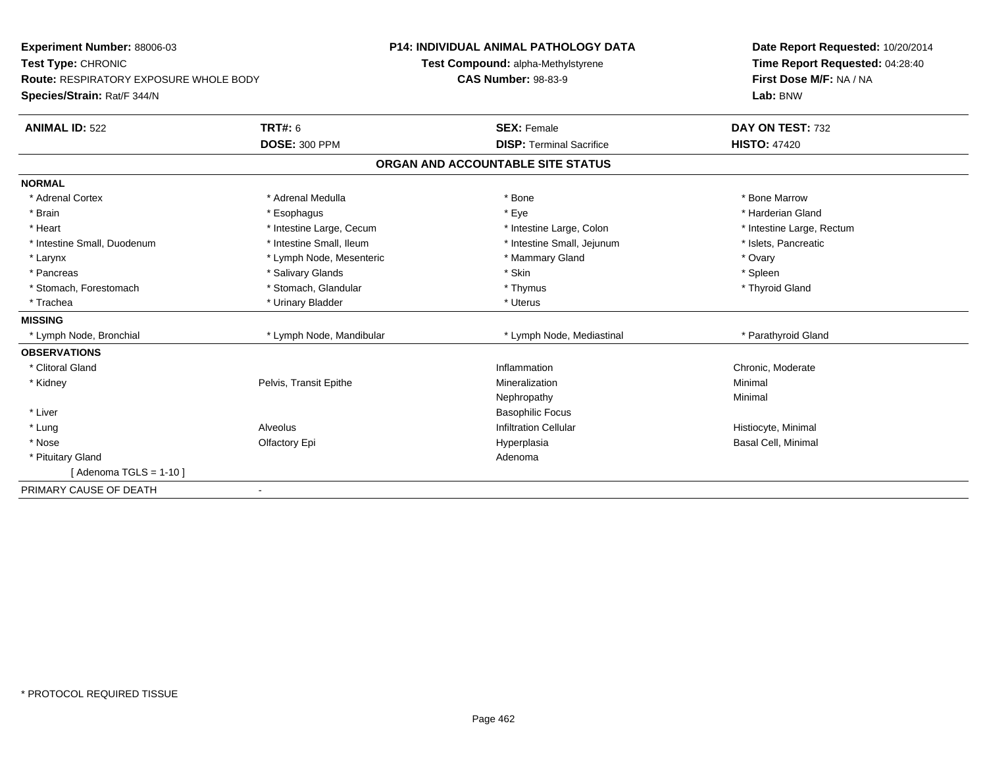| <b>Experiment Number: 88006-03</b>            | <b>P14: INDIVIDUAL ANIMAL PATHOLOGY DATA</b> |                                    |                                 | Date Report Requested: 10/20/2014 |
|-----------------------------------------------|----------------------------------------------|------------------------------------|---------------------------------|-----------------------------------|
| Test Type: CHRONIC                            |                                              | Test Compound: alpha-Methylstyrene |                                 | Time Report Requested: 04:28:40   |
| <b>Route: RESPIRATORY EXPOSURE WHOLE BODY</b> |                                              | <b>CAS Number: 98-83-9</b>         |                                 | First Dose M/F: NA / NA           |
| Species/Strain: Rat/F 344/N                   |                                              |                                    |                                 | Lab: BNW                          |
| <b>ANIMAL ID: 522</b>                         | <b>TRT#: 6</b>                               | <b>SEX: Female</b>                 |                                 | DAY ON TEST: 732                  |
|                                               | <b>DOSE: 300 PPM</b>                         |                                    | <b>DISP: Terminal Sacrifice</b> | <b>HISTO: 47420</b>               |
|                                               |                                              | ORGAN AND ACCOUNTABLE SITE STATUS  |                                 |                                   |
| <b>NORMAL</b>                                 |                                              |                                    |                                 |                                   |
| * Adrenal Cortex                              | * Adrenal Medulla                            | * Bone                             |                                 | * Bone Marrow                     |
| * Brain                                       | * Esophagus                                  | * Eye                              |                                 | * Harderian Gland                 |
| * Heart                                       | * Intestine Large, Cecum                     |                                    | * Intestine Large, Colon        | * Intestine Large, Rectum         |
| * Intestine Small, Duodenum                   | * Intestine Small, Ileum                     |                                    | * Intestine Small, Jejunum      | * Islets, Pancreatic              |
| * Larynx                                      | * Lymph Node, Mesenteric                     |                                    | * Mammary Gland                 | * Ovary                           |
| * Pancreas                                    | * Salivary Glands                            | * Skin                             |                                 | * Spleen                          |
| * Stomach, Forestomach                        | * Stomach, Glandular                         | * Thymus                           |                                 | * Thyroid Gland                   |
| * Trachea                                     | * Urinary Bladder                            | * Uterus                           |                                 |                                   |
| <b>MISSING</b>                                |                                              |                                    |                                 |                                   |
| * Lymph Node, Bronchial                       | * Lymph Node, Mandibular                     |                                    | * Lymph Node, Mediastinal       | * Parathyroid Gland               |
| <b>OBSERVATIONS</b>                           |                                              |                                    |                                 |                                   |
| * Clitoral Gland                              |                                              | Inflammation                       |                                 | Chronic, Moderate                 |
| * Kidney                                      | Pelvis, Transit Epithe                       | Mineralization                     |                                 | Minimal                           |
|                                               |                                              | Nephropathy                        |                                 | Minimal                           |
| * Liver                                       |                                              |                                    | <b>Basophilic Focus</b>         |                                   |
| * Lung                                        | Alveolus                                     |                                    | <b>Infiltration Cellular</b>    | Histiocyte, Minimal               |
| * Nose                                        | Olfactory Epi                                | Hyperplasia                        |                                 | <b>Basal Cell, Minimal</b>        |
| * Pituitary Gland                             |                                              | Adenoma                            |                                 |                                   |
| [Adenoma TGLS = $1-10$ ]                      |                                              |                                    |                                 |                                   |
| PRIMARY CAUSE OF DEATH                        | $\overline{\phantom{a}}$                     |                                    |                                 |                                   |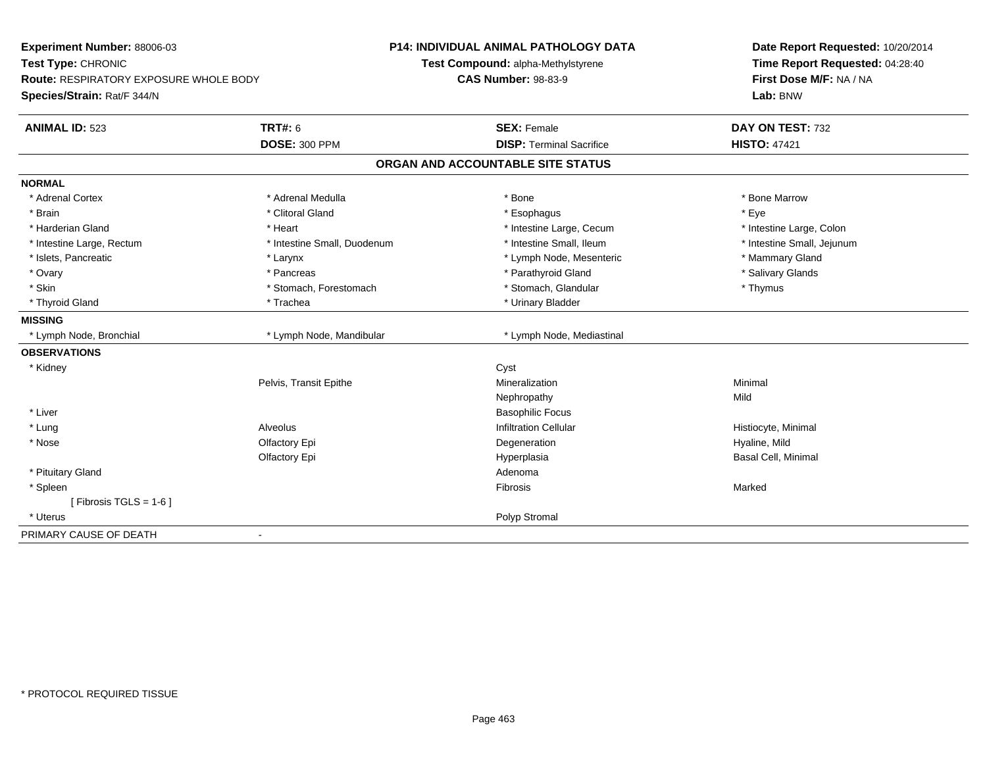| Experiment Number: 88006-03<br>Test Type: CHRONIC<br>Route: RESPIRATORY EXPOSURE WHOLE BODY<br>Species/Strain: Rat/F 344/N |                             | <b>P14: INDIVIDUAL ANIMAL PATHOLOGY DATA</b><br>Test Compound: alpha-Methylstyrene<br><b>CAS Number: 98-83-9</b> | Date Report Requested: 10/20/2014<br>Time Report Requested: 04:28:40<br>First Dose M/F: NA / NA<br>Lab: BNW |
|----------------------------------------------------------------------------------------------------------------------------|-----------------------------|------------------------------------------------------------------------------------------------------------------|-------------------------------------------------------------------------------------------------------------|
| <b>ANIMAL ID: 523</b>                                                                                                      | <b>TRT#: 6</b>              | <b>SEX: Female</b>                                                                                               | DAY ON TEST: 732                                                                                            |
|                                                                                                                            | <b>DOSE: 300 PPM</b>        | <b>DISP: Terminal Sacrifice</b>                                                                                  | <b>HISTO: 47421</b>                                                                                         |
|                                                                                                                            |                             | ORGAN AND ACCOUNTABLE SITE STATUS                                                                                |                                                                                                             |
| <b>NORMAL</b>                                                                                                              |                             |                                                                                                                  |                                                                                                             |
| * Adrenal Cortex                                                                                                           | * Adrenal Medulla           | * Bone                                                                                                           | * Bone Marrow                                                                                               |
| * Brain                                                                                                                    | * Clitoral Gland            | * Esophagus                                                                                                      | * Eye                                                                                                       |
| * Harderian Gland                                                                                                          | * Heart                     | * Intestine Large, Cecum                                                                                         | * Intestine Large, Colon                                                                                    |
| * Intestine Large, Rectum                                                                                                  | * Intestine Small, Duodenum | * Intestine Small, Ileum                                                                                         | * Intestine Small, Jejunum                                                                                  |
| * Islets, Pancreatic                                                                                                       | * Larynx                    | * Lymph Node, Mesenteric                                                                                         | * Mammary Gland                                                                                             |
| * Ovary                                                                                                                    | * Pancreas                  | * Parathyroid Gland                                                                                              | * Salivary Glands                                                                                           |
| * Skin                                                                                                                     | * Stomach, Forestomach      | * Stomach, Glandular                                                                                             | * Thymus                                                                                                    |
| * Thyroid Gland                                                                                                            | * Trachea                   | * Urinary Bladder                                                                                                |                                                                                                             |
| <b>MISSING</b>                                                                                                             |                             |                                                                                                                  |                                                                                                             |
| * Lymph Node, Bronchial                                                                                                    | * Lymph Node, Mandibular    | * Lymph Node, Mediastinal                                                                                        |                                                                                                             |
| <b>OBSERVATIONS</b>                                                                                                        |                             |                                                                                                                  |                                                                                                             |
| * Kidney                                                                                                                   |                             | Cyst                                                                                                             |                                                                                                             |
|                                                                                                                            | Pelvis, Transit Epithe      | Mineralization                                                                                                   | Minimal                                                                                                     |
|                                                                                                                            |                             | Nephropathy                                                                                                      | Mild                                                                                                        |
| * Liver                                                                                                                    |                             | <b>Basophilic Focus</b>                                                                                          |                                                                                                             |
| * Lung                                                                                                                     | Alveolus                    | <b>Infiltration Cellular</b>                                                                                     | Histiocyte, Minimal                                                                                         |
| * Nose                                                                                                                     | Olfactory Epi               | Degeneration                                                                                                     | Hyaline, Mild                                                                                               |
|                                                                                                                            | Olfactory Epi               | Hyperplasia                                                                                                      | Basal Cell, Minimal                                                                                         |
| * Pituitary Gland                                                                                                          |                             | Adenoma                                                                                                          |                                                                                                             |
| * Spleen                                                                                                                   |                             | Fibrosis                                                                                                         | Marked                                                                                                      |
| [Fibrosis TGLS = $1-6$ ]                                                                                                   |                             |                                                                                                                  |                                                                                                             |
| * Uterus                                                                                                                   |                             | Polyp Stromal                                                                                                    |                                                                                                             |
| PRIMARY CAUSE OF DEATH                                                                                                     | $\blacksquare$              |                                                                                                                  |                                                                                                             |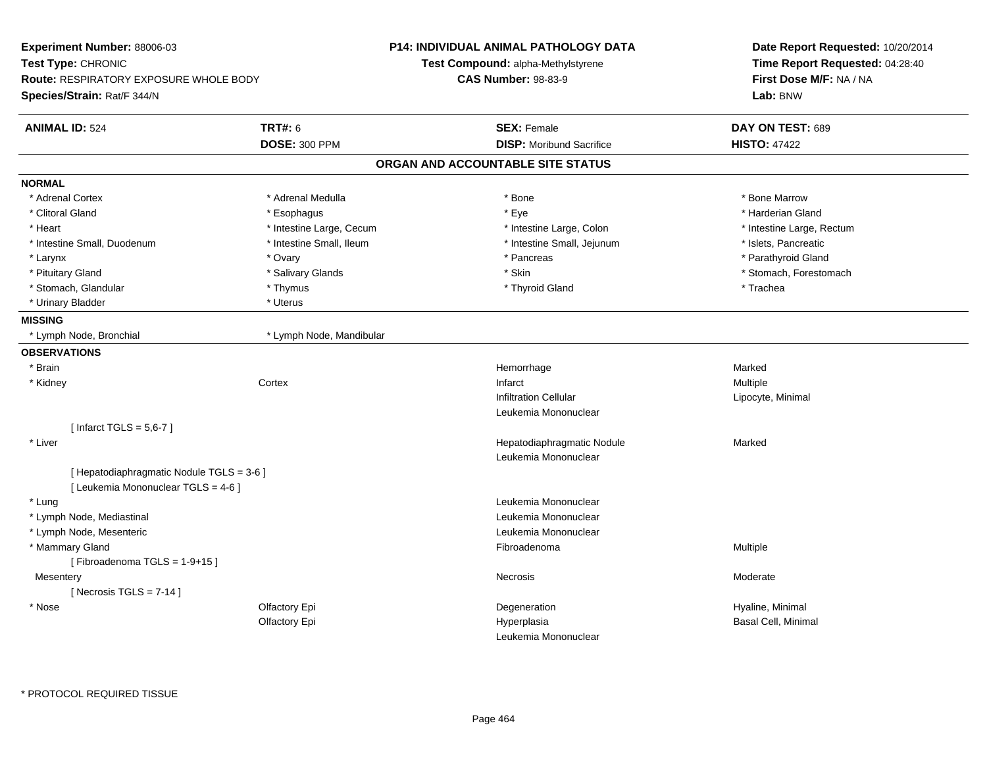| Experiment Number: 88006-03                                                      |                          | <b>P14: INDIVIDUAL ANIMAL PATHOLOGY DATA</b> | Date Report Requested: 10/20/2014 |  |
|----------------------------------------------------------------------------------|--------------------------|----------------------------------------------|-----------------------------------|--|
| Test Type: CHRONIC                                                               |                          | Test Compound: alpha-Methylstyrene           | Time Report Requested: 04:28:40   |  |
| <b>Route: RESPIRATORY EXPOSURE WHOLE BODY</b>                                    |                          | <b>CAS Number: 98-83-9</b>                   | First Dose M/F: NA / NA           |  |
| <b>Species/Strain: Rat/F 344/N</b>                                               |                          |                                              | Lab: BNW                          |  |
| <b>ANIMAL ID: 524</b>                                                            | <b>TRT#: 6</b>           | <b>SEX: Female</b>                           | DAY ON TEST: 689                  |  |
|                                                                                  | <b>DOSE: 300 PPM</b>     | <b>DISP:</b> Moribund Sacrifice              | <b>HISTO: 47422</b>               |  |
|                                                                                  |                          | ORGAN AND ACCOUNTABLE SITE STATUS            |                                   |  |
| <b>NORMAL</b>                                                                    |                          |                                              |                                   |  |
| * Adrenal Cortex                                                                 | * Adrenal Medulla        | * Bone                                       | * Bone Marrow                     |  |
| * Clitoral Gland                                                                 | * Esophagus              | * Eye                                        | * Harderian Gland                 |  |
| * Heart                                                                          | * Intestine Large, Cecum | * Intestine Large, Colon                     | * Intestine Large, Rectum         |  |
| * Intestine Small, Duodenum                                                      | * Intestine Small, Ileum | * Intestine Small, Jejunum                   | * Islets, Pancreatic              |  |
| * Larynx                                                                         | * Ovary                  | * Pancreas                                   | * Parathyroid Gland               |  |
| * Pituitary Gland                                                                | * Salivary Glands        | * Skin                                       | * Stomach, Forestomach            |  |
| * Stomach, Glandular                                                             | * Thymus                 | * Thyroid Gland                              | * Trachea                         |  |
| * Urinary Bladder                                                                | * Uterus                 |                                              |                                   |  |
| <b>MISSING</b>                                                                   |                          |                                              |                                   |  |
| * Lymph Node, Bronchial                                                          | * Lymph Node, Mandibular |                                              |                                   |  |
| <b>OBSERVATIONS</b>                                                              |                          |                                              |                                   |  |
| * Brain                                                                          |                          | Hemorrhage                                   | Marked                            |  |
| * Kidney                                                                         | Cortex                   | Infarct                                      | Multiple                          |  |
|                                                                                  |                          | <b>Infiltration Cellular</b>                 | Lipocyte, Minimal                 |  |
|                                                                                  |                          | Leukemia Mononuclear                         |                                   |  |
| [Infarct TGLS = $5,6-7$ ]                                                        |                          |                                              |                                   |  |
| * Liver                                                                          |                          | Hepatodiaphragmatic Nodule                   | Marked                            |  |
|                                                                                  |                          | Leukemia Mononuclear                         |                                   |  |
| [ Hepatodiaphragmatic Nodule TGLS = 3-6 ]<br>[ Leukemia Mononuclear TGLS = 4-6 ] |                          |                                              |                                   |  |
| * Lung                                                                           |                          | Leukemia Mononuclear                         |                                   |  |
| * Lymph Node, Mediastinal                                                        |                          | Leukemia Mononuclear                         |                                   |  |
| * Lymph Node, Mesenteric                                                         |                          | Leukemia Mononuclear                         |                                   |  |
| * Mammary Gland                                                                  |                          | Fibroadenoma                                 | <b>Multiple</b>                   |  |
| [Fibroadenoma TGLS = 1-9+15]                                                     |                          |                                              |                                   |  |
| Mesentery                                                                        |                          | Necrosis                                     | Moderate                          |  |
| [Necrosis TGLS = $7-14$ ]                                                        |                          |                                              |                                   |  |
| * Nose                                                                           | Olfactory Epi            | Degeneration                                 | Hyaline, Minimal                  |  |
|                                                                                  | Olfactory Epi            | Hyperplasia                                  | Basal Cell, Minimal               |  |
|                                                                                  |                          | Leukemia Mononuclear                         |                                   |  |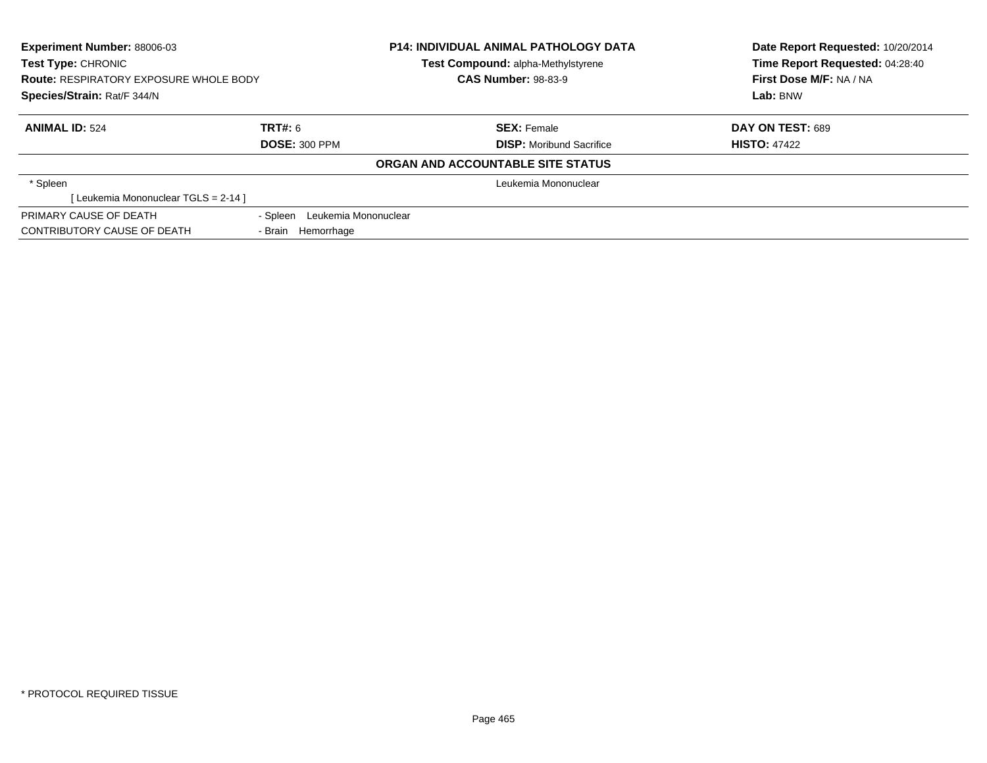| <b>Experiment Number: 88006-03</b>            |                               | <b>P14: INDIVIDUAL ANIMAL PATHOLOGY DATA</b> | Date Report Requested: 10/20/2014 |
|-----------------------------------------------|-------------------------------|----------------------------------------------|-----------------------------------|
| Test Type: CHRONIC                            |                               | Test Compound: alpha-Methylstyrene           | Time Report Requested: 04:28:40   |
| <b>Route: RESPIRATORY EXPOSURE WHOLE BODY</b> |                               | <b>CAS Number: 98-83-9</b>                   | First Dose M/F: NA / NA           |
| Species/Strain: Rat/F 344/N                   |                               |                                              | Lab: BNW                          |
| <b>ANIMAL ID: 524</b>                         | TRT#: 6                       | <b>SEX: Female</b>                           | DAY ON TEST: 689                  |
|                                               | <b>DOSE: 300 PPM</b>          | <b>DISP:</b> Moribund Sacrifice              | <b>HISTO: 47422</b>               |
|                                               |                               | ORGAN AND ACCOUNTABLE SITE STATUS            |                                   |
| * Spleen                                      |                               | Leukemia Mononuclear                         |                                   |
| [Leukemia Mononuclear TGLS = 2-14 ]           |                               |                                              |                                   |
| PRIMARY CAUSE OF DEATH                        | - Spleen Leukemia Mononuclear |                                              |                                   |
| CONTRIBUTORY CAUSE OF DEATH                   | - Brain Hemorrhage            |                                              |                                   |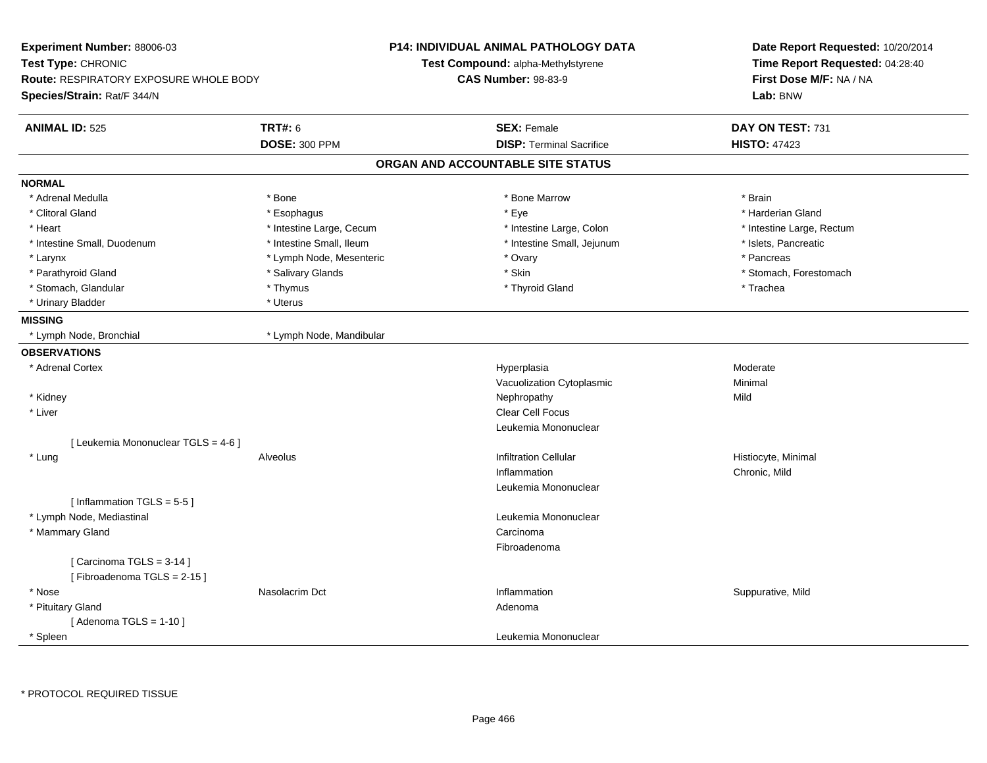| <b>Experiment Number: 88006-03</b><br>Test Type: CHRONIC<br><b>Route: RESPIRATORY EXPOSURE WHOLE BODY</b><br>Species/Strain: Rat/F 344/N |                                        | <b>P14: INDIVIDUAL ANIMAL PATHOLOGY DATA</b><br>Test Compound: alpha-Methylstyrene<br><b>CAS Number: 98-83-9</b> | Date Report Requested: 10/20/2014<br>Time Report Requested: 04:28:40<br>First Dose M/F: NA / NA<br>Lab: BNW |
|------------------------------------------------------------------------------------------------------------------------------------------|----------------------------------------|------------------------------------------------------------------------------------------------------------------|-------------------------------------------------------------------------------------------------------------|
| <b>ANIMAL ID: 525</b>                                                                                                                    | <b>TRT#: 6</b><br><b>DOSE: 300 PPM</b> | <b>SEX: Female</b><br><b>DISP: Terminal Sacrifice</b>                                                            | DAY ON TEST: 731<br><b>HISTO: 47423</b>                                                                     |
|                                                                                                                                          |                                        | ORGAN AND ACCOUNTABLE SITE STATUS                                                                                |                                                                                                             |
| <b>NORMAL</b>                                                                                                                            |                                        |                                                                                                                  |                                                                                                             |
| * Adrenal Medulla                                                                                                                        | * Bone                                 | * Bone Marrow                                                                                                    | * Brain                                                                                                     |
| * Clitoral Gland                                                                                                                         | * Esophagus                            | * Eye                                                                                                            | * Harderian Gland                                                                                           |
| * Heart                                                                                                                                  | * Intestine Large, Cecum               | * Intestine Large, Colon                                                                                         | * Intestine Large, Rectum                                                                                   |
| * Intestine Small, Duodenum                                                                                                              | * Intestine Small, Ileum               | * Intestine Small, Jejunum                                                                                       | * Islets, Pancreatic                                                                                        |
| * Larynx                                                                                                                                 | * Lymph Node, Mesenteric               | * Ovary                                                                                                          | * Pancreas                                                                                                  |
| * Parathyroid Gland                                                                                                                      | * Salivary Glands                      | * Skin                                                                                                           | * Stomach, Forestomach                                                                                      |
| * Stomach, Glandular                                                                                                                     | * Thymus                               | * Thyroid Gland                                                                                                  | * Trachea                                                                                                   |
| * Urinary Bladder                                                                                                                        | * Uterus                               |                                                                                                                  |                                                                                                             |
| <b>MISSING</b>                                                                                                                           |                                        |                                                                                                                  |                                                                                                             |
| * Lymph Node, Bronchial                                                                                                                  | * Lymph Node, Mandibular               |                                                                                                                  |                                                                                                             |
| <b>OBSERVATIONS</b>                                                                                                                      |                                        |                                                                                                                  |                                                                                                             |
| * Adrenal Cortex                                                                                                                         |                                        | Hyperplasia                                                                                                      | Moderate                                                                                                    |
|                                                                                                                                          |                                        | Vacuolization Cytoplasmic                                                                                        | Minimal                                                                                                     |
| * Kidney                                                                                                                                 |                                        | Nephropathy                                                                                                      | Mild                                                                                                        |
| * Liver                                                                                                                                  |                                        | <b>Clear Cell Focus</b>                                                                                          |                                                                                                             |
|                                                                                                                                          |                                        | Leukemia Mononuclear                                                                                             |                                                                                                             |
| [ Leukemia Mononuclear TGLS = 4-6 ]                                                                                                      |                                        |                                                                                                                  |                                                                                                             |
| * Lung                                                                                                                                   | Alveolus                               | <b>Infiltration Cellular</b>                                                                                     | Histiocyte, Minimal                                                                                         |
|                                                                                                                                          |                                        | Inflammation                                                                                                     | Chronic, Mild                                                                                               |
|                                                                                                                                          |                                        | Leukemia Mononuclear                                                                                             |                                                                                                             |
| [Inflammation $TGLS = 5-5$ ]                                                                                                             |                                        |                                                                                                                  |                                                                                                             |
| * Lymph Node, Mediastinal                                                                                                                |                                        | Leukemia Mononuclear                                                                                             |                                                                                                             |
| * Mammary Gland                                                                                                                          |                                        | Carcinoma                                                                                                        |                                                                                                             |
|                                                                                                                                          |                                        | Fibroadenoma                                                                                                     |                                                                                                             |
| [Carcinoma TGLS = $3-14$ ]                                                                                                               |                                        |                                                                                                                  |                                                                                                             |
| [Fibroadenoma TGLS = 2-15]                                                                                                               |                                        |                                                                                                                  |                                                                                                             |
| * Nose                                                                                                                                   | Nasolacrim Dct                         | Inflammation                                                                                                     | Suppurative, Mild                                                                                           |
| * Pituitary Gland<br>[Adenoma TGLS = $1-10$ ]                                                                                            |                                        | Adenoma                                                                                                          |                                                                                                             |
| * Spleen                                                                                                                                 |                                        | Leukemia Mononuclear                                                                                             |                                                                                                             |
|                                                                                                                                          |                                        |                                                                                                                  |                                                                                                             |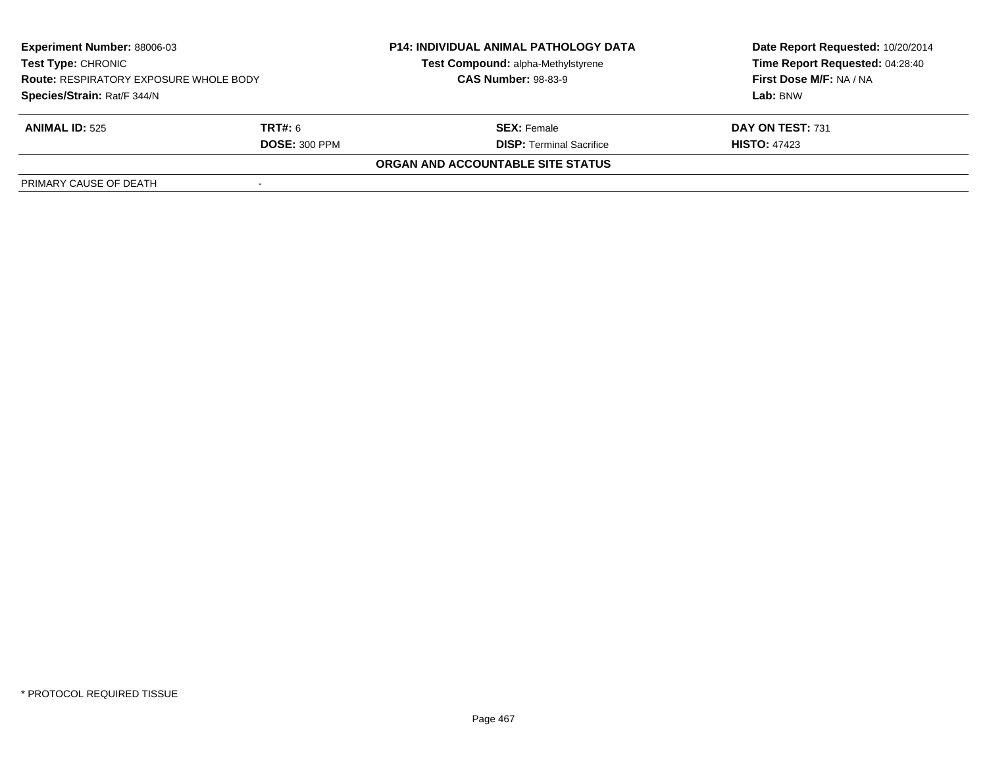| <b>Experiment Number: 88006-03</b><br><b>Test Type: CHRONIC</b><br><b>Route: RESPIRATORY EXPOSURE WHOLE BODY</b> |                      | <b>P14: INDIVIDUAL ANIMAL PATHOLOGY DATA</b> | Date Report Requested: 10/20/2014 |
|------------------------------------------------------------------------------------------------------------------|----------------------|----------------------------------------------|-----------------------------------|
|                                                                                                                  |                      | Test Compound: alpha-Methylstyrene           | Time Report Requested: 04:28:40   |
|                                                                                                                  |                      | <b>CAS Number: 98-83-9</b>                   | First Dose M/F: NA / NA           |
| Species/Strain: Rat/F 344/N                                                                                      |                      |                                              | Lab: BNW                          |
| <b>ANIMAL ID: 525</b>                                                                                            | <b>TRT#:</b> 6       | <b>SEX:</b> Female                           | DAY ON TEST: 731                  |
|                                                                                                                  | <b>DOSE: 300 PPM</b> | <b>DISP: Terminal Sacrifice</b>              | <b>HISTO: 47423</b>               |
|                                                                                                                  |                      | ORGAN AND ACCOUNTABLE SITE STATUS            |                                   |
| PRIMARY CAUSE OF DEATH                                                                                           |                      |                                              |                                   |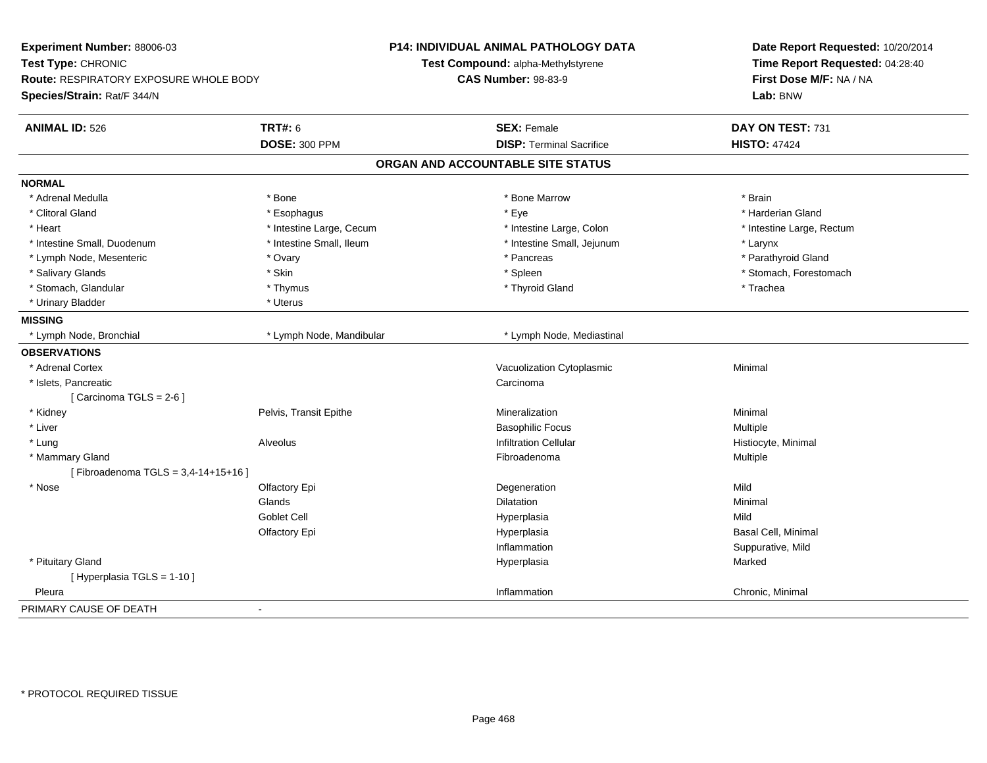| Experiment Number: 88006-03<br>Test Type: CHRONIC<br>Route: RESPIRATORY EXPOSURE WHOLE BODY |                          | P14: INDIVIDUAL ANIMAL PATHOLOGY DATA<br>Test Compound: alpha-Methylstyrene | Date Report Requested: 10/20/2014<br>Time Report Requested: 04:28:40 |
|---------------------------------------------------------------------------------------------|--------------------------|-----------------------------------------------------------------------------|----------------------------------------------------------------------|
|                                                                                             |                          | <b>CAS Number: 98-83-9</b>                                                  | First Dose M/F: NA / NA                                              |
| Species/Strain: Rat/F 344/N                                                                 |                          |                                                                             | Lab: BNW                                                             |
| <b>ANIMAL ID: 526</b>                                                                       | <b>TRT#: 6</b>           | <b>SEX: Female</b>                                                          | DAY ON TEST: 731                                                     |
|                                                                                             | <b>DOSE: 300 PPM</b>     | <b>DISP: Terminal Sacrifice</b>                                             | <b>HISTO: 47424</b>                                                  |
|                                                                                             |                          | ORGAN AND ACCOUNTABLE SITE STATUS                                           |                                                                      |
| <b>NORMAL</b>                                                                               |                          |                                                                             |                                                                      |
| * Adrenal Medulla                                                                           | * Bone                   | * Bone Marrow                                                               | * Brain                                                              |
| * Clitoral Gland                                                                            | * Esophagus              | * Eye                                                                       | * Harderian Gland                                                    |
| * Heart                                                                                     | * Intestine Large, Cecum | * Intestine Large, Colon                                                    | * Intestine Large, Rectum                                            |
| * Intestine Small, Duodenum                                                                 | * Intestine Small, Ileum | * Intestine Small, Jejunum                                                  | * Larynx                                                             |
| * Lymph Node, Mesenteric                                                                    | * Ovary                  | * Pancreas                                                                  | * Parathyroid Gland                                                  |
| * Salivary Glands                                                                           | * Skin                   | * Spleen                                                                    | * Stomach, Forestomach                                               |
| * Stomach, Glandular                                                                        | * Thymus                 | * Thyroid Gland                                                             | * Trachea                                                            |
| * Urinary Bladder                                                                           | * Uterus                 |                                                                             |                                                                      |
| <b>MISSING</b>                                                                              |                          |                                                                             |                                                                      |
| * Lymph Node, Bronchial                                                                     | * Lymph Node, Mandibular | * Lymph Node, Mediastinal                                                   |                                                                      |
| <b>OBSERVATIONS</b>                                                                         |                          |                                                                             |                                                                      |
| * Adrenal Cortex                                                                            |                          | Vacuolization Cytoplasmic                                                   | Minimal                                                              |
| * Islets, Pancreatic                                                                        |                          | Carcinoma                                                                   |                                                                      |
| [Carcinoma TGLS = 2-6]                                                                      |                          |                                                                             |                                                                      |
| * Kidney                                                                                    | Pelvis, Transit Epithe   | Mineralization                                                              | Minimal                                                              |
| * Liver                                                                                     |                          | <b>Basophilic Focus</b>                                                     | Multiple                                                             |
| * Lung                                                                                      | Alveolus                 | <b>Infiltration Cellular</b>                                                | Histiocyte, Minimal                                                  |
| * Mammary Gland                                                                             |                          | Fibroadenoma                                                                | Multiple                                                             |
| [Fibroadenoma TGLS = 3,4-14+15+16]                                                          |                          |                                                                             |                                                                      |
| * Nose                                                                                      | Olfactory Epi            | Degeneration                                                                | Mild                                                                 |
|                                                                                             | Glands                   | <b>Dilatation</b>                                                           | Minimal                                                              |
|                                                                                             | Goblet Cell              | Hyperplasia                                                                 | Mild                                                                 |
|                                                                                             | Olfactory Epi            | Hyperplasia                                                                 | Basal Cell, Minimal                                                  |
|                                                                                             |                          | Inflammation                                                                | Suppurative, Mild                                                    |
| * Pituitary Gland                                                                           |                          | Hyperplasia                                                                 | Marked                                                               |
| [ Hyperplasia TGLS = 1-10 ]                                                                 |                          |                                                                             |                                                                      |
| Pleura                                                                                      |                          | Inflammation                                                                | Chronic, Minimal                                                     |
| PRIMARY CAUSE OF DEATH                                                                      | $\blacksquare$           |                                                                             |                                                                      |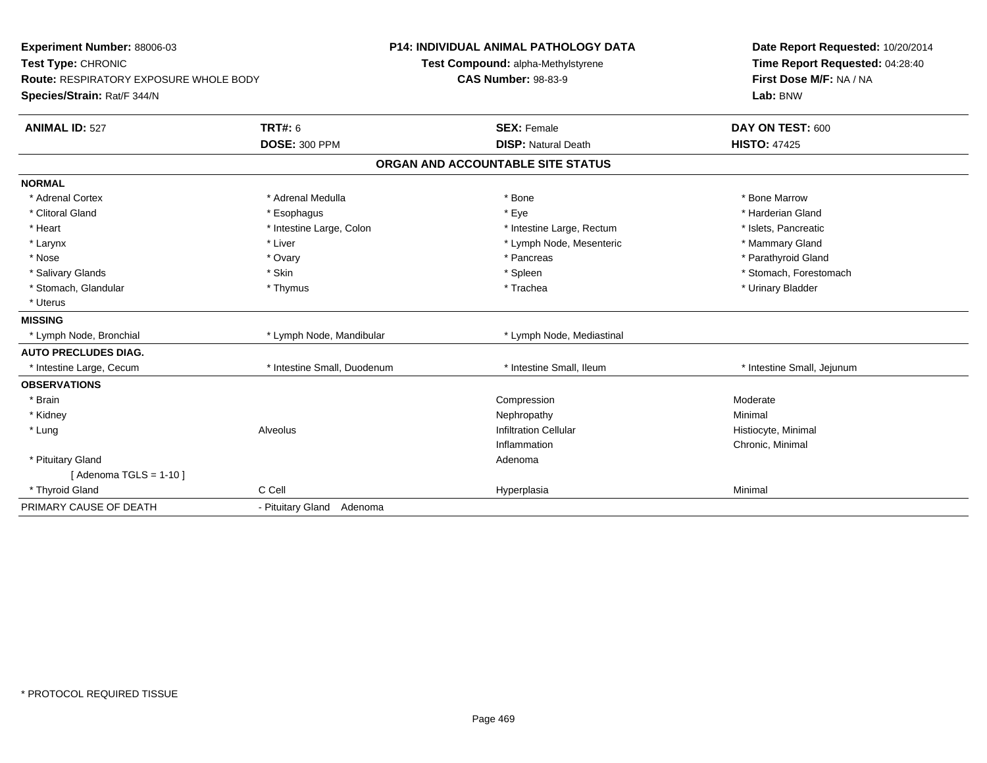| <b>Experiment Number: 88006-03</b><br>Test Type: CHRONIC |                             | <b>P14: INDIVIDUAL ANIMAL PATHOLOGY DATA</b>                     | Date Report Requested: 10/20/2014<br>Time Report Requested: 04:28:40 |  |
|----------------------------------------------------------|-----------------------------|------------------------------------------------------------------|----------------------------------------------------------------------|--|
| <b>Route: RESPIRATORY EXPOSURE WHOLE BODY</b>            |                             | Test Compound: alpha-Methylstyrene<br><b>CAS Number: 98-83-9</b> | First Dose M/F: NA / NA                                              |  |
| Species/Strain: Rat/F 344/N                              |                             |                                                                  | Lab: BNW                                                             |  |
| <b>ANIMAL ID: 527</b>                                    | <b>TRT#: 6</b>              | <b>SEX: Female</b>                                               | DAY ON TEST: 600                                                     |  |
|                                                          | <b>DOSE: 300 PPM</b>        | <b>DISP: Natural Death</b>                                       | <b>HISTO: 47425</b>                                                  |  |
|                                                          |                             | ORGAN AND ACCOUNTABLE SITE STATUS                                |                                                                      |  |
| <b>NORMAL</b>                                            |                             |                                                                  |                                                                      |  |
| * Adrenal Cortex                                         | * Adrenal Medulla           | * Bone                                                           | * Bone Marrow                                                        |  |
| * Clitoral Gland                                         | * Esophagus                 | * Eye                                                            | * Harderian Gland                                                    |  |
| * Heart                                                  | * Intestine Large, Colon    | * Intestine Large, Rectum                                        | * Islets, Pancreatic                                                 |  |
| * Larynx                                                 | * Liver                     | * Lymph Node, Mesenteric                                         | * Mammary Gland                                                      |  |
| * Nose                                                   | * Ovary                     | * Pancreas                                                       | * Parathyroid Gland                                                  |  |
| * Salivary Glands                                        | * Skin                      | * Spleen                                                         | * Stomach, Forestomach                                               |  |
| * Stomach, Glandular                                     | * Thymus                    | * Trachea                                                        | * Urinary Bladder                                                    |  |
| * Uterus                                                 |                             |                                                                  |                                                                      |  |
| <b>MISSING</b>                                           |                             |                                                                  |                                                                      |  |
| * Lymph Node, Bronchial                                  | * Lymph Node, Mandibular    | * Lymph Node, Mediastinal                                        |                                                                      |  |
| <b>AUTO PRECLUDES DIAG.</b>                              |                             |                                                                  |                                                                      |  |
| * Intestine Large, Cecum                                 | * Intestine Small, Duodenum | * Intestine Small, Ileum                                         | * Intestine Small, Jejunum                                           |  |
| <b>OBSERVATIONS</b>                                      |                             |                                                                  |                                                                      |  |
| * Brain                                                  |                             | Compression                                                      | Moderate                                                             |  |
| * Kidney                                                 |                             | Nephropathy                                                      | Minimal                                                              |  |
| * Lung                                                   | Alveolus                    | <b>Infiltration Cellular</b>                                     | Histiocyte, Minimal                                                  |  |
|                                                          |                             | Inflammation                                                     | Chronic, Minimal                                                     |  |
| * Pituitary Gland                                        |                             | Adenoma                                                          |                                                                      |  |
| [Adenoma TGLS = $1-10$ ]                                 |                             |                                                                  |                                                                      |  |
| * Thyroid Gland                                          | C Cell                      | Hyperplasia                                                      | Minimal                                                              |  |
| PRIMARY CAUSE OF DEATH                                   | - Pituitary Gland Adenoma   |                                                                  |                                                                      |  |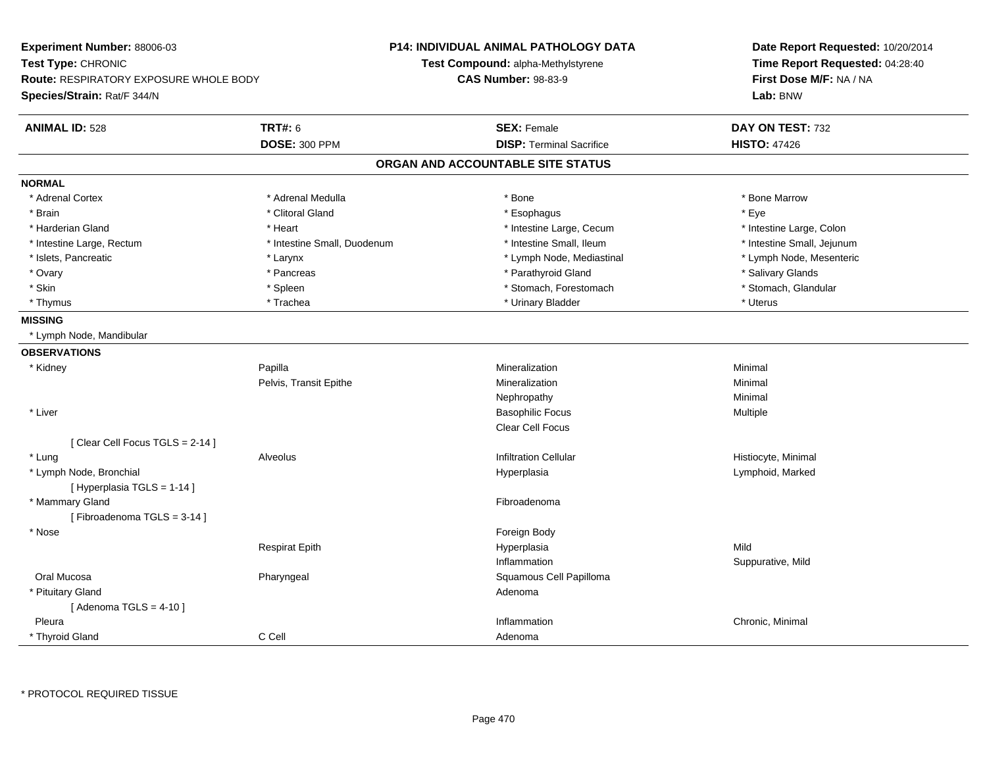| <b>Experiment Number: 88006-03</b><br>Test Type: CHRONIC<br><b>Route: RESPIRATORY EXPOSURE WHOLE BODY</b><br>Species/Strain: Rat/F 344/N |                             | P14: INDIVIDUAL ANIMAL PATHOLOGY DATA<br>Test Compound: alpha-Methylstyrene<br><b>CAS Number: 98-83-9</b> | Date Report Requested: 10/20/2014<br>Time Report Requested: 04:28:40<br>First Dose M/F: NA / NA<br>Lab: BNW |
|------------------------------------------------------------------------------------------------------------------------------------------|-----------------------------|-----------------------------------------------------------------------------------------------------------|-------------------------------------------------------------------------------------------------------------|
| <b>ANIMAL ID: 528</b>                                                                                                                    | <b>TRT#: 6</b>              | <b>SEX: Female</b>                                                                                        | DAY ON TEST: 732                                                                                            |
|                                                                                                                                          | <b>DOSE: 300 PPM</b>        | <b>DISP: Terminal Sacrifice</b>                                                                           | <b>HISTO: 47426</b>                                                                                         |
|                                                                                                                                          |                             | ORGAN AND ACCOUNTABLE SITE STATUS                                                                         |                                                                                                             |
| <b>NORMAL</b>                                                                                                                            |                             |                                                                                                           |                                                                                                             |
| * Adrenal Cortex                                                                                                                         | * Adrenal Medulla           | * Bone                                                                                                    | * Bone Marrow                                                                                               |
| * Brain                                                                                                                                  | * Clitoral Gland            | * Esophagus                                                                                               | * Eye                                                                                                       |
| * Harderian Gland                                                                                                                        | * Heart                     | * Intestine Large, Cecum                                                                                  | * Intestine Large, Colon                                                                                    |
| * Intestine Large, Rectum                                                                                                                | * Intestine Small, Duodenum | * Intestine Small, Ileum                                                                                  | * Intestine Small, Jejunum                                                                                  |
| * Islets, Pancreatic                                                                                                                     | * Larynx                    | * Lymph Node, Mediastinal                                                                                 | * Lymph Node, Mesenteric                                                                                    |
| * Ovary                                                                                                                                  | * Pancreas                  | * Parathyroid Gland                                                                                       | * Salivary Glands                                                                                           |
| * Skin                                                                                                                                   | * Spleen                    | * Stomach, Forestomach                                                                                    | * Stomach, Glandular                                                                                        |
| * Thymus                                                                                                                                 | * Trachea                   | * Urinary Bladder                                                                                         | * Uterus                                                                                                    |
| <b>MISSING</b>                                                                                                                           |                             |                                                                                                           |                                                                                                             |
| * Lymph Node, Mandibular                                                                                                                 |                             |                                                                                                           |                                                                                                             |
| <b>OBSERVATIONS</b>                                                                                                                      |                             |                                                                                                           |                                                                                                             |
| * Kidney                                                                                                                                 | Papilla                     | Mineralization                                                                                            | Minimal                                                                                                     |
|                                                                                                                                          | Pelvis, Transit Epithe      | Mineralization                                                                                            | Minimal                                                                                                     |
|                                                                                                                                          |                             | Nephropathy                                                                                               | Minimal                                                                                                     |
| * Liver                                                                                                                                  |                             | <b>Basophilic Focus</b>                                                                                   | Multiple                                                                                                    |
|                                                                                                                                          |                             | Clear Cell Focus                                                                                          |                                                                                                             |
| [ Clear Cell Focus TGLS = 2-14 ]                                                                                                         |                             |                                                                                                           |                                                                                                             |
| * Lung                                                                                                                                   | Alveolus                    | <b>Infiltration Cellular</b>                                                                              | Histiocyte, Minimal                                                                                         |
| * Lymph Node, Bronchial<br>[Hyperplasia TGLS = 1-14]                                                                                     |                             | Hyperplasia                                                                                               | Lymphoid, Marked                                                                                            |
| * Mammary Gland                                                                                                                          |                             | Fibroadenoma                                                                                              |                                                                                                             |
| [Fibroadenoma TGLS = 3-14]                                                                                                               |                             |                                                                                                           |                                                                                                             |
| * Nose                                                                                                                                   |                             | Foreign Body                                                                                              |                                                                                                             |
|                                                                                                                                          | <b>Respirat Epith</b>       | Hyperplasia                                                                                               | Mild                                                                                                        |
|                                                                                                                                          |                             | Inflammation                                                                                              | Suppurative, Mild                                                                                           |
| Oral Mucosa                                                                                                                              | Pharyngeal                  | Squamous Cell Papilloma                                                                                   |                                                                                                             |
| * Pituitary Gland                                                                                                                        |                             | Adenoma                                                                                                   |                                                                                                             |
| [Adenoma TGLS = $4-10$ ]                                                                                                                 |                             |                                                                                                           |                                                                                                             |
| Pleura                                                                                                                                   |                             | Inflammation                                                                                              | Chronic, Minimal                                                                                            |
| * Thyroid Gland                                                                                                                          | C Cell                      | Adenoma                                                                                                   |                                                                                                             |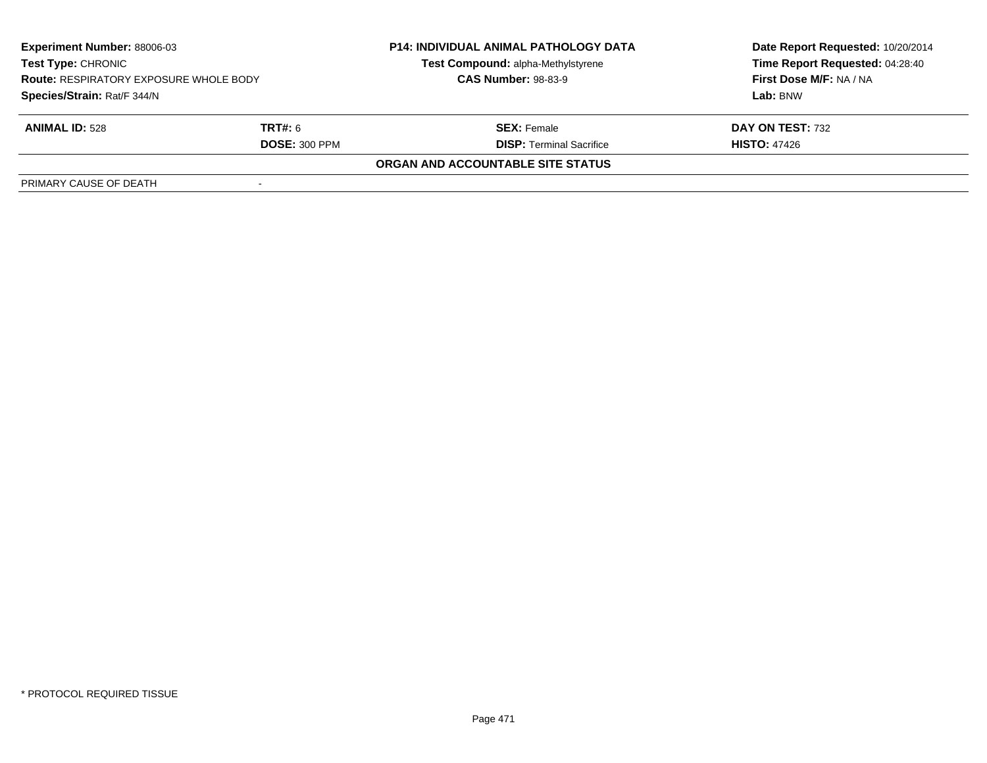| <b>Experiment Number: 88006-03</b><br><b>Test Type: CHRONIC</b><br><b>Route: RESPIRATORY EXPOSURE WHOLE BODY</b> |                      | <b>P14: INDIVIDUAL ANIMAL PATHOLOGY DATA</b><br>Test Compound: alpha-Methylstyrene<br><b>CAS Number: 98-83-9</b> | Date Report Requested: 10/20/2014<br>Time Report Requested: 04:28:40<br>First Dose M/F: NA / NA |
|------------------------------------------------------------------------------------------------------------------|----------------------|------------------------------------------------------------------------------------------------------------------|-------------------------------------------------------------------------------------------------|
| Species/Strain: Rat/F 344/N                                                                                      |                      |                                                                                                                  | Lab: BNW                                                                                        |
| <b>ANIMAL ID: 528</b>                                                                                            | <b>TRT#:</b> 6       | <b>SEX:</b> Female                                                                                               | DAY ON TEST: 732                                                                                |
|                                                                                                                  | <b>DOSE: 300 PPM</b> | <b>DISP:</b> Terminal Sacrifice                                                                                  | <b>HISTO: 47426</b>                                                                             |
|                                                                                                                  |                      | ORGAN AND ACCOUNTABLE SITE STATUS                                                                                |                                                                                                 |
| PRIMARY CAUSE OF DEATH                                                                                           |                      |                                                                                                                  |                                                                                                 |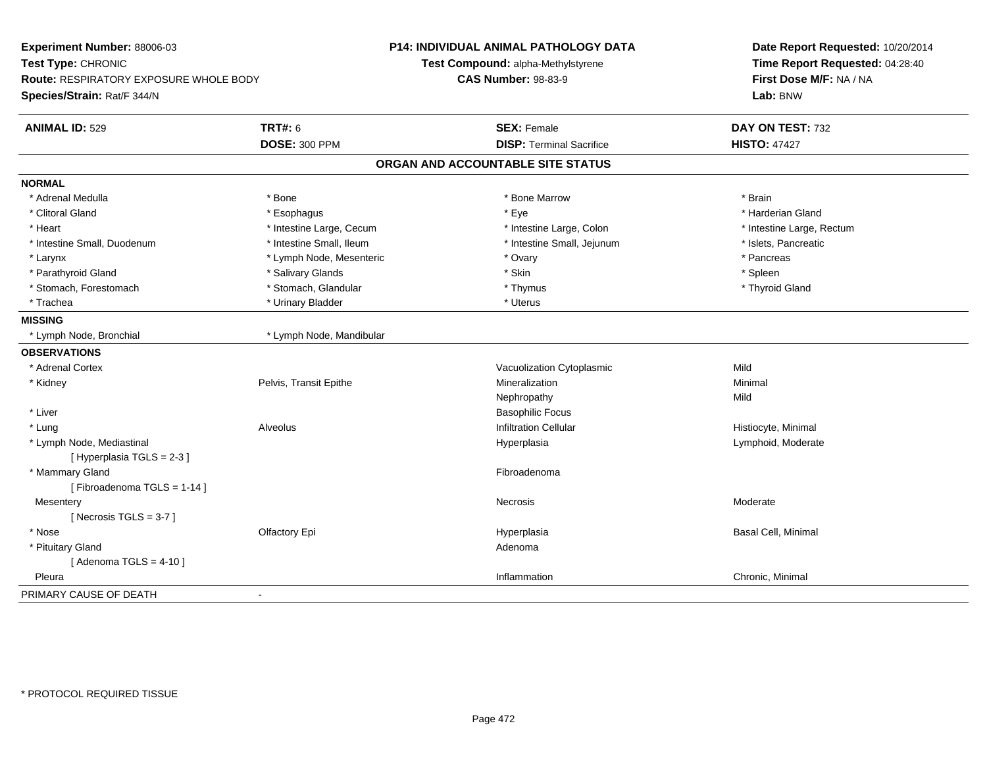| Experiment Number: 88006-03<br>Test Type: CHRONIC<br><b>Route: RESPIRATORY EXPOSURE WHOLE BODY</b><br>Species/Strain: Rat/F 344/N |                          | <b>P14: INDIVIDUAL ANIMAL PATHOLOGY DATA</b><br>Test Compound: alpha-Methylstyrene<br><b>CAS Number: 98-83-9</b> | Date Report Requested: 10/20/2014<br>Time Report Requested: 04:28:40<br>First Dose M/F: NA / NA<br>Lab: BNW |
|-----------------------------------------------------------------------------------------------------------------------------------|--------------------------|------------------------------------------------------------------------------------------------------------------|-------------------------------------------------------------------------------------------------------------|
| <b>ANIMAL ID: 529</b>                                                                                                             | <b>TRT#: 6</b>           | <b>SEX: Female</b>                                                                                               | DAY ON TEST: 732                                                                                            |
|                                                                                                                                   | <b>DOSE: 300 PPM</b>     | <b>DISP: Terminal Sacrifice</b>                                                                                  | <b>HISTO: 47427</b>                                                                                         |
|                                                                                                                                   |                          | ORGAN AND ACCOUNTABLE SITE STATUS                                                                                |                                                                                                             |
| <b>NORMAL</b>                                                                                                                     |                          |                                                                                                                  |                                                                                                             |
| * Adrenal Medulla                                                                                                                 | * Bone                   | * Bone Marrow                                                                                                    | * Brain                                                                                                     |
| * Clitoral Gland                                                                                                                  | * Esophagus              | * Eye                                                                                                            | * Harderian Gland                                                                                           |
| * Heart                                                                                                                           | * Intestine Large, Cecum | * Intestine Large, Colon                                                                                         | * Intestine Large, Rectum                                                                                   |
| * Intestine Small, Duodenum                                                                                                       | * Intestine Small, Ileum | * Intestine Small, Jejunum                                                                                       | * Islets, Pancreatic                                                                                        |
| * Larynx                                                                                                                          | * Lymph Node, Mesenteric | * Ovary                                                                                                          | * Pancreas                                                                                                  |
| * Parathyroid Gland                                                                                                               | * Salivary Glands        | * Skin                                                                                                           | * Spleen                                                                                                    |
| * Stomach, Forestomach                                                                                                            | * Stomach, Glandular     | * Thymus                                                                                                         | * Thyroid Gland                                                                                             |
| * Trachea                                                                                                                         | * Urinary Bladder        | * Uterus                                                                                                         |                                                                                                             |
| <b>MISSING</b>                                                                                                                    |                          |                                                                                                                  |                                                                                                             |
| * Lymph Node, Bronchial                                                                                                           | * Lymph Node, Mandibular |                                                                                                                  |                                                                                                             |
| <b>OBSERVATIONS</b>                                                                                                               |                          |                                                                                                                  |                                                                                                             |
| * Adrenal Cortex                                                                                                                  |                          | Vacuolization Cytoplasmic                                                                                        | Mild                                                                                                        |
| * Kidney                                                                                                                          | Pelvis, Transit Epithe   | Mineralization                                                                                                   | Minimal                                                                                                     |
|                                                                                                                                   |                          | Nephropathy                                                                                                      | Mild                                                                                                        |
| * Liver                                                                                                                           |                          | <b>Basophilic Focus</b>                                                                                          |                                                                                                             |
| * Lung                                                                                                                            | Alveolus                 | <b>Infiltration Cellular</b>                                                                                     | Histiocyte, Minimal                                                                                         |
| * Lymph Node, Mediastinal                                                                                                         |                          | Hyperplasia                                                                                                      | Lymphoid, Moderate                                                                                          |
| [Hyperplasia TGLS = 2-3]                                                                                                          |                          |                                                                                                                  |                                                                                                             |
| * Mammary Gland                                                                                                                   |                          | Fibroadenoma                                                                                                     |                                                                                                             |
| [Fibroadenoma TGLS = 1-14]                                                                                                        |                          |                                                                                                                  |                                                                                                             |
| Mesentery                                                                                                                         |                          | Necrosis                                                                                                         | Moderate                                                                                                    |
| [Necrosis TGLS = $3-7$ ]                                                                                                          |                          |                                                                                                                  |                                                                                                             |
| * Nose                                                                                                                            | Olfactory Epi            | Hyperplasia                                                                                                      | Basal Cell, Minimal                                                                                         |
| * Pituitary Gland                                                                                                                 |                          | Adenoma                                                                                                          |                                                                                                             |
| [Adenoma TGLS = $4-10$ ]                                                                                                          |                          |                                                                                                                  |                                                                                                             |
| Pleura                                                                                                                            |                          | Inflammation                                                                                                     | Chronic, Minimal                                                                                            |
| PRIMARY CAUSE OF DEATH                                                                                                            | $\sim$                   |                                                                                                                  |                                                                                                             |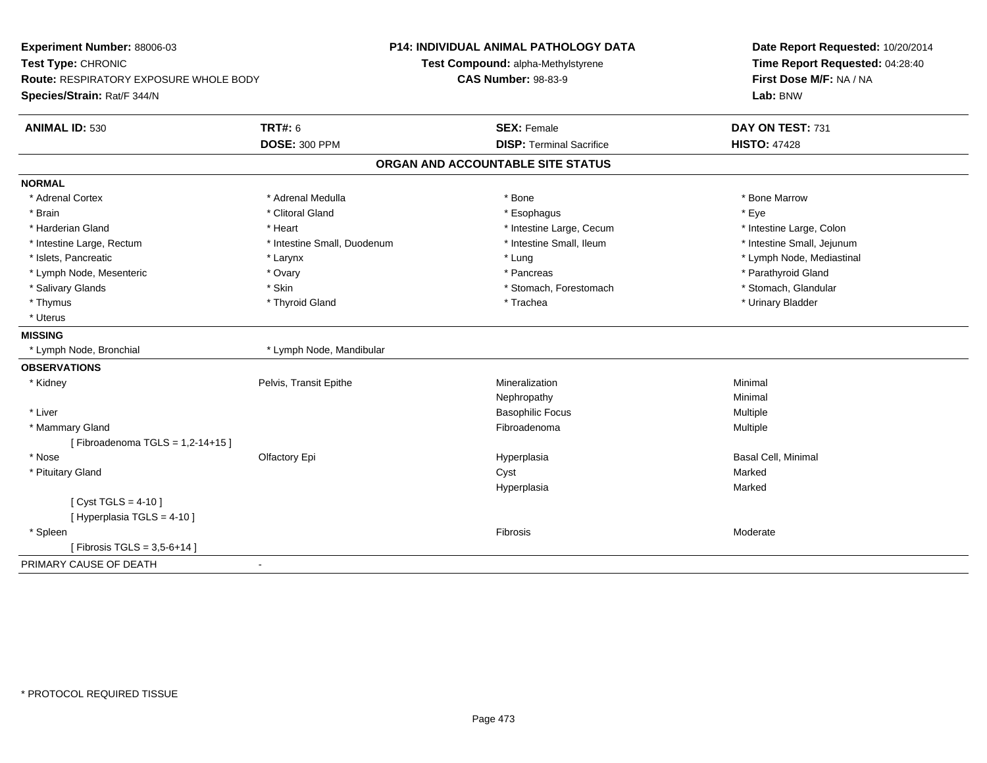| <b>ANIMAL ID: 530</b><br><b>TRT#: 6</b><br>DAY ON TEST: 731<br><b>SEX: Female</b><br><b>DOSE: 300 PPM</b><br><b>HISTO: 47428</b><br><b>DISP: Terminal Sacrifice</b><br>ORGAN AND ACCOUNTABLE SITE STATUS<br>* Adrenal Cortex<br>* Adrenal Medulla<br>* Bone Marrow<br>* Bone<br>* Clitoral Gland<br>* Eye<br>* Brain<br>* Esophagus<br>* Harderian Gland<br>* Intestine Large, Cecum<br>* Intestine Large, Colon<br>* Heart<br>* Intestine Small, Duodenum<br>* Intestine Small, Ileum<br>* Intestine Small, Jejunum<br>* Intestine Large, Rectum<br>* Islets, Pancreatic<br>* Lung<br>* Lymph Node, Mediastinal<br>* Larynx<br>* Parathyroid Gland<br>* Lymph Node, Mesenteric<br>* Pancreas<br>* Ovary<br>* Stomach, Glandular<br>* Salivary Glands<br>* Skin<br>* Stomach, Forestomach<br>* Thymus<br>* Thyroid Gland<br>* Urinary Bladder<br>* Trachea<br>* Uterus<br>* Lymph Node, Bronchial<br>* Lymph Node, Mandibular<br>Pelvis, Transit Epithe<br>Mineralization<br>Minimal<br>* Kidney<br>Nephropathy<br>Minimal<br>* Liver<br><b>Basophilic Focus</b><br><b>Multiple</b><br>* Mammary Gland<br>Fibroadenoma<br><b>Multiple</b><br>[Fibroadenoma TGLS = 1,2-14+15]<br>* Nose<br>Olfactory Epi<br><b>Basal Cell, Minimal</b><br>Hyperplasia<br>* Pituitary Gland<br>Marked<br>Cyst<br>Hyperplasia<br>Marked<br>[ Cyst TGLS = $4-10$ ]<br>[ Hyperplasia TGLS = 4-10 ]<br>* Spleen<br>Fibrosis<br>Moderate<br>[Fibrosis TGLS = 3,5-6+14] | Experiment Number: 88006-03<br>Test Type: CHRONIC<br><b>Route: RESPIRATORY EXPOSURE WHOLE BODY</b><br>Species/Strain: Rat/F 344/N | <b>P14: INDIVIDUAL ANIMAL PATHOLOGY DATA</b><br>Test Compound: alpha-Methylstyrene<br><b>CAS Number: 98-83-9</b> | Date Report Requested: 10/20/2014<br>Time Report Requested: 04:28:40<br>First Dose M/F: NA / NA<br>Lab: BNW |
|-------------------------------------------------------------------------------------------------------------------------------------------------------------------------------------------------------------------------------------------------------------------------------------------------------------------------------------------------------------------------------------------------------------------------------------------------------------------------------------------------------------------------------------------------------------------------------------------------------------------------------------------------------------------------------------------------------------------------------------------------------------------------------------------------------------------------------------------------------------------------------------------------------------------------------------------------------------------------------------------------------------------------------------------------------------------------------------------------------------------------------------------------------------------------------------------------------------------------------------------------------------------------------------------------------------------------------------------------------------------------------------------------------------------------------------------------|-----------------------------------------------------------------------------------------------------------------------------------|------------------------------------------------------------------------------------------------------------------|-------------------------------------------------------------------------------------------------------------|
|                                                                                                                                                                                                                                                                                                                                                                                                                                                                                                                                                                                                                                                                                                                                                                                                                                                                                                                                                                                                                                                                                                                                                                                                                                                                                                                                                                                                                                                 |                                                                                                                                   |                                                                                                                  |                                                                                                             |
|                                                                                                                                                                                                                                                                                                                                                                                                                                                                                                                                                                                                                                                                                                                                                                                                                                                                                                                                                                                                                                                                                                                                                                                                                                                                                                                                                                                                                                                 |                                                                                                                                   |                                                                                                                  |                                                                                                             |
|                                                                                                                                                                                                                                                                                                                                                                                                                                                                                                                                                                                                                                                                                                                                                                                                                                                                                                                                                                                                                                                                                                                                                                                                                                                                                                                                                                                                                                                 |                                                                                                                                   |                                                                                                                  |                                                                                                             |
|                                                                                                                                                                                                                                                                                                                                                                                                                                                                                                                                                                                                                                                                                                                                                                                                                                                                                                                                                                                                                                                                                                                                                                                                                                                                                                                                                                                                                                                 | <b>NORMAL</b>                                                                                                                     |                                                                                                                  |                                                                                                             |
|                                                                                                                                                                                                                                                                                                                                                                                                                                                                                                                                                                                                                                                                                                                                                                                                                                                                                                                                                                                                                                                                                                                                                                                                                                                                                                                                                                                                                                                 |                                                                                                                                   |                                                                                                                  |                                                                                                             |
|                                                                                                                                                                                                                                                                                                                                                                                                                                                                                                                                                                                                                                                                                                                                                                                                                                                                                                                                                                                                                                                                                                                                                                                                                                                                                                                                                                                                                                                 |                                                                                                                                   |                                                                                                                  |                                                                                                             |
|                                                                                                                                                                                                                                                                                                                                                                                                                                                                                                                                                                                                                                                                                                                                                                                                                                                                                                                                                                                                                                                                                                                                                                                                                                                                                                                                                                                                                                                 |                                                                                                                                   |                                                                                                                  |                                                                                                             |
|                                                                                                                                                                                                                                                                                                                                                                                                                                                                                                                                                                                                                                                                                                                                                                                                                                                                                                                                                                                                                                                                                                                                                                                                                                                                                                                                                                                                                                                 |                                                                                                                                   |                                                                                                                  |                                                                                                             |
|                                                                                                                                                                                                                                                                                                                                                                                                                                                                                                                                                                                                                                                                                                                                                                                                                                                                                                                                                                                                                                                                                                                                                                                                                                                                                                                                                                                                                                                 |                                                                                                                                   |                                                                                                                  |                                                                                                             |
|                                                                                                                                                                                                                                                                                                                                                                                                                                                                                                                                                                                                                                                                                                                                                                                                                                                                                                                                                                                                                                                                                                                                                                                                                                                                                                                                                                                                                                                 |                                                                                                                                   |                                                                                                                  |                                                                                                             |
|                                                                                                                                                                                                                                                                                                                                                                                                                                                                                                                                                                                                                                                                                                                                                                                                                                                                                                                                                                                                                                                                                                                                                                                                                                                                                                                                                                                                                                                 |                                                                                                                                   |                                                                                                                  |                                                                                                             |
|                                                                                                                                                                                                                                                                                                                                                                                                                                                                                                                                                                                                                                                                                                                                                                                                                                                                                                                                                                                                                                                                                                                                                                                                                                                                                                                                                                                                                                                 |                                                                                                                                   |                                                                                                                  |                                                                                                             |
|                                                                                                                                                                                                                                                                                                                                                                                                                                                                                                                                                                                                                                                                                                                                                                                                                                                                                                                                                                                                                                                                                                                                                                                                                                                                                                                                                                                                                                                 |                                                                                                                                   |                                                                                                                  |                                                                                                             |
|                                                                                                                                                                                                                                                                                                                                                                                                                                                                                                                                                                                                                                                                                                                                                                                                                                                                                                                                                                                                                                                                                                                                                                                                                                                                                                                                                                                                                                                 | <b>MISSING</b>                                                                                                                    |                                                                                                                  |                                                                                                             |
|                                                                                                                                                                                                                                                                                                                                                                                                                                                                                                                                                                                                                                                                                                                                                                                                                                                                                                                                                                                                                                                                                                                                                                                                                                                                                                                                                                                                                                                 |                                                                                                                                   |                                                                                                                  |                                                                                                             |
|                                                                                                                                                                                                                                                                                                                                                                                                                                                                                                                                                                                                                                                                                                                                                                                                                                                                                                                                                                                                                                                                                                                                                                                                                                                                                                                                                                                                                                                 | <b>OBSERVATIONS</b>                                                                                                               |                                                                                                                  |                                                                                                             |
|                                                                                                                                                                                                                                                                                                                                                                                                                                                                                                                                                                                                                                                                                                                                                                                                                                                                                                                                                                                                                                                                                                                                                                                                                                                                                                                                                                                                                                                 |                                                                                                                                   |                                                                                                                  |                                                                                                             |
|                                                                                                                                                                                                                                                                                                                                                                                                                                                                                                                                                                                                                                                                                                                                                                                                                                                                                                                                                                                                                                                                                                                                                                                                                                                                                                                                                                                                                                                 |                                                                                                                                   |                                                                                                                  |                                                                                                             |
|                                                                                                                                                                                                                                                                                                                                                                                                                                                                                                                                                                                                                                                                                                                                                                                                                                                                                                                                                                                                                                                                                                                                                                                                                                                                                                                                                                                                                                                 |                                                                                                                                   |                                                                                                                  |                                                                                                             |
|                                                                                                                                                                                                                                                                                                                                                                                                                                                                                                                                                                                                                                                                                                                                                                                                                                                                                                                                                                                                                                                                                                                                                                                                                                                                                                                                                                                                                                                 |                                                                                                                                   |                                                                                                                  |                                                                                                             |
|                                                                                                                                                                                                                                                                                                                                                                                                                                                                                                                                                                                                                                                                                                                                                                                                                                                                                                                                                                                                                                                                                                                                                                                                                                                                                                                                                                                                                                                 |                                                                                                                                   |                                                                                                                  |                                                                                                             |
|                                                                                                                                                                                                                                                                                                                                                                                                                                                                                                                                                                                                                                                                                                                                                                                                                                                                                                                                                                                                                                                                                                                                                                                                                                                                                                                                                                                                                                                 |                                                                                                                                   |                                                                                                                  |                                                                                                             |
|                                                                                                                                                                                                                                                                                                                                                                                                                                                                                                                                                                                                                                                                                                                                                                                                                                                                                                                                                                                                                                                                                                                                                                                                                                                                                                                                                                                                                                                 |                                                                                                                                   |                                                                                                                  |                                                                                                             |
|                                                                                                                                                                                                                                                                                                                                                                                                                                                                                                                                                                                                                                                                                                                                                                                                                                                                                                                                                                                                                                                                                                                                                                                                                                                                                                                                                                                                                                                 |                                                                                                                                   |                                                                                                                  |                                                                                                             |
|                                                                                                                                                                                                                                                                                                                                                                                                                                                                                                                                                                                                                                                                                                                                                                                                                                                                                                                                                                                                                                                                                                                                                                                                                                                                                                                                                                                                                                                 |                                                                                                                                   |                                                                                                                  |                                                                                                             |
|                                                                                                                                                                                                                                                                                                                                                                                                                                                                                                                                                                                                                                                                                                                                                                                                                                                                                                                                                                                                                                                                                                                                                                                                                                                                                                                                                                                                                                                 |                                                                                                                                   |                                                                                                                  |                                                                                                             |
|                                                                                                                                                                                                                                                                                                                                                                                                                                                                                                                                                                                                                                                                                                                                                                                                                                                                                                                                                                                                                                                                                                                                                                                                                                                                                                                                                                                                                                                 |                                                                                                                                   |                                                                                                                  |                                                                                                             |
|                                                                                                                                                                                                                                                                                                                                                                                                                                                                                                                                                                                                                                                                                                                                                                                                                                                                                                                                                                                                                                                                                                                                                                                                                                                                                                                                                                                                                                                 |                                                                                                                                   |                                                                                                                  |                                                                                                             |
|                                                                                                                                                                                                                                                                                                                                                                                                                                                                                                                                                                                                                                                                                                                                                                                                                                                                                                                                                                                                                                                                                                                                                                                                                                                                                                                                                                                                                                                 | PRIMARY CAUSE OF DEATH                                                                                                            |                                                                                                                  |                                                                                                             |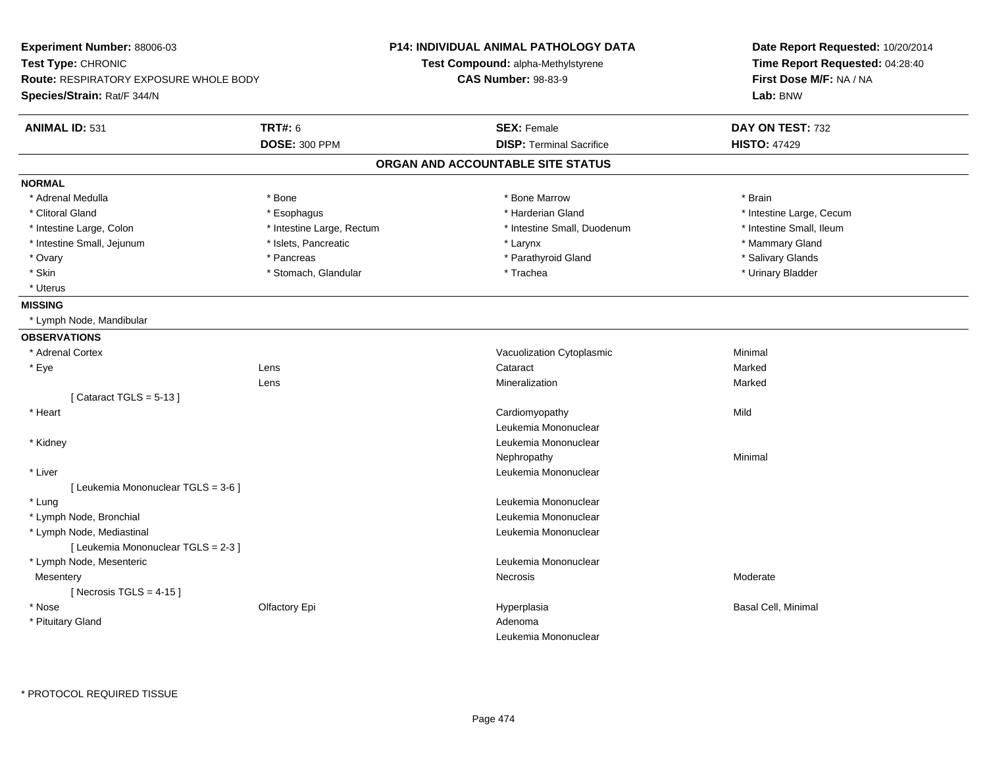| Experiment Number: 88006-03<br>Test Type: CHRONIC<br><b>Route: RESPIRATORY EXPOSURE WHOLE BODY</b><br>Species/Strain: Rat/F 344/N |                                 | <b>P14: INDIVIDUAL ANIMAL PATHOLOGY DATA</b><br>Test Compound: alpha-Methylstyrene<br><b>CAS Number: 98-83-9</b> | Date Report Requested: 10/20/2014<br>Time Report Requested: 04:28:40<br>First Dose M/F: NA / NA<br>Lab: BNW |
|-----------------------------------------------------------------------------------------------------------------------------------|---------------------------------|------------------------------------------------------------------------------------------------------------------|-------------------------------------------------------------------------------------------------------------|
| <b>ANIMAL ID: 531</b>                                                                                                             | TRT#: 6<br><b>DOSE: 300 PPM</b> | <b>SEX: Female</b><br><b>DISP: Terminal Sacrifice</b>                                                            | DAY ON TEST: 732<br><b>HISTO: 47429</b>                                                                     |
|                                                                                                                                   |                                 | ORGAN AND ACCOUNTABLE SITE STATUS                                                                                |                                                                                                             |
| <b>NORMAL</b>                                                                                                                     |                                 |                                                                                                                  |                                                                                                             |
| * Adrenal Medulla                                                                                                                 | * Bone                          | * Bone Marrow                                                                                                    | * Brain                                                                                                     |
| * Clitoral Gland                                                                                                                  | * Esophagus                     | * Harderian Gland                                                                                                | * Intestine Large, Cecum                                                                                    |
| * Intestine Large, Colon                                                                                                          | * Intestine Large, Rectum       | * Intestine Small, Duodenum                                                                                      | * Intestine Small, Ileum                                                                                    |
| * Intestine Small, Jejunum                                                                                                        | * Islets, Pancreatic            | * Larynx                                                                                                         | * Mammary Gland                                                                                             |
| * Ovary                                                                                                                           | * Pancreas                      | * Parathyroid Gland                                                                                              | * Salivary Glands                                                                                           |
| $^\star$ Skin                                                                                                                     | * Stomach, Glandular            | * Trachea                                                                                                        | * Urinary Bladder                                                                                           |
| * Uterus                                                                                                                          |                                 |                                                                                                                  |                                                                                                             |
| <b>MISSING</b>                                                                                                                    |                                 |                                                                                                                  |                                                                                                             |
| * Lymph Node, Mandibular                                                                                                          |                                 |                                                                                                                  |                                                                                                             |
| <b>OBSERVATIONS</b>                                                                                                               |                                 |                                                                                                                  |                                                                                                             |
| * Adrenal Cortex                                                                                                                  |                                 | Vacuolization Cytoplasmic                                                                                        | Minimal                                                                                                     |
| * Eye                                                                                                                             | Lens                            | Cataract                                                                                                         | Marked                                                                                                      |
|                                                                                                                                   | Lens                            | Mineralization                                                                                                   | Marked                                                                                                      |
| [Cataract TGLS = $5-13$ ]                                                                                                         |                                 |                                                                                                                  |                                                                                                             |
| * Heart                                                                                                                           |                                 | Cardiomyopathy                                                                                                   | Mild                                                                                                        |
|                                                                                                                                   |                                 | Leukemia Mononuclear                                                                                             |                                                                                                             |
| * Kidney                                                                                                                          |                                 | Leukemia Mononuclear                                                                                             |                                                                                                             |
|                                                                                                                                   |                                 | Nephropathy                                                                                                      | Minimal                                                                                                     |
| * Liver                                                                                                                           |                                 | Leukemia Mononuclear                                                                                             |                                                                                                             |
| [ Leukemia Mononuclear TGLS = 3-6 ]                                                                                               |                                 |                                                                                                                  |                                                                                                             |
| * Lung                                                                                                                            |                                 | Leukemia Mononuclear                                                                                             |                                                                                                             |
| * Lymph Node, Bronchial                                                                                                           |                                 | Leukemia Mononuclear                                                                                             |                                                                                                             |
| * Lymph Node, Mediastinal                                                                                                         |                                 | Leukemia Mononuclear                                                                                             |                                                                                                             |
| [ Leukemia Mononuclear TGLS = 2-3 ]                                                                                               |                                 |                                                                                                                  |                                                                                                             |
| * Lymph Node, Mesenteric                                                                                                          |                                 | Leukemia Mononuclear                                                                                             |                                                                                                             |
| Mesentery                                                                                                                         |                                 | Necrosis                                                                                                         | Moderate                                                                                                    |
| [Necrosis TGLS = $4-15$ ]                                                                                                         |                                 |                                                                                                                  |                                                                                                             |
| * Nose                                                                                                                            | Olfactory Epi                   | Hyperplasia                                                                                                      | Basal Cell, Minimal                                                                                         |
| * Pituitary Gland                                                                                                                 |                                 | Adenoma                                                                                                          |                                                                                                             |
|                                                                                                                                   |                                 | Leukemia Mononuclear                                                                                             |                                                                                                             |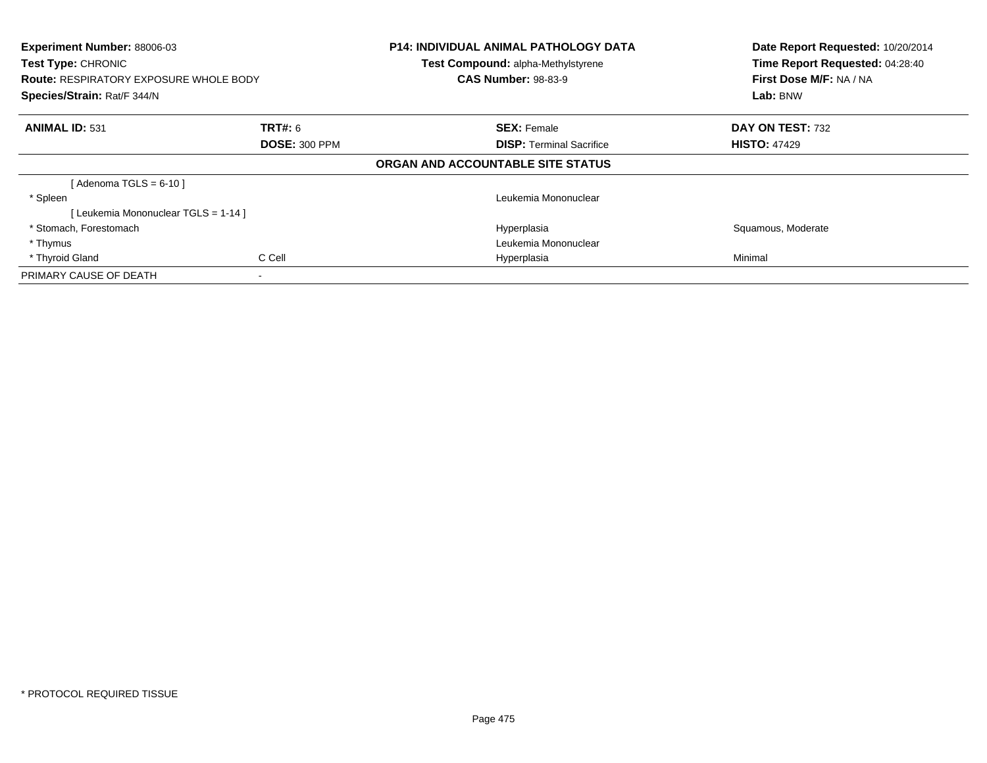| <b>Experiment Number: 88006-03</b><br><b>Test Type: CHRONIC</b><br><b>Route: RESPIRATORY EXPOSURE WHOLE BODY</b><br>Species/Strain: Rat/F 344/N |                          | <b>P14: INDIVIDUAL ANIMAL PATHOLOGY DATA</b><br>Test Compound: alpha-Methylstyrene<br><b>CAS Number: 98-83-9</b> | Date Report Requested: 10/20/2014<br>Time Report Requested: 04:28:40<br>First Dose M/F: NA / NA<br>Lab: BNW |
|-------------------------------------------------------------------------------------------------------------------------------------------------|--------------------------|------------------------------------------------------------------------------------------------------------------|-------------------------------------------------------------------------------------------------------------|
| <b>ANIMAL ID: 531</b>                                                                                                                           | <b>TRT#:</b> 6           | <b>SEX: Female</b>                                                                                               | DAY ON TEST: 732                                                                                            |
|                                                                                                                                                 | <b>DOSE: 300 PPM</b>     | <b>DISP:</b> Terminal Sacrifice                                                                                  | <b>HISTO: 47429</b>                                                                                         |
|                                                                                                                                                 |                          | ORGAN AND ACCOUNTABLE SITE STATUS                                                                                |                                                                                                             |
| [Adenoma TGLS = $6-10$ ]                                                                                                                        |                          |                                                                                                                  |                                                                                                             |
| * Spleen                                                                                                                                        |                          | Leukemia Mononuclear                                                                                             |                                                                                                             |
| [ Leukemia Mononuclear TGLS = 1-14 ]                                                                                                            |                          |                                                                                                                  |                                                                                                             |
| * Stomach, Forestomach                                                                                                                          |                          | Hyperplasia                                                                                                      | Squamous, Moderate                                                                                          |
| * Thymus                                                                                                                                        |                          | Leukemia Mononuclear                                                                                             |                                                                                                             |
| * Thyroid Gland                                                                                                                                 | C Cell                   | Hyperplasia                                                                                                      | Minimal                                                                                                     |
| PRIMARY CAUSE OF DEATH                                                                                                                          | $\overline{\phantom{a}}$ |                                                                                                                  |                                                                                                             |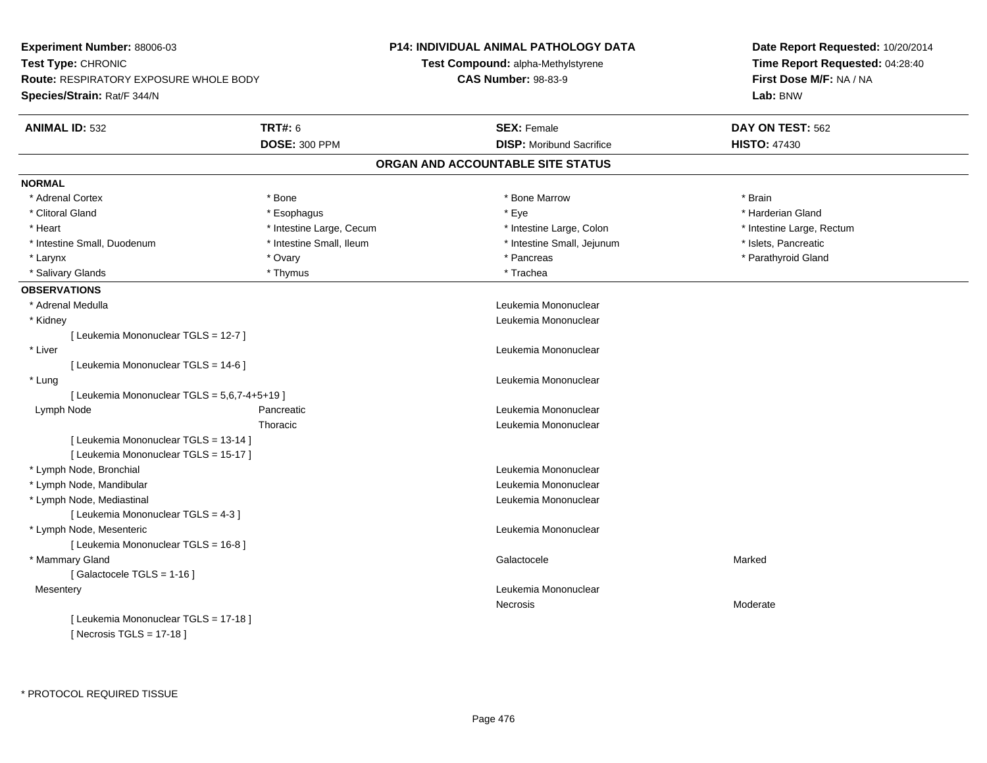| <b>Experiment Number: 88006-03</b>            |                          | P14: INDIVIDUAL ANIMAL PATHOLOGY DATA | Date Report Requested: 10/20/2014<br>Time Report Requested: 04:28:40 |  |
|-----------------------------------------------|--------------------------|---------------------------------------|----------------------------------------------------------------------|--|
| Test Type: CHRONIC                            |                          | Test Compound: alpha-Methylstyrene    |                                                                      |  |
| <b>Route: RESPIRATORY EXPOSURE WHOLE BODY</b> |                          | <b>CAS Number: 98-83-9</b>            | First Dose M/F: NA / NA                                              |  |
| <b>Species/Strain: Rat/F 344/N</b>            |                          |                                       | Lab: BNW                                                             |  |
| <b>ANIMAL ID: 532</b>                         | <b>TRT#: 6</b>           | <b>SEX: Female</b>                    | DAY ON TEST: 562                                                     |  |
|                                               | <b>DOSE: 300 PPM</b>     | <b>DISP:</b> Moribund Sacrifice       | <b>HISTO: 47430</b>                                                  |  |
|                                               |                          | ORGAN AND ACCOUNTABLE SITE STATUS     |                                                                      |  |
| <b>NORMAL</b>                                 |                          |                                       |                                                                      |  |
| * Adrenal Cortex                              | * Bone                   | * Bone Marrow                         | * Brain                                                              |  |
| * Clitoral Gland                              | * Esophagus              | * Eye                                 | * Harderian Gland                                                    |  |
| * Heart                                       | * Intestine Large, Cecum | * Intestine Large, Colon              | * Intestine Large, Rectum                                            |  |
| * Intestine Small, Duodenum                   | * Intestine Small, Ileum | * Intestine Small, Jejunum            | * Islets, Pancreatic                                                 |  |
| * Larynx                                      | * Ovary                  | * Pancreas                            | * Parathyroid Gland                                                  |  |
| * Salivary Glands                             | * Thymus                 | * Trachea                             |                                                                      |  |
| <b>OBSERVATIONS</b>                           |                          |                                       |                                                                      |  |
| * Adrenal Medulla                             |                          | Leukemia Mononuclear                  |                                                                      |  |
| * Kidney                                      |                          | Leukemia Mononuclear                  |                                                                      |  |
| [ Leukemia Mononuclear TGLS = 12-7 ]          |                          |                                       |                                                                      |  |
| * Liver                                       |                          | Leukemia Mononuclear                  |                                                                      |  |
| [ Leukemia Mononuclear TGLS = 14-6 ]          |                          |                                       |                                                                      |  |
| * Lung                                        |                          | Leukemia Mononuclear                  |                                                                      |  |
| [ Leukemia Mononuclear TGLS = 5,6,7-4+5+19 ]  |                          |                                       |                                                                      |  |
| Lymph Node                                    | Pancreatic               | Leukemia Mononuclear                  |                                                                      |  |
|                                               | Thoracic                 | Leukemia Mononuclear                  |                                                                      |  |
| [ Leukemia Mononuclear TGLS = 13-14 ]         |                          |                                       |                                                                      |  |
| [ Leukemia Mononuclear TGLS = 15-17 ]         |                          |                                       |                                                                      |  |
| * Lymph Node, Bronchial                       |                          | Leukemia Mononuclear                  |                                                                      |  |
| * Lymph Node, Mandibular                      |                          | Leukemia Mononuclear                  |                                                                      |  |
| * Lymph Node, Mediastinal                     |                          | Leukemia Mononuclear                  |                                                                      |  |
| [ Leukemia Mononuclear TGLS = 4-3 ]           |                          |                                       |                                                                      |  |
| * Lymph Node, Mesenteric                      |                          | Leukemia Mononuclear                  |                                                                      |  |
| [ Leukemia Mononuclear TGLS = 16-8 ]          |                          |                                       |                                                                      |  |
| * Mammary Gland                               |                          | Galactocele                           | Marked                                                               |  |
| [Galactocele TGLS = 1-16]                     |                          |                                       |                                                                      |  |
| Mesentery                                     |                          | Leukemia Mononuclear                  |                                                                      |  |
|                                               |                          | Necrosis                              | Moderate                                                             |  |
| [ Leukemia Mononuclear TGLS = 17-18 ]         |                          |                                       |                                                                      |  |
| [Necrosis TGLS = $17-18$ ]                    |                          |                                       |                                                                      |  |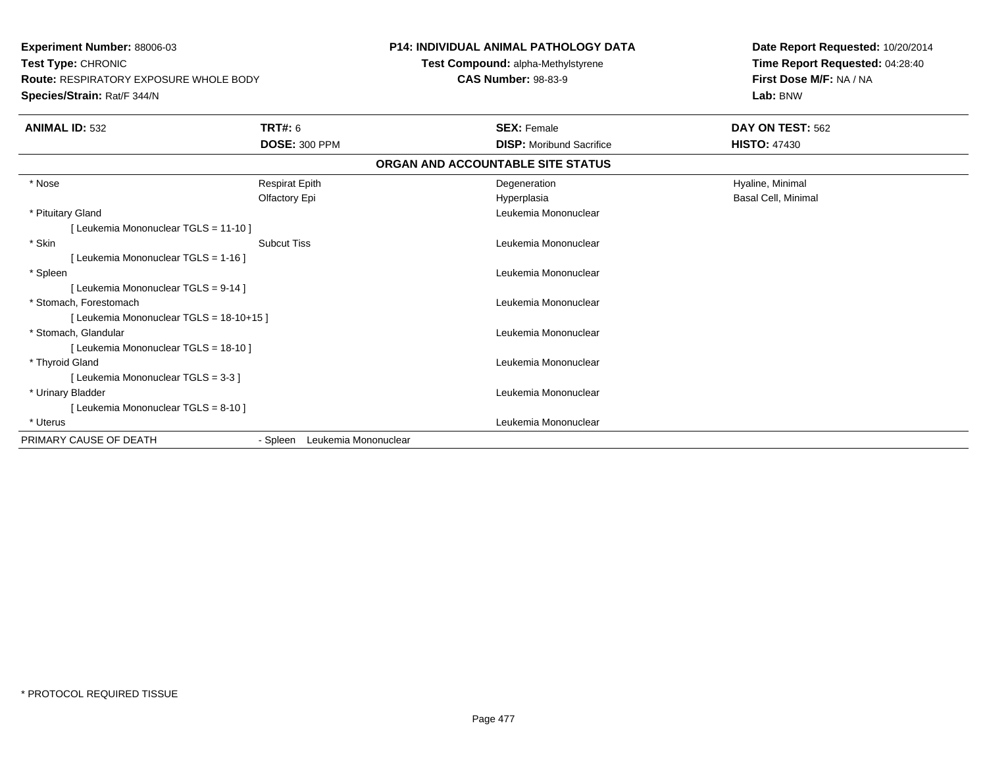**Experiment Number:** 88006-03**Test Type:** CHRONIC **Route:** RESPIRATORY EXPOSURE WHOLE BODY**Species/Strain:** Rat/F 344/N**P14: INDIVIDUAL ANIMAL PATHOLOGY DATATest Compound:** alpha-Methylstyrene**CAS Number:** 98-83-9**Date Report Requested:** 10/20/2014**Time Report Requested:** 04:28:40**First Dose M/F:** NA / NA**Lab:** BNW**ANIMAL ID:** 532 **TRT#:** <sup>6</sup> **SEX:** Female **DAY ON TEST:** <sup>562</sup> **DOSE:** 300 PPM**DISP:** Moribund Sacrifice **HISTO:** 47430 **ORGAN AND ACCOUNTABLE SITE STATUS** \* Nose Respirat Epith Degeneration Hyaline, Minimal Olfactory Epi Hyperplasia Basal Cell, Minimal \* Pituitary Gland Leukemia Mononuclear [ Leukemia Mononuclear TGLS = 11-10 ] \* Skin Subcut Tiss Leukemia Mononuclear [ Leukemia Mononuclear TGLS = 1-16 ] \* Spleen Leukemia Mononuclear [ Leukemia Mononuclear TGLS = 9-14 ] \* Stomach, Forestomach Leukemia Mononuclear [ Leukemia Mononuclear TGLS = 18-10+15 ] \* Stomach, Glandular Leukemia Mononuclear [ Leukemia Mononuclear TGLS = 18-10 ] \* Thyroid Gland Leukemia Mononuclear [ Leukemia Mononuclear TGLS = 3-3 ] \* Urinary Bladder Leukemia Mononuclear [ Leukemia Mononuclear TGLS = 8-10 ] \* Uterus Leukemia Mononuclear PRIMARY CAUSE OF DEATH- Spleen Leukemia Mononuclear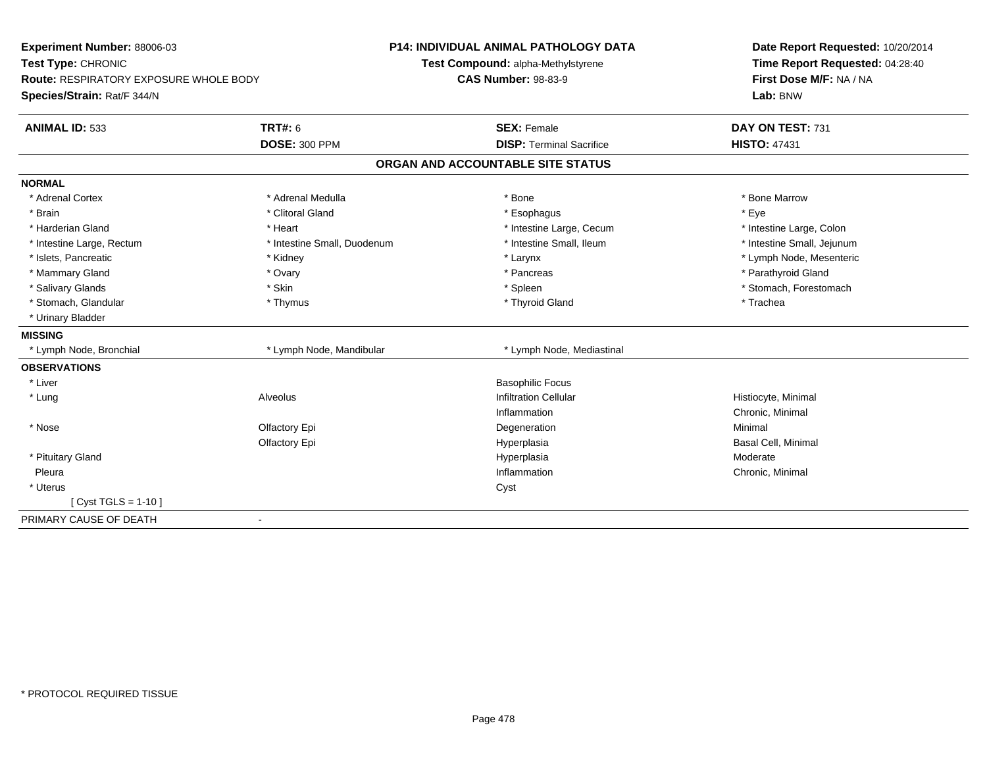| Experiment Number: 88006-03<br>Test Type: CHRONIC                            |                             | <b>P14: INDIVIDUAL ANIMAL PATHOLOGY DATA</b><br>Test Compound: alpha-Methylstyrene | Date Report Requested: 10/20/2014<br>Time Report Requested: 04:28:40 |  |
|------------------------------------------------------------------------------|-----------------------------|------------------------------------------------------------------------------------|----------------------------------------------------------------------|--|
| <b>Route: RESPIRATORY EXPOSURE WHOLE BODY</b><br>Species/Strain: Rat/F 344/N |                             | <b>CAS Number: 98-83-9</b>                                                         | First Dose M/F: NA / NA<br>Lab: BNW                                  |  |
| <b>ANIMAL ID: 533</b>                                                        | <b>TRT#: 6</b>              | <b>SEX: Female</b>                                                                 | DAY ON TEST: 731                                                     |  |
|                                                                              | <b>DOSE: 300 PPM</b>        | <b>DISP: Terminal Sacrifice</b>                                                    | <b>HISTO: 47431</b>                                                  |  |
|                                                                              |                             | ORGAN AND ACCOUNTABLE SITE STATUS                                                  |                                                                      |  |
| <b>NORMAL</b>                                                                |                             |                                                                                    |                                                                      |  |
| * Adrenal Cortex                                                             | * Adrenal Medulla           | * Bone                                                                             | * Bone Marrow                                                        |  |
| * Brain                                                                      | * Clitoral Gland            | * Esophagus                                                                        | * Eye                                                                |  |
| * Harderian Gland                                                            | * Heart                     | * Intestine Large, Cecum                                                           | * Intestine Large, Colon                                             |  |
| * Intestine Large, Rectum                                                    | * Intestine Small, Duodenum | * Intestine Small, Ileum                                                           | * Intestine Small, Jejunum                                           |  |
| * Islets, Pancreatic                                                         | * Kidney                    | * Larynx                                                                           | * Lymph Node, Mesenteric                                             |  |
| * Mammary Gland                                                              | * Ovary                     | * Pancreas                                                                         | * Parathyroid Gland                                                  |  |
| * Salivary Glands                                                            | * Skin                      | * Spleen                                                                           | * Stomach, Forestomach                                               |  |
| * Stomach, Glandular                                                         | * Thymus                    | * Thyroid Gland                                                                    | * Trachea                                                            |  |
| * Urinary Bladder                                                            |                             |                                                                                    |                                                                      |  |
| <b>MISSING</b>                                                               |                             |                                                                                    |                                                                      |  |
| * Lymph Node, Bronchial                                                      | * Lymph Node, Mandibular    | * Lymph Node, Mediastinal                                                          |                                                                      |  |
| <b>OBSERVATIONS</b>                                                          |                             |                                                                                    |                                                                      |  |
| * Liver                                                                      |                             | <b>Basophilic Focus</b>                                                            |                                                                      |  |
| * Lung                                                                       | Alveolus                    | <b>Infiltration Cellular</b>                                                       | Histiocyte, Minimal                                                  |  |
|                                                                              |                             | Inflammation                                                                       | Chronic, Minimal                                                     |  |
| * Nose                                                                       | Olfactory Epi               | Degeneration                                                                       | Minimal                                                              |  |
|                                                                              | Olfactory Epi               | Hyperplasia                                                                        | Basal Cell, Minimal                                                  |  |
| * Pituitary Gland                                                            |                             | Hyperplasia                                                                        | Moderate                                                             |  |
| Pleura                                                                       |                             | Inflammation                                                                       | Chronic, Minimal                                                     |  |
| * Uterus                                                                     |                             | Cyst                                                                               |                                                                      |  |
| [ Cyst TGLS = 1-10 ]                                                         |                             |                                                                                    |                                                                      |  |
| PRIMARY CAUSE OF DEATH                                                       | $\blacksquare$              |                                                                                    |                                                                      |  |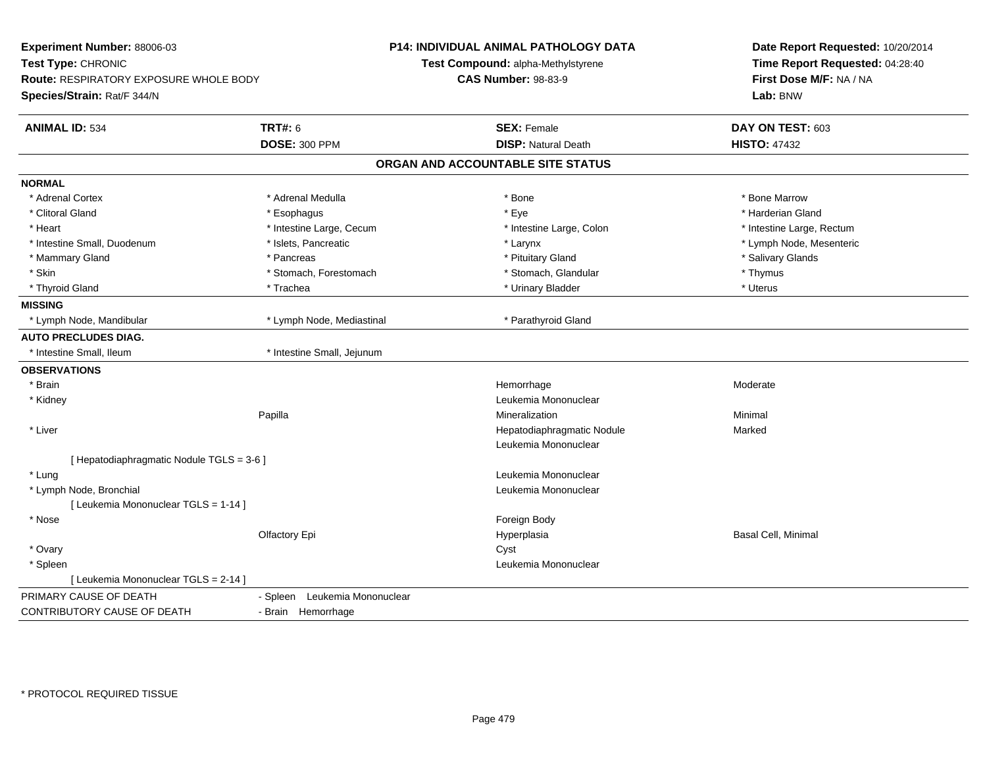| Experiment Number: 88006-03<br>Test Type: CHRONIC<br>Route: RESPIRATORY EXPOSURE WHOLE BODY<br>Species/Strain: Rat/F 344/N |                               | P14: INDIVIDUAL ANIMAL PATHOLOGY DATA<br>Test Compound: alpha-Methylstyrene<br><b>CAS Number: 98-83-9</b> | Date Report Requested: 10/20/2014<br>Time Report Requested: 04:28:40<br>First Dose M/F: NA / NA<br>Lab: BNW |
|----------------------------------------------------------------------------------------------------------------------------|-------------------------------|-----------------------------------------------------------------------------------------------------------|-------------------------------------------------------------------------------------------------------------|
| <b>ANIMAL ID: 534</b>                                                                                                      | <b>TRT#: 6</b>                | <b>SEX: Female</b>                                                                                        | DAY ON TEST: 603                                                                                            |
|                                                                                                                            | <b>DOSE: 300 PPM</b>          | <b>DISP: Natural Death</b>                                                                                | <b>HISTO: 47432</b>                                                                                         |
|                                                                                                                            |                               | ORGAN AND ACCOUNTABLE SITE STATUS                                                                         |                                                                                                             |
| <b>NORMAL</b>                                                                                                              |                               |                                                                                                           |                                                                                                             |
| * Adrenal Cortex                                                                                                           | * Adrenal Medulla             | * Bone                                                                                                    | * Bone Marrow                                                                                               |
| * Clitoral Gland                                                                                                           | * Esophagus                   | * Eye                                                                                                     | * Harderian Gland                                                                                           |
| * Heart                                                                                                                    | * Intestine Large, Cecum      | * Intestine Large, Colon                                                                                  | * Intestine Large, Rectum                                                                                   |
| * Intestine Small, Duodenum                                                                                                | * Islets, Pancreatic          | * Larynx                                                                                                  | * Lymph Node, Mesenteric                                                                                    |
| * Mammary Gland                                                                                                            | * Pancreas                    | * Pituitary Gland                                                                                         | * Salivary Glands                                                                                           |
| * Skin                                                                                                                     | * Stomach, Forestomach        | * Stomach, Glandular                                                                                      | * Thymus                                                                                                    |
| * Thyroid Gland                                                                                                            | * Trachea                     | * Urinary Bladder                                                                                         | * Uterus                                                                                                    |
| <b>MISSING</b>                                                                                                             |                               |                                                                                                           |                                                                                                             |
| * Lymph Node, Mandibular                                                                                                   | * Lymph Node, Mediastinal     | * Parathyroid Gland                                                                                       |                                                                                                             |
| <b>AUTO PRECLUDES DIAG.</b>                                                                                                |                               |                                                                                                           |                                                                                                             |
| * Intestine Small, Ileum                                                                                                   | * Intestine Small, Jejunum    |                                                                                                           |                                                                                                             |
| <b>OBSERVATIONS</b>                                                                                                        |                               |                                                                                                           |                                                                                                             |
| * Brain                                                                                                                    |                               | Hemorrhage                                                                                                | Moderate                                                                                                    |
| * Kidney                                                                                                                   |                               | Leukemia Mononuclear                                                                                      |                                                                                                             |
|                                                                                                                            | Papilla                       | Mineralization                                                                                            | Minimal                                                                                                     |
| * Liver                                                                                                                    |                               | Hepatodiaphragmatic Nodule                                                                                | Marked                                                                                                      |
|                                                                                                                            |                               | Leukemia Mononuclear                                                                                      |                                                                                                             |
| [ Hepatodiaphragmatic Nodule TGLS = 3-6 ]                                                                                  |                               |                                                                                                           |                                                                                                             |
| * Lung                                                                                                                     |                               | Leukemia Mononuclear                                                                                      |                                                                                                             |
| * Lymph Node, Bronchial                                                                                                    |                               | Leukemia Mononuclear                                                                                      |                                                                                                             |
| [ Leukemia Mononuclear TGLS = 1-14 ]                                                                                       |                               |                                                                                                           |                                                                                                             |
| * Nose                                                                                                                     |                               | Foreign Body                                                                                              |                                                                                                             |
|                                                                                                                            | Olfactory Epi                 | Hyperplasia                                                                                               | Basal Cell, Minimal                                                                                         |
| * Ovary                                                                                                                    |                               | Cyst                                                                                                      |                                                                                                             |
| * Spleen                                                                                                                   |                               | Leukemia Mononuclear                                                                                      |                                                                                                             |
| [ Leukemia Mononuclear TGLS = 2-14 ]                                                                                       |                               |                                                                                                           |                                                                                                             |
| PRIMARY CAUSE OF DEATH                                                                                                     | - Spleen Leukemia Mononuclear |                                                                                                           |                                                                                                             |
| CONTRIBUTORY CAUSE OF DEATH                                                                                                | - Brain Hemorrhage            |                                                                                                           |                                                                                                             |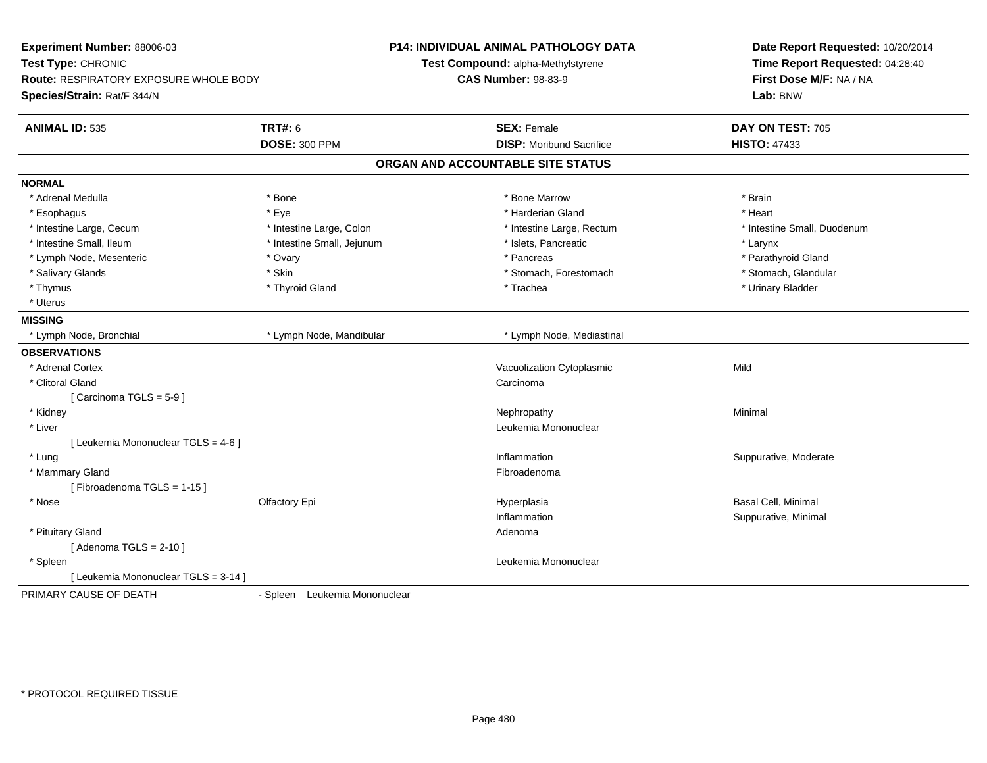| Experiment Number: 88006-03<br>Test Type: CHRONIC<br><b>Route: RESPIRATORY EXPOSURE WHOLE BODY</b><br>Species/Strain: Rat/F 344/N |                               | <b>P14: INDIVIDUAL ANIMAL PATHOLOGY DATA</b><br>Test Compound: alpha-Methylstyrene<br><b>CAS Number: 98-83-9</b> | Date Report Requested: 10/20/2014<br>Time Report Requested: 04:28:40<br>First Dose M/F: NA / NA<br>Lab: BNW |
|-----------------------------------------------------------------------------------------------------------------------------------|-------------------------------|------------------------------------------------------------------------------------------------------------------|-------------------------------------------------------------------------------------------------------------|
| <b>ANIMAL ID: 535</b>                                                                                                             | <b>TRT#: 6</b>                | <b>SEX: Female</b>                                                                                               | DAY ON TEST: 705                                                                                            |
|                                                                                                                                   | <b>DOSE: 300 PPM</b>          | <b>DISP: Moribund Sacrifice</b>                                                                                  | <b>HISTO: 47433</b>                                                                                         |
|                                                                                                                                   |                               | ORGAN AND ACCOUNTABLE SITE STATUS                                                                                |                                                                                                             |
| <b>NORMAL</b>                                                                                                                     |                               |                                                                                                                  |                                                                                                             |
| * Adrenal Medulla                                                                                                                 | * Bone                        | * Bone Marrow                                                                                                    | * Brain                                                                                                     |
| * Esophagus                                                                                                                       | * Eye                         | * Harderian Gland                                                                                                | * Heart                                                                                                     |
| * Intestine Large, Cecum                                                                                                          | * Intestine Large, Colon      | * Intestine Large, Rectum                                                                                        | * Intestine Small, Duodenum                                                                                 |
| * Intestine Small, Ileum                                                                                                          | * Intestine Small, Jejunum    | * Islets, Pancreatic                                                                                             | * Larynx                                                                                                    |
| * Lymph Node, Mesenteric                                                                                                          | * Ovary                       | * Pancreas                                                                                                       | * Parathyroid Gland                                                                                         |
| * Salivary Glands                                                                                                                 | * Skin                        | * Stomach, Forestomach                                                                                           | * Stomach, Glandular                                                                                        |
| * Thymus                                                                                                                          | * Thyroid Gland               | * Trachea                                                                                                        | * Urinary Bladder                                                                                           |
| * Uterus                                                                                                                          |                               |                                                                                                                  |                                                                                                             |
| <b>MISSING</b>                                                                                                                    |                               |                                                                                                                  |                                                                                                             |
| * Lymph Node, Bronchial                                                                                                           | * Lymph Node, Mandibular      | * Lymph Node, Mediastinal                                                                                        |                                                                                                             |
| <b>OBSERVATIONS</b>                                                                                                               |                               |                                                                                                                  |                                                                                                             |
| * Adrenal Cortex                                                                                                                  |                               | Vacuolization Cytoplasmic                                                                                        | Mild                                                                                                        |
| * Clitoral Gland                                                                                                                  |                               | Carcinoma                                                                                                        |                                                                                                             |
| [Carcinoma TGLS = 5-9]                                                                                                            |                               |                                                                                                                  |                                                                                                             |
| * Kidney                                                                                                                          |                               | Nephropathy                                                                                                      | Minimal                                                                                                     |
| * Liver                                                                                                                           |                               | Leukemia Mononuclear                                                                                             |                                                                                                             |
| [ Leukemia Mononuclear TGLS = 4-6 ]                                                                                               |                               |                                                                                                                  |                                                                                                             |
| * Lung                                                                                                                            |                               | Inflammation                                                                                                     | Suppurative, Moderate                                                                                       |
| * Mammary Gland                                                                                                                   |                               | Fibroadenoma                                                                                                     |                                                                                                             |
| [Fibroadenoma TGLS = 1-15]                                                                                                        |                               |                                                                                                                  |                                                                                                             |
| * Nose                                                                                                                            | Olfactory Epi                 | Hyperplasia                                                                                                      | <b>Basal Cell, Minimal</b>                                                                                  |
|                                                                                                                                   |                               | Inflammation                                                                                                     | Suppurative, Minimal                                                                                        |
| * Pituitary Gland                                                                                                                 |                               | Adenoma                                                                                                          |                                                                                                             |
| [Adenoma TGLS = $2-10$ ]                                                                                                          |                               |                                                                                                                  |                                                                                                             |
| * Spleen                                                                                                                          |                               | Leukemia Mononuclear                                                                                             |                                                                                                             |
| [ Leukemia Mononuclear TGLS = 3-14 ]                                                                                              |                               |                                                                                                                  |                                                                                                             |
| PRIMARY CAUSE OF DEATH                                                                                                            | - Spleen Leukemia Mononuclear |                                                                                                                  |                                                                                                             |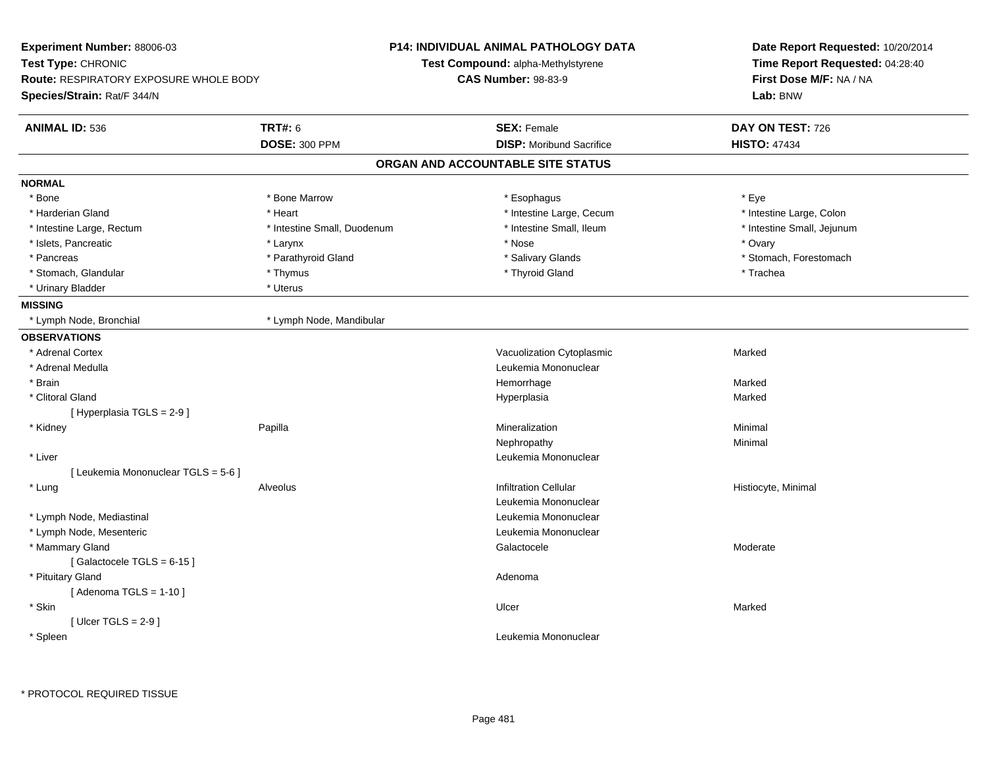| Experiment Number: 88006-03            |                             | <b>P14: INDIVIDUAL ANIMAL PATHOLOGY DATA</b> | Date Report Requested: 10/20/2014<br>Time Report Requested: 04:28:40 |
|----------------------------------------|-----------------------------|----------------------------------------------|----------------------------------------------------------------------|
| Test Type: CHRONIC                     |                             | <b>Test Compound: alpha-Methylstyrene</b>    |                                                                      |
| Route: RESPIRATORY EXPOSURE WHOLE BODY |                             | <b>CAS Number: 98-83-9</b>                   | First Dose M/F: NA / NA                                              |
| Species/Strain: Rat/F 344/N            |                             |                                              | Lab: BNW                                                             |
| <b>ANIMAL ID: 536</b>                  | <b>TRT#: 6</b>              | <b>SEX: Female</b>                           | DAY ON TEST: 726                                                     |
|                                        | <b>DOSE: 300 PPM</b>        | <b>DISP:</b> Moribund Sacrifice              | <b>HISTO: 47434</b>                                                  |
|                                        |                             | ORGAN AND ACCOUNTABLE SITE STATUS            |                                                                      |
| <b>NORMAL</b>                          |                             |                                              |                                                                      |
| * Bone                                 | * Bone Marrow               | * Esophagus                                  | * Eye                                                                |
| * Harderian Gland                      | * Heart                     | * Intestine Large, Cecum                     | * Intestine Large, Colon                                             |
| * Intestine Large, Rectum              | * Intestine Small, Duodenum | * Intestine Small, Ileum                     | * Intestine Small, Jejunum                                           |
| * Islets, Pancreatic                   | * Larynx                    | * Nose                                       | * Ovary                                                              |
| * Pancreas                             | * Parathyroid Gland         | * Salivary Glands                            | * Stomach, Forestomach                                               |
| * Stomach, Glandular                   | * Thymus                    | * Thyroid Gland                              | * Trachea                                                            |
| * Urinary Bladder                      | * Uterus                    |                                              |                                                                      |
| <b>MISSING</b>                         |                             |                                              |                                                                      |
| * Lymph Node, Bronchial                | * Lymph Node, Mandibular    |                                              |                                                                      |
| <b>OBSERVATIONS</b>                    |                             |                                              |                                                                      |
| * Adrenal Cortex                       |                             | Vacuolization Cytoplasmic                    | Marked                                                               |
| * Adrenal Medulla                      |                             | Leukemia Mononuclear                         |                                                                      |
| * Brain                                |                             | Hemorrhage                                   | Marked                                                               |
| * Clitoral Gland                       |                             | Hyperplasia                                  | Marked                                                               |
| [Hyperplasia TGLS = $2-9$ ]            |                             |                                              |                                                                      |
| * Kidney                               | Papilla                     | Mineralization                               | Minimal                                                              |
|                                        |                             | Nephropathy                                  | Minimal                                                              |
| * Liver                                |                             | Leukemia Mononuclear                         |                                                                      |
| [ Leukemia Mononuclear TGLS = 5-6 ]    |                             |                                              |                                                                      |
| * Lung                                 | Alveolus                    | <b>Infiltration Cellular</b>                 | Histiocyte, Minimal                                                  |
|                                        |                             | Leukemia Mononuclear                         |                                                                      |
| * Lymph Node, Mediastinal              |                             | Leukemia Mononuclear                         |                                                                      |
| * Lymph Node, Mesenteric               |                             | Leukemia Mononuclear                         |                                                                      |
| * Mammary Gland                        |                             | Galactocele                                  | Moderate                                                             |
| [Galactocele TGLS = 6-15]              |                             |                                              |                                                                      |
| * Pituitary Gland                      |                             | Adenoma                                      |                                                                      |
| [Adenoma TGLS = $1-10$ ]               |                             |                                              |                                                                      |
| * Skin                                 |                             | Ulcer                                        | Marked                                                               |
| [Ulcer TGLS = $2-9$ ]                  |                             |                                              |                                                                      |
| * Spleen                               |                             | Leukemia Mononuclear                         |                                                                      |
|                                        |                             |                                              |                                                                      |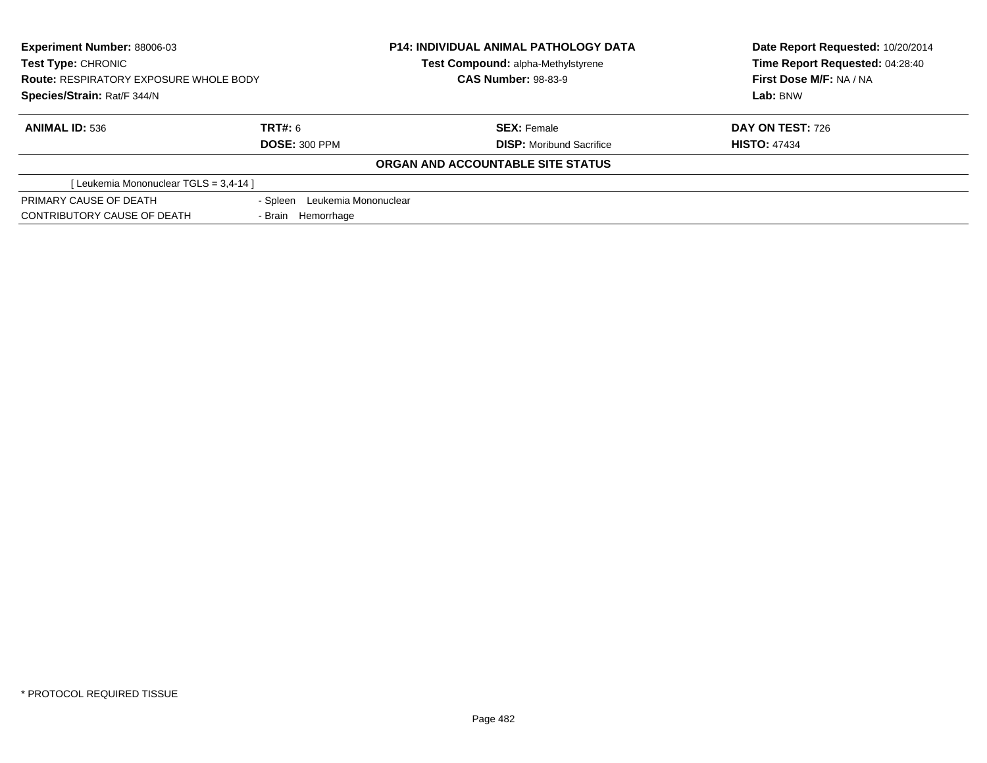| Experiment Number: 88006-03<br><b>Test Type: CHRONIC</b><br><b>Route: RESPIRATORY EXPOSURE WHOLE BODY</b><br>Species/Strain: Rat/F 344/N |                    | <b>P14: INDIVIDUAL ANIMAL PATHOLOGY DATA</b> | Date Report Requested: 10/20/2014 |
|------------------------------------------------------------------------------------------------------------------------------------------|--------------------|----------------------------------------------|-----------------------------------|
|                                                                                                                                          |                    | <b>Test Compound: alpha-Methylstyrene</b>    | Time Report Requested: 04:28:40   |
|                                                                                                                                          |                    | <b>CAS Number: 98-83-9</b>                   | First Dose M/F: NA / NA           |
|                                                                                                                                          |                    |                                              | Lab: BNW                          |
| <b>ANIMAL ID: 536</b>                                                                                                                    | TRT#: 6            | <b>SEX: Female</b>                           | <b>DAY ON TEST: 726</b>           |
| <b>DOSE: 300 PPM</b>                                                                                                                     |                    | <b>DISP:</b> Moribund Sacrifice              | <b>HISTO: 47434</b>               |
|                                                                                                                                          |                    | ORGAN AND ACCOUNTABLE SITE STATUS            |                                   |
| [ Leukemia Mononuclear TGLS = 3,4-14 ]                                                                                                   |                    |                                              |                                   |
| PRIMARY CAUSE OF DEATH<br>- Spleen Leukemia Mononuclear                                                                                  |                    |                                              |                                   |
| CONTRIBUTORY CAUSE OF DEATH                                                                                                              | - Brain Hemorrhage |                                              |                                   |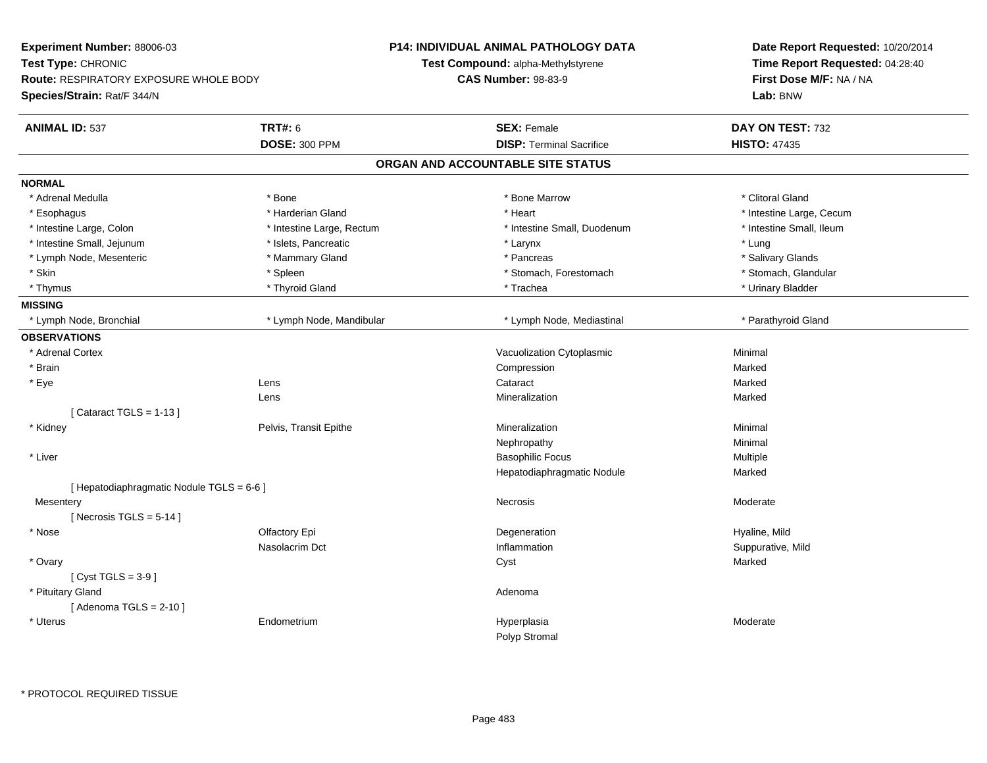| Experiment Number: 88006-03                   |                           | <b>P14: INDIVIDUAL ANIMAL PATHOLOGY DATA</b> | Date Report Requested: 10/20/2014<br>Time Report Requested: 04:28:40<br>First Dose M/F: NA / NA |  |
|-----------------------------------------------|---------------------------|----------------------------------------------|-------------------------------------------------------------------------------------------------|--|
| Test Type: CHRONIC                            |                           | Test Compound: alpha-Methylstyrene           |                                                                                                 |  |
| <b>Route: RESPIRATORY EXPOSURE WHOLE BODY</b> |                           | <b>CAS Number: 98-83-9</b>                   |                                                                                                 |  |
| Species/Strain: Rat/F 344/N                   |                           |                                              | Lab: BNW                                                                                        |  |
| <b>ANIMAL ID: 537</b>                         | <b>TRT#: 6</b>            | <b>SEX: Female</b>                           | DAY ON TEST: 732                                                                                |  |
|                                               | <b>DOSE: 300 PPM</b>      | <b>DISP: Terminal Sacrifice</b>              | <b>HISTO: 47435</b>                                                                             |  |
|                                               |                           | ORGAN AND ACCOUNTABLE SITE STATUS            |                                                                                                 |  |
| <b>NORMAL</b>                                 |                           |                                              |                                                                                                 |  |
| * Adrenal Medulla                             | * Bone                    | * Bone Marrow                                | * Clitoral Gland                                                                                |  |
| * Esophagus                                   | * Harderian Gland         | * Heart                                      | * Intestine Large, Cecum                                                                        |  |
| * Intestine Large, Colon                      | * Intestine Large, Rectum | * Intestine Small, Duodenum                  | * Intestine Small, Ileum                                                                        |  |
| * Intestine Small, Jejunum                    | * Islets, Pancreatic      | * Larynx                                     | * Lung                                                                                          |  |
| * Lymph Node, Mesenteric                      | * Mammary Gland           | * Pancreas                                   | * Salivary Glands                                                                               |  |
| * Skin                                        | * Spleen                  | * Stomach, Forestomach                       | * Stomach, Glandular                                                                            |  |
| * Thymus                                      | * Thyroid Gland           | * Trachea                                    | * Urinary Bladder                                                                               |  |
| <b>MISSING</b>                                |                           |                                              |                                                                                                 |  |
| * Lymph Node, Bronchial                       | * Lymph Node, Mandibular  | * Lymph Node, Mediastinal                    | * Parathyroid Gland                                                                             |  |
| <b>OBSERVATIONS</b>                           |                           |                                              |                                                                                                 |  |
| * Adrenal Cortex                              |                           | Vacuolization Cytoplasmic                    | Minimal                                                                                         |  |
| * Brain                                       |                           | Compression                                  | Marked                                                                                          |  |
| * Eye                                         | Lens                      | Cataract                                     | Marked                                                                                          |  |
|                                               | Lens                      | Mineralization                               | Marked                                                                                          |  |
| [Cataract TGLS = $1-13$ ]                     |                           |                                              |                                                                                                 |  |
| * Kidney                                      | Pelvis, Transit Epithe    | Mineralization                               | Minimal                                                                                         |  |
|                                               |                           | Nephropathy                                  | Minimal                                                                                         |  |
| * Liver                                       |                           | <b>Basophilic Focus</b>                      | Multiple                                                                                        |  |
|                                               |                           | Hepatodiaphragmatic Nodule                   | Marked                                                                                          |  |
| [ Hepatodiaphragmatic Nodule TGLS = 6-6 ]     |                           |                                              |                                                                                                 |  |
| Mesentery                                     |                           | <b>Necrosis</b>                              | Moderate                                                                                        |  |
| [Necrosis TGLS = $5-14$ ]                     |                           |                                              |                                                                                                 |  |
| * Nose                                        | Olfactory Epi             | Degeneration                                 | Hyaline, Mild                                                                                   |  |
|                                               | Nasolacrim Dct            | Inflammation                                 | Suppurative, Mild                                                                               |  |
| * Ovary                                       |                           | Cyst                                         | Marked                                                                                          |  |
| [Cyst TGLS = $3-9$ ]                          |                           |                                              |                                                                                                 |  |
| * Pituitary Gland                             |                           | Adenoma                                      |                                                                                                 |  |
| [Adenoma TGLS = $2-10$ ]                      |                           |                                              |                                                                                                 |  |
| * Uterus                                      | Endometrium               | Hyperplasia                                  | Moderate                                                                                        |  |
|                                               |                           | Polyp Stromal                                |                                                                                                 |  |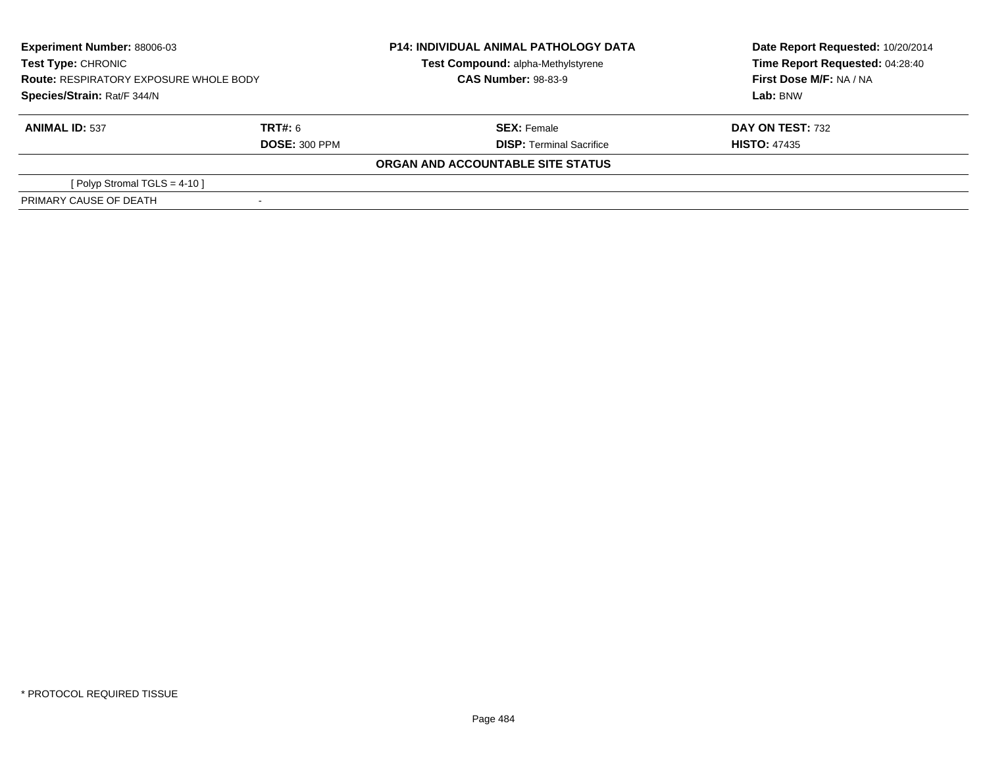| <b>Experiment Number: 88006-03</b><br>Test Type: CHRONIC<br><b>Route: RESPIRATORY EXPOSURE WHOLE BODY</b><br>Species/Strain: Rat/F 344/N |                      | <b>P14: INDIVIDUAL ANIMAL PATHOLOGY DATA</b><br>Test Compound: alpha-Methylstyrene | Date Report Requested: 10/20/2014<br>Time Report Requested: 04:28:40 |
|------------------------------------------------------------------------------------------------------------------------------------------|----------------------|------------------------------------------------------------------------------------|----------------------------------------------------------------------|
|                                                                                                                                          |                      | <b>CAS Number: 98-83-9</b>                                                         | First Dose M/F: NA / NA                                              |
|                                                                                                                                          |                      |                                                                                    | Lab: BNW                                                             |
| <b>ANIMAL ID: 537</b>                                                                                                                    | TRT#: 6              | <b>SEX: Female</b>                                                                 | <b>DAY ON TEST: 732</b>                                              |
|                                                                                                                                          | <b>DOSE: 300 PPM</b> | <b>DISP: Terminal Sacrifice</b>                                                    | <b>HISTO: 47435</b>                                                  |
|                                                                                                                                          |                      | ORGAN AND ACCOUNTABLE SITE STATUS                                                  |                                                                      |
| [Polyp Stromal TGLS = $4-10$ ]                                                                                                           |                      |                                                                                    |                                                                      |
| PRIMARY CAUSE OF DEATH                                                                                                                   |                      |                                                                                    |                                                                      |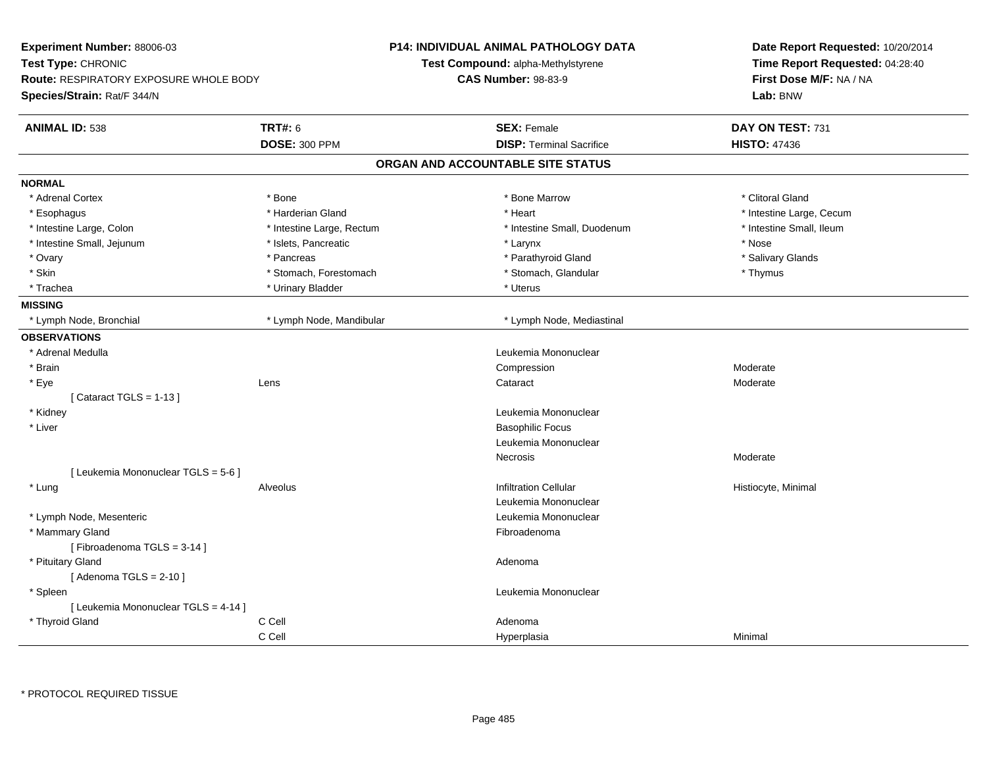| Experiment Number: 88006-03<br>Test Type: CHRONIC<br><b>Route: RESPIRATORY EXPOSURE WHOLE BODY</b><br>Species/Strain: Rat/F 344/N |                           | <b>P14: INDIVIDUAL ANIMAL PATHOLOGY DATA</b><br>Test Compound: alpha-Methylstyrene<br><b>CAS Number: 98-83-9</b> |                                   |         | Date Report Requested: 10/20/2014<br>Time Report Requested: 04:28:40<br>First Dose M/F: NA / NA<br>Lab: BNW |
|-----------------------------------------------------------------------------------------------------------------------------------|---------------------------|------------------------------------------------------------------------------------------------------------------|-----------------------------------|---------|-------------------------------------------------------------------------------------------------------------|
| <b>ANIMAL ID: 538</b>                                                                                                             | <b>TRT#: 6</b>            |                                                                                                                  | <b>SEX: Female</b>                |         | DAY ON TEST: 731                                                                                            |
|                                                                                                                                   | <b>DOSE: 300 PPM</b>      |                                                                                                                  | <b>DISP: Terminal Sacrifice</b>   |         | <b>HISTO: 47436</b>                                                                                         |
|                                                                                                                                   |                           |                                                                                                                  | ORGAN AND ACCOUNTABLE SITE STATUS |         |                                                                                                             |
| <b>NORMAL</b>                                                                                                                     |                           |                                                                                                                  |                                   |         |                                                                                                             |
| * Adrenal Cortex                                                                                                                  | * Bone                    |                                                                                                                  | * Bone Marrow                     |         | * Clitoral Gland                                                                                            |
| * Esophagus                                                                                                                       | * Harderian Gland         |                                                                                                                  | * Heart                           |         | * Intestine Large, Cecum                                                                                    |
| * Intestine Large, Colon                                                                                                          | * Intestine Large, Rectum |                                                                                                                  | * Intestine Small, Duodenum       |         | * Intestine Small, Ileum                                                                                    |
| * Intestine Small, Jejunum                                                                                                        | * Islets, Pancreatic      |                                                                                                                  | * Larynx                          |         | * Nose                                                                                                      |
| * Ovary                                                                                                                           | * Pancreas                |                                                                                                                  | * Parathyroid Gland               |         | * Salivary Glands                                                                                           |
| * Skin                                                                                                                            | * Stomach, Forestomach    |                                                                                                                  | * Stomach, Glandular              |         | * Thymus                                                                                                    |
| * Trachea                                                                                                                         | * Urinary Bladder         |                                                                                                                  | * Uterus                          |         |                                                                                                             |
| <b>MISSING</b>                                                                                                                    |                           |                                                                                                                  |                                   |         |                                                                                                             |
| * Lymph Node, Bronchial                                                                                                           | * Lymph Node, Mandibular  |                                                                                                                  | * Lymph Node, Mediastinal         |         |                                                                                                             |
| <b>OBSERVATIONS</b>                                                                                                               |                           |                                                                                                                  |                                   |         |                                                                                                             |
| * Adrenal Medulla                                                                                                                 |                           |                                                                                                                  | Leukemia Mononuclear              |         |                                                                                                             |
| * Brain                                                                                                                           |                           |                                                                                                                  | Compression                       |         | Moderate                                                                                                    |
| * Eye                                                                                                                             | Lens                      |                                                                                                                  | Cataract                          |         | Moderate                                                                                                    |
| [Cataract TGLS = $1-13$ ]                                                                                                         |                           |                                                                                                                  |                                   |         |                                                                                                             |
| * Kidney                                                                                                                          |                           |                                                                                                                  | Leukemia Mononuclear              |         |                                                                                                             |
| * Liver                                                                                                                           |                           |                                                                                                                  | <b>Basophilic Focus</b>           |         |                                                                                                             |
|                                                                                                                                   |                           |                                                                                                                  | Leukemia Mononuclear              |         |                                                                                                             |
|                                                                                                                                   |                           |                                                                                                                  | Necrosis                          |         | Moderate                                                                                                    |
| [ Leukemia Mononuclear TGLS = 5-6 ]                                                                                               |                           |                                                                                                                  |                                   |         |                                                                                                             |
| * Lung                                                                                                                            | Alveolus                  |                                                                                                                  | <b>Infiltration Cellular</b>      |         | Histiocyte, Minimal                                                                                         |
|                                                                                                                                   |                           |                                                                                                                  | Leukemia Mononuclear              |         |                                                                                                             |
| * Lymph Node, Mesenteric                                                                                                          |                           |                                                                                                                  | Leukemia Mononuclear              |         |                                                                                                             |
| * Mammary Gland                                                                                                                   |                           |                                                                                                                  | Fibroadenoma                      |         |                                                                                                             |
| [Fibroadenoma TGLS = 3-14]                                                                                                        |                           |                                                                                                                  |                                   |         |                                                                                                             |
| * Pituitary Gland                                                                                                                 |                           |                                                                                                                  | Adenoma                           |         |                                                                                                             |
| [Adenoma TGLS = $2-10$ ]                                                                                                          |                           |                                                                                                                  |                                   |         |                                                                                                             |
| * Spleen                                                                                                                          |                           |                                                                                                                  | Leukemia Mononuclear              |         |                                                                                                             |
| [ Leukemia Mononuclear TGLS = 4-14 ]                                                                                              |                           |                                                                                                                  |                                   |         |                                                                                                             |
| * Thyroid Gland                                                                                                                   | C Cell                    |                                                                                                                  | Adenoma                           |         |                                                                                                             |
|                                                                                                                                   | C Cell                    |                                                                                                                  | Hyperplasia                       | Minimal |                                                                                                             |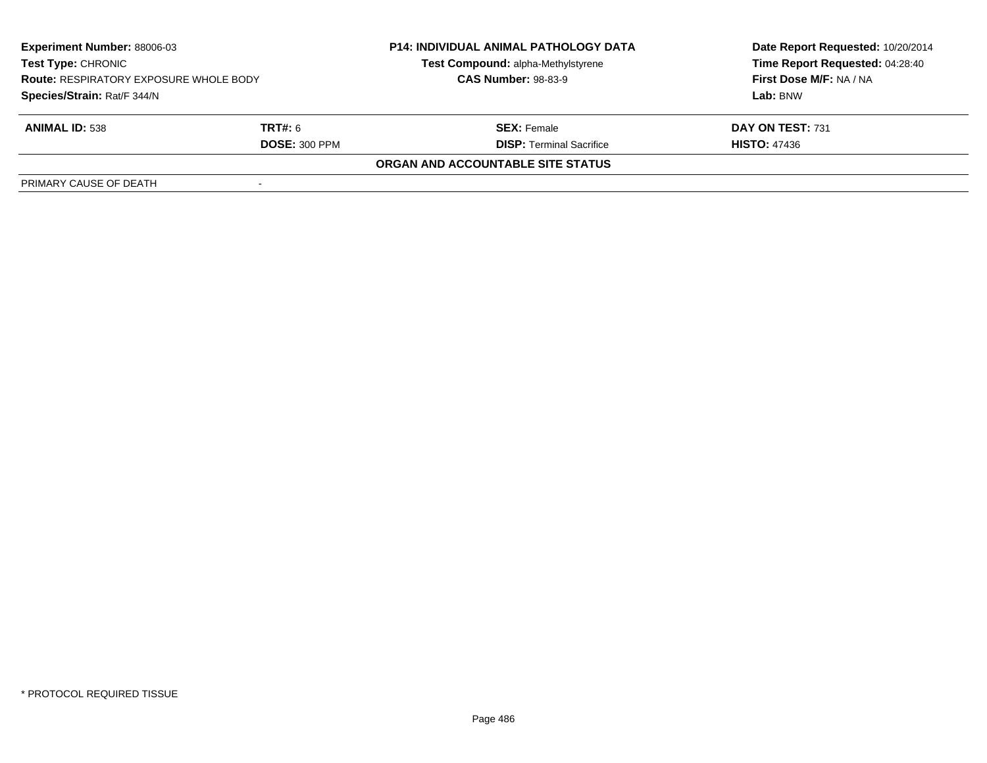| <b>Experiment Number: 88006-03</b><br><b>Test Type: CHRONIC</b><br><b>Route: RESPIRATORY EXPOSURE WHOLE BODY</b><br>Species/Strain: Rat/F 344/N |                      | <b>P14: INDIVIDUAL ANIMAL PATHOLOGY DATA</b><br>Test Compound: alpha-Methylstyrene<br><b>CAS Number: 98-83-9</b> | Date Report Requested: 10/20/2014<br>Time Report Requested: 04:28:40<br>First Dose M/F: NA / NA |
|-------------------------------------------------------------------------------------------------------------------------------------------------|----------------------|------------------------------------------------------------------------------------------------------------------|-------------------------------------------------------------------------------------------------|
|                                                                                                                                                 |                      |                                                                                                                  | Lab: BNW                                                                                        |
| <b>ANIMAL ID: 538</b>                                                                                                                           | <b>TRT#:</b> 6       | <b>SEX:</b> Female                                                                                               | DAY ON TEST: 731                                                                                |
|                                                                                                                                                 | <b>DOSE: 300 PPM</b> | <b>DISP:</b> Terminal Sacrifice                                                                                  | <b>HISTO: 47436</b>                                                                             |
|                                                                                                                                                 |                      | ORGAN AND ACCOUNTABLE SITE STATUS                                                                                |                                                                                                 |
| PRIMARY CAUSE OF DEATH                                                                                                                          |                      |                                                                                                                  |                                                                                                 |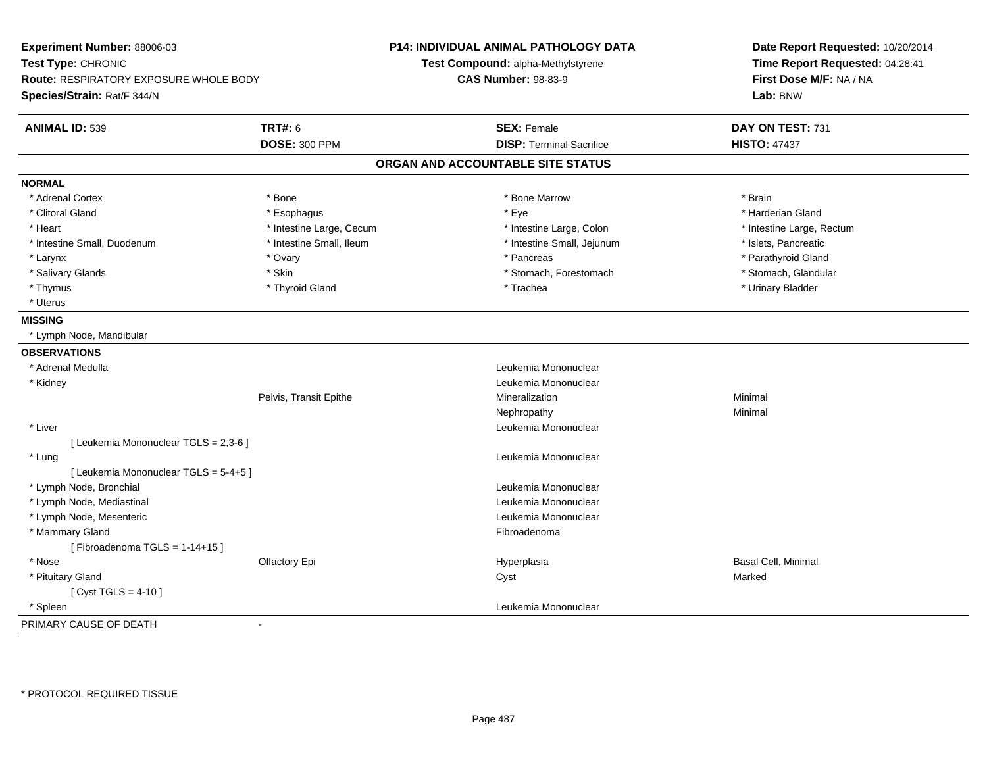| Experiment Number: 88006-03<br>Test Type: CHRONIC<br>Route: RESPIRATORY EXPOSURE WHOLE BODY<br>Species/Strain: Rat/F 344/N |                          | <b>P14: INDIVIDUAL ANIMAL PATHOLOGY DATA</b><br>Test Compound: alpha-Methylstyrene<br><b>CAS Number: 98-83-9</b> | Date Report Requested: 10/20/2014<br>Time Report Requested: 04:28:41<br>First Dose M/F: NA / NA<br>Lab: BNW |
|----------------------------------------------------------------------------------------------------------------------------|--------------------------|------------------------------------------------------------------------------------------------------------------|-------------------------------------------------------------------------------------------------------------|
|                                                                                                                            | <b>TRT#: 6</b>           |                                                                                                                  |                                                                                                             |
| <b>ANIMAL ID: 539</b>                                                                                                      | <b>DOSE: 300 PPM</b>     | <b>SEX: Female</b><br><b>DISP: Terminal Sacrifice</b>                                                            | DAY ON TEST: 731<br><b>HISTO: 47437</b>                                                                     |
|                                                                                                                            |                          | ORGAN AND ACCOUNTABLE SITE STATUS                                                                                |                                                                                                             |
| <b>NORMAL</b>                                                                                                              |                          |                                                                                                                  |                                                                                                             |
| * Adrenal Cortex                                                                                                           | * Bone                   | * Bone Marrow                                                                                                    | * Brain                                                                                                     |
| * Clitoral Gland                                                                                                           | * Esophagus              | * Eye                                                                                                            | * Harderian Gland                                                                                           |
| * Heart                                                                                                                    | * Intestine Large, Cecum | * Intestine Large, Colon                                                                                         | * Intestine Large, Rectum                                                                                   |
| * Intestine Small, Duodenum                                                                                                | * Intestine Small, Ileum | * Intestine Small, Jejunum                                                                                       | * Islets, Pancreatic                                                                                        |
| * Larynx                                                                                                                   | * Ovary                  | * Pancreas                                                                                                       | * Parathyroid Gland                                                                                         |
| * Salivary Glands                                                                                                          | * Skin                   | * Stomach, Forestomach                                                                                           | * Stomach, Glandular                                                                                        |
| * Thymus                                                                                                                   | * Thyroid Gland          | * Trachea                                                                                                        | * Urinary Bladder                                                                                           |
| * Uterus                                                                                                                   |                          |                                                                                                                  |                                                                                                             |
| <b>MISSING</b>                                                                                                             |                          |                                                                                                                  |                                                                                                             |
| * Lymph Node, Mandibular                                                                                                   |                          |                                                                                                                  |                                                                                                             |
| <b>OBSERVATIONS</b>                                                                                                        |                          |                                                                                                                  |                                                                                                             |
| * Adrenal Medulla                                                                                                          |                          | Leukemia Mononuclear                                                                                             |                                                                                                             |
| * Kidney                                                                                                                   |                          | Leukemia Mononuclear                                                                                             |                                                                                                             |
|                                                                                                                            | Pelvis, Transit Epithe   | Mineralization                                                                                                   | Minimal                                                                                                     |
|                                                                                                                            |                          | Nephropathy                                                                                                      | Minimal                                                                                                     |
| * Liver                                                                                                                    |                          | Leukemia Mononuclear                                                                                             |                                                                                                             |
| [ Leukemia Mononuclear TGLS = 2,3-6 ]                                                                                      |                          |                                                                                                                  |                                                                                                             |
| * Lung                                                                                                                     |                          | Leukemia Mononuclear                                                                                             |                                                                                                             |
| [ Leukemia Mononuclear TGLS = 5-4+5 ]                                                                                      |                          |                                                                                                                  |                                                                                                             |
| * Lymph Node, Bronchial                                                                                                    |                          | Leukemia Mononuclear                                                                                             |                                                                                                             |
| * Lymph Node, Mediastinal                                                                                                  |                          | Leukemia Mononuclear                                                                                             |                                                                                                             |
| * Lymph Node, Mesenteric                                                                                                   |                          | Leukemia Mononuclear                                                                                             |                                                                                                             |
| * Mammary Gland                                                                                                            |                          | Fibroadenoma                                                                                                     |                                                                                                             |
| [Fibroadenoma TGLS = $1-14+15$ ]                                                                                           |                          |                                                                                                                  |                                                                                                             |
| * Nose                                                                                                                     | Olfactory Epi            | Hyperplasia                                                                                                      | <b>Basal Cell, Minimal</b>                                                                                  |
| * Pituitary Gland                                                                                                          |                          | Cyst                                                                                                             | Marked                                                                                                      |
| [ Cyst TGLS = $4-10$ ]                                                                                                     |                          |                                                                                                                  |                                                                                                             |
| * Spleen                                                                                                                   |                          | Leukemia Mononuclear                                                                                             |                                                                                                             |
| PRIMARY CAUSE OF DEATH                                                                                                     | $\sim$                   |                                                                                                                  |                                                                                                             |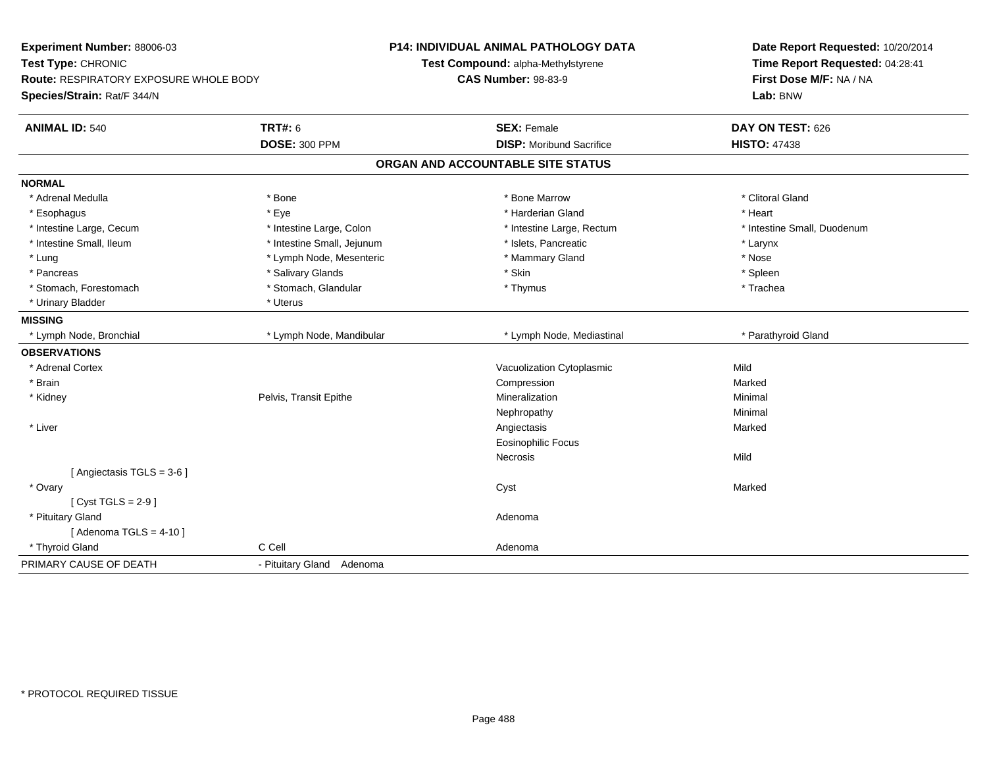| Experiment Number: 88006-03<br>Test Type: CHRONIC<br>Route: RESPIRATORY EXPOSURE WHOLE BODY<br>Species/Strain: Rat/F 344/N |                            | <b>P14: INDIVIDUAL ANIMAL PATHOLOGY DATA</b><br>Test Compound: alpha-Methylstyrene<br><b>CAS Number: 98-83-9</b> | Date Report Requested: 10/20/2014<br>Time Report Requested: 04:28:41<br>First Dose M/F: NA / NA<br>Lab: BNW |  |
|----------------------------------------------------------------------------------------------------------------------------|----------------------------|------------------------------------------------------------------------------------------------------------------|-------------------------------------------------------------------------------------------------------------|--|
| <b>ANIMAL ID: 540</b>                                                                                                      | <b>TRT#: 6</b>             | <b>SEX: Female</b>                                                                                               | DAY ON TEST: 626                                                                                            |  |
|                                                                                                                            | <b>DOSE: 300 PPM</b>       | <b>DISP:</b> Moribund Sacrifice                                                                                  | <b>HISTO: 47438</b>                                                                                         |  |
|                                                                                                                            |                            | ORGAN AND ACCOUNTABLE SITE STATUS                                                                                |                                                                                                             |  |
| <b>NORMAL</b>                                                                                                              |                            |                                                                                                                  |                                                                                                             |  |
| * Adrenal Medulla                                                                                                          | * Bone                     | * Bone Marrow                                                                                                    | * Clitoral Gland                                                                                            |  |
| * Esophagus                                                                                                                | * Eye                      | * Harderian Gland                                                                                                | * Heart                                                                                                     |  |
| * Intestine Large, Cecum                                                                                                   | * Intestine Large, Colon   | * Intestine Large, Rectum                                                                                        | * Intestine Small, Duodenum                                                                                 |  |
| * Intestine Small, Ileum                                                                                                   | * Intestine Small, Jejunum | * Islets, Pancreatic                                                                                             | * Larynx                                                                                                    |  |
| * Lung                                                                                                                     | * Lymph Node, Mesenteric   | * Mammary Gland                                                                                                  | * Nose                                                                                                      |  |
| * Pancreas                                                                                                                 | * Salivary Glands          | * Skin                                                                                                           | * Spleen                                                                                                    |  |
| * Stomach, Forestomach                                                                                                     | * Stomach, Glandular       | * Thymus                                                                                                         | * Trachea                                                                                                   |  |
| * Urinary Bladder                                                                                                          | * Uterus                   |                                                                                                                  |                                                                                                             |  |
| <b>MISSING</b>                                                                                                             |                            |                                                                                                                  |                                                                                                             |  |
| * Lymph Node, Bronchial                                                                                                    | * Lymph Node, Mandibular   | * Lymph Node, Mediastinal                                                                                        | * Parathyroid Gland                                                                                         |  |
| <b>OBSERVATIONS</b>                                                                                                        |                            |                                                                                                                  |                                                                                                             |  |
| * Adrenal Cortex                                                                                                           |                            | Vacuolization Cytoplasmic                                                                                        | Mild                                                                                                        |  |
| * Brain                                                                                                                    |                            | Compression                                                                                                      | Marked                                                                                                      |  |
| * Kidney                                                                                                                   | Pelvis, Transit Epithe     | Mineralization                                                                                                   | Minimal                                                                                                     |  |
|                                                                                                                            |                            | Nephropathy                                                                                                      | Minimal                                                                                                     |  |
| * Liver                                                                                                                    |                            | Angiectasis                                                                                                      | Marked                                                                                                      |  |
|                                                                                                                            |                            | <b>Eosinophilic Focus</b>                                                                                        |                                                                                                             |  |
|                                                                                                                            |                            | Necrosis                                                                                                         | Mild                                                                                                        |  |
| [Angiectasis TGLS = 3-6]                                                                                                   |                            |                                                                                                                  |                                                                                                             |  |
| * Ovary                                                                                                                    |                            | Cyst                                                                                                             | Marked                                                                                                      |  |
| [Cyst TGLS = $2-9$ ]                                                                                                       |                            |                                                                                                                  |                                                                                                             |  |
| * Pituitary Gland                                                                                                          |                            | Adenoma                                                                                                          |                                                                                                             |  |
| [Adenoma TGLS = $4-10$ ]                                                                                                   |                            |                                                                                                                  |                                                                                                             |  |
| * Thyroid Gland                                                                                                            | C Cell                     | Adenoma                                                                                                          |                                                                                                             |  |
| PRIMARY CAUSE OF DEATH                                                                                                     | - Pituitary Gland Adenoma  |                                                                                                                  |                                                                                                             |  |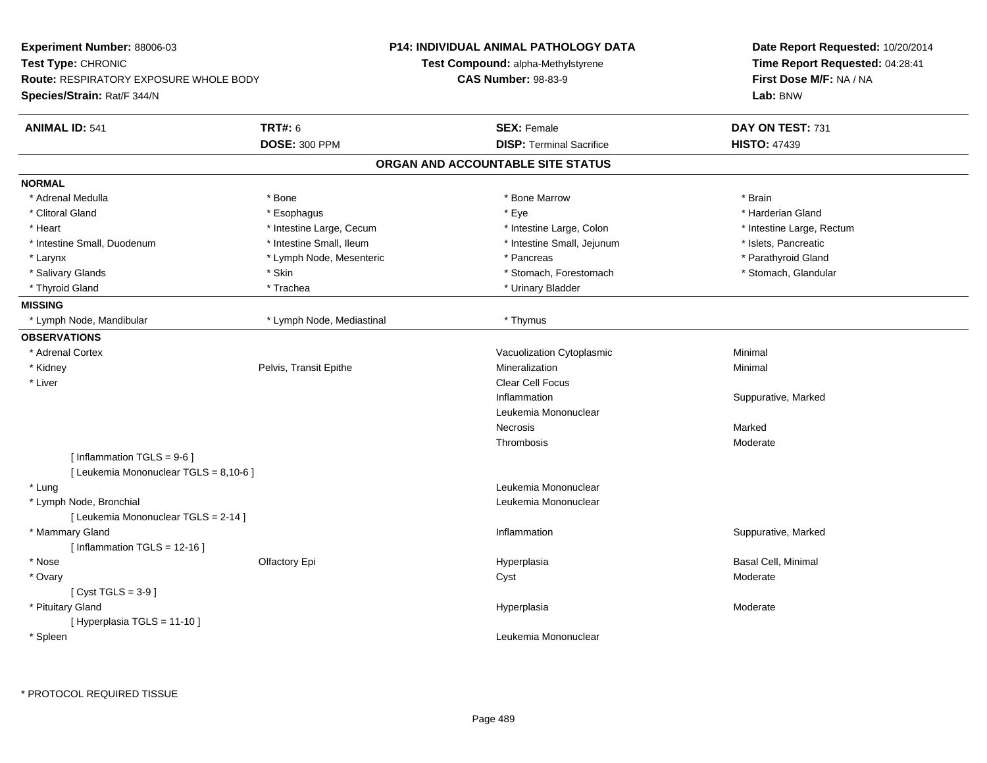|                           | <b>P14: INDIVIDUAL ANIMAL PATHOLOGY DATA</b>                                                                                    | Date Report Requested: 10/20/2014<br>Time Report Requested: 04:28:41    |  |
|---------------------------|---------------------------------------------------------------------------------------------------------------------------------|-------------------------------------------------------------------------|--|
|                           |                                                                                                                                 |                                                                         |  |
|                           | <b>CAS Number: 98-83-9</b>                                                                                                      | First Dose M/F: NA / NA<br>Lab: BNW                                     |  |
|                           |                                                                                                                                 |                                                                         |  |
| <b>TRT#: 6</b>            | <b>SEX: Female</b>                                                                                                              | DAY ON TEST: 731                                                        |  |
| <b>DOSE: 300 PPM</b>      | <b>DISP: Terminal Sacrifice</b>                                                                                                 | <b>HISTO: 47439</b>                                                     |  |
|                           |                                                                                                                                 |                                                                         |  |
|                           |                                                                                                                                 |                                                                         |  |
| * Bone                    | * Bone Marrow                                                                                                                   | * Brain                                                                 |  |
| * Esophagus               | * Eye                                                                                                                           | * Harderian Gland                                                       |  |
| * Intestine Large, Cecum  | * Intestine Large, Colon                                                                                                        | * Intestine Large, Rectum                                               |  |
| * Intestine Small, Ileum  | * Intestine Small, Jejunum                                                                                                      | * Islets, Pancreatic                                                    |  |
| * Lymph Node, Mesenteric  | * Pancreas                                                                                                                      | * Parathyroid Gland                                                     |  |
| * Skin                    | * Stomach, Forestomach                                                                                                          | * Stomach, Glandular                                                    |  |
| * Trachea                 | * Urinary Bladder                                                                                                               |                                                                         |  |
|                           |                                                                                                                                 |                                                                         |  |
| * Lymph Node, Mediastinal | * Thymus                                                                                                                        |                                                                         |  |
|                           |                                                                                                                                 |                                                                         |  |
|                           | Vacuolization Cytoplasmic                                                                                                       | Minimal                                                                 |  |
| Pelvis, Transit Epithe    | Mineralization                                                                                                                  | Minimal                                                                 |  |
|                           | Clear Cell Focus                                                                                                                |                                                                         |  |
|                           | Inflammation                                                                                                                    | Suppurative, Marked                                                     |  |
|                           | Leukemia Mononuclear                                                                                                            |                                                                         |  |
|                           | Necrosis                                                                                                                        | Marked                                                                  |  |
|                           | Thrombosis                                                                                                                      | Moderate                                                                |  |
|                           |                                                                                                                                 |                                                                         |  |
|                           | Leukemia Mononuclear                                                                                                            |                                                                         |  |
|                           | Leukemia Mononuclear                                                                                                            |                                                                         |  |
|                           | Inflammation                                                                                                                    | Suppurative, Marked                                                     |  |
| Olfactory Epi             | Hyperplasia                                                                                                                     | <b>Basal Cell, Minimal</b>                                              |  |
|                           | Cyst                                                                                                                            | Moderate                                                                |  |
|                           |                                                                                                                                 |                                                                         |  |
|                           | Hyperplasia                                                                                                                     | Moderate                                                                |  |
|                           |                                                                                                                                 |                                                                         |  |
|                           | Leukemia Mononuclear                                                                                                            |                                                                         |  |
|                           | <b>Route: RESPIRATORY EXPOSURE WHOLE BODY</b><br>[ Leukemia Mononuclear TGLS = 8,10-6 ]<br>[ Leukemia Mononuclear TGLS = 2-14 ] | Test Compound: alpha-Methylstyrene<br>ORGAN AND ACCOUNTABLE SITE STATUS |  |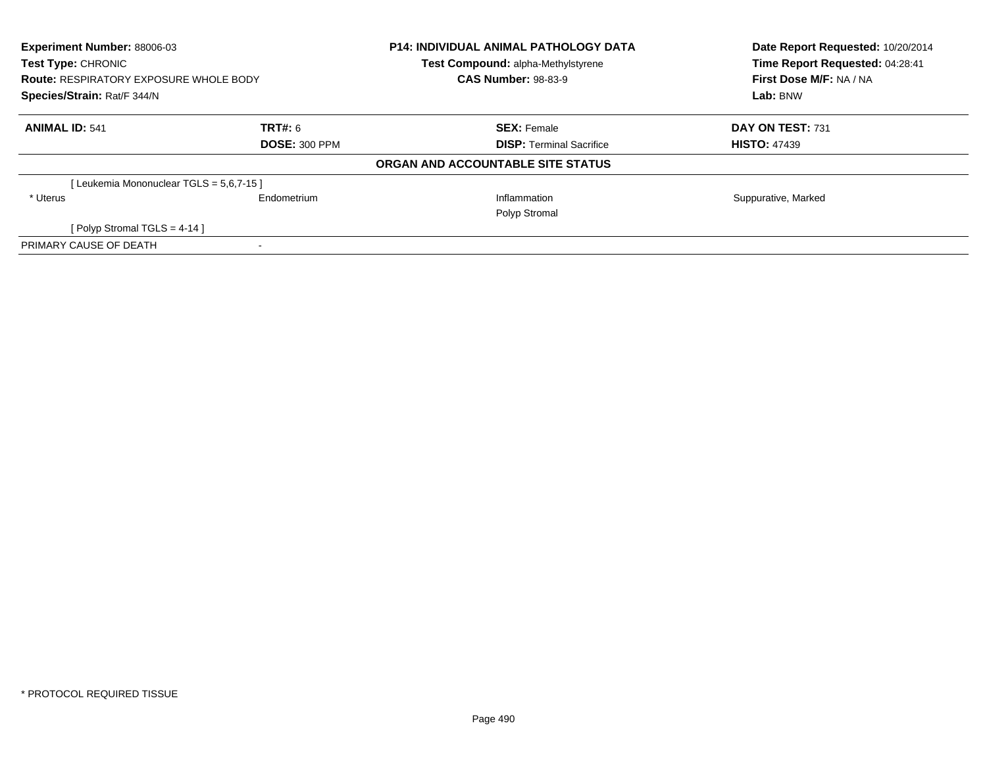| Experiment Number: 88006-03<br>Test Type: CHRONIC |             | <b>P14: INDIVIDUAL ANIMAL PATHOLOGY DATA</b> | Date Report Requested: 10/20/2014<br>Time Report Requested: 04:28:41 |  |
|---------------------------------------------------|-------------|----------------------------------------------|----------------------------------------------------------------------|--|
|                                                   |             | Test Compound: alpha-Methylstyrene           |                                                                      |  |
| <b>Route: RESPIRATORY EXPOSURE WHOLE BODY</b>     |             | <b>CAS Number: 98-83-9</b>                   | First Dose M/F: NA / NA                                              |  |
| Species/Strain: Rat/F 344/N                       |             |                                              | Lab: BNW                                                             |  |
| <b>ANIMAL ID: 541</b>                             | TRT#: 6     | <b>SEX: Female</b>                           | DAY ON TEST: 731                                                     |  |
| <b>DOSE: 300 PPM</b>                              |             | <b>DISP:</b> Terminal Sacrifice              | <b>HISTO: 47439</b>                                                  |  |
|                                                   |             | ORGAN AND ACCOUNTABLE SITE STATUS            |                                                                      |  |
| [Leukemia Mononuclear TGLS = 5,6,7-15]            |             |                                              |                                                                      |  |
| * Uterus                                          | Endometrium | Inflammation                                 | Suppurative, Marked                                                  |  |
|                                                   |             | Polyp Stromal                                |                                                                      |  |
| [ Polyp Stromal TGLS = $4-14$ ]                   |             |                                              |                                                                      |  |
| PRIMARY CAUSE OF DEATH                            |             |                                              |                                                                      |  |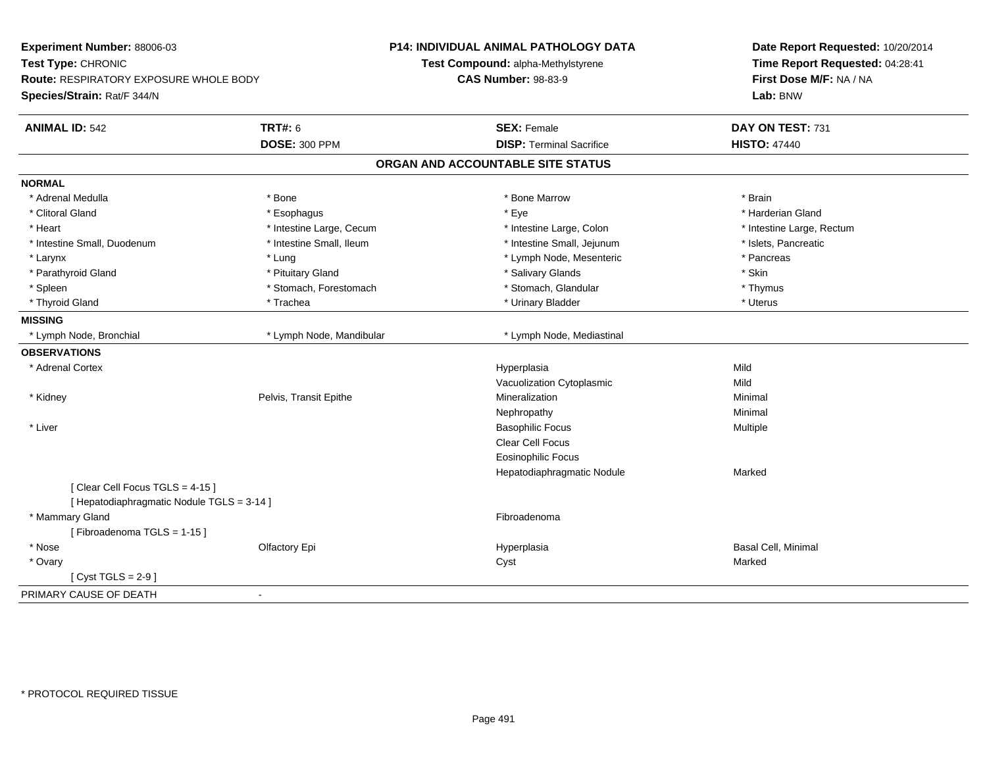| Experiment Number: 88006-03<br>Test Type: CHRONIC<br>Route: RESPIRATORY EXPOSURE WHOLE BODY<br>Species/Strain: Rat/F 344/N |                          | <b>P14: INDIVIDUAL ANIMAL PATHOLOGY DATA</b><br>Test Compound: alpha-Methylstyrene<br><b>CAS Number: 98-83-9</b> | Date Report Requested: 10/20/2014<br>Time Report Requested: 04:28:41<br>First Dose M/F: NA / NA<br>Lab: BNW |
|----------------------------------------------------------------------------------------------------------------------------|--------------------------|------------------------------------------------------------------------------------------------------------------|-------------------------------------------------------------------------------------------------------------|
| <b>ANIMAL ID: 542</b>                                                                                                      | <b>TRT#: 6</b>           | <b>SEX: Female</b>                                                                                               | DAY ON TEST: 731                                                                                            |
|                                                                                                                            | <b>DOSE: 300 PPM</b>     | <b>DISP: Terminal Sacrifice</b>                                                                                  | <b>HISTO: 47440</b>                                                                                         |
|                                                                                                                            |                          | ORGAN AND ACCOUNTABLE SITE STATUS                                                                                |                                                                                                             |
| <b>NORMAL</b>                                                                                                              |                          |                                                                                                                  |                                                                                                             |
| * Adrenal Medulla                                                                                                          | * Bone                   | * Bone Marrow                                                                                                    | * Brain                                                                                                     |
| * Clitoral Gland                                                                                                           | * Esophagus              | * Eye                                                                                                            | * Harderian Gland                                                                                           |
| * Heart                                                                                                                    | * Intestine Large, Cecum | * Intestine Large, Colon                                                                                         | * Intestine Large, Rectum                                                                                   |
| * Intestine Small, Duodenum                                                                                                | * Intestine Small, Ileum | * Intestine Small, Jejunum                                                                                       | * Islets, Pancreatic                                                                                        |
| * Larynx                                                                                                                   | * Lung                   | * Lymph Node, Mesenteric                                                                                         | * Pancreas                                                                                                  |
| * Parathyroid Gland                                                                                                        | * Pituitary Gland        | * Salivary Glands                                                                                                | * Skin                                                                                                      |
| * Spleen                                                                                                                   | * Stomach, Forestomach   | * Stomach, Glandular                                                                                             | * Thymus                                                                                                    |
| * Thyroid Gland                                                                                                            | * Trachea                | * Urinary Bladder                                                                                                | * Uterus                                                                                                    |
| <b>MISSING</b>                                                                                                             |                          |                                                                                                                  |                                                                                                             |
| * Lymph Node, Bronchial                                                                                                    | * Lymph Node, Mandibular | * Lymph Node, Mediastinal                                                                                        |                                                                                                             |
| <b>OBSERVATIONS</b>                                                                                                        |                          |                                                                                                                  |                                                                                                             |
| * Adrenal Cortex                                                                                                           |                          | Hyperplasia                                                                                                      | Mild                                                                                                        |
|                                                                                                                            |                          | Vacuolization Cytoplasmic                                                                                        | Mild                                                                                                        |
| * Kidney                                                                                                                   | Pelvis, Transit Epithe   | Mineralization                                                                                                   | Minimal                                                                                                     |
|                                                                                                                            |                          | Nephropathy                                                                                                      | Minimal                                                                                                     |
| * Liver                                                                                                                    |                          | <b>Basophilic Focus</b>                                                                                          | Multiple                                                                                                    |
|                                                                                                                            |                          | <b>Clear Cell Focus</b>                                                                                          |                                                                                                             |
|                                                                                                                            |                          | Eosinophilic Focus                                                                                               |                                                                                                             |
|                                                                                                                            |                          | Hepatodiaphragmatic Nodule                                                                                       | Marked                                                                                                      |
| [Clear Cell Focus TGLS = 4-15]                                                                                             |                          |                                                                                                                  |                                                                                                             |
| [ Hepatodiaphragmatic Nodule TGLS = 3-14 ]                                                                                 |                          |                                                                                                                  |                                                                                                             |
| * Mammary Gland                                                                                                            |                          | Fibroadenoma                                                                                                     |                                                                                                             |
| [Fibroadenoma TGLS = 1-15]                                                                                                 |                          |                                                                                                                  |                                                                                                             |
| * Nose                                                                                                                     | Olfactory Epi            | Hyperplasia                                                                                                      | Basal Cell, Minimal                                                                                         |
| * Ovary                                                                                                                    |                          | Cyst                                                                                                             | Marked                                                                                                      |
| [ $Cyst TGLS = 2-9$ ]                                                                                                      |                          |                                                                                                                  |                                                                                                             |
| PRIMARY CAUSE OF DEATH                                                                                                     | $\sim$                   |                                                                                                                  |                                                                                                             |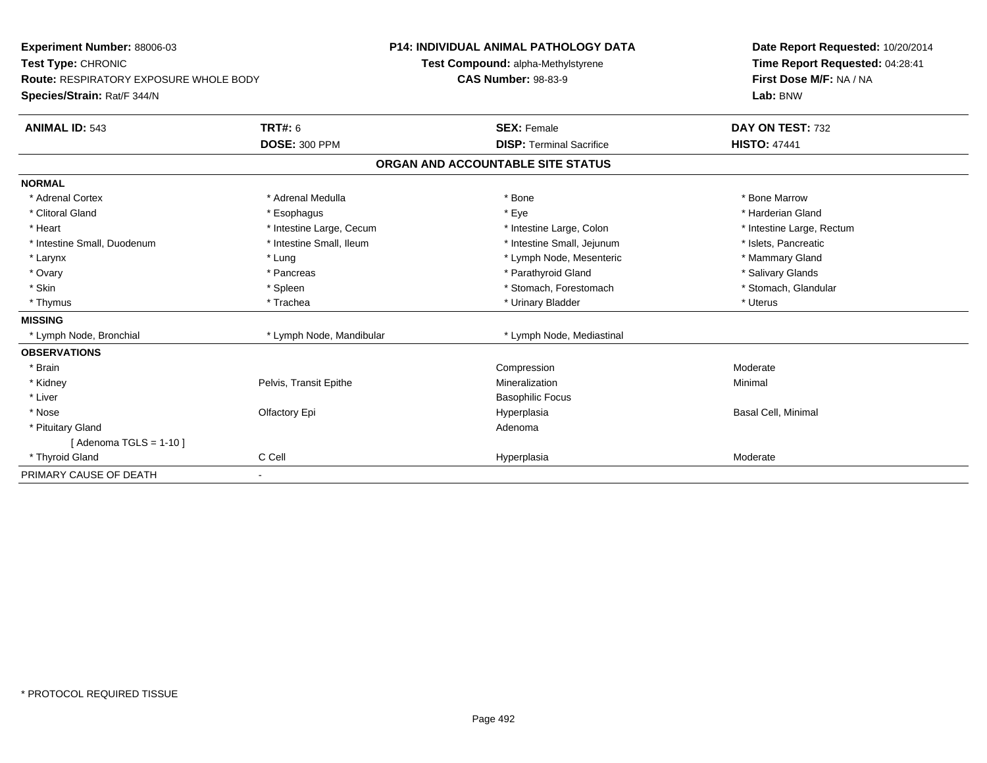| Experiment Number: 88006-03<br>Test Type: CHRONIC<br>Route: RESPIRATORY EXPOSURE WHOLE BODY |                          | <b>P14: INDIVIDUAL ANIMAL PATHOLOGY DATA</b> | Date Report Requested: 10/20/2014 |
|---------------------------------------------------------------------------------------------|--------------------------|----------------------------------------------|-----------------------------------|
|                                                                                             |                          | Test Compound: alpha-Methylstyrene           | Time Report Requested: 04:28:41   |
|                                                                                             |                          | <b>CAS Number: 98-83-9</b>                   | First Dose M/F: NA / NA           |
| Species/Strain: Rat/F 344/N                                                                 |                          |                                              | Lab: BNW                          |
| <b>ANIMAL ID: 543</b>                                                                       | <b>TRT#: 6</b>           | <b>SEX: Female</b>                           | DAY ON TEST: 732                  |
|                                                                                             | <b>DOSE: 300 PPM</b>     | <b>DISP: Terminal Sacrifice</b>              | <b>HISTO: 47441</b>               |
|                                                                                             |                          | ORGAN AND ACCOUNTABLE SITE STATUS            |                                   |
| <b>NORMAL</b>                                                                               |                          |                                              |                                   |
| * Adrenal Cortex                                                                            | * Adrenal Medulla        | * Bone                                       | * Bone Marrow                     |
| * Clitoral Gland                                                                            | * Esophagus              | * Eye                                        | * Harderian Gland                 |
| * Heart                                                                                     | * Intestine Large, Cecum | * Intestine Large, Colon                     | * Intestine Large, Rectum         |
| * Intestine Small, Duodenum                                                                 | * Intestine Small, Ileum | * Intestine Small, Jejunum                   | * Islets. Pancreatic              |
| * Larynx                                                                                    | * Lung                   | * Lymph Node, Mesenteric                     | * Mammary Gland                   |
| * Ovary                                                                                     | * Pancreas               | * Parathyroid Gland                          | * Salivary Glands                 |
| * Skin                                                                                      | * Spleen                 | * Stomach, Forestomach                       | * Stomach, Glandular              |
| * Thymus                                                                                    | * Trachea                | * Urinary Bladder                            | * Uterus                          |
| <b>MISSING</b>                                                                              |                          |                                              |                                   |
| * Lymph Node, Bronchial                                                                     | * Lymph Node, Mandibular | * Lymph Node, Mediastinal                    |                                   |
| <b>OBSERVATIONS</b>                                                                         |                          |                                              |                                   |
| * Brain                                                                                     |                          | Compression                                  | Moderate                          |
| * Kidney                                                                                    | Pelvis, Transit Epithe   | Mineralization                               | Minimal                           |
| * Liver                                                                                     |                          | <b>Basophilic Focus</b>                      |                                   |
| * Nose                                                                                      | Olfactory Epi            | Hyperplasia                                  | Basal Cell, Minimal               |
| * Pituitary Gland                                                                           |                          | Adenoma                                      |                                   |
| [Adenoma TGLS = $1-10$ ]                                                                    |                          |                                              |                                   |
| * Thyroid Gland                                                                             | C Cell                   | Hyperplasia                                  | Moderate                          |
| PRIMARY CAUSE OF DEATH                                                                      |                          |                                              |                                   |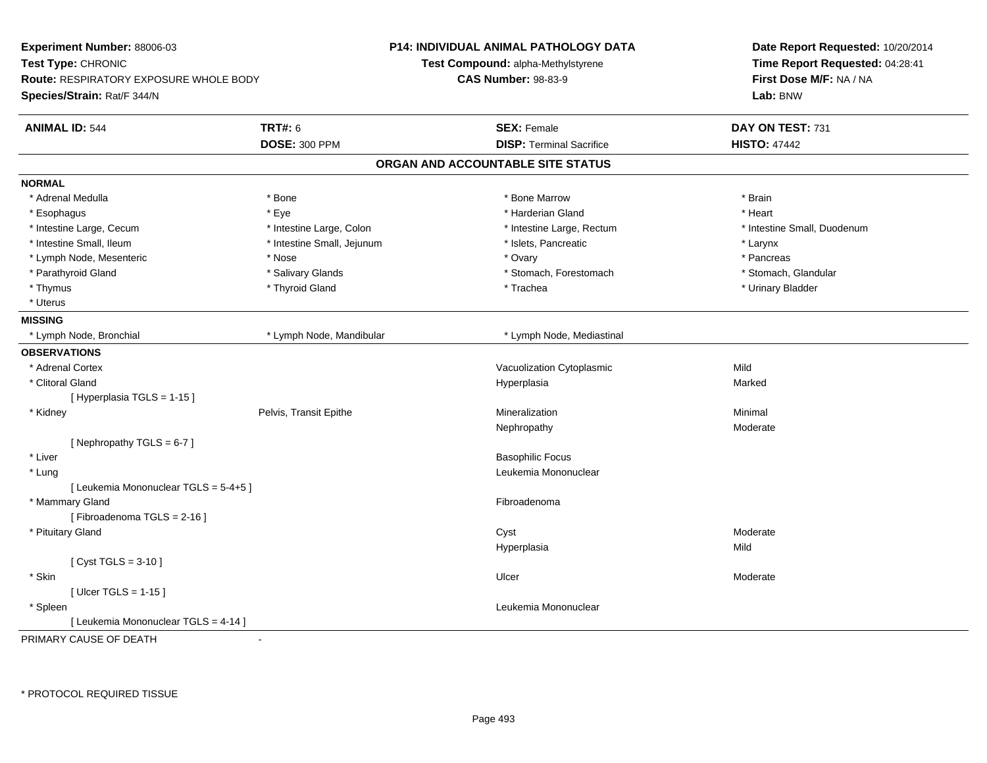| Experiment Number: 88006-03<br>Test Type: CHRONIC<br>Route: RESPIRATORY EXPOSURE WHOLE BODY<br>Species/Strain: Rat/F 344/N |                            | <b>P14: INDIVIDUAL ANIMAL PATHOLOGY DATA</b> | Date Report Requested: 10/20/2014<br>Time Report Requested: 04:28:41 |
|----------------------------------------------------------------------------------------------------------------------------|----------------------------|----------------------------------------------|----------------------------------------------------------------------|
|                                                                                                                            |                            | Test Compound: alpha-Methylstyrene           |                                                                      |
|                                                                                                                            |                            | <b>CAS Number: 98-83-9</b>                   | First Dose M/F: NA / NA                                              |
|                                                                                                                            |                            |                                              | Lab: BNW                                                             |
| <b>ANIMAL ID: 544</b>                                                                                                      | <b>TRT#: 6</b>             | <b>SEX: Female</b>                           | DAY ON TEST: 731                                                     |
|                                                                                                                            | <b>DOSE: 300 PPM</b>       | <b>DISP: Terminal Sacrifice</b>              | <b>HISTO: 47442</b>                                                  |
|                                                                                                                            |                            | ORGAN AND ACCOUNTABLE SITE STATUS            |                                                                      |
| <b>NORMAL</b>                                                                                                              |                            |                                              |                                                                      |
| * Adrenal Medulla                                                                                                          | * Bone                     | * Bone Marrow                                | * Brain                                                              |
| * Esophagus                                                                                                                | * Eye                      | * Harderian Gland                            | * Heart                                                              |
| * Intestine Large, Cecum                                                                                                   | * Intestine Large, Colon   | * Intestine Large, Rectum                    | * Intestine Small, Duodenum                                          |
| * Intestine Small, Ileum                                                                                                   | * Intestine Small, Jejunum | * Islets, Pancreatic                         | * Larynx                                                             |
| * Lymph Node, Mesenteric                                                                                                   | * Nose                     | * Ovary                                      | * Pancreas                                                           |
| * Parathyroid Gland                                                                                                        | * Salivary Glands          | * Stomach, Forestomach                       | * Stomach, Glandular                                                 |
| * Thymus                                                                                                                   | * Thyroid Gland            | * Trachea                                    | * Urinary Bladder                                                    |
| * Uterus                                                                                                                   |                            |                                              |                                                                      |
| <b>MISSING</b>                                                                                                             |                            |                                              |                                                                      |
| * Lymph Node, Bronchial                                                                                                    | * Lymph Node, Mandibular   | * Lymph Node, Mediastinal                    |                                                                      |
| <b>OBSERVATIONS</b>                                                                                                        |                            |                                              |                                                                      |
| * Adrenal Cortex                                                                                                           |                            | Vacuolization Cytoplasmic                    | Mild                                                                 |
| * Clitoral Gland                                                                                                           |                            | Hyperplasia                                  | Marked                                                               |
| [Hyperplasia TGLS = 1-15]                                                                                                  |                            |                                              |                                                                      |
| * Kidney                                                                                                                   | Pelvis, Transit Epithe     | Mineralization                               | Minimal                                                              |
|                                                                                                                            |                            | Nephropathy                                  | Moderate                                                             |
| [Nephropathy TGLS = 6-7]                                                                                                   |                            |                                              |                                                                      |
| * Liver                                                                                                                    |                            | <b>Basophilic Focus</b>                      |                                                                      |
| * Lung                                                                                                                     |                            | Leukemia Mononuclear                         |                                                                      |
| [ Leukemia Mononuclear TGLS = 5-4+5 ]                                                                                      |                            |                                              |                                                                      |
| * Mammary Gland                                                                                                            |                            | Fibroadenoma                                 |                                                                      |
| [Fibroadenoma TGLS = 2-16]                                                                                                 |                            |                                              |                                                                      |
| * Pituitary Gland                                                                                                          |                            | Cyst                                         | Moderate                                                             |
|                                                                                                                            |                            | Hyperplasia                                  | Mild                                                                 |
| [ $Cyst TGLS = 3-10$ ]                                                                                                     |                            |                                              |                                                                      |
| * Skin                                                                                                                     |                            | Ulcer                                        | Moderate                                                             |
| [ $Uicer TGLS = 1-15$ ]                                                                                                    |                            |                                              |                                                                      |
| * Spleen                                                                                                                   |                            | Leukemia Mononuclear                         |                                                                      |
| [ Leukemia Mononuclear TGLS = 4-14 ]                                                                                       |                            |                                              |                                                                      |
| PRIMARY CAUSE OF DEATH                                                                                                     | $\sim$                     |                                              |                                                                      |

\* PROTOCOL REQUIRED TISSUE

-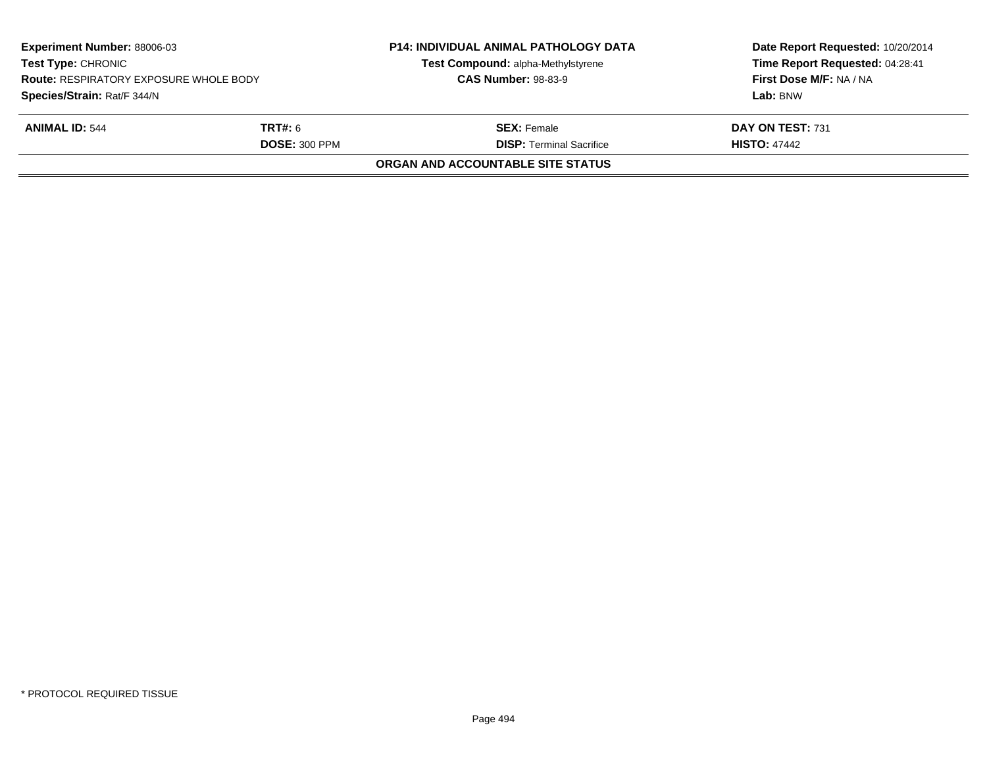| Species/Strain: Rat/F 344/N                                     |                                                       | Lab: BNW                                |
|-----------------------------------------------------------------|-------------------------------------------------------|-----------------------------------------|
| <b>ANIMAL ID: 544</b><br><b>TRT#:</b> 6<br><b>DOSE: 300 PPM</b> | <b>SEX: Female</b><br><b>DISP: Terminal Sacrifice</b> | DAY ON TEST: 731<br><b>HISTO: 47442</b> |
|                                                                 | <b>ORGAN AND ACCOUNTABLE SITE STATUS</b>              |                                         |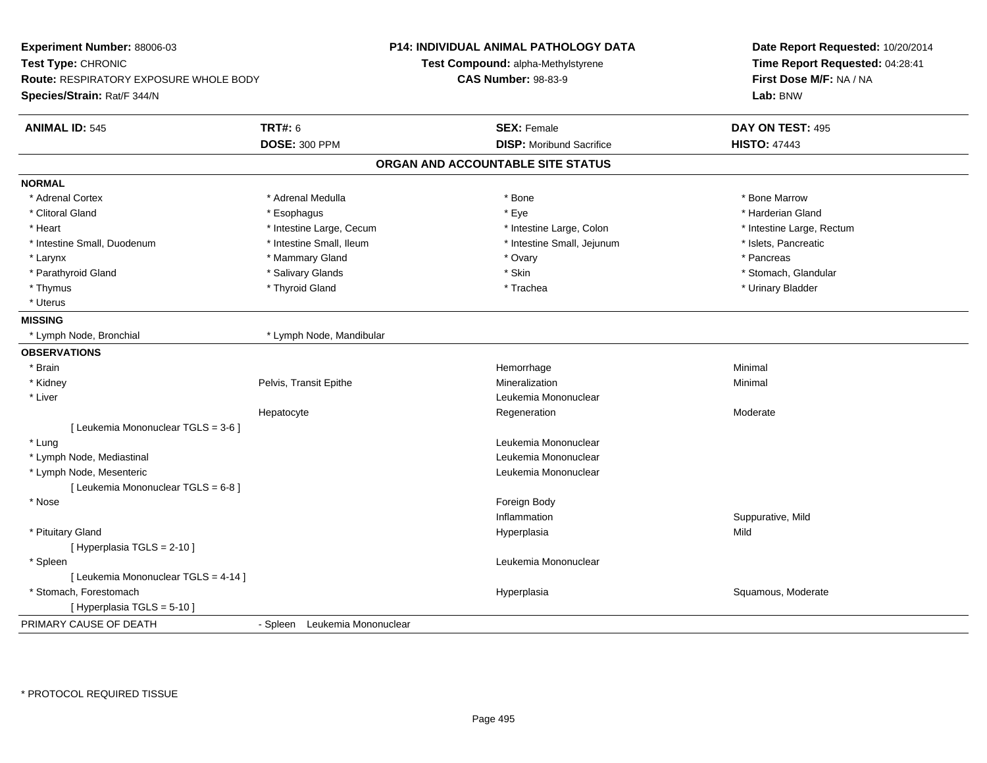| Experiment Number: 88006-03                   |                               | P14: INDIVIDUAL ANIMAL PATHOLOGY DATA | Date Report Requested: 10/20/2014 |
|-----------------------------------------------|-------------------------------|---------------------------------------|-----------------------------------|
| Test Type: CHRONIC                            |                               | Test Compound: alpha-Methylstyrene    | Time Report Requested: 04:28:41   |
| <b>Route: RESPIRATORY EXPOSURE WHOLE BODY</b> |                               | <b>CAS Number: 98-83-9</b>            | First Dose M/F: NA / NA           |
| Species/Strain: Rat/F 344/N                   |                               |                                       | Lab: BNW                          |
| <b>ANIMAL ID: 545</b>                         | <b>TRT#: 6</b>                | <b>SEX: Female</b>                    | DAY ON TEST: 495                  |
|                                               | <b>DOSE: 300 PPM</b>          | <b>DISP:</b> Moribund Sacrifice       | <b>HISTO: 47443</b>               |
|                                               |                               | ORGAN AND ACCOUNTABLE SITE STATUS     |                                   |
| <b>NORMAL</b>                                 |                               |                                       |                                   |
| * Adrenal Cortex                              | * Adrenal Medulla             | * Bone                                | * Bone Marrow                     |
| * Clitoral Gland                              | * Esophagus                   | * Eye                                 | * Harderian Gland                 |
| * Heart                                       | * Intestine Large, Cecum      | * Intestine Large, Colon              | * Intestine Large, Rectum         |
| * Intestine Small, Duodenum                   | * Intestine Small, Ileum      | * Intestine Small, Jejunum            | * Islets, Pancreatic              |
| * Larynx                                      | * Mammary Gland               | * Ovary                               | * Pancreas                        |
| * Parathyroid Gland                           | * Salivary Glands             | * Skin                                | * Stomach, Glandular              |
| * Thymus                                      | * Thyroid Gland               | * Trachea                             | * Urinary Bladder                 |
| * Uterus                                      |                               |                                       |                                   |
| <b>MISSING</b>                                |                               |                                       |                                   |
| * Lymph Node, Bronchial                       | * Lymph Node, Mandibular      |                                       |                                   |
| <b>OBSERVATIONS</b>                           |                               |                                       |                                   |
| * Brain                                       |                               | Hemorrhage                            | Minimal                           |
| * Kidney                                      | Pelvis, Transit Epithe        | Mineralization                        | Minimal                           |
| * Liver                                       |                               | Leukemia Mononuclear                  |                                   |
|                                               | Hepatocyte                    | Regeneration                          | Moderate                          |
| [ Leukemia Mononuclear TGLS = 3-6 ]           |                               |                                       |                                   |
| * Lung                                        |                               | Leukemia Mononuclear                  |                                   |
| * Lymph Node, Mediastinal                     |                               | Leukemia Mononuclear                  |                                   |
| * Lymph Node, Mesenteric                      |                               | Leukemia Mononuclear                  |                                   |
| [ Leukemia Mononuclear TGLS = 6-8 ]           |                               |                                       |                                   |
| * Nose                                        |                               | Foreign Body                          |                                   |
|                                               |                               | Inflammation                          | Suppurative, Mild                 |
| * Pituitary Gland                             |                               | Hyperplasia                           | Mild                              |
| [ Hyperplasia TGLS = 2-10 ]                   |                               |                                       |                                   |
| * Spleen                                      |                               | Leukemia Mononuclear                  |                                   |
| [ Leukemia Mononuclear TGLS = 4-14 ]          |                               |                                       |                                   |
| * Stomach, Forestomach                        |                               | Hyperplasia                           | Squamous, Moderate                |
| [ Hyperplasia TGLS = 5-10 ]                   |                               |                                       |                                   |
| PRIMARY CAUSE OF DEATH                        | - Spleen Leukemia Mononuclear |                                       |                                   |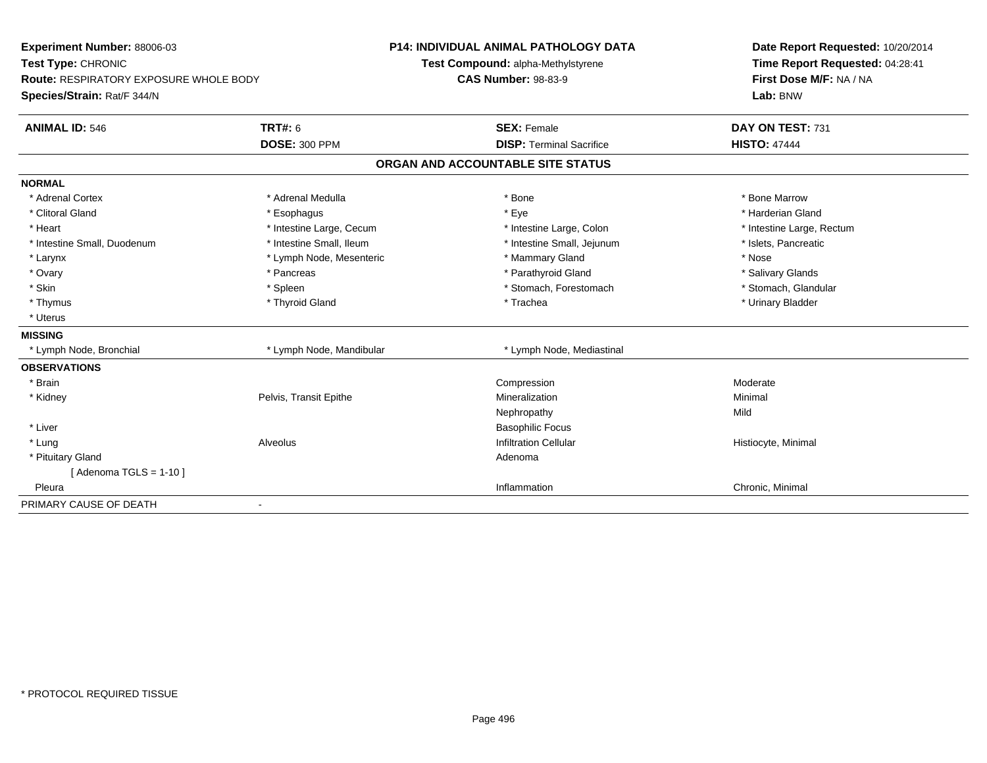| Experiment Number: 88006-03                   |                          | P14: INDIVIDUAL ANIMAL PATHOLOGY DATA | Date Report Requested: 10/20/2014                          |
|-----------------------------------------------|--------------------------|---------------------------------------|------------------------------------------------------------|
| Test Type: CHRONIC                            |                          | Test Compound: alpha-Methylstyrene    | Time Report Requested: 04:28:41<br>First Dose M/F: NA / NA |
| <b>Route: RESPIRATORY EXPOSURE WHOLE BODY</b> |                          | <b>CAS Number: 98-83-9</b>            |                                                            |
| Species/Strain: Rat/F 344/N                   |                          |                                       | Lab: BNW                                                   |
| <b>ANIMAL ID: 546</b>                         | <b>TRT#: 6</b>           | <b>SEX: Female</b>                    | DAY ON TEST: 731                                           |
|                                               | <b>DOSE: 300 PPM</b>     | <b>DISP: Terminal Sacrifice</b>       | <b>HISTO: 47444</b>                                        |
|                                               |                          | ORGAN AND ACCOUNTABLE SITE STATUS     |                                                            |
| <b>NORMAL</b>                                 |                          |                                       |                                                            |
| * Adrenal Cortex                              | * Adrenal Medulla        | * Bone                                | * Bone Marrow                                              |
| * Clitoral Gland                              | * Esophagus              | * Eye                                 | * Harderian Gland                                          |
| * Heart                                       | * Intestine Large, Cecum | * Intestine Large, Colon              | * Intestine Large, Rectum                                  |
| * Intestine Small, Duodenum                   | * Intestine Small, Ileum | * Intestine Small, Jejunum            | * Islets, Pancreatic                                       |
| * Larynx                                      | * Lymph Node, Mesenteric | * Mammary Gland                       | * Nose                                                     |
| * Ovary                                       | * Pancreas               | * Parathyroid Gland                   | * Salivary Glands                                          |
| * Skin                                        | * Spleen                 | * Stomach, Forestomach                | * Stomach, Glandular                                       |
| * Thymus                                      | * Thyroid Gland          | * Trachea                             | * Urinary Bladder                                          |
| * Uterus                                      |                          |                                       |                                                            |
| <b>MISSING</b>                                |                          |                                       |                                                            |
| * Lymph Node, Bronchial                       | * Lymph Node, Mandibular | * Lymph Node, Mediastinal             |                                                            |
| <b>OBSERVATIONS</b>                           |                          |                                       |                                                            |
| * Brain                                       |                          | Compression                           | Moderate                                                   |
| * Kidney                                      | Pelvis, Transit Epithe   | Mineralization                        | Minimal                                                    |
|                                               |                          | Nephropathy                           | Mild                                                       |
| * Liver                                       |                          | <b>Basophilic Focus</b>               |                                                            |
| * Lung                                        | Alveolus                 | <b>Infiltration Cellular</b>          | Histiocyte, Minimal                                        |
| * Pituitary Gland                             |                          | Adenoma                               |                                                            |
| [Adenoma TGLS = $1-10$ ]                      |                          |                                       |                                                            |
| Pleura                                        |                          | Inflammation                          | Chronic, Minimal                                           |
| PRIMARY CAUSE OF DEATH                        | $\overline{\phantom{a}}$ |                                       |                                                            |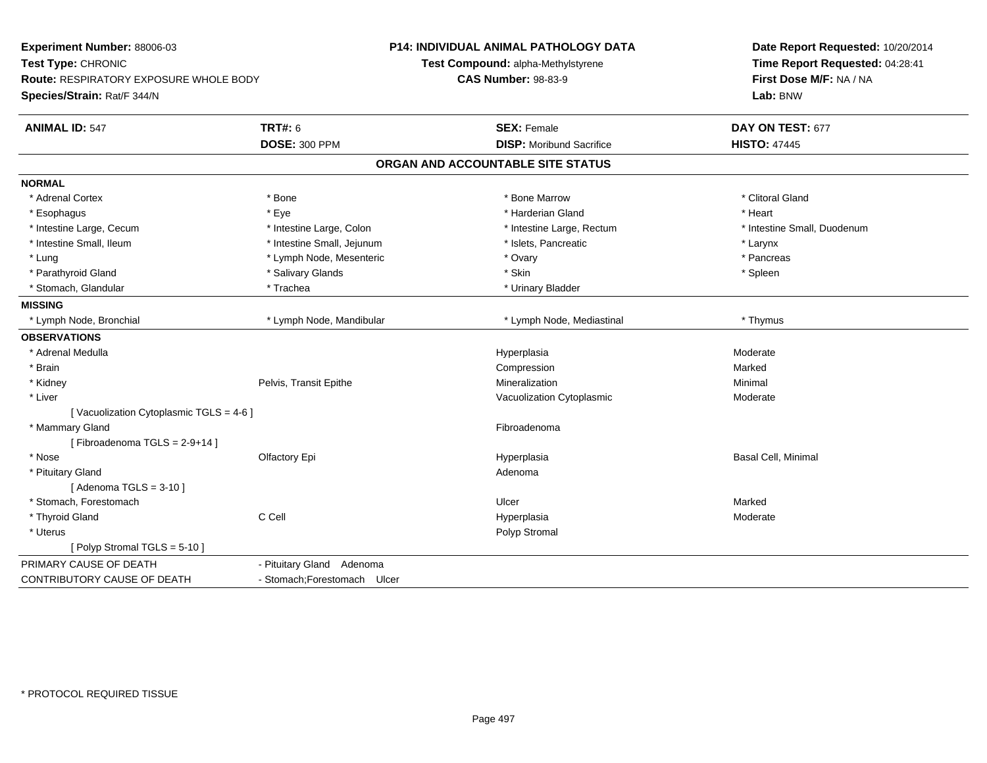| Experiment Number: 88006-03<br>Test Type: CHRONIC<br><b>Route: RESPIRATORY EXPOSURE WHOLE BODY</b><br>Species/Strain: Rat/F 344/N |                              | <b>P14: INDIVIDUAL ANIMAL PATHOLOGY DATA</b><br>Test Compound: alpha-Methylstyrene<br><b>CAS Number: 98-83-9</b> | Date Report Requested: 10/20/2014<br>Time Report Requested: 04:28:41<br>First Dose M/F: NA / NA<br>Lab: BNW |
|-----------------------------------------------------------------------------------------------------------------------------------|------------------------------|------------------------------------------------------------------------------------------------------------------|-------------------------------------------------------------------------------------------------------------|
| <b>ANIMAL ID: 547</b>                                                                                                             | <b>TRT#: 6</b>               | <b>SEX: Female</b>                                                                                               | DAY ON TEST: 677                                                                                            |
|                                                                                                                                   | <b>DOSE: 300 PPM</b>         | <b>DISP:</b> Moribund Sacrifice                                                                                  | <b>HISTO: 47445</b>                                                                                         |
|                                                                                                                                   |                              | ORGAN AND ACCOUNTABLE SITE STATUS                                                                                |                                                                                                             |
| <b>NORMAL</b>                                                                                                                     |                              |                                                                                                                  |                                                                                                             |
| * Adrenal Cortex                                                                                                                  | * Bone                       | * Bone Marrow                                                                                                    | * Clitoral Gland                                                                                            |
| * Esophagus                                                                                                                       | * Eye                        | * Harderian Gland                                                                                                | * Heart                                                                                                     |
| * Intestine Large, Cecum                                                                                                          | * Intestine Large, Colon     | * Intestine Large, Rectum                                                                                        | * Intestine Small, Duodenum                                                                                 |
| * Intestine Small, Ileum                                                                                                          | * Intestine Small, Jejunum   | * Islets, Pancreatic                                                                                             | * Larynx                                                                                                    |
| * Lung                                                                                                                            | * Lymph Node, Mesenteric     | * Ovary                                                                                                          | * Pancreas                                                                                                  |
| * Parathyroid Gland                                                                                                               | * Salivary Glands            | * Skin                                                                                                           | * Spleen                                                                                                    |
| * Stomach, Glandular                                                                                                              | * Trachea                    | * Urinary Bladder                                                                                                |                                                                                                             |
| <b>MISSING</b>                                                                                                                    |                              |                                                                                                                  |                                                                                                             |
| * Lymph Node, Bronchial                                                                                                           | * Lymph Node, Mandibular     | * Lymph Node, Mediastinal                                                                                        | * Thymus                                                                                                    |
| <b>OBSERVATIONS</b>                                                                                                               |                              |                                                                                                                  |                                                                                                             |
| * Adrenal Medulla                                                                                                                 |                              | Hyperplasia                                                                                                      | Moderate                                                                                                    |
| * Brain                                                                                                                           |                              | Compression                                                                                                      | Marked                                                                                                      |
| * Kidney                                                                                                                          | Pelvis, Transit Epithe       | Mineralization                                                                                                   | Minimal                                                                                                     |
| * Liver                                                                                                                           |                              | Vacuolization Cytoplasmic                                                                                        | Moderate                                                                                                    |
| [Vacuolization Cytoplasmic TGLS = 4-6]                                                                                            |                              |                                                                                                                  |                                                                                                             |
| * Mammary Gland                                                                                                                   |                              | Fibroadenoma                                                                                                     |                                                                                                             |
| [Fibroadenoma TGLS = 2-9+14]                                                                                                      |                              |                                                                                                                  |                                                                                                             |
| * Nose                                                                                                                            | Olfactory Epi                | Hyperplasia                                                                                                      | Basal Cell, Minimal                                                                                         |
| * Pituitary Gland                                                                                                                 |                              | Adenoma                                                                                                          |                                                                                                             |
| [Adenoma TGLS = $3-10$ ]                                                                                                          |                              |                                                                                                                  |                                                                                                             |
| * Stomach, Forestomach                                                                                                            |                              | Ulcer                                                                                                            | Marked                                                                                                      |
| * Thyroid Gland                                                                                                                   | C Cell                       | Hyperplasia                                                                                                      | Moderate                                                                                                    |
| * Uterus                                                                                                                          |                              | Polyp Stromal                                                                                                    |                                                                                                             |
| [Polyp Stromal TGLS = 5-10]                                                                                                       |                              |                                                                                                                  |                                                                                                             |
| PRIMARY CAUSE OF DEATH                                                                                                            | - Pituitary Gland Adenoma    |                                                                                                                  |                                                                                                             |
| CONTRIBUTORY CAUSE OF DEATH                                                                                                       | - Stomach; Forestomach Ulcer |                                                                                                                  |                                                                                                             |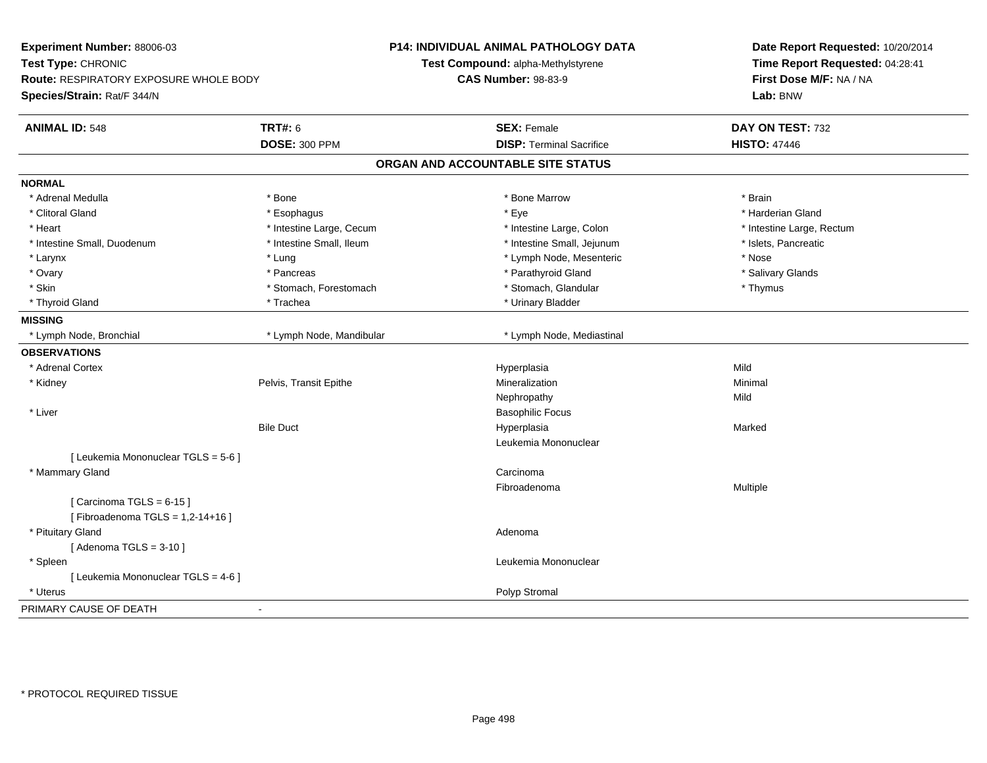| Experiment Number: 88006-03<br>Test Type: CHRONIC<br>Route: RESPIRATORY EXPOSURE WHOLE BODY<br>Species/Strain: Rat/F 344/N |                          | P14: INDIVIDUAL ANIMAL PATHOLOGY DATA<br>Test Compound: alpha-Methylstyrene<br><b>CAS Number: 98-83-9</b> |                                 | Date Report Requested: 10/20/2014<br>Time Report Requested: 04:28:41<br>First Dose M/F: NA / NA<br>Lab: BNW |
|----------------------------------------------------------------------------------------------------------------------------|--------------------------|-----------------------------------------------------------------------------------------------------------|---------------------------------|-------------------------------------------------------------------------------------------------------------|
| <b>ANIMAL ID: 548</b>                                                                                                      | <b>TRT#: 6</b>           | <b>SEX: Female</b>                                                                                        |                                 | DAY ON TEST: 732                                                                                            |
|                                                                                                                            | <b>DOSE: 300 PPM</b>     |                                                                                                           | <b>DISP: Terminal Sacrifice</b> | <b>HISTO: 47446</b>                                                                                         |
|                                                                                                                            |                          | ORGAN AND ACCOUNTABLE SITE STATUS                                                                         |                                 |                                                                                                             |
| <b>NORMAL</b>                                                                                                              |                          |                                                                                                           |                                 |                                                                                                             |
| * Adrenal Medulla                                                                                                          | * Bone                   |                                                                                                           | * Bone Marrow                   | * Brain                                                                                                     |
| * Clitoral Gland                                                                                                           | * Esophagus              | * Eye                                                                                                     |                                 | * Harderian Gland                                                                                           |
| * Heart                                                                                                                    | * Intestine Large, Cecum |                                                                                                           | * Intestine Large, Colon        | * Intestine Large, Rectum                                                                                   |
| * Intestine Small, Duodenum                                                                                                | * Intestine Small, Ileum |                                                                                                           | * Intestine Small, Jejunum      | * Islets, Pancreatic                                                                                        |
| * Larynx                                                                                                                   | * Lung                   |                                                                                                           | * Lymph Node, Mesenteric        | * Nose                                                                                                      |
| * Ovary                                                                                                                    | * Pancreas               |                                                                                                           | * Parathyroid Gland             | * Salivary Glands                                                                                           |
| * Skin                                                                                                                     | * Stomach, Forestomach   |                                                                                                           | * Stomach, Glandular            | * Thymus                                                                                                    |
| * Thyroid Gland                                                                                                            | * Trachea                |                                                                                                           | * Urinary Bladder               |                                                                                                             |
| <b>MISSING</b>                                                                                                             |                          |                                                                                                           |                                 |                                                                                                             |
| * Lymph Node, Bronchial                                                                                                    | * Lymph Node, Mandibular |                                                                                                           | * Lymph Node, Mediastinal       |                                                                                                             |
| <b>OBSERVATIONS</b>                                                                                                        |                          |                                                                                                           |                                 |                                                                                                             |
| * Adrenal Cortex                                                                                                           |                          | Hyperplasia                                                                                               |                                 | Mild                                                                                                        |
| * Kidney                                                                                                                   | Pelvis, Transit Epithe   | Mineralization                                                                                            |                                 | Minimal                                                                                                     |
|                                                                                                                            |                          | Nephropathy                                                                                               |                                 | Mild                                                                                                        |
| * Liver                                                                                                                    |                          |                                                                                                           | <b>Basophilic Focus</b>         |                                                                                                             |
|                                                                                                                            | <b>Bile Duct</b>         | Hyperplasia                                                                                               |                                 | Marked                                                                                                      |
|                                                                                                                            |                          |                                                                                                           | Leukemia Mononuclear            |                                                                                                             |
| [ Leukemia Mononuclear TGLS = 5-6 ]                                                                                        |                          |                                                                                                           |                                 |                                                                                                             |
| * Mammary Gland                                                                                                            |                          | Carcinoma                                                                                                 |                                 |                                                                                                             |
|                                                                                                                            |                          | Fibroadenoma                                                                                              |                                 | Multiple                                                                                                    |
| [Carcinoma TGLS = $6-15$ ]                                                                                                 |                          |                                                                                                           |                                 |                                                                                                             |
| [Fibroadenoma TGLS = $1,2-14+16$ ]                                                                                         |                          |                                                                                                           |                                 |                                                                                                             |
| * Pituitary Gland                                                                                                          |                          | Adenoma                                                                                                   |                                 |                                                                                                             |
| [Adenoma TGLS = $3-10$ ]                                                                                                   |                          |                                                                                                           |                                 |                                                                                                             |
| * Spleen                                                                                                                   |                          |                                                                                                           | Leukemia Mononuclear            |                                                                                                             |
| [ Leukemia Mononuclear TGLS = 4-6 ]                                                                                        |                          |                                                                                                           |                                 |                                                                                                             |
| * Uterus                                                                                                                   |                          | Polyp Stromal                                                                                             |                                 |                                                                                                             |
| PRIMARY CAUSE OF DEATH                                                                                                     | $\blacksquare$           |                                                                                                           |                                 |                                                                                                             |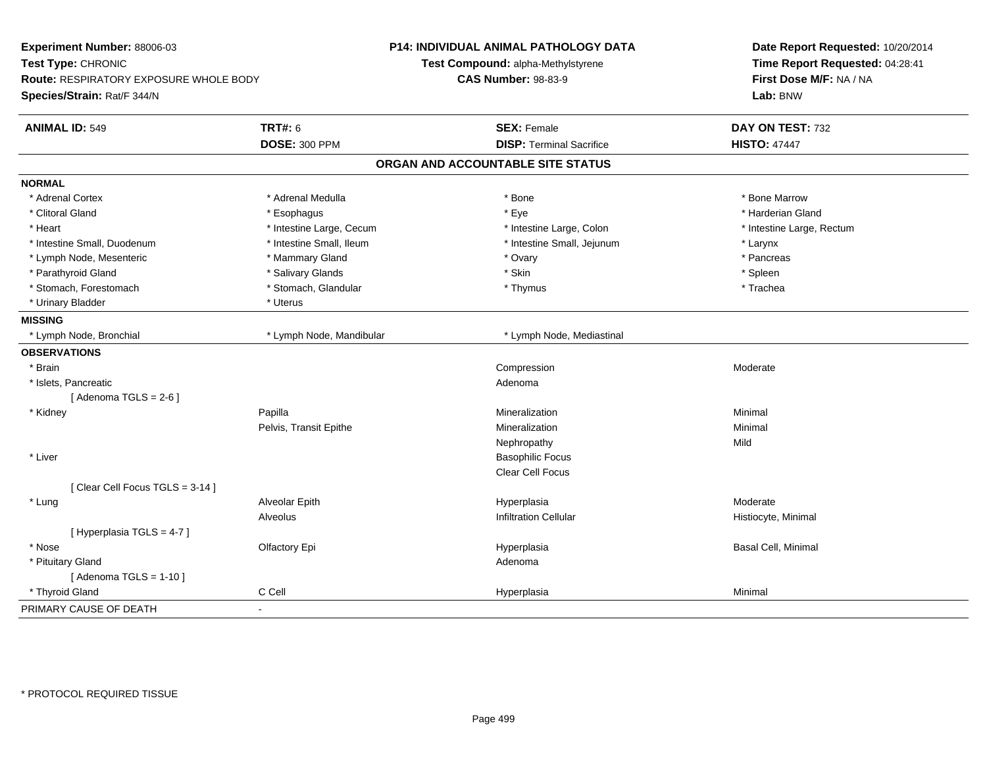| Experiment Number: 88006-03<br>Test Type: CHRONIC<br>Route: RESPIRATORY EXPOSURE WHOLE BODY<br>Species/Strain: Rat/F 344/N |                          | P14: INDIVIDUAL ANIMAL PATHOLOGY DATA<br>Test Compound: alpha-Methylstyrene<br><b>CAS Number: 98-83-9</b> | Date Report Requested: 10/20/2014<br>Time Report Requested: 04:28:41<br>First Dose M/F: NA / NA<br>Lab: BNW |
|----------------------------------------------------------------------------------------------------------------------------|--------------------------|-----------------------------------------------------------------------------------------------------------|-------------------------------------------------------------------------------------------------------------|
|                                                                                                                            |                          |                                                                                                           |                                                                                                             |
| <b>ANIMAL ID: 549</b>                                                                                                      | <b>TRT#: 6</b>           | <b>SEX: Female</b>                                                                                        | DAY ON TEST: 732                                                                                            |
|                                                                                                                            | <b>DOSE: 300 PPM</b>     | <b>DISP: Terminal Sacrifice</b>                                                                           | <b>HISTO: 47447</b>                                                                                         |
|                                                                                                                            |                          | ORGAN AND ACCOUNTABLE SITE STATUS                                                                         |                                                                                                             |
| <b>NORMAL</b>                                                                                                              |                          |                                                                                                           |                                                                                                             |
| * Adrenal Cortex                                                                                                           | * Adrenal Medulla        | * Bone                                                                                                    | * Bone Marrow                                                                                               |
| * Clitoral Gland                                                                                                           | * Esophagus              | * Eye                                                                                                     | * Harderian Gland                                                                                           |
| * Heart                                                                                                                    | * Intestine Large, Cecum | * Intestine Large, Colon                                                                                  | * Intestine Large, Rectum                                                                                   |
| * Intestine Small, Duodenum                                                                                                | * Intestine Small, Ileum | * Intestine Small, Jejunum                                                                                | * Larynx                                                                                                    |
| * Lymph Node, Mesenteric                                                                                                   | * Mammary Gland          | * Ovary                                                                                                   | * Pancreas                                                                                                  |
| * Parathyroid Gland                                                                                                        | * Salivary Glands        | * Skin                                                                                                    | * Spleen                                                                                                    |
| * Stomach, Forestomach                                                                                                     | * Stomach, Glandular     | * Thymus                                                                                                  | * Trachea                                                                                                   |
| * Urinary Bladder                                                                                                          | * Uterus                 |                                                                                                           |                                                                                                             |
| <b>MISSING</b>                                                                                                             |                          |                                                                                                           |                                                                                                             |
| * Lymph Node, Bronchial                                                                                                    | * Lymph Node, Mandibular | * Lymph Node, Mediastinal                                                                                 |                                                                                                             |
| <b>OBSERVATIONS</b>                                                                                                        |                          |                                                                                                           |                                                                                                             |
| * Brain                                                                                                                    |                          | Compression                                                                                               | Moderate                                                                                                    |
| * Islets, Pancreatic                                                                                                       |                          | Adenoma                                                                                                   |                                                                                                             |
| [Adenoma TGLS = $2-6$ ]                                                                                                    |                          |                                                                                                           |                                                                                                             |
| * Kidney                                                                                                                   | Papilla                  | Mineralization                                                                                            | Minimal                                                                                                     |
|                                                                                                                            | Pelvis, Transit Epithe   | Mineralization                                                                                            | Minimal                                                                                                     |
|                                                                                                                            |                          | Nephropathy                                                                                               | Mild                                                                                                        |
| * Liver                                                                                                                    |                          | <b>Basophilic Focus</b>                                                                                   |                                                                                                             |
|                                                                                                                            |                          | Clear Cell Focus                                                                                          |                                                                                                             |
| [Clear Cell Focus TGLS = 3-14]                                                                                             |                          |                                                                                                           |                                                                                                             |
| * Lung                                                                                                                     | Alveolar Epith           | Hyperplasia                                                                                               | Moderate                                                                                                    |
|                                                                                                                            | Alveolus                 | <b>Infiltration Cellular</b>                                                                              | Histiocyte, Minimal                                                                                         |
| [Hyperplasia TGLS = 4-7]                                                                                                   |                          |                                                                                                           |                                                                                                             |
| * Nose                                                                                                                     | Olfactory Epi            | Hyperplasia                                                                                               | Basal Cell, Minimal                                                                                         |
| * Pituitary Gland                                                                                                          |                          | Adenoma                                                                                                   |                                                                                                             |
| [Adenoma TGLS = $1-10$ ]                                                                                                   |                          |                                                                                                           |                                                                                                             |
| * Thyroid Gland                                                                                                            | C Cell                   | Hyperplasia                                                                                               | Minimal                                                                                                     |
| PRIMARY CAUSE OF DEATH<br>L.                                                                                               |                          |                                                                                                           |                                                                                                             |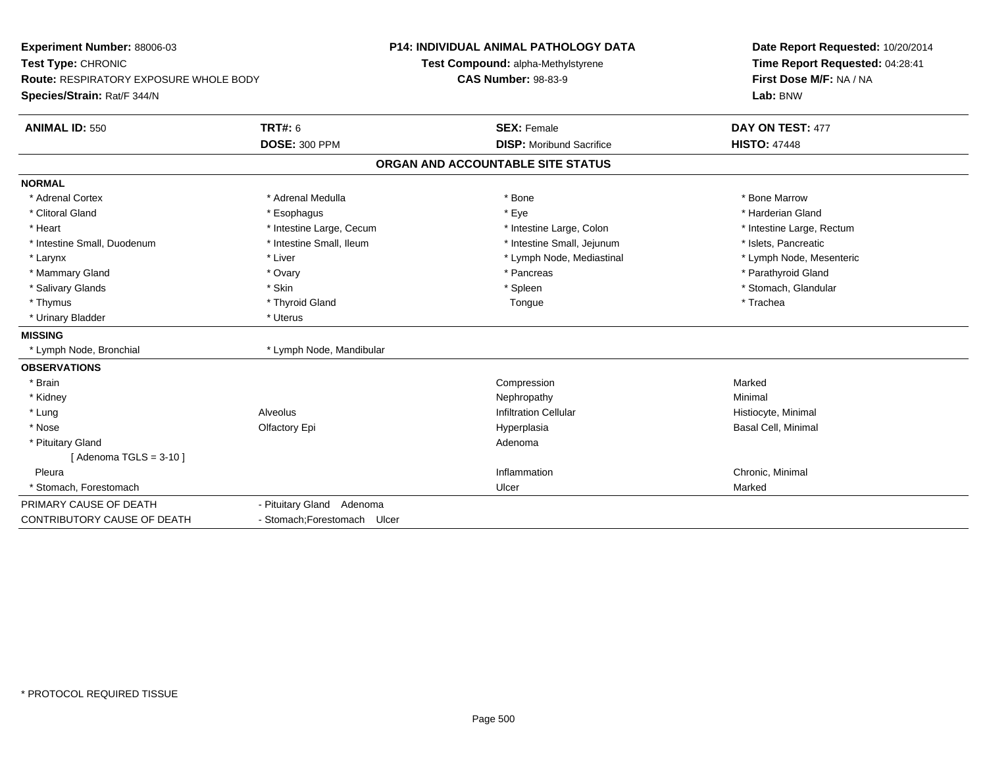| Experiment Number: 88006-03<br>Test Type: CHRONIC<br><b>Route: RESPIRATORY EXPOSURE WHOLE BODY</b><br>Species/Strain: Rat/F 344/N |                              | <b>P14: INDIVIDUAL ANIMAL PATHOLOGY DATA</b><br>Test Compound: alpha-Methylstyrene<br><b>CAS Number: 98-83-9</b> | Date Report Requested: 10/20/2014<br>Time Report Requested: 04:28:41<br>First Dose M/F: NA / NA<br>Lab: BNW |
|-----------------------------------------------------------------------------------------------------------------------------------|------------------------------|------------------------------------------------------------------------------------------------------------------|-------------------------------------------------------------------------------------------------------------|
| <b>ANIMAL ID: 550</b>                                                                                                             | <b>TRT#: 6</b>               | <b>SEX: Female</b>                                                                                               | DAY ON TEST: 477                                                                                            |
|                                                                                                                                   | <b>DOSE: 300 PPM</b>         | <b>DISP:</b> Moribund Sacrifice                                                                                  | <b>HISTO: 47448</b>                                                                                         |
|                                                                                                                                   |                              | ORGAN AND ACCOUNTABLE SITE STATUS                                                                                |                                                                                                             |
| <b>NORMAL</b>                                                                                                                     |                              |                                                                                                                  |                                                                                                             |
| * Adrenal Cortex                                                                                                                  | * Adrenal Medulla            | * Bone                                                                                                           | * Bone Marrow                                                                                               |
| * Clitoral Gland                                                                                                                  | * Esophagus                  | * Eye                                                                                                            | * Harderian Gland                                                                                           |
| * Heart                                                                                                                           | * Intestine Large, Cecum     | * Intestine Large, Colon                                                                                         | * Intestine Large, Rectum                                                                                   |
| * Intestine Small, Duodenum                                                                                                       | * Intestine Small, Ileum     | * Intestine Small, Jejunum                                                                                       | * Islets, Pancreatic                                                                                        |
| * Larynx                                                                                                                          | * Liver                      | * Lymph Node, Mediastinal                                                                                        | * Lymph Node, Mesenteric                                                                                    |
| * Mammary Gland                                                                                                                   | * Ovary                      | * Pancreas                                                                                                       | * Parathyroid Gland                                                                                         |
| * Salivary Glands                                                                                                                 | * Skin                       | * Spleen                                                                                                         | * Stomach, Glandular                                                                                        |
| * Thymus                                                                                                                          | * Thyroid Gland              | Tongue                                                                                                           | * Trachea                                                                                                   |
| * Urinary Bladder                                                                                                                 | * Uterus                     |                                                                                                                  |                                                                                                             |
| <b>MISSING</b>                                                                                                                    |                              |                                                                                                                  |                                                                                                             |
| * Lymph Node, Bronchial                                                                                                           | * Lymph Node, Mandibular     |                                                                                                                  |                                                                                                             |
| <b>OBSERVATIONS</b>                                                                                                               |                              |                                                                                                                  |                                                                                                             |
| * Brain                                                                                                                           |                              | Compression                                                                                                      | Marked                                                                                                      |
| * Kidney                                                                                                                          |                              | Nephropathy                                                                                                      | Minimal                                                                                                     |
| * Lung                                                                                                                            | Alveolus                     | <b>Infiltration Cellular</b>                                                                                     | Histiocyte, Minimal                                                                                         |
| * Nose                                                                                                                            | Olfactory Epi                | Hyperplasia                                                                                                      | Basal Cell, Minimal                                                                                         |
| * Pituitary Gland                                                                                                                 |                              | Adenoma                                                                                                          |                                                                                                             |
| [Adenoma TGLS = $3-10$ ]                                                                                                          |                              |                                                                                                                  |                                                                                                             |
| Pleura                                                                                                                            |                              | Inflammation                                                                                                     | Chronic, Minimal                                                                                            |
| * Stomach, Forestomach                                                                                                            |                              | Ulcer                                                                                                            | Marked                                                                                                      |
| PRIMARY CAUSE OF DEATH                                                                                                            | - Pituitary Gland Adenoma    |                                                                                                                  |                                                                                                             |
| CONTRIBUTORY CAUSE OF DEATH                                                                                                       | - Stomach: Forestomach Ulcer |                                                                                                                  |                                                                                                             |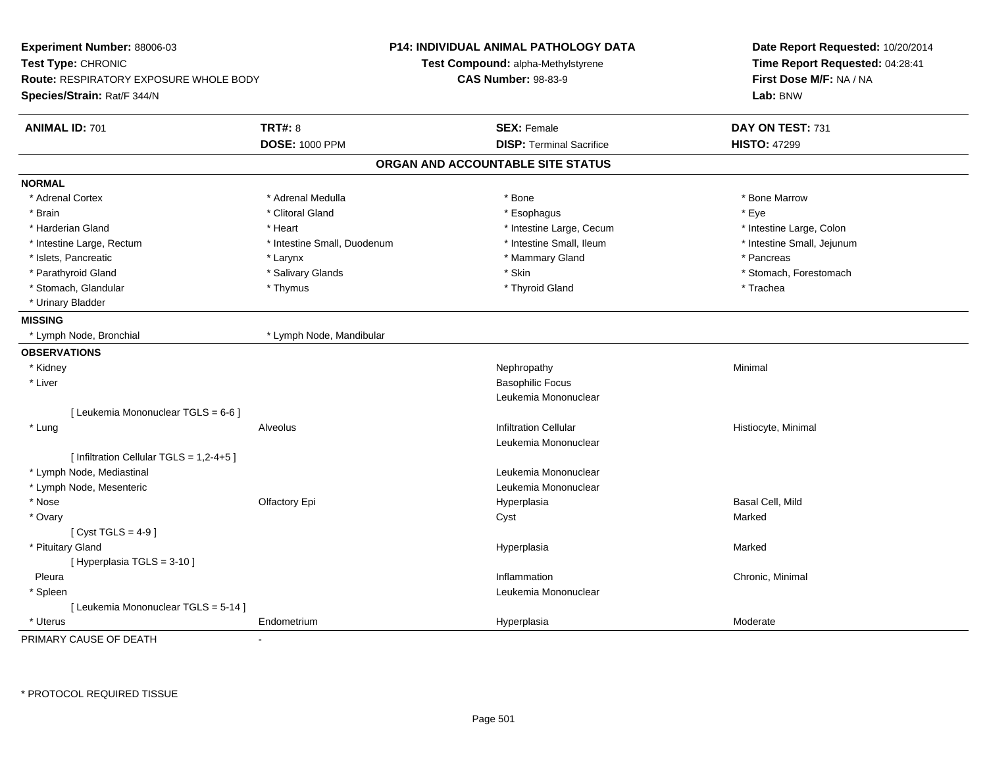| Experiment Number: 88006-03<br>Test Type: CHRONIC<br><b>Route: RESPIRATORY EXPOSURE WHOLE BODY</b><br>Species/Strain: Rat/F 344/N |                             | <b>P14: INDIVIDUAL ANIMAL PATHOLOGY DATA</b><br>Test Compound: alpha-Methylstyrene<br><b>CAS Number: 98-83-9</b> | Date Report Requested: 10/20/2014<br>Time Report Requested: 04:28:41<br>First Dose M/F: NA / NA<br>Lab: BNW |
|-----------------------------------------------------------------------------------------------------------------------------------|-----------------------------|------------------------------------------------------------------------------------------------------------------|-------------------------------------------------------------------------------------------------------------|
| <b>ANIMAL ID: 701</b>                                                                                                             | <b>TRT#: 8</b>              | <b>SEX: Female</b>                                                                                               | DAY ON TEST: 731                                                                                            |
|                                                                                                                                   | <b>DOSE: 1000 PPM</b>       | <b>DISP: Terminal Sacrifice</b>                                                                                  | <b>HISTO: 47299</b>                                                                                         |
|                                                                                                                                   |                             | ORGAN AND ACCOUNTABLE SITE STATUS                                                                                |                                                                                                             |
| <b>NORMAL</b>                                                                                                                     |                             |                                                                                                                  |                                                                                                             |
| * Adrenal Cortex                                                                                                                  | * Adrenal Medulla           | * Bone                                                                                                           | * Bone Marrow                                                                                               |
| * Brain                                                                                                                           | * Clitoral Gland            | * Esophagus                                                                                                      | * Eye                                                                                                       |
| * Harderian Gland                                                                                                                 | * Heart                     | * Intestine Large, Cecum                                                                                         | * Intestine Large, Colon                                                                                    |
| * Intestine Large, Rectum                                                                                                         | * Intestine Small, Duodenum | * Intestine Small, Ileum                                                                                         | * Intestine Small, Jejunum                                                                                  |
| * Islets, Pancreatic                                                                                                              | * Larynx                    | * Mammary Gland                                                                                                  | * Pancreas                                                                                                  |
| * Parathyroid Gland                                                                                                               | * Salivary Glands           | * Skin                                                                                                           | * Stomach, Forestomach                                                                                      |
| * Stomach, Glandular                                                                                                              | * Thymus                    | * Thyroid Gland                                                                                                  | * Trachea                                                                                                   |
| * Urinary Bladder                                                                                                                 |                             |                                                                                                                  |                                                                                                             |
| <b>MISSING</b>                                                                                                                    |                             |                                                                                                                  |                                                                                                             |
| * Lymph Node, Bronchial                                                                                                           | * Lymph Node, Mandibular    |                                                                                                                  |                                                                                                             |
| <b>OBSERVATIONS</b>                                                                                                               |                             |                                                                                                                  |                                                                                                             |
| * Kidney                                                                                                                          |                             | Nephropathy                                                                                                      | Minimal                                                                                                     |
| * Liver                                                                                                                           |                             | <b>Basophilic Focus</b>                                                                                          |                                                                                                             |
|                                                                                                                                   |                             | Leukemia Mononuclear                                                                                             |                                                                                                             |
| [ Leukemia Mononuclear TGLS = 6-6 ]                                                                                               |                             |                                                                                                                  |                                                                                                             |
| * Lung                                                                                                                            | Alveolus                    | <b>Infiltration Cellular</b>                                                                                     | Histiocyte, Minimal                                                                                         |
|                                                                                                                                   |                             | Leukemia Mononuclear                                                                                             |                                                                                                             |
| [ Infiltration Cellular TGLS = 1,2-4+5 ]                                                                                          |                             |                                                                                                                  |                                                                                                             |
| * Lymph Node, Mediastinal                                                                                                         |                             | Leukemia Mononuclear                                                                                             |                                                                                                             |
| * Lymph Node, Mesenteric                                                                                                          |                             | Leukemia Mononuclear                                                                                             |                                                                                                             |
| * Nose                                                                                                                            | Olfactory Epi               | Hyperplasia                                                                                                      | Basal Cell, Mild                                                                                            |
| * Ovary                                                                                                                           |                             | Cyst                                                                                                             | Marked                                                                                                      |
| [ $Cyst TGLS = 4-9$ ]                                                                                                             |                             |                                                                                                                  |                                                                                                             |
| * Pituitary Gland                                                                                                                 |                             | Hyperplasia                                                                                                      | Marked                                                                                                      |
| [ Hyperplasia TGLS = 3-10 ]                                                                                                       |                             |                                                                                                                  |                                                                                                             |
| Pleura                                                                                                                            |                             | Inflammation                                                                                                     | Chronic, Minimal                                                                                            |
| * Spleen                                                                                                                          |                             | Leukemia Mononuclear                                                                                             |                                                                                                             |
| [ Leukemia Mononuclear TGLS = 5-14 ]                                                                                              |                             |                                                                                                                  |                                                                                                             |
| * Uterus                                                                                                                          | Endometrium                 | Hyperplasia                                                                                                      | Moderate                                                                                                    |

PRIMARY CAUSE OF DEATH-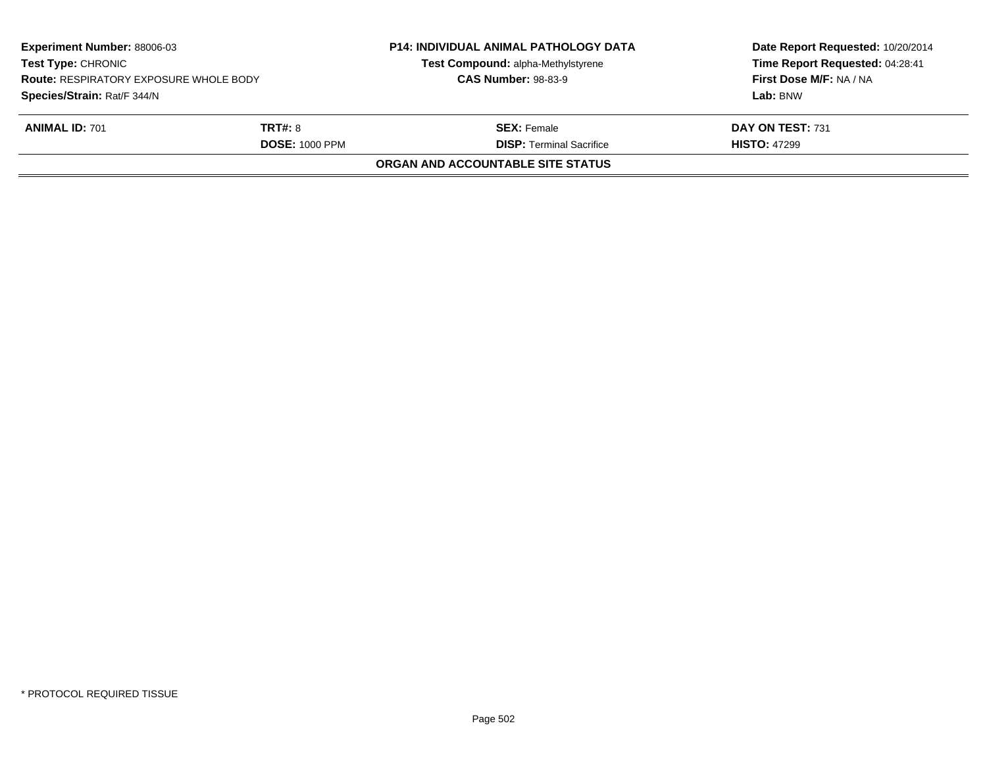| <b>Experiment Number: 88006-03</b><br><b>Test Type: CHRONIC</b><br><b>Route: RESPIRATORY EXPOSURE WHOLE BODY</b><br>Species/Strain: Rat/F 344/N |                                         | <b>P14: INDIVIDUAL ANIMAL PATHOLOGY DATA</b><br>Test Compound: alpha-Methylstyrene<br><b>CAS Number: 98-83-9</b> | Date Report Requested: 10/20/2014<br>Time Report Requested: 04:28:41<br>First Dose M/F: NA / NA<br>Lab: BNW |
|-------------------------------------------------------------------------------------------------------------------------------------------------|-----------------------------------------|------------------------------------------------------------------------------------------------------------------|-------------------------------------------------------------------------------------------------------------|
| <b>ANIMAL ID: 701</b>                                                                                                                           | <b>TRT#: 8</b><br><b>DOSE: 1000 PPM</b> | <b>SEX: Female</b><br><b>DISP: Terminal Sacrifice</b>                                                            | DAY ON TEST: 731<br><b>HISTO: 47299</b>                                                                     |
|                                                                                                                                                 |                                         | <b>ORGAN AND ACCOUNTABLE SITE STATUS</b>                                                                         |                                                                                                             |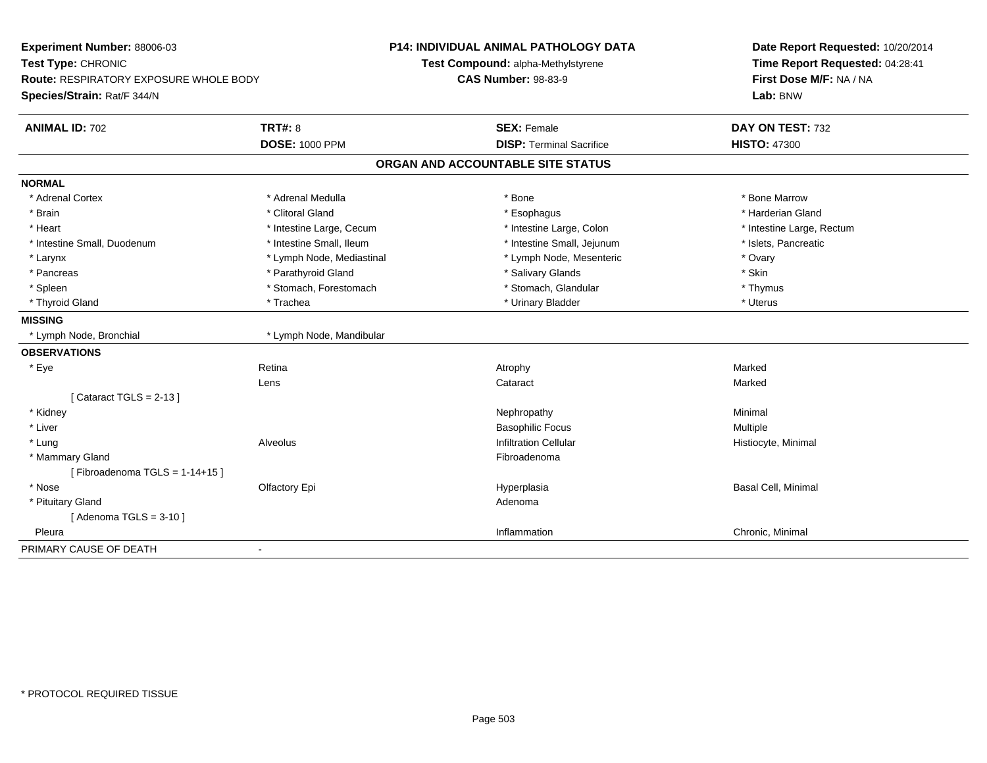| Experiment Number: 88006-03                   |                           | <b>P14: INDIVIDUAL ANIMAL PATHOLOGY DATA</b> | Date Report Requested: 10/20/2014 |
|-----------------------------------------------|---------------------------|----------------------------------------------|-----------------------------------|
| Test Type: CHRONIC                            |                           | Test Compound: alpha-Methylstyrene           | Time Report Requested: 04:28:41   |
| <b>Route: RESPIRATORY EXPOSURE WHOLE BODY</b> |                           | <b>CAS Number: 98-83-9</b>                   | First Dose M/F: NA / NA           |
| Species/Strain: Rat/F 344/N                   |                           |                                              | Lab: BNW                          |
| <b>ANIMAL ID: 702</b>                         | <b>TRT#: 8</b>            | <b>SEX: Female</b>                           | DAY ON TEST: 732                  |
|                                               | <b>DOSE: 1000 PPM</b>     | <b>DISP: Terminal Sacrifice</b>              | <b>HISTO: 47300</b>               |
|                                               |                           | ORGAN AND ACCOUNTABLE SITE STATUS            |                                   |
| <b>NORMAL</b>                                 |                           |                                              |                                   |
| * Adrenal Cortex                              | * Adrenal Medulla         | * Bone                                       | * Bone Marrow                     |
| * Brain                                       | * Clitoral Gland          | * Esophagus                                  | * Harderian Gland                 |
| * Heart                                       | * Intestine Large, Cecum  | * Intestine Large, Colon                     | * Intestine Large, Rectum         |
| * Intestine Small, Duodenum                   | * Intestine Small, Ileum  | * Intestine Small, Jejunum                   | * Islets, Pancreatic              |
| * Larynx                                      | * Lymph Node, Mediastinal | * Lymph Node, Mesenteric                     | * Ovary                           |
| * Pancreas                                    | * Parathyroid Gland       | * Salivary Glands                            | * Skin                            |
| * Spleen                                      | * Stomach, Forestomach    | * Stomach, Glandular                         | * Thymus                          |
| * Thyroid Gland                               | * Trachea                 | * Urinary Bladder                            | * Uterus                          |
| <b>MISSING</b>                                |                           |                                              |                                   |
| * Lymph Node, Bronchial                       | * Lymph Node, Mandibular  |                                              |                                   |
| <b>OBSERVATIONS</b>                           |                           |                                              |                                   |
| * Eye                                         | Retina                    | Atrophy                                      | Marked                            |
|                                               | Lens                      | Cataract                                     | Marked                            |
| [Cataract TGLS = $2-13$ ]                     |                           |                                              |                                   |
| * Kidney                                      |                           | Nephropathy                                  | Minimal                           |
| * Liver                                       |                           | <b>Basophilic Focus</b>                      | Multiple                          |
| * Lung                                        | Alveolus                  | <b>Infiltration Cellular</b>                 | Histiocyte, Minimal               |
| * Mammary Gland                               |                           | Fibroadenoma                                 |                                   |
| [Fibroadenoma TGLS = $1-14+15$ ]              |                           |                                              |                                   |
| * Nose                                        | Olfactory Epi             | Hyperplasia                                  | Basal Cell, Minimal               |
| * Pituitary Gland                             |                           | Adenoma                                      |                                   |
| [Adenoma TGLS = $3-10$ ]                      |                           |                                              |                                   |
| Pleura                                        |                           | Inflammation                                 | Chronic, Minimal                  |
| PRIMARY CAUSE OF DEATH                        | $\blacksquare$            |                                              |                                   |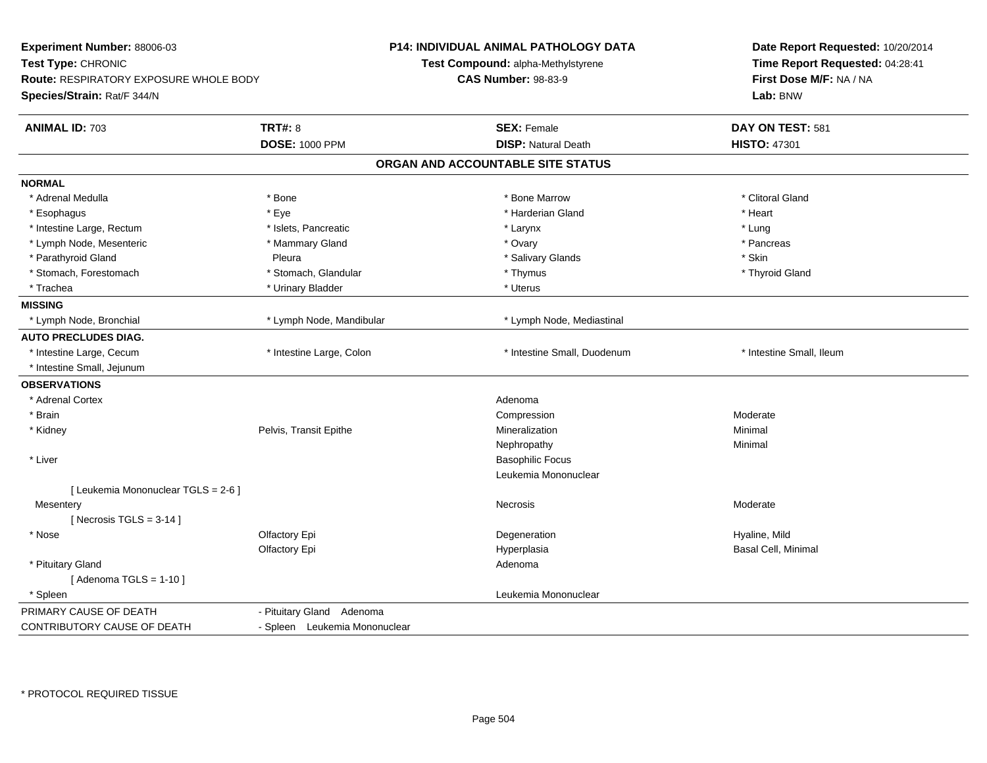| Experiment Number: 88006-03<br>Test Type: CHRONIC<br><b>Route: RESPIRATORY EXPOSURE WHOLE BODY</b><br>Species/Strain: Rat/F 344/N |                               | <b>P14: INDIVIDUAL ANIMAL PATHOLOGY DATA</b><br>Test Compound: alpha-Methylstyrene<br><b>CAS Number: 98-83-9</b> | Date Report Requested: 10/20/2014<br>Time Report Requested: 04:28:41<br>First Dose M/F: NA / NA<br>Lab: BNW |
|-----------------------------------------------------------------------------------------------------------------------------------|-------------------------------|------------------------------------------------------------------------------------------------------------------|-------------------------------------------------------------------------------------------------------------|
| <b>ANIMAL ID: 703</b>                                                                                                             | <b>TRT#: 8</b>                | <b>SEX: Female</b>                                                                                               | DAY ON TEST: 581                                                                                            |
|                                                                                                                                   | <b>DOSE: 1000 PPM</b>         | <b>DISP: Natural Death</b>                                                                                       | <b>HISTO: 47301</b>                                                                                         |
|                                                                                                                                   |                               | ORGAN AND ACCOUNTABLE SITE STATUS                                                                                |                                                                                                             |
| <b>NORMAL</b>                                                                                                                     |                               |                                                                                                                  |                                                                                                             |
| * Adrenal Medulla                                                                                                                 | * Bone                        | * Bone Marrow                                                                                                    | * Clitoral Gland                                                                                            |
| * Esophagus                                                                                                                       | * Eye                         | * Harderian Gland                                                                                                | * Heart                                                                                                     |
| * Intestine Large, Rectum                                                                                                         | * Islets, Pancreatic          | * Larynx                                                                                                         | * Lung                                                                                                      |
| * Lymph Node, Mesenteric                                                                                                          | * Mammary Gland               | * Ovary                                                                                                          | * Pancreas                                                                                                  |
| * Parathyroid Gland                                                                                                               | Pleura                        | * Salivary Glands                                                                                                | * Skin                                                                                                      |
| * Stomach, Forestomach                                                                                                            | * Stomach, Glandular          | * Thymus                                                                                                         | * Thyroid Gland                                                                                             |
| * Trachea                                                                                                                         | * Urinary Bladder             | * Uterus                                                                                                         |                                                                                                             |
| <b>MISSING</b>                                                                                                                    |                               |                                                                                                                  |                                                                                                             |
| * Lymph Node, Bronchial                                                                                                           | * Lymph Node, Mandibular      | * Lymph Node, Mediastinal                                                                                        |                                                                                                             |
| <b>AUTO PRECLUDES DIAG.</b>                                                                                                       |                               |                                                                                                                  |                                                                                                             |
| * Intestine Large, Cecum                                                                                                          | * Intestine Large, Colon      | * Intestine Small, Duodenum                                                                                      | * Intestine Small, Ileum                                                                                    |
| * Intestine Small, Jejunum                                                                                                        |                               |                                                                                                                  |                                                                                                             |
| <b>OBSERVATIONS</b>                                                                                                               |                               |                                                                                                                  |                                                                                                             |
| * Adrenal Cortex                                                                                                                  |                               | Adenoma                                                                                                          |                                                                                                             |
| * Brain                                                                                                                           |                               | Compression                                                                                                      | Moderate                                                                                                    |
| * Kidney                                                                                                                          | Pelvis, Transit Epithe        | Mineralization                                                                                                   | Minimal                                                                                                     |
|                                                                                                                                   |                               | Nephropathy                                                                                                      | Minimal                                                                                                     |
| * Liver                                                                                                                           |                               | <b>Basophilic Focus</b>                                                                                          |                                                                                                             |
|                                                                                                                                   |                               | Leukemia Mononuclear                                                                                             |                                                                                                             |
| [ Leukemia Mononuclear TGLS = 2-6 ]                                                                                               |                               |                                                                                                                  |                                                                                                             |
| Mesentery                                                                                                                         |                               | Necrosis                                                                                                         | Moderate                                                                                                    |
| [Necrosis TGLS = $3-14$ ]                                                                                                         |                               |                                                                                                                  |                                                                                                             |
| * Nose                                                                                                                            | Olfactory Epi                 | Degeneration                                                                                                     | Hyaline, Mild                                                                                               |
|                                                                                                                                   | Olfactory Epi                 | Hyperplasia                                                                                                      | Basal Cell, Minimal                                                                                         |
| * Pituitary Gland                                                                                                                 |                               | Adenoma                                                                                                          |                                                                                                             |
| [Adenoma TGLS = $1-10$ ]                                                                                                          |                               |                                                                                                                  |                                                                                                             |
| * Spleen                                                                                                                          |                               | Leukemia Mononuclear                                                                                             |                                                                                                             |
| PRIMARY CAUSE OF DEATH                                                                                                            | - Pituitary Gland Adenoma     |                                                                                                                  |                                                                                                             |
| CONTRIBUTORY CAUSE OF DEATH                                                                                                       | - Spleen Leukemia Mononuclear |                                                                                                                  |                                                                                                             |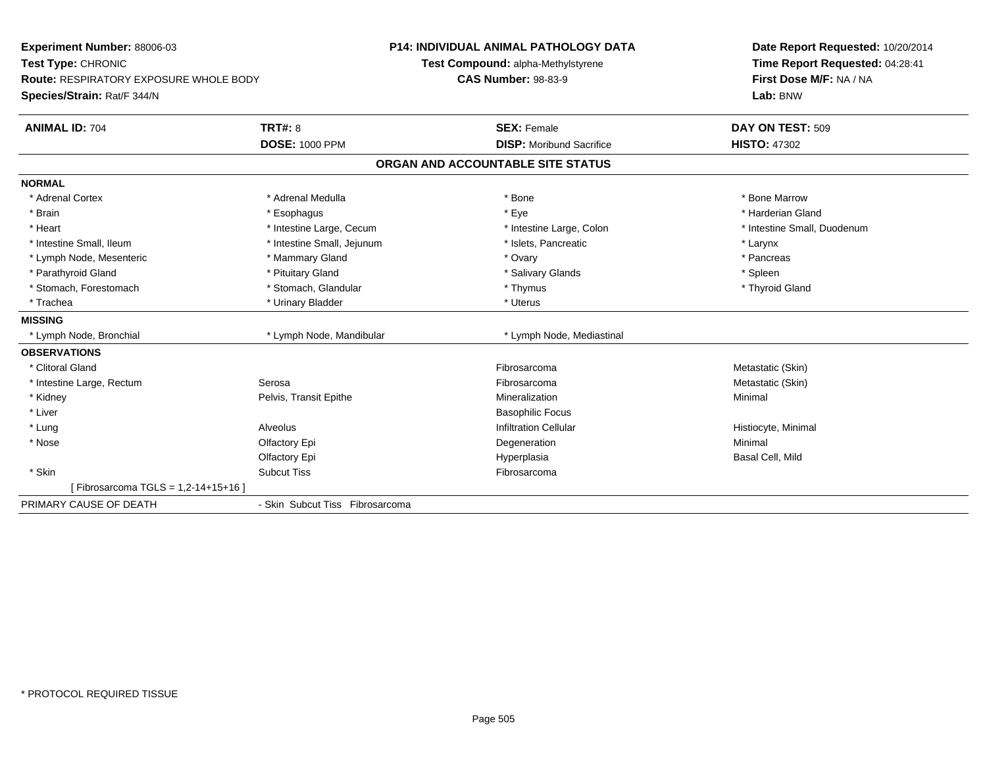| Experiment Number: 88006-03                   |                                 | <b>P14: INDIVIDUAL ANIMAL PATHOLOGY DATA</b> | Date Report Requested: 10/20/2014 |
|-----------------------------------------------|---------------------------------|----------------------------------------------|-----------------------------------|
| Test Type: CHRONIC                            |                                 | Test Compound: alpha-Methylstyrene           | Time Report Requested: 04:28:41   |
| <b>Route: RESPIRATORY EXPOSURE WHOLE BODY</b> |                                 | <b>CAS Number: 98-83-9</b>                   | First Dose M/F: NA / NA           |
| Species/Strain: Rat/F 344/N                   |                                 |                                              | Lab: BNW                          |
| <b>ANIMAL ID: 704</b>                         | TRT#: 8                         | <b>SEX: Female</b>                           | DAY ON TEST: 509                  |
|                                               | <b>DOSE: 1000 PPM</b>           | <b>DISP:</b> Moribund Sacrifice              | <b>HISTO: 47302</b>               |
|                                               |                                 | ORGAN AND ACCOUNTABLE SITE STATUS            |                                   |
| <b>NORMAL</b>                                 |                                 |                                              |                                   |
| * Adrenal Cortex                              | * Adrenal Medulla               | * Bone                                       | * Bone Marrow                     |
| * Brain                                       | * Esophagus                     | * Eye                                        | * Harderian Gland                 |
| * Heart                                       | * Intestine Large, Cecum        | * Intestine Large, Colon                     | * Intestine Small, Duodenum       |
| * Intestine Small, Ileum                      | * Intestine Small, Jejunum      | * Islets, Pancreatic                         | * Larynx                          |
| * Lymph Node, Mesenteric                      | * Mammary Gland                 | * Ovary                                      | * Pancreas                        |
| * Parathyroid Gland                           | * Pituitary Gland               | * Salivary Glands                            | * Spleen                          |
| * Stomach, Forestomach                        | * Stomach, Glandular            | * Thymus                                     | * Thyroid Gland                   |
| * Trachea                                     | * Urinary Bladder               | * Uterus                                     |                                   |
| <b>MISSING</b>                                |                                 |                                              |                                   |
| * Lymph Node, Bronchial                       | * Lymph Node, Mandibular        | * Lymph Node, Mediastinal                    |                                   |
| <b>OBSERVATIONS</b>                           |                                 |                                              |                                   |
| * Clitoral Gland                              |                                 | Fibrosarcoma                                 | Metastatic (Skin)                 |
| * Intestine Large, Rectum                     | Serosa                          | Fibrosarcoma                                 | Metastatic (Skin)                 |
| * Kidney                                      | Pelvis, Transit Epithe          | Mineralization                               | Minimal                           |
| * Liver                                       |                                 | <b>Basophilic Focus</b>                      |                                   |
| * Lung                                        | Alveolus                        | <b>Infiltration Cellular</b>                 | Histiocyte, Minimal               |
| * Nose                                        | Olfactory Epi                   | Degeneration                                 | Minimal                           |
|                                               | Olfactory Epi                   | Hyperplasia                                  | Basal Cell, Mild                  |
| * Skin                                        | <b>Subcut Tiss</b>              | Fibrosarcoma                                 |                                   |
| Fibrosarcoma TGLS = 1,2-14+15+16 ]            |                                 |                                              |                                   |
| PRIMARY CAUSE OF DEATH                        | - Skin Subcut Tiss Fibrosarcoma |                                              |                                   |
|                                               |                                 |                                              |                                   |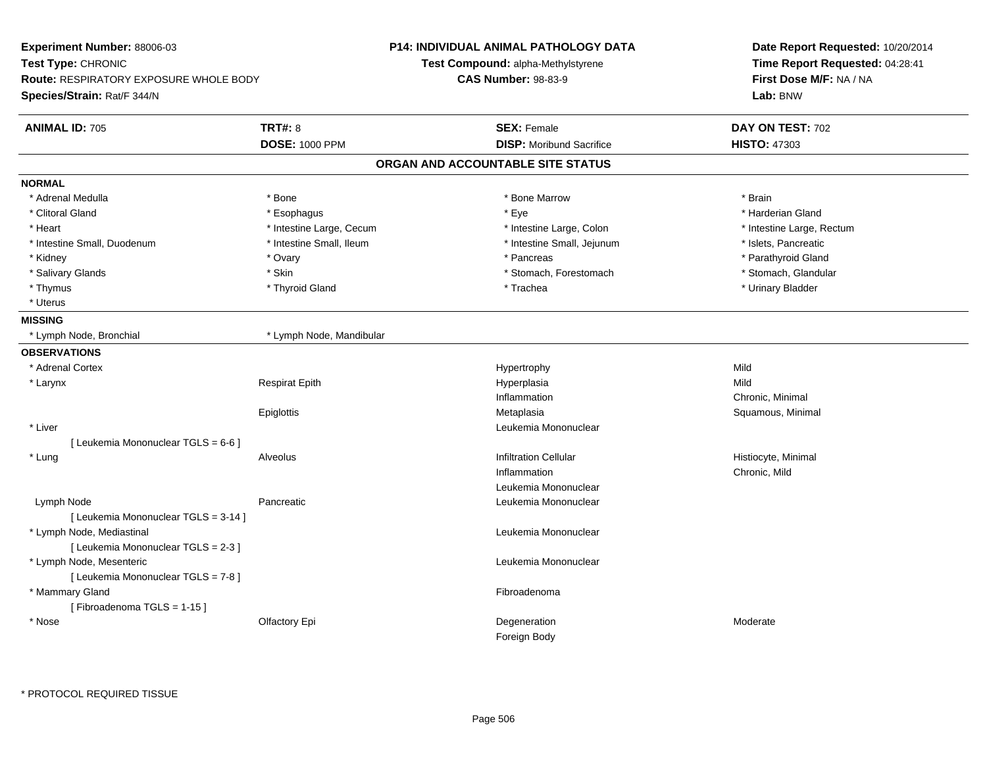| Experiment Number: 88006-03                   |                          | <b>P14: INDIVIDUAL ANIMAL PATHOLOGY DATA</b> | Date Report Requested: 10/20/2014                          |  |
|-----------------------------------------------|--------------------------|----------------------------------------------|------------------------------------------------------------|--|
| Test Type: CHRONIC                            |                          | Test Compound: alpha-Methylstyrene           | Time Report Requested: 04:28:41<br>First Dose M/F: NA / NA |  |
| <b>Route: RESPIRATORY EXPOSURE WHOLE BODY</b> |                          | <b>CAS Number: 98-83-9</b>                   |                                                            |  |
| Species/Strain: Rat/F 344/N                   |                          |                                              | Lab: BNW                                                   |  |
| <b>ANIMAL ID: 705</b>                         | <b>TRT#: 8</b>           | <b>SEX: Female</b>                           | DAY ON TEST: 702                                           |  |
|                                               | <b>DOSE: 1000 PPM</b>    | <b>DISP:</b> Moribund Sacrifice              | <b>HISTO: 47303</b>                                        |  |
|                                               |                          | ORGAN AND ACCOUNTABLE SITE STATUS            |                                                            |  |
| <b>NORMAL</b>                                 |                          |                                              |                                                            |  |
| * Adrenal Medulla                             | * Bone                   | * Bone Marrow                                | * Brain                                                    |  |
| * Clitoral Gland                              | * Esophagus              | * Eye                                        | * Harderian Gland                                          |  |
| * Heart                                       | * Intestine Large, Cecum | * Intestine Large, Colon                     | * Intestine Large, Rectum                                  |  |
| * Intestine Small, Duodenum                   | * Intestine Small, Ileum | * Intestine Small, Jejunum                   | * Islets, Pancreatic                                       |  |
| * Kidney                                      | * Ovary                  | * Pancreas                                   | * Parathyroid Gland                                        |  |
| * Salivary Glands                             | * Skin                   | * Stomach, Forestomach                       | * Stomach, Glandular                                       |  |
| * Thymus                                      | * Thyroid Gland          | * Trachea                                    | * Urinary Bladder                                          |  |
| * Uterus                                      |                          |                                              |                                                            |  |
| <b>MISSING</b>                                |                          |                                              |                                                            |  |
| * Lymph Node, Bronchial                       | * Lymph Node, Mandibular |                                              |                                                            |  |
| <b>OBSERVATIONS</b>                           |                          |                                              |                                                            |  |
| * Adrenal Cortex                              |                          | Hypertrophy                                  | Mild                                                       |  |
| * Larynx                                      | <b>Respirat Epith</b>    | Hyperplasia                                  | Mild                                                       |  |
|                                               |                          | Inflammation                                 | Chronic, Minimal                                           |  |
|                                               | Epiglottis               | Metaplasia                                   | Squamous, Minimal                                          |  |
| * Liver                                       |                          | Leukemia Mononuclear                         |                                                            |  |
| [ Leukemia Mononuclear TGLS = 6-6 ]           |                          |                                              |                                                            |  |
| * Lung                                        | Alveolus                 | <b>Infiltration Cellular</b>                 | Histiocyte, Minimal                                        |  |
|                                               |                          | Inflammation                                 | Chronic, Mild                                              |  |
|                                               |                          | Leukemia Mononuclear                         |                                                            |  |
| Lymph Node                                    | Pancreatic               | Leukemia Mononuclear                         |                                                            |  |
| [ Leukemia Mononuclear TGLS = 3-14 ]          |                          |                                              |                                                            |  |
| * Lymph Node, Mediastinal                     |                          | Leukemia Mononuclear                         |                                                            |  |
| [ Leukemia Mononuclear TGLS = 2-3 ]           |                          |                                              |                                                            |  |
| * Lymph Node, Mesenteric                      |                          | Leukemia Mononuclear                         |                                                            |  |
| [ Leukemia Mononuclear TGLS = 7-8 ]           |                          |                                              |                                                            |  |
| * Mammary Gland                               |                          | Fibroadenoma                                 |                                                            |  |
| [Fibroadenoma TGLS = 1-15]                    |                          |                                              |                                                            |  |
| * Nose                                        | Olfactory Epi            | Degeneration                                 | Moderate                                                   |  |
|                                               |                          | Foreign Body                                 |                                                            |  |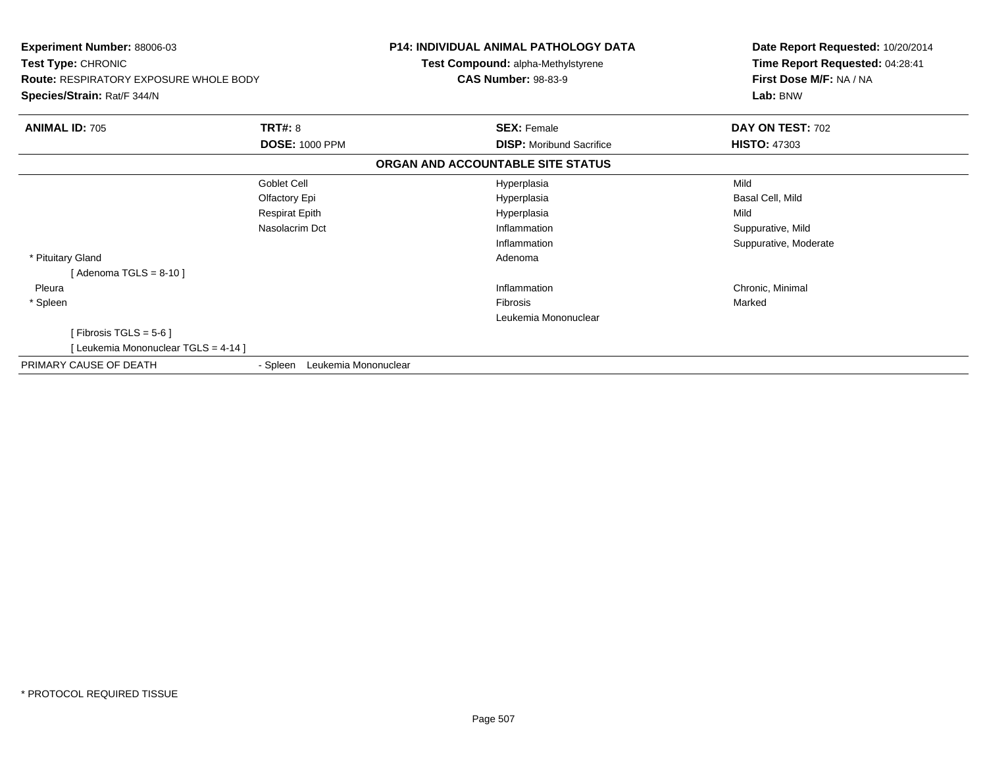| <b>Experiment Number: 88006-03</b><br>Test Type: CHRONIC<br><b>Route: RESPIRATORY EXPOSURE WHOLE BODY</b><br>Species/Strain: Rat/F 344/N |                                  | <b>P14: INDIVIDUAL ANIMAL PATHOLOGY DATA</b><br><b>Test Compound: alpha-Methylstyrene</b><br><b>CAS Number: 98-83-9</b> | Date Report Requested: 10/20/2014<br>Time Report Requested: 04:28:41<br>First Dose M/F: NA / NA<br>Lab: BNW |
|------------------------------------------------------------------------------------------------------------------------------------------|----------------------------------|-------------------------------------------------------------------------------------------------------------------------|-------------------------------------------------------------------------------------------------------------|
| <b>ANIMAL ID: 705</b>                                                                                                                    | TRT#: 8                          | <b>SEX: Female</b>                                                                                                      | DAY ON TEST: 702                                                                                            |
|                                                                                                                                          | <b>DOSE: 1000 PPM</b>            | <b>DISP:</b> Moribund Sacrifice                                                                                         | <b>HISTO: 47303</b>                                                                                         |
|                                                                                                                                          |                                  | ORGAN AND ACCOUNTABLE SITE STATUS                                                                                       |                                                                                                             |
|                                                                                                                                          | Goblet Cell                      | Hyperplasia                                                                                                             | Mild                                                                                                        |
|                                                                                                                                          | Olfactory Epi                    | Hyperplasia                                                                                                             | Basal Cell, Mild                                                                                            |
|                                                                                                                                          | <b>Respirat Epith</b>            | Hyperplasia                                                                                                             | Mild                                                                                                        |
|                                                                                                                                          | Nasolacrim Dct                   | Inflammation                                                                                                            | Suppurative, Mild                                                                                           |
|                                                                                                                                          |                                  | Inflammation                                                                                                            | Suppurative, Moderate                                                                                       |
| * Pituitary Gland                                                                                                                        |                                  | Adenoma                                                                                                                 |                                                                                                             |
| [Adenoma TGLS = $8-10$ ]                                                                                                                 |                                  |                                                                                                                         |                                                                                                             |
| Pleura                                                                                                                                   |                                  | Inflammation                                                                                                            | Chronic, Minimal                                                                                            |
| * Spleen                                                                                                                                 |                                  | Fibrosis                                                                                                                | Marked                                                                                                      |
|                                                                                                                                          |                                  | Leukemia Mononuclear                                                                                                    |                                                                                                             |
| [Fibrosis TGLS = $5-6$ ]                                                                                                                 |                                  |                                                                                                                         |                                                                                                             |
| [Leukemia Mononuclear TGLS = 4-14]                                                                                                       |                                  |                                                                                                                         |                                                                                                             |
| PRIMARY CAUSE OF DEATH                                                                                                                   | Leukemia Mononuclear<br>- Spleen |                                                                                                                         |                                                                                                             |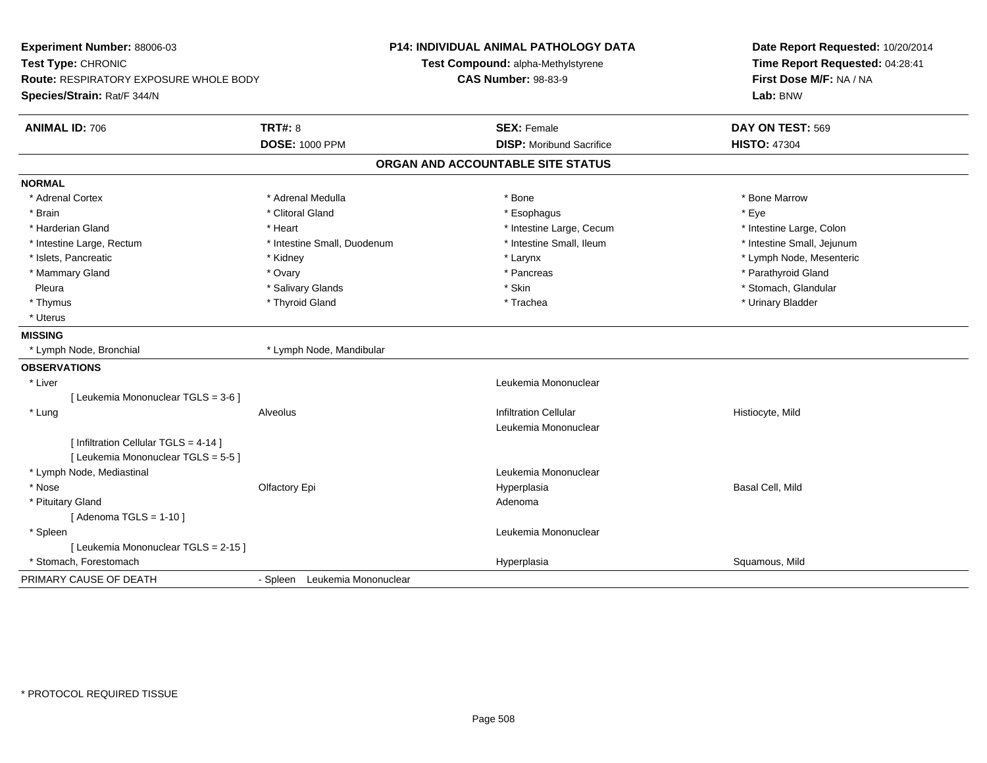| Experiment Number: 88006-03<br>Test Type: CHRONIC<br>Route: RESPIRATORY EXPOSURE WHOLE BODY<br>Species/Strain: Rat/F 344/N | <b>P14: INDIVIDUAL ANIMAL PATHOLOGY DATA</b><br>Test Compound: alpha-Methylstyrene<br><b>CAS Number: 98-83-9</b> |                                   | Date Report Requested: 10/20/2014<br>Time Report Requested: 04:28:41<br>First Dose M/F: NA / NA<br>Lab: BNW |
|----------------------------------------------------------------------------------------------------------------------------|------------------------------------------------------------------------------------------------------------------|-----------------------------------|-------------------------------------------------------------------------------------------------------------|
| <b>ANIMAL ID: 706</b>                                                                                                      | <b>TRT#: 8</b>                                                                                                   | <b>SEX: Female</b>                | DAY ON TEST: 569                                                                                            |
|                                                                                                                            | <b>DOSE: 1000 PPM</b>                                                                                            | <b>DISP:</b> Moribund Sacrifice   | <b>HISTO: 47304</b>                                                                                         |
|                                                                                                                            |                                                                                                                  | ORGAN AND ACCOUNTABLE SITE STATUS |                                                                                                             |
| <b>NORMAL</b>                                                                                                              |                                                                                                                  |                                   |                                                                                                             |
| * Adrenal Cortex                                                                                                           | * Adrenal Medulla                                                                                                | * Bone                            | * Bone Marrow                                                                                               |
| * Brain                                                                                                                    | * Clitoral Gland                                                                                                 | * Esophagus                       | * Eye                                                                                                       |
| * Harderian Gland                                                                                                          | * Heart                                                                                                          | * Intestine Large, Cecum          | * Intestine Large, Colon                                                                                    |
| * Intestine Large, Rectum                                                                                                  | * Intestine Small, Duodenum                                                                                      | * Intestine Small. Ileum          | * Intestine Small, Jejunum                                                                                  |
| * Islets, Pancreatic                                                                                                       | * Kidney                                                                                                         | * Larynx                          | * Lymph Node, Mesenteric                                                                                    |
| * Mammary Gland                                                                                                            | * Ovary                                                                                                          | * Pancreas                        | * Parathyroid Gland                                                                                         |
| Pleura                                                                                                                     | * Salivary Glands                                                                                                | * Skin                            | * Stomach, Glandular                                                                                        |
| * Thymus                                                                                                                   | * Thyroid Gland                                                                                                  | * Trachea                         | * Urinary Bladder                                                                                           |
| * Uterus                                                                                                                   |                                                                                                                  |                                   |                                                                                                             |
| <b>MISSING</b>                                                                                                             |                                                                                                                  |                                   |                                                                                                             |
| * Lymph Node, Bronchial                                                                                                    | * Lymph Node, Mandibular                                                                                         |                                   |                                                                                                             |
| <b>OBSERVATIONS</b>                                                                                                        |                                                                                                                  |                                   |                                                                                                             |
| * Liver                                                                                                                    |                                                                                                                  | Leukemia Mononuclear              |                                                                                                             |
| [ Leukemia Mononuclear TGLS = 3-6 ]                                                                                        |                                                                                                                  |                                   |                                                                                                             |
| * Lung                                                                                                                     | Alveolus                                                                                                         | <b>Infiltration Cellular</b>      | Histiocyte, Mild                                                                                            |
|                                                                                                                            |                                                                                                                  | Leukemia Mononuclear              |                                                                                                             |
| [ Infiltration Cellular TGLS = 4-14 ]                                                                                      |                                                                                                                  |                                   |                                                                                                             |
| [ Leukemia Mononuclear TGLS = 5-5 ]                                                                                        |                                                                                                                  |                                   |                                                                                                             |
| * Lymph Node, Mediastinal                                                                                                  |                                                                                                                  | Leukemia Mononuclear              |                                                                                                             |
| * Nose                                                                                                                     | Olfactory Epi                                                                                                    | Hyperplasia                       | Basal Cell, Mild                                                                                            |
| * Pituitary Gland                                                                                                          |                                                                                                                  | Adenoma                           |                                                                                                             |
| [Adenoma TGLS = $1-10$ ]                                                                                                   |                                                                                                                  |                                   |                                                                                                             |
| * Spleen                                                                                                                   |                                                                                                                  | Leukemia Mononuclear              |                                                                                                             |
| [ Leukemia Mononuclear TGLS = 2-15 ]                                                                                       |                                                                                                                  |                                   |                                                                                                             |
| * Stomach, Forestomach                                                                                                     |                                                                                                                  | Hyperplasia                       | Squamous, Mild                                                                                              |
| PRIMARY CAUSE OF DEATH                                                                                                     | - Spleen Leukemia Mononuclear                                                                                    |                                   |                                                                                                             |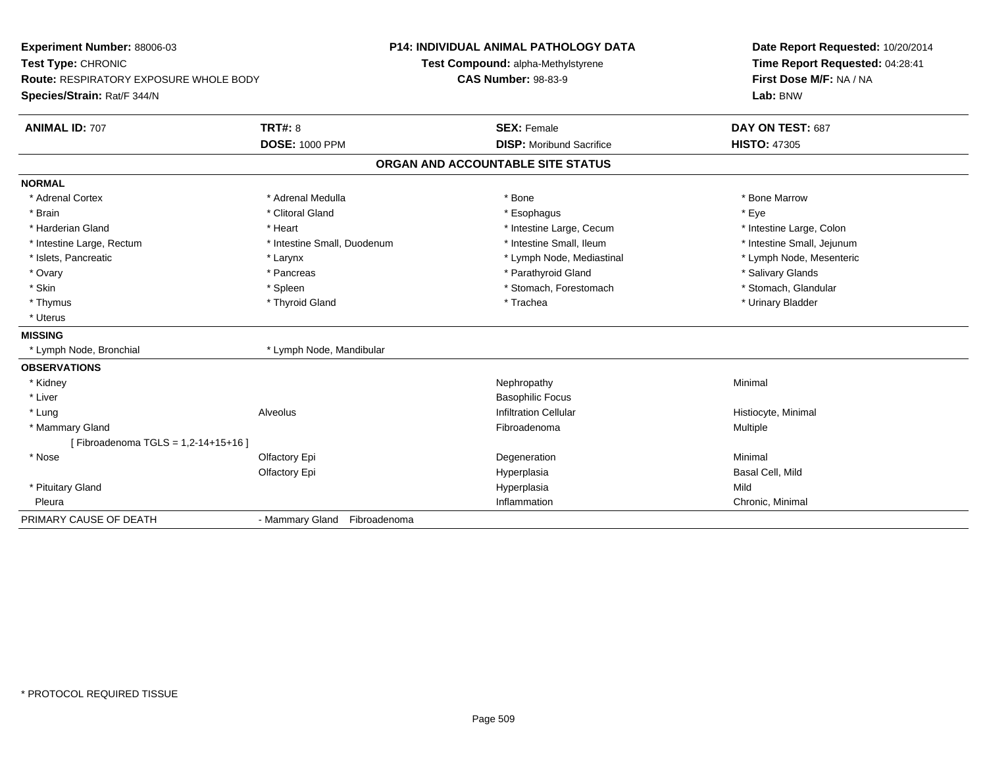| Experiment Number: 88006-03<br>Test Type: CHRONIC<br><b>Route: RESPIRATORY EXPOSURE WHOLE BODY</b><br>Species/Strain: Rat/F 344/N |                              | <b>P14: INDIVIDUAL ANIMAL PATHOLOGY DATA</b><br>Test Compound: alpha-Methylstyrene<br><b>CAS Number: 98-83-9</b> | Date Report Requested: 10/20/2014<br>Time Report Requested: 04:28:41<br>First Dose M/F: NA / NA<br>Lab: BNW |
|-----------------------------------------------------------------------------------------------------------------------------------|------------------------------|------------------------------------------------------------------------------------------------------------------|-------------------------------------------------------------------------------------------------------------|
| <b>ANIMAL ID: 707</b>                                                                                                             | <b>TRT#: 8</b>               | <b>SEX: Female</b>                                                                                               | DAY ON TEST: 687                                                                                            |
|                                                                                                                                   | <b>DOSE: 1000 PPM</b>        | <b>DISP:</b> Moribund Sacrifice                                                                                  | <b>HISTO: 47305</b>                                                                                         |
|                                                                                                                                   |                              | ORGAN AND ACCOUNTABLE SITE STATUS                                                                                |                                                                                                             |
| <b>NORMAL</b>                                                                                                                     |                              |                                                                                                                  |                                                                                                             |
| * Adrenal Cortex                                                                                                                  | * Adrenal Medulla            | * Bone                                                                                                           | * Bone Marrow                                                                                               |
| * Brain                                                                                                                           | * Clitoral Gland             | * Esophagus                                                                                                      | * Eye                                                                                                       |
| * Harderian Gland                                                                                                                 | * Heart                      | * Intestine Large, Cecum                                                                                         | * Intestine Large, Colon                                                                                    |
| * Intestine Large, Rectum                                                                                                         | * Intestine Small, Duodenum  | * Intestine Small, Ileum                                                                                         | * Intestine Small, Jejunum                                                                                  |
| * Islets, Pancreatic                                                                                                              | * Larynx                     | * Lymph Node, Mediastinal                                                                                        | * Lymph Node, Mesenteric                                                                                    |
| * Ovary                                                                                                                           | * Pancreas                   | * Parathyroid Gland                                                                                              | * Salivary Glands                                                                                           |
| * Skin                                                                                                                            | * Spleen                     | * Stomach, Forestomach                                                                                           | * Stomach, Glandular                                                                                        |
| * Thymus                                                                                                                          | * Thyroid Gland              | * Trachea                                                                                                        | * Urinary Bladder                                                                                           |
| * Uterus                                                                                                                          |                              |                                                                                                                  |                                                                                                             |
| <b>MISSING</b>                                                                                                                    |                              |                                                                                                                  |                                                                                                             |
| * Lymph Node, Bronchial                                                                                                           | * Lymph Node, Mandibular     |                                                                                                                  |                                                                                                             |
| <b>OBSERVATIONS</b>                                                                                                               |                              |                                                                                                                  |                                                                                                             |
| * Kidney                                                                                                                          |                              | Nephropathy                                                                                                      | Minimal                                                                                                     |
| * Liver                                                                                                                           |                              | <b>Basophilic Focus</b>                                                                                          |                                                                                                             |
| * Lung                                                                                                                            | Alveolus                     | <b>Infiltration Cellular</b>                                                                                     | Histiocyte, Minimal                                                                                         |
| * Mammary Gland                                                                                                                   |                              | Fibroadenoma                                                                                                     | Multiple                                                                                                    |
| [Fibroadenoma TGLS = 1,2-14+15+16]                                                                                                |                              |                                                                                                                  |                                                                                                             |
| * Nose                                                                                                                            | Olfactory Epi                | Degeneration                                                                                                     | Minimal                                                                                                     |
|                                                                                                                                   | Olfactory Epi                | Hyperplasia                                                                                                      | Basal Cell, Mild                                                                                            |
| * Pituitary Gland                                                                                                                 |                              | Hyperplasia                                                                                                      | Mild                                                                                                        |
| Pleura                                                                                                                            |                              | Inflammation                                                                                                     | Chronic, Minimal                                                                                            |
| PRIMARY CAUSE OF DEATH                                                                                                            | - Mammary Gland Fibroadenoma |                                                                                                                  |                                                                                                             |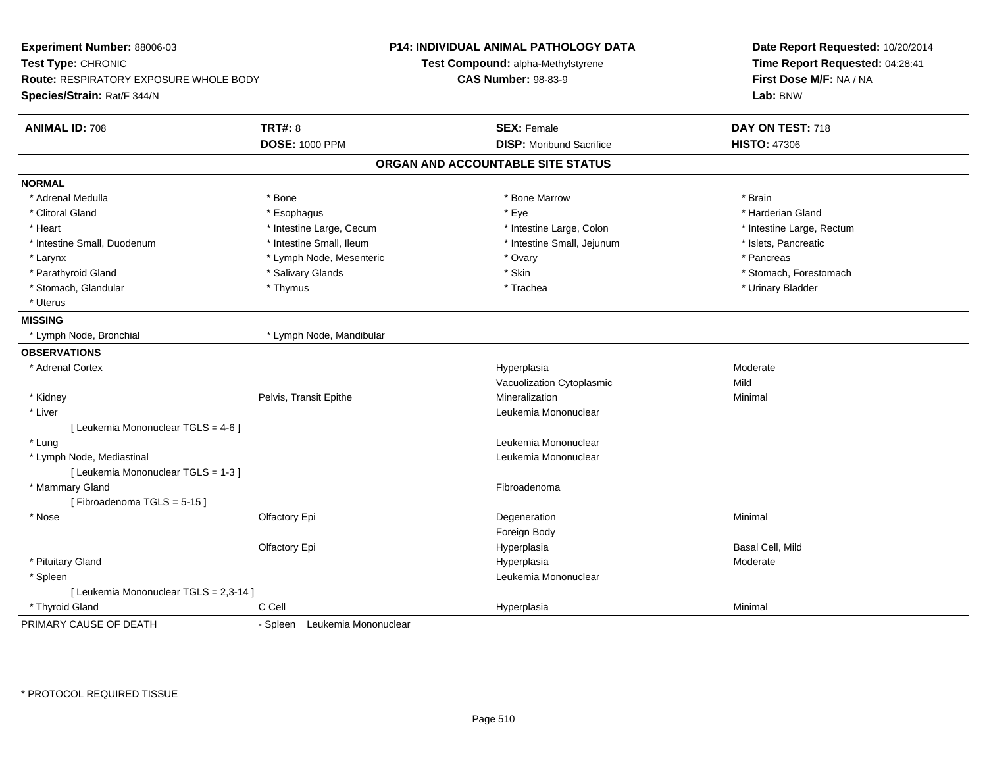| Experiment Number: 88006-03<br>Test Type: CHRONIC<br><b>Route: RESPIRATORY EXPOSURE WHOLE BODY</b><br>Species/Strain: Rat/F 344/N |                               | <b>P14: INDIVIDUAL ANIMAL PATHOLOGY DATA</b><br>Test Compound: alpha-Methylstyrene<br><b>CAS Number: 98-83-9</b> | Date Report Requested: 10/20/2014<br>Time Report Requested: 04:28:41<br>First Dose M/F: NA / NA<br>Lab: BNW |
|-----------------------------------------------------------------------------------------------------------------------------------|-------------------------------|------------------------------------------------------------------------------------------------------------------|-------------------------------------------------------------------------------------------------------------|
| <b>ANIMAL ID: 708</b>                                                                                                             | <b>TRT#: 8</b>                | <b>SEX: Female</b>                                                                                               | DAY ON TEST: 718                                                                                            |
|                                                                                                                                   | <b>DOSE: 1000 PPM</b>         | <b>DISP:</b> Moribund Sacrifice                                                                                  | <b>HISTO: 47306</b>                                                                                         |
|                                                                                                                                   |                               | ORGAN AND ACCOUNTABLE SITE STATUS                                                                                |                                                                                                             |
| <b>NORMAL</b>                                                                                                                     |                               |                                                                                                                  |                                                                                                             |
| * Adrenal Medulla                                                                                                                 | * Bone                        | * Bone Marrow                                                                                                    | * Brain                                                                                                     |
| * Clitoral Gland                                                                                                                  | * Esophagus                   | * Eye                                                                                                            | * Harderian Gland                                                                                           |
| * Heart                                                                                                                           | * Intestine Large, Cecum      | * Intestine Large, Colon                                                                                         | * Intestine Large, Rectum                                                                                   |
| * Intestine Small, Duodenum                                                                                                       | * Intestine Small, Ileum      | * Intestine Small, Jejunum                                                                                       | * Islets, Pancreatic                                                                                        |
| * Larynx                                                                                                                          | * Lymph Node, Mesenteric      | * Ovary                                                                                                          | * Pancreas                                                                                                  |
| * Parathyroid Gland                                                                                                               | * Salivary Glands             | * Skin                                                                                                           | * Stomach, Forestomach                                                                                      |
| * Stomach, Glandular                                                                                                              | * Thymus                      | * Trachea                                                                                                        | * Urinary Bladder                                                                                           |
| * Uterus                                                                                                                          |                               |                                                                                                                  |                                                                                                             |
| <b>MISSING</b>                                                                                                                    |                               |                                                                                                                  |                                                                                                             |
| * Lymph Node, Bronchial                                                                                                           | * Lymph Node, Mandibular      |                                                                                                                  |                                                                                                             |
| <b>OBSERVATIONS</b>                                                                                                               |                               |                                                                                                                  |                                                                                                             |
| * Adrenal Cortex                                                                                                                  |                               | Hyperplasia                                                                                                      | Moderate                                                                                                    |
|                                                                                                                                   |                               | Vacuolization Cytoplasmic                                                                                        | Mild                                                                                                        |
| * Kidney                                                                                                                          | Pelvis, Transit Epithe        | Mineralization                                                                                                   | Minimal                                                                                                     |
| * Liver                                                                                                                           |                               | Leukemia Mononuclear                                                                                             |                                                                                                             |
| [ Leukemia Mononuclear TGLS = 4-6 ]                                                                                               |                               |                                                                                                                  |                                                                                                             |
| * Lung                                                                                                                            |                               | Leukemia Mononuclear                                                                                             |                                                                                                             |
| * Lymph Node, Mediastinal                                                                                                         |                               | Leukemia Mononuclear                                                                                             |                                                                                                             |
| [ Leukemia Mononuclear TGLS = 1-3 ]                                                                                               |                               |                                                                                                                  |                                                                                                             |
| * Mammary Gland                                                                                                                   |                               | Fibroadenoma                                                                                                     |                                                                                                             |
| [Fibroadenoma TGLS = 5-15]                                                                                                        |                               |                                                                                                                  |                                                                                                             |
| * Nose                                                                                                                            | Olfactory Epi                 | Degeneration                                                                                                     | Minimal                                                                                                     |
|                                                                                                                                   |                               | Foreign Body                                                                                                     |                                                                                                             |
|                                                                                                                                   | Olfactory Epi                 | Hyperplasia                                                                                                      | Basal Cell, Mild                                                                                            |
| * Pituitary Gland                                                                                                                 |                               | Hyperplasia                                                                                                      | Moderate                                                                                                    |
| * Spleen                                                                                                                          |                               | Leukemia Mononuclear                                                                                             |                                                                                                             |
| [ Leukemia Mononuclear TGLS = 2,3-14 ]                                                                                            |                               |                                                                                                                  |                                                                                                             |
| * Thyroid Gland                                                                                                                   | C Cell                        | Hyperplasia                                                                                                      | Minimal                                                                                                     |
| PRIMARY CAUSE OF DEATH                                                                                                            | - Spleen Leukemia Mononuclear |                                                                                                                  |                                                                                                             |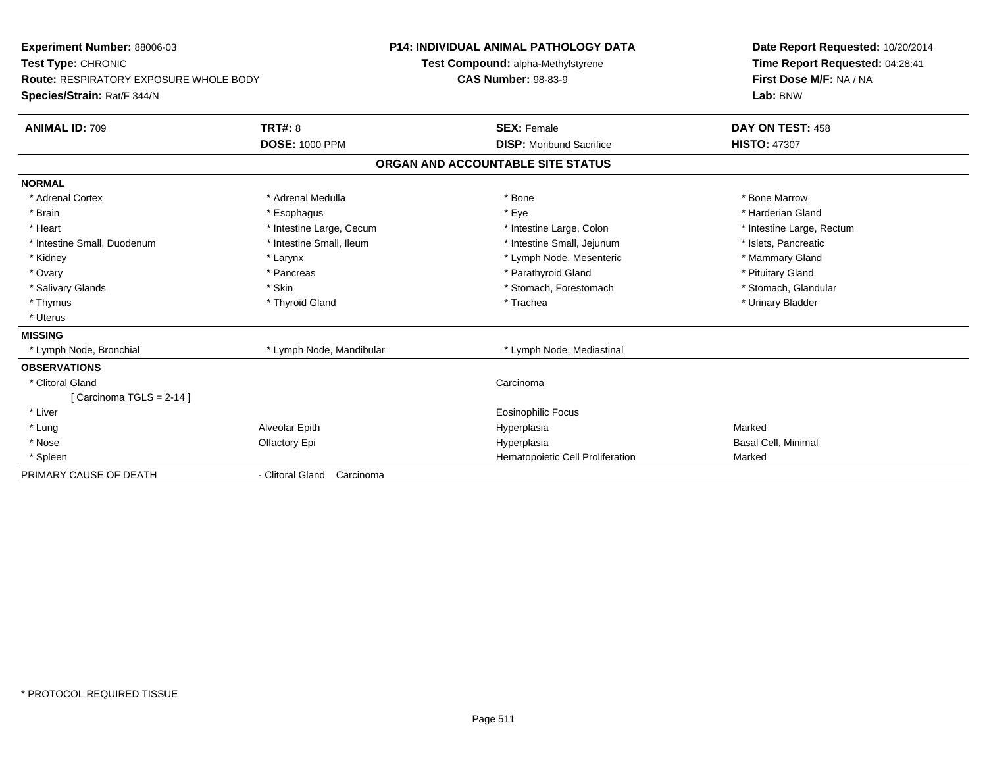| Experiment Number: 88006-03                                                  |                            | <b>P14: INDIVIDUAL ANIMAL PATHOLOGY DATA</b> |                                    | Date Report Requested: 10/20/2014 |
|------------------------------------------------------------------------------|----------------------------|----------------------------------------------|------------------------------------|-----------------------------------|
| Test Type: CHRONIC                                                           |                            |                                              | Test Compound: alpha-Methylstyrene | Time Report Requested: 04:28:41   |
| <b>Route: RESPIRATORY EXPOSURE WHOLE BODY</b><br>Species/Strain: Rat/F 344/N |                            | <b>CAS Number: 98-83-9</b>                   |                                    | First Dose M/F: NA / NA           |
|                                                                              |                            |                                              |                                    | Lab: BNW                          |
| <b>ANIMAL ID: 709</b>                                                        | TRT#: 8                    |                                              | <b>SEX: Female</b>                 | DAY ON TEST: 458                  |
|                                                                              | <b>DOSE: 1000 PPM</b>      |                                              | <b>DISP:</b> Moribund Sacrifice    | <b>HISTO: 47307</b>               |
|                                                                              |                            |                                              | ORGAN AND ACCOUNTABLE SITE STATUS  |                                   |
| <b>NORMAL</b>                                                                |                            |                                              |                                    |                                   |
| * Adrenal Cortex                                                             | * Adrenal Medulla          |                                              | * Bone                             | * Bone Marrow                     |
| * Brain                                                                      | * Esophagus                |                                              | * Eye                              | * Harderian Gland                 |
| * Heart                                                                      | * Intestine Large, Cecum   |                                              | * Intestine Large, Colon           | * Intestine Large, Rectum         |
| * Intestine Small, Duodenum                                                  | * Intestine Small, Ileum   |                                              | * Intestine Small, Jejunum         | * Islets, Pancreatic              |
| * Kidney                                                                     | * Larynx                   |                                              | * Lymph Node, Mesenteric           | * Mammary Gland                   |
| * Ovary                                                                      | * Pancreas                 |                                              | * Parathyroid Gland                | * Pituitary Gland                 |
| * Salivary Glands                                                            | * Skin                     |                                              | * Stomach, Forestomach             | * Stomach, Glandular              |
| * Thymus                                                                     | * Thyroid Gland            |                                              | * Trachea                          | * Urinary Bladder                 |
| * Uterus                                                                     |                            |                                              |                                    |                                   |
| <b>MISSING</b>                                                               |                            |                                              |                                    |                                   |
| * Lymph Node, Bronchial                                                      | * Lymph Node, Mandibular   |                                              | * Lymph Node, Mediastinal          |                                   |
| <b>OBSERVATIONS</b>                                                          |                            |                                              |                                    |                                   |
| * Clitoral Gland                                                             |                            |                                              | Carcinoma                          |                                   |
| [Carcinoma TGLS = $2-14$ ]                                                   |                            |                                              |                                    |                                   |
| * Liver                                                                      |                            |                                              | <b>Eosinophilic Focus</b>          |                                   |
| * Lung                                                                       | Alveolar Epith             |                                              | Hyperplasia                        | Marked                            |
| * Nose                                                                       | Olfactory Epi              |                                              | Hyperplasia                        | Basal Cell, Minimal               |
| * Spleen                                                                     |                            |                                              | Hematopoietic Cell Proliferation   | Marked                            |
| PRIMARY CAUSE OF DEATH                                                       | - Clitoral Gland Carcinoma |                                              |                                    |                                   |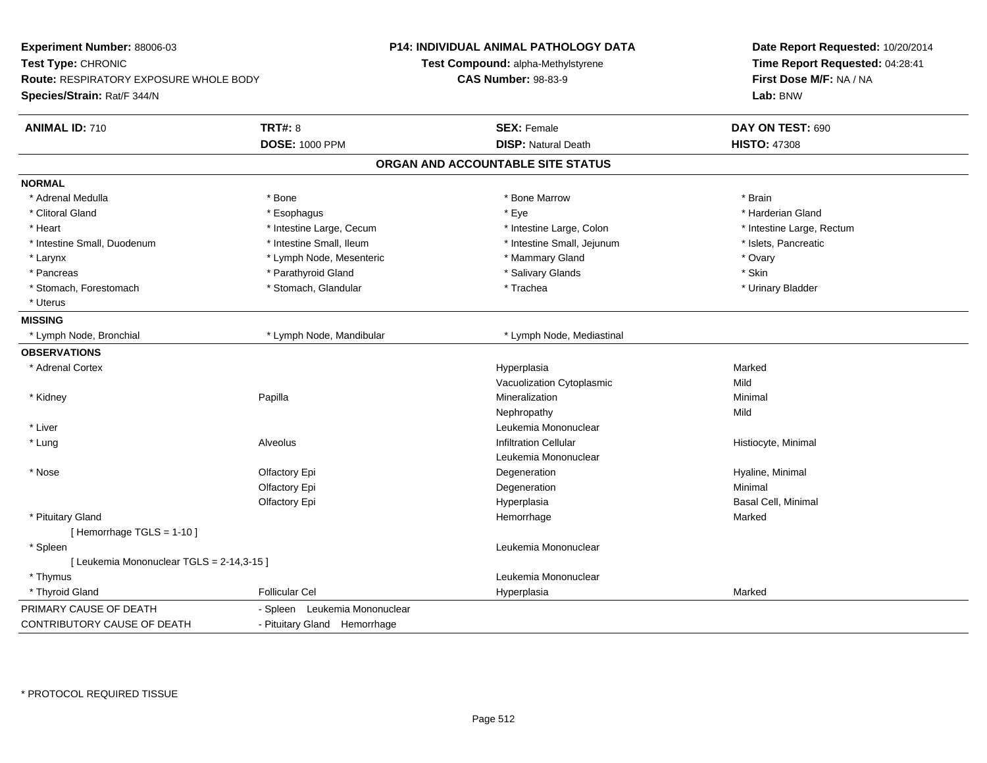| Experiment Number: 88006-03<br>Test Type: CHRONIC<br><b>Route: RESPIRATORY EXPOSURE WHOLE BODY</b><br>Species/Strain: Rat/F 344/N |                               | <b>P14: INDIVIDUAL ANIMAL PATHOLOGY DATA</b><br>Test Compound: alpha-Methylstyrene<br><b>CAS Number: 98-83-9</b> | Date Report Requested: 10/20/2014<br>Time Report Requested: 04:28:41<br>First Dose M/F: NA / NA<br>Lab: BNW |
|-----------------------------------------------------------------------------------------------------------------------------------|-------------------------------|------------------------------------------------------------------------------------------------------------------|-------------------------------------------------------------------------------------------------------------|
| <b>ANIMAL ID: 710</b>                                                                                                             | <b>TRT#: 8</b>                | <b>SEX: Female</b>                                                                                               | DAY ON TEST: 690                                                                                            |
|                                                                                                                                   | <b>DOSE: 1000 PPM</b>         | <b>DISP: Natural Death</b>                                                                                       | <b>HISTO: 47308</b>                                                                                         |
|                                                                                                                                   |                               | ORGAN AND ACCOUNTABLE SITE STATUS                                                                                |                                                                                                             |
| <b>NORMAL</b>                                                                                                                     |                               |                                                                                                                  |                                                                                                             |
| * Adrenal Medulla                                                                                                                 | * Bone                        | * Bone Marrow                                                                                                    | * Brain                                                                                                     |
| * Clitoral Gland                                                                                                                  | * Esophagus                   | * Eye                                                                                                            | * Harderian Gland                                                                                           |
| * Heart                                                                                                                           | * Intestine Large, Cecum      | * Intestine Large, Colon                                                                                         | * Intestine Large, Rectum                                                                                   |
| * Intestine Small, Duodenum                                                                                                       | * Intestine Small, Ileum      | * Intestine Small, Jejunum                                                                                       | * Islets, Pancreatic                                                                                        |
| * Larynx                                                                                                                          | * Lymph Node, Mesenteric      | * Mammary Gland                                                                                                  | * Ovary                                                                                                     |
| * Pancreas                                                                                                                        | * Parathyroid Gland           | * Salivary Glands                                                                                                | * Skin                                                                                                      |
| * Stomach, Forestomach                                                                                                            | * Stomach, Glandular          | * Trachea                                                                                                        | * Urinary Bladder                                                                                           |
| * Uterus                                                                                                                          |                               |                                                                                                                  |                                                                                                             |
| <b>MISSING</b>                                                                                                                    |                               |                                                                                                                  |                                                                                                             |
| * Lymph Node, Bronchial                                                                                                           | * Lymph Node, Mandibular      | * Lymph Node, Mediastinal                                                                                        |                                                                                                             |
| <b>OBSERVATIONS</b>                                                                                                               |                               |                                                                                                                  |                                                                                                             |
| * Adrenal Cortex                                                                                                                  |                               | Hyperplasia                                                                                                      | Marked                                                                                                      |
|                                                                                                                                   |                               | Vacuolization Cytoplasmic                                                                                        | Mild                                                                                                        |
| * Kidney                                                                                                                          | Papilla                       | Mineralization                                                                                                   | Minimal                                                                                                     |
|                                                                                                                                   |                               | Nephropathy                                                                                                      | Mild                                                                                                        |
| * Liver                                                                                                                           |                               | Leukemia Mononuclear                                                                                             |                                                                                                             |
| * Lung                                                                                                                            | Alveolus                      | <b>Infiltration Cellular</b>                                                                                     | Histiocyte, Minimal                                                                                         |
|                                                                                                                                   |                               | Leukemia Mononuclear                                                                                             |                                                                                                             |
| $*$ Nose                                                                                                                          | Olfactory Epi                 | Degeneration                                                                                                     | Hyaline, Minimal                                                                                            |
|                                                                                                                                   | Olfactory Epi                 | Degeneration                                                                                                     | Minimal                                                                                                     |
|                                                                                                                                   | Olfactory Epi                 | Hyperplasia                                                                                                      | Basal Cell, Minimal                                                                                         |
| * Pituitary Gland                                                                                                                 |                               | Hemorrhage                                                                                                       | Marked                                                                                                      |
| [Hemorrhage TGLS = $1-10$ ]                                                                                                       |                               |                                                                                                                  |                                                                                                             |
| * Spleen                                                                                                                          |                               | Leukemia Mononuclear                                                                                             |                                                                                                             |
| [ Leukemia Mononuclear TGLS = 2-14,3-15 ]                                                                                         |                               |                                                                                                                  |                                                                                                             |
| * Thymus                                                                                                                          |                               | Leukemia Mononuclear                                                                                             |                                                                                                             |
| * Thyroid Gland                                                                                                                   | <b>Follicular Cel</b>         | Hyperplasia                                                                                                      | Marked                                                                                                      |
| PRIMARY CAUSE OF DEATH                                                                                                            | - Spleen Leukemia Mononuclear |                                                                                                                  |                                                                                                             |
| <b>CONTRIBUTORY CAUSE OF DEATH</b>                                                                                                | - Pituitary Gland Hemorrhage  |                                                                                                                  |                                                                                                             |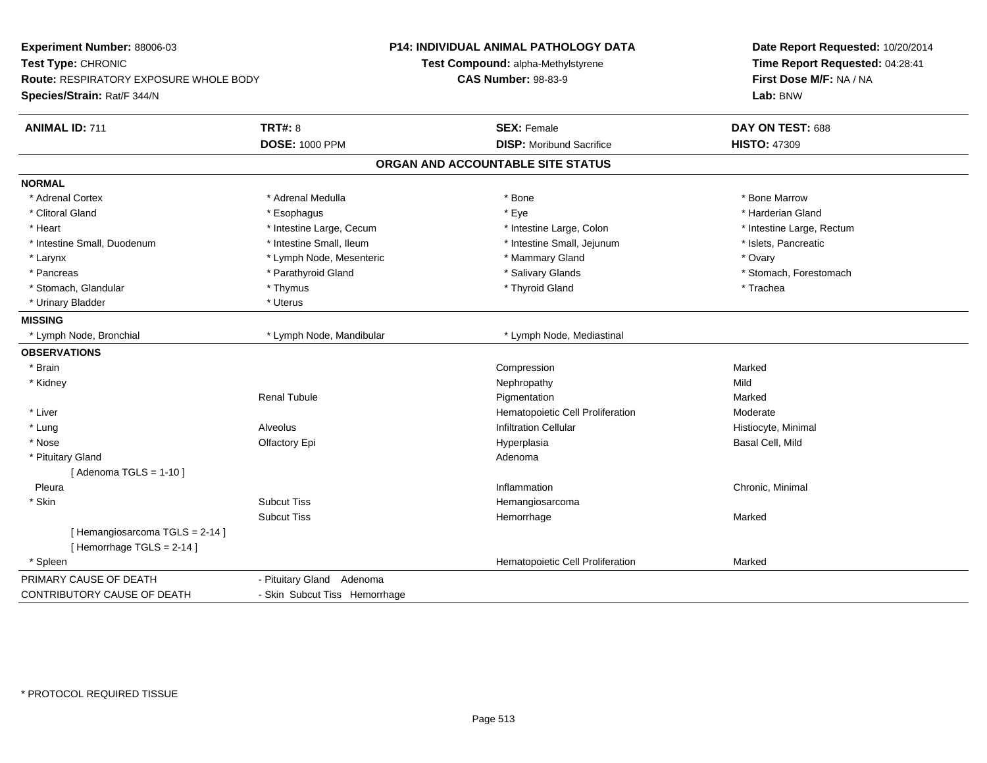| Experiment Number: 88006-03<br>Test Type: CHRONIC<br><b>Route: RESPIRATORY EXPOSURE WHOLE BODY</b><br>Species/Strain: Rat/F 344/N |                                         | <b>P14: INDIVIDUAL ANIMAL PATHOLOGY DATA</b><br>Test Compound: alpha-Methylstyrene<br><b>CAS Number: 98-83-9</b> | Date Report Requested: 10/20/2014<br>Time Report Requested: 04:28:41<br>First Dose M/F: NA / NA<br>Lab: BNW |
|-----------------------------------------------------------------------------------------------------------------------------------|-----------------------------------------|------------------------------------------------------------------------------------------------------------------|-------------------------------------------------------------------------------------------------------------|
| <b>ANIMAL ID: 711</b>                                                                                                             | <b>TRT#: 8</b><br><b>DOSE: 1000 PPM</b> | <b>SEX: Female</b><br><b>DISP:</b> Moribund Sacrifice                                                            | DAY ON TEST: 688<br><b>HISTO: 47309</b>                                                                     |
|                                                                                                                                   |                                         |                                                                                                                  |                                                                                                             |
|                                                                                                                                   |                                         | ORGAN AND ACCOUNTABLE SITE STATUS                                                                                |                                                                                                             |
| <b>NORMAL</b>                                                                                                                     |                                         |                                                                                                                  |                                                                                                             |
| * Adrenal Cortex                                                                                                                  | * Adrenal Medulla                       | * Bone                                                                                                           | * Bone Marrow                                                                                               |
| * Clitoral Gland                                                                                                                  | * Esophagus                             | * Eye                                                                                                            | * Harderian Gland                                                                                           |
| * Heart                                                                                                                           | * Intestine Large, Cecum                | * Intestine Large, Colon                                                                                         | * Intestine Large, Rectum                                                                                   |
| * Intestine Small, Duodenum                                                                                                       | * Intestine Small, Ileum                | * Intestine Small, Jejunum                                                                                       | * Islets, Pancreatic                                                                                        |
| * Larynx                                                                                                                          | * Lymph Node, Mesenteric                | * Mammary Gland                                                                                                  | * Ovary                                                                                                     |
| * Pancreas                                                                                                                        | * Parathyroid Gland                     | * Salivary Glands                                                                                                | * Stomach, Forestomach                                                                                      |
| * Stomach, Glandular                                                                                                              | * Thymus                                | * Thyroid Gland                                                                                                  | * Trachea                                                                                                   |
| * Urinary Bladder                                                                                                                 | * Uterus                                |                                                                                                                  |                                                                                                             |
| <b>MISSING</b>                                                                                                                    |                                         |                                                                                                                  |                                                                                                             |
| * Lymph Node, Bronchial                                                                                                           | * Lymph Node, Mandibular                | * Lymph Node, Mediastinal                                                                                        |                                                                                                             |
| <b>OBSERVATIONS</b>                                                                                                               |                                         |                                                                                                                  |                                                                                                             |
| * Brain                                                                                                                           |                                         | Compression                                                                                                      | Marked                                                                                                      |
| * Kidney                                                                                                                          |                                         | Nephropathy                                                                                                      | Mild                                                                                                        |
|                                                                                                                                   | <b>Renal Tubule</b>                     | Pigmentation                                                                                                     | Marked                                                                                                      |
| * Liver                                                                                                                           |                                         | Hematopoietic Cell Proliferation                                                                                 | Moderate                                                                                                    |
| * Lung                                                                                                                            | <b>Alveolus</b>                         | <b>Infiltration Cellular</b>                                                                                     | Histiocyte, Minimal                                                                                         |
| * Nose                                                                                                                            | Olfactory Epi                           | Hyperplasia                                                                                                      | Basal Cell, Mild                                                                                            |
| * Pituitary Gland                                                                                                                 |                                         | Adenoma                                                                                                          |                                                                                                             |
| [Adenoma TGLS = $1-10$ ]                                                                                                          |                                         |                                                                                                                  |                                                                                                             |
| Pleura                                                                                                                            |                                         | Inflammation                                                                                                     | Chronic, Minimal                                                                                            |
| * Skin                                                                                                                            | <b>Subcut Tiss</b>                      | Hemangiosarcoma                                                                                                  |                                                                                                             |
|                                                                                                                                   | <b>Subcut Tiss</b>                      | Hemorrhage                                                                                                       | Marked                                                                                                      |
| [Hemangiosarcoma TGLS = 2-14]                                                                                                     |                                         |                                                                                                                  |                                                                                                             |
| [Hemorrhage TGLS = 2-14]                                                                                                          |                                         |                                                                                                                  |                                                                                                             |
| * Spleen                                                                                                                          |                                         | Hematopoietic Cell Proliferation                                                                                 | Marked                                                                                                      |
| PRIMARY CAUSE OF DEATH                                                                                                            | - Pituitary Gland Adenoma               |                                                                                                                  |                                                                                                             |
| CONTRIBUTORY CAUSE OF DEATH                                                                                                       | - Skin Subcut Tiss Hemorrhage           |                                                                                                                  |                                                                                                             |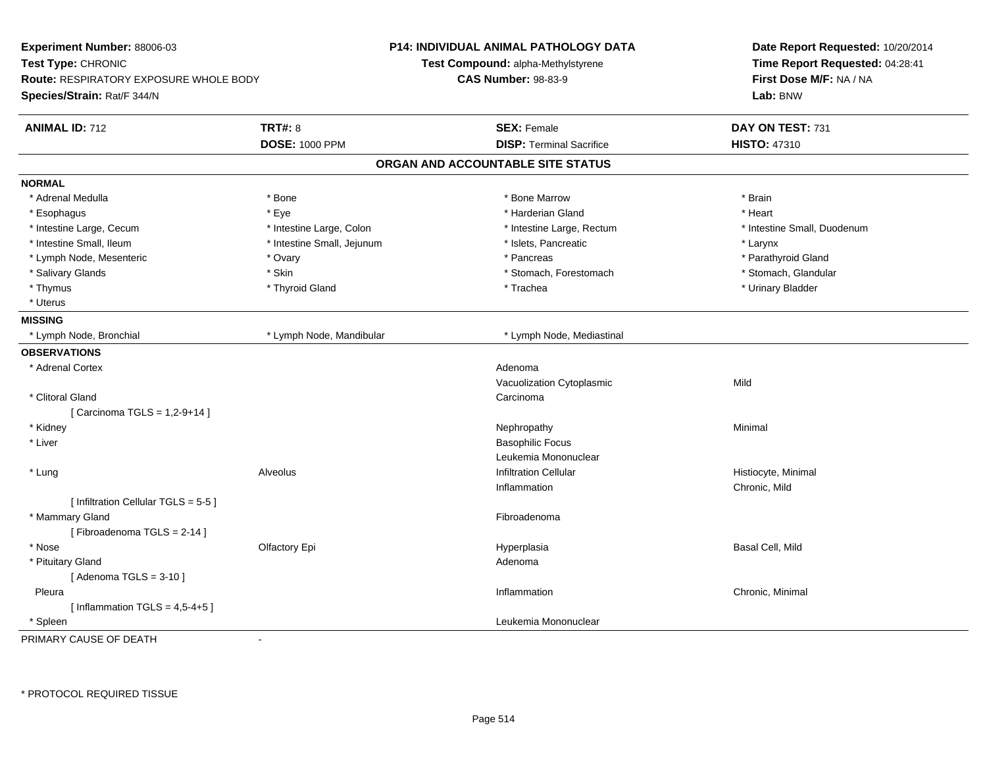| <b>Experiment Number: 88006-03</b><br>Test Type: CHRONIC<br><b>Route: RESPIRATORY EXPOSURE WHOLE BODY</b><br>Species/Strain: Rat/F 344/N |                                         | <b>P14: INDIVIDUAL ANIMAL PATHOLOGY DATA</b><br>Test Compound: alpha-Methylstyrene<br><b>CAS Number: 98-83-9</b> | Date Report Requested: 10/20/2014<br>Time Report Requested: 04:28:41<br>First Dose M/F: NA / NA<br>Lab: BNW |
|------------------------------------------------------------------------------------------------------------------------------------------|-----------------------------------------|------------------------------------------------------------------------------------------------------------------|-------------------------------------------------------------------------------------------------------------|
| <b>ANIMAL ID: 712</b>                                                                                                                    | <b>TRT#: 8</b><br><b>DOSE: 1000 PPM</b> | <b>SEX: Female</b><br><b>DISP: Terminal Sacrifice</b>                                                            | DAY ON TEST: 731<br><b>HISTO: 47310</b>                                                                     |
|                                                                                                                                          |                                         | ORGAN AND ACCOUNTABLE SITE STATUS                                                                                |                                                                                                             |
| <b>NORMAL</b>                                                                                                                            |                                         |                                                                                                                  |                                                                                                             |
| * Adrenal Medulla                                                                                                                        | * Bone                                  | * Bone Marrow                                                                                                    | * Brain                                                                                                     |
| * Esophagus                                                                                                                              | * Eye                                   | * Harderian Gland                                                                                                | * Heart                                                                                                     |
| * Intestine Large, Cecum                                                                                                                 | * Intestine Large, Colon                | * Intestine Large, Rectum                                                                                        | * Intestine Small, Duodenum                                                                                 |
| * Intestine Small, Ileum                                                                                                                 | * Intestine Small, Jejunum              | * Islets, Pancreatic                                                                                             | * Larynx                                                                                                    |
| * Lymph Node, Mesenteric                                                                                                                 | * Ovary                                 | * Pancreas                                                                                                       | * Parathyroid Gland                                                                                         |
| * Salivary Glands                                                                                                                        | * Skin                                  | * Stomach, Forestomach                                                                                           | * Stomach, Glandular                                                                                        |
| * Thymus                                                                                                                                 | * Thyroid Gland                         | * Trachea                                                                                                        | * Urinary Bladder                                                                                           |
| * Uterus                                                                                                                                 |                                         |                                                                                                                  |                                                                                                             |
| <b>MISSING</b>                                                                                                                           |                                         |                                                                                                                  |                                                                                                             |
| * Lymph Node, Bronchial                                                                                                                  | * Lymph Node, Mandibular                | * Lymph Node, Mediastinal                                                                                        |                                                                                                             |
| <b>OBSERVATIONS</b>                                                                                                                      |                                         |                                                                                                                  |                                                                                                             |
| * Adrenal Cortex                                                                                                                         |                                         | Adenoma                                                                                                          |                                                                                                             |
|                                                                                                                                          |                                         | Vacuolization Cytoplasmic                                                                                        | Mild                                                                                                        |
| * Clitoral Gland                                                                                                                         |                                         | Carcinoma                                                                                                        |                                                                                                             |
| [ Carcinoma TGLS = 1,2-9+14 ]                                                                                                            |                                         |                                                                                                                  |                                                                                                             |
| * Kidney                                                                                                                                 |                                         | Nephropathy                                                                                                      | Minimal                                                                                                     |
| * Liver                                                                                                                                  |                                         | <b>Basophilic Focus</b>                                                                                          |                                                                                                             |
|                                                                                                                                          |                                         | Leukemia Mononuclear                                                                                             |                                                                                                             |
| * Lung                                                                                                                                   | <b>Alveolus</b>                         | <b>Infiltration Cellular</b>                                                                                     | Histiocyte, Minimal                                                                                         |
|                                                                                                                                          |                                         | Inflammation                                                                                                     | Chronic, Mild                                                                                               |
| [ Infiltration Cellular TGLS = 5-5 ]                                                                                                     |                                         |                                                                                                                  |                                                                                                             |
| * Mammary Gland                                                                                                                          |                                         | Fibroadenoma                                                                                                     |                                                                                                             |
| [Fibroadenoma TGLS = 2-14]                                                                                                               |                                         |                                                                                                                  |                                                                                                             |
| * Nose                                                                                                                                   | Olfactory Epi                           | Hyperplasia                                                                                                      | Basal Cell, Mild                                                                                            |
| * Pituitary Gland                                                                                                                        |                                         | Adenoma                                                                                                          |                                                                                                             |
| [Adenoma TGLS = $3-10$ ]                                                                                                                 |                                         |                                                                                                                  |                                                                                                             |
| Pleura                                                                                                                                   |                                         | Inflammation                                                                                                     | Chronic, Minimal                                                                                            |
| [Inflammation TGLS = $4,5-4+5$ ]                                                                                                         |                                         |                                                                                                                  |                                                                                                             |
| * Spleen                                                                                                                                 |                                         | Leukemia Mononuclear                                                                                             |                                                                                                             |
| PRIMARY CAUSE OF DEATH                                                                                                                   | ä,                                      |                                                                                                                  |                                                                                                             |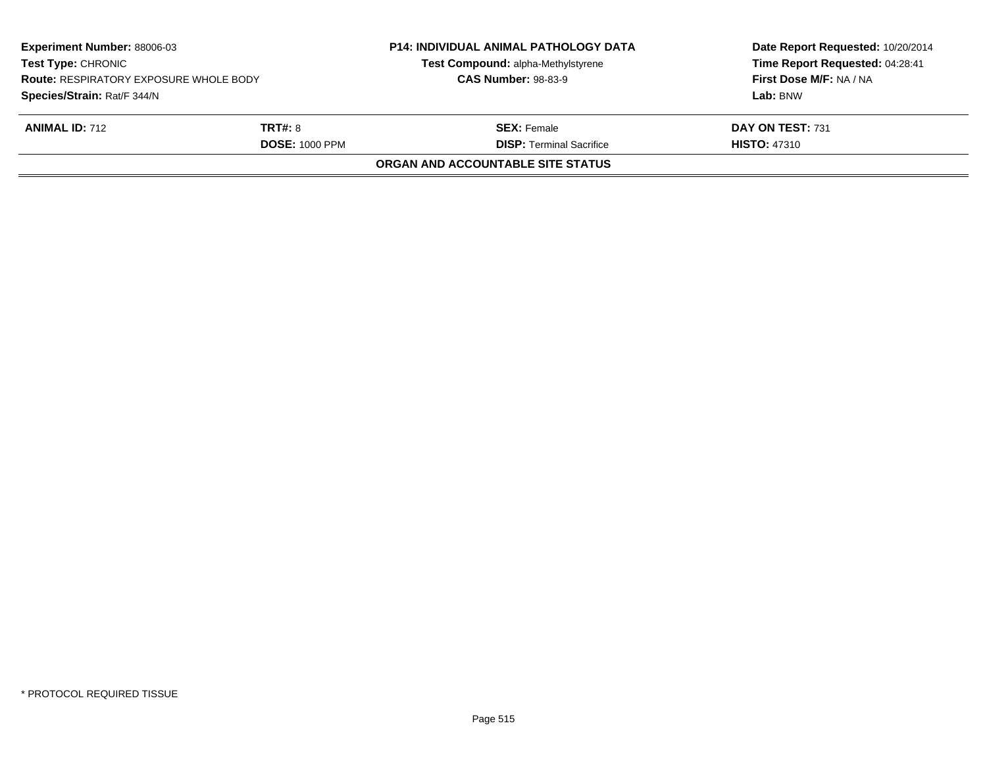| <b>Experiment Number: 88006-03</b><br><b>Test Type: CHRONIC</b><br><b>Route: RESPIRATORY EXPOSURE WHOLE BODY</b> |                                         | Test Compound: alpha-Methylstyrene<br><b>CAS Number: 98-83-9</b> | Time Report Requested: 04:28:41<br>First Dose M/F: NA / NA |
|------------------------------------------------------------------------------------------------------------------|-----------------------------------------|------------------------------------------------------------------|------------------------------------------------------------|
| Species/Strain: Rat/F 344/N                                                                                      |                                         |                                                                  | Lab: BNW                                                   |
| <b>ANIMAL ID: 712</b>                                                                                            | <b>TRT#:</b> 8<br><b>DOSE: 1000 PPM</b> | <b>SEX: Female</b><br><b>DISP: Terminal Sacrifice</b>            | DAY ON TEST: 731<br><b>HISTO: 47310</b>                    |
|                                                                                                                  |                                         | ORGAN AND ACCOUNTABLE SITE STATUS                                |                                                            |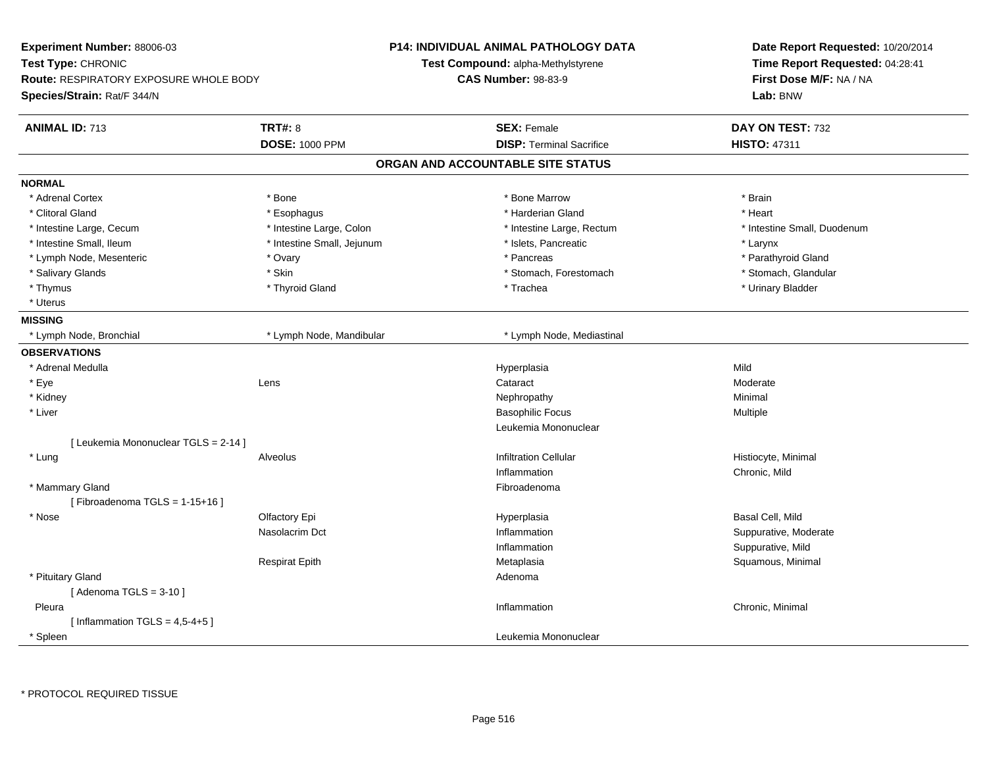| Experiment Number: 88006-03<br>Test Type: CHRONIC |                            | <b>P14: INDIVIDUAL ANIMAL PATHOLOGY DATA</b> | Date Report Requested: 10/20/2014<br>Time Report Requested: 04:28:41 |
|---------------------------------------------------|----------------------------|----------------------------------------------|----------------------------------------------------------------------|
|                                                   |                            | Test Compound: alpha-Methylstyrene           |                                                                      |
| Route: RESPIRATORY EXPOSURE WHOLE BODY            |                            | <b>CAS Number: 98-83-9</b>                   | First Dose M/F: NA / NA                                              |
| Species/Strain: Rat/F 344/N                       |                            |                                              | Lab: BNW                                                             |
| <b>ANIMAL ID: 713</b>                             | <b>TRT#: 8</b>             | <b>SEX: Female</b>                           | DAY ON TEST: 732                                                     |
|                                                   | <b>DOSE: 1000 PPM</b>      | <b>DISP: Terminal Sacrifice</b>              | <b>HISTO: 47311</b>                                                  |
|                                                   |                            | ORGAN AND ACCOUNTABLE SITE STATUS            |                                                                      |
| <b>NORMAL</b>                                     |                            |                                              |                                                                      |
| * Adrenal Cortex                                  | * Bone                     | * Bone Marrow                                | * Brain                                                              |
| * Clitoral Gland                                  | * Esophagus                | * Harderian Gland                            | * Heart                                                              |
| * Intestine Large, Cecum                          | * Intestine Large, Colon   | * Intestine Large, Rectum                    | * Intestine Small, Duodenum                                          |
| * Intestine Small, Ileum                          | * Intestine Small, Jejunum | * Islets, Pancreatic                         | * Larynx                                                             |
| * Lymph Node, Mesenteric                          | * Ovary                    | * Pancreas                                   | * Parathyroid Gland                                                  |
| * Salivary Glands                                 | * Skin                     | * Stomach, Forestomach                       | * Stomach, Glandular                                                 |
| * Thymus                                          | * Thyroid Gland            | * Trachea                                    | * Urinary Bladder                                                    |
| * Uterus                                          |                            |                                              |                                                                      |
| <b>MISSING</b>                                    |                            |                                              |                                                                      |
| * Lymph Node, Bronchial                           | * Lymph Node, Mandibular   | * Lymph Node, Mediastinal                    |                                                                      |
| <b>OBSERVATIONS</b>                               |                            |                                              |                                                                      |
| * Adrenal Medulla                                 |                            | Hyperplasia                                  | Mild                                                                 |
| * Eye                                             | Lens                       | Cataract                                     | Moderate                                                             |
| * Kidney                                          |                            | Nephropathy                                  | Minimal                                                              |
| * Liver                                           |                            | <b>Basophilic Focus</b>                      | Multiple                                                             |
|                                                   |                            | Leukemia Mononuclear                         |                                                                      |
| [ Leukemia Mononuclear TGLS = 2-14 ]              |                            |                                              |                                                                      |
| * Lung                                            | Alveolus                   | <b>Infiltration Cellular</b>                 | Histiocyte, Minimal                                                  |
|                                                   |                            | Inflammation                                 | Chronic, Mild                                                        |
| * Mammary Gland                                   |                            | Fibroadenoma                                 |                                                                      |
| [Fibroadenoma TGLS = $1-15+16$ ]                  |                            |                                              |                                                                      |
| * Nose                                            | Olfactory Epi              | Hyperplasia                                  | Basal Cell, Mild                                                     |
|                                                   | Nasolacrim Dct             | Inflammation                                 | Suppurative, Moderate                                                |
|                                                   |                            | Inflammation                                 | Suppurative, Mild                                                    |
|                                                   | Respirat Epith             | Metaplasia                                   | Squamous, Minimal                                                    |
| * Pituitary Gland                                 |                            | Adenoma                                      |                                                                      |
| [Adenoma TGLS = $3-10$ ]                          |                            |                                              |                                                                      |
| Pleura                                            |                            | Inflammation                                 | Chronic, Minimal                                                     |
| [Inflammation TGLS = $4,5-4+5$ ]                  |                            |                                              |                                                                      |
| * Spleen                                          |                            | Leukemia Mononuclear                         |                                                                      |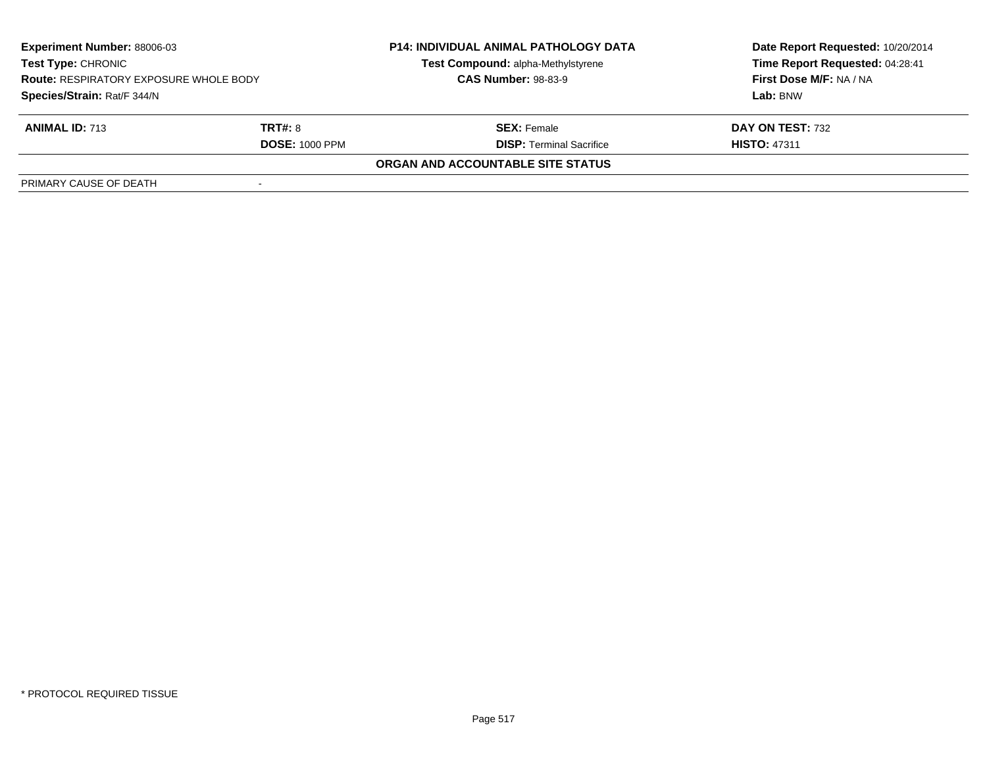| <b>Experiment Number: 88006-03</b><br><b>Test Type: CHRONIC</b><br><b>Route: RESPIRATORY EXPOSURE WHOLE BODY</b><br>Species/Strain: Rat/F 344/N |                       | <b>P14: INDIVIDUAL ANIMAL PATHOLOGY DATA</b> | Date Report Requested: 10/20/2014 |  |
|-------------------------------------------------------------------------------------------------------------------------------------------------|-----------------------|----------------------------------------------|-----------------------------------|--|
|                                                                                                                                                 |                       | Test Compound: alpha-Methylstyrene           | Time Report Requested: 04:28:41   |  |
|                                                                                                                                                 |                       | <b>CAS Number: 98-83-9</b>                   | <b>First Dose M/F: NA / NA</b>    |  |
|                                                                                                                                                 |                       |                                              | Lab: BNW                          |  |
| <b>ANIMAL ID: 713</b>                                                                                                                           | <b>TRT#: 8</b>        | <b>SEX: Female</b>                           | DAY ON TEST: 732                  |  |
|                                                                                                                                                 | <b>DOSE: 1000 PPM</b> | <b>DISP: Terminal Sacrifice</b>              | <b>HISTO: 47311</b>               |  |
|                                                                                                                                                 |                       | ORGAN AND ACCOUNTABLE SITE STATUS            |                                   |  |
| PRIMARY CAUSE OF DEATH                                                                                                                          |                       |                                              |                                   |  |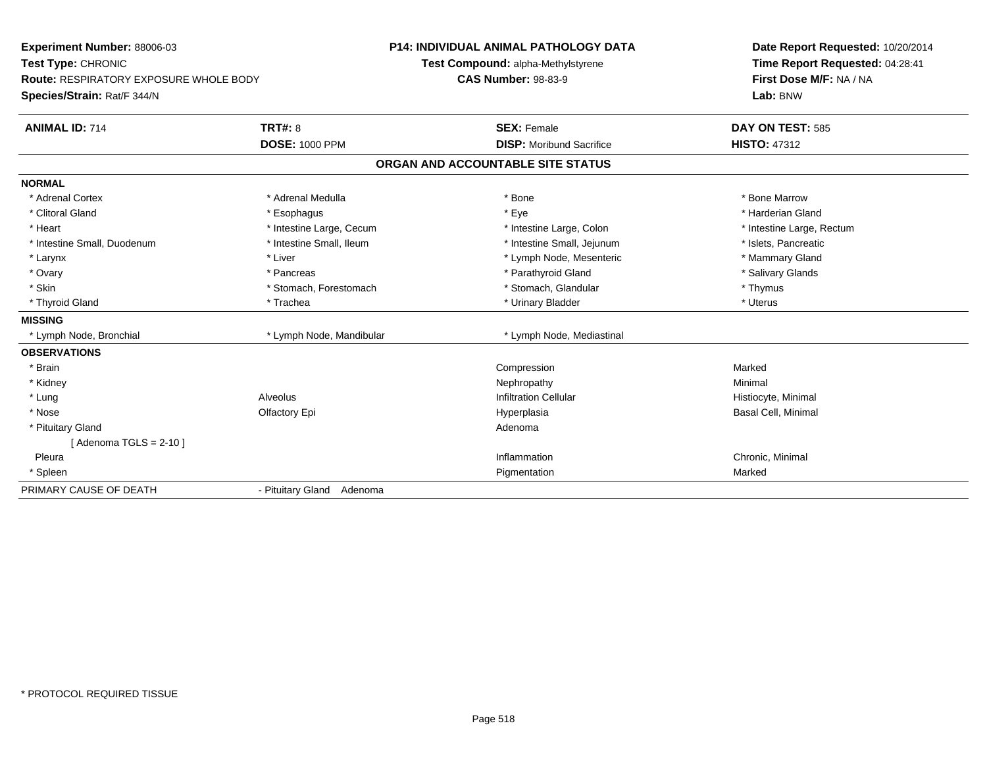| <b>Experiment Number: 88006-03</b>            |                           | <b>P14: INDIVIDUAL ANIMAL PATHOLOGY DATA</b> | Date Report Requested: 10/20/2014 |
|-----------------------------------------------|---------------------------|----------------------------------------------|-----------------------------------|
| Test Type: CHRONIC                            |                           | Test Compound: alpha-Methylstyrene           | Time Report Requested: 04:28:41   |
| <b>Route: RESPIRATORY EXPOSURE WHOLE BODY</b> |                           | <b>CAS Number: 98-83-9</b>                   | First Dose M/F: NA / NA           |
| Species/Strain: Rat/F 344/N                   |                           |                                              | Lab: BNW                          |
| <b>ANIMAL ID: 714</b>                         | TRT#: 8                   | <b>SEX: Female</b>                           | DAY ON TEST: 585                  |
|                                               | <b>DOSE: 1000 PPM</b>     | <b>DISP:</b> Moribund Sacrifice              | <b>HISTO: 47312</b>               |
|                                               |                           | ORGAN AND ACCOUNTABLE SITE STATUS            |                                   |
| <b>NORMAL</b>                                 |                           |                                              |                                   |
| * Adrenal Cortex                              | * Adrenal Medulla         | * Bone                                       | * Bone Marrow                     |
| * Clitoral Gland                              | * Esophagus               | * Eye                                        | * Harderian Gland                 |
| * Heart                                       | * Intestine Large, Cecum  | * Intestine Large, Colon                     | * Intestine Large, Rectum         |
| * Intestine Small, Duodenum                   | * Intestine Small, Ileum  | * Intestine Small, Jejunum                   | * Islets, Pancreatic              |
| * Larynx                                      | * Liver                   | * Lymph Node, Mesenteric                     | * Mammary Gland                   |
| * Ovary                                       | * Pancreas                | * Parathyroid Gland                          | * Salivary Glands                 |
| * Skin                                        | * Stomach, Forestomach    | * Stomach, Glandular                         | * Thymus                          |
| * Thyroid Gland                               | * Trachea                 | * Urinary Bladder                            | * Uterus                          |
| <b>MISSING</b>                                |                           |                                              |                                   |
| * Lymph Node, Bronchial                       | * Lymph Node, Mandibular  | * Lymph Node, Mediastinal                    |                                   |
| <b>OBSERVATIONS</b>                           |                           |                                              |                                   |
| * Brain                                       |                           | Compression                                  | Marked                            |
| * Kidney                                      |                           | Nephropathy                                  | Minimal                           |
| * Lung                                        | Alveolus                  | <b>Infiltration Cellular</b>                 | Histiocyte, Minimal               |
| * Nose                                        | Olfactory Epi             | Hyperplasia                                  | Basal Cell, Minimal               |
| * Pituitary Gland                             |                           | Adenoma                                      |                                   |
| [Adenoma TGLS = $2-10$ ]                      |                           |                                              |                                   |
| Pleura                                        |                           | Inflammation                                 | Chronic, Minimal                  |
| * Spleen                                      |                           | Pigmentation                                 | Marked                            |
| PRIMARY CAUSE OF DEATH                        | - Pituitary Gland Adenoma |                                              |                                   |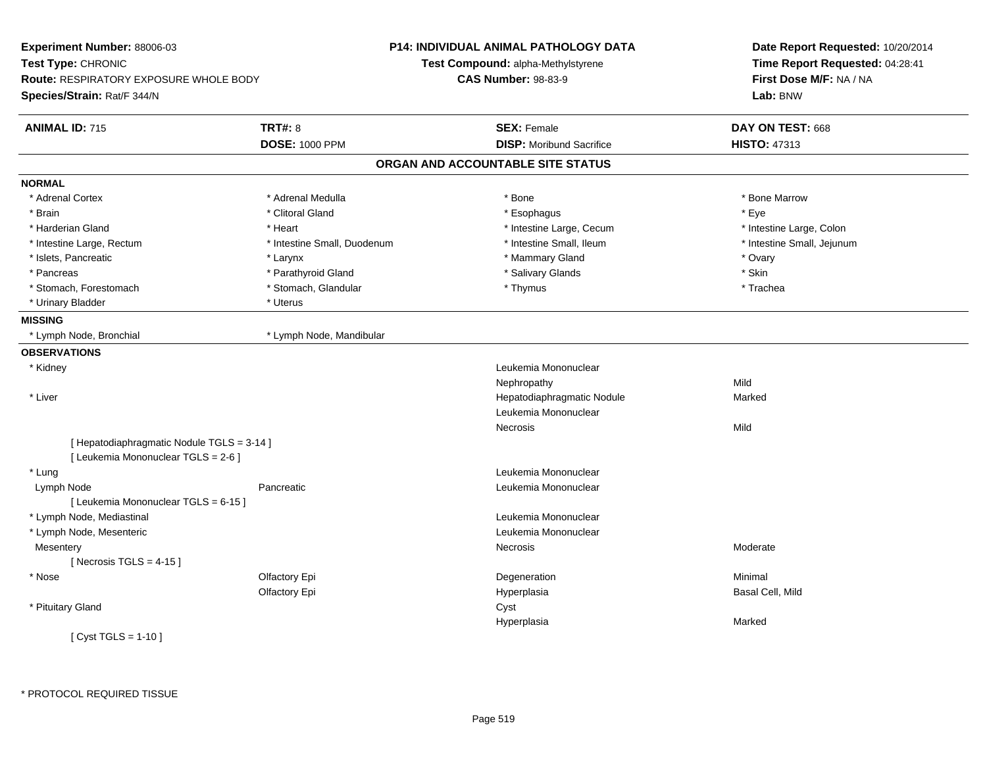| Experiment Number: 88006-03<br>Test Type: CHRONIC<br><b>Route: RESPIRATORY EXPOSURE WHOLE BODY</b><br>Species/Strain: Rat/F 344/N |                             | P14: INDIVIDUAL ANIMAL PATHOLOGY DATA<br>Test Compound: alpha-Methylstyrene<br><b>CAS Number: 98-83-9</b> | Date Report Requested: 10/20/2014<br>Time Report Requested: 04:28:41<br>First Dose M/F: NA / NA<br>Lab: BNW |
|-----------------------------------------------------------------------------------------------------------------------------------|-----------------------------|-----------------------------------------------------------------------------------------------------------|-------------------------------------------------------------------------------------------------------------|
| <b>ANIMAL ID: 715</b>                                                                                                             | <b>TRT#: 8</b>              | <b>SEX: Female</b>                                                                                        | DAY ON TEST: 668                                                                                            |
|                                                                                                                                   | <b>DOSE: 1000 PPM</b>       | <b>DISP:</b> Moribund Sacrifice                                                                           | <b>HISTO: 47313</b>                                                                                         |
|                                                                                                                                   |                             | ORGAN AND ACCOUNTABLE SITE STATUS                                                                         |                                                                                                             |
| <b>NORMAL</b>                                                                                                                     |                             |                                                                                                           |                                                                                                             |
| * Adrenal Cortex                                                                                                                  | * Adrenal Medulla           | * Bone                                                                                                    | * Bone Marrow                                                                                               |
| * Brain                                                                                                                           | * Clitoral Gland            | * Esophagus                                                                                               | * Eye                                                                                                       |
| * Harderian Gland                                                                                                                 | * Heart                     | * Intestine Large, Cecum                                                                                  | * Intestine Large, Colon                                                                                    |
| * Intestine Large, Rectum                                                                                                         | * Intestine Small, Duodenum | * Intestine Small, Ileum                                                                                  | * Intestine Small, Jejunum                                                                                  |
| * Islets, Pancreatic                                                                                                              | * Larynx                    | * Mammary Gland                                                                                           | * Ovary                                                                                                     |
| * Pancreas                                                                                                                        | * Parathyroid Gland         | * Salivary Glands                                                                                         | * Skin                                                                                                      |
| * Stomach, Forestomach                                                                                                            | * Stomach, Glandular        | * Thymus                                                                                                  | * Trachea                                                                                                   |
| * Urinary Bladder                                                                                                                 | * Uterus                    |                                                                                                           |                                                                                                             |
| <b>MISSING</b>                                                                                                                    |                             |                                                                                                           |                                                                                                             |
| * Lymph Node, Bronchial                                                                                                           | * Lymph Node, Mandibular    |                                                                                                           |                                                                                                             |
| <b>OBSERVATIONS</b>                                                                                                               |                             |                                                                                                           |                                                                                                             |
| * Kidney                                                                                                                          |                             | Leukemia Mononuclear                                                                                      |                                                                                                             |
|                                                                                                                                   |                             | Nephropathy                                                                                               | Mild                                                                                                        |
| * Liver                                                                                                                           |                             | Hepatodiaphragmatic Nodule                                                                                | Marked                                                                                                      |
|                                                                                                                                   |                             | Leukemia Mononuclear                                                                                      |                                                                                                             |
|                                                                                                                                   |                             | Necrosis                                                                                                  | Mild                                                                                                        |
| [ Hepatodiaphragmatic Nodule TGLS = 3-14 ]<br>[ Leukemia Mononuclear TGLS = 2-6 ]                                                 |                             |                                                                                                           |                                                                                                             |
| * Lung                                                                                                                            |                             | Leukemia Mononuclear                                                                                      |                                                                                                             |
| Lymph Node                                                                                                                        | Pancreatic                  | Leukemia Mononuclear                                                                                      |                                                                                                             |
| [ Leukemia Mononuclear TGLS = 6-15 ]                                                                                              |                             |                                                                                                           |                                                                                                             |
| * Lymph Node, Mediastinal                                                                                                         |                             | Leukemia Mononuclear                                                                                      |                                                                                                             |
| * Lymph Node, Mesenteric                                                                                                          |                             | Leukemia Mononuclear                                                                                      |                                                                                                             |
| Mesentery                                                                                                                         |                             | Necrosis                                                                                                  | Moderate                                                                                                    |
| [Necrosis TGLS = $4-15$ ]                                                                                                         |                             |                                                                                                           |                                                                                                             |
| * Nose                                                                                                                            | Olfactory Epi               | Degeneration                                                                                              | Minimal                                                                                                     |
|                                                                                                                                   | Olfactory Epi               | Hyperplasia                                                                                               | Basal Cell, Mild                                                                                            |
| * Pituitary Gland                                                                                                                 |                             | Cyst                                                                                                      |                                                                                                             |
|                                                                                                                                   |                             | Hyperplasia                                                                                               | Marked                                                                                                      |
| [ $Cyst TGLS = 1-10$ ]                                                                                                            |                             |                                                                                                           |                                                                                                             |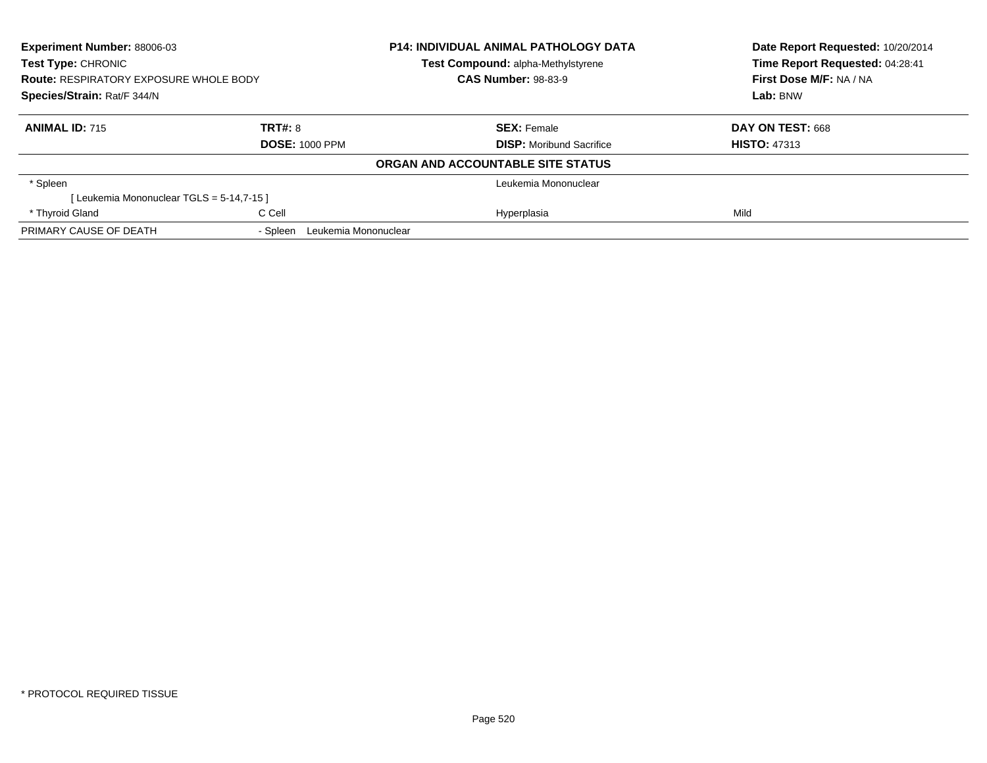| <b>Experiment Number: 88006-03</b>            |                                  | <b>P14: INDIVIDUAL ANIMAL PATHOLOGY DATA</b> | Date Report Requested: 10/20/2014<br>Time Report Requested: 04:28:41<br>First Dose M/F: NA / NA |
|-----------------------------------------------|----------------------------------|----------------------------------------------|-------------------------------------------------------------------------------------------------|
| <b>Test Type: CHRONIC</b>                     |                                  | Test Compound: alpha-Methylstyrene           |                                                                                                 |
| <b>Route: RESPIRATORY EXPOSURE WHOLE BODY</b> |                                  | <b>CAS Number: 98-83-9</b>                   |                                                                                                 |
| Species/Strain: Rat/F 344/N                   |                                  |                                              | Lab: BNW                                                                                        |
| <b>ANIMAL ID: 715</b>                         | TRT#: 8                          | <b>SEX: Female</b>                           | DAY ON TEST: 668                                                                                |
|                                               | <b>DOSE: 1000 PPM</b>            | <b>DISP:</b> Moribund Sacrifice              | <b>HISTO: 47313</b>                                                                             |
|                                               |                                  | ORGAN AND ACCOUNTABLE SITE STATUS            |                                                                                                 |
| * Spleen                                      |                                  | Leukemia Mononuclear                         |                                                                                                 |
| [Leukemia Mononuclear TGLS = 5-14,7-15 ]      |                                  |                                              |                                                                                                 |
| * Thyroid Gland                               | C Cell                           | Hyperplasia                                  | Mild                                                                                            |
| PRIMARY CAUSE OF DEATH                        | Leukemia Mononuclear<br>- Spleen |                                              |                                                                                                 |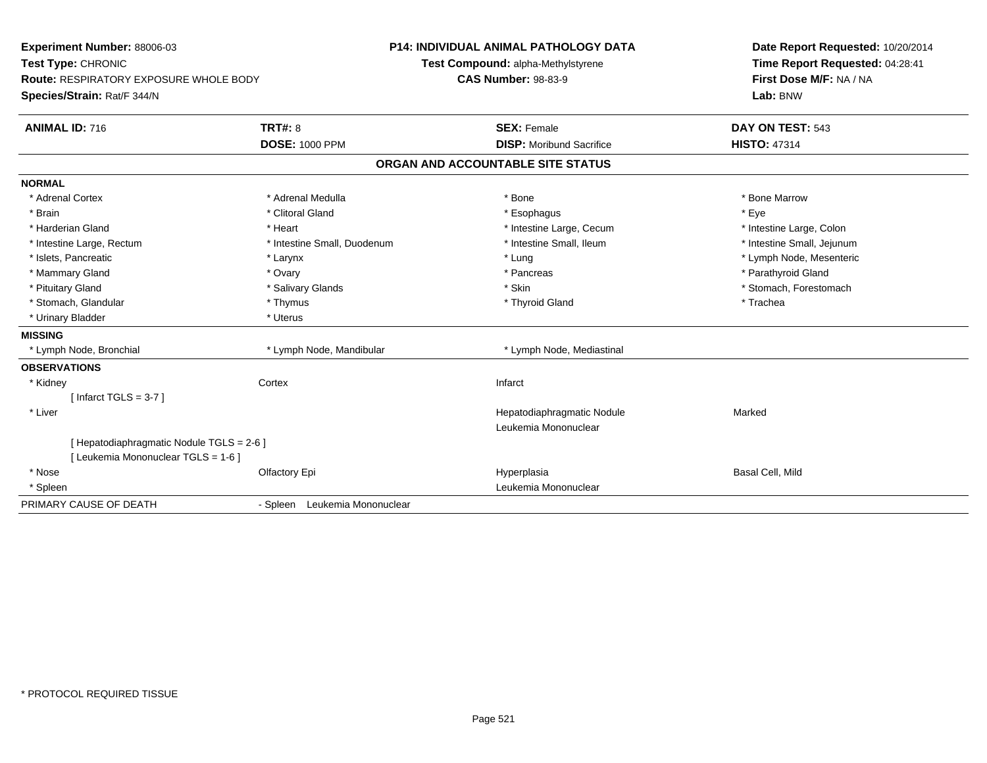| Experiment Number: 88006-03                   |                                    | <b>P14: INDIVIDUAL ANIMAL PATHOLOGY DATA</b> | Date Report Requested: 10/20/2014 |
|-----------------------------------------------|------------------------------------|----------------------------------------------|-----------------------------------|
| Test Type: CHRONIC                            | Test Compound: alpha-Methylstyrene |                                              | Time Report Requested: 04:28:41   |
| <b>Route: RESPIRATORY EXPOSURE WHOLE BODY</b> |                                    | <b>CAS Number: 98-83-9</b>                   | First Dose M/F: NA / NA           |
| Species/Strain: Rat/F 344/N                   |                                    |                                              | Lab: BNW                          |
| <b>ANIMAL ID: 716</b>                         | <b>TRT#: 8</b>                     | <b>SEX: Female</b>                           | DAY ON TEST: 543                  |
|                                               | <b>DOSE: 1000 PPM</b>              | <b>DISP: Moribund Sacrifice</b>              | <b>HISTO: 47314</b>               |
|                                               |                                    | ORGAN AND ACCOUNTABLE SITE STATUS            |                                   |
| <b>NORMAL</b>                                 |                                    |                                              |                                   |
| * Adrenal Cortex                              | * Adrenal Medulla                  | * Bone                                       | * Bone Marrow                     |
| * Brain                                       | * Clitoral Gland                   | * Esophagus                                  | * Eye                             |
| * Harderian Gland                             | * Heart                            | * Intestine Large, Cecum                     | * Intestine Large, Colon          |
| * Intestine Large, Rectum                     | * Intestine Small, Duodenum        | * Intestine Small, Ileum                     | * Intestine Small, Jejunum        |
| * Islets, Pancreatic                          | * Larynx                           | * Lung                                       | * Lymph Node, Mesenteric          |
| * Mammary Gland                               | * Ovary                            | * Pancreas                                   | * Parathyroid Gland               |
| * Pituitary Gland                             | * Salivary Glands                  | * Skin                                       | * Stomach, Forestomach            |
| * Stomach, Glandular                          | * Thymus                           | * Thyroid Gland                              | * Trachea                         |
| * Urinary Bladder                             | * Uterus                           |                                              |                                   |
| <b>MISSING</b>                                |                                    |                                              |                                   |
| * Lymph Node, Bronchial                       | * Lymph Node, Mandibular           | * Lymph Node, Mediastinal                    |                                   |
| <b>OBSERVATIONS</b>                           |                                    |                                              |                                   |
| * Kidney                                      | Cortex                             | Infarct                                      |                                   |
| [Infarct TGLS = $3-7$ ]                       |                                    |                                              |                                   |
| * Liver                                       |                                    | Hepatodiaphragmatic Nodule                   | Marked                            |
|                                               |                                    | Leukemia Mononuclear                         |                                   |
| [Hepatodiaphragmatic Nodule TGLS = 2-6]       |                                    |                                              |                                   |
| [Leukemia Mononuclear TGLS = 1-6]             |                                    |                                              |                                   |
| * Nose                                        | Olfactory Epi                      | Hyperplasia                                  | Basal Cell, Mild                  |
| * Spleen                                      |                                    | Leukemia Mononuclear                         |                                   |
| PRIMARY CAUSE OF DEATH                        | - Spleen Leukemia Mononuclear      |                                              |                                   |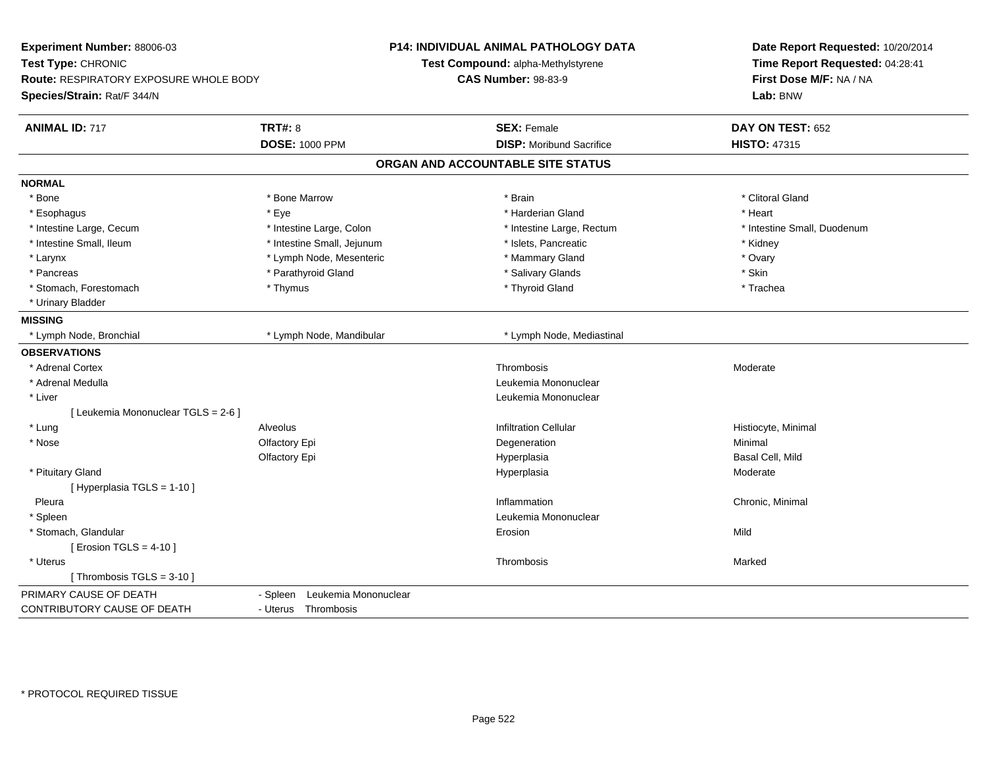| Time Report Requested: 04:28:41<br>Test Compound: alpha-Methylstyrene<br><b>CAS Number: 98-83-9</b><br>First Dose M/F: NA / NA<br>Route: RESPIRATORY EXPOSURE WHOLE BODY<br>Lab: BNW<br><b>ANIMAL ID: 717</b><br><b>TRT#: 8</b><br><b>SEX: Female</b><br>DAY ON TEST: 652<br><b>DOSE: 1000 PPM</b><br><b>DISP: Moribund Sacrifice</b><br><b>HISTO: 47315</b><br>ORGAN AND ACCOUNTABLE SITE STATUS<br>* Clitoral Gland<br>* Bone<br>* Bone Marrow<br>* Brain<br>* Eye<br>* Harderian Gland<br>* Heart<br>* Esophagus<br>* Intestine Large, Cecum<br>* Intestine Large, Colon<br>* Intestine Large, Rectum<br>* Intestine Small, Duodenum<br>* Intestine Small, Ileum<br>* Intestine Small, Jejunum<br>* Islets, Pancreatic<br>* Kidney<br>* Lymph Node, Mesenteric<br>* Mammary Gland<br>* Ovary<br>* Larynx<br>* Parathyroid Gland<br>* Salivary Glands<br>* Skin<br>* Pancreas<br>* Thyroid Gland<br>* Stomach, Forestomach<br>* Thymus<br>* Trachea<br>* Urinary Bladder<br>* Lymph Node, Bronchial<br>* Lymph Node, Mandibular<br>* Lymph Node, Mediastinal<br>* Adrenal Cortex<br>Thrombosis<br>Moderate<br>* Adrenal Medulla<br>Leukemia Mononuclear<br>* Liver<br>Leukemia Mononuclear<br>[ Leukemia Mononuclear TGLS = 2-6 ]<br>* Lung<br><b>Alveolus</b><br><b>Infiltration Cellular</b><br>Histiocyte, Minimal<br>* Nose<br>Olfactory Epi<br>Degeneration<br>Minimal<br>Basal Cell, Mild<br>Olfactory Epi<br>Hyperplasia<br>* Pituitary Gland<br>Hyperplasia<br>Moderate<br>[ Hyperplasia TGLS = 1-10 ]<br>Pleura<br>Inflammation<br>Chronic, Minimal<br>Leukemia Mononuclear<br>* Spleen<br>* Stomach, Glandular<br>Mild<br>Erosion<br>[ Erosion TGLS = $4-10$ ]<br>* Uterus<br>Thrombosis<br>Marked<br>[Thrombosis TGLS = 3-10]<br>Leukemia Mononuclear<br>- Spleen<br>- Uterus Thrombosis | Experiment Number: 88006-03 | P14: INDIVIDUAL ANIMAL PATHOLOGY DATA | Date Report Requested: 10/20/2014 |
|-------------------------------------------------------------------------------------------------------------------------------------------------------------------------------------------------------------------------------------------------------------------------------------------------------------------------------------------------------------------------------------------------------------------------------------------------------------------------------------------------------------------------------------------------------------------------------------------------------------------------------------------------------------------------------------------------------------------------------------------------------------------------------------------------------------------------------------------------------------------------------------------------------------------------------------------------------------------------------------------------------------------------------------------------------------------------------------------------------------------------------------------------------------------------------------------------------------------------------------------------------------------------------------------------------------------------------------------------------------------------------------------------------------------------------------------------------------------------------------------------------------------------------------------------------------------------------------------------------------------------------------------------------------------------------------------------------------------------------------------------------------------------------------------------------|-----------------------------|---------------------------------------|-----------------------------------|
|                                                                                                                                                                                                                                                                                                                                                                                                                                                                                                                                                                                                                                                                                                                                                                                                                                                                                                                                                                                                                                                                                                                                                                                                                                                                                                                                                                                                                                                                                                                                                                                                                                                                                                                                                                                                       | Test Type: CHRONIC          |                                       |                                   |
|                                                                                                                                                                                                                                                                                                                                                                                                                                                                                                                                                                                                                                                                                                                                                                                                                                                                                                                                                                                                                                                                                                                                                                                                                                                                                                                                                                                                                                                                                                                                                                                                                                                                                                                                                                                                       |                             |                                       |                                   |
|                                                                                                                                                                                                                                                                                                                                                                                                                                                                                                                                                                                                                                                                                                                                                                                                                                                                                                                                                                                                                                                                                                                                                                                                                                                                                                                                                                                                                                                                                                                                                                                                                                                                                                                                                                                                       | Species/Strain: Rat/F 344/N |                                       |                                   |
|                                                                                                                                                                                                                                                                                                                                                                                                                                                                                                                                                                                                                                                                                                                                                                                                                                                                                                                                                                                                                                                                                                                                                                                                                                                                                                                                                                                                                                                                                                                                                                                                                                                                                                                                                                                                       |                             |                                       |                                   |
|                                                                                                                                                                                                                                                                                                                                                                                                                                                                                                                                                                                                                                                                                                                                                                                                                                                                                                                                                                                                                                                                                                                                                                                                                                                                                                                                                                                                                                                                                                                                                                                                                                                                                                                                                                                                       |                             |                                       |                                   |
|                                                                                                                                                                                                                                                                                                                                                                                                                                                                                                                                                                                                                                                                                                                                                                                                                                                                                                                                                                                                                                                                                                                                                                                                                                                                                                                                                                                                                                                                                                                                                                                                                                                                                                                                                                                                       |                             |                                       |                                   |
|                                                                                                                                                                                                                                                                                                                                                                                                                                                                                                                                                                                                                                                                                                                                                                                                                                                                                                                                                                                                                                                                                                                                                                                                                                                                                                                                                                                                                                                                                                                                                                                                                                                                                                                                                                                                       | <b>NORMAL</b>               |                                       |                                   |
|                                                                                                                                                                                                                                                                                                                                                                                                                                                                                                                                                                                                                                                                                                                                                                                                                                                                                                                                                                                                                                                                                                                                                                                                                                                                                                                                                                                                                                                                                                                                                                                                                                                                                                                                                                                                       |                             |                                       |                                   |
|                                                                                                                                                                                                                                                                                                                                                                                                                                                                                                                                                                                                                                                                                                                                                                                                                                                                                                                                                                                                                                                                                                                                                                                                                                                                                                                                                                                                                                                                                                                                                                                                                                                                                                                                                                                                       |                             |                                       |                                   |
|                                                                                                                                                                                                                                                                                                                                                                                                                                                                                                                                                                                                                                                                                                                                                                                                                                                                                                                                                                                                                                                                                                                                                                                                                                                                                                                                                                                                                                                                                                                                                                                                                                                                                                                                                                                                       |                             |                                       |                                   |
|                                                                                                                                                                                                                                                                                                                                                                                                                                                                                                                                                                                                                                                                                                                                                                                                                                                                                                                                                                                                                                                                                                                                                                                                                                                                                                                                                                                                                                                                                                                                                                                                                                                                                                                                                                                                       |                             |                                       |                                   |
|                                                                                                                                                                                                                                                                                                                                                                                                                                                                                                                                                                                                                                                                                                                                                                                                                                                                                                                                                                                                                                                                                                                                                                                                                                                                                                                                                                                                                                                                                                                                                                                                                                                                                                                                                                                                       |                             |                                       |                                   |
|                                                                                                                                                                                                                                                                                                                                                                                                                                                                                                                                                                                                                                                                                                                                                                                                                                                                                                                                                                                                                                                                                                                                                                                                                                                                                                                                                                                                                                                                                                                                                                                                                                                                                                                                                                                                       |                             |                                       |                                   |
|                                                                                                                                                                                                                                                                                                                                                                                                                                                                                                                                                                                                                                                                                                                                                                                                                                                                                                                                                                                                                                                                                                                                                                                                                                                                                                                                                                                                                                                                                                                                                                                                                                                                                                                                                                                                       |                             |                                       |                                   |
|                                                                                                                                                                                                                                                                                                                                                                                                                                                                                                                                                                                                                                                                                                                                                                                                                                                                                                                                                                                                                                                                                                                                                                                                                                                                                                                                                                                                                                                                                                                                                                                                                                                                                                                                                                                                       |                             |                                       |                                   |
|                                                                                                                                                                                                                                                                                                                                                                                                                                                                                                                                                                                                                                                                                                                                                                                                                                                                                                                                                                                                                                                                                                                                                                                                                                                                                                                                                                                                                                                                                                                                                                                                                                                                                                                                                                                                       | <b>MISSING</b>              |                                       |                                   |
|                                                                                                                                                                                                                                                                                                                                                                                                                                                                                                                                                                                                                                                                                                                                                                                                                                                                                                                                                                                                                                                                                                                                                                                                                                                                                                                                                                                                                                                                                                                                                                                                                                                                                                                                                                                                       |                             |                                       |                                   |
|                                                                                                                                                                                                                                                                                                                                                                                                                                                                                                                                                                                                                                                                                                                                                                                                                                                                                                                                                                                                                                                                                                                                                                                                                                                                                                                                                                                                                                                                                                                                                                                                                                                                                                                                                                                                       | <b>OBSERVATIONS</b>         |                                       |                                   |
|                                                                                                                                                                                                                                                                                                                                                                                                                                                                                                                                                                                                                                                                                                                                                                                                                                                                                                                                                                                                                                                                                                                                                                                                                                                                                                                                                                                                                                                                                                                                                                                                                                                                                                                                                                                                       |                             |                                       |                                   |
|                                                                                                                                                                                                                                                                                                                                                                                                                                                                                                                                                                                                                                                                                                                                                                                                                                                                                                                                                                                                                                                                                                                                                                                                                                                                                                                                                                                                                                                                                                                                                                                                                                                                                                                                                                                                       |                             |                                       |                                   |
|                                                                                                                                                                                                                                                                                                                                                                                                                                                                                                                                                                                                                                                                                                                                                                                                                                                                                                                                                                                                                                                                                                                                                                                                                                                                                                                                                                                                                                                                                                                                                                                                                                                                                                                                                                                                       |                             |                                       |                                   |
|                                                                                                                                                                                                                                                                                                                                                                                                                                                                                                                                                                                                                                                                                                                                                                                                                                                                                                                                                                                                                                                                                                                                                                                                                                                                                                                                                                                                                                                                                                                                                                                                                                                                                                                                                                                                       |                             |                                       |                                   |
|                                                                                                                                                                                                                                                                                                                                                                                                                                                                                                                                                                                                                                                                                                                                                                                                                                                                                                                                                                                                                                                                                                                                                                                                                                                                                                                                                                                                                                                                                                                                                                                                                                                                                                                                                                                                       |                             |                                       |                                   |
|                                                                                                                                                                                                                                                                                                                                                                                                                                                                                                                                                                                                                                                                                                                                                                                                                                                                                                                                                                                                                                                                                                                                                                                                                                                                                                                                                                                                                                                                                                                                                                                                                                                                                                                                                                                                       |                             |                                       |                                   |
|                                                                                                                                                                                                                                                                                                                                                                                                                                                                                                                                                                                                                                                                                                                                                                                                                                                                                                                                                                                                                                                                                                                                                                                                                                                                                                                                                                                                                                                                                                                                                                                                                                                                                                                                                                                                       |                             |                                       |                                   |
|                                                                                                                                                                                                                                                                                                                                                                                                                                                                                                                                                                                                                                                                                                                                                                                                                                                                                                                                                                                                                                                                                                                                                                                                                                                                                                                                                                                                                                                                                                                                                                                                                                                                                                                                                                                                       |                             |                                       |                                   |
|                                                                                                                                                                                                                                                                                                                                                                                                                                                                                                                                                                                                                                                                                                                                                                                                                                                                                                                                                                                                                                                                                                                                                                                                                                                                                                                                                                                                                                                                                                                                                                                                                                                                                                                                                                                                       |                             |                                       |                                   |
|                                                                                                                                                                                                                                                                                                                                                                                                                                                                                                                                                                                                                                                                                                                                                                                                                                                                                                                                                                                                                                                                                                                                                                                                                                                                                                                                                                                                                                                                                                                                                                                                                                                                                                                                                                                                       |                             |                                       |                                   |
|                                                                                                                                                                                                                                                                                                                                                                                                                                                                                                                                                                                                                                                                                                                                                                                                                                                                                                                                                                                                                                                                                                                                                                                                                                                                                                                                                                                                                                                                                                                                                                                                                                                                                                                                                                                                       |                             |                                       |                                   |
|                                                                                                                                                                                                                                                                                                                                                                                                                                                                                                                                                                                                                                                                                                                                                                                                                                                                                                                                                                                                                                                                                                                                                                                                                                                                                                                                                                                                                                                                                                                                                                                                                                                                                                                                                                                                       |                             |                                       |                                   |
|                                                                                                                                                                                                                                                                                                                                                                                                                                                                                                                                                                                                                                                                                                                                                                                                                                                                                                                                                                                                                                                                                                                                                                                                                                                                                                                                                                                                                                                                                                                                                                                                                                                                                                                                                                                                       |                             |                                       |                                   |
|                                                                                                                                                                                                                                                                                                                                                                                                                                                                                                                                                                                                                                                                                                                                                                                                                                                                                                                                                                                                                                                                                                                                                                                                                                                                                                                                                                                                                                                                                                                                                                                                                                                                                                                                                                                                       |                             |                                       |                                   |
|                                                                                                                                                                                                                                                                                                                                                                                                                                                                                                                                                                                                                                                                                                                                                                                                                                                                                                                                                                                                                                                                                                                                                                                                                                                                                                                                                                                                                                                                                                                                                                                                                                                                                                                                                                                                       |                             |                                       |                                   |
|                                                                                                                                                                                                                                                                                                                                                                                                                                                                                                                                                                                                                                                                                                                                                                                                                                                                                                                                                                                                                                                                                                                                                                                                                                                                                                                                                                                                                                                                                                                                                                                                                                                                                                                                                                                                       | PRIMARY CAUSE OF DEATH      |                                       |                                   |
|                                                                                                                                                                                                                                                                                                                                                                                                                                                                                                                                                                                                                                                                                                                                                                                                                                                                                                                                                                                                                                                                                                                                                                                                                                                                                                                                                                                                                                                                                                                                                                                                                                                                                                                                                                                                       | CONTRIBUTORY CAUSE OF DEATH |                                       |                                   |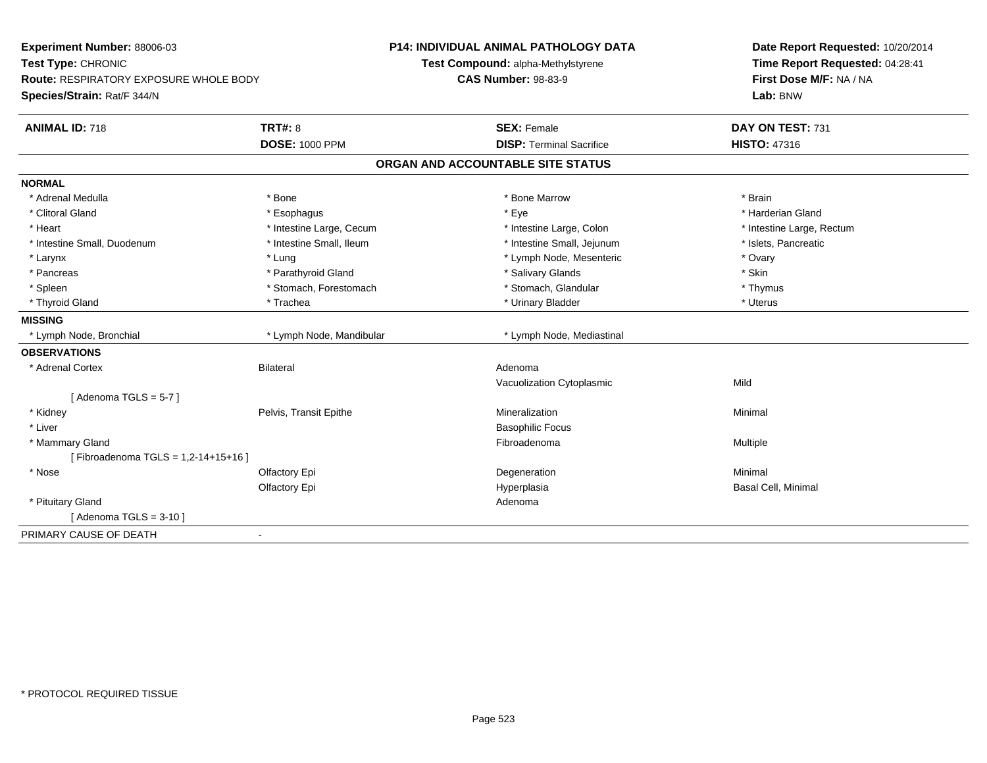| Experiment Number: 88006-03<br>Test Type: CHRONIC<br><b>Route: RESPIRATORY EXPOSURE WHOLE BODY</b><br>Species/Strain: Rat/F 344/N |                          | P14: INDIVIDUAL ANIMAL PATHOLOGY DATA<br>Test Compound: alpha-Methylstyrene<br><b>CAS Number: 98-83-9</b> | Date Report Requested: 10/20/2014<br>Time Report Requested: 04:28:41<br>First Dose M/F: NA / NA<br>Lab: BNW |
|-----------------------------------------------------------------------------------------------------------------------------------|--------------------------|-----------------------------------------------------------------------------------------------------------|-------------------------------------------------------------------------------------------------------------|
| <b>ANIMAL ID: 718</b>                                                                                                             | <b>TRT#: 8</b>           | <b>SEX: Female</b>                                                                                        | DAY ON TEST: 731                                                                                            |
|                                                                                                                                   | <b>DOSE: 1000 PPM</b>    | <b>DISP: Terminal Sacrifice</b>                                                                           | <b>HISTO: 47316</b>                                                                                         |
|                                                                                                                                   |                          | ORGAN AND ACCOUNTABLE SITE STATUS                                                                         |                                                                                                             |
| <b>NORMAL</b>                                                                                                                     |                          |                                                                                                           |                                                                                                             |
| * Adrenal Medulla                                                                                                                 | * Bone                   | * Bone Marrow                                                                                             | * Brain                                                                                                     |
| * Clitoral Gland                                                                                                                  | * Esophagus              | * Eye                                                                                                     | * Harderian Gland                                                                                           |
| * Heart                                                                                                                           | * Intestine Large, Cecum | * Intestine Large, Colon                                                                                  | * Intestine Large, Rectum                                                                                   |
| * Intestine Small, Duodenum                                                                                                       | * Intestine Small, Ileum | * Intestine Small, Jejunum                                                                                | * Islets, Pancreatic                                                                                        |
| * Larynx                                                                                                                          | * Lung                   | * Lymph Node, Mesenteric                                                                                  | * Ovary                                                                                                     |
| * Pancreas                                                                                                                        | * Parathyroid Gland      | * Salivary Glands                                                                                         | * Skin                                                                                                      |
| * Spleen                                                                                                                          | * Stomach, Forestomach   | * Stomach, Glandular                                                                                      | * Thymus                                                                                                    |
| * Thyroid Gland                                                                                                                   | * Trachea                | * Urinary Bladder                                                                                         | * Uterus                                                                                                    |
| <b>MISSING</b>                                                                                                                    |                          |                                                                                                           |                                                                                                             |
| * Lymph Node, Bronchial                                                                                                           | * Lymph Node, Mandibular | * Lymph Node, Mediastinal                                                                                 |                                                                                                             |
| <b>OBSERVATIONS</b>                                                                                                               |                          |                                                                                                           |                                                                                                             |
| * Adrenal Cortex                                                                                                                  | <b>Bilateral</b>         | Adenoma                                                                                                   |                                                                                                             |
|                                                                                                                                   |                          | Vacuolization Cytoplasmic                                                                                 | Mild                                                                                                        |
| [Adenoma TGLS = $5-7$ ]                                                                                                           |                          |                                                                                                           |                                                                                                             |
| * Kidney                                                                                                                          | Pelvis, Transit Epithe   | Mineralization                                                                                            | Minimal                                                                                                     |
| * Liver                                                                                                                           |                          | <b>Basophilic Focus</b>                                                                                   |                                                                                                             |
| * Mammary Gland                                                                                                                   |                          | Fibroadenoma                                                                                              | Multiple                                                                                                    |
| [Fibroadenoma TGLS = 1,2-14+15+16]                                                                                                |                          |                                                                                                           |                                                                                                             |
| * Nose                                                                                                                            | Olfactory Epi            | Degeneration                                                                                              | Minimal                                                                                                     |
|                                                                                                                                   | Olfactory Epi            | Hyperplasia                                                                                               | Basal Cell, Minimal                                                                                         |
| * Pituitary Gland                                                                                                                 |                          | Adenoma                                                                                                   |                                                                                                             |
| [Adenoma TGLS = $3-10$ ]                                                                                                          |                          |                                                                                                           |                                                                                                             |
| PRIMARY CAUSE OF DEATH                                                                                                            | $\blacksquare$           |                                                                                                           |                                                                                                             |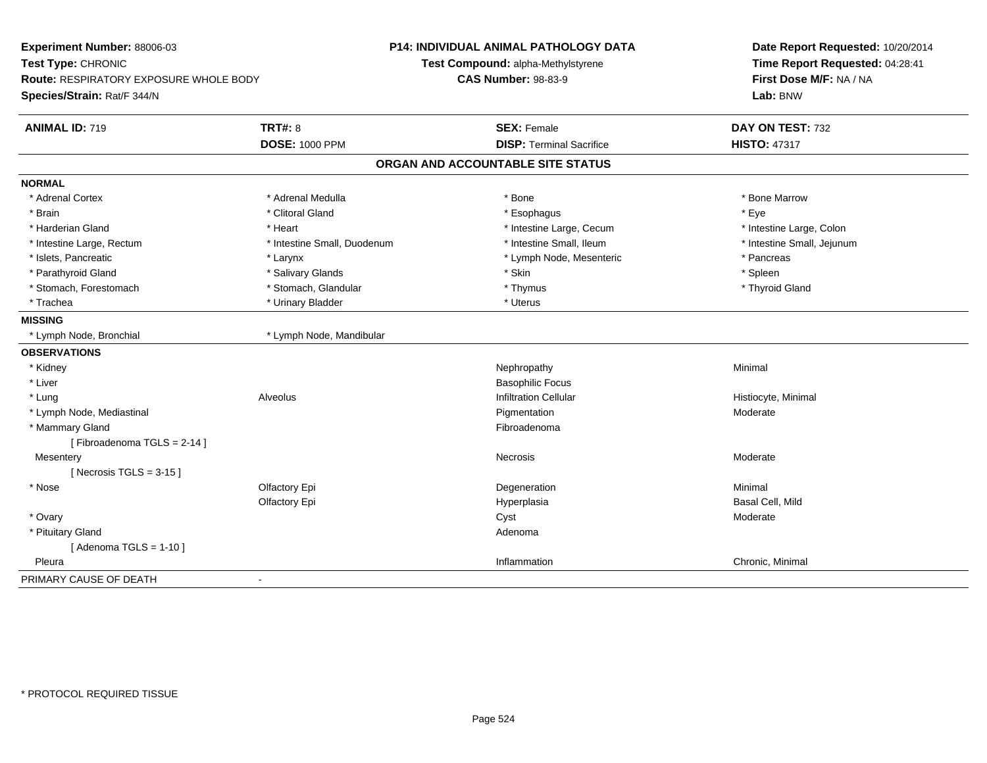| Experiment Number: 88006-03<br>Test Type: CHRONIC<br><b>Route: RESPIRATORY EXPOSURE WHOLE BODY</b><br>Species/Strain: Rat/F 344/N |                             | <b>P14: INDIVIDUAL ANIMAL PATHOLOGY DATA</b><br>Test Compound: alpha-Methylstyrene<br><b>CAS Number: 98-83-9</b> | Date Report Requested: 10/20/2014<br>Time Report Requested: 04:28:41<br>First Dose M/F: NA / NA<br>Lab: BNW |
|-----------------------------------------------------------------------------------------------------------------------------------|-----------------------------|------------------------------------------------------------------------------------------------------------------|-------------------------------------------------------------------------------------------------------------|
| <b>ANIMAL ID: 719</b>                                                                                                             | <b>TRT#: 8</b>              | <b>SEX: Female</b>                                                                                               | DAY ON TEST: 732                                                                                            |
|                                                                                                                                   | <b>DOSE: 1000 PPM</b>       | <b>DISP: Terminal Sacrifice</b>                                                                                  | <b>HISTO: 47317</b>                                                                                         |
|                                                                                                                                   |                             | ORGAN AND ACCOUNTABLE SITE STATUS                                                                                |                                                                                                             |
| <b>NORMAL</b>                                                                                                                     |                             |                                                                                                                  |                                                                                                             |
| * Adrenal Cortex                                                                                                                  | * Adrenal Medulla           | * Bone                                                                                                           | * Bone Marrow                                                                                               |
| * Brain                                                                                                                           | * Clitoral Gland            | * Esophagus                                                                                                      | * Eye                                                                                                       |
| * Harderian Gland                                                                                                                 | * Heart                     | * Intestine Large, Cecum                                                                                         | * Intestine Large, Colon                                                                                    |
| * Intestine Large, Rectum                                                                                                         | * Intestine Small, Duodenum | * Intestine Small, Ileum                                                                                         | * Intestine Small, Jejunum                                                                                  |
| * Islets, Pancreatic                                                                                                              | * Larynx                    | * Lymph Node, Mesenteric                                                                                         | * Pancreas                                                                                                  |
| * Parathyroid Gland                                                                                                               | * Salivary Glands           | * Skin                                                                                                           | * Spleen                                                                                                    |
| * Stomach, Forestomach                                                                                                            | * Stomach, Glandular        | * Thymus                                                                                                         | * Thyroid Gland                                                                                             |
| * Trachea                                                                                                                         | * Urinary Bladder           | * Uterus                                                                                                         |                                                                                                             |
| <b>MISSING</b>                                                                                                                    |                             |                                                                                                                  |                                                                                                             |
| * Lymph Node, Bronchial                                                                                                           | * Lymph Node, Mandibular    |                                                                                                                  |                                                                                                             |
| <b>OBSERVATIONS</b>                                                                                                               |                             |                                                                                                                  |                                                                                                             |
| * Kidney                                                                                                                          |                             | Nephropathy                                                                                                      | Minimal                                                                                                     |
| * Liver                                                                                                                           |                             | <b>Basophilic Focus</b>                                                                                          |                                                                                                             |
| * Lung                                                                                                                            | Alveolus                    | <b>Infiltration Cellular</b>                                                                                     | Histiocyte, Minimal                                                                                         |
| * Lymph Node, Mediastinal                                                                                                         |                             | Pigmentation                                                                                                     | Moderate                                                                                                    |
| * Mammary Gland                                                                                                                   |                             | Fibroadenoma                                                                                                     |                                                                                                             |
| [Fibroadenoma TGLS = 2-14]                                                                                                        |                             |                                                                                                                  |                                                                                                             |
| Mesentery                                                                                                                         |                             | Necrosis                                                                                                         | Moderate                                                                                                    |
| [Necrosis TGLS = $3-15$ ]                                                                                                         |                             |                                                                                                                  |                                                                                                             |
| * Nose                                                                                                                            | Olfactory Epi               | Degeneration                                                                                                     | Minimal                                                                                                     |
|                                                                                                                                   | Olfactory Epi               | Hyperplasia                                                                                                      | Basal Cell, Mild                                                                                            |
| * Ovary                                                                                                                           |                             | Cyst                                                                                                             | Moderate                                                                                                    |
| * Pituitary Gland                                                                                                                 |                             | Adenoma                                                                                                          |                                                                                                             |
| [Adenoma TGLS = $1-10$ ]                                                                                                          |                             |                                                                                                                  |                                                                                                             |
| Pleura                                                                                                                            |                             | Inflammation                                                                                                     | Chronic, Minimal                                                                                            |
| PRIMARY CAUSE OF DEATH                                                                                                            | $\blacksquare$              |                                                                                                                  |                                                                                                             |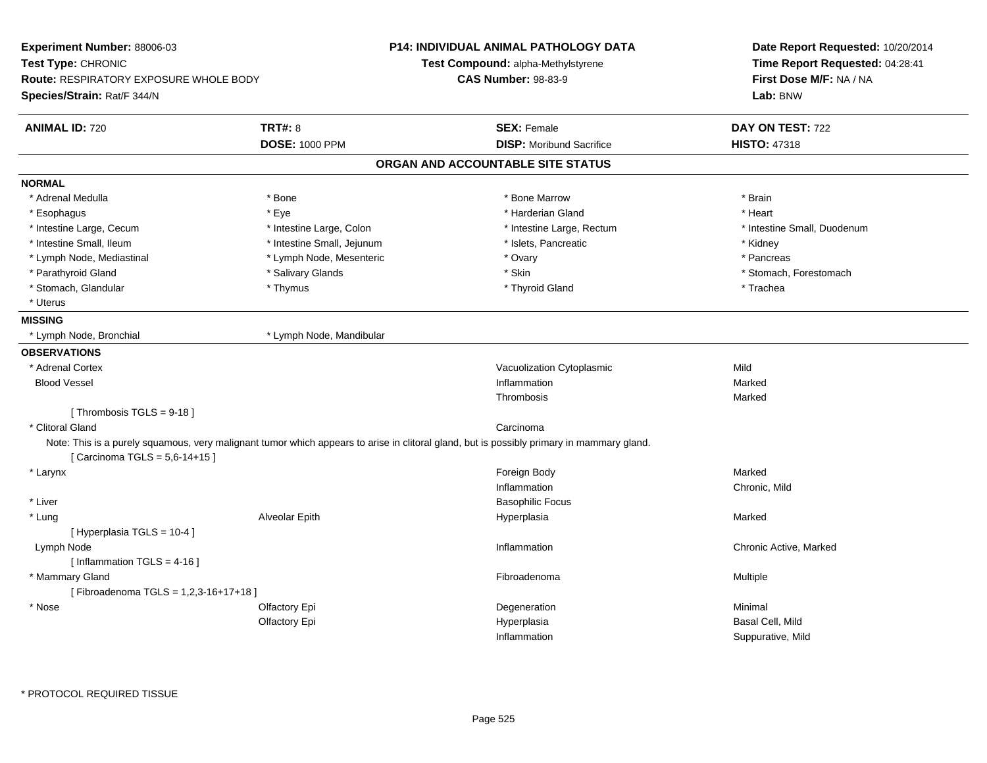| Experiment Number: 88006-03            |                            | <b>P14: INDIVIDUAL ANIMAL PATHOLOGY DATA</b>                                                                                              | Date Report Requested: 10/20/2014 |  |
|----------------------------------------|----------------------------|-------------------------------------------------------------------------------------------------------------------------------------------|-----------------------------------|--|
| Test Type: CHRONIC                     |                            | Test Compound: alpha-Methylstyrene                                                                                                        | Time Report Requested: 04:28:41   |  |
| Route: RESPIRATORY EXPOSURE WHOLE BODY |                            | <b>CAS Number: 98-83-9</b>                                                                                                                | First Dose M/F: NA / NA           |  |
| Species/Strain: Rat/F 344/N            |                            |                                                                                                                                           | Lab: BNW                          |  |
| <b>ANIMAL ID: 720</b>                  | <b>TRT#: 8</b>             | <b>SEX: Female</b>                                                                                                                        | DAY ON TEST: 722                  |  |
|                                        | <b>DOSE: 1000 PPM</b>      | <b>DISP:</b> Moribund Sacrifice                                                                                                           | <b>HISTO: 47318</b>               |  |
|                                        |                            | ORGAN AND ACCOUNTABLE SITE STATUS                                                                                                         |                                   |  |
| <b>NORMAL</b>                          |                            |                                                                                                                                           |                                   |  |
| * Adrenal Medulla                      | * Bone                     | * Bone Marrow                                                                                                                             | * Brain                           |  |
| * Esophagus                            | * Eye                      | * Harderian Gland                                                                                                                         | * Heart                           |  |
| * Intestine Large, Cecum               | * Intestine Large, Colon   | * Intestine Large, Rectum                                                                                                                 | * Intestine Small, Duodenum       |  |
| * Intestine Small, Ileum               | * Intestine Small, Jejunum | * Islets, Pancreatic                                                                                                                      | * Kidney                          |  |
| * Lymph Node, Mediastinal              | * Lymph Node, Mesenteric   | * Ovary                                                                                                                                   | * Pancreas                        |  |
| * Parathyroid Gland                    | * Salivary Glands          | * Skin                                                                                                                                    | * Stomach, Forestomach            |  |
| * Stomach, Glandular                   | * Thymus                   | * Thyroid Gland                                                                                                                           | * Trachea                         |  |
| * Uterus                               |                            |                                                                                                                                           |                                   |  |
| <b>MISSING</b>                         |                            |                                                                                                                                           |                                   |  |
| * Lymph Node, Bronchial                | * Lymph Node, Mandibular   |                                                                                                                                           |                                   |  |
| <b>OBSERVATIONS</b>                    |                            |                                                                                                                                           |                                   |  |
| * Adrenal Cortex                       |                            | Vacuolization Cytoplasmic                                                                                                                 | Mild                              |  |
| <b>Blood Vessel</b>                    |                            | Inflammation                                                                                                                              | Marked                            |  |
|                                        |                            | Thrombosis                                                                                                                                | Marked                            |  |
| [Thrombosis TGLS = $9-18$ ]            |                            |                                                                                                                                           |                                   |  |
| * Clitoral Gland                       |                            | Carcinoma                                                                                                                                 |                                   |  |
| [ Carcinoma TGLS = 5,6-14+15 ]         |                            | Note: This is a purely squamous, very malignant tumor which appears to arise in clitoral gland, but is possibly primary in mammary gland. |                                   |  |
| * Larynx                               |                            | Foreign Body                                                                                                                              | Marked                            |  |
|                                        |                            | Inflammation                                                                                                                              | Chronic, Mild                     |  |
| * Liver                                |                            | <b>Basophilic Focus</b>                                                                                                                   |                                   |  |
| * Lung                                 | Alveolar Epith             | Hyperplasia                                                                                                                               | Marked                            |  |
| [ Hyperplasia TGLS = 10-4 ]            |                            |                                                                                                                                           |                                   |  |
| Lymph Node                             |                            | Inflammation                                                                                                                              | Chronic Active, Marked            |  |
| [ Inflammation TGLS = 4-16 ]           |                            |                                                                                                                                           |                                   |  |
| * Mammary Gland                        |                            | Fibroadenoma                                                                                                                              | Multiple                          |  |
| [Fibroadenoma TGLS = 1,2,3-16+17+18]   |                            |                                                                                                                                           |                                   |  |
| $^\star$ Nose                          | Olfactory Epi              | Degeneration                                                                                                                              | Minimal                           |  |
|                                        | Olfactory Epi              | Hyperplasia                                                                                                                               | Basal Cell, Mild                  |  |
|                                        |                            | Inflammation                                                                                                                              | Suppurative, Mild                 |  |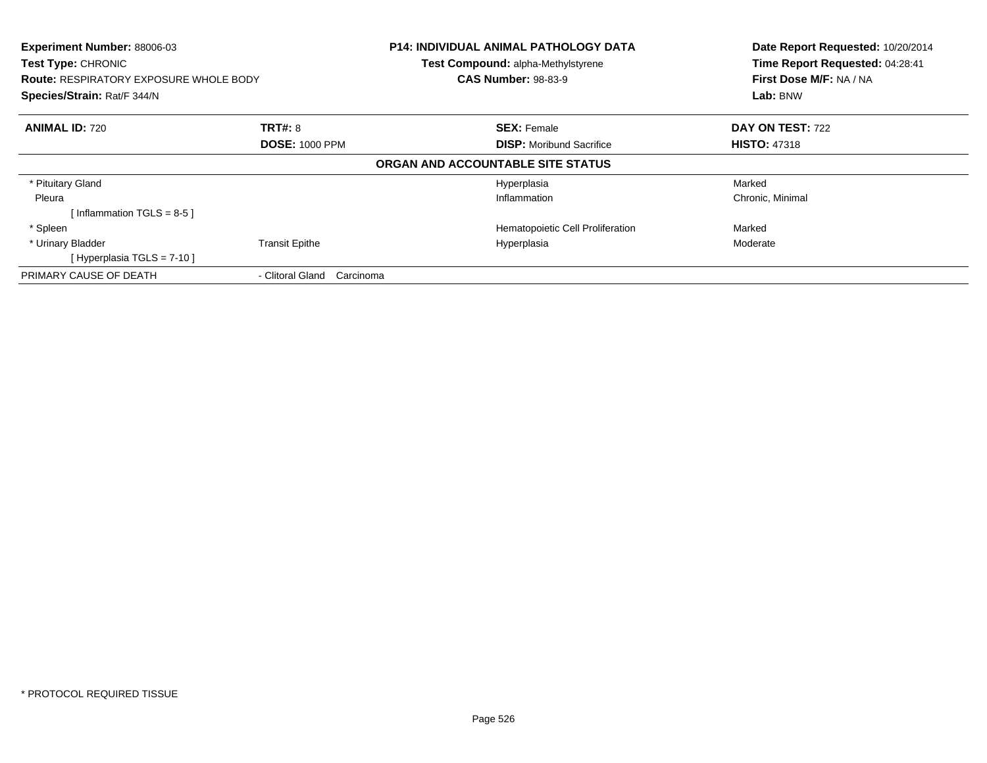| Experiment Number: 88006-03<br>Test Type: CHRONIC<br><b>Route: RESPIRATORY EXPOSURE WHOLE BODY</b><br>Species/Strain: Rat/F 344/N |                               | <b>P14: INDIVIDUAL ANIMAL PATHOLOGY DATA</b><br>Test Compound: alpha-Methylstyrene<br><b>CAS Number: 98-83-9</b> | Date Report Requested: 10/20/2014<br>Time Report Requested: 04:28:41<br>First Dose M/F: NA / NA<br>Lab: BNW |
|-----------------------------------------------------------------------------------------------------------------------------------|-------------------------------|------------------------------------------------------------------------------------------------------------------|-------------------------------------------------------------------------------------------------------------|
| <b>ANIMAL ID: 720</b>                                                                                                             | <b>TRT#: 8</b>                | <b>SEX: Female</b>                                                                                               | DAY ON TEST: 722                                                                                            |
|                                                                                                                                   | <b>DOSE: 1000 PPM</b>         | <b>DISP:</b> Moribund Sacrifice                                                                                  | <b>HISTO: 47318</b>                                                                                         |
|                                                                                                                                   |                               | ORGAN AND ACCOUNTABLE SITE STATUS                                                                                |                                                                                                             |
| * Pituitary Gland                                                                                                                 |                               | Hyperplasia                                                                                                      | Marked                                                                                                      |
| Pleura                                                                                                                            |                               | Inflammation                                                                                                     | Chronic, Minimal                                                                                            |
| Inflammation TGLS = 8-5 ]                                                                                                         |                               |                                                                                                                  |                                                                                                             |
| * Spleen                                                                                                                          |                               | Hematopoietic Cell Proliferation                                                                                 | Marked                                                                                                      |
| * Urinary Bladder                                                                                                                 | <b>Transit Epithe</b>         | Hyperplasia                                                                                                      | Moderate                                                                                                    |
| [Hyperplasia TGLS = $7-10$ ]                                                                                                      |                               |                                                                                                                  |                                                                                                             |
| PRIMARY CAUSE OF DEATH                                                                                                            | - Clitoral Gland<br>Carcinoma |                                                                                                                  |                                                                                                             |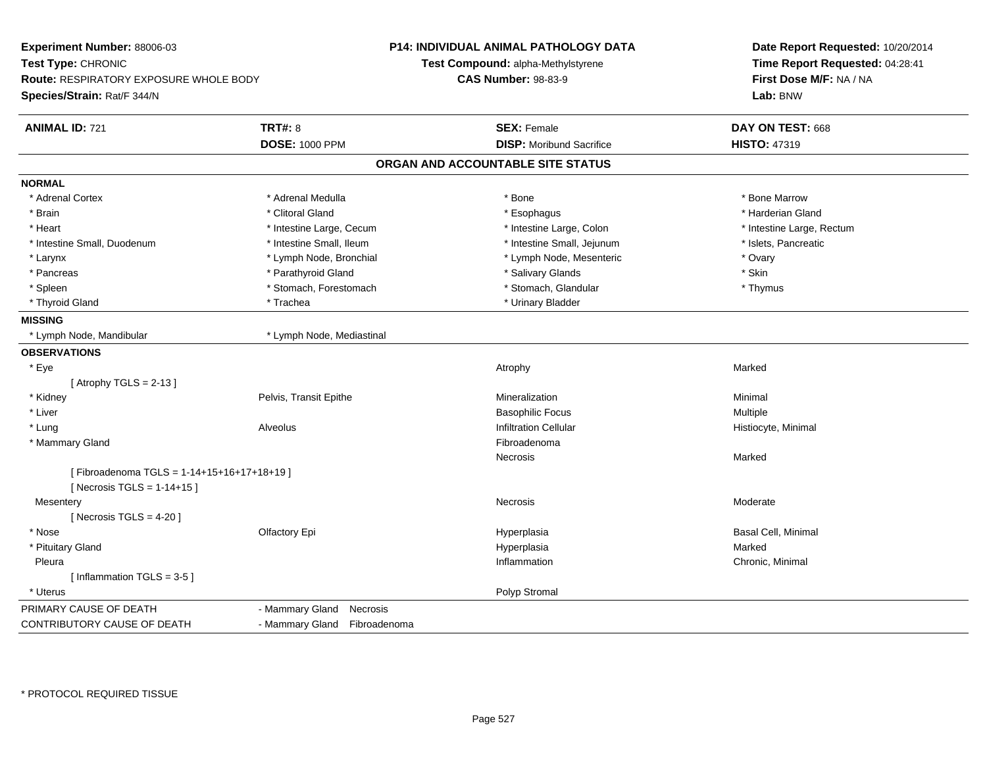| Experiment Number: 88006-03                   |                              | <b>P14: INDIVIDUAL ANIMAL PATHOLOGY DATA</b> | Date Report Requested: 10/20/2014<br>Time Report Requested: 04:28:41<br>First Dose M/F: NA / NA |  |
|-----------------------------------------------|------------------------------|----------------------------------------------|-------------------------------------------------------------------------------------------------|--|
| Test Type: CHRONIC                            |                              | Test Compound: alpha-Methylstyrene           |                                                                                                 |  |
| <b>Route: RESPIRATORY EXPOSURE WHOLE BODY</b> |                              | <b>CAS Number: 98-83-9</b>                   |                                                                                                 |  |
| Species/Strain: Rat/F 344/N                   |                              |                                              | Lab: BNW                                                                                        |  |
|                                               |                              |                                              |                                                                                                 |  |
| <b>ANIMAL ID: 721</b>                         | <b>TRT#: 8</b>               | <b>SEX: Female</b>                           | DAY ON TEST: 668                                                                                |  |
|                                               | <b>DOSE: 1000 PPM</b>        | <b>DISP:</b> Moribund Sacrifice              | <b>HISTO: 47319</b>                                                                             |  |
|                                               |                              | ORGAN AND ACCOUNTABLE SITE STATUS            |                                                                                                 |  |
| <b>NORMAL</b>                                 |                              |                                              |                                                                                                 |  |
| * Adrenal Cortex                              | * Adrenal Medulla            | * Bone                                       | * Bone Marrow                                                                                   |  |
| * Brain                                       | * Clitoral Gland             | * Esophagus                                  | * Harderian Gland                                                                               |  |
| * Heart                                       | * Intestine Large, Cecum     | * Intestine Large, Colon                     | * Intestine Large, Rectum                                                                       |  |
| * Intestine Small, Duodenum                   | * Intestine Small, Ileum     | * Intestine Small, Jejunum                   | * Islets, Pancreatic                                                                            |  |
| * Larynx                                      | * Lymph Node, Bronchial      | * Lymph Node, Mesenteric                     | * Ovary                                                                                         |  |
| * Pancreas                                    | * Parathyroid Gland          | * Salivary Glands                            | * Skin                                                                                          |  |
| * Spleen                                      | * Stomach, Forestomach       | * Stomach, Glandular                         | * Thymus                                                                                        |  |
| * Thyroid Gland                               | * Trachea                    | * Urinary Bladder                            |                                                                                                 |  |
| <b>MISSING</b>                                |                              |                                              |                                                                                                 |  |
| * Lymph Node, Mandibular                      | * Lymph Node, Mediastinal    |                                              |                                                                                                 |  |
| <b>OBSERVATIONS</b>                           |                              |                                              |                                                                                                 |  |
| * Eye                                         |                              | Atrophy                                      | Marked                                                                                          |  |
| [Atrophy TGLS = $2-13$ ]                      |                              |                                              |                                                                                                 |  |
| * Kidney                                      | Pelvis, Transit Epithe       | Mineralization                               | Minimal                                                                                         |  |
| * Liver                                       |                              | <b>Basophilic Focus</b>                      | Multiple                                                                                        |  |
| * Lung                                        | Alveolus                     | <b>Infiltration Cellular</b>                 | Histiocyte, Minimal                                                                             |  |
| * Mammary Gland                               |                              | Fibroadenoma                                 |                                                                                                 |  |
|                                               |                              | Necrosis                                     | Marked                                                                                          |  |
| [Fibroadenoma TGLS = 1-14+15+16+17+18+19]     |                              |                                              |                                                                                                 |  |
| [Necrosis TGLS = 1-14+15]                     |                              |                                              |                                                                                                 |  |
| Mesentery                                     |                              | Necrosis                                     | Moderate                                                                                        |  |
| [ Necrosis $TGLS = 4-20$ ]                    |                              |                                              |                                                                                                 |  |
| * Nose                                        | Olfactory Epi                | Hyperplasia                                  | Basal Cell, Minimal                                                                             |  |
| * Pituitary Gland                             |                              | Hyperplasia                                  | Marked                                                                                          |  |
| Pleura                                        |                              | Inflammation                                 | Chronic, Minimal                                                                                |  |
| [Inflammation TGLS = 3-5]                     |                              |                                              |                                                                                                 |  |
| * Uterus                                      |                              | Polyp Stromal                                |                                                                                                 |  |
| PRIMARY CAUSE OF DEATH                        | - Mammary Gland<br>Necrosis  |                                              |                                                                                                 |  |
| CONTRIBUTORY CAUSE OF DEATH                   | - Mammary Gland Fibroadenoma |                                              |                                                                                                 |  |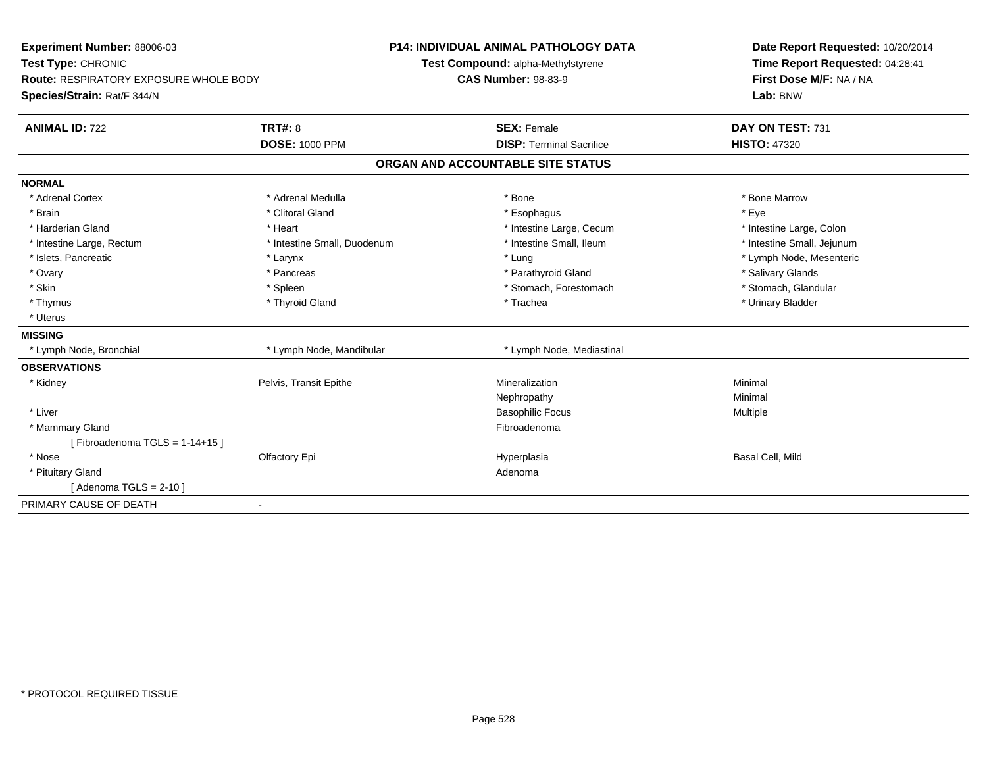| Experiment Number: 88006-03            |                             | P14: INDIVIDUAL ANIMAL PATHOLOGY DATA | Date Report Requested: 10/20/2014<br>Time Report Requested: 04:28:41 |
|----------------------------------------|-----------------------------|---------------------------------------|----------------------------------------------------------------------|
| Test Type: CHRONIC                     |                             | Test Compound: alpha-Methylstyrene    |                                                                      |
| Route: RESPIRATORY EXPOSURE WHOLE BODY |                             | <b>CAS Number: 98-83-9</b>            | First Dose M/F: NA / NA                                              |
| Species/Strain: Rat/F 344/N            |                             |                                       | Lab: BNW                                                             |
| <b>ANIMAL ID: 722</b>                  | <b>TRT#: 8</b>              | <b>SEX: Female</b>                    | DAY ON TEST: 731                                                     |
|                                        | <b>DOSE: 1000 PPM</b>       | <b>DISP: Terminal Sacrifice</b>       | <b>HISTO: 47320</b>                                                  |
|                                        |                             | ORGAN AND ACCOUNTABLE SITE STATUS     |                                                                      |
| <b>NORMAL</b>                          |                             |                                       |                                                                      |
| * Adrenal Cortex                       | * Adrenal Medulla           | * Bone                                | * Bone Marrow                                                        |
| * Brain                                | * Clitoral Gland            | * Esophagus                           | * Eye                                                                |
| * Harderian Gland                      | * Heart                     | * Intestine Large, Cecum              | * Intestine Large, Colon                                             |
| * Intestine Large, Rectum              | * Intestine Small, Duodenum | * Intestine Small, Ileum              | * Intestine Small, Jejunum                                           |
| * Islets, Pancreatic                   | * Larynx                    | * Lung                                | * Lymph Node, Mesenteric                                             |
| * Ovary                                | * Pancreas                  | * Parathyroid Gland                   | * Salivary Glands                                                    |
| * Skin                                 | * Spleen                    | * Stomach, Forestomach                | * Stomach, Glandular                                                 |
| * Thymus                               | * Thyroid Gland             | * Trachea                             | * Urinary Bladder                                                    |
| * Uterus                               |                             |                                       |                                                                      |
| <b>MISSING</b>                         |                             |                                       |                                                                      |
| * Lymph Node, Bronchial                | * Lymph Node, Mandibular    | * Lymph Node, Mediastinal             |                                                                      |
| <b>OBSERVATIONS</b>                    |                             |                                       |                                                                      |
| * Kidney                               | Pelvis, Transit Epithe      | Mineralization                        | Minimal                                                              |
|                                        |                             | Nephropathy                           | Minimal                                                              |
| * Liver                                |                             | <b>Basophilic Focus</b>               | Multiple                                                             |
| * Mammary Gland                        |                             | Fibroadenoma                          |                                                                      |
| [Fibroadenoma TGLS = 1-14+15]          |                             |                                       |                                                                      |
| * Nose                                 | Olfactory Epi               | Hyperplasia                           | Basal Cell, Mild                                                     |
| * Pituitary Gland                      |                             | Adenoma                               |                                                                      |
| [Adenoma TGLS = $2-10$ ]               |                             |                                       |                                                                      |
| PRIMARY CAUSE OF DEATH                 | $\blacksquare$              |                                       |                                                                      |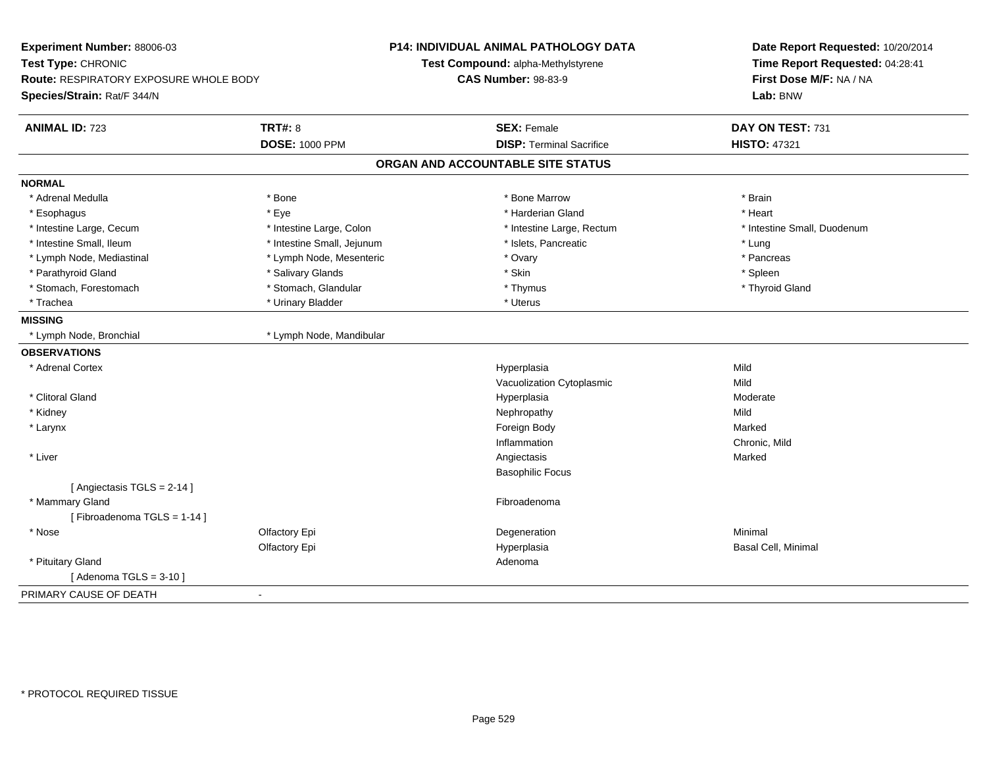| Experiment Number: 88006-03<br>Test Type: CHRONIC<br><b>Route: RESPIRATORY EXPOSURE WHOLE BODY</b><br>Species/Strain: Rat/F 344/N |                            | <b>P14: INDIVIDUAL ANIMAL PATHOLOGY DATA</b><br>Test Compound: alpha-Methylstyrene<br><b>CAS Number: 98-83-9</b> | Date Report Requested: 10/20/2014<br>Time Report Requested: 04:28:41<br>First Dose M/F: NA / NA<br>Lab: BNW |
|-----------------------------------------------------------------------------------------------------------------------------------|----------------------------|------------------------------------------------------------------------------------------------------------------|-------------------------------------------------------------------------------------------------------------|
| <b>ANIMAL ID: 723</b>                                                                                                             | <b>TRT#: 8</b>             | <b>SEX: Female</b>                                                                                               | DAY ON TEST: 731                                                                                            |
|                                                                                                                                   | <b>DOSE: 1000 PPM</b>      | <b>DISP: Terminal Sacrifice</b>                                                                                  | <b>HISTO: 47321</b>                                                                                         |
|                                                                                                                                   |                            | ORGAN AND ACCOUNTABLE SITE STATUS                                                                                |                                                                                                             |
| <b>NORMAL</b>                                                                                                                     |                            |                                                                                                                  |                                                                                                             |
| * Adrenal Medulla                                                                                                                 | * Bone                     | * Bone Marrow                                                                                                    | * Brain                                                                                                     |
| * Esophagus                                                                                                                       | * Eye                      | * Harderian Gland                                                                                                | * Heart                                                                                                     |
| * Intestine Large, Cecum                                                                                                          | * Intestine Large, Colon   | * Intestine Large, Rectum                                                                                        | * Intestine Small, Duodenum                                                                                 |
| * Intestine Small, Ileum                                                                                                          | * Intestine Small, Jejunum | * Islets, Pancreatic                                                                                             | * Lung                                                                                                      |
| * Lymph Node, Mediastinal                                                                                                         | * Lymph Node, Mesenteric   | * Ovary                                                                                                          | * Pancreas                                                                                                  |
| * Parathyroid Gland                                                                                                               | * Salivary Glands          | * Skin                                                                                                           | * Spleen                                                                                                    |
| * Stomach, Forestomach                                                                                                            | * Stomach, Glandular       | * Thymus                                                                                                         | * Thyroid Gland                                                                                             |
| * Trachea                                                                                                                         | * Urinary Bladder          | * Uterus                                                                                                         |                                                                                                             |
| <b>MISSING</b>                                                                                                                    |                            |                                                                                                                  |                                                                                                             |
| * Lymph Node, Bronchial                                                                                                           | * Lymph Node, Mandibular   |                                                                                                                  |                                                                                                             |
| <b>OBSERVATIONS</b>                                                                                                               |                            |                                                                                                                  |                                                                                                             |
| * Adrenal Cortex                                                                                                                  |                            | Hyperplasia                                                                                                      | Mild                                                                                                        |
|                                                                                                                                   |                            | Vacuolization Cytoplasmic                                                                                        | Mild                                                                                                        |
| * Clitoral Gland                                                                                                                  |                            | Hyperplasia                                                                                                      | Moderate                                                                                                    |
| * Kidney                                                                                                                          |                            | Nephropathy                                                                                                      | Mild                                                                                                        |
| * Larynx                                                                                                                          |                            | Foreign Body                                                                                                     | Marked                                                                                                      |
|                                                                                                                                   |                            | Inflammation                                                                                                     | Chronic, Mild                                                                                               |
| * Liver                                                                                                                           |                            | Angiectasis                                                                                                      | Marked                                                                                                      |
|                                                                                                                                   |                            | <b>Basophilic Focus</b>                                                                                          |                                                                                                             |
| [ Angiectasis $TGLS = 2-14$ ]                                                                                                     |                            |                                                                                                                  |                                                                                                             |
| * Mammary Gland                                                                                                                   |                            | Fibroadenoma                                                                                                     |                                                                                                             |
| [Fibroadenoma TGLS = 1-14]                                                                                                        |                            |                                                                                                                  |                                                                                                             |
| * Nose                                                                                                                            | Olfactory Epi              | Degeneration                                                                                                     | Minimal                                                                                                     |
|                                                                                                                                   | Olfactory Epi              | Hyperplasia                                                                                                      | Basal Cell, Minimal                                                                                         |
| * Pituitary Gland                                                                                                                 |                            | Adenoma                                                                                                          |                                                                                                             |
| [Adenoma TGLS = $3-10$ ]                                                                                                          |                            |                                                                                                                  |                                                                                                             |
| PRIMARY CAUSE OF DEATH                                                                                                            | $\sim$                     |                                                                                                                  |                                                                                                             |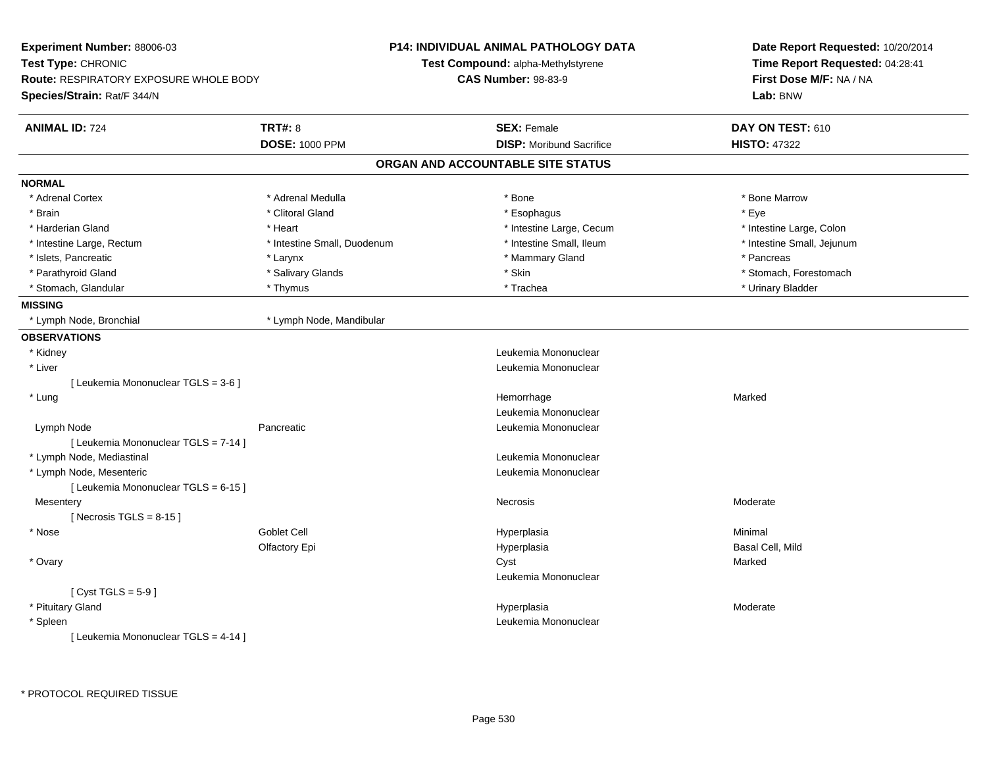| Experiment Number: 88006-03                   |                             | <b>P14: INDIVIDUAL ANIMAL PATHOLOGY DATA</b> | Date Report Requested: 10/20/2014<br>Time Report Requested: 04:28:41<br>First Dose M/F: NA / NA |  |
|-----------------------------------------------|-----------------------------|----------------------------------------------|-------------------------------------------------------------------------------------------------|--|
| Test Type: CHRONIC                            |                             | Test Compound: alpha-Methylstyrene           |                                                                                                 |  |
| <b>Route: RESPIRATORY EXPOSURE WHOLE BODY</b> |                             | <b>CAS Number: 98-83-9</b>                   |                                                                                                 |  |
| Species/Strain: Rat/F 344/N                   |                             |                                              | Lab: BNW                                                                                        |  |
| <b>ANIMAL ID: 724</b>                         | <b>TRT#: 8</b>              | <b>SEX: Female</b>                           | DAY ON TEST: 610                                                                                |  |
|                                               | <b>DOSE: 1000 PPM</b>       | <b>DISP:</b> Moribund Sacrifice              | <b>HISTO: 47322</b>                                                                             |  |
|                                               |                             | ORGAN AND ACCOUNTABLE SITE STATUS            |                                                                                                 |  |
| <b>NORMAL</b>                                 |                             |                                              |                                                                                                 |  |
| * Adrenal Cortex                              | * Adrenal Medulla           | * Bone                                       | * Bone Marrow                                                                                   |  |
| * Brain                                       | * Clitoral Gland            | * Esophagus                                  | * Eye                                                                                           |  |
| * Harderian Gland                             | * Heart                     | * Intestine Large, Cecum                     | * Intestine Large, Colon                                                                        |  |
| * Intestine Large, Rectum                     | * Intestine Small, Duodenum | * Intestine Small, Ileum                     | * Intestine Small, Jejunum                                                                      |  |
| * Islets, Pancreatic                          | * Larynx                    | * Mammary Gland                              | * Pancreas                                                                                      |  |
| * Parathyroid Gland                           | * Salivary Glands           | * Skin                                       | * Stomach, Forestomach                                                                          |  |
| * Stomach, Glandular                          | * Thymus                    | * Trachea                                    | * Urinary Bladder                                                                               |  |
| <b>MISSING</b>                                |                             |                                              |                                                                                                 |  |
| * Lymph Node, Bronchial                       | * Lymph Node, Mandibular    |                                              |                                                                                                 |  |
| <b>OBSERVATIONS</b>                           |                             |                                              |                                                                                                 |  |
| * Kidney                                      |                             | Leukemia Mononuclear                         |                                                                                                 |  |
| * Liver                                       |                             | Leukemia Mononuclear                         |                                                                                                 |  |
| [ Leukemia Mononuclear TGLS = 3-6 ]           |                             |                                              |                                                                                                 |  |
| * Lung                                        |                             | Hemorrhage                                   | Marked                                                                                          |  |
|                                               |                             | Leukemia Mononuclear                         |                                                                                                 |  |
| Lymph Node                                    | Pancreatic                  | Leukemia Mononuclear                         |                                                                                                 |  |
| [ Leukemia Mononuclear TGLS = 7-14 ]          |                             |                                              |                                                                                                 |  |
| * Lymph Node, Mediastinal                     |                             | Leukemia Mononuclear                         |                                                                                                 |  |
| * Lymph Node, Mesenteric                      |                             | Leukemia Mononuclear                         |                                                                                                 |  |
| [ Leukemia Mononuclear TGLS = 6-15 ]          |                             |                                              |                                                                                                 |  |
| Mesentery                                     |                             | <b>Necrosis</b>                              | Moderate                                                                                        |  |
| [Necrosis TGLS = $8-15$ ]                     |                             |                                              |                                                                                                 |  |
| * Nose                                        | Goblet Cell                 | Hyperplasia                                  | Minimal                                                                                         |  |
|                                               | Olfactory Epi               | Hyperplasia                                  | Basal Cell, Mild                                                                                |  |
| * Ovary                                       |                             | Cyst                                         | Marked                                                                                          |  |
|                                               |                             | Leukemia Mononuclear                         |                                                                                                 |  |
| [Cyst TGLS = $5-9$ ]                          |                             |                                              |                                                                                                 |  |
| * Pituitary Gland                             |                             | Hyperplasia                                  | Moderate                                                                                        |  |
| * Spleen                                      |                             | Leukemia Mononuclear                         |                                                                                                 |  |
| [ Leukemia Mononuclear TGLS = 4-14 ]          |                             |                                              |                                                                                                 |  |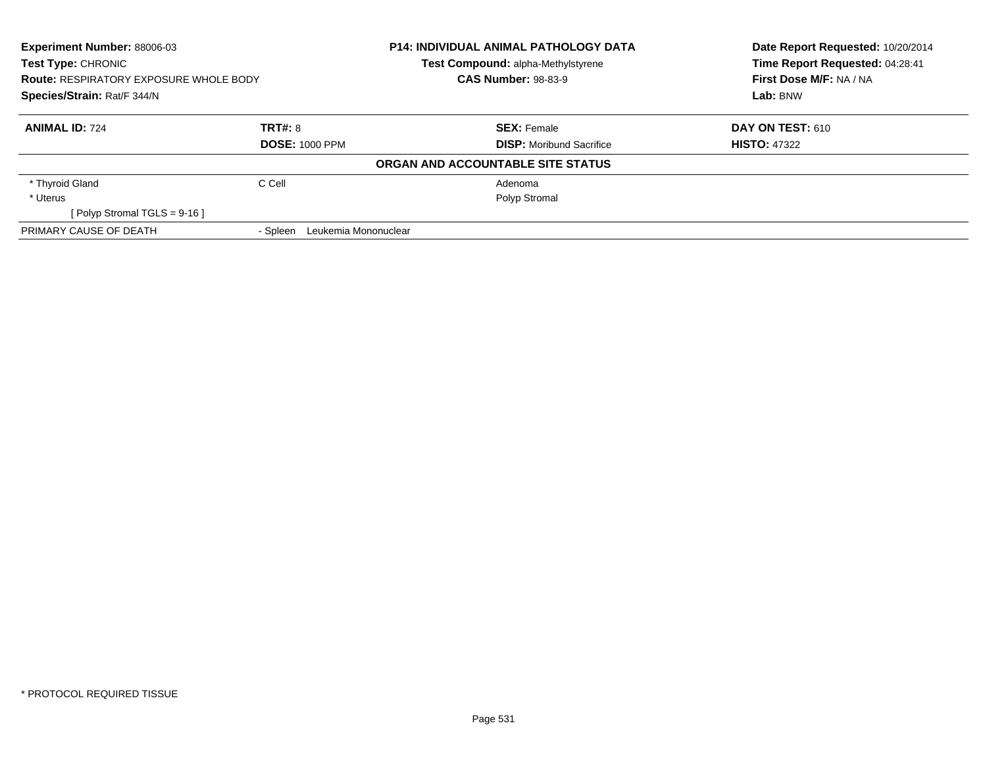| <b>Experiment Number: 88006-03</b><br>Test Type: CHRONIC<br><b>Route: RESPIRATORY EXPOSURE WHOLE BODY</b><br>Species/Strain: Rat/F 344/N |                                  | <b>P14: INDIVIDUAL ANIMAL PATHOLOGY DATA</b> | Date Report Requested: 10/20/2014 |
|------------------------------------------------------------------------------------------------------------------------------------------|----------------------------------|----------------------------------------------|-----------------------------------|
|                                                                                                                                          |                                  | Test Compound: alpha-Methylstyrene           | Time Report Requested: 04:28:41   |
|                                                                                                                                          |                                  | <b>CAS Number: 98-83-9</b>                   | First Dose M/F: NA / NA           |
|                                                                                                                                          |                                  |                                              | Lab: BNW                          |
| <b>ANIMAL ID: 724</b>                                                                                                                    | TRT#: 8                          | <b>SEX: Female</b>                           | DAY ON TEST: 610                  |
|                                                                                                                                          | <b>DOSE: 1000 PPM</b>            | <b>DISP:</b> Moribund Sacrifice              | <b>HISTO: 47322</b>               |
|                                                                                                                                          |                                  | ORGAN AND ACCOUNTABLE SITE STATUS            |                                   |
| * Thyroid Gland                                                                                                                          | C Cell                           | Adenoma                                      |                                   |
| * Uterus                                                                                                                                 |                                  | Polyp Stromal                                |                                   |
| [ Polyp Stromal TGLS = $9-16$ ]                                                                                                          |                                  |                                              |                                   |
| PRIMARY CAUSE OF DEATH                                                                                                                   | - Spleen<br>Leukemia Mononuclear |                                              |                                   |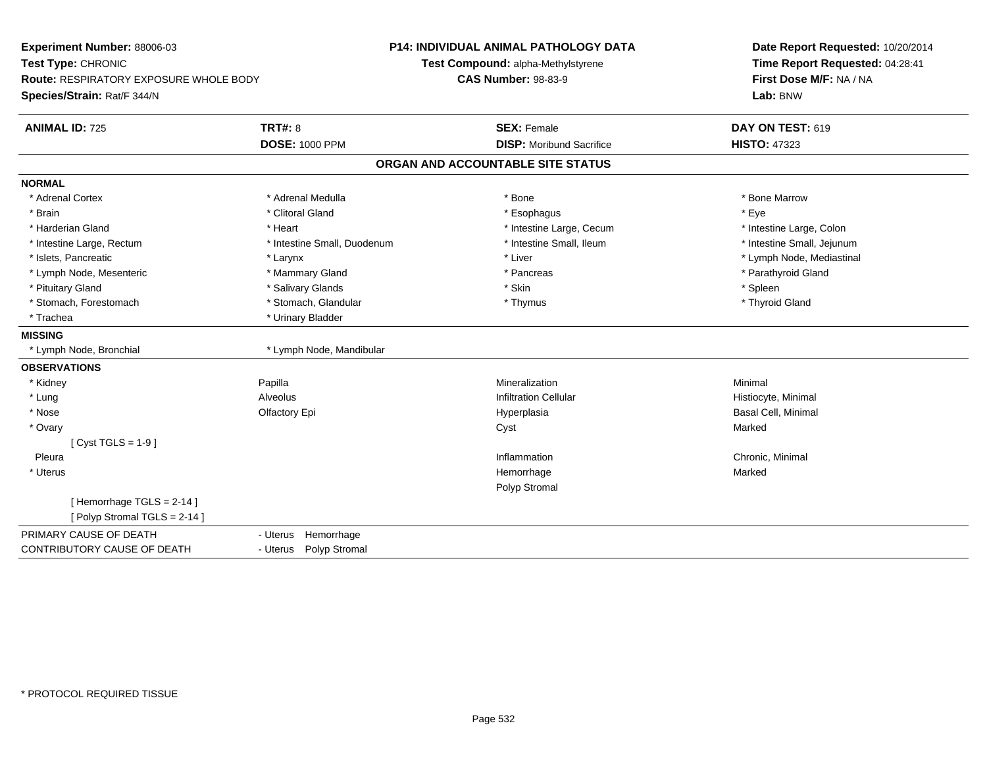| Experiment Number: 88006-03<br>Test Type: CHRONIC<br><b>Route: RESPIRATORY EXPOSURE WHOLE BODY</b><br>Species/Strain: Rat/F 344/N |                             | <b>P14: INDIVIDUAL ANIMAL PATHOLOGY DATA</b> | Date Report Requested: 10/20/2014<br>Time Report Requested: 04:28:41 |
|-----------------------------------------------------------------------------------------------------------------------------------|-----------------------------|----------------------------------------------|----------------------------------------------------------------------|
|                                                                                                                                   |                             | Test Compound: alpha-Methylstyrene           |                                                                      |
|                                                                                                                                   |                             | <b>CAS Number: 98-83-9</b>                   | First Dose M/F: NA / NA<br>Lab: BNW                                  |
|                                                                                                                                   |                             |                                              |                                                                      |
| <b>ANIMAL ID: 725</b>                                                                                                             | <b>TRT#: 8</b>              | <b>SEX: Female</b>                           | DAY ON TEST: 619                                                     |
|                                                                                                                                   | <b>DOSE: 1000 PPM</b>       | <b>DISP: Moribund Sacrifice</b>              | <b>HISTO: 47323</b>                                                  |
|                                                                                                                                   |                             | ORGAN AND ACCOUNTABLE SITE STATUS            |                                                                      |
| <b>NORMAL</b>                                                                                                                     |                             |                                              |                                                                      |
| * Adrenal Cortex                                                                                                                  | * Adrenal Medulla           | * Bone                                       | * Bone Marrow                                                        |
| * Brain                                                                                                                           | * Clitoral Gland            | * Esophagus                                  | * Eye                                                                |
| * Harderian Gland                                                                                                                 | * Heart                     | * Intestine Large, Cecum                     | * Intestine Large, Colon                                             |
| * Intestine Large, Rectum                                                                                                         | * Intestine Small, Duodenum | * Intestine Small, Ileum                     | * Intestine Small, Jejunum                                           |
| * Islets. Pancreatic                                                                                                              | * Larynx                    | * Liver                                      | * Lymph Node, Mediastinal                                            |
| * Lymph Node, Mesenteric                                                                                                          | * Mammary Gland             | * Pancreas                                   | * Parathyroid Gland                                                  |
| * Pituitary Gland                                                                                                                 | * Salivary Glands           | * Skin                                       | * Spleen                                                             |
| * Stomach, Forestomach                                                                                                            | * Stomach, Glandular        | * Thymus                                     | * Thyroid Gland                                                      |
| * Trachea                                                                                                                         | * Urinary Bladder           |                                              |                                                                      |
| <b>MISSING</b>                                                                                                                    |                             |                                              |                                                                      |
| * Lymph Node, Bronchial                                                                                                           | * Lymph Node, Mandibular    |                                              |                                                                      |
| <b>OBSERVATIONS</b>                                                                                                               |                             |                                              |                                                                      |
| * Kidney                                                                                                                          | Papilla                     | Mineralization                               | Minimal                                                              |
| * Lung                                                                                                                            | Alveolus                    | <b>Infiltration Cellular</b>                 | Histiocyte, Minimal                                                  |
| * Nose                                                                                                                            | Olfactory Epi               | Hyperplasia                                  | <b>Basal Cell, Minimal</b>                                           |
| * Ovary                                                                                                                           |                             | Cyst                                         | Marked                                                               |
| [Cyst TGLS = $1-9$ ]                                                                                                              |                             |                                              |                                                                      |
| Pleura                                                                                                                            |                             | Inflammation                                 | Chronic, Minimal                                                     |
| * Uterus                                                                                                                          |                             | Hemorrhage                                   | Marked                                                               |
|                                                                                                                                   |                             | Polyp Stromal                                |                                                                      |
| [Hemorrhage TGLS = $2-14$ ]                                                                                                       |                             |                                              |                                                                      |
| [Polyp Stromal TGLS = 2-14]                                                                                                       |                             |                                              |                                                                      |
| PRIMARY CAUSE OF DEATH                                                                                                            | Hemorrhage<br>- Uterus      |                                              |                                                                      |
| CONTRIBUTORY CAUSE OF DEATH                                                                                                       | - Uterus Polyp Stromal      |                                              |                                                                      |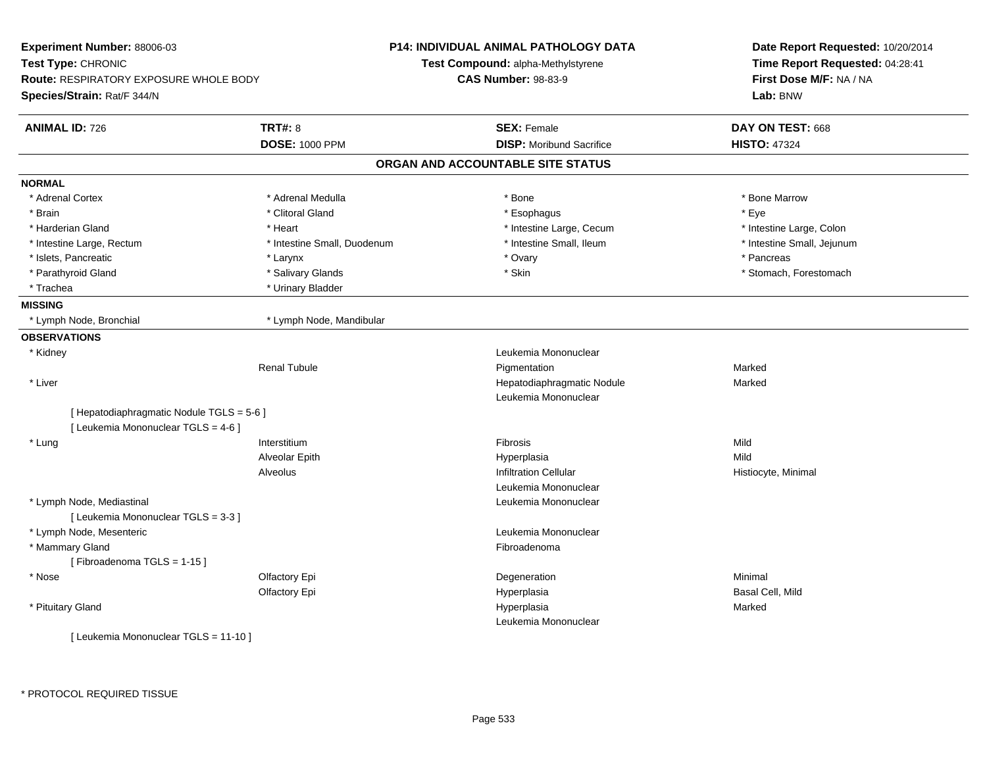| Experiment Number: 88006-03                   |                             | <b>P14: INDIVIDUAL ANIMAL PATHOLOGY DATA</b> | Date Report Requested: 10/20/2014<br>Time Report Requested: 04:28:41<br>First Dose M/F: NA / NA |  |
|-----------------------------------------------|-----------------------------|----------------------------------------------|-------------------------------------------------------------------------------------------------|--|
| Test Type: CHRONIC                            |                             | Test Compound: alpha-Methylstyrene           |                                                                                                 |  |
| <b>Route: RESPIRATORY EXPOSURE WHOLE BODY</b> |                             | <b>CAS Number: 98-83-9</b>                   |                                                                                                 |  |
| Species/Strain: Rat/F 344/N                   |                             |                                              | Lab: BNW                                                                                        |  |
| <b>ANIMAL ID: 726</b>                         | <b>TRT#: 8</b>              | <b>SEX: Female</b>                           | DAY ON TEST: 668                                                                                |  |
|                                               | <b>DOSE: 1000 PPM</b>       | <b>DISP:</b> Moribund Sacrifice              | <b>HISTO: 47324</b>                                                                             |  |
|                                               |                             | ORGAN AND ACCOUNTABLE SITE STATUS            |                                                                                                 |  |
| <b>NORMAL</b>                                 |                             |                                              |                                                                                                 |  |
| * Adrenal Cortex                              | * Adrenal Medulla           | * Bone                                       | * Bone Marrow                                                                                   |  |
| * Brain                                       | * Clitoral Gland            | * Esophagus                                  | * Eye                                                                                           |  |
| * Harderian Gland                             | * Heart                     | * Intestine Large, Cecum                     | * Intestine Large, Colon                                                                        |  |
| * Intestine Large, Rectum                     | * Intestine Small, Duodenum | * Intestine Small, Ileum                     | * Intestine Small, Jejunum                                                                      |  |
| * Islets, Pancreatic                          | * Larynx                    | * Ovary                                      | * Pancreas                                                                                      |  |
| * Parathyroid Gland                           | * Salivary Glands           | * Skin                                       | * Stomach, Forestomach                                                                          |  |
| * Trachea                                     | * Urinary Bladder           |                                              |                                                                                                 |  |
| <b>MISSING</b>                                |                             |                                              |                                                                                                 |  |
| * Lymph Node, Bronchial                       | * Lymph Node, Mandibular    |                                              |                                                                                                 |  |
| <b>OBSERVATIONS</b>                           |                             |                                              |                                                                                                 |  |
| * Kidney                                      |                             | Leukemia Mononuclear                         |                                                                                                 |  |
|                                               | <b>Renal Tubule</b>         | Pigmentation                                 | Marked                                                                                          |  |
| * Liver                                       |                             | Hepatodiaphragmatic Nodule                   | Marked                                                                                          |  |
|                                               |                             | Leukemia Mononuclear                         |                                                                                                 |  |
| [ Hepatodiaphragmatic Nodule TGLS = 5-6 ]     |                             |                                              |                                                                                                 |  |
| [ Leukemia Mononuclear TGLS = 4-6 ]           |                             |                                              |                                                                                                 |  |
| * Lung                                        | Interstitium                | Fibrosis                                     | Mild                                                                                            |  |
|                                               | Alveolar Epith              | Hyperplasia                                  | Mild                                                                                            |  |
|                                               | <b>Alveolus</b>             | <b>Infiltration Cellular</b>                 | Histiocyte, Minimal                                                                             |  |
|                                               |                             | Leukemia Mononuclear                         |                                                                                                 |  |
| * Lymph Node, Mediastinal                     |                             | Leukemia Mononuclear                         |                                                                                                 |  |
| [ Leukemia Mononuclear TGLS = 3-3 ]           |                             |                                              |                                                                                                 |  |
| * Lymph Node, Mesenteric                      |                             | Leukemia Mononuclear                         |                                                                                                 |  |
| * Mammary Gland                               |                             | Fibroadenoma                                 |                                                                                                 |  |
| [Fibroadenoma TGLS = 1-15]                    |                             |                                              |                                                                                                 |  |
| * Nose                                        | Olfactory Epi               | Degeneration                                 | Minimal                                                                                         |  |
|                                               | Olfactory Epi               | Hyperplasia                                  | Basal Cell, Mild                                                                                |  |
| * Pituitary Gland                             |                             | Hyperplasia                                  | Marked                                                                                          |  |
|                                               |                             | Leukemia Mononuclear                         |                                                                                                 |  |
| [ Leukemia Mononuclear TGLS = 11-10 ]         |                             |                                              |                                                                                                 |  |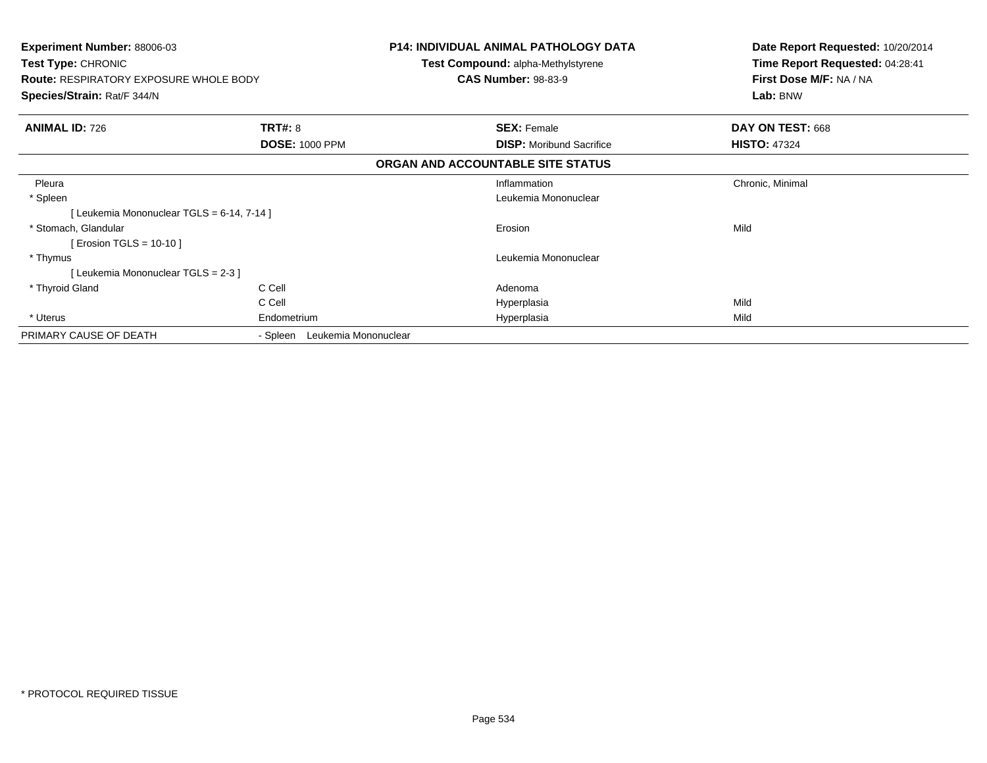| <b>Experiment Number: 88006-03</b><br>Test Type: CHRONIC<br><b>Route: RESPIRATORY EXPOSURE WHOLE BODY</b><br>Species/Strain: Rat/F 344/N |                                         | <b>P14: INDIVIDUAL ANIMAL PATHOLOGY DATA</b><br>Test Compound: alpha-Methylstyrene<br><b>CAS Number: 98-83-9</b> | Date Report Requested: 10/20/2014<br>Time Report Requested: 04:28:41<br>First Dose M/F: NA / NA<br>Lab: BNW |
|------------------------------------------------------------------------------------------------------------------------------------------|-----------------------------------------|------------------------------------------------------------------------------------------------------------------|-------------------------------------------------------------------------------------------------------------|
| <b>ANIMAL ID: 726</b>                                                                                                                    | <b>TRT#: 8</b><br><b>DOSE: 1000 PPM</b> | <b>SEX: Female</b><br><b>DISP:</b> Moribund Sacrifice                                                            | DAY ON TEST: 668<br><b>HISTO: 47324</b>                                                                     |
|                                                                                                                                          |                                         | ORGAN AND ACCOUNTABLE SITE STATUS                                                                                |                                                                                                             |
| Pleura<br>* Spleen<br>[Leukemia Mononuclear TGLS = 6-14, 7-14]                                                                           |                                         | Inflammation<br>Leukemia Mononuclear                                                                             | Chronic, Minimal                                                                                            |
| * Stomach. Glandular<br>Erosion TGLS = 10-10 ]                                                                                           |                                         | Erosion                                                                                                          | Mild                                                                                                        |
| * Thymus<br>[Leukemia Mononuclear TGLS = 2-3 ]                                                                                           |                                         | Leukemia Mononuclear                                                                                             |                                                                                                             |
| * Thyroid Gland<br>* Uterus                                                                                                              | C Cell<br>C Cell<br>Endometrium         | Adenoma<br>Hyperplasia<br>Hyperplasia                                                                            | Mild<br>Mild                                                                                                |
| PRIMARY CAUSE OF DEATH                                                                                                                   | Leukemia Mononuclear<br>- Spleen        |                                                                                                                  |                                                                                                             |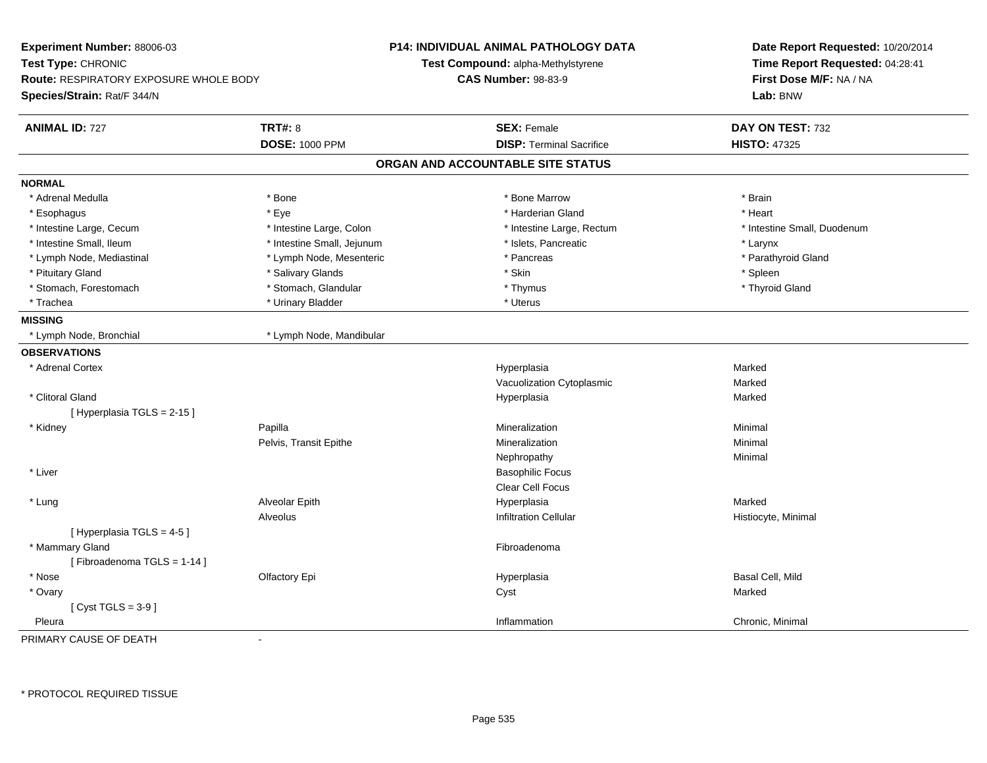| <b>TRT#: 8</b><br><b>ANIMAL ID: 727</b><br><b>SEX: Female</b><br><b>DOSE: 1000 PPM</b><br><b>DISP: Terminal Sacrifice</b> | DAY ON TEST: 732<br><b>HISTO: 47325</b><br>* Brain<br>* Heart<br>* Intestine Small, Duodenum |
|---------------------------------------------------------------------------------------------------------------------------|----------------------------------------------------------------------------------------------|
|                                                                                                                           |                                                                                              |
|                                                                                                                           |                                                                                              |
| ORGAN AND ACCOUNTABLE SITE STATUS                                                                                         |                                                                                              |
| <b>NORMAL</b>                                                                                                             |                                                                                              |
| * Adrenal Medulla<br>* Bone<br>* Bone Marrow                                                                              |                                                                                              |
| * Harderian Gland<br>* Esophagus<br>* Eye                                                                                 |                                                                                              |
| * Intestine Large, Rectum<br>* Intestine Large, Cecum<br>* Intestine Large, Colon                                         |                                                                                              |
| * Islets, Pancreatic<br>* Intestine Small, Ileum<br>* Intestine Small, Jejunum                                            | * Larynx                                                                                     |
| * Lymph Node, Mediastinal<br>* Lymph Node, Mesenteric<br>* Pancreas                                                       | * Parathyroid Gland                                                                          |
| * Salivary Glands<br>* Pituitary Gland<br>* Skin                                                                          | * Spleen                                                                                     |
| * Stomach, Forestomach<br>* Stomach, Glandular<br>* Thymus                                                                | * Thyroid Gland                                                                              |
| * Urinary Bladder<br>* Trachea<br>* Uterus                                                                                |                                                                                              |
| <b>MISSING</b>                                                                                                            |                                                                                              |
| * Lymph Node, Bronchial<br>* Lymph Node, Mandibular                                                                       |                                                                                              |
| <b>OBSERVATIONS</b>                                                                                                       |                                                                                              |
| * Adrenal Cortex<br>Hyperplasia                                                                                           | Marked                                                                                       |
| Vacuolization Cytoplasmic                                                                                                 | Marked                                                                                       |
| * Clitoral Gland<br>Hyperplasia                                                                                           | Marked                                                                                       |
| [ Hyperplasia TGLS = 2-15 ]                                                                                               |                                                                                              |
| * Kidney<br>Papilla<br>Mineralization                                                                                     | Minimal                                                                                      |
| Pelvis, Transit Epithe<br>Mineralization                                                                                  | Minimal                                                                                      |
| Nephropathy                                                                                                               | Minimal                                                                                      |
| * Liver<br><b>Basophilic Focus</b>                                                                                        |                                                                                              |
| <b>Clear Cell Focus</b>                                                                                                   |                                                                                              |
| * Lung<br>Alveolar Epith<br>Hyperplasia                                                                                   | Marked                                                                                       |
| Alveolus<br><b>Infiltration Cellular</b>                                                                                  | Histiocyte, Minimal                                                                          |
| [ Hyperplasia TGLS = 4-5 ]                                                                                                |                                                                                              |
| * Mammary Gland<br>Fibroadenoma                                                                                           |                                                                                              |
| [Fibroadenoma TGLS = 1-14]                                                                                                |                                                                                              |
| * Nose<br>Olfactory Epi<br>Hyperplasia                                                                                    | Basal Cell, Mild                                                                             |
| * Ovary<br>Cyst                                                                                                           | Marked                                                                                       |
| [Cyst TGLS = $3-9$ ]                                                                                                      |                                                                                              |
| Inflammation<br>Pleura                                                                                                    | Chronic, Minimal                                                                             |

PRIMARY CAUSE OF DEATH-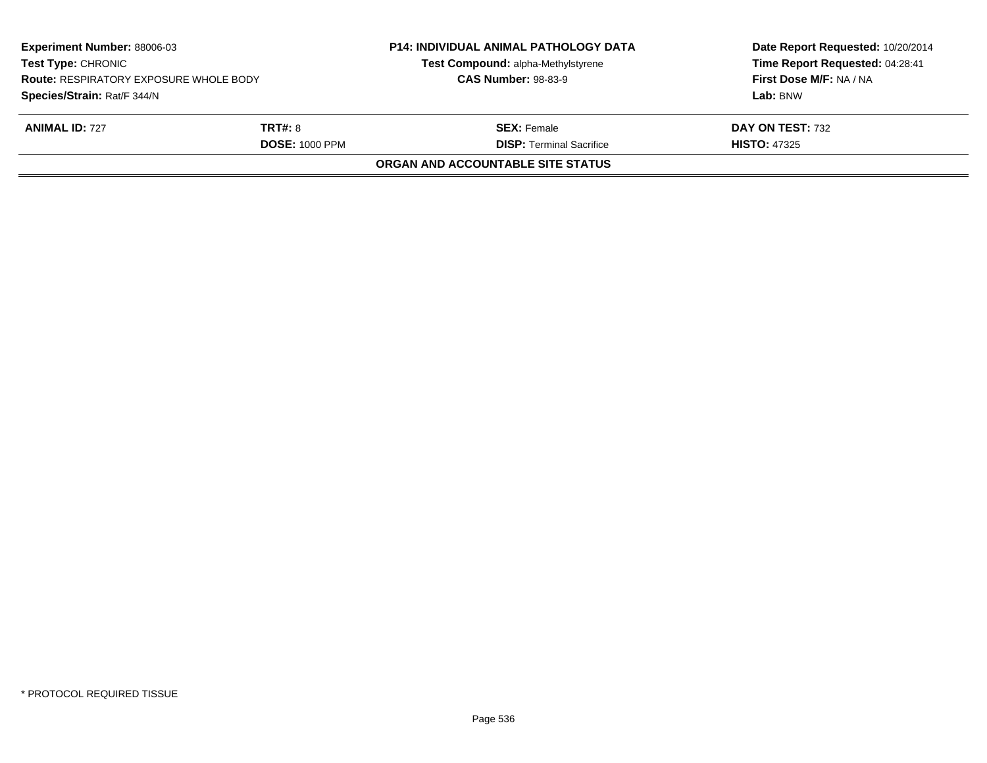| <b>Experiment Number: 88006-03</b><br><b>Test Type: CHRONIC</b><br><b>Route: RESPIRATORY EXPOSURE WHOLE BODY</b><br>Species/Strain: Rat/F 344/N<br><b>ANIMAL ID: 727</b><br><b>TRT#: 8</b><br><b>DOSE: 1000 PPM</b> |  | <b>P14: INDIVIDUAL ANIMAL PATHOLOGY DATA</b><br>Test Compound: alpha-Methylstyrene<br><b>CAS Number: 98-83-9</b> | Date Report Requested: 10/20/2014<br>Time Report Requested: 04:28:41<br>First Dose M/F: NA / NA<br>Lab: BNW<br>DAY ON TEST: 732<br><b>HISTO: 47325</b> |
|---------------------------------------------------------------------------------------------------------------------------------------------------------------------------------------------------------------------|--|------------------------------------------------------------------------------------------------------------------|--------------------------------------------------------------------------------------------------------------------------------------------------------|
|                                                                                                                                                                                                                     |  | <b>SEX:</b> Female<br><b>DISP: Terminal Sacrifice</b>                                                            |                                                                                                                                                        |
|                                                                                                                                                                                                                     |  | ORGAN AND ACCOUNTABLE SITE STATUS                                                                                |                                                                                                                                                        |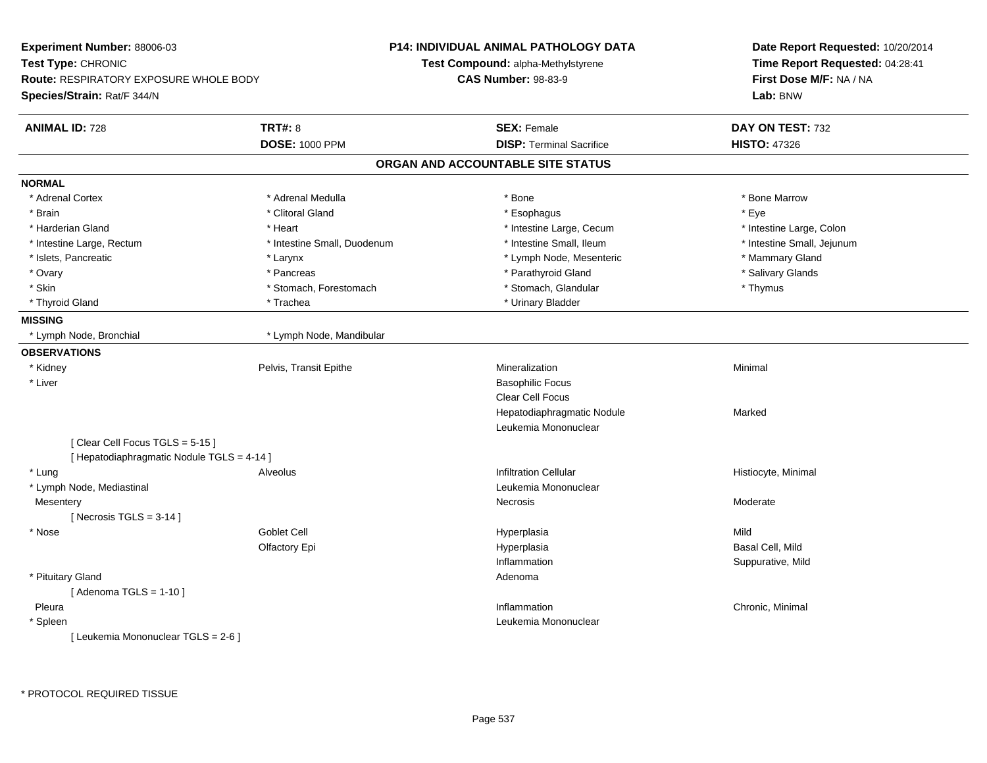| Experiment Number: 88006-03                   |                             | <b>P14: INDIVIDUAL ANIMAL PATHOLOGY DATA</b> | Date Report Requested: 10/20/2014<br>Time Report Requested: 04:28:41<br>First Dose M/F: NA / NA |  |
|-----------------------------------------------|-----------------------------|----------------------------------------------|-------------------------------------------------------------------------------------------------|--|
| Test Type: CHRONIC                            |                             | Test Compound: alpha-Methylstyrene           |                                                                                                 |  |
| <b>Route: RESPIRATORY EXPOSURE WHOLE BODY</b> |                             | <b>CAS Number: 98-83-9</b>                   |                                                                                                 |  |
| Species/Strain: Rat/F 344/N                   |                             |                                              | Lab: BNW                                                                                        |  |
| <b>ANIMAL ID: 728</b>                         | <b>TRT#: 8</b>              | <b>SEX: Female</b>                           | DAY ON TEST: 732                                                                                |  |
|                                               | <b>DOSE: 1000 PPM</b>       | <b>DISP: Terminal Sacrifice</b>              | <b>HISTO: 47326</b>                                                                             |  |
|                                               |                             | ORGAN AND ACCOUNTABLE SITE STATUS            |                                                                                                 |  |
| <b>NORMAL</b>                                 |                             |                                              |                                                                                                 |  |
| * Adrenal Cortex                              | * Adrenal Medulla           | * Bone                                       | * Bone Marrow                                                                                   |  |
| * Brain                                       | * Clitoral Gland            | * Esophagus                                  | * Eye                                                                                           |  |
| * Harderian Gland                             | * Heart                     | * Intestine Large, Cecum                     | * Intestine Large, Colon                                                                        |  |
| * Intestine Large, Rectum                     | * Intestine Small, Duodenum | * Intestine Small, Ileum                     | * Intestine Small, Jejunum                                                                      |  |
| * Islets, Pancreatic                          | * Larynx                    | * Lymph Node, Mesenteric                     | * Mammary Gland                                                                                 |  |
| * Ovary                                       | * Pancreas                  | * Parathyroid Gland                          | * Salivary Glands                                                                               |  |
| * Skin                                        | * Stomach, Forestomach      | * Stomach, Glandular                         | * Thymus                                                                                        |  |
| * Thyroid Gland                               | * Trachea                   | * Urinary Bladder                            |                                                                                                 |  |
| <b>MISSING</b>                                |                             |                                              |                                                                                                 |  |
| * Lymph Node, Bronchial                       | * Lymph Node, Mandibular    |                                              |                                                                                                 |  |
| <b>OBSERVATIONS</b>                           |                             |                                              |                                                                                                 |  |
| * Kidney                                      | Pelvis, Transit Epithe      | Mineralization                               | Minimal                                                                                         |  |
| * Liver                                       |                             | <b>Basophilic Focus</b>                      |                                                                                                 |  |
|                                               |                             | Clear Cell Focus                             |                                                                                                 |  |
|                                               |                             | Hepatodiaphragmatic Nodule                   | Marked                                                                                          |  |
|                                               |                             | Leukemia Mononuclear                         |                                                                                                 |  |
| [Clear Cell Focus TGLS = 5-15]                |                             |                                              |                                                                                                 |  |
| [ Hepatodiaphragmatic Nodule TGLS = 4-14 ]    |                             |                                              |                                                                                                 |  |
| * Lung                                        | Alveolus                    | <b>Infiltration Cellular</b>                 | Histiocyte, Minimal                                                                             |  |
| * Lymph Node, Mediastinal                     |                             | Leukemia Mononuclear                         |                                                                                                 |  |
| Mesentery                                     |                             | Necrosis                                     | Moderate                                                                                        |  |
| [Necrosis $TGLS = 3-14$ ]                     |                             |                                              |                                                                                                 |  |
| * Nose                                        | Goblet Cell                 | Hyperplasia                                  | Mild                                                                                            |  |
|                                               | Olfactory Epi               | Hyperplasia                                  | Basal Cell, Mild                                                                                |  |
|                                               |                             | Inflammation                                 | Suppurative, Mild                                                                               |  |
| * Pituitary Gland                             |                             | Adenoma                                      |                                                                                                 |  |
| [Adenoma TGLS = $1-10$ ]                      |                             |                                              |                                                                                                 |  |
| Pleura                                        |                             | Inflammation                                 | Chronic, Minimal                                                                                |  |
| * Spleen                                      |                             | Leukemia Mononuclear                         |                                                                                                 |  |
| [ Leukemia Mononuclear TGLS = 2-6 ]           |                             |                                              |                                                                                                 |  |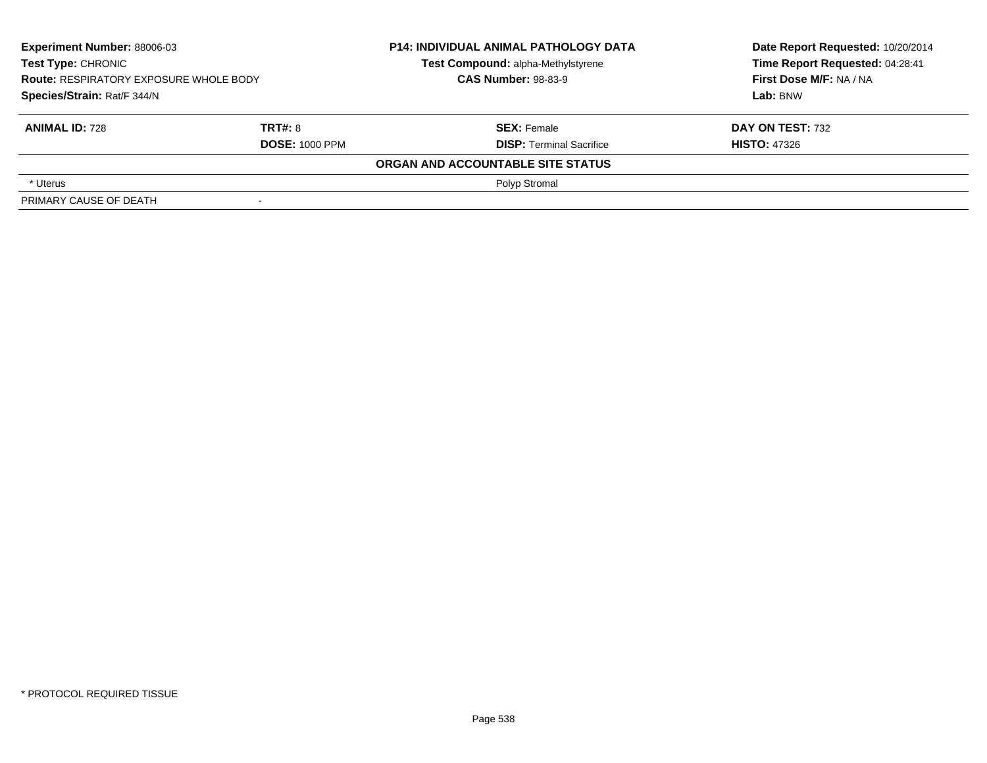| <b>Experiment Number: 88006-03</b><br>Test Type: CHRONIC<br><b>Route: RESPIRATORY EXPOSURE WHOLE BODY</b><br>Species/Strain: Rat/F 344/N |                                  | <b>P14: INDIVIDUAL ANIMAL PATHOLOGY DATA</b><br>Test Compound: alpha-Methylstyrene<br><b>CAS Number: 98-83-9</b> | Date Report Requested: 10/20/2014<br>Time Report Requested: 04:28:41<br>First Dose M/F: NA / NA<br>Lab: BNW |
|------------------------------------------------------------------------------------------------------------------------------------------|----------------------------------|------------------------------------------------------------------------------------------------------------------|-------------------------------------------------------------------------------------------------------------|
| <b>ANIMAL ID: 728</b>                                                                                                                    | TRT#: 8<br><b>DOSE: 1000 PPM</b> | <b>SEX: Female</b><br><b>DISP:</b> Terminal Sacrifice                                                            | DAY ON TEST: 732<br><b>HISTO: 47326</b>                                                                     |
|                                                                                                                                          |                                  | ORGAN AND ACCOUNTABLE SITE STATUS                                                                                |                                                                                                             |
| * Uterus                                                                                                                                 |                                  | Polyp Stromal                                                                                                    |                                                                                                             |
| PRIMARY CAUSE OF DEATH                                                                                                                   |                                  |                                                                                                                  |                                                                                                             |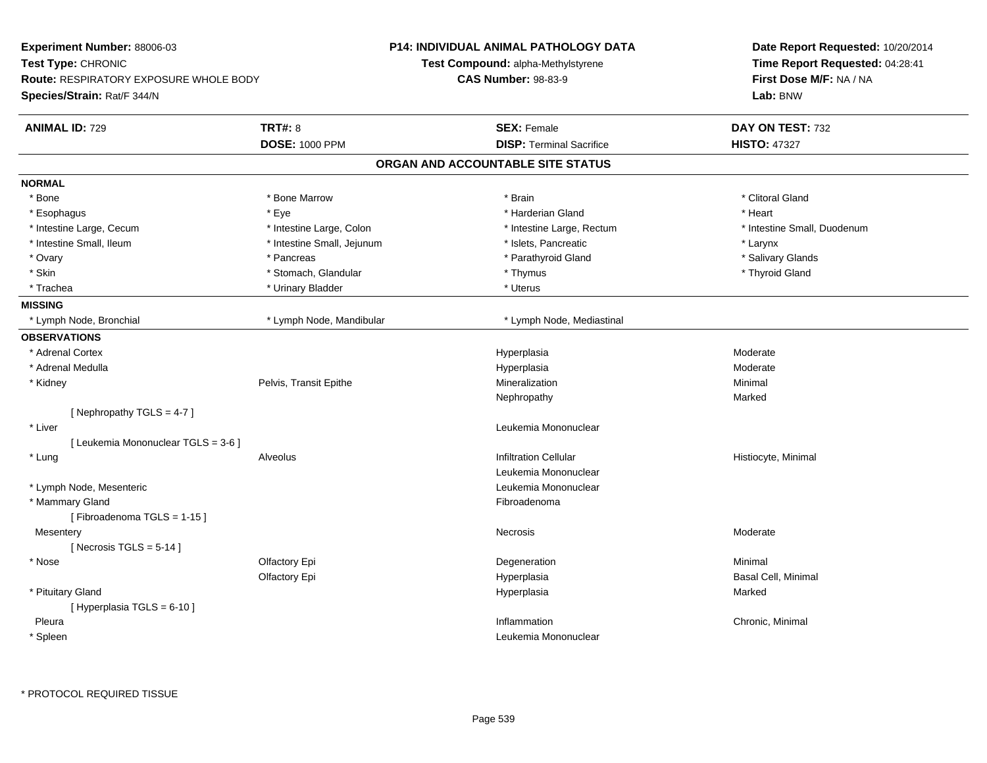| Experiment Number: 88006-03                   |                            | <b>P14: INDIVIDUAL ANIMAL PATHOLOGY DATA</b> | Date Report Requested: 10/20/2014<br>Time Report Requested: 04:28:41<br>First Dose M/F: NA / NA |  |
|-----------------------------------------------|----------------------------|----------------------------------------------|-------------------------------------------------------------------------------------------------|--|
| Test Type: CHRONIC                            |                            | <b>Test Compound: alpha-Methylstyrene</b>    |                                                                                                 |  |
| <b>Route: RESPIRATORY EXPOSURE WHOLE BODY</b> |                            | <b>CAS Number: 98-83-9</b>                   |                                                                                                 |  |
| Species/Strain: Rat/F 344/N                   |                            |                                              | Lab: BNW                                                                                        |  |
| <b>ANIMAL ID: 729</b>                         | <b>TRT#: 8</b>             | <b>SEX: Female</b>                           | DAY ON TEST: 732                                                                                |  |
|                                               | <b>DOSE: 1000 PPM</b>      | <b>DISP: Terminal Sacrifice</b>              | <b>HISTO: 47327</b>                                                                             |  |
|                                               |                            | ORGAN AND ACCOUNTABLE SITE STATUS            |                                                                                                 |  |
| <b>NORMAL</b>                                 |                            |                                              |                                                                                                 |  |
| * Bone                                        | * Bone Marrow              | * Brain                                      | * Clitoral Gland                                                                                |  |
| * Esophagus                                   | $*$ Eye                    | * Harderian Gland                            | * Heart                                                                                         |  |
| * Intestine Large, Cecum                      | * Intestine Large, Colon   | * Intestine Large, Rectum                    | * Intestine Small, Duodenum                                                                     |  |
| * Intestine Small, Ileum                      | * Intestine Small, Jejunum | * Islets, Pancreatic                         | * Larynx                                                                                        |  |
| * Ovary                                       | * Pancreas                 | * Parathyroid Gland                          | * Salivary Glands                                                                               |  |
| * Skin                                        | * Stomach, Glandular       | * Thymus                                     | * Thyroid Gland                                                                                 |  |
| * Trachea                                     | * Urinary Bladder          | * Uterus                                     |                                                                                                 |  |
| <b>MISSING</b>                                |                            |                                              |                                                                                                 |  |
| * Lymph Node, Bronchial                       | * Lymph Node, Mandibular   | * Lymph Node, Mediastinal                    |                                                                                                 |  |
| <b>OBSERVATIONS</b>                           |                            |                                              |                                                                                                 |  |
| * Adrenal Cortex                              |                            | Hyperplasia                                  | Moderate                                                                                        |  |
| * Adrenal Medulla                             |                            | Hyperplasia                                  | Moderate                                                                                        |  |
| * Kidney                                      | Pelvis, Transit Epithe     | Mineralization                               | Minimal                                                                                         |  |
|                                               |                            | Nephropathy                                  | Marked                                                                                          |  |
| [Nephropathy TGLS = 4-7]                      |                            |                                              |                                                                                                 |  |
| * Liver                                       |                            | Leukemia Mononuclear                         |                                                                                                 |  |
| [ Leukemia Mononuclear TGLS = 3-6 ]           |                            |                                              |                                                                                                 |  |
| * Lung                                        | Alveolus                   | <b>Infiltration Cellular</b>                 | Histiocyte, Minimal                                                                             |  |
|                                               |                            | Leukemia Mononuclear                         |                                                                                                 |  |
| * Lymph Node, Mesenteric                      |                            | Leukemia Mononuclear                         |                                                                                                 |  |
| * Mammary Gland                               |                            | Fibroadenoma                                 |                                                                                                 |  |
| [Fibroadenoma TGLS = 1-15]                    |                            |                                              |                                                                                                 |  |
| Mesentery                                     |                            | Necrosis                                     | Moderate                                                                                        |  |
| [Necrosis $TGLS = 5-14$ ]                     |                            |                                              |                                                                                                 |  |
| * Nose                                        | Olfactory Epi              | Degeneration                                 | Minimal                                                                                         |  |
|                                               | Olfactory Epi              | Hyperplasia                                  | <b>Basal Cell, Minimal</b>                                                                      |  |
| * Pituitary Gland                             |                            | Hyperplasia                                  | Marked                                                                                          |  |
| [ Hyperplasia TGLS = 6-10 ]                   |                            |                                              |                                                                                                 |  |
| Pleura                                        |                            | Inflammation                                 | Chronic, Minimal                                                                                |  |
| * Spleen                                      |                            | Leukemia Mononuclear                         |                                                                                                 |  |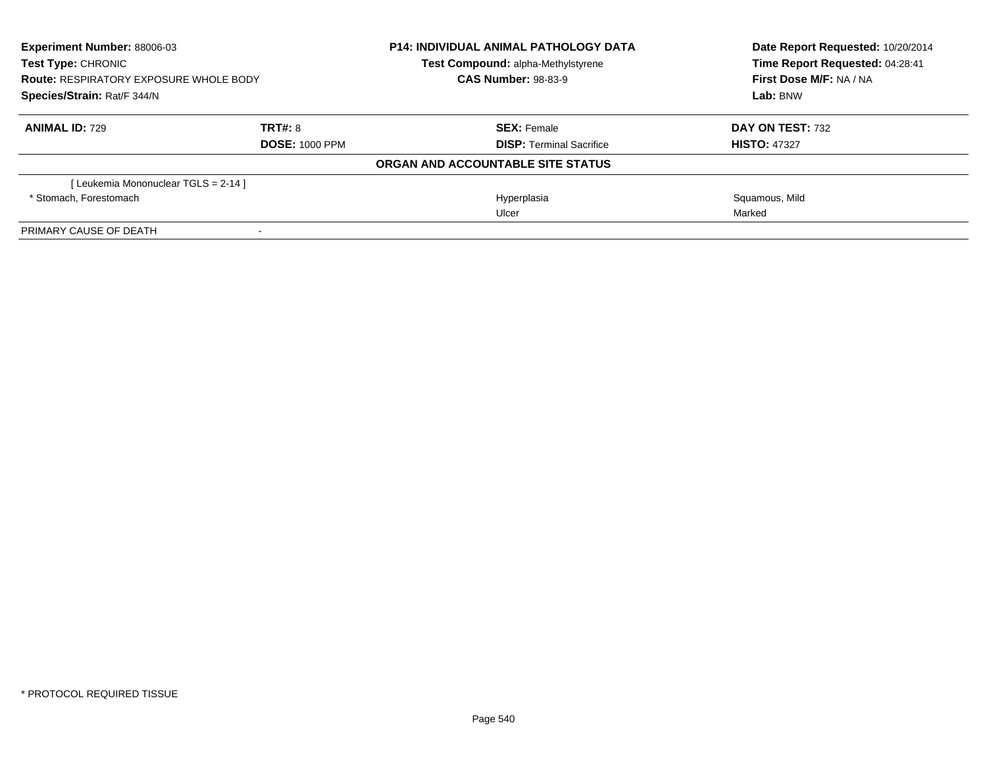| <b>Experiment Number: 88006-03</b><br>Test Type: CHRONIC<br><b>Route: RESPIRATORY EXPOSURE WHOLE BODY</b><br>Species/Strain: Rat/F 344/N |                       | <b>P14: INDIVIDUAL ANIMAL PATHOLOGY DATA</b> | Date Report Requested: 10/20/2014<br>Time Report Requested: 04:28:41 |
|------------------------------------------------------------------------------------------------------------------------------------------|-----------------------|----------------------------------------------|----------------------------------------------------------------------|
|                                                                                                                                          |                       | Test Compound: alpha-Methylstyrene           |                                                                      |
|                                                                                                                                          |                       | <b>CAS Number: 98-83-9</b>                   | First Dose M/F: NA / NA                                              |
|                                                                                                                                          |                       |                                              | Lab: BNW                                                             |
| <b>ANIMAL ID: 729</b>                                                                                                                    | TRT#: 8               | <b>SEX: Female</b>                           | DAY ON TEST: 732                                                     |
|                                                                                                                                          | <b>DOSE: 1000 PPM</b> | <b>DISP: Terminal Sacrifice</b>              | <b>HISTO: 47327</b>                                                  |
|                                                                                                                                          |                       | ORGAN AND ACCOUNTABLE SITE STATUS            |                                                                      |
| [Leukemia Mononuclear TGLS = 2-14 ]                                                                                                      |                       |                                              |                                                                      |
| * Stomach. Forestomach                                                                                                                   |                       | Hyperplasia                                  | Squamous, Mild                                                       |
|                                                                                                                                          |                       | Ulcer                                        | Marked                                                               |
| PRIMARY CAUSE OF DEATH                                                                                                                   |                       |                                              |                                                                      |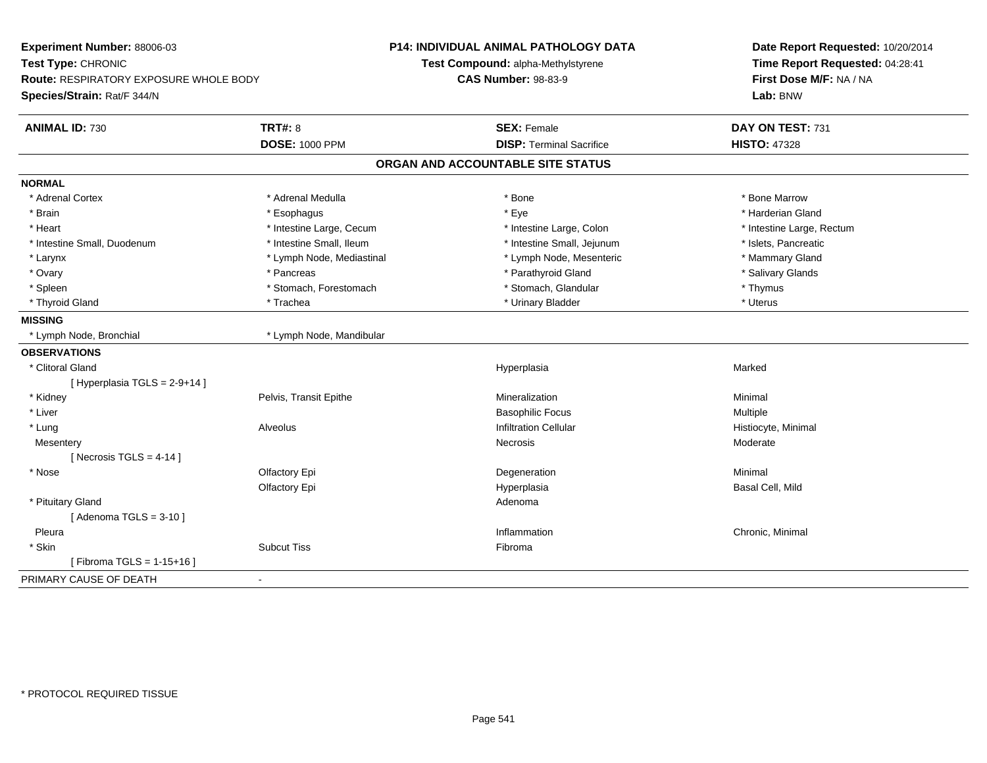| Experiment Number: 88006-03            |                           | P14: INDIVIDUAL ANIMAL PATHOLOGY DATA | Date Report Requested: 10/20/2014<br>Time Report Requested: 04:28:41<br>First Dose M/F: NA / NA |  |
|----------------------------------------|---------------------------|---------------------------------------|-------------------------------------------------------------------------------------------------|--|
| Test Type: CHRONIC                     |                           | Test Compound: alpha-Methylstyrene    |                                                                                                 |  |
| Route: RESPIRATORY EXPOSURE WHOLE BODY |                           | <b>CAS Number: 98-83-9</b>            |                                                                                                 |  |
| Species/Strain: Rat/F 344/N            |                           |                                       | Lab: BNW                                                                                        |  |
| <b>ANIMAL ID: 730</b>                  | <b>TRT#: 8</b>            | <b>SEX: Female</b>                    | DAY ON TEST: 731                                                                                |  |
|                                        | <b>DOSE: 1000 PPM</b>     | <b>DISP: Terminal Sacrifice</b>       | <b>HISTO: 47328</b>                                                                             |  |
|                                        |                           | ORGAN AND ACCOUNTABLE SITE STATUS     |                                                                                                 |  |
| <b>NORMAL</b>                          |                           |                                       |                                                                                                 |  |
| * Adrenal Cortex                       | * Adrenal Medulla         | * Bone                                | * Bone Marrow                                                                                   |  |
| * Brain                                | * Esophagus               | * Eye                                 | * Harderian Gland                                                                               |  |
| * Heart                                | * Intestine Large, Cecum  | * Intestine Large, Colon              | * Intestine Large, Rectum                                                                       |  |
| * Intestine Small, Duodenum            | * Intestine Small, Ileum  | * Intestine Small, Jejunum            | * Islets, Pancreatic                                                                            |  |
| * Larynx                               | * Lymph Node, Mediastinal | * Lymph Node, Mesenteric              | * Mammary Gland                                                                                 |  |
| * Ovary                                | * Pancreas                | * Parathyroid Gland                   | * Salivary Glands                                                                               |  |
| * Spleen                               | * Stomach, Forestomach    | * Stomach, Glandular                  | * Thymus                                                                                        |  |
| * Thyroid Gland                        | * Trachea                 | * Urinary Bladder                     | * Uterus                                                                                        |  |
| <b>MISSING</b>                         |                           |                                       |                                                                                                 |  |
| * Lymph Node, Bronchial                | * Lymph Node, Mandibular  |                                       |                                                                                                 |  |
| <b>OBSERVATIONS</b>                    |                           |                                       |                                                                                                 |  |
| * Clitoral Gland                       |                           | Hyperplasia                           | Marked                                                                                          |  |
| [ Hyperplasia TGLS = 2-9+14 ]          |                           |                                       |                                                                                                 |  |
| * Kidney                               | Pelvis, Transit Epithe    | Mineralization                        | Minimal                                                                                         |  |
| * Liver                                |                           | <b>Basophilic Focus</b>               | Multiple                                                                                        |  |
| * Lung                                 | Alveolus                  | <b>Infiltration Cellular</b>          | Histiocyte, Minimal                                                                             |  |
| Mesentery                              |                           | Necrosis                              | Moderate                                                                                        |  |
| [Necrosis TGLS = $4-14$ ]              |                           |                                       |                                                                                                 |  |
| * Nose                                 | Olfactory Epi             | Degeneration                          | Minimal                                                                                         |  |
|                                        | Olfactory Epi             | Hyperplasia                           | Basal Cell, Mild                                                                                |  |
| * Pituitary Gland                      |                           | Adenoma                               |                                                                                                 |  |
| [Adenoma TGLS = $3-10$ ]               |                           |                                       |                                                                                                 |  |
| Pleura                                 |                           | Inflammation                          | Chronic, Minimal                                                                                |  |
| * Skin                                 | <b>Subcut Tiss</b>        | Fibroma                               |                                                                                                 |  |
| [Fibroma TGLS = 1-15+16]               |                           |                                       |                                                                                                 |  |
| PRIMARY CAUSE OF DEATH                 |                           |                                       |                                                                                                 |  |
|                                        |                           |                                       |                                                                                                 |  |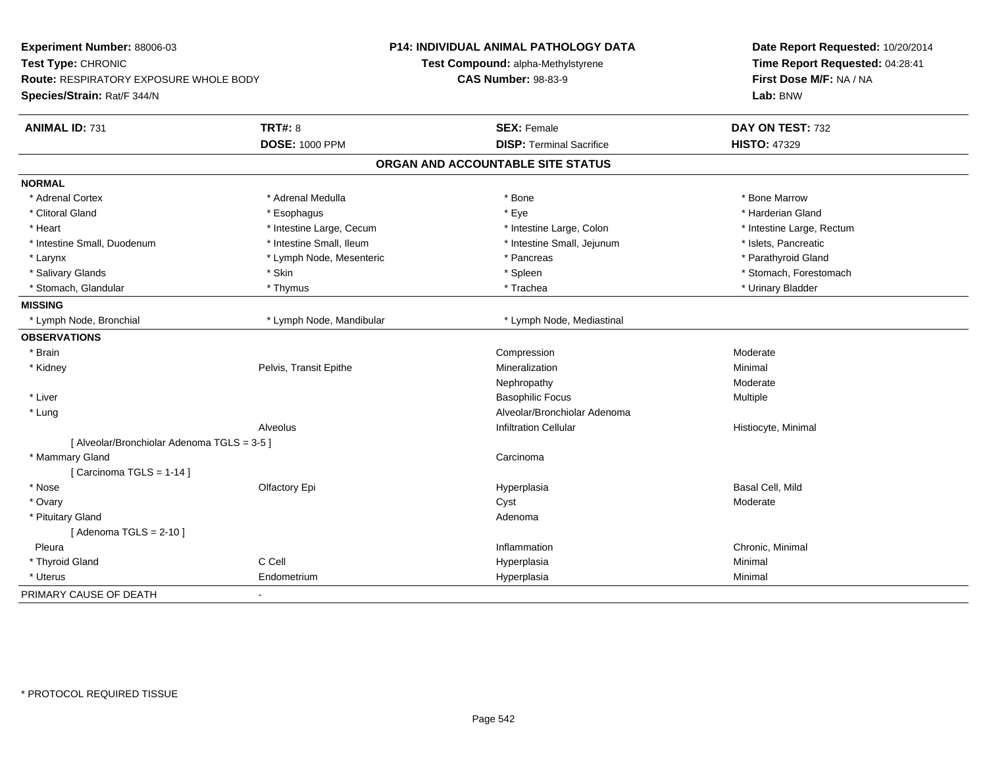| Experiment Number: 88006-03<br>Test Type: CHRONIC<br>Route: RESPIRATORY EXPOSURE WHOLE BODY<br>Species/Strain: Rat/F 344/N |                          | <b>P14: INDIVIDUAL ANIMAL PATHOLOGY DATA</b><br>Test Compound: alpha-Methylstyrene<br><b>CAS Number: 98-83-9</b> | Date Report Requested: 10/20/2014<br>Time Report Requested: 04:28:41<br>First Dose M/F: NA / NA<br>Lab: BNW |
|----------------------------------------------------------------------------------------------------------------------------|--------------------------|------------------------------------------------------------------------------------------------------------------|-------------------------------------------------------------------------------------------------------------|
| <b>ANIMAL ID: 731</b>                                                                                                      | <b>TRT#: 8</b>           | <b>SEX: Female</b>                                                                                               | DAY ON TEST: 732                                                                                            |
|                                                                                                                            | <b>DOSE: 1000 PPM</b>    | <b>DISP: Terminal Sacrifice</b>                                                                                  | <b>HISTO: 47329</b>                                                                                         |
|                                                                                                                            |                          | ORGAN AND ACCOUNTABLE SITE STATUS                                                                                |                                                                                                             |
| <b>NORMAL</b>                                                                                                              |                          |                                                                                                                  |                                                                                                             |
| * Adrenal Cortex                                                                                                           | * Adrenal Medulla        | * Bone                                                                                                           | * Bone Marrow                                                                                               |
| * Clitoral Gland                                                                                                           | * Esophagus              | * Eye                                                                                                            | * Harderian Gland                                                                                           |
| * Heart                                                                                                                    | * Intestine Large, Cecum | * Intestine Large, Colon                                                                                         | * Intestine Large, Rectum                                                                                   |
| * Intestine Small, Duodenum                                                                                                | * Intestine Small, Ileum | * Intestine Small, Jejunum                                                                                       | * Islets, Pancreatic                                                                                        |
| * Larynx                                                                                                                   | * Lymph Node, Mesenteric | * Pancreas                                                                                                       | * Parathyroid Gland                                                                                         |
| * Salivary Glands                                                                                                          | * Skin                   | * Spleen                                                                                                         | * Stomach, Forestomach                                                                                      |
| * Stomach, Glandular                                                                                                       | * Thymus                 | * Trachea                                                                                                        | * Urinary Bladder                                                                                           |
| <b>MISSING</b>                                                                                                             |                          |                                                                                                                  |                                                                                                             |
| * Lymph Node, Bronchial                                                                                                    | * Lymph Node, Mandibular | * Lymph Node, Mediastinal                                                                                        |                                                                                                             |
| <b>OBSERVATIONS</b>                                                                                                        |                          |                                                                                                                  |                                                                                                             |
| * Brain                                                                                                                    |                          | Compression                                                                                                      | Moderate                                                                                                    |
| * Kidney                                                                                                                   | Pelvis, Transit Epithe   | Mineralization                                                                                                   | Minimal                                                                                                     |
|                                                                                                                            |                          | Nephropathy                                                                                                      | Moderate                                                                                                    |
| * Liver                                                                                                                    |                          | <b>Basophilic Focus</b>                                                                                          | Multiple                                                                                                    |
| * Lung                                                                                                                     |                          | Alveolar/Bronchiolar Adenoma                                                                                     |                                                                                                             |
|                                                                                                                            | Alveolus                 | <b>Infiltration Cellular</b>                                                                                     | Histiocyte, Minimal                                                                                         |
| [ Alveolar/Bronchiolar Adenoma TGLS = 3-5 ]                                                                                |                          |                                                                                                                  |                                                                                                             |
| * Mammary Gland                                                                                                            |                          | Carcinoma                                                                                                        |                                                                                                             |
| [ Carcinoma TGLS = $1-14$ ]                                                                                                |                          |                                                                                                                  |                                                                                                             |
| * Nose                                                                                                                     | Olfactory Epi            | Hyperplasia                                                                                                      | Basal Cell, Mild                                                                                            |
| * Ovary                                                                                                                    |                          | Cyst                                                                                                             | Moderate                                                                                                    |
| * Pituitary Gland                                                                                                          |                          | Adenoma                                                                                                          |                                                                                                             |
| [Adenoma TGLS = $2-10$ ]                                                                                                   |                          |                                                                                                                  |                                                                                                             |
| Pleura                                                                                                                     |                          | Inflammation                                                                                                     | Chronic, Minimal                                                                                            |
| * Thyroid Gland                                                                                                            | C Cell                   | Hyperplasia                                                                                                      | Minimal                                                                                                     |
| * Uterus                                                                                                                   | Endometrium              | Hyperplasia                                                                                                      | Minimal                                                                                                     |
| PRIMARY CAUSE OF DEATH                                                                                                     | $\blacksquare$           |                                                                                                                  |                                                                                                             |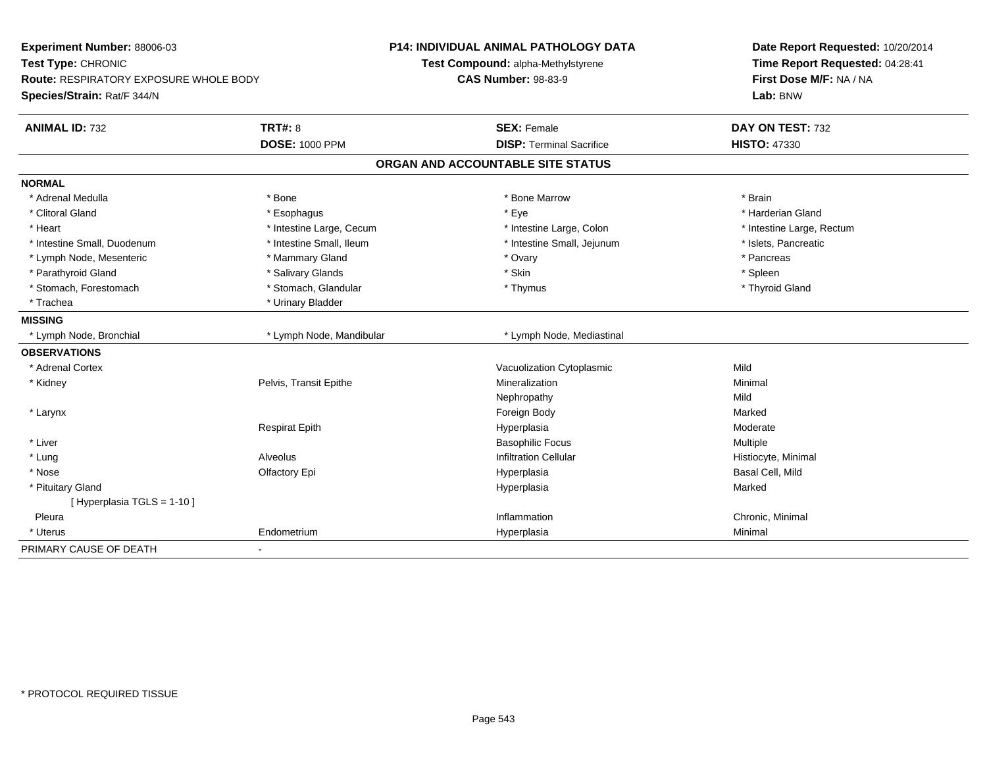| Experiment Number: 88006-03<br>Test Type: CHRONIC<br><b>Route: RESPIRATORY EXPOSURE WHOLE BODY</b><br>Species/Strain: Rat/F 344/N |                          | <b>P14: INDIVIDUAL ANIMAL PATHOLOGY DATA</b><br>Test Compound: alpha-Methylstyrene<br><b>CAS Number: 98-83-9</b> | Date Report Requested: 10/20/2014<br>Time Report Requested: 04:28:41<br>First Dose M/F: NA / NA<br>Lab: BNW |
|-----------------------------------------------------------------------------------------------------------------------------------|--------------------------|------------------------------------------------------------------------------------------------------------------|-------------------------------------------------------------------------------------------------------------|
|                                                                                                                                   |                          |                                                                                                                  |                                                                                                             |
| <b>ANIMAL ID: 732</b>                                                                                                             | TRT#: 8                  | <b>SEX: Female</b>                                                                                               | DAY ON TEST: 732                                                                                            |
|                                                                                                                                   | <b>DOSE: 1000 PPM</b>    | <b>DISP: Terminal Sacrifice</b>                                                                                  | <b>HISTO: 47330</b>                                                                                         |
|                                                                                                                                   |                          | ORGAN AND ACCOUNTABLE SITE STATUS                                                                                |                                                                                                             |
| <b>NORMAL</b>                                                                                                                     |                          |                                                                                                                  |                                                                                                             |
| * Adrenal Medulla                                                                                                                 | * Bone                   | * Bone Marrow                                                                                                    | * Brain                                                                                                     |
| * Clitoral Gland                                                                                                                  | * Esophagus              | * Eye                                                                                                            | * Harderian Gland                                                                                           |
| * Heart                                                                                                                           | * Intestine Large, Cecum | * Intestine Large, Colon                                                                                         | * Intestine Large, Rectum                                                                                   |
| * Intestine Small, Duodenum                                                                                                       | * Intestine Small, Ileum | * Intestine Small, Jejunum                                                                                       | * Islets, Pancreatic                                                                                        |
| * Lymph Node, Mesenteric                                                                                                          | * Mammary Gland          | * Ovary                                                                                                          | * Pancreas                                                                                                  |
| * Parathyroid Gland                                                                                                               | * Salivary Glands        | * Skin                                                                                                           | * Spleen                                                                                                    |
| * Stomach, Forestomach                                                                                                            | * Stomach, Glandular     | * Thymus                                                                                                         | * Thyroid Gland                                                                                             |
| * Trachea                                                                                                                         | * Urinary Bladder        |                                                                                                                  |                                                                                                             |
| <b>MISSING</b>                                                                                                                    |                          |                                                                                                                  |                                                                                                             |
| * Lymph Node, Bronchial                                                                                                           | * Lymph Node, Mandibular | * Lymph Node, Mediastinal                                                                                        |                                                                                                             |
| <b>OBSERVATIONS</b>                                                                                                               |                          |                                                                                                                  |                                                                                                             |
| * Adrenal Cortex                                                                                                                  |                          | Vacuolization Cytoplasmic                                                                                        | Mild                                                                                                        |
| * Kidney                                                                                                                          | Pelvis, Transit Epithe   | Mineralization                                                                                                   | Minimal                                                                                                     |
|                                                                                                                                   |                          | Nephropathy                                                                                                      | Mild                                                                                                        |
| * Larynx                                                                                                                          |                          | Foreign Body                                                                                                     | Marked                                                                                                      |
|                                                                                                                                   | <b>Respirat Epith</b>    | Hyperplasia                                                                                                      | Moderate                                                                                                    |
| * Liver                                                                                                                           |                          | <b>Basophilic Focus</b>                                                                                          | Multiple                                                                                                    |
| * Lung                                                                                                                            | Alveolus                 | <b>Infiltration Cellular</b>                                                                                     | Histiocyte, Minimal                                                                                         |
| * Nose                                                                                                                            | Olfactory Epi            | Hyperplasia                                                                                                      | Basal Cell, Mild                                                                                            |
| * Pituitary Gland                                                                                                                 |                          | Hyperplasia                                                                                                      | Marked                                                                                                      |
| [ Hyperplasia TGLS = 1-10 ]                                                                                                       |                          |                                                                                                                  |                                                                                                             |
| Pleura                                                                                                                            |                          | Inflammation                                                                                                     | Chronic, Minimal                                                                                            |
| * Uterus                                                                                                                          | Endometrium              | Hyperplasia                                                                                                      | Minimal                                                                                                     |
| PRIMARY CAUSE OF DEATH                                                                                                            | ۰                        |                                                                                                                  |                                                                                                             |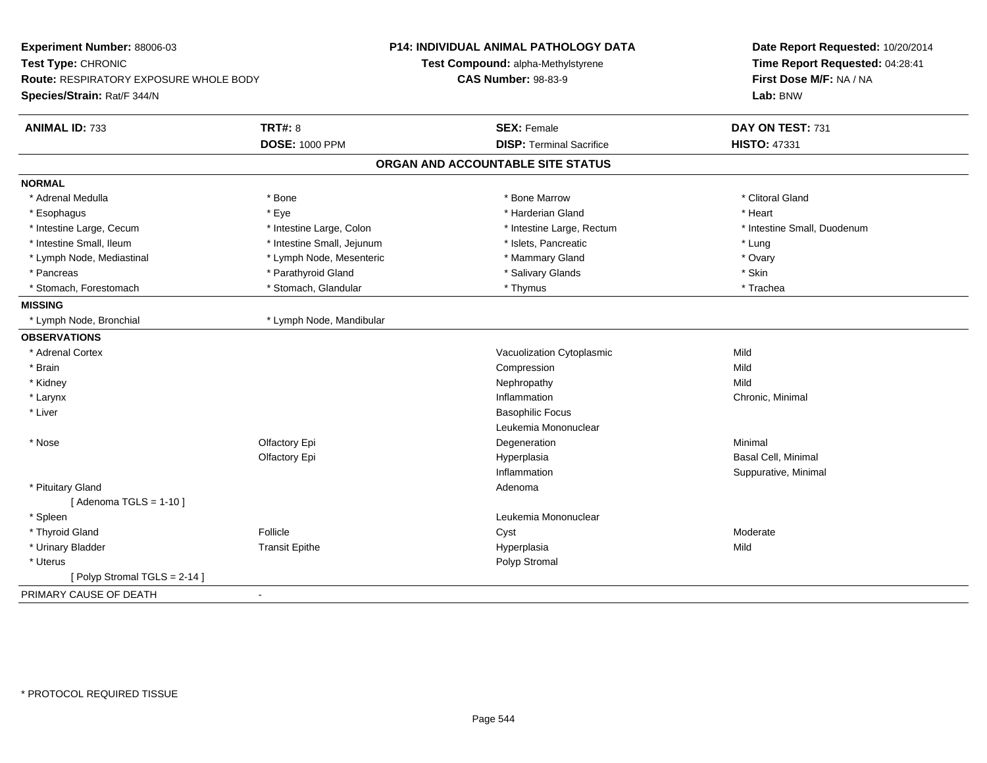| Experiment Number: 88006-03<br>Test Type: CHRONIC<br>Route: RESPIRATORY EXPOSURE WHOLE BODY |                            | <b>P14: INDIVIDUAL ANIMAL PATHOLOGY DATA</b><br>Test Compound: alpha-Methylstyrene<br><b>CAS Number: 98-83-9</b> | Date Report Requested: 10/20/2014<br>Time Report Requested: 04:28:41<br>First Dose M/F: NA / NA |  |
|---------------------------------------------------------------------------------------------|----------------------------|------------------------------------------------------------------------------------------------------------------|-------------------------------------------------------------------------------------------------|--|
| Species/Strain: Rat/F 344/N                                                                 |                            |                                                                                                                  | Lab: BNW                                                                                        |  |
| <b>ANIMAL ID: 733</b>                                                                       | <b>TRT#: 8</b>             | <b>SEX: Female</b>                                                                                               | DAY ON TEST: 731                                                                                |  |
|                                                                                             | <b>DOSE: 1000 PPM</b>      | <b>DISP: Terminal Sacrifice</b>                                                                                  | <b>HISTO: 47331</b>                                                                             |  |
|                                                                                             |                            | ORGAN AND ACCOUNTABLE SITE STATUS                                                                                |                                                                                                 |  |
| <b>NORMAL</b>                                                                               |                            |                                                                                                                  |                                                                                                 |  |
| * Adrenal Medulla                                                                           | * Bone                     | * Bone Marrow                                                                                                    | * Clitoral Gland                                                                                |  |
| * Esophagus                                                                                 | * Eye                      | * Harderian Gland                                                                                                | * Heart                                                                                         |  |
| * Intestine Large, Cecum                                                                    | * Intestine Large, Colon   | * Intestine Large, Rectum                                                                                        | * Intestine Small, Duodenum                                                                     |  |
| * Intestine Small, Ileum                                                                    | * Intestine Small, Jejunum | * Islets, Pancreatic                                                                                             | * Lung                                                                                          |  |
| * Lymph Node, Mediastinal                                                                   | * Lymph Node, Mesenteric   | * Mammary Gland                                                                                                  | * Ovary                                                                                         |  |
| * Pancreas                                                                                  | * Parathyroid Gland        | * Salivary Glands                                                                                                | * Skin                                                                                          |  |
| * Stomach, Forestomach                                                                      | * Stomach, Glandular       | * Thymus                                                                                                         | * Trachea                                                                                       |  |
| <b>MISSING</b>                                                                              |                            |                                                                                                                  |                                                                                                 |  |
| * Lymph Node, Bronchial                                                                     | * Lymph Node, Mandibular   |                                                                                                                  |                                                                                                 |  |
| <b>OBSERVATIONS</b>                                                                         |                            |                                                                                                                  |                                                                                                 |  |
| * Adrenal Cortex                                                                            |                            | Vacuolization Cytoplasmic                                                                                        | Mild                                                                                            |  |
| * Brain                                                                                     |                            | Compression                                                                                                      | Mild                                                                                            |  |
| * Kidney                                                                                    |                            | Nephropathy                                                                                                      | Mild                                                                                            |  |
| * Larynx                                                                                    |                            | Inflammation                                                                                                     | Chronic, Minimal                                                                                |  |
| * Liver                                                                                     |                            | <b>Basophilic Focus</b>                                                                                          |                                                                                                 |  |
|                                                                                             |                            | Leukemia Mononuclear                                                                                             |                                                                                                 |  |
| * Nose                                                                                      | Olfactory Epi              | Degeneration                                                                                                     | Minimal                                                                                         |  |
|                                                                                             | Olfactory Epi              | Hyperplasia                                                                                                      | Basal Cell, Minimal                                                                             |  |
|                                                                                             |                            | Inflammation                                                                                                     | Suppurative, Minimal                                                                            |  |
| * Pituitary Gland                                                                           |                            | Adenoma                                                                                                          |                                                                                                 |  |
| [Adenoma TGLS = $1-10$ ]                                                                    |                            |                                                                                                                  |                                                                                                 |  |
| * Spleen                                                                                    |                            | Leukemia Mononuclear                                                                                             |                                                                                                 |  |
| * Thyroid Gland                                                                             | Follicle                   | Cyst                                                                                                             | Moderate                                                                                        |  |
| * Urinary Bladder                                                                           | <b>Transit Epithe</b>      | Hyperplasia                                                                                                      | Mild                                                                                            |  |
| * Uterus                                                                                    |                            | Polyp Stromal                                                                                                    |                                                                                                 |  |
| [Polyp Stromal TGLS = 2-14]                                                                 |                            |                                                                                                                  |                                                                                                 |  |
| PRIMARY CAUSE OF DEATH                                                                      | $\blacksquare$             |                                                                                                                  |                                                                                                 |  |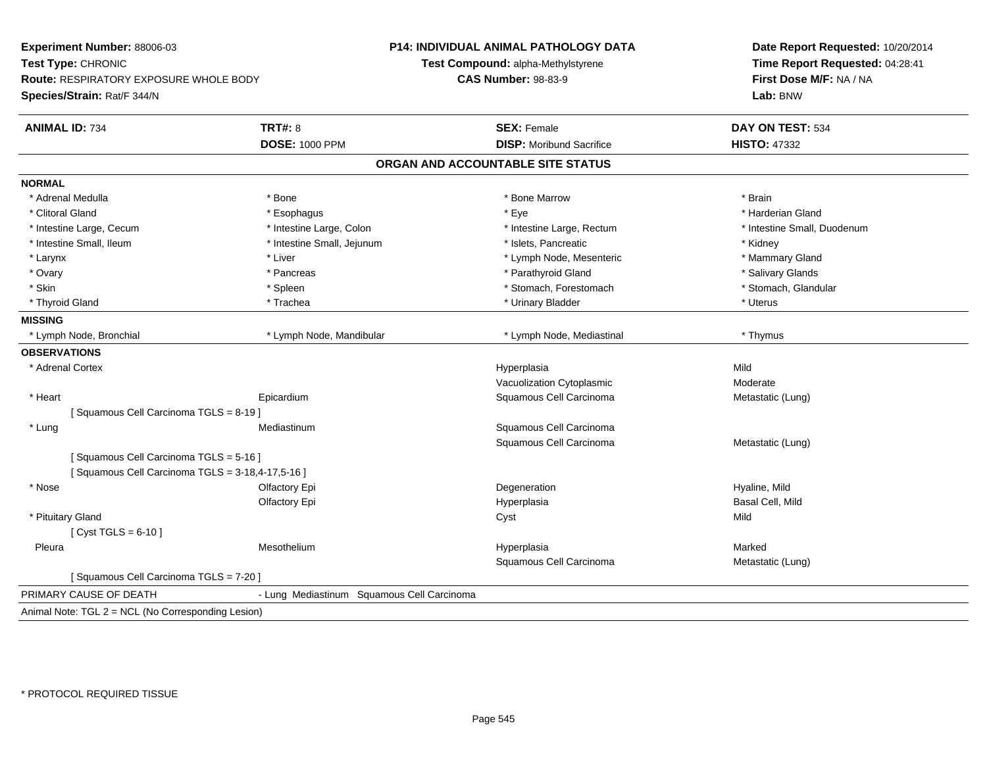| Experiment Number: 88006-03                        |                                            | P14: INDIVIDUAL ANIMAL PATHOLOGY DATA | Date Report Requested: 10/20/2014<br>Time Report Requested: 04:28:41 |
|----------------------------------------------------|--------------------------------------------|---------------------------------------|----------------------------------------------------------------------|
| Test Type: CHRONIC                                 |                                            | Test Compound: alpha-Methylstyrene    |                                                                      |
| Route: RESPIRATORY EXPOSURE WHOLE BODY             |                                            | <b>CAS Number: 98-83-9</b>            | First Dose M/F: NA / NA                                              |
| Species/Strain: Rat/F 344/N                        |                                            |                                       | Lab: BNW                                                             |
| <b>ANIMAL ID: 734</b>                              | <b>TRT#: 8</b>                             | <b>SEX: Female</b>                    | DAY ON TEST: 534                                                     |
|                                                    | <b>DOSE: 1000 PPM</b>                      | <b>DISP:</b> Moribund Sacrifice       | <b>HISTO: 47332</b>                                                  |
|                                                    |                                            | ORGAN AND ACCOUNTABLE SITE STATUS     |                                                                      |
| <b>NORMAL</b>                                      |                                            |                                       |                                                                      |
| * Adrenal Medulla                                  | * Bone                                     | * Bone Marrow                         | * Brain                                                              |
| * Clitoral Gland                                   | * Esophagus                                | * Eye                                 | * Harderian Gland                                                    |
| * Intestine Large, Cecum                           | * Intestine Large, Colon                   | * Intestine Large, Rectum             | * Intestine Small, Duodenum                                          |
| * Intestine Small, Ileum                           | * Intestine Small, Jejunum                 | * Islets, Pancreatic                  | * Kidney                                                             |
| * Larynx                                           | * Liver                                    | * Lymph Node, Mesenteric              | * Mammary Gland                                                      |
| * Ovary                                            | * Pancreas                                 | * Parathyroid Gland                   | * Salivary Glands                                                    |
| * Skin                                             | * Spleen                                   | * Stomach, Forestomach                | * Stomach, Glandular                                                 |
| * Thyroid Gland                                    | * Trachea                                  | * Urinary Bladder                     | * Uterus                                                             |
| <b>MISSING</b>                                     |                                            |                                       |                                                                      |
| * Lymph Node, Bronchial                            | * Lymph Node, Mandibular                   | * Lymph Node, Mediastinal             | * Thymus                                                             |
| <b>OBSERVATIONS</b>                                |                                            |                                       |                                                                      |
| * Adrenal Cortex                                   |                                            | Hyperplasia                           | Mild                                                                 |
|                                                    |                                            | Vacuolization Cytoplasmic             | Moderate                                                             |
| * Heart                                            | Epicardium                                 | Squamous Cell Carcinoma               | Metastatic (Lung)                                                    |
| [Squamous Cell Carcinoma TGLS = 8-19]              |                                            |                                       |                                                                      |
| * Lung                                             | Mediastinum                                | Squamous Cell Carcinoma               |                                                                      |
|                                                    |                                            | Squamous Cell Carcinoma               | Metastatic (Lung)                                                    |
| [Squamous Cell Carcinoma TGLS = 5-16]              |                                            |                                       |                                                                      |
| [ Squamous Cell Carcinoma TGLS = 3-18,4-17,5-16 ]  |                                            |                                       |                                                                      |
| * Nose                                             | Olfactory Epi                              | Degeneration                          | Hyaline, Mild                                                        |
|                                                    | Olfactory Epi                              | Hyperplasia                           | Basal Cell, Mild                                                     |
| * Pituitary Gland                                  |                                            | Cyst                                  | Mild                                                                 |
| [ $Cyst TGLS = 6-10$ ]                             |                                            |                                       |                                                                      |
| Pleura                                             | Mesothelium                                | Hyperplasia                           | Marked                                                               |
|                                                    |                                            | Squamous Cell Carcinoma               | Metastatic (Lung)                                                    |
| [Squamous Cell Carcinoma TGLS = 7-20]              |                                            |                                       |                                                                      |
| PRIMARY CAUSE OF DEATH                             | - Lung Mediastinum Squamous Cell Carcinoma |                                       |                                                                      |
| Animal Note: TGL 2 = NCL (No Corresponding Lesion) |                                            |                                       |                                                                      |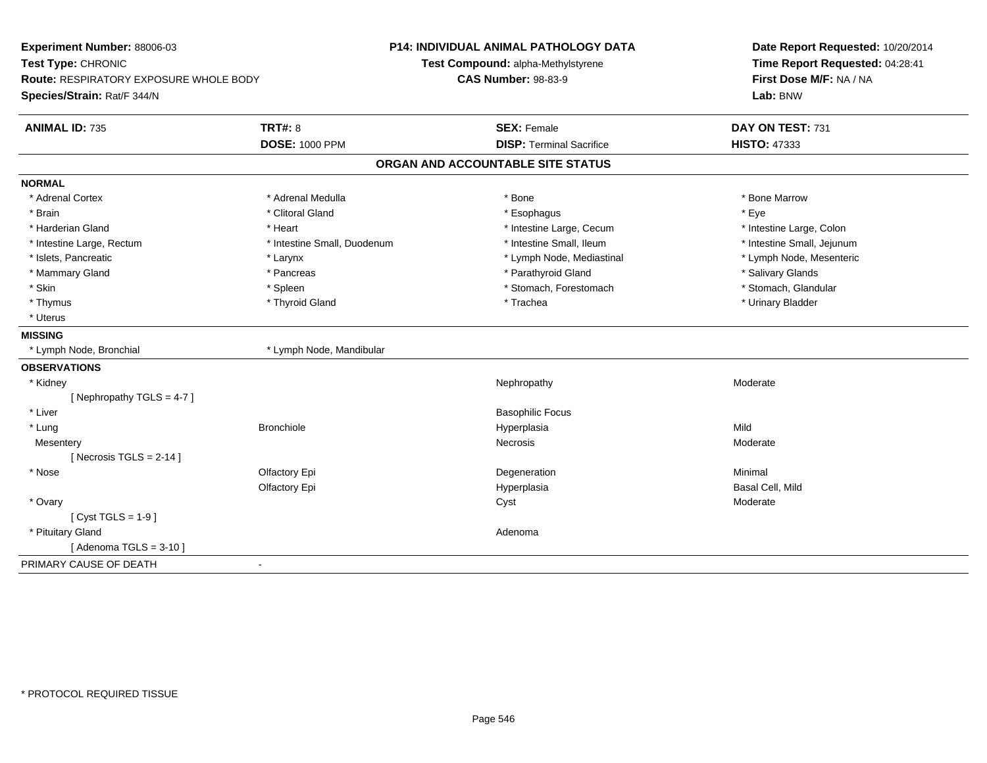| Experiment Number: 88006-03<br>Test Type: CHRONIC<br>Route: RESPIRATORY EXPOSURE WHOLE BODY<br>Species/Strain: Rat/F 344/N |                                         | <b>P14: INDIVIDUAL ANIMAL PATHOLOGY DATA</b><br>Test Compound: alpha-Methylstyrene<br><b>CAS Number: 98-83-9</b> | Date Report Requested: 10/20/2014<br>Time Report Requested: 04:28:41<br>First Dose M/F: NA / NA<br>Lab: BNW |
|----------------------------------------------------------------------------------------------------------------------------|-----------------------------------------|------------------------------------------------------------------------------------------------------------------|-------------------------------------------------------------------------------------------------------------|
| <b>ANIMAL ID: 735</b>                                                                                                      | <b>TRT#: 8</b><br><b>DOSE: 1000 PPM</b> | <b>SEX: Female</b><br><b>DISP: Terminal Sacrifice</b>                                                            | DAY ON TEST: 731<br><b>HISTO: 47333</b>                                                                     |
|                                                                                                                            |                                         | ORGAN AND ACCOUNTABLE SITE STATUS                                                                                |                                                                                                             |
|                                                                                                                            |                                         |                                                                                                                  |                                                                                                             |
| <b>NORMAL</b>                                                                                                              |                                         |                                                                                                                  |                                                                                                             |
| * Adrenal Cortex                                                                                                           | * Adrenal Medulla                       | * Bone                                                                                                           | * Bone Marrow                                                                                               |
| * Brain                                                                                                                    | * Clitoral Gland                        | * Esophagus                                                                                                      | * Eye                                                                                                       |
| * Harderian Gland                                                                                                          | * Heart                                 | * Intestine Large, Cecum                                                                                         | * Intestine Large, Colon                                                                                    |
| * Intestine Large, Rectum                                                                                                  | * Intestine Small, Duodenum             | * Intestine Small, Ileum                                                                                         | * Intestine Small, Jejunum                                                                                  |
| * Islets, Pancreatic                                                                                                       | * Larynx                                | * Lymph Node, Mediastinal                                                                                        | * Lymph Node, Mesenteric                                                                                    |
| * Mammary Gland                                                                                                            | * Pancreas                              | * Parathyroid Gland                                                                                              | * Salivary Glands                                                                                           |
| * Skin                                                                                                                     | * Spleen                                | * Stomach, Forestomach                                                                                           | * Stomach, Glandular                                                                                        |
| * Thymus                                                                                                                   | * Thyroid Gland                         | * Trachea                                                                                                        | * Urinary Bladder                                                                                           |
| * Uterus                                                                                                                   |                                         |                                                                                                                  |                                                                                                             |
| <b>MISSING</b>                                                                                                             |                                         |                                                                                                                  |                                                                                                             |
| * Lymph Node, Bronchial                                                                                                    | * Lymph Node, Mandibular                |                                                                                                                  |                                                                                                             |
| <b>OBSERVATIONS</b>                                                                                                        |                                         |                                                                                                                  |                                                                                                             |
| * Kidney                                                                                                                   |                                         | Nephropathy                                                                                                      | Moderate                                                                                                    |
| [Nephropathy TGLS = $4-7$ ]                                                                                                |                                         |                                                                                                                  |                                                                                                             |
| * Liver                                                                                                                    |                                         | <b>Basophilic Focus</b>                                                                                          |                                                                                                             |
| * Lung                                                                                                                     | <b>Bronchiole</b>                       | Hyperplasia                                                                                                      | Mild                                                                                                        |
| Mesentery                                                                                                                  |                                         | Necrosis                                                                                                         | Moderate                                                                                                    |
| [Necrosis TGLS = $2-14$ ]                                                                                                  |                                         |                                                                                                                  |                                                                                                             |
| * Nose                                                                                                                     | Olfactory Epi                           | Degeneration                                                                                                     | Minimal                                                                                                     |
|                                                                                                                            | Olfactory Epi                           | Hyperplasia                                                                                                      | Basal Cell, Mild                                                                                            |
| * Ovary                                                                                                                    |                                         | Cyst                                                                                                             | Moderate                                                                                                    |
| [ $Cyst TGLS = 1-9$ ]                                                                                                      |                                         |                                                                                                                  |                                                                                                             |
| * Pituitary Gland                                                                                                          |                                         | Adenoma                                                                                                          |                                                                                                             |
| [Adenoma TGLS = $3-10$ ]                                                                                                   |                                         |                                                                                                                  |                                                                                                             |
| PRIMARY CAUSE OF DEATH                                                                                                     | $\overline{a}$                          |                                                                                                                  |                                                                                                             |
|                                                                                                                            |                                         |                                                                                                                  |                                                                                                             |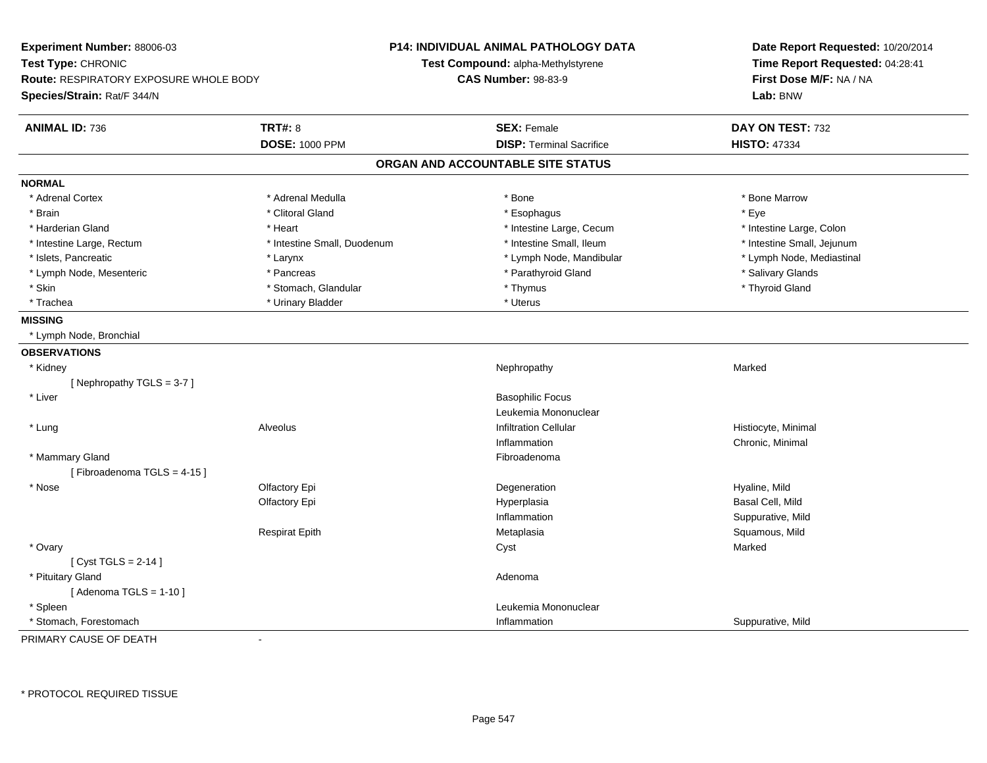| Experiment Number: 88006-03<br>Test Type: CHRONIC<br><b>Route: RESPIRATORY EXPOSURE WHOLE BODY</b><br>Species/Strain: Rat/F 344/N |                             | <b>P14: INDIVIDUAL ANIMAL PATHOLOGY DATA</b><br>Test Compound: alpha-Methylstyrene<br><b>CAS Number: 98-83-9</b> | Date Report Requested: 10/20/2014<br>Time Report Requested: 04:28:41<br>First Dose M/F: NA / NA<br>Lab: BNW |
|-----------------------------------------------------------------------------------------------------------------------------------|-----------------------------|------------------------------------------------------------------------------------------------------------------|-------------------------------------------------------------------------------------------------------------|
| <b>ANIMAL ID: 736</b>                                                                                                             | <b>TRT#: 8</b>              | <b>SEX: Female</b>                                                                                               | DAY ON TEST: 732                                                                                            |
|                                                                                                                                   | <b>DOSE: 1000 PPM</b>       | <b>DISP: Terminal Sacrifice</b>                                                                                  | <b>HISTO: 47334</b>                                                                                         |
|                                                                                                                                   |                             | ORGAN AND ACCOUNTABLE SITE STATUS                                                                                |                                                                                                             |
| <b>NORMAL</b>                                                                                                                     |                             |                                                                                                                  |                                                                                                             |
| * Adrenal Cortex                                                                                                                  | * Adrenal Medulla           | * Bone                                                                                                           | * Bone Marrow                                                                                               |
| * Brain                                                                                                                           | * Clitoral Gland            | * Esophagus                                                                                                      | * Eye                                                                                                       |
| * Harderian Gland                                                                                                                 | * Heart                     | * Intestine Large, Cecum                                                                                         | * Intestine Large, Colon                                                                                    |
| * Intestine Large, Rectum                                                                                                         | * Intestine Small, Duodenum | * Intestine Small, Ileum                                                                                         | * Intestine Small, Jejunum                                                                                  |
| * Islets, Pancreatic                                                                                                              | * Larynx                    | * Lymph Node, Mandibular                                                                                         | * Lymph Node, Mediastinal                                                                                   |
| * Lymph Node, Mesenteric                                                                                                          | * Pancreas                  | * Parathyroid Gland                                                                                              | * Salivary Glands                                                                                           |
| * Skin                                                                                                                            | * Stomach, Glandular        | * Thymus                                                                                                         | * Thyroid Gland                                                                                             |
| * Trachea                                                                                                                         | * Urinary Bladder           | * Uterus                                                                                                         |                                                                                                             |
| <b>MISSING</b>                                                                                                                    |                             |                                                                                                                  |                                                                                                             |
| * Lymph Node, Bronchial                                                                                                           |                             |                                                                                                                  |                                                                                                             |
| <b>OBSERVATIONS</b>                                                                                                               |                             |                                                                                                                  |                                                                                                             |
| * Kidney                                                                                                                          |                             | Nephropathy                                                                                                      | Marked                                                                                                      |
| [Nephropathy TGLS = 3-7]                                                                                                          |                             |                                                                                                                  |                                                                                                             |
| * Liver                                                                                                                           |                             | <b>Basophilic Focus</b>                                                                                          |                                                                                                             |
|                                                                                                                                   |                             | Leukemia Mononuclear                                                                                             |                                                                                                             |
| * Lung                                                                                                                            | Alveolus                    | <b>Infiltration Cellular</b>                                                                                     | Histiocyte, Minimal                                                                                         |
|                                                                                                                                   |                             | Inflammation                                                                                                     | Chronic, Minimal                                                                                            |
| * Mammary Gland                                                                                                                   |                             | Fibroadenoma                                                                                                     |                                                                                                             |
| [Fibroadenoma TGLS = 4-15]                                                                                                        |                             |                                                                                                                  |                                                                                                             |
| * Nose                                                                                                                            | Olfactory Epi               | Degeneration                                                                                                     | Hyaline, Mild                                                                                               |
|                                                                                                                                   | Olfactory Epi               | Hyperplasia                                                                                                      | Basal Cell, Mild                                                                                            |
|                                                                                                                                   |                             | Inflammation                                                                                                     | Suppurative, Mild                                                                                           |
|                                                                                                                                   | <b>Respirat Epith</b>       | Metaplasia                                                                                                       | Squamous, Mild                                                                                              |
| * Ovary                                                                                                                           |                             | Cyst                                                                                                             | Marked                                                                                                      |
| [Cyst TGLS = $2-14$ ]                                                                                                             |                             |                                                                                                                  |                                                                                                             |
| * Pituitary Gland                                                                                                                 |                             | Adenoma                                                                                                          |                                                                                                             |
| [Adenoma TGLS = $1-10$ ]                                                                                                          |                             |                                                                                                                  |                                                                                                             |
| * Spleen                                                                                                                          |                             | Leukemia Mononuclear                                                                                             |                                                                                                             |
| * Stomach, Forestomach                                                                                                            |                             | Inflammation                                                                                                     | Suppurative, Mild                                                                                           |

PRIMARY CAUSE OF DEATH-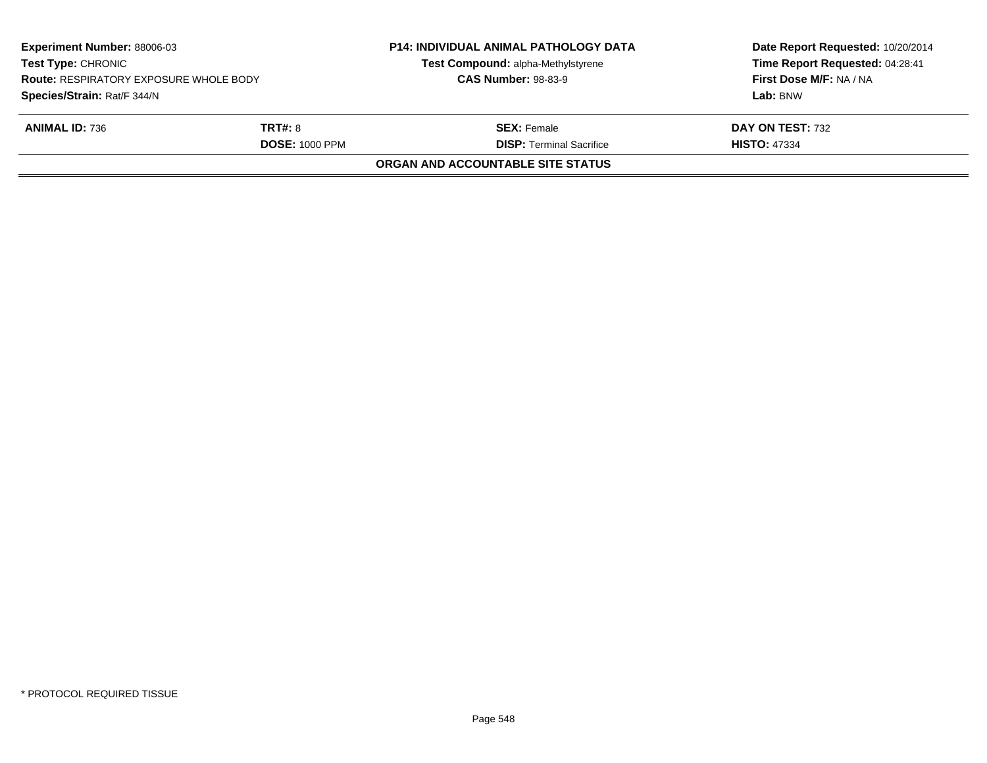| <b>Experiment Number: 88006-03</b><br><b>Test Type: CHRONIC</b><br><b>Route: RESPIRATORY EXPOSURE WHOLE BODY</b><br>Species/Strain: Rat/F 344/N |  | <b>P14: INDIVIDUAL ANIMAL PATHOLOGY DATA</b><br>Test Compound: alpha-Methylstyrene<br><b>CAS Number: 98-83-9</b> | Date Report Requested: 10/20/2014<br>Time Report Requested: 04:28:41<br>First Dose M/F: NA / NA<br>Lab: BNW |
|-------------------------------------------------------------------------------------------------------------------------------------------------|--|------------------------------------------------------------------------------------------------------------------|-------------------------------------------------------------------------------------------------------------|
| <b>ANIMAL ID: 736</b><br><b>TRT#: 8</b><br><b>DOSE: 1000 PPM</b>                                                                                |  | <b>SEX: Female</b><br><b>DISP: Terminal Sacrifice</b>                                                            | DAY ON TEST: 732<br><b>HISTO: 47334</b>                                                                     |
|                                                                                                                                                 |  | <b>ORGAN AND ACCOUNTABLE SITE STATUS</b>                                                                         |                                                                                                             |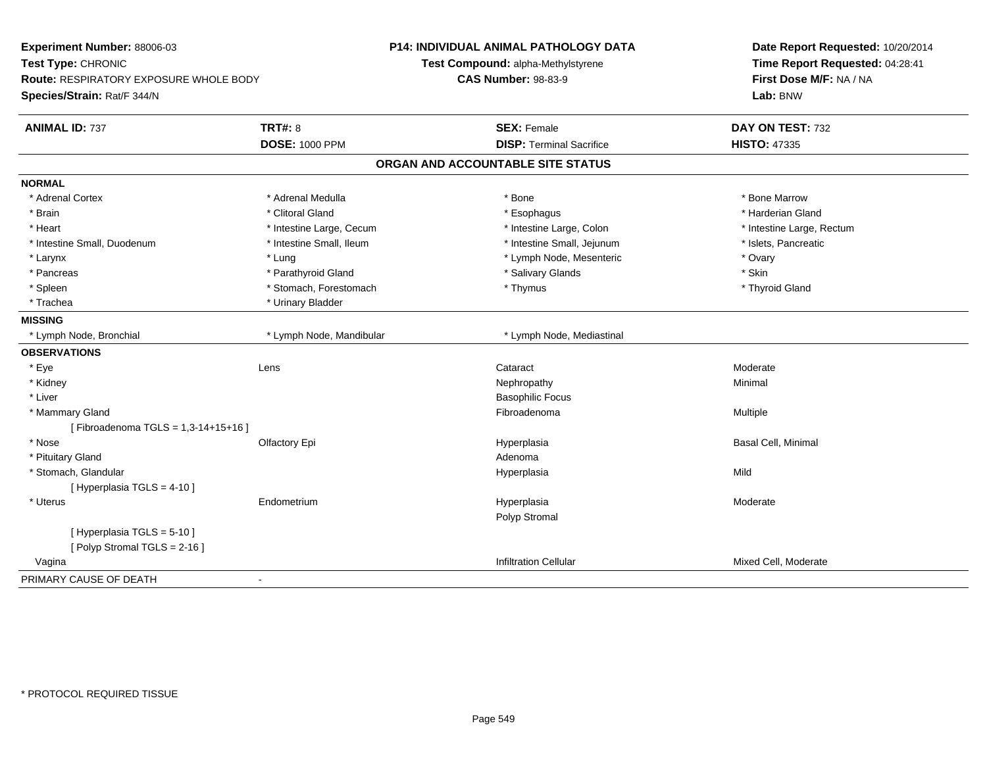| Experiment Number: 88006-03<br>Test Type: CHRONIC<br><b>Route: RESPIRATORY EXPOSURE WHOLE BODY</b> |                          | P14: INDIVIDUAL ANIMAL PATHOLOGY DATA<br>Test Compound: alpha-Methylstyrene | Date Report Requested: 10/20/2014<br>Time Report Requested: 04:28:41 |
|----------------------------------------------------------------------------------------------------|--------------------------|-----------------------------------------------------------------------------|----------------------------------------------------------------------|
|                                                                                                    |                          | <b>CAS Number: 98-83-9</b>                                                  | First Dose M/F: NA / NA                                              |
| Species/Strain: Rat/F 344/N                                                                        |                          |                                                                             | Lab: BNW                                                             |
| <b>ANIMAL ID: 737</b>                                                                              | <b>TRT#: 8</b>           | <b>SEX: Female</b>                                                          | DAY ON TEST: 732                                                     |
|                                                                                                    | <b>DOSE: 1000 PPM</b>    | <b>DISP: Terminal Sacrifice</b>                                             | <b>HISTO: 47335</b>                                                  |
|                                                                                                    |                          | ORGAN AND ACCOUNTABLE SITE STATUS                                           |                                                                      |
| <b>NORMAL</b>                                                                                      |                          |                                                                             |                                                                      |
| * Adrenal Cortex                                                                                   | * Adrenal Medulla        | * Bone                                                                      | * Bone Marrow                                                        |
| * Brain                                                                                            | * Clitoral Gland         | * Esophagus                                                                 | * Harderian Gland                                                    |
| * Heart                                                                                            | * Intestine Large, Cecum | * Intestine Large, Colon                                                    | * Intestine Large, Rectum                                            |
| * Intestine Small, Duodenum                                                                        | * Intestine Small, Ileum | * Intestine Small, Jejunum                                                  | * Islets, Pancreatic                                                 |
| $^{\star}$ Larynx                                                                                  | * Lung                   | * Lymph Node, Mesenteric                                                    | * Ovary                                                              |
| * Pancreas                                                                                         | * Parathyroid Gland      | * Salivary Glands                                                           | * Skin                                                               |
| * Spleen                                                                                           | * Stomach, Forestomach   | * Thymus                                                                    | * Thyroid Gland                                                      |
| * Trachea                                                                                          | * Urinary Bladder        |                                                                             |                                                                      |
| <b>MISSING</b>                                                                                     |                          |                                                                             |                                                                      |
| * Lymph Node, Bronchial                                                                            | * Lymph Node, Mandibular | * Lymph Node, Mediastinal                                                   |                                                                      |
| <b>OBSERVATIONS</b>                                                                                |                          |                                                                             |                                                                      |
| * Eye                                                                                              | Lens                     | Cataract                                                                    | Moderate                                                             |
| * Kidney                                                                                           |                          | Nephropathy                                                                 | Minimal                                                              |
| * Liver                                                                                            |                          | <b>Basophilic Focus</b>                                                     |                                                                      |
| * Mammary Gland                                                                                    |                          | Fibroadenoma                                                                | Multiple                                                             |
| [Fibroadenoma TGLS = 1,3-14+15+16]                                                                 |                          |                                                                             |                                                                      |
| * Nose                                                                                             | Olfactory Epi            | Hyperplasia                                                                 | Basal Cell, Minimal                                                  |
| * Pituitary Gland                                                                                  |                          | Adenoma                                                                     |                                                                      |
| * Stomach, Glandular                                                                               |                          | Hyperplasia                                                                 | Mild                                                                 |
| [ Hyperplasia TGLS = 4-10 ]                                                                        |                          |                                                                             |                                                                      |
| * Uterus                                                                                           | Endometrium              | Hyperplasia                                                                 | Moderate                                                             |
|                                                                                                    |                          | Polyp Stromal                                                               |                                                                      |
| [ Hyperplasia TGLS = 5-10 ]                                                                        |                          |                                                                             |                                                                      |
| [Polyp Stromal TGLS = 2-16]                                                                        |                          |                                                                             |                                                                      |
| Vagina                                                                                             |                          | <b>Infiltration Cellular</b>                                                | Mixed Cell, Moderate                                                 |
| PRIMARY CAUSE OF DEATH                                                                             | $\blacksquare$           |                                                                             |                                                                      |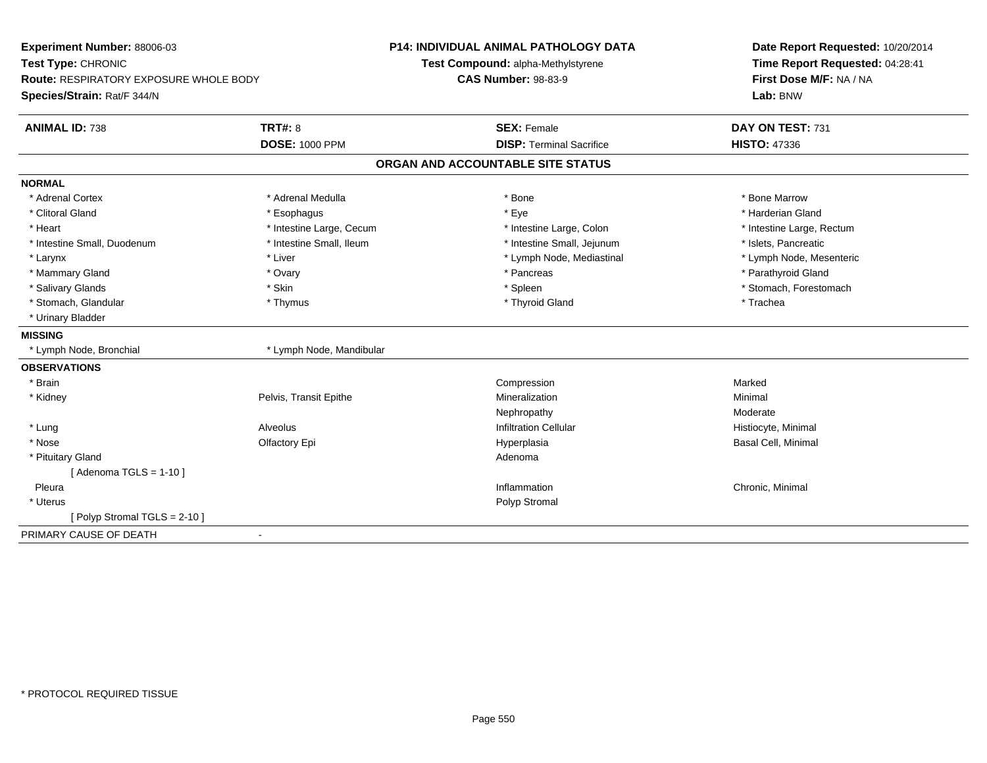| Experiment Number: 88006-03<br>Test Type: CHRONIC |                          | <b>P14: INDIVIDUAL ANIMAL PATHOLOGY DATA</b> | Date Report Requested: 10/20/2014<br>Time Report Requested: 04:28:41 |
|---------------------------------------------------|--------------------------|----------------------------------------------|----------------------------------------------------------------------|
|                                                   |                          | Test Compound: alpha-Methylstyrene           |                                                                      |
| Route: RESPIRATORY EXPOSURE WHOLE BODY            |                          | <b>CAS Number: 98-83-9</b>                   | First Dose M/F: NA / NA                                              |
| Species/Strain: Rat/F 344/N                       |                          |                                              | Lab: BNW                                                             |
| <b>ANIMAL ID: 738</b>                             | <b>TRT#: 8</b>           | <b>SEX: Female</b>                           | DAY ON TEST: 731                                                     |
|                                                   | <b>DOSE: 1000 PPM</b>    | <b>DISP: Terminal Sacrifice</b>              | <b>HISTO: 47336</b>                                                  |
|                                                   |                          | ORGAN AND ACCOUNTABLE SITE STATUS            |                                                                      |
| <b>NORMAL</b>                                     |                          |                                              |                                                                      |
| * Adrenal Cortex                                  | * Adrenal Medulla        | * Bone                                       | * Bone Marrow                                                        |
| * Clitoral Gland                                  | * Esophagus              | * Eye                                        | * Harderian Gland                                                    |
| * Heart                                           | * Intestine Large, Cecum | * Intestine Large, Colon                     | * Intestine Large, Rectum                                            |
| * Intestine Small, Duodenum                       | * Intestine Small, Ileum | * Intestine Small, Jejunum                   | * Islets, Pancreatic                                                 |
| * Larynx                                          | * Liver                  | * Lymph Node, Mediastinal                    | * Lymph Node, Mesenteric                                             |
| * Mammary Gland                                   | * Ovary                  | * Pancreas                                   | * Parathyroid Gland                                                  |
| * Salivary Glands                                 | * Skin                   | * Spleen                                     | * Stomach, Forestomach                                               |
| * Stomach, Glandular                              | * Thymus                 | * Thyroid Gland                              | * Trachea                                                            |
| * Urinary Bladder                                 |                          |                                              |                                                                      |
| <b>MISSING</b>                                    |                          |                                              |                                                                      |
| * Lymph Node, Bronchial                           | * Lymph Node, Mandibular |                                              |                                                                      |
| <b>OBSERVATIONS</b>                               |                          |                                              |                                                                      |
| * Brain                                           |                          | Compression                                  | Marked                                                               |
| * Kidney                                          | Pelvis, Transit Epithe   | Mineralization                               | Minimal                                                              |
|                                                   |                          | Nephropathy                                  | Moderate                                                             |
| * Lung                                            | Alveolus                 | <b>Infiltration Cellular</b>                 | Histiocyte, Minimal                                                  |
| * Nose                                            | Olfactory Epi            | Hyperplasia                                  | Basal Cell, Minimal                                                  |
| * Pituitary Gland                                 |                          | Adenoma                                      |                                                                      |
| [Adenoma TGLS = $1-10$ ]                          |                          |                                              |                                                                      |
| Pleura                                            |                          | Inflammation                                 | Chronic, Minimal                                                     |
| * Uterus                                          |                          | Polyp Stromal                                |                                                                      |
| [Polyp Stromal TGLS = 2-10]                       |                          |                                              |                                                                      |
| PRIMARY CAUSE OF DEATH                            |                          |                                              |                                                                      |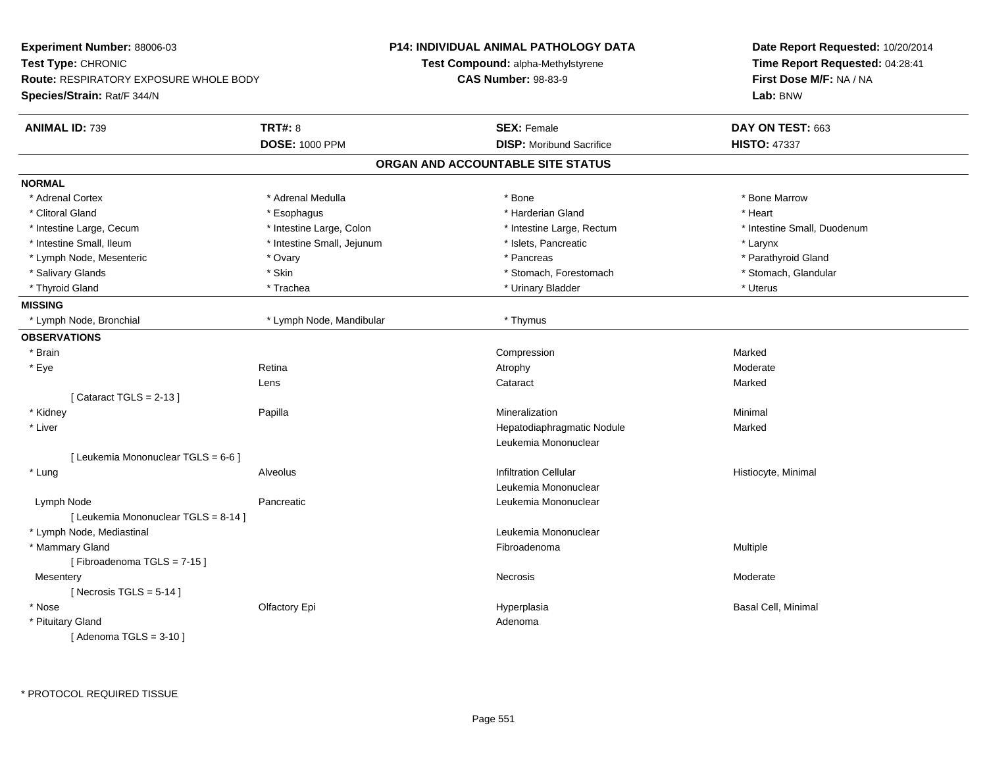| Experiment Number: 88006-03                   |                            | <b>P14: INDIVIDUAL ANIMAL PATHOLOGY DATA</b> | Date Report Requested: 10/20/2014<br>Time Report Requested: 04:28:41<br>First Dose M/F: NA / NA |
|-----------------------------------------------|----------------------------|----------------------------------------------|-------------------------------------------------------------------------------------------------|
| Test Type: CHRONIC                            |                            | Test Compound: alpha-Methylstyrene           |                                                                                                 |
| <b>Route: RESPIRATORY EXPOSURE WHOLE BODY</b> |                            | <b>CAS Number: 98-83-9</b>                   |                                                                                                 |
| Species/Strain: Rat/F 344/N                   |                            |                                              | Lab: BNW                                                                                        |
| <b>ANIMAL ID: 739</b>                         | <b>TRT#: 8</b>             | <b>SEX: Female</b>                           | DAY ON TEST: 663                                                                                |
|                                               | <b>DOSE: 1000 PPM</b>      | <b>DISP:</b> Moribund Sacrifice              | <b>HISTO: 47337</b>                                                                             |
|                                               |                            | ORGAN AND ACCOUNTABLE SITE STATUS            |                                                                                                 |
| <b>NORMAL</b>                                 |                            |                                              |                                                                                                 |
| * Adrenal Cortex                              | * Adrenal Medulla          | $*$ Bone                                     | * Bone Marrow                                                                                   |
| * Clitoral Gland                              | * Esophagus                | * Harderian Gland                            | * Heart                                                                                         |
| * Intestine Large, Cecum                      | * Intestine Large, Colon   | * Intestine Large, Rectum                    | * Intestine Small, Duodenum                                                                     |
| * Intestine Small, Ileum                      | * Intestine Small, Jejunum | * Islets, Pancreatic                         | * Larynx                                                                                        |
| * Lymph Node, Mesenteric                      | * Ovary                    | * Pancreas                                   | * Parathyroid Gland                                                                             |
| * Salivary Glands                             | * Skin                     | * Stomach, Forestomach                       | * Stomach, Glandular                                                                            |
| * Thyroid Gland                               | * Trachea                  | * Urinary Bladder                            | * Uterus                                                                                        |
| <b>MISSING</b>                                |                            |                                              |                                                                                                 |
| * Lymph Node, Bronchial                       | * Lymph Node, Mandibular   | * Thymus                                     |                                                                                                 |
| <b>OBSERVATIONS</b>                           |                            |                                              |                                                                                                 |
| * Brain                                       |                            | Compression                                  | Marked                                                                                          |
| * Eye                                         | Retina                     | Atrophy                                      | Moderate                                                                                        |
|                                               | Lens                       | Cataract                                     | Marked                                                                                          |
| [Cataract TGLS = $2-13$ ]                     |                            |                                              |                                                                                                 |
| * Kidney                                      | Papilla                    | Mineralization                               | Minimal                                                                                         |
| * Liver                                       |                            | Hepatodiaphragmatic Nodule                   | Marked                                                                                          |
|                                               |                            | Leukemia Mononuclear                         |                                                                                                 |
| [ Leukemia Mononuclear TGLS = 6-6 ]           |                            |                                              |                                                                                                 |
| * Lung                                        | Alveolus                   | <b>Infiltration Cellular</b>                 | Histiocyte, Minimal                                                                             |
|                                               |                            | Leukemia Mononuclear                         |                                                                                                 |
| Lymph Node                                    | Pancreatic                 | Leukemia Mononuclear                         |                                                                                                 |
| [ Leukemia Mononuclear TGLS = 8-14 ]          |                            |                                              |                                                                                                 |
| * Lymph Node, Mediastinal                     |                            | Leukemia Mononuclear                         |                                                                                                 |
| * Mammary Gland                               |                            | Fibroadenoma                                 | Multiple                                                                                        |
| [Fibroadenoma TGLS = 7-15]                    |                            |                                              |                                                                                                 |
| Mesentery                                     |                            | Necrosis                                     | Moderate                                                                                        |
| [ Necrosis TGLS = $5-14$ ]                    |                            |                                              |                                                                                                 |
| * Nose                                        | Olfactory Epi              | Hyperplasia                                  | Basal Cell, Minimal                                                                             |
| * Pituitary Gland                             |                            | Adenoma                                      |                                                                                                 |
| [Adenoma TGLS = $3-10$ ]                      |                            |                                              |                                                                                                 |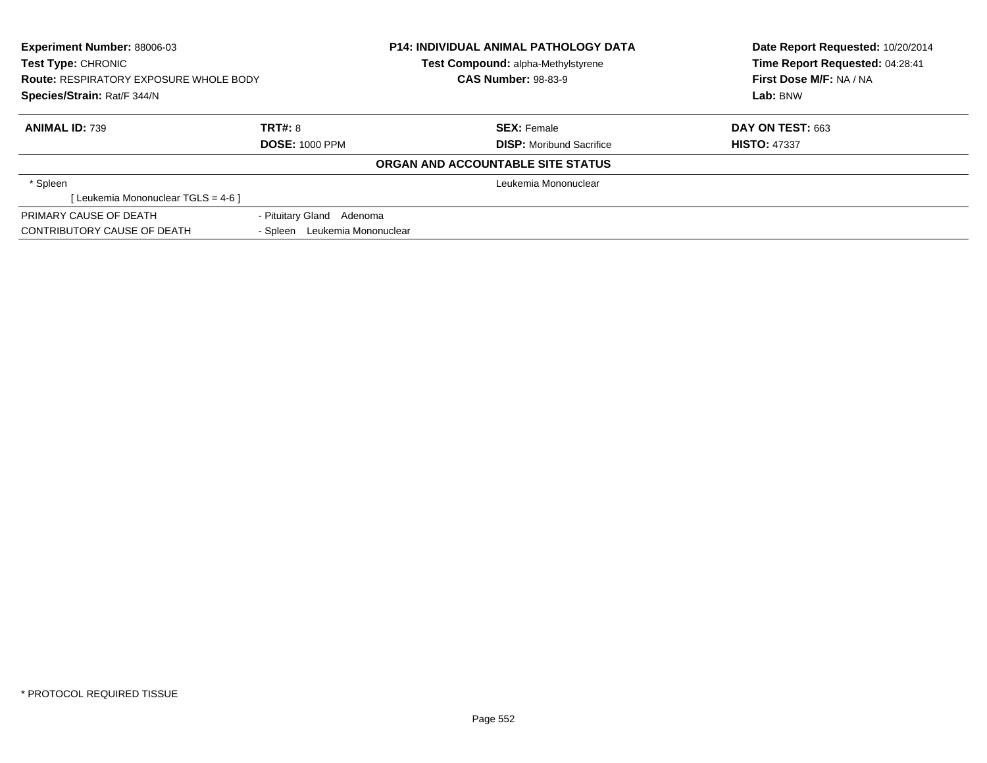| <b>Experiment Number: 88006-03</b><br><b>Test Type: CHRONIC</b><br><b>Route: RESPIRATORY EXPOSURE WHOLE BODY</b> |                                  | <b>P14: INDIVIDUAL ANIMAL PATHOLOGY DATA</b><br><b>Test Compound: alpha-Methylstyrene</b><br><b>CAS Number: 98-83-9</b> | Date Report Requested: 10/20/2014<br>Time Report Requested: 04:28:41<br>First Dose M/F: NA / NA |
|------------------------------------------------------------------------------------------------------------------|----------------------------------|-------------------------------------------------------------------------------------------------------------------------|-------------------------------------------------------------------------------------------------|
| Species/Strain: Rat/F 344/N                                                                                      |                                  |                                                                                                                         | Lab: BNW                                                                                        |
| <b>ANIMAL ID: 739</b>                                                                                            | TRT#: 8                          | <b>SEX: Female</b>                                                                                                      | <b>DAY ON TEST: 663</b>                                                                         |
|                                                                                                                  | <b>DOSE: 1000 PPM</b>            | <b>DISP:</b> Moribund Sacrifice                                                                                         | <b>HISTO: 47337</b>                                                                             |
|                                                                                                                  |                                  | ORGAN AND ACCOUNTABLE SITE STATUS                                                                                       |                                                                                                 |
| * Spleen                                                                                                         |                                  | Leukemia Mononuclear                                                                                                    |                                                                                                 |
| [ Leukemia Mononuclear TGLS = 4-6 ]                                                                              |                                  |                                                                                                                         |                                                                                                 |
| PRIMARY CAUSE OF DEATH                                                                                           | - Pituitary Gland Adenoma        |                                                                                                                         |                                                                                                 |
| CONTRIBUTORY CAUSE OF DEATH                                                                                      | Leukemia Mononuclear<br>- Spleen |                                                                                                                         |                                                                                                 |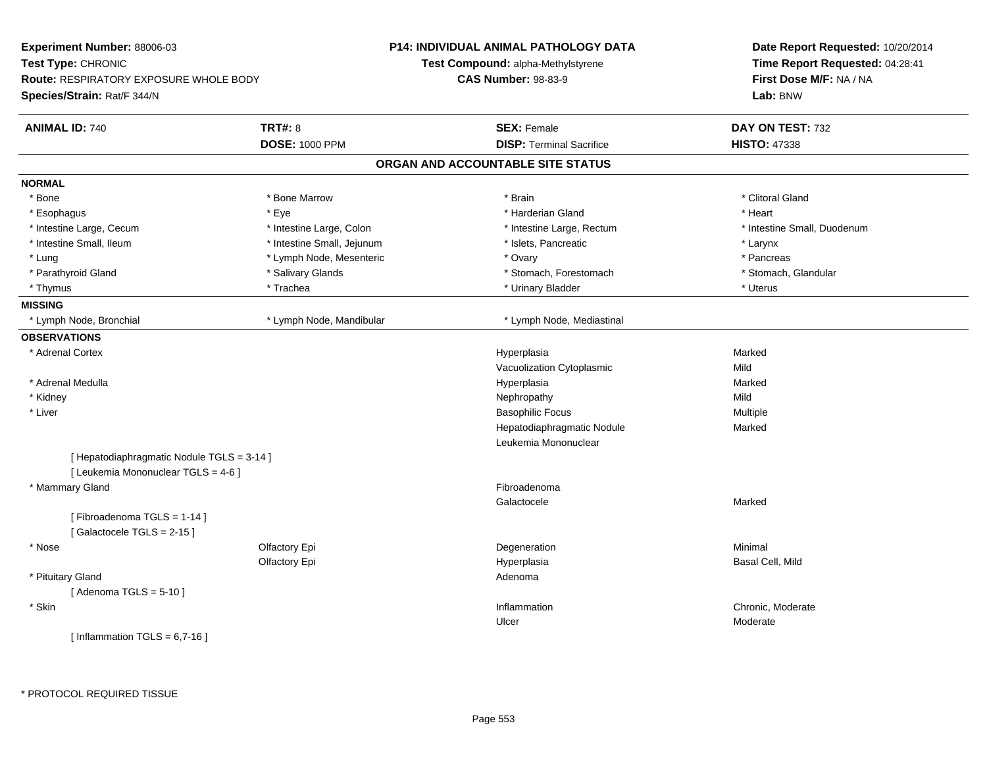| Experiment Number: 88006-03                                                       |                            | <b>P14: INDIVIDUAL ANIMAL PATHOLOGY DATA</b> | Date Report Requested: 10/20/2014 |  |
|-----------------------------------------------------------------------------------|----------------------------|----------------------------------------------|-----------------------------------|--|
| Test Type: CHRONIC                                                                |                            | Test Compound: alpha-Methylstyrene           | Time Report Requested: 04:28:41   |  |
| <b>Route: RESPIRATORY EXPOSURE WHOLE BODY</b>                                     |                            | <b>CAS Number: 98-83-9</b>                   | First Dose M/F: NA / NA           |  |
| Species/Strain: Rat/F 344/N                                                       |                            |                                              | Lab: BNW                          |  |
| <b>ANIMAL ID: 740</b>                                                             | <b>TRT#: 8</b>             | <b>SEX: Female</b>                           | DAY ON TEST: 732                  |  |
|                                                                                   | <b>DOSE: 1000 PPM</b>      | <b>DISP: Terminal Sacrifice</b>              | <b>HISTO: 47338</b>               |  |
|                                                                                   |                            | ORGAN AND ACCOUNTABLE SITE STATUS            |                                   |  |
| <b>NORMAL</b>                                                                     |                            |                                              |                                   |  |
| * Bone                                                                            | * Bone Marrow              | * Brain                                      | * Clitoral Gland                  |  |
| * Esophagus                                                                       | * Eye                      | * Harderian Gland                            | * Heart                           |  |
| * Intestine Large, Cecum                                                          | * Intestine Large, Colon   | * Intestine Large, Rectum                    | * Intestine Small, Duodenum       |  |
| * Intestine Small, Ileum                                                          | * Intestine Small, Jejunum | * Islets, Pancreatic                         | * Larynx                          |  |
| * Lung                                                                            | * Lymph Node, Mesenteric   | * Ovary                                      | * Pancreas                        |  |
| * Parathyroid Gland                                                               | * Salivary Glands          | * Stomach, Forestomach                       | * Stomach, Glandular              |  |
| * Thymus                                                                          | * Trachea                  | * Urinary Bladder                            | * Uterus                          |  |
| <b>MISSING</b>                                                                    |                            |                                              |                                   |  |
| * Lymph Node, Bronchial                                                           | * Lymph Node, Mandibular   | * Lymph Node, Mediastinal                    |                                   |  |
| <b>OBSERVATIONS</b>                                                               |                            |                                              |                                   |  |
| * Adrenal Cortex                                                                  |                            | Hyperplasia                                  | Marked                            |  |
|                                                                                   |                            | Vacuolization Cytoplasmic                    | Mild                              |  |
| * Adrenal Medulla                                                                 |                            | Hyperplasia                                  | Marked                            |  |
| * Kidney                                                                          |                            | Nephropathy                                  | Mild                              |  |
| * Liver                                                                           |                            | <b>Basophilic Focus</b>                      | Multiple                          |  |
|                                                                                   |                            | Hepatodiaphragmatic Nodule                   | Marked                            |  |
|                                                                                   |                            | Leukemia Mononuclear                         |                                   |  |
| [ Hepatodiaphragmatic Nodule TGLS = 3-14 ]<br>[ Leukemia Mononuclear TGLS = 4-6 ] |                            |                                              |                                   |  |
| * Mammary Gland                                                                   |                            | Fibroadenoma                                 |                                   |  |
|                                                                                   |                            | Galactocele                                  | Marked                            |  |
| [Fibroadenoma TGLS = 1-14]                                                        |                            |                                              |                                   |  |
| [Galactocele TGLS = 2-15]                                                         |                            |                                              |                                   |  |
| * Nose                                                                            | Olfactory Epi              | Degeneration                                 | Minimal                           |  |
|                                                                                   | Olfactory Epi              | Hyperplasia                                  | Basal Cell, Mild                  |  |
| * Pituitary Gland                                                                 |                            | Adenoma                                      |                                   |  |
| [Adenoma TGLS = $5-10$ ]                                                          |                            |                                              |                                   |  |
| * Skin                                                                            |                            | Inflammation                                 | Chronic, Moderate                 |  |
|                                                                                   |                            | Ulcer                                        | Moderate                          |  |
| [ Inflammation TGLS = $6,7-16$ ]                                                  |                            |                                              |                                   |  |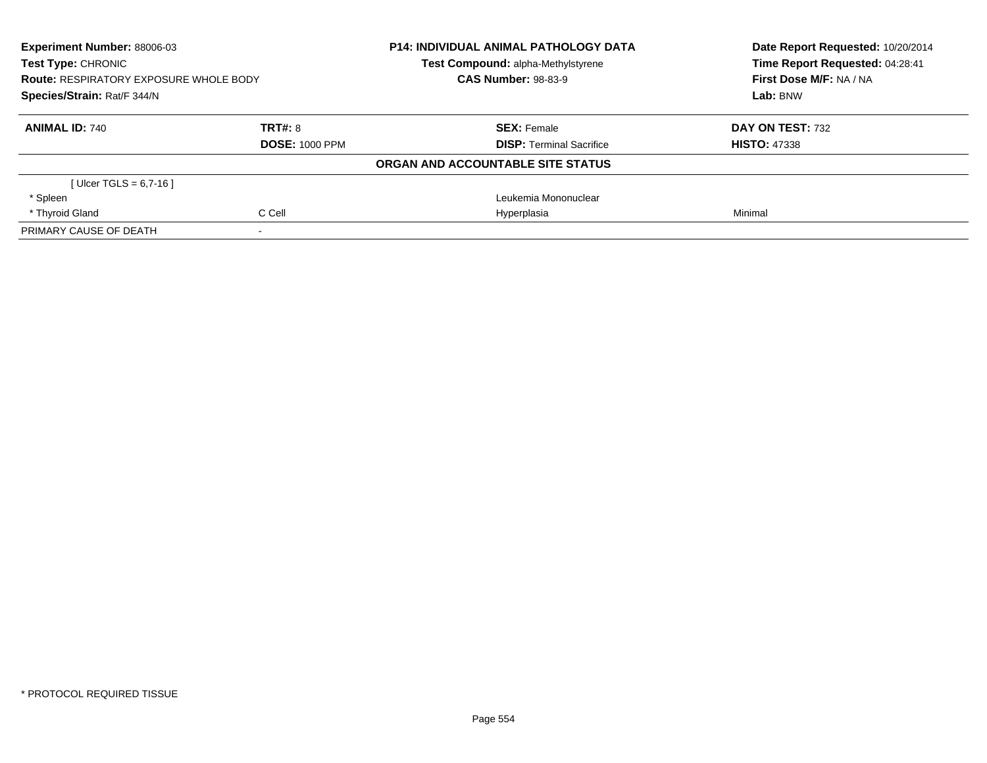| <b>Experiment Number: 88006-03</b><br><b>Test Type: CHRONIC</b><br><b>Route: RESPIRATORY EXPOSURE WHOLE BODY</b><br>Species/Strain: Rat/F 344/N |                       | <b>P14: INDIVIDUAL ANIMAL PATHOLOGY DATA</b> | Date Report Requested: 10/20/2014<br>Time Report Requested: 04:28:41<br>First Dose M/F: NA / NA |
|-------------------------------------------------------------------------------------------------------------------------------------------------|-----------------------|----------------------------------------------|-------------------------------------------------------------------------------------------------|
|                                                                                                                                                 |                       | Test Compound: alpha-Methylstyrene           |                                                                                                 |
|                                                                                                                                                 |                       | <b>CAS Number: 98-83-9</b>                   |                                                                                                 |
|                                                                                                                                                 |                       |                                              | Lab: BNW                                                                                        |
| <b>ANIMAL ID: 740</b>                                                                                                                           | TRT#: 8               | <b>SEX: Female</b>                           | DAY ON TEST: 732                                                                                |
|                                                                                                                                                 | <b>DOSE: 1000 PPM</b> | <b>DISP: Terminal Sacrifice</b>              | <b>HISTO: 47338</b>                                                                             |
|                                                                                                                                                 |                       | ORGAN AND ACCOUNTABLE SITE STATUS            |                                                                                                 |
| [ Ulcer TGLS = $6,7-16$ ]                                                                                                                       |                       |                                              |                                                                                                 |
| * Spleen                                                                                                                                        |                       | Leukemia Mononuclear                         |                                                                                                 |
| * Thyroid Gland                                                                                                                                 | C Cell                | Hyperplasia                                  | Minimal                                                                                         |
| PRIMARY CAUSE OF DEATH                                                                                                                          |                       |                                              |                                                                                                 |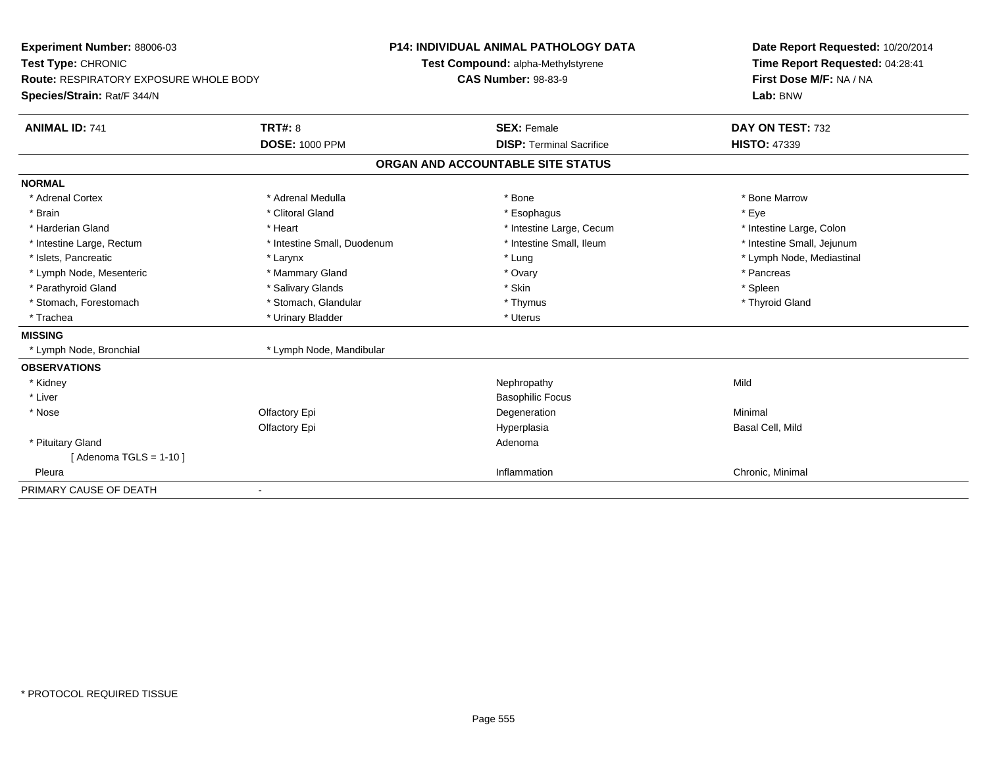| Experiment Number: 88006-03                   |                             | <b>P14: INDIVIDUAL ANIMAL PATHOLOGY DATA</b> | Date Report Requested: 10/20/2014                                      |  |
|-----------------------------------------------|-----------------------------|----------------------------------------------|------------------------------------------------------------------------|--|
| Test Type: CHRONIC                            |                             | Test Compound: alpha-Methylstyrene           | Time Report Requested: 04:28:41<br>First Dose M/F: NA / NA<br>Lab: BNW |  |
| <b>Route: RESPIRATORY EXPOSURE WHOLE BODY</b> |                             | <b>CAS Number: 98-83-9</b>                   |                                                                        |  |
| Species/Strain: Rat/F 344/N                   |                             |                                              |                                                                        |  |
| <b>ANIMAL ID: 741</b>                         | <b>TRT#: 8</b>              | <b>SEX: Female</b>                           | DAY ON TEST: 732                                                       |  |
|                                               | <b>DOSE: 1000 PPM</b>       | <b>DISP: Terminal Sacrifice</b>              | <b>HISTO: 47339</b>                                                    |  |
|                                               |                             | ORGAN AND ACCOUNTABLE SITE STATUS            |                                                                        |  |
| <b>NORMAL</b>                                 |                             |                                              |                                                                        |  |
| * Adrenal Cortex                              | * Adrenal Medulla           | * Bone                                       | * Bone Marrow                                                          |  |
| * Brain                                       | * Clitoral Gland            | * Esophagus                                  | * Eye                                                                  |  |
| * Harderian Gland                             | * Heart                     | * Intestine Large, Cecum                     | * Intestine Large, Colon                                               |  |
| * Intestine Large, Rectum                     | * Intestine Small, Duodenum | * Intestine Small, Ileum                     | * Intestine Small, Jejunum                                             |  |
| * Islets, Pancreatic                          | * Larynx                    | * Lung                                       | * Lymph Node, Mediastinal                                              |  |
| * Lymph Node, Mesenteric                      | * Mammary Gland             | * Ovary                                      | * Pancreas                                                             |  |
| * Parathyroid Gland                           | * Salivary Glands           | * Skin                                       | * Spleen                                                               |  |
| * Stomach, Forestomach                        | * Stomach, Glandular        | * Thymus                                     | * Thyroid Gland                                                        |  |
| * Trachea                                     | * Urinary Bladder           | * Uterus                                     |                                                                        |  |
| <b>MISSING</b>                                |                             |                                              |                                                                        |  |
| * Lymph Node, Bronchial                       | * Lymph Node, Mandibular    |                                              |                                                                        |  |
| <b>OBSERVATIONS</b>                           |                             |                                              |                                                                        |  |
| * Kidney                                      |                             | Nephropathy                                  | Mild                                                                   |  |
| * Liver                                       |                             | <b>Basophilic Focus</b>                      |                                                                        |  |
| * Nose                                        | Olfactory Epi               | Degeneration                                 | Minimal                                                                |  |
|                                               | Olfactory Epi               | Hyperplasia                                  | Basal Cell, Mild                                                       |  |
| * Pituitary Gland                             |                             | Adenoma                                      |                                                                        |  |
| [Adenoma TGLS = $1-10$ ]                      |                             |                                              |                                                                        |  |
| Pleura                                        |                             | Inflammation                                 | Chronic, Minimal                                                       |  |
| PRIMARY CAUSE OF DEATH                        |                             |                                              |                                                                        |  |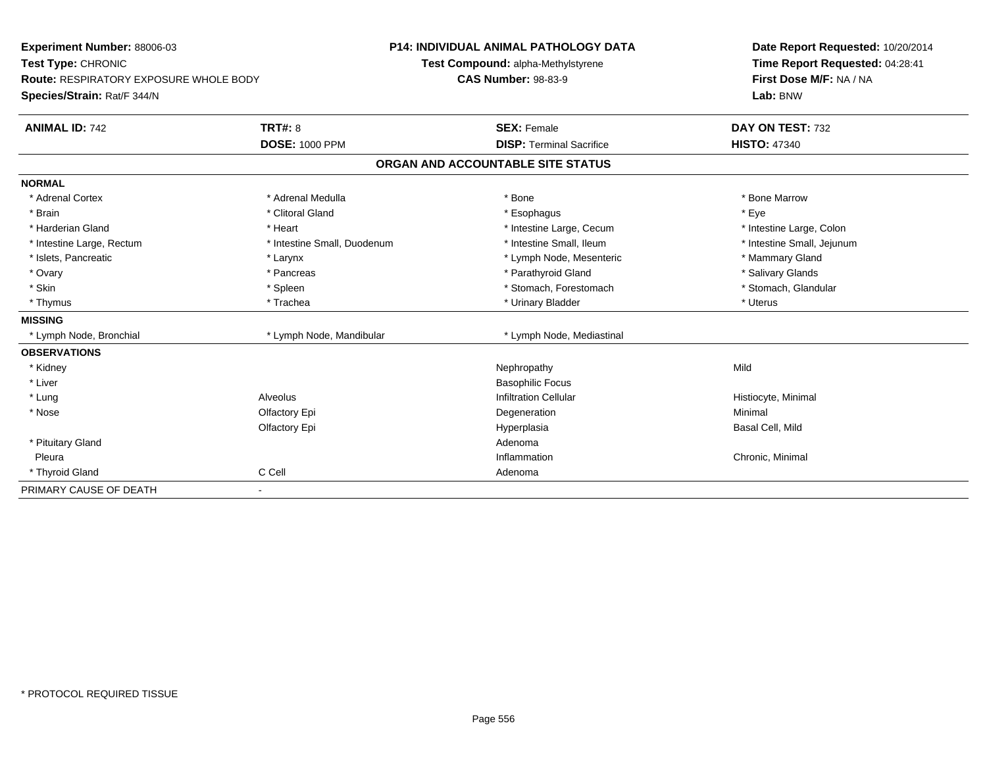| <b>Experiment Number: 88006-03</b><br>Test Type: CHRONIC |                             | <b>P14: INDIVIDUAL ANIMAL PATHOLOGY DATA</b> | Date Report Requested: 10/20/2014<br>Time Report Requested: 04:28:41 |  |
|----------------------------------------------------------|-----------------------------|----------------------------------------------|----------------------------------------------------------------------|--|
|                                                          |                             | Test Compound: alpha-Methylstyrene           |                                                                      |  |
| <b>Route: RESPIRATORY EXPOSURE WHOLE BODY</b>            |                             | <b>CAS Number: 98-83-9</b>                   | First Dose M/F: NA / NA<br>Lab: BNW                                  |  |
| Species/Strain: Rat/F 344/N                              |                             |                                              |                                                                      |  |
| <b>ANIMAL ID: 742</b>                                    | <b>TRT#: 8</b>              | <b>SEX: Female</b>                           | DAY ON TEST: 732                                                     |  |
|                                                          | <b>DOSE: 1000 PPM</b>       | <b>DISP: Terminal Sacrifice</b>              | <b>HISTO: 47340</b>                                                  |  |
|                                                          |                             | ORGAN AND ACCOUNTABLE SITE STATUS            |                                                                      |  |
| <b>NORMAL</b>                                            |                             |                                              |                                                                      |  |
| * Adrenal Cortex                                         | * Adrenal Medulla           | * Bone                                       | * Bone Marrow                                                        |  |
| * Brain                                                  | * Clitoral Gland            | * Esophagus                                  | * Eye                                                                |  |
| * Harderian Gland                                        | * Heart                     | * Intestine Large, Cecum                     | * Intestine Large, Colon                                             |  |
| * Intestine Large, Rectum                                | * Intestine Small, Duodenum | * Intestine Small, Ileum                     | * Intestine Small, Jejunum                                           |  |
| * Islets, Pancreatic                                     | * Larynx                    | * Lymph Node, Mesenteric                     | * Mammary Gland                                                      |  |
| * Ovary                                                  | * Pancreas                  | * Parathyroid Gland                          | * Salivary Glands                                                    |  |
| * Skin                                                   | * Spleen                    | * Stomach, Forestomach                       | * Stomach, Glandular                                                 |  |
| * Thymus                                                 | * Trachea                   | * Urinary Bladder                            | * Uterus                                                             |  |
| <b>MISSING</b>                                           |                             |                                              |                                                                      |  |
| * Lymph Node, Bronchial                                  | * Lymph Node, Mandibular    | * Lymph Node, Mediastinal                    |                                                                      |  |
| <b>OBSERVATIONS</b>                                      |                             |                                              |                                                                      |  |
| * Kidney                                                 |                             | Nephropathy                                  | Mild                                                                 |  |
| * Liver                                                  |                             | <b>Basophilic Focus</b>                      |                                                                      |  |
| * Lung                                                   | Alveolus                    | <b>Infiltration Cellular</b>                 | Histiocyte, Minimal                                                  |  |
| * Nose                                                   | Olfactory Epi               | Degeneration                                 | Minimal                                                              |  |
|                                                          | Olfactory Epi               | Hyperplasia                                  | Basal Cell, Mild                                                     |  |
| * Pituitary Gland                                        |                             | Adenoma                                      |                                                                      |  |
| Pleura                                                   |                             | Inflammation                                 | Chronic, Minimal                                                     |  |
| * Thyroid Gland                                          | C Cell                      | Adenoma                                      |                                                                      |  |
| PRIMARY CAUSE OF DEATH                                   |                             |                                              |                                                                      |  |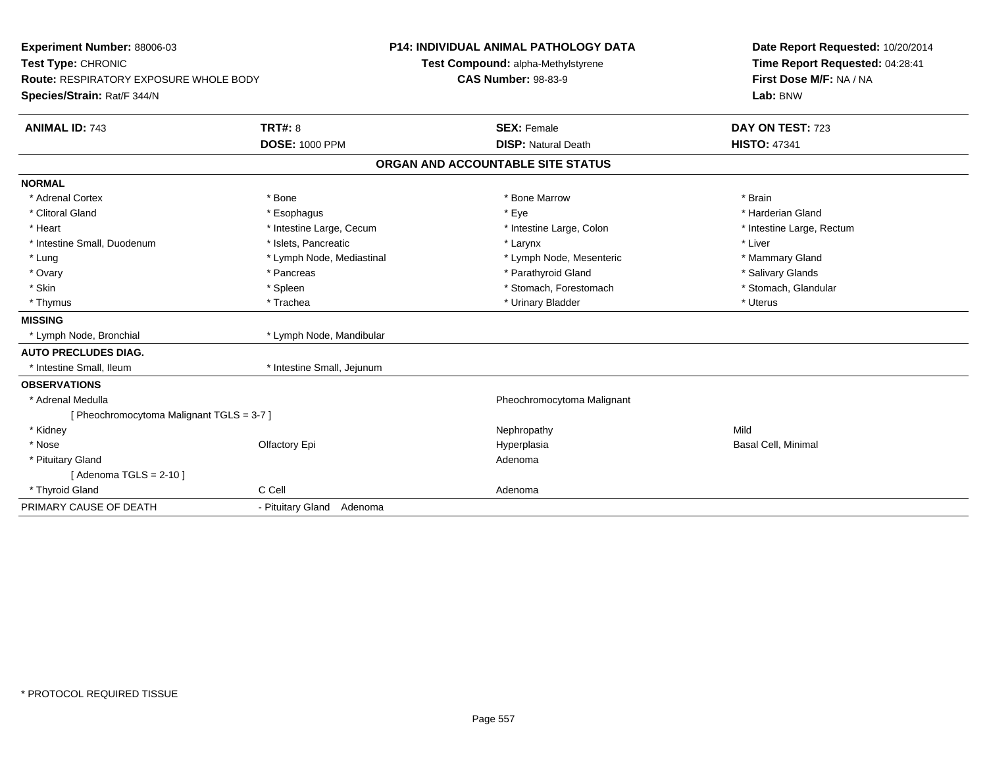| <b>Experiment Number: 88006-03</b><br>Test Type: CHRONIC                     |                                         | <b>P14: INDIVIDUAL ANIMAL PATHOLOGY DATA</b><br>Test Compound: alpha-Methylstyrene |                                                  | Date Report Requested: 10/20/2014<br>Time Report Requested: 04:28:41 |
|------------------------------------------------------------------------------|-----------------------------------------|------------------------------------------------------------------------------------|--------------------------------------------------|----------------------------------------------------------------------|
| <b>Route: RESPIRATORY EXPOSURE WHOLE BODY</b><br>Species/Strain: Rat/F 344/N |                                         | <b>CAS Number: 98-83-9</b>                                                         |                                                  | First Dose M/F: NA / NA<br>Lab: BNW                                  |
| <b>ANIMAL ID: 743</b>                                                        | <b>TRT#: 8</b><br><b>DOSE: 1000 PPM</b> |                                                                                    | <b>SEX: Female</b><br><b>DISP: Natural Death</b> | DAY ON TEST: 723<br><b>HISTO: 47341</b>                              |
|                                                                              |                                         |                                                                                    | ORGAN AND ACCOUNTABLE SITE STATUS                |                                                                      |
| <b>NORMAL</b>                                                                |                                         |                                                                                    |                                                  |                                                                      |
| * Adrenal Cortex                                                             | * Bone                                  |                                                                                    | * Bone Marrow                                    | * Brain                                                              |
| * Clitoral Gland                                                             | * Esophagus                             |                                                                                    | * Eye                                            | * Harderian Gland                                                    |
| * Heart                                                                      | * Intestine Large, Cecum                |                                                                                    | * Intestine Large, Colon                         | * Intestine Large, Rectum                                            |
| * Intestine Small, Duodenum                                                  | * Islets, Pancreatic                    |                                                                                    | * Larynx                                         | * Liver                                                              |
| * Lung                                                                       | * Lymph Node, Mediastinal               |                                                                                    | * Lymph Node, Mesenteric                         | * Mammary Gland                                                      |
| * Ovary                                                                      | * Pancreas                              |                                                                                    | * Parathyroid Gland                              | * Salivary Glands                                                    |
| * Skin                                                                       | * Spleen                                |                                                                                    | * Stomach, Forestomach                           | * Stomach, Glandular                                                 |
| * Thymus                                                                     | * Trachea                               |                                                                                    | * Urinary Bladder                                | * Uterus                                                             |
| <b>MISSING</b>                                                               |                                         |                                                                                    |                                                  |                                                                      |
| * Lymph Node, Bronchial                                                      | * Lymph Node, Mandibular                |                                                                                    |                                                  |                                                                      |
| <b>AUTO PRECLUDES DIAG.</b>                                                  |                                         |                                                                                    |                                                  |                                                                      |
| * Intestine Small, Ileum                                                     | * Intestine Small, Jejunum              |                                                                                    |                                                  |                                                                      |
| <b>OBSERVATIONS</b>                                                          |                                         |                                                                                    |                                                  |                                                                      |
| * Adrenal Medulla                                                            |                                         |                                                                                    | Pheochromocytoma Malignant                       |                                                                      |
| [ Pheochromocytoma Malignant TGLS = 3-7 ]                                    |                                         |                                                                                    |                                                  |                                                                      |
| * Kidney                                                                     |                                         |                                                                                    | Nephropathy                                      | Mild                                                                 |
| * Nose                                                                       | Olfactory Epi                           |                                                                                    | Hyperplasia                                      | Basal Cell, Minimal                                                  |
| * Pituitary Gland                                                            |                                         |                                                                                    | Adenoma                                          |                                                                      |
| [Adenoma TGLS = $2-10$ ]                                                     |                                         |                                                                                    |                                                  |                                                                      |
| * Thyroid Gland                                                              | C Cell                                  |                                                                                    | Adenoma                                          |                                                                      |
| PRIMARY CAUSE OF DEATH                                                       | - Pituitary Gland Adenoma               |                                                                                    |                                                  |                                                                      |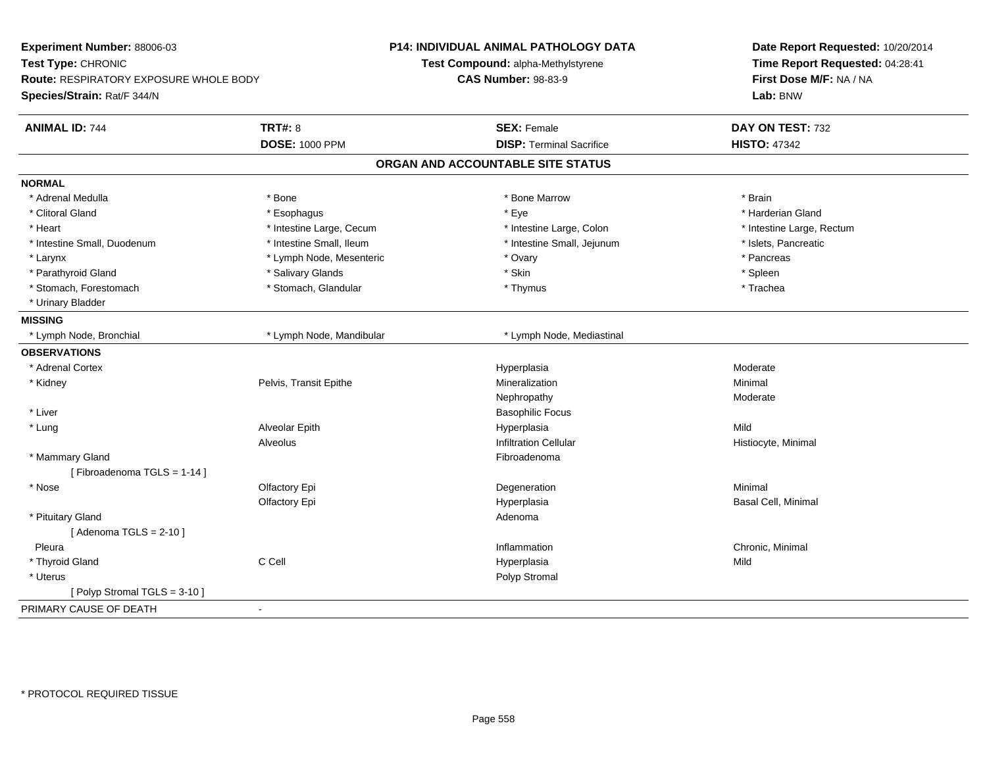| Experiment Number: 88006-03<br>Test Type: CHRONIC<br>Route: RESPIRATORY EXPOSURE WHOLE BODY<br>Species/Strain: Rat/F 344/N |                          | P14: INDIVIDUAL ANIMAL PATHOLOGY DATA<br>Test Compound: alpha-Methylstyrene<br><b>CAS Number: 98-83-9</b> | Date Report Requested: 10/20/2014<br>Time Report Requested: 04:28:41<br>First Dose M/F: NA / NA<br>Lab: BNW |  |
|----------------------------------------------------------------------------------------------------------------------------|--------------------------|-----------------------------------------------------------------------------------------------------------|-------------------------------------------------------------------------------------------------------------|--|
| <b>ANIMAL ID: 744</b>                                                                                                      | <b>TRT#: 8</b>           | <b>SEX: Female</b>                                                                                        | DAY ON TEST: 732                                                                                            |  |
|                                                                                                                            | <b>DOSE: 1000 PPM</b>    | <b>DISP: Terminal Sacrifice</b>                                                                           | <b>HISTO: 47342</b>                                                                                         |  |
|                                                                                                                            |                          | ORGAN AND ACCOUNTABLE SITE STATUS                                                                         |                                                                                                             |  |
| <b>NORMAL</b>                                                                                                              |                          |                                                                                                           |                                                                                                             |  |
| * Adrenal Medulla                                                                                                          | * Bone                   | * Bone Marrow                                                                                             | * Brain                                                                                                     |  |
| * Clitoral Gland                                                                                                           | * Esophagus              | * Eye                                                                                                     | * Harderian Gland                                                                                           |  |
| * Heart                                                                                                                    | * Intestine Large, Cecum | * Intestine Large, Colon                                                                                  | * Intestine Large, Rectum                                                                                   |  |
| * Intestine Small, Duodenum                                                                                                | * Intestine Small, Ileum | * Intestine Small, Jejunum                                                                                | * Islets, Pancreatic                                                                                        |  |
| * Larynx                                                                                                                   | * Lymph Node, Mesenteric | * Ovary                                                                                                   | * Pancreas                                                                                                  |  |
| * Parathyroid Gland                                                                                                        | * Salivary Glands        | * Skin                                                                                                    | * Spleen                                                                                                    |  |
| * Stomach, Forestomach                                                                                                     | * Stomach, Glandular     | * Thymus                                                                                                  | * Trachea                                                                                                   |  |
| * Urinary Bladder                                                                                                          |                          |                                                                                                           |                                                                                                             |  |
| <b>MISSING</b>                                                                                                             |                          |                                                                                                           |                                                                                                             |  |
| * Lymph Node, Bronchial                                                                                                    | * Lymph Node, Mandibular | * Lymph Node, Mediastinal                                                                                 |                                                                                                             |  |
| <b>OBSERVATIONS</b>                                                                                                        |                          |                                                                                                           |                                                                                                             |  |
| * Adrenal Cortex                                                                                                           |                          | Hyperplasia                                                                                               | Moderate                                                                                                    |  |
| * Kidney                                                                                                                   | Pelvis, Transit Epithe   | Mineralization                                                                                            | Minimal                                                                                                     |  |
|                                                                                                                            |                          | Nephropathy                                                                                               | Moderate                                                                                                    |  |
| * Liver                                                                                                                    |                          | <b>Basophilic Focus</b>                                                                                   |                                                                                                             |  |
| * Lung                                                                                                                     | Alveolar Epith           | Hyperplasia                                                                                               | Mild                                                                                                        |  |
|                                                                                                                            | Alveolus                 | <b>Infiltration Cellular</b>                                                                              | Histiocyte, Minimal                                                                                         |  |
| * Mammary Gland                                                                                                            |                          | Fibroadenoma                                                                                              |                                                                                                             |  |
| [Fibroadenoma TGLS = 1-14]                                                                                                 |                          |                                                                                                           |                                                                                                             |  |
| * Nose                                                                                                                     | Olfactory Epi            | Degeneration                                                                                              | Minimal                                                                                                     |  |
|                                                                                                                            | Olfactory Epi            | Hyperplasia                                                                                               | Basal Cell, Minimal                                                                                         |  |
| * Pituitary Gland                                                                                                          |                          | Adenoma                                                                                                   |                                                                                                             |  |
| [Adenoma TGLS = $2-10$ ]                                                                                                   |                          |                                                                                                           |                                                                                                             |  |
| Pleura                                                                                                                     |                          | Inflammation                                                                                              | Chronic, Minimal                                                                                            |  |
| * Thyroid Gland                                                                                                            | C Cell                   | Hyperplasia                                                                                               | Mild                                                                                                        |  |
| * Uterus                                                                                                                   |                          | Polyp Stromal                                                                                             |                                                                                                             |  |
| [Polyp Stromal TGLS = 3-10]                                                                                                |                          |                                                                                                           |                                                                                                             |  |
| PRIMARY CAUSE OF DEATH                                                                                                     | $\overline{\phantom{a}}$ |                                                                                                           |                                                                                                             |  |
|                                                                                                                            |                          |                                                                                                           |                                                                                                             |  |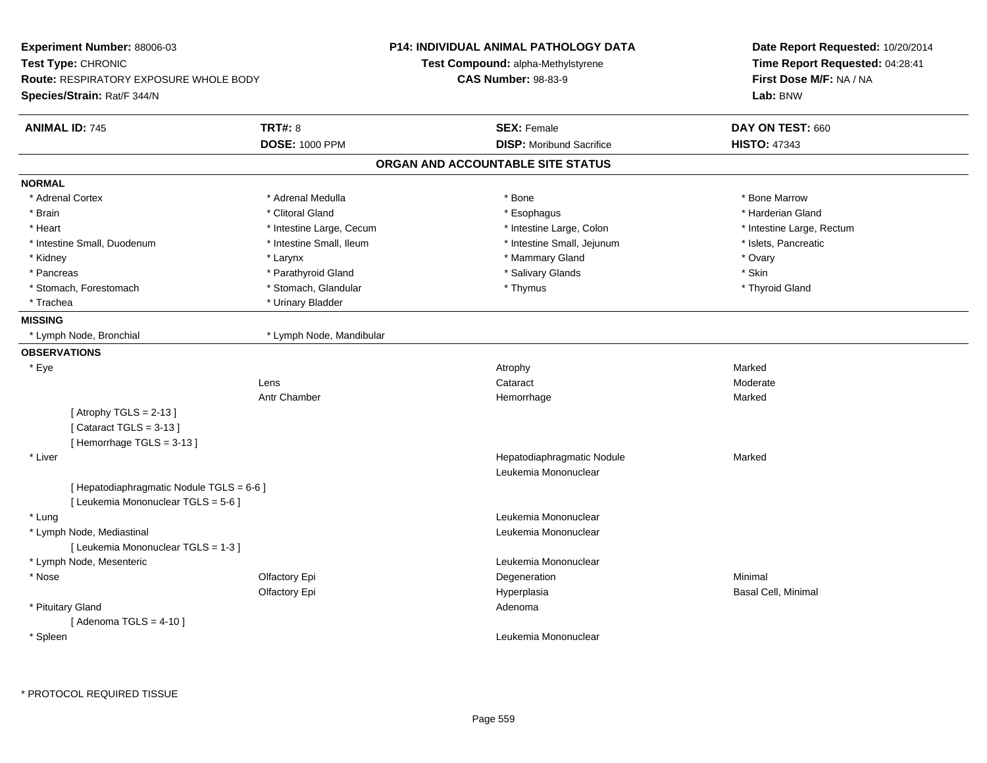| Experiment Number: 88006-03                                                       |                          | P14: INDIVIDUAL ANIMAL PATHOLOGY DATA              | Date Report Requested: 10/20/2014<br>Time Report Requested: 04:28:41 |  |
|-----------------------------------------------------------------------------------|--------------------------|----------------------------------------------------|----------------------------------------------------------------------|--|
| Test Type: CHRONIC                                                                |                          | Test Compound: alpha-Methylstyrene                 |                                                                      |  |
| <b>Route: RESPIRATORY EXPOSURE WHOLE BODY</b>                                     |                          | <b>CAS Number: 98-83-9</b>                         | First Dose M/F: NA / NA                                              |  |
| Species/Strain: Rat/F 344/N                                                       |                          |                                                    | Lab: BNW                                                             |  |
| <b>ANIMAL ID: 745</b>                                                             | <b>TRT#: 8</b>           | <b>SEX: Female</b>                                 | DAY ON TEST: 660                                                     |  |
|                                                                                   | <b>DOSE: 1000 PPM</b>    | <b>DISP:</b> Moribund Sacrifice                    | <b>HISTO: 47343</b>                                                  |  |
|                                                                                   |                          | ORGAN AND ACCOUNTABLE SITE STATUS                  |                                                                      |  |
| <b>NORMAL</b>                                                                     |                          |                                                    |                                                                      |  |
| * Adrenal Cortex                                                                  | * Adrenal Medulla        | * Bone                                             | * Bone Marrow                                                        |  |
| * Brain                                                                           | * Clitoral Gland         | * Esophagus                                        | * Harderian Gland                                                    |  |
| * Heart                                                                           | * Intestine Large, Cecum | * Intestine Large, Colon                           | * Intestine Large, Rectum                                            |  |
| * Intestine Small, Duodenum                                                       | * Intestine Small, Ileum | * Intestine Small, Jejunum                         | * Islets, Pancreatic                                                 |  |
| * Kidney                                                                          | * Larynx                 | * Mammary Gland                                    | * Ovary                                                              |  |
| * Pancreas                                                                        | * Parathyroid Gland      | * Salivary Glands                                  | * Skin                                                               |  |
| * Stomach, Forestomach                                                            | * Stomach, Glandular     | * Thymus                                           | * Thyroid Gland                                                      |  |
| * Trachea                                                                         | * Urinary Bladder        |                                                    |                                                                      |  |
| <b>MISSING</b>                                                                    |                          |                                                    |                                                                      |  |
| * Lymph Node, Bronchial                                                           | * Lymph Node, Mandibular |                                                    |                                                                      |  |
| <b>OBSERVATIONS</b>                                                               |                          |                                                    |                                                                      |  |
| * Eye                                                                             |                          | Atrophy                                            | Marked                                                               |  |
|                                                                                   | Lens                     | Cataract                                           | Moderate                                                             |  |
|                                                                                   | Antr Chamber             | Hemorrhage                                         | Marked                                                               |  |
| [Atrophy TGLS = $2-13$ ]<br>[Cataract TGLS = $3-13$ ]<br>[Hemorrhage TGLS = 3-13] |                          |                                                    |                                                                      |  |
| * Liver                                                                           |                          | Hepatodiaphragmatic Nodule<br>Leukemia Mononuclear | Marked                                                               |  |
| [ Hepatodiaphragmatic Nodule TGLS = 6-6 ]<br>[ Leukemia Mononuclear TGLS = 5-6 ]  |                          |                                                    |                                                                      |  |
| * Lung                                                                            |                          | Leukemia Mononuclear                               |                                                                      |  |
| * Lymph Node, Mediastinal<br>[ Leukemia Mononuclear TGLS = 1-3 ]                  |                          | Leukemia Mononuclear                               |                                                                      |  |
|                                                                                   |                          | Leukemia Mononuclear                               |                                                                      |  |
| * Lymph Node, Mesenteric<br>* Nose                                                |                          |                                                    | Minimal                                                              |  |
|                                                                                   | Olfactory Epi            | Degeneration                                       |                                                                      |  |
| * Pituitary Gland                                                                 | Olfactory Epi            | Hyperplasia<br>Adenoma                             | Basal Cell, Minimal                                                  |  |
| [Adenoma TGLS = $4-10$ ]                                                          |                          |                                                    |                                                                      |  |
| * Spleen                                                                          |                          | Leukemia Mononuclear                               |                                                                      |  |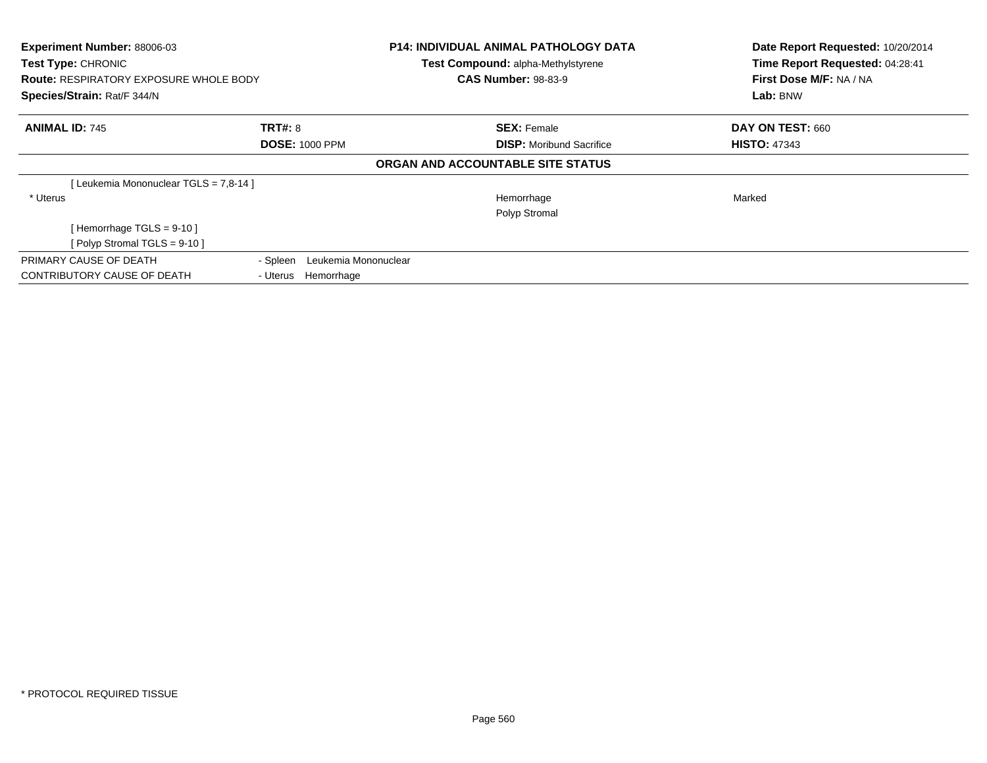| Experiment Number: 88006-03<br>Test Type: CHRONIC<br><b>Route: RESPIRATORY EXPOSURE WHOLE BODY</b><br>Species/Strain: Rat/F 344/N |                                  | <b>P14: INDIVIDUAL ANIMAL PATHOLOGY DATA</b><br>Test Compound: alpha-Methylstyrene<br><b>CAS Number: 98-83-9</b> | Date Report Requested: 10/20/2014<br>Time Report Requested: 04:28:41<br>First Dose M/F: NA / NA<br>Lab: BNW |  |
|-----------------------------------------------------------------------------------------------------------------------------------|----------------------------------|------------------------------------------------------------------------------------------------------------------|-------------------------------------------------------------------------------------------------------------|--|
| <b>ANIMAL ID: 745</b>                                                                                                             | <b>TRT#: 8</b>                   | <b>SEX: Female</b>                                                                                               | DAY ON TEST: 660                                                                                            |  |
|                                                                                                                                   | <b>DOSE: 1000 PPM</b>            | <b>DISP:</b> Moribund Sacrifice                                                                                  | <b>HISTO: 47343</b>                                                                                         |  |
|                                                                                                                                   |                                  | ORGAN AND ACCOUNTABLE SITE STATUS                                                                                |                                                                                                             |  |
| [Leukemia Mononuclear TGLS = 7,8-14]                                                                                              |                                  |                                                                                                                  |                                                                                                             |  |
| * Uterus                                                                                                                          |                                  | Hemorrhage                                                                                                       | Marked                                                                                                      |  |
|                                                                                                                                   |                                  | Polyp Stromal                                                                                                    |                                                                                                             |  |
| [Hemorrhage TGLS = $9-10$ ]                                                                                                       |                                  |                                                                                                                  |                                                                                                             |  |
| [Polyp Stromal TGLS = $9-10$ ]                                                                                                    |                                  |                                                                                                                  |                                                                                                             |  |
| PRIMARY CAUSE OF DEATH                                                                                                            | Leukemia Mononuclear<br>- Spleen |                                                                                                                  |                                                                                                             |  |
| CONTRIBUTORY CAUSE OF DEATH                                                                                                       | Hemorrhage<br>- Uterus           |                                                                                                                  |                                                                                                             |  |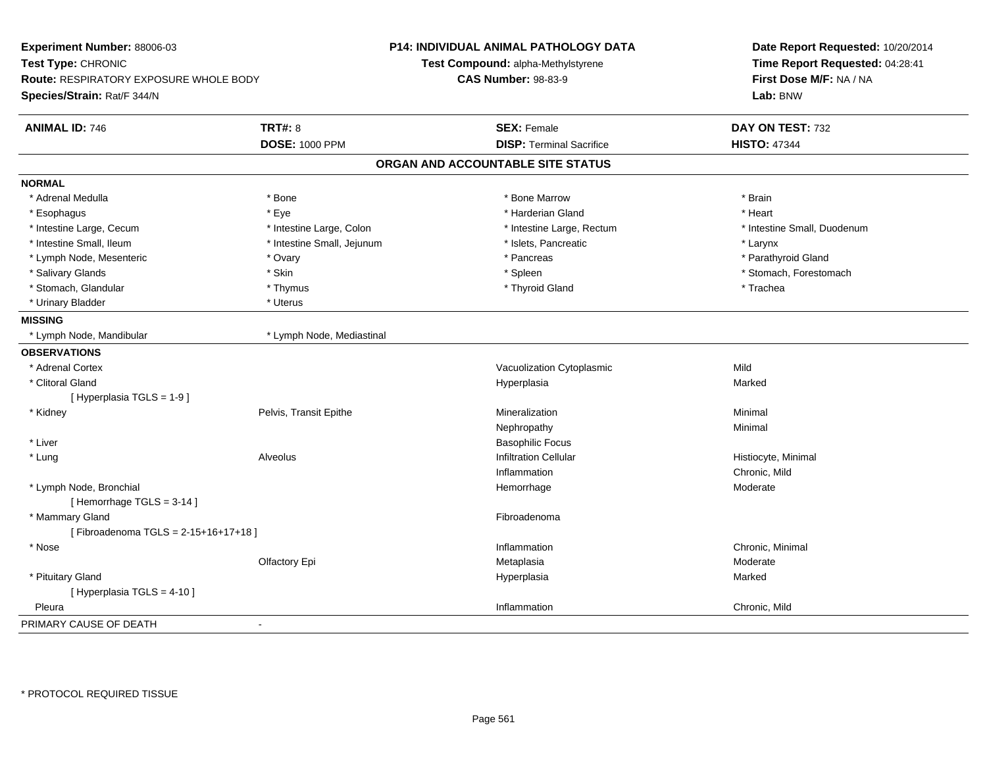| Experiment Number: 88006-03<br>Test Type: CHRONIC<br><b>Route: RESPIRATORY EXPOSURE WHOLE BODY</b><br>Species/Strain: Rat/F 344/N |                            | <b>P14: INDIVIDUAL ANIMAL PATHOLOGY DATA</b><br>Test Compound: alpha-Methylstyrene<br><b>CAS Number: 98-83-9</b> | Date Report Requested: 10/20/2014<br>Time Report Requested: 04:28:41<br>First Dose M/F: NA / NA<br>Lab: BNW |  |
|-----------------------------------------------------------------------------------------------------------------------------------|----------------------------|------------------------------------------------------------------------------------------------------------------|-------------------------------------------------------------------------------------------------------------|--|
| <b>ANIMAL ID: 746</b>                                                                                                             | <b>TRT#: 8</b>             | <b>SEX: Female</b>                                                                                               | DAY ON TEST: 732                                                                                            |  |
|                                                                                                                                   | <b>DOSE: 1000 PPM</b>      | <b>DISP: Terminal Sacrifice</b>                                                                                  | <b>HISTO: 47344</b>                                                                                         |  |
|                                                                                                                                   |                            | ORGAN AND ACCOUNTABLE SITE STATUS                                                                                |                                                                                                             |  |
| <b>NORMAL</b>                                                                                                                     |                            |                                                                                                                  |                                                                                                             |  |
| * Adrenal Medulla                                                                                                                 | * Bone                     | * Bone Marrow                                                                                                    | * Brain                                                                                                     |  |
| * Esophagus                                                                                                                       | * Eye                      | * Harderian Gland                                                                                                | * Heart                                                                                                     |  |
| * Intestine Large, Cecum                                                                                                          | * Intestine Large, Colon   | * Intestine Large, Rectum                                                                                        | * Intestine Small, Duodenum                                                                                 |  |
| * Intestine Small, Ileum                                                                                                          | * Intestine Small, Jejunum | * Islets, Pancreatic                                                                                             | * Larynx                                                                                                    |  |
| * Lymph Node, Mesenteric                                                                                                          | * Ovary                    | * Pancreas                                                                                                       | * Parathyroid Gland                                                                                         |  |
| * Salivary Glands                                                                                                                 | * Skin                     | * Spleen                                                                                                         | * Stomach, Forestomach                                                                                      |  |
| * Stomach, Glandular                                                                                                              | * Thymus                   | * Thyroid Gland                                                                                                  | * Trachea                                                                                                   |  |
| * Urinary Bladder                                                                                                                 | * Uterus                   |                                                                                                                  |                                                                                                             |  |
| <b>MISSING</b>                                                                                                                    |                            |                                                                                                                  |                                                                                                             |  |
| * Lymph Node, Mandibular                                                                                                          | * Lymph Node, Mediastinal  |                                                                                                                  |                                                                                                             |  |
| <b>OBSERVATIONS</b>                                                                                                               |                            |                                                                                                                  |                                                                                                             |  |
| * Adrenal Cortex                                                                                                                  |                            | Vacuolization Cytoplasmic                                                                                        | Mild                                                                                                        |  |
| * Clitoral Gland                                                                                                                  |                            | Hyperplasia                                                                                                      | Marked                                                                                                      |  |
| [Hyperplasia TGLS = 1-9]                                                                                                          |                            |                                                                                                                  |                                                                                                             |  |
| * Kidney                                                                                                                          | Pelvis, Transit Epithe     | Mineralization                                                                                                   | Minimal                                                                                                     |  |
|                                                                                                                                   |                            | Nephropathy                                                                                                      | Minimal                                                                                                     |  |
| * Liver                                                                                                                           |                            | <b>Basophilic Focus</b>                                                                                          |                                                                                                             |  |
| * Lung                                                                                                                            | <b>Alveolus</b>            | <b>Infiltration Cellular</b>                                                                                     | Histiocyte, Minimal                                                                                         |  |
|                                                                                                                                   |                            | Inflammation                                                                                                     | Chronic, Mild                                                                                               |  |
| * Lymph Node, Bronchial<br>[Hemorrhage TGLS = 3-14]                                                                               |                            | Hemorrhage                                                                                                       | Moderate                                                                                                    |  |
| * Mammary Gland                                                                                                                   |                            | Fibroadenoma                                                                                                     |                                                                                                             |  |
| [Fibroadenoma TGLS = 2-15+16+17+18]                                                                                               |                            |                                                                                                                  |                                                                                                             |  |
| * Nose                                                                                                                            |                            | Inflammation                                                                                                     | Chronic, Minimal                                                                                            |  |
|                                                                                                                                   | Olfactory Epi              | Metaplasia                                                                                                       | Moderate                                                                                                    |  |
| * Pituitary Gland                                                                                                                 |                            | Hyperplasia                                                                                                      | Marked                                                                                                      |  |
| [ Hyperplasia TGLS = 4-10 ]                                                                                                       |                            |                                                                                                                  |                                                                                                             |  |
| Pleura                                                                                                                            |                            | Inflammation                                                                                                     | Chronic, Mild                                                                                               |  |
| PRIMARY CAUSE OF DEATH                                                                                                            | $\blacksquare$             |                                                                                                                  |                                                                                                             |  |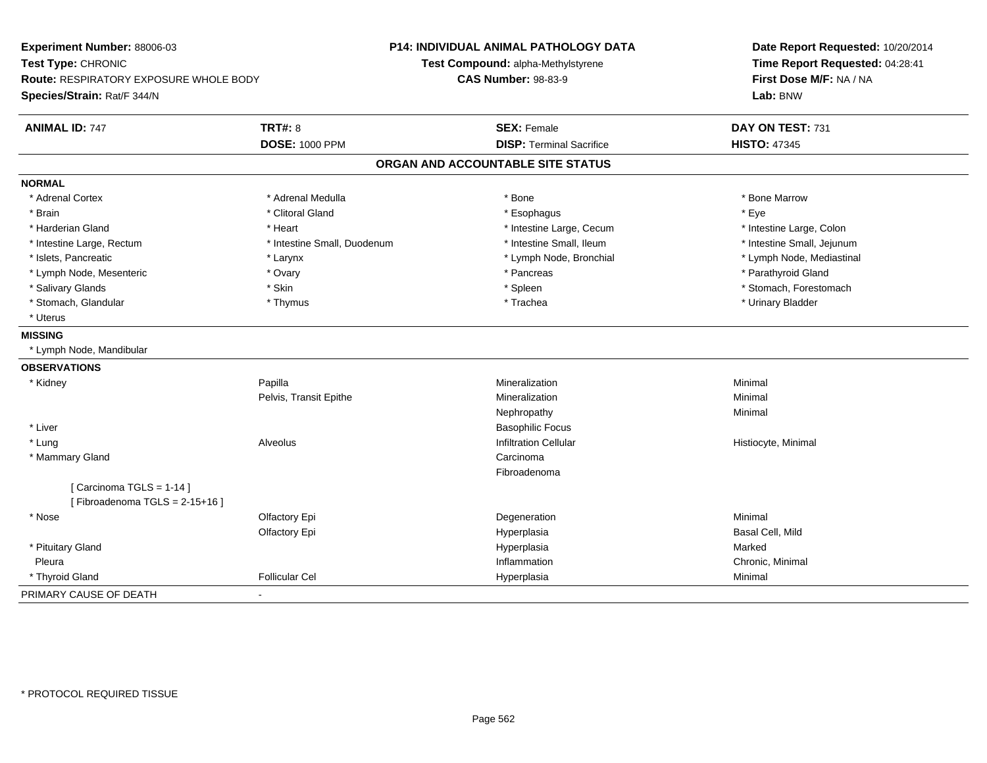| Experiment Number: 88006-03                   |                             | <b>P14: INDIVIDUAL ANIMAL PATHOLOGY DATA</b> | Date Report Requested: 10/20/2014   |  |
|-----------------------------------------------|-----------------------------|----------------------------------------------|-------------------------------------|--|
| Test Type: CHRONIC                            |                             | Test Compound: alpha-Methylstyrene           | Time Report Requested: 04:28:41     |  |
| <b>Route: RESPIRATORY EXPOSURE WHOLE BODY</b> |                             | <b>CAS Number: 98-83-9</b>                   | First Dose M/F: NA / NA<br>Lab: BNW |  |
| Species/Strain: Rat/F 344/N                   |                             |                                              |                                     |  |
| <b>ANIMAL ID: 747</b>                         | <b>TRT#: 8</b>              | <b>SEX: Female</b>                           | DAY ON TEST: 731                    |  |
|                                               | <b>DOSE: 1000 PPM</b>       | <b>DISP: Terminal Sacrifice</b>              | <b>HISTO: 47345</b>                 |  |
|                                               |                             | ORGAN AND ACCOUNTABLE SITE STATUS            |                                     |  |
| <b>NORMAL</b>                                 |                             |                                              |                                     |  |
| * Adrenal Cortex                              | * Adrenal Medulla           | * Bone                                       | * Bone Marrow                       |  |
| * Brain                                       | * Clitoral Gland            | * Esophagus                                  | * Eye                               |  |
| * Harderian Gland                             | * Heart                     | * Intestine Large, Cecum                     | * Intestine Large, Colon            |  |
| * Intestine Large, Rectum                     | * Intestine Small, Duodenum | * Intestine Small, Ileum                     | * Intestine Small, Jejunum          |  |
| * Islets, Pancreatic                          | * Larynx                    | * Lymph Node, Bronchial                      | * Lymph Node, Mediastinal           |  |
| * Lymph Node, Mesenteric                      | * Ovary                     | * Pancreas                                   | * Parathyroid Gland                 |  |
| * Salivary Glands                             | * Skin                      | * Spleen                                     | * Stomach, Forestomach              |  |
| * Stomach, Glandular                          | * Thymus                    | * Trachea                                    | * Urinary Bladder                   |  |
| * Uterus                                      |                             |                                              |                                     |  |
| <b>MISSING</b>                                |                             |                                              |                                     |  |
| * Lymph Node, Mandibular                      |                             |                                              |                                     |  |
| <b>OBSERVATIONS</b>                           |                             |                                              |                                     |  |
| * Kidney                                      | Papilla                     | Mineralization                               | Minimal                             |  |
|                                               | Pelvis, Transit Epithe      | Mineralization                               | Minimal                             |  |
|                                               |                             | Nephropathy                                  | Minimal                             |  |
| * Liver                                       |                             | <b>Basophilic Focus</b>                      |                                     |  |
| * Lung                                        | Alveolus                    | <b>Infiltration Cellular</b>                 | Histiocyte, Minimal                 |  |
| * Mammary Gland                               |                             | Carcinoma                                    |                                     |  |
|                                               |                             | Fibroadenoma                                 |                                     |  |
| [Carcinoma TGLS = 1-14]                       |                             |                                              |                                     |  |
| [Fibroadenoma TGLS = $2-15+16$ ]              |                             |                                              |                                     |  |
| * Nose                                        | Olfactory Epi               | Degeneration                                 | Minimal                             |  |
|                                               | Olfactory Epi               | Hyperplasia                                  | Basal Cell, Mild                    |  |
| * Pituitary Gland                             |                             | Hyperplasia                                  | Marked                              |  |
| Pleura                                        |                             | Inflammation                                 | Chronic, Minimal                    |  |
| * Thyroid Gland                               | <b>Follicular Cel</b>       | Hyperplasia                                  | Minimal                             |  |
| PRIMARY CAUSE OF DEATH                        |                             |                                              |                                     |  |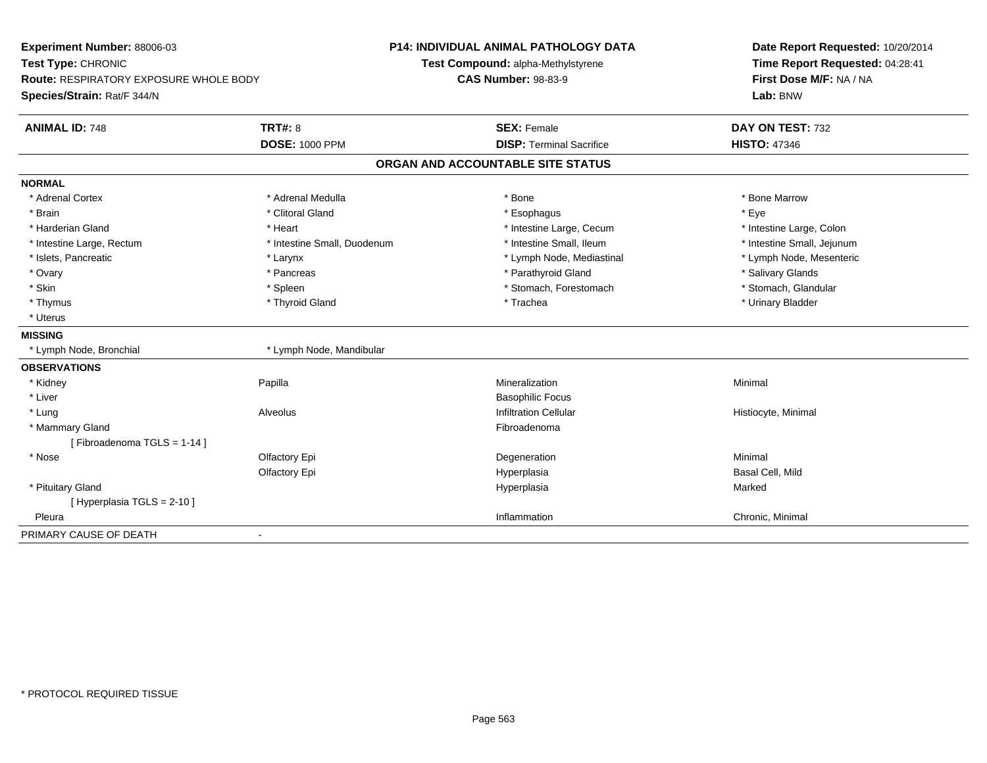| Experiment Number: 88006-03<br>Test Type: CHRONIC                     |                             | P14: INDIVIDUAL ANIMAL PATHOLOGY DATA<br>Test Compound: alpha-Methylstyrene | Date Report Requested: 10/20/2014                                      |  |
|-----------------------------------------------------------------------|-----------------------------|-----------------------------------------------------------------------------|------------------------------------------------------------------------|--|
| Route: RESPIRATORY EXPOSURE WHOLE BODY<br>Species/Strain: Rat/F 344/N |                             | <b>CAS Number: 98-83-9</b>                                                  | Time Report Requested: 04:28:41<br>First Dose M/F: NA / NA<br>Lab: BNW |  |
| <b>ANIMAL ID: 748</b>                                                 | <b>TRT#: 8</b>              | <b>SEX: Female</b>                                                          | DAY ON TEST: 732                                                       |  |
|                                                                       | <b>DOSE: 1000 PPM</b>       | <b>DISP: Terminal Sacrifice</b>                                             | <b>HISTO: 47346</b>                                                    |  |
|                                                                       |                             | ORGAN AND ACCOUNTABLE SITE STATUS                                           |                                                                        |  |
| <b>NORMAL</b>                                                         |                             |                                                                             |                                                                        |  |
| * Adrenal Cortex                                                      | * Adrenal Medulla           | * Bone                                                                      | * Bone Marrow                                                          |  |
| * Brain                                                               | * Clitoral Gland            | * Esophagus                                                                 | * Eye                                                                  |  |
| * Harderian Gland                                                     | * Heart                     | * Intestine Large, Cecum                                                    | * Intestine Large, Colon                                               |  |
| * Intestine Large, Rectum                                             | * Intestine Small, Duodenum | * Intestine Small, Ileum                                                    | * Intestine Small, Jejunum                                             |  |
| * Islets, Pancreatic                                                  | * Larynx                    | * Lymph Node, Mediastinal                                                   | * Lymph Node, Mesenteric                                               |  |
| * Ovary                                                               | * Pancreas                  | * Parathyroid Gland                                                         | * Salivary Glands                                                      |  |
| * Skin                                                                | * Spleen                    | * Stomach, Forestomach                                                      | * Stomach, Glandular                                                   |  |
| * Thymus                                                              | * Thyroid Gland             | * Trachea                                                                   | * Urinary Bladder                                                      |  |
| * Uterus                                                              |                             |                                                                             |                                                                        |  |
| <b>MISSING</b>                                                        |                             |                                                                             |                                                                        |  |
| * Lymph Node, Bronchial                                               | * Lymph Node, Mandibular    |                                                                             |                                                                        |  |
| <b>OBSERVATIONS</b>                                                   |                             |                                                                             |                                                                        |  |
| * Kidney                                                              | Papilla                     | Mineralization                                                              | Minimal                                                                |  |
| * Liver                                                               |                             | <b>Basophilic Focus</b>                                                     |                                                                        |  |
| * Lung                                                                | Alveolus                    | <b>Infiltration Cellular</b>                                                | Histiocyte, Minimal                                                    |  |
| * Mammary Gland                                                       |                             | Fibroadenoma                                                                |                                                                        |  |
| [Fibroadenoma TGLS = 1-14]                                            |                             |                                                                             |                                                                        |  |
| * Nose                                                                | Olfactory Epi               | Degeneration                                                                | Minimal                                                                |  |
|                                                                       | Olfactory Epi               | Hyperplasia                                                                 | Basal Cell, Mild                                                       |  |
| * Pituitary Gland                                                     |                             | Hyperplasia                                                                 | Marked                                                                 |  |
| [ Hyperplasia TGLS = 2-10 ]                                           |                             |                                                                             |                                                                        |  |
| Pleura                                                                |                             | Inflammation                                                                | Chronic, Minimal                                                       |  |
| PRIMARY CAUSE OF DEATH                                                |                             |                                                                             |                                                                        |  |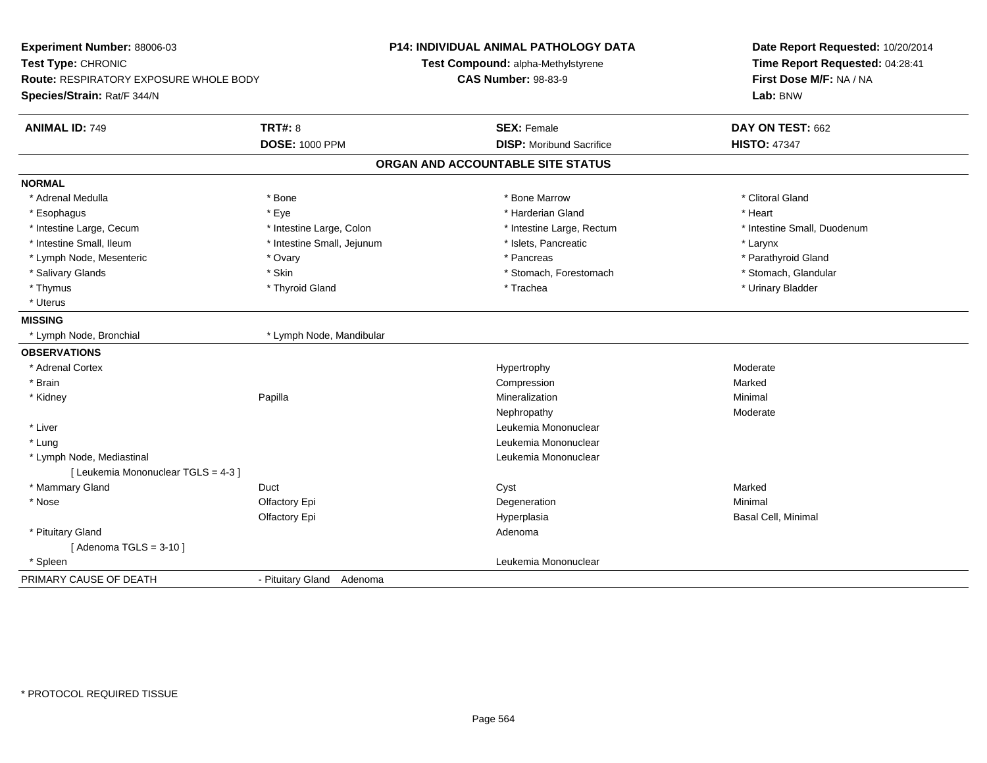| Experiment Number: 88006-03<br>Test Type: CHRONIC<br><b>Route: RESPIRATORY EXPOSURE WHOLE BODY</b><br>Species/Strain: Rat/F 344/N |                            | P14: INDIVIDUAL ANIMAL PATHOLOGY DATA<br>Test Compound: alpha-Methylstyrene<br><b>CAS Number: 98-83-9</b> |                                   | Date Report Requested: 10/20/2014<br>Time Report Requested: 04:28:41<br>First Dose M/F: NA / NA<br>Lab: BNW |
|-----------------------------------------------------------------------------------------------------------------------------------|----------------------------|-----------------------------------------------------------------------------------------------------------|-----------------------------------|-------------------------------------------------------------------------------------------------------------|
| <b>ANIMAL ID: 749</b>                                                                                                             | <b>TRT#: 8</b>             |                                                                                                           | <b>SEX: Female</b>                | DAY ON TEST: 662                                                                                            |
|                                                                                                                                   | <b>DOSE: 1000 PPM</b>      |                                                                                                           | <b>DISP:</b> Moribund Sacrifice   | <b>HISTO: 47347</b>                                                                                         |
|                                                                                                                                   |                            |                                                                                                           | ORGAN AND ACCOUNTABLE SITE STATUS |                                                                                                             |
| <b>NORMAL</b>                                                                                                                     |                            |                                                                                                           |                                   |                                                                                                             |
| * Adrenal Medulla                                                                                                                 | * Bone                     |                                                                                                           | * Bone Marrow                     | * Clitoral Gland                                                                                            |
| * Esophagus                                                                                                                       | * Eye                      |                                                                                                           | * Harderian Gland                 | * Heart                                                                                                     |
| * Intestine Large, Cecum                                                                                                          | * Intestine Large, Colon   |                                                                                                           | * Intestine Large, Rectum         | * Intestine Small, Duodenum                                                                                 |
| * Intestine Small, Ileum                                                                                                          | * Intestine Small, Jejunum |                                                                                                           | * Islets, Pancreatic              | * Larynx                                                                                                    |
| * Lymph Node, Mesenteric                                                                                                          | * Ovary                    |                                                                                                           | * Pancreas                        | * Parathyroid Gland                                                                                         |
| * Salivary Glands                                                                                                                 | * Skin                     |                                                                                                           | * Stomach, Forestomach            | * Stomach, Glandular                                                                                        |
| * Thymus                                                                                                                          | * Thyroid Gland            |                                                                                                           | * Trachea                         | * Urinary Bladder                                                                                           |
| * Uterus                                                                                                                          |                            |                                                                                                           |                                   |                                                                                                             |
| <b>MISSING</b>                                                                                                                    |                            |                                                                                                           |                                   |                                                                                                             |
| * Lymph Node, Bronchial                                                                                                           | * Lymph Node, Mandibular   |                                                                                                           |                                   |                                                                                                             |
| <b>OBSERVATIONS</b>                                                                                                               |                            |                                                                                                           |                                   |                                                                                                             |
| * Adrenal Cortex                                                                                                                  |                            |                                                                                                           | Hypertrophy                       | Moderate                                                                                                    |
| * Brain                                                                                                                           |                            |                                                                                                           | Compression                       | Marked                                                                                                      |
| * Kidney                                                                                                                          | Papilla                    |                                                                                                           | Mineralization                    | Minimal                                                                                                     |
|                                                                                                                                   |                            |                                                                                                           | Nephropathy                       | Moderate                                                                                                    |
| * Liver                                                                                                                           |                            |                                                                                                           | Leukemia Mononuclear              |                                                                                                             |
| * Lung                                                                                                                            |                            |                                                                                                           | Leukemia Mononuclear              |                                                                                                             |
| * Lymph Node, Mediastinal                                                                                                         |                            |                                                                                                           | Leukemia Mononuclear              |                                                                                                             |
| [ Leukemia Mononuclear TGLS = 4-3 ]                                                                                               |                            |                                                                                                           |                                   |                                                                                                             |
| * Mammary Gland                                                                                                                   | Duct                       |                                                                                                           | Cyst                              | Marked                                                                                                      |
| * Nose                                                                                                                            | Olfactory Epi              |                                                                                                           | Degeneration                      | Minimal                                                                                                     |
|                                                                                                                                   | Olfactory Epi              |                                                                                                           | Hyperplasia                       | Basal Cell, Minimal                                                                                         |
| * Pituitary Gland                                                                                                                 |                            |                                                                                                           | Adenoma                           |                                                                                                             |
| [Adenoma TGLS = $3-10$ ]                                                                                                          |                            |                                                                                                           |                                   |                                                                                                             |
| * Spleen                                                                                                                          |                            |                                                                                                           | Leukemia Mononuclear              |                                                                                                             |
| PRIMARY CAUSE OF DEATH                                                                                                            | - Pituitary Gland Adenoma  |                                                                                                           |                                   |                                                                                                             |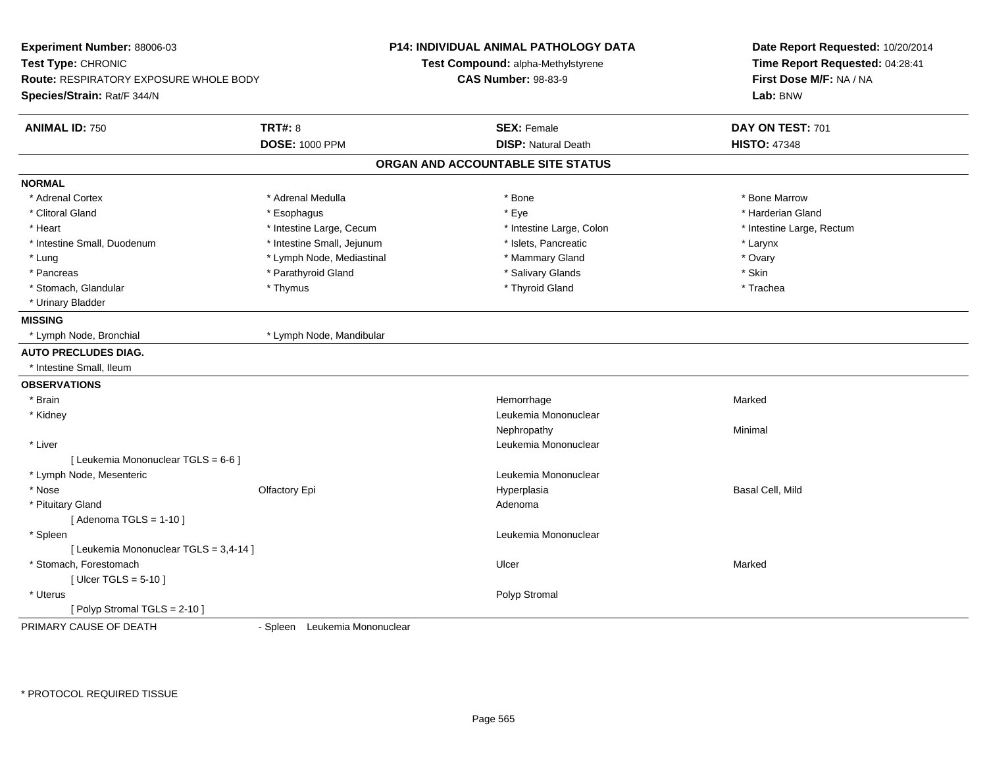| Experiment Number: 88006-03<br>Test Type: CHRONIC                     | <b>P14: INDIVIDUAL ANIMAL PATHOLOGY DATA</b><br>Test Compound: alpha-Methylstyrene<br><b>CAS Number: 98-83-9</b> |                                   | Date Report Requested: 10/20/2014<br>Time Report Requested: 04:28:41<br>First Dose M/F: NA / NA<br>Lab: BNW |
|-----------------------------------------------------------------------|------------------------------------------------------------------------------------------------------------------|-----------------------------------|-------------------------------------------------------------------------------------------------------------|
| Route: RESPIRATORY EXPOSURE WHOLE BODY<br>Species/Strain: Rat/F 344/N |                                                                                                                  |                                   |                                                                                                             |
| <b>ANIMAL ID: 750</b>                                                 | <b>TRT#: 8</b>                                                                                                   | <b>SEX: Female</b>                | DAY ON TEST: 701                                                                                            |
|                                                                       | <b>DOSE: 1000 PPM</b>                                                                                            | <b>DISP: Natural Death</b>        | <b>HISTO: 47348</b>                                                                                         |
|                                                                       |                                                                                                                  | ORGAN AND ACCOUNTABLE SITE STATUS |                                                                                                             |
| <b>NORMAL</b>                                                         |                                                                                                                  |                                   |                                                                                                             |
| * Adrenal Cortex                                                      | * Adrenal Medulla                                                                                                | * Bone                            | * Bone Marrow                                                                                               |
| * Clitoral Gland                                                      | * Esophagus                                                                                                      | * Eye                             | * Harderian Gland                                                                                           |
| * Heart                                                               | * Intestine Large, Cecum                                                                                         | * Intestine Large, Colon          | * Intestine Large, Rectum                                                                                   |
| * Intestine Small, Duodenum                                           | * Intestine Small, Jejunum                                                                                       | * Islets, Pancreatic              | * Larynx                                                                                                    |
| * Lung                                                                | * Lymph Node, Mediastinal                                                                                        | * Mammary Gland                   | * Ovary                                                                                                     |
| * Pancreas                                                            | * Parathyroid Gland                                                                                              | * Salivary Glands                 | * Skin                                                                                                      |
| * Stomach, Glandular                                                  | * Thymus                                                                                                         | * Thyroid Gland                   | * Trachea                                                                                                   |
| * Urinary Bladder                                                     |                                                                                                                  |                                   |                                                                                                             |
| <b>MISSING</b>                                                        |                                                                                                                  |                                   |                                                                                                             |
| * Lymph Node, Bronchial                                               | * Lymph Node, Mandibular                                                                                         |                                   |                                                                                                             |
| <b>AUTO PRECLUDES DIAG.</b>                                           |                                                                                                                  |                                   |                                                                                                             |
| * Intestine Small, Ileum                                              |                                                                                                                  |                                   |                                                                                                             |
| <b>OBSERVATIONS</b>                                                   |                                                                                                                  |                                   |                                                                                                             |
| * Brain                                                               |                                                                                                                  | Hemorrhage                        | Marked                                                                                                      |
| * Kidney                                                              |                                                                                                                  | Leukemia Mononuclear              |                                                                                                             |
|                                                                       |                                                                                                                  | Nephropathy                       | Minimal                                                                                                     |
| * Liver                                                               |                                                                                                                  | Leukemia Mononuclear              |                                                                                                             |
| [ Leukemia Mononuclear TGLS = 6-6 ]                                   |                                                                                                                  |                                   |                                                                                                             |
| * Lymph Node, Mesenteric                                              |                                                                                                                  | Leukemia Mononuclear              |                                                                                                             |
| * Nose                                                                | Olfactory Epi                                                                                                    | Hyperplasia                       | Basal Cell, Mild                                                                                            |
| * Pituitary Gland                                                     |                                                                                                                  | Adenoma                           |                                                                                                             |
| [Adenoma TGLS = $1-10$ ]                                              |                                                                                                                  |                                   |                                                                                                             |
| * Spleen                                                              |                                                                                                                  | Leukemia Mononuclear              |                                                                                                             |
| [ Leukemia Mononuclear TGLS = 3,4-14 ]                                |                                                                                                                  |                                   |                                                                                                             |
| * Stomach, Forestomach                                                |                                                                                                                  | Ulcer                             | Marked                                                                                                      |
| [Ulcer TGLS = $5-10$ ]                                                |                                                                                                                  |                                   |                                                                                                             |
| * Uterus                                                              |                                                                                                                  | Polyp Stromal                     |                                                                                                             |
| [ Polyp Stromal TGLS = 2-10 ]                                         |                                                                                                                  |                                   |                                                                                                             |
| PRIMARY CAUSE OF DEATH                                                | - Spleen Leukemia Mononuclear                                                                                    |                                   |                                                                                                             |